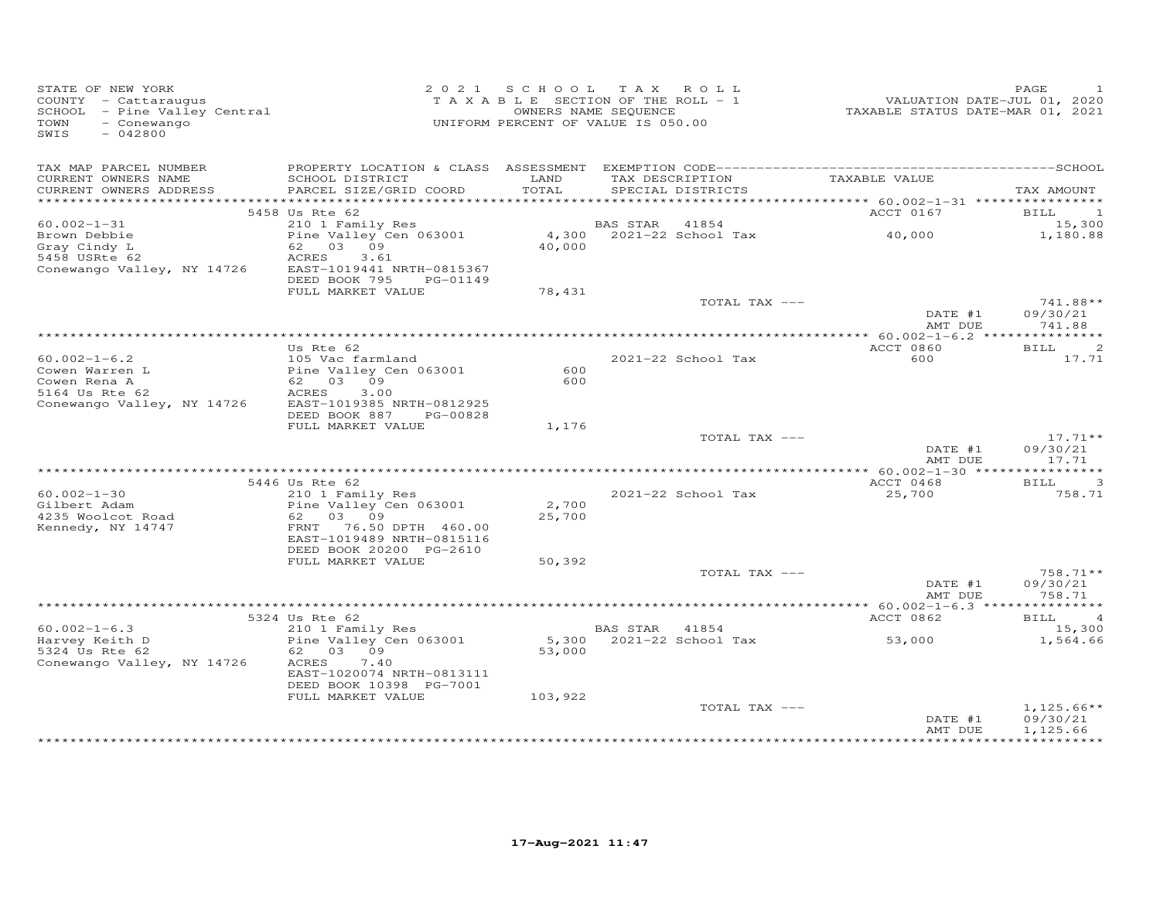| STATE OF NEW YORK<br>COUNTY - Cattaraugus<br>SCHOOL - Pine Valley Central<br>- Conewango<br>TOWN<br>SWIS<br>$-042800$ |                                                                                                                                   |                 | 2021 SCHOOL TAX ROLL<br>TAXABLE SECTION OF THE ROLL - 1<br>OWNERS NAME SEQUENCE<br>UNIFORM PERCENT OF VALUE IS 050.00 | VALUATION DATE-JUL 01, 2020<br>TAXABLE STATUS DATE-MAR 01, 2021 | PAGE                                   |
|-----------------------------------------------------------------------------------------------------------------------|-----------------------------------------------------------------------------------------------------------------------------------|-----------------|-----------------------------------------------------------------------------------------------------------------------|-----------------------------------------------------------------|----------------------------------------|
| TAX MAP PARCEL NUMBER<br>CURRENT OWNERS NAME<br>CURRENT OWNERS ADDRESS                                                | SCHOOL DISTRICT<br>PARCEL SIZE/GRID COORD                                                                                         | LAND<br>TOTAL   | TAX DESCRIPTION<br>SPECIAL DISTRICTS                                                                                  | TAXABLE VALUE                                                   | TAX AMOUNT                             |
|                                                                                                                       |                                                                                                                                   |                 |                                                                                                                       |                                                                 |                                        |
|                                                                                                                       | 5458 Us Rte 62                                                                                                                    |                 |                                                                                                                       | ACCT 0167                                                       | BILL<br>-1                             |
| $60.002 - 1 - 31$                                                                                                     | 210 1 Family Res                                                                                                                  |                 | BAS STAR<br>41854                                                                                                     |                                                                 | 15,300                                 |
| Brown Debbie<br>Gray Cindy L<br>5458 USRte 62<br>Conewango Valley, NY 14726                                           | Pine Valley Cen 063001<br>62 03 09<br>ACRES<br>3.61<br>EAST-1019441 NRTH-0815367<br>DEED BOOK 795<br>PG-01149                     | 4,300<br>40,000 | 2021-22 School Tax                                                                                                    | 40,000                                                          | 1,180.88                               |
|                                                                                                                       | FULL MARKET VALUE                                                                                                                 | 78,431          |                                                                                                                       |                                                                 |                                        |
|                                                                                                                       |                                                                                                                                   |                 | TOTAL TAX ---                                                                                                         | DATE #1<br>AMT DUE                                              | $741.88**$<br>09/30/21<br>741.88       |
|                                                                                                                       |                                                                                                                                   |                 |                                                                                                                       |                                                                 |                                        |
|                                                                                                                       | Us Rte 62                                                                                                                         |                 |                                                                                                                       | ACCT 0860                                                       | $\overline{c}$<br><b>BILL</b>          |
| $60.002 - 1 - 6.2$<br>Cowen Warren L<br>Cowen Rena A<br>5164 Us Rte 62<br>Conewango Valley, NY 14726                  | 105 Vac farmland<br>Pine Valley Cen 063001<br>62 03 09<br>ACRES<br>3.00<br>EAST-1019385 NRTH-0812925<br>DEED BOOK 887<br>PG-00828 | 600<br>600      | $2021 - 22$ School Tax                                                                                                | 600                                                             | 17.71                                  |
|                                                                                                                       | FULL MARKET VALUE                                                                                                                 | 1,176           |                                                                                                                       |                                                                 |                                        |
|                                                                                                                       |                                                                                                                                   |                 | TOTAL TAX ---                                                                                                         | DATE #1                                                         | $17.71**$<br>09/30/21                  |
|                                                                                                                       |                                                                                                                                   |                 |                                                                                                                       | AMT DUE                                                         | 17.71                                  |
|                                                                                                                       | 5446 Us Rte 62                                                                                                                    |                 |                                                                                                                       | ACCT 0468                                                       | $\overline{\mathbf{3}}$<br><b>BILL</b> |
| $60.002 - 1 - 30$<br>Gilbert Adam<br>4235 Woolcot Road<br>Kennedy, NY 14747                                           | 210 1 Family Res<br>Pine Valley Cen 063001<br>62 03 09<br>FRNT 76.50 DPTH 460.00<br>EAST-1019489 NRTH-0815116                     | 2,700<br>25,700 | 2021-22 School Tax                                                                                                    | 25,700                                                          | 758.71                                 |
|                                                                                                                       | DEED BOOK 20200 PG-2610                                                                                                           |                 |                                                                                                                       |                                                                 |                                        |
|                                                                                                                       | FULL MARKET VALUE                                                                                                                 | 50,392          |                                                                                                                       |                                                                 | 758.71**                               |
|                                                                                                                       |                                                                                                                                   |                 | TOTAL TAX ---                                                                                                         | DATE #1<br>AMT DUE                                              | 09/30/21<br>758.71                     |
|                                                                                                                       |                                                                                                                                   |                 |                                                                                                                       |                                                                 |                                        |
|                                                                                                                       | 5324 Us Rte 62                                                                                                                    |                 |                                                                                                                       | ACCT 0862                                                       | <b>BILL</b><br>$\overline{4}$          |
| $60.002 - 1 - 6.3$                                                                                                    | 210 1 Family Res<br>Pine Valley Cen 063001                                                                                        |                 | BAS STAR 41854<br>5,300 2021-22 School Tax                                                                            | 53,000                                                          | 15,300                                 |
| Harvey Keith D<br>5324 Us Rte 62<br>Conewango Valley, NY 14726                                                        | 62 03 09<br>ACRES<br>7.40                                                                                                         | 53,000          |                                                                                                                       |                                                                 | 1,564.66                               |
|                                                                                                                       | EAST-1020074 NRTH-0813111<br>DEED BOOK 10398 PG-7001                                                                              |                 |                                                                                                                       |                                                                 |                                        |
|                                                                                                                       | FULL MARKET VALUE                                                                                                                 | 103,922         | TOTAL TAX ---                                                                                                         | DATE #1<br>AMT DUE                                              | $1,125.66**$<br>09/30/21<br>1,125.66   |
|                                                                                                                       |                                                                                                                                   |                 |                                                                                                                       |                                                                 |                                        |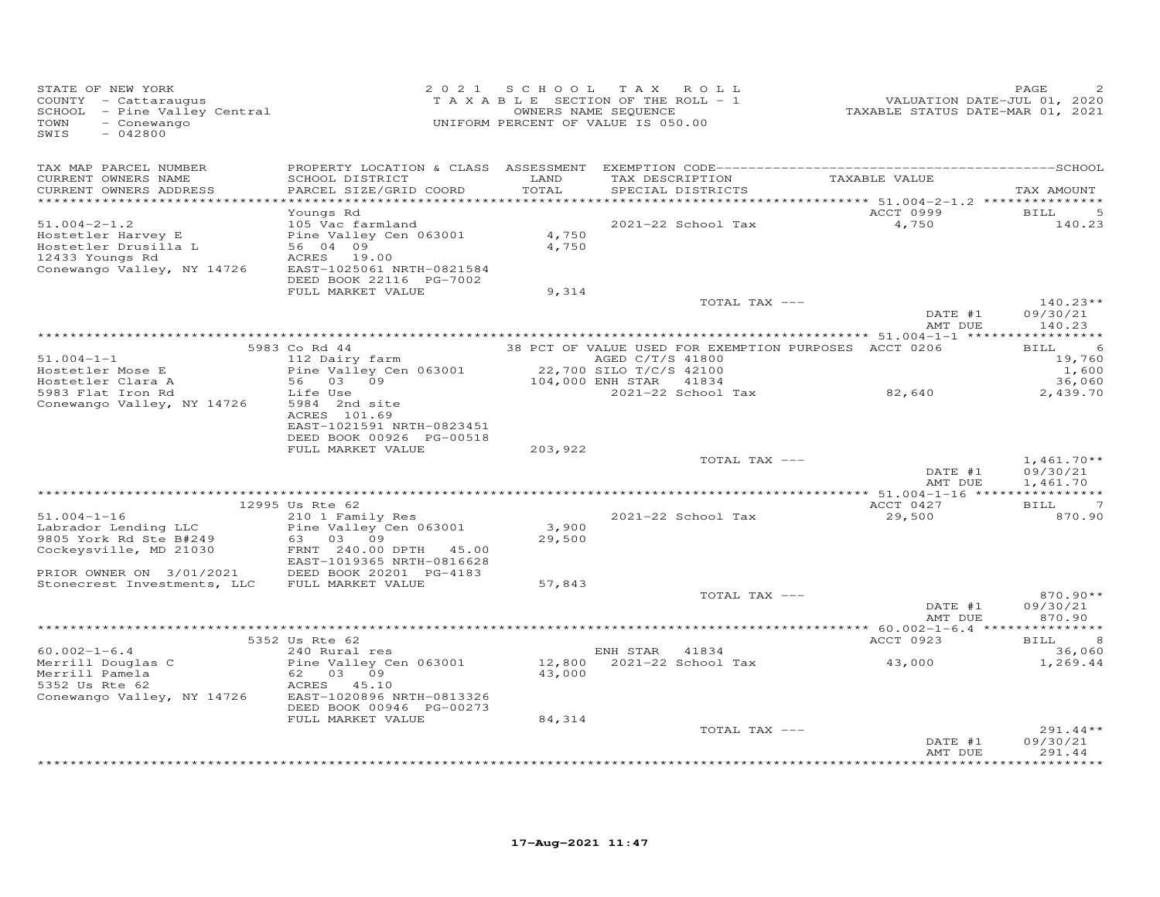| STATE OF NEW YORK<br>COUNTY - Cattaraugus<br>SCHOOL - Pine Valley Central<br>TOWN<br>- Conewango<br>SWIS<br>$-042800$     |                                                                                                                                            |                 | 2021 SCHOOL TAX ROLL<br>TAXABLE SECTION OF THE ROLL - 1<br>OWNERS NAME SEQUENCE<br>UNIFORM PERCENT OF VALUE IS 050.00                                | VALUATION DATE-JUL 01, 2020<br>TAXABLE STATUS DATE-MAR 01, 2021 | PAGE                                                |
|---------------------------------------------------------------------------------------------------------------------------|--------------------------------------------------------------------------------------------------------------------------------------------|-----------------|------------------------------------------------------------------------------------------------------------------------------------------------------|-----------------------------------------------------------------|-----------------------------------------------------|
| TAX MAP PARCEL NUMBER<br>CURRENT OWNERS NAME<br>CURRENT OWNERS ADDRESS<br>***********************                         | SCHOOL DISTRICT<br>PARCEL SIZE/GRID COORD                                                                                                  | LAND<br>TOTAL   | TAX DESCRIPTION<br>SPECIAL DISTRICTS                                                                                                                 | TAXABLE VALUE                                                   | TAX AMOUNT                                          |
| $51.004 - 2 - 1.2$<br>Hostetler Harvey E<br>Hostetler Drusilla L<br>12433 Youngs Rd<br>Conewango Valley, NY 14726         | Youngs Rd<br>105 Vac farmland<br>Pine Valley Cen 063001<br>56 04 09<br>ACRES 19.00<br>EAST-1025061 NRTH-0821584<br>DEED BOOK 22116 PG-7002 | 4,750<br>4,750  | 2021-22 School Tax                                                                                                                                   | ACCT 0999<br>4,750                                              | 5<br>BILL<br>140.23                                 |
|                                                                                                                           | FULL MARKET VALUE                                                                                                                          | 9,314           | TOTAL TAX ---                                                                                                                                        | DATE #1<br>AMT DUE                                              | $140.23**$<br>09/30/21<br>140.23                    |
|                                                                                                                           |                                                                                                                                            |                 |                                                                                                                                                      |                                                                 |                                                     |
| $51.004 - 1 - 1$<br>Hostetler Mose E<br>Hostetler Clara A<br>5983 Flat Iron Rd                                            | 5983 Co Rd 44<br>112 Dairy farm<br>Pine Valley Cen 063001<br>56 03 09<br>Life Use                                                          |                 | 38 PCT OF VALUE USED FOR EXEMPTION PURPOSES ACCT 0206<br>AGED C/T/S 41800<br>22,700 SILO T/C/S 42100<br>104,000 ENH STAR 41834<br>2021-22 School Tax | 82,640                                                          | -6<br>BILL<br>19,760<br>1,600<br>36,060<br>2,439.70 |
| Conewango Valley, NY 14726                                                                                                | 5984 2nd site<br>ACRES 101.69<br>EAST-1021591 NRTH-0823451<br>DEED BOOK 00926 PG-00518<br>FULL MARKET VALUE                                | 203,922         | TOTAL TAX ---                                                                                                                                        |                                                                 | $1,461.70**$                                        |
|                                                                                                                           |                                                                                                                                            |                 |                                                                                                                                                      | DATE #1                                                         | 09/30/21                                            |
|                                                                                                                           |                                                                                                                                            |                 |                                                                                                                                                      | AMT DUE                                                         | 1,461.70                                            |
|                                                                                                                           | 12995 Us Rte 62                                                                                                                            |                 |                                                                                                                                                      | ACCT 0427                                                       | <b>BILL</b><br>-7                                   |
| $51.004 - 1 - 16$<br>Labrador Lending LLC<br>9805 York Rd Ste B#249<br>Cockeysville, MD 21030<br>PRIOR OWNER ON 3/01/2021 | 210 1 Family Res<br>Pine Valley Cen 063001<br>63 03 09<br>FRNT 240.00 DPTH 45.00<br>EAST-1019365 NRTH-0816628<br>DEED BOOK 20201 PG-4183   | 3,900<br>29,500 | 2021-22 School Tax                                                                                                                                   | 29,500                                                          | 870.90                                              |
| Stonecrest Investments, LLC                                                                                               | FULL MARKET VALUE                                                                                                                          | 57,843          |                                                                                                                                                      |                                                                 |                                                     |
|                                                                                                                           |                                                                                                                                            |                 | TOTAL TAX ---                                                                                                                                        | DATE #1<br>AMT DUE                                              | 870.90**<br>09/30/21<br>870.90                      |
|                                                                                                                           |                                                                                                                                            |                 |                                                                                                                                                      |                                                                 |                                                     |
|                                                                                                                           | 5352 Us Rte 62                                                                                                                             |                 |                                                                                                                                                      | ACCT 0923                                                       | 8<br><b>BILL</b>                                    |
| $60.002 - 1 - 6.4$<br>Merrill Douglas C<br>Merrill Pamela<br>5352 Us Rte 62<br>Conewango Valley, NY 14726                 | 240 Rural res<br>Pine Valley Cen 063001<br>62 03 09<br>ACRES 45.10<br>EAST-1020896 NRTH-0813326<br>DEED BOOK 00946 PG-00273                | 43,000          | ENH STAR 41834<br>12,800 2021-22 School Tax                                                                                                          | 43,000                                                          | 36,060<br>1,269.44                                  |
|                                                                                                                           | FULL MARKET VALUE                                                                                                                          | 84,314          |                                                                                                                                                      |                                                                 |                                                     |
|                                                                                                                           |                                                                                                                                            |                 | TOTAL TAX ---                                                                                                                                        | DATE #1<br>AMT DUE                                              | 291.44**<br>09/30/21<br>291.44                      |
|                                                                                                                           |                                                                                                                                            |                 |                                                                                                                                                      |                                                                 | **********                                          |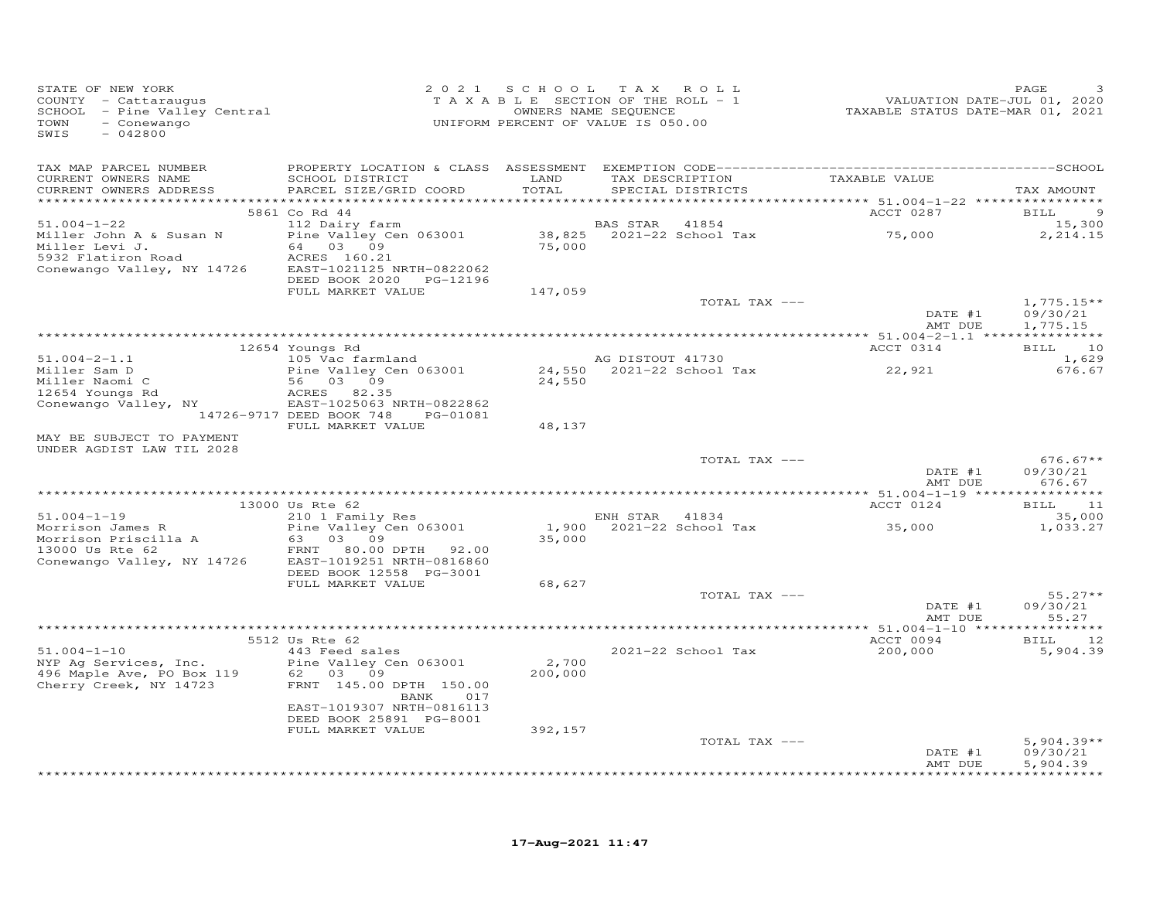| STATE OF NEW YORK<br>STAIL OF NEW TORE<br>COUNTY - Cattaraugus<br>SCHOOL - Pine Valley Central<br>- Conewango<br>TOWN<br>$-042800$<br>SWIS |                                                                           | 2021 SCHOOL   | TAX ROLL<br>TAXABLE SECTION OF THE ROLL - 1<br>L L SECTION OF THE ROLL - 1<br>OWNERS NAME SEQUENCE<br>"POENT OF WAINT TO COMP<br>UNIFORM PERCENT OF VALUE IS 050.00 | 720 VALUATION DATE-JUL 01, 2020<br>TAXABLE STATUS DATE-MAR 01, 2021 | PAGE                               |
|--------------------------------------------------------------------------------------------------------------------------------------------|---------------------------------------------------------------------------|---------------|---------------------------------------------------------------------------------------------------------------------------------------------------------------------|---------------------------------------------------------------------|------------------------------------|
| TAX MAP PARCEL NUMBER<br>CURRENT OWNERS NAME<br>CURRENT OWNERS ADDRESS                                                                     | SCHOOL DISTRICT<br>PARCEL SIZE/GRID COORD                                 | LAND<br>TOTAL | TAX DESCRIPTION<br>SPECIAL DISTRICTS                                                                                                                                | TAXABLE VALUE                                                       | TAX AMOUNT                         |
|                                                                                                                                            |                                                                           |               |                                                                                                                                                                     |                                                                     |                                    |
|                                                                                                                                            | 5861 Co Rd 44                                                             |               |                                                                                                                                                                     | ACCT 0287                                                           | - 9<br>BILL                        |
| $51.004 - 1 - 22$<br>Miller John A & Susan N                                                                                               | 112 Dairy farm<br>Pine Valley Cen 063001                                  |               | BAS STAR 41854                                                                                                                                                      | 75,000                                                              | 15,300<br>2,214.15                 |
| Miller Levi J.<br>5932 Flatiron Road                                                                                                       | 64 03 09<br>ACRES 160.21                                                  |               | 38,825 2021-22 School Tax<br>75,000                                                                                                                                 |                                                                     |                                    |
| Conewango Valley, NY 14726                                                                                                                 | EAST-1021125 NRTH-0822062<br>DEED BOOK 2020 PG-12196<br>FULL MARKET VALUE | 147,059       |                                                                                                                                                                     |                                                                     |                                    |
|                                                                                                                                            |                                                                           |               | TOTAL TAX ---                                                                                                                                                       | DATE #1                                                             | $1,775.15**$<br>09/30/21           |
|                                                                                                                                            |                                                                           |               |                                                                                                                                                                     | AMT DUE                                                             | 1,775.15                           |
|                                                                                                                                            | 12654 Youngs Rd                                                           |               |                                                                                                                                                                     | ACCT 0314                                                           | BILL 10                            |
| $51.004 - 2 - 1.1$                                                                                                                         | 105 Vac farmland                                                          |               | AG DISTOUT 41730<br>24,550 2021-22 School Tax 22,921<br>24,550 2021-22 School Tax 22,921                                                                            |                                                                     | 1,629                              |
| Miller Sam D                                                                                                                               | Pine Valley Cen 063001<br>56 03 09                                        |               |                                                                                                                                                                     |                                                                     | 676.67                             |
| Miller Naomi C<br>12654 Youngs Rd<br>Conewango Valley, NY                                                                                  | ACRES 82.35                                                               |               |                                                                                                                                                                     |                                                                     |                                    |
|                                                                                                                                            | EAST-1025063 NRTH-0822862                                                 |               |                                                                                                                                                                     |                                                                     |                                    |
|                                                                                                                                            | 14726-9717 DEED BOOK 748 PG-01081<br>FULL MARKET VALUE                    | 48,137        |                                                                                                                                                                     |                                                                     |                                    |
| MAY BE SUBJECT TO PAYMENT<br>UNDER AGDIST LAW TIL 2028                                                                                     |                                                                           |               |                                                                                                                                                                     |                                                                     |                                    |
|                                                                                                                                            |                                                                           |               | TOTAL TAX ---                                                                                                                                                       | DATE #1                                                             | $676.67**$<br>09/30/21             |
|                                                                                                                                            |                                                                           |               |                                                                                                                                                                     | AMT DUE                                                             | 676.67                             |
|                                                                                                                                            | 13000 Us Rte 62                                                           |               |                                                                                                                                                                     | ACCT 0124                                                           | BILL 11                            |
| $51.004 - 1 - 19$                                                                                                                          | 210 1 Family Res                                                          |               | ENH STAR 41834<br>1,900 2021-22 School Tax                                                                                                                          |                                                                     | 35,000                             |
| Morrison James R<br>Morrison Priscilla A                                                                                                   | Pine Valley Cen 063001<br>63 03 09                                        | 35,000        |                                                                                                                                                                     | 35,000                                                              | 1,033.27                           |
| $\begin{array}{cccc}\n & \text{} & \text{} & \text{} & \text{} \\ 13000 \text{ Us} & \text{Rte} & 62\n\end{array}$                         | FRNT 80.00 DPTH 92.00                                                     |               |                                                                                                                                                                     |                                                                     |                                    |
| Conewango Valley, NY 14726                                                                                                                 | EAST-1019251 NRTH-0816860<br>DEED BOOK 12558 PG-3001                      |               |                                                                                                                                                                     |                                                                     |                                    |
|                                                                                                                                            | FULL MARKET VALUE                                                         | 68,627        |                                                                                                                                                                     |                                                                     |                                    |
|                                                                                                                                            |                                                                           |               | TOTAL TAX ---                                                                                                                                                       |                                                                     | $55.27**$                          |
|                                                                                                                                            |                                                                           |               |                                                                                                                                                                     | DATE #1<br>AMT DUE                                                  | 09/30/21<br>55.27                  |
|                                                                                                                                            |                                                                           |               |                                                                                                                                                                     |                                                                     |                                    |
|                                                                                                                                            | 5512 Us Rte 62                                                            |               |                                                                                                                                                                     | ACCT 0094                                                           | BILL 12                            |
| $51.004 - 1 - 10$<br>NYP Ag Services, Inc.                                                                                                 | 443 Feed sales<br>Pine Valley Cen 063001                                  | 2,700         | 2021-22 School Tax                                                                                                                                                  | 200,000                                                             | 5,904.39                           |
| 496 Maple Ave, PO Box 119 62 03 09<br>Cherry Creek, NY 14723 FRNT 145.00                                                                   |                                                                           | 200,000       |                                                                                                                                                                     |                                                                     |                                    |
|                                                                                                                                            | FRNT 145.00 DPTH 150.00<br>BANK<br>017                                    |               |                                                                                                                                                                     |                                                                     |                                    |
|                                                                                                                                            | EAST-1019307 NRTH-0816113<br>DEED BOOK 25891 PG-8001                      |               |                                                                                                                                                                     |                                                                     |                                    |
|                                                                                                                                            | FULL MARKET VALUE                                                         | 392,157       |                                                                                                                                                                     |                                                                     |                                    |
|                                                                                                                                            |                                                                           |               | TOTAL TAX ---                                                                                                                                                       |                                                                     | $5,904.39**$                       |
|                                                                                                                                            |                                                                           |               |                                                                                                                                                                     | DATE #1<br>AMT DUE                                                  | 09/30/21<br>5,904.39<br>********** |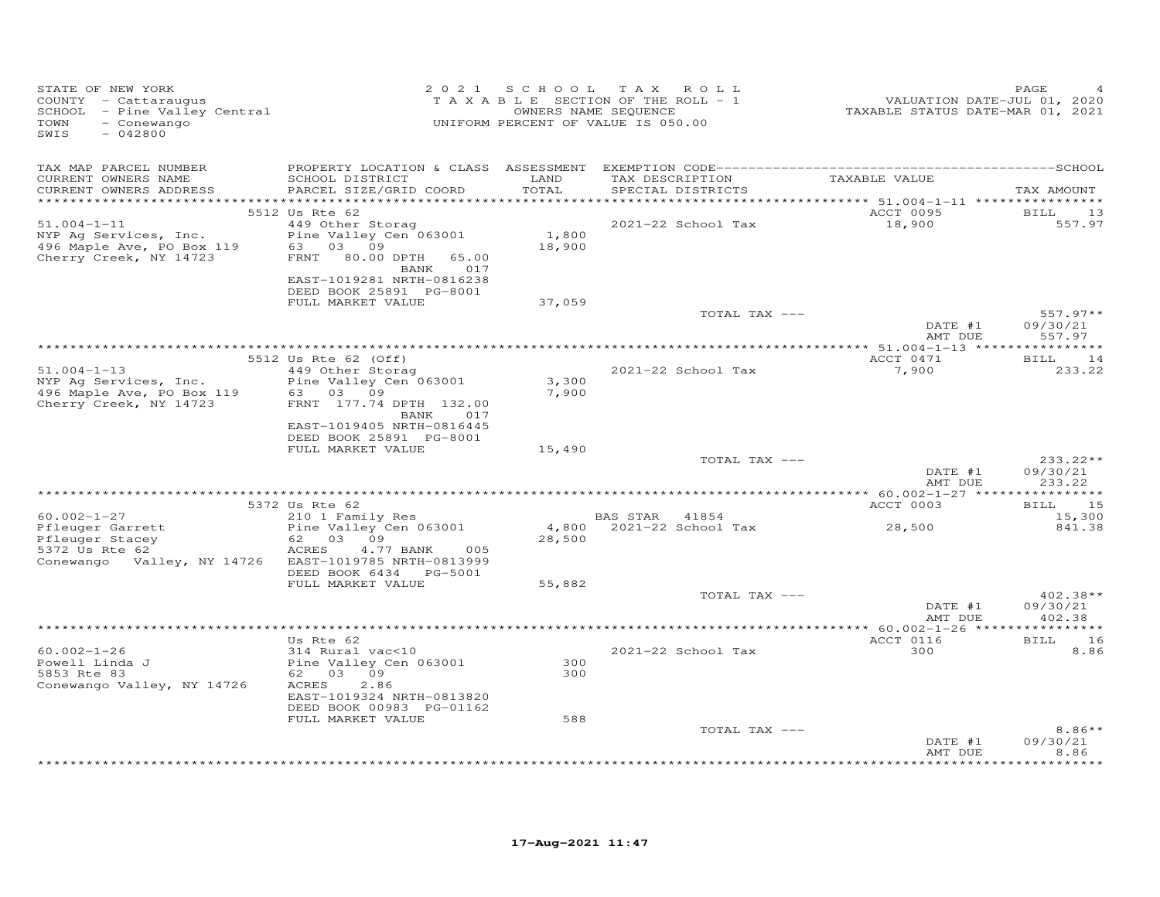| STATE OF NEW YORK<br>COUNTY - Cattaraugus<br>SCHOOL - Pine Valley Central<br>- Conewango<br>TOWN<br>SWIS<br>$-042800$ |                                                                                              |                 | 2021 SCHOOL TAX ROLL<br>TAXABLE SECTION OF THE ROLL - 1<br>OWNERS NAME SEQUENCE<br>UNIFORM PERCENT OF VALUE IS 050.00 | VALUATION DATE-JUL 01, 2020<br>TAXABLE STATUS DATE-MAR 01, 2021 | PAGE                             |
|-----------------------------------------------------------------------------------------------------------------------|----------------------------------------------------------------------------------------------|-----------------|-----------------------------------------------------------------------------------------------------------------------|-----------------------------------------------------------------|----------------------------------|
| TAX MAP PARCEL NUMBER<br>CURRENT OWNERS NAME<br>CURRENT OWNERS ADDRESS                                                | SCHOOL DISTRICT<br>PARCEL SIZE/GRID COORD                                                    | LAND<br>TOTAL   | TAX DESCRIPTION TAXABLE VALUE<br>SPECIAL DISTRICTS                                                                    |                                                                 | TAX AMOUNT                       |
|                                                                                                                       | 5512 Us Rte 62                                                                               |                 |                                                                                                                       | ACCT 0095                                                       | <b>BILL</b><br>13                |
| $51.004 - 1 - 11$<br>NYP Ag Services, Inc.<br>496 Maple Ave, PO Box 119<br>Cherry Creek, NY 14723                     | 449 Other Storag<br>Pine Valley Cen 063001<br>63 03 09<br>FRNT 80.00 DPTH<br>65.00           | 1,800<br>18,900 | 2021-22 School Tax                                                                                                    | 18,900                                                          | 557.97                           |
|                                                                                                                       | <b>BANK</b> 017<br>EAST-1019281 NRTH-0816238<br>DEED BOOK 25891 PG-8001<br>FULL MARKET VALUE | 37,059          |                                                                                                                       |                                                                 |                                  |
|                                                                                                                       |                                                                                              |                 | TOTAL TAX ---                                                                                                         | DATE #1<br>AMT DUE                                              | $557.97**$<br>09/30/21<br>557.97 |
|                                                                                                                       |                                                                                              |                 |                                                                                                                       |                                                                 |                                  |
| $51.004 - 1 - 13$                                                                                                     | 5512 Us Rte 62 (Off)<br>449 Other Storag                                                     |                 | 2021-22 School Tax                                                                                                    | ACCT 0471<br>7,900                                              | <b>BILL</b><br>14<br>233.22      |
| NYP Ag Services, Inc.<br>496 Maple Ave, PO Box 119<br>Cherry Creek, NY 14723                                          | Pine Valley Cen 063001<br>63 03 09<br>FRNT 177.74 DPTH 132.00<br>BANK 017                    | 3,300<br>7,900  |                                                                                                                       |                                                                 |                                  |
|                                                                                                                       | EAST-1019405 NRTH-0816445<br>DEED BOOK 25891 PG-8001<br>FULL MARKET VALUE                    | 15,490          |                                                                                                                       |                                                                 |                                  |
|                                                                                                                       |                                                                                              |                 | TOTAL TAX ---                                                                                                         | DATE #1                                                         | $233.22**$<br>09/30/21           |
|                                                                                                                       |                                                                                              |                 |                                                                                                                       | AMT DUE                                                         | 233.22                           |
|                                                                                                                       | 5372 Us Rte 62                                                                               |                 |                                                                                                                       | ACCT 0003                                                       | 15<br>BILL                       |
| $60.002 - 1 - 27$                                                                                                     | 210 1 Family Res                                                                             |                 | BAS STAR 41854                                                                                                        |                                                                 | 15,300                           |
| Pfleuger Garrett<br>Pfleuger Stacey<br>5372 Us Rte 62<br>Conewango Valley, NY 14726 EAST-1019785 NRTH-0813999         | Pine Valley Cen 063001<br>62 03 09<br>ACRES<br>4.77 BANK<br>005<br>DEED BOOK 6434    PG-5001 | 28,500          | 4,800 2021-22 School Tax                                                                                              | 28,500                                                          | 841.38                           |
|                                                                                                                       | FULL MARKET VALUE                                                                            | 55,882          |                                                                                                                       |                                                                 |                                  |
|                                                                                                                       |                                                                                              |                 | TOTAL TAX ---                                                                                                         | DATE #1<br>AMT DUE                                              | $402.38**$<br>09/30/21<br>402.38 |
|                                                                                                                       | Us Rte 62                                                                                    |                 |                                                                                                                       | ACCT 0116                                                       | BILL 16                          |
| $60.002 - 1 - 26$<br>Powell Linda J<br>5853 Rte 83<br>Conewango Valley, NY 14726                                      | 314 Rural vac<10<br>Pine Valley Cen 063001<br>62 03 09<br>2.86<br>ACRES                      | 300<br>300      | 2021-22 School Tax                                                                                                    | 300                                                             | 8.86                             |
|                                                                                                                       | EAST-1019324 NRTH-0813820<br>DEED BOOK 00983 PG-01162                                        |                 |                                                                                                                       |                                                                 |                                  |
|                                                                                                                       | FULL MARKET VALUE                                                                            | 588             |                                                                                                                       |                                                                 |                                  |
|                                                                                                                       |                                                                                              |                 | TOTAL TAX ---                                                                                                         | DATE #1<br>AMT DUE                                              | $8.86**$<br>09/30/21<br>8.86     |
|                                                                                                                       |                                                                                              |                 |                                                                                                                       |                                                                 | ******                           |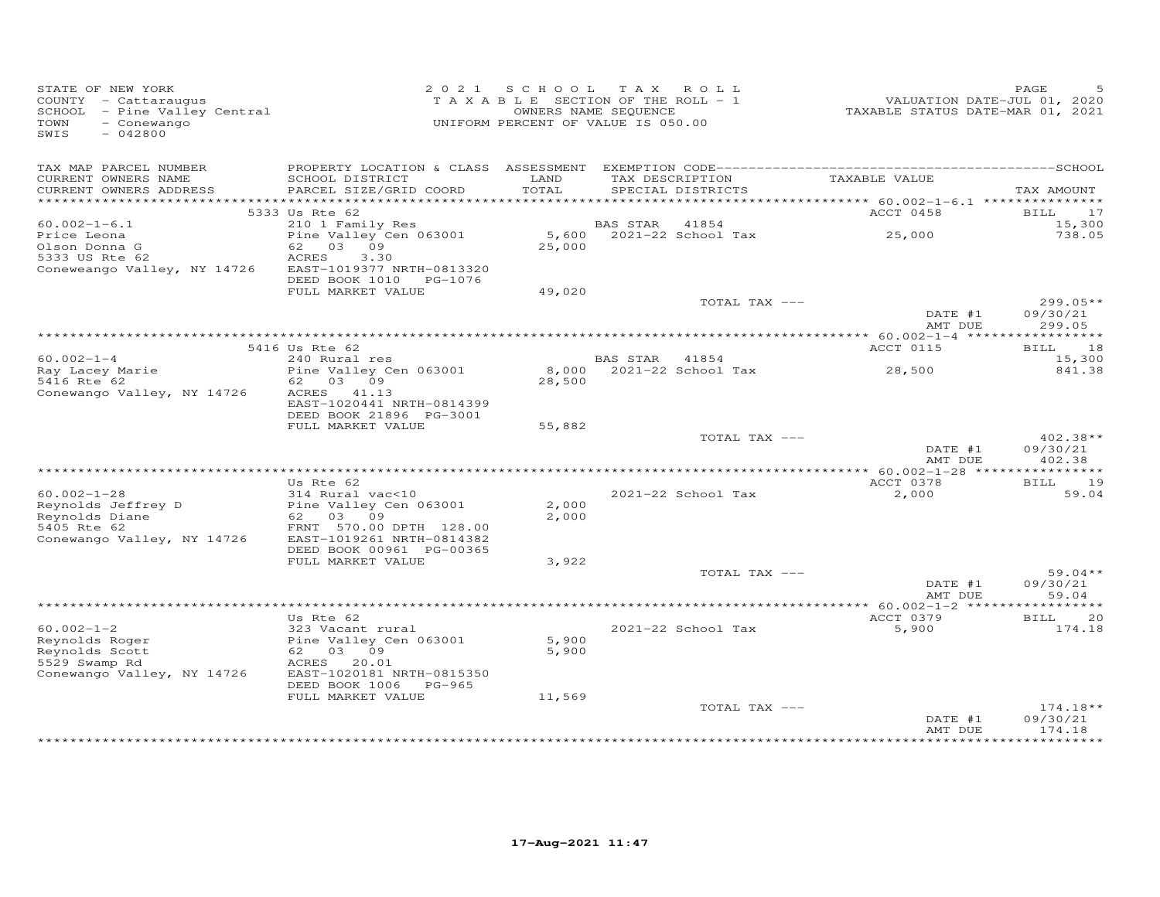| STATE OF NEW YORK<br>COUNTY - Cattaraugus<br>SCHOOL - Pine Valley Central<br>- Conewango<br>TOWN<br>SWIS<br>$-042800$ |                                                       | 2021 SCHOOL TAX ROLL<br>TAXABLE SECTION OF THE ROLL - 1<br>UNIFORM PERCENT OF VALUE IS 050.00 | OWNERS NAME SEQUENCE |                                      | VALUATION DATE-JUL 01, 2020<br>TAXABLE STATUS DATE-MAR 01, 2021 | PAGE                   |
|-----------------------------------------------------------------------------------------------------------------------|-------------------------------------------------------|-----------------------------------------------------------------------------------------------|----------------------|--------------------------------------|-----------------------------------------------------------------|------------------------|
| TAX MAP PARCEL NUMBER                                                                                                 |                                                       |                                                                                               |                      |                                      |                                                                 |                        |
| CURRENT OWNERS NAME<br>CURRENT OWNERS ADDRESS                                                                         | SCHOOL DISTRICT<br>PARCEL SIZE/GRID COORD             | LAND<br>TOTAL                                                                                 |                      | TAX DESCRIPTION<br>SPECIAL DISTRICTS | TAXABLE VALUE                                                   | TAX AMOUNT             |
|                                                                                                                       |                                                       |                                                                                               |                      |                                      |                                                                 |                        |
| $60.002 - 1 - 6.1$                                                                                                    | 5333 Us Rte 62                                        |                                                                                               | BAS STAR             | 41854                                | ACCT 0458                                                       | BILL 17<br>15,300      |
| Price Leona                                                                                                           | 210 1 Family Res<br>Pine Valley Cen 063001            |                                                                                               |                      | 5,600 2021-22 School Tax             | 25,000                                                          | 738.05                 |
| Olson Donna G                                                                                                         | 62 03 09                                              | 25,000                                                                                        |                      |                                      |                                                                 |                        |
| 5333 US Rte 62                                                                                                        | ACRES<br>3.30                                         |                                                                                               |                      |                                      |                                                                 |                        |
| Coneweango Valley, NY 14726                                                                                           | EAST-1019377 NRTH-0813320                             |                                                                                               |                      |                                      |                                                                 |                        |
|                                                                                                                       | DEED BOOK 1010 PG-1076                                |                                                                                               |                      |                                      |                                                                 |                        |
|                                                                                                                       | FULL MARKET VALUE                                     | 49,020                                                                                        |                      |                                      |                                                                 |                        |
|                                                                                                                       |                                                       |                                                                                               |                      | TOTAL TAX ---                        | DATE #1                                                         | $299.05**$<br>09/30/21 |
|                                                                                                                       |                                                       |                                                                                               |                      |                                      | AMT DUE                                                         | 299.05                 |
|                                                                                                                       |                                                       |                                                                                               |                      |                                      |                                                                 |                        |
|                                                                                                                       | 5416 Us Rte 62                                        |                                                                                               |                      |                                      | ACCT 0115                                                       | BILL 18                |
| $60.002 - 1 - 4$                                                                                                      | 240 Rural res<br>Pine Valley Cen 063001               |                                                                                               | BAS STAR 41854       |                                      | $8,000$ 2021-22 School Tax 28,500                               | 15,300<br>841.38       |
| Ray Lacey Marie<br>5416 Rte 62<br>5416 Rte 62                                                                         | 62 03 09                                              | 28,500                                                                                        |                      |                                      |                                                                 |                        |
| Conewango Valley, NY 14726                                                                                            | ACRES 41.13                                           |                                                                                               |                      |                                      |                                                                 |                        |
|                                                                                                                       | EAST-1020441 NRTH-0814399                             |                                                                                               |                      |                                      |                                                                 |                        |
|                                                                                                                       | DEED BOOK 21896 PG-3001                               |                                                                                               |                      |                                      |                                                                 |                        |
|                                                                                                                       | FULL MARKET VALUE                                     | 55,882                                                                                        |                      |                                      |                                                                 |                        |
|                                                                                                                       |                                                       |                                                                                               |                      | TOTAL TAX ---                        |                                                                 | $402.38**$             |
|                                                                                                                       |                                                       |                                                                                               |                      |                                      | DATE #1<br>AMT DUE                                              | 09/30/21<br>402.38     |
|                                                                                                                       |                                                       |                                                                                               |                      |                                      |                                                                 |                        |
|                                                                                                                       | Us Rte 62                                             |                                                                                               |                      |                                      | ACCT 0378                                                       | BILL 19                |
| $60.002 - 1 - 28$                                                                                                     | 314 Rural vac<10                                      |                                                                                               |                      | 2021-22 School Tax                   | 2,000                                                           | 59.04                  |
| Reynolds Jeffrey D                                                                                                    |                                                       | 2,000                                                                                         |                      |                                      |                                                                 |                        |
| Reynolds Diane                                                                                                        | Pine Valley Cen 063001<br>62 03 09                    | 2,000                                                                                         |                      |                                      |                                                                 |                        |
| 5405 Rte 62                                                                                                           | FRNT 570.00 DPTH 128.00                               |                                                                                               |                      |                                      |                                                                 |                        |
| Conewango Valley, NY 14726                                                                                            | EAST-1019261 NRTH-0814382<br>DEED BOOK 00961 PG-00365 |                                                                                               |                      |                                      |                                                                 |                        |
|                                                                                                                       | FULL MARKET VALUE                                     | 3,922                                                                                         |                      |                                      |                                                                 |                        |
|                                                                                                                       |                                                       |                                                                                               |                      | TOTAL TAX ---                        |                                                                 | $59.04**$              |
|                                                                                                                       |                                                       |                                                                                               |                      |                                      | DATE #1                                                         | 09/30/21               |
|                                                                                                                       |                                                       |                                                                                               |                      |                                      | AMT DUE                                                         | 59.04                  |
|                                                                                                                       |                                                       |                                                                                               |                      |                                      |                                                                 |                        |
|                                                                                                                       | Us Rte 62                                             |                                                                                               |                      |                                      | ACCT 0379                                                       | 20<br>BILL             |
| $60.002 - 1 - 2$<br>Reynolds Roger                                                                                    | 323 Vacant rural<br>Pine Valley Cen 063001            |                                                                                               |                      | 2021-22 School Tax                   | 5,900                                                           | 174.18                 |
| Reynolds Scott                                                                                                        | 62 03 09                                              | 5,900<br>5,900                                                                                |                      |                                      |                                                                 |                        |
| 5529 Swamp Rd                                                                                                         | ACRES 20.01                                           |                                                                                               |                      |                                      |                                                                 |                        |
| Conewango Valley, NY 14726                                                                                            | EAST-1020181 NRTH-0815350                             |                                                                                               |                      |                                      |                                                                 |                        |
|                                                                                                                       | DEED BOOK 1006 PG-965                                 |                                                                                               |                      |                                      |                                                                 |                        |
|                                                                                                                       | FULL MARKET VALUE                                     | 11,569                                                                                        |                      |                                      |                                                                 |                        |
|                                                                                                                       |                                                       |                                                                                               |                      | TOTAL TAX ---                        |                                                                 | $174.18**$             |
|                                                                                                                       |                                                       |                                                                                               |                      |                                      | DATE #1<br>AMT DUE                                              | 09/30/21<br>174.18     |
|                                                                                                                       |                                                       |                                                                                               |                      |                                      |                                                                 | **********             |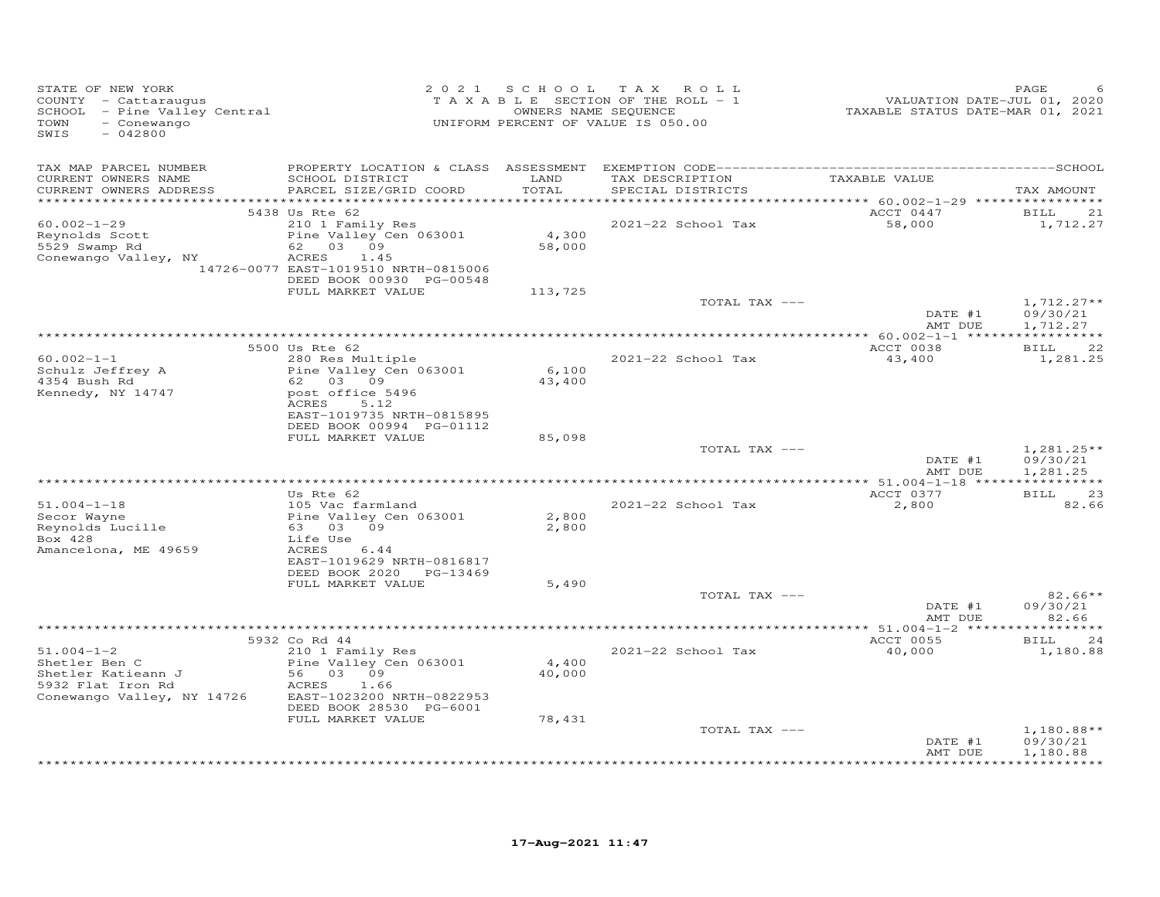| STATE OF NEW YORK<br>COUNTY - Cattaraugus<br>SCHOOL - Pine Valley Central<br>- Conewango<br>TOWN<br>SWIS<br>$-042800$ |                                                                                                                                                                                    |                            | 2021 SCHOOL TAX ROLL<br>TAXABLE SECTION OF THE ROLL - 1<br>OWNERS NAME SEQUENCE<br>UNIFORM PERCENT OF VALUE IS 050.00 | VALUATION DATE-JUL 01, 2020<br>TAXABLE STATUS DATE-MAR 01, 2021 | PAGE                                 |
|-----------------------------------------------------------------------------------------------------------------------|------------------------------------------------------------------------------------------------------------------------------------------------------------------------------------|----------------------------|-----------------------------------------------------------------------------------------------------------------------|-----------------------------------------------------------------|--------------------------------------|
| TAX MAP PARCEL NUMBER<br>CURRENT OWNERS NAME<br>CURRENT OWNERS ADDRESS                                                | SCHOOL DISTRICT<br>PARCEL SIZE/GRID COORD                                                                                                                                          | LAND<br>TOTAL              | TAX DESCRIPTION<br>SPECIAL DISTRICTS                                                                                  | TAXABLE VALUE                                                   | TAX AMOUNT                           |
| ***********************<br>$60.002 - 1 - 29$<br>Reynolds Scott<br>5529 Swamp Rd<br>Conewango Valley, NY               | 5438 Us Rte 62<br>210 1 Family Res<br>Pine Valley Cen 063001<br>62 03 09<br>ACRES<br>1.45<br>14726-0077 EAST-1019510 NRTH-0815006<br>DEED BOOK 00930 PG-00548<br>FULL MARKET VALUE | 4,300<br>58,000<br>113,725 | 2021-22 School Tax                                                                                                    | ACCT 0447<br>58,000                                             | BILL<br>21<br>1,712.27               |
|                                                                                                                       |                                                                                                                                                                                    |                            | TOTAL TAX ---                                                                                                         | DATE #1<br>AMT DUE                                              | $1,712.27**$<br>09/30/21<br>1,712.27 |
|                                                                                                                       |                                                                                                                                                                                    |                            |                                                                                                                       |                                                                 |                                      |
| $60.002 - 1 - 1$<br>Schulz Jeffrey A                                                                                  | 5500 Us Rte 62<br>280 Res Multiple<br>Pine Valley Cen 063001                                                                                                                       | 6,100                      | 2021-22 School Tax                                                                                                    | ACCT 0038<br>43,400                                             | <b>BILL</b><br>22<br>1,281.25        |
| 4354 Bush Rd<br>Kennedy, NY 14747                                                                                     | 62 03 09<br>post office 5496<br>ACRES<br>5.12<br>EAST-1019735 NRTH-0815895<br>DEED BOOK 00994 PG-01112                                                                             | 43,400                     |                                                                                                                       |                                                                 |                                      |
|                                                                                                                       | FULL MARKET VALUE                                                                                                                                                                  | 85,098                     | TOTAL TAX ---                                                                                                         |                                                                 | $1,281.25**$                         |
|                                                                                                                       |                                                                                                                                                                                    |                            |                                                                                                                       | DATE #1<br>AMT DUE                                              | 09/30/21<br>1,281.25                 |
|                                                                                                                       | Us Rte 62                                                                                                                                                                          |                            |                                                                                                                       | ACCT 0377                                                       | 23<br>BILL                           |
| $51.004 - 1 - 18$<br>Secor Wayne<br>Reynolds Lucille<br>Box 428<br>Amancelona, ME 49659                               | 105 Vac farmland<br>Pine Valley Cen 063001<br>63 03 09<br>Life Use<br>ACRES<br>6.44                                                                                                | 2,800<br>2,800             | 2021-22 School Tax                                                                                                    | 2,800                                                           | 82.66                                |
|                                                                                                                       | EAST-1019629 NRTH-0816817<br>DEED BOOK 2020 PG-13469<br>FULL MARKET VALUE                                                                                                          | 5,490                      |                                                                                                                       |                                                                 |                                      |
|                                                                                                                       |                                                                                                                                                                                    |                            | TOTAL TAX ---                                                                                                         | DATE #1<br>AMT DUE                                              | $82.66**$<br>09/30/21<br>82.66       |
|                                                                                                                       |                                                                                                                                                                                    |                            |                                                                                                                       |                                                                 |                                      |
| $51.004 - 1 - 2$<br>Shetler Ben C<br>Shetler Katieann J<br>5932 Flat Iron Rd<br>Conewango Valley, NY 14726            | 5932 Co Rd 44<br>210 1 Family Res<br>Pine Valley Cen 063001<br>56 03 09<br>ACRES<br>1.66<br>EAST-1023200 NRTH-0822953<br>DEED BOOK 28530 PG-6001                                   | 4,400<br>40,000            | 2021-22 School Tax                                                                                                    | ACCT 0055<br>40,000                                             | <b>BILL</b><br>24<br>1,180.88        |
|                                                                                                                       | FULL MARKET VALUE                                                                                                                                                                  | 78,431                     |                                                                                                                       |                                                                 |                                      |
|                                                                                                                       |                                                                                                                                                                                    |                            | TOTAL TAX ---                                                                                                         | DATE #1<br>AMT DUE                                              | $1,180.88**$<br>09/30/21<br>1,180.88 |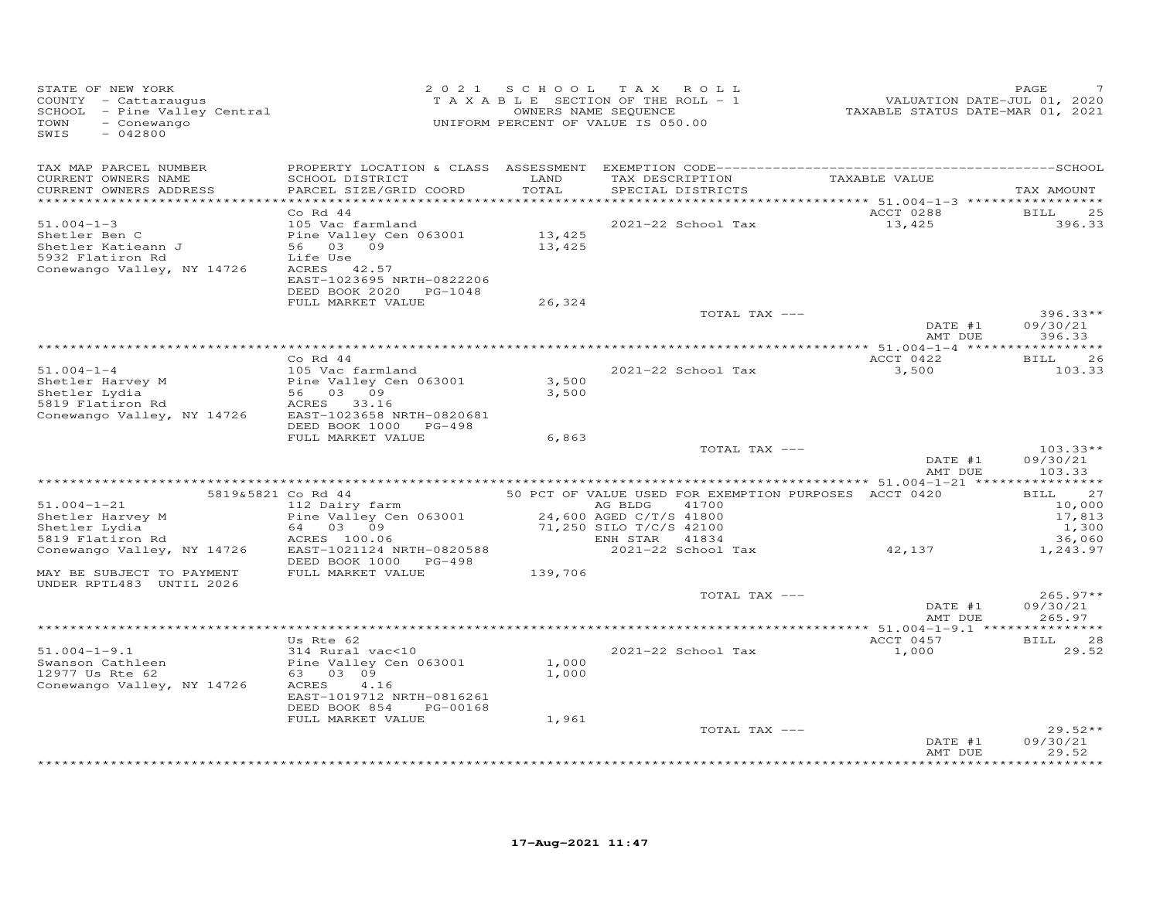| STATE OF NEW YORK<br>COUNTY - Cattaraugus<br>SCHOOL - Pine Valley Central<br>TOWN<br>- Conewango<br>$-042800$<br>SWIS                 |                                                                                                                                                                       | 2021 SCHOOL TAX ROLL<br>TAXABLE SECTION OF THE ROLL - 1<br>UNIFORM PERCENT OF VALUE IS 050.00 | OWNERS NAME SEQUENCE                                                                  |                                      | VALUATION DATE-JUL 01, 2020<br>TAXABLE STATUS DATE-MAR 01, 2021  | PAGE                                                          |
|---------------------------------------------------------------------------------------------------------------------------------------|-----------------------------------------------------------------------------------------------------------------------------------------------------------------------|-----------------------------------------------------------------------------------------------|---------------------------------------------------------------------------------------|--------------------------------------|------------------------------------------------------------------|---------------------------------------------------------------|
| TAX MAP PARCEL NUMBER<br>CURRENT OWNERS NAME<br>CURRENT OWNERS ADDRESS<br>************************                                    | SCHOOL DISTRICT<br>PARCEL SIZE/GRID COORD                                                                                                                             | LAND<br>TOTAL                                                                                 |                                                                                       | TAX DESCRIPTION<br>SPECIAL DISTRICTS | TAXABLE VALUE                                                    | TAX AMOUNT                                                    |
| $51.004 - 1 - 3$<br>Shetler Ben C<br>Shetler Katieann J<br>5932 Flatiron Rd<br>Conewango Valley, NY 14726                             | $Co$ Rd 44<br>105 Vac farmland<br>Pine Valley Cen 063001<br>56 03 09<br>Life Use<br>ACRES 42.57<br>EAST-1023695 NRTH-0822206<br>DEED BOOK 2020 PG-1048                | 13,425<br>13,425                                                                              |                                                                                       | 2021-22 School Tax                   | ACCT 0288<br>13,425                                              | BILL<br>25<br>396.33                                          |
|                                                                                                                                       | FULL MARKET VALUE                                                                                                                                                     | 26,324                                                                                        |                                                                                       | TOTAL TAX ---                        | DATE #1                                                          | $396.33**$<br>09/30/21                                        |
| $51.004 - 1 - 4$<br>Shetler Harvey M<br>Shetler Lydia<br>5819 Flatiron Rd<br>Conewango Valley, NY 14726                               | Co Rd 44<br>105 Vac farmland<br>Pine Valley Cen 063001<br>56 03 09<br>ACRES 33.16<br>EAST-1023658 NRTH-0820681<br>DEED BOOK 1000 PG-498                               | 3,500<br>3,500                                                                                |                                                                                       | 2021-22 School Tax                   | AMT DUE<br>ACCT 0422<br>3,500                                    | 396.33<br><b>BILL</b><br>26<br>103.33                         |
|                                                                                                                                       | FULL MARKET VALUE                                                                                                                                                     | 6,863                                                                                         |                                                                                       | TOTAL TAX ---                        | DATE #1<br>AMT DUE                                               | $103.33**$<br>09/30/21<br>103.33                              |
| $51.004 - 1 - 21$<br>Shetler Harvey M<br>Shetler Lydia<br>5819 Flatiron Rd<br>Conewango Valley, NY 14726<br>MAY BE SUBJECT TO PAYMENT | 5819&5821 Co Rd 44<br>112 Dairy farm<br>Pine Valley Cen 063001<br>64 03 09<br>ACRES 100.06<br>EAST-1021124 NRTH-0820588<br>DEED BOOK 1000 PG-498<br>FULL MARKET VALUE | 139,706                                                                                       | AG BLDG 41700<br>24,600 AGED C/T/S 41800<br>71,250 SILO T/C/S 42100<br>ENH STAR 41834 | 2021-22 School Tax                   | 50 PCT OF VALUE USED FOR EXEMPTION PURPOSES ACCT 0420<br>42, 137 | 27<br>BILL<br>10,000<br>17,813<br>1,300<br>36,060<br>1,243.97 |
| UNDER RPTL483 UNTIL 2026                                                                                                              |                                                                                                                                                                       |                                                                                               |                                                                                       | TOTAL TAX ---                        | DATE #1<br>AMT DUE                                               | $265.97**$<br>09/30/21<br>265.97                              |
| $51.004 - 1 - 9.1$<br>Swanson Cathleen<br>12977 Us Rte 62<br>Conewango Valley, NY 14726                                               | Us Rte 62<br>314 Rural vac<10<br>Pine Valley Cen 063001<br>63 03 09<br>ACRES<br>4.16<br>EAST-1019712 NRTH-0816261<br>DEED BOOK 854<br>PG-00168<br>FULL MARKET VALUE   | 1,000<br>1,000<br>1,961                                                                       |                                                                                       | 2021-22 School Tax                   | ACCT 0457<br>1,000                                               | 28<br><b>BILL</b><br>29.52                                    |
|                                                                                                                                       |                                                                                                                                                                       |                                                                                               |                                                                                       | TOTAL TAX ---                        | DATE #1<br>AMT DUE                                               | $29.52**$<br>09/30/21<br>29.52<br>********                    |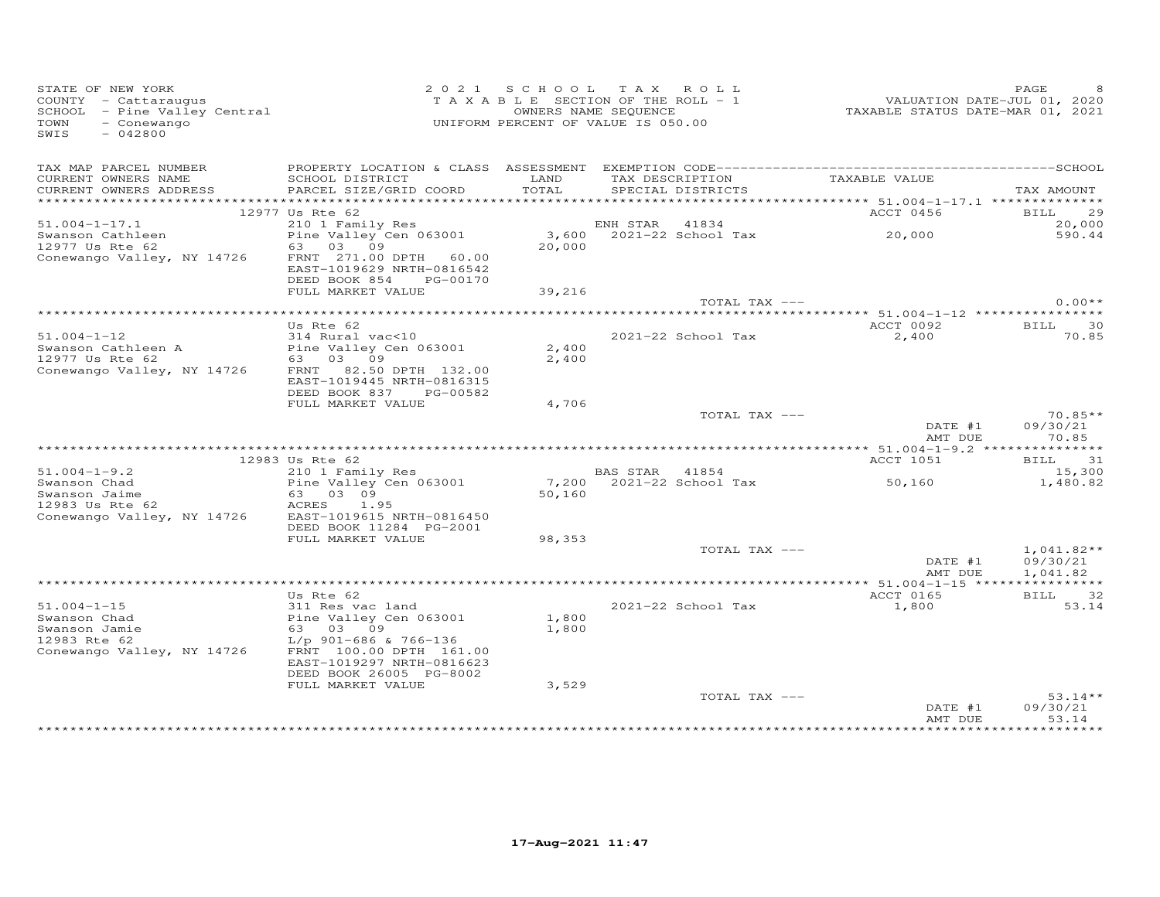| STATE OF NEW YORK<br>COUNTY - Cattaraugus<br>COUNTY - Cattaraugus<br>SCHOOL - Pine Valley Central<br>- Conewango<br>TOWN<br>$-042800$<br>SWIS |                                                                                 |                | 2021 SCHOOL TAX ROLL<br>TAXABLE SECTION OF THE ROLL - 1<br>OWNERS NAME SEQUENCE<br>UNIFORM PERCENT OF VALUE IS 050.00 | VALUATION DATE-JUL 01, 2020<br>TAXABLE STATUS DATE-MAR 01, 2021 | PAGE                                 |
|-----------------------------------------------------------------------------------------------------------------------------------------------|---------------------------------------------------------------------------------|----------------|-----------------------------------------------------------------------------------------------------------------------|-----------------------------------------------------------------|--------------------------------------|
| TAX MAP PARCEL NUMBER<br>CURRENT OWNERS NAME<br>CURRENT OWNERS ADDRESS                                                                        | SCHOOL DISTRICT<br>PARCEL SIZE/GRID COORD                                       | LAND<br>TOTAL  | TAX DESCRIPTION<br>SPECIAL DISTRICTS                                                                                  | TAXABLE VALUE                                                   | TAX AMOUNT                           |
|                                                                                                                                               |                                                                                 |                |                                                                                                                       |                                                                 |                                      |
| $51.004 - 1 - 17.1$                                                                                                                           | 12977 Us Rte 62                                                                 |                |                                                                                                                       | ACCT 0456                                                       | BILL 29                              |
| Swanson Cathleen<br>swanson Cathleen<br>12977 Us Rte 62                                                                                       | 05 ALE 02<br>210 1 Family Res<br>Pine Valley Cen 063001<br>63 03 09             | 20,000         |                                                                                                                       |                                                                 | 20,000<br>590.44                     |
| Conewango Valley, NY 14726                                                                                                                    | FRNT 271.00 DPTH 60.00<br>EAST-1019629 NRTH-0816542<br>DEED BOOK 854 PG-00170   |                |                                                                                                                       |                                                                 |                                      |
|                                                                                                                                               | FULL MARKET VALUE                                                               | 39,216         |                                                                                                                       |                                                                 |                                      |
|                                                                                                                                               |                                                                                 |                |                                                                                                                       | TOTAL TAX ---                                                   | $0.00**$                             |
|                                                                                                                                               | Us Rte 62                                                                       |                |                                                                                                                       | ACCT 0092                                                       | BILL 30                              |
| $51.004 - 1 - 12$                                                                                                                             | 314 Rural vac<10                                                                | 2,400          | 2021-22 School Tax                                                                                                    | 2,400                                                           | 70.85                                |
| Swanson Cathleen A<br>12977 Us Rte 62<br>Conewango Valley, NY 14726 FRNT 82.50 DPTH 132.00                                                    | EAST-1019445 NRTH-0816315<br>DEED BOOK 837 PG-00582                             | 2,400          |                                                                                                                       |                                                                 |                                      |
|                                                                                                                                               | FULL MARKET VALUE                                                               | 4,706          |                                                                                                                       |                                                                 |                                      |
|                                                                                                                                               |                                                                                 |                |                                                                                                                       | TOTAL TAX ---<br>DATE #1<br>AMT DUE                             | $70.85**$<br>09/30/21<br>70.85       |
|                                                                                                                                               | 12983 Us Rte 62                                                                 |                |                                                                                                                       | ACCT 1051                                                       | BILL 31                              |
| $51.004 - 1 - 9.2$                                                                                                                            | $210$ 1 Family Res                                                              |                | BAS STAR 41854                                                                                                        |                                                                 | 15,300                               |
| 31.004-1-9.2<br>Swanson Chad<br>Swanson Chaine<br>12983 Us Rte 62<br>Conewango Valley, NY 14726<br>EAST-1019615 NRTH-0816450                  |                                                                                 | 50,160         | 7,200 2021-22 School Tax                                                                                              | 50,160                                                          | 1,480.82                             |
|                                                                                                                                               | DEED BOOK 11284 PG-2001                                                         |                |                                                                                                                       |                                                                 |                                      |
|                                                                                                                                               | FULL MARKET VALUE                                                               | 98,353         |                                                                                                                       |                                                                 |                                      |
|                                                                                                                                               |                                                                                 |                |                                                                                                                       | TOTAL TAX ---<br>DATE #1<br>AMT DUE                             | $1,041.82**$<br>09/30/21<br>1,041.82 |
|                                                                                                                                               |                                                                                 |                |                                                                                                                       |                                                                 |                                      |
|                                                                                                                                               | Us Rte 62                                                                       |                |                                                                                                                       | ACCT 0165                                                       | BILL 32                              |
| $51.004 - 1 - 15$<br>Swanson Chad<br>Swanson Jamie<br>12983 Rte 62                                                                            | 311 Res vac land<br>Pine Valley Cen 063001<br>63 03 09<br>L/p 901-686 & 766-136 | 1,800<br>1,800 | 2021-22 School Tax                                                                                                    | 1,800                                                           | 53.14                                |
| Conewango Valley, NY 14726                                                                                                                    | FRNT 100.00 DPTH 161.00<br>EAST-1019297 NRTH-0816623<br>DEED BOOK 26005 PG-8002 |                |                                                                                                                       |                                                                 |                                      |
|                                                                                                                                               | FULL MARKET VALUE                                                               | 3,529          |                                                                                                                       |                                                                 |                                      |
|                                                                                                                                               |                                                                                 |                | TOTAL TAX ---                                                                                                         | DATE #1<br>AMT DUE                                              | $53.14**$<br>09/30/21<br>53.14       |
|                                                                                                                                               |                                                                                 |                |                                                                                                                       |                                                                 |                                      |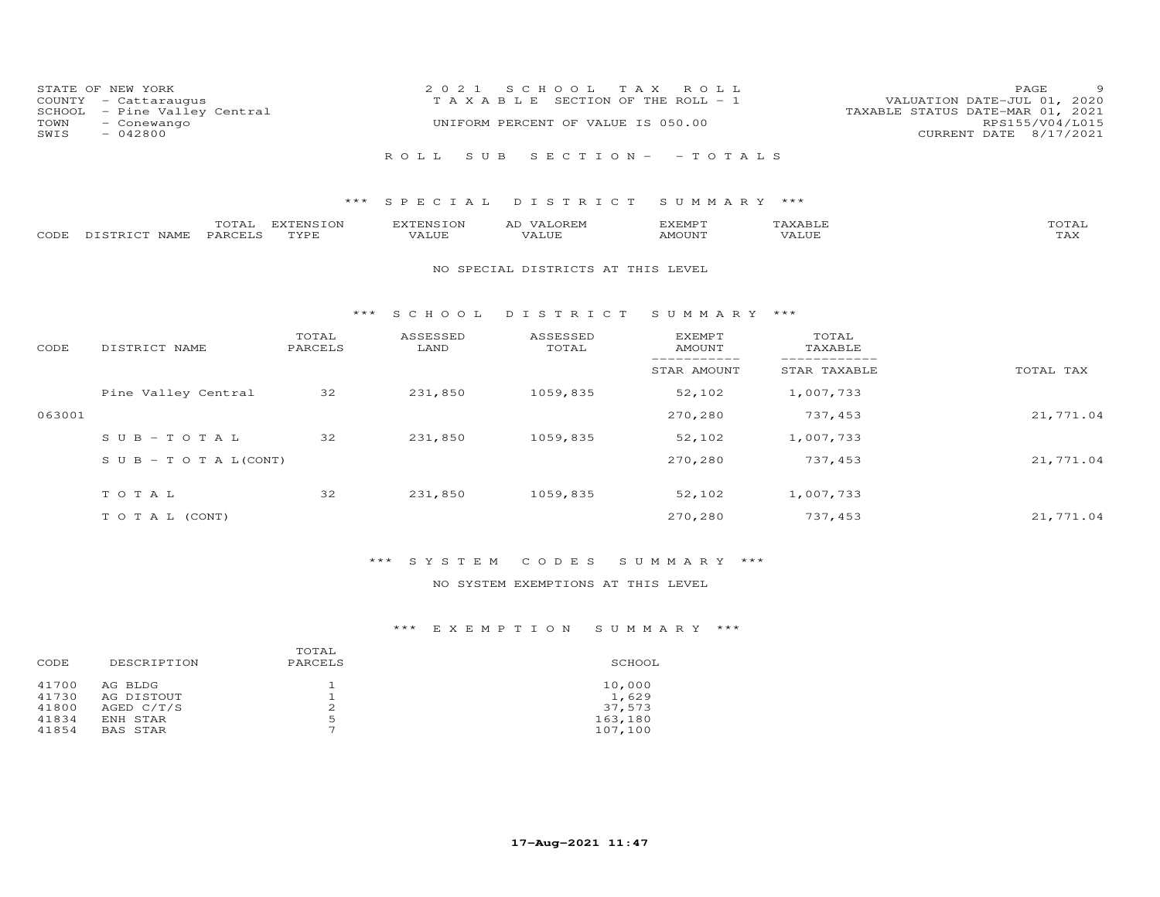| STATE OF NEW YORK<br>$COUNTY - Cattarauqus$<br>SCHOOL - Pine Valley Central | 2021 SCHOOL TAX ROLL<br>T A X A B L E SECTION OF THE ROLL - 1 | - 9<br>PAGE<br>VALUATION DATE-JUL 01, 2020<br>TAXABLE STATUS DATE-MAR 01, 2021 |
|-----------------------------------------------------------------------------|---------------------------------------------------------------|--------------------------------------------------------------------------------|
| TOWN<br>- Conewango<br>SWIS<br>- 042800                                     | UNIFORM PERCENT OF VALUE IS 050.00                            | RPS155/V04/L015<br>CURRENT DATE 8/17/2021                                      |
|                                                                             | ROLL SUB SECTION- -TOTALS                                     |                                                                                |
|                                                                             | *** SPECIAL DISTRICT SUMMARY ***                              |                                                                                |

|      |                                | $m \wedge m$<br>$\overline{\phantom{a}}$ | <b>TYTTMCTOM</b><br>1111<br>ה צוי | $\Box$<br>$\mathbf{v}$<br>- UN | AI.<br>JREI | <b>YFMDT</b> | -----         |
|------|--------------------------------|------------------------------------------|-----------------------------------|--------------------------------|-------------|--------------|---------------|
| CODE | NAMF<br>$\cdots$ $\cdots$<br>. | PARU                                     | <b>TVDL</b>                       | ′A⊥∪⊥                          | 'A⊥∪⊥       | <b>MOUN'</b> | ----<br>- ∠∡∨ |

### NO SPECIAL DISTRICTS AT THIS LEVEL

## \*\*\* S C H O O L D I S T R I C T S U M M A R Y \*\*\*

| CODE   | DISTRICT NAME                    | TOTAL<br>PARCELS | ASSESSED<br>LAND | ASSESSED<br>TOTAL | <b>EXEMPT</b><br>AMOUNT | TOTAL<br>TAXABLE |           |
|--------|----------------------------------|------------------|------------------|-------------------|-------------------------|------------------|-----------|
|        |                                  |                  |                  |                   | STAR AMOUNT             | STAR TAXABLE     | TOTAL TAX |
|        | Pine Valley Central              | 32               | 231,850          | 1059,835          | 52,102                  | 1,007,733        |           |
| 063001 |                                  |                  |                  |                   | 270,280                 | 737,453          | 21,771.04 |
|        | $SUB - TO T AL$                  | 32               | 231,850          | 1059,835          | 52,102                  | 1,007,733        |           |
|        | $S \cup B - T \cup T A L (CONT)$ |                  |                  |                   | 270,280                 | 737,453          | 21,771.04 |
|        | TOTAL                            | 32               | 231,850          | 1059,835          | 52,102                  | 1,007,733        |           |
|        | T O T A L (CONT)                 |                  |                  |                   | 270,280                 | 737,453          | 21,771.04 |

# \*\*\* S Y S T E M C O D E S S U M M A R Y \*\*\*

## NO SYSTEM EXEMPTIONS AT THIS LEVEL

| CODE  | DESCRIPTION     | TOTAL<br>PARCELS | SCHOOL  |
|-------|-----------------|------------------|---------|
| 41700 | AG BLDG         |                  | 10,000  |
| 41730 | AG DISTOUT      |                  | 1,629   |
| 41800 | AGED C/T/S      |                  | 37,573  |
| 41834 | ENH STAR        | 5                | 163,180 |
| 41854 | <b>BAS STAR</b> | ⇁                | 107,100 |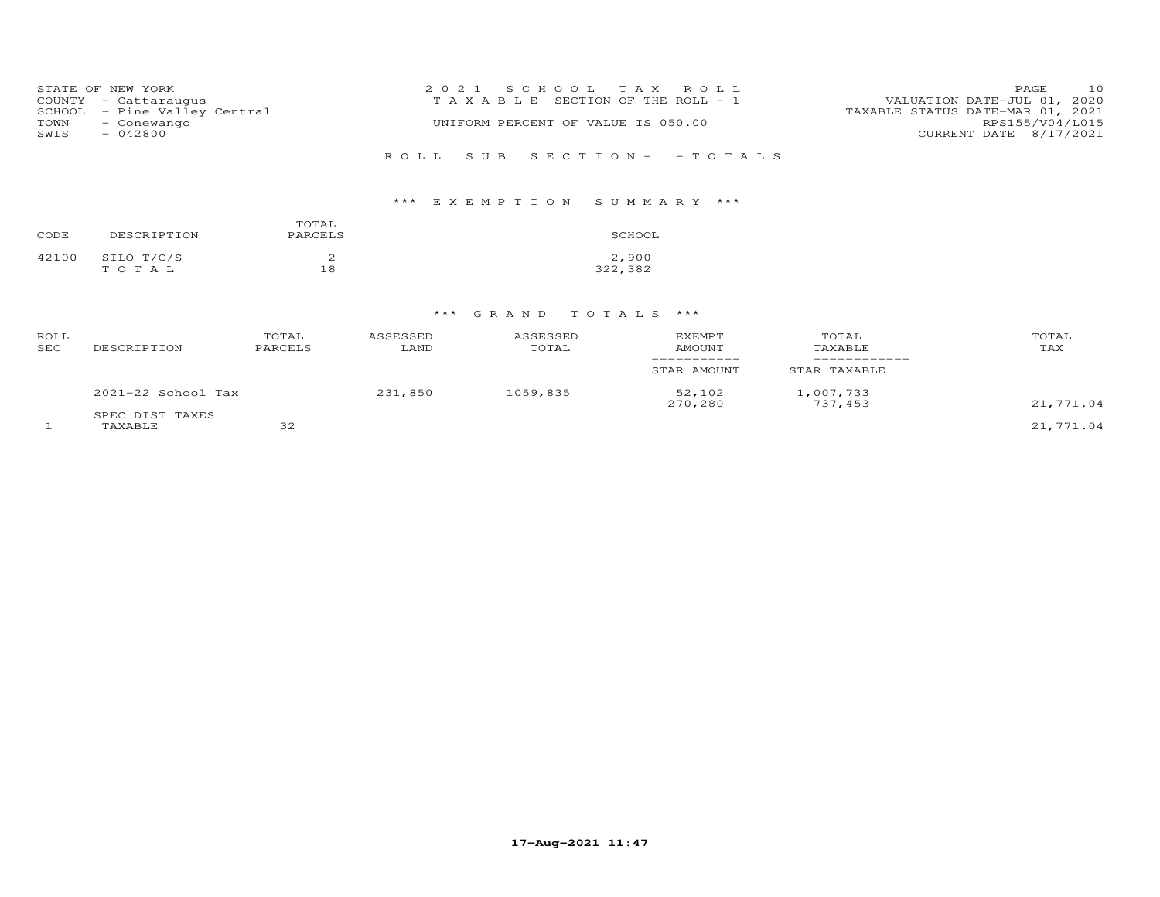|      | STATE OF NEW YORK                                    | 2021 SCHOOL TAX ROLL                  | 10<br>PAGE                                                      |
|------|------------------------------------------------------|---------------------------------------|-----------------------------------------------------------------|
|      | COUNTY - Cattaraugus<br>SCHOOL - Pine Valley Central | T A X A B L E SECTION OF THE ROLL - 1 | VALUATION DATE-JUL 01, 2020<br>TAXABLE STATUS DATE-MAR 01, 2021 |
| TOWN | - Conewango                                          | UNIFORM PERCENT OF VALUE IS 050.00    | RPS155/V04/L015                                                 |
| SWIS | $-042800$                                            |                                       | CURRENT DATE 8/17/2021                                          |
|      |                                                      | ROLL SUB SECTION- - TOTALS            |                                                                 |

# \*\*\* E X E M P T I O N S U M M A R Y \*\*\*

| CODE  | DESCRIPTION | TOTAL<br>PARCELS | SCHOOL  |
|-------|-------------|------------------|---------|
| 42100 | SILO T/C/S  | ∠                | 2,900   |
|       | TOTAL       | 18               | 322,382 |

| ROLL<br>SEC | DESCRIPTION                | TOTAL<br>PARCELS | ASSESSED<br>LAND | ASSESSED<br>TOTAL | EXEMPT<br><b>AMOUNT</b> | TOTAL<br>TAXABLE     | TOTAL<br>TAX |
|-------------|----------------------------|------------------|------------------|-------------------|-------------------------|----------------------|--------------|
|             |                            |                  |                  |                   | STAR AMOUNT             | STAR TAXABLE         |              |
|             | $2021-22$ School Tax       |                  | 231,850          | 1059,835          | 52,102<br>270,280       | 1,007,733<br>737,453 | 21,771.04    |
|             | SPEC DIST TAXES<br>TAXABLE | 32               |                  |                   |                         |                      | 21,771.04    |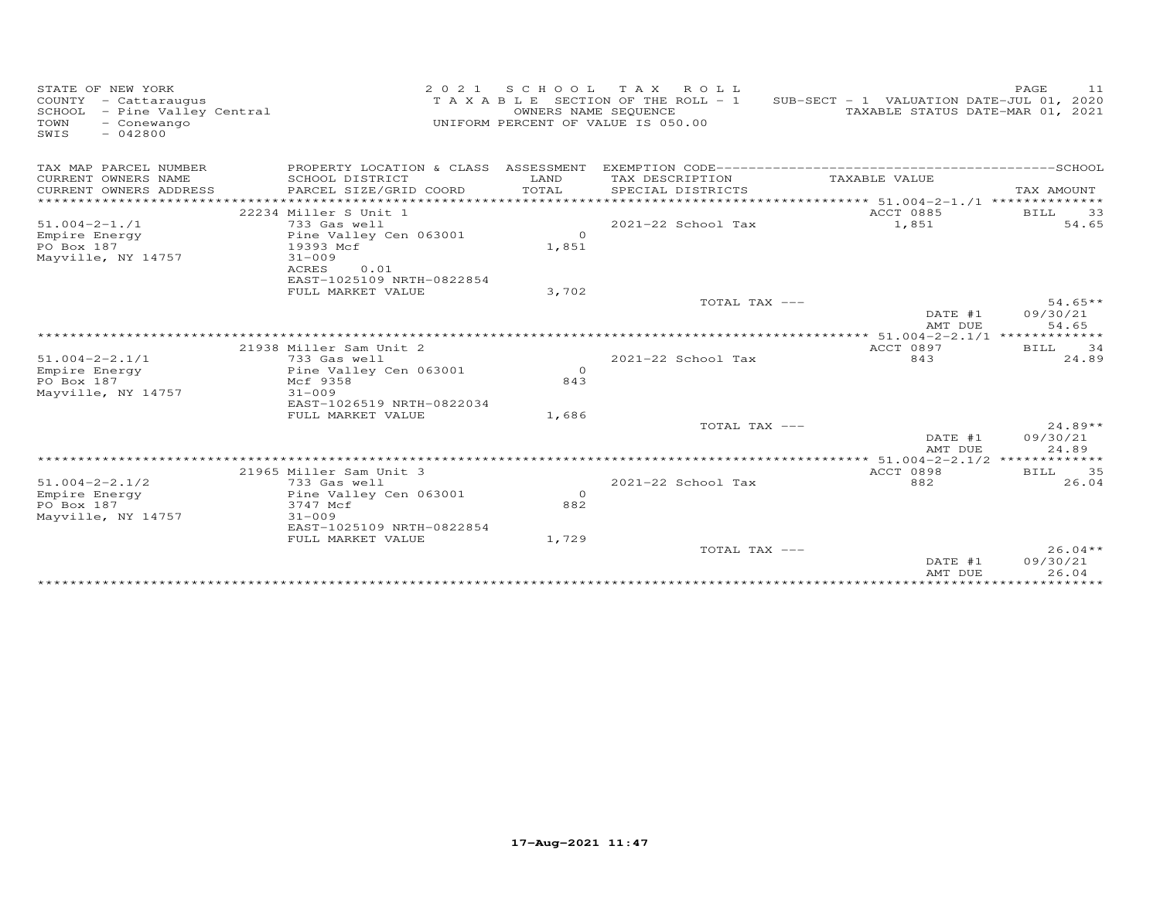| STATE OF NEW YORK<br>COUNTY - Cattaraugus<br>SCHOOL<br>- Pine Valley Central<br>TOWN<br>- Conewango<br>SWIS<br>$-042800$ | 2 0 2 1                                                                                                                  | SCHOOL<br>OWNERS NAME SEQUENCE | T A X<br>ROLL ROLL<br>TAXABLE SECTION OF THE ROLL - 1<br>UNIFORM PERCENT OF VALUE IS 050.00 | SUB-SECT - 1 VALUATION DATE-JUL 01, 2020<br>TAXABLE STATUS DATE-MAR 01, 2021 | PAGE<br>11                     |
|--------------------------------------------------------------------------------------------------------------------------|--------------------------------------------------------------------------------------------------------------------------|--------------------------------|---------------------------------------------------------------------------------------------|------------------------------------------------------------------------------|--------------------------------|
| TAX MAP PARCEL NUMBER<br>CURRENT OWNERS NAME<br>CURRENT OWNERS ADDRESS                                                   | PROPERTY LOCATION & CLASS ASSESSMENT<br>SCHOOL DISTRICT<br>PARCEL SIZE/GRID COORD                                        | LAND<br>TOTAL                  | TAX DESCRIPTION<br>SPECIAL DISTRICTS<br>****************************                        | TAXABLE VALUE<br>****************** 51.004-2-1./1 **************             | TAX AMOUNT                     |
|                                                                                                                          | 22234 Miller S Unit 1                                                                                                    |                                |                                                                                             | ACCT 0885                                                                    | 33<br>BILL                     |
| $51.004 - 2 - 1.71$<br>Empire Energy<br>PO Box 187<br>Mayville, NY 14757                                                 | 733 Gas well<br>Pine Valley Cen 063001<br>19393 Mcf<br>$31 - 009$<br>ACRES<br>0.01                                       | $\Omega$<br>1,851              | $2021 - 22$ School Tax                                                                      | 1,851                                                                        | 54.65                          |
|                                                                                                                          | EAST-1025109 NRTH-0822854<br>FULL MARKET VALUE                                                                           | 3,702                          |                                                                                             |                                                                              |                                |
|                                                                                                                          |                                                                                                                          |                                | TOTAL TAX ---                                                                               | DATE #1<br>AMT DUE                                                           | $54.65**$<br>09/30/21<br>54.65 |
|                                                                                                                          |                                                                                                                          |                                |                                                                                             |                                                                              |                                |
| $51.004 - 2 - 2.1/1$                                                                                                     | 21938 Miller Sam Unit 2<br>733 Gas well                                                                                  |                                | $2021 - 22$ School Tax                                                                      | <b>ACCT 0897</b><br>843                                                      | 34<br>BILL<br>24.89            |
| Empire Energy<br>PO Box 187<br>Mayville, NY 14757                                                                        | Pine Valley Cen 063001<br>Mcf 9358<br>$31 - 009$<br>EAST-1026519 NRTH-0822034                                            | $\Omega$<br>843                |                                                                                             |                                                                              |                                |
|                                                                                                                          | FULL MARKET VALUE                                                                                                        | 1,686                          | TOTAL TAX ---                                                                               | DATE #1<br>AMT DUE                                                           | $24.89**$<br>09/30/21<br>24.89 |
|                                                                                                                          |                                                                                                                          |                                |                                                                                             | $*****$ 51.004-2-2.1/2 **                                                    | ***********                    |
| $51.004 - 2 - 2.1/2$<br>Empire Energy<br>PO Box 187<br>Mayville, NY 14757                                                | 21965 Miller Sam Unit 3<br>733 Gas well<br>Pine Valley Cen 063001<br>3747 Mcf<br>$31 - 009$<br>EAST-1025109 NRTH-0822854 | $\circ$<br>882                 | $2021 - 22$ School Tax                                                                      | <b>ACCT 0898</b><br>882                                                      | 35<br>BILL<br>26.04            |
|                                                                                                                          | FULL MARKET VALUE                                                                                                        | 1,729                          | TOTAL TAX ---                                                                               | DATE #1<br>AMT DUE                                                           | $26.04**$<br>09/30/21<br>26.04 |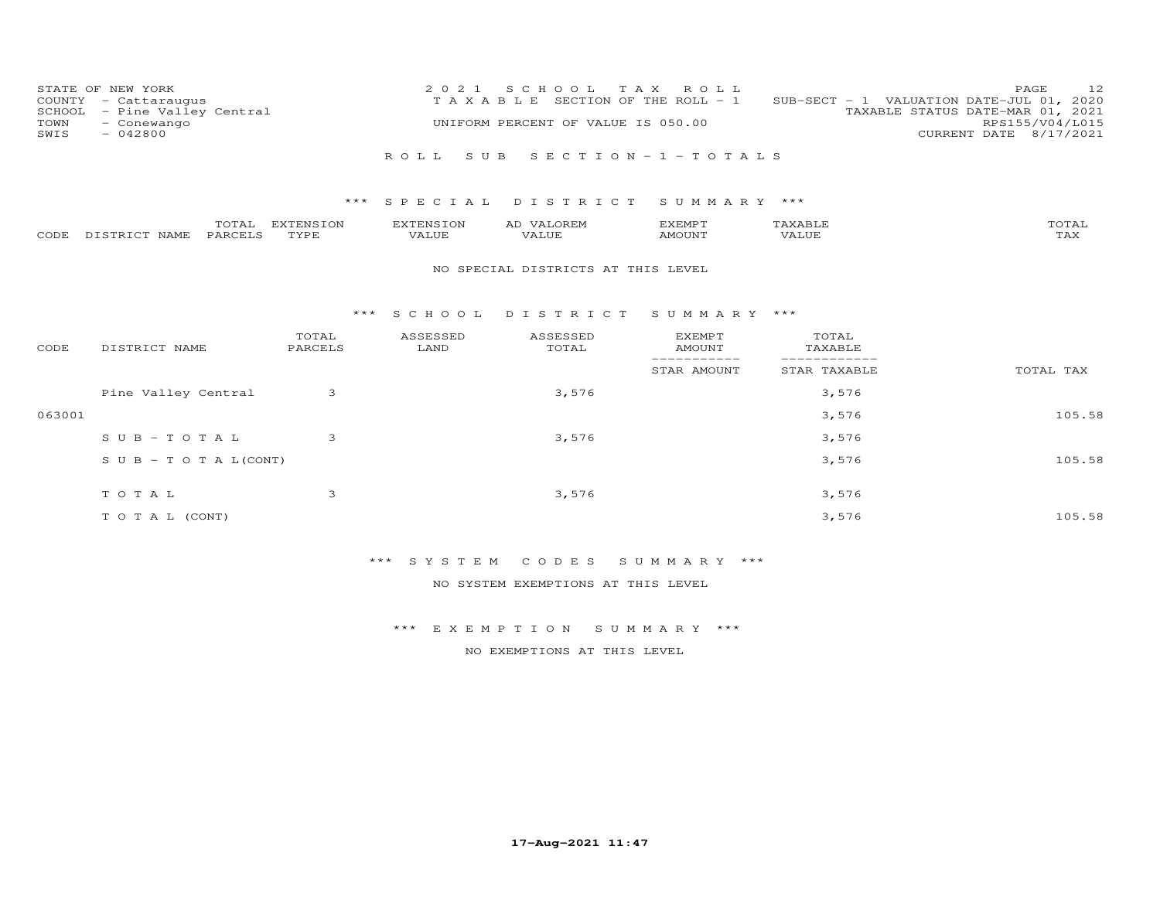| STATE OF NEW YORK<br>COUNTY<br>- Cattaraugus<br>SCHOOL<br>TOWN<br>- Conewango<br>$-042800$<br>SWIS | - Pine Valley Central |                          | 2 0 2 1<br>TAXABLE        | S C H O O L<br>UNIFORM PERCENT OF VALUE IS 050.00 | T A X<br>ROLL<br>SECTION OF THE ROLL - 1    |                                 | 12<br>PAGE<br>SUB-SECT - 1 VALUATION DATE-JUL 01,<br>2020<br>TAXABLE STATUS DATE-MAR 01, 2021<br>RPS155/V04/L015<br>CURRENT DATE 8/17/2021 |
|----------------------------------------------------------------------------------------------------|-----------------------|--------------------------|---------------------------|---------------------------------------------------|---------------------------------------------|---------------------------------|--------------------------------------------------------------------------------------------------------------------------------------------|
|                                                                                                    |                       |                          | ROLL<br>S U B             |                                                   | SECTION $-1$ -TOTALS                        |                                 |                                                                                                                                            |
|                                                                                                    |                       | $***$                    | SPECIAL                   | DISTRICT                                          | SUMMARY ***                                 |                                 |                                                                                                                                            |
| DISTRICT NAME<br>CODE                                                                              | TOTAL<br>PARCELS      | <b>EXTENSION</b><br>TYPE | <b>EXTENSION</b><br>VALUE | AD VALOREM<br><b>VALUE</b>                        | <b>EXEMPT</b><br>AMOUNT                     | TAXABLE<br><b>VALUE</b>         | TOTAL<br><b>TAX</b>                                                                                                                        |
|                                                                                                    |                       |                          |                           |                                                   |                                             |                                 |                                                                                                                                            |
|                                                                                                    |                       |                          |                           | NO SPECIAL DISTRICTS AT THIS LEVEL                |                                             |                                 |                                                                                                                                            |
|                                                                                                    |                       |                          |                           |                                                   |                                             |                                 |                                                                                                                                            |
|                                                                                                    |                       | ***                      | S C H O O L               | DISTRICT                                          | SUMMARY ***                                 |                                 |                                                                                                                                            |
| CODE<br>DISTRICT NAME                                                                              |                       | TOTAL<br>PARCELS         | ASSESSED<br>LAND          | ASSESSED<br>TOTAL                                 | <b>EXEMPT</b><br><b>AMOUNT</b><br>--------- | TOTAL<br>TAXABLE<br>___________ |                                                                                                                                            |
|                                                                                                    |                       |                          |                           |                                                   | STAR AMOUNT                                 | STAR TAXABLE                    | TOTAL TAX                                                                                                                                  |
|                                                                                                    | Pine Valley Central   | 3                        |                           | 3,576                                             |                                             | 3,576                           |                                                                                                                                            |
| 063001                                                                                             |                       |                          |                           |                                                   |                                             | 3,576                           | 105.58                                                                                                                                     |
|                                                                                                    | $SUB - TO TAL$        | 3                        |                           | 3,576                                             |                                             | 3,576                           |                                                                                                                                            |

| SUB - TO TA L(CONT) |       | 3,576 | 105.58 |  |
|---------------------|-------|-------|--------|--|
| TOTAL               | 3,576 | 3,576 |        |  |
| T O T A L (CONT)    |       | 3,576 | 105.58 |  |

\*\*\* S Y S T E M C O D E S S U M M A R Y \*\*\*

NO SYSTEM EXEMPTIONS AT THIS LEVEL

\*\*\* E X E M P T I O N S U M M A R Y \*\*\*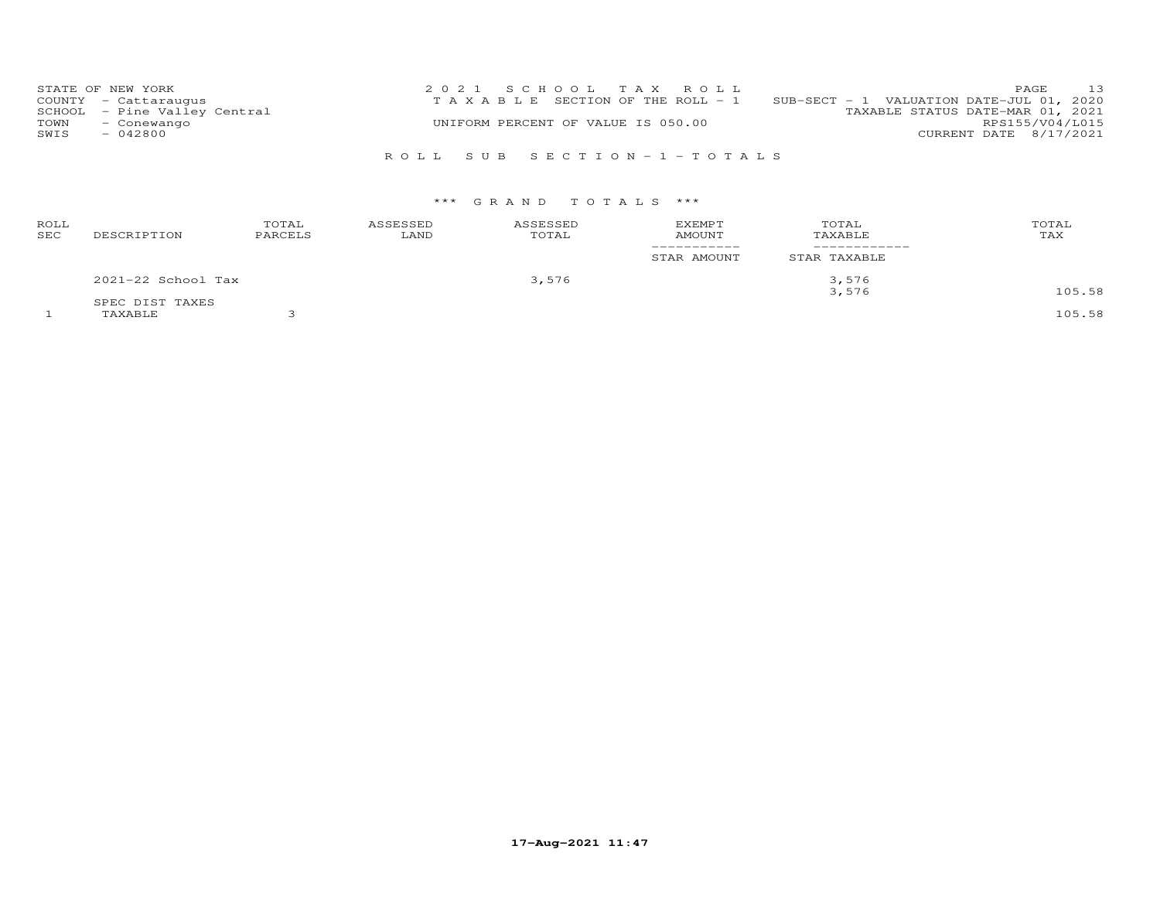| STATE OF NEW YORK            | 2021 SCHOOL TAX ROLL                  | 13<br><b>PAGE</b>                           |
|------------------------------|---------------------------------------|---------------------------------------------|
| COUNTY - Cattaraugus         | T A X A B L E SECTION OF THE ROLL - 1 | SUB-SECT - 1 VALUATION DATE-JUL $01$ , 2020 |
| SCHOOL - Pine Valley Central |                                       | TAXABLE STATUS DATE-MAR 01, 2021            |
| TOWN<br>- Conewango          | UNIFORM PERCENT OF VALUE IS 050.00    | RPS155/V04/L015                             |
| SWIS<br>$-042800$            |                                       | CURRENT DATE 8/17/2021                      |
|                              |                                       |                                             |

# R O L L S U B S E C T I O N - 1 - T O T A L S

| ROLL<br>SEC | DESCRIPTION        | TOTAL<br>PARCELS | ASSESSED<br>LAND | ASSESSED<br>TOTAL | <b>EXEMPT</b><br><b>AMOUNT</b> | TOTAL<br>TAXABLE | TOTAL<br>TAX |
|-------------|--------------------|------------------|------------------|-------------------|--------------------------------|------------------|--------------|
|             |                    |                  |                  |                   | STAR AMOUNT                    | STAR TAXABLE     |              |
|             | 2021-22 School Tax |                  |                  | 3,576             |                                | 3,576            |              |
|             | SPEC DIST TAXES    |                  |                  |                   |                                | 3,576            | 105.58       |
|             | TAXABLE            |                  |                  |                   |                                |                  | 105.58       |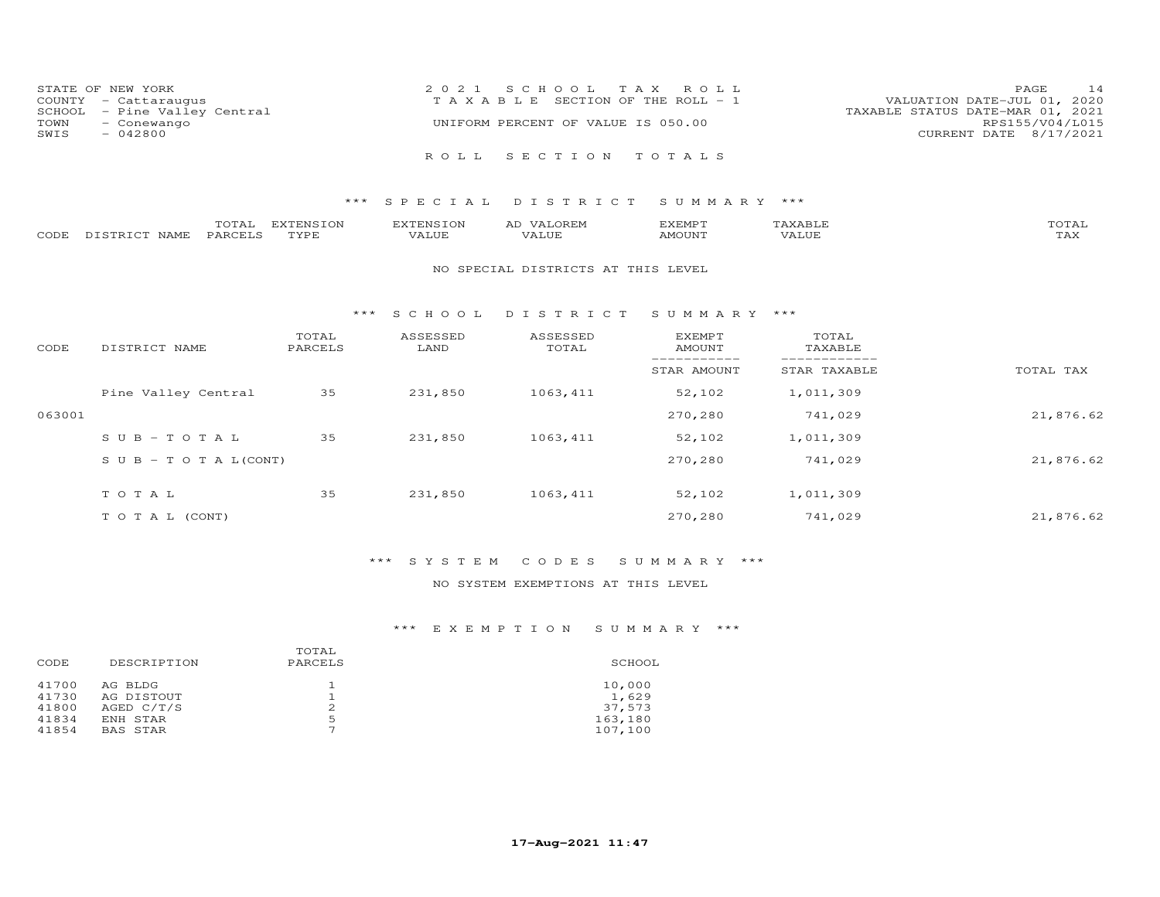|      | STATE OF NEW YORK            | 2021 SCHOOL TAX ROLL                  | PAGE                        | 14 |
|------|------------------------------|---------------------------------------|-----------------------------|----|
|      | COUNTY - Cattaraugus         | T A X A B L E SECTION OF THE ROLL - 1 | VALUATION DATE-JUL 01, 2020 |    |
|      | SCHOOL - Pine Valley Central | TAXABLE STATUS DATE-MAR 01, 2021      |                             |    |
| TOWN | - Conewango                  | UNIFORM PERCENT OF VALUE IS 050.00    | RPS155/V04/L015             |    |
| SWIS | $-042800$                    |                                       | CURRENT DATE 8/17/2021      |    |
|      |                              |                                       |                             |    |
|      |                              | ROLL SECTION TOTALS                   |                             |    |

## \*\*\* S P E C I A L D I S T R I C T S U M M A R Y \*\*\*

|      |                            | $m \wedge m \wedge$<br>UIAL | EXTENSION | <b>EXTENSION</b>        | AL | EXEMPT | $\mathbf{r}$<br>AAADII | $T \cap T$<br>.OTAT |
|------|----------------------------|-----------------------------|-----------|-------------------------|----|--------|------------------------|---------------------|
| CODE | רת <b>דפי</b> ף דח<br>NAME | PARCELS                     | TVDF      | . <del>.</del><br>√ALUF |    | MOUNT  | .                      | $m \times r$<br>⊥冖◠ |

### NO SPECIAL DISTRICTS AT THIS LEVEL

#### \*\*\* S C H O O L D I S T R I C T S U M M A R Y \*\*\*

| CODE   | DISTRICT NAME                    | TOTAL<br>PARCELS | ASSESSED<br>LAND | ASSESSED<br>TOTAL | <b>EXEMPT</b><br>AMOUNT | TOTAL<br>TAXABLE |           |
|--------|----------------------------------|------------------|------------------|-------------------|-------------------------|------------------|-----------|
|        |                                  |                  |                  |                   | STAR AMOUNT             | STAR TAXABLE     | TOTAL TAX |
|        | Pine Valley Central              | 35               | 231,850          | 1063,411          | 52,102                  | 1,011,309        |           |
| 063001 |                                  |                  |                  |                   | 270,280                 | 741,029          | 21,876.62 |
|        | $SUB - TO T AL$                  | 35               | 231,850          | 1063, 411         | 52,102                  | 1,011,309        |           |
|        | $S \cup B - T \cup T A L (CONT)$ |                  |                  |                   | 270,280                 | 741,029          | 21,876.62 |
|        | TOTAL                            | 35               | 231,850          | 1063,411          | 52,102                  | 1,011,309        |           |
|        | T O T A L (CONT)                 |                  |                  |                   | 270,280                 | 741,029          | 21,876.62 |

# \*\*\* S Y S T E M C O D E S S U M M A R Y \*\*\*

## NO SYSTEM EXEMPTIONS AT THIS LEVEL

|       |                 | TOTAL   |         |
|-------|-----------------|---------|---------|
| CODE  | DESCRIPTION     | PARCELS | SCHOOL  |
| 41700 | AG BLDG         |         | 10,000  |
| 41730 | AG DISTOUT      |         | 1,629   |
| 41800 | AGED C/T/S      |         | 37.573  |
| 41834 | ENH STAR        | 5       | 163,180 |
| 41854 | <b>BAS STAR</b> | ⇁       | 107,100 |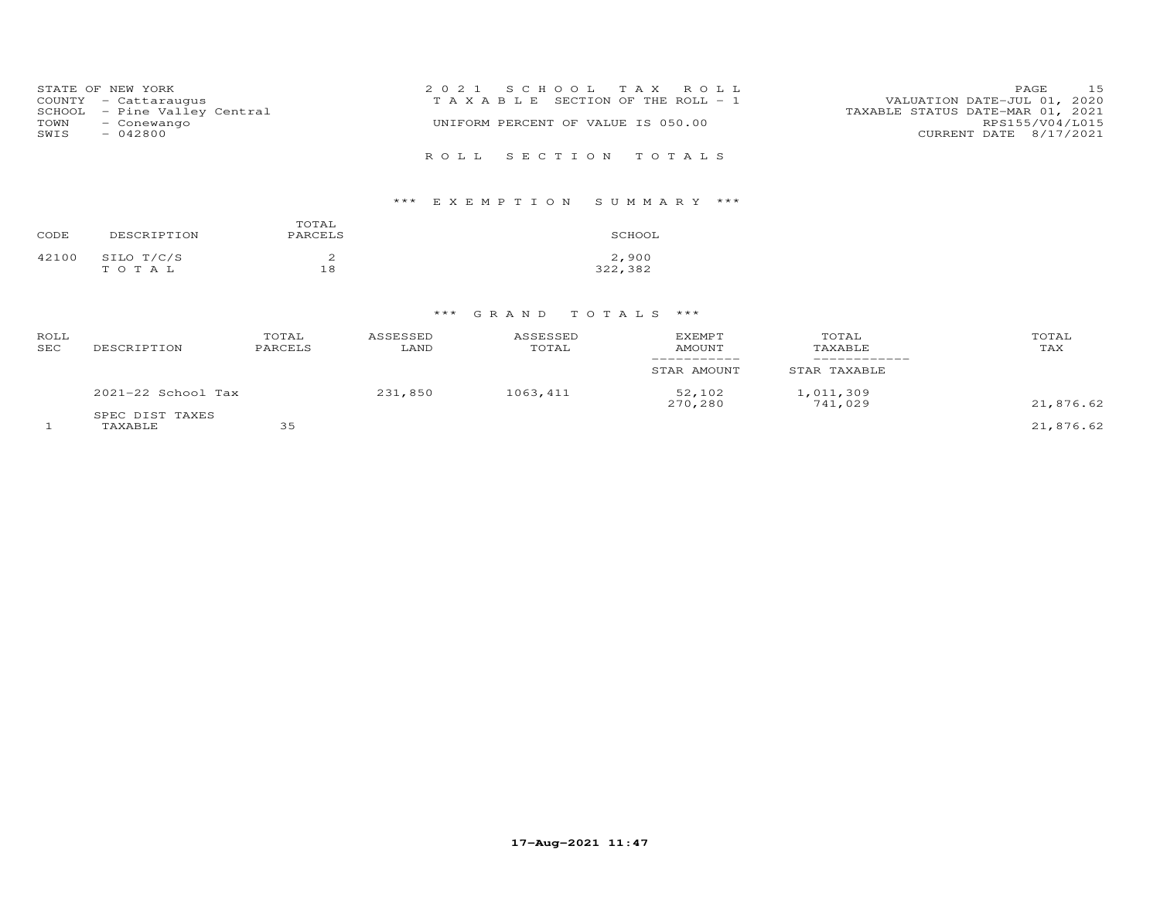|                     | STATE OF NEW YORK            | 2021 SCHOOL TAX ROLL                                                 | <b>PAGE</b>            | 15 |
|---------------------|------------------------------|----------------------------------------------------------------------|------------------------|----|
|                     | COUNTY - Cattaraugus         | VALUATION DATE-JUL 01, 2020<br>T A X A B L E SECTION OF THE ROLL - 1 |                        |    |
|                     | SCHOOL - Pine Valley Central | TAXABLE STATUS DATE-MAR 01, 2021                                     |                        |    |
| TOWN<br>- Conewango |                              | UNIFORM PERCENT OF VALUE IS 050.00                                   | RPS155/V04/L015        |    |
| $-042800$<br>SWIS   |                              |                                                                      | CURRENT DATE 8/17/2021 |    |
|                     |                              | ROLL SECTION TOTALS                                                  |                        |    |

# \*\*\* E X E M P T I O N S U M M A R Y \*\*\*

| CODE  | DESCRIPTION | TOTAL<br>PARCELS | SCHOOL  |
|-------|-------------|------------------|---------|
| 42100 | SILO T/C/S  | ∼                | 2,900   |
|       | TOTAL       | 18               | 322,382 |

| ROLL<br>SEC | DESCRIPTION                | TOTAL<br>PARCELS | ASSESSED<br>LAND | ASSESSED<br>TOTAL | <b>EXEMPT</b><br><b>AMOUNT</b> | TOTAL<br>TAXABLE     | TOTAL<br>TAX |
|-------------|----------------------------|------------------|------------------|-------------------|--------------------------------|----------------------|--------------|
|             |                            |                  |                  |                   | STAR AMOUNT                    | STAR TAXABLE         |              |
|             | 2021-22 School Tax         |                  | 231,850          | 1063,411          | 52,102<br>270,280              | 1,011,309<br>741,029 | 21,876.62    |
|             | SPEC DIST TAXES<br>TAXABLE | 35               |                  |                   |                                |                      | 21,876.62    |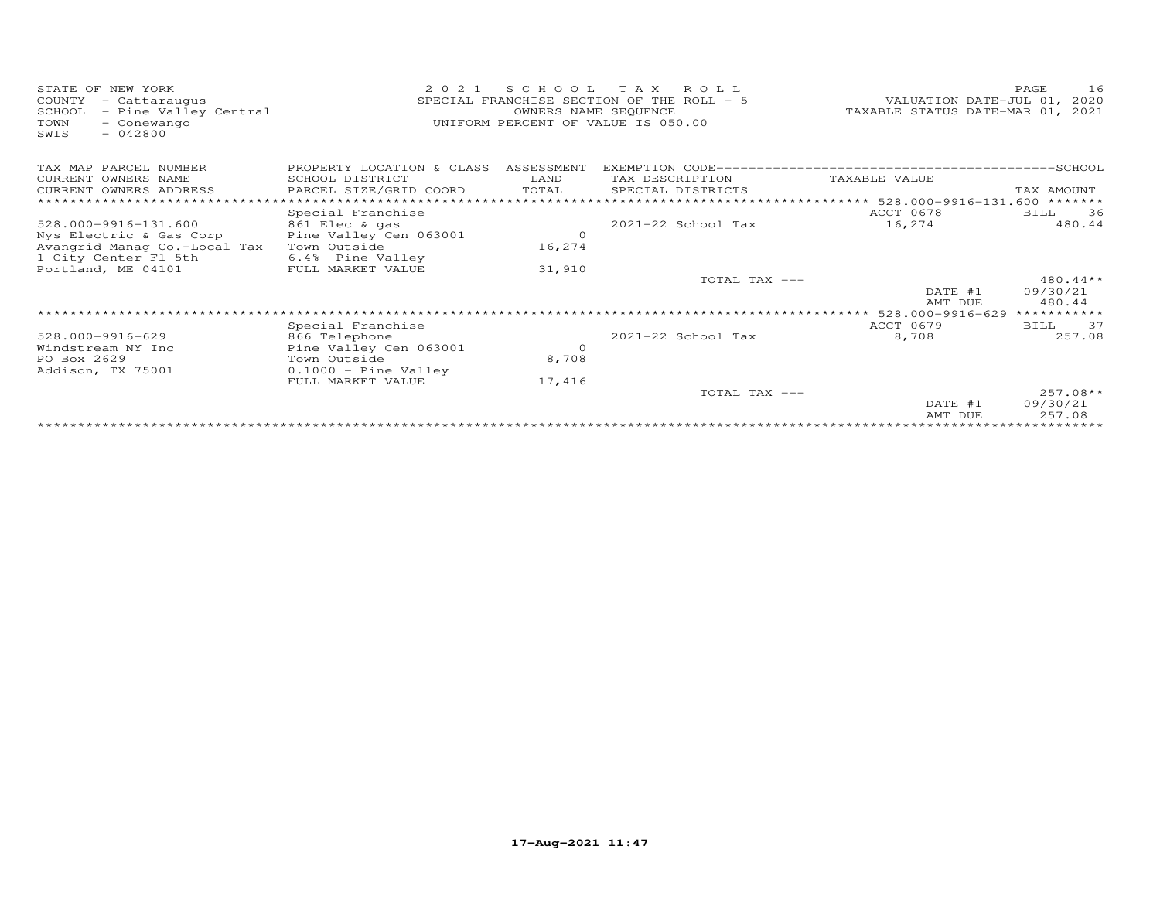| STATE OF NEW YORK<br>COUNTY<br>- Cattaraugus<br>SCHOOL<br>- Pine Valley Central<br>- Conewango<br>TOWN<br>$-042800$<br>SWIS | 2 0 2 1<br>SCHOOL TAX<br>ROLL.<br>SPECIAL FRANCHISE SECTION OF THE ROLL - 5<br>OWNERS NAME SEQUENCE<br>UNIFORM PERCENT OF VALUE IS 050.00 |            |                      | VALUATION DATE-JUL 01, 2020<br>TAXABLE STATUS DATE-MAR 01, 2021 | -16<br>PAGE        |
|-----------------------------------------------------------------------------------------------------------------------------|-------------------------------------------------------------------------------------------------------------------------------------------|------------|----------------------|-----------------------------------------------------------------|--------------------|
| TAX MAP PARCEL NUMBER                                                                                                       | PROPERTY LOCATION & CLASS                                                                                                                 | ASSESSMENT | EXEMPTION CODE------ | ------------------------------------SCHOOL                      |                    |
| CURRENT OWNERS NAME                                                                                                         | SCHOOL DISTRICT                                                                                                                           | LAND       | TAX DESCRIPTION      | TAXABLE VALUE                                                   |                    |
| CURRENT OWNERS ADDRESS                                                                                                      | PARCEL SIZE/GRID COORD                                                                                                                    | TOTAL      | SPECIAL DISTRICTS    |                                                                 | TAX AMOUNT         |
|                                                                                                                             | * * * * * * * * * * * * * * * *                                                                                                           |            |                      | ***** 528.000-9916-131.600 *******                              |                    |
|                                                                                                                             | Special Franchise                                                                                                                         |            |                      | ACCT 0678                                                       | 36<br>BILL         |
| 528.000-9916-131.600                                                                                                        | 861 Elec & gas                                                                                                                            |            | 2021-22 School Tax   | 16,274                                                          | 480.44             |
| Nys Electric & Gas Corp                                                                                                     | Pine Valley Cen 063001                                                                                                                    | $\circ$    |                      |                                                                 |                    |
| Avangrid Manag Co.-Local Tax                                                                                                | Town Outside                                                                                                                              | 16,274     |                      |                                                                 |                    |
| 1 City Center Fl 5th                                                                                                        | 6.4% Pine Valley                                                                                                                          |            |                      |                                                                 |                    |
| Portland, ME 04101                                                                                                          | FULL MARKET VALUE                                                                                                                         | 31,910     | TOTAL TAX ---        |                                                                 | $480.44**$         |
|                                                                                                                             |                                                                                                                                           |            |                      | DATE #1<br>AMT DUE                                              | 09/30/21<br>480.44 |
|                                                                                                                             |                                                                                                                                           |            |                      | 528.000-9916-629                                                | ***********        |
|                                                                                                                             | Special Franchise                                                                                                                         |            |                      | ACCT 0679                                                       | BILL 37            |
| 528.000-9916-629                                                                                                            | 866 Telephone                                                                                                                             |            | 2021-22 School Tax   | 8,708                                                           | 257.08             |
| Windstream NY Inc                                                                                                           | Pine Valley Cen 063001                                                                                                                    | $\Omega$   |                      |                                                                 |                    |
| PO Box 2629                                                                                                                 | Town Outside                                                                                                                              | 8,708      |                      |                                                                 |                    |
| Addison, TX 75001                                                                                                           | $0.1000 -$ Pine Valley                                                                                                                    |            |                      |                                                                 |                    |
|                                                                                                                             | FULL MARKET VALUE                                                                                                                         | 17,416     |                      |                                                                 |                    |
|                                                                                                                             |                                                                                                                                           |            | TOTAL TAX ---        |                                                                 | $257.08**$         |
|                                                                                                                             |                                                                                                                                           |            |                      | DATE #1                                                         | 09/30/21           |
|                                                                                                                             |                                                                                                                                           |            |                      | AMT DUE                                                         | 257.08             |
|                                                                                                                             |                                                                                                                                           |            |                      |                                                                 |                    |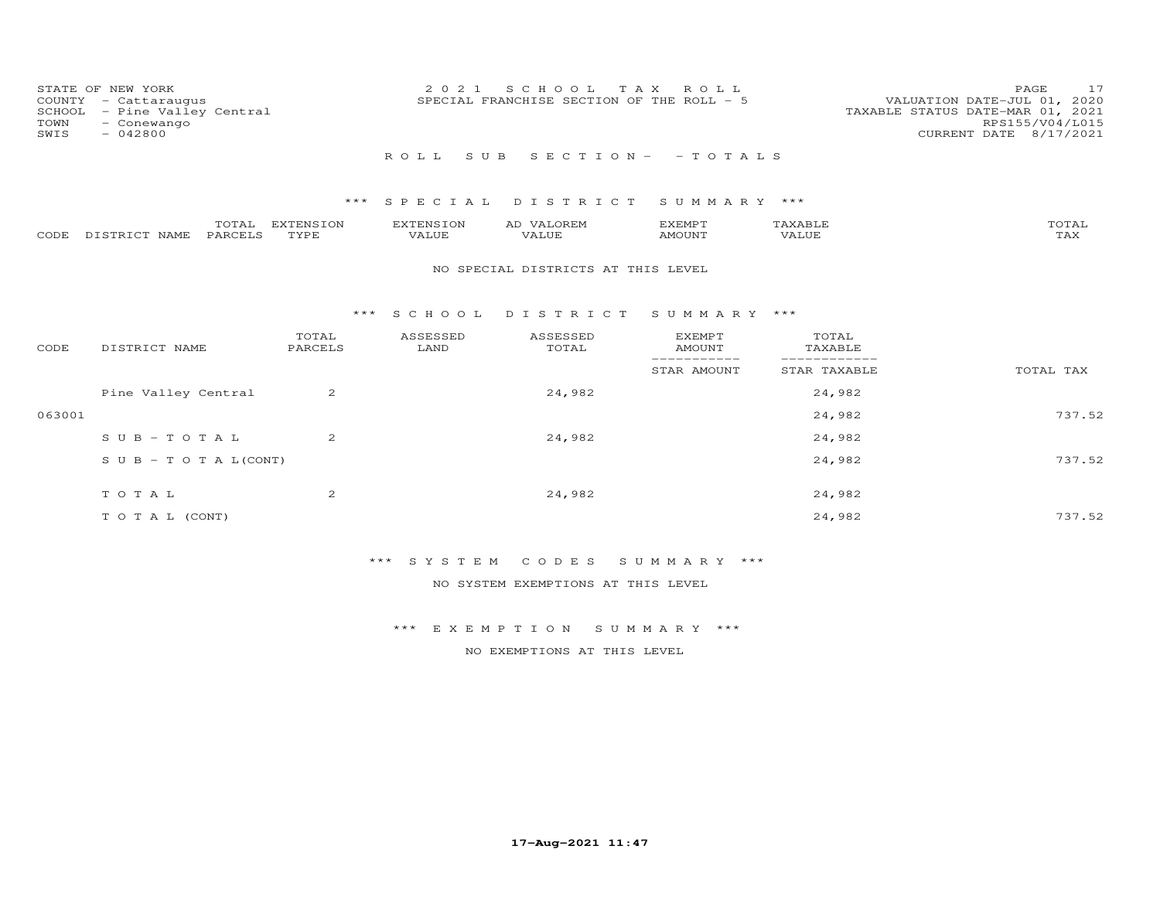| COUNTY<br>SCHOOL<br>TOWN<br>SWIS | STATE OF NEW YORK<br>- Cattaraugus<br>- Pine Valley Central<br>- Conewango<br>$-042800$ |                          | 2 0 2 1                          | S C H O O L<br>SPECIAL FRANCHISE SECTION OF THE ROLL - 5 | T A X<br>R O L L                |                              | 17<br>PAGE<br>VALUATION DATE-JUL 01, 2020<br>TAXABLE STATUS DATE-MAR 01, 2021<br>RPS155/V04/L015<br>CURRENT DATE 8/17/2021 |
|----------------------------------|-----------------------------------------------------------------------------------------|--------------------------|----------------------------------|----------------------------------------------------------|---------------------------------|------------------------------|----------------------------------------------------------------------------------------------------------------------------|
|                                  |                                                                                         |                          | ROLL<br>S U B                    |                                                          | $S E C T I O N - - T O T A L S$ |                              |                                                                                                                            |
|                                  |                                                                                         | ***                      | SPECIAL                          | DISTRICT                                                 | SUMMARY ***                     |                              |                                                                                                                            |
| CODE                             | TOTAL<br>DISTRICT NAME<br>PARCELS                                                       | <b>EXTENSION</b><br>TYPE | <b>EXTENSION</b><br><b>VALUE</b> | AD VALOREM<br><b>VALUE</b>                               | <b>EXEMPT</b><br><b>AMOUNT</b>  | TAXABLE<br>VALUE             | TOTAL<br><b>TAX</b>                                                                                                        |
|                                  |                                                                                         |                          |                                  | NO SPECIAL DISTRICTS AT THIS LEVEL                       |                                 |                              |                                                                                                                            |
|                                  |                                                                                         | ***                      | S C H O O L                      | DISTRICT                                                 | SUMMARY ***                     |                              |                                                                                                                            |
| CODE                             | DISTRICT NAME                                                                           | TOTAL<br>PARCELS         | ASSESSED<br>LAND                 | ASSESSED<br>TOTAL                                        | <b>EXEMPT</b><br><b>AMOUNT</b>  | TOTAL<br>TAXABLE             |                                                                                                                            |
|                                  |                                                                                         |                          |                                  |                                                          | -----------<br>STAR AMOUNT      | ____________<br>STAR TAXABLE | TOTAL TAX                                                                                                                  |
|                                  | Pine Valley Central                                                                     | 2                        |                                  | 24,982                                                   |                                 | 24,982                       |                                                                                                                            |
| 063001                           |                                                                                         |                          |                                  |                                                          |                                 | 24,982                       | 737.52                                                                                                                     |
|                                  | $S \cup B - T \cup T A L$                                                               | 2                        |                                  | 24,982                                                   |                                 | 24,982                       |                                                                                                                            |
|                                  | $S \cup B - T \cup T A L (CONT)$                                                        |                          |                                  |                                                          |                                 | 24,982                       | 737.52                                                                                                                     |
|                                  | TOTAL                                                                                   | 2                        |                                  | 24,982                                                   |                                 | 24,982                       |                                                                                                                            |
|                                  | T O T A L (CONT)                                                                        |                          |                                  |                                                          |                                 | 24,982                       | 737.52                                                                                                                     |

# \*\*\* S Y S T E M C O D E S S U M M A R Y \*\*\*

NO SYSTEM EXEMPTIONS AT THIS LEVEL

\*\*\* E X E M P T I O N S U M M A R Y \*\*\*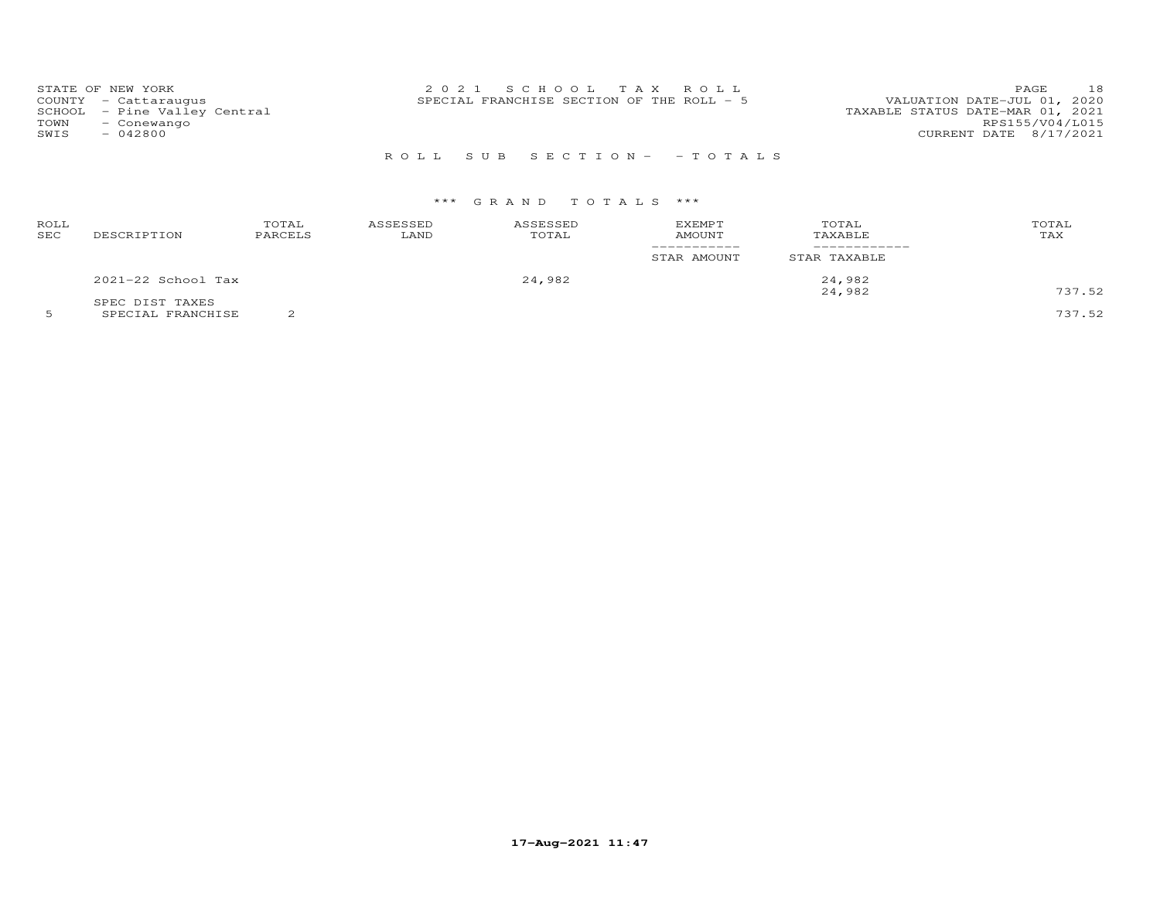|              | STATE OF NEW YORK<br>COUNTY - Cattaraugus<br>SCHOOL - Pine Valley Central | 2021 SCHOOL TAX ROLL<br>VALUATION DATE-JUL 01, 2020<br>SPECIAL FRANCHISE SECTION OF THE ROLL - 5<br>TAXABLE STATUS DATE-MAR 01, 2021 | 18<br><b>PAGE</b>                         |
|--------------|---------------------------------------------------------------------------|--------------------------------------------------------------------------------------------------------------------------------------|-------------------------------------------|
| TOWN<br>SWIS | - Conewango<br>$-042800$                                                  |                                                                                                                                      | RPS155/V04/L015<br>CURRENT DATE 8/17/2021 |
|              |                                                                           | ROLL SUB SECTION- - TOTALS                                                                                                           |                                           |

## \*\*\* G R A N D T O T A L S \*\*\*

| ROLL<br><b>SEC</b> | DESCRIPTION          | TOTAL<br>PARCELS | ASSESSED<br>LAND | ASSESSED<br>TOTAL | <b>EXEMPT</b><br><b>AMOUNT</b> | TOTAL<br>TAXABLE | TOTAL<br>TAX |
|--------------------|----------------------|------------------|------------------|-------------------|--------------------------------|------------------|--------------|
|                    |                      |                  |                  |                   | STAR AMOUNT                    | STAR TAXABLE     |              |
|                    | $2021-22$ School Tax |                  |                  | 24,982            |                                | 24,982           |              |
|                    | SPEC DIST TAXES      |                  |                  |                   |                                | 24,982           | 737.52       |

5 SPECIAL FRANCHISE 2 737.52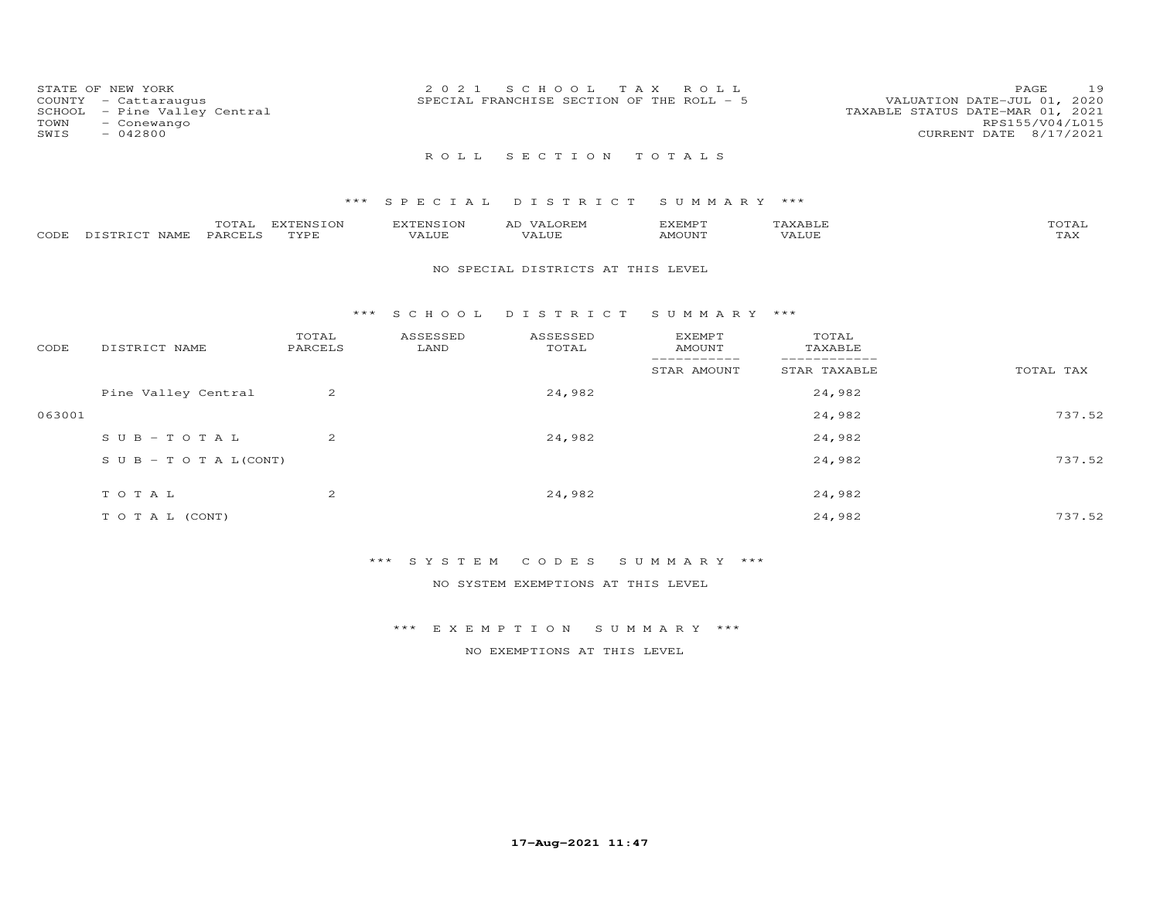| STATE OF NEW YORK<br>COUNTY - Cattaraugus<br>SCHOOL - Pine Valley Central<br>TOWN<br>- Conewango<br>SWIS<br>$-042800$ |  |  | 2021 SCHOOL TAX ROLL<br>SPECIAL FRANCHISE SECTION OF THE ROLL - 5 | PAGE<br>VALUATION DATE-JUL 01, 2020<br>TAXABLE STATUS DATE-MAR 01, 2021<br>RPS155/V04/L015<br>CURRENT DATE 8/17/2021 |  | 19 |  |
|-----------------------------------------------------------------------------------------------------------------------|--|--|-------------------------------------------------------------------|----------------------------------------------------------------------------------------------------------------------|--|----|--|
|                                                                                                                       |  |  | ROLL SECTION TOTALS                                               |                                                                                                                      |  |    |  |
|                                                                                                                       |  |  |                                                                   | *** SPECIAL DISTRICT SUMMARY ***                                                                                     |  |    |  |

|       |                           | $-1$<br>$ \blacksquare$ .<br>- - - - | m szm<br><b>TNIC TON</b> | v z r          | ΑL      | YFMD'         |              | $m \wedge m \wedge$             |
|-------|---------------------------|--------------------------------------|--------------------------|----------------|---------|---------------|--------------|---------------------------------|
| CODE. | $T \cap T$<br><b>NAME</b> | . PARCET                             | <b>TVDL</b>              | ് ച<br>۳ لیا د | تنتلطين | <b>MOTIN'</b> | 77777<br>, A | $m \times r$<br>⊥ <i>⊥</i> ⊥∡ ⊾ |

#### NO SPECIAL DISTRICTS AT THIS LEVEL

## \*\*\* S C H O O L D I S T R I C T S U M M A R Y \*\*\*

| CODE   | DISTRICT NAME                    | TOTAL<br>PARCELS | ASSESSED<br>LAND | ASSESSED<br>TOTAL | <b>EXEMPT</b><br>AMOUNT | TOTAL<br>TAXABLE |           |
|--------|----------------------------------|------------------|------------------|-------------------|-------------------------|------------------|-----------|
|        |                                  |                  |                  |                   | STAR AMOUNT             | STAR TAXABLE     | TOTAL TAX |
|        | Pine Valley Central              | 2                |                  | 24,982            |                         | 24,982           |           |
| 063001 |                                  |                  |                  |                   |                         | 24,982           | 737.52    |
|        | $SUB - TO T AL$                  | 2                |                  | 24,982            |                         | 24,982           |           |
|        | $S \cup B - T \cup T A L (CONT)$ |                  |                  |                   |                         | 24,982           | 737.52    |
|        | TOTAL                            | 2                |                  | 24,982            |                         | 24,982           |           |
|        | T O T A L (CONT)                 |                  |                  |                   |                         | 24,982           | 737.52    |

# \*\*\* S Y S T E M C O D E S S U M M A R Y \*\*\*

NO SYSTEM EXEMPTIONS AT THIS LEVEL

\*\*\* E X E M P T I O N S U M M A R Y \*\*\*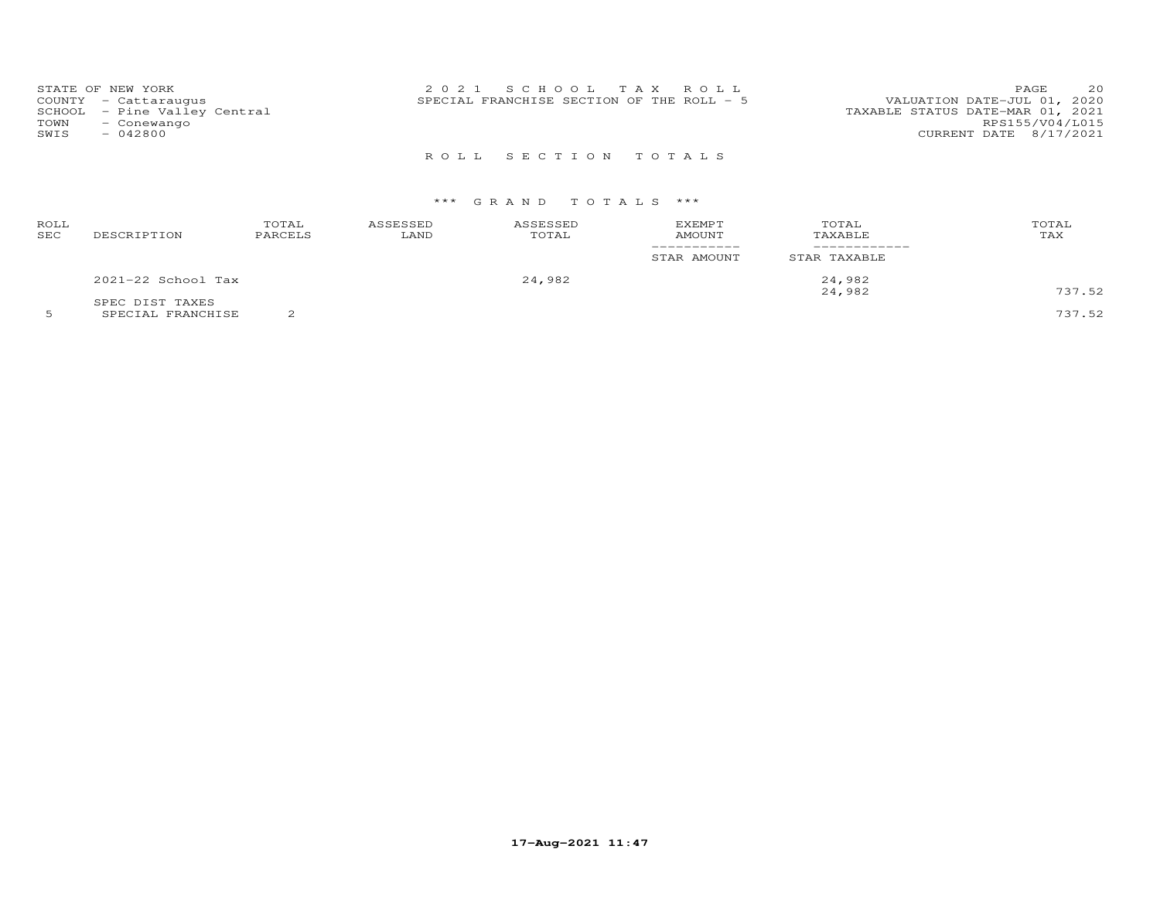| STATE OF NEW YORK<br>COUNTY - Cattaraugus<br>SCHOOL - Pine Valley Central<br>TOWN<br>- Conewango<br>SWIS<br>- 042800 | 2021 SCHOOL TAX ROLL<br>SPECIAL FRANCHISE SECTION OF THE ROLL - 5 | 20<br>PAGE.<br>VALUATION DATE-JUL 01, 2020<br>TAXABLE STATUS DATE-MAR 01, 2021<br>RPS155/V04/L015<br>CURRENT DATE 8/17/2021 |
|----------------------------------------------------------------------------------------------------------------------|-------------------------------------------------------------------|-----------------------------------------------------------------------------------------------------------------------------|
|                                                                                                                      | ROLL SECTION TOTALS                                               |                                                                                                                             |

## \*\*\* G R A N D T O T A L S \*\*\*

| ROLL<br>SEC | DESCRIPTION          | TOTAL<br>PARCELS | ASSESSED<br>LAND | ASSESSED<br>TOTAL | <b>EXEMPT</b><br>AMOUNT | TOTAL<br>TAXABLE | TOTAL<br>TAX |
|-------------|----------------------|------------------|------------------|-------------------|-------------------------|------------------|--------------|
|             |                      |                  |                  |                   | STAR AMOUNT             | STAR TAXABLE     |              |
|             | $2021-22$ School Tax |                  |                  | 24,982            |                         | 24,982<br>24,982 | 737.52       |
|             | SPEC DIST TAXES      |                  |                  |                   |                         |                  |              |

5 SPECIAL FRANCHISE 2 737.52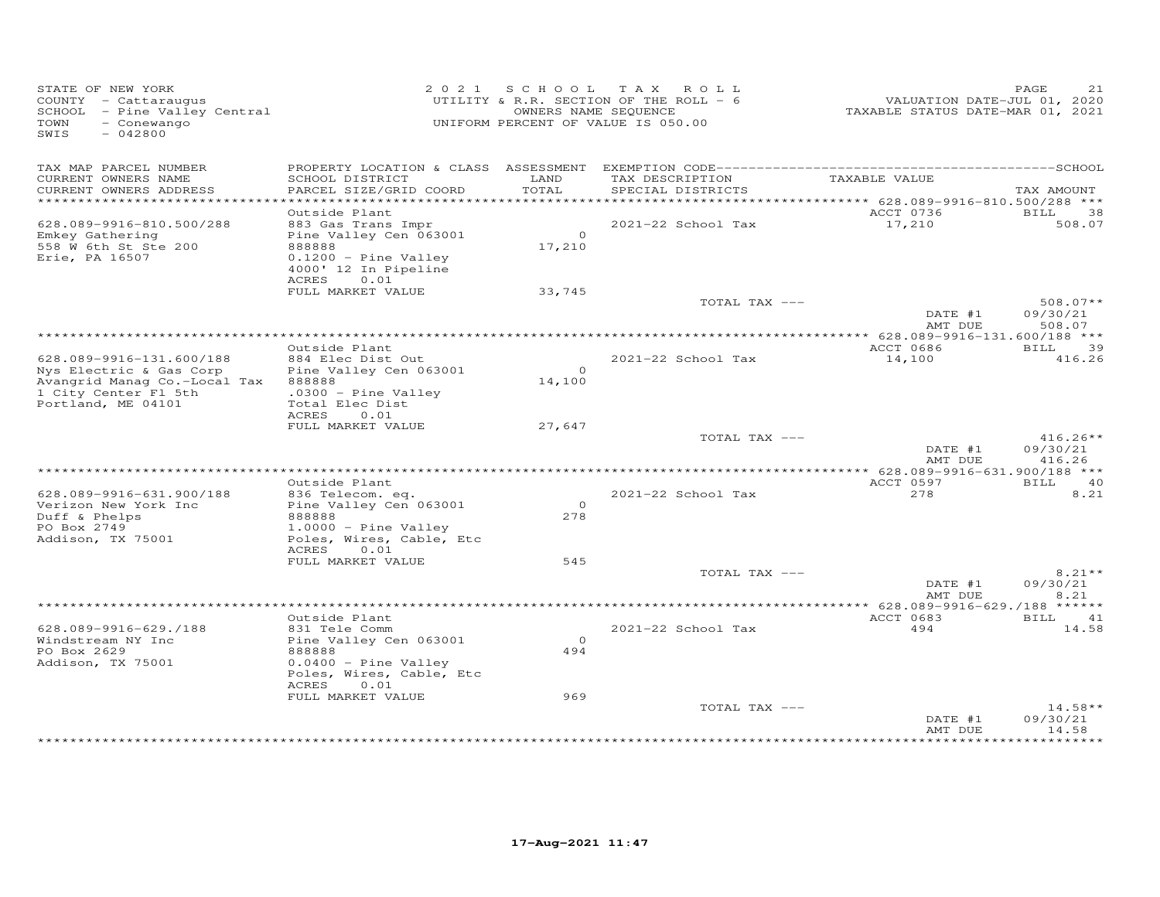| STATE OF NEW YORK<br>COUNTY - Cattaraugus<br>SCHOOL - Pine Valley Central<br>- Conewango<br>TOWN<br>SWIS<br>$-042800$             |                                                                                                                                            |                          | 2021 SCHOOL TAX ROLL<br>UTILITY & R.R. SECTION OF THE ROLL - 6<br>OWNERS NAME SEQUENCE<br>UNIFORM PERCENT OF VALUE IS 050.00 | VALUATION DATE-JUL 01, 2020<br>TAXABLE STATUS DATE-MAR 01, 2021 | PAGE<br>21                       |
|-----------------------------------------------------------------------------------------------------------------------------------|--------------------------------------------------------------------------------------------------------------------------------------------|--------------------------|------------------------------------------------------------------------------------------------------------------------------|-----------------------------------------------------------------|----------------------------------|
| TAX MAP PARCEL NUMBER<br>CURRENT OWNERS NAME<br>CURRENT OWNERS ADDRESS                                                            | SCHOOL DISTRICT<br>PARCEL SIZE/GRID COORD                                                                                                  | LAND<br>TOTAL            | TAX DESCRIPTION<br>SPECIAL DISTRICTS                                                                                         | TAXABLE VALUE                                                   | TAX AMOUNT                       |
| *************************                                                                                                         |                                                                                                                                            |                          |                                                                                                                              |                                                                 |                                  |
| 628.089-9916-810.500/288<br>Emkey Gathering<br>558 W 6th St Ste 200<br>Erie, PA 16507                                             | Outside Plant<br>883 Gas Trans Impr<br>Pine Valley Cen 063001<br>888888<br>$0.1200$ - Pine Valley<br>4000' 12 In Pipeline<br>0.01<br>ACRES | $\overline{0}$<br>17,210 | 2021-22 School Tax                                                                                                           | ACCT 0736<br>17,210                                             | BILL<br>38<br>508.07             |
|                                                                                                                                   | FULL MARKET VALUE                                                                                                                          | 33,745                   |                                                                                                                              |                                                                 |                                  |
|                                                                                                                                   |                                                                                                                                            |                          | TOTAL TAX ---                                                                                                                | DATE #1<br>AMT DUE                                              | $508.07**$<br>09/30/21<br>508.07 |
|                                                                                                                                   |                                                                                                                                            |                          |                                                                                                                              |                                                                 | <b>BILL</b>                      |
| 628.089-9916-131.600/188<br>Nys Electric & Gas Corp<br>Avangrid Manag Co.-Local Tax<br>1 City Center Fl 5th<br>Portland, ME 04101 | Outside Plant<br>884 Elec Dist Out<br>Pine Valley Cen 063001<br>888888<br>$.0300 -$ Pine Valley<br>Total Elec Dist<br>ACRES<br>0.01        | $\overline{O}$<br>14,100 | 2021-22 School Tax                                                                                                           | ACCT 0686<br>14,100                                             | 39<br>416.26                     |
|                                                                                                                                   | FULL MARKET VALUE                                                                                                                          | 27,647                   |                                                                                                                              |                                                                 |                                  |
|                                                                                                                                   |                                                                                                                                            |                          | TOTAL TAX ---                                                                                                                | DATE #1<br>AMT DUE                                              | $416.26**$<br>09/30/21<br>416.26 |
|                                                                                                                                   | Outside Plant                                                                                                                              |                          |                                                                                                                              | ACCT 0597                                                       | BILL 40                          |
| 628.089-9916-631.900/188<br>Verizon New York Inc<br>Duff & Phelps<br>PO Box 2749                                                  | 836 Telecom. eq.<br>Pine Valley Cen 063001<br>888888<br>$1.0000 -$ Pine Valley                                                             | $\Omega$<br>278          | 2021-22 School Tax                                                                                                           | 278                                                             | 8.21                             |
| Addison, TX 75001                                                                                                                 | Poles, Wires, Cable, Etc                                                                                                                   |                          |                                                                                                                              |                                                                 |                                  |
|                                                                                                                                   | ACRES<br>0.01<br>FULL MARKET VALUE                                                                                                         | 545                      |                                                                                                                              |                                                                 |                                  |
|                                                                                                                                   |                                                                                                                                            |                          | TOTAL TAX ---                                                                                                                | DATE #1<br>AMT DUE                                              | $8.21**$<br>09/30/21<br>8.21     |
|                                                                                                                                   |                                                                                                                                            |                          |                                                                                                                              |                                                                 |                                  |
| 628.089-9916-629./188<br>Windstream NY Inc<br>PO Box 2629<br>Addison, TX 75001                                                    | Outside Plant<br>831 Tele Comm<br>Pine Valley Cen 063001<br>888888<br>$0.0400 -$ Pine Valley<br>Poles, Wires, Cable, Etc<br>ACRES<br>0.01  | $\Omega$<br>494          | 2021-22 School Tax                                                                                                           | ACCT 0683<br>494                                                | BILL 41<br>14.58                 |
|                                                                                                                                   | FULL MARKET VALUE                                                                                                                          | 969                      | TOTAL TAX ---                                                                                                                | DATE #1<br>AMT DUE                                              | $14.58**$<br>09/30/21<br>14.58   |
|                                                                                                                                   |                                                                                                                                            |                          |                                                                                                                              |                                                                 | **********                       |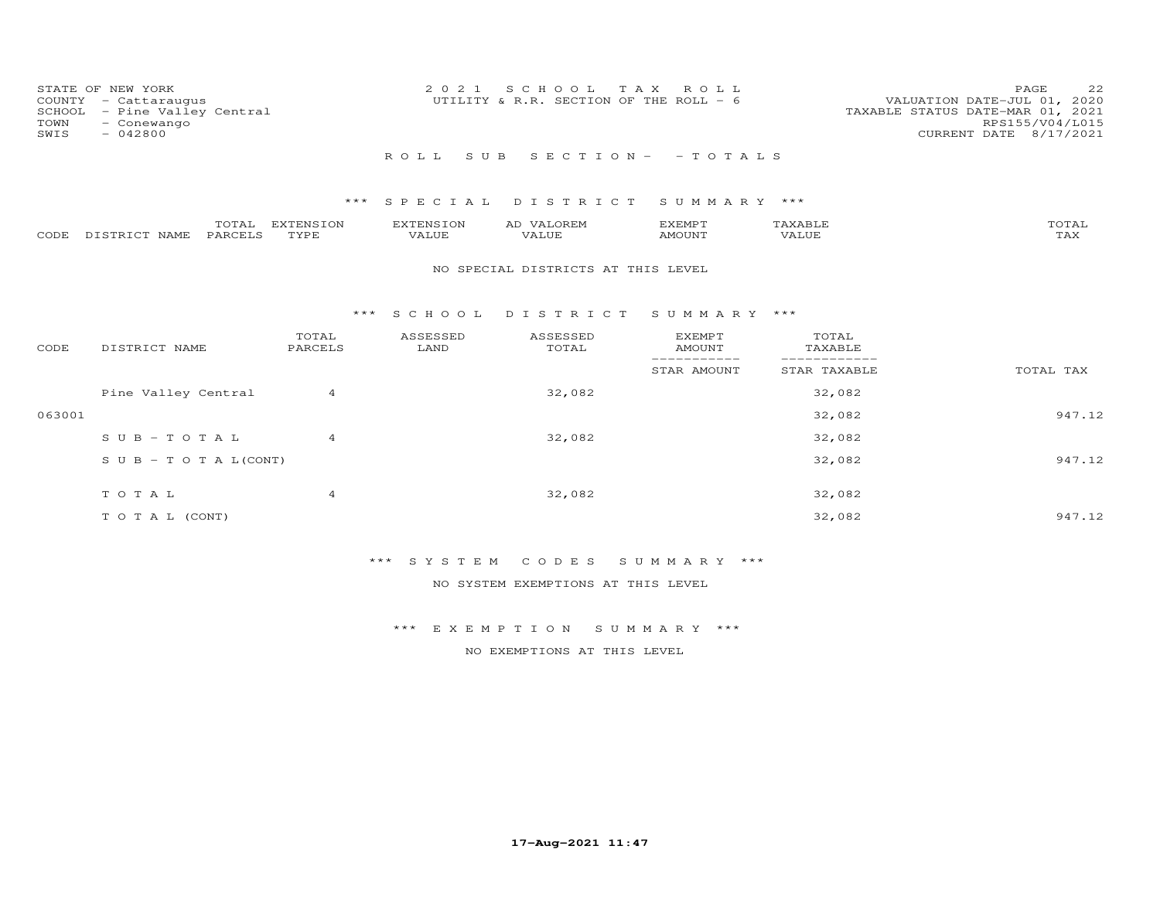| STATE OF NEW YORK<br>COUNTY - Cattaraugus<br>SCHOOL - Pine Valley Central<br>TOWN<br>- Conewango<br>SWIS<br>- 042800 | 2021 SCHOOL TAX ROLL<br>UTILITY & R.R. SECTION OF THE ROLL - 6 | 22<br>PAGE<br>VALUATION DATE-JUL 01, 2020<br>TAXABLE STATUS DATE-MAR 01, 2021<br>RPS155/V04/L015<br>CURRENT DATE 8/17/2021 |
|----------------------------------------------------------------------------------------------------------------------|----------------------------------------------------------------|----------------------------------------------------------------------------------------------------------------------------|
|                                                                                                                      | ROLL SUB SECTION- - TOTALS                                     |                                                                                                                            |

## \*\*\* S P E C I A L D I S T R I C T S U M M A R Y \*\*\*

|      |            | $- - -$<br>$7 + A +$ | <b>EYTEMSION</b> | A <sub>1</sub> | ,,, <del>,</del> ,,,,,<br>$\sim$ $\sim$ $\sim$ $\sim$ $\sim$ $\sim$ $\sim$ |      | $T\cap T\mathbb{Z}$ T |
|------|------------|----------------------|------------------|----------------|----------------------------------------------------------------------------|------|-----------------------|
| CODE | NAMF.<br>. | . PARCET C           | TVDF             |                | MOUNT                                                                      | ALUE | -∠∆∠                  |

## NO SPECIAL DISTRICTS AT THIS LEVEL

#### \*\*\* S C H O O L D I S T R I C T S U M M A R Y \*\*\*

| CODE   | DISTRICT NAME                    | TOTAL<br>PARCELS | ASSESSED<br>LAND | ASSESSED<br>TOTAL | <b>EXEMPT</b><br>AMOUNT | TOTAL<br>TAXABLE |           |
|--------|----------------------------------|------------------|------------------|-------------------|-------------------------|------------------|-----------|
|        |                                  |                  |                  |                   | STAR AMOUNT             | STAR TAXABLE     | TOTAL TAX |
|        | Pine Valley Central              | 4                |                  | 32,082            |                         | 32,082           |           |
| 063001 |                                  |                  |                  |                   |                         | 32,082           | 947.12    |
|        | $SUB - TO TAL$                   | 4                |                  | 32,082            |                         | 32,082           |           |
|        | $S \cup B - T \cup T A L (CONT)$ |                  |                  |                   |                         | 32,082           | 947.12    |
|        | TOTAL                            | 4                |                  | 32,082            |                         | 32,082           |           |
|        |                                  |                  |                  |                   |                         |                  |           |
|        | T O T A L (CONT)                 |                  |                  |                   |                         | 32,082           | 947.12    |

# \*\*\* S Y S T E M C O D E S S U M M A R Y \*\*\*

NO SYSTEM EXEMPTIONS AT THIS LEVEL

## \*\*\* E X E M P T I O N S U M M A R Y \*\*\*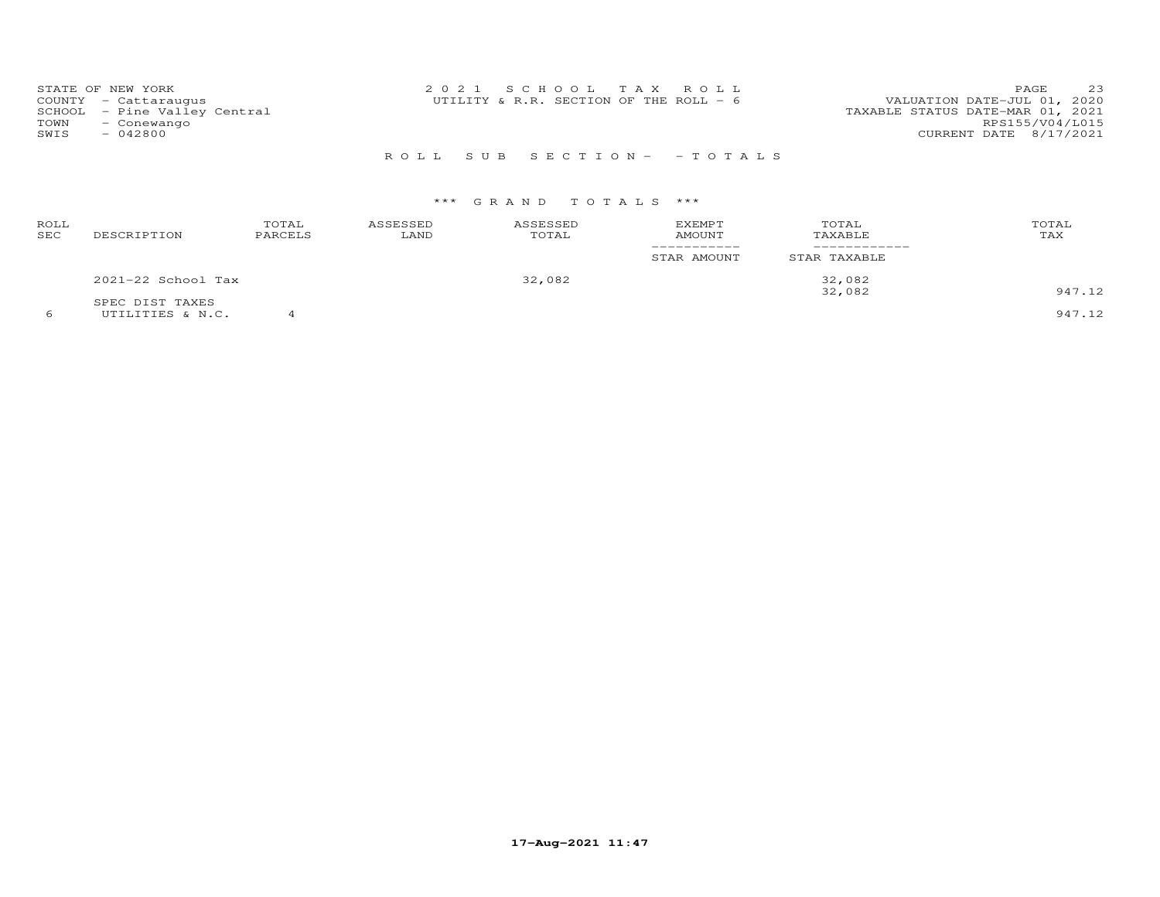| STATE OF NEW YORK            | 2021 SCHOOL TAX ROLL                    | 23<br><b>PAGE</b>                |
|------------------------------|-----------------------------------------|----------------------------------|
| COUNTY - Cattaraugus         | UTILITY & R.R. SECTION OF THE ROLL $-6$ | VALUATION DATE-JUL 01, 2020      |
| SCHOOL - Pine Valley Central |                                         | TAXABLE STATUS DATE-MAR 01, 2021 |
| TOWN<br>- Conewango          |                                         | RPS155/V04/L015                  |
| SWIS<br>$-042800$            |                                         | CURRENT DATE 8/17/2021           |
|                              |                                         |                                  |

# R O L L S U B S E C T I O N - - T O T A L S

| ROLL<br>SEC | DESCRIPTION          | TOTAL<br>PARCELS | ASSESSED<br>LAND | ASSESSED<br>TOTAL | <b>EXEMPT</b><br><b>AMOUNT</b> | TOTAL<br>TAXABLE | TOTAL<br>TAX |
|-------------|----------------------|------------------|------------------|-------------------|--------------------------------|------------------|--------------|
|             |                      |                  |                  |                   | STAR AMOUNT                    | STAR TAXABLE     |              |
|             | $2021-22$ School Tax |                  |                  | 32,082            |                                | 32,082           |              |
|             | SPEC DIST TAXES      |                  |                  |                   |                                | 32,082           | 947.12       |
|             | UTILITIES & N.C.     |                  |                  |                   |                                |                  | 947.12       |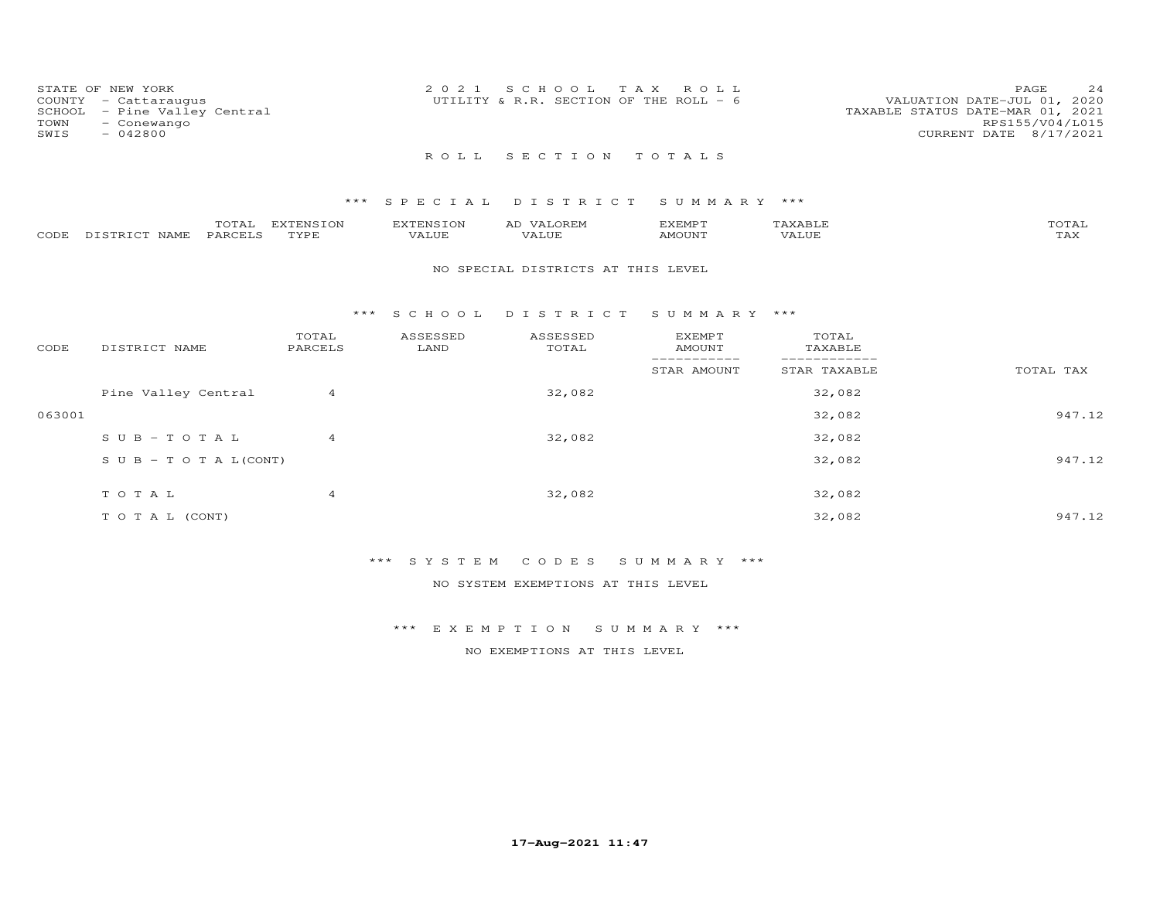| STATE OF NEW YORK<br>COUNTY - Cattaraugus<br>SCHOOL - Pine Valley Central<br>TOWN<br>- Conewango<br>SWIS<br>$-042800$ | 2021 SCHOOL TAX ROLL<br>UTILITY & R.R. SECTION OF THE ROLL - $6$ | 24<br>PAGE<br>VALUATION DATE-JUL 01, 2020<br>TAXABLE STATUS DATE-MAR 01, 2021<br>RPS155/V04/L015<br>CURRENT DATE 8/17/2021 |
|-----------------------------------------------------------------------------------------------------------------------|------------------------------------------------------------------|----------------------------------------------------------------------------------------------------------------------------|
|                                                                                                                       | ROLL SECTION TOTALS                                              |                                                                                                                            |

# \*\*\* S P E C I A L D I S T R I C T S U M M A R Y \*\*\*

|      |                  | $- - - -$<br>UIAL | <b>DYPRNCTOM</b><br>FNS. | EXTENSION                   | <b>OREM</b><br>AD.    | IXEMP T | 1 X A B I I            | TOTAI |
|------|------------------|-------------------|--------------------------|-----------------------------|-----------------------|---------|------------------------|-------|
| CODE | NAME<br>DISTRICT | PARCELS           | TVDE                     | -- - - <i>-</i> -<br>'A LUT | $- - - - - -$<br>ALUF | AMOUNT  | , 7 7 T T T T<br>JU E' | ⊥冖⌒   |

#### NO SPECIAL DISTRICTS AT THIS LEVEL

#### \*\*\* S C H O O L D I S T R I C T S U M M A R Y \*\*\*

| CODE   | DISTRICT NAME                    | TOTAL<br>PARCELS | ASSESSED<br>LAND | ASSESSED<br>TOTAL | <b>EXEMPT</b><br>AMOUNT | TOTAL<br>TAXABLE |           |
|--------|----------------------------------|------------------|------------------|-------------------|-------------------------|------------------|-----------|
|        |                                  |                  |                  |                   | STAR AMOUNT             | STAR TAXABLE     | TOTAL TAX |
|        | Pine Valley Central              | 4                |                  | 32,082            |                         | 32,082           |           |
| 063001 |                                  |                  |                  |                   |                         | 32,082           | 947.12    |
|        | $SUB - TO T AL$                  | $\overline{4}$   |                  | 32,082            |                         | 32,082           |           |
|        | $S \cup B - T \cup T A L (CONT)$ |                  |                  |                   |                         | 32,082           | 947.12    |
|        |                                  |                  |                  |                   |                         |                  |           |
|        | TOTAL                            | 4                |                  | 32,082            |                         | 32,082           |           |
|        | T O T A L (CONT)                 |                  |                  |                   |                         | 32,082           | 947.12    |

# \*\*\* S Y S T E M C O D E S S U M M A R Y \*\*\*

NO SYSTEM EXEMPTIONS AT THIS LEVEL

## \*\*\* E X E M P T I O N S U M M A R Y \*\*\*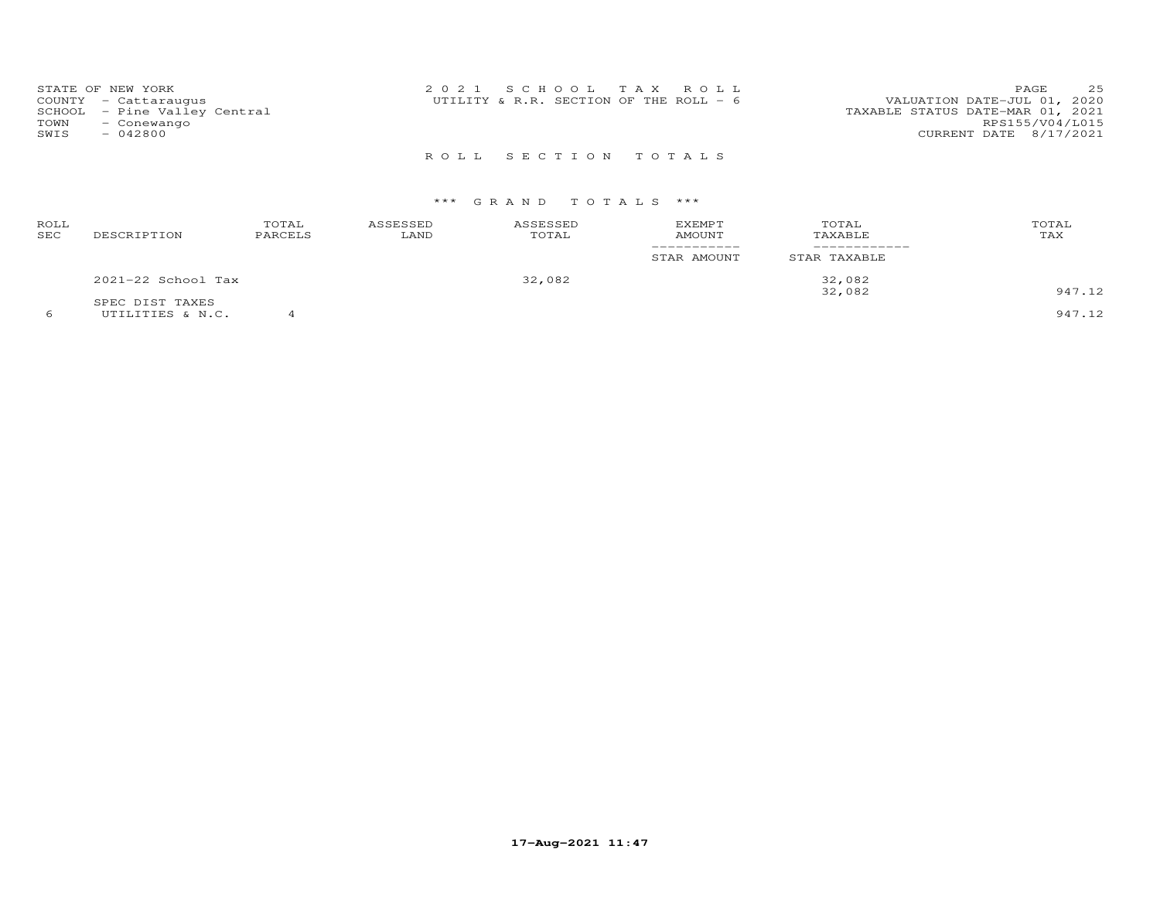| STATE OF NEW YORK            | 2021 SCHOOL TAX ROLL                   | 25<br>PAGE                       |
|------------------------------|----------------------------------------|----------------------------------|
| COUNTY - Cattaraugus         | UTILITY & R.R. SECTION OF THE ROLL - 6 | VALUATION DATE-JUL 01, 2020      |
| SCHOOL - Pine Valley Central |                                        | TAXABLE STATUS DATE-MAR 01, 2021 |
| TOWN<br>- Conewango          |                                        | RPS155/V04/L015                  |
| SWIS<br>$-042800$            |                                        | CURRENT DATE 8/17/2021           |
|                              |                                        |                                  |

R O L L S E C T I O N T O T A L S

| ROLL<br>SEC | DESCRIPTION            | TOTAL<br>PARCELS | ASSESSED<br>LAND | ASSESSED<br>TOTAL | <b>EXEMPT</b><br><b>AMOUNT</b> | TOTAL<br>TAXABLE | TOTAL<br>TAX |
|-------------|------------------------|------------------|------------------|-------------------|--------------------------------|------------------|--------------|
|             |                        |                  |                  |                   | STAR AMOUNT                    | STAR TAXABLE     |              |
|             | $2021 - 22$ School Tax |                  |                  | 32,082            |                                | 32,082           |              |
|             | SPEC DIST TAXES        |                  |                  |                   |                                | 32,082           | 947.12       |
|             | UTILITIES & N.C.       |                  |                  |                   |                                |                  | 947.12       |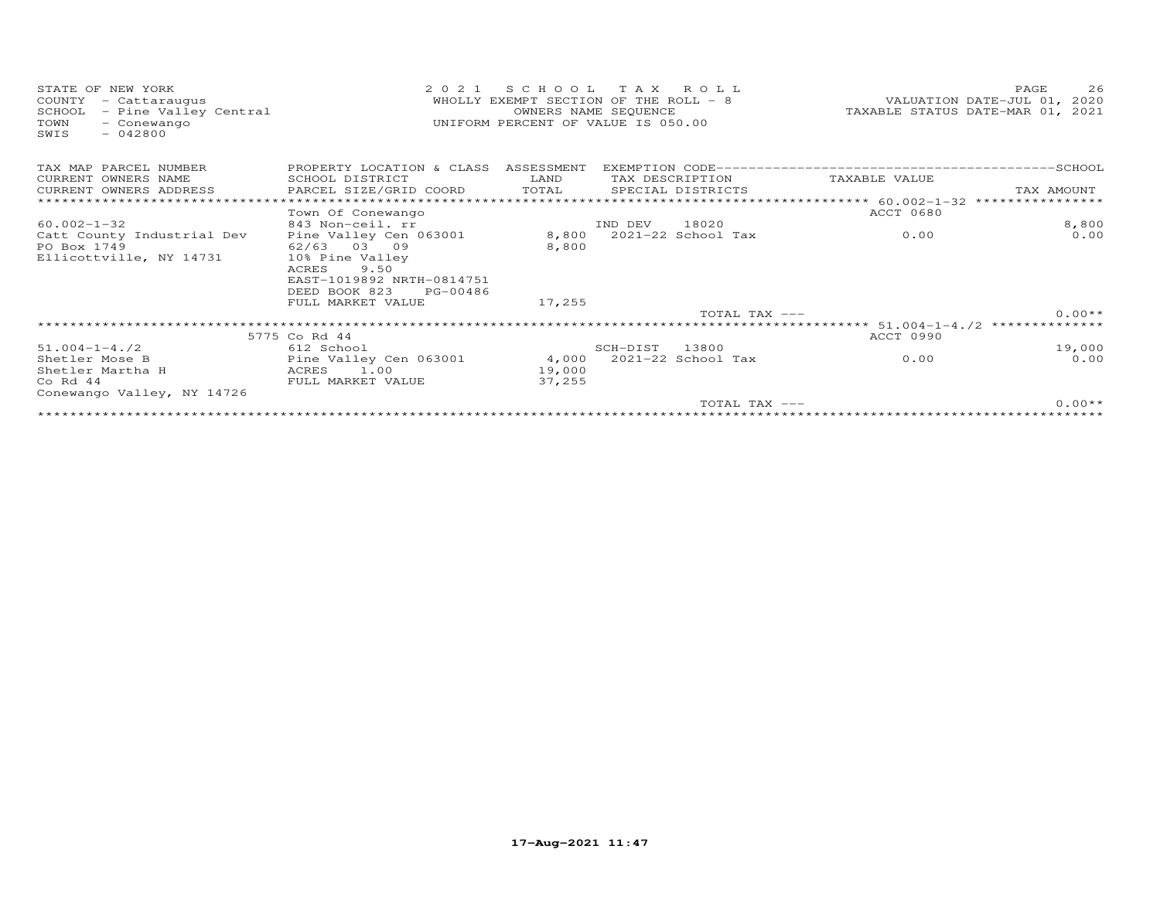| STATE OF NEW YORK<br>COUNTY<br>- Cattaraugus<br>SCHOOL<br>- Pine Valley Central<br>TOWN<br>- Conewango<br>$-042800$<br>SWIS | 2 0 2 1                              | SCHOOL TAX ROLL<br>WHOLLY EXEMPT SECTION OF THE ROLL - 8<br>OWNERS NAME SEQUENCE<br>UNIFORM PERCENT OF VALUE IS 050.00 |          |                        |                                                              | 26<br>PAGE<br>VALUATION DATE-JUL 01, 2020<br>TAXABLE STATUS DATE-MAR 01, 2021 |
|-----------------------------------------------------------------------------------------------------------------------------|--------------------------------------|------------------------------------------------------------------------------------------------------------------------|----------|------------------------|--------------------------------------------------------------|-------------------------------------------------------------------------------|
| TAX MAP PARCEL NUMBER                                                                                                       | PROPERTY LOCATION & CLASS ASSESSMENT |                                                                                                                        |          |                        |                                                              |                                                                               |
| CURRENT OWNERS NAME                                                                                                         | SCHOOL DISTRICT                      | LAND                                                                                                                   |          | TAX DESCRIPTION        | TAXABLE VALUE                                                |                                                                               |
| CURRENT OWNERS ADDRESS                                                                                                      | PARCEL SIZE/GRID COORD               | TOTAL                                                                                                                  |          | SPECIAL DISTRICTS      |                                                              | TAX AMOUNT                                                                    |
|                                                                                                                             |                                      |                                                                                                                        |          |                        |                                                              | ****************                                                              |
|                                                                                                                             | Town Of Conewango                    |                                                                                                                        |          |                        | <b>ACCT 0680</b>                                             |                                                                               |
| $60.002 - 1 - 32$                                                                                                           | 843 Non-ceil. rr                     |                                                                                                                        | IND DEV  | 18020                  |                                                              | 8,800                                                                         |
| Catt County Industrial Dev                                                                                                  | Pine Valley Cen 063001               | 8,800                                                                                                                  |          | 2021-22 School Tax     | 0.00                                                         | 0.00                                                                          |
| PO Box 1749                                                                                                                 | 62/63 03 09                          | 8,800                                                                                                                  |          |                        |                                                              |                                                                               |
| Ellicottville, NY 14731                                                                                                     | 10% Pine Valley<br>9.50<br>ACRES     |                                                                                                                        |          |                        |                                                              |                                                                               |
|                                                                                                                             | EAST-1019892 NRTH-0814751            |                                                                                                                        |          |                        |                                                              |                                                                               |
|                                                                                                                             | DEED BOOK 823<br>PG-00486            |                                                                                                                        |          |                        |                                                              |                                                                               |
|                                                                                                                             | FULL MARKET VALUE                    | 17,255                                                                                                                 |          |                        |                                                              |                                                                               |
|                                                                                                                             |                                      |                                                                                                                        |          | TOTAL TAX ---          |                                                              | $0.00**$                                                                      |
|                                                                                                                             |                                      |                                                                                                                        |          |                        | ******************************* 51.004-1-4./2 ************** |                                                                               |
|                                                                                                                             | 5775 Co Rd 44                        |                                                                                                                        |          |                        | <b>ACCT 0990</b>                                             |                                                                               |
| $51.004 - 1 - 4.72$                                                                                                         | 612 School                           |                                                                                                                        | SCH-DIST | 13800                  |                                                              | 19,000                                                                        |
| Shetler Mose B                                                                                                              | Pine Valley Cen 063001               | 4,000                                                                                                                  |          | $2021 - 22$ School Tax | 0.00                                                         | 0.00                                                                          |
| Shetler Martha H                                                                                                            | ACRES 1.00                           | 19,000                                                                                                                 |          |                        |                                                              |                                                                               |
| $Co$ Rd $44$                                                                                                                | FULL MARKET VALUE                    | 37,255                                                                                                                 |          |                        |                                                              |                                                                               |
| Conewango Valley, NY 14726                                                                                                  |                                      |                                                                                                                        |          |                        |                                                              |                                                                               |
|                                                                                                                             |                                      |                                                                                                                        |          | TOTAL TAX ---          |                                                              | $0.00**$                                                                      |
|                                                                                                                             |                                      |                                                                                                                        |          |                        |                                                              |                                                                               |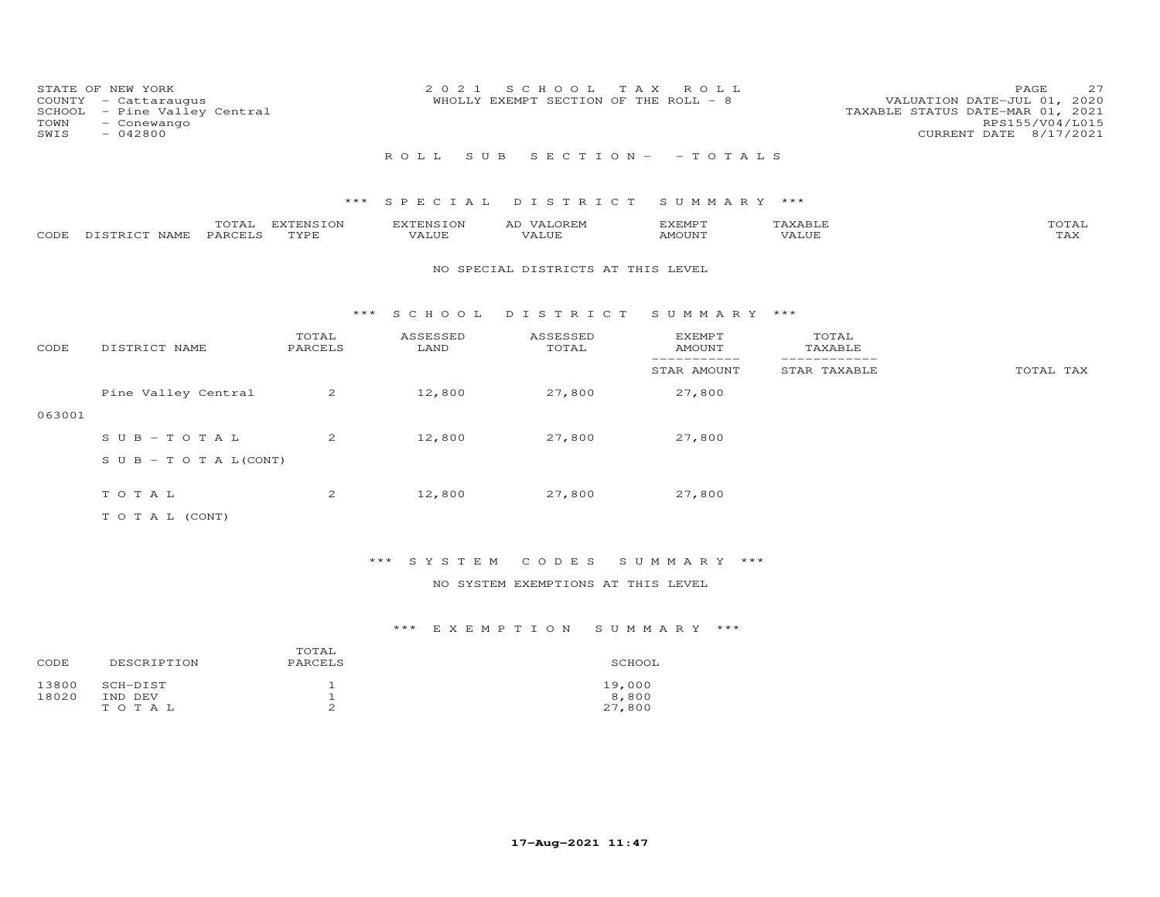| COUNTY<br>SCHOOL<br>TOWN<br>SWIS | STATE OF NEW YORK<br>- Cattaraugus<br>- Pine Valley Central<br>- Conewango<br>$-042800$ |                   | 2 0 2 1                   | S C H O O L<br>WHOLLY EXEMPT SECTION OF THE ROLL - 8 | T A X<br>ROLL                   |                  | 27<br>PAGE<br>VALUATION DATE-JUL 01, 2020<br>TAXABLE STATUS DATE-MAR 01, 2021<br>RPS155/V04/L015<br>CURRENT DATE 8/17/2021 |
|----------------------------------|-----------------------------------------------------------------------------------------|-------------------|---------------------------|------------------------------------------------------|---------------------------------|------------------|----------------------------------------------------------------------------------------------------------------------------|
|                                  |                                                                                         |                   | ROLL<br>S U B             |                                                      | $S E C T I O N - - T O T A L S$ |                  |                                                                                                                            |
|                                  |                                                                                         | $***$             | SPECIAL                   | DISTRICT                                             | SUMMARY ***                     |                  |                                                                                                                            |
| CODE                             | TOTAL<br>PARCELS<br>DISTRICT NAME                                                       | EXTENSION<br>TYPE | <b>EXTENSION</b><br>VALUE | AD VALOREM<br>VALUE                                  | EXEMPT<br>AMOUNT                | TAXABLE<br>VALUE | TOTAL<br>TAX                                                                                                               |
|                                  |                                                                                         |                   |                           | NO SPECIAL DISTRICTS AT THIS LEVEL                   |                                 |                  |                                                                                                                            |
|                                  |                                                                                         |                   | $***$ SCHOOL              | DISTRICT                                             | SUMMARY ***                     |                  |                                                                                                                            |
| CODE                             | DISTRICT NAME                                                                           | TOTAL<br>PARCELS  | ASSESSED<br>LAND          | ASSESSED<br>TOTAL                                    | EXEMPT<br><b>AMOUNT</b>         | TOTAL<br>TAXABLE |                                                                                                                            |
|                                  |                                                                                         |                   |                           |                                                      | -----------<br>STAR AMOUNT      | STAR TAXABLE     | TOTAL TAX                                                                                                                  |
|                                  | Pine Valley Central                                                                     | $\overline{2}$    | 12,800                    | 27,800                                               | 27,800                          |                  |                                                                                                                            |
| 063001                           |                                                                                         |                   |                           |                                                      |                                 |                  |                                                                                                                            |
|                                  | $SUB - TO T AL$                                                                         | 2                 | 12,800                    | 27,800                                               | 27,800                          |                  |                                                                                                                            |
|                                  | S U B - T O T A $L$ (CONT)                                                              |                   |                           |                                                      |                                 |                  |                                                                                                                            |
|                                  | TOTAL                                                                                   | $\overline{c}$    | 12,800                    | 27,800                                               | 27,800                          |                  |                                                                                                                            |
|                                  | TO TAL (CONT)                                                                           |                   |                           |                                                      |                                 |                  |                                                                                                                            |

# \*\*\* S Y S T E M C O D E S S U M M A R Y \*\*\*

## NO SYSTEM EXEMPTIONS AT THIS LEVEL

| CODE           | DESCRIPTION         | TOTAL<br>PARCELS | SCHOOL          |
|----------------|---------------------|------------------|-----------------|
| 13800<br>18020 | SCH-DIST<br>IND DEV | ᅩ                | 19,000<br>8,800 |
|                | TOTAL               | ∸                | 27,800          |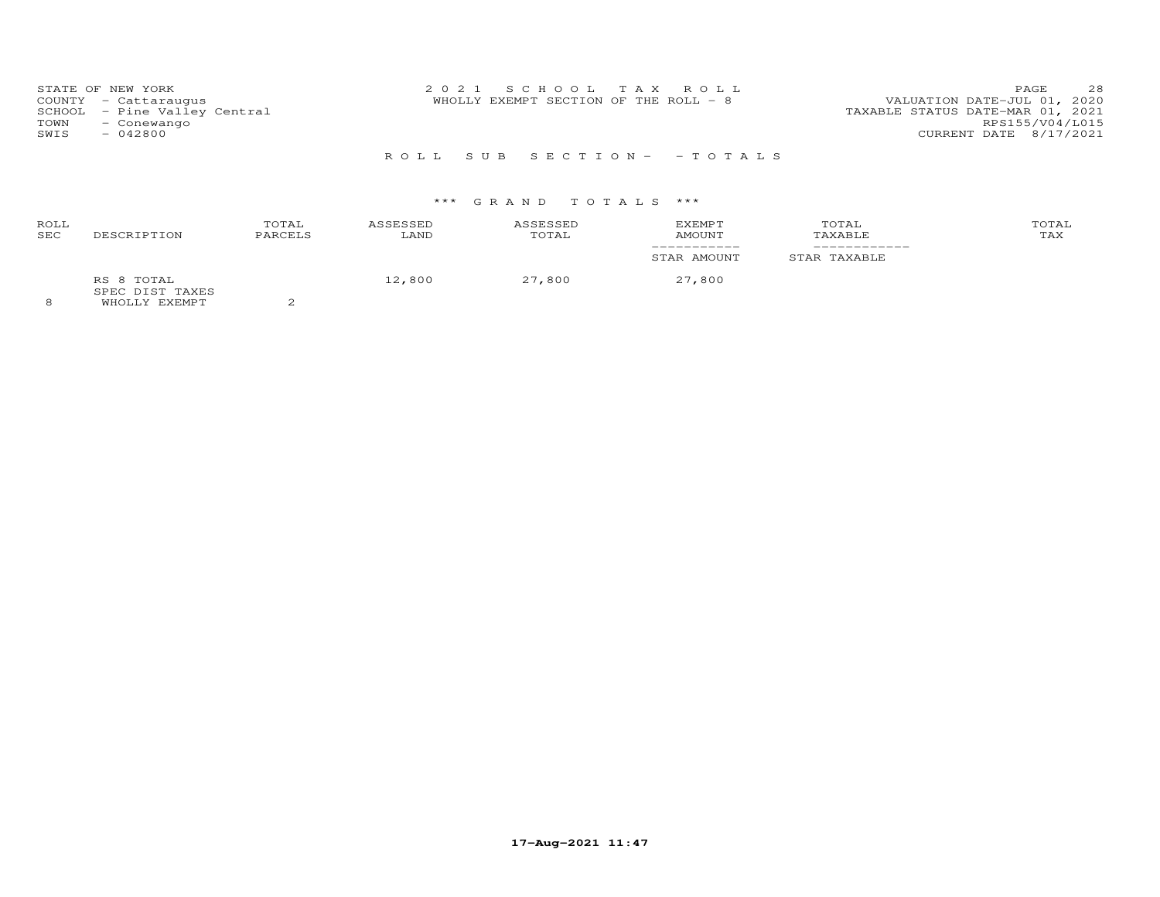| STATE OF NEW YORK<br>COUNTY - Cattaraugus<br>SCHOOL - Pine Valley Central<br>TOWN<br>- Conewango<br>$-042800$<br>SWIS | 2021 SCHOOL TAX ROLL<br>WHOLLY EXEMPT SECTION OF THE ROLL - 8 | 28<br>PAGE<br>VALUATION DATE-JUL 01, 2020<br>TAXABLE STATUS DATE-MAR 01, 2021<br>RPS155/V04/L015<br>CURRENT DATE 8/17/2021 |
|-----------------------------------------------------------------------------------------------------------------------|---------------------------------------------------------------|----------------------------------------------------------------------------------------------------------------------------|
|                                                                                                                       |                                                               |                                                                                                                            |

R O L L S U B S E C T I O N - - T O T A L S

# \*\*\* G R A N D T O T A L S \*\*\*

| ROLL<br>SEC<br>DESCRIPTION                                     | TOTAL<br>PARCELS | ASSESSED<br>LAND | ASSESSED<br>TOTAL | EXEMPT<br>AMOUNT | TOTAL<br>TAXABLE | TOTAL<br>TAX |
|----------------------------------------------------------------|------------------|------------------|-------------------|------------------|------------------|--------------|
|                                                                |                  |                  |                   | STAR AMOUNT      | STAR TAXABLE     |              |
| RS 8 TOTAL<br>SPEC DIST TAXES<br>EULAIR VERTICATUR<br>$\Omega$ | $\sim$           | 12,800           | 27,800            | 27,800           |                  |              |

8 WHOLLY EXEMPT 2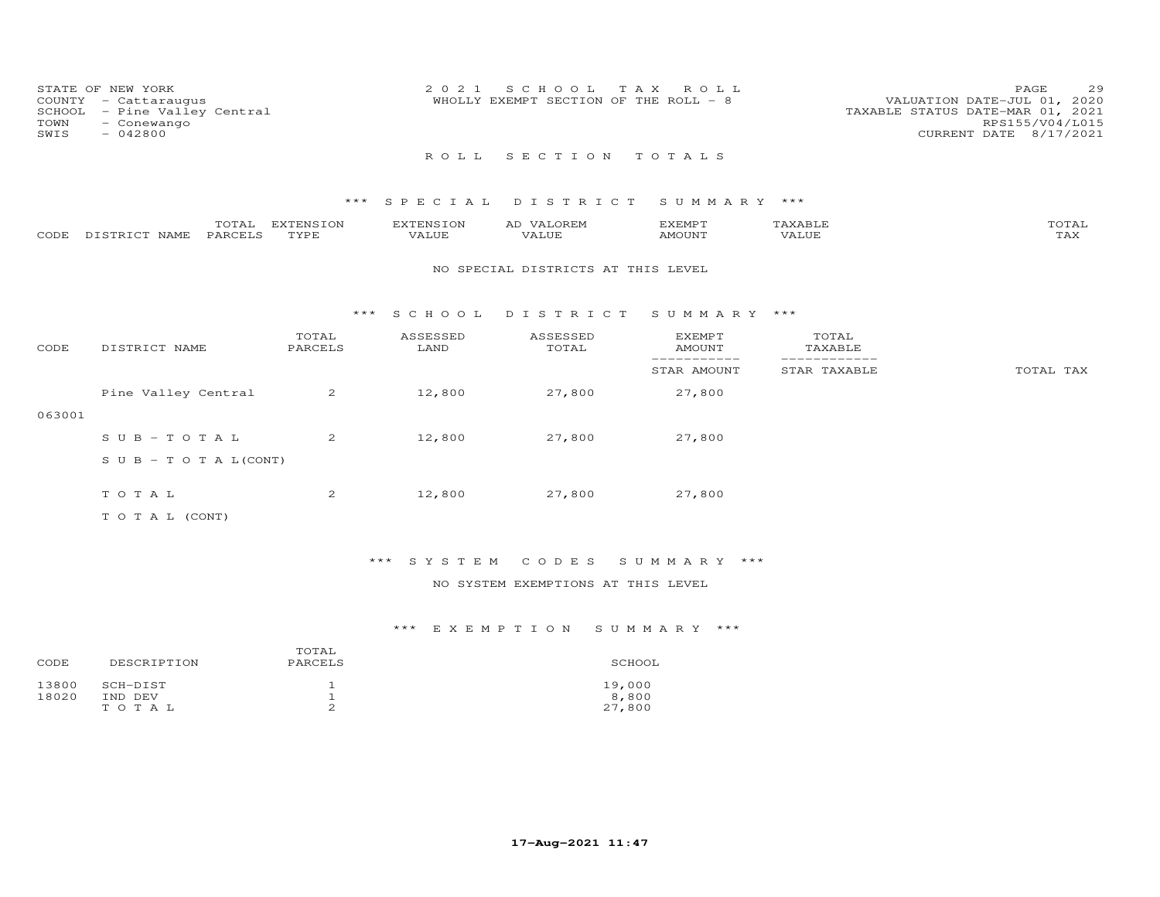| COUNTY<br>SCHOOL<br>TOWN<br>SWIS | STATE OF NEW YORK<br>- Cattaraugus<br>- Pine Valley Central<br>- Conewango<br>$-042800$ |                   | 2 0 2 1                   | S C H O O L<br>T A X<br>WHOLLY EXEMPT SECTION OF THE ROLL - 8 | ROLL                           |                              | 29<br>PAGE<br>VALUATION DATE-JUL 01, 2020<br>TAXABLE STATUS DATE-MAR 01, 2021<br>RPS155/V04/L015<br>CURRENT DATE 8/17/2021 |
|----------------------------------|-----------------------------------------------------------------------------------------|-------------------|---------------------------|---------------------------------------------------------------|--------------------------------|------------------------------|----------------------------------------------------------------------------------------------------------------------------|
|                                  |                                                                                         |                   | R O L L                   | SECTION TOTALS                                                |                                |                              |                                                                                                                            |
|                                  |                                                                                         | $***$             | SPECIAL                   | DISTRICT                                                      | SUMMARY ***                    |                              |                                                                                                                            |
| CODE                             | TOTAL<br>PARCELS<br>DISTRICT NAME                                                       | EXTENSION<br>TYPE | <b>EXTENSION</b><br>VALUE | AD VALOREM<br>VALUE                                           | <b>EXEMPT</b><br><b>AMOUNT</b> | TAXABLE<br>VALUE             | TOTAL<br>TAX                                                                                                               |
|                                  |                                                                                         |                   |                           | NO SPECIAL DISTRICTS AT THIS LEVEL                            |                                |                              |                                                                                                                            |
|                                  |                                                                                         | ***               | S C H O O L               | DISTRICT                                                      | SUMMARY ***                    |                              |                                                                                                                            |
| CODE                             | DISTRICT NAME                                                                           | TOTAL<br>PARCELS  | ASSESSED<br>LAND          | ASSESSED<br>TOTAL                                             | <b>EXEMPT</b><br><b>AMOUNT</b> | TOTAL<br>TAXABLE             |                                                                                                                            |
|                                  |                                                                                         |                   |                           |                                                               | -----------<br>STAR AMOUNT     | ------------<br>STAR TAXABLE | TOTAL TAX                                                                                                                  |
|                                  | Pine Valley Central                                                                     | 2                 | 12,800                    | 27,800                                                        | 27,800                         |                              |                                                                                                                            |
| 063001                           |                                                                                         |                   |                           |                                                               |                                |                              |                                                                                                                            |
|                                  | $SUB - TO T AL$                                                                         | 2                 | 12,800                    | 27,800                                                        | 27,800                         |                              |                                                                                                                            |
|                                  | S U B - T O T A $L$ (CONT)                                                              |                   |                           |                                                               |                                |                              |                                                                                                                            |
|                                  | TOTAL                                                                                   | 2                 | 12,800                    | 27,800                                                        | 27,800                         |                              |                                                                                                                            |

T O T A L (CONT)

\*\*\* S Y S T E M C O D E S S U M M A R Y \*\*\*

NO SYSTEM EXEMPTIONS AT THIS LEVEL

| CODE           | DESCRIPTION         | TOTAL<br>PARCELS | SCHOOL          |
|----------------|---------------------|------------------|-----------------|
| 13800<br>18020 | SCH-DIST<br>IND DEV |                  | 19,000<br>8,800 |
|                | TOTAL               | ∸                | 27,800          |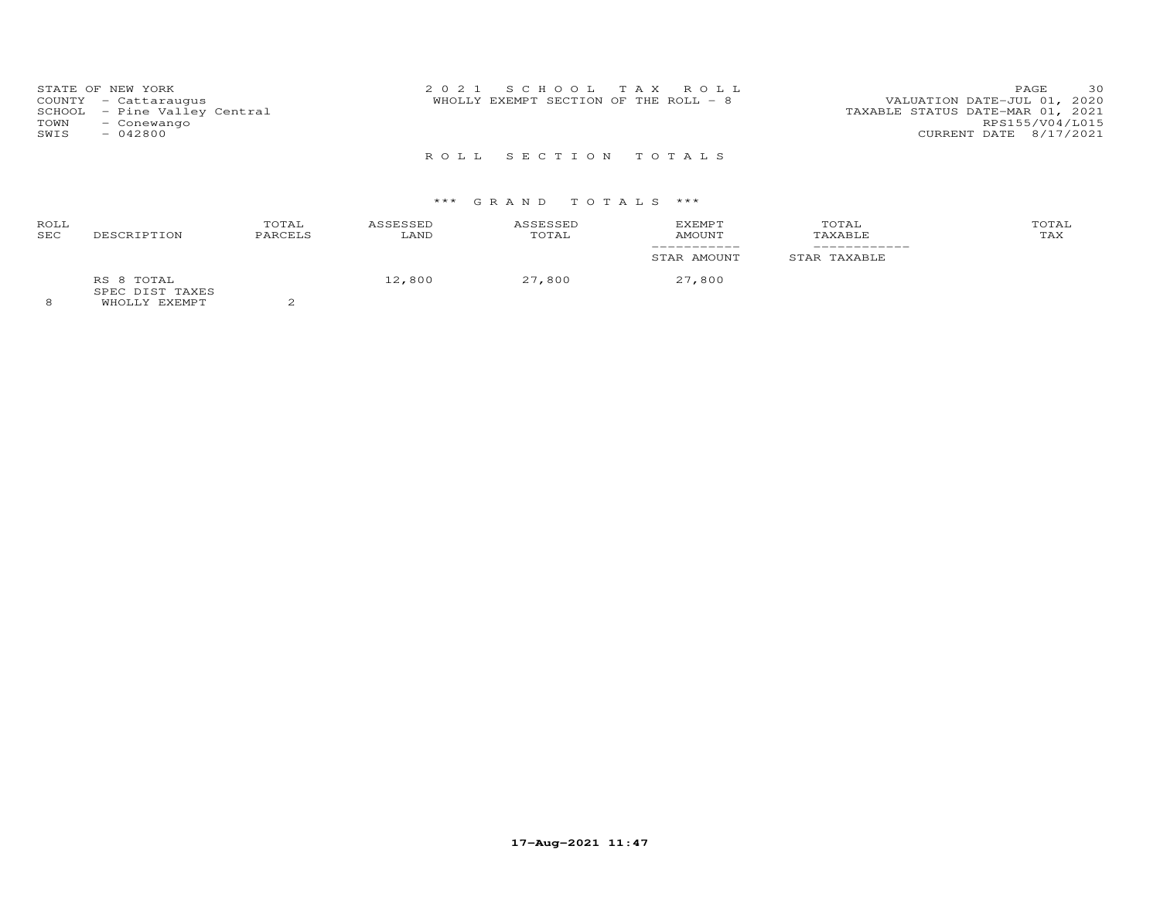| STATE OF NEW YORK<br>COUNTY - Cattaraugus<br>SCHOOL - Pine Valley Central<br>TOWN<br>- Conewango<br>SWIS<br>- 042800 | 2021 SCHOOL TAX ROLL<br>WHOLLY EXEMPT SECTION OF THE ROLL - 8 | 30<br>PAGE.<br>VALUATION DATE-JUL 01, 2020<br>TAXABLE STATUS DATE-MAR 01, 2021<br>RPS155/V04/L015<br>CURRENT DATE 8/17/2021 |
|----------------------------------------------------------------------------------------------------------------------|---------------------------------------------------------------|-----------------------------------------------------------------------------------------------------------------------------|
|                                                                                                                      | ROLL SECTION TOTALS                                           |                                                                                                                             |

# \*\*\* G R A N D T O T A L S \*\*\*

| ROLL<br>SEC | DESCRIPTION                                           | TOTAL<br>PARCELS | ASSESSED<br>LAND | ASSESSED<br>TOTAL | EXEMPT<br>AMOUNT | TOTAL<br>TAXABLE | TOTAL<br>TAX |
|-------------|-------------------------------------------------------|------------------|------------------|-------------------|------------------|------------------|--------------|
|             |                                                       |                  |                  |                   | STAR AMOUNT      | STAR TAXABLE     |              |
| $\Omega$    | RS 8 TOTAL<br>SPEC DIST TAXES<br>EUDATION TO STRAIGHT |                  | 12,800           | 27,800            | 27,800           |                  |              |

8 WHOLLY EXEMPT 2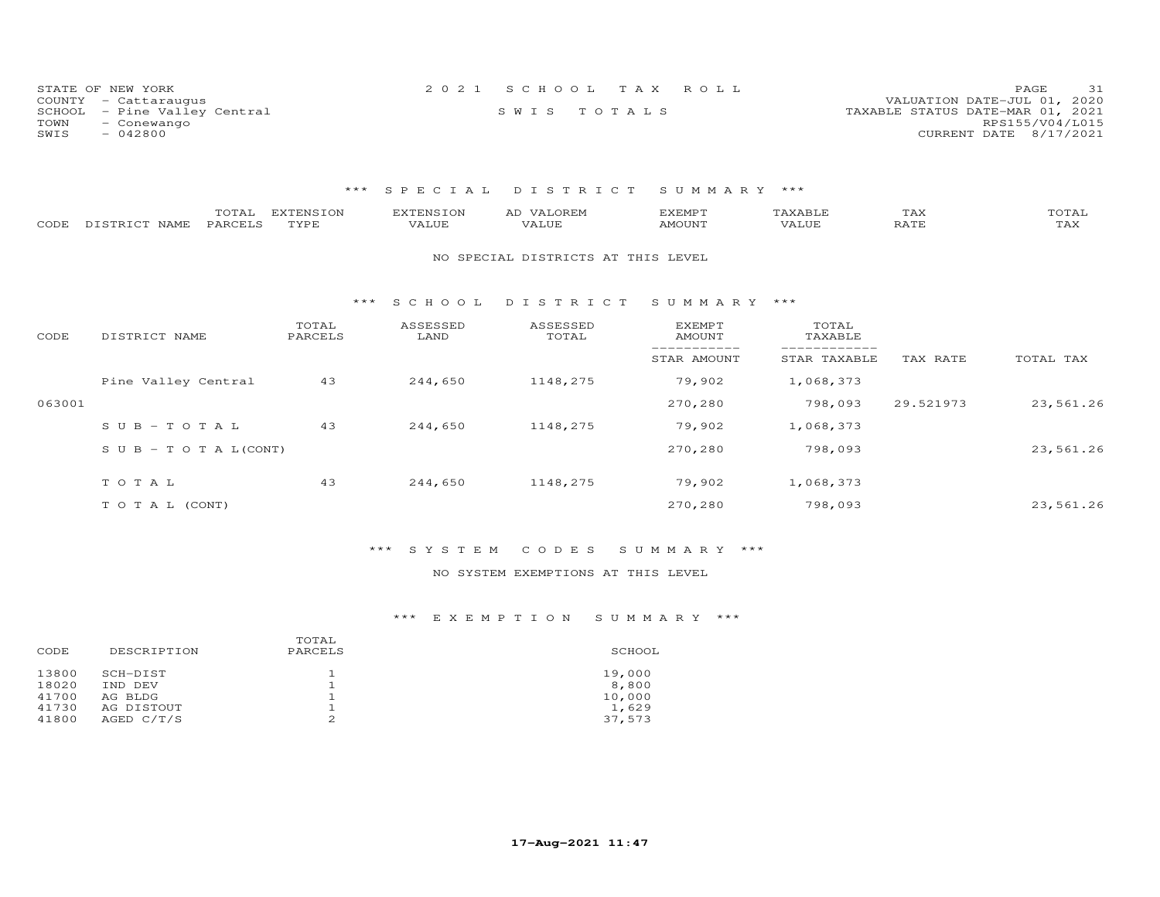| STATE OF NEW YORK            | 2021 SCHOOL TAX ROLL | 31<br>PAGE                       |
|------------------------------|----------------------|----------------------------------|
| COUNTY - Cattaraugus         |                      | VALUATION DATE-JUL 01, 2020      |
| SCHOOL - Pine Valley Central | SWIS TOTALS          | TAXABLE STATUS DATE-MAR 01, 2021 |
| TOWN<br>- Conewango          |                      | RPS155/V04/L015                  |
| SWIS<br>- 042800             |                      | CURRENT DATE 8/17/2021           |

## \*\*\* S P E C I A L D I S T R I C T S U M M A R Y \*\*\*

| CODE   | TOTAL<br>PARCELS<br>DISTRICT NAME | <b>EXTENSION</b><br>TYPE | <b>EXTENSION</b><br>VALUE | AD VALOREM<br>VALUE                | <b>EXEMPT</b><br>AMOUNT | TAXABLE<br>VALUE | TAX<br>RATE | TOTAL<br>TAX |
|--------|-----------------------------------|--------------------------|---------------------------|------------------------------------|-------------------------|------------------|-------------|--------------|
|        |                                   |                          |                           | NO SPECIAL DISTRICTS AT THIS LEVEL |                         |                  |             |              |
|        |                                   | * * *                    | S C H O O L               | DISTRICT                           | SUMMARY ***             |                  |             |              |
| CODE   | DISTRICT NAME                     | TOTAL<br>PARCELS         | ASSESSED<br>LAND          | ASSESSED<br>TOTAL                  | EXEMPT<br>AMOUNT        | TOTAL<br>TAXABLE |             |              |
|        |                                   |                          |                           |                                    | STAR AMOUNT             | STAR TAXABLE     | TAX RATE    | TOTAL TAX    |
|        | Pine Valley Central               | 43                       | 244,650                   | 1148,275                           | 79,902                  | 1,068,373        |             |              |
| 063001 |                                   |                          |                           |                                    | 270,280                 | 798,093          | 29.521973   | 23,561.26    |
|        | $SUB - TO T AL$                   | 43                       | 244,650                   | 1148,275                           | 79,902                  | 1,068,373        |             |              |
|        | S U B - T O T A $L$ (CONT)        |                          |                           |                                    | 270,280                 | 798,093          |             | 23,561.26    |
|        | TOTAL                             | 43                       | 244,650                   | 1148,275                           | 79,902                  | 1,068,373        |             |              |
|        | TO TAL (CONT)                     |                          |                           |                                    | 270,280                 | 798,093          |             | 23,561.26    |

## \*\*\* S Y S T E M C O D E S S U M M A R Y \*\*\*

## NO SYSTEM EXEMPTIONS AT THIS LEVEL

| CODE                             | DESCRIPTION                                  | TOTAL<br>PARCELS | SCHOOL                             |
|----------------------------------|----------------------------------------------|------------------|------------------------------------|
| 13800<br>18020<br>41700<br>41730 | SCH-DIST<br>IND DEV<br>AG BLDG<br>AG DISTOUT |                  | 19,000<br>8,800<br>10,000<br>1,629 |
| 41800                            | AGED C/T/S                                   | ∠                | 37,573                             |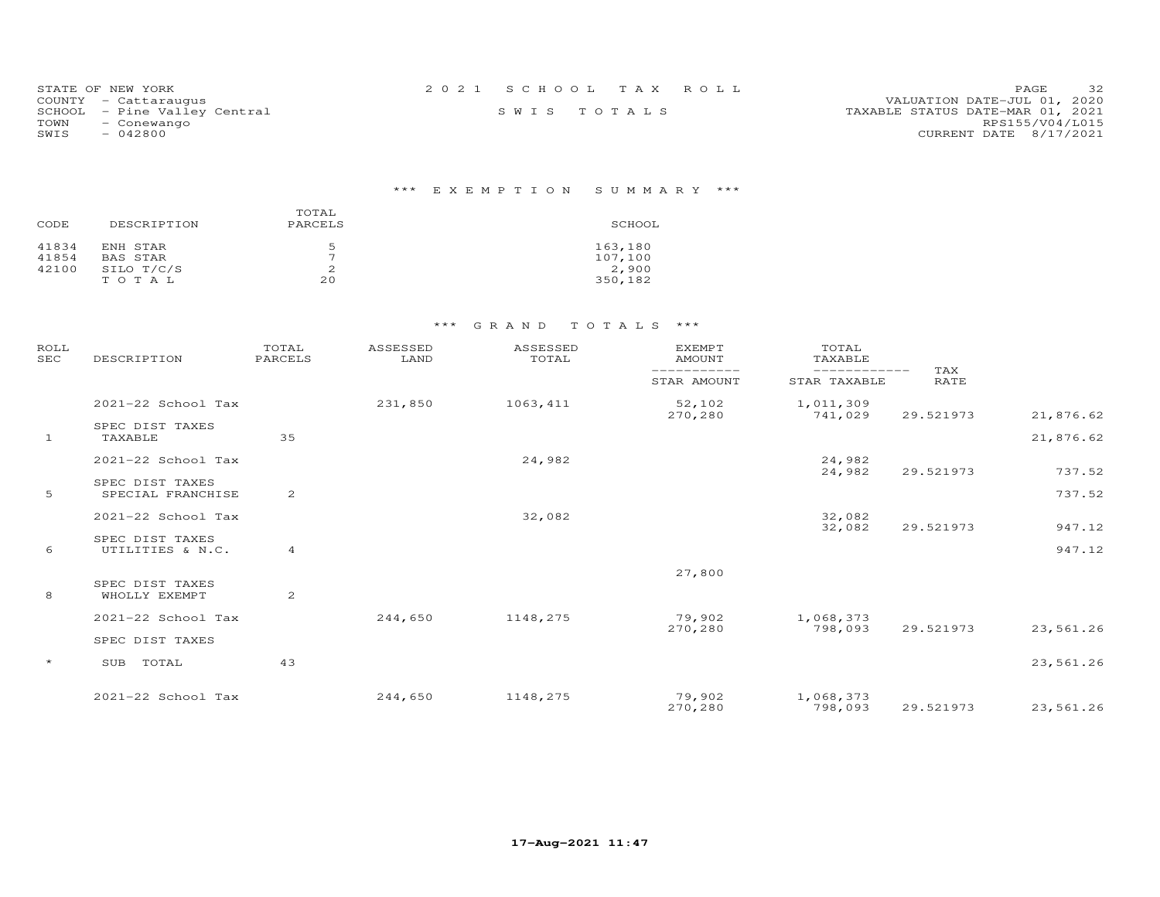| STATE OF NEW YORK            | 2021 SCHOOL TAX ROLL |             |  | 32<br>PAGE.                      |
|------------------------------|----------------------|-------------|--|----------------------------------|
| COUNTY - Cattaraugus         |                      |             |  | VALUATION DATE-JUL 01, 2020      |
| SCHOOL - Pine Valley Central |                      | SWIS TOTALS |  | TAXABLE STATUS DATE-MAR 01, 2021 |
| TOWN<br>- Conewango          |                      |             |  | RPS155/V04/L015                  |
| SWIS<br>- 042800             |                      |             |  | CURRENT DATE 8/17/2021           |

# \*\*\* E X E M P T I O N S U M M A R Y \*\*\*

| CODE  | DESCRIPTION | TOTAL<br>PARCELS | SCHOOL  |
|-------|-------------|------------------|---------|
| 41834 | ENH STAR    | 5                | 163,180 |
| 41854 | BAS STAR    | $\overline{ }$   | 107,100 |
| 42100 | SILO T/C/S  | 2                | 2,900   |
|       | TOTAL       | 20               | 350,182 |

| <b>ROLL</b><br><b>SEC</b> | DESCRIPTION                          | TOTAL<br>PARCELS | ASSESSED<br>LAND | ASSESSED<br>TOTAL | <b>EXEMPT</b><br><b>AMOUNT</b><br>----------- | TOTAL<br>TAXABLE<br>------------- |                    |           |
|---------------------------|--------------------------------------|------------------|------------------|-------------------|-----------------------------------------------|-----------------------------------|--------------------|-----------|
|                           |                                      |                  |                  |                   | STAR AMOUNT                                   | STAR TAXABLE                      | TAX<br><b>RATE</b> |           |
|                           | 2021-22 School Tax                   |                  | 231,850          | 1063, 411         | 52,102<br>270,280                             | 1,011,309<br>741,029              | 29.521973          | 21,876.62 |
| $\mathbf{1}$              | SPEC DIST TAXES<br>TAXABLE           | 35               |                  |                   |                                               |                                   |                    | 21,876.62 |
|                           | 2021-22 School Tax                   |                  |                  | 24,982            |                                               | 24,982<br>24,982                  | 29.521973          | 737.52    |
| 5                         | SPEC DIST TAXES<br>SPECIAL FRANCHISE | 2                |                  |                   |                                               |                                   |                    | 737.52    |
|                           | 2021-22 School Tax                   |                  |                  | 32,082            |                                               | 32,082<br>32,082                  | 29.521973          | 947.12    |
| 6                         | SPEC DIST TAXES<br>UTILITIES & N.C.  | $\overline{4}$   |                  |                   |                                               |                                   |                    | 947.12    |
|                           | SPEC DIST TAXES                      |                  |                  |                   | 27,800                                        |                                   |                    |           |
| 8                         | WHOLLY EXEMPT                        | 2                |                  |                   |                                               |                                   |                    |           |
|                           | 2021-22 School Tax                   |                  | 244,650          | 1148,275          | 79,902<br>270,280                             | 1,068,373<br>798,093              | 29.521973          | 23,561.26 |
|                           | SPEC DIST TAXES                      |                  |                  |                   |                                               |                                   |                    |           |
| $\star$                   | TOTAL<br>SUB                         | 43               |                  |                   |                                               |                                   |                    | 23,561.26 |
|                           | 2021-22 School Tax                   |                  | 244,650          | 1148,275          | 79,902<br>270,280                             | 1,068,373<br>798,093              | 29.521973          | 23,561.26 |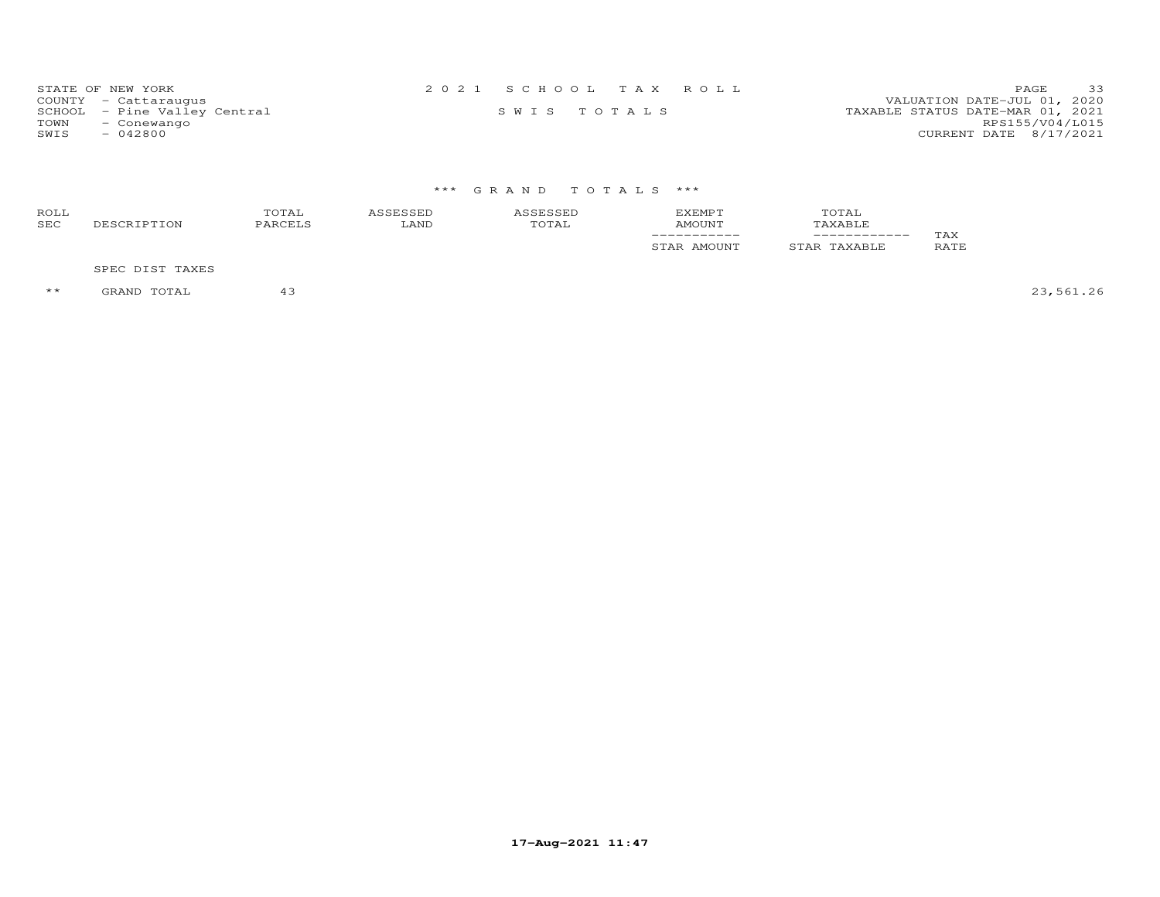| STATE OF NEW YORK            | 2021 SCHOOL TAX ROLL | 33<br>PAGE.                      |
|------------------------------|----------------------|----------------------------------|
| COUNTY - Cattaraugus         |                      | VALUATION DATE-JUL 01, 2020      |
| SCHOOL - Pine Valley Central | SWIS TOTALS          | TAXABLE STATUS DATE-MAR 01, 2021 |
| TOWN<br>- Conewango          |                      | RPS155/V04/L015                  |
| $-042800$<br>SWIS            |                      | CURRENT DATE 8/17/2021           |

# \*\*\* G R A N D T O T A L S \*\*\*

| ROLL<br><b>SEC</b> | DESCRIPTION     | TOTAL<br>PARCELS | ASSESSED<br>LAND | ASSESSED<br>TOTAL | <b>EXEMPT</b><br>AMOUNT | TOTAL<br>TAXABLE |                    |
|--------------------|-----------------|------------------|------------------|-------------------|-------------------------|------------------|--------------------|
|                    |                 |                  |                  |                   | STAR AMOUNT             | STAR TAXABLE     | TAX<br><b>RATE</b> |
|                    | SPEC DIST TAXES |                  |                  |                   |                         |                  |                    |

\*\* GRAND TOTAL 43 23,561.26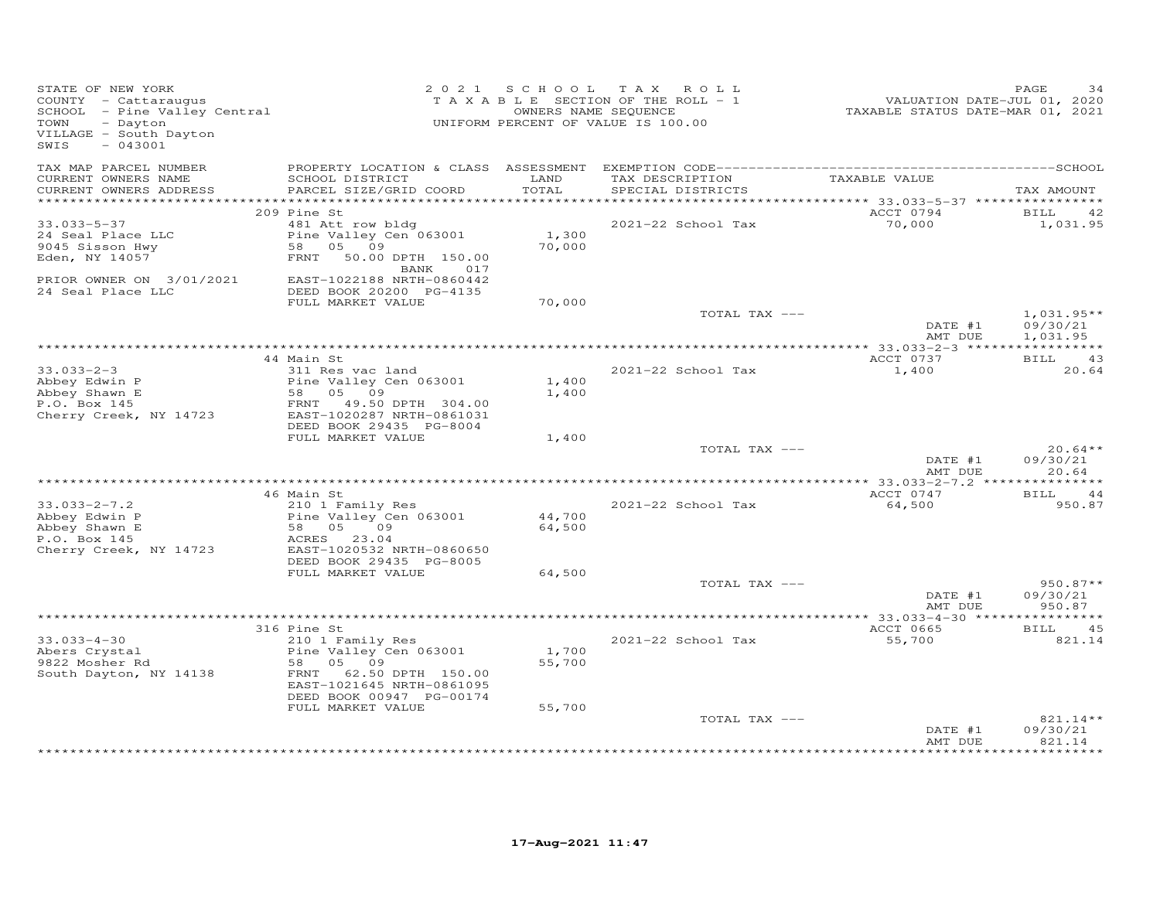| VILLAGE - South Dayton<br>$-043001$<br>SWIS                                                                                                                                                                                                                                            |                                                      |
|----------------------------------------------------------------------------------------------------------------------------------------------------------------------------------------------------------------------------------------------------------------------------------------|------------------------------------------------------|
| TAX MAP PARCEL NUMBER<br>CURRENT OWNERS NAME<br>LAND<br>TAX DESCRIPTION<br>TAXABLE VALUE<br>SCHOOL DISTRICT<br>TOTAL<br>CURRENT OWNERS ADDRESS<br>PARCEL SIZE/GRID COORD<br>SPECIAL DISTRICTS                                                                                          | TAX AMOUNT                                           |
| ***********************                                                                                                                                                                                                                                                                |                                                      |
| ACCT 0794<br>209 Pine St                                                                                                                                                                                                                                                               | 42<br>BILL                                           |
| 70,000<br>$33.033 - 5 - 37$<br>481 Att row bldg<br>2021-22 School Tax<br>24 Seal Place LLC<br>Pine Valley Cen 063001<br>1,300<br>58 05 09<br>70,000<br>9045 Sisson Hwy<br>Eden, NY 14057<br>FRNT 50.00 DPTH 150.00<br>017                                                              | 1,031.95                                             |
| BANK<br>PRIOR OWNER ON 3/01/2021<br>EAST-1022188 NRTH-0860442<br>24 Seal Place LLC<br>DEED BOOK 20200 PG-4135<br>FULL MARKET VALUE<br>70,000                                                                                                                                           |                                                      |
| TOTAL TAX ---                                                                                                                                                                                                                                                                          | $1,031.95**$<br>DATE #1<br>09/30/21                  |
|                                                                                                                                                                                                                                                                                        | AMT DUE<br>1,031.95                                  |
| 44 Main St<br>ACCT 0737                                                                                                                                                                                                                                                                | BILL<br>43                                           |
| $33.033 - 2 - 3$<br>2021-22 School Tax<br>311 Res vac land<br>1,400<br>Abbey Edwin P<br>Pine Valley Cen 063001<br>1,400<br>1,400<br>Abbey Shawn E<br>58 05 09<br>P.O. Box 145<br>FRNT 49.50 DPTH 304.00<br>Cherry Creek, NY 14723<br>EAST-1020287 NRTH-0861031                         | 20.64                                                |
| DEED BOOK 29435 PG-8004<br>FULL MARKET VALUE<br>1,400                                                                                                                                                                                                                                  |                                                      |
| TOTAL TAX ---                                                                                                                                                                                                                                                                          | $20.64**$<br>DATE #1<br>09/30/21<br>AMT DUE<br>20.64 |
|                                                                                                                                                                                                                                                                                        |                                                      |
| ACCT 0747<br>46 Main St<br>$33.033 - 2 - 7.2$<br>210 1 Family Res<br>2021-22 School Tax<br>64,500<br>Abbey Edwin P<br>Pine Valley Cen 063001<br>44,700<br>Abbey Shawn E<br>58 05<br>09<br>64,500<br>P.O. Box 145<br>ACRES 23.04<br>Cherry Creek, NY 14723<br>EAST-1020532 NRTH-0860650 | BILL 44<br>950.87                                    |
| DEED BOOK 29435 PG-8005                                                                                                                                                                                                                                                                |                                                      |
| FULL MARKET VALUE<br>64,500<br>TOTAL TAX ---                                                                                                                                                                                                                                           | $950.87**$                                           |
| DATE #1                                                                                                                                                                                                                                                                                | 09/30/21<br>AMT DUE<br>950.87                        |
|                                                                                                                                                                                                                                                                                        |                                                      |
| 316 Pine St<br>ACCT 0665                                                                                                                                                                                                                                                               | 45<br>BILL                                           |
| $33.033 - 4 - 30$<br>2021-22 School Tax<br>55,700<br>210 1 Family Res<br>Pine Valley Cen 063001<br>1,700<br>Abers Crystal<br>05 09<br>55,700<br>9822 Mosher Rd<br>58<br>South Dayton, NY 14138<br>62.50 DPTH 150.00<br>FRNT<br>EAST-1021645 NRTH-0861095<br>DEED BOOK 00947 PG-00174   | 821.14                                               |
| FULL MARKET VALUE<br>55,700                                                                                                                                                                                                                                                            |                                                      |
| TOTAL TAX ---                                                                                                                                                                                                                                                                          | 821.14**<br>09/30/21<br>DATE #1<br>AMT DUE<br>821.14 |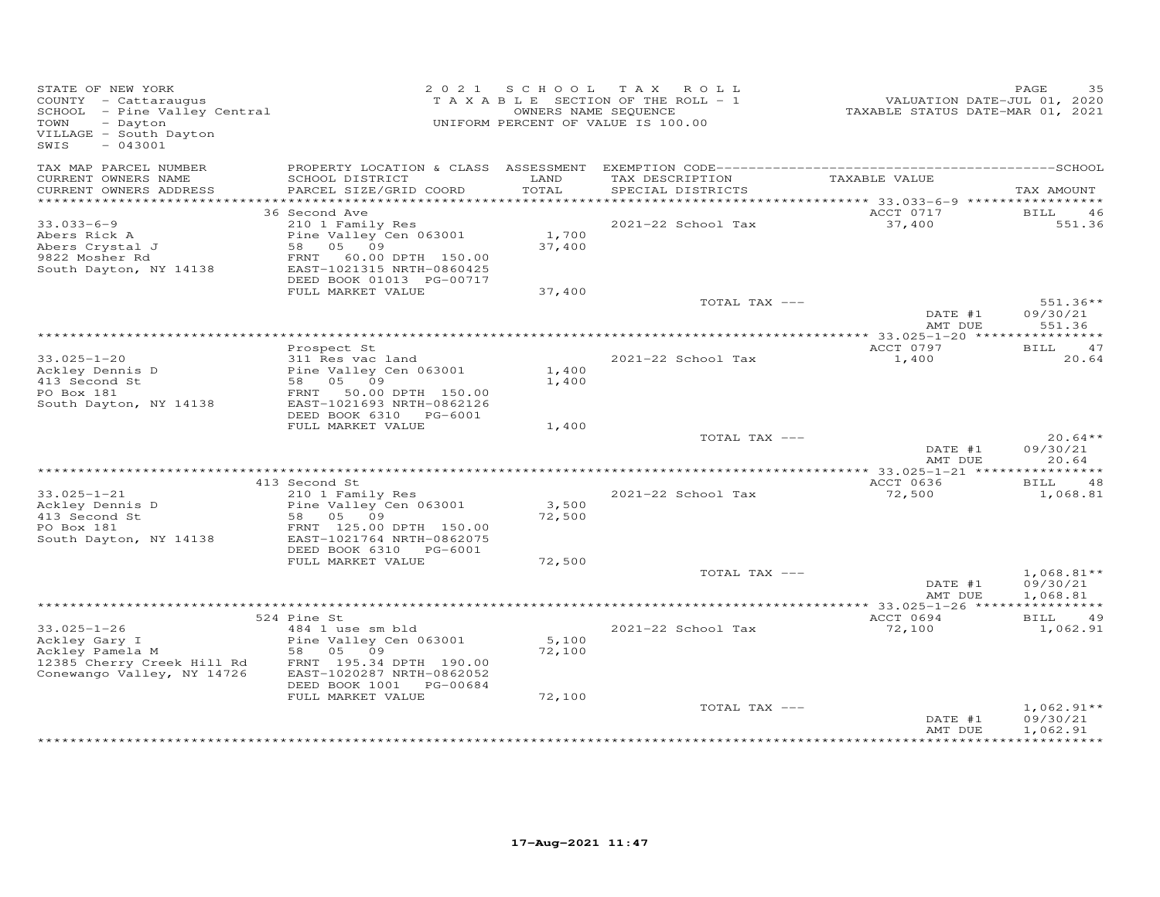| STATE OF NEW YORK<br>COUNTY - Cattaraugus<br>COONII - Cattaraugus<br>SCHOOL - Pine Valley Central<br>- Dayton<br>TOWN<br>VILLAGE - South Dayton<br>SWIS<br>$-043001$ |                                                                                                                                                                               |                           | 2021 SCHOOL TAX ROLL<br>TAXABLE SECTION OF THE ROLL - 1<br>OWNERS NAME SEQUENCE<br>UNIFORM PERCENT OF VALUE IS 100.00 | VALUATION DATE-JUL 01, 2020<br>TAXABLE STATUS DATE-MAR 01, 2021 | PAGE<br>35                           |
|----------------------------------------------------------------------------------------------------------------------------------------------------------------------|-------------------------------------------------------------------------------------------------------------------------------------------------------------------------------|---------------------------|-----------------------------------------------------------------------------------------------------------------------|-----------------------------------------------------------------|--------------------------------------|
| TAX MAP PARCEL NUMBER<br>CURRENT OWNERS NAME                                                                                                                         | SCHOOL DISTRICT                                                                                                                                                               | LAND                      | TAX DESCRIPTION                                                                                                       | TAXABLE VALUE                                                   |                                      |
| CURRENT OWNERS ADDRESS                                                                                                                                               | PARCEL SIZE/GRID COORD                                                                                                                                                        | TOTAL                     | SPECIAL DISTRICTS                                                                                                     |                                                                 | TAX AMOUNT                           |
|                                                                                                                                                                      | 36 Second Ave                                                                                                                                                                 |                           |                                                                                                                       | ACCT 0717                                                       | BILL<br>46                           |
| $33.033 - 6 - 9$<br>Abers Rick A<br>Abers Crystal J<br>9822 Mosher Rd<br>9822 Mosher Rd<br>South Dayton, NY 14138                                                    | 210 1 Family Res<br>Pine Valley Cen 063001<br>58 05 09<br>FRNT 60.00 DPTH 150.00<br>EAST-1021315 NRTH-0860425<br>DEED BOOK 01013 PG-00717                                     | 1,700<br>37,400           | 2021-22 School Tax                                                                                                    | 37,400                                                          | 551.36                               |
|                                                                                                                                                                      | FULL MARKET VALUE                                                                                                                                                             | 37,400                    |                                                                                                                       |                                                                 |                                      |
|                                                                                                                                                                      |                                                                                                                                                                               |                           | TOTAL TAX ---                                                                                                         | DATE #1<br>AMT DUE                                              | $551.36**$<br>09/30/21<br>551.36     |
|                                                                                                                                                                      |                                                                                                                                                                               |                           |                                                                                                                       |                                                                 |                                      |
|                                                                                                                                                                      | Prospect St                                                                                                                                                                   |                           |                                                                                                                       | ACCT 0797                                                       | BILL 47                              |
| $33.025 - 1 - 20$<br>Ackley Dennis D<br>413 Second St<br>PO Box 181<br>South Dayton, NY 14138                                                                        | 311 Res vac land<br>Pine Valley Cen 063001<br>58 05 09<br>FRNT 50.00 DPTH 150.00<br>EAST-1021693 NRTH-0862126<br>DEED BOOK 6310 PG-6001                                       | 1,400<br>1,400            | 2021-22 School Tax                                                                                                    | 1,400                                                           | 20.64                                |
|                                                                                                                                                                      | FULL MARKET VALUE                                                                                                                                                             | 1,400                     |                                                                                                                       |                                                                 |                                      |
|                                                                                                                                                                      |                                                                                                                                                                               |                           | TOTAL TAX ---                                                                                                         | DATE #1<br>AMT DUE                                              | $20.64**$<br>09/30/21<br>20.64       |
|                                                                                                                                                                      |                                                                                                                                                                               |                           |                                                                                                                       | ACCT 0636                                                       |                                      |
| $33.025 - 1 - 21$<br>Ackley Dennis D<br>413 Second St<br>PO Box 181<br>PO Box 181                                                                                    | 413 Second St<br>210 1 Family Res<br>Pine Valley Cen 063001<br>58 05 09<br>FRNT 125.00 DPTH 150.00                                                                            | 3,500<br>72,500           | 2021-22 School Tax                                                                                                    | 72,500                                                          | BILL<br>48<br>1,068.81               |
| South Dayton, NY 14138                                                                                                                                               | EAST-1021764 NRTH-0862075<br>DEED BOOK 6310 PG-6001                                                                                                                           |                           |                                                                                                                       |                                                                 |                                      |
|                                                                                                                                                                      | FULL MARKET VALUE                                                                                                                                                             | 72,500                    |                                                                                                                       |                                                                 |                                      |
|                                                                                                                                                                      |                                                                                                                                                                               |                           | TOTAL TAX ---                                                                                                         | DATE #1<br>AMT DUE                                              | $1,068.81**$<br>09/30/21<br>1,068.81 |
|                                                                                                                                                                      |                                                                                                                                                                               |                           |                                                                                                                       |                                                                 |                                      |
| $33.025 - 1 - 26$<br>Ackley Gary I<br>Ackley Pamela M<br>12385 Cherry Creek Hill Rd<br>Conewango Valley, NY 14726                                                    | 524 Pine St<br>484 1 use sm bld<br>Pine Valley Cen 063001<br>58 05 09<br>FRNT 195.34 DPTH 190.00<br>EAST-1020287 NRTH-0862052<br>DEED BOOK 1001 PG-00684<br>FULL MARKET VALUE | 5,100<br>72,100<br>72,100 | 2021-22 School Tax                                                                                                    | ACCT 0694<br>72,100                                             | 49<br>BILL<br>1,062.91               |
|                                                                                                                                                                      |                                                                                                                                                                               |                           | TOTAL TAX ---                                                                                                         | DATE #1<br>AMT DUE                                              | $1,062.91**$<br>09/30/21<br>1,062.91 |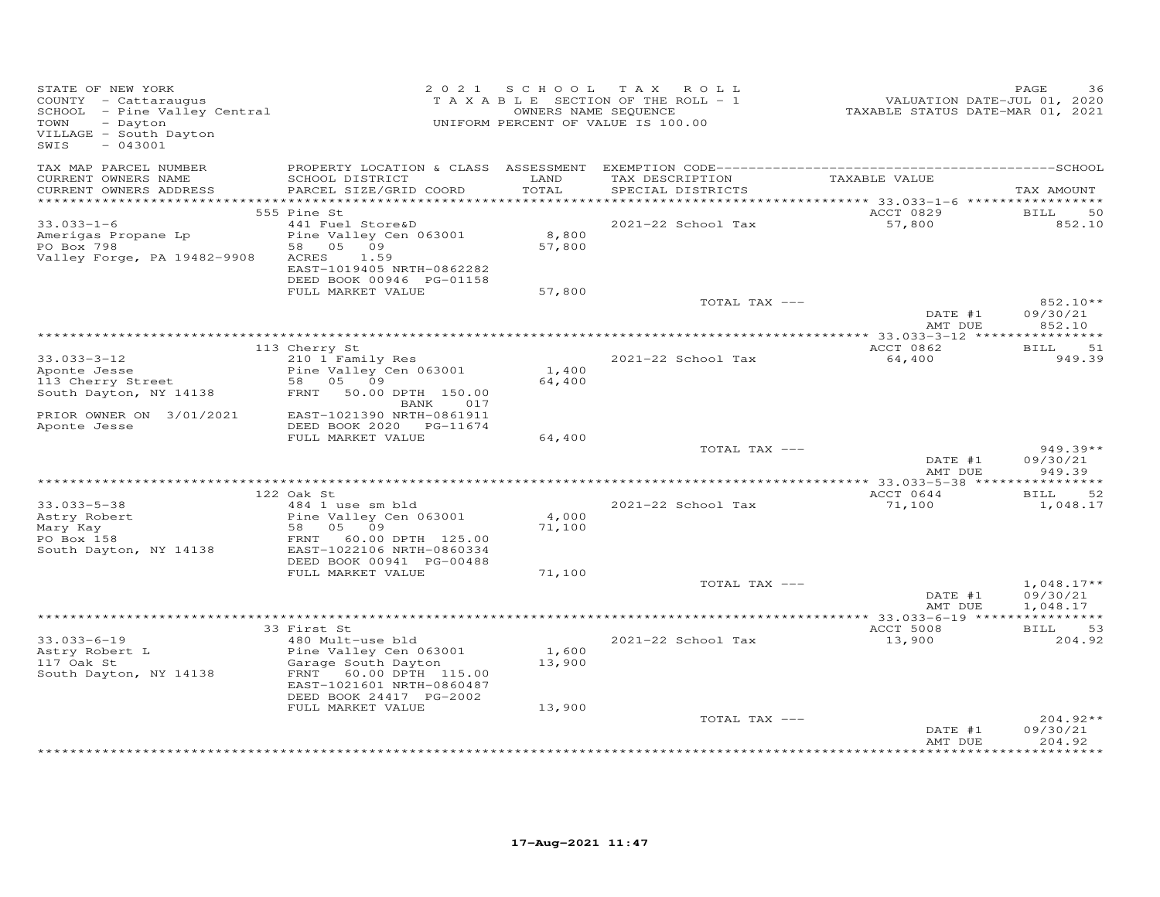| STATE OF NEW YORK<br>COUNTY - Cattaraugus<br>SCHOOL - Pine Valley Central<br>TOWN<br>- Dayton<br>VILLAGE - South Dayton<br>SWIS<br>$-043001$ |                                                                                                                                                                         |                           | 2021 SCHOOL TAX ROLL<br>TAXABLE SECTION OF THE ROLL - 1<br>OWNERS NAME SEQUENCE<br>UNIFORM PERCENT OF VALUE IS 100.00 | VALUATION DATE-JUL 01, 2020<br>TAXABLE STATUS DATE-MAR 01, 2021 | PAGE<br>36                                   |
|----------------------------------------------------------------------------------------------------------------------------------------------|-------------------------------------------------------------------------------------------------------------------------------------------------------------------------|---------------------------|-----------------------------------------------------------------------------------------------------------------------|-----------------------------------------------------------------|----------------------------------------------|
| TAX MAP PARCEL NUMBER<br>CURRENT OWNERS NAME<br>CURRENT OWNERS ADDRESS                                                                       | SCHOOL DISTRICT<br>PARCEL SIZE/GRID COORD                                                                                                                               | LAND<br>TOTAL             | TAX DESCRIPTION<br>SPECIAL DISTRICTS                                                                                  | TAXABLE VALUE                                                   | TAX AMOUNT                                   |
| $33.033 - 1 - 6$<br>Amerigas Propane Lp<br>PO Box 798<br>Valley Forge, PA 19482-9908                                                         | 555 Pine St<br>441 Fuel Store&D<br>Pine Valley Cen 063001<br>58 05<br>09<br>ACRES<br>1.59<br>EAST-1019405 NRTH-0862282<br>DEED BOOK 00946 PG-01158<br>FULL MARKET VALUE | 8,800<br>57,800<br>57,800 | 2021-22 School Tax                                                                                                    | ACCT 0829<br>57,800                                             | BILL<br>50<br>852.10                         |
|                                                                                                                                              |                                                                                                                                                                         |                           | TOTAL TAX ---                                                                                                         | DATE #1<br>AMT DUE                                              | 852.10**<br>09/30/21<br>852.10               |
|                                                                                                                                              |                                                                                                                                                                         |                           |                                                                                                                       |                                                                 |                                              |
| $33.033 - 3 - 12$<br>Aponte Jesse<br>113 Cherry Street<br>South Dayton, NY 14138                                                             | 113 Cherry St<br>210 1 Family Res<br>Pine Valley Cen 063001<br>58 05 09<br>FRNT 50.00 DPTH 150.00                                                                       | 1,400<br>64,400           | 2021-22 School Tax                                                                                                    | ACCT 0862<br>64,400                                             | 51<br><b>BILL</b><br>949.39                  |
| PRIOR OWNER ON 3/01/2021<br>Aponte Jesse                                                                                                     | BANK<br>017<br>EAST-1021390 NRTH-0861911<br>DEED BOOK 2020 PG-11674<br>FULL MARKET VALUE                                                                                | 64,400                    | TOTAL TAX ---                                                                                                         |                                                                 | $949.39**$                                   |
|                                                                                                                                              |                                                                                                                                                                         |                           |                                                                                                                       | DATE #1<br>AMT DUE                                              | 09/30/21<br>949.39                           |
|                                                                                                                                              |                                                                                                                                                                         |                           |                                                                                                                       |                                                                 |                                              |
| $33.033 - 5 - 38$<br>Astry Robert<br>Mary Kay<br>PO Box 158<br>South Dayton, NY 14138                                                        | 122 Oak St<br>484 1 use sm bld<br>Pine Valley Cen 063001<br>58 05 09<br>FRNT 60.00 DPTH 125.00<br>EAST-1022106 NRTH-0860334<br>DEED BOOK 00941 PG-00488                 | 4,000<br>71,100           | 2021-22 School Tax                                                                                                    | ACCT 0644<br>71,100                                             | <b>BILL</b><br>52<br>1,048.17                |
|                                                                                                                                              | FULL MARKET VALUE                                                                                                                                                       | 71,100                    |                                                                                                                       |                                                                 |                                              |
|                                                                                                                                              |                                                                                                                                                                         |                           | TOTAL TAX ---                                                                                                         | DATE #1<br>AMT DUE                                              | $1,048.17**$<br>09/30/21<br>1,048.17         |
|                                                                                                                                              |                                                                                                                                                                         |                           |                                                                                                                       |                                                                 |                                              |
| $33.033 - 6 - 19$<br>Astry Robert L<br>117 Oak St<br>South Dayton, NY 14138                                                                  | 33 First St<br>480 Mult-use bld<br>Pine Valley Cen 063001<br>Garage South Dayton<br>FRNT 60.00 DPTH 115.00<br>EAST-1021601 NRTH-0860487<br>DEED BOOK 24417 PG-2002      | 1,600<br>13,900           | 2021-22 School Tax                                                                                                    | ACCT 5008<br>13,900                                             | <b>BILL</b><br>53<br>204.92                  |
|                                                                                                                                              | FULL MARKET VALUE                                                                                                                                                       | 13,900                    | TOTAL TAX ---                                                                                                         | DATE #1<br>AMT DUE                                              | $204.92**$<br>09/30/21<br>204.92<br>$******$ |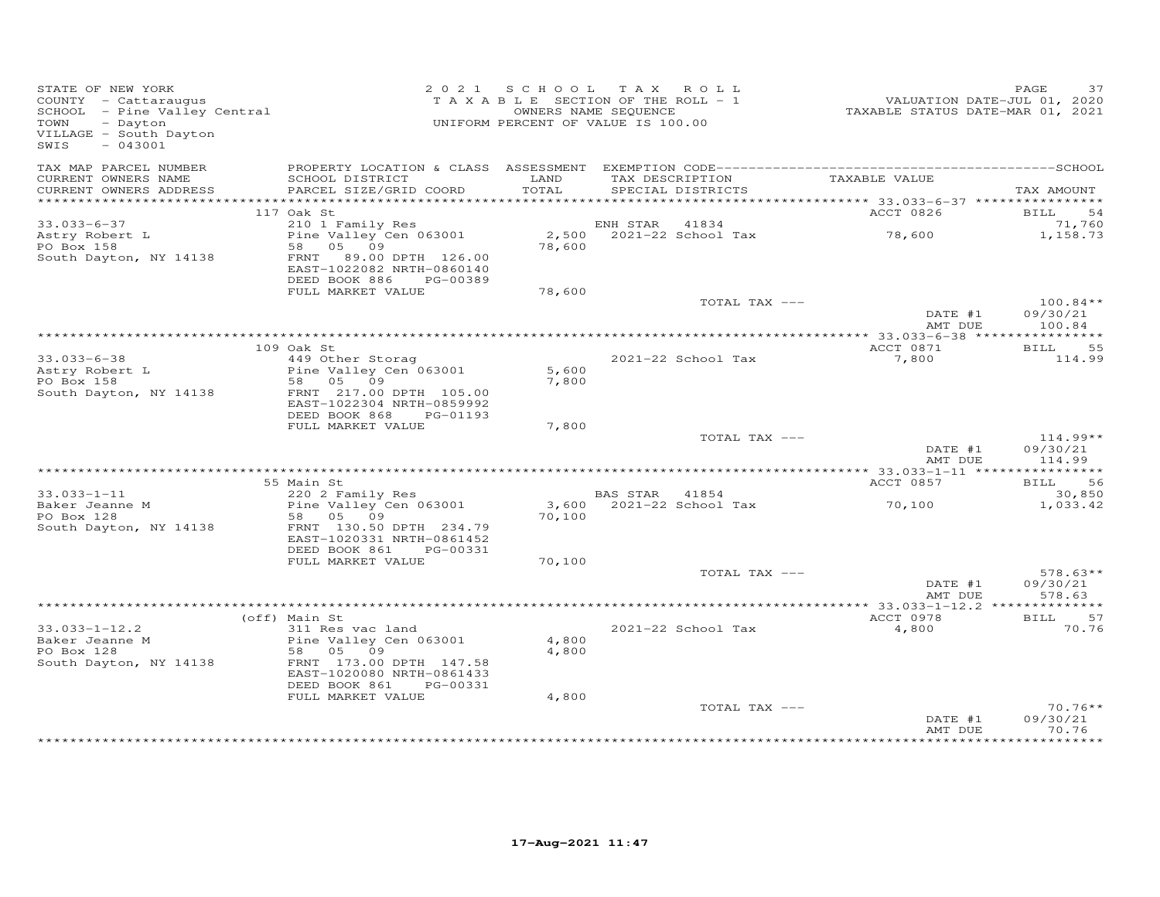| STATE OF NEW YORK<br>STATE OF NEW YORN<br>COUNTY - Cattaraugus<br>SCHOOL - Pine Valley Central<br>- CHOOL - CHOO<br>VILLAGE - South Dayton<br>$-043001$<br>SWIS |                                                                                                                                             |                | 2021 SCHOOL TAX ROLL<br>TAXABLE SECTION OF THE ROLL - 1<br>OWNERS NAME SEQUENCE<br>UNIFORM PERCENT OF VALUE IS 100.00 | VALUATION DATE-JUL 01, 2020<br>TAXABLE STATUS DATE-MAR 01, 2021 | PAGE<br>37                       |
|-----------------------------------------------------------------------------------------------------------------------------------------------------------------|---------------------------------------------------------------------------------------------------------------------------------------------|----------------|-----------------------------------------------------------------------------------------------------------------------|-----------------------------------------------------------------|----------------------------------|
| TAX MAP PARCEL NUMBER<br>CURRENT OWNERS NAME                                                                                                                    | SCHOOL DISTRICT                                                                                                                             | LAND           | TAX DESCRIPTION                                                                                                       | TAXABLE VALUE                                                   |                                  |
| CURRENT OWNERS ADDRESS                                                                                                                                          | PARCEL SIZE/GRID COORD                                                                                                                      | TOTAL          | SPECIAL DISTRICTS                                                                                                     |                                                                 | TAX AMOUNT                       |
|                                                                                                                                                                 | 117 Oak St                                                                                                                                  |                |                                                                                                                       | ACCT 0826                                                       | <b>BILL</b><br>54                |
| $33.033 - 6 - 37$                                                                                                                                               | 210 1 Family Res                                                                                                                            |                | ENH STAR<br>41834                                                                                                     |                                                                 | 71,760                           |
| Astry Robert L<br>PO Box 158<br>South Dayton, NY 14138                                                                                                          | Pine Valley Cen 063001<br>58 05 09<br>FRNT 89.00 DPTH 126.00<br>EAST-1022082 NRTH-0860140<br>DEED BOOK 886 PG-00389                         | 78,600         | 2,500 2021-22 School Tax                                                                                              | 78,600                                                          | 1,158.73                         |
|                                                                                                                                                                 | FULL MARKET VALUE                                                                                                                           | 78,600         |                                                                                                                       |                                                                 |                                  |
|                                                                                                                                                                 |                                                                                                                                             |                | TOTAL TAX ---                                                                                                         | DATE #1                                                         | $100.84**$<br>09/30/21           |
|                                                                                                                                                                 |                                                                                                                                             |                |                                                                                                                       | AMT DUE                                                         | 100.84                           |
|                                                                                                                                                                 | 109 Oak St                                                                                                                                  |                |                                                                                                                       | ACCT 0871                                                       | <b>BILL</b><br>55                |
| $33.033 - 6 - 38$<br>Astry Robert L<br>PO Box 158<br>South Dayton, NY 14138                                                                                     | 449 Other Storag<br>Pine Valley Cen 063001<br>58 05 09<br>FRNT 217.00 DPTH 105.00<br>EAST-1022304 NRTH-0859992<br>DEED BOOK 868<br>PG-01193 | 5,600<br>7,800 | 2021-22 School Tax                                                                                                    | 7,800                                                           | 114.99                           |
|                                                                                                                                                                 | FULL MARKET VALUE                                                                                                                           | 7,800          |                                                                                                                       |                                                                 |                                  |
|                                                                                                                                                                 |                                                                                                                                             |                | TOTAL TAX ---                                                                                                         | DATE #1<br>AMT DUE                                              | $114.99**$<br>09/30/21<br>114.99 |
|                                                                                                                                                                 |                                                                                                                                             |                |                                                                                                                       |                                                                 |                                  |
| $33.033 - 1 - 11$                                                                                                                                               | 55 Main St<br>220 2 Family Res                                                                                                              |                | BAS STAR 41854                                                                                                        | ACCT 0857                                                       | BILL 56                          |
| Baker Jeanne M<br>PO Box 128                                                                                                                                    | Pine Valley Cen 063001<br>58 05 09                                                                                                          | 70,100         | 3,600 2021-22 School Tax                                                                                              | 70,100                                                          | 30,850<br>1,033.42               |
| South Dayton, NY 14138                                                                                                                                          | FRNT 130.50 DPTH 234.79<br>EAST-1020331 NRTH-0861452<br>DEED BOOK 861<br>PG-00331                                                           |                |                                                                                                                       |                                                                 |                                  |
|                                                                                                                                                                 | FULL MARKET VALUE                                                                                                                           | 70,100         |                                                                                                                       |                                                                 |                                  |
|                                                                                                                                                                 |                                                                                                                                             |                | TOTAL TAX ---                                                                                                         | DATE #1<br>AMT DUE                                              | $578.63**$<br>09/30/21<br>578.63 |
|                                                                                                                                                                 |                                                                                                                                             |                |                                                                                                                       |                                                                 |                                  |
| $33.033 - 1 - 12.2$                                                                                                                                             | (off) Main St<br>311 Res vac land                                                                                                           |                | 2021-22 School Tax                                                                                                    | ACCT 0978<br>4,800                                              | BILL 57<br>70.76                 |
| Baker Jeanne M<br>PO Box 128                                                                                                                                    | Pine Valley Cen 063001<br>58 05 09                                                                                                          | 4,800<br>4,800 |                                                                                                                       |                                                                 |                                  |
| South Dayton, NY 14138                                                                                                                                          | FRNT 173.00 DPTH 147.58<br>EAST-1020080 NRTH-0861433<br>DEED BOOK 861<br>PG-00331                                                           |                |                                                                                                                       |                                                                 |                                  |
|                                                                                                                                                                 | FULL MARKET VALUE                                                                                                                           | 4,800          |                                                                                                                       |                                                                 |                                  |
|                                                                                                                                                                 |                                                                                                                                             |                | TOTAL TAX ---                                                                                                         | DATE #1<br>AMT DUE                                              | $70.76**$<br>09/30/21<br>70.76   |
|                                                                                                                                                                 |                                                                                                                                             |                |                                                                                                                       |                                                                 |                                  |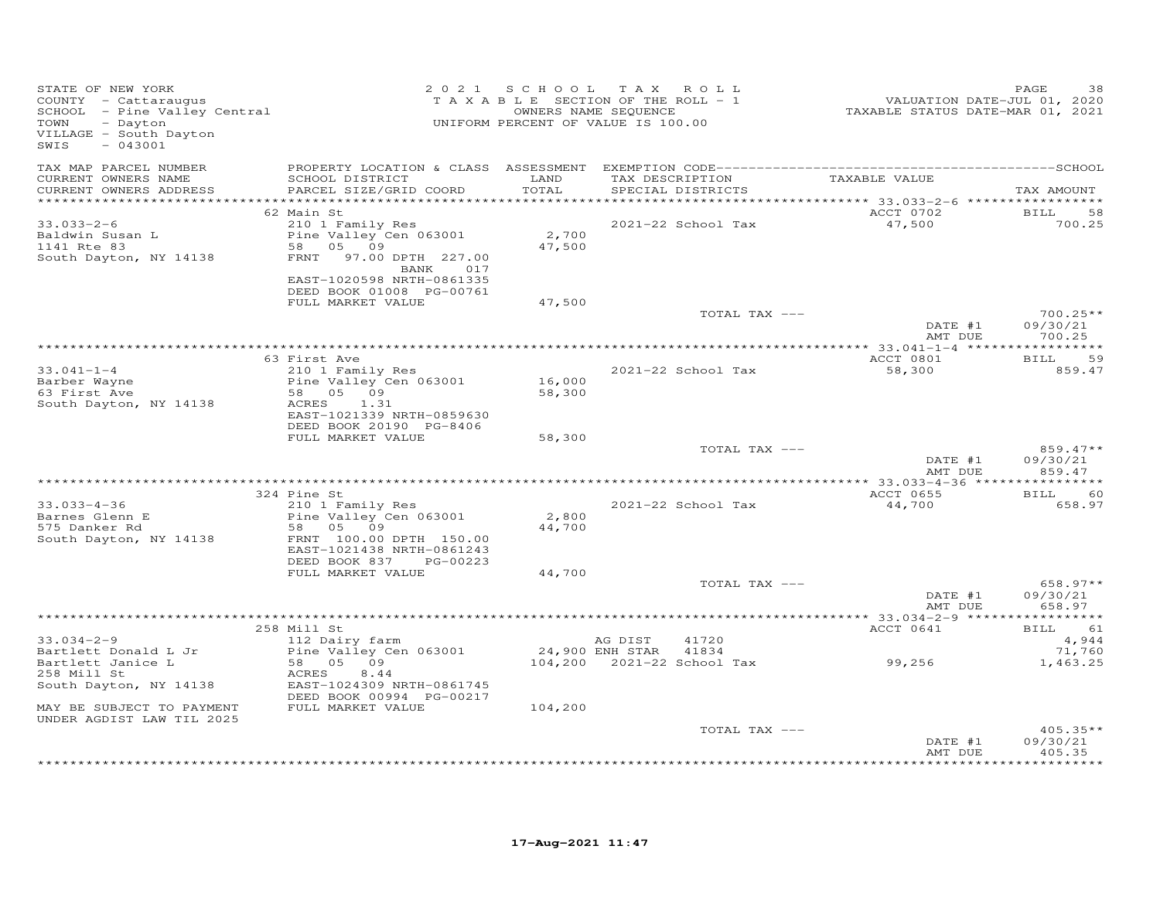| STATE OF NEW YORK<br>COUNTY - Cattaraugus<br>SCHOOL - Pine Valley Central<br>TOWN<br>- Dayton<br>VILLAGE - South Dayton<br>$-043001$<br>SWIS                     |                                                                                                                                                                     |                            | 2021 SCHOOL TAX ROLL<br>T A X A B L E SECTION OF THE ROLL - 1<br>OWNERS NAME SEQUENCE<br>UNIFORM PERCENT OF VALUE IS 100.00 | VALUATION DATE-JUL 01, 2020<br>TAXABLE STATUS DATE-MAR 01, 2021 | PAGE<br>38                                                          |
|------------------------------------------------------------------------------------------------------------------------------------------------------------------|---------------------------------------------------------------------------------------------------------------------------------------------------------------------|----------------------------|-----------------------------------------------------------------------------------------------------------------------------|-----------------------------------------------------------------|---------------------------------------------------------------------|
| TAX MAP PARCEL NUMBER<br>CURRENT OWNERS NAME<br>CURRENT OWNERS ADDRESS<br>************************                                                               | SCHOOL DISTRICT<br>PARCEL SIZE/GRID COORD                                                                                                                           | LAND<br>TOTAL              | TAX DESCRIPTION TAXABLE VALUE<br>SPECIAL DISTRICTS                                                                          |                                                                 | TAX AMOUNT                                                          |
| 33.033-2-6<br>Baldwin Susan L<br>1141 Rte 83<br>South Dayton, NY 14138                                                                                           | 62 Main St<br>210 1 Family Res<br>Pine Valley Cen 063001<br>58 05 09<br>FRNT 97.00 DPTH 227.00<br>BANK 017<br>EAST-1020598 NRTH-0861335<br>DEED BOOK 01008 PG-00761 | 2,700<br>47,500            | 2021-22 School Tax                                                                                                          | ACCT 0702<br>47,500                                             | <b>BILL</b><br>58<br>700.25                                         |
|                                                                                                                                                                  | FULL MARKET VALUE                                                                                                                                                   | 47,500                     | TOTAL TAX ---                                                                                                               | DATE #1<br>AMT DUE                                              | 700.25**<br>09/30/21<br>700.25                                      |
| $33.041 - 1 - 4$<br>Barber Wayne<br>63 First Ave<br>South Dayton, NY 14138                                                                                       | 63 First Ave<br>210 1 Family Res<br>Pine Valley Cen 063001<br>58 05 09<br>ACRES<br>1.31<br>EAST-1021339 NRTH-0859630<br>DEED BOOK 20190 PG-8406                     | 16,000<br>58,300           | 2021-22 School Tax                                                                                                          | ACCT 0801<br>58,300                                             | <b>BILL</b><br>59<br>859.47                                         |
|                                                                                                                                                                  | FULL MARKET VALUE                                                                                                                                                   | 58,300                     | TOTAL TAX ---                                                                                                               | DATE #1<br>AMT DUE                                              | $859.47**$<br>09/30/21<br>859.47                                    |
|                                                                                                                                                                  |                                                                                                                                                                     |                            |                                                                                                                             |                                                                 |                                                                     |
| $33.033 - 4 - 36$<br>33.055-4 52<br>Barnes Glenn E<br>Comment of the Bd<br>South Dayton, NY 14138                                                                | 324 Pine St<br>210 1 Family Res<br>Pine Valley Cen 063001<br>58 05 09<br>FRNT 100.00 DPTH 150.00<br>EAST-1021438 NRTH-0861243                                       | 2,800<br>44,700            | 2021-22 School Tax                                                                                                          | ACCT 0655<br>44,700                                             | BILL 60<br>658.97                                                   |
|                                                                                                                                                                  | DEED BOOK 837 PG-00223<br>FULL MARKET VALUE                                                                                                                         | 44,700                     | TOTAL TAX ---                                                                                                               | DATE #1<br>AMT DUE                                              | 658.97**<br>09/30/21<br>658.97                                      |
|                                                                                                                                                                  |                                                                                                                                                                     |                            |                                                                                                                             |                                                                 |                                                                     |
| $33.034 - 2 - 9$<br>Bartlett Donald L Jr<br>Bartlett Janice L<br>258 Mill St<br>South Dayton, NY 14138<br>MAY BE SUBJECT TO PAYMENT<br>UNDER AGDIST LAW TIL 2025 | 258 Mill St<br>112 Dairy farm<br>Pine Valley Cen 063001<br>58 05 09<br>ACRES<br>8.44<br>EAST-1024309 NRTH-0861745<br>DEED BOOK 00994 PG-00217<br>FULL MARKET VALUE  | 24,900 ENH STAR<br>104,200 | AG DIST<br>41720<br>41834<br>104,200 2021-22 School Tax                                                                     | ACCT 0641<br>99,256                                             | BILL 61<br>4,944<br>71,760<br>1,463.25                              |
|                                                                                                                                                                  |                                                                                                                                                                     |                            | TOTAL TAX ---                                                                                                               | DATE #1<br>AMT DUE                                              | $405.35**$<br>09/30/21<br>405.35<br>بله بله بله بله بله بله بله بله |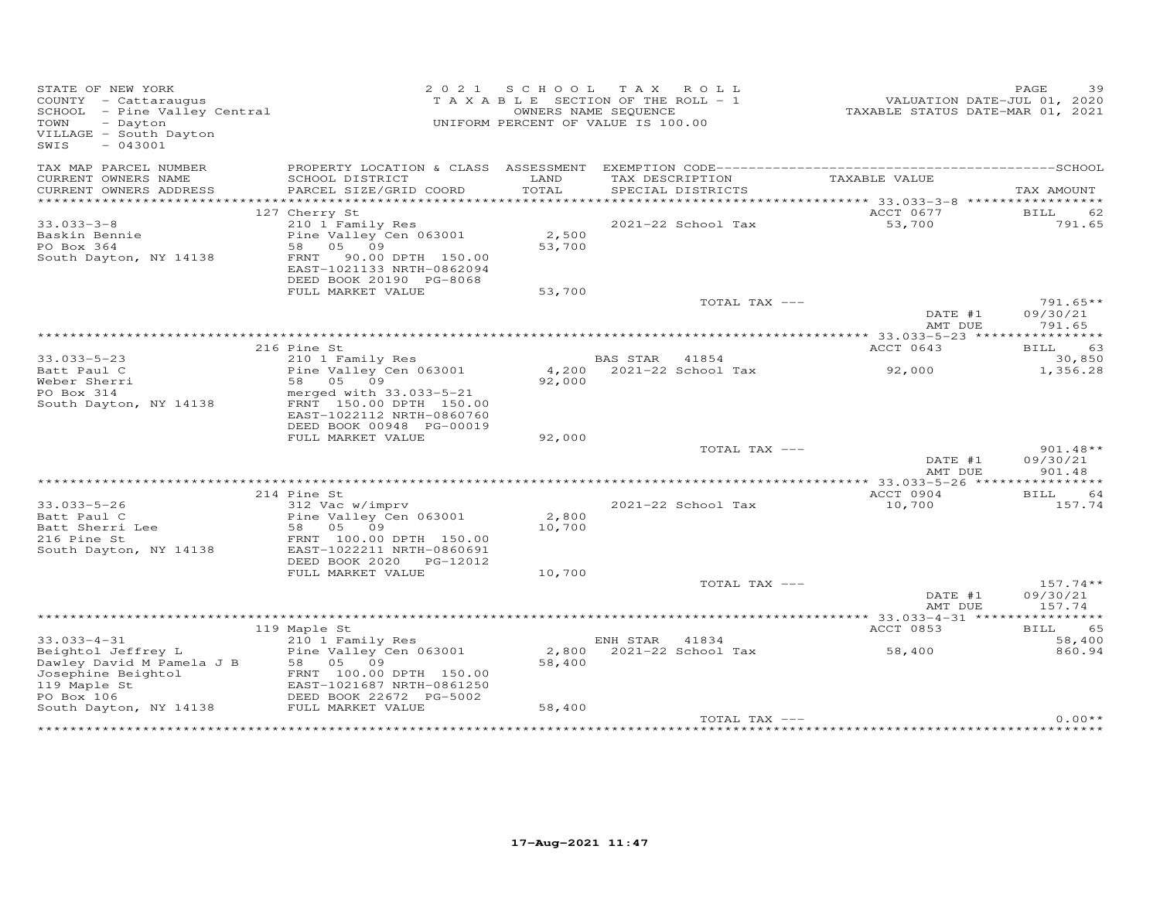| STATE OF NEW YORK<br>COUNTY - Cattaraugus<br>SCHOOL - Pine Valley Central<br>TOWN<br>- Dayton<br>VILLAGE - South Dayton<br>$-043001$<br>SWIS | 2 0 2 1                                      | S C H O O L<br>TAXABLE SECTION OF THE ROLL - 1<br>UNIFORM PERCENT OF VALUE IS 100.00 | T A X<br>OWNERS NAME SEQUENCE | R O L L                              | VALUATION DATE-JUL 01, 2020<br>TAXABLE STATUS DATE-MAR 01, 2021 | PAGE<br>39           |
|----------------------------------------------------------------------------------------------------------------------------------------------|----------------------------------------------|--------------------------------------------------------------------------------------|-------------------------------|--------------------------------------|-----------------------------------------------------------------|----------------------|
| TAX MAP PARCEL NUMBER                                                                                                                        | PROPERTY LOCATION & CLASS ASSESSMENT         |                                                                                      |                               |                                      |                                                                 |                      |
| CURRENT OWNERS NAME<br>CURRENT OWNERS ADDRESS                                                                                                | SCHOOL DISTRICT<br>PARCEL SIZE/GRID COORD    | LAND<br>TOTAL                                                                        |                               | TAX DESCRIPTION<br>SPECIAL DISTRICTS | TAXABLE VALUE                                                   | TAX AMOUNT           |
|                                                                                                                                              |                                              |                                                                                      |                               |                                      |                                                                 |                      |
|                                                                                                                                              | 127 Cherry St                                |                                                                                      |                               |                                      | ACCT 0677                                                       | BILL<br>62           |
| $33.033 - 3 - 8$                                                                                                                             | 210 1 Family Res                             |                                                                                      |                               | 2021-22 School Tax                   | 53,700                                                          | 791.65               |
| Baskin Bennie                                                                                                                                | Pine Valley Cen 063001                       | 2,500                                                                                |                               |                                      |                                                                 |                      |
| PO Box 364<br>South Dayton, NY 14138                                                                                                         | 58<br>05 09<br>90.00 DPTH 150.00<br>FRNT     | 53,700                                                                               |                               |                                      |                                                                 |                      |
|                                                                                                                                              | EAST-1021133 NRTH-0862094                    |                                                                                      |                               |                                      |                                                                 |                      |
|                                                                                                                                              | DEED BOOK 20190 PG-8068                      |                                                                                      |                               |                                      |                                                                 |                      |
|                                                                                                                                              | FULL MARKET VALUE                            | 53,700                                                                               |                               |                                      |                                                                 |                      |
|                                                                                                                                              |                                              |                                                                                      |                               | TOTAL TAX ---                        |                                                                 | $791.65**$           |
|                                                                                                                                              |                                              |                                                                                      |                               |                                      | DATE #1<br>AMT DUE                                              | 09/30/21<br>791.65   |
|                                                                                                                                              |                                              |                                                                                      |                               |                                      |                                                                 |                      |
|                                                                                                                                              | 216 Pine St                                  |                                                                                      |                               |                                      | ACCT 0643                                                       | BILL<br>63           |
| $33.033 - 5 - 23$<br>Batt Paul C                                                                                                             | 210 1 Family Res                             | 4,200                                                                                | BAS STAR                      | 41854<br>2021-22 School Tax          |                                                                 | 30,850               |
| Weber Sherri                                                                                                                                 | Pine Valley Cen 063001<br>58 05 09           | 92,000                                                                               |                               |                                      | 92,000                                                          | 1,356.28             |
| PO Box 314                                                                                                                                   | merged with 33.033-5-21                      |                                                                                      |                               |                                      |                                                                 |                      |
| South Dayton, NY 14138                                                                                                                       | FRNT 150.00 DPTH 150.00                      |                                                                                      |                               |                                      |                                                                 |                      |
|                                                                                                                                              | EAST-1022112 NRTH-0860760                    |                                                                                      |                               |                                      |                                                                 |                      |
|                                                                                                                                              | DEED BOOK 00948 PG-00019                     |                                                                                      |                               |                                      |                                                                 |                      |
|                                                                                                                                              | FULL MARKET VALUE                            | 92,000                                                                               |                               | TOTAL TAX ---                        |                                                                 | $901.48**$           |
|                                                                                                                                              |                                              |                                                                                      |                               |                                      | DATE #1                                                         | 09/30/21             |
|                                                                                                                                              |                                              |                                                                                      |                               |                                      | AMT DUE                                                         | 901.48               |
|                                                                                                                                              |                                              |                                                                                      |                               |                                      |                                                                 |                      |
| $33.033 - 5 - 26$                                                                                                                            | 214 Pine St<br>312 Vac w/imprv               |                                                                                      |                               | 2021-22 School Tax                   | ACCT 0904<br>10,700                                             | BILL<br>64<br>157.74 |
| Batt Paul C                                                                                                                                  | Pine Valley Cen 063001                       | 2,800                                                                                |                               |                                      |                                                                 |                      |
| Batt Sherri Lee                                                                                                                              | 58 05<br>09                                  | 10,700                                                                               |                               |                                      |                                                                 |                      |
| 216 Pine St                                                                                                                                  | FRNT 100.00 DPTH 150.00                      |                                                                                      |                               |                                      |                                                                 |                      |
| South Dayton, NY 14138                                                                                                                       | EAST-1022211 NRTH-0860691                    |                                                                                      |                               |                                      |                                                                 |                      |
|                                                                                                                                              | DEED BOOK 2020 PG-12012<br>FULL MARKET VALUE | 10,700                                                                               |                               |                                      |                                                                 |                      |
|                                                                                                                                              |                                              |                                                                                      |                               | TOTAL TAX ---                        |                                                                 | $157.74**$           |
|                                                                                                                                              |                                              |                                                                                      |                               |                                      | DATE #1                                                         | 09/30/21             |
|                                                                                                                                              |                                              |                                                                                      |                               |                                      | AMT DUE                                                         | 157.74               |
|                                                                                                                                              |                                              |                                                                                      |                               |                                      |                                                                 |                      |
| $33.033 - 4 - 31$                                                                                                                            | 119 Maple St<br>210 1 Family Res             |                                                                                      | ENH STAR 41834                |                                      | ACCT 0853                                                       | BILL<br>65<br>58,400 |
| Beightol Jeffrey L                                                                                                                           | Pine Valley Cen 063001                       | 2,800                                                                                |                               | 2021-22 School Tax                   | 58,400                                                          | 860.94               |
| Dawley David M Pamela J B                                                                                                                    | 58 05 09                                     | 58,400                                                                               |                               |                                      |                                                                 |                      |
| Josephine Beightol                                                                                                                           | FRNT 100.00 DPTH 150.00                      |                                                                                      |                               |                                      |                                                                 |                      |
| 119 Maple St                                                                                                                                 | EAST-1021687 NRTH-0861250                    |                                                                                      |                               |                                      |                                                                 |                      |
| PO Box 106                                                                                                                                   | DEED BOOK 22672 PG-5002<br>FULL MARKET VALUE | 58,400                                                                               |                               |                                      |                                                                 |                      |
| South Dayton, NY 14138                                                                                                                       |                                              |                                                                                      |                               | TOTAL TAX ---                        |                                                                 | $0.00**$             |
| ********************                                                                                                                         |                                              |                                                                                      |                               |                                      |                                                                 |                      |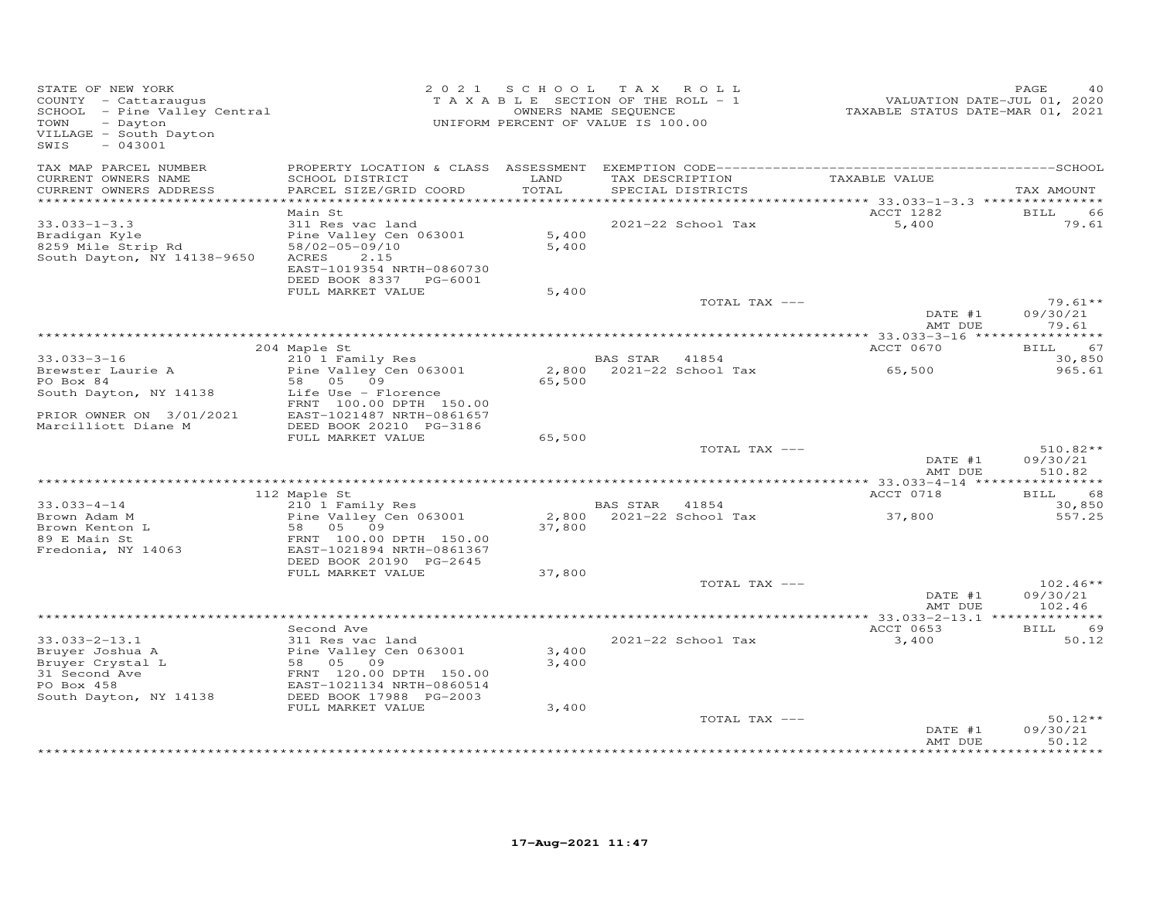| STATE OF NEW YORK<br>COUNTY - Cattaraugus<br>COONII - Caccaraugus<br>SCHOOL - Pine Valley Central<br>- Dayton<br>TOWN<br>VILLAGE - South Dayton<br>$-043001$<br>SWIS |                                                                                                                                                           | 2021 SCHOOL             | TAX ROLL<br>TAXABLE SECTION OF THE ROLL - 1<br>OWNERS NAME SEQUENCE<br>UNIFORM PERCENT OF VALUE IS 100.00 | VALUATION DATE-JUL 01, 2020<br>TAXABLE STATUS DATE-MAR 01, 2021 | PAGE                             |
|----------------------------------------------------------------------------------------------------------------------------------------------------------------------|-----------------------------------------------------------------------------------------------------------------------------------------------------------|-------------------------|-----------------------------------------------------------------------------------------------------------|-----------------------------------------------------------------|----------------------------------|
| TAX MAP PARCEL NUMBER<br>CURRENT OWNERS NAME<br>CURRENT OWNERS ADDRESS<br>************************                                                                   | SCHOOL DISTRICT<br>PARCEL SIZE/GRID COORD                                                                                                                 | LAND<br>TOTAL           | TAX DESCRIPTION<br>SPECIAL DISTRICTS                                                                      | TAXABLE VALUE                                                   | TAX AMOUNT                       |
|                                                                                                                                                                      | Main St                                                                                                                                                   |                         |                                                                                                           | ACCT 1282                                                       | BILL<br>66                       |
| $33.033 - 1 - 3.3$<br>Bradigan Kyle<br>8259 Mile Strip Rd<br>South Dayton, NY 14138-9650                                                                             | 311 Res vac land<br>Pine Valley Cen 063001<br>58/02-05-09/10<br>ACRES<br>2.15<br>EAST-1019354 NRTH-0860730<br>DEED BOOK 8337 PG-6001<br>FULL MARKET VALUE | 5,400<br>5,400<br>5,400 | 2021-22 School Tax                                                                                        | 5,400                                                           | 79.61                            |
|                                                                                                                                                                      |                                                                                                                                                           |                         | TOTAL TAX ---                                                                                             |                                                                 | $79.61**$                        |
|                                                                                                                                                                      |                                                                                                                                                           |                         |                                                                                                           | DATE #1<br>AMT DUE                                              | 09/30/21<br>79.61                |
|                                                                                                                                                                      | 204 Maple St                                                                                                                                              |                         |                                                                                                           | ACCT 0670                                                       | <b>BILL</b><br>67                |
| $33.033 - 3 - 16$                                                                                                                                                    | 210 1 Family Res                                                                                                                                          |                         | BAS STAR 41854                                                                                            |                                                                 | 30,850                           |
| Brewster Laurie A                                                                                                                                                    | Pine Valley Cen 063001                                                                                                                                    |                         | 2,800 2021-22 School Tax                                                                                  | 65,500                                                          | 965.61                           |
| PO Box 84<br>South Dayton, NY 14138                                                                                                                                  | 58 05 09<br>Life Use - Florence                                                                                                                           | 65,500                  |                                                                                                           |                                                                 |                                  |
| PRIOR OWNER ON 3/01/2021                                                                                                                                             | FRNT 100.00 DPTH 150.00<br>EAST-1021487 NRTH-0861657                                                                                                      |                         |                                                                                                           |                                                                 |                                  |
| Marcilliott Diane M                                                                                                                                                  | DEED BOOK 20210 PG-3186<br>FULL MARKET VALUE                                                                                                              | 65,500                  |                                                                                                           |                                                                 |                                  |
|                                                                                                                                                                      |                                                                                                                                                           |                         | TOTAL TAX ---                                                                                             | DATE #1<br>AMT DUE                                              | $510.82**$<br>09/30/21<br>510.82 |
|                                                                                                                                                                      |                                                                                                                                                           |                         |                                                                                                           |                                                                 |                                  |
|                                                                                                                                                                      | 112 Maple St                                                                                                                                              |                         |                                                                                                           | ACCT 0718                                                       | BILL 68                          |
| $33.033 - 4 - 14$                                                                                                                                                    | 210 1 Family Res                                                                                                                                          |                         | BAS STAR 41854<br>2,800 2021-22 School Tax                                                                |                                                                 | 30,850                           |
| Brown Adam M<br>Brown Kenton L                                                                                                                                       | Pine Valley Cen 063001<br>58 05 09                                                                                                                        | 37,800                  |                                                                                                           | 37,800                                                          | 557.25                           |
| 89 E Main St<br>Fredonia, NY 14063                                                                                                                                   | FRNT 100.00 DPTH 150.00<br>EAST-1021894 NRTH-0861367<br>DEED BOOK 20190 PG-2645                                                                           |                         |                                                                                                           |                                                                 |                                  |
|                                                                                                                                                                      | FULL MARKET VALUE                                                                                                                                         | 37,800                  |                                                                                                           |                                                                 |                                  |
|                                                                                                                                                                      |                                                                                                                                                           |                         | TOTAL TAX ---                                                                                             | DATE #1                                                         | $102.46**$<br>09/30/21           |
|                                                                                                                                                                      |                                                                                                                                                           |                         |                                                                                                           | AMT DUE                                                         | 102.46                           |
|                                                                                                                                                                      | Second Ave                                                                                                                                                |                         |                                                                                                           | ACCT 0653                                                       | BILL<br>69                       |
| $33.033 - 2 - 13.1$<br>Bruyer Joshua A<br>Bruyer Crystal L<br>31 Second Ave<br>PO Box 458                                                                            | 311 Res vac land<br>Pine Valley Cen 063001<br>58 05 09<br>FRNT 120.00 DPTH 150.00<br>EAST-1021134 NRTH-0860514                                            | 3,400<br>3,400          | 2021-22 School Tax                                                                                        | 3,400                                                           | 50.12                            |
| South Dayton, NY 14138                                                                                                                                               | DEED BOOK 17988 PG-2003                                                                                                                                   |                         |                                                                                                           |                                                                 |                                  |
|                                                                                                                                                                      | FULL MARKET VALUE                                                                                                                                         | 3,400                   |                                                                                                           |                                                                 |                                  |
|                                                                                                                                                                      |                                                                                                                                                           |                         | TOTAL TAX ---                                                                                             | DATE #1<br>AMT DUE                                              | $50.12**$<br>09/30/21<br>50.12   |
|                                                                                                                                                                      |                                                                                                                                                           |                         |                                                                                                           |                                                                 | ********                         |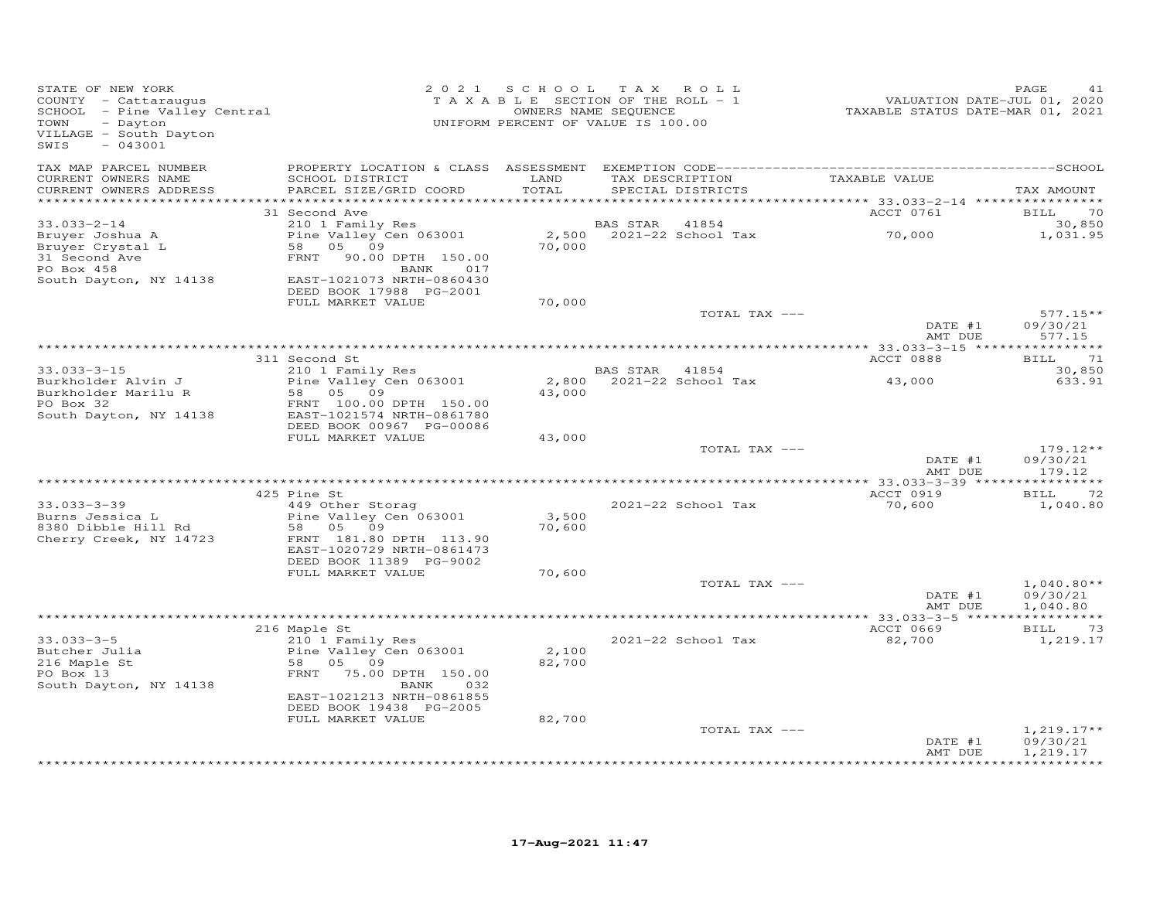| STATE OF NEW YORK<br>COUNTY - Cattaraugus<br>SCHOOL - Pine Valley Central<br>- Dayton<br>TOWN<br>VILLAGE - South Dayton<br>$-043001$<br>SWIS |                                                                                                                                                                                                 | 2021 SCHOOL TAX ROLL<br>TAXABLE SECTION OF THE ROLL - 1<br>UNIFORM PERCENT OF VALUE IS 100.00 | OWNERS NAME SEQUENCE |                                      | VALUATION DATE-JUL 01, 2020<br>TAXABLE STATUS DATE-MAR 01, 2021 | PAGE<br>41                           |
|----------------------------------------------------------------------------------------------------------------------------------------------|-------------------------------------------------------------------------------------------------------------------------------------------------------------------------------------------------|-----------------------------------------------------------------------------------------------|----------------------|--------------------------------------|-----------------------------------------------------------------|--------------------------------------|
| TAX MAP PARCEL NUMBER<br>CURRENT OWNERS NAME<br>CURRENT OWNERS ADDRESS<br>***********************                                            | SCHOOL DISTRICT<br>PARCEL SIZE/GRID COORD                                                                                                                                                       | LAND<br>TOTAL                                                                                 |                      | TAX DESCRIPTION<br>SPECIAL DISTRICTS | TAXABLE VALUE                                                   | TAX AMOUNT                           |
|                                                                                                                                              | 31 Second Ave                                                                                                                                                                                   |                                                                                               |                      |                                      | ACCT 0761                                                       | BILL 70                              |
| $33.033 - 2 - 14$<br>Bruyer Joshua A<br>Bruyer Crystal L<br>31 Second Ave                                                                    | 210 1 Family Res<br>Pine Valley Cen 063001<br>58 05 09<br>FRNT 90.00 DPTH 150.00                                                                                                                | 70,000                                                                                        | BAS STAR             | 41854<br>2,500 2021-22 School Tax    | 70,000                                                          | 30,850<br>1,031.95                   |
| PO Box 458<br>South Dayton, NY 14138                                                                                                         | BANK<br>017<br>EAST-1021073 NRTH-0860430<br>DEED BOOK 17988 PG-2001<br>FULL MARKET VALUE                                                                                                        | 70,000                                                                                        |                      |                                      |                                                                 |                                      |
|                                                                                                                                              |                                                                                                                                                                                                 |                                                                                               |                      | TOTAL TAX ---                        |                                                                 | $577.15**$                           |
|                                                                                                                                              |                                                                                                                                                                                                 |                                                                                               |                      |                                      | DATE #1<br>AMT DUE                                              | 09/30/21<br>577.15                   |
|                                                                                                                                              |                                                                                                                                                                                                 |                                                                                               |                      |                                      |                                                                 |                                      |
| $33.033 - 3 - 15$                                                                                                                            | 311 Second St<br>210 1 Family Res                                                                                                                                                               |                                                                                               | BAS STAR             | 41854                                | ACCT 0888                                                       | 71<br>BILL<br>30,850                 |
| Burkholder Alvin J<br>Burkholder Marilu R<br>PO Box 32<br>South Dayton, NY 14138                                                             | Pine Valley Cen 063001<br>58 05 09<br>FRNT 100.00 DPTH 150.00<br>EAST-1021574 NRTH-0861780                                                                                                      | 43,000                                                                                        |                      | 2,800 2021-22 School Tax             | 43,000                                                          | 633.91                               |
|                                                                                                                                              | DEED BOOK 00967 PG-00086<br>FULL MARKET VALUE                                                                                                                                                   | 43,000                                                                                        |                      |                                      |                                                                 |                                      |
|                                                                                                                                              |                                                                                                                                                                                                 |                                                                                               |                      | TOTAL TAX ---                        | DATE #1<br>AMT DUE                                              | $179.12**$<br>09/30/21<br>179.12     |
|                                                                                                                                              |                                                                                                                                                                                                 |                                                                                               |                      |                                      |                                                                 |                                      |
| $33.033 - 3 - 39$<br>Burns Jessica L<br>8380 Dibble Hill Rd<br>Cherry Creek, NY 14723                                                        | 425 Pine St<br>449 Other Storag<br>Pine Valley Cen 063001<br>58 05 09<br>FRNT 181.80 DPTH 113.90<br>EAST-1020729 NRTH-0861473                                                                   | 3,500<br>70,600                                                                               |                      | 2021-22 School Tax                   | ACCT 0919<br>70,600                                             | 72<br><b>BILL</b><br>1,040.80        |
|                                                                                                                                              | DEED BOOK 11389 PG-9002<br>FULL MARKET VALUE                                                                                                                                                    |                                                                                               |                      |                                      |                                                                 |                                      |
|                                                                                                                                              |                                                                                                                                                                                                 | 70,600                                                                                        |                      | TOTAL TAX ---                        | DATE #1<br>AMT DUE                                              | $1,040.80**$<br>09/30/21<br>1,040.80 |
|                                                                                                                                              |                                                                                                                                                                                                 |                                                                                               |                      |                                      |                                                                 |                                      |
| $33.033 - 3 - 5$<br>Butcher Julia<br>216 Maple St<br>PO Box 13<br>South Dayton, NY 14138                                                     | 216 Maple St<br>210 1 Family Res<br>Pine Valley Cen 063001<br>58<br>05 09<br>FRNT 75.00 DPTH 150.00<br>BANK<br>032<br>EAST-1021213 NRTH-0861855<br>DEED BOOK 19438 PG-2005<br>FULL MARKET VALUE | 2,100<br>82,700<br>82,700                                                                     |                      | 2021-22 School Tax                   | ACCT 0669<br>82,700                                             | BILL 73<br>1,219.17                  |
|                                                                                                                                              |                                                                                                                                                                                                 |                                                                                               |                      | TOTAL TAX ---                        | DATE #1                                                         | $1,219.17**$<br>09/30/21             |
|                                                                                                                                              |                                                                                                                                                                                                 |                                                                                               |                      |                                      | AMT DUE                                                         | 1,219.17<br>*********                |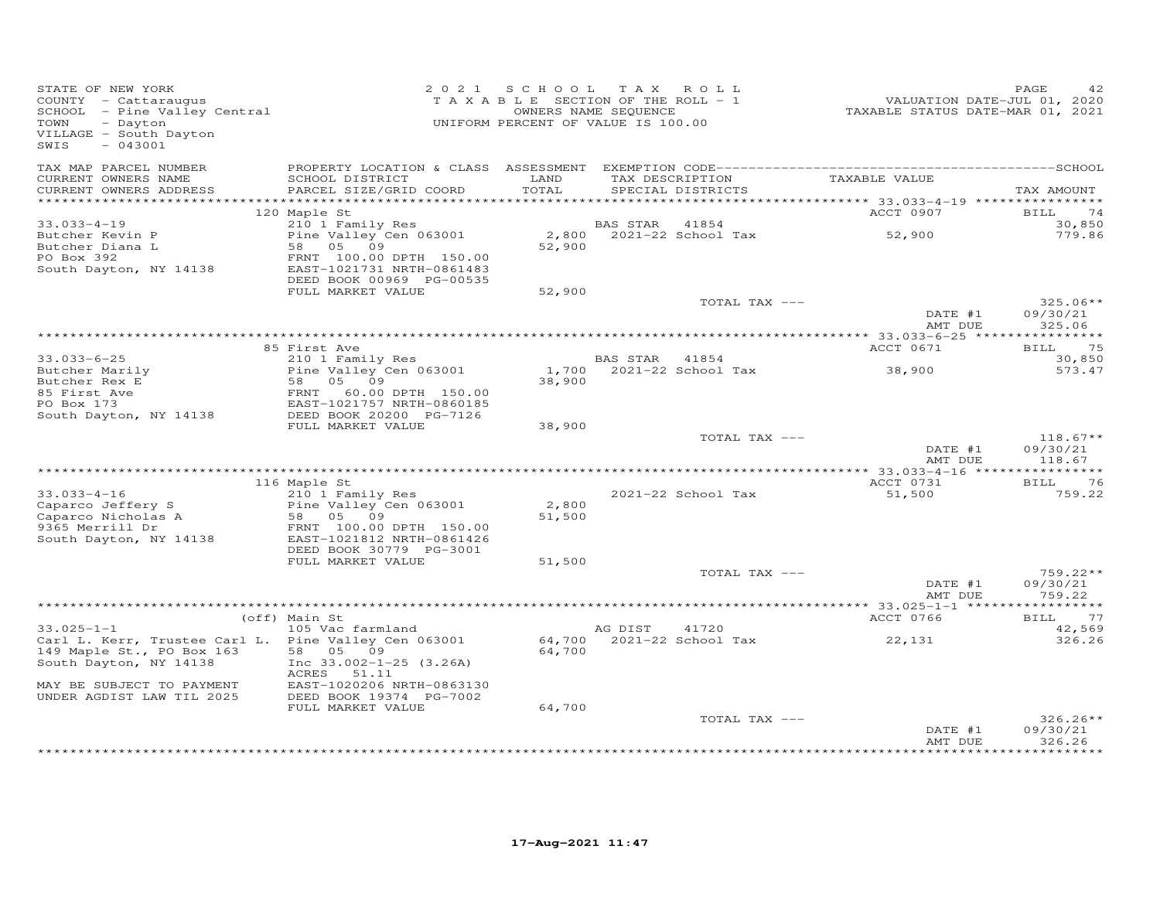| STATE OF NEW YORK<br>COUNTY - Cattaraugus<br>COONII - Cattalaugus<br>SCHOOL - Pine Valley Central<br>TOWN<br>- Dayton<br>VILLAGE - South Dayton<br>SWIS<br>$-043001$ |                                                                                             | 2021 SCHOOL TAX ROLL<br>TAXABLE SECTION OF THE ROLL - 1<br>UNIFORM PERCENT OF VALUE IS 100.00 | OWNERS NAME SEQUENCE |                                                    | VALUATION DATE-JUL 01, 2020<br>TAXABLE STATUS DATE-MAR 01, 2021 | PAGE<br>42                       |
|----------------------------------------------------------------------------------------------------------------------------------------------------------------------|---------------------------------------------------------------------------------------------|-----------------------------------------------------------------------------------------------|----------------------|----------------------------------------------------|-----------------------------------------------------------------|----------------------------------|
| TAX MAP PARCEL NUMBER<br>CURRENT OWNERS NAME<br>CURRENT OWNERS ADDRESS                                                                                               | SCHOOL DISTRICT<br>PARCEL SIZE/GRID COORD                                                   | LAND<br>TOTAL                                                                                 |                      | TAX DESCRIPTION TAXABLE VALUE<br>SPECIAL DISTRICTS |                                                                 | TAX AMOUNT                       |
| *************************                                                                                                                                            |                                                                                             |                                                                                               |                      |                                                    |                                                                 |                                  |
| $33.033 - 4 - 19$                                                                                                                                                    | 120 Maple St<br>210 1 Family Res                                                            |                                                                                               | BAS STAR             | 41854                                              | ACCT 0907                                                       | BILL<br>74                       |
| Butcher Kevin P<br>Butcher Diana L<br>PO Box 392                                                                                                                     | Pine Valley Cen 063001<br>58 05 09<br>FRNT 100.00 DPTH 150.00                               | 52,900                                                                                        |                      | 2,800 2021-22 School Tax                           | 52,900                                                          | 30,850<br>779.86                 |
| South Dayton, NY 14138                                                                                                                                               | EAST-1021731 NRTH-0861483<br>DEED BOOK 00969 PG-00535                                       |                                                                                               |                      |                                                    |                                                                 |                                  |
|                                                                                                                                                                      | FULL MARKET VALUE                                                                           | 52,900                                                                                        |                      | TOTAL TAX ---                                      |                                                                 | $325.06**$                       |
|                                                                                                                                                                      |                                                                                             |                                                                                               |                      |                                                    | DATE #1<br>AMT DUE                                              | 09/30/21<br>325.06               |
|                                                                                                                                                                      |                                                                                             |                                                                                               |                      |                                                    |                                                                 |                                  |
| $33.033 - 6 - 25$                                                                                                                                                    | 85 First Ave<br>210 1 Family Res                                                            |                                                                                               | BAS STAR 41854       |                                                    | ACCT 0671                                                       | 75<br><b>BILL</b><br>30,850      |
|                                                                                                                                                                      | Pine Valley Cen 063001                                                                      |                                                                                               |                      | 1,700 2021-22 School Tax                           | 38,900                                                          | 573.47                           |
| Butcher Marily<br>Butcher Rex E                                                                                                                                      | Pine $var_{1}$<br>58 05 09                                                                  | 38,900                                                                                        |                      |                                                    |                                                                 |                                  |
| 85 First Ave                                                                                                                                                         |                                                                                             |                                                                                               |                      |                                                    |                                                                 |                                  |
| PO Box 173                                                                                                                                                           | 90 0 0 0<br>ERNT 60.00 DPTH 150.00<br>EAST-1021757 NRTH-0860185<br>DEED BOOK 202000 PG-7126 |                                                                                               |                      |                                                    |                                                                 |                                  |
| South Dayton, NY 14138                                                                                                                                               | FULL MARKET VALUE                                                                           | 38,900                                                                                        |                      |                                                    |                                                                 |                                  |
|                                                                                                                                                                      |                                                                                             |                                                                                               |                      | TOTAL TAX ---                                      |                                                                 | $118.67**$                       |
|                                                                                                                                                                      |                                                                                             |                                                                                               |                      |                                                    | DATE #1<br>AMT DUE                                              | 09/30/21<br>118.67               |
|                                                                                                                                                                      |                                                                                             |                                                                                               |                      |                                                    |                                                                 |                                  |
| $33.033 - 4 - 16$                                                                                                                                                    | 116 Maple St<br>210 1 Family Res                                                            |                                                                                               |                      | 2021-22 School Tax                                 | ACCT 0731<br>51,500                                             | BILL<br>76<br>759.22             |
| Caparco Jeffery S<br>Caparco Nicholas A<br>9365 Merrill Dr                                                                                                           | Pine Valley Cen 063001<br>rine Valley ب<br>58   05   09                                     | 2,800<br>51,500                                                                               |                      |                                                    |                                                                 |                                  |
| 9365 Merrill Dr<br>South Dayton, NY 14138                                                                                                                            | FRNT 100.00 DPTH 150.00<br>EAST-1021812 NRTH-0861426<br>DEED BOOK 30779 PG-3001             |                                                                                               |                      |                                                    |                                                                 |                                  |
|                                                                                                                                                                      | FULL MARKET VALUE                                                                           | 51,500                                                                                        |                      |                                                    |                                                                 |                                  |
|                                                                                                                                                                      |                                                                                             |                                                                                               |                      | TOTAL TAX ---                                      | DATE #1<br>AMT DUE                                              | $759.22**$<br>09/30/21<br>759.22 |
|                                                                                                                                                                      |                                                                                             |                                                                                               |                      |                                                    |                                                                 |                                  |
| $33.025 - 1 - 1$                                                                                                                                                     | (off) Main St<br>105 Vac farmland                                                           |                                                                                               | AG DIST              | 41720                                              | ACCT 0766                                                       | 77<br>BILL                       |
| Carl L. Kerr, Trustee Carl L. Pine Valley Cen 063001                                                                                                                 |                                                                                             |                                                                                               |                      | 64,700 2021-22 School Tax                          | 22,131                                                          | 42,569<br>326.26                 |
| 149 Maple St., PO Box 163<br>South Dayton, NY 14138                                                                                                                  | 58 05 09<br>Inc $33.002 - 1 - 25$ (3.26A)                                                   | 64,700                                                                                        |                      |                                                    |                                                                 |                                  |
| MAY BE SUBJECT TO PAYMENT<br>UNDER AGDIST LAW TIL 2025                                                                                                               | ACRES 51.11<br>EAST-1020206 NRTH-0863130<br>DEED BOOK 19374 PG-7002                         |                                                                                               |                      |                                                    |                                                                 |                                  |
|                                                                                                                                                                      | FULL MARKET VALUE                                                                           | 64,700                                                                                        |                      |                                                    |                                                                 |                                  |
|                                                                                                                                                                      |                                                                                             |                                                                                               |                      | TOTAL TAX ---                                      | DATE #1<br>AMT DUE                                              | $326.26**$<br>09/30/21<br>326.26 |
|                                                                                                                                                                      |                                                                                             |                                                                                               |                      |                                                    |                                                                 |                                  |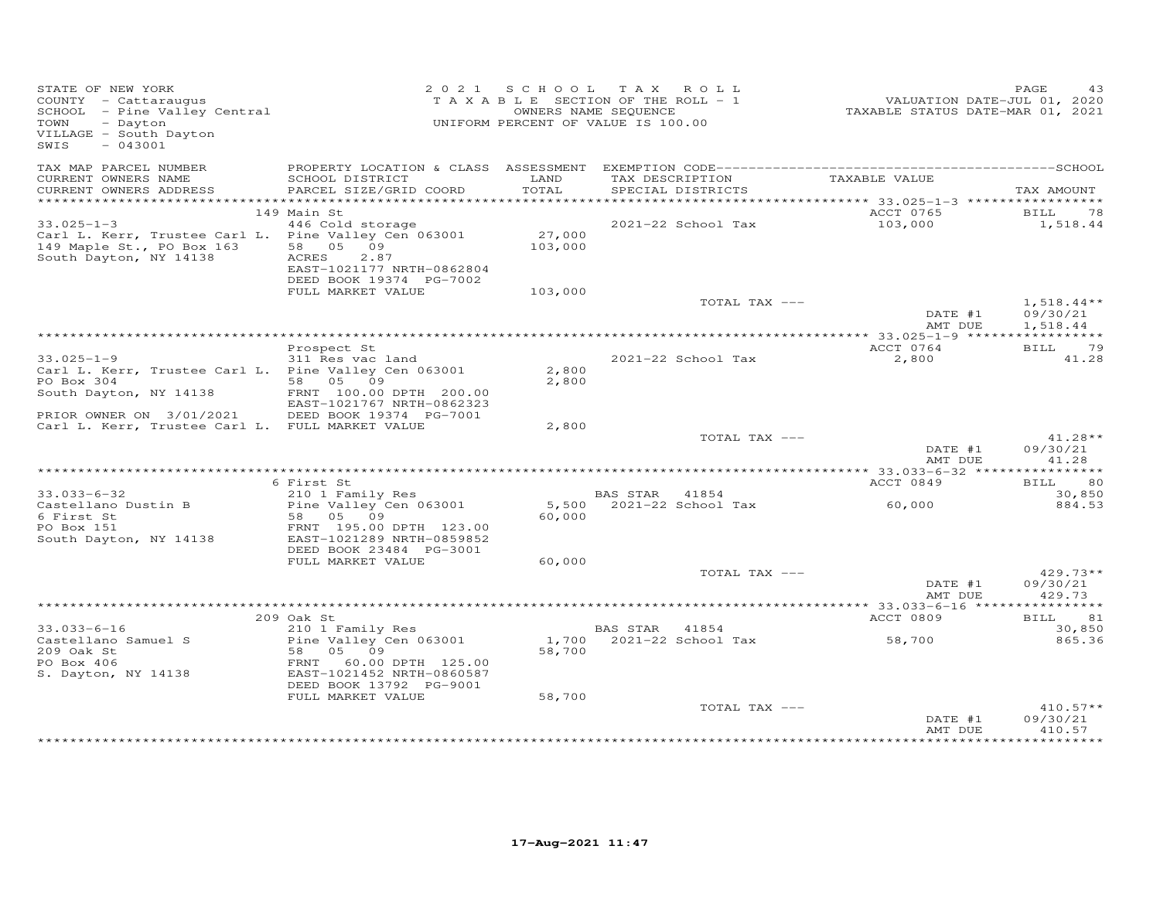| STATE OF NEW YORK<br>COUNTY - Cattaraugus<br>SCHOOL - Pine Valley Central<br>TOWN<br>- Dayton<br>VILLAGE - South Dayton<br>SWIS<br>$-043001$ |                                                                                   |                   | 2021 SCHOOL TAX ROLL<br>TAXABLE SECTION OF THE ROLL - 1<br>OWNERS NAME SEQUENCE<br>UNIFORM PERCENT OF VALUE IS 100.00 | VALUATION DATE-JUL 01, 2020<br>TAXABLE STATUS DATE-MAR 01, 2021 | PAGE<br>43                     |
|----------------------------------------------------------------------------------------------------------------------------------------------|-----------------------------------------------------------------------------------|-------------------|-----------------------------------------------------------------------------------------------------------------------|-----------------------------------------------------------------|--------------------------------|
| TAX MAP PARCEL NUMBER<br>CURRENT OWNERS NAME                                                                                                 | SCHOOL DISTRICT                                                                   | LAND<br>TOTAL     | TAX DESCRIPTION                                                                                                       | TAXABLE VALUE                                                   |                                |
| CURRENT OWNERS ADDRESS                                                                                                                       | PARCEL SIZE/GRID COORD                                                            |                   | SPECIAL DISTRICTS                                                                                                     |                                                                 | TAX AMOUNT                     |
|                                                                                                                                              | 149 Main St                                                                       |                   |                                                                                                                       | ACCT 0765                                                       | BILL<br>78                     |
| $33.025 - 1 - 3$                                                                                                                             | 446 Cold storage                                                                  |                   | 2021-22 School Tax                                                                                                    | 103,000                                                         | 1,518.44                       |
| Carl L. Kerr, Trustee Carl L. Pine Valley Cen 063001<br>149 Maple St., PO Box 163<br>South Dayton, NY 14138                                  | 58 05 09<br>ACRES<br>2.87<br>EAST-1021177 NRTH-0862804<br>DEED BOOK 19374 PG-7002 | 27,000<br>103,000 |                                                                                                                       |                                                                 |                                |
|                                                                                                                                              | FULL MARKET VALUE                                                                 | 103,000           | TOTAL TAX ---                                                                                                         |                                                                 | $1,518.44**$                   |
|                                                                                                                                              |                                                                                   |                   |                                                                                                                       | DATE #1<br>AMT DUE                                              | 09/30/21<br>1,518.44           |
|                                                                                                                                              |                                                                                   |                   |                                                                                                                       |                                                                 |                                |
|                                                                                                                                              | Prospect St                                                                       |                   |                                                                                                                       | ACCT 0764                                                       | BILL 79                        |
| $33.025 - 1 - 9$<br>Carl L. Kerr, Trustee Carl L. Pine Valley Cen 063001                                                                     | 311 Res vac land                                                                  | 2,800             | 2021-22 School Tax                                                                                                    | 2,800                                                           | 41.28                          |
| PO Box 304                                                                                                                                   | 58 05 09                                                                          | 2,800             |                                                                                                                       |                                                                 |                                |
| South Dayton, NY 14138                                                                                                                       | FRNT 100.00 DPTH 200.00<br>EAST-1021767 NRTH-0862323                              |                   |                                                                                                                       |                                                                 |                                |
| PRIOR OWNER ON 3/01/2021                                                                                                                     | DEED BOOK 19374 PG-7001                                                           |                   |                                                                                                                       |                                                                 |                                |
| Carl L. Kerr, Trustee Carl L. FULL MARKET VALUE                                                                                              |                                                                                   | 2,800             |                                                                                                                       |                                                                 |                                |
|                                                                                                                                              |                                                                                   |                   | TOTAL TAX ---                                                                                                         | DATE #1<br>AMT DUE                                              | $41.28**$<br>09/30/21<br>41.28 |
|                                                                                                                                              |                                                                                   |                   |                                                                                                                       |                                                                 |                                |
|                                                                                                                                              | 6 First St                                                                        |                   |                                                                                                                       | ACCT 0849                                                       | 80<br>BILL                     |
| $33.033 - 6 - 32$<br>Castellano Dustin B                                                                                                     | 210 1 Family Res<br>Pine Valley Cen 063001                                        |                   | BAS STAR 41854<br>5,500 2021-22 School Tax                                                                            | 60,000                                                          | 30,850<br>884.53               |
| 6 First St                                                                                                                                   | 58 05 09                                                                          | 60,000            |                                                                                                                       |                                                                 |                                |
| PO Box 151<br>South Dayton, NY 14138                                                                                                         | FRNT 195.00 DPTH 123.00<br>EAST-1021289 NRTH-0859852                              |                   |                                                                                                                       |                                                                 |                                |
|                                                                                                                                              | DEED BOOK 23484 PG-3001                                                           |                   |                                                                                                                       |                                                                 |                                |
|                                                                                                                                              | FULL MARKET VALUE                                                                 | 60,000            |                                                                                                                       |                                                                 |                                |
|                                                                                                                                              |                                                                                   |                   | TOTAL TAX ---                                                                                                         | DATE #1<br>AMT DUE                                              | 429.73**<br>09/30/21<br>429.73 |
|                                                                                                                                              |                                                                                   |                   |                                                                                                                       |                                                                 | ***********                    |
|                                                                                                                                              | 209 Oak St                                                                        |                   |                                                                                                                       | ACCT 0809                                                       | BILL 81                        |
| $33.033 - 6 - 16$                                                                                                                            | 210 1 Family Res                                                                  |                   | BAS STAR 41854                                                                                                        |                                                                 | 30,850                         |
| Castellano Samuel S<br>209 Oak St                                                                                                            | Pine Valley Cen 063001<br>58 05 09                                                | 58,700            | 1,700 2021-22 School Tax                                                                                              | 58,700                                                          | 865.36                         |
| PO Box 406<br>S. Dayton, NY 14138                                                                                                            | FRNT 60.00 DPTH 125.00<br>EAST-1021452 NRTH-0860587<br>DEED BOOK 13792 PG-9001    |                   |                                                                                                                       |                                                                 |                                |
|                                                                                                                                              | FULL MARKET VALUE                                                                 | 58,700            |                                                                                                                       |                                                                 |                                |
|                                                                                                                                              |                                                                                   |                   | TOTAL TAX ---                                                                                                         | DATE #1                                                         | $410.57**$<br>09/30/21         |
|                                                                                                                                              |                                                                                   |                   |                                                                                                                       | AMT DUE                                                         | 410.57                         |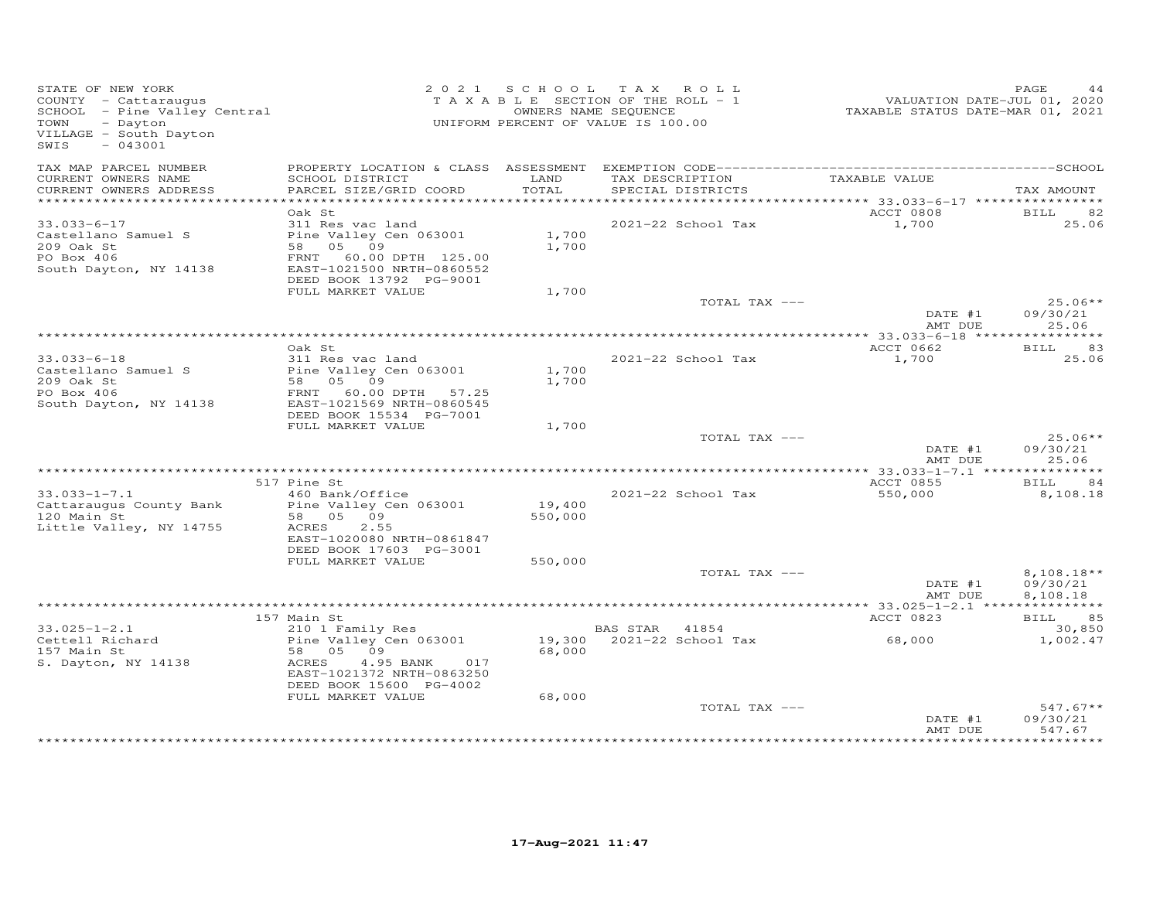| STATE OF NEW YORK<br>COUNTY - Cattaraugus<br>COUNTY - Cattaraugus<br>SCHOOL - Pine Valley Central<br>- Dayton<br>TOWN<br>VILLAGE - South Dayton<br>SWIS<br>$-043001$ |                                                                                                                      | 2021 SCHOOL TAX ROLL<br>T A X A B L E SECTION OF THE ROLL - 1<br>UNIFORM PERCENT OF VALUE IS 100.00 | OWNERS NAME SEQUENCE |                           | <br>2020 VALUATION DATE-JUL 01, 2020<br>2021 TAXABLE STATUS DATE-MAR | PAGE<br>44                |
|----------------------------------------------------------------------------------------------------------------------------------------------------------------------|----------------------------------------------------------------------------------------------------------------------|-----------------------------------------------------------------------------------------------------|----------------------|---------------------------|----------------------------------------------------------------------|---------------------------|
| TAX MAP PARCEL NUMBER<br>CURRENT OWNERS NAME                                                                                                                         | SCHOOL DISTRICT                                                                                                      | LAND                                                                                                |                      | TAX DESCRIPTION           | TAXABLE VALUE                                                        |                           |
| CURRENT OWNERS ADDRESS                                                                                                                                               | PARCEL SIZE/GRID COORD                                                                                               | TOTAL                                                                                               |                      | SPECIAL DISTRICTS         |                                                                      | TAX AMOUNT                |
|                                                                                                                                                                      | Oak St                                                                                                               |                                                                                                     |                      |                           | ACCT 0808                                                            | <b>BILL</b><br>82         |
| $33.033 - 6 - 17$                                                                                                                                                    | 311 Res vac land                                                                                                     |                                                                                                     |                      | 2021-22 School Tax        | 1,700                                                                | 25.06                     |
| Castellano Samuel S<br>209 Oak St<br>PO Box 406<br>South Dayton, NY 14138                                                                                            | Pine Valley Cen 063001<br>58 05 09<br>FRNT 60.00 DPTH 125.00<br>EAST-1021500 NRTH-0860552<br>DEED BOOK 13792 PG-9001 | 1,700<br>1,700                                                                                      |                      |                           |                                                                      |                           |
|                                                                                                                                                                      | FULL MARKET VALUE                                                                                                    | 1,700                                                                                               |                      |                           |                                                                      |                           |
|                                                                                                                                                                      |                                                                                                                      |                                                                                                     |                      | TOTAL TAX ---             | DATE #1                                                              | $25.06**$<br>09/30/21     |
|                                                                                                                                                                      |                                                                                                                      |                                                                                                     |                      |                           | AMT DUE                                                              | 25.06                     |
|                                                                                                                                                                      | Oak St                                                                                                               |                                                                                                     |                      |                           | ACCT 0662                                                            | BILL 83                   |
| $33.033 - 6 - 18$                                                                                                                                                    | 311 Res vac land                                                                                                     |                                                                                                     |                      | 2021-22 School Tax        | 1,700                                                                | 25.06                     |
| Castellano Samuel S                                                                                                                                                  | Pine Valley Cen 063001                                                                                               | 1,700                                                                                               |                      |                           |                                                                      |                           |
| 209 Oak St                                                                                                                                                           | 58 05 09                                                                                                             | 1,700                                                                                               |                      |                           |                                                                      |                           |
| PO Box 406<br>South Dayton, NY 14138                                                                                                                                 | FRNT 60.00 DPTH 57.25<br>EAST-1021569 NRTH-0860545                                                                   |                                                                                                     |                      |                           |                                                                      |                           |
|                                                                                                                                                                      | DEED BOOK 15534 PG-7001<br>FULL MARKET VALUE                                                                         | 1,700                                                                                               |                      |                           |                                                                      |                           |
|                                                                                                                                                                      |                                                                                                                      |                                                                                                     |                      | TOTAL TAX ---             |                                                                      | $25.06**$                 |
|                                                                                                                                                                      |                                                                                                                      |                                                                                                     |                      |                           | DATE #1<br>AMT DUE                                                   | 09/30/21<br>25.06         |
|                                                                                                                                                                      |                                                                                                                      |                                                                                                     |                      |                           |                                                                      |                           |
| $33.033 - 1 - 7.1$                                                                                                                                                   | 517 Pine St<br>460 Bank/Office                                                                                       |                                                                                                     |                      |                           | ACCT 0855                                                            | <b>BILL</b><br>84         |
| Cattaraugus County Bank                                                                                                                                              | Pine Valley Cen 063001                                                                                               | 19,400                                                                                              |                      | 2021-22 School Tax        | 550,000                                                              | 8,108.18                  |
| 120 Main St                                                                                                                                                          | 58 05 09                                                                                                             | 550,000                                                                                             |                      |                           |                                                                      |                           |
| Little Valley, NY 14755                                                                                                                                              | 2.55<br>ACRES                                                                                                        |                                                                                                     |                      |                           |                                                                      |                           |
|                                                                                                                                                                      | EAST-1020080 NRTH-0861847<br>DEED BOOK 17603 PG-3001                                                                 |                                                                                                     |                      |                           |                                                                      |                           |
|                                                                                                                                                                      | FULL MARKET VALUE                                                                                                    | 550,000                                                                                             |                      | TOTAL TAX ---             |                                                                      | $8,108.18**$              |
|                                                                                                                                                                      |                                                                                                                      |                                                                                                     |                      |                           | DATE #1<br>AMT DUE                                                   | 09/30/21<br>8,108.18      |
|                                                                                                                                                                      |                                                                                                                      |                                                                                                     |                      |                           |                                                                      |                           |
|                                                                                                                                                                      | 157 Main St                                                                                                          |                                                                                                     |                      |                           | ACCT 0823                                                            | BILL 85                   |
| $33.025 - 1 - 2.1$<br>Cettell Richard                                                                                                                                | 210 1 Family Res<br>Pine Valley Cen 063001                                                                           |                                                                                                     | BAS STAR 41854       | 19,300 2021-22 School Tax | 68,000                                                               | 30,850<br>1,002.47        |
| 157 Main St<br>S. Dayton, NY 14138                                                                                                                                   | 58 05 09<br>ACRES<br>4.95 BANK<br>017                                                                                | 68,000                                                                                              |                      |                           |                                                                      |                           |
|                                                                                                                                                                      | EAST-1021372 NRTH-0863250<br>DEED BOOK 15600 PG-4002                                                                 |                                                                                                     |                      |                           |                                                                      |                           |
|                                                                                                                                                                      | FULL MARKET VALUE                                                                                                    | 68,000                                                                                              |                      |                           |                                                                      |                           |
|                                                                                                                                                                      |                                                                                                                      |                                                                                                     |                      | TOTAL TAX ---             | DATE #1                                                              | $547.67**$<br>09/30/21    |
|                                                                                                                                                                      |                                                                                                                      |                                                                                                     |                      |                           | AMT DUE                                                              | 547.67<br>* * * * * * * * |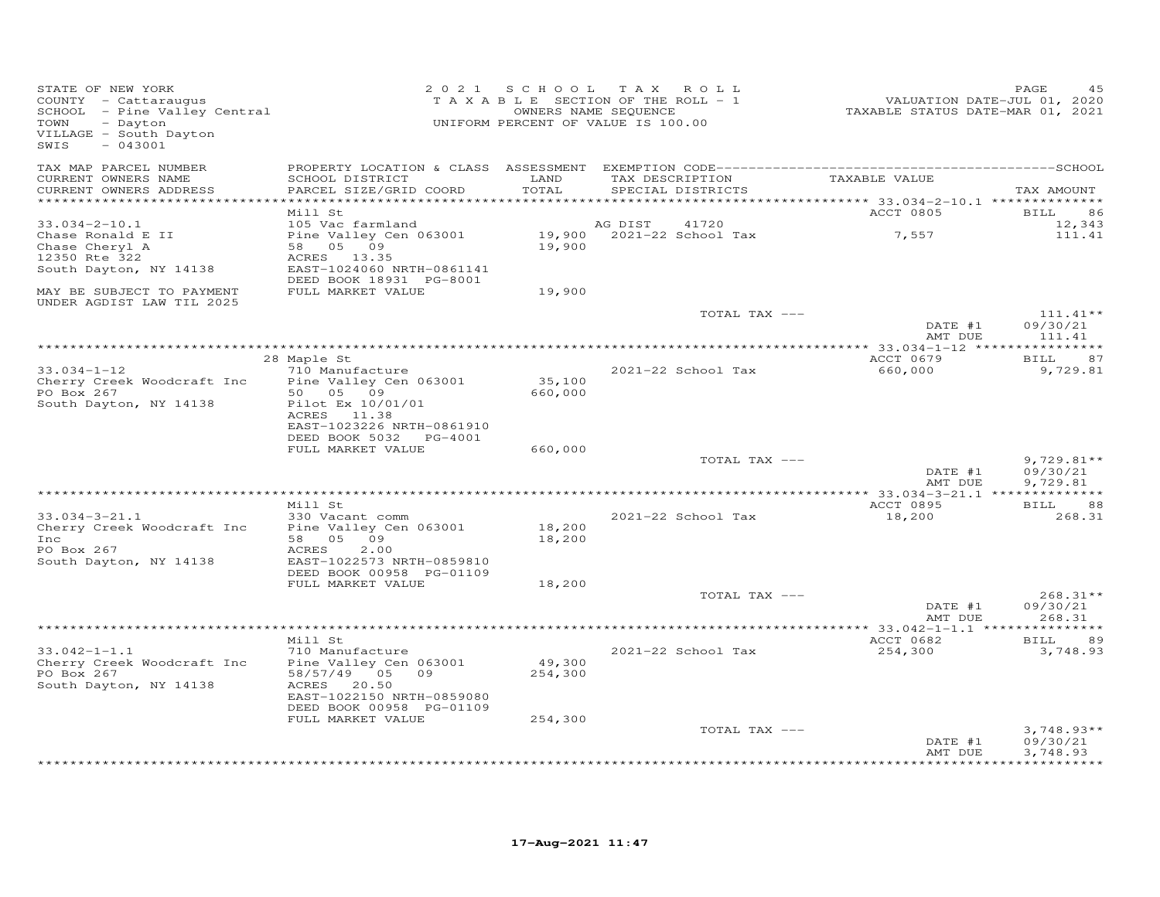| STATE OF NEW YORK<br>COUNTY - Cattaraugus<br>SCHOOL - Pine Valley Central<br>- Dayton<br>TOWN<br>VILLAGE - South Dayton<br>SWIS<br>$-043001$ |                                                                                                                                            |                   | 2021 SCHOOL TAX ROLL<br>TAXABLE SECTION OF THE ROLL - 1<br>OWNERS NAME SEQUENCE<br>UNIFORM PERCENT OF VALUE IS 100.00 | VALUATION DATE-JUL 01, 2020<br>TAXABLE STATUS DATE-MAR 01, 2021 | PAGE                             |
|----------------------------------------------------------------------------------------------------------------------------------------------|--------------------------------------------------------------------------------------------------------------------------------------------|-------------------|-----------------------------------------------------------------------------------------------------------------------|-----------------------------------------------------------------|----------------------------------|
| TAX MAP PARCEL NUMBER<br>CURRENT OWNERS NAME<br>CURRENT OWNERS ADDRESS<br>***********************                                            | SCHOOL DISTRICT<br>PARCEL SIZE/GRID COORD                                                                                                  | LAND<br>TOTAL     | TAX DESCRIPTION<br>SPECIAL DISTRICTS                                                                                  | TAXABLE VALUE                                                   | TAX AMOUNT                       |
|                                                                                                                                              | Mill St                                                                                                                                    |                   |                                                                                                                       | ACCT 0805                                                       | BILL<br>86                       |
| $33.034 - 2 - 10.1$<br>Chase Ronald E II<br>Chase Cheryl A<br>12350 Rte 322<br>South Dayton, NY 14138                                        | 105 Vac farmland<br>Pine Valley Cen 063001<br>58 05 09<br>ACRES 13.35<br>EAST-1024060 NRTH-0861141                                         | 19,900            | AG DIST<br>41720<br>19,900 2021-22 School Tax                                                                         | 7,557                                                           | 12,343<br>111.41                 |
| MAY BE SUBJECT TO PAYMENT                                                                                                                    | DEED BOOK 18931 PG-8001<br>FULL MARKET VALUE                                                                                               | 19,900            |                                                                                                                       |                                                                 |                                  |
| UNDER AGDIST LAW TIL 2025                                                                                                                    |                                                                                                                                            |                   | TOTAL TAX ---                                                                                                         | DATE #1                                                         | $111.41**$<br>09/30/21           |
|                                                                                                                                              |                                                                                                                                            |                   |                                                                                                                       | AMT DUE<br>*************** 33.034-1-12 *****************        | 111.41                           |
| $33.034 - 1 - 12$<br>Cherry Creek Woodcraft Inc<br>PO Box 267                                                                                | 28 Maple St<br>710 Manufacture<br>Pine Valley Cen 063001<br>50 05 09                                                                       | 35,100<br>660,000 | 2021-22 School Tax                                                                                                    | ACCT 0679<br>660,000                                            | BILL<br>87<br>9,729.81           |
| South Dayton, NY 14138                                                                                                                       | Pilot Ex 10/01/01<br>ACRES 11.38<br>EAST-1023226 NRTH-0861910<br>DEED BOOK 5032 PG-4001                                                    |                   |                                                                                                                       |                                                                 |                                  |
|                                                                                                                                              | FULL MARKET VALUE                                                                                                                          | 660,000           | TOTAL TAX ---                                                                                                         |                                                                 | $9,729.81**$                     |
|                                                                                                                                              |                                                                                                                                            |                   |                                                                                                                       | DATE #1<br>AMT DUE                                              | 09/30/21<br>9,729.81             |
|                                                                                                                                              |                                                                                                                                            |                   |                                                                                                                       | ************** 33.034-3-21.1 ***************                    |                                  |
| $33.034 - 3 - 21.1$<br>Cherry Creek Woodcraft Inc<br>Inc<br>PO Box 267<br>South Dayton, NY 14138                                             | Mill St<br>330 Vacant comm<br>Pine Valley Cen 063001<br>58 05 09<br>ACRES<br>2.00<br>EAST-1022573 NRTH-0859810<br>DEED BOOK 00958 PG-01109 | 18,200<br>18,200  | 2021-22 School Tax                                                                                                    | ACCT 0895<br>18,200                                             | BILL<br>88<br>268.31             |
|                                                                                                                                              | FULL MARKET VALUE                                                                                                                          | 18,200            |                                                                                                                       |                                                                 |                                  |
|                                                                                                                                              |                                                                                                                                            |                   | TOTAL TAX ---                                                                                                         | DATE #1<br>AMT DUE                                              | $268.31**$<br>09/30/21<br>268.31 |
|                                                                                                                                              |                                                                                                                                            |                   |                                                                                                                       |                                                                 |                                  |
| $33.042 - 1 - 1.1$<br>Cherry Creek Woodcraft Inc<br>PO Box 267<br>South Dayton, NY 14138                                                     | Mill St<br>710 Manufacture<br>Pine Valley Cen 063001<br>58/57/49 05 09<br>ACRES 20.50                                                      | 49,300<br>254,300 | 2021-22 School Tax                                                                                                    | ACCT 0682<br>254,300                                            | 89<br>BILL<br>3,748.93           |
|                                                                                                                                              | EAST-1022150 NRTH-0859080<br>DEED BOOK 00958 PG-01109                                                                                      |                   |                                                                                                                       |                                                                 |                                  |
|                                                                                                                                              | FULL MARKET VALUE                                                                                                                          | 254,300           | TOTAL TAX ---                                                                                                         |                                                                 | $3,748.93**$                     |
|                                                                                                                                              |                                                                                                                                            |                   |                                                                                                                       | DATE #1<br>AMT DUE                                              | 09/30/21<br>3,748.93             |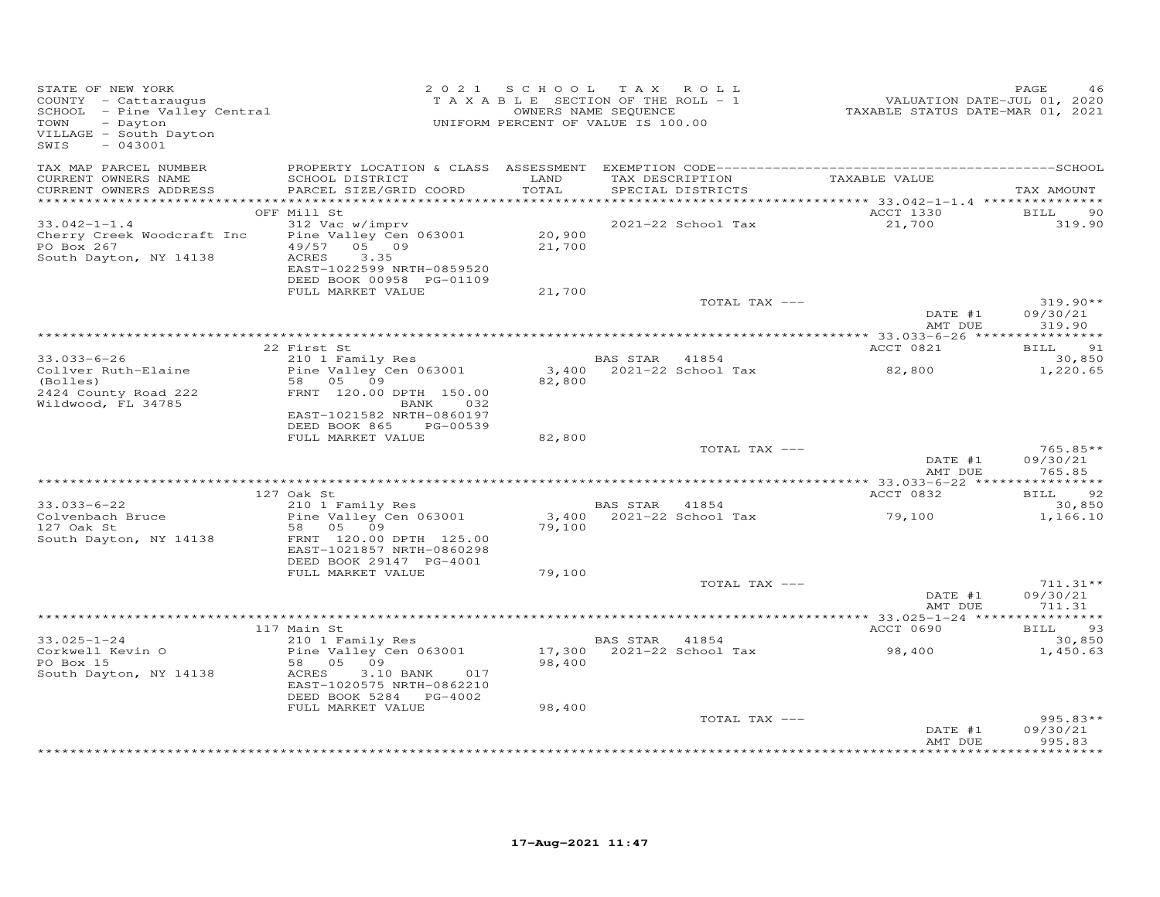| STATE OF NEW YORK<br>COUNTY - Cattaraugus<br>SCHOOL - Pine Valley Central<br>TAXABLE SECTION OF VALUE IS 100.00<br>OWNERS NAME SEQUENCE<br>Tayton<br>Davton<br>SWIS<br>$-043001$ |                                                                                                                                   |                            | 2021 SCHOOL TAX ROLL  |                               | FAGE 46<br>TAXABLE SECTION OF THE ROLL - 1 VALUATION DATE-JUL 01, 2020<br>OWNERS NAME SEQUENCE TAXABLE STATUS DATE-MAR 01, 2021 | PAGE<br>46                               |
|----------------------------------------------------------------------------------------------------------------------------------------------------------------------------------|-----------------------------------------------------------------------------------------------------------------------------------|----------------------------|-----------------------|-------------------------------|---------------------------------------------------------------------------------------------------------------------------------|------------------------------------------|
| TAX MAP PARCEL NUMBER<br>CURRENT OWNERS NAME<br>CURRENT OWNERS ADDRESS                                                                                                           | SCHOOL DISTRICT LAND<br>PARCEL SIZE/GRID COORD                                                                                    | TOTAL                      | SPECIAL DISTRICTS     | TAX DESCRIPTION TAXABLE VALUE |                                                                                                                                 | TAX AMOUNT                               |
|                                                                                                                                                                                  | OFF Mill St                                                                                                                       |                            |                       |                               | ACCT 1330 BILL                                                                                                                  | 90                                       |
| $33.042 - 1 - 1.4$<br>Cherry Creek Woodcraft Inc Pine Valley Cen 063001<br>PO Box 267<br>South Dayton, NY 14138                                                                  | 312 Vac w/imprv<br>$49/57$ $05$ 09<br>ACRES<br>3.35<br>EAST-1022599 NRTH-0859520<br>DEED BOOK 00958 PG-01109<br>FULL MARKET VALUE | 20,900<br>21,700<br>21,700 |                       | 2021-22 School Tax            | 21,700                                                                                                                          | 319.90                                   |
|                                                                                                                                                                                  |                                                                                                                                   |                            |                       | TOTAL TAX ---                 |                                                                                                                                 | $319.90**$                               |
|                                                                                                                                                                                  |                                                                                                                                   |                            |                       |                               | DATE #1<br>AMT DUE                                                                                                              | 09/30/21<br>319.90                       |
|                                                                                                                                                                                  |                                                                                                                                   |                            |                       |                               |                                                                                                                                 | BILL 91                                  |
| $33.033 - 6 - 26$                                                                                                                                                                | 22 First St<br>210 1 Family Res                                                                                                   |                            | <b>BAS STAR</b> 41854 |                               | ACCT 0821                                                                                                                       | 30,850                                   |
| Collver Ruth-Elaine<br>(Bolles)<br>2424 County Road 222<br>Wildwood, FL 34785                                                                                                    | Pine Valley Cen 063001<br>58 05 09<br>FRNT 120.00 DPTH 150.00<br>BANK 032<br>EAST-1021582 NRTH-0860197                            | 82,800                     |                       |                               |                                                                                                                                 | 1,220.65                                 |
|                                                                                                                                                                                  | DEED BOOK 865 PG-00539<br>FULL MARKET VALUE                                                                                       | 82,800                     |                       |                               |                                                                                                                                 |                                          |
|                                                                                                                                                                                  |                                                                                                                                   |                            |                       | TOTAL TAX ---                 | DATE #1                                                                                                                         | $765.85**$<br>09/30/21<br>AMT DUE 765.85 |
|                                                                                                                                                                                  |                                                                                                                                   |                            |                       |                               | <b>ACCT 0832</b>                                                                                                                | BILL 92                                  |
| $33.033 - 6 - 22$<br>Colvenbach Bruce<br>127 Oak St<br>127 Oak St                                                                                                                | 127 Oak St<br>210 1 Family Res<br>Pine Valley Cen 063001<br>58 05 09                                                              | 79,100                     | <b>BAS STAR</b> 41854 |                               |                                                                                                                                 | 30,850<br>1,166.10                       |
| South Dayton, NY 14138                                                                                                                                                           | FRNT 120.00 DPTH 125.00<br>EAST-1021857 NRTH-0860298<br>DEED BOOK 29147 PG-4001<br>FULL MARKET VALUE                              | 79,100                     |                       |                               |                                                                                                                                 |                                          |
|                                                                                                                                                                                  |                                                                                                                                   |                            |                       | TOTAL TAX ---                 |                                                                                                                                 | $711.31**$                               |
|                                                                                                                                                                                  |                                                                                                                                   |                            |                       |                               | $\text{DATE}$ #1<br>AMT DUE                                                                                                     | 09/30/21<br>711.31                       |
|                                                                                                                                                                                  | 117 Main St                                                                                                                       |                            |                       |                               | ACCT 0690                                                                                                                       | BILL 93                                  |
| $33.025 - 1 - 24$                                                                                                                                                                | 210 1 Family Res                                                                                                                  |                            | <b>BAS STAR 41854</b> |                               |                                                                                                                                 | 30,850                                   |
| South Dayton, NY 14138                                                                                                                                                           | ACRES<br>3.10 BANK 017<br>EAST-1020575 NRTH-0862210<br>DEED BOOK 5284 PG-4002                                                     | 98,400                     |                       |                               | BAS STAR 41854<br>17,300 2021-22 School Tax 98,400                                                                              | 1,450.63                                 |
|                                                                                                                                                                                  | FULL MARKET VALUE                                                                                                                 | 98,400                     |                       |                               |                                                                                                                                 |                                          |
|                                                                                                                                                                                  |                                                                                                                                   |                            |                       | TOTAL TAX ---                 | DATE #1<br>AMT DUE                                                                                                              | 995.83**<br>09/30/21<br>995.83           |
|                                                                                                                                                                                  |                                                                                                                                   |                            |                       |                               |                                                                                                                                 | * * * * * * * * * *                      |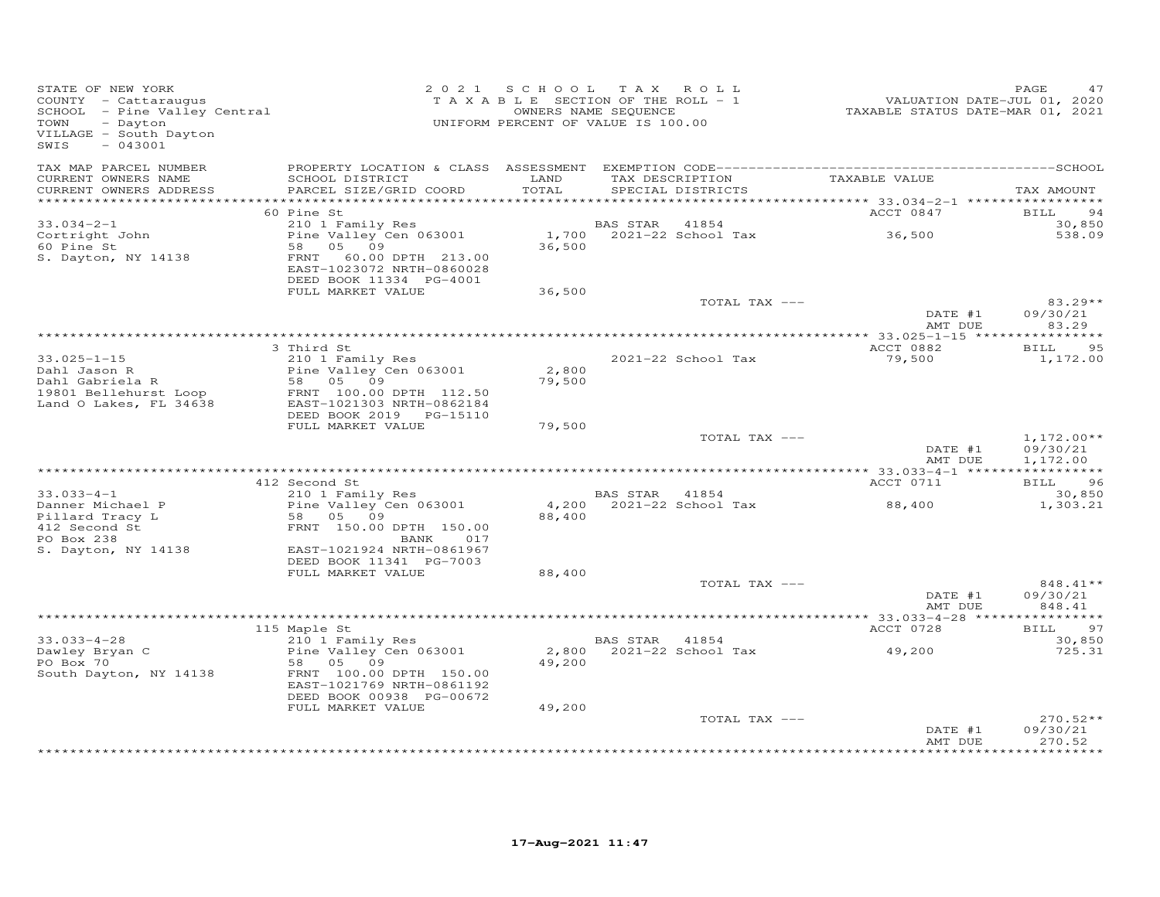| STATE OF NEW YORK<br>COUNTY - Cattaraugus<br>SCHOOL - Pine Valley Central<br>Desiter<br>VILLAGE - South Dayton<br>SWIS<br>$-043001$ |                                                                                             |                 | 2021 SCHOOL TAX ROLL<br>TAXABLE SECTION OF THE ROLL - 1<br>OWNERS NAME SEQUENCE<br>UNIFORM PERCENT OF VALUE IS 100.00 | 1, 1412<br>7020, VALUATION DATE-JUL<br>7021 TAXABLE STATUS DATE-MAR | PAGE<br>47           |
|-------------------------------------------------------------------------------------------------------------------------------------|---------------------------------------------------------------------------------------------|-----------------|-----------------------------------------------------------------------------------------------------------------------|---------------------------------------------------------------------|----------------------|
| TAX MAP PARCEL NUMBER<br>CURRENT OWNERS NAME<br>CURRENT OWNERS ADDRESS                                                              | SCHOOL DISTRICT<br>PARCEL SIZE/GRID COORD                                                   | LAND<br>TOTAL   | TAX DESCRIPTION TAXABLE VALUE<br>SPECIAL DISTRICTS                                                                    |                                                                     | TAX AMOUNT           |
|                                                                                                                                     |                                                                                             |                 |                                                                                                                       |                                                                     |                      |
|                                                                                                                                     | 60 Pine St                                                                                  |                 |                                                                                                                       | ACCT 0847                                                           | <b>BILL</b><br>94    |
| $33.034 - 2 - 1$                                                                                                                    | 210 1 Family Res                                                                            |                 | BAS STAR 41854                                                                                                        |                                                                     | 30,850               |
| Cortright John<br>60 Pine St                                                                                                        | Pine Valley Cen 063001                                                                      |                 | 1,700 $2021-22$ School Tax                                                                                            | 36,500                                                              | 538.09               |
| 60 Pine St<br>S. Dayton, NY 14138                                                                                                   | 58 05 09<br>FRNT 60.00 DPTH 213.00<br>EAST-1023072 NRTH-0860028                             | 36,500          |                                                                                                                       |                                                                     |                      |
|                                                                                                                                     | DEED BOOK 11334 PG-4001                                                                     |                 |                                                                                                                       |                                                                     |                      |
|                                                                                                                                     | FULL MARKET VALUE                                                                           | 36,500          | TOTAL TAX ---                                                                                                         |                                                                     | $83.29**$            |
|                                                                                                                                     |                                                                                             |                 |                                                                                                                       | DATE #1                                                             | 09/30/21             |
|                                                                                                                                     |                                                                                             |                 |                                                                                                                       | AMT DUE                                                             | 83.29                |
|                                                                                                                                     |                                                                                             |                 |                                                                                                                       |                                                                     |                      |
|                                                                                                                                     | 3 Third St                                                                                  |                 |                                                                                                                       | ACCT 0882                                                           | <b>BILL</b><br>95    |
| $33.025 - 1 - 15$                                                                                                                   | 210 1 Family Res                                                                            |                 | 2021-22 School Tax                                                                                                    | 79,500                                                              | 1,172.00             |
| Dahl Jason R<br>Dahl Gabriela R                                                                                                     |                                                                                             | 2,800<br>79,500 |                                                                                                                       |                                                                     |                      |
| 19801 Bellehurst Loop                                                                                                               |                                                                                             |                 |                                                                                                                       |                                                                     |                      |
| Land O Lakes, FL 34638                                                                                                              | 2.0 1 ramily Res 063001<br>58 05 09<br>FRNT 100.00 DPTH 112.50<br>EAST-1021303 NRTH-0862184 |                 |                                                                                                                       |                                                                     |                      |
|                                                                                                                                     | DEED BOOK 2019    PG-15110                                                                  |                 |                                                                                                                       |                                                                     |                      |
|                                                                                                                                     | FULL MARKET VALUE                                                                           | 79,500          |                                                                                                                       |                                                                     |                      |
|                                                                                                                                     |                                                                                             |                 | TOTAL TAX ---                                                                                                         |                                                                     | $1,172.00**$         |
|                                                                                                                                     |                                                                                             |                 |                                                                                                                       | $\overline{\text{DATE}}$ #1<br>AMT DUE                              | 09/30/21<br>1,172.00 |
|                                                                                                                                     |                                                                                             |                 |                                                                                                                       |                                                                     |                      |
|                                                                                                                                     | 412 Second St                                                                               |                 |                                                                                                                       | ACCT 0711                                                           | BILL 96              |
| $33.033 - 4 - 1$                                                                                                                    | 210 1 Family Res                                                                            |                 | <b>BAS STAR</b> 41854                                                                                                 |                                                                     | 30,850               |
| Danner Michael P<br>Pillard Tracy L<br>412 Second St<br>Pillard Tracy L<br>412 Second St<br>PERNT 150.00 DPTH 150.00<br>BANK 017    | Pine Valley Cen 063001                                                                      |                 | 4,200 2021-22 School Tax                                                                                              | 88,400                                                              | 1,303.21             |
|                                                                                                                                     |                                                                                             | 88,400          |                                                                                                                       |                                                                     |                      |
| PO Box 238                                                                                                                          | 017                                                                                         |                 |                                                                                                                       |                                                                     |                      |
| S. Dayton, NY 14138                                                                                                                 | BANK<br>EAST-1021924 NRTH-0861967                                                           |                 |                                                                                                                       |                                                                     |                      |
|                                                                                                                                     | DEED BOOK 11341 PG-7003                                                                     |                 |                                                                                                                       |                                                                     |                      |
|                                                                                                                                     | FULL MARKET VALUE                                                                           | 88,400          |                                                                                                                       |                                                                     |                      |
|                                                                                                                                     |                                                                                             |                 | TOTAL TAX ---                                                                                                         |                                                                     | 848.41**             |
|                                                                                                                                     |                                                                                             |                 |                                                                                                                       | DATE #1<br>AMT DUE                                                  | 09/30/21<br>848.41   |
|                                                                                                                                     | 115 Maple St                                                                                |                 |                                                                                                                       | ACCT 0728                                                           | BILL 97              |
| $33.033 - 4 - 28$                                                                                                                   | 210 1 Family Res                                                                            |                 | BAS STAR 41854                                                                                                        |                                                                     | 30,850               |
| Dawley Bryan C                                                                                                                      | Pine Valley Cen 063001                                                                      |                 | 2,800 2021-22 School Tax 49,200                                                                                       |                                                                     | 725.31               |
| PO Box 70                                                                                                                           | 58 05 09                                                                                    | 49,200          |                                                                                                                       |                                                                     |                      |
| South Dayton, NY 14138                                                                                                              | FRNT 100.00 DPTH 150.00<br>EAST-1021769 NRTH-0861192<br>DEED BOOK 00938 PG-00672            |                 |                                                                                                                       |                                                                     |                      |
|                                                                                                                                     | FULL MARKET VALUE                                                                           | 49,200          |                                                                                                                       |                                                                     |                      |
|                                                                                                                                     |                                                                                             |                 | TOTAL TAX ---                                                                                                         |                                                                     | $270.52**$           |
|                                                                                                                                     |                                                                                             |                 |                                                                                                                       | DATE #1<br>AMT DUE                                                  | 09/30/21<br>270.52   |
|                                                                                                                                     |                                                                                             |                 |                                                                                                                       |                                                                     | *********            |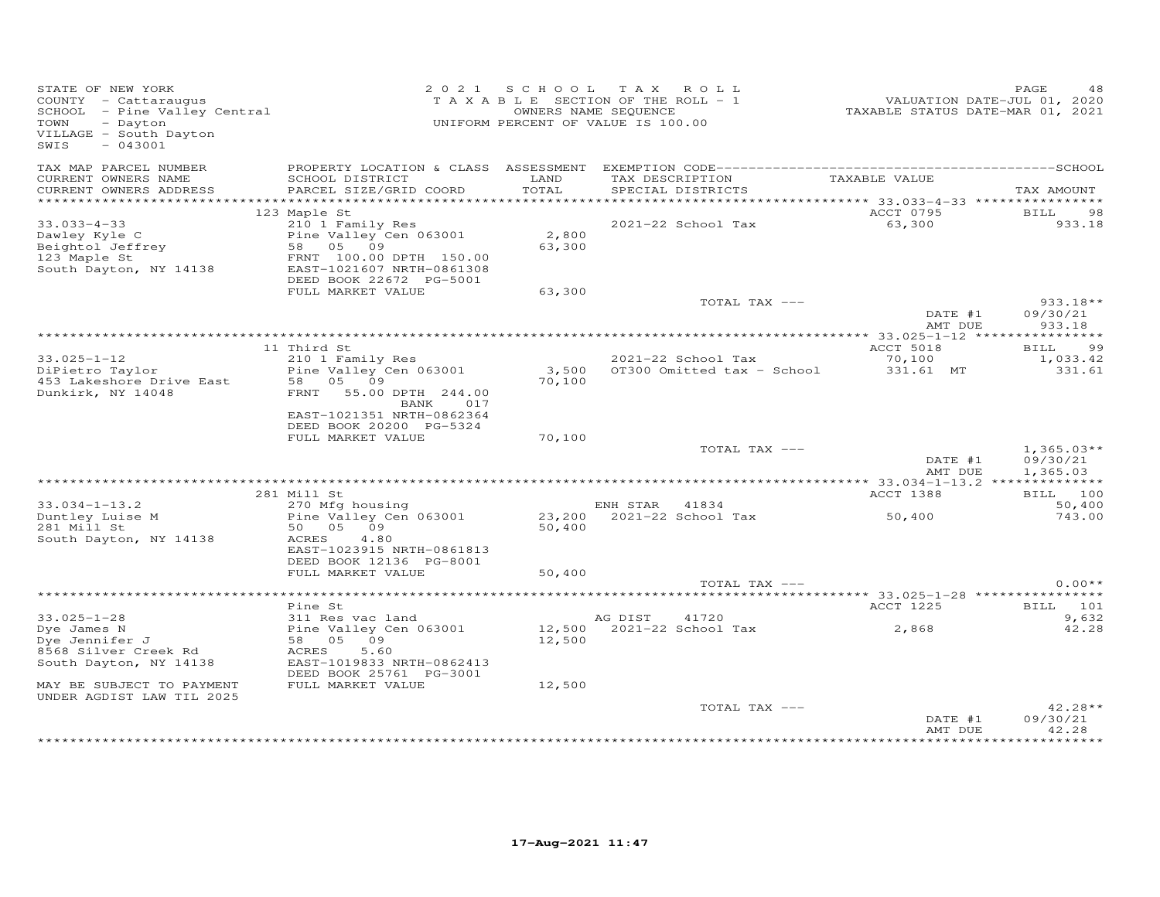| STATE OF NEW YORK<br>COUNTY - Cattaraugus<br>SCHOOL - Pine Valley Central<br>VILLAGE - South Dayton<br>SWIS<br>$-043001$                         |                                                      |        | 2021 SCHOOL TAX ROLL<br>TAXABLE SECTION OF THE ROLL - 1<br>OWNERS NAME SEQUENCE<br>UNIFORM PERCENT OF VALUE IS 100.00 | VALUATION DATE-JUL 01, 2020<br>TAXABLE STATUS DATE-MAR 01, 2021 | PAGE<br>48               |
|--------------------------------------------------------------------------------------------------------------------------------------------------|------------------------------------------------------|--------|-----------------------------------------------------------------------------------------------------------------------|-----------------------------------------------------------------|--------------------------|
| TAX MAP PARCEL NUMBER<br>CURRENT OWNERS NAME                                                                                                     | SCHOOL DISTRICT                                      | LAND   | TAX DESCRIPTION TAXABLE VALUE                                                                                         |                                                                 |                          |
| CURRENT OWNERS ADDRESS                                                                                                                           | PARCEL SIZE/GRID COORD                               | TOTAL  | SPECIAL DISTRICTS                                                                                                     |                                                                 | TAX AMOUNT               |
|                                                                                                                                                  | 123 Maple St                                         |        |                                                                                                                       | ACCT 0795                                                       | <b>BILL</b><br>98        |
| $33.033 - 4 - 33$                                                                                                                                | 210 1 Family Res                                     |        | 2021-22 School Tax                                                                                                    | 63,300                                                          | 933.18                   |
| Dawley Kyle C<br>Dawley Kyle C<br>Beightol Jeffrey Bine Valley Cen 063001<br>123 Maple St<br>South Dayton, NY 14138<br>EAST-1021607 NRTH-0861308 | 210 1 Family Res<br>Pine Valley Cen 063001 2,800     | 63,300 |                                                                                                                       |                                                                 |                          |
|                                                                                                                                                  | DEED BOOK 22672 PG-5001                              |        |                                                                                                                       |                                                                 |                          |
|                                                                                                                                                  | FULL MARKET VALUE                                    | 63,300 |                                                                                                                       |                                                                 |                          |
|                                                                                                                                                  |                                                      |        | TOTAL TAX ---                                                                                                         |                                                                 | $933.18**$               |
|                                                                                                                                                  |                                                      |        |                                                                                                                       | DATE #1<br>AMT DUE                                              | 09/30/21<br>933.18       |
|                                                                                                                                                  |                                                      |        |                                                                                                                       |                                                                 |                          |
|                                                                                                                                                  | 11 Third St                                          |        |                                                                                                                       | ACCT 5018                                                       | <b>BILL</b><br>99        |
| $33.025 - 1 - 12$                                                                                                                                | 210 1 Family Res                                     |        | 2021-22 School Tax                                                                                                    | 70,100                                                          | 1,033.42                 |
| DiPietro Taylor                                                                                                                                  | Pine Valley Cen 063001                               | 70,100 |                                                                                                                       |                                                                 | 331.61                   |
| Dunkirk, NY 14048                                                                                                                                | FRNT 55.00 DPTH 244.00<br>BANK<br>017                |        |                                                                                                                       |                                                                 |                          |
|                                                                                                                                                  | EAST-1021351 NRTH-0862364<br>DEED BOOK 20200 PG-5324 |        |                                                                                                                       |                                                                 |                          |
|                                                                                                                                                  | FULL MARKET VALUE                                    | 70,100 |                                                                                                                       |                                                                 |                          |
|                                                                                                                                                  |                                                      |        | TOTAL TAX ---                                                                                                         | DATE $#1$                                                       | $1,365.03**$<br>09/30/21 |
|                                                                                                                                                  |                                                      |        |                                                                                                                       | AMT DUE                                                         | 1,365.03                 |
|                                                                                                                                                  | 281 Mill St                                          |        |                                                                                                                       | ACCT 1388                                                       | BILL 100                 |
| $33.034 - 1 - 13.2$                                                                                                                              | 270 Mfg housing                                      |        | ENH STAR 41834                                                                                                        |                                                                 | 50,400                   |
| Duntley Luise M<br>281 Mill St                                                                                                                   | Pine Valley Cen 063001                               |        | $23,200$ $2021-22$ School Tax 50,400                                                                                  |                                                                 | 743.00                   |
| 281 Mill St                                                                                                                                      | 50 05 09                                             | 50,400 |                                                                                                                       |                                                                 |                          |
| South Dayton, NY 14138                                                                                                                           | ACRES<br>4.80<br>EAST-1023915 NRTH-0861813           |        |                                                                                                                       |                                                                 |                          |
|                                                                                                                                                  | DEED BOOK 12136 PG-8001                              |        |                                                                                                                       |                                                                 |                          |
|                                                                                                                                                  | FULL MARKET VALUE                                    | 50,400 | TOTAL TAX ---                                                                                                         |                                                                 | $0.00**$                 |
|                                                                                                                                                  |                                                      |        |                                                                                                                       |                                                                 |                          |
|                                                                                                                                                  | Pine St                                              |        |                                                                                                                       | <b>ACCT 1225</b>                                                | <b>BILL</b> 101          |
| $33.025 - 1 - 28$                                                                                                                                | 311 Res vac land                                     |        | AG DIST 41720                                                                                                         |                                                                 | 9,632                    |
| Dye James N                                                                                                                                      | Pine Valley Cen 063001                               |        | AG DISI 41720<br>12,500 2021-22 School Tax 2,868                                                                      |                                                                 | 42.28                    |
| Dye Jennifer J                                                                                                                                   | 58 05 09                                             | 12,500 |                                                                                                                       |                                                                 |                          |
| 8568 Silver Creek Rd                                                                                                                             | 5.60<br>ACRES                                        |        |                                                                                                                       |                                                                 |                          |
| South Dayton, NY 14138                                                                                                                           | EAST-1019833 NRTH-0862413<br>DEED BOOK 25761 PG-3001 |        |                                                                                                                       |                                                                 |                          |
| MAY BE SUBJECT TO PAYMENT                                                                                                                        | FULL MARKET VALUE                                    | 12,500 |                                                                                                                       |                                                                 |                          |
| UNDER AGDIST LAW TIL 2025                                                                                                                        |                                                      |        |                                                                                                                       |                                                                 |                          |
|                                                                                                                                                  |                                                      |        | TOTAL TAX ---                                                                                                         |                                                                 | $42.28**$                |
|                                                                                                                                                  |                                                      |        |                                                                                                                       | DATE #1<br>AMT DUE                                              | 09/30/21<br>42.28        |
|                                                                                                                                                  |                                                      |        |                                                                                                                       |                                                                 | *********                |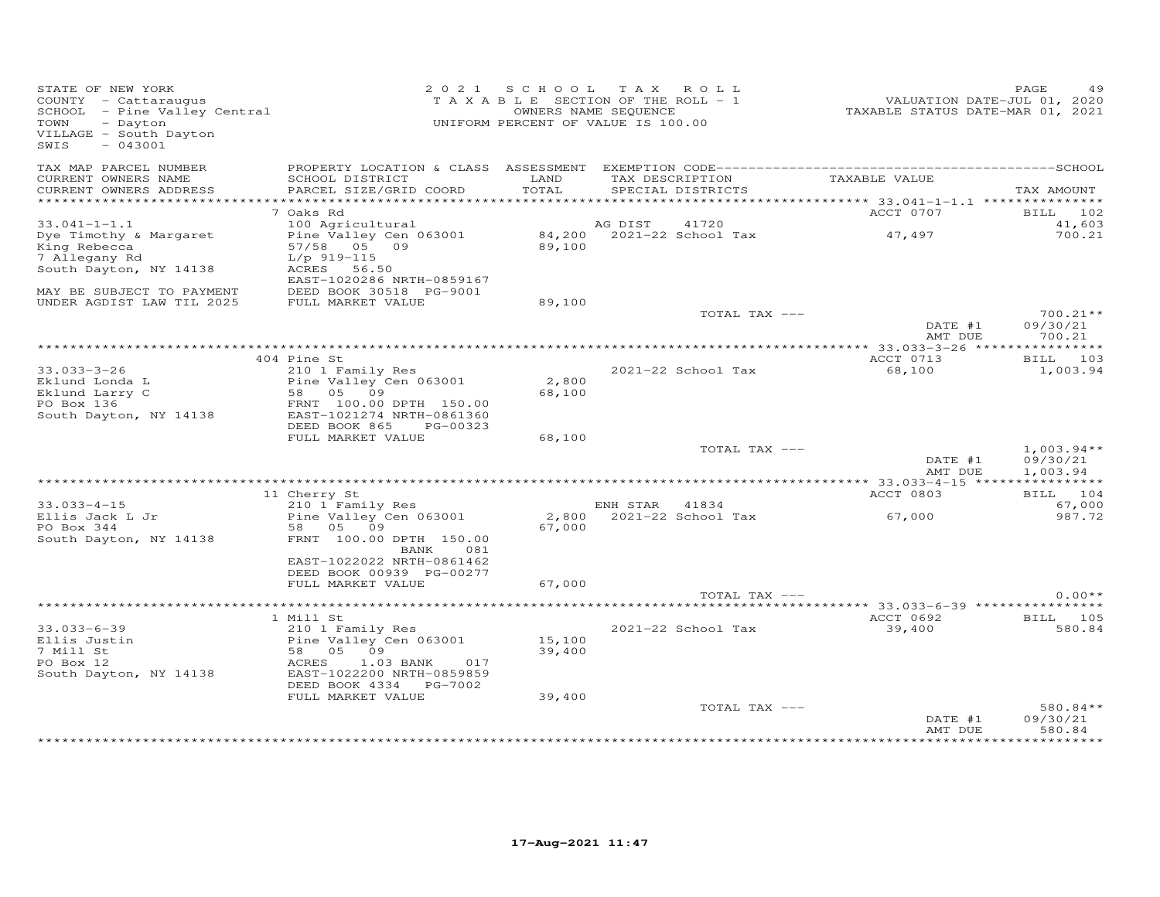| STATE OF NEW YORK<br>COUNTY - Cattaraugus<br>SCHOOL - Pine Valley Central<br>TOWN<br>- Dayton<br>VILLAGE - South Dayton<br>SWIS<br>$-043001$ |                                           |                 | 2021 SCHOOL TAX ROLL<br>TAXABLE SECTION OF THE ROLL - 1<br>OWNERS NAME SEQUENCE<br>UNIFORM PERCENT OF VALUE IS 100.00 | VALUATION DATE-JUL 01, 2020<br>TAXABLE STATUS DATE-MAR 01, 2021 | PAGE<br>49                    |
|----------------------------------------------------------------------------------------------------------------------------------------------|-------------------------------------------|-----------------|-----------------------------------------------------------------------------------------------------------------------|-----------------------------------------------------------------|-------------------------------|
| TAX MAP PARCEL NUMBER<br>CURRENT OWNERS NAME<br>CURRENT OWNERS ADDRESS                                                                       | SCHOOL DISTRICT<br>PARCEL SIZE/GRID COORD | LAND<br>TOTAL   | TAX DESCRIPTION<br>SPECIAL DISTRICTS                                                                                  | TAXABLE VALUE                                                   | TAX AMOUNT                    |
|                                                                                                                                              |                                           |                 |                                                                                                                       | ********** 33.041-1-1.1 ****************                        |                               |
|                                                                                                                                              | 7 Oaks Rd                                 |                 |                                                                                                                       | ACCT 0707                                                       | BILL 102                      |
| $33.041 - 1 - 1.1$                                                                                                                           | 100 Agricultural                          |                 | AG DIST<br>41720                                                                                                      |                                                                 | 41,603                        |
| Dye Timothy & Margaret                                                                                                                       | Pine Valley Cen 063001                    |                 | 84,200 2021-22 School Tax                                                                                             | 47,497                                                          | 700.21                        |
| King Rebecca                                                                                                                                 | 57/58 05 09                               | 89,100          |                                                                                                                       |                                                                 |                               |
| 7 Allegany Rd                                                                                                                                | $L/p$ 919-115                             |                 |                                                                                                                       |                                                                 |                               |
| South Dayton, NY 14138                                                                                                                       | ACRES<br>56.50                            |                 |                                                                                                                       |                                                                 |                               |
|                                                                                                                                              | EAST-1020286 NRTH-0859167                 |                 |                                                                                                                       |                                                                 |                               |
| MAY BE SUBJECT TO PAYMENT                                                                                                                    | DEED BOOK 30518 PG-9001                   |                 |                                                                                                                       |                                                                 |                               |
| UNDER AGDIST LAW TIL 2025                                                                                                                    | FULL MARKET VALUE                         | 89,100          | TOTAL TAX ---                                                                                                         |                                                                 | $700.21**$                    |
|                                                                                                                                              |                                           |                 |                                                                                                                       | DATE #1                                                         | 09/30/21                      |
|                                                                                                                                              |                                           |                 |                                                                                                                       | AMT DUE                                                         | 700.21                        |
|                                                                                                                                              |                                           |                 |                                                                                                                       | ** 33.033-3-26 *****************                                |                               |
|                                                                                                                                              | 404 Pine St                               |                 |                                                                                                                       | ACCT 0713                                                       | BILL 103                      |
| $33.033 - 3 - 26$                                                                                                                            | 210 1 Family Res                          |                 | 2021-22 School Tax                                                                                                    | 68,100                                                          | 1,003.94                      |
| Eklund Londa L<br>Eklund Larry C                                                                                                             | Pine Valley Cen 063001<br>58 05 09        | 2,800<br>68,100 |                                                                                                                       |                                                                 |                               |
| PO Box 136                                                                                                                                   | FRNT 100.00 DPTH 150.00                   |                 |                                                                                                                       |                                                                 |                               |
| South Dayton, NY 14138                                                                                                                       | EAST-1021274 NRTH-0861360                 |                 |                                                                                                                       |                                                                 |                               |
|                                                                                                                                              | DEED BOOK 865<br>PG-00323                 |                 |                                                                                                                       |                                                                 |                               |
|                                                                                                                                              | FULL MARKET VALUE                         | 68,100          |                                                                                                                       |                                                                 |                               |
|                                                                                                                                              |                                           |                 | TOTAL TAX ---                                                                                                         |                                                                 | $1,003.94**$                  |
|                                                                                                                                              |                                           |                 |                                                                                                                       | DATE #1                                                         | 09/30/21                      |
|                                                                                                                                              |                                           |                 |                                                                                                                       | AMT DUE                                                         | 1,003.94                      |
|                                                                                                                                              |                                           |                 |                                                                                                                       |                                                                 |                               |
|                                                                                                                                              | 11 Cherry St                              |                 |                                                                                                                       | ACCT 0803                                                       | BILL 104                      |
| $33.033 - 4 - 15$                                                                                                                            | 210 1 Family Res                          |                 | ENH STAR 41834                                                                                                        |                                                                 | 67,000                        |
| Ellis Jack L Jr                                                                                                                              | Pine Valley Cen 063001                    | 2,800           | 2021-22 School Tax                                                                                                    | 67,000                                                          | 987.72                        |
| PO Box 344                                                                                                                                   | 58 05 09                                  | 67,000          |                                                                                                                       |                                                                 |                               |
| South Dayton, NY 14138                                                                                                                       | FRNT 100.00 DPTH 150.00                   |                 |                                                                                                                       |                                                                 |                               |
|                                                                                                                                              | BANK<br>081<br>EAST-1022022 NRTH-0861462  |                 |                                                                                                                       |                                                                 |                               |
|                                                                                                                                              | DEED BOOK 00939 PG-00277                  |                 |                                                                                                                       |                                                                 |                               |
|                                                                                                                                              | FULL MARKET VALUE                         | 67,000          |                                                                                                                       |                                                                 |                               |
|                                                                                                                                              |                                           |                 | TOTAL TAX ---                                                                                                         |                                                                 | $0.00**$                      |
|                                                                                                                                              |                                           |                 |                                                                                                                       |                                                                 |                               |
|                                                                                                                                              | 1 Mill St                                 |                 |                                                                                                                       | ACCT 0692                                                       | <b>BILL</b> 105               |
| $33.033 - 6 - 39$                                                                                                                            | 210 1 Family Res                          |                 | 2021-22 School Tax                                                                                                    | 39,400                                                          | 580.84                        |
| Ellis Justin                                                                                                                                 | Pine Valley Cen 063001                    | 15,100          |                                                                                                                       |                                                                 |                               |
| 7 Mill St                                                                                                                                    | 58 05 09                                  | 39,400          |                                                                                                                       |                                                                 |                               |
| PO Box 12                                                                                                                                    | ACRES<br>$1.03$ BANK<br>017               |                 |                                                                                                                       |                                                                 |                               |
| South Dayton, NY 14138                                                                                                                       | EAST-1022200 NRTH-0859859                 |                 |                                                                                                                       |                                                                 |                               |
|                                                                                                                                              | DEED BOOK 4334 PG-7002                    |                 |                                                                                                                       |                                                                 |                               |
|                                                                                                                                              | FULL MARKET VALUE                         | 39,400          |                                                                                                                       |                                                                 |                               |
|                                                                                                                                              |                                           |                 | TOTAL TAX ---                                                                                                         |                                                                 | 580.84**                      |
|                                                                                                                                              |                                           |                 |                                                                                                                       | DATE #1                                                         | 09/30/21                      |
|                                                                                                                                              |                                           |                 |                                                                                                                       | AMT DUE                                                         | 580.84<br>* * * * * * * * * * |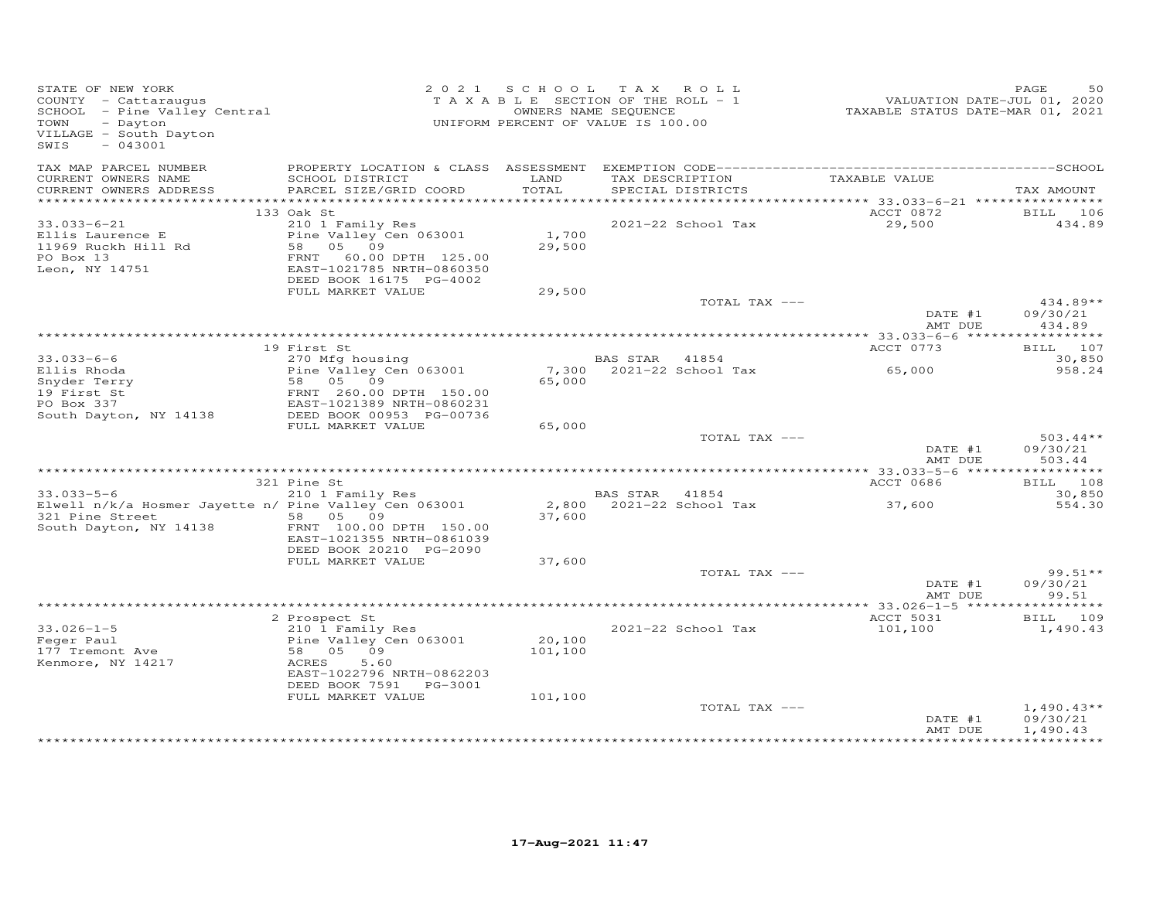| STATE OF NEW YORK<br>STATE OF NEW YORN<br>COUNTY - Cattaraugus<br>SCHOOL - Pine Valley Central<br>- CHOOL - CHOO<br>- Dayton<br>VILLAGE - South Dayton<br>$-043001$<br>SWIS |                                                                                                                                                 |                   | 2021 SCHOOL TAX ROLL<br>TAXABLE SECTION OF THE ROLL - 1<br>OWNERS NAME SEQUENCE<br>UNIFORM PERCENT OF VALUE IS 100.00 | VALUATION DATE-JUL 01, 2020<br>TAXABLE STATUS DATE-MAR 01, 2021 | 50<br>PAGE                                           |
|-----------------------------------------------------------------------------------------------------------------------------------------------------------------------------|-------------------------------------------------------------------------------------------------------------------------------------------------|-------------------|-----------------------------------------------------------------------------------------------------------------------|-----------------------------------------------------------------|------------------------------------------------------|
| TAX MAP PARCEL NUMBER<br>CURRENT OWNERS NAME                                                                                                                                | SCHOOL DISTRICT                                                                                                                                 | LAND              | TAX DESCRIPTION TAXABLE VALUE                                                                                         |                                                                 |                                                      |
| CURRENT OWNERS ADDRESS                                                                                                                                                      | PARCEL SIZE/GRID COORD                                                                                                                          | TOTAL             | SPECIAL DISTRICTS                                                                                                     |                                                                 | TAX AMOUNT                                           |
|                                                                                                                                                                             | 133 Oak St                                                                                                                                      |                   |                                                                                                                       | ACCT 0872                                                       | BILL 106                                             |
| $33.033 - 6 - 21$<br>Ellis Laurence E<br>11969 Ruckh Hill Rd<br>PO Box 13<br>Leon, NY 14751                                                                                 | 210 1 Family Res<br>Pine Valley Cen 063001<br>58 05 09<br>FRNT 60.00 DPTH 125.00<br>EAST-1021785 NRTH-0860350<br>DEED BOOK 16175 PG-4002        | 1,700<br>29,500   | 2021-22 School Tax                                                                                                    | 29,500                                                          | 434.89                                               |
|                                                                                                                                                                             | FULL MARKET VALUE                                                                                                                               | 29,500            |                                                                                                                       |                                                                 |                                                      |
|                                                                                                                                                                             |                                                                                                                                                 |                   | TOTAL TAX ---                                                                                                         | DATE #1                                                         | 434.89**<br>09/30/21                                 |
|                                                                                                                                                                             |                                                                                                                                                 |                   |                                                                                                                       | AMT DUE                                                         | 434.89                                               |
|                                                                                                                                                                             | 19 First St                                                                                                                                     |                   |                                                                                                                       | ACCT 0773                                                       | BILL 107                                             |
| $33.033 - 6 - 6$                                                                                                                                                            | 270 Mfg housing                                                                                                                                 |                   | BAS STAR 41854                                                                                                        |                                                                 | 30,850                                               |
| Ellis Rhoda<br>Enyder Terry<br>19 First St<br>PO Box 337<br>PO Box 337<br>South Dayton, NY 14138                                                                            | Pine Valley Cen 063001<br>58 05 09<br>FRNT 260.00 DPTH 150.00<br>EAST-1021389 NRTH-0860231<br>DEED BOOK 00953 PG-00736                          | 65,000            |                                                                                                                       |                                                                 | 958.24                                               |
|                                                                                                                                                                             | FULL MARKET VALUE                                                                                                                               | 65,000            |                                                                                                                       |                                                                 |                                                      |
|                                                                                                                                                                             |                                                                                                                                                 |                   | TOTAL TAX ---                                                                                                         | DATE #1<br>AMT DUE                                              | $503.44**$<br>09/30/21<br>503.44                     |
|                                                                                                                                                                             | 321 Pine St                                                                                                                                     |                   |                                                                                                                       | ACCT 0686                                                       | BILL 108                                             |
| $33.033 - 5 - 6$                                                                                                                                                            | 210 1 Family Res                                                                                                                                |                   | BAS STAR 41854                                                                                                        |                                                                 | 30,850                                               |
| Elwell n/k/a Hosmer Jayette n/ Pine Valley Cen 063001<br>321 Pine Street<br>South Dayton, NY 14138                                                                          | 58 05 09<br>FRNT 100.00 DPTH 150.00<br>EAST-1021355 NRTH-0861039                                                                                | 37,600            | 2,800 2021-22 School Tax                                                                                              | 37,600                                                          | 554.30                                               |
|                                                                                                                                                                             | DEED BOOK 20210 PG-2090<br>FULL MARKET VALUE                                                                                                    | 37,600            |                                                                                                                       |                                                                 |                                                      |
|                                                                                                                                                                             |                                                                                                                                                 |                   | TOTAL TAX ---                                                                                                         |                                                                 | $99.51**$                                            |
|                                                                                                                                                                             |                                                                                                                                                 |                   |                                                                                                                       | DATE #1<br>AMT DUE                                              | 09/30/21<br>99.51                                    |
|                                                                                                                                                                             |                                                                                                                                                 |                   |                                                                                                                       |                                                                 | $*********$                                          |
| $33.026 - 1 - 5$<br>Feger Paul<br>177 Tremont Ave<br>Kenmore, NY 14217                                                                                                      | 2 Prospect St<br>210 1 Family Res<br>Pine Valley Cen 063001<br>58 05 09<br>ACRES<br>5.60<br>EAST-1022796 NRTH-0862203<br>DEED BOOK 7591 PG-3001 | 20,100<br>101,100 | 2021-22 School Tax                                                                                                    | ACCT 5031<br>101,100                                            | <b>BILL</b> 109<br>1,490.43                          |
|                                                                                                                                                                             | FULL MARKET VALUE                                                                                                                               | 101,100           | TOTAL TAX ---                                                                                                         | DATE #1<br>AMT DUE                                              | $1,490.43**$<br>09/30/21<br>1,490.43<br>************ |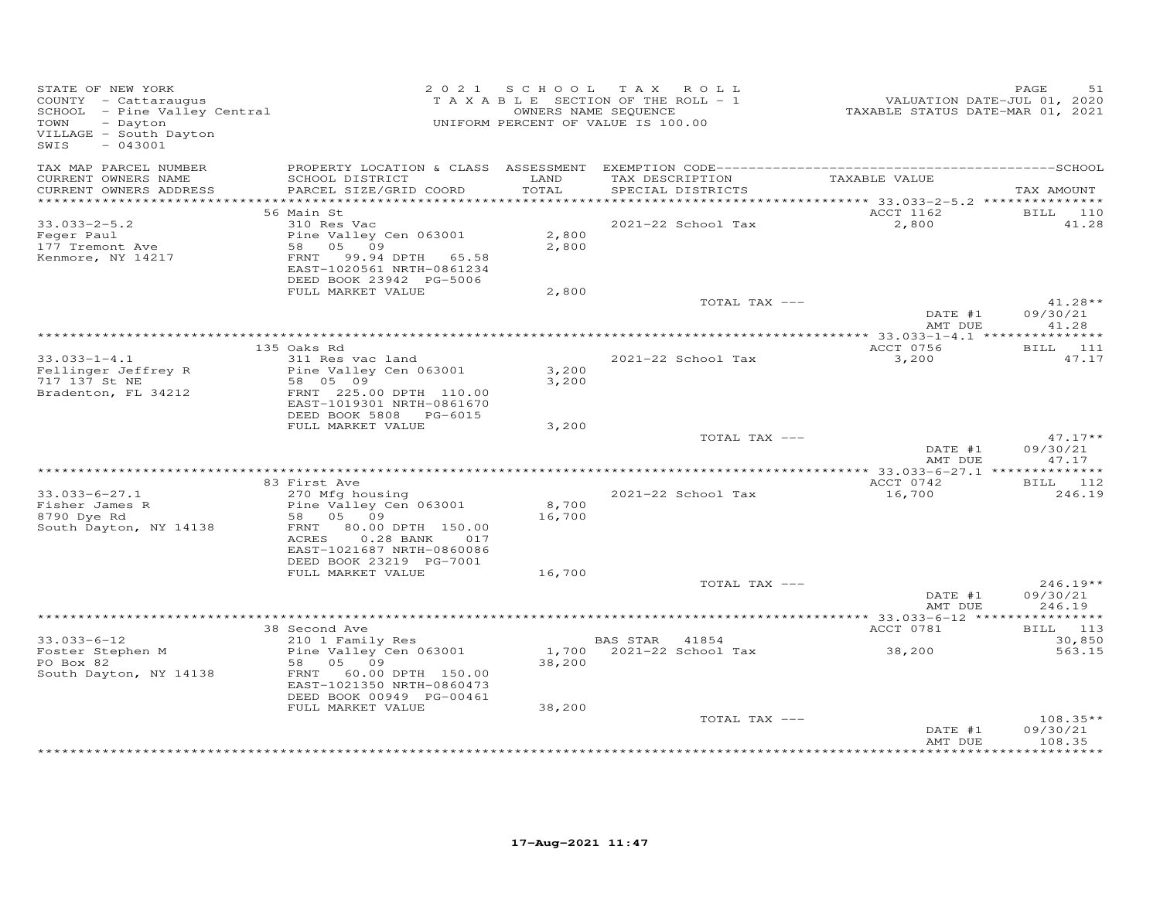| STATE OF NEW YORK<br>COUNTY - Cattaraugus<br>COONII - Cattalaugus<br>SCHOOL - Pine Valley Central<br>TOWN<br>- Dayton<br>VILLAGE - South Dayton<br>$-043001$<br>SWIS |                                                                                                                                                                                        |                           | 2021 SCHOOL TAX ROLL<br>TAXABLE SECTION OF THE ROLL - 1<br>OWNERS NAME SEQUENCE<br>UNIFORM PERCENT OF VALUE IS 100.00 | VALUATION DATE-JUL 01, 2020<br>TAXABLE STATUS DATE-MAR 01, 2021 | PAGE<br>51                       |
|----------------------------------------------------------------------------------------------------------------------------------------------------------------------|----------------------------------------------------------------------------------------------------------------------------------------------------------------------------------------|---------------------------|-----------------------------------------------------------------------------------------------------------------------|-----------------------------------------------------------------|----------------------------------|
| TAX MAP PARCEL NUMBER<br>CURRENT OWNERS NAME<br>CURRENT OWNERS ADDRESS                                                                                               | SCHOOL DISTRICT<br>PARCEL SIZE/GRID COORD                                                                                                                                              | LAND<br>TOTAL             | TAX DESCRIPTION TAXABLE VALUE<br>SPECIAL DISTRICTS                                                                    |                                                                 | TAX AMOUNT                       |
|                                                                                                                                                                      | 56 Main St                                                                                                                                                                             |                           |                                                                                                                       | ACCT 1162                                                       | BILL 110                         |
| $33.033 - 2 - 5.2$<br>Feger Paul<br>177 Tremont Ave<br>Kenmore, NY 14217                                                                                             | 310 Res Vac<br>Pine Valley Cen 063001<br>58 05 09<br>FRNT<br>99.94 DPTH 65.58<br>EAST-1020561 NRTH-0861234<br>DEED BOOK 23942 PG-5006                                                  | 2,800<br>2,800            | 2021-22 School Tax                                                                                                    | 2,800                                                           | 41.28                            |
|                                                                                                                                                                      | FULL MARKET VALUE                                                                                                                                                                      | 2,800                     | TOTAL TAX ---                                                                                                         |                                                                 | $41.28**$                        |
|                                                                                                                                                                      |                                                                                                                                                                                        |                           |                                                                                                                       | DATE #1<br>AMT DUE                                              | 09/30/21<br>41.28                |
|                                                                                                                                                                      | 135 Oaks Rd                                                                                                                                                                            |                           |                                                                                                                       | ACCT 0756                                                       | <b>BILL</b> 111                  |
| $33.033 - 1 - 4.1$<br>Fellinger Jeffrey R<br>717 137 St NE<br>Bradenton, FL 34212                                                                                    | 311 Res vac land<br>Pine Valley Cen 063001<br>58 05 09<br>FRNT 225.00 DPTH 110.00<br>EAST-1019301 NRTH-0861670                                                                         | 3,200<br>3,200            | 2021-22 School Tax                                                                                                    | 3,200                                                           | 47.17                            |
|                                                                                                                                                                      | DEED BOOK 5808 PG-6015<br>FULL MARKET VALUE                                                                                                                                            | 3,200                     |                                                                                                                       |                                                                 |                                  |
|                                                                                                                                                                      |                                                                                                                                                                                        |                           | TOTAL TAX ---                                                                                                         | DATE #1<br>AMT DUE                                              | $47.17**$<br>09/30/21<br>47.17   |
|                                                                                                                                                                      |                                                                                                                                                                                        |                           |                                                                                                                       |                                                                 |                                  |
|                                                                                                                                                                      | 83 First Ave                                                                                                                                                                           |                           |                                                                                                                       | ACCT 0742                                                       | BILL 112                         |
| $33.033 - 6 - 27.1$<br>Fisher James R<br>8790 Dve Rd<br>8790 Dye Rd<br>South Dayton, NY 14138                                                                        | 270 Mfg housing<br>Pine Valley Cen 063001<br>58 05 09<br>FRNT 80.00 DPTH 150.00<br>ACRES 0.28 BANK<br>017<br>EAST-1021687 NRTH-0860086<br>DEED BOOK 23219 PG-7001<br>FULL MARKET VALUE | 8,700<br>16,700<br>16,700 | 2021-22 School Tax                                                                                                    | 16,700                                                          | 246.19                           |
|                                                                                                                                                                      |                                                                                                                                                                                        |                           | TOTAL TAX ---                                                                                                         |                                                                 | $246.19**$                       |
|                                                                                                                                                                      |                                                                                                                                                                                        |                           |                                                                                                                       | DATE #1<br>AMT DUE                                              | 09/30/21<br>246.19               |
|                                                                                                                                                                      | 38 Second Ave                                                                                                                                                                          |                           |                                                                                                                       | ACCT 0781                                                       | BILL 113                         |
| $33.033 - 6 - 12$                                                                                                                                                    | 210 1 Family Res                                                                                                                                                                       |                           | BAS STAR 41854                                                                                                        |                                                                 | 30,850                           |
| Foster Stephen M<br>PO Box 82<br>South Dayton, NY 14138                                                                                                              | Pine Valley Cen 063001<br>58 05 09<br>FRNT 60.00 DPTH 150.00<br>EAST-1021350 NRTH-0860473<br>DEED BOOK 00949 PG-00461<br>FULL MARKET VALUE                                             | 38,200<br>38,200          | 1,700 2021-22 School Tax                                                                                              | 38,200                                                          | 563.15                           |
|                                                                                                                                                                      |                                                                                                                                                                                        |                           | TOTAL TAX ---                                                                                                         | DATE #1<br>AMT DUE                                              | $108.35**$<br>09/30/21<br>108.35 |
|                                                                                                                                                                      |                                                                                                                                                                                        |                           |                                                                                                                       |                                                                 |                                  |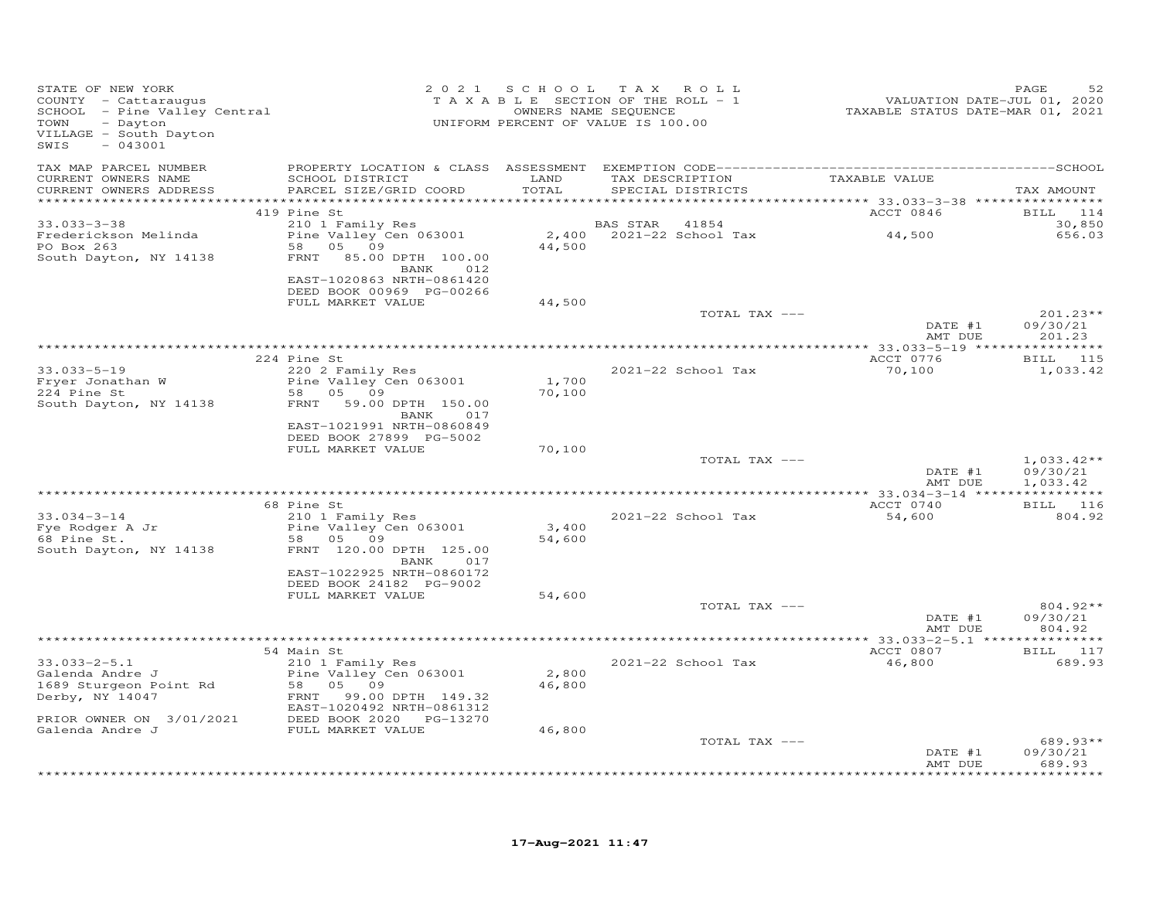| STATE OF NEW YORK<br>COUNTY - Cattaraugus<br>COUNTY - Cattaraugus<br>SCHOOL - Pine Valley Central<br>- Dayton<br>TOWN<br>VILLAGE - South Dayton<br>$-043001$<br>SWIS |                                                                                                               |                 | 2021 SCHOOL TAX ROLL<br>T A X A B L E SECTION OF THE ROLL - 1<br>OWNERS NAME SEQUENCE<br>UNIFORM PERCENT OF VALUE IS 100.00 | VALUATION DATE-JUL 01, 2020<br>TAXABLE STATUS DATE-MAR 01, 2021 | PAGE<br>52                           |
|----------------------------------------------------------------------------------------------------------------------------------------------------------------------|---------------------------------------------------------------------------------------------------------------|-----------------|-----------------------------------------------------------------------------------------------------------------------------|-----------------------------------------------------------------|--------------------------------------|
| TAX MAP PARCEL NUMBER<br>CURRENT OWNERS NAME<br>CURRENT OWNERS ADDRESS                                                                                               | SCHOOL DISTRICT<br>PARCEL SIZE/GRID COORD                                                                     | LAND<br>TOTAL   | TAX DESCRIPTION TAXABLE VALUE<br>SPECIAL DISTRICTS                                                                          |                                                                 | TAX AMOUNT                           |
|                                                                                                                                                                      |                                                                                                               |                 |                                                                                                                             |                                                                 |                                      |
|                                                                                                                                                                      | 419 Pine St                                                                                                   |                 |                                                                                                                             | ACCT 0846                                                       | BILL 114                             |
| $33.033 - 3 - 38$<br>Frederickson Melinda<br>PO Box 263<br>South Dayton, NY 14138                                                                                    | 210 1 Family Res<br>Pine Valley Cen 063001<br>58 05 09<br>FRNT 85.00 DPTH 100.00                              | 44,500          | BAS STAR<br>41854<br>2,400 2021-22 School Tax                                                                               | 44,500                                                          | 30,850<br>656.03                     |
|                                                                                                                                                                      | BANK 012<br>EAST-1020863 NRTH-0861420<br>DEED BOOK 00969 PG-00266<br>FULL MARKET VALUE                        | 44,500          |                                                                                                                             |                                                                 |                                      |
|                                                                                                                                                                      |                                                                                                               |                 | TOTAL TAX ---                                                                                                               | DATE #1<br>AMT DUE                                              | $201.23**$<br>09/30/21<br>201.23     |
|                                                                                                                                                                      |                                                                                                               |                 |                                                                                                                             |                                                                 |                                      |
| $33.033 - 5 - 19$                                                                                                                                                    | 224 Pine St<br>220 2 Family Res                                                                               |                 | 2021-22 School Tax                                                                                                          | ACCT 0776<br>70,100                                             | BILL 115<br>1,033.42                 |
| Fryer Jonathan W<br>224 Pine St<br>South Dayton, NY 14138                                                                                                            | Pine Valley Cen 063001<br>58 05 09<br>FRNT 59.00 DPTH 150.00<br>BANK<br>017                                   | 1,700<br>70,100 |                                                                                                                             |                                                                 |                                      |
|                                                                                                                                                                      | EAST-1021991 NRTH-0860849<br>DEED BOOK 27899 PG-5002<br>FULL MARKET VALUE                                     | 70,100          |                                                                                                                             |                                                                 |                                      |
|                                                                                                                                                                      |                                                                                                               |                 | TOTAL TAX ---                                                                                                               | DATE #1<br>AMT DUE                                              | $1,033.42**$<br>09/30/21<br>1,033.42 |
|                                                                                                                                                                      |                                                                                                               |                 |                                                                                                                             |                                                                 |                                      |
| $33.034 - 3 - 14$<br>33.034-3 I.<br>Fye Rodger A Jr<br>68 Pine St.                                                                                                   | 68 Pine St<br>210 1 Family Res<br>Pine Valley Cen 063001<br>58 05 09                                          | 3,400<br>54,600 | 2021-22 School Tax                                                                                                          | ACCT 0740<br>54,600                                             | <b>BILL</b> 116<br>804.92            |
| South Dayton, NY 14138                                                                                                                                               | FRNT 120.00 DPTH 125.00<br>BANK 017<br>EAST-1022925 NRTH-0860172<br>DEED BOOK 24182 PG-9002                   |                 |                                                                                                                             |                                                                 |                                      |
|                                                                                                                                                                      | FULL MARKET VALUE                                                                                             | 54,600          | TOTAL TAX ---                                                                                                               | DATE #1                                                         | $804.92**$<br>09/30/21               |
|                                                                                                                                                                      |                                                                                                               |                 |                                                                                                                             | AMT DUE                                                         | 804.92                               |
|                                                                                                                                                                      | 54 Main St                                                                                                    |                 |                                                                                                                             | ACCT 0807                                                       | BILL 117                             |
| $33.033 - 2 - 5.1$<br>Galenda Andre J<br>1689 Sturgeon Point Rd<br>Derby, NY 14047                                                                                   | 210 1 Family Res<br>Pine Valley Cen 063001<br>58 05 09<br>FRNT 99.00 DPTH 149.32<br>EAST-1020492 NRTH-0861312 | 2,800<br>46,800 | 2021-22 School Tax                                                                                                          | 46,800                                                          | 689.93                               |
| PRIOR OWNER ON 3/01/2021 DEED BOOK 2020 PG-13270<br>Galenda Andre J FULL MARKET VALUE                                                                                |                                                                                                               | 46,800          |                                                                                                                             |                                                                 |                                      |
|                                                                                                                                                                      |                                                                                                               |                 | TOTAL TAX ---                                                                                                               | DATE #1<br>AMT DUE                                              | $689.93**$<br>09/30/21<br>689.93     |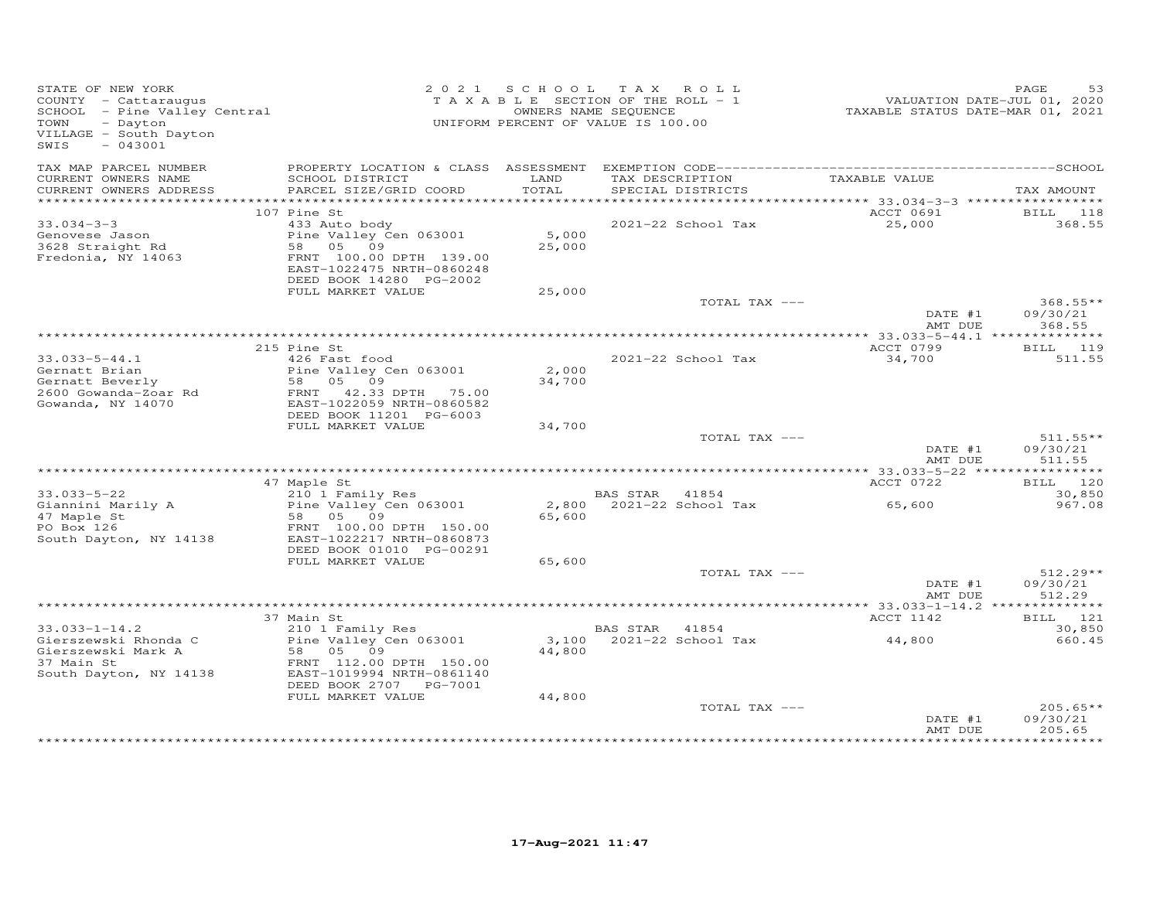| STATE OF NEW YORK<br>STATE OF NEW TODA<br>COUNTY - Cattaraugus<br>SCHOOL - Pine Valley Central<br>TOWN<br>- Dayton<br>VILLAGE - South Dayton<br>$-043001$<br>SWIS |                                                                                                                                                 |                 | 2021 SCHOOL TAX ROLL<br>T A X A B L E SECTION OF THE ROLL - 1<br>OWNERS NAME SEQUENCE<br>UNIFORM PERCENT OF VALUE IS 100.00 | VALUATION DATE-JUL 01, 2020<br>TAXABLE STATUS DATE-MAR 01, 2021 | 53<br>PAGE                       |
|-------------------------------------------------------------------------------------------------------------------------------------------------------------------|-------------------------------------------------------------------------------------------------------------------------------------------------|-----------------|-----------------------------------------------------------------------------------------------------------------------------|-----------------------------------------------------------------|----------------------------------|
| TAX MAP PARCEL NUMBER<br>CURRENT OWNERS NAME                                                                                                                      | SCHOOL DISTRICT                                                                                                                                 | LAND<br>TOTAL   | TAX DESCRIPTION                                                                                                             | TAXABLE VALUE                                                   |                                  |
| CURRENT OWNERS ADDRESS                                                                                                                                            | PARCEL SIZE/GRID COORD                                                                                                                          |                 | SPECIAL DISTRICTS                                                                                                           |                                                                 | TAX AMOUNT                       |
|                                                                                                                                                                   | 107 Pine St                                                                                                                                     |                 |                                                                                                                             | ACCT 0691                                                       | BILL 118                         |
| $33.034 - 3 - 3$<br>Genovese Jason<br>3628 Straight Rd<br>Fredonia, NY 14063                                                                                      | 433 Auto body<br>Pine Valley Cen 063001<br>58 05 09<br>FRNT 100.00 DPTH 139.00<br>EAST-1022475 NRTH-0860248<br>DEED BOOK 14280 PG-2002          | 5,000<br>25,000 | 2021-22 School Tax                                                                                                          | 25,000                                                          | 368.55                           |
|                                                                                                                                                                   | FULL MARKET VALUE                                                                                                                               | 25,000          |                                                                                                                             |                                                                 |                                  |
|                                                                                                                                                                   |                                                                                                                                                 |                 | TOTAL TAX ---                                                                                                               | DATE #1                                                         | $368.55**$<br>09/30/21           |
|                                                                                                                                                                   |                                                                                                                                                 |                 |                                                                                                                             | AMT DUE                                                         | 368.55                           |
|                                                                                                                                                                   | 215 Pine St                                                                                                                                     |                 |                                                                                                                             | ACCT 0799                                                       | BILL 119                         |
| $33.033 - 5 - 44.1$<br>Gernatt Brian<br>Gernatt Beverly<br>2600 Gowanda-Zoar Rd<br>Gowanda, NY 14070                                                              | 426 Fast food<br>Pine Valley Cen 063001<br>58 05 09<br>FRNT 42.33 DPTH 75.00<br>EAST-1022059 NRTH-0860582                                       | 2,000<br>34,700 | 2021-22 School Tax                                                                                                          | 34,700                                                          | 511.55                           |
|                                                                                                                                                                   | DEED BOOK 11201 PG-6003                                                                                                                         |                 |                                                                                                                             |                                                                 |                                  |
|                                                                                                                                                                   | FULL MARKET VALUE                                                                                                                               | 34,700          | TOTAL TAX ---                                                                                                               |                                                                 | $511.55**$                       |
|                                                                                                                                                                   |                                                                                                                                                 |                 |                                                                                                                             | DATE #1<br>AMT DUE                                              | 09/30/21<br>511.55               |
|                                                                                                                                                                   |                                                                                                                                                 |                 |                                                                                                                             | ACCT 0722                                                       | BILL 120                         |
| $33.033 - 5 - 22$                                                                                                                                                 | 47 Maple St<br>210 1 Family Res                                                                                                                 |                 | BAS STAR 41854                                                                                                              |                                                                 | 30,850                           |
| Giannini Marily A<br>47 Maple St<br>PO Box 126<br>South Dayton, NY 14138                                                                                          | Pine Valley<br>58 05 09<br>100.00<br>Pine Valley Cen 063001<br>FRNT 100.00 DPTH 150.00<br>EAST-1022217 NRTH-0860873<br>DEED BOOK 01010 PG-00291 | 65,600          | 2,800 2021-22 School Tax                                                                                                    | 65,600                                                          | 967.08                           |
|                                                                                                                                                                   | FULL MARKET VALUE                                                                                                                               | 65,600          |                                                                                                                             |                                                                 |                                  |
|                                                                                                                                                                   |                                                                                                                                                 |                 | TOTAL TAX ---                                                                                                               | DATE #1<br>AMT DUE                                              | $512.29**$<br>09/30/21<br>512.29 |
|                                                                                                                                                                   |                                                                                                                                                 |                 |                                                                                                                             |                                                                 |                                  |
|                                                                                                                                                                   | 37 Main St                                                                                                                                      |                 |                                                                                                                             | ACCT 1142                                                       | BILL 121                         |
| $33.033 - 1 - 14.2$<br>Gierszewski Rhonda C<br>Gierszewski Mark A<br>37 Main St<br>South Dayton, NY 14138                                                         | 210 1 Family Res<br>Pine Valley Cen 063001<br>58 05 09<br>FRNT 112.00 DPTH 150.00<br>EAST-1019994 NRTH-0861140<br>DEED BOOK 2707    PG-7001     | 44,800          | BAS STAR 41854<br>3,100 2021-22 School Tax                                                                                  | 44,800                                                          | 30,850<br>660.45                 |
|                                                                                                                                                                   | FULL MARKET VALUE                                                                                                                               | 44,800          | TOTAL TAX ---                                                                                                               | DATE #1                                                         | $205.65**$<br>09/30/21           |
|                                                                                                                                                                   |                                                                                                                                                 |                 |                                                                                                                             | AMT DUE                                                         | 205.65                           |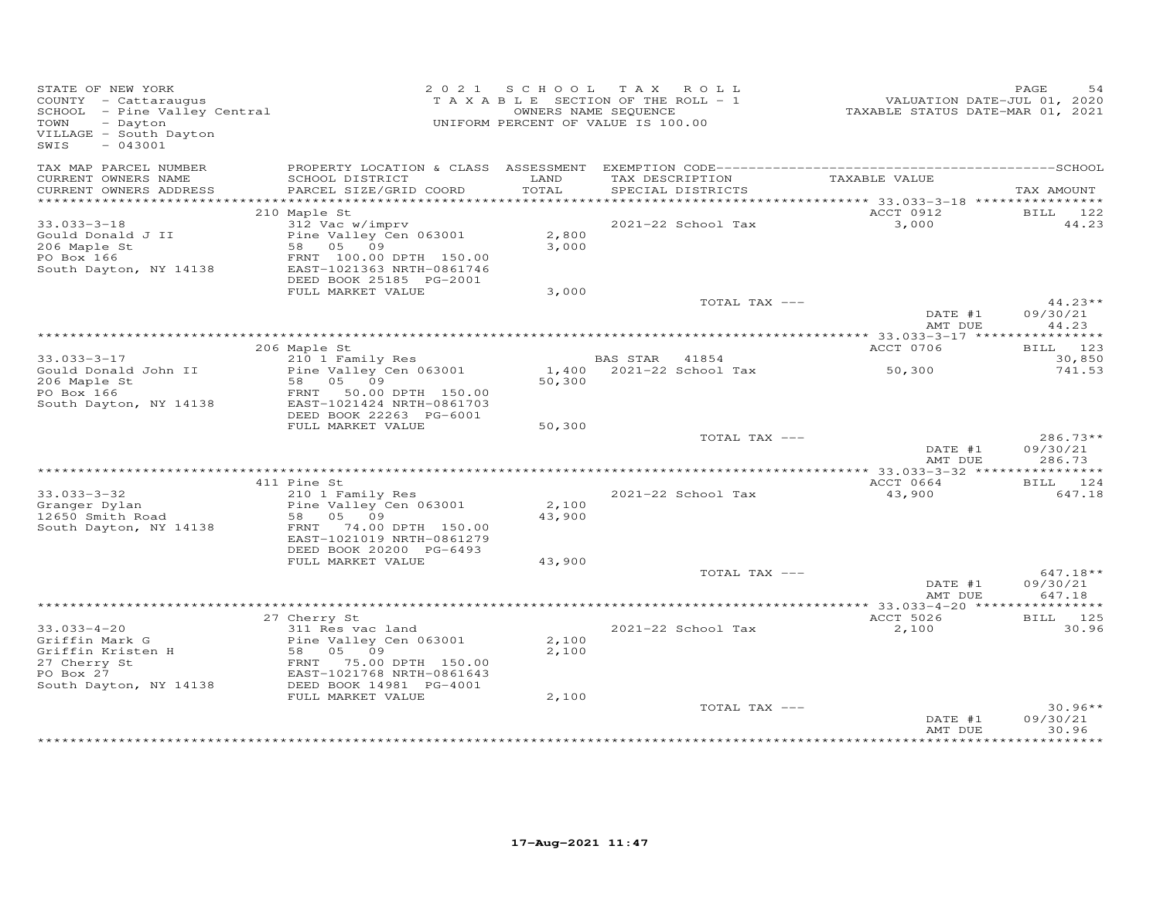| STATE OF NEW YORK<br>COUNTY - Cattaraugus<br>SCHOOL - Pine Valley Central<br>TOWN<br>- Dayton<br>VILLAGE - South Dayton<br>SWIS<br>$-043001$ |                                                                                                                       |                 | 2021 SCHOOL TAX ROLL<br>T A X A B L E SECTION OF THE ROLL - 1<br>OWNERS NAME SEQUENCE<br>UNIFORM PERCENT OF VALUE IS 100.00 | VALUATION DATE-JUL 01, 2020<br>TAXABLE STATUS DATE-MAR 01, 2021 | PAGE<br>54                     |
|----------------------------------------------------------------------------------------------------------------------------------------------|-----------------------------------------------------------------------------------------------------------------------|-----------------|-----------------------------------------------------------------------------------------------------------------------------|-----------------------------------------------------------------|--------------------------------|
| TAX MAP PARCEL NUMBER<br>CURRENT OWNERS NAME                                                                                                 | SCHOOL DISTRICT                                                                                                       | LAND            | TAX DESCRIPTION                                                                                                             | TAXABLE VALUE                                                   |                                |
| CURRENT OWNERS ADDRESS<br>***********************                                                                                            | PARCEL SIZE/GRID COORD                                                                                                | TOTAL           | SPECIAL DISTRICTS                                                                                                           |                                                                 | TAX AMOUNT                     |
|                                                                                                                                              | 210 Maple St                                                                                                          |                 |                                                                                                                             | ACCT 0912                                                       | BILL 122                       |
| $33.033 - 3 - 18$                                                                                                                            | 312 Vac w/imprv                                                                                                       |                 | 2021-22 School Tax                                                                                                          | 3,000                                                           | 44.23                          |
| Gould Donald J II<br>206 Maple St<br>PO Box 166<br>South Dayton, NY 14138                                                                    | Pine Valley Cen 063001<br>58 05 09<br>FRNT 100.00 DPTH 150.00<br>EAST-1021363 NRTH-0861746<br>DEED BOOK 25185 PG-2001 | 2,800<br>3,000  |                                                                                                                             |                                                                 |                                |
|                                                                                                                                              | FULL MARKET VALUE                                                                                                     | 3,000           |                                                                                                                             |                                                                 |                                |
|                                                                                                                                              |                                                                                                                       |                 | TOTAL TAX ---                                                                                                               | DATE #1                                                         | $44.23**$<br>09/30/21          |
|                                                                                                                                              |                                                                                                                       |                 |                                                                                                                             | AMT DUE                                                         | 44.23                          |
|                                                                                                                                              |                                                                                                                       |                 |                                                                                                                             |                                                                 |                                |
| $33.033 - 3 - 17$                                                                                                                            | 206 Maple St<br>210 1 Family Res                                                                                      |                 | 41854                                                                                                                       | ACCT 0706                                                       | BILL 123                       |
| Gould Donald John II<br>206 Maple St<br>PO Box 166                                                                                           | Pine Valley Cen 063001<br>58 05 09<br>FRNT 50.00 DPTH 150.00                                                          | 50,300          | <b>BAS STAR</b><br>1,400 2021-22 School Tax                                                                                 | 50,300                                                          | 30,850<br>741.53               |
| South Dayton, NY 14138                                                                                                                       | EAST-1021424 NRTH-0861703<br>DEED BOOK 22263 PG-6001                                                                  |                 |                                                                                                                             |                                                                 |                                |
|                                                                                                                                              | FULL MARKET VALUE                                                                                                     | 50,300          | TOTAL TAX ---                                                                                                               |                                                                 | $286.73**$                     |
|                                                                                                                                              |                                                                                                                       |                 |                                                                                                                             | DATE #1<br>AMT DUE                                              | 09/30/21<br>286.73             |
|                                                                                                                                              | 411 Pine St                                                                                                           |                 |                                                                                                                             | ACCT 0664                                                       | BILL 124                       |
| $33.033 - 3 - 32$                                                                                                                            | 210 1 Family Res                                                                                                      |                 | 2021-22 School Tax                                                                                                          | 43,900                                                          | 647.18                         |
| Granger Dylan<br>12650 Smith Road<br>South Dayton, NY 14138                                                                                  | Pine Valley Cen 063001<br>58 05 09<br>FRNT 74.00 DPTH 150.00                                                          | 2,100<br>43,900 |                                                                                                                             |                                                                 |                                |
|                                                                                                                                              | EAST-1021019 NRTH-0861279                                                                                             |                 |                                                                                                                             |                                                                 |                                |
|                                                                                                                                              | DEED BOOK 20200 PG-6493<br>FULL MARKET VALUE                                                                          | 43,900          |                                                                                                                             |                                                                 |                                |
|                                                                                                                                              |                                                                                                                       |                 | TOTAL TAX ---                                                                                                               |                                                                 | $647.18**$                     |
|                                                                                                                                              |                                                                                                                       |                 |                                                                                                                             | DATE #1<br>AMT DUE                                              | 09/30/21<br>647.18             |
|                                                                                                                                              |                                                                                                                       |                 |                                                                                                                             |                                                                 |                                |
|                                                                                                                                              | 27 Cherry St                                                                                                          |                 |                                                                                                                             | ACCT 5026                                                       | BILL 125                       |
| $33.033 - 4 - 20$<br>Griffin Mark G                                                                                                          | 311 Res vac land<br>Pine Valley Cen 063001                                                                            | 2,100           | 2021-22 School Tax                                                                                                          | 2,100                                                           | 30.96                          |
| Griffin Kristen H                                                                                                                            | 58 05 09                                                                                                              | 2,100           |                                                                                                                             |                                                                 |                                |
| 27 Cherry St<br>PO Box 27                                                                                                                    | FRNT 75.00 DPTH 150.00<br>EAST-1021768 NRTH-0861643                                                                   |                 |                                                                                                                             |                                                                 |                                |
| South Dayton, NY 14138                                                                                                                       | DEED BOOK 14981 PG-4001                                                                                               |                 |                                                                                                                             |                                                                 |                                |
|                                                                                                                                              | FULL MARKET VALUE                                                                                                     | 2,100           |                                                                                                                             |                                                                 |                                |
|                                                                                                                                              |                                                                                                                       |                 | TOTAL TAX ---                                                                                                               | DATE #1<br>AMT DUE                                              | $30.96**$<br>09/30/21<br>30.96 |
|                                                                                                                                              |                                                                                                                       |                 |                                                                                                                             |                                                                 | **********                     |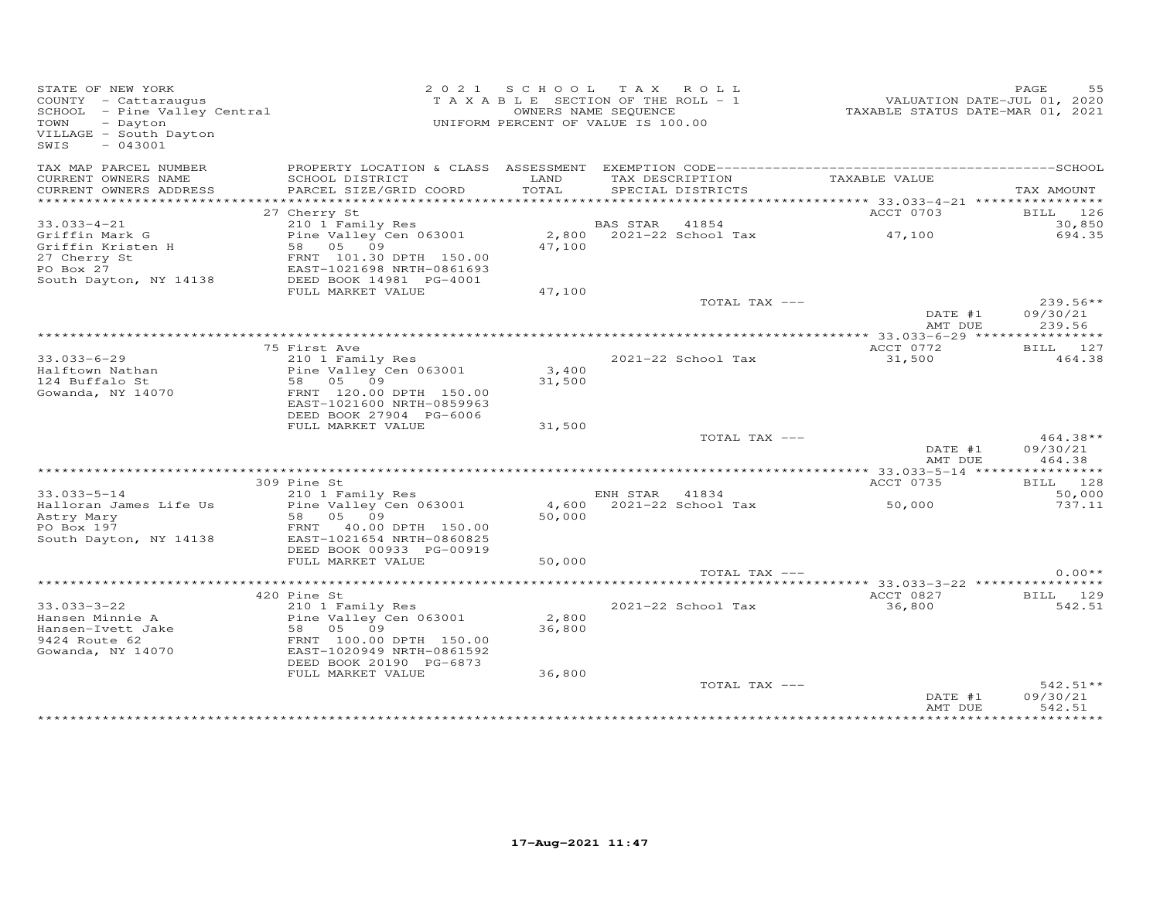| STATE OF NEW YORK<br>COUNTY - Cattaraugus<br>COUNTY - Cattaraugus<br>SCHOOL - Pine Valley Central<br>TOWN<br>- Dayton<br>VILLAGE - South Dayton<br>$-043001$<br>SWIS |                                                                                                                                                                |                           | 2021 SCHOOL TAX ROLL<br>TAXABLE SECTION OF THE ROLL - 1<br>OWNERS NAME SEQUENCE<br>UNIFORM PERCENT OF VALUE IS 100.00 | VALUATION DATE-JUL 01, 2020<br>TAXABLE STATUS DATE-MAR 01, 2021 | PAGE<br>55                       |
|----------------------------------------------------------------------------------------------------------------------------------------------------------------------|----------------------------------------------------------------------------------------------------------------------------------------------------------------|---------------------------|-----------------------------------------------------------------------------------------------------------------------|-----------------------------------------------------------------|----------------------------------|
| TAX MAP PARCEL NUMBER<br>CURRENT OWNERS NAME<br>CURRENT OWNERS ADDRESS                                                                                               | SCHOOL DISTRICT<br>PARCEL SIZE/GRID COORD                                                                                                                      | LAND<br>TOTAL             | TAX DESCRIPTION<br>SPECIAL DISTRICTS                                                                                  | TAXABLE VALUE                                                   | TAX AMOUNT                       |
| *********************                                                                                                                                                |                                                                                                                                                                |                           |                                                                                                                       |                                                                 |                                  |
|                                                                                                                                                                      | 27 Cherry St                                                                                                                                                   |                           |                                                                                                                       | ACCT 0703                                                       | BILL 126                         |
| $33.033 - 4 - 21$<br>Griffin Mark G<br>Griffin Kristen H<br>27 Cherry St<br>PO Box 27<br>South Dayton, NY 14138                                                      | 210 1 Family Res<br>Pine Valley Cen 063001<br>58 05 09<br>FRNT 101.30 DPTH 150.00<br>EAST-1021698 NRTH-0861693<br>DEED BOOK 14981 PG-4001                      | 47,100                    | BAS STAR 41854<br>2,800 2021-22 School Tax                                                                            | 47,100                                                          | 30,850<br>694.35                 |
|                                                                                                                                                                      | FULL MARKET VALUE                                                                                                                                              | 47,100                    |                                                                                                                       |                                                                 |                                  |
|                                                                                                                                                                      |                                                                                                                                                                |                           | TOTAL TAX ---                                                                                                         | DATE #1<br>AMT DUE                                              | 239.56**<br>09/30/21<br>239.56   |
|                                                                                                                                                                      |                                                                                                                                                                |                           |                                                                                                                       |                                                                 |                                  |
|                                                                                                                                                                      | 75 First Ave                                                                                                                                                   |                           |                                                                                                                       | ACCT 0772                                                       | BILL 127                         |
| 33.033-6-29<br>Halftown Nathan                                                                                                                                       | 210 1 Family Res<br>Pine Valley Cen 063001                                                                                                                     | 3,400                     | 2021-22 School Tax                                                                                                    | 31,500                                                          | 464.38                           |
| 124 Buffalo St                                                                                                                                                       | 58 05 09                                                                                                                                                       | 31,500                    |                                                                                                                       |                                                                 |                                  |
| Gowanda, NY 14070                                                                                                                                                    | FRNT 120.00 DPTH 150.00<br>EAST-1021600 NRTH-0859963<br>DEED BOOK 27904 PG-6006                                                                                |                           |                                                                                                                       |                                                                 |                                  |
|                                                                                                                                                                      | FULL MARKET VALUE                                                                                                                                              | 31,500                    |                                                                                                                       |                                                                 |                                  |
|                                                                                                                                                                      |                                                                                                                                                                |                           | TOTAL TAX ---                                                                                                         | DATE #1<br>AMT DUE                                              | $464.38**$<br>09/30/21<br>464.38 |
|                                                                                                                                                                      |                                                                                                                                                                |                           |                                                                                                                       |                                                                 |                                  |
| $33.033 - 5 - 14$                                                                                                                                                    | 309 Pine St<br>210 1 Family Res                                                                                                                                |                           | ENH STAR 41834                                                                                                        | ACCT 0735                                                       | BILL 128<br>50,000               |
| Halloran James Life Us<br>Astry Mary<br>PO Box 197<br>South Dayton, NY 14138                                                                                         | Pine Valley Cen 063001<br>58 05 09<br>FRNT 40.00 DPTH 150.00<br>EAST-1021654 NRTH-0860825                                                                      | 50,000                    | 4,600 2021-22 School Tax                                                                                              | 50,000                                                          | 737.11                           |
|                                                                                                                                                                      | DEED BOOK 00933 PG-00919                                                                                                                                       |                           |                                                                                                                       |                                                                 |                                  |
|                                                                                                                                                                      | FULL MARKET VALUE                                                                                                                                              | 50,000                    |                                                                                                                       |                                                                 |                                  |
|                                                                                                                                                                      |                                                                                                                                                                |                           | TOTAL TAX ---                                                                                                         |                                                                 | $0.00**$                         |
|                                                                                                                                                                      | 420 Pine St                                                                                                                                                    |                           |                                                                                                                       | ACCT 0827                                                       | BILL 129                         |
| $33.033 - 3 - 22$<br>Hansen Minnie A<br>Hansen-Ivett Jake<br>9424 Route 62<br>Gowanda, NY 14070                                                                      | 210 1 Family Res<br>Pine Valley Cen 063001<br>58 05 09<br>FRNT 100.00 DPTH 150.00<br>EAST-1020949 NRTH-0861592<br>DEED BOOK 20190 PG-6873<br>FULL MARKET VALUE | 2,800<br>36,800<br>36,800 | 2021-22 School Tax                                                                                                    | 36,800                                                          | 542.51                           |
|                                                                                                                                                                      |                                                                                                                                                                |                           | TOTAL TAX ---                                                                                                         | DATE #1<br>AMT DUE                                              | $542.51**$<br>09/30/21<br>542.51 |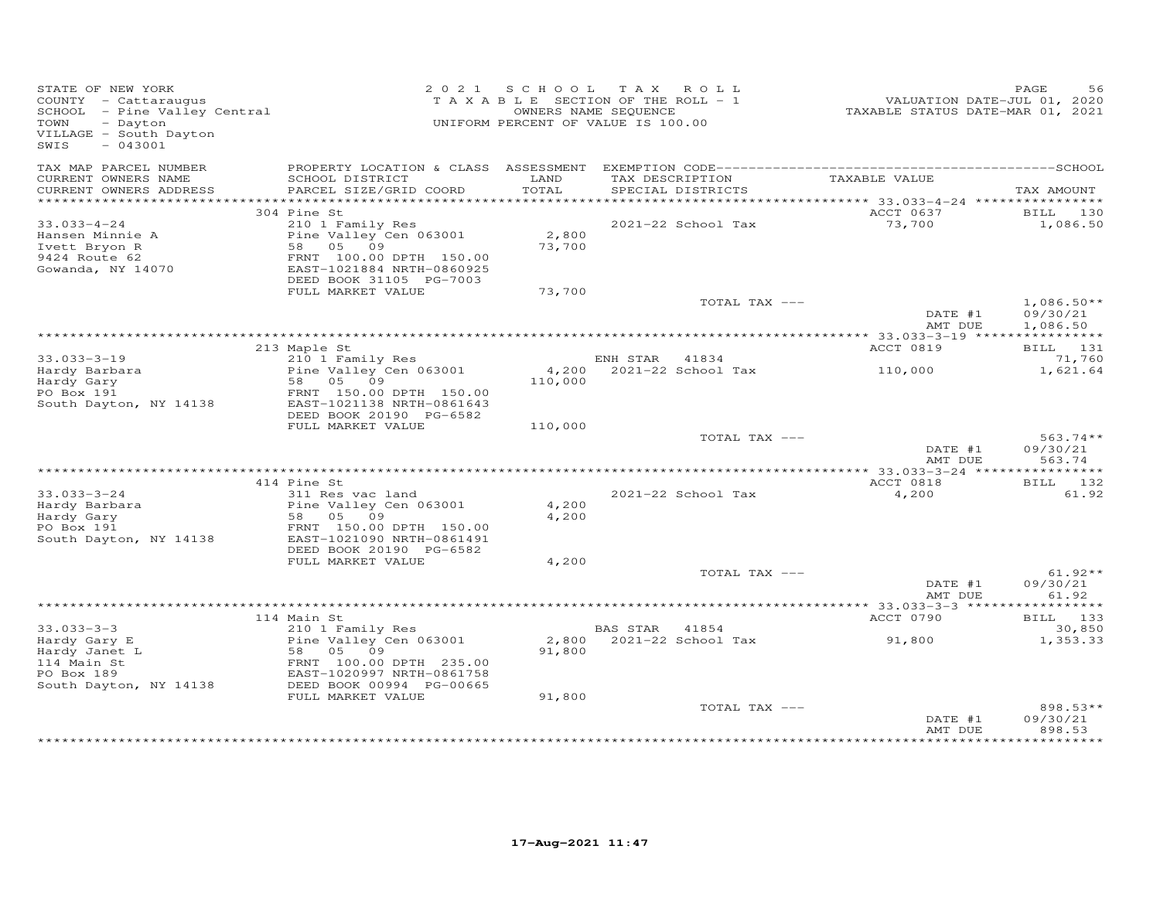| STATE OF NEW YORK<br>COUNTY - Cattaraugus<br>SCHOOL - Pine Valley Central<br>TOWN<br>- Dayton<br>VILLAGE - South Dayton<br>SWIS<br>$-043001$ |                                                                                                                                           |                 | 2021 SCHOOL TAX ROLL<br>TAXABLE SECTION OF THE ROLL - 1<br>OWNERS NAME SEQUENCE<br>UNIFORM PERCENT OF VALUE IS 100.00 | VALUATION DATE-JUL 01, 2020<br>TAXABLE STATUS DATE-MAR 01, 2021 | PAGE<br>56                     |
|----------------------------------------------------------------------------------------------------------------------------------------------|-------------------------------------------------------------------------------------------------------------------------------------------|-----------------|-----------------------------------------------------------------------------------------------------------------------|-----------------------------------------------------------------|--------------------------------|
| TAX MAP PARCEL NUMBER<br>CURRENT OWNERS NAME<br>CURRENT OWNERS ADDRESS                                                                       | SCHOOL DISTRICT<br>PARCEL SIZE/GRID COORD                                                                                                 | LAND<br>TOTAL   | TAX DESCRIPTION<br>SPECIAL DISTRICTS                                                                                  | TAXABLE VALUE                                                   | TAX AMOUNT                     |
|                                                                                                                                              |                                                                                                                                           |                 |                                                                                                                       |                                                                 |                                |
|                                                                                                                                              | 304 Pine St                                                                                                                               |                 |                                                                                                                       | ACCT 0637                                                       | BILL 130                       |
| $33.033 - 4 - 24$<br>Hansen Minnie A<br>Ivett Bryon R<br>9424 Route 62<br>Gowanda, NY 14070                                                  | 210 1 Family Res<br>Pine Valley Cen 063001<br>58 05 09<br>FRNT 100.00 DPTH 150.00<br>EAST-1021884 NRTH-0860925<br>DEED BOOK 31105 PG-7003 | 2,800<br>73,700 | 2021-22 School Tax                                                                                                    | 73,700                                                          | 1,086.50                       |
|                                                                                                                                              | FULL MARKET VALUE                                                                                                                         | 73,700          |                                                                                                                       |                                                                 |                                |
|                                                                                                                                              |                                                                                                                                           |                 | TOTAL TAX ---                                                                                                         | DATE #1                                                         | $1,086.50**$<br>09/30/21       |
|                                                                                                                                              |                                                                                                                                           |                 |                                                                                                                       | AMT DUE                                                         | 1,086.50                       |
|                                                                                                                                              | 213 Maple St                                                                                                                              |                 |                                                                                                                       | ACCT 0819                                                       | BILL 131                       |
| $33.033 - 3 - 19$                                                                                                                            | 210 1 Family Res                                                                                                                          |                 | ENH STAR<br>41834                                                                                                     |                                                                 | 71,760                         |
| Hardy Barbara<br>Hardy Gary<br>PO Box 191<br>South Dayton, NY 14138                                                                          | Pine Valley Cen 063001<br>58 05 09<br>FRNT 150.00 DPTH 150.00<br>EAST-1021138 NRTH-0861643<br>DEED BOOK 20190 PG-6582                     | 110,000         | 4,200 2021-22 School Tax                                                                                              | 110,000                                                         | 1,621.64                       |
|                                                                                                                                              | FULL MARKET VALUE                                                                                                                         | 110,000         |                                                                                                                       |                                                                 |                                |
|                                                                                                                                              |                                                                                                                                           |                 | TOTAL TAX ---                                                                                                         | DATE #1<br>AMT DUE                                              | $563.74**$<br>09/30/21         |
|                                                                                                                                              |                                                                                                                                           |                 |                                                                                                                       |                                                                 | 563.74                         |
|                                                                                                                                              | 414 Pine St                                                                                                                               |                 |                                                                                                                       | ACCT 0818                                                       | BILL 132                       |
| $33.033 - 3 - 24$<br>Hardy Barbara<br>Hardy Gary<br>PO Box 191                                                                               | 311 Res vac land<br>Pine Valley Cen 063001<br>58 05 09<br>FRNT 150.00 DPTH 150.00                                                         | 4,200<br>4,200  | 2021-22 School Tax                                                                                                    | 4,200                                                           | 61.92                          |
| South Dayton, NY 14138                                                                                                                       | EAST-1021090 NRTH-0861491                                                                                                                 |                 |                                                                                                                       |                                                                 |                                |
|                                                                                                                                              | DEED BOOK 20190 PG-6582<br>FULL MARKET VALUE                                                                                              | 4,200           |                                                                                                                       |                                                                 |                                |
|                                                                                                                                              |                                                                                                                                           |                 | TOTAL TAX ---                                                                                                         |                                                                 | $61.92**$                      |
|                                                                                                                                              |                                                                                                                                           |                 |                                                                                                                       | DATE #1<br>AMT DUE                                              | 09/30/21<br>61.92              |
|                                                                                                                                              |                                                                                                                                           |                 |                                                                                                                       |                                                                 |                                |
|                                                                                                                                              | 114 Main St                                                                                                                               |                 |                                                                                                                       | ACCT 0790                                                       | BILL 133                       |
| $33.033 - 3 - 3$                                                                                                                             | 210 1 Family Res                                                                                                                          |                 | BAS STAR 41854                                                                                                        |                                                                 | 30,850                         |
| Hardy Gary E<br>Hardy Janet L<br>114 Main St                                                                                                 | Pine Valley Cen 063001<br>58 05 09<br>FRNT 100.00 DPTH 235.00                                                                             | 2,800<br>91,800 | 2021-22 School Tax                                                                                                    | 91,800                                                          | 1,353.33                       |
| PO Box 189<br>South Dayton, NY 14138                                                                                                         | EAST-1020997 NRTH-0861758<br>DEED BOOK 00994 PG-00665                                                                                     |                 |                                                                                                                       |                                                                 |                                |
|                                                                                                                                              | FULL MARKET VALUE                                                                                                                         | 91,800          |                                                                                                                       |                                                                 |                                |
|                                                                                                                                              |                                                                                                                                           |                 | TOTAL TAX ---                                                                                                         | DATE #1<br>AMT DUE                                              | 898.53**<br>09/30/21<br>898.53 |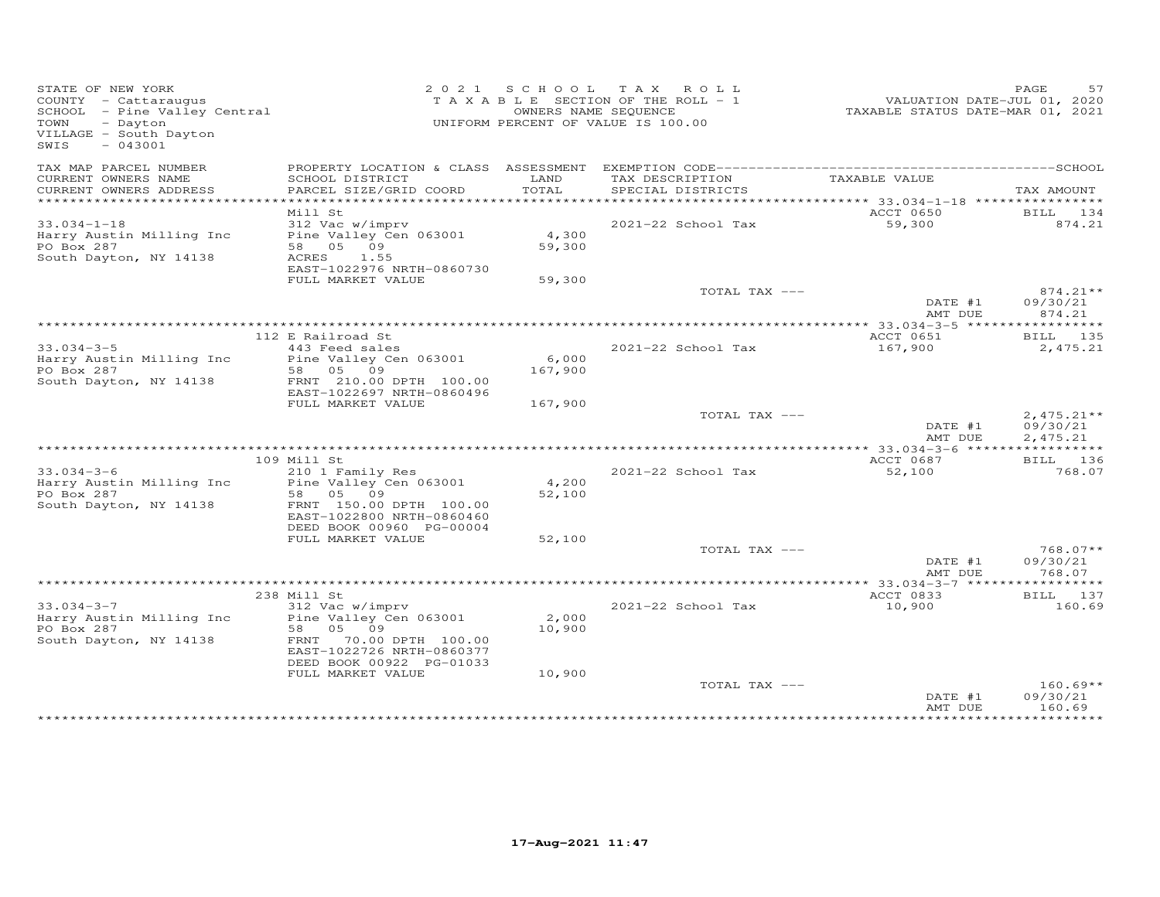| STATE OF NEW YORK<br>COUNTY - Cattaraugus<br>SCHOOL - Pine Valley Central<br>TOWN<br>- Dayton<br>VILLAGE - South Dayton<br>$-043001$<br>SWIS |                                                                                                                                                           |                  | 2021 SCHOOL TAX ROLL<br>TAXABLE SECTION OF THE ROLL - 1<br>OWNERS NAME SEQUENCE<br>UNIFORM PERCENT OF VALUE IS 100.00 | VALUATION DATE-JUL 01, 2020<br>TAXABLE STATUS DATE-MAR 01, 2021 | PAGE<br>57                           |
|----------------------------------------------------------------------------------------------------------------------------------------------|-----------------------------------------------------------------------------------------------------------------------------------------------------------|------------------|-----------------------------------------------------------------------------------------------------------------------|-----------------------------------------------------------------|--------------------------------------|
| TAX MAP PARCEL NUMBER<br>CURRENT OWNERS NAME<br>CURRENT OWNERS ADDRESS                                                                       | SCHOOL DISTRICT<br>PARCEL SIZE/GRID COORD                                                                                                                 | LAND<br>TOTAL    | TAX DESCRIPTION<br>SPECIAL DISTRICTS                                                                                  | TAXABLE VALUE                                                   | TAX AMOUNT                           |
| **********************                                                                                                                       |                                                                                                                                                           |                  |                                                                                                                       |                                                                 |                                      |
|                                                                                                                                              | Mill St                                                                                                                                                   |                  |                                                                                                                       | ACCT 0650                                                       | BILL 134                             |
| $33.034 - 1 - 18$<br>Harry Austin Milling Inc<br>PO Box 287<br>South Dayton, NY 14138                                                        | 312 Vac w/imprv<br>Pine Valley Cen 063001<br>58 05 09<br>ACRES<br>1.55<br>EAST-1022976 NRTH-0860730                                                       | 4,300<br>59,300  | 2021-22 School Tax                                                                                                    | 59,300                                                          | 874.21                               |
|                                                                                                                                              | FULL MARKET VALUE                                                                                                                                         | 59,300           | TOTAL TAX ---                                                                                                         |                                                                 | $874.21**$                           |
|                                                                                                                                              |                                                                                                                                                           |                  |                                                                                                                       | DATE #1<br>AMT DUE                                              | 09/30/21<br>874.21                   |
|                                                                                                                                              |                                                                                                                                                           |                  |                                                                                                                       |                                                                 |                                      |
| $33.034 - 3 - 5$<br>Harry Austin Milling Inc<br>PO Box 287<br>South Dayton, NY 14138                                                         | 112 E Railroad St<br>443 Feed sales<br>Pine Valley Cen 063001<br>58 05 09<br>FRNT 210.00 DPTH 100.00                                                      | 6,000<br>167,900 | 2021-22 School Tax                                                                                                    | ACCT 0651<br>167,900                                            | BILL 135<br>2,475.21                 |
|                                                                                                                                              | EAST-1022697 NRTH-0860496<br>FULL MARKET VALUE                                                                                                            | 167,900          |                                                                                                                       |                                                                 |                                      |
|                                                                                                                                              |                                                                                                                                                           |                  | TOTAL TAX ---                                                                                                         | DATE #1<br>AMT DUE                                              | $2,475.21**$<br>09/30/21<br>2,475.21 |
|                                                                                                                                              | * * * * * * * * * * * * * * * *                                                                                                                           |                  |                                                                                                                       | ACCT 0687                                                       |                                      |
| $33.034 - 3 - 6$<br>Harry Austin Milling Inc<br>PO Box 287<br>South Dayton, NY 14138                                                         | 109 Mill St<br>210 1 Family Res<br>Pine Valley Cen 063001<br>58 05 09<br>FRNT 150.00 DPTH 100.00<br>EAST-1022800 NRTH-0860460<br>DEED BOOK 00960 PG-00004 | 4,200<br>52,100  | 2021-22 School Tax                                                                                                    | 52,100                                                          | BILL 136<br>768.07                   |
|                                                                                                                                              | FULL MARKET VALUE                                                                                                                                         | 52,100           |                                                                                                                       |                                                                 |                                      |
|                                                                                                                                              |                                                                                                                                                           |                  | TOTAL TAX ---                                                                                                         | DATE #1<br>AMT DUE                                              | $768.07**$<br>09/30/21<br>768.07     |
|                                                                                                                                              |                                                                                                                                                           |                  |                                                                                                                       |                                                                 |                                      |
| $33.034 - 3 - 7$<br>Harry Austin Milling Inc<br>PO Box 287<br>South Dayton, NY 14138                                                         | 238 Mill St<br>312 Vac w/imprv<br>Pine Valley Cen 063001<br>58 05 09<br>FRNT 70.00 DPTH 100.00<br>EAST-1022726 NRTH-0860377<br>DEED BOOK 00922 PG-01033   | 2,000<br>10,900  | 2021-22 School Tax                                                                                                    | ACCT 0833<br>10,900                                             | BILL 137<br>160.69                   |
|                                                                                                                                              | FULL MARKET VALUE                                                                                                                                         | 10,900           | TOTAL TAX ---                                                                                                         | DATE #1                                                         | $160.69**$<br>09/30/21               |
|                                                                                                                                              |                                                                                                                                                           |                  |                                                                                                                       | AMT DUE                                                         | 160.69                               |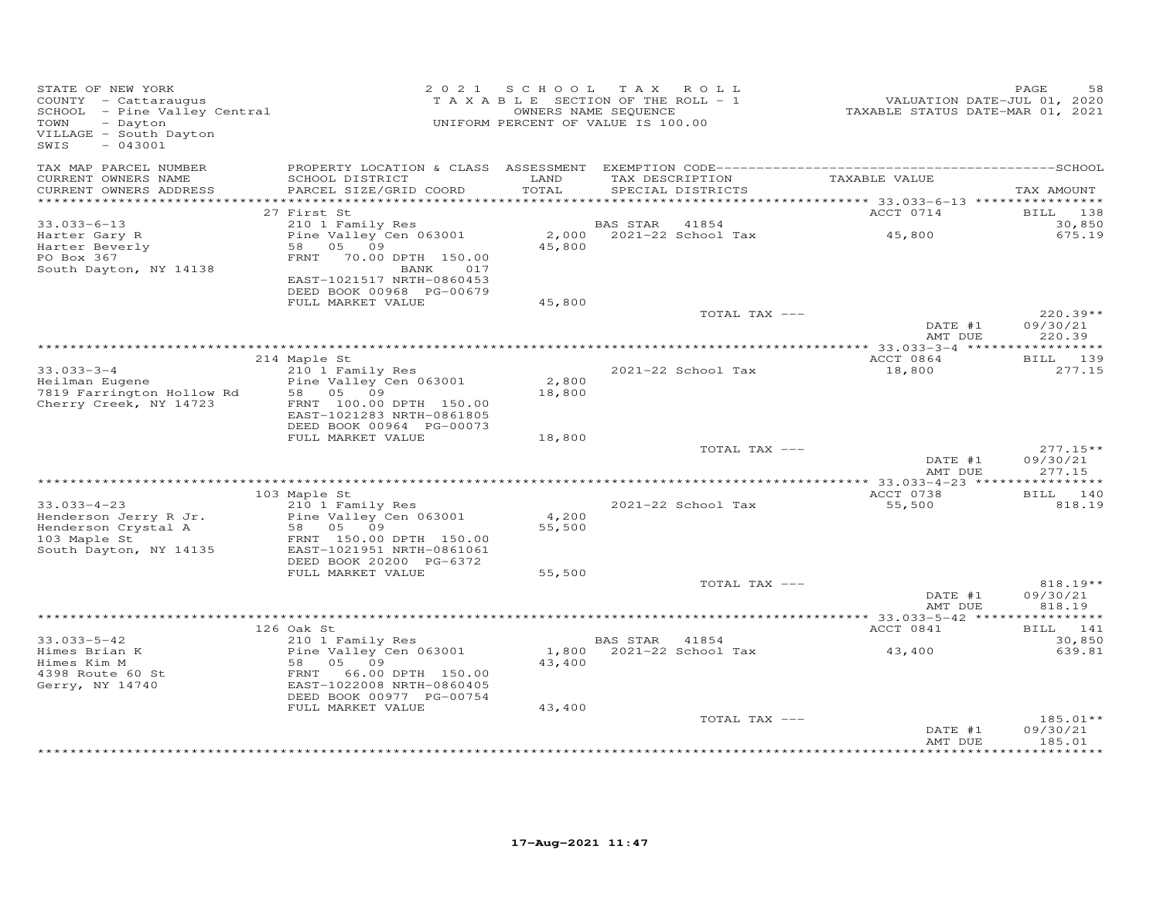| STATE OF NEW YORK<br>COUNTY - Cattaraugus<br>SCHOOL - Pine Valley Central<br>TOWN<br>- Dayton<br>VILLAGE - South Dayton<br>$-043001$<br>SWIS |                                                                                                                          |                 | 2021 SCHOOL TAX ROLL<br>TAXABLE SECTION OF THE ROLL - 1<br>OWNERS NAME SEQUENCE<br>UNIFORM PERCENT OF VALUE IS 100.00 | VALUATION DATE-JUL 01, 2020<br>TAXABLE STATUS DATE-MAR 01, 2021 | PAGE<br>58                                  |
|----------------------------------------------------------------------------------------------------------------------------------------------|--------------------------------------------------------------------------------------------------------------------------|-----------------|-----------------------------------------------------------------------------------------------------------------------|-----------------------------------------------------------------|---------------------------------------------|
| TAX MAP PARCEL NUMBER<br>CURRENT OWNERS NAME                                                                                                 | SCHOOL DISTRICT                                                                                                          | LAND            | TAX DESCRIPTION                                                                                                       | TAXABLE VALUE                                                   |                                             |
| CURRENT OWNERS ADDRESS<br>************************                                                                                           | PARCEL SIZE/GRID COORD                                                                                                   | TOTAL           | SPECIAL DISTRICTS                                                                                                     |                                                                 | TAX AMOUNT                                  |
|                                                                                                                                              | 27 First St                                                                                                              |                 |                                                                                                                       | ACCT 0714                                                       | BILL 138                                    |
| $33.033 - 6 - 13$                                                                                                                            | 210 1 Family Res                                                                                                         |                 | 41854<br>BAS STAR                                                                                                     |                                                                 | 30,850                                      |
| Harter Gary R<br>Harter Beverly<br>PO Box 367<br>South Dayton, NY 14138                                                                      | Pine Valley Cen 063001<br>58 05 09<br>FRNT 70.00 DPTH 150.00<br>017<br>BANK<br>EAST-1021517 NRTH-0860453                 | 2,000<br>45,800 | 2021-22 School Tax                                                                                                    | 45,800                                                          | 675.19                                      |
|                                                                                                                                              | DEED BOOK 00968 PG-00679                                                                                                 |                 |                                                                                                                       |                                                                 |                                             |
|                                                                                                                                              | FULL MARKET VALUE                                                                                                        | 45,800          |                                                                                                                       |                                                                 |                                             |
|                                                                                                                                              |                                                                                                                          |                 | TOTAL TAX ---                                                                                                         | DATE #1<br>AMT DUE                                              | $220.39**$<br>09/30/21<br>220.39            |
|                                                                                                                                              |                                                                                                                          |                 |                                                                                                                       |                                                                 | ************                                |
| $33.033 - 3 - 4$                                                                                                                             | 214 Maple St                                                                                                             |                 | 2021-22 School Tax                                                                                                    | ACCT 0864<br>18,800                                             | BILL 139<br>277.15                          |
| Heilman Eugene                                                                                                                               | 210 1 Family Res<br>Pine Valley Cen 063001                                                                               | 2,800           |                                                                                                                       |                                                                 |                                             |
| 7819 Farrington Hollow Rd<br>Cherry Creek, NY 14723                                                                                          | 58 05 09<br>FRNT 100.00 DPTH 150.00<br>EAST-1021283 NRTH-0861805<br>DEED BOOK 00964 PG-00073                             | 18,800          |                                                                                                                       |                                                                 |                                             |
|                                                                                                                                              | FULL MARKET VALUE                                                                                                        | 18,800          |                                                                                                                       |                                                                 |                                             |
|                                                                                                                                              |                                                                                                                          |                 | TOTAL TAX ---                                                                                                         | DATE #1<br>AMT DUE                                              | $277.15**$<br>09/30/21<br>277.15            |
|                                                                                                                                              |                                                                                                                          |                 |                                                                                                                       |                                                                 |                                             |
|                                                                                                                                              | 103 Maple St                                                                                                             |                 |                                                                                                                       | ACCT 0738                                                       | BILL 140                                    |
| $33.033 - 4 - 23$<br>Henderson Jerry R Jr.<br>Henderson Crystal A                                                                            | 210 1 Family Res<br>Pine Valley Cen 063001<br>58 05 09                                                                   | 4,200<br>55,500 | 2021-22 School Tax                                                                                                    | 55,500                                                          | 818.19                                      |
| 103 Maple St<br>South Dayton, NY 14135                                                                                                       | FRNT 150.00 DPTH 150.00<br>EAST-1021951 NRTH-0861061<br>DEED BOOK 20200 PG-6372<br>FULL MARKET VALUE                     | 55,500          |                                                                                                                       |                                                                 |                                             |
|                                                                                                                                              |                                                                                                                          |                 | TOTAL TAX ---                                                                                                         |                                                                 | 818.19**                                    |
|                                                                                                                                              |                                                                                                                          |                 |                                                                                                                       | DATE #1<br>AMT DUE                                              | 09/30/21<br>818.19                          |
|                                                                                                                                              |                                                                                                                          |                 |                                                                                                                       |                                                                 |                                             |
| $33.033 - 5 - 42$                                                                                                                            | 126 Oak St<br>210 1 Family Res                                                                                           |                 | BAS STAR 41854                                                                                                        | ACCT 0841                                                       | BILL 141<br>30,850                          |
| Himes Brian K<br>Himes Kim M<br>4398 Route 60 St<br>Gerry, NY 14740                                                                          | Pine Valley Cen 063001<br>58 05 09<br>FRNT<br>66.00 DPTH 150.00<br>EAST-1022008 NRTH-0860405<br>DEED BOOK 00977 PG-00754 | 1,800<br>43,400 | 2021-22 School Tax                                                                                                    | 43,400                                                          | 639.81                                      |
|                                                                                                                                              | FULL MARKET VALUE                                                                                                        | 43,400          |                                                                                                                       |                                                                 |                                             |
|                                                                                                                                              |                                                                                                                          |                 | TOTAL TAX ---                                                                                                         | DATE #1<br>AMT DUE                                              | 185.01**<br>09/30/21<br>185.01<br>********* |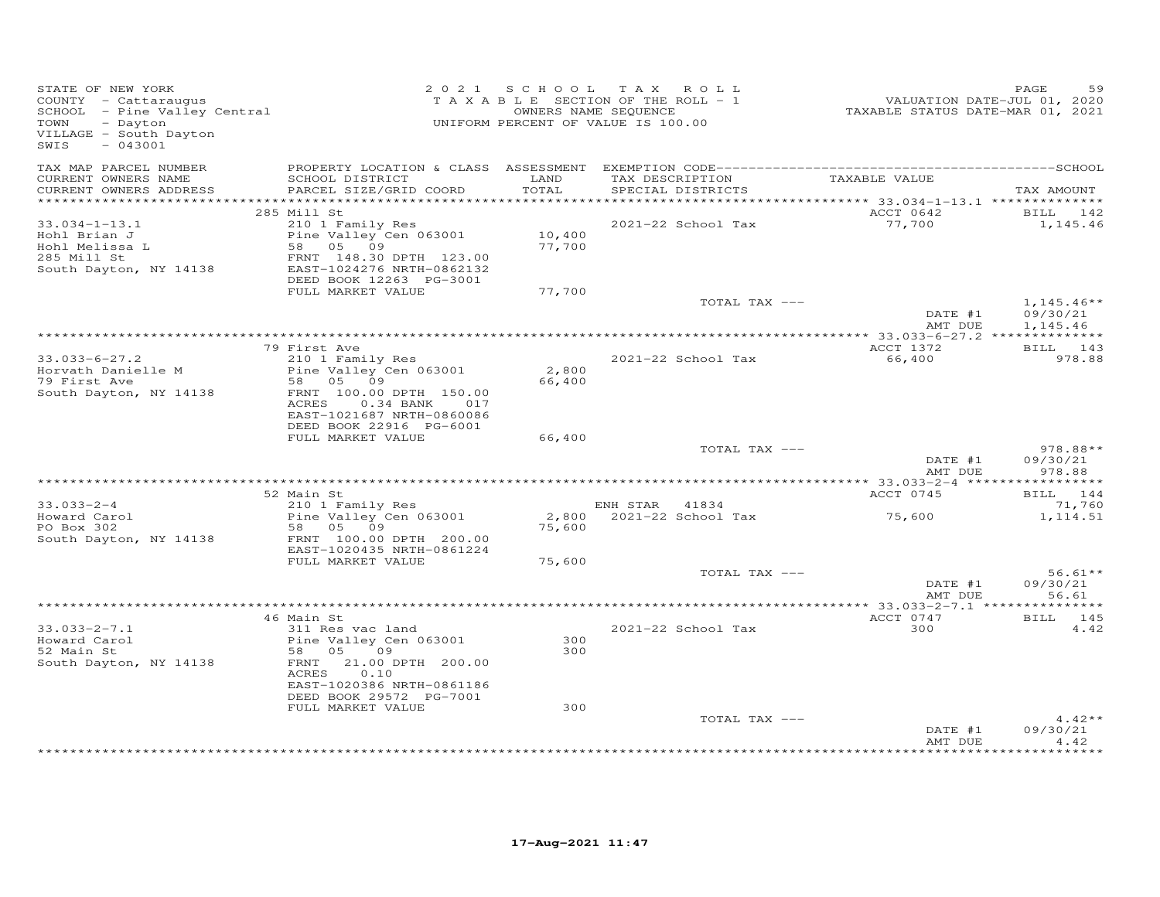| STATE OF NEW YORK<br>COUNTY - Cattaraugus<br>SCHOOL - Pine Valley Central<br>TOWN - Dayton<br>VILLAGE - South Dayton<br>$-043001$<br>SWIS |                                                                                                                                                                      |                            | 2021 SCHOOL TAX ROLL<br>TAXABLE SECTION OF THE ROLL - 1<br>OWNERS NAME SEQUENCE<br>UNIFORM PERCENT OF VALUE IS 100.00 | VALUATION DATE-JUL 01, 2020<br>TAXABLE STATUS DATE-MAR 01, 2021 | PAGE<br>59                       |
|-------------------------------------------------------------------------------------------------------------------------------------------|----------------------------------------------------------------------------------------------------------------------------------------------------------------------|----------------------------|-----------------------------------------------------------------------------------------------------------------------|-----------------------------------------------------------------|----------------------------------|
| TAX MAP PARCEL NUMBER<br>CURRENT OWNERS NAME<br>CURRENT OWNERS ADDRESS                                                                    | SCHOOL DISTRICT<br>PARCEL SIZE/GRID COORD                                                                                                                            | LAND<br>TOTAL              | TAX DESCRIPTION TAXABLE VALUE<br>SPECIAL DISTRICTS                                                                    |                                                                 | TAX AMOUNT                       |
|                                                                                                                                           | 285 Mill St                                                                                                                                                          |                            |                                                                                                                       | ACCT 0642                                                       | BILL 142                         |
| $33.034 - 1 - 13.1$<br>Hohl Brian J<br>Hohl Melissa L<br>285 Mill St<br>285 Mill St<br>South Dayton, NY 14138                             | 210 1 Family Res<br>Pine Valley Cen 063001<br>58 05 09<br>FRNT 148.30 DPTH 123.00<br>EAST-1024276 NRTH-0862132<br>DEED BOOK 12263 PG-3001<br>FULL MARKET VALUE       | 10,400<br>77,700<br>77,700 | 2021-22 School Tax                                                                                                    | 77,700                                                          | 1,145.46                         |
|                                                                                                                                           |                                                                                                                                                                      |                            | TOTAL TAX ---                                                                                                         |                                                                 | $1,145.46**$                     |
|                                                                                                                                           |                                                                                                                                                                      |                            |                                                                                                                       | DATE #1<br>AMT DUE                                              | 09/30/21<br>1,145.46             |
|                                                                                                                                           | 79 First Ave                                                                                                                                                         |                            |                                                                                                                       | ACCT 1372                                                       | BILL 143                         |
| $33.033 - 6 - 27.2$<br>Horvath Danielle M<br>79 First Ave<br>South Dayton, NY 14138                                                       | 210 1 Family Res<br>Pine Valley Cen 063001<br>58 05 09<br>FRNT 100.00 DPTH 150.00<br>ACRES   0.34 BANK   017<br>EAST-1021687 NRTH-0860086<br>DEED BOOK 22916 PG-6001 | 2,800<br>66,400            | 2021-22 School Tax                                                                                                    | 66,400                                                          | 978.88                           |
|                                                                                                                                           | FULL MARKET VALUE                                                                                                                                                    | 66,400                     |                                                                                                                       |                                                                 |                                  |
|                                                                                                                                           |                                                                                                                                                                      |                            | TOTAL TAX ---                                                                                                         | DATE #1<br>AMT DUE                                              | $978.88**$<br>09/30/21<br>978.88 |
|                                                                                                                                           | 52 Main St                                                                                                                                                           |                            |                                                                                                                       | ACCT 0745                                                       | BILL 144                         |
| $33.033 - 2 - 4$<br>Howard Carol<br>Howard Carol<br>PO Box 302                                                                            | 210 1 Family Res<br>Pine Valley Cen 063001<br>58 05 09                                                                                                               | 75,600                     | ENH STAR 41834                                                                                                        |                                                                 | 71,760<br>1,114.51               |
| South Dayton, NY 14138                                                                                                                    | FRNT 100.00 DPTH 200.00<br>EAST-1020435 NRTH-0861224<br>FULL MARKET VALUE                                                                                            | 75,600                     |                                                                                                                       |                                                                 |                                  |
|                                                                                                                                           |                                                                                                                                                                      |                            | TOTAL TAX ---                                                                                                         | DATE #1<br>AMT DUE                                              | $56.61**$<br>09/30/21<br>56.61   |
|                                                                                                                                           | 46 Main St                                                                                                                                                           |                            |                                                                                                                       | ACCT 0747                                                       | BILL 145                         |
| $33.033 - 2 - 7.1$<br>Howard Carol<br>52 Main St<br>South Dayton, NY 14138                                                                | 311 Res vac land<br>Pine Valley Cen 063001<br>58 05<br>09<br>FRNT 21.00 DPTH 200.00<br>0.10<br>ACRES<br>EAST-1020386 NRTH-0861186<br>DEED BOOK 29572 PG-7001         | 300<br>300                 | 2021-22 School Tax                                                                                                    | 300                                                             | 4.42                             |
|                                                                                                                                           | FULL MARKET VALUE                                                                                                                                                    | 300                        |                                                                                                                       |                                                                 |                                  |
|                                                                                                                                           |                                                                                                                                                                      |                            | TOTAL TAX ---                                                                                                         | DATE #1<br>AMT DUE                                              | $4.42**$<br>09/30/21<br>4.42     |
|                                                                                                                                           |                                                                                                                                                                      |                            |                                                                                                                       |                                                                 |                                  |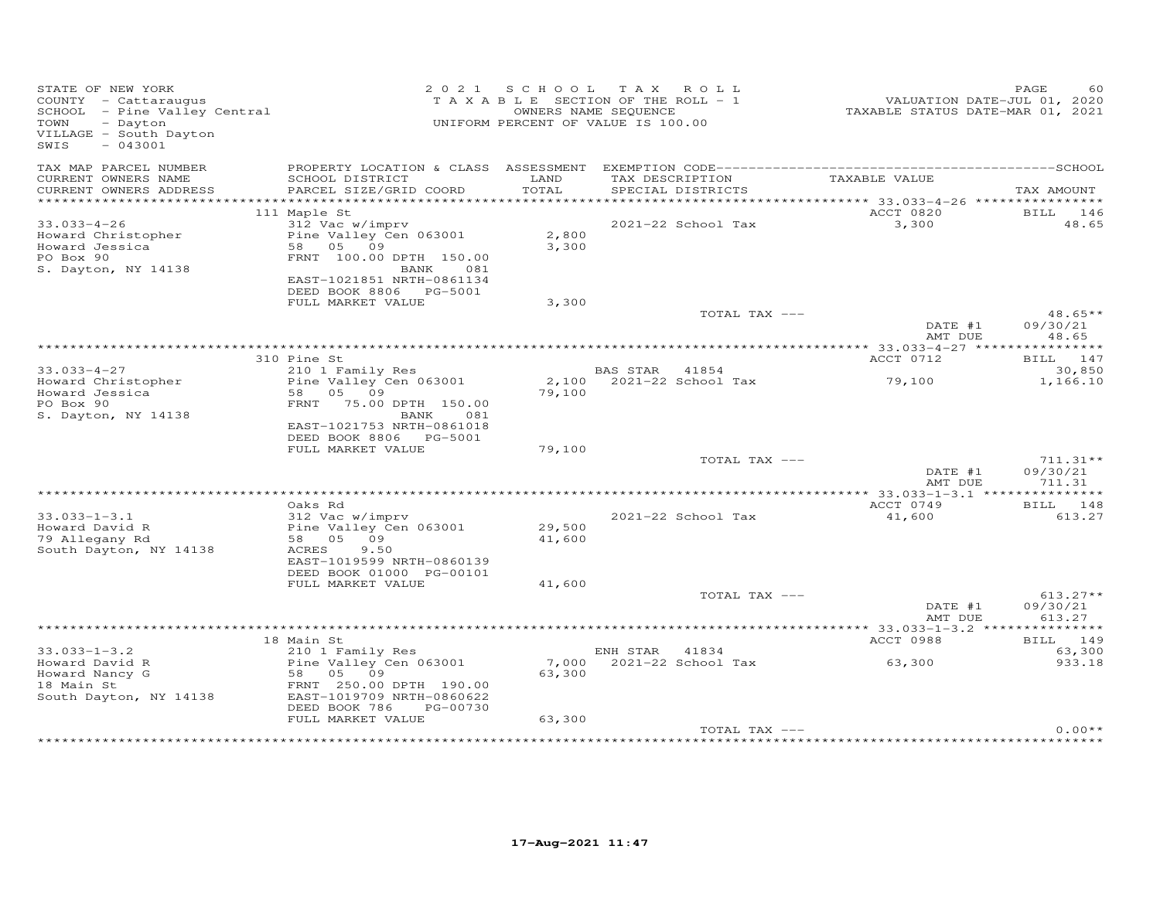| STATE OF NEW YORK<br>COUNTY - Cattaraugus<br>SCHOOL - Pine Valley Central<br>- Dayton<br>TOWN<br>VILLAGE - South Dayton<br>$-043001$<br>SWIS |                                                                                                                              | 2021 SCHOOL      | TAX ROLL<br>TAXABLE SECTION OF THE ROLL - 1<br>OWNERS NAME SEQUENCE<br>UNIFORM PERCENT OF VALUE IS 100.00 |               | VALUATION DATE-JUL 01, 2020<br>TAXABLE STATUS DATE-MAR 01, 2021 | PAGE<br>60                       |
|----------------------------------------------------------------------------------------------------------------------------------------------|------------------------------------------------------------------------------------------------------------------------------|------------------|-----------------------------------------------------------------------------------------------------------|---------------|-----------------------------------------------------------------|----------------------------------|
| TAX MAP PARCEL NUMBER<br>CURRENT OWNERS NAME                                                                                                 | SCHOOL DISTRICT                                                                                                              | LAND             | TAX DESCRIPTION                                                                                           | TAXABLE VALUE |                                                                 |                                  |
| CURRENT OWNERS ADDRESS                                                                                                                       | PARCEL SIZE/GRID COORD                                                                                                       | TOTAL            | SPECIAL DISTRICTS                                                                                         |               |                                                                 | TAX AMOUNT                       |
|                                                                                                                                              | 111 Maple St                                                                                                                 |                  |                                                                                                           |               | ACCT 0820                                                       | BILL 146                         |
| $33.033 - 4 - 26$                                                                                                                            | 312 Vac w/imprv                                                                                                              |                  | 2021-22 School Tax                                                                                        |               | 3,300                                                           | 48.65                            |
| Howard Christopher<br>Howard Jessica<br>PO Box 90<br>S. Dayton, NY 14138                                                                     | Pine Valley Cen 063001<br>58 05 09<br>FRNT 100.00 DPTH 150.00<br>BANK<br>081                                                 | 2,800<br>3,300   |                                                                                                           |               |                                                                 |                                  |
|                                                                                                                                              | EAST-1021851 NRTH-0861134<br>DEED BOOK 8806 PG-5001                                                                          |                  |                                                                                                           |               |                                                                 |                                  |
|                                                                                                                                              | FULL MARKET VALUE                                                                                                            | 3,300            |                                                                                                           | TOTAL TAX --- |                                                                 | $48.65**$                        |
|                                                                                                                                              |                                                                                                                              |                  |                                                                                                           |               | DATE #1<br>AMT DUE                                              | 09/30/21<br>48.65                |
|                                                                                                                                              |                                                                                                                              |                  |                                                                                                           |               |                                                                 |                                  |
|                                                                                                                                              | 310 Pine St                                                                                                                  |                  |                                                                                                           |               | ACCT 0712                                                       | BILL 147                         |
| $33.033 - 4 - 27$<br>Howard Christopher<br>Howard Jessica<br>PO Box 90                                                                       | 210 1 Family Res<br>Pine Valley Cen 063001<br>58 05 09<br>FRNT 75.00 DPTH 150.00                                             | 79,100           | BAS STAR 41854<br>2,100 2021-22 School Tax                                                                |               | 79,100                                                          | 30,850<br>1,166.10               |
| S. Dayton, NY 14138                                                                                                                          | BANK 081<br>EAST-1021753 NRTH-0861018<br>DEED BOOK 8806 PG-5001                                                              |                  |                                                                                                           |               |                                                                 |                                  |
|                                                                                                                                              | FULL MARKET VALUE                                                                                                            | 79,100           |                                                                                                           |               |                                                                 |                                  |
|                                                                                                                                              |                                                                                                                              |                  |                                                                                                           | TOTAL TAX --- |                                                                 | $711.31**$                       |
|                                                                                                                                              |                                                                                                                              |                  |                                                                                                           |               | DATE #1<br>AMT DUE                                              | 09/30/21<br>711.31               |
|                                                                                                                                              |                                                                                                                              |                  |                                                                                                           |               |                                                                 |                                  |
|                                                                                                                                              | Oaks Rd                                                                                                                      |                  |                                                                                                           |               | ACCT 0749                                                       | BILL 148                         |
| $33.033 - 1 - 3.1$<br>Howard David R<br>79 Allegany Rd<br>South Dayton, NY 14138                                                             | 312 Vac w/imprv<br>Pine Valley Cen 063001<br>58 05 09<br>ACRES<br>9.50<br>EAST-1019599 NRTH-0860139                          | 29,500<br>41,600 | 2021-22 School Tax                                                                                        |               | 41,600                                                          | 613.27                           |
|                                                                                                                                              | DEED BOOK 01000 PG-00101                                                                                                     |                  |                                                                                                           |               |                                                                 |                                  |
|                                                                                                                                              | FULL MARKET VALUE                                                                                                            | 41,600           |                                                                                                           |               |                                                                 |                                  |
|                                                                                                                                              |                                                                                                                              |                  |                                                                                                           | TOTAL TAX --- | DATE #1<br>AMT DUE                                              | $613.27**$<br>09/30/21<br>613.27 |
|                                                                                                                                              |                                                                                                                              |                  |                                                                                                           |               |                                                                 |                                  |
|                                                                                                                                              | 18 Main St                                                                                                                   |                  |                                                                                                           |               | ACCT 0988                                                       | BILL 149                         |
| $33.033 - 1 - 3.2$                                                                                                                           | 210 1 Family Res                                                                                                             |                  | ENH STAR 41834                                                                                            |               |                                                                 | 63,300                           |
| Howard David R<br>Howard Nancy G<br>18 Main St<br>South Dayton, NY 14138                                                                     | Pine Valley Cen $063001$<br>58 05<br>09<br>FRNT 250.00 DPTH 190.00<br>EAST-1019709 NRTH-0860622<br>DEED BOOK 786<br>PG-00730 | 63,300           | 7,000 2021-22 School Tax                                                                                  |               | 63,300                                                          | 933.18                           |
|                                                                                                                                              | FULL MARKET VALUE                                                                                                            | 63,300           |                                                                                                           |               |                                                                 |                                  |
|                                                                                                                                              |                                                                                                                              |                  |                                                                                                           | TOTAL TAX --- |                                                                 | $0.00**$                         |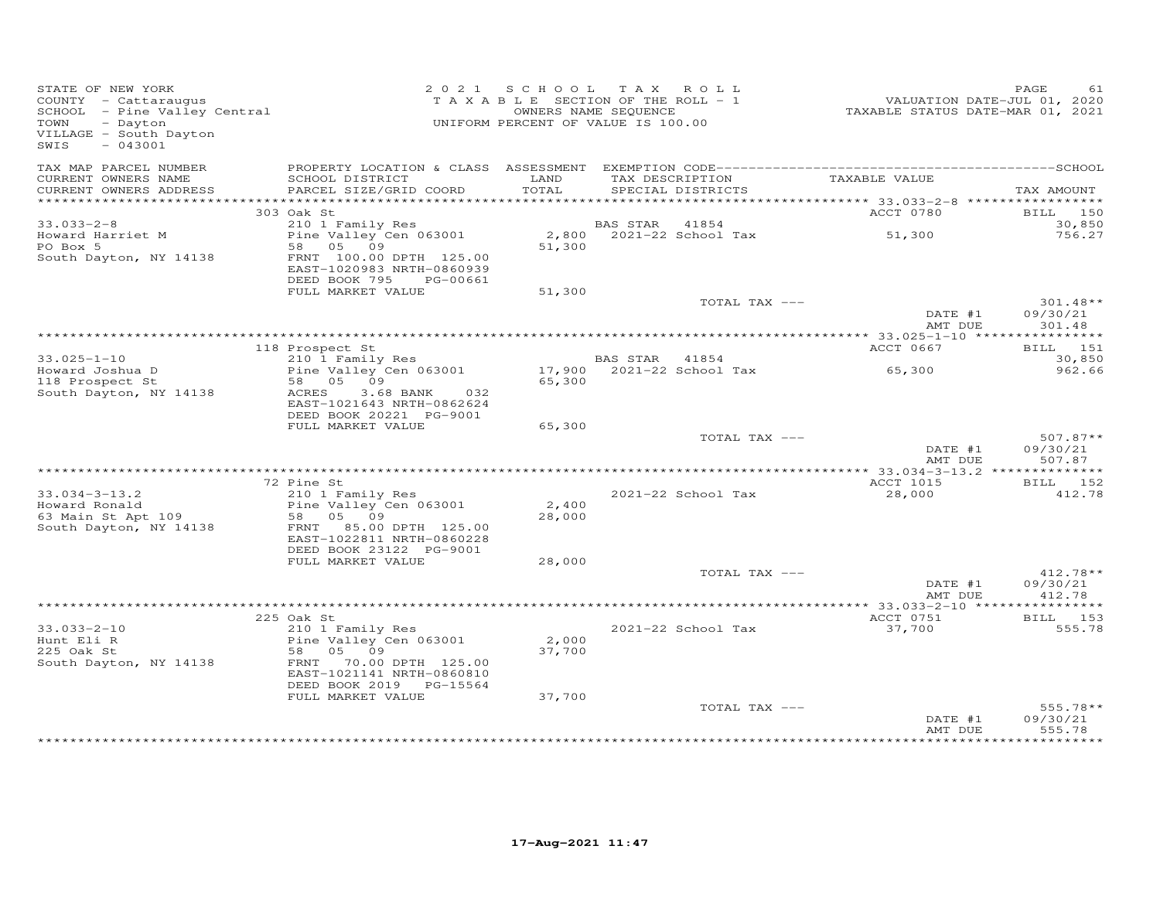| STATE OF NEW YORK<br>STATE OF NEW IVAN<br>COUNTY - Cattaraugus<br>SCHOOL - Pine Valley Central<br>- Dayton<br>VILLAGE - South Dayton<br>$-043001$<br>SWIS |                                                                                                                                             | 2021 SCHOOL<br>TAXABLE SECTION OF THE ROLL - 1<br>UNIFORM PERCENT OF VALUE IS 100.00 | OWNERS NAME SEQUENCE | TAX ROLL                  | VALUATION DATE-JUL 01, 2020<br>TAXABLE STATUS DATE-MAR 01, 2021 | PAGE<br>61                       |
|-----------------------------------------------------------------------------------------------------------------------------------------------------------|---------------------------------------------------------------------------------------------------------------------------------------------|--------------------------------------------------------------------------------------|----------------------|---------------------------|-----------------------------------------------------------------|----------------------------------|
| TAX MAP PARCEL NUMBER<br>CURRENT OWNERS NAME                                                                                                              | SCHOOL DISTRICT                                                                                                                             | LAND                                                                                 |                      | TAX DESCRIPTION           | TAXABLE VALUE                                                   |                                  |
| CURRENT OWNERS ADDRESS                                                                                                                                    | PARCEL SIZE/GRID COORD                                                                                                                      | TOTAL                                                                                |                      | SPECIAL DISTRICTS         |                                                                 | TAX AMOUNT                       |
|                                                                                                                                                           | 303 Oak St                                                                                                                                  |                                                                                      |                      |                           | ACCT 0780                                                       | <b>BILL</b> 150                  |
| $33.033 - 2 - 8$                                                                                                                                          | 210 1 Family Res                                                                                                                            |                                                                                      | BAS STAR             | 41854                     |                                                                 | 30,850                           |
| Howard Harriet M<br>PO Box 5<br>South Dayton, NY 14138                                                                                                    | Zio I family Res<br>Pine Valley Cen 063001<br>58 05 09<br>FRNT 100.00 DPTH 125.00<br>EAST-1020983 NRTH-0860939<br>DEED BOOK 795<br>PG-00661 | 51,300                                                                               |                      | 2,800 2021-22 School Tax  | 51,300                                                          | 756.27                           |
|                                                                                                                                                           | FULL MARKET VALUE                                                                                                                           | 51,300                                                                               |                      |                           |                                                                 |                                  |
|                                                                                                                                                           |                                                                                                                                             |                                                                                      |                      | TOTAL TAX ---             | DATE #1                                                         | $301.48**$<br>09/30/21           |
|                                                                                                                                                           |                                                                                                                                             |                                                                                      |                      |                           | AMT DUE                                                         | 301.48                           |
|                                                                                                                                                           | 118 Prospect St                                                                                                                             |                                                                                      |                      |                           | ACCT 0667                                                       | BILL 151                         |
| $33.025 - 1 - 10$                                                                                                                                         | 210 1 Family Res                                                                                                                            |                                                                                      | BAS STAR             | 41854                     |                                                                 | 30,850                           |
| Howard Joshua D<br>118 Prospect St<br>South Dayton, NY 14138                                                                                              | Pine Valley Cen 063001<br>58 05 09<br>ACRES<br>3.68 BANK<br>032<br>EAST-1021643 NRTH-0862624<br>DEED BOOK 20221 PG-9001                     | 65,300                                                                               |                      | 17,900 2021-22 School Tax | 65,300                                                          | 962.66                           |
|                                                                                                                                                           | FULL MARKET VALUE                                                                                                                           | 65,300                                                                               |                      |                           |                                                                 |                                  |
|                                                                                                                                                           |                                                                                                                                             |                                                                                      |                      | TOTAL TAX ---             | DATE #1<br>AMT DUE                                              | $507.87**$<br>09/30/21<br>507.87 |
|                                                                                                                                                           |                                                                                                                                             |                                                                                      |                      |                           |                                                                 |                                  |
|                                                                                                                                                           | 72 Pine St                                                                                                                                  |                                                                                      |                      |                           | ACCT 1015                                                       | BILL 152                         |
| $33.034 - 3 - 13.2$<br>Howard Ronald                                                                                                                      | 210 1 Family Res<br>Pine Valley Cen 063001                                                                                                  | 2,400                                                                                |                      | 2021-22 School Tax        | 28,000                                                          | 412.78                           |
| 63 Main St Apt 109<br>South Dayton, NY 14138                                                                                                              | 58 05 09<br>FRNT 85.00 DPTH 125.00<br>EAST-1022811 NRTH-0860228                                                                             | 28,000                                                                               |                      |                           |                                                                 |                                  |
|                                                                                                                                                           | DEED BOOK 23122 PG-9001                                                                                                                     |                                                                                      |                      |                           |                                                                 |                                  |
|                                                                                                                                                           | FULL MARKET VALUE                                                                                                                           | 28,000                                                                               |                      |                           |                                                                 |                                  |
|                                                                                                                                                           |                                                                                                                                             |                                                                                      |                      | TOTAL TAX ---             | DATE #1<br>AMT DUE                                              | 412.78**<br>09/30/21<br>412.78   |
|                                                                                                                                                           |                                                                                                                                             |                                                                                      |                      |                           |                                                                 |                                  |
|                                                                                                                                                           | 225 Oak St                                                                                                                                  |                                                                                      |                      |                           | ACCT 0751                                                       | BILL 153                         |
| $33.033 - 2 - 10$<br>Hunt Eli R<br>225 Oak St<br>South Dayton, NY 14138                                                                                   | 210 1 Family Res<br>Pine Valley Cen 063001<br>58<br>05 09<br>FRNT<br>70.00 DPTH 125.00<br>EAST-1021141 NRTH-0860810                         | 2,000<br>37,700                                                                      |                      | 2021-22 School Tax        | 37,700                                                          | 555.78                           |
|                                                                                                                                                           | DEED BOOK 2019 PG-15564                                                                                                                     |                                                                                      |                      |                           |                                                                 |                                  |
|                                                                                                                                                           | FULL MARKET VALUE                                                                                                                           | 37,700                                                                               |                      |                           |                                                                 |                                  |
|                                                                                                                                                           |                                                                                                                                             |                                                                                      |                      | TOTAL TAX ---             | DATE #1<br>AMT DUE                                              | $555.78**$<br>09/30/21<br>555.78 |
|                                                                                                                                                           |                                                                                                                                             |                                                                                      |                      |                           |                                                                 | <b>++++++++</b>                  |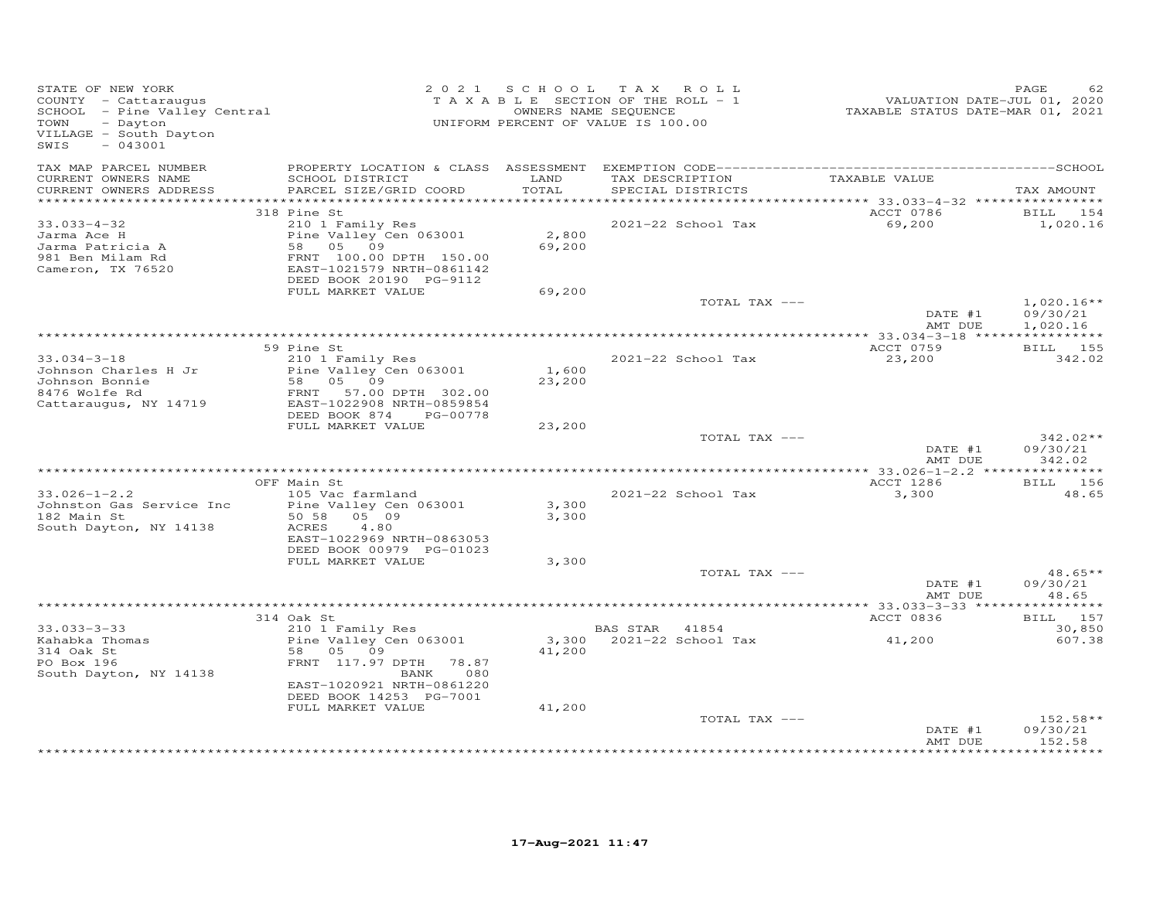| STATE OF NEW YORK<br>COUNTY - Cattaraugus<br>COONII - Cattaraugus<br>SCHOOL - Pine Valley Central<br>TOWN - Dayton<br>VILLAGE - South Dayton<br>SWIS<br>$-043001$ |                                                                                                                                                                                                  |                           | 2021 SCHOOL TAX ROLL<br>TAXABLE SECTION OF THE ROLL - 1<br>OWNERS NAME SEQUENCE<br>UNIFORM PERCENT OF VALUE IS 100.00 | VALUATION DATE-JUL 01, 2020<br>TAXABLE STATUS DATE-MAR 01, 2021 | PAGE                           |
|-------------------------------------------------------------------------------------------------------------------------------------------------------------------|--------------------------------------------------------------------------------------------------------------------------------------------------------------------------------------------------|---------------------------|-----------------------------------------------------------------------------------------------------------------------|-----------------------------------------------------------------|--------------------------------|
| TAX MAP PARCEL NUMBER<br>CURRENT OWNERS NAME<br>CURRENT OWNERS ADDRESS                                                                                            | SCHOOL DISTRICT<br>PARCEL SIZE/GRID COORD                                                                                                                                                        | LAND<br>TOTAL             | TAX DESCRIPTION TAXABLE VALUE<br>SPECIAL DISTRICTS                                                                    |                                                                 | TAX AMOUNT                     |
|                                                                                                                                                                   | 318 Pine St                                                                                                                                                                                      |                           |                                                                                                                       | ACCT 0786                                                       | BILL 154                       |
| $33.033 - 4 - 32$<br>Jarma Ace H<br>Jarma Patricia A<br>981 Ben Milam Rd<br>Cameron, TX 76520                                                                     | 210 1 Family Res<br>Pine Valley Cen 063001<br>58 05 09<br>FRNT 100.00 DPTH 150.00<br>EAST-1021579 NRTH-0861142<br>DEED BOOK 20190 PG-9112<br>FULL MARKET VALUE                                   | 2,800<br>69,200<br>69,200 | 2021-22 School Tax                                                                                                    | 69,200                                                          | 1,020.16                       |
|                                                                                                                                                                   |                                                                                                                                                                                                  |                           | TOTAL TAX ---                                                                                                         |                                                                 | $1,020.16**$                   |
|                                                                                                                                                                   |                                                                                                                                                                                                  |                           |                                                                                                                       | DATE #1<br>AMT DUE                                              | 09/30/21<br>1,020.16           |
|                                                                                                                                                                   | 59 Pine St                                                                                                                                                                                       |                           |                                                                                                                       | ACCT 0759                                                       | BILL 155                       |
| $33.034 - 3 - 18$<br>Johnson Charles H Jr<br>Johnson Bonnie<br>8476 Wolfe Rd<br>Cattaraugus, NY 14719                                                             | 210 1 Family Res<br>Pine Valley Cen 063001<br>Pine varring<br>58 05 09<br>57 00<br>FRNT 57.00 DPTH 302.00<br>EAST-1022908 NRTH-0859854<br>EAST-1022908 NRTH-0859854<br>DEED BOOK 874<br>PG-00778 | 1,600<br>23,200           | 2021-22 School Tax                                                                                                    | 23,200                                                          | 342.02                         |
|                                                                                                                                                                   | FULL MARKET VALUE                                                                                                                                                                                | 23,200                    | TOTAL TAX ---                                                                                                         | DATE #1                                                         | $342.02**$<br>09/30/21         |
|                                                                                                                                                                   |                                                                                                                                                                                                  |                           |                                                                                                                       | AMT DUE<br>*************** 33.026-1-2.2 ****************        | 342.02                         |
|                                                                                                                                                                   | OFF Main St                                                                                                                                                                                      |                           |                                                                                                                       | ACCT 1286                                                       | <b>BILL</b> 156                |
| $33.026 - 1 - 2.2$<br>Johnston Gas Service Inc<br>182 Main St<br>South Dayton, NY 14138                                                                           | 105 Vac farmland<br>Pine Valley Cen 063001<br>50 58 05 09<br>ACRES<br>4.80<br>EAST-1022969 NRTH-0863053<br>DEED BOOK 00979 PG-01023                                                              | 3,300<br>3,300            | 2021-22 School Tax                                                                                                    | 3,300                                                           | 48.65                          |
|                                                                                                                                                                   | FULL MARKET VALUE                                                                                                                                                                                | 3,300                     |                                                                                                                       |                                                                 |                                |
|                                                                                                                                                                   |                                                                                                                                                                                                  |                           | TOTAL TAX ---                                                                                                         | DATE #1<br>AMT DUE                                              | $48.65**$<br>09/30/21<br>48.65 |
|                                                                                                                                                                   | 314 Oak St                                                                                                                                                                                       |                           |                                                                                                                       | ACCT 0836                                                       | BILL 157                       |
| $33.033 - 3 - 33$                                                                                                                                                 | 210 1 Family Res                                                                                                                                                                                 |                           | BAS STAR 41854                                                                                                        |                                                                 | 30,850                         |
| Sahabka Thomas<br>314 Oak St<br>PO Box 196<br>South Dayton, NY 14138                                                                                              | Pine Valley Cen 063001<br>58 05 09<br>FRNT 117.97 DPTH 78.87<br>080<br>BANK<br>EAST-1020921 NRTH-0861220                                                                                         | 41,200                    | 3,300 2021-22 School Tax                                                                                              | 41,200                                                          | 607.38                         |
|                                                                                                                                                                   | DEED BOOK 14253 PG-7001                                                                                                                                                                          |                           |                                                                                                                       |                                                                 |                                |
|                                                                                                                                                                   | FULL MARKET VALUE                                                                                                                                                                                | 41,200                    | TOTAL TAX ---                                                                                                         | DATE #1<br>AMT DUE                                              | 152.58**<br>09/30/21<br>152.58 |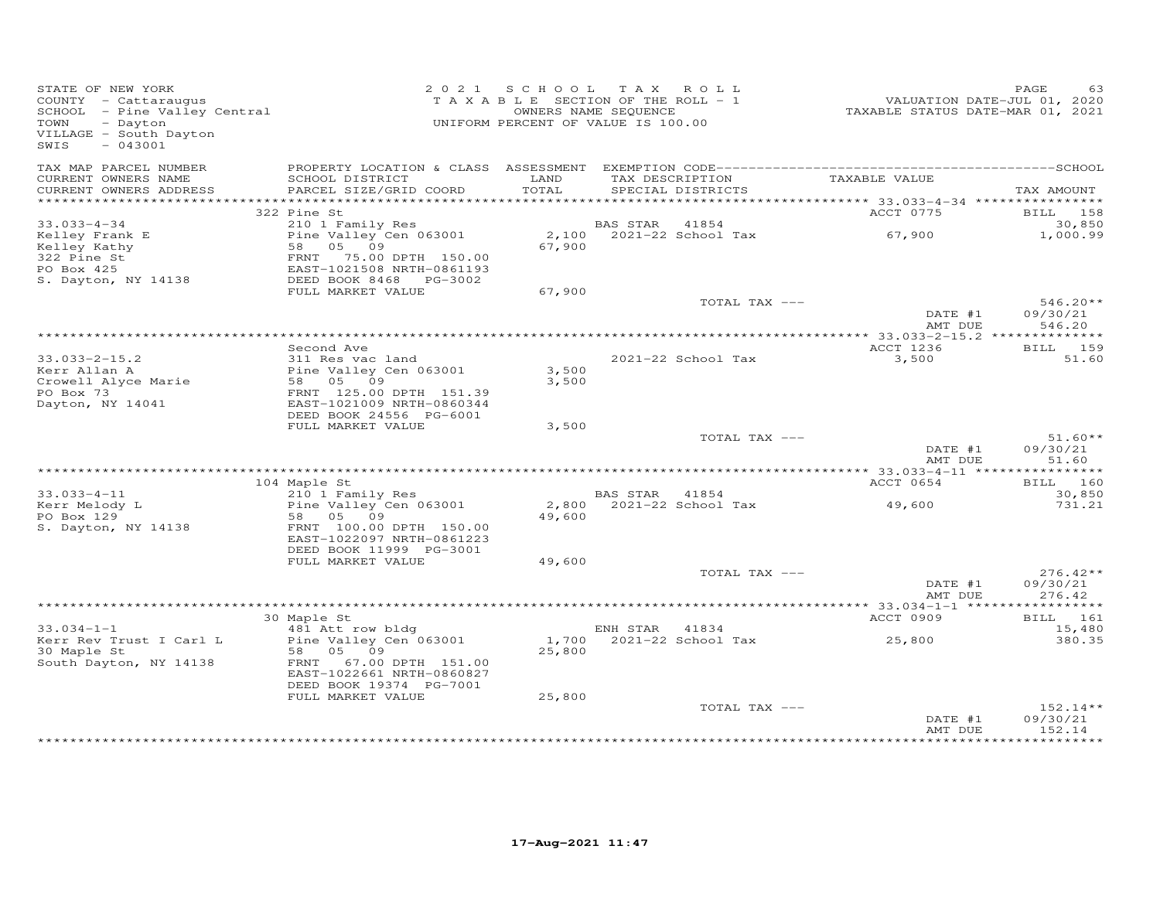| TAX MAP PARCEL NUMBER<br>TAX DESCRIPTION<br>CURRENT OWNERS NAME<br>SCHOOL DISTRICT<br>LAND<br>TAXABLE VALUE<br>PARCEL SIZE/GRID COORD<br>TOTAL<br>CURRENT OWNERS ADDRESS<br>SPECIAL DISTRICTS                                                                                             | TAX AMOUNT<br>BILL 158<br>30,850 |
|-------------------------------------------------------------------------------------------------------------------------------------------------------------------------------------------------------------------------------------------------------------------------------------------|----------------------------------|
|                                                                                                                                                                                                                                                                                           |                                  |
|                                                                                                                                                                                                                                                                                           |                                  |
| 322 Pine St<br>ACCT 0775                                                                                                                                                                                                                                                                  |                                  |
| $33.033 - 4 - 34$<br>210 1 Family Res<br>BAS STAR<br>41854                                                                                                                                                                                                                                |                                  |
| 67,900<br>2,100 2021-22 School Tax<br>Pine Valley Cen 063001<br>Kelley Frank E<br>67,900<br>58 05 09<br>Kelley Kathy<br>322 Pine St<br>FRNT 75.00 DPTH 150.00<br>PO Box 425<br>EAST-1021508 NRTH-0861193<br>DEED BOOK 8468 PG-3002<br>S. Dayton, NY 14138                                 | 1,000.99                         |
| FULL MARKET VALUE<br>67,900                                                                                                                                                                                                                                                               |                                  |
| TOTAL TAX ---<br>DATE #1                                                                                                                                                                                                                                                                  | $546.20**$<br>09/30/21           |
| AMT DUE                                                                                                                                                                                                                                                                                   | 546.20                           |
| ACCT 1236<br>Second Ave                                                                                                                                                                                                                                                                   | BILL 159                         |
| $33.033 - 2 - 15.2$<br>311 Res vac land<br>2021-22 School Tax<br>3,500<br>Kerr Allan A<br>Pine Valley Cen 063001<br>3,500<br>58 05 09<br>Crowell Alyce Marie<br>3,500<br>PO Box 73<br>FRNT 125.00 DPTH 151.39<br>Dayton, NY 14041<br>EAST-1021009 NRTH-0860344<br>DEED BOOK 24556 PG-6001 | 51.60                            |
| FULL MARKET VALUE<br>3,500                                                                                                                                                                                                                                                                |                                  |
| TOTAL TAX ---<br>DATE #1                                                                                                                                                                                                                                                                  | $51.60**$<br>09/30/21            |
| AMT DUE                                                                                                                                                                                                                                                                                   | 51.60                            |
| ACCT 0654<br>104 Maple St                                                                                                                                                                                                                                                                 | BILL 160                         |
| 210 1 Family Res<br>$33.033 - 4 - 11$<br>BAS STAR 41854                                                                                                                                                                                                                                   | 30,850                           |
| 2,800 2021-22 School Tax<br>Kerr Melody L<br>Pine Valley Cen 063001<br>49,600<br>PO Box 129<br>58 05 09<br>49,600<br>FRNT 100.00 DPTH 150.00<br>S. Dayton, NY 14138<br>EAST-1022097 NRTH-0861223                                                                                          | 731.21                           |
| DEED BOOK 11999 PG-3001                                                                                                                                                                                                                                                                   |                                  |
| FULL MARKET VALUE<br>49,600<br>TOTAL TAX ---                                                                                                                                                                                                                                              | $276.42**$                       |
| DATE #1<br>AMT DUE                                                                                                                                                                                                                                                                        | 09/30/21<br>276.42               |
|                                                                                                                                                                                                                                                                                           |                                  |
| 30 Maple St<br>ACCT 0909                                                                                                                                                                                                                                                                  | BILL 161                         |
| 481 Att row bldg<br>$33.034 - 1 - 1$<br>ENH STAR<br>41834<br>Pine Valley Cen 063001<br>1,700 2021-22 School Tax<br>25,800<br>Kerr Rev Trust I Carl L<br>58 05 09<br>25,800<br>30 Maple St<br>FRNT 67.00 DPTH 151.00<br>South Dayton, NY 14138<br>EAST-1022661 NRTH-0860827                | 15,480<br>380.35                 |
| DEED BOOK 19374 PG-7001<br>FULL MARKET VALUE<br>25,800                                                                                                                                                                                                                                    |                                  |
| TOTAL TAX ---<br>DATE #1<br>AMT DUE                                                                                                                                                                                                                                                       | 152.14**<br>09/30/21<br>152.14   |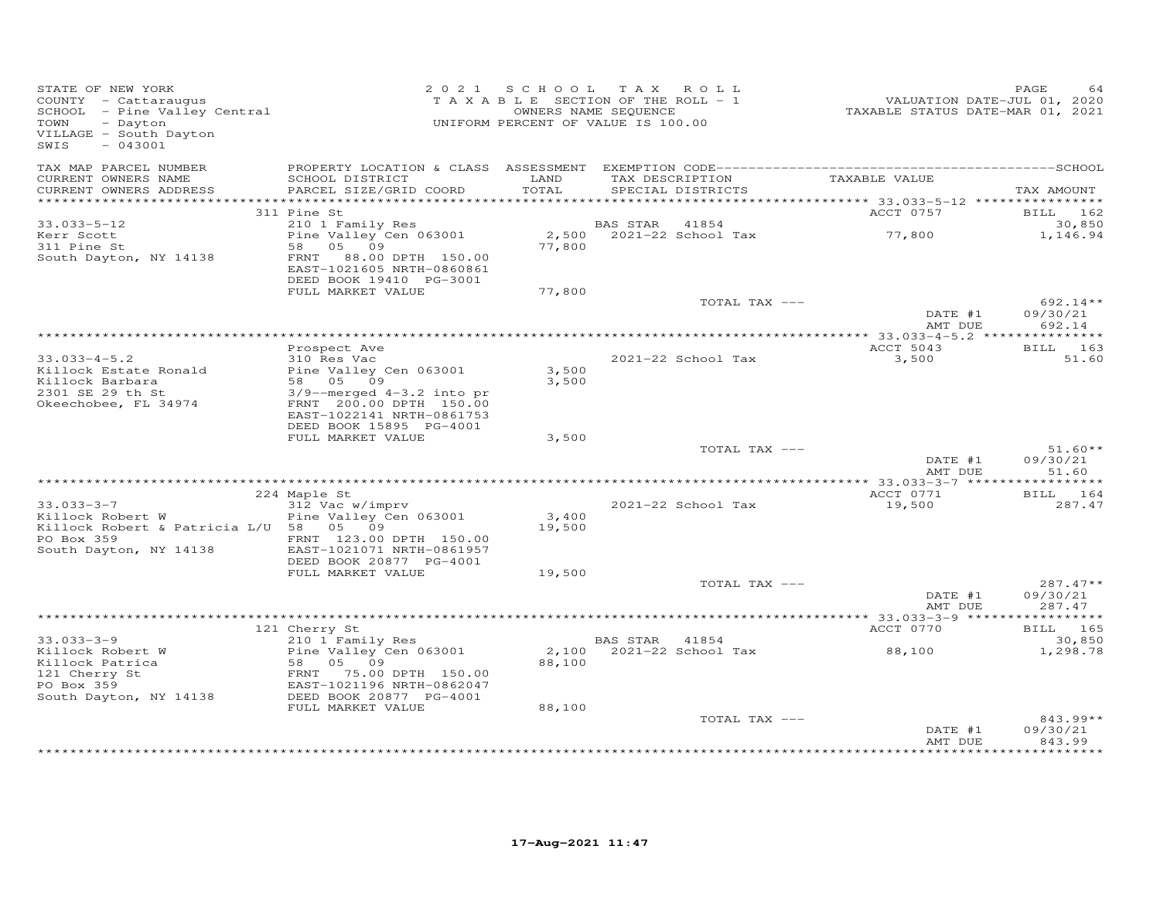| STATE OF NEW YORK<br>STATE OF NEW YORA<br>COUNTY - Cattaraugus<br>SCHOOL - Pine Valley Central<br>Distance<br>VILLAGE - South Dayton<br>SWIS<br>$-043001$ |                                                                                                                                                                      | 2021 SCHOOL     | TAX ROLL<br>TAXABLE SECTION OF THE ROLL - 1<br>OWNERS NAME SEQUENCE<br>UNIFORM PERCENT OF VALUE IS 100.00 | VALUATION DATE-JUL 01, 2020<br>TAXABLE STATUS DATE-MAR 01, 2021 | PAGE                             |
|-----------------------------------------------------------------------------------------------------------------------------------------------------------|----------------------------------------------------------------------------------------------------------------------------------------------------------------------|-----------------|-----------------------------------------------------------------------------------------------------------|-----------------------------------------------------------------|----------------------------------|
| TAX MAP PARCEL NUMBER<br>CURRENT OWNERS NAME<br>CURRENT OWNERS ADDRESS                                                                                    | SCHOOL DISTRICT<br>PARCEL SIZE/GRID COORD                                                                                                                            | LAND<br>TOTAL   | TAX DESCRIPTION TAXABLE VALUE<br>SPECIAL DISTRICTS                                                        |                                                                 | TAX AMOUNT                       |
|                                                                                                                                                           | 311 Pine St                                                                                                                                                          |                 |                                                                                                           | ACCT 0757                                                       | BILL 162                         |
| 33.033-5-12                                                                                                                                               | 210 1 Family Res                                                                                                                                                     |                 | BAS STAR 41854                                                                                            |                                                                 | 30,850                           |
| Kerr Scott<br>In Pine St<br>South Dayton, NY 14138                                                                                                        | Pine Valley Cen 063001<br>58 05 09<br>FRNT 88.00 DPTH 150.00<br>EAST-1021605 NRTH-0860861                                                                            | 77,800          | 2,500 2021-22 School Tax 77,800                                                                           |                                                                 | 1,146.94                         |
|                                                                                                                                                           | DEED BOOK 19410 PG-3001                                                                                                                                              |                 |                                                                                                           |                                                                 |                                  |
|                                                                                                                                                           | FULL MARKET VALUE                                                                                                                                                    | 77,800          | TOTAL TAX ---                                                                                             |                                                                 | $692.14**$                       |
|                                                                                                                                                           |                                                                                                                                                                      |                 |                                                                                                           | DATE #1<br>AMT DUE                                              | 09/30/21<br>692.14               |
|                                                                                                                                                           |                                                                                                                                                                      |                 |                                                                                                           |                                                                 |                                  |
| $33.033 - 4 - 5.2$                                                                                                                                        | Prospect Ave<br>310 Res Vac                                                                                                                                          |                 | 2021-22 School Tax                                                                                        | ACCT 5043<br>3,500                                              | <b>BILL</b> 163<br>51.60         |
| Killock Estate Ronald                                                                                                                                     | Pine Valley Cen 063001                                                                                                                                               | 3,500           |                                                                                                           |                                                                 |                                  |
| Killock Barbara<br>2301 SE 29 th St<br>Okeechobee, FL 34974                                                                                               | 58 05 09<br>$3/9$ --merged $4-3.2$ into pr<br>FRNT 200.00 DPTH 150.00<br>EAST-1022141 NRTH-0861753                                                                   | 3,500           |                                                                                                           |                                                                 |                                  |
|                                                                                                                                                           | DEED BOOK 15895 PG-4001                                                                                                                                              |                 |                                                                                                           |                                                                 |                                  |
|                                                                                                                                                           | FULL MARKET VALUE                                                                                                                                                    | 3,500           | TOTAL TAX ---                                                                                             |                                                                 | $51.60**$                        |
|                                                                                                                                                           |                                                                                                                                                                      |                 |                                                                                                           | DATE #1<br>AMT DUE                                              | 09/30/21<br>51.60                |
|                                                                                                                                                           |                                                                                                                                                                      |                 |                                                                                                           |                                                                 |                                  |
| $33.033 - 3 - 7$                                                                                                                                          | 224 Maple St                                                                                                                                                         |                 |                                                                                                           | ACCT 0771                                                       | BILL 164                         |
| Killock Robert W<br>Killock Robert & Patricia L/U 58 05 09<br>PO Box 359                                                                                  | 312 Vac w/imprv<br>Pine Valley Cen 063001<br>FRNT 123.00 DPTH 150.00                                                                                                 | 3,400<br>19,500 | 2021-22 School Tax                                                                                        | 19,500                                                          | 287.47                           |
| South Dayton, NY 14138                                                                                                                                    | EAST-1021071 NRTH-0861957<br>DEED BOOK 20877 PG-4001                                                                                                                 |                 |                                                                                                           |                                                                 |                                  |
|                                                                                                                                                           | FULL MARKET VALUE                                                                                                                                                    | 19,500          |                                                                                                           |                                                                 |                                  |
|                                                                                                                                                           |                                                                                                                                                                      |                 | TOTAL TAX ---                                                                                             | DATE #1<br>AMT DUE                                              | $287.47**$<br>09/30/21<br>287.47 |
|                                                                                                                                                           |                                                                                                                                                                      |                 |                                                                                                           |                                                                 |                                  |
|                                                                                                                                                           | 121 Cherry St                                                                                                                                                        |                 |                                                                                                           | ACCT 0770                                                       | <b>BILL</b> 165                  |
| $33.033 - 3 - 9$<br>Killock Robert W<br>Killock Patrica<br>121 Cherry St<br>PO Box 359                                                                    | 210 1 Family Res<br>Pine Valley Cen 063001<br>Pine Valley Cen 063001<br>58 05 09<br>FRNT 75.00 DPTH 150.00<br>EAST-1021196 NRTH-0862047<br>EAST-1021196 NRTH-0862047 | 88,100          | <b>BAS STAR</b> 41854<br>2,100 2021-22 School Tax                                                         | 88,100                                                          | 30,850<br>1,298.78               |
| South Dayton, NY 14138                                                                                                                                    | DEED BOOK 20877 PG-4001                                                                                                                                              |                 |                                                                                                           |                                                                 |                                  |
|                                                                                                                                                           | FULL MARKET VALUE                                                                                                                                                    | 88,100          | TOTAL TAX ---                                                                                             | DATE #1<br>AMT DUE                                              | 843.99**<br>09/30/21<br>843.99   |
|                                                                                                                                                           |                                                                                                                                                                      |                 |                                                                                                           |                                                                 |                                  |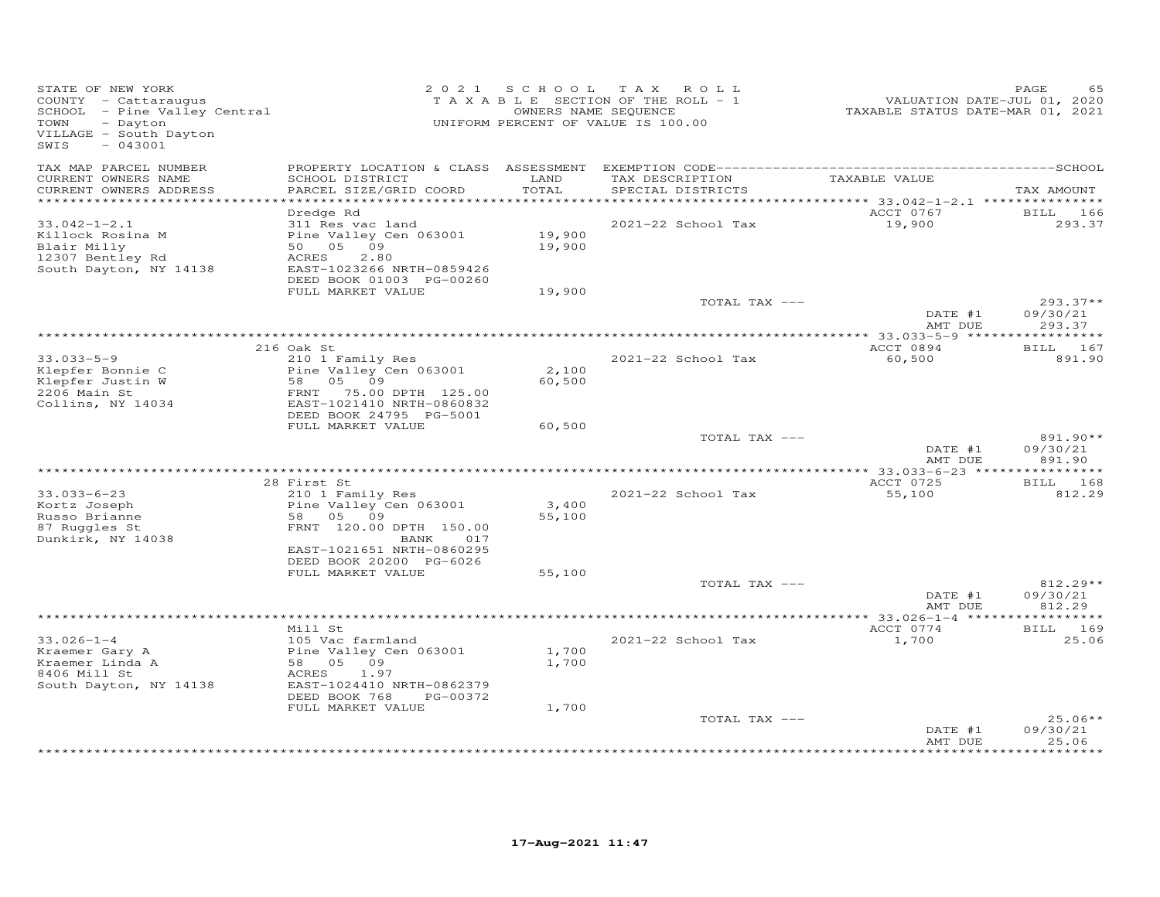| STATE OF NEW YORK<br>COUNTY - Cattaraugus<br>SCHOOL - Pine Valley Central<br>TOWN<br>- Dayton<br>VILLAGE - South Dayton<br>$-043001$<br>SWIS |                                                                                                                                                                    |                            | 2021 SCHOOL TAX ROLL<br>TAXABLE SECTION OF THE ROLL - 1<br>OWNERS NAME SEQUENCE<br>UNIFORM PERCENT OF VALUE IS 100.00 | VALUATION DATE-JUL 01, 2020<br>TAXABLE STATUS DATE-MAR 01, 2021 | PAGE<br>65                       |
|----------------------------------------------------------------------------------------------------------------------------------------------|--------------------------------------------------------------------------------------------------------------------------------------------------------------------|----------------------------|-----------------------------------------------------------------------------------------------------------------------|-----------------------------------------------------------------|----------------------------------|
| TAX MAP PARCEL NUMBER<br>CURRENT OWNERS NAME<br>CURRENT OWNERS ADDRESS<br>***********************                                            | SCHOOL DISTRICT<br>PARCEL SIZE/GRID COORD                                                                                                                          | LAND<br>TOTAL              | TAX DESCRIPTION<br>SPECIAL DISTRICTS                                                                                  | TAXABLE VALUE                                                   | TAX AMOUNT                       |
| $33.042 - 1 - 2.1$<br>Killock Rosina M<br>Blair Milly<br>12307 Bentley Rd<br>South Dayton, NY 14138                                          | Dredge Rd<br>311 Res vac land<br>Pine Valley Cen 063001<br>50 05 09<br>ACRES<br>2.80<br>EAST-1023266 NRTH-0859426<br>DEED BOOK 01003 PG-00260<br>FULL MARKET VALUE | 19,900<br>19,900<br>19,900 | 2021-22 School Tax                                                                                                    | ACCT 0767<br>19,900                                             | BILL 166<br>293.37               |
|                                                                                                                                              |                                                                                                                                                                    |                            | TOTAL TAX ---                                                                                                         | DATE #1<br>AMT DUE                                              | $293.37**$<br>09/30/21<br>293.37 |
|                                                                                                                                              |                                                                                                                                                                    |                            |                                                                                                                       |                                                                 |                                  |
| $33.033 - 5 - 9$<br>Klepfer Bonnie C<br>Klepfer Justin W<br>2206 Main St                                                                     | 216 Oak St<br>210 1 Family Res<br>Pine Valley Cen 063001<br>58 05 09<br>FRNT 75.00 DPTH 125.00<br>EAST-1021410 NRTH-0860832                                        | 2,100<br>60,500            | 2021-22 School Tax                                                                                                    | ACCT 0894<br>60,500                                             | BILL 167<br>891.90               |
| Collins, NY 14034                                                                                                                            | DEED BOOK 24795 PG-5001<br>FULL MARKET VALUE                                                                                                                       | 60,500                     | TOTAL TAX ---                                                                                                         | DATE #1<br>AMT DUE                                              | 891.90**<br>09/30/21<br>891.90   |
|                                                                                                                                              |                                                                                                                                                                    |                            |                                                                                                                       |                                                                 |                                  |
| $33.033 - 6 - 23$<br>Kortz Joseph<br>Russo Brianne<br>87 Ruggles St<br>Dunkirk, NY 14038                                                     | 28 First St<br>210 1 Family Res<br>Pine Valley Cen 063001<br>58 05 09<br>FRNT 120.00 DPTH 150.00<br>017                                                            | 3,400<br>55,100            | 2021-22 School Tax                                                                                                    | ACCT 0725<br>55,100                                             | BILL 168<br>812.29               |
|                                                                                                                                              | BANK<br>EAST-1021651 NRTH-0860295<br>DEED BOOK 20200 PG-6026<br>FULL MARKET VALUE                                                                                  | 55,100                     | TOTAL TAX ---                                                                                                         |                                                                 | 812.29**                         |
|                                                                                                                                              |                                                                                                                                                                    |                            |                                                                                                                       | DATE #1<br>AMT DUE                                              | 09/30/21<br>812.29               |
|                                                                                                                                              |                                                                                                                                                                    |                            |                                                                                                                       |                                                                 |                                  |
| $33.026 - 1 - 4$<br>Kraemer Gary A<br>Kraemer Linda A<br>8406 Mill St<br>South Dayton, NY 14138                                              | Mill St<br>105 Vac farmland<br>Pine Valley Cen 063001<br>58 05 09<br>ACRES<br>1.97<br>EAST-1024410 NRTH-0862379<br>DEED BOOK 768<br>PG-00372<br>FULL MARKET VALUE  | 1,700<br>1,700<br>1,700    | 2021-22 School Tax                                                                                                    | ACCT 0774<br>1,700                                              | BILL 169<br>25.06                |
|                                                                                                                                              |                                                                                                                                                                    |                            | TOTAL TAX ---                                                                                                         | DATE #1<br>AMT DUE                                              | $25.06**$<br>09/30/21<br>25.06   |
|                                                                                                                                              |                                                                                                                                                                    |                            |                                                                                                                       |                                                                 |                                  |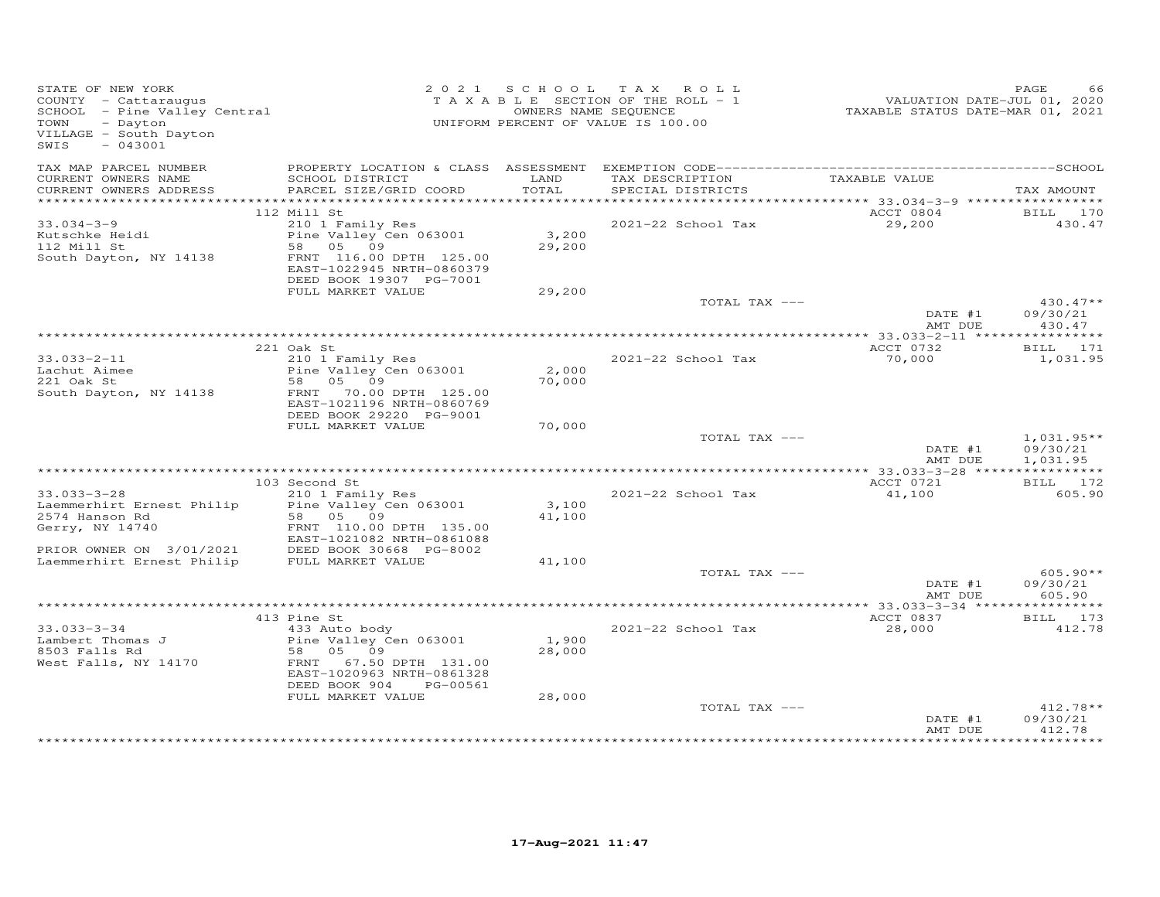| STATE OF NEW YORK<br>COUNTY - Cattaraugus<br>SCHOOL - Pine Valley Central<br>TOWN<br>- Dayton<br>VILLAGE - South Dayton<br>SWIS<br>$-043001$ |                                                                                             |                 | 2021 SCHOOL TAX ROLL<br>T A X A B L E SECTION OF THE ROLL - 1<br>OWNERS NAME SEQUENCE<br>UNIFORM PERCENT OF VALUE IS 100.00 | VALUATION DATE-JUL 01, 2020<br>TAXABLE STATUS DATE-MAR 01, 2021 | PAGE<br>66                           |
|----------------------------------------------------------------------------------------------------------------------------------------------|---------------------------------------------------------------------------------------------|-----------------|-----------------------------------------------------------------------------------------------------------------------------|-----------------------------------------------------------------|--------------------------------------|
| TAX MAP PARCEL NUMBER                                                                                                                        |                                                                                             |                 |                                                                                                                             |                                                                 |                                      |
| CURRENT OWNERS NAME<br>CURRENT OWNERS ADDRESS                                                                                                | SCHOOL DISTRICT<br>PARCEL SIZE/GRID COORD                                                   | LAND<br>TOTAL   | TAX DESCRIPTION TAXABLE VALUE<br>SPECIAL DISTRICTS                                                                          |                                                                 | TAX AMOUNT                           |
|                                                                                                                                              |                                                                                             |                 |                                                                                                                             |                                                                 |                                      |
|                                                                                                                                              | 112 Mill St                                                                                 |                 |                                                                                                                             | ACCT 0804                                                       | BILL 170                             |
| $33.034 - 3 - 9$                                                                                                                             | 210 1 Family Res                                                                            |                 | 2021-22 School Tax                                                                                                          | 29,200                                                          | 430.47                               |
| Kutschke Heidi                                                                                                                               | Pine Valley Cen 063001                                                                      | 3,200           |                                                                                                                             |                                                                 |                                      |
| 112 Mill St<br>South Dayton, NY 14138                                                                                                        | 58 05 09<br>FRNT 116.00 DPTH 125.00<br>EAST-1022945 NRTH-0860379<br>DEED BOOK 19307 PG-7001 | 29,200          |                                                                                                                             |                                                                 |                                      |
|                                                                                                                                              | FULL MARKET VALUE                                                                           | 29,200          |                                                                                                                             |                                                                 |                                      |
|                                                                                                                                              |                                                                                             |                 | TOTAL TAX ---                                                                                                               | DATE #1                                                         | $430.47**$<br>09/30/21               |
|                                                                                                                                              |                                                                                             |                 |                                                                                                                             | AMT DUE                                                         | 430.47                               |
|                                                                                                                                              |                                                                                             |                 |                                                                                                                             |                                                                 |                                      |
|                                                                                                                                              | 221 Oak St                                                                                  |                 |                                                                                                                             | ACCT 0732                                                       | BILL 171                             |
| $33.033 - 2 - 11$<br>33.030 L<br>Lachut Aimee                                                                                                | 210 1 Family Res<br>Pine Valley Cen 063001                                                  | 2,000           | 2021-22 School Tax                                                                                                          | 70,000                                                          | 1,031.95                             |
|                                                                                                                                              | 58 05 09                                                                                    | 70,000          |                                                                                                                             |                                                                 |                                      |
| South Dayton, NY 14138                                                                                                                       | FRNT 70.00 DPTH 125.00<br>EAST-1021196 NRTH-0860769                                         |                 |                                                                                                                             |                                                                 |                                      |
|                                                                                                                                              | DEED BOOK 29220 PG-9001                                                                     |                 |                                                                                                                             |                                                                 |                                      |
|                                                                                                                                              | FULL MARKET VALUE                                                                           | 70,000          |                                                                                                                             |                                                                 |                                      |
|                                                                                                                                              |                                                                                             |                 | TOTAL TAX ---                                                                                                               | DATE #1<br>AMT DUE                                              | $1,031.95**$<br>09/30/21<br>1,031.95 |
|                                                                                                                                              |                                                                                             |                 |                                                                                                                             |                                                                 |                                      |
|                                                                                                                                              | 103 Second St                                                                               |                 |                                                                                                                             | ACCT 0721                                                       | BILL 172                             |
| $33.033 - 3 - 28$                                                                                                                            | 210 1 Family Res                                                                            |                 | 2021-22 School Tax                                                                                                          | 41,100                                                          | 605.90                               |
| Laemmerhirt Ernest Philip                                                                                                                    | Pine Valley Cen 063001                                                                      | 3,100           |                                                                                                                             |                                                                 |                                      |
| 2574 Hanson Rd                                                                                                                               | 58 05 09                                                                                    | 41,100          |                                                                                                                             |                                                                 |                                      |
| Gerry, NY 14740                                                                                                                              | FRNT 110.00 DPTH 135.00<br>EAST-1021082 NRTH-0861088                                        |                 |                                                                                                                             |                                                                 |                                      |
| PRIOR OWNER ON 3/01/2021                                                                                                                     | DEED BOOK 30668 PG-8002                                                                     |                 |                                                                                                                             |                                                                 |                                      |
| Laemmerhirt Ernest Philip                                                                                                                    | DEED BOOK 30668 F<br>FULL MARKET VALUE                                                      | 41,100          |                                                                                                                             |                                                                 |                                      |
|                                                                                                                                              |                                                                                             |                 | TOTAL TAX ---                                                                                                               |                                                                 | $605.90**$                           |
|                                                                                                                                              |                                                                                             |                 |                                                                                                                             | DATE #1                                                         | 09/30/21                             |
|                                                                                                                                              |                                                                                             |                 |                                                                                                                             | AMT DUE                                                         | 605.90                               |
|                                                                                                                                              | 413 Pine St                                                                                 |                 |                                                                                                                             | ACCT 0837                                                       | BILL 173                             |
| $33.033 - 3 - 34$                                                                                                                            | 433 Auto body                                                                               |                 | 2021-22 School Tax                                                                                                          | 28,000                                                          | 412.78                               |
| Lambert Thomas J<br>8503 Falls Rd                                                                                                            | Pine Valley Cen 063001<br>58 05 09                                                          | 1,900<br>28,000 |                                                                                                                             |                                                                 |                                      |
| West Falls, NY 14170                                                                                                                         | FRNT 67.50 DPTH 131.00<br>EAST-1020963 NRTH-0861328                                         |                 |                                                                                                                             |                                                                 |                                      |
|                                                                                                                                              | DEED BOOK 904<br>PG-00561                                                                   |                 |                                                                                                                             |                                                                 |                                      |
|                                                                                                                                              | FULL MARKET VALUE                                                                           | 28,000          |                                                                                                                             |                                                                 |                                      |
|                                                                                                                                              |                                                                                             |                 | TOTAL TAX ---                                                                                                               | DATE #1<br>AMT DUE                                              | $412.78**$<br>09/30/21<br>412.78     |
|                                                                                                                                              |                                                                                             |                 |                                                                                                                             |                                                                 |                                      |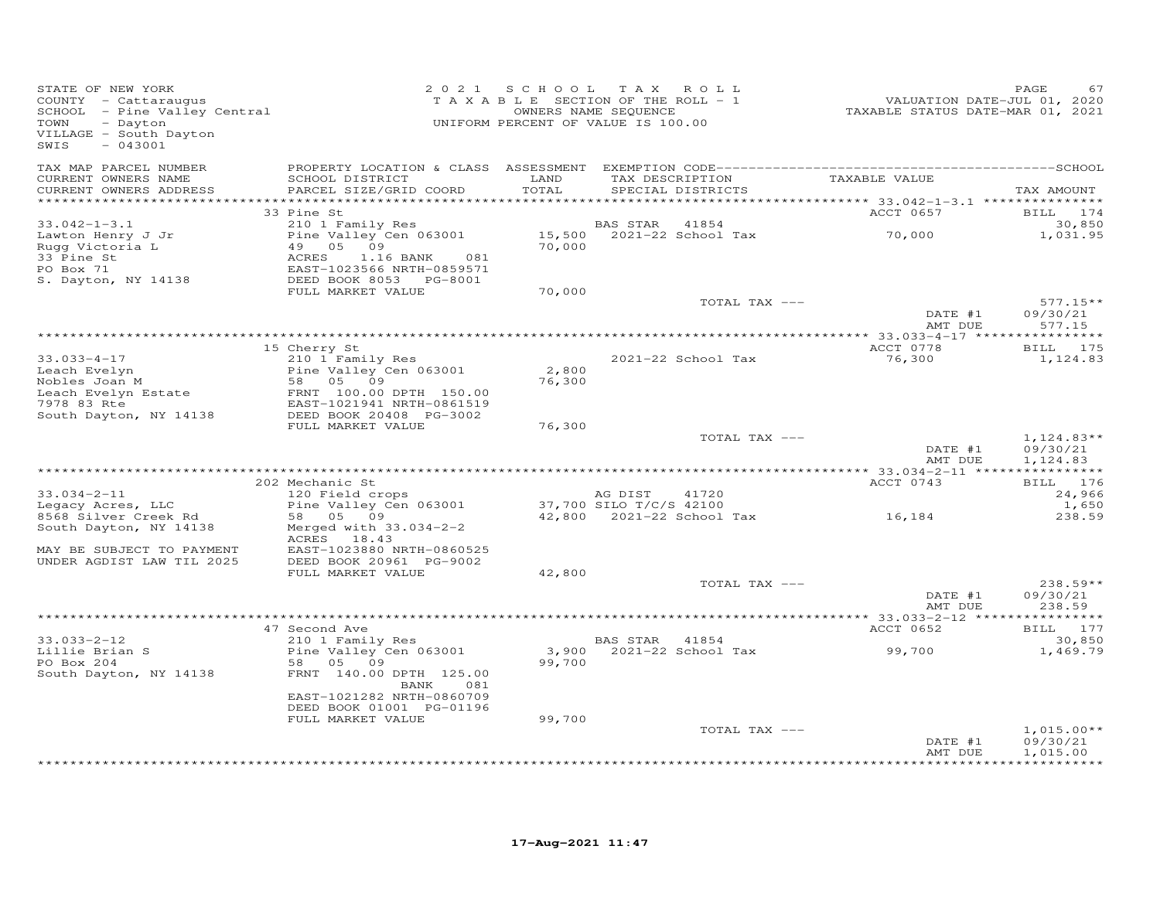| STATE OF NEW YORK<br>COUNTY - Cattaraugus<br>COONII - Cattaraugus<br>SCHOOL - Pine Valley Central<br>- Dayton<br>TOWN<br>VILLAGE - South Dayton<br>$-043001$<br>SWIS |                                                                                             |               | 2021 SCHOOL TAX ROLL<br>T A X A B L E SECTION OF THE ROLL - 1<br>OWNERS NAME SEQUENCE<br>UNIFORM PERCENT OF VALUE IS 100.00 | VALUATION DATE-JUL 01, 2020<br>TAXABLE STATUS DATE-MAR 01, 2021 | PAGE<br>67                      |
|----------------------------------------------------------------------------------------------------------------------------------------------------------------------|---------------------------------------------------------------------------------------------|---------------|-----------------------------------------------------------------------------------------------------------------------------|-----------------------------------------------------------------|---------------------------------|
| TAX MAP PARCEL NUMBER<br>CURRENT OWNERS NAME<br>CURRENT OWNERS ADDRESS<br>************************                                                                   | SCHOOL DISTRICT<br>PARCEL SIZE/GRID COORD                                                   | LAND<br>TOTAL | TAX DESCRIPTION TAXABLE VALUE<br>SPECIAL DISTRICTS                                                                          |                                                                 | TAX AMOUNT                      |
|                                                                                                                                                                      | 33 Pine St                                                                                  |               |                                                                                                                             | ACCT 0657                                                       | BILL 174                        |
| $33.042 - 1 - 3.1$<br>Lawton Henry J Jr<br>Rugg Victoria L<br>33 Pine St                                                                                             | 210 1 Family Res<br>Pine Valley Cen 063001                                                  |               | BAS STAR 41854<br>15,500 2021-22 School Tax<br>70.000                                                                       | 70,000                                                          | 30,850<br>1,031.95              |
| PO Box 71<br>S. Dayton, NY 14138                                                                                                                                     | FULL MARKET VALUE                                                                           | 70,000        |                                                                                                                             |                                                                 |                                 |
|                                                                                                                                                                      |                                                                                             |               | TOTAL TAX ---                                                                                                               | DATE #1                                                         | $577.15**$<br>09/30/21          |
|                                                                                                                                                                      |                                                                                             |               |                                                                                                                             | AMT DUE                                                         | 577.15                          |
| $33.033 - 4 - 17$                                                                                                                                                    | 15 Cherry St<br>210 1 Family Res                                                            |               | 2021-22 School Tax                                                                                                          | ACCT 0778<br>76,300                                             | <b>BILL</b> 175<br>1,124.83     |
| Leach Evelyn                                                                                                                                                         | Pine Valley Cen 063001                                                                      | 2,800         |                                                                                                                             |                                                                 |                                 |
| weach Evelyn<br>Nobles Joan M<br>Leach Evelyn Estate<br>7978 83 Rte<br>South Dayton, NY 14138                                                                        | 58 05 09<br>FRNT 100.00 DPTH 150.00<br>EAST-1021941 NRTH-0861519<br>DEED BOOK 20408 PG-3002 | 76,300        |                                                                                                                             |                                                                 |                                 |
|                                                                                                                                                                      | FULL MARKET VALUE                                                                           | 76,300        | TOTAL TAX ---                                                                                                               | DATE #1                                                         | $1,124.83**$<br>09/30/21        |
|                                                                                                                                                                      |                                                                                             |               |                                                                                                                             | AMT DUE                                                         | 1,124.83                        |
|                                                                                                                                                                      | 202 Mechanic St                                                                             |               |                                                                                                                             | ACCT 0743                                                       | BILL 176                        |
| $33.034 - 2 - 11$                                                                                                                                                    | 120 Field crops                                                                             |               | AG DIST<br>41720                                                                                                            |                                                                 | 24,966                          |
| Legacy Acres, LLC<br>8568 Silver Creek Rd                                                                                                                            | Pine Valley Cen 063001 37,700 SILO T/C/S 42100<br>58 05 09                                  |               | 42,800 2021-22 School Tax                                                                                                   | 16,184                                                          | 1,650<br>238.59                 |
| South Dayton, NY 14138                                                                                                                                               | Merged with $33.034-2-2$<br>ACRES 18.43                                                     |               |                                                                                                                             |                                                                 |                                 |
| MAY BE SUBJECT TO PAYMENT<br>UNDER AGDIST LAW TIL 2025                                                                                                               | EAST-1023880 NRTH-0860525<br>DEED BOOK 20961 PG-9002<br>FULL MARKET VALUE                   | 42,800        |                                                                                                                             |                                                                 |                                 |
|                                                                                                                                                                      |                                                                                             |               | TOTAL TAX ---                                                                                                               |                                                                 | $238.59**$                      |
|                                                                                                                                                                      |                                                                                             |               |                                                                                                                             | DATE #1<br>AMT DUE                                              | 09/30/21<br>238.59              |
|                                                                                                                                                                      | 47 Second Ave                                                                               |               |                                                                                                                             | ACCT 0652                                                       | BILL 177                        |
| $33.033 - 2 - 12$<br>33.035-2-12<br>Lillie Brian S<br>PO Box 204                                                                                                     | 210 1 Family Res<br>Pine Valley Cen 063001<br>58 05 09                                      | 99,700        | BAS STAR 41854                                                                                                              |                                                                 | 30,850<br>1,469.79              |
| South Dayton, NY 14138                                                                                                                                               | FRNT 140.00 DPTH 125.00<br>BANK<br>081                                                      |               |                                                                                                                             |                                                                 |                                 |
|                                                                                                                                                                      | EAST-1021282 NRTH-0860709<br>DEED BOOK 01001 PG-01196<br>FULL MARKET VALUE                  | 99,700        |                                                                                                                             |                                                                 |                                 |
|                                                                                                                                                                      |                                                                                             |               | TOTAL TAX ---                                                                                                               | DATE #1                                                         | $1,015.00**$<br>09/30/21        |
|                                                                                                                                                                      |                                                                                             |               |                                                                                                                             | AMT DUE                                                         | 1,015.00<br><b>++++++++++++</b> |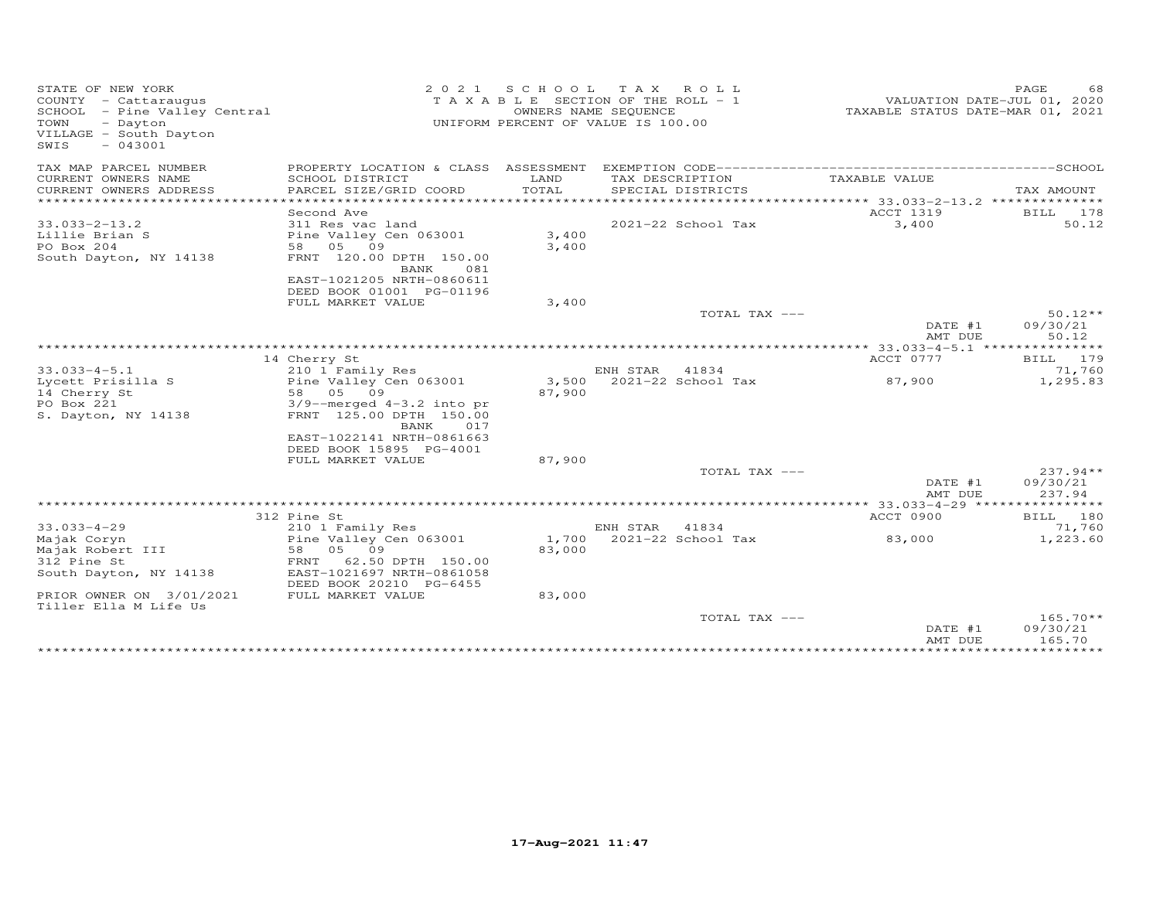| STATE OF NEW YORK<br>COUNTY - Cattaraugus<br>SCHOOL - Pine Valley Central<br>TOWN<br>- Dayton<br>VILLAGE - South Dayton<br>SWIS<br>$-043001$ | 2021                                                   | SCHOOL        | TAX ROLL<br>T A X A B L E SECTION OF THE ROLL - 1<br>OWNERS NAME SEQUENCE<br>UNIFORM PERCENT OF VALUE IS 100.00 | TAXABLE STATUS DATE-MAR 01, 2021 | 68<br>PAGE<br>VALUATION DATE-JUL 01, 2020 |
|----------------------------------------------------------------------------------------------------------------------------------------------|--------------------------------------------------------|---------------|-----------------------------------------------------------------------------------------------------------------|----------------------------------|-------------------------------------------|
| TAX MAP PARCEL NUMBER                                                                                                                        |                                                        |               |                                                                                                                 |                                  |                                           |
| CURRENT OWNERS NAME<br>CURRENT OWNERS ADDRESS                                                                                                | SCHOOL DISTRICT<br>PARCEL SIZE/GRID COORD              | LAND<br>TOTAL | TAX DESCRIPTION<br>SPECIAL DISTRICTS                                                                            | TAXABLE VALUE                    | TAX AMOUNT                                |
| ************************                                                                                                                     |                                                        |               |                                                                                                                 |                                  |                                           |
|                                                                                                                                              | Second Ave                                             |               |                                                                                                                 | ACCT 1319                        | BILL 178                                  |
| $33.033 - 2 - 13.2$                                                                                                                          | 311 Res vac land                                       |               | 2021-22 School Tax                                                                                              | 3,400                            | 50.12                                     |
| Lillie Brian S                                                                                                                               | Pine Valley Cen 063001                                 | 3,400         |                                                                                                                 |                                  |                                           |
| PO Box 204                                                                                                                                   | 58 05 09                                               | 3,400         |                                                                                                                 |                                  |                                           |
| South Dayton, NY 14138                                                                                                                       | FRNT 120.00 DPTH 150.00<br>BANK<br>081                 |               |                                                                                                                 |                                  |                                           |
|                                                                                                                                              | EAST-1021205 NRTH-0860611                              |               |                                                                                                                 |                                  |                                           |
|                                                                                                                                              | DEED BOOK 01001 PG-01196                               |               |                                                                                                                 |                                  |                                           |
|                                                                                                                                              | FULL MARKET VALUE                                      | 3,400         |                                                                                                                 |                                  |                                           |
|                                                                                                                                              |                                                        |               | TOTAL TAX ---                                                                                                   |                                  | $50.12**$                                 |
|                                                                                                                                              |                                                        |               |                                                                                                                 | DATE #1                          | 09/30/21                                  |
|                                                                                                                                              |                                                        |               |                                                                                                                 | AMT DUE                          | 50.12                                     |
|                                                                                                                                              |                                                        |               |                                                                                                                 |                                  |                                           |
| $33.033 - 4 - 5.1$                                                                                                                           | 14 Cherry St<br>210 1 Family Res                       |               | ENH STAR<br>41834                                                                                               | ACCT 0777                        | BILL 179<br>71,760                        |
| Lycett Prisilla S                                                                                                                            | Pine Valley Cen 063001                                 | 3,500         | 2021-22 School Tax                                                                                              | 87,900                           | 1,295.83                                  |
| 14 Cherry St                                                                                                                                 | 05 09<br>58                                            | 87,900        |                                                                                                                 |                                  |                                           |
| PO Box 221                                                                                                                                   | $3/9$ --merged $4-3.2$ into pr                         |               |                                                                                                                 |                                  |                                           |
| S. Dayton, NY 14138                                                                                                                          | FRNT 125.00 DPTH 150.00                                |               |                                                                                                                 |                                  |                                           |
|                                                                                                                                              | BANK<br>017                                            |               |                                                                                                                 |                                  |                                           |
|                                                                                                                                              | EAST-1022141 NRTH-0861663                              |               |                                                                                                                 |                                  |                                           |
|                                                                                                                                              | DEED BOOK 15895 PG-4001                                |               |                                                                                                                 |                                  |                                           |
|                                                                                                                                              | FULL MARKET VALUE                                      | 87,900        | TOTAL TAX ---                                                                                                   |                                  | $237.94**$                                |
|                                                                                                                                              |                                                        |               |                                                                                                                 | DATE #1                          | 09/30/21                                  |
|                                                                                                                                              |                                                        |               |                                                                                                                 | AMT DUE                          | 237.94                                    |
|                                                                                                                                              |                                                        |               |                                                                                                                 |                                  |                                           |
|                                                                                                                                              | 312 Pine St                                            |               |                                                                                                                 | ACCT 0900                        | BILL 180                                  |
| $33.033 - 4 - 29$                                                                                                                            | 210 1 Family Res                                       |               | ENH STAR<br>41834                                                                                               |                                  | 71,760                                    |
| Majak Coryn                                                                                                                                  | Pine Valley Cen 063001                                 | 1,700         | 2021-22 School Tax                                                                                              | 83,000                           | 1,223.60                                  |
| Majak Robert III                                                                                                                             | 05 09<br>58                                            | 83,000        |                                                                                                                 |                                  |                                           |
| 312 Pine St<br>South Dayton, NY 14138                                                                                                        | 62.50 DPTH 150.00<br>FRNT<br>EAST-1021697 NRTH-0861058 |               |                                                                                                                 |                                  |                                           |
|                                                                                                                                              | DEED BOOK 20210 PG-6455                                |               |                                                                                                                 |                                  |                                           |
| PRIOR OWNER ON 3/01/2021                                                                                                                     | FULL MARKET VALUE                                      | 83,000        |                                                                                                                 |                                  |                                           |
| Tiller Ella M Life Us                                                                                                                        |                                                        |               |                                                                                                                 |                                  |                                           |
|                                                                                                                                              |                                                        |               | TOTAL TAX ---                                                                                                   |                                  | $165.70**$                                |
|                                                                                                                                              |                                                        |               |                                                                                                                 | DATE #1                          | 09/30/21                                  |
|                                                                                                                                              |                                                        |               |                                                                                                                 | AMT DUE                          | 165.70<br>**********                      |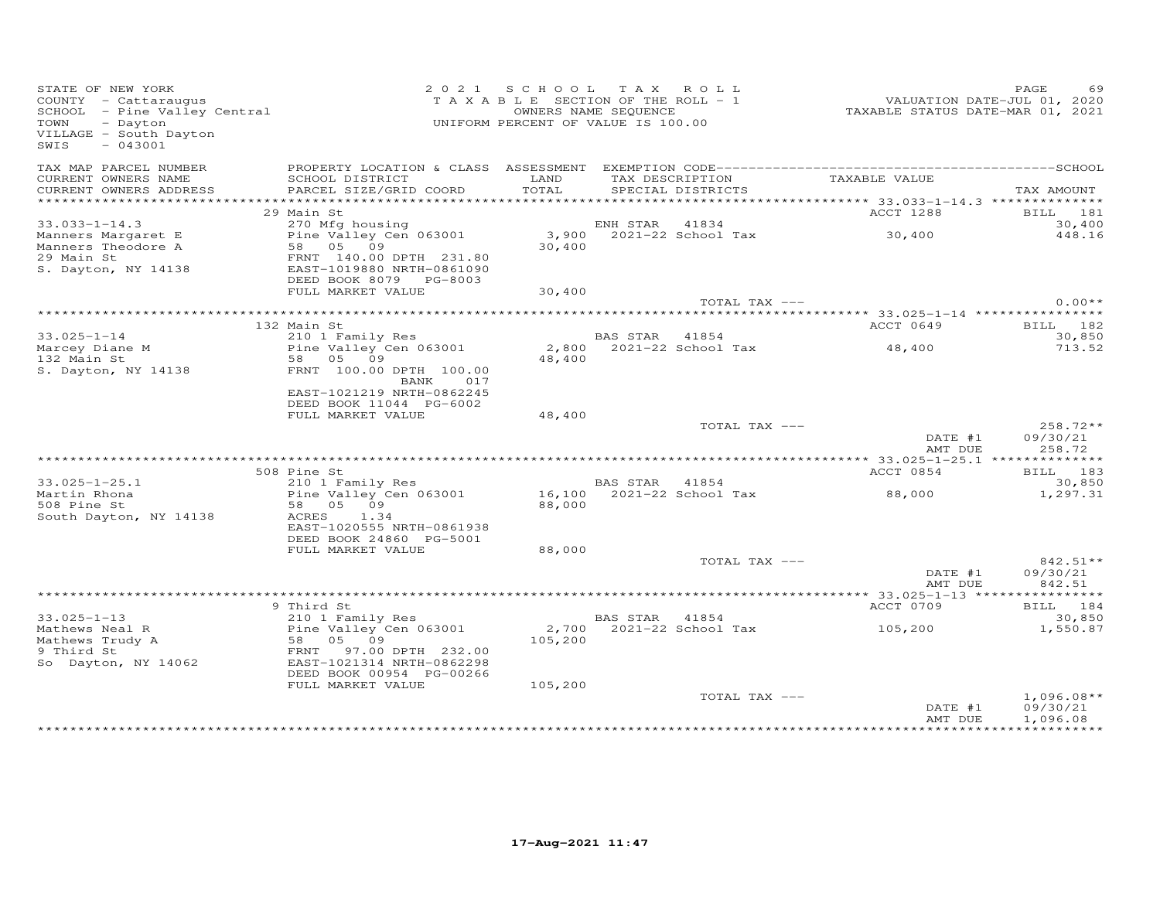| STATE OF NEW YORK<br>STATE OF NEW YORK<br>COUNTY - Cattaraugus<br>SCHOOL - Pine Valley Central<br>TOWN - Dayton<br>VILLAGE - South Dayton<br>$-043001$<br>SWIS                                                                                         | UNIFORM PERCENT OF VALUE IS 100.00                                                           | 2021 SCHOOL TAX ROLL |                   | T A X A B L E SECTION OF THE ROLL - 1<br>T A X A B L E SECTION OF THE ROLL - 1<br>OWNERS NAME SEQUENCE TAXABLE STATUS DATE-MAR 01, 2021 | PAGE<br>69                |
|--------------------------------------------------------------------------------------------------------------------------------------------------------------------------------------------------------------------------------------------------------|----------------------------------------------------------------------------------------------|----------------------|-------------------|-----------------------------------------------------------------------------------------------------------------------------------------|---------------------------|
| TAX MAP PARCEL NUMBER<br>CURRENT OWNERS NAME<br>CURRENT OWNERS ADDRESS                                                                                                                                                                                 | SCHOOL DISTRICT<br>PARCEL SIZE/GRID COORD                                                    | LAND<br>TOTAL        | SPECIAL DISTRICTS | TAX DESCRIPTION TAXABLE VALUE                                                                                                           | TAX AMOUNT                |
|                                                                                                                                                                                                                                                        |                                                                                              |                      |                   |                                                                                                                                         |                           |
|                                                                                                                                                                                                                                                        | 29 Main St                                                                                   |                      |                   | <b>ACCT 1288</b>                                                                                                                        | BILL 181                  |
| $33.033 - 1 - 14.3$                                                                                                                                                                                                                                    | 270 Mfg housing<br>Pine Valley Cen 063001 3,900 2021-22 School Tax 30,400<br>58 05 09 30,400 |                      |                   |                                                                                                                                         | 30,400                    |
|                                                                                                                                                                                                                                                        |                                                                                              |                      |                   |                                                                                                                                         | 448.16                    |
|                                                                                                                                                                                                                                                        |                                                                                              |                      |                   |                                                                                                                                         |                           |
| Valley Cen 063001<br>Manners Margaret E<br>29 Main St<br>S. Dayton, NY 14138<br>S. Dayton, NY 14138<br>PEED BOOK 8079<br>PG-8003                                                                                                                       |                                                                                              |                      |                   |                                                                                                                                         |                           |
|                                                                                                                                                                                                                                                        | FULL MARKET VALUE                                                                            | 30,400               |                   |                                                                                                                                         |                           |
|                                                                                                                                                                                                                                                        |                                                                                              |                      |                   | TOTAL TAX ---                                                                                                                           | $0.00**$                  |
|                                                                                                                                                                                                                                                        |                                                                                              |                      |                   | <b>ACCT 0649</b>                                                                                                                        |                           |
|                                                                                                                                                                                                                                                        |                                                                                              |                      |                   |                                                                                                                                         | <b>BILL</b> 182<br>30,850 |
|                                                                                                                                                                                                                                                        |                                                                                              |                      |                   |                                                                                                                                         | 713.52                    |
|                                                                                                                                                                                                                                                        |                                                                                              |                      |                   |                                                                                                                                         |                           |
| 132 Main St<br>S. Dayton, NY 14138                                                                                                                                                                                                                     | FRNT 100.00 DPTH 100.00                                                                      |                      |                   |                                                                                                                                         |                           |
|                                                                                                                                                                                                                                                        | <b>BANK</b><br>017                                                                           |                      |                   |                                                                                                                                         |                           |
|                                                                                                                                                                                                                                                        | EAST-1021219 NRTH-0862245                                                                    |                      |                   |                                                                                                                                         |                           |
|                                                                                                                                                                                                                                                        | DEED BOOK 11044 PG-6002                                                                      |                      |                   |                                                                                                                                         |                           |
|                                                                                                                                                                                                                                                        | FULL MARKET VALUE                                                                            | 48,400               | TOTAL TAX ---     |                                                                                                                                         | 258.72**                  |
|                                                                                                                                                                                                                                                        |                                                                                              |                      |                   | DATE $#1$                                                                                                                               | 09/30/21                  |
|                                                                                                                                                                                                                                                        |                                                                                              |                      |                   | AMT DUE                                                                                                                                 | 258.72                    |
| 33.025-1-25.1<br>33.025-1-25.1<br>210 1 Family Res<br>210 1 Family Res<br>210 1 Family Res<br>210 1 Family Res<br>210 1 Family Res<br>210 1 Family Res<br>210 1 Family Res<br>210 1 Family Res<br>210 1 Family Res<br>210 1 Family Res<br>210 1 Family |                                                                                              |                      |                   |                                                                                                                                         |                           |
|                                                                                                                                                                                                                                                        |                                                                                              |                      |                   | ACCT 0854                                                                                                                               | BILL 183                  |
|                                                                                                                                                                                                                                                        |                                                                                              |                      |                   |                                                                                                                                         | 30,850<br>1,297.31        |
|                                                                                                                                                                                                                                                        |                                                                                              |                      |                   |                                                                                                                                         |                           |
|                                                                                                                                                                                                                                                        |                                                                                              |                      |                   |                                                                                                                                         |                           |
|                                                                                                                                                                                                                                                        |                                                                                              |                      |                   |                                                                                                                                         |                           |
|                                                                                                                                                                                                                                                        | DEED BOOK 24860 PG-5001                                                                      |                      |                   |                                                                                                                                         |                           |
|                                                                                                                                                                                                                                                        | FULL MARKET VALUE                                                                            | 88,000               |                   |                                                                                                                                         |                           |
|                                                                                                                                                                                                                                                        |                                                                                              |                      | TOTAL TAX ---     |                                                                                                                                         | $842.51**$                |
|                                                                                                                                                                                                                                                        |                                                                                              |                      |                   | $DATAF$ #1<br>AMT DUE                                                                                                                   | 09/30/21<br>842.51        |
|                                                                                                                                                                                                                                                        |                                                                                              |                      |                   |                                                                                                                                         |                           |
|                                                                                                                                                                                                                                                        | 9 Third St                                                                                   |                      |                   | <b>ACCT 0709</b>                                                                                                                        | BILL 184                  |
|                                                                                                                                                                                                                                                        |                                                                                              |                      |                   |                                                                                                                                         |                           |
| 33.025-1-13<br>Mathews Neal R<br>Mathews Trudy A<br>9 Third St<br>Se 05 09<br>9 Third St<br>Se 05 09<br>9 Third St<br>Se 05 09<br>FRNT 97.00 DPTH 232.00<br>So Dayton, NY 14062<br>EAST-1021314 NRTH-0862298                                           |                                                                                              |                      |                   | BAS STAR 41854<br>2,700 2021-22 School Tax 105,200 1,550.87                                                                             |                           |
|                                                                                                                                                                                                                                                        |                                                                                              |                      |                   |                                                                                                                                         |                           |
|                                                                                                                                                                                                                                                        |                                                                                              |                      |                   |                                                                                                                                         |                           |
|                                                                                                                                                                                                                                                        | DEED BOOK 00954 PG-00266                                                                     |                      |                   |                                                                                                                                         |                           |
|                                                                                                                                                                                                                                                        | FULL MARKET VALUE                                                                            | 105,200              |                   |                                                                                                                                         |                           |
|                                                                                                                                                                                                                                                        |                                                                                              |                      | TOTAL TAX ---     |                                                                                                                                         | $1,096.08**$              |
|                                                                                                                                                                                                                                                        |                                                                                              |                      |                   | DATE #1                                                                                                                                 | 09/30/21                  |
|                                                                                                                                                                                                                                                        |                                                                                              |                      |                   | AMT DUE                                                                                                                                 | 1,096.08                  |
|                                                                                                                                                                                                                                                        |                                                                                              |                      |                   |                                                                                                                                         |                           |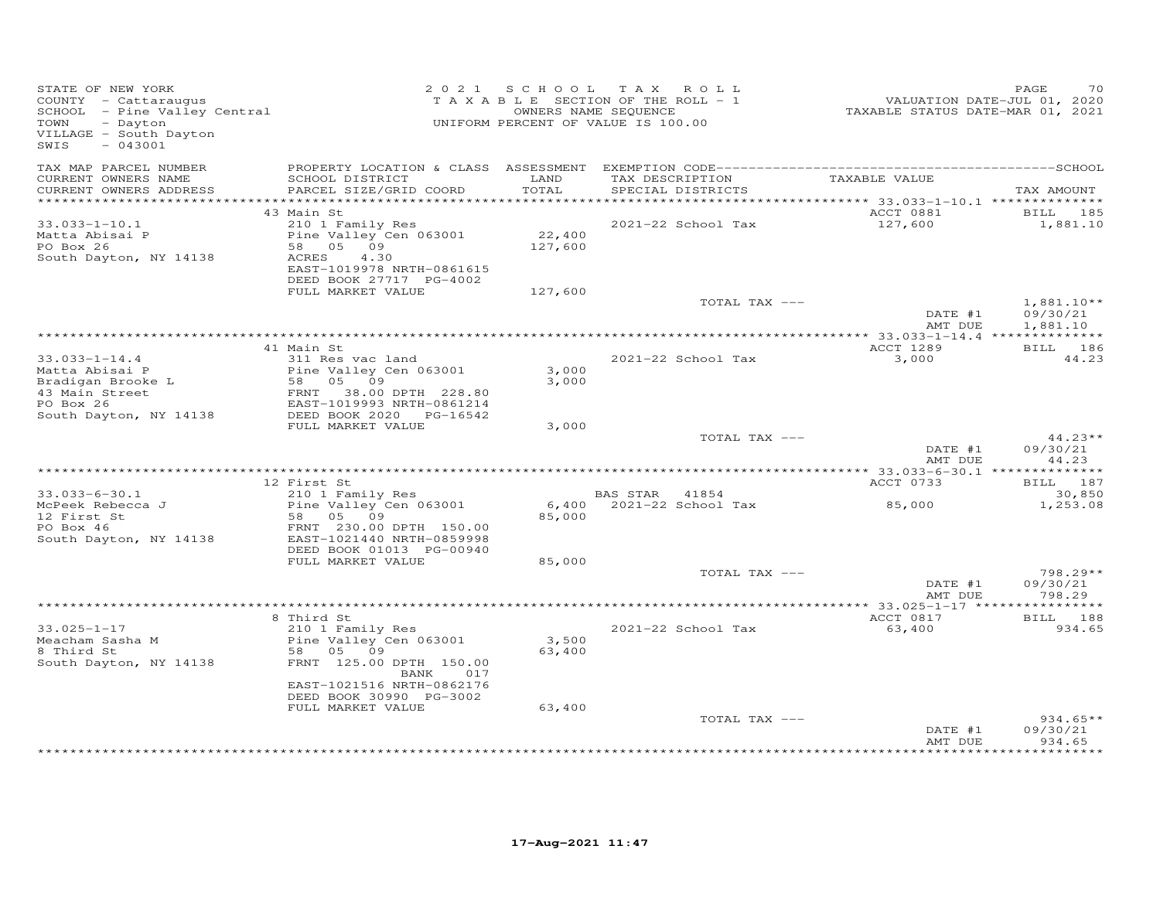| STATE OF NEW YORK<br>STATE OF NEW IONA<br>COUNTY - Cattaraugus<br>SCHOOL - Pine Valley Central<br>- Alley Central<br>- Dayton<br>VILLAGE - South Dayton<br>$-043001$<br>SWIS |                                                                                                                                                      | 2021 SCHOOL                  | TAX ROLL<br>T A X A B L E SECTION OF THE ROLL - 1<br>OWNERS NAME SEQUENCE<br>UNIFORM PERCENT OF VALUE IS 100.00 | 01, 2020<br>TAXABLE STATUS DATE-JUL 01, 2020<br>TAXABLE STATUS DATE-MAR 01, 2021 | PAGE<br>70                       |
|------------------------------------------------------------------------------------------------------------------------------------------------------------------------------|------------------------------------------------------------------------------------------------------------------------------------------------------|------------------------------|-----------------------------------------------------------------------------------------------------------------|----------------------------------------------------------------------------------|----------------------------------|
| TAX MAP PARCEL NUMBER<br>CURRENT OWNERS NAME<br>CURRENT OWNERS ADDRESS                                                                                                       | SCHOOL DISTRICT<br>PARCEL SIZE/GRID COORD                                                                                                            | LAND<br>TOTAL                | TAX DESCRIPTION<br>SPECIAL DISTRICTS                                                                            | TAXABLE VALUE                                                                    | TAX AMOUNT                       |
|                                                                                                                                                                              | 43 Main St                                                                                                                                           |                              |                                                                                                                 | ACCT 0881                                                                        | BILL 185                         |
| $33.033 - 1 - 10.1$<br>Matta Abisai P<br>PO Box 26<br>South Dayton, NY 14138                                                                                                 | 210 1 Family Res<br>Pine Valley Cen 063001<br>58 05 09<br>ACRES<br>4.30<br>EAST-1019978 NRTH-0861615<br>DEED BOOK 27717 PG-4002<br>FULL MARKET VALUE | 22,400<br>127,600<br>127,600 | 2021-22 School Tax                                                                                              | 127,600                                                                          | 1,881.10                         |
|                                                                                                                                                                              |                                                                                                                                                      |                              | TOTAL TAX ---                                                                                                   |                                                                                  | $1,881.10**$                     |
|                                                                                                                                                                              |                                                                                                                                                      |                              |                                                                                                                 | DATE #1<br>AMT DUE                                                               | 09/30/21<br>1,881.10             |
|                                                                                                                                                                              | 41 Main St                                                                                                                                           |                              |                                                                                                                 | ACCT 1289                                                                        | BILL 186                         |
| $33.033 - 1 - 14.4$<br>Matta Abisai P                                                                                                                                        | 311 Res vac land                                                                                                                                     | 3,000                        | 2021-22 School Tax                                                                                              | 3,000                                                                            | 44.23                            |
| Bradigan Brooke L<br>43 Main Street<br>PO Box 26<br>PO Box 26<br>South Dayton, NY 14138                                                                                      | Pine Valley Cen 063001<br>58 05 09<br>FRNT 38.00 DPTH 228.80<br>EAST-1019993 NRTH-0861214<br>DEED BOOK 2020 PG-16542                                 | 3,000                        |                                                                                                                 |                                                                                  |                                  |
|                                                                                                                                                                              | FULL MARKET VALUE                                                                                                                                    | 3,000                        | TOTAL TAX ---                                                                                                   |                                                                                  | $44.23**$                        |
|                                                                                                                                                                              |                                                                                                                                                      |                              |                                                                                                                 | DATE #1<br>AMT DUE                                                               | 09/30/21<br>44.23                |
|                                                                                                                                                                              | 12 First St                                                                                                                                          |                              |                                                                                                                 | ACCT 0733                                                                        | BILL 187                         |
| $33.033 - 6 - 30.1$<br>McPeek Rebecca J<br>12 First St<br>PO Box 46                                                                                                          | 210 1 Family Res<br>Pine Valley Cen 063001<br>58   05   09<br>FRNT 230.00 DPTH 150.00                                                                | 85,000                       | BAS STAR 41854<br>6,400 2021-22 School Tax                                                                      | 85,000                                                                           | 30,850<br>1,253.08               |
| South Dayton, NY 14138                                                                                                                                                       | EAST-1021440 NRTH-0859998<br>DEED BOOK 01013 PG-00940<br>FULL MARKET VALUE                                                                           | 85,000                       |                                                                                                                 |                                                                                  |                                  |
|                                                                                                                                                                              |                                                                                                                                                      |                              | TOTAL TAX ---                                                                                                   | DATE #1                                                                          | 798.29**<br>09/30/21             |
|                                                                                                                                                                              |                                                                                                                                                      |                              |                                                                                                                 | AMT DUE                                                                          | 798.29                           |
|                                                                                                                                                                              | 8 Third St                                                                                                                                           |                              |                                                                                                                 | ACCT 0817                                                                        | BILL 188                         |
| $33.025 - 1 - 17$<br>Meacham Sasha M<br>8 Third St<br>South Dayton, NY 14138                                                                                                 | 210 1 Family Res<br>Pine Valley Cen 063001<br>58 05 09<br>FRNT 125.00 DPTH 150.00<br>BANK<br>017                                                     | 3,500<br>63,400              | 2021-22 School Tax                                                                                              | 63,400                                                                           | 934.65                           |
|                                                                                                                                                                              | EAST-1021516 NRTH-0862176<br>DEED BOOK 30990 PG-3002<br>FULL MARKET VALUE                                                                            | 63,400                       |                                                                                                                 |                                                                                  |                                  |
|                                                                                                                                                                              |                                                                                                                                                      |                              | TOTAL TAX ---                                                                                                   | DATE #1<br>AMT DUE                                                               | $934.65**$<br>09/30/21<br>934.65 |
|                                                                                                                                                                              |                                                                                                                                                      |                              | ********************************                                                                                |                                                                                  | ******                           |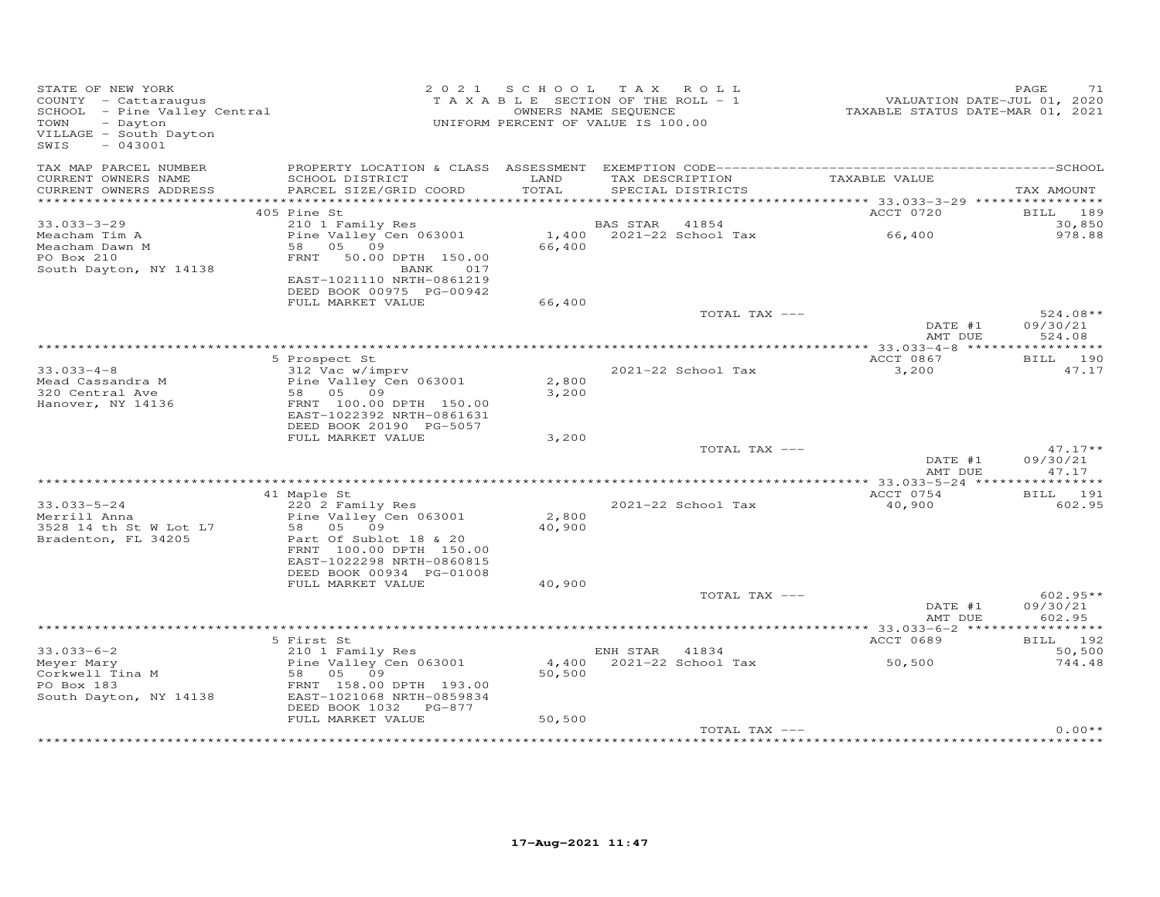| STATE OF NEW YORK<br>COUNTY - Cattaraugus<br>SCHOOL - Pine Valley Central<br>- Dayton<br>TOWN<br>VILLAGE - South Dayton<br>$-043001$<br>SWIS | 2 0 2 1                                                                                                                                     | SCHOOL TAX ROLL<br>T A X A B L E SECTION OF THE ROLL - 1<br>UNIFORM PERCENT OF VALUE IS 100.00 | OWNERS NAME SEQUENCE |                                      | VALUATION DATE-JUL 01, 2020<br>TAXABLE STATUS DATE-MAR 01, 2021 | PAGE<br>71                       |
|----------------------------------------------------------------------------------------------------------------------------------------------|---------------------------------------------------------------------------------------------------------------------------------------------|------------------------------------------------------------------------------------------------|----------------------|--------------------------------------|-----------------------------------------------------------------|----------------------------------|
| TAX MAP PARCEL NUMBER<br>CURRENT OWNERS NAME<br>CURRENT OWNERS ADDRESS                                                                       | SCHOOL DISTRICT<br>PARCEL SIZE/GRID COORD                                                                                                   | LAND<br>TOTAL                                                                                  |                      | TAX DESCRIPTION<br>SPECIAL DISTRICTS | TAXABLE VALUE                                                   | TAX AMOUNT                       |
|                                                                                                                                              |                                                                                                                                             |                                                                                                |                      |                                      |                                                                 |                                  |
| $33.033 - 3 - 29$                                                                                                                            | 405 Pine St<br>210 1 Family Res                                                                                                             |                                                                                                | BAS STAR             | 41854                                | ACCT 0720                                                       | BILL 189<br>30,850               |
| Meacham Tim A<br>Meacham Dawn M<br>PO Box 210<br>South Dayton, NY 14138                                                                      | Pine Valley Cen 063001<br>58 05 09<br>FRNT<br>50.00 DPTH 150.00<br>BANK<br>017<br>EAST-1021110 NRTH-0861219                                 | 66,400                                                                                         |                      | 1,400 2021-22 School Tax             | 66,400                                                          | 978.88                           |
|                                                                                                                                              | DEED BOOK 00975 PG-00942<br>FULL MARKET VALUE                                                                                               | 66,400                                                                                         |                      |                                      |                                                                 |                                  |
|                                                                                                                                              |                                                                                                                                             |                                                                                                |                      | TOTAL TAX ---                        | DATE #1<br>AMT DUE                                              | 524.08**<br>09/30/21<br>524.08   |
|                                                                                                                                              | 5 Prospect St                                                                                                                               |                                                                                                |                      |                                      | ACCT 0867                                                       | BILL 190                         |
| $33.033 - 4 - 8$<br>Mead Cassandra M<br>320 Central Ave<br>Hanover, NY 14136                                                                 | 312 Vac w/imprv<br>Pine Valley Cen 063001<br>58 05 09<br>FRNT 100.00 DPTH 150.00<br>EAST-1022392 NRTH-0861631                               | 2,800<br>3,200                                                                                 |                      | 2021-22 School Tax                   | 3,200                                                           | 47.17                            |
|                                                                                                                                              | DEED BOOK 20190 PG-5057<br>FULL MARKET VALUE                                                                                                | 3,200                                                                                          |                      |                                      |                                                                 |                                  |
|                                                                                                                                              |                                                                                                                                             |                                                                                                |                      | TOTAL TAX ---                        | DATE #1<br>AMT DUE                                              | $47.17**$<br>09/30/21<br>47.17   |
|                                                                                                                                              | 41 Maple St                                                                                                                                 |                                                                                                |                      |                                      | ACCT 0754                                                       | BILL 191                         |
| $33.033 - 5 - 24$<br>Merrill Anna<br>3528 14 th St W Lot L7<br>Bradenton, FL 34205                                                           | 220 2 Family Res<br>Pine Valley Cen 063001<br>58<br>05 09<br>Part Of Sublot 18 & 20<br>FRNT 100.00 DPTH 150.00<br>EAST-1022298 NRTH-0860815 | 2,800<br>40,900                                                                                |                      | 2021-22 School Tax                   | 40,900                                                          | 602.95                           |
|                                                                                                                                              | DEED BOOK 00934 PG-01008                                                                                                                    |                                                                                                |                      |                                      |                                                                 |                                  |
|                                                                                                                                              | FULL MARKET VALUE                                                                                                                           | 40,900                                                                                         |                      | TOTAL TAX ---                        | DATE #1<br>AMT DUE                                              | $602.95**$<br>09/30/21<br>602.95 |
|                                                                                                                                              |                                                                                                                                             |                                                                                                |                      |                                      |                                                                 |                                  |
| $33.033 - 6 - 2$                                                                                                                             | 5 First St<br>210 1 Family Res                                                                                                              |                                                                                                | ENH STAR 41834       |                                      | ACCT 0689                                                       | BILL 192<br>50,500               |
| Meyer Mary<br>Corkwell Tina M<br>PO Box 183<br>South Dayton, NY 14138                                                                        | Pine Valley Cen 063001<br>58<br>05<br>09<br>FRNT 158.00 DPTH 193.00<br>EAST-1021068 NRTH-0859834<br>DEED BOOK 1032 PG-877                   | 50,500                                                                                         |                      | 4,400 2021-22 School Tax             | 50,500                                                          | 744.48                           |
|                                                                                                                                              | FULL MARKET VALUE                                                                                                                           | 50,500                                                                                         |                      | TOTAL TAX ---                        |                                                                 | $0.00**$                         |
|                                                                                                                                              |                                                                                                                                             |                                                                                                |                      |                                      |                                                                 |                                  |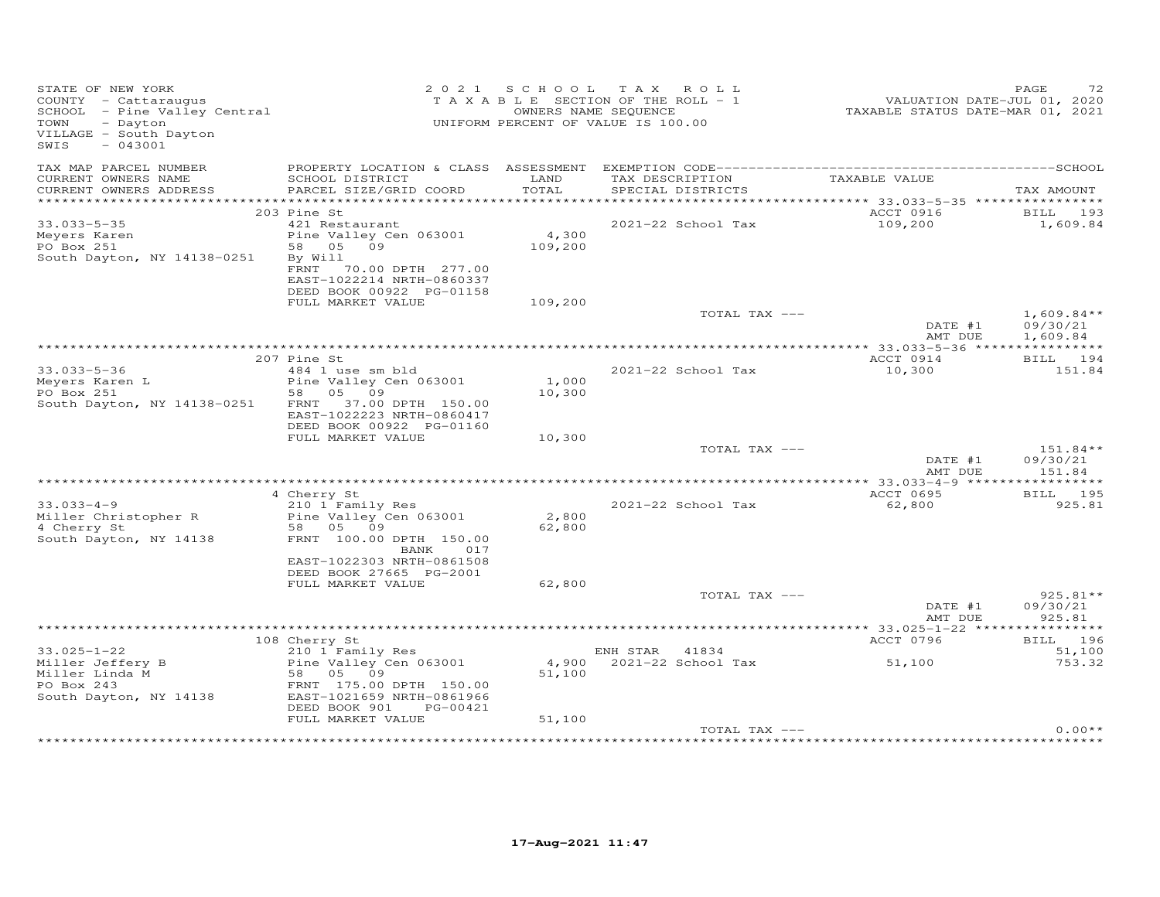| STATE OF NEW YORK<br>COUNTY - Cattaraugus<br>SCHOOL - Pine Valley Central<br>- Dayton<br>TOWN<br>VILLAGE - South Dayton<br>$-043001$<br>SWIS |                                                                                                                               | OWNERS NAME SEQUENCE | 2021 SCHOOL TAX ROLL<br>T A X A B L E SECTION OF THE ROLL - 1<br>UNIFORM PERCENT OF VALUE IS 100.00 | VALUATION DATE-JUL 01, 2020<br>TAXABLE STATUS DATE-MAR 01, 2021 | 72<br>PAGE                           |
|----------------------------------------------------------------------------------------------------------------------------------------------|-------------------------------------------------------------------------------------------------------------------------------|----------------------|-----------------------------------------------------------------------------------------------------|-----------------------------------------------------------------|--------------------------------------|
| TAX MAP PARCEL NUMBER<br>CURRENT OWNERS NAME<br>CURRENT OWNERS ADDRESS                                                                       | SCHOOL DISTRICT<br>PARCEL SIZE/GRID COORD                                                                                     | LAND<br>TOTAL        | TAX DESCRIPTION<br>SPECIAL DISTRICTS                                                                | TAXABLE VALUE                                                   | TAX AMOUNT                           |
|                                                                                                                                              |                                                                                                                               |                      |                                                                                                     |                                                                 |                                      |
|                                                                                                                                              | 203 Pine St                                                                                                                   |                      |                                                                                                     | ACCT 0916                                                       | BILL 193                             |
| $33.033 - 5 - 35$<br>Meyers Karen<br>PO Box 251<br>South Dayton, NY 14138-0251                                                               | 421 Restaurant<br>Pine Valley Cen 063001<br>58 05 09<br>By Will<br>FRNT<br>70.00 DPTH 277.00<br>EAST-1022214 NRTH-0860337     | 4,300<br>109,200     | 2021-22 School Tax                                                                                  | 109,200                                                         | 1,609.84                             |
|                                                                                                                                              | DEED BOOK 00922 PG-01158<br>FULL MARKET VALUE                                                                                 | 109,200              |                                                                                                     |                                                                 |                                      |
|                                                                                                                                              |                                                                                                                               |                      | TOTAL TAX ---                                                                                       | DATE #1<br>AMT DUE                                              | $1,609.84**$<br>09/30/21<br>1,609.84 |
|                                                                                                                                              |                                                                                                                               |                      |                                                                                                     |                                                                 |                                      |
| $33.033 - 5 - 36$                                                                                                                            | 207 Pine St<br>484 1 use sm bld                                                                                               |                      | 2021-22 School Tax                                                                                  | ACCT 0914<br>10,300                                             | BILL 194<br>151.84                   |
| Meyers Karen L<br>PO Box 251<br>South Dayton, NY 14138-0251                                                                                  | Pine Valley Cen 063001<br>58 05 09<br>FRNT 37.00 DPTH 150.00<br>EAST-1022223 NRTH-0860417                                     | 1,000<br>10,300      |                                                                                                     |                                                                 |                                      |
|                                                                                                                                              | DEED BOOK 00922 PG-01160<br>FULL MARKET VALUE                                                                                 | 10,300               |                                                                                                     |                                                                 |                                      |
|                                                                                                                                              |                                                                                                                               |                      | TOTAL TAX ---                                                                                       | DATE #1<br>AMT DUE                                              | $151.84**$<br>09/30/21<br>151.84     |
|                                                                                                                                              | 4 Cherry St                                                                                                                   |                      |                                                                                                     | ACCT 0695                                                       | BILL 195                             |
| $33.033 - 4 - 9$<br>Miller Christopher R<br>4 Cherry St<br>South Dayton, NY 14138                                                            | 210 1 Family Res<br>Pine Valley Cen 063001<br>58 05 09<br>FRNT 100.00 DPTH 150.00<br>BANK<br>017<br>EAST-1022303 NRTH-0861508 | 2,800<br>62,800      | 2021-22 School Tax                                                                                  | 62,800                                                          | 925.81                               |
|                                                                                                                                              | DEED BOOK 27665 PG-2001                                                                                                       |                      |                                                                                                     |                                                                 |                                      |
|                                                                                                                                              | FULL MARKET VALUE                                                                                                             | 62,800               | TOTAL TAX ---                                                                                       |                                                                 | 925.81**                             |
|                                                                                                                                              |                                                                                                                               |                      |                                                                                                     | DATE #1<br>AMT DUE                                              | 09/30/21<br>925.81                   |
|                                                                                                                                              |                                                                                                                               |                      |                                                                                                     | ACCT 0796                                                       |                                      |
| $33.025 - 1 - 22$                                                                                                                            | 108 Cherry St<br>210 1 Family Res                                                                                             |                      | ENH STAR 41834                                                                                      |                                                                 | BILL 196<br>51,100                   |
| Miller Jeffery B<br>Miller Linda M<br>PO Box 243<br>South Dayton, NY 14138                                                                   | Pine Valley Cen 063001<br>58 05<br>09<br>FRNT 175.00 DPTH 150.00<br>EAST-1021659 NRTH-0861966<br>DEED BOOK 901<br>PG-00421    | 51,100               | 4,900 2021-22 School Tax                                                                            | 51,100                                                          | 753.32                               |
|                                                                                                                                              | FULL MARKET VALUE                                                                                                             | 51,100               |                                                                                                     |                                                                 |                                      |
|                                                                                                                                              |                                                                                                                               |                      | TOTAL TAX ---                                                                                       |                                                                 | $0.00**$                             |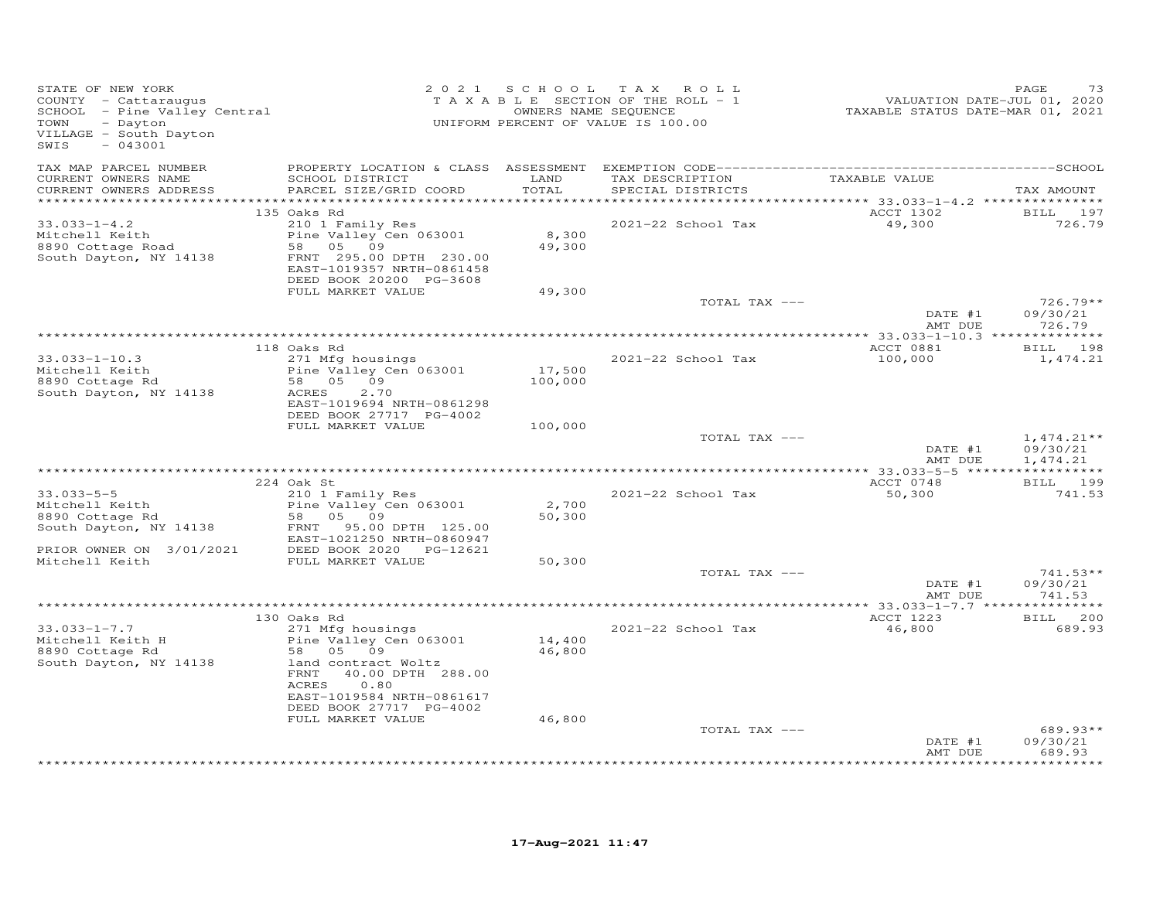| TAX MAP PARCEL NUMBER<br>TAXABLE VALUE<br>CURRENT OWNERS NAME<br>SCHOOL DISTRICT<br>LAND<br>TAX DESCRIPTION<br>TOTAL<br>CURRENT OWNERS ADDRESS<br>PARCEL SIZE/GRID COORD<br>SPECIAL DISTRICTS<br>*************<br>135 Oaks Rd<br>ACCT 1302<br>210 1 Family Res<br>49,300<br>$33.033 - 1 - 4.2$<br>2021-22 School Tax<br>Mitchell Keith<br>Pine Valley Cen 063001<br>8,300<br>8890 Cottage Road<br>58 05 09<br>49,300<br>FRNT 295.00 DPTH 230.00<br>South Dayton, NY 14138<br>EAST-1019357 NRTH-0861458<br>DEED BOOK 20200 PG-3608<br>FULL MARKET VALUE<br>49,300<br>TOTAL TAX ---<br>DATE #1<br>726.79<br>AMT DUE<br>118 Oaks Rd<br>ACCT 0881<br>271 Mfg housings<br>$33.033 - 1 - 10.3$<br>2021-22 School Tax<br>100,000<br>Pine Valley Cen 063001<br>17,500<br>Mitchell Keith<br>58 05 09<br>8890 Cottage Rd<br>100,000<br>South Dayton, NY 14138<br>ACRES<br>2.70<br>EAST-1019694 NRTH-0861298<br>DEED BOOK 27717 PG-4002<br>FULL MARKET VALUE<br>100,000<br>TOTAL TAX ---<br>DATE #1<br>AMT DUE<br>BILL 199<br>224 Oak St<br>ACCT 0748<br>$33.033 - 5 - 5$<br>210 1 Family Res<br>2021-22 School Tax<br>50,300<br>Mitchell Keith<br>8890 Cottage Rd<br>2,700<br>Pine Valley Cen 063001<br>50,300<br>58 05 09<br>South Dayton, NY 14138<br>FRNT 95.00 DPTH 125.00<br>EAST-1021250 NRTH-0860947<br>PRIOR OWNER ON 3/01/2021<br>DEED BOOK 2020 PG-12621<br>Mitchell Keith<br>50,300<br>FULL MARKET VALUE<br>TOTAL TAX ---<br>DATE #1<br>AMT DUE<br>ACCT 1223<br>130 Oaks Rd<br>$33.033 - 1 - 7.7$<br>271 Mfg housings<br>2021-22 School Tax<br>46,800<br>14,400<br>Pine Valley Cen 063001<br>Mitchell Keith H<br>58 05 09<br>46,800<br>8890 Cottage Rd<br>South Dayton, NY 14138<br>land contract Woltz<br>FRNT 40.00 DPTH 288.00<br>ACRES<br>0.80<br>EAST-1019584 NRTH-0861617<br>DEED BOOK 27717 PG-4002<br>46,800<br>FULL MARKET VALUE<br>TOTAL TAX ---<br>DATE #1 | STATE OF NEW YORK<br>COUNTY - Cattaraugus<br>SCHOOL - Pine Valley Central<br>- Alley Central<br>- Dayton<br>TOWN<br>VILLAGE - South Dayton<br>$-043001$<br>SWIS | 2021 SCHOOL | TAX ROLL<br>T A X A B L E SECTION OF THE ROLL - 1<br>OWNERS NAME SEQUENCE<br>UNIFORM PERCENT OF VALUE IS 100.00 | VALUATION DATE-JUL 01, 2020<br>TAXABLE STATUS DATE-MAR 01, 2021 | PAGE<br>73                                     |
|------------------------------------------------------------------------------------------------------------------------------------------------------------------------------------------------------------------------------------------------------------------------------------------------------------------------------------------------------------------------------------------------------------------------------------------------------------------------------------------------------------------------------------------------------------------------------------------------------------------------------------------------------------------------------------------------------------------------------------------------------------------------------------------------------------------------------------------------------------------------------------------------------------------------------------------------------------------------------------------------------------------------------------------------------------------------------------------------------------------------------------------------------------------------------------------------------------------------------------------------------------------------------------------------------------------------------------------------------------------------------------------------------------------------------------------------------------------------------------------------------------------------------------------------------------------------------------------------------------------------------------------------------------------------------------------------------------------------------------------------------------------------------------------------------------------------------------------------------------------------|-----------------------------------------------------------------------------------------------------------------------------------------------------------------|-------------|-----------------------------------------------------------------------------------------------------------------|-----------------------------------------------------------------|------------------------------------------------|
|                                                                                                                                                                                                                                                                                                                                                                                                                                                                                                                                                                                                                                                                                                                                                                                                                                                                                                                                                                                                                                                                                                                                                                                                                                                                                                                                                                                                                                                                                                                                                                                                                                                                                                                                                                                                                                                                        |                                                                                                                                                                 |             |                                                                                                                 |                                                                 | TAX AMOUNT                                     |
|                                                                                                                                                                                                                                                                                                                                                                                                                                                                                                                                                                                                                                                                                                                                                                                                                                                                                                                                                                                                                                                                                                                                                                                                                                                                                                                                                                                                                                                                                                                                                                                                                                                                                                                                                                                                                                                                        |                                                                                                                                                                 |             |                                                                                                                 |                                                                 | BILL 197<br>726.79                             |
|                                                                                                                                                                                                                                                                                                                                                                                                                                                                                                                                                                                                                                                                                                                                                                                                                                                                                                                                                                                                                                                                                                                                                                                                                                                                                                                                                                                                                                                                                                                                                                                                                                                                                                                                                                                                                                                                        |                                                                                                                                                                 |             |                                                                                                                 |                                                                 | $726.79**$<br>09/30/21                         |
|                                                                                                                                                                                                                                                                                                                                                                                                                                                                                                                                                                                                                                                                                                                                                                                                                                                                                                                                                                                                                                                                                                                                                                                                                                                                                                                                                                                                                                                                                                                                                                                                                                                                                                                                                                                                                                                                        |                                                                                                                                                                 |             |                                                                                                                 |                                                                 |                                                |
|                                                                                                                                                                                                                                                                                                                                                                                                                                                                                                                                                                                                                                                                                                                                                                                                                                                                                                                                                                                                                                                                                                                                                                                                                                                                                                                                                                                                                                                                                                                                                                                                                                                                                                                                                                                                                                                                        |                                                                                                                                                                 |             |                                                                                                                 |                                                                 | BILL 198                                       |
|                                                                                                                                                                                                                                                                                                                                                                                                                                                                                                                                                                                                                                                                                                                                                                                                                                                                                                                                                                                                                                                                                                                                                                                                                                                                                                                                                                                                                                                                                                                                                                                                                                                                                                                                                                                                                                                                        |                                                                                                                                                                 |             |                                                                                                                 |                                                                 | 1,474.21                                       |
|                                                                                                                                                                                                                                                                                                                                                                                                                                                                                                                                                                                                                                                                                                                                                                                                                                                                                                                                                                                                                                                                                                                                                                                                                                                                                                                                                                                                                                                                                                                                                                                                                                                                                                                                                                                                                                                                        |                                                                                                                                                                 |             |                                                                                                                 |                                                                 | $1,474.21**$<br>09/30/21<br>1,474.21           |
|                                                                                                                                                                                                                                                                                                                                                                                                                                                                                                                                                                                                                                                                                                                                                                                                                                                                                                                                                                                                                                                                                                                                                                                                                                                                                                                                                                                                                                                                                                                                                                                                                                                                                                                                                                                                                                                                        |                                                                                                                                                                 |             |                                                                                                                 |                                                                 |                                                |
|                                                                                                                                                                                                                                                                                                                                                                                                                                                                                                                                                                                                                                                                                                                                                                                                                                                                                                                                                                                                                                                                                                                                                                                                                                                                                                                                                                                                                                                                                                                                                                                                                                                                                                                                                                                                                                                                        |                                                                                                                                                                 |             |                                                                                                                 |                                                                 | 741.53                                         |
|                                                                                                                                                                                                                                                                                                                                                                                                                                                                                                                                                                                                                                                                                                                                                                                                                                                                                                                                                                                                                                                                                                                                                                                                                                                                                                                                                                                                                                                                                                                                                                                                                                                                                                                                                                                                                                                                        |                                                                                                                                                                 |             |                                                                                                                 |                                                                 |                                                |
|                                                                                                                                                                                                                                                                                                                                                                                                                                                                                                                                                                                                                                                                                                                                                                                                                                                                                                                                                                                                                                                                                                                                                                                                                                                                                                                                                                                                                                                                                                                                                                                                                                                                                                                                                                                                                                                                        |                                                                                                                                                                 |             |                                                                                                                 |                                                                 | $741.53**$<br>09/30/21<br>741.53               |
|                                                                                                                                                                                                                                                                                                                                                                                                                                                                                                                                                                                                                                                                                                                                                                                                                                                                                                                                                                                                                                                                                                                                                                                                                                                                                                                                                                                                                                                                                                                                                                                                                                                                                                                                                                                                                                                                        |                                                                                                                                                                 |             |                                                                                                                 |                                                                 |                                                |
|                                                                                                                                                                                                                                                                                                                                                                                                                                                                                                                                                                                                                                                                                                                                                                                                                                                                                                                                                                                                                                                                                                                                                                                                                                                                                                                                                                                                                                                                                                                                                                                                                                                                                                                                                                                                                                                                        |                                                                                                                                                                 |             |                                                                                                                 |                                                                 | BILL 200<br>689.93                             |
|                                                                                                                                                                                                                                                                                                                                                                                                                                                                                                                                                                                                                                                                                                                                                                                                                                                                                                                                                                                                                                                                                                                                                                                                                                                                                                                                                                                                                                                                                                                                                                                                                                                                                                                                                                                                                                                                        |                                                                                                                                                                 |             |                                                                                                                 | AMT DUE                                                         | $689.93**$<br>09/30/21<br>689.93<br>********** |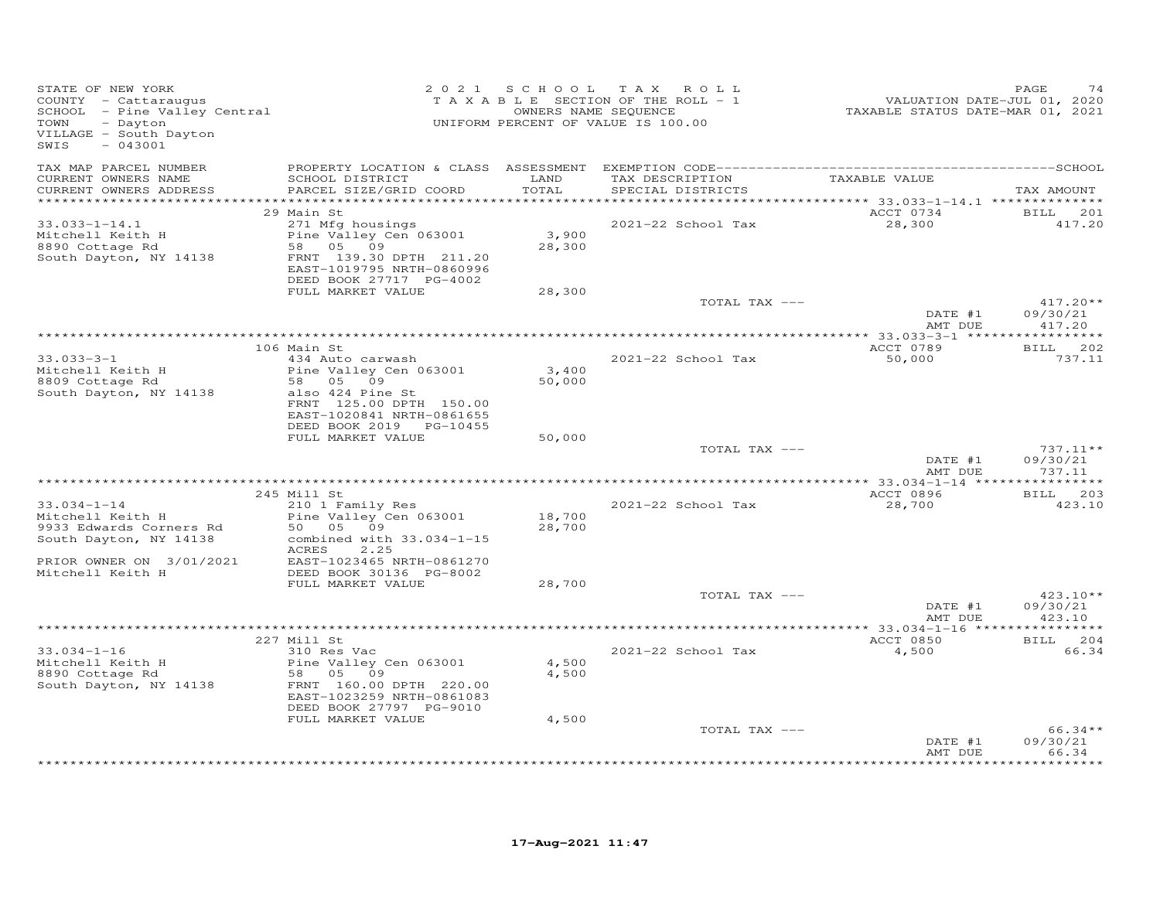| STATE OF NEW YORK<br>VILLAGE - South Dayton<br>$-043001$<br>SWIS                                                       |                                                                                                                                           | 2021 SCHOOL                   | TAX ROLL<br>T A X A B L E SECTION OF THE ROLL - 1<br>OWNERS NAME SEQUENCE<br>UNIFORM PERCENT OF VALUE IS 100.00 | 4, 2020<br>VALUATION DATE-JUL 01, 2020<br>TAXABLE STATUS DATE-MAR 01, 2021 | PAGE<br>74                                     |
|------------------------------------------------------------------------------------------------------------------------|-------------------------------------------------------------------------------------------------------------------------------------------|-------------------------------|-----------------------------------------------------------------------------------------------------------------|----------------------------------------------------------------------------|------------------------------------------------|
| TAX MAP PARCEL NUMBER<br>CURRENT OWNERS NAME<br>CURRENT OWNERS ADDRESS                                                 | SCHOOL DISTRICT<br>PARCEL SIZE/GRID COORD                                                                                                 | LAND<br>TOTAL<br>************ | TAX DESCRIPTION<br>SPECIAL DISTRICTS                                                                            | TAXABLE VALUE                                                              | TAX AMOUNT                                     |
|                                                                                                                        | 29 Main St                                                                                                                                |                               |                                                                                                                 | ************ 33.033-1-14.1 ***************<br>ACCT 0734                    | <b>BILL</b> 201                                |
| $33.033 - 1 - 14.1$<br>Mitchell Keith H<br>8890 Cottage Rd<br>South Dayton, NY 14138                                   | 271 Mfg housings<br>Pine Valley Cen 063001<br>58 05 09<br>FRNT 139.30 DPTH 211.20<br>EAST-1019795 NRTH-0860996<br>DEED BOOK 27717 PG-4002 | 3,900<br>28,300               | 2021-22 School Tax                                                                                              | 28,300                                                                     | 417.20                                         |
|                                                                                                                        | FULL MARKET VALUE                                                                                                                         | 28,300                        | TOTAL TAX ---                                                                                                   |                                                                            | $417.20**$                                     |
|                                                                                                                        |                                                                                                                                           |                               |                                                                                                                 | DATE #1<br>AMT DUE                                                         | 09/30/21<br>417.20                             |
|                                                                                                                        |                                                                                                                                           |                               |                                                                                                                 |                                                                            |                                                |
|                                                                                                                        | 106 Main St<br>434 Auto carwash                                                                                                           |                               |                                                                                                                 | ACCT 0789                                                                  | BILL 202                                       |
| $33.033 - 3 - 1$<br>Mitchell Keith H<br>8809 Cottage Rd<br>South Dayton, NY 14138                                      | Pine Valley Cen 063001<br>58 05 09<br>also 424 Pine St<br>FRNT 125.00 DPTH 150.00<br>EAST-1020841 NRTH-0861655<br>DEED BOOK 2019 PG-10455 | 3,400<br>50,000               | 2021-22 School Tax                                                                                              | 50,000                                                                     | 737.11                                         |
|                                                                                                                        | FULL MARKET VALUE                                                                                                                         | 50,000                        |                                                                                                                 |                                                                            |                                                |
|                                                                                                                        |                                                                                                                                           |                               | TOTAL TAX ---                                                                                                   | DATE #1<br>AMT DUE                                                         | $737.11**$<br>09/30/21<br>737.11               |
|                                                                                                                        |                                                                                                                                           |                               |                                                                                                                 |                                                                            |                                                |
|                                                                                                                        | 245 Mill St                                                                                                                               |                               |                                                                                                                 | ACCT 0896                                                                  | BILL 203                                       |
| $33.034 - 1 - 14$<br>Mitchell Keith H<br>9933 Edwards Corners Rd<br>South Dayton, NY 14138<br>PRIOR OWNER ON 3/01/2021 | 210 1 Family Res<br>Pine Valley Cen 063001<br>50 05 09<br>combined with 33.034-1-15<br>2.25<br>ACRES<br>EAST-1023465 NRTH-0861270         | 18,700<br>28,700              | 2021-22 School Tax                                                                                              | 28,700                                                                     | 423.10                                         |
| Mitchell Keith H                                                                                                       | DEED BOOK 30136 PG-8002                                                                                                                   |                               |                                                                                                                 |                                                                            |                                                |
|                                                                                                                        | FULL MARKET VALUE                                                                                                                         | 28,700                        | TOTAL TAX ---                                                                                                   | DATE #1                                                                    | $423.10**$<br>09/30/21                         |
|                                                                                                                        |                                                                                                                                           |                               |                                                                                                                 | AMT DUE                                                                    | 423.10                                         |
|                                                                                                                        | 227 Mill St                                                                                                                               |                               |                                                                                                                 | ACCT 0850                                                                  | BILL 204                                       |
| $33.034 - 1 - 16$<br>Mitchell Keith H                                                                                  | 310 Res Vac                                                                                                                               | 4,500                         | 2021-22 School Tax                                                                                              | 4,500                                                                      | 66.34                                          |
| 8890 Cottage Rd<br>South Dayton, NY 14138                                                                              | Pine Valley Cen 063001<br>58 05 09<br>FRNT 160.00 DPTH 220.00<br>EAST-1023259 NRTH-0861083<br>DEED BOOK 27797 PG-9010                     | 4,500                         |                                                                                                                 |                                                                            |                                                |
|                                                                                                                        | FULL MARKET VALUE                                                                                                                         | 4,500                         |                                                                                                                 |                                                                            |                                                |
|                                                                                                                        |                                                                                                                                           |                               | TOTAL TAX ---                                                                                                   | DATE #1<br>AMT DUE                                                         | $66.34**$<br>09/30/21<br>66.34<br>************ |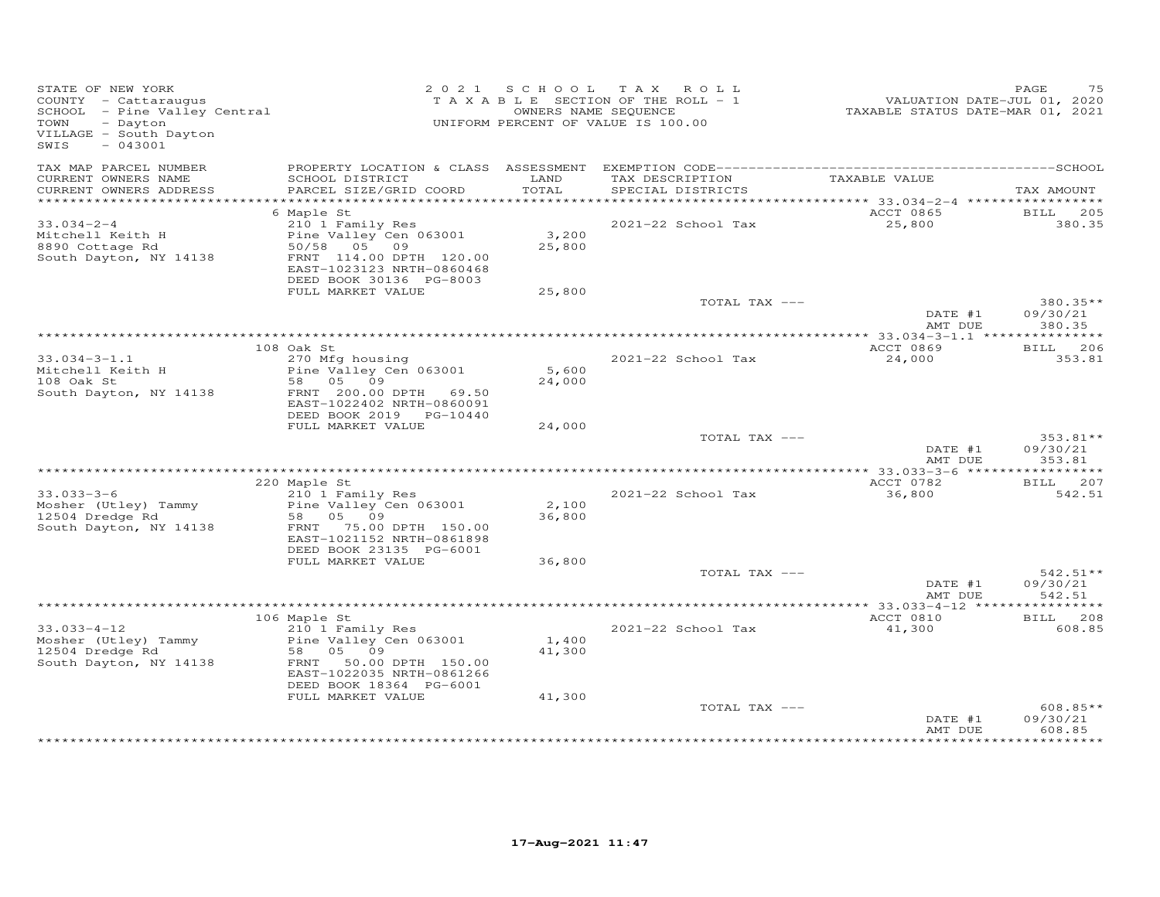| STATE OF NEW YORK<br>COUNTY - Cattaraugus<br>SCHOOL - Pine Valley Central<br>Devision<br>VILLAGE - South Dayton<br>$-043001$<br>SWIS |                                                                                                                                                              |                 | 2021 SCHOOL TAX ROLL<br>TAXABLE SECTION OF THE ROLL - 1<br>OWNERS NAME SEQUENCE<br>UNIFORM PERCENT OF VALUE IS 100.00 | VALUATION DATE-JUL 01, 2020<br>TAXABLE STATUS DATE-MAR 01, 2021 | 75<br>PAGE                     |
|--------------------------------------------------------------------------------------------------------------------------------------|--------------------------------------------------------------------------------------------------------------------------------------------------------------|-----------------|-----------------------------------------------------------------------------------------------------------------------|-----------------------------------------------------------------|--------------------------------|
| TAX MAP PARCEL NUMBER<br>CURRENT OWNERS NAME                                                                                         | SCHOOL DISTRICT                                                                                                                                              | LAND            | TAX DESCRIPTION TAXABLE VALUE                                                                                         |                                                                 |                                |
| CURRENT OWNERS ADDRESS<br>************************                                                                                   | PARCEL SIZE/GRID COORD                                                                                                                                       | TOTAL           | SPECIAL DISTRICTS                                                                                                     |                                                                 | TAX AMOUNT                     |
|                                                                                                                                      | 6 Maple St                                                                                                                                                   |                 |                                                                                                                       | ACCT 0865                                                       | <b>BILL</b> 205                |
| $33.034 - 2 - 4$<br>Mitchell Keith H<br>8890 Cottage Rd<br>South Dayton, NY 14138                                                    | 210 1 Family Res<br>Pine Valley Cen 063001<br>50/58 05 09<br>FRNT 114.00 DPTH 120.00<br>EAST-1023123 NRTH-0860468<br>DEED BOOK 30136 PG-8003                 | 3,200<br>25,800 | 2021-22 School Tax                                                                                                    | 25,800                                                          | 380.35                         |
|                                                                                                                                      | FULL MARKET VALUE                                                                                                                                            | 25,800          |                                                                                                                       |                                                                 |                                |
|                                                                                                                                      |                                                                                                                                                              |                 | TOTAL TAX ---                                                                                                         | DATE #1<br>AMT DUE                                              | 380.35**<br>09/30/21<br>380.35 |
|                                                                                                                                      |                                                                                                                                                              |                 |                                                                                                                       |                                                                 |                                |
|                                                                                                                                      | 108 Oak St                                                                                                                                                   |                 |                                                                                                                       | ACCT 0869                                                       | <b>BILL</b> 206                |
| $33.034 - 3 - 1.1$<br>33.034-3 I.I<br>Mitchell Keith H<br>South Dayton, NY 14138                                                     | 270 Mfg housing<br>Pine Valley Cen 063001<br>58 05 09<br>FRNT 200.00 DPTH 69.50<br>EAST-1022402 NRTH-0860091<br>DEED BOOK 2019 PG-10440                      | 5,600<br>24,000 | 2021-22 School Tax                                                                                                    | 24,000                                                          | 353.81                         |
|                                                                                                                                      | FULL MARKET VALUE                                                                                                                                            | 24,000          |                                                                                                                       |                                                                 |                                |
|                                                                                                                                      |                                                                                                                                                              |                 | TOTAL TAX ---                                                                                                         | DATE #1<br>AMT DUE                                              | 353.81**<br>09/30/21<br>353.81 |
|                                                                                                                                      |                                                                                                                                                              |                 |                                                                                                                       |                                                                 |                                |
|                                                                                                                                      | 220 Maple St                                                                                                                                                 |                 |                                                                                                                       | ACCT 0782                                                       | BILL 207                       |
| $33.033 - 3 - 6$<br>Mosher (Utley) Tammy<br>12504 Dredge Rd<br>South Dayton, NY 14138                                                | 210 1 Family Res<br>Pine Valley Cen 063001<br>58 05 09<br>FRNT 75.00 DPTH 150.00<br>EAST-1021152 NRTH-0861898                                                | 2,100<br>36,800 | 2021-22 School Tax                                                                                                    | 36,800                                                          | 542.51                         |
|                                                                                                                                      | DEED BOOK 23135 PG-6001                                                                                                                                      |                 |                                                                                                                       |                                                                 |                                |
|                                                                                                                                      | FULL MARKET VALUE                                                                                                                                            | 36,800          | TOTAL TAX ---                                                                                                         |                                                                 | $542.51**$                     |
|                                                                                                                                      |                                                                                                                                                              |                 |                                                                                                                       | DATE #1<br>AMT DUE                                              | 09/30/21<br>542.51             |
|                                                                                                                                      |                                                                                                                                                              |                 |                                                                                                                       |                                                                 |                                |
| $33.033 - 4 - 12$<br>Mosher (Utley) Tammy<br>12504 Dredge Rd<br>South Dayton, NY 14138                                               | 106 Maple St<br>210 1 Family Res<br>Pine Valley Cen 063001<br>58   05   09<br>FRNT 50.00 DPTH 150.00<br>EAST-1022035 NRTH-0861266<br>DEED BOOK 18364 PG-6001 | 1,400<br>41,300 | 2021-22 School Tax                                                                                                    | ACCT 0810<br>41,300                                             | <b>BILL</b> 208<br>608.85      |
|                                                                                                                                      | FULL MARKET VALUE                                                                                                                                            | 41,300          |                                                                                                                       |                                                                 |                                |
|                                                                                                                                      |                                                                                                                                                              |                 | TOTAL TAX ---                                                                                                         | DATE #1<br>AMT DUE                                              | 608.85**<br>09/30/21<br>608.85 |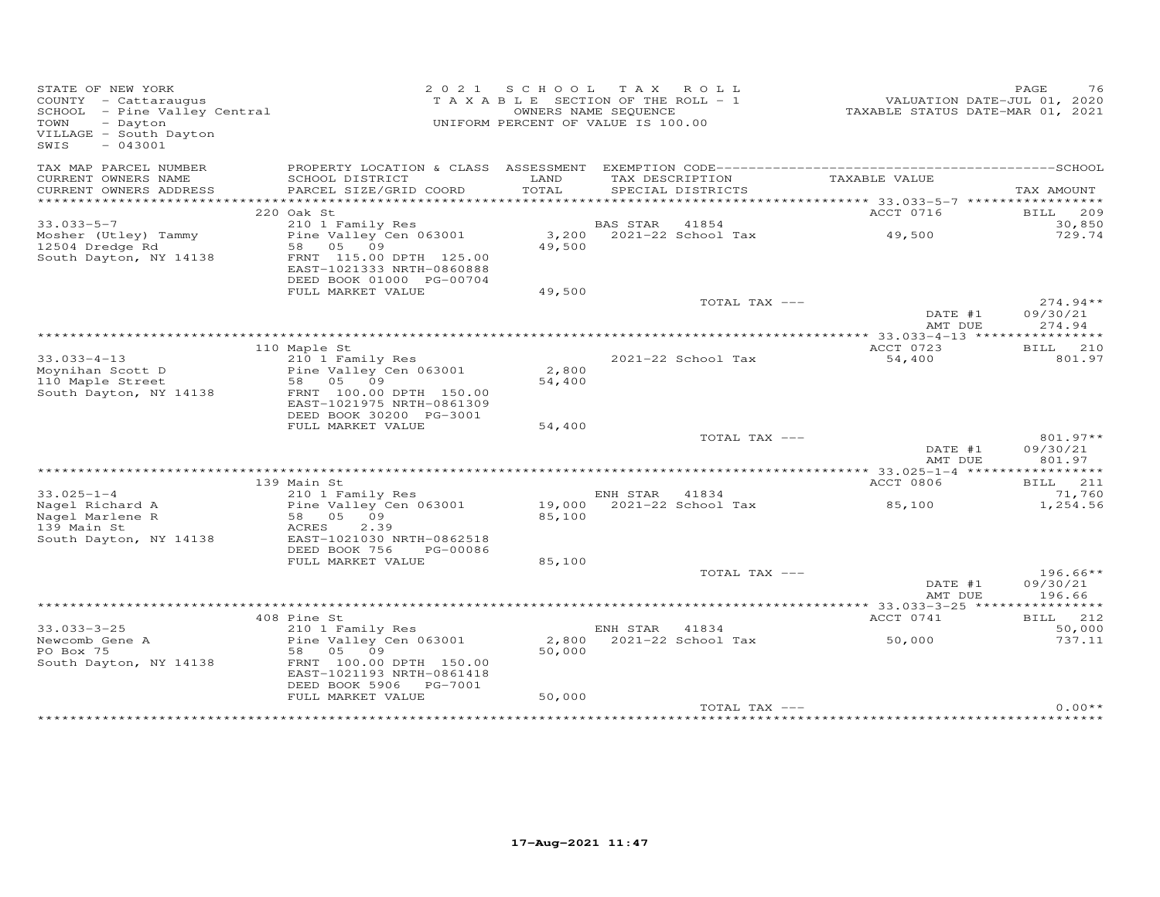| STATE OF NEW YORK<br>COUNTY - Cattaraugus<br>SCHOOL - Pine Valley Central<br>TOWN<br>- Dayton<br>VILLAGE - South Dayton<br>$-043001$<br>SWIS |                                                                                              | 2021 SCHOOL     | TAX ROLL<br>T A X A B L E SECTION OF THE ROLL - 1<br>OWNERS NAME SEQUENCE<br>UNIFORM PERCENT OF VALUE IS 100.00 | VALUATION DATE-JUL 01, 2020<br>TAXABLE STATUS DATE-MAR 01, 2021 | PAGE<br>76                       |
|----------------------------------------------------------------------------------------------------------------------------------------------|----------------------------------------------------------------------------------------------|-----------------|-----------------------------------------------------------------------------------------------------------------|-----------------------------------------------------------------|----------------------------------|
| TAX MAP PARCEL NUMBER                                                                                                                        | PROPERTY LOCATION & CLASS ASSESSMENT                                                         |                 |                                                                                                                 |                                                                 |                                  |
| CURRENT OWNERS NAME<br>CURRENT OWNERS ADDRESS                                                                                                | SCHOOL DISTRICT<br>PARCEL SIZE/GRID COORD                                                    | LAND<br>TOTAL   | TAX DESCRIPTION<br>SPECIAL DISTRICTS                                                                            | TAXABLE VALUE                                                   | TAX AMOUNT                       |
| **********************                                                                                                                       |                                                                                              |                 |                                                                                                                 |                                                                 |                                  |
|                                                                                                                                              | 220 Oak St                                                                                   |                 |                                                                                                                 | ACCT 0716                                                       | BILL 209                         |
| $33.033 - 5 - 7$                                                                                                                             | 210 1 Family Res<br>Pine Valley Cen 063001                                                   |                 | BAS STAR 41854<br>3,200 2021-22 School Tax                                                                      | 49,500                                                          | 30,850<br>729.74                 |
| Mosher (Utley) Tammy<br>12504 Dredge Rd<br>South Dayton, NY 14138                                                                            | 58 05 09<br>FRNT 115.00 DPTH 125.00<br>EAST-1021333 NRTH-0860888<br>DEED BOOK 01000 PG-00704 | 49,500          |                                                                                                                 |                                                                 |                                  |
|                                                                                                                                              | FULL MARKET VALUE                                                                            | 49,500          |                                                                                                                 |                                                                 |                                  |
|                                                                                                                                              |                                                                                              |                 | TOTAL TAX ---                                                                                                   | DATE #1<br>AMT DUE                                              | $274.94**$<br>09/30/21<br>274.94 |
|                                                                                                                                              |                                                                                              |                 |                                                                                                                 |                                                                 |                                  |
|                                                                                                                                              | 110 Maple St                                                                                 |                 |                                                                                                                 | ACCT 0723                                                       | BILL 210<br>801.97               |
| $33.033 - 4 - 13$<br>Moynihan Scott D<br>110 Maple Street                                                                                    | 210 1 Family Res<br>Pine Valley Cen 063001<br>58 05 09                                       | 2,800<br>54,400 | 2021-22 School Tax                                                                                              | 54,400                                                          |                                  |
| South Dayton, NY 14138                                                                                                                       | FRNT 100.00 DPTH 150.00<br>EAST-1021975 NRTH-0861309<br>DEED BOOK 30200 PG-3001              |                 |                                                                                                                 |                                                                 |                                  |
|                                                                                                                                              | FULL MARKET VALUE                                                                            | 54,400          |                                                                                                                 |                                                                 |                                  |
|                                                                                                                                              |                                                                                              |                 | TOTAL TAX ---                                                                                                   | DATE #1<br>AMT DUE                                              | 801.97**<br>09/30/21<br>801.97   |
|                                                                                                                                              |                                                                                              |                 |                                                                                                                 |                                                                 |                                  |
|                                                                                                                                              | 139 Main St                                                                                  |                 |                                                                                                                 | ACCT 0806                                                       | BILL 211                         |
| $33.025 - 1 - 4$<br>Nagel Richard A                                                                                                          | 210 1 Family Res<br>Pine Valley Cen 063001                                                   |                 | ENH STAR 41834<br>19,000 2021-22 School Tax                                                                     | 85,100                                                          | 71,760<br>1,254.56               |
| Nagel Marlene R<br>139 Main St<br>South Dayton, NY 14138                                                                                     | 58 05<br>09<br>2.39<br>ACRES<br>EAST-1021030 NRTH-0862518                                    | 85,100          |                                                                                                                 |                                                                 |                                  |
|                                                                                                                                              | DEED BOOK 756<br>PG-00086                                                                    |                 |                                                                                                                 |                                                                 |                                  |
|                                                                                                                                              | FULL MARKET VALUE                                                                            | 85,100          | TOTAL TAX ---                                                                                                   |                                                                 | $196.66**$                       |
|                                                                                                                                              |                                                                                              |                 |                                                                                                                 | DATE #1<br>AMT DUE                                              | 09/30/21<br>196.66               |
|                                                                                                                                              |                                                                                              |                 |                                                                                                                 |                                                                 |                                  |
|                                                                                                                                              | 408 Pine St                                                                                  |                 |                                                                                                                 | ACCT 0741                                                       | BILL 212                         |
| $33.033 - 3 - 25$                                                                                                                            | 210 1 Family Res                                                                             |                 | ENH STAR 41834                                                                                                  |                                                                 | 50,000                           |
| Newcomb Gene A                                                                                                                               | Pine Valley Cen 063001                                                                       | 2,800           | 2021-22 School Tax                                                                                              | 50,000                                                          | 737.11                           |
| PO Box 75<br>South Dayton, NY 14138                                                                                                          | 58 05 09<br>FRNT 100.00 DPTH 150.00<br>EAST-1021193 NRTH-0861418<br>DEED BOOK 5906 PG-7001   | 50,000          |                                                                                                                 |                                                                 |                                  |
|                                                                                                                                              | FULL MARKET VALUE                                                                            | 50,000          |                                                                                                                 |                                                                 |                                  |
|                                                                                                                                              |                                                                                              |                 | TOTAL TAX ---                                                                                                   |                                                                 | $0.00**$                         |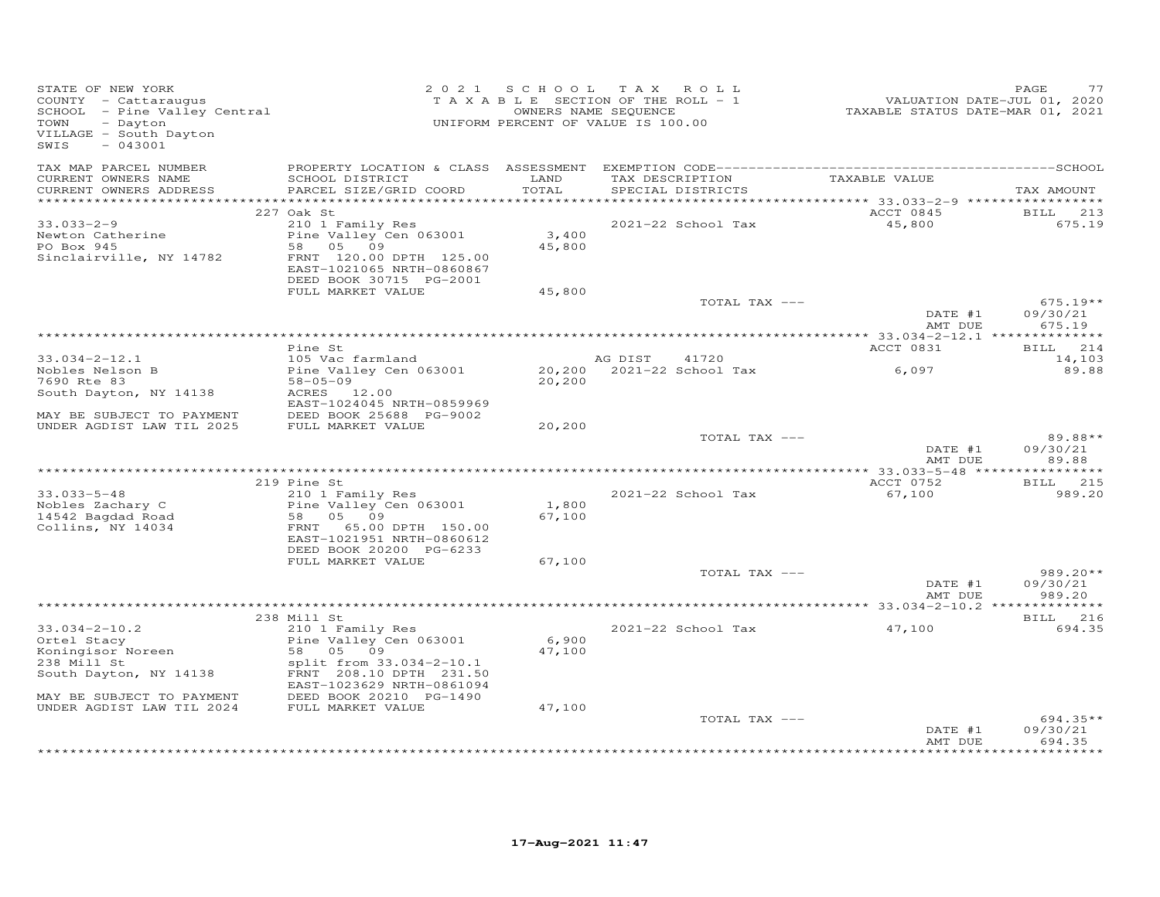| STATE OF NEW YORK<br>COUNTY - Cattaraugus<br>SCHOOL - Pine Valley Central<br>TOWN<br>- Dayton<br>VILLAGE - South Dayton<br>$-043001$<br>SWIS |                                                                                                                                           | 2021 SCHOOL     | TAX ROLL<br>TAXABLE SECTION OF THE ROLL - 1<br>OWNERS NAME SEQUENCE<br>UNIFORM PERCENT OF VALUE IS 100.00 | VALUATION DATE-JUL 01, 2020<br>TAXABLE STATUS DATE-MAR 01, 2021 | PAGE<br>77                       |
|----------------------------------------------------------------------------------------------------------------------------------------------|-------------------------------------------------------------------------------------------------------------------------------------------|-----------------|-----------------------------------------------------------------------------------------------------------|-----------------------------------------------------------------|----------------------------------|
| TAX MAP PARCEL NUMBER<br>CURRENT OWNERS NAME<br>CURRENT OWNERS ADDRESS                                                                       | SCHOOL DISTRICT<br>PARCEL SIZE/GRID COORD                                                                                                 | LAND<br>TOTAL   | TAX DESCRIPTION<br>SPECIAL DISTRICTS                                                                      | TAXABLE VALUE                                                   | TAX AMOUNT                       |
|                                                                                                                                              | 227 Oak St                                                                                                                                |                 |                                                                                                           | ACCT 0845                                                       | <b>BILL</b><br>213               |
| $33.033 - 2 - 9$<br>Newton Catherine<br>PO Box 945<br>Sinclairville, NY 14782                                                                | 210 1 Family Res<br>Pine Valley Cen 063001<br>58 05 09<br>FRNT 120.00 DPTH 125.00<br>EAST-1021065 NRTH-0860867<br>DEED BOOK 30715 PG-2001 | 3,400<br>45,800 | 2021-22 School Tax                                                                                        | 45,800                                                          | 675.19                           |
|                                                                                                                                              | FULL MARKET VALUE                                                                                                                         | 45,800          | TOTAL TAX ---                                                                                             |                                                                 | $675.19**$                       |
|                                                                                                                                              |                                                                                                                                           |                 |                                                                                                           | DATE #1<br>AMT DUE                                              | 09/30/21<br>675.19               |
|                                                                                                                                              |                                                                                                                                           |                 |                                                                                                           |                                                                 |                                  |
| $33.034 - 2 - 12.1$                                                                                                                          | Pine St<br>105 Vac farmland                                                                                                               |                 | AG DIST 41720                                                                                             | ACCT 0831                                                       | BILL 214<br>14,103               |
| Nobles Nelson B                                                                                                                              | Pine Valley Cen 063001                                                                                                                    |                 | 20,200 2021-22 School Tax                                                                                 | 6,097                                                           | 89.88                            |
| 7690 Rte 83                                                                                                                                  | $58 - 05 - 09$                                                                                                                            | 20,200          |                                                                                                           |                                                                 |                                  |
| South Dayton, NY 14138                                                                                                                       | ACRES 12.00<br>EAST-1024045 NRTH-0859969                                                                                                  |                 |                                                                                                           |                                                                 |                                  |
| MAY BE SUBJECT TO PAYMENT                                                                                                                    | DEED BOOK 25688 PG-9002                                                                                                                   |                 |                                                                                                           |                                                                 |                                  |
| UNDER AGDIST LAW TIL 2025                                                                                                                    | FULL MARKET VALUE                                                                                                                         | 20,200          |                                                                                                           |                                                                 |                                  |
|                                                                                                                                              |                                                                                                                                           |                 | TOTAL TAX ---                                                                                             | DATE #1<br>AMT DUE                                              | 89.88**<br>09/30/21<br>89.88     |
| ***********************                                                                                                                      |                                                                                                                                           |                 |                                                                                                           |                                                                 |                                  |
|                                                                                                                                              | 219 Pine St                                                                                                                               |                 |                                                                                                           | ACCT 0752                                                       | <b>BILL</b> 215                  |
| $33.033 - 5 - 48$<br>Nobles Zachary C<br>14542 Bagdad Road<br>Collins, NY 14034                                                              | 210 1 Family Res<br>Pine Valley Cen 063001<br>58 05 09<br>FRNT 65.00 DPTH 150.00<br>EAST-1021951 NRTH-0860612                             | 1,800<br>67,100 | 2021-22 School Tax                                                                                        | 67,100                                                          | 989.20                           |
|                                                                                                                                              | DEED BOOK 20200 PG-6233                                                                                                                   |                 |                                                                                                           |                                                                 |                                  |
|                                                                                                                                              | FULL MARKET VALUE                                                                                                                         | 67,100          | TOTAL TAX ---                                                                                             | DATE #1                                                         | $989.20**$<br>09/30/21           |
|                                                                                                                                              |                                                                                                                                           |                 |                                                                                                           | AMT DUE                                                         | 989.20                           |
|                                                                                                                                              | 238 Mill St                                                                                                                               |                 |                                                                                                           |                                                                 | BILL 216                         |
| $33.034 - 2 - 10.2$<br>Ortel Stacy<br>Koningisor Noreen<br>238 Mill St                                                                       | 210 1 Family Res<br>Pine Valley Cen 063001<br>58 05 09<br>split from 33.034-2-10.1<br>FRNT 208.10 DPTH 231.50                             | 6,900<br>47,100 | 2021-22 School Tax                                                                                        | 47,100                                                          | 694.35                           |
| South Dayton, NY 14138                                                                                                                       | EAST-1023629 NRTH-0861094                                                                                                                 |                 |                                                                                                           |                                                                 |                                  |
| MAY BE SUBJECT TO PAYMENT<br>UNDER AGDIST LAW TIL 2024                                                                                       | DEED BOOK 20210 PG-1490<br>FULL MARKET VALUE                                                                                              | 47,100          |                                                                                                           |                                                                 |                                  |
|                                                                                                                                              |                                                                                                                                           |                 | TOTAL TAX ---                                                                                             | DATE #1<br>AMT DUE                                              | $694.35**$<br>09/30/21<br>694.35 |
|                                                                                                                                              |                                                                                                                                           |                 |                                                                                                           |                                                                 |                                  |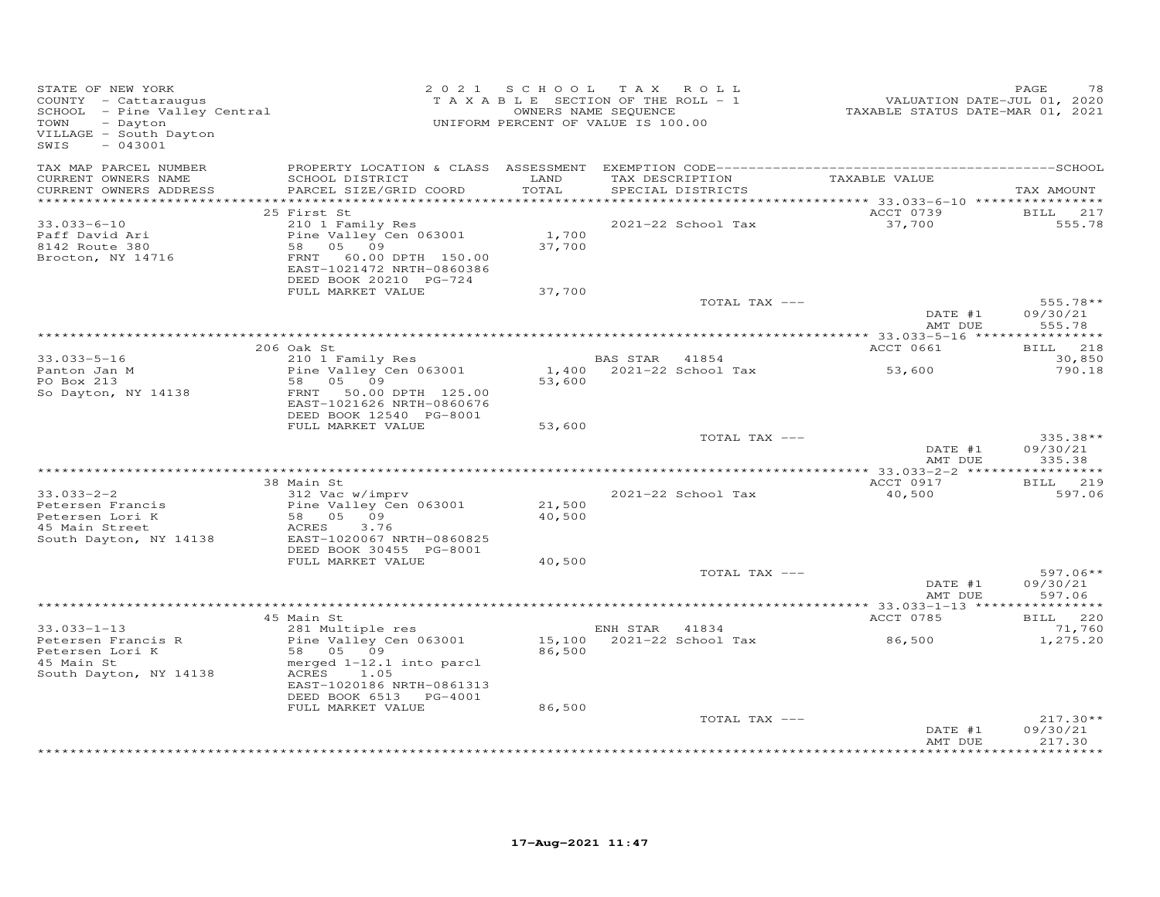| STATE OF NEW YORK<br>COUNTY - Cattaraugus<br>SCHOOL - Pine Valley Central<br>Douton<br>VILLAGE - South Dayton<br>$-043001$<br>SWIS |                                                                                                                                                                                          | 2021 SCHOOL      | TAX ROLL<br>TAXABLE SECTION OF THE ROLL - 1<br>OWNERS NAME SEQUENCE<br>UNIFORM PERCENT OF VALUE IS 100.00 | 01, 2020<br>TAXABLE STATUS DATE-JUL 01, 2020<br>TAXABLE STATUS DATE-MAR 01, 2021 | 78<br>PAGE                       |
|------------------------------------------------------------------------------------------------------------------------------------|------------------------------------------------------------------------------------------------------------------------------------------------------------------------------------------|------------------|-----------------------------------------------------------------------------------------------------------|----------------------------------------------------------------------------------|----------------------------------|
| TAX MAP PARCEL NUMBER<br>CURRENT OWNERS NAME<br>CURRENT OWNERS ADDRESS                                                             | SCHOOL DISTRICT<br>PARCEL SIZE/GRID COORD                                                                                                                                                | LAND<br>TOTAL    | TAX DESCRIPTION TAXABLE VALUE<br>SPECIAL DISTRICTS                                                        |                                                                                  | TAX AMOUNT                       |
|                                                                                                                                    | 25 First St                                                                                                                                                                              |                  |                                                                                                           | ACCT 0739                                                                        | BILL 217                         |
| 33.033-6-10<br>Paff David Ari<br>8142 Route 380<br>Brocton, NY 14716                                                               | 210 1 Family Res<br>Pine Valley Cen 063001<br>---= valley C<br>58 05 09<br>FRNT --<br>FRNT 60.00 DPTH 150.00<br>EAST-1021472 NRTH-0860386<br>DEED BOOK 20210 PG-724<br>FULL MARKET VALUE | 1,700<br>37,700  | 2021-22 School Tax                                                                                        | 37,700                                                                           | 555.78                           |
|                                                                                                                                    |                                                                                                                                                                                          | 37,700           | TOTAL TAX ---                                                                                             |                                                                                  | $555.78**$                       |
|                                                                                                                                    |                                                                                                                                                                                          |                  |                                                                                                           | DATE #1<br>AMT DUE                                                               | 09/30/21<br>555.78               |
|                                                                                                                                    | 206 Oak St                                                                                                                                                                               |                  |                                                                                                           | ACCT 0661                                                                        | BILL 218                         |
| $33.033 - 5 - 16$                                                                                                                  | 210 1 Family Res                                                                                                                                                                         |                  | BAS STAR 41854                                                                                            |                                                                                  | 30,850                           |
| Panton Jan M<br>Po Box 213<br>So Dayton, NY 14138                                                                                  | Pine Valley Cen 063001<br>58 05 09<br>FRNT 50.00 DPTH 125.00                                                                                                                             | 53,600           | 1,400 2021-22 School Tax 53,600                                                                           |                                                                                  | 790.18                           |
|                                                                                                                                    | EAST-1021626 NRTH-0860676<br>DEED BOOK 12540 PG-8001<br>FULL MARKET VALUE                                                                                                                | 53,600           |                                                                                                           |                                                                                  |                                  |
|                                                                                                                                    |                                                                                                                                                                                          |                  | TOTAL TAX ---                                                                                             | DATE #1<br>AMT DUE                                                               | 335.38**<br>09/30/21<br>335.38   |
|                                                                                                                                    |                                                                                                                                                                                          |                  |                                                                                                           |                                                                                  |                                  |
|                                                                                                                                    | 38 Main St                                                                                                                                                                               |                  |                                                                                                           | ACCT 0917                                                                        | BILL 219                         |
| $33.033 - 2 - 2$<br>Petersen Francis<br>Petersen Lori K<br>45 Main Street<br>South Dayton, NY 14138                                | 312 Vac w/imprv<br>Pine Valley Cen 063001<br>58   05   09<br><b>ACRES</b><br>3.76<br>EAST-1020067 NRTH-0860825<br>DEED BOOK 30455 PG-8001                                                | 21,500<br>40,500 | 2021-22 School Tax                                                                                        | 40,500                                                                           | 597.06                           |
|                                                                                                                                    | FULL MARKET VALUE                                                                                                                                                                        | 40,500           |                                                                                                           |                                                                                  |                                  |
|                                                                                                                                    |                                                                                                                                                                                          |                  | TOTAL TAX ---                                                                                             | DATE #1<br>AMT DUE                                                               | $597.06**$<br>09/30/21<br>597.06 |
|                                                                                                                                    |                                                                                                                                                                                          |                  |                                                                                                           |                                                                                  |                                  |
| $33.033 - 1 - 13$                                                                                                                  | 45 Main St<br>281 Multiple res                                                                                                                                                           |                  | ENH STAR 41834                                                                                            | ACCT 0785                                                                        | BILL 220<br>71,760               |
| Petersen Francis R<br>Petersen Lori K<br>45 Main St<br>South Dayton, NY 14138                                                      | Pine Valley C<br>58 05 09<br>Pine Valley Cen 063001<br>merged $1-12.1$ into parcl<br>ACRES $\frac{1}{1}$ 05<br>EAST-1020186 NRTH-0861313<br>DEED BOOK 6513 PG-4001                       | 86,500           | 15,100 2021-22 School Tax                                                                                 | 86,500                                                                           | 1,275.20                         |
|                                                                                                                                    | FULL MARKET VALUE                                                                                                                                                                        | 86,500           |                                                                                                           |                                                                                  |                                  |
|                                                                                                                                    |                                                                                                                                                                                          |                  | TOTAL TAX ---                                                                                             | DATE #1<br>AMT DUE                                                               | $217.30**$<br>09/30/21<br>217.30 |
|                                                                                                                                    |                                                                                                                                                                                          |                  |                                                                                                           |                                                                                  |                                  |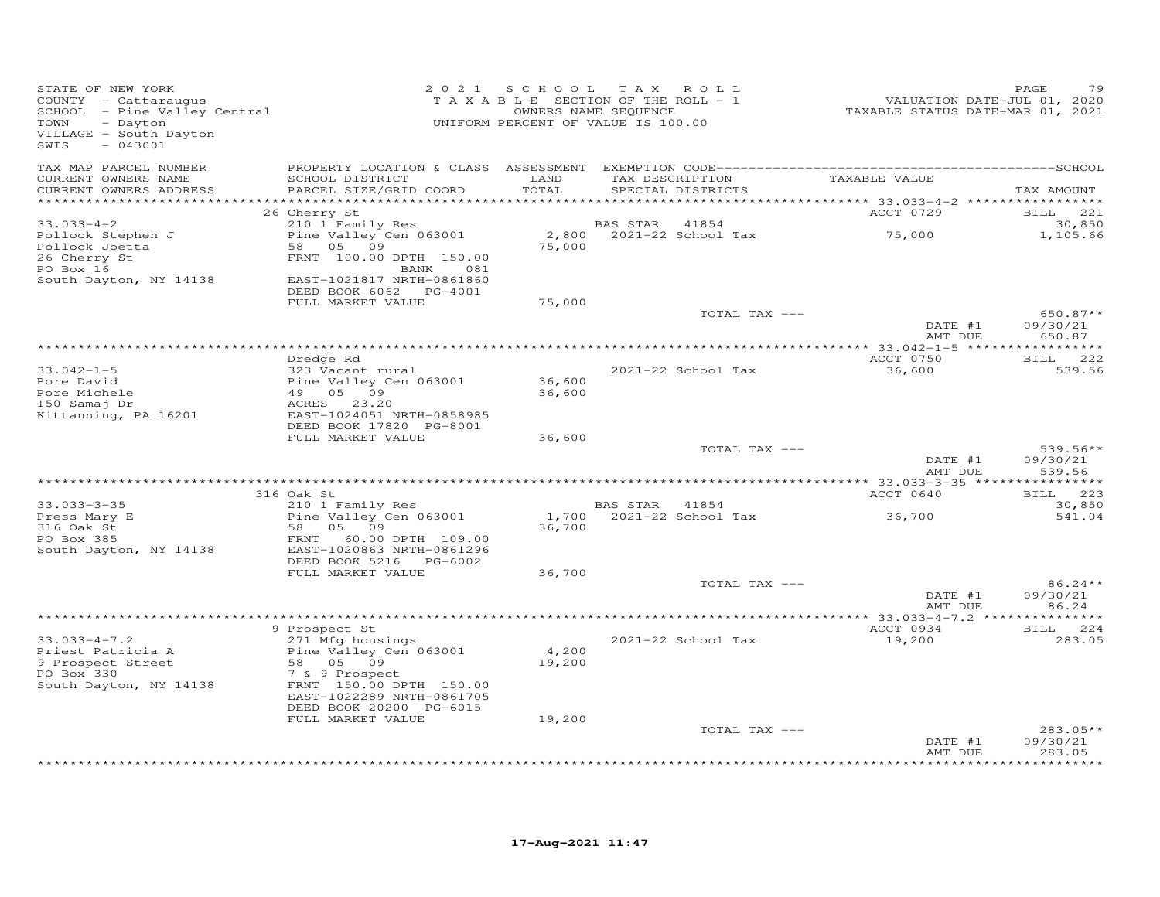| TAX MAP PARCEL NUMBER<br>TAX DESCRIPTION TAXABLE VALUE<br>CURRENT OWNERS NAME<br>SCHOOL DISTRICT<br>LAND<br>TOTAL<br>CURRENT OWNERS ADDRESS<br>PARCEL SIZE/GRID COORD<br>SPECIAL DISTRICTS<br>************************                                                                                                 | TAX AMOUNT                     |
|------------------------------------------------------------------------------------------------------------------------------------------------------------------------------------------------------------------------------------------------------------------------------------------------------------------------|--------------------------------|
| 26 Cherry St<br>ACCT 0729                                                                                                                                                                                                                                                                                              | BILL 221                       |
| $33.033 - 4 - 2$<br>210 1 Family Res<br>41854<br>BAS STAR<br>75,000<br>2,800 2021-22 School Tax<br>Pine Valley Cen 063001<br>Pollock Stephen J<br>58 05 09<br>75,000<br>Pollock Joetta<br>FRNT 100.00 DPTH 150.00<br>26 Cherry St<br>PO Box 16<br>BANK<br>081                                                          | 30,850<br>1,105.66             |
| South Dayton, NY 14138<br>EAST-1021817 NRTH-0861860<br>DEED BOOK 6062 PG-4001                                                                                                                                                                                                                                          |                                |
| 75,000<br>FULL MARKET VALUE                                                                                                                                                                                                                                                                                            |                                |
| TOTAL TAX ---<br>DATE #1<br>AMT DUE                                                                                                                                                                                                                                                                                    | 650.87**<br>09/30/21<br>650.87 |
|                                                                                                                                                                                                                                                                                                                        |                                |
| ACCT 0750<br>Dredge Rd<br>2021-22 School Tax<br>$33.042 - 1 - 5$<br>323 Vacant rural<br>36,600<br>Pine Valley Cen 063001<br>36,600<br>Pore David<br>36,600<br>Pore Michele<br>49 05 09                                                                                                                                 | BILL 222<br>539.56             |
| 150 Samaj Dr<br>ACRES 23.20<br>Kittanning, PA 16201<br>EAST-1024051 NRTH-0858985<br>DEED BOOK 17820 PG-8001                                                                                                                                                                                                            |                                |
| FULL MARKET VALUE<br>36,600<br>TOTAL TAX ---                                                                                                                                                                                                                                                                           | $539.56**$                     |
| DATE #1<br>AMT DUE                                                                                                                                                                                                                                                                                                     | 09/30/21<br>539.56             |
| ACCT 0640<br>316 Oak St                                                                                                                                                                                                                                                                                                | BILL 223                       |
| 210 1 Family Res<br>$33.033 - 3 - 35$<br>BAS STAR 41854                                                                                                                                                                                                                                                                | 30,850                         |
| Pine Valley Cen 063001<br>1,700 2021-22 School Tax<br>36,700<br>Press Mary E<br>316 Oak St<br>58 05 09<br>36,700<br>PO Box 385<br>60.00 DPTH 109.00<br>FRNT                                                                                                                                                            | 541.04                         |
| EAST-1020863 NRTH-0861296<br>South Dayton, NY 14138<br>DEED BOOK 5216 PG-6002                                                                                                                                                                                                                                          |                                |
| FULL MARKET VALUE<br>36,700<br>TOTAL TAX ---                                                                                                                                                                                                                                                                           | 86.24**                        |
| DATE #1<br>AMT DUE                                                                                                                                                                                                                                                                                                     | 09/30/21<br>86.24              |
| 9 Prospect St<br>ACCT 0934                                                                                                                                                                                                                                                                                             | BILL 224                       |
| 271 Mfg housings<br>$33.033 - 4 - 7.2$<br>2021-22 School Tax<br>19,200<br>Priest Patricia A<br>Pine Valley Cen 063001<br>4,200<br>9 Prospect Street<br>58 05 09<br>19,200<br>PO Box 330<br>7 & 9 Prospect<br>FRNT 150.00 DPTH 150.00<br>South Dayton, NY 14138<br>EAST-1022289 NRTH-0861705<br>DEED BOOK 20200 PG-6015 | 283.05                         |
| FULL MARKET VALUE<br>19,200                                                                                                                                                                                                                                                                                            |                                |
| TOTAL TAX ---<br>DATE #1<br>AMT DUE                                                                                                                                                                                                                                                                                    | 283.05**<br>09/30/21<br>283.05 |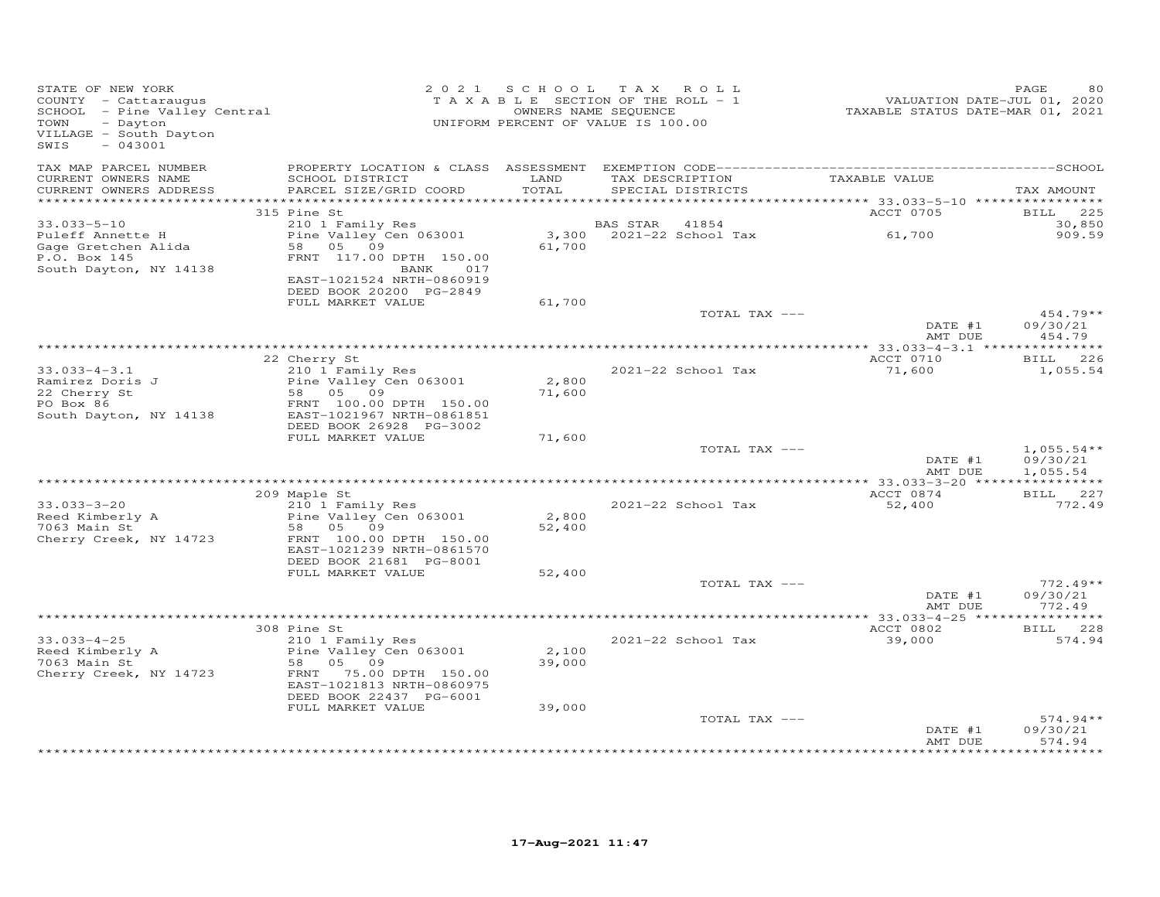| STATE OF NEW YORK<br>COUNTY - Cattaraugus<br>SCHOOL - Pine Valley Central<br>TOWN<br>- Dayton<br>VILLAGE - South Dayton<br>$-043001$<br>SWIS |                                                                                                |                 | 2021 SCHOOL TAX ROLL<br>TAXABLE SECTION OF THE ROLL - 1<br>OWNERS NAME SEQUENCE<br>UNIFORM PERCENT OF VALUE IS 100.00 | VALUATION DATE-JUL 01, 2020<br>TAXABLE STATUS DATE-MAR 01, 2021 | PAGE<br>80                           |
|----------------------------------------------------------------------------------------------------------------------------------------------|------------------------------------------------------------------------------------------------|-----------------|-----------------------------------------------------------------------------------------------------------------------|-----------------------------------------------------------------|--------------------------------------|
| TAX MAP PARCEL NUMBER<br>CURRENT OWNERS NAME<br>CURRENT OWNERS ADDRESS                                                                       | SCHOOL DISTRICT<br>PARCEL SIZE/GRID COORD                                                      | LAND<br>TOTAL   | TAX DESCRIPTION<br>SPECIAL DISTRICTS                                                                                  | TAXABLE VALUE                                                   | TAX AMOUNT                           |
| ***********************                                                                                                                      |                                                                                                |                 |                                                                                                                       |                                                                 |                                      |
| $33.033 - 5 - 10$<br>Puleff Annette H<br>Gage Gretchen Alida                                                                                 | 315 Pine St<br>210 1 Family Res<br>Pine Valley Cen 063001<br>58 05 09                          | 3,300<br>61,700 | 41854<br>BAS STAR<br>2021-22 School Tax                                                                               | ACCT 0705<br>61,700                                             | BILL 225<br>30,850<br>909.59         |
| P.O. Box 145<br>South Dayton, NY 14138                                                                                                       | FRNT 117.00 DPTH 150.00<br>BANK<br>017<br>EAST-1021524 NRTH-0860919<br>DEED BOOK 20200 PG-2849 |                 |                                                                                                                       |                                                                 |                                      |
|                                                                                                                                              | FULL MARKET VALUE                                                                              | 61,700          |                                                                                                                       |                                                                 |                                      |
|                                                                                                                                              |                                                                                                |                 | TOTAL TAX ---                                                                                                         | DATE #1<br>AMT DUE                                              | $454.79**$<br>09/30/21<br>454.79     |
|                                                                                                                                              |                                                                                                |                 |                                                                                                                       | ACCT 0710                                                       |                                      |
| $33.033 - 4 - 3.1$<br>Ramirez Doris J                                                                                                        | 22 Cherry St<br>210 1 Family Res<br>Pine Valley Cen 063001                                     | 2,800           | 2021-22 School Tax                                                                                                    | 71,600                                                          | BILL 226<br>1,055.54                 |
| 22 Cherry St<br>PO Box 86<br>South Dayton, NY 14138                                                                                          | 58 05 09<br>FRNT 100.00 DPTH 150.00<br>EAST-1021967 NRTH-0861851                               | 71,600          |                                                                                                                       |                                                                 |                                      |
|                                                                                                                                              | DEED BOOK 26928 PG-3002<br>FULL MARKET VALUE                                                   | 71,600          |                                                                                                                       |                                                                 |                                      |
|                                                                                                                                              |                                                                                                |                 | TOTAL TAX ---                                                                                                         | DATE #1<br>AMT DUE                                              | $1,055.54**$<br>09/30/21<br>1,055.54 |
|                                                                                                                                              |                                                                                                |                 |                                                                                                                       | ACCT 0874                                                       | BILL 227                             |
| $33.033 - 3 - 20$<br>Reed Kimberly A                                                                                                         | 209 Maple St<br>210 1 Family Res<br>Pine Valley Cen 063001                                     | 2,800           | 2021-22 School Tax                                                                                                    | 52,400                                                          | 772.49                               |
| 7063 Main St<br>Cherry Creek, NY 14723                                                                                                       | 58 05 09<br>FRNT 100.00 DPTH 150.00<br>EAST-1021239 NRTH-0861570                               | 52,400          |                                                                                                                       |                                                                 |                                      |
|                                                                                                                                              | DEED BOOK 21681 PG-8001<br>FULL MARKET VALUE                                                   | 52,400          |                                                                                                                       |                                                                 |                                      |
|                                                                                                                                              |                                                                                                |                 | TOTAL TAX ---                                                                                                         | DATE #1<br>AMT DUE                                              | $772.49**$<br>09/30/21<br>772.49     |
|                                                                                                                                              |                                                                                                |                 |                                                                                                                       |                                                                 |                                      |
| $33.033 - 4 - 25$                                                                                                                            | 308 Pine St                                                                                    |                 | 2021-22 School Tax                                                                                                    | ACCT 0802<br>39,000                                             | BILL 228<br>574.94                   |
| Reed Kimberly A<br>7063 Main St<br>Cherry Creek, NY 14723                                                                                    | 210 1 Family Res<br>Pine Valley Cen 063001<br>58 05 09<br>FRNT 75.00 DPTH 150.00               | 2,100<br>39,000 |                                                                                                                       |                                                                 |                                      |
|                                                                                                                                              | EAST-1021813 NRTH-0860975<br>DEED BOOK 22437 PG-6001<br>FULL MARKET VALUE                      | 39,000          |                                                                                                                       |                                                                 |                                      |
|                                                                                                                                              |                                                                                                |                 | TOTAL TAX ---                                                                                                         | DATE #1                                                         | $574.94**$<br>09/30/21               |
|                                                                                                                                              |                                                                                                |                 |                                                                                                                       | AMT DUE                                                         | 574.94                               |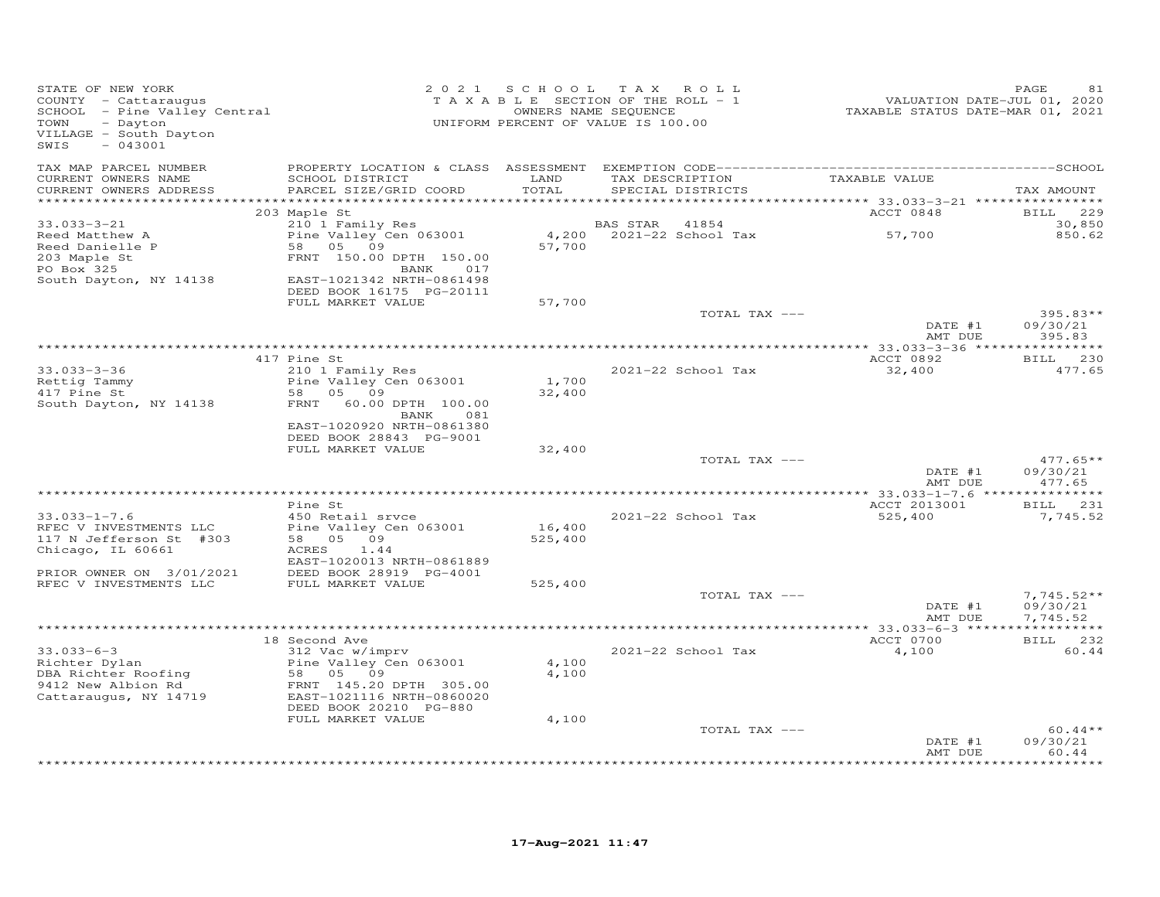| STATE OF NEW YORK<br>COUNTY - Cattaraugus<br>SCHOOL - Pine Valley Central<br>- Dayton<br>TOWN<br>VILLAGE - South Dayton<br>$-043001$<br>SWIS |                                                       |                | 2021 SCHOOL TAX ROLL<br>TAXABLE SECTION OF THE ROLL - 1<br>OWNERS NAME SEQUENCE<br>UNIFORM PERCENT OF VALUE IS 100.00 | VALUATION DATE-JUL 01, 2020<br>TAXABLE STATUS DATE-MAR 01, 2021 | PAGE<br>81                     |
|----------------------------------------------------------------------------------------------------------------------------------------------|-------------------------------------------------------|----------------|-----------------------------------------------------------------------------------------------------------------------|-----------------------------------------------------------------|--------------------------------|
| TAX MAP PARCEL NUMBER                                                                                                                        |                                                       |                |                                                                                                                       |                                                                 |                                |
| CURRENT OWNERS NAME<br>CURRENT OWNERS ADDRESS<br>***********************                                                                     | SCHOOL DISTRICT<br>PARCEL SIZE/GRID COORD             | LAND<br>TOTAL  | TAX DESCRIPTION TAXABLE VALUE<br>SPECIAL DISTRICTS                                                                    |                                                                 | TAX AMOUNT                     |
|                                                                                                                                              | 203 Maple St                                          |                |                                                                                                                       | ACCT 0848                                                       | BILL 229                       |
| $33.033 - 3 - 21$                                                                                                                            | 210 1 Family Res                                      |                | BAS STAR<br>41854                                                                                                     |                                                                 | 30,850                         |
| Reed Matthew A                                                                                                                               | Pine Valley Cen 063001                                |                | 4,200 2021-22 School Tax                                                                                              | 57,700                                                          | 850.62                         |
| Reed Danielle P                                                                                                                              | 58 05 09                                              | 57,700         |                                                                                                                       |                                                                 |                                |
| 203 Maple St                                                                                                                                 | FRNT 150.00 DPTH 150.00                               |                |                                                                                                                       |                                                                 |                                |
| PO Box 325                                                                                                                                   | BANK<br>017                                           |                |                                                                                                                       |                                                                 |                                |
| South Dayton, NY 14138                                                                                                                       | EAST-1021342 NRTH-0861498<br>DEED BOOK 16175 PG-20111 |                |                                                                                                                       |                                                                 |                                |
|                                                                                                                                              | FULL MARKET VALUE                                     | 57,700         |                                                                                                                       |                                                                 |                                |
|                                                                                                                                              |                                                       |                | TOTAL TAX ---                                                                                                         |                                                                 | 395.83**                       |
|                                                                                                                                              |                                                       |                |                                                                                                                       | DATE #1                                                         | 09/30/21                       |
|                                                                                                                                              |                                                       |                |                                                                                                                       | AMT DUE                                                         | 395.83                         |
|                                                                                                                                              |                                                       |                |                                                                                                                       | ************** 33.033-3-36 *****************<br>ACCT 0892       | BILL 230                       |
| $33.033 - 3 - 36$                                                                                                                            | 417 Pine St<br>210 1 Family Res                       |                | 2021-22 School Tax                                                                                                    | 32,400                                                          | 477.65                         |
| Rettig Tammy                                                                                                                                 | Pine Valley Cen 063001                                | 1,700          |                                                                                                                       |                                                                 |                                |
| 417 Pine St                                                                                                                                  | 58 05 09                                              | 32,400         |                                                                                                                       |                                                                 |                                |
| South Dayton, NY 14138                                                                                                                       | FRNT 60.00 DPTH 100.00<br>BANK<br>081                 |                |                                                                                                                       |                                                                 |                                |
|                                                                                                                                              | EAST-1020920 NRTH-0861380<br>DEED BOOK 28843 PG-9001  |                |                                                                                                                       |                                                                 |                                |
|                                                                                                                                              | FULL MARKET VALUE                                     | 32,400         | TOTAL TAX ---                                                                                                         |                                                                 | $477.65**$                     |
|                                                                                                                                              |                                                       |                |                                                                                                                       | DATE #1<br>AMT DUE                                              | 09/30/21<br>477.65             |
|                                                                                                                                              |                                                       |                |                                                                                                                       | ************** 33.033-1-7.6 ****************                    |                                |
|                                                                                                                                              | Pine St                                               |                |                                                                                                                       | ACCT 2013001                                                    | BILL 231                       |
| $33.033 - 1 - 7.6$<br>RFEC V INVESTMENTS LLC                                                                                                 | 450 Retail srvce<br>Pine Valley Cen 063001            | 16,400         | 2021-22 School Tax                                                                                                    | 525,400                                                         | 7,745.52                       |
| 117 N Jefferson St #303                                                                                                                      | 58 05 09                                              | 525,400        |                                                                                                                       |                                                                 |                                |
| Chicago, IL 60661                                                                                                                            | 1.44<br>ACRES                                         |                |                                                                                                                       |                                                                 |                                |
|                                                                                                                                              | EAST-1020013 NRTH-0861889                             |                |                                                                                                                       |                                                                 |                                |
| PRIOR OWNER ON 3/01/2021                                                                                                                     | DEED BOOK 28919 PG-4001                               |                |                                                                                                                       |                                                                 |                                |
| RFEC V INVESTMENTS LLC                                                                                                                       | FULL MARKET VALUE                                     | 525,400        | TOTAL TAX ---                                                                                                         |                                                                 | $7,745.52**$                   |
|                                                                                                                                              |                                                       |                |                                                                                                                       | DATE #1                                                         | 09/30/21                       |
|                                                                                                                                              |                                                       |                |                                                                                                                       | AMT DUE                                                         | 7,745.52                       |
|                                                                                                                                              |                                                       |                |                                                                                                                       |                                                                 |                                |
|                                                                                                                                              | 18 Second Ave                                         |                |                                                                                                                       | ACCT 0700                                                       | BILL 232                       |
| $33.033 - 6 - 3$                                                                                                                             | 312 Vac w/imprv                                       |                | 2021-22 School Tax                                                                                                    | 4,100                                                           | 60.44                          |
| Richter Dylan<br>DBA Richter Roofing                                                                                                         | Pine Valley Cen 063001<br>58 05 09                    | 4,100<br>4,100 |                                                                                                                       |                                                                 |                                |
| 9412 New Albion Rd                                                                                                                           | FRNT 145.20 DPTH 305.00                               |                |                                                                                                                       |                                                                 |                                |
| Cattaraugus, NY 14719                                                                                                                        | EAST-1021116 NRTH-0860020<br>DEED BOOK 20210 PG-880   |                |                                                                                                                       |                                                                 |                                |
|                                                                                                                                              | FULL MARKET VALUE                                     | 4,100          |                                                                                                                       |                                                                 |                                |
|                                                                                                                                              |                                                       |                | TOTAL TAX ---                                                                                                         |                                                                 | $60.44**$                      |
|                                                                                                                                              |                                                       |                |                                                                                                                       | DATE #1<br>AMT DUE                                              | 09/30/21<br>60.44<br>********* |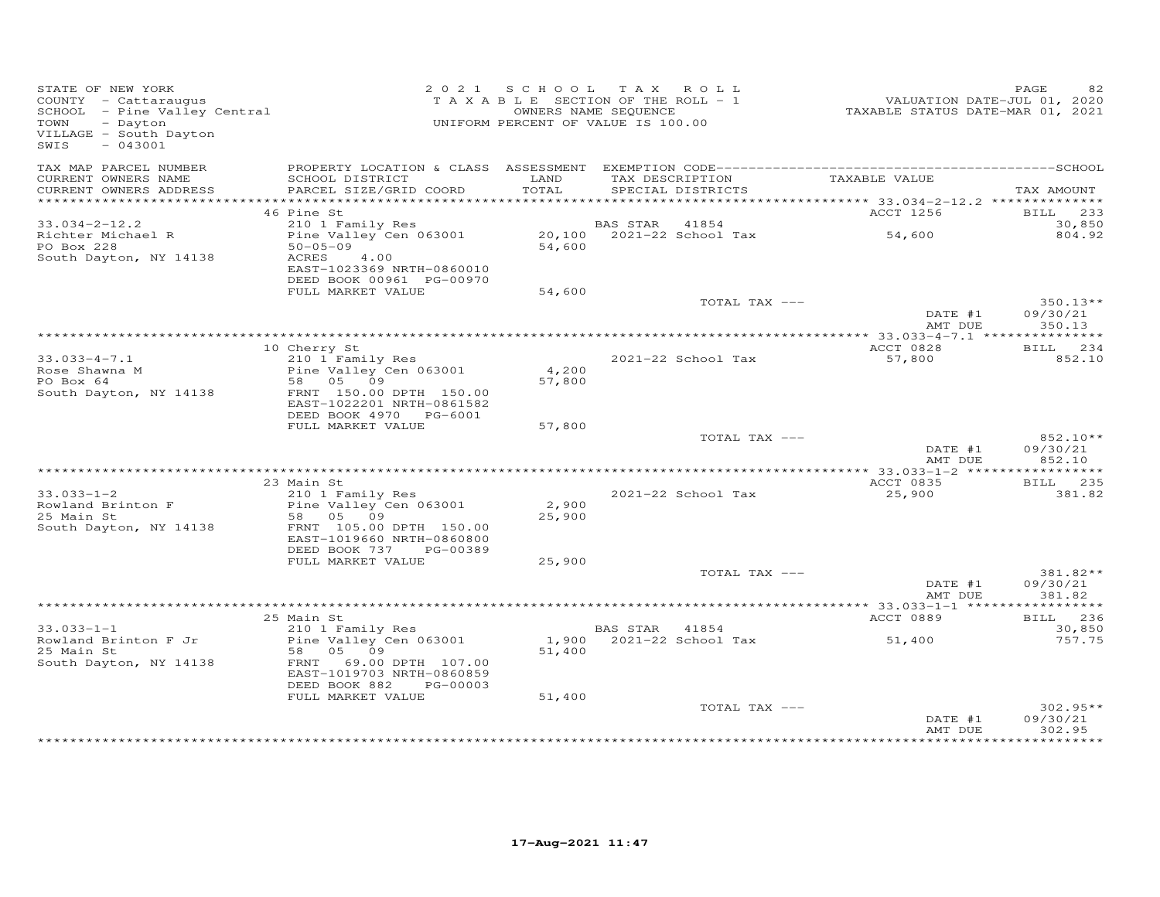| STATE OF NEW YORK<br>STATE OF NEW IORA<br>COUNTY - Cattaraugus<br>SCHOOL - Pine Valley Central<br>Dington<br>VILLAGE - South Dayton<br>$-043001$<br>SWIS |                                           |                 | 2021 SCHOOL TAX ROLL<br>TAXABLE SECTION OF THE ROLL - 1<br>OWNERS NAME SEQUENCE<br>UNIFORM PERCENT OF VALUE IS 100.00 | VALUATION DATE-JUL 01, 2020<br>TAXABLE STATUS DATE-MAR 01, 2021 | PAGE<br>82                |
|----------------------------------------------------------------------------------------------------------------------------------------------------------|-------------------------------------------|-----------------|-----------------------------------------------------------------------------------------------------------------------|-----------------------------------------------------------------|---------------------------|
| TAX MAP PARCEL NUMBER                                                                                                                                    |                                           |                 |                                                                                                                       |                                                                 |                           |
| CURRENT OWNERS NAME<br>CURRENT OWNERS ADDRESS                                                                                                            | SCHOOL DISTRICT<br>PARCEL SIZE/GRID COORD | LAND<br>TOTAL   | TAX DESCRIPTION TAXABLE VALUE<br>SPECIAL DISTRICTS                                                                    |                                                                 | TAX AMOUNT                |
|                                                                                                                                                          |                                           |                 |                                                                                                                       |                                                                 |                           |
| $33.034 - 2 - 12.2$                                                                                                                                      | 46 Pine St<br>210 1 Family Res            |                 | BAS STAR<br>41854                                                                                                     | ACCT 1256                                                       | <b>BILL</b> 233<br>30,850 |
| Richter Michael R                                                                                                                                        |                                           |                 |                                                                                                                       | 54,600                                                          | 804.92                    |
| PO Box 228                                                                                                                                               | $50 - 05 - 09$                            | 54,600          |                                                                                                                       |                                                                 |                           |
| South Dayton, NY 14138                                                                                                                                   | 4.00<br>ACRES                             |                 |                                                                                                                       |                                                                 |                           |
|                                                                                                                                                          | EAST-1023369 NRTH-0860010                 |                 |                                                                                                                       |                                                                 |                           |
|                                                                                                                                                          | DEED BOOK 00961 PG-00970                  |                 |                                                                                                                       |                                                                 |                           |
|                                                                                                                                                          | FULL MARKET VALUE                         | 54,600          | TOTAL TAX ---                                                                                                         |                                                                 | $350.13**$                |
|                                                                                                                                                          |                                           |                 |                                                                                                                       | DATE #1                                                         | 09/30/21                  |
|                                                                                                                                                          |                                           |                 |                                                                                                                       | AMT DUE                                                         | 350.13                    |
|                                                                                                                                                          |                                           |                 |                                                                                                                       |                                                                 |                           |
|                                                                                                                                                          | 10 Cherry St                              |                 |                                                                                                                       | ACCT 0828                                                       | BILL 234                  |
| $33.033 - 4 - 7.1$                                                                                                                                       | 210 1 Family Res                          |                 | 2021-22 School Tax                                                                                                    | 57,800                                                          | 852.10                    |
| Rose Shawna M<br>PO Box 64                                                                                                                               | Pine Valley Cen 063001<br>58 05 09        | 4,200<br>57,800 |                                                                                                                       |                                                                 |                           |
| South Dayton, NY 14138                                                                                                                                   | FRNT 150.00 DPTH 150.00                   |                 |                                                                                                                       |                                                                 |                           |
|                                                                                                                                                          | EAST-1022201 NRTH-0861582                 |                 |                                                                                                                       |                                                                 |                           |
|                                                                                                                                                          | DEED BOOK 4970 PG-6001                    |                 |                                                                                                                       |                                                                 |                           |
|                                                                                                                                                          | FULL MARKET VALUE                         | 57,800          |                                                                                                                       |                                                                 |                           |
|                                                                                                                                                          |                                           |                 | TOTAL TAX ---                                                                                                         | DATE #1                                                         | 852.10**<br>09/30/21      |
|                                                                                                                                                          |                                           |                 |                                                                                                                       | AMT DUE                                                         | 852.10                    |
|                                                                                                                                                          |                                           |                 |                                                                                                                       |                                                                 |                           |
|                                                                                                                                                          | 23 Main St                                |                 |                                                                                                                       | ACCT 0835                                                       | BILL 235                  |
| $33.033 - 1 - 2$                                                                                                                                         | 210 1 Family Res                          |                 | 2021-22 School Tax                                                                                                    | 25,900                                                          | 381.82                    |
| Rowland Brinton F<br>25 Main St                                                                                                                          | Pine Valley Cen 063001<br>58 05 09        | 2,900<br>25,900 |                                                                                                                       |                                                                 |                           |
| South Dayton, NY 14138                                                                                                                                   | FRNT 105.00 DPTH 150.00                   |                 |                                                                                                                       |                                                                 |                           |
|                                                                                                                                                          | EAST-1019660 NRTH-0860800                 |                 |                                                                                                                       |                                                                 |                           |
|                                                                                                                                                          | DEED BOOK 737<br>PG-00389                 |                 |                                                                                                                       |                                                                 |                           |
|                                                                                                                                                          | FULL MARKET VALUE                         | 25,900          |                                                                                                                       |                                                                 |                           |
|                                                                                                                                                          |                                           |                 | TOTAL TAX ---                                                                                                         | DATE #1                                                         | 381.82**<br>09/30/21      |
|                                                                                                                                                          |                                           |                 |                                                                                                                       | AMT DUE                                                         | 381.82                    |
|                                                                                                                                                          |                                           |                 |                                                                                                                       |                                                                 |                           |
|                                                                                                                                                          | 25 Main St                                |                 |                                                                                                                       | ACCT 0889                                                       | BILL 236                  |
| $33.033 - 1 - 1$                                                                                                                                         | 210 1 Family Res                          |                 | BAS STAR 41854                                                                                                        |                                                                 | 30,850                    |
| Rowland Brinton F Jr<br>25 Main St                                                                                                                       | Pine Valley Cen 063001<br>58<br>05 09     | 51,400          | 1,900 2021-22 School Tax                                                                                              | 51,400                                                          | 757.75                    |
| South Dayton, NY 14138                                                                                                                                   | 69.00 DPTH 107.00<br>FRNT                 |                 |                                                                                                                       |                                                                 |                           |
|                                                                                                                                                          | EAST-1019703 NRTH-0860859                 |                 |                                                                                                                       |                                                                 |                           |
|                                                                                                                                                          | DEED BOOK 882<br>PG-00003                 |                 |                                                                                                                       |                                                                 |                           |
|                                                                                                                                                          | FULL MARKET VALUE                         | 51,400          |                                                                                                                       |                                                                 |                           |
|                                                                                                                                                          |                                           |                 | TOTAL TAX ---                                                                                                         |                                                                 | $302.95**$                |
|                                                                                                                                                          |                                           |                 |                                                                                                                       | DATE #1<br>AMT DUE                                              | 09/30/21<br>302.95        |
|                                                                                                                                                          |                                           |                 |                                                                                                                       |                                                                 |                           |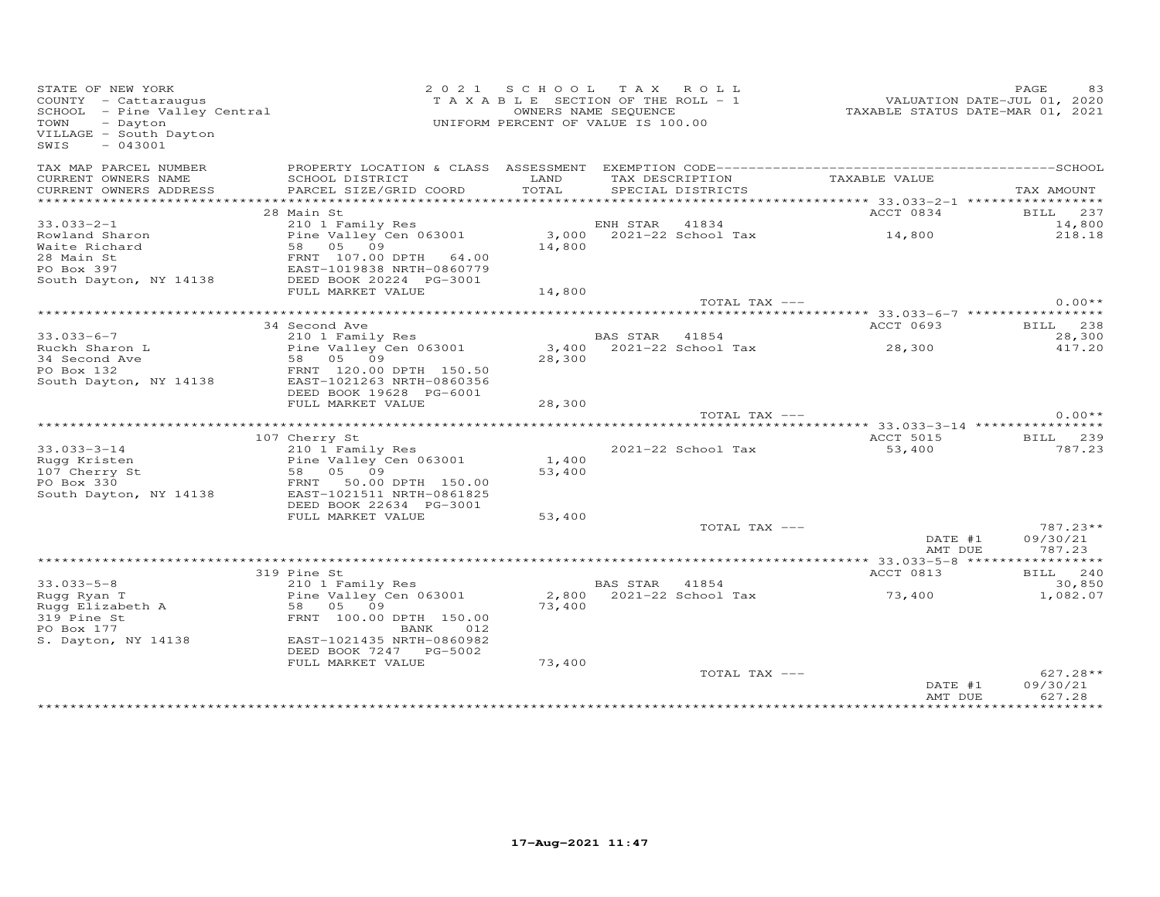| STATE OF NEW YORK<br>STATE OF NEW YORK<br>COUNTY - Cattaraugus<br>SCHOOL - Pine Valley Central<br>- Alley Central<br>TOWN<br>- Dayton<br>VILLAGE - South Dayton<br>$-043001$<br>SWIS |                                            | 2021 SCHOOL TAX ROLL<br>UNIFORM PERCENT OF VALUE IS 100.00 | OWNERS NAME SEQUENCE | TAXABLE SECTION OF THE ROLL - 1      | 2020<br>VALUATION DATE-JUL 01, 2020<br>TAXABLE STATUS DATE-MAR 01, 2021 | PAGE<br>83         |
|--------------------------------------------------------------------------------------------------------------------------------------------------------------------------------------|--------------------------------------------|------------------------------------------------------------|----------------------|--------------------------------------|-------------------------------------------------------------------------|--------------------|
| TAX MAP PARCEL NUMBER                                                                                                                                                                |                                            |                                                            |                      |                                      |                                                                         |                    |
| CURRENT OWNERS NAME<br>CURRENT OWNERS ADDRESS                                                                                                                                        | SCHOOL DISTRICT<br>PARCEL SIZE/GRID COORD  | LAND<br>TOTAL                                              |                      | TAX DESCRIPTION<br>SPECIAL DISTRICTS | TAXABLE VALUE                                                           | TAX AMOUNT         |
|                                                                                                                                                                                      |                                            |                                                            |                      |                                      |                                                                         |                    |
|                                                                                                                                                                                      | 28 Main St                                 |                                                            |                      |                                      | ACCT 0834                                                               | BILL 237           |
| $33.033 - 2 - 1$                                                                                                                                                                     | 210 1 Family Res                           |                                                            |                      |                                      |                                                                         | 14,800             |
| Rowland Sharon<br>Waite Richard                                                                                                                                                      | Pine Valley Cen 063001<br>58 05 09         |                                                            |                      |                                      | ENH STAR 41834<br>3,000 2021-22 School Tax 14,800                       | 218.18             |
| value such an ERNT 107.00 DPTH 64.00<br>PO Box 397 EAST-1019838 NRTH-0860779<br>South Dayton, NY 14138 DEED BOOK 20224 PG-3001                                                       |                                            |                                                            |                      |                                      |                                                                         |                    |
|                                                                                                                                                                                      |                                            |                                                            |                      |                                      |                                                                         |                    |
|                                                                                                                                                                                      |                                            |                                                            |                      |                                      |                                                                         |                    |
|                                                                                                                                                                                      | FULL MARKET VALUE                          | 14,800                                                     |                      |                                      |                                                                         |                    |
|                                                                                                                                                                                      |                                            |                                                            |                      | TOTAL TAX ---                        |                                                                         | $0.00**$           |
|                                                                                                                                                                                      |                                            |                                                            |                      |                                      |                                                                         |                    |
|                                                                                                                                                                                      | 34 Second Ave                              |                                                            |                      |                                      | ACCT 0693                                                               | BILL 238           |
| $33.033 - 6 - 7$<br>Ruckh Sharon L                                                                                                                                                   | 210 1 Family Res<br>Pine Valley Cen 063001 |                                                            | BAS STAR 41854       | 3,400 2021-22 School Tax             | 28,300                                                                  | 28,300<br>417.20   |
| 34 Second Ave                                                                                                                                                                        | 58 05 09                                   | 28,300                                                     |                      |                                      |                                                                         |                    |
| PO Box 132                                                                                                                                                                           | FRNT 120.00 DPTH 150.50                    |                                                            |                      |                                      |                                                                         |                    |
| South Dayton, NY 14138                                                                                                                                                               | EAST-1021263 NRTH-0860356                  |                                                            |                      |                                      |                                                                         |                    |
|                                                                                                                                                                                      | DEED BOOK 19628 PG-6001                    |                                                            |                      |                                      |                                                                         |                    |
|                                                                                                                                                                                      | FULL MARKET VALUE                          | 28,300                                                     |                      |                                      |                                                                         |                    |
|                                                                                                                                                                                      |                                            |                                                            |                      | TOTAL TAX ---                        |                                                                         | $0.00**$           |
|                                                                                                                                                                                      |                                            |                                                            |                      |                                      |                                                                         |                    |
| $33.033 - 3 - 14$                                                                                                                                                                    | 107 Cherry St                              |                                                            |                      |                                      | ACCT 5015                                                               | BILL 239<br>787.23 |
| Rugg Kristen                                                                                                                                                                         | 210 1 Family Res<br>Pine Valley Cen 063001 | 1,400                                                      |                      | 2021-22 School Tax                   | 53,400                                                                  |                    |
| 107 Cherry St                                                                                                                                                                        | Pine Valley (<br>58    05    09            | 53,400                                                     |                      |                                      |                                                                         |                    |
| PO Box 330                                                                                                                                                                           | FRNT 50.00 DPTH 150.00                     |                                                            |                      |                                      |                                                                         |                    |
| South Dayton, NY 14138                                                                                                                                                               | EAST-1021511 NRTH-0861825                  |                                                            |                      |                                      |                                                                         |                    |
|                                                                                                                                                                                      | DEED BOOK 22634 PG-3001                    |                                                            |                      |                                      |                                                                         |                    |
|                                                                                                                                                                                      | FULL MARKET VALUE                          | 53,400                                                     |                      |                                      |                                                                         |                    |
|                                                                                                                                                                                      |                                            |                                                            |                      | TOTAL TAX ---                        |                                                                         | 787.23**           |
|                                                                                                                                                                                      |                                            |                                                            |                      |                                      | DATE #1                                                                 | 09/30/21           |
|                                                                                                                                                                                      |                                            |                                                            |                      |                                      | AMT DUE                                                                 | 787.23             |
|                                                                                                                                                                                      | 319 Pine St                                |                                                            |                      |                                      | ACCT 0813                                                               | BILL 240           |
| $33.033 - 5 - 8$                                                                                                                                                                     | 210 1 Family Res                           |                                                            | BAS STAR 41854       |                                      |                                                                         | 30,850             |
| Rugg Ryan T                                                                                                                                                                          | Pine Valley Cen 063001                     | 2,800                                                      |                      | 2021-22 School Tax                   | 73,400                                                                  | 1,082.07           |
| Rugg Ryan I<br>Rugg Elizabeth A                                                                                                                                                      | 58 05 09                                   | 73,400                                                     |                      |                                      |                                                                         |                    |
| 319 Pine St                                                                                                                                                                          | FRNT 100.00 DPTH 150.00                    |                                                            |                      |                                      |                                                                         |                    |
| PO Box 177                                                                                                                                                                           | BANK<br>012                                |                                                            |                      |                                      |                                                                         |                    |
| S. Dayton, NY 14138                                                                                                                                                                  | EAST-1021435 NRTH-0860982                  |                                                            |                      |                                      |                                                                         |                    |
|                                                                                                                                                                                      | DEED BOOK 7247 PG-5002                     |                                                            |                      |                                      |                                                                         |                    |
|                                                                                                                                                                                      | FULL MARKET VALUE                          | 73,400                                                     |                      | TOTAL TAX ---                        |                                                                         | $627.28**$         |
|                                                                                                                                                                                      |                                            |                                                            |                      |                                      | DATE #1                                                                 | 09/30/21           |
|                                                                                                                                                                                      |                                            |                                                            |                      |                                      | AMT DUE                                                                 | 627.28             |
|                                                                                                                                                                                      |                                            |                                                            |                      |                                      |                                                                         | ***********        |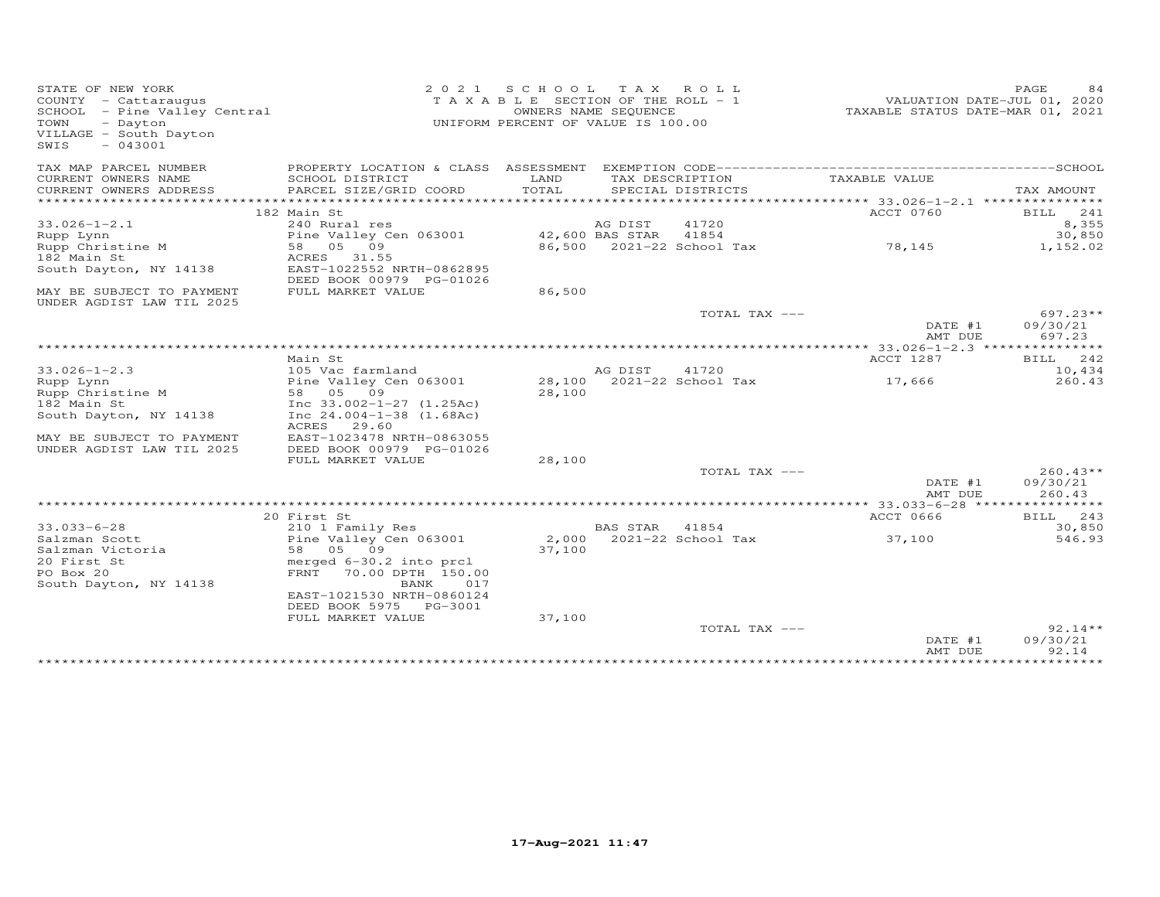| STATE OF NEW YORK<br>COUNTY - Cattaraugus<br>SCHOOL - Pine Valley Central<br>TOWN<br>- Dayton<br>VILLAGE - South Dayton<br>$-043001$<br>SWIS | 2 0 2 1                                               | SCHOOL<br>T A X A B L E SECTION OF THE ROLL - 1<br>UNIFORM PERCENT OF VALUE IS 100.00 | TAX ROLL<br>OWNERS NAME SEQUENCE |                           | VALUATION DATE-JUL 01, 2020<br>TAXABLE STATUS DATE-MAR 01, 2021 | PAGE<br>84         |
|----------------------------------------------------------------------------------------------------------------------------------------------|-------------------------------------------------------|---------------------------------------------------------------------------------------|----------------------------------|---------------------------|-----------------------------------------------------------------|--------------------|
| TAX MAP PARCEL NUMBER                                                                                                                        | PROPERTY LOCATION & CLASS ASSESSMENT                  |                                                                                       |                                  |                           |                                                                 |                    |
| CURRENT OWNERS NAME                                                                                                                          | SCHOOL DISTRICT                                       | LAND<br>TOTAL                                                                         |                                  | TAX DESCRIPTION           | TAXABLE VALUE                                                   |                    |
| CURRENT OWNERS ADDRESS<br>*************************                                                                                          | PARCEL SIZE/GRID COORD                                |                                                                                       |                                  | SPECIAL DISTRICTS         |                                                                 | TAX AMOUNT         |
|                                                                                                                                              | 182 Main St                                           |                                                                                       |                                  |                           | ACCT 0760                                                       | 241<br>BILL        |
| $33.026 - 1 - 2.1$                                                                                                                           | 240 Rural res                                         |                                                                                       | AG DIST                          | 41720                     |                                                                 | 8,355              |
| Rupp Lynn                                                                                                                                    | Pine Valley Cen 063001                                |                                                                                       | 42,600 BAS STAR                  | 41854                     |                                                                 | 30,850             |
| Rupp Christine M                                                                                                                             | 58 05 09                                              |                                                                                       |                                  | 86,500 2021-22 School Tax | 78,145                                                          | 1,152.02           |
| 182 Main St                                                                                                                                  | ACRES<br>31.55                                        |                                                                                       |                                  |                           |                                                                 |                    |
| South Dayton, NY 14138                                                                                                                       | EAST-1022552 NRTH-0862895<br>DEED BOOK 00979 PG-01026 |                                                                                       |                                  |                           |                                                                 |                    |
| MAY BE SUBJECT TO PAYMENT<br>UNDER AGDIST LAW TIL 2025                                                                                       | FULL MARKET VALUE                                     | 86,500                                                                                |                                  |                           |                                                                 |                    |
|                                                                                                                                              |                                                       |                                                                                       |                                  | TOTAL TAX ---             |                                                                 | $697.23**$         |
|                                                                                                                                              |                                                       |                                                                                       |                                  |                           | DATE #1                                                         | 09/30/21           |
|                                                                                                                                              |                                                       |                                                                                       |                                  |                           | AMT DUE                                                         | 697.23             |
|                                                                                                                                              |                                                       | ***********************************                                                   |                                  |                           | ** $33.026 - 1 - 2.3$ ***************                           |                    |
|                                                                                                                                              | Main St                                               |                                                                                       |                                  |                           | ACCT 1287                                                       | 242<br>BILL        |
| $33.026 - 1 - 2.3$                                                                                                                           | 105 Vac farmland                                      |                                                                                       | AG DIST                          | 41720                     |                                                                 | 10,434             |
| Rupp Lynn<br>Rupp Christine M                                                                                                                | Pine Valley Cen 063001<br>58 05 09                    | 28,100                                                                                |                                  | 28,100 2021-22 School Tax | 17,666                                                          | 260.43             |
| 182 Main St                                                                                                                                  | Inc $33.002 - 1 - 27$ $(1.25Ac)$                      |                                                                                       |                                  |                           |                                                                 |                    |
| South Dayton, NY 14138                                                                                                                       | Inc $24.004 - 1 - 38$ (1.68Ac)<br>29.60<br>ACRES      |                                                                                       |                                  |                           |                                                                 |                    |
| MAY BE SUBJECT TO PAYMENT<br>UNDER AGDIST LAW TIL 2025                                                                                       | EAST-1023478 NRTH-0863055<br>DEED BOOK 00979 PG-01026 |                                                                                       |                                  |                           |                                                                 |                    |
|                                                                                                                                              | FULL MARKET VALUE                                     | 28,100                                                                                |                                  |                           |                                                                 |                    |
|                                                                                                                                              |                                                       |                                                                                       |                                  | TOTAL TAX ---             |                                                                 | $260.43**$         |
|                                                                                                                                              |                                                       |                                                                                       |                                  |                           | DATE #1<br>AMT DUE                                              | 09/30/21<br>260.43 |
|                                                                                                                                              |                                                       |                                                                                       |                                  |                           |                                                                 |                    |
|                                                                                                                                              | 20 First St                                           |                                                                                       |                                  |                           | ACCT 0666                                                       | BILL<br>243        |
| $33.033 - 6 - 28$                                                                                                                            | 210 1 Family Res                                      |                                                                                       | <b>BAS STAR</b>                  | 41854                     |                                                                 | 30,850             |
| Salzman Scott                                                                                                                                | Pine Valley Cen 063001                                | 2,000                                                                                 |                                  | 2021-22 School Tax        | 37,100                                                          | 546.93             |
| Salzman Victoria                                                                                                                             | 58<br>05 09                                           | 37,100                                                                                |                                  |                           |                                                                 |                    |
| 20 First St                                                                                                                                  | merged 6-30.2 into prcl                               |                                                                                       |                                  |                           |                                                                 |                    |
| PO Box 20<br>South Dayton, NY 14138                                                                                                          | FRNT<br>70.00 DPTH 150.00<br>BANK<br>017              |                                                                                       |                                  |                           |                                                                 |                    |
|                                                                                                                                              | EAST-1021530 NRTH-0860124                             |                                                                                       |                                  |                           |                                                                 |                    |
|                                                                                                                                              | DEED BOOK 5975<br>PG-3001<br>FULL MARKET VALUE        |                                                                                       |                                  |                           |                                                                 |                    |
|                                                                                                                                              |                                                       | 37,100                                                                                |                                  | TOTAL TAX ---             |                                                                 | $92.14**$          |
|                                                                                                                                              |                                                       |                                                                                       |                                  |                           | DATE #1<br>AMT DUE                                              | 09/30/21<br>92.14  |
|                                                                                                                                              |                                                       |                                                                                       |                                  |                           |                                                                 |                    |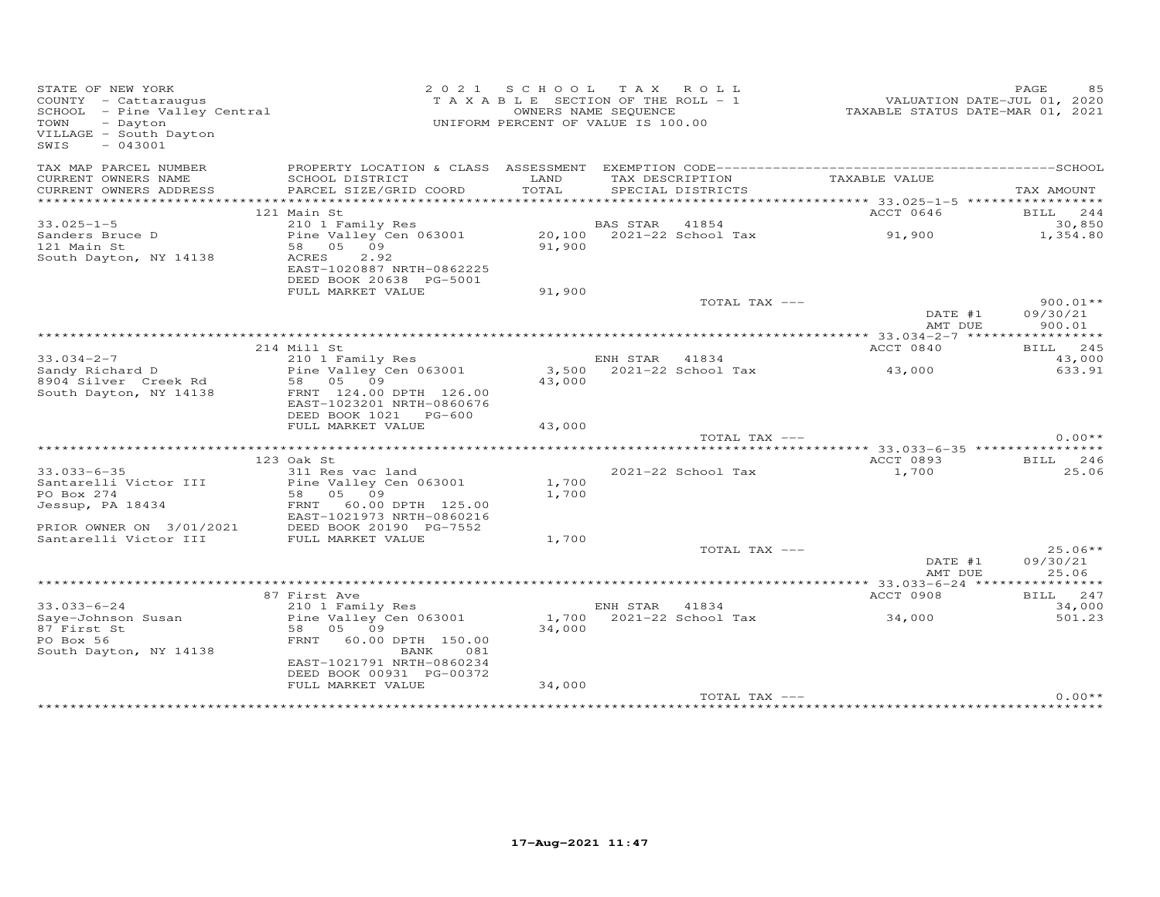| STATE OF NEW YORK<br>STATE OF NEW YORA<br>COUNTY - Cattaraugus<br>SCHOOL - Pine Valley Central<br>- Time<br>VILLAGE - South Dayton<br>$-043001$<br>SWIS |                                                                       |               | 2021 SCHOOL TAX ROLL<br>TAXABLE SECTION OF THE ROLL - 1<br>OWNERS NAME SEQUENCE<br>UNIFORM PERCENT OF VALUE IS 100.00 | VALUATION DATE-JUL 01, 2020<br>TAXABLE STATUS DATE-MAR 01, 2021 | PAGE<br>85             |
|---------------------------------------------------------------------------------------------------------------------------------------------------------|-----------------------------------------------------------------------|---------------|-----------------------------------------------------------------------------------------------------------------------|-----------------------------------------------------------------|------------------------|
| TAX MAP PARCEL NUMBER                                                                                                                                   |                                                                       |               |                                                                                                                       |                                                                 |                        |
| CURRENT OWNERS NAME<br>CURRENT OWNERS ADDRESS                                                                                                           | SCHOOL DISTRICT<br>PARCEL SIZE/GRID COORD                             | LAND<br>TOTAL | TAX DESCRIPTION<br>SPECIAL DISTRICTS                                                                                  | TAXABLE VALUE                                                   | TAX AMOUNT             |
|                                                                                                                                                         |                                                                       |               |                                                                                                                       |                                                                 |                        |
| $33.025 - 1 - 5$                                                                                                                                        | 121 Main St<br>210 1 Family Res                                       |               | BAS STAR 41854                                                                                                        | ACCT 0646                                                       | BILL 244<br>30,850     |
| Sanders Bruce D                                                                                                                                         | $20,100$ $2021-22$ School Tax 91,900                                  |               |                                                                                                                       |                                                                 | 1,354.80               |
| 121 Main St                                                                                                                                             | 58 05 09                                                              | 91,900        |                                                                                                                       |                                                                 |                        |
| South Dayton, NY 14138                                                                                                                                  | 2.92<br>ACRES<br>EAST-1020887 NRTH-0862225<br>DEED BOOK 20638 PG-5001 |               |                                                                                                                       |                                                                 |                        |
|                                                                                                                                                         | FULL MARKET VALUE                                                     | 91,900        |                                                                                                                       |                                                                 |                        |
|                                                                                                                                                         |                                                                       |               | TOTAL TAX ---                                                                                                         | DATE #1                                                         | $900.01**$<br>09/30/21 |
|                                                                                                                                                         |                                                                       |               |                                                                                                                       | AMT DUE                                                         | 900.01                 |
|                                                                                                                                                         |                                                                       |               |                                                                                                                       |                                                                 |                        |
|                                                                                                                                                         | 214 Mill St                                                           |               |                                                                                                                       | ACCT 0840                                                       | BILL 245               |
| $33.034 - 2 - 7$                                                                                                                                        | 210 1 Family Res                                                      |               | ENH STAR 41834                                                                                                        |                                                                 | 43,000                 |
| Sandy Richard D Pine Valley Cen 063001                                                                                                                  |                                                                       |               | 3,500 2021-22 School Tax                                                                                              | 43,000                                                          | 633.91                 |
| 8904 Silver Creek Rd                                                                                                                                    | 58 05 09                                                              | 43,000        |                                                                                                                       |                                                                 |                        |
| South Dayton, NY 14138                                                                                                                                  | FRNT 124.00 DPTH 126.00<br>EAST-1023201 NRTH-0860676                  |               |                                                                                                                       |                                                                 |                        |
|                                                                                                                                                         | DEED BOOK 1021 PG-600                                                 |               |                                                                                                                       |                                                                 |                        |
|                                                                                                                                                         | FULL MARKET VALUE                                                     | 43,000        | TOTAL TAX ---                                                                                                         |                                                                 | $0.00**$               |
|                                                                                                                                                         |                                                                       |               |                                                                                                                       |                                                                 |                        |
|                                                                                                                                                         | 123 Oak St                                                            |               |                                                                                                                       | ACCT 0893                                                       | <b>BILL</b> 246        |
| $33.033 - 6 - 35$                                                                                                                                       | 311 Res vac land                                                      |               | 2021-22 School Tax                                                                                                    | 1,700                                                           | 25.06                  |
| Santarelli Victor III                                                                                                                                   | Pine Valley Cen 063001                                                | 1,700         |                                                                                                                       |                                                                 |                        |
| PO Box 274                                                                                                                                              | 58 05 09                                                              | 1,700         |                                                                                                                       |                                                                 |                        |
| Jessup, PA 18434                                                                                                                                        | FRNT 60.00 DPTH 125.00                                                |               |                                                                                                                       |                                                                 |                        |
|                                                                                                                                                         | EAST-1021973 NRTH-0860216                                             |               |                                                                                                                       |                                                                 |                        |
| PRIOR OWNER ON 3/01/2021                                                                                                                                | DEED BOOK 20190 PG-7552                                               |               |                                                                                                                       |                                                                 |                        |
| Santarelli Victor III                                                                                                                                   | FULL MARKET VALUE                                                     | 1,700         | TOTAL TAX ---                                                                                                         |                                                                 | $25.06**$              |
|                                                                                                                                                         |                                                                       |               |                                                                                                                       | DATE #1                                                         | 09/30/21               |
|                                                                                                                                                         |                                                                       |               |                                                                                                                       | AMT DUE                                                         | 25.06                  |
|                                                                                                                                                         |                                                                       |               |                                                                                                                       |                                                                 |                        |
|                                                                                                                                                         | 87 First Ave                                                          |               |                                                                                                                       | ACCT 0908                                                       | BILL 247               |
| $33.033 - 6 - 24$                                                                                                                                       | 210 1 Family Res                                                      |               | ENH STAR 41834                                                                                                        |                                                                 | 34,000                 |
| Saye-Johnson Susan                                                                                                                                      | Pine Valley Cen 063001                                                |               | 1,700 2021-22 School Tax                                                                                              | 34,000                                                          | 501.23                 |
| 87 First St                                                                                                                                             | 58 05 09                                                              | 34,000        |                                                                                                                       |                                                                 |                        |
| PO Box 56<br>South Dayton, NY 14138                                                                                                                     | FRNT 60.00 DPTH 150.00<br>BANK 081                                    |               |                                                                                                                       |                                                                 |                        |
|                                                                                                                                                         | EAST-1021791 NRTH-0860234                                             |               |                                                                                                                       |                                                                 |                        |
|                                                                                                                                                         | DEED BOOK 00931 PG-00372                                              |               |                                                                                                                       |                                                                 |                        |
|                                                                                                                                                         | FULL MARKET VALUE                                                     | 34,000        |                                                                                                                       |                                                                 |                        |
|                                                                                                                                                         |                                                                       |               | TOTAL TAX ---                                                                                                         |                                                                 | $0.00**$               |
|                                                                                                                                                         |                                                                       |               |                                                                                                                       | *********************************                               |                        |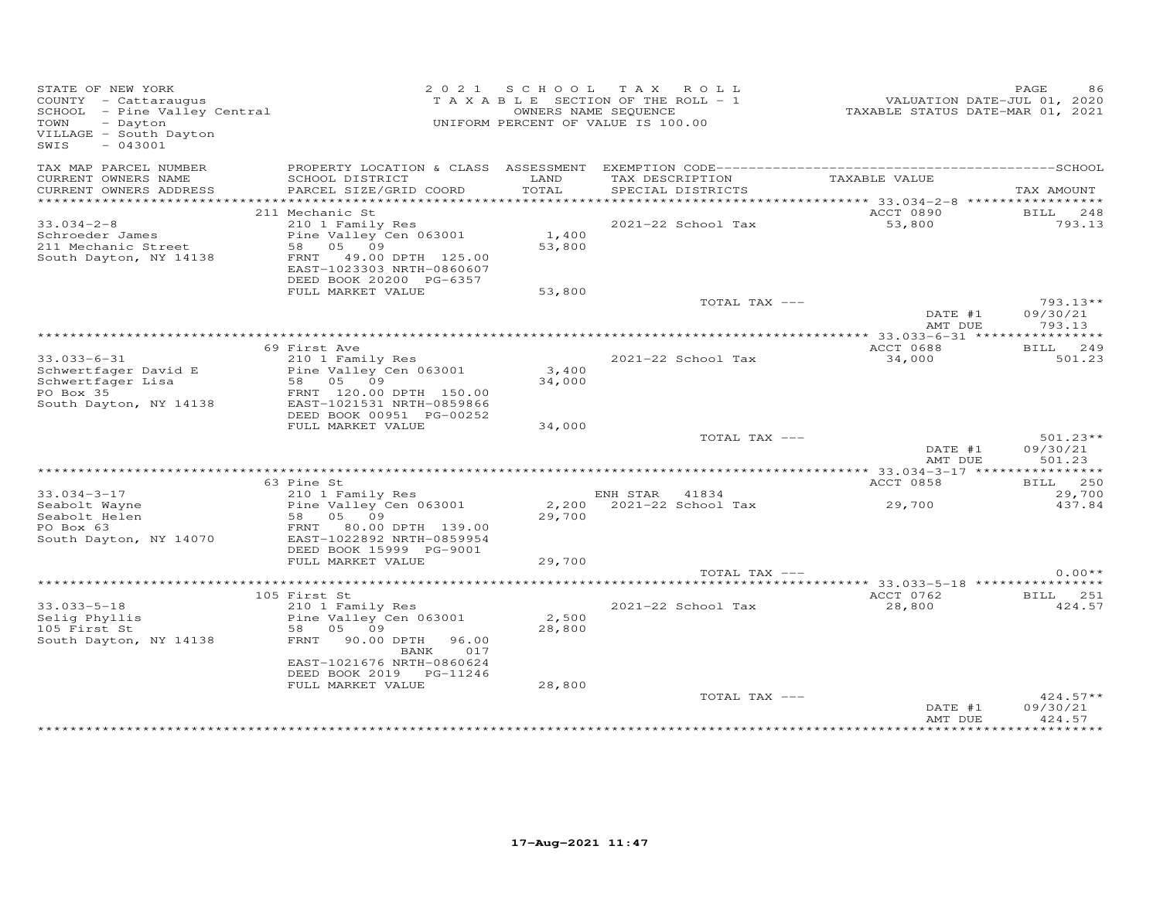| STATE OF NEW YORK<br>COUNTY - Cattaraugus<br>COONII - Cattalaugus<br>SCHOOL - Pine Valley Central<br>TOWN<br>- Dayton<br>VILLAGE - South Dayton<br>SWIS<br>$-043001$ |                                                                                                                                                                | 2021 SCHOOL     | TAX ROLL<br>T A X A B L E SECTION OF THE ROLL - 1<br>OWNERS NAME SEQUENCE<br>UNIFORM PERCENT OF VALUE IS 100.00 | VALUATION DATE-JUL 01, 2020<br>TAXABLE STATUS DATE-MAR 01, 2021 | PAGE<br>86                       |
|----------------------------------------------------------------------------------------------------------------------------------------------------------------------|----------------------------------------------------------------------------------------------------------------------------------------------------------------|-----------------|-----------------------------------------------------------------------------------------------------------------|-----------------------------------------------------------------|----------------------------------|
| TAX MAP PARCEL NUMBER<br>CURRENT OWNERS NAME<br>CURRENT OWNERS ADDRESS                                                                                               | SCHOOL DISTRICT<br>PARCEL SIZE/GRID COORD                                                                                                                      | LAND<br>TOTAL   | TAX DESCRIPTION<br>SPECIAL DISTRICTS                                                                            | TAXABLE VALUE                                                   | TAX AMOUNT                       |
|                                                                                                                                                                      |                                                                                                                                                                |                 |                                                                                                                 |                                                                 |                                  |
| $33.034 - 2 - 8$<br>Schroeder James<br>211 Mechanic Street<br>South Dayton, NY 14138                                                                                 | 211 Mechanic St<br>210 1 Family Res<br>Pine Valley Cen 063001<br>58 05 09<br>FRNT<br>49.00 DPTH 125.00<br>EAST-1023303 NRTH-0860607<br>DEED BOOK 20200 PG-6357 | 1,400<br>53,800 | 2021-22 School Tax                                                                                              | ACCT 0890<br>53,800                                             | BILL 248<br>793.13               |
|                                                                                                                                                                      | FULL MARKET VALUE                                                                                                                                              | 53,800          |                                                                                                                 |                                                                 |                                  |
|                                                                                                                                                                      |                                                                                                                                                                |                 | TOTAL TAX ---                                                                                                   | DATE #1<br>AMT DUE                                              | 793.13**<br>09/30/21<br>793.13   |
|                                                                                                                                                                      |                                                                                                                                                                |                 |                                                                                                                 |                                                                 |                                  |
| $33.033 - 6 - 31$<br>Schwertfager David E<br>Schwertfager Lisa<br>PO Box 35<br>South Dayton, NY 14138                                                                | 69 First Ave<br>210 1 Family Res<br>Pine Valley Cen 063001<br>58 05 09<br>FRNT 120.00 DPTH 150.00<br>EAST-1021531 NRTH-0859866                                 | 3,400<br>34,000 | 2021-22 School Tax                                                                                              | ACCT 0688<br>34,000                                             | <b>BILL</b><br>249<br>501.23     |
|                                                                                                                                                                      | DEED BOOK 00951 PG-00252<br>FULL MARKET VALUE                                                                                                                  | 34,000          |                                                                                                                 |                                                                 |                                  |
|                                                                                                                                                                      |                                                                                                                                                                |                 | TOTAL TAX ---                                                                                                   | DATE #1<br>AMT DUE                                              | $501.23**$<br>09/30/21<br>501.23 |
|                                                                                                                                                                      |                                                                                                                                                                |                 |                                                                                                                 |                                                                 |                                  |
| $33.034 - 3 - 17$<br>Seabolt Wayne<br>Seabolt Helen<br>PO Box 63<br>South Dayton, NY 14070                                                                           | 63 Pine St<br>210 1 Family Res<br>Pine Valley Cen 063001<br>58 05 09<br>FRNT 80.00 DPTH 139.00<br>EAST-1022892 NRTH-0859954<br>DEED BOOK 15999 PG-9001         | 29,700          | ENH STAR 41834<br>2,200 2021-22 School Tax                                                                      | ACCT 0858<br>29,700                                             | BILL 250<br>29,700<br>437.84     |
|                                                                                                                                                                      | FULL MARKET VALUE                                                                                                                                              | 29,700          |                                                                                                                 |                                                                 |                                  |
|                                                                                                                                                                      |                                                                                                                                                                |                 | TOTAL TAX ---                                                                                                   |                                                                 | $0.00**$                         |
|                                                                                                                                                                      | 105 First St                                                                                                                                                   |                 |                                                                                                                 | ACCT 0762                                                       | <b>BILL</b> 251                  |
| $33.033 - 5 - 18$<br>Selig Phyllis<br>105 First St<br>South Dayton, NY 14138                                                                                         | 210 1 Family Res<br>Pine Valley Cen 063001<br>58 05 09<br>FRNT<br>90.00 DPTH<br>96.00<br>017<br>BANK<br>EAST-1021676 NRTH-0860624<br>DEED BOOK 2019 PG-11246   | 2,500<br>28,800 | 2021-22 School Tax                                                                                              | 28,800                                                          | 424.57                           |
|                                                                                                                                                                      | FULL MARKET VALUE                                                                                                                                              | 28,800          |                                                                                                                 |                                                                 |                                  |
|                                                                                                                                                                      |                                                                                                                                                                |                 | TOTAL TAX ---                                                                                                   | DATE #1<br>AMT DUE                                              | $424.57**$<br>09/30/21<br>424.57 |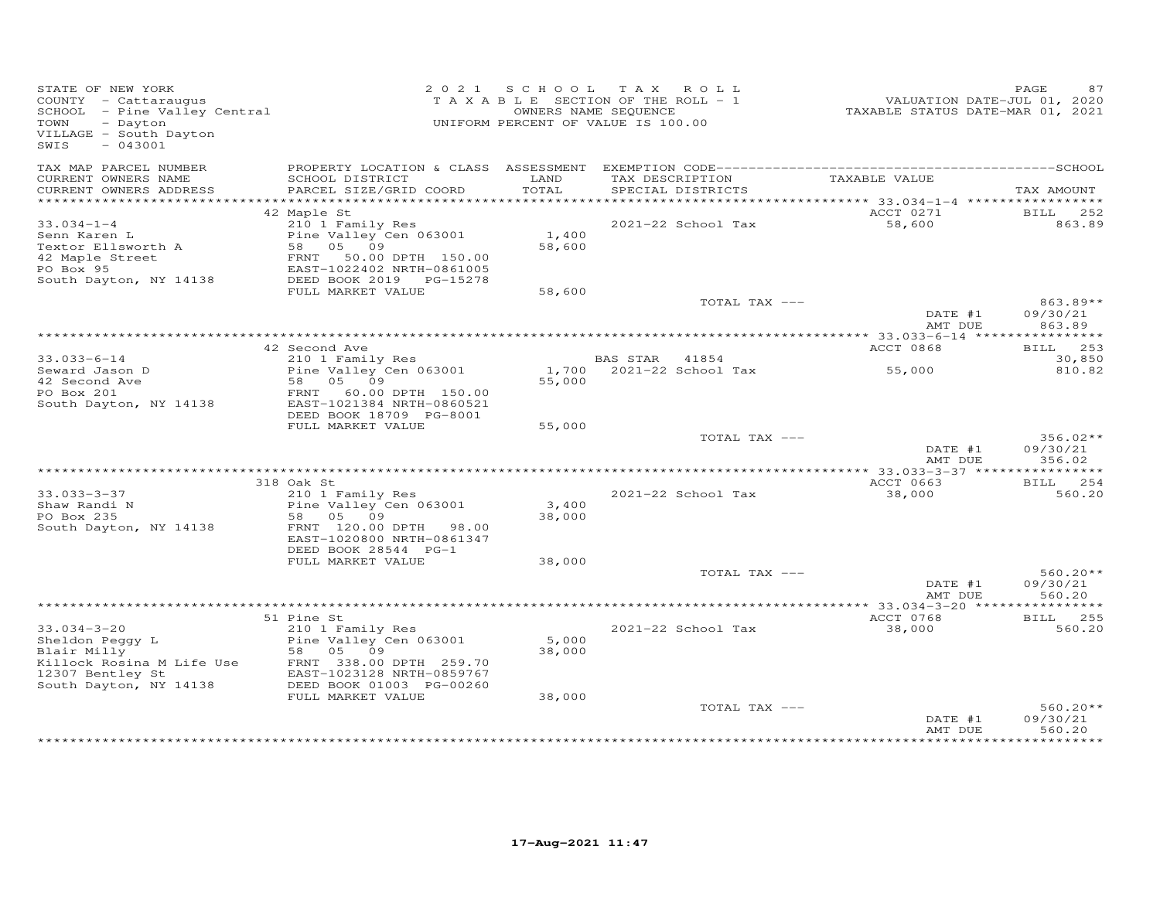| STATE OF NEW YORK<br>COUNTY - Cattaraugus<br>SCHOOL - Pine Valley Central<br>TOWN<br>- Dayton<br>VILLAGE - South Dayton<br>SWIS<br>$-043001$                                                |                                                         |                 | 2021 SCHOOL TAX ROLL<br>TAXABLE SECTION OF THE ROLL - 1<br>OWNERS NAME SEQUENCE<br>UNIFORM PERCENT OF VALUE IS 100.00 | VALUATION DATE-JUD V.,<br>TAXABLE STATUS DATE-MAR 01, 2021 | PAGE<br>87             |
|---------------------------------------------------------------------------------------------------------------------------------------------------------------------------------------------|---------------------------------------------------------|-----------------|-----------------------------------------------------------------------------------------------------------------------|------------------------------------------------------------|------------------------|
| TAX MAP PARCEL NUMBER<br>CURRENT OWNERS NAME<br>CURRENT OWNERS ADDRESS                                                                                                                      | SCHOOL DISTRICT<br>PARCEL SIZE/GRID COORD               | LAND<br>TOTAL   | TAX DESCRIPTION<br>SPECIAL DISTRICTS                                                                                  | TAXABLE VALUE                                              | TAX AMOUNT             |
|                                                                                                                                                                                             |                                                         |                 |                                                                                                                       |                                                            |                        |
|                                                                                                                                                                                             | 42 Maple St                                             |                 |                                                                                                                       | ACCT 0271                                                  | <b>BILL</b><br>252     |
| $33.034 - 1 - 4$                                                                                                                                                                            | 210 1 Family Res<br>Pine Valley Cen 063001              |                 | 2021-22 School Tax                                                                                                    | 58,600                                                     | 863.89                 |
| Senn Karen L                                                                                                                                                                                |                                                         | 1,400<br>58,600 |                                                                                                                       |                                                            |                        |
| Textor Ellsworth A<br>42 Maple Street<br>PO Box 95                                                                                                                                          | 58 05 09<br>58 05 09<br>FRNT 50.00<br>50.00 DPTH 150.00 |                 |                                                                                                                       |                                                            |                        |
| PO Box 95                                                                                                                                                                                   | EAST-1022402 NRTH-0861005                               |                 |                                                                                                                       |                                                            |                        |
| South Dayton, NY 14138                                                                                                                                                                      | EAST-1022402 NRTH-0861005<br>DEED BOOK 2019 PG-15278    |                 |                                                                                                                       |                                                            |                        |
|                                                                                                                                                                                             | FULL MARKET VALUE                                       | 58,600          |                                                                                                                       |                                                            |                        |
|                                                                                                                                                                                             |                                                         |                 | TOTAL TAX ---                                                                                                         | DATE #1                                                    | $863.89**$<br>09/30/21 |
|                                                                                                                                                                                             |                                                         |                 |                                                                                                                       | AMT DUE                                                    | 863.89                 |
|                                                                                                                                                                                             |                                                         |                 |                                                                                                                       |                                                            |                        |
|                                                                                                                                                                                             | 42 Second Ave                                           |                 |                                                                                                                       | ACCT 0868                                                  | BILL 253               |
| $33.033 - 6 - 14$                                                                                                                                                                           | 210 1 Family Res                                        |                 | BAS STAR 41854                                                                                                        |                                                            | 30,850                 |
| Seward Jason D                                                                                                                                                                              | Zio I Family Res<br>Pine Valley Cen 063001              |                 | $1,700$ $2021-22$ School Tax                                                                                          | 55,000                                                     | 810.82                 |
| 42 Second Ave<br>PO Box 201                                                                                                                                                                 | 58 05 09<br>FRNT<br>60.00 DPTH 150.00                   | 55,000          |                                                                                                                       |                                                            |                        |
| South Dayton, NY 14138                                                                                                                                                                      | EAST-1021384 NRTH-0860521                               |                 |                                                                                                                       |                                                            |                        |
|                                                                                                                                                                                             | DEED BOOK 18709 PG-8001                                 |                 |                                                                                                                       |                                                            |                        |
|                                                                                                                                                                                             | FULL MARKET VALUE                                       | 55,000          |                                                                                                                       |                                                            |                        |
|                                                                                                                                                                                             |                                                         |                 | TOTAL TAX ---                                                                                                         |                                                            | $356.02**$             |
|                                                                                                                                                                                             |                                                         |                 |                                                                                                                       | DATE #1<br>AMT DUE                                         | 09/30/21<br>356.02     |
|                                                                                                                                                                                             |                                                         |                 |                                                                                                                       |                                                            |                        |
|                                                                                                                                                                                             | 318 Oak St                                              |                 |                                                                                                                       | ACCT 0663                                                  | BILL 254               |
| $33.033 - 3 - 37$                                                                                                                                                                           | 210 1 Family Res                                        |                 | 2021-22 School Tax                                                                                                    | 38,000                                                     | 560.20                 |
| Shaw Randi N                                                                                                                                                                                | Pine Valley Cen 063001                                  | 3,400           |                                                                                                                       |                                                            |                        |
| PO Box 235                                                                                                                                                                                  | 58 05 09                                                | 38,000          |                                                                                                                       |                                                            |                        |
| South Dayton, NY 14138                                                                                                                                                                      | FRNT 120.00 DPTH 98.00<br>EAST-1020800 NRTH-0861347     |                 |                                                                                                                       |                                                            |                        |
|                                                                                                                                                                                             | DEED BOOK 28544 PG-1                                    |                 |                                                                                                                       |                                                            |                        |
|                                                                                                                                                                                             | FULL MARKET VALUE                                       | 38,000          |                                                                                                                       |                                                            |                        |
|                                                                                                                                                                                             |                                                         |                 | TOTAL TAX ---                                                                                                         |                                                            | $560.20**$             |
|                                                                                                                                                                                             |                                                         |                 |                                                                                                                       | DATE #1                                                    | 09/30/21               |
|                                                                                                                                                                                             |                                                         |                 |                                                                                                                       | AMT DUE                                                    | 560.20                 |
|                                                                                                                                                                                             | 51 Pine St                                              |                 |                                                                                                                       | ACCT 0768                                                  | <b>BILL</b> 255        |
| $33.034 - 3 - 20$                                                                                                                                                                           | 210 1 Family Res                                        |                 | 2021-22 School Tax                                                                                                    | 38,000                                                     | 560.20                 |
| Sheldon Peggy L<br>Blair Millv                                                                                                                                                              | Pine Valley Cen 063001                                  | 5,000           |                                                                                                                       |                                                            |                        |
|                                                                                                                                                                                             |                                                         | 38,000          |                                                                                                                       |                                                            |                        |
| Blair Milly<br>Killock Rosina M Life Use<br>12307 Bentley St<br>Se 05 09<br>EAST-1023128 NRTH-0859767<br>South Dayton, NY 14138<br>DEED BOOK 01003 PG-00260<br>THE DEED BOOK 01003 PG-00260 |                                                         |                 |                                                                                                                       |                                                            |                        |
|                                                                                                                                                                                             |                                                         |                 |                                                                                                                       |                                                            |                        |
|                                                                                                                                                                                             | FULL MARKET VALUE                                       | 38,000          |                                                                                                                       |                                                            |                        |
|                                                                                                                                                                                             |                                                         |                 | TOTAL TAX ---                                                                                                         |                                                            | $560.20**$             |
|                                                                                                                                                                                             |                                                         |                 |                                                                                                                       | DATE #1                                                    | 09/30/21               |
|                                                                                                                                                                                             |                                                         |                 |                                                                                                                       | AMT DUE                                                    | 560.20<br>**********   |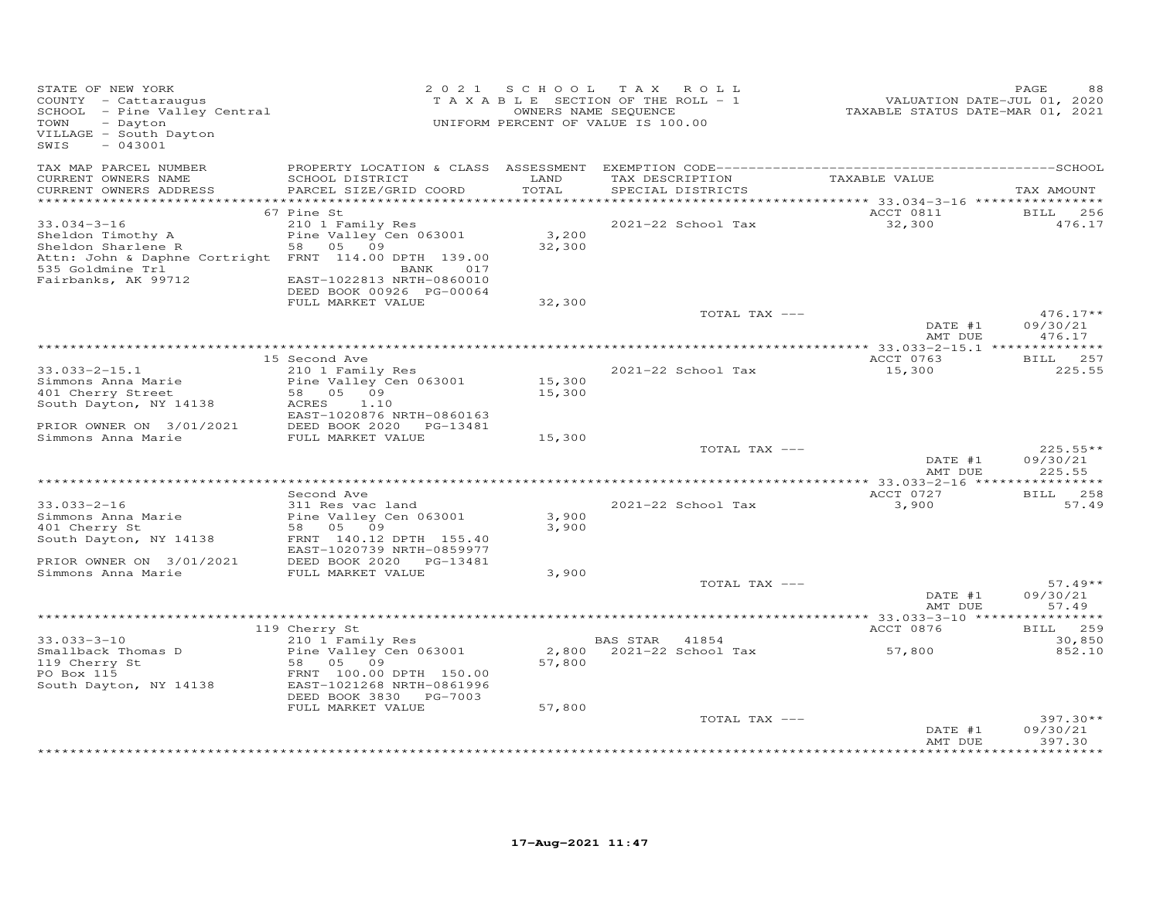| STATE OF NEW YORK<br>COUNTY - Cattaraugus<br>SCHOOL - Pine Valley Central<br>- Dayton<br>TOWN<br>VILLAGE - South Dayton<br>$-043001$<br>SWIS                     |                                                                                                                      | 2021 SCHOOL      | TAX ROLL<br>TAXABLE SECTION OF THE ROLL - 1<br>OWNERS NAME SEQUENCE<br>UNIFORM PERCENT OF VALUE IS 100.00 | VALUATION DATE-JUL 01, 2020<br>TAXABLE STATUS DATE-MAR 01, 2021 | PAGE                             |
|------------------------------------------------------------------------------------------------------------------------------------------------------------------|----------------------------------------------------------------------------------------------------------------------|------------------|-----------------------------------------------------------------------------------------------------------|-----------------------------------------------------------------|----------------------------------|
| TAX MAP PARCEL NUMBER<br>CURRENT OWNERS NAME<br>CURRENT OWNERS ADDRESS                                                                                           | PROPERTY LOCATION & CLASS ASSESSMENT<br>SCHOOL DISTRICT<br>PARCEL SIZE/GRID COORD                                    | LAND<br>TOTAL    | TAX DESCRIPTION<br>SPECIAL DISTRICTS                                                                      | TAXABLE VALUE                                                   | TAX AMOUNT                       |
| ***********************                                                                                                                                          |                                                                                                                      |                  |                                                                                                           |                                                                 |                                  |
| $33.034 - 3 - 16$<br>Sheldon Timothy A<br>Sheldon Sharlene R<br>Attn: John & Daphne Cortright FRNT 114.00 DPTH 139.00<br>535 Goldmine Trl<br>Fairbanks, AK 99712 | 67 Pine St<br>210 1 Family Res<br>Pine Valley Cen 063001<br>58<br>05 09<br>017<br>BANK<br>EAST-1022813 NRTH-0860010  | 3,200<br>32,300  | 2021-22 School Tax                                                                                        | ACCT 0811<br>32,300                                             | BILL 256<br>476.17               |
|                                                                                                                                                                  | DEED BOOK 00926 PG-00064<br>FULL MARKET VALUE                                                                        | 32,300           |                                                                                                           |                                                                 |                                  |
|                                                                                                                                                                  |                                                                                                                      |                  | TOTAL TAX ---                                                                                             | DATE #1<br>AMT DUE                                              | $476.17**$<br>09/30/21<br>476.17 |
|                                                                                                                                                                  |                                                                                                                      |                  |                                                                                                           |                                                                 |                                  |
|                                                                                                                                                                  | 15 Second Ave                                                                                                        |                  |                                                                                                           | ACCT 0763                                                       | BILL 257                         |
| $33.033 - 2 - 15.1$<br>Simmons Anna Marie<br>401 Cherry Street<br>South Dayton, NY 14138                                                                         | 210 1 Family Res<br>Pine Valley Cen 063001<br>58<br>05 09<br>ACRES<br>1.10                                           | 15,300<br>15,300 | 2021-22 School Tax                                                                                        | 15,300                                                          | 225.55                           |
| PRIOR OWNER ON 3/01/2021<br>Simmons Anna Marie                                                                                                                   | EAST-1020876 NRTH-0860163<br>DEED BOOK 2020 PG-13481<br>FULL MARKET VALUE                                            | 15,300           |                                                                                                           |                                                                 |                                  |
|                                                                                                                                                                  |                                                                                                                      |                  | TOTAL TAX ---                                                                                             | DATE #1<br>AMT DUE                                              | $225.55**$<br>09/30/21<br>225.55 |
|                                                                                                                                                                  | Second Ave                                                                                                           |                  |                                                                                                           | ACCT 0727                                                       | BILL 258                         |
| $33.033 - 2 - 16$<br>Simmons Anna Marie<br>401 Cherry St<br>South Dayton, NY 14138                                                                               | 311 Res vac land<br>Pine Valley Cen 063001<br>58 05 09<br>FRNT 140.12 DPTH 155.40                                    | 3,900<br>3,900   | 2021-22 School Tax                                                                                        | 3,900                                                           | 57.49                            |
| PRIOR OWNER ON 3/01/2021                                                                                                                                         | EAST-1020739 NRTH-0859977<br>DEED BOOK 2020 PG-13481                                                                 |                  |                                                                                                           |                                                                 |                                  |
| Simmons Anna Marie                                                                                                                                               | FULL MARKET VALUE                                                                                                    | 3,900            | TOTAL TAX ---                                                                                             |                                                                 | $57.49**$                        |
|                                                                                                                                                                  |                                                                                                                      |                  |                                                                                                           | DATE #1<br>AMT DUE                                              | 09/30/21<br>57.49                |
|                                                                                                                                                                  |                                                                                                                      |                  |                                                                                                           |                                                                 | ********                         |
| $33.033 - 3 - 10$                                                                                                                                                | 119 Cherry St<br>210 1 Family Res                                                                                    |                  | BAS STAR<br>41854                                                                                         | ACCT 0876                                                       | 259<br><b>BILL</b><br>30,850     |
| Smallback Thomas D<br>119 Cherry St<br>PO Box 115<br>South Dayton, NY 14138                                                                                      | Pine Valley Cen 063001<br>58 05 09<br>FRNT 100.00 DPTH 150.00<br>EAST-1021268 NRTH-0861996<br>DEED BOOK 3830 PG-7003 | 2,800<br>57,800  | 2021-22 School Tax                                                                                        | 57,800                                                          | 852.10                           |
|                                                                                                                                                                  | FULL MARKET VALUE                                                                                                    | 57,800           | TOTAL TAX ---                                                                                             | DATE #1                                                         | 397.30**<br>09/30/21             |
|                                                                                                                                                                  |                                                                                                                      |                  |                                                                                                           | AMT DUE                                                         | 397.30                           |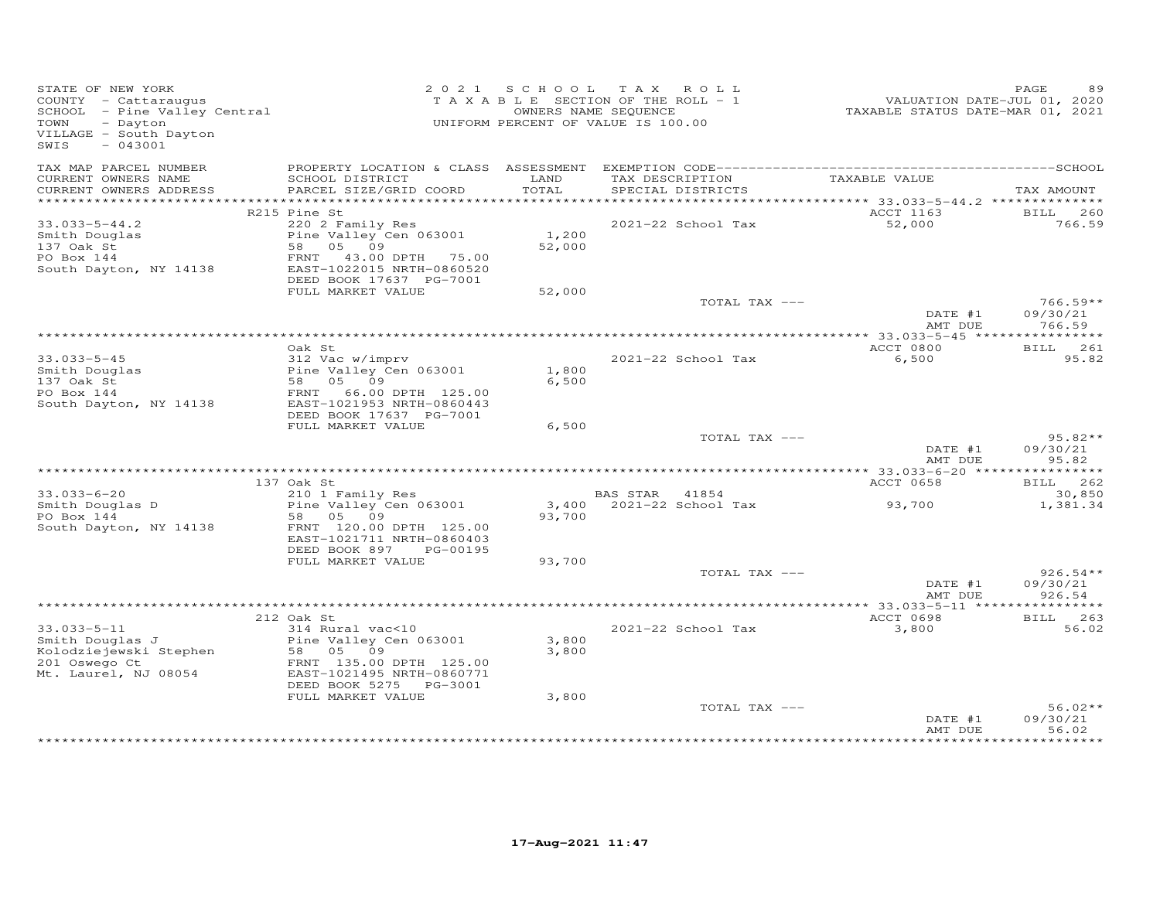| STATE OF NEW YORK<br>STATE OF NEW YORN<br>COUNTY - Cattaraugus<br>SCHOOL - Pine Valley Central<br>- CHOOL - CHOO<br>- Dayton<br>VILLAGE - South Dayton<br>$-043001$<br>SWIS |                                                                                                                                                                 |                         | 2021 SCHOOL TAX ROLL<br>T A X A B L E SECTION OF THE ROLL - 1<br>OWNERS NAME SEQUENCE<br>UNIFORM PERCENT OF VALUE IS 100.00 | <br>VALUATION DATE-JUL 01, 2020<br>TAXABLE STATUS DATE-MAR 01, 2021 | PAGE                             |
|-----------------------------------------------------------------------------------------------------------------------------------------------------------------------------|-----------------------------------------------------------------------------------------------------------------------------------------------------------------|-------------------------|-----------------------------------------------------------------------------------------------------------------------------|---------------------------------------------------------------------|----------------------------------|
| TAX MAP PARCEL NUMBER<br>CURRENT OWNERS NAME<br>CURRENT OWNERS ADDRESS                                                                                                      | SCHOOL DISTRICT<br>PARCEL SIZE/GRID COORD                                                                                                                       | LAND<br>TOTAL           | TAX DESCRIPTION<br>SERCIAL DISTRICTS<br>SPECIAL DISTRICTS                                                                   |                                                                     | TAX AMOUNT                       |
|                                                                                                                                                                             |                                                                                                                                                                 |                         |                                                                                                                             |                                                                     |                                  |
|                                                                                                                                                                             | R215 Pine St                                                                                                                                                    |                         |                                                                                                                             | ACCT 1163                                                           | BILL 260                         |
| $33.033 - 5 - 44.2$<br>Smith Douglas<br>137 Oak St<br>PO Box 144<br>South Dayton, NY 14138                                                                                  | 220 2 Family Res<br>Pine Valley Cen 063001<br>58 05 09<br>FRNT 43.00 DPTH 75.00<br>EAST-1022015 NRTH-0860520<br>DEED BOOK 17637 PG-7001                         | 1,200<br>52,000         | 2021-22 School Tax                                                                                                          | 52,000                                                              | 766.59                           |
|                                                                                                                                                                             | FULL MARKET VALUE                                                                                                                                               | 52,000                  |                                                                                                                             |                                                                     |                                  |
|                                                                                                                                                                             |                                                                                                                                                                 |                         | TOTAL TAX ---                                                                                                               | DATE #1<br>AMT DUE                                                  | $766.59**$<br>09/30/21<br>766.59 |
|                                                                                                                                                                             |                                                                                                                                                                 |                         |                                                                                                                             |                                                                     |                                  |
|                                                                                                                                                                             | Oak St.                                                                                                                                                         |                         |                                                                                                                             | ACCT 0800                                                           | BILL 261                         |
| $33.033 - 5 - 45$<br>Smith Douglas<br>137 Oak St<br>PO Box 144<br>South Dayton, NY 14138                                                                                    | 312 Vac w/imprv<br>Pine Valley Cen 063001<br>58 05 09<br>FRNT 66.00 DPTH 125.00<br>EAST-1021953 NRTH-0860443<br>DEED BOOK 17637 PG-7001                         | 1,800<br>6,500          | 2021-22 School Tax                                                                                                          | 6,500                                                               | 95.82                            |
|                                                                                                                                                                             | FULL MARKET VALUE                                                                                                                                               | 6,500                   |                                                                                                                             |                                                                     |                                  |
|                                                                                                                                                                             |                                                                                                                                                                 |                         | TOTAL TAX ---                                                                                                               | DATE #1<br>AMT DUE                                                  | $95.82**$<br>09/30/21<br>95.82   |
|                                                                                                                                                                             |                                                                                                                                                                 |                         |                                                                                                                             |                                                                     |                                  |
| $33.033 - 6 - 20$                                                                                                                                                           | 137 Oak St<br>210 1 Family Res                                                                                                                                  |                         | BAS STAR 41854                                                                                                              | ACCT 0658                                                           | BILL 262<br>30,850               |
| Smith Douglas D<br>PO Box 144<br>PO Box 144<br>South Dayton, NY 14138                                                                                                       | 210 I Family Res<br>Pine Valley Cen 063001<br>58 05 09<br>FRNT 120.00 DPTH 125.00<br>EAST-1021711 NRTH-0860403<br>DEED BOOK 897<br>PG-00195                     | 93,700                  | 3,400 2021-22 School Tax                                                                                                    | 93,700                                                              | 1,381.34                         |
|                                                                                                                                                                             | FULL MARKET VALUE                                                                                                                                               | 93,700                  |                                                                                                                             |                                                                     |                                  |
|                                                                                                                                                                             |                                                                                                                                                                 |                         | TOTAL TAX ---                                                                                                               | DATE #1<br>AMT DUE                                                  | $926.54**$<br>09/30/21<br>926.54 |
|                                                                                                                                                                             |                                                                                                                                                                 |                         |                                                                                                                             |                                                                     |                                  |
| $33.033 - 5 - 11$<br>Smith Douglas J<br>Kolodziejewski Stephen - 1111e variey v<br>201 Oswego Ct<br>Mt. Laurel, NJ 08054                                                    | 212 Oak St<br>314 Rural vac<10<br>Pine Valley Cen 063001<br>FRNT 135.00 DPTH 125.00<br>EAST-1021495 NRTH-0860771<br>DEED BOOK 5275 PG-3001<br>FULL MARKET VALUE | 3,800<br>3,800<br>3,800 | 2021-22 School Tax                                                                                                          | ACCT 0698<br>3,800                                                  | BILL 263<br>56.02                |
|                                                                                                                                                                             |                                                                                                                                                                 |                         | TOTAL TAX ---                                                                                                               | DATE #1<br>AMT DUE                                                  | $56.02**$<br>09/30/21<br>56.02   |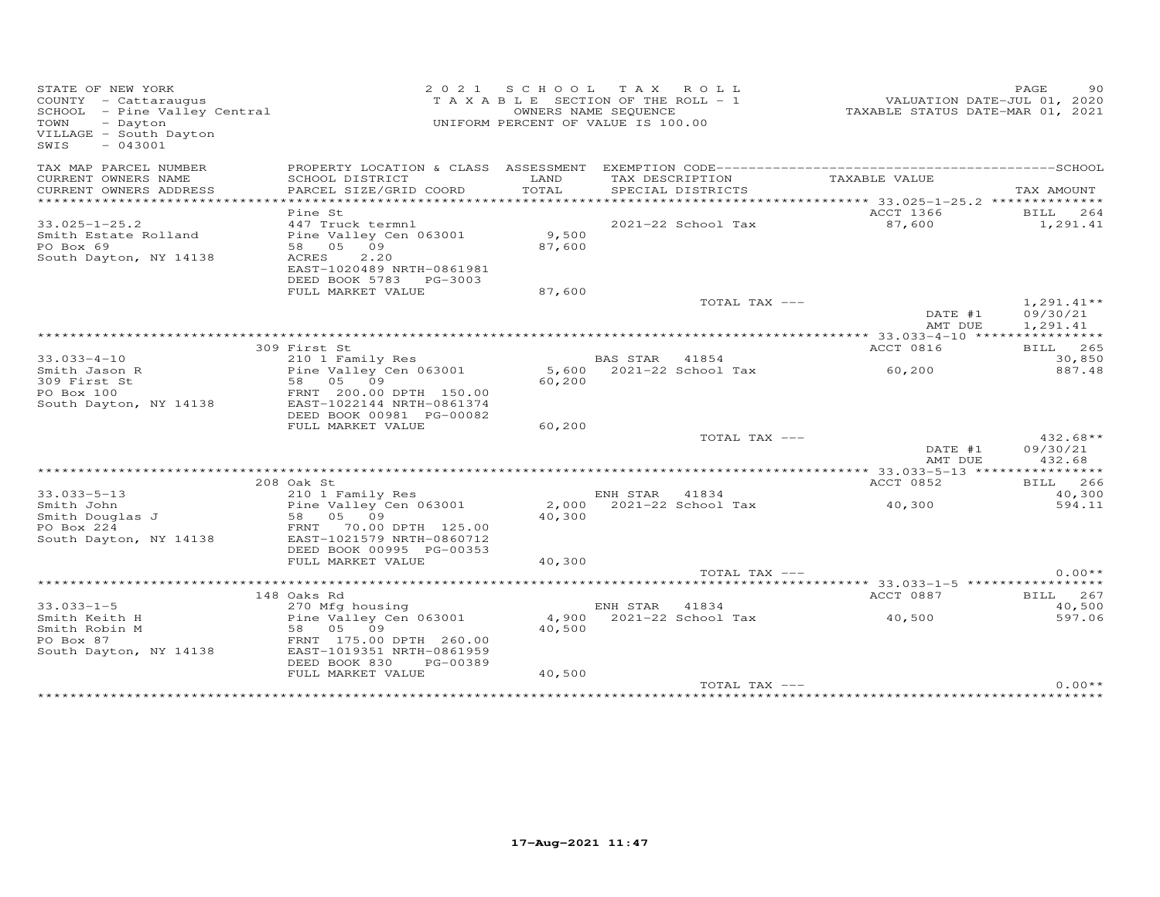| STATE OF NEW YORK<br>COUNTY - Cattaraugus<br>SCHOOL - Pine Valley Central<br>TOWN<br>- Dayton<br>VILLAGE - South Dayton<br>$-043001$<br>SWIS |                                                                                                                             |                 | 2021 SCHOOL TAX ROLL<br>TAXABLE SECTION OF THE ROLL - 1<br>OWNERS NAME SEQUENCE<br>UNIFORM PERCENT OF VALUE IS 100.00 | VALUATION DATE-JUL 01, 2020<br>TAXABLE STATUS DATE-MAR 01, 2021 | PAGE<br>90                           |
|----------------------------------------------------------------------------------------------------------------------------------------------|-----------------------------------------------------------------------------------------------------------------------------|-----------------|-----------------------------------------------------------------------------------------------------------------------|-----------------------------------------------------------------|--------------------------------------|
| TAX MAP PARCEL NUMBER                                                                                                                        |                                                                                                                             |                 |                                                                                                                       |                                                                 |                                      |
| CURRENT OWNERS NAME<br>CURRENT OWNERS ADDRESS                                                                                                | SCHOOL DISTRICT<br>PARCEL SIZE/GRID COORD                                                                                   | LAND<br>TOTAL   | TAX DESCRIPTION<br>SPECIAL DISTRICTS                                                                                  | TAXABLE VALUE                                                   | TAX AMOUNT                           |
|                                                                                                                                              |                                                                                                                             | *************   |                                                                                                                       | ************* 33.025-1-25.2 ***************                     |                                      |
| $33.025 - 1 - 25.2$<br>Smith Estate Rolland<br>PO Box 69<br>South Dayton, NY 14138                                                           | Pine St<br>447 Truck termnl<br>Pine Valley Cen 063001<br>58 05 09<br>2.20<br>ACRES<br>EAST-1020489 NRTH-0861981             | 9,500<br>87,600 | 2021-22 School Tax                                                                                                    | ACCT 1366<br>87,600                                             | 264<br>BILL<br>1,291.41              |
|                                                                                                                                              | DEED BOOK 5783 PG-3003<br>FULL MARKET VALUE                                                                                 | 87,600          |                                                                                                                       |                                                                 |                                      |
|                                                                                                                                              |                                                                                                                             |                 | TOTAL TAX ---                                                                                                         | DATE #1<br>AMT DUE                                              | $1,291.41**$<br>09/30/21<br>1,291.41 |
|                                                                                                                                              |                                                                                                                             |                 |                                                                                                                       |                                                                 |                                      |
|                                                                                                                                              | 309 First St                                                                                                                |                 |                                                                                                                       | ACCT 0816                                                       | BILL 265                             |
| $33.033 - 4 - 10$                                                                                                                            | 210 1 Family Res                                                                                                            |                 | BAS STAR<br>41854                                                                                                     |                                                                 | 30,850                               |
| Smith Jason R<br>309 First St<br>PO Box 100<br>South Dayton, NY 14138                                                                        | Pine Valley Cen 063001<br>58<br>05 09<br>FRNT 200.00 DPTH 150.00<br>EAST-1022144 NRTH-0861374<br>DEED BOOK 00981 PG-00082   | 5,600<br>60,200 | 2021-22 School Tax                                                                                                    | 60,200                                                          | 887.48                               |
|                                                                                                                                              | FULL MARKET VALUE                                                                                                           | 60,200          |                                                                                                                       |                                                                 |                                      |
|                                                                                                                                              |                                                                                                                             |                 | TOTAL TAX ---                                                                                                         | DATE #1<br>AMT DUE                                              | $432.68**$<br>09/30/21<br>432.68     |
|                                                                                                                                              | 208 Oak St                                                                                                                  |                 |                                                                                                                       | ACCT 0852                                                       | BILL 266                             |
| $33.033 - 5 - 13$                                                                                                                            | 210 1 Family Res                                                                                                            |                 | ENH STAR 41834                                                                                                        |                                                                 | 40,300                               |
| Smith John<br>Smith Douglas J<br>PO Box 224<br>South Dayton, NY 14138                                                                        | Pine Valley Cen 063001<br>05 09<br>58<br>70.00 DPTH 125.00<br>FRNT<br>EAST-1021579 NRTH-0860712<br>DEED BOOK 00995 PG-00353 | 2,000<br>40,300 | 2021-22 School Tax                                                                                                    | 40,300                                                          | 594.11                               |
|                                                                                                                                              | FULL MARKET VALUE                                                                                                           | 40,300          |                                                                                                                       |                                                                 |                                      |
|                                                                                                                                              |                                                                                                                             |                 | TOTAL TAX ---                                                                                                         |                                                                 | $0.00**$                             |
|                                                                                                                                              | .                                                                                                                           |                 |                                                                                                                       | ********************************* 33.033–1–5 ****************** |                                      |
| $33.033 - 1 - 5$                                                                                                                             | 148 Oaks Rd<br>270 Mfg housing                                                                                              |                 | ENH STAR<br>41834                                                                                                     | ACCT 0887                                                       | BILL 267<br>40,500                   |
| Smith Keith H<br>Smith Robin M<br>PO Box 87<br>South Dayton, NY 14138                                                                        | Pine Valley Cen 063001<br>58 05 09<br>FRNT 175.00 DPTH 260.00<br>EAST-1019351 NRTH-0861959<br>DEED BOOK 830<br>PG-00389     | 4,900<br>40,500 | 2021-22 School Tax                                                                                                    | 40,500                                                          | 597.06                               |
|                                                                                                                                              | FULL MARKET VALUE                                                                                                           | 40,500          |                                                                                                                       |                                                                 |                                      |
|                                                                                                                                              |                                                                                                                             |                 | TOTAL TAX ---                                                                                                         |                                                                 | $0.00**$                             |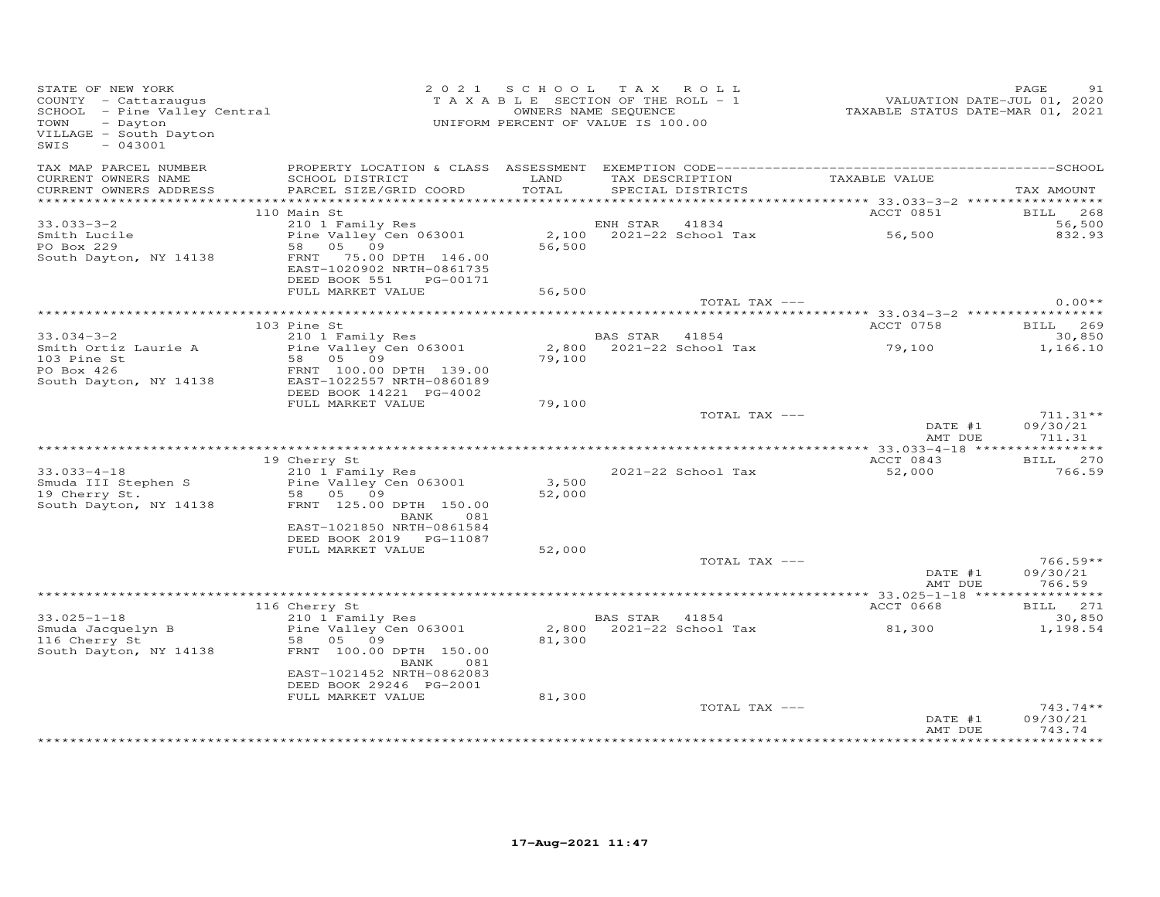| STATE OF NEW YORK<br>COUNTY - Cattaraugus<br>SCHOOL - Pine Valley Central<br>Dowton<br>VILLAGE - South Dayton<br>$-043001$<br>SWIS | UNIFORM PERCENT OF VALUE IS 100.00                                                                                                                                                        | 2021 SCHOOL TAX ROLL<br>T A X A B L E SECTION OF THE ROLL - 1 | OWNERS NAME SEQUENCE |                    | ------<br>VALUATION DATE-JUL 01, 2020<br>TAXABLE STATUS DATE-MAR 01, 2021 | PAGE<br>91                       |
|------------------------------------------------------------------------------------------------------------------------------------|-------------------------------------------------------------------------------------------------------------------------------------------------------------------------------------------|---------------------------------------------------------------|----------------------|--------------------|---------------------------------------------------------------------------|----------------------------------|
| TAX MAP PARCEL NUMBER<br>CURRENT OWNERS NAME<br>CURRENT OWNERS ADDRESS                                                             | SCHOOL DISTRICT LAND<br>PARCEL SIZE/GRID COORD                                                                                                                                            | TOTAL                                                         |                      | SPECIAL DISTRICTS  | TAX DESCRIPTION<br>CONGILI DIGTORICALE VALUE                              | TAX AMOUNT                       |
|                                                                                                                                    |                                                                                                                                                                                           |                                                               |                      |                    |                                                                           |                                  |
|                                                                                                                                    | 110 Main St                                                                                                                                                                               |                                                               |                      |                    | ACCT 0851                                                                 | BILL 268                         |
| $33.033 - 3 - 2$                                                                                                                   |                                                                                                                                                                                           |                                                               |                      |                    |                                                                           | 56,500<br>832.93                 |
| Smith Lucile<br>PO Box 229                                                                                                         |                                                                                                                                                                                           |                                                               |                      |                    |                                                                           |                                  |
| South Dayton, NY 14138                                                                                                             | Main St<br>210 1 Family Res<br>Pine Valley Cen 063001 2,100 2021-22 School Tax 56,500<br>58 05 09 56,500<br>FRNT 75.00 DPTH 146.00<br>EAST-1020902 NRTH-0861735<br>DEED BOOK 551 PG-00171 |                                                               |                      |                    |                                                                           |                                  |
|                                                                                                                                    | FULL MARKET VALUE                                                                                                                                                                         | 56,500                                                        |                      | TOTAL TAX ---      |                                                                           | $0.00**$                         |
|                                                                                                                                    |                                                                                                                                                                                           |                                                               |                      |                    |                                                                           |                                  |
|                                                                                                                                    | 103 Pine St                                                                                                                                                                               |                                                               |                      |                    | ACCT 0758                                                                 | BILL 269                         |
| $33.034 - 3 - 2$                                                                                                                   | 210 1 Family Res                                                                                                                                                                          |                                                               | BAS STAR 41854       |                    |                                                                           | 30,850                           |
| Smith Ortiz Laurie A                                                                                                               | Pine Valley Cen 063001<br>58 05 09                                                                                                                                                        |                                                               |                      |                    | 2,800 2021-22 School Tax 79,100                                           | 1,166.10                         |
| 103 Pine St<br>PO Box 426                                                                                                          | FRNT 100.00 DPTH 139.00                                                                                                                                                                   | 79,100                                                        |                      |                    |                                                                           |                                  |
| South Dayton, NY 14138                                                                                                             | EAST-1022557 NRTH-0860189                                                                                                                                                                 |                                                               |                      |                    |                                                                           |                                  |
|                                                                                                                                    | DEED BOOK 14221 PG-4002                                                                                                                                                                   |                                                               |                      |                    |                                                                           |                                  |
|                                                                                                                                    | FULL MARKET VALUE                                                                                                                                                                         | 79,100                                                        |                      |                    |                                                                           |                                  |
|                                                                                                                                    |                                                                                                                                                                                           |                                                               |                      | TOTAL TAX ---      | DATE #1<br>AMT DUE                                                        | $711.31**$<br>09/30/21<br>711.31 |
|                                                                                                                                    |                                                                                                                                                                                           |                                                               |                      |                    |                                                                           |                                  |
|                                                                                                                                    | 19 Cherry St                                                                                                                                                                              |                                                               |                      |                    | ACCT 0843                                                                 | BILL 270                         |
|                                                                                                                                    |                                                                                                                                                                                           |                                                               |                      | 2021-22 School Tax | 52,000                                                                    | 766.59                           |
|                                                                                                                                    |                                                                                                                                                                                           | 3,500<br>52,000                                               |                      |                    |                                                                           |                                  |
| 33.033-4-18<br>Smuda III Stephen S<br>19 Cherry St. 58 05 09<br>South Dayton, NY 14138<br>TRNT 125.00 DPTH 150.00                  |                                                                                                                                                                                           |                                                               |                      |                    |                                                                           |                                  |
|                                                                                                                                    | BANK<br>081                                                                                                                                                                               |                                                               |                      |                    |                                                                           |                                  |
|                                                                                                                                    | EAST-1021850 NRTH-0861584                                                                                                                                                                 |                                                               |                      |                    |                                                                           |                                  |
|                                                                                                                                    | DEED BOOK 2019 PG-11087<br>FULL MARKET VALUE                                                                                                                                              | 52,000                                                        |                      |                    |                                                                           |                                  |
|                                                                                                                                    |                                                                                                                                                                                           |                                                               |                      | TOTAL TAX ---      |                                                                           | $766.59**$                       |
|                                                                                                                                    |                                                                                                                                                                                           |                                                               |                      |                    | DATE #1                                                                   | 09/30/21                         |
|                                                                                                                                    |                                                                                                                                                                                           |                                                               |                      |                    | AMT DUE                                                                   | 766.59                           |
|                                                                                                                                    | 116 Cherry St                                                                                                                                                                             |                                                               |                      |                    | ACCT 0668                                                                 | BILL 271                         |
| $33.025 - 1 - 18$                                                                                                                  |                                                                                                                                                                                           |                                                               | BAS STAR 41854       |                    |                                                                           | 30,850                           |
| Smuda Jacquelyn B<br>116 Cherry St                                                                                                 | CHEITY SC<br>210 1 Family Res<br>Pine Valley Cen 063001                                                                                                                                   |                                                               |                      |                    | 2,800 $2021-22$ School Tax 81,300                                         | 1,198.54                         |
|                                                                                                                                    | 58 05 09                                                                                                                                                                                  | 81,300                                                        |                      |                    |                                                                           |                                  |
| South Dayton, NY 14138                                                                                                             | FRNT 100.00 DPTH 150.00<br>081<br>BANK                                                                                                                                                    |                                                               |                      |                    |                                                                           |                                  |
|                                                                                                                                    | EAST-1021452 NRTH-0862083                                                                                                                                                                 |                                                               |                      |                    |                                                                           |                                  |
|                                                                                                                                    | DEED BOOK 29246 PG-2001                                                                                                                                                                   |                                                               |                      |                    |                                                                           |                                  |
|                                                                                                                                    | FULL MARKET VALUE                                                                                                                                                                         | 81,300                                                        |                      | TOTAL TAX ---      |                                                                           | $743.74**$                       |
|                                                                                                                                    |                                                                                                                                                                                           |                                                               |                      |                    | DATE #1<br>AMT DUE                                                        | 09/30/21<br>743.74               |
|                                                                                                                                    |                                                                                                                                                                                           |                                                               |                      |                    |                                                                           |                                  |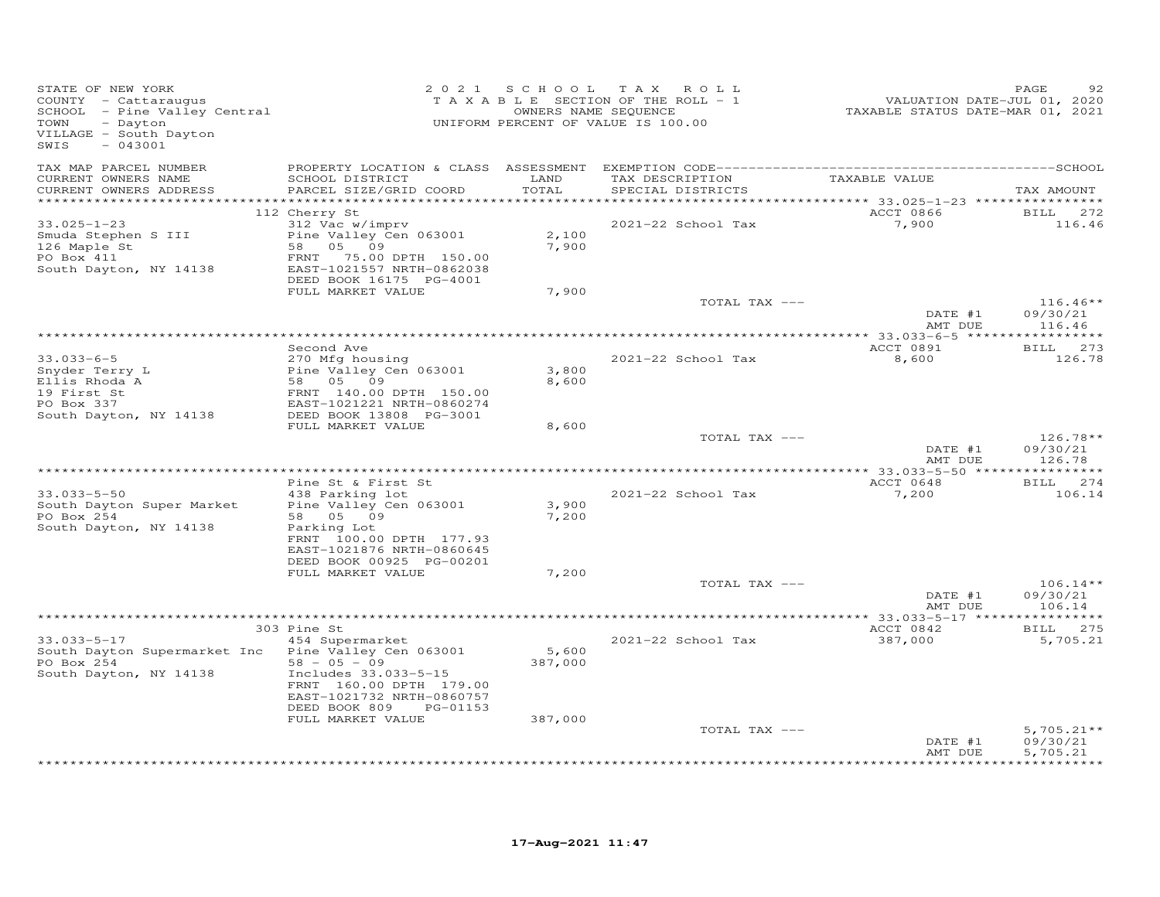| TAX MAP PARCEL NUMBER<br>TAXABLE VALUE<br>CURRENT OWNERS NAME<br>SCHOOL DISTRICT<br>LAND<br>TAX DESCRIPTION<br>TOTAL<br>CURRENT OWNERS ADDRESS<br>PARCEL SIZE/GRID COORD<br>SPECIAL DISTRICTS<br>*************<br>112 Cherry St<br>ACCT 0866                                                                               | TAX AMOUNT<br>BILL 272           |
|----------------------------------------------------------------------------------------------------------------------------------------------------------------------------------------------------------------------------------------------------------------------------------------------------------------------------|----------------------------------|
|                                                                                                                                                                                                                                                                                                                            |                                  |
|                                                                                                                                                                                                                                                                                                                            |                                  |
| 312 Vac w/imprv<br>7,900<br>33.025-1-23<br>2021-22 School Tax<br>Pine Valley Cen 063001<br>2,100<br>Smuda Stephen S III<br>126 Maple St<br>58 05 09<br>7,900<br>FRNT 75.00 DPTH 150.00<br>PO Box 411<br>EAST-1021557 NRTH-0862038<br>South Dayton, NY 14138<br>DEED BOOK 16175 PG-4001                                     | 116.46                           |
| FULL MARKET VALUE<br>7,900<br>TOTAL TAX ---                                                                                                                                                                                                                                                                                | $116.46**$                       |
| DATE #1<br>AMT DUE                                                                                                                                                                                                                                                                                                         | 09/30/21<br>116.46               |
|                                                                                                                                                                                                                                                                                                                            |                                  |
| Second Ave<br>ACCT 0891<br>270 Mfg housing<br>$33.033 - 6 - 5$<br>2021-22 School Tax<br>8,600                                                                                                                                                                                                                              | BILL 273<br>126.78               |
| Pine Valley Cen 063001<br>3,800<br>Snyder Terry L<br>58 05 09<br>8,600<br>Ellis Rhoda A<br>19 First St<br>FRNT 140.00 DPTH 150.00<br>EAST-1021221 NRTH-0860274<br>PO Box 337<br>DEED BOOK 13808 PG-3001<br>South Dayton, NY 14138                                                                                          |                                  |
| FULL MARKET VALUE<br>8,600<br>TOTAL TAX ---<br>DATE #1<br>AMT DUE                                                                                                                                                                                                                                                          | $126.78**$<br>09/30/21<br>126.78 |
|                                                                                                                                                                                                                                                                                                                            |                                  |
| Pine St & First St<br>ACCT 0648<br>$33.033 - 5 - 50$<br>438 Parking lot<br>2021-22 School Tax<br>7,200<br>Pine Valley Cen 063001<br>3,900<br>South Dayton Super Market<br>7,200<br>PO Box 254<br>58 05 09<br>South Dayton, NY 14138<br>Parking Lot<br>FRNT 100.00 DPTH 177.93                                              | BILL 274<br>106.14               |
| EAST-1021876 NRTH-0860645<br>DEED BOOK 00925 PG-00201<br>FULL MARKET VALUE<br>7,200                                                                                                                                                                                                                                        |                                  |
| TOTAL TAX ---<br>DATE #1<br>AMT DUE                                                                                                                                                                                                                                                                                        | $106.14**$<br>09/30/21<br>106.14 |
|                                                                                                                                                                                                                                                                                                                            |                                  |
| 303 Pine St<br>ACCT 0842                                                                                                                                                                                                                                                                                                   | BILL 275                         |
| 454 Supermarket<br>$33.033 - 5 - 17$<br>2021-22 School Tax<br>387,000<br>Pine Valley Cen 063001<br>5,600<br>South Dayton Supermarket Inc<br>$58 - 05 - 09$<br>PO Box 254<br>387,000<br>Includes 33.033-5-15<br>South Dayton, NY 14138<br>FRNT 160.00 DPTH 179.00<br>EAST-1021732 NRTH-0860757<br>DEED BOOK 809<br>PG-01153 | 5,705.21                         |
| 387,000<br>FULL MARKET VALUE                                                                                                                                                                                                                                                                                               | $5,705.21**$                     |
| TOTAL TAX ---<br>DATE #1<br>AMT DUE                                                                                                                                                                                                                                                                                        | 09/30/21<br>5,705.21             |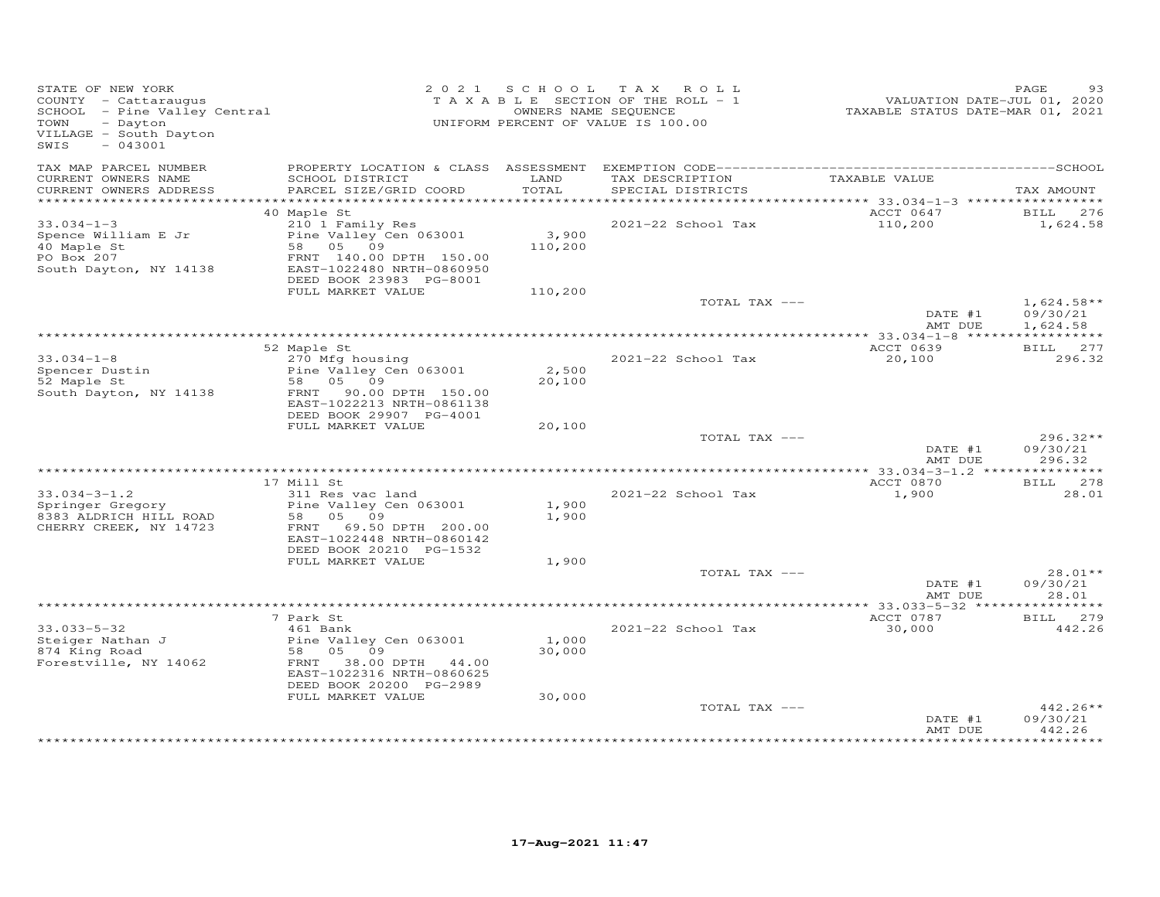| STATE OF NEW YORK<br>COUNTY - Cattaraugus<br>SCHOOL - Pine Valley Central<br>TOWN<br>- Dayton<br>VILLAGE - South Dayton<br>$-043001$<br>SWIS |                                                                                                                                                                   | 2021 SCHOOL               | TAX ROLL<br>TAXABLE SECTION OF THE ROLL - 1<br>OWNERS NAME SEQUENCE<br>UNIFORM PERCENT OF VALUE IS 100.00 | VALUATION DATE-JUL 01, 2020<br>TAXABLE STATUS DATE-MAR 01, 2021 | PAGE<br>93                           |
|----------------------------------------------------------------------------------------------------------------------------------------------|-------------------------------------------------------------------------------------------------------------------------------------------------------------------|---------------------------|-----------------------------------------------------------------------------------------------------------|-----------------------------------------------------------------|--------------------------------------|
| TAX MAP PARCEL NUMBER<br>CURRENT OWNERS NAME                                                                                                 | SCHOOL DISTRICT                                                                                                                                                   | LAND<br>TOTAL             | TAX DESCRIPTION                                                                                           | TAXABLE VALUE                                                   |                                      |
| CURRENT OWNERS ADDRESS                                                                                                                       | PARCEL SIZE/GRID COORD                                                                                                                                            |                           | SPECIAL DISTRICTS                                                                                         |                                                                 | TAX AMOUNT                           |
| $33.034 - 1 - 3$<br>Spence William E Jr<br>40 Maple St<br>PO Box 207<br>South Dayton, NY 14138                                               | 40 Maple St<br>210 1 Family Res<br>Pine Valley Cen 063001<br>58 05 09<br>FRNT 140.00 DPTH 150.00<br>EAST-1022480 NRTH-0860950<br>DEED BOOK 23983 PG-8001          | 3,900<br>110,200          | 2021-22 School Tax                                                                                        | ACCT 0647<br>110,200                                            | 276<br><b>BILL</b><br>1,624.58       |
|                                                                                                                                              | FULL MARKET VALUE                                                                                                                                                 | 110,200                   | TOTAL TAX ---                                                                                             | DATE #1<br>AMT DUE                                              | $1,624.58**$<br>09/30/21<br>1,624.58 |
|                                                                                                                                              |                                                                                                                                                                   |                           |                                                                                                           |                                                                 |                                      |
| $33.034 - 1 - 8$<br>Spencer Dustin<br>52 Maple St<br>South Dayton, NY 14138                                                                  | 52 Maple St<br>270 Mfg housing<br>Pine Valley Cen 063001<br>58 05 09<br>FRNT 90.00 DPTH 150.00<br>EAST-1022213 NRTH-0861138                                       | 2,500<br>20,100           | 2021-22 School Tax                                                                                        | ACCT 0639<br>20,100                                             | BILL 277<br>296.32                   |
|                                                                                                                                              | DEED BOOK 29907 PG-4001<br>FULL MARKET VALUE                                                                                                                      | 20,100                    |                                                                                                           |                                                                 |                                      |
|                                                                                                                                              |                                                                                                                                                                   |                           | TOTAL TAX ---                                                                                             | DATE #1<br>AMT DUE                                              | $296.32**$<br>09/30/21<br>296.32     |
|                                                                                                                                              |                                                                                                                                                                   |                           |                                                                                                           | ACCT 0870                                                       | BILL 278                             |
| $33.034 - 3 - 1.2$<br>Springer Gregory<br>8383 ALDRICH HILL ROAD<br>CHERRY CREEK, NY 14723                                                   | 17 Mill St<br>311 Res vac land<br>Pine Valley Cen 063001<br>58 05 09<br>FRNT 69.50 DPTH 200.00<br>EAST-1022448 NRTH-0860142<br>DEED BOOK 20210 PG-1532            | 1,900<br>1,900            | 2021-22 School Tax                                                                                        | 1,900                                                           | 28.01                                |
|                                                                                                                                              | FULL MARKET VALUE                                                                                                                                                 | 1,900                     |                                                                                                           |                                                                 |                                      |
|                                                                                                                                              |                                                                                                                                                                   |                           | TOTAL TAX ---                                                                                             | DATE #1<br>AMT DUE                                              | $28.01**$<br>09/30/21<br>28.01       |
|                                                                                                                                              |                                                                                                                                                                   |                           |                                                                                                           | *********** 33.033-5-32 ****                                    | ********                             |
| $33.033 - 5 - 32$<br>Steiger Nathan J<br>874 King Road<br>Forestville, NY 14062                                                              | 7 Park St<br>461 Bank<br>Pine Valley Cen 063001<br>58 05 09<br>FRNT 38.00 DPTH 44.00<br>EAST-1022316 NRTH-0860625<br>DEED BOOK 20200 PG-2989<br>FULL MARKET VALUE | 1,000<br>30,000<br>30,000 | 2021-22 School Tax                                                                                        | ACCT 0787<br>30,000                                             | BILL 279<br>442.26                   |
|                                                                                                                                              |                                                                                                                                                                   |                           | TOTAL TAX ---                                                                                             | DATE #1<br>AMT DUE                                              | $442.26**$<br>09/30/21<br>442.26     |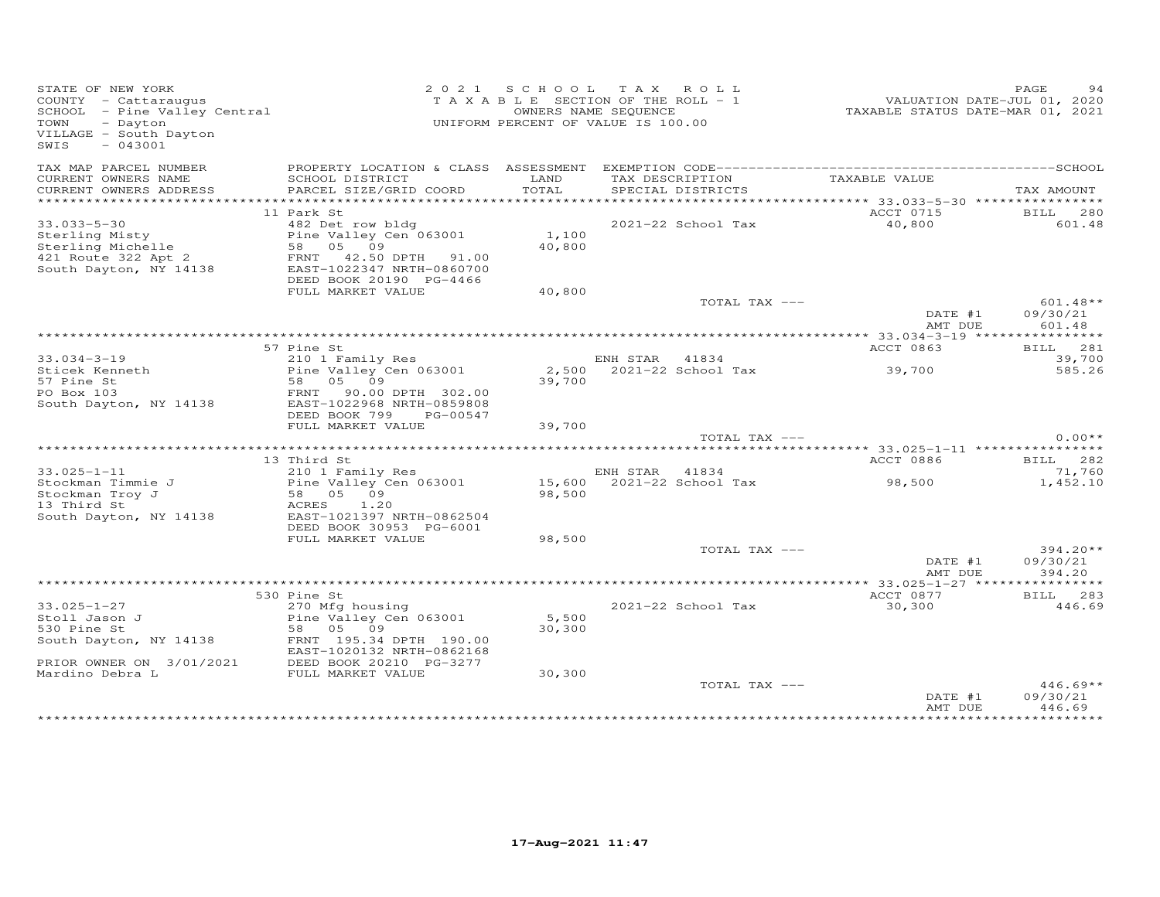| STATE OF NEW YORK<br>COUNTY - Cattaraugus<br>SCHOOL - Pine Valley Central<br>- Dayton<br>TOWN<br>VILLAGE - South Dayton<br>$-043001$<br>SWIS |                                                                                                               | 2021 SCHOOL     | TAX ROLL<br>TAXABLE SECTION OF THE ROLL - 1<br>OWNERS NAME SEQUENCE<br>UNIFORM PERCENT OF VALUE IS 100.00 | VALUATION DATE-JUL 01, 2020<br>TAXABLE STATUS DATE-MAR 01, 2021 | PAGE<br>94                     |
|----------------------------------------------------------------------------------------------------------------------------------------------|---------------------------------------------------------------------------------------------------------------|-----------------|-----------------------------------------------------------------------------------------------------------|-----------------------------------------------------------------|--------------------------------|
| TAX MAP PARCEL NUMBER<br>CURRENT OWNERS NAME<br>CURRENT OWNERS ADDRESS                                                                       | SCHOOL DISTRICT<br>PARCEL SIZE/GRID COORD                                                                     | LAND<br>TOTAL   | TAX DESCRIPTION<br>SPECIAL DISTRICTS                                                                      | TAXABLE VALUE                                                   | TAX AMOUNT                     |
|                                                                                                                                              |                                                                                                               |                 |                                                                                                           |                                                                 |                                |
| $33.033 - 5 - 30$<br>Sterling Misty<br>Sterling Michelle<br>421 Route 322 Apt 2                                                              | 11 Park St<br>482 Det row bldg<br>Pine Valley Cen 063001<br>58 05 09<br>FRNT 42.50 DPTH 91.00                 | 1,100<br>40,800 | 2021-22 School Tax                                                                                        | ACCT 0715<br>40,800                                             | BILL 280<br>601.48             |
| South Dayton, NY 14138                                                                                                                       | EAST-1022347 NRTH-0860700<br>DEED BOOK 20190 PG-4466<br>FULL MARKET VALUE                                     | 40,800          |                                                                                                           |                                                                 |                                |
|                                                                                                                                              |                                                                                                               |                 | TOTAL TAX ---                                                                                             | DATE #1                                                         | $601.48**$<br>09/30/21         |
|                                                                                                                                              |                                                                                                               |                 |                                                                                                           | AMT DUE                                                         | 601.48                         |
|                                                                                                                                              | 57 Pine St                                                                                                    |                 |                                                                                                           | ACCT 0863                                                       | BILL 281                       |
| $33.034 - 3 - 19$<br>Sticek Kenneth                                                                                                          | 210 1 Family Res<br>Pine Valley Cen 063001                                                                    |                 | ENH STAR 41834<br>2,500 2021-22 School Tax                                                                | 39,700                                                          | 39,700<br>585.26               |
| 57 Pine St<br>PO Box 103<br>South Dayton, NY 14138                                                                                           | 58 05 09<br>90.00 DPTH 302.00<br>FRNT<br>EAST-1022968 NRTH-0859808<br>DEED BOOK 799<br>PG-00547               | 39,700          |                                                                                                           |                                                                 |                                |
|                                                                                                                                              | FULL MARKET VALUE                                                                                             | 39,700          |                                                                                                           |                                                                 |                                |
|                                                                                                                                              |                                                                                                               |                 | TOTAL TAX ---                                                                                             |                                                                 | $0.00**$                       |
|                                                                                                                                              |                                                                                                               |                 |                                                                                                           |                                                                 |                                |
| $33.025 - 1 - 11$                                                                                                                            | 13 Third St<br>210 1 Family Res                                                                               |                 | ENH STAR<br>41834                                                                                         | ACCT 0886<br>98,500                                             | BILL 282<br>71,760             |
| Stockman Timmie J<br>Stockman Troy J<br>13 Third St                                                                                          | Pine Valley Cen 063001<br>58 05 09<br>1.20<br>ACRES                                                           | 98,500          | 15,600 2021-22 School Tax                                                                                 |                                                                 | 1,452.10                       |
| South Dayton, NY 14138                                                                                                                       | EAST-1021397 NRTH-0862504<br>DEED BOOK 30953 PG-6001                                                          |                 |                                                                                                           |                                                                 |                                |
|                                                                                                                                              | FULL MARKET VALUE                                                                                             | 98,500          | TOTAL TAX ---                                                                                             | DATE #1<br>AMT DUE                                              | 394.20**<br>09/30/21<br>394.20 |
|                                                                                                                                              |                                                                                                               |                 |                                                                                                           |                                                                 |                                |
|                                                                                                                                              | 530 Pine St                                                                                                   |                 |                                                                                                           | ACCT 0877                                                       | BILL 283                       |
| $33.025 - 1 - 27$<br>Stoll Jason J<br>530 Pine St<br>South Dayton, NY 14138                                                                  | 270 Mfg housing<br>Pine Valley Cen 063001<br>58 05 09<br>FRNT 195.34 DPTH 190.00<br>EAST-1020132 NRTH-0862168 | 5,500<br>30,300 | 2021-22 School Tax                                                                                        | 30,300                                                          | 446.69                         |
| PRIOR OWNER ON 3/01/2021<br>Mardino Debra L                                                                                                  | DEED BOOK 20210 PG-3277                                                                                       |                 |                                                                                                           |                                                                 |                                |
| Mardino Debra L                                                                                                                              | FULL MARKET VALUE                                                                                             | 30,300          | TOTAL TAX ---                                                                                             | DATE #1                                                         | $446.69**$<br>09/30/21         |
|                                                                                                                                              |                                                                                                               |                 |                                                                                                           | AMT DUE                                                         | 446.69                         |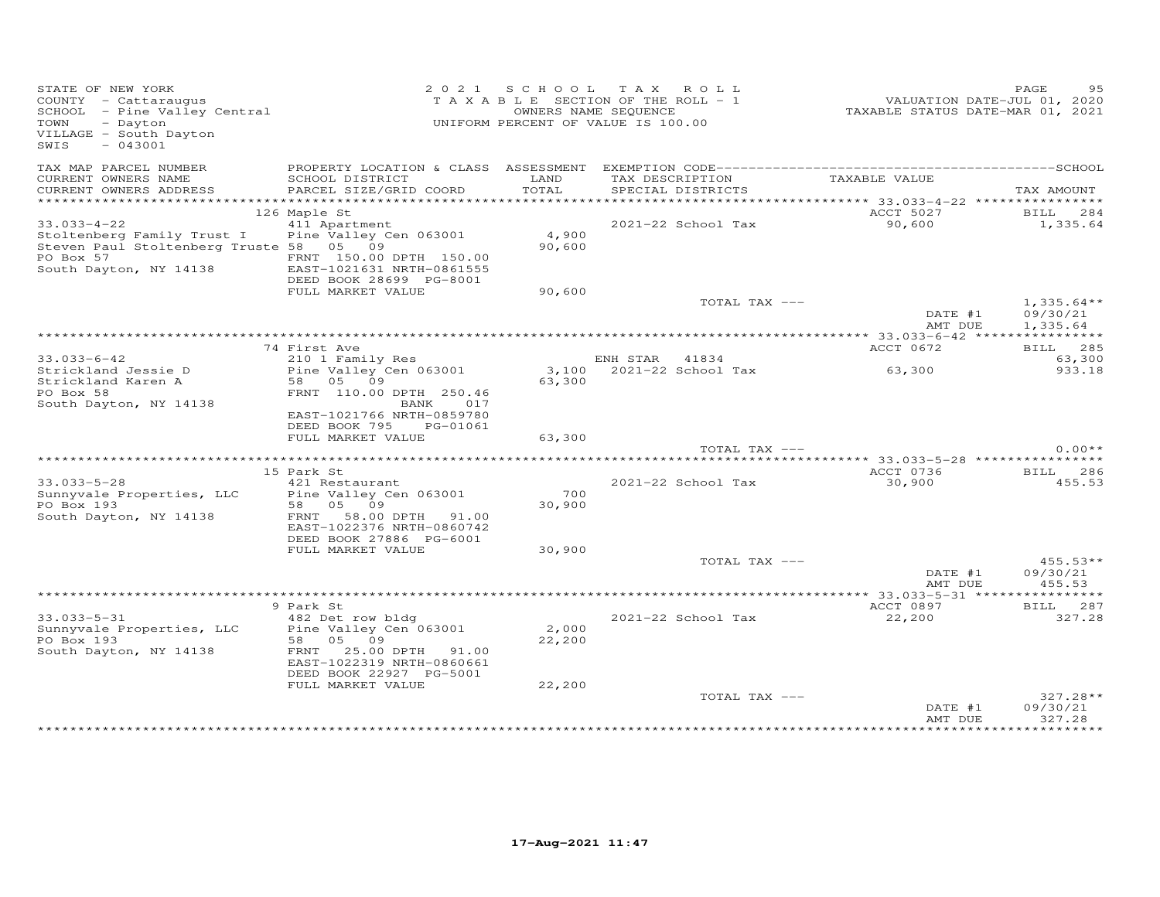| STATE OF NEW YORK<br>COUNTY - Cattaraugus<br>SCHOOL - Pine Valley Central<br>- Dayton<br>TOWN<br>VILLAGE - South Dayton<br>$-043001$<br>SWIS |                                                                                                                                         |                 | 2021 SCHOOL TAX ROLL<br>TAXABLE SECTION OF THE ROLL - 1<br>OWNERS NAME SEQUENCE<br>UNIFORM PERCENT OF VALUE IS 100.00 | VALUATION DATE-JUL 01, 2020<br>TAXABLE STATUS DATE-MAR 01, 2021 | PAGE                             |
|----------------------------------------------------------------------------------------------------------------------------------------------|-----------------------------------------------------------------------------------------------------------------------------------------|-----------------|-----------------------------------------------------------------------------------------------------------------------|-----------------------------------------------------------------|----------------------------------|
| TAX MAP PARCEL NUMBER<br>CURRENT OWNERS NAME                                                                                                 | SCHOOL DISTRICT                                                                                                                         | LAND<br>TOTAL   | TAX DESCRIPTION                                                                                                       | TAXABLE VALUE                                                   |                                  |
| CURRENT OWNERS ADDRESS                                                                                                                       | PARCEL SIZE/GRID COORD                                                                                                                  |                 | SPECIAL DISTRICTS                                                                                                     |                                                                 | TAX AMOUNT                       |
|                                                                                                                                              | 126 Maple St                                                                                                                            |                 |                                                                                                                       | ACCT 5027                                                       | BILL 284                         |
| $33.033 - 4 - 22$<br>Stoltenberg Family Trust I<br>Steven Paul Stoltenberg Truste 58 05 09<br>PO Box 57<br>South Dayton, NY 14138            | 411 Apartment<br>Pine Valley Cen 063001<br>FRNT 150.00 DPTH 150.00<br>EAST-1021631 NRTH-0861555<br>DEED BOOK 28699 PG-8001              | 4,900<br>90,600 | 2021-22 School Tax                                                                                                    | 90,600                                                          | 1,335.64                         |
|                                                                                                                                              | FULL MARKET VALUE                                                                                                                       | 90,600          |                                                                                                                       |                                                                 |                                  |
|                                                                                                                                              |                                                                                                                                         |                 | TOTAL TAX ---                                                                                                         | DATE #1                                                         | $1,335.64**$<br>09/30/21         |
|                                                                                                                                              |                                                                                                                                         |                 |                                                                                                                       | AMT DUE                                                         | 1,335.64                         |
|                                                                                                                                              | 74 First Ave                                                                                                                            |                 |                                                                                                                       | ACCT 0672                                                       | <b>BILL</b> 285                  |
| $33.033 - 6 - 42$<br>Strickland Jessie D                                                                                                     | 210 1 Family Res<br>Pine Valley Cen 063001                                                                                              |                 | ENH STAR 41834<br>3,100 2021-22 School Tax                                                                            | 63,300                                                          | 63,300<br>933.18                 |
| Strickland Karen A<br>PO Box 58<br>South Dayton, NY 14138                                                                                    | 58 05 09<br>FRNT 110.00 DPTH 250.46<br>017<br>BANK<br>EAST-1021766 NRTH-0859780<br>DEED BOOK 795<br>PG-01061                            | 63,300          |                                                                                                                       |                                                                 |                                  |
|                                                                                                                                              | FULL MARKET VALUE                                                                                                                       | 63,300          |                                                                                                                       |                                                                 |                                  |
|                                                                                                                                              |                                                                                                                                         |                 | TOTAL TAX ---                                                                                                         |                                                                 | $0.00**$                         |
|                                                                                                                                              | 15 Park St                                                                                                                              |                 |                                                                                                                       | ACCT 0736                                                       | BILL 286                         |
| $33.033 - 5 - 28$<br>Sunnyvale Properties, LLC<br>PO Box 193<br>South Dayton, NY 14138                                                       | 421 Restaurant<br>58 05 09<br>FRNT 58.00 DPTH 91.00<br>EAST-1022376 NRTH-0860742<br>DEED BOOK 27886 PG-6001                             | 700<br>30,900   | 2021-22 School Tax                                                                                                    | 30,900                                                          | 455.53                           |
|                                                                                                                                              | FULL MARKET VALUE                                                                                                                       | 30,900          |                                                                                                                       |                                                                 |                                  |
|                                                                                                                                              |                                                                                                                                         |                 | TOTAL TAX ---                                                                                                         | DATE #1<br>AMT DUE                                              | $455.53**$<br>09/30/21<br>455.53 |
|                                                                                                                                              |                                                                                                                                         |                 |                                                                                                                       |                                                                 |                                  |
|                                                                                                                                              | 9 Park St                                                                                                                               |                 |                                                                                                                       | ACCT 0897                                                       | BILL 287                         |
| $33.033 - 5 - 31$<br>Sunnyvale Properties, LLC<br>PO Box 193<br>South Dayton, NY 14138                                                       | 482 Det row bldg<br>Pine Valley Cen 063001<br>58 05 09<br>FRNT 25.00 DPTH 91.00<br>EAST-1022319 NRTH-0860661<br>DEED BOOK 22927 PG-5001 | 2,000<br>22,200 | 2021-22 School Tax                                                                                                    | 22,200                                                          | 327.28                           |
|                                                                                                                                              | FULL MARKET VALUE                                                                                                                       | 22,200          |                                                                                                                       |                                                                 | $327.28**$                       |
|                                                                                                                                              |                                                                                                                                         |                 | TOTAL TAX ---                                                                                                         | DATE #1<br>AMT DUE                                              | 09/30/21<br>327.28               |
|                                                                                                                                              |                                                                                                                                         |                 |                                                                                                                       |                                                                 |                                  |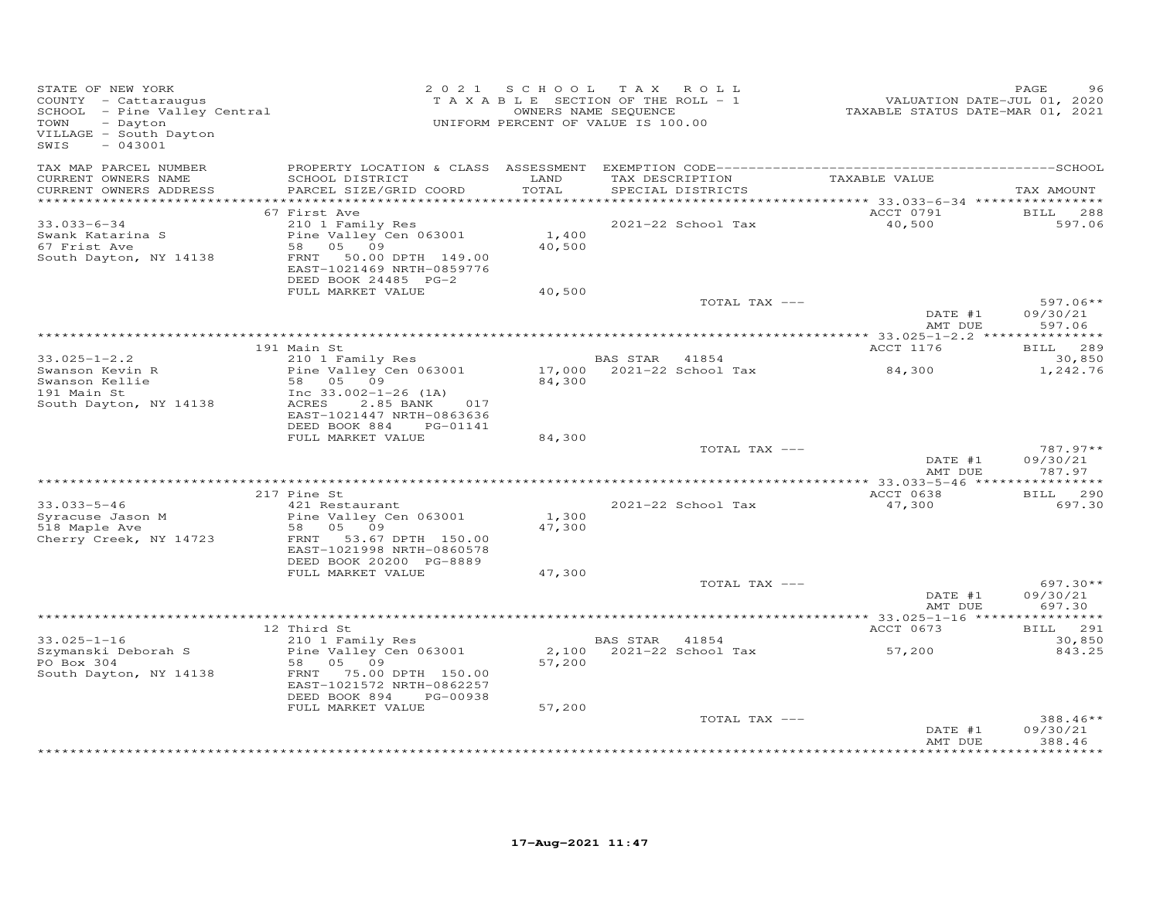| STATE OF NEW YORK<br>STATE OF NEW YORN<br>COUNTY - Cattaraugus<br>SCHOOL - Pine Valley Central<br>Distance<br>VILLAGE - South Dayton<br>$-043001$<br>SWIS |                                                                                                                                       |                 | 2021 SCHOOL TAX ROLL<br>TAXABLE SECTION OF THE ROLL - 1<br>OWNERS NAME SEQUENCE<br>UNIFORM PERCENT OF VALUE IS 100.00 |                    | PAGE<br>96                       |
|-----------------------------------------------------------------------------------------------------------------------------------------------------------|---------------------------------------------------------------------------------------------------------------------------------------|-----------------|-----------------------------------------------------------------------------------------------------------------------|--------------------|----------------------------------|
| TAX MAP PARCEL NUMBER<br>CURRENT OWNERS NAME<br>CURRENT OWNERS ADDRESS<br>*************************                                                       | SCHOOL DISTRICT<br>PARCEL SIZE/GRID COORD                                                                                             | LAND<br>TOTAL   | TAX DESCRIPTION<br>SPECIAL DISTRICTS                                                                                  | TAXABLE VALUE      | TAX AMOUNT                       |
|                                                                                                                                                           | 67 First Ave                                                                                                                          |                 |                                                                                                                       | ACCT 0791          | BILL 288                         |
| $33.033 - 6 - 34$<br>Swank Katarina S<br>67 Frist Ave<br>South Dayton, NY 14138                                                                           | 210 1 Family Res<br>Pine Valley Cen 063001<br>58 05 09<br>FRNT 50.00 DPTH 149.00<br>EAST-1021469 NRTH-0859776<br>DEED BOOK 24485 PG-2 | 1,400<br>40,500 | 2021-22 School Tax                                                                                                    | 40,500             | 597.06                           |
|                                                                                                                                                           | FULL MARKET VALUE                                                                                                                     | 40,500          | TOTAL TAX ---                                                                                                         |                    | 597.06**                         |
|                                                                                                                                                           |                                                                                                                                       |                 |                                                                                                                       | DATE #1<br>AMT DUE | 09/30/21<br>597.06               |
|                                                                                                                                                           |                                                                                                                                       |                 |                                                                                                                       |                    |                                  |
| $33.025 - 1 - 2.2$                                                                                                                                        | 191 Main St<br>210 1 Family Res                                                                                                       |                 | BAS STAR 41854                                                                                                        | ACCT 1176          | BILL 289<br>30,850               |
| Swanson Kevin R<br>Swanson Kellie                                                                                                                         | Pine Valley Cen 063001<br>58 05 09                                                                                                    | 84,300          | 17,000 2021-22 School Tax                                                                                             | 84,300             | 1,242.76                         |
| 191 Main St<br>South Dayton, NY 14138                                                                                                                     | Inc $33.002 - 1 - 26$ (1A)<br>ACRES<br>2.85 BANK<br>017<br>EAST-1021447 NRTH-0863636<br>DEED BOOK 884<br>PG-01141                     |                 |                                                                                                                       |                    |                                  |
|                                                                                                                                                           | FULL MARKET VALUE                                                                                                                     | 84,300          |                                                                                                                       |                    |                                  |
|                                                                                                                                                           |                                                                                                                                       |                 | TOTAL TAX ---                                                                                                         | DATE #1<br>AMT DUE | 787.97**<br>09/30/21<br>787.97   |
|                                                                                                                                                           |                                                                                                                                       |                 |                                                                                                                       |                    |                                  |
|                                                                                                                                                           | 217 Pine St                                                                                                                           |                 |                                                                                                                       | ACCT 0638          | BILL 290                         |
| $33.033 - 5 - 46$<br>Syracuse Jason M<br>518 Maple Ave                                                                                                    | 421 Restaurant<br>Pine Valley Cen 063001<br>58 05 09                                                                                  | 1,300<br>47,300 | 2021-22 School Tax                                                                                                    | 47,300             | 697.30                           |
| Cherry Creek, NY 14723                                                                                                                                    | FRNT 53.67 DPTH 150.00<br>EAST-1021998 NRTH-0860578<br>DEED BOOK 20200 PG-8889                                                        |                 |                                                                                                                       |                    |                                  |
|                                                                                                                                                           | FULL MARKET VALUE                                                                                                                     | 47,300          |                                                                                                                       |                    |                                  |
|                                                                                                                                                           |                                                                                                                                       |                 | TOTAL TAX ---                                                                                                         | DATE #1<br>AMT DUE | $697.30**$<br>09/30/21<br>697.30 |
|                                                                                                                                                           |                                                                                                                                       |                 |                                                                                                                       |                    |                                  |
|                                                                                                                                                           | 12 Third St                                                                                                                           |                 |                                                                                                                       | ACCT 0673          | BILL 291                         |
| $33.025 - 1 - 16$<br>Szymanski Deborah S<br>PO Box 304                                                                                                    | 210 1 Family Res<br>Pine Valley Cen 063001<br>58 05 09                                                                                | 57,200          | BAS STAR 41854<br>2,100 2021-22 School Tax                                                                            | 57,200             | 30,850<br>843.25                 |
| South Dayton, NY 14138                                                                                                                                    | FRNT 75.00 DPTH 150.00<br>EAST-1021572 NRTH-0862257<br>DEED BOOK 894<br>PG-00938                                                      |                 |                                                                                                                       |                    |                                  |
|                                                                                                                                                           | FULL MARKET VALUE                                                                                                                     | 57,200          |                                                                                                                       |                    |                                  |
|                                                                                                                                                           |                                                                                                                                       |                 | TOTAL TAX ---                                                                                                         | DATE #1<br>AMT DUE | 388.46**<br>09/30/21<br>388.46   |
|                                                                                                                                                           |                                                                                                                                       |                 |                                                                                                                       |                    | ********                         |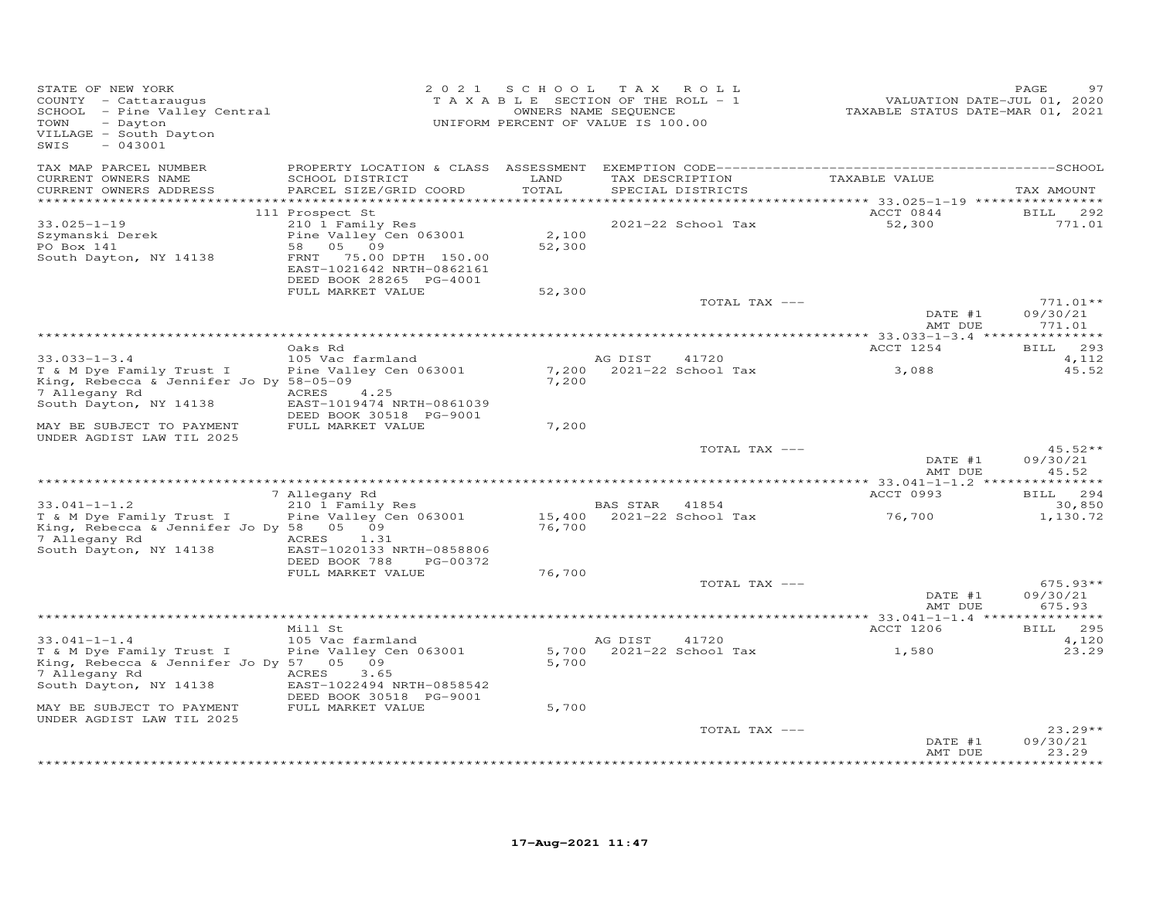| STATE OF NEW YORK<br>COUNTY - Cattaraugus<br>SCHOOL - Pine Valley Central<br>TOWN<br>- Dayton<br>VILLAGE - South Dayton<br>SWIS<br>$-043001$                   |                                                                                                                                                                                        | 2021 SCHOOL<br>T A X A B L E SECTION OF THE ROLL - 1<br>UNIFORM PERCENT OF VALUE IS 100.00 | T A X<br>OWNERS NAME SEQUENCE | ROLL                        | TAXABLE STATUS DATE-MAR 01, 2021                                                 | 97<br>PAGE<br>VALUATION DATE-JUL 01, 2020 |
|----------------------------------------------------------------------------------------------------------------------------------------------------------------|----------------------------------------------------------------------------------------------------------------------------------------------------------------------------------------|--------------------------------------------------------------------------------------------|-------------------------------|-----------------------------|----------------------------------------------------------------------------------|-------------------------------------------|
| TAX MAP PARCEL NUMBER<br>CURRENT OWNERS NAME<br>CURRENT OWNERS ADDRESS<br>**********************                                                               | PROPERTY LOCATION & CLASS ASSESSMENT<br>SCHOOL DISTRICT<br>PARCEL SIZE/GRID COORD                                                                                                      | LAND<br>TOTAL<br>* * * * * * * * * *                                                       | TAX DESCRIPTION               | SPECIAL DISTRICTS           | TAXABLE VALUE<br>********************************** 33.025–1–19 **************** | TAX AMOUNT                                |
| $33.025 - 1 - 19$<br>Szymanski Derek<br>PO Box 141<br>South Dayton, NY 14138                                                                                   | 111 Prospect St<br>210 1 Family Res<br>Pine Valley Cen 063001<br>58<br>05 09<br>FRNT<br>75.00 DPTH 150.00<br>EAST-1021642 NRTH-0862161<br>DEED BOOK 28265 PG-4001<br>FULL MARKET VALUE | 2,100<br>52,300<br>52,300                                                                  |                               | 2021-22 School Tax          | ACCT 0844<br>52,300                                                              | <b>BILL</b><br>292<br>771.01              |
|                                                                                                                                                                |                                                                                                                                                                                        |                                                                                            |                               | TOTAL TAX ---               | DATE #1                                                                          | $771.01**$<br>09/30/21<br>771.01          |
|                                                                                                                                                                | Oaks Rd                                                                                                                                                                                |                                                                                            |                               |                             | AMT DUE<br>ACCT 1254                                                             | BILL 293                                  |
| $33.033 - 1 - 3.4$<br>T & M Dye Family Trust I<br>King, Rebecca & Jennifer Jo Dy 58-05-09<br>7 Allegany Rd<br>South Dayton, NY 14138                           | 105 Vac farmland<br>Pine Valley Cen 063001<br>ACRES<br>4.25<br>EAST-1019474 NRTH-0861039<br>DEED BOOK 30518 PG-9001<br>FULL MARKET VALUE                                               | 7,200<br>7,200                                                                             | AG DIST                       | 41720<br>2021-22 School Tax | 3,088                                                                            | 4,112<br>45.52                            |
| MAY BE SUBJECT TO PAYMENT<br>UNDER AGDIST LAW TIL 2025                                                                                                         |                                                                                                                                                                                        | 7,200                                                                                      |                               | TOTAL TAX ---               | DATE #1<br>AMT DUE                                                               | $45.52**$<br>09/30/21<br>45.52            |
|                                                                                                                                                                |                                                                                                                                                                                        |                                                                                            |                               |                             |                                                                                  |                                           |
| $33.041 - 1 - 1.2$                                                                                                                                             | 7 Allegany Rd<br>210 1 Family Res                                                                                                                                                      |                                                                                            | BAS STAR 41854                |                             | ACCT 0993                                                                        | BILL 294<br>30,850                        |
| T & M Dye Family Trust I<br>King, Rebecca & Jennifer Jo Dy 58<br>7 Allegany Rd<br>South Dayton, NY 14138                                                       | Pine Valley Cen 063001<br>05 09<br>ACRES<br>1.31<br>EAST-1020133 NRTH-0858806                                                                                                          | 15,400<br>76,700                                                                           |                               | 2021-22 School Tax          | 76,700                                                                           | 1,130.72                                  |
|                                                                                                                                                                | DEED BOOK 788<br>PG-00372<br>FULL MARKET VALUE                                                                                                                                         | 76,700                                                                                     |                               | TOTAL TAX ---               | DATE #1                                                                          | $675.93**$<br>09/30/21                    |
|                                                                                                                                                                |                                                                                                                                                                                        |                                                                                            |                               |                             | AMT DUE                                                                          | 675.93                                    |
| $33.041 - 1 - 1.4$<br>T & M Dye Family Trust I<br>King, Rebecca & Jennifer Jo Dy 57 05<br>7 Allegany Rd<br>South Dayton, NY 14138<br>MAY BE SUBJECT TO PAYMENT | Mill St<br>105 Vac farmland<br>Pine Valley Cen 063001<br>09<br>ACRES<br>3.65<br>EAST-1022494 NRTH-0858542<br>DEED BOOK 30518 PG-9001<br>FULL MARKET VALUE                              | 5,700<br>5,700<br>5,700                                                                    | AG DIST                       | 41720<br>2021-22 School Tax | ACCT 1206<br>1,580                                                               | 295<br><b>BILL</b><br>4,120<br>23.29      |
| UNDER AGDIST LAW TIL 2025                                                                                                                                      |                                                                                                                                                                                        |                                                                                            |                               | TOTAL TAX ---               | DATE #1                                                                          | $23.29**$<br>09/30/21                     |
|                                                                                                                                                                |                                                                                                                                                                                        |                                                                                            |                               |                             | AMT DUE                                                                          | 23.29<br>********                         |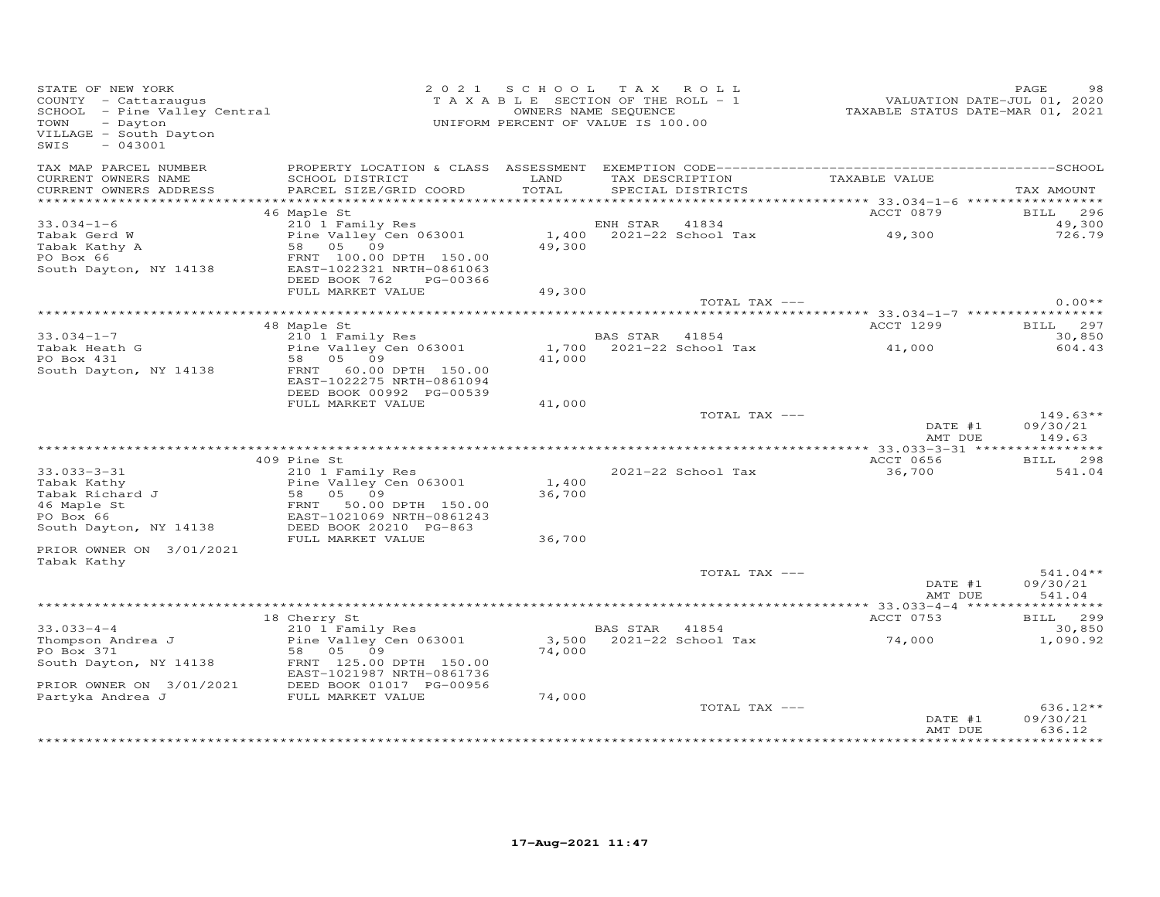| STATE OF NEW YORK<br>- Dayton<br>TOWN<br>VILLAGE - South Dayton<br>$-043001$<br>SWIS                                                         |                                                                                    | 2021 SCHOOL TAX ROLL<br>TAXABLE SECTION OF THE ROLL - 1<br>OWNERS NAME SEQUENCE<br>UNIFORM PERCENT OF VALUE IS 100.00 |                |                                      | VALUATION DATE-JUL V., -<br>TAXABLE STATUS DATE-MAR 01, 2021 | PAGE<br>98                       |
|----------------------------------------------------------------------------------------------------------------------------------------------|------------------------------------------------------------------------------------|-----------------------------------------------------------------------------------------------------------------------|----------------|--------------------------------------|--------------------------------------------------------------|----------------------------------|
| TAX MAP PARCEL NUMBER<br>CURRENT OWNERS NAME<br>CURRENT OWNERS ADDRESS                                                                       | SCHOOL DISTRICT<br>PARCEL SIZE/GRID COORD                                          | LAND<br>TOTAL                                                                                                         |                | TAX DESCRIPTION<br>SPECIAL DISTRICTS | TAXABLE VALUE                                                | TAX AMOUNT                       |
|                                                                                                                                              |                                                                                    |                                                                                                                       |                |                                      |                                                              |                                  |
|                                                                                                                                              | 46 Maple St                                                                        |                                                                                                                       |                |                                      | ACCT 0879                                                    | <b>BILL</b> 296                  |
| $33.034 - 1 - 6$                                                                                                                             | 210 1 Family Res<br>ZIO I Family Res<br>Pine Valley Cen 063001                     |                                                                                                                       | ENH STAR 41834 |                                      | 49,300                                                       | 49,300                           |
| Tabak Gerd W<br>Tabak Kathy A<br>PO Box 66                                                                                                   | 58 05 09<br>FRNT 100.00 DPTH 150.00                                                | 49,300                                                                                                                |                | $1,400$ $2021-22$ School Tax         |                                                              | 726.79                           |
| South Dayton, NY 14138                                                                                                                       | EAST-1022321 NRTH-0861063<br>DEED BOOK 762<br>PG-00366<br>FULL MARKET VALUE        | 49,300                                                                                                                |                |                                      |                                                              |                                  |
|                                                                                                                                              |                                                                                    |                                                                                                                       |                | TOTAL TAX ---                        |                                                              | $0.00**$                         |
|                                                                                                                                              |                                                                                    |                                                                                                                       |                |                                      |                                                              | BILL 297                         |
| $33.034 - 1 - 7$                                                                                                                             | 48 Maple St<br>210 1 Family Res                                                    |                                                                                                                       | BAS STAR 41854 |                                      | ACCT 1299                                                    | 30,850                           |
| Tabak Heath G<br>PO Boy 431                                                                                                                  | Pine Valley Cen 063001                                                             |                                                                                                                       |                |                                      | 1,700 2021-22 School Tax 41,000                              | 604.43                           |
| PO Box 431                                                                                                                                   | 58 05 09                                                                           | 41,000                                                                                                                |                |                                      |                                                              |                                  |
| South Dayton, NY 14138                                                                                                                       | 60.00 DPTH 150.00<br>FRNT<br>EAST-1022275 NRTH-0861094<br>DEED BOOK 00992 PG-00539 |                                                                                                                       |                |                                      |                                                              |                                  |
|                                                                                                                                              | FULL MARKET VALUE                                                                  | 41,000                                                                                                                |                |                                      |                                                              |                                  |
|                                                                                                                                              |                                                                                    |                                                                                                                       |                | TOTAL TAX ---                        | DATE #1<br>AMT DUE                                           | $149.63**$<br>09/30/21<br>149.63 |
|                                                                                                                                              |                                                                                    |                                                                                                                       |                |                                      |                                                              |                                  |
|                                                                                                                                              | 409 Pine St                                                                        |                                                                                                                       |                |                                      | ACCT 0656                                                    | BILL 298                         |
| $33.033 - 3 - 31$                                                                                                                            | 210 1 Family Res                                                                   | 1,400                                                                                                                 |                | 2021-22 School Tax                   | 36,700                                                       | 541.04                           |
| Tabak Kathy                                                                                                                                  | Pine Valley Cen 063001                                                             | 36,700                                                                                                                |                |                                      |                                                              |                                  |
|                                                                                                                                              |                                                                                    |                                                                                                                       |                |                                      |                                                              |                                  |
|                                                                                                                                              |                                                                                    |                                                                                                                       |                |                                      |                                                              |                                  |
| 2007 March 1990<br>Tabak Richard J<br>46 Maple St<br>PO Box 66<br>South Dayton, NY 14138<br>South Dayton, NY 14138<br>DEED BOOK 20210 PG-863 | FULL MARKET VALUE                                                                  | 36,700                                                                                                                |                |                                      |                                                              |                                  |
| PRIOR OWNER ON 3/01/2021                                                                                                                     |                                                                                    |                                                                                                                       |                |                                      |                                                              |                                  |
| Tabak Kathy                                                                                                                                  |                                                                                    |                                                                                                                       |                | TOTAL TAX ---                        |                                                              | $541.04**$                       |
|                                                                                                                                              |                                                                                    |                                                                                                                       |                |                                      | DATE #1<br>AMT DUE                                           | 09/30/21<br>541.04               |
|                                                                                                                                              |                                                                                    |                                                                                                                       |                |                                      | *********** 33.033-4-4 *****                                 | ***********                      |
| $33.033 - 4 - 4$                                                                                                                             | 18 Cherry St<br>210 1 Family Res                                                   |                                                                                                                       | BAS STAR 41854 |                                      | ACCT 0753                                                    | BILL 299<br>30,850               |
| Thompson Andrea J<br>PO Box 371                                                                                                              | Pine Valley Cen 063001<br>58 05 09                                                 | 74,000                                                                                                                |                | 3,500 2021-22 School Tax             | 74,000                                                       | 1,090.92                         |
| South Dayton, NY 14138                                                                                                                       | FRNT 125.00 DPTH 150.00<br>EAST-1021987 NRTH-0861736                               |                                                                                                                       |                |                                      |                                                              |                                  |
| PRIOR OWNER ON 3/01/2021 DEED BOOK 01017 PG-00956<br>Partyka Andrea J FULL MARKET VALUE                                                      |                                                                                    |                                                                                                                       |                |                                      |                                                              |                                  |
|                                                                                                                                              |                                                                                    | 74,000                                                                                                                |                | TOTAL TAX ---                        | DATE #1                                                      | 636.12**<br>09/30/21             |
|                                                                                                                                              |                                                                                    |                                                                                                                       |                |                                      | AMT DUE                                                      | 636.12                           |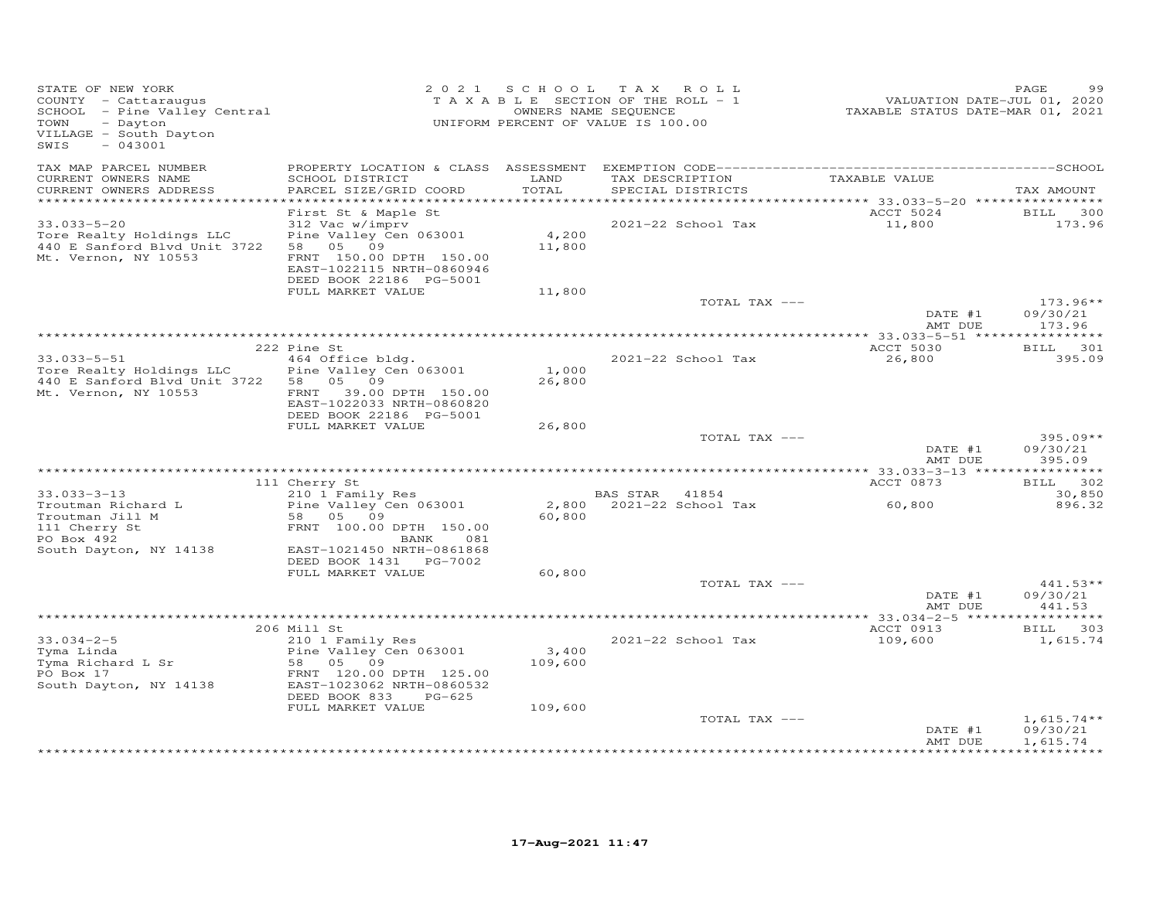| STATE OF NEW YORK<br>COUNTY - Cattaraugus<br>SCHOOL - Pine Valley Central<br>TOWN<br>- Dayton<br>VILLAGE - South Dayton<br>$-043001$<br>SWIS |                                                                                                                                                                                      |                           | 2021 SCHOOL TAX ROLL<br>TAXABLE SECTION OF THE ROLL - 1<br>OWNERS NAME SEQUENCE<br>UNIFORM PERCENT OF VALUE IS 100.00 | VALUATION DATE-JUL 01, 2020<br>TAXABLE STATUS DATE-MAR 01, 2021 | PAGE<br>99                           |
|----------------------------------------------------------------------------------------------------------------------------------------------|--------------------------------------------------------------------------------------------------------------------------------------------------------------------------------------|---------------------------|-----------------------------------------------------------------------------------------------------------------------|-----------------------------------------------------------------|--------------------------------------|
| TAX MAP PARCEL NUMBER<br>CURRENT OWNERS NAME<br>CURRENT OWNERS ADDRESS<br>***********************                                            | SCHOOL DISTRICT<br>PARCEL SIZE/GRID COORD                                                                                                                                            | LAND<br>TOTAL             | TAX DESCRIPTION TAXABLE VALUE<br>SPECIAL DISTRICTS                                                                    |                                                                 | TAX AMOUNT                           |
| $33.033 - 5 - 20$<br>Tore Realty Holdings LLC<br>440 E Sanford Blvd Unit 3722<br>Mt. Vernon, NY 10553                                        | First St & Maple St<br>312 Vac w/imprv<br>Pine Valley Cen 063001<br>58 05 09<br>FRNT 150.00 DPTH 150.00<br>EAST-1022115 NRTH-0860946<br>DEED BOOK 22186 PG-5001<br>FULL MARKET VALUE | 4,200<br>11,800<br>11,800 | 2021-22 School Tax                                                                                                    | ACCT 5024<br>11,800                                             | <b>BILL</b><br>300<br>173.96         |
|                                                                                                                                              |                                                                                                                                                                                      |                           | TOTAL TAX ---                                                                                                         | DATE #1<br>AMT DUE                                              | $173.96**$<br>09/30/21<br>173.96     |
|                                                                                                                                              |                                                                                                                                                                                      |                           |                                                                                                                       |                                                                 |                                      |
|                                                                                                                                              | 222 Pine St                                                                                                                                                                          |                           |                                                                                                                       | ACCT 5030                                                       | BILL 301                             |
| $33.033 - 5 - 51$<br>Tore Realty Holdings LLC<br>440 E Sanford Blvd Unit 3722<br>Mt. Vernon, NY 10553                                        | 464 Office bldg.<br>Pine Valley Cen 063001<br>58 05 09<br>39.00 DPTH 150.00<br>FRNT<br>EAST-1022033 NRTH-0860820<br>DEED BOOK 22186 PG-5001                                          | 1,000<br>26,800           | 2021-22 School Tax                                                                                                    | 26,800                                                          | 395.09                               |
|                                                                                                                                              | FULL MARKET VALUE                                                                                                                                                                    | 26,800                    |                                                                                                                       |                                                                 |                                      |
|                                                                                                                                              |                                                                                                                                                                                      |                           | TOTAL TAX ---                                                                                                         | DATE #1<br>AMT DUE                                              | $395.09**$<br>09/30/21<br>395.09     |
|                                                                                                                                              |                                                                                                                                                                                      |                           |                                                                                                                       |                                                                 |                                      |
|                                                                                                                                              | 111 Cherry St                                                                                                                                                                        |                           |                                                                                                                       | ACCT 0873                                                       | BILL 302                             |
| $33.033 - 3 - 13$<br>Troutman Richard L<br>Troutman Jill M<br>111 Cherry St<br>PO Box 492<br>South Dayton, NY 14138                          | 210 1 Family Res<br>Pine Valley Cen 063001<br>58 05 09<br>FRNT 100.00 DPTH 150.00<br>BANK<br>081<br>EAST-1021450 NRTH-0861868<br>DEED BOOK 1431 PG-7002                              | 60,800                    | BAS STAR 41854<br>2,800 2021-22 School Tax                                                                            | 60,800                                                          | 30,850<br>896.32                     |
|                                                                                                                                              | FULL MARKET VALUE                                                                                                                                                                    | 60,800                    |                                                                                                                       |                                                                 |                                      |
|                                                                                                                                              |                                                                                                                                                                                      |                           | TOTAL TAX ---                                                                                                         | DATE #1<br>AMT DUE                                              | $441.53**$<br>09/30/21<br>441.53     |
|                                                                                                                                              |                                                                                                                                                                                      |                           |                                                                                                                       |                                                                 |                                      |
| $33.034 - 2 - 5$<br>Tyma Linda<br>Tyma Richard L Sr<br>PO Box 17<br>South Dayton, NY 14138                                                   | 206 Mill St<br>210 1 Family Res<br>Pine Valley Cen 063001<br>09<br>58 05<br>FRNT 120.00 DPTH 125.00<br>EAST-1023062 NRTH-0860532<br>DEED BOOK 833<br>PG-625                          | 3,400<br>109,600          | 2021-22 School Tax                                                                                                    | ACCT 0913<br>109,600                                            | 303<br><b>BILL</b><br>1,615.74       |
|                                                                                                                                              | FULL MARKET VALUE                                                                                                                                                                    | 109,600                   | TOTAL TAX ---                                                                                                         | DATE #1<br>AMT DUE                                              | $1,615.74**$<br>09/30/21<br>1,615.74 |
|                                                                                                                                              |                                                                                                                                                                                      |                           |                                                                                                                       |                                                                 | · * * * * * * * * *                  |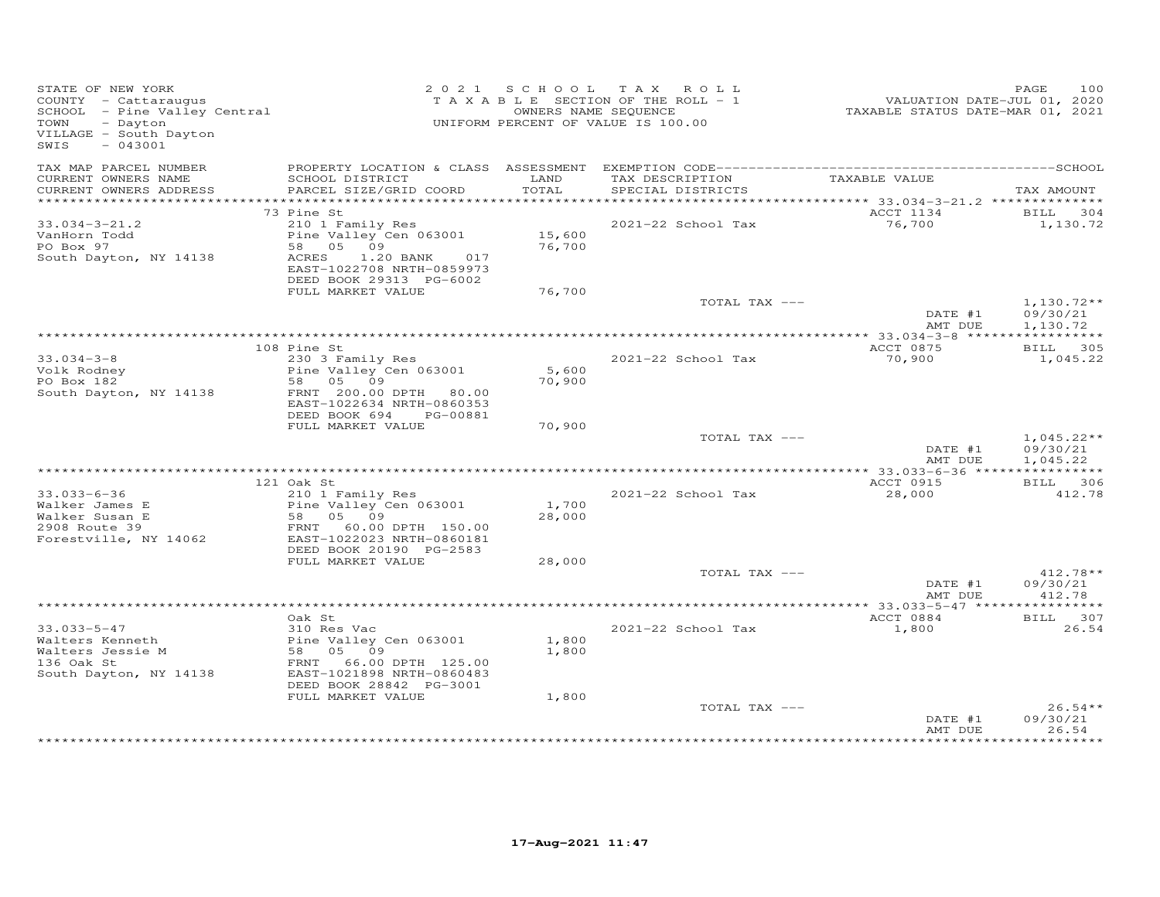| STATE OF NEW YORK<br>STATE OF NEW IONN<br>COUNTY - Cattaraugus<br>SCHOOL - Pine Valley Central<br>- Dayton<br>TOWN<br>VILLAGE - South Dayton<br>$-043001$<br>SWIS |                                                      |                  | 2021 SCHOOL TAX ROLL<br>T A X A B L E SECTION OF THE ROLL - 1<br>OWNERS NAME SEQUENCE<br>UNIFORM PERCENT OF VALUE IS 100.00 | VALUATION DATE-JUL 01, 2020<br>TAXABLE STATUS DATE-MAR 01, 2021 | 100<br>PAGE              |
|-------------------------------------------------------------------------------------------------------------------------------------------------------------------|------------------------------------------------------|------------------|-----------------------------------------------------------------------------------------------------------------------------|-----------------------------------------------------------------|--------------------------|
| TAX MAP PARCEL NUMBER<br>CURRENT OWNERS NAME<br>CURRENT OWNERS ADDRESS                                                                                            | SCHOOL DISTRICT<br>PARCEL SIZE/GRID COORD            | LAND<br>TOTAL    | TAX DESCRIPTION<br>SPECIAL DISTRICTS                                                                                        | TAXABLE VALUE                                                   | TAX AMOUNT               |
|                                                                                                                                                                   |                                                      |                  |                                                                                                                             |                                                                 |                          |
|                                                                                                                                                                   | 73 Pine St                                           |                  |                                                                                                                             | ACCT 1134                                                       | BILL 304                 |
| $33.034 - 3 - 21.2$                                                                                                                                               | 210 1 Family Res                                     |                  | 2021-22 School Tax                                                                                                          | 76,700                                                          | 1,130.72                 |
| VanHorn Todd<br>PO Box 97                                                                                                                                         | Pine Valley Cen 063001                               | 15,600<br>76,700 |                                                                                                                             |                                                                 |                          |
| South Dayton, NY 14138                                                                                                                                            | 58 05 09<br>ACRES<br>1.20 BANK<br>017                |                  |                                                                                                                             |                                                                 |                          |
|                                                                                                                                                                   | EAST-1022708 NRTH-0859973<br>DEED BOOK 29313 PG-6002 |                  |                                                                                                                             |                                                                 |                          |
|                                                                                                                                                                   | FULL MARKET VALUE                                    | 76,700           |                                                                                                                             |                                                                 |                          |
|                                                                                                                                                                   |                                                      |                  | TOTAL TAX ---                                                                                                               | DATE #1                                                         | $1,130.72**$<br>09/30/21 |
|                                                                                                                                                                   |                                                      |                  |                                                                                                                             | AMT DUE                                                         | 1,130.72                 |
|                                                                                                                                                                   | 108 Pine St                                          |                  |                                                                                                                             | ACCT 0875                                                       | BILL 305                 |
| $33.034 - 3 - 8$                                                                                                                                                  | 230 3 Family Res                                     |                  | 2021-22 School Tax                                                                                                          | 70,900                                                          | 1,045.22                 |
| Volk Rodney                                                                                                                                                       | Pine Valley Cen 063001                               | 5,600            |                                                                                                                             |                                                                 |                          |
| PO Box 182                                                                                                                                                        | 58 05 09                                             | 70,900           |                                                                                                                             |                                                                 |                          |
| South Dayton, NY 14138                                                                                                                                            | FRNT 200.00 DPTH 80.00<br>EAST-1022634 NRTH-0860353  |                  |                                                                                                                             |                                                                 |                          |
|                                                                                                                                                                   | DEED BOOK 694 PG-00881<br>FULL MARKET VALUE          | 70,900           |                                                                                                                             |                                                                 |                          |
|                                                                                                                                                                   |                                                      |                  | TOTAL TAX ---                                                                                                               |                                                                 | $1,045.22**$             |
|                                                                                                                                                                   |                                                      |                  |                                                                                                                             | DATE #1<br>AMT DUE                                              | 09/30/21<br>1,045.22     |
|                                                                                                                                                                   |                                                      |                  |                                                                                                                             |                                                                 |                          |
|                                                                                                                                                                   | 121 Oak St<br>210 1 Family Res                       |                  |                                                                                                                             | ACCT 0915                                                       | BILL 306<br>412.78       |
| $33.033 - 6 - 36$                                                                                                                                                 | Pine Valley Cen 063001                               | 1,700            | 2021-22 School Tax                                                                                                          | 28,000                                                          |                          |
|                                                                                                                                                                   | Pine $var_{1}$<br>58 05 09                           | 28,000           |                                                                                                                             |                                                                 |                          |
| Walker James E<br>Walker Susan E<br>2908 Route 39                                                                                                                 | FRNT 60.00 DPTH 150.00                               |                  |                                                                                                                             |                                                                 |                          |
| Forestville, NY 14062                                                                                                                                             | EAST-1022023 NRTH-0860181                            |                  |                                                                                                                             |                                                                 |                          |
|                                                                                                                                                                   | DEED BOOK 20190 PG-2583<br>FULL MARKET VALUE         | 28,000           |                                                                                                                             |                                                                 |                          |
|                                                                                                                                                                   |                                                      |                  | TOTAL TAX ---                                                                                                               |                                                                 | $412.78**$               |
|                                                                                                                                                                   |                                                      |                  |                                                                                                                             | DATE #1                                                         | 09/30/21                 |
|                                                                                                                                                                   |                                                      |                  |                                                                                                                             | AMT DUE                                                         | 412.78                   |
|                                                                                                                                                                   |                                                      |                  |                                                                                                                             |                                                                 |                          |
|                                                                                                                                                                   | Oak St.<br>310 Res Vac                               |                  | 2021-22 School Tax                                                                                                          | ACCT 0884<br>1,800                                              | BILL 307<br>26.54        |
|                                                                                                                                                                   | Pine Valley Cen 063001                               | 1,800            |                                                                                                                             |                                                                 |                          |
| 33.033-5-47<br>Walters Kenneth<br>Alters Jessie M                                                                                                                 | $58$ 05 09                                           | 1,800            |                                                                                                                             |                                                                 |                          |
| 136 Oak St                                                                                                                                                        | FRNT 66.00 DPTH 125.00                               |                  |                                                                                                                             |                                                                 |                          |
| South Dayton, NY 14138                                                                                                                                            | EAST-1021898 NRTH-0860483                            |                  |                                                                                                                             |                                                                 |                          |
|                                                                                                                                                                   | DEED BOOK 28842 PG-3001<br>FULL MARKET VALUE         | 1,800            |                                                                                                                             |                                                                 |                          |
|                                                                                                                                                                   |                                                      |                  | TOTAL TAX ---                                                                                                               |                                                                 | $26.54**$                |
|                                                                                                                                                                   |                                                      |                  |                                                                                                                             | DATE #1                                                         | 09/30/21                 |
|                                                                                                                                                                   |                                                      |                  |                                                                                                                             | AMT DUE                                                         | 26.54                    |
|                                                                                                                                                                   |                                                      |                  |                                                                                                                             |                                                                 |                          |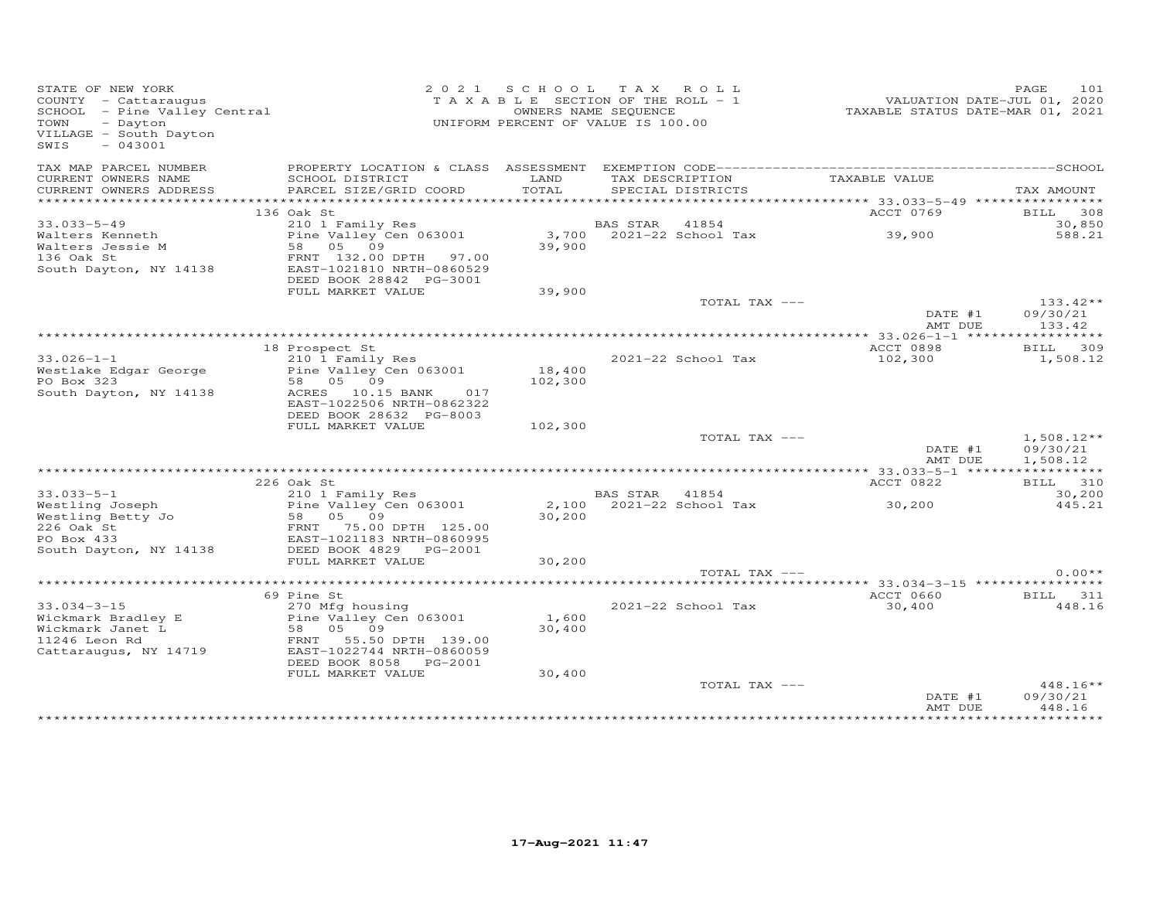| STATE OF NEW YORK<br>COUNTY - Cattaraugus<br>SCHOOL - Pine Valley Central<br>- Dayton<br>TOWN<br>VILLAGE - South Dayton<br>$-043001$<br>SWIS |                                                                                                                      | 2021 SCHOOL     | TAX ROLL<br>TAXABLE SECTION OF THE ROLL - 1<br>OWNERS NAME SEQUENCE<br>UNIFORM PERCENT OF VALUE IS 100.00 | VALUATION DATE-JUL 01, 2020<br>TAXABLE STATUS DATE-MAR 01, 2021 | 101<br>PAGE                          |
|----------------------------------------------------------------------------------------------------------------------------------------------|----------------------------------------------------------------------------------------------------------------------|-----------------|-----------------------------------------------------------------------------------------------------------|-----------------------------------------------------------------|--------------------------------------|
| TAX MAP PARCEL NUMBER<br>CURRENT OWNERS NAME<br>CURRENT OWNERS ADDRESS                                                                       | SCHOOL DISTRICT<br>PARCEL SIZE/GRID COORD                                                                            | LAND<br>TOTAL   | TAX DESCRIPTION<br>SPECIAL DISTRICTS                                                                      | TAXABLE VALUE                                                   | TAX AMOUNT                           |
|                                                                                                                                              |                                                                                                                      |                 |                                                                                                           |                                                                 |                                      |
|                                                                                                                                              | 136 Oak St                                                                                                           |                 |                                                                                                           | ACCT 0769                                                       | BILL 308                             |
| $33.033 - 5 - 49$                                                                                                                            | 210 1 Family Res                                                                                                     |                 | BAS STAR 41854                                                                                            |                                                                 | 30,850                               |
| Walters Kenneth<br>Walters Jessie M<br>136 Oak St<br>South Dayton, NY 14138                                                                  | Pine Valley Cen 063001<br>58 05 09<br>FRNT 132.00 DPTH 97.00<br>EAST-1021810 NRTH-0860529<br>DEED BOOK 28842 PG-3001 | 39,900          | 3,700 2021-22 School Tax                                                                                  | 39,900                                                          | 588.21                               |
|                                                                                                                                              | FULL MARKET VALUE                                                                                                    | 39,900          |                                                                                                           |                                                                 |                                      |
|                                                                                                                                              |                                                                                                                      |                 | TOTAL TAX ---                                                                                             | DATE #1<br>AMT DUE                                              | $133.42**$<br>09/30/21<br>133.42     |
|                                                                                                                                              |                                                                                                                      |                 |                                                                                                           |                                                                 |                                      |
|                                                                                                                                              | 18 Prospect St                                                                                                       |                 |                                                                                                           | ACCT 0898                                                       | BILL 309                             |
| $33.026 - 1 - 1$<br>Westlake Edgar George                                                                                                    | 210 1 Family Res<br>Pine Valley Cen 063001                                                                           | 18,400          | 2021-22 School Tax                                                                                        | 102,300                                                         | 1,508.12                             |
| PO Box 323                                                                                                                                   | 58 05 09                                                                                                             | 102,300         |                                                                                                           |                                                                 |                                      |
| South Dayton, NY 14138                                                                                                                       | ACRES 10.15 BANK<br>017<br>EAST-1022506 NRTH-0862322<br>DEED BOOK 28632 PG-8003                                      |                 |                                                                                                           |                                                                 |                                      |
|                                                                                                                                              | FULL MARKET VALUE                                                                                                    | 102,300         |                                                                                                           |                                                                 |                                      |
|                                                                                                                                              |                                                                                                                      |                 | TOTAL TAX ---                                                                                             | DATE #1<br>AMT DUE                                              | $1,508.12**$<br>09/30/21<br>1,508.12 |
|                                                                                                                                              |                                                                                                                      |                 |                                                                                                           |                                                                 |                                      |
|                                                                                                                                              | 226 Oak St                                                                                                           |                 |                                                                                                           | ACCT 0822                                                       | BILL 310                             |
| $33.033 - 5 - 1$<br>Westling Joseph                                                                                                          | 210 1 Family Res<br>Pine Valley Cen 063001                                                                           | 2,100           | BAS STAR 41854<br>2021-22 School Tax                                                                      | 30,200                                                          | 30,200<br>445.21                     |
| Westling Betty Jo<br>226 Oak St<br>PO Box 433                                                                                                | 58 05 09<br>58 05 09<br>FRNT 75.00 DPTH 125.00<br>FAST 1021183 NPTH 0860005<br>EAST-1021183 NRTH-0860995             | 30,200          |                                                                                                           |                                                                 |                                      |
| South Dayton, NY 14138                                                                                                                       | DEED BOOK 4829 PG-2001                                                                                               |                 |                                                                                                           |                                                                 |                                      |
|                                                                                                                                              | FULL MARKET VALUE                                                                                                    | 30,200          |                                                                                                           |                                                                 |                                      |
|                                                                                                                                              |                                                                                                                      |                 | TOTAL TAX ---                                                                                             |                                                                 | $0.00**$                             |
|                                                                                                                                              | 69 Pine St                                                                                                           |                 |                                                                                                           | ACCT 0660                                                       | BILL 311                             |
| $33.034 - 3 - 15$                                                                                                                            | 270 Mfg housing                                                                                                      |                 | 2021-22 School Tax                                                                                        | 30,400                                                          | 448.16                               |
| Wickmark Bradley E<br>Wickmark Janet L<br>11246 Leon Rd                                                                                      | Pine Valley Cen 063001<br>58 05 09<br>FRNT<br>55.50 DPTH 139.00                                                      | 1,600<br>30,400 |                                                                                                           |                                                                 |                                      |
| Cattaraugus, NY 14719                                                                                                                        | EAST-1022744 NRTH-0860059<br>DEED BOOK 8058<br>PG-2001<br>FULL MARKET VALUE                                          | 30,400          |                                                                                                           |                                                                 |                                      |
|                                                                                                                                              |                                                                                                                      |                 | TOTAL TAX ---                                                                                             | DATE #1<br>AMT DUE                                              | $448.16**$<br>09/30/21<br>448.16     |
|                                                                                                                                              |                                                                                                                      |                 |                                                                                                           |                                                                 |                                      |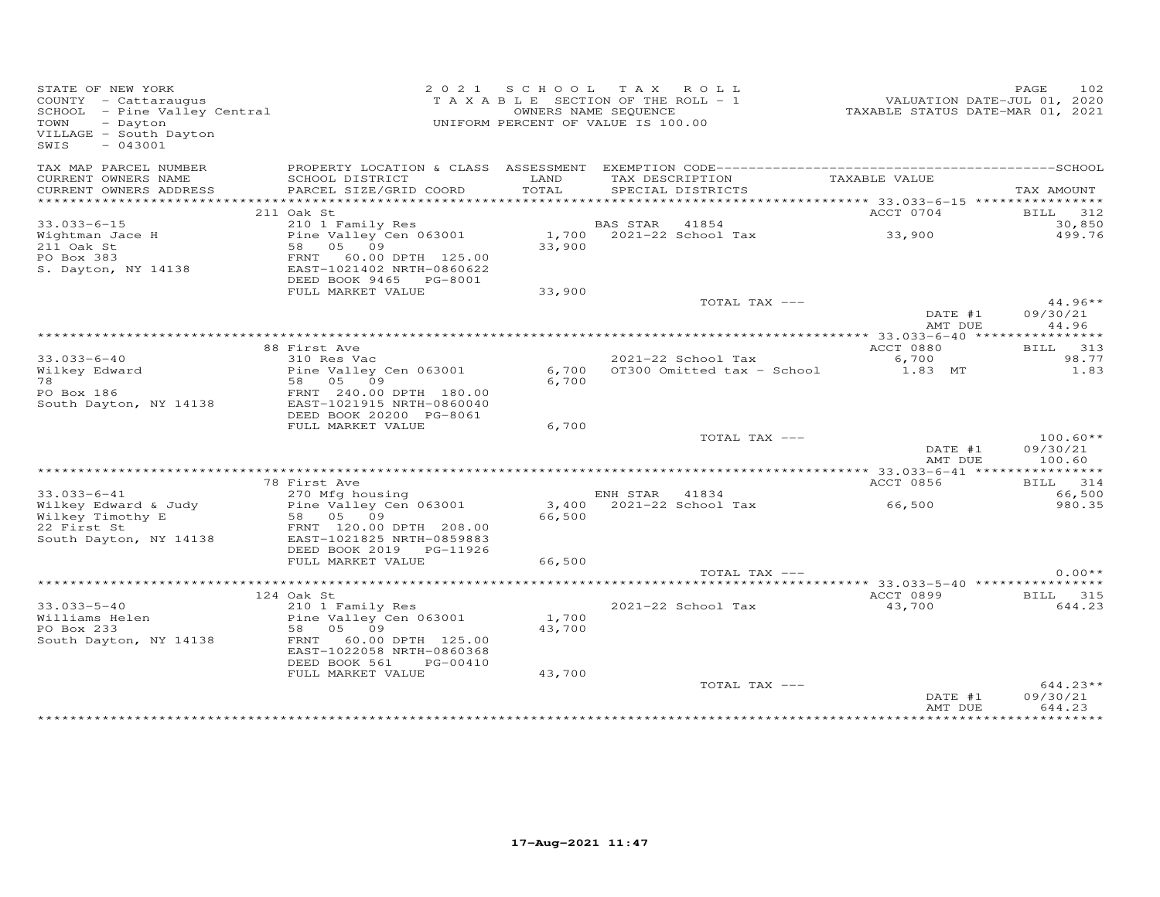| STATE OF NEW YORK<br>COUNTY - Cattaraugus<br>COUNTY – Cattaraugus<br>SCHOOL – Pine Valley Central<br>TOWN – Davton<br>TOWN<br>- Dayton<br>VILLAGE - South Dayton<br>$-043001$<br>SWIS |                                                                                                                                            |                 | 2021 SCHOOL TAX ROLL<br>TAXABLE SECTION OF THE ROLL - 1<br>OWNERS NAME SEQUENCE<br>UNIFORM PERCENT OF VALUE IS 100.00 | VALUATION DATE-JUL 01, 2020<br>TAXABLE STATUS DATE-MAR 01, 2021 | 102<br>PAGE                      |
|---------------------------------------------------------------------------------------------------------------------------------------------------------------------------------------|--------------------------------------------------------------------------------------------------------------------------------------------|-----------------|-----------------------------------------------------------------------------------------------------------------------|-----------------------------------------------------------------|----------------------------------|
| TAX MAP PARCEL NUMBER<br>CURRENT OWNERS NAME<br>CURRENT OWNERS ADDRESS                                                                                                                | SCHOOL DISTRICT<br>PARCEL SIZE/GRID COORD                                                                                                  | LAND<br>TOTAL   | TAX DESCRIPTION<br>SPECIAL DISTRICTS                                                                                  | TAXABLE VALUE                                                   | TAX AMOUNT                       |
|                                                                                                                                                                                       |                                                                                                                                            |                 |                                                                                                                       |                                                                 |                                  |
|                                                                                                                                                                                       | 211 Oak St                                                                                                                                 |                 |                                                                                                                       | ACCT 0704                                                       | BILL 312                         |
| $33.033 - 6 - 15$                                                                                                                                                                     | 210 1 Family Res                                                                                                                           |                 | BAS STAR 41854                                                                                                        |                                                                 | 30,850                           |
| Wightman Jace H<br>211 Oak St<br>PO Box 383<br>S. Dayton, NY 14138                                                                                                                    | Pine Valley Cen 063001<br>58 05 09<br>FRNT 60.00 DPTH 125.00<br>EAST-1021402 NRTH-0860622                                                  | 33,900          | 1,700 2021-22 School Tax                                                                                              | 33,900                                                          | 499.76                           |
|                                                                                                                                                                                       | DEED BOOK 9465 PG-8001                                                                                                                     |                 |                                                                                                                       |                                                                 |                                  |
|                                                                                                                                                                                       | FULL MARKET VALUE                                                                                                                          | 33,900          |                                                                                                                       |                                                                 |                                  |
|                                                                                                                                                                                       |                                                                                                                                            |                 | TOTAL TAX ---                                                                                                         | DATE #1<br>AMT DUE                                              | $44.96**$<br>09/30/21<br>44.96   |
|                                                                                                                                                                                       |                                                                                                                                            |                 |                                                                                                                       |                                                                 |                                  |
|                                                                                                                                                                                       | 88 First Ave                                                                                                                               |                 |                                                                                                                       | ACCT 0880                                                       | BILL 313                         |
| $33.033 - 6 - 40$<br>Wilkey Edward<br>78                                                                                                                                              | 310 Res Vac<br>Pine Valley Cen 063001<br>58 05 09                                                                                          | 6,700<br>6,700  | 2021-22 School Tax<br>OT300 Omitted tax - School                                                                      | 6,700<br>1.83 MT                                                | 98.77<br>1.83                    |
| PO Box 186<br>South Dayton, NY 14138                                                                                                                                                  | FRNT 240.00 DPTH 180.00<br>EAST-1021915 NRTH-0860040<br>DEED BOOK 20200 PG-8061                                                            |                 |                                                                                                                       |                                                                 |                                  |
|                                                                                                                                                                                       | FULL MARKET VALUE                                                                                                                          | 6,700           |                                                                                                                       |                                                                 |                                  |
|                                                                                                                                                                                       |                                                                                                                                            |                 | TOTAL TAX ---                                                                                                         | DATE #1<br>AMT DUE                                              | $100.60**$<br>09/30/21<br>100.60 |
|                                                                                                                                                                                       |                                                                                                                                            |                 |                                                                                                                       |                                                                 |                                  |
|                                                                                                                                                                                       | 78 First Ave                                                                                                                               |                 |                                                                                                                       | ACCT 0856                                                       | BILL 314                         |
| $33.033 - 6 - 41$<br>Wilkey Edward & Judy<br>Wilkey Timothy E<br>22 First St<br>South Dayton, NY 14138                                                                                | 270 Mfg housing<br>Pine Valley Cen 063001<br>58 05 09<br>FRNT 120.00 DPTH 208.00<br>EAST-1021825 NRTH-0859883                              | 66,500          | ENH STAR 41834<br>3,400 2021-22 School Tax                                                                            | 66,500                                                          | 66,500<br>980.35                 |
|                                                                                                                                                                                       | DEED BOOK 2019 PG-11926<br>FULL MARKET VALUE                                                                                               | 66,500          |                                                                                                                       |                                                                 |                                  |
|                                                                                                                                                                                       |                                                                                                                                            |                 | TOTAL TAX ---                                                                                                         |                                                                 | $0.00**$                         |
|                                                                                                                                                                                       | 124 Oak St                                                                                                                                 |                 |                                                                                                                       | ACCT 0899                                                       | BILL 315                         |
| $33.033 - 5 - 40$<br>$33.033 - 5 - 40$<br>Williams Helen<br>PO Box 233<br>South Dayton, NY 14138                                                                                      | 210 1 Family Res<br>Pine Valley Cen 063001<br>58 05 09<br>FRNT 60.00 DPTH 125.00<br>EAST-1022058 NRTH-0860368<br>DEED BOOK 561<br>PG-00410 | 1,700<br>43,700 | 2021-22 School Tax                                                                                                    | 43,700                                                          | 644.23                           |
|                                                                                                                                                                                       | FULL MARKET VALUE                                                                                                                          | 43,700          | TOTAL TAX ---                                                                                                         | DATE #1                                                         | $644.23**$<br>09/30/21           |
|                                                                                                                                                                                       |                                                                                                                                            |                 |                                                                                                                       | AMT DUE                                                         | 644.23                           |
|                                                                                                                                                                                       |                                                                                                                                            |                 |                                                                                                                       |                                                                 |                                  |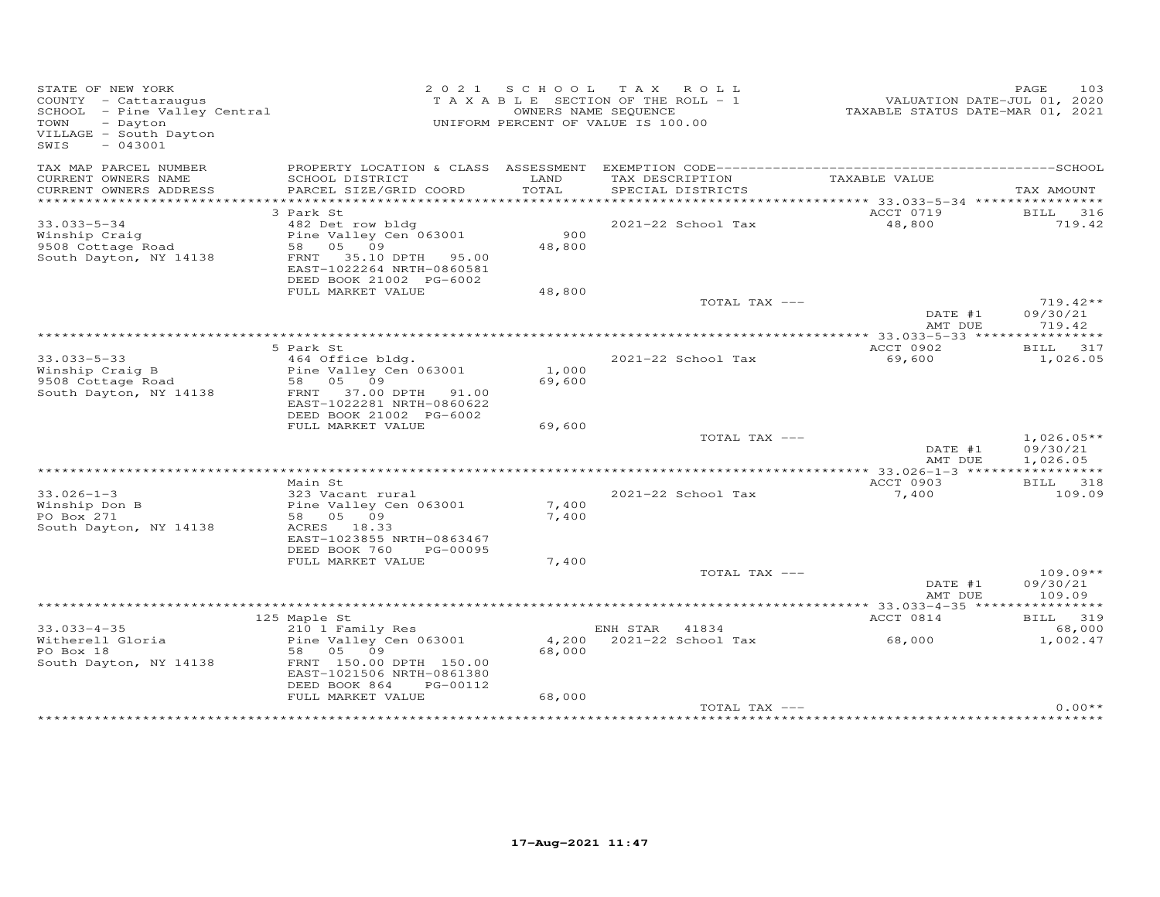| STATE OF NEW YORK<br>COUNTY - Cattaraugus<br>SCHOOL - Pine Valley Central<br>TOWN<br>- Dayton<br>VILLAGE - South Dayton<br>SWIS<br>$-043001$ |                                                |                 | 2021 SCHOOL TAX ROLL<br>T A X A B L E SECTION OF THE ROLL - 1<br>OWNERS NAME SEQUENCE<br>UNIFORM PERCENT OF VALUE IS 100.00 | VALUATION DATE-JUL 01, 2020<br>TAXABLE STATUS DATE-MAR 01, 2021 | 103<br>PAGE            |
|----------------------------------------------------------------------------------------------------------------------------------------------|------------------------------------------------|-----------------|-----------------------------------------------------------------------------------------------------------------------------|-----------------------------------------------------------------|------------------------|
| TAX MAP PARCEL NUMBER                                                                                                                        |                                                |                 |                                                                                                                             |                                                                 |                        |
| CURRENT OWNERS NAME<br>CURRENT OWNERS ADDRESS                                                                                                | SCHOOL DISTRICT<br>PARCEL SIZE/GRID COORD      | LAND<br>TOTAL   | TAX DESCRIPTION<br>SPECIAL DISTRICTS                                                                                        | TAXABLE VALUE                                                   | TAX AMOUNT             |
|                                                                                                                                              |                                                |                 |                                                                                                                             |                                                                 |                        |
|                                                                                                                                              | 3 Park St                                      |                 |                                                                                                                             | ACCT 0719                                                       | <b>BILL</b> 316        |
| $33.033 - 5 - 34$<br>Winship Craig                                                                                                           | 482 Det row bldg<br>Pine Valley Cen 063001     | 900             | 2021-22 School Tax                                                                                                          | 48,800                                                          | 719.42                 |
| 9508 Cottage Road                                                                                                                            | 58 05 09                                       | 48,800          |                                                                                                                             |                                                                 |                        |
| South Dayton, NY 14138                                                                                                                       | FRNT 35.10 DPTH 95.00                          |                 |                                                                                                                             |                                                                 |                        |
|                                                                                                                                              | EAST-1022264 NRTH-0860581                      |                 |                                                                                                                             |                                                                 |                        |
|                                                                                                                                              | DEED BOOK 21002 PG-6002                        |                 |                                                                                                                             |                                                                 |                        |
|                                                                                                                                              | FULL MARKET VALUE                              | 48,800          |                                                                                                                             |                                                                 |                        |
|                                                                                                                                              |                                                |                 | TOTAL TAX ---                                                                                                               | DATE #1                                                         | $719.42**$<br>09/30/21 |
|                                                                                                                                              |                                                |                 |                                                                                                                             | AMT DUE                                                         | 719.42                 |
|                                                                                                                                              |                                                |                 |                                                                                                                             |                                                                 |                        |
|                                                                                                                                              | 5 Park St                                      |                 |                                                                                                                             | ACCT 0902                                                       | BILL 317               |
| $33.033 - 5 - 33$                                                                                                                            | 464 Office bldg.                               |                 | 2021-22 School Tax                                                                                                          | 69,600                                                          | 1,026.05               |
| Winship Craig B                                                                                                                              | Pine Valley Cen 063001                         | 1,000           |                                                                                                                             |                                                                 |                        |
| 9508 Cottage Road<br>South Dayton, NY 14138                                                                                                  | 58 05 09<br>FRNT 37.00 DPTH 91.00              | 69,600          |                                                                                                                             |                                                                 |                        |
|                                                                                                                                              | EAST-1022281 NRTH-0860622                      |                 |                                                                                                                             |                                                                 |                        |
|                                                                                                                                              | DEED BOOK 21002 PG-6002                        |                 |                                                                                                                             |                                                                 |                        |
|                                                                                                                                              | FULL MARKET VALUE                              | 69,600          |                                                                                                                             |                                                                 |                        |
|                                                                                                                                              |                                                |                 | TOTAL TAX ---                                                                                                               |                                                                 | $1,026.05**$           |
|                                                                                                                                              |                                                |                 |                                                                                                                             | DATE #1                                                         | 09/30/21               |
|                                                                                                                                              |                                                |                 |                                                                                                                             | AMT DUE                                                         | 1,026.05               |
|                                                                                                                                              | Main St                                        |                 |                                                                                                                             | ************** 33.026-1-3 ******************<br>ACCT 0903       | BILL 318               |
| $33.026 - 1 - 3$                                                                                                                             | 323 Vacant rural                               |                 | 2021-22 School Tax                                                                                                          | 7,400                                                           | 109.09                 |
| Winship Don B                                                                                                                                | Pine Valley Cen 063001                         | 7,400           |                                                                                                                             |                                                                 |                        |
| PO Box 271                                                                                                                                   | 58 05 09                                       | 7,400           |                                                                                                                             |                                                                 |                        |
| South Dayton, NY 14138                                                                                                                       | ACRES 18.33                                    |                 |                                                                                                                             |                                                                 |                        |
|                                                                                                                                              | EAST-1023855 NRTH-0863467                      |                 |                                                                                                                             |                                                                 |                        |
|                                                                                                                                              | DEED BOOK 760<br>PG-00095<br>FULL MARKET VALUE | 7,400           |                                                                                                                             |                                                                 |                        |
|                                                                                                                                              |                                                |                 | TOTAL TAX ---                                                                                                               |                                                                 | $109.09**$             |
|                                                                                                                                              |                                                |                 |                                                                                                                             | DATE #1                                                         | 09/30/21               |
|                                                                                                                                              |                                                |                 |                                                                                                                             | AMT DUE                                                         | 109.09                 |
|                                                                                                                                              |                                                |                 |                                                                                                                             |                                                                 |                        |
|                                                                                                                                              | 125 Maple St                                   |                 |                                                                                                                             | ACCT 0814                                                       | BILL 319               |
| $33.033 - 4 - 35$                                                                                                                            | 210 1 Family Res                               |                 | ENH STAR 41834                                                                                                              |                                                                 | 68,000                 |
| Witherell Gloria<br>PO Box 18                                                                                                                | Pine Valley Cen 063001<br>58 05 09             | 4,200<br>68,000 | 2021-22 School Tax                                                                                                          | 68,000                                                          | 1,002.47               |
| South Dayton, NY 14138                                                                                                                       | FRNT 150.00 DPTH 150.00                        |                 |                                                                                                                             |                                                                 |                        |
|                                                                                                                                              | EAST-1021506 NRTH-0861380                      |                 |                                                                                                                             |                                                                 |                        |
|                                                                                                                                              | DEED BOOK 864<br>PG-00112                      |                 |                                                                                                                             |                                                                 |                        |
|                                                                                                                                              | FULL MARKET VALUE                              | 68,000          |                                                                                                                             |                                                                 |                        |
|                                                                                                                                              |                                                |                 | TOTAL TAX ---                                                                                                               |                                                                 | $0.00**$               |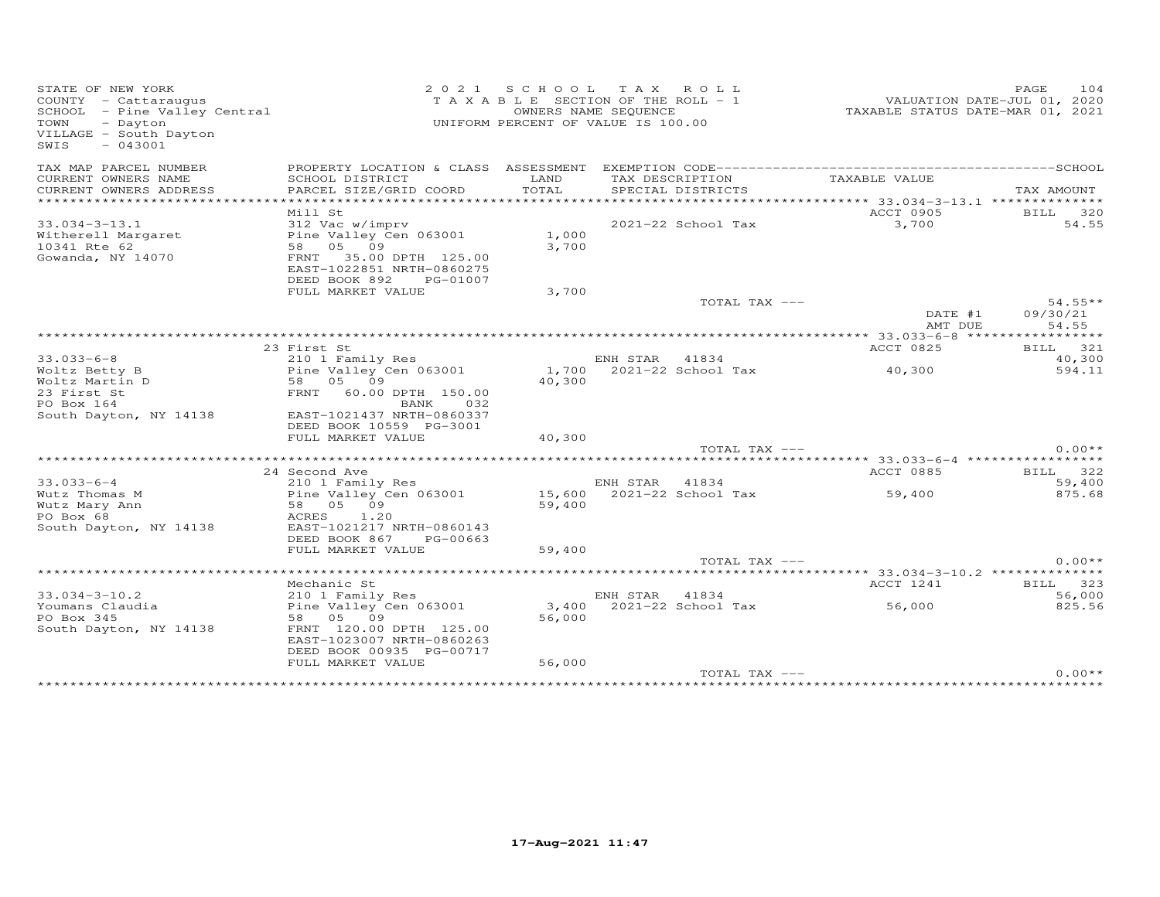| STATE OF NEW YORK<br>COUNTY - Cattaraugus<br>SCHOOL - Pine Valley Central<br>TOWN<br>- Dayton<br>VILLAGE - South Dayton<br>$-043001$<br>SWIS |                                                                                                                 | 2021 SCHOOL TAX ROLL<br>T A X A B L E SECTION OF THE ROLL - 1<br>OWNERS NAME SEQUENCE<br>UNIFORM PERCENT OF VALUE IS 100.00 |                |                                      | TAXABLE STATUS DATE-MAR 01, 2021     | 104<br>PAGE<br>VALUATION DATE-JUL 01, 2020 |
|----------------------------------------------------------------------------------------------------------------------------------------------|-----------------------------------------------------------------------------------------------------------------|-----------------------------------------------------------------------------------------------------------------------------|----------------|--------------------------------------|--------------------------------------|--------------------------------------------|
| TAX MAP PARCEL NUMBER                                                                                                                        | PROPERTY LOCATION & CLASS ASSESSMENT                                                                            |                                                                                                                             |                |                                      |                                      |                                            |
| CURRENT OWNERS NAME<br>CURRENT OWNERS ADDRESS                                                                                                | SCHOOL DISTRICT<br>PARCEL SIZE/GRID COORD                                                                       | LAND<br>TOTAL                                                                                                               |                | TAX DESCRIPTION<br>SPECIAL DISTRICTS | TAXABLE VALUE                        | TAX AMOUNT                                 |
| **********************                                                                                                                       | ******************                                                                                              |                                                                                                                             |                |                                      |                                      |                                            |
|                                                                                                                                              | Mill St                                                                                                         |                                                                                                                             |                |                                      | ACCT 0905                            | BILL 320                                   |
| $33.034 - 3 - 13.1$<br>Witherell Margaret<br>10341 Rte 62<br>Gowanda, NY 14070                                                               | 312 Vac w/imprv<br>Pine Valley Cen 063001<br>58 05 09<br>FRNT<br>35.00 DPTH 125.00<br>EAST-1022851 NRTH-0860275 | 1,000<br>3,700                                                                                                              |                | 2021-22 School Tax                   | 3,700                                | 54.55                                      |
|                                                                                                                                              | DEED BOOK 892<br>PG-01007                                                                                       |                                                                                                                             |                |                                      |                                      |                                            |
|                                                                                                                                              | FULL MARKET VALUE                                                                                               | 3,700                                                                                                                       |                |                                      |                                      |                                            |
|                                                                                                                                              |                                                                                                                 |                                                                                                                             |                | TOTAL TAX ---                        |                                      | $54.55**$                                  |
|                                                                                                                                              |                                                                                                                 |                                                                                                                             |                |                                      | DATE #1<br>AMT DUE                   | 09/30/21<br>54.55                          |
|                                                                                                                                              | 23 First St                                                                                                     |                                                                                                                             |                |                                      | ACCT 0825                            | ***********<br>321<br>BILL                 |
| $33.033 - 6 - 8$                                                                                                                             | 210 1 Family Res                                                                                                |                                                                                                                             | ENH STAR 41834 |                                      |                                      | 40,300                                     |
| Woltz Betty B<br>Woltz Martin D                                                                                                              | Pine Valley Cen 063001<br>58 05 09                                                                              | 40,300                                                                                                                      |                | 1,700 2021-22 School Tax             | 40,300                               | 594.11                                     |
| 23 First St<br>PO Box 164                                                                                                                    | FRNT 60.00 DPTH 150.00<br>032<br>BANK                                                                           |                                                                                                                             |                |                                      |                                      |                                            |
| South Dayton, NY 14138                                                                                                                       | EAST-1021437 NRTH-0860337<br>DEED BOOK 10559 PG-3001<br>FULL MARKET VALUE                                       | 40,300                                                                                                                      |                |                                      |                                      |                                            |
|                                                                                                                                              |                                                                                                                 |                                                                                                                             |                | TOTAL TAX ---                        |                                      | $0.00**$                                   |
|                                                                                                                                              |                                                                                                                 |                                                                                                                             |                |                                      |                                      |                                            |
|                                                                                                                                              | 24 Second Ave                                                                                                   |                                                                                                                             |                |                                      | ACCT 0885                            | BILL 322                                   |
| $33.033 - 6 - 4$                                                                                                                             | 210 1 Family Res                                                                                                |                                                                                                                             | ENH STAR 41834 |                                      |                                      | 59,400                                     |
| Wutz Thomas M<br>Wutz Mary Ann                                                                                                               | Pine Valley Cen 063001<br>58 05 09                                                                              | 15,600<br>59,400                                                                                                            |                | 2021-22 School Tax                   | 59,400                               | 875.68                                     |
| PO Box 68<br>South Dayton, NY 14138                                                                                                          | 1.20<br>ACRES<br>EAST-1021217 NRTH-0860143<br>DEED BOOK 867<br>PG-00663                                         |                                                                                                                             |                |                                      |                                      |                                            |
|                                                                                                                                              | FULL MARKET VALUE                                                                                               | 59,400                                                                                                                      |                |                                      |                                      |                                            |
|                                                                                                                                              |                                                                                                                 |                                                                                                                             |                | TOTAL TAX ---                        |                                      | $0.00**$                                   |
|                                                                                                                                              |                                                                                                                 |                                                                                                                             |                |                                      | ******* 33.034-3-10.2 ************** |                                            |
|                                                                                                                                              | Mechanic St                                                                                                     |                                                                                                                             |                |                                      | ACCT 1241                            | BILL 323                                   |
| $33.034 - 3 - 10.2$                                                                                                                          | 210 1 Family Res                                                                                                |                                                                                                                             | ENH STAR 41834 |                                      |                                      | 56,000                                     |
| Youmans Claudia                                                                                                                              | Pine Valley Cen 063001                                                                                          |                                                                                                                             |                | 3,400 2021-22 School Tax             | 56,000                               | 825.56                                     |
| PO Box 345<br>South Dayton, NY 14138                                                                                                         | 58 05 09<br>FRNT 120.00 DPTH 125.00<br>EAST-1023007 NRTH-0860263<br>DEED BOOK 00935 PG-00717                    | 56,000                                                                                                                      |                |                                      |                                      |                                            |
|                                                                                                                                              | FULL MARKET VALUE                                                                                               | 56,000                                                                                                                      |                |                                      |                                      |                                            |
|                                                                                                                                              |                                                                                                                 |                                                                                                                             |                | TOTAL TAX ---                        |                                      | $0.00**$                                   |
|                                                                                                                                              |                                                                                                                 |                                                                                                                             |                |                                      |                                      |                                            |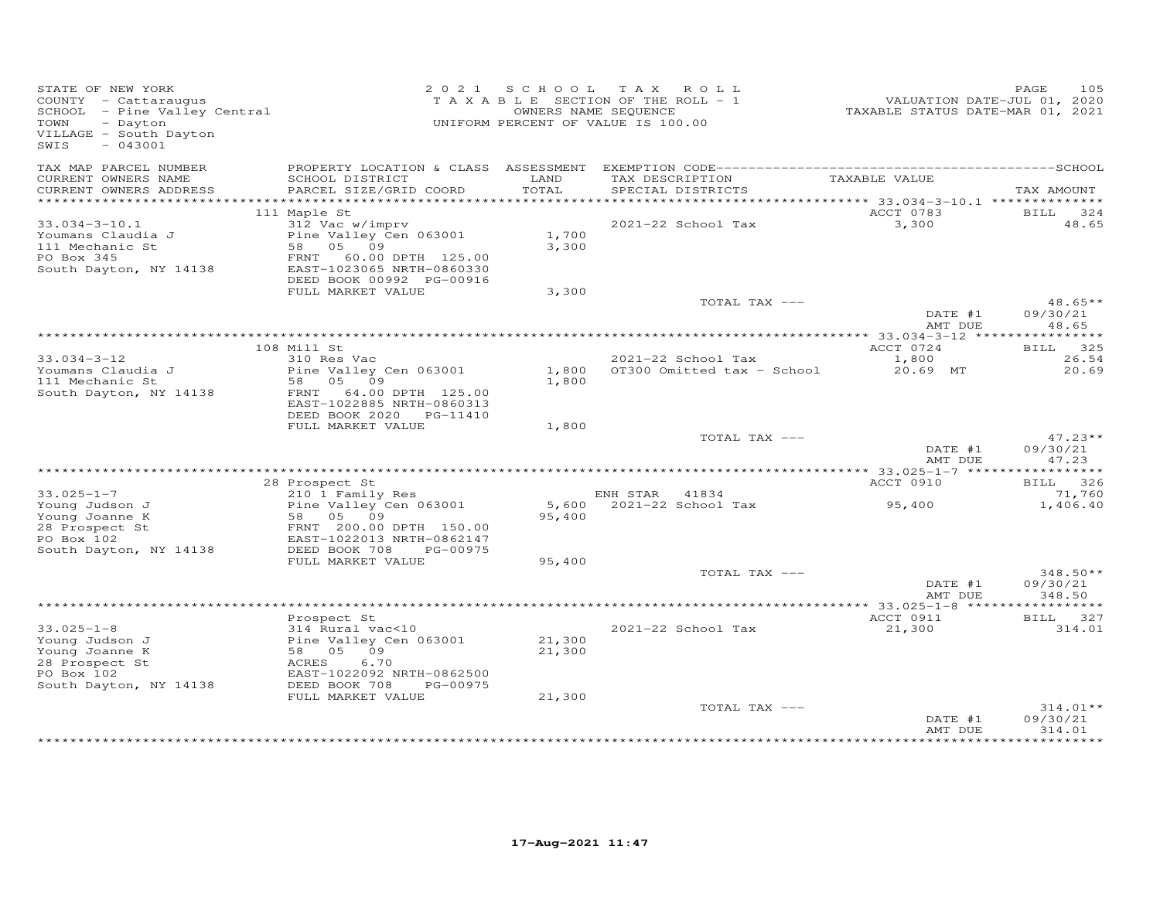| STATE OF NEW YORK<br>COUNTY - Cattaraugus<br>SCHOOL - Pine Valley Central<br>TOWN<br>- Dayton<br>VILLAGE - South Dayton<br>$-043001$<br>SWIS |                                                                                                                                                                          | 2021 SCHOOL      | TAX ROLL<br>TAXABLE SECTION OF THE ROLL - 1<br>OWNERS NAME SEQUENCE<br>UNIFORM PERCENT OF VALUE IS 100.00 | VALUATION DATE-JUL 01, 2020<br>TAXABLE STATUS DATE-MAR 01, 2021 | 105<br>PAGE                      |
|----------------------------------------------------------------------------------------------------------------------------------------------|--------------------------------------------------------------------------------------------------------------------------------------------------------------------------|------------------|-----------------------------------------------------------------------------------------------------------|-----------------------------------------------------------------|----------------------------------|
| TAX MAP PARCEL NUMBER<br>CURRENT OWNERS NAME<br>CURRENT OWNERS ADDRESS                                                                       | SCHOOL DISTRICT<br>PARCEL SIZE/GRID COORD                                                                                                                                | LAND<br>TOTAL    | TAX DESCRIPTION<br>SPECIAL DISTRICTS                                                                      | TAXABLE VALUE                                                   | TAX AMOUNT                       |
|                                                                                                                                              |                                                                                                                                                                          |                  |                                                                                                           |                                                                 |                                  |
|                                                                                                                                              | 111 Maple St                                                                                                                                                             |                  |                                                                                                           | ACCT 0783                                                       | BILL 324                         |
| $33.034 - 3 - 10.1$<br>Youmans Claudia J<br>111 Mechanic St<br>PO Box 345<br>South Dayton, NY 14138                                          | 312 Vac w/imprv<br>Pine Valley Cen 063001<br>58 05 09<br>FRNT 60.00 DPTH 125.00<br>EAST-1023065 NRTH-0860330                                                             | 1,700<br>3,300   | 2021-22 School Tax                                                                                        | 3,300                                                           | 48.65                            |
|                                                                                                                                              | DEED BOOK 00992 PG-00916<br>FULL MARKET VALUE                                                                                                                            | 3,300            |                                                                                                           |                                                                 |                                  |
|                                                                                                                                              |                                                                                                                                                                          |                  | TOTAL TAX ---                                                                                             | DATE #1                                                         | $48.65**$<br>09/30/21            |
|                                                                                                                                              |                                                                                                                                                                          |                  |                                                                                                           | AMT DUE                                                         | 48.65                            |
|                                                                                                                                              |                                                                                                                                                                          |                  |                                                                                                           |                                                                 |                                  |
| $33.034 - 3 - 12$                                                                                                                            | 108 Mill St<br>310 Res Vac                                                                                                                                               |                  | $2021-22$ School Tax                                                                                      | ACCT 0724<br>1,800                                              | BILL 325<br>26.54                |
| Youmans Claudia J<br>111 Mechanic St<br>South Dayton, NY 14138                                                                               | Pine Valley Cen 063001<br>58 05 09<br>FRNT 64.00 DPTH 125.00<br>EAST-1022885 NRTH-0860313<br>DEED BOOK 2020 PG-11410                                                     | 1,800            | 1,800 OT300 Omitted tax - School                                                                          | 20.69 MT                                                        | 20.69                            |
|                                                                                                                                              | FULL MARKET VALUE                                                                                                                                                        | 1,800            |                                                                                                           |                                                                 |                                  |
|                                                                                                                                              |                                                                                                                                                                          |                  | TOTAL TAX ---                                                                                             | DATE #1<br>AMT DUE                                              | $47.23**$<br>09/30/21<br>47.23   |
|                                                                                                                                              |                                                                                                                                                                          |                  |                                                                                                           |                                                                 |                                  |
|                                                                                                                                              | 28 Prospect St                                                                                                                                                           |                  |                                                                                                           | ACCT 0910                                                       | BILL 326                         |
| $33.025 - 1 - 7$<br>Young Judson J<br>Young Joanne K<br>28 Prospect St<br>PO Box 102<br>South Dayton, NY 14138                               | 210 1 Family Res<br>Pine Valley Cen 063001<br>58 05 09<br>FRNT 200.00 DPTH 150.00<br>FAST-1022013 NRTH-0862147<br>EAST-1022013 NRTH-0862147<br>DEED BOOK 708<br>PG-00975 | 95,400           | ENH STAR 41834<br>5,600 2021-22 School Tax                                                                | 95,400                                                          | 71,760<br>1,406.40               |
|                                                                                                                                              | FULL MARKET VALUE                                                                                                                                                        | 95,400           |                                                                                                           |                                                                 |                                  |
|                                                                                                                                              |                                                                                                                                                                          |                  | TOTAL TAX ---                                                                                             | DATE #1<br>AMT DUE                                              | $348.50**$<br>09/30/21<br>348.50 |
|                                                                                                                                              |                                                                                                                                                                          |                  |                                                                                                           |                                                                 |                                  |
|                                                                                                                                              | Prospect St                                                                                                                                                              |                  |                                                                                                           | ACCT 0911                                                       | BILL 327                         |
| $33.025 - 1 - 8$<br>Young Judson J<br>Young Joanne K<br>28 Prospect St<br>PO Box 102                                                         | 314 Rural vac<10<br>Pine Valley Cen 063001<br>58 05 09<br>ACRES<br>6.70<br>EAST-1022092 NRTH-0862500                                                                     | 21,300<br>21,300 | 2021-22 School Tax                                                                                        | 21,300                                                          | 314.01                           |
| South Dayton, NY 14138                                                                                                                       | DEED BOOK 708<br>PG-00975<br>FULL MARKET VALUE                                                                                                                           | 21,300           |                                                                                                           |                                                                 |                                  |
|                                                                                                                                              |                                                                                                                                                                          |                  | TOTAL TAX ---                                                                                             | DATE #1                                                         | $314.01**$<br>09/30/21           |
|                                                                                                                                              |                                                                                                                                                                          |                  |                                                                                                           | AMT DUE                                                         | 314.01<br>* * * * * * * * *      |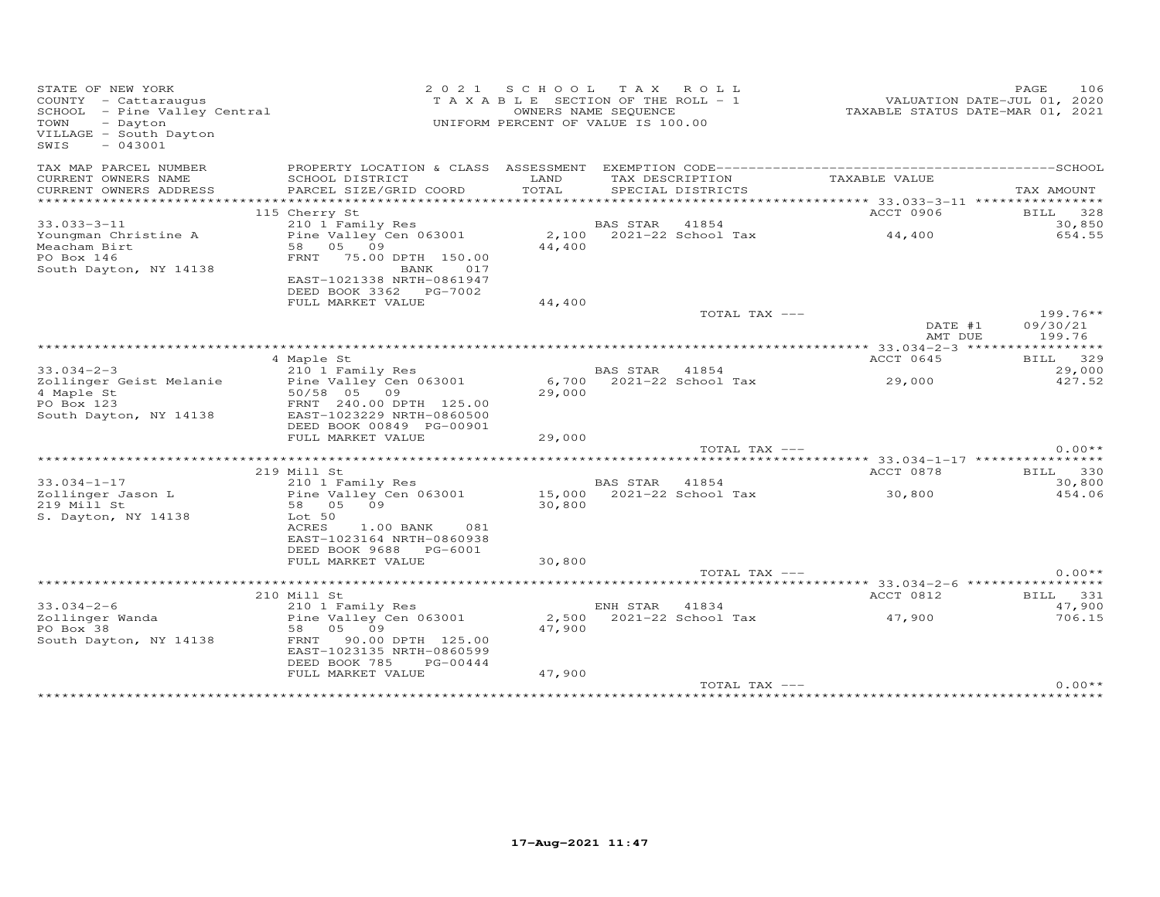| STATE OF NEW YORK<br>COUNTY - Cattaraugus<br>COUNTY - Cattaraugus<br>SCHOOL - Pine Valley Central<br>- Dayton<br>TOWN<br>VILLAGE - South Dayton<br>$-043001$<br>SWIS |                                                                                                                                                | 2021 SCHOOL TAX ROLL<br>T A X A B L E SECTION OF THE ROLL - 1<br>UNIFORM PERCENT OF VALUE IS 100.00 | OWNERS NAME SEQUENCE |                           | VALUATION DATE-JUL 01, 2020<br>TAXABLE STATUS DATE-MAR 01, 2021 | PAGE       | 106                |
|----------------------------------------------------------------------------------------------------------------------------------------------------------------------|------------------------------------------------------------------------------------------------------------------------------------------------|-----------------------------------------------------------------------------------------------------|----------------------|---------------------------|-----------------------------------------------------------------|------------|--------------------|
| TAX MAP PARCEL NUMBER<br>CURRENT OWNERS NAME                                                                                                                         | SCHOOL DISTRICT                                                                                                                                | LAND                                                                                                |                      | TAX DESCRIPTION           | TAXABLE VALUE                                                   |            |                    |
| CURRENT OWNERS ADDRESS                                                                                                                                               | PARCEL SIZE/GRID COORD                                                                                                                         | TOTAL                                                                                               |                      | SPECIAL DISTRICTS         |                                                                 | TAX AMOUNT |                    |
|                                                                                                                                                                      | 115 Cherry St                                                                                                                                  |                                                                                                     |                      |                           | ACCT 0906                                                       |            | BILL 328           |
| $33.033 - 3 - 11$                                                                                                                                                    | 210 1 Family Res                                                                                                                               |                                                                                                     | BAS STAR 41854       |                           |                                                                 |            | 30,850             |
| Youngman Christine A<br>Meacham Birt<br>PO Box 146<br>South Dayton, NY 14138                                                                                         | Pine Valley Cen 063001<br>58 05 09<br>FRNT 75.00 DPTH 150.00<br>BANK<br>017                                                                    | 44,400                                                                                              |                      |                           | 2,100 2021-22 School Tax 44,400                                 |            | 654.55             |
|                                                                                                                                                                      | EAST-1021338 NRTH-0861947<br>DEED BOOK 3362 PG-7002                                                                                            |                                                                                                     |                      |                           |                                                                 |            |                    |
|                                                                                                                                                                      | FULL MARKET VALUE                                                                                                                              | 44,400                                                                                              |                      |                           |                                                                 |            |                    |
|                                                                                                                                                                      |                                                                                                                                                |                                                                                                     |                      | TOTAL TAX ---             | DATE #1<br>AMT DUE                                              | 09/30/21   | 199.76**<br>199.76 |
|                                                                                                                                                                      |                                                                                                                                                |                                                                                                     |                      |                           |                                                                 |            |                    |
|                                                                                                                                                                      | 4 Maple St                                                                                                                                     |                                                                                                     |                      |                           | ACCT 0645                                                       |            | BILL 329           |
| $33.034 - 2 - 3$                                                                                                                                                     | 210 1 Family Res                                                                                                                               |                                                                                                     | BAS STAR 41854       |                           |                                                                 |            | 29,000             |
| Zollinger Geist Melanie<br>4 Maple St<br>PO Box 123<br>South Dayton, NY 14138                                                                                        | Pine Valley Cen 063001<br>50/58 05 09<br>FRNT 240.00 DPTH 125.00<br>EAST-1023229 NRTH-0860500<br>DEED BOOK 00849 PG-00901<br>FULL MARKET VALUE | 29,000<br>29,000                                                                                    |                      | 6,700 2021-22 School Tax  | 29,000                                                          |            | 427.52             |
|                                                                                                                                                                      |                                                                                                                                                |                                                                                                     |                      | TOTAL TAX ---             |                                                                 |            | $0.00**$           |
|                                                                                                                                                                      |                                                                                                                                                |                                                                                                     |                      |                           |                                                                 |            |                    |
|                                                                                                                                                                      | 219 Mill St                                                                                                                                    |                                                                                                     |                      |                           | ACCT 0878                                                       |            | BILL 330           |
| $33.034 - 1 - 17$                                                                                                                                                    | 210 1 Family Res                                                                                                                               |                                                                                                     | BAS STAR 41854       |                           |                                                                 |            | 30,800             |
| Zollinger Jason L<br>219 Mill St<br>S. Dayton, NY 14138                                                                                                              | Pine Valley Cen 063001<br>58 05 09<br>Lot 50<br>ACRES<br>$1.00$ BANK<br>081<br>EAST-1023164 NRTH-0860938<br>DEED BOOK 9688 PG-6001             | 30,800                                                                                              |                      | 15,000 2021-22 School Tax | 30,800                                                          |            | 454.06             |
|                                                                                                                                                                      | FULL MARKET VALUE                                                                                                                              | 30,800                                                                                              |                      |                           |                                                                 |            |                    |
|                                                                                                                                                                      |                                                                                                                                                |                                                                                                     |                      | TOTAL TAX ---             |                                                                 |            | $0.00**$           |
|                                                                                                                                                                      |                                                                                                                                                |                                                                                                     |                      |                           |                                                                 |            |                    |
| $33.034 - 2 - 6$                                                                                                                                                     | 210 Mill St<br>210 1 Family Res                                                                                                                |                                                                                                     | ENH STAR 41834       |                           | ACCT 0812                                                       |            | BILL 331<br>47,900 |
| Zollinger Wanda<br>PO Box 38                                                                                                                                         | Pine Valley Cen 063001<br>58 05 09                                                                                                             | 2,500<br>47,900                                                                                     |                      | 2021-22 School Tax        | 47,900                                                          |            | 706.15             |
| South Dayton, NY 14138                                                                                                                                               | FRNT 90.00 DPTH 125.00<br>EAST-1023135 NRTH-0860599<br>DEED BOOK 785<br>PG-00444                                                               |                                                                                                     |                      |                           |                                                                 |            |                    |
|                                                                                                                                                                      | FULL MARKET VALUE                                                                                                                              | 47,900                                                                                              |                      |                           |                                                                 |            |                    |
|                                                                                                                                                                      |                                                                                                                                                |                                                                                                     |                      | TOTAL TAX ---             |                                                                 |            | $0.00**$           |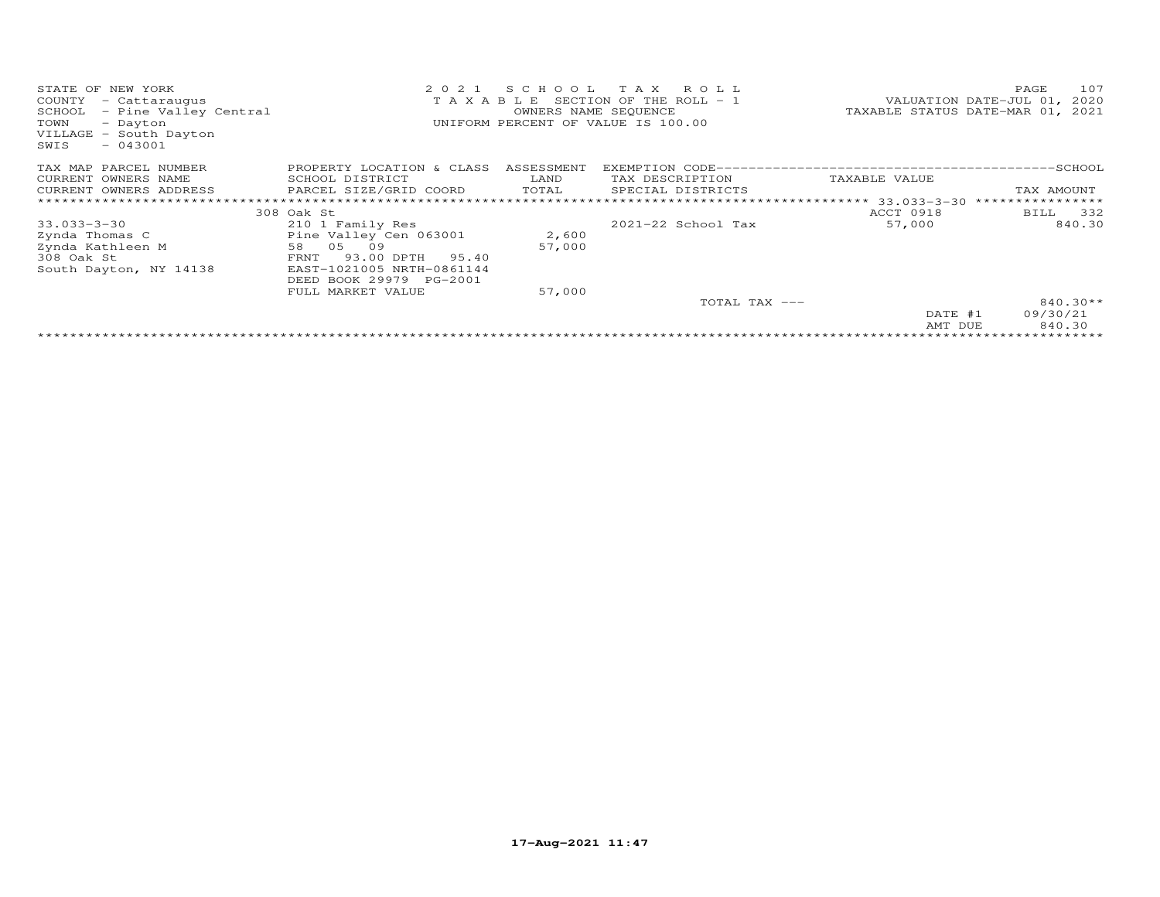| STATE OF NEW YORK<br>COUNTY<br>- Cattaraugus<br>SCHOOL<br>- Pine Valley Central<br>TOWN<br>- Dayton<br>VILLAGE - South Dayton<br>$-043001$<br>SWIS | 2021<br>TAXABLE             | SCHOOL<br>OWNERS NAME SEQUENCE | T A X<br>ROLL<br>SECTION OF THE ROLL $-1$<br>UNIFORM PERCENT OF VALUE IS 100.00 |               | 107<br>PAGE<br>VALUATION DATE-JUL 01,<br>2020<br>TAXABLE STATUS DATE-MAR 01, 2021 |
|----------------------------------------------------------------------------------------------------------------------------------------------------|-----------------------------|--------------------------------|---------------------------------------------------------------------------------|---------------|-----------------------------------------------------------------------------------|
| TAX MAP PARCEL NUMBER                                                                                                                              | PROPERTY LOCATION & CLASS   | ASSESSMENT                     |                                                                                 |               |                                                                                   |
| CURRENT OWNERS NAME                                                                                                                                | SCHOOL DISTRICT             | LAND                           | TAX DESCRIPTION                                                                 | TAXABLE VALUE |                                                                                   |
| CURRENT OWNERS ADDRESS                                                                                                                             | PARCEL SIZE/GRID COORD      | TOTAL                          | SPECIAL DISTRICTS                                                               |               | TAX AMOUNT                                                                        |
| **************************                                                                                                                         |                             |                                |                                                                                 |               | ****************                                                                  |
|                                                                                                                                                    | 308 Oak St                  |                                |                                                                                 | ACCT 0918     | 332<br>BILL                                                                       |
| $33.033 - 3 - 30$                                                                                                                                  | 210 1 Family Res            |                                | $2021 - 22$ School Tax                                                          | 57,000        | 840.30                                                                            |
| Zynda Thomas C                                                                                                                                     | Pine Valley Cen 063001      | 2,600                          |                                                                                 |               |                                                                                   |
| Zynda Kathleen M                                                                                                                                   | 05<br>58<br>09              | 57,000                         |                                                                                 |               |                                                                                   |
| 308 Oak St                                                                                                                                         | 93.00 DPTH<br>FRNT<br>95.40 |                                |                                                                                 |               |                                                                                   |
| South Dayton, NY 14138                                                                                                                             | EAST-1021005 NRTH-0861144   |                                |                                                                                 |               |                                                                                   |
|                                                                                                                                                    | DEED BOOK 29979 PG-2001     |                                |                                                                                 |               |                                                                                   |
|                                                                                                                                                    | FULL MARKET VALUE           | 57,000                         |                                                                                 |               |                                                                                   |
|                                                                                                                                                    |                             |                                | TOTAL TAX ---                                                                   |               | $840.30**$                                                                        |
|                                                                                                                                                    |                             |                                |                                                                                 | DATE #1       | 09/30/21                                                                          |
|                                                                                                                                                    |                             |                                |                                                                                 | AMT DUE       | 840.30                                                                            |
|                                                                                                                                                    |                             |                                |                                                                                 |               |                                                                                   |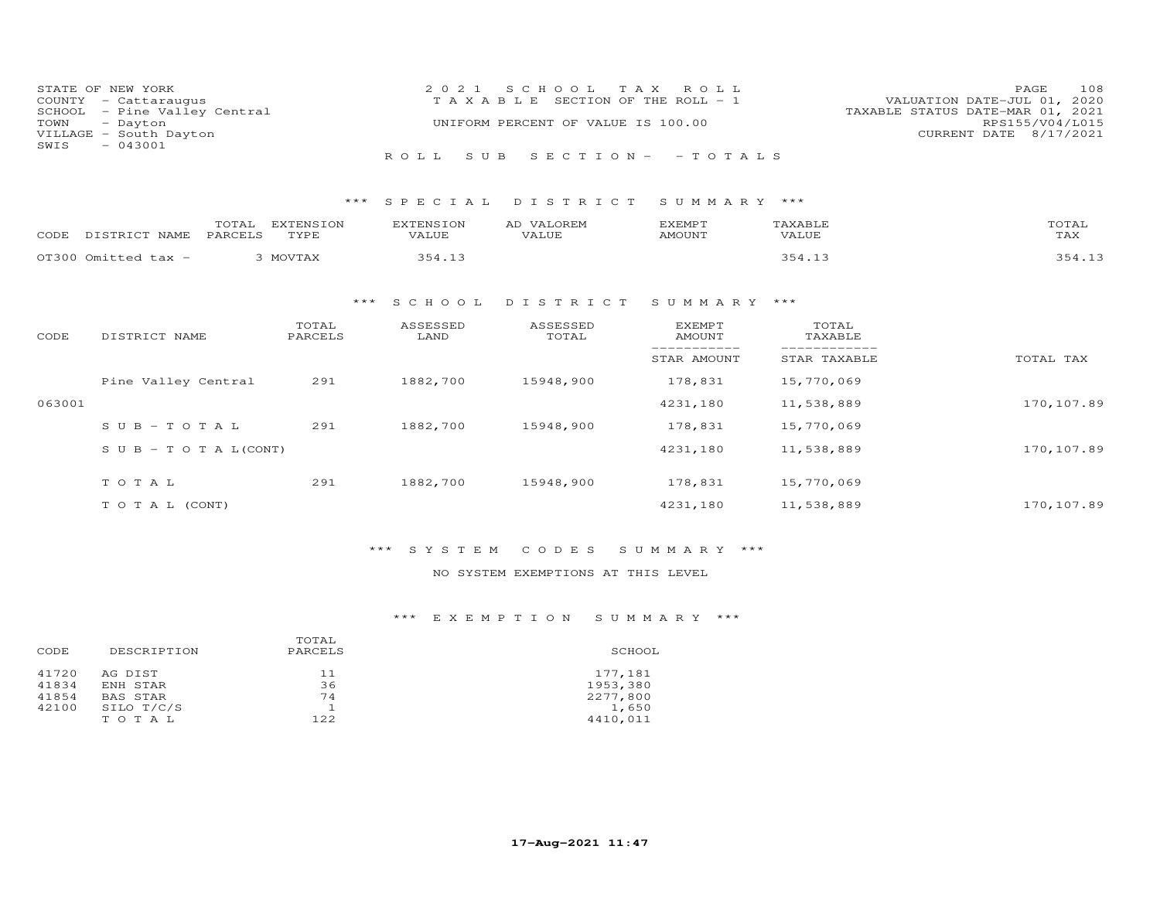| COUNTY<br>SCHOOL<br>TOWN<br>SWIS | STATE OF NEW YORK<br>- Cattaraugus<br>- Pine Valley Central<br>- Dayton<br>VILLAGE - South Dayton<br>$-043001$ |                          | 2 0 2 1<br>TAXABLE               | S C H O O L<br>UNIFORM PERCENT OF VALUE IS 100.00 | T A X<br>R O L L<br>SECTION OF THE ROLL - 1 |                              | PAGE<br>108<br>VALUATION DATE-JUL 01, 2020<br>TAXABLE STATUS DATE-MAR 01, 2021<br>RPS155/V04/L015<br>CURRENT DATE 8/17/2021 |
|----------------------------------|----------------------------------------------------------------------------------------------------------------|--------------------------|----------------------------------|---------------------------------------------------|---------------------------------------------|------------------------------|-----------------------------------------------------------------------------------------------------------------------------|
|                                  |                                                                                                                |                          | ROLL<br>S U B                    | SECTION-                                          | $-TOTALS$                                   |                              |                                                                                                                             |
|                                  |                                                                                                                | ***                      | SPECIAL                          | DISTRICT                                          | SUMMARY ***                                 |                              |                                                                                                                             |
| CODE                             | TOTAL<br>DISTRICT NAME<br>PARCELS                                                                              | <b>EXTENSION</b><br>TYPE | <b>EXTENSION</b><br><b>VALUE</b> | AD VALOREM<br><b>VALUE</b>                        | <b>EXEMPT</b><br><b>AMOUNT</b>              | TAXABLE<br><b>VALUE</b>      | TOTAL<br>TAX                                                                                                                |
|                                  | OT300 Omitted tax -                                                                                            | 3 MOVTAX                 | 354.13                           |                                                   |                                             | 354.13                       | 354.13                                                                                                                      |
|                                  |                                                                                                                | $***$                    | S C H O O L                      | DISTRICT                                          | SUMMARY ***                                 |                              |                                                                                                                             |
| CODE                             | DISTRICT NAME                                                                                                  | TOTAL<br>PARCELS         | ASSESSED<br>LAND                 | ASSESSED<br>TOTAL                                 | <b>EXEMPT</b><br><b>AMOUNT</b>              | TOTAL<br>TAXABLE             |                                                                                                                             |
|                                  |                                                                                                                |                          |                                  |                                                   | ___________<br>STAR AMOUNT                  | ------------<br>STAR TAXABLE | TOTAL TAX                                                                                                                   |
|                                  | Pine Valley Central                                                                                            | 291                      | 1882,700                         | 15948,900                                         | 178,831                                     | 15,770,069                   |                                                                                                                             |
| 063001                           |                                                                                                                |                          |                                  |                                                   | 4231,180                                    | 11,538,889                   | 170,107.89                                                                                                                  |
|                                  | $S \cup B - TO T A L$                                                                                          | 291                      | 1882,700                         | 15948,900                                         | 178,831                                     | 15,770,069                   |                                                                                                                             |
|                                  | $S \cup B - T \cup T A L (CONT)$                                                                               |                          |                                  |                                                   | 4231,180                                    | 11,538,889                   | 170,107.89                                                                                                                  |
|                                  | TO TAL                                                                                                         | 291                      | 1882,700                         | 15948,900                                         | 178,831                                     | 15,770,069                   |                                                                                                                             |
|                                  | TO TAL (CONT)                                                                                                  |                          |                                  |                                                   | 4231,180                                    | 11,538,889                   | 170,107.89                                                                                                                  |

## \*\*\* S Y S T E M C O D E S S U M M A R Y \*\*\*

## NO SYSTEM EXEMPTIONS AT THIS LEVEL

## \*\*\* E X E M P T I O N S U M M A R Y \*\*\*

| CODE                             | DESCRIPTION                                            | TOTAL<br>PARCELS      | SCHOOL                                               |
|----------------------------------|--------------------------------------------------------|-----------------------|------------------------------------------------------|
| 41720<br>41834<br>41854<br>42100 | AG DIST<br>ENH STAR<br>BAS STAR<br>SILO T/C/S<br>TOTAL | 11<br>36<br>74<br>122 | 177,181<br>1953,380<br>2277,800<br>1,650<br>4410,011 |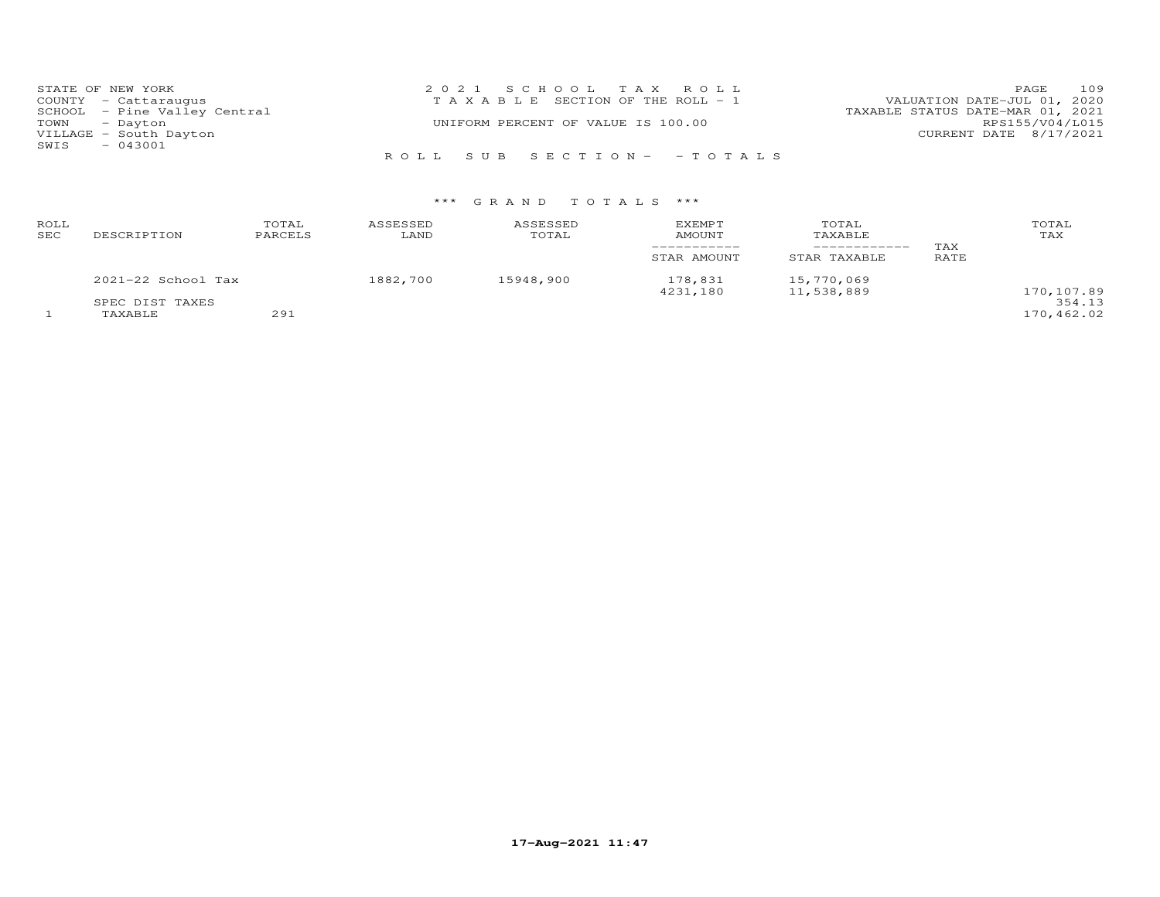| STATE OF NEW YORK            | 2021 SCHOOL TAX ROLL                  | 109<br><b>PAGE</b>               |
|------------------------------|---------------------------------------|----------------------------------|
| COUNTY - Cattaraugus         | T A X A B L E SECTION OF THE ROLL - 1 | VALUATION DATE-JUL 01, 2020      |
| SCHOOL - Pine Valley Central |                                       | TAXABLE STATUS DATE-MAR 01, 2021 |
| TOWN - Dayton                | UNIFORM PERCENT OF VALUE IS 100.00    | RPS155/V04/L015                  |
| VILLAGE - South Dayton       |                                       | CURRENT DATE 8/17/2021           |
| $-043001$<br>SWIS            |                                       |                                  |
|                              | ROLL SUB SECTION- - TOTALS            |                                  |

| ROLL<br>SEC | DESCRIPTION            | TOTAL<br>PARCELS | ASSESSED<br>LAND | ASSESSED<br>TOTAL | EXEMPT<br>AMOUNT    | TOTAL<br>TAXABLE         | TAX  | TOTAL<br>TAX |
|-------------|------------------------|------------------|------------------|-------------------|---------------------|--------------------------|------|--------------|
|             |                        |                  |                  |                   | STAR AMOUNT         | STAR TAXABLE             | RATE |              |
|             | $2021 - 22$ School Tax |                  | 1882,700         | 15948,900         | 178,831<br>4231,180 | 15,770,069<br>11,538,889 |      | 170,107.89   |
|             | SPEC DIST TAXES        |                  |                  |                   |                     |                          |      | 354.13       |
|             | TAXABLE                | 291              |                  |                   |                     |                          |      | 170,462.02   |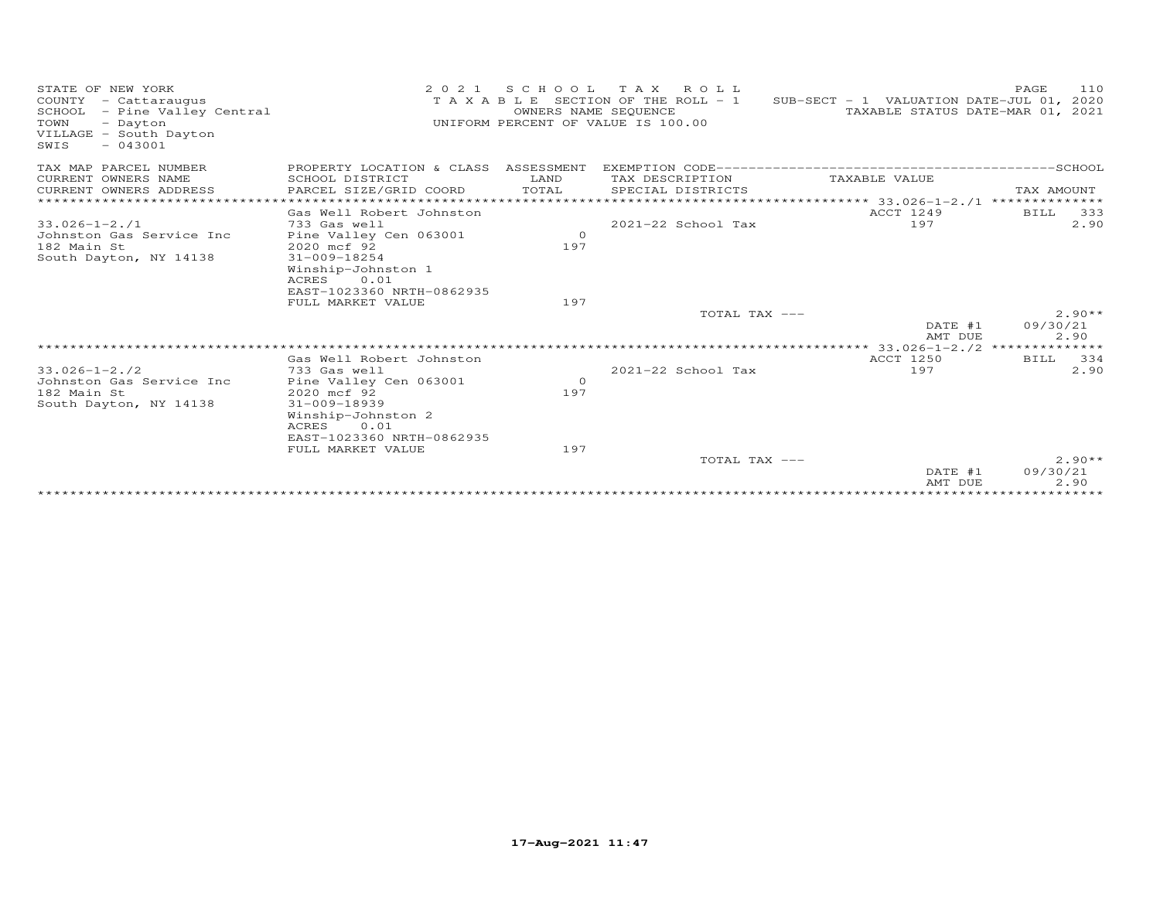| STATE OF NEW YORK<br>COUNTY - Cattaraugus<br>- Pine Valley Central<br>SCHOOL<br>TOWN<br>- Dayton<br>VILLAGE - South Dayton<br>$-043001$<br>SWIS | 2 0 2 1                                                                                                                                         | S C H O O L<br>OWNERS NAME SEQUENCE | T A X<br>ROLL<br>TAXABLE SECTION OF THE ROLL - 1<br>UNIFORM PERCENT OF VALUE IS 100.00 | SUB-SECT - 1 VALUATION DATE-JUL 01, 2020<br>TAXABLE STATUS DATE-MAR 01, 2021 | 110<br>PAGE                  |
|-------------------------------------------------------------------------------------------------------------------------------------------------|-------------------------------------------------------------------------------------------------------------------------------------------------|-------------------------------------|----------------------------------------------------------------------------------------|------------------------------------------------------------------------------|------------------------------|
| TAX MAP PARCEL NUMBER<br>CURRENT OWNERS NAME                                                                                                    | PROPERTY LOCATION & CLASS ASSESSMENT<br>SCHOOL DISTRICT                                                                                         | LAND                                | TAX DESCRIPTION                                                                        | TAXABLE VALUE                                                                |                              |
| CURRENT OWNERS ADDRESS<br>*************************                                                                                             | PARCEL SIZE/GRID COORD                                                                                                                          | TOTAL                               | SPECIAL DISTRICTS                                                                      |                                                                              | TAX AMOUNT                   |
|                                                                                                                                                 | Gas Well Robert Johnston                                                                                                                        |                                     |                                                                                        | ACCT 1249                                                                    | BILL<br>333                  |
| $33.026 - 1 - 2.71$<br>Johnston Gas Service Inc<br>182 Main St<br>South Dayton, NY 14138                                                        | 733 Gas well<br>Pine Valley Cen 063001<br>2020 mcf 92<br>$31 - 009 - 18254$<br>Winship-Johnston 1<br>0.01<br>ACRES                              | $\circ$<br>197                      | 2021-22 School Tax                                                                     | 197                                                                          | 2.90                         |
|                                                                                                                                                 | EAST-1023360 NRTH-0862935<br>FULL MARKET VALUE                                                                                                  | 197                                 |                                                                                        |                                                                              |                              |
|                                                                                                                                                 |                                                                                                                                                 |                                     | TOTAL TAX ---                                                                          |                                                                              | $2.90**$                     |
|                                                                                                                                                 |                                                                                                                                                 |                                     |                                                                                        | DATE #1<br>AMT DUE                                                           | 09/30/21<br>2.90             |
|                                                                                                                                                 |                                                                                                                                                 |                                     |                                                                                        | **************** 33.026-1-2./2                                               | **************               |
|                                                                                                                                                 | Gas Well Robert Johnston                                                                                                                        |                                     |                                                                                        | ACCT 1250                                                                    | 334<br>BILL                  |
| $33.026 - 1 - 2.72$<br>Johnston Gas Service Inc<br>182 Main St<br>South Dayton, NY 14138                                                        | 733 Gas well<br>Pine Valley Cen 063001<br>2020 mcf 92<br>$31 - 009 - 18939$<br>Winship-Johnston 2<br>ACRES<br>0.01<br>EAST-1023360 NRTH-0862935 | $\circ$<br>197                      | 2021-22 School Tax                                                                     | 197                                                                          | 2.90                         |
|                                                                                                                                                 | FULL MARKET VALUE                                                                                                                               | 197                                 |                                                                                        |                                                                              |                              |
|                                                                                                                                                 |                                                                                                                                                 |                                     | TOTAL TAX ---                                                                          | DATE #1<br>AMT DUE                                                           | $2.90**$<br>09/30/21<br>2.90 |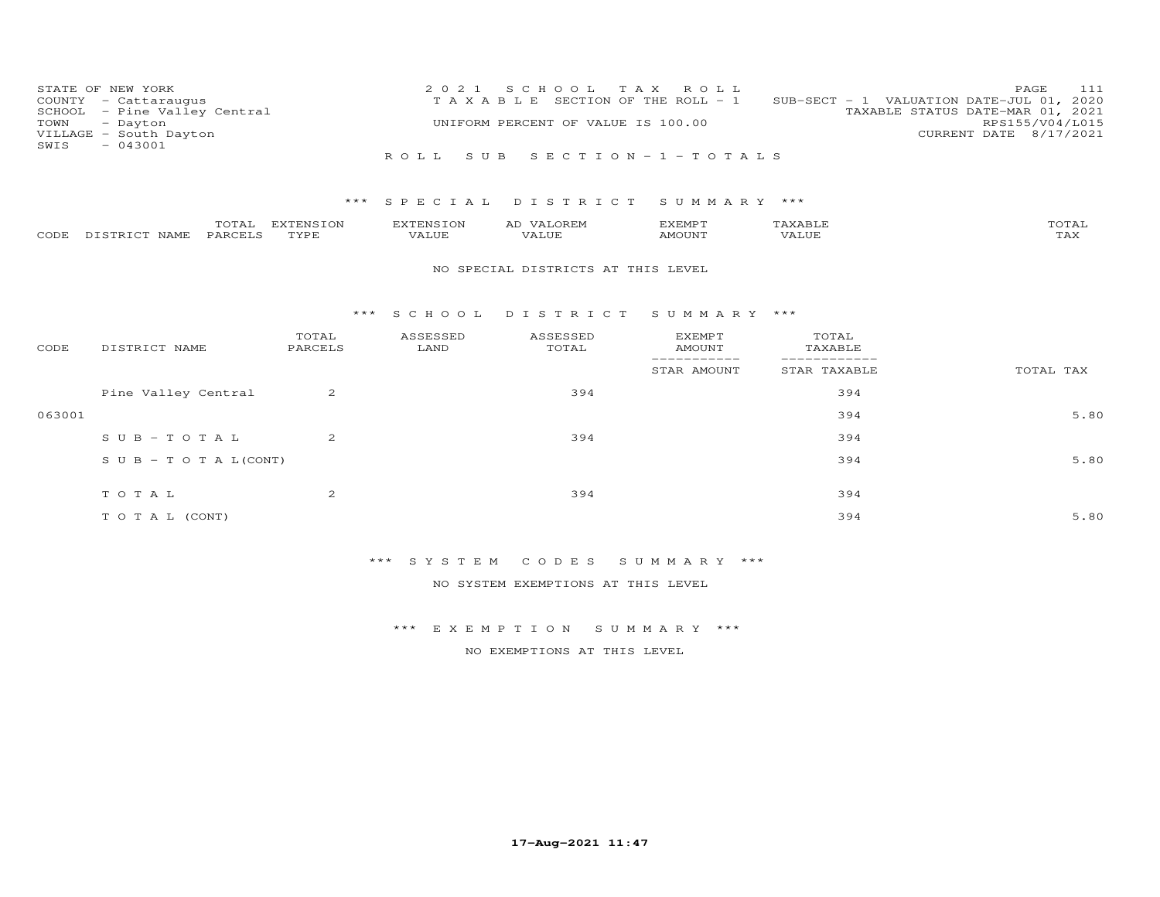| COUNTY<br>SCHOOL<br>TOWN<br>SWIS | STATE OF NEW YORK<br>- Cattaraugus<br>- Pine Valley Central<br>- Dayton<br>VILLAGE - South Dayton<br>$-043001$ |                  | 2 0 2 1<br>TAXABLE | S C H O O L<br>T A X<br>UNIFORM PERCENT OF VALUE IS 100.00 | ROLL<br>SECTION OF THE ROLL - 1              |                                 | 111<br>PAGE<br>SUB-SECT - 1 VALUATION DATE-JUL 01, 2020<br>TAXABLE STATUS DATE-MAR 01, 2021<br>RPS155/V04/L015<br>CURRENT DATE 8/17/2021 |
|----------------------------------|----------------------------------------------------------------------------------------------------------------|------------------|--------------------|------------------------------------------------------------|----------------------------------------------|---------------------------------|------------------------------------------------------------------------------------------------------------------------------------------|
|                                  |                                                                                                                |                  | ROLL.              | SUB SECTION-1-TOTALS                                       |                                              |                                 |                                                                                                                                          |
|                                  |                                                                                                                |                  |                    |                                                            |                                              |                                 |                                                                                                                                          |
|                                  |                                                                                                                | ***              | SPECIAL            | DISTRICT                                                   | SUMMARY ***                                  |                                 |                                                                                                                                          |
|                                  | TOTAL                                                                                                          | EXTENSION        | <b>EXTENSION</b>   | AD VALOREM                                                 | <b>EXEMPT</b>                                | TAXABLE                         | TOTAL                                                                                                                                    |
| CODE                             | DISTRICT NAME<br>PARCELS                                                                                       | TYPE             | VALUE              | VALUE                                                      | <b>AMOUNT</b>                                | VALUE                           | <b>TAX</b>                                                                                                                               |
|                                  |                                                                                                                |                  |                    | NO SPECIAL DISTRICTS AT THIS LEVEL                         |                                              |                                 |                                                                                                                                          |
|                                  |                                                                                                                |                  |                    |                                                            |                                              |                                 |                                                                                                                                          |
|                                  |                                                                                                                | $***$            | S C H O O L        | DISTRICT                                                   | SUMMARY ***                                  |                                 |                                                                                                                                          |
| CODE                             | DISTRICT NAME                                                                                                  | TOTAL<br>PARCELS | ASSESSED<br>LAND   | ASSESSED<br>TOTAL                                          | <b>EXEMPT</b><br><b>AMOUNT</b><br>---------- | TOTAL<br>TAXABLE<br>___________ |                                                                                                                                          |
|                                  |                                                                                                                |                  |                    |                                                            | STAR AMOUNT                                  | STAR TAXABLE                    | TOTAL TAX                                                                                                                                |
|                                  | Pine Valley Central                                                                                            | $\overline{2}$   |                    | 394                                                        |                                              | 394                             |                                                                                                                                          |
| 063001                           |                                                                                                                |                  |                    |                                                            |                                              | 394                             | 5.80                                                                                                                                     |
|                                  | $S \cup B - T \cup T A$                                                                                        | $\overline{2}$   |                    | 394                                                        |                                              | 394                             |                                                                                                                                          |
|                                  |                                                                                                                |                  |                    |                                                            |                                              |                                 |                                                                                                                                          |

| SUB-TOTAL(CONT)  |   |     | 394 | 5.80 |
|------------------|---|-----|-----|------|
| TOTAL            | ∼ | 394 | 394 |      |
| T O T A L (CONT) |   |     | 394 | 5.80 |

NO SYSTEM EXEMPTIONS AT THIS LEVEL

\*\*\* E X E M P T I O N S U M M A R Y \*\*\*

NO EXEMPTIONS AT THIS LEVEL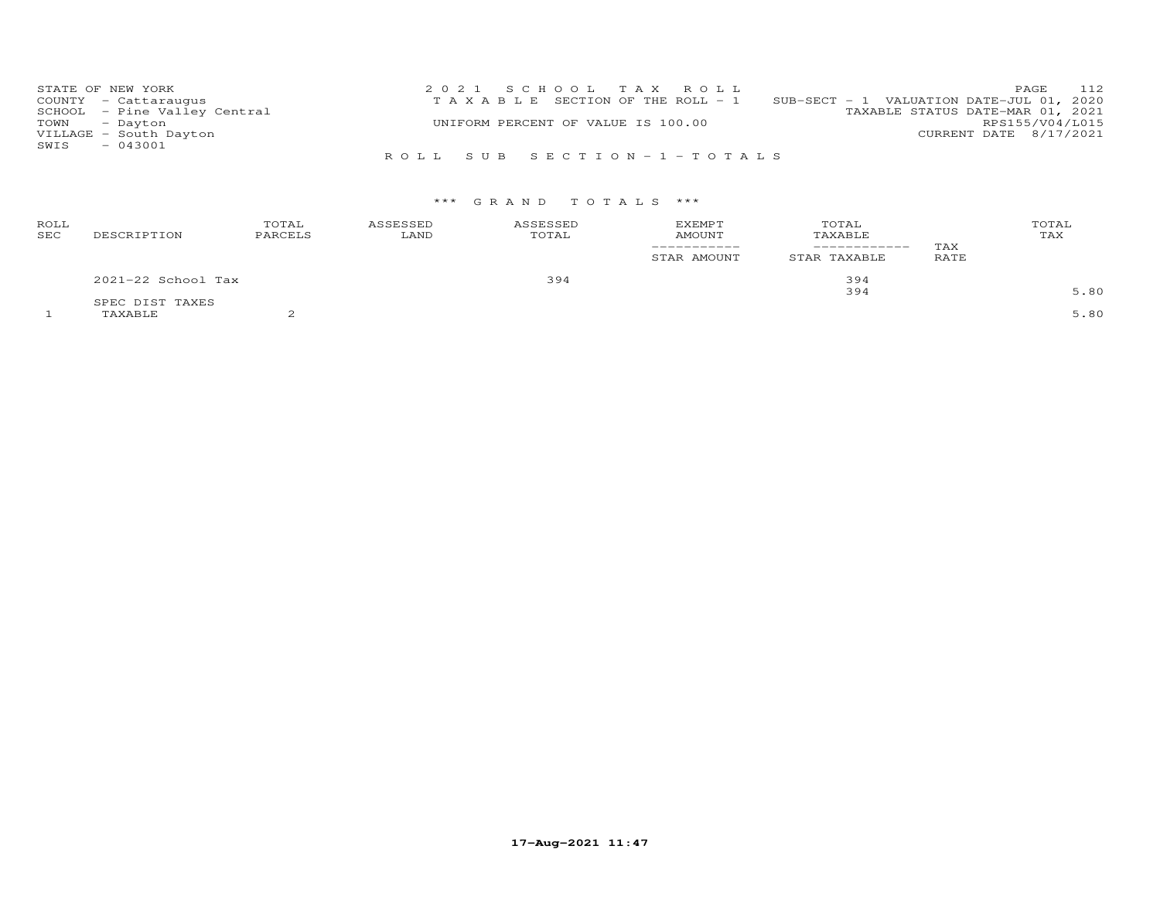| STATE OF NEW YORK |                              | 2021 SCHOOL TAX ROLL                  | 112<br>PAGE                              |
|-------------------|------------------------------|---------------------------------------|------------------------------------------|
|                   | COUNTY - Cattaraugus         | T A X A B L E SECTION OF THE ROLL - 1 | SUB-SECT - 1 VALUATION DATE-JUL 01, 2020 |
|                   | SCHOOL - Pine Valley Central |                                       | TAXABLE STATUS DATE-MAR 01, 2021         |
| TOWN - Dayton     |                              | UNIFORM PERCENT OF VALUE IS 100.00    | RPS155/V04/L015                          |
|                   | VILLAGE - South Dayton       |                                       | CURRENT DATE 8/17/2021                   |
| SWIS              | $-043001$                    |                                       |                                          |
|                   |                              | ROLL SUB SECTION-1-TOTALS             |                                          |

| ROLL<br>SEC | DESCRIPTION                | TOTAL<br>PARCELS | ASSESSED<br>LAND | ASSESSED<br>TOTAL | <b>EXEMPT</b><br><b>AMOUNT</b><br>STAR AMOUNT | TOTAL<br>TAXABLE<br>STAR TAXABLE | TAX<br>RATE | TOTAL<br>TAX |
|-------------|----------------------------|------------------|------------------|-------------------|-----------------------------------------------|----------------------------------|-------------|--------------|
|             | 2021-22 School Tax         |                  |                  | 394               |                                               | 394                              |             |              |
|             |                            |                  |                  |                   |                                               | 394                              |             | 5.80         |
|             | SPEC DIST TAXES<br>TAXABLE |                  |                  |                   |                                               |                                  |             | 5.80         |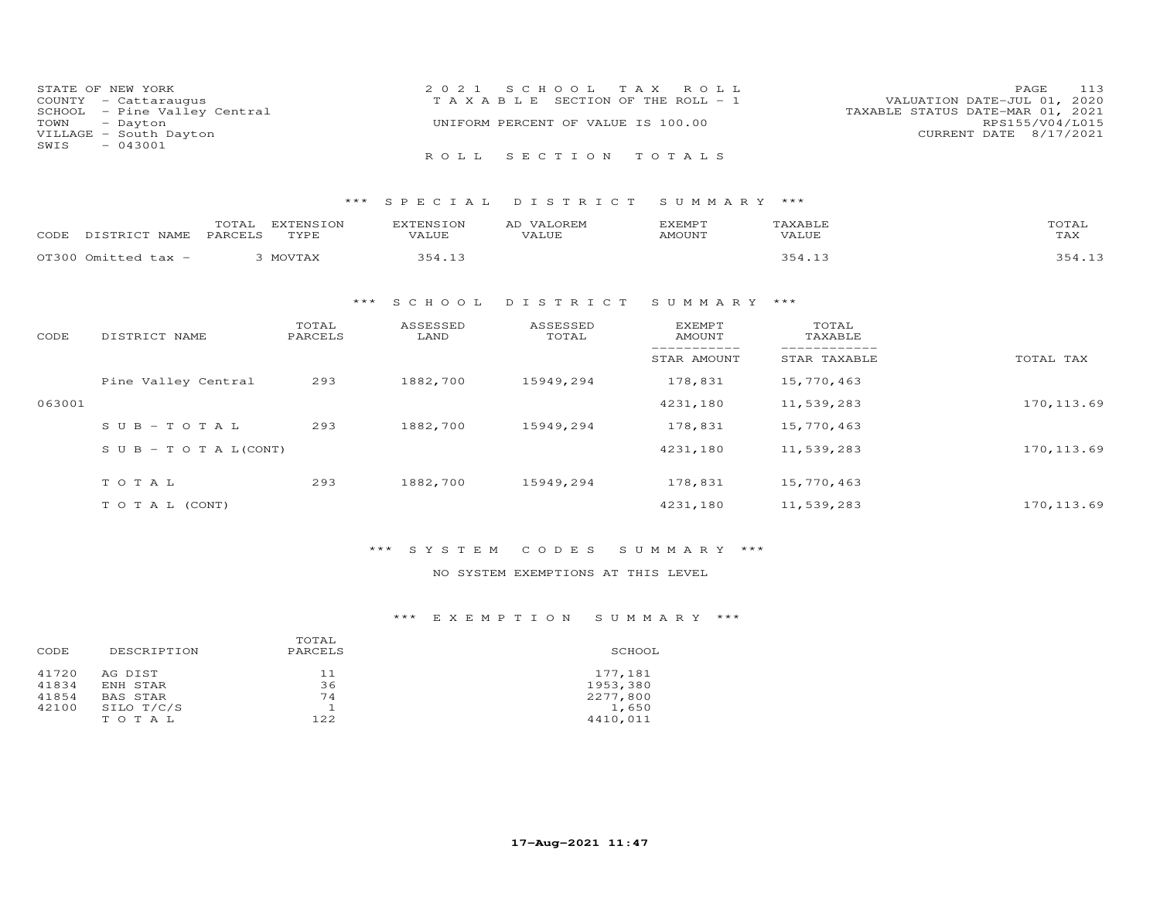|      | STATE OF NEW YORK            | 2021 SCHOOL TAX ROLL                  | PAGE 113                         |
|------|------------------------------|---------------------------------------|----------------------------------|
|      | COUNTY - Cattaraugus         | T A X A B L E SECTION OF THE ROLL - 1 | VALUATION DATE-JUL 01, 2020      |
|      | SCHOOL - Pine Valley Central |                                       | TAXABLE STATUS DATE-MAR 01, 2021 |
|      | TOWN - Dayton                | UNIFORM PERCENT OF VALUE IS 100.00    | RPS155/V04/L015                  |
|      | VILLAGE - South Dayton       |                                       | CURRENT DATE 8/17/2021           |
| SWIS | $-043001$                    |                                       |                                  |
|      |                              | ROLL SECTION TOTALS                   |                                  |

| CODE | DISTRICT NAME       | TOTAL<br><b>EXTENSION</b><br>TYPE<br>PARCELS | FYTFNSTON<br>VALUE | <b>VALOREM</b><br>VALUE | EXEMPT<br>AMOUNT | TAXABLE<br>VALUE | TOTAL<br>TAX |
|------|---------------------|----------------------------------------------|--------------------|-------------------------|------------------|------------------|--------------|
|      | OT300 Omitted tax - | MOVTAX                                       | ₹54                |                         |                  |                  |              |

## \*\*\* S C H O O L D I S T R I C T S U M M A R Y \*\*\*

| CODE   | DISTRICT NAME                    | TOTAL<br>PARCELS | ASSESSED<br>LAND | ASSESSED<br>TOTAL | <b>EXEMPT</b><br>AMOUNT | TOTAL<br>TAXABLE |             |
|--------|----------------------------------|------------------|------------------|-------------------|-------------------------|------------------|-------------|
|        |                                  |                  |                  |                   | STAR AMOUNT             | STAR TAXABLE     | TOTAL TAX   |
|        | Pine Valley Central              | 293              | 1882,700         | 15949,294         | 178,831                 | 15,770,463       |             |
| 063001 |                                  |                  |                  |                   | 4231,180                | 11,539,283       | 170, 113.69 |
|        | $SUB - TO T AL$                  | 293              | 1882,700         | 15949,294         | 178,831                 | 15,770,463       |             |
|        | $S \cup B - T \cup T A L (CONT)$ |                  |                  |                   | 4231,180                | 11,539,283       | 170, 113.69 |
|        | TOTAL                            | 293              | 1882,700         | 15949,294         | 178,831                 | 15,770,463       |             |
|        | T O T A L (CONT)                 |                  |                  |                   | 4231,180                | 11,539,283       | 170, 113.69 |

### \*\*\* S Y S T E M C O D E S S U M M A R Y \*\*\*

### NO SYSTEM EXEMPTIONS AT THIS LEVEL

### \*\*\* E X E M P T I O N S U M M A R Y \*\*\*

|                       | SCHOOL                                               |
|-----------------------|------------------------------------------------------|
| 11<br>36<br>74<br>122 | 177,181<br>1953,380<br>2277,800<br>1,650<br>4410.011 |
|                       | PARCELS                                              |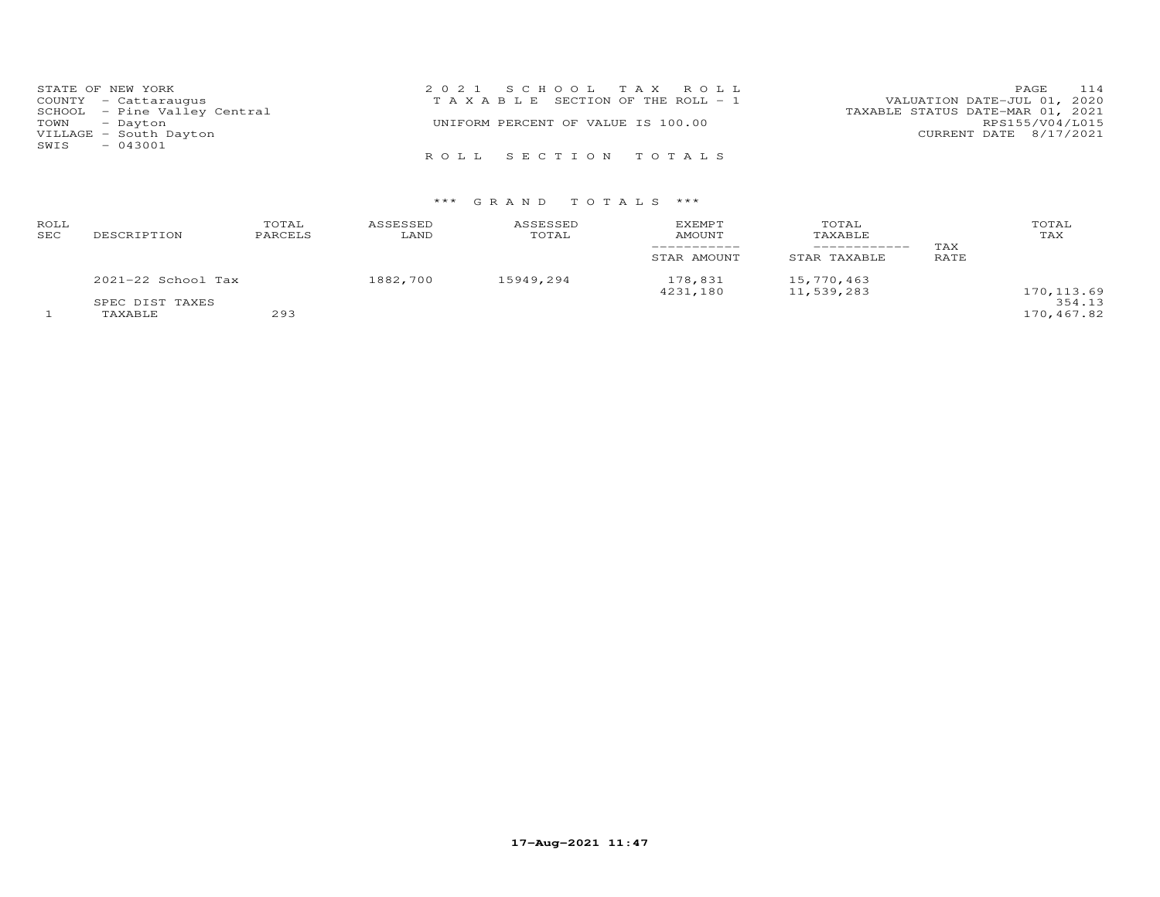| STATE OF NEW YORK            | 2021 SCHOOL TAX ROLL                  | PAGE 114                         |
|------------------------------|---------------------------------------|----------------------------------|
| COUNTY - Cattaraugus         | T A X A B L E SECTION OF THE ROLL - 1 | VALUATION DATE-JUL 01, 2020      |
| SCHOOL - Pine Valley Central |                                       | TAXABLE STATUS DATE-MAR 01, 2021 |
| TOWN - Dayton                | UNIFORM PERCENT OF VALUE IS 100.00    | RPS155/V04/L015                  |
| VILLAGE - South Dayton       |                                       | CURRENT DATE 8/17/2021           |
| $-043001$<br>SWIS            |                                       |                                  |
|                              | ROLL SECTION TOTALS                   |                                  |

| ROLL<br>SEC | DESCRIPTION            | TOTAL<br>PARCELS | ASSESSED<br>LAND | ASSESSED<br>TOTAL | <b>EXEMPT</b><br>AMOUNT<br>------------ | TOTAL<br>TAXABLE<br>------------ | TAX  | TOTAL<br>TAX          |
|-------------|------------------------|------------------|------------------|-------------------|-----------------------------------------|----------------------------------|------|-----------------------|
|             |                        |                  |                  |                   | STAR AMOUNT                             | STAR TAXABLE                     | RATE |                       |
|             | $2021 - 22$ School Tax |                  | 1882,700         | 15949,294         | 178,831<br>4231,180                     | 15,770,463<br>11,539,283         |      |                       |
|             | SPEC DIST TAXES        |                  |                  |                   |                                         |                                  |      | 170, 113.69<br>354.13 |
|             | TAXABLE                | 293              |                  |                   |                                         |                                  |      | 170,467.82            |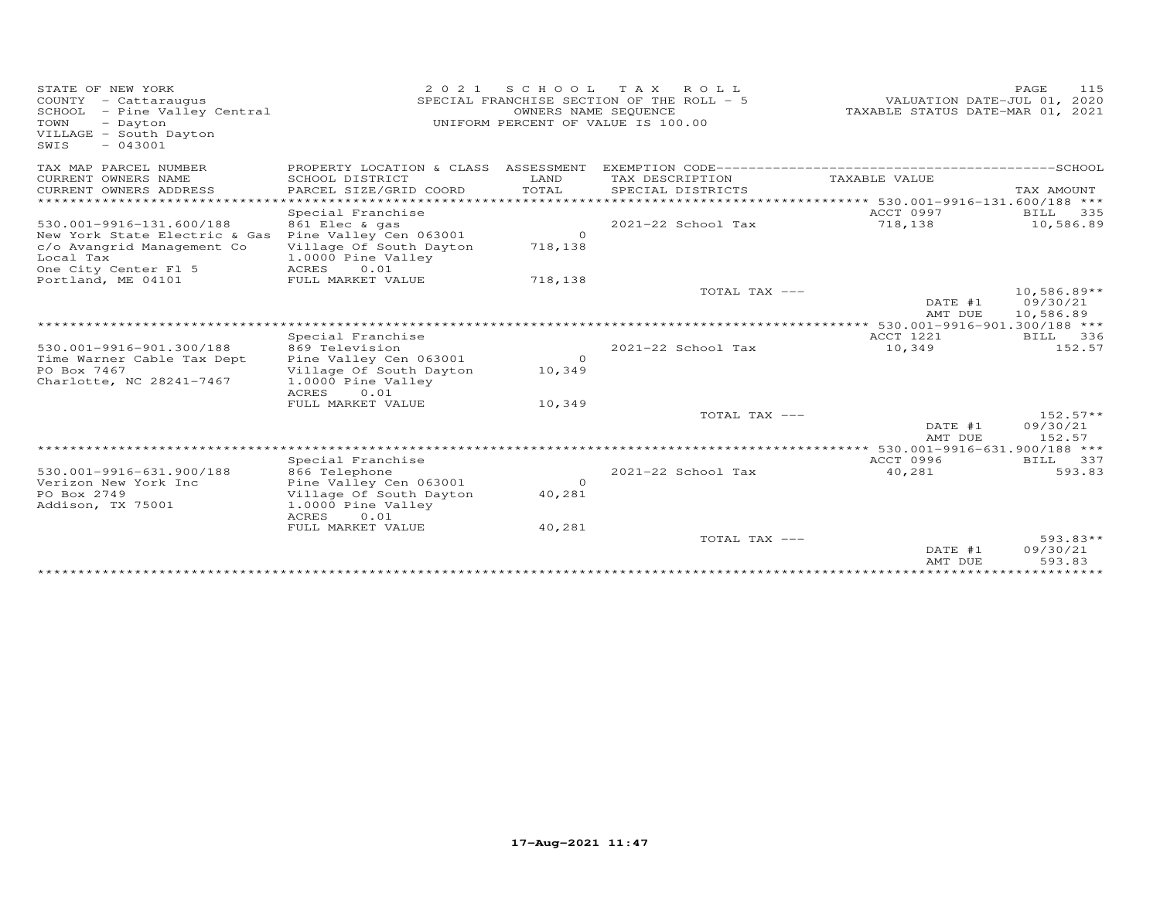| STATE OF NEW YORK<br>COUNTY - Cattaraugus<br>SCHOOL - Pine Valley Central<br>TOWN<br>- Dayton<br>VILLAGE - South Dayton<br>$-043001$<br>SWIS | 2021                                                                                                           |                          | SCHOOL TAX ROLL<br>SPECIAL FRANCHISE SECTION OF THE ROLL - 5<br>OWNERS NAME SEQUENCE<br>UNIFORM PERCENT OF VALUE IS 100.00 | VALUATION DATE-JUL 01, 2020<br>TAXABLE STATUS DATE-MAR 01, 2021 | PAGE<br>115                                     |
|----------------------------------------------------------------------------------------------------------------------------------------------|----------------------------------------------------------------------------------------------------------------|--------------------------|----------------------------------------------------------------------------------------------------------------------------|-----------------------------------------------------------------|-------------------------------------------------|
| TAX MAP PARCEL NUMBER                                                                                                                        | PROPERTY LOCATION & CLASS ASSESSMENT                                                                           |                          |                                                                                                                            |                                                                 |                                                 |
| CURRENT OWNERS NAME<br>CURRENT OWNERS ADDRESS                                                                                                | SCHOOL DISTRICT<br>PARCEL SIZE/GRID COORD                                                                      | LAND<br>TOTAL            | TAX DESCRIPTION<br>SPECIAL DISTRICTS                                                                                       | TAXABLE VALUE                                                   | TAX AMOUNT                                      |
| ********************                                                                                                                         |                                                                                                                |                          | ********************************* 530.001-9916-131.600/188 ***                                                             |                                                                 |                                                 |
| 530.001-9916-131.600/188<br>New York State Electric & Gas<br>c/o Avangrid Management Co<br>Local Tax                                         | Special Franchise<br>861 Elec & gas<br>Pine Valley Cen 063001<br>Village Of South Dayton<br>1.0000 Pine Valley | $\circ$<br>718,138       | 2021-22 School Tax                                                                                                         | ACCT 0997<br>718,138                                            | BILL<br>335<br>10,586.89                        |
| One City Center Fl 5<br>Portland, ME 04101                                                                                                   | ACRES<br>0.01<br>FULL MARKET VALUE                                                                             | 718,138                  |                                                                                                                            |                                                                 |                                                 |
|                                                                                                                                              |                                                                                                                |                          | TOTAL TAX ---                                                                                                              | DATE #1<br>AMT DUE                                              | $10,586.89**$<br>09/30/21<br>10,586.89          |
|                                                                                                                                              |                                                                                                                |                          |                                                                                                                            | ************** 530.001-9916-901.300/188 ***                     |                                                 |
| 530.001-9916-901.300/188                                                                                                                     | Special Franchise<br>869 Television                                                                            |                          | 2021-22 School Tax                                                                                                         | ACCT 1221<br>10,349                                             | BILL<br>336<br>152.57                           |
| Time Warner Cable Tax Dept<br>PO Box 7467<br>Charlotte, NC 28241-7467                                                                        | Pine Valley Cen 063001<br>Village Of South Dayton<br>1.0000 Pine Valley<br>ACRES<br>0.01                       | $\circ$<br>10,349        |                                                                                                                            |                                                                 |                                                 |
|                                                                                                                                              | FULL MARKET VALUE                                                                                              | 10,349                   |                                                                                                                            |                                                                 |                                                 |
|                                                                                                                                              |                                                                                                                |                          | TOTAL TAX ---                                                                                                              | DATE #1<br>AMT DUE                                              | $152.57**$<br>09/30/21<br>152.57                |
|                                                                                                                                              |                                                                                                                |                          |                                                                                                                            |                                                                 |                                                 |
| 530.001-9916-631.900/188<br>Verizon New York Inc<br>PO Box 2749<br>Addison, TX 75001                                                         | Special Franchise<br>866 Telephone<br>Pine Valley Cen 063001<br>Village Of South Dayton<br>1.0000 Pine Valley  | $\overline{0}$<br>40,281 | 2021-22 School Tax                                                                                                         | ACCT 0996<br>40,281                                             | BILL 337<br>593.83                              |
|                                                                                                                                              | <b>ACRES</b><br>0.01                                                                                           |                          |                                                                                                                            |                                                                 |                                                 |
|                                                                                                                                              | FULL MARKET VALUE                                                                                              | 40,281                   | TOTAL TAX ---                                                                                                              | DATE #1<br>AMT DUE                                              | $593.83**$<br>09/30/21<br>593.83<br>*********** |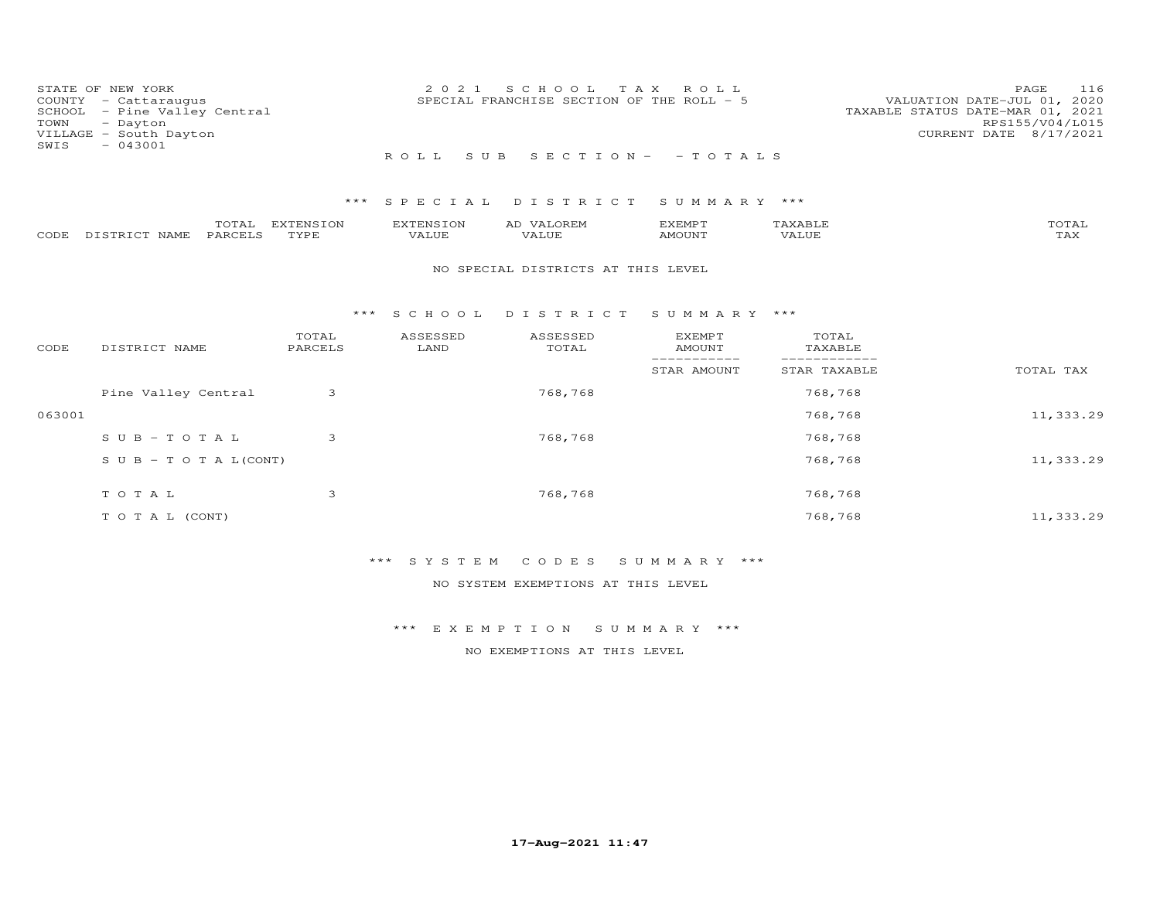| SCHOOL<br>TOWN<br>SWIS | STATE OF NEW YORK<br>COUNTY - Cattaraugus<br>- Pine Valley Central<br>- Dayton<br>VILLAGE - South Dayton<br>$-043001$ |                   | 2 0 2 1<br>ROLL<br>S U B  | S C H O O L<br>SPECIAL FRANCHISE SECTION OF THE ROLL - 5 | T A X<br>ROLL<br>$S E C T I O N - - T O T A L S$            |                                | PAGE<br>116<br>VALUATION DATE-JUL 01, 2020<br>TAXABLE STATUS DATE-MAR 01, 2021<br>RPS155/V04/L015<br>CURRENT DATE 8/17/2021 |
|------------------------|-----------------------------------------------------------------------------------------------------------------------|-------------------|---------------------------|----------------------------------------------------------|-------------------------------------------------------------|--------------------------------|-----------------------------------------------------------------------------------------------------------------------------|
|                        |                                                                                                                       | ***               | SPECIAL                   | DISTRICT                                                 | SUMMARY ***                                                 |                                |                                                                                                                             |
| CODE                   | TOTAL<br>PARCELS<br>DISTRICT NAME                                                                                     | EXTENSION<br>TYPE | <b>EXTENSION</b><br>VALUE | AD VALOREM<br><b>VALUE</b>                               | <b>EXEMPT</b><br>AMOUNT                                     | TAXABLE<br>VALUE               | TOTAL<br>TAX                                                                                                                |
|                        |                                                                                                                       |                   |                           | NO SPECIAL DISTRICTS AT THIS LEVEL                       |                                                             |                                |                                                                                                                             |
|                        |                                                                                                                       | ***               | S C H O O L               | DISTRICT                                                 | SUMMARY ***                                                 |                                |                                                                                                                             |
| CODE                   | DISTRICT NAME                                                                                                         | TOTAL<br>PARCELS  | ASSESSED<br>LAND          | ASSESSED<br>TOTAL                                        | <b>EXEMPT</b><br><b>AMOUNT</b><br>$\qquad \qquad - - - - -$ | TOTAL<br>TAXABLE<br>---------- |                                                                                                                             |
|                        |                                                                                                                       |                   |                           |                                                          | STAR AMOUNT                                                 | STAR TAXABLE                   | TOTAL TAX                                                                                                                   |
|                        | Pine Valley Central                                                                                                   | 3                 |                           | 768,768                                                  |                                                             | 768,768                        |                                                                                                                             |
| 063001                 |                                                                                                                       |                   |                           |                                                          |                                                             | 768,768                        | 11,333.29                                                                                                                   |
|                        | $S \cup B - T \cup T A L$                                                                                             | 3                 |                           | 768,768                                                  |                                                             | 768,768                        |                                                                                                                             |
|                        | $S \cup B - T \cup T A L (CONT)$                                                                                      |                   |                           |                                                          |                                                             | 768,768                        | 11,333.29                                                                                                                   |
|                        | TOTAL                                                                                                                 | 3                 |                           | 768,768                                                  |                                                             | 768,768                        |                                                                                                                             |
|                        | TO TAL (CONT)                                                                                                         |                   |                           |                                                          |                                                             | 768,768                        | 11,333.29                                                                                                                   |

NO SYSTEM EXEMPTIONS AT THIS LEVEL

\*\*\* E X E M P T I O N S U M M A R Y \*\*\*

NO EXEMPTIONS AT THIS LEVEL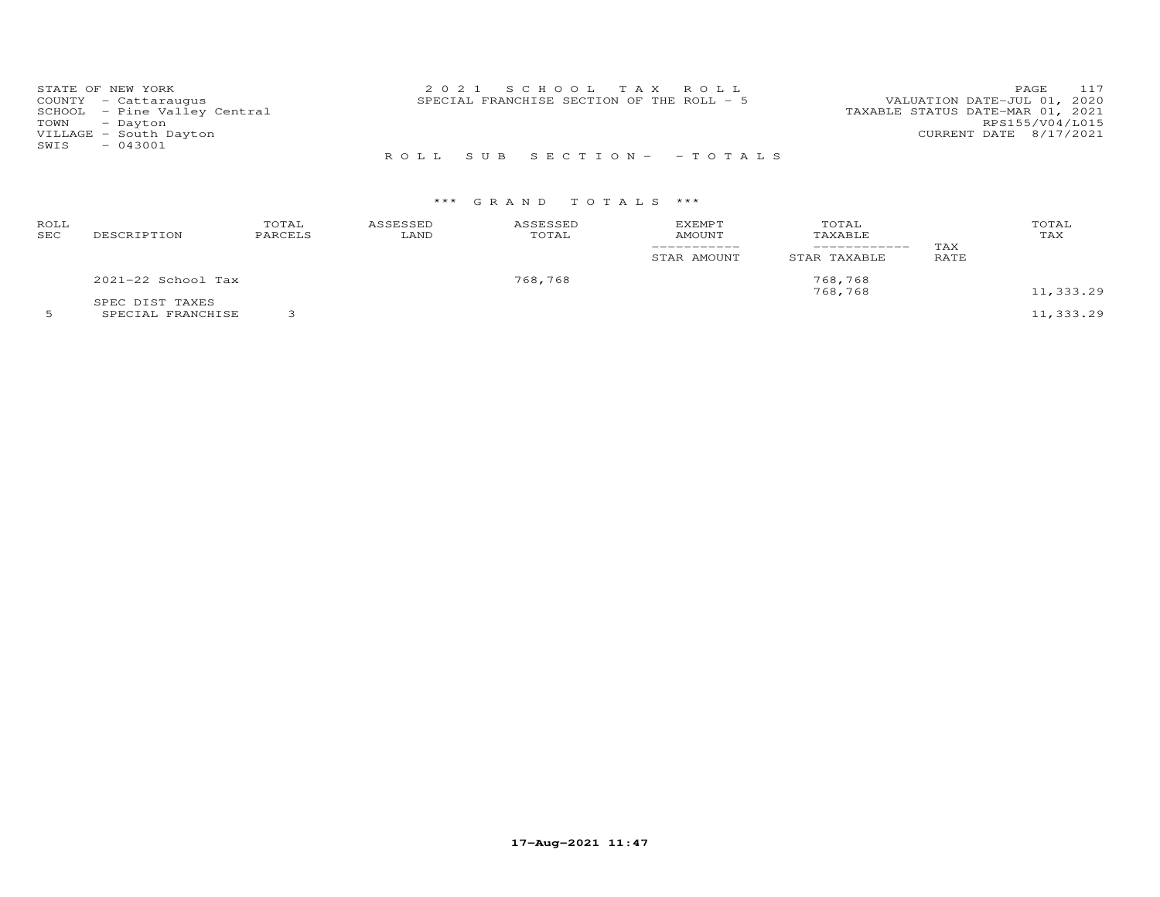| STATE OF NEW YORK |                              | 2021 SCHOOL TAX ROLL                                                     |                        | PAGE 117        |
|-------------------|------------------------------|--------------------------------------------------------------------------|------------------------|-----------------|
|                   | COUNTY - Cattaraugus         | VALUATION DATE-JUL 01, 2020<br>SPECIAL FRANCHISE SECTION OF THE ROLL - 5 |                        |                 |
|                   | SCHOOL - Pine Valley Central | TAXABLE STATUS DATE-MAR 01, 2021                                         |                        |                 |
| TOWN - Dayton     |                              |                                                                          |                        | RPS155/V04/L015 |
|                   | VILLAGE - South Dayton       |                                                                          | CURRENT DATE 8/17/2021 |                 |
| SWIS              | $-043001$                    |                                                                          |                        |                 |
|                   |                              | ROLL SUB SECTION- - TOTALS                                               |                        |                 |

| ROLL<br>SEC | DESCRIPTION                          | TOTAL<br>PARCELS | ASSESSED<br>LAND | ASSESSED<br>TOTAL | <b>EXEMPT</b><br><b>AMOUNT</b><br>-----------<br>STAR AMOUNT | TOTAL<br>TAXABLE<br>__________<br>STAR TAXABLE | TAX<br>RATE | TOTAL<br>TAX |
|-------------|--------------------------------------|------------------|------------------|-------------------|--------------------------------------------------------------|------------------------------------------------|-------------|--------------|
|             | 2021-22 School Tax                   |                  |                  | 768,768           |                                                              | 768,768<br>768,768                             |             | 11,333.29    |
|             | SPEC DIST TAXES<br>SPECIAL FRANCHISE |                  |                  |                   |                                                              |                                                |             | 11,333.29    |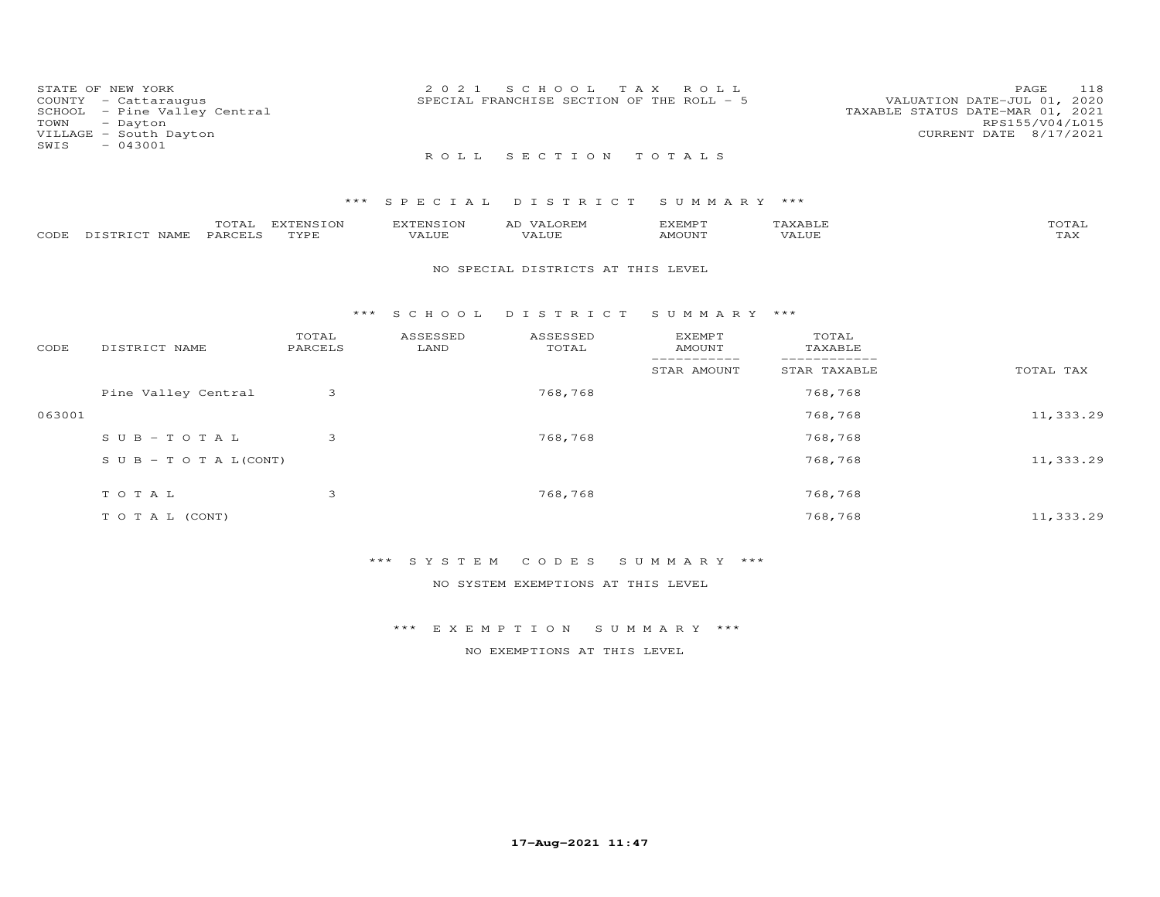| STATE OF NEW YORK |                              | 2021 SCHOOL TAX ROLL                                                     | PAGE            | 118 |
|-------------------|------------------------------|--------------------------------------------------------------------------|-----------------|-----|
|                   | COUNTY - Cattaraugus         | VALUATION DATE-JUL 01, 2020<br>SPECIAL FRANCHISE SECTION OF THE ROLL - 5 |                 |     |
|                   | SCHOOL - Pine Valley Central | TAXABLE STATUS DATE-MAR 01, 2021                                         |                 |     |
| TOWN - Dayton     |                              |                                                                          | RPS155/V04/L015 |     |
|                   | VILLAGE - South Dayton       | CURRENT DATE 8/17/2021                                                   |                 |     |
| SWIS              | $-043001$                    |                                                                          |                 |     |
|                   |                              | ROLL SECTION TOTALS                                                      |                 |     |

|      |            | $m \wedge m \wedge n$<br>UIAL | m<br>I ON | <b>EXTENSION</b> | $\sqrt{4}$ .<br>A <sub>L</sub> | ,,, <del>,</del> ,,, <del>,</del> ,<br>$\sim$ $\sim$ $\sim$ $\sim$ $\sim$ $\sim$ | $\times$ $\Delta$  | $T$ $\cap$ $T$ $\Delta$ $T$<br>UIAI |
|------|------------|-------------------------------|-----------|------------------|--------------------------------|----------------------------------------------------------------------------------|--------------------|-------------------------------------|
| CODE | NAME.<br>. | PARCEIC                       | TVDE      | ALUE             | 'ALUE                          | AMOUNT                                                                           | <b><i>ALUE</i></b> | $m \times r$<br>⊥ 冖                 |

### NO SPECIAL DISTRICTS AT THIS LEVEL

#### \*\*\* S C H O O L D I S T R I C T S U M M A R Y \*\*\*

| CODE   | DISTRICT NAME                    | TOTAL<br>PARCELS | ASSESSED<br>LAND | ASSESSED<br>TOTAL | <b>EXEMPT</b><br><b>AMOUNT</b> | TOTAL<br>TAXABLE |           |
|--------|----------------------------------|------------------|------------------|-------------------|--------------------------------|------------------|-----------|
|        |                                  |                  |                  |                   | STAR AMOUNT                    | STAR TAXABLE     | TOTAL TAX |
|        | Pine Valley Central              | 3                |                  | 768,768           |                                | 768,768          |           |
| 063001 |                                  |                  |                  |                   |                                | 768,768          | 11,333.29 |
|        | $SUB - TO TAL$                   | 3                |                  | 768,768           |                                | 768,768          |           |
|        | $S \cup B - T \cup T A L (CONT)$ |                  |                  |                   |                                | 768,768          | 11,333.29 |
|        | TOTAL                            | 3                |                  | 768,768           |                                | 768,768          |           |
|        | T O T A L (CONT)                 |                  |                  |                   |                                | 768,768          | 11,333.29 |

## \*\*\* S Y S T E M C O D E S S U M M A R Y \*\*\*

NO SYSTEM EXEMPTIONS AT THIS LEVEL

\*\*\* E X E M P T I O N S U M M A R Y \*\*\*

NO EXEMPTIONS AT THIS LEVEL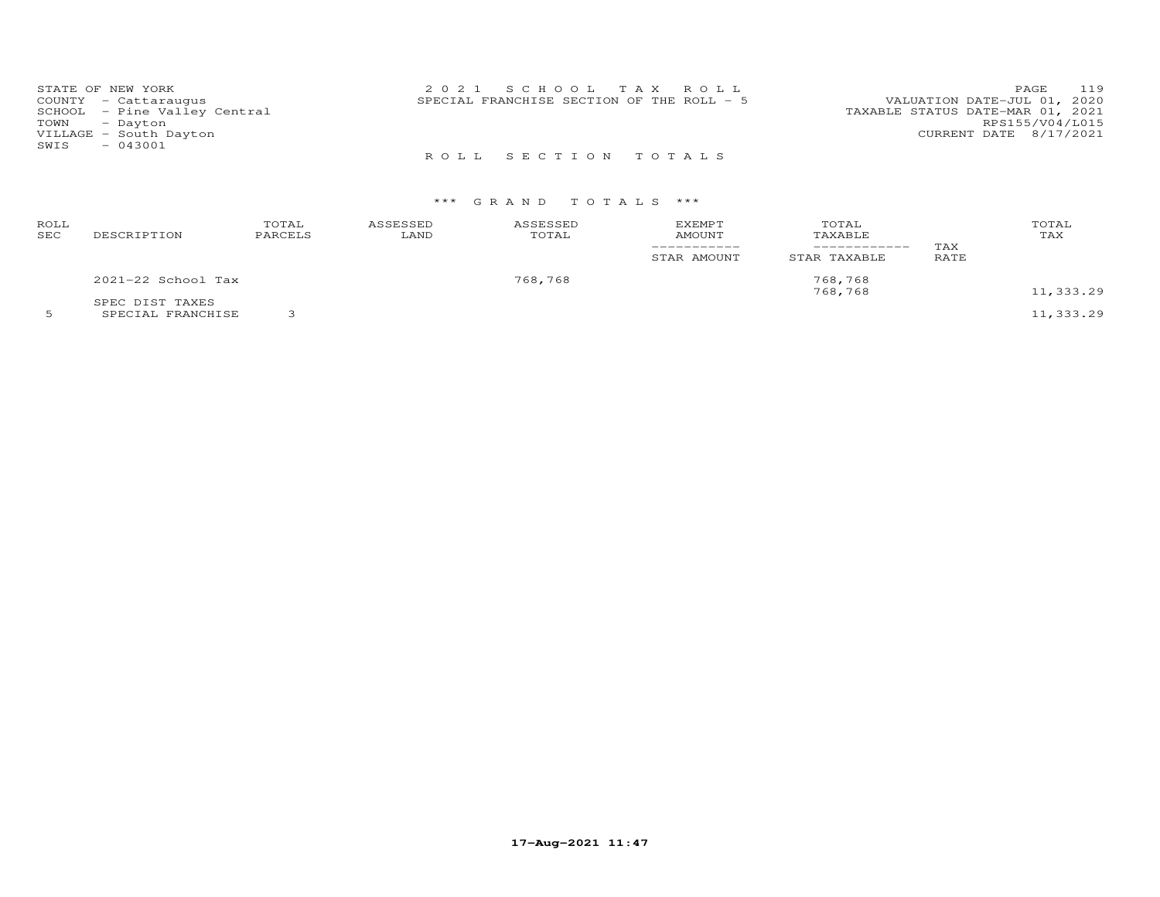| STATE OF NEW YORK            | 2021 SCHOOL TAX ROLL                      | 119<br>PAGE                      |
|------------------------------|-------------------------------------------|----------------------------------|
| COUNTY - Cattaraugus         | SPECIAL FRANCHISE SECTION OF THE ROLL - 5 | VALUATION DATE-JUL 01, 2020      |
| SCHOOL - Pine Valley Central |                                           | TAXABLE STATUS DATE-MAR 01, 2021 |
| TOWN - Dayton                |                                           | RPS155/V04/L015                  |
| VILLAGE - South Dayton       |                                           | CURRENT DATE 8/17/2021           |
| SWIS<br>$-043001$            |                                           |                                  |
|                              | ROLL SECTION TOTALS                       |                                  |

| ROLL<br>SEC | DESCRIPTION                          | TOTAL<br>PARCELS | ASSESSED<br>LAND | ASSESSED<br>TOTAL | <b>EXEMPT</b><br><b>AMOUNT</b><br>-----------<br>STAR AMOUNT | TOTAL<br>TAXABLE<br>----------<br>STAR TAXABLE | TAX<br>RATE | TOTAL<br>TAX |
|-------------|--------------------------------------|------------------|------------------|-------------------|--------------------------------------------------------------|------------------------------------------------|-------------|--------------|
|             | 2021-22 School Tax                   |                  |                  | 768,768           |                                                              | 768,768<br>768,768                             |             | 11,333.29    |
|             | SPEC DIST TAXES<br>SPECIAL FRANCHISE |                  |                  |                   |                                                              |                                                |             | 11,333.29    |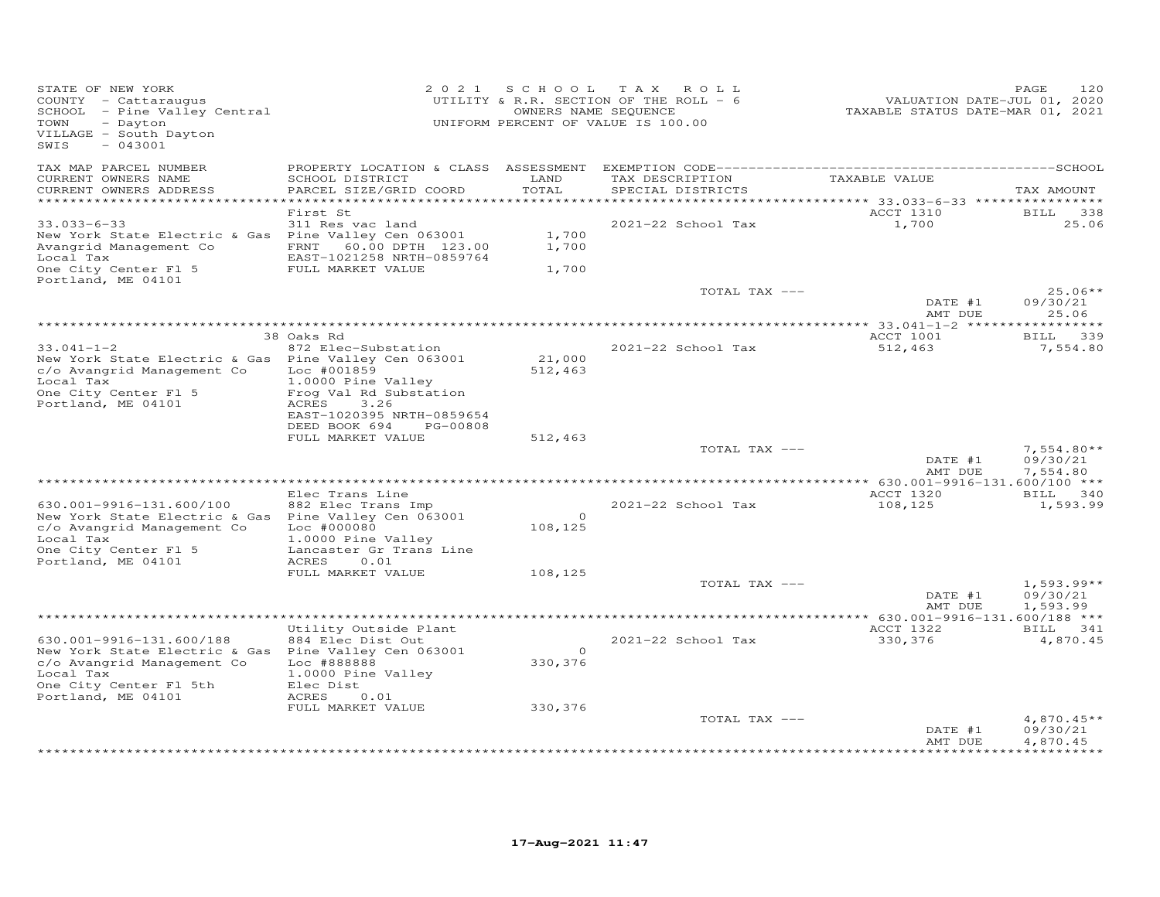| STATE OF NEW YORK<br>COUNTY - Cattaraugus<br>SCHOOL - Pine Valley Central<br>- Dayton<br>TOWN<br>VILLAGE - South Dayton<br>$-043001$<br>SWIS                                |                                                                                                                                                                             |                               | 2021 SCHOOL TAX ROLL<br>UTILITY & R.R. SECTION OF THE ROLL - 6<br>OWNERS NAME SEQUENCE<br>UNIFORM PERCENT OF VALUE IS 100.00 | VALUATION DATE-JUL 01, 2020<br>TAXABLE STATUS DATE-MAR 01, 2021 | 120<br>PAGE                          |
|-----------------------------------------------------------------------------------------------------------------------------------------------------------------------------|-----------------------------------------------------------------------------------------------------------------------------------------------------------------------------|-------------------------------|------------------------------------------------------------------------------------------------------------------------------|-----------------------------------------------------------------|--------------------------------------|
| TAX MAP PARCEL NUMBER<br>CURRENT OWNERS NAME<br>CURRENT OWNERS ADDRESS<br>***********************                                                                           | SCHOOL DISTRICT<br>PARCEL SIZE/GRID COORD                                                                                                                                   | LAND<br>TOTAL                 | TAX DESCRIPTION<br>SPECIAL DISTRICTS                                                                                         | TAXABLE VALUE                                                   | TAX AMOUNT                           |
| $33.033 - 6 - 33$<br>New York State Electric & Gas Pine Valley Cen 063001<br>Avangrid Management Co<br>Local Tax<br>One City Center Fl 5<br>Portland, ME 04101              | First St<br>311 Res vac land<br>FRNT 60.00 DPTH 123.00<br>EAST-1021258 NRTH-0859764<br>FULL MARKET VALUE                                                                    | 1,700<br>1,700<br>1,700       | 2021-22 School Tax                                                                                                           | ACCT 1310<br>1,700                                              | BILL<br>338<br>25.06                 |
|                                                                                                                                                                             |                                                                                                                                                                             |                               | TOTAL TAX ---                                                                                                                | DATE #1<br>AMT DUE                                              | $25.06**$<br>09/30/21<br>25.06       |
| $33.041 - 1 - 2$<br>New York State Electric & Gas Pine Valley Cen 063001<br>c/o Avangrid Management Co<br>Local Tax<br>One City Center Fl 5<br>Portland, ME 04101           | 38 Oaks Rd<br>872 Elec-Substation<br>Loc #001859<br>1.0000 Pine Valley<br>Frog Val Rd Substation<br>ACRES<br>3.26<br>EAST-1020395 NRTH-0859654<br>DEED BOOK 694<br>PG-00808 | 21,000<br>512,463             | 2021-22 School Tax                                                                                                           | ACCT 1001<br>512,463                                            | BILL 339<br>7,554.80                 |
|                                                                                                                                                                             | FULL MARKET VALUE                                                                                                                                                           | 512,463                       | TOTAL TAX ---                                                                                                                | DATE #1<br>AMT DUE                                              | $7,554.80**$<br>09/30/21<br>7,554.80 |
| 630.001-9916-131.600/100<br>New York State Electric & Gas Pine Valley Cen 063001<br>c/o Avangrid Management Co<br>Local Tax<br>One City Center Fl 5<br>Portland, ME 04101   | Elec Trans Line<br>882 Elec Trans Imp<br>$Loc$ $#000080$<br>1.0000 Pine Valley<br>Lancaster Gr Trans Line<br>ACRES<br>0.01                                                  | $\circ$<br>108,125            | 2021-22 School Tax                                                                                                           | ACCT 1320<br>108,125                                            | BILL 340<br>1,593.99                 |
|                                                                                                                                                                             | FULL MARKET VALUE                                                                                                                                                           | 108,125                       | TOTAL TAX ---                                                                                                                | DATE #1                                                         | $1,593.99**$<br>09/30/21             |
|                                                                                                                                                                             |                                                                                                                                                                             |                               |                                                                                                                              | AMT DUE                                                         | 1,593.99                             |
| 630.001-9916-131.600/188<br>New York State Electric & Gas Pine Valley Cen 063001<br>c/o Avangrid Management Co<br>Local Tax<br>One City Center Fl 5th<br>Portland, ME 04101 | Utility Outside Plant<br>884 Elec Dist Out<br>Loc #888888<br>1.0000 Pine Valley<br>Elec Dist<br>ACRES<br>0.01<br>FULL MARKET VALUE                                          | $\circ$<br>330,376<br>330,376 | 2021-22 School Tax                                                                                                           | ACCT 1322<br>330,376                                            | BILL 341<br>4,870.45                 |
|                                                                                                                                                                             |                                                                                                                                                                             |                               | TOTAL TAX ---                                                                                                                | DATE #1<br>AMT DUE                                              | $4,870.45**$<br>09/30/21<br>4,870.45 |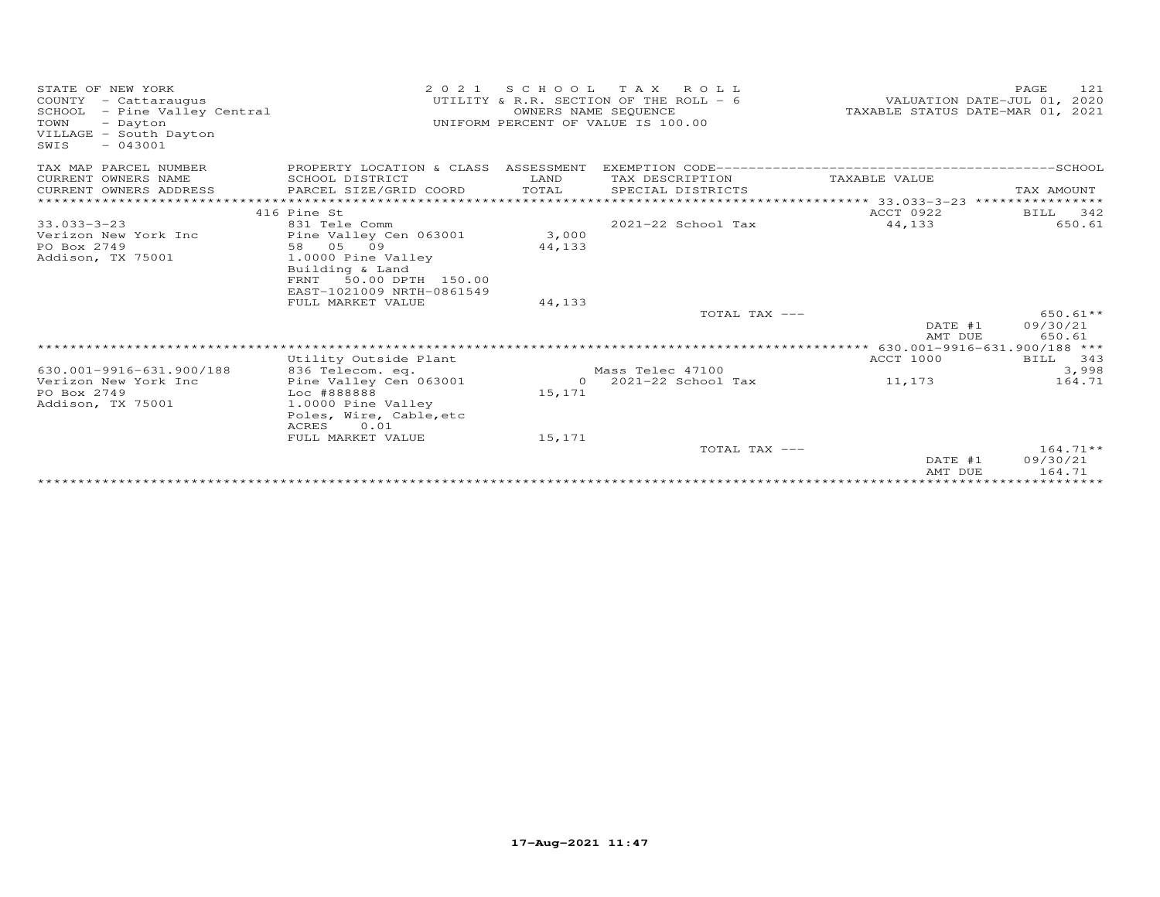| STATE OF NEW YORK<br>COUNTY - Cattaraugus<br>SCHOOL<br>- Pine Valley Central<br>TOWN<br>- Dayton<br>VILLAGE - South Dayton<br>SWIS<br>$-043001$ | 2 0 2 1                              | S C H O O L<br>OWNERS NAME SEQUENCE | T A X<br>ROLL<br>UTILITY & R.R. SECTION OF THE ROLL - 6<br>UNIFORM PERCENT OF VALUE IS 100.00 | TAXABLE STATUS DATE-MAR 01, 2021       | 121<br>PAGE<br>VALUATION DATE-JUL 01, 2020 |
|-------------------------------------------------------------------------------------------------------------------------------------------------|--------------------------------------|-------------------------------------|-----------------------------------------------------------------------------------------------|----------------------------------------|--------------------------------------------|
| TAX MAP PARCEL NUMBER                                                                                                                           | PROPERTY LOCATION & CLASS ASSESSMENT |                                     |                                                                                               |                                        |                                            |
| CURRENT OWNERS NAME                                                                                                                             | SCHOOL DISTRICT                      | LAND                                | TAX DESCRIPTION                                                                               | TAXABLE VALUE                          |                                            |
| CURRENT OWNERS ADDRESS                                                                                                                          | PARCEL SIZE/GRID COORD               | TOTAL                               | SPECIAL DISTRICTS                                                                             |                                        | TAX AMOUNT                                 |
|                                                                                                                                                 |                                      |                                     |                                                                                               |                                        | *****************                          |
|                                                                                                                                                 | 416 Pine St                          |                                     |                                                                                               | ACCT 0922                              | 342<br>BILL                                |
| $33.033 - 3 - 23$                                                                                                                               | 831 Tele Comm                        |                                     | 2021-22 School Tax                                                                            | 44,133                                 | 650.61                                     |
| Verizon New York Inc                                                                                                                            | Pine Valley Cen 063001<br>58 05 09   | 3,000                               |                                                                                               |                                        |                                            |
| PO Box 2749                                                                                                                                     | 1.0000 Pine Valley                   | 44,133                              |                                                                                               |                                        |                                            |
| Addison, TX 75001                                                                                                                               | Building & Land                      |                                     |                                                                                               |                                        |                                            |
|                                                                                                                                                 | 50.00 DPTH 150.00<br>FRNT            |                                     |                                                                                               |                                        |                                            |
|                                                                                                                                                 | EAST-1021009 NRTH-0861549            |                                     |                                                                                               |                                        |                                            |
|                                                                                                                                                 | FULL MARKET VALUE                    | 44,133                              |                                                                                               |                                        |                                            |
|                                                                                                                                                 |                                      |                                     | TOTAL TAX ---                                                                                 |                                        | $650.61**$                                 |
|                                                                                                                                                 |                                      |                                     |                                                                                               | DATE #1                                | 09/30/21                                   |
|                                                                                                                                                 |                                      |                                     |                                                                                               | AMT DUE                                | 650.61                                     |
|                                                                                                                                                 |                                      |                                     |                                                                                               | ********* 630.001-9916-631.900/188 *** |                                            |
|                                                                                                                                                 | Utility Outside Plant                |                                     |                                                                                               | <b>ACCT 1000</b>                       | BILL 343                                   |
| 630.001-9916-631.900/188                                                                                                                        | 836 Telecom. eq.                     |                                     | Mass Telec 47100                                                                              |                                        | 3,998                                      |
| Verizon New York Inc                                                                                                                            | Pine Valley Cen 063001               | $\Omega$                            | 2021-22 School Tax                                                                            | 11,173                                 | 164.71                                     |
| PO Box 2749<br>Addison, TX 75001                                                                                                                | Loc #888888<br>1.0000 Pine Valley    | 15,171                              |                                                                                               |                                        |                                            |
|                                                                                                                                                 | Poles, Wire, Cable, etc              |                                     |                                                                                               |                                        |                                            |
|                                                                                                                                                 | ACRES<br>0.01                        |                                     |                                                                                               |                                        |                                            |
|                                                                                                                                                 | FULL MARKET VALUE                    | 15,171                              |                                                                                               |                                        |                                            |
|                                                                                                                                                 |                                      |                                     | TOTAL TAX ---                                                                                 |                                        | $164.71**$                                 |
|                                                                                                                                                 |                                      |                                     |                                                                                               | DATE #1                                | 09/30/21                                   |
|                                                                                                                                                 |                                      |                                     |                                                                                               | AMT DUE                                | 164.71                                     |
|                                                                                                                                                 |                                      |                                     |                                                                                               |                                        |                                            |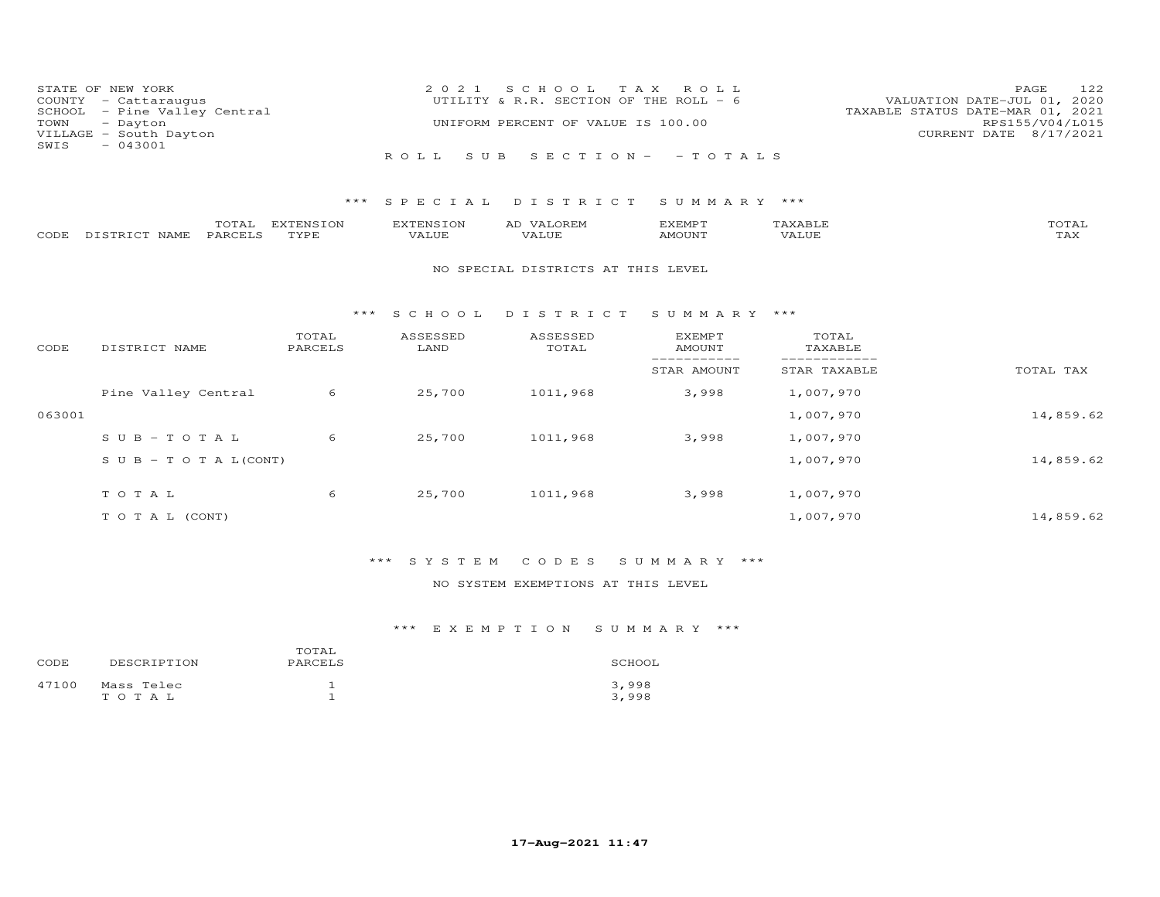| TOWN<br>SWIS | STATE OF NEW YORK<br>COUNTY - Cattaraugus<br>SCHOOL - Pine Valley Central<br>- Dayton<br>VILLAGE - South Dayton<br>$-043001$ |                         | 2 0 2 1                   | S C H O O L<br>UTILITY & R.R. SECTION OF THE ROLL - 6<br>UNIFORM PERCENT OF VALUE IS 100.00 | T A X<br>ROLL           |                  | 122<br>PAGE<br>VALUATION DATE-JUL 01, 2020<br>TAXABLE STATUS DATE-MAR 01, 2021<br>RPS155/V04/L015<br>CURRENT DATE 8/17/2021 |
|--------------|------------------------------------------------------------------------------------------------------------------------------|-------------------------|---------------------------|---------------------------------------------------------------------------------------------|-------------------------|------------------|-----------------------------------------------------------------------------------------------------------------------------|
|              |                                                                                                                              |                         | ROLL<br>S U B             |                                                                                             | SECTION - - TOTALS      |                  |                                                                                                                             |
|              |                                                                                                                              | ***                     | S P E C I A L             | DISTRICT                                                                                    | SUMMARY ***             |                  |                                                                                                                             |
| CODE         | PARCELS<br>DISTRICT NAME                                                                                                     | TOTAL EXTENSION<br>TYPE | <b>EXTENSION</b><br>VALUE | AD VALOREM<br>VALUE                                                                         | EXEMPT<br>AMOUNT        | TAXABLE<br>VALUE | TOTAL<br>TAX                                                                                                                |
|              |                                                                                                                              |                         |                           | NO SPECIAL DISTRICTS AT THIS LEVEL                                                          |                         |                  |                                                                                                                             |
|              |                                                                                                                              | ***                     | SCHOOL                    | DISTRICT                                                                                    | SUMMARY ***             |                  |                                                                                                                             |
| CODE         | DISTRICT NAME                                                                                                                | TOTAL<br>PARCELS        | ASSESSED<br>LAND          | ASSESSED<br>TOTAL                                                                           | EXEMPT<br><b>AMOUNT</b> | TOTAL<br>TAXABLE |                                                                                                                             |
|              |                                                                                                                              |                         |                           |                                                                                             | STAR AMOUNT             | STAR TAXABLE     | TOTAL TAX                                                                                                                   |
|              | Pine Valley Central                                                                                                          | 6                       | 25,700                    | 1011,968                                                                                    | 3,998                   | 1,007,970        |                                                                                                                             |
| 063001       |                                                                                                                              |                         |                           |                                                                                             |                         | 1,007,970        | 14,859.62                                                                                                                   |
|              | $S \cup B - T \cup T A$                                                                                                      | 6                       | 25,700                    | 1011,968                                                                                    | 3,998                   | 1,007,970        |                                                                                                                             |
|              | S U B - T O T A $L$ (CONT)                                                                                                   |                         |                           |                                                                                             |                         | 1,007,970        | 14,859.62                                                                                                                   |
|              | TOTAL                                                                                                                        | 6                       | 25,700                    | 1011,968                                                                                    | 3,998                   | 1,007,970        |                                                                                                                             |
|              | TO TAL (CONT)                                                                                                                |                         |                           |                                                                                             |                         | 1,007,970        | 14,859.62                                                                                                                   |

### NO SYSTEM EXEMPTIONS AT THIS LEVEL

### \*\*\* E X E M P T I O N S U M M A R Y \*\*\*

| CODE  | DESCRIPTION             | TOTAL<br>PARCELS | SCHOOL         |
|-------|-------------------------|------------------|----------------|
| 47100 | Mass Telec<br>T O T A L |                  | 3,998<br>3,998 |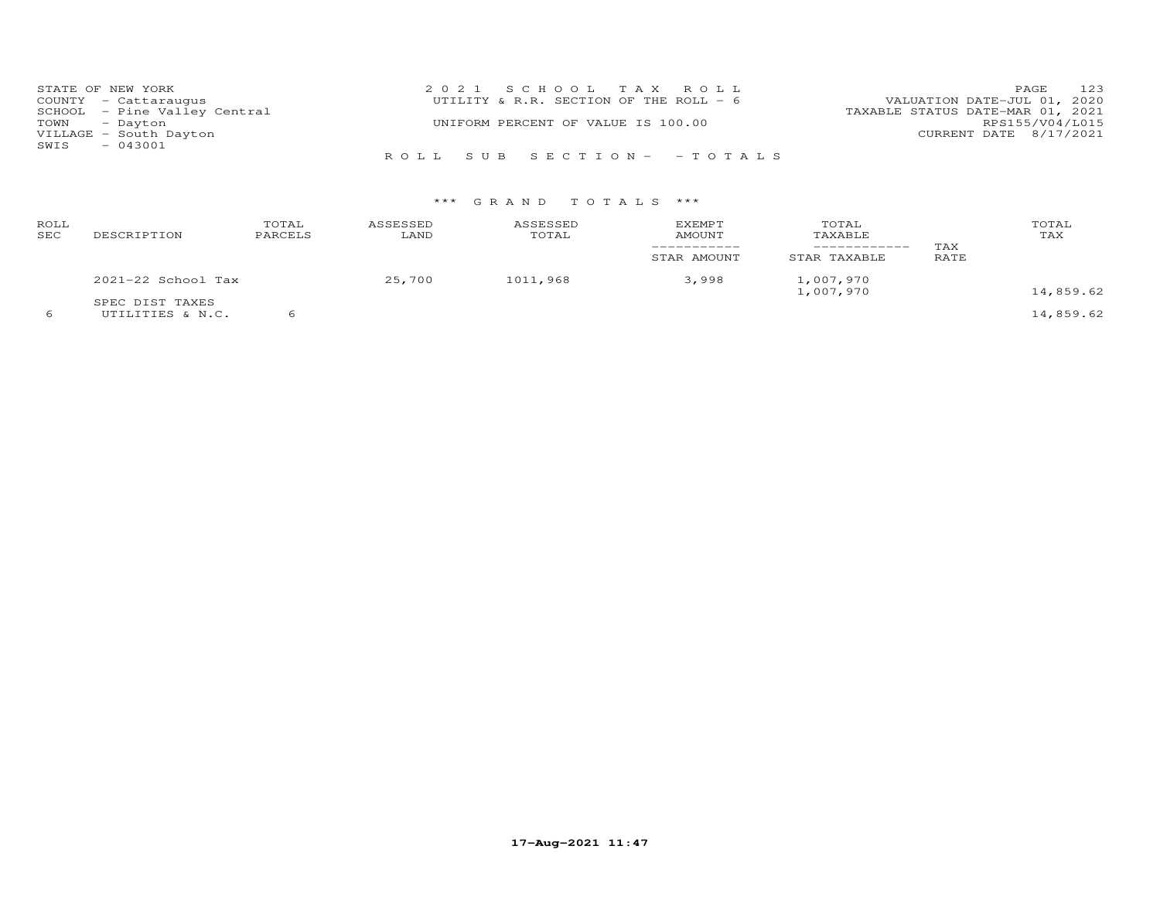| STATE OF NEW YORK            | 2021 SCHOOL TAX ROLL                   | 123<br><b>PAGE</b>               |
|------------------------------|----------------------------------------|----------------------------------|
| COUNTY - Cattaraugus         | UTILITY & R.R. SECTION OF THE ROLL - 6 | VALUATION DATE-JUL 01, 2020      |
| SCHOOL - Pine Valley Central |                                        | TAXABLE STATUS DATE-MAR 01, 2021 |
| TOWN - Dayton                | UNIFORM PERCENT OF VALUE IS 100.00     | RPS155/V04/L015                  |
| VILLAGE - South Dayton       |                                        | CURRENT DATE 8/17/2021           |
| $-043001$<br>SWIS            |                                        |                                  |
|                              | ROLL SUB SECTION- - TOTALS             |                                  |

| ROLL<br>SEC | DESCRIPTION                         | TOTAL<br>PARCELS | ASSESSED<br>LAND | ASSESSED<br>TOTAL | <b>EXEMPT</b><br>AMOUNT<br>STAR AMOUNT | TOTAL<br>TAXABLE<br>___________<br>STAR TAXABLE | TAX<br>RATE | TOTAL<br>TAX |
|-------------|-------------------------------------|------------------|------------------|-------------------|----------------------------------------|-------------------------------------------------|-------------|--------------|
|             | 2021-22 School Tax                  |                  | 25,700           | 1011,968          | 3,998                                  | 1,007,970<br>1,007,970                          |             | 14,859.62    |
|             | SPEC DIST TAXES<br>UTILITIES & N.C. |                  |                  |                   |                                        |                                                 |             | 14,859.62    |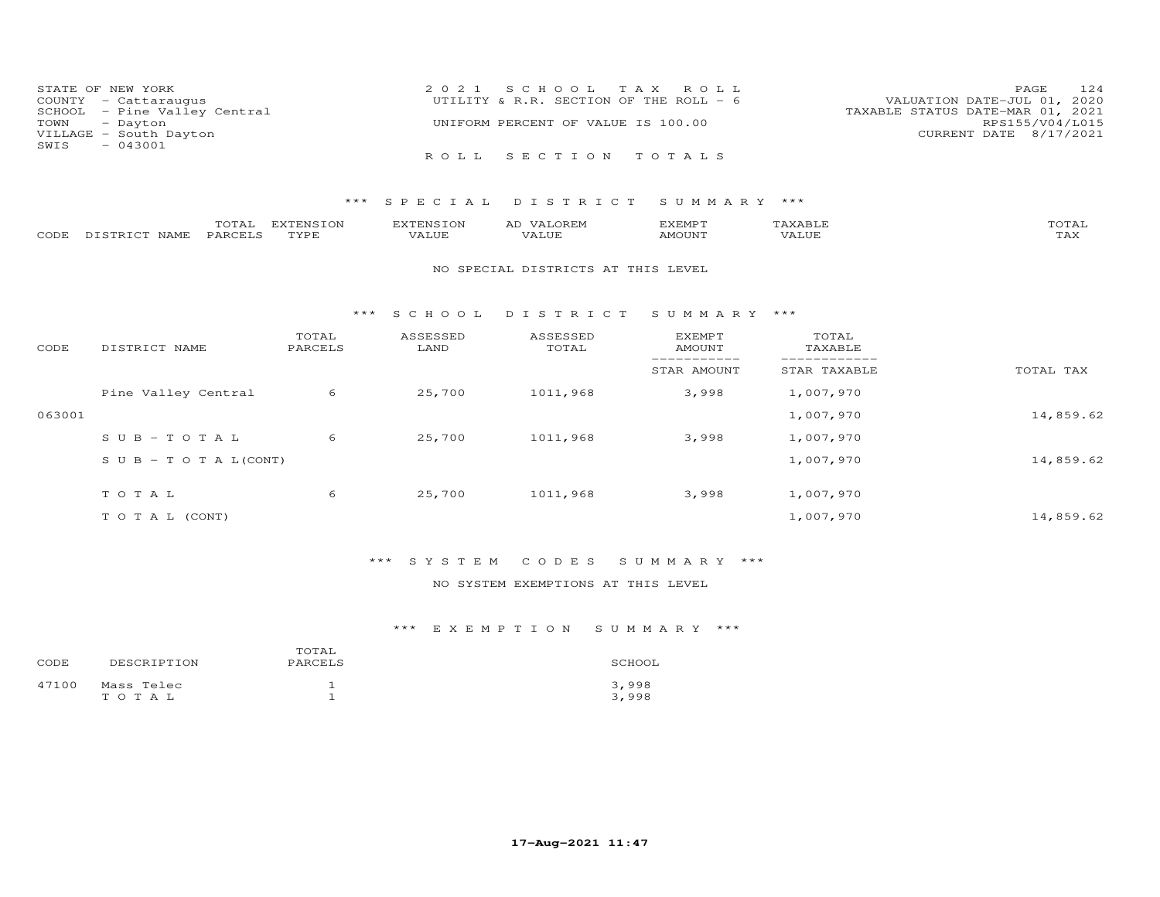| STATE OF NEW YORK            | 2021 SCHOOL TAX ROLL                   | 12.4<br><b>PAGE</b>              |
|------------------------------|----------------------------------------|----------------------------------|
| COUNTY - Cattaraugus         | UTILITY & R.R. SECTION OF THE ROLL - 6 | VALUATION DATE-JUL 01, 2020      |
| SCHOOL - Pine Valley Central |                                        | TAXABLE STATUS DATE-MAR 01, 2021 |
| TOWN - Dayton                | UNIFORM PERCENT OF VALUE IS 100.00     | RPS155/V04/L015                  |
| VILLAGE - South Dayton       |                                        | CURRENT DATE 8/17/2021           |
| $-043001$<br>SWIS            |                                        |                                  |
|                              | ROLL SECTION TOTALS                    |                                  |

|      |               | $T^{\prime}$<br>UIAL | <b>DIZDDAIC TOAI</b><br>LUN | <b>EXTENSION</b> | ΑL<br>$\sqrt{4}$      | TYFMDT<br><b>"ALMA</b> |       | TOTAL               |
|------|---------------|----------------------|-----------------------------|------------------|-----------------------|------------------------|-------|---------------------|
| CODE | DISTRICT NAME | <b>PARCELS</b>       | TVDE                        | VALUE            | , 77 T T T T<br>/ALUE | AMOUNT                 | VALUE | $m \times r$<br>⊥⇔∧ |

#### NO SPECIAL DISTRICTS AT THIS LEVEL

#### \*\*\* S C H O O L D I S T R I C T S U M M A R Y \*\*\*

| CODE   | DISTRICT NAME                    | TOTAL<br>PARCELS | ASSESSED<br>LAND | ASSESSED<br>TOTAL | <b>EXEMPT</b><br>AMOUNT | TOTAL<br>TAXABLE |           |
|--------|----------------------------------|------------------|------------------|-------------------|-------------------------|------------------|-----------|
|        |                                  |                  |                  |                   | STAR AMOUNT             | STAR TAXABLE     | TOTAL TAX |
|        | Pine Valley Central              | 6                | 25,700           | 1011,968          | 3,998                   | 1,007,970        |           |
| 063001 |                                  |                  |                  |                   |                         | 1,007,970        | 14,859.62 |
|        | $SUB - TO TAL$                   | 6                | 25,700           | 1011,968          | 3,998                   | 1,007,970        |           |
|        | $S \cup B - T \cup T A L (CONT)$ |                  |                  |                   |                         | 1,007,970        | 14,859.62 |
|        | TOTAL                            | 6                | 25,700           | 1011,968          | 3,998                   | 1,007,970        |           |
|        | T O T A L (CONT)                 |                  |                  |                   |                         | 1,007,970        | 14,859.62 |

## \*\*\* S Y S T E M C O D E S S U M M A R Y \*\*\*

### NO SYSTEM EXEMPTIONS AT THIS LEVEL

### \*\*\* E X E M P T I O N S U M M A R Y \*\*\*

| CODE  | DESCRIPTION         | TOTAL<br>PARCELS | SCHOOL         |
|-------|---------------------|------------------|----------------|
| 47100 | Mass Telec<br>TOTAL |                  | 3,998<br>3,998 |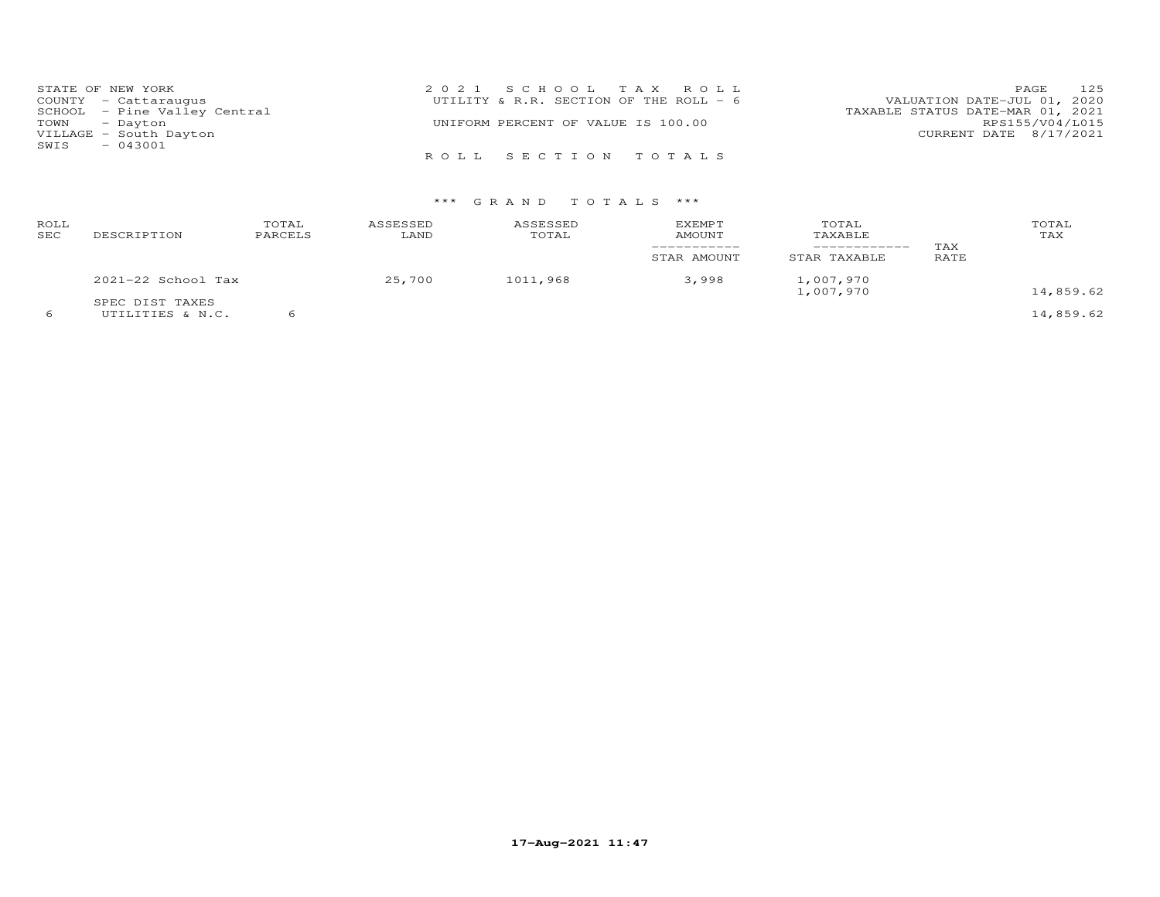|      | STATE OF NEW YORK            | 2021 SCHOOL TAX ROLL                   | 125<br>PAGE                      |
|------|------------------------------|----------------------------------------|----------------------------------|
|      | COUNTY - Cattaraugus         | UTILITY & R.R. SECTION OF THE ROLL - 6 | VALUATION DATE-JUL 01, 2020      |
|      | SCHOOL - Pine Valley Central |                                        | TAXABLE STATUS DATE-MAR 01, 2021 |
|      | TOWN - Dayton                | UNIFORM PERCENT OF VALUE IS 100.00     | RPS155/V04/L015                  |
|      | VILLAGE - South Dayton       |                                        | CURRENT DATE 8/17/2021           |
| SWIS | $-043001$                    |                                        |                                  |
|      |                              | ROLL SECTION TOTALS                    |                                  |

| ROLL<br>SEC | DESCRIPTION                         | TOTAL<br>PARCELS | ASSESSED<br>LAND | ASSESSED<br>TOTAL | <b>EXEMPT</b><br>AMOUNT<br>STAR AMOUNT | TOTAL<br>TAXABLE<br>___________<br>STAR TAXABLE | TAX<br>RATE | TOTAL<br>TAX |
|-------------|-------------------------------------|------------------|------------------|-------------------|----------------------------------------|-------------------------------------------------|-------------|--------------|
|             | 2021-22 School Tax                  |                  | 25,700           | 1011,968          | 3,998                                  | 1,007,970<br>1,007,970                          |             | 14,859.62    |
|             | SPEC DIST TAXES<br>UTILITIES & N.C. |                  |                  |                   |                                        |                                                 |             | 14,859.62    |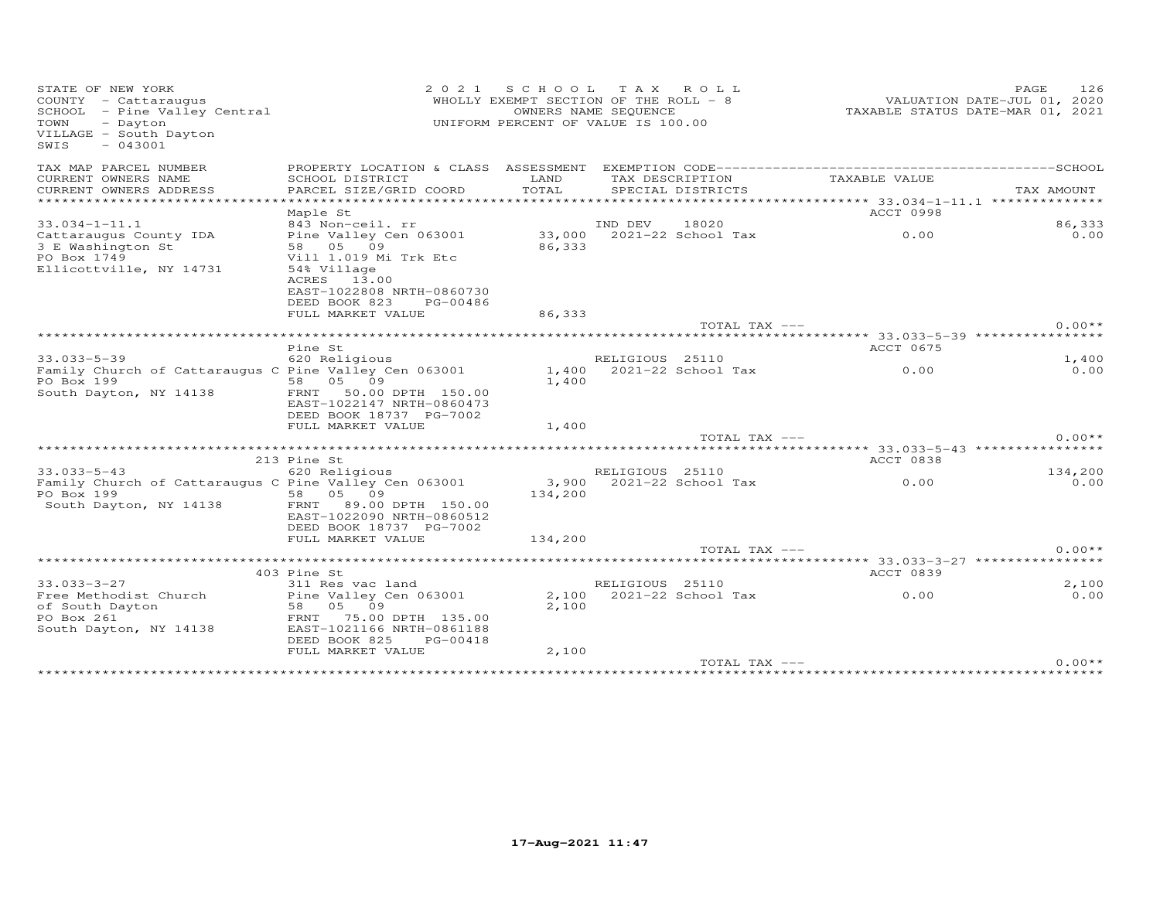| STATE OF NEW YORK<br>COUNTY - Cattaraugus<br>SCHOOL - Pine Valley Central<br>TOWN<br>- Dayton<br>VILLAGE - South Dayton<br>$-043001$<br>SWIS | 2 0 2 1                                                                                                                      | SCHOOL<br>WHOLLY EXEMPT SECTION OF THE ROLL - 8<br>UNIFORM PERCENT OF VALUE IS 100.00 | OWNERS NAME SEQUENCE | TAX ROLL               |                                       | 126<br>PAGE<br>VALUATION DATE-JUL 01, 2020<br>TAXABLE STATUS DATE-MAR 01, 2021 |
|----------------------------------------------------------------------------------------------------------------------------------------------|------------------------------------------------------------------------------------------------------------------------------|---------------------------------------------------------------------------------------|----------------------|------------------------|---------------------------------------|--------------------------------------------------------------------------------|
| TAX MAP PARCEL NUMBER                                                                                                                        |                                                                                                                              |                                                                                       |                      |                        |                                       |                                                                                |
| CURRENT OWNERS NAME                                                                                                                          | SCHOOL DISTRICT                                                                                                              | LAND                                                                                  |                      | TAX DESCRIPTION        | TAXABLE VALUE                         |                                                                                |
| CURRENT OWNERS ADDRESS<br>********************                                                                                               | PARCEL SIZE/GRID COORD<br>*********************                                                                              | TOTAL                                                                                 |                      | SPECIAL DISTRICTS      |                                       | TAX AMOUNT                                                                     |
|                                                                                                                                              | Maple St                                                                                                                     |                                                                                       |                      |                        | ACCT 0998                             |                                                                                |
| $33.034 - 1 - 11.1$                                                                                                                          | 843 Non-ceil. rr                                                                                                             |                                                                                       | IND DEV              | 18020                  |                                       | 86,333                                                                         |
| Cattaraugus County IDA<br>3 E Washington St<br>PO Box 1749<br>Ellicottville, NY 14731                                                        | Pine Valley Cen 063001<br>58 05 09<br>Vill 1.019 Mi Trk Etc<br>54% Village<br>ACRES 13.00<br>EAST-1022808 NRTH-0860730       | 33,000<br>86,333                                                                      |                      | 2021-22 School Tax     | 0.00                                  | 0.00                                                                           |
|                                                                                                                                              | DEED BOOK 823<br>PG-00486                                                                                                    |                                                                                       |                      |                        |                                       |                                                                                |
|                                                                                                                                              | FULL MARKET VALUE                                                                                                            | 86,333                                                                                |                      | TOTAL TAX ---          |                                       | $0.00**$                                                                       |
|                                                                                                                                              |                                                                                                                              |                                                                                       |                      |                        |                                       |                                                                                |
|                                                                                                                                              | Pine St                                                                                                                      |                                                                                       |                      |                        | ACCT 0675                             |                                                                                |
| $33.033 - 5 - 39$                                                                                                                            | 620 Religious                                                                                                                |                                                                                       | RELIGIOUS 25110      |                        |                                       | 1,400                                                                          |
| Family Church of Cattaraugus C Pine Valley Cen 063001<br>PO Box 199<br>South Dayton, NY 14138                                                | 58 05 09<br>50.00 DPTH 150.00<br>FRNT<br>EAST-1022147 NRTH-0860473<br>DEED BOOK 18737 PG-7002<br>FULL MARKET VALUE           | 1,400<br>1,400<br>1,400                                                               |                      | 2021-22 School Tax     | 0.00                                  | 0.00                                                                           |
|                                                                                                                                              |                                                                                                                              |                                                                                       |                      | TOTAL TAX ---          |                                       | $0.00**$                                                                       |
|                                                                                                                                              |                                                                                                                              |                                                                                       |                      |                        |                                       |                                                                                |
|                                                                                                                                              | 213 Pine St                                                                                                                  |                                                                                       |                      |                        | <b>ACCT 0838</b>                      |                                                                                |
| $33.033 - 5 - 43$<br>Family Church of Cattaraugus C Pine Valley Cen 063001<br>PO Box 199<br>South Dayton, NY 14138                           | 620 Religious<br>58 05 09<br>89.00 DPTH 150.00<br>FRNT<br>EAST-1022090 NRTH-0860512<br>DEED BOOK 18737 PG-7002               | 3,900<br>134,200                                                                      | RELIGIOUS 25110      | $2021 - 22$ School Tax | 0.00                                  | 134,200<br>0.00                                                                |
|                                                                                                                                              | FULL MARKET VALUE                                                                                                            | 134,200                                                                               |                      |                        |                                       |                                                                                |
|                                                                                                                                              |                                                                                                                              |                                                                                       |                      | TOTAL TAX ---          |                                       | $0.00**$                                                                       |
|                                                                                                                                              | 403 Pine St                                                                                                                  |                                                                                       |                      |                        | ACCT 0839                             |                                                                                |
| $33.033 - 3 - 27$                                                                                                                            | 311 Res vac land                                                                                                             |                                                                                       | RELIGIOUS 25110      |                        |                                       | 2,100                                                                          |
| Free Methodist Church<br>of South Dayton<br>PO Box 261<br>South Dayton, NY 14138                                                             | Pine Valley Cen 063001<br>05 09<br>58<br>75.00 DPTH 135.00<br>FRNT<br>EAST-1021166 NRTH-0861188<br>DEED BOOK 825<br>PG-00418 | 2,100<br>2,100                                                                        |                      | 2021-22 School Tax     | 0.00                                  | 0.00                                                                           |
|                                                                                                                                              | FULL MARKET VALUE                                                                                                            | 2,100                                                                                 |                      | TOTAL TAX ---          |                                       | $0.00**$                                                                       |
|                                                                                                                                              |                                                                                                                              |                                                                                       |                      |                        | ************************************* |                                                                                |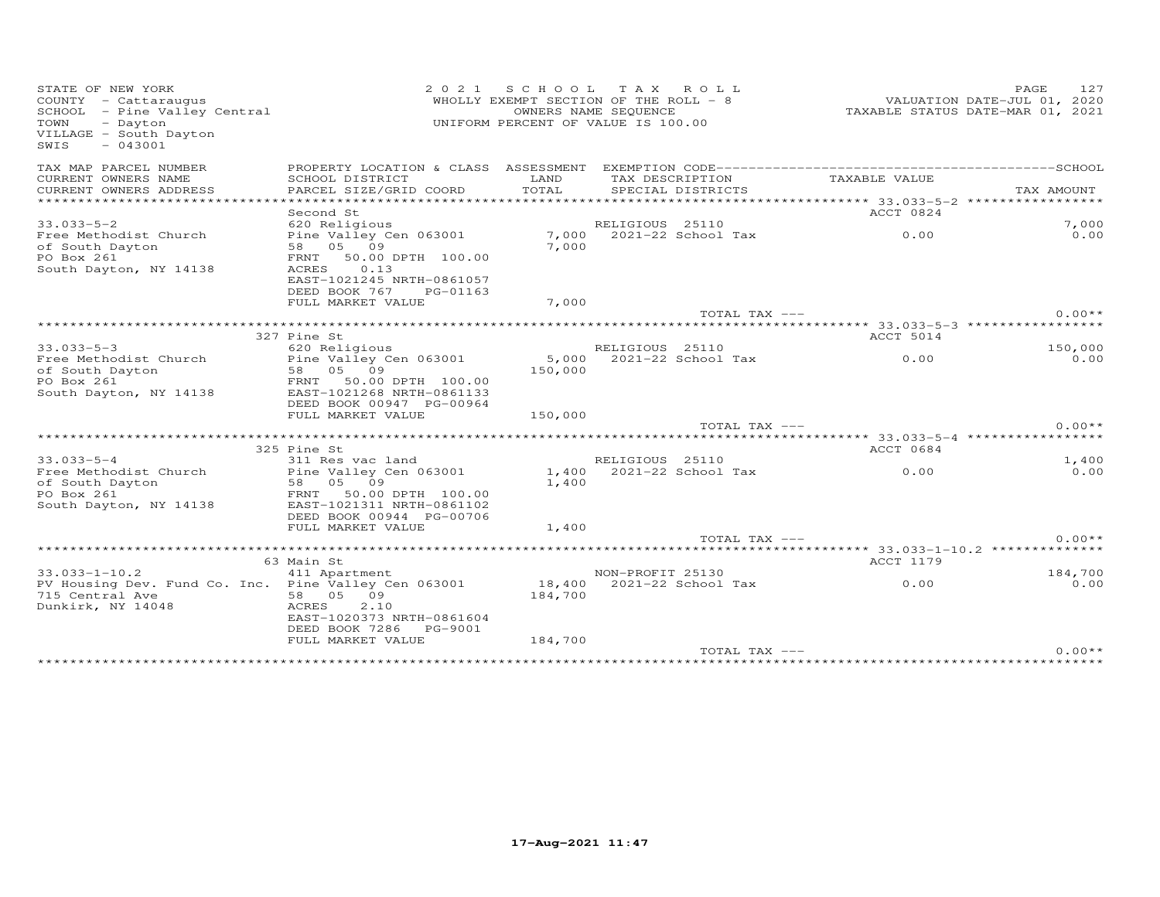| STATE OF NEW YORK<br>COUNTY - Cattaraugus<br>SCHOOL - Pine Valley Central<br>TOWN<br>- Dayton<br>VILLAGE - South Dayton<br>$-043001$<br>SWIS | 2 0 2 1                                               |               | SCHOOL TAX ROLL<br>WHOLLY EXEMPT SECTION OF THE ROLL - 8<br>OWNERS NAME SEQUENCE<br>UNIFORM PERCENT OF VALUE IS 100.00 | VALUATION DATE-JUL 01, 2020<br>TAXABLE STATUS DATE-MAR 01, 2021 | PAGE<br>127 |
|----------------------------------------------------------------------------------------------------------------------------------------------|-------------------------------------------------------|---------------|------------------------------------------------------------------------------------------------------------------------|-----------------------------------------------------------------|-------------|
| TAX MAP PARCEL NUMBER                                                                                                                        |                                                       |               |                                                                                                                        |                                                                 |             |
| CURRENT OWNERS NAME                                                                                                                          | SCHOOL DISTRICT                                       | LAND<br>TOTAL | TAX DESCRIPTION                                                                                                        | TAXABLE VALUE                                                   | TAX AMOUNT  |
| CURRENT OWNERS ADDRESS<br>*************************                                                                                          | PARCEL SIZE/GRID COORD                                |               | SPECIAL DISTRICTS                                                                                                      |                                                                 |             |
|                                                                                                                                              | Second St                                             |               |                                                                                                                        | ACCT 0824                                                       |             |
| $33.033 - 5 - 2$                                                                                                                             | 620 Religious                                         |               | RELIGIOUS 25110                                                                                                        |                                                                 | 7,000       |
| Free Methodist Church                                                                                                                        | Pine Valley Cen 063001                                |               | 7,000 2021-22 School Tax                                                                                               | 0.00                                                            | 0.00        |
| of South Dayton                                                                                                                              | 58 05 09                                              | 7,000         |                                                                                                                        |                                                                 |             |
| PO Box 261                                                                                                                                   | FRNT<br>50.00 DPTH 100.00                             |               |                                                                                                                        |                                                                 |             |
| South Dayton, NY 14138                                                                                                                       | ACRES<br>0.13                                         |               |                                                                                                                        |                                                                 |             |
|                                                                                                                                              | EAST-1021245 NRTH-0861057                             |               |                                                                                                                        |                                                                 |             |
|                                                                                                                                              | DEED BOOK 767<br>PG-01163<br>FULL MARKET VALUE        | 7,000         |                                                                                                                        |                                                                 |             |
|                                                                                                                                              |                                                       |               | TOTAL TAX ---                                                                                                          |                                                                 | $0.00**$    |
|                                                                                                                                              |                                                       |               |                                                                                                                        |                                                                 |             |
|                                                                                                                                              | 327 Pine St                                           |               |                                                                                                                        | ACCT 5014                                                       |             |
| $33.033 - 5 - 3$                                                                                                                             | 620 Religious                                         |               | RELIGIOUS 25110                                                                                                        |                                                                 | 150,000     |
| Free Methodist Church                                                                                                                        | Pine Valley Cen 063001                                | 5,000         | 2021-22 School Tax                                                                                                     | 0.00                                                            | 0.00        |
| of South Dayton                                                                                                                              | 58 05 09                                              | 150,000       |                                                                                                                        |                                                                 |             |
| PO Box 261                                                                                                                                   | FRNT<br>50.00 DPTH 100.00                             |               |                                                                                                                        |                                                                 |             |
| South Dayton, NY 14138                                                                                                                       | EAST-1021268 NRTH-0861133<br>DEED BOOK 00947 PG-00964 |               |                                                                                                                        |                                                                 |             |
|                                                                                                                                              | FULL MARKET VALUE                                     | 150,000       |                                                                                                                        |                                                                 |             |
|                                                                                                                                              |                                                       |               | TOTAL TAX ---                                                                                                          |                                                                 | $0.00**$    |
|                                                                                                                                              |                                                       |               |                                                                                                                        |                                                                 |             |
|                                                                                                                                              | 325 Pine St                                           |               |                                                                                                                        | ACCT 0684                                                       |             |
| $33.033 - 5 - 4$                                                                                                                             | 311 Res vac land                                      |               | RELIGIOUS 25110                                                                                                        |                                                                 | 1,400       |
| Free Methodist Church                                                                                                                        | Pine Valley Cen 063001                                |               | 1,400 2021-22 School Tax                                                                                               | 0.00                                                            | 0.00        |
| of South Dayton                                                                                                                              | 58 05 09                                              | 1,400         |                                                                                                                        |                                                                 |             |
| PO Box 261                                                                                                                                   | FRNT<br>50.00 DPTH 100.00                             |               |                                                                                                                        |                                                                 |             |
| South Dayton, NY 14138                                                                                                                       | EAST-1021311 NRTH-0861102<br>DEED BOOK 00944 PG-00706 |               |                                                                                                                        |                                                                 |             |
|                                                                                                                                              | FULL MARKET VALUE                                     | 1,400         |                                                                                                                        |                                                                 |             |
|                                                                                                                                              |                                                       |               | TOTAL TAX ---                                                                                                          |                                                                 | $0.00**$    |
|                                                                                                                                              |                                                       |               |                                                                                                                        |                                                                 |             |
|                                                                                                                                              | 63 Main St                                            |               |                                                                                                                        | ACCT 1179                                                       |             |
| $33.033 - 1 - 10.2$                                                                                                                          | 411 Apartment                                         |               | NON-PROFIT 25130                                                                                                       |                                                                 | 184,700     |
| PV Housing Dev. Fund Co. Inc. Pine Valley Cen 063001                                                                                         |                                                       |               | 18,400 2021-22 School Tax                                                                                              | 0.00                                                            | 0.00        |
| 715 Central Ave                                                                                                                              | 58 05 09                                              | 184,700       |                                                                                                                        |                                                                 |             |
| Dunkirk, NY 14048                                                                                                                            | 2.10<br>ACRES                                         |               |                                                                                                                        |                                                                 |             |
|                                                                                                                                              | EAST-1020373 NRTH-0861604<br>DEED BOOK 7286 PG-9001   |               |                                                                                                                        |                                                                 |             |
|                                                                                                                                              | FULL MARKET VALUE                                     | 184,700       |                                                                                                                        |                                                                 |             |
|                                                                                                                                              |                                                       |               | TOTAL TAX ---                                                                                                          |                                                                 | $0.00**$    |
|                                                                                                                                              |                                                       |               |                                                                                                                        |                                                                 |             |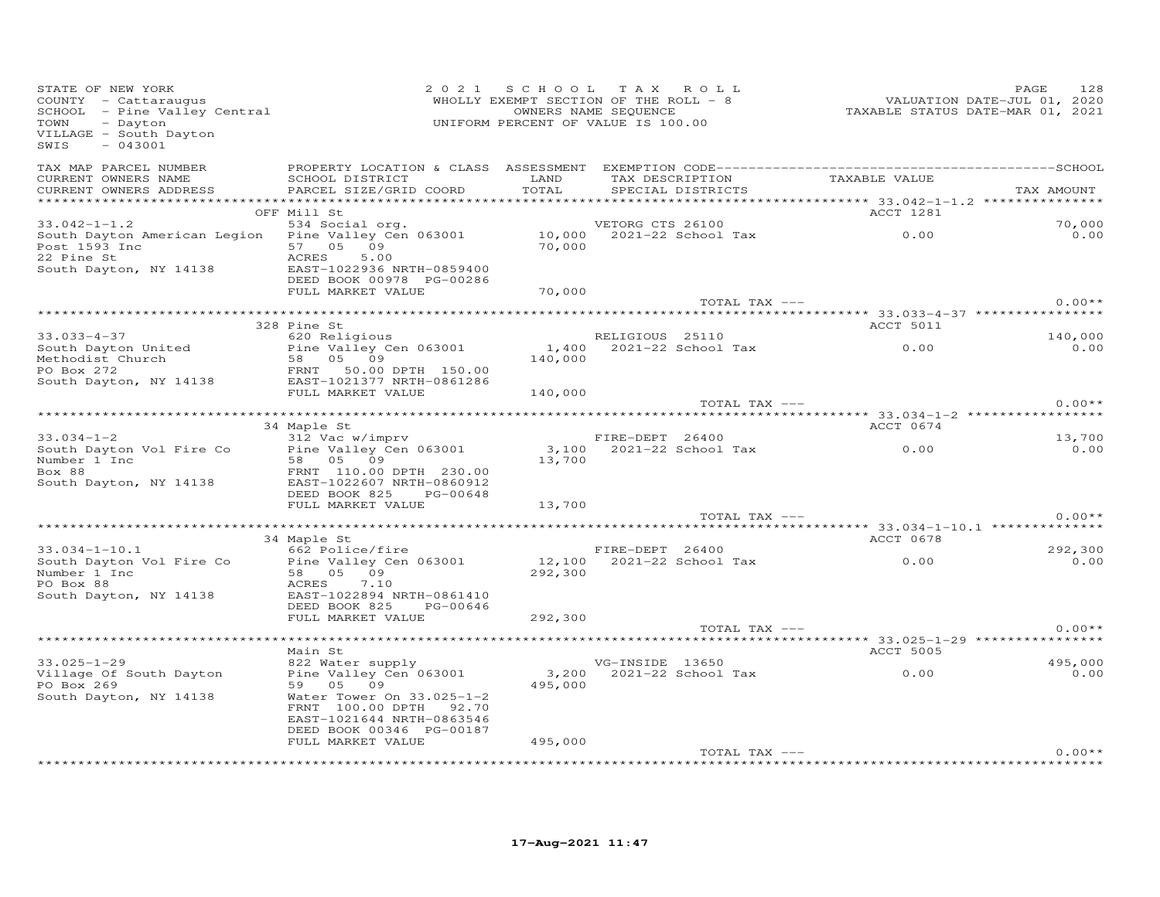| STATE OF NEW YORK<br>COUNTY - Cattaraugus<br>SCHOOL - Pine Valley Central<br>TOWN<br>- Dayton<br>VILLAGE - South Dayton<br>SWIS<br>$-043001$                                                                                                   |                                                       |                  | 2021 SCHOOL TAX ROLL<br>WHOLLY EXEMPT SECTION OF THE ROLL - 8<br>OWNERS NAME SEQUENCE<br>UNIFORM PERCENT OF VALUE IS 100.00 | VALUATION DATE-JUL 01, 2020<br>TAXABLE STATUS DATE-MAR 01, 2021 | 128<br>PAGE |
|------------------------------------------------------------------------------------------------------------------------------------------------------------------------------------------------------------------------------------------------|-------------------------------------------------------|------------------|-----------------------------------------------------------------------------------------------------------------------------|-----------------------------------------------------------------|-------------|
| TAX MAP PARCEL NUMBER<br>CURRENT OWNERS NAME                                                                                                                                                                                                   | SCHOOL DISTRICT                                       | LAND             | TAX DESCRIPTION                                                                                                             | TAXABLE VALUE                                                   |             |
| CURRENT OWNERS ADDRESS                                                                                                                                                                                                                         | PARCEL SIZE/GRID COORD                                | TOTAL            | SPECIAL DISTRICTS                                                                                                           |                                                                 | TAX AMOUNT  |
|                                                                                                                                                                                                                                                | OFF Mill St                                           |                  |                                                                                                                             | ACCT 1281                                                       |             |
| $33.042 - 1 - 1.2$                                                                                                                                                                                                                             | 534 Social org.                                       |                  | VETORG CTS 26100                                                                                                            |                                                                 | 70,000      |
| South Dayton American Legion<br>Post 1593 Inc                                                                                                                                                                                                  | Pine Valley Cen 063001<br>57 05 09                    |                  | 10,000 2021-22 School Tax<br>70,000 2021-22 School Tax                                                                      | 0.00                                                            | 0.00        |
| 22 Pine St                                                                                                                                                                                                                                     | ACRES<br>5.00                                         |                  |                                                                                                                             |                                                                 |             |
| South Dayton, NY 14138                                                                                                                                                                                                                         | EAST-1022936 NRTH-0859400<br>DEED BOOK 00978 PG-00286 |                  |                                                                                                                             |                                                                 |             |
|                                                                                                                                                                                                                                                | FULL MARKET VALUE                                     | 70,000           |                                                                                                                             |                                                                 |             |
|                                                                                                                                                                                                                                                |                                                       |                  | TOTAL TAX ---                                                                                                               |                                                                 | $0.00**$    |
|                                                                                                                                                                                                                                                |                                                       |                  |                                                                                                                             |                                                                 |             |
|                                                                                                                                                                                                                                                | 328 Pine St                                           |                  |                                                                                                                             | ACCT 5011                                                       |             |
| $33.033 - 4 - 37$                                                                                                                                                                                                                              | 620 Religious                                         |                  | RELIGIOUS 25110                                                                                                             |                                                                 | 140,000     |
| South Dayton United                                                                                                                                                                                                                            | Pine Valley Cen 063001                                | 1,400<br>140,000 | 2021-22 School Tax 0.00                                                                                                     |                                                                 | 0.00        |
|                                                                                                                                                                                                                                                |                                                       |                  |                                                                                                                             |                                                                 |             |
| South Dayton United<br>Methodist Church<br>PO Box 272<br>South Dayton, NY 14138<br>PO Box 272<br>South Dayton, NY 14138<br>PO Box 272<br>FRNT 50.00 DPTH 150.00<br>EAST-1021377 NRTH-0861286                                                   |                                                       |                  |                                                                                                                             |                                                                 |             |
|                                                                                                                                                                                                                                                | FULL MARKET VALUE                                     | 140,000          |                                                                                                                             |                                                                 |             |
|                                                                                                                                                                                                                                                |                                                       |                  | TOTAL TAX ---                                                                                                               |                                                                 | $0.00**$    |
|                                                                                                                                                                                                                                                |                                                       |                  |                                                                                                                             |                                                                 |             |
|                                                                                                                                                                                                                                                | 34 Maple St                                           |                  |                                                                                                                             | ACCT 0674                                                       |             |
| $33.034 - 1 - 2$                                                                                                                                                                                                                               | 312 Vac w/imprv                                       |                  | FIRE-DEPT 26400                                                                                                             |                                                                 | 13,700      |
| South Dayton Vol Fire Co                                                                                                                                                                                                                       | Pine Valley Cen 063001                                |                  |                                                                                                                             |                                                                 | 0.00        |
| Number 1 Inc<br>Box 88                                                                                                                                                                                                                         | 58 05 09<br>FRNT 110.00 DPTH 230.00                   | 13,700           |                                                                                                                             |                                                                 |             |
| South Dayton, NY 14138                                                                                                                                                                                                                         | EAST-1022607 NRTH-0860912                             |                  |                                                                                                                             |                                                                 |             |
|                                                                                                                                                                                                                                                | DEED BOOK 825 PG-00648                                |                  |                                                                                                                             |                                                                 |             |
|                                                                                                                                                                                                                                                | FULL MARKET VALUE                                     | 13,700           |                                                                                                                             |                                                                 |             |
|                                                                                                                                                                                                                                                |                                                       |                  | TOTAL TAX ---                                                                                                               |                                                                 | $0.00**$    |
|                                                                                                                                                                                                                                                |                                                       |                  |                                                                                                                             |                                                                 |             |
|                                                                                                                                                                                                                                                | 34 Maple St                                           |                  |                                                                                                                             | ACCT 0678                                                       |             |
| $33.034 - 1 - 10.1$                                                                                                                                                                                                                            | 662 Police/fire                                       |                  | FIRE-DEPT 26400                                                                                                             |                                                                 | 292,300     |
| South Dayton Vol Fire Co<br>Number 1 Inc                                                                                                                                                                                                       | Pine Valley Cen 063001<br>58 05 09                    |                  | $12,100$ $2021-22$ School Tax                                                                                               | 0.00                                                            | 0.00        |
| in the company of the company of the company of the company of the company of the company of the company of the<br>Second the company of the company of the company of the company of the company of the company of the company o<br>PO Box 88 | ACRES<br>7.10                                         | 292,300          |                                                                                                                             |                                                                 |             |
| South Dayton, NY 14138                                                                                                                                                                                                                         | EAST-1022894 NRTH-0861410                             |                  |                                                                                                                             |                                                                 |             |
|                                                                                                                                                                                                                                                | DEED BOOK 825 PG-00646                                |                  |                                                                                                                             |                                                                 |             |
|                                                                                                                                                                                                                                                | FULL MARKET VALUE                                     | 292,300          |                                                                                                                             |                                                                 |             |
|                                                                                                                                                                                                                                                |                                                       |                  | TOTAL TAX ---                                                                                                               |                                                                 | $0.00**$    |
|                                                                                                                                                                                                                                                |                                                       |                  |                                                                                                                             |                                                                 |             |
|                                                                                                                                                                                                                                                | Main St                                               |                  |                                                                                                                             | ACCT 5005                                                       |             |
| $33.025 - 1 - 29$                                                                                                                                                                                                                              | 822 Water supply                                      |                  | VG-INSIDE 13650                                                                                                             |                                                                 | 495,000     |
| Village Of South Dayton                                                                                                                                                                                                                        | Pine Valley Cen 063001                                |                  | 3,200 2021-22 School Tax                                                                                                    | 0.00                                                            | 0.00        |
| PO Box 269                                                                                                                                                                                                                                     | 59 05 09                                              | 495,000          |                                                                                                                             |                                                                 |             |
| South Dayton, NY 14138                                                                                                                                                                                                                         | Water Tower On 33.025-1-2<br>FRNT 100.00 DPTH 92.70   |                  |                                                                                                                             |                                                                 |             |
|                                                                                                                                                                                                                                                | EAST-1021644 NRTH-0863546                             |                  |                                                                                                                             |                                                                 |             |
|                                                                                                                                                                                                                                                | DEED BOOK 00346 PG-00187                              |                  |                                                                                                                             |                                                                 |             |
|                                                                                                                                                                                                                                                | FULL MARKET VALUE                                     | 495,000          |                                                                                                                             |                                                                 |             |
|                                                                                                                                                                                                                                                |                                                       |                  | TOTAL TAX ---                                                                                                               |                                                                 | $0.00**$    |
|                                                                                                                                                                                                                                                |                                                       |                  |                                                                                                                             |                                                                 |             |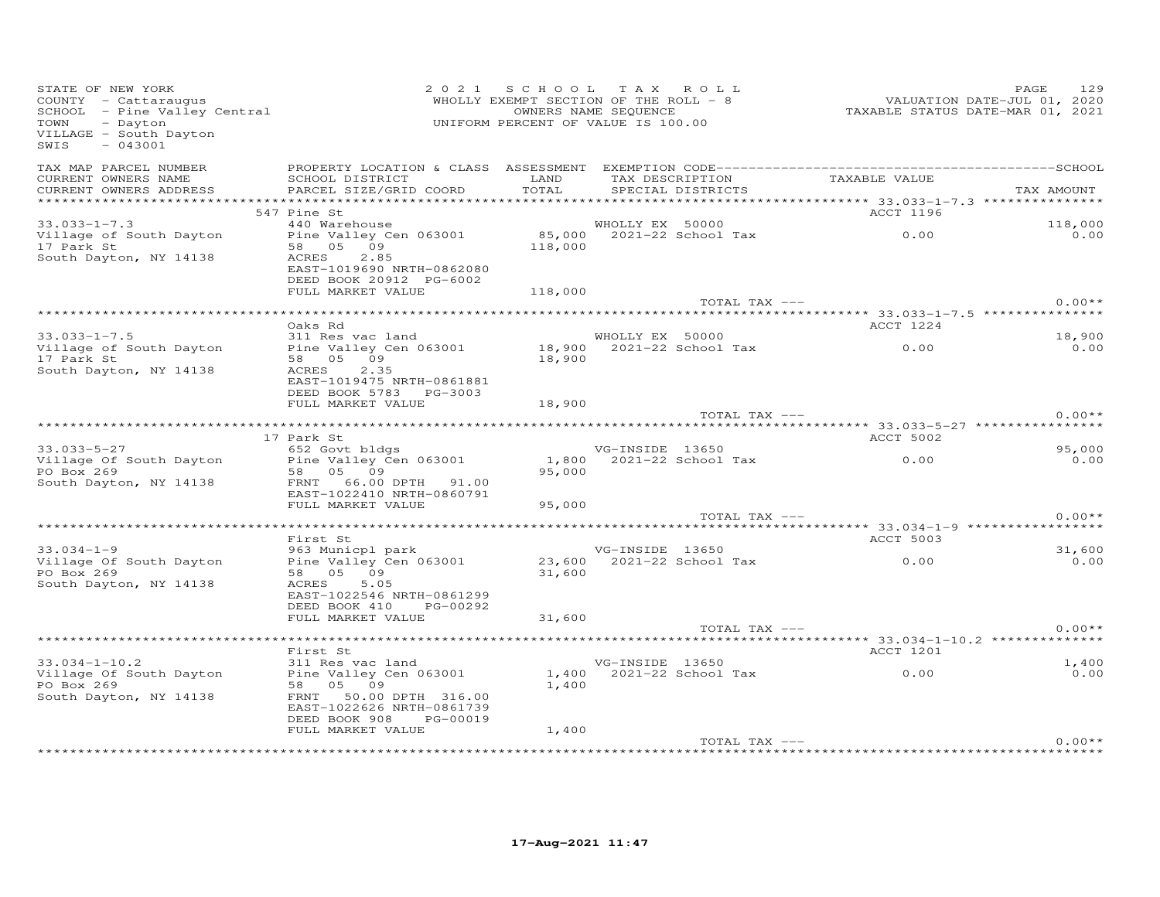| STATE OF NEW YORK<br>COUNTY - Cattaraugus<br>COUNTY - Cattaraugus<br>SCHOOL - Pine Valley Central<br>TOWN<br>- Dayton<br>VILLAGE - South Dayton<br>SWIS<br>$-043001$ | OWNERS NAME SEQUENCE<br>UNIFORM PERCENT OF VALUE IS 100.00                                                                                                    | 2021 SCHOOL TAX ROLL<br>WHOLLY EXEMPT SECTION OF THE ROLL - 8 |                 |                   | 2020<br>7220, VALUATION DATE-JUL 01, 2020<br>7221 TAXABLE STATUS DATE-MAR 01, 2021 | 129<br>PAGE      |
|----------------------------------------------------------------------------------------------------------------------------------------------------------------------|---------------------------------------------------------------------------------------------------------------------------------------------------------------|---------------------------------------------------------------|-----------------|-------------------|------------------------------------------------------------------------------------|------------------|
| TAX MAP PARCEL NUMBER<br>CURRENT OWNERS NAME<br>CURRENT OWNERS ADDRESS                                                                                               | SCHOOL DISTRICT LAND<br>PARCEL SIZE/GRID COORD TOTAL                                                                                                          |                                                               |                 | SPECIAL DISTRICTS | TAX DESCRIPTION TAXABLE VALUE                                                      | TAX AMOUNT       |
|                                                                                                                                                                      |                                                                                                                                                               |                                                               |                 |                   |                                                                                    |                  |
|                                                                                                                                                                      | 547 Pine St                                                                                                                                                   |                                                               |                 |                   | ACCT 1196                                                                          |                  |
| $33.033 - 1 - 7.3$<br>Village of South Dayton Pine Valley Cen 063001 85,000 2021-22 School Tax 0.00<br>17 Park St 58 05 09 118,000<br>South Dayton, NY 14138         | 440 Warehouse<br>ACRES<br>2.85<br>EAST-1019690 NRTH-0862080                                                                                                   |                                                               | WHOLLY EX 50000 |                   |                                                                                    | 118,000<br>0.00  |
|                                                                                                                                                                      | DEED BOOK 20912 PG-6002<br>FULL MARKET VALUE                                                                                                                  | 118,000                                                       |                 |                   |                                                                                    |                  |
|                                                                                                                                                                      |                                                                                                                                                               |                                                               |                 | TOTAL TAX ---     |                                                                                    | $0.00**$         |
|                                                                                                                                                                      |                                                                                                                                                               |                                                               |                 |                   |                                                                                    |                  |
|                                                                                                                                                                      | Oaks Rd                                                                                                                                                       |                                                               |                 |                   | ACCT 1224                                                                          |                  |
| $33.033 - 1 - 7.5$<br>Village of South Dayton<br>17 Park St<br>South Dayton, NY 14138                                                                                | 311 Res vac land<br>311 Res vac land<br>Pine Valley Cen 063001 18,900 2021-22 School Tax (1990 0.00<br>58 05 09<br>ACRES<br>2.35<br>EAST-1019475 NRTH-0861881 | 18,900                                                        |                 |                   |                                                                                    | 18,900<br>0.00   |
|                                                                                                                                                                      | DEED BOOK 5783 PG-3003                                                                                                                                        |                                                               |                 |                   |                                                                                    |                  |
|                                                                                                                                                                      | FULL MARKET VALUE                                                                                                                                             | 18,900                                                        |                 | TOTAL TAX ---     |                                                                                    | $0.00**$         |
|                                                                                                                                                                      |                                                                                                                                                               |                                                               |                 |                   |                                                                                    |                  |
|                                                                                                                                                                      | 17 Park St                                                                                                                                                    |                                                               |                 |                   | <b>ACCT 5002</b>                                                                   |                  |
| $33.033 - 5 - 27$<br>Village Of South Dayton Pine Valley Cen 063001<br>PO Box 269<br>South Dayton, NY 14138                                                          | 652 Govt bldgs<br>58 05 09<br>FRNT 66.00 DPTH 91.00<br>EAST-1022410 NRTH-0860791<br>FULL MARKET VALUE                                                         | 95,000<br>95,000                                              |                 | VG-INSIDE 13650   |                                                                                    | 95,000<br>0.00   |
|                                                                                                                                                                      |                                                                                                                                                               |                                                               |                 | TOTAL TAX ---     |                                                                                    | $0.00**$         |
|                                                                                                                                                                      |                                                                                                                                                               |                                                               |                 |                   |                                                                                    |                  |
|                                                                                                                                                                      | First St                                                                                                                                                      |                                                               |                 |                   | <b>ACCT 5003</b>                                                                   |                  |
| 33.034-1-9<br>VG-INSIDE 13650<br>Village_Of_South_Dayton Pine_Valley_Cen_063001 23,600 2021-22_School_Tax 0.00<br>PO Box 269<br>South Dayton, NY 14138               | 58 05 09<br>ACRES<br>5.05<br>EAST-1022546 NRTH-0861299<br>DEED BOOK 410 PG-00292                                                                              | 31,600                                                        |                 |                   |                                                                                    | $31,600$<br>0.00 |
|                                                                                                                                                                      | FULL MARKET VALUE                                                                                                                                             | 31,600                                                        |                 | TOTAL TAX ---     |                                                                                    | $0.00**$         |
|                                                                                                                                                                      |                                                                                                                                                               |                                                               |                 |                   |                                                                                    |                  |
|                                                                                                                                                                      | First St                                                                                                                                                      |                                                               |                 |                   | <b>ACCT 1201</b>                                                                   |                  |
| $33.034 - 1 - 10.2$<br>Village Of South Dayton<br>Pine Valley Cen 063001<br>PO Box 269<br>South Dayton, NY 14138                                                     | 311 Res vac land<br>58 05 09<br>FRNT 50.00 DPTH 316.00<br>EAST-1022626 NRTH-0861739<br>DEED BOOK 908 PG-00019                                                 | 1,400                                                         | VG-INSIDE 13650 |                   | 1,400 2021-22 School Tax 0.00                                                      | 1,400<br>0.00    |
|                                                                                                                                                                      | FULL MARKET VALUE                                                                                                                                             | 1,400                                                         |                 |                   |                                                                                    | $0.00**$         |
|                                                                                                                                                                      |                                                                                                                                                               |                                                               |                 | TOTAL TAX ---     |                                                                                    |                  |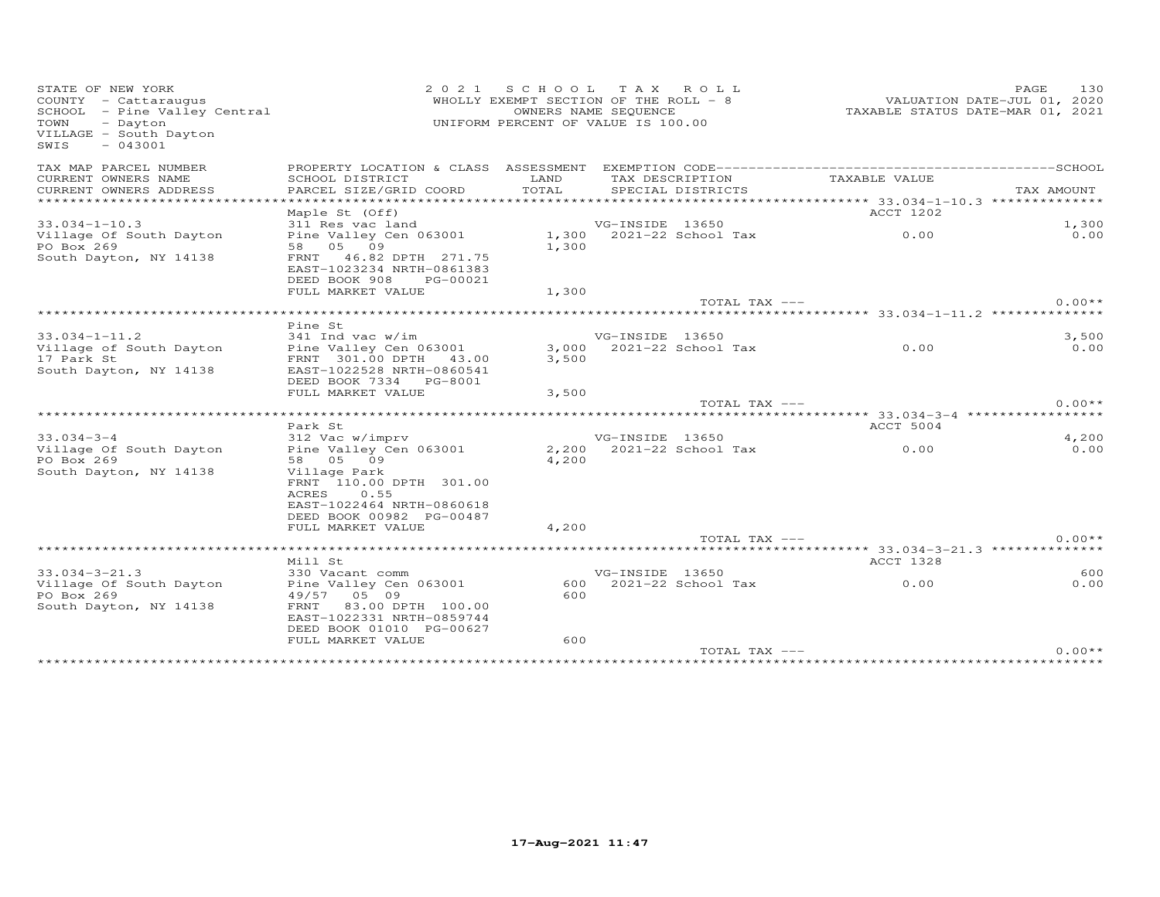| STATE OF NEW YORK<br>COUNTY - Cattaraugus<br>SCHOOL - Pine Valley Central<br>TOWN<br>- Dayton<br>VILLAGE - South Dayton<br>$-043001$<br>SWIS | 2 0 2 1                                                                          |       | SCHOOL TAX ROLL<br>WHOLLY EXEMPT SECTION OF THE ROLL - 8<br>OWNERS NAME SEQUENCE<br>UNIFORM PERCENT OF VALUE IS 100.00 |                                                       | 130<br>PAGE<br>VALUATION DATE-JUL 01, 2020<br>TAXABLE STATUS DATE-MAR 01, 2021 |
|----------------------------------------------------------------------------------------------------------------------------------------------|----------------------------------------------------------------------------------|-------|------------------------------------------------------------------------------------------------------------------------|-------------------------------------------------------|--------------------------------------------------------------------------------|
| TAX MAP PARCEL NUMBER                                                                                                                        |                                                                                  |       |                                                                                                                        |                                                       |                                                                                |
| CURRENT OWNERS NAME                                                                                                                          | SCHOOL DISTRICT                                                                  | LAND  | TAX DESCRIPTION                                                                                                        | TAXABLE VALUE                                         |                                                                                |
| CURRENT OWNERS ADDRESS<br>***********************                                                                                            | PARCEL SIZE/GRID COORD                                                           | TOTAL | SPECIAL DISTRICTS                                                                                                      |                                                       | TAX AMOUNT                                                                     |
|                                                                                                                                              | Maple St (Off)                                                                   |       |                                                                                                                        | ACCT 1202                                             |                                                                                |
| $33.034 - 1 - 10.3$                                                                                                                          | 311 Res vac land                                                                 |       | VG-INSIDE 13650                                                                                                        |                                                       | 1,300                                                                          |
| Village Of South Dayton                                                                                                                      | Pine Valley Cen 063001                                                           |       | 1,300 2021-22 School Tax                                                                                               | 0.00                                                  | 0.00                                                                           |
| PO Box 269                                                                                                                                   | 58 05 09                                                                         | 1,300 |                                                                                                                        |                                                       |                                                                                |
| South Dayton, NY 14138                                                                                                                       | FRNT 46.82 DPTH 271.75<br>EAST-1023234 NRTH-0861383<br>DEED BOOK 908<br>PG-00021 |       |                                                                                                                        |                                                       |                                                                                |
|                                                                                                                                              | FULL MARKET VALUE                                                                | 1,300 |                                                                                                                        |                                                       |                                                                                |
|                                                                                                                                              |                                                                                  |       | TOTAL TAX ---                                                                                                          |                                                       | $0.00**$                                                                       |
|                                                                                                                                              |                                                                                  |       |                                                                                                                        |                                                       |                                                                                |
| $33.034 - 1 - 11.2$                                                                                                                          | Pine St<br>341 Ind vac w/im                                                      |       | VG-INSIDE 13650                                                                                                        |                                                       | 3,500                                                                          |
| Village of South Dayton                                                                                                                      | Pine Valley Cen 063001                                                           |       | 3,000 2021-22 School Tax                                                                                               | $\sim$ 0.00                                           | 0.00                                                                           |
| 17 Park St                                                                                                                                   | FRNT 301.00 DPTH 43.00                                                           | 3,500 |                                                                                                                        |                                                       |                                                                                |
| South Dayton, NY 14138                                                                                                                       | EAST-1022528 NRTH-0860541                                                        |       |                                                                                                                        |                                                       |                                                                                |
|                                                                                                                                              | DEED BOOK 7334 PG-8001                                                           |       |                                                                                                                        |                                                       |                                                                                |
|                                                                                                                                              | FULL MARKET VALUE                                                                | 3,500 |                                                                                                                        |                                                       |                                                                                |
|                                                                                                                                              |                                                                                  |       | TOTAL TAX ---                                                                                                          |                                                       | $0.00**$                                                                       |
|                                                                                                                                              | Park St                                                                          |       |                                                                                                                        | ACCT 5004                                             |                                                                                |
| $33.034 - 3 - 4$                                                                                                                             | 312 Vac w/imprv                                                                  |       | VG-INSIDE 13650                                                                                                        |                                                       | 4,200                                                                          |
| Village Of South Dayton                                                                                                                      | Pine Valley Cen 063001                                                           | 2,200 | 2021-22 School Tax                                                                                                     | 0.00                                                  | 0.00                                                                           |
| PO Box 269                                                                                                                                   | 58 05 09                                                                         | 4,200 |                                                                                                                        |                                                       |                                                                                |
| South Dayton, NY 14138                                                                                                                       | Village Park                                                                     |       |                                                                                                                        |                                                       |                                                                                |
|                                                                                                                                              | FRNT 110.00 DPTH 301.00                                                          |       |                                                                                                                        |                                                       |                                                                                |
|                                                                                                                                              | 0.55<br>ACRES                                                                    |       |                                                                                                                        |                                                       |                                                                                |
|                                                                                                                                              | EAST-1022464 NRTH-0860618<br>DEED BOOK 00982 PG-00487                            |       |                                                                                                                        |                                                       |                                                                                |
|                                                                                                                                              | FULL MARKET VALUE                                                                | 4,200 |                                                                                                                        |                                                       |                                                                                |
|                                                                                                                                              |                                                                                  |       | TOTAL TAX ---                                                                                                          |                                                       | $0.00**$                                                                       |
|                                                                                                                                              |                                                                                  |       |                                                                                                                        | ************************ 33.034-3-21.3 ************** |                                                                                |
|                                                                                                                                              | Mill St                                                                          |       |                                                                                                                        | ACCT 1328                                             |                                                                                |
| $33.034 - 3 - 21.3$                                                                                                                          | 330 Vacant comm                                                                  |       | VG-INSIDE 13650                                                                                                        |                                                       | 600                                                                            |
| Village Of South Dayton                                                                                                                      | Pine Valley Cen 063001                                                           | 600   | 2021-22 School Tax                                                                                                     | 0.00                                                  | 0.00                                                                           |
| PO Box 269                                                                                                                                   | 49/57<br>05 09                                                                   | 600   |                                                                                                                        |                                                       |                                                                                |
| South Dayton, NY 14138                                                                                                                       | FRNT<br>83.00 DPTH 100.00<br>EAST-1022331 NRTH-0859744                           |       |                                                                                                                        |                                                       |                                                                                |
|                                                                                                                                              | DEED BOOK 01010 PG-00627                                                         |       |                                                                                                                        |                                                       |                                                                                |
|                                                                                                                                              | FULL MARKET VALUE                                                                | 600   |                                                                                                                        |                                                       |                                                                                |
|                                                                                                                                              |                                                                                  |       | TOTAL TAX ---                                                                                                          |                                                       | $0.00**$                                                                       |
|                                                                                                                                              |                                                                                  |       |                                                                                                                        |                                                       |                                                                                |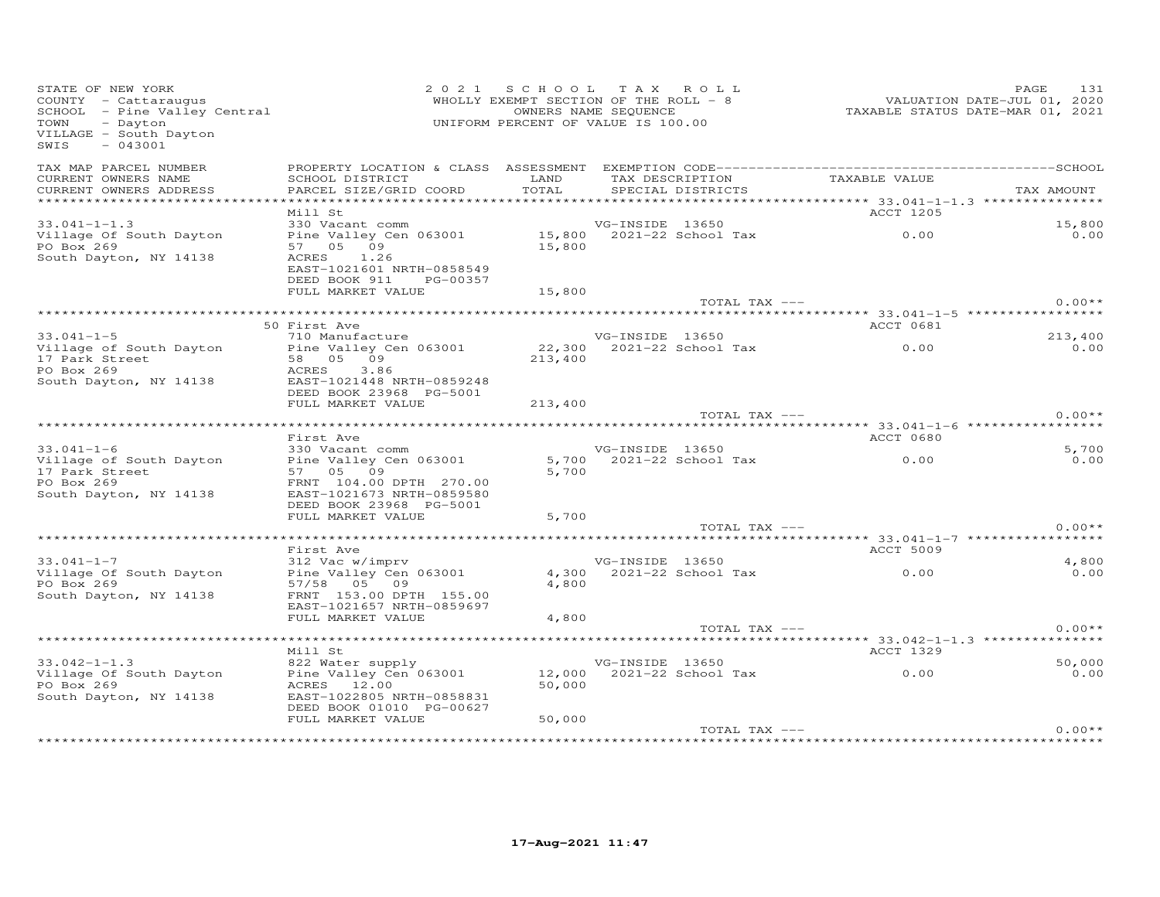| STATE OF NEW YORK<br>COUNTY - Cattaraugus<br>SCHOOL - Pine Valley Central<br>TOWN<br>- Dayton<br>VILLAGE - South Dayton<br>$-043001$<br>SWIS |                                                                                                                 | 2021 SCHOOL TAX ROLL<br>WHOLLY EXEMPT SECTION OF THE ROLL - 8<br>UNIFORM PERCENT OF VALUE IS 100.00 | OWNERS NAME SEQUENCE |                          |                                    | 131<br>PAGE |
|----------------------------------------------------------------------------------------------------------------------------------------------|-----------------------------------------------------------------------------------------------------------------|-----------------------------------------------------------------------------------------------------|----------------------|--------------------------|------------------------------------|-------------|
| TAX MAP PARCEL NUMBER                                                                                                                        |                                                                                                                 | LAND                                                                                                |                      |                          |                                    |             |
| CURRENT OWNERS NAME<br>CURRENT OWNERS ADDRESS                                                                                                | SCHOOL DISTRICT<br>PARCEL SIZE/GRID COORD                                                                       | TOTAL                                                                                               |                      | SPECIAL DISTRICTS        | TAX DESCRIPTION TAXABLE VALUE      | TAX AMOUNT  |
|                                                                                                                                              |                                                                                                                 |                                                                                                     |                      |                          |                                    |             |
|                                                                                                                                              | Mill St                                                                                                         |                                                                                                     |                      |                          | ACCT 1205                          |             |
| $33.041 - 1 - 1.3$                                                                                                                           |                                                                                                                 |                                                                                                     |                      |                          |                                    | 15,800      |
| Village Of South Dayton                                                                                                                      | 330 Vacant comm<br>2031 VG-INSIDE 13650<br>2021-22 School Tax<br>2021-22 School Tax<br>2021-22 School Tax<br>37 |                                                                                                     |                      |                          |                                    | 0.00        |
| PO Box 269                                                                                                                                   | 57 05 09                                                                                                        | 15,800                                                                                              |                      |                          |                                    |             |
| South Dayton, NY 14138                                                                                                                       | ACRES 1.26<br>EAST-1021601 NRTH-0858549                                                                         |                                                                                                     |                      |                          |                                    |             |
|                                                                                                                                              | DEED BOOK 911 PG-00357                                                                                          |                                                                                                     |                      |                          |                                    |             |
|                                                                                                                                              | FULL MARKET VALUE                                                                                               | 15,800                                                                                              |                      |                          |                                    |             |
|                                                                                                                                              |                                                                                                                 |                                                                                                     |                      |                          | TOTAL TAX ---                      | $0.00**$    |
|                                                                                                                                              |                                                                                                                 |                                                                                                     |                      |                          |                                    |             |
|                                                                                                                                              | 50 First Ave                                                                                                    |                                                                                                     |                      |                          | <b>ACCT 0681</b>                   |             |
| $33.041 - 1 - 5$                                                                                                                             | 710 Manufacture                                                                                                 |                                                                                                     | VG-INSIDE 13650      |                          |                                    | 213,400     |
| Village of South Dayton                                                                                                                      | Pine Valley Cen 063001                                                                                          |                                                                                                     |                      |                          | $22,300$ $2021-22$ School Tax 0.00 | 0.00        |
| 17 Park Street<br>- 2 Park 200<br>PO Box 269                                                                                                 | 58 05 09<br>ACRES 3.86                                                                                          | 213,400                                                                                             |                      |                          |                                    |             |
| South Dayton, NY 14138                                                                                                                       | EAST-1021448 NRTH-0859248                                                                                       |                                                                                                     |                      |                          |                                    |             |
|                                                                                                                                              | DEED BOOK 23968 PG-5001                                                                                         |                                                                                                     |                      |                          |                                    |             |
|                                                                                                                                              | FULL MARKET VALUE                                                                                               | 213,400                                                                                             |                      |                          |                                    |             |
|                                                                                                                                              |                                                                                                                 |                                                                                                     |                      | TOTAL TAX ---            |                                    | $0.00**$    |
|                                                                                                                                              |                                                                                                                 |                                                                                                     |                      |                          |                                    |             |
|                                                                                                                                              | First Ave                                                                                                       |                                                                                                     |                      |                          | ACCT 0680                          |             |
| $33.041 - 1 - 6$                                                                                                                             | 330 Vacant comm                                                                                                 |                                                                                                     | VG-INSIDE 13650      |                          |                                    | 5,700       |
| Village of South Dayton                                                                                                                      | Pine Valley Cen 063001                                                                                          |                                                                                                     |                      | 5,700 2021-22 School Tax | 0.00                               | 0.00        |
| 17 Park Street<br>PO Box 269<br>PO Box 269                                                                                                   | 57 05 09<br>FRNT 104.00 DPTH 270.00                                                                             | 5,700                                                                                               |                      |                          |                                    |             |
| South Dayton, NY 14138                                                                                                                       | EAST-1021673 NRTH-0859580                                                                                       |                                                                                                     |                      |                          |                                    |             |
|                                                                                                                                              | DEED BOOK 23968 PG-5001                                                                                         |                                                                                                     |                      |                          |                                    |             |
|                                                                                                                                              | FULL MARKET VALUE                                                                                               | 5,700                                                                                               |                      |                          |                                    |             |
|                                                                                                                                              |                                                                                                                 |                                                                                                     |                      | TOTAL TAX ---            |                                    | $0.00**$    |
|                                                                                                                                              |                                                                                                                 |                                                                                                     |                      |                          |                                    |             |
|                                                                                                                                              | First Ave                                                                                                       |                                                                                                     |                      |                          | <b>ACCT 5009</b>                   |             |
| $33.041 - 1 - 7$                                                                                                                             | 312 Vac w/imprv<br>Siz vac w/imprv<br>Pine Valley Cen 063001                                                    |                                                                                                     | VG-INSIDE 13650      |                          |                                    | 4,800       |
| Village Of South Dayton<br>PO Box 269                                                                                                        | 57/58 05 09                                                                                                     | 4,800                                                                                               |                      |                          | 4,300 2021-22 School Tax 0.00      | 0.00        |
| South Dayton, NY 14138                                                                                                                       | FRNT 153.00 DPTH 155.00                                                                                         |                                                                                                     |                      |                          |                                    |             |
|                                                                                                                                              | EAST-1021657 NRTH-0859697                                                                                       |                                                                                                     |                      |                          |                                    |             |
|                                                                                                                                              | FULL MARKET VALUE                                                                                               | 4,800                                                                                               |                      |                          |                                    |             |
|                                                                                                                                              |                                                                                                                 |                                                                                                     |                      | TOTAL TAX ---            |                                    | $0.00**$    |
|                                                                                                                                              |                                                                                                                 |                                                                                                     |                      |                          |                                    |             |
|                                                                                                                                              | Mill St                                                                                                         |                                                                                                     |                      |                          | ACCT 1329                          |             |
| $33.042 - 1 - 1.3$                                                                                                                           | 822 Water supply                                                                                                |                                                                                                     | VG-INSIDE 13650      |                          |                                    | 50,000      |
| Village Of South Dayton                                                                                                                      | Pine Valley Cen 063001                                                                                          |                                                                                                     |                      |                          | 12,000 2021-22 School Tax 0.00     | 0.00        |
| PO Box 269                                                                                                                                   | ACRES 12.00                                                                                                     | 50,000                                                                                              |                      |                          |                                    |             |
| South Dayton, NY 14138                                                                                                                       | EAST-1022805 NRTH-0858831<br>DEED BOOK 01010 PG-00627                                                           |                                                                                                     |                      |                          |                                    |             |
|                                                                                                                                              | FULL MARKET VALUE                                                                                               | 50,000                                                                                              |                      |                          |                                    |             |
|                                                                                                                                              |                                                                                                                 |                                                                                                     |                      | TOTAL TAX ---            |                                    | $0.00**$    |
|                                                                                                                                              |                                                                                                                 |                                                                                                     |                      |                          |                                    |             |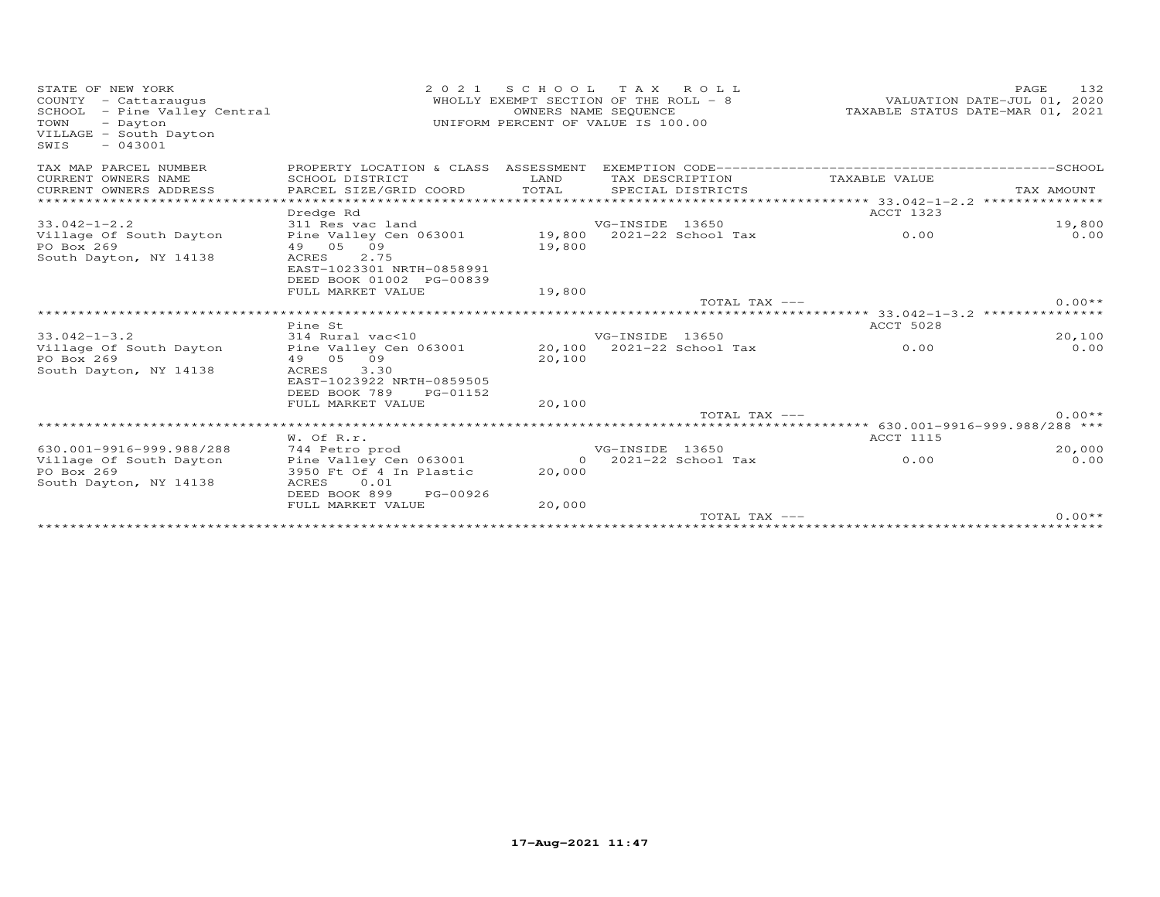| STATE OF NEW YORK<br>COUNTY - Cattaraugus<br>- Pine Valley Central<br>SCHOOL<br>TOWN<br>- Dayton<br>VILLAGE - South Dayton<br>$-043001$<br>SWIS | 2 0 2 1                                                                       | SCHOOL TAX ROLL<br>WHOLLY EXEMPT SECTION OF THE ROLL - 8<br>UNIFORM PERCENT OF VALUE IS 100.00 | OWNERS NAME SEQUENCE                 |                    | TAXABLE STATUS DATE-MAR 01, 2021                | PAGE<br>VALUATION DATE-JUL 01, 2020 | 132      |
|-------------------------------------------------------------------------------------------------------------------------------------------------|-------------------------------------------------------------------------------|------------------------------------------------------------------------------------------------|--------------------------------------|--------------------|-------------------------------------------------|-------------------------------------|----------|
| TAX MAP PARCEL NUMBER                                                                                                                           | PROPERTY LOCATION & CLASS ASSESSMENT                                          |                                                                                                |                                      |                    |                                                 |                                     |          |
| CURRENT OWNERS NAME<br>CURRENT OWNERS ADDRESS                                                                                                   | SCHOOL DISTRICT<br>PARCEL SIZE/GRID COORD                                     | LAND<br>TOTAL                                                                                  | TAX DESCRIPTION<br>SPECIAL DISTRICTS |                    | TAXABLE VALUE                                   | TAX AMOUNT                          |          |
| ***********************                                                                                                                         |                                                                               |                                                                                                |                                      |                    |                                                 |                                     |          |
|                                                                                                                                                 | Dredge Rd                                                                     |                                                                                                |                                      |                    | ACCT 1323                                       |                                     |          |
| $33.042 - 1 - 2.2$                                                                                                                              | 311 Res vac land                                                              |                                                                                                | VG-INSIDE 13650                      |                    |                                                 |                                     | 19,800   |
| Village Of South Dayton<br>PO Box 269                                                                                                           | Pine Valley Cen 063001<br>49 05 09                                            | 19,800                                                                                         | 19,800 2021-22 School Tax            |                    | 0.00                                            |                                     | 0.00     |
| South Dayton, NY 14138                                                                                                                          | <b>ACRES</b><br>2.75<br>EAST-1023301 NRTH-0858991<br>DEED BOOK 01002 PG-00839 |                                                                                                |                                      |                    |                                                 |                                     |          |
|                                                                                                                                                 | FULL MARKET VALUE                                                             | 19,800                                                                                         |                                      | TOTAL TAX $---$    |                                                 |                                     | $0.00**$ |
|                                                                                                                                                 |                                                                               |                                                                                                |                                      |                    | ***************** 33.042-1-3.2 **************** |                                     |          |
|                                                                                                                                                 | Pine St                                                                       |                                                                                                |                                      |                    | <b>ACCT 5028</b>                                |                                     |          |
| $33.042 - 1 - 3.2$                                                                                                                              | 314 Rural vac<10                                                              |                                                                                                | VG-INSIDE 13650                      |                    |                                                 |                                     | 20,100   |
| Village Of South Dayton                                                                                                                         | Pine Valley Cen 063001                                                        | 20,100                                                                                         |                                      | 2021-22 School Tax | 0.00                                            |                                     | 0.00     |
| PO Box 269                                                                                                                                      | 49 05 09                                                                      | 20,100                                                                                         |                                      |                    |                                                 |                                     |          |
| South Dayton, NY 14138                                                                                                                          | 3.30<br>ACRES<br>EAST-1023922 NRTH-0859505                                    |                                                                                                |                                      |                    |                                                 |                                     |          |
|                                                                                                                                                 | DEED BOOK 789<br>PG-01152                                                     |                                                                                                |                                      |                    |                                                 |                                     |          |
|                                                                                                                                                 | FULL MARKET VALUE                                                             | 20,100                                                                                         |                                      |                    |                                                 |                                     |          |
|                                                                                                                                                 |                                                                               |                                                                                                |                                      | TOTAL TAX $---$    |                                                 |                                     | $0.00**$ |
|                                                                                                                                                 |                                                                               |                                                                                                |                                      |                    |                                                 |                                     |          |
|                                                                                                                                                 | W. Of R.r.                                                                    |                                                                                                |                                      |                    | <b>ACCT 1115</b>                                |                                     |          |
| 630.001-9916-999.988/288                                                                                                                        | 744 Petro prod                                                                |                                                                                                | VG-INSIDE 13650                      |                    |                                                 |                                     | 20,000   |
| Village Of South Dayton                                                                                                                         | Pine Valley Cen 063001                                                        | $\overline{O}$                                                                                 |                                      | 2021-22 School Tax | 0.00                                            |                                     | 0.00     |
| PO Box 269<br>South Dayton, NY 14138                                                                                                            | 3950 Ft Of 4 In Plastic<br>0.01<br>ACRES                                      | 20,000                                                                                         |                                      |                    |                                                 |                                     |          |
|                                                                                                                                                 | DEED BOOK 899<br>PG-00926                                                     |                                                                                                |                                      |                    |                                                 |                                     |          |
|                                                                                                                                                 | FULL MARKET VALUE                                                             | 20,000                                                                                         |                                      |                    |                                                 |                                     |          |
|                                                                                                                                                 |                                                                               |                                                                                                |                                      | TOTAL TAX ---      |                                                 |                                     | $0.00**$ |
|                                                                                                                                                 |                                                                               |                                                                                                |                                      |                    |                                                 |                                     |          |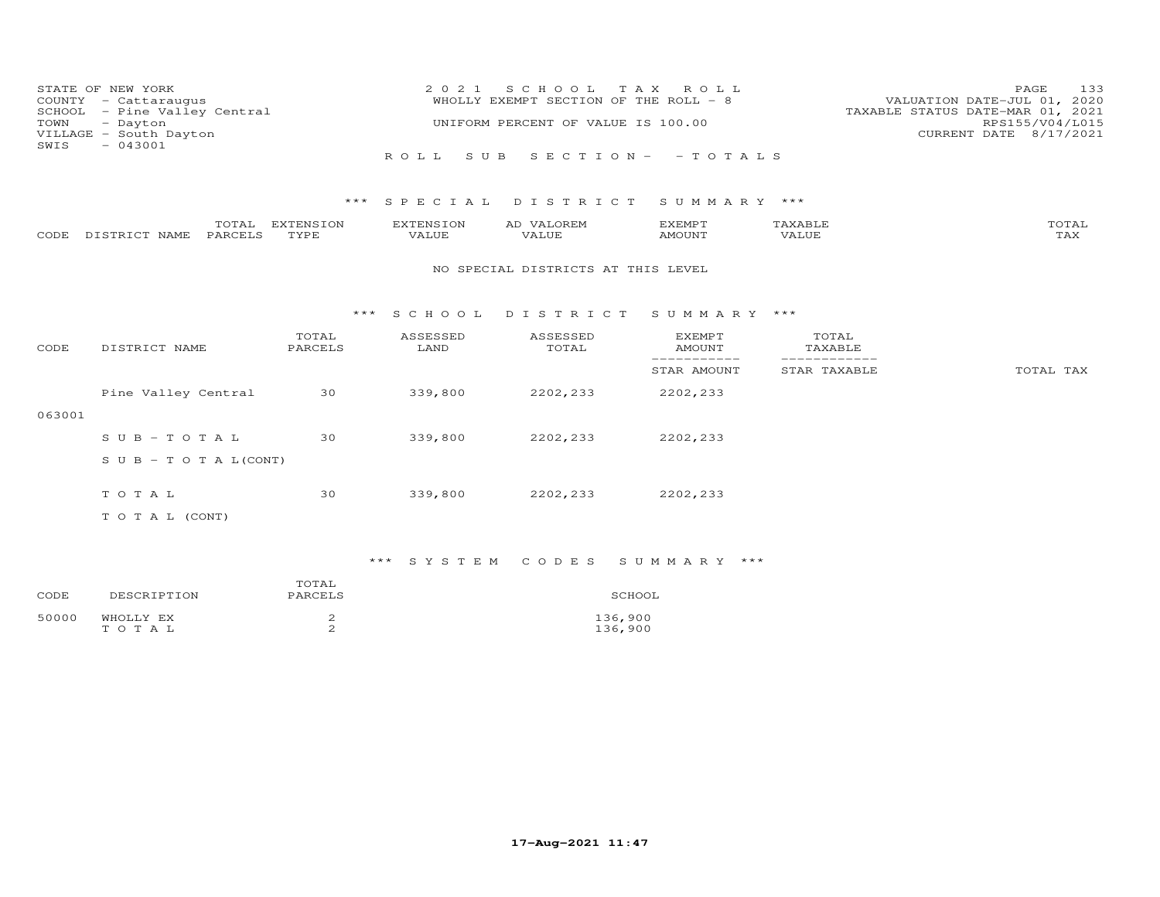| TOWN<br>SWIS | STATE OF NEW YORK<br>COUNTY - Cattaraugus<br>SCHOOL - Pine Valley Central<br>- Dayton<br>VILLAGE - South Dayton<br>$-043001$ |                            | 2 0 2 1<br>ROLL             | S C H O O L<br>WHOLLY EXEMPT SECTION OF THE ROLL - 8<br>UNIFORM PERCENT OF VALUE IS 100.00<br>S U B | T A X<br>ROLL<br>$S E C T I ON - - TO T AL S$ |                               | 133<br>PAGE<br>VALUATION DATE-JUL 01, 2020<br>TAXABLE STATUS DATE-MAR 01, 2021<br>RPS155/V04/L015<br>CURRENT DATE 8/17/2021 |
|--------------|------------------------------------------------------------------------------------------------------------------------------|----------------------------|-----------------------------|-----------------------------------------------------------------------------------------------------|-----------------------------------------------|-------------------------------|-----------------------------------------------------------------------------------------------------------------------------|
|              | TOTAL<br>PARCELS                                                                                                             | $***$<br>EXTENSION<br>TYPE | SPECIAL<br><b>EXTENSION</b> | DISTRICT<br>AD VALOREM<br><b>VALUE</b>                                                              | SUMMARY ***<br><b>EXEMPT</b>                  | TAXABLE<br><b>VALUE</b>       | TOTAL<br>TAX                                                                                                                |
| CODE         | DISTRICT NAME                                                                                                                |                            | VALUE                       | NO SPECIAL DISTRICTS AT THIS LEVEL                                                                  | AMOUNT                                        |                               |                                                                                                                             |
|              |                                                                                                                              | ***                        | S C H O O L                 | DISTRICT                                                                                            | SUMMARY ***                                   |                               |                                                                                                                             |
| CODE         | DISTRICT NAME                                                                                                                | TOTAL<br>PARCELS           | ASSESSED<br>LAND            | ASSESSED<br>TOTAL                                                                                   | <b>EXEMPT</b><br><b>AMOUNT</b>                | TOTAL<br>TAXABLE              |                                                                                                                             |
|              |                                                                                                                              |                            |                             |                                                                                                     | ------------<br>STAR AMOUNT                   | -------------<br>STAR TAXABLE | TOTAL TAX                                                                                                                   |
|              | Pine Valley Central                                                                                                          | 30                         | 339,800                     | 2202,233                                                                                            | 2202,233                                      |                               |                                                                                                                             |
| 063001       |                                                                                                                              |                            |                             |                                                                                                     |                                               |                               |                                                                                                                             |
|              | $S \cup B - TO T A L$                                                                                                        | 30                         | 339,800                     | 2202,233                                                                                            | 2202,233                                      |                               |                                                                                                                             |
|              | S U B - T O T A $L$ (CONT)                                                                                                   |                            |                             |                                                                                                     |                                               |                               |                                                                                                                             |
|              | TOTAL                                                                                                                        | 30                         | 339,800                     | 2202,233                                                                                            | 2202,233                                      |                               |                                                                                                                             |
|              | T O T A L (CONT)                                                                                                             |                            |                             |                                                                                                     |                                               |                               |                                                                                                                             |

| CODE  | DESCRIPTION        | TOTAL<br>PARCELS | SCHOOL             |
|-------|--------------------|------------------|--------------------|
| 50000 | WHOLLY EX<br>TOTAL |                  | 136,900<br>136,900 |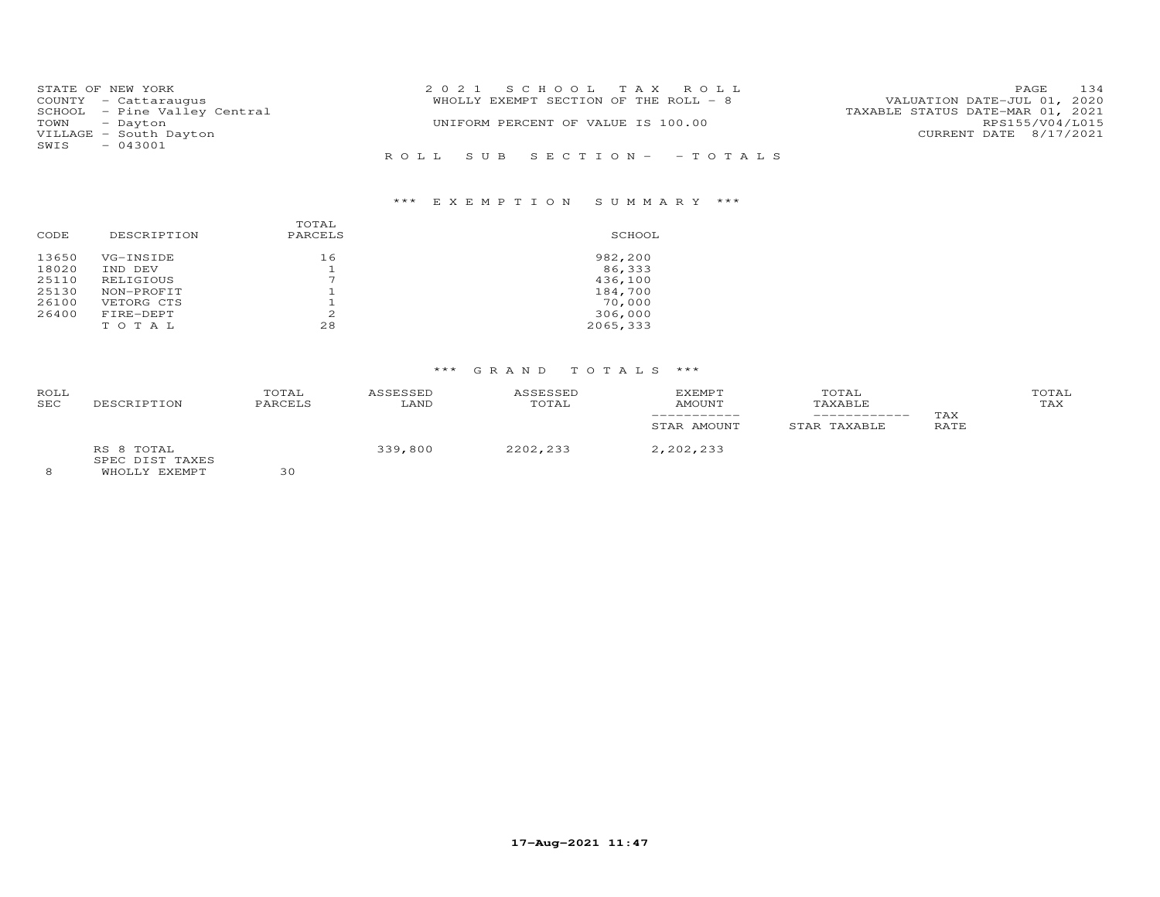| STATE OF NEW YORK            | 2021 SCHOOL TAX ROLL                  | 134<br>PAGE                      |
|------------------------------|---------------------------------------|----------------------------------|
| COUNTY - Cattaraugus         | WHOLLY EXEMPT SECTION OF THE ROLL - 8 | VALUATION DATE-JUL 01, 2020      |
| SCHOOL - Pine Valley Central |                                       | TAXABLE STATUS DATE-MAR 01, 2021 |
| TOWN - Dayton                | UNIFORM PERCENT OF VALUE IS 100.00    | RPS155/V04/L015                  |
| VILLAGE - South Dayton       |                                       | CURRENT DATE 8/17/2021           |
| $-043001$<br>SWIS            |                                       |                                  |
|                              | ROLL SUB SECTION- -TOTALS             |                                  |

### \*\*\* E X E M P T I O N S U M M A R Y \*\*\*

| CODE  | DESCRIPTION | TOTAL<br>PARCELS | SCHOOL    |
|-------|-------------|------------------|-----------|
| 13650 | VG-INSIDE   | 16               | 982,200   |
| 18020 | IND DEV     |                  | 86,333    |
| 25110 | RELIGIOUS   |                  | 436,100   |
| 25130 | NON-PROFIT  |                  | 184,700   |
| 26100 | VETORG CTS  |                  | 70,000    |
| 26400 | FIRE-DEPT   | 2                | 306,000   |
|       | TOTAL       | 28               | 2065, 333 |

### \*\*\* G R A N D T O T A L S \*\*\*

| ROLL<br>SEC | DESCRIPTION                                    | TOTAL<br>PARCELS | ASSESSED<br>LAND | ASSESSED<br>TOTAL | <b>EXEMPT</b><br>AMOUNT<br>STAR AMOUNT | TOTAL<br>TAXABLE<br>STAR TAXABLE | TAX<br>RATE | TOTAL<br>TAX |
|-------------|------------------------------------------------|------------------|------------------|-------------------|----------------------------------------|----------------------------------|-------------|--------------|
|             | RS 8 TOTAL<br>SPEC DIST TAXES<br>WHOLLY EXEMPT | 30               | 339,800          | 2202,233          | 2,202,233                              |                                  |             |              |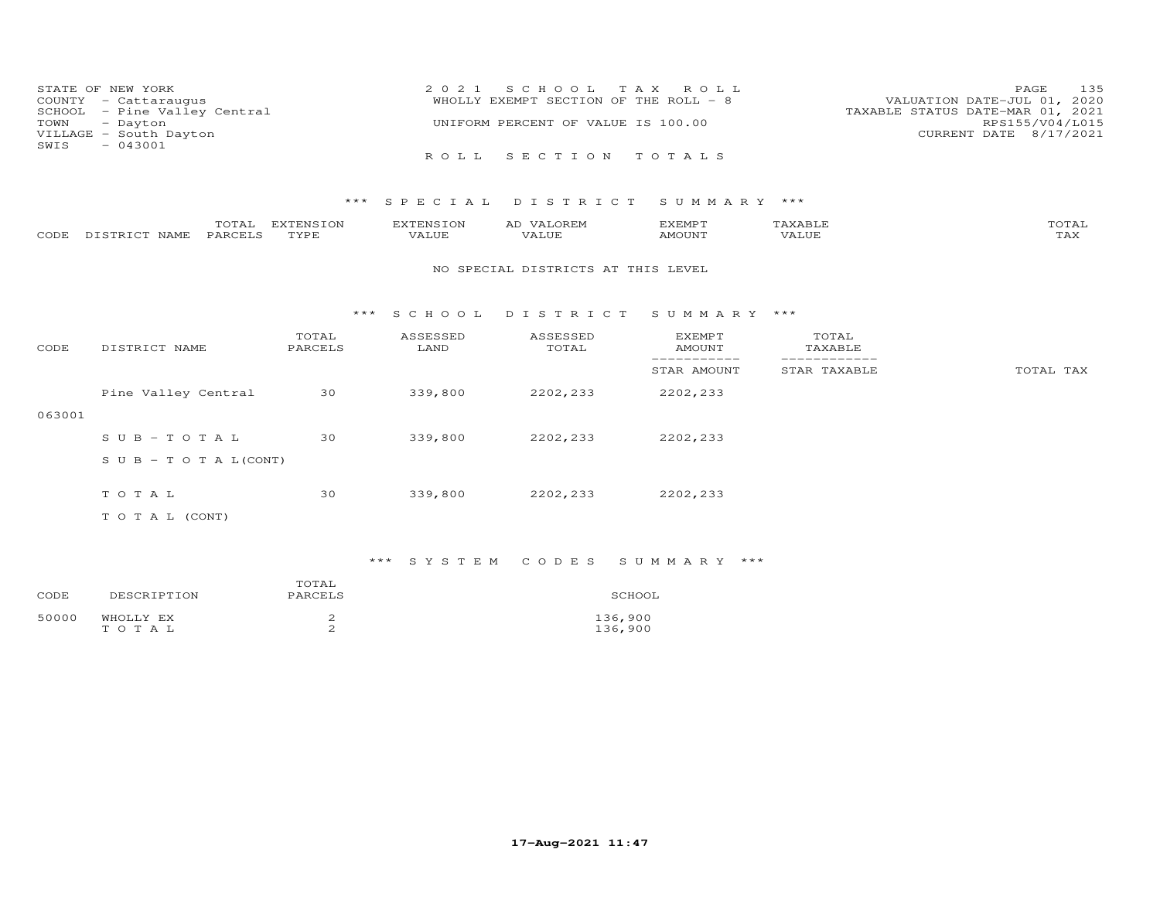| 2021 SCHOOL TAX ROLL                  | 135<br>PAGE                      |
|---------------------------------------|----------------------------------|
| WHOLLY EXEMPT SECTION OF THE ROLL - 8 | VALUATION DATE-JUL 01, 2020      |
|                                       | TAXABLE STATUS DATE-MAR 01, 2021 |
| UNIFORM PERCENT OF VALUE IS 100.00    | RPS155/V04/L015                  |
|                                       | CURRENT DATE 8/17/2021           |
|                                       |                                  |
| ROLL SECTION TOTALS                   |                                  |
|                                       |                                  |

|      |                     | $m \wedge m$<br>r'Ale | <b>EXTENSION</b> | . N $\sim$ | EXEMP T  |       | "OTAL          |
|------|---------------------|-----------------------|------------------|------------|----------|-------|----------------|
| CODE | NAME.<br>᠇ᠬ<br>$ -$ | PARCE <sup>T</sup>    | TVDF             |            | 55077377 | 3 LUF | $- - -$<br>LAX |

#### NO SPECIAL DISTRICTS AT THIS LEVEL

#### \*\*\* S C H O O L D I S T R I C T S U M M A R Y \*\*\*

| CODE   | DISTRICT NAME                    | TOTAL<br>PARCELS | ASSESSED<br>LAND | ASSESSED<br>TOTAL | EXEMPT<br>AMOUNT | TOTAL<br>TAXABLE |           |
|--------|----------------------------------|------------------|------------------|-------------------|------------------|------------------|-----------|
|        |                                  |                  |                  |                   | STAR AMOUNT      | STAR TAXABLE     | TOTAL TAX |
|        | Pine Valley Central              | 30               | 339,800          | 2202,233          | 2202,233         |                  |           |
| 063001 |                                  |                  |                  |                   |                  |                  |           |
|        | SUB-TOTAL                        | 30               | 339,800          | 2202,233          | 2202,233         |                  |           |
|        | $S \cup B - T \cup T A L (CONT)$ |                  |                  |                   |                  |                  |           |
|        |                                  |                  |                  |                   |                  |                  |           |
|        | TOTAL                            | 30               | 339,800          | 2202,233          | 2202,233         |                  |           |
|        | T O T A L (CONT)                 |                  |                  |                   |                  |                  |           |

### \*\*\* S Y S T E M C O D E S S U M M A R Y \*\*\*

| CODE  | DESCRIPTION        | TOTAL<br>PARCELS | SCHOOL             |
|-------|--------------------|------------------|--------------------|
| 50000 | WHOLLY EX<br>TOTAL |                  | 136,900<br>136,900 |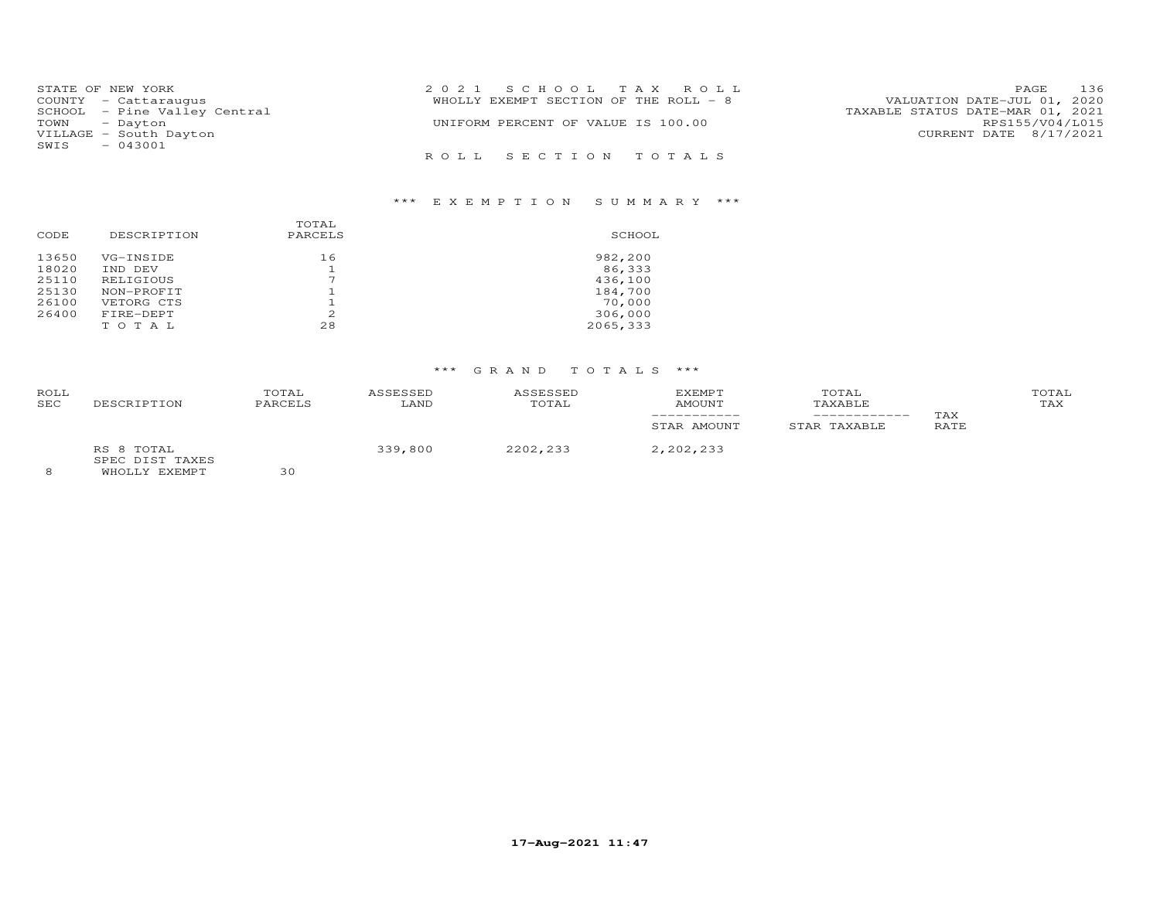| STATE OF NEW YORK            | 2021 SCHOOL TAX ROLL                  | 136<br>PAGE                      |
|------------------------------|---------------------------------------|----------------------------------|
| COUNTY - Cattaraugus         | WHOLLY EXEMPT SECTION OF THE ROLL - 8 | VALUATION DATE-JUL 01, 2020      |
| SCHOOL - Pine Valley Central |                                       | TAXABLE STATUS DATE-MAR 01, 2021 |
| TOWN - Dayton                | UNIFORM PERCENT OF VALUE IS 100.00    | RPS155/V04/L015                  |
| VILLAGE - South Dayton       |                                       | CURRENT DATE 8/17/2021           |
| $-043001$<br>SWIS            |                                       |                                  |
|                              | ROLL SECTION TOTALS                   |                                  |

### \*\*\* E X E M P T I O N S U M M A R Y \*\*\*

| CODE  | DESCRIPTION | TOTAL<br>PARCELS | SCHOOL   |
|-------|-------------|------------------|----------|
| 13650 | VG-INSIDE   | 16               | 982,200  |
| 18020 | IND DEV     |                  | 86,333   |
| 25110 | RELIGIOUS   |                  | 436,100  |
| 25130 | NON-PROFIT  |                  | 184,700  |
| 26100 | VETORG CTS  |                  | 70,000   |
| 26400 | FIRE-DEPT   | 2                | 306,000  |
|       | тотац       | 28               | 2065,333 |

## \*\*\* G R A N D T O T A L S \*\*\*

| ROLL<br><b>SEC</b> | DESCRIPTION                                    | TOTAL<br>PARCELS | ASSESSED<br>LAND | ASSESSED<br>TOTAL | EXEMPT<br>AMOUNT<br>STAR AMOUNT | TOTAL<br>TAXABLE<br>STAR TAXABLE | TAX<br>RATE | TOTAL<br>TAX |
|--------------------|------------------------------------------------|------------------|------------------|-------------------|---------------------------------|----------------------------------|-------------|--------------|
| 8                  | RS 8 TOTAL<br>SPEC DIST TAXES<br>WHOLLY EXEMPT | っへ               | 339,800          | 2202,233          | 2,202,233                       |                                  |             |              |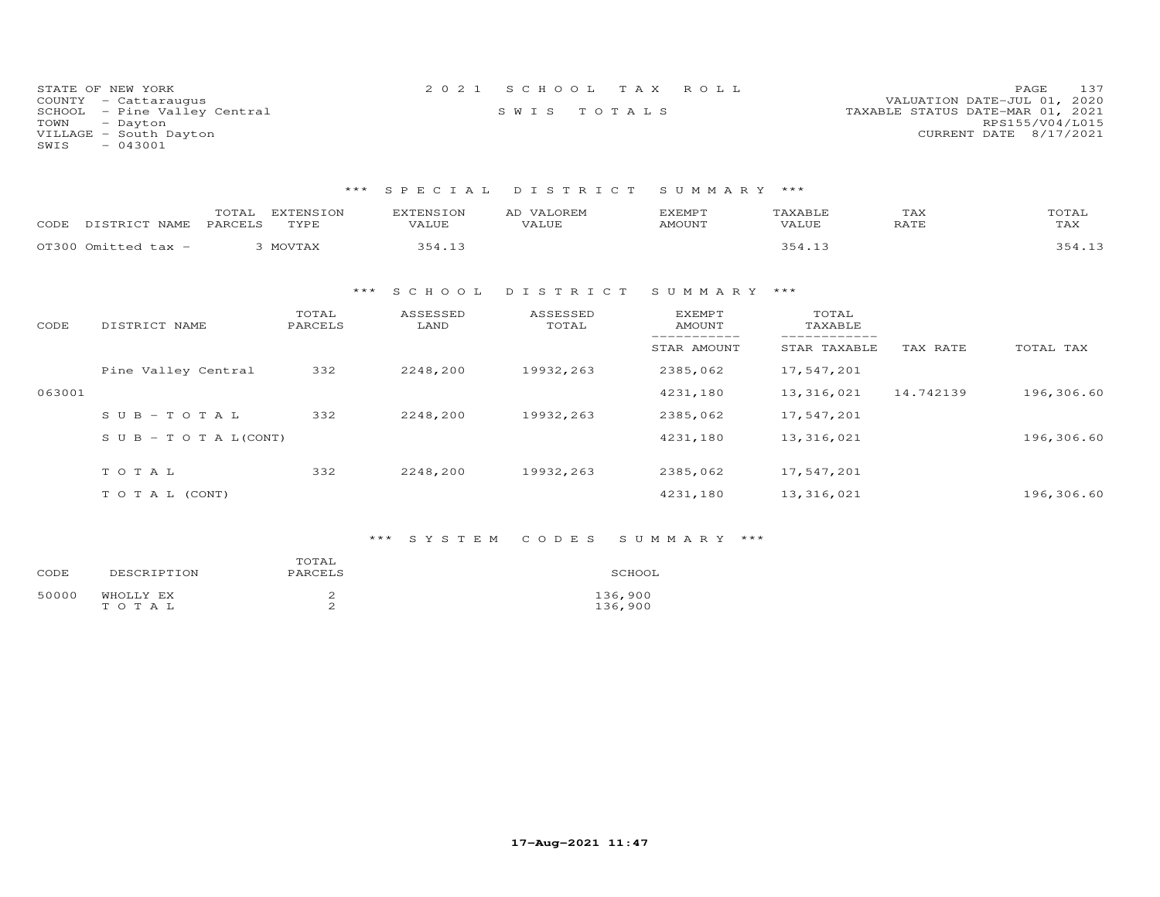| STATE OF NEW YORK            | 2021 SCHOOL TAX ROLL | PAGE 137                         |  |
|------------------------------|----------------------|----------------------------------|--|
| COUNTY - Cattaraugus         |                      | VALUATION DATE-JUL 01, 2020      |  |
| SCHOOL - Pine Valley Central | SWIS TOTALS          | TAXABLE STATUS DATE-MAR 01, 2021 |  |
| TOWN<br>- Dayton             |                      | RPS155/V04/L015                  |  |
| VILLAGE - South Dayton       |                      | CURRENT DATE 8/17/2021           |  |
| SWIS<br>$-043001$            |                      |                                  |  |

| CODE   | TOTAL<br>DISTRICT NAME<br>PARCELS | <b>EXTENSION</b><br>TYPE | <b>EXTENSION</b><br>VALUE | AD VALOREM<br>VALUE | <b>EXEMPT</b><br>AMOUNT | TAXABLE<br>VALUE | TAX<br>RATE | TOTAL<br>TAX |
|--------|-----------------------------------|--------------------------|---------------------------|---------------------|-------------------------|------------------|-------------|--------------|
|        | OT300 Omitted tax -               | 3 MOVTAX                 | 354.13                    |                     |                         | 354.13           |             | 354.13       |
|        |                                   | ***                      | S C H O O L               | DISTRICT            | SUMMARY                 | ***              |             |              |
| CODE   | DISTRICT NAME                     | TOTAL<br>PARCELS         | ASSESSED<br>LAND          | ASSESSED<br>TOTAL   | EXEMPT<br>AMOUNT        | TOTAL<br>TAXABLE |             |              |
|        |                                   |                          |                           |                     | STAR AMOUNT             | STAR TAXABLE     | TAX RATE    | TOTAL TAX    |
|        | Pine Valley Central               | 332                      | 2248,200                  | 19932,263           | 2385,062                | 17,547,201       |             |              |
| 063001 |                                   |                          |                           |                     | 4231,180                | 13,316,021       | 14.742139   | 196,306.60   |
|        | $SUB - TO T AL$                   | 332                      | 2248,200                  | 19932,263           | 2385,062                | 17,547,201       |             |              |
|        | S U B - T O T A $L$ (CONT)        |                          |                           |                     | 4231,180                | 13,316,021       |             | 196,306.60   |
|        |                                   |                          |                           |                     |                         |                  |             |              |
|        | TOTAL                             | 332                      | 2248,200                  | 19932,263           | 2385,062                | 17,547,201       |             |              |
|        | TO TAL (CONT)                     |                          |                           |                     | 4231,180                | 13,316,021       |             | 196,306.60   |

## \*\*\* S Y S T E M C O D E S S U M M A R Y \*\*\*

| CODE  | DESCRIPTION        | TOTAL<br>PARCELS | SCHOOL             |
|-------|--------------------|------------------|--------------------|
| 50000 | WHOLLY EX<br>тотаь |                  | 136,900<br>136,900 |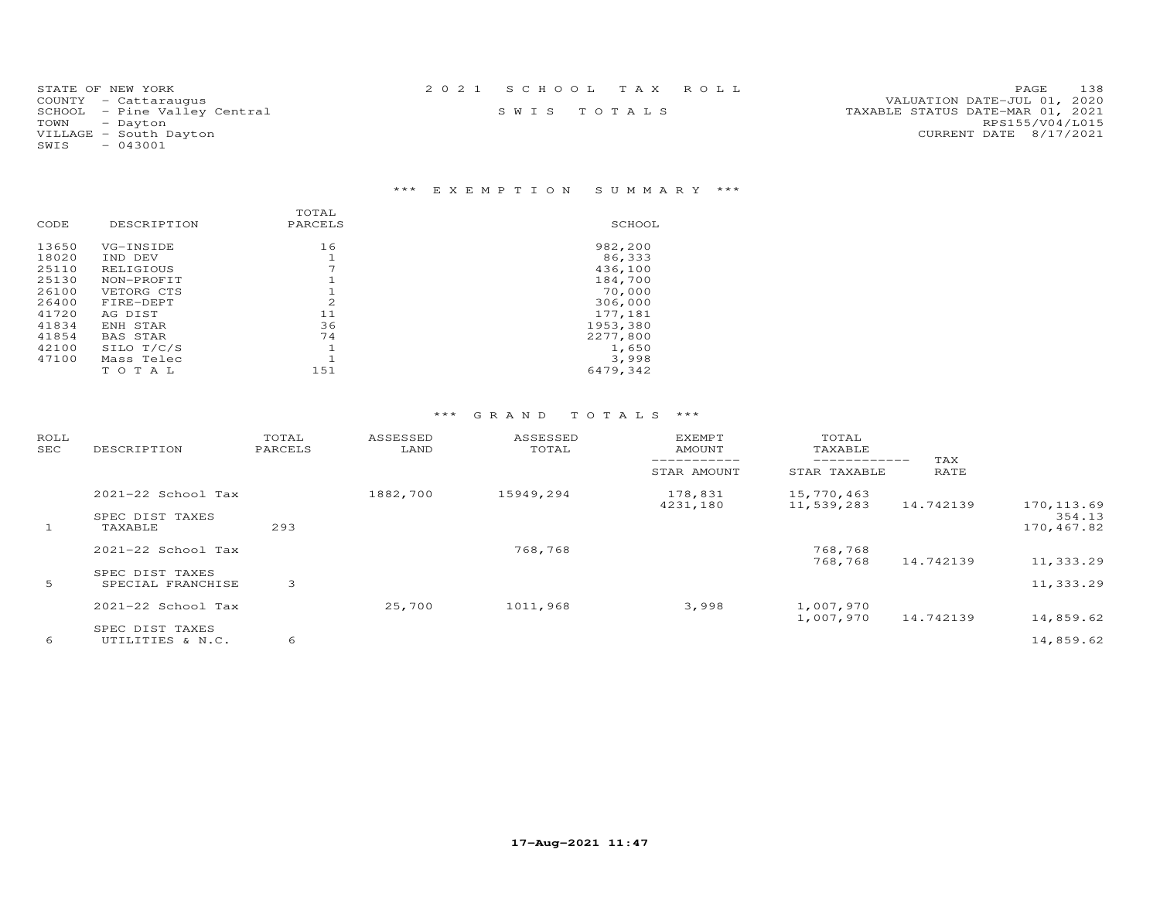| STATE OF NEW YORK            | 2021 SCHOOL TAX ROLL | 138<br>PAGE                      |
|------------------------------|----------------------|----------------------------------|
| COUNTY - Cattaraugus         |                      | VALUATION DATE-JUL 01, 2020      |
| SCHOOL - Pine Valley Central | SWIS TOTALS          | TAXABLE STATUS DATE-MAR 01, 2021 |
| TOWN<br>- Dayton             |                      | RPS155/V04/L015                  |
| VILLAGE - South Dayton       |                      | CURRENT DATE 8/17/2021           |
| $-043001$<br>SWIS            |                      |                                  |

## \*\*\* E X E M P T I O N S U M M A R Y \*\*\*

|       |                 | TOTAL                    |          |
|-------|-----------------|--------------------------|----------|
| CODE  | DESCRIPTION     | PARCELS                  | SCHOOL   |
| 13650 | VG-INSIDE       | 16                       | 982,200  |
| 18020 | IND DEV         |                          | 86,333   |
| 25110 | RELIGIOUS       | $\overline{\phantom{a}}$ | 436,100  |
| 25130 | NON-PROFIT      |                          | 184,700  |
| 26100 | VETORG CTS      |                          | 70,000   |
| 26400 | FIRE-DEPT       | 2                        | 306,000  |
| 41720 | AG DIST         | 11                       | 177,181  |
| 41834 | ENH STAR        | 36                       | 1953,380 |
| 41854 | <b>BAS STAR</b> | 74                       | 2277,800 |
| 42100 | SILO T/C/S      | ٦                        | 1,650    |
| 47100 | Mass Telec      |                          | 3,998    |
|       | T O T A T.      | 151                      | 6479,342 |

| ROLL<br>SEC | DESCRIPTION                          | TOTAL<br>PARCELS | ASSESSED<br>LAND | ASSESSED<br>TOTAL | <b>EXEMPT</b><br>AMOUNT | TOTAL<br>TAXABLE             |             |                      |
|-------------|--------------------------------------|------------------|------------------|-------------------|-------------------------|------------------------------|-------------|----------------------|
|             |                                      |                  |                  |                   | STAR AMOUNT             | ____________<br>STAR TAXABLE | TAX<br>RATE |                      |
|             | 2021-22 School Tax                   |                  | 1882,700         | 15949,294         | 178,831<br>4231,180     | 15,770,463<br>11,539,283     | 14.742139   | 170, 113.69          |
|             | SPEC DIST TAXES<br>TAXABLE           | 293              |                  |                   |                         |                              |             | 354.13<br>170,467.82 |
|             | $2021 - 22$ School Tax               |                  |                  | 768,768           |                         | 768,768<br>768,768           | 14.742139   | 11,333.29            |
| 5           | SPEC DIST TAXES<br>SPECIAL FRANCHISE | 3                |                  |                   |                         |                              |             | 11,333.29            |
|             | 2021-22 School Tax                   |                  | 25,700           | 1011,968          | 3,998                   | 1,007,970<br>1,007,970       | 14.742139   | 14,859.62            |
| 6           | SPEC DIST TAXES<br>UTILITIES & N.C.  | 6                |                  |                   |                         |                              |             | 14,859.62            |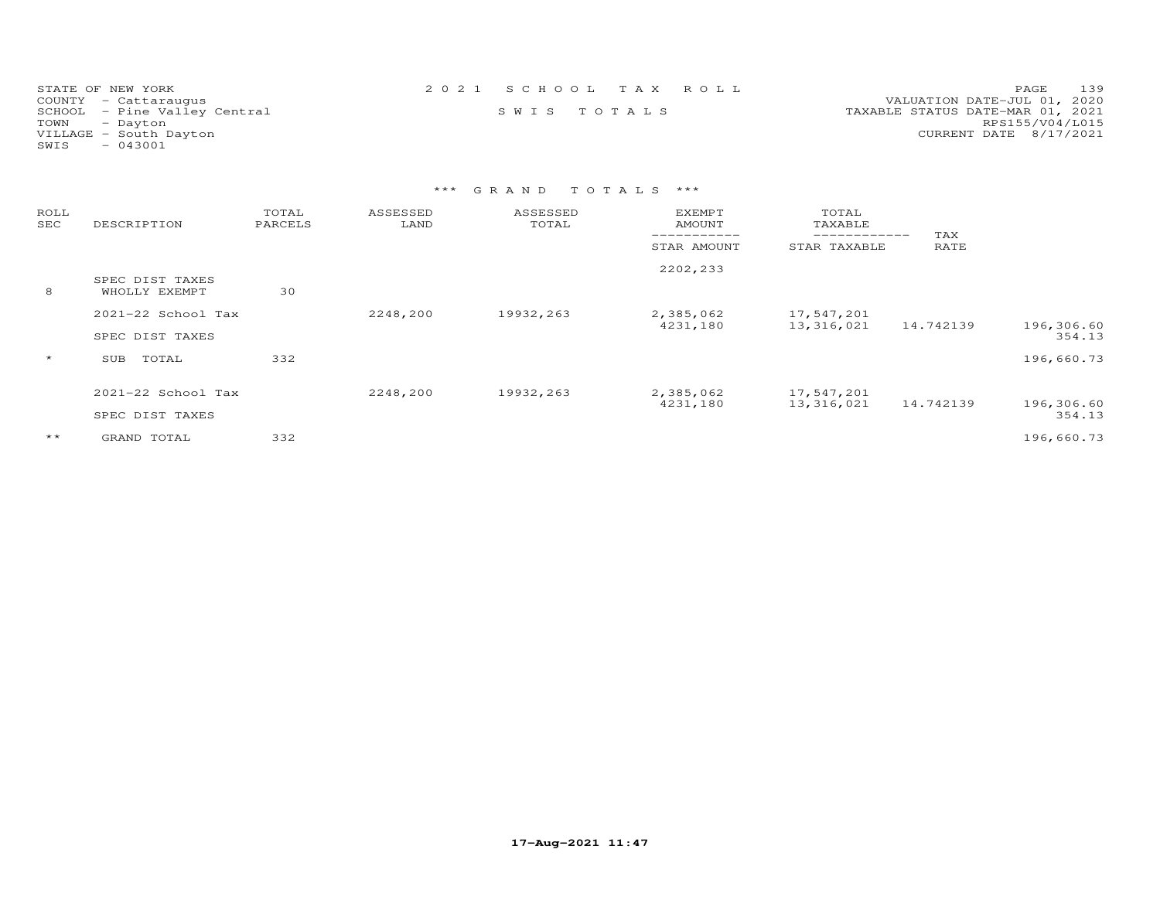| STATE OF NEW YORK            | 2021 SCHOOL TAX ROLL |             |  |                                  | PAGE 139        |  |
|------------------------------|----------------------|-------------|--|----------------------------------|-----------------|--|
| COUNTY - Cattaraugus         |                      |             |  | VALUATION DATE-JUL 01, 2020      |                 |  |
| SCHOOL - Pine Valley Central |                      | SWIS TOTALS |  | TAXABLE STATUS DATE-MAR 01, 2021 |                 |  |
| TOWN - Dayton                |                      |             |  |                                  | RPS155/V04/L015 |  |
| VILLAGE - South Dayton       |                      |             |  | CURRENT DATE 8/17/2021           |                 |  |
| SWIS<br>- 043001             |                      |             |  |                                  |                 |  |

| ROLL<br>SEC | DESCRIPTION                           | TOTAL<br>PARCELS | ASSESSED<br>LAND | ASSESSED<br>TOTAL | <b>EXEMPT</b><br>AMOUNT | TOTAL<br>TAXABLE         | TAX       |                      |
|-------------|---------------------------------------|------------------|------------------|-------------------|-------------------------|--------------------------|-----------|----------------------|
|             |                                       |                  |                  |                   | STAR AMOUNT             | STAR TAXABLE             | RATE      |                      |
| 8           | SPEC DIST TAXES<br>WHOLLY EXEMPT      | 30               |                  |                   | 2202,233                |                          |           |                      |
|             | 2021-22 School Tax<br>SPEC DIST TAXES |                  | 2248,200         | 19932,263         | 2,385,062<br>4231,180   | 17,547,201<br>13,316,021 | 14.742139 | 196,306.60<br>354.13 |
| $\star$     | TOTAL<br>SUB                          | 332              |                  |                   |                         |                          |           | 196,660.73           |
|             | 2021-22 School Tax<br>SPEC DIST TAXES |                  | 2248,200         | 19932,263         | 2,385,062<br>4231,180   | 17,547,201<br>13,316,021 | 14.742139 | 196,306.60<br>354.13 |
| $***$       | GRAND TOTAL                           | 332              |                  |                   |                         |                          |           | 196,660.73           |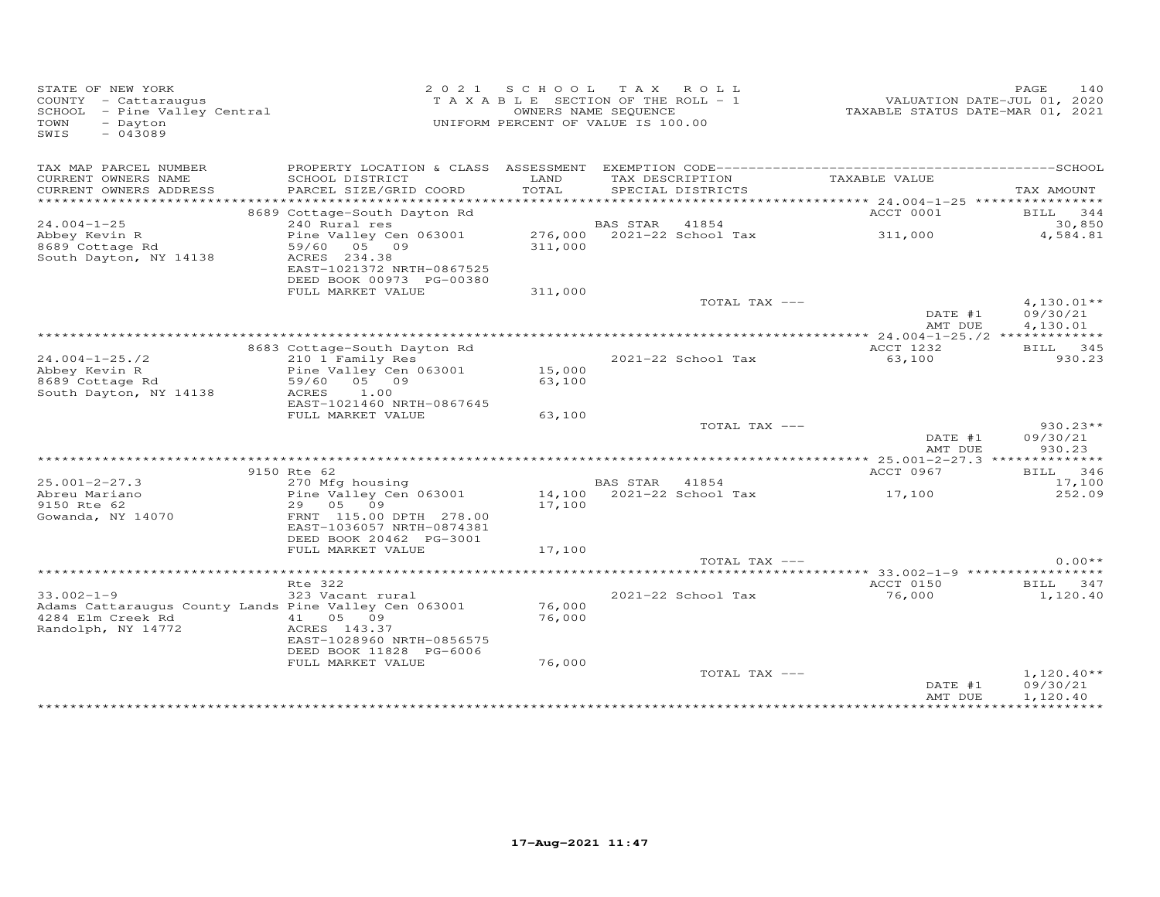| STATE OF NEW YORK<br>COUNTY - Cattaraugus<br>SCHOOL - Pine Valley Central<br>$-$ Dayton<br>TOWN<br>$-043089$<br>SWIS |                                                   |               | 2021 SCHOOL TAX ROLL<br>T A X A B L E SECTION OF THE ROLL - 1<br>OWNERS NAME SEQUENCE<br>UNIFORM PERCENT OF VALUE IS 100.00 | VALUATION DATE-JUL 01, 2020<br>TAXABLE STATUS DATE-MAR 01, 2021 | PAGE<br>140          |
|----------------------------------------------------------------------------------------------------------------------|---------------------------------------------------|---------------|-----------------------------------------------------------------------------------------------------------------------------|-----------------------------------------------------------------|----------------------|
| TAX MAP PARCEL NUMBER                                                                                                |                                                   |               |                                                                                                                             |                                                                 |                      |
| CURRENT OWNERS NAME<br>CURRENT OWNERS ADDRESS                                                                        | SCHOOL DISTRICT<br>PARCEL SIZE/GRID COORD         | LAND<br>TOTAL | TAX DESCRIPTION<br>SPECIAL DISTRICTS                                                                                        | TAXABLE VALUE                                                   | TAX AMOUNT           |
| ***********************                                                                                              |                                                   |               |                                                                                                                             |                                                                 |                      |
| $24.004 - 1 - 25$                                                                                                    | 8689 Cottage-South Dayton Rd<br>240 Rural res     |               | BAS STAR<br>41854                                                                                                           | ACCT 0001                                                       | BILL 344<br>30,850   |
| Abbey Kevin R                                                                                                        | Pine Valley Cen 063001 276,000 2021-22 School Tax |               |                                                                                                                             | 311,000                                                         | 4,584.81             |
| 8689 Cottage Rd                                                                                                      | 59/60 05 09                                       | 311,000       |                                                                                                                             |                                                                 |                      |
| South Dayton, NY 14138                                                                                               | ACRES 234.38                                      |               |                                                                                                                             |                                                                 |                      |
|                                                                                                                      | EAST-1021372 NRTH-0867525                         |               |                                                                                                                             |                                                                 |                      |
|                                                                                                                      | DEED BOOK 00973 PG-00380                          |               |                                                                                                                             |                                                                 |                      |
|                                                                                                                      | FULL MARKET VALUE                                 | 311,000       |                                                                                                                             |                                                                 |                      |
|                                                                                                                      |                                                   |               | TOTAL TAX ---                                                                                                               |                                                                 | $4,130.01**$         |
|                                                                                                                      |                                                   |               |                                                                                                                             | DATE #1<br>AMT DUE                                              | 09/30/21<br>4,130.01 |
|                                                                                                                      |                                                   |               |                                                                                                                             |                                                                 |                      |
|                                                                                                                      | 8683 Cottage-South Dayton Rd                      |               |                                                                                                                             | ACCT 1232                                                       | BILL 345             |
| $24.004 - 1 - 25.72$                                                                                                 | 210 1 Family Res                                  |               | 2021-22 School Tax                                                                                                          | 63,100                                                          | 930.23               |
| Abbey Kevin R                                                                                                        | Pine Valley Cen 063001                            | 15,000        |                                                                                                                             |                                                                 |                      |
| 8689 Cottage Rd                                                                                                      | 59/60 05 09                                       | 63,100        |                                                                                                                             |                                                                 |                      |
| South Dayton, NY 14138                                                                                               | ACRES<br>1.00                                     |               |                                                                                                                             |                                                                 |                      |
|                                                                                                                      | EAST-1021460 NRTH-0867645<br>FULL MARKET VALUE    | 63,100        |                                                                                                                             |                                                                 |                      |
|                                                                                                                      |                                                   |               | TOTAL TAX ---                                                                                                               |                                                                 | $930.23**$           |
|                                                                                                                      |                                                   |               |                                                                                                                             | DATE #1                                                         | 09/30/21             |
|                                                                                                                      |                                                   |               |                                                                                                                             | AMT DUE                                                         | 930.23               |
|                                                                                                                      |                                                   |               |                                                                                                                             |                                                                 |                      |
|                                                                                                                      | 9150 Rte 62                                       |               |                                                                                                                             | ACCT 0967                                                       | BILL 346             |
| $25.001 - 2 - 27.3$                                                                                                  | 270 Mfg housing                                   |               | BAS STAR 41854                                                                                                              |                                                                 | 17,100               |
| Abreu Mariano                                                                                                        | Pine Valley Cen 063001                            | 14,100        | 2021-22 School Tax                                                                                                          | 17,100                                                          | 252.09               |
| 9150 Rte 62<br>Gowanda, NY 14070                                                                                     | 29 05 09<br>FRNT 115.00 DPTH 278.00               | 17,100        |                                                                                                                             |                                                                 |                      |
|                                                                                                                      | EAST-1036057 NRTH-0874381                         |               |                                                                                                                             |                                                                 |                      |
|                                                                                                                      | DEED BOOK 20462 PG-3001                           |               |                                                                                                                             |                                                                 |                      |
|                                                                                                                      | FULL MARKET VALUE                                 | 17,100        |                                                                                                                             |                                                                 |                      |
|                                                                                                                      |                                                   |               | TOTAL TAX ---                                                                                                               |                                                                 | $0.00**$             |
|                                                                                                                      |                                                   |               |                                                                                                                             | ***** 33.002-1-9 *****************                              |                      |
|                                                                                                                      | Rte 322                                           |               |                                                                                                                             | ACCT 0150                                                       | BILL 347             |
| $33.002 - 1 - 9$<br>Adams Cattaraugus County Lands Pine Valley Cen 063001                                            | 323 Vacant rural                                  | 76,000        | 2021-22 School Tax                                                                                                          | 76,000                                                          | 1,120.40             |
| 4284 Elm Creek Rd                                                                                                    | 41 05 09                                          | 76,000        |                                                                                                                             |                                                                 |                      |
| Randolph, NY 14772                                                                                                   | ACRES 143.37                                      |               |                                                                                                                             |                                                                 |                      |
|                                                                                                                      | EAST-1028960 NRTH-0856575                         |               |                                                                                                                             |                                                                 |                      |
|                                                                                                                      | DEED BOOK 11828 PG-6006                           |               |                                                                                                                             |                                                                 |                      |
|                                                                                                                      | FULL MARKET VALUE                                 | 76,000        |                                                                                                                             |                                                                 |                      |
|                                                                                                                      |                                                   |               | TOTAL TAX ---                                                                                                               |                                                                 | $1,120.40**$         |
|                                                                                                                      |                                                   |               |                                                                                                                             | DATE #1<br>AMT DUE                                              | 09/30/21<br>1,120.40 |
|                                                                                                                      |                                                   |               |                                                                                                                             | **************************                                      |                      |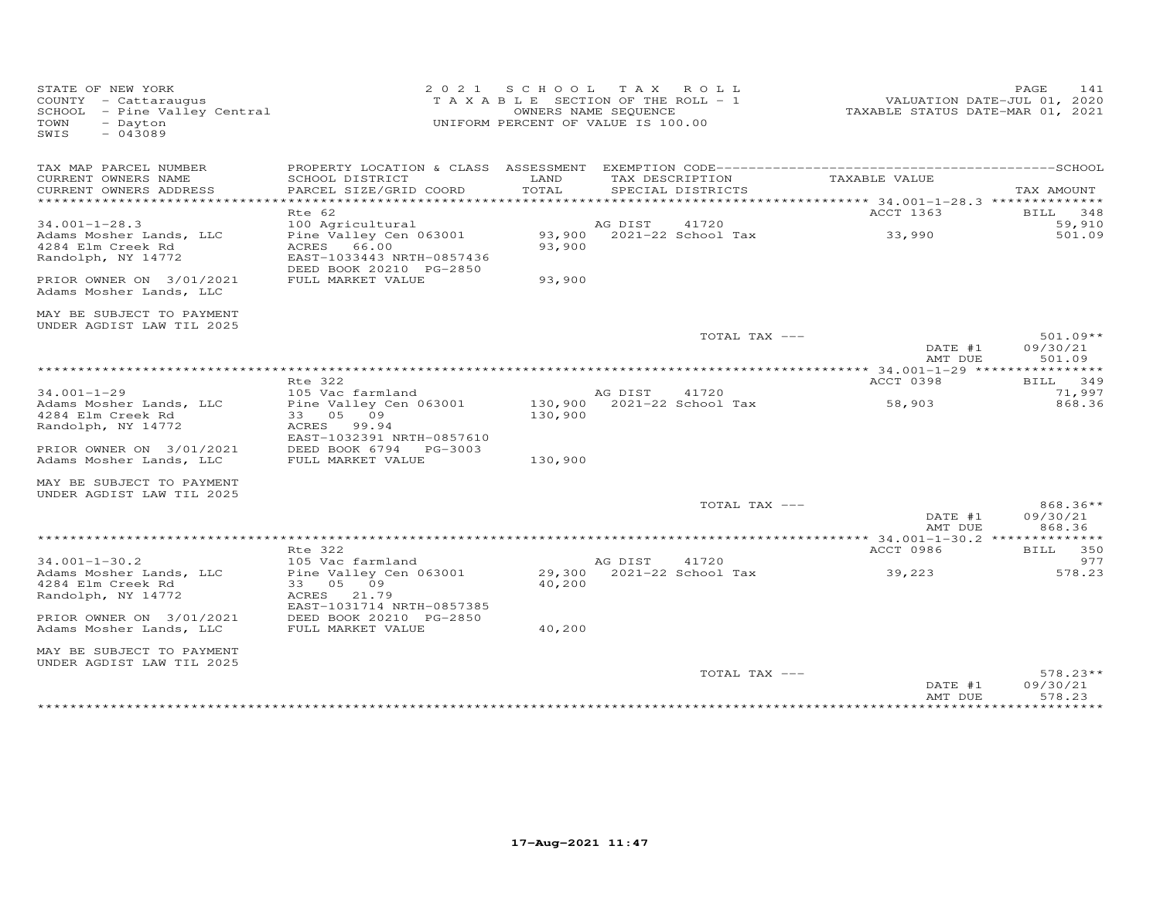| STATE OF NEW YORK<br>COUNTY - Cattaraugus<br>SCHOOL - Pine Valley Central<br>TOWN<br>- Dayton<br>$-043089$<br>SWIS |                                                                                                               |         | 2021 SCHOOL TAX ROLL<br>TAXABLE SECTION OF THE ROLL - 1<br>OWNERS NAME SEQUENCE<br>UNIFORM PERCENT OF VALUE IS 100.00 |               | TAXABLE STATUS DATE-MAR 01, 2021                    | PAGE<br>141<br>VALUATION DATE-JUL 01, 2020      |
|--------------------------------------------------------------------------------------------------------------------|---------------------------------------------------------------------------------------------------------------|---------|-----------------------------------------------------------------------------------------------------------------------|---------------|-----------------------------------------------------|-------------------------------------------------|
| TAX MAP PARCEL NUMBER<br>CURRENT OWNERS NAME                                                                       | SCHOOL DISTRICT                                                                                               | LAND    | TAX DESCRIPTION                                                                                                       |               | TAXABLE VALUE                                       |                                                 |
| CURRENT OWNERS ADDRESS<br>*************************                                                                | PARCEL SIZE/GRID COORD                                                                                        | TOTAL   | SPECIAL DISTRICTS                                                                                                     |               |                                                     | TAX AMOUNT                                      |
| $34.001 - 1 - 28.3$<br>Adams Mosher Lands, LLC<br>4284 Elm Creek Rd<br>Randolph, NY 14772                          | Rte 62<br>100 Agricultural<br>Pine Valley Cen 063001<br>ACRES 66.00<br>EAST-1033443 NRTH-0857436              | 93,900  | AG DIST<br>93,900 2021-22 School Tax                                                                                  | 41720         | ACCT 1363<br>33,990                                 | BILL<br>348<br>59,910<br>501.09                 |
| PRIOR OWNER ON 3/01/2021<br>Adams Mosher Lands, LLC                                                                | DEED BOOK 20210 PG-2850<br>FULL MARKET VALUE                                                                  | 93,900  |                                                                                                                       |               |                                                     |                                                 |
| MAY BE SUBJECT TO PAYMENT<br>UNDER AGDIST LAW TIL 2025                                                             |                                                                                                               |         |                                                                                                                       |               |                                                     |                                                 |
|                                                                                                                    |                                                                                                               |         |                                                                                                                       | TOTAL TAX --- | DATE #1<br>AMT DUE                                  | $501.09**$<br>09/30/21<br>501.09                |
|                                                                                                                    | Rte 322                                                                                                       |         |                                                                                                                       |               | ACCT 0398                                           | BILL 349                                        |
| $34.001 - 1 - 29$<br>Adams Mosher Lands, LLC<br>4284 Elm Creek Rd<br>Randolph, NY 14772                            | 105 Vac farmland<br>Pine Valley Cen 063001<br>33 05 09<br>ACRES 99.94<br>EAST-1032391 NRTH-0857610            | 130,900 | AG DIST<br>130,900 2021-22 School Tax                                                                                 | 41720         | 58,903                                              | 71,997<br>868.36                                |
| PRIOR OWNER ON 3/01/2021<br>Adams Mosher Lands, LLC                                                                | DEED BOOK 6794 PG-3003<br>FULL MARKET VALUE                                                                   | 130,900 |                                                                                                                       |               |                                                     |                                                 |
| MAY BE SUBJECT TO PAYMENT<br>UNDER AGDIST LAW TIL 2025                                                             |                                                                                                               |         |                                                                                                                       |               |                                                     |                                                 |
|                                                                                                                    |                                                                                                               |         |                                                                                                                       | TOTAL TAX --- | DATE #1<br>AMT DUE                                  | 868.36**<br>09/30/21<br>868.36                  |
|                                                                                                                    |                                                                                                               |         |                                                                                                                       |               |                                                     |                                                 |
| $34.001 - 1 - 30.2$<br>Adams Mosher Lands, LLC<br>4284 Elm Creek Rd<br>Randolph, NY 14772                          | Rte 322<br>105 Vac farmland<br>Pine Valley Cen 063001<br>33 05 09<br>ACRES 21.79<br>EAST-1031714 NRTH-0857385 | 40,200  | AG DIST<br>29,300 2021-22 School Tax                                                                                  | 41720         | ACCT 0986<br>39,223                                 | BILL 350<br>977<br>578.23                       |
| PRIOR OWNER ON 3/01/2021<br>Adams Mosher Lands, LLC                                                                | DEED BOOK 20210 PG-2850<br>FULL MARKET VALUE                                                                  | 40,200  |                                                                                                                       |               |                                                     |                                                 |
| MAY BE SUBJECT TO PAYMENT<br>UNDER AGDIST LAW TIL 2025                                                             |                                                                                                               |         |                                                                                                                       |               |                                                     |                                                 |
|                                                                                                                    |                                                                                                               |         |                                                                                                                       | TOTAL TAX --- | DATE #1<br>AMT DUE<br>* * * * * * * * * * * * * * * | $578.23**$<br>09/30/21<br>578.23<br>*********** |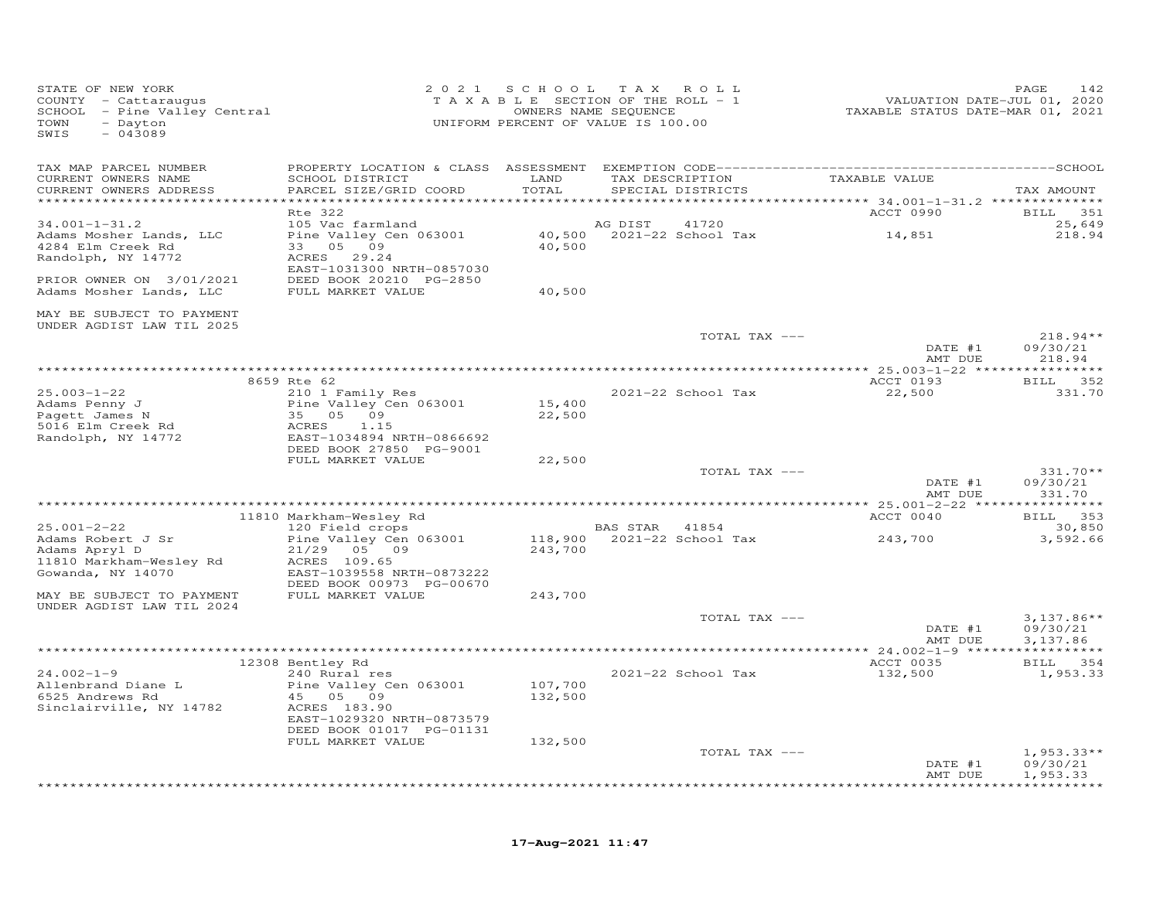| STATE OF NEW YORK<br>COUNTY - Cattaraugus<br>SCHOOL - Pine Valley Central<br>- Dayton<br>TOWN<br>$-043089$<br>SWIS |                                                       |                    | 2021 SCHOOL TAX ROLL<br>T A X A B L E SECTION OF THE ROLL - 1<br>OWNERS NAME SEQUENCE<br>UNIFORM PERCENT OF VALUE IS 100.00 | VALUATION DATE-JUL 01, 2020<br>TAXABLE STATUS DATE-MAR 01, 2021 | 142<br>PAGE                      |
|--------------------------------------------------------------------------------------------------------------------|-------------------------------------------------------|--------------------|-----------------------------------------------------------------------------------------------------------------------------|-----------------------------------------------------------------|----------------------------------|
| TAX MAP PARCEL NUMBER<br>CURRENT OWNERS NAME                                                                       | SCHOOL DISTRICT                                       | LAND               | TAX DESCRIPTION                                                                                                             | TAXABLE VALUE                                                   |                                  |
| CURRENT OWNERS ADDRESS                                                                                             | PARCEL SIZE/GRID COORD                                | TOTAL              | SPECIAL DISTRICTS                                                                                                           |                                                                 | TAX AMOUNT                       |
|                                                                                                                    | Rte 322                                               |                    |                                                                                                                             | ACCT 0990                                                       | <b>BILL</b><br>351               |
| $34.001 - 1 - 31.2$                                                                                                | 105 Vac farmland                                      |                    | 41720<br>AG DIST                                                                                                            |                                                                 | 25,649                           |
| Adams Mosher Lands, LLC<br>4284 Elm Creek Rd<br>Randolph, NY 14772                                                 | Pine Valley Cen 063001<br>33 05 09<br>ACRES 29.24     | 40,500             | 40,500 2021-22 School Tax                                                                                                   | 14,851                                                          | 218.94                           |
|                                                                                                                    | EAST-1031300 NRTH-0857030                             |                    |                                                                                                                             |                                                                 |                                  |
| PRIOR OWNER ON 3/01/2021<br>Adams Mosher Lands, LLC                                                                | DEED BOOK 20210 PG-2850<br>FULL MARKET VALUE          | 40,500             |                                                                                                                             |                                                                 |                                  |
| MAY BE SUBJECT TO PAYMENT<br>UNDER AGDIST LAW TIL 2025                                                             |                                                       |                    |                                                                                                                             |                                                                 |                                  |
|                                                                                                                    |                                                       |                    | TOTAL TAX ---                                                                                                               | DATE #1<br>AMT DUE                                              | $218.94**$<br>09/30/21<br>218.94 |
|                                                                                                                    |                                                       |                    |                                                                                                                             |                                                                 |                                  |
|                                                                                                                    | 8659 Rte 62                                           |                    |                                                                                                                             | ACCT 0193                                                       | BILL 352                         |
| $25.003 - 1 - 22$<br>Adams Penny J<br>Pagett James N                                                               | 210 1 Family Res<br>Pine Valley Cen 063001            | 15,400             | 2021-22 School Tax                                                                                                          | 22,500                                                          | 331.70                           |
| 5016 Elm Creek Rd                                                                                                  | 35 05 09<br>ACRES<br>1.15                             | 22,500             |                                                                                                                             |                                                                 |                                  |
| Randolph, NY 14772                                                                                                 | EAST-1034894 NRTH-0866692                             |                    |                                                                                                                             |                                                                 |                                  |
|                                                                                                                    | DEED BOOK 27850 PG-9001<br>FULL MARKET VALUE          | 22,500             |                                                                                                                             |                                                                 |                                  |
|                                                                                                                    |                                                       |                    | TOTAL TAX ---                                                                                                               |                                                                 | $331.70**$                       |
|                                                                                                                    |                                                       |                    |                                                                                                                             | DATE #1<br>AMT DUE                                              | 09/30/21<br>331.70               |
|                                                                                                                    | 11810 Markham-Wesley Rd                               |                    |                                                                                                                             | ACCT 0040                                                       | BILL 353                         |
| $25.001 - 2 - 22$                                                                                                  | 120 Field crops                                       |                    | BAS STAR 41854                                                                                                              |                                                                 | 30,850                           |
| Adams Robert J Sr<br>Adams Apryl D<br>11810 Markham-Wesley Rd                                                      | Pine Valley Cen 063001<br>21/29 05 09<br>ACRES 109.65 | 243,700            | 118,900 2021-22 School Tax                                                                                                  | 243,700                                                         | 3,592.66                         |
| Gowanda, NY 14070                                                                                                  | EAST-1039558 NRTH-0873222<br>DEED BOOK 00973 PG-00670 |                    |                                                                                                                             |                                                                 |                                  |
| MAY BE SUBJECT TO PAYMENT<br>UNDER AGDIST LAW TIL 2024                                                             | FULL MARKET VALUE                                     | 243,700            |                                                                                                                             |                                                                 |                                  |
|                                                                                                                    |                                                       |                    | TOTAL TAX ---                                                                                                               | DATE #1                                                         | $3,137.86**$<br>09/30/21         |
|                                                                                                                    |                                                       |                    |                                                                                                                             | AMT DUE                                                         | 3,137.86                         |
|                                                                                                                    | 12308 Bentley Rd                                      |                    |                                                                                                                             | ACCT 0035                                                       | BILL 354                         |
| $24.002 - 1 - 9$                                                                                                   | 240 Rural res                                         |                    | 2021-22 School Tax                                                                                                          | 132,500                                                         | 1,953.33                         |
| Allenbrand Diane L<br>6525 Andrews Rd                                                                              | Pine Valley Cen 063001<br>45 05 09                    | 107,700<br>132,500 |                                                                                                                             |                                                                 |                                  |
| Sinclairville, NY 14782                                                                                            | ACRES 183.90<br>EAST-1029320 NRTH-0873579             |                    |                                                                                                                             |                                                                 |                                  |
|                                                                                                                    | DEED BOOK 01017 PG-01131<br>FULL MARKET VALUE         | 132,500            |                                                                                                                             |                                                                 |                                  |
|                                                                                                                    |                                                       |                    | TOTAL TAX ---                                                                                                               |                                                                 | $1,953.33**$                     |
|                                                                                                                    |                                                       |                    |                                                                                                                             | DATE #1<br>AMT DUE                                              | 09/30/21<br>1,953.33             |
|                                                                                                                    |                                                       |                    |                                                                                                                             |                                                                 |                                  |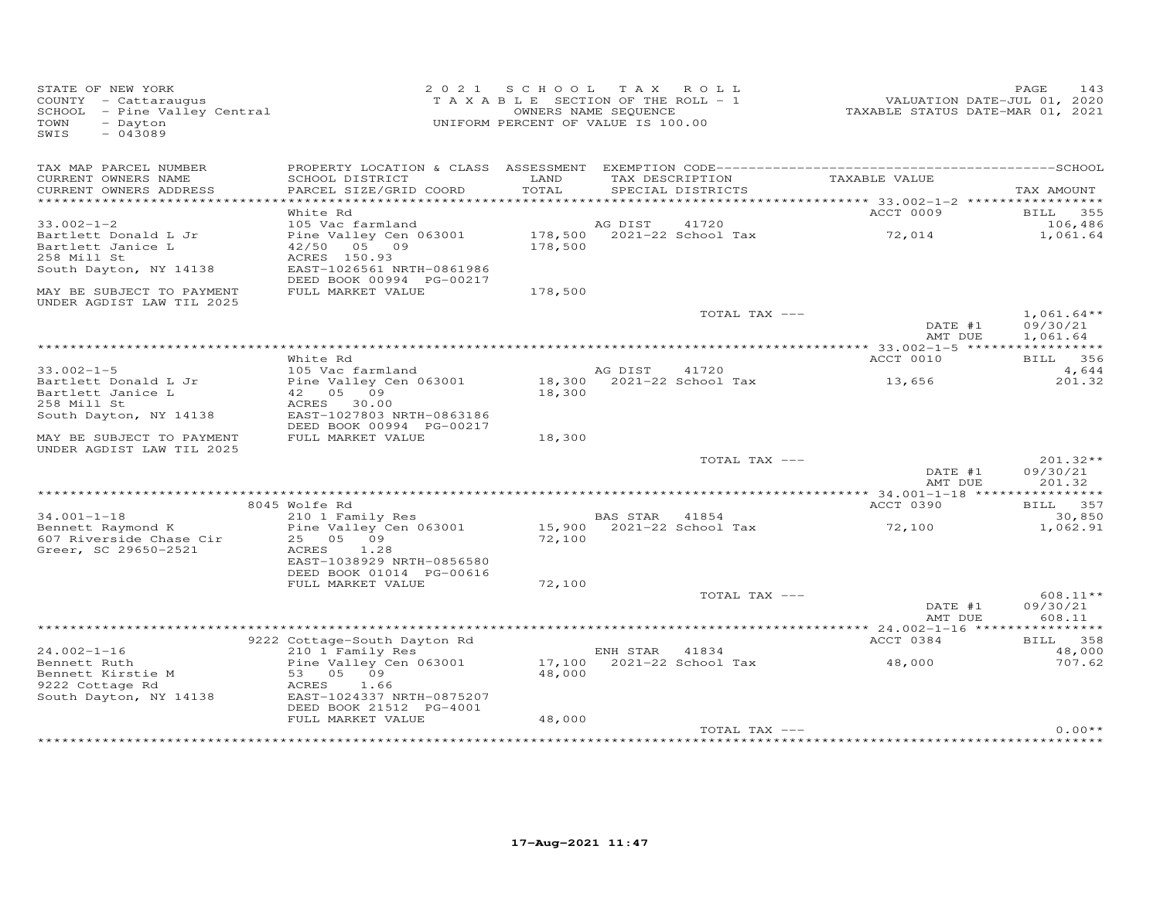| STATE OF NEW YORK<br>COUNTY - Cattaraugus<br>SCHOOL - Pine Valley Central<br>TOWN<br>- Dayton<br>$-043089$<br>SWIS |                                                       | 2021 SCHOOL<br>T A X A B L E SECTION OF THE ROLL - 1<br>OWNERS NAME SEQUENCE<br>UNIFORM PERCENT OF VALUE IS 100.00 |                 | TAX ROLL                            | VALUATION DATE-JUL 01, 2020<br>TAXABLE STATUS DATE-MAR 01, 2021 | 143<br>PAGE              |
|--------------------------------------------------------------------------------------------------------------------|-------------------------------------------------------|--------------------------------------------------------------------------------------------------------------------|-----------------|-------------------------------------|-----------------------------------------------------------------|--------------------------|
| TAX MAP PARCEL NUMBER<br>CURRENT OWNERS NAME                                                                       | SCHOOL DISTRICT                                       | LAND                                                                                                               |                 | TAX DESCRIPTION                     | TAXABLE VALUE                                                   |                          |
| CURRENT OWNERS ADDRESS                                                                                             | PARCEL SIZE/GRID COORD                                | TOTAL                                                                                                              |                 | SPECIAL DISTRICTS                   |                                                                 | TAX AMOUNT               |
|                                                                                                                    |                                                       |                                                                                                                    |                 |                                     | *********** 33.002-1-2 ******************                       |                          |
|                                                                                                                    | White Rd                                              |                                                                                                                    |                 |                                     | ACCT 0009                                                       | BILL 355                 |
| $33.002 - 1 - 2$<br>Bartlett Donald L Jr                                                                           | 105 Vac farmland<br>Pine Valley Cen 063001            |                                                                                                                    | AG DIST         | 41720<br>178,500 2021-22 School Tax | 72,014                                                          | 106,486<br>1,061.64      |
| Bartlett Janice L                                                                                                  | 42/50 05 09                                           | 178,500                                                                                                            |                 |                                     |                                                                 |                          |
| 258 Mill St                                                                                                        | ACRES 150.93                                          |                                                                                                                    |                 |                                     |                                                                 |                          |
| South Dayton, NY 14138                                                                                             | EAST-1026561 NRTH-0861986                             |                                                                                                                    |                 |                                     |                                                                 |                          |
|                                                                                                                    | DEED BOOK 00994 PG-00217                              |                                                                                                                    |                 |                                     |                                                                 |                          |
| MAY BE SUBJECT TO PAYMENT<br>UNDER AGDIST LAW TIL 2025                                                             | FULL MARKET VALUE                                     | 178,500                                                                                                            |                 |                                     |                                                                 |                          |
|                                                                                                                    |                                                       |                                                                                                                    |                 | TOTAL TAX ---                       | DATE #1                                                         | $1,061.64**$<br>09/30/21 |
|                                                                                                                    |                                                       |                                                                                                                    |                 |                                     | AMT DUE                                                         | 1,061.64                 |
|                                                                                                                    |                                                       |                                                                                                                    |                 |                                     |                                                                 |                          |
| $33.002 - 1 - 5$                                                                                                   | White Rd<br>105 Vac farmland                          |                                                                                                                    | AG DIST         | 41720                               | ACCT 0010                                                       | BILL 356<br>4,644        |
| Bartlett Donald L Jr                                                                                               | Pine Valley Cen 063001                                |                                                                                                                    |                 | 18,300 2021-22 School Tax           | 13,656                                                          | 201.32                   |
| Bartlett Janice L                                                                                                  | 42 05 09                                              | 18,300                                                                                                             |                 |                                     |                                                                 |                          |
| 258 Mill St                                                                                                        | ACRES 30.00                                           |                                                                                                                    |                 |                                     |                                                                 |                          |
| South Dayton, NY 14138                                                                                             | EAST-1027803 NRTH-0863186                             |                                                                                                                    |                 |                                     |                                                                 |                          |
| MAY BE SUBJECT TO PAYMENT                                                                                          | DEED BOOK 00994 PG-00217<br>FULL MARKET VALUE         | 18,300                                                                                                             |                 |                                     |                                                                 |                          |
| UNDER AGDIST LAW TIL 2025                                                                                          |                                                       |                                                                                                                    |                 |                                     |                                                                 |                          |
|                                                                                                                    |                                                       |                                                                                                                    |                 | TOTAL TAX ---                       |                                                                 | 201.32**                 |
|                                                                                                                    |                                                       |                                                                                                                    |                 |                                     | DATE #1                                                         | 09/30/21                 |
|                                                                                                                    |                                                       |                                                                                                                    |                 |                                     | AMT DUE                                                         | 201.32                   |
|                                                                                                                    | 8045 Wolfe Rd                                         |                                                                                                                    |                 |                                     | ACCT 0390                                                       | BILL 357                 |
| $34.001 - 1 - 18$                                                                                                  | 210 1 Family Res                                      |                                                                                                                    | <b>BAS STAR</b> | 41854                               |                                                                 | 30,850                   |
| Bennett Raymond K                                                                                                  | Pine Valley Cen 063001                                |                                                                                                                    |                 | 15,900 2021-22 School Tax           | 72,100                                                          | 1,062.91                 |
| 607 Riverside Chase Cir                                                                                            | 25 05 09                                              | 72,100                                                                                                             |                 |                                     |                                                                 |                          |
| Greer, SC 29650-2521                                                                                               | ACRES<br>1.28                                         |                                                                                                                    |                 |                                     |                                                                 |                          |
|                                                                                                                    | EAST-1038929 NRTH-0856580<br>DEED BOOK 01014 PG-00616 |                                                                                                                    |                 |                                     |                                                                 |                          |
|                                                                                                                    | FULL MARKET VALUE                                     | 72,100                                                                                                             |                 |                                     |                                                                 |                          |
|                                                                                                                    |                                                       |                                                                                                                    |                 | TOTAL TAX ---                       |                                                                 | 608.11**                 |
|                                                                                                                    |                                                       |                                                                                                                    |                 |                                     | DATE #1                                                         | 09/30/21                 |
|                                                                                                                    |                                                       |                                                                                                                    |                 |                                     | AMT DUE                                                         | 608.11                   |
|                                                                                                                    | 9222 Cottage-South Dayton Rd                          |                                                                                                                    |                 |                                     | ACCT 0384                                                       | BILL 358                 |
| $24.002 - 1 - 16$                                                                                                  | 210 1 Family Res                                      |                                                                                                                    | ENH STAR 41834  |                                     |                                                                 | 48,000                   |
| Bennett Ruth                                                                                                       | Pine Valley Cen 063001                                |                                                                                                                    |                 | 17,100 2021-22 School Tax           | 48,000                                                          | 707.62                   |
| Bennett Kirstie M                                                                                                  | 53 05 09                                              | 48,000                                                                                                             |                 |                                     |                                                                 |                          |
| 9222 Cottage Rd                                                                                                    | ACRES<br>1.66                                         |                                                                                                                    |                 |                                     |                                                                 |                          |
| South Dayton, NY 14138                                                                                             | EAST-1024337 NRTH-0875207<br>DEED BOOK 21512 PG-4001  |                                                                                                                    |                 |                                     |                                                                 |                          |
|                                                                                                                    | FULL MARKET VALUE                                     | 48,000                                                                                                             |                 |                                     |                                                                 |                          |
|                                                                                                                    |                                                       |                                                                                                                    |                 | TOTAL TAX ---                       |                                                                 | $0.00**$                 |
|                                                                                                                    |                                                       |                                                                                                                    |                 |                                     |                                                                 |                          |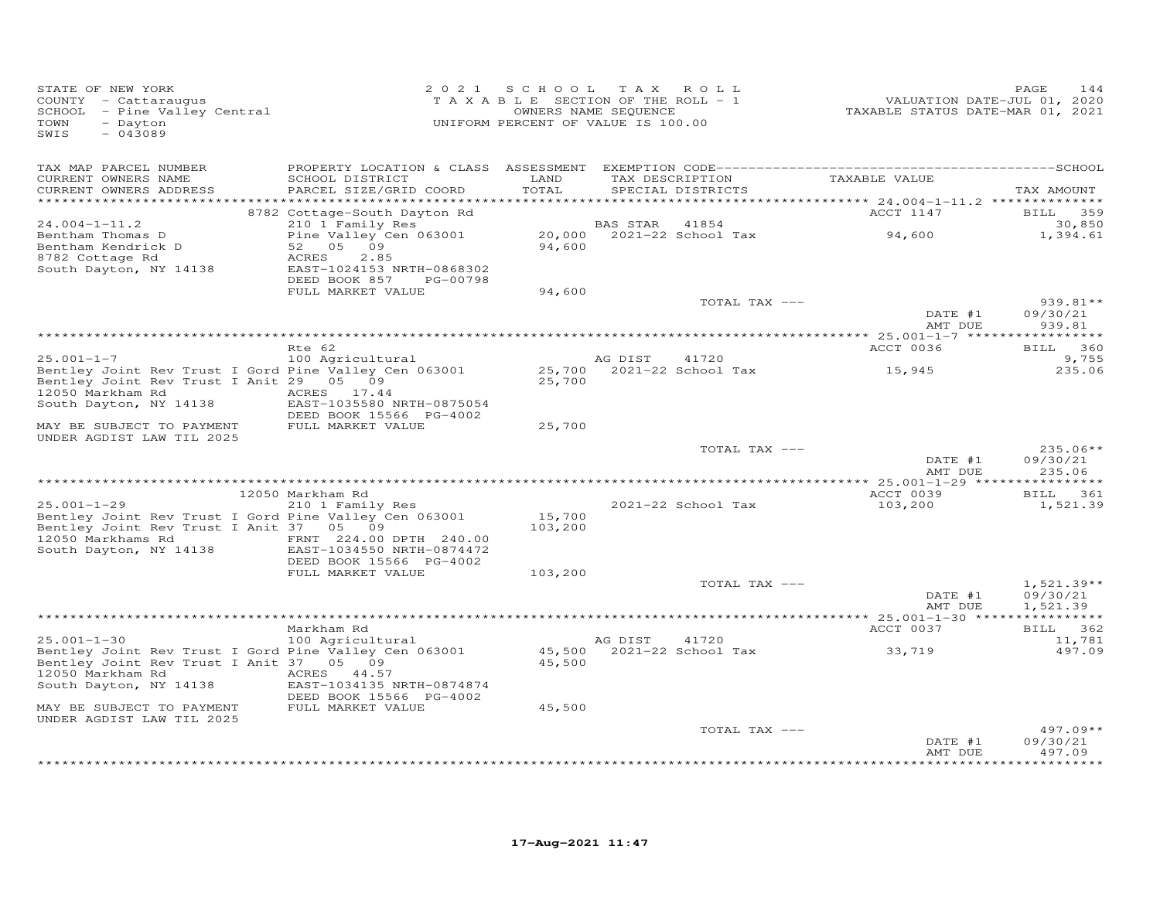| STATE OF NEW YORK<br>COUNTY - Cattaraugus<br>SCHOOL - Pine Valley Central<br>- Dayton<br>TOWN<br>SWIS<br>$-043089$                             | 2 0 2 1                                                                                                  | SCHOOL TAX<br>TAXABLE SECTION OF THE ROLL - 1<br>UNIFORM PERCENT OF VALUE IS 100.00 | OWNERS NAME SEQUENCE | ROLL                                 | VALUATION DATE-JUL 01, 2020<br>TAXABLE STATUS DATE-MAR 01, 2021 | PAGE<br>144                              |
|------------------------------------------------------------------------------------------------------------------------------------------------|----------------------------------------------------------------------------------------------------------|-------------------------------------------------------------------------------------|----------------------|--------------------------------------|-----------------------------------------------------------------|------------------------------------------|
| TAX MAP PARCEL NUMBER<br>CURRENT OWNERS NAME<br>CURRENT OWNERS ADDRESS<br>**********************                                               | SCHOOL DISTRICT<br>PARCEL SIZE/GRID COORD                                                                | LAND<br>TOTAL                                                                       |                      | TAX DESCRIPTION<br>SPECIAL DISTRICTS | TAXABLE VALUE                                                   | TAX AMOUNT                               |
| $24.004 - 1 - 11.2$<br>Bentham Thomas D                                                                                                        | 8782 Cottage-South Dayton Rd<br>210 1 Family Res<br>Pine Valley Cen 063001                               |                                                                                     | BAS STAR             | 41854<br>20,000 2021-22 School Tax   | ACCT 1147<br>94,600                                             | <b>BILL</b><br>359<br>30,850<br>1,394.61 |
| Bentham Kendrick D<br>8782 Cottage Rd<br>South Dayton, NY 14138                                                                                | 52 05 09<br>ACRES<br>2.85<br>EAST-1024153 NRTH-0868302<br>DEED BOOK 857<br>PG-00798<br>FULL MARKET VALUE | 94,600<br>94,600                                                                    |                      |                                      |                                                                 |                                          |
|                                                                                                                                                |                                                                                                          |                                                                                     |                      | TOTAL TAX ---                        | DATE #1<br>AMT DUE                                              | $939.81**$<br>09/30/21<br>939.81         |
|                                                                                                                                                | Rte 62                                                                                                   |                                                                                     |                      |                                      | ACCT 0036                                                       | BILL 360                                 |
| $25.001 - 1 - 7$                                                                                                                               | 100 Agricultural                                                                                         |                                                                                     | AG DIST              | 41720                                |                                                                 | 9,755                                    |
| Bentley Joint Rev Trust I Gord Pine Valley Cen 063001<br>Bentley Joint Rev Trust I Anit 29 05 09<br>12050 Markham Rd<br>South Dayton, NY 14138 | ACRES 17.44<br>EAST-1035580 NRTH-0875054<br>DEED BOOK 15566 PG-4002                                      | 25,700                                                                              |                      | 25,700 2021-22 School Tax            | 15,945                                                          | 235.06                                   |
| MAY BE SUBJECT TO PAYMENT<br>UNDER AGDIST LAW TIL 2025                                                                                         | FULL MARKET VALUE                                                                                        | 25,700                                                                              |                      |                                      |                                                                 |                                          |
|                                                                                                                                                |                                                                                                          |                                                                                     |                      | TOTAL TAX ---                        | DATE #1<br>AMT DUE                                              | $235.06**$<br>09/30/21<br>235.06         |
|                                                                                                                                                | 12050 Markham Rd                                                                                         |                                                                                     |                      |                                      | ACCT 0039                                                       | BILL 361                                 |
| $25.001 - 1 - 29$<br>Bentley Joint Rev Trust I Gord Pine Valley Cen 063001<br>Bentley Joint Rev Trust I Anit 37 05 09<br>12050 Markhams Rd     | 210 1 Family Res<br>FRNT 224.00 DPTH 240.00                                                              | 15,700<br>103,200                                                                   |                      | 2021-22 School Tax                   | 103,200                                                         | 1,521.39                                 |
| South Dayton, NY 14138                                                                                                                         | EAST-1034550 NRTH-0874472<br>DEED BOOK 15566 PG-4002<br>FULL MARKET VALUE                                | 103,200                                                                             |                      |                                      |                                                                 |                                          |
|                                                                                                                                                |                                                                                                          |                                                                                     |                      | TOTAL TAX ---                        | DATE #1<br>AMT DUE                                              | $1,521.39**$<br>09/30/21<br>1,521.39     |
|                                                                                                                                                |                                                                                                          |                                                                                     |                      |                                      |                                                                 |                                          |
| $25.001 - 1 - 30$                                                                                                                              | Markham Rd<br>100 Agricultural                                                                           |                                                                                     | AG DIST              | 41720                                | ACCT 0037                                                       | BILL 362<br>11,781                       |
| Bentley Joint Rev Trust I Gord Pine Valley Cen 063001<br>Bentley Joint Rev Trust I Anit 37 05 09<br>12050 Markham Rd<br>South Dayton, NY 14138 | ACRES 44.57<br>EAST-1034135 NRTH-0874874                                                                 | 45,500<br>45,500                                                                    |                      | 2021-22 School Tax                   | 33,719                                                          | 497.09                                   |
| MAY BE SUBJECT TO PAYMENT<br>UNDER AGDIST LAW TIL 2025                                                                                         | DEED BOOK 15566 PG-4002<br>FULL MARKET VALUE                                                             | 45,500                                                                              |                      |                                      |                                                                 |                                          |
|                                                                                                                                                |                                                                                                          |                                                                                     |                      | TOTAL TAX ---                        | DATE #1                                                         | $497.09**$<br>09/30/21                   |
|                                                                                                                                                |                                                                                                          |                                                                                     |                      |                                      | AMT DUE                                                         | 497.09<br>********                       |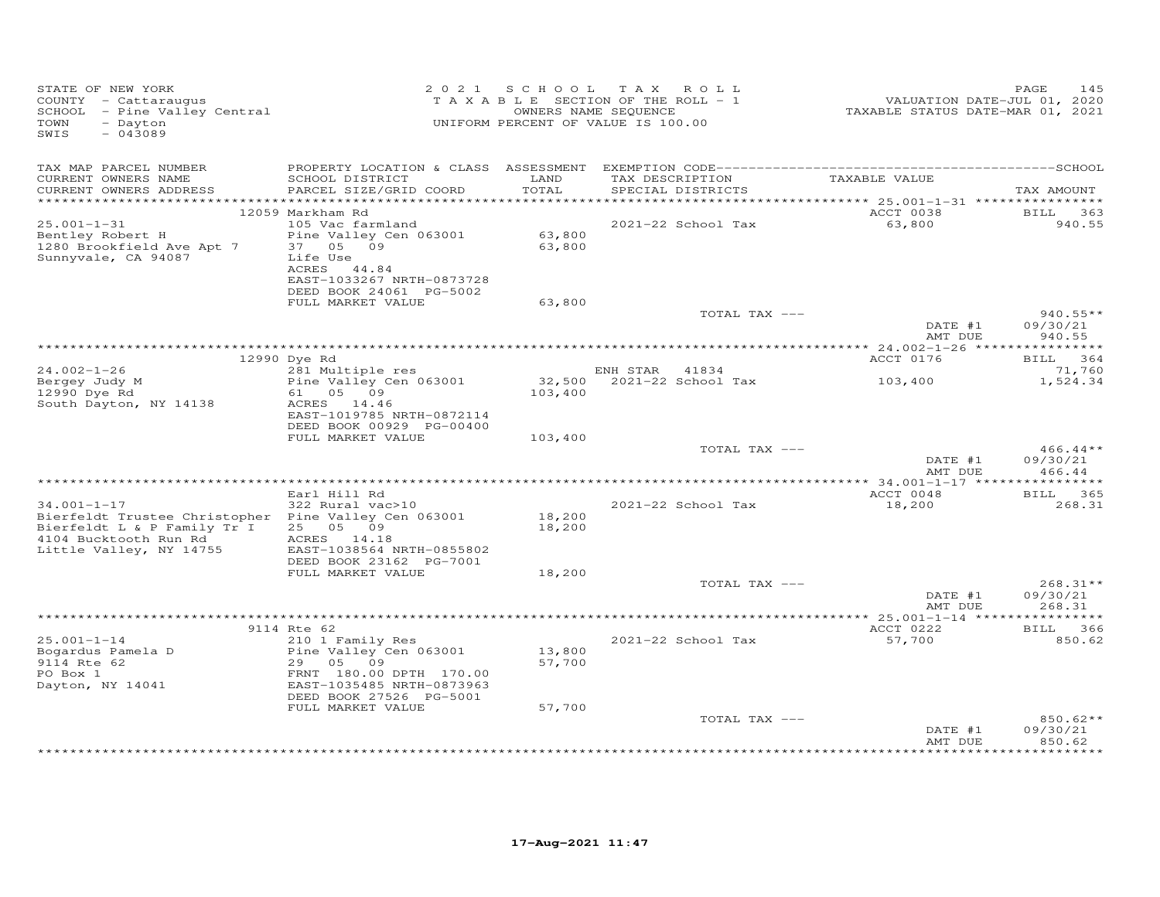| STATE OF NEW YORK<br>COUNTY - Cattaraugus<br>SCHOOL - Pine Valley Central<br>TOWN<br>- Dayton<br>$-043089$<br>SWIS                    |                                                                                                                                                                | 2021 SCHOOL TAX<br>TAXABLE SECTION OF THE ROLL - 1<br>OWNERS NAME SEQUENCE<br>UNIFORM PERCENT OF VALUE IS 100.00 |          | ROLL                                 | VALUATION DATE-JUL 01, 2020<br>TAXABLE STATUS DATE-MAR 01, 2021 | 145<br>PAGE                      |
|---------------------------------------------------------------------------------------------------------------------------------------|----------------------------------------------------------------------------------------------------------------------------------------------------------------|------------------------------------------------------------------------------------------------------------------|----------|--------------------------------------|-----------------------------------------------------------------|----------------------------------|
| TAX MAP PARCEL NUMBER<br>CURRENT OWNERS NAME<br>CURRENT OWNERS ADDRESS<br>***********************                                     | SCHOOL DISTRICT<br>PARCEL SIZE/GRID COORD                                                                                                                      | LAND<br>TOTAL                                                                                                    |          | TAX DESCRIPTION<br>SPECIAL DISTRICTS | TAXABLE VALUE                                                   | TAX AMOUNT                       |
|                                                                                                                                       | 12059 Markham Rd                                                                                                                                               |                                                                                                                  |          |                                      | ACCT 0038                                                       | BILL<br>363                      |
| $25.001 - 1 - 31$<br>Bentley Robert H<br>1280 Brookfield Ave Apt 7<br>Sunnyvale, CA 94087                                             | 105 Vac farmland<br>Pine Valley Cen 063001<br>05 09<br>37<br>Life Use<br>ACRES 44.84<br>EAST-1033267 NRTH-0873728<br>DEED BOOK 24061 PG-5002                   | 63,800<br>63,800                                                                                                 |          | 2021-22 School Tax                   | 63,800                                                          | 940.55                           |
|                                                                                                                                       | FULL MARKET VALUE                                                                                                                                              | 63,800                                                                                                           |          |                                      |                                                                 |                                  |
|                                                                                                                                       |                                                                                                                                                                |                                                                                                                  |          | TOTAL TAX ---                        | DATE #1<br>AMT DUE                                              | $940.55**$<br>09/30/21<br>940.55 |
|                                                                                                                                       |                                                                                                                                                                |                                                                                                                  |          |                                      |                                                                 | ***********                      |
| $24.002 - 1 - 26$                                                                                                                     | 12990 Dye Rd                                                                                                                                                   |                                                                                                                  | ENH STAR | 41834                                | ACCT 0176                                                       | <b>BILL</b><br>364               |
| Bergey Judy M                                                                                                                         | 281 Multiple res<br>Pine Valley Cen 063001                                                                                                                     | 32,500                                                                                                           |          | 2021-22 School Tax                   | 103,400                                                         | 71,760<br>1,524.34               |
| 12990 Dye Rd                                                                                                                          | 61<br>05 09                                                                                                                                                    | 103,400                                                                                                          |          |                                      |                                                                 |                                  |
| South Dayton, NY 14138                                                                                                                | ACRES 14.46<br>EAST-1019785 NRTH-0872114<br>DEED BOOK 00929 PG-00400<br>FULL MARKET VALUE                                                                      | 103,400                                                                                                          |          |                                      |                                                                 |                                  |
|                                                                                                                                       |                                                                                                                                                                |                                                                                                                  |          | TOTAL TAX ---                        | DATE #1                                                         | $466.44**$<br>09/30/21           |
|                                                                                                                                       |                                                                                                                                                                |                                                                                                                  |          |                                      | AMT DUE                                                         | 466.44                           |
|                                                                                                                                       |                                                                                                                                                                |                                                                                                                  |          |                                      |                                                                 |                                  |
|                                                                                                                                       | Earl Hill Rd<br>322 Rural vac>10                                                                                                                               |                                                                                                                  |          | 2021-22 School Tax                   | ACCT 0048<br>18,200                                             | BILL 365<br>268.31               |
| $34.001 - 1 - 17$<br>Bierfeldt Trustee Christopher<br>Bierfeldt L & P Family Tr I<br>4104 Bucktooth Run Rd<br>Little Valley, NY 14755 | Pine Valley Cen 063001<br>25 05 09<br>ACRES 14.18<br>EAST-1038564 NRTH-0855802<br>DEED BOOK 23162 PG-7001                                                      | 18,200<br>18,200                                                                                                 |          |                                      |                                                                 |                                  |
|                                                                                                                                       | FULL MARKET VALUE                                                                                                                                              | 18,200                                                                                                           |          |                                      |                                                                 |                                  |
|                                                                                                                                       |                                                                                                                                                                |                                                                                                                  |          | TOTAL TAX ---                        | DATE #1<br>AMT DUE                                              | $268.31**$<br>09/30/21<br>268.31 |
|                                                                                                                                       |                                                                                                                                                                |                                                                                                                  |          |                                      |                                                                 |                                  |
|                                                                                                                                       | 9114 Rte 62                                                                                                                                                    |                                                                                                                  |          |                                      | ACCT 0222                                                       | BILL 366                         |
| $25.001 - 1 - 14$<br>Bogardus Pamela D<br>9114 Rte 62<br>PO Box 1<br>Dayton, NY 14041                                                 | 210 1 Family Res<br>Pine Valley Cen 063001<br>29 05 09<br>FRNT 180.00 DPTH 170.00<br>EAST-1035485 NRTH-0873963<br>DEED BOOK 27526 PG-5001<br>FULL MARKET VALUE | 13,800<br>57,700<br>57,700                                                                                       |          | 2021-22 School Tax                   | 57,700                                                          | 850.62                           |
|                                                                                                                                       |                                                                                                                                                                |                                                                                                                  |          | TOTAL TAX ---                        | DATE #1                                                         | 850.62**<br>09/30/21             |
|                                                                                                                                       |                                                                                                                                                                |                                                                                                                  |          |                                      | AMT DUE                                                         | 850.62                           |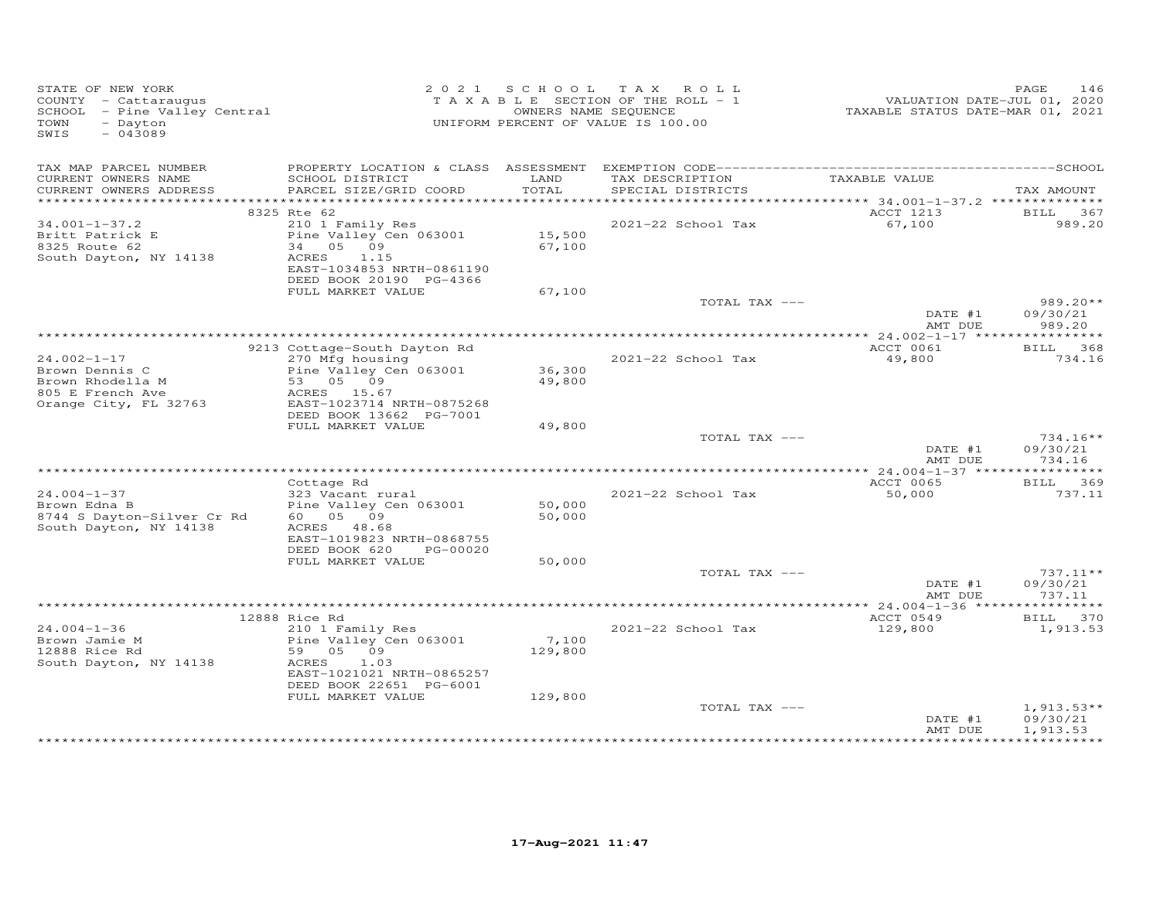| STATE OF NEW YORK<br>COUNTY - Cattaraugus<br>SCHOOL - Pine Valley Central<br>- Dayton<br>TOWN<br>$-043089$<br>SWIS |                                                                                                                                                  |                  | 2021 SCHOOL TAX ROLL<br>T A X A B L E SECTION OF THE ROLL - 1<br>OWNERS NAME SEQUENCE<br>UNIFORM PERCENT OF VALUE IS 100.00 | VALUATION DATE-JUL 01, 2020<br>TAXABLE STATUS DATE-MAR 01, 2021 | PAGE<br>146                      |
|--------------------------------------------------------------------------------------------------------------------|--------------------------------------------------------------------------------------------------------------------------------------------------|------------------|-----------------------------------------------------------------------------------------------------------------------------|-----------------------------------------------------------------|----------------------------------|
| TAX MAP PARCEL NUMBER<br>CURRENT OWNERS NAME<br>CURRENT OWNERS ADDRESS                                             | SCHOOL DISTRICT<br>PARCEL SIZE/GRID COORD                                                                                                        | LAND<br>TOTAL    | TAX DESCRIPTION<br>SPECIAL DISTRICTS                                                                                        | TAXABLE VALUE                                                   | TAX AMOUNT                       |
| **************************************                                                                             |                                                                                                                                                  |                  |                                                                                                                             |                                                                 |                                  |
|                                                                                                                    | 8325 Rte 62                                                                                                                                      |                  |                                                                                                                             | ACCT 1213                                                       | BILL 367                         |
| $34.001 - 1 - 37.2$<br>Britt Patrick E<br>8325 Route 62<br>South Dayton, NY 14138                                  | 210 1 Family Res<br>Pine Valley Cen 063001<br>34 05 09<br>ACRES<br>1.15<br>EAST-1034853 NRTH-0861190<br>DEED BOOK 20190 PG-4366                  | 15,500<br>67,100 | 2021-22 School Tax                                                                                                          | 67,100                                                          | 989.20                           |
|                                                                                                                    | FULL MARKET VALUE                                                                                                                                | 67,100           |                                                                                                                             |                                                                 |                                  |
|                                                                                                                    |                                                                                                                                                  |                  | TOTAL TAX ---                                                                                                               | DATE #1<br>AMT DUE                                              | $989.20**$<br>09/30/21<br>989.20 |
|                                                                                                                    |                                                                                                                                                  |                  |                                                                                                                             |                                                                 |                                  |
|                                                                                                                    | 9213 Cottage-South Dayton Rd                                                                                                                     |                  |                                                                                                                             | ACCT 0061                                                       | BILL 368                         |
| $24.002 - 1 - 17$<br>Brown Dennis C<br>Brown Rhodella M<br>805 E French Ave<br>Orange City, FL 32763               | 270 Mfg housing<br>Pine Valley Cen 063001<br>53 05 09<br>ACRES 15.67<br>EAST-1023714 NRTH-0875268<br>DEED BOOK 13662 PG-7001                     | 36,300<br>49,800 | 2021-22 School Tax                                                                                                          | 49,800                                                          | 734.16                           |
|                                                                                                                    | FULL MARKET VALUE                                                                                                                                | 49,800           |                                                                                                                             |                                                                 |                                  |
|                                                                                                                    |                                                                                                                                                  |                  | TOTAL TAX ---                                                                                                               | DATE #1<br>AMT DUE                                              | $734.16**$<br>09/30/21<br>734.16 |
|                                                                                                                    |                                                                                                                                                  |                  |                                                                                                                             |                                                                 |                                  |
| $24.004 - 1 - 37$<br>Brown Edna B<br>8744 S Dayton-Silver Cr Rd<br>South Dayton, NY 14138                          | Cottage Rd<br>323 Vacant rural<br>Pine Valley Cen 063001<br>60  05  09<br>ACRES 48.68                                                            | 50,000<br>50,000 | 2021-22 School Tax                                                                                                          | ACCT 0065<br>50,000                                             | BILL 369<br>737.11               |
|                                                                                                                    | EAST-1019823 NRTH-0868755<br>DEED BOOK 620<br>PG-00020                                                                                           |                  |                                                                                                                             |                                                                 |                                  |
|                                                                                                                    | FULL MARKET VALUE                                                                                                                                | 50,000           |                                                                                                                             |                                                                 |                                  |
|                                                                                                                    |                                                                                                                                                  |                  | TOTAL TAX ---                                                                                                               | DATE #1<br>AMT DUE                                              | $737.11**$<br>09/30/21<br>737.11 |
|                                                                                                                    |                                                                                                                                                  |                  |                                                                                                                             |                                                                 |                                  |
| $24.004 - 1 - 36$<br>Brown Jamie M<br>12888 Rice Rd<br>South Dayton, NY 14138                                      | 12888 Rice Rd<br>210 1 Family Res<br>Pine Valley Cen 063001<br>59 05 09<br>1.03<br>ACRES<br>EAST-1021021 NRTH-0865257<br>DEED BOOK 22651 PG-6001 | 7,100<br>129,800 | 2021-22 School Tax                                                                                                          | ACCT 0549<br>129,800                                            | BILL 370<br>1,913.53             |
|                                                                                                                    | FULL MARKET VALUE                                                                                                                                | 129,800          | TOTAL TAX ---                                                                                                               | DATE #1                                                         | $1,913.53**$<br>09/30/21         |
|                                                                                                                    |                                                                                                                                                  |                  |                                                                                                                             | AMT DUE                                                         | 1,913.53                         |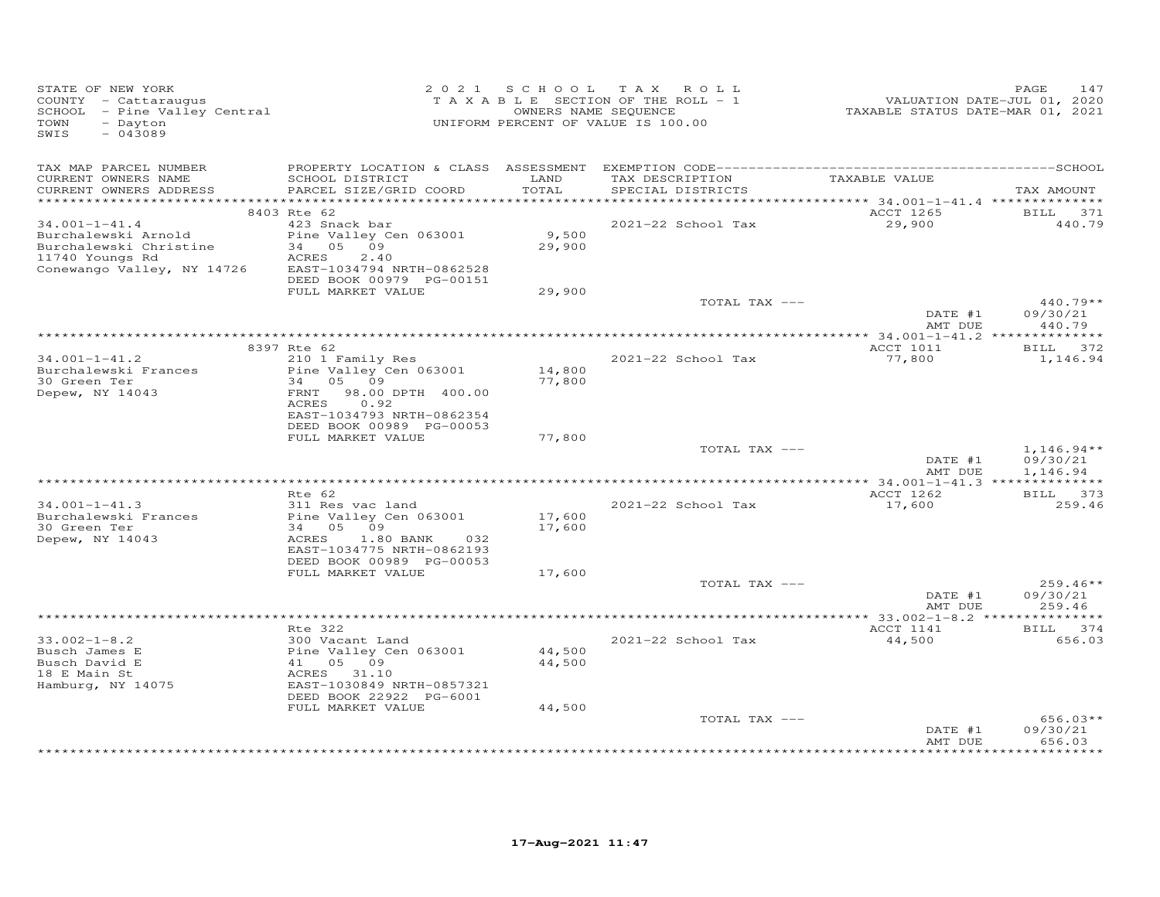| STATE OF NEW YORK<br>COUNTY - Cattaraugus<br>SCHOOL - Pine Valley Central<br>TOWN<br>- Dayton<br>$-043089$<br>SWIS    |                                                                                                                                                               |                            | 2021 SCHOOL TAX ROLL<br>TAXABLE SECTION OF THE ROLL - 1<br>OWNERS NAME SEQUENCE<br>UNIFORM PERCENT OF VALUE IS 100.00 | VALUATION DATE-JUL 01, 2020<br>TAXABLE STATUS DATE-MAR 01, 2021 | PAGE<br>147                          |
|-----------------------------------------------------------------------------------------------------------------------|---------------------------------------------------------------------------------------------------------------------------------------------------------------|----------------------------|-----------------------------------------------------------------------------------------------------------------------|-----------------------------------------------------------------|--------------------------------------|
| TAX MAP PARCEL NUMBER<br>CURRENT OWNERS NAME<br>CURRENT OWNERS ADDRESS                                                | SCHOOL DISTRICT<br>PARCEL SIZE/GRID COORD                                                                                                                     | LAND<br>TOTAL              | TAX DESCRIPTION<br>SPECIAL DISTRICTS                                                                                  | TAXABLE VALUE                                                   | TAX AMOUNT                           |
|                                                                                                                       | 8403 Rte 62                                                                                                                                                   |                            |                                                                                                                       | ACCT 1265                                                       | BILL 371                             |
| $34.001 - 1 - 41.4$<br>Burchalewski Arnold<br>Burchalewski Christine<br>11740 Youngs Rd<br>Conewango Valley, NY 14726 | 423 Snack bar<br>Pine Valley Cen 063001<br>34 05 09<br>ACRES<br>2.40<br>EAST-1034794 NRTH-0862528<br>DEED BOOK 00979 PG-00151                                 | 9,500<br>29,900            | 2021-22 School Tax                                                                                                    | 29,900                                                          | 440.79                               |
|                                                                                                                       | FULL MARKET VALUE                                                                                                                                             | 29,900                     | TOTAL TAX ---                                                                                                         |                                                                 | $440.79**$                           |
|                                                                                                                       |                                                                                                                                                               |                            |                                                                                                                       | DATE #1<br>AMT DUE                                              | 09/30/21<br>440.79                   |
|                                                                                                                       | 8397 Rte 62                                                                                                                                                   |                            |                                                                                                                       | ACCT 1011                                                       | BILL 372                             |
| $34.001 - 1 - 41.2$<br>Burchalewski Frances<br>30 Green Ter<br>Depew, NY 14043                                        | 210 1 Family Res<br>Pine Valley Cen 063001<br>34 05 09<br>98.00 DPTH 400.00<br>FRNT<br>ACRES<br>0.92<br>EAST-1034793 NRTH-0862354<br>DEED BOOK 00989 PG-00053 | 14,800<br>77,800           | 2021-22 School Tax                                                                                                    | 77,800                                                          | 1,146.94                             |
|                                                                                                                       | FULL MARKET VALUE                                                                                                                                             | 77,800                     |                                                                                                                       |                                                                 |                                      |
|                                                                                                                       |                                                                                                                                                               |                            | TOTAL TAX ---                                                                                                         | DATE #1<br>AMT DUE                                              | $1,146.94**$<br>09/30/21<br>1,146.94 |
|                                                                                                                       | Rte 62                                                                                                                                                        |                            |                                                                                                                       | ACCT 1262                                                       | BILL 373                             |
| $34.001 - 1 - 41.3$<br>Burchalewski Frances<br>30 Green Ter<br>Depew, NY 14043                                        | 311 Res vac land<br>Pine Valley Cen 063001<br>34 05 09<br>ACRES<br>$1.80$ BANK<br>032<br>EAST-1034775 NRTH-0862193<br>DEED BOOK 00989 PG-00053                | 17,600<br>17,600           | 2021-22 School Tax                                                                                                    | 17,600                                                          | 259.46                               |
|                                                                                                                       | FULL MARKET VALUE                                                                                                                                             | 17,600                     |                                                                                                                       |                                                                 |                                      |
|                                                                                                                       |                                                                                                                                                               |                            | TOTAL TAX ---                                                                                                         | DATE #1<br>AMT DUE                                              | $259.46**$<br>09/30/21<br>259.46     |
|                                                                                                                       |                                                                                                                                                               |                            |                                                                                                                       |                                                                 |                                      |
| $33.002 - 1 - 8.2$                                                                                                    | Rte 322                                                                                                                                                       |                            |                                                                                                                       | ACCT 1141<br>44,500                                             | BILL 374<br>656.03                   |
| Busch James E<br>Busch David E<br>18 E Main St<br>Hamburg, NY 14075                                                   | 300 Vacant Land<br>Pine Valley Cen 063001<br>41 05 09<br>ACRES 31.10<br>EAST-1030849 NRTH-0857321<br>DEED BOOK 22922 PG-6001<br>FULL MARKET VALUE             | 44,500<br>44,500<br>44,500 | 2021-22 School Tax                                                                                                    |                                                                 |                                      |
|                                                                                                                       |                                                                                                                                                               |                            | TOTAL TAX ---                                                                                                         | DATE #1<br>AMT DUE                                              | $656.03**$<br>09/30/21<br>656.03     |
|                                                                                                                       |                                                                                                                                                               |                            |                                                                                                                       |                                                                 |                                      |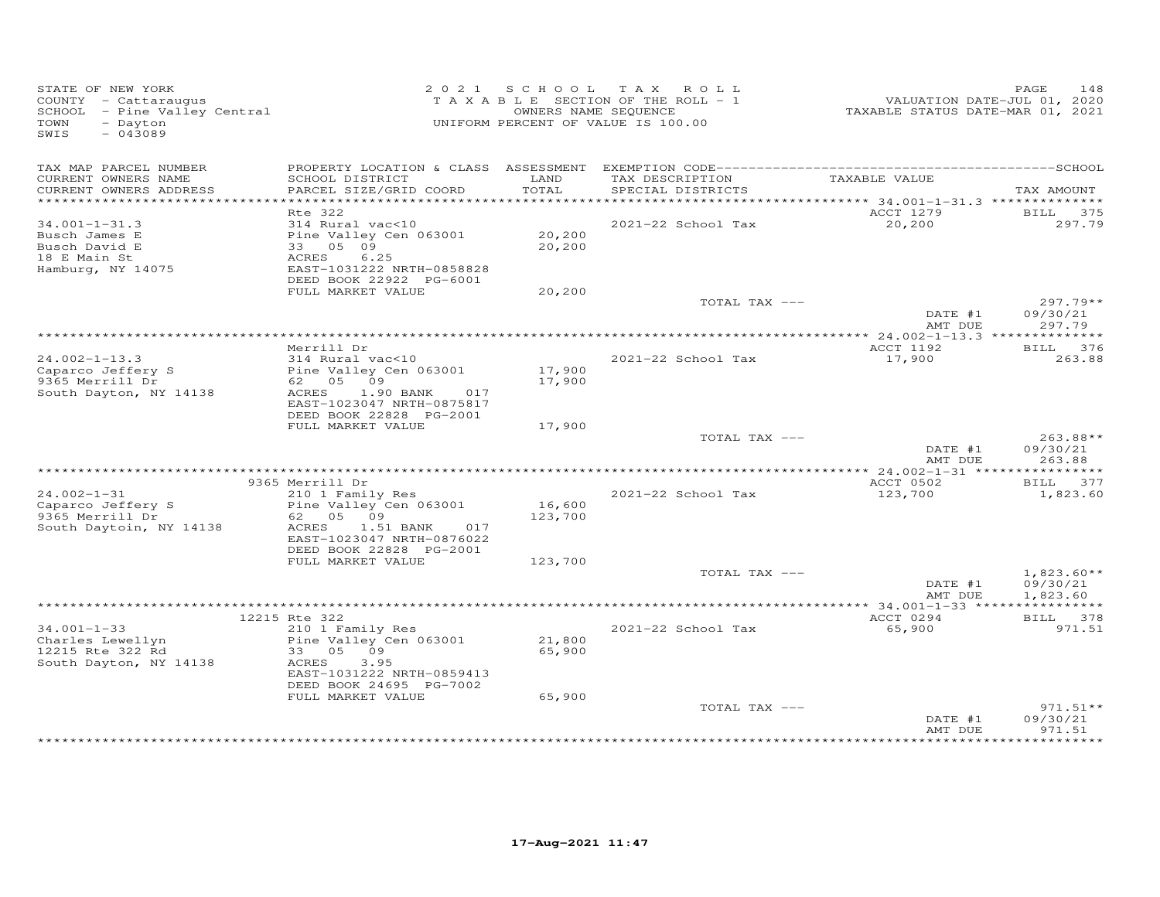| STATE OF NEW YORK<br>COUNTY - Cattaraugus<br>SCHOOL - Pine Valley Central<br>- Dayton<br>TOWN<br>$-043089$<br>SWIS |                                                                                                                                                                       |                            | 2021 SCHOOL TAX ROLL<br>TAXABLE SECTION OF THE ROLL - 1<br>OWNERS NAME SEQUENCE<br>UNIFORM PERCENT OF VALUE IS 100.00 | VALUATION DATE-JUL 01, 2020<br>TAXABLE STATUS DATE-MAR 01, 2021 | 148<br>PAGE                                         |
|--------------------------------------------------------------------------------------------------------------------|-----------------------------------------------------------------------------------------------------------------------------------------------------------------------|----------------------------|-----------------------------------------------------------------------------------------------------------------------|-----------------------------------------------------------------|-----------------------------------------------------|
| TAX MAP PARCEL NUMBER<br>CURRENT OWNERS NAME<br>CURRENT OWNERS ADDRESS                                             | SCHOOL DISTRICT<br>PARCEL SIZE/GRID COORD                                                                                                                             | LAND<br>TOTAL              | TAX DESCRIPTION<br>SPECIAL DISTRICTS                                                                                  | TAXABLE VALUE                                                   | TAX AMOUNT                                          |
|                                                                                                                    |                                                                                                                                                                       |                            |                                                                                                                       |                                                                 |                                                     |
| $34.001 - 1 - 31.3$<br>Busch James E<br>Busch David E<br>18 E Main St<br>Hamburg, NY 14075                         | Rte 322<br>314 Rural vac<10<br>Pine Valley Cen 063001<br>33 05 09<br>6.25<br>ACRES<br>EAST-1031222 NRTH-0858828<br>DEED BOOK 22922 PG-6001                            | 20,200<br>20,200           | 2021-22 School Tax                                                                                                    | ACCT 1279<br>20,200                                             | BILL 375<br>297.79                                  |
|                                                                                                                    | FULL MARKET VALUE                                                                                                                                                     | 20,200                     |                                                                                                                       |                                                                 |                                                     |
|                                                                                                                    |                                                                                                                                                                       |                            | TOTAL TAX ---                                                                                                         | DATE #1<br>AMT DUE                                              | $297.79**$<br>09/30/21<br>297.79                    |
|                                                                                                                    |                                                                                                                                                                       |                            |                                                                                                                       |                                                                 |                                                     |
| $24.002 - 1 - 13.3$<br>Caparco Jeffery S<br>9365 Merrill Dr<br>South Dayton, NY 14138                              | Merrill Dr<br>314 Rural vac<10<br>Pine Valley Cen 063001<br>62 05 09<br>ACRES<br>1.90 BANK<br>017<br>EAST-1023047 NRTH-0875817<br>DEED BOOK 22828 PG-2001             | 17,900<br>17,900           | 2021-22 School Tax                                                                                                    | ACCT 1192<br>17,900                                             | BILL 376<br>263.88                                  |
|                                                                                                                    | FULL MARKET VALUE                                                                                                                                                     | 17,900                     |                                                                                                                       |                                                                 |                                                     |
|                                                                                                                    |                                                                                                                                                                       |                            | TOTAL TAX ---                                                                                                         | DATE #1<br>AMT DUE                                              | 263.88**<br>09/30/21<br>263.88                      |
|                                                                                                                    | 9365 Merrill Dr                                                                                                                                                       |                            |                                                                                                                       | ACCT 0502                                                       | BILL 377                                            |
| $24.002 - 1 - 31$<br>Caparco Jeffery S<br>9365 Merrill Dr<br>South Daytoin, NY 14138                               | 210 1 Family Res<br>Pine Valley Cen 063001<br>62 05 09<br>ACRES<br>1.51 BANK<br>017<br>EAST-1023047 NRTH-0876022                                                      | 16,600<br>123,700          | 2021-22 School Tax                                                                                                    | 123,700                                                         | 1,823.60                                            |
|                                                                                                                    | DEED BOOK 22828 PG-2001<br>FULL MARKET VALUE                                                                                                                          | 123,700                    |                                                                                                                       |                                                                 |                                                     |
|                                                                                                                    |                                                                                                                                                                       |                            | TOTAL TAX ---                                                                                                         | DATE #1<br>AMT DUE                                              | $1,823.60**$<br>09/30/21<br>1,823.60                |
|                                                                                                                    |                                                                                                                                                                       |                            |                                                                                                                       |                                                                 |                                                     |
| $34.001 - 1 - 33$<br>Charles Lewellyn<br>12215 Rte 322 Rd<br>South Dayton, NY 14138                                | 12215 Rte 322<br>210 1 Family Res<br>Pine Valley Cen 063001<br>33 05 09<br>ACRES<br>3.95<br>EAST-1031222 NRTH-0859413<br>DEED BOOK 24695 PG-7002<br>FULL MARKET VALUE | 21,800<br>65,900<br>65,900 | 2021-22 School Tax                                                                                                    | ACCT 0294<br>65,900                                             | BILL 378<br>971.51                                  |
|                                                                                                                    |                                                                                                                                                                       |                            | TOTAL TAX ---                                                                                                         | DATE #1<br>AMT DUE                                              | $971.51**$<br>09/30/21<br>971.51<br>+ + + + + + + + |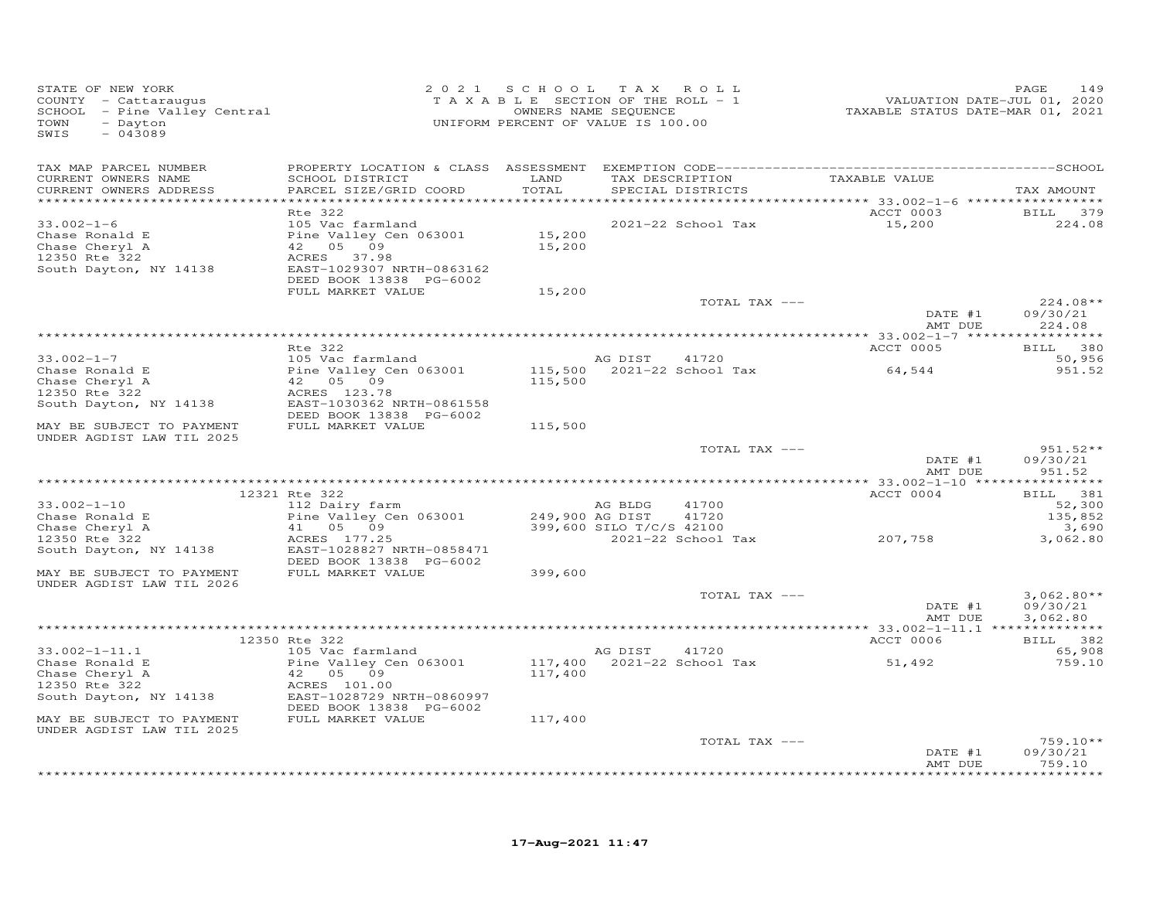| STATE OF NEW YORK<br>COUNTY - Cattaraugus<br>SCHOOL - Pine Valley Central<br>TOWN<br>- Dayton<br>$-043089$<br>SWIS |                                           |                 | 2021 SCHOOL TAX ROLL<br>TAXABLE SECTION OF THE ROLL - 1<br>OWNERS NAME SEQUENCE<br>UNIFORM PERCENT OF VALUE IS 100.00 | VALUATION DATE-JUL 01, 2020<br>TAXABLE STATUS DATE-MAR 01, 2021 | PAGE<br>149          |
|--------------------------------------------------------------------------------------------------------------------|-------------------------------------------|-----------------|-----------------------------------------------------------------------------------------------------------------------|-----------------------------------------------------------------|----------------------|
| TAX MAP PARCEL NUMBER                                                                                              |                                           |                 |                                                                                                                       |                                                                 |                      |
| CURRENT OWNERS NAME<br>CURRENT OWNERS ADDRESS                                                                      | SCHOOL DISTRICT<br>PARCEL SIZE/GRID COORD | LAND<br>TOTAL   | TAX DESCRIPTION<br>SPECIAL DISTRICTS                                                                                  | TAXABLE VALUE                                                   | TAX AMOUNT           |
|                                                                                                                    |                                           |                 |                                                                                                                       |                                                                 |                      |
|                                                                                                                    | <b>Rte 322</b>                            |                 |                                                                                                                       | ACCT 0003                                                       | BILL 379             |
| $33.002 - 1 - 6$                                                                                                   | 105 Vac farmland                          |                 | 2021-22 School Tax                                                                                                    | 15,200                                                          | 224.08               |
| Chase Ronald E                                                                                                     | Pine Valley Cen 063001                    | 15,200          |                                                                                                                       |                                                                 |                      |
| Chase Cheryl A                                                                                                     | 42 05 09                                  | 15,200          |                                                                                                                       |                                                                 |                      |
| 12350 Rte 322<br>South Dayton, NY 14138                                                                            | ACRES 37.98<br>EAST-1029307 NRTH-0863162  |                 |                                                                                                                       |                                                                 |                      |
|                                                                                                                    | DEED BOOK 13838 PG-6002                   |                 |                                                                                                                       |                                                                 |                      |
|                                                                                                                    | FULL MARKET VALUE                         | 15,200          |                                                                                                                       |                                                                 |                      |
|                                                                                                                    |                                           |                 | TOTAL TAX ---                                                                                                         |                                                                 | $224.08**$           |
|                                                                                                                    |                                           |                 |                                                                                                                       | DATE #1                                                         | 09/30/21             |
|                                                                                                                    |                                           |                 |                                                                                                                       | AMT DUE                                                         | 224.08               |
|                                                                                                                    |                                           |                 |                                                                                                                       |                                                                 |                      |
|                                                                                                                    | Rte 322                                   |                 |                                                                                                                       | ACCT 0005                                                       | BILL 380             |
| $33.002 - 1 - 7$                                                                                                   | 105 Vac farmland                          |                 | AG DIST<br>41720                                                                                                      |                                                                 | 50,956               |
| Chase Ronald E                                                                                                     | Pine Valley Cen 063001                    |                 | 115,500 2021-22 School Tax                                                                                            | 64,544                                                          | 951.52               |
| Chase Cheryl A                                                                                                     | 42 05 09                                  | 115,500         |                                                                                                                       |                                                                 |                      |
| 12350 Rte 322<br>South Dayton, NY 14138                                                                            | ACRES 123.78<br>EAST-1030362 NRTH-0861558 |                 |                                                                                                                       |                                                                 |                      |
|                                                                                                                    | DEED BOOK 13838 PG-6002                   |                 |                                                                                                                       |                                                                 |                      |
| MAY BE SUBJECT TO PAYMENT                                                                                          | FULL MARKET VALUE                         | 115,500         |                                                                                                                       |                                                                 |                      |
| UNDER AGDIST LAW TIL 2025                                                                                          |                                           |                 |                                                                                                                       |                                                                 |                      |
|                                                                                                                    |                                           |                 | TOTAL TAX ---                                                                                                         |                                                                 | $951.52**$           |
|                                                                                                                    |                                           |                 |                                                                                                                       | DATE #1                                                         | 09/30/21             |
|                                                                                                                    |                                           |                 |                                                                                                                       | AMT DUE                                                         | 951.52               |
|                                                                                                                    |                                           |                 |                                                                                                                       | *********** 33.002-1-10 ****                                    | ***********          |
| $33.002 - 1 - 10$                                                                                                  | 12321 Rte 322                             |                 | AG BLDG<br>41700                                                                                                      | ACCT 0004                                                       | BILL 381             |
| Chase Ronald E                                                                                                     | 112 Dairy farm<br>Pine Valley Cen 063001  | 249,900 AG DIST | 41720                                                                                                                 |                                                                 | 52,300<br>135,852    |
| Chase Cheryl A                                                                                                     | 41 05 09                                  |                 | 399,600 SILO T/C/S 42100                                                                                              |                                                                 | 3,690                |
| 12350 Rte 322                                                                                                      | ACRES 177.25                              |                 | 2021-22 School Tax                                                                                                    | 207,758                                                         | 3,062.80             |
| South Dayton, NY 14138                                                                                             | EAST-1028827 NRTH-0858471                 |                 |                                                                                                                       |                                                                 |                      |
|                                                                                                                    | DEED BOOK 13838 PG-6002                   |                 |                                                                                                                       |                                                                 |                      |
| MAY BE SUBJECT TO PAYMENT                                                                                          | FULL MARKET VALUE                         | 399,600         |                                                                                                                       |                                                                 |                      |
| UNDER AGDIST LAW TIL 2026                                                                                          |                                           |                 |                                                                                                                       |                                                                 |                      |
|                                                                                                                    |                                           |                 | TOTAL TAX ---                                                                                                         |                                                                 | $3,062.80**$         |
|                                                                                                                    |                                           |                 |                                                                                                                       | DATE #1<br>AMT DUE                                              | 09/30/21<br>3,062.80 |
|                                                                                                                    |                                           |                 |                                                                                                                       |                                                                 |                      |
|                                                                                                                    | 12350 Rte 322                             |                 |                                                                                                                       | ACCT 0006                                                       | BILL 382             |
| $33.002 - 1 - 11.1$                                                                                                | 105 Vac farmland                          |                 | AG DIST<br>41720                                                                                                      |                                                                 | 65,908               |
| Chase Ronald E                                                                                                     | Pine Valley Cen 063001                    |                 | 117,400 2021-22 School Tax                                                                                            | 51,492                                                          | 759.10               |
| Chase Cheryl A                                                                                                     | 42 05 09                                  | 117,400         |                                                                                                                       |                                                                 |                      |
| 12350 Rte 322                                                                                                      | ACRES 101.00                              |                 |                                                                                                                       |                                                                 |                      |
| South Dayton, NY 14138                                                                                             | EAST-1028729 NRTH-0860997                 |                 |                                                                                                                       |                                                                 |                      |
|                                                                                                                    | DEED BOOK 13838 PG-6002                   |                 |                                                                                                                       |                                                                 |                      |
| MAY BE SUBJECT TO PAYMENT                                                                                          | FULL MARKET VALUE                         | 117,400         |                                                                                                                       |                                                                 |                      |
| UNDER AGDIST LAW TIL 2025                                                                                          |                                           |                 |                                                                                                                       |                                                                 |                      |
|                                                                                                                    |                                           |                 | TOTAL TAX ---                                                                                                         |                                                                 | $759.10**$           |
|                                                                                                                    |                                           |                 |                                                                                                                       | DATE #1<br>AMT DUE                                              | 09/30/21<br>759.10   |
|                                                                                                                    |                                           |                 |                                                                                                                       |                                                                 | **********           |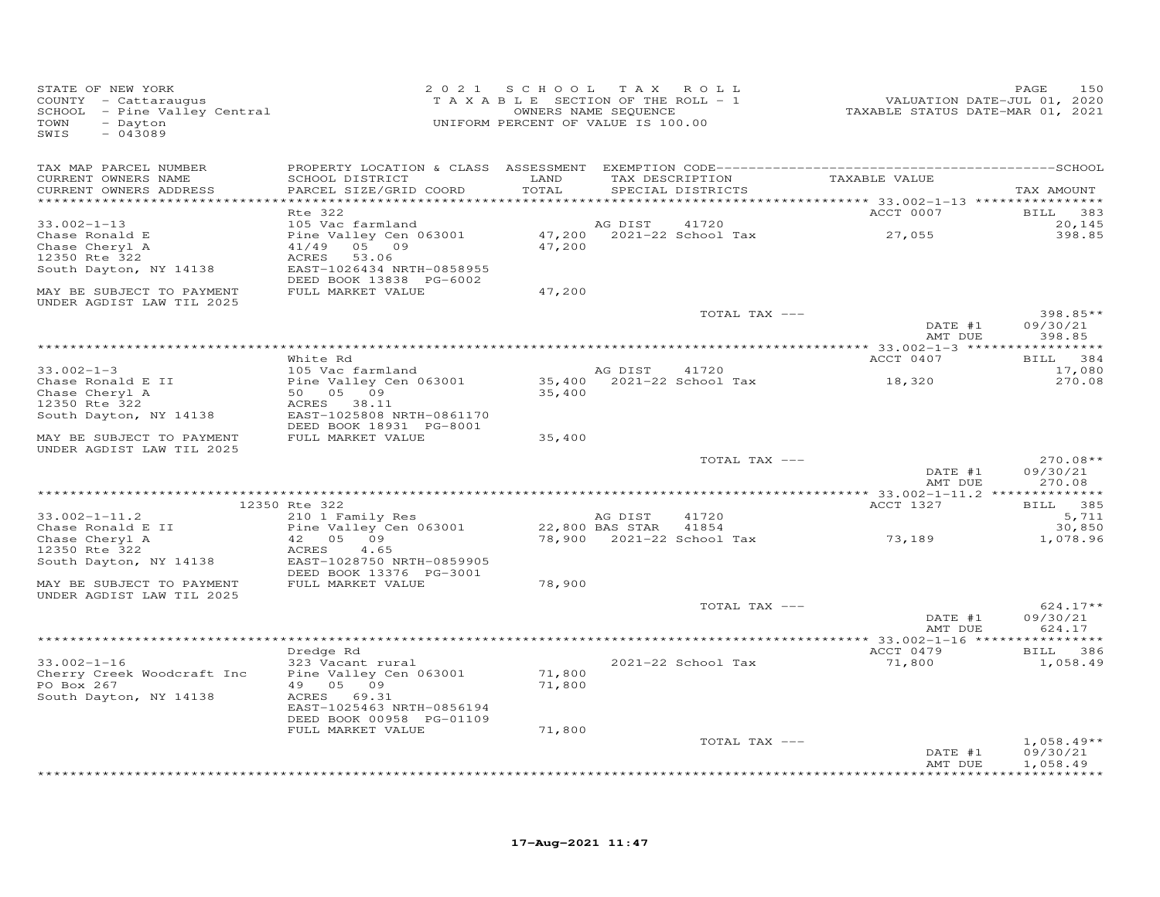| STATE OF NEW YORK<br>COUNTY - Cattaraugus<br>SCHOOL - Pine Valley Central<br>- Dayton<br>TOWN<br>SWIS<br>$-043089$ |                                             |               | 2021 SCHOOL TAX ROLL<br>TAXABLE SECTION OF THE ROLL - 1<br>OWNERS NAME SEQUENCE<br>UNIFORM PERCENT OF VALUE IS 100.00 | --------<br>VALUATION DATE-JUL 01, 2020<br>TAXABLE STATUS DATE-MAR 01, 2021 | 150<br>PAGE            |
|--------------------------------------------------------------------------------------------------------------------|---------------------------------------------|---------------|-----------------------------------------------------------------------------------------------------------------------|-----------------------------------------------------------------------------|------------------------|
| TAX MAP PARCEL NUMBER                                                                                              |                                             |               |                                                                                                                       |                                                                             |                        |
| CURRENT OWNERS NAME<br>CURRENT OWNERS ADDRESS<br>***********************                                           | SCHOOL DISTRICT<br>PARCEL SIZE/GRID COORD   | LAND<br>TOTAL | TAX DESCRIPTION<br>SPECIAL DISTRICTS                                                                                  | TAXABLE VALUE                                                               | TAX AMOUNT             |
|                                                                                                                    | Rte 322                                     |               |                                                                                                                       | ACCT 0007                                                                   | BILL 383               |
| $33.002 - 1 - 13$                                                                                                  | 105 Vac farmland                            |               | AG DIST<br>41720                                                                                                      |                                                                             | 20,145                 |
| Chase Ronald E                                                                                                     | Pine Valley Cen 063001                      |               | 47,200 2021-22 School Tax                                                                                             | 27,055                                                                      | 398.85                 |
| Chase Cheryl A                                                                                                     | 41/49 05 09                                 | 47,200        |                                                                                                                       |                                                                             |                        |
| 12350 Rte 322<br>South Dayton, NY 14138                                                                            | ACRES<br>53.06<br>EAST-1026434 NRTH-0858955 |               |                                                                                                                       |                                                                             |                        |
|                                                                                                                    | DEED BOOK 13838 PG-6002                     |               |                                                                                                                       |                                                                             |                        |
| MAY BE SUBJECT TO PAYMENT<br>UNDER AGDIST LAW TIL 2025                                                             | FULL MARKET VALUE                           | 47,200        |                                                                                                                       |                                                                             |                        |
|                                                                                                                    |                                             |               | TOTAL TAX ---                                                                                                         |                                                                             | 398.85**               |
|                                                                                                                    |                                             |               |                                                                                                                       | DATE #1                                                                     | 09/30/21               |
|                                                                                                                    |                                             |               |                                                                                                                       | AMT DUE                                                                     | 398.85                 |
|                                                                                                                    | White Rd                                    |               |                                                                                                                       | ACCT 0407                                                                   | BILL 384               |
| $33.002 - 1 - 3$                                                                                                   | 105 Vac farmland                            |               | AG DIST<br>41720                                                                                                      |                                                                             | 17,080                 |
| Chase Ronald E II                                                                                                  | Pine Valley Cen 063001                      |               | $35,400$ $2021-22$ School Tax                                                                                         | 18,320                                                                      | 270.08                 |
| Chase Cheryl A<br>12350 Rte 322                                                                                    | 50 05 09<br>ACRES 38.11                     | 35,400        |                                                                                                                       |                                                                             |                        |
| South Dayton, NY 14138                                                                                             | EAST-1025808 NRTH-0861170                   |               |                                                                                                                       |                                                                             |                        |
|                                                                                                                    | DEED BOOK 18931 PG-8001                     |               |                                                                                                                       |                                                                             |                        |
| MAY BE SUBJECT TO PAYMENT                                                                                          | FULL MARKET VALUE                           | 35,400        |                                                                                                                       |                                                                             |                        |
| UNDER AGDIST LAW TIL 2025                                                                                          |                                             |               | TOTAL TAX ---                                                                                                         |                                                                             | $270.08**$             |
|                                                                                                                    |                                             |               |                                                                                                                       | DATE #1                                                                     | 09/30/21               |
|                                                                                                                    |                                             |               |                                                                                                                       | AMT DUE                                                                     | 270.08                 |
|                                                                                                                    | 12350 Rte 322                               |               |                                                                                                                       | ACCT 1327                                                                   | BILL 385               |
| $33.002 - 1 - 11.2$                                                                                                | 210 1 Family Res                            |               | 41720<br>AG DIST                                                                                                      |                                                                             | 5,711                  |
| Chase Ronald E II                                                                                                  | Pine Valley Cen 063001                      |               | 22,800 BAS STAR<br>41854                                                                                              |                                                                             | 30,850                 |
| Chase Cheryl A                                                                                                     | 42 05 09                                    |               | 78,900 2021-22 School Tax                                                                                             | 73,189                                                                      | 1,078.96               |
| 12350 Rte 322<br>South Dayton, NY 14138                                                                            | 4.65<br>ACRES<br>EAST-1028750 NRTH-0859905  |               |                                                                                                                       |                                                                             |                        |
|                                                                                                                    | DEED BOOK 13376 PG-3001                     |               |                                                                                                                       |                                                                             |                        |
| MAY BE SUBJECT TO PAYMENT                                                                                          | FULL MARKET VALUE                           | 78,900        |                                                                                                                       |                                                                             |                        |
| UNDER AGDIST LAW TIL 2025                                                                                          |                                             |               |                                                                                                                       |                                                                             |                        |
|                                                                                                                    |                                             |               | TOTAL TAX ---                                                                                                         | DATE #1                                                                     | $624.17**$<br>09/30/21 |
|                                                                                                                    |                                             |               |                                                                                                                       | AMT DUE                                                                     | 624.17                 |
|                                                                                                                    |                                             |               |                                                                                                                       |                                                                             |                        |
|                                                                                                                    | Dredge Rd                                   |               |                                                                                                                       | ACCT 0479                                                                   | BILL 386               |
| $33.002 - 1 - 16$                                                                                                  | 323 Vacant rural<br>Pine Valley Cen 063001  | 71,800        | 2021-22 School Tax                                                                                                    | 71,800                                                                      | 1,058.49               |
| Cherry Creek Woodcraft Inc<br>PO Box 267                                                                           | 49 05 09                                    | 71,800        |                                                                                                                       |                                                                             |                        |
| South Dayton, NY 14138                                                                                             | ACRES 69.31                                 |               |                                                                                                                       |                                                                             |                        |
|                                                                                                                    | EAST-1025463 NRTH-0856194                   |               |                                                                                                                       |                                                                             |                        |
|                                                                                                                    | DEED BOOK 00958 PG-01109                    |               |                                                                                                                       |                                                                             |                        |
|                                                                                                                    | FULL MARKET VALUE                           | 71,800        | TOTAL TAX ---                                                                                                         |                                                                             | $1,058.49**$           |
|                                                                                                                    |                                             |               |                                                                                                                       | DATE #1                                                                     | 09/30/21               |
|                                                                                                                    |                                             |               |                                                                                                                       | AMT DUE                                                                     | 1,058.49               |
|                                                                                                                    |                                             |               |                                                                                                                       |                                                                             | **************         |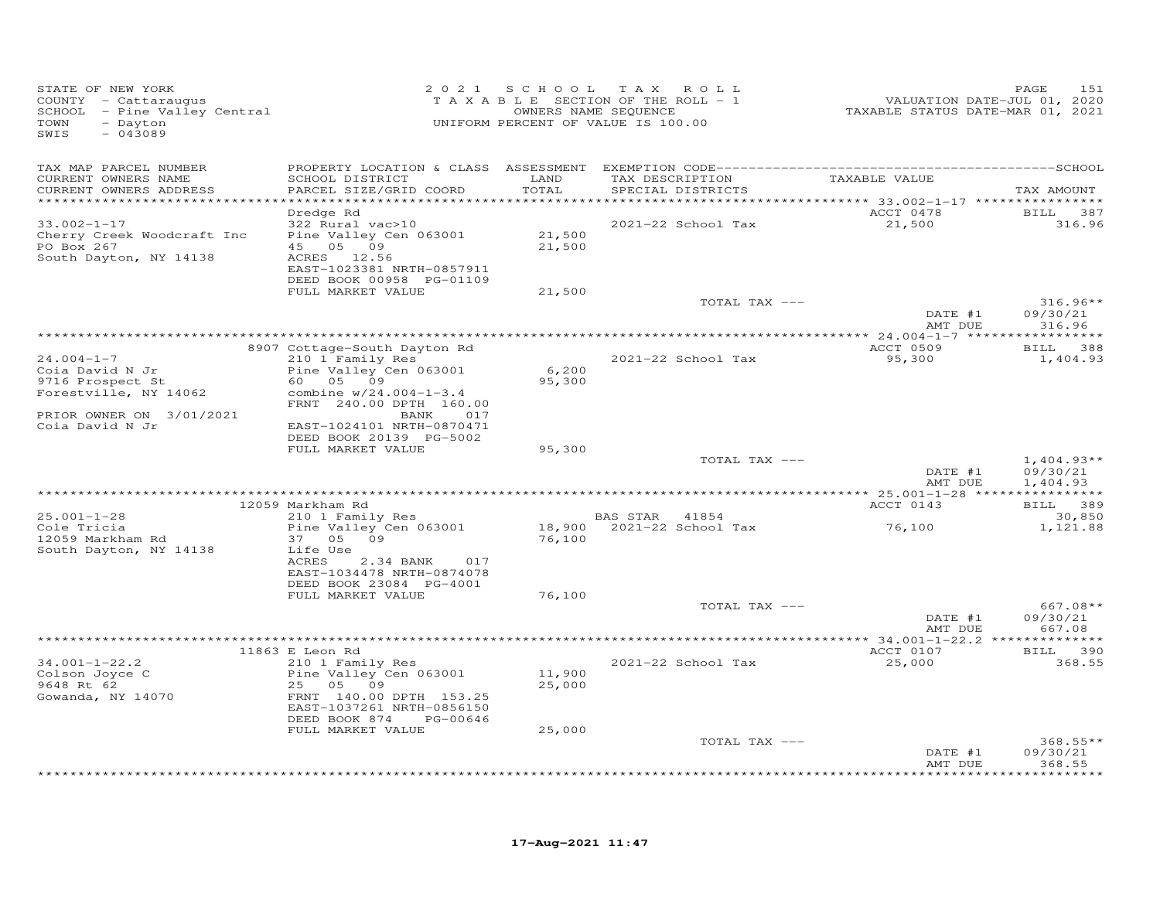| STATE OF NEW YORK<br>COUNTY - Cattaraugus<br>SCHOOL - Pine Valley Central<br>TOWN<br>- Dayton<br>SWIS<br>$-043089$              |                                                                                                                                                                                     | 2021 SCHOOL                | T A X<br>ROLL<br>TAXABLE SECTION OF THE ROLL - 1<br>OWNERS NAME SEQUENCE<br>UNIFORM PERCENT OF VALUE IS 100.00 | VALUATION DATE-JUL 01, 2020<br>TAXABLE STATUS DATE-MAR 01, 2021 | PAGE<br>151                         |
|---------------------------------------------------------------------------------------------------------------------------------|-------------------------------------------------------------------------------------------------------------------------------------------------------------------------------------|----------------------------|----------------------------------------------------------------------------------------------------------------|-----------------------------------------------------------------|-------------------------------------|
| TAX MAP PARCEL NUMBER<br>CURRENT OWNERS NAME<br>CURRENT OWNERS ADDRESS                                                          | SCHOOL DISTRICT<br>PARCEL SIZE/GRID COORD                                                                                                                                           | LAND<br>TOTAL              | TAX DESCRIPTION<br>SPECIAL DISTRICTS                                                                           | TAXABLE VALUE                                                   | TAX AMOUNT                          |
| ***********************<br>$33.002 - 1 - 17$<br>Cherry Creek Woodcraft Inc<br>PO Box 267<br>South Dayton, NY 14138              | Dredge Rd<br>322 Rural vac>10<br>Pine Valley Cen 063001<br>45 05 09<br>ACRES 12.56<br>EAST-1023381 NRTH-0857911<br>DEED BOOK 00958 PG-01109<br>FULL MARKET VALUE                    | 21,500<br>21,500<br>21,500 | 2021-22 School Tax                                                                                             | ACCT 0478<br>21,500                                             | BILL 387<br>316.96                  |
|                                                                                                                                 |                                                                                                                                                                                     |                            | TOTAL TAX ---                                                                                                  | DATE #1<br>AMT DUE                                              | $316.96**$<br>09/30/21<br>316.96    |
|                                                                                                                                 | 8907 Cottage-South Dayton Rd                                                                                                                                                        |                            |                                                                                                                | ACCT 0509                                                       | * * * * * * * * * * * *<br>BILL 388 |
| $24.004 - 1 - 7$<br>Coia David N Jr<br>9716 Prospect St<br>Forestville, NY 14062<br>PRIOR OWNER ON 3/01/2021<br>Coia David N Jr | 210 1 Family Res<br>Pine Valley Cen 063001<br>60 05 09<br>combine $w/24.004-1-3.4$<br>FRNT 240.00 DPTH 160.00<br>BANK 017<br>EAST-1024101 NRTH-0870471<br>DEED BOOK 20139 PG-5002   | 6,200<br>95,300            | 2021-22 School Tax                                                                                             | 95,300                                                          | 1,404.93                            |
|                                                                                                                                 | FULL MARKET VALUE                                                                                                                                                                   | 95,300                     | TOTAL TAX ---                                                                                                  | DATE #1                                                         | $1,404.93**$<br>09/30/21            |
|                                                                                                                                 |                                                                                                                                                                                     |                            |                                                                                                                | AMT DUE                                                         | 1,404.93                            |
|                                                                                                                                 | 12059 Markham Rd                                                                                                                                                                    |                            |                                                                                                                | ACCT 0143                                                       | BILL 389                            |
| $25.001 - 1 - 28$<br>Cole Tricia<br>12059 Markham Rd<br>South Dayton, NY 14138                                                  | 210 1 Family Res<br>Pine Valley Cen 063001<br>37 05 09<br>Life Use<br>ACRES<br>2.34 BANK<br>017<br>EAST-1034478 NRTH-0874078                                                        | 76,100                     | BAS STAR 41854<br>18,900 2021-22 School Tax                                                                    | 76,100                                                          | 30,850<br>1,121.88                  |
|                                                                                                                                 | DEED BOOK 23084 PG-4001<br>FULL MARKET VALUE                                                                                                                                        | 76,100                     | TOTAL TAX ---                                                                                                  | DATE #1<br>AMT DUE                                              | $667.08**$<br>09/30/21<br>667.08    |
|                                                                                                                                 |                                                                                                                                                                                     |                            |                                                                                                                |                                                                 |                                     |
| $34.001 - 1 - 22.2$<br>Colson Joyce C<br>9648 Rt 62<br>Gowanda, NY 14070                                                        | 11863 E Leon Rd<br>210 1 Family Res<br>Pine Valley Cen 063001<br>25 05 09<br>FRNT 140.00 DPTH 153.25<br>EAST-1037261 NRTH-0856150<br>DEED BOOK 874<br>PG-00646<br>FULL MARKET VALUE | 11,900<br>25,000<br>25,000 | 2021-22 School Tax                                                                                             | ACCT 0107<br>25,000                                             | BILL 390<br>368.55                  |
|                                                                                                                                 |                                                                                                                                                                                     |                            | TOTAL TAX ---                                                                                                  | DATE #1<br>AMT DUE                                              | $368.55**$<br>09/30/21<br>368.55    |
|                                                                                                                                 |                                                                                                                                                                                     |                            |                                                                                                                |                                                                 | <b>+++++++++</b>                    |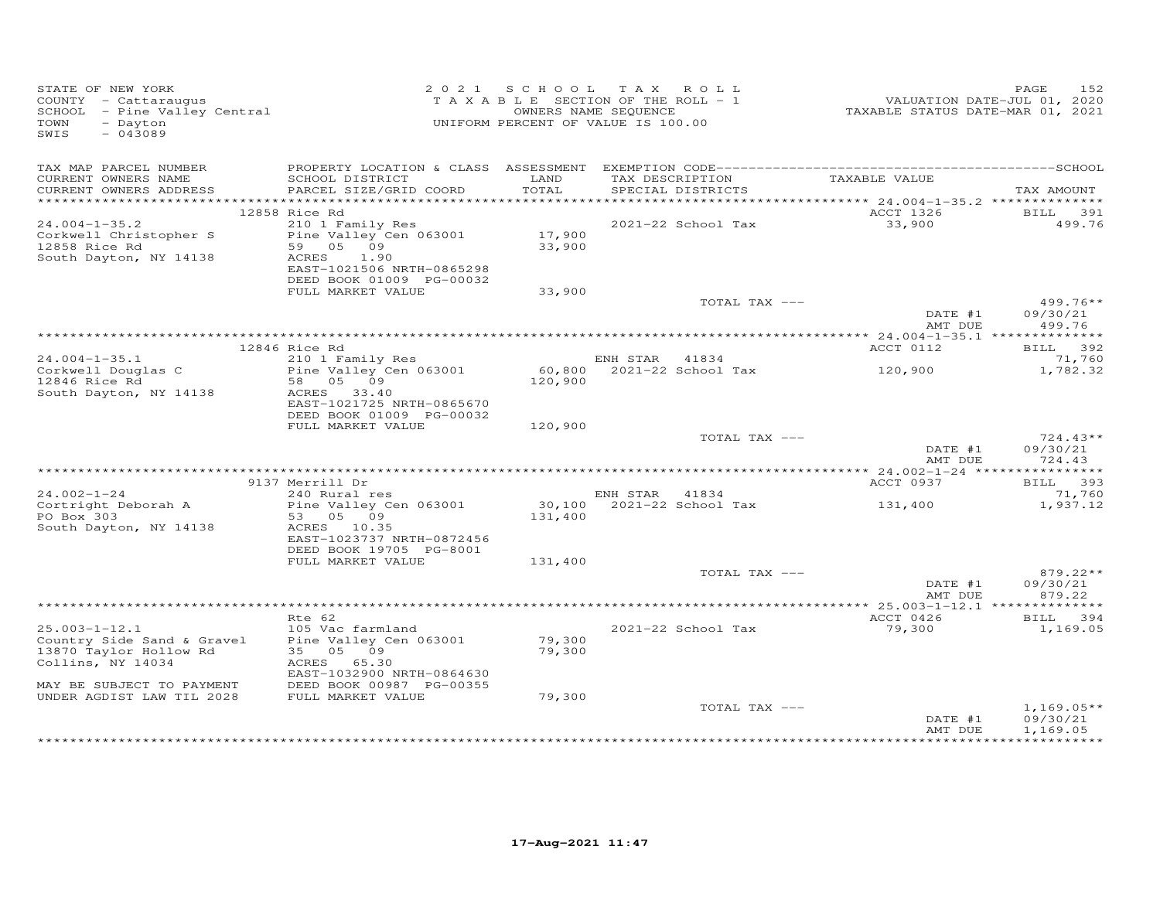| STATE OF NEW YORK<br>COUNTY - Cattaraugus<br>SCHOOL - Pine Valley Central<br>- Dayton<br>TOWN<br>$-043089$<br>SWIS |                                                       |         | 2021 SCHOOL TAX ROLL<br>TAXABLE SECTION OF THE ROLL - 1<br>OWNERS NAME SEQUENCE<br>UNIFORM PERCENT OF VALUE IS 100.00 | 2020<br>1.01, VALUATION DATE-JUL 01, 2020<br>2021, TAXABLE STATUS DATE-MAR 01, 2021 | 152<br>PAGE          |
|--------------------------------------------------------------------------------------------------------------------|-------------------------------------------------------|---------|-----------------------------------------------------------------------------------------------------------------------|-------------------------------------------------------------------------------------|----------------------|
| TAX MAP PARCEL NUMBER<br>CURRENT OWNERS NAME                                                                       | SCHOOL DISTRICT                                       | LAND    |                                                                                                                       |                                                                                     |                      |
| CURRENT OWNERS ADDRESS                                                                                             | PARCEL SIZE/GRID COORD                                | TOTAL   | TAX DESCRIPTION<br>SPECIAL DISTRICTS<br>SPECIAL DISTRICTS                                                             |                                                                                     | TAX AMOUNT           |
|                                                                                                                    |                                                       |         |                                                                                                                       |                                                                                     |                      |
| $24.004 - 1 - 35.2$                                                                                                | 12858 Rice Rd<br>210 1 Family Res                     |         | 2021-22 School Tax                                                                                                    | ACCT 1326<br>33,900                                                                 | BILL 391<br>499.76   |
| Corkwell Christopher S                                                                                             | 210 1 Family Res<br>Pine Valley Cen 063001 17,900     |         |                                                                                                                       |                                                                                     |                      |
| 12858 Rice Rd                                                                                                      | 59 05 09                                              | 33,900  |                                                                                                                       |                                                                                     |                      |
| South Dayton, NY 14138                                                                                             | ACRES<br>1.90                                         |         |                                                                                                                       |                                                                                     |                      |
|                                                                                                                    | EAST-1021506 NRTH-0865298<br>DEED BOOK 01009 PG-00032 |         |                                                                                                                       |                                                                                     |                      |
|                                                                                                                    | FULL MARKET VALUE                                     | 33,900  |                                                                                                                       |                                                                                     |                      |
|                                                                                                                    |                                                       |         | TOTAL TAX ---                                                                                                         |                                                                                     | $499.76**$           |
|                                                                                                                    |                                                       |         |                                                                                                                       | DATE #1<br>AMT DUE                                                                  | 09/30/21<br>499.76   |
|                                                                                                                    |                                                       |         |                                                                                                                       |                                                                                     |                      |
| $24.004 - 1 - 35.1$                                                                                                | 12846 Rice Rd<br>210 1 Family Res                     |         |                                                                                                                       | ACCT 0112                                                                           | BILL 392<br>71,760   |
|                                                                                                                    | Pine Valley Cen 063001                                |         | ENH STAR 41834<br>60,800 2021-22 School Tax 120,900                                                                   |                                                                                     | 1,782.32             |
| Corkwell Douglas C<br>12846 Rice Rd                                                                                | 58 05 09                                              | 120,900 |                                                                                                                       |                                                                                     |                      |
| South Dayton, NY 14138                                                                                             | ACRES 33.40                                           |         |                                                                                                                       |                                                                                     |                      |
|                                                                                                                    | EAST-1021725 NRTH-0865670<br>DEED BOOK 01009 PG-00032 |         |                                                                                                                       |                                                                                     |                      |
|                                                                                                                    | FULL MARKET VALUE                                     | 120,900 |                                                                                                                       |                                                                                     |                      |
|                                                                                                                    |                                                       |         | TOTAL TAX ---                                                                                                         |                                                                                     | $724.43**$           |
|                                                                                                                    |                                                       |         |                                                                                                                       | DATE #1                                                                             | 09/30/21             |
|                                                                                                                    |                                                       |         |                                                                                                                       | AMT DUE                                                                             | 724.43               |
|                                                                                                                    | 9137 Merrill Dr                                       |         |                                                                                                                       | ACCT 0937                                                                           | BILL 393             |
| $24.002 - 1 - 24$                                                                                                  | Merrill Dr<br>240 Rural res                           |         | ENH STAR 41834                                                                                                        |                                                                                     | 71,760               |
| Cortright Deborah A                                                                                                | Pine Valley Cen 063001                                |         | $30,100$ $2021-22$ School Tax $131,400$                                                                               |                                                                                     | 1,937.12             |
| PO Box 303<br>South Dayton, NY 14138                                                                               | 53 05 09<br>ACRES 10.35                               | 131,400 |                                                                                                                       |                                                                                     |                      |
|                                                                                                                    | EAST-1023737 NRTH-0872456                             |         |                                                                                                                       |                                                                                     |                      |
|                                                                                                                    | DEED BOOK 19705 PG-8001                               |         |                                                                                                                       |                                                                                     |                      |
|                                                                                                                    | FULL MARKET VALUE                                     | 131,400 |                                                                                                                       |                                                                                     |                      |
|                                                                                                                    |                                                       |         | TOTAL TAX ---                                                                                                         | DATE #1                                                                             | 879.22**<br>09/30/21 |
|                                                                                                                    |                                                       |         |                                                                                                                       | AMT DUE                                                                             | 879.22               |
|                                                                                                                    |                                                       |         |                                                                                                                       |                                                                                     |                      |
|                                                                                                                    | Rte 62                                                |         |                                                                                                                       | ACCT 0426                                                                           | BILL 394             |
| $25.003 - 1 - 12.1$                                                                                                | 105 Vac farmland                                      | 79,300  | 2021-22 School Tax                                                                                                    | 79,300                                                                              | 1,169.05             |
| Country Side Sand & Gravel<br>13870 Taylor Hollow Rd                                                               | Pine Valley Cen 063001<br>35 05 09                    | 79,300  |                                                                                                                       |                                                                                     |                      |
| Collins, NY 14034                                                                                                  | ACRES 65.30                                           |         |                                                                                                                       |                                                                                     |                      |
|                                                                                                                    | EAST-1032900 NRTH-0864630                             |         |                                                                                                                       |                                                                                     |                      |
| MAY BE SUBJECT TO PAYMENT                                                                                          | DEED BOOK 00987 PG-00355                              |         |                                                                                                                       |                                                                                     |                      |
| UNDER AGDIST LAW TIL 2028                                                                                          | FULL MARKET VALUE                                     | 79,300  | TOTAL TAX ---                                                                                                         |                                                                                     | $1,169.05**$         |
|                                                                                                                    |                                                       |         |                                                                                                                       | DATE #1                                                                             | 09/30/21             |
|                                                                                                                    |                                                       |         |                                                                                                                       | AMT DUE                                                                             | 1,169.05             |
|                                                                                                                    |                                                       |         |                                                                                                                       |                                                                                     | ***********          |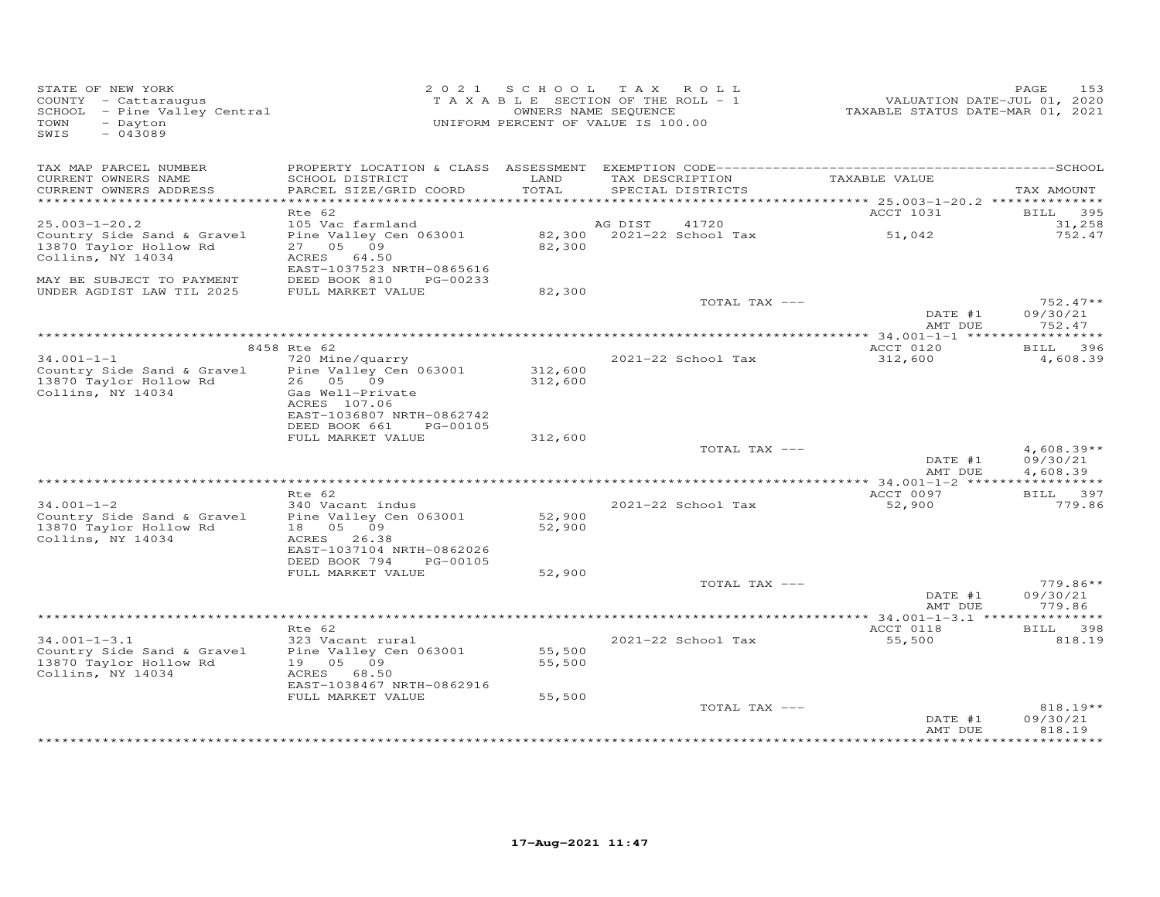| STATE OF NEW YORK<br>COUNTY - Cattaraugus<br>SCHOOL - Pine Valley Central<br>TOWN<br>- Dayton<br>SWIS<br>$-043089$ | 2 0 2 1                                                                                              |                    | SCHOOL TAX ROLL<br>TAXABLE SECTION OF THE ROLL - 1<br>OWNERS NAME SEQUENCE<br>UNIFORM PERCENT OF VALUE IS 100.00 | TAXABLE STATUS DATE-MAR 01, 2021         | PAGE<br>153<br>VALUATION DATE-JUL 01, 2020              |
|--------------------------------------------------------------------------------------------------------------------|------------------------------------------------------------------------------------------------------|--------------------|------------------------------------------------------------------------------------------------------------------|------------------------------------------|---------------------------------------------------------|
| TAX MAP PARCEL NUMBER<br>CURRENT OWNERS NAME                                                                       | SCHOOL DISTRICT                                                                                      | LAND               | TAX DESCRIPTION                                                                                                  | TAXABLE VALUE                            |                                                         |
| CURRENT OWNERS ADDRESS                                                                                             | PARCEL SIZE/GRID COORD                                                                               | TOTAL              | SPECIAL DISTRICTS                                                                                                |                                          | TAX AMOUNT                                              |
|                                                                                                                    |                                                                                                      |                    |                                                                                                                  | *********** 25.003-1-20.2 ************** |                                                         |
| $25.003 - 1 - 20.2$                                                                                                | Rte 62<br>105 Vac farmland                                                                           |                    | AG DIST<br>41720                                                                                                 | ACCT 1031                                | BILL 395<br>31,258                                      |
| Country Side Sand & Gravel<br>13870 Taylor Hollow Rd<br>Collins, NY 14034                                          | Pine Valley Cen 063001<br>27 05 09<br>ACRES 64.50<br>EAST-1037523 NRTH-0865616                       | 82,300             | 82,300 2021-22 School Tax                                                                                        | 51,042                                   | 752.47                                                  |
| MAY BE SUBJECT TO PAYMENT<br>UNDER AGDIST LAW TIL 2025                                                             | DEED BOOK 810<br>PG-00233<br>FULL MARKET VALUE                                                       | 82,300             |                                                                                                                  |                                          |                                                         |
|                                                                                                                    |                                                                                                      |                    | TOTAL TAX ---                                                                                                    | DATE #1                                  | $752.47**$<br>09/30/21                                  |
|                                                                                                                    |                                                                                                      |                    |                                                                                                                  | AMT DUE                                  | 752.47                                                  |
|                                                                                                                    | 8458 Rte 62                                                                                          |                    |                                                                                                                  | ACCT 0120                                | BILL 396                                                |
| $34.001 - 1 - 1$<br>Country Side Sand & Gravel<br>13870 Taylor Hollow Rd<br>Collins, NY 14034                      | 720 Mine/quarry<br>Pine Valley Cen 063001<br>26 05 09<br>Gas Well-Private<br>ACRES 107.06            | 312,600<br>312,600 | 2021-22 School Tax                                                                                               | 312,600                                  | 4,608.39                                                |
|                                                                                                                    | EAST-1036807 NRTH-0862742<br>DEED BOOK 661<br>PG-00105<br>FULL MARKET VALUE                          | 312,600            |                                                                                                                  |                                          |                                                         |
|                                                                                                                    |                                                                                                      |                    | TOTAL TAX ---                                                                                                    |                                          | $4,608.39**$                                            |
|                                                                                                                    |                                                                                                      |                    |                                                                                                                  | DATE #1<br>AMT DUE                       | 09/30/21<br>4,608.39                                    |
|                                                                                                                    |                                                                                                      |                    |                                                                                                                  |                                          |                                                         |
| $34.001 - 1 - 2$<br>Country Side Sand & Gravel                                                                     | Rte 62<br>340 Vacant indus<br>Pine Valley Cen 063001                                                 | 52,900             | 2021-22 School Tax                                                                                               | ACCT 0097<br>52,900                      | BILL 397<br>779.86                                      |
| 13870 Taylor Hollow Rd<br>Collins, NY 14034                                                                        | 18  05  09<br>ACRES 26.38<br>EAST-1037104 NRTH-0862026<br>DEED BOOK 794<br>PG-00105                  | 52,900             |                                                                                                                  |                                          |                                                         |
|                                                                                                                    | FULL MARKET VALUE                                                                                    | 52,900             |                                                                                                                  |                                          |                                                         |
|                                                                                                                    |                                                                                                      |                    | TOTAL TAX ---                                                                                                    | DATE #1<br>AMT DUE                       | $779.86**$<br>09/30/21<br>779.86                        |
|                                                                                                                    |                                                                                                      |                    |                                                                                                                  |                                          |                                                         |
|                                                                                                                    | Rte 62                                                                                               |                    |                                                                                                                  | ACCT 0118                                | BILL 398                                                |
| $34.001 - 1 - 3.1$<br>Country Side Sand & Gravel<br>13870 Taylor Hollow Rd<br>Collins, NY 14034                    | 323 Vacant rural<br>Pine Valley Cen 063001<br>19  05  09<br>ACRES 68.50<br>EAST-1038467 NRTH-0862916 | 55,500<br>55,500   | 2021-22 School Tax                                                                                               | 55,500                                   | 818.19                                                  |
|                                                                                                                    | FULL MARKET VALUE                                                                                    | 55,500             |                                                                                                                  |                                          |                                                         |
|                                                                                                                    |                                                                                                      |                    | TOTAL TAX ---                                                                                                    | DATE #1<br>AMT DUE                       | $818.19**$<br>09/30/21<br>818.19<br>* * * * * * * * * * |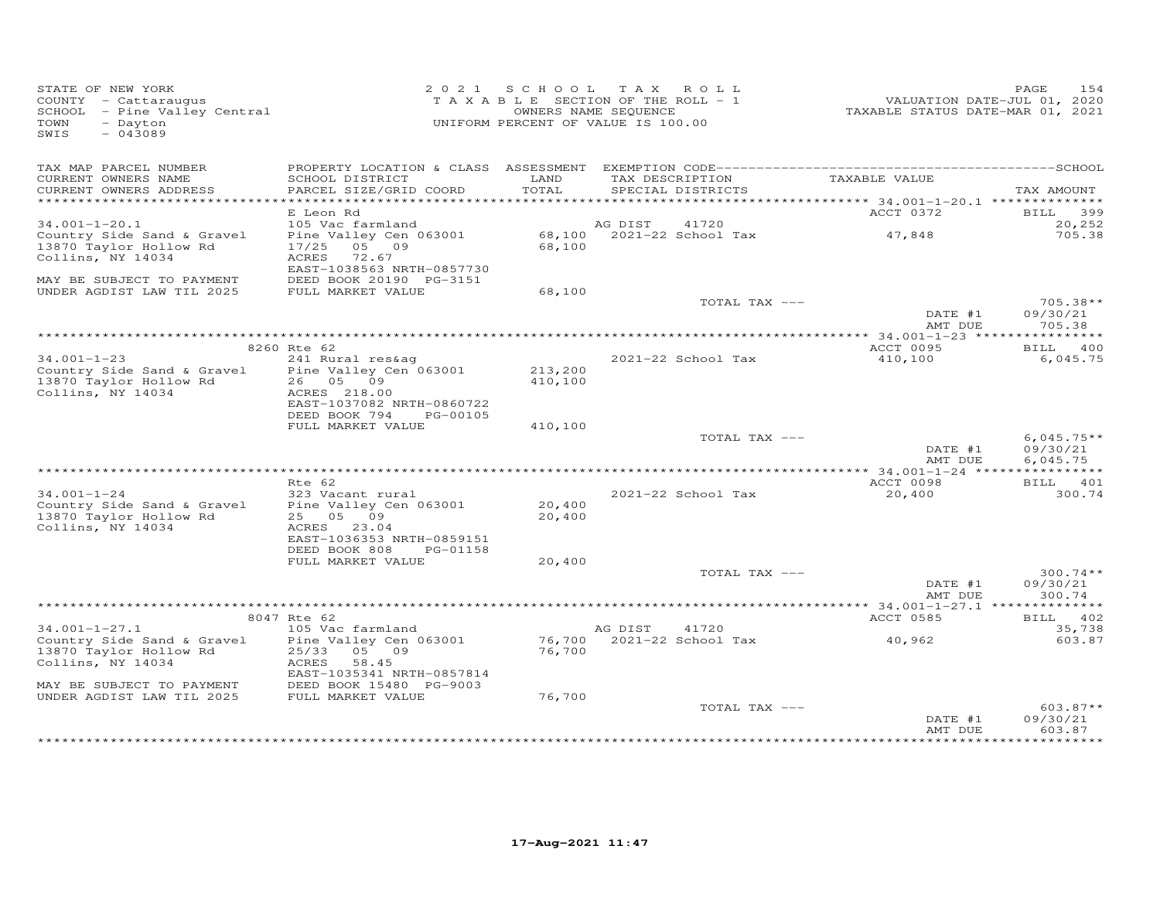| STATE OF NEW YORK<br>COUNTY - Cattaraugus<br>SCHOOL - Pine Valley Central<br>- Dayton<br>TOWN<br>$-043089$<br>SWIS |                                                                                                              | 2021 SCHOOL TAX ROLL<br>TAXABLE SECTION OF THE ROLL - 1<br>UNIFORM PERCENT OF VALUE IS 100.00 | OWNERS NAME SEQUENCE |                                      | VALUATION DATE-JUL 01, 2020<br>TAXABLE STATUS DATE-MAR 01, 2021 | 154<br>PAGE                          |
|--------------------------------------------------------------------------------------------------------------------|--------------------------------------------------------------------------------------------------------------|-----------------------------------------------------------------------------------------------|----------------------|--------------------------------------|-----------------------------------------------------------------|--------------------------------------|
| TAX MAP PARCEL NUMBER<br>CURRENT OWNERS NAME                                                                       | SCHOOL DISTRICT                                                                                              | LAND                                                                                          |                      | TAX DESCRIPTION                      | TAXABLE VALUE                                                   |                                      |
| CURRENT OWNERS ADDRESS                                                                                             | PARCEL SIZE/GRID COORD                                                                                       | TOTAL                                                                                         |                      | SPECIAL DISTRICTS                    |                                                                 | TAX AMOUNT                           |
|                                                                                                                    | E Leon Rd                                                                                                    |                                                                                               |                      | ************************************ | ********** 34.001-1-20.1 ***************<br>ACCT 0372           | 399                                  |
| $34.001 - 1 - 20.1$                                                                                                | 105 Vac farmland                                                                                             |                                                                                               | AG DIST              | 41720                                |                                                                 | <b>BILL</b><br>20,252                |
| Country Side Sand & Gravel<br>13870 Taylor Hollow Rd<br>Collins, NY 14034                                          | Pine Valley Cen 063001<br>17/25 05 09<br>ACRES<br>72.67<br>EAST-1038563 NRTH-0857730                         | 68,100                                                                                        |                      | 68,100 2021-22 School Tax            | 47,848                                                          | 705.38                               |
| MAY BE SUBJECT TO PAYMENT                                                                                          | DEED BOOK 20190 PG-3151                                                                                      |                                                                                               |                      |                                      |                                                                 |                                      |
| UNDER AGDIST LAW TIL 2025                                                                                          | FULL MARKET VALUE                                                                                            | 68,100                                                                                        |                      | TOTAL TAX ---                        |                                                                 | $705.38**$                           |
|                                                                                                                    |                                                                                                              |                                                                                               |                      |                                      | DATE #1<br>AMT DUE                                              | 09/30/21<br>705.38                   |
|                                                                                                                    |                                                                                                              |                                                                                               |                      |                                      |                                                                 |                                      |
| $34.001 - 1 - 23$                                                                                                  | 8260 Rte 62<br>241 Rural res&ag                                                                              |                                                                                               |                      | 2021-22 School Tax                   | ACCT 0095<br>410,100                                            | BILL 400<br>6,045.75                 |
| Country Side Sand & Gravel<br>13870 Taylor Hollow Rd<br>Collins, NY 14034                                          | Pine Valley Cen 063001<br>26 05 09<br>ACRES 218.00<br>EAST-1037082 NRTH-0860722<br>DEED BOOK 794<br>PG-00105 | 213,200<br>410,100                                                                            |                      |                                      |                                                                 |                                      |
|                                                                                                                    | FULL MARKET VALUE                                                                                            | 410,100                                                                                       |                      |                                      |                                                                 |                                      |
|                                                                                                                    |                                                                                                              |                                                                                               |                      | TOTAL TAX ---                        | DATE #1<br>AMT DUE                                              | $6,045.75**$<br>09/30/21<br>6,045.75 |
|                                                                                                                    | Rte 62                                                                                                       |                                                                                               |                      |                                      | ACCT 0098                                                       | BILL 401                             |
| $34.001 - 1 - 24$<br>Country Side Sand & Gravel<br>13870 Taylor Hollow Rd                                          | 323 Vacant rural<br>Pine Valley Cen 063001<br>25 05 09                                                       | 20,400<br>20,400                                                                              |                      | 2021-22 School Tax                   | 20,400                                                          | 300.74                               |
| Collins, NY 14034                                                                                                  | ACRES 23.04<br>EAST-1036353 NRTH-0859151<br>DEED BOOK 808<br>PG-01158                                        |                                                                                               |                      |                                      |                                                                 |                                      |
|                                                                                                                    | FULL MARKET VALUE                                                                                            | 20,400                                                                                        |                      | TOTAL TAX ---                        |                                                                 | $300.74**$                           |
|                                                                                                                    |                                                                                                              |                                                                                               |                      |                                      | DATE #1<br>AMT DUE                                              | 09/30/21<br>300.74                   |
|                                                                                                                    |                                                                                                              |                                                                                               |                      |                                      |                                                                 |                                      |
| $34.001 - 1 - 27.1$                                                                                                | 8047 Rte 62<br>105 Vac farmland                                                                              |                                                                                               | AG DIST              | 41720                                | ACCT 0585                                                       | BILL 402<br>35,738                   |
| Country Side Sand & Gravel<br>13870 Taylor Hollow Rd<br>Collins, NY 14034                                          | Pine Valley Cen 063001<br>25/33 05 09<br>ACRES<br>58.45                                                      | 76,700                                                                                        |                      | 76,700 2021-22 School Tax            | 40,962                                                          | 603.87                               |
|                                                                                                                    | EAST-1035341 NRTH-0857814                                                                                    |                                                                                               |                      |                                      |                                                                 |                                      |
| MAY BE SUBJECT TO PAYMENT<br>UNDER AGDIST LAW TIL 2025                                                             | DEED BOOK 15480 PG-9003<br>FULL MARKET VALUE                                                                 | 76,700                                                                                        |                      |                                      |                                                                 |                                      |
|                                                                                                                    |                                                                                                              |                                                                                               |                      | TOTAL TAX ---                        | DATE #1                                                         | $603.87**$<br>09/30/21               |
|                                                                                                                    |                                                                                                              |                                                                                               |                      |                                      | AMT DUE                                                         | 603.87<br>* * * * * * * *            |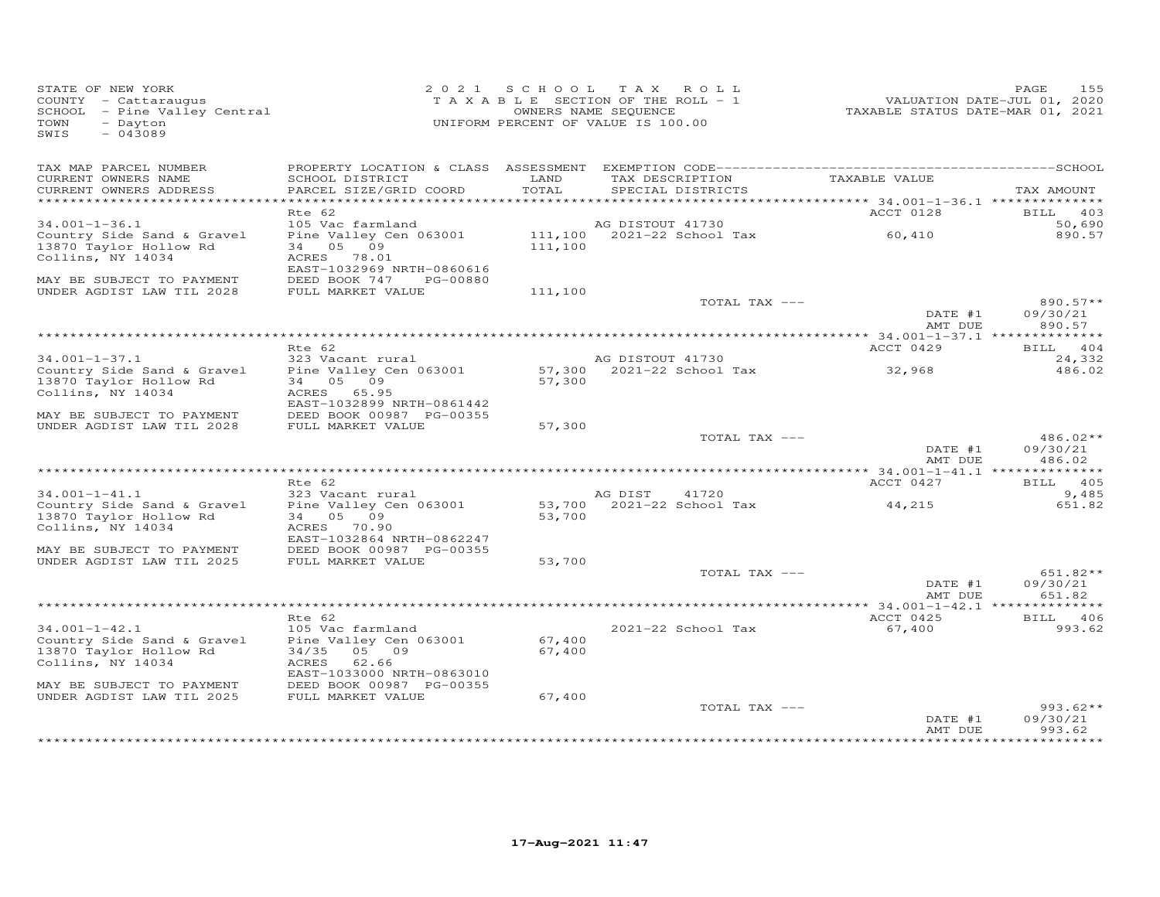| STATE OF NEW YORK<br>COUNTY - Cattaraugus<br>SCHOOL - Pine Valley Central<br>TOWN<br>- Dayton<br>$-043089$<br>SWIS | 2021 SCHOOL<br>TAXABLE SECTION OF THE ROLL - 1<br>UNIFORM PERCENT OF VALUE IS 100.00                          | 155<br>PAGE<br>VALUATION DATE-JUL 01, 2020<br>TAXABLE STATUS DATE-MAR 01, 2021 |                                               |                                                     |                                   |
|--------------------------------------------------------------------------------------------------------------------|---------------------------------------------------------------------------------------------------------------|--------------------------------------------------------------------------------|-----------------------------------------------|-----------------------------------------------------|-----------------------------------|
| TAX MAP PARCEL NUMBER<br>CURRENT OWNERS NAME                                                                       | SCHOOL DISTRICT<br>PARCEL SIZE/GRID COORD                                                                     | LAND<br>TOTAL                                                                  | TAX DESCRIPTION<br>SPECIAL DISTRICTS          | TAXABLE VALUE                                       | TAX AMOUNT                        |
| CURRENT OWNERS ADDRESS                                                                                             |                                                                                                               |                                                                                |                                               |                                                     |                                   |
|                                                                                                                    | Rte 62                                                                                                        |                                                                                |                                               | ACCT 0128                                           | BILL 403                          |
| $34.001 - 1 - 36.1$                                                                                                | 105 Vac farmland                                                                                              |                                                                                | AG DISTOUT 41730                              |                                                     | 50,690                            |
| Country Side Sand & Gravel<br>13870 Taylor Hollow Rd<br>Collins, NY 14034                                          | Pine Valley Cen 063001<br>34 05 09<br>ACRES 78.01<br>EAST-1032969 NRTH-0860616                                | 111,100                                                                        | 111,100 2021-22 School Tax                    | 60,410                                              | 890.57                            |
| MAY BE SUBJECT TO PAYMENT<br>UNDER AGDIST LAW TIL 2028                                                             | DEED BOOK 747<br>PG-00880<br>FULL MARKET VALUE                                                                | 111,100                                                                        |                                               |                                                     |                                   |
|                                                                                                                    |                                                                                                               |                                                                                | TOTAL TAX ---                                 | DATE #1<br>AMT DUE                                  | $890.57**$<br>09/30/21<br>890.57  |
|                                                                                                                    |                                                                                                               |                                                                                |                                               |                                                     |                                   |
|                                                                                                                    | Rte 62                                                                                                        |                                                                                |                                               | ACCT 0429                                           | BILL 404                          |
| $34.001 - 1 - 37.1$<br>Country Side Sand & Gravel<br>13870 Taylor Hollow Rd<br>Collins, NY 14034                   | 323 Vacant rural<br>Pine Valley Cen 063001<br>34 05 09<br>ACRES 65.95<br>EAST-1032899 NRTH-0861442            | 57,300                                                                         | AG DISTOUT 41730<br>57,300 2021-22 School Tax | 32,968                                              | 24,332<br>486.02                  |
| MAY BE SUBJECT TO PAYMENT                                                                                          | DEED BOOK 00987 PG-00355                                                                                      |                                                                                |                                               |                                                     |                                   |
| UNDER AGDIST LAW TIL 2028                                                                                          | FULL MARKET VALUE                                                                                             | 57,300                                                                         | TOTAL TAX ---                                 |                                                     | $486.02**$                        |
|                                                                                                                    |                                                                                                               |                                                                                |                                               | DATE #1<br>AMT DUE                                  | 09/30/21<br>486.02                |
|                                                                                                                    | Rte 62                                                                                                        |                                                                                |                                               | ******** 34.001-1-41.1 ***************<br>ACCT 0427 | BILL 405                          |
| $34.001 - 1 - 41.1$                                                                                                | 323 Vacant rural                                                                                              |                                                                                | AG DIST<br>41720                              |                                                     | 9,485                             |
| Country Side Sand & Gravel<br>13870 Taylor Hollow Rd<br>Collins, NY 14034<br>MAY BE SUBJECT TO PAYMENT             | Pine Valley Cen 063001<br>34 05 09<br>ACRES<br>70.90<br>EAST-1032864 NRTH-0862247<br>DEED BOOK 00987 PG-00355 | 53,700                                                                         | 53,700 2021-22 School Tax                     | 44,215                                              | 651.82                            |
| UNDER AGDIST LAW TIL 2025                                                                                          | FULL MARKET VALUE                                                                                             | 53,700                                                                         |                                               |                                                     |                                   |
|                                                                                                                    |                                                                                                               |                                                                                | TOTAL TAX ---                                 | DATE #1<br>AMT DUE                                  | 651.82**<br>09/30/21<br>651.82    |
|                                                                                                                    |                                                                                                               |                                                                                |                                               |                                                     |                                   |
|                                                                                                                    | Rte 62                                                                                                        |                                                                                |                                               | ACCT 0425                                           | BILL 406                          |
| $34.001 - 1 - 42.1$<br>Country Side Sand & Gravel<br>13870 Taylor Hollow Rd<br>Collins, NY 14034                   | 105 Vac farmland<br>Pine Valley Cen 063001<br>34/35<br>05 09<br>ACRES<br>62.66<br>EAST-1033000 NRTH-0863010   | 67,400<br>67,400                                                               | 2021-22 School Tax                            | 67,400                                              | 993.62                            |
| MAY BE SUBJECT TO PAYMENT                                                                                          | DEED BOOK 00987 PG-00355                                                                                      |                                                                                |                                               |                                                     |                                   |
| UNDER AGDIST LAW TIL 2025                                                                                          | FULL MARKET VALUE                                                                                             | 67,400                                                                         | TOTAL TAX ---                                 |                                                     | $993.62**$                        |
|                                                                                                                    |                                                                                                               |                                                                                |                                               | DATE #1<br>AMT DUE                                  | 09/30/21<br>993.62                |
|                                                                                                                    |                                                                                                               |                                                                                |                                               |                                                     | والمواطئ ملوا ملوا ملوا ملوا ملوا |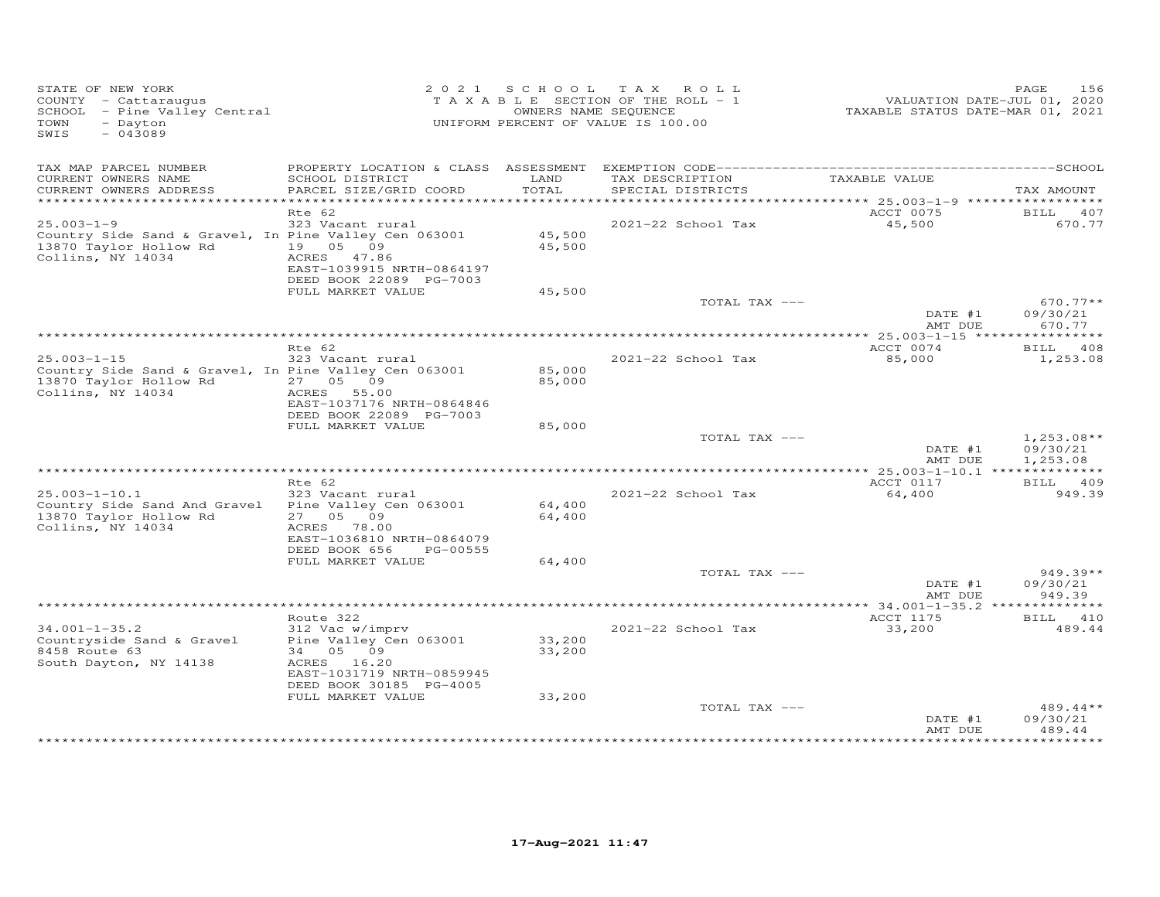| STATE OF NEW YORK<br>COUNTY - Cattaraugus<br>SCHOOL - Pine Valley Central<br>- Dayton<br>TOWN<br>SWIS<br>$-043089$        |                                                                                                                |                  | 2021 SCHOOL TAX ROLL<br>TAXABLE SECTION OF THE ROLL - 1<br>OWNERS NAME SEQUENCE<br>UNIFORM PERCENT OF VALUE IS 100.00 | VALUATION DATE-JUL 01, 2020<br>TAXABLE STATUS DATE-MAR 01, 2021 | 156<br>PAGE                          |
|---------------------------------------------------------------------------------------------------------------------------|----------------------------------------------------------------------------------------------------------------|------------------|-----------------------------------------------------------------------------------------------------------------------|-----------------------------------------------------------------|--------------------------------------|
| TAX MAP PARCEL NUMBER<br>CURRENT OWNERS NAME<br>CURRENT OWNERS ADDRESS                                                    | SCHOOL DISTRICT<br>PARCEL SIZE/GRID COORD                                                                      | LAND<br>TOTAL    | TAX DESCRIPTION<br>SPECIAL DISTRICTS                                                                                  | TAXABLE VALUE                                                   | TAX AMOUNT                           |
| **************************                                                                                                |                                                                                                                |                  |                                                                                                                       |                                                                 |                                      |
|                                                                                                                           | Rte 62                                                                                                         |                  |                                                                                                                       | ACCT 0075                                                       | BILL<br>407                          |
| $25.003 - 1 - 9$<br>Country Side Sand & Gravel, In Pine Valley Cen 063001<br>13870 Taylor Hollow Rd<br>Collins, NY 14034  | 323 Vacant rural<br>19  05  09<br>ACRES 47.86<br>EAST-1039915 NRTH-0864197<br>DEED BOOK 22089 PG-7003          | 45,500<br>45,500 | 2021-22 School Tax                                                                                                    | 45,500                                                          | 670.77                               |
|                                                                                                                           | FULL MARKET VALUE                                                                                              | 45,500           |                                                                                                                       |                                                                 |                                      |
|                                                                                                                           |                                                                                                                |                  | TOTAL TAX ---                                                                                                         | DATE #1<br>AMT DUE                                              | $670.77**$<br>09/30/21<br>670.77     |
|                                                                                                                           |                                                                                                                |                  |                                                                                                                       |                                                                 |                                      |
|                                                                                                                           | Rte 62                                                                                                         |                  |                                                                                                                       | ACCT 0074                                                       | BILL 408                             |
| $25.003 - 1 - 15$<br>Country Side Sand & Gravel, In Pine Valley Cen 063001<br>13870 Taylor Hollow Rd<br>Collins, NY 14034 | 323 Vacant rural<br>27 05 09<br>ACRES 55.00<br>EAST-1037176 NRTH-0864846<br>DEED BOOK 22089 PG-7003            | 85,000<br>85,000 | 2021-22 School Tax                                                                                                    | 85,000                                                          | 1,253.08                             |
|                                                                                                                           | FULL MARKET VALUE                                                                                              | 85,000           |                                                                                                                       |                                                                 |                                      |
|                                                                                                                           |                                                                                                                |                  | TOTAL TAX ---                                                                                                         | DATE #1<br>AMT DUE                                              | $1,253.08**$<br>09/30/21<br>1,253.08 |
|                                                                                                                           | $Rte$ 62                                                                                                       |                  |                                                                                                                       |                                                                 |                                      |
| $25.003 - 1 - 10.1$<br>Country Side Sand And Gravel<br>13870 Taylor Hollow Rd<br>Collins, NY 14034                        | 323 Vacant rural<br>Pine Valley Cen 063001<br>27 05 09<br>ACRES 78.00                                          | 64,400<br>64,400 | 2021-22 School Tax                                                                                                    | ACCT 0117<br>64,400                                             | BILL 409<br>949.39                   |
|                                                                                                                           | EAST-1036810 NRTH-0864079<br>DEED BOOK 656<br>PG-00555                                                         |                  |                                                                                                                       |                                                                 |                                      |
|                                                                                                                           | FULL MARKET VALUE                                                                                              | 64,400           |                                                                                                                       |                                                                 |                                      |
|                                                                                                                           |                                                                                                                |                  | TOTAL TAX ---                                                                                                         | DATE #1<br>AMT DUE                                              | 949.39**<br>09/30/21<br>949.39       |
|                                                                                                                           |                                                                                                                |                  |                                                                                                                       | *************** 34.001-1-35.2 ***                               | *********                            |
| $34.001 - 1 - 35.2$<br>Countryside Sand & Gravel<br>8458 Route 63<br>South Dayton, NY 14138                               | Route 322<br>312 Vac w/imprv<br>Pine Valley Cen 063001<br>34 05 09<br>ACRES 16.20<br>EAST-1031719 NRTH-0859945 | 33,200<br>33,200 | 2021-22 School Tax                                                                                                    | ACCT 1175<br>33,200                                             | <b>BILL</b><br>410<br>489.44         |
|                                                                                                                           | DEED BOOK 30185 PG-4005                                                                                        |                  |                                                                                                                       |                                                                 |                                      |
|                                                                                                                           | FULL MARKET VALUE                                                                                              | 33,200           | TOTAL TAX ---                                                                                                         | DATE #1<br>AMT DUE                                              | $489.44**$<br>09/30/21<br>489.44     |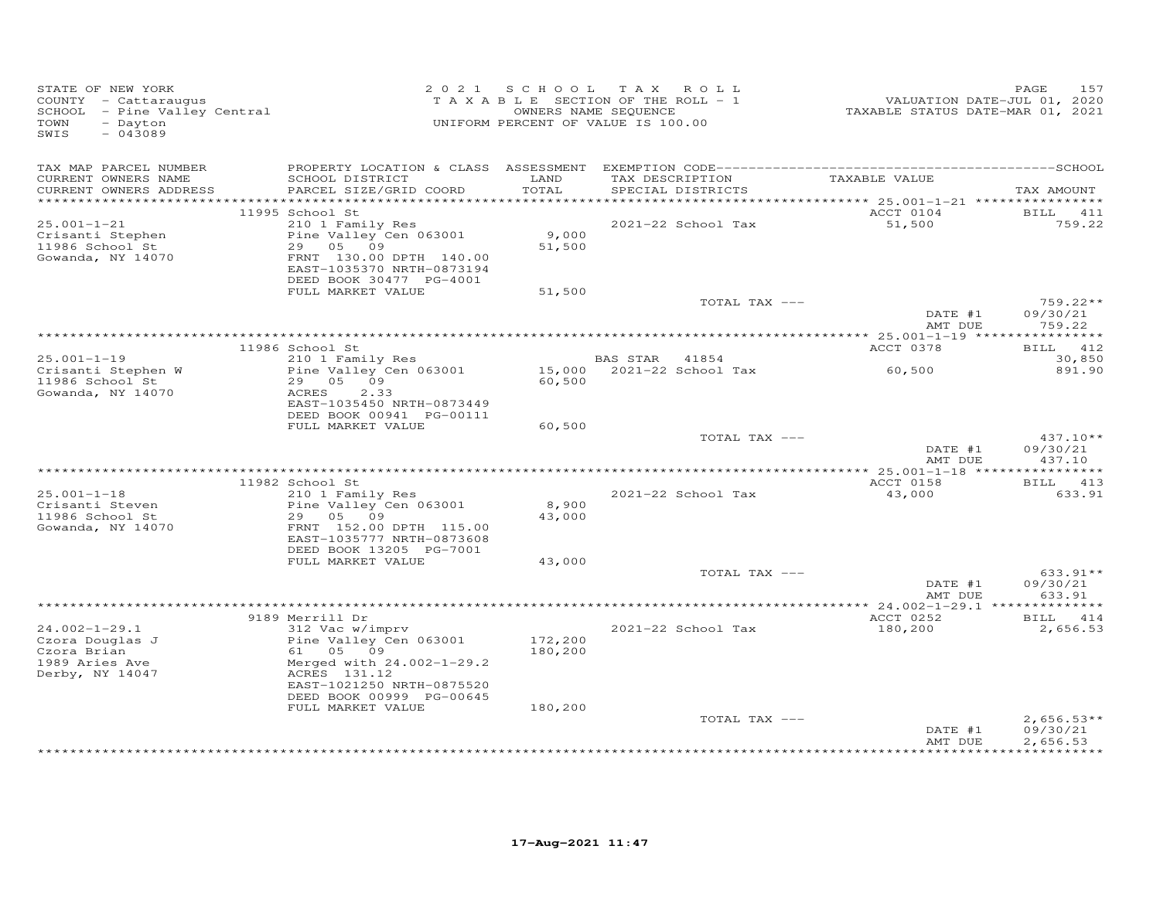| STATE OF NEW YORK<br>COUNTY - Cattaraugus<br>SCHOOL - Pine Valley Central<br>- Dayton<br>TOWN<br>$-043089$<br>SWIS |                                                                                                                                          |                    | 2021 SCHOOL TAX ROLL<br>$T$ A X A B L E SECTION OF THE ROLL - 1<br>OWNERS NAME SEQUENCE<br>UNIFORM PERCENT OF VALUE IS 100.00 | 15, VALUATION DATE-JUL 01, 2020<br>TAXABLE STATUS DATE-MAR 01, 2021 | PAGE<br>157                          |
|--------------------------------------------------------------------------------------------------------------------|------------------------------------------------------------------------------------------------------------------------------------------|--------------------|-------------------------------------------------------------------------------------------------------------------------------|---------------------------------------------------------------------|--------------------------------------|
| TAX MAP PARCEL NUMBER<br>CURRENT OWNERS NAME<br>CURRENT OWNERS ADDRESS                                             | SCHOOL DISTRICT<br>PARCEL SIZE/GRID COORD                                                                                                | LAND<br>TOTAL      | TAX DESCRIPTION TAXABLE VALUE<br>SPECIAL DISTRICTS                                                                            |                                                                     | TAX AMOUNT                           |
|                                                                                                                    | 11995 School St                                                                                                                          |                    |                                                                                                                               | ACCT 0104                                                           | BILL 411                             |
| $25.001 - 1 - 21$<br>Crisanti Stephen<br>11986 School St<br>Gowanda, NY 14070                                      | 210 1 Family Res<br>Pine Valley Cen 063001<br>29 05 09<br>FRNT 130.00 DPTH 140.00<br>EAST-1035370 NRTH-0873194                           | 9,000<br>51,500    | 2021-22 School Tax                                                                                                            | 51,500                                                              | 759.22                               |
|                                                                                                                    | DEED BOOK 30477 PG-4001<br>FULL MARKET VALUE                                                                                             | 51,500             |                                                                                                                               |                                                                     |                                      |
|                                                                                                                    |                                                                                                                                          |                    | TOTAL TAX ---                                                                                                                 | DATE #1                                                             | 759.22**<br>09/30/21<br>759.22       |
|                                                                                                                    |                                                                                                                                          |                    |                                                                                                                               | AMT DUE                                                             |                                      |
|                                                                                                                    | 11986 School St                                                                                                                          |                    |                                                                                                                               | ACCT 0378                                                           | BILL 412                             |
| $25.001 - 1 - 19$<br>Crisanti Stephen W                                                                            | 210 1 Family Res<br>Pine Valley Cen 063001                                                                                               |                    | BAS STAR 41854<br>15,000 2021-22 School Tax                                                                                   | 60,500                                                              | 30,850<br>891.90                     |
| 11986 School St<br>Gowanda, NY 14070                                                                               | 29 05 09<br>2.33<br>ACRES<br>EAST-1035450 NRTH-0873449<br>DEED BOOK 00941 PG-00111<br>FULL MARKET VALUE                                  | 60,500<br>60,500   |                                                                                                                               |                                                                     |                                      |
|                                                                                                                    |                                                                                                                                          |                    | TOTAL TAX ---                                                                                                                 | DATE #1                                                             | $437.10**$<br>09/30/21               |
|                                                                                                                    |                                                                                                                                          |                    |                                                                                                                               | AMT DUE                                                             | 437.10                               |
|                                                                                                                    |                                                                                                                                          |                    |                                                                                                                               |                                                                     |                                      |
| $25.001 - 1 - 18$                                                                                                  | 11982 School St<br>210 1 Family Res                                                                                                      |                    | 2021-22 School Tax                                                                                                            | ACCT 0158<br>43,000                                                 | BILL 413<br>633.91                   |
| Crisanti Steven<br>11986 School St<br>Gowanda, NY 14070                                                            | Pine Valley Cen 063001<br>29 05 09<br>FRNT 152.00 DPTH 115.00<br>EAST-1035777 NRTH-0873608                                               | 8,900<br>43,000    |                                                                                                                               |                                                                     |                                      |
|                                                                                                                    | DEED BOOK 13205 PG-7001<br>FULL MARKET VALUE                                                                                             | 43,000             |                                                                                                                               |                                                                     |                                      |
|                                                                                                                    |                                                                                                                                          |                    | TOTAL TAX ---                                                                                                                 | DATE #1<br>AMT DUE                                                  | $633.91**$<br>09/30/21<br>633.91     |
|                                                                                                                    |                                                                                                                                          |                    |                                                                                                                               |                                                                     |                                      |
| $24.002 - 1 - 29.1$                                                                                                | 9189 Merrill Dr<br>312 Vac w/imprv                                                                                                       |                    | 2021-22 School Tax                                                                                                            | <b>ACCT 0252</b><br>180,200                                         | BILL 414<br>2,656.53                 |
| Czora Douglas J<br>Czora Brian<br>1989 Aries Ave<br>Derby, NY 14047                                                | Pine Valley Cen 063001<br>61 05 09<br>Merged with 24.002-1-29.2<br>ACRES 131.12<br>EAST-1021250 NRTH-0875520<br>DEED BOOK 00999 PG-00645 | 172,200<br>180,200 |                                                                                                                               |                                                                     |                                      |
|                                                                                                                    | FULL MARKET VALUE                                                                                                                        | 180,200            | TOTAL TAX ---                                                                                                                 | DATE #1<br>AMT DUE                                                  | $2,656.53**$<br>09/30/21<br>2,656.53 |
|                                                                                                                    |                                                                                                                                          |                    |                                                                                                                               |                                                                     |                                      |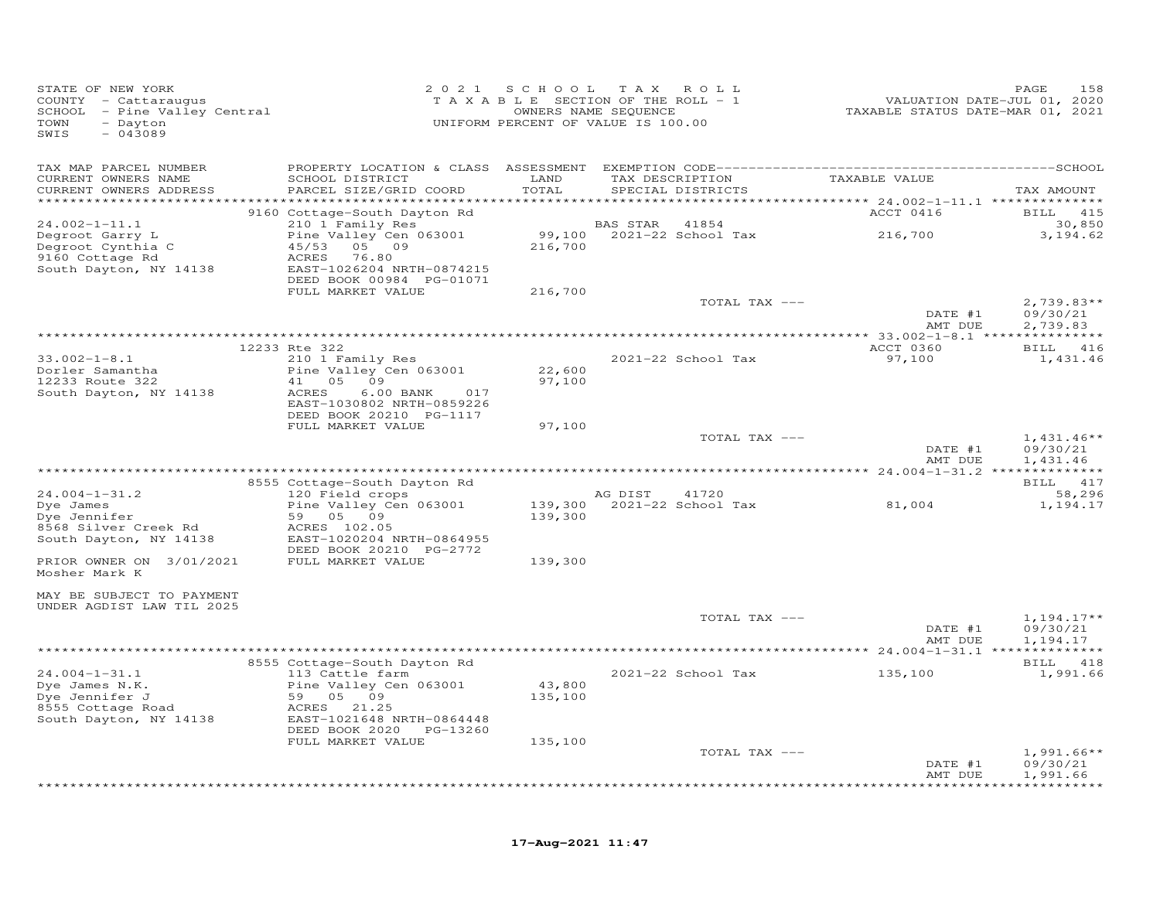| STATE OF NEW YORK<br>COUNTY - Cattaraugus<br>SCHOOL - Pine Valley Central<br>- Dayton<br>TOWN<br>$-043089$<br>SWIS |                                                                                                                           |                   | 2021 SCHOOL TAX ROLL<br>TAXABLE SECTION OF THE ROLL - 1<br>OWNERS NAME SEQUENCE<br>UNIFORM PERCENT OF VALUE IS 100.00 | TAXABLE STATUS DATE-MAR 01, 2021 | PAGE<br>158<br>VALUATION DATE-JUL 01, 2020          |
|--------------------------------------------------------------------------------------------------------------------|---------------------------------------------------------------------------------------------------------------------------|-------------------|-----------------------------------------------------------------------------------------------------------------------|----------------------------------|-----------------------------------------------------|
| TAX MAP PARCEL NUMBER                                                                                              |                                                                                                                           |                   |                                                                                                                       |                                  |                                                     |
| CURRENT OWNERS NAME<br>CURRENT OWNERS ADDRESS                                                                      | SCHOOL DISTRICT<br>PARCEL SIZE/GRID COORD                                                                                 | LAND<br>TOTAL     | TAX DESCRIPTION TAXABLE VALUE<br>SPECIAL DISTRICTS                                                                    |                                  | TAX AMOUNT                                          |
| $24.002 - 1 - 11.1$                                                                                                | 9160 Cottage-South Dayton Rd<br>210 1 Family Res                                                                          |                   | BAS STAR 41854                                                                                                        | ACCT 0416                        | BILL 415<br>30,850                                  |
| Degroot Garry L<br>Degroot Cynthia C<br>9160 Cottage Rd<br>South Dayton, NY 14138                                  | Pine Valley Cen 063001<br>45/53 05 09<br>ACRES 76.80<br>EAST-1026204 NRTH-0874215<br>DEED BOOK 00984 PG-01071             | 216,700           | 99,100 2021-22 School Tax 216,700                                                                                     |                                  | 3,194.62                                            |
|                                                                                                                    | FULL MARKET VALUE                                                                                                         | 216,700           |                                                                                                                       |                                  |                                                     |
|                                                                                                                    |                                                                                                                           |                   | TOTAL TAX ---                                                                                                         | DATE #1<br>AMT DUE               | $2,739.83**$<br>09/30/21<br>2,739.83                |
|                                                                                                                    |                                                                                                                           |                   |                                                                                                                       |                                  |                                                     |
| $33.002 - 1 - 8.1$                                                                                                 | 12233 Rte 322<br>210 1 Family Res                                                                                         |                   | 2021-22 School Tax                                                                                                    | ACCT 0360<br>97,100              | BILL 416<br>1,431.46                                |
| Dorler Samantha<br>12233 Route 322<br>South Dayton, NY 14138                                                       | Pine Valley Cen 063001<br>41 05 09<br>$6.00$ BANK<br>ACRES<br>017<br>EAST-1030802 NRTH-0859226<br>DEED BOOK 20210 PG-1117 | 22,600<br>97,100  |                                                                                                                       |                                  |                                                     |
|                                                                                                                    | FULL MARKET VALUE                                                                                                         | 97,100            | TOTAL TAX ---                                                                                                         |                                  | $1,431.46**$                                        |
|                                                                                                                    |                                                                                                                           |                   |                                                                                                                       | DATE #1<br>AMT DUE               | 09/30/21<br>1,431.46                                |
|                                                                                                                    | 8555 Cottage-South Dayton Rd                                                                                              |                   |                                                                                                                       |                                  | BILL 417                                            |
| $24.004 - 1 - 31.2$                                                                                                | 120 Field crops                                                                                                           |                   | AG DIST<br>41720                                                                                                      |                                  | 58,296                                              |
| Dye James<br>Dye Jennifer<br>8568 Silver Creek Rd<br>South Dayton, NY 14138                                        | Pine Valley Cen 063001<br>59 05 09<br>ACRES 102.05<br>EAST-1020204 NRTH-0864955                                           | 139,300           |                                                                                                                       | 81,004                           | 1,194.17                                            |
| PRIOR OWNER ON 3/01/2021<br>Mosher Mark K                                                                          | DEED BOOK 20210 PG-2772<br>FULL MARKET VALUE                                                                              | 139,300           |                                                                                                                       |                                  |                                                     |
| MAY BE SUBJECT TO PAYMENT                                                                                          |                                                                                                                           |                   |                                                                                                                       |                                  |                                                     |
| UNDER AGDIST LAW TIL 2025                                                                                          |                                                                                                                           |                   | TOTAL TAX ---                                                                                                         |                                  | $1,194.17**$                                        |
|                                                                                                                    |                                                                                                                           |                   |                                                                                                                       | DATE #1<br>AMT DUE               | 09/30/21<br>1,194.17                                |
|                                                                                                                    |                                                                                                                           |                   |                                                                                                                       |                                  |                                                     |
| $24.004 - 1 - 31.1$<br>Dye James N.K.<br>Dye Jennifer J                                                            | 8555 Cottage-South Dayton Rd<br>113 Cattle farm<br>Pine Valley Cen 063001<br>59 05 09                                     | 43,800<br>135,100 | 2021-22 School Tax                                                                                                    | 135,100                          | BILL 418<br>1,991.66                                |
| 8555 Cottage Road<br>South Dayton, NY 14138                                                                        | ACRES 21.25<br>EAST-1021648 NRTH-0864448<br>DEED BOOK 2020 PG-13260                                                       |                   |                                                                                                                       |                                  |                                                     |
|                                                                                                                    | FULL MARKET VALUE                                                                                                         | 135,100           |                                                                                                                       |                                  |                                                     |
|                                                                                                                    |                                                                                                                           |                   | TOTAL TAX ---                                                                                                         | DATE #1<br>AMT DUE               | $1,991.66**$<br>09/30/21<br>1,991.66<br>*********** |
|                                                                                                                    |                                                                                                                           |                   |                                                                                                                       |                                  |                                                     |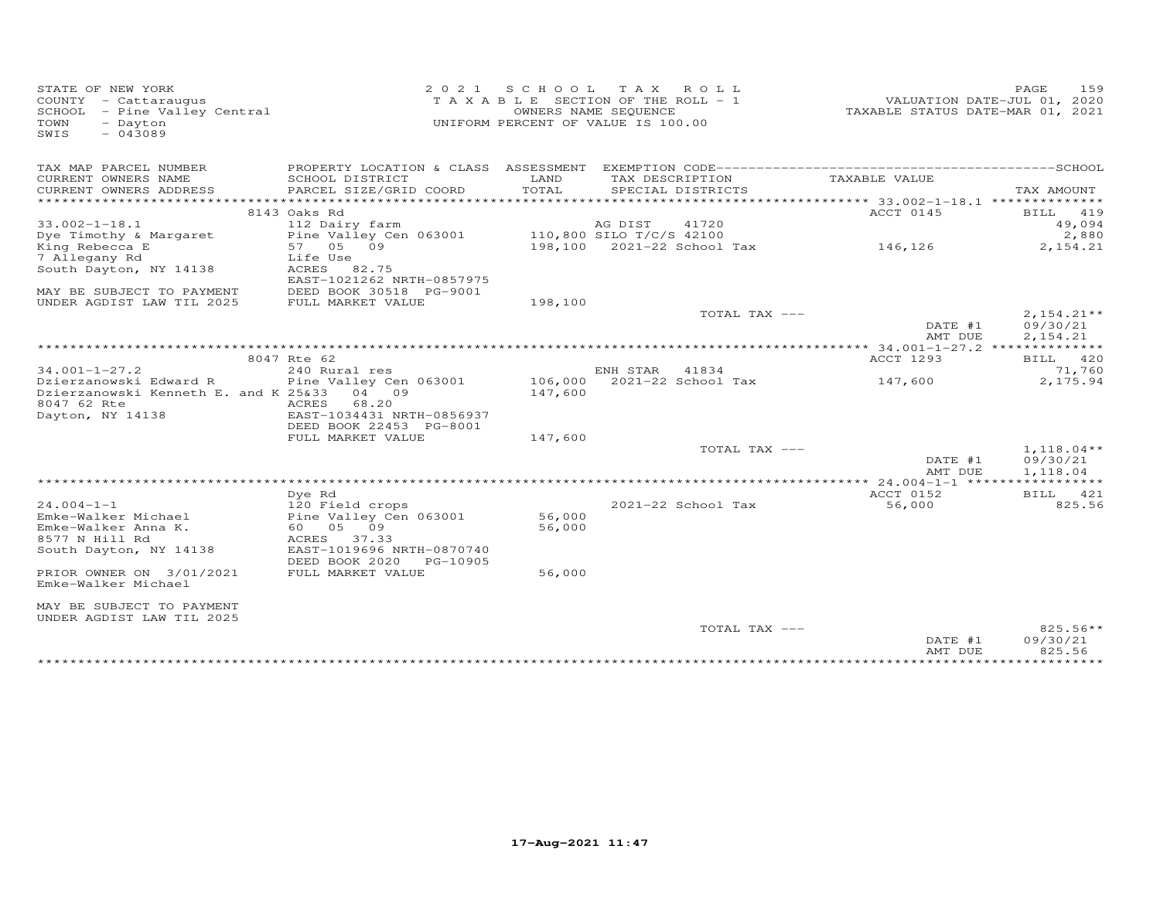| TAX MAP PARCEL NUMBER<br>LAND<br>TAXABLE VALUE<br>CURRENT OWNERS NAME<br>SCHOOL DISTRICT<br>TAX DESCRIPTION<br>TOTAL<br>CURRENT OWNERS ADDRESS<br>PARCEL SIZE/GRID COORD<br>SPECIAL DISTRICTS<br>8143 Oaks Rd<br>ACCT 0145<br>$33.002 - 1 - 18.1$<br>41720<br>112 Dairy farm<br>AG DIST<br>Dye Timothy & Margaret<br>Pine Valley Cen 063001<br>110,800 SILO T/C/S 42100<br>57 05 09<br>198,100 2021-22 School Tax<br>146,126<br>King Rebecca E<br>7 Allegany Rd<br>Life Use<br>South Dayton, NY 14138<br>ACRES 82.75<br>EAST-1021262 NRTH-0857975<br>MAY BE SUBJECT TO PAYMENT<br>DEED BOOK 30518 PG-9001<br>UNDER AGDIST LAW TIL 2025<br>FULL MARKET VALUE<br>198,100<br>TOTAL TAX ---<br>09/30/21<br>DATE #1<br>2,154.21<br>AMT DUE<br>********* 34.001-1-27.2 ***<br>8047 Rte 62<br>ACCT 1293<br>$34.001 - 1 - 27.2$<br>240 Rural res<br>ENH STAR<br>41834<br>106,000 2021-22 School Tax<br>Dzierzanowski Edward R<br>Pine Valley Cen 063001<br>147,600<br>Dzierzanowski Kenneth E. and K 25&33<br>04 09<br>147,600<br>8047 62 Rte<br>68.20<br>ACRES<br>Dayton, NY 14138<br>EAST-1034431 NRTH-0856937<br>DEED BOOK 22453 PG-8001<br>FULL MARKET VALUE<br>147,600<br>TOTAL TAX ---<br>DATE #1<br>AMT DUE<br>ACCT 0152<br>Dve Rd<br>$24.004 - 1 - 1$<br>56,000<br>120 Field crops<br>2021-22 School Tax<br>Emke-Walker Michael<br>Pine Valley Cen 063001<br>56,000<br>Emke-Walker Anna K.<br>60  05  09<br>56,000<br>8577 N Hill Rd<br>ACRES 37.33<br>South Dayton, NY 14138<br>EAST-1019696 NRTH-0870740<br>DEED BOOK 2020<br>PG-10905<br>PRIOR OWNER ON 3/01/2021<br>FULL MARKET VALUE<br>56,000<br>Emke-Walker Michael<br>MAY BE SUBJECT TO PAYMENT<br>UNDER AGDIST LAW TIL 2025<br>TOTAL TAX --- | STATE OF NEW YORK<br>COUNTY - Cattaraugus<br>SCHOOL - Pine Valley Central<br>- Dayton<br>TOWN<br>$-043089$<br>SWIS | 2 0 2 1 | SCHOOL TAX ROLL<br>T A X A B L E SECTION OF THE ROLL - 1<br>OWNERS NAME SEQUENCE<br>UNIFORM PERCENT OF VALUE IS 100.00 | 159<br>PAGE<br>VALUATION DATE-JUL 01, 2020<br>TAXABLE STATUS DATE-MAR 01, 2021 |
|-------------------------------------------------------------------------------------------------------------------------------------------------------------------------------------------------------------------------------------------------------------------------------------------------------------------------------------------------------------------------------------------------------------------------------------------------------------------------------------------------------------------------------------------------------------------------------------------------------------------------------------------------------------------------------------------------------------------------------------------------------------------------------------------------------------------------------------------------------------------------------------------------------------------------------------------------------------------------------------------------------------------------------------------------------------------------------------------------------------------------------------------------------------------------------------------------------------------------------------------------------------------------------------------------------------------------------------------------------------------------------------------------------------------------------------------------------------------------------------------------------------------------------------------------------------------------------------------------------------------------------------------------------------------------------------------------------|--------------------------------------------------------------------------------------------------------------------|---------|------------------------------------------------------------------------------------------------------------------------|--------------------------------------------------------------------------------|
|                                                                                                                                                                                                                                                                                                                                                                                                                                                                                                                                                                                                                                                                                                                                                                                                                                                                                                                                                                                                                                                                                                                                                                                                                                                                                                                                                                                                                                                                                                                                                                                                                                                                                                       |                                                                                                                    |         |                                                                                                                        |                                                                                |
|                                                                                                                                                                                                                                                                                                                                                                                                                                                                                                                                                                                                                                                                                                                                                                                                                                                                                                                                                                                                                                                                                                                                                                                                                                                                                                                                                                                                                                                                                                                                                                                                                                                                                                       |                                                                                                                    |         |                                                                                                                        | TAX AMOUNT                                                                     |
|                                                                                                                                                                                                                                                                                                                                                                                                                                                                                                                                                                                                                                                                                                                                                                                                                                                                                                                                                                                                                                                                                                                                                                                                                                                                                                                                                                                                                                                                                                                                                                                                                                                                                                       |                                                                                                                    |         |                                                                                                                        |                                                                                |
|                                                                                                                                                                                                                                                                                                                                                                                                                                                                                                                                                                                                                                                                                                                                                                                                                                                                                                                                                                                                                                                                                                                                                                                                                                                                                                                                                                                                                                                                                                                                                                                                                                                                                                       |                                                                                                                    |         |                                                                                                                        | BILL 419                                                                       |
|                                                                                                                                                                                                                                                                                                                                                                                                                                                                                                                                                                                                                                                                                                                                                                                                                                                                                                                                                                                                                                                                                                                                                                                                                                                                                                                                                                                                                                                                                                                                                                                                                                                                                                       |                                                                                                                    |         |                                                                                                                        | 49,094                                                                         |
|                                                                                                                                                                                                                                                                                                                                                                                                                                                                                                                                                                                                                                                                                                                                                                                                                                                                                                                                                                                                                                                                                                                                                                                                                                                                                                                                                                                                                                                                                                                                                                                                                                                                                                       |                                                                                                                    |         |                                                                                                                        | 2,880                                                                          |
|                                                                                                                                                                                                                                                                                                                                                                                                                                                                                                                                                                                                                                                                                                                                                                                                                                                                                                                                                                                                                                                                                                                                                                                                                                                                                                                                                                                                                                                                                                                                                                                                                                                                                                       |                                                                                                                    |         |                                                                                                                        | 2,154.21                                                                       |
|                                                                                                                                                                                                                                                                                                                                                                                                                                                                                                                                                                                                                                                                                                                                                                                                                                                                                                                                                                                                                                                                                                                                                                                                                                                                                                                                                                                                                                                                                                                                                                                                                                                                                                       |                                                                                                                    |         |                                                                                                                        |                                                                                |
|                                                                                                                                                                                                                                                                                                                                                                                                                                                                                                                                                                                                                                                                                                                                                                                                                                                                                                                                                                                                                                                                                                                                                                                                                                                                                                                                                                                                                                                                                                                                                                                                                                                                                                       |                                                                                                                    |         |                                                                                                                        |                                                                                |
|                                                                                                                                                                                                                                                                                                                                                                                                                                                                                                                                                                                                                                                                                                                                                                                                                                                                                                                                                                                                                                                                                                                                                                                                                                                                                                                                                                                                                                                                                                                                                                                                                                                                                                       |                                                                                                                    |         |                                                                                                                        |                                                                                |
|                                                                                                                                                                                                                                                                                                                                                                                                                                                                                                                                                                                                                                                                                                                                                                                                                                                                                                                                                                                                                                                                                                                                                                                                                                                                                                                                                                                                                                                                                                                                                                                                                                                                                                       |                                                                                                                    |         |                                                                                                                        | $2,154.21**$                                                                   |
|                                                                                                                                                                                                                                                                                                                                                                                                                                                                                                                                                                                                                                                                                                                                                                                                                                                                                                                                                                                                                                                                                                                                                                                                                                                                                                                                                                                                                                                                                                                                                                                                                                                                                                       |                                                                                                                    |         |                                                                                                                        |                                                                                |
|                                                                                                                                                                                                                                                                                                                                                                                                                                                                                                                                                                                                                                                                                                                                                                                                                                                                                                                                                                                                                                                                                                                                                                                                                                                                                                                                                                                                                                                                                                                                                                                                                                                                                                       |                                                                                                                    |         |                                                                                                                        | ***********                                                                    |
|                                                                                                                                                                                                                                                                                                                                                                                                                                                                                                                                                                                                                                                                                                                                                                                                                                                                                                                                                                                                                                                                                                                                                                                                                                                                                                                                                                                                                                                                                                                                                                                                                                                                                                       |                                                                                                                    |         |                                                                                                                        | BILL 420                                                                       |
|                                                                                                                                                                                                                                                                                                                                                                                                                                                                                                                                                                                                                                                                                                                                                                                                                                                                                                                                                                                                                                                                                                                                                                                                                                                                                                                                                                                                                                                                                                                                                                                                                                                                                                       |                                                                                                                    |         |                                                                                                                        | 71,760                                                                         |
|                                                                                                                                                                                                                                                                                                                                                                                                                                                                                                                                                                                                                                                                                                                                                                                                                                                                                                                                                                                                                                                                                                                                                                                                                                                                                                                                                                                                                                                                                                                                                                                                                                                                                                       |                                                                                                                    |         |                                                                                                                        | 2,175.94                                                                       |
|                                                                                                                                                                                                                                                                                                                                                                                                                                                                                                                                                                                                                                                                                                                                                                                                                                                                                                                                                                                                                                                                                                                                                                                                                                                                                                                                                                                                                                                                                                                                                                                                                                                                                                       |                                                                                                                    |         |                                                                                                                        |                                                                                |
|                                                                                                                                                                                                                                                                                                                                                                                                                                                                                                                                                                                                                                                                                                                                                                                                                                                                                                                                                                                                                                                                                                                                                                                                                                                                                                                                                                                                                                                                                                                                                                                                                                                                                                       |                                                                                                                    |         |                                                                                                                        |                                                                                |
|                                                                                                                                                                                                                                                                                                                                                                                                                                                                                                                                                                                                                                                                                                                                                                                                                                                                                                                                                                                                                                                                                                                                                                                                                                                                                                                                                                                                                                                                                                                                                                                                                                                                                                       |                                                                                                                    |         |                                                                                                                        |                                                                                |
|                                                                                                                                                                                                                                                                                                                                                                                                                                                                                                                                                                                                                                                                                                                                                                                                                                                                                                                                                                                                                                                                                                                                                                                                                                                                                                                                                                                                                                                                                                                                                                                                                                                                                                       |                                                                                                                    |         |                                                                                                                        |                                                                                |
|                                                                                                                                                                                                                                                                                                                                                                                                                                                                                                                                                                                                                                                                                                                                                                                                                                                                                                                                                                                                                                                                                                                                                                                                                                                                                                                                                                                                                                                                                                                                                                                                                                                                                                       |                                                                                                                    |         |                                                                                                                        | $1,118.04**$                                                                   |
|                                                                                                                                                                                                                                                                                                                                                                                                                                                                                                                                                                                                                                                                                                                                                                                                                                                                                                                                                                                                                                                                                                                                                                                                                                                                                                                                                                                                                                                                                                                                                                                                                                                                                                       |                                                                                                                    |         |                                                                                                                        | 09/30/21                                                                       |
|                                                                                                                                                                                                                                                                                                                                                                                                                                                                                                                                                                                                                                                                                                                                                                                                                                                                                                                                                                                                                                                                                                                                                                                                                                                                                                                                                                                                                                                                                                                                                                                                                                                                                                       |                                                                                                                    |         |                                                                                                                        | 1,118.04                                                                       |
|                                                                                                                                                                                                                                                                                                                                                                                                                                                                                                                                                                                                                                                                                                                                                                                                                                                                                                                                                                                                                                                                                                                                                                                                                                                                                                                                                                                                                                                                                                                                                                                                                                                                                                       |                                                                                                                    |         |                                                                                                                        |                                                                                |
|                                                                                                                                                                                                                                                                                                                                                                                                                                                                                                                                                                                                                                                                                                                                                                                                                                                                                                                                                                                                                                                                                                                                                                                                                                                                                                                                                                                                                                                                                                                                                                                                                                                                                                       |                                                                                                                    |         |                                                                                                                        | BILL 421<br>825.56                                                             |
|                                                                                                                                                                                                                                                                                                                                                                                                                                                                                                                                                                                                                                                                                                                                                                                                                                                                                                                                                                                                                                                                                                                                                                                                                                                                                                                                                                                                                                                                                                                                                                                                                                                                                                       |                                                                                                                    |         |                                                                                                                        |                                                                                |
|                                                                                                                                                                                                                                                                                                                                                                                                                                                                                                                                                                                                                                                                                                                                                                                                                                                                                                                                                                                                                                                                                                                                                                                                                                                                                                                                                                                                                                                                                                                                                                                                                                                                                                       |                                                                                                                    |         |                                                                                                                        |                                                                                |
|                                                                                                                                                                                                                                                                                                                                                                                                                                                                                                                                                                                                                                                                                                                                                                                                                                                                                                                                                                                                                                                                                                                                                                                                                                                                                                                                                                                                                                                                                                                                                                                                                                                                                                       |                                                                                                                    |         |                                                                                                                        |                                                                                |
|                                                                                                                                                                                                                                                                                                                                                                                                                                                                                                                                                                                                                                                                                                                                                                                                                                                                                                                                                                                                                                                                                                                                                                                                                                                                                                                                                                                                                                                                                                                                                                                                                                                                                                       |                                                                                                                    |         |                                                                                                                        |                                                                                |
|                                                                                                                                                                                                                                                                                                                                                                                                                                                                                                                                                                                                                                                                                                                                                                                                                                                                                                                                                                                                                                                                                                                                                                                                                                                                                                                                                                                                                                                                                                                                                                                                                                                                                                       |                                                                                                                    |         |                                                                                                                        |                                                                                |
|                                                                                                                                                                                                                                                                                                                                                                                                                                                                                                                                                                                                                                                                                                                                                                                                                                                                                                                                                                                                                                                                                                                                                                                                                                                                                                                                                                                                                                                                                                                                                                                                                                                                                                       |                                                                                                                    |         |                                                                                                                        |                                                                                |
| DATE #1<br>AMT DUE                                                                                                                                                                                                                                                                                                                                                                                                                                                                                                                                                                                                                                                                                                                                                                                                                                                                                                                                                                                                                                                                                                                                                                                                                                                                                                                                                                                                                                                                                                                                                                                                                                                                                    |                                                                                                                    |         |                                                                                                                        | $825.56**$<br>09/30/21<br>825.56                                               |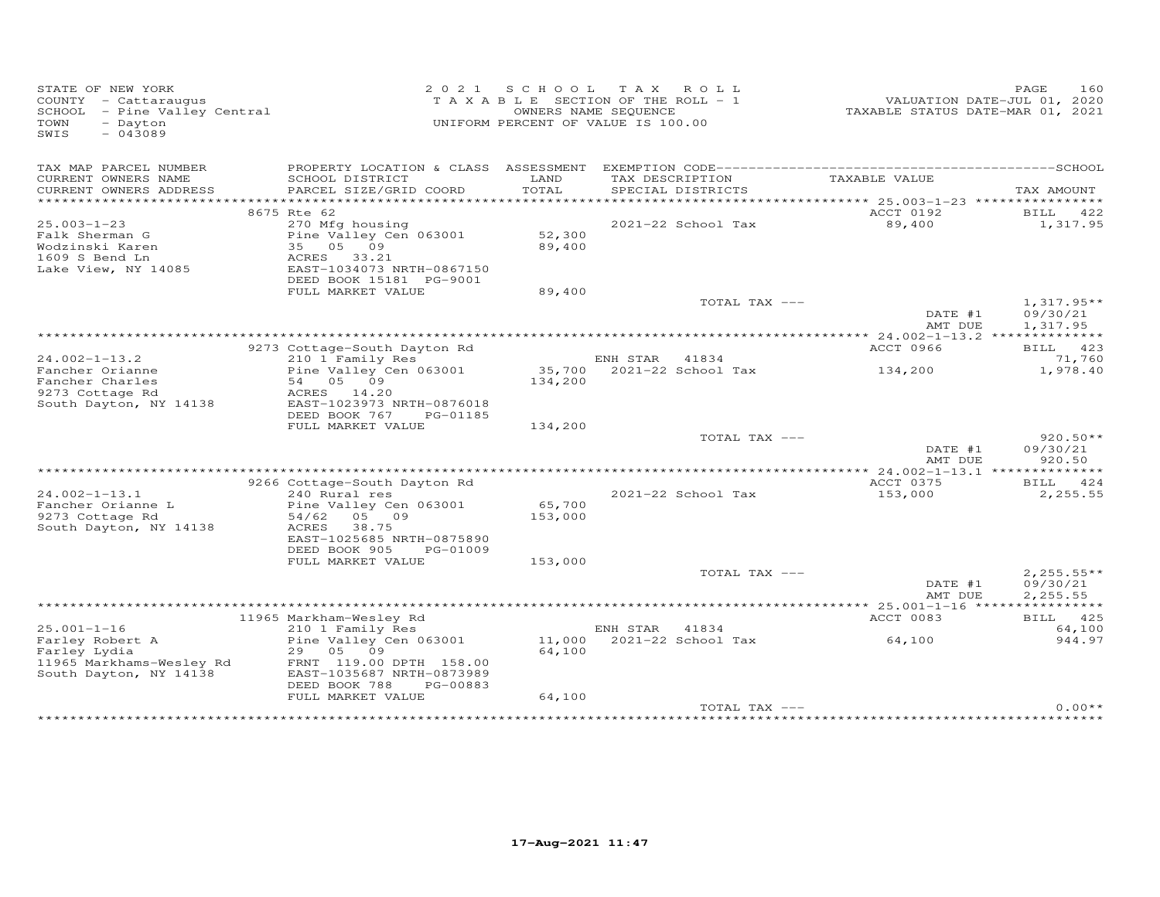| STATE OF NEW YORK<br>COUNTY - Cattaraugus<br>SCHOOL - Pine Valley Central<br>- Dayton<br>TOWN<br>$-043089$<br>SWIS | 2 0 2 1                                                | SCHOOL                       | TAX ROLL<br>T A X A B L E SECTION OF THE ROLL - 1<br>OWNERS NAME SEQUENCE<br>UNIFORM PERCENT OF VALUE IS 100.00 | TAXABLE STATUS DATE-MAR 01, 2021                   | 160<br>PAGE<br>VALUATION DATE-JUL 01, 2020 |
|--------------------------------------------------------------------------------------------------------------------|--------------------------------------------------------|------------------------------|-----------------------------------------------------------------------------------------------------------------|----------------------------------------------------|--------------------------------------------|
| TAX MAP PARCEL NUMBER                                                                                              | PROPERTY LOCATION & CLASS ASSESSMENT                   |                              |                                                                                                                 |                                                    |                                            |
| CURRENT OWNERS NAME<br>CURRENT OWNERS ADDRESS                                                                      | SCHOOL DISTRICT<br>PARCEL SIZE/GRID COORD              | LAND<br>TOTAL<br>*********** | TAX DESCRIPTION<br>SPECIAL DISTRICTS                                                                            | TAXABLE VALUE<br>********* 25.003-1-23 *********** | TAX AMOUNT                                 |
|                                                                                                                    | 8675 Rte 62                                            |                              |                                                                                                                 | ACCT 0192                                          | <b>BILL</b><br>422                         |
| $25.003 - 1 - 23$                                                                                                  | 270 Mfg housing                                        |                              | 2021-22 School Tax                                                                                              | 89,400                                             | 1,317.95                                   |
| Falk Sherman G                                                                                                     | Pine Valley Cen 063001                                 | 52,300                       |                                                                                                                 |                                                    |                                            |
| Wodzinski Karen                                                                                                    | 09<br>35 05                                            | 89,400                       |                                                                                                                 |                                                    |                                            |
| 1609 S Bend Ln                                                                                                     | 33.21<br>ACRES                                         |                              |                                                                                                                 |                                                    |                                            |
| Lake View, NY 14085                                                                                                | EAST-1034073 NRTH-0867150                              |                              |                                                                                                                 |                                                    |                                            |
|                                                                                                                    | DEED BOOK 15181 PG-9001<br>FULL MARKET VALUE           | 89,400                       |                                                                                                                 |                                                    |                                            |
|                                                                                                                    |                                                        |                              | TOTAL TAX ---                                                                                                   |                                                    | $1,317.95**$                               |
|                                                                                                                    |                                                        |                              |                                                                                                                 | DATE #1                                            | 09/30/21                                   |
|                                                                                                                    |                                                        |                              |                                                                                                                 | AMT DUE                                            | 1,317.95                                   |
|                                                                                                                    |                                                        |                              |                                                                                                                 |                                                    |                                            |
|                                                                                                                    | 9273 Cottage-South Dayton Rd                           |                              |                                                                                                                 | ACCT 0966                                          | BILL 423                                   |
| $24.002 - 1 - 13.2$                                                                                                | 210 1 Family Res                                       |                              | ENH STAR 41834                                                                                                  |                                                    | 71,760                                     |
| Fancher Orianne<br>Fancher Charles                                                                                 | Pine Valley Cen 063001<br>54 05 09                     |                              | 35,700 2021-22 School Tax                                                                                       | 134,200                                            | 1,978.40                                   |
| 9273 Cottage Rd                                                                                                    | ACRES 14.20                                            | 134,200                      |                                                                                                                 |                                                    |                                            |
| South Dayton, NY 14138                                                                                             | EAST-1023973 NRTH-0876018                              |                              |                                                                                                                 |                                                    |                                            |
|                                                                                                                    | DEED BOOK 767<br>PG-01185                              |                              |                                                                                                                 |                                                    |                                            |
|                                                                                                                    | FULL MARKET VALUE                                      | 134,200                      |                                                                                                                 |                                                    |                                            |
|                                                                                                                    |                                                        |                              | TOTAL TAX ---                                                                                                   |                                                    | $920.50**$                                 |
|                                                                                                                    |                                                        |                              |                                                                                                                 | DATE #1                                            | 09/30/21                                   |
|                                                                                                                    |                                                        |                              |                                                                                                                 | AMT DUE                                            | 920.50                                     |
|                                                                                                                    | 9266 Cottage-South Dayton Rd                           |                              |                                                                                                                 | ACCT 0375                                          | BILL 424                                   |
| $24.002 - 1 - 13.1$                                                                                                | 240 Rural res                                          |                              | 2021-22 School Tax                                                                                              | 153,000                                            | 2,255.55                                   |
| Fancher Orianne L                                                                                                  | Pine Valley Cen 063001                                 | 65,700                       |                                                                                                                 |                                                    |                                            |
| 9273 Cottage Rd                                                                                                    | 05 09<br>54/62                                         | 153,000                      |                                                                                                                 |                                                    |                                            |
| South Dayton, NY 14138                                                                                             | 38.75<br>ACRES                                         |                              |                                                                                                                 |                                                    |                                            |
|                                                                                                                    | EAST-1025685 NRTH-0875890                              |                              |                                                                                                                 |                                                    |                                            |
|                                                                                                                    | DEED BOOK 905<br>PG-01009                              |                              |                                                                                                                 |                                                    |                                            |
|                                                                                                                    | FULL MARKET VALUE                                      | 153,000                      |                                                                                                                 |                                                    |                                            |
|                                                                                                                    |                                                        |                              | TOTAL TAX ---                                                                                                   | DATE #1                                            | $2,255.55**$<br>09/30/21                   |
|                                                                                                                    |                                                        |                              |                                                                                                                 | AMT DUE                                            | 2,255.55                                   |
|                                                                                                                    |                                                        |                              |                                                                                                                 |                                                    |                                            |
|                                                                                                                    | 11965 Markham-Wesley Rd                                |                              |                                                                                                                 | ACCT 0083                                          | BILL 425                                   |
| $25.001 - 1 - 16$                                                                                                  | 210 1 Family Res                                       |                              | ENH STAR<br>41834                                                                                               |                                                    | 64,100                                     |
| Farley Robert A                                                                                                    | Pine Valley Cen 063001                                 | 11,000                       | 2021-22 School Tax                                                                                              | 64,100                                             | 944.97                                     |
| Farley Lydia                                                                                                       | 29 05<br>09                                            | 64,100                       |                                                                                                                 |                                                    |                                            |
| 11965 Markhams-Wesley Rd                                                                                           | FRNT 119.00 DPTH 158.00                                |                              |                                                                                                                 |                                                    |                                            |
| South Dayton, NY 14138                                                                                             | EAST-1035687 NRTH-0873989<br>DEED BOOK 788<br>PG-00883 |                              |                                                                                                                 |                                                    |                                            |
|                                                                                                                    | FULL MARKET VALUE                                      | 64,100                       |                                                                                                                 |                                                    |                                            |
|                                                                                                                    |                                                        |                              | TOTAL TAX ---                                                                                                   |                                                    | $0.00**$                                   |
|                                                                                                                    |                                                        |                              |                                                                                                                 |                                                    |                                            |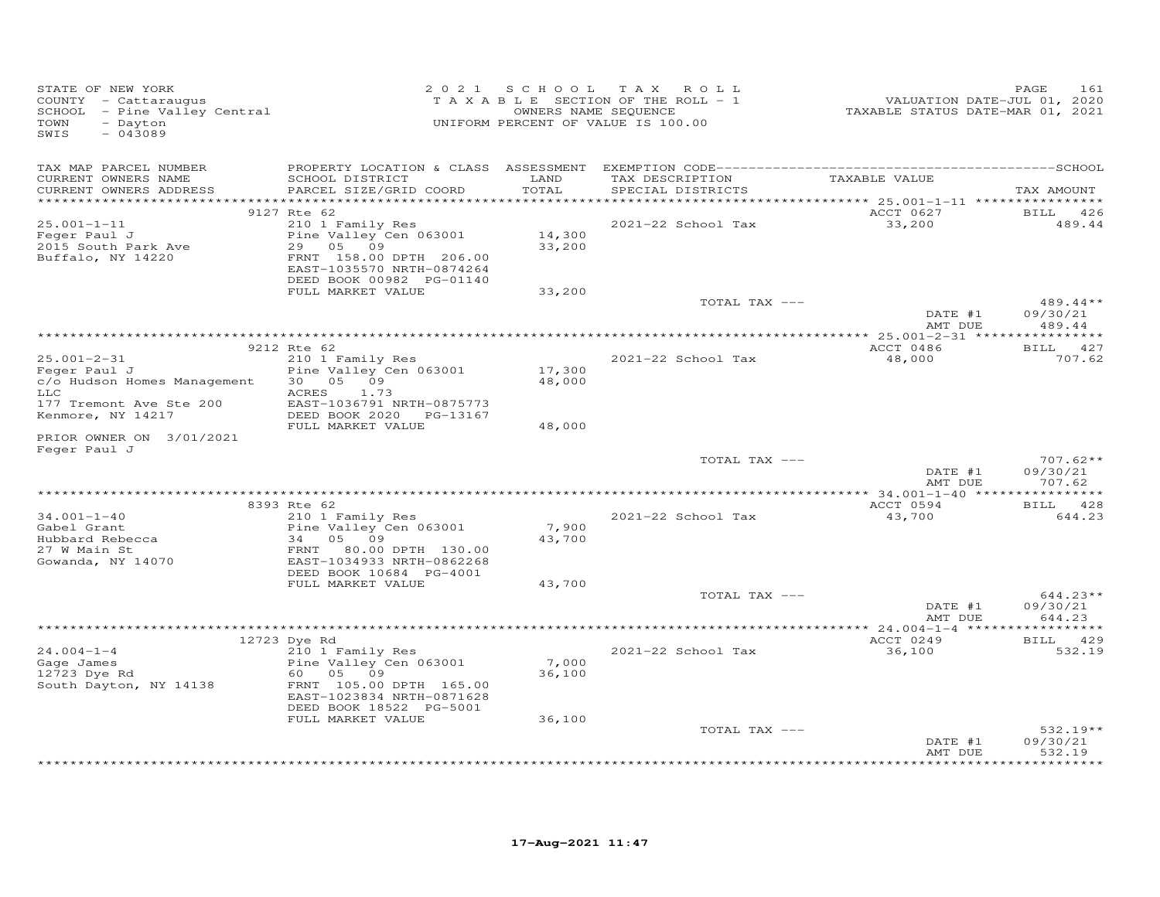| STATE OF NEW YORK<br>COUNTY - Cattaraugus<br>SCHOOL - Pine Valley Central<br>TOWN<br>- Dayton<br>SWIS<br>$-043089$      |                                                                                                                                                              | 2021 SCHOOL         | T A X<br>ROLL<br>TAXABLE SECTION OF THE ROLL - 1<br>OWNERS NAME SEQUENCE<br>UNIFORM PERCENT OF VALUE IS 100.00 | VALUATION DATE-JUL 01, 2020<br>TAXABLE STATUS DATE-MAR 01, 2021 | PAGE<br>161                      |
|-------------------------------------------------------------------------------------------------------------------------|--------------------------------------------------------------------------------------------------------------------------------------------------------------|---------------------|----------------------------------------------------------------------------------------------------------------|-----------------------------------------------------------------|----------------------------------|
| TAX MAP PARCEL NUMBER<br>CURRENT OWNERS NAME<br>CURRENT OWNERS ADDRESS                                                  | SCHOOL DISTRICT<br>PARCEL SIZE/GRID COORD                                                                                                                    | LAND<br>TOTAL       | TAX DESCRIPTION<br>SPECIAL DISTRICTS                                                                           | TAXABLE VALUE                                                   | TAX AMOUNT                       |
| **********************                                                                                                  |                                                                                                                                                              | * * * * * * * * * * |                                                                                                                |                                                                 |                                  |
| $25.001 - 1 - 11$<br>Feger Paul J<br>2015 South Park Ave<br>Buffalo, NY 14220                                           | 9127 Rte 62<br>210 1 Family Res<br>Pine Valley Cen 063001<br>29 05<br>09<br>FRNT 158.00 DPTH 206.00<br>EAST-1035570 NRTH-0874264<br>DEED BOOK 00982 PG-01140 | 14,300<br>33,200    | 2021-22 School Tax                                                                                             | ACCT 0627<br>33,200                                             | <b>BILL</b><br>426<br>489.44     |
|                                                                                                                         | FULL MARKET VALUE                                                                                                                                            | 33,200              | TOTAL TAX ---                                                                                                  |                                                                 | $489.44**$                       |
|                                                                                                                         |                                                                                                                                                              |                     |                                                                                                                | DATE #1                                                         | 09/30/21                         |
|                                                                                                                         |                                                                                                                                                              |                     |                                                                                                                | AMT DUE                                                         | 489.44                           |
|                                                                                                                         | 9212 Rte 62                                                                                                                                                  |                     |                                                                                                                | ACCT 0486                                                       | BILL 427                         |
| $25.001 - 2 - 31$<br>Feger Paul J<br>c/o Hudson Homes Management<br>LLC<br>177 Tremont Ave Ste 200<br>Kenmore, NY 14217 | 210 1 Family Res<br>Pine Valley Cen 063001<br>30  05  09<br>ACRES<br>1.73<br>EAST-1036791 NRTH-0875773<br>DEED BOOK 2020 PG-13167                            | 17,300<br>48,000    | 2021-22 School Tax                                                                                             | 48,000                                                          | 707.62                           |
|                                                                                                                         | FULL MARKET VALUE                                                                                                                                            | 48,000              |                                                                                                                |                                                                 |                                  |
| PRIOR OWNER ON 3/01/2021<br>Feger Paul J                                                                                |                                                                                                                                                              |                     |                                                                                                                |                                                                 |                                  |
|                                                                                                                         |                                                                                                                                                              |                     | TOTAL TAX ---                                                                                                  | DATE #1<br>AMT DUE                                              | $707.62**$<br>09/30/21<br>707.62 |
|                                                                                                                         |                                                                                                                                                              |                     |                                                                                                                |                                                                 |                                  |
|                                                                                                                         | 8393 Rte 62                                                                                                                                                  |                     |                                                                                                                | ACCT 0594                                                       | BILL 428                         |
| $34.001 - 1 - 40$<br>Gabel Grant<br>Hubbard Rebecca<br>27 W Main St<br>Gowanda, NY 14070                                | 210 1 Family Res<br>Pine Valley Cen 063001<br>34<br>05<br>09<br>FRNT 80.00 DPTH 130.00<br>EAST-1034933 NRTH-0862268<br>DEED BOOK 10684 PG-4001               | 7,900<br>43,700     | 2021-22 School Tax                                                                                             | 43,700                                                          | 644.23                           |
|                                                                                                                         | FULL MARKET VALUE                                                                                                                                            | 43,700              |                                                                                                                |                                                                 |                                  |
|                                                                                                                         |                                                                                                                                                              |                     | TOTAL TAX ---                                                                                                  | DATE #1<br>AMT DUE                                              | $644.23**$<br>09/30/21<br>644.23 |
|                                                                                                                         |                                                                                                                                                              |                     |                                                                                                                |                                                                 |                                  |
| $24.004 - 1 - 4$<br>Gage James<br>12723 Dye Rd<br>South Dayton, NY 14138                                                | 12723 Dye Rd<br>210 1 Family Res<br>Pine Valley Cen 063001<br>60  05  09<br>FRNT 105.00 DPTH 165.00<br>EAST-1023834 NRTH-0871628<br>DEED BOOK 18522 PG-5001  | 7,000<br>36,100     | 2021-22 School Tax                                                                                             | ACCT 0249<br>36,100                                             | BILL 429<br>532.19               |
|                                                                                                                         | FULL MARKET VALUE                                                                                                                                            | 36,100              |                                                                                                                |                                                                 |                                  |
|                                                                                                                         |                                                                                                                                                              |                     | TOTAL TAX ---                                                                                                  | DATE #1<br>AMT DUE                                              | $532.19**$<br>09/30/21<br>532.19 |
|                                                                                                                         |                                                                                                                                                              |                     |                                                                                                                |                                                                 |                                  |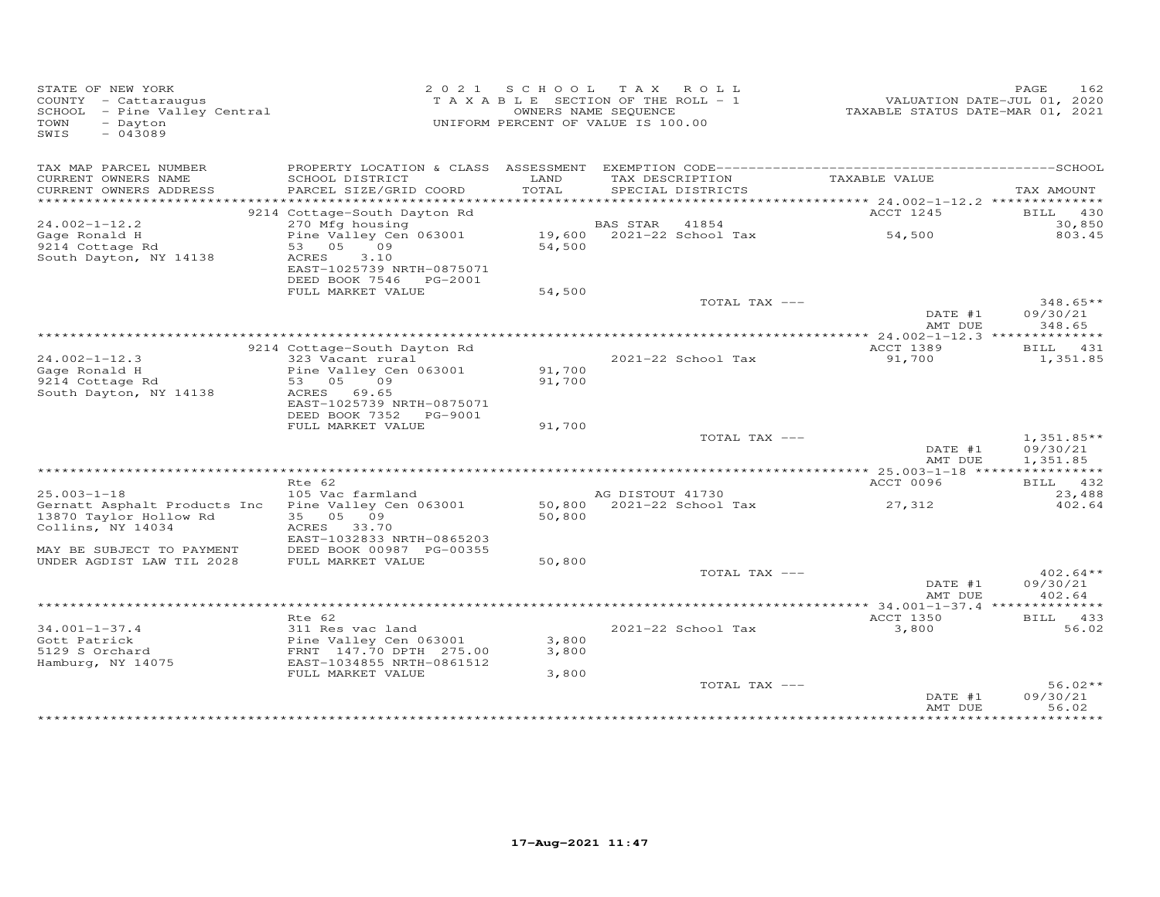| STATE OF NEW YORK<br>COUNTY - Cattaraugus<br>SCHOOL - Pine Valley Central<br>TOWN<br>- Dayton<br>$-043089$<br>SWIS |                                                | 2021 SCHOOL   | TAX ROLL<br>T A X A B L E SECTION OF THE ROLL - 1<br>OWNERS NAME SEQUENCE<br>UNIFORM PERCENT OF VALUE IS 100.00 | TAXABLE STATUS DATE-MAR 01, 2021 | PAGE<br>162<br>VALUATION DATE-JUL 01, 2020 |
|--------------------------------------------------------------------------------------------------------------------|------------------------------------------------|---------------|-----------------------------------------------------------------------------------------------------------------|----------------------------------|--------------------------------------------|
| TAX MAP PARCEL NUMBER                                                                                              |                                                |               |                                                                                                                 |                                  |                                            |
| CURRENT OWNERS NAME<br>CURRENT OWNERS ADDRESS                                                                      | SCHOOL DISTRICT<br>PARCEL SIZE/GRID COORD      | LAND<br>TOTAL | TAX DESCRIPTION<br>SPECIAL DISTRICTS                                                                            | TAXABLE VALUE                    | TAX AMOUNT                                 |
| ***********************                                                                                            |                                                |               |                                                                                                                 |                                  |                                            |
|                                                                                                                    | 9214 Cottage-South Dayton Rd                   |               |                                                                                                                 | ACCT 1245                        | BILL 430                                   |
| $24.002 - 1 - 12.2$                                                                                                | 270 Mfg housing                                |               | BAS STAR<br>41854                                                                                               |                                  | 30,850                                     |
| Gage Ronald H                                                                                                      | Pine Valley Cen 063001<br>09                   |               | 19,600 2021-22 School Tax                                                                                       | 54,500                           | 803.45                                     |
| 9214 Cottage Rd<br>South Dayton, NY 14138                                                                          | 53 05<br>ACRES<br>3.10                         | 54,500        |                                                                                                                 |                                  |                                            |
|                                                                                                                    | EAST-1025739 NRTH-0875071                      |               |                                                                                                                 |                                  |                                            |
|                                                                                                                    | DEED BOOK 7546 PG-2001                         |               |                                                                                                                 |                                  |                                            |
|                                                                                                                    | FULL MARKET VALUE                              | 54,500        |                                                                                                                 |                                  |                                            |
|                                                                                                                    |                                                |               | TOTAL TAX ---                                                                                                   |                                  | $348.65**$                                 |
|                                                                                                                    |                                                |               |                                                                                                                 | DATE #1<br>AMT DUE               | 09/30/21<br>348.65                         |
|                                                                                                                    |                                                |               |                                                                                                                 |                                  |                                            |
|                                                                                                                    | 9214 Cottage-South Dayton Rd                   |               |                                                                                                                 | ACCT 1389                        | BILL 431                                   |
| $24.002 - 1 - 12.3$                                                                                                | 323 Vacant rural                               |               | 2021-22 School Tax                                                                                              | 91,700                           | 1,351.85                                   |
| Gage Ronald H                                                                                                      | Pine Valley Cen 063001                         | 91,700        |                                                                                                                 |                                  |                                            |
| 9214 Cottage Rd<br>South Dayton, NY 14138                                                                          | 53 05<br>09<br>ACRES 69.65                     | 91,700        |                                                                                                                 |                                  |                                            |
|                                                                                                                    | EAST-1025739 NRTH-0875071                      |               |                                                                                                                 |                                  |                                            |
|                                                                                                                    | DEED BOOK 7352<br>PG-9001                      |               |                                                                                                                 |                                  |                                            |
|                                                                                                                    | FULL MARKET VALUE                              | 91,700        |                                                                                                                 |                                  |                                            |
|                                                                                                                    |                                                |               | TOTAL TAX ---                                                                                                   |                                  | $1,351.85**$                               |
|                                                                                                                    |                                                |               |                                                                                                                 | DATE #1<br>AMT DUE               | 09/30/21<br>1,351.85                       |
|                                                                                                                    |                                                |               |                                                                                                                 |                                  |                                            |
|                                                                                                                    | Rte 62                                         |               |                                                                                                                 | ACCT 0096                        | BILL 432                                   |
| $25.003 - 1 - 18$                                                                                                  | 105 Vac farmland                               |               | AG DISTOUT 41730                                                                                                |                                  | 23,488                                     |
| Gernatt Asphalt Products Inc                                                                                       | Pine Valley Cen 063001                         |               | 50,800 2021-22 School Tax                                                                                       | 27,312                           | 402.64                                     |
| 13870 Taylor Hollow Rd                                                                                             | 35 05 09                                       | 50,800        |                                                                                                                 |                                  |                                            |
| Collins, NY 14034                                                                                                  | ACRES 33.70<br>EAST-1032833 NRTH-0865203       |               |                                                                                                                 |                                  |                                            |
| MAY BE SUBJECT TO PAYMENT                                                                                          | DEED BOOK 00987 PG-00355                       |               |                                                                                                                 |                                  |                                            |
| UNDER AGDIST LAW TIL 2028                                                                                          | FULL MARKET VALUE                              | 50,800        |                                                                                                                 |                                  |                                            |
|                                                                                                                    |                                                |               | TOTAL TAX ---                                                                                                   |                                  | $402.64**$                                 |
|                                                                                                                    |                                                |               |                                                                                                                 | DATE #1                          | 09/30/21                                   |
|                                                                                                                    |                                                |               |                                                                                                                 | AMT DUE                          | 402.64                                     |
|                                                                                                                    | Rte 62                                         |               |                                                                                                                 | <b>ACCT 1350</b>                 | BILL 433                                   |
| $34.001 - 1 - 37.4$                                                                                                | 311 Res vac land                               |               | 2021-22 School Tax                                                                                              | 3,800                            | 56.02                                      |
| Gott Patrick                                                                                                       | Pine Valley Cen 063001                         | 3,800         |                                                                                                                 |                                  |                                            |
| 5129 S Orchard                                                                                                     | FRNT 147.70 DPTH 275.00                        | 3,800         |                                                                                                                 |                                  |                                            |
| Hamburg, NY 14075                                                                                                  | EAST-1034855 NRTH-0861512<br>FULL MARKET VALUE | 3,800         |                                                                                                                 |                                  |                                            |
|                                                                                                                    |                                                |               | TOTAL TAX ---                                                                                                   |                                  | $56.02**$                                  |
|                                                                                                                    |                                                |               |                                                                                                                 | DATE #1                          | 09/30/21                                   |
|                                                                                                                    |                                                |               |                                                                                                                 | AMT DUE                          | 56.02                                      |
|                                                                                                                    |                                                |               |                                                                                                                 |                                  |                                            |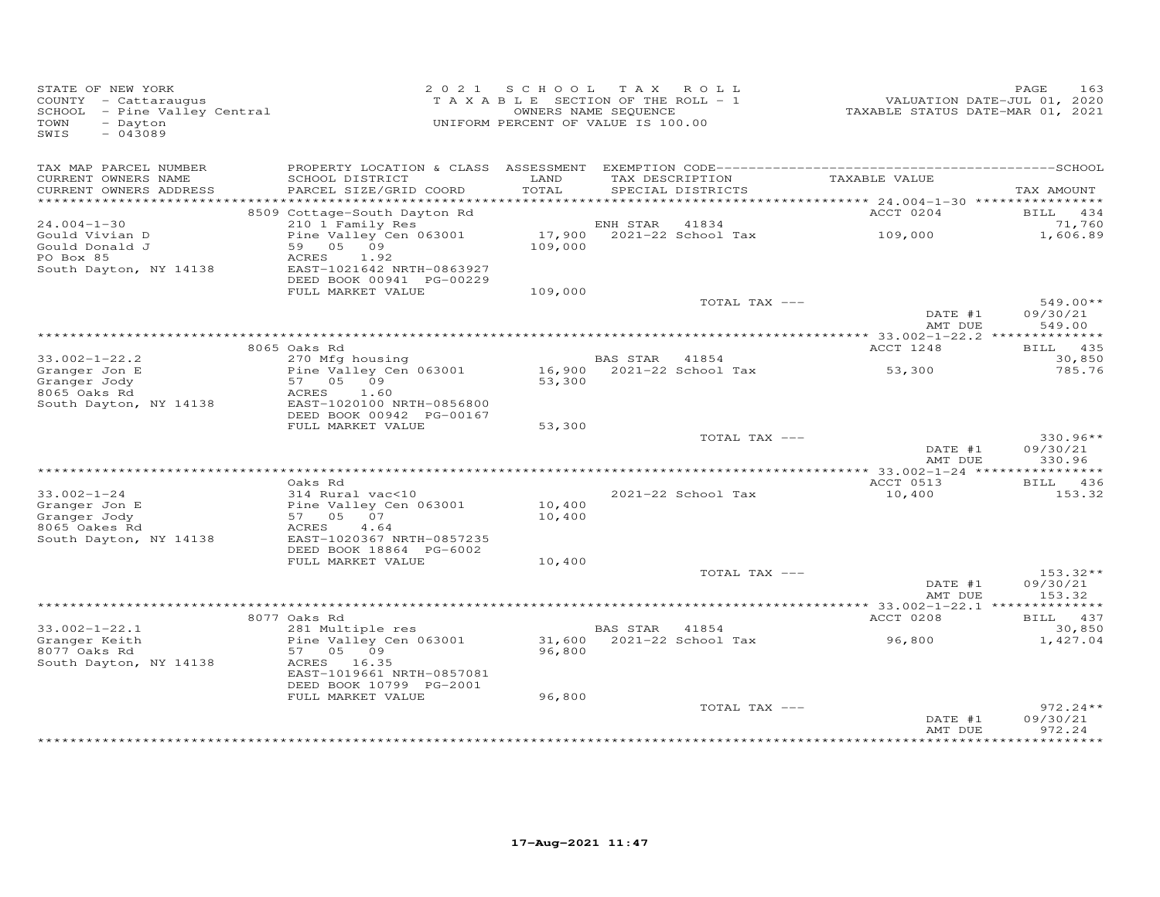| STATE OF NEW YORK<br>COUNTY - Cattaraugus<br>SCHOOL - Pine Valley Central<br>- Dayton<br>TOWN<br>SWIS<br>$-043089$ |                                            | 2021 SCHOOL TAX ROLL<br>T A X A B L E SECTION OF THE ROLL - 1<br>UNIFORM PERCENT OF VALUE IS 100.00 | OWNERS NAME SEQUENCE |                                      | VALUATION DATE-JUL 01, 2020<br>TAXABLE STATUS DATE-MAR 01, 2021 | PAGE<br>163            |
|--------------------------------------------------------------------------------------------------------------------|--------------------------------------------|-----------------------------------------------------------------------------------------------------|----------------------|--------------------------------------|-----------------------------------------------------------------|------------------------|
| TAX MAP PARCEL NUMBER                                                                                              |                                            |                                                                                                     |                      |                                      |                                                                 |                        |
| CURRENT OWNERS NAME<br>CURRENT OWNERS ADDRESS                                                                      | SCHOOL DISTRICT<br>PARCEL SIZE/GRID COORD  | LAND<br>TOTAL                                                                                       |                      | TAX DESCRIPTION<br>SPECIAL DISTRICTS | TAXABLE VALUE                                                   | TAX AMOUNT             |
|                                                                                                                    |                                            |                                                                                                     |                      |                                      |                                                                 |                        |
|                                                                                                                    | 8509 Cottage-South Dayton Rd               |                                                                                                     |                      |                                      | ACCT 0204                                                       | BILL 434               |
| $24.004 - 1 - 30$                                                                                                  | 210 1 Family Res                           |                                                                                                     | ENH STAR             | 41834                                |                                                                 | 71,760                 |
| Gould Vivian D<br>Gould Donald J                                                                                   | Pine Valley Cen 063001<br>59 05 09         | 109,000                                                                                             |                      | 17,900 2021-22 School Tax            | 109,000                                                         | 1,606.89               |
| PO Box 85                                                                                                          | ACRES<br>1.92<br>EAST-1021642 NRTH-0863927 |                                                                                                     |                      |                                      |                                                                 |                        |
| South Dayton, NY 14138                                                                                             | DEED BOOK 00941 PG-00229                   |                                                                                                     |                      |                                      |                                                                 |                        |
|                                                                                                                    | FULL MARKET VALUE                          | 109,000                                                                                             |                      | TOTAL TAX ---                        |                                                                 | $549.00**$             |
|                                                                                                                    |                                            |                                                                                                     |                      |                                      | DATE #1<br>AMT DUE                                              | 09/30/21<br>549.00     |
|                                                                                                                    |                                            |                                                                                                     |                      |                                      |                                                                 |                        |
|                                                                                                                    | 8065 Oaks Rd                               |                                                                                                     |                      |                                      | ACCT 1248                                                       | BILL 435               |
| $33.002 - 1 - 22.2$                                                                                                | 270 Mfg housing                            |                                                                                                     | <b>BAS STAR</b>      | 41854                                |                                                                 | 30,850                 |
| Granger Jon E<br>Granger Jody                                                                                      | Pine Valley Cen 063001<br>57 05 09         | 53,300                                                                                              |                      | 16,900 2021-22 School Tax            | 53,300                                                          | 785.76                 |
| 8065 Oaks Rd                                                                                                       | 1.60<br>ACRES                              |                                                                                                     |                      |                                      |                                                                 |                        |
| South Dayton, NY 14138                                                                                             | EAST-1020100 NRTH-0856800                  |                                                                                                     |                      |                                      |                                                                 |                        |
|                                                                                                                    | DEED BOOK 00942 PG-00167                   |                                                                                                     |                      |                                      |                                                                 |                        |
|                                                                                                                    | FULL MARKET VALUE                          | 53,300                                                                                              |                      |                                      |                                                                 |                        |
|                                                                                                                    |                                            |                                                                                                     |                      | TOTAL TAX ---                        | DATE #1                                                         | $330.96**$<br>09/30/21 |
|                                                                                                                    |                                            |                                                                                                     |                      |                                      | AMT DUE                                                         | 330.96                 |
|                                                                                                                    |                                            |                                                                                                     |                      |                                      |                                                                 |                        |
|                                                                                                                    | Oaks Rd                                    |                                                                                                     |                      |                                      | ACCT 0513                                                       | <b>BILL</b> 436        |
| $33.002 - 1 - 24$                                                                                                  | 314 Rural vac<10                           |                                                                                                     |                      | 2021-22 School Tax                   | 10,400                                                          | 153.32                 |
| Granger Jon E<br>Granger Jody                                                                                      | Pine Valley Cen 063001<br>57 05 07         | 10,400<br>10,400                                                                                    |                      |                                      |                                                                 |                        |
| 8065 Oakes Rd                                                                                                      | ACRES<br>4.64                              |                                                                                                     |                      |                                      |                                                                 |                        |
| South Dayton, NY 14138                                                                                             | EAST-1020367 NRTH-0857235                  |                                                                                                     |                      |                                      |                                                                 |                        |
|                                                                                                                    | DEED BOOK 18864 PG-6002                    |                                                                                                     |                      |                                      |                                                                 |                        |
|                                                                                                                    | FULL MARKET VALUE                          | 10,400                                                                                              |                      | TOTAL TAX ---                        |                                                                 | $153.32**$             |
|                                                                                                                    |                                            |                                                                                                     |                      |                                      | DATE #1                                                         | 09/30/21               |
|                                                                                                                    |                                            |                                                                                                     |                      |                                      | AMT DUE                                                         | 153.32                 |
|                                                                                                                    |                                            |                                                                                                     |                      |                                      |                                                                 |                        |
|                                                                                                                    | 8077 Oaks Rd                               |                                                                                                     |                      |                                      | ACCT 0208                                                       | BILL 437               |
| $33.002 - 1 - 22.1$<br>Granger Keith                                                                               | 281 Multiple res<br>Pine Valley Cen 063001 |                                                                                                     | BAS STAR 41854       | 31,600 2021-22 School Tax            | 96,800                                                          | 30,850<br>1,427.04     |
| 8077 Oaks Rd                                                                                                       | 57 05 09                                   | 96,800                                                                                              |                      |                                      |                                                                 |                        |
| South Dayton, NY 14138                                                                                             | ACRES 16.35                                |                                                                                                     |                      |                                      |                                                                 |                        |
|                                                                                                                    | EAST-1019661 NRTH-0857081                  |                                                                                                     |                      |                                      |                                                                 |                        |
|                                                                                                                    | DEED BOOK 10799 PG-2001                    |                                                                                                     |                      |                                      |                                                                 |                        |
|                                                                                                                    | FULL MARKET VALUE                          | 96,800                                                                                              |                      | TOTAL TAX ---                        |                                                                 | $972.24**$             |
|                                                                                                                    |                                            |                                                                                                     |                      |                                      | DATE #1                                                         | 09/30/21               |
|                                                                                                                    |                                            |                                                                                                     |                      |                                      | AMT DUE                                                         | 972.24                 |
|                                                                                                                    |                                            |                                                                                                     |                      |                                      |                                                                 |                        |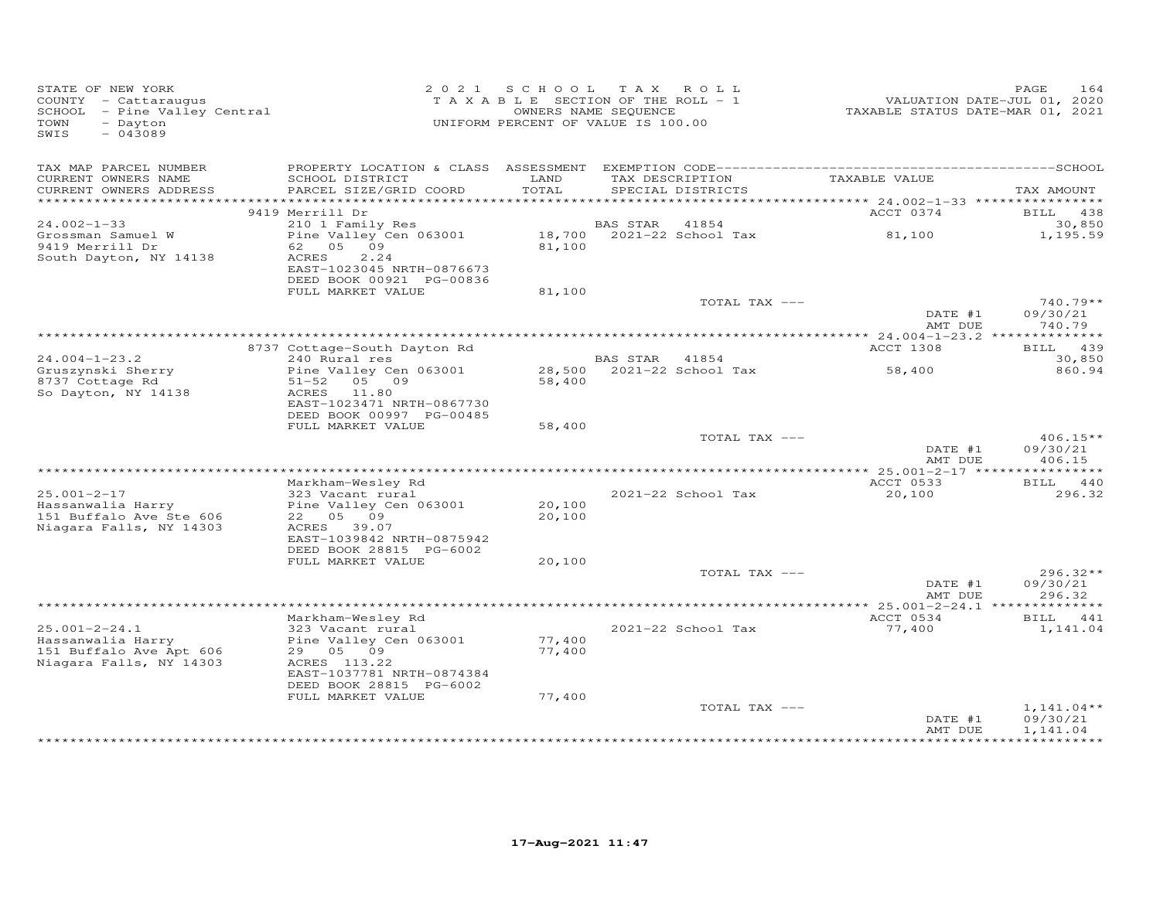| STATE OF NEW YORK<br>COUNTY - Cattaraugus<br>SCHOOL - Pine Valley Central<br>TOWN<br>- Dayton<br>$-043089$<br>SWIS |                                                                                                            | 2021 SCHOOL<br>TAXABLE SECTION OF THE ROLL - 1<br>UNIFORM PERCENT OF VALUE IS 100.00 | OWNERS NAME SEQUENCE | TAX ROLL                           | VALUATION DATE-JUL 01, 2020<br>TAXABLE STATUS DATE-MAR 01, 2021 | 164<br>PAGE                          |
|--------------------------------------------------------------------------------------------------------------------|------------------------------------------------------------------------------------------------------------|--------------------------------------------------------------------------------------|----------------------|------------------------------------|-----------------------------------------------------------------|--------------------------------------|
| TAX MAP PARCEL NUMBER<br>CURRENT OWNERS NAME                                                                       | SCHOOL DISTRICT                                                                                            | LAND                                                                                 |                      | TAX DESCRIPTION                    | TAXABLE VALUE                                                   |                                      |
| CURRENT OWNERS ADDRESS<br>**********************                                                                   | PARCEL SIZE/GRID COORD                                                                                     | TOTAL                                                                                |                      | SPECIAL DISTRICTS                  | *********** 24.002-1-33 *****************                       | TAX AMOUNT                           |
|                                                                                                                    | 9419 Merrill Dr                                                                                            |                                                                                      |                      |                                    | ACCT 0374                                                       | BILL 438                             |
| $24.002 - 1 - 33$                                                                                                  | 210 1 Family Res                                                                                           |                                                                                      | <b>BAS STAR</b>      | 41854                              |                                                                 | 30,850                               |
| Grossman Samuel W<br>9419 Merrill Dr<br>South Dayton, NY 14138                                                     | Pine Valley Cen 063001<br>62 05 09<br>ACRES<br>2.24<br>EAST-1023045 NRTH-0876673                           | 81,100                                                                               |                      | 18,700 2021-22 School Tax          | 81,100                                                          | 1,195.59                             |
|                                                                                                                    | DEED BOOK 00921 PG-00836<br>FULL MARKET VALUE                                                              | 81,100                                                                               |                      |                                    |                                                                 |                                      |
|                                                                                                                    |                                                                                                            |                                                                                      |                      | TOTAL TAX ---                      | DATE #1<br>AMT DUE                                              | $740.79**$<br>09/30/21<br>740.79     |
|                                                                                                                    |                                                                                                            |                                                                                      |                      |                                    |                                                                 |                                      |
|                                                                                                                    | 8737 Cottage-South Dayton Rd                                                                               |                                                                                      |                      |                                    | ACCT 1308                                                       | BILL 439                             |
| $24.004 - 1 - 23.2$<br>Gruszynski Sherry                                                                           | 240 Rural res<br>Pine Valley Cen 063001                                                                    |                                                                                      | <b>BAS STAR</b>      | 41854<br>28,500 2021-22 School Tax | 58,400                                                          | 30,850<br>860.94                     |
| 8737 Cottage Rd<br>So Dayton, NY 14138                                                                             | $51 - 52$<br>05 09<br>ACRES<br>11.80<br>EAST-1023471 NRTH-0867730<br>DEED BOOK 00997 PG-00485              | 58,400                                                                               |                      |                                    |                                                                 |                                      |
|                                                                                                                    | FULL MARKET VALUE                                                                                          | 58,400                                                                               |                      |                                    |                                                                 |                                      |
|                                                                                                                    |                                                                                                            |                                                                                      |                      | TOTAL TAX ---                      | DATE #1<br>AMT DUE                                              | $406.15**$<br>09/30/21<br>406.15     |
|                                                                                                                    |                                                                                                            |                                                                                      |                      |                                    |                                                                 |                                      |
| $25.001 - 2 - 17$                                                                                                  | Markham-Wesley Rd<br>323 Vacant rural                                                                      |                                                                                      |                      | 2021-22 School Tax                 | ACCT 0533<br>20,100                                             | BILL 440<br>296.32                   |
| Hassanwalia Harry<br>151 Buffalo Ave Ste 606<br>Niagara Falls, NY 14303                                            | Pine Valley Cen 063001<br>22 05 09<br>ACRES 39.07                                                          | 20,100<br>20,100                                                                     |                      |                                    |                                                                 |                                      |
|                                                                                                                    | EAST-1039842 NRTH-0875942<br>DEED BOOK 28815 PG-6002                                                       |                                                                                      |                      |                                    |                                                                 |                                      |
|                                                                                                                    | FULL MARKET VALUE                                                                                          | 20,100                                                                               |                      |                                    |                                                                 |                                      |
|                                                                                                                    |                                                                                                            |                                                                                      |                      | TOTAL TAX ---                      | DATE #1<br>AMT DUE                                              | $296.32**$<br>09/30/21<br>296.32     |
|                                                                                                                    |                                                                                                            |                                                                                      |                      |                                    |                                                                 |                                      |
| $25.001 - 2 - 24.1$                                                                                                | Markham-Wesley Rd<br>323 Vacant rural                                                                      |                                                                                      |                      | 2021-22 School Tax                 | ACCT 0534<br>77,400                                             | BILL 441<br>1,141.04                 |
| Hassanwalia Harry<br>151 Buffalo Ave Apt 606<br>Niagara Falls, NY 14303                                            | Pine Valley Cen 063001<br>29 05 09<br>ACRES 113.22<br>EAST-1037781 NRTH-0874384<br>DEED BOOK 28815 PG-6002 | 77,400<br>77,400                                                                     |                      |                                    |                                                                 |                                      |
|                                                                                                                    | FULL MARKET VALUE                                                                                          | 77,400                                                                               |                      |                                    |                                                                 |                                      |
|                                                                                                                    |                                                                                                            |                                                                                      |                      | TOTAL TAX ---                      | DATE #1<br>AMT DUE                                              | $1,141.04**$<br>09/30/21<br>1,141.04 |
|                                                                                                                    |                                                                                                            |                                                                                      |                      | *******************************    |                                                                 |                                      |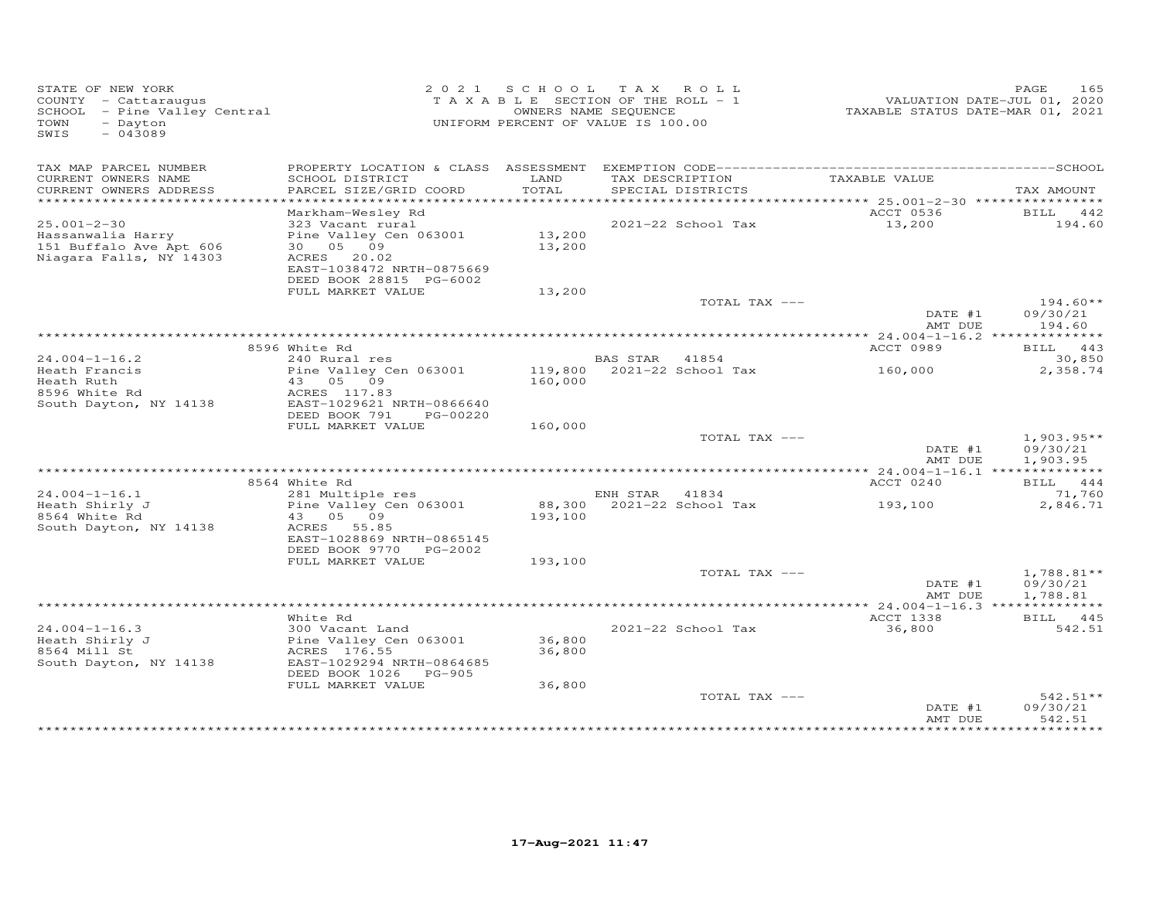| STATE OF NEW YORK<br>COUNTY - Cattaraugus<br>COONII - Cattaraugus<br>SCHOOL - Pine Valley Central<br>- Dayton<br>TOWN<br>$-043089$<br>SWIS |                                                                                                          |                  | 2021 SCHOOL TAX ROLL<br>T A X A B L E SECTION OF THE ROLL - 1<br>OWNERS NAME SEQUENCE<br>UNIFORM PERCENT OF VALUE IS 100.00 |                 | VALUATION DATE-JUL 01, 2020<br>TAXABLE STATUS DATE-MAR 01, 2021 | 165<br>PAGE                          |
|--------------------------------------------------------------------------------------------------------------------------------------------|----------------------------------------------------------------------------------------------------------|------------------|-----------------------------------------------------------------------------------------------------------------------------|-----------------|-----------------------------------------------------------------|--------------------------------------|
| TAX MAP PARCEL NUMBER<br>CURRENT OWNERS NAME                                                                                               | SCHOOL DISTRICT                                                                                          | LAND             |                                                                                                                             | TAX DESCRIPTION | TAXABLE VALUE                                                   |                                      |
| CURRENT OWNERS ADDRESS                                                                                                                     | PARCEL SIZE/GRID COORD                                                                                   | TOTAL            | SPECIAL DISTRICTS                                                                                                           |                 |                                                                 | TAX AMOUNT                           |
|                                                                                                                                            | Markham-Wesley Rd                                                                                        |                  |                                                                                                                             |                 | ACCT 0536                                                       | BILL 442                             |
| $25.001 - 2 - 30$<br>Hassanwalia Harry<br>151 Buffalo Ave Apt 606<br>Niagara Falls, NY 14303                                               | 323 Vacant rural<br>Pine Valley Cen 063001<br>30 05 09<br>ACRES 20.02                                    | 13,200<br>13,200 | 2021-22 School Tax                                                                                                          |                 | 13,200                                                          | 194.60                               |
|                                                                                                                                            | EAST-1038472 NRTH-0875669<br>DEED BOOK 28815 PG-6002                                                     |                  |                                                                                                                             |                 |                                                                 |                                      |
|                                                                                                                                            | FULL MARKET VALUE                                                                                        | 13,200           |                                                                                                                             | TOTAL TAX ---   |                                                                 | $194.60**$                           |
|                                                                                                                                            |                                                                                                          |                  |                                                                                                                             |                 | DATE #1<br>AMT DUE                                              | 09/30/21<br>194.60                   |
|                                                                                                                                            |                                                                                                          |                  |                                                                                                                             |                 |                                                                 |                                      |
| $24.004 - 1 - 16.2$                                                                                                                        | 8596 White Rd<br>240 Rural res                                                                           |                  | BAS STAR 41854                                                                                                              |                 | ACCT 0989                                                       | BILL 443<br>30,850                   |
| Heath Francis                                                                                                                              | Pine Valley Cen 063001                                                                                   |                  | 119,800 2021-22 School Tax                                                                                                  |                 | 160,000                                                         | 2,358.74                             |
| Heath Ruth                                                                                                                                 | 43 05 09                                                                                                 | 160,000          |                                                                                                                             |                 |                                                                 |                                      |
| 8596 White Rd<br>South Dayton, NY 14138                                                                                                    | ACRES 117.83<br>EAST-1029621 NRTH-0866640                                                                |                  |                                                                                                                             |                 |                                                                 |                                      |
|                                                                                                                                            | DEED BOOK 791 PG-00220                                                                                   |                  |                                                                                                                             |                 |                                                                 |                                      |
|                                                                                                                                            | FULL MARKET VALUE                                                                                        | 160,000          |                                                                                                                             |                 |                                                                 |                                      |
|                                                                                                                                            |                                                                                                          |                  |                                                                                                                             | TOTAL TAX ---   |                                                                 | $1,903.95**$                         |
|                                                                                                                                            |                                                                                                          |                  |                                                                                                                             |                 | DATE #1<br>AMT DUE                                              | 09/30/21<br>1,903.95                 |
|                                                                                                                                            | 8564 White Rd                                                                                            |                  |                                                                                                                             |                 | ACCT 0240                                                       | BILL 444                             |
| $24.004 - 1 - 16.1$                                                                                                                        | 281 Multiple res                                                                                         |                  | ENH STAR 41834                                                                                                              |                 |                                                                 | 71,760                               |
| Heath Shirly J<br>8564 White Rd<br>8564 White Rd<br>South Dayton, NY 14138                                                                 | Pine Valley Cen 063001<br>43 05 09<br>ACRES 55.85<br>EAST-1028869 NRTH-0865145<br>DEED BOOK 9770 PG-2002 | 193,100          |                                                                                                                             |                 | EN SIAR TIOUT<br>88,300 2021-22 School Tax 193,100              | 2,846.71                             |
|                                                                                                                                            | FULL MARKET VALUE                                                                                        | 193,100          |                                                                                                                             |                 |                                                                 |                                      |
|                                                                                                                                            |                                                                                                          |                  |                                                                                                                             | TOTAL TAX ---   | DATE #1<br>AMT DUE                                              | $1,788.81**$<br>09/30/21<br>1,788.81 |
|                                                                                                                                            |                                                                                                          |                  |                                                                                                                             |                 |                                                                 |                                      |
| $24.004 - 1 - 16.3$<br>Heath Shirly J                                                                                                      | White Rd<br>300 Vacant Land<br>Pine Valley Cen 063001                                                    | 36,800           | 2021-22 School Tax                                                                                                          |                 | ACCT 1338<br>36,800                                             | BILL 445<br>542.51                   |
| 8564 Mill St<br>South Dayton, NY 14138                                                                                                     | ACRES 176.55<br>EAST-1029294 NRTH-0864685                                                                | 36,800           |                                                                                                                             |                 |                                                                 |                                      |
|                                                                                                                                            | DEED BOOK 1026    PG-905<br>FULL MARKET VALUE                                                            |                  |                                                                                                                             |                 |                                                                 |                                      |
|                                                                                                                                            |                                                                                                          | 36,800           |                                                                                                                             | TOTAL TAX ---   | DATE #1<br>AMT DUE                                              | $542.51**$<br>09/30/21<br>542.51     |
|                                                                                                                                            |                                                                                                          |                  |                                                                                                                             |                 |                                                                 |                                      |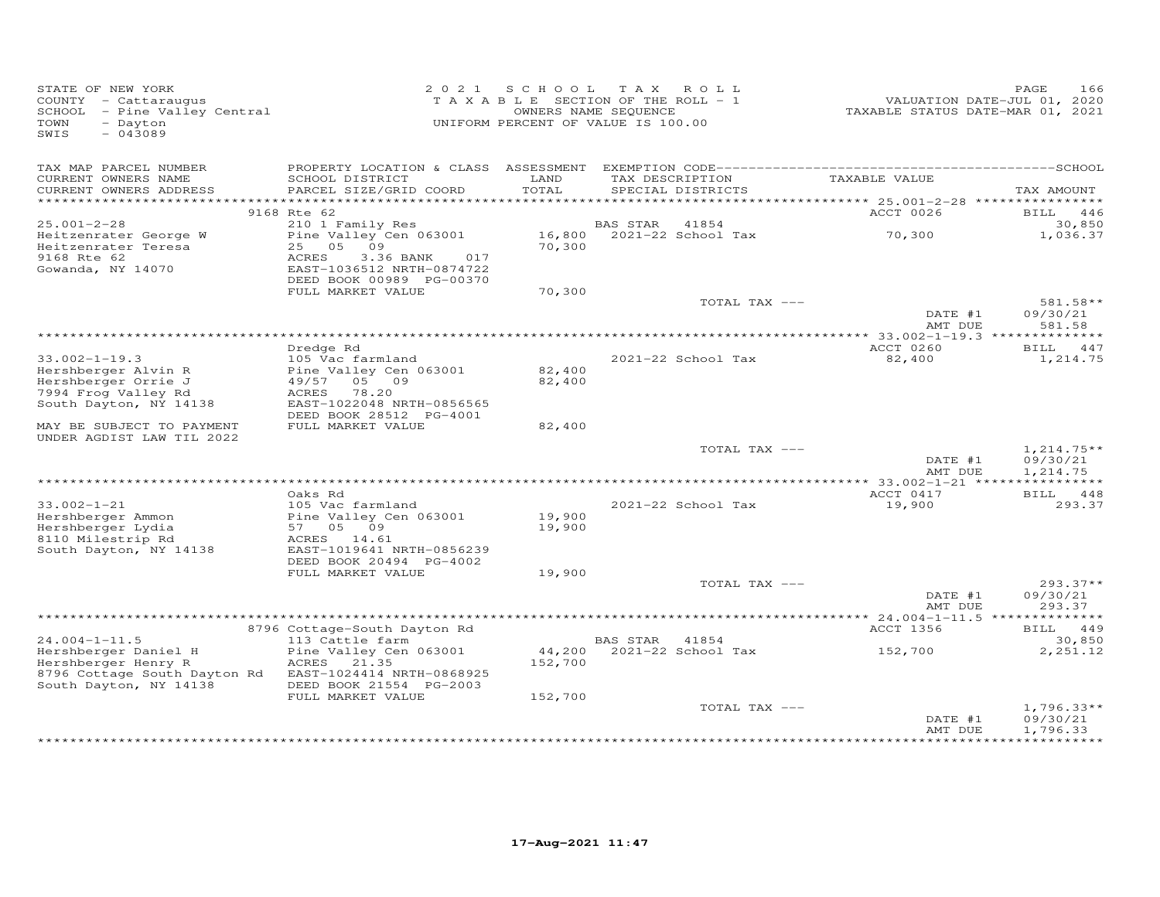| STATE OF NEW YORK<br>COUNTY - Cattaraugus<br>SCHOOL - Pine Valley Central<br>- Dayton<br>TOWN<br>$-043089$<br>SWIS |                                          |         | 2021 SCHOOL TAX ROLL<br>TAXABLE SECTION OF THE ROLL - 1<br>OWNERS NAME SEQUENCE<br>UNIFORM PERCENT OF VALUE IS 100.00 |                 | TAXABLE STATUS DATE-MAR 01, 2021 | PAGE<br>166<br>VALUATION DATE-JUL 01, 2020 |
|--------------------------------------------------------------------------------------------------------------------|------------------------------------------|---------|-----------------------------------------------------------------------------------------------------------------------|-----------------|----------------------------------|--------------------------------------------|
| TAX MAP PARCEL NUMBER<br>CURRENT OWNERS NAME                                                                       | SCHOOL DISTRICT                          | LAND    |                                                                                                                       | TAX DESCRIPTION | TAXABLE VALUE                    |                                            |
| CURRENT OWNERS ADDRESS                                                                                             | PARCEL SIZE/GRID COORD                   | TOTAL   | SPECIAL DISTRICTS                                                                                                     |                 |                                  | TAX AMOUNT                                 |
|                                                                                                                    |                                          |         |                                                                                                                       |                 |                                  |                                            |
|                                                                                                                    | 9168 Rte 62                              |         |                                                                                                                       |                 | ACCT 0026                        | BILL 446                                   |
| $25.001 - 2 - 28$                                                                                                  | 210 1 Family Res                         |         | BAS STAR<br>41854<br>16,800 2021-22 School Tax                                                                        |                 | 70,300                           | 30,850<br>1,036.37                         |
| Heitzenrater George W<br>Heitzenrater Teresa                                                                       | Pine Valley Cen 063001<br>25 05 09       | 70,300  |                                                                                                                       |                 |                                  |                                            |
| 9168 Rte 62                                                                                                        | ACRES<br>3.36 BANK<br>017                |         |                                                                                                                       |                 |                                  |                                            |
| Gowanda, NY 14070                                                                                                  | EAST-1036512 NRTH-0874722                |         |                                                                                                                       |                 |                                  |                                            |
|                                                                                                                    | DEED BOOK 00989 PG-00370                 |         |                                                                                                                       |                 |                                  |                                            |
|                                                                                                                    | FULL MARKET VALUE                        | 70,300  |                                                                                                                       |                 |                                  |                                            |
|                                                                                                                    |                                          |         |                                                                                                                       | TOTAL TAX ---   | DATE #1                          | 581.58**<br>09/30/21                       |
|                                                                                                                    |                                          |         |                                                                                                                       |                 | AMT DUE                          | 581.58                                     |
|                                                                                                                    |                                          |         |                                                                                                                       |                 |                                  |                                            |
|                                                                                                                    | Dredge Rd                                |         |                                                                                                                       |                 | ACCT 0260                        | BILL 447                                   |
| $33.002 - 1 - 19.3$                                                                                                | 105 Vac farmland                         |         | 2021-22 School Tax                                                                                                    |                 | 82,400                           | 1,214.75                                   |
| Hershberger Alvin R                                                                                                | Pine Valley Cen 063001                   | 82,400  |                                                                                                                       |                 |                                  |                                            |
| Hershberger Orrie J<br>7994 Frog Valley Rd                                                                         | 49/57 05 09<br>ACRES 78.20               | 82,400  |                                                                                                                       |                 |                                  |                                            |
| South Dayton, NY 14138                                                                                             | EAST-1022048 NRTH-0856565                |         |                                                                                                                       |                 |                                  |                                            |
|                                                                                                                    | DEED BOOK 28512 PG-4001                  |         |                                                                                                                       |                 |                                  |                                            |
| MAY BE SUBJECT TO PAYMENT                                                                                          | FULL MARKET VALUE                        | 82,400  |                                                                                                                       |                 |                                  |                                            |
| UNDER AGDIST LAW TIL 2022                                                                                          |                                          |         |                                                                                                                       |                 |                                  |                                            |
|                                                                                                                    |                                          |         |                                                                                                                       | TOTAL TAX ---   |                                  | $1,214.75**$                               |
|                                                                                                                    |                                          |         |                                                                                                                       |                 | DATE #1<br>AMT DUE               | 09/30/21<br>1,214.75                       |
|                                                                                                                    |                                          |         |                                                                                                                       |                 |                                  |                                            |
|                                                                                                                    | Oaks Rd                                  |         |                                                                                                                       |                 | ACCT 0417                        | BILL 448                                   |
| $33.002 - 1 - 21$                                                                                                  | 105 Vac farmland                         |         | 2021-22 School Tax                                                                                                    |                 | 19,900                           | 293.37                                     |
| Hershberger Ammon                                                                                                  | Pine Valley Cen 063001                   | 19,900  |                                                                                                                       |                 |                                  |                                            |
| Hershberger Lydia                                                                                                  | 57 05 09                                 | 19,900  |                                                                                                                       |                 |                                  |                                            |
| 8110 Milestrip Rd<br>South Dayton, NY 14138                                                                        | ACRES 14.61<br>EAST-1019641 NRTH-0856239 |         |                                                                                                                       |                 |                                  |                                            |
|                                                                                                                    | DEED BOOK 20494 PG-4002                  |         |                                                                                                                       |                 |                                  |                                            |
|                                                                                                                    | FULL MARKET VALUE                        | 19,900  |                                                                                                                       |                 |                                  |                                            |
|                                                                                                                    |                                          |         |                                                                                                                       | TOTAL TAX ---   |                                  | $293.37**$                                 |
|                                                                                                                    |                                          |         |                                                                                                                       |                 | DATE #1                          | 09/30/21                                   |
|                                                                                                                    |                                          |         |                                                                                                                       |                 | AMT DUE                          | 293.37                                     |
|                                                                                                                    | 8796 Cottage-South Dayton Rd             |         |                                                                                                                       |                 | ACCT 1356                        | BILL 449                                   |
| $24.004 - 1 - 11.5$                                                                                                | 113 Cattle farm                          |         | BAS STAR 41854                                                                                                        |                 |                                  | 30,850                                     |
| Hershberger Daniel H                                                                                               | Pine Valley Cen 063001                   |         | 44,200 2021-22 School Tax                                                                                             |                 | 152,700                          | 2,251.12                                   |
| Hershberger Henry R                                                                                                | ACRES 21.35                              | 152,700 |                                                                                                                       |                 |                                  |                                            |
| 8796 Cottage South Dayton Rd                                                                                       | EAST-1024414 NRTH-0868925                |         |                                                                                                                       |                 |                                  |                                            |
| South Dayton, NY 14138                                                                                             | DEED BOOK 21554 PG-2003                  |         |                                                                                                                       |                 |                                  |                                            |
|                                                                                                                    | FULL MARKET VALUE                        | 152,700 |                                                                                                                       | TOTAL TAX ---   |                                  | $1,796.33**$                               |
|                                                                                                                    |                                          |         |                                                                                                                       |                 | DATE #1                          | 09/30/21                                   |
|                                                                                                                    |                                          |         |                                                                                                                       |                 | AMT DUE                          | 1,796.33                                   |
|                                                                                                                    |                                          |         |                                                                                                                       |                 |                                  |                                            |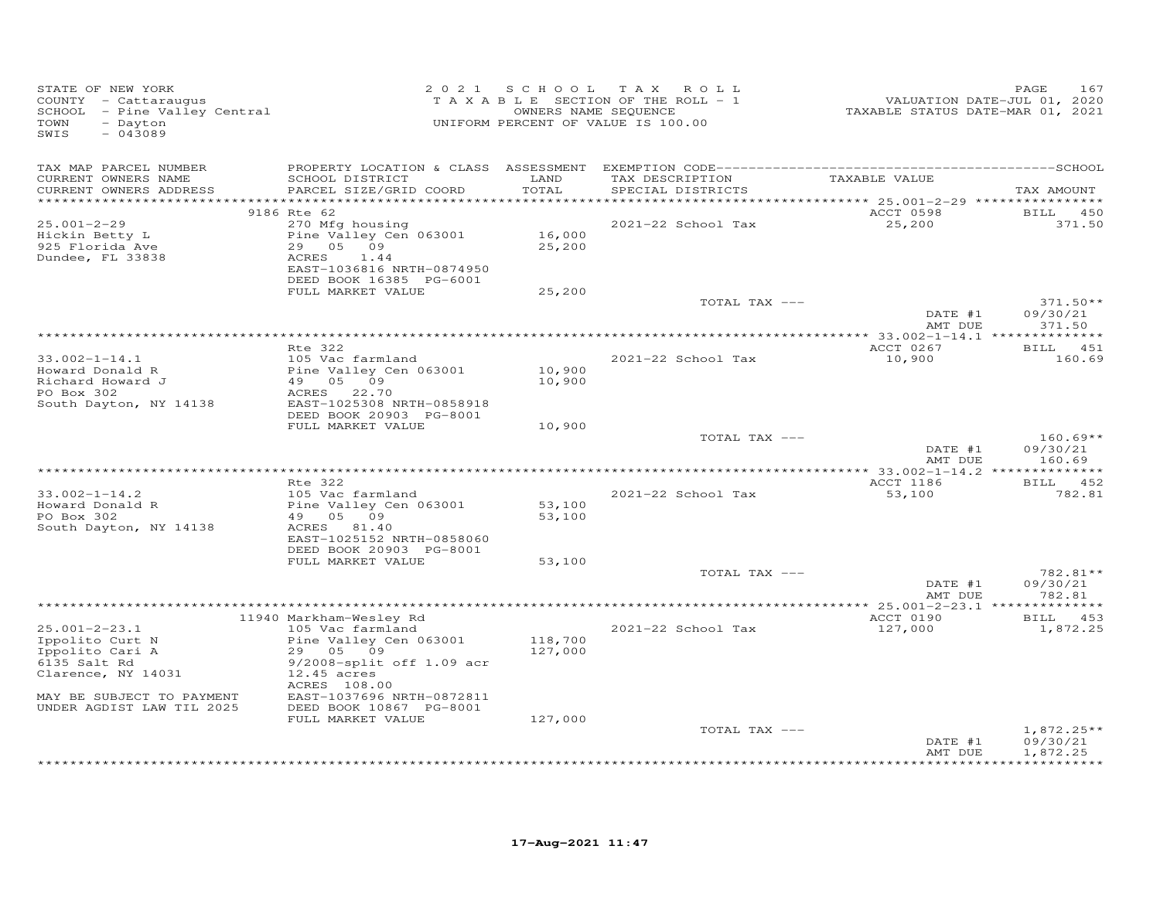| STATE OF NEW YORK<br>COUNTY - Cattaraugus<br>SCHOOL - Pine Valley Central<br>- Dayton<br>TOWN<br>SWIS<br>$-043089$                                        | 2 0 2 1                                                                                                                                                                                              | SCHOOL                        | TAX ROLL<br>T A X A B L E SECTION OF THE ROLL - 1<br>OWNERS NAME SEQUENCE<br>UNIFORM PERCENT OF VALUE IS 100.00 | VALUATION DATE-JUL 01, 2020<br>TAXABLE STATUS DATE-MAR 01, 2021 | 167<br>PAGE                      |
|-----------------------------------------------------------------------------------------------------------------------------------------------------------|------------------------------------------------------------------------------------------------------------------------------------------------------------------------------------------------------|-------------------------------|-----------------------------------------------------------------------------------------------------------------|-----------------------------------------------------------------|----------------------------------|
| TAX MAP PARCEL NUMBER<br>CURRENT OWNERS NAME<br>CURRENT OWNERS ADDRESS                                                                                    | SCHOOL DISTRICT<br>PARCEL SIZE/GRID COORD                                                                                                                                                            | LAND<br>TOTAL                 | TAX DESCRIPTION<br>SPECIAL DISTRICTS                                                                            | TAXABLE VALUE                                                   | TAX AMOUNT                       |
| **********************                                                                                                                                    | 9186 Rte 62                                                                                                                                                                                          | * * * * * * * * * *           |                                                                                                                 | ACCT 0598                                                       | BILL 450                         |
| $25.001 - 2 - 29$<br>Hickin Betty L<br>925 Florida Ave<br>Dundee, FL 33838                                                                                | 270 Mfg housing<br>Pine Valley Cen 063001<br>29 05 09<br>1.44<br>ACRES<br>EAST-1036816 NRTH-0874950<br>DEED BOOK 16385 PG-6001                                                                       | 16,000<br>25,200              | 2021-22 School Tax                                                                                              | 25,200                                                          | 371.50                           |
|                                                                                                                                                           | FULL MARKET VALUE                                                                                                                                                                                    | 25,200                        |                                                                                                                 |                                                                 |                                  |
|                                                                                                                                                           |                                                                                                                                                                                                      |                               | TOTAL TAX ---                                                                                                   | DATE #1<br>AMT DUE                                              | $371.50**$<br>09/30/21<br>371.50 |
|                                                                                                                                                           |                                                                                                                                                                                                      |                               |                                                                                                                 |                                                                 |                                  |
|                                                                                                                                                           | Rte 322                                                                                                                                                                                              |                               |                                                                                                                 | ACCT 0267                                                       | BILL 451                         |
| $33.002 - 1 - 14.1$<br>Howard Donald R<br>Richard Howard J<br>PO Box 302                                                                                  | 105 Vac farmland<br>Pine Valley Cen 063001<br>49 05 09<br>22.70<br>ACRES                                                                                                                             | 10,900<br>10,900              | 2021-22 School Tax                                                                                              | 10,900                                                          | 160.69                           |
| South Dayton, NY 14138                                                                                                                                    | EAST-1025308 NRTH-0858918<br>DEED BOOK 20903 PG-8001                                                                                                                                                 |                               |                                                                                                                 |                                                                 |                                  |
|                                                                                                                                                           | FULL MARKET VALUE                                                                                                                                                                                    | 10,900                        | TOTAL TAX ---                                                                                                   | DATE #1<br>AMT DUE                                              | $160.69**$<br>09/30/21<br>160.69 |
|                                                                                                                                                           |                                                                                                                                                                                                      |                               |                                                                                                                 |                                                                 |                                  |
| $33.002 - 1 - 14.2$<br>Howard Donald R<br>PO Box 302<br>South Dayton, NY 14138                                                                            | Rte 322<br>105 Vac farmland<br>Pine Valley Cen 063001<br>49 05 09<br>ACRES 81.40<br>EAST-1025152 NRTH-0858060<br>DEED BOOK 20903 PG-8001                                                             | 53,100<br>53,100              | 2021-22 School Tax                                                                                              | ACCT 1186<br>53,100                                             | BILL 452<br>782.81               |
|                                                                                                                                                           | FULL MARKET VALUE                                                                                                                                                                                    | 53,100                        |                                                                                                                 |                                                                 |                                  |
|                                                                                                                                                           |                                                                                                                                                                                                      |                               | TOTAL TAX ---                                                                                                   | DATE #1<br>AMT DUE                                              | 782.81**<br>09/30/21<br>782.81   |
|                                                                                                                                                           |                                                                                                                                                                                                      |                               |                                                                                                                 |                                                                 |                                  |
|                                                                                                                                                           | 11940 Markham-Wesley Rd                                                                                                                                                                              |                               |                                                                                                                 | ACCT 0190                                                       | BILL 453                         |
| $25.001 - 2 - 23.1$<br>Ippolito Curt N<br>Ippolito Cari A<br>6135 Salt Rd<br>Clarence, NY 14031<br>MAY BE SUBJECT TO PAYMENT<br>UNDER AGDIST LAW TIL 2025 | 105 Vac farmland<br>Pine Valley Cen 063001<br>29 05 09<br>$9/2008$ -split off 1.09 acr<br>$12.45$ acres<br>ACRES 108.00<br>EAST-1037696 NRTH-0872811<br>DEED BOOK 10867 PG-8001<br>FULL MARKET VALUE | 118,700<br>127,000<br>127,000 | 2021-22 School Tax                                                                                              | 127,000                                                         | 1,872.25                         |
|                                                                                                                                                           |                                                                                                                                                                                                      |                               | TOTAL TAX ---                                                                                                   |                                                                 | $1,872.25**$                     |
|                                                                                                                                                           |                                                                                                                                                                                                      |                               |                                                                                                                 | DATE #1<br>AMT DUE                                              | 09/30/21<br>1,872.25             |
|                                                                                                                                                           |                                                                                                                                                                                                      |                               |                                                                                                                 |                                                                 | * * * * * * * * * *              |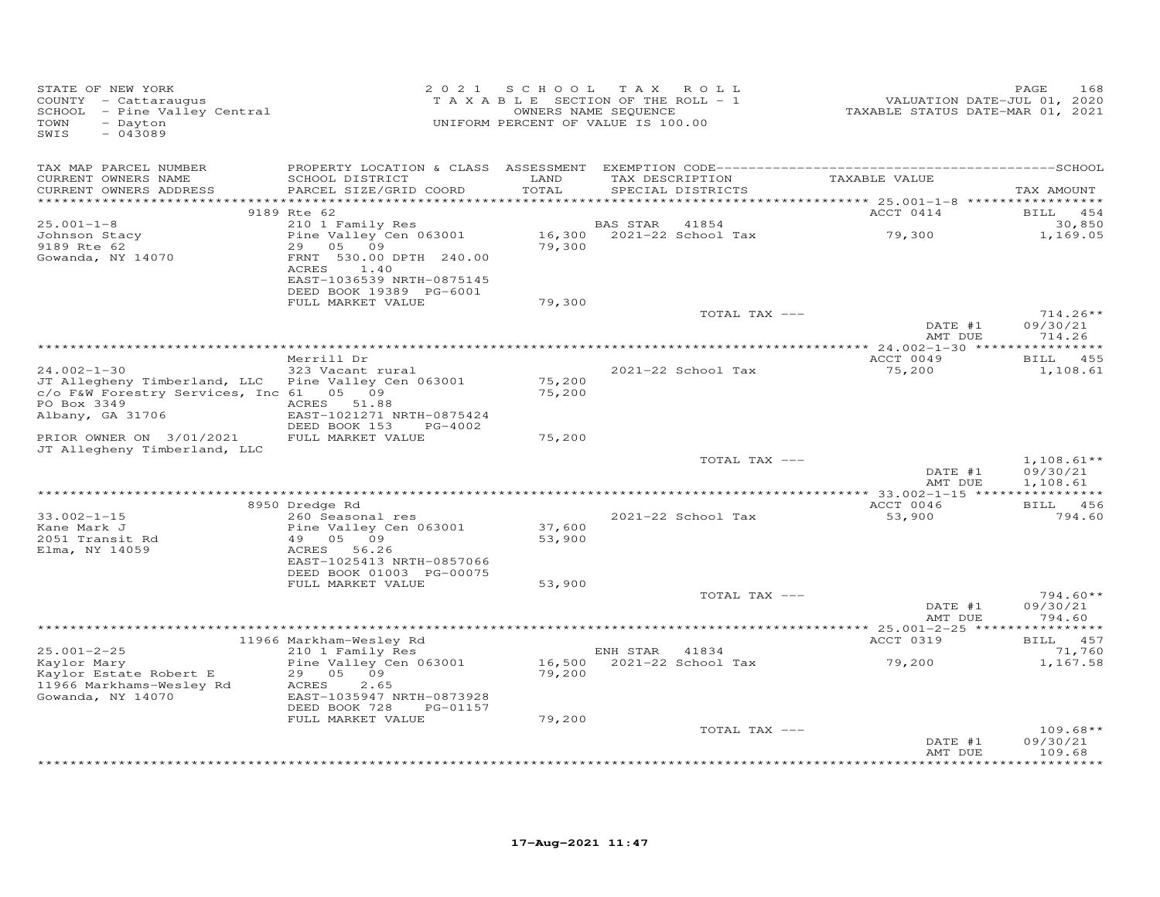| STATE OF NEW YORK<br>COUNTY - Cattaraugus<br>SCHOOL - Pine Valley Central<br>TOWN<br>- Dayton<br>SWIS<br>$-043089$ |                                                        | 2021 SCHOOL<br>TAXABLE SECTION OF THE ROLL - 1<br>OWNERS NAME SEQUENCE<br>UNIFORM PERCENT OF VALUE IS 100.00 | T A X          | ROLL                                   | VALUATION DATE-JUL 01, 2020<br>TAXABLE STATUS DATE-MAR 01, 2021 | PAGE<br>168                      |
|--------------------------------------------------------------------------------------------------------------------|--------------------------------------------------------|--------------------------------------------------------------------------------------------------------------|----------------|----------------------------------------|-----------------------------------------------------------------|----------------------------------|
| TAX MAP PARCEL NUMBER<br>CURRENT OWNERS NAME                                                                       | SCHOOL DISTRICT                                        | LAND                                                                                                         |                |                                        | TAX DESCRIPTION TAXABLE VALUE                                   |                                  |
| CURRENT OWNERS ADDRESS<br>***********************                                                                  | PARCEL SIZE/GRID COORD                                 | TOTAL                                                                                                        |                | SPECIAL DISTRICTS                      |                                                                 | TAX AMOUNT                       |
|                                                                                                                    | 9189 Rte 62                                            |                                                                                                              |                |                                        | ACCT 0414                                                       | BILL 454                         |
| $25.001 - 1 - 8$                                                                                                   | 210 1 Family Res                                       |                                                                                                              | BAS STAR       | 41854                                  |                                                                 | 30,850                           |
| Johnson Stacy                                                                                                      | Pine Valley Cen 063001                                 |                                                                                                              |                | 16,300 2021-22 School Tax              | 79,300                                                          | 1,169.05                         |
| 9189 Rte 62<br>Gowanda, NY 14070                                                                                   | 29 05 09<br>FRNT 530.00 DPTH 240.00<br>ACRES<br>1.40   | 79,300                                                                                                       |                |                                        |                                                                 |                                  |
|                                                                                                                    | EAST-1036539 NRTH-0875145<br>DEED BOOK 19389 PG-6001   |                                                                                                              |                |                                        |                                                                 |                                  |
|                                                                                                                    | FULL MARKET VALUE                                      | 79,300                                                                                                       |                | TOTAL TAX ---                          |                                                                 | $714.26**$                       |
|                                                                                                                    |                                                        |                                                                                                              |                |                                        | DATE #1<br>AMT DUE                                              | 09/30/21<br>714.26               |
|                                                                                                                    |                                                        |                                                                                                              |                |                                        |                                                                 | **********                       |
| $24.002 - 1 - 30$                                                                                                  | Merrill Dr<br>323 Vacant rural                         |                                                                                                              |                | 2021-22 School Tax                     | ACCT 0049<br>75,200                                             | 455<br>BILL<br>1,108.61          |
| JT Allegheny Timberland, LLC Pine Valley Cen 063001<br>c/o F&W Forestry Services, Inc 61 05 09                     |                                                        | 75,200<br>75,200                                                                                             |                |                                        |                                                                 |                                  |
| PO Box 3349                                                                                                        | ACRES 51.88                                            |                                                                                                              |                |                                        |                                                                 |                                  |
| Albany, GA 31706                                                                                                   | EAST-1021271 NRTH-0875424<br>DEED BOOK 153<br>PG-4002  |                                                                                                              |                |                                        |                                                                 |                                  |
| PRIOR OWNER ON 3/01/2021<br>JT Allegheny Timberland, LLC                                                           | FULL MARKET VALUE                                      | 75,200                                                                                                       |                |                                        |                                                                 |                                  |
|                                                                                                                    |                                                        |                                                                                                              |                | TOTAL TAX ---                          |                                                                 | $1,108.61**$                     |
|                                                                                                                    |                                                        |                                                                                                              |                |                                        | DATE #1<br>AMT DUE                                              | 09/30/21<br>1,108.61             |
|                                                                                                                    | 8950 Dredge Rd                                         |                                                                                                              |                |                                        | ACCT 0046                                                       | BILL 456                         |
| $33.002 - 1 - 15$                                                                                                  | 260 Seasonal res                                       |                                                                                                              |                | 2021-22 School Tax                     | 53,900                                                          | 794.60                           |
| Kane Mark J                                                                                                        | Pine Valley Cen 063001                                 | 37,600                                                                                                       |                |                                        |                                                                 |                                  |
| 2051 Transit Rd<br>Elma, NY 14059                                                                                  | 49 05 09<br>ACRES 56.26<br>EAST-1025413 NRTH-0857066   | 53,900                                                                                                       |                |                                        |                                                                 |                                  |
|                                                                                                                    | DEED BOOK 01003 PG-00075                               |                                                                                                              |                |                                        |                                                                 |                                  |
|                                                                                                                    | FULL MARKET VALUE                                      | 53,900                                                                                                       |                |                                        |                                                                 |                                  |
|                                                                                                                    |                                                        |                                                                                                              |                | TOTAL TAX ---                          | DATE #1<br>AMT DUE                                              | $794.60**$<br>09/30/21<br>794.60 |
|                                                                                                                    |                                                        |                                                                                                              |                |                                        |                                                                 |                                  |
|                                                                                                                    | 11966 Markham-Wesley Rd                                |                                                                                                              |                |                                        | ACCT 0319                                                       | BILL 457                         |
| $25.001 - 2 - 25$<br>Kaylor Mary                                                                                   | 210 1 Family Res<br>Pine Valley Cen 063001             |                                                                                                              | ENH STAR 41834 | 16,500 2021-22 School Tax              | 79,200                                                          | 71,760<br>1,167.58               |
| Kaylor Estate Robert E<br>11966 Markhams-Wesley Rd<br>Gowanda, NY 14070                                            | 29 05 09<br>ACRES<br>2.65<br>EAST-1035947 NRTH-0873928 | 79,200                                                                                                       |                |                                        |                                                                 |                                  |
|                                                                                                                    | DEED BOOK 728<br>PG-01157                              |                                                                                                              |                |                                        |                                                                 |                                  |
|                                                                                                                    | FULL MARKET VALUE                                      | 79,200                                                                                                       |                |                                        |                                                                 |                                  |
|                                                                                                                    |                                                        |                                                                                                              |                | TOTAL TAX ---                          | DATE #1                                                         | $109.68**$<br>09/30/21           |
|                                                                                                                    |                                                        |                                                                                                              |                | ************************************** | AMT DUE                                                         | 109.68<br>*********              |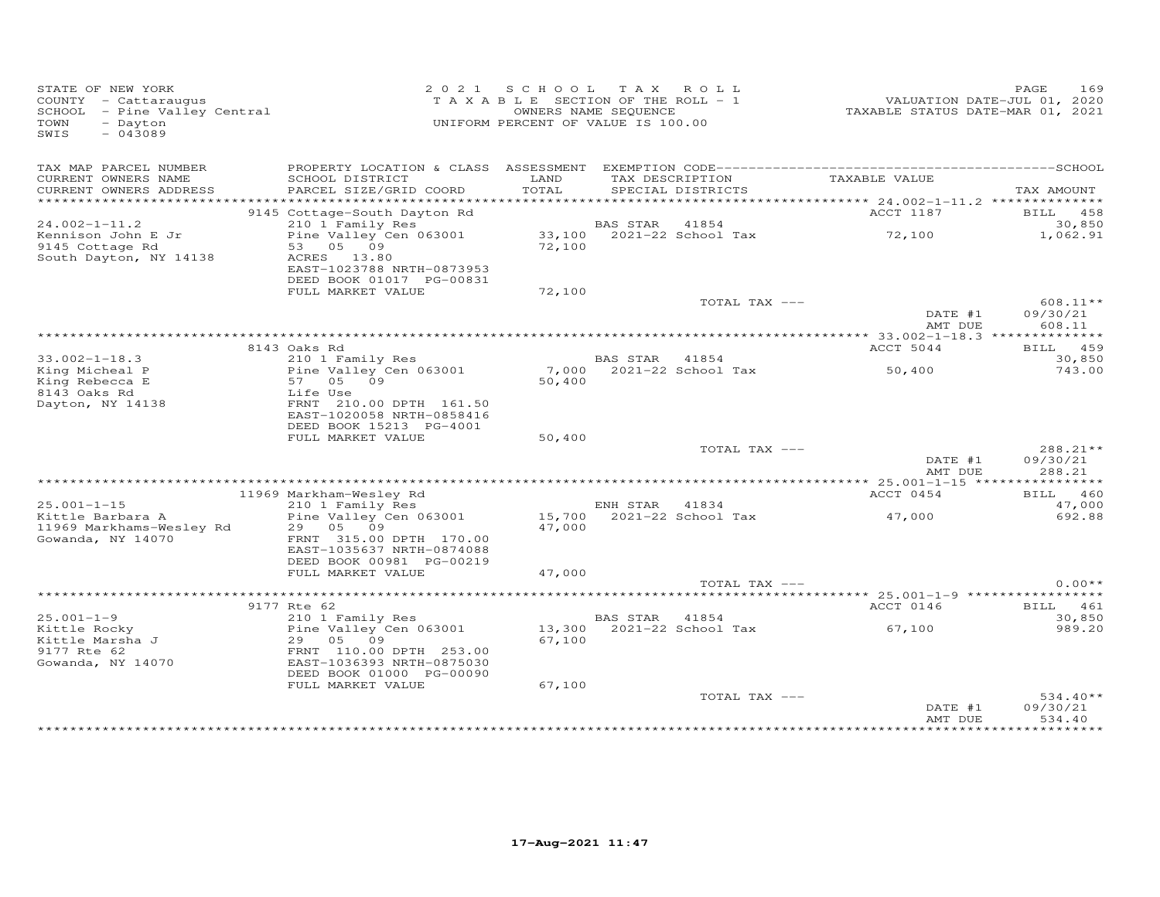| STATE OF NEW YORK<br>COUNTY - Cattaraugus<br>SCHOOL - Pine Valley Central<br>- Dayton<br>TOWN<br>$-043089$<br>SWIS |                                                                      | 2021 SCHOOL<br>TAXABLE SECTION OF THE ROLL - 1<br>UNIFORM PERCENT OF VALUE IS 100.00 | OWNERS NAME SEQUENCE | TAX ROLL                             | VALUATION DATE-JUL 01, 2020<br>TAXABLE STATUS DATE-MAR 01, 2021 | 169<br>PAGE        |
|--------------------------------------------------------------------------------------------------------------------|----------------------------------------------------------------------|--------------------------------------------------------------------------------------|----------------------|--------------------------------------|-----------------------------------------------------------------|--------------------|
| TAX MAP PARCEL NUMBER<br>CURRENT OWNERS NAME<br>CURRENT OWNERS ADDRESS                                             | SCHOOL DISTRICT<br>PARCEL SIZE/GRID COORD                            | LAND<br>TOTAL                                                                        |                      | TAX DESCRIPTION<br>SPECIAL DISTRICTS | TAXABLE VALUE                                                   | TAX AMOUNT         |
|                                                                                                                    |                                                                      |                                                                                      |                      |                                      |                                                                 |                    |
|                                                                                                                    | 9145 Cottage-South Dayton Rd                                         |                                                                                      |                      |                                      | ACCT 1187                                                       | BILL 458           |
| $24.002 - 1 - 11.2$<br>Kennison John E Jr                                                                          | 210 1 Family Res<br>Pine Valley Cen 063001                           |                                                                                      | BAS STAR             | 41854<br>33,100 2021-22 School Tax   | 72,100                                                          | 30,850<br>1,062.91 |
| 9145 Cottage Rd                                                                                                    | 53 05 09                                                             | 72,100                                                                               |                      |                                      |                                                                 |                    |
| South Dayton, NY 14138                                                                                             | ACRES 13.80<br>EAST-1023788 NRTH-0873953<br>DEED BOOK 01017 PG-00831 |                                                                                      |                      |                                      |                                                                 |                    |
|                                                                                                                    | FULL MARKET VALUE                                                    | 72,100                                                                               |                      |                                      |                                                                 |                    |
|                                                                                                                    |                                                                      |                                                                                      |                      | TOTAL TAX ---                        |                                                                 | $608.11**$         |
|                                                                                                                    |                                                                      |                                                                                      |                      |                                      | DATE #1<br>AMT DUE                                              | 09/30/21<br>608.11 |
|                                                                                                                    | 8143 Oaks Rd                                                         |                                                                                      |                      |                                      | ACCT 5044                                                       | BILL 459           |
| $33.002 - 1 - 18.3$                                                                                                | 210 1 Family Res                                                     |                                                                                      | BAS STAR             | 41854                                |                                                                 | 30,850             |
| King Micheal P                                                                                                     | Pine Valley Cen 063001                                               | 7,000                                                                                |                      | 2021-22 School Tax                   | 50,400                                                          | 743.00             |
| King Rebecca E                                                                                                     | 57<br>05<br>09                                                       | 50,400                                                                               |                      |                                      |                                                                 |                    |
| 8143 Oaks Rd<br>Dayton, NY 14138                                                                                   | Life Use<br>FRNT 210.00 DPTH 161.50                                  |                                                                                      |                      |                                      |                                                                 |                    |
|                                                                                                                    | EAST-1020058 NRTH-0858416                                            |                                                                                      |                      |                                      |                                                                 |                    |
|                                                                                                                    | DEED BOOK 15213 PG-4001                                              |                                                                                      |                      |                                      |                                                                 |                    |
|                                                                                                                    | FULL MARKET VALUE                                                    | 50,400                                                                               |                      |                                      |                                                                 |                    |
|                                                                                                                    |                                                                      |                                                                                      |                      | TOTAL TAX ---                        |                                                                 | 288.21**           |
|                                                                                                                    |                                                                      |                                                                                      |                      |                                      | DATE #1<br>AMT DUE                                              | 09/30/21<br>288.21 |
|                                                                                                                    |                                                                      |                                                                                      |                      |                                      |                                                                 |                    |
|                                                                                                                    | 11969 Markham-Wesley Rd                                              |                                                                                      |                      |                                      | ACCT 0454                                                       | <b>BILL</b> 460    |
| $25.001 - 1 - 15$                                                                                                  | 210 1 Family Res                                                     |                                                                                      | ENH STAR 41834       |                                      |                                                                 | 47,000             |
| Kittle Barbara A                                                                                                   | Pine Valley Cen 063001                                               |                                                                                      |                      | 15,700 2021-22 School Tax            | 47,000                                                          | 692.88             |
| 11969 Markhams-Wesley Rd<br>Gowanda, NY 14070                                                                      | 29 05<br>09<br>FRNT 315.00 DPTH 170.00                               | 47,000                                                                               |                      |                                      |                                                                 |                    |
|                                                                                                                    | EAST-1035637 NRTH-0874088                                            |                                                                                      |                      |                                      |                                                                 |                    |
|                                                                                                                    | DEED BOOK 00981 PG-00219                                             |                                                                                      |                      |                                      |                                                                 |                    |
|                                                                                                                    | FULL MARKET VALUE                                                    | 47,000                                                                               |                      |                                      |                                                                 |                    |
|                                                                                                                    |                                                                      |                                                                                      |                      | TOTAL TAX ---                        |                                                                 | $0.00**$           |
|                                                                                                                    | 9177 Rte 62                                                          |                                                                                      |                      |                                      | ACCT 0146                                                       | BILL 461           |
| $25.001 - 1 - 9$                                                                                                   | 210 1 Family Res                                                     |                                                                                      | BAS STAR             | 41854                                |                                                                 | 30,850             |
| Kittle Rocky                                                                                                       | Pine Valley Cen 063001                                               |                                                                                      |                      | 13,300 2021-22 School Tax            | 67,100                                                          | 989.20             |
| Kittle Marsha J                                                                                                    | 29<br>05 09                                                          | 67,100                                                                               |                      |                                      |                                                                 |                    |
| 9177 Rte 62                                                                                                        | FRNT 110.00 DPTH 253.00                                              |                                                                                      |                      |                                      |                                                                 |                    |
| Gowanda, NY 14070                                                                                                  | EAST-1036393 NRTH-0875030                                            |                                                                                      |                      |                                      |                                                                 |                    |
|                                                                                                                    | DEED BOOK 01000 PG-00090<br>FULL MARKET VALUE                        | 67,100                                                                               |                      |                                      |                                                                 |                    |
|                                                                                                                    |                                                                      |                                                                                      |                      | TOTAL TAX ---                        |                                                                 | $534.40**$         |
|                                                                                                                    |                                                                      |                                                                                      |                      |                                      | DATE #1                                                         | 09/30/21           |
|                                                                                                                    |                                                                      |                                                                                      |                      |                                      | AMT DUE                                                         | 534.40             |
|                                                                                                                    |                                                                      |                                                                                      |                      |                                      |                                                                 |                    |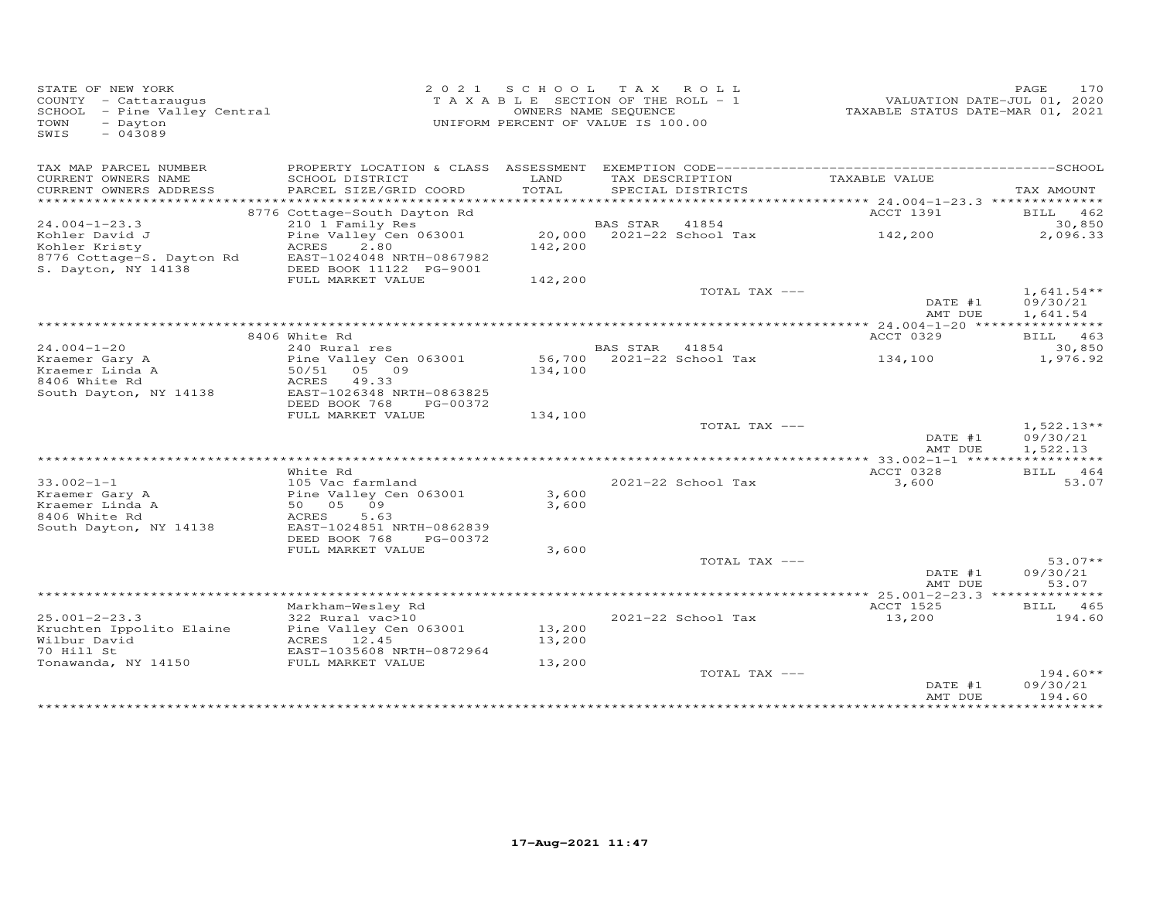| STATE OF NEW YORK<br>COUNTY - Cattaraugus<br>SCHOOL - Pine Valley Central<br>- Dayton<br>TOWN<br>$-043089$<br>SWIS |                                                         | 2021 SCHOOL TAX ROLL<br>TAXABLE SECTION OF THE ROLL - 1<br>UNIFORM PERCENT OF VALUE IS 100.00 | OWNERS NAME SEQUENCE |                           | VALUATION DATE-JUL 01, 2020<br>TAXABLE STATUS DATE-MAR 01, 2021 | PAGE<br>170                          |
|--------------------------------------------------------------------------------------------------------------------|---------------------------------------------------------|-----------------------------------------------------------------------------------------------|----------------------|---------------------------|-----------------------------------------------------------------|--------------------------------------|
| TAX MAP PARCEL NUMBER<br>CURRENT OWNERS NAME                                                                       | SCHOOL DISTRICT                                         | LAND                                                                                          |                      | TAX DESCRIPTION           | TAXABLE VALUE                                                   |                                      |
| CURRENT OWNERS ADDRESS<br>**********************                                                                   | PARCEL SIZE/GRID COORD                                  | TOTAL                                                                                         |                      | SPECIAL DISTRICTS         |                                                                 | TAX AMOUNT                           |
|                                                                                                                    | 8776 Cottage-South Dayton Rd                            |                                                                                               |                      |                           | ACCT 1391                                                       | BILL 462                             |
| $24.004 - 1 - 23.3$                                                                                                | 210 1 Family Res                                        |                                                                                               | BAS STAR 41854       |                           |                                                                 | 30,850                               |
| Kohler David J                                                                                                     | Pine Valley Cen 063001                                  |                                                                                               |                      |                           | 20,000 2021-22 School Tax 142,200                               | 2,096.33                             |
| Kohler Kristy                                                                                                      | ACRES 2.80                                              | 142,200                                                                                       |                      |                           |                                                                 |                                      |
| 8776 Cottage-S. Dayton Rd<br>S. Dayton, NY 14139<br>S. Dayton, NY 14138                                            | EAST-1024048 NRTH-0867982<br>DEED BOOK 11122 PG-9001    |                                                                                               |                      |                           |                                                                 |                                      |
|                                                                                                                    | FULL MARKET VALUE                                       | 142,200                                                                                       |                      |                           |                                                                 |                                      |
|                                                                                                                    |                                                         |                                                                                               |                      | TOTAL TAX ---             | DATE #1<br>AMT DUE                                              | $1,641.54**$<br>09/30/21<br>1,641.54 |
|                                                                                                                    |                                                         |                                                                                               |                      |                           |                                                                 |                                      |
|                                                                                                                    | 8406 White Rd                                           |                                                                                               |                      |                           | ACCT 0329                                                       | BILL 463                             |
| $24.004 - 1 - 20$                                                                                                  | 240 Rural res                                           |                                                                                               | BAS STAR 41854       |                           |                                                                 | 30,850                               |
| Kraemer Gary A                                                                                                     | Pine Valley Cen 063001<br>Pine $\frac{1}{50}{51}$ 05 09 |                                                                                               |                      | 56,700 2021-22 School Tax | 134,100                                                         | 1,976.92                             |
| Kraemer Linda A<br>8406 White Rd                                                                                   | ACRES 49.33                                             | 134,100                                                                                       |                      |                           |                                                                 |                                      |
| South Dayton, NY 14138                                                                                             | EAST-1026348 NRTH-0863825                               |                                                                                               |                      |                           |                                                                 |                                      |
|                                                                                                                    | DEED BOOK 768<br>PG-00372                               |                                                                                               |                      |                           |                                                                 |                                      |
|                                                                                                                    | FULL MARKET VALUE                                       | 134,100                                                                                       |                      |                           |                                                                 |                                      |
|                                                                                                                    |                                                         |                                                                                               |                      | TOTAL TAX ---             |                                                                 | $1,522.13**$                         |
|                                                                                                                    |                                                         |                                                                                               |                      |                           | DATE #1                                                         | 09/30/21                             |
|                                                                                                                    |                                                         |                                                                                               |                      |                           | AMT DUE                                                         | 1,522.13                             |
|                                                                                                                    | White Rd                                                |                                                                                               |                      |                           | ACCT 0328                                                       | BILL 464                             |
| $33.002 - 1 - 1$                                                                                                   | 105 Vac farmland                                        |                                                                                               |                      | 2021-22 School Tax        | 3,600                                                           | 53.07                                |
| Kraemer Gary A                                                                                                     | Pine Valley Cen 063001                                  | 3,600                                                                                         |                      |                           |                                                                 |                                      |
| Kraemer Linda A                                                                                                    | Pine Valley C<br>50 05 09                               | 3,600                                                                                         |                      |                           |                                                                 |                                      |
| 8406 White Rd                                                                                                      | 5.63<br>ACRES                                           |                                                                                               |                      |                           |                                                                 |                                      |
| South Dayton, NY 14138                                                                                             | EAST-1024851 NRTH-0862839                               |                                                                                               |                      |                           |                                                                 |                                      |
|                                                                                                                    | DEED BOOK 768 PG-00372<br>FULL MARKET VALUE             | 3,600                                                                                         |                      |                           |                                                                 |                                      |
|                                                                                                                    |                                                         |                                                                                               |                      | TOTAL TAX ---             |                                                                 | $53.07**$                            |
|                                                                                                                    |                                                         |                                                                                               |                      |                           | DATE #1<br>AMT DUE                                              | 09/30/21<br>53.07                    |
|                                                                                                                    |                                                         |                                                                                               |                      |                           |                                                                 |                                      |
|                                                                                                                    | Markham-Wesley Rd                                       |                                                                                               |                      |                           | ACCT 1525                                                       | BILL 465                             |
| $25.001 - 2 - 23.3$                                                                                                | 322 Rural vac>10                                        |                                                                                               |                      | 2021-22 School Tax        | 13,200                                                          | 194.60                               |
| Kruchten Ippolito Elaine Pine Valley Cen 063001                                                                    |                                                         | 13,200                                                                                        |                      |                           |                                                                 |                                      |
| Wilbur David<br>70 Hill St                                                                                         | ACRES 12.45<br>EAST-1035608 NRTH-0872964                | 13,200                                                                                        |                      |                           |                                                                 |                                      |
| Tonawanda, NY 14150 FULL MARKET VALUE                                                                              |                                                         | 13,200                                                                                        |                      |                           |                                                                 |                                      |
|                                                                                                                    |                                                         |                                                                                               |                      | TOTAL TAX ---             |                                                                 | $194.60**$                           |
|                                                                                                                    |                                                         |                                                                                               |                      |                           | DATE #1                                                         | 09/30/21                             |
|                                                                                                                    |                                                         |                                                                                               |                      |                           | AMT DUE                                                         | 194.60                               |
|                                                                                                                    |                                                         |                                                                                               |                      |                           |                                                                 | ***********                          |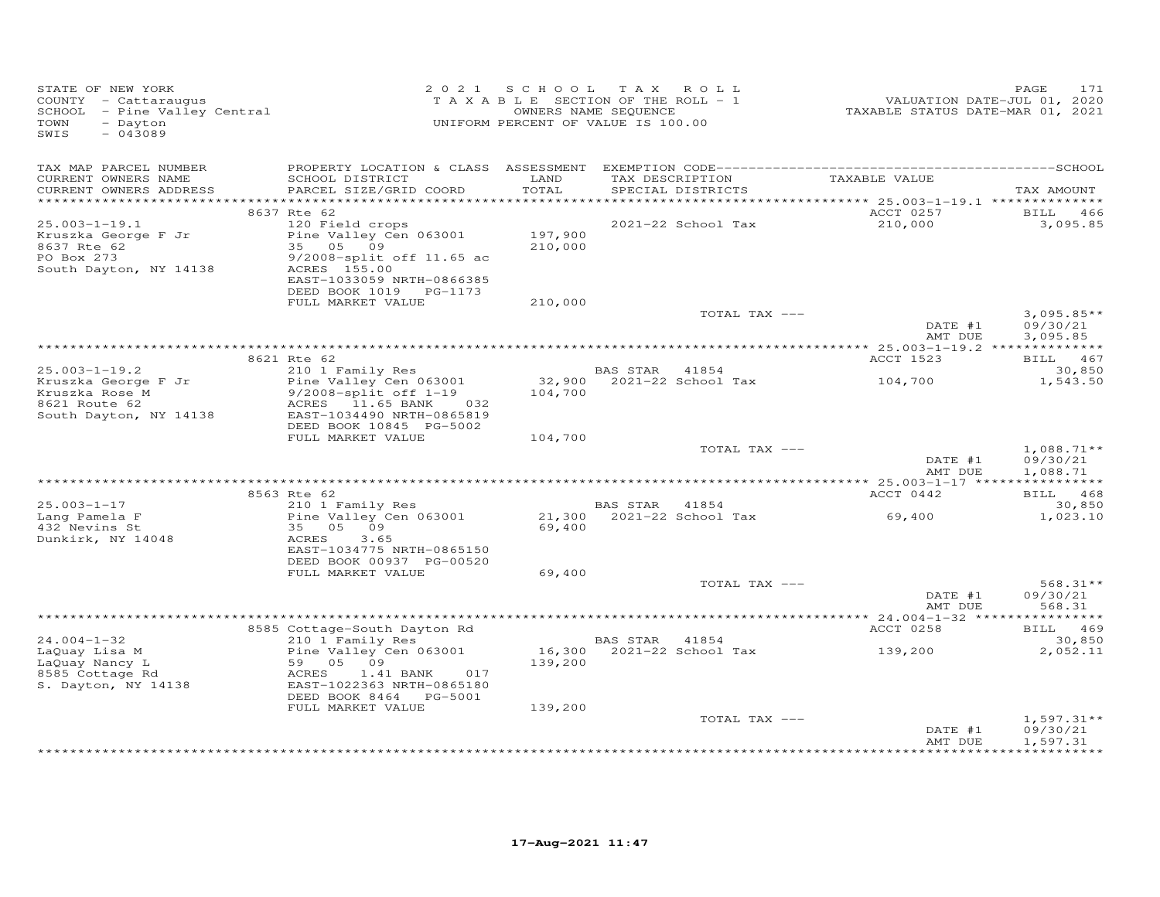| STATE OF NEW YORK<br>COUNTY - Cattaraugus<br>SCHOOL - Pine Valley Central<br>TOWN<br>- Dayton<br>$-043089$<br>SWIS |                                                                                                                                            | 2021 SCHOOL TAX ROLL<br>TAXABLE SECTION OF THE ROLL - 1<br>OWNERS NAME SEQUENCE<br>UNIFORM PERCENT OF VALUE IS 100.00 |                |                           | TAXABLE STATUS DATE-MAR 01, 2021 | 171<br>PAGE<br>VALUATION DATE-JUL 01, 2020 |
|--------------------------------------------------------------------------------------------------------------------|--------------------------------------------------------------------------------------------------------------------------------------------|-----------------------------------------------------------------------------------------------------------------------|----------------|---------------------------|----------------------------------|--------------------------------------------|
| TAX MAP PARCEL NUMBER<br>CURRENT OWNERS NAME<br>CURRENT OWNERS ADDRESS                                             | SCHOOL DISTRICT<br>PARCEL SIZE/GRID COORD                                                                                                  | LAND<br>TOTAL                                                                                                         |                | SPECIAL DISTRICTS         | TAX DESCRIPTION TAXABLE VALUE    | TAX AMOUNT                                 |
|                                                                                                                    |                                                                                                                                            |                                                                                                                       |                |                           |                                  |                                            |
|                                                                                                                    | 8637 Rte 62                                                                                                                                |                                                                                                                       |                |                           | ACCT 0257                        | BILL 466                                   |
| $25.003 - 1 - 19.1$<br>Kruszka George F Jr<br>8637 Rte 62<br>PO Box 273<br>South Dayton, NY 14138                  | 120 Field crops<br>Pine Valley Cen 063001<br>35 05 09<br>9/2008-split off 11.65 ac<br>ACRES 155.00<br>EAST-1033059 NRTH-0866385            | 197,900<br>210,000                                                                                                    |                | 2021-22 School Tax        | 210,000                          | 3,095.85                                   |
|                                                                                                                    | DEED BOOK 1019 PG-1173<br>FULL MARKET VALUE                                                                                                | 210,000                                                                                                               |                |                           |                                  |                                            |
|                                                                                                                    |                                                                                                                                            |                                                                                                                       |                | TOTAL TAX ---             | DATE #1                          | $3,095.85**$<br>09/30/21                   |
|                                                                                                                    |                                                                                                                                            |                                                                                                                       |                |                           | AMT DUE                          | 3,095.85                                   |
|                                                                                                                    | 8621 Rte 62                                                                                                                                |                                                                                                                       |                |                           | ACCT 1523                        | BILL 467                                   |
| $25.003 - 1 - 19.2$                                                                                                | 210 1 Family Res                                                                                                                           |                                                                                                                       | BAS STAR 41854 |                           |                                  | 30,850                                     |
| Kruszka George F Jr<br>Kruszka Rose M<br>8621 Route 62<br>South Dayton, NY 14138                                   | Pine Valley Cen 063001<br>9/2008-split off 1-19<br>ACRES 11.65 BANK<br>032<br>EAST-1034490 NRTH-0865819                                    | 104,700                                                                                                               |                | 32,900 2021-22 School Tax | 104,700                          | 1,543.50                                   |
|                                                                                                                    | DEED BOOK 10845 PG-5002<br>FULL MARKET VALUE                                                                                               | 104,700                                                                                                               |                |                           |                                  |                                            |
|                                                                                                                    |                                                                                                                                            |                                                                                                                       |                | TOTAL TAX ---             | DATE #1<br>AMT DUE               | $1,088.71**$<br>09/30/21<br>1,088.71       |
|                                                                                                                    |                                                                                                                                            |                                                                                                                       |                |                           |                                  |                                            |
|                                                                                                                    | 8563 Rte 62                                                                                                                                |                                                                                                                       |                |                           | ACCT 0442                        | BILL 468                                   |
| $25.003 - 1 - 17$<br>Lang Pamela F<br>432 Nevins St<br>Dunkirk, NY 14048                                           | 210 1 Family Res<br>Pine Valley Cen 063001<br>35 05 09<br>ACRES<br>3.65                                                                    | 69,400                                                                                                                | BAS STAR 41854 | 21,300 2021-22 School Tax | 69,400                           | 30,850<br>1,023.10                         |
|                                                                                                                    | EAST-1034775 NRTH-0865150<br>DEED BOOK 00937 PG-00520                                                                                      |                                                                                                                       |                |                           |                                  |                                            |
|                                                                                                                    | FULL MARKET VALUE                                                                                                                          | 69,400                                                                                                                |                |                           |                                  |                                            |
|                                                                                                                    |                                                                                                                                            |                                                                                                                       |                | TOTAL TAX ---             | DATE #1<br>AMT DUE               | 568.31**<br>09/30/21<br>568.31             |
|                                                                                                                    |                                                                                                                                            |                                                                                                                       |                |                           |                                  |                                            |
|                                                                                                                    | 8585 Cottage-South Dayton Rd                                                                                                               |                                                                                                                       |                |                           | ACCT 0258                        | BILL 469                                   |
| $24.004 - 1 - 32$<br>LaQuay Lisa M<br>LaQuay Nancy L<br>8585 Cottage Rd<br>S. Dayton, NY 14138                     | 210 1 Family Res<br>Pine Valley Cen 063001<br>59 05 09<br>ACRES<br>1.41 BANK<br>017<br>EAST-1022363 NRTH-0865180<br>DEED BOOK 8464 PG-5001 | 139,200                                                                                                               | BAS STAR 41854 | 16,300 2021-22 School Tax | 139,200                          | 30,850<br>2,052.11                         |
|                                                                                                                    | FULL MARKET VALUE                                                                                                                          | 139,200                                                                                                               |                |                           |                                  |                                            |
|                                                                                                                    |                                                                                                                                            |                                                                                                                       |                | TOTAL TAX ---             | DATE #1<br>AMT DUE               | $1,597.31**$<br>09/30/21<br>1,597.31       |
|                                                                                                                    |                                                                                                                                            |                                                                                                                       |                |                           |                                  |                                            |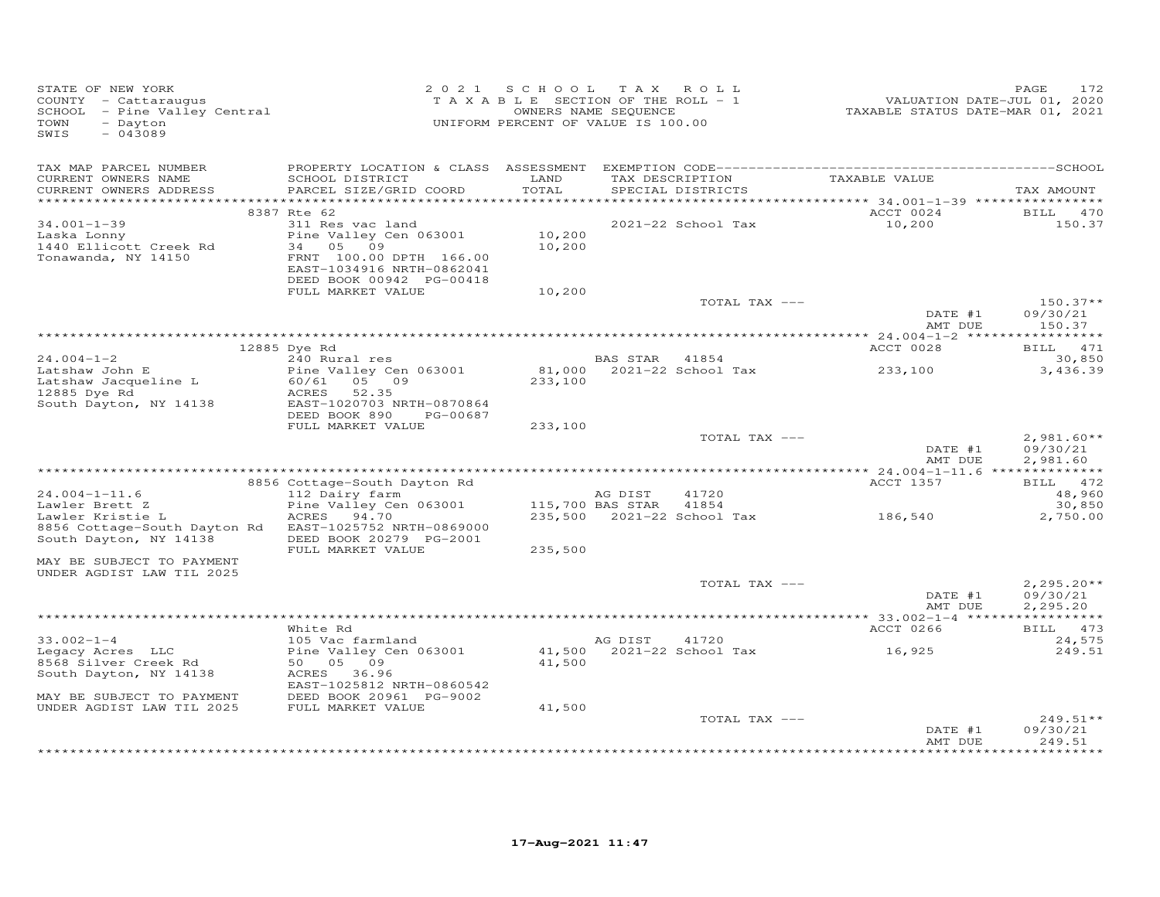| STATE OF NEW YORK<br>COUNTY - Cattaraugus<br>SCHOOL - Pine Valley Central<br>- Dayton<br>TOWN<br>$-043089$<br>SWIS |                                                                                                                                                                                      | 2021 SCHOOL TAX ROLL<br>TAXABLE SECTION OF THE ROLL - 1<br>OWNERS NAME SEQUENCE<br>UNIFORM PERCENT OF VALUE IS 100.00 |                             |                                              | VALUATION DATE-JUL 01, 2020<br>TAXABLE STATUS DATE-MAR 01, 2021 | PAGE<br>172                              |
|--------------------------------------------------------------------------------------------------------------------|--------------------------------------------------------------------------------------------------------------------------------------------------------------------------------------|-----------------------------------------------------------------------------------------------------------------------|-----------------------------|----------------------------------------------|-----------------------------------------------------------------|------------------------------------------|
| TAX MAP PARCEL NUMBER<br>CURRENT OWNERS NAME<br>CURRENT OWNERS ADDRESS                                             | SCHOOL DISTRICT<br>PARCEL SIZE/GRID COORD                                                                                                                                            | LAND<br>TOTAL                                                                                                         |                             | TAX DESCRIPTION<br>SPECIAL DISTRICTS         | TAXABLE VALUE                                                   | TAX AMOUNT                               |
| $34.001 - 1 - 39$<br>Laska Lonny<br>1440 Ellicott Creek Rd<br>Tonawanda, NY 14150                                  | 8387 Rte 62<br>311 Res vac land<br>Pine Valley Cen 063001<br>05<br>09<br>34<br>FRNT 100.00 DPTH 166.00<br>EAST-1034916 NRTH-0862041<br>DEED BOOK 00942 PG-00418<br>FULL MARKET VALUE | 10,200<br>10,200<br>10,200                                                                                            |                             | 2021-22 School Tax                           | ACCT 0024<br>10,200                                             | BILL<br>470<br>150.37                    |
|                                                                                                                    |                                                                                                                                                                                      |                                                                                                                       |                             | TOTAL TAX ---                                | DATE #1<br>AMT DUE                                              | $150.37**$<br>09/30/21<br>150.37         |
|                                                                                                                    |                                                                                                                                                                                      |                                                                                                                       |                             |                                              |                                                                 |                                          |
|                                                                                                                    | 12885 Dye Rd                                                                                                                                                                         |                                                                                                                       |                             |                                              | ACCT 0028                                                       | BILL 471                                 |
| $24.004 - 1 - 2$<br>Latshaw John E<br>Latshaw Jacqueline L                                                         | 240 Rural res<br>Pine Valley Cen 063001<br>05 09<br>60/61                                                                                                                            | 233,100                                                                                                               | BAS STAR 41854              | 81,000 2021-22 School Tax                    | 233,100                                                         | 30,850<br>3,436.39                       |
| 12885 Dye Rd<br>South Dayton, NY 14138                                                                             | ACRES<br>52.35<br>EAST-1020703 NRTH-0870864<br>DEED BOOK 890<br>PG-00687<br>FULL MARKET VALUE                                                                                        | 233,100                                                                                                               |                             |                                              |                                                                 |                                          |
|                                                                                                                    |                                                                                                                                                                                      |                                                                                                                       |                             | TOTAL TAX ---                                | DATE #1<br>AMT DUE                                              | $2,981.60**$<br>09/30/21<br>2,981.60     |
|                                                                                                                    |                                                                                                                                                                                      |                                                                                                                       |                             |                                              |                                                                 |                                          |
| $24.004 - 1 - 11.6$<br>Lawler Brett Z<br>Lawler Kristie L<br>8856 Cottage-South Dayton Rd                          | 8856 Cottage-South Dayton Rd<br>112 Dairy farm<br>Pine Valley Cen 063001<br>ACRES<br>94.70<br>EAST-1025752 NRTH-0869000                                                              |                                                                                                                       | AG DIST<br>115,700 BAS STAR | 41720<br>41854<br>235,500 2021-22 School Tax | ACCT 1357<br>186,540                                            | BILL 472<br>48,960<br>30,850<br>2,750.00 |
| South Dayton, NY 14138                                                                                             | DEED BOOK 20279 PG-2001<br>FULL MARKET VALUE                                                                                                                                         | 235,500                                                                                                               |                             |                                              |                                                                 |                                          |
| MAY BE SUBJECT TO PAYMENT<br>UNDER AGDIST LAW TIL 2025                                                             |                                                                                                                                                                                      |                                                                                                                       |                             |                                              |                                                                 |                                          |
|                                                                                                                    |                                                                                                                                                                                      |                                                                                                                       |                             | TOTAL TAX ---                                | DATE #1<br>AMT DUE                                              | $2,295.20**$<br>09/30/21<br>2,295.20     |
|                                                                                                                    |                                                                                                                                                                                      |                                                                                                                       |                             |                                              |                                                                 |                                          |
|                                                                                                                    | White Rd                                                                                                                                                                             |                                                                                                                       |                             |                                              | ACCT 0266                                                       | BILL 473                                 |
| $33.002 - 1 - 4$<br>Legacy Acres LLC<br>8568 Silver Creek Rd<br>South Dayton, NY 14138                             | 105 Vac farmland<br>Pine Valley Cen 063001<br>50 05 09<br>ACRES<br>36.96<br>EAST-1025812 NRTH-0860542                                                                                | 41,500<br>41,500                                                                                                      | AG DIST                     | 41720<br>2021-22 School Tax                  | 16,925                                                          | 24,575<br>249.51                         |
| MAY BE SUBJECT TO PAYMENT<br>UNDER AGDIST LAW TIL 2025                                                             | DEED BOOK 20961 PG-9002<br>FULL MARKET VALUE                                                                                                                                         | 41,500                                                                                                                |                             | TOTAL TAX ---                                | DATE #1                                                         | $249.51**$<br>09/30/21                   |
|                                                                                                                    |                                                                                                                                                                                      |                                                                                                                       |                             |                                              | AMT DUE                                                         | 249.51                                   |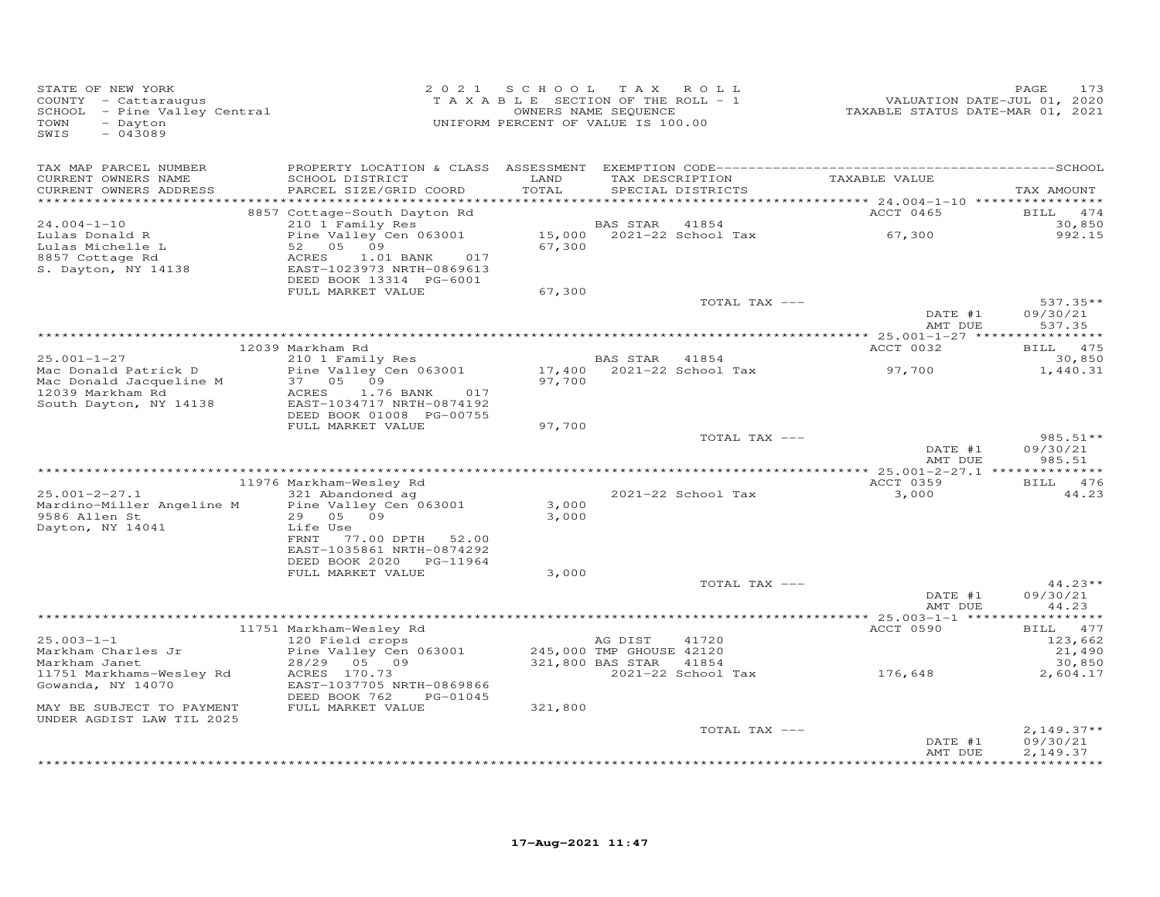| TAX MAP PARCEL NUMBER<br>TAXABLE VALUE<br>CURRENT OWNERS NAME<br>SCHOOL DISTRICT<br>LAND<br>TAX DESCRIPTION                                                                                                                                    | TAX AMOUNT<br>BILL 474<br>30,850<br>992.15 |
|------------------------------------------------------------------------------------------------------------------------------------------------------------------------------------------------------------------------------------------------|--------------------------------------------|
|                                                                                                                                                                                                                                                |                                            |
| CURRENT OWNERS ADDRESS<br>PARCEL SIZE/GRID COORD<br>TOTAL<br>SPECIAL DISTRICTS<br>*****************<br>********************                                                                                                                    |                                            |
| *********** 24.004-1-10 *****************<br>ACCT 0465<br>8857 Cottage-South Dayton Rd                                                                                                                                                         |                                            |
| $24.004 - 1 - 10$<br>210 1 Family Res<br>BAS STAR<br>41854<br>Pine Valley Cen 063001<br>15,000 2021-22 School Tax<br>67,300<br>Lulas Donald R<br>52 05<br>09<br>67,300<br>Lulas Michelle L                                                     |                                            |
| 8857 Cottage Rd<br>ACRES<br>1.01 BANK<br>017<br>S. Dayton, NY 14138<br>EAST-1023973 NRTH-0869613<br>DEED BOOK 13314 PG-6001                                                                                                                    |                                            |
| FULL MARKET VALUE<br>67,300                                                                                                                                                                                                                    |                                            |
| TOTAL TAX ---<br>DATE #1                                                                                                                                                                                                                       | $537.35**$<br>09/30/21                     |
| AMT DUE                                                                                                                                                                                                                                        | 537.35                                     |
| 12039 Markham Rd<br>ACCT 0032                                                                                                                                                                                                                  | BILL 475                                   |
| 210 1 Family Res<br>$25.001 - 1 - 27$<br>BAS STAR 41854                                                                                                                                                                                        | 30,850                                     |
| 17,400 2021-22 School Tax<br>Mac Donald Patrick D<br>Pine Valley Cen 063001<br>97,700<br>Mac Donald Jacqueline M<br>37 05 09<br>97,700<br>12039 Markham Rd<br>ACRES<br>1.76 BANK<br>017<br>South Dayton, NY 14138<br>EAST-1034717 NRTH-0874192 | 1,440.31                                   |
| DEED BOOK 01008 PG-00755                                                                                                                                                                                                                       |                                            |
| FULL MARKET VALUE<br>97,700<br>TOTAL TAX ---<br>DATE #1                                                                                                                                                                                        | $985.51**$<br>09/30/21                     |
| AMT DUE                                                                                                                                                                                                                                        | 985.51                                     |
|                                                                                                                                                                                                                                                | BILL 476                                   |
| 11976 Markham-Wesley Rd<br>ACCT 0359<br>$25.001 - 2 - 27.1$<br>321 Abandoned ag<br>2021-22 School Tax<br>3,000                                                                                                                                 | 44.23                                      |
| 3,000<br>Mardino-Miller Angeline M<br>Pine Valley Cen 063001                                                                                                                                                                                   |                                            |
| 9586 Allen St<br>29 05 09<br>3,000<br>Dayton, NY 14041<br>Life Use                                                                                                                                                                             |                                            |
| FRNT<br>77.00 DPTH<br>52.00<br>EAST-1035861 NRTH-0874292<br>DEED BOOK 2020 PG-11964                                                                                                                                                            |                                            |
| FULL MARKET VALUE<br>3,000                                                                                                                                                                                                                     |                                            |
| TOTAL TAX ---                                                                                                                                                                                                                                  | $44.23**$                                  |
| DATE #1                                                                                                                                                                                                                                        | 09/30/21                                   |
| AMT DUE                                                                                                                                                                                                                                        | 44.23<br>***********                       |
| ACCT 0590<br>11751 Markham-Wesley Rd                                                                                                                                                                                                           | BILL 477                                   |
| $25.003 - 1 - 1$<br>120 Field crops<br>AG DIST<br>41720                                                                                                                                                                                        | 123,662                                    |
| Pine Valley Cen 063001<br>245,000 TMP GHOUSE 42120<br>Markham Charles Jr                                                                                                                                                                       | 21,490                                     |
| 321,800 BAS STAR<br>28/29<br>05 09<br>41854<br>Markham Janet<br>176,648<br>2021-22 School Tax<br>ACRES 170.73<br>11751 Markhams-Wesley Rd                                                                                                      | 30,850<br>2,604.17                         |
| EAST-1037705 NRTH-0869866<br>Gowanda, NY 14070<br>DEED BOOK 762<br>PG-01045                                                                                                                                                                    |                                            |
| FULL MARKET VALUE<br>321,800<br>MAY BE SUBJECT TO PAYMENT<br>UNDER AGDIST LAW TIL 2025                                                                                                                                                         |                                            |
| TOTAL TAX ---                                                                                                                                                                                                                                  | $2,149.37**$                               |
| DATE #1<br>AMT DUE                                                                                                                                                                                                                             | 09/30/21<br>2,149.37                       |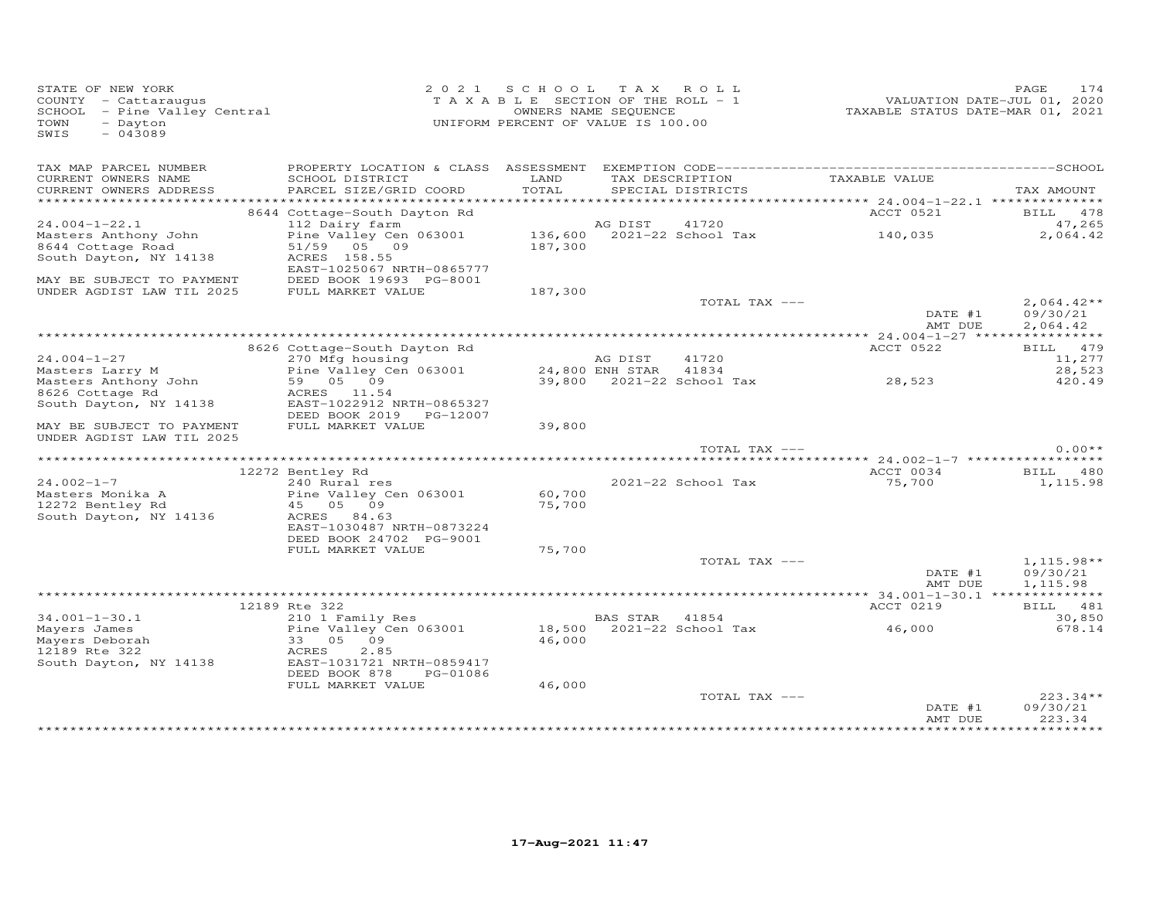| STATE OF NEW YORK<br>COUNTY - Cattaraugus<br>SCHOOL - Pine Valley Central<br>TOWN<br>- Dayton<br>$-043089$<br>SWIS |                                              | 2021 SCHOOL TAX ROLL<br>TAXABLE SECTION OF THE ROLL - 1<br>UNIFORM PERCENT OF VALUE IS 100.00 | OWNERS NAME SEQUENCE |                                             | VALUATION DATE-JUL 01, 2020<br>TAXABLE STATUS DATE-MAR 01, 2021 | PAGE       | 174             |
|--------------------------------------------------------------------------------------------------------------------|----------------------------------------------|-----------------------------------------------------------------------------------------------|----------------------|---------------------------------------------|-----------------------------------------------------------------|------------|-----------------|
| TAX MAP PARCEL NUMBER<br>CURRENT OWNERS NAME                                                                       | SCHOOL DISTRICT                              | LAND                                                                                          |                      | TAX DESCRIPTION                             | TAXABLE VALUE                                                   |            |                 |
| CURRENT OWNERS ADDRESS                                                                                             | PARCEL SIZE/GRID COORD                       | TOTAL                                                                                         |                      | SPECIAL DISTRICTS                           |                                                                 | TAX AMOUNT |                 |
|                                                                                                                    |                                              |                                                                                               |                      |                                             |                                                                 |            |                 |
|                                                                                                                    | 8644 Cottage-South Dayton Rd                 |                                                                                               |                      |                                             | ACCT 0521                                                       |            | <b>BILL</b> 478 |
| $24.004 - 1 - 22.1$                                                                                                | 112 Dairy farm                               |                                                                                               | AG DIST              | 41720                                       |                                                                 |            | 47,265          |
| Masters Anthony John<br>8644 Cottage Road                                                                          | Pine Valley Cen 063001<br>51/59 05 09        | 187,300                                                                                       |                      | 136,600 2021-22 School Tax                  | 140,035                                                         |            | 2,064.42        |
| South Dayton, NY 14138                                                                                             | ACRES 158.55                                 |                                                                                               |                      |                                             |                                                                 |            |                 |
|                                                                                                                    | EAST-1025067 NRTH-0865777                    |                                                                                               |                      |                                             |                                                                 |            |                 |
| MAY BE SUBJECT TO PAYMENT                                                                                          | DEED BOOK 19693 PG-8001                      |                                                                                               |                      |                                             |                                                                 |            |                 |
| UNDER AGDIST LAW TIL 2025                                                                                          | FULL MARKET VALUE                            | 187,300                                                                                       |                      |                                             |                                                                 |            |                 |
|                                                                                                                    |                                              |                                                                                               |                      | TOTAL TAX ---                               |                                                                 |            | $2,064.42**$    |
|                                                                                                                    |                                              |                                                                                               |                      |                                             | DATE #1                                                         |            | 09/30/21        |
|                                                                                                                    |                                              |                                                                                               |                      |                                             | AMT DUE                                                         |            | 2,064.42        |
|                                                                                                                    | 8626 Cottage-South Dayton Rd                 |                                                                                               |                      |                                             | ACCT 0522                                                       |            | BILL 479        |
| $24.004 - 1 - 27$                                                                                                  | 270 Mfg housing                              |                                                                                               | AG DIST              | 41720                                       |                                                                 |            | 11,277          |
| Masters Larry M                                                                                                    | Pine Valley Cen 063001                       |                                                                                               |                      |                                             |                                                                 |            | 28,523          |
| Masters Anthony John                                                                                               | 59 05 09                                     |                                                                                               |                      |                                             | 24,800 ENH STAR 41834<br>39,800 2021-22 School Tax 28,523       |            | 420.49          |
| 8626 Cottage Rd                                                                                                    | ACRES 11.54                                  |                                                                                               |                      |                                             |                                                                 |            |                 |
| South Dayton, NY 14138                                                                                             | EAST-1022912 NRTH-0865327                    |                                                                                               |                      |                                             |                                                                 |            |                 |
| MAY BE SUBJECT TO PAYMENT                                                                                          | DEED BOOK 2019 PG-12007<br>FULL MARKET VALUE | 39,800                                                                                        |                      |                                             |                                                                 |            |                 |
| UNDER AGDIST LAW TIL 2025                                                                                          |                                              |                                                                                               |                      |                                             |                                                                 |            |                 |
|                                                                                                                    |                                              |                                                                                               |                      | TOTAL TAX ---                               |                                                                 |            | $0.00**$        |
|                                                                                                                    |                                              |                                                                                               |                      |                                             |                                                                 |            |                 |
|                                                                                                                    | 12272 Bentley Rd                             |                                                                                               |                      |                                             | ACCT 0034                                                       |            | BILL 480        |
| $24.002 - 1 - 7$                                                                                                   | 240 Rural res                                |                                                                                               |                      | 2021-22 School Tax                          | 75,700                                                          |            | 1,115.98        |
| Masters Monika A                                                                                                   | Pine Valley Cen 063001                       | 60,700                                                                                        |                      |                                             |                                                                 |            |                 |
| 12272 Bentley Rd<br>South Dayton, NY 14136                                                                         | 45 05 09<br>ACRES 84.63                      | 75,700                                                                                        |                      |                                             |                                                                 |            |                 |
|                                                                                                                    | EAST-1030487 NRTH-0873224                    |                                                                                               |                      |                                             |                                                                 |            |                 |
|                                                                                                                    | DEED BOOK 24702 PG-9001                      |                                                                                               |                      |                                             |                                                                 |            |                 |
|                                                                                                                    | FULL MARKET VALUE                            | 75,700                                                                                        |                      |                                             |                                                                 |            |                 |
|                                                                                                                    |                                              |                                                                                               |                      | TOTAL TAX ---                               |                                                                 |            | $1,115.98**$    |
|                                                                                                                    |                                              |                                                                                               |                      |                                             | DATE #1                                                         |            | 09/30/21        |
|                                                                                                                    |                                              |                                                                                               |                      |                                             | AMT DUE                                                         |            | 1,115.98        |
|                                                                                                                    | 12189 Rte 322                                |                                                                                               |                      |                                             | ACCT 0219                                                       |            | BILL 481        |
| $34.001 - 1 - 30.1$                                                                                                | 210 1 Family Res                             |                                                                                               | <b>BAS STAR</b>      | 41854                                       |                                                                 |            | 30,850          |
| Mayers James                                                                                                       | Pine Valley Cen 063001                       |                                                                                               |                      | BAS SIAR 41004<br>18,500 2021-22 School Tax | 46,000                                                          |            | 678.14          |
| Mayers Deborah                                                                                                     | 33 05 09                                     | 46,000                                                                                        |                      |                                             |                                                                 |            |                 |
| 12189 Rte 322                                                                                                      | ACRES<br>2.85                                |                                                                                               |                      |                                             |                                                                 |            |                 |
| South Dayton, NY 14138                                                                                             | EAST-1031721 NRTH-0859417                    |                                                                                               |                      |                                             |                                                                 |            |                 |
|                                                                                                                    | DEED BOOK 878<br>PG-01086                    |                                                                                               |                      |                                             |                                                                 |            |                 |
|                                                                                                                    | FULL MARKET VALUE                            | 46,000                                                                                        |                      | TOTAL TAX ---                               |                                                                 |            | $223.34**$      |
|                                                                                                                    |                                              |                                                                                               |                      |                                             | DATE #1                                                         | 09/30/21   |                 |
|                                                                                                                    |                                              |                                                                                               |                      |                                             | AMT DUE                                                         |            | 223.34          |
|                                                                                                                    |                                              |                                                                                               |                      |                                             |                                                                 |            |                 |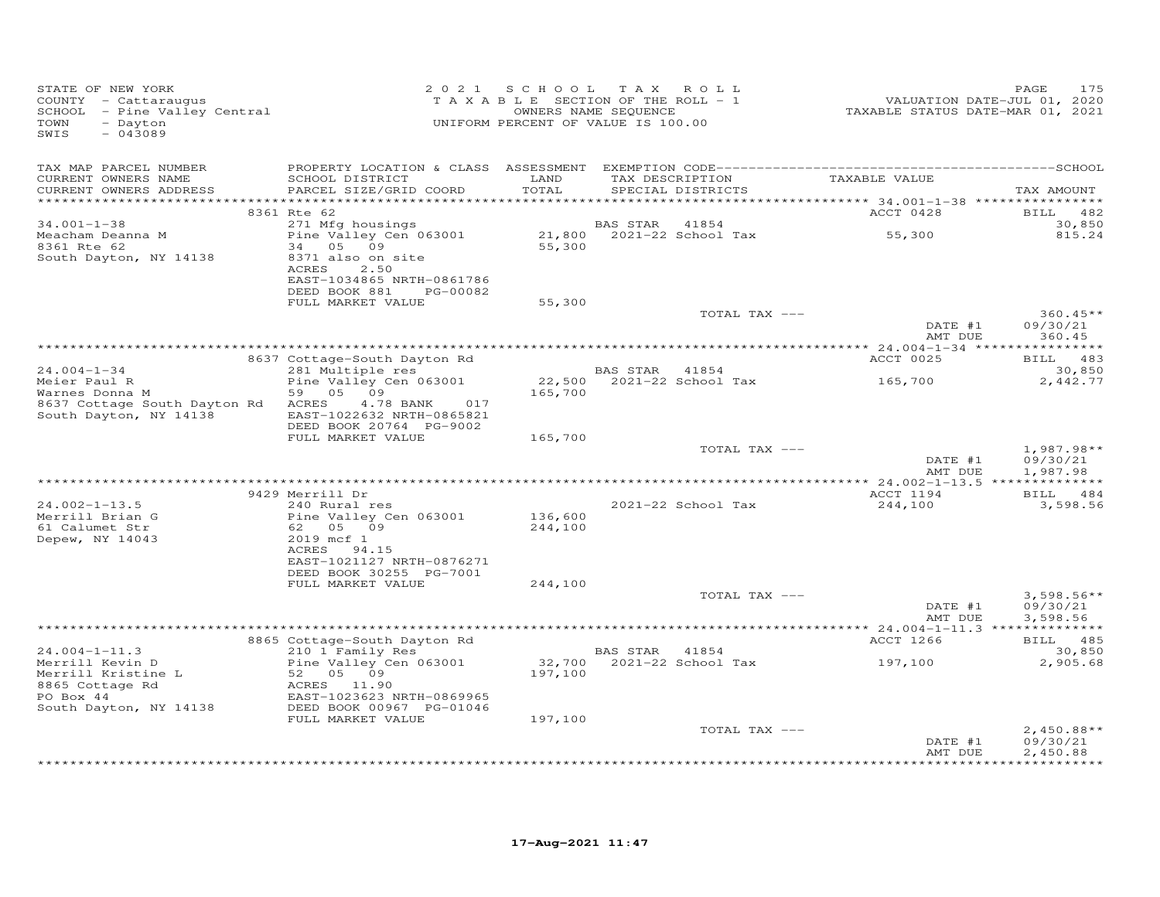| STATE OF NEW YORK<br>COUNTY - Cattaraugus<br>SCHOOL - Pine Valley Central<br>TOWN<br>- Dayton<br>SWIS<br>$-043089$ |                                                                                              |               | 2021 SCHOOL TAX ROLL<br>T A X A B L E SECTION OF THE ROLL - 1<br>OWNERS NAME SEQUENCE<br>UNIFORM PERCENT OF VALUE IS 100.00 |               | VALUATION DATE-JUL 01, 2020<br>TAXABLE STATUS DATE-MAR 01, 2021 | PAGE<br>175                          |
|--------------------------------------------------------------------------------------------------------------------|----------------------------------------------------------------------------------------------|---------------|-----------------------------------------------------------------------------------------------------------------------------|---------------|-----------------------------------------------------------------|--------------------------------------|
| TAX MAP PARCEL NUMBER<br>CURRENT OWNERS NAME<br>CURRENT OWNERS ADDRESS<br>***********************                  | SCHOOL DISTRICT<br>PARCEL SIZE/GRID COORD                                                    | LAND<br>TOTAL | SPECIAL DISTRICTS                                                                                                           |               | TAX DESCRIPTION TAXABLE VALUE                                   | TAX AMOUNT                           |
|                                                                                                                    | 8361 Rte 62                                                                                  |               |                                                                                                                             |               | ACCT 0428                                                       | BILL 482                             |
| $34.001 - 1 - 38$<br>Meacham Deanna M<br>8361 Rte 62                                                               | 271 Mfg housings<br>Pine Valley Cen 063001<br>34 05 09                                       | 55,300        | BAS STAR 41854<br>21,800 2021-22 School Tax                                                                                 |               | 55,300                                                          | 30,850<br>815.24                     |
| South Dayton, NY 14138                                                                                             | 8371 also on site<br>ACRES<br>2.50<br>EAST-1034865 NRTH-0861786<br>DEED BOOK 881<br>PG-00082 |               |                                                                                                                             |               |                                                                 |                                      |
|                                                                                                                    | FULL MARKET VALUE                                                                            | 55,300        |                                                                                                                             | TOTAL TAX --- |                                                                 | $360.45**$                           |
|                                                                                                                    |                                                                                              |               |                                                                                                                             |               | DATE #1<br>AMT DUE                                              | 09/30/21<br>360.45                   |
|                                                                                                                    |                                                                                              |               |                                                                                                                             |               |                                                                 |                                      |
| $24.004 - 1 - 34$                                                                                                  | 8637 Cottage-South Dayton Rd<br>281 Multiple res                                             |               | BAS STAR 41854                                                                                                              |               | ACCT 0025                                                       | BILL 483<br>30,850                   |
| Meier Paul R<br>Warnes Donna M                                                                                     | Pine Valley Cen 063001<br>59 05 09                                                           | 165,700       |                                                                                                                             |               | 165,700                                                         | 2,442.77                             |
| 8637 Cottage South Dayton Rd ACRES<br>South Dayton, NY 14138                                                       | 4.78 BANK<br>017<br>EAST-1022632 NRTH-0865821<br>DEED BOOK 20764 PG-9002                     |               |                                                                                                                             |               |                                                                 |                                      |
|                                                                                                                    | FULL MARKET VALUE                                                                            | 165,700       |                                                                                                                             | TOTAL TAX --- |                                                                 | $1,987.98**$                         |
|                                                                                                                    |                                                                                              |               |                                                                                                                             |               | DATE #1<br>AMT DUE                                              | 09/30/21<br>1,987.98                 |
|                                                                                                                    | 9429 Merrill Dr                                                                              |               |                                                                                                                             |               | ACCT 1194                                                       | BILL 484                             |
| $24.002 - 1 - 13.5$<br>Merrill Brian G                                                                             | 240 Rural res<br>Pine Valley Cen 063001                                                      | 136,600       | 2021-22 School Tax                                                                                                          |               | 244,100                                                         | 3,598.56                             |
| 61 Calumet Str<br>Depew, NY 14043                                                                                  | 62 05 09<br>2019 mcf 1<br>ACRES 94.15                                                        | 244,100       |                                                                                                                             |               |                                                                 |                                      |
|                                                                                                                    | EAST-1021127 NRTH-0876271<br>DEED BOOK 30255 PG-7001<br>FULL MARKET VALUE                    | 244,100       |                                                                                                                             |               |                                                                 |                                      |
|                                                                                                                    |                                                                                              |               |                                                                                                                             | TOTAL TAX --- | DATE #1<br>AMT DUE                                              | $3,598.56**$<br>09/30/21<br>3,598.56 |
|                                                                                                                    |                                                                                              |               |                                                                                                                             |               |                                                                 |                                      |
| $24.004 - 1 - 11.3$                                                                                                | 8865 Cottage-South Dayton Rd<br>210 1 Family Res                                             |               | BAS STAR 41854                                                                                                              |               | ACCT 1266                                                       | BILL 485<br>30,850                   |
| Merrill Kevin D<br>Merrill Kristine L<br>8865 Cottage Rd                                                           | Pine Valley Cen 063001<br>52 05 09<br>ACRES 11.90                                            | 197,100       |                                                                                                                             |               | 32,700  2021-22  School Tax    197,100                          | 2,905.68                             |
| PO Box 44<br>South Dayton, NY 14138                                                                                | EAST-1023623 NRTH-0869965<br>DEED BOOK 00967 PG-01046<br>FULL MARKET VALUE                   | 197,100       |                                                                                                                             |               |                                                                 |                                      |
|                                                                                                                    |                                                                                              |               |                                                                                                                             | TOTAL TAX --- |                                                                 | $2,450.88**$                         |
|                                                                                                                    |                                                                                              |               |                                                                                                                             |               | DATE #1<br>AMT DUE                                              | 09/30/21<br>2,450.88<br>**********   |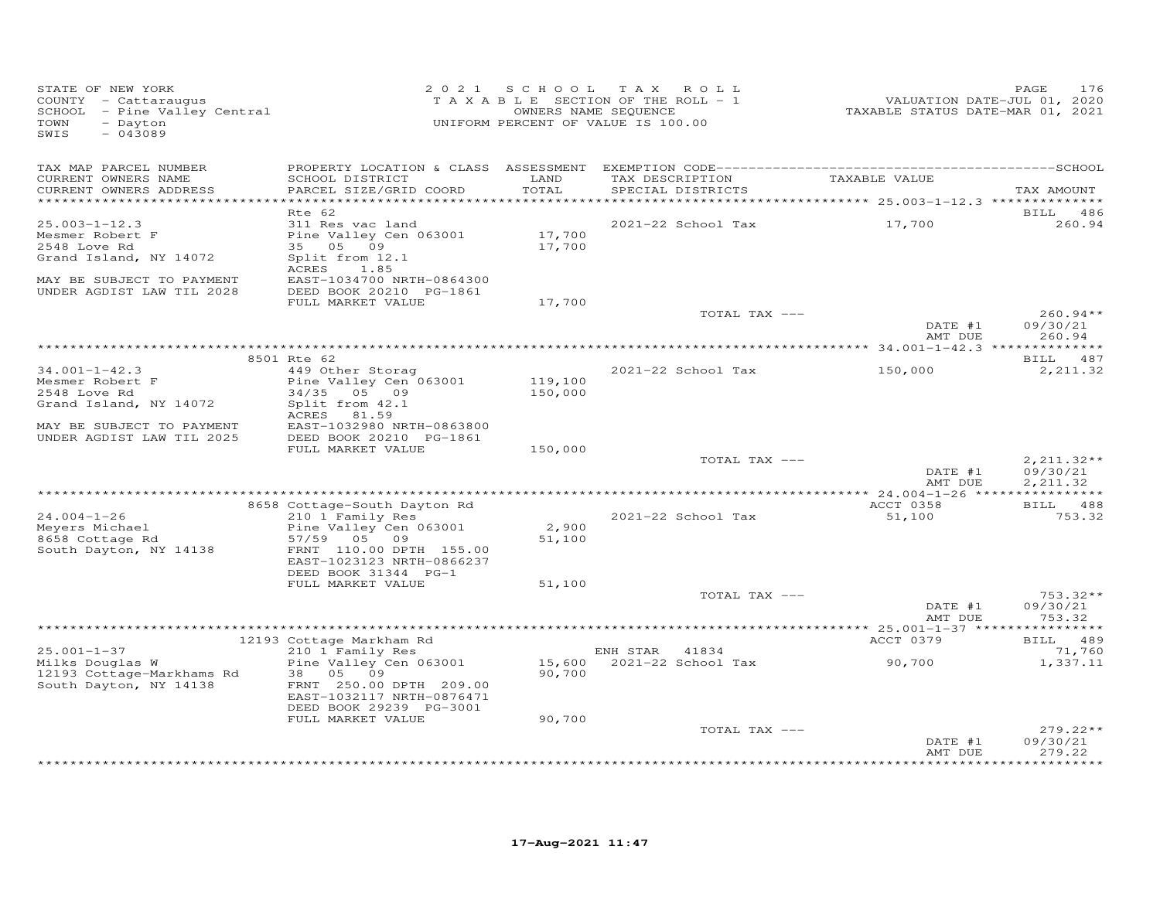| STATE OF NEW YORK<br>COUNTY - Cattaraugus<br>SCHOOL - Pine Valley Central<br>TOWN<br>- Dayton<br>SWIS<br>$-043089$ | 2 0 2 1                                                                              | SCHOOL TAX ROLL<br>TAXABLE SECTION OF THE ROLL - 1<br>OWNERS NAME SEQUENCE<br>UNIFORM PERCENT OF VALUE IS 100.00 |                |                                      | VALUATION DATE-JUL 01, 2020<br>TAXABLE STATUS DATE-MAR 01, 2021 | PAGE<br>176                      |
|--------------------------------------------------------------------------------------------------------------------|--------------------------------------------------------------------------------------|------------------------------------------------------------------------------------------------------------------|----------------|--------------------------------------|-----------------------------------------------------------------|----------------------------------|
| TAX MAP PARCEL NUMBER                                                                                              |                                                                                      |                                                                                                                  |                |                                      |                                                                 |                                  |
| CURRENT OWNERS NAME<br>CURRENT OWNERS ADDRESS<br>***********************                                           | SCHOOL DISTRICT<br>PARCEL SIZE/GRID COORD                                            | LAND<br>TOTAL                                                                                                    |                | TAX DESCRIPTION<br>SPECIAL DISTRICTS | TAXABLE VALUE                                                   | TAX AMOUNT                       |
|                                                                                                                    | Rte 62                                                                               |                                                                                                                  |                |                                      |                                                                 | BILL 486                         |
| $25.003 - 1 - 12.3$<br>Mesmer Robert F                                                                             | 311 Res vac land<br>Pine Valley Cen 063001                                           | 17,700                                                                                                           |                | 2021-22 School Tax                   | 17,700                                                          | 260.94                           |
| 2548 Love Rd                                                                                                       | 35 05 09                                                                             | 17,700                                                                                                           |                |                                      |                                                                 |                                  |
| Grand Island, NY 14072<br>MAY BE SUBJECT TO PAYMENT                                                                | Split from 12.1<br>ACRES<br>1.85<br>EAST-1034700 NRTH-0864300                        |                                                                                                                  |                |                                      |                                                                 |                                  |
| UNDER AGDIST LAW TIL 2028                                                                                          | DEED BOOK 20210 PG-1861<br>FULL MARKET VALUE                                         | 17,700                                                                                                           |                |                                      |                                                                 |                                  |
|                                                                                                                    |                                                                                      |                                                                                                                  |                | TOTAL TAX ---                        |                                                                 | $260.94**$                       |
|                                                                                                                    |                                                                                      |                                                                                                                  |                |                                      | DATE #1<br>AMT DUE                                              | 09/30/21<br>260.94               |
|                                                                                                                    | 8501 Rte 62                                                                          |                                                                                                                  |                |                                      | **************** 34.001-1-42.3 ***************                  | BILL 487                         |
| $34.001 - 1 - 42.3$                                                                                                | 449 Other Storag                                                                     |                                                                                                                  |                | 2021-22 School Tax                   | 150,000                                                         | 2,211.32                         |
| Mesmer Robert F<br>2548 Love Rd                                                                                    | Pine Valley Cen 063001<br>34/35 05 09                                                | 119,100<br>150,000                                                                                               |                |                                      |                                                                 |                                  |
| Grand Island, NY 14072                                                                                             | Split from 42.1<br>81.59<br>ACRES                                                    |                                                                                                                  |                |                                      |                                                                 |                                  |
| MAY BE SUBJECT TO PAYMENT<br>UNDER AGDIST LAW TIL 2025                                                             | EAST-1032980 NRTH-0863800<br>DEED BOOK 20210 PG-1861                                 |                                                                                                                  |                |                                      |                                                                 |                                  |
|                                                                                                                    | FULL MARKET VALUE                                                                    | 150,000                                                                                                          |                | TOTAL TAX ---                        |                                                                 | $2,211.32**$                     |
|                                                                                                                    |                                                                                      |                                                                                                                  |                |                                      | DATE #1<br>AMT DUE                                              | 09/30/21<br>2, 211.32            |
|                                                                                                                    |                                                                                      |                                                                                                                  |                |                                      |                                                                 |                                  |
|                                                                                                                    | 8658 Cottage-South Dayton Rd                                                         |                                                                                                                  |                |                                      | ACCT 0358                                                       | BILL 488<br>753.32               |
| $24.004 - 1 - 26$<br>Meyers Michael<br>8658 Cottage Rd<br>South Dayton, NY 14138                                   | 210 1 Family Res<br>Pine Valley Cen 063001<br>57/59 05 09<br>FRNT 110.00 DPTH 155.00 | 2,900<br>51,100                                                                                                  |                | 2021-22 School Tax                   | 51,100                                                          |                                  |
|                                                                                                                    | EAST-1023123 NRTH-0866237<br>DEED BOOK 31344 PG-1<br>FULL MARKET VALUE               | 51,100                                                                                                           |                |                                      |                                                                 |                                  |
|                                                                                                                    |                                                                                      |                                                                                                                  |                | TOTAL TAX ---                        | DATE #1                                                         | $753.32**$<br>09/30/21           |
|                                                                                                                    |                                                                                      |                                                                                                                  |                |                                      | AMT DUE                                                         | 753.32                           |
|                                                                                                                    |                                                                                      |                                                                                                                  |                |                                      |                                                                 |                                  |
| $25.001 - 1 - 37$                                                                                                  | 12193 Cottage Markham Rd<br>210 1 Family Res                                         |                                                                                                                  | ENH STAR 41834 |                                      | ACCT 0379                                                       | BILL 489<br>71,760               |
| Milks Douglas W<br>12193 Cottage-Markhams Rd                                                                       | Pine Valley Cen 063001 15,600 2021-22 School Tax<br>38 05 09                         | 90,700                                                                                                           |                |                                      | 90,700                                                          | 1,337.11                         |
| South Dayton, NY 14138                                                                                             | FRNT 250.00 DPTH 209.00<br>EAST-1032117 NRTH-0876471<br>DEED BOOK 29239 PG-3001      |                                                                                                                  |                |                                      |                                                                 |                                  |
|                                                                                                                    | FULL MARKET VALUE                                                                    | 90,700                                                                                                           |                |                                      |                                                                 |                                  |
|                                                                                                                    |                                                                                      |                                                                                                                  |                | TOTAL TAX ---                        | DATE #1<br>AMT DUE                                              | $279.22**$<br>09/30/21<br>279.22 |
|                                                                                                                    |                                                                                      |                                                                                                                  |                |                                      |                                                                 | ***********                      |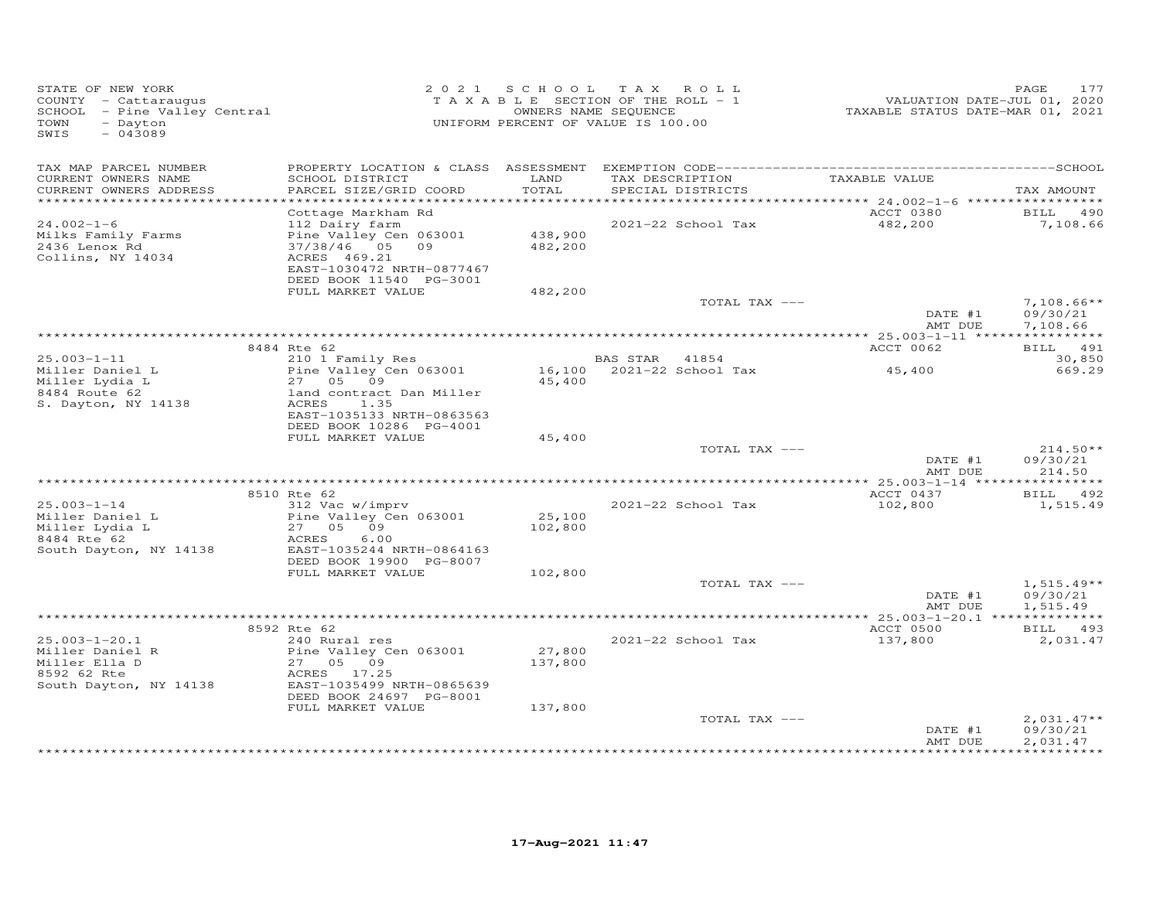| STATE OF NEW YORK<br>COUNTY - Cattaraugus<br>SCHOOL - Pine Valley Central<br>- Dayton<br>TOWN<br>$-043089$<br>SWIS |                                                                                                                                                                |                    | 2021 SCHOOL TAX ROLL<br>TAXABLE SECTION OF THE ROLL - 1<br>OWNERS NAME SEQUENCE<br>UNIFORM PERCENT OF VALUE IS 100.00 |                      | PAGE<br>177                                           |
|--------------------------------------------------------------------------------------------------------------------|----------------------------------------------------------------------------------------------------------------------------------------------------------------|--------------------|-----------------------------------------------------------------------------------------------------------------------|----------------------|-------------------------------------------------------|
| TAX MAP PARCEL NUMBER<br>CURRENT OWNERS NAME<br>CURRENT OWNERS ADDRESS<br>*************************                | SCHOOL DISTRICT<br>PARCEL SIZE/GRID COORD                                                                                                                      | LAND<br>TOTAL      | TAX DESCRIPTION<br>SPECIAL DISTRICTS                                                                                  | TAXABLE VALUE        | TAX AMOUNT                                            |
| $24.002 - 1 - 6$<br>Milks Family Farms<br>2436 Lenox Rd<br>Collins, NY 14034                                       | Cottage Markham Rd<br>112 Dairy farm<br>Pine Valley Cen 063001<br>37/38/46 05 09<br>ACRES 469.21<br>EAST-1030472 NRTH-0877467<br>DEED BOOK 11540 PG-3001       | 438,900<br>482,200 | 2021-22 School Tax                                                                                                    | ACCT 0380<br>482,200 | <b>BILL</b> 490<br>7,108.66                           |
|                                                                                                                    | FULL MARKET VALUE                                                                                                                                              | 482,200            | TOTAL TAX ---                                                                                                         | DATE #1<br>AMT DUE   | $7,108.66**$<br>09/30/21<br>7,108.66                  |
|                                                                                                                    |                                                                                                                                                                |                    |                                                                                                                       |                      |                                                       |
| $25.003 - 1 - 11$                                                                                                  | 8484 Rte 62<br>210 1 Family Res                                                                                                                                |                    | BAS STAR 41854                                                                                                        | ACCT 0062            | BILL 491<br>30,850                                    |
| Miller Daniel L<br>Miller Lydia L<br>8484 Route 62<br>S. Dayton, NY 14138                                          | Pine Valley Cen $063001$<br>27 05 09<br>land contract Dan Miller<br>ACRES 1.35<br>EAST-1035133 NRTH-0863563                                                    | 45,400             | 16,100 2021-22 School Tax                                                                                             | 45,400               | 669.29                                                |
|                                                                                                                    | DEED BOOK 10286 PG-4001<br>FULL MARKET VALUE                                                                                                                   | 45,400             |                                                                                                                       |                      |                                                       |
|                                                                                                                    |                                                                                                                                                                |                    | TOTAL TAX ---                                                                                                         | DATE #1<br>AMT DUE   | $214.50**$<br>09/30/21<br>214.50                      |
|                                                                                                                    | 8510 Rte 62                                                                                                                                                    |                    |                                                                                                                       | ACCT 0437            | BILL 492                                              |
| $25.003 - 1 - 14$<br>Miller Daniel L<br>Miller Lydia L<br>8484 Rte 62<br>8484 Rte 62<br>South Dayton, NY 14138     | 312 Vac w/imprv<br>Pine Valley Cen 063001<br>27 05 09<br>ACRES<br>6.00<br>EAST-1035244 NRTH-0864163<br>DEED BOOK 19900 PG-8007                                 | 25,100<br>102,800  | 2021-22 School Tax                                                                                                    | 102,800              | 1,515.49                                              |
|                                                                                                                    | FULL MARKET VALUE                                                                                                                                              | 102,800            | TOTAL TAX ---                                                                                                         |                      | $1,515.49**$                                          |
|                                                                                                                    |                                                                                                                                                                |                    |                                                                                                                       | DATE #1<br>AMT DUE   | 09/30/21<br>1,515.49                                  |
|                                                                                                                    |                                                                                                                                                                |                    |                                                                                                                       |                      |                                                       |
| $25.003 - 1 - 20.1$<br>Miller Daniel R<br>Milier Dun<br>Miller Ella D<br>IS Die D<br>South Dayton, NY 14138        | 8592 Rte 62<br>240 Rural res<br>Pine Valley Cen 063001<br>27 05 09<br>ACRES 17.25<br>EAST-1035499 NRTH-0865639<br>DEED BOOK 24697 PG-8001<br>FULL MARKET VALUE | 27,800<br>137,800  | 2021-22 School Tax                                                                                                    | ACCT 0500<br>137,800 | BILL 493<br>2,031.47                                  |
|                                                                                                                    |                                                                                                                                                                | 137,800            | TOTAL TAX ---                                                                                                         | DATE #1<br>AMT DUE   | $2,031.47**$<br>09/30/21<br>2,031.47<br>************* |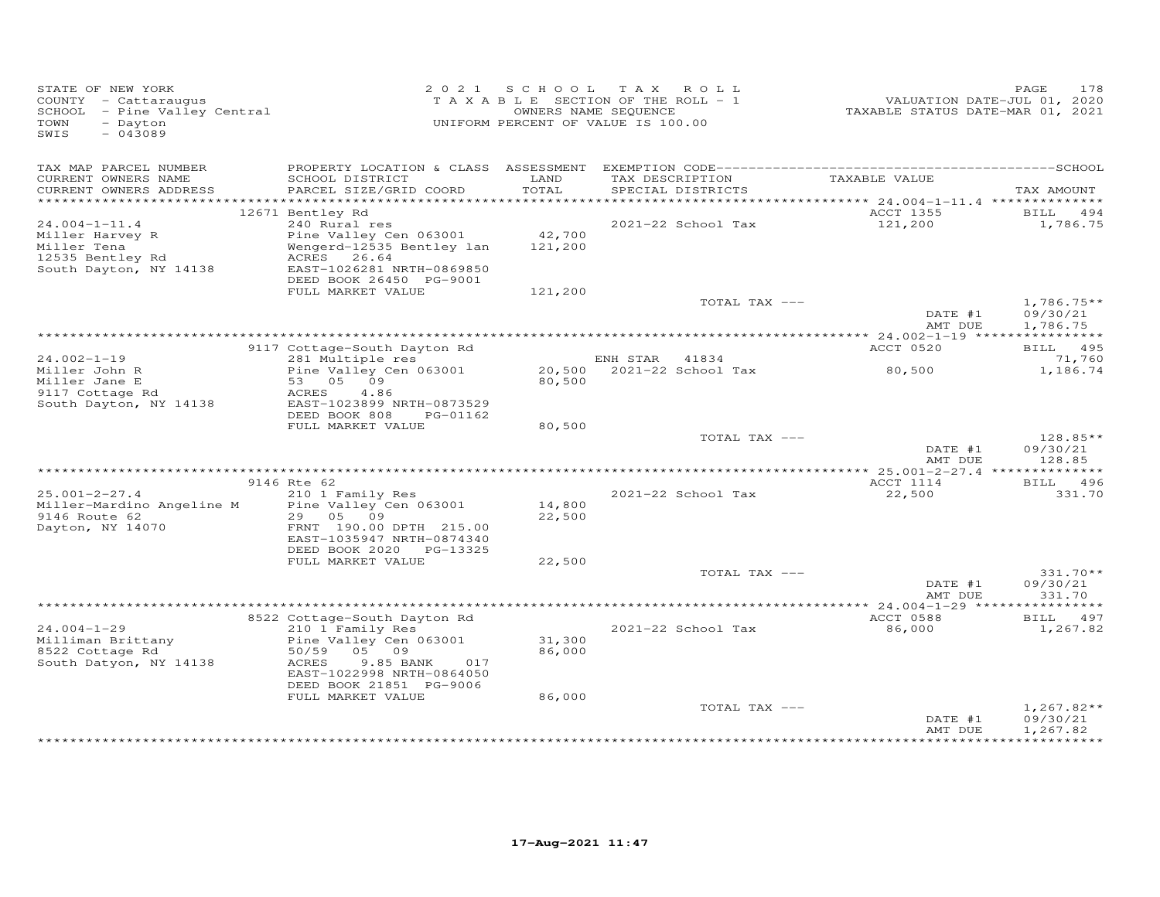| STATE OF NEW YORK<br>COUNTY - Cattaraugus<br>COUNTY - Cattaraugus<br>SCHOOL - Pine Valley Central<br>TOWN<br>- Dayton<br>$-043089$<br>SWIS |                                                                                                                                                                           |                  | 2021 SCHOOL TAX ROLL<br>T A X A B L E SECTION OF THE ROLL - 1<br>OWNERS NAME SEQUENCE<br>UNIFORM PERCENT OF VALUE IS 100.00 | VALUATION DATE-JUL 01, 2020<br>TAXABLE STATUS DATE-MAR 01, 2021 | PAGE<br>178                          |
|--------------------------------------------------------------------------------------------------------------------------------------------|---------------------------------------------------------------------------------------------------------------------------------------------------------------------------|------------------|-----------------------------------------------------------------------------------------------------------------------------|-----------------------------------------------------------------|--------------------------------------|
| TAX MAP PARCEL NUMBER<br>CURRENT OWNERS NAME                                                                                               | SCHOOL DISTRICT                                                                                                                                                           | LAND             | TAX DESCRIPTION TAXABLE VALUE                                                                                               |                                                                 |                                      |
| CURRENT OWNERS ADDRESS                                                                                                                     | PARCEL SIZE/GRID COORD                                                                                                                                                    | TOTAL            | SPECIAL DISTRICTS                                                                                                           |                                                                 | TAX AMOUNT                           |
|                                                                                                                                            | 12671 Bentley Rd                                                                                                                                                          |                  |                                                                                                                             | ACCT 1355                                                       | BILL 494                             |
| $24.004 - 1 - 11.4$                                                                                                                        | 240 Rural res                                                                                                                                                             |                  | 2021-22 School Tax                                                                                                          | 121,200                                                         | 1,786.75                             |
| Miller Harvey R<br>Miller Tena<br>12535 Bentley Rd<br>South Dayton, NY 14138                                                               | Pine Valley Cen 063001 42,700<br>Wengerd-12535 Bentley lan 121,200<br>ACRES 26.64<br>EAST-1026281 NRTH-0869850<br>DEED BOOK 26450 PG-9001                                 |                  |                                                                                                                             |                                                                 |                                      |
|                                                                                                                                            | FULL MARKET VALUE                                                                                                                                                         | 121,200          |                                                                                                                             |                                                                 |                                      |
|                                                                                                                                            |                                                                                                                                                                           |                  | TOTAL TAX ---                                                                                                               | DATE #1                                                         | $1,786.75**$<br>09/30/21             |
|                                                                                                                                            |                                                                                                                                                                           |                  |                                                                                                                             | AMT DUE                                                         | 1,786.75                             |
|                                                                                                                                            | 9117 Cottage-South Dayton Rd                                                                                                                                              |                  |                                                                                                                             | ACCT 0520                                                       | BILL 495                             |
| $24.002 - 1 - 19$                                                                                                                          | 281 Multiple res                                                                                                                                                          |                  | ENH STAR 41834                                                                                                              |                                                                 | 71,760                               |
| Miller John R<br>Miller Jane E<br>9117 Cottage Rd<br>South Dayton, NY 14138                                                                | 281 Multiple res<br>Pine Valley Cen 063001 20,500 2021-22 School Tax<br>Fine $\frac{1}{0}$<br>53 05 09<br>ACRES 4.86<br>EAST-1023899 NRTH-0873529<br>-- FOOK 808 PG-01162 | 80,500           |                                                                                                                             | 80,500                                                          | 1,186.74                             |
|                                                                                                                                            | FULL MARKET VALUE                                                                                                                                                         | 80,500           |                                                                                                                             |                                                                 |                                      |
|                                                                                                                                            |                                                                                                                                                                           |                  | TOTAL TAX ---                                                                                                               | DATE #1<br>AMT DUE                                              | $128.85**$<br>09/30/21<br>128.85     |
|                                                                                                                                            |                                                                                                                                                                           |                  |                                                                                                                             |                                                                 |                                      |
|                                                                                                                                            | 9146 Rte 62                                                                                                                                                               |                  |                                                                                                                             | ACCT 1114                                                       | BILL 496                             |
| $25.001 - 2 - 27.4$<br>Miller-Mardino Angeline M Pine Valley Cen 063001<br>9146 Route 62<br>Dayton, NY 14070                               | 210 1 Family Res<br>29 05 09                                                                                                                                              | 14,800<br>22,500 | 2021-22 School Tax                                                                                                          | 22,500                                                          | 331.70                               |
|                                                                                                                                            | FRNT 190.00 DPTH 215.00<br>EAST-1035947 NRTH-0874340<br>DEED BOOK 2020 PG-13325                                                                                           |                  |                                                                                                                             |                                                                 |                                      |
|                                                                                                                                            | FULL MARKET VALUE                                                                                                                                                         | 22,500           |                                                                                                                             |                                                                 |                                      |
|                                                                                                                                            |                                                                                                                                                                           |                  | TOTAL TAX ---                                                                                                               | DATE #1<br>AMT DUE                                              | $331.70**$<br>09/30/21<br>331.70     |
|                                                                                                                                            |                                                                                                                                                                           |                  |                                                                                                                             |                                                                 |                                      |
|                                                                                                                                            | 8522 Cottage-South Dayton Rd                                                                                                                                              |                  |                                                                                                                             | ACCT 0588                                                       | BILL 497                             |
| $24.004 - 1 - 29$<br>Milliman Brittany<br>8522 Cottage Rd<br>South Datyon, NY 14138                                                        | 210 1 Family Res<br>Pine Valley Cen 063001<br>50/59 05 09<br>ACRES<br>9.85 BANK<br>017<br>EAST-1022998 NRTH-0864050                                                       | 31,300<br>86,000 | 2021-22 School Tax                                                                                                          | 86,000                                                          | 1,267.82                             |
|                                                                                                                                            | DEED BOOK 21851 PG-9006                                                                                                                                                   |                  |                                                                                                                             |                                                                 |                                      |
|                                                                                                                                            | FULL MARKET VALUE                                                                                                                                                         | 86,000           |                                                                                                                             |                                                                 |                                      |
|                                                                                                                                            |                                                                                                                                                                           |                  | TOTAL TAX ---                                                                                                               | DATE #1<br>AMT DUE                                              | $1,267.82**$<br>09/30/21<br>1,267.82 |
|                                                                                                                                            |                                                                                                                                                                           |                  |                                                                                                                             |                                                                 |                                      |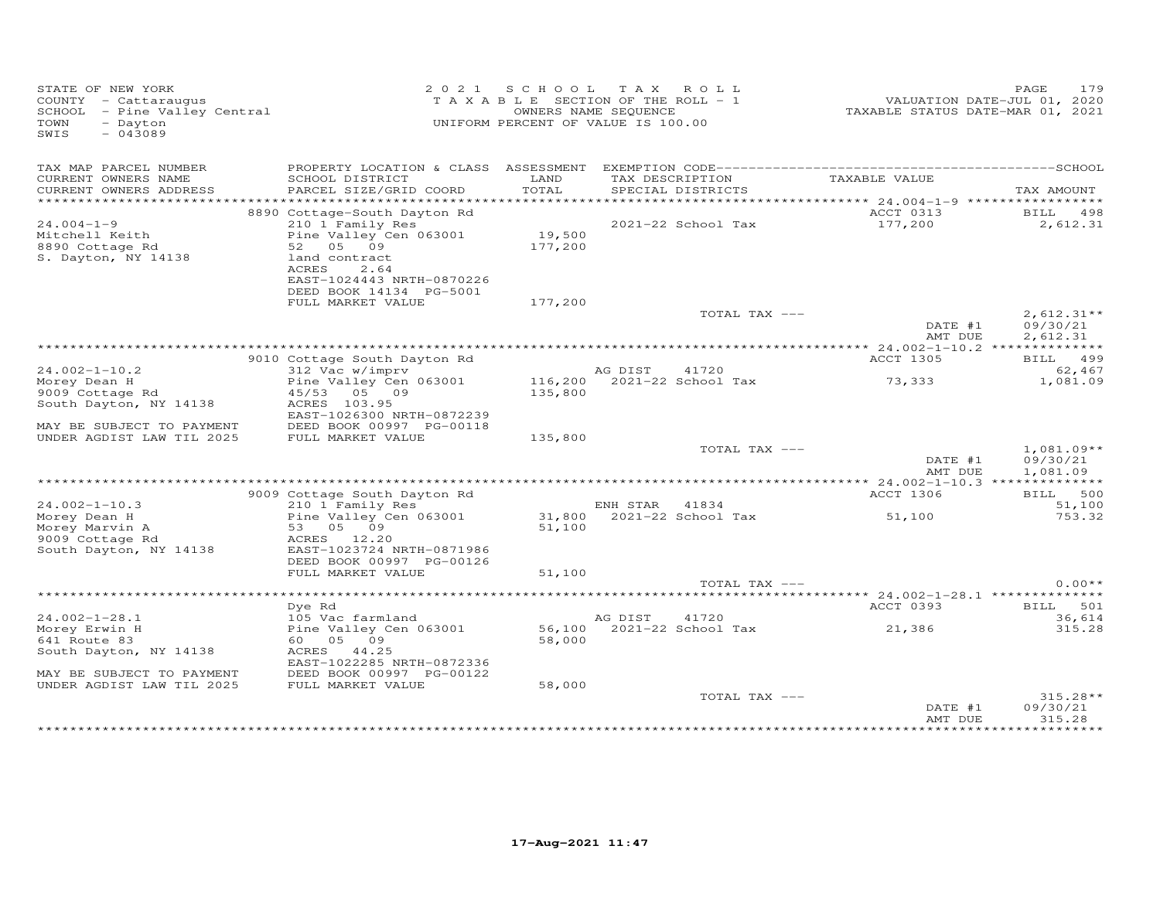| STATE OF NEW YORK<br>COUNTY - Cattaraugus<br>SCHOOL - Pine Valley Central<br>TOWN<br>- Dayton<br>$-043089$<br>SWIS |                                                                                                                       | 2021 SCHOOL       | TAX ROLL<br>TAXABLE SECTION OF THE ROLL - 1<br>OWNERS NAME SEQUENCE<br>UNIFORM PERCENT OF VALUE IS 100.00 | TAXABLE STATUS DATE-MAR 01, 2021              | 179<br>PAGE<br>VALUATION DATE-JUL 01, 2020 |
|--------------------------------------------------------------------------------------------------------------------|-----------------------------------------------------------------------------------------------------------------------|-------------------|-----------------------------------------------------------------------------------------------------------|-----------------------------------------------|--------------------------------------------|
| TAX MAP PARCEL NUMBER                                                                                              | PROPERTY LOCATION & CLASS ASSESSMENT                                                                                  |                   |                                                                                                           |                                               |                                            |
| CURRENT OWNERS NAME<br>CURRENT OWNERS ADDRESS                                                                      | SCHOOL DISTRICT<br>PARCEL SIZE/GRID COORD                                                                             | LAND<br>TOTAL     | TAX DESCRIPTION<br>SPECIAL DISTRICTS                                                                      | TAXABLE VALUE                                 | TAX AMOUNT                                 |
|                                                                                                                    | 8890 Cottage-South Dayton Rd                                                                                          |                   |                                                                                                           | ACCT 0313                                     | BILL 498                                   |
| $24.004 - 1 - 9$<br>Mitchell Keith<br>8890 Cottage Rd<br>S. Dayton, NY 14138                                       | 210 1 Family Res<br>Pine Valley Cen 063001<br>52 05 09<br>land contract<br>ACRES<br>2.64<br>EAST-1024443 NRTH-0870226 | 19,500<br>177,200 | 2021-22 School Tax                                                                                        | 177,200                                       | 2,612.31                                   |
|                                                                                                                    | DEED BOOK 14134 PG-5001<br>FULL MARKET VALUE                                                                          | 177,200           |                                                                                                           |                                               |                                            |
|                                                                                                                    |                                                                                                                       |                   | TOTAL TAX ---                                                                                             | DATE #1<br>AMT DUE                            | $2,612.31**$<br>09/30/21<br>2,612.31       |
|                                                                                                                    |                                                                                                                       |                   |                                                                                                           |                                               |                                            |
| $24.002 - 1 - 10.2$                                                                                                | 9010 Cottage South Dayton Rd<br>312 Vac w/imprv                                                                       |                   | AG DIST<br>41720                                                                                          | ACCT 1305                                     | BILL 499<br>62,467                         |
| Morey Dean H<br>9009 Cottage Rd<br>South Dayton, NY 14138<br>MAY BE SUBJECT TO PAYMENT                             | Pine Valley Cen 063001<br>45/53 05 09<br>ACRES 103.95<br>EAST-1026300 NRTH-0872239<br>DEED BOOK 00997 PG-00118        | 135,800           | 116,200 2021-22 School Tax                                                                                | 73,333                                        | 1,081.09                                   |
| UNDER AGDIST LAW TIL 2025                                                                                          | FULL MARKET VALUE                                                                                                     | 135,800           |                                                                                                           |                                               |                                            |
|                                                                                                                    |                                                                                                                       |                   | TOTAL TAX ---                                                                                             | DATE #1<br>AMT DUE                            | $1,081.09**$<br>09/30/21<br>1,081.09       |
|                                                                                                                    | 9009 Cottage South Dayton Rd                                                                                          |                   |                                                                                                           | ** 24.002-1-10.3 ***************<br>ACCT 1306 | BILL 500                                   |
| $24.002 - 1 - 10.3$                                                                                                | 210 1 Family Res                                                                                                      |                   | ENH STAR 41834                                                                                            |                                               | 51,100                                     |
| Morey Dean H<br>Morey Marvin A<br>9009 Cottage Rd<br>South Dayton, NY 14138                                        | Pine Valley Cen 063001<br>53 05 09<br>ACRES 12.20<br>EAST-1023724 NRTH-0871986<br>DEED BOOK 00997 PG-00126            | 51,100            | 31,800 2021-22 School Tax                                                                                 | 51,100                                        | 753.32                                     |
|                                                                                                                    | FULL MARKET VALUE                                                                                                     | 51,100            |                                                                                                           |                                               |                                            |
|                                                                                                                    |                                                                                                                       |                   | TOTAL TAX ---                                                                                             |                                               | $0.00**$                                   |
|                                                                                                                    | Dye Rd                                                                                                                |                   |                                                                                                           | ACCT 0393                                     | BILL 501                                   |
| $24.002 - 1 - 28.1$                                                                                                | 105 Vac farmland                                                                                                      |                   | AG DIST<br>41720                                                                                          |                                               | 36,614                                     |
| Morey Erwin H<br>641 Route 83<br>South Dayton, NY 14138                                                            | Pine Valley Cen 063001<br>60 05 09<br>ACRES<br>44.25<br>EAST-1022285 NRTH-0872336                                     | 58,000            | 56,100 2021-22 School Tax                                                                                 | 21,386                                        | 315.28                                     |
| MAY BE SUBJECT TO PAYMENT                                                                                          | DEED BOOK 00997 PG-00122                                                                                              |                   |                                                                                                           |                                               |                                            |
| UNDER AGDIST LAW TIL 2025                                                                                          | FULL MARKET VALUE                                                                                                     | 58,000            | TOTAL TAX ---                                                                                             | DATE #1                                       | 315.28**<br>09/30/21                       |
|                                                                                                                    |                                                                                                                       |                   |                                                                                                           | AMT DUE                                       | 315.28<br>**********                       |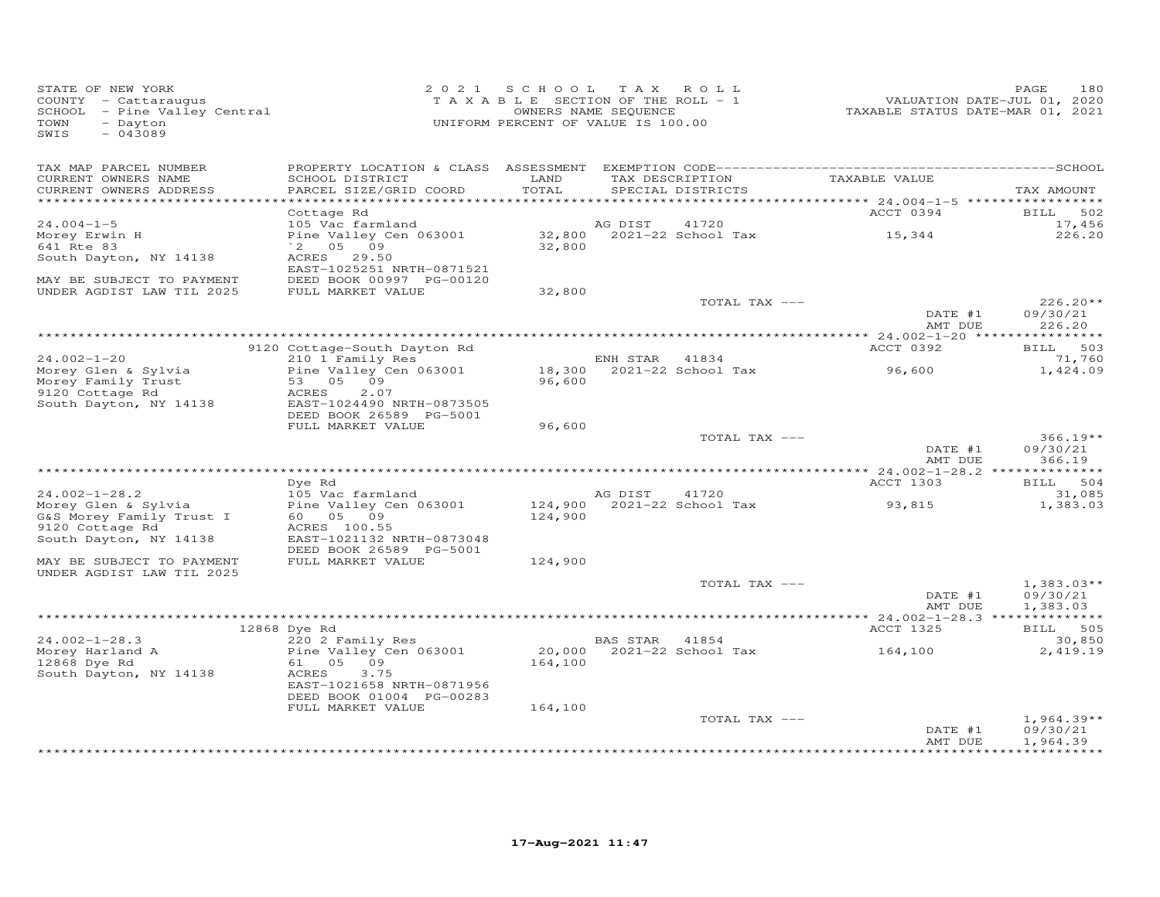| STATE OF NEW YORK<br>COUNTY - Cattaraugus<br>SCHOOL - Pine Valley Central<br>TOWN<br>- Dayton<br>SWIS<br>$-043089$ |                                                      | 2021 SCHOOL TAX ROLL<br>TAXABLE SECTION OF THE ROLL - 1<br>UNIFORM PERCENT OF VALUE IS 100.00 | OWNERS NAME SEQUENCE |                                      | VALUATION DATE-JUL 01, 2020<br>TAXABLE STATUS DATE-MAR 01, 2021 | 180<br>PAGE              |
|--------------------------------------------------------------------------------------------------------------------|------------------------------------------------------|-----------------------------------------------------------------------------------------------|----------------------|--------------------------------------|-----------------------------------------------------------------|--------------------------|
| TAX MAP PARCEL NUMBER                                                                                              |                                                      | LAND                                                                                          |                      |                                      | TAXABLE VALUE                                                   |                          |
| CURRENT OWNERS NAME<br>CURRENT OWNERS ADDRESS<br>************************                                          | SCHOOL DISTRICT<br>PARCEL SIZE/GRID COORD            | TOTAL                                                                                         |                      | TAX DESCRIPTION<br>SPECIAL DISTRICTS |                                                                 | TAX AMOUNT               |
|                                                                                                                    | Cottage Rd                                           |                                                                                               |                      |                                      | ACCT 0394                                                       | <b>BILL</b><br>502       |
| $24.004 - 1 - 5$                                                                                                   | 105 Vac farmland                                     |                                                                                               | AG DIST              | 41720                                |                                                                 | 17,456                   |
| Morey Erwin H                                                                                                      | Pine Valley Cen 063001                               |                                                                                               |                      | 32,800 2021-22 School Tax            | 15,344                                                          | 226.20                   |
| 641 Rte 83                                                                                                         | $^{\circ}$ 2 05 09                                   | 32,800                                                                                        |                      |                                      |                                                                 |                          |
| South Dayton, NY 14138                                                                                             | <b>ACRES</b><br>29.50                                |                                                                                               |                      |                                      |                                                                 |                          |
|                                                                                                                    | EAST-1025251 NRTH-0871521                            |                                                                                               |                      |                                      |                                                                 |                          |
| MAY BE SUBJECT TO PAYMENT                                                                                          | DEED BOOK 00997 PG-00120                             |                                                                                               |                      |                                      |                                                                 |                          |
| UNDER AGDIST LAW TIL 2025                                                                                          | FULL MARKET VALUE                                    | 32,800                                                                                        |                      |                                      |                                                                 |                          |
|                                                                                                                    |                                                      |                                                                                               |                      | TOTAL TAX ---                        | DATE #1                                                         | $226.20**$               |
|                                                                                                                    |                                                      |                                                                                               |                      |                                      | AMT DUE                                                         | 09/30/21<br>226.20       |
|                                                                                                                    |                                                      |                                                                                               |                      |                                      |                                                                 |                          |
|                                                                                                                    | 9120 Cottage-South Dayton Rd                         |                                                                                               |                      |                                      | ACCT 0392                                                       | BILL 503                 |
| $24.002 - 1 - 20$                                                                                                  | 210 1 Family Res                                     |                                                                                               | ENH STAR 41834       |                                      |                                                                 | 71,760                   |
| Morey Glen & Sylvia                                                                                                | Pine Valley Cen 063001                               |                                                                                               |                      | 18,300 2021-22 School Tax            | 96,600                                                          | 1,424.09                 |
| Morey Family Trust                                                                                                 | 53 05 09                                             | 96,600                                                                                        |                      |                                      |                                                                 |                          |
| 9120 Cottage Rd                                                                                                    | 2.07<br>ACRES                                        |                                                                                               |                      |                                      |                                                                 |                          |
| South Dayton, NY 14138                                                                                             | EAST-1024490 NRTH-0873505<br>DEED BOOK 26589 PG-5001 |                                                                                               |                      |                                      |                                                                 |                          |
|                                                                                                                    | FULL MARKET VALUE                                    | 96,600                                                                                        |                      |                                      |                                                                 |                          |
|                                                                                                                    |                                                      |                                                                                               |                      | TOTAL TAX ---                        |                                                                 | $366.19**$               |
|                                                                                                                    |                                                      |                                                                                               |                      |                                      | DATE #1                                                         | 09/30/21                 |
|                                                                                                                    |                                                      |                                                                                               |                      |                                      | AMT DUE                                                         | 366.19                   |
|                                                                                                                    |                                                      |                                                                                               |                      |                                      |                                                                 |                          |
|                                                                                                                    | Dve Rd                                               |                                                                                               |                      |                                      | ACCT 1303                                                       | BILL 504                 |
| $24.002 - 1 - 28.2$                                                                                                | 105 Vac farmland                                     |                                                                                               | AG DIST              | 41720                                |                                                                 | 31,085                   |
| Morey Glen & Sylvia                                                                                                | Pine Valley Cen 063001                               |                                                                                               |                      | 124,900 2021-22 School Tax           | 93,815                                                          | 1,383.03                 |
| G&S Morey Family Trust I<br>9120 Cottage Rd                                                                        | 60 05 09<br>ACRES 100.55                             | 124,900                                                                                       |                      |                                      |                                                                 |                          |
| South Dayton, NY 14138                                                                                             | EAST-1021132 NRTH-0873048                            |                                                                                               |                      |                                      |                                                                 |                          |
|                                                                                                                    | DEED BOOK 26589 PG-5001                              |                                                                                               |                      |                                      |                                                                 |                          |
| MAY BE SUBJECT TO PAYMENT                                                                                          | FULL MARKET VALUE                                    | 124,900                                                                                       |                      |                                      |                                                                 |                          |
| UNDER AGDIST LAW TIL 2025                                                                                          |                                                      |                                                                                               |                      |                                      |                                                                 |                          |
|                                                                                                                    |                                                      |                                                                                               |                      | TOTAL TAX ---                        |                                                                 | $1,383.03**$             |
|                                                                                                                    |                                                      |                                                                                               |                      |                                      | DATE #1                                                         | 09/30/21                 |
|                                                                                                                    |                                                      |                                                                                               |                      |                                      | AMT DUE                                                         | 1,383.03                 |
|                                                                                                                    | 12868 Dye Rd                                         |                                                                                               |                      |                                      | ACCT 1325                                                       | BILL 505                 |
| $24.002 - 1 - 28.3$                                                                                                | 220 2 Family Res                                     |                                                                                               | BAS STAR 41854       |                                      |                                                                 | 30,850                   |
| Morey Harland A                                                                                                    | Pine Valley Cen 063001                               |                                                                                               |                      | 20,000 2021-22 School Tax            | 164,100                                                         | 2,419.19                 |
| 12868 Dye Rd                                                                                                       | 61 05 09                                             | 164,100                                                                                       |                      |                                      |                                                                 |                          |
| South Dayton, NY 14138                                                                                             | ACRES<br>3.75                                        |                                                                                               |                      |                                      |                                                                 |                          |
|                                                                                                                    | EAST-1021658 NRTH-0871956                            |                                                                                               |                      |                                      |                                                                 |                          |
|                                                                                                                    | DEED BOOK 01004 PG-00283                             |                                                                                               |                      |                                      |                                                                 |                          |
|                                                                                                                    | FULL MARKET VALUE                                    | 164,100                                                                                       |                      |                                      |                                                                 |                          |
|                                                                                                                    |                                                      |                                                                                               |                      | TOTAL TAX ---                        | DATE #1                                                         | $1,964.39**$<br>09/30/21 |
|                                                                                                                    |                                                      |                                                                                               |                      |                                      | AMT DUE                                                         | 1,964.39                 |
|                                                                                                                    |                                                      |                                                                                               |                      |                                      |                                                                 |                          |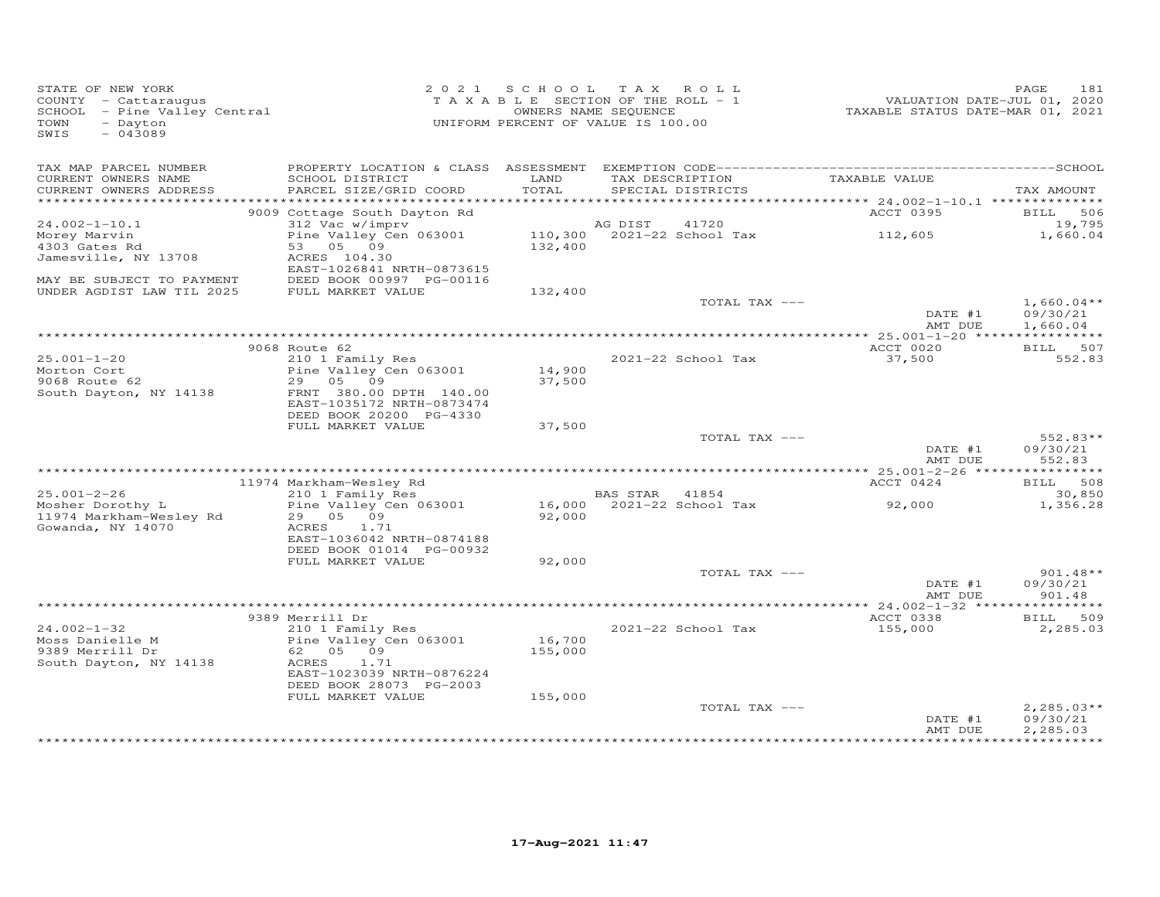| STATE OF NEW YORK<br>COUNTY - Cattaraugus<br>SCHOOL - Pine Valley Central<br>TOWN<br>- Dayton<br>$-043089$<br>SWIS |                                                                           | 2021 SCHOOL TAX ROLL<br>TAXABLE SECTION OF THE ROLL - 1<br>UNIFORM PERCENT OF VALUE IS 100.00 | OWNERS NAME SEQUENCE |                            | VALUATION DATE-JUL 01, 2020<br>TAXABLE STATUS DATE-MAR 01, 2021 | 181<br>PAGE                  |
|--------------------------------------------------------------------------------------------------------------------|---------------------------------------------------------------------------|-----------------------------------------------------------------------------------------------|----------------------|----------------------------|-----------------------------------------------------------------|------------------------------|
| TAX MAP PARCEL NUMBER<br>CURRENT OWNERS NAME                                                                       | SCHOOL DISTRICT                                                           | LAND                                                                                          |                      | TAX DESCRIPTION            | TAXABLE VALUE                                                   |                              |
| CURRENT OWNERS ADDRESS                                                                                             | PARCEL SIZE/GRID COORD                                                    | TOTAL                                                                                         |                      | SPECIAL DISTRICTS          |                                                                 | TAX AMOUNT                   |
|                                                                                                                    |                                                                           |                                                                                               |                      |                            | *********** 24.002-1-10.1 ***************                       |                              |
| $24.002 - 1 - 10.1$                                                                                                | 9009 Cottage South Dayton Rd<br>312 Vac w/imprv                           |                                                                                               | AG DIST              | 41720                      | ACCT 0395                                                       | 506<br><b>BILL</b><br>19,795 |
| Morey Marvin                                                                                                       | Pine Valley Cen 063001                                                    |                                                                                               |                      | 110,300 2021-22 School Tax | 112,605                                                         | 1,660.04                     |
| 4303 Gates Rd                                                                                                      | 53 05 09                                                                  | 132,400                                                                                       |                      |                            |                                                                 |                              |
| Jamesville, NY 13708                                                                                               | ACRES 104.30                                                              |                                                                                               |                      |                            |                                                                 |                              |
| MAY BE SUBJECT TO PAYMENT                                                                                          | EAST-1026841 NRTH-0873615<br>DEED BOOK 00997 PG-00116                     |                                                                                               |                      |                            |                                                                 |                              |
| UNDER AGDIST LAW TIL 2025                                                                                          | FULL MARKET VALUE                                                         | 132,400                                                                                       |                      |                            |                                                                 |                              |
|                                                                                                                    |                                                                           |                                                                                               |                      | TOTAL TAX ---              |                                                                 | $1,660.04**$                 |
|                                                                                                                    |                                                                           |                                                                                               |                      |                            | DATE #1<br>AMT DUE                                              | 09/30/21<br>1,660.04         |
|                                                                                                                    | 9068 Route 62                                                             |                                                                                               |                      |                            | ACCT 0020                                                       | BILL 507                     |
| $25.001 - 1 - 20$                                                                                                  | 210 1 Family Res                                                          |                                                                                               |                      | 2021-22 School Tax         | 37,500                                                          | 552.83                       |
| Morton Cort                                                                                                        | Pine Valley Cen 063001                                                    | 14,900                                                                                        |                      |                            |                                                                 |                              |
| 9068 Route 62<br>South Dayton, NY 14138                                                                            | 29 05 09<br>FRNT 380.00 DPTH 140.00                                       | 37,500                                                                                        |                      |                            |                                                                 |                              |
|                                                                                                                    | EAST-1035172 NRTH-0873474                                                 |                                                                                               |                      |                            |                                                                 |                              |
|                                                                                                                    | DEED BOOK 20200 PG-4330                                                   |                                                                                               |                      |                            |                                                                 |                              |
|                                                                                                                    | FULL MARKET VALUE                                                         | 37,500                                                                                        |                      |                            |                                                                 |                              |
|                                                                                                                    |                                                                           |                                                                                               |                      | TOTAL TAX ---              | DATE #1                                                         | $552.83**$<br>09/30/21       |
|                                                                                                                    |                                                                           |                                                                                               |                      |                            | AMT DUE                                                         | 552.83                       |
|                                                                                                                    |                                                                           |                                                                                               |                      |                            |                                                                 |                              |
|                                                                                                                    | 11974 Markham-Wesley Rd<br>and wesley Rd<br>210 1 Family Res<br>Pine Vell |                                                                                               |                      |                            | ACCT 0424                                                       | BILL 508                     |
| $25.001 - 2 - 26$<br>Mosher Dorothy L                                                                              | Pine Valley Cen 063001                                                    |                                                                                               | BAS STAR 41854       | 16,000 2021-22 School Tax  | 92,000                                                          | 30,850<br>1,356.28           |
| 11974 Markham-Wesley Rd                                                                                            | 29 05 09                                                                  | 92,000                                                                                        |                      |                            |                                                                 |                              |
| Gowanda, NY 14070                                                                                                  | ACRES<br>1.71                                                             |                                                                                               |                      |                            |                                                                 |                              |
|                                                                                                                    | EAST-1036042 NRTH-0874188<br>DEED BOOK 01014 PG-00932                     |                                                                                               |                      |                            |                                                                 |                              |
|                                                                                                                    | FULL MARKET VALUE                                                         | 92,000                                                                                        |                      |                            |                                                                 |                              |
|                                                                                                                    |                                                                           |                                                                                               |                      | TOTAL TAX ---              |                                                                 | $901.48**$                   |
|                                                                                                                    |                                                                           |                                                                                               |                      |                            | DATE #1                                                         | 09/30/21                     |
|                                                                                                                    |                                                                           |                                                                                               |                      |                            | AMT DUE                                                         | 901.48                       |
|                                                                                                                    | 9389 Merrill Dr                                                           |                                                                                               |                      |                            | ACCT 0338                                                       | 509<br><b>BILL</b>           |
| $24.002 - 1 - 32$                                                                                                  | 210 1 Family Res                                                          |                                                                                               |                      | 2021-22 School Tax         | 155,000                                                         | 2,285.03                     |
| Moss Danielle M                                                                                                    | Pine Valley Cen 063001                                                    | 16,700                                                                                        |                      |                            |                                                                 |                              |
| 9389 Merrill Dr<br>South Dayton, NY 14138                                                                          | 62 05 09<br>ACRES<br>1.71                                                 | 155,000                                                                                       |                      |                            |                                                                 |                              |
|                                                                                                                    | EAST-1023039 NRTH-0876224                                                 |                                                                                               |                      |                            |                                                                 |                              |
|                                                                                                                    | DEED BOOK 28073 PG-2003                                                   |                                                                                               |                      |                            |                                                                 |                              |
|                                                                                                                    | FULL MARKET VALUE                                                         | 155,000                                                                                       |                      |                            |                                                                 |                              |
|                                                                                                                    |                                                                           |                                                                                               |                      | TOTAL TAX ---              | DATE #1                                                         | $2,285.03**$<br>09/30/21     |
|                                                                                                                    |                                                                           |                                                                                               |                      |                            | AMT DUE                                                         | 2,285.03                     |
|                                                                                                                    |                                                                           |                                                                                               |                      |                            |                                                                 |                              |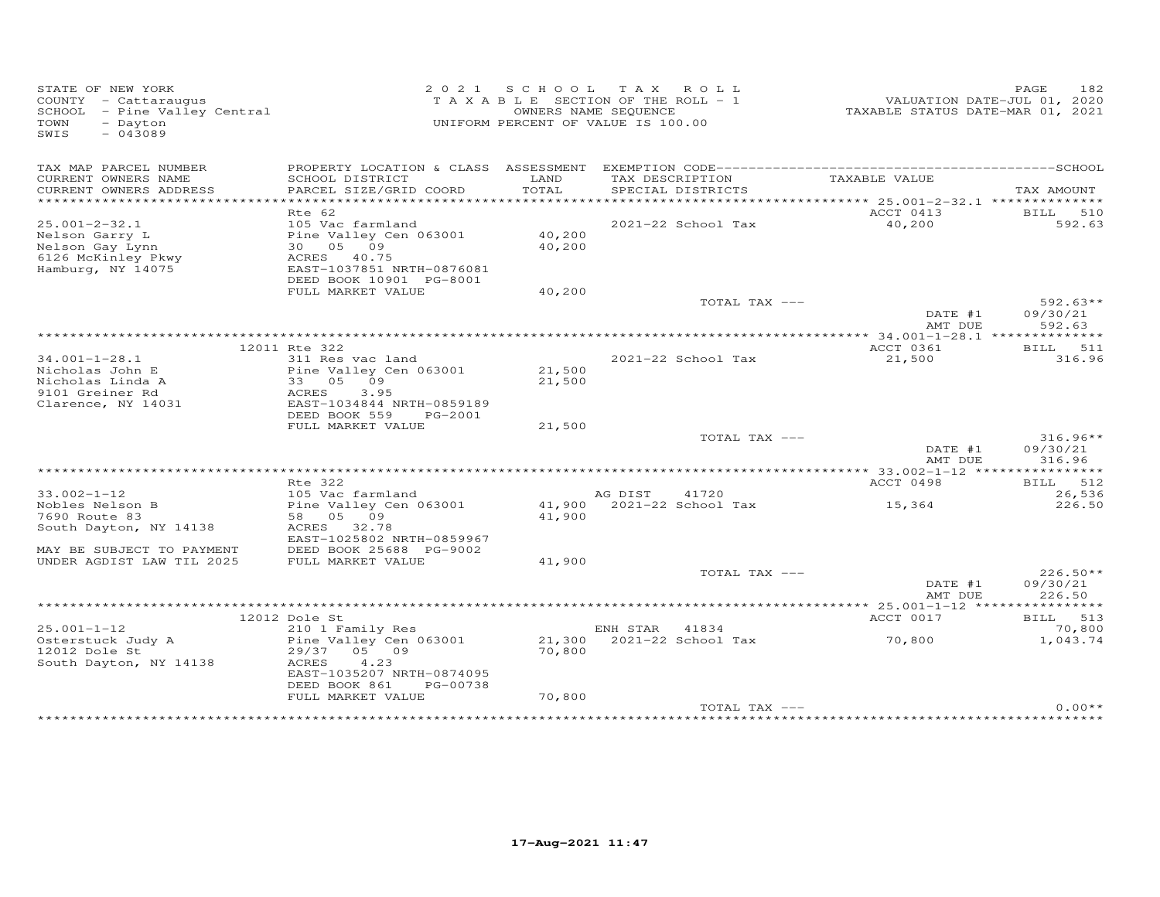| STATE OF NEW YORK<br>COUNTY - Cattaraugus<br>SCHOOL - Pine Valley Central<br>TOWN<br>- Dayton<br>$-043089$<br>SWIS | 2 0 2 1                                              | S C H O O L   | T A X<br>ROLL<br>TAXABLE SECTION OF THE ROLL - 1<br>OWNERS NAME SEQUENCE<br>UNIFORM PERCENT OF VALUE IS 100.00 | TAXABLE STATUS DATE-MAR 01, 2021                       | PAGE<br>182<br>VALUATION DATE-JUL 01, 2020 |
|--------------------------------------------------------------------------------------------------------------------|------------------------------------------------------|---------------|----------------------------------------------------------------------------------------------------------------|--------------------------------------------------------|--------------------------------------------|
| TAX MAP PARCEL NUMBER                                                                                              |                                                      |               |                                                                                                                |                                                        |                                            |
| CURRENT OWNERS NAME<br>CURRENT OWNERS ADDRESS                                                                      | SCHOOL DISTRICT<br>PARCEL SIZE/GRID COORD            | LAND<br>TOTAL | TAX DESCRIPTION<br>SPECIAL DISTRICTS                                                                           | TAXABLE VALUE                                          | TAX AMOUNT                                 |
| ***********************                                                                                            |                                                      |               |                                                                                                                |                                                        |                                            |
|                                                                                                                    | Rte 62                                               |               |                                                                                                                | ACCT 0413                                              | BILL 510                                   |
| $25.001 - 2 - 32.1$                                                                                                | 105 Vac farmland                                     |               | 2021-22 School Tax                                                                                             | 40,200                                                 | 592.63                                     |
| Nelson Garry L                                                                                                     | Pine Valley Cen 063001<br>30  05  09                 | 40,200        |                                                                                                                |                                                        |                                            |
| Nelson Gay Lynn<br>6126 McKinley Pkwy                                                                              | ACRES 40.75                                          | 40,200        |                                                                                                                |                                                        |                                            |
| Hamburg, NY 14075                                                                                                  | EAST-1037851 NRTH-0876081                            |               |                                                                                                                |                                                        |                                            |
|                                                                                                                    | DEED BOOK 10901 PG-8001                              |               |                                                                                                                |                                                        |                                            |
|                                                                                                                    | FULL MARKET VALUE                                    | 40,200        |                                                                                                                |                                                        |                                            |
|                                                                                                                    |                                                      |               | TOTAL TAX ---                                                                                                  |                                                        | $592.63**$                                 |
|                                                                                                                    |                                                      |               |                                                                                                                | DATE #1<br>AMT DUE                                     | 09/30/21<br>592.63                         |
|                                                                                                                    |                                                      |               |                                                                                                                |                                                        |                                            |
|                                                                                                                    | 12011 Rte 322                                        |               |                                                                                                                | ACCT 0361                                              | BILL 511                                   |
| $34.001 - 1 - 28.1$                                                                                                | 311 Res vac land                                     |               | 2021-22 School Tax                                                                                             | 21,500                                                 | 316.96                                     |
| Nicholas John E                                                                                                    | Pine Valley Cen 063001                               | 21,500        |                                                                                                                |                                                        |                                            |
| Nicholas Linda A                                                                                                   | 33 05<br>09                                          | 21,500        |                                                                                                                |                                                        |                                            |
| 9101 Greiner Rd<br>Clarence, NY 14031                                                                              | ACRES<br>3.95<br>EAST-1034844 NRTH-0859189           |               |                                                                                                                |                                                        |                                            |
|                                                                                                                    | DEED BOOK 559<br>PG-2001                             |               |                                                                                                                |                                                        |                                            |
|                                                                                                                    | FULL MARKET VALUE                                    | 21,500        |                                                                                                                |                                                        |                                            |
|                                                                                                                    |                                                      |               | TOTAL TAX ---                                                                                                  |                                                        | $316.96**$                                 |
|                                                                                                                    |                                                      |               |                                                                                                                | DATE #1                                                | 09/30/21                                   |
|                                                                                                                    |                                                      |               |                                                                                                                | AMT DUE                                                | 316.96                                     |
|                                                                                                                    | Rte 322                                              |               |                                                                                                                | *********** 33.002-1-12 *****************<br>ACCT 0498 | BILL 512                                   |
| $33.002 - 1 - 12$                                                                                                  | 105 Vac farmland                                     |               | AG DIST<br>41720                                                                                               |                                                        | 26,536                                     |
| Nobles Nelson B                                                                                                    | Pine Valley Cen 063001                               |               | 41,900 2021-22 School Tax                                                                                      | 15,364                                                 | 226.50                                     |
| 7690 Route 83                                                                                                      | 58 05 09                                             | 41,900        |                                                                                                                |                                                        |                                            |
| South Dayton, NY 14138                                                                                             | ACRES 32.78                                          |               |                                                                                                                |                                                        |                                            |
| MAY BE SUBJECT TO PAYMENT                                                                                          | EAST-1025802 NRTH-0859967<br>DEED BOOK 25688 PG-9002 |               |                                                                                                                |                                                        |                                            |
| UNDER AGDIST LAW TIL 2025                                                                                          | FULL MARKET VALUE                                    | 41,900        |                                                                                                                |                                                        |                                            |
|                                                                                                                    |                                                      |               | TOTAL TAX ---                                                                                                  |                                                        | $226.50**$                                 |
|                                                                                                                    |                                                      |               |                                                                                                                | DATE #1                                                | 09/30/21                                   |
|                                                                                                                    |                                                      |               |                                                                                                                | AMT DUE                                                | 226.50                                     |
|                                                                                                                    |                                                      |               |                                                                                                                |                                                        |                                            |
| $25.001 - 1 - 12$                                                                                                  | 12012 Dole St<br>210 1 Family Res                    |               | ENH STAR<br>41834                                                                                              | ACCT 0017                                              | BILL 513<br>70,800                         |
| Osterstuck Judy A                                                                                                  | Pine Valley Cen 063001                               |               | 21,300 2021-22 School Tax                                                                                      | 70,800                                                 | 1,043.74                                   |
| 12012 Dole St                                                                                                      | 29/37 05 09                                          | 70,800        |                                                                                                                |                                                        |                                            |
| South Dayton, NY 14138                                                                                             | ACRES<br>4.23                                        |               |                                                                                                                |                                                        |                                            |
|                                                                                                                    | EAST-1035207 NRTH-0874095                            |               |                                                                                                                |                                                        |                                            |
|                                                                                                                    | DEED BOOK 861<br>PG-00738                            |               |                                                                                                                |                                                        |                                            |
|                                                                                                                    | FULL MARKET VALUE                                    | 70,800        | TOTAL TAX ---                                                                                                  |                                                        | $0.00**$                                   |
|                                                                                                                    |                                                      |               |                                                                                                                |                                                        |                                            |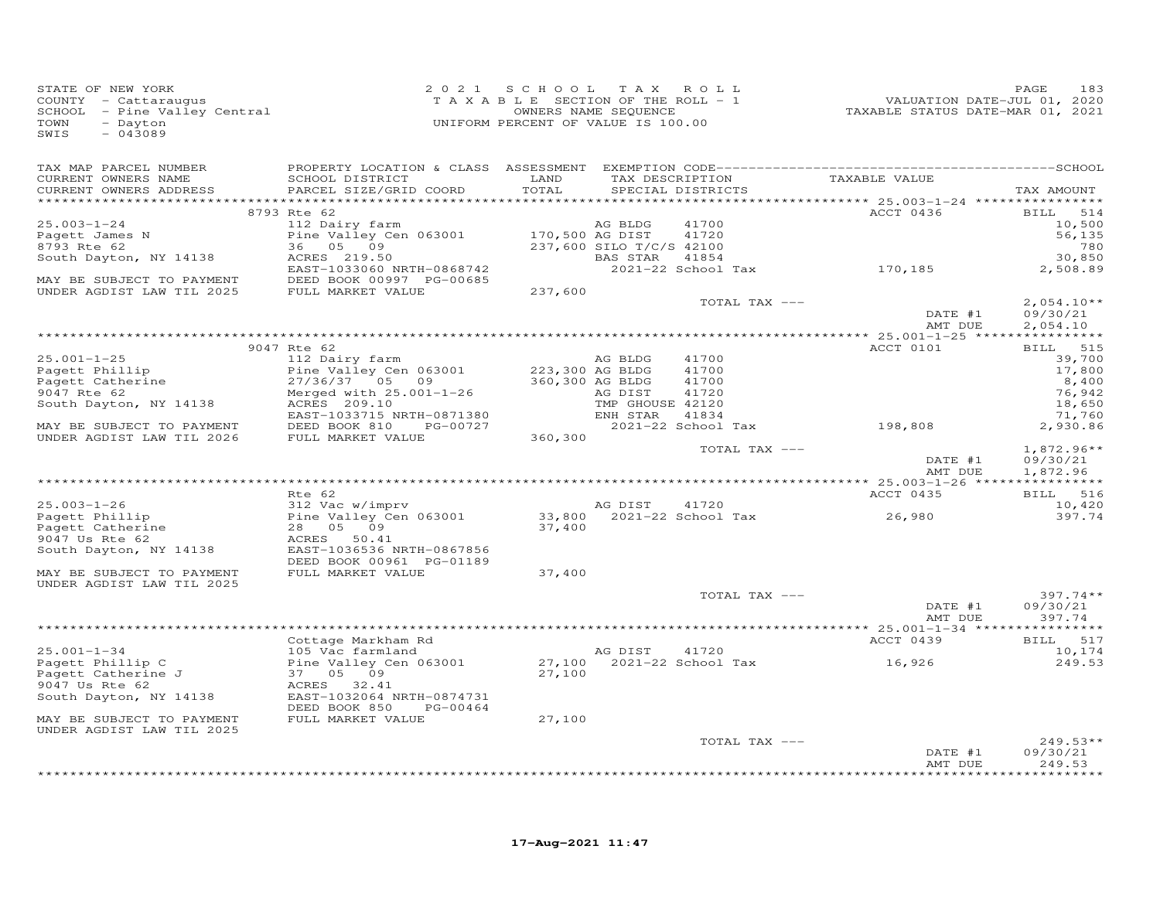| STATE OF NEW YORK            | 2021                                                                    | SCHOOL TAX ROLL                    |                          |                           |                                  | PAGE<br>183  |
|------------------------------|-------------------------------------------------------------------------|------------------------------------|--------------------------|---------------------------|----------------------------------|--------------|
| COUNTY - Cattaraugus         |                                                                         | TAXABLE SECTION OF THE ROLL - 1    |                          |                           | VALUATION DATE-JUL 01, 2020      |              |
| SCHOOL - Pine Valley Central |                                                                         |                                    | OWNERS NAME SEQUENCE     |                           | TAXABLE STATUS DATE-MAR 01, 2021 |              |
| - Davton<br>TOWN             |                                                                         | UNIFORM PERCENT OF VALUE IS 100.00 |                          |                           |                                  |              |
| $-043089$<br>SWIS            |                                                                         |                                    |                          |                           |                                  |              |
|                              |                                                                         |                                    |                          |                           |                                  |              |
|                              |                                                                         |                                    |                          |                           |                                  |              |
| TAX MAP PARCEL NUMBER        |                                                                         |                                    |                          |                           |                                  |              |
| CURRENT OWNERS NAME          | SCHOOL DISTRICT                                                         | LAND                               |                          | TAX DESCRIPTION           | TAXABLE VALUE                    |              |
| CURRENT OWNERS ADDRESS       | PARCEL SIZE/GRID COORD                                                  | TOTAL                              |                          | SPECIAL DISTRICTS         |                                  | TAX AMOUNT   |
|                              |                                                                         |                                    |                          |                           |                                  |              |
|                              | 8793 Rte 62                                                             |                                    |                          |                           | ACCT 0436                        | BILL 514     |
| $25.003 - 1 - 24$            | 112 Dairy farm                                                          |                                    | AG BLDG                  | 41700                     |                                  | 10,500       |
| Pagett James N               | Pine Valley Cen 063001                                                  | 170,500 AG DIST                    |                          | 41720                     |                                  | 56,135       |
| 8793 Rte 62                  | 36 05 09                                                                |                                    | 237,600 SILO T/C/S 42100 |                           |                                  | 780          |
| South Dayton, NY 14138       | ACRES 219.50 BAS STAR 41854<br>EAST-1033060 NRTH-0868742 2021-22 School |                                    |                          |                           |                                  | 30,850       |
|                              |                                                                         |                                    |                          |                           | 2021-22 School Tax 170,185       | 2,508.89     |
| MAY BE SUBJECT TO PAYMENT    | DEED BOOK 00997 PG-00685                                                |                                    |                          |                           |                                  |              |
| UNDER AGDIST LAW TIL 2025    | FULL MARKET VALUE                                                       | 237,600                            |                          |                           |                                  |              |
|                              |                                                                         |                                    |                          | TOTAL TAX ---             |                                  | $2,054.10**$ |
|                              |                                                                         |                                    |                          |                           | DATE #1                          | 09/30/21     |
|                              |                                                                         |                                    |                          |                           | AMT DUE                          | 2,054.10     |
|                              |                                                                         |                                    |                          |                           |                                  |              |
|                              | 9047 Rte 62                                                             |                                    |                          |                           | ACCT 0101                        | BILL 515     |
| $25.001 - 1 - 25$            | 112 Dairy farm                                                          |                                    | AG BLDG                  | 41700                     |                                  | 39,700       |
| Pagett Phillip               | Pine Valley Cen 063001                                                  | 223,300 AG BLDG                    |                          | 41700                     |                                  | 17,800       |
| Pagett Catherine             |                                                                         |                                    |                          | 41700                     |                                  | 8,400        |
| 9047 Rte 62                  | $M = 7,300$ AG BLDG<br>Merged with $25.001-1-26$<br>ACRES $209.10$      |                                    |                          | 41720                     |                                  | 76,942       |
| South Dayton, NY 14138       |                                                                         |                                    | TMP GHOUSE 42120         |                           |                                  | 18,650       |
|                              | EAST-1033715 NRTH-0871380                                               |                                    | ENH STAR                 | 41834                     |                                  | 71,760       |
| MAY BE SUBJECT TO PAYMENT    | DEED BOOK 810 PG-00727                                                  |                                    |                          | 2021-22 School Tax        | 198,808                          | 2,930.86     |
| UNDER AGDIST LAW TIL 2026    | FULL MARKET VALUE                                                       | 360,300                            |                          |                           |                                  |              |
|                              |                                                                         |                                    |                          | TOTAL TAX ---             |                                  | $1,872.96**$ |
|                              |                                                                         |                                    |                          |                           | DATE #1                          | 09/30/21     |
|                              |                                                                         |                                    |                          |                           | AMT DUE                          | 1,872.96     |
|                              |                                                                         |                                    |                          |                           |                                  |              |
|                              | Rte 62                                                                  |                                    |                          |                           | ACCT 0435                        | BILL 516     |
| $25.003 - 1 - 26$            | 312 Vac w/imprv                                                         |                                    | AG DIST                  | 41720                     |                                  | 10,420       |
| Pagett Phillip               | Pine Valley Cen 063001                                                  |                                    |                          | 33,800 2021-22 School Tax | 26,980                           | 397.74       |
| Pagett Catherine             | 28 05 09                                                                | 37,400                             |                          |                           |                                  |              |
| 9047 Us Rte 62               | ACRES 50.41                                                             |                                    |                          |                           |                                  |              |
| South Dayton, NY 14138       | EAST-1036536 NRTH-0867856                                               |                                    |                          |                           |                                  |              |
|                              | DEED BOOK 00961 PG-01189                                                |                                    |                          |                           |                                  |              |
| MAY BE SUBJECT TO PAYMENT    | FULL MARKET VALUE                                                       | 37,400                             |                          |                           |                                  |              |
| UNDER AGDIST LAW TIL 2025    |                                                                         |                                    |                          |                           |                                  |              |
|                              |                                                                         |                                    |                          | TOTAL TAX ---             |                                  | $397.74**$   |
|                              |                                                                         |                                    |                          |                           | DATE #1                          | 09/30/21     |
|                              |                                                                         |                                    |                          |                           | AMT DUE                          | 397.74       |
|                              |                                                                         |                                    |                          |                           |                                  |              |
|                              | Cottage Markham Rd                                                      |                                    |                          |                           | ACCT 0439                        | BILL 517     |
| $25.001 - 1 - 34$            | 105 Vac farmland                                                        |                                    | AG DIST                  | 41720                     |                                  | 10,174       |
| Pagett Phillip C             | Pine Valley Cen 063001                                                  |                                    |                          | 27,100 2021-22 School Tax | 16,926                           | 249.53       |
| Pagett Catherine J           | 37 05 09                                                                | 27,100                             |                          |                           |                                  |              |
| 9047 Us Rte 62               | ACRES 32.41                                                             |                                    |                          |                           |                                  |              |
| South Dayton, NY 14138       | EAST-1032064 NRTH-0874731                                               |                                    |                          |                           |                                  |              |
|                              | DEED BOOK 850<br>PG-00464                                               |                                    |                          |                           |                                  |              |
| MAY BE SUBJECT TO PAYMENT    | FULL MARKET VALUE                                                       | 27,100                             |                          |                           |                                  |              |
| UNDER AGDIST LAW TIL 2025    |                                                                         |                                    |                          |                           |                                  |              |
|                              |                                                                         |                                    |                          | TOTAL TAX ---             |                                  | 249.53**     |
|                              |                                                                         |                                    |                          |                           | DATE #1                          | 09/30/21     |
|                              |                                                                         |                                    |                          |                           | AMT DUE                          | 249.53       |
|                              |                                                                         |                                    |                          |                           |                                  | ******       |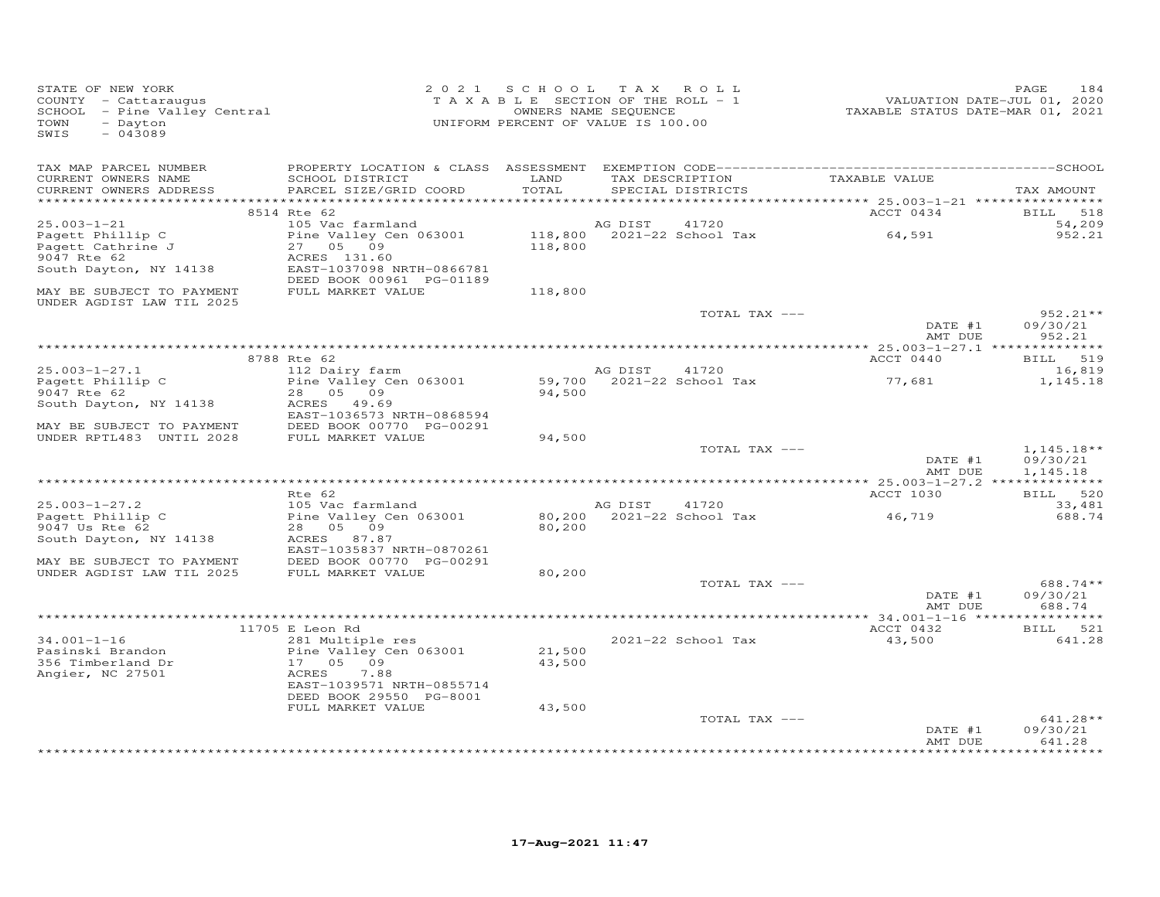| STATE OF NEW YORK<br>COUNTY - Cattaraugus<br>SCHOOL - Pine Valley Central<br>TOWN<br>- Dayton<br>$-043089$<br>SWIS | 2 0 2 1                                               | SCHOOL TAX ROLL<br>TAXABLE SECTION OF THE ROLL - 1<br>UNIFORM PERCENT OF VALUE IS 100.00 | OWNERS NAME SEQUENCE |                                      | TAXABLE STATUS DATE-MAR 01, 2021             | 184<br>PAGE<br>VALUATION DATE-JUL 01, 2020 |
|--------------------------------------------------------------------------------------------------------------------|-------------------------------------------------------|------------------------------------------------------------------------------------------|----------------------|--------------------------------------|----------------------------------------------|--------------------------------------------|
| TAX MAP PARCEL NUMBER                                                                                              |                                                       |                                                                                          |                      |                                      |                                              |                                            |
| CURRENT OWNERS NAME<br>CURRENT OWNERS ADDRESS                                                                      | SCHOOL DISTRICT<br>PARCEL SIZE/GRID COORD             | LAND<br>TOTAL                                                                            |                      | TAX DESCRIPTION<br>SPECIAL DISTRICTS | TAXABLE VALUE                                | TAX AMOUNT                                 |
|                                                                                                                    | 8514 Rte 62                                           |                                                                                          |                      |                                      | ACCT 0434                                    | 518<br><b>BILL</b>                         |
| $25.003 - 1 - 21$                                                                                                  | 105 Vac farmland                                      |                                                                                          | AG DIST              | 41720                                |                                              | 54,209                                     |
| Pagett Phillip C<br>Pagett Cathrine J<br>9047 Rte 62                                                               | Pine Valley Cen 063001<br>27 05 09<br>ACRES 131.60    | 118,800<br>118,800                                                                       |                      | 2021-22 School Tax                   | 64,591                                       | 952.21                                     |
| South Dayton, NY 14138                                                                                             | EAST-1037098 NRTH-0866781<br>DEED BOOK 00961 PG-01189 |                                                                                          |                      |                                      |                                              |                                            |
| MAY BE SUBJECT TO PAYMENT<br>UNDER AGDIST LAW TIL 2025                                                             | FULL MARKET VALUE                                     | 118,800                                                                                  |                      |                                      |                                              |                                            |
|                                                                                                                    |                                                       |                                                                                          |                      | TOTAL TAX ---                        |                                              | 952.21**                                   |
|                                                                                                                    |                                                       |                                                                                          |                      |                                      | DATE #1<br>AMT DUE                           | 09/30/21<br>952.21                         |
|                                                                                                                    | 8788 Rte 62                                           |                                                                                          |                      |                                      | *********** 25.003-1-27.1 *****<br>ACCT 0440 | BILL 519                                   |
| $25.003 - 1 - 27.1$                                                                                                | 112 Dairy farm                                        |                                                                                          | AG DIST              | 41720                                |                                              | 16,819                                     |
| Pagett Phillip C                                                                                                   | Pine Valley Cen 063001                                | 59,700                                                                                   |                      | 2021-22 School Tax                   | 77,681                                       | 1,145.18                                   |
| 9047 Rte 62                                                                                                        | 28 05 09                                              | 94,500                                                                                   |                      |                                      |                                              |                                            |
| South Dayton, NY 14138                                                                                             | ACRES 49.69<br>EAST-1036573 NRTH-0868594              |                                                                                          |                      |                                      |                                              |                                            |
| MAY BE SUBJECT TO PAYMENT<br>UNDER RPTL483 UNTIL 2028                                                              | DEED BOOK 00770 PG-00291<br>FULL MARKET VALUE         | 94,500                                                                                   |                      |                                      |                                              |                                            |
|                                                                                                                    |                                                       |                                                                                          |                      | TOTAL TAX ---                        |                                              | $1,145.18**$                               |
|                                                                                                                    |                                                       |                                                                                          |                      |                                      | DATE #1<br>AMT DUE                           | 09/30/21<br>1,145.18                       |
|                                                                                                                    |                                                       |                                                                                          |                      |                                      |                                              |                                            |
| $25.003 - 1 - 27.2$                                                                                                | $Rte$ 62<br>105 Vac farmland                          |                                                                                          | AG DIST              | 41720                                | ACCT 1030                                    | BILL 520<br>33,481                         |
| Pagett Phillip C<br>9047 Us Rte 62                                                                                 | Pine Valley Cen 063001<br>28 05 09                    | 80,200<br>80,200                                                                         |                      | $2021 - 22$ School Tax               | 46,719                                       | 688.74                                     |
| South Dayton, NY 14138                                                                                             | ACRES 87.87<br>EAST-1035837 NRTH-0870261              |                                                                                          |                      |                                      |                                              |                                            |
| MAY BE SUBJECT TO PAYMENT                                                                                          | DEED BOOK 00770 PG-00291                              |                                                                                          |                      |                                      |                                              |                                            |
| UNDER AGDIST LAW TIL 2025                                                                                          | FULL MARKET VALUE                                     | 80,200                                                                                   |                      |                                      |                                              |                                            |
|                                                                                                                    |                                                       |                                                                                          |                      | TOTAL TAX ---                        | DATE #1<br>AMT DUE                           | 688.74 **<br>09/30/21<br>688.74            |
|                                                                                                                    |                                                       |                                                                                          |                      |                                      |                                              |                                            |
|                                                                                                                    | 11705 E Leon Rd                                       |                                                                                          |                      |                                      | ACCT 0432                                    | BILL 521                                   |
| $34.001 - 1 - 16$                                                                                                  | 281 Multiple res                                      |                                                                                          |                      | 2021-22 School Tax                   | 43,500                                       | 641.28                                     |
| Pasinski Brandon<br>356 Timberland Dr                                                                              | Pine Valley Cen 063001<br>17<br>05 09                 | 21,500<br>43,500                                                                         |                      |                                      |                                              |                                            |
| Angier, NC 27501                                                                                                   | ACRES<br>7.88                                         |                                                                                          |                      |                                      |                                              |                                            |
|                                                                                                                    | EAST-1039571 NRTH-0855714<br>DEED BOOK 29550 PG-8001  |                                                                                          |                      |                                      |                                              |                                            |
|                                                                                                                    | FULL MARKET VALUE                                     | 43,500                                                                                   |                      |                                      |                                              |                                            |
|                                                                                                                    |                                                       |                                                                                          |                      | TOTAL TAX ---                        | DATE #1                                      | $641.28**$<br>09/30/21                     |
|                                                                                                                    |                                                       |                                                                                          |                      |                                      | AMT DUE                                      | 641.28                                     |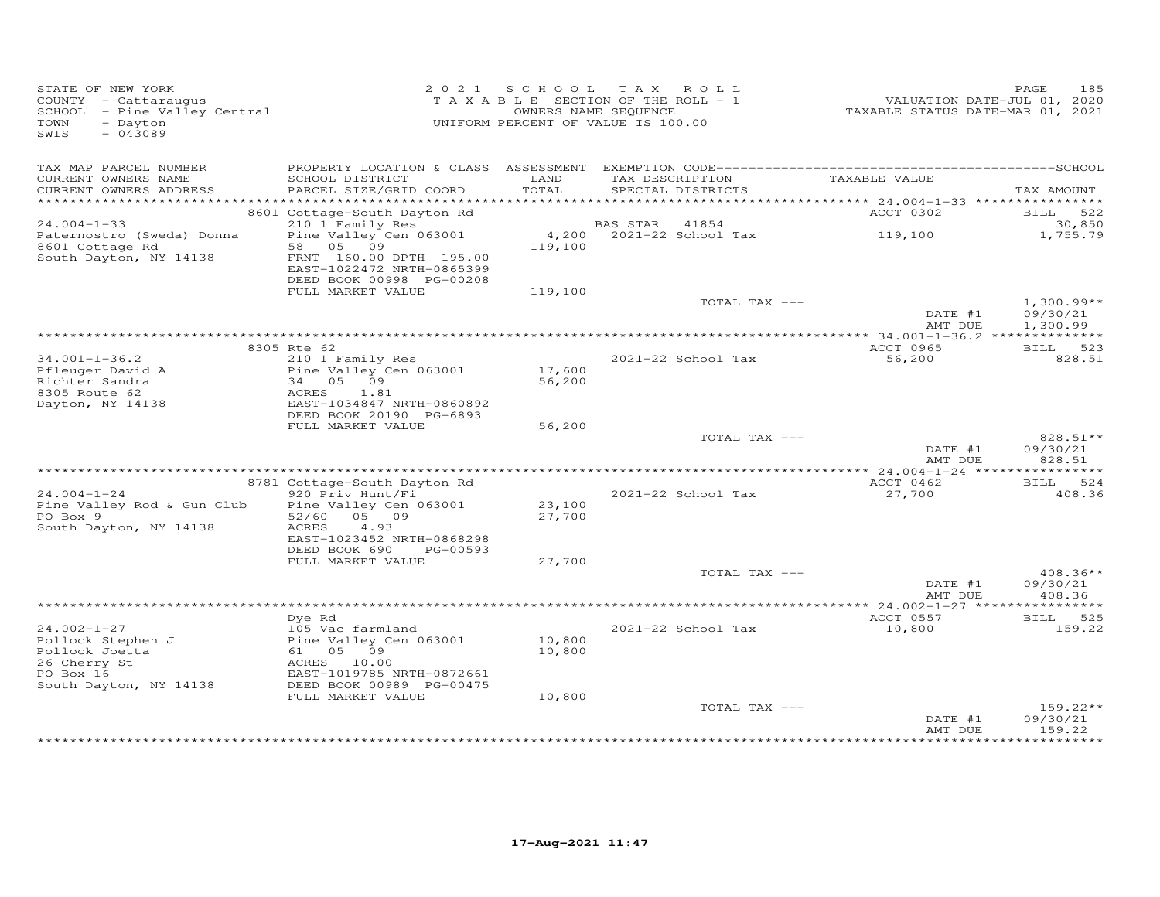| STATE OF NEW YORK<br>COUNTY - Cattaraugus<br>SCHOOL - Pine Valley Central<br>TOWN<br>- Dayton<br>$-043089$<br>SWIS |                                                      | 2021 SCHOOL TAX ROLL<br>TAXABLE SECTION OF THE ROLL - 1<br>UNIFORM PERCENT OF VALUE IS 100.00 | OWNERS NAME SEQUENCE |                          | VALUATION DATE-JUL 01, 2020<br>TAXABLE STATUS DATE-MAR 01, 2021 | 185<br>PAGE              |
|--------------------------------------------------------------------------------------------------------------------|------------------------------------------------------|-----------------------------------------------------------------------------------------------|----------------------|--------------------------|-----------------------------------------------------------------|--------------------------|
| TAX MAP PARCEL NUMBER<br>CURRENT OWNERS NAME                                                                       |                                                      | LAND                                                                                          |                      | TAX DESCRIPTION          | TAXABLE VALUE                                                   |                          |
| CURRENT OWNERS ADDRESS                                                                                             | SCHOOL DISTRICT<br>PARCEL SIZE/GRID COORD            | TOTAL                                                                                         |                      | SPECIAL DISTRICTS        |                                                                 | TAX AMOUNT               |
|                                                                                                                    |                                                      |                                                                                               |                      |                          | *********** 24.004-1-33 *****************                       |                          |
| $24.004 - 1 - 33$                                                                                                  | 8601 Cottage-South Dayton Rd<br>210 1 Family Res     |                                                                                               | BAS STAR 41854       |                          | ACCT 0302                                                       | BILL 522<br>30,850       |
| Paternostro (Sweda) Donna                                                                                          | Pine Valley Cen 063001                               |                                                                                               |                      | 4,200 2021-22 School Tax | 119,100                                                         | 1,755.79                 |
| 8601 Cottage Rd                                                                                                    | 58 05 09                                             | 119,100                                                                                       |                      |                          |                                                                 |                          |
| South Dayton, NY 14138                                                                                             | FRNT 160.00 DPTH 195.00<br>EAST-1022472 NRTH-0865399 |                                                                                               |                      |                          |                                                                 |                          |
|                                                                                                                    | DEED BOOK 00998 PG-00208                             |                                                                                               |                      |                          |                                                                 |                          |
|                                                                                                                    | FULL MARKET VALUE                                    | 119,100                                                                                       |                      |                          |                                                                 |                          |
|                                                                                                                    |                                                      |                                                                                               |                      | TOTAL TAX ---            | DATE #1                                                         | $1,300.99**$<br>09/30/21 |
|                                                                                                                    |                                                      |                                                                                               |                      |                          | AMT DUE                                                         | 1,300.99                 |
|                                                                                                                    | 8305 Rte 62                                          |                                                                                               |                      |                          | ACCT 0965                                                       | BILL 523                 |
| $34.001 - 1 - 36.2$                                                                                                | 210 1 Family Res                                     |                                                                                               |                      | 2021-22 School Tax       | 56,200                                                          | 828.51                   |
| Pfleuger David A                                                                                                   | Pine Valley Cen 063001                               | 17,600                                                                                        |                      |                          |                                                                 |                          |
| Richter Sandra<br>8305 Route 62                                                                                    | 34 05 09<br>ACRES<br>1.81                            | 56,200                                                                                        |                      |                          |                                                                 |                          |
| Dayton, NY 14138                                                                                                   | EAST-1034847 NRTH-0860892                            |                                                                                               |                      |                          |                                                                 |                          |
|                                                                                                                    | DEED BOOK 20190 PG-6893                              |                                                                                               |                      |                          |                                                                 |                          |
|                                                                                                                    | FULL MARKET VALUE                                    | 56,200                                                                                        |                      | TOTAL TAX ---            |                                                                 | 828.51**                 |
|                                                                                                                    |                                                      |                                                                                               |                      |                          | DATE #1                                                         | 09/30/21                 |
|                                                                                                                    |                                                      |                                                                                               |                      |                          | AMT DUE                                                         | 828.51                   |
|                                                                                                                    | 8781 Cottage-South Dayton Rd                         |                                                                                               |                      |                          | ACCT 0462                                                       | BILL 524                 |
| $24.004 - 1 - 24$                                                                                                  | 920 Priv Hunt/Fi                                     |                                                                                               |                      | 2021-22 School Tax       | 27,700                                                          | 408.36                   |
| Pine Valley Rod & Gun Club                                                                                         | Pine Valley Cen 063001                               | 23,100                                                                                        |                      |                          |                                                                 |                          |
| PO Box 9<br>South Dayton, NY 14138                                                                                 | 52/60 05 09<br>ACRES<br>4.93                         | 27,700                                                                                        |                      |                          |                                                                 |                          |
|                                                                                                                    | EAST-1023452 NRTH-0868298                            |                                                                                               |                      |                          |                                                                 |                          |
|                                                                                                                    | DEED BOOK 690<br>PG-00593                            |                                                                                               |                      |                          |                                                                 |                          |
|                                                                                                                    | FULL MARKET VALUE                                    | 27,700                                                                                        |                      | TOTAL TAX ---            |                                                                 | $408.36**$               |
|                                                                                                                    |                                                      |                                                                                               |                      |                          | DATE #1                                                         | 09/30/21                 |
|                                                                                                                    |                                                      |                                                                                               |                      |                          | AMT DUE                                                         | 408.36                   |
|                                                                                                                    | Dve Rd                                               |                                                                                               |                      |                          | ACCT 0557                                                       | BILL 525                 |
| $24.002 - 1 - 27$                                                                                                  | 105 Vac farmland                                     |                                                                                               |                      | 2021-22 School Tax       | 10,800                                                          | 159.22                   |
| Pollock Stephen J                                                                                                  | Pine Valley Cen 063001<br>61 05 09                   | 10,800<br>10,800                                                                              |                      |                          |                                                                 |                          |
| Pollock Joetta<br>26 Cherry St                                                                                     | ACRES 10.00                                          |                                                                                               |                      |                          |                                                                 |                          |
| PO Box 16                                                                                                          | EAST-1019785 NRTH-0872661                            |                                                                                               |                      |                          |                                                                 |                          |
| South Dayton, NY 14138                                                                                             | DEED BOOK 00989 PG-00475<br>FULL MARKET VALUE        | 10,800                                                                                        |                      |                          |                                                                 |                          |
|                                                                                                                    |                                                      |                                                                                               |                      | TOTAL TAX ---            |                                                                 | $159.22**$               |
|                                                                                                                    |                                                      |                                                                                               |                      |                          | DATE #1                                                         | 09/30/21                 |
|                                                                                                                    |                                                      |                                                                                               |                      |                          | AMT DUE                                                         | 159.22<br>.              |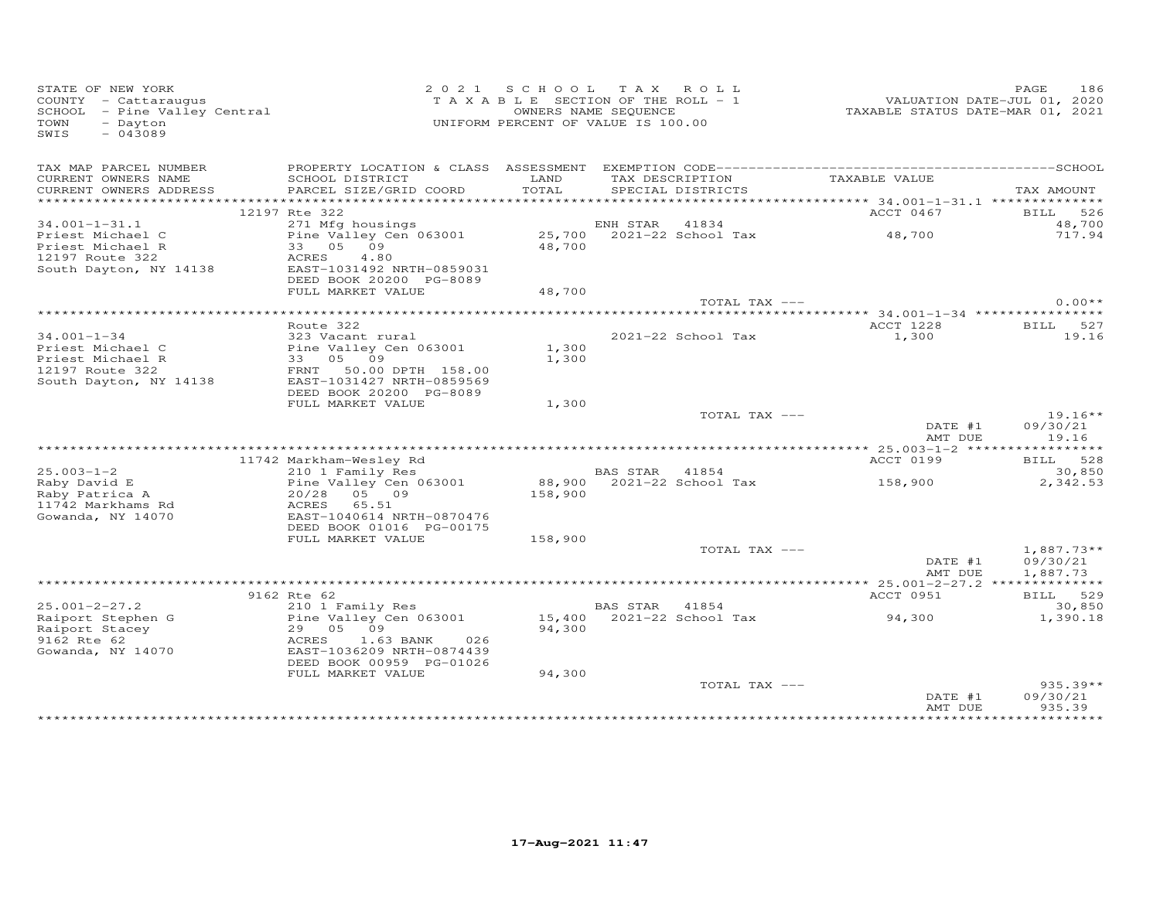| STATE OF NEW YORK<br>COUNTY - Cattaraugus<br>COUNTY - Cattaraugus<br>SCHOOL - Pine Valley Central<br>TOWN<br>- Dayton<br>$-043089$<br>SWIS |                                                                                                                                                                    |                        | 2021 SCHOOL TAX ROLL<br>TAXABLE SECTION OF THE ROLL - 1<br>OWNERS NAME SEQUENCE<br>UNIFORM PERCENT OF VALUE IS 100.00 | VALUATION DATE-JUL 01, 2020<br>TAXABLE STATUS DATE-MAR 01, 2021 | PAGE<br>186                      |
|--------------------------------------------------------------------------------------------------------------------------------------------|--------------------------------------------------------------------------------------------------------------------------------------------------------------------|------------------------|-----------------------------------------------------------------------------------------------------------------------|-----------------------------------------------------------------|----------------------------------|
| TAX MAP PARCEL NUMBER<br>CURRENT OWNERS NAME<br>CURRENT OWNERS ADDRESS<br>***********************                                          | SCHOOL DISTRICT<br>PARCEL SIZE/GRID COORD                                                                                                                          | LAND<br>TOTAL          | TAX DESCRIPTION<br>SPECIAL DISTRICTS                                                                                  | TAXABLE VALUE                                                   | TAX AMOUNT                       |
|                                                                                                                                            | 12197 Rte 322                                                                                                                                                      |                        |                                                                                                                       | ACCT 0467                                                       | BILL 526                         |
| $34.001 - 1 - 31.1$<br>Priest Michael C<br>Priest Michael R<br>12197 Route 322<br>South Dayton, NY 14138                                   | 271 Mfg housings<br>Pine Valley Cen 063001<br>33 05 09<br>ACRES<br>4.80<br>EAST-1031492 NRTH-0859031<br>DEED BOOK 20200 PG-8089                                    | 48,700                 | ENH STAR 41834<br>25,700 2021-22 School Tax                                                                           | 48,700                                                          | 48,700<br>717.94                 |
|                                                                                                                                            | FULL MARKET VALUE                                                                                                                                                  | 48,700                 |                                                                                                                       |                                                                 |                                  |
|                                                                                                                                            |                                                                                                                                                                    | ********************** | TOTAL TAX ---                                                                                                         | ***************************** 34.001-1-34 ****************      | $0.00**$                         |
| $34.001 - 1 - 34$<br>Priest Michael C<br>Priest Michael R<br>12197 Route 322<br>South Dayton, NY 14138                                     | Route 322<br>323 Vacant rural<br>EAST-1031427 NRTH-0859569                                                                                                         | 1,300<br>1,300         | 2021-22 School Tax                                                                                                    | ACCT 1228<br>1,300                                              | BILL 527<br>19.16                |
|                                                                                                                                            | DEED BOOK 20200 PG-8089<br>FULL MARKET VALUE                                                                                                                       | 1,300                  | TOTAL TAX ---                                                                                                         | DATE #1<br>AMT DUE                                              | $19.16**$<br>09/30/21<br>19.16   |
|                                                                                                                                            |                                                                                                                                                                    |                        |                                                                                                                       |                                                                 |                                  |
| $25.003 - 1 - 2$<br>Raby David E<br>Raby Patrica A<br>11742 Markhams Rd<br>Gowanda, NY 14070                                               | 11742 Markham-Wesley Rd<br>210 1 Family Res<br>Pine Valley Cen 063001<br>20/28<br>05 09<br>65.51<br>ACRES<br>EAST-1040614 NRTH-0870476<br>DEED BOOK 01016 PG-00175 | 158,900                | BAS STAR 41854<br>88,900 2021-22 School Tax                                                                           | ACCT 0199<br>158,900                                            | BILL 528<br>30,850<br>2,342.53   |
|                                                                                                                                            | FULL MARKET VALUE                                                                                                                                                  | 158,900                | TOTAL TAX ---                                                                                                         | DATE #1                                                         | $1,887.73**$<br>09/30/21         |
|                                                                                                                                            |                                                                                                                                                                    |                        |                                                                                                                       | AMT DUE                                                         | 1,887.73                         |
| $25.001 - 2 - 27.2$<br>Raiport Stephen G<br>Raiport Stacey                                                                                 | 9162 Rte 62<br>210 1 Family Res<br>Pine Valley Cen 063001<br>29 05 09                                                                                              | 94,300                 | BAS STAR 41854<br>15,400 2021-22 School Tax                                                                           | ACCT 0951<br>94,300                                             | BILL 529<br>30,850<br>1,390.18   |
| 9162 Rte 62<br>Gowanda, NY 14070                                                                                                           | ACRES<br>$1.63$ BANK<br>026<br>EAST-1036209 NRTH-0874439<br>DEED BOOK 00959 PG-01026<br>FULL MARKET VALUE                                                          | 94,300                 |                                                                                                                       |                                                                 |                                  |
|                                                                                                                                            |                                                                                                                                                                    |                        | TOTAL TAX ---                                                                                                         | DATE #1<br>AMT DUE                                              | $935.39**$<br>09/30/21<br>935.39 |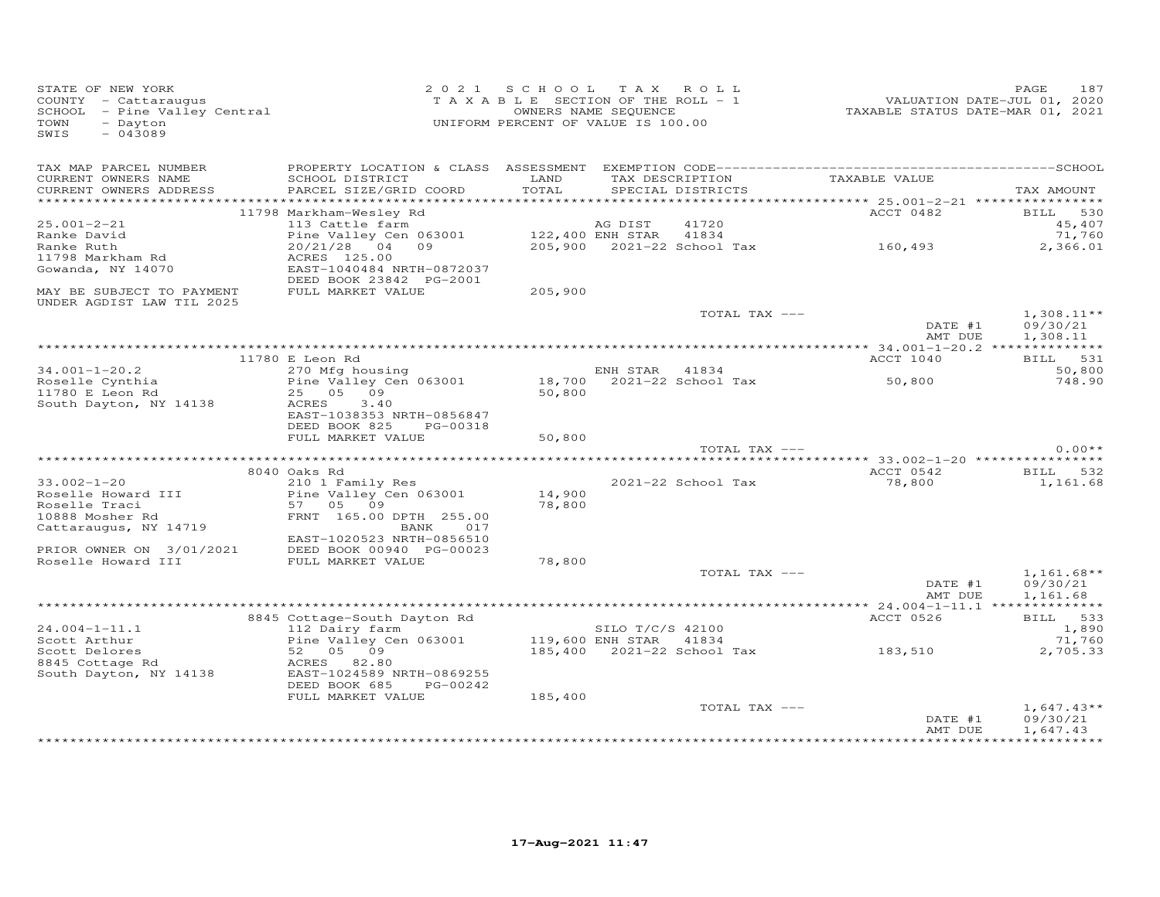| STATE OF NEW YORK<br>COUNTY - Cattaraugus<br>COUNTY - Cattaraugus<br>SCHOOL - Pine Valley Central<br>- Dayton<br>TOWN<br>$-043089$<br>SWIS |                                           | 2021 SCHOOL TAX ROLL<br>TAXABLE SECTION OF THE ROLL - 1<br>UNIFORM PERCENT OF VALUE IS 100.00 | OWNERS NAME SEQUENCE |                                      | VALUATION DATE-JUL 01, 2020<br>TAXABLE STATUS DATE-MAR 01, 2021 | 187<br>PAGE              |
|--------------------------------------------------------------------------------------------------------------------------------------------|-------------------------------------------|-----------------------------------------------------------------------------------------------|----------------------|--------------------------------------|-----------------------------------------------------------------|--------------------------|
| TAX MAP PARCEL NUMBER                                                                                                                      |                                           |                                                                                               |                      |                                      |                                                                 |                          |
| CURRENT OWNERS NAME<br>CURRENT OWNERS ADDRESS                                                                                              | SCHOOL DISTRICT<br>PARCEL SIZE/GRID COORD | LAND<br>TOTAL                                                                                 |                      | TAX DESCRIPTION<br>SPECIAL DISTRICTS | TAXABLE VALUE                                                   | TAX AMOUNT               |
|                                                                                                                                            |                                           |                                                                                               |                      |                                      |                                                                 |                          |
|                                                                                                                                            | 11798 Markham-Wesley Rd                   |                                                                                               |                      |                                      | ACCT 0482                                                       | BILL 530                 |
| $25.001 - 2 - 21$                                                                                                                          | 113 Cattle farm                           |                                                                                               | AG DIST              | 41720                                |                                                                 | 45,407                   |
| Ranke David<br>Ranke Ruth                                                                                                                  | Pine Valley Cen 063001<br>20/21/28 04 09  | 122,400 ENH STAR 41834                                                                        |                      |                                      | 205,900 2021-22 School Tax 160,493                              | 71,760                   |
| 11798 Markham Rd                                                                                                                           | ACRES 125.00                              |                                                                                               |                      |                                      |                                                                 | 2,366.01                 |
| Gowanda, NY 14070                                                                                                                          | EAST-1040484 NRTH-0872037                 |                                                                                               |                      |                                      |                                                                 |                          |
|                                                                                                                                            | DEED BOOK 23842 PG-2001                   |                                                                                               |                      |                                      |                                                                 |                          |
| MAY BE SUBJECT TO PAYMENT                                                                                                                  | FULL MARKET VALUE                         | 205,900                                                                                       |                      |                                      |                                                                 |                          |
| UNDER AGDIST LAW TIL 2025                                                                                                                  |                                           |                                                                                               |                      | TOTAL TAX ---                        | DATE #1                                                         | $1,308.11**$<br>09/30/21 |
|                                                                                                                                            |                                           |                                                                                               |                      |                                      | AMT DUE                                                         | 1,308.11                 |
|                                                                                                                                            |                                           |                                                                                               |                      |                                      |                                                                 |                          |
|                                                                                                                                            | 11780 E Leon Rd                           |                                                                                               |                      |                                      | ACCT 1040                                                       | BILL 531                 |
| $34.001 - 1 - 20.2$                                                                                                                        | 270 Mfg housing                           |                                                                                               | ENH STAR 41834       |                                      |                                                                 | 50,800                   |
| Roselle Cynthia<br>11780 E Leon Rd                                                                                                         | Pine Valley Cen 063001<br>25 05 09        | 50,800                                                                                        |                      | 18,700 2021-22 School Tax            | 50,800                                                          | 748.90                   |
| South Dayton, NY 14138                                                                                                                     | ACRES<br>3.40                             |                                                                                               |                      |                                      |                                                                 |                          |
|                                                                                                                                            | EAST-1038353 NRTH-0856847                 |                                                                                               |                      |                                      |                                                                 |                          |
|                                                                                                                                            | DEED BOOK 825<br>PG-00318                 |                                                                                               |                      |                                      |                                                                 |                          |
|                                                                                                                                            | FULL MARKET VALUE                         | 50,800                                                                                        |                      |                                      |                                                                 |                          |
|                                                                                                                                            |                                           |                                                                                               |                      | TOTAL TAX ---                        |                                                                 | $0.00**$                 |
|                                                                                                                                            |                                           |                                                                                               |                      |                                      |                                                                 |                          |
|                                                                                                                                            | 8040 Oaks Rd                              |                                                                                               |                      |                                      | ACCT 0542                                                       | BILL 532                 |
| $33.002 - 1 - 20$                                                                                                                          | 210 1 Family Res                          |                                                                                               |                      | 2021-22 School Tax                   | 78,800                                                          | 1,161.68                 |
| Roselle Howard III                                                                                                                         | Pine Valley Cen 063001                    | 14,900                                                                                        |                      |                                      |                                                                 |                          |
| Roselle Traci                                                                                                                              | 57 05 09                                  | 78,800                                                                                        |                      |                                      |                                                                 |                          |
| 10888 Mosher Rd<br>Cattaraugus, NY 14719                                                                                                   | FRNT 165.00 DPTH 255.00<br>BANK<br>017    |                                                                                               |                      |                                      |                                                                 |                          |
|                                                                                                                                            | EAST-1020523 NRTH-0856510                 |                                                                                               |                      |                                      |                                                                 |                          |
| PRIOR OWNER ON 3/01/2021                                                                                                                   | DEED BOOK 00940 PG-00023                  |                                                                                               |                      |                                      |                                                                 |                          |
| Roselle Howard III                                                                                                                         | FULL MARKET VALUE                         | 78,800                                                                                        |                      |                                      |                                                                 |                          |
|                                                                                                                                            |                                           |                                                                                               |                      | TOTAL TAX ---                        |                                                                 | $1,161.68**$             |
|                                                                                                                                            |                                           |                                                                                               |                      |                                      | DATE #1                                                         | 09/30/21                 |
|                                                                                                                                            |                                           |                                                                                               |                      |                                      | AMT DUE                                                         | 1,161.68                 |
|                                                                                                                                            |                                           |                                                                                               |                      |                                      |                                                                 |                          |
|                                                                                                                                            | 8845 Cottage-South Dayton Rd              |                                                                                               |                      |                                      | ACCT 0526                                                       | BILL 533                 |
| $24.004 - 1 - 11.1$                                                                                                                        | 112 Dairy farm                            |                                                                                               | SILO T/C/S 42100     |                                      |                                                                 | 1,890                    |
| Scott Arthur<br>Scott Delores                                                                                                              | Pine Valley Cen 063001<br>52 05 09        | 119,600 ENH STAR 41834                                                                        |                      | 185,400 2021-22 School Tax           | 183,510                                                         | 71,760<br>2,705.33       |
| 8845 Cottage Rd                                                                                                                            | ACRES 82.80                               |                                                                                               |                      |                                      |                                                                 |                          |
| South Dayton, NY 14138                                                                                                                     | EAST-1024589 NRTH-0869255                 |                                                                                               |                      |                                      |                                                                 |                          |
|                                                                                                                                            | DEED BOOK 685<br>PG-00242                 |                                                                                               |                      |                                      |                                                                 |                          |
|                                                                                                                                            | FULL MARKET VALUE                         | 185,400                                                                                       |                      |                                      |                                                                 |                          |
|                                                                                                                                            |                                           |                                                                                               |                      | TOTAL TAX ---                        |                                                                 | $1,647.43**$             |
|                                                                                                                                            |                                           |                                                                                               |                      |                                      | DATE #1                                                         | 09/30/21                 |
|                                                                                                                                            |                                           |                                                                                               |                      |                                      | AMT DUE                                                         | 1,647.43                 |
|                                                                                                                                            |                                           |                                                                                               |                      |                                      |                                                                 |                          |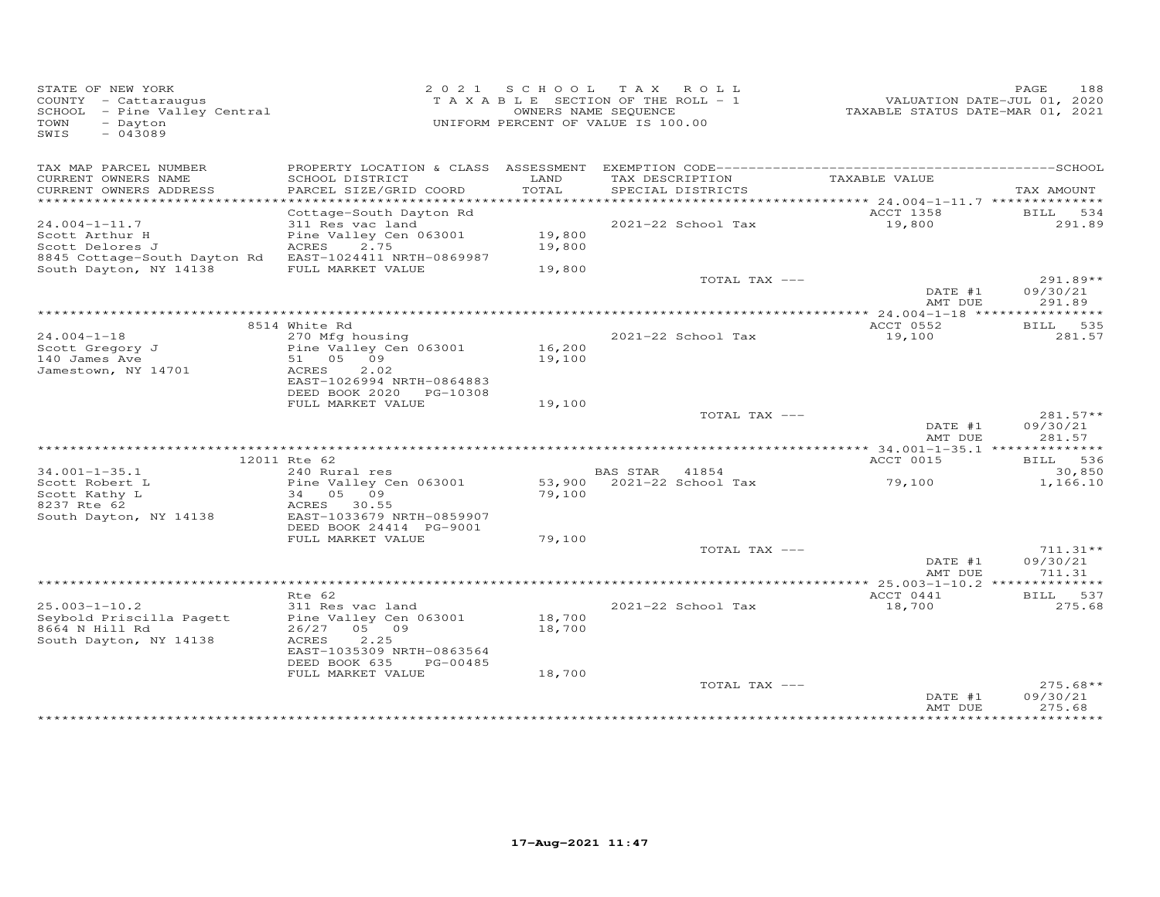| STATE OF NEW YORK<br>COUNTY - Cattaraugus<br>SCHOOL - Pine Valley Central<br>- Dayton<br>TOWN<br>$-043089$<br>SWIS |                                              |        | 2021 SCHOOL TAX ROLL<br>TAXABLE SECTION OF THE ROLL - 1<br>OWNERS NAME SEQUENCE<br>UNIFORM PERCENT OF VALUE IS 100.00 | VALUATION DATE-JUL 01, 2020<br>TAXABLE STATUS DATE-MAR 01, 2021 | 188<br>PAGE            |
|--------------------------------------------------------------------------------------------------------------------|----------------------------------------------|--------|-----------------------------------------------------------------------------------------------------------------------|-----------------------------------------------------------------|------------------------|
| TAX MAP PARCEL NUMBER<br>CURRENT OWNERS NAME                                                                       | SCHOOL DISTRICT                              | LAND   | TAX DESCRIPTION                                                                                                       | TAXABLE VALUE                                                   |                        |
| CURRENT OWNERS ADDRESS                                                                                             | PARCEL SIZE/GRID COORD                       | TOTAL  | SPECIAL DISTRICTS                                                                                                     |                                                                 | TAX AMOUNT             |
|                                                                                                                    |                                              |        |                                                                                                                       |                                                                 |                        |
| $24.004 - 1 - 11.7$                                                                                                | Cottage-South Dayton Rd<br>311 Res vac land  |        | 2021-22 School Tax                                                                                                    | ACCT 1358<br>19,800                                             | BILL 534<br>291.89     |
| Scott Arthur H                                                                                                     | Pine Valley Cen 063001                       | 19,800 |                                                                                                                       |                                                                 |                        |
| Scott Delores J                                                                                                    | ACRES<br>2.75                                | 19,800 |                                                                                                                       |                                                                 |                        |
| 8845 Cottage-South Dayton Rd EAST-1024411 NRTH-0869987                                                             |                                              |        |                                                                                                                       |                                                                 |                        |
| South Dayton, NY 14138                                                                                             | FULL MARKET VALUE                            | 19,800 |                                                                                                                       |                                                                 |                        |
|                                                                                                                    |                                              |        | TOTAL TAX ---                                                                                                         |                                                                 | $291.89**$             |
|                                                                                                                    |                                              |        |                                                                                                                       | DATE #1<br>AMT DUE                                              | 09/30/21<br>291.89     |
|                                                                                                                    |                                              |        |                                                                                                                       |                                                                 |                        |
|                                                                                                                    | 8514 White Rd                                |        |                                                                                                                       | ACCT 0552                                                       | BILL 535               |
| $24.004 - 1 - 18$                                                                                                  | 270 Mfg housing                              |        | 2021-22 School Tax                                                                                                    | 19,100                                                          | 281.57                 |
| Scott Gregory J                                                                                                    | Pine Valley Cen 063001                       | 16,200 |                                                                                                                       |                                                                 |                        |
| 140 James Ave                                                                                                      | 51 05 09                                     | 19,100 |                                                                                                                       |                                                                 |                        |
| Jamestown, NY 14701                                                                                                | ACRES<br>2.02                                |        |                                                                                                                       |                                                                 |                        |
|                                                                                                                    | EAST-1026994 NRTH-0864883                    |        |                                                                                                                       |                                                                 |                        |
|                                                                                                                    | DEED BOOK 2020 PG-10308<br>FULL MARKET VALUE | 19,100 |                                                                                                                       |                                                                 |                        |
|                                                                                                                    |                                              |        | TOTAL TAX ---                                                                                                         |                                                                 | $281.57**$             |
|                                                                                                                    |                                              |        |                                                                                                                       | DATE #1                                                         | 09/30/21               |
|                                                                                                                    |                                              |        |                                                                                                                       | AMT DUE                                                         | 281.57                 |
|                                                                                                                    |                                              |        |                                                                                                                       |                                                                 |                        |
|                                                                                                                    | 12011 Rte 62                                 |        |                                                                                                                       | ACCT 0015                                                       | BILL 536               |
| $34.001 - 1 - 35.1$<br>Scott Robert L                                                                              | 240 Rural res<br>Pine Valley Cen 063001      |        | BAS STAR 41854<br>53,900 2021-22 School Tax                                                                           | 79,100                                                          | 30,850<br>1,166.10     |
| Scott Kathy L                                                                                                      | 34 05 09                                     | 79,100 |                                                                                                                       |                                                                 |                        |
| 8237 Rte 62                                                                                                        | ACRES 30.55                                  |        |                                                                                                                       |                                                                 |                        |
| South Dayton, NY 14138                                                                                             | EAST-1033679 NRTH-0859907                    |        |                                                                                                                       |                                                                 |                        |
|                                                                                                                    | DEED BOOK 24414 PG-9001                      |        |                                                                                                                       |                                                                 |                        |
|                                                                                                                    | FULL MARKET VALUE                            | 79,100 |                                                                                                                       |                                                                 |                        |
|                                                                                                                    |                                              |        | TOTAL TAX ---                                                                                                         | DATE #1                                                         | $711.31**$<br>09/30/21 |
|                                                                                                                    |                                              |        |                                                                                                                       | AMT DUE                                                         | 711.31                 |
|                                                                                                                    |                                              |        |                                                                                                                       |                                                                 |                        |
|                                                                                                                    | Rte 62                                       |        |                                                                                                                       | ACCT 0441                                                       | BILL 537               |
| $25.003 - 1 - 10.2$                                                                                                | 311 Res vac land                             |        | 2021-22 School Tax                                                                                                    | 18,700                                                          | 275.68                 |
| Seybold Priscilla Pagett                                                                                           | Pine Valley Cen 063001                       | 18,700 |                                                                                                                       |                                                                 |                        |
| 8664 N Hill Rd                                                                                                     | 26/27 05 09                                  | 18,700 |                                                                                                                       |                                                                 |                        |
| South Dayton, NY 14138                                                                                             | ACRES<br>2.25<br>EAST-1035309 NRTH-0863564   |        |                                                                                                                       |                                                                 |                        |
|                                                                                                                    | DEED BOOK 635<br>PG-00485                    |        |                                                                                                                       |                                                                 |                        |
|                                                                                                                    | FULL MARKET VALUE                            | 18,700 |                                                                                                                       |                                                                 |                        |
|                                                                                                                    |                                              |        | TOTAL TAX ---                                                                                                         |                                                                 | $275.68**$             |
|                                                                                                                    |                                              |        |                                                                                                                       | DATE #1                                                         | 09/30/21               |
|                                                                                                                    |                                              |        |                                                                                                                       | AMT DUE                                                         | 275.68<br>*****        |
|                                                                                                                    |                                              |        |                                                                                                                       |                                                                 |                        |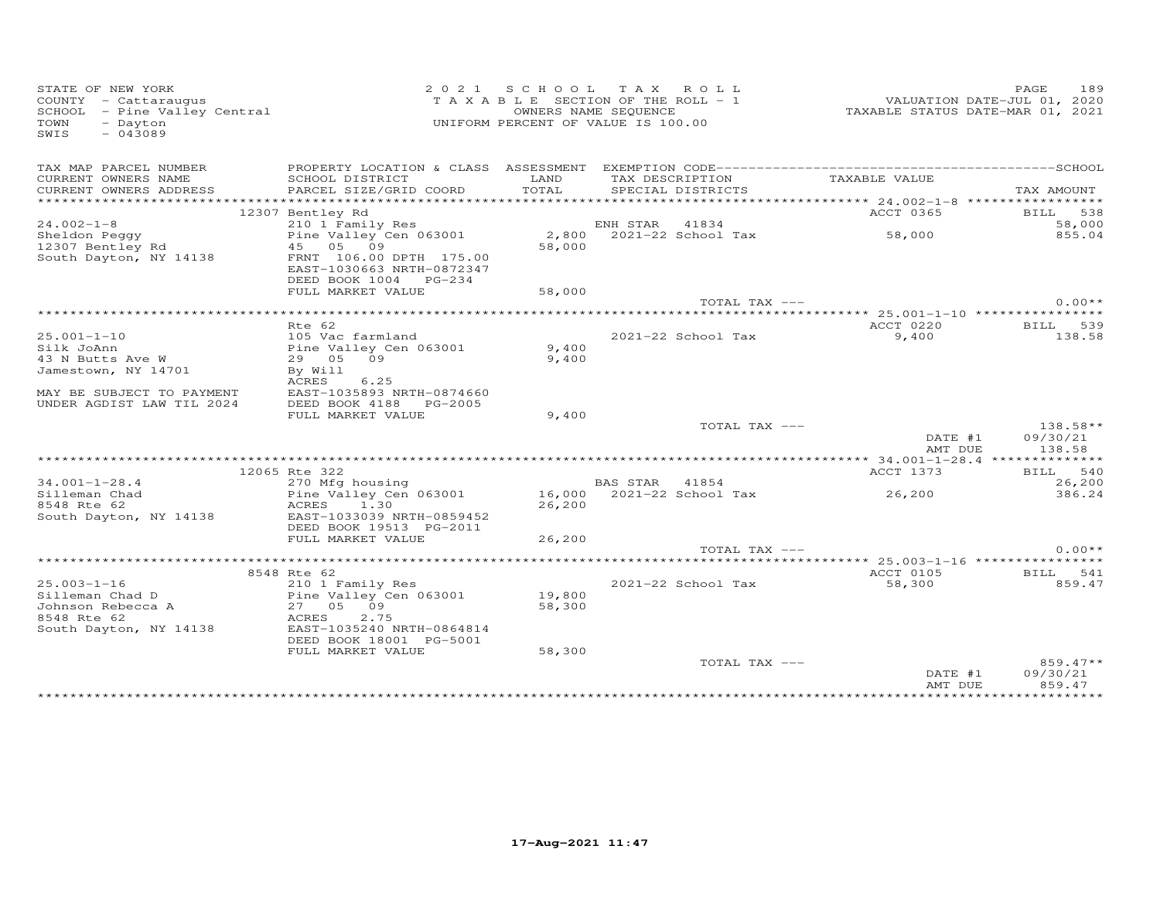| STATE OF NEW YORK<br>COUNTY - Cattaraugus<br>COUNTY - Cattaraugus<br>SCHOOL - Pine Valley Central<br>- Dayton<br>TOWN<br>$-043089$<br>SWIS |                                                                               | 2021 SCHOOL   | TAX ROLL<br>TAXABLE SECTION OF THE ROLL - 1<br>OWNERS NAME SEQUENCE<br>UNIFORM PERCENT OF VALUE IS 100.00 | VALUATION DATE-JUL 01, 2020<br>TAXABLE STATUS DATE-MAR 01, 2021 | PAGE<br>189          |
|--------------------------------------------------------------------------------------------------------------------------------------------|-------------------------------------------------------------------------------|---------------|-----------------------------------------------------------------------------------------------------------|-----------------------------------------------------------------|----------------------|
| TAX MAP PARCEL NUMBER                                                                                                                      |                                                                               |               |                                                                                                           |                                                                 |                      |
| CURRENT OWNERS NAME<br>CURRENT OWNERS ADDRESS                                                                                              | SCHOOL DISTRICT<br>PARCEL SIZE/GRID COORD                                     | LAND<br>TOTAL | TAX DESCRIPTION<br>SPECIAL DISTRICTS                                                                      | TAXABLE VALUE                                                   | TAX AMOUNT           |
| ***********************                                                                                                                    |                                                                               |               |                                                                                                           |                                                                 |                      |
|                                                                                                                                            | 12307 Bentley Rd                                                              |               |                                                                                                           | ACCT 0365                                                       | BILL 538             |
| $24.002 - 1 - 8$                                                                                                                           | 210 1 Family Res                                                              |               | ENH STAR<br>41834                                                                                         |                                                                 | 58,000               |
| Sheldon Peggy                                                                                                                              | Pine Valley Cen 063001                                                        |               | 2,800 2021-22 School Tax                                                                                  | 58,000                                                          | 855.04               |
| 12307 Bentley Rd                                                                                                                           | 45 05 09                                                                      | 58,000        |                                                                                                           |                                                                 |                      |
| South Dayton, NY 14138                                                                                                                     | FRNT 106.00 DPTH 175.00<br>EAST-1030663 NRTH-0872347<br>DEED BOOK 1004 PG-234 |               |                                                                                                           |                                                                 |                      |
|                                                                                                                                            | FULL MARKET VALUE                                                             | 58,000        |                                                                                                           |                                                                 |                      |
|                                                                                                                                            |                                                                               |               | TOTAL TAX ---                                                                                             |                                                                 | $0.00**$             |
|                                                                                                                                            |                                                                               |               |                                                                                                           |                                                                 |                      |
|                                                                                                                                            | Rte 62                                                                        |               |                                                                                                           | ACCT 0220                                                       | BILL 539             |
| $25.001 - 1 - 10$                                                                                                                          | 105 Vac farmland                                                              |               | 2021-22 School Tax                                                                                        | 9,400                                                           | 138.58               |
| Silk JoAnn                                                                                                                                 | Pine Valley Cen 063001                                                        | 9,400         |                                                                                                           |                                                                 |                      |
| 43 N Butts Ave W                                                                                                                           | 29 05<br>09                                                                   | 9,400         |                                                                                                           |                                                                 |                      |
| Jamestown, NY 14701                                                                                                                        | By Will                                                                       |               |                                                                                                           |                                                                 |                      |
|                                                                                                                                            | ACRES<br>6.25                                                                 |               |                                                                                                           |                                                                 |                      |
| MAY BE SUBJECT TO PAYMENT                                                                                                                  | EAST-1035893 NRTH-0874660                                                     |               |                                                                                                           |                                                                 |                      |
| UNDER AGDIST LAW TIL 2024                                                                                                                  | DEED BOOK 4188<br>PG-2005                                                     |               |                                                                                                           |                                                                 |                      |
|                                                                                                                                            | FULL MARKET VALUE                                                             | 9,400         |                                                                                                           |                                                                 |                      |
|                                                                                                                                            |                                                                               |               | TOTAL TAX ---                                                                                             | DATE #1                                                         | 138.58**<br>09/30/21 |
|                                                                                                                                            |                                                                               |               |                                                                                                           | AMT DUE                                                         | 138.58               |
|                                                                                                                                            |                                                                               |               |                                                                                                           |                                                                 |                      |
|                                                                                                                                            | 12065 Rte 322                                                                 |               |                                                                                                           | ACCT 1373                                                       | BILL 540             |
| $34.001 - 1 - 28.4$                                                                                                                        | 270 Mfg housing                                                               |               | BAS STAR 41854                                                                                            |                                                                 | 26,200               |
| Silleman Chad                                                                                                                              | Pine Valley Cen 063001                                                        |               | 16,000 2021-22 School Tax                                                                                 | 26,200                                                          | 386.24               |
| 8548 Rte 62                                                                                                                                | ACRES<br>1.30                                                                 | 26,200        |                                                                                                           |                                                                 |                      |
| South Dayton, NY 14138                                                                                                                     | EAST-1033039 NRTH-0859452                                                     |               |                                                                                                           |                                                                 |                      |
|                                                                                                                                            | DEED BOOK 19513 PG-2011                                                       |               |                                                                                                           |                                                                 |                      |
|                                                                                                                                            | FULL MARKET VALUE                                                             | 26,200        |                                                                                                           |                                                                 |                      |
|                                                                                                                                            |                                                                               |               | TOTAL TAX ---                                                                                             |                                                                 | $0.00**$             |
|                                                                                                                                            |                                                                               |               |                                                                                                           |                                                                 |                      |
|                                                                                                                                            | 8548 Rte 62                                                                   |               |                                                                                                           | ACCT 0105                                                       | BILL 541             |
| $25.003 - 1 - 16$                                                                                                                          | 210 1 Family Res                                                              |               | 2021-22 School Tax                                                                                        | 58,300                                                          | 859.47               |
| Silleman Chad D                                                                                                                            | Pine Valley Cen 063001                                                        | 19,800        |                                                                                                           |                                                                 |                      |
| Johnson Rebecca A                                                                                                                          | 09<br>27 05                                                                   | 58,300        |                                                                                                           |                                                                 |                      |
| 8548 Rte 62                                                                                                                                | ACRES<br>2.75                                                                 |               |                                                                                                           |                                                                 |                      |
| South Dayton, NY 14138                                                                                                                     | EAST-1035240 NRTH-0864814                                                     |               |                                                                                                           |                                                                 |                      |
|                                                                                                                                            | DEED BOOK 18001 PG-5001                                                       |               |                                                                                                           |                                                                 |                      |
|                                                                                                                                            | FULL MARKET VALUE                                                             | 58,300        |                                                                                                           |                                                                 |                      |
|                                                                                                                                            |                                                                               |               | TOTAL TAX ---                                                                                             |                                                                 | $859.47**$           |
|                                                                                                                                            |                                                                               |               |                                                                                                           | DATE #1                                                         | 09/30/21             |
|                                                                                                                                            |                                                                               |               |                                                                                                           | AMT DUE                                                         | 859.47               |
|                                                                                                                                            |                                                                               |               |                                                                                                           |                                                                 |                      |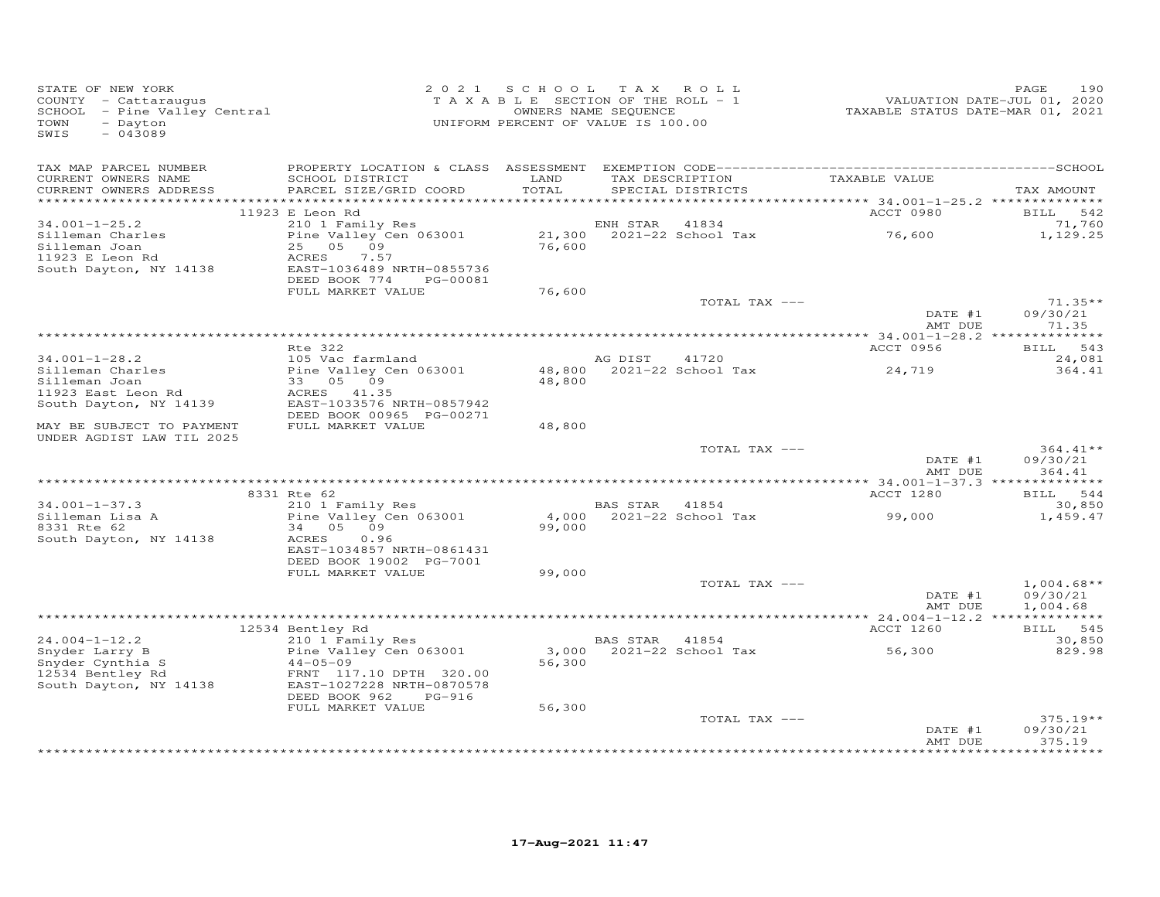| STATE OF NEW YORK<br>COUNTY - Cattaraugus<br>SCHOOL - Pine Valley Central<br>SCHOOL - Pine Valley Central<br>TOWN<br>- Dayton<br>SWIS<br>$-043089$ |                                                                                 | 2021 SCHOOL TAX ROLL<br>TAXABLE SECTION OF THE ROLL - 1<br>OWNERS NAME SEQUENCE<br>UNIFORM PERCENT OF VALUE IS 100.00 |                |                                      |                    | 190<br>PAGE                      |
|----------------------------------------------------------------------------------------------------------------------------------------------------|---------------------------------------------------------------------------------|-----------------------------------------------------------------------------------------------------------------------|----------------|--------------------------------------|--------------------|----------------------------------|
| TAX MAP PARCEL NUMBER<br>CURRENT OWNERS NAME<br>CURRENT OWNERS ADDRESS                                                                             | SCHOOL DISTRICT<br>PARCEL SIZE/GRID COORD                                       | LAND<br>TOTAL                                                                                                         |                | TAX DESCRIPTION<br>SPECIAL DISTRICTS | TAXABLE VALUE      | TAX AMOUNT                       |
| ************************                                                                                                                           | 11923 E Leon Rd                                                                 |                                                                                                                       |                |                                      | ACCT 0980          | BILL 542                         |
| $34.001 - 1 - 25.2$                                                                                                                                | 210 1 Family Res                                                                |                                                                                                                       | ENH STAR       | 41834                                |                    | 71,760                           |
| Silleman Charles<br>Silleman Joan                                                                                                                  | Pine Valley Cen 063001<br>25 05 09                                              |                                                                                                                       |                |                                      | 76,600             | 1,129.25                         |
| 11923 E Leon Rd<br>South Dayton, NY 14138                                                                                                          | ACRES<br>7.57<br>EAST-1036489 NRTH-0855736<br>DEED BOOK 774<br>PG-00081         |                                                                                                                       |                |                                      |                    |                                  |
|                                                                                                                                                    | FULL MARKET VALUE                                                               | 76,600                                                                                                                |                |                                      |                    |                                  |
|                                                                                                                                                    |                                                                                 |                                                                                                                       |                | TOTAL TAX ---                        |                    | $71.35**$                        |
|                                                                                                                                                    |                                                                                 |                                                                                                                       |                |                                      | DATE #1<br>AMT DUE | 09/30/21<br>71.35                |
|                                                                                                                                                    |                                                                                 |                                                                                                                       |                |                                      |                    |                                  |
|                                                                                                                                                    | Rte 322                                                                         |                                                                                                                       |                |                                      | ACCT 0956          | BILL 543                         |
| $34.001 - 1 - 28.2$<br>Silleman Charles                                                                                                            | 105 Vac farmland<br>Pine Valley Cen 063001                                      |                                                                                                                       | AG DIST 41720  | 48,800 2021-22 School Tax            | 24,719             | 24,081<br>364.41                 |
| Silleman Joan                                                                                                                                      | 33 05 09                                                                        | 48,800                                                                                                                |                |                                      |                    |                                  |
| 11923 East Leon Rd                                                                                                                                 | ACRES 41.35                                                                     |                                                                                                                       |                |                                      |                    |                                  |
| South Dayton, NY 14139                                                                                                                             | EAST-1033576 NRTH-0857942<br>DEED BOOK 00965 PG-00271                           |                                                                                                                       |                |                                      |                    |                                  |
| MAY BE SUBJECT TO PAYMENT<br>UNDER AGDIST LAW TIL 2025                                                                                             | FULL MARKET VALUE                                                               | 48,800                                                                                                                |                |                                      |                    |                                  |
|                                                                                                                                                    |                                                                                 |                                                                                                                       |                | TOTAL TAX ---                        | DATE #1<br>AMT DUE | $364.41**$<br>09/30/21<br>364.41 |
|                                                                                                                                                    |                                                                                 |                                                                                                                       |                |                                      |                    |                                  |
|                                                                                                                                                    | 8331 Rte 62                                                                     |                                                                                                                       |                |                                      | ACCT 1280          | BILL 544                         |
| $34.001 - 1 - 37.3$                                                                                                                                | 210 1 Family Res                                                                |                                                                                                                       | BAS STAR 41854 |                                      |                    | 30,850                           |
| Silleman Lisa A<br>8331 Rte 62<br>South Dayton, NY 14138                                                                                           | Pine Valley Cen 063001<br>34 05 09<br>ACRES<br>0.96                             | 99,000                                                                                                                |                | 4,000 2021-22 School Tax             | 99,000             | 1,459.47                         |
|                                                                                                                                                    | EAST-1034857 NRTH-0861431<br>DEED BOOK 19002 PG-7001                            |                                                                                                                       |                |                                      |                    |                                  |
|                                                                                                                                                    | FULL MARKET VALUE                                                               | 99,000                                                                                                                |                |                                      |                    |                                  |
|                                                                                                                                                    |                                                                                 |                                                                                                                       |                | TOTAL TAX ---                        | DATE #1            | $1,004.68**$<br>09/30/21         |
|                                                                                                                                                    |                                                                                 |                                                                                                                       |                |                                      | AMT DUE            | 1,004.68                         |
|                                                                                                                                                    | 12534 Bentley Rd                                                                |                                                                                                                       |                |                                      | ACCT 1260          | BILL 545                         |
| $24.004 - 1 - 12.2$                                                                                                                                | 210 1 Family Res                                                                |                                                                                                                       | BAS STAR 41854 |                                      |                    | 30,850                           |
| Snyder Larry B                                                                                                                                     | Pine Valley Cen 063001                                                          |                                                                                                                       |                | 3,000 2021-22 School Tax             | 56,300             | 829.98                           |
| Snyder Cynthia S                                                                                                                                   | $44 - 05 - 09$                                                                  | 56,300                                                                                                                |                |                                      |                    |                                  |
| 12534 Bentley Rd<br>South Dayton, NY 14138                                                                                                         | FRNT 117.10 DPTH 320.00<br>EAST-1027228 NRTH-0870578<br>DEED BOOK 962<br>PG-916 |                                                                                                                       |                |                                      |                    |                                  |
|                                                                                                                                                    | FULL MARKET VALUE                                                               | 56,300                                                                                                                |                |                                      |                    |                                  |
|                                                                                                                                                    |                                                                                 |                                                                                                                       |                | TOTAL TAX ---                        |                    | $375.19**$                       |
|                                                                                                                                                    |                                                                                 |                                                                                                                       |                |                                      | DATE #1<br>AMT DUE | 09/30/21<br>375.19               |
|                                                                                                                                                    |                                                                                 |                                                                                                                       |                |                                      |                    |                                  |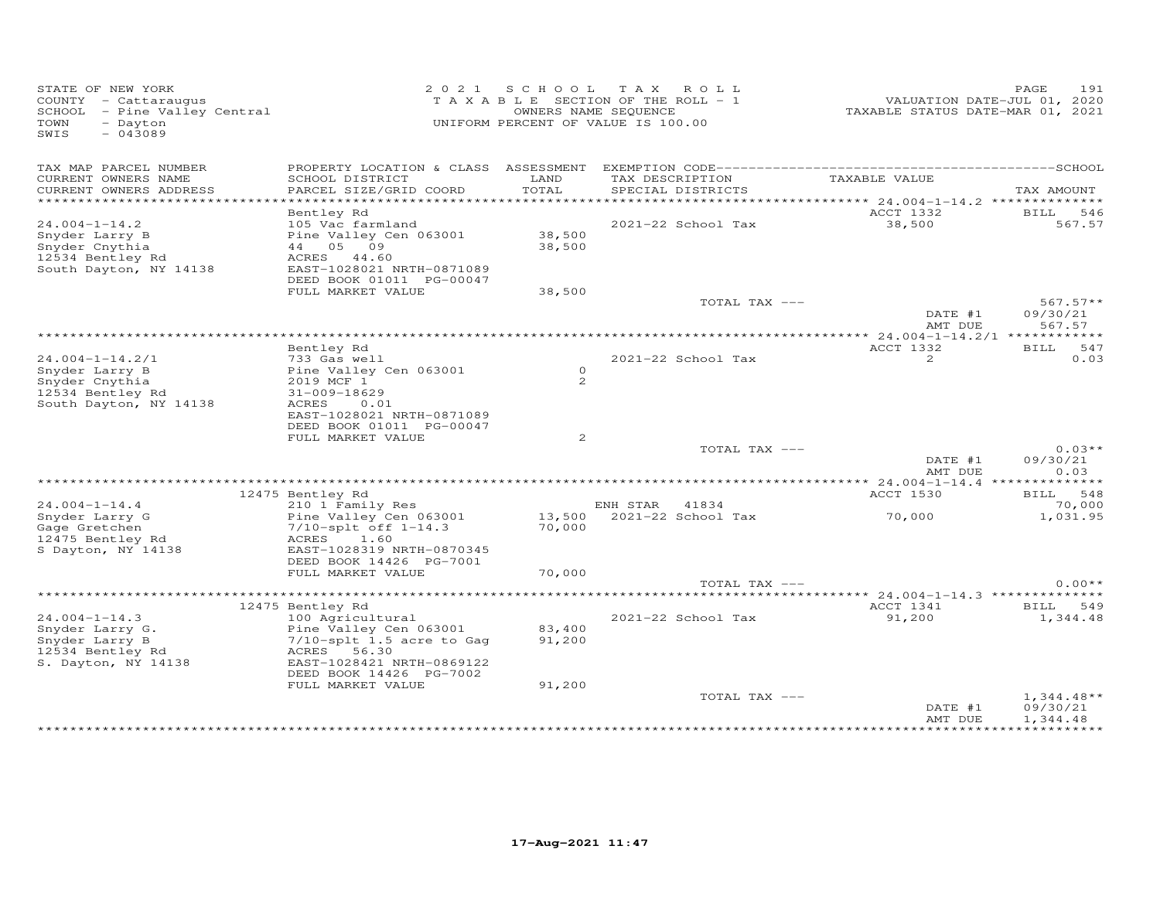| STATE OF NEW YORK<br>COUNTY - Cattaraugus<br>SCHOOL - Pine Valley Central<br>- Dayton<br>TOWN<br>$-043089$<br>SWIS |                                                                                                                                                                                                 | 2021 SCHOOL                | TAX ROLL<br>TAXABLE SECTION OF THE ROLL - 1<br>OWNERS NAME SEQUENCE<br>UNIFORM PERCENT OF VALUE IS 100.00 | VALUATION DATE-JUL 01, 2020<br>TAXABLE STATUS DATE-MAR 01, 2021 | 191<br>PAGE                          |
|--------------------------------------------------------------------------------------------------------------------|-------------------------------------------------------------------------------------------------------------------------------------------------------------------------------------------------|----------------------------|-----------------------------------------------------------------------------------------------------------|-----------------------------------------------------------------|--------------------------------------|
| TAX MAP PARCEL NUMBER<br>CURRENT OWNERS NAME<br>CURRENT OWNERS ADDRESS                                             | SCHOOL DISTRICT<br>PARCEL SIZE/GRID COORD                                                                                                                                                       | LAND<br>TOTAL              | TAX DESCRIPTION<br>SPECIAL DISTRICTS                                                                      | TAXABLE VALUE                                                   | TAX AMOUNT                           |
|                                                                                                                    |                                                                                                                                                                                                 |                            |                                                                                                           |                                                                 |                                      |
| $24.004 - 1 - 14.2$<br>Snyder Larry B<br>Snyder Cnythia<br>12534 Bentley Rd<br>South Dayton, NY 14138              | Bentley Rd<br>105 Vac farmland<br>Pine Valley Cen 063001<br>44 05 09<br>ACRES 44.60<br>EAST-1028021 NRTH-0871089<br>DEED BOOK 01011 PG-00047                                                    | 38,500<br>38,500           | 2021-22 School Tax                                                                                        | ACCT 1332<br>38,500                                             | 546<br><b>BILL</b><br>567.57         |
|                                                                                                                    | FULL MARKET VALUE                                                                                                                                                                               | 38,500                     |                                                                                                           |                                                                 |                                      |
|                                                                                                                    |                                                                                                                                                                                                 |                            | TOTAL TAX ---                                                                                             | DATE #1<br>AMT DUE                                              | $567.57**$<br>09/30/21<br>567.57     |
|                                                                                                                    |                                                                                                                                                                                                 |                            |                                                                                                           |                                                                 |                                      |
| $24.004 - 1 - 14.2/1$<br>Snyder Larry B<br>Snyder Cnythia<br>12534 Bentley Rd<br>South Dayton, NY 14138            | Bentley Rd<br>733 Gas well<br>Pine Valley Cen 063001<br>2019 MCF 1<br>31-009-18629<br>ACRES<br>0.01<br>EAST-1028021 NRTH-0871089                                                                | $\circ$<br>2               | 2021-22 School Tax                                                                                        | ACCT 1332<br>2                                                  | <b>BILL</b><br>547<br>0.03           |
|                                                                                                                    | DEED BOOK 01011 PG-00047<br>FULL MARKET VALUE                                                                                                                                                   | 2                          |                                                                                                           |                                                                 |                                      |
|                                                                                                                    |                                                                                                                                                                                                 |                            | TOTAL TAX ---                                                                                             | DATE #1<br>AMT DUE                                              | $0.03**$<br>09/30/21<br>0.03         |
|                                                                                                                    | 12475 Bentley Rd                                                                                                                                                                                |                            |                                                                                                           | ACCT 1530                                                       | BILL 548                             |
| $24.004 - 1 - 14.4$<br>Snyder Larry G<br>Gage Gretchen<br>12475 Bentley Rd                                         | 210 1 Family Res<br>Pine Valley Cen 063001<br>7/10-splt off 1-14.3<br>1.60<br>ACRES                                                                                                             | 70,000                     | ENH STAR 41834<br>13,500 2021-22 School Tax                                                               | 70,000                                                          | 70,000<br>1,031.95                   |
| S Dayton, NY 14138                                                                                                 | EAST-1028319 NRTH-0870345<br>DEED BOOK 14426 PG-7001<br>FULL MARKET VALUE                                                                                                                       | 70,000                     | TOTAL TAX ---                                                                                             |                                                                 | $0.00**$                             |
|                                                                                                                    |                                                                                                                                                                                                 |                            |                                                                                                           |                                                                 |                                      |
| $24.004 - 1 - 14.3$<br>Snyder Larry G.<br>Snyder Larry B<br>12534 Bentley Rd<br>S. Dayton, NY 14138                | 12475 Bentley Rd<br>100 Agricultural<br>Pine Valley Cen 063001<br>$7/10$ -splt $1.5$ acre to Gag<br>56.30<br>ACRES<br>EAST-1028421 NRTH-0869122<br>DEED BOOK 14426 PG-7002<br>FULL MARKET VALUE | 83,400<br>91,200<br>91,200 | 2021-22 School Tax                                                                                        | ACCT 1341<br>91,200                                             | <b>BILL</b><br>549<br>1,344.48       |
|                                                                                                                    |                                                                                                                                                                                                 |                            | TOTAL TAX ---                                                                                             | DATE #1<br>AMT DUE                                              | $1,344.48**$<br>09/30/21<br>1,344.48 |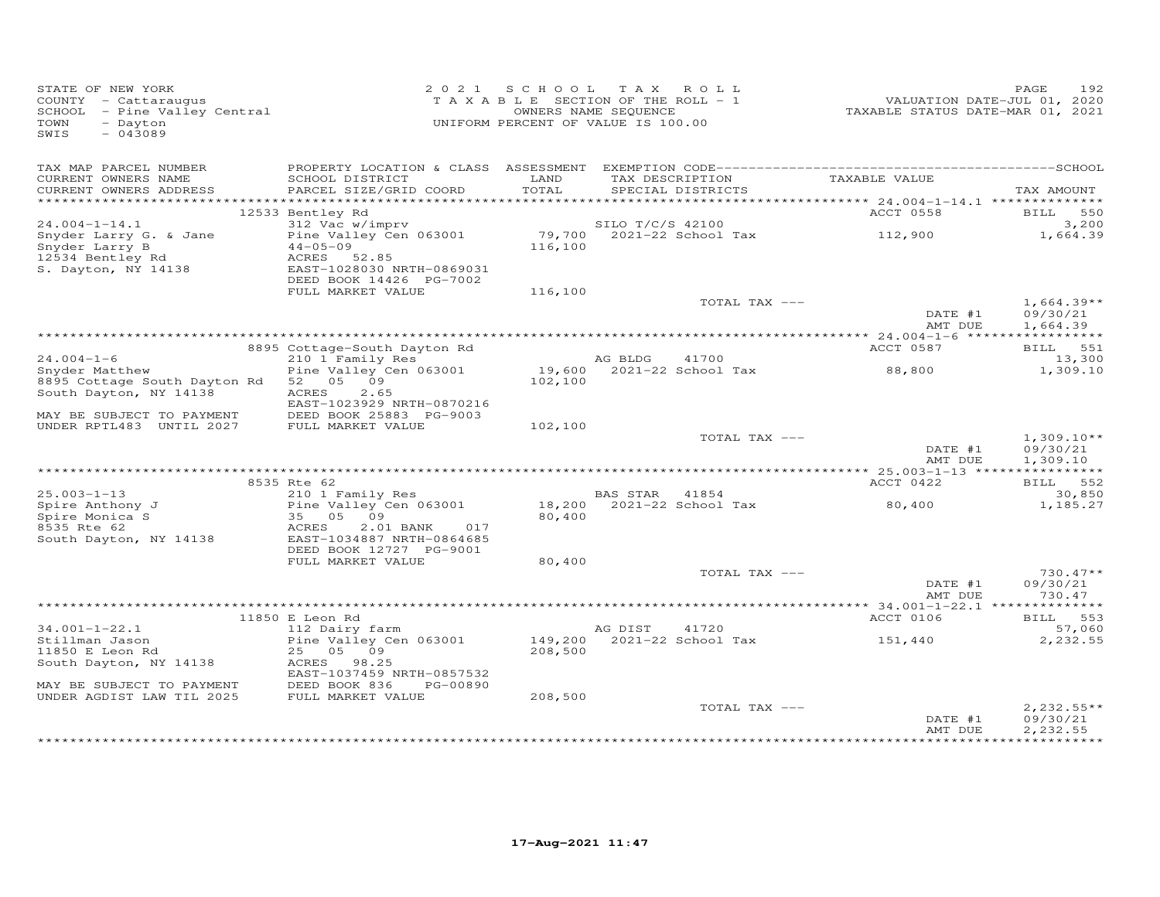| STATE OF NEW YORK<br>COUNTY - Cattaraugus<br>$SCHOOL$ - Pine Valley Central<br>TOWN<br>- Dayton<br>$-043089$<br>SWIS |                                                                                      |         | 2021 SCHOOL TAX ROLL<br>TAXABLE SECTION OF THE ROLL - 1<br>OWNERS NAME SEQUENCE<br>UNIFORM PERCENT OF VALUE IS 100.00 | VALUATION DATE-JUL 01, 2020<br>TAXABLE STATUS DATE-MAR 01, 2021 | 192<br>PAGE                          |
|----------------------------------------------------------------------------------------------------------------------|--------------------------------------------------------------------------------------|---------|-----------------------------------------------------------------------------------------------------------------------|-----------------------------------------------------------------|--------------------------------------|
| TAX MAP PARCEL NUMBER<br>CURRENT OWNERS NAME                                                                         | SCHOOL DISTRICT                                                                      | LAND    | TAX DESCRIPTION                                                                                                       | TAXABLE VALUE                                                   |                                      |
| CURRENT OWNERS ADDRESS                                                                                               | PARCEL SIZE/GRID COORD                                                               | TOTAL   | SPECIAL DISTRICTS                                                                                                     |                                                                 | TAX AMOUNT                           |
|                                                                                                                      | 12533 Bentley Rd                                                                     |         |                                                                                                                       | ACCT 0558                                                       | BILL 550                             |
| $24.004 - 1 - 14.1$                                                                                                  | 312 Vac w/imprv                                                                      |         | SILO T/C/S 42100                                                                                                      |                                                                 | 3,200                                |
| Snyder Larry G. & Jane<br>Snyder Larry B<br>12534 Bentley Rd<br>S. Dayton, NY 14138                                  | Pine Valley Cen 063001<br>$44 - 05 - 09$<br>ACRES 52.85<br>EAST-1028030 NRTH-0869031 | 116,100 | 79,700 2021-22 School Tax 112,900                                                                                     |                                                                 | 1,664.39                             |
|                                                                                                                      | DEED BOOK 14426 PG-7002                                                              |         |                                                                                                                       |                                                                 |                                      |
|                                                                                                                      | FULL MARKET VALUE                                                                    | 116,100 |                                                                                                                       |                                                                 |                                      |
|                                                                                                                      |                                                                                      |         | TOTAL TAX ---                                                                                                         | DATE #1<br>AMT DUE                                              | $1,664.39**$<br>09/30/21<br>1,664.39 |
|                                                                                                                      |                                                                                      |         |                                                                                                                       |                                                                 |                                      |
|                                                                                                                      | 8895 Cottage-South Dayton Rd                                                         |         |                                                                                                                       | ACCT 0587                                                       | BILL 551                             |
| $24.004 - 1 - 6$<br>Snyder Matthew                                                                                   | 210 1 Family Res<br>Pine Valley Cen 063001                                           |         | AG BLDG<br>41700<br>19,600 $2021-22$ School Tax                                                                       | 88,800                                                          | 13,300<br>1,309.10                   |
| 8895 Cottage South Dayton Rd<br>South Dayton, NY 14138                                                               | 52 05 09<br>2.65<br>ACRES<br>EAST-1023929 NRTH-0870216                               | 102,100 |                                                                                                                       |                                                                 |                                      |
| MAY BE SUBJECT TO PAYMENT                                                                                            | DEED BOOK 25883 PG-9003                                                              |         |                                                                                                                       |                                                                 |                                      |
| UNDER RPTL483 UNTIL 2027                                                                                             | FULL MARKET VALUE                                                                    | 102,100 |                                                                                                                       |                                                                 |                                      |
|                                                                                                                      |                                                                                      |         | TOTAL TAX ---                                                                                                         | DATE #1<br>AMT DUE                                              | $1,309.10**$<br>09/30/21<br>1,309.10 |
|                                                                                                                      |                                                                                      |         |                                                                                                                       |                                                                 |                                      |
| $25.003 - 1 - 13$                                                                                                    | 8535 Rte 62<br>210 1 Family Res                                                      |         |                                                                                                                       | ACCT 0422                                                       | BILL 552<br>30,850                   |
| 25.005 1 15<br>Spire Anthony J<br>Spire Monica S                                                                     | Pine Valley Cen 063001<br>35   05   09<br>35 05 09<br>2.01 BANK<br>017               | 80,400  | BAS STAR 41854<br>18,200 2021-22 School Tax                                                                           | 80,400                                                          | 1,185.27                             |
| 8535 Rte 62<br>South Dayton, NY 14138                                                                                | ACRES<br>EAST-1034887 NRTH-0864685<br>DEED BOOK 12727 PG-9001<br>FULL MARKET VALUE   | 80,400  |                                                                                                                       |                                                                 |                                      |
|                                                                                                                      |                                                                                      |         | TOTAL TAX ---                                                                                                         |                                                                 | $730.47**$                           |
|                                                                                                                      |                                                                                      |         |                                                                                                                       | DATE #1<br>AMT DUE                                              | 09/30/21<br>730.47                   |
|                                                                                                                      |                                                                                      |         |                                                                                                                       |                                                                 |                                      |
|                                                                                                                      | 11850 E Leon Rd                                                                      |         |                                                                                                                       | ACCT 0106                                                       | BILL 553                             |
| $34.001 - 1 - 22.1$<br>Stillman Jason                                                                                | 112 Dairy farm<br>Pine Valley Cen 063001                                             | 149,200 | 41720<br>AG DIST<br>2021-22 School Tax                                                                                | 151,440                                                         | 57,060<br>2,232.55                   |
| 11850 E Leon Rd                                                                                                      | 25 05 09                                                                             | 208,500 |                                                                                                                       |                                                                 |                                      |
| South Dayton, NY 14138                                                                                               | ACRES 98.25                                                                          |         |                                                                                                                       |                                                                 |                                      |
| MAY BE SUBJECT TO PAYMENT                                                                                            | EAST-1037459 NRTH-0857532<br>DEED BOOK 836<br>PG-00890                               |         |                                                                                                                       |                                                                 |                                      |
| UNDER AGDIST LAW TIL 2025                                                                                            | FULL MARKET VALUE                                                                    | 208,500 |                                                                                                                       |                                                                 |                                      |
|                                                                                                                      |                                                                                      |         | TOTAL TAX ---                                                                                                         |                                                                 | $2,232.55**$                         |
|                                                                                                                      |                                                                                      |         |                                                                                                                       | DATE #1<br>AMT DUE                                              | 09/30/21<br>2,232.55                 |
|                                                                                                                      |                                                                                      |         |                                                                                                                       |                                                                 | **********                           |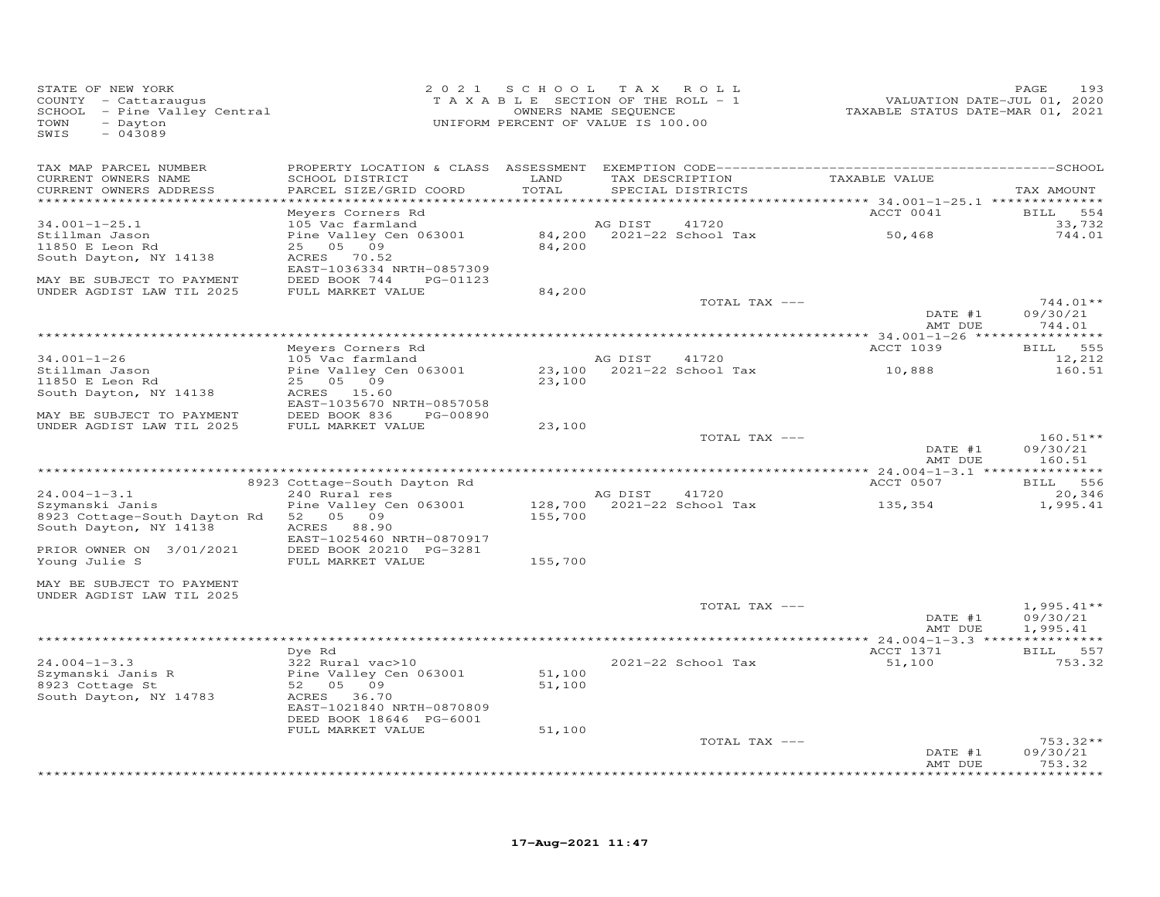| STATE OF NEW YORK<br>COUNTY - Cattaraugus<br>SCHOOL - Pine Valley Central<br>- Dayton<br>TOWN<br>SWIS<br>$-043089$ | 2 0 2 1                                                | SCHOOL TAX ROLL<br>TAXABLE SECTION OF THE ROLL - 1<br>OWNERS NAME SEQUENCE<br>UNIFORM PERCENT OF VALUE IS 100.00 |         |                                                                            | VALUATION DATE-JUL 01, 2020<br>TAXABLE STATUS DATE-MAR 01, 2021 | PAGE<br>193          |
|--------------------------------------------------------------------------------------------------------------------|--------------------------------------------------------|------------------------------------------------------------------------------------------------------------------|---------|----------------------------------------------------------------------------|-----------------------------------------------------------------|----------------------|
| TAX MAP PARCEL NUMBER                                                                                              |                                                        |                                                                                                                  |         |                                                                            |                                                                 |                      |
| CURRENT OWNERS NAME<br>CURRENT OWNERS ADDRESS<br>********************                                              | SCHOOL DISTRICT<br>PARCEL SIZE/GRID COORD              | LAND<br>TOTAL                                                                                                    |         | TAX DESCRIPTION<br>SPECIAL DISTRICTS<br>********************************** | TAXABLE VALUE<br>************ 34.001-1-25.1 ***************     | TAX AMOUNT           |
|                                                                                                                    | Meyers Corners Rd                                      |                                                                                                                  |         |                                                                            | ACCT 0041                                                       | <b>BILL</b><br>554   |
| $34.001 - 1 - 25.1$                                                                                                | 105 Vac farmland                                       |                                                                                                                  | AG DIST | 41720                                                                      |                                                                 | 33,732               |
| Stillman Jason<br>11850 E Leon Rd                                                                                  | Pine Valley Cen 063001<br>25 05 09                     | 84,200                                                                                                           |         | 84,200 2021-22 School Tax                                                  | 50,468                                                          | 744.01               |
| South Dayton, NY 14138                                                                                             | ACRES 70.52                                            |                                                                                                                  |         |                                                                            |                                                                 |                      |
| MAY BE SUBJECT TO PAYMENT                                                                                          | EAST-1036334 NRTH-0857309<br>DEED BOOK 744<br>PG-01123 |                                                                                                                  |         |                                                                            |                                                                 |                      |
| UNDER AGDIST LAW TIL 2025                                                                                          | FULL MARKET VALUE                                      | 84,200                                                                                                           |         |                                                                            |                                                                 |                      |
|                                                                                                                    |                                                        |                                                                                                                  |         | TOTAL TAX ---                                                              |                                                                 | $744.01**$           |
|                                                                                                                    |                                                        |                                                                                                                  |         |                                                                            | DATE #1<br>AMT DUE                                              | 09/30/21<br>744.01   |
|                                                                                                                    |                                                        |                                                                                                                  |         |                                                                            |                                                                 |                      |
|                                                                                                                    | Meyers Corners Rd                                      |                                                                                                                  |         |                                                                            | ACCT 1039                                                       | 555<br><b>BILL</b>   |
| $34.001 - 1 - 26$<br>Stillman Jason                                                                                | 105 Vac farmland<br>Pine Valley Cen 063001             | 23,100                                                                                                           | AG DIST | 41720<br>2021-22 School Tax                                                | 10,888                                                          | 12,212<br>160.51     |
| 11850 E Leon Rd                                                                                                    | 25 05<br>09                                            | 23,100                                                                                                           |         |                                                                            |                                                                 |                      |
| South Dayton, NY 14138                                                                                             | 15.60<br>ACRES                                         |                                                                                                                  |         |                                                                            |                                                                 |                      |
|                                                                                                                    | EAST-1035670 NRTH-0857058                              |                                                                                                                  |         |                                                                            |                                                                 |                      |
| MAY BE SUBJECT TO PAYMENT<br>UNDER AGDIST LAW TIL 2025                                                             | DEED BOOK 836<br>PG-00890<br>FULL MARKET VALUE         | 23,100                                                                                                           |         |                                                                            |                                                                 |                      |
|                                                                                                                    |                                                        |                                                                                                                  |         | TOTAL TAX ---                                                              |                                                                 | $160.51**$           |
|                                                                                                                    |                                                        |                                                                                                                  |         |                                                                            | DATE #1<br>AMT DUE                                              | 09/30/21<br>160.51   |
|                                                                                                                    |                                                        |                                                                                                                  |         |                                                                            | ACCT 0507                                                       | BILL 556             |
| $24.004 - 1 - 3.1$                                                                                                 | 8923 Cottage-South Dayton Rd<br>240 Rural res          |                                                                                                                  | AG DIST | 41720                                                                      |                                                                 | 20,346               |
| Szymanski Janis                                                                                                    | Pine Valley Cen 063001                                 | 128,700                                                                                                          |         | 2021-22 School Tax                                                         | 135,354                                                         | 1,995.41             |
| 8923 Cottage-South Dayton Rd<br>South Dayton, NY 14138                                                             | 52<br>05 09<br>ACRES 88.90                             | 155,700                                                                                                          |         |                                                                            |                                                                 |                      |
| PRIOR OWNER ON 3/01/2021                                                                                           | EAST-1025460 NRTH-0870917<br>DEED BOOK 20210 PG-3281   |                                                                                                                  |         |                                                                            |                                                                 |                      |
| Young Julie S                                                                                                      | FULL MARKET VALUE                                      | 155,700                                                                                                          |         |                                                                            |                                                                 |                      |
| MAY BE SUBJECT TO PAYMENT<br>UNDER AGDIST LAW TIL 2025                                                             |                                                        |                                                                                                                  |         |                                                                            |                                                                 |                      |
|                                                                                                                    |                                                        |                                                                                                                  |         | TOTAL TAX ---                                                              |                                                                 | $1,995.41**$         |
|                                                                                                                    |                                                        |                                                                                                                  |         |                                                                            | DATE #1<br>AMT DUE                                              | 09/30/21<br>1,995.41 |
| ******************************                                                                                     |                                                        |                                                                                                                  |         |                                                                            |                                                                 |                      |
|                                                                                                                    | Dye Rd                                                 |                                                                                                                  |         |                                                                            | ACCT 1371                                                       | BILL 557             |
| $24.004 - 1 - 3.3$<br>Szymanski Janis R                                                                            | 322 Rural vac>10<br>Pine Valley Cen 063001             | 51,100                                                                                                           |         | 2021-22 School Tax                                                         | 51,100                                                          | 753.32               |
| 8923 Cottage St                                                                                                    | 09<br>52 05                                            | 51,100                                                                                                           |         |                                                                            |                                                                 |                      |
| South Dayton, NY 14783                                                                                             | ACRES 36.70                                            |                                                                                                                  |         |                                                                            |                                                                 |                      |
|                                                                                                                    | EAST-1021840 NRTH-0870809<br>DEED BOOK 18646 PG-6001   |                                                                                                                  |         |                                                                            |                                                                 |                      |
|                                                                                                                    | FULL MARKET VALUE                                      | 51,100                                                                                                           |         |                                                                            |                                                                 |                      |
|                                                                                                                    |                                                        |                                                                                                                  |         | TOTAL TAX ---                                                              |                                                                 | $753.32**$           |
|                                                                                                                    |                                                        |                                                                                                                  |         |                                                                            | DATE #1<br>AMT DUE                                              | 09/30/21<br>753.32   |
|                                                                                                                    |                                                        |                                                                                                                  |         |                                                                            |                                                                 |                      |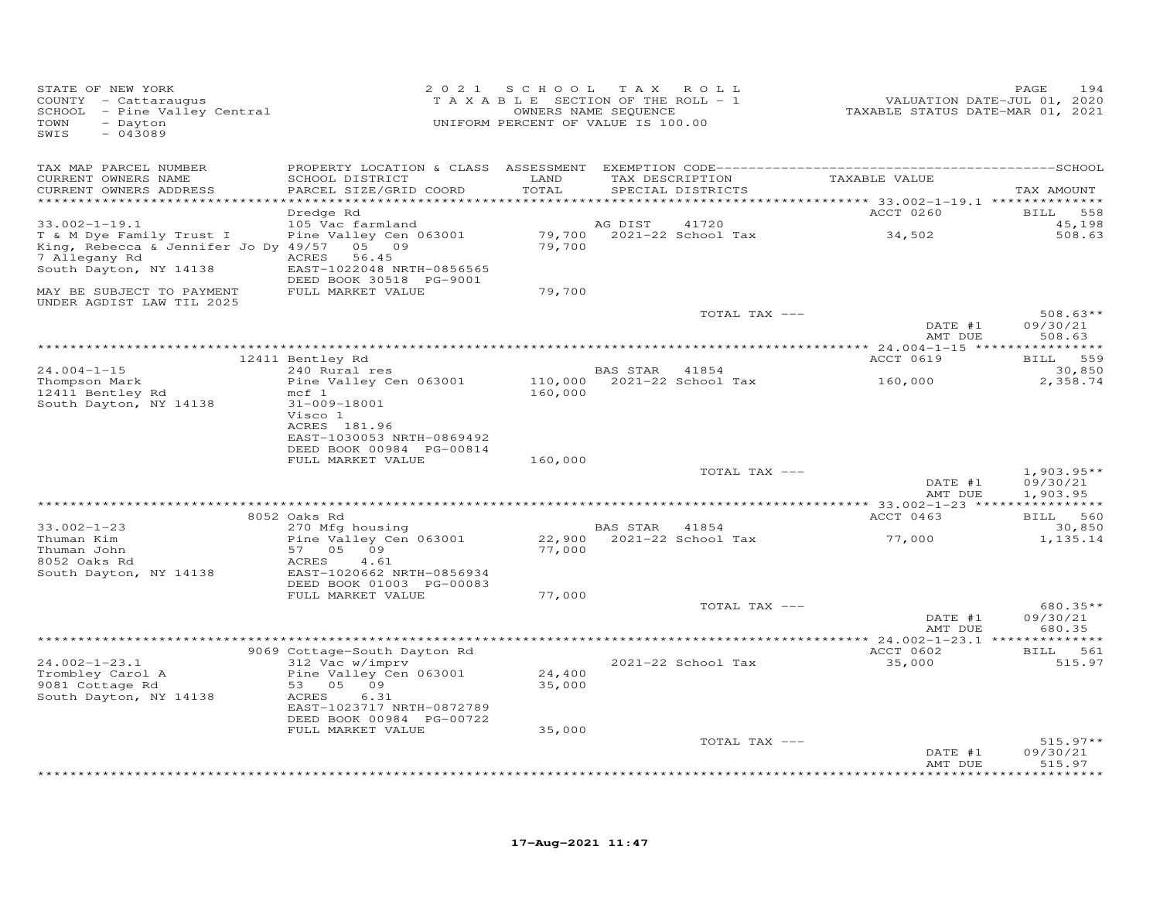| STATE OF NEW YORK<br>COUNTY - Cattaraugus<br>SCHOOL - Pine Valley Central<br>- Dayton<br>TOWN<br>$-043089$<br>SWIS                       |                                                                                                                                                                 | 2021 SCHOOL        | T A X<br>ROLL<br>TAXABLE SECTION OF THE ROLL - 1<br>OWNERS NAME SEQUENCE<br>UNIFORM PERCENT OF VALUE IS 100.00 | VALUATION DATE-JUL 01, 2020<br>TAXABLE STATUS DATE-MAR 01, 2021 | 194<br>PAGE                                |
|------------------------------------------------------------------------------------------------------------------------------------------|-----------------------------------------------------------------------------------------------------------------------------------------------------------------|--------------------|----------------------------------------------------------------------------------------------------------------|-----------------------------------------------------------------|--------------------------------------------|
| TAX MAP PARCEL NUMBER<br>CURRENT OWNERS NAME<br>CURRENT OWNERS ADDRESS<br>**********************                                         | SCHOOL DISTRICT<br>PARCEL SIZE/GRID COORD                                                                                                                       | LAND<br>TOTAL      | TAX DESCRIPTION<br>SPECIAL DISTRICTS                                                                           | TAXABLE VALUE                                                   | TAX AMOUNT                                 |
|                                                                                                                                          | Dredge Rd                                                                                                                                                       |                    |                                                                                                                | ACCT 0260                                                       | 558<br><b>BILL</b>                         |
| $33.002 - 1 - 19.1$<br>T & M Dye Family Trust I<br>King, Rebecca & Jennifer Jo Dy 49/57 05 09<br>7 Allegany Rd<br>South Dayton, NY 14138 | 105 Vac farmland<br>Pine Valley Cen 063001<br>ACRES<br>56.45<br>EAST-1022048 NRTH-0856565                                                                       | 79,700             | AG DIST<br>41720<br>79,700 2021-22 School Tax                                                                  | 34,502                                                          | 45,198<br>508.63                           |
| MAY BE SUBJECT TO PAYMENT<br>UNDER AGDIST LAW TIL 2025                                                                                   | DEED BOOK 30518 PG-9001<br>FULL MARKET VALUE                                                                                                                    | 79,700             |                                                                                                                |                                                                 |                                            |
|                                                                                                                                          |                                                                                                                                                                 |                    | TOTAL TAX ---                                                                                                  | DATE #1<br>AMT DUE                                              | $508.63**$<br>09/30/21<br>508.63           |
|                                                                                                                                          |                                                                                                                                                                 |                    |                                                                                                                |                                                                 |                                            |
| $24.004 - 1 - 15$                                                                                                                        | 12411 Bentley Rd<br>240 Rural res                                                                                                                               |                    | BAS STAR<br>41854                                                                                              | <b>ACCT 0619</b>                                                | 559<br><b>BILL</b><br>30,850               |
| Thompson Mark<br>12411 Bentley Rd<br>South Dayton, NY 14138                                                                              | Pine Valley Cen 063001<br>$mcf$ 1<br>31-009-18001<br>Visco 1                                                                                                    | 110,000<br>160,000 | 2021-22 School Tax                                                                                             | 160,000                                                         | 2,358.74                                   |
|                                                                                                                                          | ACRES 181.96<br>EAST-1030053 NRTH-0869492<br>DEED BOOK 00984 PG-00814<br>FULL MARKET VALUE                                                                      | 160,000            |                                                                                                                |                                                                 |                                            |
|                                                                                                                                          |                                                                                                                                                                 |                    | TOTAL TAX ---                                                                                                  | DATE #1<br>AMT DUE                                              | $1,903.95**$<br>09/30/21<br>1,903.95       |
|                                                                                                                                          | 8052 Oaks Rd                                                                                                                                                    |                    |                                                                                                                | ********** 33.002-1-23 ****<br>ACCT 0463                        | BILL 560                                   |
| $33.002 - 1 - 23$                                                                                                                        | 270 Mfg housing                                                                                                                                                 |                    | BAS STAR<br>41854                                                                                              |                                                                 | 30,850                                     |
| Thuman Kim<br>Thuman John<br>8052 Oaks Rd<br>South Dayton, NY 14138                                                                      | Pine Valley Cen 063001<br>57<br>05 09<br>ACRES<br>4.61<br>EAST-1020662 NRTH-0856934<br>DEED BOOK 01003 PG-00083                                                 | 22,900<br>77,000   | 2021-22 School Tax                                                                                             | 77,000                                                          | 1,135.14                                   |
|                                                                                                                                          | FULL MARKET VALUE                                                                                                                                               | 77,000             |                                                                                                                |                                                                 |                                            |
|                                                                                                                                          |                                                                                                                                                                 |                    | TOTAL TAX ---                                                                                                  | DATE #1<br>AMT DUE                                              | 680.35**<br>09/30/21<br>680.35             |
|                                                                                                                                          |                                                                                                                                                                 |                    | ***************************                                                                                    | ** 24.002-1-23.1 **************<br>ACCT 0602                    | BILL 561                                   |
| $24.002 - 1 - 23.1$<br>Trombley Carol A<br>9081 Cottage Rd<br>South Dayton, NY 14138                                                     | 9069 Cottage-South Dayton Rd<br>312 Vac w/imprv<br>Pine Valley Cen 063001<br>53 05 09<br>ACRES<br>6.31<br>EAST-1023717 NRTH-0872789<br>DEED BOOK 00984 PG-00722 | 24,400<br>35,000   | 2021-22 School Tax                                                                                             | 35,000                                                          | 515.97                                     |
|                                                                                                                                          | FULL MARKET VALUE                                                                                                                                               | 35,000             |                                                                                                                |                                                                 |                                            |
|                                                                                                                                          |                                                                                                                                                                 |                    | TOTAL TAX ---                                                                                                  | DATE #1<br>AMT DUE                                              | $515.97**$<br>09/30/21<br>515.97<br>****** |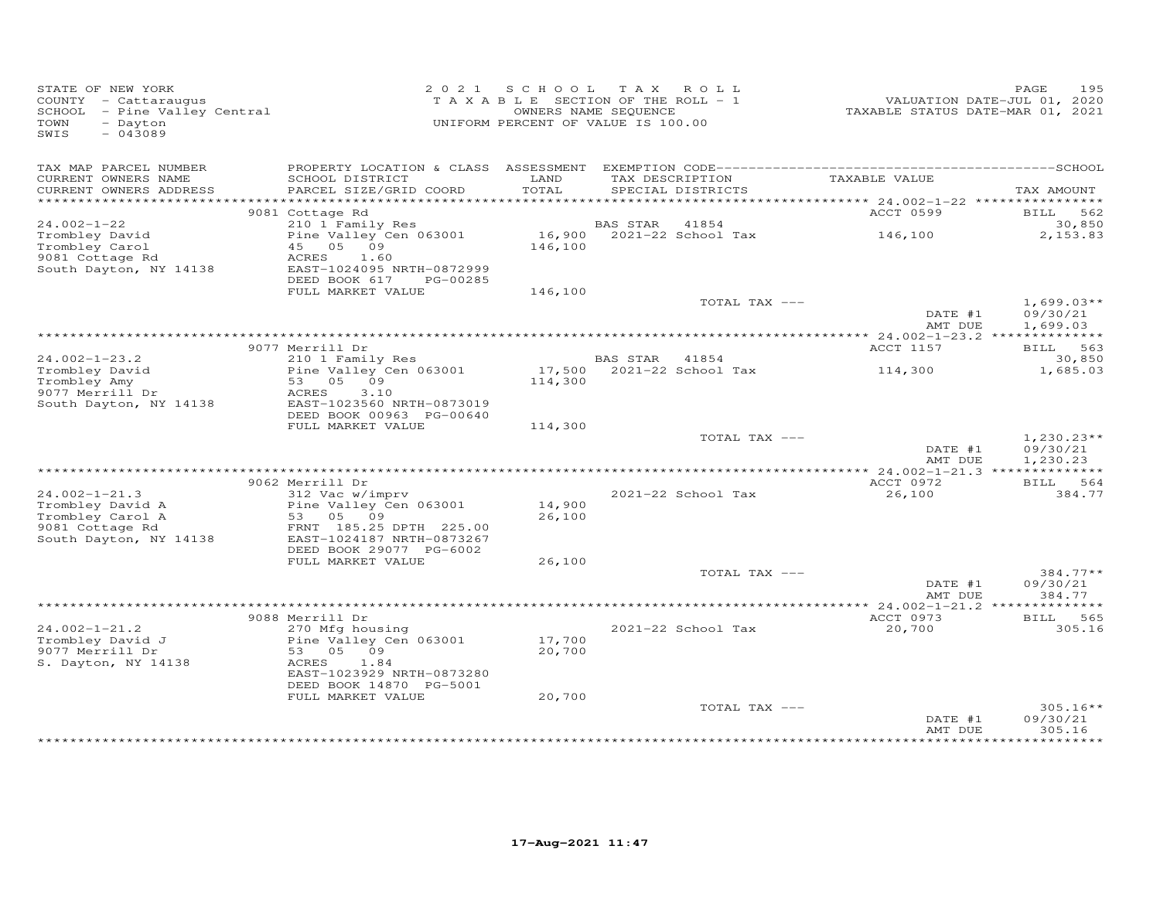| STATE OF NEW YORK<br>COUNTY - Cattaraugus<br>SCHOOL - Pine Valley Central<br>TOWN<br>- Dayton<br>$-043089$<br>SWIS |                                                                                                                                                   |                  | 2021 SCHOOL TAX ROLL<br>TAXABLE SECTION OF THE ROLL - 1<br>OWNERS NAME SEQUENCE<br>UNIFORM PERCENT OF VALUE IS 100.00 | VALUATION DATE-JUL 01, 2020<br>TAXABLE STATUS DATE-MAR 01, 2021 | 195<br>PAGE                          |
|--------------------------------------------------------------------------------------------------------------------|---------------------------------------------------------------------------------------------------------------------------------------------------|------------------|-----------------------------------------------------------------------------------------------------------------------|-----------------------------------------------------------------|--------------------------------------|
| TAX MAP PARCEL NUMBER<br>CURRENT OWNERS NAME<br>CURRENT OWNERS ADDRESS                                             | SCHOOL DISTRICT<br>PARCEL SIZE/GRID COORD                                                                                                         | LAND<br>TOTAL    | TAX DESCRIPTION<br>SPECIAL DISTRICTS                                                                                  | TAXABLE VALUE                                                   | TAX AMOUNT                           |
|                                                                                                                    |                                                                                                                                                   |                  |                                                                                                                       |                                                                 |                                      |
| $24.002 - 1 - 22$                                                                                                  | 9081 Cottage Rd<br>210 1 Family Res                                                                                                               |                  | <b>BAS STAR</b><br>41854                                                                                              | ACCT 0599                                                       | BILL 562<br>30,850                   |
| Trombley David<br>Trombley Carol<br>9081 Cottage Rd<br>South Dayton, NY 14138                                      | Pine Valley Cen 063001<br>45 05 09<br>ACRES<br>1.60<br>EAST-1024095 NRTH-0872999<br>DEED BOOK 617<br>PG-00285                                     | 146,100          | 16,900 2021-22 School Tax                                                                                             | 146,100                                                         | 2,153.83                             |
|                                                                                                                    | FULL MARKET VALUE                                                                                                                                 | 146,100          |                                                                                                                       |                                                                 |                                      |
|                                                                                                                    |                                                                                                                                                   |                  | TOTAL TAX ---                                                                                                         | DATE #1<br>AMT DUE                                              | $1,699.03**$<br>09/30/21<br>1,699.03 |
|                                                                                                                    |                                                                                                                                                   |                  |                                                                                                                       |                                                                 |                                      |
|                                                                                                                    | 9077 Merrill Dr                                                                                                                                   |                  |                                                                                                                       | ACCT 1157                                                       | BILL 563                             |
| $24.002 - 1 - 23.2$<br>Trombley David<br>Trombley Amy<br>9077 Merrill Dr<br>South Dayton, NY 14138                 | 210 1 Family Res<br>Pine Valley Cen 063001<br>53 05 09<br>3.10<br>ACRES<br>EAST-1023560 NRTH-0873019                                              | 114,300          | BAS STAR<br>41854<br>17,500 $2021-22$ School Tax                                                                      | 114,300                                                         | 30,850<br>1,685.03                   |
|                                                                                                                    | DEED BOOK 00963 PG-00640<br>FULL MARKET VALUE                                                                                                     | 114,300          |                                                                                                                       |                                                                 |                                      |
|                                                                                                                    |                                                                                                                                                   |                  | TOTAL TAX ---                                                                                                         | DATE #1<br>AMT DUE                                              | $1,230.23**$<br>09/30/21<br>1,230.23 |
|                                                                                                                    | 9062 Merrill Dr                                                                                                                                   |                  |                                                                                                                       | ACCT 0972                                                       | BILL 564                             |
| $24.002 - 1 - 21.3$<br>Trombley David A<br>Trombley Carol A<br>9081 Cottage Rd<br>South Dayton, NY 14138           | 312 Vac w/imprv<br>Pine Valley Cen 063001<br>53 05 09<br>FRNT 185.25 DPTH 225.00<br>EAST-1024187 NRTH-0873267                                     | 14,900<br>26,100 | 2021-22 School Tax                                                                                                    | 26,100                                                          | 384.77                               |
|                                                                                                                    | DEED BOOK 29077 PG-6002                                                                                                                           |                  |                                                                                                                       |                                                                 |                                      |
|                                                                                                                    | FULL MARKET VALUE                                                                                                                                 | 26,100           | TOTAL TAX ---                                                                                                         | DATE #1                                                         | $384.77**$<br>09/30/21               |
|                                                                                                                    |                                                                                                                                                   |                  |                                                                                                                       | AMT DUE                                                         | 384.77                               |
|                                                                                                                    |                                                                                                                                                   |                  |                                                                                                                       |                                                                 |                                      |
| $24.002 - 1 - 21.2$<br>Trombley David J<br>9077 Merrill Dr<br>S. Dayton, NY 14138                                  | 9088 Merrill Dr<br>270 Mfg housing<br>Pine Valley Cen 063001<br>53 05 09<br>ACRES<br>1.84<br>EAST-1023929 NRTH-0873280<br>DEED BOOK 14870 PG-5001 | 17,700<br>20,700 | 2021-22 School Tax                                                                                                    | ACCT 0973<br>20,700                                             | <b>BILL</b><br>565<br>305.16         |
|                                                                                                                    | FULL MARKET VALUE                                                                                                                                 | 20,700           | TOTAL TAX ---                                                                                                         | DATE #1                                                         | $305.16**$<br>09/30/21               |
|                                                                                                                    |                                                                                                                                                   |                  |                                                                                                                       | AMT DUE                                                         | 305.16                               |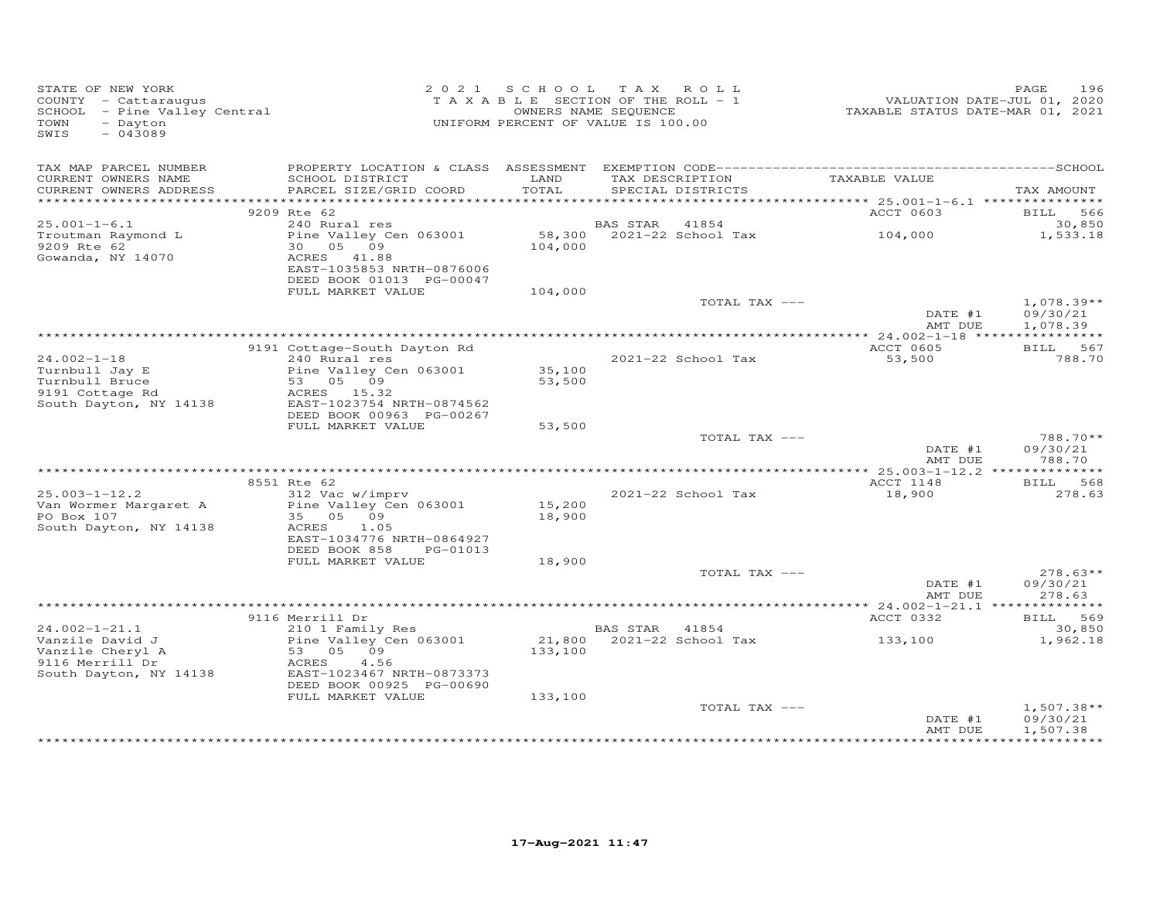| STATE OF NEW YORK<br>COUNTY - Cattaraugus<br>SCHOOL - Pine Valley Central<br>TOWN<br>- Dayton<br>$-043089$<br>SWIS |                                                       | 2021 SCHOOL TAX ROLL<br>T A X A B L E SECTION OF THE ROLL - 1<br>UNIFORM PERCENT OF VALUE IS 100.00 | OWNERS NAME SEQUENCE |                           | VALUATION DATE-JUL U1, 2020<br>TAXABLE STATUS DATE-MAR 01, 2021 | 196<br>PAGE        |
|--------------------------------------------------------------------------------------------------------------------|-------------------------------------------------------|-----------------------------------------------------------------------------------------------------|----------------------|---------------------------|-----------------------------------------------------------------|--------------------|
| TAX MAP PARCEL NUMBER<br>CURRENT OWNERS NAME                                                                       | SCHOOL DISTRICT                                       | LAND                                                                                                |                      | TAX DESCRIPTION           | TAXABLE VALUE                                                   |                    |
| CURRENT OWNERS ADDRESS                                                                                             | PARCEL SIZE/GRID COORD                                | TOTAL                                                                                               |                      | SPECIAL DISTRICTS         |                                                                 | TAX AMOUNT         |
|                                                                                                                    |                                                       |                                                                                                     |                      |                           |                                                                 |                    |
| $25.001 - 1 - 6.1$                                                                                                 | 9209 Rte 62<br>240 Rural res                          |                                                                                                     | BAS STAR 41854       |                           | ACCT 0603                                                       | BILL 566<br>30,850 |
| Troutman Raymond L                                                                                                 | Pine Valley Cen 063001                                |                                                                                                     |                      | 58,300 2021-22 School Tax | 104,000                                                         | 1,533.18           |
| 9209 Rte 62                                                                                                        | 30 05 09                                              | 104,000                                                                                             |                      |                           |                                                                 |                    |
| Gowanda, NY 14070                                                                                                  | ACRES 41.88                                           |                                                                                                     |                      |                           |                                                                 |                    |
|                                                                                                                    | EAST-1035853 NRTH-0876006                             |                                                                                                     |                      |                           |                                                                 |                    |
|                                                                                                                    | DEED BOOK 01013 PG-00047<br>FULL MARKET VALUE         | 104,000                                                                                             |                      |                           |                                                                 |                    |
|                                                                                                                    |                                                       |                                                                                                     |                      | TOTAL TAX ---             |                                                                 | $1,078.39**$       |
|                                                                                                                    |                                                       |                                                                                                     |                      |                           | DATE #1                                                         | 09/30/21           |
|                                                                                                                    |                                                       |                                                                                                     |                      |                           | AMT DUE                                                         | 1,078.39           |
|                                                                                                                    | 9191 Cottage-South Dayton Rd                          |                                                                                                     |                      |                           | ACCT 0605                                                       | BILL 567           |
| $24.002 - 1 - 18$                                                                                                  | 240 Rural res                                         |                                                                                                     |                      | 2021-22 School Tax        | 53,500                                                          | 788.70             |
| Turnbull Jay E                                                                                                     | Pine Valley Cen 063001                                | 35,100                                                                                              |                      |                           |                                                                 |                    |
| Turnbull Bruce                                                                                                     | 53 05 09                                              | 53,500                                                                                              |                      |                           |                                                                 |                    |
| 9191 Cottage Rd<br>South Dayton, NY 14138                                                                          | ACRES 15.32<br>EAST-1023754 NRTH-0874562              |                                                                                                     |                      |                           |                                                                 |                    |
|                                                                                                                    | DEED BOOK 00963 PG-00267                              |                                                                                                     |                      |                           |                                                                 |                    |
|                                                                                                                    | FULL MARKET VALUE                                     | 53,500                                                                                              |                      |                           |                                                                 |                    |
|                                                                                                                    |                                                       |                                                                                                     |                      | TOTAL TAX ---             | DATE #1                                                         | 788.70**           |
|                                                                                                                    |                                                       |                                                                                                     |                      |                           | AMT DUE                                                         | 09/30/21<br>788.70 |
|                                                                                                                    |                                                       |                                                                                                     |                      |                           |                                                                 |                    |
|                                                                                                                    | 8551 Rte 62                                           |                                                                                                     |                      |                           | ACCT 1148                                                       | BILL 568           |
| $25.003 - 1 - 12.2$                                                                                                | 312 Vac w/imprv<br>Pine Valley Cen 063001             |                                                                                                     |                      | 2021-22 School Tax        | 18,900                                                          | 278.63             |
| Van Wormer Margaret A<br>PO Box 107                                                                                | 35 05 09                                              | 15,200<br>18,900                                                                                    |                      |                           |                                                                 |                    |
| South Dayton, NY 14138                                                                                             | ACRES<br>1.05                                         |                                                                                                     |                      |                           |                                                                 |                    |
|                                                                                                                    | EAST-1034776 NRTH-0864927                             |                                                                                                     |                      |                           |                                                                 |                    |
|                                                                                                                    | DEED BOOK 858<br>PG-01013<br>FULL MARKET VALUE        | 18,900                                                                                              |                      |                           |                                                                 |                    |
|                                                                                                                    |                                                       |                                                                                                     |                      | TOTAL TAX ---             |                                                                 | $278.63**$         |
|                                                                                                                    |                                                       |                                                                                                     |                      |                           | DATE #1                                                         | 09/30/21           |
|                                                                                                                    |                                                       |                                                                                                     |                      |                           | AMT DUE                                                         | 278.63             |
|                                                                                                                    |                                                       |                                                                                                     |                      |                           |                                                                 |                    |
| $24.002 - 1 - 21.1$                                                                                                | 9116 Merrill Dr<br>210 1 Family Res                   |                                                                                                     | BAS STAR 41854       |                           | ACCT 0332                                                       | BILL 569<br>30,850 |
| Vanzile David J                                                                                                    | Pine Valley Cen 063001                                |                                                                                                     |                      | 21,800 2021-22 School Tax | 133,100                                                         | 1,962.18           |
| Vanzile Cheryl A                                                                                                   | $53$ 05 09                                            | 133,100                                                                                             |                      |                           |                                                                 |                    |
| 9116 Merrill Dr<br>South Dayton, NY 14138                                                                          | 4.56<br>ACRES                                         |                                                                                                     |                      |                           |                                                                 |                    |
|                                                                                                                    | EAST-1023467 NRTH-0873373<br>DEED BOOK 00925 PG-00690 |                                                                                                     |                      |                           |                                                                 |                    |
|                                                                                                                    | FULL MARKET VALUE                                     | 133,100                                                                                             |                      |                           |                                                                 |                    |
|                                                                                                                    |                                                       |                                                                                                     |                      | TOTAL TAX ---             |                                                                 | $1,507.38**$       |
|                                                                                                                    |                                                       |                                                                                                     |                      |                           | DATE #1                                                         | 09/30/21           |
|                                                                                                                    |                                                       |                                                                                                     |                      |                           | AMT DUE                                                         | 1,507.38           |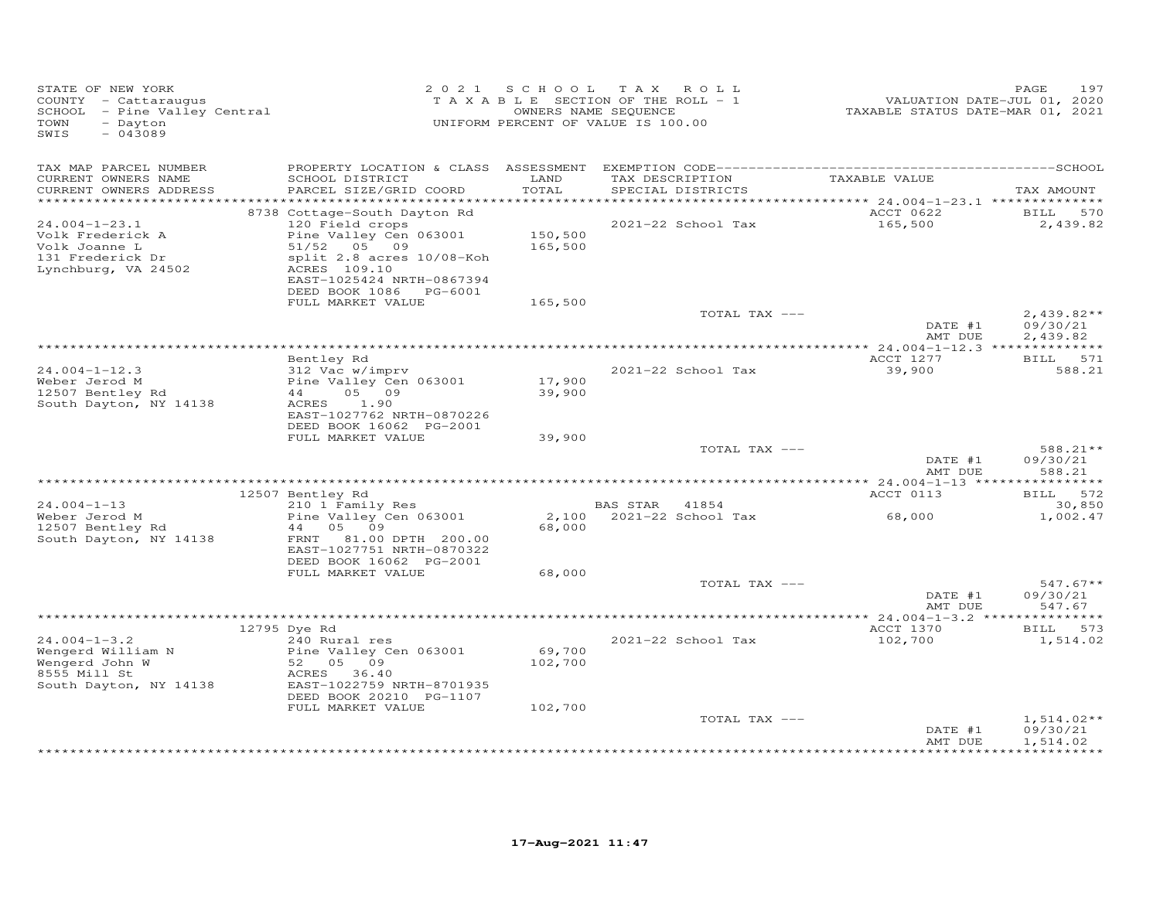| STATE OF NEW YORK<br>COUNTY - Cattaraugus<br>SCHOOL - Pine Valley Central<br>TOWN<br>- Dayton<br>SWIS<br>$-043089$ | 2 0 2 1                                                                                                                                                                                      |                              | SCHOOL TAX ROLL<br>TAXABLE SECTION OF THE ROLL - 1<br>OWNERS NAME SEQUENCE<br>UNIFORM PERCENT OF VALUE IS 100.00 | VALUATION DATE-JUL 01, 2020<br>TAXABLE STATUS DATE-MAR 01, 2021 | PAGE<br>197                                     |
|--------------------------------------------------------------------------------------------------------------------|----------------------------------------------------------------------------------------------------------------------------------------------------------------------------------------------|------------------------------|------------------------------------------------------------------------------------------------------------------|-----------------------------------------------------------------|-------------------------------------------------|
| TAX MAP PARCEL NUMBER<br>CURRENT OWNERS NAME<br>CURRENT OWNERS ADDRESS                                             | SCHOOL DISTRICT<br>PARCEL SIZE/GRID COORD                                                                                                                                                    | LAND<br>TOTAL                | TAX DESCRIPTION<br>SPECIAL DISTRICTS                                                                             | TAXABLE VALUE                                                   | TAX AMOUNT                                      |
| ************************                                                                                           |                                                                                                                                                                                              |                              |                                                                                                                  |                                                                 |                                                 |
| $24.004 - 1 - 23.1$<br>Volk Frederick A<br>Volk Joanne L<br>131 Frederick Dr<br>Lynchburg, VA 24502                | 8738 Cottage-South Dayton Rd<br>120 Field crops<br>Pine Valley Cen 063001<br>51/52 05 09<br>split 2.8 acres 10/08-Koh<br>ACRES 109.10<br>EAST-1025424 NRTH-0867394<br>DEED BOOK 1086 PG-6001 | 150,500<br>165,500           | 2021-22 School Tax                                                                                               | ACCT 0622<br>165,500                                            | 570<br><b>BILL</b><br>2,439.82                  |
|                                                                                                                    | FULL MARKET VALUE                                                                                                                                                                            | 165,500                      |                                                                                                                  |                                                                 |                                                 |
|                                                                                                                    |                                                                                                                                                                                              |                              | TOTAL TAX ---                                                                                                    | DATE #1                                                         | $2,439.82**$<br>09/30/21                        |
|                                                                                                                    |                                                                                                                                                                                              |                              |                                                                                                                  | AMT DUE                                                         | 2,439.82                                        |
|                                                                                                                    | Bentley Rd                                                                                                                                                                                   |                              |                                                                                                                  | ACCT 1277                                                       | BILL 571                                        |
| $24.004 - 1 - 12.3$<br>Weber Jerod M<br>12507 Bentley Rd<br>South Dayton, NY 14138                                 | 312 Vac w/imprv<br>Pine Valley Cen 063001<br>44<br>05 09<br>1.90<br>ACRES<br>EAST-1027762 NRTH-0870226                                                                                       | 17,900<br>39,900             | 2021-22 School Tax                                                                                               | 39,900                                                          | 588.21                                          |
|                                                                                                                    | DEED BOOK 16062 PG-2001                                                                                                                                                                      |                              |                                                                                                                  |                                                                 |                                                 |
|                                                                                                                    | FULL MARKET VALUE                                                                                                                                                                            | 39,900                       | TOTAL TAX ---                                                                                                    | DATE #1                                                         | 588.21**<br>09/30/21                            |
|                                                                                                                    |                                                                                                                                                                                              |                              |                                                                                                                  | AMT DUE                                                         | 588.21                                          |
|                                                                                                                    | 12507 Bentley Rd                                                                                                                                                                             |                              |                                                                                                                  | ACCT 0113                                                       | BILL 572                                        |
| $24.004 - 1 - 13$                                                                                                  | 210 1 Family Res                                                                                                                                                                             |                              | BAS STAR<br>41854                                                                                                |                                                                 | 30,850                                          |
| Weber Jerod M<br>12507 Bentley Rd<br>South Dayton, NY 14138                                                        | Pine Valley Cen 063001<br>44<br>05 09<br>81.00 DPTH 200.00<br>FRNT<br>EAST-1027751 NRTH-0870322<br>DEED BOOK 16062 PG-2001                                                                   | 2,100<br>68,000              | 2021-22 School Tax                                                                                               | 68,000                                                          | 1,002.47                                        |
|                                                                                                                    | FULL MARKET VALUE                                                                                                                                                                            | 68,000                       | TOTAL TAX ---                                                                                                    |                                                                 | $547.67**$                                      |
|                                                                                                                    |                                                                                                                                                                                              |                              |                                                                                                                  | DATE #1<br>AMT DUE                                              | 09/30/21<br>547.67                              |
|                                                                                                                    |                                                                                                                                                                                              |                              |                                                                                                                  |                                                                 | * * * * * * * * * * * *                         |
| $24.004 - 1 - 3.2$<br>Wengerd William N<br>Wengerd John W<br>8555 Mill St<br>South Dayton, NY 14138                | 12795 Dye Rd<br>240 Rural res<br>Pine Valley Cen 063001<br>52<br>05 09<br>ACRES 36.40<br>EAST-1022759 NRTH-8701935<br>DEED BOOK 20210 PG-1107<br>FULL MARKET VALUE                           | 69,700<br>102,700<br>102,700 | 2021-22 School Tax                                                                                               | ACCT 1370<br>102,700                                            | BILL 573<br>1,514.02                            |
|                                                                                                                    |                                                                                                                                                                                              |                              | TOTAL TAX ---                                                                                                    |                                                                 | $1,514.02**$                                    |
|                                                                                                                    |                                                                                                                                                                                              |                              |                                                                                                                  | DATE #1<br>AMT DUE                                              | 09/30/21<br>1,514.02<br>* * * * * * * * * * * * |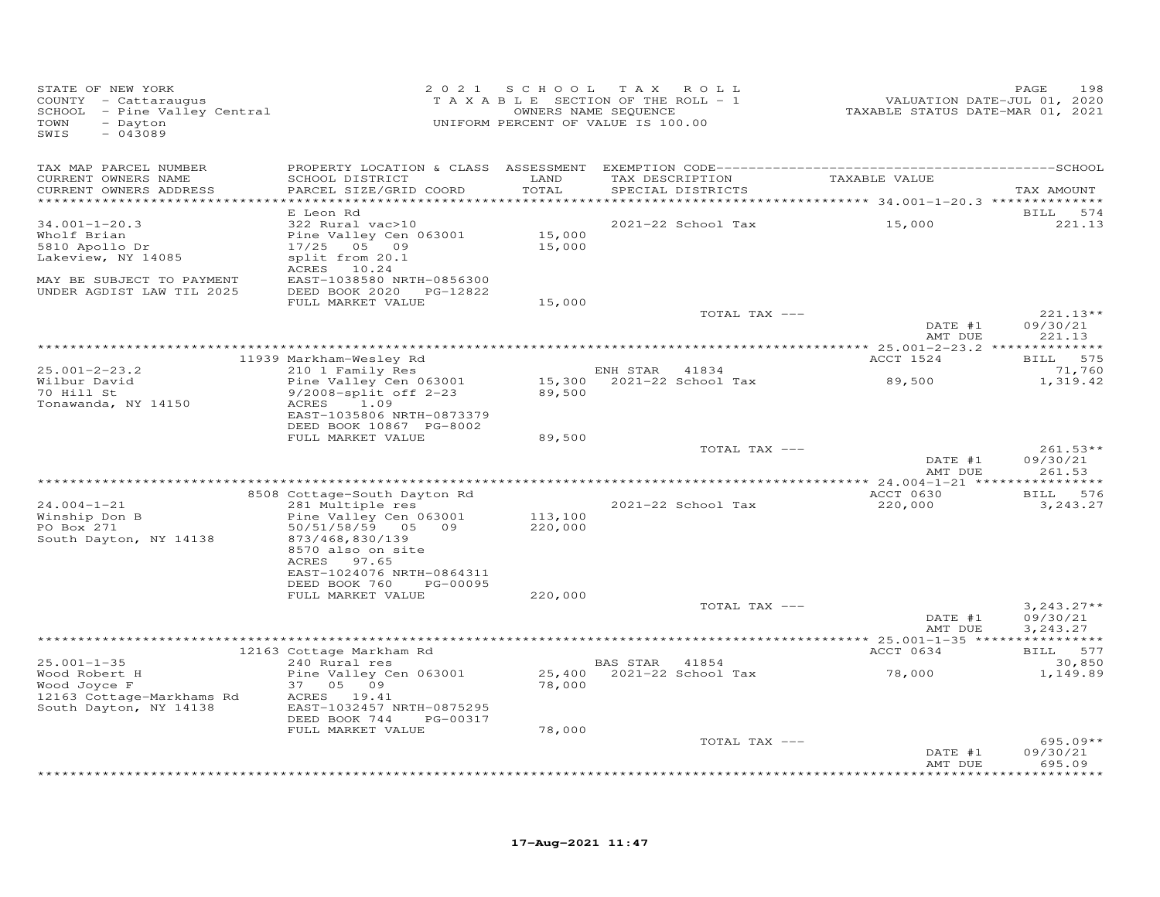| STATE OF NEW YORK<br>COUNTY - Cattaraugus<br>SCHOOL - Pine Valley Central<br>- Dayton<br>TOWN<br>$-043089$<br>SWIS                   | 2 0 2 1                                                                                                                                                                             | SCHOOL TAX                    | ROLL<br>TAXABLE SECTION OF THE ROLL - 1<br>OWNERS NAME SEQUENCE<br>UNIFORM PERCENT OF VALUE IS 100.00 | VALUATION DATE-JUL 01, 2020<br>TAXABLE STATUS DATE-MAR 01, 2021 | PAGE<br>198                      |
|--------------------------------------------------------------------------------------------------------------------------------------|-------------------------------------------------------------------------------------------------------------------------------------------------------------------------------------|-------------------------------|-------------------------------------------------------------------------------------------------------|-----------------------------------------------------------------|----------------------------------|
| TAX MAP PARCEL NUMBER<br>CURRENT OWNERS NAME<br>CURRENT OWNERS ADDRESS                                                               | SCHOOL DISTRICT<br>PARCEL SIZE/GRID COORD                                                                                                                                           | LAND<br>TOTAL<br>************ | TAX DESCRIPTION<br>SPECIAL DISTRICTS                                                                  | TAXABLE VALUE<br>************ 34.001-1-20.3 ***************     | TAX AMOUNT                       |
| $34.001 - 1 - 20.3$<br>Wholf Brian<br>5810 Apollo Dr<br>Lakeview, NY 14085<br>MAY BE SUBJECT TO PAYMENT<br>UNDER AGDIST LAW TIL 2025 | E Leon Rd<br>322 Rural vac>10<br>Pine Valley Cen 063001<br>$17/25$ 05 09<br>split from 20.1<br>ACRES<br>10.24<br>EAST-1038580 NRTH-0856300<br>DEED BOOK 2020 PG-12822               | 15,000<br>15,000              | 2021-22 School Tax                                                                                    | 15,000                                                          | <b>BILL</b><br>574<br>221.13     |
|                                                                                                                                      | FULL MARKET VALUE                                                                                                                                                                   | 15,000                        | TOTAL TAX ---                                                                                         | DATE #1                                                         | $221.13**$<br>09/30/21           |
|                                                                                                                                      | 11939 Markham-Wesley Rd                                                                                                                                                             |                               |                                                                                                       | AMT DUE<br>ACCT 1524                                            | 221.13<br>BILL 575               |
| $25.001 - 2 - 23.2$<br>Wilbur David<br>70 Hill St<br>Tonawanda, NY 14150                                                             | 210 1 Family Res<br>Pine Valley Cen 063001<br>9/2008-split off 2-23<br>1.09<br>ACRES<br>EAST-1035806 NRTH-0873379<br>DEED BOOK 10867 PG-8002                                        | 89,500                        | ENH STAR<br>41834<br>15,300 2021-22 School Tax                                                        | 89,500                                                          | 71,760<br>1,319.42               |
|                                                                                                                                      | FULL MARKET VALUE                                                                                                                                                                   | 89,500                        | TOTAL TAX ---                                                                                         | DATE #1<br>AMT DUE                                              | $261.53**$<br>09/30/21<br>261.53 |
|                                                                                                                                      |                                                                                                                                                                                     |                               |                                                                                                       |                                                                 |                                  |
| $24.004 - 1 - 21$<br>Winship Don B<br>PO Box 271<br>South Dayton, NY 14138                                                           | 8508 Cottage-South Dayton Rd<br>281 Multiple res<br>Pine Valley Cen 063001<br>50/51/58/59 05 09<br>873/468,830/139<br>8570 also on site<br>ACRES 97.65<br>EAST-1024076 NRTH-0864311 | 113,100<br>220,000            | 2021-22 School Tax                                                                                    | ACCT 0630<br>220,000                                            | <b>BILL</b><br>576<br>3,243.27   |
|                                                                                                                                      | DEED BOOK 760<br>PG-00095<br>FULL MARKET VALUE                                                                                                                                      | 220,000                       | TOTAL TAX ---                                                                                         | DATE #1                                                         | $3,243.27**$<br>09/30/21         |
|                                                                                                                                      |                                                                                                                                                                                     |                               |                                                                                                       | AMT DUE                                                         | 3,243.27                         |
|                                                                                                                                      | 12163 Cottage Markham Rd                                                                                                                                                            |                               |                                                                                                       | ACCT 0634                                                       | BILL 577                         |
| $25.001 - 1 - 35$<br>Wood Robert H<br>Wood Joyce F<br>12163 Cottage-Markhams Rd<br>South Dayton, NY 14138                            | 240 Rural res<br>Pine Valley Cen 063001<br>37 05 09<br>ACRES 19.41<br>EAST-1032457 NRTH-0875295<br>DEED BOOK 744<br>PG-00317<br>FULL MARKET VALUE                                   | 78,000<br>78,000              | BAS STAR 41854                                                                                        | 78,000                                                          | 30,850<br>1,149.89               |
|                                                                                                                                      |                                                                                                                                                                                     |                               | TOTAL TAX ---                                                                                         |                                                                 | $695.09**$                       |
|                                                                                                                                      |                                                                                                                                                                                     |                               |                                                                                                       | DATE #1<br>AMT DUE                                              | 09/30/21<br>695.09               |
|                                                                                                                                      |                                                                                                                                                                                     |                               |                                                                                                       |                                                                 | + + + + + + +                    |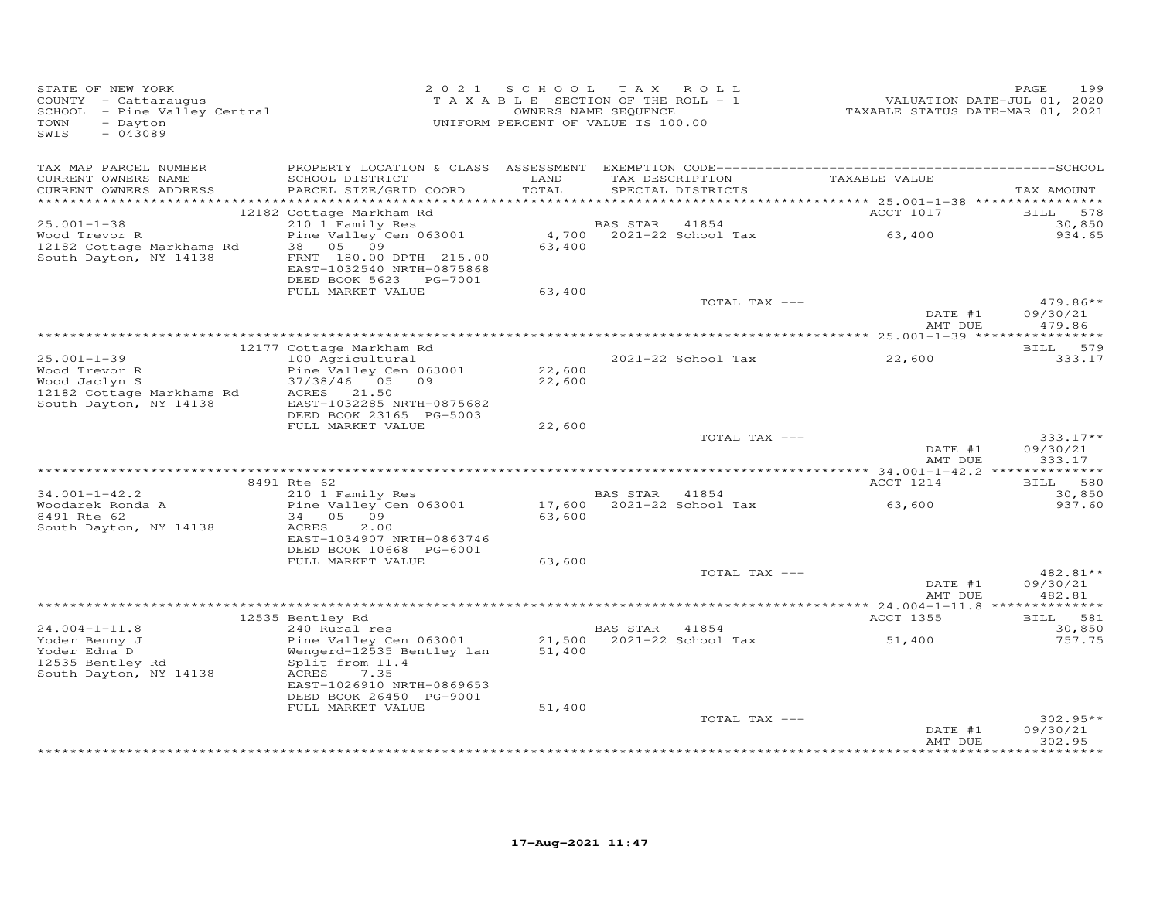| TAX MAP PARCEL NUMBER<br>TAX DESCRIPTION TAXABLE VALUE<br>LAND<br>CURRENT OWNERS NAME<br>SCHOOL DISTRICT<br>TOTAL<br>CURRENT OWNERS ADDRESS<br>PARCEL SIZE/GRID COORD<br>SPECIAL DISTRICTS<br>TAX AMOUNT<br>ACCT 1017<br>578<br>12182 Cottage Markham Rd<br>BILL<br>210 1 Family Res<br>$25.001 - 1 - 38$<br>BAS STAR 41854<br>30,850<br>Pine Valley Cen 063001<br>4,700 2021-22 School Tax 63,400<br>934.65<br>Wood Trevor R<br>38 05 09<br>63,400<br>12182 Cottage Markhams Rd<br>South Dayton, NY 14138<br>FRNT 180.00 DPTH 215.00<br>EAST-1032540 NRTH-0875868<br>DEED BOOK 5623 PG-7001<br>FULL MARKET VALUE<br>63,400<br>$479.86**$<br>TOTAL TAX ---<br>DATE #1<br>09/30/21<br>479.86<br>AMT DUE<br>BILL 579<br>12177 Cottage Markham Rd<br>$25.001 - 1 - 39$<br>100 Agricultural<br>333.17<br>2021-22 School Tax<br>22,600<br>Wood Trevor R<br>Pine Valley Cen 063001<br>22,600<br>37/38/46 05 09<br>Wood Jaclyn S<br>22,600<br>12182 Cottage Markhams Rd<br>ACRES 21.50<br>South Dayton, NY 14138<br>EAST-1032285 NRTH-0875682<br>DEED BOOK 23165 PG-5003<br>FULL MARKET VALUE<br>22,600<br>TOTAL TAX ---<br>$333.17**$<br>DATE #1<br>09/30/21<br>AMT DUE<br>333.17<br>8491 Rte 62<br>ACCT 1214<br>BILL 580<br>210 1 Family Res<br>$34.001 - 1 - 42.2$<br>BAS STAR 41854<br>30,850<br>BAS SIAR 41654<br>17,600 2021-22 School Tax<br>Pine Valley Cen 063001<br>63,600<br>937.60<br>Woodarek Ronda A<br>8491 Rte 62<br>34 05 09<br>63,600<br>2.00<br>South Dayton, NY 14138<br>ACRES<br>EAST-1034907 NRTH-0863746<br>DEED BOOK 10668 PG-6001<br>FULL MARKET VALUE<br>63,600<br>TOTAL TAX ---<br>$482.81**$<br>DATE #1<br>09/30/21<br>AMT DUE<br>482.81<br>BILL 581<br>12535 Bentley Rd<br>ACCT 1355<br>$240$ Rural res<br>$24.004 - 1 - 11.8$<br>BAS STAR 41854<br>30,850<br>21,500 2021-22 School Tax<br>Yoder Benny J<br>Pine Valley Cen 063001<br>51,400<br>757.75<br>Yoder Edna D<br>Wengerd-12535 Bentley lan<br>51,400<br>12535 Bentley Rd<br>Split from 11.4<br>South Dayton, NY 14138<br>ACRES<br>7.35<br>EAST-1026910 NRTH-0869653<br>DEED BOOK 26450 PG-9001<br>FULL MARKET VALUE<br>51,400<br>TOTAL TAX ---<br>$302.95**$<br>09/30/21<br>DATE #1<br>302.95<br>AMT DUE | STATE OF NEW YORK<br>COUNTY - Cattaraugus<br>SCHOOL - Pine Valley Central<br>TOWN<br>- Dayton<br>SWIS<br>$-043089$ | 2021 SCHOOL TAX ROLL<br>T A X A B L E SECTION OF THE ROLL - 1<br>OWNERS NAME SEQUENCE<br>UNIFORM PERCENT OF VALUE IS 100.00 |  | VALUATION DATE-JUL 01, 2020<br>TAXABLE STATUS DATE-MAR 01, 2021 | 199<br>PAGE |
|-----------------------------------------------------------------------------------------------------------------------------------------------------------------------------------------------------------------------------------------------------------------------------------------------------------------------------------------------------------------------------------------------------------------------------------------------------------------------------------------------------------------------------------------------------------------------------------------------------------------------------------------------------------------------------------------------------------------------------------------------------------------------------------------------------------------------------------------------------------------------------------------------------------------------------------------------------------------------------------------------------------------------------------------------------------------------------------------------------------------------------------------------------------------------------------------------------------------------------------------------------------------------------------------------------------------------------------------------------------------------------------------------------------------------------------------------------------------------------------------------------------------------------------------------------------------------------------------------------------------------------------------------------------------------------------------------------------------------------------------------------------------------------------------------------------------------------------------------------------------------------------------------------------------------------------------------------------------------------------------------------------------------------------------------------------------------------------------------------------------------------------------------------------------------------------------|--------------------------------------------------------------------------------------------------------------------|-----------------------------------------------------------------------------------------------------------------------------|--|-----------------------------------------------------------------|-------------|
|                                                                                                                                                                                                                                                                                                                                                                                                                                                                                                                                                                                                                                                                                                                                                                                                                                                                                                                                                                                                                                                                                                                                                                                                                                                                                                                                                                                                                                                                                                                                                                                                                                                                                                                                                                                                                                                                                                                                                                                                                                                                                                                                                                                         |                                                                                                                    |                                                                                                                             |  |                                                                 |             |
|                                                                                                                                                                                                                                                                                                                                                                                                                                                                                                                                                                                                                                                                                                                                                                                                                                                                                                                                                                                                                                                                                                                                                                                                                                                                                                                                                                                                                                                                                                                                                                                                                                                                                                                                                                                                                                                                                                                                                                                                                                                                                                                                                                                         |                                                                                                                    |                                                                                                                             |  |                                                                 |             |
|                                                                                                                                                                                                                                                                                                                                                                                                                                                                                                                                                                                                                                                                                                                                                                                                                                                                                                                                                                                                                                                                                                                                                                                                                                                                                                                                                                                                                                                                                                                                                                                                                                                                                                                                                                                                                                                                                                                                                                                                                                                                                                                                                                                         |                                                                                                                    |                                                                                                                             |  |                                                                 |             |
|                                                                                                                                                                                                                                                                                                                                                                                                                                                                                                                                                                                                                                                                                                                                                                                                                                                                                                                                                                                                                                                                                                                                                                                                                                                                                                                                                                                                                                                                                                                                                                                                                                                                                                                                                                                                                                                                                                                                                                                                                                                                                                                                                                                         |                                                                                                                    |                                                                                                                             |  |                                                                 |             |
|                                                                                                                                                                                                                                                                                                                                                                                                                                                                                                                                                                                                                                                                                                                                                                                                                                                                                                                                                                                                                                                                                                                                                                                                                                                                                                                                                                                                                                                                                                                                                                                                                                                                                                                                                                                                                                                                                                                                                                                                                                                                                                                                                                                         |                                                                                                                    |                                                                                                                             |  |                                                                 |             |
|                                                                                                                                                                                                                                                                                                                                                                                                                                                                                                                                                                                                                                                                                                                                                                                                                                                                                                                                                                                                                                                                                                                                                                                                                                                                                                                                                                                                                                                                                                                                                                                                                                                                                                                                                                                                                                                                                                                                                                                                                                                                                                                                                                                         |                                                                                                                    |                                                                                                                             |  |                                                                 |             |
|                                                                                                                                                                                                                                                                                                                                                                                                                                                                                                                                                                                                                                                                                                                                                                                                                                                                                                                                                                                                                                                                                                                                                                                                                                                                                                                                                                                                                                                                                                                                                                                                                                                                                                                                                                                                                                                                                                                                                                                                                                                                                                                                                                                         |                                                                                                                    |                                                                                                                             |  |                                                                 |             |
|                                                                                                                                                                                                                                                                                                                                                                                                                                                                                                                                                                                                                                                                                                                                                                                                                                                                                                                                                                                                                                                                                                                                                                                                                                                                                                                                                                                                                                                                                                                                                                                                                                                                                                                                                                                                                                                                                                                                                                                                                                                                                                                                                                                         |                                                                                                                    |                                                                                                                             |  |                                                                 |             |
|                                                                                                                                                                                                                                                                                                                                                                                                                                                                                                                                                                                                                                                                                                                                                                                                                                                                                                                                                                                                                                                                                                                                                                                                                                                                                                                                                                                                                                                                                                                                                                                                                                                                                                                                                                                                                                                                                                                                                                                                                                                                                                                                                                                         |                                                                                                                    |                                                                                                                             |  |                                                                 |             |
|                                                                                                                                                                                                                                                                                                                                                                                                                                                                                                                                                                                                                                                                                                                                                                                                                                                                                                                                                                                                                                                                                                                                                                                                                                                                                                                                                                                                                                                                                                                                                                                                                                                                                                                                                                                                                                                                                                                                                                                                                                                                                                                                                                                         |                                                                                                                    |                                                                                                                             |  |                                                                 |             |
|                                                                                                                                                                                                                                                                                                                                                                                                                                                                                                                                                                                                                                                                                                                                                                                                                                                                                                                                                                                                                                                                                                                                                                                                                                                                                                                                                                                                                                                                                                                                                                                                                                                                                                                                                                                                                                                                                                                                                                                                                                                                                                                                                                                         |                                                                                                                    |                                                                                                                             |  |                                                                 |             |
|                                                                                                                                                                                                                                                                                                                                                                                                                                                                                                                                                                                                                                                                                                                                                                                                                                                                                                                                                                                                                                                                                                                                                                                                                                                                                                                                                                                                                                                                                                                                                                                                                                                                                                                                                                                                                                                                                                                                                                                                                                                                                                                                                                                         |                                                                                                                    |                                                                                                                             |  |                                                                 |             |
|                                                                                                                                                                                                                                                                                                                                                                                                                                                                                                                                                                                                                                                                                                                                                                                                                                                                                                                                                                                                                                                                                                                                                                                                                                                                                                                                                                                                                                                                                                                                                                                                                                                                                                                                                                                                                                                                                                                                                                                                                                                                                                                                                                                         |                                                                                                                    |                                                                                                                             |  |                                                                 |             |
|                                                                                                                                                                                                                                                                                                                                                                                                                                                                                                                                                                                                                                                                                                                                                                                                                                                                                                                                                                                                                                                                                                                                                                                                                                                                                                                                                                                                                                                                                                                                                                                                                                                                                                                                                                                                                                                                                                                                                                                                                                                                                                                                                                                         |                                                                                                                    |                                                                                                                             |  |                                                                 |             |
|                                                                                                                                                                                                                                                                                                                                                                                                                                                                                                                                                                                                                                                                                                                                                                                                                                                                                                                                                                                                                                                                                                                                                                                                                                                                                                                                                                                                                                                                                                                                                                                                                                                                                                                                                                                                                                                                                                                                                                                                                                                                                                                                                                                         |                                                                                                                    |                                                                                                                             |  |                                                                 |             |
|                                                                                                                                                                                                                                                                                                                                                                                                                                                                                                                                                                                                                                                                                                                                                                                                                                                                                                                                                                                                                                                                                                                                                                                                                                                                                                                                                                                                                                                                                                                                                                                                                                                                                                                                                                                                                                                                                                                                                                                                                                                                                                                                                                                         |                                                                                                                    |                                                                                                                             |  |                                                                 |             |
|                                                                                                                                                                                                                                                                                                                                                                                                                                                                                                                                                                                                                                                                                                                                                                                                                                                                                                                                                                                                                                                                                                                                                                                                                                                                                                                                                                                                                                                                                                                                                                                                                                                                                                                                                                                                                                                                                                                                                                                                                                                                                                                                                                                         |                                                                                                                    |                                                                                                                             |  |                                                                 |             |
|                                                                                                                                                                                                                                                                                                                                                                                                                                                                                                                                                                                                                                                                                                                                                                                                                                                                                                                                                                                                                                                                                                                                                                                                                                                                                                                                                                                                                                                                                                                                                                                                                                                                                                                                                                                                                                                                                                                                                                                                                                                                                                                                                                                         |                                                                                                                    |                                                                                                                             |  |                                                                 |             |
|                                                                                                                                                                                                                                                                                                                                                                                                                                                                                                                                                                                                                                                                                                                                                                                                                                                                                                                                                                                                                                                                                                                                                                                                                                                                                                                                                                                                                                                                                                                                                                                                                                                                                                                                                                                                                                                                                                                                                                                                                                                                                                                                                                                         |                                                                                                                    |                                                                                                                             |  |                                                                 |             |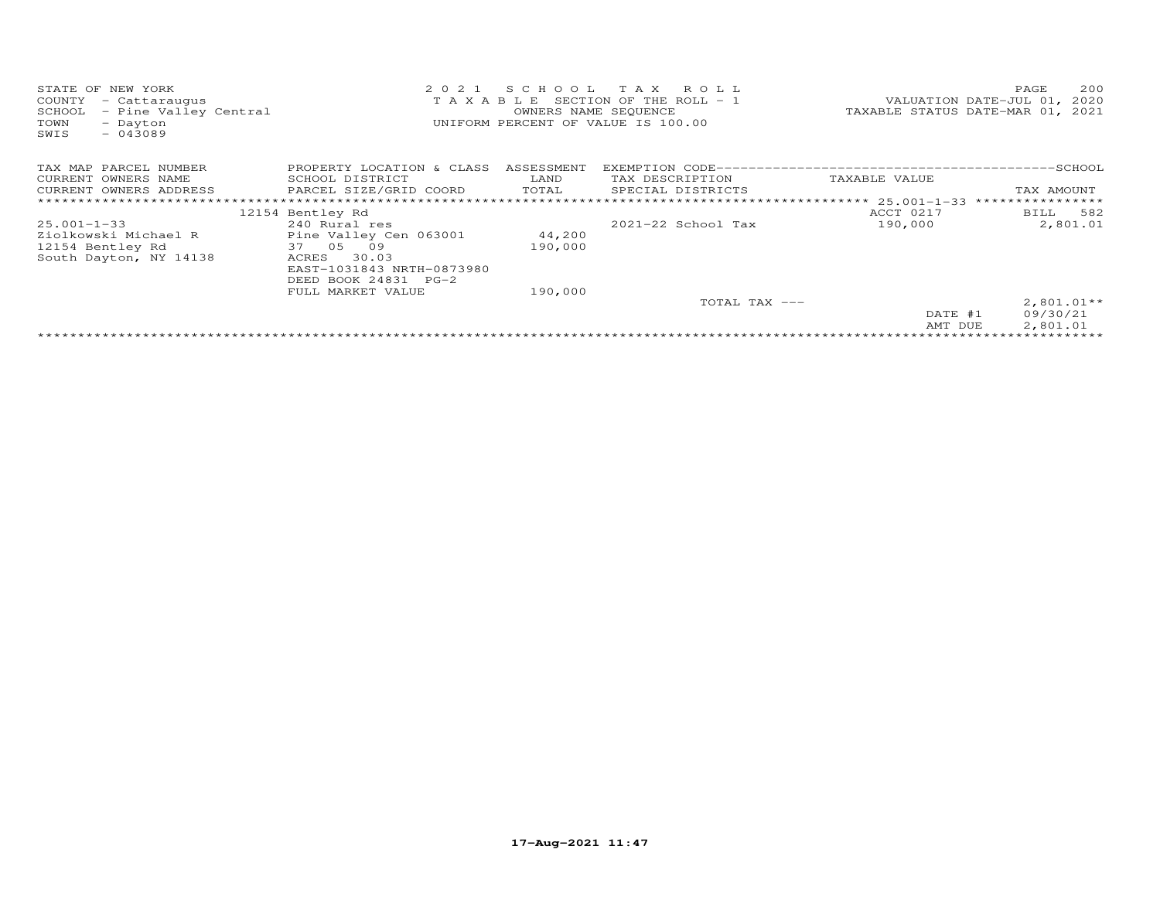| T A X A B L E SECTION OF THE ROLL - 1<br>VALUATION DATE-JUL 01,<br>COUNTY<br>- Cattaraugus<br>TAXABLE STATUS DATE-MAR 01, 2021<br>OWNERS NAME SEQUENCE<br>- Pine Valley Central<br>SCHOOL<br>UNIFORM PERCENT OF VALUE IS 100.00<br>TOWN<br>- Dayton<br>$-043089$<br>SWIS | 2020 |
|--------------------------------------------------------------------------------------------------------------------------------------------------------------------------------------------------------------------------------------------------------------------------|------|
| TAX MAP PARCEL NUMBER<br>PROPERTY LOCATION & CLASS<br>ASSESSMENT                                                                                                                                                                                                         |      |
| LAND<br>CURRENT OWNERS NAME<br>SCHOOL DISTRICT<br>TAX DESCRIPTION<br>TAXABLE VALUE                                                                                                                                                                                       |      |
| PARCEL SIZE/GRID COORD<br>TOTAL<br>CURRENT OWNERS ADDRESS<br>SPECIAL DISTRICTS<br>TAX AMOUNT                                                                                                                                                                             |      |
| ****************<br>******************** 25.001-1-33                                                                                                                                                                                                                     |      |
| ACCT 0217<br>BILL 582<br>12154 Bentley Rd                                                                                                                                                                                                                                |      |
| 2021-22 School Tax<br>190,000<br>2,801.01<br>$25.001 - 1 - 33$<br>240 Rural res                                                                                                                                                                                          |      |
| Pine Valley Cen 063001<br>Ziolkowski Michael R<br>44,200                                                                                                                                                                                                                 |      |
| 37 05<br>190,000<br>12154 Bentley Rd<br>09                                                                                                                                                                                                                               |      |
| 30.03<br>South Dayton, NY 14138<br>ACRES                                                                                                                                                                                                                                 |      |
| EAST-1031843 NRTH-0873980                                                                                                                                                                                                                                                |      |
| DEED BOOK 24831 PG-2                                                                                                                                                                                                                                                     |      |
| FULL MARKET VALUE<br>190,000                                                                                                                                                                                                                                             |      |
| $2,801.01**$<br>TOTAL TAX ---                                                                                                                                                                                                                                            |      |
| 09/30/21<br>DATE #1                                                                                                                                                                                                                                                      |      |
| 2,801.01<br>AMT DUE                                                                                                                                                                                                                                                      |      |
|                                                                                                                                                                                                                                                                          |      |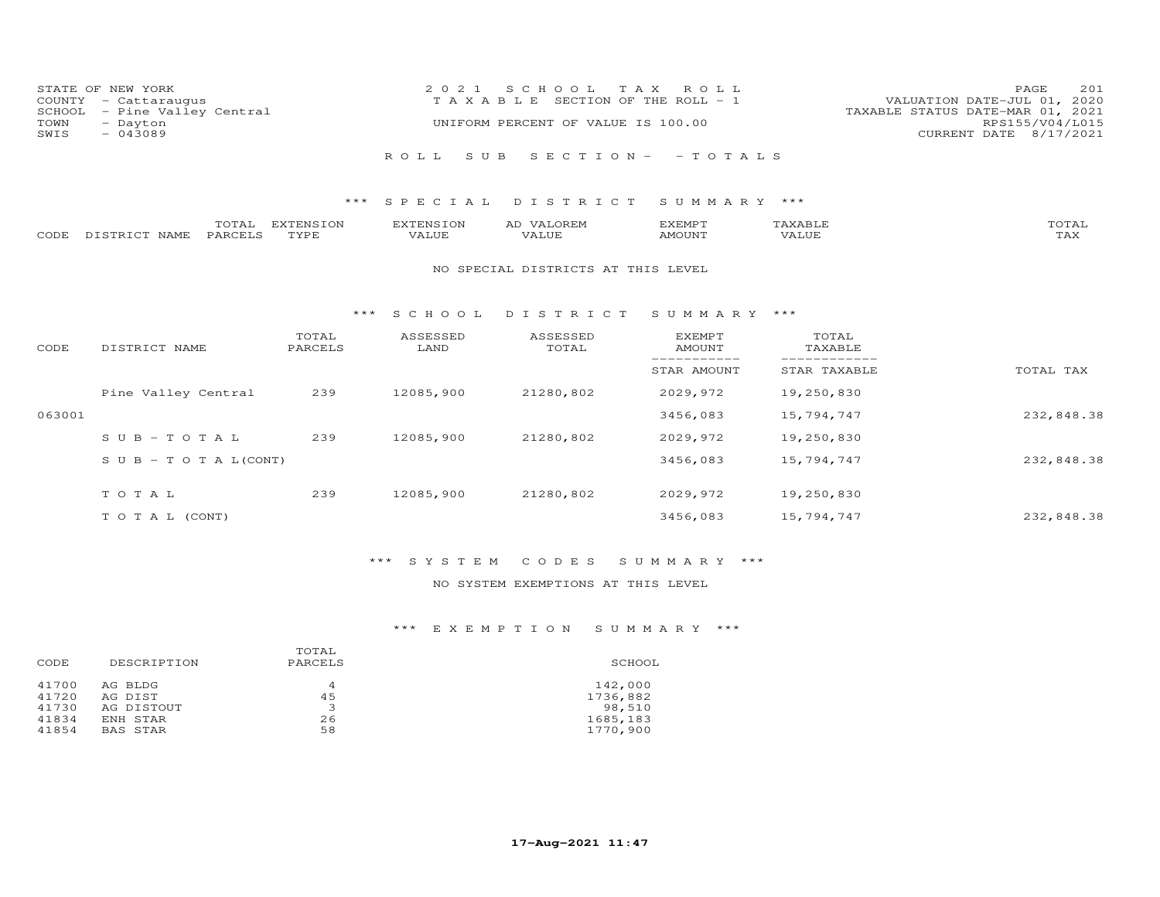| COUNTY<br>SCHOOL<br>TOWN<br>SWIS | STATE OF NEW YORK<br>- Cattaraugus<br>- Pine Valley Central<br>- Dayton<br>$-043089$ |                   | 2 0 2 1                   | S C H O O L<br>T A X<br>TAXABLE SECTION OF THE ROLL - 1<br>UNIFORM PERCENT OF VALUE IS 100.00 | ROLL                            |                              | 201<br>PAGE<br>VALUATION DATE-JUL 01, 2020<br>TAXABLE STATUS DATE-MAR 01, 2021<br>RPS155/V04/L015<br>CURRENT DATE 8/17/2021 |  |  |
|----------------------------------|--------------------------------------------------------------------------------------|-------------------|---------------------------|-----------------------------------------------------------------------------------------------|---------------------------------|------------------------------|-----------------------------------------------------------------------------------------------------------------------------|--|--|
|                                  |                                                                                      |                   | S U B<br>ROLL             |                                                                                               | $S E C T I O N - - T O T A L S$ |                              |                                                                                                                             |  |  |
|                                  |                                                                                      | $***$             | SPECIAL                   | DISTRICT                                                                                      | SUMMARY ***                     |                              |                                                                                                                             |  |  |
| CODE                             | TOTAL<br>DISTRICT NAME<br>PARCELS                                                    | EXTENSION<br>TYPE | <b>EXTENSION</b><br>VALUE | AD VALOREM<br>VALUE                                                                           | EXEMPT<br><b>AMOUNT</b>         | TAXABLE<br>VALUE             | TOTAL<br>TAX                                                                                                                |  |  |
|                                  | NO SPECIAL DISTRICTS AT THIS LEVEL                                                   |                   |                           |                                                                                               |                                 |                              |                                                                                                                             |  |  |
|                                  |                                                                                      | ***               | S C H O O L               | DISTRICT                                                                                      | SUMMARY ***                     |                              |                                                                                                                             |  |  |
| CODE                             | DISTRICT NAME                                                                        | TOTAL<br>PARCELS  | ASSESSED<br>LAND          | ASSESSED<br>TOTAL                                                                             | <b>EXEMPT</b><br>AMOUNT         | TOTAL<br>TAXABLE             |                                                                                                                             |  |  |
|                                  |                                                                                      |                   |                           |                                                                                               | STAR AMOUNT                     | ------------<br>STAR TAXABLE | TOTAL TAX                                                                                                                   |  |  |
|                                  | Pine Valley Central                                                                  | 239               | 12085,900                 | 21280,802                                                                                     | 2029,972                        | 19,250,830                   |                                                                                                                             |  |  |
| 063001                           |                                                                                      |                   |                           |                                                                                               | 3456,083                        | 15,794,747                   | 232,848.38                                                                                                                  |  |  |
|                                  | $S \cup B - TO T A L$                                                                | 239               | 12085,900                 | 21280,802                                                                                     | 2029,972                        | 19,250,830                   |                                                                                                                             |  |  |

| $S \cup B - T \cup T A L (CONT)$ |     |           |           | 3456,083 | 15,794,747 | 232,848.38 |
|----------------------------------|-----|-----------|-----------|----------|------------|------------|
| TOTAL                            | 239 | 12085,900 | 21280,802 | 2029,972 | 19,250,830 |            |
| TO TAL (CONT)                    |     |           |           | 3456,083 | 15,794,747 | 232,848.38 |

# \*\*\* S Y S T E M C O D E S S U M M A R Y \*\*\*

# NO SYSTEM EXEMPTIONS AT THIS LEVEL

# \*\*\* E X E M P T I O N S U M M A R Y \*\*\*

| CODE  | DESCRIPTION     | TOTAL<br>PARCELS | SCHOOL   |
|-------|-----------------|------------------|----------|
| 41700 | AG BLDG         | 4                | 142,000  |
| 41720 | AG DIST         | 45               | 1736,882 |
| 41730 | AG DISTOUT      | 3                | 98,510   |
| 41834 | ENH STAR        | 26               | 1685,183 |
| 41854 | <b>BAS STAR</b> | 58               | 1770,900 |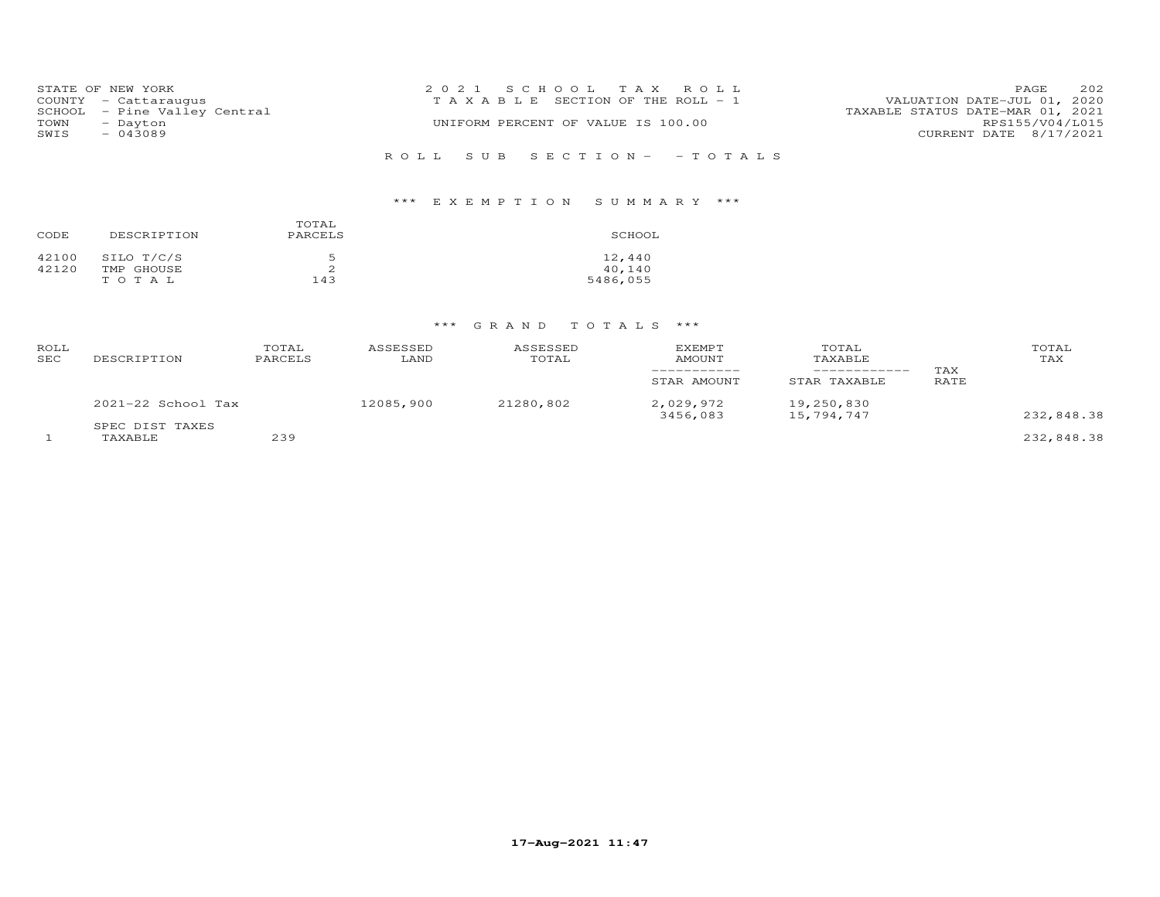|      | STATE OF NEW YORK            | 2021 SCHOOL TAX ROLL                                                 | PAGE            | 202 |
|------|------------------------------|----------------------------------------------------------------------|-----------------|-----|
|      | COUNTY - Cattaraugus         | VALUATION DATE-JUL 01, 2020<br>T A X A B L E SECTION OF THE ROLL - 1 |                 |     |
|      | SCHOOL - Pine Valley Central | TAXABLE STATUS DATE-MAR 01, 2021                                     |                 |     |
| TOWN | - Dayton                     | UNIFORM PERCENT OF VALUE IS 100.00                                   | RPS155/V04/L015 |     |
| SWIS | $-043089$                    | CURRENT DATE 8/17/2021                                               |                 |     |
|      |                              |                                                                      |                 |     |
|      |                              | ROLL SUB SECTION- - TOTALS                                           |                 |     |

# \*\*\* E X E M P T I O N S U M M A R Y \*\*\*

| CODE           | DESCRIPTION                       | TOTAL<br>PARCELS | SCHOOL                       |
|----------------|-----------------------------------|------------------|------------------------------|
| 42100<br>42120 | SILO T/C/S<br>TMP GHOUSE<br>TOTAL | 5<br>2<br>143    | 12,440<br>40,140<br>5486,055 |

# \*\*\* G R A N D T O T A L S \*\*\*

| ROLL<br>SEC | DESCRIPTION                | TOTAL<br>PARCELS | ASSESSED<br>LAND | ASSESSED<br>TOTAL | <b>EXEMPT</b><br>AMOUNT<br>__________<br>STAR AMOUNT | TOTAL<br>TAXABLE<br>-----------<br>STAR TAXABLE | TAX<br>RATE | TOTAL<br>TAX |
|-------------|----------------------------|------------------|------------------|-------------------|------------------------------------------------------|-------------------------------------------------|-------------|--------------|
|             | $2021-22$ School Tax       |                  | 12085,900        | 21280,802         | 2,029,972<br>3456,083                                | 19,250,830<br>15,794,747                        |             | 232,848.38   |
|             | SPEC DIST TAXES<br>TAXABLE | 239              |                  |                   |                                                      |                                                 |             | 232,848.38   |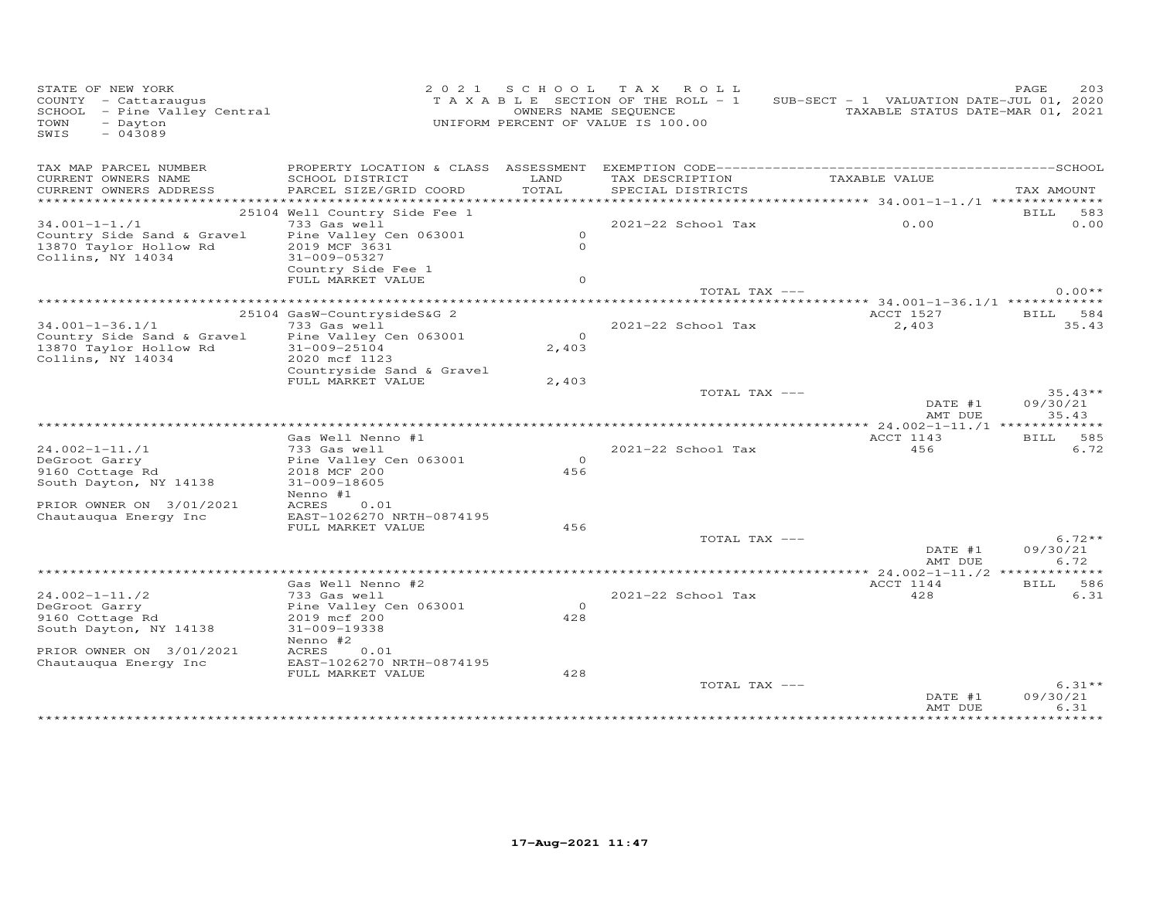| STATE OF NEW YORK<br>COUNTY - Cattaraugus<br>SCHOOL - Pine Valley Central<br>- Dayton<br>TOWN<br>$-043089$<br>SWIS |                                                                                                                                                           | OWNERS NAME SEQUENCE            | 2021 SCHOOL TAX ROLL<br>TAXABLE SECTION OF THE ROLL - 1<br>UNIFORM PERCENT OF VALUE IS 100.00 | SUB-SECT - 1 VALUATION DATE-JUL 01, 2020<br>TAXABLE STATUS DATE-MAR 01, 2021 | 203<br>PAGE                    |
|--------------------------------------------------------------------------------------------------------------------|-----------------------------------------------------------------------------------------------------------------------------------------------------------|---------------------------------|-----------------------------------------------------------------------------------------------|------------------------------------------------------------------------------|--------------------------------|
| TAX MAP PARCEL NUMBER<br>CURRENT OWNERS NAME<br>CURRENT OWNERS ADDRESS                                             | SCHOOL DISTRICT<br>PARCEL SIZE/GRID COORD                                                                                                                 | LAND<br>TOTAL<br>*************  | TAX DESCRIPTION<br>SPECIAL DISTRICTS                                                          | TAXABLE VALUE<br>***************** 34.001-1-1./1 **************              | TAX AMOUNT                     |
| $34.001 - 1 - 1.71$<br>Country Side Sand & Gravel<br>13870 Taylor Hollow Rd<br>Collins, NY 14034                   | 25104 Well Country Side Fee 1<br>733 Gas well<br>Pine Valley Cen 063001<br>2019 MCF 3631<br>$31 - 009 - 05327$<br>Country Side Fee 1<br>FULL MARKET VALUE | $\circ$<br>$\Omega$<br>$\Omega$ | $2021 - 22$ School Tax                                                                        | 0.00                                                                         | BILL 583<br>0.00               |
|                                                                                                                    |                                                                                                                                                           |                                 | TOTAL TAX ---                                                                                 |                                                                              | $0.00**$                       |
| $34.001 - 1 - 36.1/1$<br>Country Side Sand & Gravel<br>13870 Taylor Hollow Rd<br>Collins, NY 14034                 | 25104 GasW-CountrysideS&G 2<br>733 Gas well<br>Pine Valley Cen 063001<br>31-009-25104<br>2020 mcf 1123<br>Countryside Sand & Gravel                       | $\Omega$<br>2,403               | 2021-22 School Tax                                                                            | ACCT 1527<br>2,403                                                           | BILL 584<br>35.43              |
|                                                                                                                    | FULL MARKET VALUE                                                                                                                                         | 2,403                           | TOTAL TAX ---                                                                                 | DATE #1<br>AMT DUE                                                           | $35.43**$<br>09/30/21<br>35.43 |
| $24.002 - 1 - 11.71$<br>DeGroot Garry<br>9160 Cottage Rd<br>South Dayton, NY 14138<br>PRIOR OWNER ON 3/01/2021     | Gas Well Nenno #1<br>733 Gas well<br>Pine Valley Cen 063001<br>2018 MCF 200<br>31-009-18605<br>Nenno #1<br>ACRES<br>0.01                                  | $\overline{0}$<br>456           | $2021 - 22$ School Tax                                                                        | ACCT 1143<br>456                                                             | BILL 585<br>6.72               |
| Chautauqua Energy Inc                                                                                              | EAST-1026270 NRTH-0874195<br>FULL MARKET VALUE                                                                                                            | 456                             | TOTAL TAX ---                                                                                 | DATE #1<br>AMT DUE                                                           | $6.72**$<br>09/30/21<br>6.72   |
|                                                                                                                    |                                                                                                                                                           |                                 |                                                                                               |                                                                              |                                |
| $24.002 - 1 - 11.72$<br>DeGroot Garry<br>9160 Cottage Rd<br>South Dayton, NY 14138                                 | Gas Well Nenno #2<br>733 Gas well<br>Pine Valley Cen 063001<br>2019 mcf 200<br>31-009-19338<br>Nenno #2                                                   | $\Omega$<br>428                 | $2021 - 22$ School Tax                                                                        | ACCT 1144<br>428                                                             | BILL 586<br>6.31               |
| PRIOR OWNER ON 3/01/2021<br>Chautauqua Energy Inc                                                                  | ACRES<br>0.01<br>EAST-1026270 NRTH-0874195<br>FULL MARKET VALUE                                                                                           | 428                             | TOTAL TAX ---                                                                                 | DATE #1<br>AMT DUE                                                           | $6.31**$<br>09/30/21<br>6.31   |
|                                                                                                                    |                                                                                                                                                           |                                 |                                                                                               |                                                                              |                                |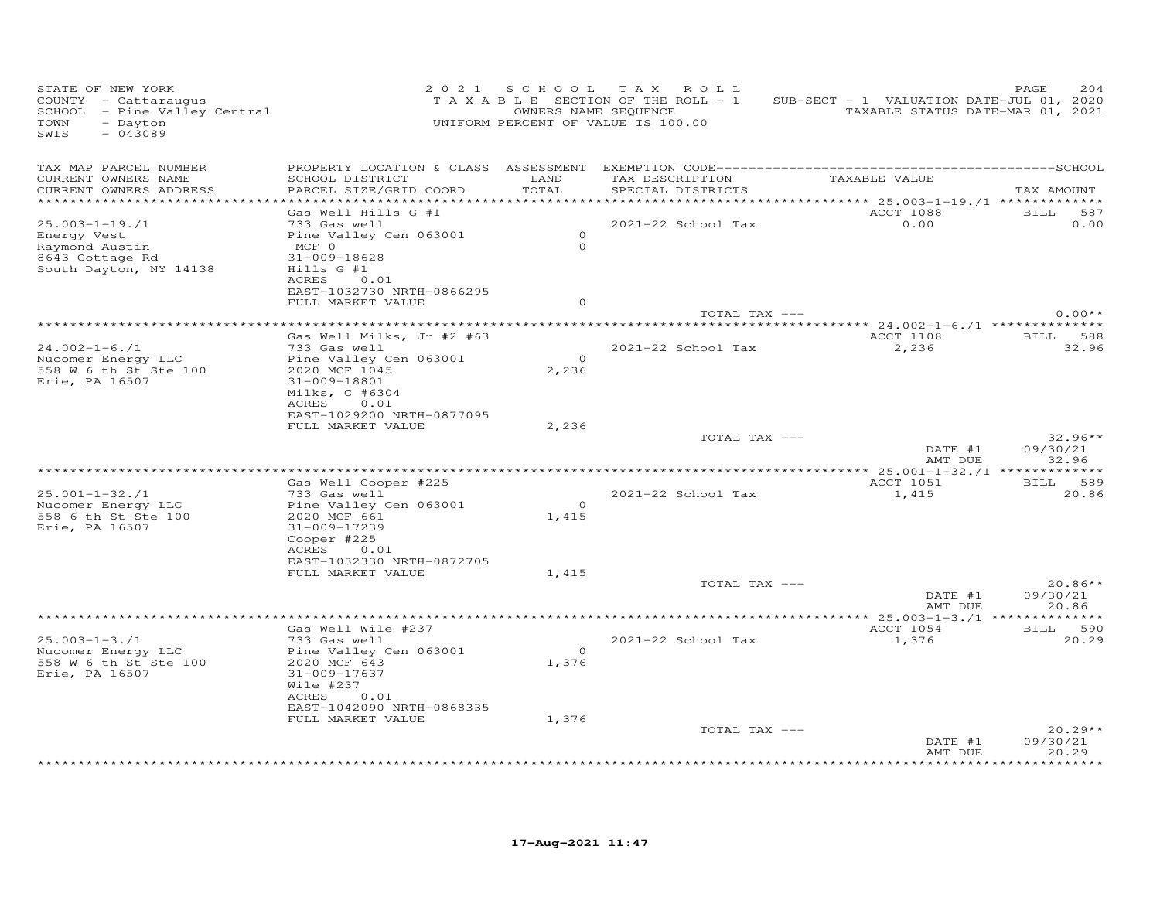| STATE OF NEW YORK<br>COUNTY - Cattaraugus<br>SCHOOL - Pine Valley Central<br>TOWN<br>- Dayton<br>$-043089$<br>SWIS |                                                                                                                                                                   |                         | 2021 SCHOOL TAX ROLL<br>T A X A B L E SECTION OF THE ROLL - 1<br>OWNERS NAME SEQUENCE<br>UNIFORM PERCENT OF VALUE IS 100.00 | SUB-SECT - 1 VALUATION DATE-JUL 01, 2020<br>TAXABLE STATUS DATE-MAR 01, 2021 | 204<br>PAGE                                  |
|--------------------------------------------------------------------------------------------------------------------|-------------------------------------------------------------------------------------------------------------------------------------------------------------------|-------------------------|-----------------------------------------------------------------------------------------------------------------------------|------------------------------------------------------------------------------|----------------------------------------------|
| TAX MAP PARCEL NUMBER<br>CURRENT OWNERS NAME<br>CURRENT OWNERS ADDRESS                                             | SCHOOL DISTRICT<br>PARCEL SIZE/GRID COORD                                                                                                                         | LAND<br>TOTAL           | TAX DESCRIPTION<br>SPECIAL DISTRICTS<br>********************************                                                    | TAXABLE VALUE<br>********** 25.003-1-19./1 *************                     | TAX AMOUNT                                   |
| 25.003-1-19./1<br>Energy Vest<br>Raymond Austin<br>8643 Cottage Rd<br>South Dayton, NY 14138                       | Gas Well Hills G #1<br>733 Gas well<br>Pine Valley Cen 063001<br>$MCF$ 0<br>31-009-18628<br>$Hills$ G #1<br>ACRES 0.01<br>EAST-1032730 NRTH-0866295               | $\Omega$<br>$\Omega$    | 2021-22 School Tax                                                                                                          | ACCT 1088<br>0.00                                                            | BILL 587<br>0.00                             |
|                                                                                                                    | FULL MARKET VALUE<br>***************************                                                                                                                  | $\circ$                 | TOTAL TAX ---                                                                                                               | ******** 24.002-1-6./1 **************                                        | $0.00**$                                     |
| $24.002 - 1 - 6.71$<br>Nucomer Energy LLC<br>558 W 6 th St Ste 100<br>Erie, PA 16507                               | Gas Well Milks, Jr #2 #63<br>733 Gas well<br>Pine Valley Cen 063001<br>2020 MCF 1045<br>31-009-18801<br>Milks, C #6304<br>ACRES 0.01<br>EAST-1029200 NRTH-0877095 | $\overline{0}$<br>2,236 | 2021-22 School Tax                                                                                                          | ACCT 1108<br>2,236                                                           | BILL 588<br>32.96                            |
|                                                                                                                    | FULL MARKET VALUE                                                                                                                                                 | 2,236                   | TOTAL TAX ---                                                                                                               | DATE #1<br>AMT DUE                                                           | $32.96**$<br>09/30/21<br>32.96               |
| $25.001 - 1 - 32.1$<br>Nucomer Energy LLC<br>558 6 th St Ste 100<br>Erie, PA 16507                                 | Gas Well Cooper #225<br>733 Gas well<br>Pine Valley Cen 063001<br>2020 MCF 661<br>31-009-17239<br>Cooper #225                                                     | $\overline{O}$<br>1,415 | 2021-22 School Tax                                                                                                          | ACCT 1051<br>1,415                                                           | BILL 589<br>20.86                            |
|                                                                                                                    | ACRES<br>0.01<br>EAST-1032330 NRTH-0872705<br>FULL MARKET VALUE                                                                                                   | 1,415                   | TOTAL TAX ---                                                                                                               | DATE #1<br>AMT DUE                                                           | $20.86**$<br>09/30/21<br>20.86               |
| $25.003 - 1 - 3.71$<br>Nucomer Energy LLC<br>558 W 6 th St Ste 100<br>Erie, PA 16507                               | Gas Well Wile #237<br>733 Gas well<br>Pine Valley Cen 063001<br>2020 MCF 643<br>31-009-17637<br>Wile #237<br>ACRES<br>0.01                                        | $\overline{0}$<br>1,376 | 2021-22 School Tax                                                                                                          | ACCT 1054<br>1,376                                                           | BILL 590<br>20.29                            |
|                                                                                                                    | EAST-1042090 NRTH-0868335<br>FULL MARKET VALUE                                                                                                                    | 1,376                   | TOTAL TAX ---                                                                                                               | DATE #1<br>AMT DUE                                                           | $20.29**$<br>09/30/21<br>20.29<br>********** |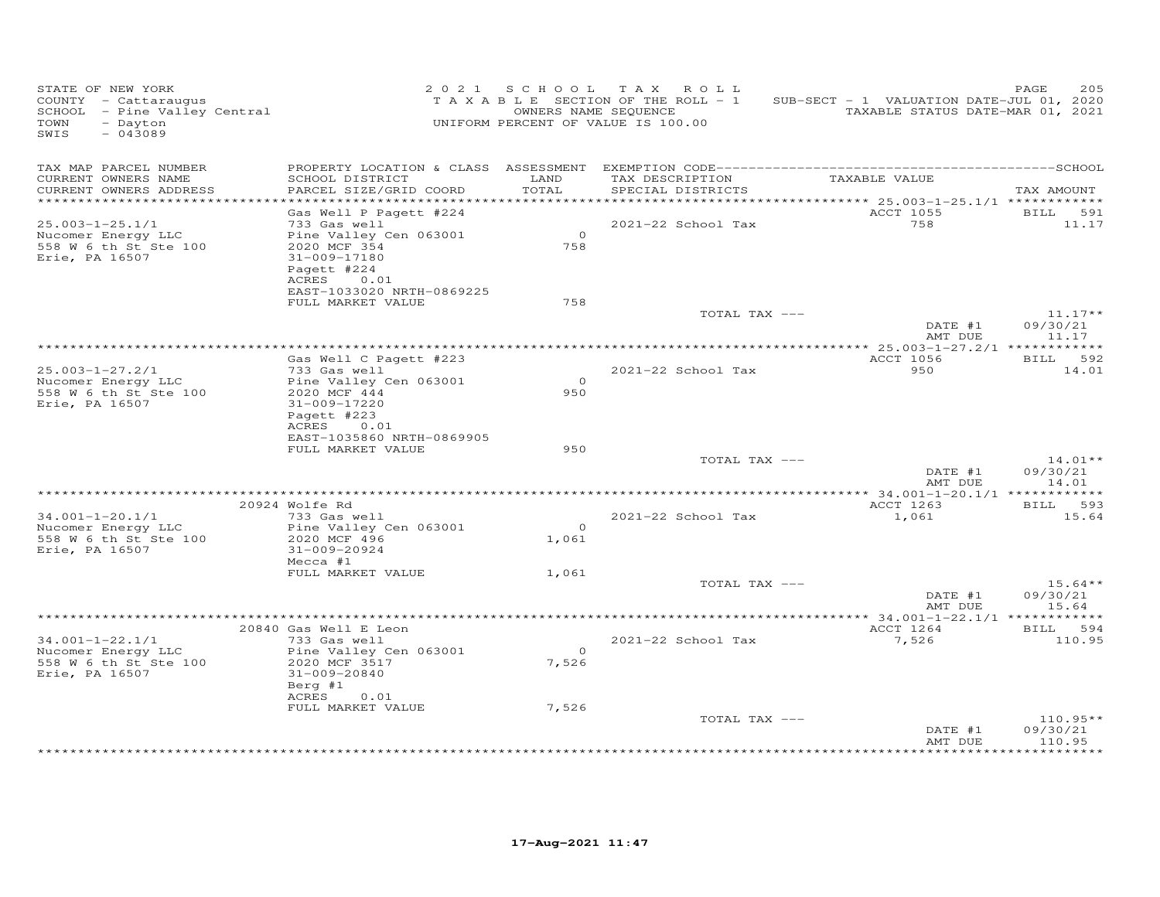| STATE OF NEW YORK<br>COUNTY - Cattaraugus<br>SCHOOL - Pine Valley Central<br>- Dayton<br>TOWN<br>$-043089$<br>SWIS |                                                                                                                                     | 2021 SCHOOL             | TAX ROLL<br>TAXABLE SECTION OF THE ROLL - 1<br>OWNERS NAME SEQUENCE<br>UNIFORM PERCENT OF VALUE IS 100.00 | SUB-SECT - 1 VALUATION DATE-JUL 01, 2020<br>TAXABLE STATUS DATE-MAR 01, 2021 | 205<br>PAGE                      |
|--------------------------------------------------------------------------------------------------------------------|-------------------------------------------------------------------------------------------------------------------------------------|-------------------------|-----------------------------------------------------------------------------------------------------------|------------------------------------------------------------------------------|----------------------------------|
| TAX MAP PARCEL NUMBER<br>CURRENT OWNERS NAME<br>CURRENT OWNERS ADDRESS<br>***********************                  | SCHOOL DISTRICT<br>PARCEL SIZE/GRID COORD<br>************************                                                               | LAND<br>TOTAL           | TAX DESCRIPTION<br>SPECIAL DISTRICTS                                                                      | TAXABLE VALUE                                                                | TAX AMOUNT                       |
|                                                                                                                    | Gas Well P Pagett #224                                                                                                              |                         |                                                                                                           | ACCT 1055                                                                    | BILL 591                         |
| $25.003 - 1 - 25.1/1$<br>Nucomer Energy LLC<br>558 W 6 th St Ste 100<br>Erie, PA 16507                             | 733 Gas well<br>Pine Valley Cen 063001<br>2020 MCF 354<br>31-009-17180<br>Pagett #224<br>0.01<br>ACRES<br>EAST-1033020 NRTH-0869225 | $\circ$<br>758          | 2021-22 School Tax                                                                                        | 758                                                                          | 11.17                            |
|                                                                                                                    | FULL MARKET VALUE                                                                                                                   | 758                     |                                                                                                           |                                                                              |                                  |
|                                                                                                                    |                                                                                                                                     |                         | TOTAL TAX ---                                                                                             | DATE #1<br>AMT DUE                                                           | $11.17**$<br>09/30/21<br>11.17   |
|                                                                                                                    |                                                                                                                                     |                         |                                                                                                           |                                                                              |                                  |
| $25.003 - 1 - 27.2/1$                                                                                              | Gas Well C Pagett #223<br>733 Gas well                                                                                              |                         | 2021-22 School Tax                                                                                        | ACCT 1056<br>950                                                             | BILL 592<br>14.01                |
| Nucomer Energy LLC<br>558 W 6 th St Ste 100<br>Erie, PA 16507                                                      | Pine Valley Cen 063001<br>2020 MCF 444<br>31-009-17220<br>Pagett #223<br>0.01<br>ACRES                                              | $\Omega$<br>950         |                                                                                                           |                                                                              |                                  |
|                                                                                                                    | EAST-1035860 NRTH-0869905<br>FULL MARKET VALUE                                                                                      | 950                     |                                                                                                           |                                                                              |                                  |
|                                                                                                                    |                                                                                                                                     |                         | TOTAL TAX ---                                                                                             | DATE #1<br>AMT DUE                                                           | $14.01**$<br>09/30/21<br>14.01   |
|                                                                                                                    |                                                                                                                                     |                         |                                                                                                           |                                                                              |                                  |
| 34.001-1-20.1/1                                                                                                    | 20924 Wolfe Rd<br>733 Gas well                                                                                                      |                         | 2021-22 School Tax                                                                                        | ACCT 1263<br>1,061                                                           | BILL 593<br>15.64                |
| Nucomer Energy LLC<br>558 W 6 th St Ste 100<br>Erie, PA 16507                                                      | Pine Valley Cen 063001<br>2020 MCF 496<br>31-009-20924<br>Mecca #1                                                                  | $\Omega$<br>1,061       |                                                                                                           |                                                                              |                                  |
|                                                                                                                    | FULL MARKET VALUE                                                                                                                   | 1,061                   |                                                                                                           |                                                                              |                                  |
|                                                                                                                    |                                                                                                                                     |                         | TOTAL TAX ---                                                                                             | DATE #1<br>AMT DUE                                                           | $15.64**$<br>09/30/21<br>15.64   |
|                                                                                                                    |                                                                                                                                     |                         |                                                                                                           |                                                                              |                                  |
|                                                                                                                    | 20840 Gas Well E Leon                                                                                                               |                         |                                                                                                           | ACCT 1264                                                                    | BILL 594                         |
| $34.001 - 1 - 22.1/1$<br>Nucomer Energy LLC<br>558 W 6 th St Ste 100<br>Erie, PA 16507                             | 733 Gas well<br>Pine Valley Cen 063001<br>2020 MCF 3517<br>31-009-20840<br>Berg #1<br>ACRES<br>0.01                                 | $\overline{O}$<br>7,526 | 2021-22 School Tax                                                                                        | 7,526                                                                        | 110.95                           |
|                                                                                                                    | FULL MARKET VALUE                                                                                                                   | 7,526                   | TOTAL TAX ---                                                                                             | DATE #1<br>AMT DUE                                                           | $110.95**$<br>09/30/21<br>110.95 |
|                                                                                                                    |                                                                                                                                     |                         |                                                                                                           |                                                                              |                                  |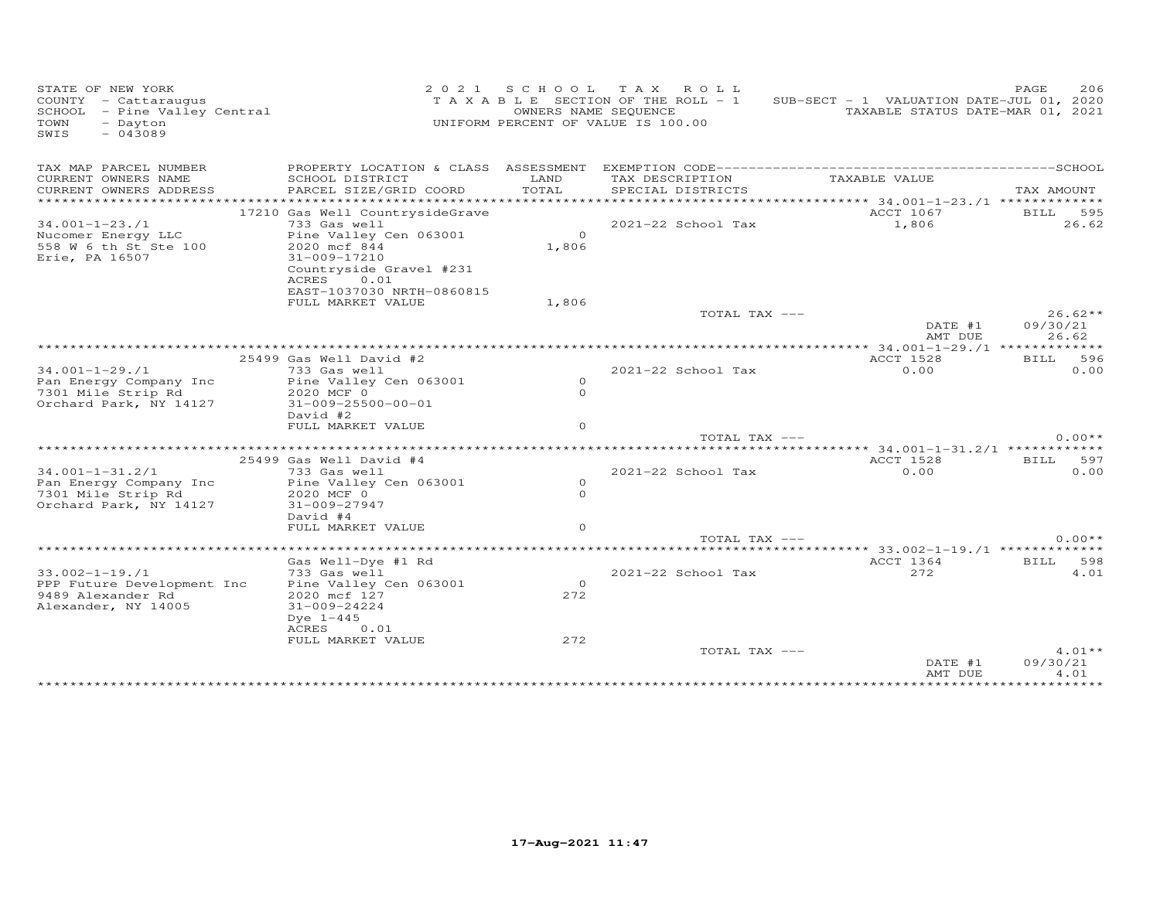| STATE OF NEW YORK<br>COUNTY - Cattaraugus<br>SCHOOL - Pine Valley Central<br>- Dayton<br>TOWN<br>$-043089$<br>SWIS |                                                                                                    | OWNERS NAME SEQUENCE | 2021 SCHOOL TAX ROLL<br>TAXABLE SECTION OF THE ROLL - 1<br>UNIFORM PERCENT OF VALUE IS 100.00 | SUB-SECT - 1 VALUATION DATE-JUL 01, 2020               | PAGE<br>206<br>TAXABLE STATUS DATE-MAR 01, 2021 |
|--------------------------------------------------------------------------------------------------------------------|----------------------------------------------------------------------------------------------------|----------------------|-----------------------------------------------------------------------------------------------|--------------------------------------------------------|-------------------------------------------------|
| TAX MAP PARCEL NUMBER<br>CURRENT OWNERS NAME                                                                       | SCHOOL DISTRICT                                                                                    | LAND                 | TAX DESCRIPTION                                                                               | TAXABLE VALUE                                          |                                                 |
| CURRENT OWNERS ADDRESS<br>***********************                                                                  | PARCEL SIZE/GRID COORD                                                                             | TOTAL                | SPECIAL DISTRICTS                                                                             |                                                        | TAX AMOUNT                                      |
|                                                                                                                    | 17210 Gas Well CountrysideGrave                                                                    |                      |                                                                                               | ACCT 1067                                              | BILL<br>595                                     |
| $34.001 - 1 - 23.71$                                                                                               | 733 Gas well                                                                                       |                      | 2021-22 School Tax                                                                            | 1,806                                                  | 26.62                                           |
| Nucomer Energy LLC<br>558 W 6 th St Ste 100<br>Erie, PA 16507                                                      | Pine Valley Cen 063001<br>2020 mcf 844<br>31-009-17210<br>Countryside Gravel #231<br>ACRES<br>0.01 | $\Omega$<br>1,806    |                                                                                               |                                                        |                                                 |
|                                                                                                                    | EAST-1037030 NRTH-0860815                                                                          |                      |                                                                                               |                                                        |                                                 |
|                                                                                                                    | FULL MARKET VALUE                                                                                  | 1,806                |                                                                                               |                                                        |                                                 |
|                                                                                                                    |                                                                                                    |                      | TOTAL TAX ---                                                                                 |                                                        | $26.62**$                                       |
|                                                                                                                    |                                                                                                    |                      |                                                                                               | DATE #1<br>AMT DUE                                     | 09/30/21<br>26.62                               |
|                                                                                                                    |                                                                                                    |                      |                                                                                               |                                                        |                                                 |
|                                                                                                                    | 25499 Gas Well David #2                                                                            |                      |                                                                                               | <b>ACCT 1528</b>                                       | <b>BILL</b><br>596                              |
| $34.001 - 1 - 29.1$<br>Pan Energy Company Inc                                                                      | 733 Gas well<br>Pine Valley Cen 063001                                                             | $\Omega$             | 2021-22 School Tax                                                                            | 0.00                                                   | 0.00                                            |
| 7301 Mile Strip Rd                                                                                                 | 2020 MCF 0                                                                                         | $\Omega$             |                                                                                               |                                                        |                                                 |
| Orchard Park, NY 14127                                                                                             | $31 - 009 - 25500 - 00 - 01$                                                                       |                      |                                                                                               |                                                        |                                                 |
|                                                                                                                    | David #2                                                                                           |                      |                                                                                               |                                                        |                                                 |
|                                                                                                                    | FULL MARKET VALUE                                                                                  | $\Omega$             |                                                                                               |                                                        |                                                 |
|                                                                                                                    |                                                                                                    |                      | TOTAL TAX ---                                                                                 |                                                        | $0.00**$                                        |
|                                                                                                                    |                                                                                                    |                      |                                                                                               | ************************* 34.001-1-31.2/1 ************ |                                                 |
|                                                                                                                    | 25499 Gas Well David #4                                                                            |                      |                                                                                               | ACCT 1528                                              | <b>BILL</b><br>597                              |
| $34.001 - 1 - 31.2/1$<br>Pan Energy Company Inc                                                                    | 733 Gas well<br>Pine Valley Cen 063001                                                             | $\circ$              | 2021-22 School Tax                                                                            | 0.00                                                   | 0.00                                            |
| 7301 Mile Strip Rd                                                                                                 | 2020 MCF 0                                                                                         | $\Omega$             |                                                                                               |                                                        |                                                 |
| Orchard Park, NY 14127                                                                                             | 31-009-27947                                                                                       |                      |                                                                                               |                                                        |                                                 |
|                                                                                                                    | David #4                                                                                           |                      |                                                                                               |                                                        |                                                 |
|                                                                                                                    | FULL MARKET VALUE                                                                                  | $\Omega$             |                                                                                               |                                                        |                                                 |
|                                                                                                                    |                                                                                                    |                      | TOTAL TAX ---                                                                                 |                                                        | $0.00**$                                        |
|                                                                                                                    |                                                                                                    |                      |                                                                                               |                                                        | **** 33.002-1-19./1 *************               |
|                                                                                                                    | Gas Well-Dye #1 Rd                                                                                 |                      |                                                                                               | ACCT 1364                                              | BILL 598                                        |
| $33.002 - 1 - 19.71$<br>PPP Future Development Inc                                                                 | 733 Gas well<br>Pine Valley Cen 063001                                                             | $\circ$              | 2021-22 School Tax                                                                            | 272                                                    | 4.01                                            |
| 9489 Alexander Rd                                                                                                  | 2020 mcf 127                                                                                       | 272                  |                                                                                               |                                                        |                                                 |
| Alexander, NY 14005                                                                                                | 31-009-24224                                                                                       |                      |                                                                                               |                                                        |                                                 |
|                                                                                                                    | Dye $1-445$                                                                                        |                      |                                                                                               |                                                        |                                                 |
|                                                                                                                    | ACRES<br>0.01                                                                                      |                      |                                                                                               |                                                        |                                                 |
|                                                                                                                    | FULL MARKET VALUE                                                                                  | 272                  |                                                                                               |                                                        |                                                 |
|                                                                                                                    |                                                                                                    |                      | TOTAL TAX ---                                                                                 |                                                        | $4.01**$                                        |
|                                                                                                                    |                                                                                                    |                      |                                                                                               | DATE #1<br>AMT DUE                                     | 09/30/21<br>4.01                                |
|                                                                                                                    |                                                                                                    |                      |                                                                                               |                                                        |                                                 |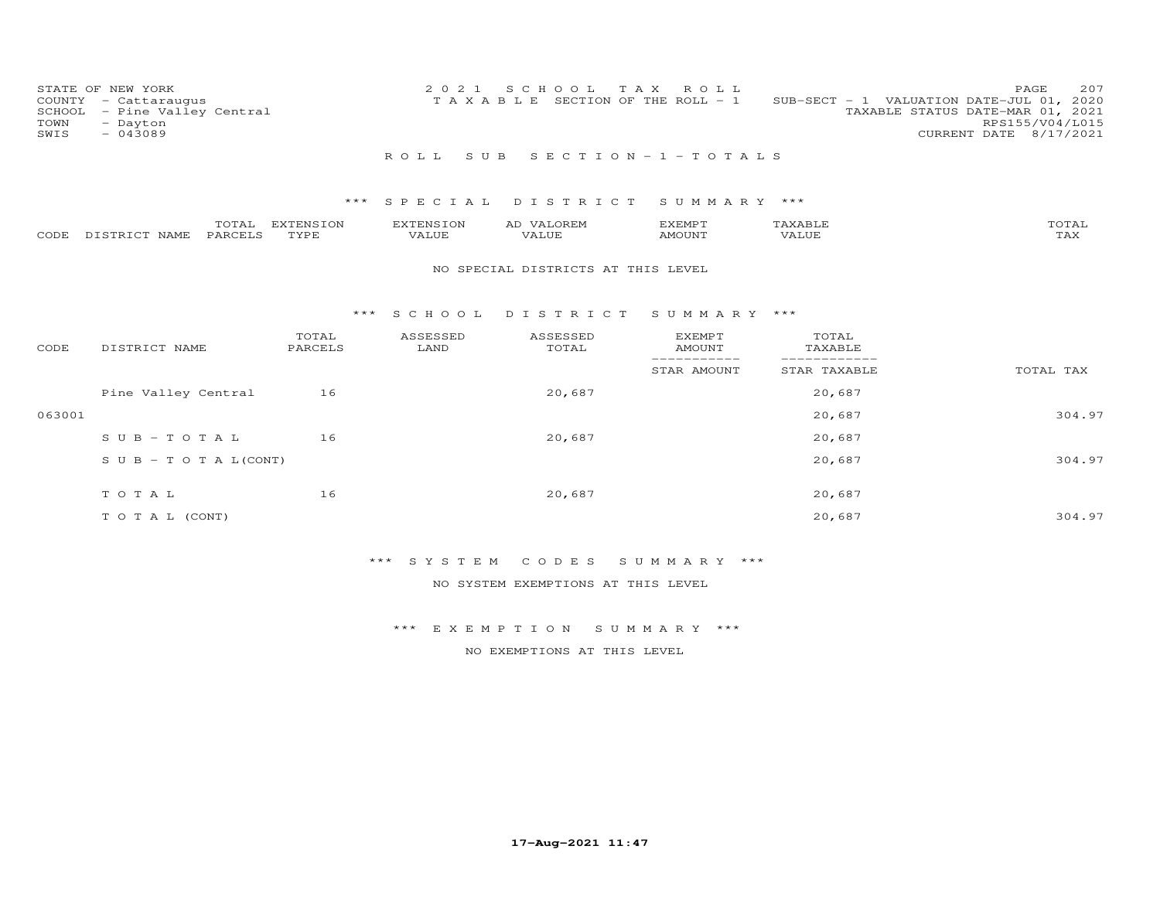| COUNTY<br>SCHOOL<br>TOWN<br>SWIS | STATE OF NEW YORK<br>- Cattaraugus<br>- Pine Valley Central<br>- Dayton<br>$-043089$ |                  |                   |                      | 2021 |  | S C H O O L         | T A X | ROLL<br>T A X A B L E SECTION OF THE ROLL - 1 |                  | SUB-SECT - 1 VALUATION DATE-JUL 01, 2020<br>TAXABLE STATUS DATE-MAR 01, 2021<br>CURRENT DATE 8/17/2021 | 207<br>PAGE<br>RPS155/V04/L015 |
|----------------------------------|--------------------------------------------------------------------------------------|------------------|-------------------|----------------------|------|--|---------------------|-------|-----------------------------------------------|------------------|--------------------------------------------------------------------------------------------------------|--------------------------------|
|                                  |                                                                                      |                  |                   | R O L L              |      |  |                     |       | SUB SECTION-1-TOTALS                          |                  |                                                                                                        |                                |
|                                  |                                                                                      |                  |                   | *** SPECIAL DISTRICT |      |  |                     |       | SUMMARY ***                                   |                  |                                                                                                        |                                |
| CODE                             | DISTRICT NAME                                                                        | TOTAL<br>PARCELS | EXTENSION<br>TYPE | EXTENSION<br>VALUE   |      |  | AD VALOREM<br>VALUE |       | EXEMPT<br>AMOUNT                              | TAXABLE<br>VALUE |                                                                                                        | TOTAL<br>TAX                   |
|                                  | NO SPECIAL DISTRICTS AT THIS LEVEL                                                   |                  |                   |                      |      |  |                     |       |                                               |                  |                                                                                                        |                                |

### \*\*\* S C H O O L D I S T R I C T S U M M A R Y \*\*\*

| CODE   | DISTRICT NAME                    | TOTAL<br>PARCELS | ASSESSED<br>LAND | ASSESSED<br>TOTAL | <b>EXEMPT</b><br>AMOUNT<br>-------- | TOTAL<br>TAXABLE |           |
|--------|----------------------------------|------------------|------------------|-------------------|-------------------------------------|------------------|-----------|
|        |                                  |                  |                  |                   | STAR AMOUNT                         | STAR TAXABLE     | TOTAL TAX |
|        | Pine Valley Central              | 16               |                  | 20,687            |                                     | 20,687           |           |
| 063001 |                                  |                  |                  |                   |                                     | 20,687           | 304.97    |
|        | $SUB - TO T AL$                  | 16               |                  | 20,687            |                                     | 20,687           |           |
|        | $S \cup B - T \cup T A L (CONT)$ |                  |                  |                   |                                     | 20,687           | 304.97    |
|        | TOTAL                            | 16               |                  | 20,687            |                                     | 20,687           |           |
|        | T O T A L (CONT)                 |                  |                  |                   |                                     | 20,687           | 304.97    |

# \*\*\* S Y S T E M C O D E S S U M M A R Y \*\*\*

NO SYSTEM EXEMPTIONS AT THIS LEVEL

\*\*\* E X E M P T I O N S U M M A R Y \*\*\*

NO EXEMPTIONS AT THIS LEVEL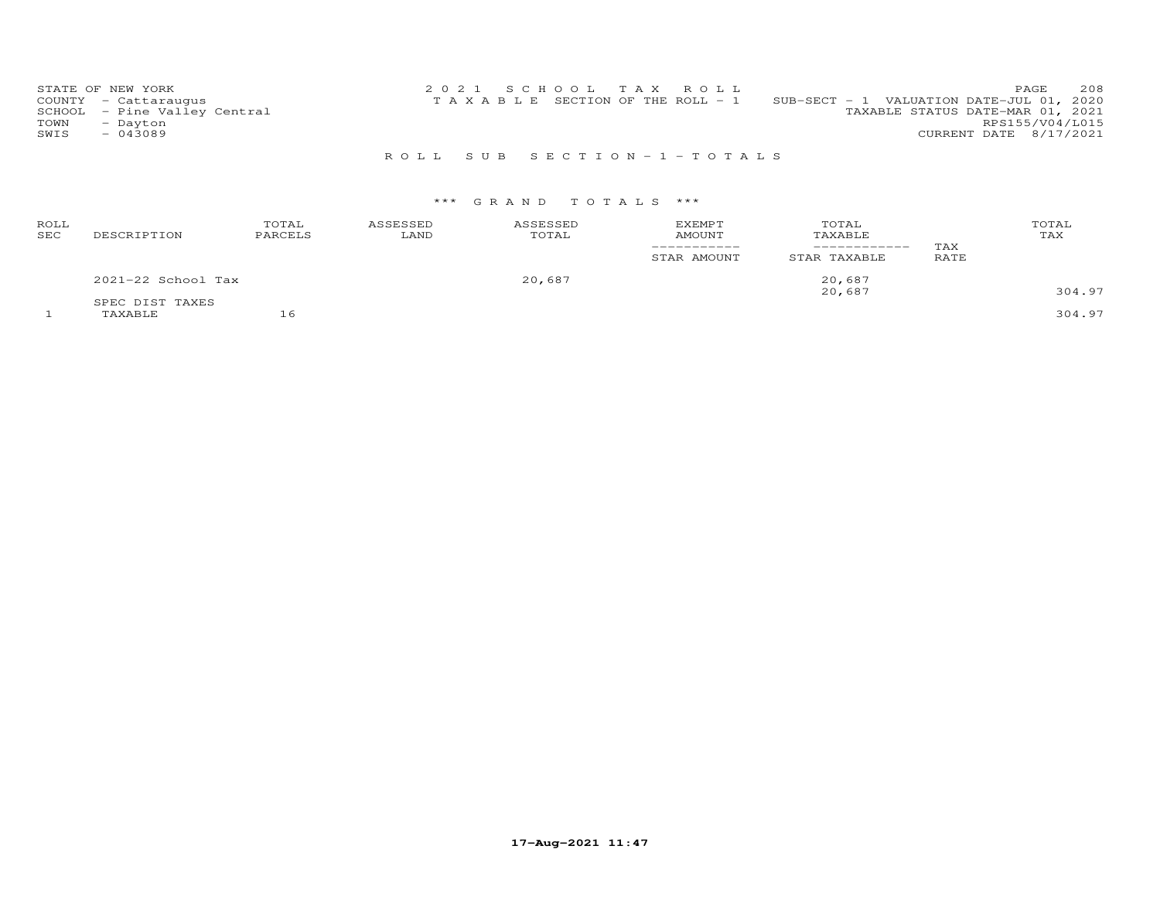| STATE OF NEW YORK            | 2021 SCHOOL TAX ROLL                                                              | 208<br>PAGE            |
|------------------------------|-----------------------------------------------------------------------------------|------------------------|
| COUNTY - Cattaraugus         | SUB-SECT - 1 VALUATION DATE-JUL 01, 2020<br>T A X A B L E SECTION OF THE ROLL - 1 |                        |
| SCHOOL - Pine Valley Central | TAXABLE STATUS DATE-MAR 01, 2021                                                  |                        |
| TOWN<br>- Dayton             |                                                                                   | RPS155/V04/L015        |
| SWIS<br>- 043089             |                                                                                   | CURRENT DATE 8/17/2021 |
|                              |                                                                                   |                        |

# R O L L S U B S E C T I O N - 1 - T O T A L S

# \*\*\* G R A N D T O T A L S \*\*\*

| ROLL<br><b>SEC</b> | DESCRIPTION                | TOTAL<br>PARCELS | ASSESSED<br>LAND | ASSESSED<br>TOTAL | <b>EXEMPT</b><br><b>AMOUNT</b><br>-----------<br>STAR AMOUNT | TOTAL<br>TAXABLE<br>------------<br>STAR TAXABLE | TAX<br>RATE | TOTAL<br>TAX     |
|--------------------|----------------------------|------------------|------------------|-------------------|--------------------------------------------------------------|--------------------------------------------------|-------------|------------------|
|                    | $2021-22$ School Tax       |                  |                  | 20,687            |                                                              | 20,687                                           |             |                  |
|                    | SPEC DIST TAXES<br>TAXABLE |                  |                  |                   |                                                              | 20,687                                           |             | 304.97<br>304.97 |

**17-Aug-2021 11:47**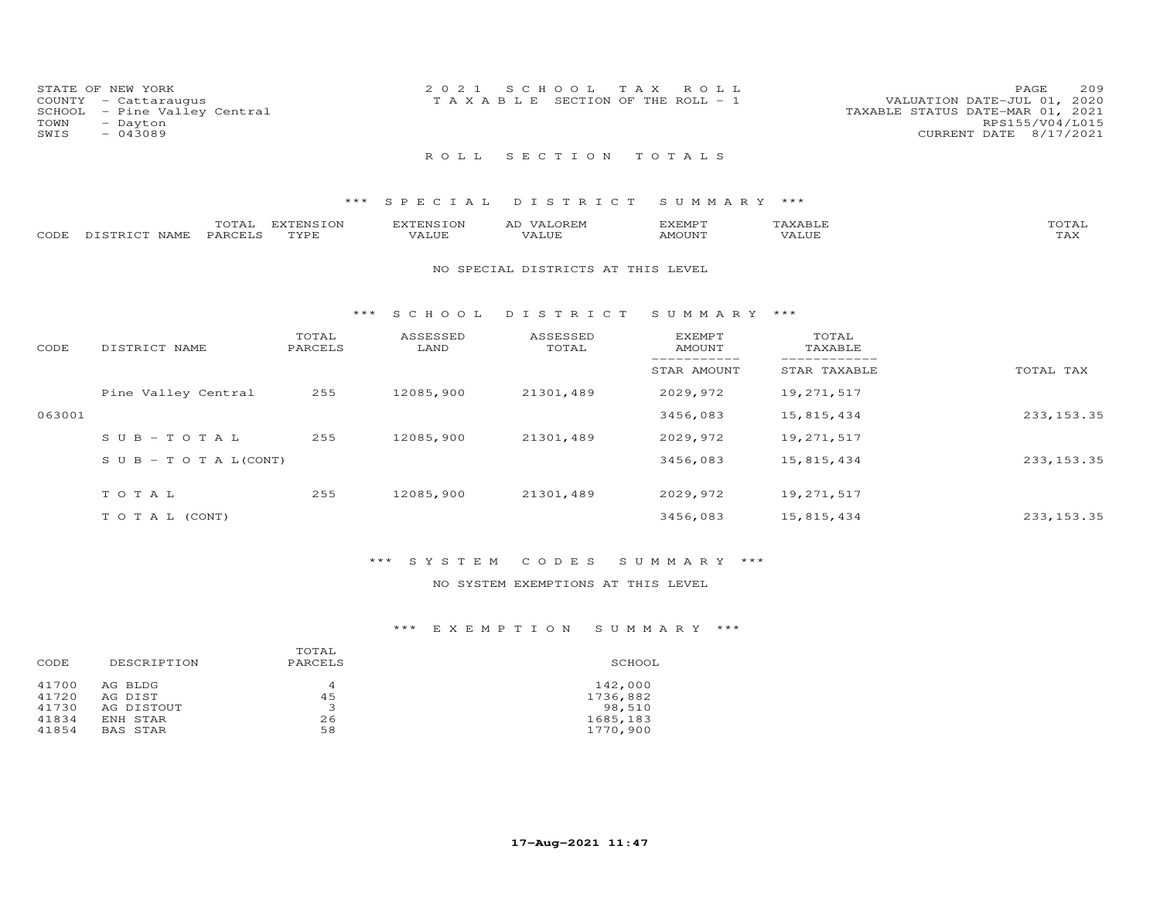| TOWN<br>SWIS | STATE OF NEW YORK<br>COUNTY - Cattaraugus<br>SCHOOL - Pine Valley Central<br>- Dayton<br>$-043089$ | 2021 SCHOOL TAX ROLL<br>T A X A B L E SECTION OF THE ROLL - 1 |  | VALUATION DATE-JUL 01, 2020<br>TAXABLE STATUS DATE-MAR 01, 2021 | PAGE<br>RPS155/V04/L015<br>CURRENT DATE 8/17/2021 | 209 |
|--------------|----------------------------------------------------------------------------------------------------|---------------------------------------------------------------|--|-----------------------------------------------------------------|---------------------------------------------------|-----|
|              |                                                                                                    | ROLL SECTION TOTALS                                           |  |                                                                 |                                                   |     |

# \*\*\* S P E C I A L D I S T R I C T S U M M A R Y \*\*\*

|      |                    | .                   | <b>EXTENSION</b> | $\mathbf{r}$  | OREN<br>$\sim$ | 1377355<br>.XEMF |                | $T$ $\cap$ $T$ $\cap$ $T$ $\cap$ $T$ $T$ |
|------|--------------------|---------------------|------------------|---------------|----------------|------------------|----------------|------------------------------------------|
| CODE | $T \cap T$<br>NAMF | PARCEI <sup>-</sup> | TVDG<br>- - - -  | T T T<br>ALUE |                | <b>MOTTNIT</b>   | 77777<br>/ALUE | ⊥ <i>⊥</i> ⊥∡ ⊾                          |

### NO SPECIAL DISTRICTS AT THIS LEVEL

### \*\*\* S C H O O L D I S T R I C T S U M M A R Y \*\*\*

| CODE   | DISTRICT NAME                    | TOTAL<br>PARCELS | ASSESSED<br>LAND | ASSESSED<br>TOTAL | EXEMPT<br>AMOUNT | TOTAL<br>TAXABLE |             |
|--------|----------------------------------|------------------|------------------|-------------------|------------------|------------------|-------------|
|        |                                  |                  |                  |                   | STAR AMOUNT      | STAR TAXABLE     | TOTAL TAX   |
|        | Pine Valley Central              | 255              | 12085,900        | 21301,489         | 2029,972         | 19,271,517       |             |
| 063001 |                                  |                  |                  |                   | 3456,083         | 15,815,434       | 233, 153.35 |
|        | $SUB - TO T AL$                  | 255              | 12085,900        | 21301,489         | 2029,972         | 19,271,517       |             |
|        | $S \cup B - T \cup T A L (CONT)$ |                  |                  |                   | 3456,083         | 15,815,434       | 233, 153.35 |
|        | TOTAL                            | 255              | 12085,900        | 21301,489         | 2029,972         | 19,271,517       |             |
|        | T O T A L (CONT)                 |                  |                  |                   | 3456,083         | 15,815,434       | 233, 153.35 |

# \*\*\* S Y S T E M C O D E S S U M M A R Y \*\*\*

# NO SYSTEM EXEMPTIONS AT THIS LEVEL

# \*\*\* E X E M P T I O N S U M M A R Y \*\*\*

| DESCRIPTION | TOTAL<br>PARCELS | SCHOOL   |
|-------------|------------------|----------|
| AG BLDG     | 4                | 142,000  |
| AG DIST     | 45               | 1736,882 |
| AG DISTOUT  | 3                | 98,510   |
| ENH STAR    | 26               | 1685,183 |
| BAS STAR    | 58               | 1770,900 |
|             |                  |          |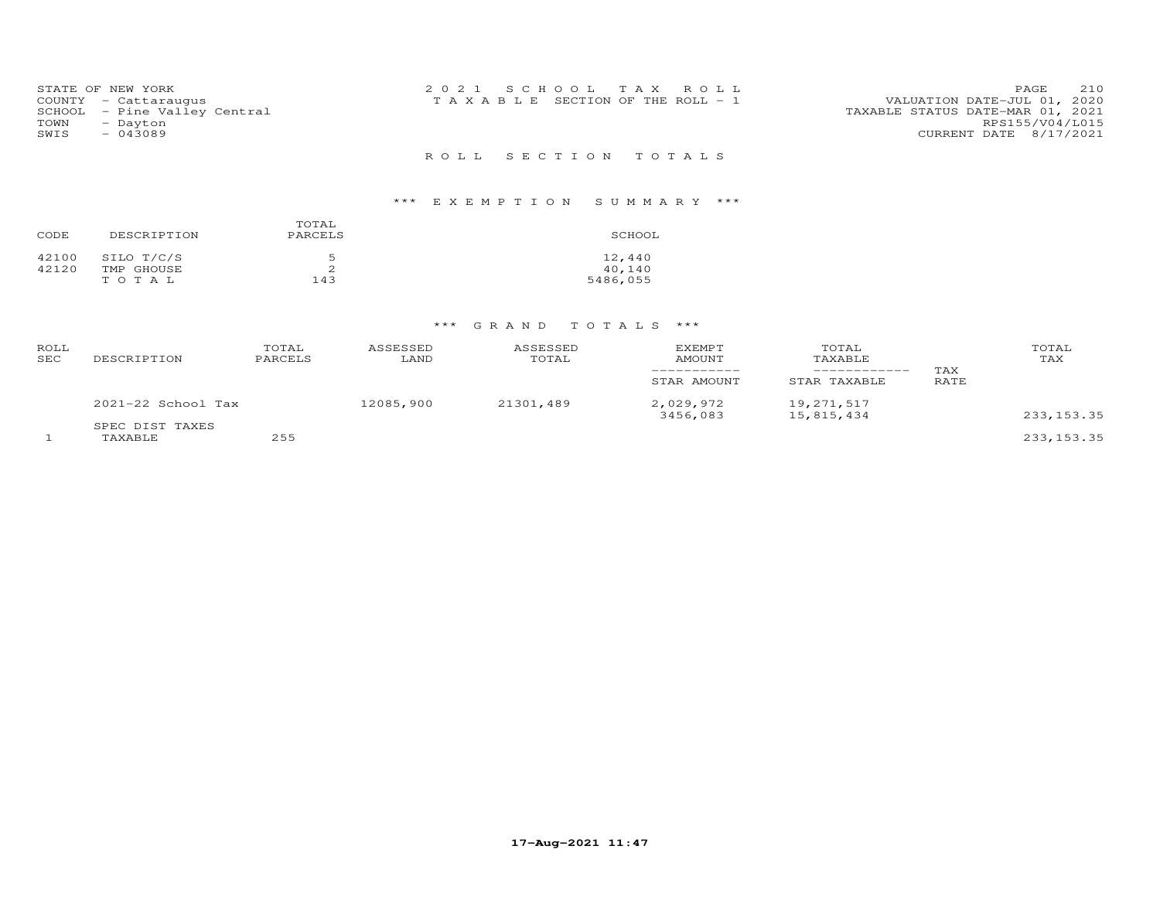| TOWN<br>SWIS | STATE OF NEW YORK<br>COUNTY - Cattaraugus<br>SCHOOL - Pine Valley Central<br>- Dayton<br>- 043089 | 2021 SCHOOL TAX ROLL<br>T A X A B L E SECTION OF THE ROLL - 1 |  | VALUATION DATE-JUL 01, 2020<br>TAXABLE STATUS DATE-MAR 01, 2021<br>CURRENT DATE 8/17/2021 | PAGE<br>RPS155/V04/L015 | 210 |
|--------------|---------------------------------------------------------------------------------------------------|---------------------------------------------------------------|--|-------------------------------------------------------------------------------------------|-------------------------|-----|
|              |                                                                                                   | ROLL SECTION TOTALS                                           |  |                                                                                           |                         |     |

# \*\*\* E X E M P T I O N S U M M A R Y \*\*\*

| CODE  | DESCRIPTION | TOTAL<br>PARCELS | SCHOOL   |
|-------|-------------|------------------|----------|
| 42100 | SILO T/C/S  | 5                | 12,440   |
| 42120 | TMP GHOUSE  | ∠                | 40,140   |
|       | TOTAL       | 143              | 5486,055 |

# \*\*\* G R A N D T O T A L S \*\*\*

| ROLL<br>SEC | DESCRIPTION                | TOTAL<br>PARCELS | ASSESSED<br>LAND | ASSESSED<br>TOTAL | <b>EXEMPT</b><br><b>AMOUNT</b><br>STAR AMOUNT | TOTAL<br>TAXABLE<br>STAR TAXABLE | TAX<br>RATE | TOTAL<br>TAX |
|-------------|----------------------------|------------------|------------------|-------------------|-----------------------------------------------|----------------------------------|-------------|--------------|
|             | $2021 - 22$ School Tax     |                  | 12085,900        | 21301,489         | 2,029,972<br>3456,083                         | 19,271,517<br>15,815,434         |             | 233, 153.35  |
|             | SPEC DIST TAXES<br>TAXABLE | 255              |                  |                   |                                               |                                  |             | 233, 153.35  |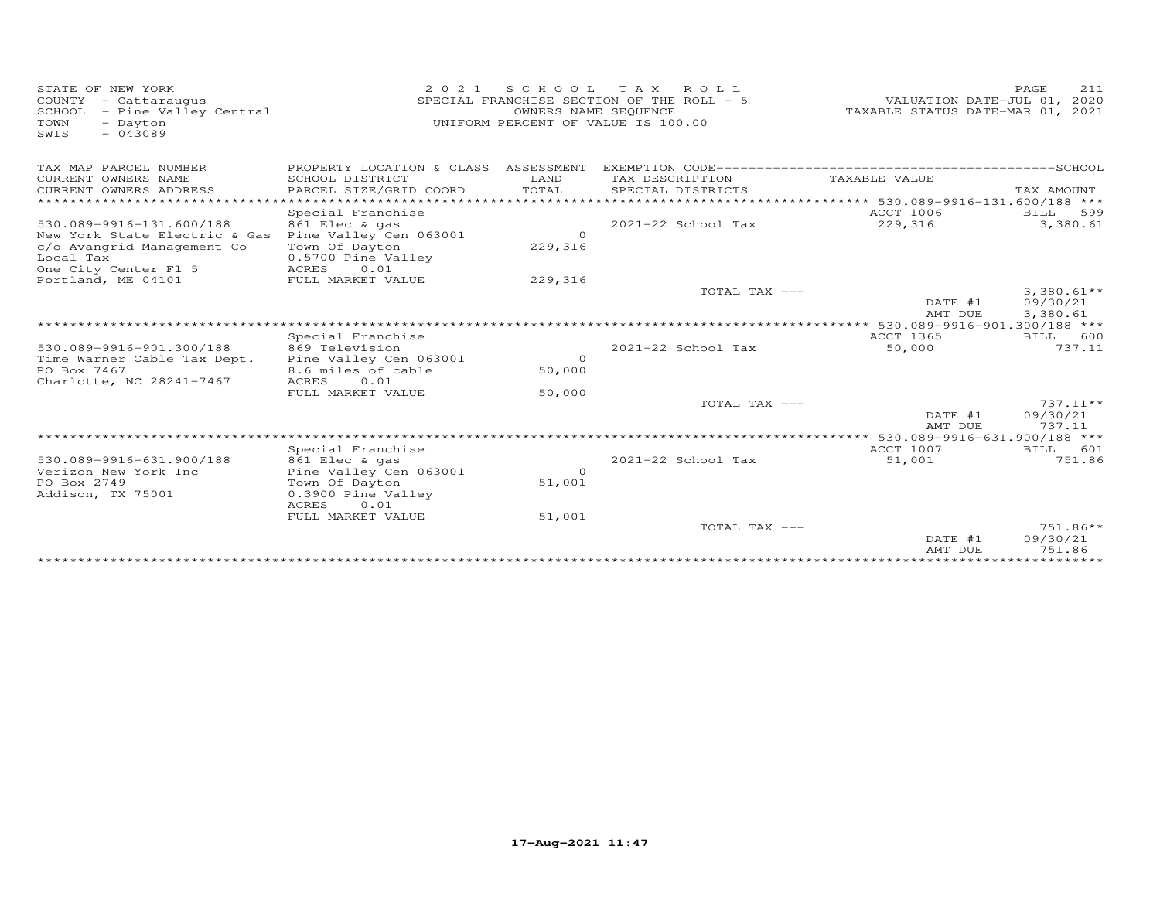| STATE OF NEW YORK<br>COUNTY - Cattaraugus<br>SCHOOL - Pine Valley Central<br>TOWN<br>- Dayton<br>$-043089$<br>SWIS | 2021                                       | SCHOOL<br>OWNERS NAME SEQUENCE | TAX ROLL<br>SPECIAL FRANCHISE SECTION OF THE ROLL - 5<br>UNIFORM PERCENT OF VALUE IS 100.00 | VALUATION DATE-JUL 01, 2020<br>TAXABLE STATUS DATE-MAR 01, 2021 | PAGE<br>211        |
|--------------------------------------------------------------------------------------------------------------------|--------------------------------------------|--------------------------------|---------------------------------------------------------------------------------------------|-----------------------------------------------------------------|--------------------|
| TAX MAP PARCEL NUMBER                                                                                              |                                            |                                |                                                                                             |                                                                 |                    |
| CURRENT OWNERS NAME<br>CURRENT OWNERS ADDRESS                                                                      | SCHOOL DISTRICT<br>PARCEL SIZE/GRID COORD  | LAND<br>TOTAL                  | TAX DESCRIPTION<br>SPECIAL DISTRICTS                                                        | TAXABLE VALUE                                                   | TAX AMOUNT         |
| *******************                                                                                                |                                            |                                |                                                                                             | ********************** 530.089-9916-131.600/188 ***             |                    |
|                                                                                                                    | Special Franchise                          |                                |                                                                                             | ACCT 1006                                                       | 599<br>BILL        |
| 530.089-9916-131.600/188                                                                                           | 861 Elec & gas                             |                                | 2021-22 School Tax                                                                          | 229,316                                                         | 3,380.61           |
| New York State Electric & Gas                                                                                      | Pine Valley Cen 063001                     | $\circ$                        |                                                                                             |                                                                 |                    |
| c/o Avangrid Management Co                                                                                         | Town Of Dayton                             | 229,316                        |                                                                                             |                                                                 |                    |
| Local Tax                                                                                                          | 0.5700 Pine Valley                         |                                |                                                                                             |                                                                 |                    |
| One City Center Fl 5                                                                                               | ACRES<br>0.01                              |                                |                                                                                             |                                                                 |                    |
| Portland, ME 04101                                                                                                 | FULL MARKET VALUE                          | 229,316                        |                                                                                             |                                                                 |                    |
|                                                                                                                    |                                            |                                | TOTAL TAX ---                                                                               |                                                                 | $3,380.61**$       |
|                                                                                                                    |                                            |                                |                                                                                             | DATE #1                                                         | 09/30/21           |
|                                                                                                                    |                                            |                                |                                                                                             | AMT DUE                                                         | 3,380.61           |
|                                                                                                                    | Special Franchise                          |                                |                                                                                             | ACCT 1365                                                       | BILL 600           |
| 530.089-9916-901.300/188                                                                                           | 869 Television                             |                                | $2021 - 22$ School Tax                                                                      | 50,000                                                          | 737.11             |
| Time Warner Cable Tax Dept.                                                                                        | Pine Valley Cen 063001                     | $\Omega$                       |                                                                                             |                                                                 |                    |
| PO Box 7467                                                                                                        | 8.6 miles of cable                         | 50,000                         |                                                                                             |                                                                 |                    |
| Charlotte, NC 28241-7467                                                                                           | ACRES<br>0.01                              |                                |                                                                                             |                                                                 |                    |
|                                                                                                                    | FULL MARKET VALUE                          | 50,000                         |                                                                                             |                                                                 |                    |
|                                                                                                                    |                                            |                                | TOTAL TAX ---                                                                               |                                                                 | 737.11**           |
|                                                                                                                    |                                            |                                |                                                                                             | DATE #1                                                         | 09/30/21           |
|                                                                                                                    |                                            |                                |                                                                                             | AMT DUE                                                         | 737.11             |
|                                                                                                                    |                                            |                                |                                                                                             |                                                                 |                    |
|                                                                                                                    | Special Franchise                          |                                |                                                                                             | ACCT 1007                                                       | BILL 601           |
| 530.089-9916-631.900/188                                                                                           | 861 Elec & gas                             |                                | $2021 - 22$ School Tax                                                                      | 51,001                                                          | 751.86             |
| Verizon New York Inc                                                                                               | Pine Valley Cen 063001                     | $\overline{0}$                 |                                                                                             |                                                                 |                    |
| PO Box 2749                                                                                                        | Town Of Dayton                             | 51,001                         |                                                                                             |                                                                 |                    |
| Addison, TX 75001                                                                                                  | 0.3900 Pine Valley<br><b>ACRES</b><br>0.01 |                                |                                                                                             |                                                                 |                    |
|                                                                                                                    | FULL MARKET VALUE                          | 51,001                         |                                                                                             |                                                                 |                    |
|                                                                                                                    |                                            |                                | TOTAL TAX ---                                                                               |                                                                 | $751.86**$         |
|                                                                                                                    |                                            |                                |                                                                                             | DATE #1<br>AMT DUE                                              | 09/30/21<br>751.86 |
|                                                                                                                    |                                            |                                |                                                                                             |                                                                 |                    |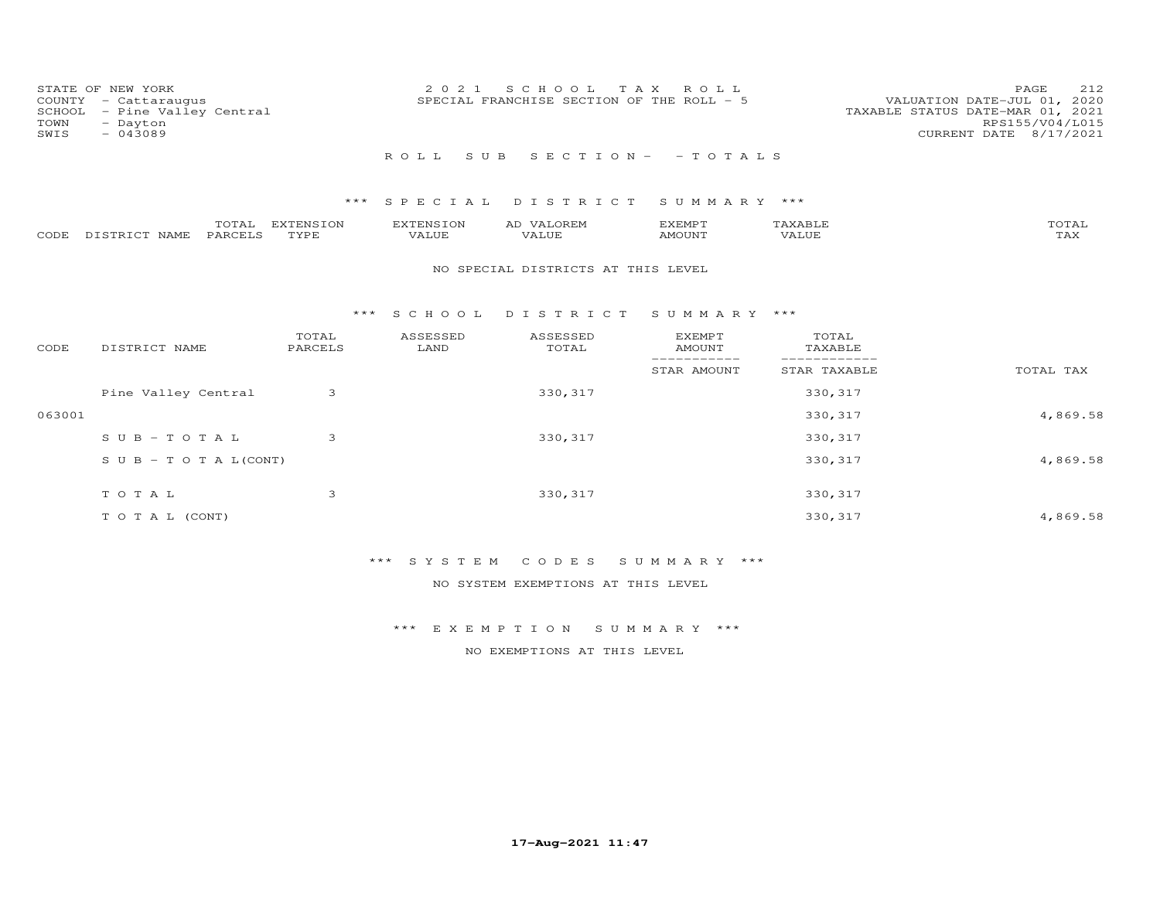| SCHOOL<br>TOWN<br>SWIS | STATE OF NEW YORK<br>COUNTY - Cattaraugus<br>- Pine Valley Central<br>- Dayton<br>$-043089$ |                   | 2021                      | SCHOOL<br>SPECIAL FRANCHISE SECTION OF THE ROLL - 5 | T A X<br>R O L L                |                  | PAGE<br>212<br>VALUATION DATE-JUL 01, 2020<br>TAXABLE STATUS DATE-MAR 01, 2021<br>RPS155/V04/L015<br>CURRENT DATE 8/17/2021 |
|------------------------|---------------------------------------------------------------------------------------------|-------------------|---------------------------|-----------------------------------------------------|---------------------------------|------------------|-----------------------------------------------------------------------------------------------------------------------------|
|                        |                                                                                             |                   | ROLL                      | S U B                                               | $S E C T I O N - - T O T A L S$ |                  |                                                                                                                             |
|                        |                                                                                             | ***               |                           | SPECIAL DISTRICT                                    | SUMMARY ***                     |                  |                                                                                                                             |
| CODE                   | TOTAL<br>PARCELS<br>DISTRICT NAME                                                           | EXTENSION<br>TYPE | <b>EXTENSION</b><br>VALUE | AD VALOREM<br>VALUE                                 | EXEMPT<br>AMOUNT                | TAXABLE<br>VALUE | TOTAL<br>TAX                                                                                                                |
|                        |                                                                                             |                   |                           | NO SPECIAL DISTRICTS AT THIS LEVEL                  |                                 |                  |                                                                                                                             |
|                        |                                                                                             | ***               | S C H O O L               | DISTRICT SUMMARY ***                                |                                 |                  |                                                                                                                             |
| CODE                   | DISTRICT NAME                                                                               | TOTAL<br>PARCELS  | ASSESSED<br>LAND          | ASSESSED<br>TOTAL                                   | <b>EXEMPT</b><br><b>AMOUNT</b>  | TOTAL<br>TAXABLE |                                                                                                                             |
|                        |                                                                                             |                   |                           |                                                     | ------<br>STAR AMOUNT           | STAR TAXABLE     | TOTAL TAX                                                                                                                   |
|                        | Pine Valley Central                                                                         | 3                 |                           | 330, 317                                            |                                 | 330, 317         |                                                                                                                             |
| 063001                 |                                                                                             |                   |                           |                                                     |                                 | 330, 317         | 4,869.58                                                                                                                    |
|                        | $S \cup B - TO T A L$                                                                       | 3                 |                           | 330, 317                                            |                                 | 330, 317         |                                                                                                                             |
|                        | $S \cup B - T \cup T A L (CONT)$                                                            |                   |                           |                                                     |                                 | 330, 317         | 4,869.58                                                                                                                    |
|                        | TOTAL                                                                                       | 3                 |                           | 330, 317                                            |                                 | 330, 317         |                                                                                                                             |
|                        | TO TAL (CONT)                                                                               |                   |                           |                                                     |                                 | 330, 317         | 4,869.58                                                                                                                    |

# \*\*\* S Y S T E M C O D E S S U M M A R Y \*\*\*

NO SYSTEM EXEMPTIONS AT THIS LEVEL

\*\*\* E X E M P T I O N S U M M A R Y \*\*\*

NO EXEMPTIONS AT THIS LEVEL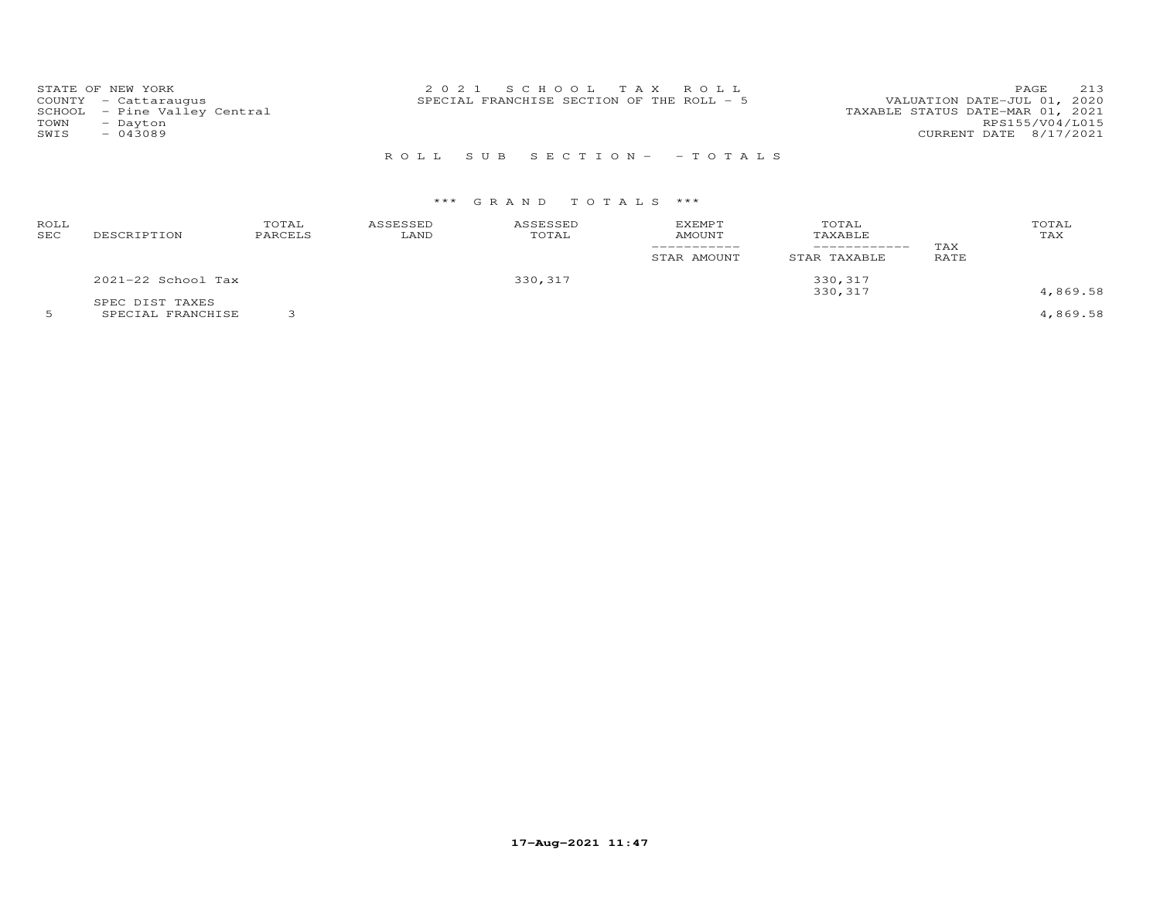| STATE OF NEW YORK<br>COUNTY - Cattaraugus<br>SCHOOL - Pine Valley Central<br>TOWN<br>- Dayton<br>$-043089$<br>SWIS | 2021 SCHOOL TAX ROLL<br>SPECIAL FRANCHISE SECTION OF THE ROLL - 5 | 213<br>PAGE<br>VALUATION DATE-JUL 01, 2020<br>TAXABLE STATUS DATE-MAR 01, 2021<br>RPS155/V04/L015<br>CURRENT DATE 8/17/2021 |
|--------------------------------------------------------------------------------------------------------------------|-------------------------------------------------------------------|-----------------------------------------------------------------------------------------------------------------------------|
|                                                                                                                    | ROLL SUB SECTION- - TOTALS                                        |                                                                                                                             |

# \*\*\* G R A N D T O T A L S \*\*\*

| ROLL<br>SEC | DESCRIPTION        | TOTAL<br>PARCELS | ASSESSED<br>LAND | ASSESSED<br>TOTAL | <b>EXEMPT</b><br>AMOUNT<br>STAR AMOUNT | TOTAL<br>TAXABLE<br>------------<br>STAR TAXABLE | TAX<br><b>RATE</b> | TOTAL<br>TAX |
|-------------|--------------------|------------------|------------------|-------------------|----------------------------------------|--------------------------------------------------|--------------------|--------------|
|             | 2021-22 School Tax |                  |                  | 330, 317          |                                        | 330, 317                                         |                    |              |
|             | SPEC DIST TAXES    |                  |                  |                   |                                        | 330, 317                                         |                    | 4,869.58     |

5 SPECIAL FRANCHISE 3 4,869.58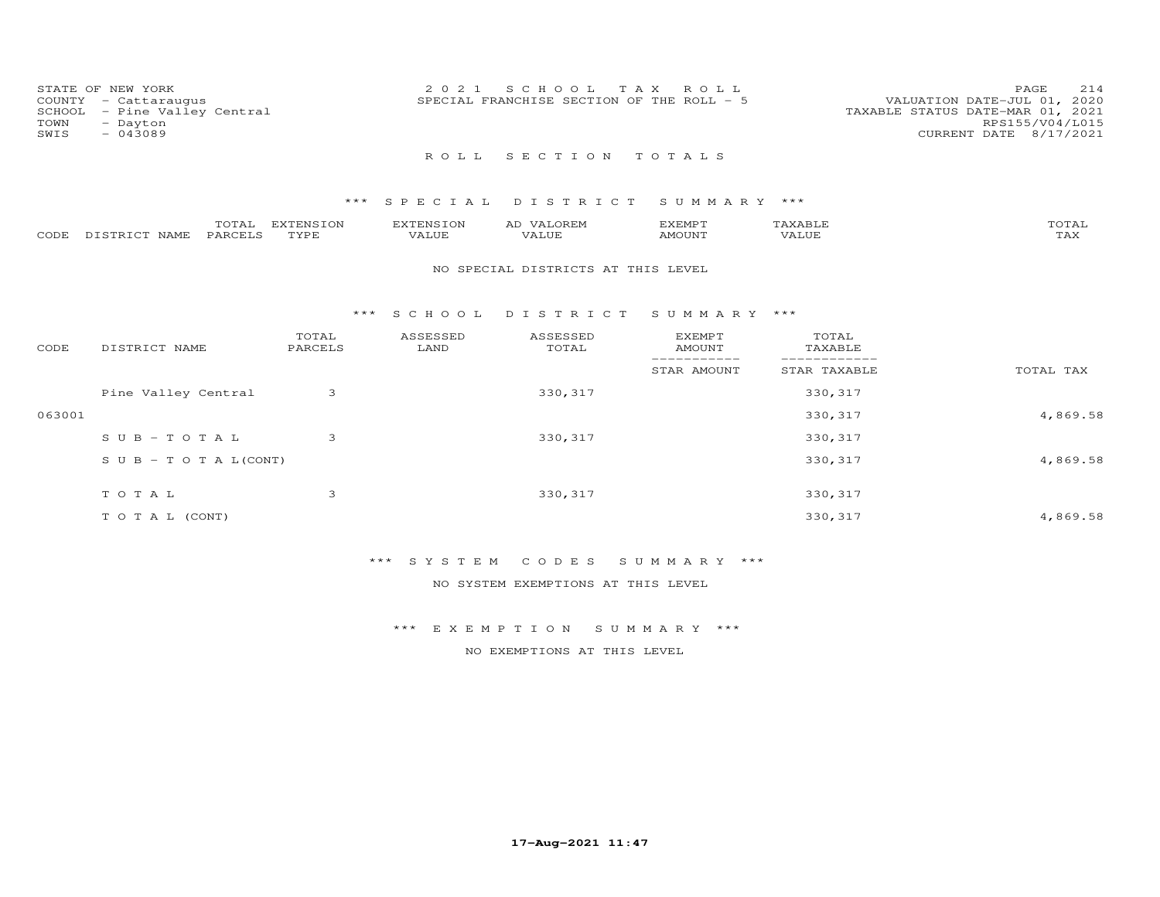| COUNTY<br>SCHOOL<br>TOWN<br>SWIS | STATE OF NEW YORK<br>- Cattaraugus<br>- Pine Valley Central<br>- Dayton<br>$-043089$ |                   | 2021               | S C H O O L<br>T A X<br>SPECIAL FRANCHISE SECTION OF THE ROLL - 5 | ROLL                                        |                                  | PAGE<br>214<br>VALUATION DATE-JUL 01, 2020<br>TAXABLE STATUS DATE-MAR 01, 2021<br>RPS155/V04/L015<br>CURRENT DATE 8/17/2021 |
|----------------------------------|--------------------------------------------------------------------------------------|-------------------|--------------------|-------------------------------------------------------------------|---------------------------------------------|----------------------------------|-----------------------------------------------------------------------------------------------------------------------------|
|                                  |                                                                                      |                   | ROLL               | SECTION                                                           | TOTALS                                      |                                  |                                                                                                                             |
|                                  |                                                                                      | $***$             | SPECIAL            | DISTRICT                                                          | SUMMARY ***                                 |                                  |                                                                                                                             |
| CODE                             | TOTAL<br>DISTRICT NAME<br><b>PARCELS</b>                                             | EXTENSION<br>TYPE | EXTENSION<br>VALUE | AD VALOREM<br>VALUE                                               | <b>EXEMPT</b><br><b>AMOUNT</b>              | TAXABLE<br>VALUE                 | TOTAL<br><b>TAX</b>                                                                                                         |
|                                  |                                                                                      |                   |                    | NO SPECIAL DISTRICTS AT THIS LEVEL                                |                                             |                                  |                                                                                                                             |
|                                  |                                                                                      | $***$             | S C H O O L        | DISTRICT                                                          | SUMMARY ***                                 |                                  |                                                                                                                             |
| CODE                             | DISTRICT NAME                                                                        | TOTAL<br>PARCELS  | ASSESSED<br>LAND   | ASSESSED<br>TOTAL                                                 | <b>EXEMPT</b><br><b>AMOUNT</b><br>_________ | TOTAL<br>TAXABLE<br>____________ |                                                                                                                             |
|                                  |                                                                                      |                   |                    |                                                                   | STAR AMOUNT                                 | STAR TAXABLE                     | TOTAL TAX                                                                                                                   |
|                                  | Pine Valley Central                                                                  | 3                 |                    | 330, 317                                                          |                                             | 330, 317                         |                                                                                                                             |
| 063001                           |                                                                                      |                   |                    |                                                                   |                                             | 330, 317                         | 4,869.58                                                                                                                    |
|                                  | $S \cup B - T \cup T A L$                                                            | 3                 |                    | 330, 317                                                          |                                             | 330, 317                         |                                                                                                                             |
|                                  | $S \cup B - T \cup T A L (CONT)$                                                     |                   |                    |                                                                   |                                             | 330, 317                         | 4,869.58                                                                                                                    |
|                                  |                                                                                      |                   |                    |                                                                   |                                             |                                  |                                                                                                                             |

T O T A L 3 330,317 330,317 330,317 330,317 T O T A L (CONT) 4,869.58

\*\*\* S Y S T E M C O D E S S U M M A R Y \*\*\*

NO SYSTEM EXEMPTIONS AT THIS LEVEL

\*\*\* E X E M P T I O N S U M M A R Y \*\*\*

NO EXEMPTIONS AT THIS LEVEL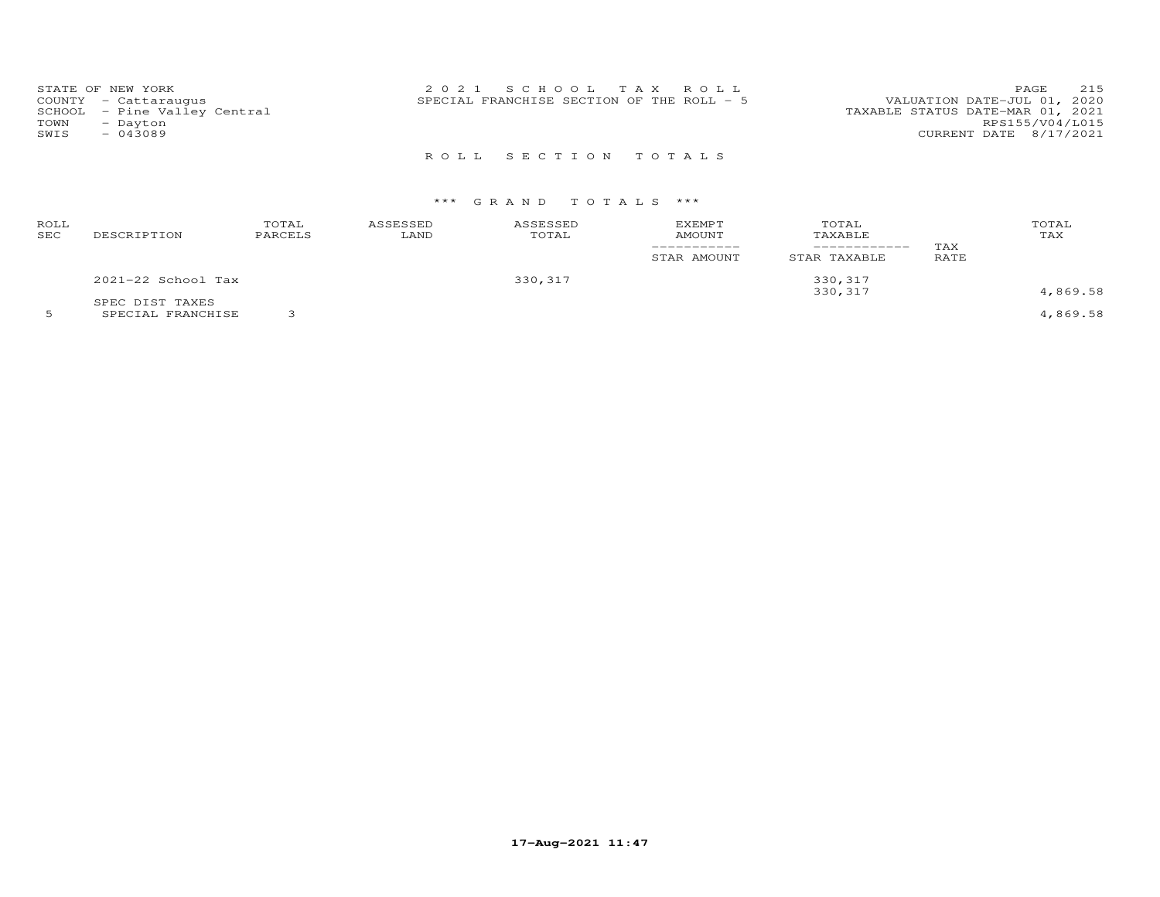| STATE OF NEW YORK<br>COUNTY - Cattaraugus<br>SCHOOL - Pine Valley Central<br>TOWN<br>- Dayton<br>SWIS<br>$-043089$ | 2021 SCHOOL TAX ROLL<br>SPECIAL FRANCHISE SECTION OF THE ROLL - 5 | 215<br>PAGE<br>VALUATION DATE-JUL 01, 2020<br>TAXABLE STATUS DATE-MAR 01, 2021<br>RPS155/V04/L015<br>CURRENT DATE 8/17/2021 |
|--------------------------------------------------------------------------------------------------------------------|-------------------------------------------------------------------|-----------------------------------------------------------------------------------------------------------------------------|
|                                                                                                                    | ROLL SECTION TOTALS                                               |                                                                                                                             |

# \*\*\* G R A N D T O T A L S \*\*\*

| ROLL<br>SEC | DESCRIPTION                           | TOTAL<br>PARCELS | ASSESSED<br>LAND | ASSESSED<br>TOTAL | EXEMPT<br>AMOUNT<br>-----------<br>STAR AMOUNT | TOTAL<br>TAXABLE<br>------------<br>STAR TAXABLE | TAX<br>RATE | TOTAL<br>TAX                                   |
|-------------|---------------------------------------|------------------|------------------|-------------------|------------------------------------------------|--------------------------------------------------|-------------|------------------------------------------------|
|             | 2021-22 School Tax                    |                  |                  | 330,317           |                                                | 330, 317                                         |             |                                                |
|             | SPEC DIST TAXES<br>------------------ | $\sim$           |                  |                   |                                                | 330,317                                          |             | 4,869.58<br>$\sim$ $\sim$ $\sim$ $\sim$ $\sim$ |

5 SPECIAL FRANCHISE 3 4,869.58

**17-Aug-2021 11:47**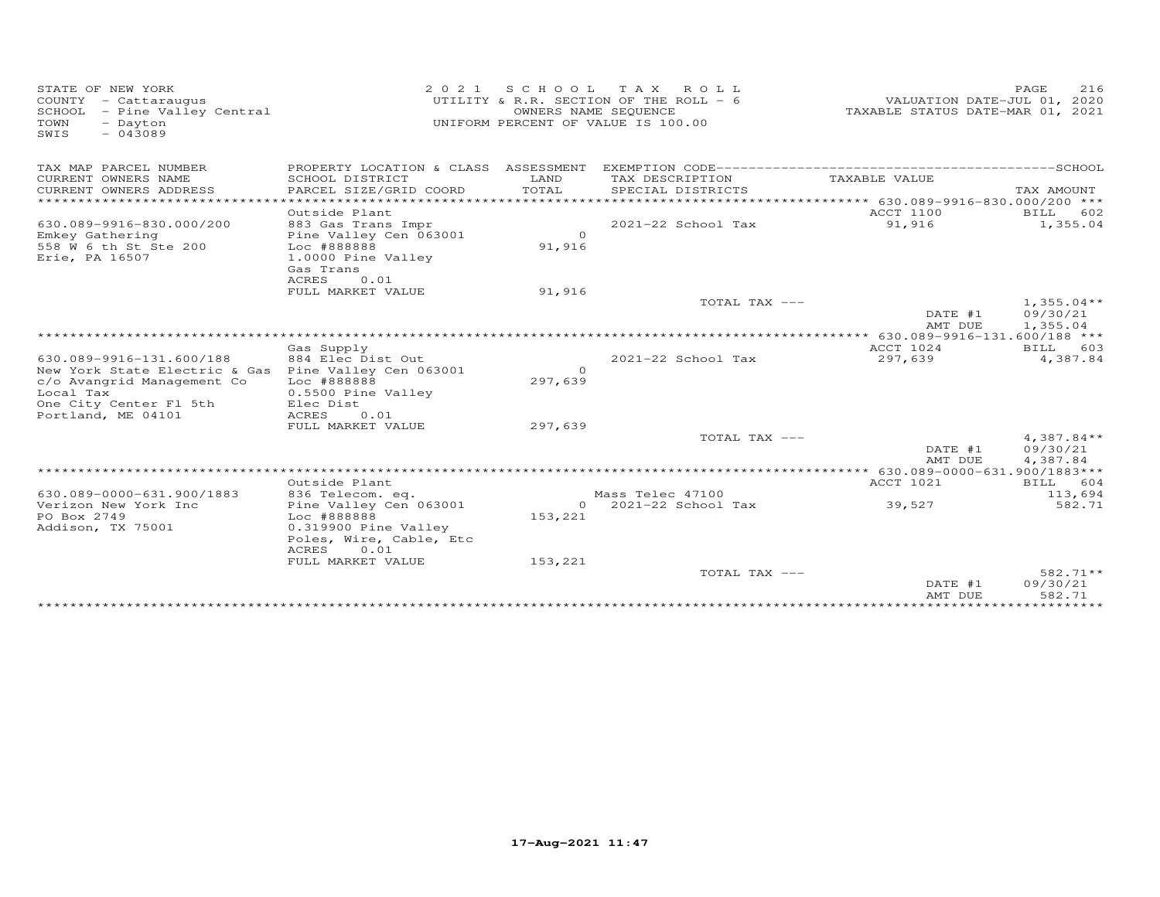| STATE OF NEW YORK<br>COUNTY - Cattaraugus<br>SCHOOL<br>- Pine Valley Central<br>TOWN<br>- Dayton<br>SWIS<br>$-043089$ | 2 0 2 1                                   | SCHOOL<br>OWNERS NAME SEQUENCE | T A X<br>ROLL ROLL<br>UTILITY & R.R. SECTION OF THE ROLL - 6<br>UNIFORM PERCENT OF VALUE IS 100.00 | VALUATION DATE-JUL 01, 2020<br>TAXABLE STATUS DATE-MAR 01, 2021 | PAGE<br>216          |
|-----------------------------------------------------------------------------------------------------------------------|-------------------------------------------|--------------------------------|----------------------------------------------------------------------------------------------------|-----------------------------------------------------------------|----------------------|
| TAX MAP PARCEL NUMBER                                                                                                 | PROPERTY LOCATION & CLASS ASSESSMENT      |                                |                                                                                                    |                                                                 |                      |
| CURRENT OWNERS NAME<br>CURRENT OWNERS ADDRESS                                                                         | SCHOOL DISTRICT<br>PARCEL SIZE/GRID COORD | LAND<br>TOTAL                  | TAX DESCRIPTION<br>SPECIAL DISTRICTS                                                               | TAXABLE VALUE                                                   | TAX AMOUNT           |
| ***********************                                                                                               | *******************                       |                                |                                                                                                    |                                                                 |                      |
|                                                                                                                       | Outside Plant                             |                                |                                                                                                    | ACCT 1100                                                       | 602<br>BILL          |
| 630.089-9916-830.000/200                                                                                              | 883 Gas Trans Impr                        |                                | 2021-22 School Tax                                                                                 | 91,916                                                          | 1,355.04             |
| Emkey Gathering                                                                                                       | Pine Valley Cen 063001                    | $\Omega$                       |                                                                                                    |                                                                 |                      |
| 558 W 6 th St Ste 200                                                                                                 | Loc #888888                               | 91,916                         |                                                                                                    |                                                                 |                      |
| Erie, PA 16507                                                                                                        | 1.0000 Pine Valley                        |                                |                                                                                                    |                                                                 |                      |
|                                                                                                                       | Gas Trans                                 |                                |                                                                                                    |                                                                 |                      |
|                                                                                                                       | ACRES<br>0.01                             |                                |                                                                                                    |                                                                 |                      |
|                                                                                                                       | FULL MARKET VALUE                         | 91,916                         |                                                                                                    |                                                                 |                      |
|                                                                                                                       |                                           |                                | TOTAL TAX ---                                                                                      |                                                                 | $1,355.04**$         |
|                                                                                                                       |                                           |                                |                                                                                                    | DATE #1<br>AMT DUE                                              | 09/30/21<br>1,355.04 |
|                                                                                                                       |                                           |                                |                                                                                                    | ***** 630.089-9916-131.600/188 ***                              |                      |
|                                                                                                                       | Gas Supply                                |                                |                                                                                                    | ACCT 1024                                                       | BILL<br>603          |
| 630.089-9916-131.600/188                                                                                              | 884 Elec Dist Out                         |                                | $2021 - 22$ School Tax                                                                             | 297,639                                                         | 4,387.84             |
| New York State Electric & Gas Pine Valley Cen 063001                                                                  |                                           | $\Omega$                       |                                                                                                    |                                                                 |                      |
| c/o Avangrid Management Co                                                                                            | Loc #888888                               | 297,639                        |                                                                                                    |                                                                 |                      |
| Local Tax                                                                                                             | 0.5500 Pine Valley                        |                                |                                                                                                    |                                                                 |                      |
| One City Center Fl 5th                                                                                                | Elec Dist                                 |                                |                                                                                                    |                                                                 |                      |
| Portland, ME 04101                                                                                                    | ACRES<br>0.01                             |                                |                                                                                                    |                                                                 |                      |
|                                                                                                                       | FULL MARKET VALUE                         | 297,639                        |                                                                                                    |                                                                 |                      |
|                                                                                                                       |                                           |                                | TOTAL TAX ---                                                                                      |                                                                 | $4,387.84**$         |
|                                                                                                                       |                                           |                                |                                                                                                    | DATE #1<br>AMT DUE                                              | 09/30/21<br>4,387.84 |
|                                                                                                                       |                                           |                                |                                                                                                    | ** 630.089-0000-631.900/1883***                                 |                      |
|                                                                                                                       | Outside Plant                             |                                |                                                                                                    | <b>ACCT 1021</b>                                                | 604<br>BILL          |
| 630.089-0000-631.900/1883                                                                                             | 836 Telecom. eq.                          |                                | Mass Telec 47100                                                                                   |                                                                 | 113,694              |
| Verizon New York Inc                                                                                                  | Pine Valley Cen 063001                    |                                | $0$ 2021-22 School Tax                                                                             | 39,527                                                          | 582.71               |
| PO Box 2749                                                                                                           | Loc #888888                               | 153,221                        |                                                                                                    |                                                                 |                      |
| Addison, TX 75001                                                                                                     | 0.319900 Pine Valley                      |                                |                                                                                                    |                                                                 |                      |
|                                                                                                                       | Poles, Wire, Cable, Etc                   |                                |                                                                                                    |                                                                 |                      |
|                                                                                                                       | ACRES<br>0.01                             |                                |                                                                                                    |                                                                 |                      |
|                                                                                                                       | FULL MARKET VALUE                         | 153,221                        |                                                                                                    |                                                                 |                      |
|                                                                                                                       |                                           |                                | TOTAL TAX ---                                                                                      |                                                                 | 582.71**             |
|                                                                                                                       |                                           |                                |                                                                                                    | DATE #1<br>AMT DUE                                              | 09/30/21<br>582.71   |
|                                                                                                                       |                                           |                                |                                                                                                    |                                                                 |                      |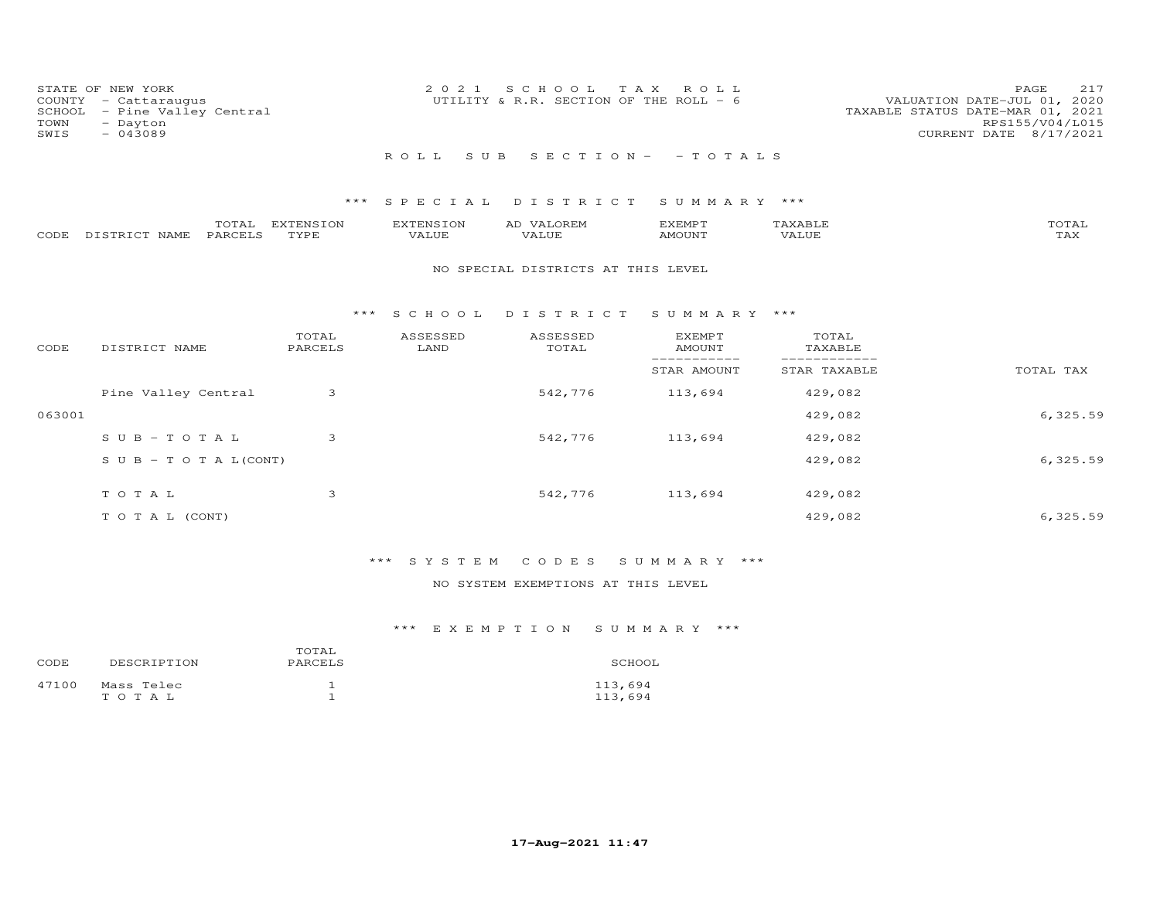| STATE OF NEW YORK<br>COUNTY<br>- Cattaraugus<br>- Pine Valley Central<br>SCHOOL<br>TOWN<br>- Dayton<br>$-043089$<br>SWIS | 2021                          | SCHOOL TAX<br>UTILITY & R.R. SECTION OF THE ROLL - $6$ | R O L L           | 217<br>PAGE<br>VALUATION DATE-JUL 01, 2020<br>TAXABLE STATUS DATE-MAR 01, 2021<br>RPS155/V04/L015<br>CURRENT DATE 8/17/2021 |
|--------------------------------------------------------------------------------------------------------------------------|-------------------------------|--------------------------------------------------------|-------------------|-----------------------------------------------------------------------------------------------------------------------------|
|                                                                                                                          | R O L L                       | SUB SECTION - - TOTALS                                 |                   |                                                                                                                             |
|                                                                                                                          |                               |                                                        |                   |                                                                                                                             |
|                                                                                                                          | *** SPECIAL DISTRICT          |                                                        | SUMMARY ***       |                                                                                                                             |
| TOTAL                                                                                                                    | <b>EXTENSION</b><br>EXTENSION | AD VALOREM                                             | TAXABLE<br>EXEMPT | TOTAL                                                                                                                       |
| DISTRICT NAME<br>PARCELS<br>CODE                                                                                         | TYPE<br>VALUE                 | VALUE                                                  | AMOUNT<br>VALUE   | TAX                                                                                                                         |
|                                                                                                                          |                               | NO SPECIAL DISTRICTS AT THIS LEVEL                     |                   |                                                                                                                             |

### \*\*\* S C H O O L D I S T R I C T S U M M A R Y \*\*\*

| CODE   | DISTRICT NAME                    | TOTAL<br>PARCELS | ASSESSED<br>LAND | ASSESSED<br>TOTAL | EXEMPT<br>AMOUNT | TOTAL<br>TAXABLE |           |
|--------|----------------------------------|------------------|------------------|-------------------|------------------|------------------|-----------|
|        |                                  |                  |                  |                   | STAR AMOUNT      | STAR TAXABLE     | TOTAL TAX |
|        | Pine Valley Central              | 3                |                  | 542,776           | 113,694          | 429,082          |           |
| 063001 |                                  |                  |                  |                   |                  | 429,082          | 6, 325.59 |
|        | $SUB - TO T AL$                  | 3                |                  | 542,776           | 113,694          | 429,082          |           |
|        | $S \cup B - T \cup T A L (CONT)$ |                  |                  |                   |                  | 429,082          | 6,325.59  |
|        |                                  |                  |                  |                   |                  |                  |           |
|        | TOTAL                            | 3                |                  | 542,776           | 113,694          | 429,082          |           |
|        | T O T A L (CONT)                 |                  |                  |                   |                  | 429,082          | 6,325.59  |

# \*\*\* S Y S T E M C O D E S S U M M A R Y \*\*\*

### NO SYSTEM EXEMPTIONS AT THIS LEVEL

| CODE  | DESCRIPTION         | TOTAL<br>PARCELS | SCHOOL             |
|-------|---------------------|------------------|--------------------|
| 47100 | Mass Telec<br>TOTAL |                  | 113,694<br>113,694 |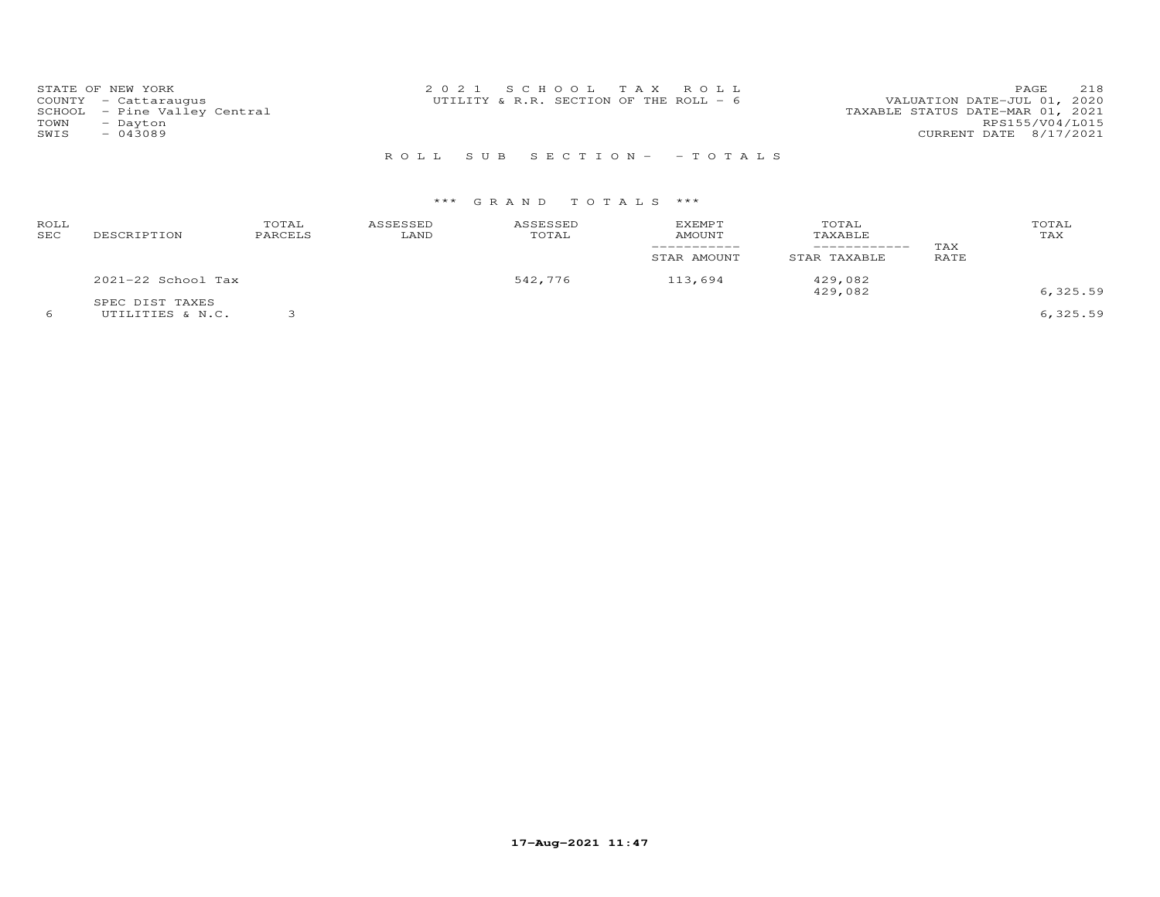| STATE OF NEW YORK            | 2021 SCHOOL TAX ROLL                   | 218<br><b>PAGE</b>               |
|------------------------------|----------------------------------------|----------------------------------|
| COUNTY - Cattaraugus         | UTILITY & R.R. SECTION OF THE ROLL - 6 | VALUATION DATE-JUL 01, 2020      |
| SCHOOL - Pine Valley Central |                                        | TAXABLE STATUS DATE-MAR 01, 2021 |
| TOWN<br>- Dayton             |                                        | RPS155/V04/L015                  |
| SWTS<br>- 043089             |                                        | CURRENT DATE 8/17/2021           |
|                              |                                        |                                  |

# R O L L S U B S E C T I O N - - T O T A L S

# \*\*\* G R A N D T O T A L S \*\*\*

| ROLL<br>SEC | DESCRIPTION                         | TOTAL<br>PARCELS | ASSESSED<br>LAND | ASSESSED<br>TOTAL | <b>EXEMPT</b><br><b>AMOUNT</b><br>STAR AMOUNT | TOTAL<br>TAXABLE<br>-----------<br>STAR TAXABLE | TAX<br>RATE | TOTAL<br>TAX |
|-------------|-------------------------------------|------------------|------------------|-------------------|-----------------------------------------------|-------------------------------------------------|-------------|--------------|
|             | 2021-22 School Tax                  |                  |                  | 542,776           | 113,694                                       | 429,082<br>429,082                              |             | 6,325.59     |
|             | SPEC DIST TAXES<br>UTILITIES & N.C. |                  |                  |                   |                                               |                                                 |             | 6,325.59     |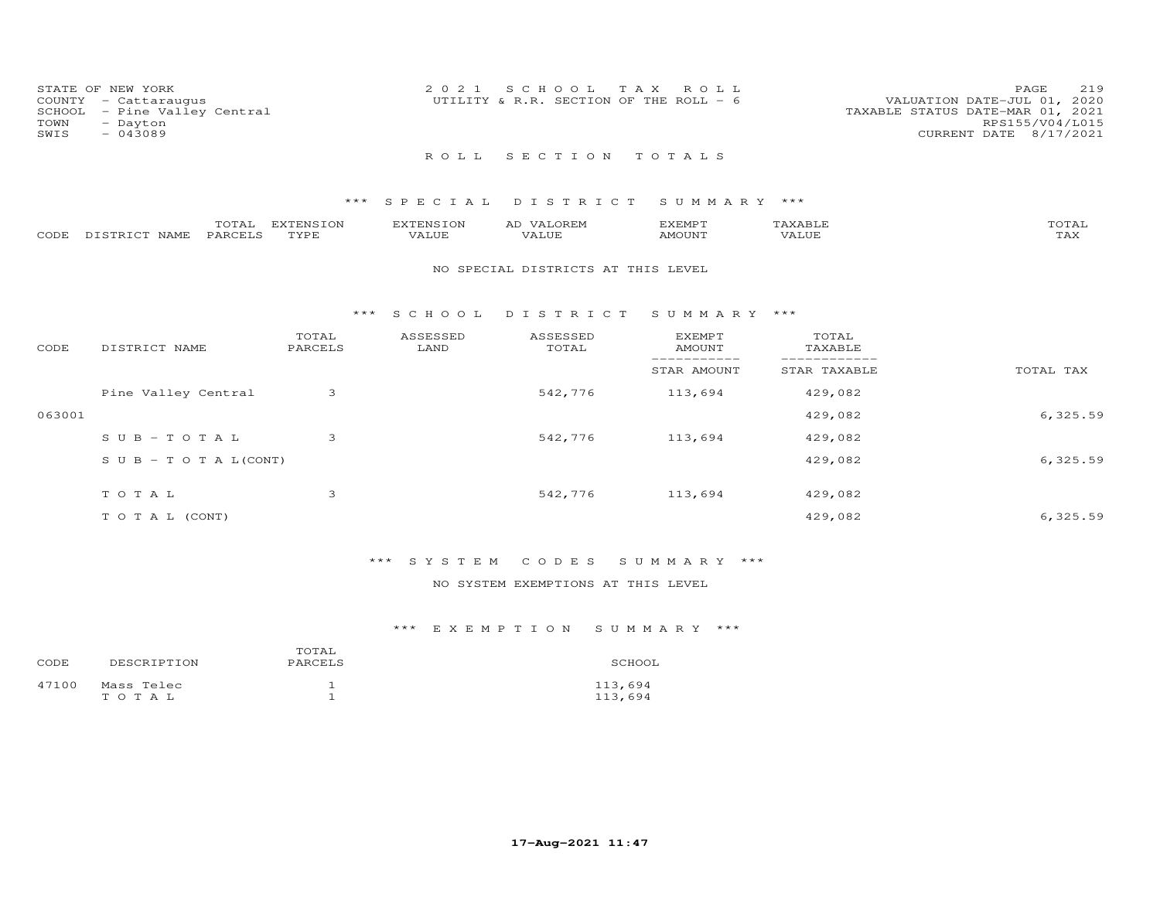| STATE OF NEW YORK<br>COUNTY - Cattaraugus<br>TOWN<br>- Dayton<br>SWIS<br>$-043089$ | SCHOOL - Pine Valley Central | 2021 SCHOOL TAX ROLL<br>UTILITY & R.R. SECTION OF THE ROLL - 6 |  | VALUATION DATE-JUL 01, 2020<br>TAXABLE STATUS DATE-MAR 01, 2021 | PAGE.<br>RPS155/V04/L015<br>CURRENT DATE 8/17/2021 | 219 |
|------------------------------------------------------------------------------------|------------------------------|----------------------------------------------------------------|--|-----------------------------------------------------------------|----------------------------------------------------|-----|
|                                                                                    |                              | ROLL SECTION TOTALS                                            |  |                                                                 |                                                    |     |

### \*\*\* S P E C I A L D I S T R I C T S U M M A R Y \*\*\*

|                    | TOTAL   | EXTENSION | <b>EXTENSION</b> | <b>VALOREM</b><br>AD | EXEMPT |       | TOTAL               |
|--------------------|---------|-----------|------------------|----------------------|--------|-------|---------------------|
| CODE DISTRICT NAME | PARCELS | TYPE      | VALUE            | VALUF                | AMOUNT | VALUE | $m \times r$<br>LAA |

#### NO SPECIAL DISTRICTS AT THIS LEVEL

#### \*\*\* S C H O O L D I S T R I C T S U M M A R Y \*\*\*

| CODE   | DISTRICT NAME                    | TOTAL<br>PARCELS | ASSESSED<br>LAND | ASSESSED<br>TOTAL | <b>EXEMPT</b><br>AMOUNT | TOTAL<br>TAXABLE |           |
|--------|----------------------------------|------------------|------------------|-------------------|-------------------------|------------------|-----------|
|        |                                  |                  |                  |                   | STAR AMOUNT             | STAR TAXABLE     | TOTAL TAX |
|        | Pine Valley Central              | 3                |                  | 542,776           | 113,694                 | 429,082          |           |
| 063001 |                                  |                  |                  |                   |                         | 429,082          | 6,325.59  |
|        | SUB-TOTAL                        | 3                |                  | 542,776           | 113,694                 | 429,082          |           |
|        | $S \cup B - T \cup T A L (CONT)$ |                  |                  |                   |                         | 429,082          | 6,325.59  |
|        | TOTAL                            | 3                |                  | 542,776           | 113,694                 | 429,082          |           |
|        | T O T A L (CONT)                 |                  |                  |                   |                         | 429,082          | 6,325.59  |

# \*\*\* S Y S T E M C O D E S S U M M A R Y \*\*\*

### NO SYSTEM EXEMPTIONS AT THIS LEVEL

| CODE. | DESCRIPTION         | TOTAL<br>PARCELS | SCHOOL             |
|-------|---------------------|------------------|--------------------|
| 47100 | Mass Telec<br>TOTAL |                  | 113,694<br>113,694 |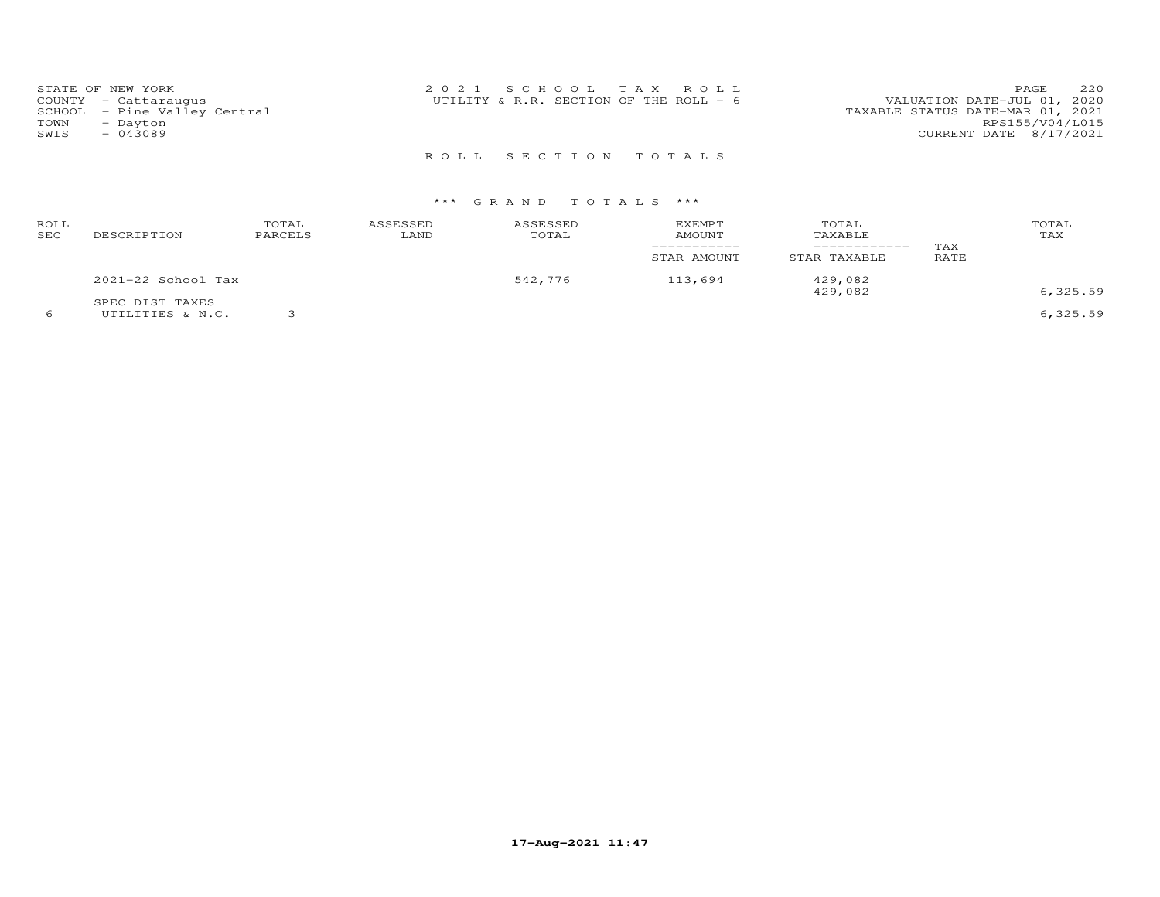|      | STATE OF NEW YORK            | 2021 SCHOOL TAX ROLL                   |  | PAGE                             | 220 |
|------|------------------------------|----------------------------------------|--|----------------------------------|-----|
|      | COUNTY - Cattaraugus         | UTILITY & R.R. SECTION OF THE ROLL - 6 |  | VALUATION DATE-JUL 01, 2020      |     |
|      | SCHOOL - Pine Valley Central |                                        |  | TAXABLE STATUS DATE-MAR 01, 2021 |     |
| TOWN | - Dayton                     |                                        |  | RPS155/V04/L015                  |     |
| SWIS | $-043089$                    |                                        |  | CURRENT DATE 8/17/2021           |     |
|      |                              |                                        |  |                                  |     |

R O L L S E C T I O N T O T A L S

# \*\*\* G R A N D T O T A L S \*\*\*

| ROLL<br><b>SEC</b> | DESCRIPTION                         | TOTAL<br>PARCELS | ASSESSED<br>LAND | ASSESSED<br>TOTAL | EXEMPT<br>AMOUNT<br>STAR AMOUNT | TOTAL<br>TAXABLE<br>------------<br>STAR TAXABLE | TAX<br>RATE | TOTAL<br>TAX |
|--------------------|-------------------------------------|------------------|------------------|-------------------|---------------------------------|--------------------------------------------------|-------------|--------------|
|                    | 2021-22 School Tax                  |                  |                  | 542,776           | 113,694                         | 429,082<br>429,082                               |             | 6, 325.59    |
|                    | SPEC DIST TAXES<br>UTILITIES & N.C. |                  |                  |                   |                                 |                                                  |             | 6,325.59     |

**17-Aug-2021 11:47**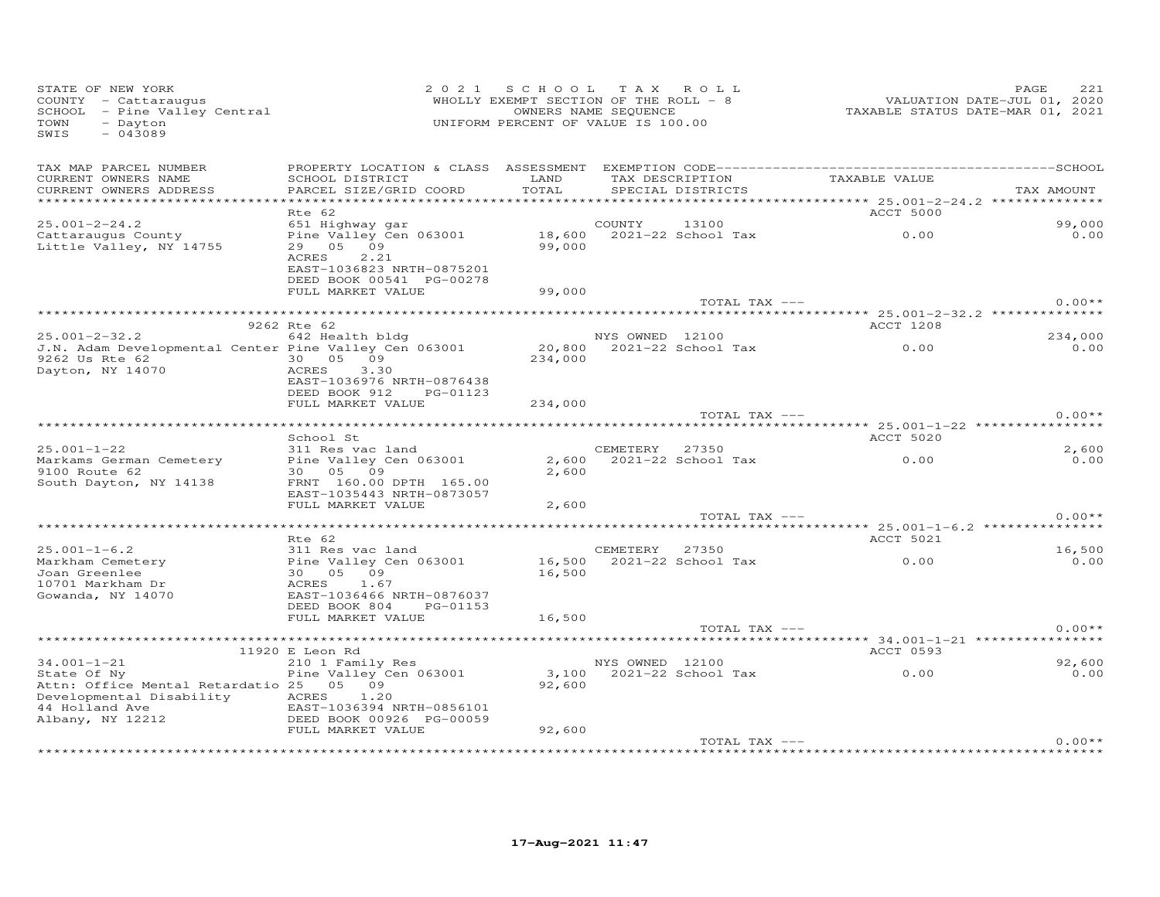| TAX MAP PARCEL NUMBER<br>TAX DESCRIPTION TAXABLE VALUE<br>SCHOOL DISTRICT<br>LAND<br>CURRENT OWNERS NAME<br>TOTAL<br>PARCEL SIZE/GRID COORD<br>SPECIAL DISTRICTS<br>CURRENT OWNERS ADDRESS<br>TAX AMOUNT<br>*************************<br><b>ACCT 5000</b><br>Rte 62<br>13100<br>99,000<br>$25.001 - 2 - 24.2$<br>651 Highway gar<br>COUNTY<br>0.00<br>18,600 2021-22 School Tax<br>Pine Valley Cen 063001<br>0.00<br>Cattaraugus County<br>29 05 09<br>99,000<br>Little Valley, NY 14755<br>ACRES<br>2.21<br>EAST-1036823 NRTH-0875201<br>DEED BOOK 00541 PG-00278<br>99,000<br>FULL MARKET VALUE<br>TOTAL TAX ---<br>9262 Rte 62<br>ACCT 1208<br>$25.001 - 2 - 32.2$<br>234,000<br>642 Health bldg<br>NYS OWNED 12100<br>20,800 2021-22 School Tax<br>0.00<br>J.N. Adam Developmental Center Pine Valley Cen 063001<br>0.00<br>30  05  09<br>9262 Us Rte 62 and 1926<br>234,000<br>Dayton, NY 14070<br>ACRES<br>3.30<br>EAST-1036976 NRTH-0876438<br>DEED BOOK 912<br>PG-01123<br>FULL MARKET VALUE<br>234,000<br>$0.00**$<br>TOTAL TAX ---<br>School St<br>ACCT 5020<br>CEMETERY 27350<br>$25.001 - 1 - 22$<br>311 Res vac land<br>2,600<br>Pine Valley Cen 063001<br>2,600 2021-22 School Tax<br>$\sim$ 0.00<br>0.00<br>Markams German Cemetery<br>2,600<br>9100 Route 62<br>30 05 09<br>South Dayton, NY 14138<br>FRNT 160.00 DPTH 165.00<br>EAST-1035443 NRTH-0873057<br>FULL MARKET VALUE<br>2,600<br>$0.00**$<br>TOTAL TAX ---<br>Rte 62<br>ACCT 5021<br>$25.001 - 1 - 6.2$<br>16,500<br>CEMETERY 27350<br>الد Res vac land<br>Pine Valley Cen 063001<br>30   05   n۹<br>0.00<br>16,500 2021-22 School Tax<br>Markham Cemetery<br>0.00<br>Joan Greenlee<br>16,500<br>10701 Markham Dr<br>ACRES<br>1.67<br>Gowanda, NY 14070<br>EAST-1036466 NRTH-0876037<br>DEED BOOK 804 PG-01153<br>FULL MARKET VALUE<br>16,500<br>$0.00**$<br>TOTAL TAX ---<br>ACCT 0593<br>11920 E Leon Rd<br>$34.001 - 1 - 21$<br>210 1 Family Res<br>NYS OWNED 12100<br>92,600<br>Pine Valley Cen 063001<br>0.00<br>State Of Ny<br>Attn: Office Mental Retardatio 25 05 09<br>92,600<br>Developmental Disability ACRES<br>1.20<br>44 Holland Ave<br>EAST-1036394 NRTH-0856101<br>Albany, NY 12212<br>DEED BOOK 00926 PG-00059<br>FULL MARKET VALUE<br>92,600<br>TOTAL TAX ---<br>and an international and an international and an international and an international and and and and and and and an international | STATE OF NEW YORK<br>COUNTY - Cattaraugus<br>SCHOOL - Pine Valley Central<br>- Dayton<br>TOWN<br>$-043089$<br>SWIS | 2021 SCHOOL TAX ROLL<br>WHOLLY EXEMPT SECTION OF THE ROLL - 8<br>UNIFORM PERCENT OF VALUE IS 100.00 | OWNERS NAME SEQUENCE | VALUATION DATE-JUL 01, 2020<br>TAXABLE STATUS DATE-MAR 01, 2021 | 221<br>PAGE |
|------------------------------------------------------------------------------------------------------------------------------------------------------------------------------------------------------------------------------------------------------------------------------------------------------------------------------------------------------------------------------------------------------------------------------------------------------------------------------------------------------------------------------------------------------------------------------------------------------------------------------------------------------------------------------------------------------------------------------------------------------------------------------------------------------------------------------------------------------------------------------------------------------------------------------------------------------------------------------------------------------------------------------------------------------------------------------------------------------------------------------------------------------------------------------------------------------------------------------------------------------------------------------------------------------------------------------------------------------------------------------------------------------------------------------------------------------------------------------------------------------------------------------------------------------------------------------------------------------------------------------------------------------------------------------------------------------------------------------------------------------------------------------------------------------------------------------------------------------------------------------------------------------------------------------------------------------------------------------------------------------------------------------------------------------------------------------------------------------------------------------------------------------------------------------------------------------------------------------------------------------------------------------------------------------------------------------------------------------------------------------------------------|--------------------------------------------------------------------------------------------------------------------|-----------------------------------------------------------------------------------------------------|----------------------|-----------------------------------------------------------------|-------------|
|                                                                                                                                                                                                                                                                                                                                                                                                                                                                                                                                                                                                                                                                                                                                                                                                                                                                                                                                                                                                                                                                                                                                                                                                                                                                                                                                                                                                                                                                                                                                                                                                                                                                                                                                                                                                                                                                                                                                                                                                                                                                                                                                                                                                                                                                                                                                                                                                |                                                                                                                    |                                                                                                     |                      |                                                                 |             |
|                                                                                                                                                                                                                                                                                                                                                                                                                                                                                                                                                                                                                                                                                                                                                                                                                                                                                                                                                                                                                                                                                                                                                                                                                                                                                                                                                                                                                                                                                                                                                                                                                                                                                                                                                                                                                                                                                                                                                                                                                                                                                                                                                                                                                                                                                                                                                                                                |                                                                                                                    |                                                                                                     |                      |                                                                 |             |
|                                                                                                                                                                                                                                                                                                                                                                                                                                                                                                                                                                                                                                                                                                                                                                                                                                                                                                                                                                                                                                                                                                                                                                                                                                                                                                                                                                                                                                                                                                                                                                                                                                                                                                                                                                                                                                                                                                                                                                                                                                                                                                                                                                                                                                                                                                                                                                                                |                                                                                                                    |                                                                                                     |                      |                                                                 |             |
|                                                                                                                                                                                                                                                                                                                                                                                                                                                                                                                                                                                                                                                                                                                                                                                                                                                                                                                                                                                                                                                                                                                                                                                                                                                                                                                                                                                                                                                                                                                                                                                                                                                                                                                                                                                                                                                                                                                                                                                                                                                                                                                                                                                                                                                                                                                                                                                                |                                                                                                                    |                                                                                                     |                      |                                                                 |             |
|                                                                                                                                                                                                                                                                                                                                                                                                                                                                                                                                                                                                                                                                                                                                                                                                                                                                                                                                                                                                                                                                                                                                                                                                                                                                                                                                                                                                                                                                                                                                                                                                                                                                                                                                                                                                                                                                                                                                                                                                                                                                                                                                                                                                                                                                                                                                                                                                |                                                                                                                    |                                                                                                     |                      |                                                                 | $0.00**$    |
|                                                                                                                                                                                                                                                                                                                                                                                                                                                                                                                                                                                                                                                                                                                                                                                                                                                                                                                                                                                                                                                                                                                                                                                                                                                                                                                                                                                                                                                                                                                                                                                                                                                                                                                                                                                                                                                                                                                                                                                                                                                                                                                                                                                                                                                                                                                                                                                                |                                                                                                                    |                                                                                                     |                      |                                                                 |             |
|                                                                                                                                                                                                                                                                                                                                                                                                                                                                                                                                                                                                                                                                                                                                                                                                                                                                                                                                                                                                                                                                                                                                                                                                                                                                                                                                                                                                                                                                                                                                                                                                                                                                                                                                                                                                                                                                                                                                                                                                                                                                                                                                                                                                                                                                                                                                                                                                |                                                                                                                    |                                                                                                     |                      |                                                                 |             |
|                                                                                                                                                                                                                                                                                                                                                                                                                                                                                                                                                                                                                                                                                                                                                                                                                                                                                                                                                                                                                                                                                                                                                                                                                                                                                                                                                                                                                                                                                                                                                                                                                                                                                                                                                                                                                                                                                                                                                                                                                                                                                                                                                                                                                                                                                                                                                                                                |                                                                                                                    |                                                                                                     |                      |                                                                 |             |
|                                                                                                                                                                                                                                                                                                                                                                                                                                                                                                                                                                                                                                                                                                                                                                                                                                                                                                                                                                                                                                                                                                                                                                                                                                                                                                                                                                                                                                                                                                                                                                                                                                                                                                                                                                                                                                                                                                                                                                                                                                                                                                                                                                                                                                                                                                                                                                                                |                                                                                                                    |                                                                                                     |                      |                                                                 |             |
|                                                                                                                                                                                                                                                                                                                                                                                                                                                                                                                                                                                                                                                                                                                                                                                                                                                                                                                                                                                                                                                                                                                                                                                                                                                                                                                                                                                                                                                                                                                                                                                                                                                                                                                                                                                                                                                                                                                                                                                                                                                                                                                                                                                                                                                                                                                                                                                                |                                                                                                                    |                                                                                                     |                      |                                                                 |             |
|                                                                                                                                                                                                                                                                                                                                                                                                                                                                                                                                                                                                                                                                                                                                                                                                                                                                                                                                                                                                                                                                                                                                                                                                                                                                                                                                                                                                                                                                                                                                                                                                                                                                                                                                                                                                                                                                                                                                                                                                                                                                                                                                                                                                                                                                                                                                                                                                |                                                                                                                    |                                                                                                     |                      |                                                                 |             |
|                                                                                                                                                                                                                                                                                                                                                                                                                                                                                                                                                                                                                                                                                                                                                                                                                                                                                                                                                                                                                                                                                                                                                                                                                                                                                                                                                                                                                                                                                                                                                                                                                                                                                                                                                                                                                                                                                                                                                                                                                                                                                                                                                                                                                                                                                                                                                                                                |                                                                                                                    |                                                                                                     |                      |                                                                 |             |
|                                                                                                                                                                                                                                                                                                                                                                                                                                                                                                                                                                                                                                                                                                                                                                                                                                                                                                                                                                                                                                                                                                                                                                                                                                                                                                                                                                                                                                                                                                                                                                                                                                                                                                                                                                                                                                                                                                                                                                                                                                                                                                                                                                                                                                                                                                                                                                                                |                                                                                                                    |                                                                                                     |                      |                                                                 |             |
|                                                                                                                                                                                                                                                                                                                                                                                                                                                                                                                                                                                                                                                                                                                                                                                                                                                                                                                                                                                                                                                                                                                                                                                                                                                                                                                                                                                                                                                                                                                                                                                                                                                                                                                                                                                                                                                                                                                                                                                                                                                                                                                                                                                                                                                                                                                                                                                                |                                                                                                                    |                                                                                                     |                      |                                                                 |             |
|                                                                                                                                                                                                                                                                                                                                                                                                                                                                                                                                                                                                                                                                                                                                                                                                                                                                                                                                                                                                                                                                                                                                                                                                                                                                                                                                                                                                                                                                                                                                                                                                                                                                                                                                                                                                                                                                                                                                                                                                                                                                                                                                                                                                                                                                                                                                                                                                |                                                                                                                    |                                                                                                     |                      |                                                                 |             |
|                                                                                                                                                                                                                                                                                                                                                                                                                                                                                                                                                                                                                                                                                                                                                                                                                                                                                                                                                                                                                                                                                                                                                                                                                                                                                                                                                                                                                                                                                                                                                                                                                                                                                                                                                                                                                                                                                                                                                                                                                                                                                                                                                                                                                                                                                                                                                                                                |                                                                                                                    |                                                                                                     |                      |                                                                 |             |
|                                                                                                                                                                                                                                                                                                                                                                                                                                                                                                                                                                                                                                                                                                                                                                                                                                                                                                                                                                                                                                                                                                                                                                                                                                                                                                                                                                                                                                                                                                                                                                                                                                                                                                                                                                                                                                                                                                                                                                                                                                                                                                                                                                                                                                                                                                                                                                                                |                                                                                                                    |                                                                                                     |                      |                                                                 |             |
|                                                                                                                                                                                                                                                                                                                                                                                                                                                                                                                                                                                                                                                                                                                                                                                                                                                                                                                                                                                                                                                                                                                                                                                                                                                                                                                                                                                                                                                                                                                                                                                                                                                                                                                                                                                                                                                                                                                                                                                                                                                                                                                                                                                                                                                                                                                                                                                                |                                                                                                                    |                                                                                                     |                      |                                                                 |             |
|                                                                                                                                                                                                                                                                                                                                                                                                                                                                                                                                                                                                                                                                                                                                                                                                                                                                                                                                                                                                                                                                                                                                                                                                                                                                                                                                                                                                                                                                                                                                                                                                                                                                                                                                                                                                                                                                                                                                                                                                                                                                                                                                                                                                                                                                                                                                                                                                |                                                                                                                    |                                                                                                     |                      |                                                                 |             |
|                                                                                                                                                                                                                                                                                                                                                                                                                                                                                                                                                                                                                                                                                                                                                                                                                                                                                                                                                                                                                                                                                                                                                                                                                                                                                                                                                                                                                                                                                                                                                                                                                                                                                                                                                                                                                                                                                                                                                                                                                                                                                                                                                                                                                                                                                                                                                                                                |                                                                                                                    |                                                                                                     |                      |                                                                 | $0.00**$    |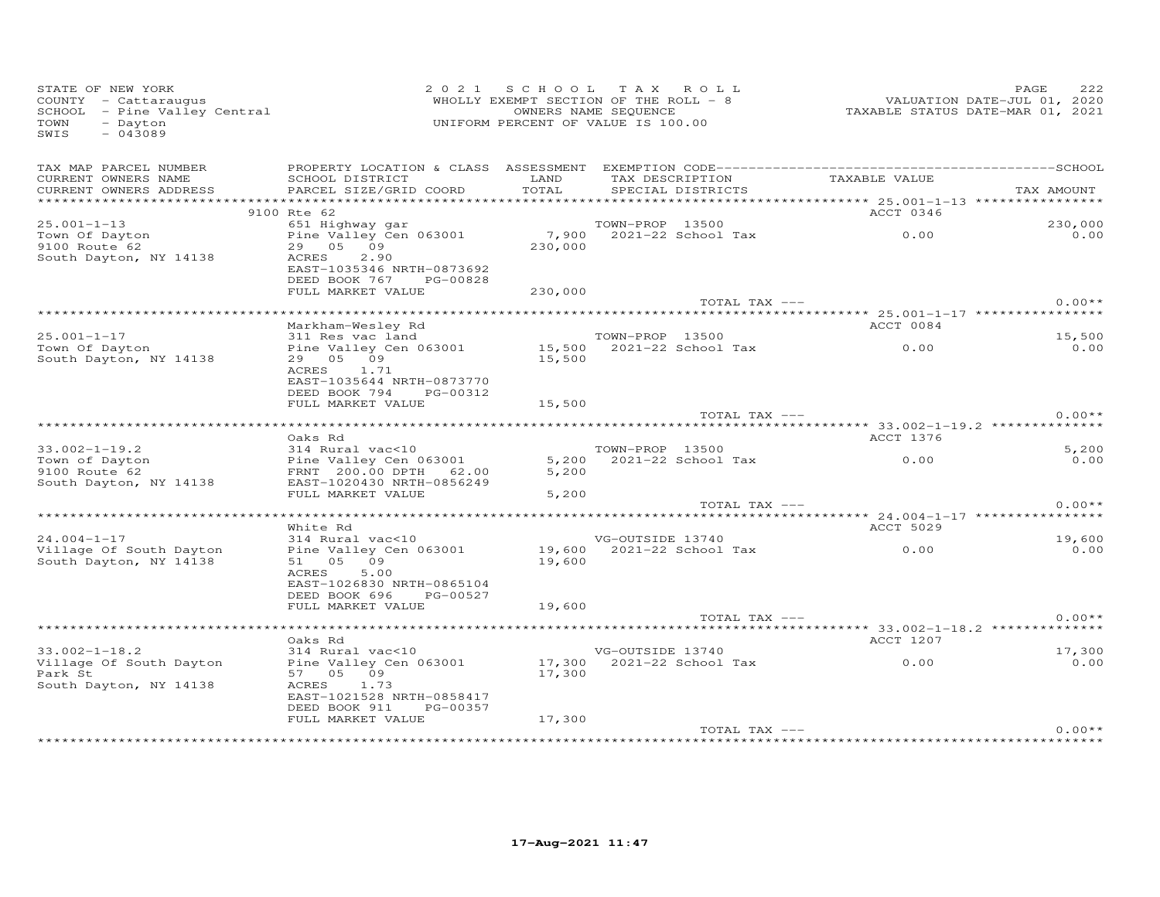| STATE OF NEW YORK<br>COUNTY - Cattaraugus<br>SCHOOL - Pine Valley Central<br>TOWN<br>- Dayton<br>SWIS<br>$-043089$ |                                                                                  | 2021 SCHOOL TAX ROLL<br>WHOLLY EXEMPT SECTION OF THE ROLL - 8<br>OWNERS NAME SEQUENCE<br>UNIFORM PERCENT OF VALUE IS 100.00 |                  |                                      | VALUATION DATE-JUL 01, 2020<br>TAXABLE STATUS DATE-MAR 01, 2021 | 222<br>PAGE     |
|--------------------------------------------------------------------------------------------------------------------|----------------------------------------------------------------------------------|-----------------------------------------------------------------------------------------------------------------------------|------------------|--------------------------------------|-----------------------------------------------------------------|-----------------|
| TAX MAP PARCEL NUMBER<br>CURRENT OWNERS NAME<br>CURRENT OWNERS ADDRESS                                             | SCHOOL DISTRICT<br>PARCEL SIZE/GRID COORD                                        | LAND<br>TOTAL                                                                                                               |                  | TAX DESCRIPTION<br>SPECIAL DISTRICTS | TAXABLE VALUE                                                   | TAX AMOUNT      |
|                                                                                                                    |                                                                                  |                                                                                                                             |                  |                                      |                                                                 |                 |
|                                                                                                                    | 9100 Rte 62                                                                      |                                                                                                                             |                  |                                      | ACCT 0346                                                       |                 |
| $25.001 - 1 - 13$<br>Town Of Dayton<br>9100 Route 62                                                               | 651 Highway gar<br>Pine Valley Cen 063001<br>29 05 09                            | 230,000                                                                                                                     | TOWN-PROP 13500  | 7,900 2021-22 School Tax             | 0.00                                                            | 230,000<br>0.00 |
| South Dayton, NY 14138                                                                                             | ACRES<br>2.90<br>EAST-1035346 NRTH-0873692<br>DEED BOOK 767 PG-00828             |                                                                                                                             |                  |                                      |                                                                 |                 |
|                                                                                                                    | FULL MARKET VALUE                                                                | 230,000                                                                                                                     |                  | TOTAL TAX ---                        |                                                                 | $0.00**$        |
|                                                                                                                    |                                                                                  |                                                                                                                             |                  |                                      |                                                                 |                 |
|                                                                                                                    | Markham-Wesley Rd                                                                |                                                                                                                             |                  |                                      | ACCT 0084                                                       |                 |
| $25.001 - 1 - 17$                                                                                                  | 311 Res vac land                                                                 |                                                                                                                             | TOWN-PROP 13500  |                                      |                                                                 | 15,500          |
| Town Of Dayton                                                                                                     | Pine Valley Cen 063001                                                           |                                                                                                                             |                  | 15,500 2021-22 School Tax            | $\sim$ 0.00                                                     | 0.00            |
| South Dayton, NY 14138                                                                                             | 29 05 09<br>ACRES 1.71<br>EAST-1035644 NRTH-0873770<br>DEED BOOK 794<br>PG-00312 | 15,500                                                                                                                      |                  |                                      |                                                                 |                 |
|                                                                                                                    | FULL MARKET VALUE                                                                | 15,500                                                                                                                      |                  |                                      |                                                                 |                 |
|                                                                                                                    |                                                                                  |                                                                                                                             |                  | TOTAL TAX ---                        |                                                                 | $0.00**$        |
|                                                                                                                    | Oaks Rd                                                                          |                                                                                                                             |                  |                                      | ACCT 1376                                                       |                 |
| $33.002 - 1 - 19.2$                                                                                                | 314 Rural vac<10                                                                 |                                                                                                                             | TOWN-PROP 13500  |                                      |                                                                 | 5,200           |
| Town of Dayton                                                                                                     | Pine Valley Cen 063001                                                           |                                                                                                                             |                  | 5,200 2021-22 School Tax             | 0.00                                                            | 0.00            |
| 9100 Route 62<br>South Dayton, NY 14138                                                                            | FRNT 200.00 DPTH 62.00<br>EAST-1020430 NRTH-0856249<br>FULL MARKET VALUE         | 5,200                                                                                                                       |                  |                                      |                                                                 |                 |
|                                                                                                                    |                                                                                  | 5,200                                                                                                                       |                  | TOTAL TAX ---                        |                                                                 | $0.00**$        |
|                                                                                                                    | White Rd                                                                         |                                                                                                                             |                  |                                      | ACCT 5029                                                       |                 |
| $24.004 - 1 - 17$                                                                                                  | 314 Rural vac<10                                                                 |                                                                                                                             | VG-OUTSIDE 13740 |                                      |                                                                 | 19,600          |
| Village Of South Dayton<br>South Dayton, NY 14138                                                                  | Pine Valley Cen 063001<br>51 05 09                                               | 19,600                                                                                                                      |                  |                                      | VG-OUTSIDE 13740<br>19,600 2021-22 School Tax 0.00              | 0.00            |
|                                                                                                                    | ACRES<br>5.00<br>EAST-1026830 NRTH-0865104<br>DEED BOOK 696 PG-00527             |                                                                                                                             |                  |                                      |                                                                 |                 |
|                                                                                                                    | FULL MARKET VALUE                                                                | 19,600                                                                                                                      |                  | TOTAL TAX ---                        |                                                                 | $0.00**$        |
|                                                                                                                    |                                                                                  |                                                                                                                             |                  |                                      |                                                                 |                 |
|                                                                                                                    | Oaks Rd                                                                          |                                                                                                                             |                  |                                      | <b>ACCT 1207</b>                                                |                 |
| $33.002 - 1 - 18.2$                                                                                                | 314 Rural vac<10                                                                 |                                                                                                                             | VG-OUTSIDE 13740 |                                      |                                                                 | 17,300          |
| Village Of South Dayton<br>Park St                                                                                 | Pine Valley Cen 063001<br>57 05 09                                               | 17,300                                                                                                                      |                  |                                      |                                                                 | 0.00            |
| South Dayton, NY 14138                                                                                             | ACRES<br>1.73<br>EAST-1021528 NRTH-0858417<br>DEED BOOK 911<br>PG-00357          |                                                                                                                             |                  |                                      |                                                                 |                 |
|                                                                                                                    | FULL MARKET VALUE                                                                | 17,300                                                                                                                      |                  |                                      |                                                                 |                 |
|                                                                                                                    |                                                                                  |                                                                                                                             |                  | TOTAL TAX ---                        |                                                                 | $0.00**$        |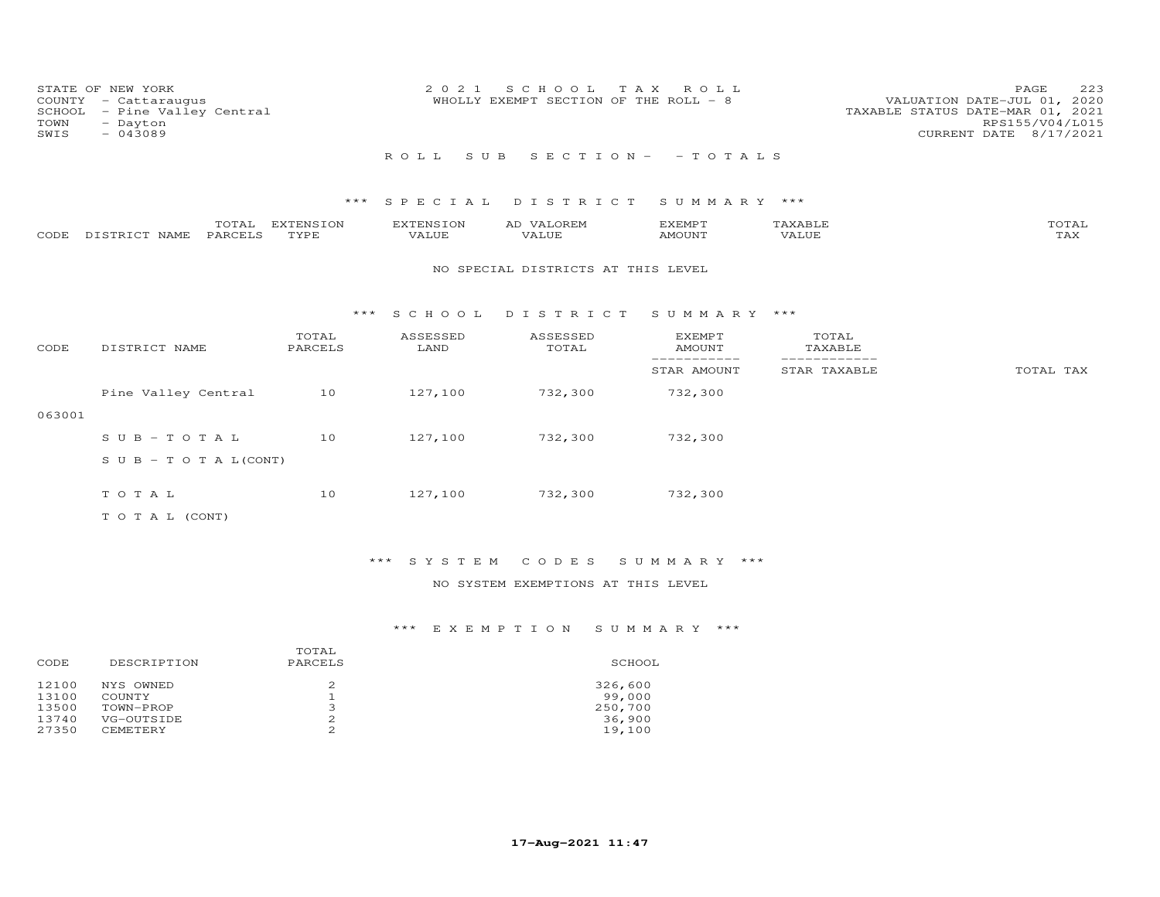| COUNTY<br>SCHOOL<br>TOWN<br>SWIS | STATE OF NEW YORK<br>- Cattaraugus<br>- Pine Valley Central<br>- Dayton<br>$-043089$ |                   | 2 0 2 1            | S C H O O L<br>WHOLLY EXEMPT SECTION OF THE ROLL - 8 | T A X<br>ROLL                   |                  | 223<br>PAGE<br>VALUATION DATE-JUL 01, 2020<br>TAXABLE STATUS DATE-MAR 01, 2021<br>RPS155/V04/L015<br>CURRENT DATE 8/17/2021 |
|----------------------------------|--------------------------------------------------------------------------------------|-------------------|--------------------|------------------------------------------------------|---------------------------------|------------------|-----------------------------------------------------------------------------------------------------------------------------|
|                                  |                                                                                      |                   | ROLL<br>S U B      |                                                      | $S E C T I O N - - T O T A L S$ |                  |                                                                                                                             |
|                                  |                                                                                      | ***               | SPECIAL            | DISTRICT                                             | SUMMARY ***                     |                  |                                                                                                                             |
| CODE                             | TOTAL<br>PARCELS<br>DISTRICT NAME                                                    | EXTENSION<br>TYPE | EXTENSION<br>VALUE | AD VALOREM<br>VALUE                                  | <b>EXEMPT</b><br>AMOUNT         | TAXABLE<br>VALUE | TOTAL<br>TAX                                                                                                                |
|                                  |                                                                                      |                   |                    | NO SPECIAL DISTRICTS AT THIS LEVEL                   |                                 |                  |                                                                                                                             |
|                                  |                                                                                      |                   | *** SCHOOL         | DISTRICT                                             | SUMMARY ***                     |                  |                                                                                                                             |
| CODE                             | DISTRICT NAME                                                                        | TOTAL<br>PARCELS  | ASSESSED<br>LAND   | ASSESSED<br>TOTAL                                    | EXEMPT<br><b>AMOUNT</b>         | TOTAL<br>TAXABLE |                                                                                                                             |
|                                  |                                                                                      |                   |                    |                                                      | -----------<br>STAR AMOUNT      | STAR TAXABLE     | TOTAL TAX                                                                                                                   |
|                                  | Pine Valley Central                                                                  | 10                | 127,100            | 732,300                                              | 732,300                         |                  |                                                                                                                             |
| 063001                           |                                                                                      |                   |                    |                                                      |                                 |                  |                                                                                                                             |
|                                  | $SUB - TO T AL$                                                                      | 10                | 127,100            | 732,300                                              | 732,300                         |                  |                                                                                                                             |
|                                  | $S \cup B - T \cup T A L (CONT)$                                                     |                   |                    |                                                      |                                 |                  |                                                                                                                             |
|                                  | TOTAL                                                                                | 10                | 127,100            | 732,300                                              | 732,300                         |                  |                                                                                                                             |
|                                  | TO TAL (CONT)                                                                        |                   |                    |                                                      |                                 |                  |                                                                                                                             |

\*\*\* S Y S T E M C O D E S S U M M A R Y \*\*\*

NO SYSTEM EXEMPTIONS AT THIS LEVEL

| DESCRIPTION     | PARCELS | SCHOOL  |
|-----------------|---------|---------|
| NYS OWNED       |         | 326,600 |
| COUNTY          |         | 99,000  |
| TOWN-PROP       | ∍       | 250,700 |
| VG-OUTSIDE      | 2       | 36,900  |
| <b>CEMETERY</b> | っ       | 19,100  |
|                 |         | TOTAL   |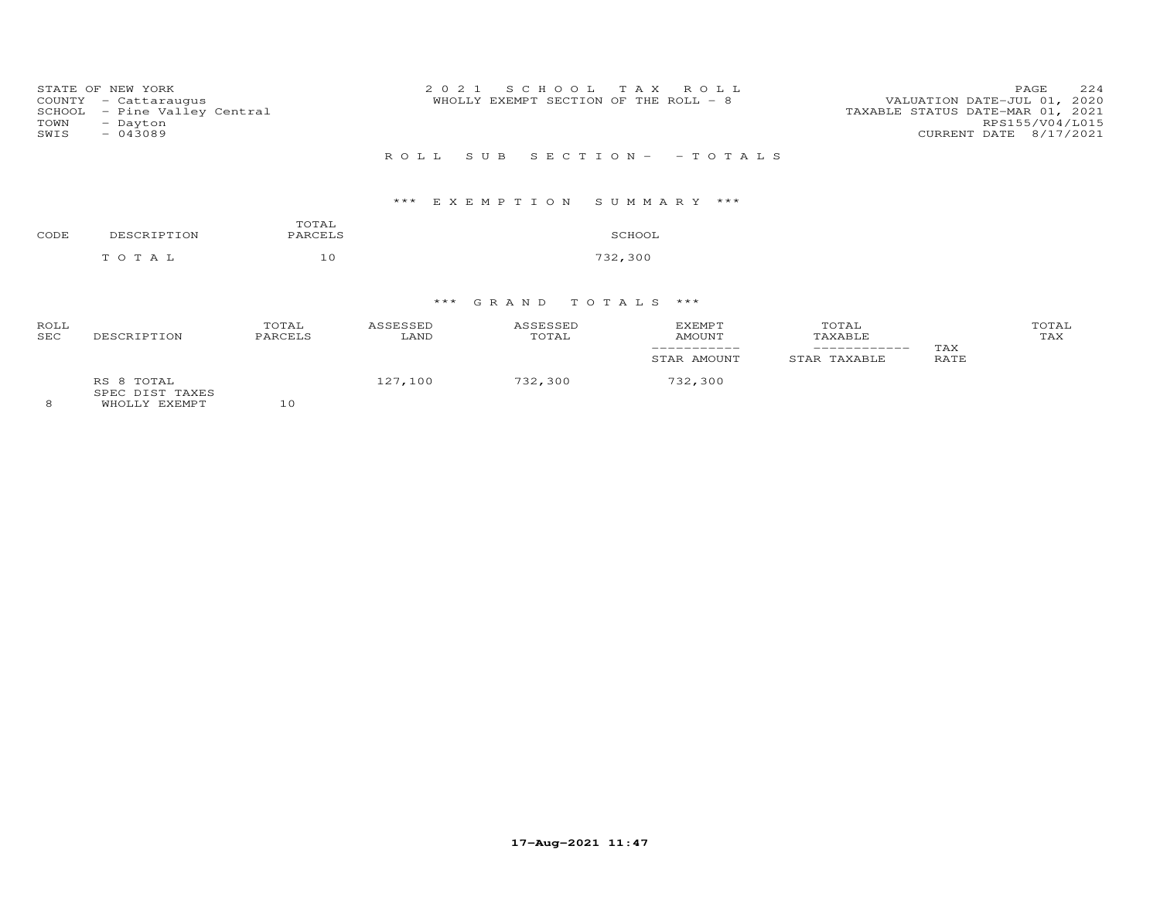| COUNTY<br>SCHOOL<br>TOWN<br>SWIS | STATE OF NEW YORK<br>- Cattaraugus<br>- Pine Valley Central<br>- Dayton<br>$-043089$ |                  | 2021<br>SCHOOL TAX ROLL<br>WHOLLY EXEMPT SECTION OF THE ROLL - 8 | 224<br>PAGE<br>VALUATION DATE-JUL 01, 2020<br>TAXABLE STATUS DATE-MAR 01, 2021<br>RPS155/V04/L015<br>CURRENT DATE 8/17/2021 |
|----------------------------------|--------------------------------------------------------------------------------------|------------------|------------------------------------------------------------------|-----------------------------------------------------------------------------------------------------------------------------|
|                                  |                                                                                      |                  | SUB SECTION - - TOTALS<br>R O L L                                |                                                                                                                             |
|                                  |                                                                                      |                  | *** EXEMPTION SUMMARY ***                                        |                                                                                                                             |
| CODE                             | DESCRIPTION                                                                          | TOTAL<br>PARCELS | SCHOOL                                                           |                                                                                                                             |
|                                  | TOTAL                                                                                | 10               | 732,300                                                          |                                                                                                                             |
|                                  |                                                                                      |                  |                                                                  |                                                                                                                             |

# \*\*\* G R A N D T O T A L S \*\*\*

| ROLL<br><b>SEC</b> | DESCRIPTION                   | TOTAL<br>PARCELS | ASSESSED<br>LAND | ASSESSED<br>TOTAL | <b>EXEMPT</b><br><b>AMOUNT</b><br>STAR AMOUNT | TOTAL<br>TAXABLE<br>------------<br>STAR TAXABLE | TAX<br>RATE | TOTAL<br>TAX |
|--------------------|-------------------------------|------------------|------------------|-------------------|-----------------------------------------------|--------------------------------------------------|-------------|--------------|
|                    | RS 8 TOTAL<br>SPEC DIST TAXES |                  | 127,100          | 732,300           | 732,300                                       |                                                  |             |              |

8 WHOLLY EXEMPT 10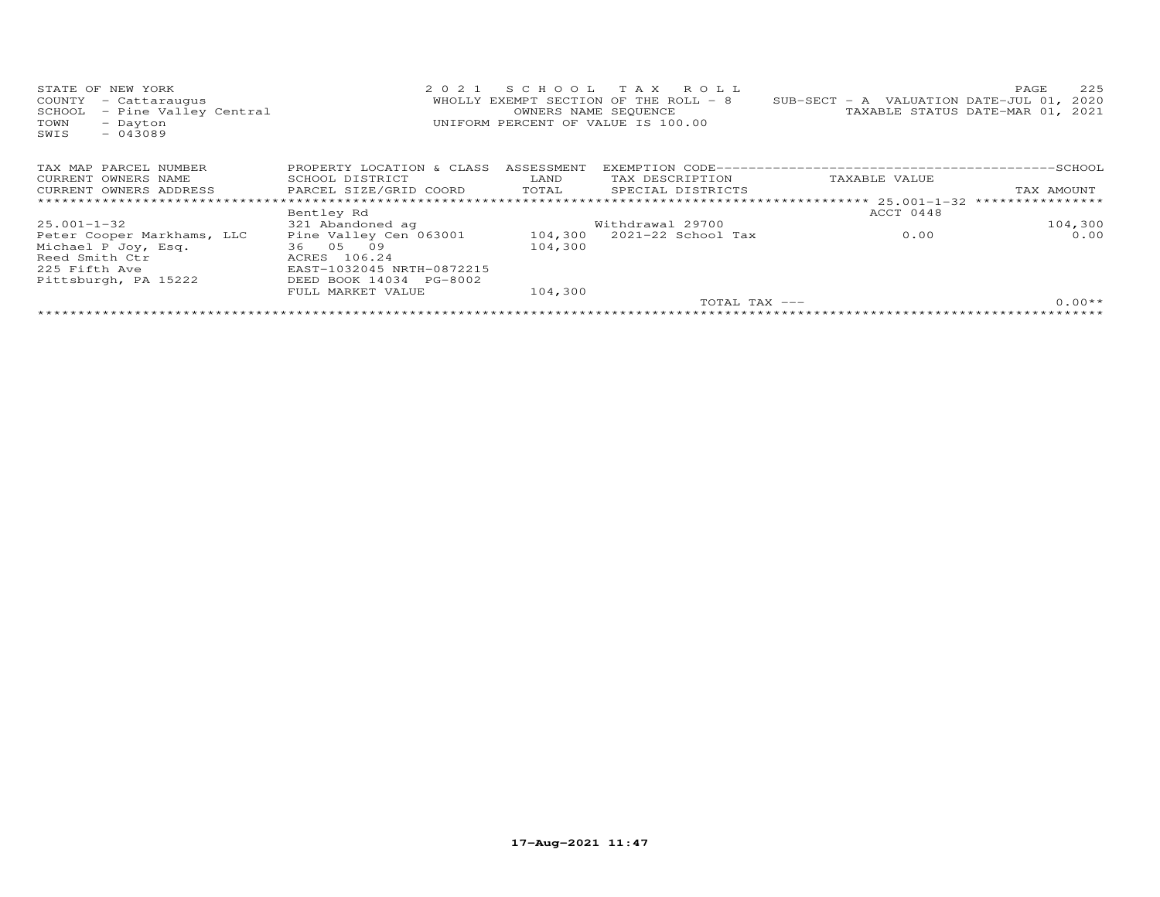| STATE OF NEW YORK<br>- Cattaraugus<br>COUNTY<br>- Pine Valley Central<br>SCHOOL<br>TOWN<br>- Dayton<br>$-043089$<br>SWIS | 2 0 2 1                                                                                                                                 |                    | SCHOOL TAX ROLL<br>WHOLLY EXEMPT SECTION OF THE ROLL - 8<br>OWNERS NAME SEQUENCE<br>UNIFORM PERCENT OF VALUE IS 100.00 | SUB-SECT - A VALUATION DATE-JUL 01, 2020 | 225<br>PAGE<br>TAXABLE STATUS DATE-MAR 01, 2021 |
|--------------------------------------------------------------------------------------------------------------------------|-----------------------------------------------------------------------------------------------------------------------------------------|--------------------|------------------------------------------------------------------------------------------------------------------------|------------------------------------------|-------------------------------------------------|
| TAX MAP PARCEL NUMBER                                                                                                    | PROPERTY LOCATION & CLASS                                                                                                               | ASSESSMENT         |                                                                                                                        |                                          |                                                 |
| CURRENT OWNERS NAME                                                                                                      | SCHOOL DISTRICT                                                                                                                         | LAND               | TAX DESCRIPTION                                                                                                        | TAXABLE VALUE                            |                                                 |
| CURRENT OWNERS ADDRESS                                                                                                   | PARCEL SIZE/GRID COORD                                                                                                                  | TOTAL              | SPECIAL DISTRICTS                                                                                                      |                                          | TAX AMOUNT                                      |
|                                                                                                                          |                                                                                                                                         |                    |                                                                                                                        |                                          |                                                 |
|                                                                                                                          | Bentley Rd                                                                                                                              |                    |                                                                                                                        | ACCT 0448                                |                                                 |
| 25.001-1-32                                                                                                              | 321 Abandoned ag                                                                                                                        |                    | Withdrawal 29700                                                                                                       |                                          | 104,300                                         |
| Peter Cooper Markhams, LLC<br>Michael P Joy, Esq.<br>Reed Smith Ctr<br>225 Fifth Ave<br>Pittsburgh, PA 15222             | Pine Valley Cen 063001 104,300<br>36 05 09<br>ACRES 106.24<br>EAST-1032045 NRTH-0872215<br>DEED BOOK 14034 PG-8002<br>FULL MARKET VALUE | 104,300<br>104,300 | 2021-22 School Tax                                                                                                     | 0.00                                     | 0.00                                            |
|                                                                                                                          |                                                                                                                                         |                    | TOTAL TAX ---                                                                                                          |                                          | $0.00**$                                        |
|                                                                                                                          |                                                                                                                                         |                    |                                                                                                                        |                                          |                                                 |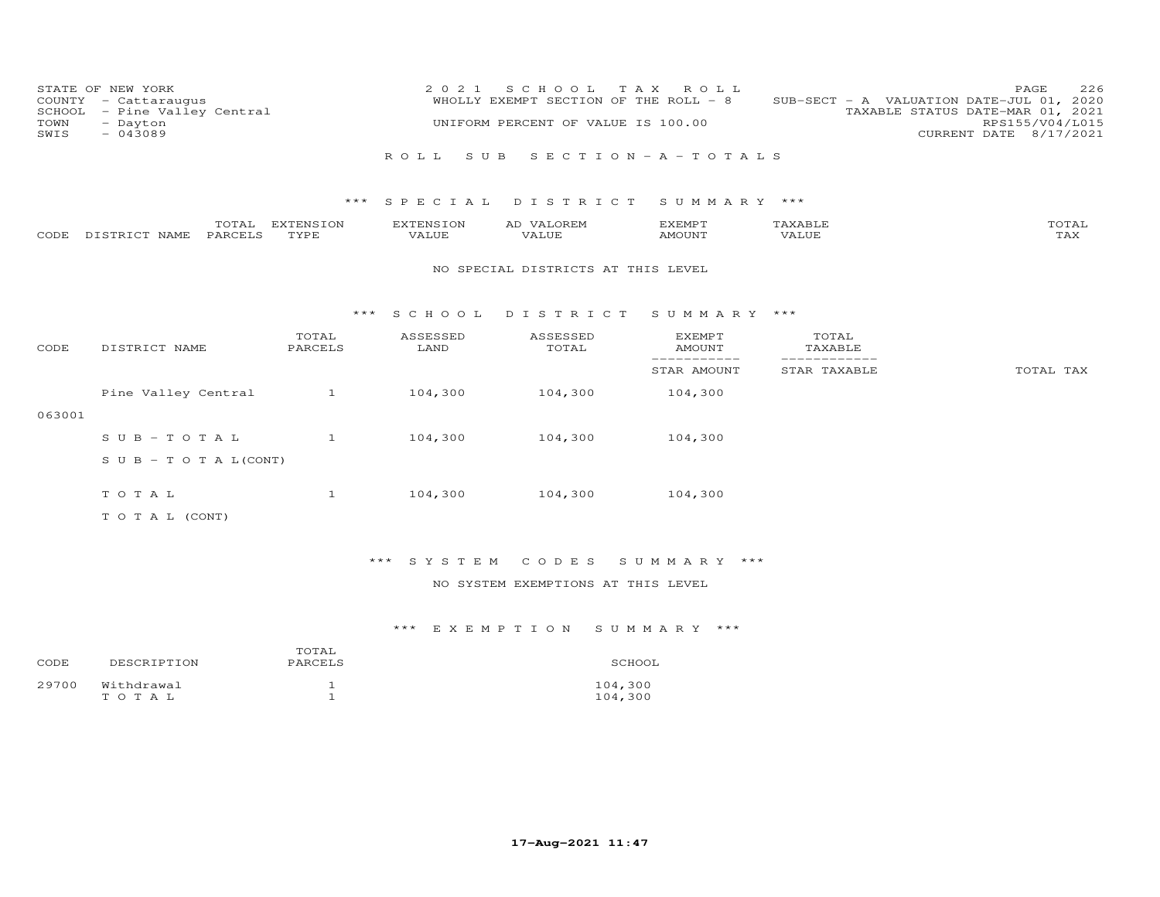| SCHOOL<br>TOWN<br>SWIS | STATE OF NEW YORK<br>COUNTY - Cattaraugus<br>- Pine Valley Central<br>- Dayton<br>$-043089$ |                   | 2 0 2 1                   | S C H O O L<br>WHOLLY EXEMPT SECTION OF THE ROLL - 8<br>UNIFORM PERCENT OF VALUE IS 100.00 | TAX ROLL                          |                              | 226<br>PAGE<br>SUB-SECT - A VALUATION DATE-JUL 01, 2020<br>TAXABLE STATUS DATE-MAR 01, 2021<br>RPS155/V04/L015<br>CURRENT DATE 8/17/2021 |
|------------------------|---------------------------------------------------------------------------------------------|-------------------|---------------------------|--------------------------------------------------------------------------------------------|-----------------------------------|------------------------------|------------------------------------------------------------------------------------------------------------------------------------------|
|                        |                                                                                             |                   | S U B<br>ROLL.            |                                                                                            | $S E C T I O N - A - T O T A L S$ |                              |                                                                                                                                          |
|                        |                                                                                             | ***               | SPECIAL                   | DISTRICT                                                                                   | SUMMARY ***                       |                              |                                                                                                                                          |
| CODE                   | TOTAL<br>PARCELS<br>DISTRICT NAME                                                           | EXTENSION<br>TYPE | <b>EXTENSION</b><br>VALUE | AD VALOREM<br>VALUE                                                                        | <b>EXEMPT</b><br><b>AMOUNT</b>    | TAXABLE<br>VALUE             | TOTAL<br>TAX                                                                                                                             |
|                        |                                                                                             |                   |                           | NO SPECIAL DISTRICTS AT THIS LEVEL                                                         |                                   |                              |                                                                                                                                          |
|                        |                                                                                             | ***               | S C H O O L               | DISTRICT                                                                                   | SUMMARY ***                       |                              |                                                                                                                                          |
| CODE                   | DISTRICT NAME                                                                               | TOTAL<br>PARCELS  | ASSESSED<br>LAND          | ASSESSED<br>TOTAL                                                                          | <b>EXEMPT</b><br><b>AMOUNT</b>    | TOTAL<br>TAXABLE             |                                                                                                                                          |
|                        |                                                                                             |                   |                           |                                                                                            | ------------<br>STAR AMOUNT       | ____________<br>STAR TAXABLE | TOTAL TAX                                                                                                                                |
|                        | Pine Valley Central                                                                         | $\mathbf{1}$      | 104,300                   | 104,300                                                                                    | 104,300                           |                              |                                                                                                                                          |
| 063001                 |                                                                                             |                   |                           |                                                                                            |                                   |                              |                                                                                                                                          |
|                        | $S \cup B - TO T A L$                                                                       | $\mathbf{1}$      | 104,300                   | 104,300                                                                                    | 104,300                           |                              |                                                                                                                                          |
|                        | S U B - T O T A $L$ (CONT)                                                                  |                   |                           |                                                                                            |                                   |                              |                                                                                                                                          |
|                        | TOTAL                                                                                       | $\mathbf{1}$      | 104,300                   | 104,300                                                                                    | 104,300                           |                              |                                                                                                                                          |
|                        | TO TAL (CONT)                                                                               |                   |                           |                                                                                            |                                   |                              |                                                                                                                                          |

\*\*\* S Y S T E M C O D E S S U M M A R Y \*\*\*

NO SYSTEM EXEMPTIONS AT THIS LEVEL

| CODE  | DESCRIPTION             | TOTAL<br>PARCELS | SCHOOL             |
|-------|-------------------------|------------------|--------------------|
| 29700 | Withdrawal<br>T O T A L |                  | 104,300<br>104,300 |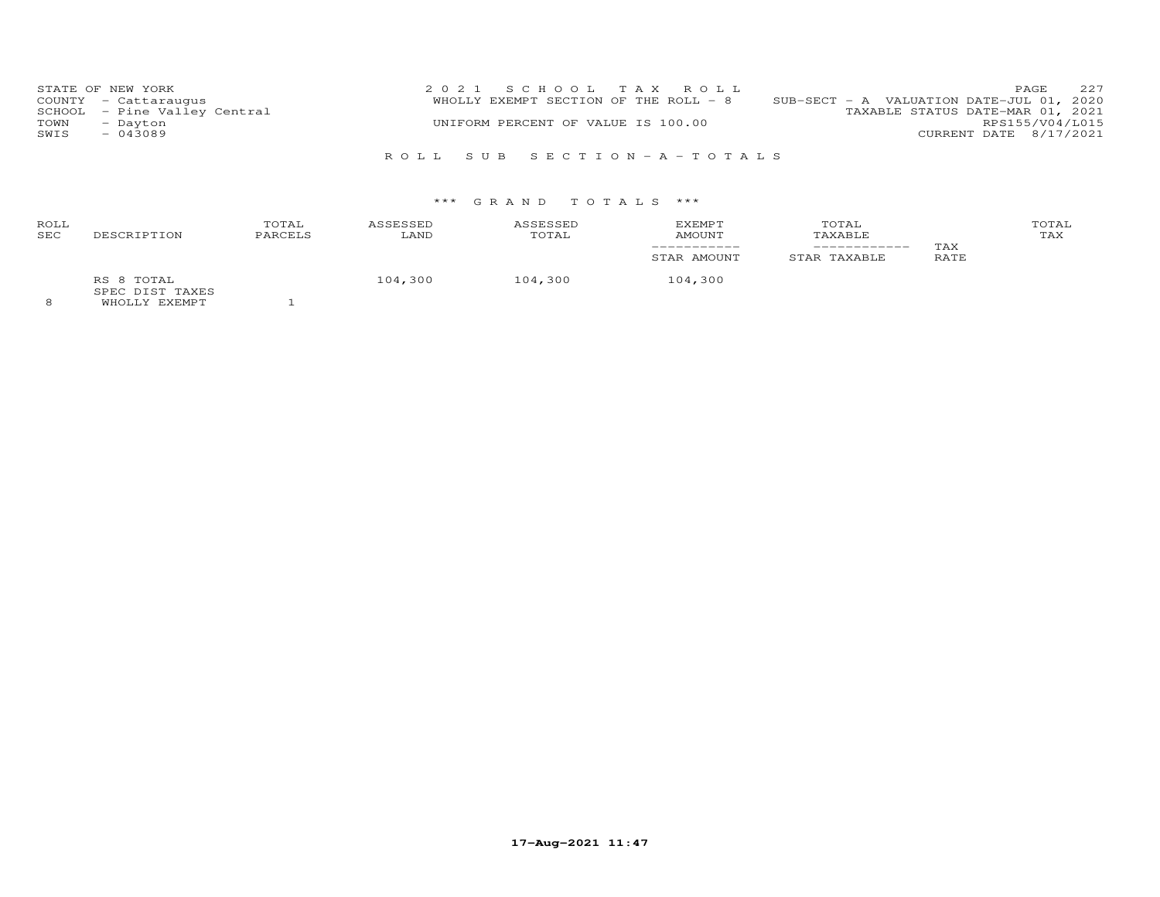|      | STATE OF NEW YORK            | 2021 SCHOOL TAX ROLL                  |                                          | PAGE                   | 227 |
|------|------------------------------|---------------------------------------|------------------------------------------|------------------------|-----|
|      | COUNTY - Cattaraugus         | WHOLLY EXEMPT SECTION OF THE ROLL - 8 | SUB-SECT - A VALUATION DATE-JUL 01, 2020 |                        |     |
|      | SCHOOL - Pine Valley Central |                                       | TAXABLE STATUS DATE-MAR 01, 2021         |                        |     |
| TOWN | - Dayton                     | UNIFORM PERCENT OF VALUE IS 100.00    |                                          | RPS155/V04/L015        |     |
| SWIS | $-043089$                    |                                       |                                          | CURRENT DATE 8/17/2021 |     |
|      |                              |                                       |                                          |                        |     |
|      |                              | ROLL SUB SECTION-A-TOTALS             |                                          |                        |     |

# \*\*\* G R A N D T O T A L S \*\*\*

| ROLL<br>SEC | DESCRIPTION                                     | TOTAL<br>PARCELS | ASSESSED<br>LAND | ASSESSED<br>TOTAL | <b>EXEMPT</b><br>AMOUNT | TOTAL<br>TAXABLE<br>__________ | TAX  | TOTAL<br>TAX |
|-------------|-------------------------------------------------|------------------|------------------|-------------------|-------------------------|--------------------------------|------|--------------|
|             |                                                 |                  |                  |                   | STAR AMOUNT             | STAR TAXABLE                   | RATE |              |
|             | RS 8 TOTAL<br>SPEC DIST TAXES<br>EILOIII DIDADO |                  | 104,300          | 104,300           | 104,300                 |                                |      |              |

8 WHOLLY EXEMPT 1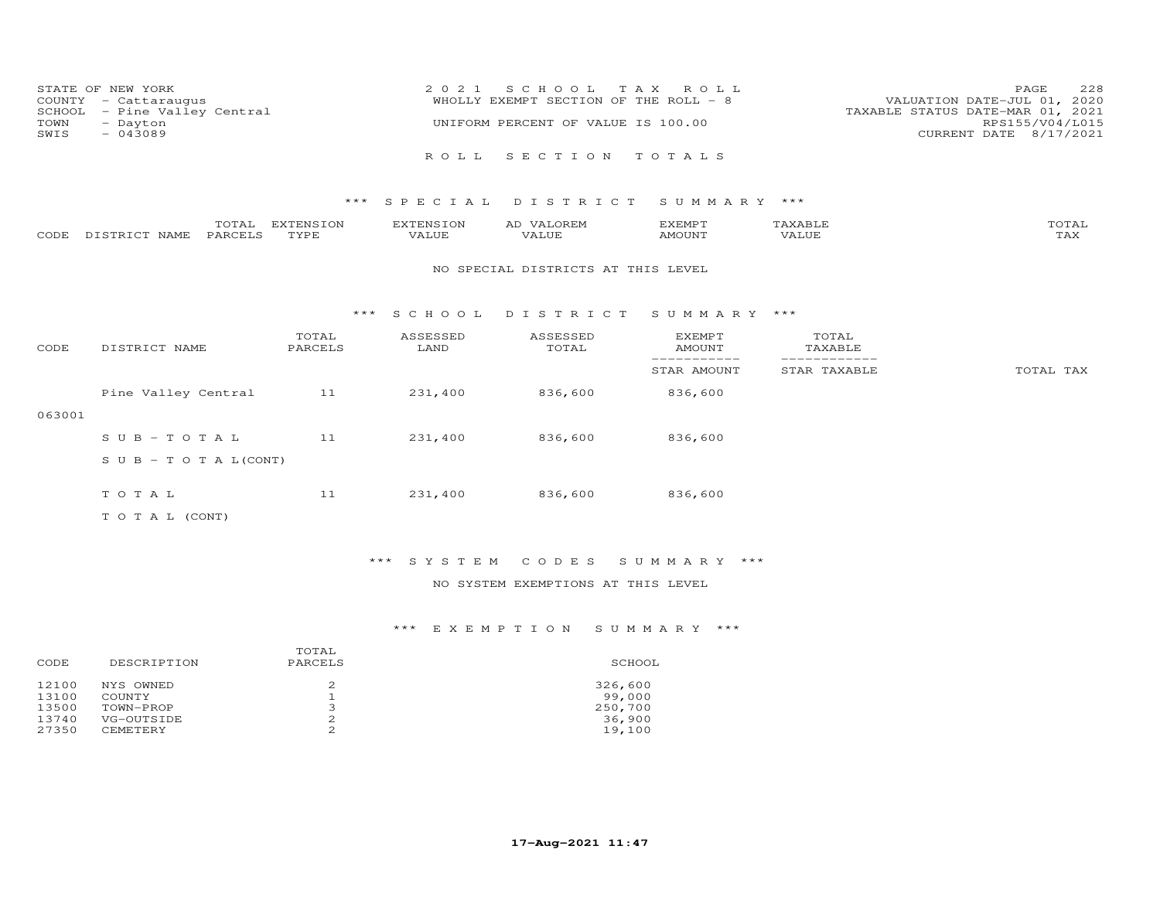| COUNTY<br>SCHOOL<br>TOWN<br>SWIS | STATE OF NEW YORK<br>- Cattaraugus<br>- Pine Valley Central<br>- Dayton<br>$-043089$ |                  |                   | 2 0 2 1            | SCHOOL<br>WHOLLY EXEMPT SECTION OF THE ROLL - 8<br>UNIFORM PERCENT OF VALUE IS 100.00 | T A X<br>ROLL           |                                | PAGE<br>VALUATION DATE-JUL 01, 2020<br>TAXABLE STATUS DATE-MAR 01, 2021<br>RPS155/V04/L015<br>CURRENT DATE | 228<br>8/17/2021 |
|----------------------------------|--------------------------------------------------------------------------------------|------------------|-------------------|--------------------|---------------------------------------------------------------------------------------|-------------------------|--------------------------------|------------------------------------------------------------------------------------------------------------|------------------|
|                                  |                                                                                      |                  |                   | ROLL.              | SECTION                                                                               | TOTALS                  |                                |                                                                                                            |                  |
|                                  |                                                                                      |                  | ***               | S P E C I A L      | DISTRICT                                                                              | SUMMARY ***             |                                |                                                                                                            |                  |
| CODE                             | DISTRICT NAME                                                                        | TOTAL<br>PARCELS | EXTENSION<br>TYPE | EXTENSION<br>VALUE | AD VALOREM<br>VALUE                                                                   | EXEMPT<br>AMOUNT        | TAXABLE<br>VALUE               |                                                                                                            | TOTAL<br>TAX     |
|                                  |                                                                                      |                  |                   |                    | NO SPECIAL DISTRICTS AT THIS LEVEL                                                    |                         |                                |                                                                                                            |                  |
|                                  |                                                                                      |                  | $***$             | S C H O O L        | DISTRICT                                                                              | SUMMARY ***             |                                |                                                                                                            |                  |
| CODE                             | DISTRICT NAME                                                                        |                  | TOTAL<br>PARCELS  | ASSESSED<br>LAND   | ASSESSED<br>TOTAL                                                                     | EXEMPT<br><b>AMOUNT</b> | TOTAL<br>TAXABLE<br>__________ |                                                                                                            |                  |
|                                  |                                                                                      |                  |                   |                    |                                                                                       | STAR AMOUNT             | STAR TAXABLE                   |                                                                                                            | TOTAL TAX        |

063001

S U B - T O T A  $L(CONT)$ 

T O T A L  $\begin{array}{cccc} 11 & 231,400 & 836,600 & 836,600 \end{array}$ 

Pine Valley Central 11 231,400 836,600 836,600

S U B - T O T A L 11 231,400 836,600 836,600

T O T A L (CONT)

\*\*\* S Y S T E M C O D E S S U M M A R Y \*\*\*

NO SYSTEM EXEMPTIONS AT THIS LEVEL

|       |                 | TOTAL   |         |
|-------|-----------------|---------|---------|
| CODE  | DESCRIPTION     | PARCELS | SCHOOL  |
| 12100 | NYS OWNED       |         | 326,600 |
| 13100 | COUNTY          |         | 99,000  |
| 13500 | TOWN-PROP       | ∍<br>ت  | 250,700 |
| 13740 | VG-OUTSIDE      | 2       | 36,900  |
| 27350 | <b>CEMETERY</b> | ⌒       | 19,100  |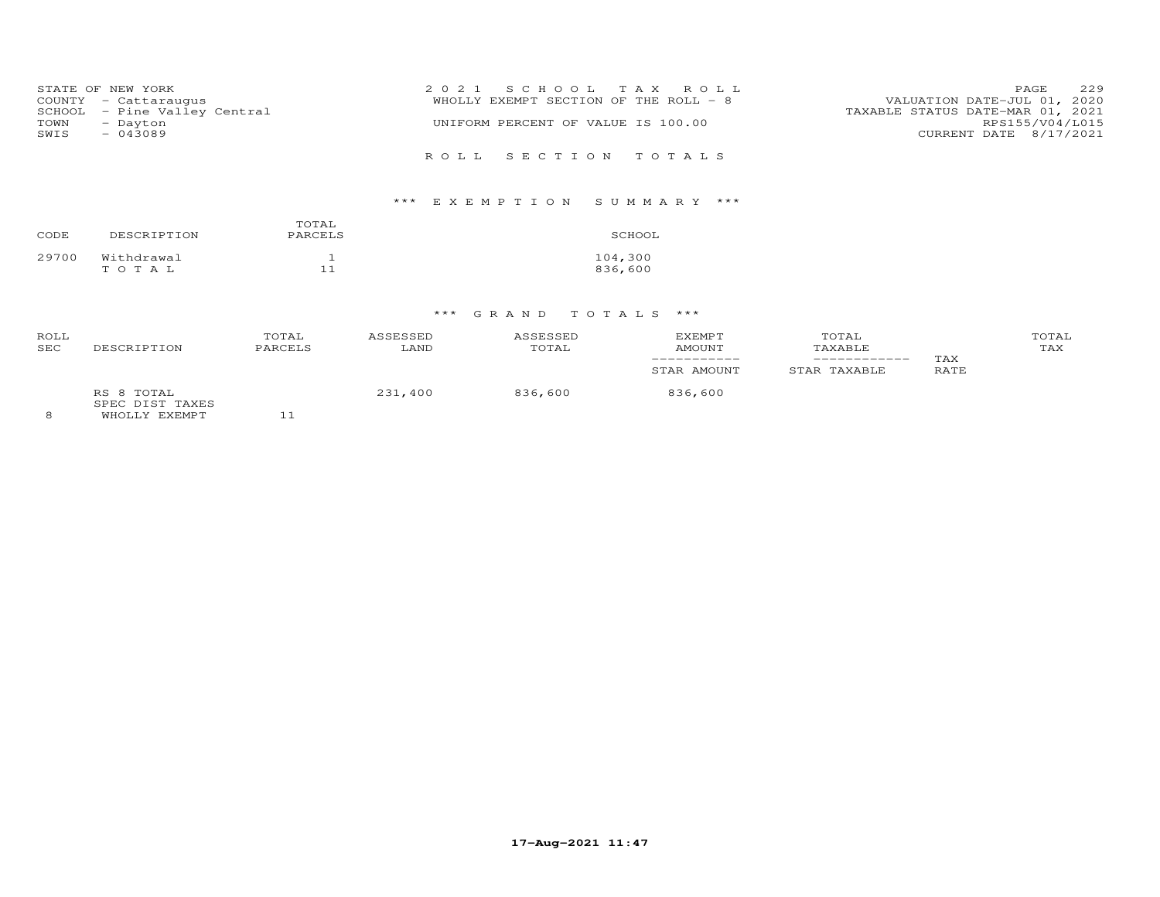|      | STATE OF NEW YORK            | 2021 SCHOOL TAX ROLL                                                 | PAGE                   | 229 |
|------|------------------------------|----------------------------------------------------------------------|------------------------|-----|
|      | COUNTY - Cattaraugus         | VALUATION DATE-JUL 01, 2020<br>WHOLLY EXEMPT SECTION OF THE ROLL - 8 |                        |     |
|      | SCHOOL - Pine Valley Central | TAXABLE STATUS DATE-MAR 01, 2021                                     |                        |     |
| TOWN | - Dayton                     | UNIFORM PERCENT OF VALUE IS 100.00                                   | RPS155/V04/L015        |     |
| SWIS | $-043089$                    |                                                                      | CURRENT DATE 8/17/2021 |     |
|      |                              |                                                                      |                        |     |
|      |                              | ROLL SECTION TOTALS                                                  |                        |     |

# \*\*\* E X E M P T I O N S U M M A R Y \*\*\*

| CODE  | DESCRIPTION         | TOTAL<br>PARCELS | SCHOOL             |
|-------|---------------------|------------------|--------------------|
| 29700 | Withdrawal<br>тотаь |                  | 104,300<br>836,600 |

# \*\*\* G R A N D T O T A L S \*\*\*

| ROLL<br><b>SEC</b> | DESCRIPTION                                    | TOTAL<br>PARCELS | ASSESSED<br>LAND | ASSESSED<br>TOTAL | <b>EXEMPT</b><br><b>AMOUNT</b> | TOTAL<br>TAXABLE | TAX  | TOTAL<br>TAX |
|--------------------|------------------------------------------------|------------------|------------------|-------------------|--------------------------------|------------------|------|--------------|
|                    |                                                |                  |                  |                   | STAR AMOUNT                    | STAR TAXABLE     | RATE |              |
|                    | RS 8 TOTAL<br>SPEC DIST TAXES<br>WHOLLY EXEMPT |                  | 231,400          | 836,600           | 836,600                        |                  |      |              |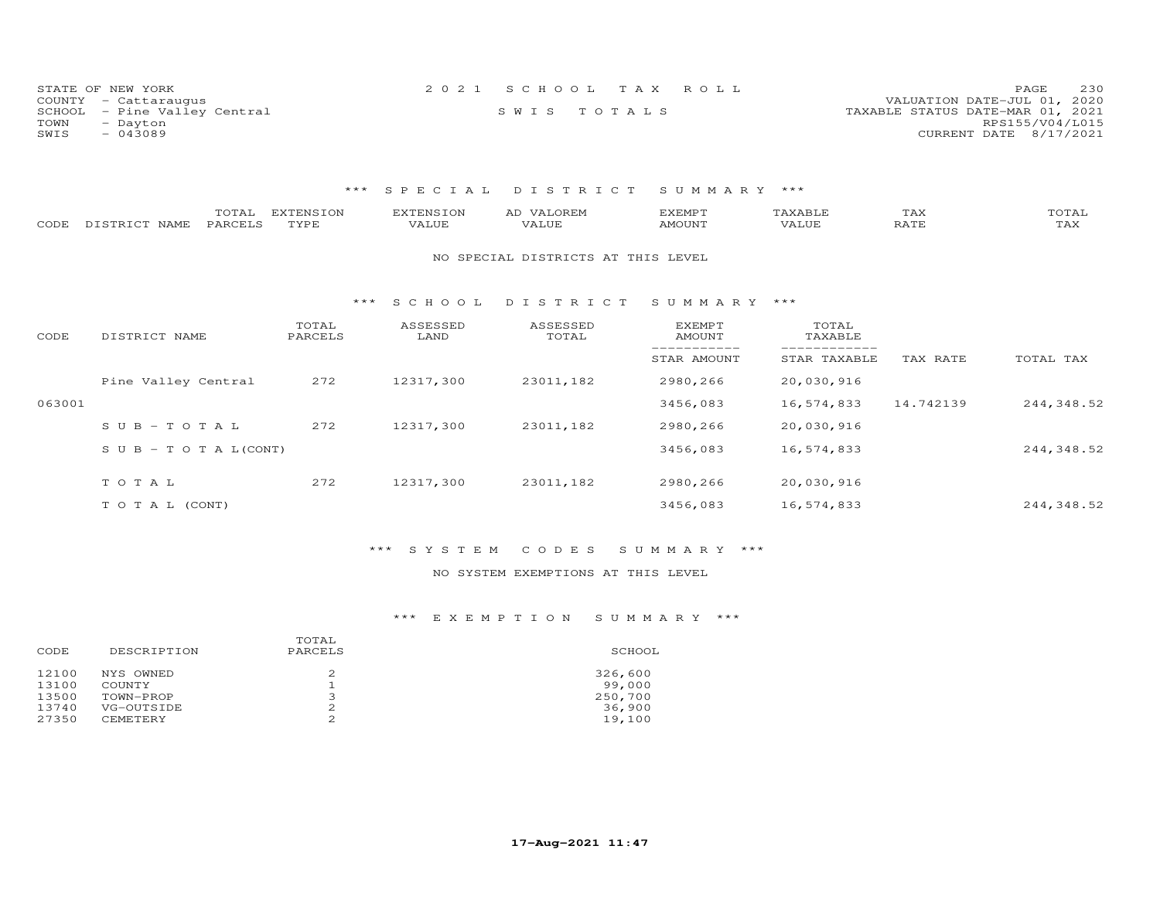|      | STATE OF NEW YORK            | 2021 SCHOOL TAX ROLL |  |                                  | PAGE                   | 230 |
|------|------------------------------|----------------------|--|----------------------------------|------------------------|-----|
|      | COUNTY - Cattaraugus         |                      |  | VALUATION DATE-JUL 01, 2020      |                        |     |
|      | SCHOOL - Pine Valley Central | SWIS TOTALS          |  | TAXABLE STATUS DATE-MAR 01, 2021 |                        |     |
| TOWN | - Dayton                     |                      |  |                                  | RPS155/V04/L015        |     |
| SWIS | $-043089$                    |                      |  |                                  | CURRENT DATE 8/17/2021 |     |

### \*\*\* S P E C I A L D I S T R I C T S U M M A R Y \*\*\*

| CODE   | TOTAL<br>DISTRICT NAME<br>PARCELS | <b>EXTENSION</b><br>TYPE | <b>EXTENSION</b><br>VALUE | AD VALOREM<br>VALUE                | <b>EXEMPT</b><br><b>AMOUNT</b> | TAXABLE<br>VALUE | TAX<br>RATE | TOTAL<br>TAX |
|--------|-----------------------------------|--------------------------|---------------------------|------------------------------------|--------------------------------|------------------|-------------|--------------|
|        |                                   |                          |                           | NO SPECIAL DISTRICTS AT THIS LEVEL |                                |                  |             |              |
|        |                                   | ***                      | S C H O O L               | DISTRICT                           | SUMMARY ***                    |                  |             |              |
| CODE   | DISTRICT NAME                     | TOTAL<br>PARCELS         | ASSESSED<br>LAND          | ASSESSED<br>TOTAL                  | EXEMPT<br><b>AMOUNT</b>        | TOTAL<br>TAXABLE |             |              |
|        |                                   |                          |                           |                                    | STAR AMOUNT                    | STAR TAXABLE     | TAX RATE    | TOTAL TAX    |
|        | Pine Valley Central               | 272                      | 12317,300                 | 23011,182                          | 2980,266                       | 20,030,916       |             |              |
| 063001 |                                   |                          |                           |                                    | 3456,083                       | 16,574,833       | 14.742139   | 244,348.52   |
|        | $SUB - TO T AL$                   | 272                      | 12317,300                 | 23011,182                          | 2980,266                       | 20,030,916       |             |              |
|        | S U B - T O T A $L$ (CONT)        |                          |                           |                                    | 3456,083                       | 16,574,833       |             | 244,348.52   |
|        | TOTAL                             | 272                      | 12317,300                 | 23011,182                          | 2980,266                       | 20,030,916       |             |              |
|        |                                   |                          |                           |                                    |                                |                  |             |              |
|        | TO TAL (CONT)                     |                          |                           |                                    | 3456,083                       | 16,574,833       |             | 244,348.52   |

### \*\*\* S Y S T E M C O D E S S U M M A R Y \*\*\*

### NO SYSTEM EXEMPTIONS AT THIS LEVEL

| CODE                                      | DESCRIPTION                                                | TOTAL<br>PARCELS                            | SCHOOL                                           |
|-------------------------------------------|------------------------------------------------------------|---------------------------------------------|--------------------------------------------------|
| 12100<br>13100<br>13500<br>13740<br>27350 | NYS OWNED<br>COUNTY<br>TOWN-PROP<br>VG-OUTSIDE<br>CEMETERY | 2<br>ᅩ<br>∍<br>ت<br>2<br>$\mathcal{D}$<br>∠ | 326,600<br>99,000<br>250,700<br>36,900<br>19,100 |
|                                           |                                                            |                                             |                                                  |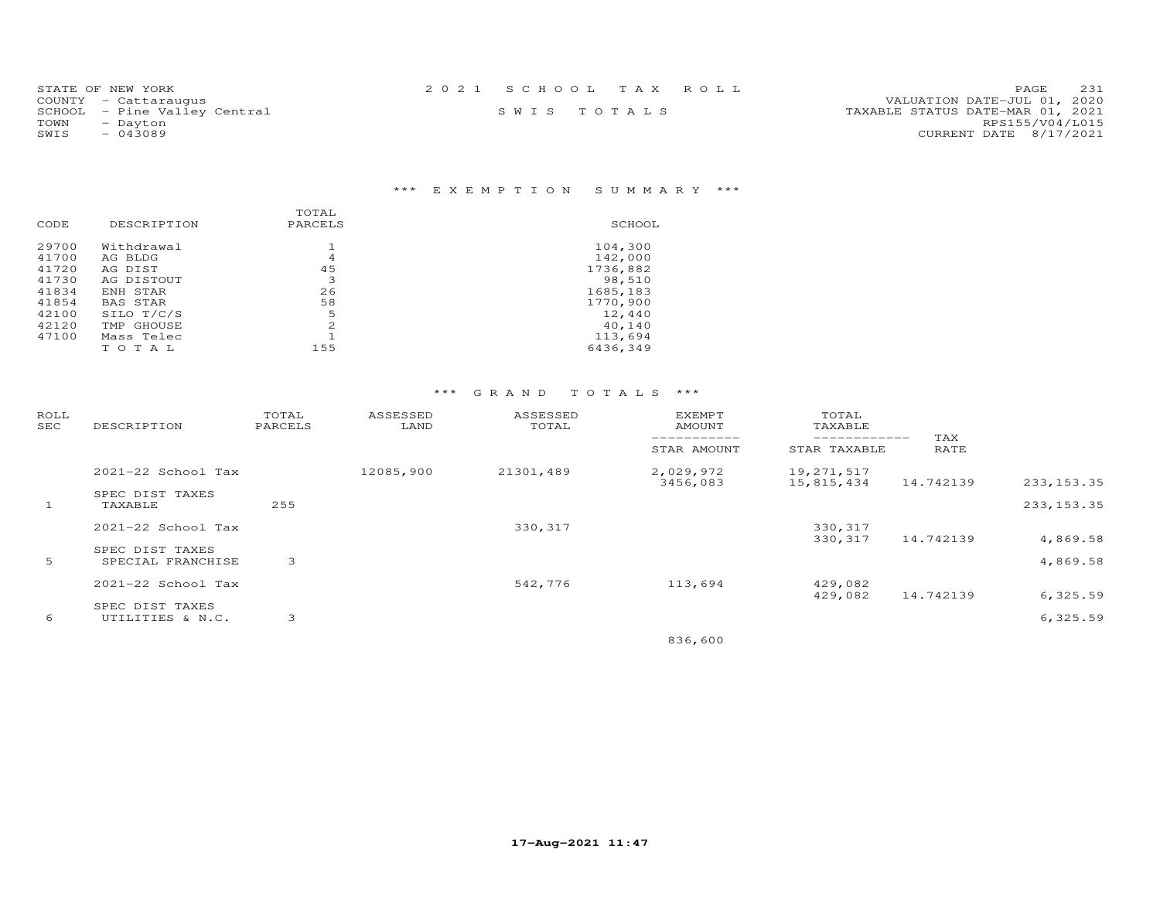| STATE OF NEW YORK            | 2021 SCHOOL TAX ROLL | 231<br><b>PAGE</b>               |
|------------------------------|----------------------|----------------------------------|
| COUNTY - Cattaraugus         |                      | VALUATION DATE-JUL 01, 2020      |
| SCHOOL - Pine Valley Central | SWIS TOTALS          | TAXABLE STATUS DATE-MAR 01, 2021 |
| TOWN<br>- Dayton             |                      | RPS155/V04/L015                  |
| SWIS<br>$-043089$            |                      | CURRENT DATE 8/17/2021           |
|                              |                      |                                  |

# \*\*\* E X E M P T I O N S U M M A R Y \*\*\*

| CODE  | DESCRIPTION | TOTAL<br>PARCELS | SCHOOL   |
|-------|-------------|------------------|----------|
| 29700 | Withdrawal  |                  | 104,300  |
| 41700 | AG BLDG     | 4                | 142,000  |
| 41720 | AG DIST     | 45               | 1736,882 |
| 41730 | AG DISTOUT  | 3                | 98,510   |
| 41834 | ENH STAR    | 26               | 1685,183 |
| 41854 | BAS STAR    | 58               | 1770,900 |
| 42100 | SILO T/C/S  | 5                | 12,440   |
| 42120 | TMP GHOUSE  | $\mathfrak{D}$   | 40,140   |
| 47100 | Mass Telec  |                  | 113,694  |
|       | тотаь       | 155              | 6436,349 |
|       |             |                  |          |

# \*\*\* G R A N D T O T A L S \*\*\*

| ROLL<br>SEC | DESCRIPTION                          | TOTAL<br>PARCELS | ASSESSED<br>LAND | ASSESSED<br>TOTAL | <b>EXEMPT</b><br>AMOUNT<br>___________ | TOTAL<br>TAXABLE<br>------------ | TAX       |                      |
|-------------|--------------------------------------|------------------|------------------|-------------------|----------------------------------------|----------------------------------|-----------|----------------------|
|             |                                      |                  |                  |                   | STAR AMOUNT                            | STAR TAXABLE                     | RATE      |                      |
|             | 2021-22 School Tax                   |                  | 12085,900        | 21301,489         | 2,029,972<br>3456,083                  | 19,271,517<br>15,815,434         | 14.742139 | 233, 153.35          |
| 1           | SPEC DIST TAXES<br>TAXABLE           | 255              |                  |                   |                                        |                                  |           | 233, 153.35          |
|             | 2021-22 School Tax                   |                  |                  | 330, 317          |                                        | 330,317                          |           |                      |
| 5           | SPEC DIST TAXES<br>SPECIAL FRANCHISE | 3                |                  |                   |                                        | 330,317                          | 14.742139 | 4,869.58<br>4,869.58 |
|             | 2021-22 School Tax                   |                  |                  | 542,776           | 113,694                                | 429,082                          |           |                      |
|             | SPEC DIST TAXES                      |                  |                  |                   |                                        | 429,082                          | 14.742139 | 6, 325.59            |
| 6           | UTILITIES & N.C.                     | 3                |                  |                   |                                        |                                  |           | 6,325.59             |

836,600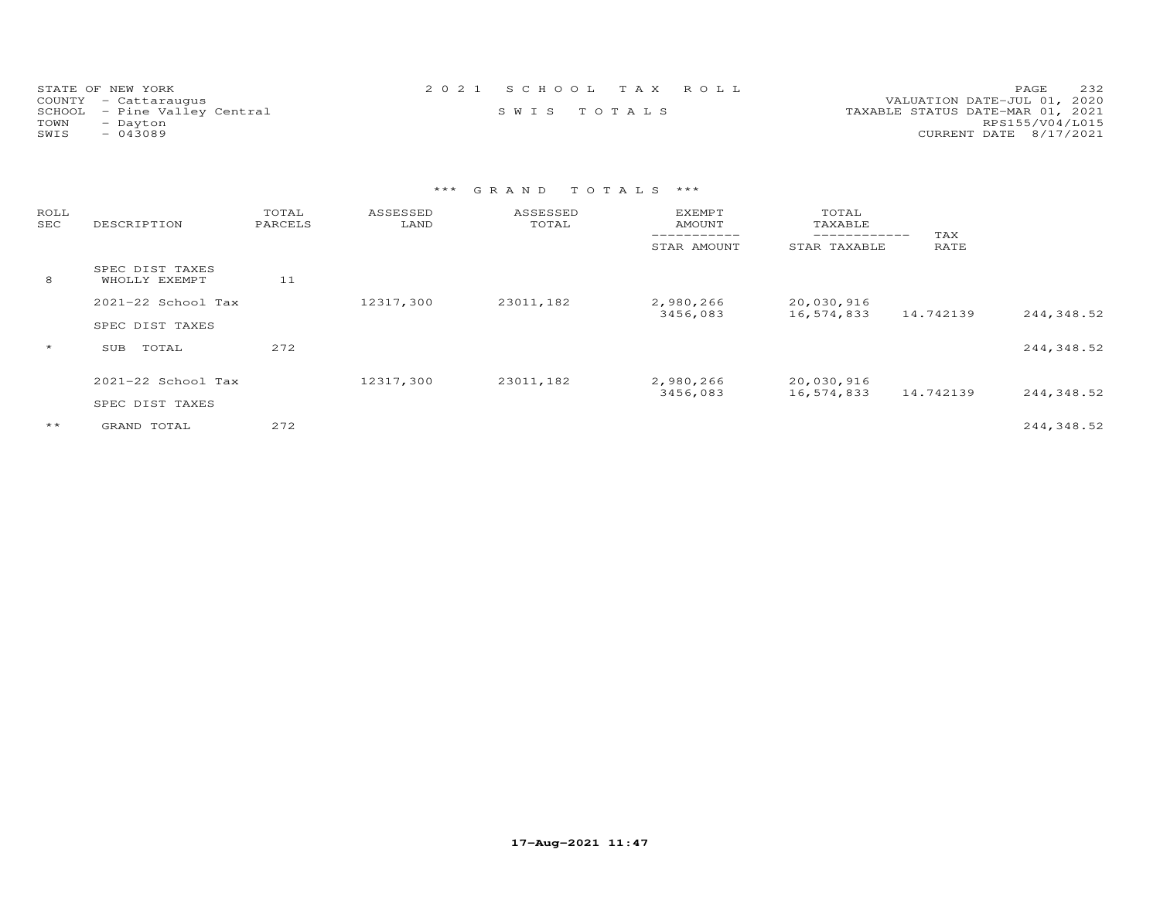| STATE OF NEW YORK            | 2021 SCHOOL TAX ROLL | 2.32<br>PAGE                     |
|------------------------------|----------------------|----------------------------------|
| COUNTY - Cattaraugus         |                      | VALUATION DATE-JUL 01, 2020      |
| SCHOOL - Pine Valley Central | SWIS TOTALS          | TAXABLE STATUS DATE-MAR 01, 2021 |
| TOWN<br>- Dayton             |                      | RPS155/V04/L015                  |
| SWIS<br>$-043089$            |                      | CURRENT DATE 8/17/2021           |

# \*\*\* G R A N D T O T A L S \*\*\*

| ROLL<br>SEC | DESCRIPTION                      | TOTAL<br>PARCELS | ASSESSED<br>LAND | ASSESSED<br>TOTAL | <b>EXEMPT</b><br>AMOUNT<br>------------ | TOTAL<br>TAXABLE<br>------------ | TAX       |            |
|-------------|----------------------------------|------------------|------------------|-------------------|-----------------------------------------|----------------------------------|-----------|------------|
|             |                                  |                  |                  |                   | STAR AMOUNT                             | STAR TAXABLE                     | RATE      |            |
| 8           | SPEC DIST TAXES<br>WHOLLY EXEMPT | 11               |                  |                   |                                         |                                  |           |            |
|             | 2021-22 School Tax               |                  | 12317,300        | 23011,182         | 2,980,266<br>3456,083                   | 20,030,916<br>16,574,833         | 14.742139 |            |
|             | SPEC DIST TAXES                  |                  |                  |                   |                                         |                                  |           | 244,348.52 |
| $\star$     | TOTAL<br>SUB                     | 272              |                  |                   |                                         |                                  |           | 244,348.52 |
|             | $2021 - 22$ School Tax           |                  | 12317,300        | 23011,182         | 2,980,266<br>3456,083                   | 20,030,916<br>16,574,833         | 14.742139 | 244,348.52 |
|             | SPEC DIST TAXES                  |                  |                  |                   |                                         |                                  |           |            |
| $***$       | GRAND TOTAL                      | 272              |                  |                   |                                         |                                  |           | 244,348.52 |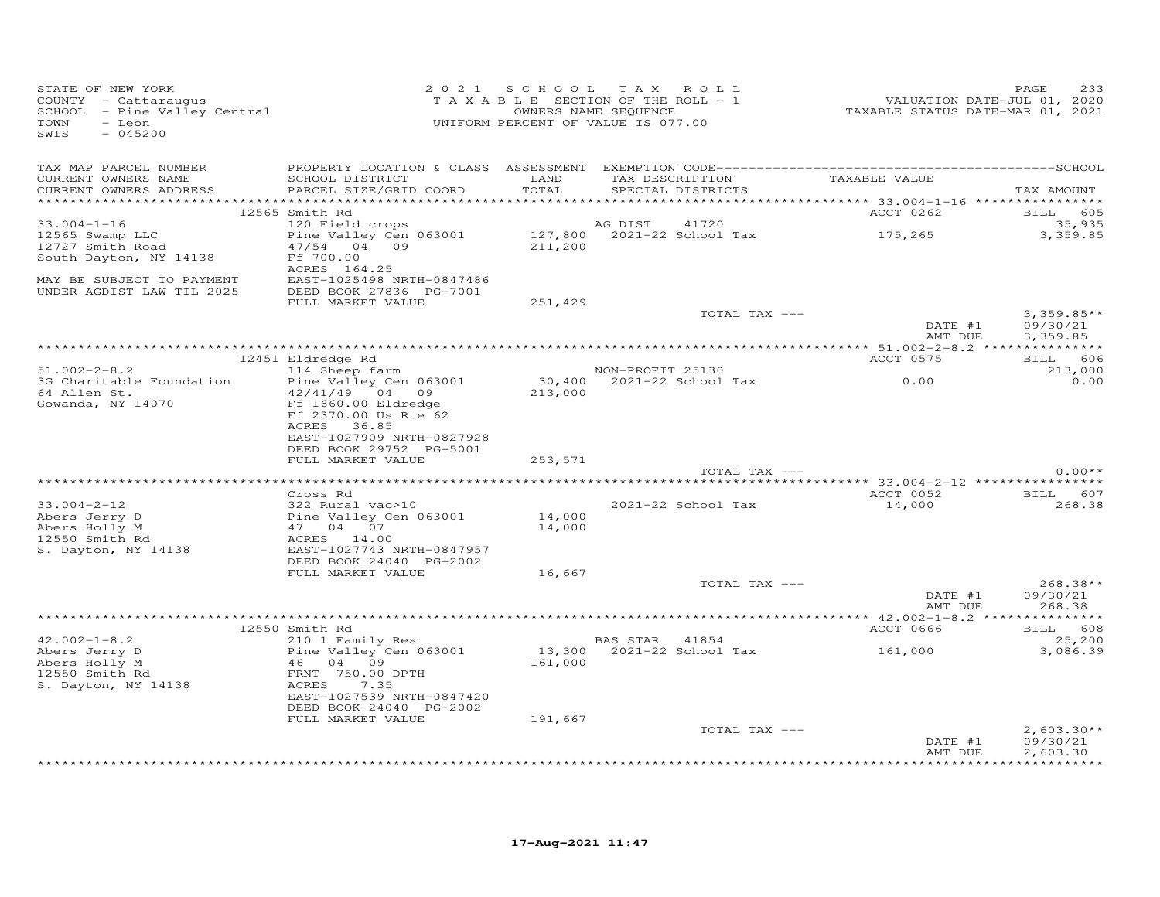| STATE OF NEW YORK<br>STATE OF NEW IONA<br>COUNTY - Cattaraugus<br>SCHOOL - Pine Valley Central<br>TOWN<br>- Leon<br>SWIS<br>$-045200$                                                                                                             |                                                                                                                    |         | 2021 SCHOOL TAX ROLL<br>T A X A B L E SECTION OF THE ROLL - 1<br>OWNERS NAME SEQUENCE<br>UNIFORM PERCENT OF VALUE IS 077.00 | 2020 / PAGE<br>2016 / VALUATION DATE-JUL 01, 2020<br>2021 TAXABLE STATUS DATE-MAR 01, 2021 | PAGE<br>233              |
|---------------------------------------------------------------------------------------------------------------------------------------------------------------------------------------------------------------------------------------------------|--------------------------------------------------------------------------------------------------------------------|---------|-----------------------------------------------------------------------------------------------------------------------------|--------------------------------------------------------------------------------------------|--------------------------|
| CURRENT OWNERS NAME<br>CURRENT OWNERS ADDRESS PARCEL SIZE/GRID COORD                                                                                                                                                                              | SCHOOL DISTRICT LAND                                                                                               | TOTAL   | TAX DESCRIPTION TAXABLE VALUE<br>SPECIAL DISTRICTS                                                                          |                                                                                            | TAX AMOUNT               |
|                                                                                                                                                                                                                                                   | 12565 Smith Rd                                                                                                     |         |                                                                                                                             | ACCT 0262 BILL 605                                                                         |                          |
| $33.004 - 1 - 16$<br>12565 Swamp LLC<br>12727 Smith Road                                                                                                                                                                                          | 120 Field crops<br>Pine Valley Cen 063001<br>47/54 04 09                                                           |         | AG DIST<br>41720<br>AG DISI 41720<br>127,800 2021-22 School Tax 175,265<br>211,200                                          |                                                                                            | 35,935<br>3,359.85       |
| South Dayton, NY 14138<br>MAY BE SUBJECT TO PAYMENT                                                                                                                                                                                               | Ff 700.00<br>ACRES 164.25<br>EAST-1025498 NRTH-0847486                                                             |         |                                                                                                                             |                                                                                            |                          |
| UNDER AGDIST LAW TIL 2025                                                                                                                                                                                                                         | EAST-1025498 NRTH-0847486<br>DEED BOOK 27836 PG-7001                                                               |         |                                                                                                                             |                                                                                            |                          |
|                                                                                                                                                                                                                                                   | FULL MARKET VALUE                                                                                                  | 251,429 | TOTAL TAX ---                                                                                                               |                                                                                            | $3,359.85**$             |
|                                                                                                                                                                                                                                                   |                                                                                                                    |         |                                                                                                                             | $\begin{matrix}\n\text{DATE} & #1 \\ \text{m} & \text{mif}\n\end{matrix}$<br>AMT DUE       | 09/30/21<br>3,359.85     |
|                                                                                                                                                                                                                                                   | 12451 Eldredge Rd                                                                                                  |         |                                                                                                                             | ACCT 0575                                                                                  | BILL 606                 |
| $51.002 - 2 - 8.2$                                                                                                                                                                                                                                | 114 Sheep farm                                                                                                     |         | NON-PROFIT 25130                                                                                                            |                                                                                            | 213,000                  |
| 3G Charitable Foundation<br>64 Allen St.<br>Gowanda, NY 14070                                                                                                                                                                                     | Pine Valley Cen 063001<br>42/41/49 04 09                                                                           | 213,000 | $30,400$ $2021-22$ School Tax 0.00                                                                                          |                                                                                            | 0.00                     |
|                                                                                                                                                                                                                                                   | Ff 1660.00 Eldredge<br>Ff 2370.00 Us Rte 62<br>ACRES 36.85<br>EAST-1027909 NRTH-0827928<br>DEED BOOK 29752 PG-5001 |         |                                                                                                                             |                                                                                            |                          |
|                                                                                                                                                                                                                                                   | FULL MARKET VALUE                                                                                                  | 253,571 |                                                                                                                             |                                                                                            |                          |
|                                                                                                                                                                                                                                                   |                                                                                                                    |         | TOTAL TAX ---                                                                                                               |                                                                                            | $0.00**$                 |
|                                                                                                                                                                                                                                                   | Cross Rd                                                                                                           |         |                                                                                                                             | ACCT 0052 BILL 607                                                                         |                          |
| $33.004 - 2 - 12$                                                                                                                                                                                                                                 | 322 Rural vac>10                                                                                                   | 14,000  | 2021-22 School Tax                                                                                                          | 14,000                                                                                     | 268.38                   |
|                                                                                                                                                                                                                                                   |                                                                                                                    |         |                                                                                                                             |                                                                                            |                          |
|                                                                                                                                                                                                                                                   |                                                                                                                    | 14,000  |                                                                                                                             |                                                                                            |                          |
| 322 Kural vac>10<br>Abers Jerry D<br>Abers Holly M<br>12550 Smith Rd<br>S. Dayton, NY 14138<br>ACRES 14.00<br>S. Dayton, NY 14138<br>MacRES 14.00<br>RAGRES 14.00<br>RAGRES 14.00<br>RAGRES 14.00<br>RAGRES 14.00<br>RAGRES 14.00<br>RAGRES 14.00 | DEED BOOK 24040 PG-2002                                                                                            |         |                                                                                                                             |                                                                                            |                          |
|                                                                                                                                                                                                                                                   | FULL MARKET VALUE                                                                                                  | 16,667  | TOTAL TAX ---                                                                                                               |                                                                                            | $268.38**$               |
|                                                                                                                                                                                                                                                   |                                                                                                                    |         |                                                                                                                             | DATE #1<br>AMT DUE                                                                         | 09/30/21<br>268.38       |
|                                                                                                                                                                                                                                                   |                                                                                                                    |         |                                                                                                                             |                                                                                            |                          |
|                                                                                                                                                                                                                                                   | 12550 Smith Rd                                                                                                     |         |                                                                                                                             | ACCT 0666                                                                                  | BILL 608                 |
| $42.002 - 1 - 8.2$<br>42.002-1-8.2<br>Abers Jerry D<br>Abers Holly M<br>12550 Smith Rd                                                                                                                                                            | Pine Valley Cen oo.<br>46 04 09<br>FRNT 750.00 DPTH                                                                | 161,000 |                                                                                                                             |                                                                                            | 25,200<br>3,086.39       |
| 12550 Smith Rd<br>s. Dayton, NY 14138                                                                                                                                                                                                             | ACRES 7.35<br>EAST-1027539 NRTH-0847420                                                                            |         |                                                                                                                             |                                                                                            |                          |
|                                                                                                                                                                                                                                                   | DEED BOOK 24040 PG-2002<br>FULL MARKET VALUE                                                                       | 191,667 |                                                                                                                             |                                                                                            |                          |
|                                                                                                                                                                                                                                                   |                                                                                                                    |         | TOTAL TAX ---                                                                                                               | DATE #1                                                                                    | $2,603.30**$<br>09/30/21 |
|                                                                                                                                                                                                                                                   |                                                                                                                    |         |                                                                                                                             | AMT DUE                                                                                    | 2,603.30                 |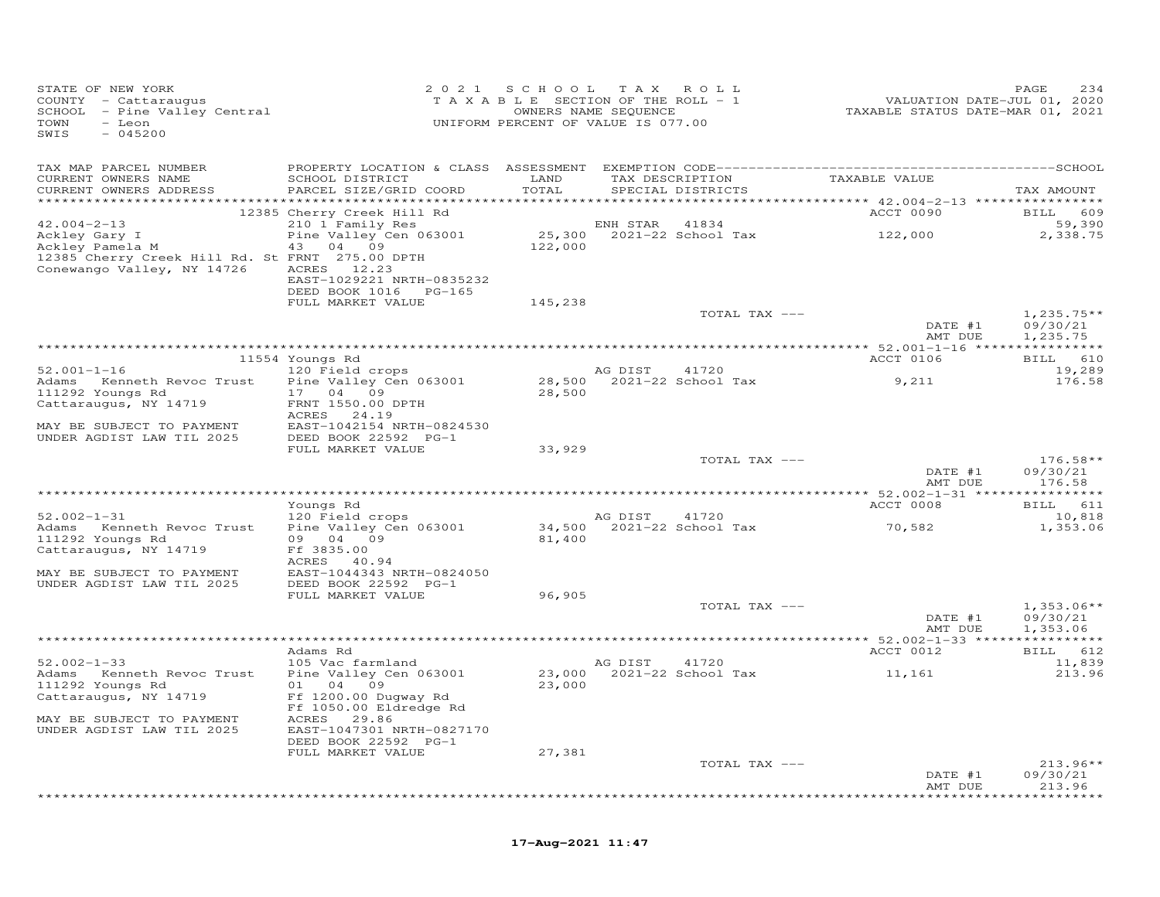| STATE OF NEW YORK<br>COUNTY - Cattaraugus<br>COUNTY – Cattaraugus<br>SCHOOL – Pine Valley Central<br>TOWN – Leon<br>TOWN<br>- Leon<br>SWIS<br>$-045200$ |                                                                  | 2021 SCHOOL TAX ROLL<br>T A X A B L E SECTION OF THE ROLL - 1<br>UNIFORM PERCENT OF VALUE IS 077.00 | OWNERS NAME SEQUENCE |                                                       |                                              | PAGE<br>234          |
|---------------------------------------------------------------------------------------------------------------------------------------------------------|------------------------------------------------------------------|-----------------------------------------------------------------------------------------------------|----------------------|-------------------------------------------------------|----------------------------------------------|----------------------|
| TAX MAP PARCEL NUMBER                                                                                                                                   |                                                                  |                                                                                                     |                      |                                                       |                                              |                      |
| CURRENT OWNERS NAME<br>CURRENT OWNERS ADDRESS                                                                                                           | SCHOOL DISTRICT<br>PARCEL SIZE/GRID COORD                        | LAND<br>TOTAL                                                                                       |                      | SPECIAL DISTRICTS                                     | TAX DESCRIPTION TAXABLE VALUE                | TAX AMOUNT           |
|                                                                                                                                                         |                                                                  |                                                                                                     |                      |                                                       | ACCT 0090                                    |                      |
| $42.004 - 2 - 13$                                                                                                                                       | 12385 Cherry Creek Hill Rd<br>210 1 Family Res                   |                                                                                                     | ENH STAR 41834       |                                                       |                                              | BILL 609<br>59,390   |
| Ackley Gary I<br>Ackley Pamela M                                                                                                                        | Pine Valley Cen 063001<br>43 04 09                               |                                                                                                     |                      |                                                       | 25,300 2021-22 School Tax 122,000<br>122,000 | 2,338.75             |
| 12385 Cherry Creek Hill Rd. St FRNT 275.00 DPTH<br>Conewango Valley, NY 14726                                                                           | ACRES 12.23<br>EAST-1029221 NRTH-0835232                         |                                                                                                     |                      |                                                       |                                              |                      |
|                                                                                                                                                         | DEED BOOK 1016    PG-165<br>FULL MARKET VALUE                    | 145,238                                                                                             |                      |                                                       |                                              |                      |
|                                                                                                                                                         |                                                                  |                                                                                                     |                      | TOTAL TAX ---                                         |                                              | $1,235.75**$         |
|                                                                                                                                                         |                                                                  |                                                                                                     |                      |                                                       | DATE #1<br>AMT DUE                           | 09/30/21<br>1,235.75 |
|                                                                                                                                                         |                                                                  |                                                                                                     |                      |                                                       |                                              | BILL 610             |
| $52.001 - 1 - 16$                                                                                                                                       | 11554 Youngs Rd<br>120 Field crops                               |                                                                                                     | AG DIST 41720        |                                                       | ACCT 0106                                    | 19,289               |
| Adams Kenneth Revoc Trust                                                                                                                               | Pine Valley Cen 063001                                           |                                                                                                     |                      | AG DIST       41720<br>28,500    2021-22  School  Tax | 9,211                                        | 176.58               |
| 111292 Youngs Rd                                                                                                                                        | 17 04 09                                                         | 28,500                                                                                              |                      |                                                       |                                              |                      |
| Cattaraugus, NY 14719                                                                                                                                   | FRNT 1550.00 DPTH<br>ACRES 24.19                                 |                                                                                                     |                      |                                                       |                                              |                      |
| MAY BE SUBJECT TO PAYMENT                                                                                                                               | EAST-1042154 NRTH-0824530                                        |                                                                                                     |                      |                                                       |                                              |                      |
| UNDER AGDIST LAW TIL 2025                                                                                                                               | DEED BOOK 22592 PG-1                                             |                                                                                                     |                      |                                                       |                                              |                      |
|                                                                                                                                                         | FULL MARKET VALUE                                                | 33,929                                                                                              |                      | TOTAL TAX ---                                         |                                              | $176.58**$           |
|                                                                                                                                                         |                                                                  |                                                                                                     |                      |                                                       | DATE #1<br>AMT DUE                           | 09/30/21<br>176.58   |
|                                                                                                                                                         |                                                                  |                                                                                                     |                      |                                                       |                                              |                      |
| $52.002 - 1 - 31$                                                                                                                                       | Youngs Rd                                                        |                                                                                                     |                      | 41720                                                 | ACCT 0008                                    | BILL 611<br>10,818   |
| Adams Kenneth Revoc Trust                                                                                                                               | 120 Field crops<br>Pine Valley Cen 063001                        |                                                                                                     |                      | AG DIST       41720<br>34,500    2021-22 School Tax   | 70,582                                       | 1,353.06             |
| 111292 Youngs Rd<br>Cattaraugus, NY 14719                                                                                                               | 09 04 09<br>Ff 3835.00                                           | 81,400                                                                                              |                      |                                                       |                                              |                      |
| MAY BE SUBJECT TO PAYMENT<br>UNDER AGDIST LAW TIL 2025                                                                                                  | ACRES 40.94<br>EAST-1044343 NRTH-0824050<br>DEED BOOK 22592 PG-1 |                                                                                                     |                      |                                                       |                                              |                      |
|                                                                                                                                                         | FULL MARKET VALUE                                                | 96,905                                                                                              |                      |                                                       |                                              |                      |
|                                                                                                                                                         |                                                                  |                                                                                                     |                      | TOTAL TAX ---                                         |                                              | $1,353.06**$         |
|                                                                                                                                                         |                                                                  |                                                                                                     |                      |                                                       | DATE #1<br>AMT DUE                           | 09/30/21<br>1,353.06 |
|                                                                                                                                                         |                                                                  |                                                                                                     |                      |                                                       |                                              |                      |
|                                                                                                                                                         | Adams Rd                                                         |                                                                                                     |                      |                                                       | ACCT 0012                                    | BILL 612             |
| $52.002 - 1 - 33$<br>Adams Kenneth Revoc Trust                                                                                                          | 105 Vac farmland<br>Pine Valley Cen 063001                       |                                                                                                     | AG DIST 41720        |                                                       | 23,000 2021-22 School Tax 11,161             | 11,839<br>213.96     |
| 111292 Youngs Rd                                                                                                                                        | 01 04 09                                                         | 23,000                                                                                              |                      |                                                       |                                              |                      |
| Cattaraugus, NY 14719                                                                                                                                   | Ff 1200.00 Dugway Rd<br>Ff 1050.00 Eldredge Rd                   |                                                                                                     |                      |                                                       |                                              |                      |
| MAY BE SUBJECT TO PAYMENT<br>UNDER AGDIST LAW TIL 2025                                                                                                  | ACRES 29.86<br>EAST-1047301 NRTH-0827170<br>DEED BOOK 22592 PG-1 |                                                                                                     |                      |                                                       |                                              |                      |
|                                                                                                                                                         | FULL MARKET VALUE                                                | 27,381                                                                                              |                      |                                                       |                                              |                      |
|                                                                                                                                                         |                                                                  |                                                                                                     |                      | TOTAL TAX ---                                         |                                              | $213.96**$           |
|                                                                                                                                                         |                                                                  |                                                                                                     |                      |                                                       | DATE #1<br>AMT DUE                           | 09/30/21<br>213.96   |

\*\*\*\*\*\*\*\*\*\*\*\*\*\*\*\*\*\*\*\*\*\*\*\*\*\*\*\*\*\*\*\*\*\*\*\*\*\*\*\*\*\*\*\*\*\*\*\*\*\*\*\*\*\*\*\*\*\*\*\*\*\*\*\*\*\*\*\*\*\*\*\*\*\*\*\*\*\*\*\*\*\*\*\*\*\*\*\*\*\*\*\*\*\*\*\*\*\*\*\*\*\*\*\*\*\*\*\*\*\*\*\*\*\*\*\*\*\*\*\*\*\*\*\*\*\*\*\*\*\*\*\*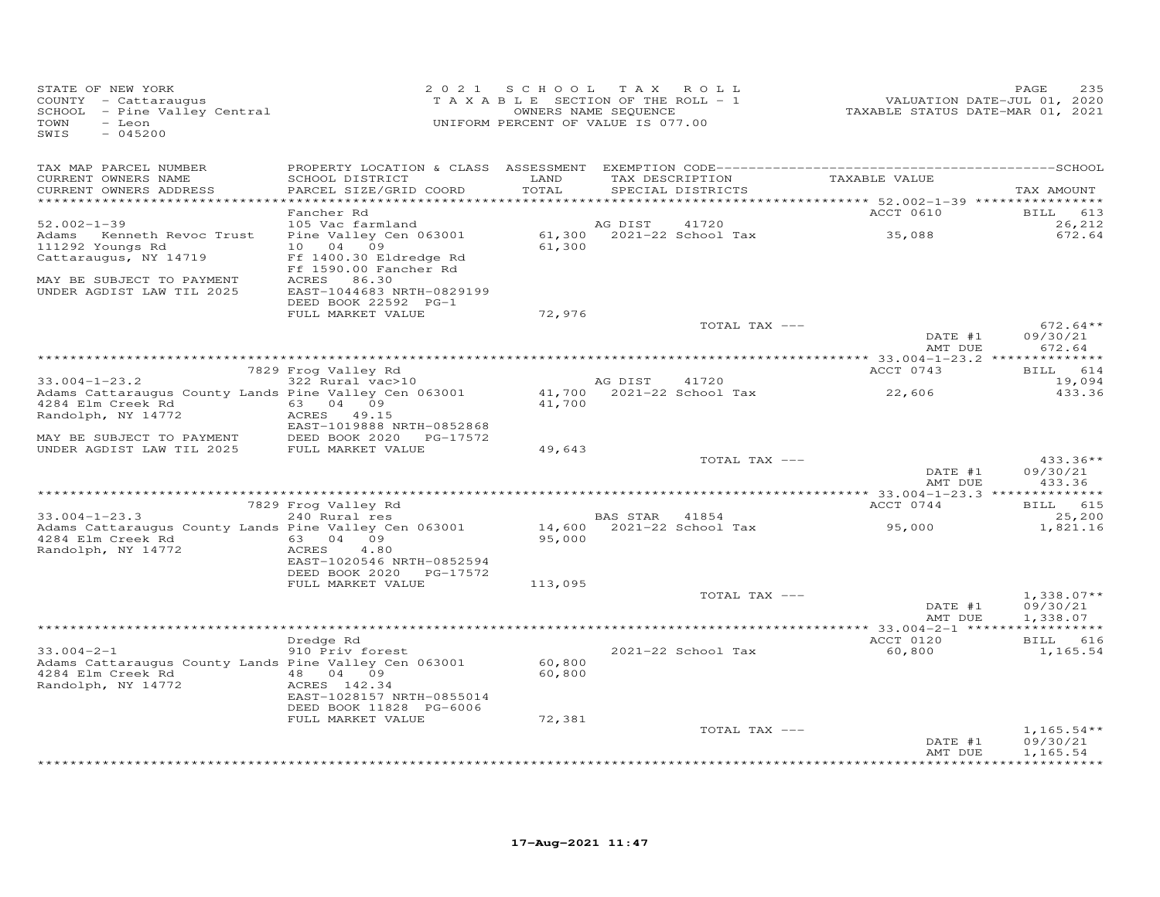| STATE OF NEW YORK<br>COUNTY - Cattaraugus<br>SCHOOL - Pine Valley Central<br>TOWN<br>- Leon<br>$-045200$<br>SWIS |                                                                | 2021 SCHOOL TAX ROLL<br>TAXABLE SECTION OF THE ROLL - 1<br>OWNERS NAME SEQUENCE<br>UNIFORM PERCENT OF VALUE IS 077.00 |                       |                                             | 2020<br>2020 .TAXABLE STATUS DATE-JUL 01,<br>2021 .TAXABLE STATUS DATE-MAR | PAGE<br>235                          |
|------------------------------------------------------------------------------------------------------------------|----------------------------------------------------------------|-----------------------------------------------------------------------------------------------------------------------|-----------------------|---------------------------------------------|----------------------------------------------------------------------------|--------------------------------------|
| TAX MAP PARCEL NUMBER<br>CURRENT OWNERS NAME<br>CURRENT OWNERS ADDRESS                                           | SCHOOL DISTRICT<br>PARCEL SIZE/GRID COORD                      | LAND<br>TOTAL                                                                                                         |                       | SPECIAL DISTRICTS                           | TAX DESCRIPTION TAXABLE VALUE                                              | TAX AMOUNT                           |
|                                                                                                                  | Fancher Rd                                                     |                                                                                                                       |                       |                                             | ACCT 0610                                                                  | BILL 613                             |
| $52.002 - 1 - 39$<br>Adams Kenneth Revoc Trust<br>111292 Youngs Rd                                               | 105 Vac farmland<br>Pine Valley Cen 063001<br>10 04 09         | 61,300                                                                                                                | AG DIST               | 41720<br>61,300 2021-22 School Tax          | 35,088                                                                     | 26,212<br>672.64                     |
| Cattaraugus, NY 14719<br>MAY BE SUBJECT TO PAYMENT                                                               | Ff 1400.30 Eldredge Rd<br>Ff 1590.00 Fancher Rd<br>ACRES 86.30 |                                                                                                                       |                       |                                             |                                                                            |                                      |
| UNDER AGDIST LAW TIL 2025                                                                                        | EAST-1044683 NRTH-0829199<br>DEED BOOK 22592 PG-1              |                                                                                                                       |                       |                                             |                                                                            |                                      |
|                                                                                                                  | FULL MARKET VALUE                                              | 72,976                                                                                                                |                       | TOTAL TAX ---                               |                                                                            | $672.64**$                           |
|                                                                                                                  |                                                                |                                                                                                                       |                       |                                             | DATE #1<br>AMT DUE                                                         | 09/30/21<br>672.64                   |
|                                                                                                                  |                                                                |                                                                                                                       |                       |                                             |                                                                            |                                      |
| $33.004 - 1 - 23.2$                                                                                              | 7829 Frog Valley Rd<br>rrog valley kd<br>322 Rural vac>10      |                                                                                                                       | AG DIST 41720         |                                             | ACCT 0743                                                                  | BILL 614<br>19,094                   |
| Adams Cattaraugus County Lands Pine Valley Cen 063001<br>4284 Elm Creek Rd<br>Randolph, NY 14772                 | 63 04 09<br>ACRES 49.15                                        | 41,700                                                                                                                |                       |                                             | $41,700$ 2021-22 School Tax 22,606                                         | 433.36                               |
| MAY BE SUBJECT TO PAYMENT DEED BOOK 2020 I<br>UNDER AGDIST LAW TIL 2025 FULL MARKET VALUE                        | EAST-1019888 NRTH-0852868<br>DEED BOOK 2020 PG-17572           |                                                                                                                       |                       |                                             |                                                                            |                                      |
|                                                                                                                  |                                                                | 49,643                                                                                                                |                       | TOTAL TAX ---                               |                                                                            | $433.36**$                           |
|                                                                                                                  |                                                                |                                                                                                                       |                       |                                             | DATE #1<br>AMT DUE                                                         | 09/30/21<br>433.36                   |
|                                                                                                                  | 7829 Frog Valley Rd                                            |                                                                                                                       |                       |                                             | ACCT 0744                                                                  | BILL 615                             |
| $33.004 - 1 - 23.3$                                                                                              |                                                                |                                                                                                                       | <b>BAS STAR</b> 41854 |                                             |                                                                            | 25,200                               |
| Adams Cattaraugus County Lands Pine Valley Cen 063001<br>Randolph, NY 14772                                      | EAST-1020546 NRTH-0852594                                      | 95,000                                                                                                                |                       | BAS STAR 41854<br>14,600 2021-22 School Tax | 95,000                                                                     | 1,821.16                             |
|                                                                                                                  | DEED BOOK 2020 PG-17572<br>FULL MARKET VALUE                   | 113,095                                                                                                               |                       |                                             |                                                                            |                                      |
|                                                                                                                  |                                                                |                                                                                                                       |                       | TOTAL TAX ---                               | DATE #1<br>AMT DUE                                                         | $1,338.07**$<br>09/30/21<br>1,338.07 |
|                                                                                                                  |                                                                |                                                                                                                       |                       |                                             |                                                                            |                                      |
| $33.004 - 2 - 1$                                                                                                 | Dredge Rd<br>910 Priv forest                                   |                                                                                                                       |                       | 2021-22 School Tax                          | ACCT 0120<br>60,800                                                        | BILL 616<br>1,165.54                 |
| Adams Cattaraugus County Lands Pine Valley Cen 063001<br>Randolph, NY 14772                                      | ACRES 142.34<br>EAST-1028157 NRTH-0855014                      | 60,800<br>60,800                                                                                                      |                       |                                             |                                                                            |                                      |
|                                                                                                                  | DEED BOOK 11828 PG-6006<br>FULL MARKET VALUE                   | 72,381                                                                                                                |                       |                                             |                                                                            |                                      |
|                                                                                                                  |                                                                |                                                                                                                       |                       | TOTAL TAX ---                               | DATE #1<br>AMT DUE                                                         | $1,165.54**$<br>09/30/21<br>1,165.54 |
|                                                                                                                  |                                                                |                                                                                                                       |                       |                                             |                                                                            |                                      |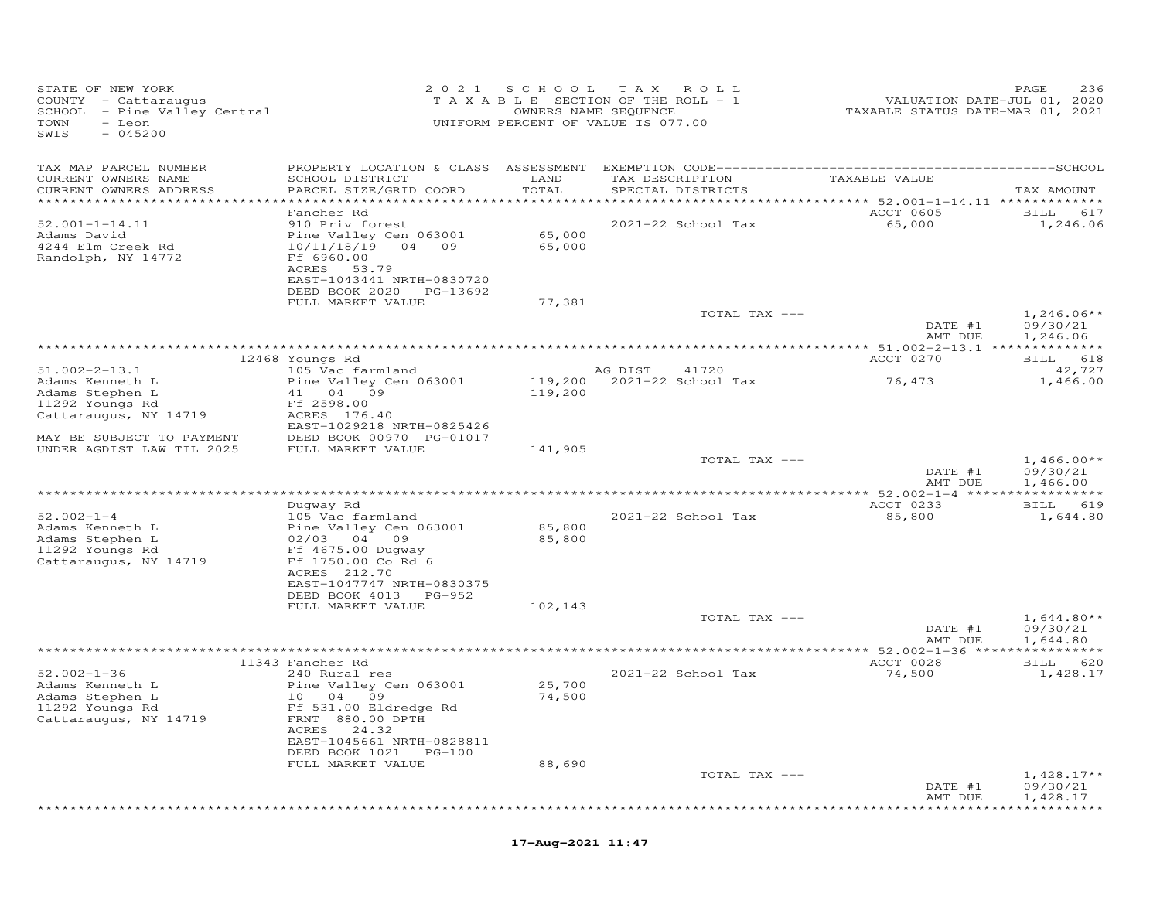| STATE OF NEW YORK<br>COUNTY - Cattaraugus<br>SCHOOL - Pine Valley Central<br>TOWN - Leon<br>$-045200$<br>SWIS |                                                                                                                                                |                  | 2021 SCHOOL TAX ROLL<br>TAXABLE SECTION OF THE ROLL - 1<br>OWNERS NAME SEQUENCE<br>UNIFORM PERCENT OF VALUE IS 077.00 | VALUATION DATE-JUL 01, 2020<br>TAXABLE STATUS DATE-MAR 01, 2021 | PAGE<br>236                          |
|---------------------------------------------------------------------------------------------------------------|------------------------------------------------------------------------------------------------------------------------------------------------|------------------|-----------------------------------------------------------------------------------------------------------------------|-----------------------------------------------------------------|--------------------------------------|
| TAX MAP PARCEL NUMBER<br>CURRENT OWNERS NAME<br>CURRENT OWNERS ADDRESS                                        | SCHOOL DISTRICT<br>PARCEL SIZE/GRID COORD                                                                                                      | LAND<br>TOTAL    | TAX DESCRIPTION TAXABLE VALUE<br>SPECIAL DISTRICTS                                                                    |                                                                 | TAX AMOUNT                           |
| *************************                                                                                     |                                                                                                                                                |                  |                                                                                                                       |                                                                 |                                      |
| $52.001 - 1 - 14.11$<br>Adams David<br>4244 Elm Creek Rd<br>Randolph, NY 14772                                | Fancher Rd<br>910 Priv forest<br>Pine Valley Cen 063001<br>10/11/18/19 04 09<br>Ff 6960.00<br>ACRES 53.79<br>EAST-1043441 NRTH-0830720         | 65,000<br>65,000 | 2021-22 School Tax                                                                                                    | ACCT 0605<br>65,000                                             | BILL 617<br>1,246.06                 |
|                                                                                                               | DEED BOOK 2020 PG-13692                                                                                                                        |                  |                                                                                                                       |                                                                 |                                      |
|                                                                                                               | FULL MARKET VALUE                                                                                                                              | 77,381           | TOTAL TAX ---                                                                                                         | DATE #1<br>AMT DUE                                              | $1,246.06**$<br>09/30/21<br>1,246.06 |
|                                                                                                               |                                                                                                                                                |                  |                                                                                                                       |                                                                 |                                      |
|                                                                                                               | 12468 Youngs Rd                                                                                                                                |                  |                                                                                                                       | ACCT 0270                                                       | BILL 618                             |
| $51.002 - 2 - 13.1$                                                                                           | 105 Vac farmland                                                                                                                               |                  | AG DIST<br>41720                                                                                                      | 76,473                                                          | 42,727                               |
| Adams Kenneth L<br>Adams Stephen L                                                                            | Pine Valley Cen 063001<br>41 04 09                                                                                                             | 119,200          |                                                                                                                       |                                                                 | 1,466.00                             |
| 11292 Youngs Rd                                                                                               | Ff 2598.00                                                                                                                                     |                  |                                                                                                                       |                                                                 |                                      |
| Cattaraugus, NY 14719                                                                                         | ACRES 176.40                                                                                                                                   |                  |                                                                                                                       |                                                                 |                                      |
| MAY BE SUBJECT TO PAYMENT                                                                                     | EAST-1029218 NRTH-0825426                                                                                                                      |                  |                                                                                                                       |                                                                 |                                      |
| UNDER AGDIST LAW TIL 2025                                                                                     | DEED BOOK 00970 PG-01017<br>FULL MARKET VALUE<br>FULL MARKET VALUE                                                                             | 141,905          |                                                                                                                       |                                                                 |                                      |
|                                                                                                               |                                                                                                                                                |                  | TOTAL TAX ---                                                                                                         | DATE #1<br>AMT DUE                                              | $1,466.00**$<br>09/30/21<br>1,466.00 |
|                                                                                                               |                                                                                                                                                |                  |                                                                                                                       |                                                                 |                                      |
| $52.002 - 1 - 4$                                                                                              | Duqway Rd<br>105 Vac farmland                                                                                                                  |                  |                                                                                                                       | ACCT 0233                                                       | BILL 619                             |
| Adams Kenneth L<br>Adams Stephen L<br>11292 Youngs Rd<br>Cattaraugus, NY 14719                                | Pine Valley Control<br>02/03 04 09<br>1000 Duqway<br>Pine Valley Cen 063001<br>Ff 1750.00 Co Rd 6<br>ACRES 212.70<br>EAST-1047747 NRTH-0830375 | 85,800<br>85,800 | 2021-22 School Tax                                                                                                    | 85,800                                                          | 1,644.80                             |
|                                                                                                               | DEED BOOK 4013 PG-952                                                                                                                          |                  |                                                                                                                       |                                                                 |                                      |
|                                                                                                               | FULL MARKET VALUE                                                                                                                              | 102,143          | TOTAL TAX ---                                                                                                         | DATE #1<br>AMT DUE                                              | $1,644.80**$<br>09/30/21<br>1,644.80 |
|                                                                                                               | 11343 Fancher Rd                                                                                                                               |                  |                                                                                                                       | ACCT 0028                                                       | BILL 620                             |
| $52.002 - 1 - 36$<br>Adams Kenneth L<br>Adams Stephen L                                                       | 240 Rural res<br>Pine Valley Cen 063001<br>10 04 09                                                                                            | 25,700<br>74,500 | 2021-22 School Tax                                                                                                    | 74,500                                                          | 1,428.17                             |
| 11292 Youngs Rd<br>Cattaraugus, NY 14719                                                                      | Ff 531.00 Eldredge Rd<br>FRNT 880.00 DPTH<br>ACRES 24.32<br>EAST-1045661 NRTH-0828811<br>DEED BOOK 1021 PG-100<br>FULL MARKET VALUE            | 88,690           |                                                                                                                       |                                                                 |                                      |
|                                                                                                               |                                                                                                                                                |                  | TOTAL TAX ---                                                                                                         | DATE #1<br>AMT DUE                                              | $1,428.17**$<br>09/30/21<br>1,428.17 |
|                                                                                                               |                                                                                                                                                |                  |                                                                                                                       |                                                                 | **********                           |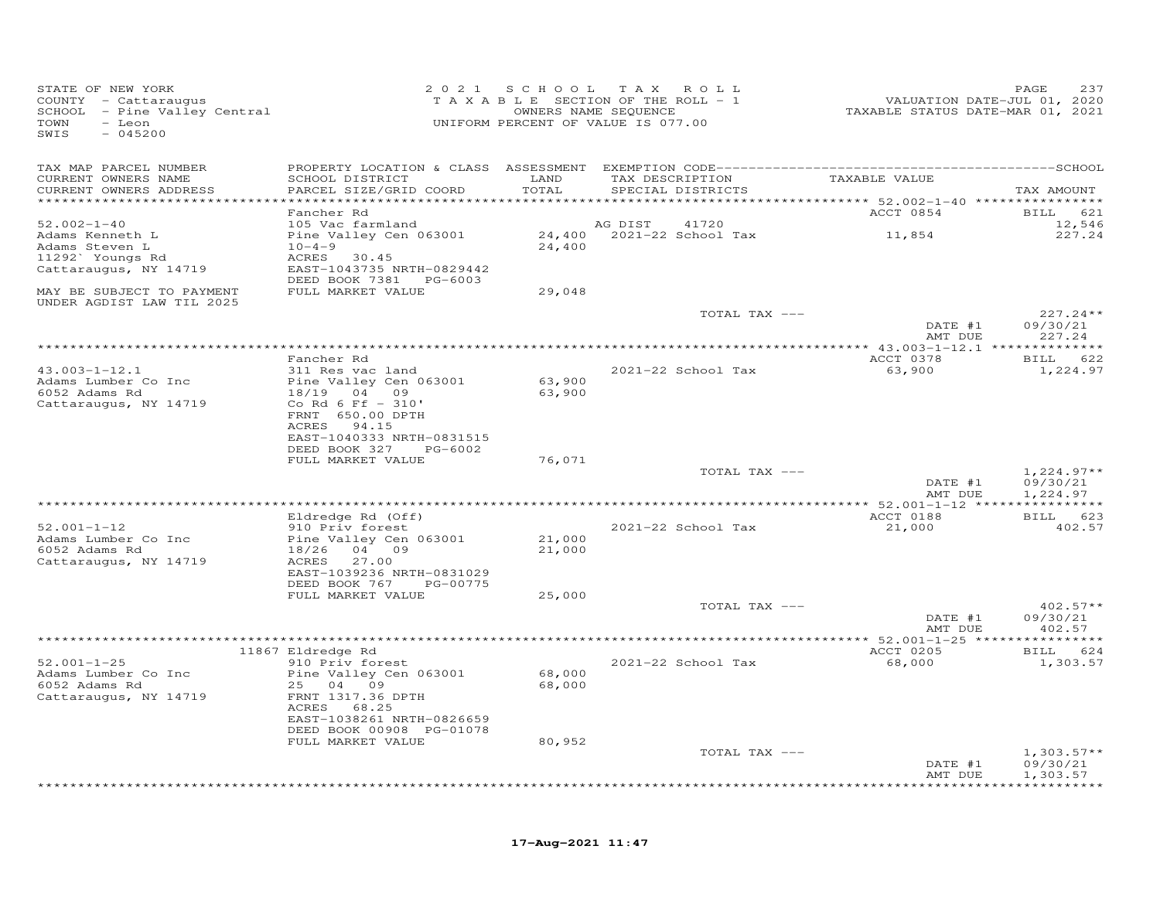| STATE OF NEW YORK<br>COUNTY - Cattaraugus<br>SCHOOL - Pine Valley Central<br>TOWN<br>- Leon<br>SWIS<br>$-045200$ |                                                       |                                        | 2021 SCHOOL TAX ROLL<br>TAXABLE SECTION OF THE ROLL - 1<br>OWNERS NAME SEQUENCE<br>UNIFORM PERCENT OF VALUE IS 077.00 | VALUATION DATE-JUL 01, 2020<br>TAXABLE STATUS DATE-MAR 01, 2021                   | PAGE<br>237                    |
|------------------------------------------------------------------------------------------------------------------|-------------------------------------------------------|----------------------------------------|-----------------------------------------------------------------------------------------------------------------------|-----------------------------------------------------------------------------------|--------------------------------|
| TAX MAP PARCEL NUMBER                                                                                            |                                                       |                                        |                                                                                                                       |                                                                                   |                                |
| CURRENT OWNERS NAME<br>CURRENT OWNERS ADDRESS<br>**********************                                          | SCHOOL DISTRICT<br>PARCEL SIZE/GRID COORD             | LAND<br>TOTAL<br>* * * * * * * * * * * | TAX DESCRIPTION<br>SPECIAL DISTRICTS                                                                                  | TAXABLE VALUE<br>***********************************52.002-1-40 ***************** | TAX AMOUNT                     |
|                                                                                                                  | Fancher Rd                                            |                                        |                                                                                                                       | ACCT 0854                                                                         | <b>BILL</b><br>621             |
| $52.002 - 1 - 40$                                                                                                | 105 Vac farmland                                      |                                        | AG DIST<br>41720                                                                                                      |                                                                                   | 12,546                         |
| Adams Kenneth L                                                                                                  | Pine Valley Cen 063001                                |                                        | 24,400 2021-22 School Tax                                                                                             | 11,854                                                                            | 227.24                         |
| Adams Steven L<br>11292` Youngs Rd                                                                               | $10 - 4 - 9$<br>ACRES 30.45                           | 24,400                                 |                                                                                                                       |                                                                                   |                                |
| Cattaraugus, NY 14719                                                                                            | EAST-1043735 NRTH-0829442<br>DEED BOOK 7381 PG-6003   |                                        |                                                                                                                       |                                                                                   |                                |
| MAY BE SUBJECT TO PAYMENT<br>UNDER AGDIST LAW TIL 2025                                                           | FULL MARKET VALUE                                     | 29,048                                 |                                                                                                                       |                                                                                   |                                |
|                                                                                                                  |                                                       |                                        | TOTAL TAX ---                                                                                                         |                                                                                   | $227.24**$                     |
|                                                                                                                  |                                                       |                                        |                                                                                                                       | DATE #1<br>AMT DUE                                                                | 09/30/21<br>227.24             |
|                                                                                                                  |                                                       |                                        |                                                                                                                       |                                                                                   |                                |
|                                                                                                                  | Fancher Rd                                            |                                        |                                                                                                                       | ACCT 0378                                                                         | BILL 622                       |
| $43.003 - 1 - 12.1$                                                                                              | 311 Res vac land                                      |                                        | 2021-22 School Tax                                                                                                    | 63,900                                                                            | 1,224.97                       |
| Adams Lumber Co Inc<br>6052 Adams Rd                                                                             | Pine Valley Cen 063001<br>18/19 04 09                 | 63,900<br>63,900                       |                                                                                                                       |                                                                                   |                                |
| Cattaraugus, NY 14719                                                                                            | Co Rd 6 Ff - 310'                                     |                                        |                                                                                                                       |                                                                                   |                                |
|                                                                                                                  | FRNT 650.00 DPTH                                      |                                        |                                                                                                                       |                                                                                   |                                |
|                                                                                                                  | ACRES 94.15                                           |                                        |                                                                                                                       |                                                                                   |                                |
|                                                                                                                  | EAST-1040333 NRTH-0831515<br>DEED BOOK 327<br>PG-6002 |                                        |                                                                                                                       |                                                                                   |                                |
|                                                                                                                  | FULL MARKET VALUE                                     | 76,071                                 |                                                                                                                       |                                                                                   |                                |
|                                                                                                                  |                                                       |                                        | TOTAL TAX ---                                                                                                         |                                                                                   | $1,224.97**$                   |
|                                                                                                                  |                                                       |                                        |                                                                                                                       | DATE #1                                                                           | 09/30/21                       |
|                                                                                                                  |                                                       |                                        |                                                                                                                       | AMT DUE                                                                           | 1,224.97                       |
|                                                                                                                  | Eldredge Rd (Off)                                     |                                        |                                                                                                                       | ACCT 0188                                                                         | BILL 623                       |
| $52.001 - 1 - 12$                                                                                                | 910 Priv forest                                       |                                        | 2021-22 School Tax                                                                                                    | 21,000                                                                            | 402.57                         |
| Adams Lumber Co Inc<br>6052 Adams Rd                                                                             | Pine Valley Cen 063001<br>18/26 04 09                 | 21,000<br>21,000                       |                                                                                                                       |                                                                                   |                                |
| Cattaraugus, NY 14719                                                                                            | ACRES<br>27.00                                        |                                        |                                                                                                                       |                                                                                   |                                |
|                                                                                                                  | EAST-1039236 NRTH-0831029                             |                                        |                                                                                                                       |                                                                                   |                                |
|                                                                                                                  | DEED BOOK 767<br>PG-00775                             |                                        |                                                                                                                       |                                                                                   |                                |
|                                                                                                                  | FULL MARKET VALUE                                     | 25,000                                 | TOTAL TAX ---                                                                                                         |                                                                                   | $402.57**$                     |
|                                                                                                                  |                                                       |                                        |                                                                                                                       | DATE #1                                                                           | 09/30/21                       |
|                                                                                                                  |                                                       |                                        |                                                                                                                       | AMT DUE                                                                           | 402.57                         |
|                                                                                                                  |                                                       |                                        |                                                                                                                       |                                                                                   | **********                     |
| $52.001 - 1 - 25$                                                                                                | 11867 Eldredge Rd<br>910 Priv forest                  |                                        | 2021-22 School Tax                                                                                                    | ACCT 0205<br>68,000                                                               | 624<br><b>BILL</b><br>1,303.57 |
| Adams Lumber Co Inc                                                                                              | Pine Valley Cen 063001                                | 68,000                                 |                                                                                                                       |                                                                                   |                                |
| 6052 Adams Rd                                                                                                    | 25 04 09                                              | 68,000                                 |                                                                                                                       |                                                                                   |                                |
| Cattaraugus, NY 14719                                                                                            | FRNT 1317.36 DPTH<br>ACRES 68.25                      |                                        |                                                                                                                       |                                                                                   |                                |
|                                                                                                                  | EAST-1038261 NRTH-0826659                             |                                        |                                                                                                                       |                                                                                   |                                |
|                                                                                                                  | DEED BOOK 00908 PG-01078                              |                                        |                                                                                                                       |                                                                                   |                                |
|                                                                                                                  | FULL MARKET VALUE                                     | 80,952                                 |                                                                                                                       |                                                                                   |                                |
|                                                                                                                  |                                                       |                                        | TOTAL TAX ---                                                                                                         | DATE #1                                                                           | $1,303.57**$<br>09/30/21       |
|                                                                                                                  |                                                       |                                        |                                                                                                                       | AMT DUE                                                                           | 1,303.57                       |
|                                                                                                                  |                                                       |                                        |                                                                                                                       |                                                                                   | * * * * * * * *                |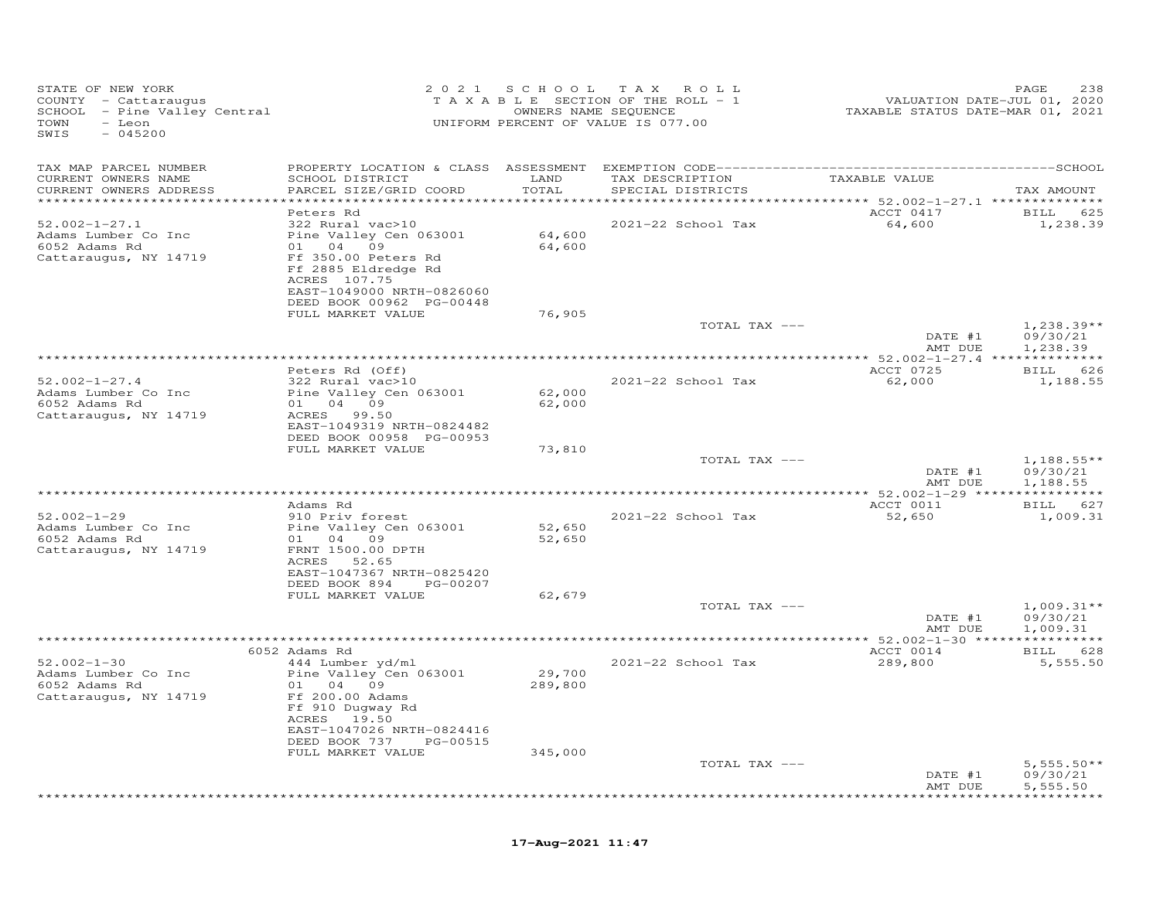| UNIFORM PERCENT OF VALUE IS 077.00<br>TOWN<br>- Leon<br>SWIS<br>$-045200$                                                                                            |                                               |
|----------------------------------------------------------------------------------------------------------------------------------------------------------------------|-----------------------------------------------|
| TAX MAP PARCEL NUMBER                                                                                                                                                |                                               |
| CURRENT OWNERS NAME<br>SCHOOL DISTRICT<br>LAND<br>TAX DESCRIPTION<br>TAXABLE VALUE<br>CURRENT OWNERS ADDRESS<br>PARCEL SIZE/GRID COORD<br>TOTAL<br>SPECIAL DISTRICTS | TAX AMOUNT                                    |
| ******** 52.002-1-27.1 **************                                                                                                                                |                                               |
| ACCT 0417<br>Peters Rd<br>$52.002 - 1 - 27.1$<br>2021-22 School Tax<br>64,600<br>322 Rural vac>10                                                                    | BILL 625<br>1,238.39                          |
| Pine Valley Cen 063001<br>64,600<br>Adams Lumber Co Inc                                                                                                              |                                               |
| 6052 Adams Rd<br>01 04 09<br>64,600                                                                                                                                  |                                               |
| Cattaraugus, NY 14719<br>Ff 350.00 Peters Rd                                                                                                                         |                                               |
| Ff 2885 Eldredge Rd                                                                                                                                                  |                                               |
| ACRES 107.75                                                                                                                                                         |                                               |
| EAST-1049000 NRTH-0826060                                                                                                                                            |                                               |
| DEED BOOK 00962 PG-00448<br>76,905<br>FULL MARKET VALUE                                                                                                              |                                               |
| TOTAL TAX ---                                                                                                                                                        | $1,238.39**$                                  |
| DATE #1                                                                                                                                                              | 09/30/21                                      |
| AMT DUE                                                                                                                                                              | 1,238.39                                      |
|                                                                                                                                                                      |                                               |
| ACCT 0725<br>Peters Rd (Off)                                                                                                                                         | BILL 626                                      |
| $52.002 - 1 - 27.4$<br>322 Rural vac>10<br>2021-22 School Tax<br>62,000                                                                                              | 1,188.55                                      |
| 62,000<br>Adams Lumber Co Inc<br>Pine Valley Cen 063001<br>01 04 09<br>6052 Adams Rd<br>62,000                                                                       |                                               |
| Cattaraugus, NY 14719<br>ACRES 99.50                                                                                                                                 |                                               |
| EAST-1049319 NRTH-0824482                                                                                                                                            |                                               |
| DEED BOOK 00958 PG-00953                                                                                                                                             |                                               |
| 73,810<br>FULL MARKET VALUE                                                                                                                                          |                                               |
| TOTAL TAX ---                                                                                                                                                        | $1,188.55**$                                  |
| DATE #1<br>AMT DUE                                                                                                                                                   | 09/30/21<br>1,188.55                          |
| ******* 52.002-1-29 ****************                                                                                                                                 |                                               |
| ACCT 0011<br>Adams Rd                                                                                                                                                | BILL 627                                      |
| $52.002 - 1 - 29$<br>2021-22 School Tax<br>910 Priv forest<br>52,650                                                                                                 | 1,009.31                                      |
| 52,650<br>Adams Lumber Co Inc<br>Pine Valley Cen 063001                                                                                                              |                                               |
| 6052 Adams Rd<br>01 04 09<br>52,650                                                                                                                                  |                                               |
| FRNT 1500.00 DPTH<br>Cattaraugus, NY 14719<br>ACRES<br>52.65                                                                                                         |                                               |
| EAST-1047367 NRTH-0825420                                                                                                                                            |                                               |
| DEED BOOK 894 PG-00207                                                                                                                                               |                                               |
| FULL MARKET VALUE<br>62,679                                                                                                                                          |                                               |
| TOTAL TAX ---                                                                                                                                                        | $1,009.31**$                                  |
| DATE #1                                                                                                                                                              | 09/30/21                                      |
| AMT DUE<br>***********************************                                                                                                                       | 1,009.31                                      |
| ACCT 0014<br>6052 Adams Rd                                                                                                                                           | *** 52.002-1-30 *****************<br>BILL 628 |
| $52.002 - 1 - 30$<br>2021-22 School Tax<br>289,800<br>444 Lumber yd/ml                                                                                               | 5,555.50                                      |
| 29,700<br>Adams Lumber Co Inc<br>Pine Valley Cen 063001                                                                                                              |                                               |
| 6052 Adams Rd<br>01 04 09<br>289,800                                                                                                                                 |                                               |
| Ff 200.00 Adams<br>Cattaraugus, NY 14719                                                                                                                             |                                               |
| Ff 910 Dugway Rd                                                                                                                                                     |                                               |
| ACRES 19.50<br>EAST-1047026 NRTH-0824416                                                                                                                             |                                               |
| DEED BOOK 737<br>PG-00515                                                                                                                                            |                                               |
| FULL MARKET VALUE<br>345,000                                                                                                                                         |                                               |
| TOTAL TAX ---                                                                                                                                                        | $5,555.50**$                                  |
| DATE #1                                                                                                                                                              | 09/30/21                                      |
| AMT DUE                                                                                                                                                              | 5,555.50                                      |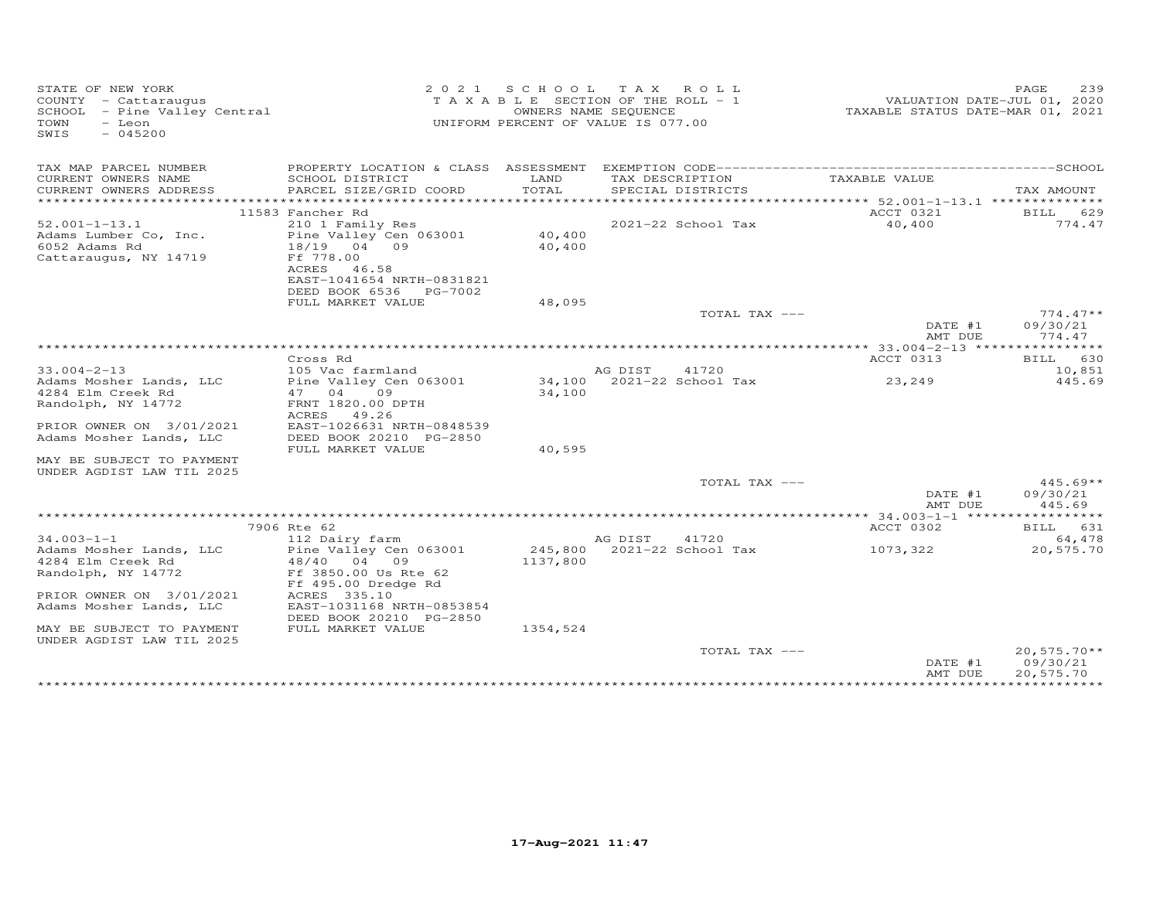| STATE OF NEW YORK<br>COUNTY - Cattaraugus<br>SCHOOL - Pine Valley Central<br>TOWN<br>- Leon<br>$-045200$<br>SWIS |                                                                          |                  | 2021 SCHOOL TAX ROLL<br>T A X A B L E SECTION OF THE ROLL - 1<br>OWNERS NAME SEQUENCE<br>UNIFORM PERCENT OF VALUE IS 077.00 | VALUATION DATE-JUL 01, 2020<br>TAXABLE STATUS DATE-MAR 01, 2021 | 239<br>PAGE                            |
|------------------------------------------------------------------------------------------------------------------|--------------------------------------------------------------------------|------------------|-----------------------------------------------------------------------------------------------------------------------------|-----------------------------------------------------------------|----------------------------------------|
| TAX MAP PARCEL NUMBER                                                                                            |                                                                          |                  |                                                                                                                             |                                                                 |                                        |
| CURRENT OWNERS NAME<br>CURRENT OWNERS ADDRESS<br>***********************                                         | SCHOOL DISTRICT<br>PARCEL SIZE/GRID COORD                                | LAND<br>TOTAL    | TAX DESCRIPTION<br>SPECIAL DISTRICTS                                                                                        | TAXABLE VALUE                                                   | TAX AMOUNT                             |
|                                                                                                                  | 11583 Fancher Rd                                                         |                  |                                                                                                                             | ACCT 0321                                                       | BILL 629                               |
| $52.001 - 1 - 13.1$                                                                                              | 210 1 Family Res                                                         |                  | 2021-22 School Tax                                                                                                          | 40,400                                                          | 774.47                                 |
| Adams Lumber Co, Inc.<br>6052 Adams Rd<br>Cattaraugus, NY 14719                                                  | Pine Valley Cen 063001<br>18/19 04 09<br>Ff 778.00                       | 40,400<br>40,400 |                                                                                                                             |                                                                 |                                        |
|                                                                                                                  | ACRES<br>46.58<br>EAST-1041654 NRTH-0831821<br>DEED BOOK 6536<br>PG-7002 |                  |                                                                                                                             |                                                                 |                                        |
|                                                                                                                  | FULL MARKET VALUE                                                        | 48,095           |                                                                                                                             |                                                                 |                                        |
|                                                                                                                  |                                                                          |                  | TOTAL TAX ---                                                                                                               |                                                                 | $774.47**$                             |
|                                                                                                                  |                                                                          |                  |                                                                                                                             | DATE #1<br>AMT DUE                                              | 09/30/21<br>774.47                     |
|                                                                                                                  |                                                                          |                  |                                                                                                                             |                                                                 |                                        |
|                                                                                                                  | Cross Rd                                                                 |                  |                                                                                                                             | ACCT 0313                                                       | BILL 630                               |
| $33.004 - 2 - 13$                                                                                                | 105 Vac farmland                                                         |                  | AG DIST<br>41720                                                                                                            |                                                                 | 10,851                                 |
| Adams Mosher Lands, LLC                                                                                          | Pine Valley Cen 063001                                                   |                  | 34,100 2021-22 School Tax                                                                                                   | 23,249                                                          | 445.69                                 |
| 4284 Elm Creek Rd<br>Randolph, NY 14772                                                                          | 47 04<br>09<br>FRNT 1820.00 DPTH                                         | 34,100           |                                                                                                                             |                                                                 |                                        |
|                                                                                                                  | ACRES<br>49.26                                                           |                  |                                                                                                                             |                                                                 |                                        |
| PRIOR OWNER ON 3/01/2021                                                                                         | EAST-1026631 NRTH-0848539                                                |                  |                                                                                                                             |                                                                 |                                        |
| Adams Mosher Lands, LLC                                                                                          | DEED BOOK 20210 PG-2850                                                  |                  |                                                                                                                             |                                                                 |                                        |
|                                                                                                                  | FULL MARKET VALUE                                                        | 40,595           |                                                                                                                             |                                                                 |                                        |
| MAY BE SUBJECT TO PAYMENT                                                                                        |                                                                          |                  |                                                                                                                             |                                                                 |                                        |
| UNDER AGDIST LAW TIL 2025                                                                                        |                                                                          |                  |                                                                                                                             |                                                                 |                                        |
|                                                                                                                  |                                                                          |                  | TOTAL TAX ---                                                                                                               | DATE #1                                                         | $445.69**$<br>09/30/21                 |
|                                                                                                                  |                                                                          |                  |                                                                                                                             | AMT DUE                                                         | 445.69                                 |
|                                                                                                                  | 7906 Rte 62                                                              |                  |                                                                                                                             | ACCT 0302                                                       | BILL 631                               |
| $34.003 - 1 - 1$                                                                                                 | 112 Dairy farm                                                           |                  | AG DIST<br>41720                                                                                                            |                                                                 | 64,478                                 |
| Adams Mosher Lands, LLC                                                                                          | Pine Valley Cen 063001                                                   |                  | 245,800 2021-22 School Tax                                                                                                  | 1073,322                                                        | 20,575.70                              |
| 4284 Elm Creek Rd                                                                                                | 48/40 04 09                                                              | 1137,800         |                                                                                                                             |                                                                 |                                        |
| Randolph, NY 14772                                                                                               | Ff 3850.00 Us Rte 62<br>Ff 495.00 Dredge Rd                              |                  |                                                                                                                             |                                                                 |                                        |
| PRIOR OWNER ON 3/01/2021<br>Adams Mosher Lands, LLC                                                              | ACRES 335.10<br>EAST-1031168 NRTH-0853854                                |                  |                                                                                                                             |                                                                 |                                        |
|                                                                                                                  | DEED BOOK 20210 PG-2850                                                  |                  |                                                                                                                             |                                                                 |                                        |
| MAY BE SUBJECT TO PAYMENT<br>UNDER AGDIST LAW TIL 2025                                                           | FULL MARKET VALUE                                                        | 1354,524         |                                                                                                                             |                                                                 |                                        |
|                                                                                                                  |                                                                          |                  | TOTAL TAX ---                                                                                                               | DATE #1<br>AMT DUE                                              | $20,575.70**$<br>09/30/21<br>20,575.70 |
|                                                                                                                  |                                                                          |                  |                                                                                                                             |                                                                 |                                        |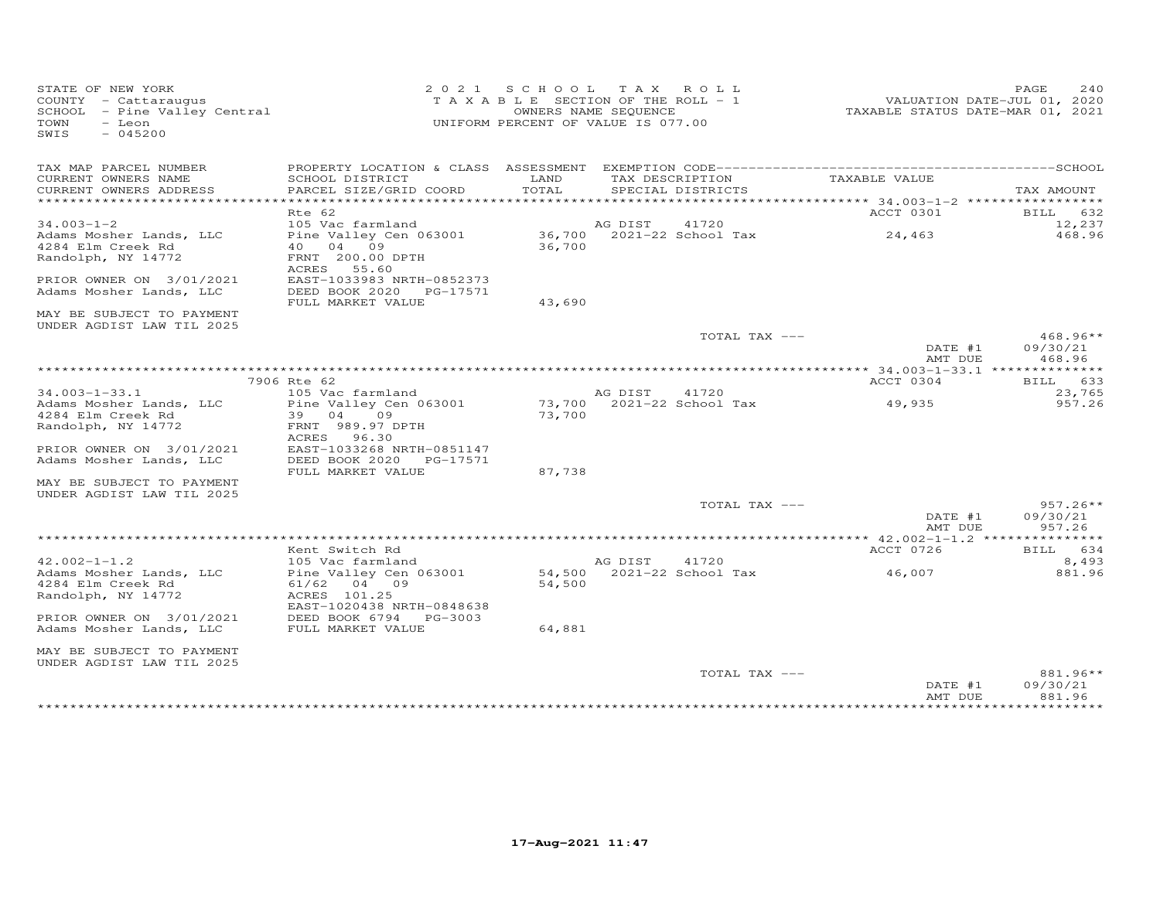| STATE OF NEW YORK<br>COUNTY - Cattaraugus<br>SCHOOL - Pine Valley Central<br>TOWN<br>- Leon<br>$-045200$<br>SWIS |                                                                                           |        | 2021 SCHOOL TAX ROLL<br>TAXABLE SECTION OF THE ROLL - 1<br>OWNERS NAME SEQUENCE<br>UNIFORM PERCENT OF VALUE IS 077.00 | TAXABLE STATUS DATE-MAR 01, 2021     | PAGE<br>240<br>VALUATION DATE-JUL 01, 2020 |
|------------------------------------------------------------------------------------------------------------------|-------------------------------------------------------------------------------------------|--------|-----------------------------------------------------------------------------------------------------------------------|--------------------------------------|--------------------------------------------|
| TAX MAP PARCEL NUMBER<br>CURRENT OWNERS NAME                                                                     | SCHOOL DISTRICT                                                                           | LAND   | TAX DESCRIPTION                                                                                                       | TAXABLE VALUE                        |                                            |
| CURRENT OWNERS ADDRESS                                                                                           | PARCEL SIZE/GRID COORD                                                                    | TOTAL  | SPECIAL DISTRICTS                                                                                                     |                                      | TAX AMOUNT                                 |
|                                                                                                                  | Rte 62                                                                                    |        |                                                                                                                       | ACCT 0301                            | 632<br>BILL                                |
| $34.003 - 1 - 2$<br>Adams Mosher Lands, LLC<br>4284 Elm Creek Rd<br>Randolph, NY 14772                           | 105 Vac farmland<br>Pine Valley Cen 063001<br>40 04 09<br>FRNT 200.00 DPTH<br>ACRES 55.60 | 36,700 | AG DIST<br>41720<br>36,700 2021-22 School Tax                                                                         | 24,463                               | 12,237<br>468.96                           |
| PRIOR OWNER ON 3/01/2021<br>Adams Mosher Lands, LLC                                                              | EAST-1033983 NRTH-0852373<br>DEED BOOK 2020 PG-17571<br>FULL MARKET VALUE                 | 43,690 |                                                                                                                       |                                      |                                            |
| MAY BE SUBJECT TO PAYMENT<br>UNDER AGDIST LAW TIL 2025                                                           |                                                                                           |        |                                                                                                                       |                                      |                                            |
|                                                                                                                  |                                                                                           |        | TOTAL TAX ---                                                                                                         | DATE #1<br>AMT DUE                   | $468.96**$<br>09/30/21<br>468.96           |
|                                                                                                                  |                                                                                           |        |                                                                                                                       |                                      |                                            |
| $34.003 - 1 - 33.1$                                                                                              | 7906 Rte 62<br>105 Vac farmland                                                           |        | 41720<br>AG DIST                                                                                                      | ACCT 0304                            | BILL 633<br>23,765                         |
| Adams Mosher Lands, LLC<br>4284 Elm Creek Rd<br>Randolph, NY 14772                                               | Pine Valley Cen 063001<br>39 04 09<br>FRNT 989.97 DPTH                                    | 73,700 | 73,700 2021-22 School Tax                                                                                             | 49,935                               | 957.26                                     |
| PRIOR OWNER ON 3/01/2021<br>Adams Mosher Lands, LLC                                                              | ACRES 96.30<br>EAST-1033268 NRTH-0851147<br>DEED BOOK 2020 PG-17571                       |        |                                                                                                                       |                                      |                                            |
| MAY BE SUBJECT TO PAYMENT                                                                                        | FULL MARKET VALUE                                                                         | 87,738 |                                                                                                                       |                                      |                                            |
| UNDER AGDIST LAW TIL 2025                                                                                        |                                                                                           |        | TOTAL TAX ---                                                                                                         | DATE #1<br>AMT DUE                   | $957.26**$<br>09/30/21<br>957.26           |
|                                                                                                                  |                                                                                           |        |                                                                                                                       | ****** 42.002-1-1.2 **************** |                                            |
| $42.002 - 1 - 1.2$                                                                                               | Kent Switch Rd<br>105 Vac farmland                                                        |        | 41720<br>AG DIST                                                                                                      | ACCT 0726                            | BILL 634<br>8,493                          |
| Adams Mosher Lands, LLC<br>4284 Elm Creek Rd<br>Randolph, NY 14772                                               | Pine Valley Cen 063001<br>61/62 04 09<br>ACRES 101.25<br>EAST-1020438 NRTH-0848638        | 54,500 | 54,500 2021-22 School Tax                                                                                             | 46,007                               | 881.96                                     |
| PRIOR OWNER ON 3/01/2021<br>Adams Mosher Lands, LLC                                                              | DEED BOOK 6794<br>PG-3003<br>FULL MARKET VALUE                                            | 64,881 |                                                                                                                       |                                      |                                            |
| MAY BE SUBJECT TO PAYMENT<br>UNDER AGDIST LAW TIL 2025                                                           |                                                                                           |        |                                                                                                                       |                                      |                                            |
|                                                                                                                  |                                                                                           |        | TOTAL TAX ---                                                                                                         | DATE #1<br>AMT DUE                   | 881.96**<br>09/30/21<br>881.96             |
|                                                                                                                  |                                                                                           |        |                                                                                                                       |                                      | *********                                  |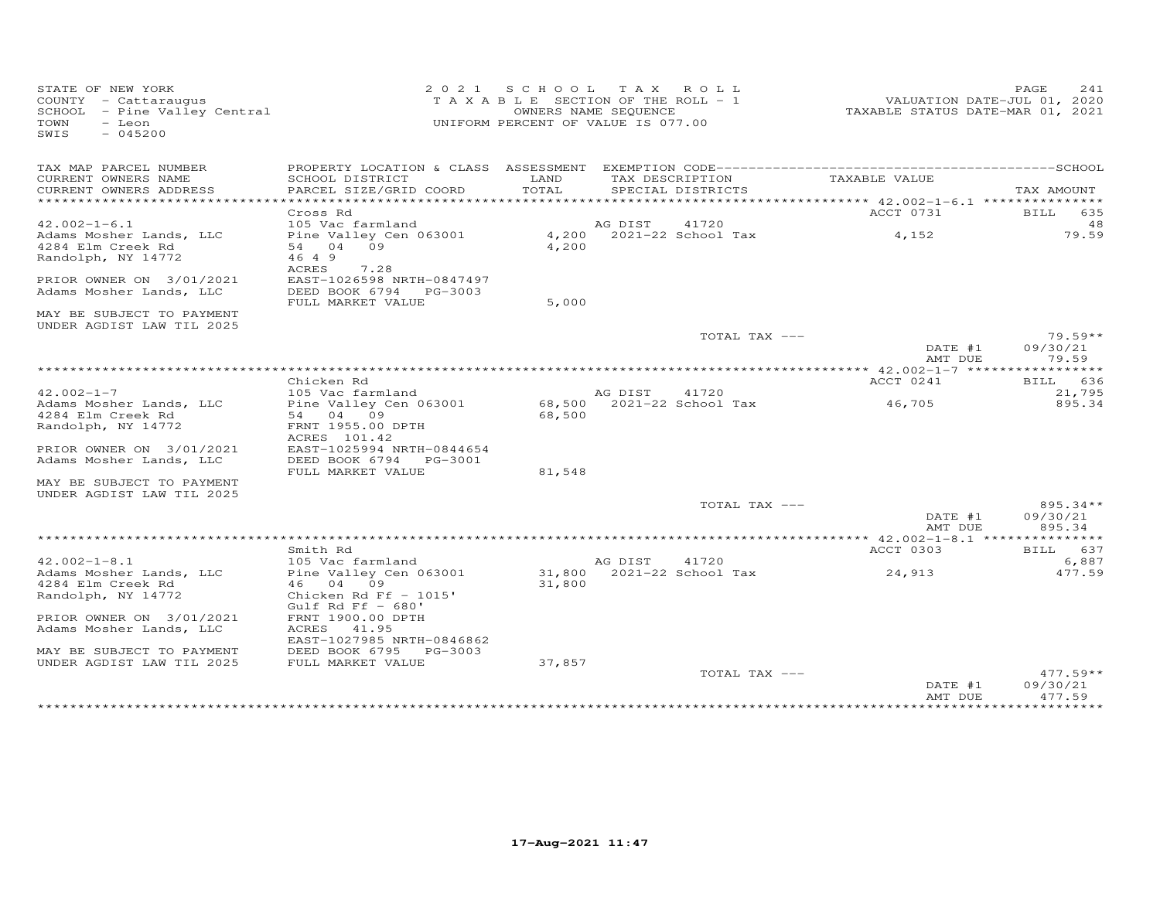| STATE OF NEW YORK<br>COUNTY - Cattaraugus<br>SCHOOL - Pine Valley Central<br>TOWN<br>- Leon<br>$-045200$<br>SWIS |                                                     |               | 2021 SCHOOL TAX ROLL<br>TAXABLE SECTION OF THE ROLL - 1<br>OWNERS NAME SEQUENCE<br>UNIFORM PERCENT OF VALUE IS 077.00 | TAXABLE STATUS DATE-MAR 01, 2021                | PAGE<br>241<br>VALUATION DATE-JUL 01, 2020 |
|------------------------------------------------------------------------------------------------------------------|-----------------------------------------------------|---------------|-----------------------------------------------------------------------------------------------------------------------|-------------------------------------------------|--------------------------------------------|
| TAX MAP PARCEL NUMBER                                                                                            |                                                     |               |                                                                                                                       |                                                 |                                            |
| CURRENT OWNERS NAME<br>CURRENT OWNERS ADDRESS<br>*************************                                       | SCHOOL DISTRICT<br>PARCEL SIZE/GRID COORD           | LAND<br>TOTAL | TAX DESCRIPTION<br>SPECIAL DISTRICTS                                                                                  | TAXABLE VALUE                                   | TAX AMOUNT                                 |
|                                                                                                                  | Cross Rd                                            |               |                                                                                                                       | ACCT 0731                                       | BILL 635                                   |
| $42.002 - 1 - 6.1$                                                                                               | 105 Vac farmland                                    |               | AG DIST<br>41720                                                                                                      |                                                 | 48                                         |
| Adams Mosher Lands, LLC                                                                                          | Pine Valley Cen 063001                              |               | 4,200 2021-22 School Tax                                                                                              | 4,152                                           | 79.59                                      |
| 4284 Elm Creek Rd                                                                                                | 54 04 09                                            | 4,200         |                                                                                                                       |                                                 |                                            |
| Randolph, NY 14772                                                                                               | 46 4 9<br>ACRES<br>7.28                             |               |                                                                                                                       |                                                 |                                            |
| PRIOR OWNER ON 3/01/2021                                                                                         | EAST-1026598 NRTH-0847497                           |               |                                                                                                                       |                                                 |                                            |
| Adams Mosher Lands, LLC                                                                                          | DEED BOOK 6794 PG-3003                              |               |                                                                                                                       |                                                 |                                            |
|                                                                                                                  | FULL MARKET VALUE                                   | 5,000         |                                                                                                                       |                                                 |                                            |
| MAY BE SUBJECT TO PAYMENT<br>UNDER AGDIST LAW TIL 2025                                                           |                                                     |               |                                                                                                                       |                                                 |                                            |
|                                                                                                                  |                                                     |               | TOTAL TAX ---                                                                                                         |                                                 | $79.59**$                                  |
|                                                                                                                  |                                                     |               |                                                                                                                       | DATE #1                                         | 09/30/21                                   |
|                                                                                                                  |                                                     |               |                                                                                                                       | AMT DUE                                         | 79.59                                      |
|                                                                                                                  | Chicken Rd                                          |               |                                                                                                                       | ACCT 0241                                       | BILL 636                                   |
| $42.002 - 1 - 7$                                                                                                 | 105 Vac farmland                                    |               | AG DIST<br>41720                                                                                                      |                                                 | 21,795                                     |
| Adams Mosher Lands, LLC                                                                                          | Pine Valley Cen 063001                              |               | 68,500 2021-22 School Tax                                                                                             | 46,705                                          | 895.34                                     |
| 4284 Elm Creek Rd                                                                                                | 54 04 09                                            | 68,500        |                                                                                                                       |                                                 |                                            |
| Randolph, NY 14772                                                                                               | FRNT 1955.00 DPTH<br>ACRES 101.42                   |               |                                                                                                                       |                                                 |                                            |
| PRIOR OWNER ON 3/01/2021                                                                                         | EAST-1025994 NRTH-0844654<br>DEED BOOK 6794 PG-3001 |               |                                                                                                                       |                                                 |                                            |
| Adams Mosher Lands, LLC                                                                                          | FULL MARKET VALUE                                   | 81,548        |                                                                                                                       |                                                 |                                            |
| MAY BE SUBJECT TO PAYMENT<br>UNDER AGDIST LAW TIL 2025                                                           |                                                     |               |                                                                                                                       |                                                 |                                            |
|                                                                                                                  |                                                     |               | TOTAL TAX ---                                                                                                         |                                                 | 895.34**                                   |
|                                                                                                                  |                                                     |               |                                                                                                                       | DATE #1                                         | 09/30/21                                   |
|                                                                                                                  |                                                     |               | ***********************************                                                                                   | AMT DUE<br>****** 42.002-1-8.1 **************** | 895.34                                     |
|                                                                                                                  | Smith Rd                                            |               |                                                                                                                       | ACCT 0303                                       | BILL 637                                   |
| $42.002 - 1 - 8.1$                                                                                               | 105 Vac farmland                                    |               | AG DIST<br>41720                                                                                                      |                                                 | 6,887                                      |
| Adams Mosher Lands, LLC                                                                                          | Pine Valley Cen 063001                              |               | 31,800 2021-22 School Tax                                                                                             | 24,913                                          | 477.59                                     |
| 4284 Elm Creek Rd                                                                                                | 46 04 09                                            | 31,800        |                                                                                                                       |                                                 |                                            |
| Randolph, NY 14772                                                                                               | Chicken Rd Ff $-1015'$<br>Gulf Rd Ff $-$ 680'       |               |                                                                                                                       |                                                 |                                            |
| PRIOR OWNER ON 3/01/2021                                                                                         | FRNT 1900.00 DPTH                                   |               |                                                                                                                       |                                                 |                                            |
| Adams Mosher Lands, LLC                                                                                          | ACRES 41.95                                         |               |                                                                                                                       |                                                 |                                            |
|                                                                                                                  | EAST-1027985 NRTH-0846862                           |               |                                                                                                                       |                                                 |                                            |
| MAY BE SUBJECT TO PAYMENT                                                                                        | DEED BOOK 6795 PG-3003                              |               |                                                                                                                       |                                                 |                                            |
| UNDER AGDIST LAW TIL 2025                                                                                        | FULL MARKET VALUE                                   | 37,857        | TOTAL TAX ---                                                                                                         |                                                 | $477.59**$                                 |
|                                                                                                                  |                                                     |               |                                                                                                                       | DATE #1                                         | 09/30/21                                   |
|                                                                                                                  |                                                     |               |                                                                                                                       | AMT DUE                                         | 477.59                                     |
|                                                                                                                  |                                                     |               | **********************                                                                                                |                                                 | *********                                  |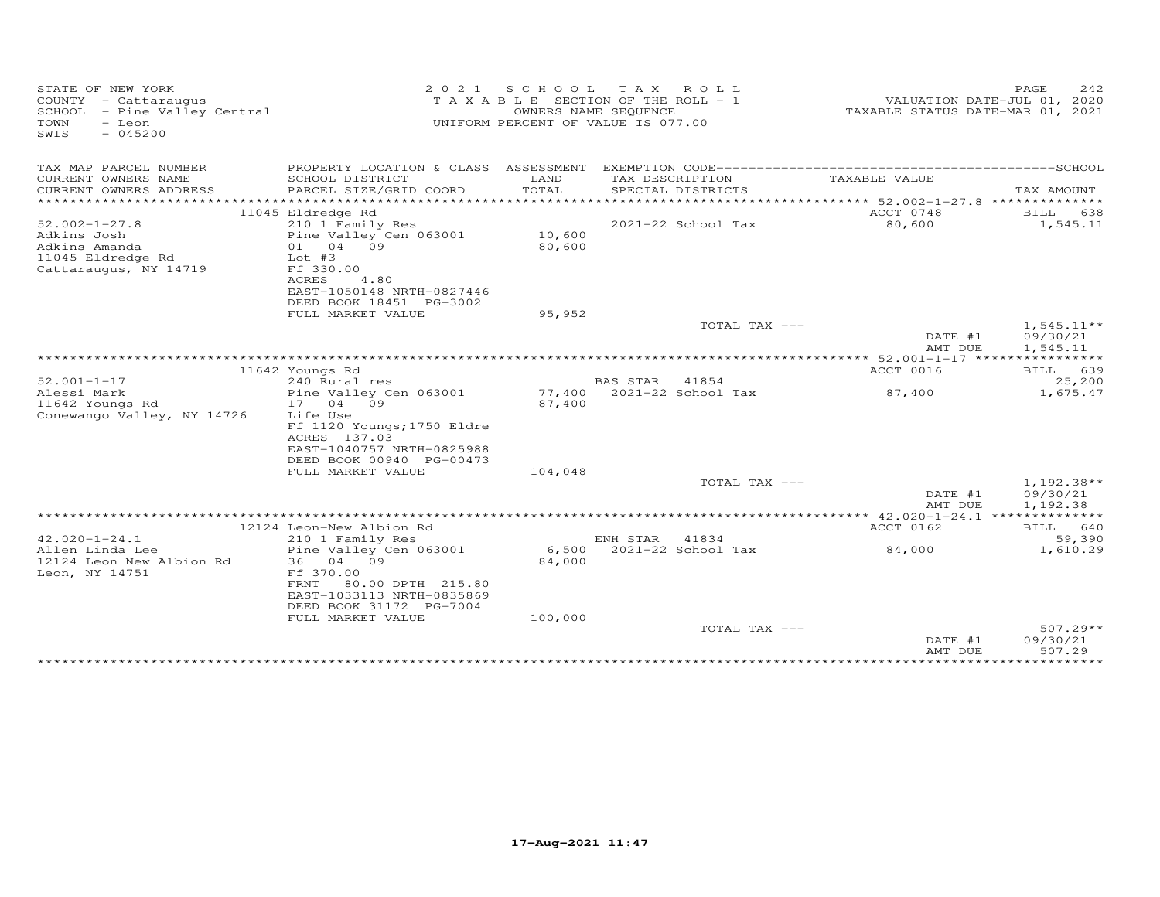| TAX MAP PARCEL NUMBER<br>PROPERTY LOCATION & CLASS ASSESSMENT<br>CURRENT OWNERS NAME<br>SCHOOL DISTRICT<br>LAND<br>TAX DESCRIPTION<br>TAXABLE VALUE<br>PARCEL SIZE/GRID COORD<br>TOTAL<br>CURRENT OWNERS ADDRESS<br>SPECIAL DISTRICTS<br>TAX AMOUNT<br>***********************<br>********************************<br>11045 Eldredge Rd<br>ACCT 0748<br>638<br>BILL<br>2021-22 School Tax<br>80,600<br>1,545.11<br>$52.002 - 1 - 27.8$<br>210 1 Family Res<br>10,600<br>Adkins Josh<br>Pine Valley Cen 063001<br>Adkins Amanda<br>01 04 09<br>80,600<br>11045 Eldredge Rd<br>Lot $#3$<br>Cattaraugus, NY 14719<br>Ff 330.00<br>ACRES<br>4.80<br>EAST-1050148 NRTH-0827446<br>DEED BOOK 18451 PG-3002<br>FULL MARKET VALUE<br>95,952<br>$1,545.11**$<br>TOTAL TAX ---<br>DATE #1<br>09/30/21<br>1,545.11<br>AMT DUE<br>*********** 52.001-1-17 *****<br>ACCT 0016<br>11642 Youngs Rd<br>639<br><b>BILL</b><br>$52.001 - 1 - 17$<br>25,200<br>240 Rural res<br><b>BAS STAR</b><br>41854<br>Alessi Mark<br>Pine Valley Cen 063001<br>77,400<br>2021-22 School Tax<br>87,400<br>1,675.47<br>17 04 09<br>87,400<br>Conewango Valley, NY 14726<br>Life Use<br>Ff 1120 Youngs; 1750 Eldre<br>ACRES 137.03<br>EAST-1040757 NRTH-0825988<br>DEED BOOK 00940 PG-00473<br>FULL MARKET VALUE<br>104,048<br>TOTAL TAX ---<br>$1,192.38**$<br>09/30/21<br>DATE #1<br>AMT DUE<br>1,192.38<br>ACCT 0162<br>12124 Leon-New Albion Rd<br>BILL 640<br>$42.020 - 1 - 24.1$<br>59,390<br>210 1 Family Res<br>ENH STAR<br>41834<br>Pine Valley Cen 063001<br>6,500<br>2021-22 School Tax<br>Allen Linda Lee<br>84,000<br>1,610.29<br>12124 Leon New Albion Rd<br>36 04 09<br>84,000<br>Leon, NY 14751<br>Ff 370.00<br>80.00 DPTH 215.80<br>FRNT<br>EAST-1033113 NRTH-0835869<br>DEED BOOK 31172 PG-7004<br>FULL MARKET VALUE<br>100,000<br>$507.29**$<br>TOTAL TAX ---<br>DATE #1<br>09/30/21<br>507.29<br>AMT DUE<br>*********<br>************ | STATE OF NEW YORK<br>COUNTY - Cattaraugus<br>SCHOOL - Pine Valley Central<br>TOWN<br>- Leon<br>SWIS<br>$-045200$ | 2 0 2 1 | S C H O O L | T A X<br>ROLL<br>T A X A B L E SECTION OF THE ROLL - 1<br>OWNERS NAME SEQUENCE<br>UNIFORM PERCENT OF VALUE IS 077.00 | TAXABLE STATUS DATE-MAR 01, 2021 | 242<br>PAGE<br>VALUATION DATE-JUL 01, 2020 |
|---------------------------------------------------------------------------------------------------------------------------------------------------------------------------------------------------------------------------------------------------------------------------------------------------------------------------------------------------------------------------------------------------------------------------------------------------------------------------------------------------------------------------------------------------------------------------------------------------------------------------------------------------------------------------------------------------------------------------------------------------------------------------------------------------------------------------------------------------------------------------------------------------------------------------------------------------------------------------------------------------------------------------------------------------------------------------------------------------------------------------------------------------------------------------------------------------------------------------------------------------------------------------------------------------------------------------------------------------------------------------------------------------------------------------------------------------------------------------------------------------------------------------------------------------------------------------------------------------------------------------------------------------------------------------------------------------------------------------------------------------------------------------------------------------------------------------------------------------------------------------------------------------------------------------|------------------------------------------------------------------------------------------------------------------|---------|-------------|----------------------------------------------------------------------------------------------------------------------|----------------------------------|--------------------------------------------|
|                                                                                                                                                                                                                                                                                                                                                                                                                                                                                                                                                                                                                                                                                                                                                                                                                                                                                                                                                                                                                                                                                                                                                                                                                                                                                                                                                                                                                                                                                                                                                                                                                                                                                                                                                                                                                                                                                                                           |                                                                                                                  |         |             |                                                                                                                      |                                  |                                            |
|                                                                                                                                                                                                                                                                                                                                                                                                                                                                                                                                                                                                                                                                                                                                                                                                                                                                                                                                                                                                                                                                                                                                                                                                                                                                                                                                                                                                                                                                                                                                                                                                                                                                                                                                                                                                                                                                                                                           |                                                                                                                  |         |             |                                                                                                                      |                                  |                                            |
|                                                                                                                                                                                                                                                                                                                                                                                                                                                                                                                                                                                                                                                                                                                                                                                                                                                                                                                                                                                                                                                                                                                                                                                                                                                                                                                                                                                                                                                                                                                                                                                                                                                                                                                                                                                                                                                                                                                           |                                                                                                                  |         |             |                                                                                                                      |                                  |                                            |
|                                                                                                                                                                                                                                                                                                                                                                                                                                                                                                                                                                                                                                                                                                                                                                                                                                                                                                                                                                                                                                                                                                                                                                                                                                                                                                                                                                                                                                                                                                                                                                                                                                                                                                                                                                                                                                                                                                                           |                                                                                                                  |         |             |                                                                                                                      |                                  |                                            |
|                                                                                                                                                                                                                                                                                                                                                                                                                                                                                                                                                                                                                                                                                                                                                                                                                                                                                                                                                                                                                                                                                                                                                                                                                                                                                                                                                                                                                                                                                                                                                                                                                                                                                                                                                                                                                                                                                                                           |                                                                                                                  |         |             |                                                                                                                      |                                  |                                            |
|                                                                                                                                                                                                                                                                                                                                                                                                                                                                                                                                                                                                                                                                                                                                                                                                                                                                                                                                                                                                                                                                                                                                                                                                                                                                                                                                                                                                                                                                                                                                                                                                                                                                                                                                                                                                                                                                                                                           |                                                                                                                  |         |             |                                                                                                                      |                                  |                                            |
|                                                                                                                                                                                                                                                                                                                                                                                                                                                                                                                                                                                                                                                                                                                                                                                                                                                                                                                                                                                                                                                                                                                                                                                                                                                                                                                                                                                                                                                                                                                                                                                                                                                                                                                                                                                                                                                                                                                           |                                                                                                                  |         |             |                                                                                                                      |                                  |                                            |
|                                                                                                                                                                                                                                                                                                                                                                                                                                                                                                                                                                                                                                                                                                                                                                                                                                                                                                                                                                                                                                                                                                                                                                                                                                                                                                                                                                                                                                                                                                                                                                                                                                                                                                                                                                                                                                                                                                                           |                                                                                                                  |         |             |                                                                                                                      |                                  |                                            |
|                                                                                                                                                                                                                                                                                                                                                                                                                                                                                                                                                                                                                                                                                                                                                                                                                                                                                                                                                                                                                                                                                                                                                                                                                                                                                                                                                                                                                                                                                                                                                                                                                                                                                                                                                                                                                                                                                                                           |                                                                                                                  |         |             |                                                                                                                      |                                  |                                            |
|                                                                                                                                                                                                                                                                                                                                                                                                                                                                                                                                                                                                                                                                                                                                                                                                                                                                                                                                                                                                                                                                                                                                                                                                                                                                                                                                                                                                                                                                                                                                                                                                                                                                                                                                                                                                                                                                                                                           |                                                                                                                  |         |             |                                                                                                                      |                                  |                                            |
|                                                                                                                                                                                                                                                                                                                                                                                                                                                                                                                                                                                                                                                                                                                                                                                                                                                                                                                                                                                                                                                                                                                                                                                                                                                                                                                                                                                                                                                                                                                                                                                                                                                                                                                                                                                                                                                                                                                           |                                                                                                                  |         |             |                                                                                                                      |                                  |                                            |
|                                                                                                                                                                                                                                                                                                                                                                                                                                                                                                                                                                                                                                                                                                                                                                                                                                                                                                                                                                                                                                                                                                                                                                                                                                                                                                                                                                                                                                                                                                                                                                                                                                                                                                                                                                                                                                                                                                                           |                                                                                                                  |         |             |                                                                                                                      |                                  |                                            |
|                                                                                                                                                                                                                                                                                                                                                                                                                                                                                                                                                                                                                                                                                                                                                                                                                                                                                                                                                                                                                                                                                                                                                                                                                                                                                                                                                                                                                                                                                                                                                                                                                                                                                                                                                                                                                                                                                                                           |                                                                                                                  |         |             |                                                                                                                      |                                  |                                            |
|                                                                                                                                                                                                                                                                                                                                                                                                                                                                                                                                                                                                                                                                                                                                                                                                                                                                                                                                                                                                                                                                                                                                                                                                                                                                                                                                                                                                                                                                                                                                                                                                                                                                                                                                                                                                                                                                                                                           |                                                                                                                  |         |             |                                                                                                                      |                                  |                                            |
|                                                                                                                                                                                                                                                                                                                                                                                                                                                                                                                                                                                                                                                                                                                                                                                                                                                                                                                                                                                                                                                                                                                                                                                                                                                                                                                                                                                                                                                                                                                                                                                                                                                                                                                                                                                                                                                                                                                           |                                                                                                                  |         |             |                                                                                                                      |                                  |                                            |
|                                                                                                                                                                                                                                                                                                                                                                                                                                                                                                                                                                                                                                                                                                                                                                                                                                                                                                                                                                                                                                                                                                                                                                                                                                                                                                                                                                                                                                                                                                                                                                                                                                                                                                                                                                                                                                                                                                                           |                                                                                                                  |         |             |                                                                                                                      |                                  |                                            |
|                                                                                                                                                                                                                                                                                                                                                                                                                                                                                                                                                                                                                                                                                                                                                                                                                                                                                                                                                                                                                                                                                                                                                                                                                                                                                                                                                                                                                                                                                                                                                                                                                                                                                                                                                                                                                                                                                                                           |                                                                                                                  |         |             |                                                                                                                      |                                  |                                            |
|                                                                                                                                                                                                                                                                                                                                                                                                                                                                                                                                                                                                                                                                                                                                                                                                                                                                                                                                                                                                                                                                                                                                                                                                                                                                                                                                                                                                                                                                                                                                                                                                                                                                                                                                                                                                                                                                                                                           |                                                                                                                  |         |             |                                                                                                                      |                                  |                                            |
|                                                                                                                                                                                                                                                                                                                                                                                                                                                                                                                                                                                                                                                                                                                                                                                                                                                                                                                                                                                                                                                                                                                                                                                                                                                                                                                                                                                                                                                                                                                                                                                                                                                                                                                                                                                                                                                                                                                           |                                                                                                                  |         |             |                                                                                                                      |                                  |                                            |
|                                                                                                                                                                                                                                                                                                                                                                                                                                                                                                                                                                                                                                                                                                                                                                                                                                                                                                                                                                                                                                                                                                                                                                                                                                                                                                                                                                                                                                                                                                                                                                                                                                                                                                                                                                                                                                                                                                                           | 11642 Youngs Rd                                                                                                  |         |             |                                                                                                                      |                                  |                                            |
|                                                                                                                                                                                                                                                                                                                                                                                                                                                                                                                                                                                                                                                                                                                                                                                                                                                                                                                                                                                                                                                                                                                                                                                                                                                                                                                                                                                                                                                                                                                                                                                                                                                                                                                                                                                                                                                                                                                           |                                                                                                                  |         |             |                                                                                                                      |                                  |                                            |
|                                                                                                                                                                                                                                                                                                                                                                                                                                                                                                                                                                                                                                                                                                                                                                                                                                                                                                                                                                                                                                                                                                                                                                                                                                                                                                                                                                                                                                                                                                                                                                                                                                                                                                                                                                                                                                                                                                                           |                                                                                                                  |         |             |                                                                                                                      |                                  |                                            |
|                                                                                                                                                                                                                                                                                                                                                                                                                                                                                                                                                                                                                                                                                                                                                                                                                                                                                                                                                                                                                                                                                                                                                                                                                                                                                                                                                                                                                                                                                                                                                                                                                                                                                                                                                                                                                                                                                                                           |                                                                                                                  |         |             |                                                                                                                      |                                  |                                            |
|                                                                                                                                                                                                                                                                                                                                                                                                                                                                                                                                                                                                                                                                                                                                                                                                                                                                                                                                                                                                                                                                                                                                                                                                                                                                                                                                                                                                                                                                                                                                                                                                                                                                                                                                                                                                                                                                                                                           |                                                                                                                  |         |             |                                                                                                                      |                                  |                                            |
|                                                                                                                                                                                                                                                                                                                                                                                                                                                                                                                                                                                                                                                                                                                                                                                                                                                                                                                                                                                                                                                                                                                                                                                                                                                                                                                                                                                                                                                                                                                                                                                                                                                                                                                                                                                                                                                                                                                           |                                                                                                                  |         |             |                                                                                                                      |                                  |                                            |
|                                                                                                                                                                                                                                                                                                                                                                                                                                                                                                                                                                                                                                                                                                                                                                                                                                                                                                                                                                                                                                                                                                                                                                                                                                                                                                                                                                                                                                                                                                                                                                                                                                                                                                                                                                                                                                                                                                                           |                                                                                                                  |         |             |                                                                                                                      |                                  |                                            |
|                                                                                                                                                                                                                                                                                                                                                                                                                                                                                                                                                                                                                                                                                                                                                                                                                                                                                                                                                                                                                                                                                                                                                                                                                                                                                                                                                                                                                                                                                                                                                                                                                                                                                                                                                                                                                                                                                                                           |                                                                                                                  |         |             |                                                                                                                      |                                  |                                            |
|                                                                                                                                                                                                                                                                                                                                                                                                                                                                                                                                                                                                                                                                                                                                                                                                                                                                                                                                                                                                                                                                                                                                                                                                                                                                                                                                                                                                                                                                                                                                                                                                                                                                                                                                                                                                                                                                                                                           |                                                                                                                  |         |             |                                                                                                                      |                                  |                                            |
|                                                                                                                                                                                                                                                                                                                                                                                                                                                                                                                                                                                                                                                                                                                                                                                                                                                                                                                                                                                                                                                                                                                                                                                                                                                                                                                                                                                                                                                                                                                                                                                                                                                                                                                                                                                                                                                                                                                           |                                                                                                                  |         |             |                                                                                                                      |                                  |                                            |
|                                                                                                                                                                                                                                                                                                                                                                                                                                                                                                                                                                                                                                                                                                                                                                                                                                                                                                                                                                                                                                                                                                                                                                                                                                                                                                                                                                                                                                                                                                                                                                                                                                                                                                                                                                                                                                                                                                                           |                                                                                                                  |         |             |                                                                                                                      |                                  |                                            |
|                                                                                                                                                                                                                                                                                                                                                                                                                                                                                                                                                                                                                                                                                                                                                                                                                                                                                                                                                                                                                                                                                                                                                                                                                                                                                                                                                                                                                                                                                                                                                                                                                                                                                                                                                                                                                                                                                                                           |                                                                                                                  |         |             |                                                                                                                      |                                  |                                            |
|                                                                                                                                                                                                                                                                                                                                                                                                                                                                                                                                                                                                                                                                                                                                                                                                                                                                                                                                                                                                                                                                                                                                                                                                                                                                                                                                                                                                                                                                                                                                                                                                                                                                                                                                                                                                                                                                                                                           |                                                                                                                  |         |             |                                                                                                                      |                                  |                                            |
|                                                                                                                                                                                                                                                                                                                                                                                                                                                                                                                                                                                                                                                                                                                                                                                                                                                                                                                                                                                                                                                                                                                                                                                                                                                                                                                                                                                                                                                                                                                                                                                                                                                                                                                                                                                                                                                                                                                           |                                                                                                                  |         |             |                                                                                                                      |                                  |                                            |
|                                                                                                                                                                                                                                                                                                                                                                                                                                                                                                                                                                                                                                                                                                                                                                                                                                                                                                                                                                                                                                                                                                                                                                                                                                                                                                                                                                                                                                                                                                                                                                                                                                                                                                                                                                                                                                                                                                                           |                                                                                                                  |         |             |                                                                                                                      |                                  |                                            |
|                                                                                                                                                                                                                                                                                                                                                                                                                                                                                                                                                                                                                                                                                                                                                                                                                                                                                                                                                                                                                                                                                                                                                                                                                                                                                                                                                                                                                                                                                                                                                                                                                                                                                                                                                                                                                                                                                                                           |                                                                                                                  |         |             |                                                                                                                      |                                  |                                            |
|                                                                                                                                                                                                                                                                                                                                                                                                                                                                                                                                                                                                                                                                                                                                                                                                                                                                                                                                                                                                                                                                                                                                                                                                                                                                                                                                                                                                                                                                                                                                                                                                                                                                                                                                                                                                                                                                                                                           |                                                                                                                  |         |             |                                                                                                                      |                                  |                                            |
|                                                                                                                                                                                                                                                                                                                                                                                                                                                                                                                                                                                                                                                                                                                                                                                                                                                                                                                                                                                                                                                                                                                                                                                                                                                                                                                                                                                                                                                                                                                                                                                                                                                                                                                                                                                                                                                                                                                           |                                                                                                                  |         |             |                                                                                                                      |                                  |                                            |
|                                                                                                                                                                                                                                                                                                                                                                                                                                                                                                                                                                                                                                                                                                                                                                                                                                                                                                                                                                                                                                                                                                                                                                                                                                                                                                                                                                                                                                                                                                                                                                                                                                                                                                                                                                                                                                                                                                                           |                                                                                                                  |         |             |                                                                                                                      |                                  |                                            |
|                                                                                                                                                                                                                                                                                                                                                                                                                                                                                                                                                                                                                                                                                                                                                                                                                                                                                                                                                                                                                                                                                                                                                                                                                                                                                                                                                                                                                                                                                                                                                                                                                                                                                                                                                                                                                                                                                                                           |                                                                                                                  |         |             |                                                                                                                      |                                  |                                            |
|                                                                                                                                                                                                                                                                                                                                                                                                                                                                                                                                                                                                                                                                                                                                                                                                                                                                                                                                                                                                                                                                                                                                                                                                                                                                                                                                                                                                                                                                                                                                                                                                                                                                                                                                                                                                                                                                                                                           |                                                                                                                  |         |             |                                                                                                                      |                                  |                                            |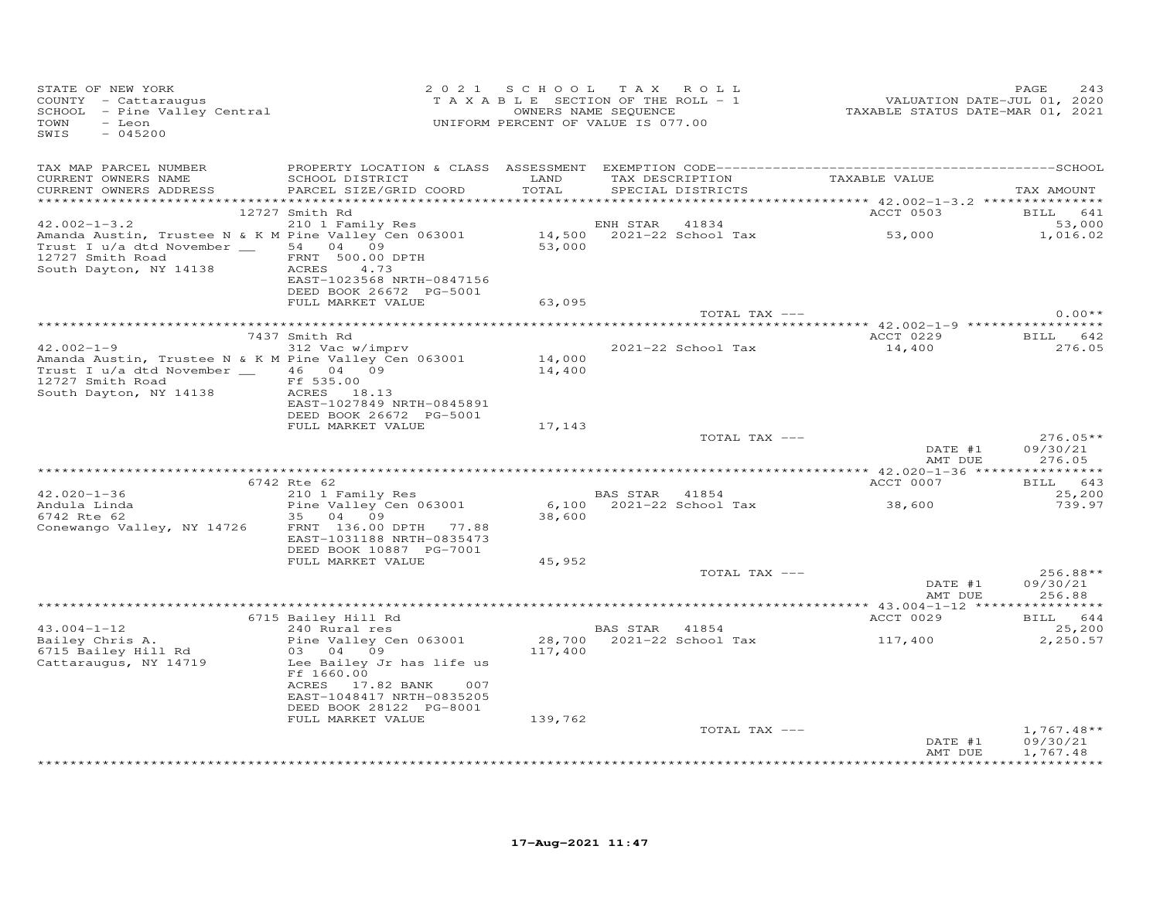| STATE OF NEW YORK<br>STATE OF NEW YORK<br>COUNTY  — Cattaraugus<br>SCHOOL  — Pine Valley Central<br>TOWN<br>- Leon<br>$-045200$<br>SWIS                                     |                                                                                                                                                       | 2021 SCHOOL TAX ROLL<br>UNIFORM PERCENT OF VALUE IS 077.00 |                       |                    | 7 0 2 1 S C H O L H A X R O L L<br>T A X A B L E SECTION OF THE ROLL - 1 VALUATION DATE-JUL 01, 2020<br>OWNERS NAME SEQUENCE TAXABLE STATUS DATE-MAR 01, 2021 | PAGE<br>243                          |
|-----------------------------------------------------------------------------------------------------------------------------------------------------------------------------|-------------------------------------------------------------------------------------------------------------------------------------------------------|------------------------------------------------------------|-----------------------|--------------------|---------------------------------------------------------------------------------------------------------------------------------------------------------------|--------------------------------------|
| TAX MAP PARCEL NUMBER<br>CURRENT OWNERS NAME<br>CURRENT OWNERS ADDRESS PARCEL SIZE/GRID COORD                                                                               | SCHOOL DISTRICT LAND                                                                                                                                  | TOTAL                                                      |                       | SPECIAL DISTRICTS  | TAX DESCRIPTION TAXABLE VALUE                                                                                                                                 | TAX AMOUNT                           |
|                                                                                                                                                                             | 12727 Smith Rd                                                                                                                                        |                                                            |                       |                    |                                                                                                                                                               | ACCT 0503 BILL 641                   |
|                                                                                                                                                                             |                                                                                                                                                       |                                                            |                       |                    |                                                                                                                                                               | 53,000<br>1,016.02                   |
| 12727 Smith Road<br>South Dayton, NY 14138                                                                                                                                  | FRNT 500.00 DPTH<br>ACRES 4.73<br>EAST-1023568 NRTH-0847156<br>DEED BOOK 26672 PG-5001                                                                |                                                            |                       |                    |                                                                                                                                                               |                                      |
|                                                                                                                                                                             | FULL MARKET VALUE                                                                                                                                     | 63,095                                                     |                       |                    |                                                                                                                                                               |                                      |
|                                                                                                                                                                             |                                                                                                                                                       |                                                            |                       | TOTAL TAX ---      |                                                                                                                                                               | $0.00**$                             |
|                                                                                                                                                                             | 7437 Smith Rd                                                                                                                                         |                                                            |                       |                    |                                                                                                                                                               | ACCT 0229 BILL 642                   |
| $42.002 - 1 - 9$<br>Amanda Austin, Trustee N & K M Pine Valley Cen 063001<br>Trust I u/a dtd November __ 46 04 09<br>12727 Smith Road<br>South Dayton, NY 14138 ACRES 18.13 | 312 Vac w/imprv                                                                                                                                       | 14,000<br>14,400                                           |                       | 2021-22 School Tax | 14,400                                                                                                                                                        | 276.05                               |
|                                                                                                                                                                             | EAST-1027849 NRTH-0845891<br>DEED BOOK 26672 PG-5001<br>FULL MARKET VALUE                                                                             | 17,143                                                     |                       |                    |                                                                                                                                                               |                                      |
|                                                                                                                                                                             |                                                                                                                                                       |                                                            |                       | TOTAL TAX ---      | DATE #1<br>AMT DUE                                                                                                                                            | $276.05**$<br>09/30/21<br>276.05     |
|                                                                                                                                                                             |                                                                                                                                                       |                                                            |                       |                    | <b>ACCT 0007</b>                                                                                                                                              | BILL 643                             |
| $42.020 - 1 - 36$                                                                                                                                                           | 6742 Rte 62                                                                                                                                           |                                                            | BAS STAR 41854        |                    |                                                                                                                                                               | 25,200                               |
| Andula Linda<br>6742 Rte 62<br>6742 Rte 62<br>Conewango Valley, NY 14726                                                                                                    | 12 Rte 62<br>210 1 Family Res<br>Pine Valley Cen 063001<br>35 04 09<br>FRNT 136.00 DPTH 77.88<br>EAST-1031188 NRTH-0835473<br>DEED BOOK 10887 PG-7001 | 38,600                                                     |                       |                    | 6,100 $2021-22$ School Tax 38,600                                                                                                                             | 739.97                               |
|                                                                                                                                                                             | FULL MARKET VALUE                                                                                                                                     | 45,952                                                     |                       |                    |                                                                                                                                                               |                                      |
|                                                                                                                                                                             |                                                                                                                                                       |                                                            |                       | TOTAL TAX ---      | DATE #1<br>AMT DUE                                                                                                                                            | $256.88**$<br>09/30/21<br>256.88     |
|                                                                                                                                                                             |                                                                                                                                                       |                                                            |                       |                    |                                                                                                                                                               |                                      |
|                                                                                                                                                                             | 6715 Bailey Hill Rd<br>240 Rural res                                                                                                                  |                                                            |                       |                    | ACCT 0029                                                                                                                                                     | BILL 644                             |
| $43.004 - 1 - 12$<br>Bailey Chris A.                                                                                                                                        | Pine Valley Cen 063001                                                                                                                                |                                                            | <b>BAS STAR</b> 41854 |                    |                                                                                                                                                               | 25,200<br>2,250.57                   |
| 6715 Bailey Hill Rd<br>Cattaraugus, NY 14719                                                                                                                                | 03 04 09<br>Lee Bailey Jr has life us<br>Ff 1660.00<br>ACRES 17.82 BANK 007<br>EAST-1048417 NRTH-0835205                                              |                                                            |                       |                    | 28,700 2021-22 School Tax 117,400<br>117,400                                                                                                                  |                                      |
|                                                                                                                                                                             | DEED BOOK 28122 PG-8001                                                                                                                               |                                                            |                       |                    |                                                                                                                                                               |                                      |
|                                                                                                                                                                             | FULL MARKET VALUE                                                                                                                                     | 139,762                                                    |                       |                    |                                                                                                                                                               |                                      |
|                                                                                                                                                                             |                                                                                                                                                       |                                                            |                       | TOTAL TAX ---      | DATE #1<br>AMT DUE                                                                                                                                            | $1,767.48**$<br>09/30/21<br>1,767.48 |
|                                                                                                                                                                             |                                                                                                                                                       |                                                            |                       |                    |                                                                                                                                                               |                                      |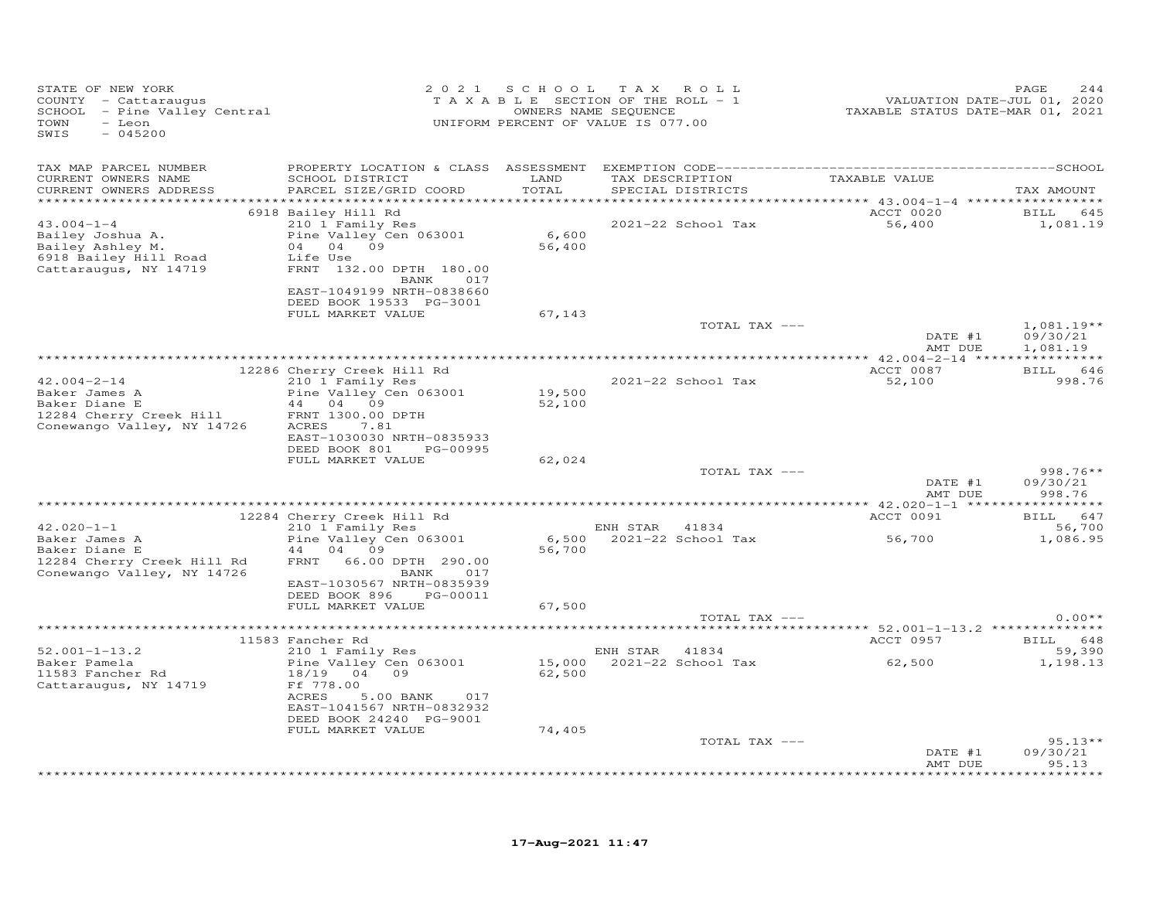| STATE OF NEW YORK<br>COUNTY - Cattaraugus<br>SCHOOL - Pine Valley Central<br>TOWN<br>- Leon<br>SWIS<br>$-045200$ | 2 0 2 1                                        | SCHOOL | T A X<br>R O L L<br>TAXABLE SECTION OF THE ROLL - 1<br>OWNERS NAME SEQUENCE<br>UNIFORM PERCENT OF VALUE IS 077.00 | VALUATION DATE-JUL 01, 2020<br>TAXABLE STATUS DATE-MAR 01, 2021 | PAGE<br>244              |
|------------------------------------------------------------------------------------------------------------------|------------------------------------------------|--------|-------------------------------------------------------------------------------------------------------------------|-----------------------------------------------------------------|--------------------------|
| TAX MAP PARCEL NUMBER                                                                                            | PROPERTY LOCATION & CLASS ASSESSMENT           |        |                                                                                                                   |                                                                 |                          |
| CURRENT OWNERS NAME                                                                                              | SCHOOL DISTRICT                                | LAND   | TAX DESCRIPTION                                                                                                   | TAXABLE VALUE                                                   |                          |
| CURRENT OWNERS ADDRESS<br>***********************                                                                | PARCEL SIZE/GRID COORD                         | TOTAL  | SPECIAL DISTRICTS                                                                                                 |                                                                 | TAX AMOUNT               |
|                                                                                                                  | 6918 Bailey Hill Rd                            |        |                                                                                                                   | ACCT 0020                                                       | BILL 645                 |
| $43.004 - 1 - 4$                                                                                                 | 210 1 Family Res                               |        | 2021-22 School Tax                                                                                                | 56,400                                                          | 1,081.19                 |
| Bailey Joshua A.                                                                                                 | Pine Valley Cen 063001                         | 6,600  |                                                                                                                   |                                                                 |                          |
| Bailey Ashley M.                                                                                                 | 04<br>09<br>04                                 | 56,400 |                                                                                                                   |                                                                 |                          |
| 6918 Bailey Hill Road<br>Cattaraugus, NY 14719                                                                   | Life Use<br>FRNT 132.00 DPTH 180.00            |        |                                                                                                                   |                                                                 |                          |
|                                                                                                                  | BANK<br>017                                    |        |                                                                                                                   |                                                                 |                          |
|                                                                                                                  | EAST-1049199 NRTH-0838660                      |        |                                                                                                                   |                                                                 |                          |
|                                                                                                                  | DEED BOOK 19533 PG-3001                        |        |                                                                                                                   |                                                                 |                          |
|                                                                                                                  | FULL MARKET VALUE                              | 67,143 |                                                                                                                   |                                                                 |                          |
|                                                                                                                  |                                                |        | TOTAL TAX ---                                                                                                     | DATE #1                                                         | $1,081.19**$<br>09/30/21 |
|                                                                                                                  |                                                |        |                                                                                                                   | AMT DUE                                                         | 1,081.19                 |
|                                                                                                                  |                                                |        |                                                                                                                   |                                                                 |                          |
|                                                                                                                  | 12286 Cherry Creek Hill Rd                     |        |                                                                                                                   | ACCT 0087                                                       | BILL 646                 |
| $42.004 - 2 - 14$<br>Baker James A                                                                               | 210 1 Family Res<br>Pine Valley Cen 063001     | 19,500 | 2021-22 School Tax                                                                                                | 52,100                                                          | 998.76                   |
| Baker Diane E                                                                                                    | 44 04 09                                       | 52,100 |                                                                                                                   |                                                                 |                          |
| 12284 Cherry Creek Hill                                                                                          | FRNT 1300.00 DPTH                              |        |                                                                                                                   |                                                                 |                          |
| Conewango Valley, NY 14726                                                                                       | ACRES<br>7.81                                  |        |                                                                                                                   |                                                                 |                          |
|                                                                                                                  | EAST-1030030 NRTH-0835933                      |        |                                                                                                                   |                                                                 |                          |
|                                                                                                                  | DEED BOOK 801<br>PG-00995<br>FULL MARKET VALUE | 62,024 |                                                                                                                   |                                                                 |                          |
|                                                                                                                  |                                                |        | TOTAL TAX ---                                                                                                     |                                                                 | $998.76**$               |
|                                                                                                                  |                                                |        |                                                                                                                   | DATE #1                                                         | 09/30/21                 |
|                                                                                                                  |                                                |        |                                                                                                                   | AMT DUE                                                         | 998.76                   |
|                                                                                                                  | 12284 Cherry Creek Hill Rd                     |        |                                                                                                                   | ACCT 0091                                                       | BILL<br>647              |
| $42.020 - 1 - 1$                                                                                                 | 210 1 Family Res                               |        | ENH STAR 41834                                                                                                    |                                                                 | 56,700                   |
| Baker James A                                                                                                    | Pine Valley Cen 063001                         | 6,500  | 2021-22 School Tax                                                                                                | 56,700                                                          | 1,086.95                 |
| Baker Diane E                                                                                                    | 44 04 09<br>FRNT 66.00 DPTH 290.00             | 56,700 |                                                                                                                   |                                                                 |                          |
| 12284 Cherry Creek Hill Rd<br>Conewango Valley, NY 14726                                                         | 017<br>BANK                                    |        |                                                                                                                   |                                                                 |                          |
|                                                                                                                  | EAST-1030567 NRTH-0835939                      |        |                                                                                                                   |                                                                 |                          |
|                                                                                                                  | DEED BOOK 896<br>PG-00011                      |        |                                                                                                                   |                                                                 |                          |
|                                                                                                                  | FULL MARKET VALUE                              | 67,500 |                                                                                                                   |                                                                 |                          |
|                                                                                                                  |                                                |        | TOTAL TAX ---                                                                                                     |                                                                 | $0.00**$                 |
|                                                                                                                  | 11583 Fancher Rd                               |        |                                                                                                                   | ACCT 0957                                                       | BILL 648                 |
| $52.001 - 1 - 13.2$                                                                                              | 210 1 Family Res                               |        | ENH STAR<br>41834                                                                                                 |                                                                 | 59,390                   |
| Baker Pamela                                                                                                     | Pine Valley Cen 063001                         |        | 15,000 2021-22 School Tax                                                                                         | 62,500                                                          | 1,198.13                 |
| 11583 Fancher Rd                                                                                                 | 18/19<br>04<br>09<br>Ff 778.00                 | 62,500 |                                                                                                                   |                                                                 |                          |
| Cattaraugus, NY 14719                                                                                            | ACRES<br>5.00 BANK<br>017                      |        |                                                                                                                   |                                                                 |                          |
|                                                                                                                  | EAST-1041567 NRTH-0832932                      |        |                                                                                                                   |                                                                 |                          |
|                                                                                                                  | DEED BOOK 24240 PG-9001                        |        |                                                                                                                   |                                                                 |                          |
|                                                                                                                  | FULL MARKET VALUE                              | 74,405 | TOTAL TAX ---                                                                                                     |                                                                 | $95.13**$                |
|                                                                                                                  |                                                |        |                                                                                                                   | DATE #1                                                         | 09/30/21                 |
|                                                                                                                  |                                                |        |                                                                                                                   | AMT DUE                                                         | 95.13                    |
|                                                                                                                  |                                                |        |                                                                                                                   |                                                                 | ********                 |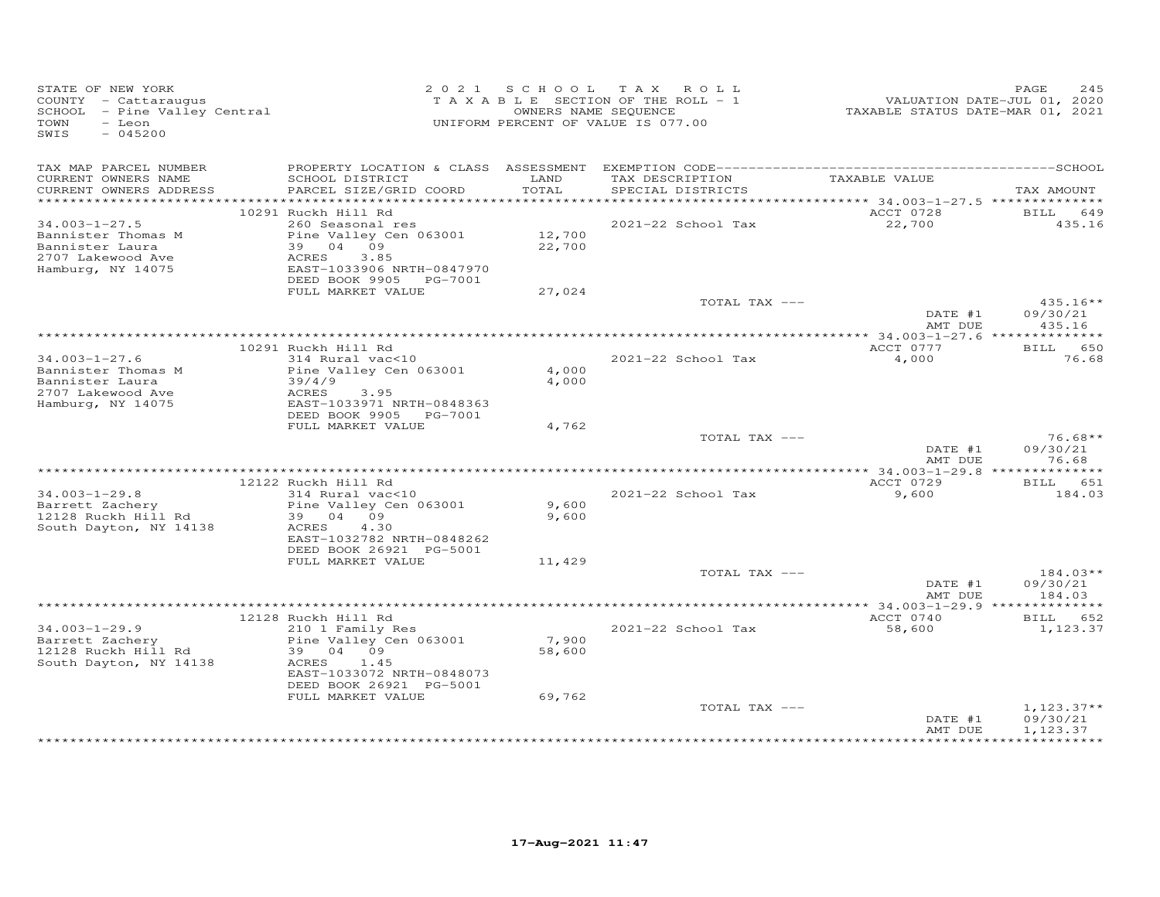| STATE OF NEW YORK<br>COUNTY - Cattaraugus<br>SCHOOL - Pine Valley Central<br>TOWN<br>- Leon<br>$-045200$<br>SWIS |                                                                                                                                 | 2021 SCHOOL      | TAX ROLL<br>T A X A B L E SECTION OF THE ROLL - 1<br>OWNERS NAME SEQUENCE<br>UNIFORM PERCENT OF VALUE IS 077.00 | VALUATION DATE-JUL 01, 2020<br>TAXABLE STATUS DATE-MAR 01, 2021 | PAGE<br>245                      |
|------------------------------------------------------------------------------------------------------------------|---------------------------------------------------------------------------------------------------------------------------------|------------------|-----------------------------------------------------------------------------------------------------------------|-----------------------------------------------------------------|----------------------------------|
| TAX MAP PARCEL NUMBER<br>CURRENT OWNERS NAME                                                                     | SCHOOL DISTRICT<br>PARCEL SIZE/GRID COORD                                                                                       | LAND<br>TOTAL    | TAX DESCRIPTION                                                                                                 | TAXABLE VALUE                                                   |                                  |
| CURRENT OWNERS ADDRESS                                                                                           |                                                                                                                                 |                  | SPECIAL DISTRICTS                                                                                               |                                                                 | TAX AMOUNT                       |
|                                                                                                                  | 10291 Ruckh Hill Rd                                                                                                             |                  |                                                                                                                 | ACCT 0728                                                       | BILL<br>649                      |
| $34.003 - 1 - 27.5$                                                                                              | 260 Seasonal res                                                                                                                |                  | 2021-22 School Tax                                                                                              | 22,700                                                          | 435.16                           |
| Bannister Thomas M<br>Bannister Laura<br>2707 Lakewood Ave<br>Hamburg, NY 14075                                  | Pine Valley Cen 063001<br>39 04 09<br>ACRES<br>3.85<br>EAST-1033906 NRTH-0847970<br>DEED BOOK 9905 PG-7001                      | 12,700<br>22,700 |                                                                                                                 |                                                                 |                                  |
|                                                                                                                  | FULL MARKET VALUE                                                                                                               | 27,024           |                                                                                                                 |                                                                 |                                  |
|                                                                                                                  |                                                                                                                                 |                  | TOTAL TAX ---                                                                                                   | DATE #1<br>AMT DUE                                              | $435.16**$<br>09/30/21<br>435.16 |
|                                                                                                                  |                                                                                                                                 |                  |                                                                                                                 |                                                                 |                                  |
| $34.003 - 1 - 27.6$                                                                                              | 10291 Ruckh Hill Rd                                                                                                             |                  | 2021-22 School Tax                                                                                              | ACCT 0777                                                       | BILL 650                         |
| Bannister Thomas M<br>Bannister Laura<br>2707 Lakewood Ave<br>Hamburg, NY 14075                                  | 314 Rural vac<10<br>Pine Valley Cen 063001<br>39/4/9<br>ACRES<br>3.95<br>EAST-1033971 NRTH-0848363                              | 4,000<br>4,000   |                                                                                                                 | 4,000                                                           | 76.68                            |
|                                                                                                                  | DEED BOOK 9905 PG-7001<br>FULL MARKET VALUE                                                                                     | 4,762            |                                                                                                                 |                                                                 |                                  |
|                                                                                                                  |                                                                                                                                 |                  | TOTAL TAX ---                                                                                                   |                                                                 | $76.68**$                        |
|                                                                                                                  |                                                                                                                                 |                  |                                                                                                                 | DATE #1<br>AMT DUE                                              | 09/30/21<br>76.68                |
|                                                                                                                  | 12122 Ruckh Hill Rd                                                                                                             |                  |                                                                                                                 | ACCT 0729                                                       | BILL 651                         |
| $34.003 - 1 - 29.8$<br>Barrett Zachery<br>12128 Ruckh Hill Rd<br>South Dayton, NY 14138                          | 314 Rural vac<10<br>Pine Valley Cen 063001<br>39 04 09<br>4.30<br>ACRES                                                         | 9,600<br>9,600   | 2021-22 School Tax                                                                                              | 9,600                                                           | 184.03                           |
|                                                                                                                  | EAST-1032782 NRTH-0848262<br>DEED BOOK 26921 PG-5001                                                                            |                  |                                                                                                                 |                                                                 |                                  |
|                                                                                                                  | FULL MARKET VALUE                                                                                                               | 11,429           |                                                                                                                 |                                                                 |                                  |
|                                                                                                                  |                                                                                                                                 |                  | TOTAL TAX ---                                                                                                   | DATE #1<br>AMT DUE                                              | $184.03**$<br>09/30/21<br>184.03 |
|                                                                                                                  |                                                                                                                                 |                  |                                                                                                                 |                                                                 |                                  |
|                                                                                                                  | 12128 Ruckh Hill Rd                                                                                                             |                  |                                                                                                                 | ACCT 0740                                                       | BILL 652                         |
| $34.003 - 1 - 29.9$<br>Barrett Zachery<br>12128 Ruckh Hill Rd<br>South Dayton, NY 14138                          | 210 1 Family Res<br>Pine Valley Cen 063001<br>39 04 09<br>ACRES<br>1.45<br>EAST-1033072 NRTH-0848073<br>DEED BOOK 26921 PG-5001 | 7,900<br>58,600  | 2021-22 School Tax                                                                                              | 58,600                                                          | 1,123.37                         |
|                                                                                                                  | FULL MARKET VALUE                                                                                                               | 69,762           | TOTAL TAX ---                                                                                                   |                                                                 | $1,123.37**$                     |
|                                                                                                                  |                                                                                                                                 |                  |                                                                                                                 | DATE #1<br>AMT DUE                                              | 09/30/21<br>1,123.37             |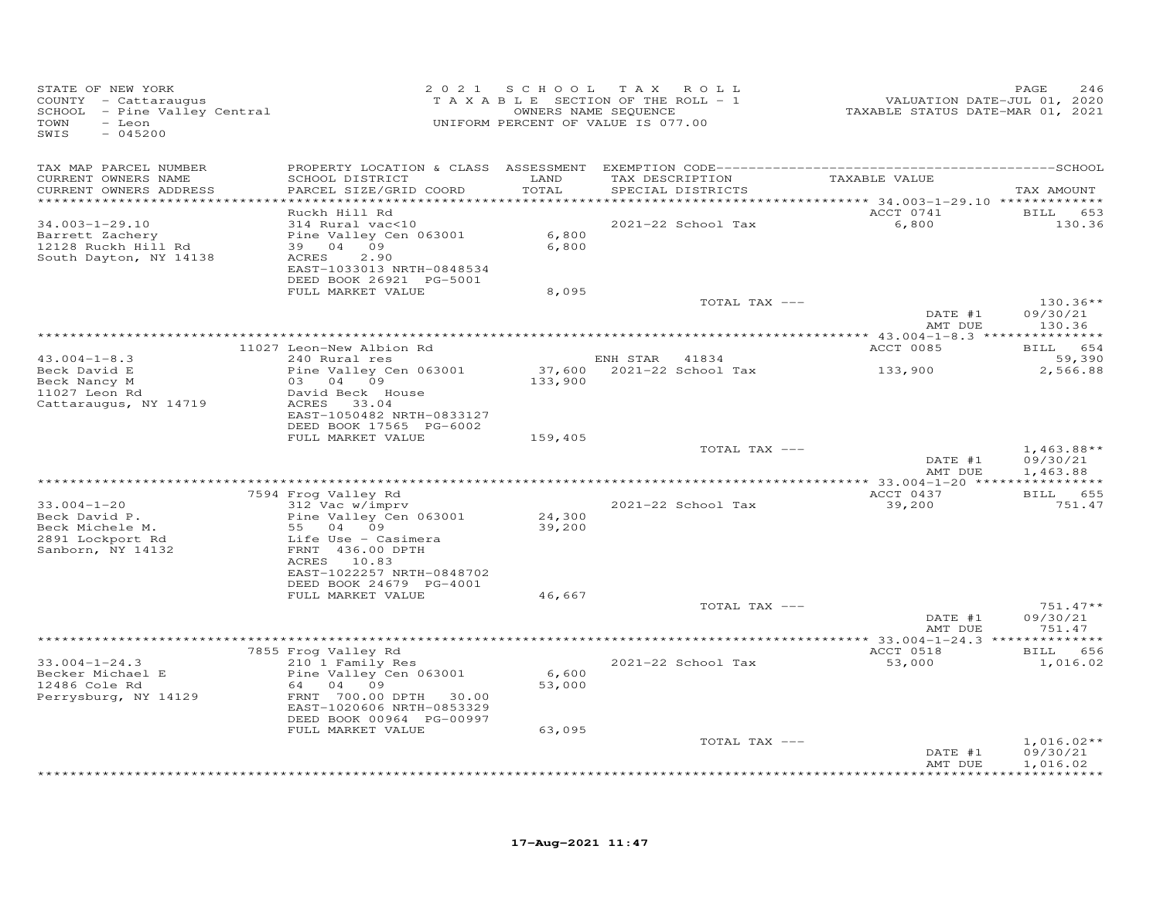| STATE OF NEW YORK<br>COUNTY - Cattaraugus<br>SCHOOL - Pine Valley Central<br>TOWN<br>- Leon<br>SWIS<br>$-045200$ |                                                                                                                                                                       | 2021 SCHOOL               | T A X<br>ROLL<br>TAXABLE SECTION OF THE ROLL - 1<br>OWNERS NAME SEQUENCE<br>UNIFORM PERCENT OF VALUE IS 077.00 | VALUATION DATE-JUL 01, 2020<br>TAXABLE STATUS DATE-MAR 01, 2021 | 246<br>PAGE                              |
|------------------------------------------------------------------------------------------------------------------|-----------------------------------------------------------------------------------------------------------------------------------------------------------------------|---------------------------|----------------------------------------------------------------------------------------------------------------|-----------------------------------------------------------------|------------------------------------------|
| TAX MAP PARCEL NUMBER<br>CURRENT OWNERS NAME<br>CURRENT OWNERS ADDRESS<br>***********************                | SCHOOL DISTRICT<br>PARCEL SIZE/GRID COORD                                                                                                                             | LAND<br>TOTAL             | TAX DESCRIPTION<br>SPECIAL DISTRICTS                                                                           | TAXABLE VALUE                                                   | TAX AMOUNT                               |
| $34.003 - 1 - 29.10$<br>Barrett Zachery<br>12128 Ruckh Hill Rd<br>South Dayton, NY 14138                         | Ruckh Hill Rd<br>314 Rural vac<10<br>Pine Valley Cen 063001<br>39 04 09<br>2.90<br>ACRES<br>EAST-1033013 NRTH-0848534<br>DEED BOOK 26921 PG-5001<br>FULL MARKET VALUE | 6,800<br>6,800<br>8,095   | 2021-22 School Tax                                                                                             | ACCT 0741<br>6,800                                              | BILL 653<br>130.36                       |
|                                                                                                                  |                                                                                                                                                                       |                           | TOTAL TAX ---                                                                                                  | DATE #1<br>AMT DUE                                              | $130.36**$<br>09/30/21<br>130.36         |
| $43.004 - 1 - 8.3$<br>Beck David E                                                                               | 11027 Leon-New Albion Rd<br>240 Rural res<br>Pine Valley Cen 063001                                                                                                   | 37,600                    | ENH STAR 41834<br>2021-22 School Tax                                                                           | ACCT 0085<br>133,900                                            | <b>BILL</b><br>654<br>59,390<br>2,566.88 |
| Beck Nancy M<br>11027 Leon Rd<br>Cattaraugus, NY 14719                                                           | 03 04 09<br>David Beck House<br>ACRES 33.04<br>EAST-1050482 NRTH-0833127<br>DEED BOOK 17565 PG-6002<br>FULL MARKET VALUE                                              | 133,900<br>159,405        |                                                                                                                |                                                                 |                                          |
|                                                                                                                  |                                                                                                                                                                       |                           | TOTAL TAX ---                                                                                                  | DATE #1<br>AMT DUE                                              | $1,463.88**$<br>09/30/21<br>1,463.88     |
|                                                                                                                  |                                                                                                                                                                       |                           |                                                                                                                |                                                                 |                                          |
| $33.004 - 1 - 20$<br>Beck David P.<br>Beck Michele M.<br>2891 Lockport Rd<br>Sanborn, NY 14132                   | 7594 Frog Valley Rd<br>312 Vac w/imprv<br>Pine Valley Cen 063001<br>55 04 09<br>Life Use - Casimera<br>FRNT 436.00 DPTH<br>ACRES 10.83                                | 24,300<br>39,200          | 2021-22 School Tax                                                                                             | ACCT 0437<br>39,200                                             | 655<br><b>BILL</b><br>751.47             |
|                                                                                                                  | EAST-1022257 NRTH-0848702<br>DEED BOOK 24679 PG-4001<br>FULL MARKET VALUE                                                                                             | 46,667                    | TOTAL TAX ---                                                                                                  | DATE #1                                                         | $751.47**$<br>09/30/21                   |
|                                                                                                                  |                                                                                                                                                                       |                           |                                                                                                                | AMT DUE<br>******** 33.004-1-24.3 **************                | 751.47                                   |
|                                                                                                                  | 7855 Frog Valley Rd                                                                                                                                                   |                           |                                                                                                                | ACCT 0518                                                       | <b>BILL</b><br>656                       |
| $33.004 - 1 - 24.3$<br>Becker Michael E<br>12486 Cole Rd<br>Perrysburg, NY 14129                                 | 210 1 Family Res<br>Pine Valley Cen 063001<br>64 04 09<br>FRNT 700.00 DPTH 30.00<br>EAST-1020606 NRTH-0853329<br>DEED BOOK 00964 PG-00997<br>FULL MARKET VALUE        | 6,600<br>53,000<br>63,095 | 2021-22 School Tax                                                                                             | 53,000                                                          | 1,016.02                                 |
|                                                                                                                  |                                                                                                                                                                       |                           | TOTAL TAX ---                                                                                                  | DATE #1<br>AMT DUE                                              | $1,016.02**$<br>09/30/21<br>1,016.02     |
|                                                                                                                  |                                                                                                                                                                       |                           |                                                                                                                |                                                                 | + + + + + + + + + +                      |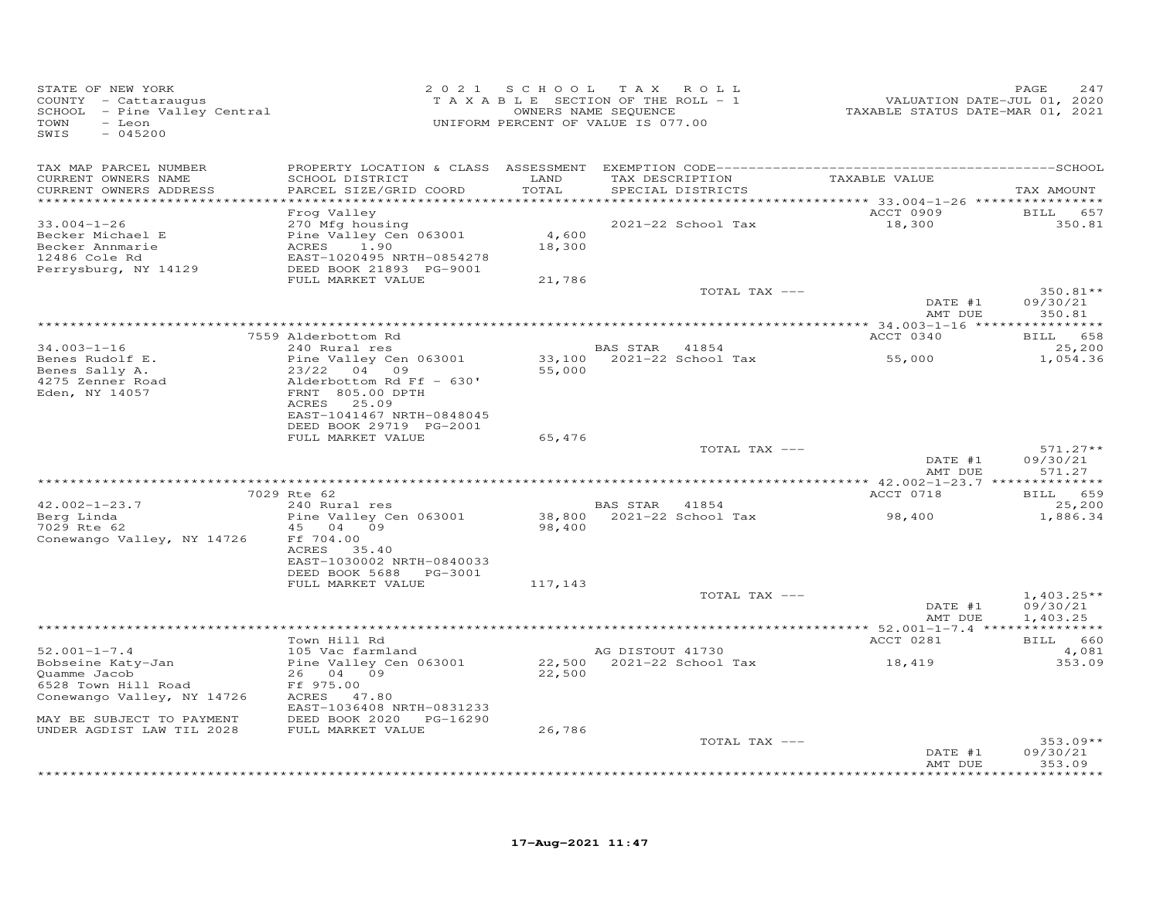| STATE OF NEW YORK<br>COUNTY - Cattaraugus<br>SCHOOL - Pine Valley Central<br>TOWN<br>- Leon<br>SWIS<br>$-045200$    | 2 0 2 1                                                                                                                               |                 | SCHOOL TAX ROLL<br>TAXABLE SECTION OF THE ROLL - 1<br>OWNERS NAME SEQUENCE<br>UNIFORM PERCENT OF VALUE IS 077.00 | VALUATION DATE-JUL 01, 2020<br>TAXABLE STATUS DATE-MAR 01, 2021 | PAGE<br>247                          |
|---------------------------------------------------------------------------------------------------------------------|---------------------------------------------------------------------------------------------------------------------------------------|-----------------|------------------------------------------------------------------------------------------------------------------|-----------------------------------------------------------------|--------------------------------------|
| TAX MAP PARCEL NUMBER<br>CURRENT OWNERS NAME                                                                        | SCHOOL DISTRICT                                                                                                                       | LAND            | TAX DESCRIPTION                                                                                                  | TAXABLE VALUE                                                   |                                      |
| CURRENT OWNERS ADDRESS<br>**********************                                                                    | PARCEL SIZE/GRID COORD                                                                                                                | TOTAL           | SPECIAL DISTRICTS                                                                                                |                                                                 | TAX AMOUNT                           |
|                                                                                                                     | Frog Valley                                                                                                                           |                 |                                                                                                                  | ACCT 0909                                                       | BILL 657                             |
| $33.004 - 1 - 26$<br>Becker Michael E<br>Becker Annmarie<br>12486 Cole Rd<br>Perrysburg, NY 14129                   | 270 Mfg housing<br>Pine Valley Cen 063001<br>1.90<br>ACRES<br>EAST-1020495 NRTH-0854278<br>DEED BOOK 21893 PG-9001                    | 4,600<br>18,300 | 2021-22 School Tax                                                                                               | 18,300                                                          | 350.81                               |
|                                                                                                                     | FULL MARKET VALUE                                                                                                                     | 21,786          |                                                                                                                  |                                                                 |                                      |
|                                                                                                                     |                                                                                                                                       |                 | TOTAL TAX ---                                                                                                    | DATE #1<br>AMT DUE                                              | 350.81**<br>09/30/21<br>350.81       |
|                                                                                                                     |                                                                                                                                       |                 |                                                                                                                  |                                                                 |                                      |
|                                                                                                                     | 7559 Alderbottom Rd                                                                                                                   |                 |                                                                                                                  | ACCT 0340                                                       | BILL 658                             |
| $34.003 - 1 - 16$<br>Benes Rudolf E.                                                                                | 240 Rural res<br>Pine Valley Cen 063001                                                                                               | 33,100          | BAS STAR 41854<br>2021-22 School Tax                                                                             | 55,000                                                          | 25,200<br>1,054.36                   |
| Benes Sally A.<br>4275 Zenner Road<br>Eden, NY 14057                                                                | 23/22<br>04 09<br>Alderbottom Rd Ff - 630'<br>FRNT 805.00 DPTH<br>ACRES 25.09<br>EAST-1041467 NRTH-0848045<br>DEED BOOK 29719 PG-2001 | 55,000          |                                                                                                                  |                                                                 |                                      |
|                                                                                                                     | FULL MARKET VALUE                                                                                                                     | 65,476          | TOTAL TAX ---                                                                                                    |                                                                 | $571.27**$                           |
|                                                                                                                     |                                                                                                                                       |                 |                                                                                                                  | DATE #1<br>AMT DUE                                              | 09/30/21<br>571.27                   |
|                                                                                                                     |                                                                                                                                       |                 |                                                                                                                  |                                                                 |                                      |
| $42.002 - 1 - 23.7$                                                                                                 | 7029 Rte 62<br>240 Rural res                                                                                                          |                 | BAS STAR 41854                                                                                                   | ACCT 0718                                                       | BILL 659<br>25,200                   |
| Berg Linda<br>7029 Rte 62<br>Conewango Valley, NY 14726                                                             | Pine Valley Cen 063001<br>45 04 09<br>Ff 704.00<br>ACRES 35.40<br>EAST-1030002 NRTH-0840033<br>DEED BOOK 5688 PG-3001                 | 98,400          | 38,800 2021-22 School Tax                                                                                        | 98,400                                                          | 1,886.34                             |
|                                                                                                                     | FULL MARKET VALUE                                                                                                                     | 117,143         |                                                                                                                  |                                                                 |                                      |
|                                                                                                                     |                                                                                                                                       |                 | TOTAL TAX ---                                                                                                    | DATE #1<br>AMT DUE                                              | $1,403.25**$<br>09/30/21<br>1,403.25 |
|                                                                                                                     |                                                                                                                                       |                 |                                                                                                                  |                                                                 |                                      |
| $52.001 - 1 - 7.4$                                                                                                  | Town Hill Rd<br>105 Vac farmland                                                                                                      |                 | AG DISTOUT 41730                                                                                                 | ACCT 0281                                                       | BILL 660<br>4,081                    |
| Bobseine Katy-Jan<br>Quamme Jacob<br>6528 Town Hill Road<br>Conewango Valley, NY 14726<br>MAY BE SUBJECT TO PAYMENT | Pine Valley Cen 063001<br>26 04 09<br>Ff 975.00<br>ACRES 47.80<br>EAST-1036408 NRTH-0831233<br>DEED BOOK 2020 PG-16290                | 22,500          | 22,500 2021-22 School Tax                                                                                        | 18,419                                                          | 353.09                               |
| UNDER AGDIST LAW TIL 2028                                                                                           | FULL MARKET VALUE                                                                                                                     | 26,786          |                                                                                                                  |                                                                 |                                      |
|                                                                                                                     |                                                                                                                                       |                 | TOTAL TAX ---                                                                                                    | DATE #1<br>AMT DUE                                              | $353.09**$<br>09/30/21<br>353.09     |
|                                                                                                                     |                                                                                                                                       |                 |                                                                                                                  |                                                                 | ********                             |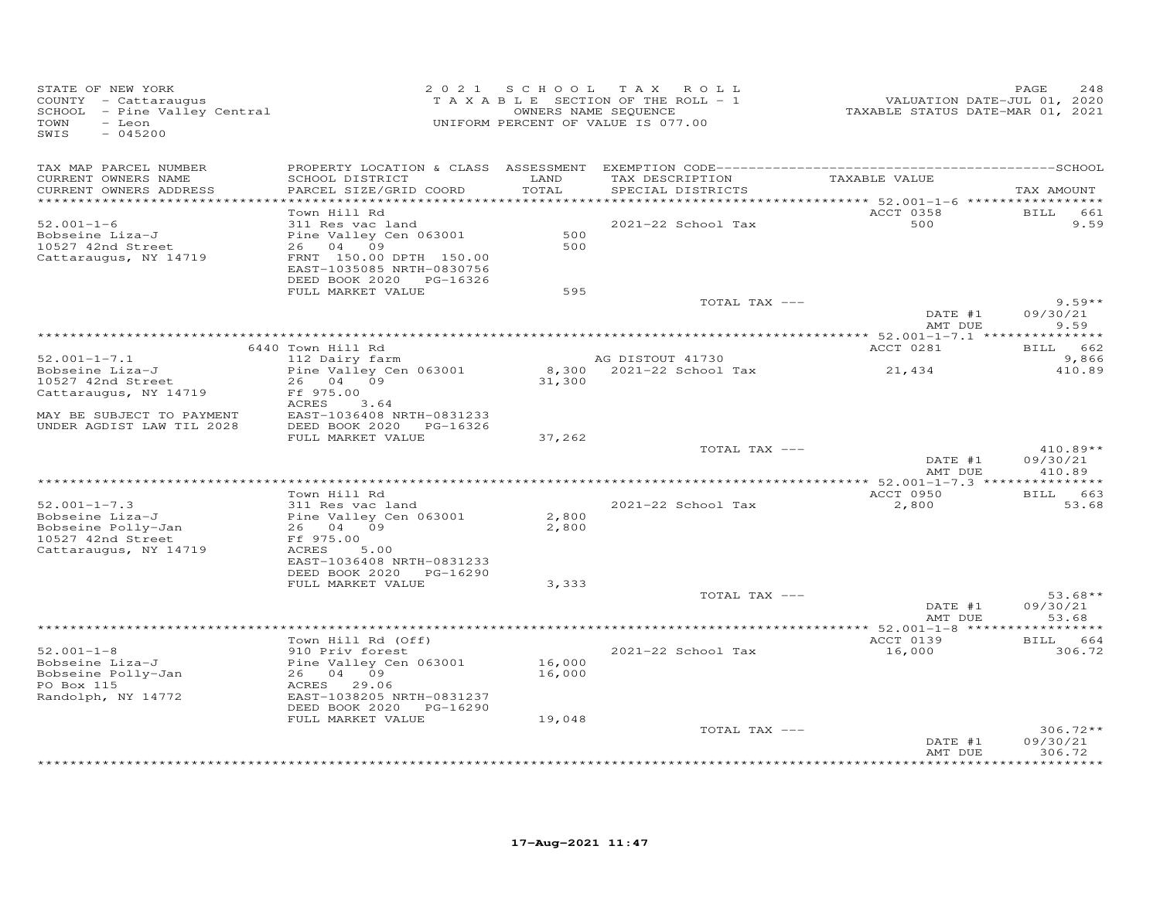| STATE OF NEW YORK<br>COUNTY - Cattaraugus<br>SCHOOL - Pine Valley Central<br>TOWN<br>- Leon<br>SWIS<br>$-045200$ | 2 0 2 1                                                                         |                              | SCHOOL TAX ROLL<br>TAXABLE SECTION OF THE ROLL - 1<br>OWNERS NAME SEQUENCE<br>UNIFORM PERCENT OF VALUE IS 077.00 | VALUATION DATE-JUL 01, 2020<br>TAXABLE STATUS DATE-MAR 01, 2021 | PAGE<br>248          |
|------------------------------------------------------------------------------------------------------------------|---------------------------------------------------------------------------------|------------------------------|------------------------------------------------------------------------------------------------------------------|-----------------------------------------------------------------|----------------------|
| TAX MAP PARCEL NUMBER                                                                                            |                                                                                 |                              |                                                                                                                  |                                                                 |                      |
| CURRENT OWNERS NAME<br>CURRENT OWNERS ADDRESS<br>**********************                                          | SCHOOL DISTRICT<br>PARCEL SIZE/GRID COORD                                       | LAND<br>TOTAL<br>*********** | TAX DESCRIPTION<br>SPECIAL DISTRICTS                                                                             | TAXABLE VALUE                                                   | TAX AMOUNT           |
|                                                                                                                  | Town Hill Rd                                                                    |                              |                                                                                                                  | ACCT 0358                                                       | <b>BILL</b><br>661   |
| $52.001 - 1 - 6$                                                                                                 | 311 Res vac land                                                                |                              | 2021-22 School Tax                                                                                               | 500                                                             | 9.59                 |
| Bobseine Liza-J                                                                                                  | Pine Valley Cen 063001                                                          | 500                          |                                                                                                                  |                                                                 |                      |
| 10527 42nd Street                                                                                                | 26 04 09                                                                        | 500                          |                                                                                                                  |                                                                 |                      |
| Cattaraugus, NY 14719                                                                                            | FRNT 150.00 DPTH 150.00<br>EAST-1035085 NRTH-0830756<br>DEED BOOK 2020 PG-16326 |                              |                                                                                                                  |                                                                 |                      |
|                                                                                                                  | FULL MARKET VALUE                                                               | 595                          |                                                                                                                  |                                                                 |                      |
|                                                                                                                  |                                                                                 |                              | TOTAL TAX ---                                                                                                    |                                                                 | $9.59**$             |
|                                                                                                                  |                                                                                 |                              |                                                                                                                  | DATE #1<br>AMT DUE                                              | 09/30/21<br>9.59     |
|                                                                                                                  |                                                                                 |                              |                                                                                                                  |                                                                 |                      |
|                                                                                                                  | 6440 Town Hill Rd                                                               |                              |                                                                                                                  | ACCT 0281                                                       | BILL 662             |
| $52.001 - 1 - 7.1$<br>Bobseine Liza-J                                                                            | 112 Dairy farm<br>Pine Valley Cen 063001                                        |                              | AG DISTOUT 41730<br>8,300 2021-22 School Tax                                                                     | 21,434                                                          | 9,866<br>410.89      |
| 10527 42nd Street                                                                                                | 26 04 09                                                                        | 31,300                       |                                                                                                                  |                                                                 |                      |
| Cattaraugus, NY 14719                                                                                            | Ff 975.00                                                                       |                              |                                                                                                                  |                                                                 |                      |
|                                                                                                                  | ACRES<br>3.64                                                                   |                              |                                                                                                                  |                                                                 |                      |
| MAY BE SUBJECT TO PAYMENT<br>UNDER AGDIST LAW TIL 2028                                                           | EAST-1036408 NRTH-0831233<br>DEED BOOK 2020 PG-16326                            |                              |                                                                                                                  |                                                                 |                      |
|                                                                                                                  | FULL MARKET VALUE                                                               | 37,262                       |                                                                                                                  |                                                                 |                      |
|                                                                                                                  |                                                                                 |                              | TOTAL TAX ---                                                                                                    |                                                                 | $410.89**$           |
|                                                                                                                  |                                                                                 |                              |                                                                                                                  | DATE #1<br>AMT DUE                                              | 09/30/21<br>410.89   |
|                                                                                                                  |                                                                                 |                              |                                                                                                                  |                                                                 |                      |
| $52.001 - 1 - 7.3$                                                                                               | Town Hill Rd<br>311 Res vac land                                                |                              | 2021-22 School Tax                                                                                               | ACCT 0950<br>2,800                                              | BILL 663<br>53.68    |
| Bobseine Liza-J                                                                                                  | Pine Valley Cen 063001                                                          | 2,800                        |                                                                                                                  |                                                                 |                      |
| Bobseine Polly-Jan                                                                                               | 26 04 09                                                                        | 2,800                        |                                                                                                                  |                                                                 |                      |
| 10527 42nd Street                                                                                                | Ff 975.00                                                                       |                              |                                                                                                                  |                                                                 |                      |
| Cattaraugus, NY 14719                                                                                            | ACRES<br>5.00                                                                   |                              |                                                                                                                  |                                                                 |                      |
|                                                                                                                  | EAST-1036408 NRTH-0831233<br>DEED BOOK 2020<br>PG-16290                         |                              |                                                                                                                  |                                                                 |                      |
|                                                                                                                  | FULL MARKET VALUE                                                               | 3,333                        |                                                                                                                  |                                                                 |                      |
|                                                                                                                  |                                                                                 |                              | TOTAL TAX ---                                                                                                    |                                                                 | $53.68**$            |
|                                                                                                                  |                                                                                 |                              |                                                                                                                  | DATE #1                                                         | 09/30/21             |
|                                                                                                                  |                                                                                 |                              |                                                                                                                  | AMT DUE                                                         | 53.68                |
|                                                                                                                  |                                                                                 |                              |                                                                                                                  | ACCT 0139                                                       | ********<br>BILL 664 |
| $52.001 - 1 - 8$                                                                                                 | Town Hill Rd (Off)<br>910 Priv forest                                           |                              | 2021-22 School Tax                                                                                               | 16,000                                                          | 306.72               |
| Bobseine Liza-J                                                                                                  | Pine Valley Cen 063001                                                          | 16,000                       |                                                                                                                  |                                                                 |                      |
| Bobseine Polly-Jan                                                                                               | 26 04 09                                                                        | 16,000                       |                                                                                                                  |                                                                 |                      |
| PO Box 115                                                                                                       | ACRES 29.06                                                                     |                              |                                                                                                                  |                                                                 |                      |
| Randolph, NY 14772                                                                                               | EAST-1038205 NRTH-0831237                                                       |                              |                                                                                                                  |                                                                 |                      |
|                                                                                                                  | DEED BOOK 2020 PG-16290<br>FULL MARKET VALUE                                    | 19,048                       |                                                                                                                  |                                                                 |                      |
|                                                                                                                  |                                                                                 |                              | TOTAL TAX ---                                                                                                    |                                                                 | $306.72**$           |
|                                                                                                                  |                                                                                 |                              |                                                                                                                  | DATE #1                                                         | 09/30/21             |
|                                                                                                                  |                                                                                 |                              |                                                                                                                  | AMT DUE                                                         | 306.72<br>*********  |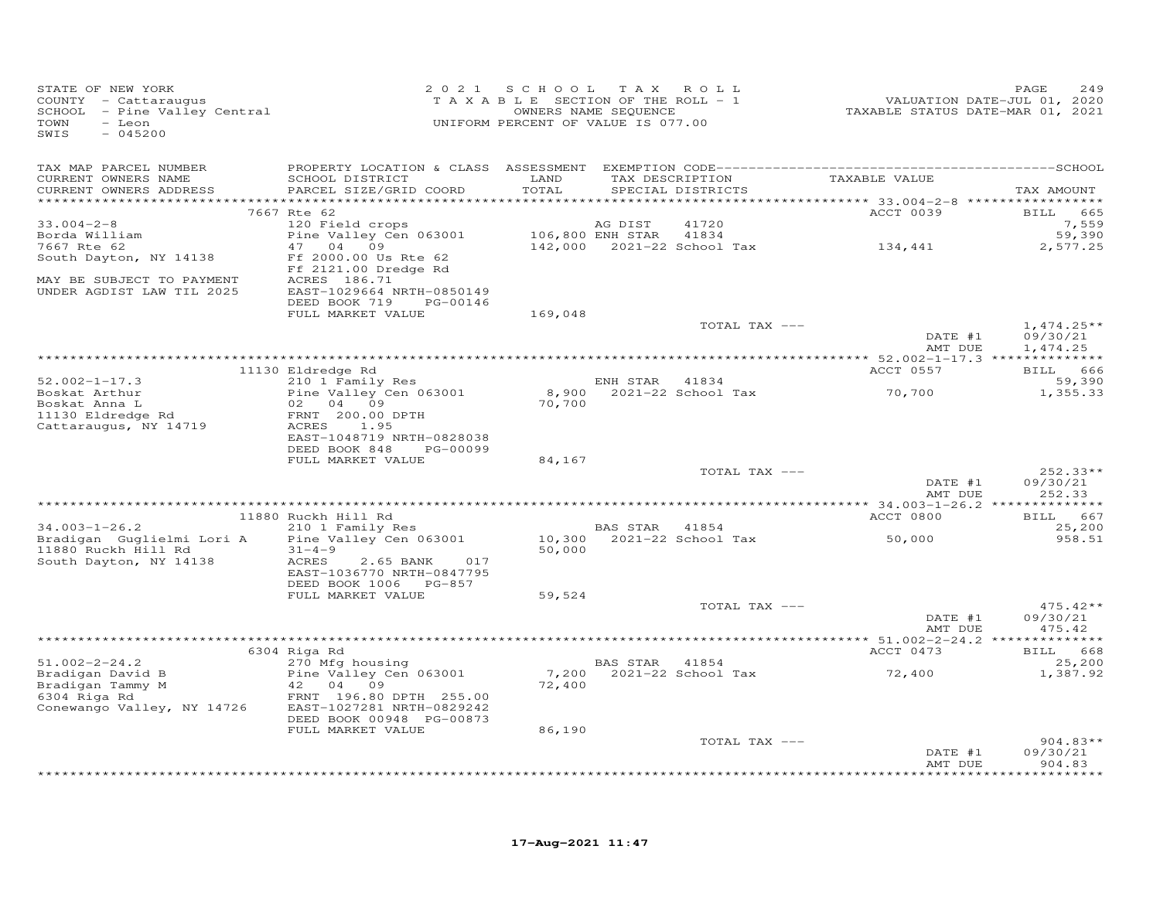| STATE OF NEW YORK<br>COUNTY - Cattaraugus<br>SCHOOL - Pine Valley Central<br>TOWN<br>- Leon<br>SWIS<br>$-045200$ | 2 0 2 1                                                                                                                                                                           | S C H O O L<br>T A X A B L E SECTION OF THE ROLL - 1<br>UNIFORM PERCENT OF VALUE IS 077.00 | T A X<br>OWNERS NAME SEQUENCE | ROLL                                 |                                    | PAGE<br>249                      |
|------------------------------------------------------------------------------------------------------------------|-----------------------------------------------------------------------------------------------------------------------------------------------------------------------------------|--------------------------------------------------------------------------------------------|-------------------------------|--------------------------------------|------------------------------------|----------------------------------|
| TAX MAP PARCEL NUMBER<br>CURRENT OWNERS NAME<br>CURRENT OWNERS ADDRESS<br>**********************                 | SCHOOL DISTRICT<br>PARCEL SIZE/GRID COORD                                                                                                                                         | LAND<br>TOTAL                                                                              |                               | TAX DESCRIPTION<br>SPECIAL DISTRICTS | TAXABLE VALUE                      | TAX AMOUNT                       |
|                                                                                                                  | 7667 Rte 62                                                                                                                                                                       |                                                                                            |                               |                                      | ACCT 0039                          | BILL 665                         |
| $33.004 - 2 - 8$<br>Borda William<br>7667 Rte 62<br>South Dayton, NY 14138<br>MAY BE SUBJECT TO PAYMENT          | 120 Field crops<br>Pine Valley Cen 063001<br>47 04 09<br>Ff 2000.00 Us Rte 62<br>Ff 2121.00 Dredge Rd<br>ACRES 186.71                                                             |                                                                                            | AG DIST<br>106,800 ENH STAR   | 41720<br>41834                       | 142,000 2021-22 School Tax 134,441 | 7,559<br>59,390<br>2,577.25      |
| UNDER AGDIST LAW TIL 2025                                                                                        | EAST-1029664 NRTH-0850149<br>DEED BOOK 719<br>PG-00146                                                                                                                            |                                                                                            |                               |                                      |                                    |                                  |
|                                                                                                                  | FULL MARKET VALUE                                                                                                                                                                 | 169,048                                                                                    |                               | TOTAL TAX ---                        | DATE #1                            | $1,474.25**$<br>09/30/21         |
|                                                                                                                  |                                                                                                                                                                                   |                                                                                            |                               |                                      | AMT DUE                            | 1,474.25                         |
|                                                                                                                  | 11130 Eldredge Rd                                                                                                                                                                 |                                                                                            |                               |                                      | ACCT 0557                          | BILL 666                         |
| $52.002 - 1 - 17.3$<br>Boskat Arthur<br>Boskat Anna L<br>11130 Eldredge Rd<br>Cattaraugus, NY 14719              | 210 1 Family Res<br>Pine Valley Cen 063001<br>02 04 09<br>FRNT 200.00 DPTH<br>ACRES<br>1.95                                                                                       | 70,700                                                                                     | ENH STAR 41834                | 8,900 2021-22 School Tax             | 70,700                             | 59,390<br>1,355.33               |
|                                                                                                                  | EAST-1048719 NRTH-0828038<br>DEED BOOK 848<br>PG-00099<br>FULL MARKET VALUE                                                                                                       | 84,167                                                                                     |                               |                                      |                                    |                                  |
|                                                                                                                  |                                                                                                                                                                                   |                                                                                            |                               | TOTAL TAX ---                        | DATE #1<br>AMT DUE                 | 252.33**<br>09/30/21<br>252.33   |
|                                                                                                                  |                                                                                                                                                                                   |                                                                                            |                               |                                      |                                    |                                  |
| $34.003 - 1 - 26.2$                                                                                              | 11880 Ruckh Hill Rd<br>210 1 Family Res                                                                                                                                           |                                                                                            | BAS STAR 41854                |                                      | ACCT 0800                          | 667<br><b>BILL</b><br>25,200     |
| Bradigan Guglielmi Lori A<br>11880 Ruckh Hill Rd<br>South Dayton, NY 14138                                       | Pine Valley Cen 063001<br>$31 - 4 - 9$<br>ACRES<br>2.65 BANK<br>017<br>EAST-1036770 NRTH-0847795                                                                                  | 10,300<br>50,000                                                                           |                               | 2021-22 School Tax                   | 50,000                             | 958.51                           |
|                                                                                                                  | DEED BOOK 1006 PG-857<br>FULL MARKET VALUE                                                                                                                                        | 59,524                                                                                     |                               |                                      |                                    |                                  |
|                                                                                                                  |                                                                                                                                                                                   |                                                                                            |                               | TOTAL TAX ---                        | DATE #1<br>AMT DUE                 | $475.42**$<br>09/30/21<br>475.42 |
|                                                                                                                  |                                                                                                                                                                                   |                                                                                            |                               |                                      |                                    |                                  |
| $51.002 - 2 - 24.2$<br>Bradigan David B<br>Bradigan Tammy M<br>6304 Riga Rd<br>Conewango Valley, NY 14726        | 6304 Riga Rd<br>270 Mfg housing<br>Pine Valley Cen 063001<br>42 04<br>09<br>FRNT 196.80 DPTH 255.00<br>EAST-1027281 NRTH-0829242<br>DEED BOOK 00948 PG-00873<br>FULL MARKET VALUE | 72,400<br>86,190                                                                           | BAS STAR 41854                | 7,200 2021-22 School Tax             | ACCT 0473<br>72,400                | BILL 668<br>25,200<br>1,387.92   |
|                                                                                                                  |                                                                                                                                                                                   |                                                                                            |                               | TOTAL TAX ---                        |                                    | $904.83**$                       |
|                                                                                                                  |                                                                                                                                                                                   |                                                                                            |                               |                                      | DATE #1<br>AMT DUE                 | 09/30/21<br>904.83<br>********** |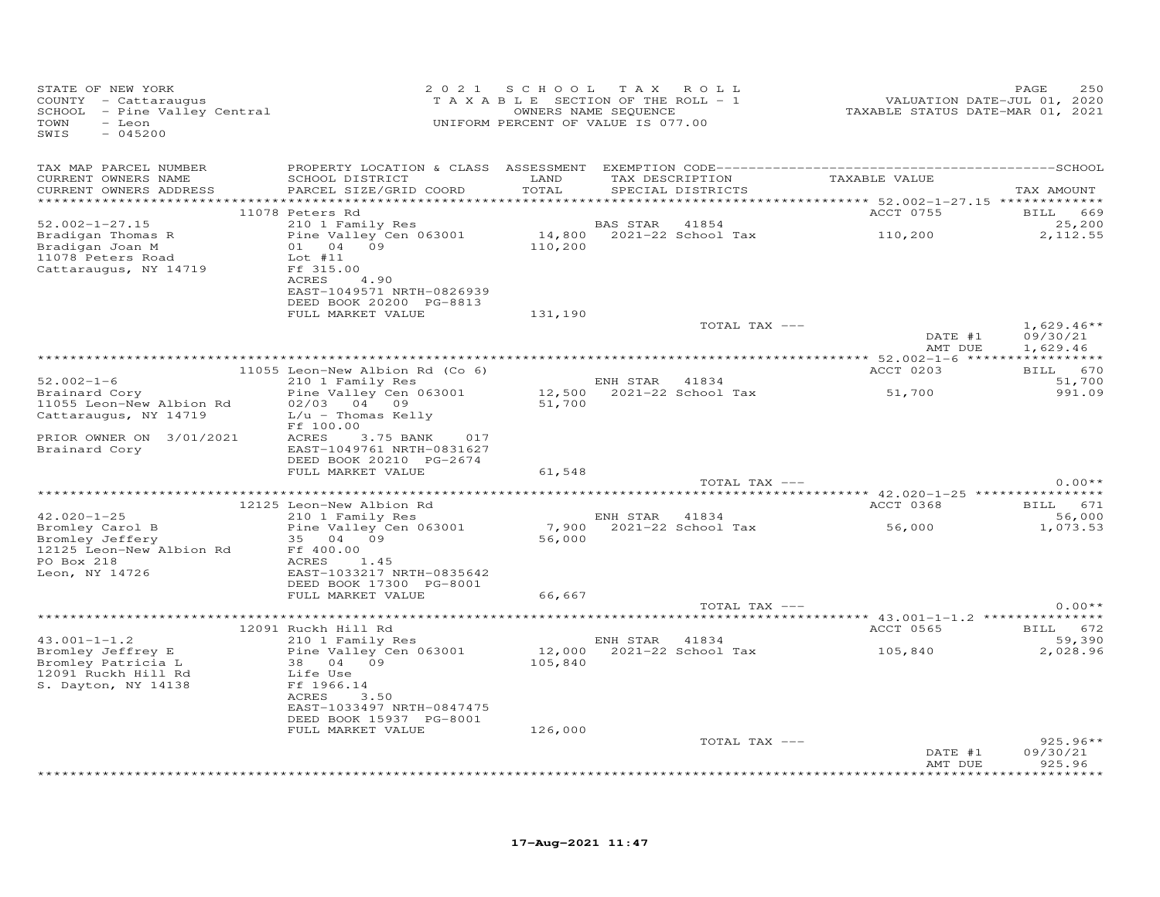| STATE OF NEW YORK<br>COUNTY - Cattaraugus<br>SCHOOL - Pine Valley Central<br>- Leon<br>TOWN<br>$-045200$<br>SWIS |                                                      | 2021 SCHOOL TAX ROLL<br>T A X A B L E SECTION OF THE ROLL - 1<br>OWNERS NAME SEQUENCE<br>UNIFORM PERCENT OF VALUE IS 077.00 |                |                           | VALUATION DATE-JUL 01, 2020<br>TAXABLE STATUS DATE-MAR 01, 2021 | 250<br>PAGE         |
|------------------------------------------------------------------------------------------------------------------|------------------------------------------------------|-----------------------------------------------------------------------------------------------------------------------------|----------------|---------------------------|-----------------------------------------------------------------|---------------------|
| TAX MAP PARCEL NUMBER<br>CURRENT OWNERS NAME                                                                     | SCHOOL DISTRICT                                      | LAND                                                                                                                        |                |                           | TAX DESCRIPTION TAXABLE VALUE                                   |                     |
| CURRENT OWNERS ADDRESS                                                                                           | PARCEL SIZE/GRID COORD                               | TOTAL                                                                                                                       |                | SPECIAL DISTRICTS         |                                                                 | TAX AMOUNT          |
|                                                                                                                  | 11078 Peters Rd                                      |                                                                                                                             |                |                           | ACCT 0755                                                       | BILL 669            |
| $52.002 - 1 - 27.15$                                                                                             | 210 1 Family Res                                     |                                                                                                                             | BAS STAR 41854 |                           |                                                                 | 25,200              |
| Bradigan Thomas R                                                                                                | Pine Valley Cen 063001                               |                                                                                                                             |                |                           | BAS STAR 41854<br>14,800 2021-22 School Tax 110,200             | 2,112.55            |
| Bradigan Joan M                                                                                                  | 01 04 09<br>$Lot$ #11                                | 110,200                                                                                                                     |                |                           |                                                                 |                     |
| 11078 Peters Road<br>Cattaraugus, NY 14719                                                                       | Ff 315.00                                            |                                                                                                                             |                |                           |                                                                 |                     |
|                                                                                                                  | ACRES<br>4.90                                        |                                                                                                                             |                |                           |                                                                 |                     |
|                                                                                                                  | EAST-1049571 NRTH-0826939                            |                                                                                                                             |                |                           |                                                                 |                     |
|                                                                                                                  | DEED BOOK 20200 PG-8813<br>FULL MARKET VALUE         | 131,190                                                                                                                     |                |                           |                                                                 |                     |
|                                                                                                                  |                                                      |                                                                                                                             |                | TOTAL TAX ---             |                                                                 | $1,629.46**$        |
|                                                                                                                  |                                                      |                                                                                                                             |                |                           | DATE #1                                                         | 09/30/21            |
|                                                                                                                  |                                                      |                                                                                                                             |                |                           | AMT DUE                                                         | 1,629.46            |
|                                                                                                                  | 11055 Leon-New Albion Rd (Co 6)                      |                                                                                                                             |                |                           | ACCT 0203                                                       | BILL 670            |
| $52.002 - 1 - 6$                                                                                                 | 210 1 Family Res                                     |                                                                                                                             | ENH STAR 41834 |                           |                                                                 | 51,700              |
| Brainard Cory                                                                                                    | Pine Valley Cen 063001                               |                                                                                                                             |                | 12,500 2021-22 School Tax | 51,700                                                          | 991.09              |
| 11055 Leon-New Albion Rd<br>Cattaraugus, NY 14719                                                                | 02/03 04 09<br>$L/u$ - Thomas Kelly                  | 51,700                                                                                                                      |                |                           |                                                                 |                     |
|                                                                                                                  | Ff 100.00                                            |                                                                                                                             |                |                           |                                                                 |                     |
| PRIOR OWNER ON 3/01/2021                                                                                         | ACRES<br>3.75 BANK 017                               |                                                                                                                             |                |                           |                                                                 |                     |
| Brainard Cory                                                                                                    | EAST-1049761 NRTH-0831627                            |                                                                                                                             |                |                           |                                                                 |                     |
|                                                                                                                  | DEED BOOK 20210 PG-2674<br>FULL MARKET VALUE         | 61,548                                                                                                                      |                |                           |                                                                 |                     |
|                                                                                                                  |                                                      |                                                                                                                             |                | TOTAL TAX ---             |                                                                 | $0.00**$            |
|                                                                                                                  |                                                      |                                                                                                                             |                |                           |                                                                 |                     |
|                                                                                                                  | 12125 Leon-New Albion Rd                             |                                                                                                                             |                |                           | ACCT 0368                                                       | <b>BILL</b> 671     |
| $42.020 - 1 - 25$<br>Bromley Carol B                                                                             | 210 1 Family Res<br>Pine Valley Cen 063001           |                                                                                                                             | ENH STAR 41834 |                           |                                                                 | 56,000<br>1,073.53  |
| Bromley Jeffery                                                                                                  | 35 04 09                                             | 56,000                                                                                                                      |                |                           |                                                                 |                     |
| 12125 Leon-New Albion Rd                                                                                         | Ff 400.00                                            |                                                                                                                             |                |                           |                                                                 |                     |
| PO Box 218                                                                                                       | ACRES<br>1.45                                        |                                                                                                                             |                |                           |                                                                 |                     |
| Leon, NY 14726                                                                                                   | EAST-1033217 NRTH-0835642<br>DEED BOOK 17300 PG-8001 |                                                                                                                             |                |                           |                                                                 |                     |
|                                                                                                                  | FULL MARKET VALUE                                    | 66,667                                                                                                                      |                |                           |                                                                 |                     |
|                                                                                                                  |                                                      |                                                                                                                             |                | TOTAL TAX ---             |                                                                 | $0.00**$            |
|                                                                                                                  |                                                      |                                                                                                                             |                |                           |                                                                 |                     |
| $43.001 - 1 - 1.2$                                                                                               | 12091 Ruckh Hill Rd<br>210 1 Family Res              |                                                                                                                             | ENH STAR 41834 |                           | ACCT 0565 BILL 672                                              | 59,390              |
| Bromley Jeffrey E                                                                                                | Pine Valley Cen 063001                               |                                                                                                                             |                |                           | 12,000 2021-22 School Tax 105,840                               | 2,028.96            |
| Bromley Patricia L                                                                                               | 38 04 09                                             | 105,840                                                                                                                     |                |                           |                                                                 |                     |
| 12091 Ruckh Hill Rd                                                                                              | Life Use                                             |                                                                                                                             |                |                           |                                                                 |                     |
| S. Dayton, NY 14138                                                                                              | Ff 1966.14<br>ACRES<br>3.50                          |                                                                                                                             |                |                           |                                                                 |                     |
|                                                                                                                  | EAST-1033497 NRTH-0847475                            |                                                                                                                             |                |                           |                                                                 |                     |
|                                                                                                                  | DEED BOOK 15937 PG-8001                              |                                                                                                                             |                |                           |                                                                 |                     |
|                                                                                                                  | FULL MARKET VALUE                                    | 126,000                                                                                                                     |                |                           |                                                                 | $925.96**$          |
|                                                                                                                  |                                                      |                                                                                                                             |                | TOTAL TAX ---             | DATE #1                                                         | 09/30/21            |
|                                                                                                                  |                                                      |                                                                                                                             |                |                           | AMT DUE                                                         | 925.96<br>********* |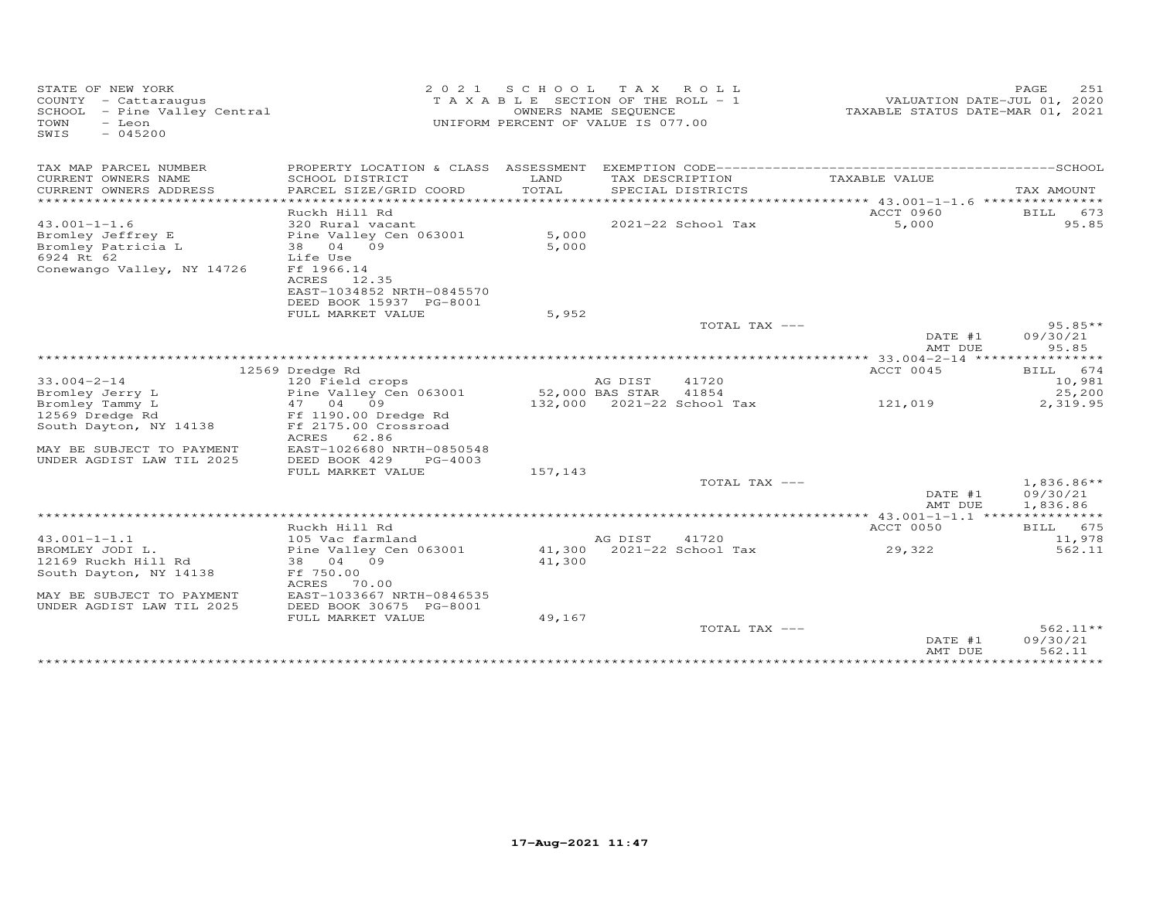| STATE OF NEW YORK<br>COUNTY - Cattaraugus<br>SCHOOL - Pine Valley Central<br>TOWN<br>$-$ Leon<br>$-045200$<br>SWIS | 2 0 2 1                                                                                                                                             | S C H O O L<br>T A X A B L E SECTION OF THE ROLL - 1<br>UNIFORM PERCENT OF VALUE IS 077.00 | T A X<br>OWNERS NAME SEQUENCE        | ROLL          | TAXABLE STATUS DATE-MAR 01, 2021       | 251<br>PAGE<br>VALUATION DATE-JUL 01, 2020 |
|--------------------------------------------------------------------------------------------------------------------|-----------------------------------------------------------------------------------------------------------------------------------------------------|--------------------------------------------------------------------------------------------|--------------------------------------|---------------|----------------------------------------|--------------------------------------------|
| TAX MAP PARCEL NUMBER                                                                                              | PROPERTY LOCATION & CLASS ASSESSMENT                                                                                                                |                                                                                            |                                      |               |                                        |                                            |
| CURRENT OWNERS NAME<br>CURRENT OWNERS ADDRESS<br>**********************                                            | SCHOOL DISTRICT<br>PARCEL SIZE/GRID COORD                                                                                                           | LAND<br>TOTAL                                                                              | TAX DESCRIPTION<br>SPECIAL DISTRICTS |               | TAXABLE VALUE                          | TAX AMOUNT                                 |
| $43.001 - 1 - 1.6$<br>Bromley Jeffrey E<br>Bromley Patricia L<br>6924 Rt 62<br>Conewango Valley, NY 14726          | Ruckh Hill Rd<br>320 Rural vacant<br>Pine Valley Cen 063001<br>38<br>04 09<br>Life Use<br>Ff 1966.14<br>12.35<br>ACRES<br>EAST-1034852 NRTH-0845570 | 5,000<br>5,000                                                                             | 2021-22 School Tax                   |               | ACCT 0960<br>5,000                     | BILL<br>673<br>95.85                       |
|                                                                                                                    | DEED BOOK 15937 PG-8001<br>FULL MARKET VALUE                                                                                                        | 5,952                                                                                      |                                      |               |                                        |                                            |
|                                                                                                                    |                                                                                                                                                     |                                                                                            |                                      | TOTAL TAX --- |                                        | $95.85**$                                  |
|                                                                                                                    |                                                                                                                                                     |                                                                                            |                                      |               | DATE #1<br>AMT DUE                     | 09/30/21<br>95.85                          |
|                                                                                                                    |                                                                                                                                                     |                                                                                            |                                      |               | ** 33.004-2-14 ****                    |                                            |
|                                                                                                                    | 12569 Dredge Rd                                                                                                                                     |                                                                                            |                                      |               | ACCT 0045                              | 674<br>BILL                                |
| $33.004 - 2 - 14$                                                                                                  | 120 Field crops                                                                                                                                     |                                                                                            | AG DIST                              | 41720         |                                        | 10,981                                     |
| Bromley Jerry L                                                                                                    | Pine Valley Cen 063001                                                                                                                              |                                                                                            | 52,000 BAS STAR                      | 41854         |                                        | 25,200                                     |
| Bromley Tammy L                                                                                                    | 47 04 09                                                                                                                                            |                                                                                            | 132,000 2021-22 School Tax           |               | 121,019                                | 2,319.95                                   |
| 12569 Dredge Rd<br>South Dayton, NY 14138                                                                          | Ff 1190.00 Dredge Rd<br>Ff 2175.00 Crossroad<br>62.86<br>ACRES                                                                                      |                                                                                            |                                      |               |                                        |                                            |
| MAY BE SUBJECT TO PAYMENT<br>UNDER AGDIST LAW TIL 2025                                                             | EAST-1026680 NRTH-0850548<br>DEED BOOK 429<br>PG-4003                                                                                               |                                                                                            |                                      |               |                                        |                                            |
|                                                                                                                    | FULL MARKET VALUE                                                                                                                                   | 157,143                                                                                    |                                      |               |                                        |                                            |
|                                                                                                                    |                                                                                                                                                     |                                                                                            |                                      | TOTAL TAX --- | DATE #1<br>AMT DUE                     | $1,836.86**$<br>09/30/21<br>1,836.86       |
|                                                                                                                    |                                                                                                                                                     |                                                                                            |                                      |               | ** $43.001 - 1 - 1.1$ **************** |                                            |
|                                                                                                                    | Ruckh Hill Rd                                                                                                                                       |                                                                                            |                                      |               | ACCT 0050                              | BILL 675                                   |
| $43.001 - 1 - 1.1$                                                                                                 | 105 Vac farmland                                                                                                                                    |                                                                                            | AG DIST                              | 41720         |                                        | 11,978                                     |
| BROMLEY JODI L.                                                                                                    | Pine Valley Cen 063001                                                                                                                              | 41,300                                                                                     | 2021-22 School Tax                   |               | 29,322                                 | 562.11                                     |
| 12169 Ruckh Hill Rd                                                                                                | 38<br>04 09                                                                                                                                         | 41,300                                                                                     |                                      |               |                                        |                                            |
| South Dayton, NY 14138                                                                                             | Ff 750.00<br>ACRES<br>70.00                                                                                                                         |                                                                                            |                                      |               |                                        |                                            |
| MAY BE SUBJECT TO PAYMENT<br>UNDER AGDIST LAW TIL 2025                                                             | EAST-1033667 NRTH-0846535<br>DEED BOOK 30675 PG-8001                                                                                                |                                                                                            |                                      |               |                                        |                                            |
|                                                                                                                    | FULL MARKET VALUE                                                                                                                                   | 49,167                                                                                     |                                      |               |                                        |                                            |
|                                                                                                                    |                                                                                                                                                     |                                                                                            |                                      | TOTAL TAX --- | DATE #1<br>AMT DUE                     | 562.11**<br>09/30/21<br>562.11             |
|                                                                                                                    |                                                                                                                                                     |                                                                                            |                                      |               | * * * * * * * * * * * * * *            | * * * * * * * * * * *                      |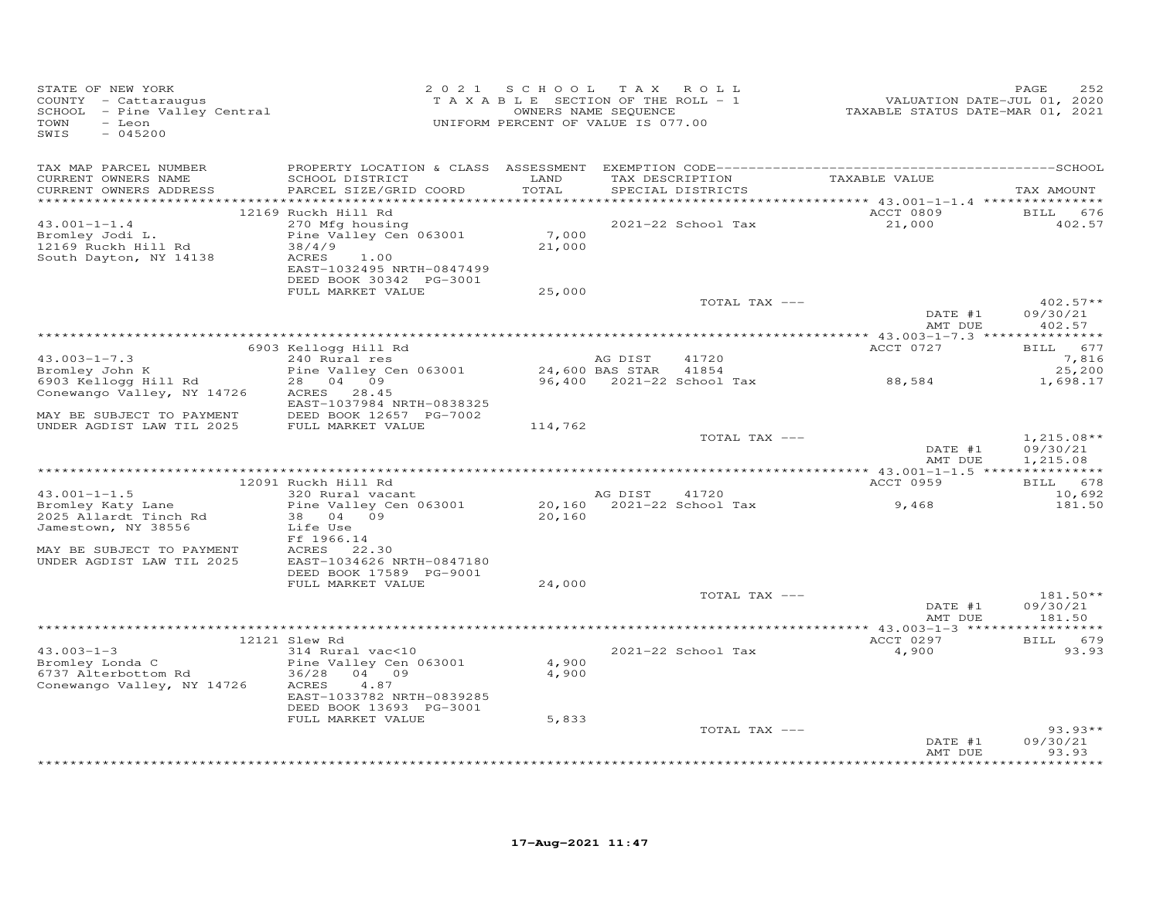| STATE OF NEW YORK<br>COUNTY - Cattaraugus<br>SCHOOL - Pine Valley Central<br>- Leon<br>TOWN<br>SWIS<br>$-045200$                                  | 2 0 2 1                                                                                                                                                                  | S C H O O L<br>TAXABLE SECTION OF THE ROLL - 1<br>UNIFORM PERCENT OF VALUE IS 077.00 | TAX ROLL<br>OWNERS NAME SEQUENCE     |                           | VALUATION DATE-JUL 01, 2020<br>TAXABLE STATUS DATE-MAR 01, 2021 | 252<br>PAGE                           |
|---------------------------------------------------------------------------------------------------------------------------------------------------|--------------------------------------------------------------------------------------------------------------------------------------------------------------------------|--------------------------------------------------------------------------------------|--------------------------------------|---------------------------|-----------------------------------------------------------------|---------------------------------------|
| TAX MAP PARCEL NUMBER<br>CURRENT OWNERS NAME<br>CURRENT OWNERS ADDRESS                                                                            | PROPERTY LOCATION & CLASS ASSESSMENT<br>SCHOOL DISTRICT<br>PARCEL SIZE/GRID COORD                                                                                        | LAND<br>TOTAL<br>*******                                                             | TAX DESCRIPTION                      | SPECIAL DISTRICTS         | TAXABLE VALUE                                                   | TAX AMOUNT                            |
| $43.001 - 1 - 1.4$<br>Bromley Jodi L.<br>12169 Ruckh Hill Rd<br>South Dayton, NY 14138                                                            | 12169 Ruckh Hill Rd<br>270 Mfg housing<br>Pine Valley Cen 063001<br>38/4/9<br>ACRES<br>1.00<br>EAST-1032495 NRTH-0847499<br>DEED BOOK 30342 PG-3001<br>FULL MARKET VALUE | 7,000<br>21,000<br>25,000                                                            |                                      | 2021-22 School Tax        | ******* 43.001-1-1.4 **********<br>ACCT 0809<br>21,000          | BILL 676<br>402.57                    |
|                                                                                                                                                   |                                                                                                                                                                          |                                                                                      |                                      | TOTAL TAX ---             | DATE #1                                                         | $402.57**$<br>09/30/21<br>402.57      |
|                                                                                                                                                   |                                                                                                                                                                          |                                                                                      |                                      |                           | AMT DUE                                                         |                                       |
| $43.003 - 1 - 7.3$<br>Bromley John K                                                                                                              | 6903 Kellogg Hill Rd<br>240 Rural res<br>Pine Valley Cen 063001                                                                                                          |                                                                                      | AG DIST<br>24,600 BAS STAR           | 41720<br>41854            | ACCT 0727                                                       | <b>BILL</b><br>677<br>7,816<br>25,200 |
| 6903 Kellogg Hill Rd<br>Conewango Valley, NY 14726<br>MAY BE SUBJECT TO PAYMENT                                                                   | 28 04 09<br>ACRES 28.45<br>EAST-1037984 NRTH-0838325<br>DEED BOOK 12657 PG-7002                                                                                          |                                                                                      |                                      | 96,400 2021-22 School Tax | 88,584                                                          | 1,698.17                              |
| UNDER AGDIST LAW TIL 2025                                                                                                                         | FULL MARKET VALUE                                                                                                                                                        | 114,762                                                                              |                                      | TOTAL TAX ---             | DATE #1                                                         | $1,215.08**$<br>09/30/21              |
|                                                                                                                                                   |                                                                                                                                                                          |                                                                                      |                                      |                           | AMT DUE                                                         | 1,215.08                              |
|                                                                                                                                                   | 12091 Ruckh Hill Rd                                                                                                                                                      |                                                                                      |                                      |                           | ACCT 0959                                                       | BILL 678                              |
| $43.001 - 1 - 1.5$<br>Bromley Katy Lane<br>2025 Allardt Tinch Rd<br>Jamestown, NY 38556<br>MAY BE SUBJECT TO PAYMENT<br>UNDER AGDIST LAW TIL 2025 | 320 Rural vacant<br>Pine Valley Cen 063001<br>38 04 09<br>Life Use<br>Ff 1966.14<br>22.30<br>ACRES<br>EAST-1034626 NRTH-0847180                                          | 20,160                                                                               | AG DIST<br>20,160 2021-22 School Tax | 41720                     | 9,468                                                           | 10,692<br>181.50                      |
|                                                                                                                                                   | DEED BOOK 17589 PG-9001<br>FULL MARKET VALUE                                                                                                                             | 24,000                                                                               |                                      |                           |                                                                 |                                       |
|                                                                                                                                                   |                                                                                                                                                                          |                                                                                      |                                      | TOTAL TAX ---             | DATE #1<br>AMT DUE                                              | $181.50**$<br>09/30/21<br>181.50      |
|                                                                                                                                                   |                                                                                                                                                                          |                                                                                      |                                      |                           |                                                                 |                                       |
| $43.003 - 1 - 3$<br>Bromley Londa C<br>6737 Alterbottom Rd<br>Conewango Valley, NY 14726                                                          | 12121 Slew Rd<br>314 Rural vac<10<br>Pine Valley Cen 063001<br>36/28<br>04 09<br>4.87<br>ACRES<br>EAST-1033782 NRTH-0839285                                              | 4,900<br>4,900                                                                       |                                      | 2021-22 School Tax        | ACCT 0297<br>4,900                                              | 679<br>BILL<br>93.93                  |
|                                                                                                                                                   | DEED BOOK 13693 PG-3001<br>FULL MARKET VALUE                                                                                                                             | 5,833                                                                                |                                      | TOTAL TAX ---             | DATE #1<br>AMT DUE                                              | $93.93**$<br>09/30/21<br>93.93        |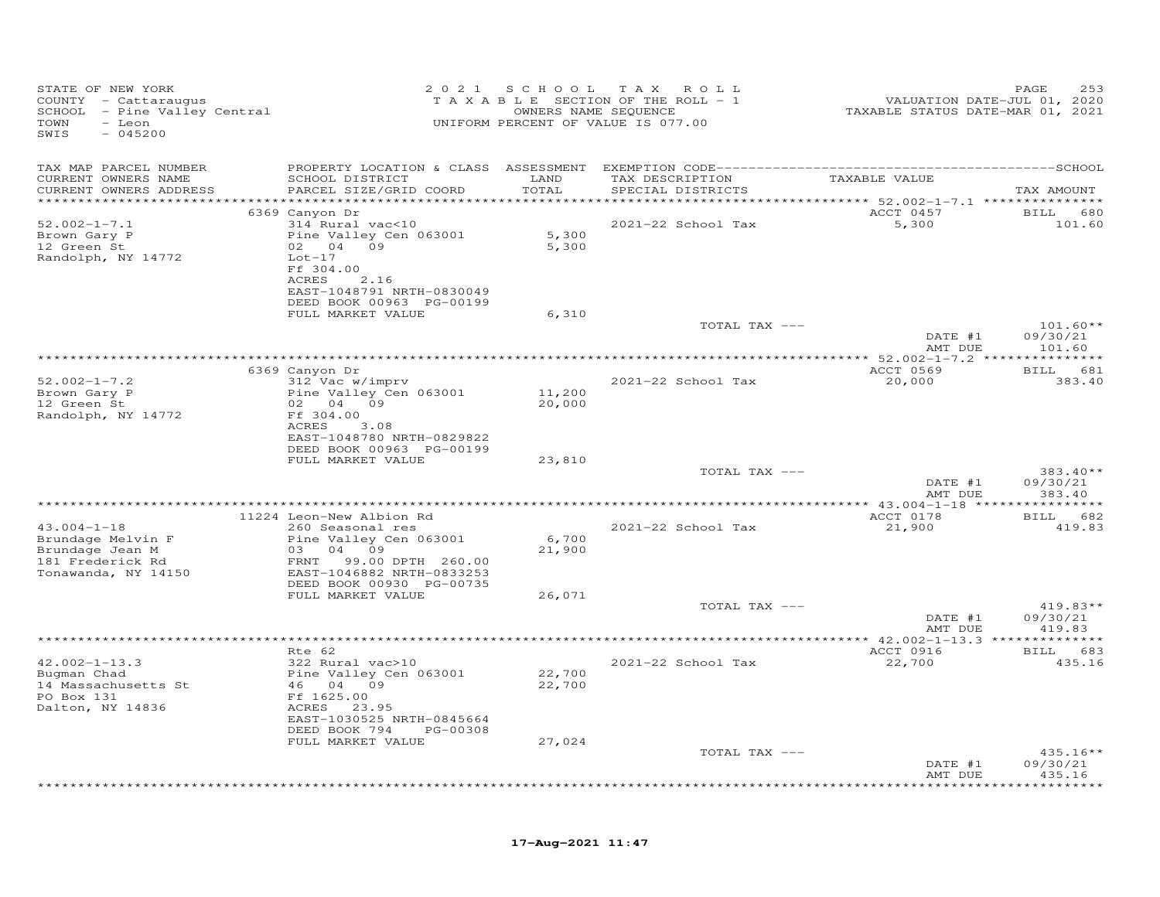| STATE OF NEW YORK<br>COUNTY - Cattaraugus<br>SCHOOL - Pine Valley Central<br>- Leon<br>TOWN<br>$-045200$<br>SWIS |                                                                                                  | 2021 SCHOOL      | TAX ROLL<br>T A X A B L E SECTION OF THE ROLL - 1<br>OWNERS NAME SEQUENCE<br>UNIFORM PERCENT OF VALUE IS 077.00 | VALUATION DATE-JUL 01, 2020<br>TAXABLE STATUS DATE-MAR 01, 2021 | PAGE<br>253                      |
|------------------------------------------------------------------------------------------------------------------|--------------------------------------------------------------------------------------------------|------------------|-----------------------------------------------------------------------------------------------------------------|-----------------------------------------------------------------|----------------------------------|
| TAX MAP PARCEL NUMBER                                                                                            |                                                                                                  |                  |                                                                                                                 |                                                                 |                                  |
| CURRENT OWNERS NAME<br>CURRENT OWNERS ADDRESS<br>************************                                        | SCHOOL DISTRICT<br>PARCEL SIZE/GRID COORD                                                        | LAND<br>TOTAL    | TAX DESCRIPTION<br>SPECIAL DISTRICTS                                                                            | TAXABLE VALUE                                                   | TAX AMOUNT                       |
|                                                                                                                  | 6369 Canyon Dr                                                                                   |                  |                                                                                                                 | ACCT 0457                                                       | BILL 680                         |
| $52.002 - 1 - 7.1$<br>Brown Gary P<br>12 Green St<br>Randolph, NY 14772                                          | 314 Rural vac<10<br>Pine Valley Cen 063001<br>02 04 09<br>$Lot-17$<br>Ff 304.00<br>ACRES<br>2.16 | 5,300<br>5,300   | 2021-22 School Tax                                                                                              | 5,300                                                           | 101.60                           |
|                                                                                                                  | EAST-1048791 NRTH-0830049<br>DEED BOOK 00963 PG-00199                                            |                  |                                                                                                                 |                                                                 |                                  |
|                                                                                                                  | FULL MARKET VALUE                                                                                | 6,310            |                                                                                                                 |                                                                 |                                  |
|                                                                                                                  |                                                                                                  |                  | TOTAL TAX ---                                                                                                   | DATE #1<br>AMT DUE                                              | $101.60**$<br>09/30/21<br>101.60 |
|                                                                                                                  |                                                                                                  |                  |                                                                                                                 |                                                                 |                                  |
|                                                                                                                  | 6369 Canyon Dr                                                                                   |                  |                                                                                                                 | ACCT 0569                                                       | BILL 681                         |
| $52.002 - 1 - 7.2$<br>Brown Gary P<br>12 Green St                                                                | 312 Vac w/imprv<br>Pine Valley Cen 063001<br>02 04 09                                            | 11,200<br>20,000 | 2021-22 School Tax                                                                                              | 20,000                                                          | 383.40                           |
| Randolph, NY 14772                                                                                               | Ff 304.00<br>ACRES<br>3.08<br>EAST-1048780 NRTH-0829822<br>DEED BOOK 00963 PG-00199              |                  |                                                                                                                 |                                                                 |                                  |
|                                                                                                                  | FULL MARKET VALUE                                                                                | 23,810           | TOTAL TAX ---                                                                                                   |                                                                 | 383.40**                         |
|                                                                                                                  |                                                                                                  |                  |                                                                                                                 | DATE #1<br>AMT DUE                                              | 09/30/21<br>383.40               |
|                                                                                                                  |                                                                                                  |                  |                                                                                                                 |                                                                 |                                  |
| $43.004 - 1 - 18$                                                                                                | 11224 Leon-New Albion Rd<br>260 Seasonal res                                                     |                  | 2021-22 School Tax                                                                                              | ACCT 0178<br>21,900                                             | BILL 682<br>419.83               |
| Brundage Melvin F<br>Brundage Jean M<br>181 Frederick Rd<br>Tonawanda, NY 14150                                  | Pine Valley Cen 063001<br>03 04 09<br>FRNT 99.00 DPTH 260.00<br>EAST-1046882 NRTH-0833253        | 6,700<br>21,900  |                                                                                                                 |                                                                 |                                  |
|                                                                                                                  | DEED BOOK 00930 PG-00735                                                                         |                  |                                                                                                                 |                                                                 |                                  |
|                                                                                                                  | FULL MARKET VALUE                                                                                | 26,071           |                                                                                                                 |                                                                 |                                  |
|                                                                                                                  |                                                                                                  |                  | TOTAL TAX ---                                                                                                   | DATE #1                                                         | $419.83**$<br>09/30/21           |
|                                                                                                                  |                                                                                                  |                  |                                                                                                                 | AMT DUE                                                         | 419.83                           |
|                                                                                                                  |                                                                                                  |                  |                                                                                                                 |                                                                 |                                  |
|                                                                                                                  | Rte 62                                                                                           |                  |                                                                                                                 | ACCT 0916                                                       | BILL 683                         |
| $42.002 - 1 - 13.3$<br>Bugman Chad<br>14 Massachusetts St<br>PO Box 131<br>Dalton, NY 14836                      | 322 Rural vac>10<br>Pine Valley Cen 063001<br>46 04 09<br>Ff 1625.00<br>ACRES 23.95              | 22,700<br>22,700 | 2021-22 School Tax                                                                                              | 22,700                                                          | 435.16                           |
|                                                                                                                  | EAST-1030525 NRTH-0845664                                                                        |                  |                                                                                                                 |                                                                 |                                  |
|                                                                                                                  | DEED BOOK 794<br>PG-00308<br>FULL MARKET VALUE                                                   | 27,024           |                                                                                                                 |                                                                 |                                  |
|                                                                                                                  |                                                                                                  |                  | TOTAL TAX ---                                                                                                   |                                                                 | $435.16**$                       |
|                                                                                                                  |                                                                                                  |                  |                                                                                                                 | DATE #1<br>AMT DUE                                              | 09/30/21<br>435.16               |
|                                                                                                                  |                                                                                                  |                  |                                                                                                                 |                                                                 | *******                          |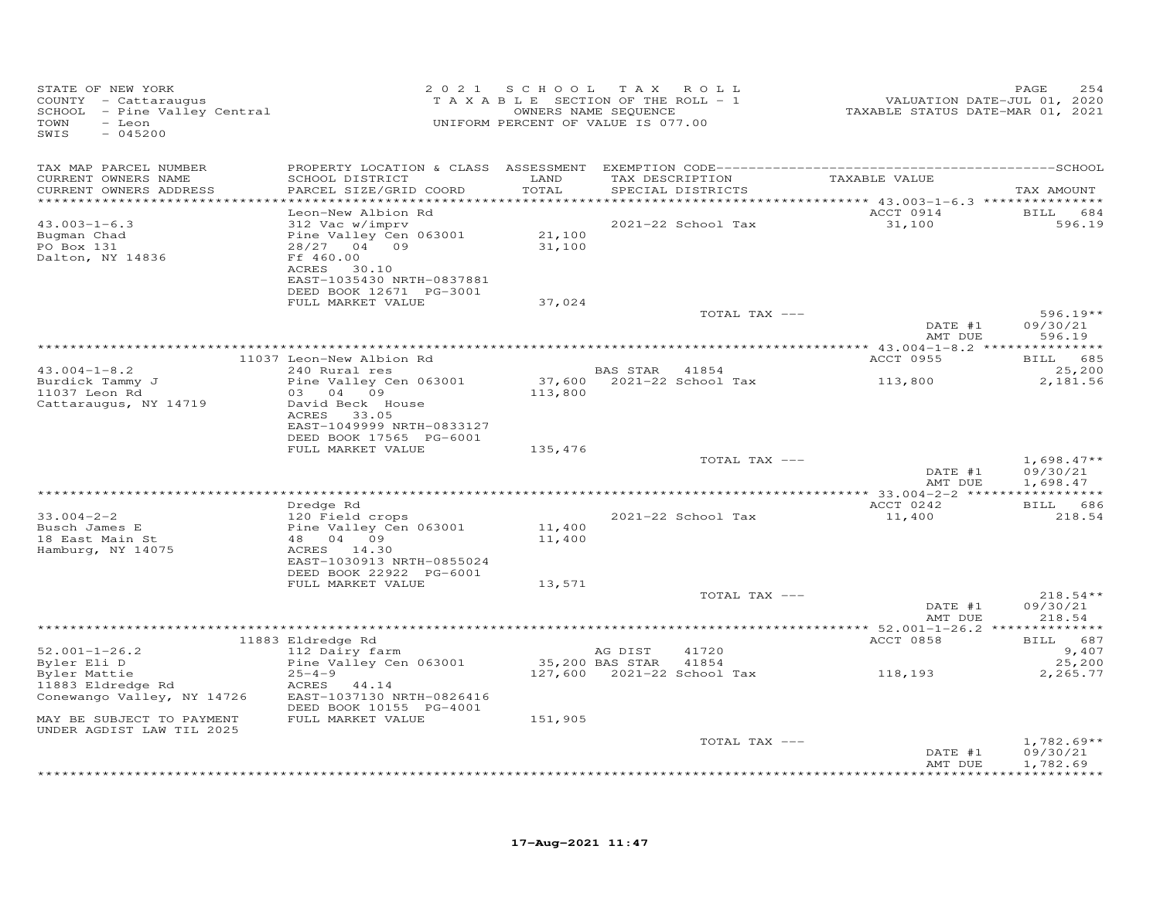| TAX MAP PARCEL NUMBER<br>TAXABLE VALUE<br>CURRENT OWNERS NAME<br>SCHOOL DISTRICT<br>LAND<br>TAX DESCRIPTION<br>TOTAL<br>CURRENT OWNERS ADDRESS<br>PARCEL SIZE/GRID COORD<br>SPECIAL DISTRICTS<br>********** 43.003-1-6.3 ****************<br>***********<br>Leon-New Albion Rd<br>ACCT 0914<br>312 Vac w/imprv<br>$43.003 - 1 - 6.3$<br>2021-22 School Tax<br>31,100<br>21,100<br>Bugman Chad<br>Pine Valley Cen 063001<br>28/27 04 09<br>31,100<br>PO Box 131<br>Ff 460.00<br>Dalton, NY 14836<br>30.10<br>ACRES<br>EAST-1035430 NRTH-0837881<br>DEED BOOK 12671 PG-3001<br>FULL MARKET VALUE<br>37,024<br>TOTAL TAX ---<br>DATE #1<br>AMT DUE<br>ACCT 0955<br>11037 Leon-New Albion Rd<br>$43.004 - 1 - 8.2$<br>240 Rural res<br>BAS STAR 41854<br>37,600 2021-22 School Tax<br>Pine Valley Cen 063001<br>Burdick Tammy J<br>113,800<br>11037 Leon Rd<br>03 04 09<br>113,800<br>Cattaraugus, NY 14719<br>David Beck House<br>ACRES<br>33.05<br>EAST-1049999 NRTH-0833127<br>DEED BOOK 17565 PG-6001<br>FULL MARKET VALUE<br>135,476<br>TOTAL TAX ---<br>DATE #1<br>AMT DUE<br>BILL 686<br>Dredge Rd<br>ACCT 0242<br>$33.004 - 2 - 2$<br>120 Field crops<br>2021-22 School Tax<br>11,400<br>Pine Valley Cen 063001<br>Busch James E<br>11,400<br>48 04 09<br>18 East Main St<br>11,400<br>Hamburg, NY 14075<br>ACRES 14.30<br>EAST-1030913 NRTH-0855024<br>DEED BOOK 22922 PG-6001<br>FULL MARKET VALUE<br>13,571<br>TOTAL TAX ---<br>DATE #1<br>AMT DUE<br>ACCT 0858<br>BILL 687<br>11883 Eldredge Rd<br>112 Dairy farm<br>$52.001 - 1 - 26.2$<br>AG DIST<br>41720<br>35,200 BAS STAR<br>Byler Eli D<br>Pine Valley Cen 063001<br>41854<br>118,193<br>Byler Mattie<br>$25 - 4 - 9$<br>11883 Eldredge Rd<br>ACRES 44.14<br>Conewango Valley, NY 14726<br>EAST-1037130 NRTH-0826416<br>DEED BOOK 10155 PG-4001<br>FULL MARKET VALUE<br>151,905<br>MAY BE SUBJECT TO PAYMENT | STATE OF NEW YORK<br>COUNTY - Cattaraugus<br>SCHOOL - Pine Valley Central<br>TOWN<br>- Leon<br>SWIS<br>$-045200$ | 2021 SCHOOL TAX ROLL<br>TAXABLE SECTION OF THE ROLL - 1<br>UNIFORM PERCENT OF VALUE IS 077.00 | OWNERS NAME SEQUENCE | VALUATION DATE-JUL 01, 2020<br>TAXABLE STATUS DATE-MAR 01, 2021 | PAGE<br>254                          |
|-----------------------------------------------------------------------------------------------------------------------------------------------------------------------------------------------------------------------------------------------------------------------------------------------------------------------------------------------------------------------------------------------------------------------------------------------------------------------------------------------------------------------------------------------------------------------------------------------------------------------------------------------------------------------------------------------------------------------------------------------------------------------------------------------------------------------------------------------------------------------------------------------------------------------------------------------------------------------------------------------------------------------------------------------------------------------------------------------------------------------------------------------------------------------------------------------------------------------------------------------------------------------------------------------------------------------------------------------------------------------------------------------------------------------------------------------------------------------------------------------------------------------------------------------------------------------------------------------------------------------------------------------------------------------------------------------------------------------------------------------------------------------------------------------------------------------------------------------------------------------------|------------------------------------------------------------------------------------------------------------------|-----------------------------------------------------------------------------------------------|----------------------|-----------------------------------------------------------------|--------------------------------------|
|                                                                                                                                                                                                                                                                                                                                                                                                                                                                                                                                                                                                                                                                                                                                                                                                                                                                                                                                                                                                                                                                                                                                                                                                                                                                                                                                                                                                                                                                                                                                                                                                                                                                                                                                                                                                                                                                             |                                                                                                                  |                                                                                               |                      |                                                                 | TAX AMOUNT                           |
|                                                                                                                                                                                                                                                                                                                                                                                                                                                                                                                                                                                                                                                                                                                                                                                                                                                                                                                                                                                                                                                                                                                                                                                                                                                                                                                                                                                                                                                                                                                                                                                                                                                                                                                                                                                                                                                                             |                                                                                                                  |                                                                                               |                      |                                                                 | BILL 684<br>596.19                   |
|                                                                                                                                                                                                                                                                                                                                                                                                                                                                                                                                                                                                                                                                                                                                                                                                                                                                                                                                                                                                                                                                                                                                                                                                                                                                                                                                                                                                                                                                                                                                                                                                                                                                                                                                                                                                                                                                             |                                                                                                                  |                                                                                               |                      |                                                                 | $596.19**$<br>09/30/21               |
|                                                                                                                                                                                                                                                                                                                                                                                                                                                                                                                                                                                                                                                                                                                                                                                                                                                                                                                                                                                                                                                                                                                                                                                                                                                                                                                                                                                                                                                                                                                                                                                                                                                                                                                                                                                                                                                                             |                                                                                                                  |                                                                                               |                      |                                                                 | 596.19                               |
|                                                                                                                                                                                                                                                                                                                                                                                                                                                                                                                                                                                                                                                                                                                                                                                                                                                                                                                                                                                                                                                                                                                                                                                                                                                                                                                                                                                                                                                                                                                                                                                                                                                                                                                                                                                                                                                                             |                                                                                                                  |                                                                                               |                      |                                                                 | BILL 685                             |
|                                                                                                                                                                                                                                                                                                                                                                                                                                                                                                                                                                                                                                                                                                                                                                                                                                                                                                                                                                                                                                                                                                                                                                                                                                                                                                                                                                                                                                                                                                                                                                                                                                                                                                                                                                                                                                                                             |                                                                                                                  |                                                                                               |                      |                                                                 | 25,200<br>2,181.56                   |
|                                                                                                                                                                                                                                                                                                                                                                                                                                                                                                                                                                                                                                                                                                                                                                                                                                                                                                                                                                                                                                                                                                                                                                                                                                                                                                                                                                                                                                                                                                                                                                                                                                                                                                                                                                                                                                                                             |                                                                                                                  |                                                                                               |                      |                                                                 |                                      |
|                                                                                                                                                                                                                                                                                                                                                                                                                                                                                                                                                                                                                                                                                                                                                                                                                                                                                                                                                                                                                                                                                                                                                                                                                                                                                                                                                                                                                                                                                                                                                                                                                                                                                                                                                                                                                                                                             |                                                                                                                  |                                                                                               |                      |                                                                 | $1,698.47**$<br>09/30/21<br>1,698.47 |
|                                                                                                                                                                                                                                                                                                                                                                                                                                                                                                                                                                                                                                                                                                                                                                                                                                                                                                                                                                                                                                                                                                                                                                                                                                                                                                                                                                                                                                                                                                                                                                                                                                                                                                                                                                                                                                                                             |                                                                                                                  |                                                                                               |                      |                                                                 |                                      |
|                                                                                                                                                                                                                                                                                                                                                                                                                                                                                                                                                                                                                                                                                                                                                                                                                                                                                                                                                                                                                                                                                                                                                                                                                                                                                                                                                                                                                                                                                                                                                                                                                                                                                                                                                                                                                                                                             |                                                                                                                  |                                                                                               |                      |                                                                 | 218.54                               |
|                                                                                                                                                                                                                                                                                                                                                                                                                                                                                                                                                                                                                                                                                                                                                                                                                                                                                                                                                                                                                                                                                                                                                                                                                                                                                                                                                                                                                                                                                                                                                                                                                                                                                                                                                                                                                                                                             |                                                                                                                  |                                                                                               |                      |                                                                 |                                      |
|                                                                                                                                                                                                                                                                                                                                                                                                                                                                                                                                                                                                                                                                                                                                                                                                                                                                                                                                                                                                                                                                                                                                                                                                                                                                                                                                                                                                                                                                                                                                                                                                                                                                                                                                                                                                                                                                             |                                                                                                                  |                                                                                               |                      |                                                                 | $218.54**$<br>09/30/21<br>218.54     |
|                                                                                                                                                                                                                                                                                                                                                                                                                                                                                                                                                                                                                                                                                                                                                                                                                                                                                                                                                                                                                                                                                                                                                                                                                                                                                                                                                                                                                                                                                                                                                                                                                                                                                                                                                                                                                                                                             |                                                                                                                  |                                                                                               |                      |                                                                 |                                      |
|                                                                                                                                                                                                                                                                                                                                                                                                                                                                                                                                                                                                                                                                                                                                                                                                                                                                                                                                                                                                                                                                                                                                                                                                                                                                                                                                                                                                                                                                                                                                                                                                                                                                                                                                                                                                                                                                             |                                                                                                                  |                                                                                               |                      |                                                                 | 9,407<br>25,200<br>2,265.77          |
|                                                                                                                                                                                                                                                                                                                                                                                                                                                                                                                                                                                                                                                                                                                                                                                                                                                                                                                                                                                                                                                                                                                                                                                                                                                                                                                                                                                                                                                                                                                                                                                                                                                                                                                                                                                                                                                                             |                                                                                                                  |                                                                                               |                      |                                                                 |                                      |
| TOTAL TAX ---<br>DATE #1<br>AMT DUE                                                                                                                                                                                                                                                                                                                                                                                                                                                                                                                                                                                                                                                                                                                                                                                                                                                                                                                                                                                                                                                                                                                                                                                                                                                                                                                                                                                                                                                                                                                                                                                                                                                                                                                                                                                                                                         | UNDER AGDIST LAW TIL 2025                                                                                        |                                                                                               |                      |                                                                 | $1,782.69**$<br>09/30/21<br>1,782.69 |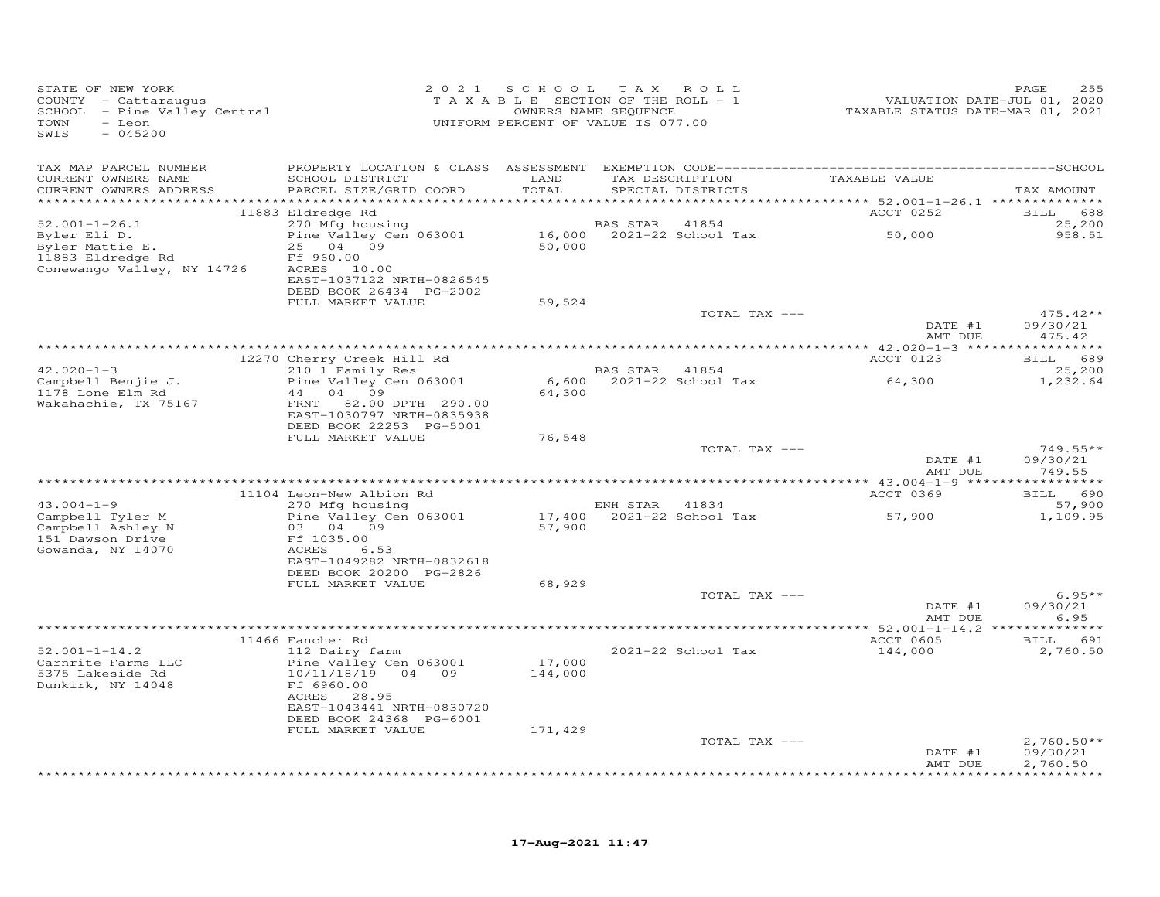| STATE OF NEW YORK<br>COUNTY - Cattaraugus<br>SCHOOL - Pine Valley Central<br>TOWN<br>- Leon<br>SWIS<br>$-045200$ |                                                                |                   | 2021 SCHOOL TAX ROLL<br>T A X A B L E SECTION OF THE ROLL - 1<br>OWNERS NAME SEQUENCE<br>UNIFORM PERCENT OF VALUE IS 077.00 | VALUATION DATE-JUL 01, 2020<br>TAXABLE STATUS DATE-MAR 01, 2021 | PAGE<br>255              |
|------------------------------------------------------------------------------------------------------------------|----------------------------------------------------------------|-------------------|-----------------------------------------------------------------------------------------------------------------------------|-----------------------------------------------------------------|--------------------------|
| TAX MAP PARCEL NUMBER                                                                                            |                                                                |                   |                                                                                                                             |                                                                 |                          |
| CURRENT OWNERS NAME                                                                                              | SCHOOL DISTRICT                                                | LAND              | TAX DESCRIPTION                                                                                                             | TAXABLE VALUE                                                   |                          |
| CURRENT OWNERS ADDRESS                                                                                           | PARCEL SIZE/GRID COORD                                         | TOTAL             | SPECIAL DISTRICTS                                                                                                           |                                                                 | TAX AMOUNT               |
|                                                                                                                  | 11883 Eldredge Rd                                              |                   |                                                                                                                             | ACCT 0252                                                       | BILL 688                 |
| $52.001 - 1 - 26.1$                                                                                              | 270 Mfg housing                                                |                   | BAS STAR 41854                                                                                                              |                                                                 | 25,200                   |
| Byler Eli D.<br>Byler Mattie E.<br>11883 Eldredge Rd<br>Conewango Valley, NY 14726                               | Pine Valley Cen 063001<br>25 04 09<br>Ff 960.00<br>ACRES 10.00 | 50,000            | 16,000 2021-22 School Tax                                                                                                   | 50,000                                                          | 958.51                   |
|                                                                                                                  | EAST-1037122 NRTH-0826545<br>DEED BOOK 26434 PG-2002           |                   |                                                                                                                             |                                                                 |                          |
|                                                                                                                  | FULL MARKET VALUE                                              | 59,524            |                                                                                                                             |                                                                 |                          |
|                                                                                                                  |                                                                |                   | TOTAL TAX ---                                                                                                               | DATE #1                                                         | $475.42**$<br>09/30/21   |
|                                                                                                                  |                                                                |                   |                                                                                                                             | AMT DUE                                                         | 475.42                   |
|                                                                                                                  | 12270 Cherry Creek Hill Rd                                     |                   |                                                                                                                             | ACCT 0123                                                       | BILL 689                 |
| $42.020 - 1 - 3$                                                                                                 | 210 1 Family Res                                               |                   | BAS STAR 41854                                                                                                              |                                                                 | 25,200                   |
| Campbell Benjie J.<br>1178 Lone Elm Rd                                                                           | Pine Valley Cen 063001<br>44 04 09                             | 64,300            | 6,600 2021-22 School Tax 64,300                                                                                             |                                                                 | 1,232.64                 |
| Wakahachie, TX 75167                                                                                             | FRNT 82.00 DPTH 290.00<br>EAST-1030797 NRTH-0835938            |                   |                                                                                                                             |                                                                 |                          |
|                                                                                                                  | DEED BOOK 22253 PG-5001<br>FULL MARKET VALUE                   | 76,548            |                                                                                                                             |                                                                 |                          |
|                                                                                                                  |                                                                |                   | TOTAL TAX ---                                                                                                               |                                                                 | $749.55**$               |
|                                                                                                                  |                                                                |                   |                                                                                                                             | DATE #1<br>AMT DUE                                              | 09/30/21<br>749.55       |
|                                                                                                                  |                                                                |                   |                                                                                                                             |                                                                 |                          |
| $43.004 - 1 - 9$                                                                                                 | 11104 Leon-New Albion Rd<br>270 Mfg housing                    |                   | ENH STAR 41834                                                                                                              | ACCT 0369                                                       | BILL 690<br>57,900       |
| Campbell Tyler M<br>Campbell Ashley N                                                                            | Pine Valley Cen 063001<br>03 04 09                             | 57,900            | $17,400$ $2021-22$ School Tax                                                                                               | 57,900                                                          | 1,109.95                 |
| 151 Dawson Drive<br>Gowanda, NY 14070                                                                            | Ff 1035.00<br>ACRES<br>6.53<br>EAST-1049282 NRTH-0832618       |                   |                                                                                                                             |                                                                 |                          |
|                                                                                                                  | DEED BOOK 20200 PG-2826                                        |                   |                                                                                                                             |                                                                 |                          |
|                                                                                                                  | FULL MARKET VALUE                                              | 68,929            |                                                                                                                             |                                                                 |                          |
|                                                                                                                  |                                                                |                   | TOTAL TAX ---                                                                                                               | DATE #1                                                         | $6.95**$<br>09/30/21     |
|                                                                                                                  |                                                                |                   |                                                                                                                             | AMT DUE                                                         | 6.95                     |
|                                                                                                                  | 11466 Fancher Rd                                               |                   |                                                                                                                             | ACCT 0605                                                       | BILL 691                 |
| $52.001 - 1 - 14.2$<br>Carnrite Farms LLC<br>5375 Lakeside Rd                                                    | 112 Dairy farm<br>Pine Valley Cen 063001<br>10/11/18/19 04 09  | 17,000<br>144,000 | 2021-22 School Tax                                                                                                          | 144,000                                                         | 2,760.50                 |
| Dunkirk, NY 14048                                                                                                | Ff 6960.00<br>ACRES<br>28.95<br>EAST-1043441 NRTH-0830720      |                   |                                                                                                                             |                                                                 |                          |
|                                                                                                                  | DEED BOOK 24368 PG-6001                                        |                   |                                                                                                                             |                                                                 |                          |
|                                                                                                                  | FULL MARKET VALUE                                              | 171,429           |                                                                                                                             |                                                                 |                          |
|                                                                                                                  |                                                                |                   | TOTAL TAX ---                                                                                                               | DATE #1                                                         | $2,760.50**$<br>09/30/21 |
|                                                                                                                  |                                                                |                   |                                                                                                                             | AMT DUE                                                         | 2,760.50<br>**********   |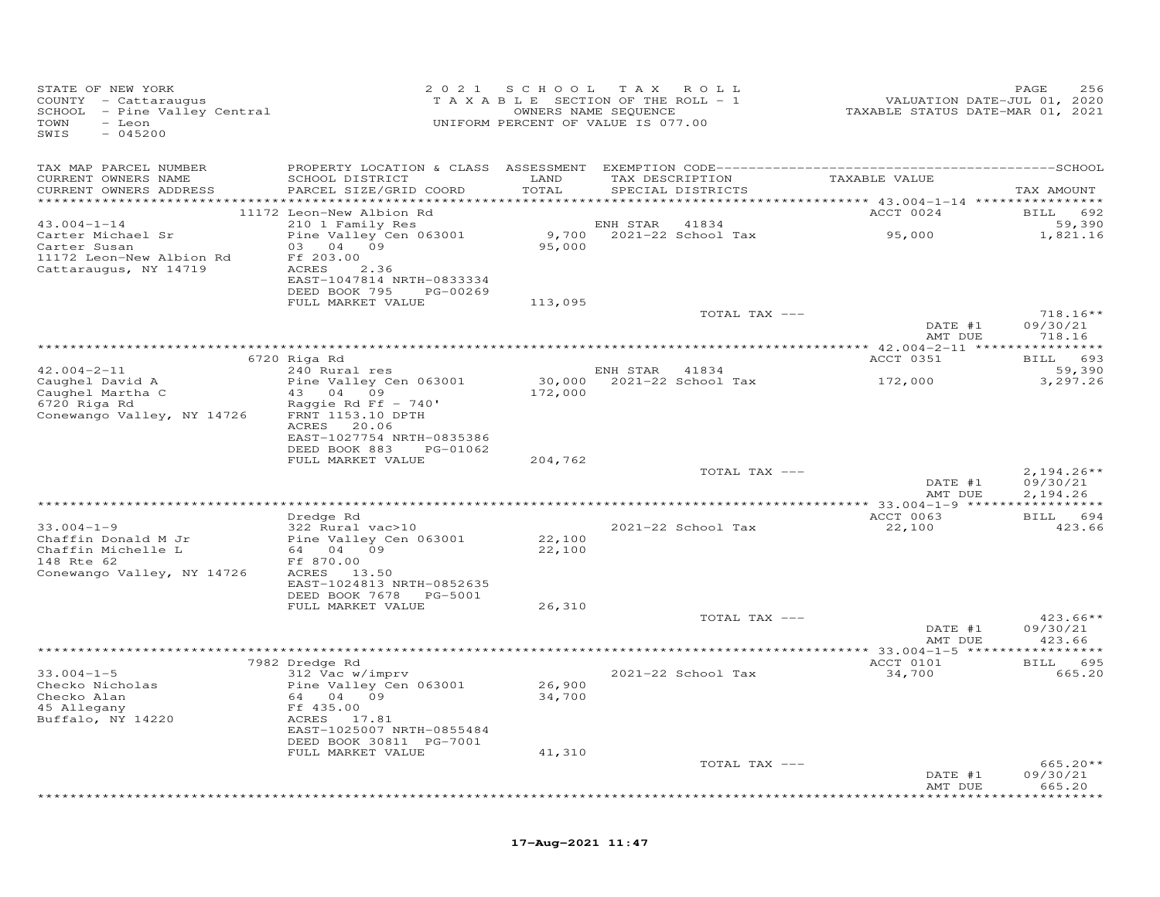| STATE OF NEW YORK<br>COUNTY - Cattaraugus<br>SCHOOL - Pine Valley Central<br>TOWN<br>- Leon<br>SWIS<br>$-045200$ |                                                                         | 2021 SCHOOL<br>TAXABLE SECTION OF THE ROLL - 1<br>UNIFORM PERCENT OF VALUE IS 077.00 | T A X<br>OWNERS NAME SEQUENCE | ROLL                     | TAXABLE STATUS DATE-MAR 01, 2021                       | PAGE<br>256<br>VALUATION DATE-JUL 01, 2020 |
|------------------------------------------------------------------------------------------------------------------|-------------------------------------------------------------------------|--------------------------------------------------------------------------------------|-------------------------------|--------------------------|--------------------------------------------------------|--------------------------------------------|
| TAX MAP PARCEL NUMBER<br>CURRENT OWNERS NAME                                                                     | SCHOOL DISTRICT                                                         | LAND                                                                                 |                               | TAX DESCRIPTION          | TAXABLE VALUE                                          |                                            |
| CURRENT OWNERS ADDRESS                                                                                           | PARCEL SIZE/GRID COORD                                                  | TOTAL                                                                                |                               | SPECIAL DISTRICTS        |                                                        | TAX AMOUNT                                 |
|                                                                                                                  | 11172 Leon-New Albion Rd                                                |                                                                                      |                               |                          | *********** 43.004-1-14 *****************<br>ACCT 0024 | BILL 692                                   |
| $43.004 - 1 - 14$                                                                                                | 210 1 Family Res                                                        |                                                                                      | ENH STAR 41834                |                          |                                                        | 59,390                                     |
| Carter Michael Sr<br>Carter Susan<br>11172 Leon-New Albion Rd                                                    | Pine Valley Cen 063001<br>03 04 09<br>Ff 203.00                         | 95,000                                                                               |                               | 9,700 2021-22 School Tax | 95,000                                                 | 1,821.16                                   |
| Cattaraugus, NY 14719                                                                                            | ACRES<br>2.36<br>EAST-1047814 NRTH-0833334<br>DEED BOOK 795<br>PG-00269 |                                                                                      |                               |                          |                                                        |                                            |
|                                                                                                                  | FULL MARKET VALUE                                                       | 113,095                                                                              |                               | TOTAL TAX ---            |                                                        | $718.16**$                                 |
|                                                                                                                  |                                                                         |                                                                                      |                               |                          | DATE #1                                                | 09/30/21                                   |
|                                                                                                                  |                                                                         |                                                                                      |                               |                          | AMT DUE                                                | 718.16                                     |
|                                                                                                                  | 6720 Riga Rd                                                            |                                                                                      |                               |                          | ACCT 0351                                              | 693<br><b>BILL</b>                         |
| $42.004 - 2 - 11$                                                                                                | 240 Rural res                                                           |                                                                                      | ENH STAR 41834                |                          |                                                        | 59,390                                     |
| Caughel David A                                                                                                  | Pine Valley Cen 063001                                                  | 30,000                                                                               |                               | 2021-22 School Tax       | 172,000                                                | 3,297.26                                   |
| Caughel Martha C<br>6720 Riga Rd                                                                                 | 43 04 09                                                                | 172,000                                                                              |                               |                          |                                                        |                                            |
| Conewango Valley, NY 14726                                                                                       | Raggie Rd Ff $-740'$<br>FRNT 1153.10 DPTH                               |                                                                                      |                               |                          |                                                        |                                            |
|                                                                                                                  | ACRES 20.06                                                             |                                                                                      |                               |                          |                                                        |                                            |
|                                                                                                                  | EAST-1027754 NRTH-0835386                                               |                                                                                      |                               |                          |                                                        |                                            |
|                                                                                                                  | DEED BOOK 883 PG-01062                                                  |                                                                                      |                               |                          |                                                        |                                            |
|                                                                                                                  | FULL MARKET VALUE                                                       | 204,762                                                                              |                               | TOTAL TAX ---            |                                                        | $2,194.26**$                               |
|                                                                                                                  |                                                                         |                                                                                      |                               |                          | DATE #1                                                | 09/30/21                                   |
|                                                                                                                  |                                                                         |                                                                                      |                               |                          | AMT DUE                                                | 2,194.26                                   |
|                                                                                                                  |                                                                         |                                                                                      |                               |                          | **** 33.004-1-9 ******************                     |                                            |
| $33.004 - 1 - 9$                                                                                                 | Dredge Rd                                                               |                                                                                      |                               | 2021-22 School Tax       | ACCT 0063                                              | BILL 694                                   |
| Chaffin Donald M Jr                                                                                              | 322 Rural vac>10<br>Pine Valley Cen 063001                              | 22,100                                                                               |                               |                          | 22,100                                                 | 423.66                                     |
| Chaffin Michelle L                                                                                               | 64 04 09                                                                | 22,100                                                                               |                               |                          |                                                        |                                            |
| 148 Rte 62                                                                                                       | Ff 870.00                                                               |                                                                                      |                               |                          |                                                        |                                            |
| Conewango Valley, NY 14726                                                                                       | ACRES 13.50                                                             |                                                                                      |                               |                          |                                                        |                                            |
|                                                                                                                  | EAST-1024813 NRTH-0852635<br>DEED BOOK 7678 PG-5001                     |                                                                                      |                               |                          |                                                        |                                            |
|                                                                                                                  | FULL MARKET VALUE                                                       | 26,310                                                                               |                               |                          |                                                        |                                            |
|                                                                                                                  |                                                                         |                                                                                      |                               | TOTAL TAX ---            |                                                        | $423.66**$                                 |
|                                                                                                                  |                                                                         |                                                                                      |                               |                          | DATE #1                                                | 09/30/21                                   |
|                                                                                                                  |                                                                         |                                                                                      |                               |                          | AMT DUE                                                | 423.66                                     |
|                                                                                                                  | 7982 Dredge Rd                                                          |                                                                                      |                               |                          | ACCT 0101                                              | BILL 695                                   |
| $33.004 - 1 - 5$                                                                                                 | 312 Vac w/imprv                                                         |                                                                                      |                               | 2021-22 School Tax       | 34,700                                                 | 665.20                                     |
| Checko Nicholas                                                                                                  | Pine Valley Cen 063001                                                  | 26,900                                                                               |                               |                          |                                                        |                                            |
| Checko Alan<br>45 Allegany                                                                                       | 64 04 09<br>Ff 435.00                                                   | 34,700                                                                               |                               |                          |                                                        |                                            |
| Buffalo, NY 14220                                                                                                | ACRES 17.81                                                             |                                                                                      |                               |                          |                                                        |                                            |
|                                                                                                                  | EAST-1025007 NRTH-0855484                                               |                                                                                      |                               |                          |                                                        |                                            |
|                                                                                                                  | DEED BOOK 30811 PG-7001                                                 |                                                                                      |                               |                          |                                                        |                                            |
|                                                                                                                  | FULL MARKET VALUE                                                       | 41,310                                                                               |                               |                          |                                                        |                                            |
|                                                                                                                  |                                                                         |                                                                                      |                               | TOTAL TAX ---            | DATE #1                                                | $665.20**$<br>09/30/21                     |
|                                                                                                                  |                                                                         |                                                                                      |                               |                          | AMT DUE                                                | 665.20                                     |
|                                                                                                                  |                                                                         |                                                                                      |                               |                          |                                                        | ********                                   |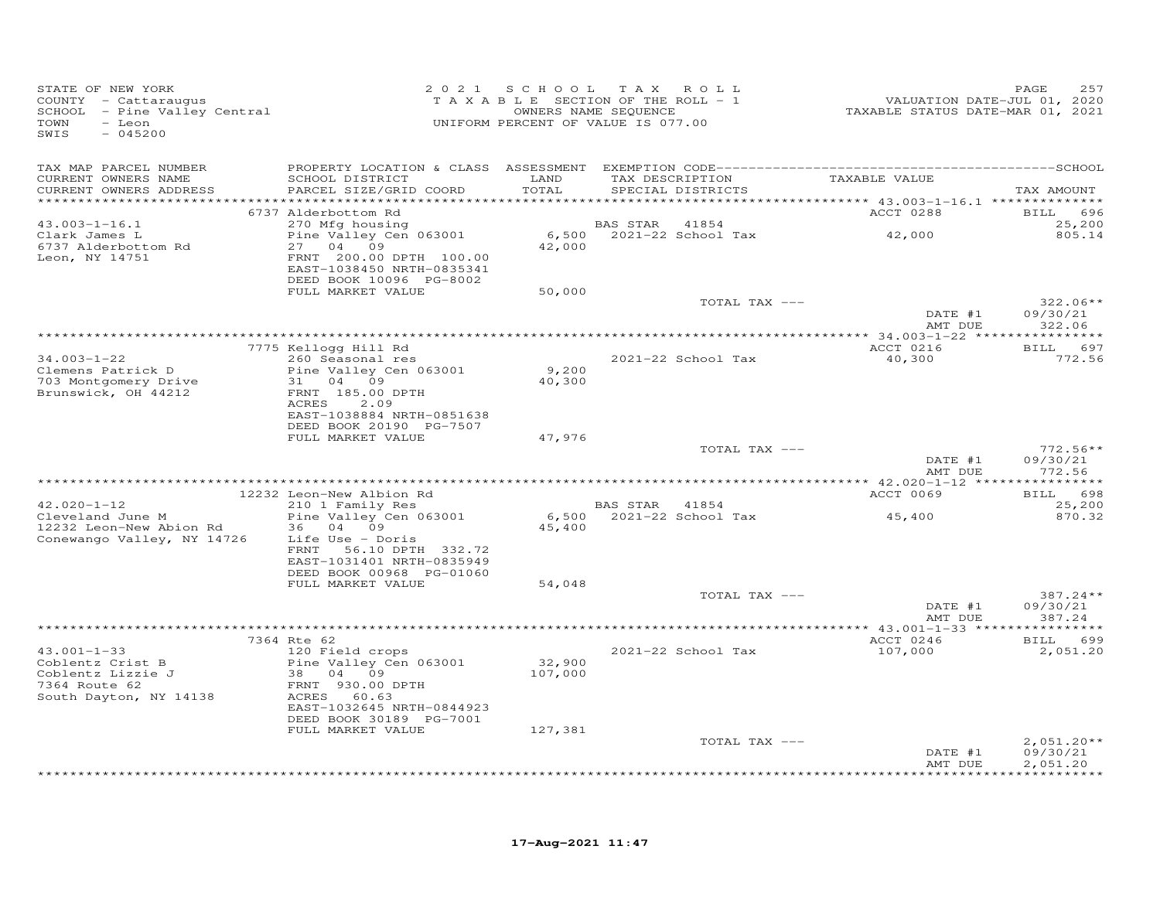| STATE OF NEW YORK<br>COUNTY - Cattaraugus<br>SCHOOL - Pine Valley Central<br>- Leon<br>TOWN<br>SWIS<br>$-045200$ |                                                                                             | 2021 SCHOOL   | TAX ROLL<br>TAXABLE SECTION OF THE ROLL - 1<br>OWNERS NAME SEQUENCE<br>UNIFORM PERCENT OF VALUE IS 077.00 |               | VALUATION DATE-JUL 01, 2020<br>TAXABLE STATUS DATE-MAR 01, 2021 | 257<br>PAGE                       |
|------------------------------------------------------------------------------------------------------------------|---------------------------------------------------------------------------------------------|---------------|-----------------------------------------------------------------------------------------------------------|---------------|-----------------------------------------------------------------|-----------------------------------|
| TAX MAP PARCEL NUMBER                                                                                            |                                                                                             |               |                                                                                                           |               |                                                                 |                                   |
| CURRENT OWNERS NAME<br>CURRENT OWNERS ADDRESS                                                                    | SCHOOL DISTRICT<br>PARCEL SIZE/GRID COORD                                                   | LAND<br>TOTAL | TAX DESCRIPTION<br>SPECIAL DISTRICTS                                                                      |               | TAXABLE VALUE                                                   | TAX AMOUNT                        |
|                                                                                                                  | 6737 Alderbottom Rd                                                                         |               |                                                                                                           |               | ACCT 0288                                                       | <b>BILL</b><br>696                |
| $43.003 - 1 - 16.1$                                                                                              | 270 Mfg housing                                                                             |               | 41854<br>BAS STAR                                                                                         |               |                                                                 | 25,200                            |
| Clark James L                                                                                                    | Pine Valley Cen 063001                                                                      |               | 6,500 2021-22 School Tax                                                                                  |               | 42,000                                                          | 805.14                            |
| 6737 Alderbottom Rd<br>Leon, NY 14751                                                                            | 27 04 09<br>FRNT 200.00 DPTH 100.00<br>EAST-1038450 NRTH-0835341<br>DEED BOOK 10096 PG-8002 | 42,000        |                                                                                                           |               |                                                                 |                                   |
|                                                                                                                  | FULL MARKET VALUE                                                                           | 50,000        |                                                                                                           | TOTAL TAX --- |                                                                 | $322.06**$                        |
|                                                                                                                  |                                                                                             |               |                                                                                                           |               | DATE #1<br>AMT DUE                                              | 09/30/21<br>322.06                |
|                                                                                                                  |                                                                                             |               |                                                                                                           |               |                                                                 |                                   |
|                                                                                                                  | 7775 Kellogg Hill Rd                                                                        |               |                                                                                                           |               | ACCT 0216                                                       | BILL 697                          |
| $34.003 - 1 - 22$<br>Clemens Patrick D                                                                           | 260 Seasonal res<br>Pine Valley Cen 063001                                                  | 9,200         | 2021-22 School Tax                                                                                        |               | 40,300                                                          | 772.56                            |
| 703 Montgomery Drive                                                                                             | 31 04 09                                                                                    | 40,300        |                                                                                                           |               |                                                                 |                                   |
| Brunswick, OH 44212                                                                                              | FRNT 185.00 DPTH                                                                            |               |                                                                                                           |               |                                                                 |                                   |
|                                                                                                                  | ACRES<br>2.09                                                                               |               |                                                                                                           |               |                                                                 |                                   |
|                                                                                                                  | EAST-1038884 NRTH-0851638<br>DEED BOOK 20190 PG-7507                                        |               |                                                                                                           |               |                                                                 |                                   |
|                                                                                                                  | FULL MARKET VALUE                                                                           | 47,976        |                                                                                                           |               |                                                                 |                                   |
|                                                                                                                  |                                                                                             |               |                                                                                                           | TOTAL TAX --- |                                                                 | $772.56**$                        |
|                                                                                                                  |                                                                                             |               |                                                                                                           |               | DATE #1<br>AMT DUE                                              | 09/30/21<br>772.56<br>*********** |
|                                                                                                                  | 12232 Leon-New Albion Rd                                                                    |               |                                                                                                           |               | ACCT 0069                                                       | 698<br><b>BILL</b>                |
| $42.020 - 1 - 12$                                                                                                | 210 1 Family Res                                                                            |               | BAS STAR 41854                                                                                            |               |                                                                 | 25,200                            |
| Cleveland June M<br>12232 Leon-New Abion Rd                                                                      | Pine Valley Cen 063001<br>36 04 09                                                          | 45,400        | 6,500 2021-22 School Tax                                                                                  |               | 45,400                                                          | 870.32                            |
| Conewango Valley, NY 14726                                                                                       | Life Use - Doris<br>FRNT 56.10 DPTH 332.72<br>EAST-1031401 NRTH-0835949                     |               |                                                                                                           |               |                                                                 |                                   |
|                                                                                                                  | DEED BOOK 00968 PG-01060                                                                    |               |                                                                                                           |               |                                                                 |                                   |
|                                                                                                                  | FULL MARKET VALUE                                                                           | 54,048        |                                                                                                           |               |                                                                 |                                   |
|                                                                                                                  |                                                                                             |               |                                                                                                           | TOTAL TAX --- | DATE #1                                                         | 387.24 **<br>09/30/21             |
|                                                                                                                  |                                                                                             |               |                                                                                                           |               | AMT DUE                                                         | 387.24                            |
|                                                                                                                  | 7364 Rte 62                                                                                 |               |                                                                                                           |               | ACCT 0246                                                       | BILL 699                          |
| $43.001 - 1 - 33$                                                                                                | 120 Field crops                                                                             |               | 2021-22 School Tax                                                                                        |               | 107,000                                                         | 2,051.20                          |
| Coblentz Crist B                                                                                                 | Pine Valley Cen 063001                                                                      | 32,900        |                                                                                                           |               |                                                                 |                                   |
| Coblentz Lizzie J<br>7364 Route 62                                                                               | 38 04 09<br>FRNT 930.00 DPTH                                                                | 107,000       |                                                                                                           |               |                                                                 |                                   |
| South Dayton, NY 14138                                                                                           | ACRES<br>60.63                                                                              |               |                                                                                                           |               |                                                                 |                                   |
|                                                                                                                  | EAST-1032645 NRTH-0844923                                                                   |               |                                                                                                           |               |                                                                 |                                   |
|                                                                                                                  | DEED BOOK 30189 PG-7001<br>FULL MARKET VALUE                                                | 127,381       |                                                                                                           |               |                                                                 |                                   |
|                                                                                                                  |                                                                                             |               |                                                                                                           | TOTAL TAX --- |                                                                 | $2,051.20**$                      |
|                                                                                                                  |                                                                                             |               |                                                                                                           |               | DATE #1<br>AMT DUE                                              | 09/30/21<br>2,051.20              |
|                                                                                                                  |                                                                                             |               |                                                                                                           |               |                                                                 | * * * * * * * * * *               |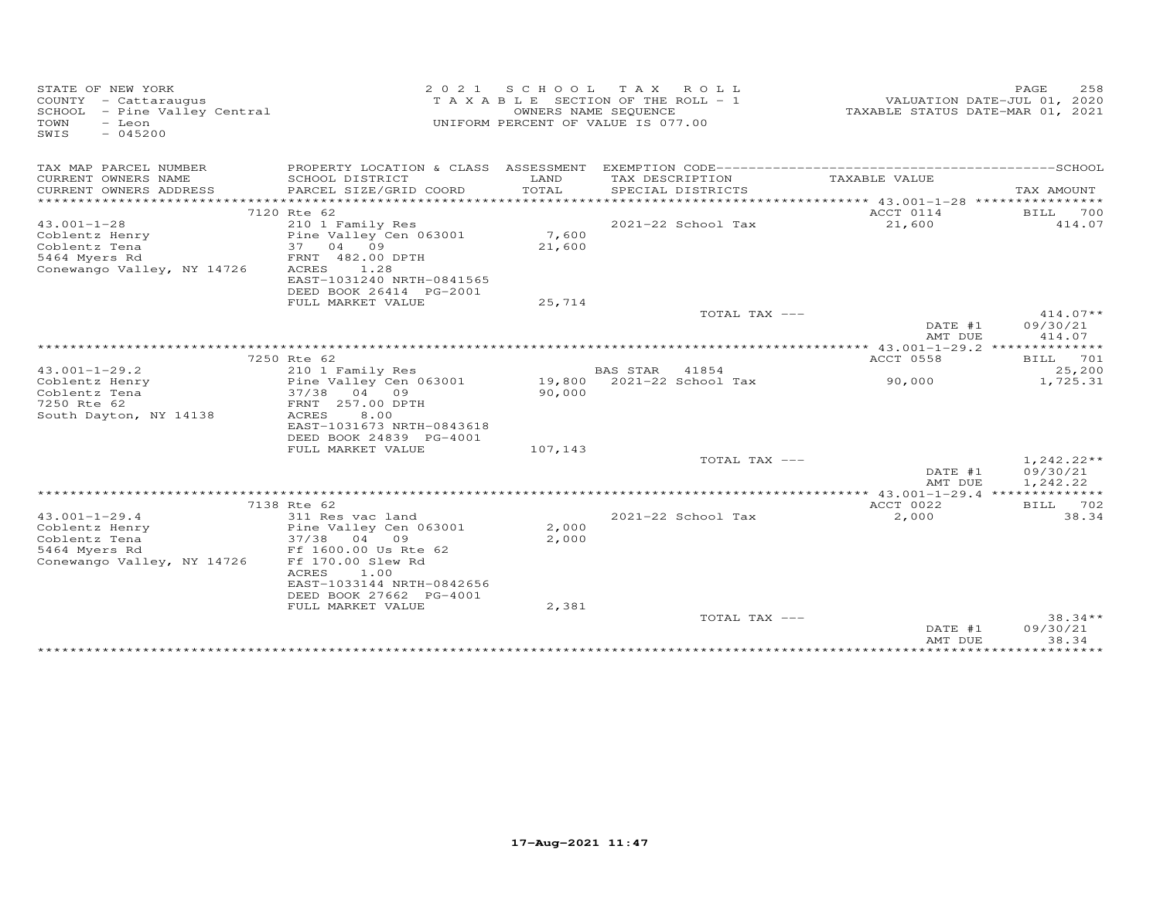| STATE OF NEW YORK<br>COUNTY - Cattaraugus<br>SCHOOL - Pine Valley Central<br>TOWN<br>- Leon<br>$-045200$<br>SWIS | 2021                                                 |                  | SCHOOL TAX ROLL<br>T A X A B L E SECTION OF THE ROLL - 1<br>OWNERS NAME SEQUENCE<br>UNIFORM PERCENT OF VALUE IS 077.00 |                       | PAGE<br>258<br>VALUATION DATE-JUL 01, 2020<br>TAXABLE STATUS DATE-MAR 01, 2021 |  |  |
|------------------------------------------------------------------------------------------------------------------|------------------------------------------------------|------------------|------------------------------------------------------------------------------------------------------------------------|-----------------------|--------------------------------------------------------------------------------|--|--|
| TAX MAP PARCEL NUMBER                                                                                            |                                                      |                  |                                                                                                                        |                       |                                                                                |  |  |
| CURRENT OWNERS NAME                                                                                              | SCHOOL DISTRICT                                      | LAND             | TAX DESCRIPTION                                                                                                        | TAXABLE VALUE         |                                                                                |  |  |
| CURRENT OWNERS ADDRESS                                                                                           | PARCEL SIZE/GRID COORD                               | TOTAL            | SPECIAL DISTRICTS                                                                                                      |                       | TAX AMOUNT                                                                     |  |  |
|                                                                                                                  | 7120 Rte 62                                          |                  |                                                                                                                        | ACCT 0114             | BILL<br>700                                                                    |  |  |
| $43.001 - 1 - 28$                                                                                                | 210 1 Family Res                                     |                  | 2021-22 School Tax                                                                                                     | 21,600                | 414.07                                                                         |  |  |
| Coblentz Henry                                                                                                   | Pine Valley Cen 063001                               | 7,600            |                                                                                                                        |                       |                                                                                |  |  |
| Coblentz Tena<br>5464 Myers Rd                                                                                   | 37<br>04 09<br>FRNT 482.00 DPTH                      | 21,600           |                                                                                                                        |                       |                                                                                |  |  |
| Conewango Valley, NY 14726                                                                                       | ACRES<br>1.28                                        |                  |                                                                                                                        |                       |                                                                                |  |  |
|                                                                                                                  | EAST-1031240 NRTH-0841565                            |                  |                                                                                                                        |                       |                                                                                |  |  |
|                                                                                                                  | DEED BOOK 26414 PG-2001                              |                  |                                                                                                                        |                       |                                                                                |  |  |
|                                                                                                                  | FULL MARKET VALUE                                    | 25,714           |                                                                                                                        |                       |                                                                                |  |  |
|                                                                                                                  |                                                      |                  | TOTAL TAX ---                                                                                                          | DATE #1               | $414.07**$<br>09/30/21                                                         |  |  |
|                                                                                                                  |                                                      |                  |                                                                                                                        | AMT DUE               | 414.07                                                                         |  |  |
|                                                                                                                  |                                                      |                  |                                                                                                                        |                       |                                                                                |  |  |
|                                                                                                                  | 7250 Rte 62                                          |                  |                                                                                                                        | ACCT 0558             | BILL 701                                                                       |  |  |
| $43.001 - 1 - 29.2$                                                                                              | 210 1 Family Res                                     |                  | <b>BAS STAR</b><br>41854                                                                                               |                       | 25,200                                                                         |  |  |
| Coblentz Henry<br>Coblentz Tena                                                                                  | Pine Valley Cen 063001<br>37/38<br>04 09             | 19,800<br>90,000 | 2021-22 School Tax                                                                                                     | 90,000                | 1,725.31                                                                       |  |  |
| 7250 Rte 62                                                                                                      | FRNT 257.00 DPTH                                     |                  |                                                                                                                        |                       |                                                                                |  |  |
| South Dayton, NY 14138                                                                                           | <b>ACRES</b><br>8.00                                 |                  |                                                                                                                        |                       |                                                                                |  |  |
|                                                                                                                  | EAST-1031673 NRTH-0843618                            |                  |                                                                                                                        |                       |                                                                                |  |  |
|                                                                                                                  | DEED BOOK 24839 PG-4001                              |                  |                                                                                                                        |                       |                                                                                |  |  |
|                                                                                                                  | FULL MARKET VALUE                                    | 107,143          | TOTAL TAX ---                                                                                                          |                       | $1,242.22**$                                                                   |  |  |
|                                                                                                                  |                                                      |                  |                                                                                                                        | DATE #1<br>AMT DUE    | 09/30/21<br>1,242.22                                                           |  |  |
|                                                                                                                  |                                                      |                  |                                                                                                                        | **** 43.001-1-29.4 ** |                                                                                |  |  |
|                                                                                                                  | 7138 Rte 62                                          |                  |                                                                                                                        | ACCT 0022             | BILL 702                                                                       |  |  |
| $43.001 - 1 - 29.4$<br>Coblentz Henry                                                                            | 311 Res vac land<br>Pine Valley Cen 063001           | 2,000            | 2021-22 School Tax                                                                                                     | 2,000                 | 38.34                                                                          |  |  |
| Coblentz Tena                                                                                                    | 37/38<br>04 09                                       | 2,000            |                                                                                                                        |                       |                                                                                |  |  |
| 5464 Myers Rd                                                                                                    | Ff 1600.00 Us Rte 62                                 |                  |                                                                                                                        |                       |                                                                                |  |  |
| Conewango Valley, NY 14726                                                                                       | Ff 170.00 Slew Rd                                    |                  |                                                                                                                        |                       |                                                                                |  |  |
|                                                                                                                  | ACRES<br>1.00                                        |                  |                                                                                                                        |                       |                                                                                |  |  |
|                                                                                                                  | EAST-1033144 NRTH-0842656<br>DEED BOOK 27662 PG-4001 |                  |                                                                                                                        |                       |                                                                                |  |  |
|                                                                                                                  | FULL MARKET VALUE                                    | 2,381            |                                                                                                                        |                       |                                                                                |  |  |
|                                                                                                                  |                                                      |                  | TOTAL TAX ---                                                                                                          |                       | $38.34**$                                                                      |  |  |
|                                                                                                                  |                                                      |                  |                                                                                                                        | DATE #1<br>AMT DUE    | 09/30/21<br>38.34                                                              |  |  |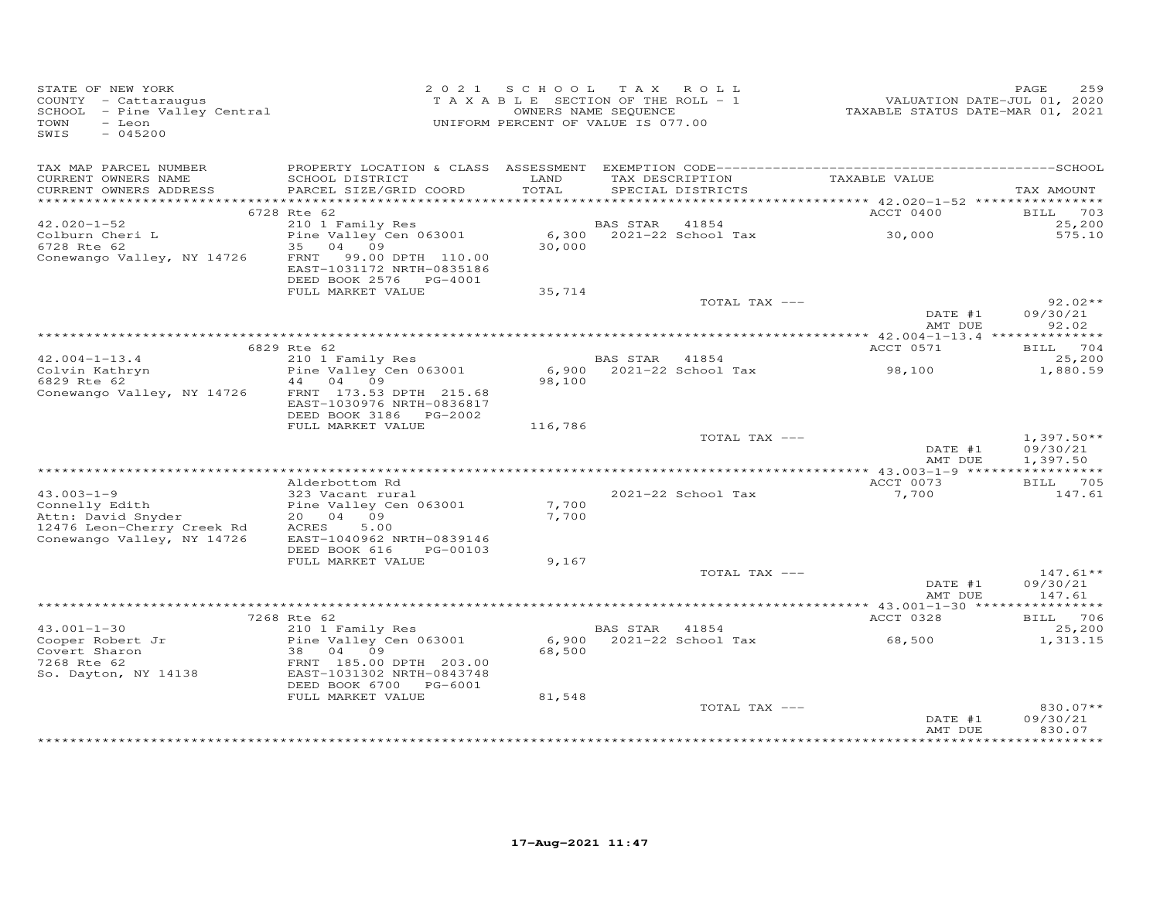| STATE OF NEW YORK<br>COUNTY - Cattaraugus<br>SCHOOL - Pine Valley Central<br>TOWN<br>- Leon<br>$-045200$<br>SWIS |                                                                                           | 2021 SCHOOL TAX ROLL<br>T A X A B L E SECTION OF THE ROLL - 1<br>UNIFORM PERCENT OF VALUE IS 077.00 | OWNERS NAME SEQUENCE |                               | 1<br>2020 VALUATION DATE-JUL 01, 2020<br>2021 TAXABLE STATUS DATE-MART | 259<br>PAGE                          |
|------------------------------------------------------------------------------------------------------------------|-------------------------------------------------------------------------------------------|-----------------------------------------------------------------------------------------------------|----------------------|-------------------------------|------------------------------------------------------------------------|--------------------------------------|
| TAX MAP PARCEL NUMBER<br>CURRENT OWNERS NAME                                                                     | SCHOOL DISTRICT                                                                           | LAND                                                                                                |                      | TAX DESCRIPTION TAXABLE VALUE |                                                                        |                                      |
| CURRENT OWNERS ADDRESS                                                                                           | PARCEL SIZE/GRID COORD                                                                    | TOTAL                                                                                               |                      | SPECIAL DISTRICTS             |                                                                        | TAX AMOUNT                           |
|                                                                                                                  |                                                                                           |                                                                                                     |                      |                               |                                                                        |                                      |
| $42.020 - 1 - 52$                                                                                                | 6728 Rte 62                                                                               |                                                                                                     | BAS STAR             | 41854                         | ACCT 0400                                                              | <b>BILL</b> 703<br>25,200            |
| Colburn Cheri L                                                                                                  | 210 1 Family Res<br>Pine Valley Cen 063001                                                |                                                                                                     |                      | 6,300 2021-22 School Tax      | 30,000                                                                 | 575.10                               |
| 6728 Rte 62<br>Conewango Valley, NY 14726                                                                        | 35 04 09<br>FRNT 99.00 DPTH 110.00<br>EAST-1031172 NRTH-0835186<br>DEED BOOK 2576 PG-4001 | 30,000                                                                                              |                      |                               |                                                                        |                                      |
|                                                                                                                  | FULL MARKET VALUE                                                                         | 35,714                                                                                              |                      |                               |                                                                        |                                      |
|                                                                                                                  |                                                                                           |                                                                                                     |                      | TOTAL TAX ---                 |                                                                        | $92.02**$                            |
|                                                                                                                  |                                                                                           |                                                                                                     |                      |                               | DATE #1<br>AMT DUE                                                     | 09/30/21<br>92.02                    |
|                                                                                                                  | 6829 Rte 62                                                                               |                                                                                                     |                      |                               | ACCT 0571                                                              | BILL 704                             |
|                                                                                                                  |                                                                                           |                                                                                                     | BAS STAR 41854       |                               |                                                                        | 25,200                               |
| Colvin Kathryn<br>Colvin Kathryn<br>6829 Rte 62<br>Conewango Valley NY 14706<br>14 04 09                         |                                                                                           | 98,100                                                                                              |                      | $6,900$ $2021-22$ School Tax  | 98,100                                                                 | 1,880.59                             |
| Conewango Valley, NY 14726 FRNT 173.53 DPTH 215.68                                                               | EAST-1030976 NRTH-0836817                                                                 |                                                                                                     |                      |                               |                                                                        |                                      |
|                                                                                                                  | FULL MARKET VALUE                                                                         | 116,786                                                                                             |                      |                               |                                                                        |                                      |
|                                                                                                                  |                                                                                           |                                                                                                     |                      | TOTAL TAX ---                 | DATE #1<br>AMT DUE                                                     | $1,397.50**$<br>09/30/21<br>1,397.50 |
|                                                                                                                  |                                                                                           |                                                                                                     |                      |                               |                                                                        |                                      |
|                                                                                                                  | Alderbottom Rd                                                                            |                                                                                                     |                      |                               | ACCT 0073                                                              | BILL 705                             |
| $43.003 - 1 - 9$                                                                                                 | 323 Vacant rural                                                                          |                                                                                                     |                      | 2021-22 School Tax            | 7,700                                                                  | 147.61                               |
|                                                                                                                  |                                                                                           | 7,700<br>7,700                                                                                      |                      |                               |                                                                        |                                      |
| Connelly Edith<br>20 04 09<br>12476 Leon-Cherry Creek Rd<br>12476 Leon-Cherry Creek Rd<br>20 04 09               |                                                                                           |                                                                                                     |                      |                               |                                                                        |                                      |
| Conewango Valley, NY 14726                                                                                       | EAST-1040962 NRTH-0839146                                                                 |                                                                                                     |                      |                               |                                                                        |                                      |
|                                                                                                                  | DEED BOOK 616<br>PG-00103                                                                 |                                                                                                     |                      |                               |                                                                        |                                      |
|                                                                                                                  | FULL MARKET VALUE                                                                         | 9,167                                                                                               |                      |                               |                                                                        |                                      |
|                                                                                                                  |                                                                                           |                                                                                                     |                      | TOTAL TAX ---                 | DATE #1<br>AMT DUE                                                     | $147.61**$<br>09/30/21<br>147.61     |
|                                                                                                                  |                                                                                           |                                                                                                     |                      |                               |                                                                        |                                      |
|                                                                                                                  | 7268 Rte 62                                                                               |                                                                                                     |                      |                               | ACCT 0328                                                              | BILL 706                             |
| $43.001 - 1 - 30$                                                                                                | 210 1 Family Res                                                                          |                                                                                                     | BAS STAR 41854       |                               |                                                                        | 25,200                               |
| Cooper Robert Jr<br>Cooper now-<br>Covert Sharon                                                                 | Pine Valley Cen 063001<br>38   04   09                                                    | 68,500                                                                                              |                      | 6,900 2021-22 School Tax      | 68,500                                                                 | 1,313.15                             |
| 7268 Rte 62<br>So. Dayton, NY 14138                                                                              | FRNT 185.00 DPTH 203.00<br>EAST-1031302 NRTH-0843748<br>DEED BOOK 6700 PG-6001            |                                                                                                     |                      |                               |                                                                        |                                      |
|                                                                                                                  | FULL MARKET VALUE                                                                         | 81,548                                                                                              |                      |                               |                                                                        |                                      |
|                                                                                                                  |                                                                                           |                                                                                                     |                      | TOTAL TAX ---                 | DATE #1                                                                | 830.07**<br>09/30/21                 |
|                                                                                                                  |                                                                                           |                                                                                                     |                      |                               | AMT DUE                                                                | 830.07                               |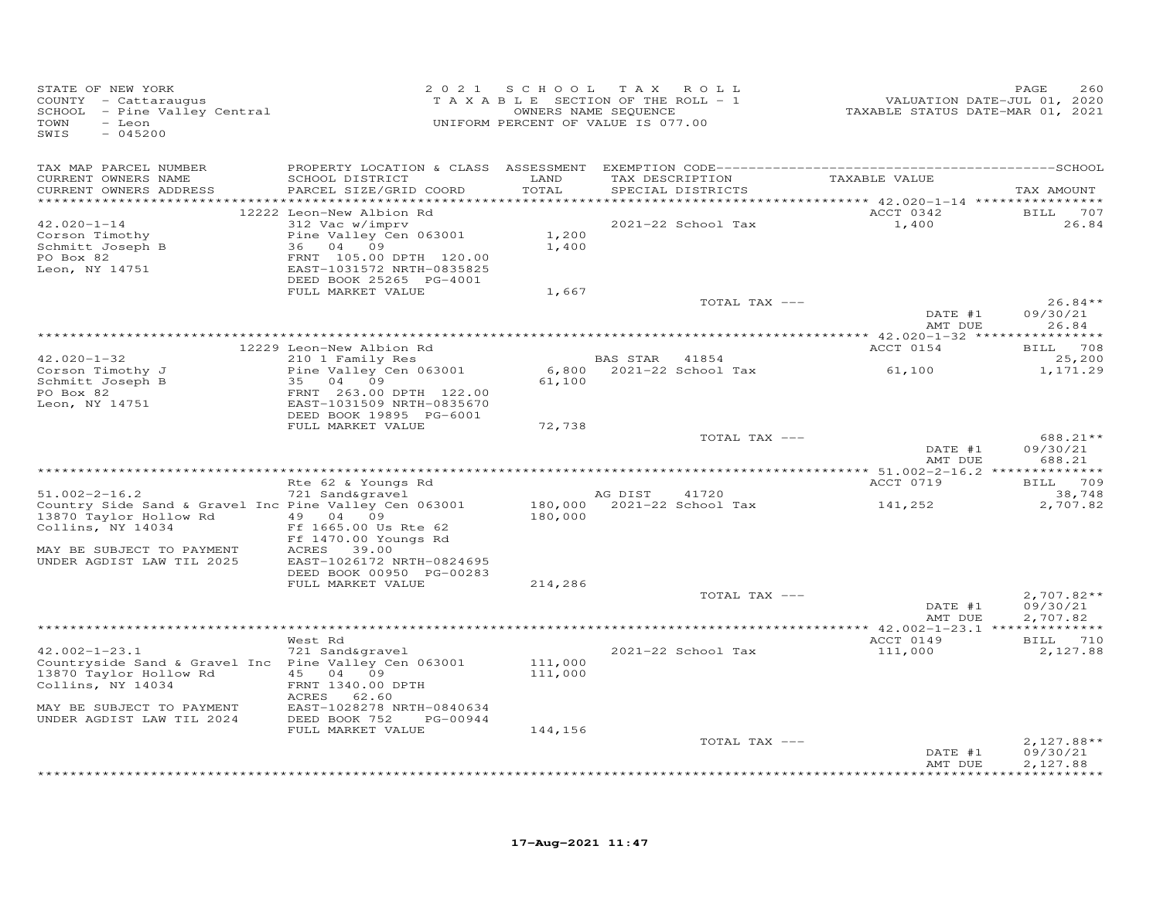| STATE OF NEW YORK<br>COUNTY - Cattaraugus<br>SCHOOL - Pine Valley Central<br>TOWN<br>- Leon<br>SWIS<br>$-045200$ | 2 0 2 1                                              |         | SCHOOL TAX ROLL<br>T A X A B L E SECTION OF THE ROLL - 1<br>OWNERS NAME SEQUENCE<br>UNIFORM PERCENT OF VALUE IS 077.00 |               | VALUATION DATE-JUL 01, 2020<br>TAXABLE STATUS DATE-MAR 01, 2021 | PAGE<br>260              |
|------------------------------------------------------------------------------------------------------------------|------------------------------------------------------|---------|------------------------------------------------------------------------------------------------------------------------|---------------|-----------------------------------------------------------------|--------------------------|
| TAX MAP PARCEL NUMBER                                                                                            |                                                      |         |                                                                                                                        |               |                                                                 |                          |
| CURRENT OWNERS NAME                                                                                              | SCHOOL DISTRICT                                      | LAND    | TAX DESCRIPTION                                                                                                        |               | TAXABLE VALUE                                                   |                          |
| CURRENT OWNERS ADDRESS                                                                                           | PARCEL SIZE/GRID COORD                               | TOTAL   | SPECIAL DISTRICTS                                                                                                      |               |                                                                 | TAX AMOUNT               |
|                                                                                                                  | 12222 Leon-New Albion Rd                             |         |                                                                                                                        |               | ACCT 0342                                                       | BILL 707                 |
| $42.020 - 1 - 14$                                                                                                | 312 Vac w/imprv                                      |         | 2021-22 School Tax                                                                                                     |               | 1,400                                                           | 26.84                    |
| Corson Timothy                                                                                                   | Pine Valley Cen 063001                               | 1,200   |                                                                                                                        |               |                                                                 |                          |
| Schmitt Joseph B<br>PO Box 82                                                                                    | 36 04 09<br>FRNT 105.00 DPTH 120.00                  | 1,400   |                                                                                                                        |               |                                                                 |                          |
| Leon, NY 14751                                                                                                   | EAST-1031572 NRTH-0835825                            |         |                                                                                                                        |               |                                                                 |                          |
|                                                                                                                  | DEED BOOK 25265 PG-4001                              |         |                                                                                                                        |               |                                                                 |                          |
|                                                                                                                  | FULL MARKET VALUE                                    | 1,667   |                                                                                                                        |               |                                                                 |                          |
|                                                                                                                  |                                                      |         |                                                                                                                        | TOTAL TAX --- | DATE #1                                                         | $26.84**$<br>09/30/21    |
|                                                                                                                  |                                                      |         |                                                                                                                        |               | AMT DUE                                                         | 26.84                    |
|                                                                                                                  |                                                      |         |                                                                                                                        |               |                                                                 |                          |
| $42.020 - 1 - 32$                                                                                                | 12229 Leon-New Albion Rd<br>210 1 Family Res         |         | BAS STAR 41854                                                                                                         |               | ACCT 0154                                                       | BILL 708<br>25,200       |
| Corson Timothy J                                                                                                 | Pine Valley Cen 063001                               | 6,800   | 2021-22 School Tax                                                                                                     |               | 61,100                                                          | 1,171.29                 |
| Schmitt Joseph B                                                                                                 | 35 04 09                                             | 61,100  |                                                                                                                        |               |                                                                 |                          |
| PO Box 82                                                                                                        | FRNT 263.00 DPTH 122.00                              |         |                                                                                                                        |               |                                                                 |                          |
| Leon, NY 14751                                                                                                   | EAST-1031509 NRTH-0835670<br>DEED BOOK 19895 PG-6001 |         |                                                                                                                        |               |                                                                 |                          |
|                                                                                                                  | FULL MARKET VALUE                                    | 72,738  |                                                                                                                        |               |                                                                 |                          |
|                                                                                                                  |                                                      |         |                                                                                                                        | TOTAL TAX --- |                                                                 | 688.21**                 |
|                                                                                                                  |                                                      |         |                                                                                                                        |               | DATE #1<br>AMT DUE                                              | 09/30/21<br>688.21       |
|                                                                                                                  | Rte 62 & Youngs Rd                                   |         |                                                                                                                        |               | ACCT 0719                                                       | BILL 709                 |
| $51.002 - 2 - 16.2$                                                                                              | 721 Sand&gravel                                      |         | AG DIST                                                                                                                | 41720         |                                                                 | 38,748                   |
| Country Side Sand & Gravel Inc Pine Valley Cen 063001                                                            |                                                      |         | 180,000 2021-22 School Tax                                                                                             |               | 141,252                                                         | 2,707.82                 |
| 13870 Taylor Hollow Rd                                                                                           | 49 04 09                                             | 180,000 |                                                                                                                        |               |                                                                 |                          |
| Collins, NY 14034                                                                                                | Ff 1665.00 Us Rte 62<br>Ff 1470.00 Youngs Rd         |         |                                                                                                                        |               |                                                                 |                          |
| MAY BE SUBJECT TO PAYMENT                                                                                        | ACRES 39.00                                          |         |                                                                                                                        |               |                                                                 |                          |
| UNDER AGDIST LAW TIL 2025                                                                                        | EAST-1026172 NRTH-0824695                            |         |                                                                                                                        |               |                                                                 |                          |
|                                                                                                                  | DEED BOOK 00950 PG-00283                             |         |                                                                                                                        |               |                                                                 |                          |
|                                                                                                                  | FULL MARKET VALUE                                    | 214,286 |                                                                                                                        | TOTAL TAX --- |                                                                 | $2,707.82**$             |
|                                                                                                                  |                                                      |         |                                                                                                                        |               | DATE #1                                                         | 09/30/21                 |
|                                                                                                                  |                                                      |         |                                                                                                                        |               | AMT DUE                                                         | 2,707.82                 |
|                                                                                                                  | West Rd                                              |         |                                                                                                                        |               | ACCT 0149                                                       | BILL 710                 |
| $42.002 - 1 - 23.1$                                                                                              | 721 Sand&gravel                                      |         | 2021-22 School Tax                                                                                                     |               | 111,000                                                         | 2,127.88                 |
| Countryside Sand & Gravel Inc Pine Valley Cen 063001                                                             |                                                      | 111,000 |                                                                                                                        |               |                                                                 |                          |
| 13870 Taylor Hollow Rd                                                                                           | 45 04 09                                             | 111,000 |                                                                                                                        |               |                                                                 |                          |
| Collins, NY 14034                                                                                                | FRNT 1340.00 DPTH<br>ACRES 62.60                     |         |                                                                                                                        |               |                                                                 |                          |
| MAY BE SUBJECT TO PAYMENT                                                                                        | EAST-1028278 NRTH-0840634                            |         |                                                                                                                        |               |                                                                 |                          |
| UNDER AGDIST LAW TIL 2024                                                                                        | DEED BOOK 752<br>PG-00944                            |         |                                                                                                                        |               |                                                                 |                          |
|                                                                                                                  | FULL MARKET VALUE                                    | 144,156 |                                                                                                                        |               |                                                                 |                          |
|                                                                                                                  |                                                      |         |                                                                                                                        | TOTAL TAX --- | DATE #1                                                         | $2,127.88**$<br>09/30/21 |
|                                                                                                                  |                                                      |         |                                                                                                                        |               | AMT DUE                                                         | 2,127.88                 |
|                                                                                                                  |                                                      |         |                                                                                                                        |               |                                                                 | * * * * * * * * * *      |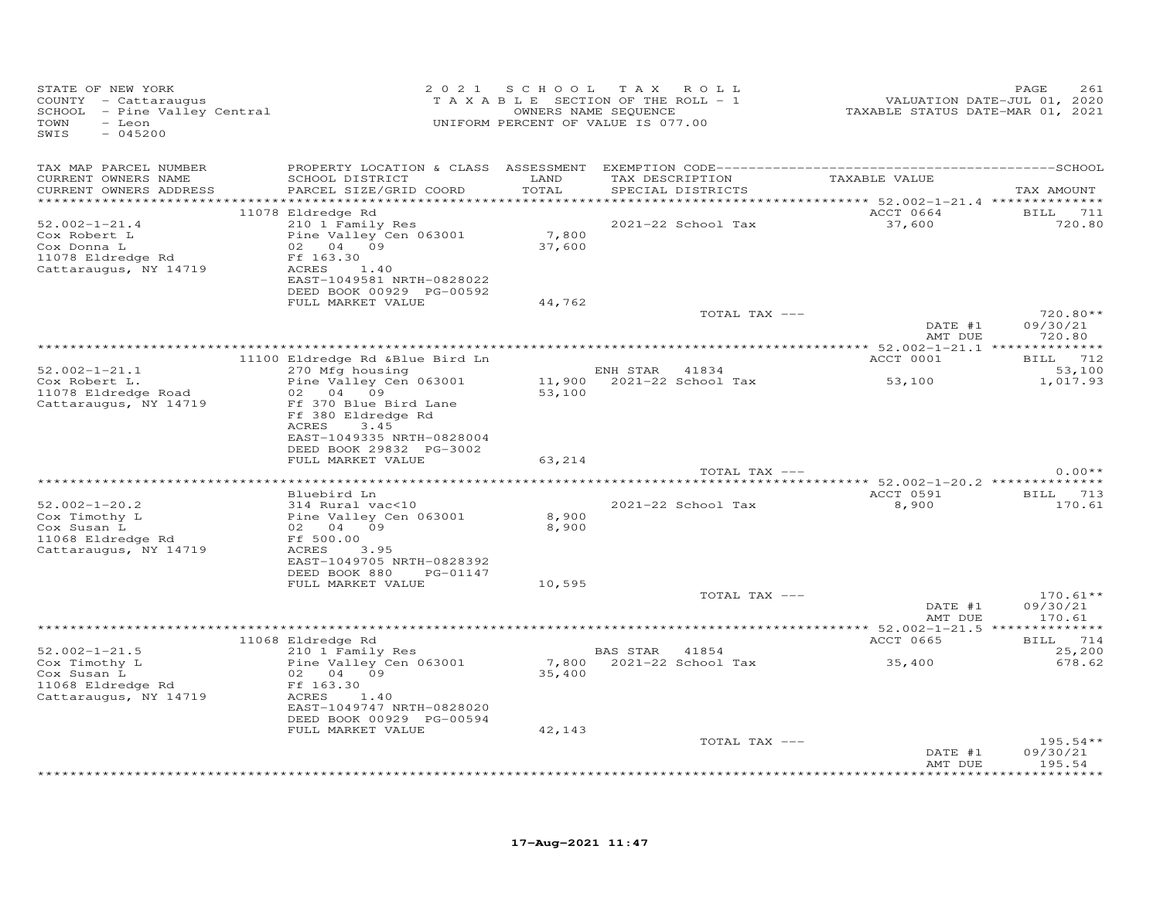| STATE OF NEW YORK<br>COUNTY - Cattaraugus<br>SCHOOL - Pine Valley Central<br>TOWN<br>- Leon<br>SWIS<br>$-045200$ |                                                                                                                                                                    | 2021 SCHOOL<br>TAXABLE SECTION OF THE ROLL - 1<br>UNIFORM PERCENT OF VALUE IS 077.00 | T A X<br>OWNERS NAME SEQUENCE | ROLL                              | VALUATION DATE-JUL 01, 2020<br>TAXABLE STATUS DATE-MAR 01, 2021 | PAGE<br>261                      |
|------------------------------------------------------------------------------------------------------------------|--------------------------------------------------------------------------------------------------------------------------------------------------------------------|--------------------------------------------------------------------------------------|-------------------------------|-----------------------------------|-----------------------------------------------------------------|----------------------------------|
| TAX MAP PARCEL NUMBER<br>CURRENT OWNERS NAME<br>CURRENT OWNERS ADDRESS                                           | SCHOOL DISTRICT<br>PARCEL SIZE/GRID COORD                                                                                                                          | LAND<br>TOTAL                                                                        | TAX DESCRIPTION               | SPECIAL DISTRICTS                 | TAXABLE VALUE                                                   | TAX AMOUNT                       |
|                                                                                                                  |                                                                                                                                                                    |                                                                                      |                               |                                   |                                                                 |                                  |
| $52.002 - 1 - 21.4$<br>Cox Robert L<br>Cox Donna L<br>11078 Eldredge Rd<br>Cattaraugus, NY 14719                 | 11078 Eldredge Rd<br>210 1 Family Res<br>Pine Valley Cen 063001<br>02 04 09<br>Ff 163.30<br>ACRES<br>1.40<br>EAST-1049581 NRTH-0828022<br>DEED BOOK 00929 PG-00592 | 7,800<br>37,600                                                                      |                               | 2021-22 School Tax                | ACCT 0664<br>37,600                                             | <b>BILL</b> 711<br>720.80        |
|                                                                                                                  | FULL MARKET VALUE                                                                                                                                                  | 44,762                                                                               |                               |                                   |                                                                 |                                  |
|                                                                                                                  |                                                                                                                                                                    |                                                                                      |                               | TOTAL TAX ---                     | DATE #1<br>AMT DUE                                              | 720.80**<br>09/30/21<br>720.80   |
|                                                                                                                  |                                                                                                                                                                    |                                                                                      |                               |                                   |                                                                 |                                  |
|                                                                                                                  | 11100 Eldredge Rd &Blue Bird Ln                                                                                                                                    |                                                                                      |                               |                                   | ACCT 0001                                                       | BILL 712                         |
| $52.002 - 1 - 21.1$<br>Cox Robert L.<br>11078 Eldredge Road<br>Cattaraugus, NY 14719                             | 270 Mfg housing<br>Pine Valley Cen 063001<br>02<br>04 09<br>Ff 370 Blue Bird Lane                                                                                  | 11,900<br>53,100                                                                     | ENH STAR                      | 41834<br>2021-22 School Tax       | 53,100                                                          | 53,100<br>1,017.93               |
|                                                                                                                  | Ff 380 Eldredge Rd<br>ACRES<br>3.45<br>EAST-1049335 NRTH-0828004<br>DEED BOOK 29832 PG-3002<br>FULL MARKET VALUE                                                   | 63,214                                                                               |                               |                                   |                                                                 |                                  |
|                                                                                                                  |                                                                                                                                                                    |                                                                                      |                               | TOTAL TAX ---                     |                                                                 | $0.00**$                         |
|                                                                                                                  |                                                                                                                                                                    |                                                                                      |                               |                                   |                                                                 |                                  |
|                                                                                                                  | Bluebird Ln                                                                                                                                                        |                                                                                      |                               |                                   | ACCT 0591                                                       | BILL 713                         |
| $52.002 - 1 - 20.2$<br>Cox Timothy L<br>Cox Susan L<br>11068 Eldredge Rd                                         | 314 Rural vac<10<br>Pine Valley Cen 063001<br>02 04<br>09<br>Ff 500.00                                                                                             | 8,900<br>8,900                                                                       |                               | 2021-22 School Tax                | 8,900                                                           | 170.61                           |
| Cattaraugus, NY 14719                                                                                            | ACRES<br>3.95<br>EAST-1049705 NRTH-0828392<br>DEED BOOK 880<br>PG-01147                                                                                            |                                                                                      |                               |                                   |                                                                 |                                  |
|                                                                                                                  | FULL MARKET VALUE                                                                                                                                                  | 10,595                                                                               |                               |                                   |                                                                 |                                  |
|                                                                                                                  |                                                                                                                                                                    |                                                                                      |                               | TOTAL TAX ---                     | DATE #1<br>AMT DUE                                              | $170.61**$<br>09/30/21<br>170.61 |
|                                                                                                                  |                                                                                                                                                                    |                                                                                      |                               |                                   |                                                                 |                                  |
|                                                                                                                  | 11068 Eldredge Rd                                                                                                                                                  |                                                                                      |                               |                                   | ACCT 0665                                                       | BILL 714                         |
| $52.002 - 1 - 21.5$<br>Cox Timothy L<br>Cox Susan L<br>11068 Eldredge Rd<br>Cattaraugus, NY 14719                | 210 1 Family Res<br>Pine Valley Cen 063001<br>02 04 09<br>Ff 163.30<br>ACRES<br>1.40                                                                               | 35,400                                                                               | <b>BAS STAR</b>               | 41854<br>7,800 2021-22 School Tax | 35,400                                                          | 25,200<br>678.62                 |
|                                                                                                                  | EAST-1049747 NRTH-0828020<br>DEED BOOK 00929 PG-00594<br>FULL MARKET VALUE                                                                                         | 42,143                                                                               |                               |                                   |                                                                 |                                  |
|                                                                                                                  |                                                                                                                                                                    |                                                                                      |                               | TOTAL TAX ---                     |                                                                 | $195.54**$                       |
|                                                                                                                  |                                                                                                                                                                    |                                                                                      |                               |                                   | DATE #1<br>AMT DUE                                              | 09/30/21<br>195.54               |
|                                                                                                                  |                                                                                                                                                                    |                                                                                      |                               |                                   |                                                                 | * * * * * * * *                  |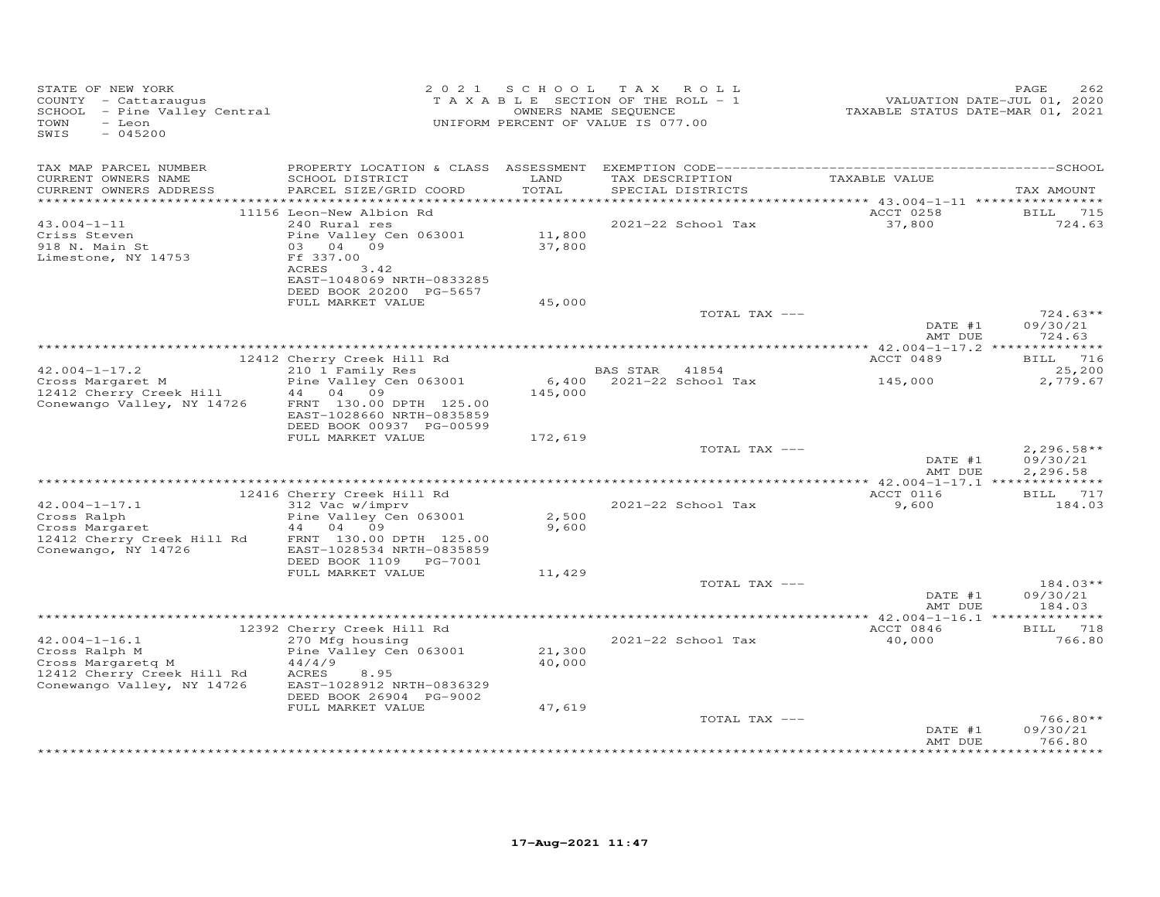| STATE OF NEW YORK<br>COUNTY - Cattaraugus<br>SCHOOL - Pine Valley Central<br>TOWN<br>- Leon<br>SWIS<br>$-045200$      |                                                                                                                                                                       | 2021 SCHOOL TAX<br>TAXABLE SECTION OF THE ROLL - 1<br>UNIFORM PERCENT OF VALUE IS 077.00 | OWNERS NAME SEQUENCE | ROLL                                 | VALUATION DATE-JUL 01, 2020<br>TAXABLE STATUS DATE-MAR 01, 2021 | PAGE<br>262                          |
|-----------------------------------------------------------------------------------------------------------------------|-----------------------------------------------------------------------------------------------------------------------------------------------------------------------|------------------------------------------------------------------------------------------|----------------------|--------------------------------------|-----------------------------------------------------------------|--------------------------------------|
| TAX MAP PARCEL NUMBER<br>CURRENT OWNERS NAME<br>CURRENT OWNERS ADDRESS<br>*************************                   | SCHOOL DISTRICT<br>PARCEL SIZE/GRID COORD                                                                                                                             | LAND<br>TOTAL                                                                            |                      | TAX DESCRIPTION<br>SPECIAL DISTRICTS | TAXABLE VALUE                                                   | TAX AMOUNT                           |
| $43.004 - 1 - 11$<br>Criss Steven<br>918 N. Main St<br>Limestone, NY 14753                                            | 11156 Leon-New Albion Rd<br>240 Rural res<br>Pine Valley Cen 063001<br>03 04 09<br>Ff 337.00<br>ACRES<br>3.42<br>EAST-1048069 NRTH-0833285<br>DEED BOOK 20200 PG-5657 | 11,800<br>37,800                                                                         |                      | 2021-22 School Tax                   | ACCT 0258<br>37,800                                             | <b>BILL</b><br>715<br>724.63         |
|                                                                                                                       | FULL MARKET VALUE                                                                                                                                                     | 45,000                                                                                   |                      | TOTAL TAX ---                        | DATE #1                                                         | $724.63**$<br>09/30/21               |
|                                                                                                                       | 12412 Cherry Creek Hill Rd                                                                                                                                            |                                                                                          |                      |                                      | AMT DUE<br>ACCT 0489                                            | 724.63<br><b>BILL</b> 716            |
| $42.004 - 1 - 17.2$<br>Cross Margaret M<br>12412 Cherry Creek Hill                                                    | 210 1 Family Res<br>Pine Valley Cen 063001<br>44<br>04 09                                                                                                             | 6,400<br>145,000                                                                         | BAS STAR 41854       | 2021-22 School Tax                   | 145,000                                                         | 25,200<br>2,779.67                   |
| Conewango Valley, NY 14726                                                                                            | FRNT 130.00 DPTH 125.00<br>EAST-1028660 NRTH-0835859<br>DEED BOOK 00937 PG-00599                                                                                      |                                                                                          |                      |                                      |                                                                 |                                      |
|                                                                                                                       | FULL MARKET VALUE                                                                                                                                                     | 172,619                                                                                  |                      | TOTAL TAX ---                        | DATE #1<br>AMT DUE                                              | $2,296.58**$<br>09/30/21<br>2,296.58 |
|                                                                                                                       |                                                                                                                                                                       |                                                                                          |                      |                                      |                                                                 |                                      |
| $42.004 - 1 - 17.1$<br>Cross Ralph<br>Cross Margaret                                                                  | 12416 Cherry Creek Hill Rd<br>312 Vac w/imprv<br>Pine Valley Cen 063001<br>44 04 09                                                                                   | 2,500<br>9,600                                                                           |                      | 2021-22 School Tax                   | ACCT 0116<br>9,600                                              | BILL 717<br>184.03                   |
| 12412 Cherry Creek Hill Rd<br>Conewango, NY 14726                                                                     | FRNT 130.00 DPTH 125.00<br>EAST-1028534 NRTH-0835859<br>DEED BOOK 1109 PG-7001<br>FULL MARKET VALUE                                                                   | 11,429                                                                                   |                      |                                      |                                                                 |                                      |
|                                                                                                                       |                                                                                                                                                                       |                                                                                          |                      | TOTAL TAX ---                        | DATE #1                                                         | 184.03**<br>09/30/21                 |
|                                                                                                                       |                                                                                                                                                                       |                                                                                          |                      |                                      | AMT DUE                                                         | 184.03                               |
|                                                                                                                       | 12392 Cherry Creek Hill Rd                                                                                                                                            |                                                                                          |                      |                                      | ACCT 0846                                                       | 718<br>BILL                          |
| $42.004 - 1 - 16.1$<br>Cross Ralph M<br>Cross Margaretg M<br>12412 Cherry Creek Hill Rd<br>Conewango Valley, NY 14726 | 270 Mfg housing<br>Pine Valley Cen 063001<br>44/4/9<br>ACRES<br>8.95<br>EAST-1028912 NRTH-0836329<br>DEED BOOK 26904 PG-9002                                          | 21,300<br>40,000                                                                         |                      | 2021-22 School Tax                   | 40,000                                                          | 766.80                               |
|                                                                                                                       | FULL MARKET VALUE                                                                                                                                                     | 47,619                                                                                   |                      | TOTAL TAX ---                        | DATE #1<br>AMT DUE                                              | $766.80**$<br>09/30/21<br>766.80     |
|                                                                                                                       |                                                                                                                                                                       |                                                                                          |                      |                                      |                                                                 |                                      |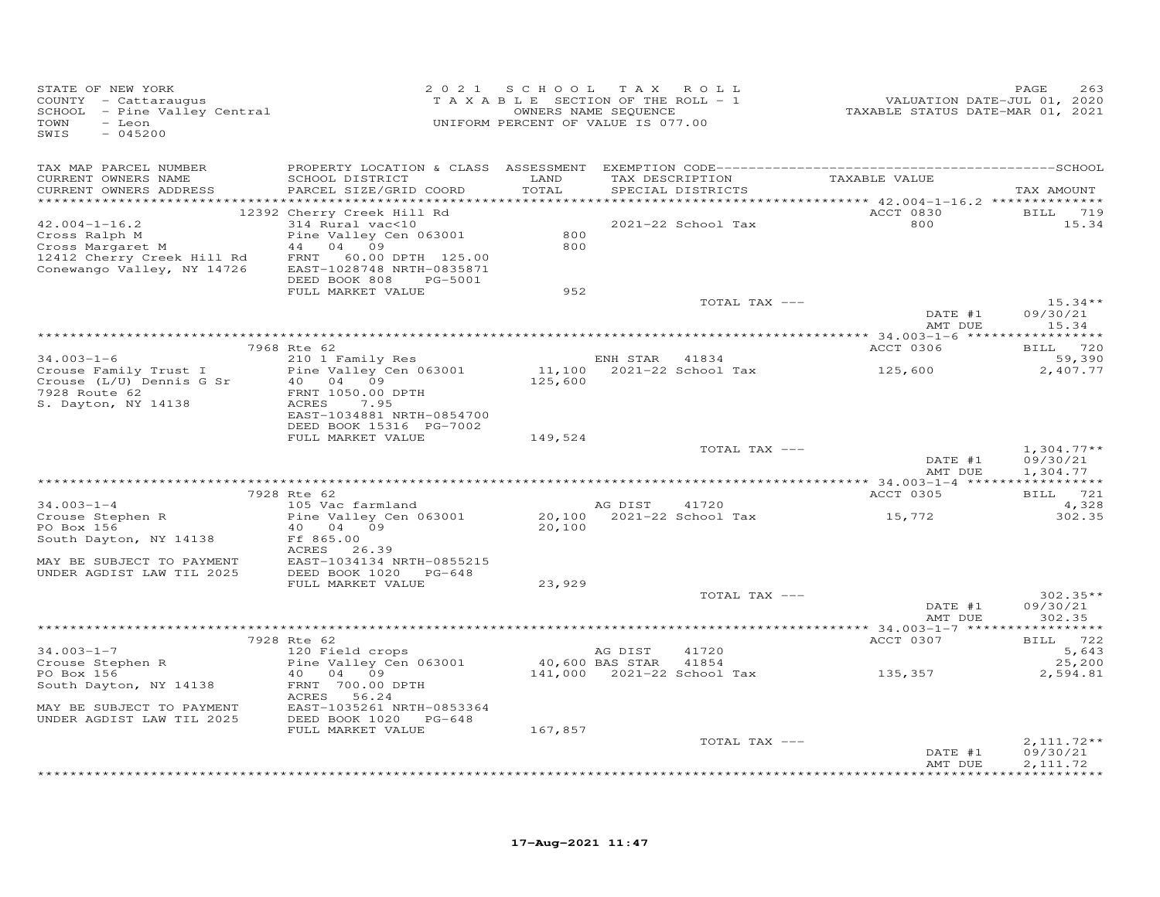| STATE OF NEW YORK<br>COUNTY - Cattaraugus<br>COONII - Cattaraugus<br>SCHOOL - Pine Valley Central<br>TOWN<br>- Leon<br>SWIS<br>$-045200$ |                                                                                                                                                                                                 |                   | 2021 SCHOOL TAX ROLL<br>TAXABLE SECTION OF THE ROLL - 1<br>OWNERS NAME SEQUENCE<br>UNIFORM PERCENT OF VALUE IS 077.00 | VALUATION DATE-JUL 01, 2020<br>TAXABLE STATUS DATE-MAR 01, 2021 | PAGE<br>263                                         |
|------------------------------------------------------------------------------------------------------------------------------------------|-------------------------------------------------------------------------------------------------------------------------------------------------------------------------------------------------|-------------------|-----------------------------------------------------------------------------------------------------------------------|-----------------------------------------------------------------|-----------------------------------------------------|
| TAX MAP PARCEL NUMBER<br>CURRENT OWNERS NAME<br>CURRENT OWNERS ADDRESS                                                                   | SCHOOL DISTRICT<br>PARCEL SIZE/GRID COORD                                                                                                                                                       | LAND<br>TOTAL     | TAX DESCRIPTION<br>SPECIAL DISTRICTS                                                                                  | TAXABLE VALUE                                                   | TAX AMOUNT                                          |
| $42.004 - 1 - 16.2$<br>Cross Ralph M<br>Cross Margaret M<br>12412 Cherry Creek Hill Rd<br>Conewango Valley, NY 14726                     | 12392 Cherry Creek Hill Rd<br>314 Rural vac<10<br>Pine Valley Cen 063001<br>44 04 09<br>FRNT<br>60.00 DPTH 125.00<br>EAST-1028748 NRTH-0835871<br>DEED BOOK 808<br>PG-5001<br>FULL MARKET VALUE | 800<br>800<br>952 | 2021-22 School Tax<br>TOTAL TAX ---                                                                                   | ACCT 0830<br>800                                                | BILL 719<br>15.34<br>$15.34**$                      |
|                                                                                                                                          |                                                                                                                                                                                                 |                   |                                                                                                                       | DATE #1<br>AMT DUE                                              | 09/30/21<br>15.34                                   |
| $34.003 - 1 - 6$<br>Crouse Family Trust I<br>Crouse (L/U) Dennis G Sr<br>7928 Route 62<br>S. Dayton, NY 14138                            | 7968 Rte 62<br>210 1 Family Res<br>Pine Valley Cen 063001<br>40 04 09<br>FRNT 1050.00 DPTH<br>ACRES<br>7.95<br>EAST-1034881 NRTH-0854700                                                        | 125,600           | ENH STAR 41834<br>11,100 2021-22 School Tax                                                                           | ACCT 0306<br>125,600                                            | BILL 720<br>59,390<br>2,407.77                      |
|                                                                                                                                          | DEED BOOK 15316 PG-7002<br>FULL MARKET VALUE                                                                                                                                                    | 149,524           | TOTAL TAX ---                                                                                                         | DATE #1<br>AMT DUE                                              | $1,304.77**$<br>09/30/21<br>1,304.77                |
|                                                                                                                                          |                                                                                                                                                                                                 |                   |                                                                                                                       |                                                                 |                                                     |
| $34.003 - 1 - 4$<br>Crouse Stephen R<br>PO Box 156<br>South Dayton, NY 14138<br>MAY BE SUBJECT TO PAYMENT<br>UNDER AGDIST LAW TIL 2025   | 7928 Rte 62<br>105 Vac farmland<br>Pine Valley Cen 063001<br>40 04 09<br>Ff 865.00<br>ACRES 26.39<br>EAST-1034134 NRTH-0855215<br>DEED BOOK 1020 PG-648                                         | 20,100            | AG DIST<br>41720                                                                                                      | ACCT 0305<br>15,772                                             | BILL 721<br>4,328<br>302.35                         |
|                                                                                                                                          | FULL MARKET VALUE                                                                                                                                                                               | 23,929            | TOTAL TAX ---                                                                                                         | DATE #1                                                         | $302.35**$<br>09/30/21                              |
|                                                                                                                                          |                                                                                                                                                                                                 |                   |                                                                                                                       | AMT DUE                                                         | 302.35                                              |
| $34.003 - 1 - 7$<br>Crouse Stephen R<br>PO Box 156                                                                                       | 7928 Rte 62<br>120 Field crops<br>Pine Valley Cen 063001<br>40 04 09                                                                                                                            |                   | AG DIST<br>41720<br>40,600 BAS STAR<br>41854<br>141,000 2021-22 School Tax                                            | ACCT 0307<br>135,357                                            | BILL 722<br>5,643<br>25,200<br>2,594.81             |
| South Dayton, NY 14138<br>MAY BE SUBJECT TO PAYMENT<br>UNDER AGDIST LAW TIL 2025                                                         | FRNT 700.00 DPTH<br>ACRES 56.24<br>EAST-1035261 NRTH-0853364<br>DEED BOOK 1020 PG-648<br>FULL MARKET VALUE                                                                                      | 167,857           |                                                                                                                       |                                                                 |                                                     |
|                                                                                                                                          |                                                                                                                                                                                                 |                   | TOTAL TAX ---                                                                                                         | DATE #1<br>AMT DUE                                              | $2,111.72**$<br>09/30/21<br>2, 111.72<br>********** |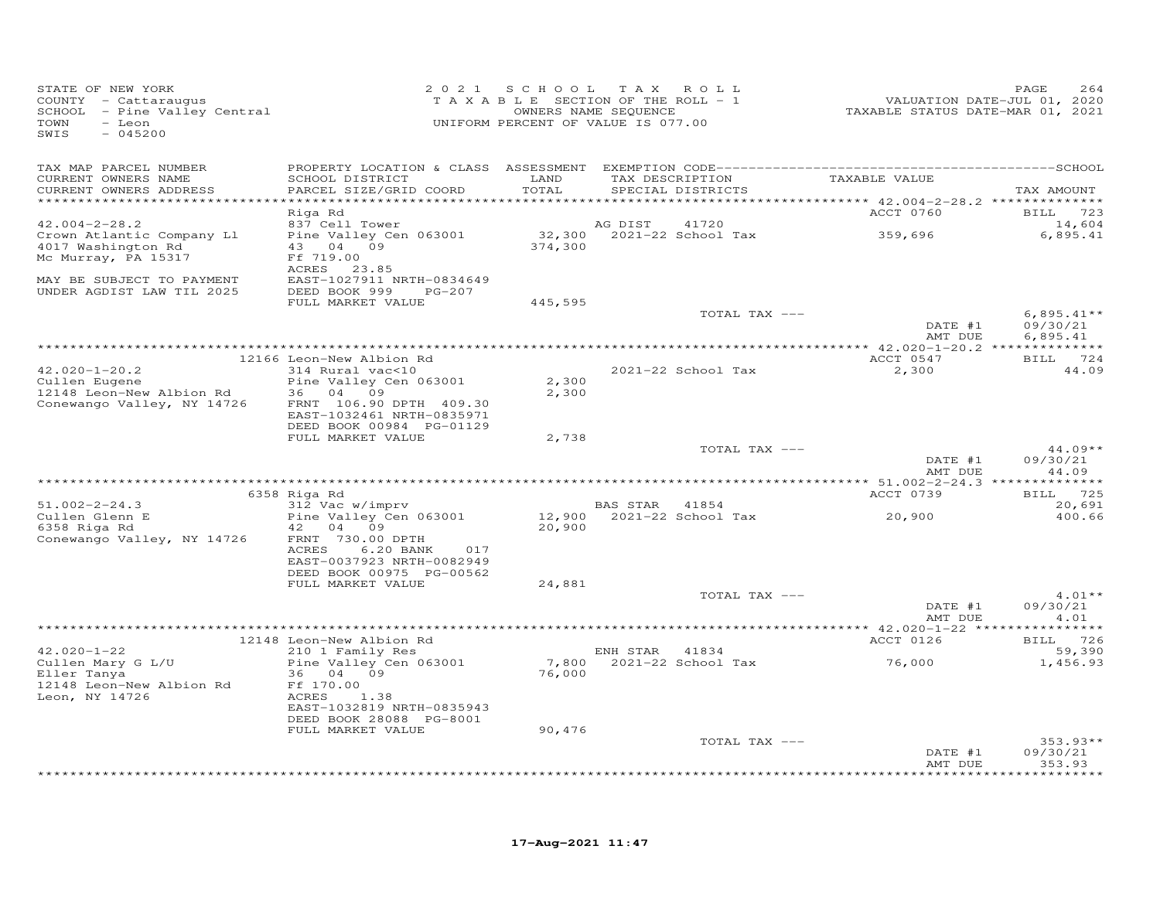| STATE OF NEW YORK<br>COUNTY - Cattaraugus<br>SCHOOL - Pine Valley Central<br>TOWN<br>- Leon<br>SWIS<br>$-045200$ | 2 0 2 1                                                                |               | SCHOOL TAX ROLL<br>TAXABLE SECTION OF THE ROLL - 1<br>OWNERS NAME SEQUENCE<br>UNIFORM PERCENT OF VALUE IS 077.00 | VALUATION DATE-JUL 01, 2020<br>TAXABLE STATUS DATE-MAR 01, 2021 | PAGE<br>264               |
|------------------------------------------------------------------------------------------------------------------|------------------------------------------------------------------------|---------------|------------------------------------------------------------------------------------------------------------------|-----------------------------------------------------------------|---------------------------|
| TAX MAP PARCEL NUMBER                                                                                            |                                                                        |               |                                                                                                                  |                                                                 |                           |
| CURRENT OWNERS NAME<br>CURRENT OWNERS ADDRESS                                                                    | SCHOOL DISTRICT<br>PARCEL SIZE/GRID COORD                              | LAND<br>TOTAL | TAX DESCRIPTION<br>SPECIAL DISTRICTS                                                                             | TAXABLE VALUE                                                   | TAX AMOUNT                |
| **********************                                                                                           |                                                                        |               |                                                                                                                  |                                                                 |                           |
|                                                                                                                  | Riga Rd                                                                |               |                                                                                                                  | ACCT 0760                                                       | BILL 723                  |
| $42.004 - 2 - 28.2$                                                                                              | 837 Cell Tower                                                         |               | 41720<br>AG DIST                                                                                                 |                                                                 | 14,604                    |
| Crown Atlantic Company Ll<br>4017 Washington Rd<br>Mc Murray, PA 15317                                           | Pine Valley Cen 063001<br>43 04 09<br>Ff 719.00                        | 374,300       | 32,300 2021-22 School Tax                                                                                        | 359,696                                                         | 6,895.41                  |
|                                                                                                                  | ACRES 23.85                                                            |               |                                                                                                                  |                                                                 |                           |
| MAY BE SUBJECT TO PAYMENT<br>UNDER AGDIST LAW TIL 2025                                                           | EAST-1027911 NRTH-0834649<br>DEED BOOK 999 PG-207<br>FULL MARKET VALUE | 445,595       |                                                                                                                  |                                                                 |                           |
|                                                                                                                  |                                                                        |               | TOTAL TAX ---                                                                                                    |                                                                 | 6,895.41 **               |
|                                                                                                                  |                                                                        |               |                                                                                                                  | DATE #1                                                         | 09/30/21                  |
|                                                                                                                  |                                                                        |               |                                                                                                                  | AMT DUE                                                         | 6,895.41                  |
|                                                                                                                  | 12166 Leon-New Albion Rd                                               |               |                                                                                                                  | ACCT 0547                                                       | BILL 724                  |
| $42.020 - 1 - 20.2$                                                                                              | 314 Rural vac<10                                                       |               | 2021-22 School Tax                                                                                               | 2,300                                                           | 44.09                     |
| Cullen Eugene                                                                                                    | Pine Valley Cen 063001                                                 | 2,300         |                                                                                                                  |                                                                 |                           |
| 12148 Leon-New Albion Rd<br>Conewango Valley, NY 14726                                                           | 36 04 09<br>FRNT 106.90 DPTH 409.30                                    | 2,300         |                                                                                                                  |                                                                 |                           |
|                                                                                                                  | EAST-1032461 NRTH-0835971                                              |               |                                                                                                                  |                                                                 |                           |
|                                                                                                                  | DEED BOOK 00984 PG-01129                                               |               |                                                                                                                  |                                                                 |                           |
|                                                                                                                  | FULL MARKET VALUE                                                      | 2,738         | TOTAL TAX ---                                                                                                    |                                                                 | $44.09**$                 |
|                                                                                                                  |                                                                        |               |                                                                                                                  | DATE #1                                                         | 09/30/21                  |
|                                                                                                                  |                                                                        |               |                                                                                                                  | AMT DUE                                                         | 44.09                     |
|                                                                                                                  |                                                                        |               |                                                                                                                  |                                                                 |                           |
| $51.002 - 2 - 24.3$                                                                                              | 6358 Riga Rd<br>312 Vac w/imprv                                        |               | BAS STAR 41854                                                                                                   | ACCT 0739                                                       | <b>BILL</b> 725<br>20,691 |
| Cullen Glenn E                                                                                                   | Pine Valley Cen 063001                                                 |               | 12,900 2021-22 School Tax                                                                                        | 20,900                                                          | 400.66                    |
| 6358 Riga Rd                                                                                                     | 42<br>04<br>09                                                         | 20,900        |                                                                                                                  |                                                                 |                           |
| Conewango Valley, NY 14726                                                                                       | FRNT 730.00 DPTH<br>ACRES<br>6.20 BANK<br>017                          |               |                                                                                                                  |                                                                 |                           |
|                                                                                                                  | EAST-0037923 NRTH-0082949                                              |               |                                                                                                                  |                                                                 |                           |
|                                                                                                                  | DEED BOOK 00975 PG-00562                                               |               |                                                                                                                  |                                                                 |                           |
|                                                                                                                  | FULL MARKET VALUE                                                      | 24,881        | TOTAL TAX ---                                                                                                    |                                                                 | $4.01**$                  |
|                                                                                                                  |                                                                        |               |                                                                                                                  | DATE #1                                                         | 09/30/21                  |
|                                                                                                                  |                                                                        |               |                                                                                                                  | AMT DUE                                                         | 4.01                      |
|                                                                                                                  |                                                                        |               |                                                                                                                  | ACCT 0126                                                       | BILL 726                  |
| $42.020 - 1 - 22$                                                                                                | 12148 Leon-New Albion Rd<br>210 1 Family Res                           |               | ENH STAR 41834                                                                                                   |                                                                 | 59,390                    |
| Cullen Mary G L/U                                                                                                | Pine Valley Cen 063001                                                 |               | 7,800 2021-22 School Tax                                                                                         | 76,000                                                          | 1,456.93                  |
| Eller Tanya                                                                                                      | 36 04 09                                                               | 76,000        |                                                                                                                  |                                                                 |                           |
| 12148 Leon-New Albion Rd<br>Leon, NY 14726                                                                       | Ff 170.00<br>ACRES<br>1.38                                             |               |                                                                                                                  |                                                                 |                           |
|                                                                                                                  | EAST-1032819 NRTH-0835943                                              |               |                                                                                                                  |                                                                 |                           |
|                                                                                                                  | DEED BOOK 28088 PG-8001                                                |               |                                                                                                                  |                                                                 |                           |
|                                                                                                                  | FULL MARKET VALUE                                                      | 90,476        | TOTAL TAX ---                                                                                                    |                                                                 | $353.93**$                |
|                                                                                                                  |                                                                        |               |                                                                                                                  | DATE #1                                                         | 09/30/21                  |
|                                                                                                                  |                                                                        |               | **************************************                                                                           | AMT DUE                                                         | 353.93<br>* * * * * * * * |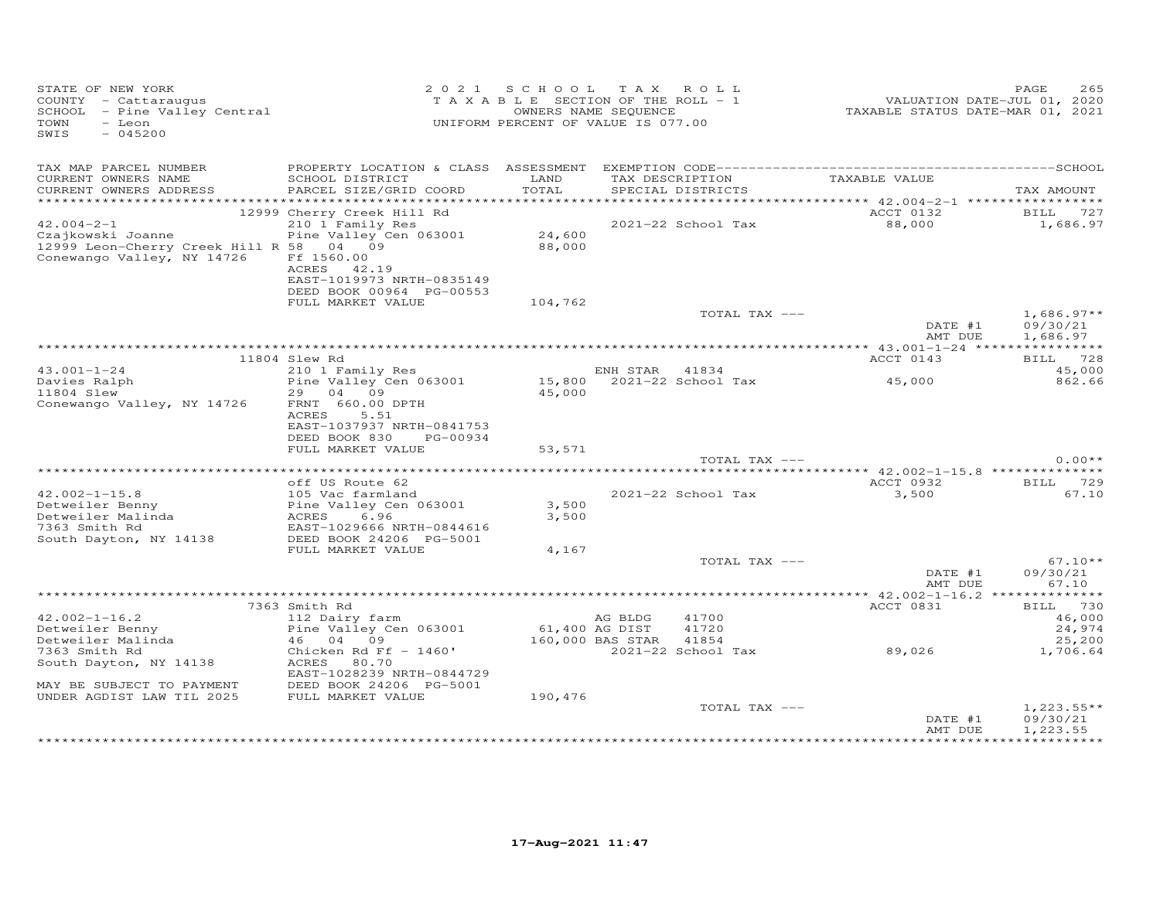| STATE OF NEW YORK<br>COUNTY - Cattaraugus<br>SCHOOL - Pine Valley Central<br>TOWN<br>- Leon<br>SWIS<br>$-045200$                                                                         |                                                                                                                                                    | 2021 SCHOOL TAX ROLL<br>T A X A B L E SECTION OF THE ROLL - 1<br>OWNERS NAME SEQUENCE<br>UNIFORM PERCENT OF VALUE IS 077.00 |                             |                                                            | VALUATION DATE-JUL V., -<br>TAXABLE STATUS DATE-MAR 01, 2021 | PAGE<br>265                                   |
|------------------------------------------------------------------------------------------------------------------------------------------------------------------------------------------|----------------------------------------------------------------------------------------------------------------------------------------------------|-----------------------------------------------------------------------------------------------------------------------------|-----------------------------|------------------------------------------------------------|--------------------------------------------------------------|-----------------------------------------------|
| TAX MAP PARCEL NUMBER<br>CURRENT OWNERS NAME<br>CURRENT OWNERS ADDRESS<br>$42.004 - 2 - 1$<br>Czajkowski Joanne<br>12999 Leon-Cherry Creek Hill R 58 04 09<br>Conewango Valley, NY 14726 | SCHOOL DISTRICT<br>PARCEL SIZE/GRID COORD<br>12999 Cherry Creek Hill Rd<br>210 1 Family Res<br>Pine Valley Cen 063001<br>Ff 1560.00<br>ACRES 42.19 | LAND<br>TOTAL<br>24,600<br>88,000                                                                                           |                             | TAX DESCRIPTION<br>SPECIAL DISTRICTS<br>2021-22 School Tax | TAXABLE VALUE<br>ACCT 0132<br>88,000                         | TAX AMOUNT<br>BILL 727<br>1,686.97            |
|                                                                                                                                                                                          | EAST-1019973 NRTH-0835149<br>DEED BOOK 00964 PG-00553<br>FULL MARKET VALUE                                                                         | 104,762                                                                                                                     |                             | TOTAL TAX ---                                              | DATE #1<br>AMT DUE                                           | $1,686.97**$<br>09/30/21<br>1,686.97          |
|                                                                                                                                                                                          | 11804 Slew Rd                                                                                                                                      |                                                                                                                             |                             |                                                            | ACCT 0143                                                    | BILL 728                                      |
| $43.001 - 1 - 24$<br>Davies Ralph<br>11804 Slew<br>Conewango Valley, NY 14726                                                                                                            | 210 1 Family Res<br>Pine Valley Cen 063001<br>29 04 09<br>FRNT 660.00 DPTH<br>ACRES<br>5.51                                                        | 45,000                                                                                                                      | ENH STAR 41834              | 15,800 2021-22 School Tax                                  | 45,000                                                       | 45,000<br>862.66                              |
|                                                                                                                                                                                          | EAST-1037937 NRTH-0841753<br>DEED BOOK 830<br>PG-00934<br>FULL MARKET VALUE                                                                        | 53,571                                                                                                                      |                             |                                                            |                                                              |                                               |
|                                                                                                                                                                                          |                                                                                                                                                    |                                                                                                                             |                             | TOTAL TAX ---                                              |                                                              | $0.00**$                                      |
|                                                                                                                                                                                          | off US Route 62                                                                                                                                    |                                                                                                                             |                             |                                                            | ACCT 0932                                                    | BILL 729                                      |
| $42.002 - 1 - 15.8$<br>Detweiler Benny<br>Detweiler Malinda<br>7363 Smith Rd<br>South Dayton, NY 14138                                                                                   | 105 Vac farmland<br>Pine Valley Cen 063001<br>RCRES 6.96<br>EAST-1029666 NRTH-0844616<br>DEED BOOK 24206 PG-5001                                   | 3,500<br>3,500                                                                                                              |                             | 2021-22 School Tax                                         | 3,500                                                        | 67.10                                         |
|                                                                                                                                                                                          | FULL MARKET VALUE                                                                                                                                  | 4,167                                                                                                                       |                             |                                                            |                                                              |                                               |
|                                                                                                                                                                                          |                                                                                                                                                    |                                                                                                                             |                             | TOTAL TAX ---                                              | DATE #1<br>AMT DUE                                           | $67.10**$<br>09/30/21<br>67.10                |
|                                                                                                                                                                                          |                                                                                                                                                    |                                                                                                                             |                             |                                                            |                                                              |                                               |
| $42.002 - 1 - 16.2$<br>Detweiler Benny<br>Detweiler Malinda                                                                                                                              | 7363 Smith Rd<br>112 Dairy farm<br>Pine Valley Cen 063001<br>46 04 09                                                                              | 61,400 AG DIST                                                                                                              | AG BLDG<br>160,000 BAS STAR | 41700<br>41720<br>41854                                    | ACCT 0831                                                    | BILL 730<br>46,000<br>24,974<br>25,200        |
| 7363 Smith Rd<br>South Dayton, NY 14138                                                                                                                                                  | Chicken Rd Ff $-$ 1460'<br>ACRES 80.70<br>EAST-1028239 NRTH-0844729                                                                                |                                                                                                                             |                             | 2021-22 School Tax                                         | 89,026                                                       | 1,706.64                                      |
| MAY BE SUBJECT TO PAYMENT<br>UNDER AGDIST LAW TIL 2025                                                                                                                                   | DEED BOOK 24206 PG-5001<br>FULL MARKET VALUE                                                                                                       | 190,476                                                                                                                     |                             | TOTAL TAX ---                                              |                                                              | $1,223.55**$                                  |
|                                                                                                                                                                                          |                                                                                                                                                    |                                                                                                                             |                             |                                                            | DATE #1<br>AMT DUE                                           | 09/30/21<br>1,223.55<br><b>++++++++++++++</b> |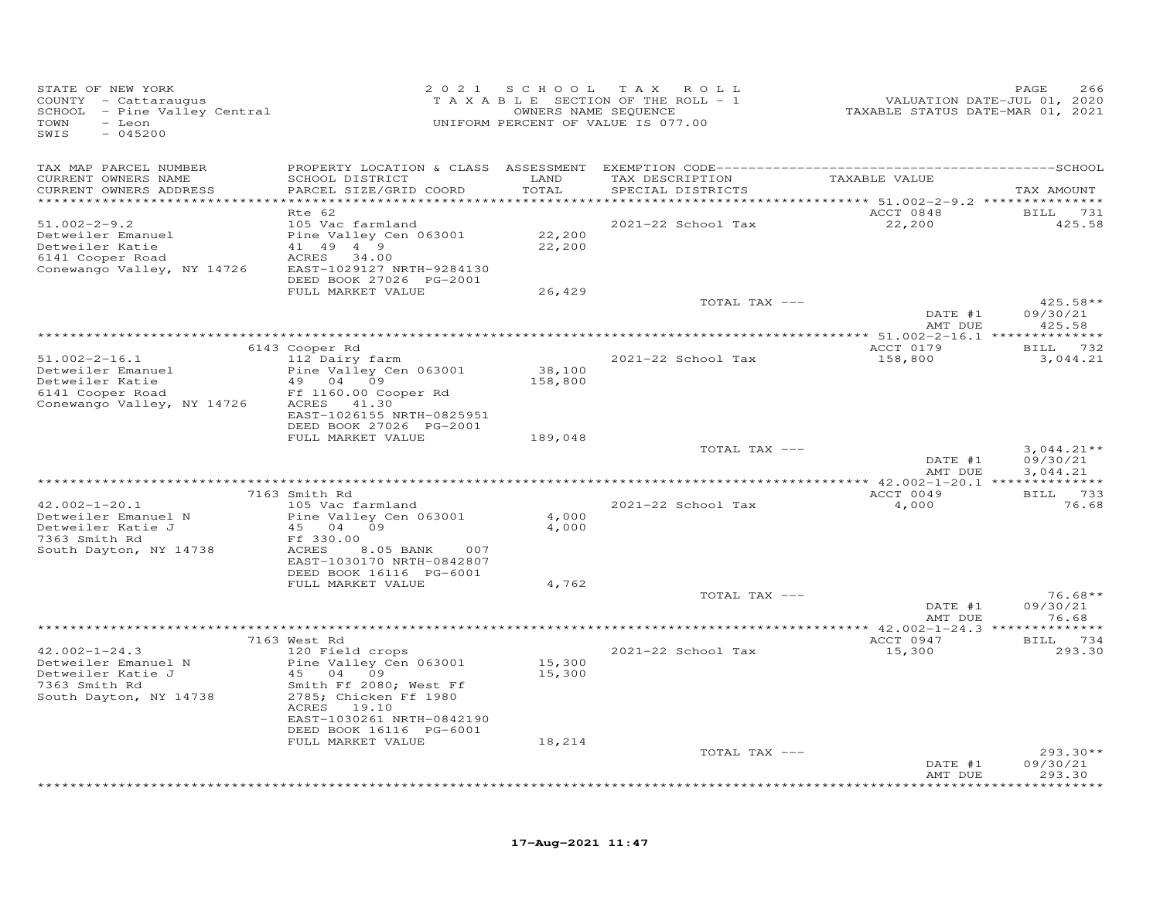| STATE OF NEW YORK<br>COUNTY - Cattaraugus<br>SCHOOL - Pine Valley Central<br>TOWN<br>- Leon<br>SWIS<br>$-045200$ | 2 0 2 1                                                                                                | SCHOOL                | TAX ROLL<br>TAXABLE SECTION OF THE ROLL - 1<br>OWNERS NAME SEQUENCE<br>UNIFORM PERCENT OF VALUE IS 077.00 | VALUATION DATE-JUL 01, 2020<br>TAXABLE STATUS DATE-MAR 01, 2021        | PAGE<br>266              |
|------------------------------------------------------------------------------------------------------------------|--------------------------------------------------------------------------------------------------------|-----------------------|-----------------------------------------------------------------------------------------------------------|------------------------------------------------------------------------|--------------------------|
| TAX MAP PARCEL NUMBER<br>CURRENT OWNERS NAME                                                                     | SCHOOL DISTRICT                                                                                        | LAND                  | TAX DESCRIPTION                                                                                           | TAXABLE VALUE                                                          |                          |
| CURRENT OWNERS ADDRESS<br>***********************                                                                | PARCEL SIZE/GRID COORD<br>************************                                                     | TOTAL<br>************ | SPECIAL DISTRICTS                                                                                         |                                                                        | TAX AMOUNT               |
|                                                                                                                  | Rte 62                                                                                                 |                       |                                                                                                           | **************************** 51.002-2-9.2 ***************<br>ACCT 0848 | <b>BILL</b> 731          |
| $51.002 - 2 - 9.2$<br>Detweiler Emanuel<br>Detweiler Katie<br>6141 Cooper Road<br>Conewango Valley, NY 14726     | 105 Vac farmland<br>Pine Valley Cen 063001<br>41 49 4 9<br>ACRES<br>34.00<br>EAST-1029127 NRTH-9284130 | 22,200<br>22,200      | 2021-22 School Tax                                                                                        | 22,200                                                                 | 425.58                   |
|                                                                                                                  | DEED BOOK 27026 PG-2001                                                                                |                       |                                                                                                           |                                                                        |                          |
|                                                                                                                  | FULL MARKET VALUE                                                                                      | 26,429                | TOTAL TAX ---                                                                                             |                                                                        | 425.58**                 |
|                                                                                                                  |                                                                                                        |                       |                                                                                                           | DATE #1                                                                | 09/30/21                 |
|                                                                                                                  |                                                                                                        |                       |                                                                                                           | AMT DUE                                                                | 425.58                   |
|                                                                                                                  | 6143 Cooper Rd                                                                                         |                       |                                                                                                           | ACCT 0179                                                              | BILL 732                 |
| $51.002 - 2 - 16.1$                                                                                              | 112 Dairy farm                                                                                         |                       | 2021-22 School Tax                                                                                        | 158,800                                                                | 3,044.21                 |
| Detweiler Emanuel<br>Detweiler Katie                                                                             | Pine Valley Cen 063001<br>49 04 09                                                                     | 38,100                |                                                                                                           |                                                                        |                          |
| 6141 Cooper Road                                                                                                 | Ff 1160.00 Cooper Rd                                                                                   | 158,800               |                                                                                                           |                                                                        |                          |
| Conewango Valley, NY 14726                                                                                       | ACRES<br>41.30                                                                                         |                       |                                                                                                           |                                                                        |                          |
|                                                                                                                  | EAST-1026155 NRTH-0825951<br>DEED BOOK 27026 PG-2001                                                   |                       |                                                                                                           |                                                                        |                          |
|                                                                                                                  | FULL MARKET VALUE                                                                                      | 189,048               |                                                                                                           |                                                                        |                          |
|                                                                                                                  |                                                                                                        |                       | TOTAL TAX ---                                                                                             | DATE #1                                                                | $3,044.21**$<br>09/30/21 |
|                                                                                                                  |                                                                                                        |                       |                                                                                                           | AMT DUE                                                                | 3,044.21                 |
|                                                                                                                  |                                                                                                        |                       |                                                                                                           |                                                                        |                          |
| $42.002 - 1 - 20.1$                                                                                              | 7163 Smith Rd<br>105 Vac farmland                                                                      |                       | 2021-22 School Tax                                                                                        | ACCT 0049<br>4,000                                                     | BILL 733<br>76.68        |
| Detweiler Emanuel N                                                                                              | Pine Valley Cen 063001                                                                                 | 4,000                 |                                                                                                           |                                                                        |                          |
| Detweiler Katie J                                                                                                | 45 04 09                                                                                               | 4,000                 |                                                                                                           |                                                                        |                          |
| 7363 Smith Rd<br>South Dayton, NY 14738                                                                          | Ff 330.00<br>ACRES<br>8.05 BANK<br>007                                                                 |                       |                                                                                                           |                                                                        |                          |
|                                                                                                                  | EAST-1030170 NRTH-0842807                                                                              |                       |                                                                                                           |                                                                        |                          |
|                                                                                                                  | DEED BOOK 16116 PG-6001                                                                                |                       |                                                                                                           |                                                                        |                          |
|                                                                                                                  | FULL MARKET VALUE                                                                                      | 4,762                 | TOTAL TAX ---                                                                                             |                                                                        | $76.68**$                |
|                                                                                                                  |                                                                                                        |                       |                                                                                                           | DATE #1                                                                | 09/30/21                 |
|                                                                                                                  |                                                                                                        |                       |                                                                                                           | AMT DUE                                                                | 76.68                    |
|                                                                                                                  | 7163 West Rd                                                                                           |                       |                                                                                                           | ACCT 0947                                                              | BILL 734                 |
| $42.002 - 1 - 24.3$                                                                                              | 120 Field crops                                                                                        |                       | 2021-22 School Tax                                                                                        | 15,300                                                                 | 293.30                   |
| Detweiler Emanuel N                                                                                              | Pine Valley Cen 063001                                                                                 | 15,300                |                                                                                                           |                                                                        |                          |
| Detweiler Katie J<br>7363 Smith Rd                                                                               | 45<br>04<br>09<br>Smith Ff 2080; West Ff                                                               | 15,300                |                                                                                                           |                                                                        |                          |
| South Dayton, NY 14738                                                                                           | 2785; Chicken Ff 1980<br>ACRES 19.10                                                                   |                       |                                                                                                           |                                                                        |                          |
|                                                                                                                  | EAST-1030261 NRTH-0842190                                                                              |                       |                                                                                                           |                                                                        |                          |
|                                                                                                                  | DEED BOOK 16116 PG-6001                                                                                |                       |                                                                                                           |                                                                        |                          |
|                                                                                                                  | FULL MARKET VALUE                                                                                      | 18,214                | TOTAL TAX ---                                                                                             |                                                                        | $293.30**$               |
|                                                                                                                  |                                                                                                        |                       |                                                                                                           | DATE #1                                                                | 09/30/21                 |
|                                                                                                                  |                                                                                                        |                       |                                                                                                           | AMT DUE                                                                | 293.30                   |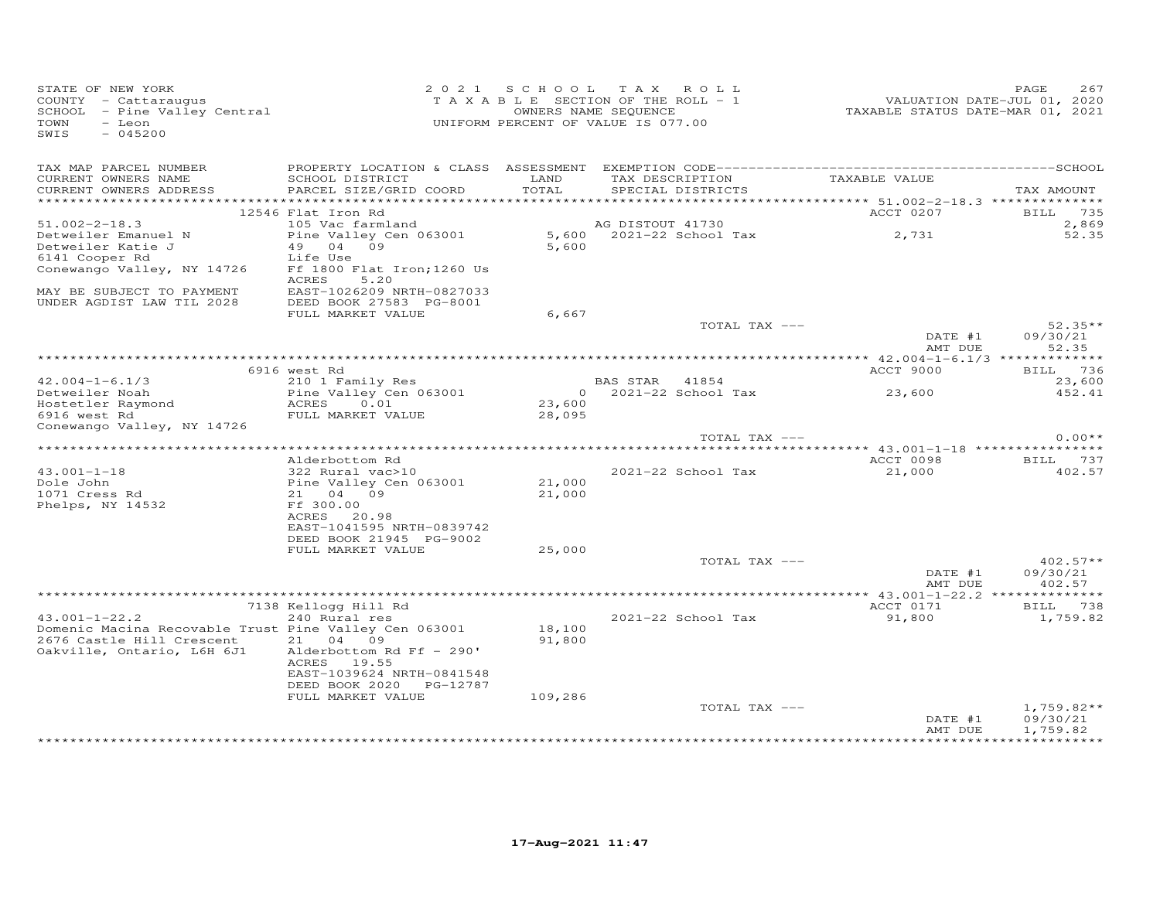| STATE OF NEW YORK<br>COUNTY - Cattaraugus<br>SCHOOL - Pine Valley Central<br>TOWN<br>- Leon<br>SWIS<br>$-045200$ |                                                                           |                  | 2021 SCHOOL TAX ROLL<br>TAXABLE SECTION OF THE ROLL - 1<br>OWNERS NAME SEQUENCE<br>UNIFORM PERCENT OF VALUE IS 077.00 |               | TAXABLE STATUS DATE-MAR 01, 2021 | PAGE<br>267<br>VALUATION DATE-JUL 01, 2020 |
|------------------------------------------------------------------------------------------------------------------|---------------------------------------------------------------------------|------------------|-----------------------------------------------------------------------------------------------------------------------|---------------|----------------------------------|--------------------------------------------|
|                                                                                                                  |                                                                           |                  |                                                                                                                       |               |                                  |                                            |
| TAX MAP PARCEL NUMBER<br>CURRENT OWNERS NAME<br>CURRENT OWNERS ADDRESS                                           | SCHOOL DISTRICT<br>PARCEL SIZE/GRID COORD                                 | LAND<br>TOTAL    | SPECIAL DISTRICTS                                                                                                     |               | TAX DESCRIPTION TAXABLE VALUE    | TAX AMOUNT                                 |
|                                                                                                                  | 12546 Flat Iron Rd                                                        |                  |                                                                                                                       |               | ACCT 0207                        | 735<br>BILL                                |
| $51.002 - 2 - 18.3$                                                                                              | 105 Vac farmland                                                          |                  | AG DISTOUT 41730                                                                                                      |               |                                  | 2,869                                      |
| Detweiler Emanuel N<br>Detweiler Katie J<br>6141 Cooper Rd                                                       | Pine Valley Cen 063001<br>49 04 09<br>Life Use                            | 5,600            | 5,600 2021-22 School Tax                                                                                              |               | 2,731                            | 52.35                                      |
| Conewango Valley, NY 14726                                                                                       | Ff 1800 Flat Iron; 1260 Us<br>ACRES<br>5.20                               |                  |                                                                                                                       |               |                                  |                                            |
| MAY BE SUBJECT TO PAYMENT<br>UNDER AGDIST LAW TIL 2028                                                           | EAST-1026209 NRTH-0827033<br>DEED BOOK 27583 PG-8001<br>FULL MARKET VALUE | 6,667            |                                                                                                                       |               |                                  |                                            |
|                                                                                                                  |                                                                           |                  |                                                                                                                       | TOTAL TAX --- |                                  | $52.35**$                                  |
|                                                                                                                  |                                                                           |                  |                                                                                                                       |               | DATE #1<br>AMT DUE               | 09/30/21<br>52.35                          |
|                                                                                                                  | 6916 west Rd                                                              |                  |                                                                                                                       |               | ACCT 9000                        | BILL 736                                   |
| $42.004 - 1 - 6.1/3$                                                                                             | 210 1 Family Res                                                          |                  | BAS STAR 41854                                                                                                        |               |                                  | 23,600                                     |
| Detweiler Noah                                                                                                   | Pine Valley Cen 063001                                                    | $\overline{0}$   | 2021-22 School Tax                                                                                                    |               | 23,600                           | 452.41                                     |
| Hostetler Raymond                                                                                                | ACRES<br>0.01<br>FULL MARKET VALUE                                        | 23,600<br>28,095 |                                                                                                                       |               |                                  |                                            |
| 6916 west Rd<br>Conewango Valley, NY 14726                                                                       |                                                                           |                  |                                                                                                                       |               |                                  |                                            |
|                                                                                                                  |                                                                           |                  |                                                                                                                       | TOTAL TAX --- |                                  | $0.00**$                                   |
|                                                                                                                  | Alderbottom Rd                                                            |                  |                                                                                                                       |               | ACCT 0098                        | BILL 737                                   |
| $43.001 - 1 - 18$                                                                                                | 322 Rural vac>10                                                          |                  | 2021-22 School Tax                                                                                                    |               | 21,000                           | 402.57                                     |
| Dole John                                                                                                        | Pine Valley Cen 063001                                                    | 21,000           |                                                                                                                       |               |                                  |                                            |
| 1071 Cress Rd                                                                                                    | 21 04 09                                                                  | 21,000           |                                                                                                                       |               |                                  |                                            |
| Phelps, NY 14532                                                                                                 | Ff 300.00<br>ACRES 20.98                                                  |                  |                                                                                                                       |               |                                  |                                            |
|                                                                                                                  | EAST-1041595 NRTH-0839742                                                 |                  |                                                                                                                       |               |                                  |                                            |
|                                                                                                                  | DEED BOOK 21945 PG-9002                                                   |                  |                                                                                                                       |               |                                  |                                            |
|                                                                                                                  | FULL MARKET VALUE                                                         | 25,000           |                                                                                                                       | TOTAL TAX --- |                                  | $402.57**$                                 |
|                                                                                                                  |                                                                           |                  |                                                                                                                       |               | DATE #1<br>AMT DUE               | 09/30/21<br>402.57                         |
|                                                                                                                  |                                                                           |                  |                                                                                                                       |               |                                  |                                            |
| $43.001 - 1 - 22.2$                                                                                              | 7138 Kellogg Hill Rd<br>240 Rural res                                     |                  | 2021-22 School Tax                                                                                                    |               | ACCT 0171<br>91,800              | BILL 738<br>1,759.82                       |
| Domenic Macina Recovable Trust Pine Valley Cen 063001                                                            |                                                                           | 18,100           |                                                                                                                       |               |                                  |                                            |
| 2676 Castle Hill Crescent<br>Oakville, Ontario, L6H 6J1                                                          | 21 04 09<br>Alderbottom Rd Ff - 290'<br>ACRES 19.55                       | 91,800           |                                                                                                                       |               |                                  |                                            |
|                                                                                                                  | EAST-1039624 NRTH-0841548                                                 |                  |                                                                                                                       |               |                                  |                                            |
|                                                                                                                  | DEED BOOK 2020<br>PG-12787<br>FULL MARKET VALUE                           | 109,286          |                                                                                                                       |               |                                  |                                            |
|                                                                                                                  |                                                                           |                  |                                                                                                                       | TOTAL TAX --- |                                  | $1,759.82**$                               |
|                                                                                                                  |                                                                           |                  |                                                                                                                       |               | DATE #1<br>AMT DUE               | 09/30/21<br>1,759.82                       |
|                                                                                                                  |                                                                           |                  |                                                                                                                       |               |                                  | ***********                                |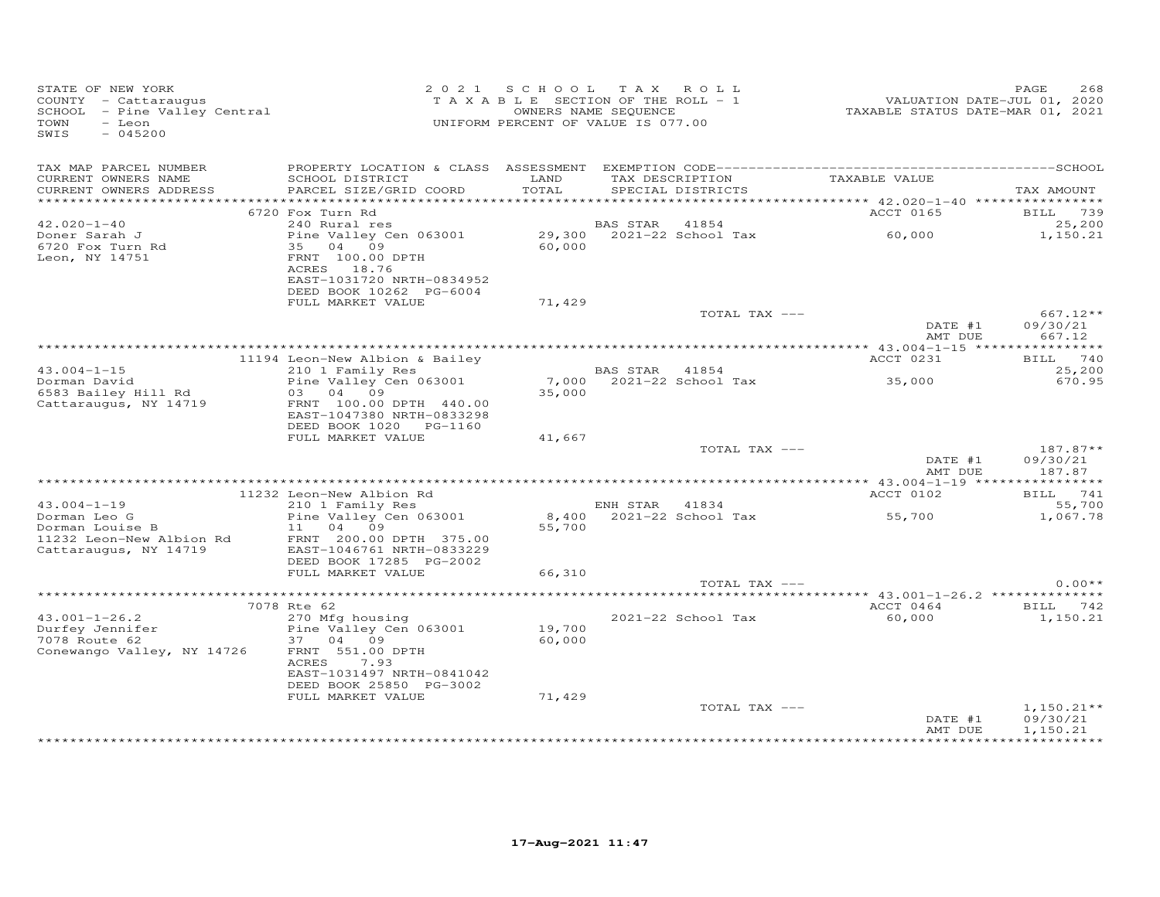| STATE OF NEW YORK<br>COUNTY - Cattaraugus<br>SCHOOL - Pine Valley Central<br>TOWN<br>- Leon<br>$-045200$<br>SWIS |                                                                                                                               |                  | 2021 SCHOOL TAX ROLL<br>TAXABLE SECTION OF THE ROLL - 1<br>OWNERS NAME SEQUENCE<br>UNIFORM PERCENT OF VALUE IS 077.00 |                 | VALUATION DATE-JUL 01, 2020<br>TAXABLE STATUS DATE-MAR 01, 2021 | 268<br>PAGE                    |
|------------------------------------------------------------------------------------------------------------------|-------------------------------------------------------------------------------------------------------------------------------|------------------|-----------------------------------------------------------------------------------------------------------------------|-----------------|-----------------------------------------------------------------|--------------------------------|
| TAX MAP PARCEL NUMBER<br>CURRENT OWNERS NAME<br>CURRENT OWNERS ADDRESS                                           | SCHOOL DISTRICT<br>PARCEL SIZE/GRID COORD                                                                                     | LAND<br>TOTAL    | SPECIAL DISTRICTS                                                                                                     | TAX DESCRIPTION | TAXABLE VALUE                                                   | TAX AMOUNT                     |
|                                                                                                                  |                                                                                                                               |                  |                                                                                                                       |                 |                                                                 |                                |
|                                                                                                                  | 6720 Fox Turn Rd                                                                                                              |                  |                                                                                                                       |                 | ACCT 0165                                                       | BILL 739                       |
| $42.020 - 1 - 40$                                                                                                | 240 Rural res                                                                                                                 |                  | <b>BAS STAR</b>                                                                                                       | 41854           |                                                                 | 25,200                         |
| Doner Sarah J<br>6720 Fox Turn Rd<br>Leon, NY 14751                                                              | Pine Valley Cen 063001<br>35 04 09<br>FRNT 100.00 DPTH<br>ACRES 18.76<br>EAST-1031720 NRTH-0834952<br>DEED BOOK 10262 PG-6004 | 60,000           | $29,300$ $2021-22$ School Tax                                                                                         |                 | 60,000                                                          | 1,150.21                       |
|                                                                                                                  | FULL MARKET VALUE                                                                                                             | 71,429           |                                                                                                                       |                 |                                                                 |                                |
|                                                                                                                  |                                                                                                                               |                  |                                                                                                                       | TOTAL TAX ---   | DATE #1<br>AMT DUE                                              | 667.12**<br>09/30/21<br>667.12 |
|                                                                                                                  |                                                                                                                               |                  |                                                                                                                       |                 |                                                                 |                                |
|                                                                                                                  | 11194 Leon-New Albion & Bailey                                                                                                |                  |                                                                                                                       |                 | ACCT 0231                                                       | BILL 740                       |
| $43.004 - 1 - 15$<br>Dorman David<br>6583 Bailey Hill Rd                                                         | 210 1 Family Res<br>Pine Valley Cen 063001<br>03 04 09                                                                        | 35,000           | BAS STAR 41854<br>7,000 2021-22 School Tax                                                                            |                 | 35,000                                                          | 25,200<br>670.95               |
| Cattaraugus, NY 14719                                                                                            | FRNT 100.00 DPTH 440.00<br>EAST-1047380 NRTH-0833298<br>DEED BOOK 1020 PG-1160<br>FULL MARKET VALUE                           | 41,667           |                                                                                                                       |                 |                                                                 |                                |
|                                                                                                                  |                                                                                                                               |                  |                                                                                                                       | TOTAL TAX ---   |                                                                 | $187.87**$                     |
|                                                                                                                  |                                                                                                                               |                  |                                                                                                                       |                 | DATE #1<br>AMT DUE                                              | 09/30/21<br>187.87             |
|                                                                                                                  |                                                                                                                               |                  |                                                                                                                       |                 |                                                                 |                                |
| $43.004 - 1 - 19$                                                                                                | 11232 Leon-New Albion Rd<br>210 1 Family Res                                                                                  |                  | ENH STAR 41834                                                                                                        |                 | ACCT 0102                                                       | BILL 741                       |
| Dorman Leo G                                                                                                     | Pine Valley Cen 063001                                                                                                        |                  | 8,400 2021-22 School Tax                                                                                              |                 | 55,700                                                          | 55,700<br>1,067.78             |
| Dorman Louise B<br>11232 Leon-New Albion Rd<br>Cattaraugus, NY 14719                                             | 11 04 09<br>FRNT 200.00 DPTH 375.00<br>EAST-1046761 NRTH-0833229<br>DEED BOOK 17285 PG-2002                                   | 55,700           |                                                                                                                       |                 |                                                                 |                                |
|                                                                                                                  | FULL MARKET VALUE                                                                                                             | 66,310           |                                                                                                                       |                 |                                                                 |                                |
|                                                                                                                  |                                                                                                                               |                  |                                                                                                                       | TOTAL TAX ---   |                                                                 | $0.00**$                       |
|                                                                                                                  | 7078 Rte 62                                                                                                                   |                  |                                                                                                                       |                 | ACCT 0464                                                       | BILL 742                       |
| $43.001 - 1 - 26.2$                                                                                              | 270 Mfg housing                                                                                                               |                  | 2021-22 School Tax                                                                                                    |                 | 60,000                                                          | 1,150.21                       |
| Durfey Jennifer<br>7078 Route 62<br>Conewango Valley, NY 14726                                                   | Pine Valley Cen 063001<br>37 04 09<br>FRNT 551.00 DPTH                                                                        | 19,700<br>60,000 |                                                                                                                       |                 |                                                                 |                                |
|                                                                                                                  | ACRES<br>7.93<br>EAST-1031497 NRTH-0841042<br>DEED BOOK 25850 PG-3002                                                         |                  |                                                                                                                       |                 |                                                                 |                                |
|                                                                                                                  | FULL MARKET VALUE                                                                                                             | 71,429           |                                                                                                                       | TOTAL TAX ---   |                                                                 | $1,150.21**$                   |
|                                                                                                                  |                                                                                                                               |                  |                                                                                                                       |                 | DATE #1<br>AMT DUE                                              | 09/30/21<br>1,150.21           |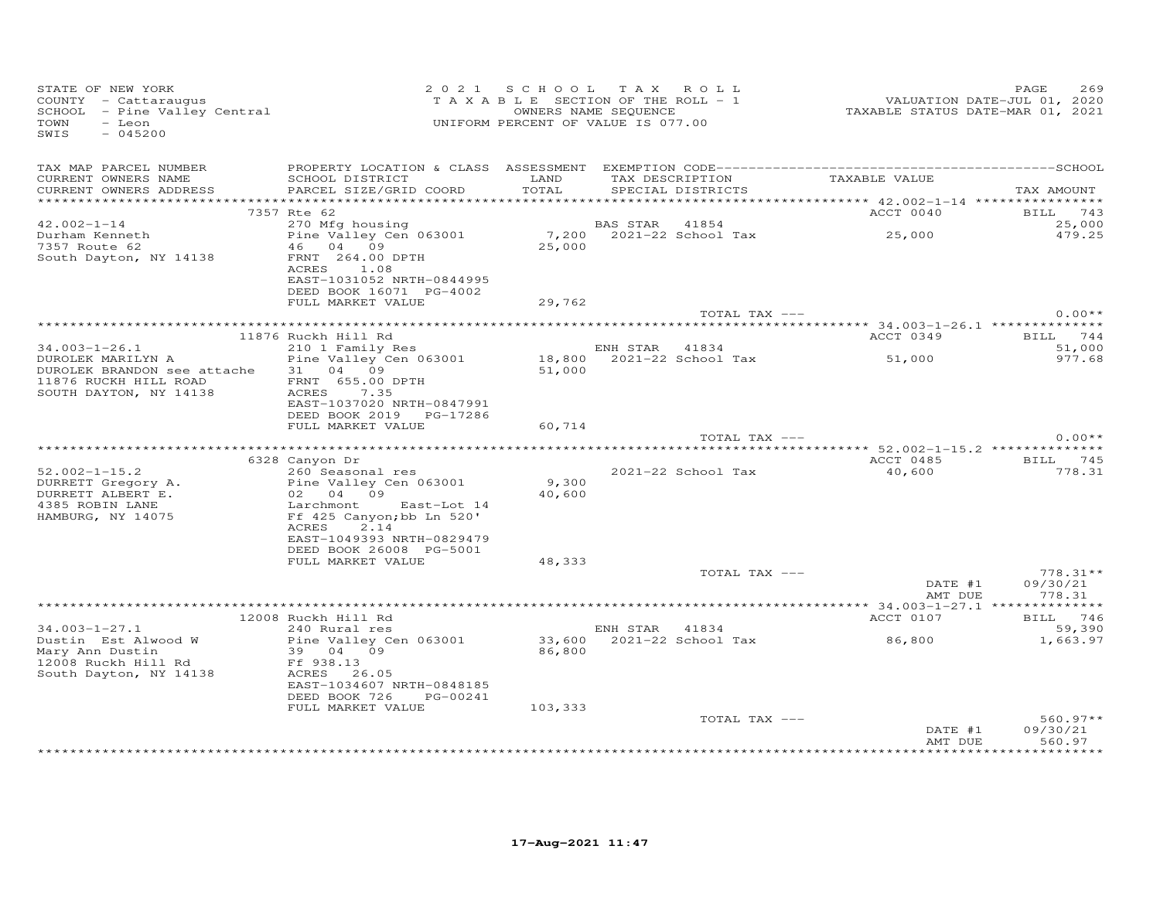| STATE OF NEW YORK<br>STATE OF NEW YORR<br>COUNTY  — Cattaraugus<br>SCHOOL  — Pine Valley Central<br>TOWN<br>- Leon<br>SWIS<br>$-045200$ | UNIFORM PERCENT OF VALUE IS 077.00                                                               | 2021 SCHOOL TAX ROLL |                | T A X A B L E SECTION OF THE ROLL - 1<br>OWNERS NAME SEQUENCE | 1<br>TAXABLE STATUS DATE-JUL 01, 2020<br>TAXABLE STATUS DATE-MAR 01, 2021 | 269<br>PAGE                      |
|-----------------------------------------------------------------------------------------------------------------------------------------|--------------------------------------------------------------------------------------------------|----------------------|----------------|---------------------------------------------------------------|---------------------------------------------------------------------------|----------------------------------|
| TAX MAP PARCEL NUMBER<br>CURRENT OWNERS NAME<br>CURRENT OWNERS ADDRESS                                                                  | SCHOOL DISTRICT LAND<br>PARCEL SIZE/GRID COORD                                                   | TOTAL                |                | SPECIAL DISTRICTS                                             | TAX DESCRIPTION TAXABLE VALUE                                             | TAX AMOUNT                       |
|                                                                                                                                         | 7357 Rte 62                                                                                      |                      |                |                                                               | ACCT 0040                                                                 | BILL 743                         |
| $42.002 - 1 - 14$<br>Durham Kenneth<br>7357 Route 62<br>South Dayton, NY 14138                                                          | 270 Mfg housing<br>Pine Valley Cen 063001<br>46 04 09<br>FRNT 264.00 DPTH                        | 25,000               | BAS STAR 41854 |                                                               |                                                                           | 25,000<br>479.25                 |
|                                                                                                                                         | ACRES 1.08<br>EAST-1031052 NRTH-0844995<br>DEED BOOK 16071 PG-4002<br>FULL MARKET VALUE          | 29,762               |                |                                                               |                                                                           |                                  |
|                                                                                                                                         |                                                                                                  |                      |                | TOTAL TAX ---                                                 |                                                                           | $0.00**$                         |
|                                                                                                                                         |                                                                                                  |                      |                |                                                               |                                                                           |                                  |
|                                                                                                                                         | 11876 Ruckh Hill Rd                                                                              |                      |                |                                                               | ACCT 0349                                                                 | BILL 744                         |
| 34.003-1-26.1                                                                                                                           | 210 1 Family Res                                                                                 |                      | ENH STAR 41834 |                                                               |                                                                           | 51,000                           |
| DUROLEK MARILYN A                                                                                                                       | Pine Valley Cen 063001                                                                           |                      |                |                                                               | ENH SIAR 41634<br>18,800 2021-22 School Tax 51,000                        | 977.68                           |
| DUROLEK BRANDON see attache 31 04 09<br>11876 RUCKH HILL ROAD<br>SOUTH DAYTON, NY 14138                                                 | FRNT 655.00 DPTH<br>ACRES 7.35                                                                   | 51,000               |                |                                                               |                                                                           |                                  |
|                                                                                                                                         | EAST-1037020 NRTH-0847991<br>DEED BOOK 2019 PG-17286                                             |                      |                |                                                               |                                                                           |                                  |
|                                                                                                                                         | FULL MARKET VALUE                                                                                | 60,714               |                |                                                               |                                                                           |                                  |
|                                                                                                                                         |                                                                                                  |                      |                | TOTAL TAX ---                                                 |                                                                           | $0.00**$                         |
|                                                                                                                                         | 6328 Canyon Dr                                                                                   |                      |                |                                                               | ACCT 0485                                                                 | BILL 745                         |
| $52.002 - 1 - 15.2$                                                                                                                     | 260 Seasonal res                                                                                 |                      |                | 2021-22 School Tax                                            | 40,600                                                                    | 778.31                           |
|                                                                                                                                         |                                                                                                  | 9,300                |                |                                                               |                                                                           |                                  |
|                                                                                                                                         |                                                                                                  | 40,600               |                |                                                               |                                                                           |                                  |
|                                                                                                                                         | 2.14<br>ACRES                                                                                    |                      |                |                                                               |                                                                           |                                  |
|                                                                                                                                         | EAST-1049393 NRTH-0829479<br>DEED BOOK 26008 PG-5001                                             |                      |                |                                                               |                                                                           |                                  |
|                                                                                                                                         | FULL MARKET VALUE                                                                                | 48,333               |                | TOTAL TAX ---                                                 |                                                                           | $778.31**$                       |
|                                                                                                                                         |                                                                                                  |                      |                |                                                               | DATE #1<br>AMT DUE                                                        | 09/30/21<br>778.31               |
|                                                                                                                                         |                                                                                                  |                      |                |                                                               |                                                                           |                                  |
|                                                                                                                                         | 12008 Ruckh Hill Rd                                                                              |                      |                |                                                               | ACCT 0107                                                                 | BILL 746                         |
| $34.003 - 1 - 27.1$                                                                                                                     | 240 Rural res                                                                                    |                      |                | ENH STAR 41834<br>33,600 2021-22 School Tax                   |                                                                           | 59,390                           |
| Dustin Est Alwood W<br>Mary Ann Dustin<br>Mary Ann Duscin<br>12008 Ruckh Hill Rd<br>South Davton, NY 14138 ACRES 26.05                  | Pine Valley Cen 063001<br>39   04   09<br>EAST-1034607 NRTH-0848185<br>DEED BOOK 726<br>PG-00241 | 86,800               |                |                                                               | 86,800                                                                    | 1,663.97                         |
|                                                                                                                                         | FULL MARKET VALUE                                                                                | 103,333              |                |                                                               |                                                                           |                                  |
|                                                                                                                                         |                                                                                                  |                      |                | TOTAL TAX ---                                                 | DATE #1<br>AMT DUE                                                        | $560.97**$<br>09/30/21<br>560.97 |
|                                                                                                                                         |                                                                                                  |                      |                |                                                               |                                                                           |                                  |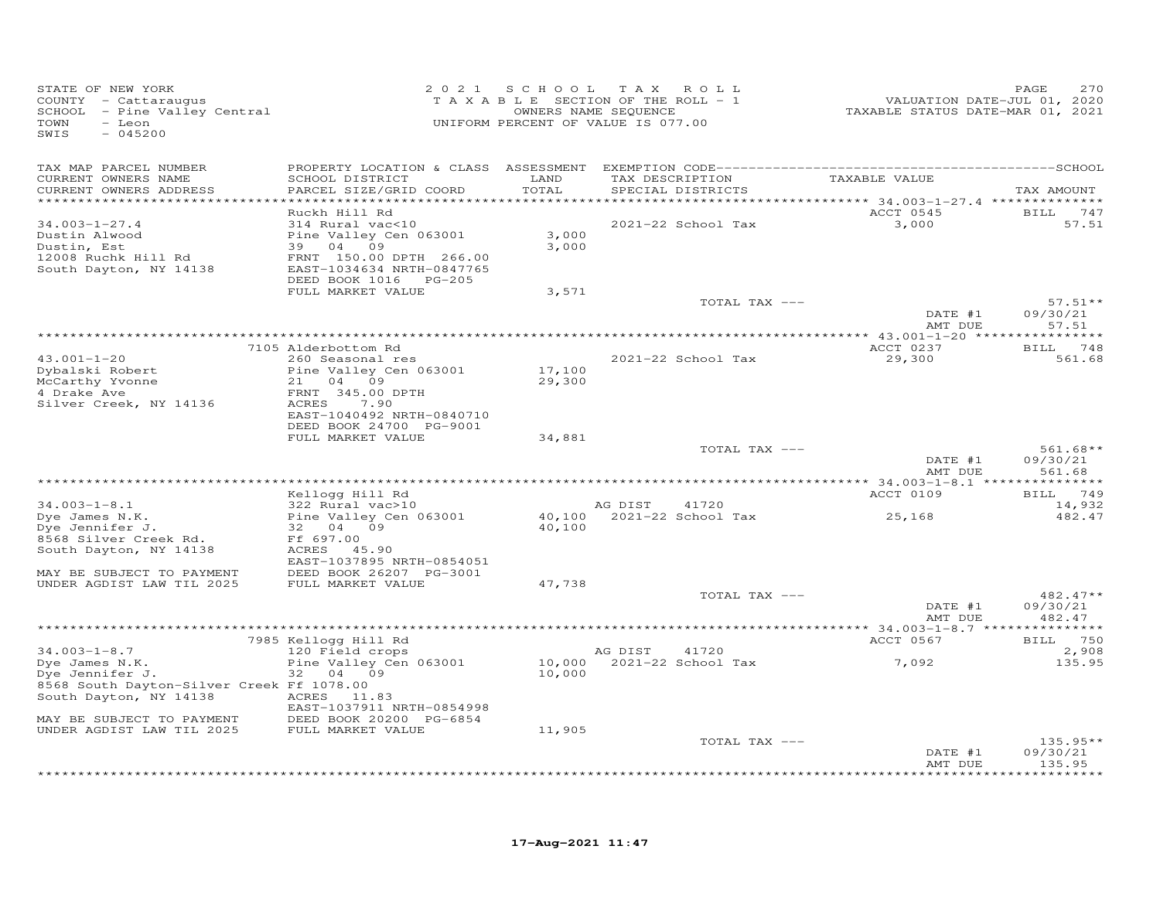| STATE OF NEW YORK<br>COUNTY - Cattaraugus<br>SCHOOL - Pine Valley Central<br>TOWN<br>- Leon<br>SWIS<br>$-045200$                                            | 2 0 2 1                                                                                                                                                        | SCHOOL                    | T A X<br>ROLL<br>TAXABLE SECTION OF THE ROLL - 1<br>OWNERS NAME SEQUENCE<br>UNIFORM PERCENT OF VALUE IS 077.00 | VALUATION DATE-JUL 01, 2020<br>TAXABLE STATUS DATE-MAR 01, 2021            | 270<br>PAGE                           |
|-------------------------------------------------------------------------------------------------------------------------------------------------------------|----------------------------------------------------------------------------------------------------------------------------------------------------------------|---------------------------|----------------------------------------------------------------------------------------------------------------|----------------------------------------------------------------------------|---------------------------------------|
| TAX MAP PARCEL NUMBER                                                                                                                                       | PROPERTY LOCATION & CLASS ASSESSMENT                                                                                                                           |                           |                                                                                                                |                                                                            |                                       |
| CURRENT OWNERS NAME<br>CURRENT OWNERS ADDRESS<br>**********************                                                                                     | SCHOOL DISTRICT<br>PARCEL SIZE/GRID COORD                                                                                                                      | LAND<br>TOTAL<br>******** | TAX DESCRIPTION<br>SPECIAL DISTRICTS                                                                           | TAXABLE VALUE<br>**************************** 34.003-1-27.4 ************** | TAX AMOUNT                            |
| $34.003 - 1 - 27.4$<br>Dustin Alwood<br>Dustin, Est<br>12008 Ruchk Hill Rd<br>South Dayton, NY 14138                                                        | Ruckh Hill Rd<br>314 Rural vac<10<br>Pine Valley Cen 063001<br>39 04<br>09<br>FRNT 150.00 DPTH 266.00<br>EAST-1034634 NRTH-0847765<br>DEED BOOK 1016<br>PG-205 | 3,000<br>3,000            | 2021-22 School Tax                                                                                             | ACCT 0545<br>3,000                                                         | BILL<br>747<br>57.51                  |
|                                                                                                                                                             | FULL MARKET VALUE                                                                                                                                              | 3,571                     | TOTAL TAX ---                                                                                                  | DATE #1                                                                    | $57.51**$<br>09/30/21                 |
|                                                                                                                                                             |                                                                                                                                                                |                           |                                                                                                                | AMT DUE                                                                    | 57.51                                 |
| $43.001 - 1 - 20$<br>Dybalski Robert<br>McCarthy Yvonne<br>4 Drake Ave<br>Silver Creek, NY 14136                                                            | 7105 Alderbottom Rd<br>260 Seasonal res<br>Pine Valley Cen 063001<br>21<br>04 09<br>FRNT 345.00 DPTH<br>ACRES<br>7.90<br>EAST-1040492 NRTH-0840710             | 17,100<br>29,300          | 2021-22 School Tax                                                                                             | ACCT 0237<br>29,300                                                        | 748<br>BILL<br>561.68                 |
|                                                                                                                                                             | DEED BOOK 24700 PG-9001<br>FULL MARKET VALUE                                                                                                                   | 34,881                    | TOTAL TAX ---                                                                                                  |                                                                            | $561.68**$                            |
|                                                                                                                                                             |                                                                                                                                                                |                           |                                                                                                                | DATE #1<br>AMT DUE                                                         | 09/30/21<br>561.68                    |
|                                                                                                                                                             | Kellogg Hill Rd                                                                                                                                                |                           |                                                                                                                | ACCT 0109                                                                  | 749<br>BILL                           |
| $34.003 - 1 - 8.1$<br>Dye James N.K.<br>Dye Jennifer J.<br>8568 Silver Creek Rd.<br>South Dayton, NY 14138                                                  | 322 Rural vac>10<br>Pine Valley Cen 063001<br>32 04<br>09<br>Ff 697.00<br>ACRES 45.90<br>EAST-1037895 NRTH-0854051                                             | 40,100<br>40,100          | AG DIST<br>41720<br>2021-22 School Tax                                                                         | 25,168                                                                     | 14,932<br>482.47                      |
| MAY BE SUBJECT TO PAYMENT<br>UNDER AGDIST LAW TIL 2025                                                                                                      | DEED BOOK 26207 PG-3001<br>FULL MARKET VALUE                                                                                                                   | 47,738                    |                                                                                                                |                                                                            |                                       |
|                                                                                                                                                             |                                                                                                                                                                |                           | TOTAL TAX ---                                                                                                  | DATE #1<br>AMT DUE                                                         | $482.47**$<br>09/30/21<br>482.47      |
|                                                                                                                                                             |                                                                                                                                                                |                           |                                                                                                                |                                                                            |                                       |
| $34.003 - 1 - 8.7$<br>Dye James N.K.<br>Dye Jennifer J.<br>8568 South Dayton-Silver Creek Ff 1078.00<br>South Dayton, NY 14138<br>MAY BE SUBJECT TO PAYMENT | 7985 Kellogg Hill Rd<br>120 Field crops<br>Pine Valley Cen 063001<br>04<br>32<br>09<br>ACRES 11.83<br>EAST-1037911 NRTH-0854998<br>DEED BOOK 20200 PG-6854     | 10,000<br>10,000          | AG DIST<br>41720<br>2021-22 School Tax                                                                         | ACCT 0567<br>7,092                                                         | <b>BILL</b><br>750<br>2,908<br>135.95 |
| UNDER AGDIST LAW TIL 2025                                                                                                                                   | FULL MARKET VALUE                                                                                                                                              | 11,905                    | TOTAL TAX ---                                                                                                  | DATE #1<br>AMT DUE                                                         | $135.95**$<br>09/30/21<br>135.95      |
|                                                                                                                                                             |                                                                                                                                                                |                           |                                                                                                                |                                                                            | ********                              |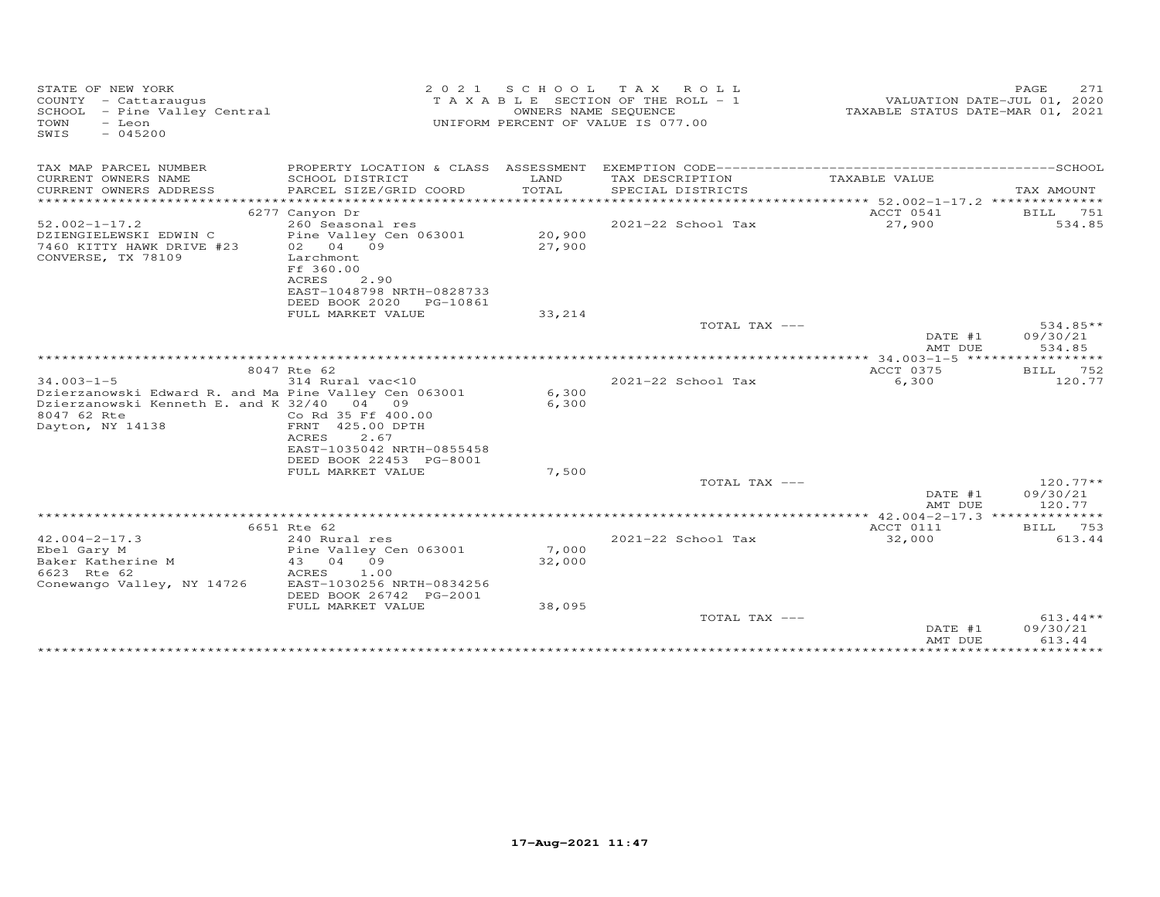| STATE OF NEW YORK<br>COUNTY - Cattaraugus<br>SCHOOL - Pine Valley Central<br>- Leon<br>TOWN<br>SWIS<br>$-045200$                                           |                                                                                                                                  | OWNERS NAME SEQUENCE      | 2021 SCHOOL TAX ROLL<br>T A X A B L E SECTION OF THE ROLL - 1<br>UNIFORM PERCENT OF VALUE IS 077.00 | VALUATION DATE-JUL 01, 2020<br>TAXABLE STATUS DATE-MAR 01, 2021 | 271<br>PAGE                      |
|------------------------------------------------------------------------------------------------------------------------------------------------------------|----------------------------------------------------------------------------------------------------------------------------------|---------------------------|-----------------------------------------------------------------------------------------------------|-----------------------------------------------------------------|----------------------------------|
| TAX MAP PARCEL NUMBER                                                                                                                                      |                                                                                                                                  |                           |                                                                                                     |                                                                 |                                  |
| CURRENT OWNERS NAME<br>CURRENT OWNERS ADDRESS<br>***********************                                                                                   | SCHOOL DISTRICT<br>PARCEL SIZE/GRID COORD                                                                                        | LAND<br>TOTAL             | TAX DESCRIPTION<br>SPECIAL DISTRICTS                                                                | TAXABLE VALUE                                                   | TAX AMOUNT                       |
|                                                                                                                                                            | 6277 Canyon Dr                                                                                                                   |                           |                                                                                                     | ACCT 0541                                                       | BILL 751                         |
| $52.002 - 1 - 17.2$<br>DZIENGIELEWSKI EDWIN C<br>7460 KITTY HAWK DRIVE #23<br>CONVERSE, TX 78109                                                           | 260 Seasonal res<br>Pine Valley Cen 063001<br>02 04 09<br>Larchmont<br>Ff 360.00                                                 | 20,900<br>27,900          | 2021-22 School Tax                                                                                  | 27,900                                                          | 534.85                           |
|                                                                                                                                                            | ACRES<br>2.90<br>EAST-1048798 NRTH-0828733<br>DEED BOOK 2020<br>PG-10861<br>FULL MARKET VALUE                                    | 33,214                    |                                                                                                     |                                                                 |                                  |
|                                                                                                                                                            |                                                                                                                                  |                           | TOTAL TAX ---                                                                                       |                                                                 | 534.85**                         |
|                                                                                                                                                            |                                                                                                                                  |                           |                                                                                                     | DATE #1                                                         | 09/30/21                         |
|                                                                                                                                                            |                                                                                                                                  |                           |                                                                                                     | AMT DUE                                                         | 534.85                           |
|                                                                                                                                                            | 8047 Rte 62                                                                                                                      |                           |                                                                                                     | ACCT 0375                                                       | BILL 752                         |
| $34.003 - 1 - 5$<br>Dzierzanowski Edward R. and Ma Pine Valley Cen 063001<br>Dzierzanowski Kenneth E. and K 32/40 04 09<br>8047 62 Rte<br>Dayton, NY 14138 | 314 Rural vac<10<br>Co Rd 35 Ff 400.00<br>FRNT 425.00 DPTH<br>ACRES<br>2.67                                                      | 6,300<br>6,300            | $2021 - 22$ School Tax                                                                              | 6,300                                                           | 120.77                           |
|                                                                                                                                                            | EAST-1035042 NRTH-0855458<br>DEED BOOK 22453 PG-8001<br>FULL MARKET VALUE                                                        | 7,500                     |                                                                                                     |                                                                 |                                  |
|                                                                                                                                                            |                                                                                                                                  |                           | TOTAL TAX ---                                                                                       |                                                                 | $120.77**$                       |
|                                                                                                                                                            |                                                                                                                                  |                           |                                                                                                     | DATE #1<br>AMT DUE                                              | 09/30/21<br>120.77               |
|                                                                                                                                                            |                                                                                                                                  |                           |                                                                                                     |                                                                 |                                  |
| $42.004 - 2 - 17.3$                                                                                                                                        | 6651 Rte 62<br>240 Rural res                                                                                                     |                           | 2021-22 School Tax                                                                                  | ACCT 0111<br>32,000                                             | BILL 753<br>613.44               |
| Ebel Gary M<br>Baker Katherine M<br>6623 Rte 62<br>Conewango Valley, NY 14726                                                                              | Pine Valley Cen 063001<br>43 04 09<br>ACRES<br>1.00<br>EAST-1030256 NRTH-0834256<br>DEED BOOK 26742 PG-2001<br>FULL MARKET VALUE | 7,000<br>32,000<br>38,095 |                                                                                                     |                                                                 |                                  |
|                                                                                                                                                            |                                                                                                                                  |                           | TOTAL TAX ---                                                                                       | DATE #1<br>AMT DUE                                              | $613.44**$<br>09/30/21<br>613.44 |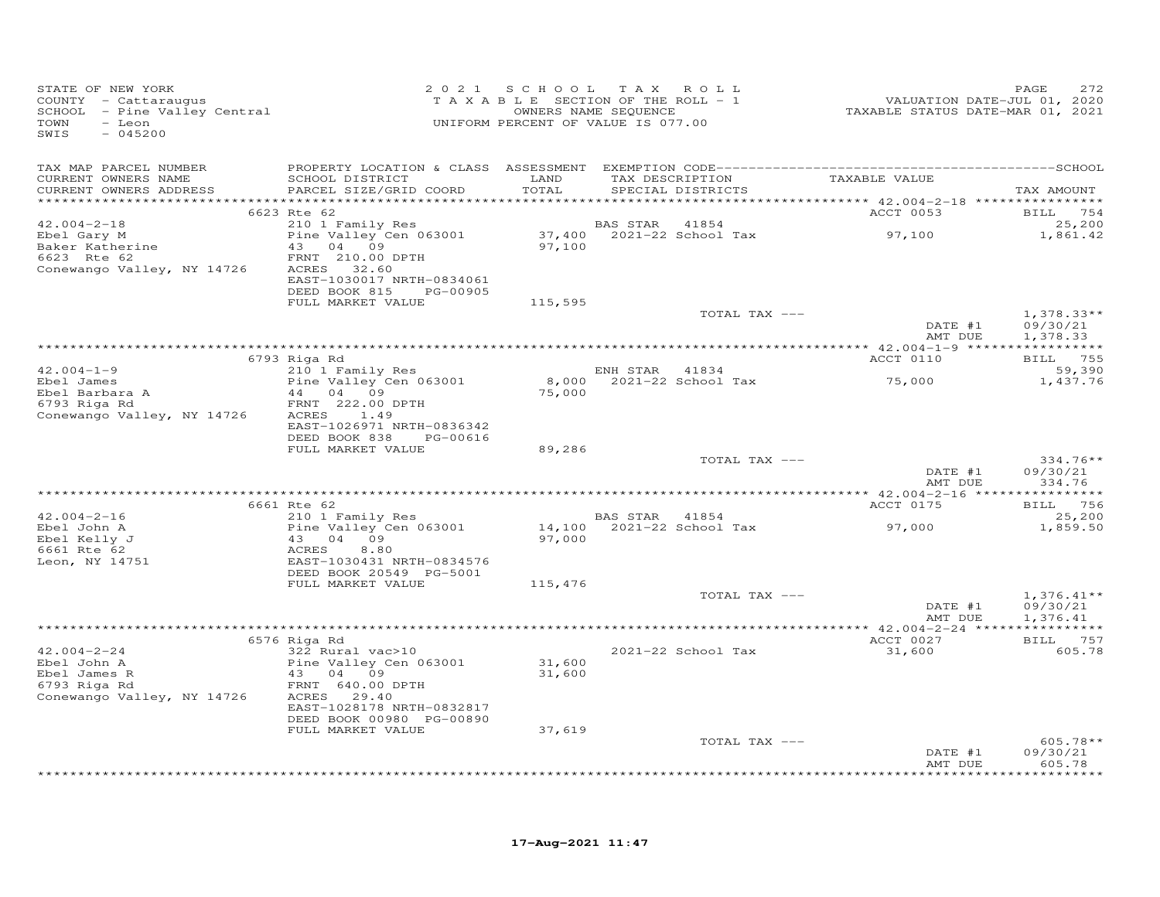| STATE OF NEW YORK<br>COUNTY - Cattaraugus<br>SCHOOL - Pine Valley Central<br>TOWN<br>- Leon<br>SWIS<br>$-045200$ |                                                                                                                                                                    |                  | 2021 SCHOOL TAX ROLL<br>TAXABLE SECTION OF THE ROLL - 1<br>OWNERS NAME SEQUENCE<br>UNIFORM PERCENT OF VALUE IS 077.00 | VALUATION DATE-JUL 01, 2020<br>TAXABLE STATUS DATE-MAR 01, 2021 | 272<br>PAGE                          |
|------------------------------------------------------------------------------------------------------------------|--------------------------------------------------------------------------------------------------------------------------------------------------------------------|------------------|-----------------------------------------------------------------------------------------------------------------------|-----------------------------------------------------------------|--------------------------------------|
| TAX MAP PARCEL NUMBER<br>CURRENT OWNERS NAME<br>CURRENT OWNERS ADDRESS                                           | SCHOOL DISTRICT<br>PARCEL SIZE/GRID COORD                                                                                                                          | LAND<br>TOTAL    | TAX DESCRIPTION<br>SPECIAL DISTRICTS                                                                                  | TAXABLE VALUE                                                   | TAX AMOUNT                           |
|                                                                                                                  |                                                                                                                                                                    |                  |                                                                                                                       |                                                                 |                                      |
| $42.004 - 2 - 18$                                                                                                | 6623 Rte 62<br>210 1 Family Res                                                                                                                                    |                  | BAS STAR<br>41854                                                                                                     | ACCT 0053                                                       | BILL 754<br>25,200                   |
| Ebel Gary M<br>Baker Katherine<br>6623 Rte 62<br>Conewango Valley, NY 14726                                      | Pine Valley Cen 063001<br>43 04 09<br>FRNT 210.00 DPTH<br>ACRES 32.60<br>EAST-1030017 NRTH-0834061<br>DEED BOOK 815 PG-00905                                       | 97,100           | 37,400 2021-22 School Tax                                                                                             | 97,100                                                          | 1,861.42                             |
|                                                                                                                  | FULL MARKET VALUE                                                                                                                                                  | 115,595          |                                                                                                                       |                                                                 |                                      |
|                                                                                                                  |                                                                                                                                                                    |                  | TOTAL TAX ---                                                                                                         | DATE #1<br>AMT DUE                                              | $1,378.33**$<br>09/30/21<br>1,378.33 |
|                                                                                                                  |                                                                                                                                                                    |                  |                                                                                                                       |                                                                 |                                      |
| $42.004 - 1 - 9$                                                                                                 | 6793 Riga Rd<br>210 1 Family Res                                                                                                                                   |                  | ENH STAR 41834                                                                                                        | ACCT 0110                                                       | BILL 755<br>59,390                   |
| Ebel James<br>Ebel Barbara A<br>Ebel Barbara A<br>6793 Riga Rd<br>Conewango Valley, NY 14726                     | Pine Valley Cen 063001<br>44 04 09<br>FRNT 222.00 DPTH<br>ACRES 1.49<br>EAST-1026971 NRTH-0836342                                                                  | 75,000           | 8,000 2021-22 School Tax 75,000                                                                                       |                                                                 | 1,437.76                             |
|                                                                                                                  | DEED BOOK 838<br>PG-00616<br>FULL MARKET VALUE                                                                                                                     | 89,286           |                                                                                                                       |                                                                 |                                      |
|                                                                                                                  |                                                                                                                                                                    |                  | TOTAL TAX ---                                                                                                         | DATE #1                                                         | $334.76**$<br>09/30/21               |
|                                                                                                                  |                                                                                                                                                                    |                  |                                                                                                                       | AMT DUE                                                         | 334.76                               |
|                                                                                                                  | 6661 Rte 62                                                                                                                                                        |                  |                                                                                                                       | ACCT 0175                                                       | BILL 756                             |
| $42.004 - 2 - 16$<br>Ebel John A<br>Ebel Kelly J<br>6661 Rte 62<br>Leon, NY 14751                                | 210 1 Family Res<br>Pine Valley Cen 063001<br>43 04 09<br>ACRES<br>8.80<br>EAST-1030431 NRTH-0834576<br>DEED BOOK 20549 PG-5001                                    | 97,000           | BAS STAR 41854                                                                                                        |                                                                 | 25,200<br>1,859.50                   |
|                                                                                                                  | FULL MARKET VALUE                                                                                                                                                  | 115,476          |                                                                                                                       |                                                                 |                                      |
|                                                                                                                  |                                                                                                                                                                    |                  | TOTAL TAX ---                                                                                                         | DATE #1<br>AMT DUE                                              | $1,376.41**$<br>09/30/21<br>1,376.41 |
|                                                                                                                  |                                                                                                                                                                    |                  |                                                                                                                       |                                                                 |                                      |
| $42.004 - 2 - 24$<br>Ebel John A<br>Ebel James R<br>6793 Riga Rd<br>Conewango Valley, NY 14726                   | 6576 Riga Rd<br>322 Rural vac>10<br>Pine Valley Cen 063001<br>43 04 09<br>FRNT 640.00 DPTH<br>ACRES 29.40<br>EAST-1028178 NRTH-0832817<br>DEED BOOK 00980 PG-00890 | 31,600<br>31,600 | 2021-22 School Tax                                                                                                    | ACCT 0027<br>31,600                                             | BILL 757<br>605.78                   |
|                                                                                                                  | FULL MARKET VALUE                                                                                                                                                  | 37,619           | TOTAL TAX ---                                                                                                         |                                                                 | $605.78**$                           |
|                                                                                                                  |                                                                                                                                                                    |                  |                                                                                                                       | DATE #1<br>AMT DUE                                              | 09/30/21<br>605.78<br>********       |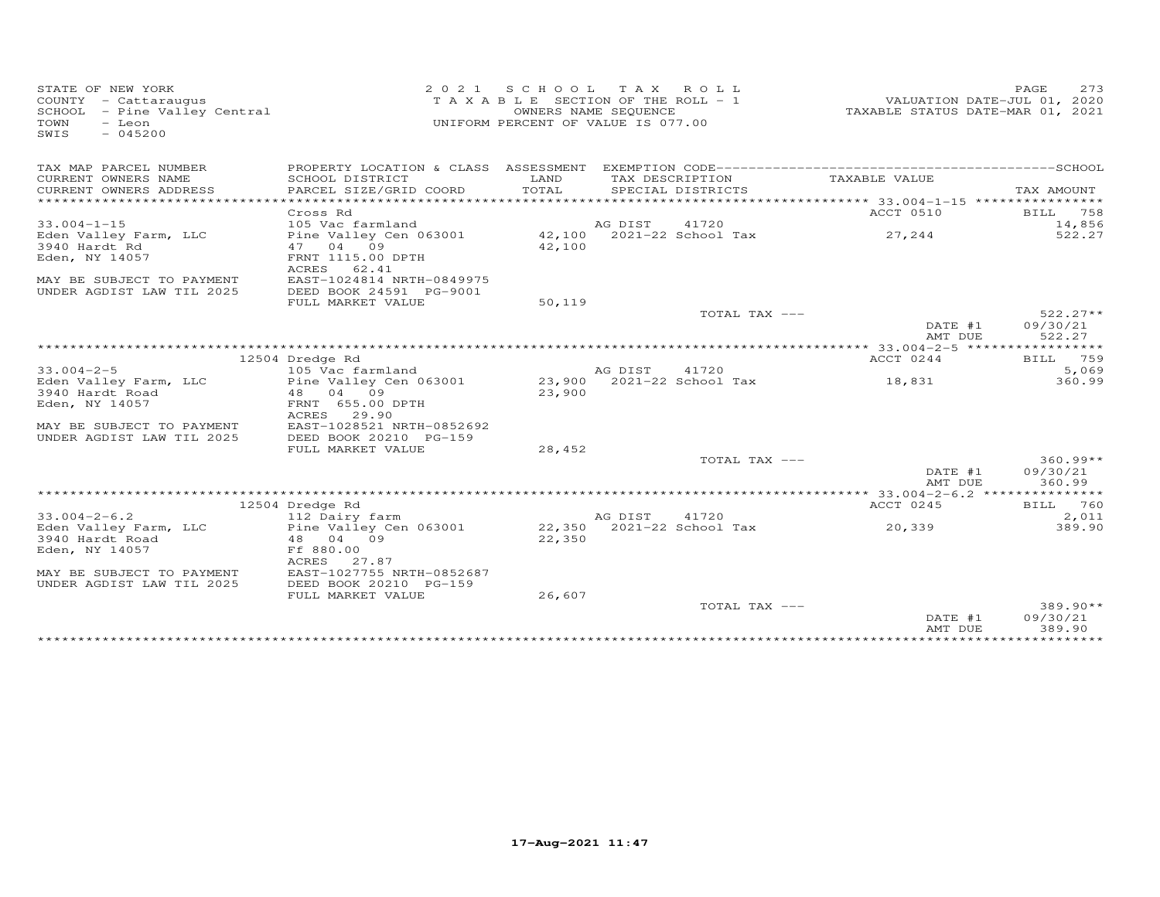| STATE OF NEW YORK            | 2 0 2 1                   | S C H O O L                           |                      | TAX ROLL                  |                                           | 273<br>PAGE                      |
|------------------------------|---------------------------|---------------------------------------|----------------------|---------------------------|-------------------------------------------|----------------------------------|
| COUNTY - Cattaraugus         |                           | T A X A B L E SECTION OF THE ROLL - 1 |                      |                           |                                           | VALUATION DATE-JUL 01, 2020      |
| SCHOOL - Pine Valley Central |                           |                                       | OWNERS NAME SEQUENCE |                           |                                           | TAXABLE STATUS DATE-MAR 01, 2021 |
| - Leon<br>TOWN               |                           | UNIFORM PERCENT OF VALUE IS 077.00    |                      |                           |                                           |                                  |
| SWIS<br>$-045200$            |                           |                                       |                      |                           |                                           |                                  |
|                              |                           |                                       |                      |                           |                                           |                                  |
| TAX MAP PARCEL NUMBER        |                           |                                       |                      |                           |                                           |                                  |
| CURRENT OWNERS NAME          | SCHOOL DISTRICT           | LAND                                  |                      | TAX DESCRIPTION           | TAXABLE VALUE                             |                                  |
| CURRENT OWNERS ADDRESS       | PARCEL SIZE/GRID COORD    | TOTAL                                 |                      | SPECIAL DISTRICTS         |                                           | TAX AMOUNT                       |
| ***********************      | ************************  |                                       |                      |                           |                                           |                                  |
|                              | Cross Rd                  |                                       |                      |                           | ACCT 0510                                 | 758<br>BILL                      |
| $33.004 - 1 - 15$            | 105 Vac farmland          |                                       | AG DIST              | 41720                     |                                           | 14,856                           |
| Eden Valley Farm, LLC        | Pine Valley Cen 063001    |                                       |                      | 42,100 2021-22 School Tax | 27,244                                    | 522.27                           |
| 3940 Hardt Rd                | 47 04 09                  | 42,100                                |                      |                           |                                           |                                  |
| Eden, NY 14057               | FRNT 1115.00 DPTH         |                                       |                      |                           |                                           |                                  |
|                              | ACRES 62.41               |                                       |                      |                           |                                           |                                  |
| MAY BE SUBJECT TO PAYMENT    | EAST-1024814 NRTH-0849975 |                                       |                      |                           |                                           |                                  |
| UNDER AGDIST LAW TIL 2025    | DEED BOOK 24591 PG-9001   |                                       |                      |                           |                                           |                                  |
|                              | FULL MARKET VALUE         | 50,119                                |                      |                           |                                           |                                  |
|                              |                           |                                       |                      | TOTAL TAX ---             |                                           | $522.27**$                       |
|                              |                           |                                       |                      |                           | DATE #1                                   | 09/30/21                         |
|                              |                           |                                       |                      |                           | AMT DUE                                   | 522.27                           |
|                              |                           |                                       |                      |                           | ** 33.004-2-5 *****                       | ********                         |
|                              | 12504 Dredge Rd           |                                       |                      |                           | ACCT 0244                                 | 759<br><b>BILL</b>               |
| $33.004 - 2 - 5$             | 105 Vac farmland          |                                       | AG DIST              | 41720                     |                                           | 5,069                            |
| Eden Valley Farm, LLC        | Pine Valley Cen 063001    |                                       |                      | 23,900 2021-22 School Tax | 18,831                                    | 360.99                           |
| 3940 Hardt Road              | 48 04 09                  | 23,900                                |                      |                           |                                           |                                  |
| Eden, NY 14057               | FRNT 655.00 DPTH          |                                       |                      |                           |                                           |                                  |
|                              | ACRES 29.90               |                                       |                      |                           |                                           |                                  |
| MAY BE SUBJECT TO PAYMENT    | EAST-1028521 NRTH-0852692 |                                       |                      |                           |                                           |                                  |
| UNDER AGDIST LAW TIL 2025    | DEED BOOK 20210 PG-159    |                                       |                      |                           |                                           |                                  |
|                              | FULL MARKET VALUE         | 28,452                                |                      |                           |                                           |                                  |
|                              |                           |                                       |                      | TOTAL TAX ---             |                                           | $360.99**$                       |
|                              |                           |                                       |                      |                           | DATE #1<br>AMT DUE                        | 09/30/21<br>360.99               |
|                              |                           |                                       |                      |                           | ************ 33.004-2-6.2 *************** |                                  |
|                              | 12504 Dredge Rd           |                                       |                      |                           | ACCT 0245                                 | BILL 760                         |
| $33.004 - 2 - 6.2$           | 112 Dairy farm            |                                       | AG DIST              | 41720                     |                                           | 2,011                            |
| Eden Valley Farm, LLC        | Pine Valley Cen 063001    |                                       |                      | 22,350 2021-22 School Tax | 20,339                                    | 389.90                           |
| 3940 Hardt Road              | 48 04 09                  | 22,350                                |                      |                           |                                           |                                  |
| Eden, NY 14057               | Ff 880.00                 |                                       |                      |                           |                                           |                                  |
|                              | ACRES<br>27.87            |                                       |                      |                           |                                           |                                  |
| MAY BE SUBJECT TO PAYMENT    | EAST-1027755 NRTH-0852687 |                                       |                      |                           |                                           |                                  |
| UNDER AGDIST LAW TIL 2025    | DEED BOOK 20210 PG-159    |                                       |                      |                           |                                           |                                  |
|                              | FULL MARKET VALUE         | 26,607                                |                      |                           |                                           |                                  |
|                              |                           |                                       |                      | TOTAL TAX ---             |                                           | $389.90**$                       |
|                              |                           |                                       |                      |                           | DATE #1                                   | 09/30/21                         |
|                              |                           |                                       |                      |                           | AMT DUE                                   | 389.90                           |
|                              |                           |                                       |                      |                           |                                           |                                  |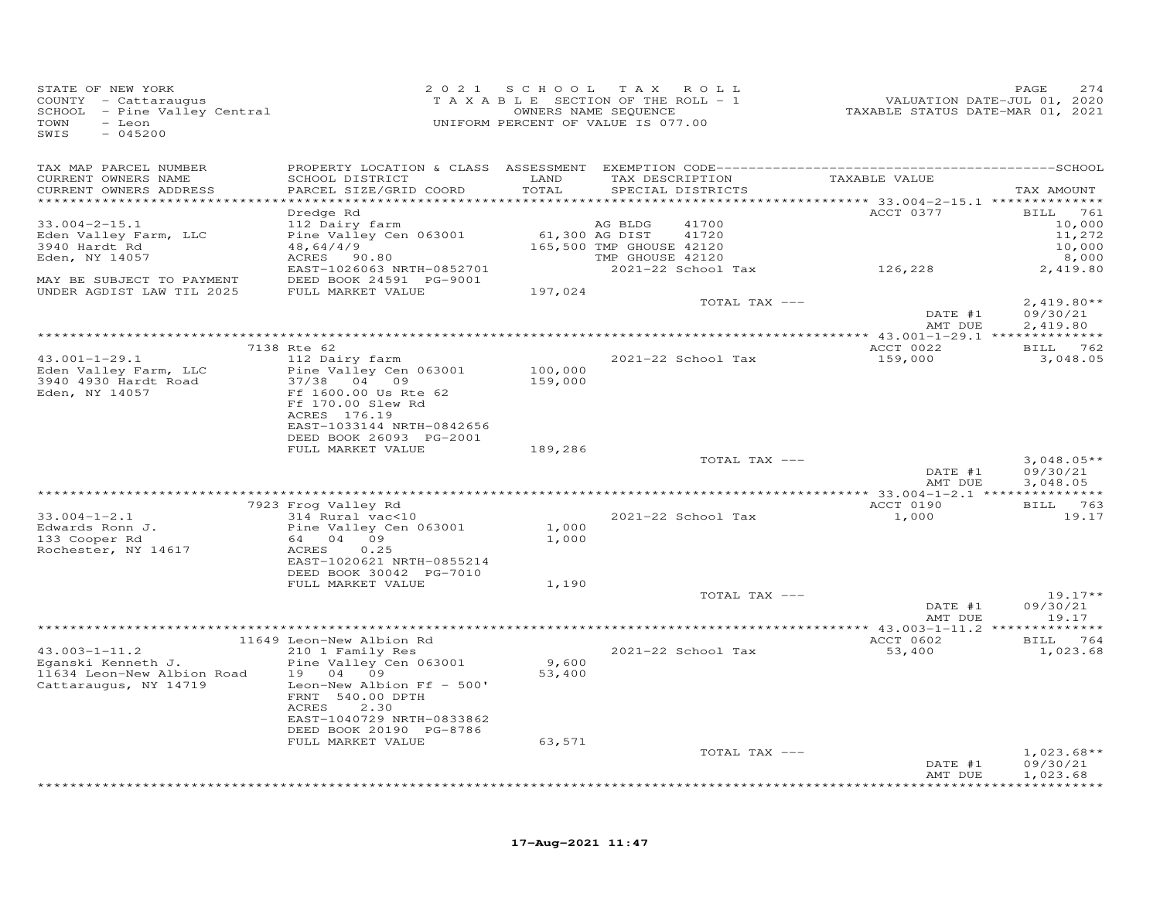| STATE OF NEW YORK<br>COUNTY - Cattaraugus<br>SCHOOL - Pine Valley Central<br>- Leon<br>TOWN<br>SWIS<br>$-045200$ |                                                      |                | 2021 SCHOOL TAX ROLL<br>T A X A B L E SECTION OF THE ROLL - 1<br>OWNERS NAME SEQUENCE<br>UNIFORM PERCENT OF VALUE IS 077.00 | VALUATION DATE-JUL 01, 2020<br>TAXABLE STATUS DATE-MAR 01, 2021 | PAGE<br>274              |
|------------------------------------------------------------------------------------------------------------------|------------------------------------------------------|----------------|-----------------------------------------------------------------------------------------------------------------------------|-----------------------------------------------------------------|--------------------------|
| TAX MAP PARCEL NUMBER<br>CURRENT OWNERS NAME<br>CURRENT OWNERS ADDRESS                                           | SCHOOL DISTRICT<br>PARCEL SIZE/GRID COORD            | LAND<br>TOTAL  | SPECIAL DISTRICTS                                                                                                           | TAX DESCRIPTION TAXABLE VALUE                                   | TAX AMOUNT               |
| ***********************                                                                                          |                                                      |                |                                                                                                                             |                                                                 |                          |
|                                                                                                                  | Dredge Rd                                            |                |                                                                                                                             | ACCT 0377                                                       | <b>BILL</b> 761          |
| $33.004 - 2 - 15.1$                                                                                              | 112 Dairy farm                                       |                | 41700<br>AG BLDG                                                                                                            |                                                                 | 10,000                   |
| Eden Valley Farm, LLC                                                                                            | Pine Valley Cen 063001                               | 61,300 AG DIST | 41720                                                                                                                       |                                                                 | 11,272                   |
| 3940 Hardt Rd<br>Eden, NY 14057                                                                                  | 48,64/4/9<br>ACRES 90.80                             |                | 165,500 TMP GHOUSE 42120<br>TMP GHOUSE 42120                                                                                |                                                                 | 10,000<br>8,000          |
|                                                                                                                  | EAST-1026063 NRTH-0852701                            |                | 2021-22 School Tax                                                                                                          | 126,228                                                         | 2,419.80                 |
| MAY BE SUBJECT TO PAYMENT                                                                                        | DEED BOOK 24591 PG-9001                              |                |                                                                                                                             |                                                                 |                          |
| UNDER AGDIST LAW TIL 2025                                                                                        | FULL MARKET VALUE                                    | 197,024        |                                                                                                                             |                                                                 |                          |
|                                                                                                                  |                                                      |                | TOTAL TAX ---                                                                                                               |                                                                 | $2,419.80**$             |
|                                                                                                                  |                                                      |                |                                                                                                                             | DATE #1<br>AMT DUE                                              | 09/30/21<br>2,419.80     |
|                                                                                                                  |                                                      |                | **************************************                                                                                      | *********** 43.001-1-29.1 **************                        |                          |
|                                                                                                                  | 7138 Rte 62                                          |                |                                                                                                                             | ACCT 0022                                                       | BILL 762                 |
| 43.001-1-29.1                                                                                                    | 112 Dairy farm                                       |                | 2021-22 School Tax                                                                                                          | 159,000                                                         | 3,048.05                 |
| Eden Valley Farm, LLC                                                                                            | Pine Valley Cen 063001<br>37/38 04 09                | 100,000        |                                                                                                                             |                                                                 |                          |
| 3940 4930 Hardt Road<br>Eden, NY 14057                                                                           | Ff 1600.00 Us Rte 62                                 | 159,000        |                                                                                                                             |                                                                 |                          |
|                                                                                                                  | Ff 170.00 Slew Rd                                    |                |                                                                                                                             |                                                                 |                          |
|                                                                                                                  | ACRES 176.19                                         |                |                                                                                                                             |                                                                 |                          |
|                                                                                                                  | EAST-1033144 NRTH-0842656                            |                |                                                                                                                             |                                                                 |                          |
|                                                                                                                  | DEED BOOK 26093 PG-2001<br>FULL MARKET VALUE         | 189,286        |                                                                                                                             |                                                                 |                          |
|                                                                                                                  |                                                      |                | TOTAL TAX ---                                                                                                               |                                                                 | $3,048.05**$             |
|                                                                                                                  |                                                      |                |                                                                                                                             | DATE #1                                                         | 09/30/21                 |
|                                                                                                                  |                                                      |                |                                                                                                                             | AMT DUE                                                         | 3,048.05                 |
|                                                                                                                  |                                                      |                |                                                                                                                             | ACCT 0190                                                       | BILL 763                 |
| $33.004 - 1 - 2.1$                                                                                               | 7923 Frog Valley Rd<br>314 Rural vac<10              |                | 2021-22 School Tax                                                                                                          | 1,000                                                           | 19.17                    |
| Edwards Ronn J.                                                                                                  | Pine Valley Cen 063001                               | 1,000          |                                                                                                                             |                                                                 |                          |
| 133 Cooper Rd                                                                                                    | 64 04 09                                             | 1,000          |                                                                                                                             |                                                                 |                          |
| Rochester, NY 14617                                                                                              | ACRES<br>0.25                                        |                |                                                                                                                             |                                                                 |                          |
|                                                                                                                  | EAST-1020621 NRTH-0855214<br>DEED BOOK 30042 PG-7010 |                |                                                                                                                             |                                                                 |                          |
|                                                                                                                  | FULL MARKET VALUE                                    | 1,190          |                                                                                                                             |                                                                 |                          |
|                                                                                                                  |                                                      |                | TOTAL TAX ---                                                                                                               |                                                                 | $19.17**$                |
|                                                                                                                  |                                                      |                |                                                                                                                             | DATE #1                                                         | 09/30/21                 |
|                                                                                                                  |                                                      |                |                                                                                                                             | AMT DUE                                                         | 19.17                    |
|                                                                                                                  | 11649 Leon-New Albion Rd                             |                |                                                                                                                             | ACCT 0602                                                       | BILL 764                 |
| $43.003 - 1 - 11.2$                                                                                              | 210 1 Family Res                                     |                | 2021-22 School Tax                                                                                                          | 53,400                                                          | 1,023.68                 |
| Eqanski Kenneth J.                                                                                               | Pine Valley Cen 063001                               | 9,600          |                                                                                                                             |                                                                 |                          |
| 11634 Leon-New Albion Road                                                                                       | 19 04 09                                             | 53,400         |                                                                                                                             |                                                                 |                          |
| Cattaraugus, NY 14719                                                                                            | Leon-New Albion Ff - 500'<br>FRNT 540.00 DPTH        |                |                                                                                                                             |                                                                 |                          |
|                                                                                                                  | <b>ACRES</b><br>2.30                                 |                |                                                                                                                             |                                                                 |                          |
|                                                                                                                  | EAST-1040729 NRTH-0833862                            |                |                                                                                                                             |                                                                 |                          |
|                                                                                                                  | DEED BOOK 20190 PG-8786                              |                |                                                                                                                             |                                                                 |                          |
|                                                                                                                  | FULL MARKET VALUE                                    | 63,571         | TOTAL TAX ---                                                                                                               |                                                                 |                          |
|                                                                                                                  |                                                      |                |                                                                                                                             | DATE #1                                                         | $1,023.68**$<br>09/30/21 |
|                                                                                                                  |                                                      |                |                                                                                                                             | AMT DUE                                                         | 1,023.68                 |
|                                                                                                                  |                                                      |                |                                                                                                                             |                                                                 |                          |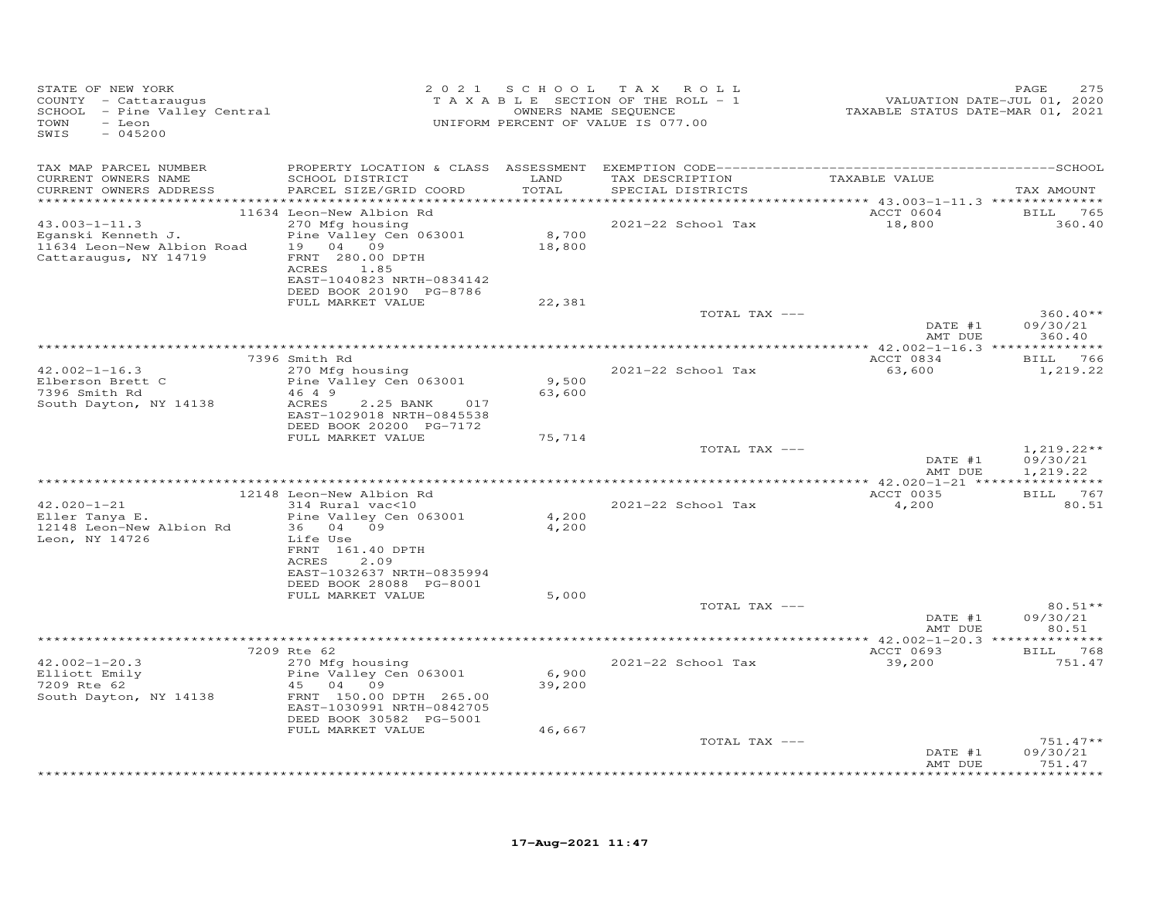| TAX MAP PARCEL NUMBER<br>SCHOOL DISTRICT<br>TAXABLE VALUE<br>CURRENT OWNERS NAME<br>LAND<br>TAX DESCRIPTION<br>CURRENT OWNERS ADDRESS<br>PARCEL SIZE/GRID COORD<br>TOTAL<br>SPECIAL DISTRICTS<br>TAX AMOUNT<br>************<br>******** 43.003-1-11.3 **************<br>ACCT 0604<br>11634 Leon-New Albion Rd<br><b>BILL</b> 765<br>270 Mfg housing<br>2021-22 School Tax<br>18,800<br>$43.003 - 1 - 11.3$<br>360.40<br>8,700<br>Pine Valley Cen 063001<br>Eqanski Kenneth J.<br>19 04 09<br>11634 Leon-New Albion Road<br>18,800<br>Cattaraugus, NY 14719<br>FRNT 280.00 DPTH<br>1.85<br>ACRES<br>EAST-1040823 NRTH-0834142<br>DEED BOOK 20190 PG-8786<br>FULL MARKET VALUE<br>22,381<br>$360.40**$<br>TOTAL TAX ---<br>DATE #1<br>09/30/21<br>360.40<br>AMT DUE<br>ACCT 0834<br>7396 Smith Rd<br>BILL 766<br>$42.002 - 1 - 16.3$<br>2021-22 School Tax<br>270 Mfg housing<br>63,600<br>1,219.22<br>Elberson Brett C<br>Pine Valley Cen 063001<br>9,500<br>7396 Smith Rd<br>46 4 9<br>63,600<br>South Dayton, NY 14138<br>ACRES<br>2.25 BANK<br>017<br>EAST-1029018 NRTH-0845538<br>DEED BOOK 20200 PG-7172<br>FULL MARKET VALUE<br>75,714<br>TOTAL TAX ---<br>$1,219.22**$<br>DATE #1<br>09/30/21<br>AMT DUE<br>1,219.22<br>ACCT 0035<br>BILL 767<br>12148 Leon-New Albion Rd<br>$42.020 - 1 - 21$<br>2021-22 School Tax<br>4,200<br>314 Rural vac<10<br>80.51<br>4,200<br>Eller Tanya E.<br>Pine Valley Cen 063001<br>12148 Leon-New Albion Rd<br>36 04 09<br>4,200<br>Leon, NY 14726<br>Life Use<br>FRNT 161.40 DPTH<br>ACRES<br>2.09<br>EAST-1032637 NRTH-0835994<br>DEED BOOK 28088 PG-8001<br>FULL MARKET VALUE<br>5,000<br>TOTAL TAX ---<br>$80.51**$<br>DATE #1<br>09/30/21<br>AMT DUE<br>80.51<br>7209 Rte 62<br>ACCT 0693<br><b>BILL</b> 768<br>270 Mfg housing<br>$42.002 - 1 - 20.3$<br>2021-22 School Tax<br>39,200<br>751.47<br>6,900<br>Elliott Emily<br>Pine Valley Cen 063001<br>7209 Rte 62<br>45 04 09<br>39,200<br>South Dayton, NY 14138<br>FRNT 150.00 DPTH 265.00<br>EAST-1030991 NRTH-0842705<br>DEED BOOK 30582 PG-5001<br>FULL MARKET VALUE<br>46,667<br>TOTAL TAX ---<br>$751.47**$<br>09/30/21<br>DATE #1<br>AMT DUE<br>751.47<br>******** | STATE OF NEW YORK<br>COUNTY - Cattaraugus<br>SCHOOL - Pine Valley Central<br>TOWN<br>- Leon<br>SWIS<br>$-045200$ | 2 0 2 1 | SCHOOL TAX ROLL<br>T A X A B L E SECTION OF THE ROLL - 1<br>OWNERS NAME SEQUENCE<br>UNIFORM PERCENT OF VALUE IS 077.00 | VALUATION DATE-JUL 01, 2020<br>TAXABLE STATUS DATE-MAR 01, 2021 | PAGE<br>275 |
|-------------------------------------------------------------------------------------------------------------------------------------------------------------------------------------------------------------------------------------------------------------------------------------------------------------------------------------------------------------------------------------------------------------------------------------------------------------------------------------------------------------------------------------------------------------------------------------------------------------------------------------------------------------------------------------------------------------------------------------------------------------------------------------------------------------------------------------------------------------------------------------------------------------------------------------------------------------------------------------------------------------------------------------------------------------------------------------------------------------------------------------------------------------------------------------------------------------------------------------------------------------------------------------------------------------------------------------------------------------------------------------------------------------------------------------------------------------------------------------------------------------------------------------------------------------------------------------------------------------------------------------------------------------------------------------------------------------------------------------------------------------------------------------------------------------------------------------------------------------------------------------------------------------------------------------------------------------------------------------------------------------------------------------------------------------------------------------------------------------------------------------------------------------------------|------------------------------------------------------------------------------------------------------------------|---------|------------------------------------------------------------------------------------------------------------------------|-----------------------------------------------------------------|-------------|
|                                                                                                                                                                                                                                                                                                                                                                                                                                                                                                                                                                                                                                                                                                                                                                                                                                                                                                                                                                                                                                                                                                                                                                                                                                                                                                                                                                                                                                                                                                                                                                                                                                                                                                                                                                                                                                                                                                                                                                                                                                                                                                                                                                         |                                                                                                                  |         |                                                                                                                        |                                                                 |             |
|                                                                                                                                                                                                                                                                                                                                                                                                                                                                                                                                                                                                                                                                                                                                                                                                                                                                                                                                                                                                                                                                                                                                                                                                                                                                                                                                                                                                                                                                                                                                                                                                                                                                                                                                                                                                                                                                                                                                                                                                                                                                                                                                                                         |                                                                                                                  |         |                                                                                                                        |                                                                 |             |
|                                                                                                                                                                                                                                                                                                                                                                                                                                                                                                                                                                                                                                                                                                                                                                                                                                                                                                                                                                                                                                                                                                                                                                                                                                                                                                                                                                                                                                                                                                                                                                                                                                                                                                                                                                                                                                                                                                                                                                                                                                                                                                                                                                         |                                                                                                                  |         |                                                                                                                        |                                                                 |             |
|                                                                                                                                                                                                                                                                                                                                                                                                                                                                                                                                                                                                                                                                                                                                                                                                                                                                                                                                                                                                                                                                                                                                                                                                                                                                                                                                                                                                                                                                                                                                                                                                                                                                                                                                                                                                                                                                                                                                                                                                                                                                                                                                                                         |                                                                                                                  |         |                                                                                                                        |                                                                 |             |
|                                                                                                                                                                                                                                                                                                                                                                                                                                                                                                                                                                                                                                                                                                                                                                                                                                                                                                                                                                                                                                                                                                                                                                                                                                                                                                                                                                                                                                                                                                                                                                                                                                                                                                                                                                                                                                                                                                                                                                                                                                                                                                                                                                         |                                                                                                                  |         |                                                                                                                        |                                                                 |             |
|                                                                                                                                                                                                                                                                                                                                                                                                                                                                                                                                                                                                                                                                                                                                                                                                                                                                                                                                                                                                                                                                                                                                                                                                                                                                                                                                                                                                                                                                                                                                                                                                                                                                                                                                                                                                                                                                                                                                                                                                                                                                                                                                                                         |                                                                                                                  |         |                                                                                                                        |                                                                 |             |
|                                                                                                                                                                                                                                                                                                                                                                                                                                                                                                                                                                                                                                                                                                                                                                                                                                                                                                                                                                                                                                                                                                                                                                                                                                                                                                                                                                                                                                                                                                                                                                                                                                                                                                                                                                                                                                                                                                                                                                                                                                                                                                                                                                         |                                                                                                                  |         |                                                                                                                        |                                                                 |             |
|                                                                                                                                                                                                                                                                                                                                                                                                                                                                                                                                                                                                                                                                                                                                                                                                                                                                                                                                                                                                                                                                                                                                                                                                                                                                                                                                                                                                                                                                                                                                                                                                                                                                                                                                                                                                                                                                                                                                                                                                                                                                                                                                                                         |                                                                                                                  |         |                                                                                                                        |                                                                 |             |
|                                                                                                                                                                                                                                                                                                                                                                                                                                                                                                                                                                                                                                                                                                                                                                                                                                                                                                                                                                                                                                                                                                                                                                                                                                                                                                                                                                                                                                                                                                                                                                                                                                                                                                                                                                                                                                                                                                                                                                                                                                                                                                                                                                         |                                                                                                                  |         |                                                                                                                        |                                                                 |             |
|                                                                                                                                                                                                                                                                                                                                                                                                                                                                                                                                                                                                                                                                                                                                                                                                                                                                                                                                                                                                                                                                                                                                                                                                                                                                                                                                                                                                                                                                                                                                                                                                                                                                                                                                                                                                                                                                                                                                                                                                                                                                                                                                                                         |                                                                                                                  |         |                                                                                                                        |                                                                 |             |
|                                                                                                                                                                                                                                                                                                                                                                                                                                                                                                                                                                                                                                                                                                                                                                                                                                                                                                                                                                                                                                                                                                                                                                                                                                                                                                                                                                                                                                                                                                                                                                                                                                                                                                                                                                                                                                                                                                                                                                                                                                                                                                                                                                         |                                                                                                                  |         |                                                                                                                        |                                                                 |             |
|                                                                                                                                                                                                                                                                                                                                                                                                                                                                                                                                                                                                                                                                                                                                                                                                                                                                                                                                                                                                                                                                                                                                                                                                                                                                                                                                                                                                                                                                                                                                                                                                                                                                                                                                                                                                                                                                                                                                                                                                                                                                                                                                                                         |                                                                                                                  |         |                                                                                                                        |                                                                 |             |
|                                                                                                                                                                                                                                                                                                                                                                                                                                                                                                                                                                                                                                                                                                                                                                                                                                                                                                                                                                                                                                                                                                                                                                                                                                                                                                                                                                                                                                                                                                                                                                                                                                                                                                                                                                                                                                                                                                                                                                                                                                                                                                                                                                         |                                                                                                                  |         |                                                                                                                        |                                                                 |             |
|                                                                                                                                                                                                                                                                                                                                                                                                                                                                                                                                                                                                                                                                                                                                                                                                                                                                                                                                                                                                                                                                                                                                                                                                                                                                                                                                                                                                                                                                                                                                                                                                                                                                                                                                                                                                                                                                                                                                                                                                                                                                                                                                                                         |                                                                                                                  |         |                                                                                                                        |                                                                 |             |
|                                                                                                                                                                                                                                                                                                                                                                                                                                                                                                                                                                                                                                                                                                                                                                                                                                                                                                                                                                                                                                                                                                                                                                                                                                                                                                                                                                                                                                                                                                                                                                                                                                                                                                                                                                                                                                                                                                                                                                                                                                                                                                                                                                         |                                                                                                                  |         |                                                                                                                        |                                                                 |             |
|                                                                                                                                                                                                                                                                                                                                                                                                                                                                                                                                                                                                                                                                                                                                                                                                                                                                                                                                                                                                                                                                                                                                                                                                                                                                                                                                                                                                                                                                                                                                                                                                                                                                                                                                                                                                                                                                                                                                                                                                                                                                                                                                                                         |                                                                                                                  |         |                                                                                                                        |                                                                 |             |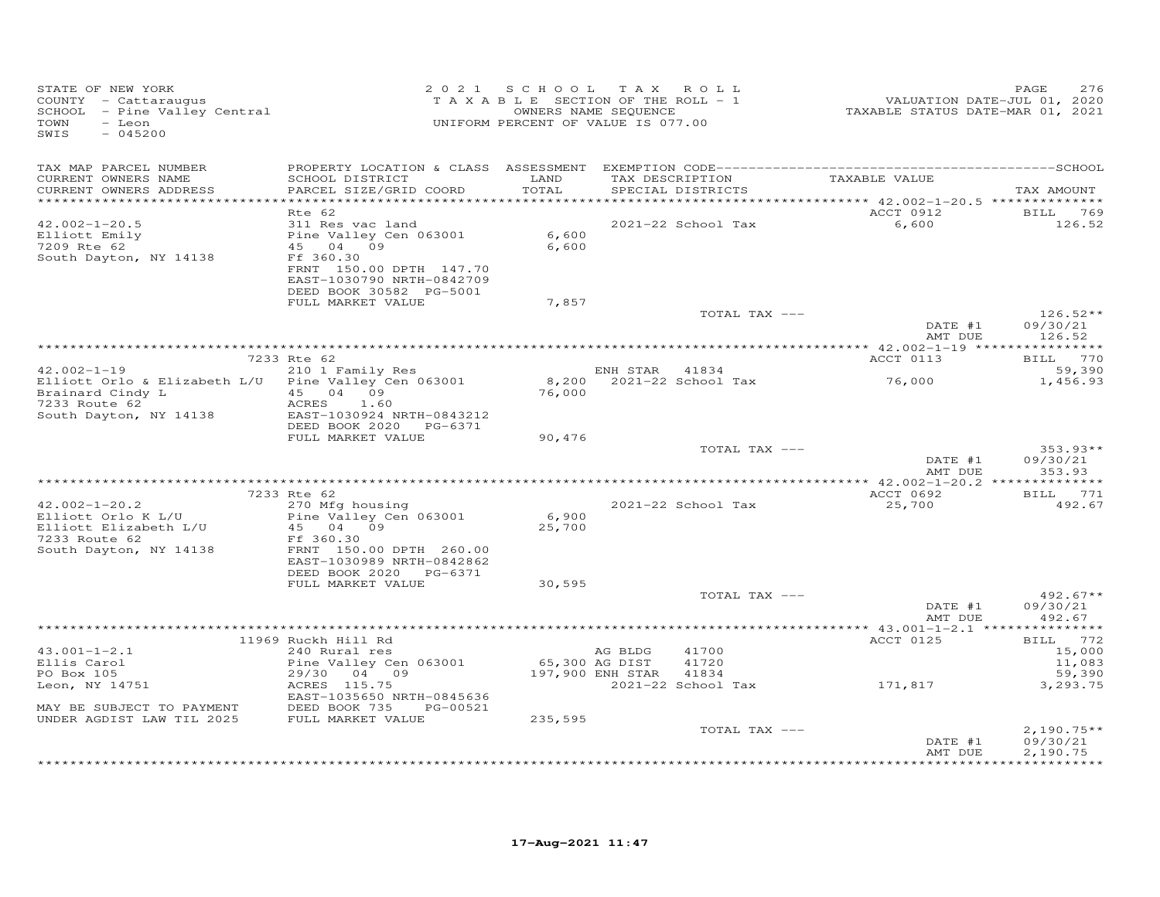| STATE OF NEW YORK<br>COUNTY - Cattaraugus<br>SCHOOL - Pine Valley Central<br>TOWN<br>- Leon<br>SWIS<br>$-045200$ |                                                                                                          | 2021 SCHOOL TAX ROLL<br>TAXABLE SECTION OF THE ROLL - 1<br>OWNERS NAME SEQUENCE<br>UNIFORM PERCENT OF VALUE IS 077.00 |                             |                                   | VALUATION DATE-JUL 01, 2020<br>TAXABLE STATUS DATE-MAR 01, 2021 | PAGE<br>276                                |
|------------------------------------------------------------------------------------------------------------------|----------------------------------------------------------------------------------------------------------|-----------------------------------------------------------------------------------------------------------------------|-----------------------------|-----------------------------------|-----------------------------------------------------------------|--------------------------------------------|
| TAX MAP PARCEL NUMBER<br>CURRENT OWNERS NAME                                                                     | SCHOOL DISTRICT                                                                                          | LAND                                                                                                                  |                             | TAX DESCRIPTION                   | TAXABLE VALUE                                                   |                                            |
| CURRENT OWNERS ADDRESS                                                                                           | PARCEL SIZE/GRID COORD                                                                                   | TOTAL                                                                                                                 |                             | SPECIAL DISTRICTS                 |                                                                 | TAX AMOUNT                                 |
| ************************                                                                                         | *******************************<br>Rte 62                                                                |                                                                                                                       |                             |                                   | ACCT 0912                                                       | BILL 769                                   |
| $42.002 - 1 - 20.5$<br>Elliott Emily                                                                             | 311 Res vac land<br>Pine Valley Cen 063001                                                               | 6,600                                                                                                                 |                             | 2021-22 School Tax                | 6,600                                                           | 126.52                                     |
| 7209 Rte 62<br>South Dayton, NY 14138                                                                            | 45 04 09<br>Ff 360.30<br>FRNT 150.00 DPTH 147.70<br>EAST-1030790 NRTH-0842709<br>DEED BOOK 30582 PG-5001 | 6,600                                                                                                                 |                             |                                   |                                                                 |                                            |
|                                                                                                                  | FULL MARKET VALUE                                                                                        | 7,857                                                                                                                 |                             |                                   |                                                                 |                                            |
|                                                                                                                  |                                                                                                          |                                                                                                                       |                             | TOTAL TAX ---                     | DATE #1                                                         | $126.52**$<br>09/30/21                     |
|                                                                                                                  |                                                                                                          |                                                                                                                       |                             |                                   | AMT DUE                                                         | 126.52                                     |
|                                                                                                                  | 7233 Rte 62                                                                                              |                                                                                                                       |                             |                                   | ACCT 0113                                                       | BILL 770                                   |
| $42.002 - 1 - 19$<br>Elliott Orlo & Elizabeth L/U                                                                | 210 1 Family Res<br>Pine Valley Cen 063001                                                               |                                                                                                                       | ENH STAR                    | 41834<br>8,200 2021-22 School Tax | 76,000                                                          | 59,390<br>1,456.93                         |
| Brainard Cindy L<br>7233 Boute 62<br>7233 Route 62                                                               | 45 04 09<br>ACRES<br>1.60                                                                                | 76,000                                                                                                                |                             |                                   |                                                                 |                                            |
| South Dayton, NY 14138                                                                                           | EAST-1030924 NRTH-0843212<br>DEED BOOK 2020<br>PG-6371<br>FULL MARKET VALUE                              | 90,476                                                                                                                |                             |                                   |                                                                 |                                            |
|                                                                                                                  |                                                                                                          |                                                                                                                       |                             | TOTAL TAX ---                     |                                                                 | $353.93**$                                 |
|                                                                                                                  |                                                                                                          |                                                                                                                       |                             |                                   | DATE #1<br>AMT DUE                                              | 09/30/21<br>353.93                         |
|                                                                                                                  | 7233 Rte 62                                                                                              |                                                                                                                       |                             |                                   | ACCT 0692                                                       | BILL 771                                   |
| $42.002 - 1 - 20.2$                                                                                              | 270 Mfg housing                                                                                          |                                                                                                                       |                             | 2021-22 School Tax                | 25,700                                                          | 492.67                                     |
| Elliott Orlo K L/U<br>Elliott Elizabeth L/U<br>7233 Route 62                                                     | Pine Valley Cen 063001<br>45 04 09<br>Ff 360.30                                                          | 6,900<br>25,700                                                                                                       |                             |                                   |                                                                 |                                            |
| South Dayton, NY 14138                                                                                           | FRNT 150.00 DPTH 260.00<br>EAST-1030989 NRTH-0842862                                                     |                                                                                                                       |                             |                                   |                                                                 |                                            |
|                                                                                                                  | DEED BOOK 2020<br>PG-6371<br>FULL MARKET VALUE                                                           | 30,595                                                                                                                |                             |                                   |                                                                 |                                            |
|                                                                                                                  |                                                                                                          |                                                                                                                       |                             | TOTAL TAX ---                     | DATE #1<br>AMT DUE                                              | $492.67**$<br>09/30/21<br>492.67           |
|                                                                                                                  |                                                                                                          |                                                                                                                       |                             |                                   |                                                                 |                                            |
|                                                                                                                  | 11969 Ruckh Hill Rd                                                                                      |                                                                                                                       |                             |                                   | ACCT 0125                                                       | BILL 772                                   |
| $43.001 - 1 - 2.1$<br>Ellis Carol<br>PO Box 105                                                                  | 240 Rural res<br>Pine Valley Cen 063001<br>29/30 04 09                                                   | 65,300 AG DIST                                                                                                        | AG BLDG<br>197,900 ENH STAR | 41700<br>41720<br>41834           |                                                                 | 15,000<br>11,083<br>59,390                 |
| Leon, NY 14751                                                                                                   | ACRES 115.75<br>EAST-1035650 NRTH-0845636                                                                |                                                                                                                       |                             | 2021-22 School Tax                | 171,817                                                         | 3,293.75                                   |
| MAY BE SUBJECT TO PAYMENT<br>UNDER AGDIST LAW TIL 2025                                                           | DEED BOOK 735<br>PG-00521<br>FULL MARKET VALUE                                                           | 235,595                                                                                                               |                             |                                   |                                                                 |                                            |
|                                                                                                                  |                                                                                                          |                                                                                                                       |                             | TOTAL TAX ---                     |                                                                 | $2,190.75**$                               |
|                                                                                                                  |                                                                                                          |                                                                                                                       |                             |                                   | DATE #1<br>AMT DUE                                              | 09/30/21<br>2,190.75<br><b>+++++++++++</b> |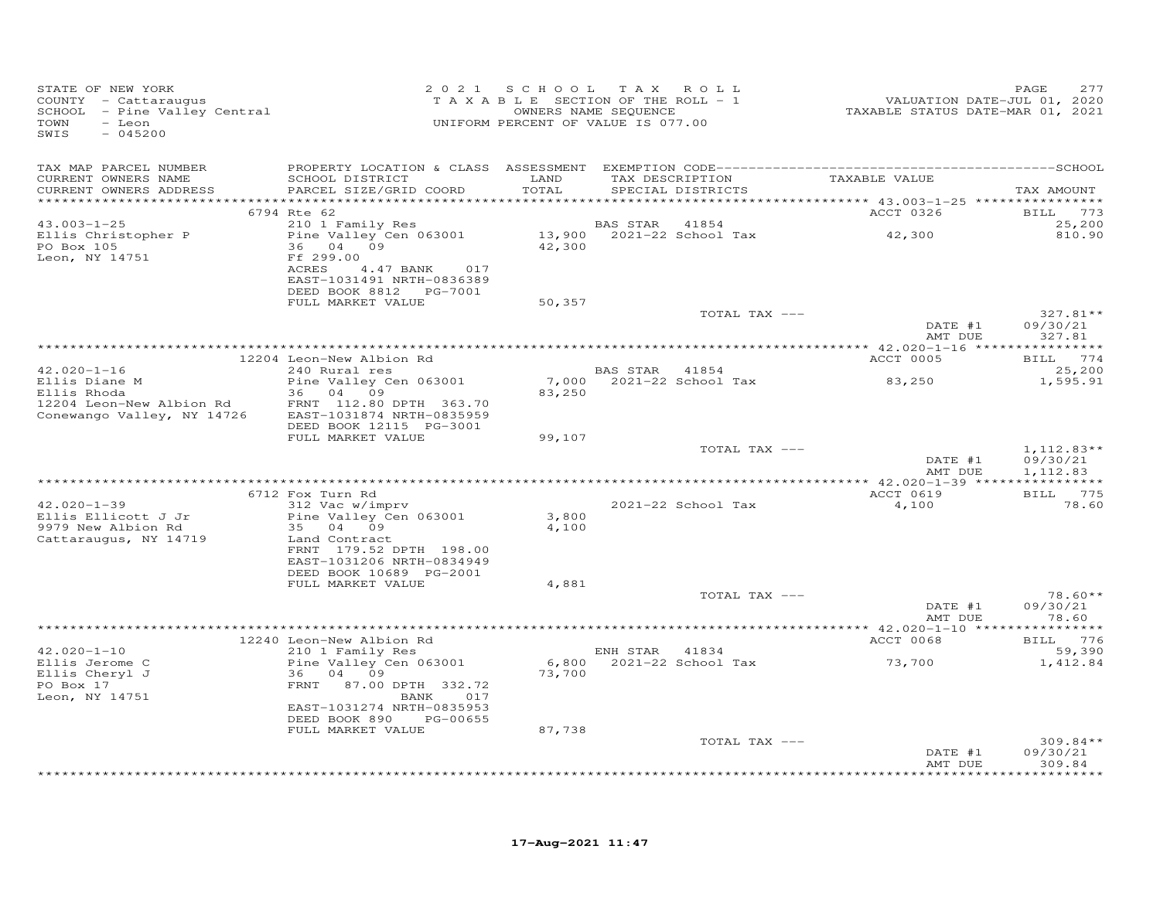| STATE OF NEW YORK<br>COUNTY - Cattaraugus<br>SCHOOL - Pine Valley Central<br>TOWN<br>- Leon<br>SWIS<br>$-045200$ |                                                                                                        |                | 2021 SCHOOL TAX ROLL<br>T A X A B L E SECTION OF THE ROLL - 1<br>OWNERS NAME SEQUENCE<br>UNIFORM PERCENT OF VALUE IS 077.00 | VALUATION DATE-JUL 01, 2020<br>TAXABLE STATUS DATE-MAR 01, 2021 | 277<br>PAGE                          |
|------------------------------------------------------------------------------------------------------------------|--------------------------------------------------------------------------------------------------------|----------------|-----------------------------------------------------------------------------------------------------------------------------|-----------------------------------------------------------------|--------------------------------------|
| TAX MAP PARCEL NUMBER<br>CURRENT OWNERS NAME                                                                     | SCHOOL DISTRICT                                                                                        | LAND           | TAX DESCRIPTION TAXABLE VALUE                                                                                               |                                                                 |                                      |
| CURRENT OWNERS ADDRESS                                                                                           | PARCEL SIZE/GRID COORD                                                                                 | TOTAL          | SPECIAL DISTRICTS                                                                                                           |                                                                 | TAX AMOUNT                           |
|                                                                                                                  | 6794 Rte 62                                                                                            |                |                                                                                                                             | ACCT 0326                                                       | BILL 773                             |
| $43.003 - 1 - 25$                                                                                                | 210 1 Family Res                                                                                       |                | 41854<br>BAS STAR                                                                                                           |                                                                 | 25,200                               |
| Ellis Christopher P<br>PO Box 105<br>Leon, NY 14751                                                              | Pine Valley Cen 063001<br>36 04 09<br>Ff 299.00<br>4.47 BANK 017<br>ACRES<br>EAST-1031491 NRTH-0836389 | 42,300         |                                                                                                                             | 42,300                                                          | 810.90                               |
|                                                                                                                  | DEED BOOK 8812    PG-7001<br>FULL MARKET VALUE                                                         | 50,357         |                                                                                                                             |                                                                 |                                      |
|                                                                                                                  |                                                                                                        |                | TOTAL TAX ---                                                                                                               | DATE #1                                                         | $327.81**$<br>09/30/21               |
|                                                                                                                  |                                                                                                        |                |                                                                                                                             | AMT DUE                                                         | 327.81                               |
|                                                                                                                  | 12204 Leon-New Albion Rd                                                                               |                |                                                                                                                             | ACCT 0005                                                       | BILL 774                             |
| $42.020 - 1 - 16$                                                                                                | 240 Rural res                                                                                          |                | BAS STAR 41854                                                                                                              |                                                                 | 25,200                               |
| Ellis Diane M<br>Ellis Rhoda                                                                                     | Pine Valley Cen 063001<br>36 04 09                                                                     | 83,250         |                                                                                                                             |                                                                 | 1,595.91                             |
| 12204 Leon-New Albion Rd<br>Conewango Valley, NY 14726                                                           | FRNT 112.80 DPTH 363.70<br>EAST-1031874 NRTH-0835959<br>DEED BOOK 12115 PG-3001                        |                |                                                                                                                             |                                                                 |                                      |
|                                                                                                                  | FULL MARKET VALUE                                                                                      | 99,107         |                                                                                                                             |                                                                 |                                      |
|                                                                                                                  |                                                                                                        |                | TOTAL TAX ---                                                                                                               | DATE #1<br>AMT DUE                                              | $1,112.83**$<br>09/30/21<br>1,112.83 |
|                                                                                                                  |                                                                                                        |                |                                                                                                                             |                                                                 |                                      |
| $42.020 - 1 - 39$                                                                                                | 6712 Fox Turn Rd<br>312 Vac w/imprv                                                                    |                | 2021-22 School Tax                                                                                                          | ACCT 0619<br>4,100                                              | BILL 775<br>78.60                    |
| Ellis Ellicott J Jr<br>9979 New Albion Rd<br>Cattaraugus, NY 14719                                               | Pine Valley Cen 063001<br>35 04 09<br>Land Contract                                                    | 3,800<br>4,100 |                                                                                                                             |                                                                 |                                      |
|                                                                                                                  | FRNT 179.52 DPTH 198.00<br>EAST-1031206 NRTH-0834949<br>DEED BOOK 10689 PG-2001                        |                |                                                                                                                             |                                                                 |                                      |
|                                                                                                                  | FULL MARKET VALUE                                                                                      | 4,881          |                                                                                                                             |                                                                 |                                      |
|                                                                                                                  |                                                                                                        |                | TOTAL TAX ---                                                                                                               | DATE #1<br>AMT DUE                                              | $78.60**$<br>09/30/21<br>78.60       |
|                                                                                                                  |                                                                                                        |                |                                                                                                                             |                                                                 |                                      |
| $42.020 - 1 - 10$                                                                                                | 12240 Leon-New Albion Rd<br>210 1 Family Res                                                           |                | ENH STAR 41834                                                                                                              | ACCT 0068                                                       | BILL 776<br>59,390                   |
| Ellis Jerome C<br>Ellis Cheryl J<br>PO Box 17<br>Leon, NY 14751                                                  | Pine Valley Cen 063001<br>36 04 09<br>FRNT 87.00 DPTH 332.72<br>BANK 017                               | 73,700         | $6,800$ $2021-22$ School Tax                                                                                                | 73,700                                                          | 1,412.84                             |
|                                                                                                                  | EAST-1031274 NRTH-0835953<br>DEED BOOK 890 PG-00655                                                    |                |                                                                                                                             |                                                                 |                                      |
|                                                                                                                  | FULL MARKET VALUE                                                                                      | 87,738         |                                                                                                                             |                                                                 |                                      |
|                                                                                                                  |                                                                                                        |                | TOTAL TAX ---                                                                                                               | DATE #1<br>AMT DUE                                              | $309.84**$<br>09/30/21<br>309.84     |
|                                                                                                                  |                                                                                                        |                |                                                                                                                             |                                                                 | * * * * * * * *                      |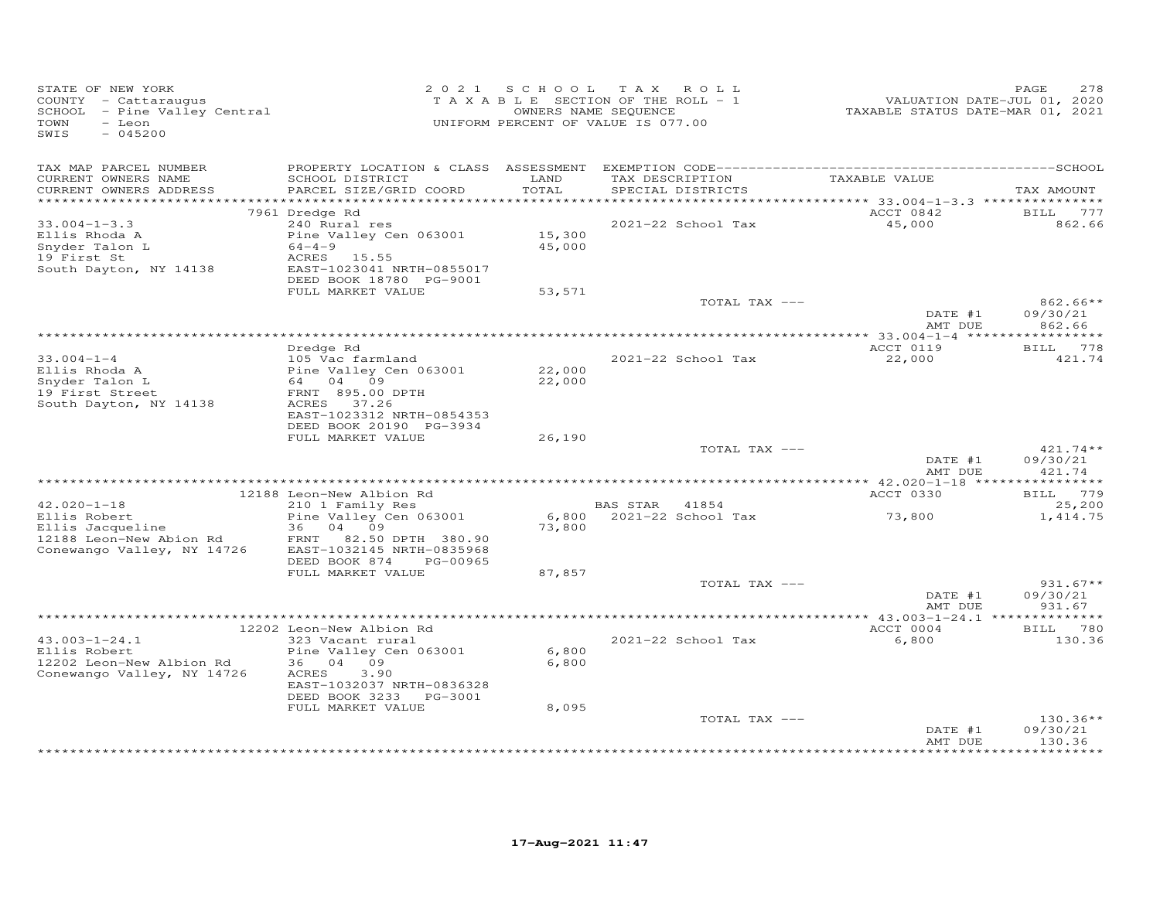| STATE OF NEW YORK<br>COUNTY - Cattaraugus<br>SCHOOL - Pine Valley Central<br>TOWN<br>- Leon<br>SWIS<br>$-045200$ |                                                                                                                                |                  | 2021 SCHOOL TAX ROLL<br>TAXABLE SECTION OF THE ROLL - 1<br>OWNERS NAME SEQUENCE<br>UNIFORM PERCENT OF VALUE IS 077.00 | VALUATION DATE-JUL 01, 2020<br>TAXABLE STATUS DATE-MAR 01, 2021 | PAGE<br>278                      |
|------------------------------------------------------------------------------------------------------------------|--------------------------------------------------------------------------------------------------------------------------------|------------------|-----------------------------------------------------------------------------------------------------------------------|-----------------------------------------------------------------|----------------------------------|
| TAX MAP PARCEL NUMBER<br>CURRENT OWNERS NAME<br>CURRENT OWNERS ADDRESS<br>***********************                | SCHOOL DISTRICT<br>PARCEL SIZE/GRID COORD                                                                                      | LAND<br>TOTAL    | TAX DESCRIPTION<br>SPECIAL DISTRICTS                                                                                  | TAXABLE VALUE                                                   | TAX AMOUNT                       |
|                                                                                                                  | 7961 Dredge Rd                                                                                                                 |                  |                                                                                                                       | ACCT 0842                                                       | <b>BILL</b><br>777               |
| $33.004 - 1 - 3.3$<br>Ellis Rhoda A<br>Snyder Talon L<br>19 First St<br>South Dayton, NY 14138                   | 240 Rural res<br>Pine Valley Cen 063001<br>$64 - 4 - 9$<br>ACRES 15.55<br>EAST-1023041 NRTH-0855017<br>DEED BOOK 18780 PG-9001 | 15,300<br>45,000 | 2021-22 School Tax                                                                                                    | 45,000                                                          | 862.66                           |
|                                                                                                                  | FULL MARKET VALUE                                                                                                              | 53,571           | TOTAL TAX ---                                                                                                         |                                                                 | $862.66**$                       |
|                                                                                                                  |                                                                                                                                |                  |                                                                                                                       | DATE #1<br>AMT DUE                                              | 09/30/21<br>862.66               |
|                                                                                                                  | Dredge Rd                                                                                                                      |                  |                                                                                                                       | ACCT 0119                                                       | 778<br><b>BILL</b>               |
| $33.004 - 1 - 4$<br>Ellis Rhoda A<br>Snyder Talon L<br>19 First Street<br>South Dayton, NY 14138                 | 105 Vac farmland<br>Pine Valley Cen 063001<br>64 04 09<br>FRNT 895.00 DPTH<br>ACRES 37.26<br>EAST-1023312 NRTH-0854353         | 22,000<br>22,000 | 2021-22 School Tax                                                                                                    | 22,000                                                          | 421.74                           |
|                                                                                                                  | DEED BOOK 20190 PG-3934<br>FULL MARKET VALUE                                                                                   | 26,190           | TOTAL TAX ---                                                                                                         |                                                                 | $421.74**$                       |
|                                                                                                                  |                                                                                                                                |                  |                                                                                                                       | DATE #1<br>AMT DUE                                              | 09/30/21<br>421.74               |
|                                                                                                                  | 12188 Leon-New Albion Rd                                                                                                       |                  |                                                                                                                       | ACCT 0330                                                       | BILL 779                         |
| $42.020 - 1 - 18$<br>Ellis Robert<br>Ellis Jacqueline<br>12188 Leon-New Abion Rd<br>Conewango Valley, NY 14726   | 210 1 Family Res<br>Pine Valley Cen 063001<br>36 04 09<br>FRNT 82.50 DPTH 380.90<br>EAST-1032145 NRTH-0835968                  | 6,800<br>73,800  | BAS STAR 41854<br>2021-22 School Tax                                                                                  | 73,800                                                          | 25,200<br>1,414.75               |
|                                                                                                                  | DEED BOOK 874<br>PG-00965                                                                                                      |                  |                                                                                                                       |                                                                 |                                  |
|                                                                                                                  | FULL MARKET VALUE                                                                                                              | 87,857           | TOTAL TAX ---                                                                                                         | DATE #1<br>AMT DUE                                              | $931.67**$<br>09/30/21<br>931.67 |
|                                                                                                                  |                                                                                                                                |                  |                                                                                                                       |                                                                 |                                  |
|                                                                                                                  | 12202 Leon-New Albion Rd                                                                                                       |                  |                                                                                                                       | ACCT 0004                                                       | BILL<br>780                      |
| $43.003 - 1 - 24.1$<br>Ellis Robert<br>12202 Leon-New Albion Rd<br>Conewango Valley, NY 14726                    | 323 Vacant rural<br>Pine Valley Cen 063001<br>36 04 09<br>ACRES<br>3,90<br>EAST-1032037 NRTH-0836328<br>DEED BOOK 3233 PG-3001 | 6,800<br>6,800   | 2021-22 School Tax                                                                                                    | 6,800                                                           | 130.36                           |
|                                                                                                                  | FULL MARKET VALUE                                                                                                              | 8,095            | TOTAL TAX ---                                                                                                         | DATE #1<br>AMT DUE                                              | $130.36**$<br>09/30/21<br>130.36 |
|                                                                                                                  |                                                                                                                                |                  |                                                                                                                       |                                                                 |                                  |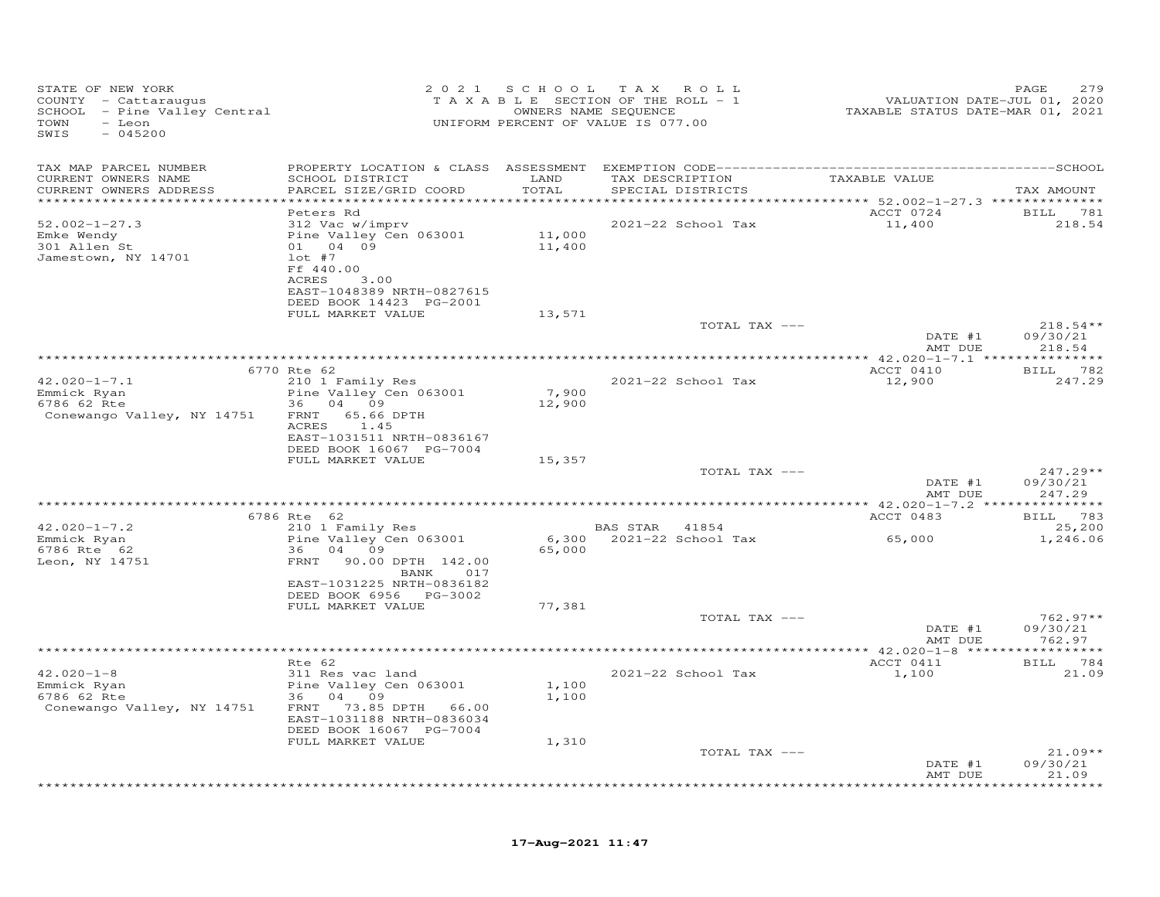| STATE OF NEW YORK<br>COUNTY - Cattaraugus<br>SCHOOL - Pine Valley Central<br>TOWN<br>- Leon<br>SWIS<br>$-045200$ |                                                                                                                                                                        |                         | 2021 SCHOOL TAX ROLL<br>T A X A B L E SECTION OF THE ROLL - 1<br>OWNERS NAME SEQUENCE<br>UNIFORM PERCENT OF VALUE IS 077.00 | VALUATION DATE-JUL 01, 2020<br>TAXABLE STATUS DATE-MAR 01, 2021 | 279<br>PAGE                      |
|------------------------------------------------------------------------------------------------------------------|------------------------------------------------------------------------------------------------------------------------------------------------------------------------|-------------------------|-----------------------------------------------------------------------------------------------------------------------------|-----------------------------------------------------------------|----------------------------------|
| TAX MAP PARCEL NUMBER                                                                                            |                                                                                                                                                                        |                         |                                                                                                                             |                                                                 |                                  |
| CURRENT OWNERS NAME<br>CURRENT OWNERS ADDRESS<br>************************                                        | SCHOOL DISTRICT<br>PARCEL SIZE/GRID COORD                                                                                                                              | LAND<br>TOTAL           | TAX DESCRIPTION<br>SPECIAL DISTRICTS                                                                                        | TAXABLE VALUE                                                   | TAX AMOUNT                       |
| $52.002 - 1 - 27.3$<br>Emke Wendy<br>301 Allen St<br>Jamestown, NY 14701                                         | Peters Rd<br>312 Vac w/imprv<br>Pine Valley Cen 063001<br>01 04 09<br>$lot$ #7<br>Ff 440.00<br>ACRES<br>3.00<br>EAST-1048389 NRTH-0827615<br>DEED BOOK 14423 PG-2001   | 11,000<br>11,400        | 2021-22 School Tax                                                                                                          | ACCT 0724<br>11,400                                             | BILL 781<br>218.54               |
|                                                                                                                  | FULL MARKET VALUE                                                                                                                                                      | 13,571                  | TOTAL TAX ---                                                                                                               |                                                                 | $218.54**$                       |
|                                                                                                                  |                                                                                                                                                                        |                         |                                                                                                                             | DATE #1<br>AMT DUE                                              | 09/30/21<br>218.54               |
|                                                                                                                  | 6770 Rte 62                                                                                                                                                            |                         |                                                                                                                             | ACCT 0410                                                       | BILL 782                         |
| $42.020 - 1 - 7.1$<br>Emmick Ryan<br>6786 62 Rte<br>Conewango Valley, NY 14751                                   | 210 1 Family Res<br>Pine Valley Cen 063001<br>36 04 09<br>FRNT 65.66 DPTH<br>1.45<br>ACRES<br>EAST-1031511 NRTH-0836167                                                | 7,900<br>12,900         | 2021-22 School Tax                                                                                                          | 12,900                                                          | 247.29                           |
|                                                                                                                  | DEED BOOK 16067 PG-7004<br>FULL MARKET VALUE                                                                                                                           | 15,357                  |                                                                                                                             |                                                                 |                                  |
|                                                                                                                  |                                                                                                                                                                        |                         | TOTAL TAX ---                                                                                                               | DATE #1<br>AMT DUE                                              | $247.29**$<br>09/30/21<br>247.29 |
|                                                                                                                  | 6786 Rte 62                                                                                                                                                            |                         |                                                                                                                             | ACCT 0483                                                       | BILL 783                         |
| $42.020 - 1 - 7.2$                                                                                               | 210 1 Family Res                                                                                                                                                       |                         | BAS STAR 41854                                                                                                              |                                                                 | 25,200                           |
| Emmick Ryan<br>6786 Rte 62<br>Leon, NY 14751                                                                     | Pine Valley Cen 063001<br>36 04 09<br>FRNT 90.00 DPTH 142.00<br>BANK 017<br>EAST-1031225 NRTH-0836182                                                                  | 65,000                  | 6,300 2021-22 School Tax                                                                                                    | 65,000                                                          | 1,246.06                         |
|                                                                                                                  | DEED BOOK 6956 PG-3002<br>FULL MARKET VALUE                                                                                                                            | 77,381                  |                                                                                                                             |                                                                 |                                  |
|                                                                                                                  |                                                                                                                                                                        |                         | TOTAL TAX ---                                                                                                               | DATE #1<br>AMT DUE                                              | $762.97**$<br>09/30/21<br>762.97 |
|                                                                                                                  |                                                                                                                                                                        |                         |                                                                                                                             |                                                                 |                                  |
| $42.020 - 1 - 8$<br>Emmick Ryan<br>6786 62 Rte<br>Conewango Valley, NY 14751                                     | Rte 62<br>311 Res vac land<br>Pine Valley Cen 063001<br>36 04 09<br>FRNT 73.85 DPTH 66.00<br>EAST-1031188 NRTH-0836034<br>DEED BOOK 16067 PG-7004<br>FULL MARKET VALUE | 1,100<br>1,100<br>1,310 | 2021-22 School Tax                                                                                                          | ACCT 0411<br>1,100                                              | BILL 784<br>21.09                |
|                                                                                                                  |                                                                                                                                                                        |                         | TOTAL TAX ---                                                                                                               | DATE #1                                                         | $21.09**$<br>09/30/21            |
|                                                                                                                  |                                                                                                                                                                        |                         |                                                                                                                             | AMT DUE                                                         | 21.09<br>*********               |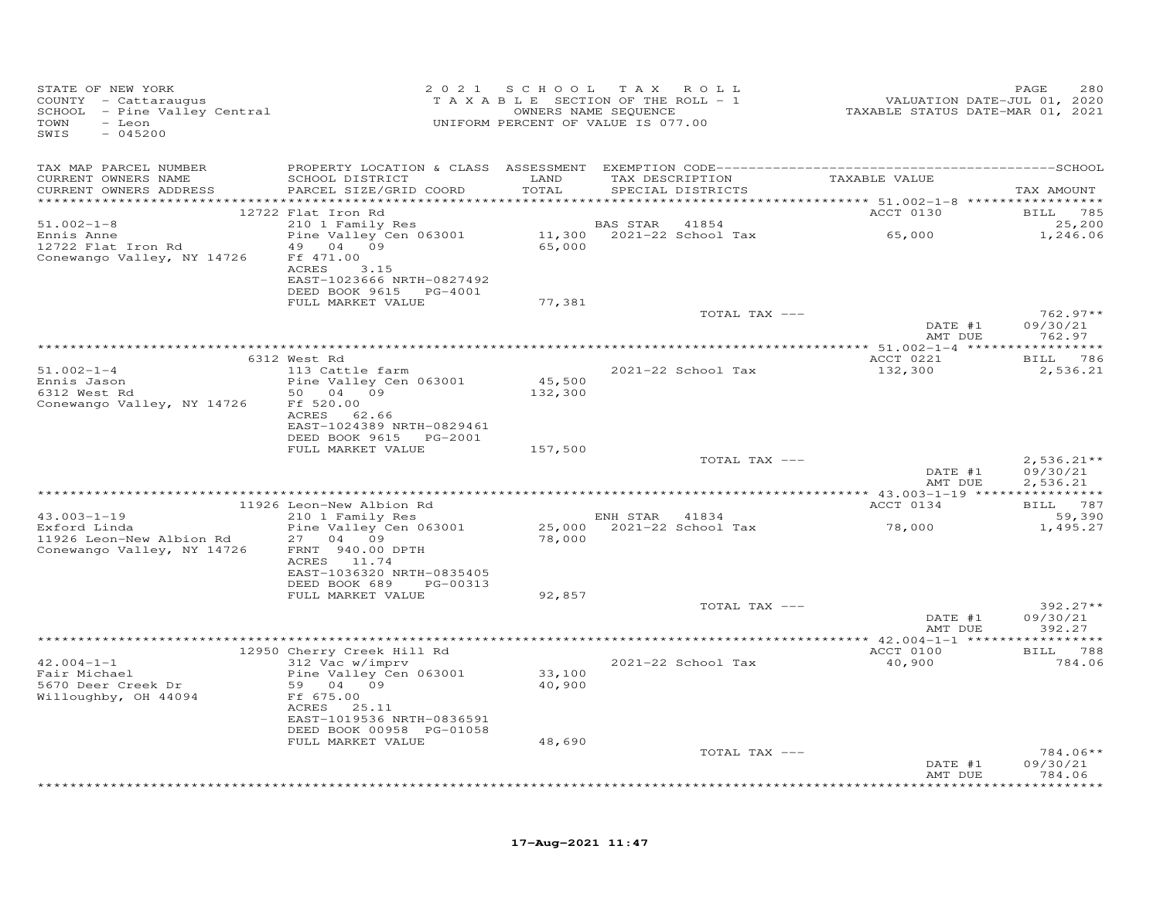| STATE OF NEW YORK<br>COUNTY - Cattaraugus<br>SCHOOL - Pine Valley Central<br>TOWN<br>- Leon<br>SWIS<br>$-045200$ |                                                                                  |                  | 2021 SCHOOL TAX ROLL<br>TAXABLE SECTION OF THE ROLL - 1<br>OWNERS NAME SEQUENCE<br>UNIFORM PERCENT OF VALUE IS 077.00 | 2020<br>72,2020 TAXABLE STATUS DATE-JUL<br>72,2021 TAXABLE STATUS DATE-MAR | PAGE<br>280                          |
|------------------------------------------------------------------------------------------------------------------|----------------------------------------------------------------------------------|------------------|-----------------------------------------------------------------------------------------------------------------------|----------------------------------------------------------------------------|--------------------------------------|
| TAX MAP PARCEL NUMBER                                                                                            |                                                                                  |                  |                                                                                                                       |                                                                            |                                      |
| CURRENT OWNERS NAME<br>CURRENT OWNERS ADDRESS                                                                    | SCHOOL DISTRICT LAND<br>PARCEL SIZE/GRID COORD                                   | TOTAL            | TAX DESCRIPTION TAXABLE VALUE<br>SPECIAL DISTRICTS                                                                    |                                                                            | TAX AMOUNT                           |
|                                                                                                                  |                                                                                  |                  |                                                                                                                       | <b>ACCT 0130</b>                                                           |                                      |
| $51.002 - 1 - 8$                                                                                                 | 12722 Flat Iron Rd<br>210 1 Family Res                                           |                  | BAS STAR 41854                                                                                                        |                                                                            | BILL 785<br>25,200                   |
| Ennis Anne<br>12722 Flat Iron Rd<br>Conewango Valley, NY 14726                                                   | Pine Valley Cen 063001 11,300 2021-22 School Tax 65,000<br>49 04 09<br>Ff 471.00 | 65,000           |                                                                                                                       |                                                                            | 1,246.06                             |
|                                                                                                                  | ACRES<br>3.15<br>EAST-1023666 NRTH-0827492<br>DEED BOOK 9615 PG-4001             |                  |                                                                                                                       |                                                                            |                                      |
|                                                                                                                  | FULL MARKET VALUE                                                                | 77,381           |                                                                                                                       |                                                                            |                                      |
|                                                                                                                  |                                                                                  |                  | TOTAL TAX ---                                                                                                         | DATE #1<br>AMT DUE                                                         | $762.97**$<br>09/30/21<br>762.97     |
|                                                                                                                  |                                                                                  |                  |                                                                                                                       |                                                                            |                                      |
|                                                                                                                  | 6312 West Rd                                                                     |                  |                                                                                                                       | ACCT 0221                                                                  | BILL 786                             |
| $51.002 - 1 - 4$                                                                                                 | 113 Cattle farm                                                                  | 45,500           | 2021-22 School Tax                                                                                                    | 132,300                                                                    | 2,536.21                             |
| Ennis Jason<br>6312 West Rd<br>Conewango Valley, NY 14726                                                        | Pine Valley Cen 063001<br>50 04 09<br>Ff 520.00                                  | 132,300          |                                                                                                                       |                                                                            |                                      |
|                                                                                                                  | ACRES 62.66<br>EAST-1024389 NRTH-0829461                                         |                  |                                                                                                                       |                                                                            |                                      |
|                                                                                                                  | DEED BOOK 9615 PG-2001                                                           |                  |                                                                                                                       |                                                                            |                                      |
|                                                                                                                  | FULL MARKET VALUE                                                                | 157,500          |                                                                                                                       |                                                                            |                                      |
|                                                                                                                  |                                                                                  |                  | TOTAL TAX ---                                                                                                         | DATE #1<br>AMT DUE                                                         | $2,536.21**$<br>09/30/21<br>2,536.21 |
|                                                                                                                  |                                                                                  |                  |                                                                                                                       |                                                                            |                                      |
|                                                                                                                  | 11926 Leon-New Albion Rd                                                         |                  |                                                                                                                       | ACCT 0134                                                                  | BILL 787                             |
| $43.003 - 1 - 19$                                                                                                | 210 1 Family Res                                                                 |                  | ENH STAR 41834                                                                                                        |                                                                            | 59,390                               |
| Exford Linda<br>11926 Leon-New Albion Rd<br>Conewango Valley, NY 14726                                           | Pine Valley Cen 063001<br>27 04 09<br>FRNT 940.00 DPTH                           | 78,000           | 25,000 2021-22 School Tax                                                                                             | 78,000                                                                     | 1,495.27                             |
|                                                                                                                  | ACRES 11.74<br>EAST-1036320 NRTH-0835405<br>DEED BOOK 689<br>PG-00313            |                  |                                                                                                                       |                                                                            |                                      |
|                                                                                                                  | FULL MARKET VALUE                                                                | 92,857           |                                                                                                                       |                                                                            |                                      |
|                                                                                                                  |                                                                                  |                  | TOTAL TAX ---                                                                                                         | DATE #1<br>AMT DUE                                                         | $392.27**$<br>09/30/21<br>392.27     |
|                                                                                                                  |                                                                                  |                  |                                                                                                                       |                                                                            |                                      |
|                                                                                                                  | 12950 Cherry Creek Hill Rd                                                       |                  |                                                                                                                       | ACCT 0100                                                                  | BILL 788                             |
| $42.004 - 1 - 1$<br>Fair Michael<br>5670 Deer Creek Dr<br>Willoughby, OH 44094                                   | 312 Vac w/imprv<br>Pine Valley Cen 063001<br>59 04 09<br>Ff 675.00               | 33,100<br>40,900 | 2021-22 School Tax                                                                                                    | 40,900                                                                     | 784.06                               |
|                                                                                                                  | ACRES 25.11<br>EAST-1019536 NRTH-0836591<br>DEED BOOK 00958 PG-01058             |                  |                                                                                                                       |                                                                            |                                      |
|                                                                                                                  | FULL MARKET VALUE                                                                | 48,690           |                                                                                                                       |                                                                            |                                      |
|                                                                                                                  |                                                                                  |                  | TOTAL TAX ---                                                                                                         | DATE #1<br>AMT DUE                                                         | 784.06**<br>09/30/21<br>784.06       |
|                                                                                                                  |                                                                                  |                  |                                                                                                                       |                                                                            | ********                             |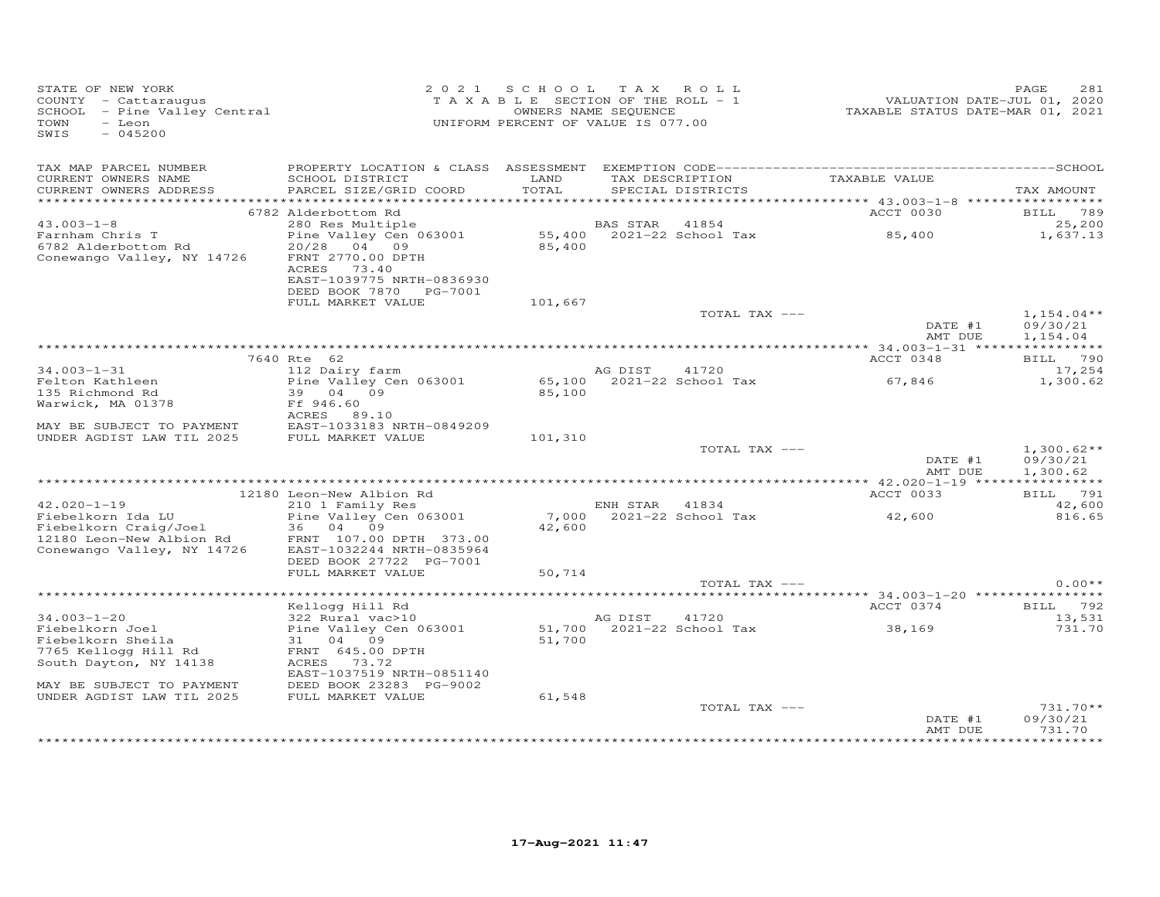| STATE OF NEW YORK<br>COUNTY - Cattaraugus<br>SCHOOL - Pine Valley Central<br>- Leon<br>TOWN<br>SWIS<br>$-045200$ |                                                                                                        | 2021 SCHOOL TAX ROLL<br>T A X A B L E SECTION OF THE ROLL - 1<br>UNIFORM PERCENT OF VALUE IS 077.00 | OWNERS NAME SEQUENCE |                             | VALUATION DATE-JUL 01, 2020<br>TAXABLE STATUS DATE-MAR 01, 2021 | 281<br>PAGE          |
|------------------------------------------------------------------------------------------------------------------|--------------------------------------------------------------------------------------------------------|-----------------------------------------------------------------------------------------------------|----------------------|-----------------------------|-----------------------------------------------------------------|----------------------|
| TAX MAP PARCEL NUMBER<br>CURRENT OWNERS NAME                                                                     | SCHOOL DISTRICT                                                                                        | LAND                                                                                                |                      | TAX DESCRIPTION             | TAXABLE VALUE                                                   |                      |
| CURRENT OWNERS ADDRESS                                                                                           | PARCEL SIZE/GRID COORD                                                                                 | TOTAL                                                                                               |                      | SPECIAL DISTRICTS           |                                                                 | TAX AMOUNT           |
|                                                                                                                  | *************                                                                                          |                                                                                                     |                      |                             | *********** 43.003-1-8 ******************                       |                      |
|                                                                                                                  | 6782 Alderbottom Rd                                                                                    |                                                                                                     |                      |                             | ACCT 0030                                                       | BILL 789             |
| $43.003 - 1 - 8$                                                                                                 | 280 Res Multiple                                                                                       |                                                                                                     | BAS STAR             | 41854                       |                                                                 | 25,200               |
| Farnham Chris T<br>6782 Alderbottom Rd<br>Conewango Valley, NY 14726                                             | Pine Valley Cen 063001<br>20/28 04 09<br>FRNT 2770.00 DPTH<br>ACRES 73.40<br>EAST-1039775 NRTH-0836930 | 85,400                                                                                              |                      |                             | 85,400                                                          | 1,637.13             |
|                                                                                                                  | DEED BOOK 7870 PG-7001                                                                                 |                                                                                                     |                      |                             |                                                                 |                      |
|                                                                                                                  | FULL MARKET VALUE                                                                                      | 101,667                                                                                             |                      | TOTAL TAX ---               |                                                                 | $1,154.04**$         |
|                                                                                                                  |                                                                                                        |                                                                                                     |                      |                             | DATE #1<br>AMT DUE                                              | 09/30/21<br>1,154.04 |
|                                                                                                                  |                                                                                                        |                                                                                                     |                      |                             |                                                                 |                      |
|                                                                                                                  | 7640 Rte 62                                                                                            |                                                                                                     |                      |                             | ACCT 0348                                                       | BILL 790             |
| $34.003 - 1 - 31$                                                                                                | 112 Dairy farm                                                                                         |                                                                                                     | AG DIST              | 41720                       |                                                                 | 17,254               |
| Felton Kathleen                                                                                                  | Pine Valley Cen 063001                                                                                 |                                                                                                     |                      |                             |                                                                 | 1,300.62             |
| 135 Richmond Rd                                                                                                  | 39 04 09                                                                                               |                                                                                                     |                      |                             |                                                                 |                      |
| Warwick, MA 01378                                                                                                | Ff 946.60                                                                                              |                                                                                                     |                      |                             |                                                                 |                      |
|                                                                                                                  | ACRES 89.10                                                                                            |                                                                                                     |                      |                             |                                                                 |                      |
| MAY BE SUBJECT TO PAYMENT<br>UNDER AGDIST LAW TIL 2025                                                           | EAST-1033183 NRTH-0849209<br>FULL MARKET VALUE                                                         | 101,310                                                                                             |                      |                             |                                                                 |                      |
|                                                                                                                  |                                                                                                        |                                                                                                     |                      | TOTAL TAX ---               |                                                                 | $1,300.62**$         |
|                                                                                                                  |                                                                                                        |                                                                                                     |                      |                             | DATE #1<br>AMT DUE                                              | 09/30/21<br>1,300.62 |
|                                                                                                                  |                                                                                                        |                                                                                                     |                      |                             |                                                                 |                      |
|                                                                                                                  | 12180 Leon-New Albion Rd                                                                               |                                                                                                     |                      |                             | ACCT 0033                                                       | BILL 791             |
| $42.020 - 1 - 19$                                                                                                | 210 1 Family Res                                                                                       |                                                                                                     | ENH STAR 41834       |                             |                                                                 | 42,600               |
| Fiebelkorn Ida LU                                                                                                | Pine Valley Cen 063001                                                                                 |                                                                                                     |                      | 7,000 2021-22 School Tax    | 42,600                                                          | 816.65               |
| Fiebelkorn Craig/Joel                                                                                            | 36 04 09                                                                                               | 42,600                                                                                              |                      |                             |                                                                 |                      |
| 12180 Leon-New Albion Rd<br>Conewango Valley, NY 14726                                                           | FRNT 107.00 DPTH 373.00<br>EAST-1032244 NRTH-0835964<br>DEED BOOK 27722 PG-7001                        |                                                                                                     |                      |                             |                                                                 |                      |
|                                                                                                                  | FULL MARKET VALUE                                                                                      | 50,714                                                                                              |                      |                             |                                                                 |                      |
|                                                                                                                  |                                                                                                        |                                                                                                     |                      | TOTAL TAX ---               |                                                                 | $0.00**$             |
|                                                                                                                  |                                                                                                        |                                                                                                     |                      |                             | ********** 34.003-1-20 *****************                        |                      |
|                                                                                                                  | Kellogg Hill Rd                                                                                        |                                                                                                     |                      |                             | ACCT 0374                                                       | BILL 792             |
| $34.003 - 1 - 20$                                                                                                | 322 Rural vac>10                                                                                       |                                                                                                     | AG DIST              | 41720                       |                                                                 | 13,531               |
| Fiebelkorn Joel                                                                                                  | Pine Valley Cen 063001                                                                                 |                                                                                                     |                      | $51,700$ 2021-22 School Tax | 38,169                                                          | 731.70               |
| Fiebelkorn Sheila<br>7765 Kellogg Hill Rd                                                                        | 31 04 09<br>FRNT 645.00 DPTH                                                                           | 51,700                                                                                              |                      |                             |                                                                 |                      |
| South Dayton, NY 14138                                                                                           | ACRES 73.72                                                                                            |                                                                                                     |                      |                             |                                                                 |                      |
|                                                                                                                  | EAST-1037519 NRTH-0851140                                                                              |                                                                                                     |                      |                             |                                                                 |                      |
| MAY BE SUBJECT TO PAYMENT                                                                                        | DEED BOOK 23283 PG-9002                                                                                |                                                                                                     |                      |                             |                                                                 |                      |
| UNDER AGDIST LAW TIL 2025                                                                                        | FULL MARKET VALUE                                                                                      | 61,548                                                                                              |                      |                             |                                                                 |                      |
|                                                                                                                  |                                                                                                        |                                                                                                     |                      | TOTAL TAX ---               |                                                                 | $731.70**$           |
|                                                                                                                  |                                                                                                        |                                                                                                     |                      |                             | DATE #1                                                         | 09/30/21             |
|                                                                                                                  |                                                                                                        |                                                                                                     |                      |                             | AMT DUE                                                         | 731.70<br>********   |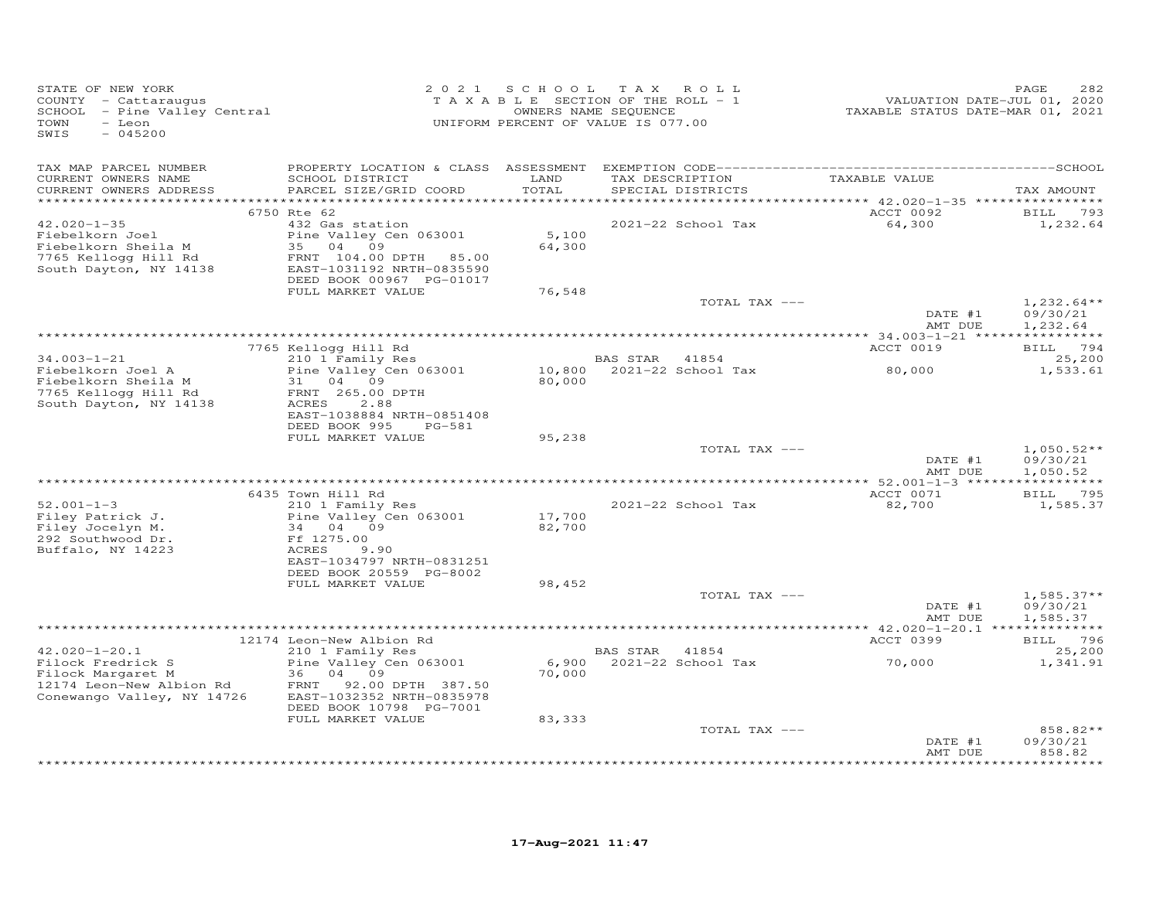| STATE OF NEW YORK<br>COUNTY - Cattaraugus<br>SCHOOL - Pine Valley Central<br>TOWN<br>- Leon<br>SWIS<br>$-045200$        | 2 0 2 1                                                                                                                                                                  | SCHOOL<br>TAXABLE SECTION OF THE ROLL - 1<br>UNIFORM PERCENT OF VALUE IS 077.00 | T A X<br>OWNERS NAME SEQUENCE | ROLL                        | VALUATION DATE-JUL 01, 2020<br>TAXABLE STATUS DATE-MAR 01, 2021 | PAGE<br>282                          |
|-------------------------------------------------------------------------------------------------------------------------|--------------------------------------------------------------------------------------------------------------------------------------------------------------------------|---------------------------------------------------------------------------------|-------------------------------|-----------------------------|-----------------------------------------------------------------|--------------------------------------|
| TAX MAP PARCEL NUMBER<br>CURRENT OWNERS NAME<br>CURRENT OWNERS ADDRESS                                                  | SCHOOL DISTRICT<br>PARCEL SIZE/GRID COORD                                                                                                                                | LAND<br>TOTAL                                                                   | TAX DESCRIPTION               | SPECIAL DISTRICTS           | TAXABLE VALUE                                                   | TAX AMOUNT                           |
| $42.020 - 1 - 35$<br>Fiebelkorn Joel<br>Fiebelkorn Sheila M<br>7765 Kellogg Hill Rd<br>South Dayton, NY 14138           | 6750 Rte 62<br>432 Gas station<br>Pine Valley Cen 063001<br>35<br>04<br>09<br>FRNT 104.00 DPTH<br>85.00<br>EAST-1031192 NRTH-0835590<br>DEED BOOK 00967 PG-01017         | ******<br>5,100<br>64,300                                                       |                               | 2021-22 School Tax          | ********* 42.020-1-35 *****************<br>ACCT 0092<br>64,300  | 793<br>BILL<br>1,232.64              |
|                                                                                                                         | FULL MARKET VALUE                                                                                                                                                        | 76,548                                                                          |                               | TOTAL TAX ---               | DATE #1<br>AMT DUE                                              | $1,232.64**$<br>09/30/21<br>1,232.64 |
|                                                                                                                         |                                                                                                                                                                          |                                                                                 |                               |                             |                                                                 |                                      |
| $34.003 - 1 - 21$                                                                                                       | 7765 Kellogg Hill Rd<br>210 1 Family Res                                                                                                                                 |                                                                                 | BAS STAR                      | 41854                       | ACCT 0019                                                       | BILL 794<br>25,200                   |
| Fiebelkorn Joel A<br>Fiebelkorn Sheila M<br>7765 Kellogg Hill Rd<br>South Dayton, NY 14138                              | Pine Valley Cen 063001<br>04<br>09<br>31<br>FRNT 265.00 DPTH<br>2.88<br>ACRES<br>EAST-1038884 NRTH-0851408<br>DEED BOOK 995<br>PG-581                                    | 10,800<br>80,000                                                                |                               | 2021-22 School Tax          | 80,000                                                          | 1,533.61                             |
|                                                                                                                         | FULL MARKET VALUE                                                                                                                                                        | 95,238                                                                          |                               | TOTAL TAX ---               |                                                                 | $1,050.52**$                         |
|                                                                                                                         |                                                                                                                                                                          |                                                                                 |                               |                             | DATE #1<br>AMT DUE                                              | 09/30/21<br>1,050.52                 |
|                                                                                                                         |                                                                                                                                                                          |                                                                                 |                               |                             |                                                                 | ***********                          |
| $52.001 - 1 - 3$<br>Filey Patrick J.<br>Filey Jocelyn M.<br>292 Southwood Dr.<br>Buffalo, NY 14223                      | 6435 Town Hill Rd<br>210 1 Family Res<br>Pine Valley Cen 063001<br>34<br>04<br>09<br>Ff 1275.00<br>ACRES<br>9.90<br>EAST-1034797 NRTH-0831251<br>DEED BOOK 20559 PG-8002 | 17,700<br>82,700                                                                |                               | 2021-22 School Tax          | ACCT 0071<br>82,700                                             | BILL 795<br>1,585.37                 |
|                                                                                                                         | FULL MARKET VALUE                                                                                                                                                        | 98,452                                                                          |                               |                             |                                                                 |                                      |
|                                                                                                                         |                                                                                                                                                                          |                                                                                 |                               | TOTAL TAX ---               | DATE #1<br>AMT DUE                                              | $1,585.37**$<br>09/30/21<br>1,585.37 |
|                                                                                                                         |                                                                                                                                                                          |                                                                                 |                               |                             | **** $42.020 - 1 - 20.1$ ***                                    | **********                           |
|                                                                                                                         | 12174 Leon-New Albion Rd                                                                                                                                                 |                                                                                 |                               |                             | ACCT 0399                                                       | BILL 796                             |
| $42.020 - 1 - 20.1$<br>Filock Fredrick S<br>Filock Margaret M<br>12174 Leon-New Albion Rd<br>Conewango Valley, NY 14726 | 210 1 Family Res<br>Pine Valley Cen 063001<br>36<br>04<br>09<br>FRNT 92.00 DPTH 387.50<br>EAST-1032352 NRTH-0835978                                                      | 6,900<br>70,000                                                                 | BAS STAR                      | 41854<br>2021-22 School Tax | 70,000                                                          | 25,200<br>1,341.91                   |
|                                                                                                                         | DEED BOOK 10798 PG-7001<br>FULL MARKET VALUE                                                                                                                             | 83,333                                                                          |                               |                             |                                                                 |                                      |
|                                                                                                                         |                                                                                                                                                                          |                                                                                 |                               | TOTAL TAX ---               | DATE #1<br>AMT DUE                                              | 858.82**<br>09/30/21<br>858.82       |
|                                                                                                                         |                                                                                                                                                                          |                                                                                 |                               |                             |                                                                 |                                      |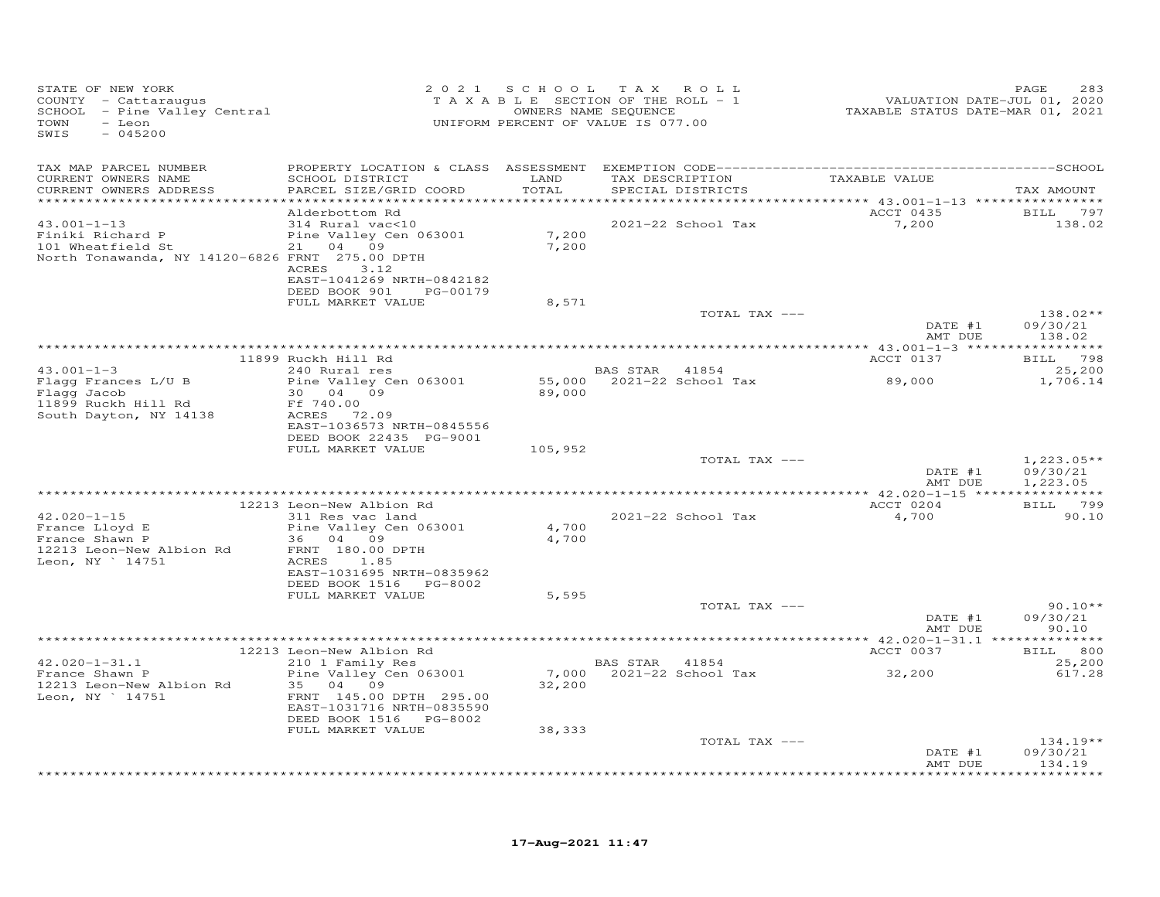| STATE OF NEW YORK<br>COUNTY - Cattaraugus<br>SCHOOL - Pine Valley Central<br>- Leon<br>TOWN<br>SWIS<br>$-045200$ |                                                                                                                                              |                  | 2021 SCHOOL TAX ROLL<br>TAXABLE SECTION OF THE ROLL - 1<br>OWNERS NAME SEQUENCE<br>UNIFORM PERCENT OF VALUE IS 077.00 | 2020<br>VALUATION DATE-JUL 01, 2020<br>TAXABLE STATUS DATE-MAR 01, 2021 | PAGE<br>283              |
|------------------------------------------------------------------------------------------------------------------|----------------------------------------------------------------------------------------------------------------------------------------------|------------------|-----------------------------------------------------------------------------------------------------------------------|-------------------------------------------------------------------------|--------------------------|
| TAX MAP PARCEL NUMBER                                                                                            |                                                                                                                                              |                  |                                                                                                                       |                                                                         |                          |
| CURRENT OWNERS NAME<br>CURRENT OWNERS ADDRESS                                                                    | SCHOOL DISTRICT<br>PARCEL SIZE/GRID COORD                                                                                                    | LAND<br>TOTAL    | TAX DESCRIPTION<br>SPECIAL DISTRICTS                                                                                  | TAXABLE VALUE                                                           | TAX AMOUNT               |
|                                                                                                                  | Alderbottom Rd                                                                                                                               |                  |                                                                                                                       | ACCT 0435 BILL 797                                                      |                          |
| $43.001 - 1 - 13$<br>Finiki Richard P<br>101 Wheatfield St<br>North Tonawanda, NY 14120-6826 FRNT 275.00 DPTH    | 314 Rural vac<10<br>Pine Valley Cen 063001<br>21 04 09<br>ACRES 3.12                                                                         | 7,200<br>7,200   | 2021-22 School Tax                                                                                                    | 7,200                                                                   | 138.02                   |
|                                                                                                                  | EAST-1041269 NRTH-0842182<br>DEED BOOK 901 PG-00179                                                                                          |                  |                                                                                                                       |                                                                         |                          |
|                                                                                                                  | FULL MARKET VALUE                                                                                                                            | 8,571            |                                                                                                                       |                                                                         |                          |
|                                                                                                                  |                                                                                                                                              |                  | TOTAL TAX ---                                                                                                         | DATE #1                                                                 | $138.02**$<br>09/30/21   |
|                                                                                                                  |                                                                                                                                              |                  |                                                                                                                       | AMT DUE                                                                 | 138.02                   |
|                                                                                                                  | 11899 Ruckh Hill Rd                                                                                                                          |                  |                                                                                                                       | ACCT 0137                                                               | BILL 798                 |
| $43.001 - 1 - 3$<br>Flagg Frances L/U B                                                                          | 240 Rural res<br>Pine Valley Cen 063001                                                                                                      |                  | BAS STAR 41854                                                                                                        |                                                                         | 25,200<br>1,706.14       |
| Flagg Jacob<br>11899 Ruckh Hill Rd<br>South Dayton, NY 14138                                                     | 30  04  09<br>Ff 740.00<br>ACRES 72.09<br>EAST-1036573 NRTH-0845556<br>DEED BOOK 22435 PG-9001                                               | 89,000           |                                                                                                                       |                                                                         |                          |
|                                                                                                                  | FULL MARKET VALUE                                                                                                                            | 105,952          |                                                                                                                       |                                                                         |                          |
|                                                                                                                  |                                                                                                                                              |                  | TOTAL TAX ---                                                                                                         | DATE #1                                                                 | $1,223.05**$<br>09/30/21 |
|                                                                                                                  |                                                                                                                                              |                  |                                                                                                                       | AMT DUE                                                                 | 1,223.05                 |
|                                                                                                                  | 12213 Leon-New Albion Rd                                                                                                                     |                  |                                                                                                                       | ACCT 0204                                                               | BILL 799                 |
| $42.020 - 1 - 15$<br>$42.020 - 1 - 1$<br>France Lloyd E<br>$2h \sim m$ P                                         | 311 Res vac land<br>Pine Valley Cen 063001                                                                                                   | 4,700            | 2021-22 School Tax                                                                                                    | 4,700                                                                   | 90.10                    |
| 12213 Leon-New Albion Rd<br>Leon, NY ` 14751                                                                     | 36 04 09<br>FRNT 180.00 DPTH<br>ACRES 1.85<br>EAST-1031695 NRTH-0835962                                                                      | 4,700            |                                                                                                                       |                                                                         |                          |
|                                                                                                                  | DEED BOOK 1516 PG-8002<br>FULL MARKET VALUE                                                                                                  | 5,595            |                                                                                                                       |                                                                         |                          |
|                                                                                                                  |                                                                                                                                              |                  | TOTAL TAX ---                                                                                                         | DATE #1                                                                 | $90.10**$<br>09/30/21    |
|                                                                                                                  |                                                                                                                                              |                  |                                                                                                                       | AMT DUE                                                                 | 90.10                    |
|                                                                                                                  | 12213 Leon-New Albion Rd                                                                                                                     |                  |                                                                                                                       | ACCT 0037                                                               | BILL 800                 |
| $42.020 - 1 - 31.1$                                                                                              | 210 1 Family Res                                                                                                                             |                  | BAS STAR 41854                                                                                                        |                                                                         | 25,200                   |
| France Shawn P<br>12213 Leon-New Albion Rd<br>Leon, NY ` 14751                                                   | Pine Valley Cen 063001<br>35 04 09<br>FRNT 145.00 DPTH 295.00<br>EAST-1031716 NRTH-0835590<br>DEED BOOK 1516    PG-8002<br>FULL MARKET VALUE | 32,200<br>38,333 | 7,000 2021-22 School Tax                                                                                              | 32,200                                                                  | 617.28                   |
|                                                                                                                  |                                                                                                                                              |                  | TOTAL TAX ---                                                                                                         |                                                                         | $134.19**$               |
|                                                                                                                  |                                                                                                                                              |                  |                                                                                                                       | DATE #1<br>AMT DUE                                                      | 09/30/21<br>134.19       |
|                                                                                                                  |                                                                                                                                              |                  |                                                                                                                       |                                                                         | ***********              |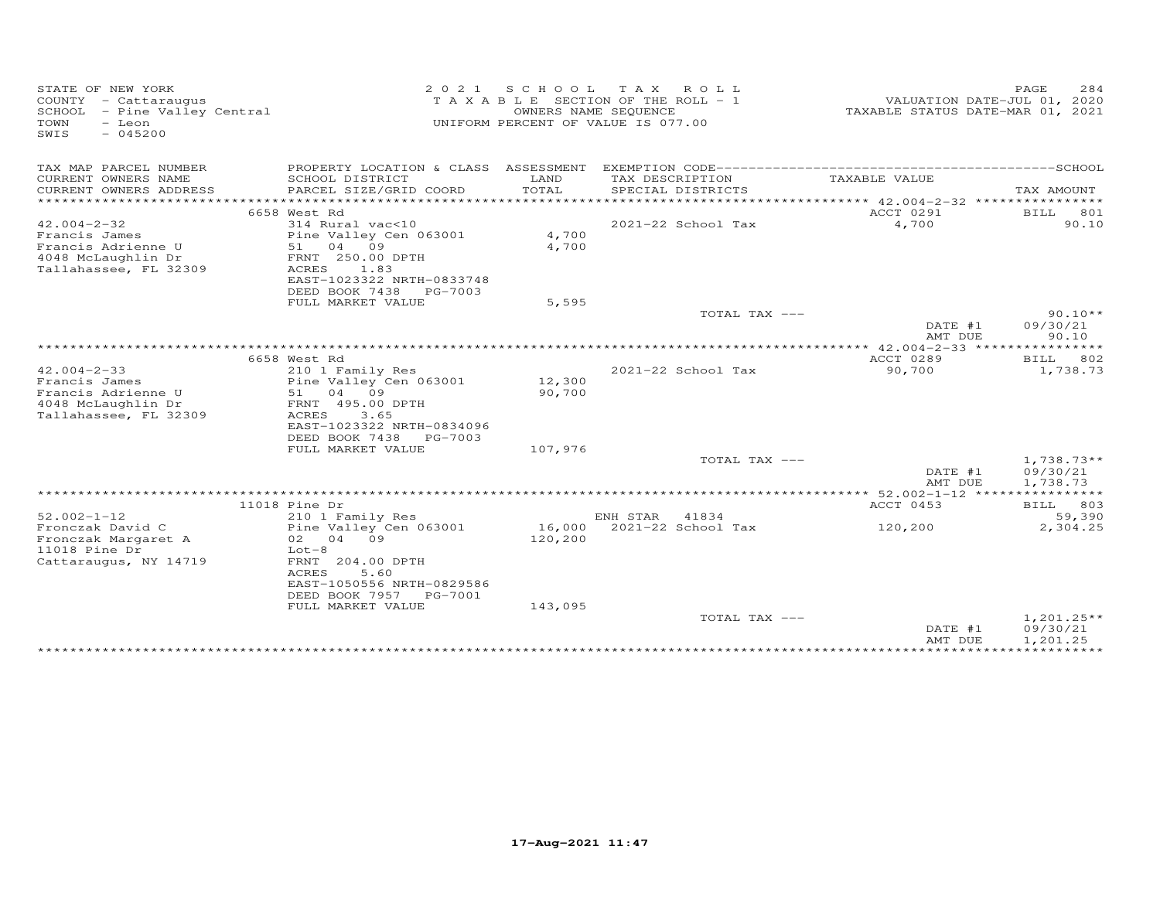| STATE OF NEW YORK<br>COUNTY - Cattaraugus<br>SCHOOL - Pine Valley Central<br>TOWN<br>- Leon<br>$-045200$<br>SWIS | 2021                                                                                         |                | SCHOOL TAX ROLL<br>T A X A B L E SECTION OF THE ROLL - 1<br>OWNERS NAME SEQUENCE<br>UNIFORM PERCENT OF VALUE IS 077.00 |                                                             | 284<br>PAGE<br>VALUATION DATE-JUL 01, 2020<br>TAXABLE STATUS DATE-MAR 01, 2021 |
|------------------------------------------------------------------------------------------------------------------|----------------------------------------------------------------------------------------------|----------------|------------------------------------------------------------------------------------------------------------------------|-------------------------------------------------------------|--------------------------------------------------------------------------------|
| TAX MAP PARCEL NUMBER                                                                                            |                                                                                              |                |                                                                                                                        |                                                             |                                                                                |
| CURRENT OWNERS NAME<br>CURRENT OWNERS ADDRESS                                                                    | SCHOOL DISTRICT<br>PARCEL SIZE/GRID COORD                                                    | LAND<br>TOTAL  | TAX DESCRIPTION<br>SPECIAL DISTRICTS                                                                                   | TAXABLE VALUE                                               | TAX AMOUNT                                                                     |
|                                                                                                                  | 6658 West Rd                                                                                 |                |                                                                                                                        | ACCT 0291                                                   | BILL<br>801                                                                    |
| $42.004 - 2 - 32$<br>Francis James<br>Francis Adrienne U                                                         | 314 Rural vac<10<br>Pine Valley Cen 063001<br>51 04 09                                       | 4,700<br>4,700 | 2021-22 School Tax                                                                                                     | 4,700                                                       | 90.10                                                                          |
| 4048 McLaughlin Dr<br>Tallahassee, FL 32309                                                                      | FRNT 250.00 DPTH<br>ACRES<br>1.83<br>EAST-1023322 NRTH-0833748<br>DEED BOOK 7438<br>PG-7003  |                |                                                                                                                        |                                                             |                                                                                |
|                                                                                                                  | FULL MARKET VALUE                                                                            | 5,595          |                                                                                                                        |                                                             |                                                                                |
|                                                                                                                  |                                                                                              |                | TOTAL TAX ---                                                                                                          | DATE #1                                                     | $90.10**$<br>09/30/21                                                          |
|                                                                                                                  |                                                                                              |                |                                                                                                                        | AMT DUE                                                     | 90.10                                                                          |
|                                                                                                                  | 6658 West Rd                                                                                 |                |                                                                                                                        | **************** 42.004-2-33 *****************<br>ACCT 0289 | BILL<br>802                                                                    |
| $42.004 - 2 - 33$<br>Francis James                                                                               | 210 1 Family Res<br>Pine Valley Cen 063001                                                   | 12,300         | 2021-22 School Tax                                                                                                     | 90,700                                                      | 1,738.73                                                                       |
| Francis Adrienne U<br>4048 McLaughlin Dr<br>Tallahassee, FL 32309                                                | 51 04 09<br>FRNT 495.00 DPTH<br>ACRES<br>3.65<br>EAST-1023322 NRTH-0834096                   | 90,700         |                                                                                                                        |                                                             |                                                                                |
|                                                                                                                  | DEED BOOK 7438 PG-7003                                                                       |                |                                                                                                                        |                                                             |                                                                                |
|                                                                                                                  | FULL MARKET VALUE                                                                            | 107,976        | TOTAL TAX ---                                                                                                          |                                                             | $1,738.73**$                                                                   |
|                                                                                                                  |                                                                                              |                |                                                                                                                        | DATE #1<br>AMT DUE                                          | 09/30/21<br>1,738.73                                                           |
|                                                                                                                  |                                                                                              |                |                                                                                                                        |                                                             |                                                                                |
| $52.002 - 1 - 12$                                                                                                | 11018 Pine Dr<br>210 1 Family Res                                                            |                | ENH STAR<br>41834                                                                                                      | ACCT 0453                                                   | BILL 803<br>59,390                                                             |
| Fronczak David C                                                                                                 | Pine Valley Cen 063001                                                                       | 16,000         | 2021-22 School Tax                                                                                                     | 120,200                                                     | 2,304.25                                                                       |
| Fronczak Margaret A<br>11018 Pine Dr<br>Cattaraugus, NY 14719                                                    | 02 04 09<br>$Lot-8$<br>FRNT 204.00 DPTH                                                      | 120,200        |                                                                                                                        |                                                             |                                                                                |
|                                                                                                                  | ACRES<br>5.60<br>EAST-1050556 NRTH-0829586<br>DEED BOOK 7957<br>PG-7001<br>FULL MARKET VALUE | 143,095        |                                                                                                                        |                                                             |                                                                                |
|                                                                                                                  |                                                                                              |                | TOTAL TAX ---                                                                                                          | DATE #1<br>AMT DUE                                          | $1,201.25**$<br>09/30/21<br>1,201.25                                           |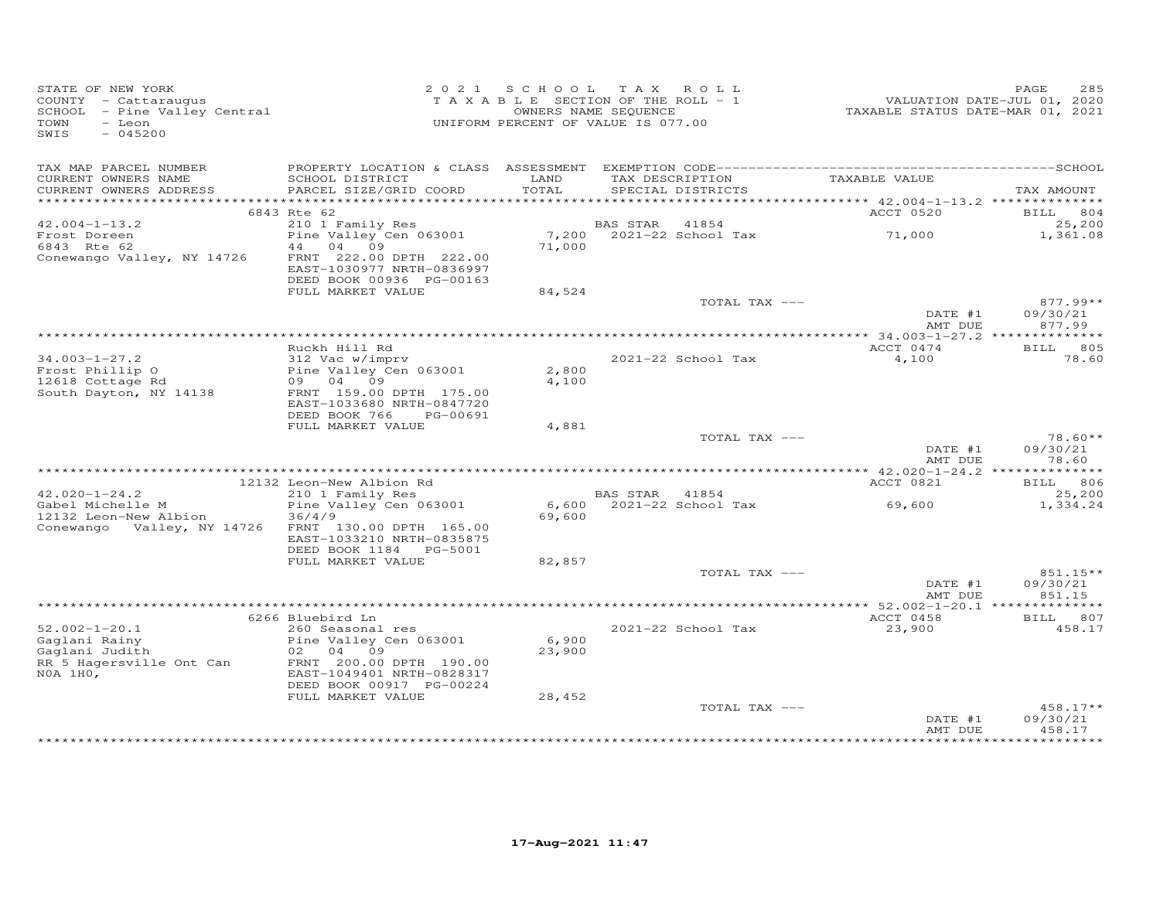| STATE OF NEW YORK<br>COUNTY - Cattaraugus<br>SCHOOL - Pine Valley Central<br>TOWN<br>- Leon<br>$-045200$<br>SWIS |                                                                                  | 2021 SCHOOL TAX ROLL<br>T A X A B L E SECTION OF THE ROLL - 1<br>UNIFORM PERCENT OF VALUE IS 077.00 | OWNERS NAME SEQUENCE |                               | VALUATION DATE-JUL 01, 2020<br>TAXABLE STATUS DATE-MAR 01, 2021 | 285<br>PAGE                      |
|------------------------------------------------------------------------------------------------------------------|----------------------------------------------------------------------------------|-----------------------------------------------------------------------------------------------------|----------------------|-------------------------------|-----------------------------------------------------------------|----------------------------------|
| TAX MAP PARCEL NUMBER<br>CURRENT OWNERS NAME                                                                     | SCHOOL DISTRICT                                                                  | LAND                                                                                                |                      | TAX DESCRIPTION TAXABLE VALUE |                                                                 |                                  |
| CURRENT OWNERS ADDRESS                                                                                           | PARCEL SIZE/GRID COORD                                                           | TOTAL                                                                                               |                      | SPECIAL DISTRICTS             |                                                                 | TAX AMOUNT                       |
|                                                                                                                  |                                                                                  |                                                                                                     |                      |                               |                                                                 |                                  |
| $42.004 - 1 - 13.2$                                                                                              | 6843 Rte 62                                                                      |                                                                                                     | BAS STAR 41854       |                               | ACCT 0520                                                       | BILL 804<br>25,200               |
| Frost Doreen<br>6843 Rte 62                                                                                      | 210 1 Family Res<br>Pine Valley Cen 063001<br>44 04 09                           | 71,000                                                                                              |                      | 7,200 2021-22 School Tax      | 71,000                                                          | 1,361.08                         |
| Conewango Valley, NY 14726                                                                                       | FRNT 222.00 DPTH 222.00<br>EAST-1030977 NRTH-0836997<br>DEED BOOK 00936 PG-00163 |                                                                                                     |                      |                               |                                                                 |                                  |
|                                                                                                                  | FULL MARKET VALUE                                                                | 84,524                                                                                              |                      |                               |                                                                 |                                  |
|                                                                                                                  |                                                                                  |                                                                                                     |                      | TOTAL TAX ---                 | DATE #1<br>AMT DUE                                              | $877.99**$<br>09/30/21<br>877.99 |
|                                                                                                                  |                                                                                  |                                                                                                     |                      |                               |                                                                 |                                  |
|                                                                                                                  | Ruckh Hill Rd                                                                    |                                                                                                     |                      |                               | ACCT 0474                                                       | BILL 805                         |
| $34.003 - 1 - 27.2$                                                                                              | 312 Vac w/imprv                                                                  |                                                                                                     |                      | 2021-22 School Tax            | 4,100                                                           | 78.60                            |
| Frost Phillip O<br>12618 Cottage Rd                                                                              | Pine Valley Cen 063001<br>09 04 09                                               | 2,800<br>4,100                                                                                      |                      |                               |                                                                 |                                  |
| South Dayton, NY 14138                                                                                           | FRNT 159.00 DPTH 175.00                                                          |                                                                                                     |                      |                               |                                                                 |                                  |
|                                                                                                                  | EAST-1033680 NRTH-0847720                                                        |                                                                                                     |                      |                               |                                                                 |                                  |
|                                                                                                                  | DEED BOOK 766<br>PG-00691                                                        |                                                                                                     |                      |                               |                                                                 |                                  |
|                                                                                                                  | FULL MARKET VALUE                                                                | 4,881                                                                                               |                      | TOTAL TAX ---                 |                                                                 | $78.60**$                        |
|                                                                                                                  |                                                                                  |                                                                                                     |                      |                               | DATE #1                                                         | 09/30/21                         |
|                                                                                                                  |                                                                                  |                                                                                                     |                      |                               | AMT DUE                                                         | 78.60                            |
|                                                                                                                  |                                                                                  |                                                                                                     |                      |                               |                                                                 |                                  |
| $42.020 - 1 - 24.2$                                                                                              | 12132 Leon-New Albion Rd<br>210 1 Family Res                                     |                                                                                                     | BAS STAR 41854       |                               | ACCT 0821                                                       | BILL 806<br>25,200               |
| Gabel Michelle M                                                                                                 | Pine Valley Cen 063001                                                           |                                                                                                     |                      | 6,600 2021-22 School Tax      | 69,600                                                          | 1,334.24                         |
| 12132 Leon-New Albion                                                                                            | 36/4/9                                                                           | 69,600                                                                                              |                      |                               |                                                                 |                                  |
| Conewango Valley, NY 14726                                                                                       | FRNT 130.00 DPTH 165.00                                                          |                                                                                                     |                      |                               |                                                                 |                                  |
|                                                                                                                  | EAST-1033210 NRTH-0835875                                                        |                                                                                                     |                      |                               |                                                                 |                                  |
|                                                                                                                  | DEED BOOK 1184 PG-5001<br>FULL MARKET VALUE                                      | 82,857                                                                                              |                      |                               |                                                                 |                                  |
|                                                                                                                  |                                                                                  |                                                                                                     |                      | TOTAL TAX ---                 |                                                                 | 851.15**                         |
|                                                                                                                  |                                                                                  |                                                                                                     |                      |                               | DATE #1                                                         | 09/30/21                         |
|                                                                                                                  |                                                                                  |                                                                                                     |                      |                               | AMT DUE                                                         | 851.15                           |
|                                                                                                                  | 6266 Bluebird Ln                                                                 |                                                                                                     |                      |                               | ACCT 0458                                                       | BILL 807                         |
| $52.002 - 1 - 20.1$                                                                                              | 260 Seasonal res                                                                 |                                                                                                     |                      | 2021-22 School Tax            | 23,900                                                          | 458.17                           |
| Gaglani Rainy                                                                                                    | Pine Valley Cen 063001                                                           | 6,900                                                                                               |                      |                               |                                                                 |                                  |
| Gaglani Judith                                                                                                   | 02 04 09                                                                         | 23,900                                                                                              |                      |                               |                                                                 |                                  |
| RR 5 Hagersville Ont Can                                                                                         | FRNT 200.00 DPTH 190.00                                                          |                                                                                                     |                      |                               |                                                                 |                                  |
| NOA 1HO,                                                                                                         | EAST-1049401 NRTH-0828317<br>DEED BOOK 00917 PG-00224                            |                                                                                                     |                      |                               |                                                                 |                                  |
|                                                                                                                  | FULL MARKET VALUE                                                                | 28,452                                                                                              |                      |                               |                                                                 |                                  |
|                                                                                                                  |                                                                                  |                                                                                                     |                      | TOTAL TAX ---                 |                                                                 | $458.17**$                       |
|                                                                                                                  |                                                                                  |                                                                                                     |                      |                               | DATE #1                                                         | 09/30/21                         |
|                                                                                                                  |                                                                                  |                                                                                                     |                      |                               | AMT DUE                                                         | 458.17<br>* * * * * * * * * * *  |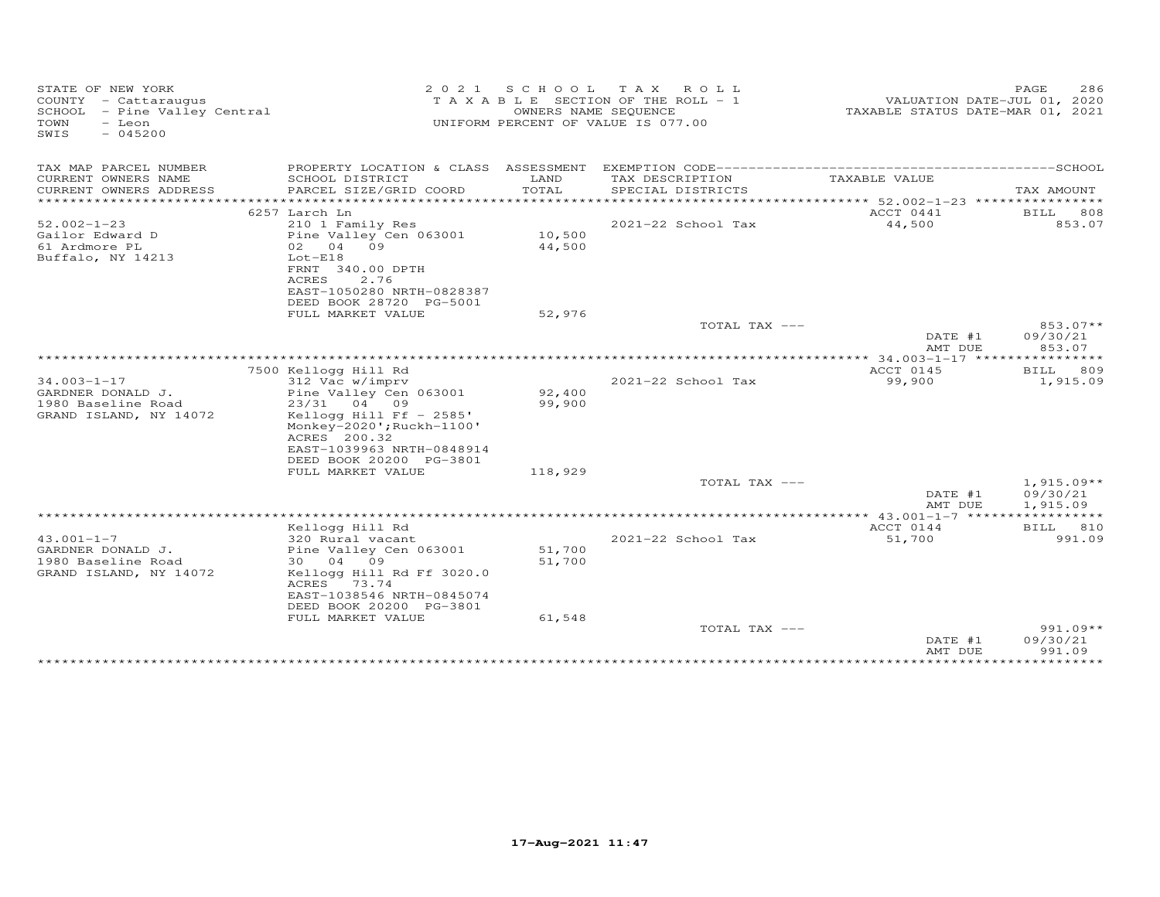| STATE OF NEW YORK<br>COUNTY - Cattaraugus<br>SCHOOL - Pine Valley Central<br>TOWN<br>- Leon<br>SWIS<br>$-045200$ | 2 0 2 1                                              | S C H O O L | T A X<br>ROLL<br>T A X A B L E SECTION OF THE ROLL - 1<br>OWNERS NAME SEQUENCE<br>UNIFORM PERCENT OF VALUE IS 077.00 | VALUATION DATE-JUL 01, 2020<br>TAXABLE STATUS DATE-MAR 01, 2021 | PAGE<br>286         |
|------------------------------------------------------------------------------------------------------------------|------------------------------------------------------|-------------|----------------------------------------------------------------------------------------------------------------------|-----------------------------------------------------------------|---------------------|
| TAX MAP PARCEL NUMBER                                                                                            | PROPERTY LOCATION & CLASS ASSESSMENT                 |             |                                                                                                                      |                                                                 |                     |
| CURRENT OWNERS NAME                                                                                              | SCHOOL DISTRICT                                      | LAND        | TAX DESCRIPTION                                                                                                      | TAXABLE VALUE                                                   |                     |
| CURRENT OWNERS ADDRESS<br>***********************                                                                | PARCEL SIZE/GRID COORD                               | TOTAL       | SPECIAL DISTRICTS                                                                                                    |                                                                 | TAX AMOUNT<br>***** |
|                                                                                                                  | 6257 Larch Ln                                        |             |                                                                                                                      | ACCT 0441                                                       | 808<br>BILL         |
| $52.002 - 1 - 23$                                                                                                | 210 1 Family Res                                     |             | 2021-22 School Tax                                                                                                   | 44,500                                                          | 853.07              |
| Gailor Edward D                                                                                                  | Pine Valley Cen 063001                               | 10,500      |                                                                                                                      |                                                                 |                     |
| 61 Ardmore PL                                                                                                    | 09<br>02<br>04                                       | 44,500      |                                                                                                                      |                                                                 |                     |
| Buffalo, NY 14213                                                                                                | $Lot-E18$                                            |             |                                                                                                                      |                                                                 |                     |
|                                                                                                                  | FRNT 340.00 DPTH                                     |             |                                                                                                                      |                                                                 |                     |
|                                                                                                                  | 2.76<br>ACRES<br>EAST-1050280 NRTH-0828387           |             |                                                                                                                      |                                                                 |                     |
|                                                                                                                  | DEED BOOK 28720 PG-5001                              |             |                                                                                                                      |                                                                 |                     |
|                                                                                                                  | FULL MARKET VALUE                                    | 52,976      |                                                                                                                      |                                                                 |                     |
|                                                                                                                  |                                                      |             | TOTAL TAX ---                                                                                                        |                                                                 | 853.07**            |
|                                                                                                                  |                                                      |             |                                                                                                                      | DATE #1                                                         | 09/30/21            |
|                                                                                                                  |                                                      |             |                                                                                                                      | AMT DUE                                                         | 853.07              |
|                                                                                                                  | 7500 Kellogg Hill Rd                                 |             |                                                                                                                      | $* 34.003 - 1 - 17$ ****<br>ACCT 0145                           | 809<br><b>BILL</b>  |
| $34.003 - 1 - 17$                                                                                                | 312 Vac w/imprv                                      |             | 2021-22 School Tax                                                                                                   | 99,900                                                          | 1,915.09            |
| GARDNER DONALD J.                                                                                                | Pine Valley Cen 063001                               | 92,400      |                                                                                                                      |                                                                 |                     |
| 1980 Baseline Road                                                                                               | 23/31 04 09                                          | 99,900      |                                                                                                                      |                                                                 |                     |
| GRAND ISLAND, NY 14072                                                                                           | Kellogg Hill Ff $-2585'$                             |             |                                                                                                                      |                                                                 |                     |
|                                                                                                                  | Monkey-2020'; Ruckh-1100'                            |             |                                                                                                                      |                                                                 |                     |
|                                                                                                                  | ACRES 200.32                                         |             |                                                                                                                      |                                                                 |                     |
|                                                                                                                  | EAST-1039963 NRTH-0848914<br>DEED BOOK 20200 PG-3801 |             |                                                                                                                      |                                                                 |                     |
|                                                                                                                  | FULL MARKET VALUE                                    | 118,929     |                                                                                                                      |                                                                 |                     |
|                                                                                                                  |                                                      |             | TOTAL TAX ---                                                                                                        |                                                                 | $1,915.09**$        |
|                                                                                                                  |                                                      |             |                                                                                                                      | DATE #1                                                         | 09/30/21            |
|                                                                                                                  |                                                      |             |                                                                                                                      | AMT DUE                                                         | 1,915.09            |
|                                                                                                                  | Kellogg Hill Rd                                      |             |                                                                                                                      | ACCT 0144                                                       | BILL 810            |
| $43.001 - 1 - 7$                                                                                                 | 320 Rural vacant                                     |             | 2021-22 School Tax                                                                                                   | 51,700                                                          | 991.09              |
| GARDNER DONALD J.                                                                                                | Pine Valley Cen 063001                               | 51,700      |                                                                                                                      |                                                                 |                     |
| 1980 Baseline Road                                                                                               | 30<br>04 09                                          | 51,700      |                                                                                                                      |                                                                 |                     |
| GRAND ISLAND, NY 14072                                                                                           | Kellogg Hill Rd Ff 3020.0                            |             |                                                                                                                      |                                                                 |                     |
|                                                                                                                  | ACRES<br>73.74                                       |             |                                                                                                                      |                                                                 |                     |
|                                                                                                                  | EAST-1038546 NRTH-0845074                            |             |                                                                                                                      |                                                                 |                     |
|                                                                                                                  | DEED BOOK 20200 PG-3801<br>FULL MARKET VALUE         | 61,548      |                                                                                                                      |                                                                 |                     |
|                                                                                                                  |                                                      |             | TOTAL TAX ---                                                                                                        |                                                                 | $991.09**$          |
|                                                                                                                  |                                                      |             |                                                                                                                      | DATE #1                                                         | 09/30/21            |
|                                                                                                                  |                                                      |             |                                                                                                                      | AMT DUE                                                         | 991.09              |
|                                                                                                                  |                                                      |             |                                                                                                                      |                                                                 |                     |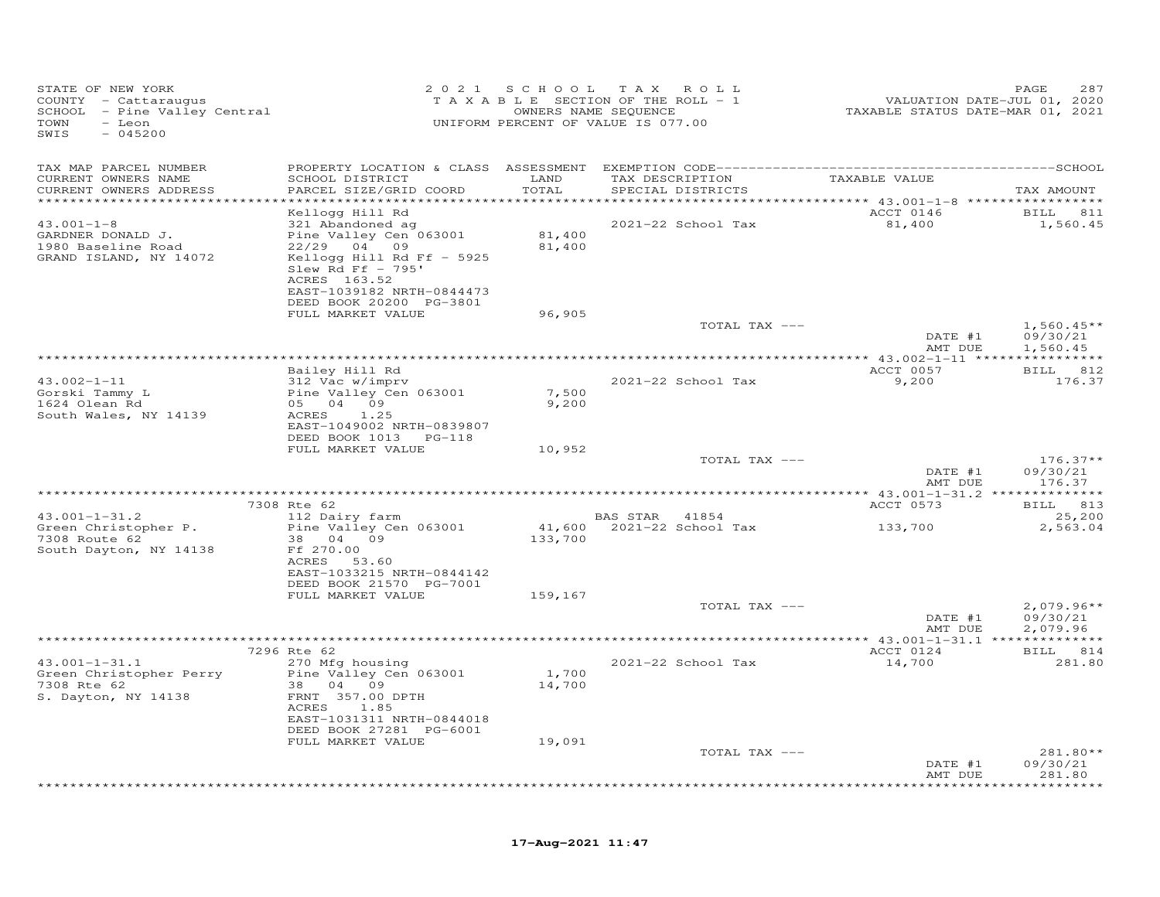| STATE OF NEW YORK<br>COUNTY - Cattaraugus<br>$SCHOOL$ - Pine Valley Central<br>- Leon<br>TOWN<br>SWIS<br>$-045200$ |                                                                           |                  | 2021 SCHOOL TAX ROLL<br>T A X A B L E SECTION OF THE ROLL - 1<br>OWNERS NAME SEQUENCE<br>UNIFORM PERCENT OF VALUE IS 077.00 |               | VALUATION DATE-JUL 01, 2020<br>TAXABLE STATUS DATE-MAR 01, 2021 | PAGE<br>287                          |
|--------------------------------------------------------------------------------------------------------------------|---------------------------------------------------------------------------|------------------|-----------------------------------------------------------------------------------------------------------------------------|---------------|-----------------------------------------------------------------|--------------------------------------|
| TAX MAP PARCEL NUMBER                                                                                              |                                                                           |                  |                                                                                                                             |               |                                                                 |                                      |
| CURRENT OWNERS NAME<br>CURRENT OWNERS ADDRESS<br>************************                                          | SCHOOL DISTRICT LAND<br>PARCEL SIZE/GRID COORD                            | TOTAL            | SPECIAL DISTRICTS                                                                                                           |               | TAX DESCRIPTION TAXABLE VALUE                                   | TAX AMOUNT                           |
|                                                                                                                    | Kellogg Hill Rd                                                           |                  |                                                                                                                             |               | ACCT 0146                                                       | <b>BILL</b> 811                      |
| $43.001 - 1 - 8$<br>GARDNER DONALD J.<br>1980 Baseline Road                                                        | 321 Abandoned ag<br>Pine Valley Cen 063001<br>22/29 04 09                 | 81,400<br>81,400 | 2021-22 School Tax                                                                                                          |               | 81,400                                                          | 1,560.45                             |
| GRAND ISLAND, NY 14072                                                                                             | Kellogg Hill Rd Ff - 5925<br>Slew Rd Ff $-$ 795'<br>ACRES 163.52          |                  |                                                                                                                             |               |                                                                 |                                      |
|                                                                                                                    | EAST-1039182 NRTH-0844473<br>DEED BOOK 20200 PG-3801<br>FULL MARKET VALUE | 96,905           |                                                                                                                             |               |                                                                 |                                      |
|                                                                                                                    |                                                                           |                  |                                                                                                                             | TOTAL TAX --- | DATE #1<br>AMT DUE                                              | $1,560.45**$<br>09/30/21<br>1,560.45 |
|                                                                                                                    |                                                                           |                  |                                                                                                                             |               |                                                                 |                                      |
| $43.002 - 1 - 11$                                                                                                  | Bailey Hill Rd<br>312 Vac w/imprv                                         |                  | 2021-22 School Tax                                                                                                          |               | ACCT 0057<br>9,200                                              | BILL 812<br>176.37                   |
| Gorski Tammy L<br>1624 Olean Rd<br>South Wales, NY 14139                                                           | Pine Valley Cen 063001<br>05 04 09<br>ACRES<br>1.25                       | 7,500<br>9,200   |                                                                                                                             |               |                                                                 |                                      |
|                                                                                                                    | EAST-1049002 NRTH-0839807<br>DEED BOOK 1013 PG-118                        |                  |                                                                                                                             |               |                                                                 |                                      |
|                                                                                                                    | FULL MARKET VALUE                                                         | 10,952           |                                                                                                                             | TOTAL TAX --- |                                                                 | $176.37**$                           |
|                                                                                                                    |                                                                           |                  |                                                                                                                             |               | DATE #1<br>AMT DUE                                              | 09/30/21<br>176.37                   |
|                                                                                                                    | 7308 Rte 62                                                               |                  |                                                                                                                             |               | ACCT 0573                                                       | BILL 813                             |
| $43.001 - 1 - 31.2$                                                                                                | 112 Dairy farm                                                            |                  | BAS STAR 41854                                                                                                              |               |                                                                 | 25,200                               |
| Green Christopher P.<br>7308 Route 62<br>South Dayton, NY 14138                                                    | Pine Valley Cen 063001<br>38 04 09<br>Ff 270.00                           | 133,700          |                                                                                                                             |               | 133,700                                                         | 2,563.04                             |
|                                                                                                                    | ACRES 53.60<br>EAST-1033215 NRTH-0844142<br>DEED BOOK 21570 PG-7001       |                  |                                                                                                                             |               |                                                                 |                                      |
|                                                                                                                    | FULL MARKET VALUE                                                         | 159,167          |                                                                                                                             | TOTAL TAX --- |                                                                 | $2,079.96**$                         |
|                                                                                                                    |                                                                           |                  |                                                                                                                             |               | DATE #1<br>AMT DUE                                              | 09/30/21<br>2,079.96                 |
|                                                                                                                    |                                                                           |                  |                                                                                                                             |               |                                                                 |                                      |
| $43.001 - 1 - 31.1$                                                                                                | 7296 Rte 62<br>270 Mfg housing                                            |                  | 2021-22 School Tax                                                                                                          |               | ACCT 0124<br>14,700                                             | BILL 814<br>281.80                   |
| Green Christopher Perry<br>7308 Rte 62<br>S. Dayton, NY 14138                                                      | Pine Valley Cen 063001<br>38 04 09<br>FRNT 357.00 DPTH<br>ACRES 1.85      | 1,700<br>14,700  |                                                                                                                             |               |                                                                 |                                      |
|                                                                                                                    | EAST-1031311 NRTH-0844018<br>DEED BOOK 27281 PG-6001                      |                  |                                                                                                                             |               |                                                                 |                                      |
|                                                                                                                    | FULL MARKET VALUE                                                         | 19,091           |                                                                                                                             |               |                                                                 |                                      |
|                                                                                                                    |                                                                           |                  |                                                                                                                             | TOTAL TAX --- | DATE #1<br>AMT DUE                                              | 281.80**<br>09/30/21<br>281.80       |
|                                                                                                                    |                                                                           |                  |                                                                                                                             |               |                                                                 | **********                           |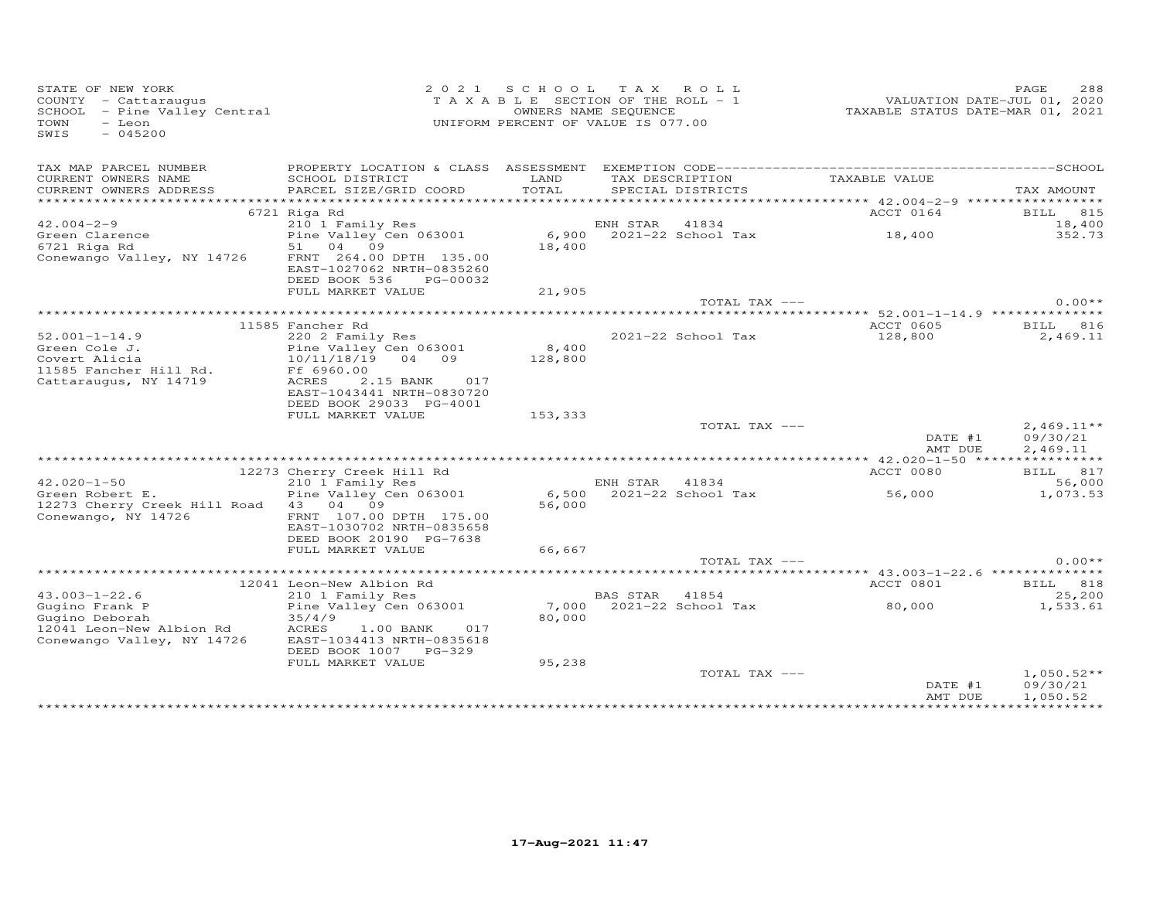| STATE OF NEW YORK<br>SIAIE OF NEW IONS<br>COUNTY - Cattaraugus<br>SCHOOL - Pine Valley Central<br>$-$ Leon<br>TOWN<br>SWIS<br>$-045200$ |                                                                                   |               | 2021 SCHOOL TAX ROLL<br>TAXABLE SECTION OF THE ROLL - 1<br>OWNERS NAME SEQUENCE<br>UNIFORM PERCENT OF VALUE IS 077.00 | VALUATION DATE-JUL 01, 2020<br>TAXABLE STATUS DATE-MAR 01, 2021 | PAGE<br>288          |
|-----------------------------------------------------------------------------------------------------------------------------------------|-----------------------------------------------------------------------------------|---------------|-----------------------------------------------------------------------------------------------------------------------|-----------------------------------------------------------------|----------------------|
| TAX MAP PARCEL NUMBER                                                                                                                   |                                                                                   |               |                                                                                                                       |                                                                 |                      |
| CURRENT OWNERS NAME<br>CURRENT OWNERS ADDRESS                                                                                           | SCHOOL DISTRICT<br>PARCEL SIZE/GRID COORD                                         | LAND<br>TOTAL | TAX DESCRIPTION<br>SPECIAL DISTRICTS                                                                                  | TAXABLE VALUE                                                   | TAX AMOUNT           |
|                                                                                                                                         | 6721 Riga Rd                                                                      |               |                                                                                                                       | ACCT 0164                                                       | <b>BILL</b> 815      |
| $42.004 - 2 - 9$                                                                                                                        |                                                                                   |               |                                                                                                                       |                                                                 | 18,400               |
|                                                                                                                                         |                                                                                   |               |                                                                                                                       |                                                                 | 352.73               |
| Green Clarence<br>6721 Riga Rd                                                                                                          | 51 04 09                                                                          | 18,400        |                                                                                                                       |                                                                 |                      |
| Conewango Valley, NY 14726                                                                                                              | FRNT 264.00 DPTH 135.00<br>EAST-1027062 NRTH-0835260<br>DEED BOOK 536 PG-00032    |               |                                                                                                                       |                                                                 |                      |
|                                                                                                                                         | FULL MARKET VALUE                                                                 | 21,905        | TOTAL TAX ---                                                                                                         |                                                                 | $0.00**$             |
|                                                                                                                                         |                                                                                   |               |                                                                                                                       |                                                                 |                      |
|                                                                                                                                         | 11585 Fancher Rd                                                                  |               |                                                                                                                       | ACCT 0605 BILL 816                                              |                      |
| $52.001 - 1 - 14.9$                                                                                                                     | 220 2 Family Res                                                                  |               | 2021-22 School Tax                                                                                                    | 128,800                                                         | 2,469.11             |
| Green Cole J.                                                                                                                           | Pine Valley Cen 063001                                                            | 8,400         |                                                                                                                       |                                                                 |                      |
| Covert Alicia                                                                                                                           | 10/11/18/19 04 09                                                                 | 128,800       |                                                                                                                       |                                                                 |                      |
| 11585 Fancher Hill Rd.                                                                                                                  | Ff 6960.00                                                                        |               |                                                                                                                       |                                                                 |                      |
| Cattaraugus, NY 14719                                                                                                                   | ACRES<br>2.15 BANK<br>017<br>EAST-1043441 NRTH-0830720<br>DEED BOOK 29033 PG-4001 |               |                                                                                                                       |                                                                 |                      |
|                                                                                                                                         | FULL MARKET VALUE                                                                 | 153,333       |                                                                                                                       |                                                                 |                      |
|                                                                                                                                         |                                                                                   |               | TOTAL TAX ---                                                                                                         |                                                                 | $2,469.11**$         |
|                                                                                                                                         |                                                                                   |               |                                                                                                                       | DATE #1<br>AMT DUE                                              | 09/30/21<br>2,469.11 |
|                                                                                                                                         |                                                                                   |               |                                                                                                                       |                                                                 |                      |
|                                                                                                                                         | 12273 Cherry Creek Hill Rd                                                        |               |                                                                                                                       | ACCT 0080                                                       | BILL 817             |
| $42.020 - 1 - 50$                                                                                                                       | 210 1 Family Res                                                                  |               | ENH STAR 41834                                                                                                        |                                                                 | 56,000               |
| Green Robert E.<br>12273 Cherry Creek Hill Road 43 04 09                                                                                | Pine Valley Cen 063001                                                            | 56,000        | $6,500$ $2021-22$ School Tax                                                                                          | 56,000                                                          | 1,073.53             |
| Conewango, NY 14726                                                                                                                     | FRNT 107.00 DPTH 175.00<br>EAST-1030702 NRTH-0835658<br>DEED BOOK 20190 PG-7638   |               |                                                                                                                       |                                                                 |                      |
|                                                                                                                                         | FULL MARKET VALUE                                                                 | 66,667        |                                                                                                                       |                                                                 |                      |
|                                                                                                                                         |                                                                                   |               | TOTAL TAX ---                                                                                                         |                                                                 | $0.00**$             |
|                                                                                                                                         |                                                                                   |               |                                                                                                                       |                                                                 |                      |
|                                                                                                                                         | 12041 Leon-New Albion Rd                                                          |               |                                                                                                                       | ACCT 0801                                                       | <b>BILL</b> 818      |
| $43.003 - 1 - 22.6$                                                                                                                     | 210 1 Family Res                                                                  |               | BAS STAR 41854                                                                                                        |                                                                 | 25,200               |
| Gugino Frank P                                                                                                                          | Pine Valley Cen 063001                                                            |               | 7,000 2021-22 School Tax 80,000                                                                                       |                                                                 | 1,533.61             |
| Gugino Deborah<br>12041 Leon-New Albion Rd                                                                                              | 35/4/9<br>ACRES<br>017<br>1.00 BANK                                               | 80,000        |                                                                                                                       |                                                                 |                      |
| Conewango Valley, NY 14726                                                                                                              | EAST-1034413 NRTH-0835618<br>DEED BOOK 1007 PG-329                                |               |                                                                                                                       |                                                                 |                      |
|                                                                                                                                         | FULL MARKET VALUE                                                                 | 95,238        |                                                                                                                       |                                                                 |                      |
|                                                                                                                                         |                                                                                   |               | TOTAL TAX ---                                                                                                         |                                                                 | $1,050.52**$         |
|                                                                                                                                         |                                                                                   |               |                                                                                                                       | DATE #1                                                         | 09/30/21             |
|                                                                                                                                         |                                                                                   |               |                                                                                                                       | AMT DUE                                                         | 1,050.52             |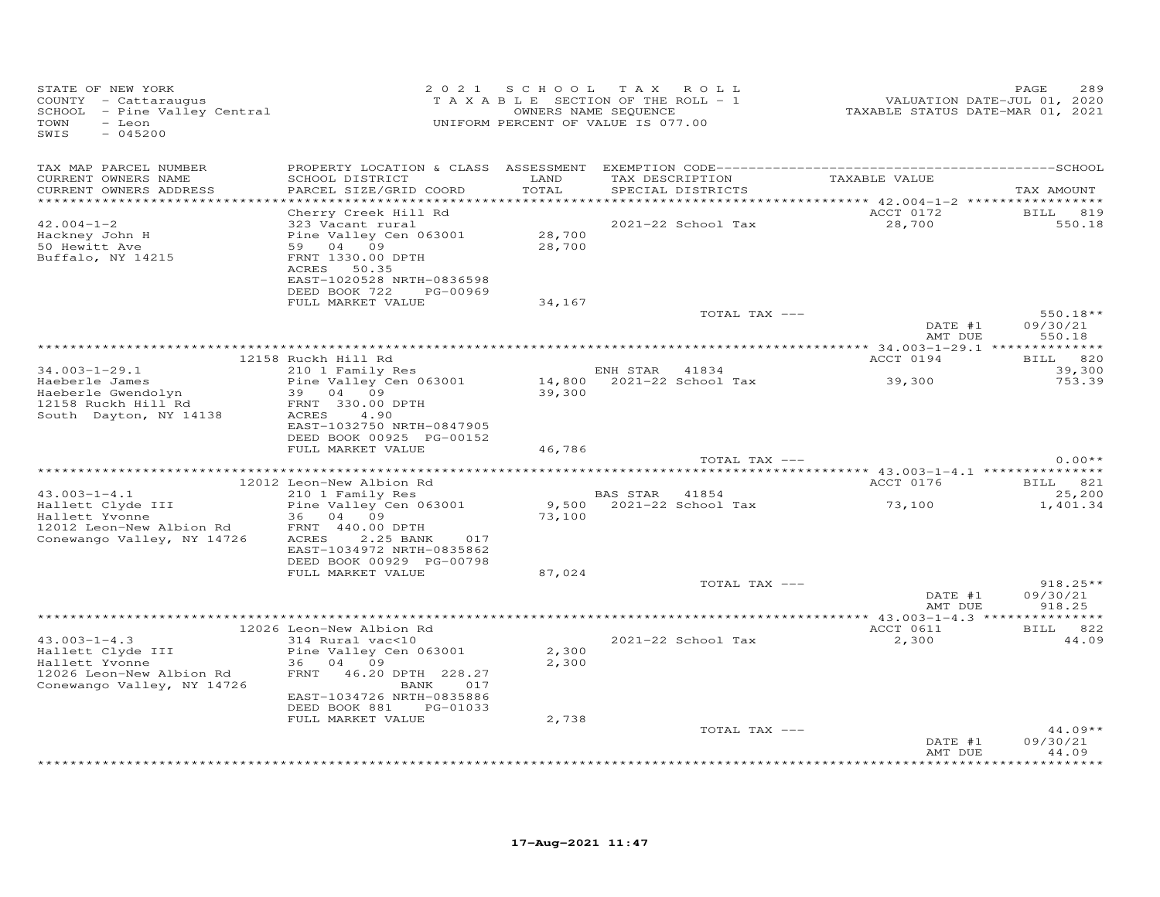| STATE OF NEW YORK<br>COUNTY - Cattaraugus<br>SCHOOL - Pine Valley Central<br>TOWN<br>- Leon<br>$-045200$<br>SWIS                                 |                                                                                                                                                                                                            | 2021 SCHOOL TAX ROLL<br>TAXABLE SECTION OF THE ROLL - 1<br>OWNERS NAME SEQUENCE<br>UNIFORM PERCENT OF VALUE IS 077.00 |                |                               | VALUATION DATE-JUL 01, 2020<br>TAXABLE STATUS DATE-MAR 01, 2021 | PAGE<br>289                               |
|--------------------------------------------------------------------------------------------------------------------------------------------------|------------------------------------------------------------------------------------------------------------------------------------------------------------------------------------------------------------|-----------------------------------------------------------------------------------------------------------------------|----------------|-------------------------------|-----------------------------------------------------------------|-------------------------------------------|
| TAX MAP PARCEL NUMBER<br>CURRENT OWNERS NAME<br>CURRENT OWNERS ADDRESS<br>************************                                               | SCHOOL DISTRICT<br>PARCEL SIZE/GRID COORD                                                                                                                                                                  | LAND<br>TOTAL                                                                                                         |                | SPECIAL DISTRICTS             | TAX DESCRIPTION TAXABLE VALUE                                   | TAX AMOUNT                                |
| $42.004 - 1 - 2$<br>Hackney John H<br>50 Hewitt Ave<br>Buffalo, NY 14215                                                                         | Cherry Creek Hill Rd<br>323 Vacant rural<br>Pine Valley Cen 063001<br>59 04 09<br>FRNT 1330.00 DPTH<br>ACRES 50.35<br>EAST-1020528 NRTH-0836598<br>DEED BOOK 722 PG-00969                                  | 28,700<br>28,700                                                                                                      |                | 2021-22 School Tax            | ACCT 0172<br>28,700                                             | <b>BILL</b><br>819<br>550.18              |
|                                                                                                                                                  | FULL MARKET VALUE                                                                                                                                                                                          | 34,167                                                                                                                |                | TOTAL TAX ---                 | DATE #1<br>AMT DUE                                              | $550.18**$<br>09/30/21<br>550.18          |
|                                                                                                                                                  | 12158 Ruckh Hill Rd                                                                                                                                                                                        |                                                                                                                       |                |                               | ACCT 0194                                                       | BILL 820                                  |
| $34.003 - 1 - 29.1$<br>Haeberle James<br>Haeberle Gwendolyn<br>12158 Ruckh Hill Rd<br>South Dayton, NY 14138                                     | 210 1 Family Res<br>Pine Valley Cen 063001<br>39 04 09<br>FRNT 330.00 DPTH<br>ACRES 4.90<br>EAST-1032750 NRTH-0847905<br>DEED BOOK 00925 PG-00152                                                          | 39,300                                                                                                                | ENH STAR 41834 | $14,800$ $2021-22$ School Tax | 39,300                                                          | 39,300<br>753.39                          |
|                                                                                                                                                  | FULL MARKET VALUE                                                                                                                                                                                          | 46,786                                                                                                                |                | TOTAL TAX ---                 |                                                                 | $0.00**$                                  |
|                                                                                                                                                  |                                                                                                                                                                                                            |                                                                                                                       |                |                               |                                                                 |                                           |
| $43.003 - 1 - 4.1$<br>Hallett Clyde III<br>Hallett Yvonne<br>12012 Leon-New Albion Rd<br>-- Wisk NY 14726<br>Conewango Valley, NY 14726          | 12012 Leon-New Albion Rd<br>210 1 Family Res<br>Pine Valley Cen 063001<br>36 04 09<br>FRNT 440.00 DPTH<br>2.25 BANK<br>ACRES<br>017<br>EAST-1034972 NRTH-0835862                                           | 73,100                                                                                                                | BAS STAR 41854 | 9,500 2021-22 School Tax      | ACCT 0176<br>73,100                                             | <b>BILL</b> 821<br>25,200<br>1,401.34     |
|                                                                                                                                                  | DEED BOOK 00929 PG-00798<br>FULL MARKET VALUE                                                                                                                                                              | 87,024                                                                                                                |                | TOTAL TAX ---                 | DATE #1<br>AMT DUE                                              | $918.25**$<br>09/30/21<br>918.25          |
|                                                                                                                                                  |                                                                                                                                                                                                            |                                                                                                                       |                |                               |                                                                 |                                           |
| $43.003 - 1 - 4.3$<br>Hallett Clyde III<br>Hallett Yvonne<br>12026 Leon-New Albion Rd<br>Concyange Valley NY 14726<br>Conewango Valley, NY 14726 | 12026 Leon-New Albion Rd<br>314 Rural vac<10<br>Pine Valley Cen 063001<br>36 04 09<br>FRNT 46.20 DPTH 228.27<br>BANK<br>017<br>EAST-1034726 NRTH-0835886<br>DEED BOOK 881<br>PG-01033<br>FULL MARKET VALUE | 2,300<br>2,300<br>2,738                                                                                               |                | 2021-22 School Tax            | ACCT 0611<br>2,300                                              | BILL 822<br>44.09                         |
|                                                                                                                                                  |                                                                                                                                                                                                            |                                                                                                                       |                | TOTAL TAX ---                 | DATE #1<br>AMT DUE                                              | $44.09**$<br>09/30/21<br>44.09<br>******* |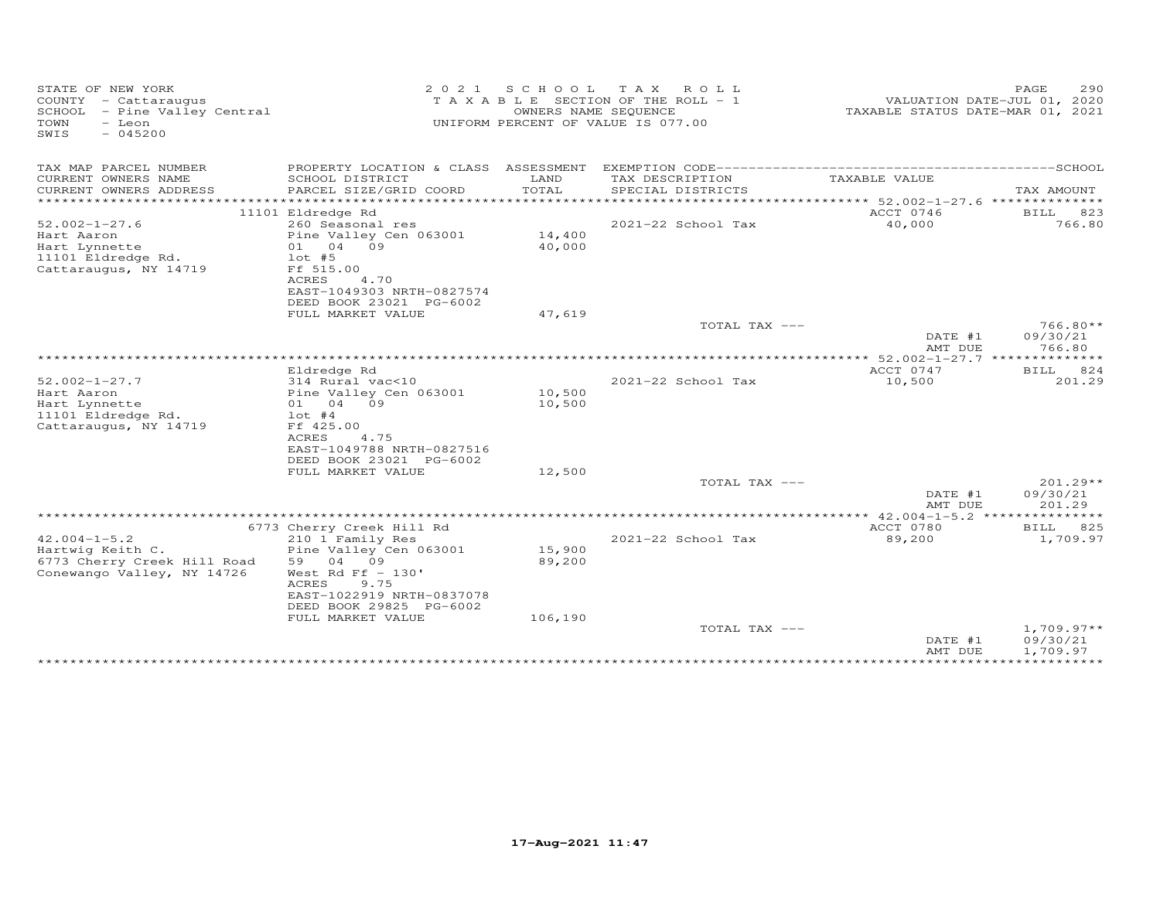| STATE OF NEW YORK<br>COUNTY - Cattaraugus<br>SCHOOL - Pine Valley Central<br>TOWN<br>- Leon<br>$-045200$<br>SWIS | 2 0 2 1                                       | S C H O O L               | T A X<br>ROLL<br>T A X A B L E SECTION OF THE ROLL - 1<br>OWNERS NAME SEQUENCE<br>UNIFORM PERCENT OF VALUE IS 077.00 | TAXABLE STATUS DATE-MAR 01, 2021                     | 290<br>PAGE<br>VALUATION DATE-JUL 01, 2020 |
|------------------------------------------------------------------------------------------------------------------|-----------------------------------------------|---------------------------|----------------------------------------------------------------------------------------------------------------------|------------------------------------------------------|--------------------------------------------|
| TAX MAP PARCEL NUMBER                                                                                            | PROPERTY LOCATION & CLASS ASSESSMENT          |                           | EXEMPTION CODE-----------                                                                                            | ----------------------------SCHOOL                   |                                            |
| CURRENT OWNERS NAME                                                                                              | SCHOOL DISTRICT                               | LAND                      | TAX DESCRIPTION                                                                                                      | TAXABLE VALUE                                        |                                            |
| CURRENT OWNERS ADDRESS<br>*******************                                                                    | PARCEL SIZE/GRID COORD                        | TOTAL<br>**************** | SPECIAL DISTRICTS                                                                                                    | ***************************** 52.002-1-27.6 ******** | TAX AMOUNT<br>*****                        |
|                                                                                                                  | 11101 Eldredge Rd                             |                           |                                                                                                                      | ACCT 0746                                            | BILL<br>823                                |
| $52.002 - 1 - 27.6$                                                                                              | 260 Seasonal res                              |                           | 2021-22 School Tax                                                                                                   | 40,000                                               | 766.80                                     |
| Hart Aaron                                                                                                       | Pine Valley Cen 063001                        | 14,400                    |                                                                                                                      |                                                      |                                            |
| Hart Lynnette<br>11101 Eldredge Rd.                                                                              | 04 09<br>01<br>$1$ ot #5                      | 40,000                    |                                                                                                                      |                                                      |                                            |
| Cattaraugus, NY 14719                                                                                            | Ff 515.00                                     |                           |                                                                                                                      |                                                      |                                            |
|                                                                                                                  | 4.70<br>ACRES                                 |                           |                                                                                                                      |                                                      |                                            |
|                                                                                                                  | EAST-1049303 NRTH-0827574                     |                           |                                                                                                                      |                                                      |                                            |
|                                                                                                                  | DEED BOOK 23021 PG-6002<br>FULL MARKET VALUE  | 47,619                    |                                                                                                                      |                                                      |                                            |
|                                                                                                                  |                                               |                           | TOTAL TAX ---                                                                                                        |                                                      | $766.80**$                                 |
|                                                                                                                  |                                               |                           |                                                                                                                      | DATE #1                                              | 09/30/21                                   |
|                                                                                                                  |                                               |                           |                                                                                                                      | AMT DUE                                              | 766.80<br>*****                            |
|                                                                                                                  | Eldredge Rd                                   |                           |                                                                                                                      | $* 52.002 - 1 - 27.7$ ***<br>ACCT 0747               | 824<br><b>BILL</b>                         |
| $52.002 - 1 - 27.7$                                                                                              | 314 Rural vac<10                              |                           | 2021-22 School Tax                                                                                                   | 10,500                                               | 201.29                                     |
| Hart Aaron                                                                                                       | Pine Valley Cen 063001                        | 10,500                    |                                                                                                                      |                                                      |                                            |
| Hart Lynnette                                                                                                    | 09<br>01 04                                   | 10,500                    |                                                                                                                      |                                                      |                                            |
| 11101 Eldredge Rd.<br>Cattaraugus, NY 14719                                                                      | $1$ ot #4<br>Ff 425.00                        |                           |                                                                                                                      |                                                      |                                            |
|                                                                                                                  | ACRES<br>4.75                                 |                           |                                                                                                                      |                                                      |                                            |
|                                                                                                                  | EAST-1049788 NRTH-0827516                     |                           |                                                                                                                      |                                                      |                                            |
|                                                                                                                  | DEED BOOK 23021 PG-6002                       |                           |                                                                                                                      |                                                      |                                            |
|                                                                                                                  | FULL MARKET VALUE                             | 12,500                    | TOTAL TAX ---                                                                                                        |                                                      | 201.29**                                   |
|                                                                                                                  |                                               |                           |                                                                                                                      | DATE #1                                              | 09/30/21                                   |
|                                                                                                                  |                                               |                           |                                                                                                                      | AMT DUE                                              | 201.29                                     |
|                                                                                                                  |                                               |                           |                                                                                                                      | *** $42.004 - 1 - 5.2$ ****                          | ***********                                |
| $42.004 - 1 - 5.2$                                                                                               | 6773 Cherry Creek Hill Rd<br>210 1 Family Res |                           | 2021-22 School Tax                                                                                                   | ACCT 0780<br>89,200                                  | 825<br><b>BILL</b><br>1,709.97             |
| Hartwig Keith C.                                                                                                 | Pine Valley Cen 063001                        | 15,900                    |                                                                                                                      |                                                      |                                            |
| 6773 Cherry Creek Hill Road                                                                                      | 59<br>04<br>09                                | 89,200                    |                                                                                                                      |                                                      |                                            |
| Conewango Valley, NY 14726                                                                                       | West Rd Ff $-130'$                            |                           |                                                                                                                      |                                                      |                                            |
|                                                                                                                  | ACRES<br>9.75<br>EAST-1022919 NRTH-0837078    |                           |                                                                                                                      |                                                      |                                            |
|                                                                                                                  | DEED BOOK 29825 PG-6002                       |                           |                                                                                                                      |                                                      |                                            |
|                                                                                                                  | FULL MARKET VALUE                             | 106,190                   |                                                                                                                      |                                                      |                                            |
|                                                                                                                  |                                               |                           | TOTAL TAX ---                                                                                                        |                                                      | $1,709.97**$                               |
|                                                                                                                  |                                               |                           |                                                                                                                      | DATE #1<br>AMT DUE                                   | 09/30/21<br>1,709.97                       |
|                                                                                                                  |                                               |                           |                                                                                                                      |                                                      |                                            |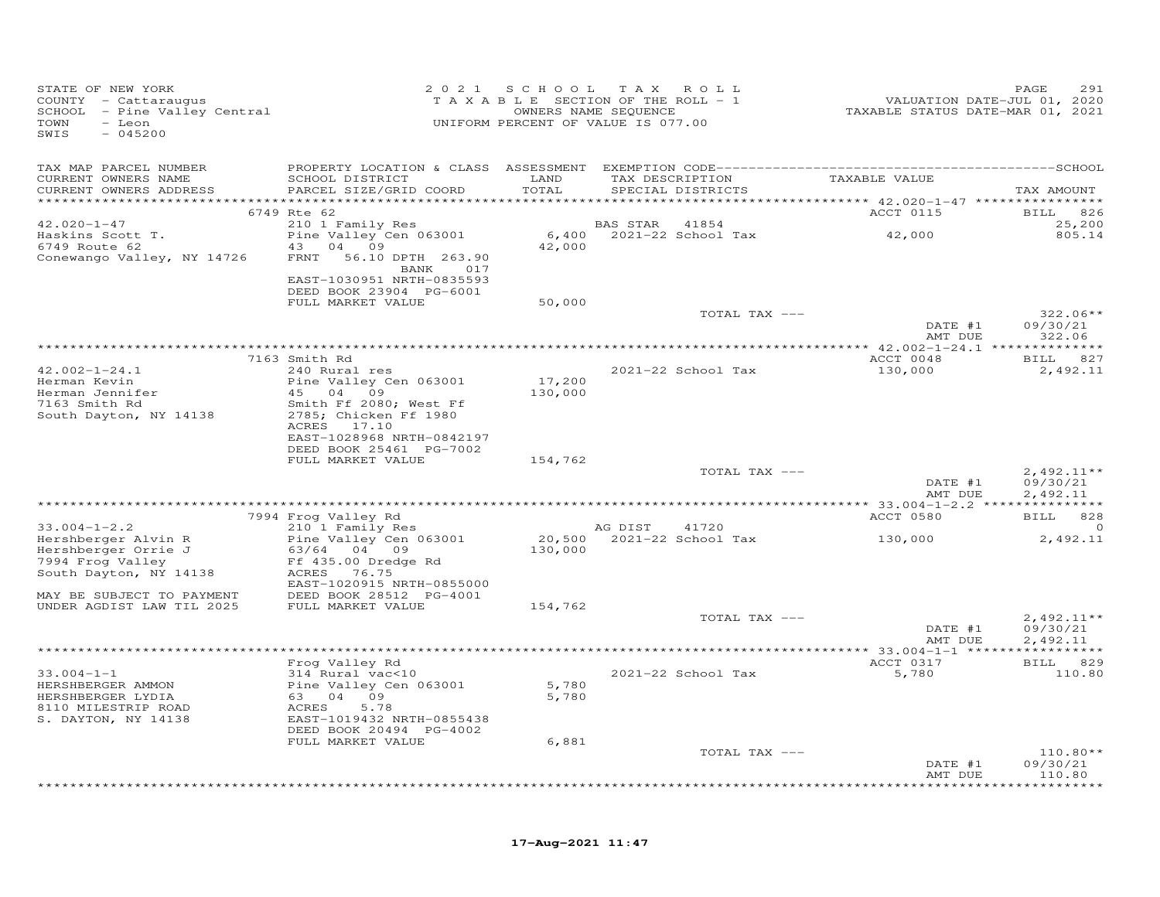| STATE OF NEW YORK<br>COUNTY - Cattaraugus<br>SCHOOL - Pine Valley Central<br>TOWN<br>- Leon<br>$-045200$<br>SWIS |                                                                  | 2021 SCHOOL   | T A X<br>ROLL<br>TAXABLE SECTION OF THE ROLL - 1<br>OWNERS NAME SEQUENCE<br>UNIFORM PERCENT OF VALUE IS 077.00 | VALUATION DATE-JUL 01, 2020<br>TAXABLE STATUS DATE-MAR 01, 2021 | 291<br>PAGE            |
|------------------------------------------------------------------------------------------------------------------|------------------------------------------------------------------|---------------|----------------------------------------------------------------------------------------------------------------|-----------------------------------------------------------------|------------------------|
| TAX MAP PARCEL NUMBER                                                                                            |                                                                  |               |                                                                                                                |                                                                 |                        |
| CURRENT OWNERS NAME<br>CURRENT OWNERS ADDRESS                                                                    | SCHOOL DISTRICT<br>PARCEL SIZE/GRID COORD                        | LAND<br>TOTAL | TAX DESCRIPTION<br>SPECIAL DISTRICTS                                                                           | TAXABLE VALUE                                                   | TAX AMOUNT             |
|                                                                                                                  | 6749 Rte 62                                                      |               |                                                                                                                | ACCT 0115                                                       | 826<br><b>BILL</b>     |
| $42.020 - 1 - 47$                                                                                                | 210 1 Family Res                                                 |               | BAS STAR 41854                                                                                                 |                                                                 | 25,200                 |
| Haskins Scott T.                                                                                                 | Pine Valley Cen 063001                                           |               | 6,400 2021-22 School Tax                                                                                       | 42,000                                                          | 805.14                 |
| 6749 Route 62<br>Conewango Valley, NY 14726                                                                      | 43 04 09<br>FRNT 56.10 DPTH 263.90                               | 42,000        |                                                                                                                |                                                                 |                        |
|                                                                                                                  | BANK 017<br>EAST-1030951 NRTH-0835593<br>DEED BOOK 23904 PG-6001 |               |                                                                                                                |                                                                 |                        |
|                                                                                                                  | FULL MARKET VALUE                                                | 50,000        |                                                                                                                |                                                                 |                        |
|                                                                                                                  |                                                                  |               | TOTAL TAX ---                                                                                                  |                                                                 | $322.06**$             |
|                                                                                                                  |                                                                  |               |                                                                                                                | DATE #1<br>AMT DUE                                              | 09/30/21<br>322.06     |
|                                                                                                                  | 7163 Smith Rd                                                    |               |                                                                                                                | ACCT 0048                                                       | BILL 827               |
| $42.002 - 1 - 24.1$                                                                                              | 240 Rural res                                                    |               | 2021-22 School Tax                                                                                             | 130,000                                                         | 2,492.11               |
| Herman Kevin<br>Herman Jennifer                                                                                  | Pine Valley Cen 063001<br>45 04 09                               | 17,200        |                                                                                                                |                                                                 |                        |
| narman venniler<br>7163 Smith Rd                                                                                 | Smith Ff 2080; West Ff                                           | 130,000       |                                                                                                                |                                                                 |                        |
| South Dayton, NY 14138                                                                                           | 2785; Chicken Ff 1980                                            |               |                                                                                                                |                                                                 |                        |
|                                                                                                                  | ACRES 17.10                                                      |               |                                                                                                                |                                                                 |                        |
|                                                                                                                  | EAST-1028968 NRTH-0842197<br>DEED BOOK 25461 PG-7002             |               |                                                                                                                |                                                                 |                        |
|                                                                                                                  | FULL MARKET VALUE                                                | 154,762       |                                                                                                                |                                                                 |                        |
|                                                                                                                  |                                                                  |               | TOTAL TAX ---                                                                                                  |                                                                 | $2,492.11**$           |
|                                                                                                                  |                                                                  |               |                                                                                                                | DATE #1<br>AMT DUE                                              | 09/30/21<br>2,492.11   |
|                                                                                                                  |                                                                  |               |                                                                                                                |                                                                 |                        |
|                                                                                                                  | 7994 Frog Valley Rd                                              |               |                                                                                                                | ACCT 0580                                                       | <b>BILL</b><br>828     |
| $33.004 - 1 - 2.2$                                                                                               | 210 1 Family Res                                                 |               | AG DIST<br>41720                                                                                               |                                                                 | $\circ$                |
| Hershberger Alvin R<br>Hershberger Orrie J                                                                       | Pine Valley Cen 063001<br>63/64 04 09                            | 130,000       | 20,500 2021-22 School Tax                                                                                      | 130,000                                                         | 2,492.11               |
| 7994 Frog Valley                                                                                                 | Ff 435.00 Dredge Rd                                              |               |                                                                                                                |                                                                 |                        |
| South Dayton, NY 14138                                                                                           | ACRES<br>76.75                                                   |               |                                                                                                                |                                                                 |                        |
| MAY BE SUBJECT TO PAYMENT                                                                                        | EAST-1020915 NRTH-0855000<br>DEED BOOK 28512 PG-4001             |               |                                                                                                                |                                                                 |                        |
| UNDER AGDIST LAW TIL 2025                                                                                        | FULL MARKET VALUE                                                | 154,762       |                                                                                                                |                                                                 |                        |
|                                                                                                                  |                                                                  |               | TOTAL TAX ---                                                                                                  |                                                                 | $2,492.11**$           |
|                                                                                                                  |                                                                  |               |                                                                                                                | DATE #1<br>AMT DUE                                              | 09/30/21<br>2,492.11   |
|                                                                                                                  | Frog Valley Rd                                                   |               |                                                                                                                | ACCT 0317                                                       | BILL 829               |
| $33.004 - 1 - 1$                                                                                                 | 314 Rural vac<10                                                 |               | 2021-22 School Tax                                                                                             | 5,780                                                           | 110.80                 |
| HERSHBERGER AMMON                                                                                                | Pine Valley Cen 063001                                           | 5,780         |                                                                                                                |                                                                 |                        |
| HERSHBERGER LYDIA<br>8110 MILESTRIP ROAD                                                                         | 63 04 09<br>ACRES<br>5.78                                        | 5,780         |                                                                                                                |                                                                 |                        |
| S. DAYTON, NY 14138                                                                                              | EAST-1019432 NRTH-0855438                                        |               |                                                                                                                |                                                                 |                        |
|                                                                                                                  | DEED BOOK 20494 PG-4002                                          |               |                                                                                                                |                                                                 |                        |
|                                                                                                                  | FULL MARKET VALUE                                                | 6,881         |                                                                                                                |                                                                 |                        |
|                                                                                                                  |                                                                  |               | TOTAL TAX ---                                                                                                  | DATE #1                                                         | $110.80**$<br>09/30/21 |
|                                                                                                                  |                                                                  |               |                                                                                                                | AMT DUE                                                         | 110.80<br>********     |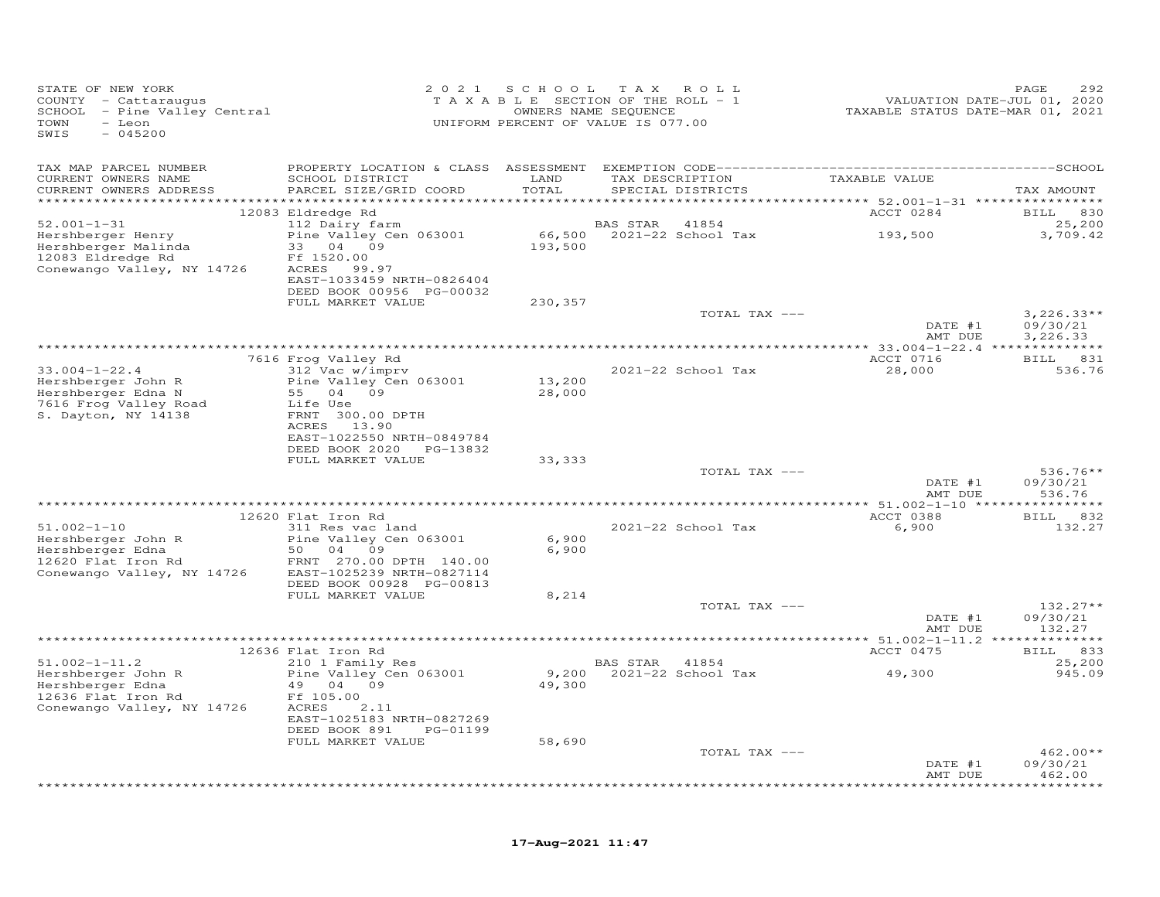| TAX MAP PARCEL NUMBER<br>TAX DESCRIPTION TAXABLE VALUE<br>CURRENT OWNERS NAME<br>SCHOOL DISTRICT<br>LAND<br>CURRENT OWNERS ADDRESS<br>PARCEL SIZE/GRID COORD<br>TOTAL<br>SPECIAL DISTRICTS<br>TAX AMOUNT<br>ACCT 0284<br>12083 Eldredge Rd<br><b>BILL</b><br>830<br>$52.001 - 1 - 31$<br>112 Dairy farm<br>BAS STAR 41854<br>25,200<br>$66,500$ 2021-22 School Tax 193,500<br>Hershberger Henry<br>Pine Valley Cen 063001<br>3,709.42<br>Hershberger Malinda<br>33 04 09<br>193,500<br>12083 Eldredge Rd<br>Ff 1520.00<br>Conewango Valley, NY 14726<br>ACRES 99.97<br>EAST-1033459 NRTH-0826404<br>DEED BOOK 00956 PG-00032<br>FULL MARKET VALUE<br>230,357<br>$3,226.33**$<br>TOTAL TAX ---<br>DATE #1<br>09/30/21<br>AMT DUE<br>3,226.33<br>7616 Frog Valley Rd<br>ACCT 0716<br>BILL 831<br>$33.004 - 1 - 22.4$<br>312 Vac w/imprv<br>2021-22 School Tax<br>28,000<br>536.76<br>Hershberger John R<br>Pine Valley Cen 063001<br>13,200<br>Hershberger Edna N<br>55 04 09<br>28,000<br>7616 Frog Valley Road<br>Life Use<br>S. Dayton, NY 14138<br>FRNT 300.00 DPTH<br>ACRES 13.90<br>EAST-1022550 NRTH-0849784<br>DEED BOOK 2020 PG-13832<br>FULL MARKET VALUE<br>33,333<br>TOTAL TAX ---<br>$536.76**$<br>DATE #1<br>09/30/21<br>536.76<br>AMT DUE<br>12620 Flat Iron Rd<br>ACCT 0388<br>BILL 832<br>$51.002 - 1 - 10$<br>311 Res vac land<br>2021-22 School Tax<br>6,900<br>132.27<br>Hershberger John R<br>Pine Valley Cen 063001<br>6,900<br>Hershberger Edna<br>50 04 09<br>6,900<br>12620 Flat Iron Rd<br>FRNT 270.00 DPTH 140.00<br>Conewango Valley, NY 14726<br>EAST-1025239 NRTH-0827114<br>DEED BOOK 00928 PG-00813<br>FULL MARKET VALUE<br>8,214<br>TOTAL TAX ---<br>$132.27**$<br>DATE #1<br>09/30/21<br>AMT DUE<br>132.27<br>ACCT 0475<br>12636 Flat Iron Rd<br><b>BILL</b><br>833<br>210 1 Family Res<br>$51.002 - 1 - 11.2$<br>25,200<br>BAS STAR 41854<br>9,200 2021-22 School Tax<br>49,300<br>Hershberger John R<br>Pine Valley Cen 063001<br>945.09<br>Hershberger Edna<br>49 04 09<br>49,300<br>12636 Flat Iron Rd<br>Ff 105.00<br>Conewango Valley, NY 14726<br>ACRES<br>2.11<br>EAST-1025183 NRTH-0827269<br>DEED BOOK 891<br>PG-01199<br>FULL MARKET VALUE<br>58,690<br>TOTAL TAX ---<br>$462.00**$<br>DATE #1<br>09/30/21<br>462.00<br>AMT DUE<br>******** | STATE OF NEW YORK<br>COUNTY - Cattaraugus<br>SCHOOL - Pine Valley Central<br>TOWN<br>- Leon<br>$-045200$<br>SWIS | 2 0 2 1 | SCHOOL | T A X<br>ROLL<br>TAXABLE SECTION OF THE ROLL - 1<br>OWNERS NAME SEQUENCE<br>UNIFORM PERCENT OF VALUE IS 077.00 | VALUATION DATE-JUL 01, 2020<br>TAXABLE STATUS DATE-MAR 01, 2021 | PAGE<br>292 |
|----------------------------------------------------------------------------------------------------------------------------------------------------------------------------------------------------------------------------------------------------------------------------------------------------------------------------------------------------------------------------------------------------------------------------------------------------------------------------------------------------------------------------------------------------------------------------------------------------------------------------------------------------------------------------------------------------------------------------------------------------------------------------------------------------------------------------------------------------------------------------------------------------------------------------------------------------------------------------------------------------------------------------------------------------------------------------------------------------------------------------------------------------------------------------------------------------------------------------------------------------------------------------------------------------------------------------------------------------------------------------------------------------------------------------------------------------------------------------------------------------------------------------------------------------------------------------------------------------------------------------------------------------------------------------------------------------------------------------------------------------------------------------------------------------------------------------------------------------------------------------------------------------------------------------------------------------------------------------------------------------------------------------------------------------------------------------------------------------------------------------------------------------------------------------------------------------------------------------------------------------------------------------------------|------------------------------------------------------------------------------------------------------------------|---------|--------|----------------------------------------------------------------------------------------------------------------|-----------------------------------------------------------------|-------------|
|                                                                                                                                                                                                                                                                                                                                                                                                                                                                                                                                                                                                                                                                                                                                                                                                                                                                                                                                                                                                                                                                                                                                                                                                                                                                                                                                                                                                                                                                                                                                                                                                                                                                                                                                                                                                                                                                                                                                                                                                                                                                                                                                                                                                                                                                                        |                                                                                                                  |         |        |                                                                                                                |                                                                 |             |
|                                                                                                                                                                                                                                                                                                                                                                                                                                                                                                                                                                                                                                                                                                                                                                                                                                                                                                                                                                                                                                                                                                                                                                                                                                                                                                                                                                                                                                                                                                                                                                                                                                                                                                                                                                                                                                                                                                                                                                                                                                                                                                                                                                                                                                                                                        |                                                                                                                  |         |        |                                                                                                                |                                                                 |             |
|                                                                                                                                                                                                                                                                                                                                                                                                                                                                                                                                                                                                                                                                                                                                                                                                                                                                                                                                                                                                                                                                                                                                                                                                                                                                                                                                                                                                                                                                                                                                                                                                                                                                                                                                                                                                                                                                                                                                                                                                                                                                                                                                                                                                                                                                                        |                                                                                                                  |         |        |                                                                                                                |                                                                 |             |
|                                                                                                                                                                                                                                                                                                                                                                                                                                                                                                                                                                                                                                                                                                                                                                                                                                                                                                                                                                                                                                                                                                                                                                                                                                                                                                                                                                                                                                                                                                                                                                                                                                                                                                                                                                                                                                                                                                                                                                                                                                                                                                                                                                                                                                                                                        |                                                                                                                  |         |        |                                                                                                                |                                                                 |             |
|                                                                                                                                                                                                                                                                                                                                                                                                                                                                                                                                                                                                                                                                                                                                                                                                                                                                                                                                                                                                                                                                                                                                                                                                                                                                                                                                                                                                                                                                                                                                                                                                                                                                                                                                                                                                                                                                                                                                                                                                                                                                                                                                                                                                                                                                                        |                                                                                                                  |         |        |                                                                                                                |                                                                 |             |
|                                                                                                                                                                                                                                                                                                                                                                                                                                                                                                                                                                                                                                                                                                                                                                                                                                                                                                                                                                                                                                                                                                                                                                                                                                                                                                                                                                                                                                                                                                                                                                                                                                                                                                                                                                                                                                                                                                                                                                                                                                                                                                                                                                                                                                                                                        |                                                                                                                  |         |        |                                                                                                                |                                                                 |             |
|                                                                                                                                                                                                                                                                                                                                                                                                                                                                                                                                                                                                                                                                                                                                                                                                                                                                                                                                                                                                                                                                                                                                                                                                                                                                                                                                                                                                                                                                                                                                                                                                                                                                                                                                                                                                                                                                                                                                                                                                                                                                                                                                                                                                                                                                                        |                                                                                                                  |         |        |                                                                                                                |                                                                 |             |
|                                                                                                                                                                                                                                                                                                                                                                                                                                                                                                                                                                                                                                                                                                                                                                                                                                                                                                                                                                                                                                                                                                                                                                                                                                                                                                                                                                                                                                                                                                                                                                                                                                                                                                                                                                                                                                                                                                                                                                                                                                                                                                                                                                                                                                                                                        |                                                                                                                  |         |        |                                                                                                                |                                                                 |             |
|                                                                                                                                                                                                                                                                                                                                                                                                                                                                                                                                                                                                                                                                                                                                                                                                                                                                                                                                                                                                                                                                                                                                                                                                                                                                                                                                                                                                                                                                                                                                                                                                                                                                                                                                                                                                                                                                                                                                                                                                                                                                                                                                                                                                                                                                                        |                                                                                                                  |         |        |                                                                                                                |                                                                 |             |
|                                                                                                                                                                                                                                                                                                                                                                                                                                                                                                                                                                                                                                                                                                                                                                                                                                                                                                                                                                                                                                                                                                                                                                                                                                                                                                                                                                                                                                                                                                                                                                                                                                                                                                                                                                                                                                                                                                                                                                                                                                                                                                                                                                                                                                                                                        |                                                                                                                  |         |        |                                                                                                                |                                                                 |             |
|                                                                                                                                                                                                                                                                                                                                                                                                                                                                                                                                                                                                                                                                                                                                                                                                                                                                                                                                                                                                                                                                                                                                                                                                                                                                                                                                                                                                                                                                                                                                                                                                                                                                                                                                                                                                                                                                                                                                                                                                                                                                                                                                                                                                                                                                                        |                                                                                                                  |         |        |                                                                                                                |                                                                 |             |
|                                                                                                                                                                                                                                                                                                                                                                                                                                                                                                                                                                                                                                                                                                                                                                                                                                                                                                                                                                                                                                                                                                                                                                                                                                                                                                                                                                                                                                                                                                                                                                                                                                                                                                                                                                                                                                                                                                                                                                                                                                                                                                                                                                                                                                                                                        |                                                                                                                  |         |        |                                                                                                                |                                                                 |             |
|                                                                                                                                                                                                                                                                                                                                                                                                                                                                                                                                                                                                                                                                                                                                                                                                                                                                                                                                                                                                                                                                                                                                                                                                                                                                                                                                                                                                                                                                                                                                                                                                                                                                                                                                                                                                                                                                                                                                                                                                                                                                                                                                                                                                                                                                                        |                                                                                                                  |         |        |                                                                                                                |                                                                 |             |
|                                                                                                                                                                                                                                                                                                                                                                                                                                                                                                                                                                                                                                                                                                                                                                                                                                                                                                                                                                                                                                                                                                                                                                                                                                                                                                                                                                                                                                                                                                                                                                                                                                                                                                                                                                                                                                                                                                                                                                                                                                                                                                                                                                                                                                                                                        |                                                                                                                  |         |        |                                                                                                                |                                                                 |             |
|                                                                                                                                                                                                                                                                                                                                                                                                                                                                                                                                                                                                                                                                                                                                                                                                                                                                                                                                                                                                                                                                                                                                                                                                                                                                                                                                                                                                                                                                                                                                                                                                                                                                                                                                                                                                                                                                                                                                                                                                                                                                                                                                                                                                                                                                                        |                                                                                                                  |         |        |                                                                                                                |                                                                 |             |
|                                                                                                                                                                                                                                                                                                                                                                                                                                                                                                                                                                                                                                                                                                                                                                                                                                                                                                                                                                                                                                                                                                                                                                                                                                                                                                                                                                                                                                                                                                                                                                                                                                                                                                                                                                                                                                                                                                                                                                                                                                                                                                                                                                                                                                                                                        |                                                                                                                  |         |        |                                                                                                                |                                                                 |             |
|                                                                                                                                                                                                                                                                                                                                                                                                                                                                                                                                                                                                                                                                                                                                                                                                                                                                                                                                                                                                                                                                                                                                                                                                                                                                                                                                                                                                                                                                                                                                                                                                                                                                                                                                                                                                                                                                                                                                                                                                                                                                                                                                                                                                                                                                                        |                                                                                                                  |         |        |                                                                                                                |                                                                 |             |
|                                                                                                                                                                                                                                                                                                                                                                                                                                                                                                                                                                                                                                                                                                                                                                                                                                                                                                                                                                                                                                                                                                                                                                                                                                                                                                                                                                                                                                                                                                                                                                                                                                                                                                                                                                                                                                                                                                                                                                                                                                                                                                                                                                                                                                                                                        |                                                                                                                  |         |        |                                                                                                                |                                                                 |             |
|                                                                                                                                                                                                                                                                                                                                                                                                                                                                                                                                                                                                                                                                                                                                                                                                                                                                                                                                                                                                                                                                                                                                                                                                                                                                                                                                                                                                                                                                                                                                                                                                                                                                                                                                                                                                                                                                                                                                                                                                                                                                                                                                                                                                                                                                                        |                                                                                                                  |         |        |                                                                                                                |                                                                 |             |
|                                                                                                                                                                                                                                                                                                                                                                                                                                                                                                                                                                                                                                                                                                                                                                                                                                                                                                                                                                                                                                                                                                                                                                                                                                                                                                                                                                                                                                                                                                                                                                                                                                                                                                                                                                                                                                                                                                                                                                                                                                                                                                                                                                                                                                                                                        |                                                                                                                  |         |        |                                                                                                                |                                                                 |             |
|                                                                                                                                                                                                                                                                                                                                                                                                                                                                                                                                                                                                                                                                                                                                                                                                                                                                                                                                                                                                                                                                                                                                                                                                                                                                                                                                                                                                                                                                                                                                                                                                                                                                                                                                                                                                                                                                                                                                                                                                                                                                                                                                                                                                                                                                                        |                                                                                                                  |         |        |                                                                                                                |                                                                 |             |
|                                                                                                                                                                                                                                                                                                                                                                                                                                                                                                                                                                                                                                                                                                                                                                                                                                                                                                                                                                                                                                                                                                                                                                                                                                                                                                                                                                                                                                                                                                                                                                                                                                                                                                                                                                                                                                                                                                                                                                                                                                                                                                                                                                                                                                                                                        |                                                                                                                  |         |        |                                                                                                                |                                                                 |             |
|                                                                                                                                                                                                                                                                                                                                                                                                                                                                                                                                                                                                                                                                                                                                                                                                                                                                                                                                                                                                                                                                                                                                                                                                                                                                                                                                                                                                                                                                                                                                                                                                                                                                                                                                                                                                                                                                                                                                                                                                                                                                                                                                                                                                                                                                                        |                                                                                                                  |         |        |                                                                                                                |                                                                 |             |
|                                                                                                                                                                                                                                                                                                                                                                                                                                                                                                                                                                                                                                                                                                                                                                                                                                                                                                                                                                                                                                                                                                                                                                                                                                                                                                                                                                                                                                                                                                                                                                                                                                                                                                                                                                                                                                                                                                                                                                                                                                                                                                                                                                                                                                                                                        |                                                                                                                  |         |        |                                                                                                                |                                                                 |             |
|                                                                                                                                                                                                                                                                                                                                                                                                                                                                                                                                                                                                                                                                                                                                                                                                                                                                                                                                                                                                                                                                                                                                                                                                                                                                                                                                                                                                                                                                                                                                                                                                                                                                                                                                                                                                                                                                                                                                                                                                                                                                                                                                                                                                                                                                                        |                                                                                                                  |         |        |                                                                                                                |                                                                 |             |
|                                                                                                                                                                                                                                                                                                                                                                                                                                                                                                                                                                                                                                                                                                                                                                                                                                                                                                                                                                                                                                                                                                                                                                                                                                                                                                                                                                                                                                                                                                                                                                                                                                                                                                                                                                                                                                                                                                                                                                                                                                                                                                                                                                                                                                                                                        |                                                                                                                  |         |        |                                                                                                                |                                                                 |             |
|                                                                                                                                                                                                                                                                                                                                                                                                                                                                                                                                                                                                                                                                                                                                                                                                                                                                                                                                                                                                                                                                                                                                                                                                                                                                                                                                                                                                                                                                                                                                                                                                                                                                                                                                                                                                                                                                                                                                                                                                                                                                                                                                                                                                                                                                                        |                                                                                                                  |         |        |                                                                                                                |                                                                 |             |
|                                                                                                                                                                                                                                                                                                                                                                                                                                                                                                                                                                                                                                                                                                                                                                                                                                                                                                                                                                                                                                                                                                                                                                                                                                                                                                                                                                                                                                                                                                                                                                                                                                                                                                                                                                                                                                                                                                                                                                                                                                                                                                                                                                                                                                                                                        |                                                                                                                  |         |        |                                                                                                                |                                                                 |             |
|                                                                                                                                                                                                                                                                                                                                                                                                                                                                                                                                                                                                                                                                                                                                                                                                                                                                                                                                                                                                                                                                                                                                                                                                                                                                                                                                                                                                                                                                                                                                                                                                                                                                                                                                                                                                                                                                                                                                                                                                                                                                                                                                                                                                                                                                                        |                                                                                                                  |         |        |                                                                                                                |                                                                 |             |
|                                                                                                                                                                                                                                                                                                                                                                                                                                                                                                                                                                                                                                                                                                                                                                                                                                                                                                                                                                                                                                                                                                                                                                                                                                                                                                                                                                                                                                                                                                                                                                                                                                                                                                                                                                                                                                                                                                                                                                                                                                                                                                                                                                                                                                                                                        |                                                                                                                  |         |        |                                                                                                                |                                                                 |             |
|                                                                                                                                                                                                                                                                                                                                                                                                                                                                                                                                                                                                                                                                                                                                                                                                                                                                                                                                                                                                                                                                                                                                                                                                                                                                                                                                                                                                                                                                                                                                                                                                                                                                                                                                                                                                                                                                                                                                                                                                                                                                                                                                                                                                                                                                                        |                                                                                                                  |         |        |                                                                                                                |                                                                 |             |
|                                                                                                                                                                                                                                                                                                                                                                                                                                                                                                                                                                                                                                                                                                                                                                                                                                                                                                                                                                                                                                                                                                                                                                                                                                                                                                                                                                                                                                                                                                                                                                                                                                                                                                                                                                                                                                                                                                                                                                                                                                                                                                                                                                                                                                                                                        |                                                                                                                  |         |        |                                                                                                                |                                                                 |             |
|                                                                                                                                                                                                                                                                                                                                                                                                                                                                                                                                                                                                                                                                                                                                                                                                                                                                                                                                                                                                                                                                                                                                                                                                                                                                                                                                                                                                                                                                                                                                                                                                                                                                                                                                                                                                                                                                                                                                                                                                                                                                                                                                                                                                                                                                                        |                                                                                                                  |         |        |                                                                                                                |                                                                 |             |
|                                                                                                                                                                                                                                                                                                                                                                                                                                                                                                                                                                                                                                                                                                                                                                                                                                                                                                                                                                                                                                                                                                                                                                                                                                                                                                                                                                                                                                                                                                                                                                                                                                                                                                                                                                                                                                                                                                                                                                                                                                                                                                                                                                                                                                                                                        |                                                                                                                  |         |        |                                                                                                                |                                                                 |             |
|                                                                                                                                                                                                                                                                                                                                                                                                                                                                                                                                                                                                                                                                                                                                                                                                                                                                                                                                                                                                                                                                                                                                                                                                                                                                                                                                                                                                                                                                                                                                                                                                                                                                                                                                                                                                                                                                                                                                                                                                                                                                                                                                                                                                                                                                                        |                                                                                                                  |         |        |                                                                                                                |                                                                 |             |
|                                                                                                                                                                                                                                                                                                                                                                                                                                                                                                                                                                                                                                                                                                                                                                                                                                                                                                                                                                                                                                                                                                                                                                                                                                                                                                                                                                                                                                                                                                                                                                                                                                                                                                                                                                                                                                                                                                                                                                                                                                                                                                                                                                                                                                                                                        |                                                                                                                  |         |        |                                                                                                                |                                                                 |             |
|                                                                                                                                                                                                                                                                                                                                                                                                                                                                                                                                                                                                                                                                                                                                                                                                                                                                                                                                                                                                                                                                                                                                                                                                                                                                                                                                                                                                                                                                                                                                                                                                                                                                                                                                                                                                                                                                                                                                                                                                                                                                                                                                                                                                                                                                                        |                                                                                                                  |         |        |                                                                                                                |                                                                 |             |
|                                                                                                                                                                                                                                                                                                                                                                                                                                                                                                                                                                                                                                                                                                                                                                                                                                                                                                                                                                                                                                                                                                                                                                                                                                                                                                                                                                                                                                                                                                                                                                                                                                                                                                                                                                                                                                                                                                                                                                                                                                                                                                                                                                                                                                                                                        |                                                                                                                  |         |        |                                                                                                                |                                                                 |             |
|                                                                                                                                                                                                                                                                                                                                                                                                                                                                                                                                                                                                                                                                                                                                                                                                                                                                                                                                                                                                                                                                                                                                                                                                                                                                                                                                                                                                                                                                                                                                                                                                                                                                                                                                                                                                                                                                                                                                                                                                                                                                                                                                                                                                                                                                                        |                                                                                                                  |         |        |                                                                                                                |                                                                 |             |
|                                                                                                                                                                                                                                                                                                                                                                                                                                                                                                                                                                                                                                                                                                                                                                                                                                                                                                                                                                                                                                                                                                                                                                                                                                                                                                                                                                                                                                                                                                                                                                                                                                                                                                                                                                                                                                                                                                                                                                                                                                                                                                                                                                                                                                                                                        |                                                                                                                  |         |        |                                                                                                                |                                                                 |             |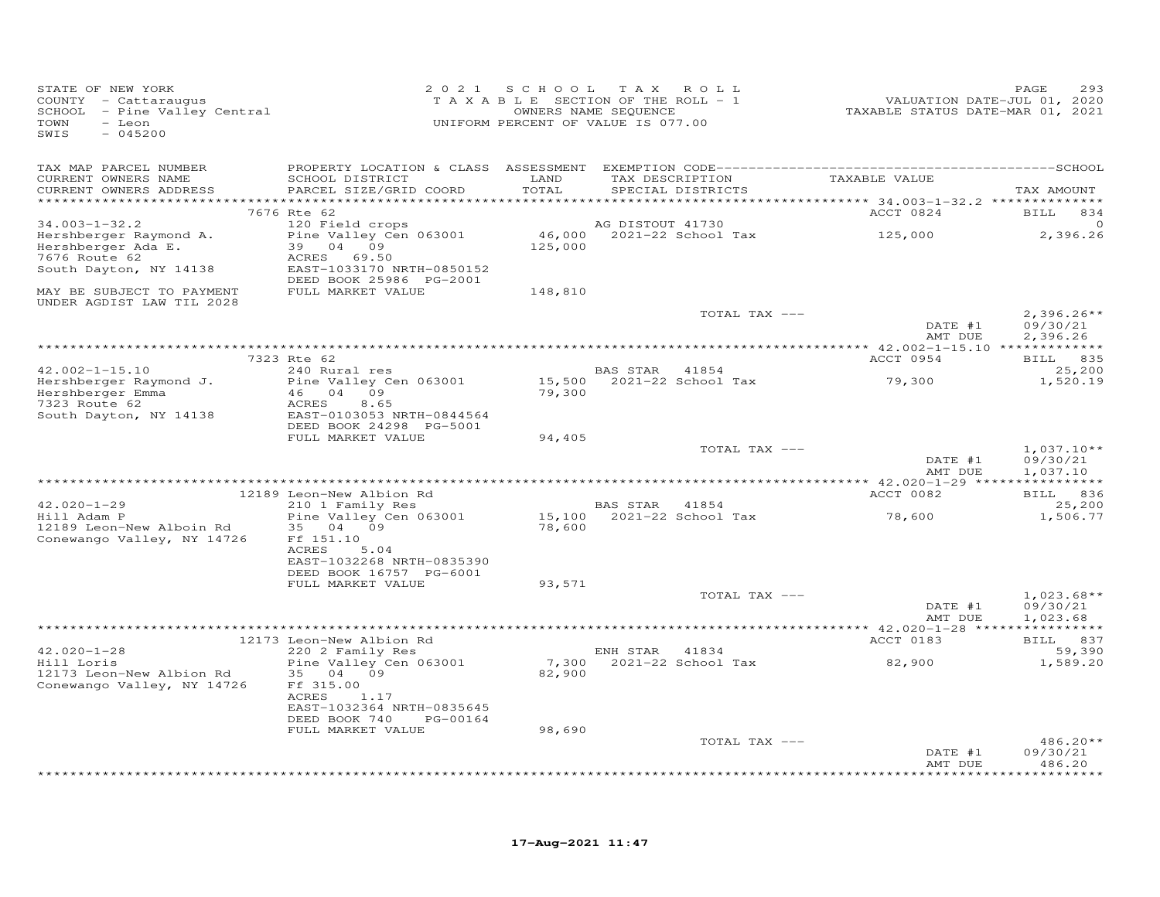| STATE OF NEW YORK<br>COUNTY - Cattaraugus<br>$SCHOOL$ - Pine Valley Central<br>TOWN<br>- Leon<br>SWIS<br>$-045200$ |                                                                                                                                 |                              | 2021 SCHOOL TAX ROLL<br>T A X A B L E SECTION OF THE ROLL - 1<br>OWNERS NAME SEQUENCE<br>UNIFORM PERCENT OF VALUE IS 077.00 | VALUATION DATE-JUL 01, 2020<br>TAXABLE STATUS DATE-MAR 01, 2021 | PAGE<br>293                          |
|--------------------------------------------------------------------------------------------------------------------|---------------------------------------------------------------------------------------------------------------------------------|------------------------------|-----------------------------------------------------------------------------------------------------------------------------|-----------------------------------------------------------------|--------------------------------------|
| TAX MAP PARCEL NUMBER<br>CURRENT OWNERS NAME<br>CURRENT OWNERS ADDRESS                                             | SCHOOL DISTRICT<br>PARCEL SIZE/GRID COORD                                                                                       | LAND<br>TOTAL<br>*********** | TAX DESCRIPTION<br>SPECIAL DISTRICTS                                                                                        | TAXABLE VALUE<br>*********** 34.003-1-32.2 **************       | TAX AMOUNT                           |
|                                                                                                                    | 7676 Rte 62                                                                                                                     |                              |                                                                                                                             | ACCT 0824                                                       | <b>BILL</b><br>834                   |
| $34.003 - 1 - 32.2$<br>Hershberger Raymond A.<br>Hershberger Ada E.<br>7676 Route 62<br>South Dayton, NY 14138     | 120 Field crops<br>Pine Valley Cen 063001<br>39 04 09<br>ACRES<br>69.50<br>EAST-1033170 NRTH-0850152<br>DEED BOOK 25986 PG-2001 | 125,000                      | AG DISTOUT 41730<br>46,000 2021-22 School Tax                                                                               | 125,000                                                         | $\circ$<br>2,396.26                  |
| MAY BE SUBJECT TO PAYMENT<br>UNDER AGDIST LAW TIL 2028                                                             | FULL MARKET VALUE                                                                                                               | 148,810                      |                                                                                                                             |                                                                 |                                      |
|                                                                                                                    |                                                                                                                                 |                              | TOTAL TAX ---                                                                                                               | DATE #1<br>AMT DUE                                              | $2,396.26**$<br>09/30/21<br>2,396.26 |
|                                                                                                                    | 7323 Rte 62                                                                                                                     |                              |                                                                                                                             | ACCT 0954                                                       | BILL 835                             |
| $42.002 - 1 - 15.10$<br>Hershberger Raymond J.                                                                     | 240 Rural res<br>Pine Valley Cen 063001                                                                                         |                              | BAS STAR 41854<br>15,500 2021-22 School Tax                                                                                 | 79,300                                                          | 25,200<br>1,520.19                   |
| Hershberger Emma<br>7323 Poute 62<br>7323 Route 62<br>South Dayton, NY 14138                                       | 46 04 09<br>8.65<br>ACRES<br>EAST-0103053 NRTH-0844564<br>DEED BOOK 24298 PG-5001                                               | 79,300                       |                                                                                                                             |                                                                 |                                      |
|                                                                                                                    | FULL MARKET VALUE                                                                                                               | 94,405                       | TOTAL TAX ---                                                                                                               |                                                                 | $1,037.10**$                         |
|                                                                                                                    |                                                                                                                                 |                              |                                                                                                                             | DATE #1<br>AMT DUE                                              | 09/30/21<br>1,037.10                 |
|                                                                                                                    | 12189 Leon-New Albion Rd                                                                                                        |                              |                                                                                                                             | ACCT 0082                                                       | BILL 836                             |
| $42.020 - 1 - 29$<br>Hill Adam P<br>12189 Leon-New Alboin Rd<br>Conewango Valley, NY 14726                         | 210 1 Family Res<br>Pine Valley Cen 063001<br>35 04 09<br>Ff 151.10<br>ACRES<br>5.04<br>EAST-1032268 NRTH-0835390               | 78,600                       | BAS STAR 41854                                                                                                              | 78,600                                                          | 25,200<br>1,506.77                   |
|                                                                                                                    | DEED BOOK 16757 PG-6001<br>FULL MARKET VALUE                                                                                    | 93,571                       |                                                                                                                             |                                                                 |                                      |
|                                                                                                                    |                                                                                                                                 |                              | TOTAL TAX ---                                                                                                               | DATE #1<br>AMT DUE                                              | $1,023.68**$<br>09/30/21<br>1,023.68 |
|                                                                                                                    |                                                                                                                                 |                              |                                                                                                                             |                                                                 |                                      |
| $42.020 - 1 - 28$<br>Hill Loris                                                                                    | 12173 Leon-New Albion Rd<br>220 2 Family Res<br>Pine Valley Cen 063001                                                          |                              | ENH STAR 41834<br>7,300 2021-22 School Tax                                                                                  | ACCT 0183<br>82,900                                             | BILL 837<br>59,390<br>1,589.20       |
| 12173 Leon-New Albion Rd<br>Conewango Valley, NY 14726                                                             | 35 04 09<br>Ff 315.00<br>ACRES<br>1.17<br>EAST-1032364 NRTH-0835645<br>DEED BOOK 740<br>PG-00164<br>FULL MARKET VALUE           | 82,900<br>98,690             |                                                                                                                             |                                                                 |                                      |
|                                                                                                                    |                                                                                                                                 |                              | TOTAL TAX ---                                                                                                               |                                                                 | $486.20**$                           |
|                                                                                                                    |                                                                                                                                 |                              |                                                                                                                             | DATE #1<br>AMT DUE                                              | 09/30/21<br>486.20<br>*******        |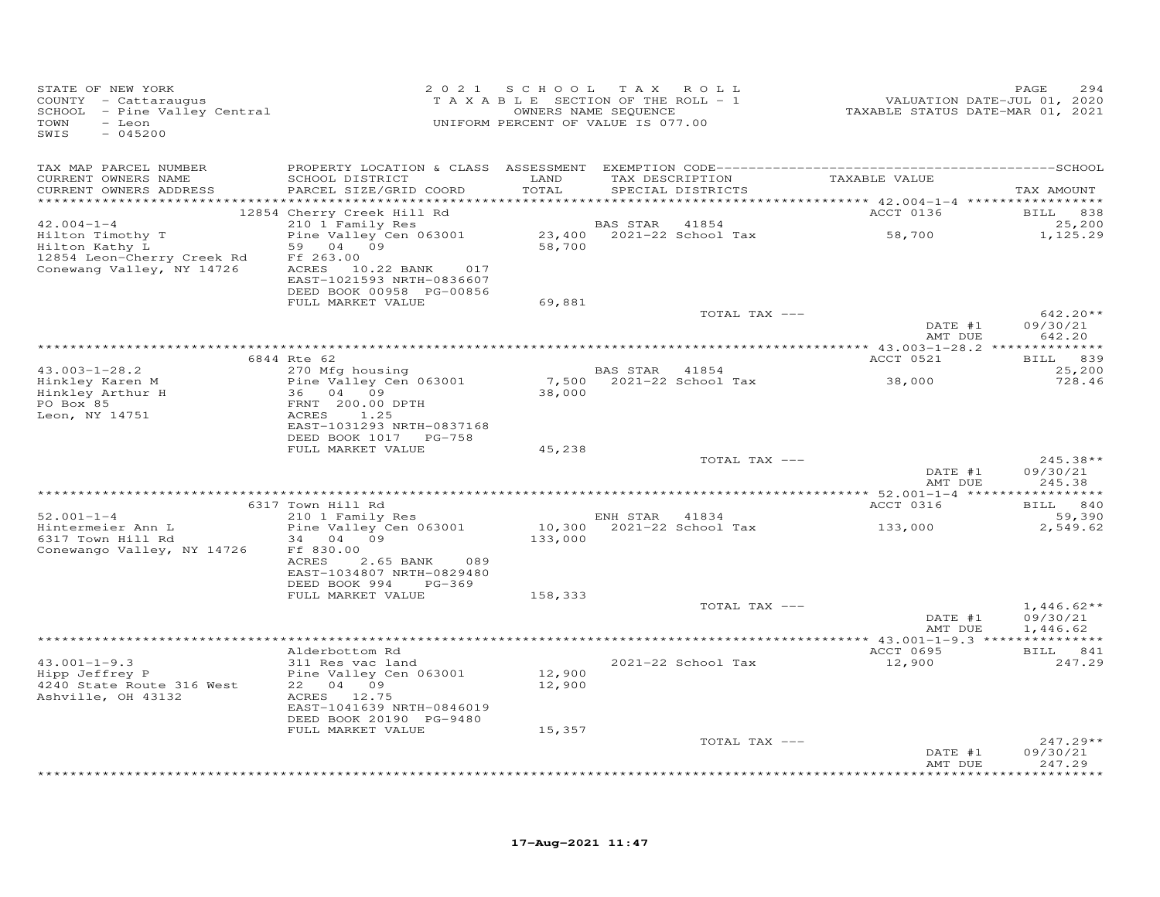| STATE OF NEW YORK<br>COUNTY - Cattaraugus<br>SCHOOL - Pine Valley Central<br>TOWN<br>- Leon<br>SWIS<br>$-045200$ |                                                                                                                                  |                  | 2021 SCHOOL TAX ROLL<br>T A X A B L E SECTION OF THE ROLL - 1<br>OWNERS NAME SEQUENCE<br>UNIFORM PERCENT OF VALUE IS 077.00 | 294 - 1892<br>701, VALUATION DATE-JUL<br>7020 - TAXABLE STATUS DATE-MAR | PAGE<br>294                      |
|------------------------------------------------------------------------------------------------------------------|----------------------------------------------------------------------------------------------------------------------------------|------------------|-----------------------------------------------------------------------------------------------------------------------------|-------------------------------------------------------------------------|----------------------------------|
| TAX MAP PARCEL NUMBER<br>CURRENT OWNERS NAME                                                                     | SCHOOL DISTRICT                                                                                                                  | LAND             | TAX DESCRIPTION TAXABLE VALUE                                                                                               |                                                                         |                                  |
| CURRENT OWNERS ADDRESS                                                                                           | PARCEL SIZE/GRID COORD                                                                                                           | TOTAL            | SPECIAL DISTRICTS                                                                                                           |                                                                         | TAX AMOUNT                       |
|                                                                                                                  | 12854 Cherry Creek Hill Rd                                                                                                       |                  |                                                                                                                             | ACCT 0136                                                               | <b>BILL</b> 838                  |
| $42.004 - 1 - 4$                                                                                                 | 210 1 Family Res                                                                                                                 |                  | BAS STAR 41854                                                                                                              |                                                                         | 25,200                           |
| Hilton Timothy T<br>Hilton Kathy L<br>12854 Leon-Cherry Creek Rd<br>Conewang Valley, NY 14726                    | Pine Valley Cen 063001<br>59 04 09<br>Ff 263.00<br>ACRES 10.22 BANK 017<br>EAST-1021593 NRTH-0836607<br>DEED BOOK 00958 PG-00856 |                  | BAS SIAR 11001<br>23,400 2021-22 School Tax 58,700<br>58,700                                                                |                                                                         | 1,125.29                         |
|                                                                                                                  | FULL MARKET VALUE                                                                                                                | 69,881           |                                                                                                                             |                                                                         |                                  |
|                                                                                                                  |                                                                                                                                  |                  | TOTAL TAX ---                                                                                                               | DATE #1<br>AMT DUE                                                      | $642.20**$<br>09/30/21<br>642.20 |
|                                                                                                                  |                                                                                                                                  |                  |                                                                                                                             |                                                                         |                                  |
|                                                                                                                  | 6844 Rte 62                                                                                                                      |                  |                                                                                                                             | ACCT 0521                                                               | BILL 839                         |
| $43.003 - 1 - 28.2$<br>Hinkley Karen M                                                                           | 270 Mfg housing<br>Pine Valley Cen 063001<br>36 04 09                                                                            | 38,000           | BAS STAR 41854<br>7,500 2021-22 School Tax 38,000                                                                           |                                                                         | 25,200<br>728.46                 |
| Hinkley Arthur H<br>PO Box 85<br>Leon, NY 14751                                                                  | FRNT 200.00 DPTH<br>ACRES 1.25<br>EAST-1031293 NRTH-0837168<br>DEED BOOK 1017 PG-758                                             |                  |                                                                                                                             |                                                                         |                                  |
|                                                                                                                  | FULL MARKET VALUE                                                                                                                | 45,238           |                                                                                                                             |                                                                         |                                  |
|                                                                                                                  |                                                                                                                                  |                  | TOTAL TAX ---                                                                                                               | DATE #1<br>AMT DUE                                                      | $245.38**$<br>09/30/21<br>245.38 |
|                                                                                                                  |                                                                                                                                  |                  |                                                                                                                             |                                                                         |                                  |
| $52.001 - 1 - 4$                                                                                                 | 6317 Town Hill Rd<br>210 1 Family Res                                                                                            |                  | ENH STAR 41834                                                                                                              | <b>ACCT 0316</b>                                                        | BILL 840<br>59,390               |
| Hintermeier Ann L<br>6317 Town Hill Rd<br>Conewango Valley, NY 14726                                             | Pine Valley Cen 063001<br>34 04 09<br>Ff 830.00<br>ACRES<br>2.65 BANK<br>089                                                     | 133,000          | $10,300$ 2021-22 School Tax 133,000                                                                                         |                                                                         | 2,549.62                         |
|                                                                                                                  | EAST-1034807 NRTH-0829480<br>DEED BOOK 994 PG-369                                                                                |                  |                                                                                                                             |                                                                         |                                  |
|                                                                                                                  | FULL MARKET VALUE                                                                                                                | 158,333          | TOTAL TAX ---                                                                                                               | DATE #1                                                                 | $1,446.62**$<br>09/30/21         |
|                                                                                                                  |                                                                                                                                  |                  |                                                                                                                             | AMT DUE                                                                 | 1,446.62                         |
|                                                                                                                  | Alderbottom Rd                                                                                                                   |                  |                                                                                                                             | ACCT 0695                                                               | BILL 841                         |
| $43.001 - 1 - 9.3$<br>Hipp Jeffrey P<br>4240 State Route 316 West<br>Ashville, OH 43132                          | 311 Res vac land<br>Pine Valley Cen 063001<br>22 04 09<br>ACRES 12.75<br>EAST-1041639 NRTH-0846019                               | 12,900<br>12,900 | 2021-22 School Tax                                                                                                          | 12,900                                                                  | 247.29                           |
|                                                                                                                  | DEED BOOK 20190 PG-9480                                                                                                          |                  |                                                                                                                             |                                                                         |                                  |
|                                                                                                                  | FULL MARKET VALUE                                                                                                                | 15,357           |                                                                                                                             |                                                                         |                                  |
|                                                                                                                  |                                                                                                                                  |                  | TOTAL TAX ---                                                                                                               | DATE #1<br>AMT DUE                                                      | $247.29**$<br>09/30/21<br>247.29 |
|                                                                                                                  |                                                                                                                                  |                  |                                                                                                                             |                                                                         | ********                         |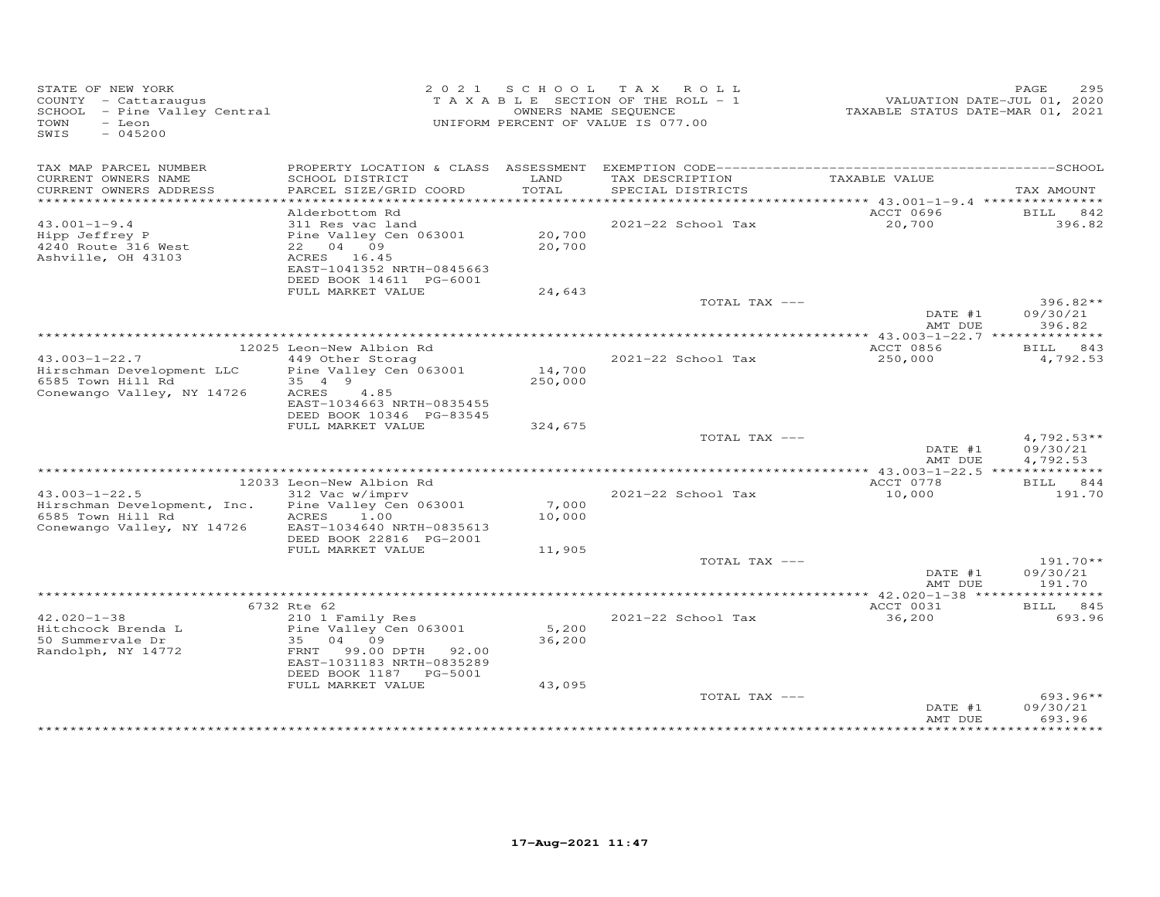| STATE OF NEW YORK<br>COUNTY - Cattaraugus<br>SCHOOL - Pine Valley Central<br>TOWN<br>$-$ Leon<br>SWIS<br>$-045200$ |                                                                                                                                                                | OWNERS NAME SEQUENCE | 2021 SCHOOL TAX ROLL<br>TAXABLE SECTION OF THE ROLL - 1<br>UNIFORM PERCENT OF VALUE IS 077.00 | VALUATION DATE-JUL 01, 2020<br>TAXABLE STATUS DATE-MAR 01, 2021 | PAGE<br>295                          |
|--------------------------------------------------------------------------------------------------------------------|----------------------------------------------------------------------------------------------------------------------------------------------------------------|----------------------|-----------------------------------------------------------------------------------------------|-----------------------------------------------------------------|--------------------------------------|
| TAX MAP PARCEL NUMBER<br>CURRENT OWNERS NAME<br>CURRENT OWNERS ADDRESS                                             | SCHOOL DISTRICT<br>PARCEL SIZE/GRID COORD                                                                                                                      | LAND<br>TOTAL        | TAX DESCRIPTION<br>SPECIAL DISTRICTS                                                          | TAXABLE VALUE                                                   | TAX AMOUNT                           |
|                                                                                                                    |                                                                                                                                                                |                      |                                                                                               |                                                                 |                                      |
| $43.001 - 1 - 9.4$<br>Hipp Jeffrey P<br>4240 Route 316 West<br>Ashville, OH 43103                                  | Alderbottom Rd<br>311 Res vac land<br>Pine Valley Cen 063001<br>22 04 09<br>ACRES 16.45<br>EAST-1041352 NRTH-0845663<br>DEED BOOK 14611 PG-6001                | 20,700<br>20,700     | 2021-22 School Tax                                                                            | ACCT 0696<br>20,700                                             | BILL 842<br>396.82                   |
|                                                                                                                    | FULL MARKET VALUE                                                                                                                                              | 24,643               |                                                                                               |                                                                 |                                      |
|                                                                                                                    |                                                                                                                                                                |                      | TOTAL TAX ---                                                                                 | DATE #1<br>AMT DUE                                              | $396.82**$<br>09/30/21<br>396.82     |
|                                                                                                                    |                                                                                                                                                                |                      |                                                                                               |                                                                 |                                      |
| $43.003 - 1 - 22.7$                                                                                                | 12025 Leon-New Albion Rd<br>449 Other Storag                                                                                                                   |                      | 2021-22 School Tax                                                                            | ACCT 0856<br>250,000                                            | <b>BILL</b><br>843<br>4,792.53       |
| Hirschman Development LLC<br>6585 Town Hill Rd<br>Conewango Valley, NY 14726                                       | Pine Valley Cen 063001<br>35 4 9<br>ACRES<br>4.85<br>EAST-1034663 NRTH-0835455<br>DEED BOOK 10346 PG-83545                                                     | 14,700<br>250,000    |                                                                                               |                                                                 |                                      |
|                                                                                                                    | FULL MARKET VALUE                                                                                                                                              | 324,675              |                                                                                               |                                                                 |                                      |
|                                                                                                                    |                                                                                                                                                                |                      | TOTAL TAX ---                                                                                 | DATE #1<br>AMT DUE                                              | $4,792.53**$<br>09/30/21<br>4,792.53 |
|                                                                                                                    | 12033 Leon-New Albion Rd                                                                                                                                       |                      |                                                                                               | ACCT 0778                                                       | BILL 844                             |
| $43.003 - 1 - 22.5$<br>Hirschman Development, Inc.<br>6585 Town Hill Rd<br>Conewango Valley, NY 14726              | 312 Vac w/imprv<br>Pine Valley Cen 063001<br>ACRES 1.00<br>EAST-1034640 NRTH-0835613<br>DEED BOOK 22816 PG-2001                                                | 7,000<br>10,000      | 2021-22 School Tax                                                                            | 10,000                                                          | 191.70                               |
|                                                                                                                    | FULL MARKET VALUE                                                                                                                                              | 11,905               |                                                                                               |                                                                 |                                      |
|                                                                                                                    |                                                                                                                                                                |                      | TOTAL TAX ---                                                                                 | DATE #1<br>AMT DUE                                              | $191.70**$<br>09/30/21<br>191.70     |
|                                                                                                                    |                                                                                                                                                                |                      |                                                                                               |                                                                 |                                      |
| $42.020 - 1 - 38$<br>Hitchcock Brenda L<br>50 Summervale Dr<br>Randolph, NY 14772                                  | 6732 Rte 62<br>210 1 Family Res<br>Pine Valley Cen 063001<br>35<br>04<br>09<br>FRNT<br>99.00 DPTH 92.00<br>EAST-1031183 NRTH-0835289<br>DEED BOOK 1187 PG-5001 | 5,200<br>36,200      | 2021-22 School Tax                                                                            | ACCT 0031<br>36,200                                             | BILL 845<br>693.96                   |
|                                                                                                                    | FULL MARKET VALUE                                                                                                                                              | 43,095               | TOTAL TAX ---                                                                                 | DATE #1<br>AMT DUE                                              | $693.96**$<br>09/30/21<br>693.96     |
|                                                                                                                    |                                                                                                                                                                |                      |                                                                                               |                                                                 |                                      |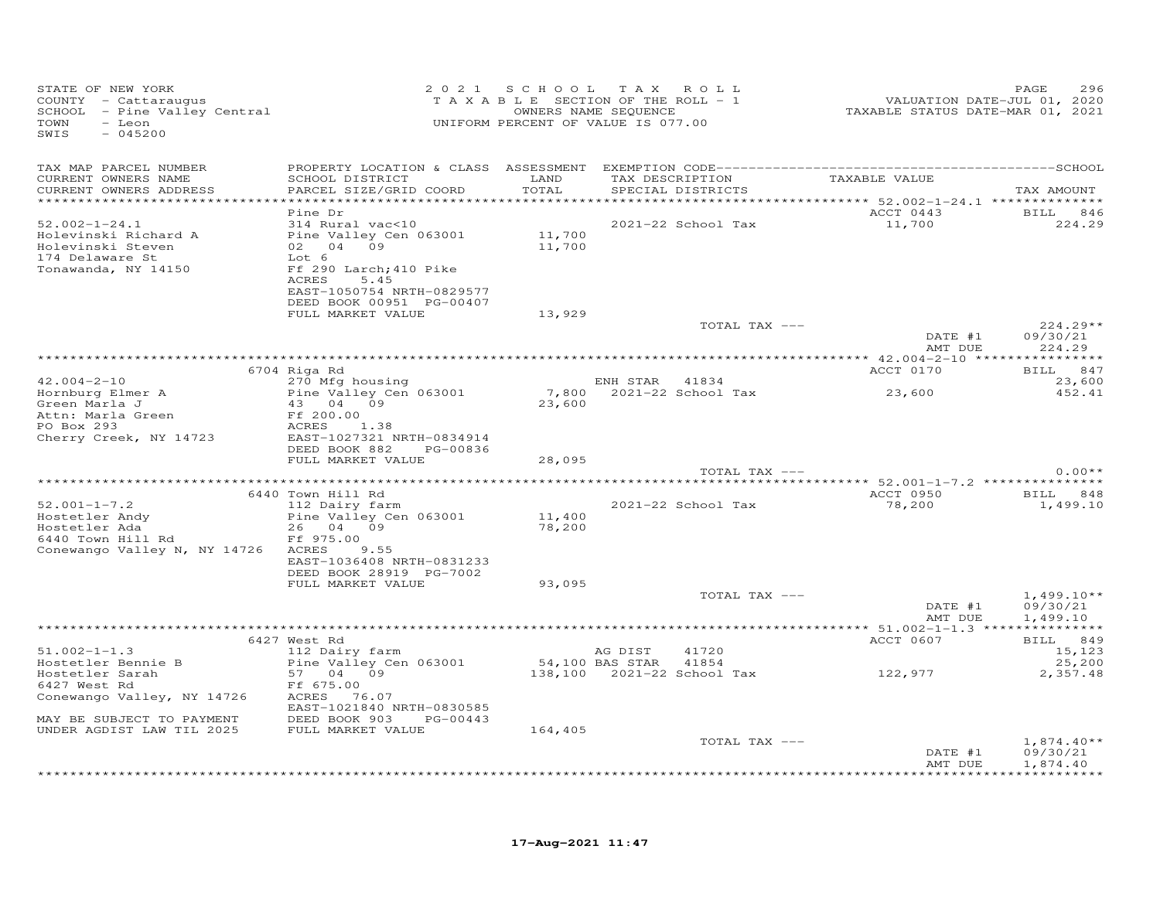| STATE OF NEW YORK<br>COUNTY - Cattaraugus<br>SCHOOL - Pine Valley Central<br>TOWN<br>- Leon<br>$-045200$<br>SWIS    |                                                                                                                                                                                  | 2021 SCHOOL TAX ROLL<br>TAXABLE SECTION OF THE ROLL - 1<br>OWNERS NAME SEQUENCE<br>UNIFORM PERCENT OF VALUE IS 077.00 |                            |                                      | VALUATION DATE-JUL 01, 2020<br>TAXABLE STATUS DATE-MAR 01, 2021 | PAGE<br>296                      |
|---------------------------------------------------------------------------------------------------------------------|----------------------------------------------------------------------------------------------------------------------------------------------------------------------------------|-----------------------------------------------------------------------------------------------------------------------|----------------------------|--------------------------------------|-----------------------------------------------------------------|----------------------------------|
| TAX MAP PARCEL NUMBER<br>CURRENT OWNERS NAME<br>CURRENT OWNERS ADDRESS                                              | SCHOOL DISTRICT<br>PARCEL SIZE/GRID COORD                                                                                                                                        | LAND<br>TOTAL<br>***********                                                                                          |                            | TAX DESCRIPTION<br>SPECIAL DISTRICTS | TAXABLE VALUE<br>********** 52.002-1-24.1 ***************       | TAX AMOUNT                       |
| $52.002 - 1 - 24.1$<br>Holevinski Richard A<br>Holevinski Steven<br>174 Delaware St<br>Tonawanda, NY 14150          | Pine Dr<br>314 Rural vac<10<br>Pine Valley Cen 063001<br>02  04  09<br>Lot 6<br>Ff 290 Larch; 410 Pike<br>ACRES<br>5.45<br>EAST-1050754 NRTH-0829577<br>DEED BOOK 00951 PG-00407 | 11,700<br>11,700                                                                                                      |                            | 2021-22 School Tax                   | ACCT 0443<br>11,700                                             | <b>BILL</b><br>846<br>224.29     |
|                                                                                                                     | FULL MARKET VALUE                                                                                                                                                                | 13,929                                                                                                                |                            | TOTAL TAX ---                        | DATE #1<br>AMT DUE                                              | $224.29**$<br>09/30/21<br>224.29 |
|                                                                                                                     |                                                                                                                                                                                  |                                                                                                                       |                            |                                      |                                                                 |                                  |
|                                                                                                                     | 6704 Riga Rd                                                                                                                                                                     |                                                                                                                       |                            |                                      | ACCT 0170                                                       | BILL 847                         |
| $42.004 - 2 - 10$<br>Hornburg Elmer A<br>Green Marla J<br>Attn: Marla Green<br>PO Box 293<br>Cherry Creek, NY 14723 | 270 Mfg housing<br>Pine Valley Cen 063001<br>43 04 09<br>Ff 200.00<br>ACRES<br>1.38<br>EAST-1027321 NRTH-0834914                                                                 | 23,600                                                                                                                | ENH STAR 41834             | 7,800 2021-22 School Tax             | 23,600                                                          | 23,600<br>452.41                 |
|                                                                                                                     | DEED BOOK 882<br>PG-00836<br>FULL MARKET VALUE                                                                                                                                   | 28,095                                                                                                                |                            |                                      |                                                                 |                                  |
|                                                                                                                     |                                                                                                                                                                                  |                                                                                                                       |                            | TOTAL TAX ---                        |                                                                 | $0.00**$                         |
|                                                                                                                     |                                                                                                                                                                                  |                                                                                                                       |                            |                                      |                                                                 |                                  |
| $52.001 - 1 - 7.2$                                                                                                  | 6440 Town Hill Rd<br>112 Dairy farm                                                                                                                                              |                                                                                                                       |                            | 2021-22 School Tax                   | ACCT 0950<br>78,200                                             | BILL 848<br>1,499.10             |
| Hostetler Andy<br>Hostetler Ada<br>6440 Town Hill Rd<br>Conewango Valley N, NY 14726 ACRES                          | Pine Valley Cen 063001<br>26 04 09<br>Ff 975.00<br>9.55<br>EAST-1036408 NRTH-0831233<br>DEED BOOK 28919 PG-7002<br>FULL MARKET VALUE                                             | 11,400<br>78,200<br>93,095                                                                                            |                            |                                      |                                                                 |                                  |
|                                                                                                                     |                                                                                                                                                                                  |                                                                                                                       |                            | TOTAL TAX ---                        |                                                                 | $1,499.10**$                     |
|                                                                                                                     |                                                                                                                                                                                  |                                                                                                                       |                            |                                      | DATE #1<br>AMT DUE                                              | 09/30/21<br>1,499.10             |
|                                                                                                                     |                                                                                                                                                                                  |                                                                                                                       |                            |                                      |                                                                 |                                  |
|                                                                                                                     | 6427 West Rd                                                                                                                                                                     |                                                                                                                       |                            |                                      | ACCT 0607                                                       | BILL 849                         |
| $51.002 - 1 - 1.3$<br>Hostetler Bennie B                                                                            | 112 Dairy farm<br>Pine Valley Cen 063001                                                                                                                                         |                                                                                                                       | AG DIST<br>54,100 BAS STAR | 41720<br>41854                       |                                                                 | 15,123<br>25,200                 |
| Hostetler Sarah                                                                                                     | 57 04 09                                                                                                                                                                         |                                                                                                                       |                            |                                      | 122,977                                                         | 2,357.48                         |
| 6427 West Rd                                                                                                        | Ff 675.00                                                                                                                                                                        |                                                                                                                       |                            |                                      |                                                                 |                                  |
| Conewango Valley, NY 14726                                                                                          | ACRES 76.07<br>EAST-1021840 NRTH-0830585                                                                                                                                         |                                                                                                                       |                            |                                      |                                                                 |                                  |
| MAY BE SUBJECT TO PAYMENT                                                                                           | DEED BOOK 903<br>PG-00443                                                                                                                                                        |                                                                                                                       |                            |                                      |                                                                 |                                  |
| UNDER AGDIST LAW TIL 2025                                                                                           | FULL MARKET VALUE                                                                                                                                                                | 164,405                                                                                                               |                            |                                      |                                                                 |                                  |
|                                                                                                                     |                                                                                                                                                                                  |                                                                                                                       |                            | TOTAL TAX ---                        | DATE #1                                                         | $1,874.40**$<br>09/30/21         |
|                                                                                                                     |                                                                                                                                                                                  |                                                                                                                       |                            |                                      | AMT DUE                                                         | 1,874.40                         |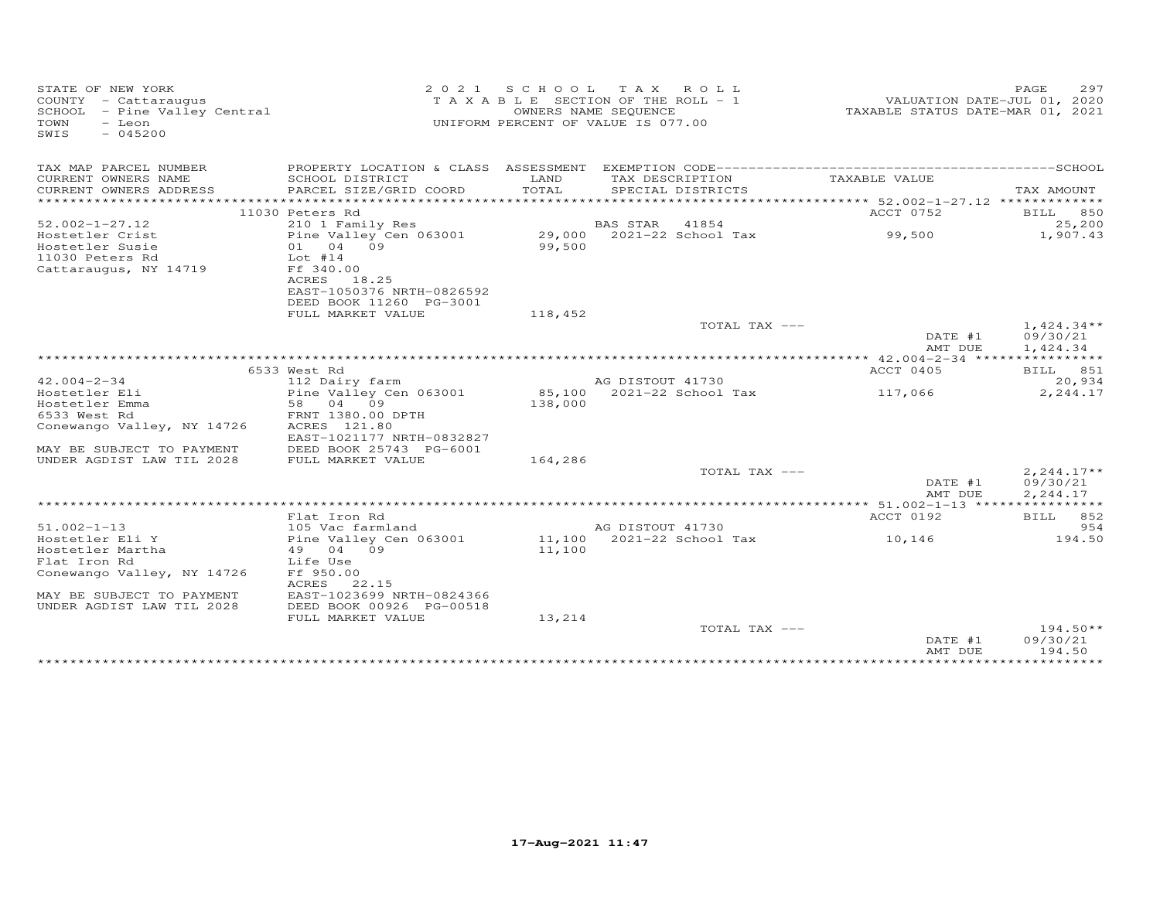| STATE OF NEW YORK<br>COUNTY - Cattaraugus<br>SCHOOL - Pine Valley Central<br>TOWN<br>- Leon<br>SWIS<br>$-045200$ |                                            |         | 2021 SCHOOL TAX ROLL<br>TAXABLE SECTION OF THE ROLL - 1<br>OWNERS NAME SEQUENCE<br>UNIFORM PERCENT OF VALUE IS 077.00 | VALUATION DATE-JUL 01, 2020<br>TAXABLE STATUS DATE-MAR 01, 2021 | 297<br>PAGE        |
|------------------------------------------------------------------------------------------------------------------|--------------------------------------------|---------|-----------------------------------------------------------------------------------------------------------------------|-----------------------------------------------------------------|--------------------|
| TAX MAP PARCEL NUMBER                                                                                            | PROPERTY LOCATION & CLASS ASSESSMENT       |         |                                                                                                                       |                                                                 |                    |
| CURRENT OWNERS NAME                                                                                              | SCHOOL DISTRICT                            | LAND    | TAX DESCRIPTION                                                                                                       | TAXABLE VALUE                                                   |                    |
| CURRENT OWNERS ADDRESS<br>************************                                                               | PARCEL SIZE/GRID COORD                     | TOTAL   | SPECIAL DISTRICTS                                                                                                     |                                                                 | TAX AMOUNT         |
|                                                                                                                  |                                            |         |                                                                                                                       |                                                                 |                    |
| $52.002 - 1 - 27.12$                                                                                             | 11030 Peters Rd<br>210 1 Family Res        |         | BAS STAR<br>41854                                                                                                     | ACCT 0752                                                       | BILL 850<br>25,200 |
| Hostetler Crist                                                                                                  | Pine Valley Cen 063001                     |         | 29,000 2021-22 School Tax                                                                                             | 99,500                                                          | 1,907.43           |
| Hostetler Susie                                                                                                  | 01 04 09                                   | 99,500  |                                                                                                                       |                                                                 |                    |
| 11030 Peters Rd                                                                                                  | $Lot$ #14                                  |         |                                                                                                                       |                                                                 |                    |
| Cattaraugus, NY 14719                                                                                            | Ff 340.00                                  |         |                                                                                                                       |                                                                 |                    |
|                                                                                                                  | ACRES<br>18.25                             |         |                                                                                                                       |                                                                 |                    |
|                                                                                                                  | EAST-1050376 NRTH-0826592                  |         |                                                                                                                       |                                                                 |                    |
|                                                                                                                  | DEED BOOK 11260 PG-3001                    |         |                                                                                                                       |                                                                 |                    |
|                                                                                                                  | FULL MARKET VALUE                          | 118,452 |                                                                                                                       |                                                                 |                    |
|                                                                                                                  |                                            |         | TOTAL TAX ---                                                                                                         |                                                                 | $1,424.34**$       |
|                                                                                                                  |                                            |         |                                                                                                                       | DATE #1                                                         | 09/30/21           |
|                                                                                                                  |                                            |         |                                                                                                                       | AMT DUE                                                         | 1,424.34           |
|                                                                                                                  | 6533 West Rd                               |         |                                                                                                                       | ************* 42.004-2-34 *****<br>ACCT 0405                    | <b>BILL</b> 851    |
| $42.004 - 2 - 34$                                                                                                |                                            |         | AG DISTOUT 41730                                                                                                      |                                                                 | 20,934             |
| Hostetler Eli                                                                                                    | 112 Dairy farm<br>Pine Valley Cen 063001   |         | 85,100 2021-22 School Tax                                                                                             | 117,066                                                         | 2,244.17           |
| Hostetler Emma                                                                                                   | 58 04 09                                   | 138,000 |                                                                                                                       |                                                                 |                    |
| 6533 West Rd                                                                                                     | FRNT 1380.00 DPTH                          |         |                                                                                                                       |                                                                 |                    |
| Conewango Valley, NY 14726                                                                                       | ACRES 121.80                               |         |                                                                                                                       |                                                                 |                    |
|                                                                                                                  | EAST-1021177 NRTH-0832827                  |         |                                                                                                                       |                                                                 |                    |
| MAY BE SUBJECT TO PAYMENT                                                                                        | DEED BOOK 25743 PG-6001                    |         |                                                                                                                       |                                                                 |                    |
| UNDER AGDIST LAW TIL 2028                                                                                        | FULL MARKET VALUE                          | 164,286 |                                                                                                                       |                                                                 |                    |
|                                                                                                                  |                                            |         | TOTAL TAX ---                                                                                                         |                                                                 | $2, 244.17**$      |
|                                                                                                                  |                                            |         |                                                                                                                       | DATE #1                                                         | 09/30/21           |
|                                                                                                                  |                                            |         |                                                                                                                       | AMT DUE                                                         | 2,244.17           |
|                                                                                                                  |                                            |         |                                                                                                                       |                                                                 |                    |
|                                                                                                                  | Flat Iron Rd                               |         |                                                                                                                       | ACCT 0192                                                       | BILL 852<br>954    |
| $51.002 - 1 - 13$<br>Hostetler Eli Y                                                                             | 105 Vac farmland<br>Pine Valley Cen 063001 |         | AG DISTOUT 41730<br>11,100 2021-22 School Tax                                                                         | 10,146                                                          | 194.50             |
| Hostetler Martha                                                                                                 | 49 04 09                                   | 11,100  |                                                                                                                       |                                                                 |                    |
| Flat Iron Rd                                                                                                     | Life Use                                   |         |                                                                                                                       |                                                                 |                    |
| Conewango Valley, NY 14726                                                                                       | Ff 950.00                                  |         |                                                                                                                       |                                                                 |                    |
|                                                                                                                  | ACRES<br>22.15                             |         |                                                                                                                       |                                                                 |                    |
| MAY BE SUBJECT TO PAYMENT                                                                                        | EAST-1023699 NRTH-0824366                  |         |                                                                                                                       |                                                                 |                    |
| UNDER AGDIST LAW TIL 2028                                                                                        | DEED BOOK 00926 PG-00518                   |         |                                                                                                                       |                                                                 |                    |
|                                                                                                                  | FULL MARKET VALUE                          | 13,214  |                                                                                                                       |                                                                 |                    |
|                                                                                                                  |                                            |         | TOTAL TAX ---                                                                                                         |                                                                 | $194.50**$         |
|                                                                                                                  |                                            |         |                                                                                                                       | DATE #1                                                         | 09/30/21           |
|                                                                                                                  |                                            |         |                                                                                                                       | AMT DUE                                                         | 194.50             |
|                                                                                                                  |                                            |         |                                                                                                                       |                                                                 |                    |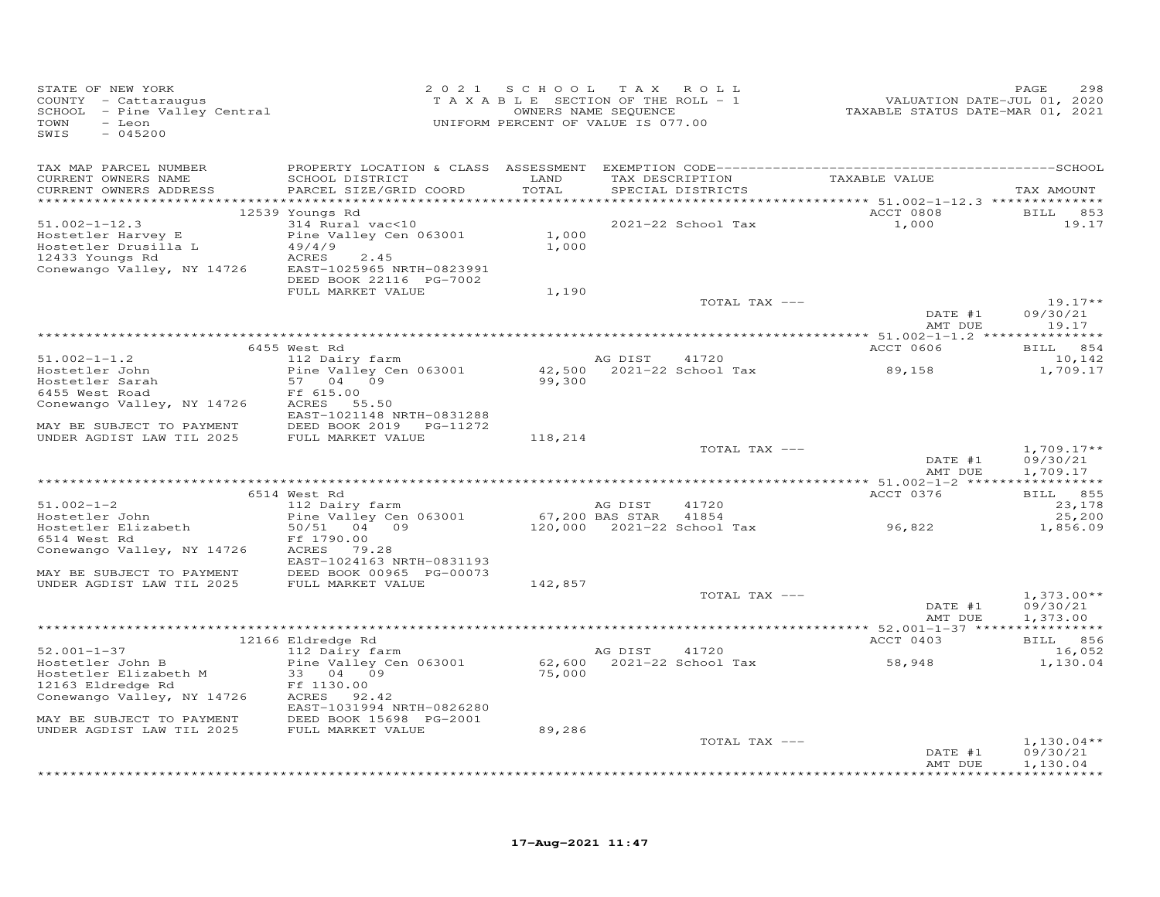| STATE OF NEW YORK<br>COUNTY - Cattaraugus<br>SCHOOL - Pine Valley Central<br>$-$ Leon<br>TOWN<br>SWIS<br>$-045200$ |                                            | 2021 SCHOOL<br>T A X A B L E SECTION OF THE ROLL - 1<br>UNIFORM PERCENT OF VALUE IS 077.00 | TAX ROLL<br>OWNERS NAME SEQUENCE |                    | VALUATION DATE-JUL 01, 2020<br>TAXABLE STATUS DATE-MAR 01, 2021 | 298<br>PAGE              |
|--------------------------------------------------------------------------------------------------------------------|--------------------------------------------|--------------------------------------------------------------------------------------------|----------------------------------|--------------------|-----------------------------------------------------------------|--------------------------|
| TAX MAP PARCEL NUMBER                                                                                              |                                            |                                                                                            |                                  |                    |                                                                 |                          |
| CURRENT OWNERS NAME                                                                                                | SCHOOL DISTRICT                            | LAND                                                                                       | TAX DESCRIPTION                  |                    | TAXABLE VALUE                                                   |                          |
| CURRENT OWNERS ADDRESS                                                                                             | PARCEL SIZE/GRID COORD                     | TOTAL                                                                                      | SPECIAL DISTRICTS                |                    |                                                                 | TAX AMOUNT               |
|                                                                                                                    | 12539 Youngs Rd                            |                                                                                            |                                  |                    | ACCT 0808                                                       | BILL 853                 |
| $51.002 - 1 - 12.3$                                                                                                | 314 Rural vac<10                           |                                                                                            |                                  | 2021-22 School Tax | 1,000                                                           | 19.17                    |
| Hostetler Harvey E                                                                                                 | Pine Valley Cen 063001                     | 1,000                                                                                      |                                  |                    |                                                                 |                          |
| Hostetler Drusilla L                                                                                               | 49/4/9                                     | 1,000                                                                                      |                                  |                    |                                                                 |                          |
| 12433 Youngs Rd<br>Conewango Valley, NY 14726                                                                      | ACRES<br>2.45<br>EAST-1025965 NRTH-0823991 |                                                                                            |                                  |                    |                                                                 |                          |
|                                                                                                                    | DEED BOOK 22116 PG-7002                    |                                                                                            |                                  |                    |                                                                 |                          |
|                                                                                                                    | FULL MARKET VALUE                          | 1,190                                                                                      |                                  |                    |                                                                 |                          |
|                                                                                                                    |                                            |                                                                                            |                                  | TOTAL TAX ---      |                                                                 | $19.17**$                |
|                                                                                                                    |                                            |                                                                                            |                                  |                    | DATE #1                                                         | 09/30/21                 |
|                                                                                                                    |                                            |                                                                                            |                                  |                    | AMT DUE                                                         | 19.17                    |
|                                                                                                                    | 6455 West Rd                               |                                                                                            |                                  |                    | ACCT 0606                                                       | BILL 854                 |
| $51.002 - 1 - 1.2$                                                                                                 | 112 Dairy farm                             |                                                                                            | AG DIST                          | 41720              |                                                                 | 10,142                   |
| Hostetler John                                                                                                     | Pine Valley Cen 063001                     | 42,500                                                                                     |                                  | 2021-22 School Tax | 89,158                                                          | 1,709.17                 |
| Hostetler Sarah                                                                                                    | 57 04 09                                   | 99,300                                                                                     |                                  |                    |                                                                 |                          |
| 6455 West Road                                                                                                     | Ff 615.00<br>ACRES 55.50                   |                                                                                            |                                  |                    |                                                                 |                          |
| Conewango Valley, NY 14726                                                                                         | EAST-1021148 NRTH-0831288                  |                                                                                            |                                  |                    |                                                                 |                          |
| MAY BE SUBJECT TO PAYMENT                                                                                          | DEED BOOK 2019<br>PG-11272                 |                                                                                            |                                  |                    |                                                                 |                          |
| UNDER AGDIST LAW TIL 2025                                                                                          | FULL MARKET VALUE                          | 118,214                                                                                    |                                  |                    |                                                                 |                          |
|                                                                                                                    |                                            |                                                                                            |                                  | TOTAL TAX ---      |                                                                 | $1,709.17**$             |
|                                                                                                                    |                                            |                                                                                            |                                  |                    | DATE #1                                                         | 09/30/21                 |
|                                                                                                                    |                                            |                                                                                            |                                  |                    | AMT DUE                                                         | 1,709.17                 |
|                                                                                                                    | 6514 West Rd                               |                                                                                            |                                  |                    | ACCT 0376                                                       | BILL 855                 |
| $51.002 - 1 - 2$                                                                                                   | 112 Dairy farm                             |                                                                                            | AG DIST                          | 41720              |                                                                 | 23,178                   |
| Hostetler John                                                                                                     | Pine Valley Cen 063001                     |                                                                                            | 67,200 BAS STAR                  | 41854              |                                                                 | 25,200                   |
| Hostetler Elizabeth                                                                                                | 50/51<br>04 09                             |                                                                                            | 120,000 2021-22 School Tax       |                    | 96,822                                                          | 1,856.09                 |
| 6514 West Rd<br>Conewango Valley, NY 14726                                                                         | Ff 1790.00<br>ACRES<br>79.28               |                                                                                            |                                  |                    |                                                                 |                          |
|                                                                                                                    | EAST-1024163 NRTH-0831193                  |                                                                                            |                                  |                    |                                                                 |                          |
| MAY BE SUBJECT TO PAYMENT                                                                                          | DEED BOOK 00965 PG-00073                   |                                                                                            |                                  |                    |                                                                 |                          |
| UNDER AGDIST LAW TIL 2025                                                                                          | FULL MARKET VALUE                          | 142,857                                                                                    |                                  |                    |                                                                 |                          |
|                                                                                                                    |                                            |                                                                                            |                                  | TOTAL TAX ---      | DATE #1                                                         | $1,373.00**$<br>09/30/21 |
|                                                                                                                    |                                            |                                                                                            |                                  |                    | AMT DUE                                                         | 1,373.00                 |
|                                                                                                                    |                                            |                                                                                            |                                  |                    |                                                                 |                          |
|                                                                                                                    | 12166 Eldredge Rd                          |                                                                                            |                                  |                    | ACCT 0403                                                       | BILL 856                 |
| $52.001 - 1 - 37$                                                                                                  | 112 Dairy farm                             |                                                                                            | AG DIST                          | 41720              |                                                                 | 16,052                   |
| Hostetler John B                                                                                                   | Pine Valley Cen 063001<br>09               |                                                                                            | 62,600 2021-22 School Tax        |                    | 58,948                                                          | 1,130.04                 |
| Hostetler Elizabeth M<br>12163 Eldredge Rd                                                                         | 33 04<br>Ff 1130.00                        | 75,000                                                                                     |                                  |                    |                                                                 |                          |
| Conewango Valley, NY 14726                                                                                         | ACRES 92.42                                |                                                                                            |                                  |                    |                                                                 |                          |
|                                                                                                                    | EAST-1031994 NRTH-0826280                  |                                                                                            |                                  |                    |                                                                 |                          |
| MAY BE SUBJECT TO PAYMENT                                                                                          | DEED BOOK 15698 PG-2001                    |                                                                                            |                                  |                    |                                                                 |                          |
| UNDER AGDIST LAW TIL 2025                                                                                          | FULL MARKET VALUE                          | 89,286                                                                                     |                                  |                    |                                                                 |                          |
|                                                                                                                    |                                            |                                                                                            |                                  | TOTAL TAX ---      | DATE #1                                                         | $1,130.04**$<br>09/30/21 |
|                                                                                                                    |                                            |                                                                                            |                                  |                    | AMT DUE                                                         | 1,130.04                 |
|                                                                                                                    |                                            |                                                                                            |                                  |                    |                                                                 | + + + + + + + + + + +    |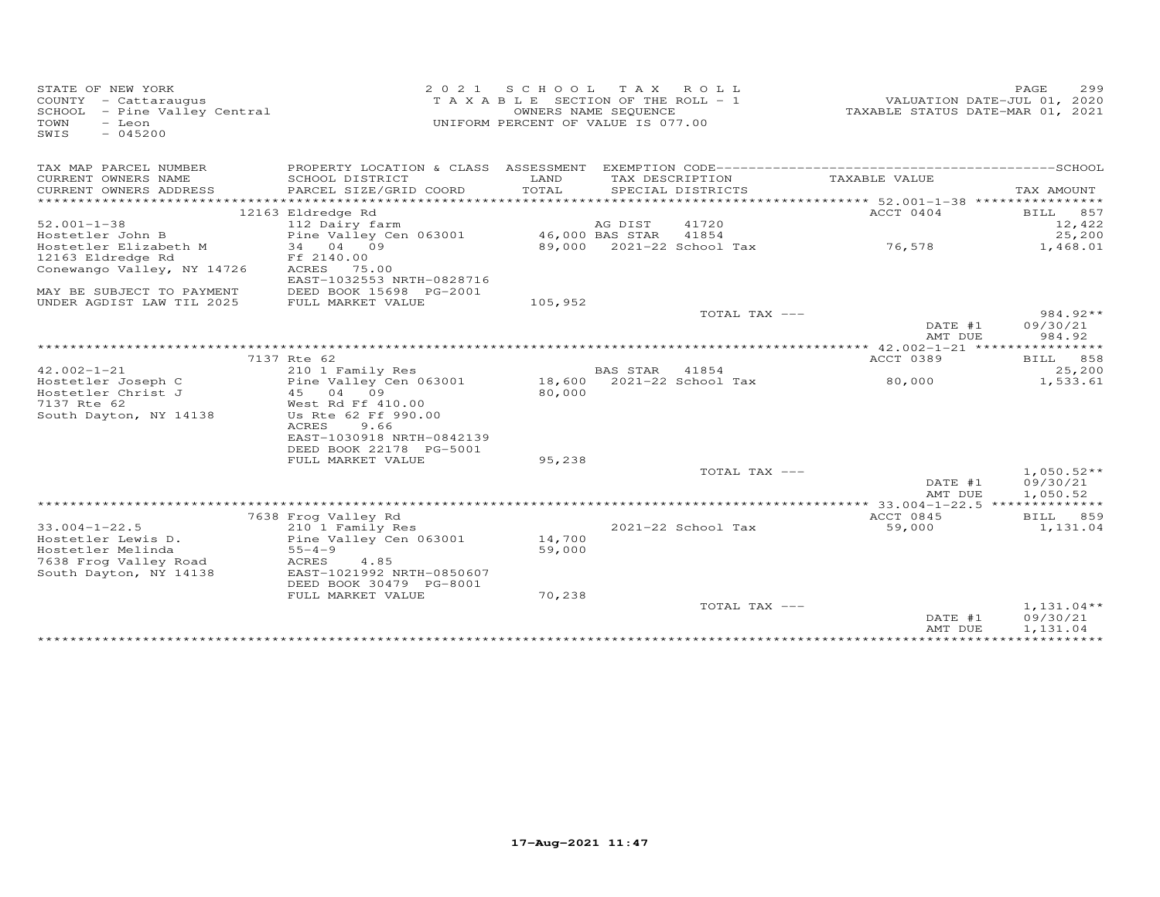| STATE OF NEW YORK<br>COUNTY - Cattaraugus<br>SCHOOL - Pine Valley Central<br>TOWN<br>- Leon<br>$-045200$<br>SWIS | 2 0 2 1                                                                   | S C H O O L<br>TAXABLE SECTION OF THE ROLL - 1<br>UNIFORM PERCENT OF VALUE IS 077.00 | T A X<br>OWNERS NAME SEQUENCE | ROLL                      | TAXABLE STATUS DATE-MAR 01, 2021 | PAGE<br>299<br>VALUATION DATE-JUL 01, 2020 |
|------------------------------------------------------------------------------------------------------------------|---------------------------------------------------------------------------|--------------------------------------------------------------------------------------|-------------------------------|---------------------------|----------------------------------|--------------------------------------------|
| TAX MAP PARCEL NUMBER                                                                                            |                                                                           |                                                                                      |                               |                           |                                  |                                            |
| CURRENT OWNERS NAME                                                                                              | SCHOOL DISTRICT                                                           | LAND                                                                                 |                               | TAX DESCRIPTION           | TAXABLE VALUE                    |                                            |
| CURRENT OWNERS ADDRESS                                                                                           | PARCEL SIZE/GRID COORD                                                    | TOTAL                                                                                |                               | SPECIAL DISTRICTS         |                                  | TAX AMOUNT                                 |
| *********************                                                                                            |                                                                           |                                                                                      |                               |                           |                                  |                                            |
|                                                                                                                  | 12163 Eldredge Rd                                                         |                                                                                      |                               |                           | ACCT 0404                        | BILL 857                                   |
| $52.001 - 1 - 38$<br>Hostetler John B                                                                            | 112 Dairy farm<br>Pine Valley Cen 063001                                  |                                                                                      | AG DIST<br>46,000 BAS STAR    | 41720<br>41854            |                                  | 12,422<br>25,200                           |
| Hostetler Elizabeth M                                                                                            | 34 04 09                                                                  |                                                                                      |                               | 89,000 2021-22 School Tax | 76,578                           | 1,468.01                                   |
| 12163 Eldredge Rd                                                                                                | Ff 2140.00                                                                |                                                                                      |                               |                           |                                  |                                            |
| Conewango Valley, NY 14726                                                                                       | ACRES 75.00                                                               |                                                                                      |                               |                           |                                  |                                            |
|                                                                                                                  | EAST-1032553 NRTH-0828716                                                 |                                                                                      |                               |                           |                                  |                                            |
| MAY BE SUBJECT TO PAYMENT                                                                                        | DEED BOOK 15698 PG-2001                                                   |                                                                                      |                               |                           |                                  |                                            |
| UNDER AGDIST LAW TIL 2025                                                                                        | FULL MARKET VALUE                                                         | 105,952                                                                              |                               |                           |                                  |                                            |
|                                                                                                                  |                                                                           |                                                                                      |                               | TOTAL TAX ---             | DATE #1<br>AMT DUE               | $984.92**$<br>09/30/21<br>984.92           |
|                                                                                                                  |                                                                           |                                                                                      |                               |                           | ************* 42.002-1-21 *****  | ********                                   |
|                                                                                                                  | 7137 Rte 62                                                               |                                                                                      |                               |                           | ACCT 0389                        | 858<br>BILL                                |
| $42.002 - 1 - 21$                                                                                                | 210 1 Family Res                                                          |                                                                                      | BAS STAR                      | 41854                     |                                  | 25,200                                     |
| Hostetler Joseph C                                                                                               | Pine Valley Cen 063001                                                    |                                                                                      |                               | 18,600 2021-22 School Tax | 80,000                           | 1,533.61                                   |
| Hostetler Christ J                                                                                               | 04 09<br>45                                                               | 80,000                                                                               |                               |                           |                                  |                                            |
| 7137 Rte 62<br>South Dayton, NY 14138                                                                            | West Rd Ff 410.00<br>Us Rte 62 Ff 990.00<br>ACRES<br>9.66                 |                                                                                      |                               |                           |                                  |                                            |
|                                                                                                                  | EAST-1030918 NRTH-0842139<br>DEED BOOK 22178 PG-5001<br>FULL MARKET VALUE | 95,238                                                                               |                               |                           |                                  |                                            |
|                                                                                                                  |                                                                           |                                                                                      |                               | TOTAL TAX ---             |                                  | $1,050.52**$                               |
|                                                                                                                  |                                                                           |                                                                                      |                               |                           | DATE #1<br>AMT DUE               | 09/30/21<br>1,050.52                       |
|                                                                                                                  |                                                                           |                                                                                      |                               |                           | ********** 33.004-1-22.5 ***     | ***********                                |
|                                                                                                                  | 7638 Frog Valley Rd                                                       |                                                                                      |                               |                           | ACCT 0845                        | BILL 859                                   |
| $33.004 - 1 - 22.5$                                                                                              | 210 1 Family Res                                                          |                                                                                      |                               | 2021-22 School Tax        | 59,000                           | 1,131.04                                   |
| Hostetler Lewis D.                                                                                               | Pine Valley Cen 063001                                                    | 14,700                                                                               |                               |                           |                                  |                                            |
| Hostetler Melinda                                                                                                | $55 - 4 - 9$                                                              | 59,000                                                                               |                               |                           |                                  |                                            |
| 7638 Frog Valley Road<br>South Dayton, NY 14138                                                                  | ACRES<br>4.85<br>EAST-1021992 NRTH-0850607                                |                                                                                      |                               |                           |                                  |                                            |
|                                                                                                                  | DEED BOOK 30479 PG-8001                                                   |                                                                                      |                               |                           |                                  |                                            |
|                                                                                                                  | FULL MARKET VALUE                                                         | 70,238                                                                               |                               |                           |                                  |                                            |
|                                                                                                                  |                                                                           |                                                                                      |                               | TOTAL TAX ---             |                                  | $1,131.04**$                               |
|                                                                                                                  |                                                                           |                                                                                      |                               |                           | DATE #1<br>AMT DUE               | 09/30/21<br>1,131.04                       |
|                                                                                                                  |                                                                           |                                                                                      |                               |                           |                                  |                                            |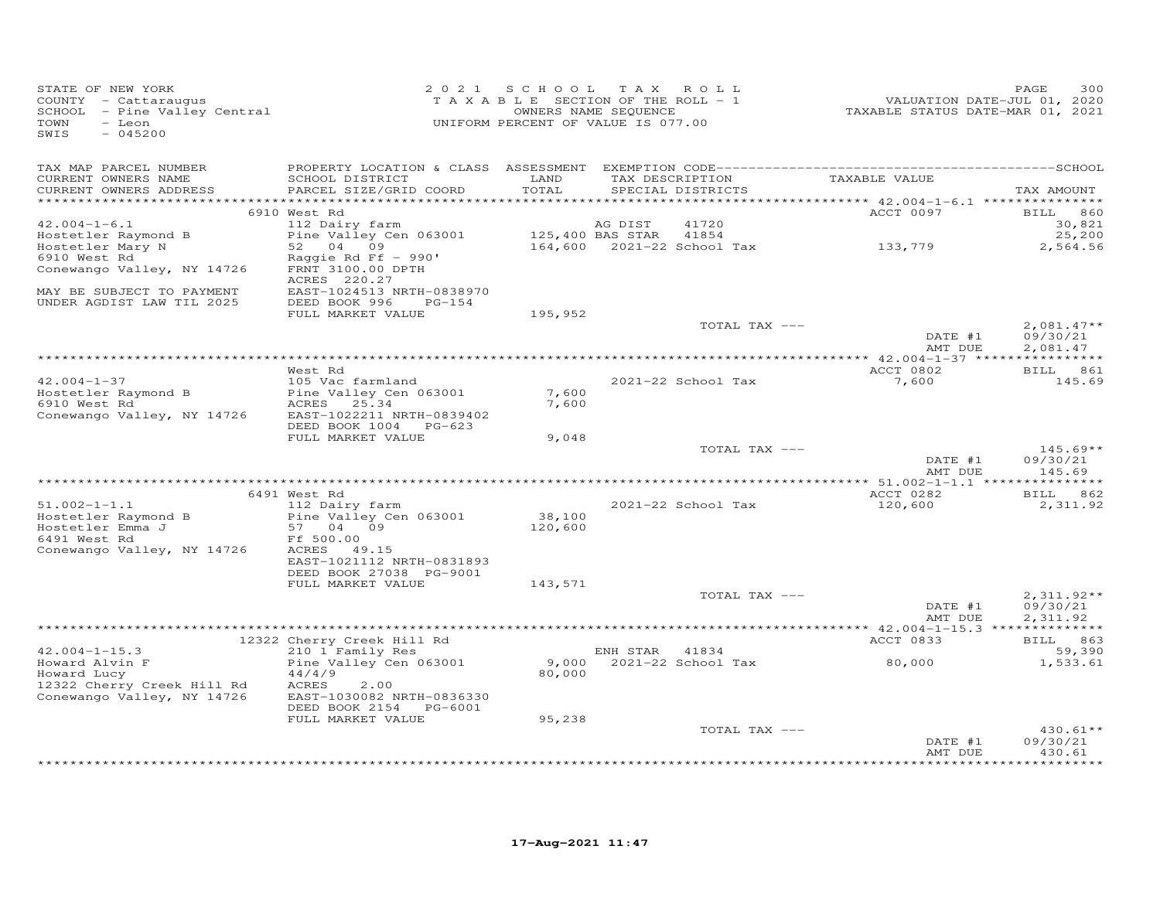| STATE OF NEW YORK<br>COUNTY - Cattaraugus<br>$SCHOOL$ - Pine Valley Central<br>TOWN<br>- Leon<br>$-045200$<br>SWIS                       |                                                                                                                                                 | 2021 SCHOOL TAX ROLL<br>TAXABLE SECTION OF THE ROLL - 1<br>OWNERS NAME SEQUENCE<br>UNIFORM PERCENT OF VALUE IS 077.00 |                |                          | VALUATION DATE-JUL 01, 2020<br>TAXABLE STATUS DATE-MAR 01, 2021 | PAGE<br>300                           |
|------------------------------------------------------------------------------------------------------------------------------------------|-------------------------------------------------------------------------------------------------------------------------------------------------|-----------------------------------------------------------------------------------------------------------------------|----------------|--------------------------|-----------------------------------------------------------------|---------------------------------------|
| TAX MAP PARCEL NUMBER<br>CURRENT OWNERS NAME<br>CURRENT OWNERS ADDRESS                                                                   | SCHOOL DISTRICT<br>PARCEL SIZE/GRID COORD                                                                                                       | LAND<br>TOTAL                                                                                                         |                | SPECIAL DISTRICTS        | TAX DESCRIPTION TAXABLE VALUE                                   | TAX AMOUNT                            |
|                                                                                                                                          | 6910 West Rd                                                                                                                                    |                                                                                                                       |                |                          | ACCT 0097                                                       | <b>BILL</b> 860                       |
| $42.004 - 1 - 6.1$<br>Hostetler Raymond B<br>Hostetler Mary N<br>6910 West Rd<br>Conewango Valley, NY 14726<br>MAY BE SUBJECT TO PAYMENT | 112 Dairy farm<br>Pine Valley Cen 063001<br>52 04 09<br>Raggie Rd Ff $-$ 990'<br>FRNT 3100.00 DPTH<br>ACRES 220.27<br>EAST-1024513 NRTH-0838970 | 125,400 BAS STAR 41854                                                                                                | AG DIST        | 41720                    | 164,600 2021-22 School Tax 133,779                              | 30,821<br>25,200<br>2,564.56          |
| UNDER AGDIST LAW TIL 2025                                                                                                                | DEED BOOK 996<br>$PG-154$<br>FULL MARKET VALUE                                                                                                  | 195,952                                                                                                               |                | TOTAL TAX ---            | DATE #1                                                         | $2,081.47**$<br>09/30/21              |
|                                                                                                                                          |                                                                                                                                                 |                                                                                                                       |                |                          | AMT DUE                                                         | 2,081.47                              |
|                                                                                                                                          | West Rd                                                                                                                                         |                                                                                                                       |                |                          | ACCT 0802                                                       | BILL 861                              |
| $42.004 - 1 - 37$<br>Hostetler Raymond B<br>6910 West Rd<br>Conewango Valley, NY 14726                                                   | 105 Vac farmland<br>Pine Valley Cen 063001<br>ACRES 25.34<br>EAST-1022211 NRTH-0839402                                                          | 7,600<br>7,600                                                                                                        |                | 2021-22 School Tax       | 7,600                                                           | 145.69                                |
|                                                                                                                                          | DEED BOOK 1004 PG-623<br>FULL MARKET VALUE                                                                                                      | 9,048                                                                                                                 |                |                          |                                                                 |                                       |
|                                                                                                                                          |                                                                                                                                                 |                                                                                                                       |                | TOTAL TAX ---            | DATE #1<br>AMT DUE                                              | $145.69**$<br>09/30/21<br>145.69      |
|                                                                                                                                          | 6491 West Rd                                                                                                                                    |                                                                                                                       |                |                          | ACCT 0282                                                       | BILL 862                              |
| $51.002 - 1 - 1.1$<br>Hostetler Raymond B<br>Hostetler Emma J<br>6491 West Rd<br>Conewango Valley, NY 14726                              | 112 Dairy farm<br>Pine Valley Cen 063001<br>57 04 09<br>Ff 500.00<br>ACRES 49.15<br>EAST-1021112 NRTH-0831893                                   | 38,100<br>120,600                                                                                                     |                | 2021-22 School Tax       | 120,600                                                         | 2,311.92                              |
|                                                                                                                                          | DEED BOOK 27038 PG-9001<br>FULL MARKET VALUE                                                                                                    | 143,571                                                                                                               |                |                          |                                                                 |                                       |
|                                                                                                                                          |                                                                                                                                                 |                                                                                                                       |                | TOTAL TAX ---            | DATE #1<br>AMT DUE                                              | $2,311.92**$<br>09/30/21<br>2,311.92  |
|                                                                                                                                          | 12322 Cherry Creek Hill Rd                                                                                                                      |                                                                                                                       |                |                          | ACCT 0833                                                       | BILL 863                              |
| $42.004 - 1 - 15.3$<br>Howard Alvin F<br>Howard Lucy<br>12322 Cherry Creek Hill Rd<br>Conewango Valley, NY 14726                         | 210 1 Family Res<br>Pine Valley Cen 063001<br>44/4/9<br>ACRES<br>2.00<br>EAST-1030082 NRTH-0836330<br>DEED BOOK 2154 PG-6001                    | 80,000                                                                                                                | ENH STAR 41834 | 9,000 2021-22 School Tax | 80,000                                                          | 59,390<br>1,533.61                    |
|                                                                                                                                          | FULL MARKET VALUE                                                                                                                               | 95,238                                                                                                                |                | TOTAL TAX ---            |                                                                 | $430.61**$                            |
|                                                                                                                                          |                                                                                                                                                 |                                                                                                                       |                |                          | DATE #1<br>AMT DUE                                              | 09/30/21<br>430.61<br>* * * * * * * * |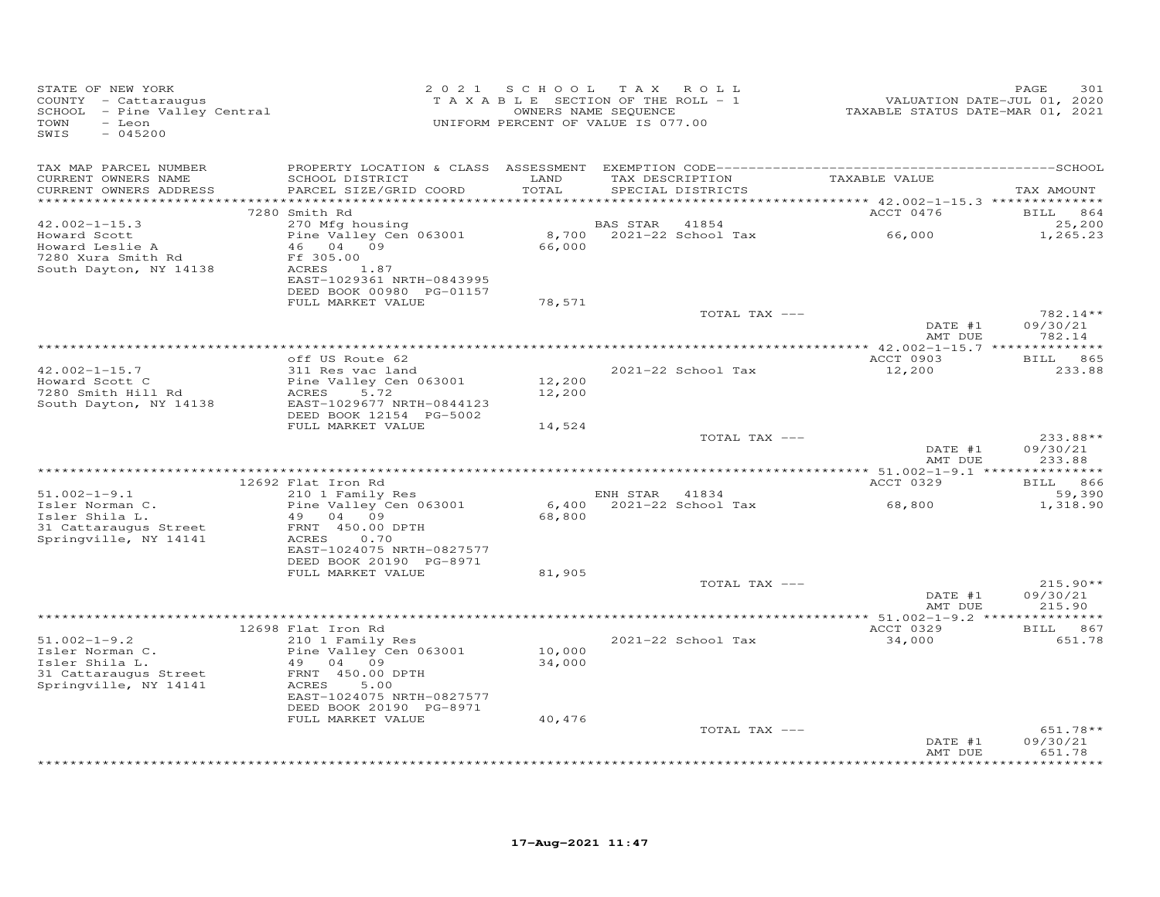| STATE OF NEW YORK<br>COUNTY - Cattaraugus<br>COUNIY - Cattaraugus<br>SCHOOL - Pine Valley Central<br>TOWN<br>- Leon<br>$-045200$<br>SWIS |                                                                                                                                                     | 2021 SCHOOL TAX ROLL<br>T A X A B L E SECTION OF THE ROLL - 1<br>OWNERS NAME SEQUENCE<br>UNIFORM PERCENT OF VALUE IS 077.00 |                |                          | VALUATION DATE-JUL 01, 2020<br>TAXABLE STATUS DATE-MAR 01, 2021 | 301<br>PAGE                      |
|------------------------------------------------------------------------------------------------------------------------------------------|-----------------------------------------------------------------------------------------------------------------------------------------------------|-----------------------------------------------------------------------------------------------------------------------------|----------------|--------------------------|-----------------------------------------------------------------|----------------------------------|
| TAX MAP PARCEL NUMBER<br>CURRENT OWNERS NAME<br>CURRENT OWNERS ADDRESS<br>************************                                       | SCHOOL DISTRICT<br>PARCEL SIZE/GRID COORD                                                                                                           | LAND<br>TOTAL                                                                                                               |                | SPECIAL DISTRICTS        | TAX DESCRIPTION TAXABLE VALUE                                   | TAX AMOUNT                       |
|                                                                                                                                          | 7280 Smith Rd                                                                                                                                       |                                                                                                                             |                |                          | ACCT 0476                                                       | <b>BILL</b> 864                  |
| $42.002 - 1 - 15.3$<br>Howard Scott<br>Howard Leslie A                                                                                   | 270 Mfg housing<br>Pine Valley Cen 063001<br>46 04 09                                                                                               | 66,000                                                                                                                      | BAS STAR 41854 | 8,700 2021-22 School Tax | 66,000                                                          | 25,200<br>1,265.23               |
| 7280 Xura Smith Rd<br>South Dayton, NY 14138                                                                                             | Ff 305.00<br>ACRES 1.87<br>EAST-1029361 NRTH-0843995<br>DEED BOOK 00980 PG-01157                                                                    |                                                                                                                             |                |                          |                                                                 |                                  |
|                                                                                                                                          | FULL MARKET VALUE                                                                                                                                   | 78,571                                                                                                                      |                |                          |                                                                 |                                  |
|                                                                                                                                          |                                                                                                                                                     |                                                                                                                             |                | TOTAL TAX ---            | DATE #1<br>AMT DUE                                              | $782.14**$<br>09/30/21<br>782.14 |
|                                                                                                                                          |                                                                                                                                                     |                                                                                                                             |                |                          |                                                                 |                                  |
|                                                                                                                                          | off US Route 62                                                                                                                                     |                                                                                                                             |                |                          | ACCT 0903                                                       | BILL 865                         |
| $42.002 - 1 - 15.7$<br>Howard Scott C<br>7280 Smith Hill Rd<br>South Dayton, NY 14138                                                    | 311 Res vac land<br>Pine Valley Cen 063001<br>5.72<br>ACRES<br>EAST-1029677 NRTH-0844123                                                            | 12,200<br>12,200                                                                                                            |                | 2021-22 School Tax       | 12,200                                                          | 233.88                           |
|                                                                                                                                          | DEED BOOK 12154 PG-5002                                                                                                                             |                                                                                                                             |                |                          |                                                                 |                                  |
|                                                                                                                                          | FULL MARKET VALUE                                                                                                                                   | 14,524                                                                                                                      |                | TOTAL TAX ---            | DATE #1<br>AMT DUE                                              | $233.88**$<br>09/30/21<br>233.88 |
|                                                                                                                                          |                                                                                                                                                     |                                                                                                                             |                |                          |                                                                 |                                  |
|                                                                                                                                          | 12692 Flat Iron Rd<br>210 1 Family Res                                                                                                              |                                                                                                                             |                |                          | ACCT 0329                                                       | BILL 866                         |
| $51.002 - 1 - 9.1$<br>Isler Norman C.<br>Isler Shila L.<br>31 Cattaraugus Street<br>Springville, NY 14141                                | Pine Valley Cen 063001<br>49 04 09<br>FRNT 450.00 DPTH<br>0.70<br>ACRES<br>EAST-1024075 NRTH-0827577                                                | 68,800                                                                                                                      | ENH STAR 41834 |                          |                                                                 | 59,390<br>1,318.90               |
|                                                                                                                                          | DEED BOOK 20190 PG-8971<br>FULL MARKET VALUE                                                                                                        | 81,905                                                                                                                      |                |                          |                                                                 |                                  |
|                                                                                                                                          |                                                                                                                                                     |                                                                                                                             |                | TOTAL TAX ---            | DATE #1                                                         | $215.90**$<br>09/30/21           |
|                                                                                                                                          |                                                                                                                                                     |                                                                                                                             |                |                          | AMT DUE                                                         | 215.90                           |
|                                                                                                                                          | 12698 Flat Iron Rd                                                                                                                                  |                                                                                                                             |                |                          | ACCT 0329                                                       | BILL 867                         |
| $51.002 - 1 - 9.2$<br>Isler Norman C.<br>Isler Shila L.<br>31 Cattaraugus Street<br>Springville, NY 14141                                | 210 1 Family Res<br>Pine Valley Cen 063001<br>49 04 09<br>FRNT 450.00 DPTH<br>ACRES<br>5.00<br>EAST-1024075 NRTH-0827577<br>DEED BOOK 20190 PG-8971 | 10,000<br>34,000                                                                                                            |                | 2021-22 School Tax       | 34,000                                                          | 651.78                           |
|                                                                                                                                          | FULL MARKET VALUE                                                                                                                                   | 40,476                                                                                                                      |                | TOTAL TAX ---            |                                                                 | $651.78**$                       |
|                                                                                                                                          |                                                                                                                                                     |                                                                                                                             |                |                          | DATE #1<br>AMT DUE                                              | 09/30/21<br>651.78               |
|                                                                                                                                          |                                                                                                                                                     |                                                                                                                             |                |                          |                                                                 | *******                          |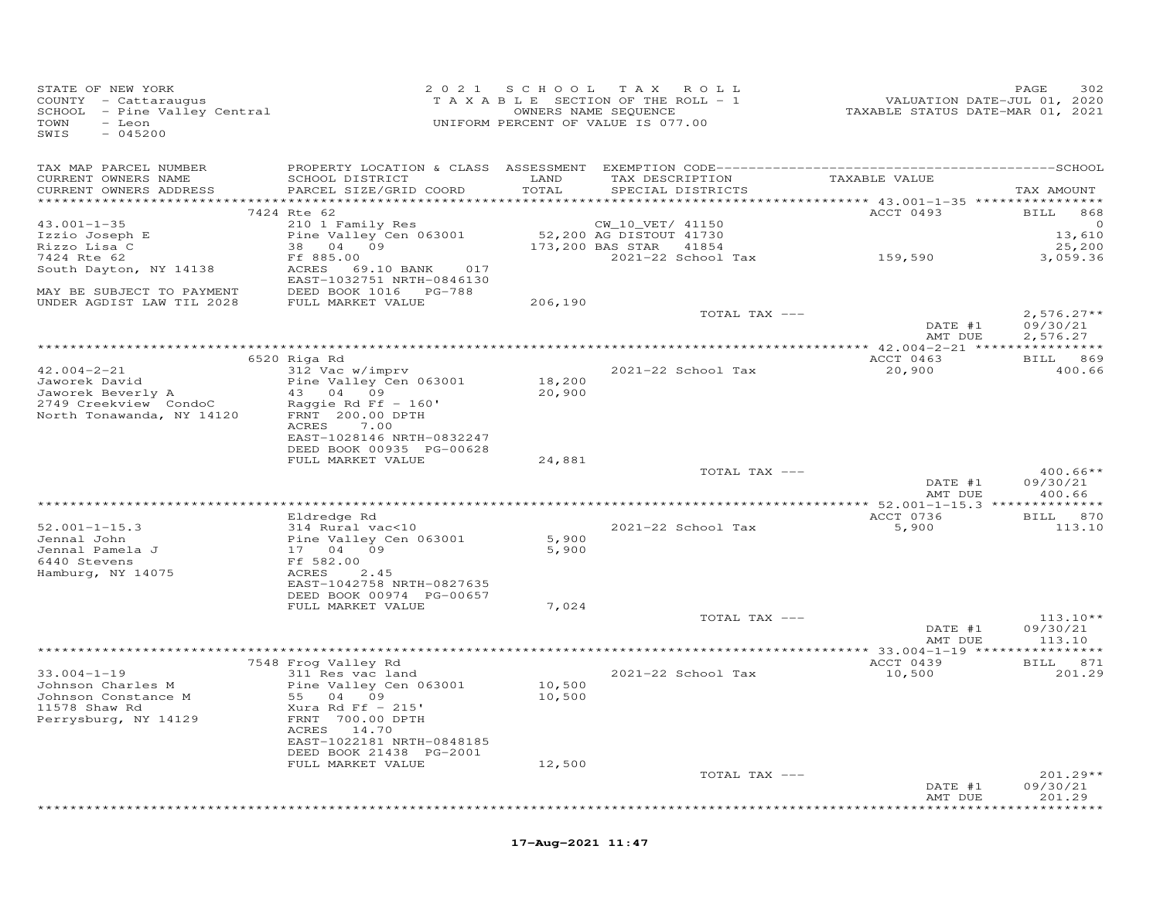| STATE OF NEW YORK<br>COUNTY - Cattaraugus<br>SCHOOL - Pine Valley Central<br>TOWN<br>- Leon<br>SWIS<br>$-045200$ |                                                   |                  | 2021 SCHOOL TAX ROLL<br>TAXABLE SECTION OF THE ROLL - 1<br>OWNERS NAME SEQUENCE<br>UNIFORM PERCENT OF VALUE IS 077.00 | VALUATION DATE-JUL 01, 2020<br>TAXABLE STATUS DATE-MAR 01, 2021 | PAGE<br>302            |
|------------------------------------------------------------------------------------------------------------------|---------------------------------------------------|------------------|-----------------------------------------------------------------------------------------------------------------------|-----------------------------------------------------------------|------------------------|
| TAX MAP PARCEL NUMBER                                                                                            |                                                   |                  |                                                                                                                       |                                                                 |                        |
| CURRENT OWNERS NAME<br>CURRENT OWNERS ADDRESS                                                                    | SCHOOL DISTRICT<br>PARCEL SIZE/GRID COORD         | LAND<br>TOTAL    | TAX DESCRIPTION<br>SPECIAL DISTRICTS                                                                                  | TAXABLE VALUE                                                   | TAX AMOUNT             |
|                                                                                                                  | 7424 Rte 62                                       |                  |                                                                                                                       | ACCT 0493                                                       | <b>BILL</b> 868        |
| $43.001 - 1 - 35$                                                                                                | 210 1 Family Res                                  |                  | CW_10_VET/ 41150                                                                                                      |                                                                 | $\circ$                |
|                                                                                                                  | Pine Valley Cen 063001                            |                  | 52,200 AG DISTOUT 41730                                                                                               |                                                                 | 13,610                 |
| Izzio Joseph E<br>Rizzo Lisa C<br>7424 Rte 62                                                                    | $38$ 04 09                                        |                  | 173,200 BAS STAR 41854                                                                                                |                                                                 | 25,200                 |
|                                                                                                                  | Ff 885.00                                         |                  | 2021-22 School Tax                                                                                                    | 159,590                                                         | 3,059.36               |
| South Dayton, NY 14138                                                                                           | ACRES 69.10 BANK 017<br>EAST-1032751 NRTH-0846130 |                  |                                                                                                                       |                                                                 |                        |
| MAY BE SUBJECT TO PAYMENT                                                                                        |                                                   |                  |                                                                                                                       |                                                                 |                        |
| UNDER AGDIST LAW TIL 2028                                                                                        | FULL MARKET VALUE                                 | 206,190          |                                                                                                                       |                                                                 |                        |
|                                                                                                                  |                                                   |                  | TOTAL TAX ---                                                                                                         |                                                                 | $2,576.27**$           |
|                                                                                                                  |                                                   |                  |                                                                                                                       | DATE #1<br>AMT DUE                                              | 09/30/21<br>2,576.27   |
|                                                                                                                  |                                                   |                  |                                                                                                                       |                                                                 |                        |
|                                                                                                                  | 6520 Riga Rd                                      |                  |                                                                                                                       | ACCT 0463                                                       | BILL 869               |
| $42.004 - 2 - 21$                                                                                                | 312 Vac w/imprv                                   |                  | 2021-22 School Tax                                                                                                    | 20,900                                                          | 400.66                 |
| Jaworek David                                                                                                    | Pine Valley Cen 063001                            | 18,200           |                                                                                                                       |                                                                 |                        |
| Jaworek Beverly A                                                                                                | $43$ 04 09                                        | 20,900           |                                                                                                                       |                                                                 |                        |
|                                                                                                                  | Raggie Rd Ff $-160'$<br>FRNT 200.00 DPTH          |                  |                                                                                                                       |                                                                 |                        |
| -- CLEEAVIEW Condoc<br>North Tonawanda, NY 14120                                                                 | ACRES 7.00                                        |                  |                                                                                                                       |                                                                 |                        |
|                                                                                                                  | EAST-1028146 NRTH-0832247                         |                  |                                                                                                                       |                                                                 |                        |
|                                                                                                                  | DEED BOOK 00935 PG-00628                          |                  |                                                                                                                       |                                                                 |                        |
|                                                                                                                  | FULL MARKET VALUE                                 | 24,881           |                                                                                                                       |                                                                 |                        |
|                                                                                                                  |                                                   |                  | TOTAL TAX ---                                                                                                         | DATE #1                                                         | $400.66**$<br>09/30/21 |
|                                                                                                                  |                                                   |                  |                                                                                                                       | AMT DUE                                                         | 400.66                 |
|                                                                                                                  |                                                   |                  |                                                                                                                       |                                                                 |                        |
|                                                                                                                  | Eldredge Rd                                       |                  |                                                                                                                       | ACCT 0736                                                       | BILL 870               |
| $52.001 - 1 - 15.3$                                                                                              | 314 Rural vac<10                                  |                  | 2021-22 School Tax                                                                                                    | 5,900                                                           | 113.10                 |
| Jennal John<br>Jennal Pamela J                                                                                   | Pine Valley Cen 063001                            | 5,900<br>5,900   |                                                                                                                       |                                                                 |                        |
| 6440 Stevens                                                                                                     | 17 04 09<br>Ff 582.00                             |                  |                                                                                                                       |                                                                 |                        |
| Hamburg, NY 14075                                                                                                | ACRES 2.45                                        |                  |                                                                                                                       |                                                                 |                        |
|                                                                                                                  | EAST-1042758 NRTH-0827635                         |                  |                                                                                                                       |                                                                 |                        |
|                                                                                                                  | DEED BOOK 00974 PG-00657                          |                  |                                                                                                                       |                                                                 |                        |
|                                                                                                                  | FULL MARKET VALUE                                 | 7,024            |                                                                                                                       |                                                                 |                        |
|                                                                                                                  |                                                   |                  | TOTAL TAX ---                                                                                                         | DATE #1                                                         | $113.10**$<br>09/30/21 |
|                                                                                                                  |                                                   |                  |                                                                                                                       | AMT DUE                                                         | 113.10                 |
|                                                                                                                  |                                                   |                  |                                                                                                                       |                                                                 |                        |
|                                                                                                                  | 7548 Frog Valley Rd                               |                  |                                                                                                                       | ACCT 0439                                                       | BILL 871               |
| $33.004 - 1 - 19$                                                                                                | 311 Res vac land                                  |                  | 2021-22 School Tax                                                                                                    | 10,500                                                          | 201.29                 |
| Johnson Charles M<br>Johnson Constance M                                                                         | Pine Valley Cen 063001<br>55 04 09                | 10,500<br>10,500 |                                                                                                                       |                                                                 |                        |
| 11578 Shaw Rd                                                                                                    | Xura Rd Ff $-215$ '                               |                  |                                                                                                                       |                                                                 |                        |
| Perrysburg, NY 14129                                                                                             | FRNT 700.00 DPTH                                  |                  |                                                                                                                       |                                                                 |                        |
|                                                                                                                  | ACRES 14.70                                       |                  |                                                                                                                       |                                                                 |                        |
|                                                                                                                  | EAST-1022181 NRTH-0848185                         |                  |                                                                                                                       |                                                                 |                        |
|                                                                                                                  | DEED BOOK 21438 PG-2001                           |                  |                                                                                                                       |                                                                 |                        |
|                                                                                                                  | FULL MARKET VALUE                                 | 12,500           |                                                                                                                       |                                                                 | 201.29**               |
|                                                                                                                  |                                                   |                  | TOTAL TAX ---                                                                                                         | DATE #1                                                         | 09/30/21               |
|                                                                                                                  |                                                   |                  |                                                                                                                       | AMT DUE                                                         | 201.29                 |
|                                                                                                                  |                                                   |                  |                                                                                                                       |                                                                 | ********               |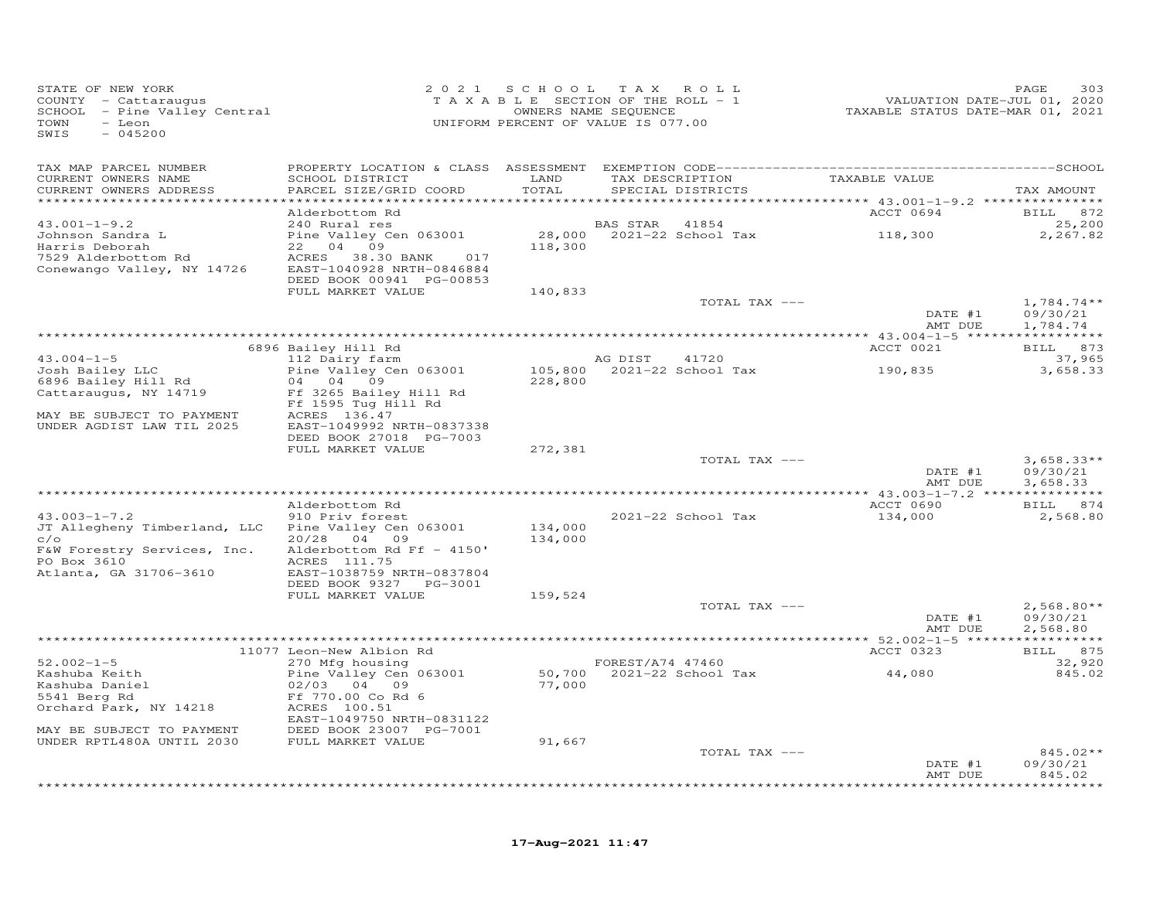| STATE OF NEW YORK<br>COUNTY - Cattaraugus<br>SCHOOL - Pine Valley Central<br>TOWN<br>- Leon<br>$-045200$<br>SWIS                  |                                                                                                                                    | 2021 SCHOOL        | TAX ROLL<br>T A X A B L E SECTION OF THE ROLL - 1<br>OWNERS NAME SEQUENCE<br>UNIFORM PERCENT OF VALUE IS 077.00 | VALUATION DATE-JUL 01, 2020<br>TAXABLE STATUS DATE-MAR 01, 2021 | PAGE<br>303                                |
|-----------------------------------------------------------------------------------------------------------------------------------|------------------------------------------------------------------------------------------------------------------------------------|--------------------|-----------------------------------------------------------------------------------------------------------------|-----------------------------------------------------------------|--------------------------------------------|
| TAX MAP PARCEL NUMBER<br>CURRENT OWNERS NAME<br>CURRENT OWNERS ADDRESS                                                            | SCHOOL DISTRICT<br>PARCEL SIZE/GRID COORD                                                                                          | LAND<br>TOTAL      | TAX DESCRIPTION TAXABLE VALUE<br>SPECIAL DISTRICTS                                                              |                                                                 | TAX AMOUNT                                 |
|                                                                                                                                   | Alderbottom Rd                                                                                                                     |                    |                                                                                                                 | ACCT 0694                                                       | BILL 872                                   |
| $43.001 - 1 - 9.2$<br>Johnson Sandra L<br>Harris Deborah<br>7529 Alderbottom Rd<br>Conewango Valley, NY 14726                     | 240 Rural res<br>Pine Valley Cen 063001<br>22 04 09<br>ACRES 38.30 BANK 017<br>EAST-1040928 NRTH-0846884                           | 118,300            | BAS STAR 41854<br>28,000 2021-22 School Tax 118,300                                                             |                                                                 | 25,200<br>2,267.82                         |
|                                                                                                                                   | DEED BOOK 00941 PG-00853<br>FULL MARKET VALUE                                                                                      | 140,833            |                                                                                                                 |                                                                 |                                            |
|                                                                                                                                   |                                                                                                                                    |                    | TOTAL TAX ---                                                                                                   | DATE #1<br>AMT DUE                                              | $1,784.74**$<br>09/30/21<br>1,784.74       |
|                                                                                                                                   | 6896 Bailey Hill Rd                                                                                                                |                    |                                                                                                                 | ACCT 0021                                                       | BILL 873                                   |
| $43.004 - 1 - 5$<br>Josh Bailey LLC<br>6896 Bailey Hill Rd                                                                        | 112 Dairy farm<br>Pine Valley Cen 063001<br>04  04  09                                                                             | 228,800            | AG DIST<br>41720<br>105,800 2021-22 School Tax                                                                  | 190,835                                                         | 37,965<br>3,658.33                         |
| Cattaraugus, NY 14719<br>MAY BE SUBJECT TO PAYMENT                                                                                | Ff 3265 Bailey Hill Rd<br>Ff 1595 Tug Hill Rd<br>ACRES 136.47                                                                      |                    |                                                                                                                 |                                                                 |                                            |
| UNDER AGDIST LAW TIL 2025                                                                                                         | EAST-1049992 NRTH-0837338<br>DEED BOOK 27018 PG-7003<br>FULL MARKET VALUE                                                          | 272,381            |                                                                                                                 |                                                                 |                                            |
|                                                                                                                                   |                                                                                                                                    |                    | TOTAL TAX ---                                                                                                   | DATE #1<br>AMT DUE                                              | $3,658.33**$<br>09/30/21<br>3,658.33       |
|                                                                                                                                   | Alderbottom Rd                                                                                                                     |                    |                                                                                                                 | ACCT 0690                                                       | BILL 874                                   |
| $43.003 - 1 - 7.2$<br>JT Allegheny Timberland, LLC<br>C/O<br>F&W Forestry Services, Inc.<br>PO Box 3610<br>Atlanta, GA 31706-3610 | 910 Priv forest<br>Pine Valley Cen 063001<br>20/28 04 09<br>Alderbottom Rd Ff - 4150'<br>ACRES 111.75<br>EAST-1038759 NRTH-0837804 | 134,000<br>134,000 | 2021-22 School Tax                                                                                              | 134,000                                                         | 2,568.80                                   |
|                                                                                                                                   | DEED BOOK 9327 PG-3001<br>FULL MARKET VALUE                                                                                        | 159,524            |                                                                                                                 |                                                                 |                                            |
|                                                                                                                                   |                                                                                                                                    |                    | TOTAL TAX ---                                                                                                   | DATE #1<br>AMT DUE                                              | $2,568.80**$<br>09/30/21<br>2,568.80       |
|                                                                                                                                   | 11077 Leon-New Albion Rd                                                                                                           |                    |                                                                                                                 | ACCT 0323                                                       | BILL 875                                   |
| $52.002 - 1 - 5$<br>Kashuba Keith<br>Kashuba Daniel<br>5541 Berg Rd                                                               | 270 Mfg housing<br>Pine Valley Cen 063001<br>02/03 04 09<br>Ff 770.00 Co Rd 6                                                      | 77,000             | FOREST/A74 47460<br>50,700 2021-22 School Tax                                                                   | 44,080                                                          | 32,920<br>845.02                           |
| Orchard Park, NY 14218<br>MAY BE SUBJECT TO PAYMENT                                                                               | ACRES 100.51<br>EAST-1049750 NRTH-0831122<br>DEED BOOK 23007 PG-7001                                                               |                    |                                                                                                                 |                                                                 |                                            |
| UNDER RPTL480A UNTIL 2030                                                                                                         | FULL MARKET VALUE                                                                                                                  | 91,667             |                                                                                                                 |                                                                 |                                            |
|                                                                                                                                   |                                                                                                                                    |                    | TOTAL TAX ---                                                                                                   | DATE #1<br>AMT DUE                                              | 845.02**<br>09/30/21<br>845.02<br>******** |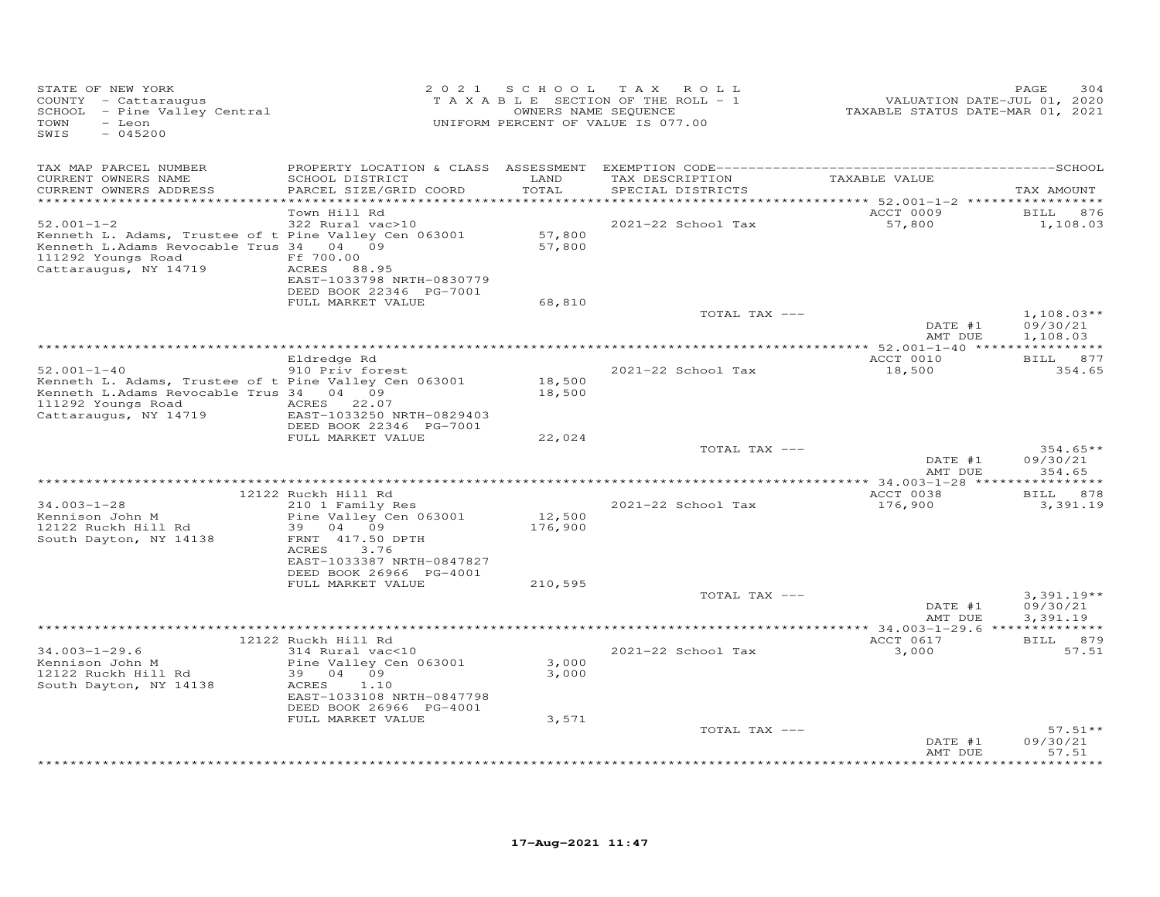| TAX MAP PARCEL NUMBER<br>CURRENT OWNERS NAME<br>SCHOOL DISTRICT<br>LAND<br>TAX DESCRIPTION<br>TAXABLE VALUE<br>TOTAL<br>CURRENT OWNERS ADDRESS<br>PARCEL SIZE/GRID COORD<br>SPECIAL DISTRICTS<br>TAX AMOUNT<br>*********<br>********************************** 52.001—1—2 *****************<br>ACCT 0009<br>Town Hill Rd<br>876<br>BILL<br>322 Rural vac>10<br>57,800<br>1,108.03<br>$52.001 - 1 - 2$<br>2021-22 School Tax<br>57,800<br>Kenneth L. Adams, Trustee of t Pine Valley Cen 063001<br>Kenneth L.Adams Revocable Trus 34<br>57,800<br>04 09<br>111292 Youngs Road<br>Ff 700.00<br>Cattaraugus, NY 14719<br>ACRES 88.95<br>EAST-1033798 NRTH-0830779<br>DEED BOOK 22346 PG-7001<br>FULL MARKET VALUE<br>68,810<br>$1,108.03**$<br>TOTAL TAX ---<br>09/30/21<br>DATE #1<br>AMT DUE<br>1,108.03<br>** $52.001 - 1 - 40$ **<br>Eldredge Rd<br>ACCT 0010<br>BILL 877<br>$52.001 - 1 - 40$<br>910 Priv forest<br>2021-22 School Tax<br>18,500<br>354.65<br>18,500<br>Kenneth L. Adams, Trustee of t Pine Valley Cen 063001<br>Kenneth L.Adams Revocable Trus 34 04 09<br>18,500<br>111292 Youngs Road<br>ACRES 22.07<br>Cattaraugus, NY 14719<br>EAST-1033250 NRTH-0829403<br>DEED BOOK 22346 PG-7001<br>FULL MARKET VALUE<br>22,024<br>TOTAL TAX ---<br>$354.65**$<br>DATE #1<br>09/30/21<br>AMT DUE<br>354.65<br>** 34.003-1-28 *****<br>* * * * * * * *<br>12122 Ruckh Hill Rd<br>ACCT 0038<br>878<br><b>BILL</b><br>$34.003 - 1 - 28$<br>2021-22 School Tax<br>210 1 Family Res<br>176,900<br>3,391.19<br>Kennison John M<br>Pine Valley Cen 063001<br>12,500<br>12122 Ruckh Hill Rd<br>39<br>04 09<br>176,900<br>South Dayton, NY 14138<br>FRNT 417.50 DPTH<br>ACRES<br>3.76<br>EAST-1033387 NRTH-0847827<br>DEED BOOK 26966 PG-4001<br>FULL MARKET VALUE<br>210,595<br>TOTAL TAX ---<br>$3,391.19**$<br>DATE #1<br>09/30/21<br>AMT DUE<br>3,391.19<br>* * * * * * * * * *<br>ACCT 0617<br>12122 Ruckh Hill Rd<br>879<br><b>BILL</b><br>57.51<br>$34.003 - 1 - 29.6$<br>2021-22 School Tax<br>3,000<br>314 Rural vac<10<br>Kennison John M<br>Pine Valley Cen 063001<br>3,000<br>12122 Ruckh Hill Rd<br>39 04 09<br>3,000<br>South Dayton, NY 14138<br>ACRES<br>1.10<br>EAST-1033108 NRTH-0847798<br>DEED BOOK 26966 PG-4001<br>FULL MARKET VALUE<br>3,571<br>$57.51**$<br>TOTAL TAX ---<br>DATE #1<br>09/30/21<br>AMT DUE<br>57.51<br>* * * * * * * * | STATE OF NEW YORK<br>COUNTY - Cattaraugus<br>SCHOOL - Pine Valley Central<br>TOWN<br>- Leon<br>SWIS<br>$-045200$ | 2 0 2 1 | S C H O O L | T A X<br>ROLL<br>TAXABLE SECTION OF THE ROLL - 1<br>OWNERS NAME SEQUENCE<br>UNIFORM PERCENT OF VALUE IS 077.00 | VALUATION DATE-JUL 01, 2020<br>TAXABLE STATUS DATE-MAR 01, 2021 | PAGE<br>304 |
|------------------------------------------------------------------------------------------------------------------------------------------------------------------------------------------------------------------------------------------------------------------------------------------------------------------------------------------------------------------------------------------------------------------------------------------------------------------------------------------------------------------------------------------------------------------------------------------------------------------------------------------------------------------------------------------------------------------------------------------------------------------------------------------------------------------------------------------------------------------------------------------------------------------------------------------------------------------------------------------------------------------------------------------------------------------------------------------------------------------------------------------------------------------------------------------------------------------------------------------------------------------------------------------------------------------------------------------------------------------------------------------------------------------------------------------------------------------------------------------------------------------------------------------------------------------------------------------------------------------------------------------------------------------------------------------------------------------------------------------------------------------------------------------------------------------------------------------------------------------------------------------------------------------------------------------------------------------------------------------------------------------------------------------------------------------------------------------------------------------------------------------------------------------------------------------------------------------------------------------------------------------------------------------------------------------------------------------------------------------|------------------------------------------------------------------------------------------------------------------|---------|-------------|----------------------------------------------------------------------------------------------------------------|-----------------------------------------------------------------|-------------|
|                                                                                                                                                                                                                                                                                                                                                                                                                                                                                                                                                                                                                                                                                                                                                                                                                                                                                                                                                                                                                                                                                                                                                                                                                                                                                                                                                                                                                                                                                                                                                                                                                                                                                                                                                                                                                                                                                                                                                                                                                                                                                                                                                                                                                                                                                                                                                                  |                                                                                                                  |         |             |                                                                                                                |                                                                 |             |
|                                                                                                                                                                                                                                                                                                                                                                                                                                                                                                                                                                                                                                                                                                                                                                                                                                                                                                                                                                                                                                                                                                                                                                                                                                                                                                                                                                                                                                                                                                                                                                                                                                                                                                                                                                                                                                                                                                                                                                                                                                                                                                                                                                                                                                                                                                                                                                  |                                                                                                                  |         |             |                                                                                                                |                                                                 |             |
|                                                                                                                                                                                                                                                                                                                                                                                                                                                                                                                                                                                                                                                                                                                                                                                                                                                                                                                                                                                                                                                                                                                                                                                                                                                                                                                                                                                                                                                                                                                                                                                                                                                                                                                                                                                                                                                                                                                                                                                                                                                                                                                                                                                                                                                                                                                                                                  |                                                                                                                  |         |             |                                                                                                                |                                                                 |             |
|                                                                                                                                                                                                                                                                                                                                                                                                                                                                                                                                                                                                                                                                                                                                                                                                                                                                                                                                                                                                                                                                                                                                                                                                                                                                                                                                                                                                                                                                                                                                                                                                                                                                                                                                                                                                                                                                                                                                                                                                                                                                                                                                                                                                                                                                                                                                                                  |                                                                                                                  |         |             |                                                                                                                |                                                                 |             |
|                                                                                                                                                                                                                                                                                                                                                                                                                                                                                                                                                                                                                                                                                                                                                                                                                                                                                                                                                                                                                                                                                                                                                                                                                                                                                                                                                                                                                                                                                                                                                                                                                                                                                                                                                                                                                                                                                                                                                                                                                                                                                                                                                                                                                                                                                                                                                                  |                                                                                                                  |         |             |                                                                                                                |                                                                 |             |
|                                                                                                                                                                                                                                                                                                                                                                                                                                                                                                                                                                                                                                                                                                                                                                                                                                                                                                                                                                                                                                                                                                                                                                                                                                                                                                                                                                                                                                                                                                                                                                                                                                                                                                                                                                                                                                                                                                                                                                                                                                                                                                                                                                                                                                                                                                                                                                  |                                                                                                                  |         |             |                                                                                                                |                                                                 |             |
|                                                                                                                                                                                                                                                                                                                                                                                                                                                                                                                                                                                                                                                                                                                                                                                                                                                                                                                                                                                                                                                                                                                                                                                                                                                                                                                                                                                                                                                                                                                                                                                                                                                                                                                                                                                                                                                                                                                                                                                                                                                                                                                                                                                                                                                                                                                                                                  |                                                                                                                  |         |             |                                                                                                                |                                                                 |             |
|                                                                                                                                                                                                                                                                                                                                                                                                                                                                                                                                                                                                                                                                                                                                                                                                                                                                                                                                                                                                                                                                                                                                                                                                                                                                                                                                                                                                                                                                                                                                                                                                                                                                                                                                                                                                                                                                                                                                                                                                                                                                                                                                                                                                                                                                                                                                                                  |                                                                                                                  |         |             |                                                                                                                |                                                                 |             |
|                                                                                                                                                                                                                                                                                                                                                                                                                                                                                                                                                                                                                                                                                                                                                                                                                                                                                                                                                                                                                                                                                                                                                                                                                                                                                                                                                                                                                                                                                                                                                                                                                                                                                                                                                                                                                                                                                                                                                                                                                                                                                                                                                                                                                                                                                                                                                                  |                                                                                                                  |         |             |                                                                                                                |                                                                 |             |
|                                                                                                                                                                                                                                                                                                                                                                                                                                                                                                                                                                                                                                                                                                                                                                                                                                                                                                                                                                                                                                                                                                                                                                                                                                                                                                                                                                                                                                                                                                                                                                                                                                                                                                                                                                                                                                                                                                                                                                                                                                                                                                                                                                                                                                                                                                                                                                  |                                                                                                                  |         |             |                                                                                                                |                                                                 |             |
|                                                                                                                                                                                                                                                                                                                                                                                                                                                                                                                                                                                                                                                                                                                                                                                                                                                                                                                                                                                                                                                                                                                                                                                                                                                                                                                                                                                                                                                                                                                                                                                                                                                                                                                                                                                                                                                                                                                                                                                                                                                                                                                                                                                                                                                                                                                                                                  |                                                                                                                  |         |             |                                                                                                                |                                                                 |             |
|                                                                                                                                                                                                                                                                                                                                                                                                                                                                                                                                                                                                                                                                                                                                                                                                                                                                                                                                                                                                                                                                                                                                                                                                                                                                                                                                                                                                                                                                                                                                                                                                                                                                                                                                                                                                                                                                                                                                                                                                                                                                                                                                                                                                                                                                                                                                                                  |                                                                                                                  |         |             |                                                                                                                |                                                                 |             |
|                                                                                                                                                                                                                                                                                                                                                                                                                                                                                                                                                                                                                                                                                                                                                                                                                                                                                                                                                                                                                                                                                                                                                                                                                                                                                                                                                                                                                                                                                                                                                                                                                                                                                                                                                                                                                                                                                                                                                                                                                                                                                                                                                                                                                                                                                                                                                                  |                                                                                                                  |         |             |                                                                                                                |                                                                 |             |
|                                                                                                                                                                                                                                                                                                                                                                                                                                                                                                                                                                                                                                                                                                                                                                                                                                                                                                                                                                                                                                                                                                                                                                                                                                                                                                                                                                                                                                                                                                                                                                                                                                                                                                                                                                                                                                                                                                                                                                                                                                                                                                                                                                                                                                                                                                                                                                  |                                                                                                                  |         |             |                                                                                                                |                                                                 |             |
|                                                                                                                                                                                                                                                                                                                                                                                                                                                                                                                                                                                                                                                                                                                                                                                                                                                                                                                                                                                                                                                                                                                                                                                                                                                                                                                                                                                                                                                                                                                                                                                                                                                                                                                                                                                                                                                                                                                                                                                                                                                                                                                                                                                                                                                                                                                                                                  |                                                                                                                  |         |             |                                                                                                                |                                                                 |             |
|                                                                                                                                                                                                                                                                                                                                                                                                                                                                                                                                                                                                                                                                                                                                                                                                                                                                                                                                                                                                                                                                                                                                                                                                                                                                                                                                                                                                                                                                                                                                                                                                                                                                                                                                                                                                                                                                                                                                                                                                                                                                                                                                                                                                                                                                                                                                                                  |                                                                                                                  |         |             |                                                                                                                |                                                                 |             |
|                                                                                                                                                                                                                                                                                                                                                                                                                                                                                                                                                                                                                                                                                                                                                                                                                                                                                                                                                                                                                                                                                                                                                                                                                                                                                                                                                                                                                                                                                                                                                                                                                                                                                                                                                                                                                                                                                                                                                                                                                                                                                                                                                                                                                                                                                                                                                                  |                                                                                                                  |         |             |                                                                                                                |                                                                 |             |
|                                                                                                                                                                                                                                                                                                                                                                                                                                                                                                                                                                                                                                                                                                                                                                                                                                                                                                                                                                                                                                                                                                                                                                                                                                                                                                                                                                                                                                                                                                                                                                                                                                                                                                                                                                                                                                                                                                                                                                                                                                                                                                                                                                                                                                                                                                                                                                  |                                                                                                                  |         |             |                                                                                                                |                                                                 |             |
|                                                                                                                                                                                                                                                                                                                                                                                                                                                                                                                                                                                                                                                                                                                                                                                                                                                                                                                                                                                                                                                                                                                                                                                                                                                                                                                                                                                                                                                                                                                                                                                                                                                                                                                                                                                                                                                                                                                                                                                                                                                                                                                                                                                                                                                                                                                                                                  |                                                                                                                  |         |             |                                                                                                                |                                                                 |             |
|                                                                                                                                                                                                                                                                                                                                                                                                                                                                                                                                                                                                                                                                                                                                                                                                                                                                                                                                                                                                                                                                                                                                                                                                                                                                                                                                                                                                                                                                                                                                                                                                                                                                                                                                                                                                                                                                                                                                                                                                                                                                                                                                                                                                                                                                                                                                                                  |                                                                                                                  |         |             |                                                                                                                |                                                                 |             |
|                                                                                                                                                                                                                                                                                                                                                                                                                                                                                                                                                                                                                                                                                                                                                                                                                                                                                                                                                                                                                                                                                                                                                                                                                                                                                                                                                                                                                                                                                                                                                                                                                                                                                                                                                                                                                                                                                                                                                                                                                                                                                                                                                                                                                                                                                                                                                                  |                                                                                                                  |         |             |                                                                                                                |                                                                 |             |
|                                                                                                                                                                                                                                                                                                                                                                                                                                                                                                                                                                                                                                                                                                                                                                                                                                                                                                                                                                                                                                                                                                                                                                                                                                                                                                                                                                                                                                                                                                                                                                                                                                                                                                                                                                                                                                                                                                                                                                                                                                                                                                                                                                                                                                                                                                                                                                  |                                                                                                                  |         |             |                                                                                                                |                                                                 |             |
|                                                                                                                                                                                                                                                                                                                                                                                                                                                                                                                                                                                                                                                                                                                                                                                                                                                                                                                                                                                                                                                                                                                                                                                                                                                                                                                                                                                                                                                                                                                                                                                                                                                                                                                                                                                                                                                                                                                                                                                                                                                                                                                                                                                                                                                                                                                                                                  |                                                                                                                  |         |             |                                                                                                                |                                                                 |             |
|                                                                                                                                                                                                                                                                                                                                                                                                                                                                                                                                                                                                                                                                                                                                                                                                                                                                                                                                                                                                                                                                                                                                                                                                                                                                                                                                                                                                                                                                                                                                                                                                                                                                                                                                                                                                                                                                                                                                                                                                                                                                                                                                                                                                                                                                                                                                                                  |                                                                                                                  |         |             |                                                                                                                |                                                                 |             |
|                                                                                                                                                                                                                                                                                                                                                                                                                                                                                                                                                                                                                                                                                                                                                                                                                                                                                                                                                                                                                                                                                                                                                                                                                                                                                                                                                                                                                                                                                                                                                                                                                                                                                                                                                                                                                                                                                                                                                                                                                                                                                                                                                                                                                                                                                                                                                                  |                                                                                                                  |         |             |                                                                                                                |                                                                 |             |
|                                                                                                                                                                                                                                                                                                                                                                                                                                                                                                                                                                                                                                                                                                                                                                                                                                                                                                                                                                                                                                                                                                                                                                                                                                                                                                                                                                                                                                                                                                                                                                                                                                                                                                                                                                                                                                                                                                                                                                                                                                                                                                                                                                                                                                                                                                                                                                  |                                                                                                                  |         |             |                                                                                                                |                                                                 |             |
|                                                                                                                                                                                                                                                                                                                                                                                                                                                                                                                                                                                                                                                                                                                                                                                                                                                                                                                                                                                                                                                                                                                                                                                                                                                                                                                                                                                                                                                                                                                                                                                                                                                                                                                                                                                                                                                                                                                                                                                                                                                                                                                                                                                                                                                                                                                                                                  |                                                                                                                  |         |             |                                                                                                                |                                                                 |             |
|                                                                                                                                                                                                                                                                                                                                                                                                                                                                                                                                                                                                                                                                                                                                                                                                                                                                                                                                                                                                                                                                                                                                                                                                                                                                                                                                                                                                                                                                                                                                                                                                                                                                                                                                                                                                                                                                                                                                                                                                                                                                                                                                                                                                                                                                                                                                                                  |                                                                                                                  |         |             |                                                                                                                |                                                                 |             |
|                                                                                                                                                                                                                                                                                                                                                                                                                                                                                                                                                                                                                                                                                                                                                                                                                                                                                                                                                                                                                                                                                                                                                                                                                                                                                                                                                                                                                                                                                                                                                                                                                                                                                                                                                                                                                                                                                                                                                                                                                                                                                                                                                                                                                                                                                                                                                                  |                                                                                                                  |         |             |                                                                                                                |                                                                 |             |
|                                                                                                                                                                                                                                                                                                                                                                                                                                                                                                                                                                                                                                                                                                                                                                                                                                                                                                                                                                                                                                                                                                                                                                                                                                                                                                                                                                                                                                                                                                                                                                                                                                                                                                                                                                                                                                                                                                                                                                                                                                                                                                                                                                                                                                                                                                                                                                  |                                                                                                                  |         |             |                                                                                                                |                                                                 |             |
|                                                                                                                                                                                                                                                                                                                                                                                                                                                                                                                                                                                                                                                                                                                                                                                                                                                                                                                                                                                                                                                                                                                                                                                                                                                                                                                                                                                                                                                                                                                                                                                                                                                                                                                                                                                                                                                                                                                                                                                                                                                                                                                                                                                                                                                                                                                                                                  |                                                                                                                  |         |             |                                                                                                                |                                                                 |             |
|                                                                                                                                                                                                                                                                                                                                                                                                                                                                                                                                                                                                                                                                                                                                                                                                                                                                                                                                                                                                                                                                                                                                                                                                                                                                                                                                                                                                                                                                                                                                                                                                                                                                                                                                                                                                                                                                                                                                                                                                                                                                                                                                                                                                                                                                                                                                                                  |                                                                                                                  |         |             |                                                                                                                |                                                                 |             |
|                                                                                                                                                                                                                                                                                                                                                                                                                                                                                                                                                                                                                                                                                                                                                                                                                                                                                                                                                                                                                                                                                                                                                                                                                                                                                                                                                                                                                                                                                                                                                                                                                                                                                                                                                                                                                                                                                                                                                                                                                                                                                                                                                                                                                                                                                                                                                                  |                                                                                                                  |         |             |                                                                                                                |                                                                 |             |
|                                                                                                                                                                                                                                                                                                                                                                                                                                                                                                                                                                                                                                                                                                                                                                                                                                                                                                                                                                                                                                                                                                                                                                                                                                                                                                                                                                                                                                                                                                                                                                                                                                                                                                                                                                                                                                                                                                                                                                                                                                                                                                                                                                                                                                                                                                                                                                  |                                                                                                                  |         |             |                                                                                                                |                                                                 |             |
|                                                                                                                                                                                                                                                                                                                                                                                                                                                                                                                                                                                                                                                                                                                                                                                                                                                                                                                                                                                                                                                                                                                                                                                                                                                                                                                                                                                                                                                                                                                                                                                                                                                                                                                                                                                                                                                                                                                                                                                                                                                                                                                                                                                                                                                                                                                                                                  |                                                                                                                  |         |             |                                                                                                                |                                                                 |             |
|                                                                                                                                                                                                                                                                                                                                                                                                                                                                                                                                                                                                                                                                                                                                                                                                                                                                                                                                                                                                                                                                                                                                                                                                                                                                                                                                                                                                                                                                                                                                                                                                                                                                                                                                                                                                                                                                                                                                                                                                                                                                                                                                                                                                                                                                                                                                                                  |                                                                                                                  |         |             |                                                                                                                |                                                                 |             |
|                                                                                                                                                                                                                                                                                                                                                                                                                                                                                                                                                                                                                                                                                                                                                                                                                                                                                                                                                                                                                                                                                                                                                                                                                                                                                                                                                                                                                                                                                                                                                                                                                                                                                                                                                                                                                                                                                                                                                                                                                                                                                                                                                                                                                                                                                                                                                                  |                                                                                                                  |         |             |                                                                                                                |                                                                 |             |
|                                                                                                                                                                                                                                                                                                                                                                                                                                                                                                                                                                                                                                                                                                                                                                                                                                                                                                                                                                                                                                                                                                                                                                                                                                                                                                                                                                                                                                                                                                                                                                                                                                                                                                                                                                                                                                                                                                                                                                                                                                                                                                                                                                                                                                                                                                                                                                  |                                                                                                                  |         |             |                                                                                                                |                                                                 |             |
|                                                                                                                                                                                                                                                                                                                                                                                                                                                                                                                                                                                                                                                                                                                                                                                                                                                                                                                                                                                                                                                                                                                                                                                                                                                                                                                                                                                                                                                                                                                                                                                                                                                                                                                                                                                                                                                                                                                                                                                                                                                                                                                                                                                                                                                                                                                                                                  |                                                                                                                  |         |             |                                                                                                                |                                                                 |             |
|                                                                                                                                                                                                                                                                                                                                                                                                                                                                                                                                                                                                                                                                                                                                                                                                                                                                                                                                                                                                                                                                                                                                                                                                                                                                                                                                                                                                                                                                                                                                                                                                                                                                                                                                                                                                                                                                                                                                                                                                                                                                                                                                                                                                                                                                                                                                                                  |                                                                                                                  |         |             |                                                                                                                |                                                                 |             |
|                                                                                                                                                                                                                                                                                                                                                                                                                                                                                                                                                                                                                                                                                                                                                                                                                                                                                                                                                                                                                                                                                                                                                                                                                                                                                                                                                                                                                                                                                                                                                                                                                                                                                                                                                                                                                                                                                                                                                                                                                                                                                                                                                                                                                                                                                                                                                                  |                                                                                                                  |         |             |                                                                                                                |                                                                 |             |
|                                                                                                                                                                                                                                                                                                                                                                                                                                                                                                                                                                                                                                                                                                                                                                                                                                                                                                                                                                                                                                                                                                                                                                                                                                                                                                                                                                                                                                                                                                                                                                                                                                                                                                                                                                                                                                                                                                                                                                                                                                                                                                                                                                                                                                                                                                                                                                  |                                                                                                                  |         |             |                                                                                                                |                                                                 |             |
|                                                                                                                                                                                                                                                                                                                                                                                                                                                                                                                                                                                                                                                                                                                                                                                                                                                                                                                                                                                                                                                                                                                                                                                                                                                                                                                                                                                                                                                                                                                                                                                                                                                                                                                                                                                                                                                                                                                                                                                                                                                                                                                                                                                                                                                                                                                                                                  |                                                                                                                  |         |             |                                                                                                                |                                                                 |             |
|                                                                                                                                                                                                                                                                                                                                                                                                                                                                                                                                                                                                                                                                                                                                                                                                                                                                                                                                                                                                                                                                                                                                                                                                                                                                                                                                                                                                                                                                                                                                                                                                                                                                                                                                                                                                                                                                                                                                                                                                                                                                                                                                                                                                                                                                                                                                                                  |                                                                                                                  |         |             |                                                                                                                |                                                                 |             |
|                                                                                                                                                                                                                                                                                                                                                                                                                                                                                                                                                                                                                                                                                                                                                                                                                                                                                                                                                                                                                                                                                                                                                                                                                                                                                                                                                                                                                                                                                                                                                                                                                                                                                                                                                                                                                                                                                                                                                                                                                                                                                                                                                                                                                                                                                                                                                                  |                                                                                                                  |         |             |                                                                                                                |                                                                 |             |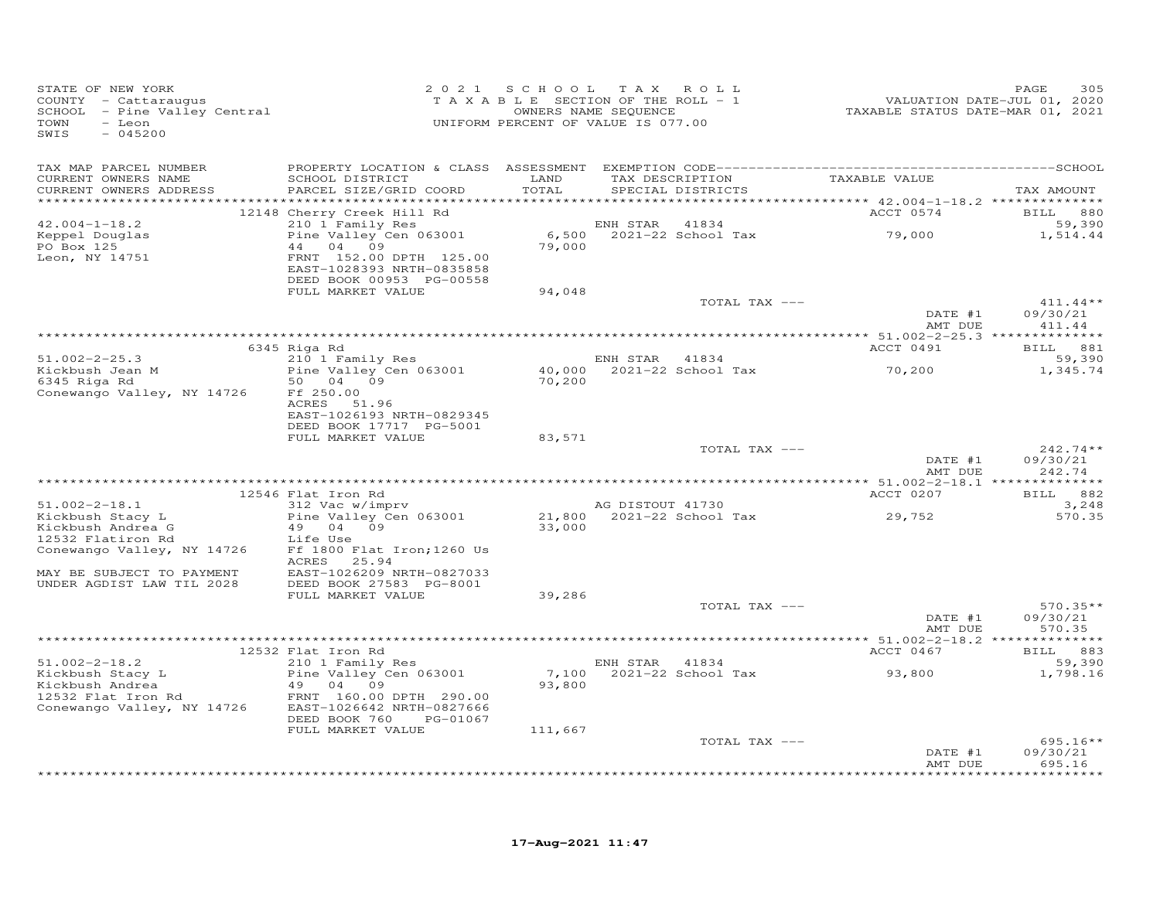| STATE OF NEW YORK<br>COUNTY - Cattaraugus<br>COUNII - Caccaraugus<br>SCHOOL - Pine Valley Central<br>- Leon<br>TOWN<br>SWIS<br>$-045200$ |                                                       | 2021 SCHOOL   | TAX ROLL<br>TAXABLE SECTION OF THE ROLL - 1<br>OWNERS NAME SEQUENCE<br>UNIFORM PERCENT OF VALUE IS 077.00 | VALUATION DATE-JUL 01, 2020<br>TAXABLE STATUS DATE-MAR 01, 2021 | 305<br>PAGE                              |
|------------------------------------------------------------------------------------------------------------------------------------------|-------------------------------------------------------|---------------|-----------------------------------------------------------------------------------------------------------|-----------------------------------------------------------------|------------------------------------------|
| TAX MAP PARCEL NUMBER                                                                                                                    |                                                       |               |                                                                                                           |                                                                 |                                          |
| CURRENT OWNERS NAME<br>CURRENT OWNERS ADDRESS                                                                                            | SCHOOL DISTRICT<br>PARCEL SIZE/GRID COORD             | LAND<br>TOTAL | TAX DESCRIPTION<br>SPECIAL DISTRICTS                                                                      | TAXABLE VALUE                                                   | TAX AMOUNT                               |
|                                                                                                                                          | 12148 Cherry Creek Hill Rd                            |               |                                                                                                           | ACCT 0574                                                       | BILL 880                                 |
| $42.004 - 1 - 18.2$                                                                                                                      | 210 1 Family Res                                      |               | 41834<br>ENH STAR                                                                                         |                                                                 | 59,390                                   |
| Keppel Douglas                                                                                                                           | Pine Valley Cen 063001                                |               | 6,500 2021-22 School Tax                                                                                  | 79,000                                                          | 1,514.44                                 |
| PO Box 125<br>Leon, NY 14751                                                                                                             | 44 04 09<br>FRNT 152.00 DPTH 125.00                   | 79,000        |                                                                                                           |                                                                 |                                          |
|                                                                                                                                          | EAST-1028393 NRTH-0835858<br>DEED BOOK 00953 PG-00558 |               |                                                                                                           |                                                                 |                                          |
|                                                                                                                                          | FULL MARKET VALUE                                     | 94,048        |                                                                                                           |                                                                 |                                          |
|                                                                                                                                          |                                                       |               | TOTAL TAX ---                                                                                             |                                                                 | $411.44**$                               |
|                                                                                                                                          |                                                       |               |                                                                                                           | DATE #1                                                         | 09/30/21                                 |
|                                                                                                                                          |                                                       |               |                                                                                                           | AMT DUE                                                         | 411.44                                   |
|                                                                                                                                          | 6345 Riga Rd                                          |               |                                                                                                           | ACCT 0491                                                       | BILL 881                                 |
| $51.002 - 2 - 25.3$                                                                                                                      | 210 1 Family Res                                      |               | ENH STAR 41834                                                                                            |                                                                 | 59,390                                   |
| Kickbush Jean M                                                                                                                          | Pine Valley Cen 063001                                |               | ENH SIAR 41634<br>40,000 2021-22 School Tax                                                               | 70,200                                                          | 1,345.74                                 |
| 6345 Riga Rd                                                                                                                             | 50 04 09                                              | 70,200        |                                                                                                           |                                                                 |                                          |
| Conewango Valley, NY 14726                                                                                                               | Ff 250.00<br>ACRES 51.96                              |               |                                                                                                           |                                                                 |                                          |
|                                                                                                                                          | EAST-1026193 NRTH-0829345                             |               |                                                                                                           |                                                                 |                                          |
|                                                                                                                                          | DEED BOOK 17717 PG-5001                               |               |                                                                                                           |                                                                 |                                          |
|                                                                                                                                          | FULL MARKET VALUE                                     | 83,571        |                                                                                                           |                                                                 |                                          |
|                                                                                                                                          |                                                       |               | TOTAL TAX ---                                                                                             | DATE #1                                                         | $242.74**$<br>09/30/21                   |
|                                                                                                                                          |                                                       |               |                                                                                                           | AMT DUE                                                         | 242.74                                   |
|                                                                                                                                          |                                                       |               |                                                                                                           |                                                                 |                                          |
|                                                                                                                                          | 12546 Flat Iron Rd                                    |               |                                                                                                           | ACCT 0207                                                       | BILL 882                                 |
| $51.002 - 2 - 18.1$                                                                                                                      | 312 Vac w/imprv                                       |               | AG DISTOUT 41730                                                                                          |                                                                 | 3,248                                    |
| Kickbush Stacy L<br>Kickbush Andrea G                                                                                                    | Pine Valley Cen 063001<br>49<br>04 09                 |               | AG DISIOUL TIPS<br>21,800 2021-22 School Tax<br>33,000                                                    | 29,752                                                          | 570.35                                   |
| 12532 Flatiron Rd                                                                                                                        | Life Use                                              |               |                                                                                                           |                                                                 |                                          |
| Conewango Valley, NY 14726                                                                                                               | Ff 1800 Flat Iron; 1260 Us                            |               |                                                                                                           |                                                                 |                                          |
|                                                                                                                                          | ACRES 25.94                                           |               |                                                                                                           |                                                                 |                                          |
| MAY BE SUBJECT TO PAYMENT<br>UNDER AGDIST LAW TIL 2028                                                                                   | EAST-1026209 NRTH-0827033<br>DEED BOOK 27583 PG-8001  |               |                                                                                                           |                                                                 |                                          |
|                                                                                                                                          | FULL MARKET VALUE                                     | 39,286        |                                                                                                           |                                                                 |                                          |
|                                                                                                                                          |                                                       |               | TOTAL TAX ---                                                                                             |                                                                 | $570.35**$                               |
|                                                                                                                                          |                                                       |               |                                                                                                           | DATE #1                                                         | 09/30/21                                 |
|                                                                                                                                          |                                                       |               |                                                                                                           | AMT DUE                                                         | 570.35                                   |
|                                                                                                                                          | 12532 Flat Iron Rd                                    |               |                                                                                                           | ACCT 0467                                                       | BILL 883                                 |
| $51.002 - 2 - 18.2$                                                                                                                      | $210$ 1 Family Res                                    |               | ENH STAR 41834                                                                                            |                                                                 | 59,390                                   |
| Kickbush Stacy L                                                                                                                         | Pine Valley Cen 063001                                |               | 7,100 2021-22 School Tax                                                                                  | 93,800                                                          | 1,798.16                                 |
| Kickbush Andrea                                                                                                                          | 49 04 09                                              | 93,800        |                                                                                                           |                                                                 |                                          |
| 12532 Flat Iron Rd<br>Conewango Valley, NY 14726                                                                                         | FRNT 160.00 DPTH 290.00<br>EAST-1026642 NRTH-0827666  |               |                                                                                                           |                                                                 |                                          |
|                                                                                                                                          | DEED BOOK 760<br>PG-01067                             |               |                                                                                                           |                                                                 |                                          |
|                                                                                                                                          | FULL MARKET VALUE                                     | 111,667       |                                                                                                           |                                                                 |                                          |
|                                                                                                                                          |                                                       |               | TOTAL TAX ---                                                                                             |                                                                 | $695.16**$                               |
|                                                                                                                                          |                                                       |               |                                                                                                           | DATE #1                                                         | 09/30/21                                 |
|                                                                                                                                          |                                                       |               |                                                                                                           | AMT DUE                                                         | 695.16<br>له باب باب باب باب باب باب باب |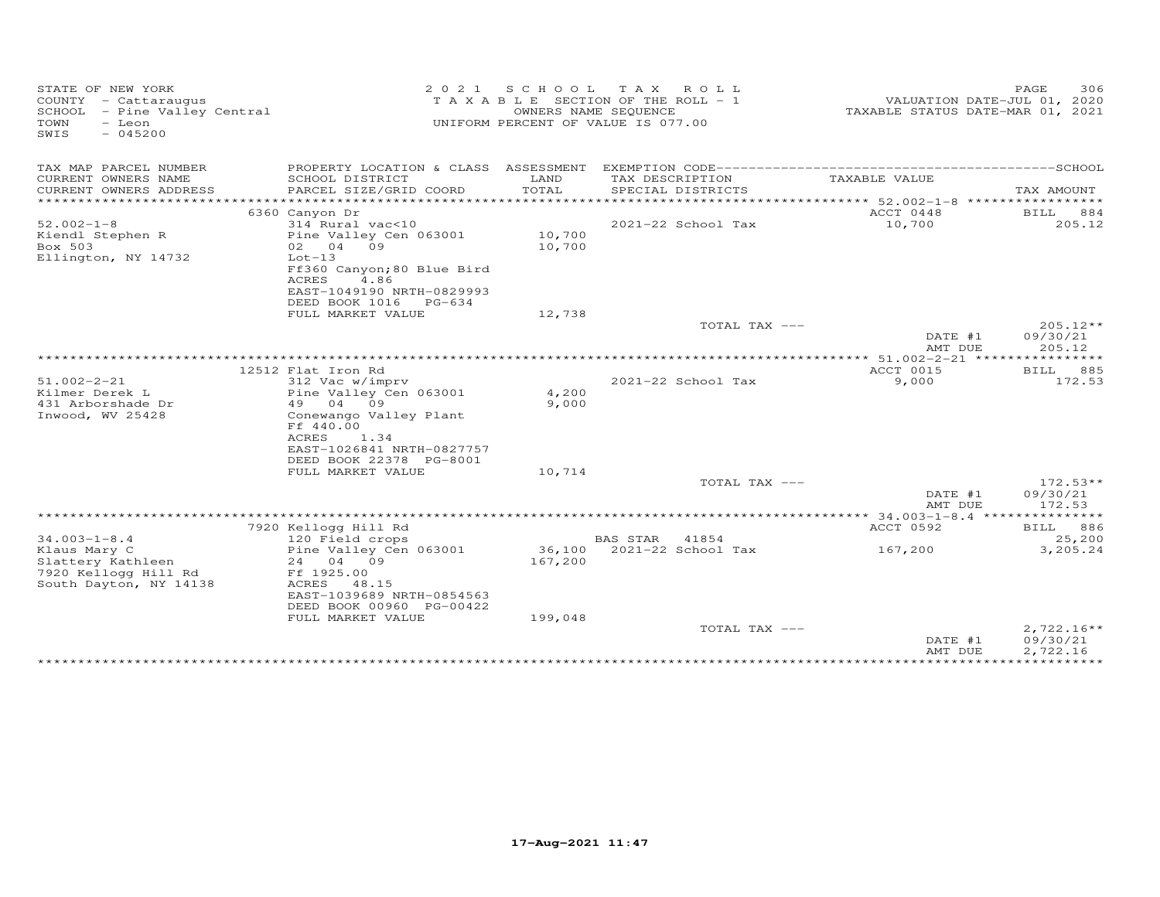| STATE OF NEW YORK<br>COUNTY - Cattaraugus<br>SCHOOL - Pine Valley Central<br>TOWN<br>- Leon<br>$-045200$<br>SWIS | 2 0 2 1                                                                   | S C H O O L       | T A X<br>ROLL<br>T A X A B L E SECTION OF THE ROLL - 1<br>OWNERS NAME SEQUENCE<br>UNIFORM PERCENT OF VALUE IS 077.00 | TAXABLE STATUS DATE-MAR 01, 2021 | 306<br>PAGE<br>VALUATION DATE-JUL 01, 2020 |
|------------------------------------------------------------------------------------------------------------------|---------------------------------------------------------------------------|-------------------|----------------------------------------------------------------------------------------------------------------------|----------------------------------|--------------------------------------------|
| TAX MAP PARCEL NUMBER                                                                                            |                                                                           |                   |                                                                                                                      |                                  |                                            |
| CURRENT OWNERS NAME<br>CURRENT OWNERS ADDRESS<br>*******************                                             | SCHOOL DISTRICT<br>PARCEL SIZE/GRID COORD<br>***************************  | LAND<br>TOTAL     | TAX DESCRIPTION<br>SPECIAL DISTRICTS                                                                                 | TAXABLE VALUE                    | TAX AMOUNT                                 |
|                                                                                                                  | 6360 Canyon Dr                                                            |                   |                                                                                                                      | ACCT 0448                        | BILL<br>884                                |
| $52.002 - 1 - 8$                                                                                                 | 314 Rural vac<10                                                          |                   | 2021-22 School Tax                                                                                                   | 10,700                           | 205.12                                     |
| Kiendl Stephen R<br>Box 503                                                                                      | Pine Valley Cen 063001<br>02 04 09                                        | 10,700<br>10,700  |                                                                                                                      |                                  |                                            |
| Ellington, NY 14732                                                                                              | $Lot-13$<br>Ff360 Canyon; 80 Blue Bird<br>4.86<br>ACRES                   |                   |                                                                                                                      |                                  |                                            |
|                                                                                                                  | EAST-1049190 NRTH-0829993<br>DEED BOOK 1016 PG-634                        |                   |                                                                                                                      |                                  |                                            |
|                                                                                                                  | FULL MARKET VALUE                                                         | 12,738            |                                                                                                                      |                                  |                                            |
|                                                                                                                  |                                                                           |                   | TOTAL TAX ---                                                                                                        | DATE #1<br>AMT DUE               | 205.12**<br>09/30/21<br>205.12             |
|                                                                                                                  |                                                                           |                   |                                                                                                                      | ** $51.002 - 2 - 21$ ****        |                                            |
|                                                                                                                  | 12512 Flat Iron Rd                                                        |                   |                                                                                                                      | ACCT 0015                        | 885<br>BILL                                |
| $51.002 - 2 - 21$<br>Kilmer Derek L<br>431 Arborshade Dr                                                         | 312 Vac w/imprv<br>Pine Valley Cen 063001<br>49 04<br>09                  | 4,200<br>9,000    | 2021-22 School Tax                                                                                                   | 9,000                            | 172.53                                     |
| Inwood, WV 25428                                                                                                 | Conewango Valley Plant<br>Ff 440.00<br>ACRES<br>1.34                      |                   |                                                                                                                      |                                  |                                            |
|                                                                                                                  | EAST-1026841 NRTH-0827757<br>DEED BOOK 22378 PG-8001<br>FULL MARKET VALUE | 10,714            |                                                                                                                      |                                  |                                            |
|                                                                                                                  |                                                                           |                   | TOTAL TAX ---                                                                                                        |                                  | $172.53**$                                 |
|                                                                                                                  |                                                                           |                   |                                                                                                                      | DATE #1<br>AMT DUE               | 09/30/21<br>172.53                         |
|                                                                                                                  | 7920 Kellogg Hill Rd                                                      |                   |                                                                                                                      | ACCT 0592                        | BILL 886                                   |
| $34.003 - 1 - 8.4$                                                                                               | 120 Field crops                                                           |                   | BAS STAR<br>41854                                                                                                    |                                  | 25,200                                     |
| Klaus Mary C<br>Slattery Kathleen                                                                                | Pine Valley Cen 063001<br>24 04 09                                        | 36,100<br>167,200 | 2021-22 School Tax                                                                                                   | 167,200                          | 3,205.24                                   |
| 7920 Kellogg Hill Rd<br>South Dayton, NY 14138                                                                   | Ff 1925.00<br>ACRES 48.15<br>EAST-1039689 NRTH-0854563                    |                   |                                                                                                                      |                                  |                                            |
|                                                                                                                  | DEED BOOK 00960 PG-00422<br>FULL MARKET VALUE                             | 199,048           |                                                                                                                      |                                  |                                            |
|                                                                                                                  |                                                                           |                   | TOTAL TAX ---                                                                                                        | DATE #1                          | $2,722.16**$<br>09/30/21                   |
|                                                                                                                  |                                                                           |                   |                                                                                                                      | AMT DUE                          | 2,722.16                                   |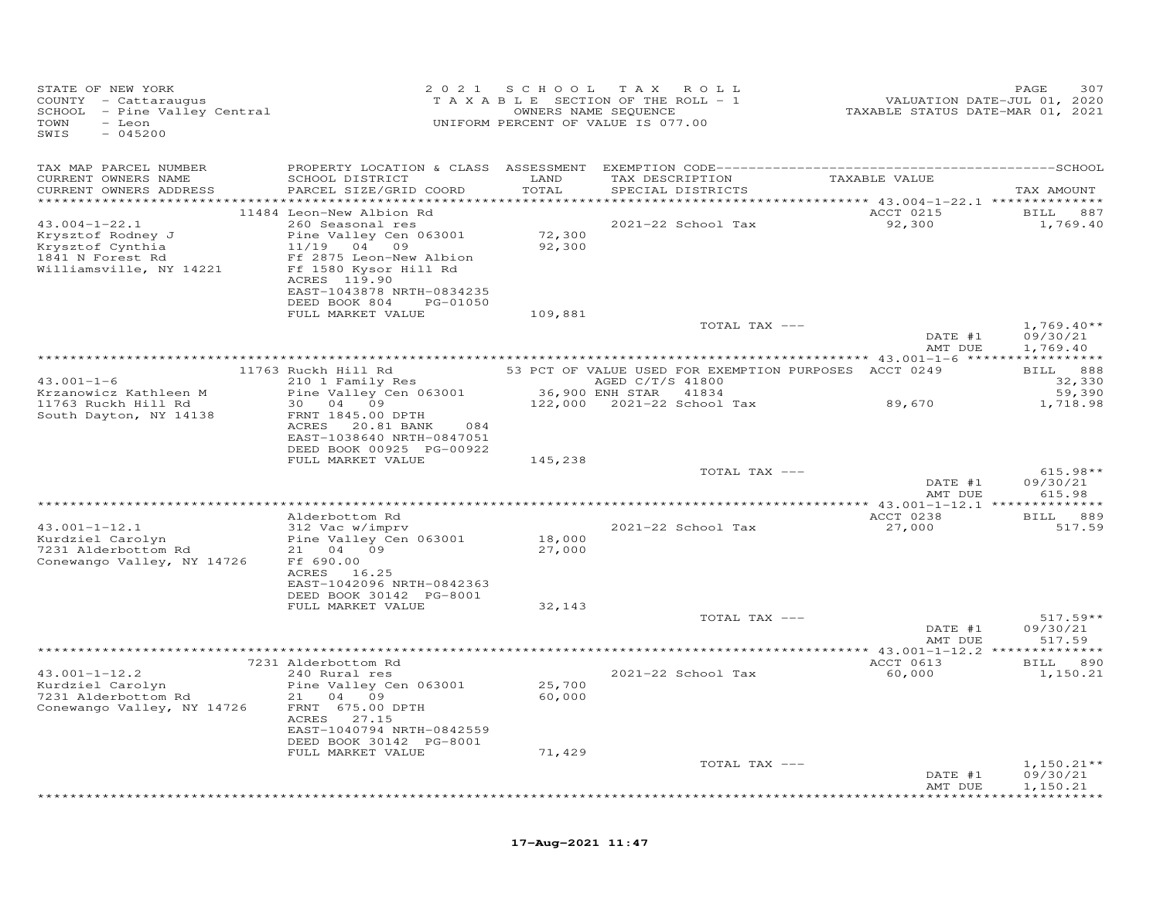| STATE OF NEW YORK<br>COUNTY - Cattaraugus<br>COUNTY - Cattaraugus<br>SCHOOL - Pine Valley Central<br>TOWN<br>- Leon<br>SWIS<br>$-045200$ |                                                                                                                   | 2021 SCHOOL      | TAX ROLL<br>T A X A B L E SECTION OF THE ROLL - 1<br>OWNERS NAME SEQUENCE<br>RCENT OF VALUE TO 200<br>UNIFORM PERCENT OF VALUE IS 077.00 | 2015<br>VALUATION DATE-JUL 01, 2020<br>TAXABLE STATUS DATE-MAR 01, 2021 | 307<br>PAGE            |
|------------------------------------------------------------------------------------------------------------------------------------------|-------------------------------------------------------------------------------------------------------------------|------------------|------------------------------------------------------------------------------------------------------------------------------------------|-------------------------------------------------------------------------|------------------------|
| TAX MAP PARCEL NUMBER                                                                                                                    |                                                                                                                   |                  |                                                                                                                                          |                                                                         |                        |
| CURRENT OWNERS NAME<br>CURRENT OWNERS ADDRESS                                                                                            | SCHOOL DISTRICT LAND<br>PARCEL SIZE/GRID COORD                                                                    | TOTAL            | TAX DESCRIPTION<br>SPECIAL DISTRICTS                                                                                                     | TAXABLE VALUE                                                           | TAX AMOUNT             |
|                                                                                                                                          |                                                                                                                   |                  |                                                                                                                                          |                                                                         |                        |
| $43.004 - 1 - 22.1$<br>Krysztof Rodney J<br>Krysztof Cynthia<br>1841 N Forest Rd                                                         | 11484 Leon-New Albion Rd<br>260 Seasonal res<br>Pine Valley Cen 063001<br>11/19 04 09<br>Ff 2875 Leon-New Albion  | 72,300<br>92,300 | 2021-22 School Tax                                                                                                                       | ACCT 0215<br>92,300                                                     | BILL 887<br>1,769.40   |
| Williamsville, NY 14221                                                                                                                  | Ff 1580 Kysor Hill Rd<br>ACRES 119.90<br>EAST-1043878 NRTH-0834235<br>DEED BOOK 804 PG-01050<br>FULL MARKET VALUE | 109,881          |                                                                                                                                          |                                                                         |                        |
|                                                                                                                                          |                                                                                                                   |                  | TOTAL TAX ---                                                                                                                            |                                                                         | $1,769.40**$           |
|                                                                                                                                          |                                                                                                                   |                  |                                                                                                                                          | DATE #1<br>AMT DUE                                                      | 09/30/21<br>1,769.40   |
|                                                                                                                                          | 11763 Ruckh Hill Rd 53 PCT OF VALUE USED FOR EXEMPTION PURPOSES ACCT 0249                                         |                  |                                                                                                                                          |                                                                         | BILL 888               |
| $43.001 - 1 - 6$                                                                                                                         | $210$ 1 Family Res                                                                                                |                  |                                                                                                                                          |                                                                         | 32,330                 |
| Krzanowicz Kathleen M                                                                                                                    | 210 1 Family Res<br>Pine Valley Cen 063001 36,900 ENH STAR 41834                                                  |                  |                                                                                                                                          |                                                                         | 59,390                 |
| 11763 Ruckh Hill Rd                                                                                                                      | 30  04  09                                                                                                        |                  | 122,000 2021-22 School Tax 89,670                                                                                                        |                                                                         | 1,718.98               |
| South Dayton, NY 14138                                                                                                                   | FRNT 1845.00 DPTH<br>ACRES 20.81 BANK<br>084<br>EAST-1038640 NRTH-0847051                                         |                  |                                                                                                                                          |                                                                         |                        |
|                                                                                                                                          | DEED BOOK 00925 PG-00922<br>FULL MARKET VALUE                                                                     | 145,238          |                                                                                                                                          |                                                                         |                        |
|                                                                                                                                          |                                                                                                                   |                  | TOTAL TAX ---                                                                                                                            | DATE #1                                                                 | $615.98**$<br>09/30/21 |
|                                                                                                                                          |                                                                                                                   |                  |                                                                                                                                          | AMT DUE                                                                 | 615.98                 |
|                                                                                                                                          |                                                                                                                   |                  |                                                                                                                                          |                                                                         |                        |
|                                                                                                                                          | Alderbottom Rd                                                                                                    |                  |                                                                                                                                          | ACCT 0238                                                               | BILL 889               |
| $43.001 - 1 - 12.1$                                                                                                                      | 312 Vac w/imprv                                                                                                   | 18,000           | 2021-22 School Tax                                                                                                                       | 27,000                                                                  | 517.59                 |
| Nuruzier Carolyn<br>7231 Alderbottom Rd 101 21 04 09<br>21 04 09<br>Conewango Valley, NY 14726                                           | Ff 690.00                                                                                                         | 27,000           |                                                                                                                                          |                                                                         |                        |
|                                                                                                                                          | ACRES 16.25<br>EAST-1042096 NRTH-0842363                                                                          |                  |                                                                                                                                          |                                                                         |                        |
|                                                                                                                                          | DEED BOOK 30142 PG-8001                                                                                           |                  |                                                                                                                                          |                                                                         |                        |
|                                                                                                                                          | FULL MARKET VALUE                                                                                                 | 32,143           | TOTAL TAX ---                                                                                                                            |                                                                         | $517.59**$             |
|                                                                                                                                          |                                                                                                                   |                  |                                                                                                                                          | DATE #1<br>AMT DUE                                                      | 09/30/21<br>517.59     |
|                                                                                                                                          |                                                                                                                   |                  |                                                                                                                                          |                                                                         |                        |
|                                                                                                                                          | 7231 Alderbottom Rd                                                                                               |                  |                                                                                                                                          | ACCT 0613                                                               | BILL 890               |
| $43.001 - 1 - 12.2$<br>Kurdziel Carolyn                                                                                                  | 240 Rural res<br>Pine Valley Cen 063001                                                                           | 25,700           | 2021-22 School Tax                                                                                                                       | 60,000                                                                  | 1,150.21               |
| 7231 Alderbottom Rd                                                                                                                      | 21 04 09                                                                                                          | 60,000           |                                                                                                                                          |                                                                         |                        |
| Conewango Valley, NY 14726                                                                                                               | FRNT 675.00 DPTH                                                                                                  |                  |                                                                                                                                          |                                                                         |                        |
|                                                                                                                                          | ACRES 27.15<br>EAST-1040794 NRTH-0842559                                                                          |                  |                                                                                                                                          |                                                                         |                        |
|                                                                                                                                          | DEED BOOK 30142 PG-8001                                                                                           |                  |                                                                                                                                          |                                                                         |                        |
|                                                                                                                                          | FULL MARKET VALUE                                                                                                 | 71,429           |                                                                                                                                          |                                                                         |                        |
|                                                                                                                                          |                                                                                                                   |                  | TOTAL TAX ---                                                                                                                            |                                                                         | $1,150.21**$           |
|                                                                                                                                          |                                                                                                                   |                  |                                                                                                                                          | DATE #1<br>AMT DUE                                                      | 09/30/21<br>1,150.21   |
|                                                                                                                                          |                                                                                                                   |                  |                                                                                                                                          |                                                                         | <b>+++++++++++++</b>   |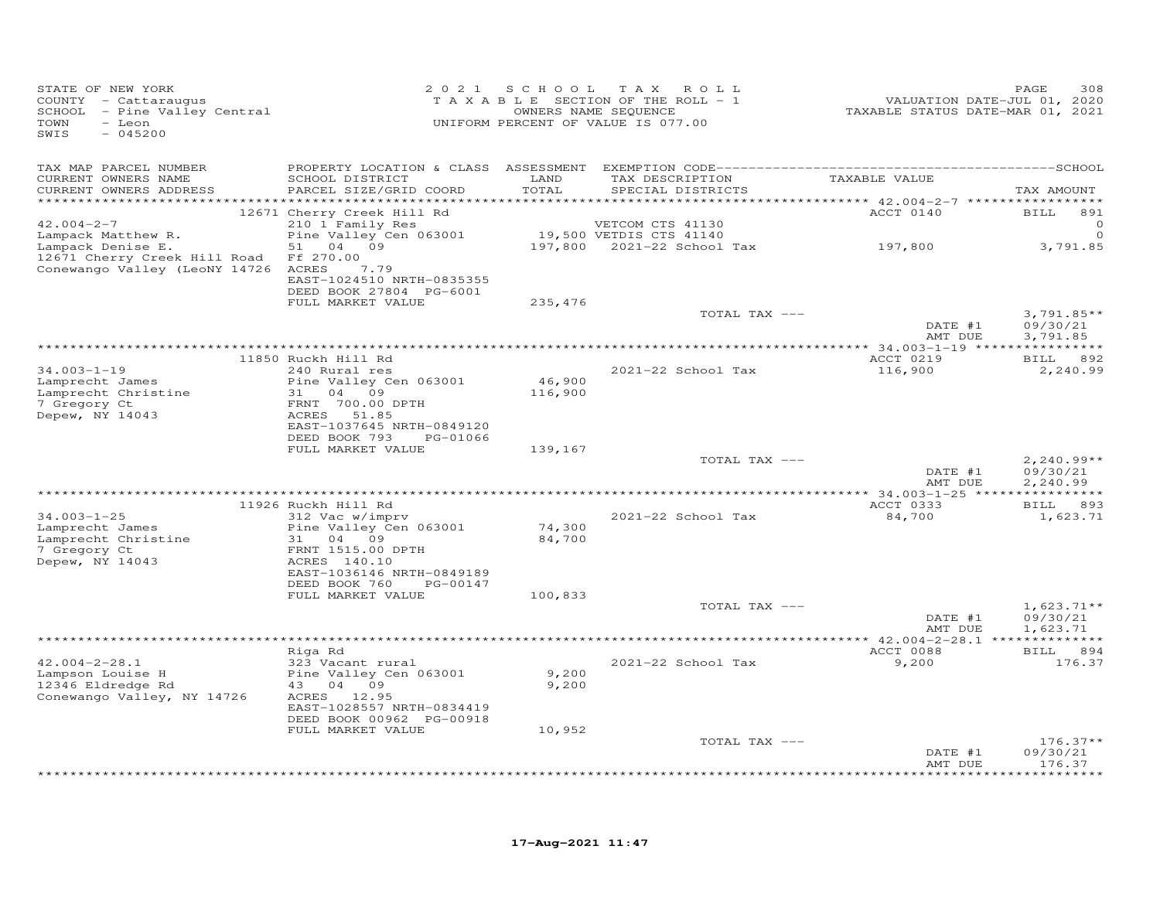| STATE OF NEW YORK<br>COUNTY - Cattaraugus<br>SCHOOL - Pine Valley Central<br>TOWN<br>- Leon<br>SWIS<br>$-045200$ |                                                                                                    | 2021 SCHOOL       | TAX ROLL<br>TAXABLE SECTION OF THE ROLL - 1<br>OWNERS NAME SEQUENCE<br>UNIFORM PERCENT OF VALUE IS 077.00 | VALUATION DATE-JUL 01, 2020<br>TAXABLE STATUS DATE-MAR 01, 2021 | 308<br>PAGE                      |
|------------------------------------------------------------------------------------------------------------------|----------------------------------------------------------------------------------------------------|-------------------|-----------------------------------------------------------------------------------------------------------|-----------------------------------------------------------------|----------------------------------|
| TAX MAP PARCEL NUMBER                                                                                            |                                                                                                    |                   |                                                                                                           |                                                                 |                                  |
| CURRENT OWNERS NAME<br>CURRENT OWNERS ADDRESS                                                                    | SCHOOL DISTRICT<br>PARCEL SIZE/GRID COORD                                                          | LAND<br>TOTAL     | TAX DESCRIPTION<br>SPECIAL DISTRICTS                                                                      | TAXABLE VALUE                                                   | TAX AMOUNT                       |
|                                                                                                                  | 12671 Cherry Creek Hill Rd                                                                         |                   |                                                                                                           | ACCT 0140                                                       | BILL<br>891                      |
| $42.004 - 2 - 7$                                                                                                 | 210 1 Family Res                                                                                   |                   | VETCOM CTS 41130                                                                                          |                                                                 | 0                                |
| Lampack Matthew R.                                                                                               | Pine Valley Cen 063001                                                                             |                   | 19,500 VETDIS CTS 41140                                                                                   |                                                                 | $\circ$                          |
| Lampack Denise E.<br>12671 Cherry Creek Hill Road<br>Conewango Valley (LeoNY 14726 ACRES                         | 51 04 09<br>Ff 270.00<br>7.79<br>EAST-1024510 NRTH-0835355                                         |                   | 197,800    2021-22    School Tax                                                                          | 197,800                                                         | 3,791.85                         |
|                                                                                                                  | DEED BOOK 27804 PG-6001<br>FULL MARKET VALUE                                                       | 235,476           |                                                                                                           |                                                                 |                                  |
|                                                                                                                  |                                                                                                    |                   | TOTAL TAX ---                                                                                             |                                                                 | $3,791.85**$                     |
|                                                                                                                  |                                                                                                    |                   |                                                                                                           | DATE #1<br>AMT DUE                                              | 09/30/21<br>3,791.85             |
|                                                                                                                  | 11850 Ruckh Hill Rd                                                                                |                   |                                                                                                           | ACCT 0219                                                       | BILL 892                         |
| $34.003 - 1 - 19$                                                                                                | 240 Rural res                                                                                      |                   | 2021-22 School Tax                                                                                        | 116,900                                                         | 2,240.99                         |
| Lamprecht James<br>Lamprecht Christine<br>7 Gregory Ct<br>Depew, NY 14043                                        | Pine Valley Cen 063001<br>31 04 09<br>FRNT 700.00 DPTH<br>ACRES 51.85<br>EAST-1037645 NRTH-0849120 | 46,900<br>116,900 |                                                                                                           |                                                                 |                                  |
|                                                                                                                  | DEED BOOK 793<br>PG-01066                                                                          |                   |                                                                                                           |                                                                 |                                  |
|                                                                                                                  | FULL MARKET VALUE                                                                                  | 139,167           |                                                                                                           |                                                                 |                                  |
|                                                                                                                  |                                                                                                    |                   | TOTAL TAX ---                                                                                             | DATE #1                                                         | $2,240.99**$<br>09/30/21         |
|                                                                                                                  |                                                                                                    |                   |                                                                                                           | AMT DUE                                                         | 2,240.99                         |
|                                                                                                                  | 11926 Ruckh Hill Rd                                                                                |                   |                                                                                                           | ACCT 0333                                                       | BILL 893                         |
| $34.003 - 1 - 25$                                                                                                | 312 Vac w/imprv                                                                                    |                   | 2021-22 School Tax                                                                                        | 84,700                                                          | 1,623.71                         |
| Lamprecht James<br>Lamprecht Christine                                                                           | Pine Valley Cen 063001<br>31 04 09                                                                 | 74,300<br>84,700  |                                                                                                           |                                                                 |                                  |
| 7 Gregory Ct<br>Depew, NY 14043                                                                                  | FRNT 1515.00 DPTH<br>ACRES 140.10                                                                  |                   |                                                                                                           |                                                                 |                                  |
|                                                                                                                  | EAST-1036146 NRTH-0849189                                                                          |                   |                                                                                                           |                                                                 |                                  |
|                                                                                                                  | DEED BOOK 760<br>PG-00147<br>FULL MARKET VALUE                                                     | 100,833           |                                                                                                           |                                                                 |                                  |
|                                                                                                                  |                                                                                                    |                   | TOTAL TAX ---                                                                                             | DATE #1                                                         | $1,623.71**$<br>09/30/21         |
|                                                                                                                  |                                                                                                    |                   |                                                                                                           | AMT DUE                                                         | 1,623.71                         |
|                                                                                                                  | Riga Rd                                                                                            |                   | *******************************                                                                           | ******** 42.004-2-28.1 ***************<br>ACCT 0088             | BILL 894                         |
| $42.004 - 2 - 28.1$                                                                                              | 323 Vacant rural                                                                                   |                   | 2021-22 School Tax                                                                                        | 9,200                                                           | 176.37                           |
| Lampson Louise H                                                                                                 | Pine Valley Cen 063001                                                                             | 9,200             |                                                                                                           |                                                                 |                                  |
| 12346 Eldredge Rd<br>Conewango Valley, NY 14726                                                                  | 43 04 09<br>ACRES 12.95                                                                            | 9,200             |                                                                                                           |                                                                 |                                  |
|                                                                                                                  | EAST-1028557 NRTH-0834419<br>DEED BOOK 00962 PG-00918                                              |                   |                                                                                                           |                                                                 |                                  |
|                                                                                                                  | FULL MARKET VALUE                                                                                  | 10,952            |                                                                                                           |                                                                 |                                  |
|                                                                                                                  |                                                                                                    |                   | TOTAL TAX ---                                                                                             | DATE #1<br>AMT DUE                                              | $176.37**$<br>09/30/21<br>176.37 |
|                                                                                                                  |                                                                                                    |                   |                                                                                                           |                                                                 | ********                         |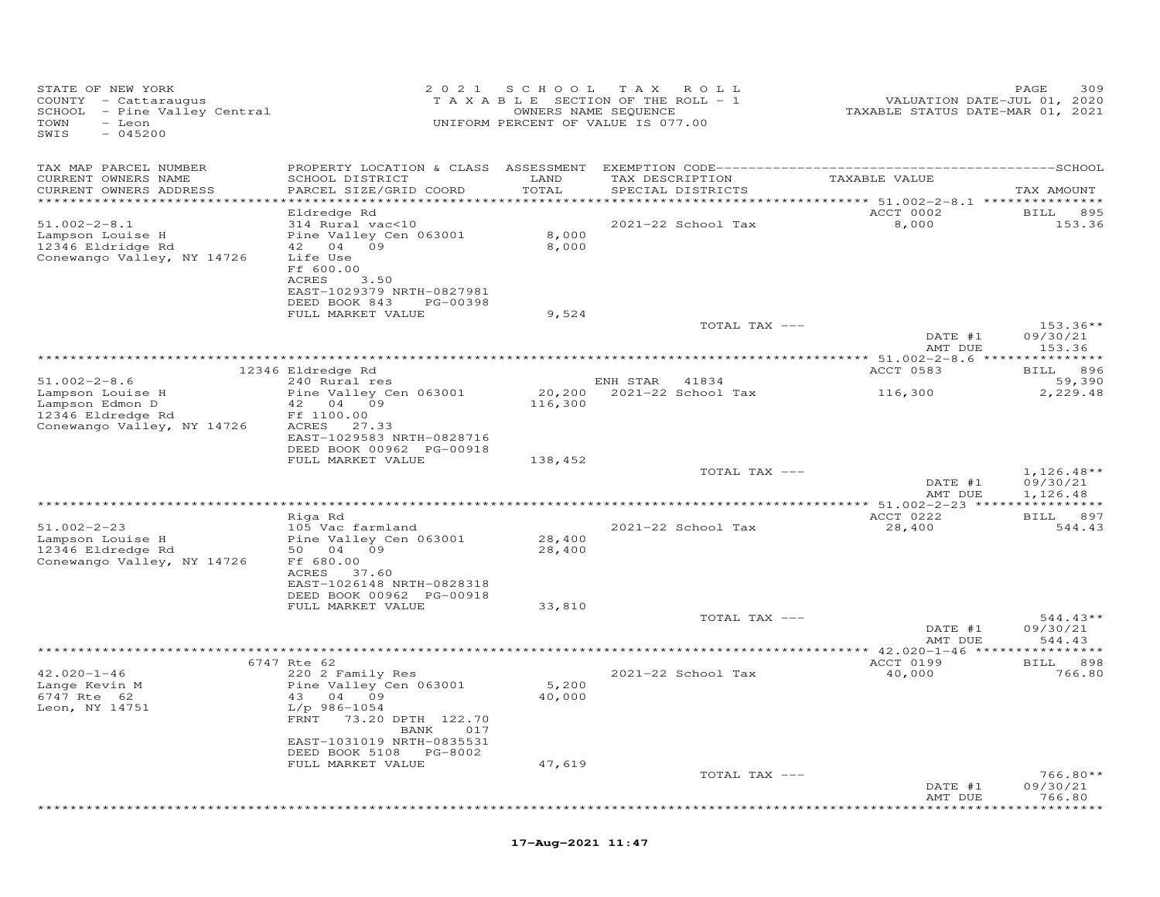| STATE OF NEW YORK<br>COUNTY - Cattaraugus<br>SCHOOL - Pine Valley Central<br>TOWN - Leon<br>TOWN<br>- Leon<br>$-045200$<br>SWIS |                                                                                                                                                                     |                  | 2021 SCHOOL TAX ROLL<br>T A X A B L E SECTION OF THE ROLL - 1<br>OWNERS NAME SEQUENCE<br>UNIFORM PERCENT OF VALUE IS 077.00 |               | VALUATION DATE-JUL 01, 2020<br>TAXABLE STATUS DATE-MAR 01, 2021  | 309<br>PAGE                          |
|---------------------------------------------------------------------------------------------------------------------------------|---------------------------------------------------------------------------------------------------------------------------------------------------------------------|------------------|-----------------------------------------------------------------------------------------------------------------------------|---------------|------------------------------------------------------------------|--------------------------------------|
| TAX MAP PARCEL NUMBER<br>CURRENT OWNERS NAME<br>CURRENT OWNERS ADDRESS                                                          | SCHOOL DISTRICT<br>PARCEL SIZE/GRID COORD                                                                                                                           | LAND<br>TOTAL    | TAX DESCRIPTION<br>SPECIAL DISTRICTS                                                                                        |               | TAXABLE VALUE                                                    | TAX AMOUNT                           |
| ***********************                                                                                                         |                                                                                                                                                                     |                  |                                                                                                                             |               | *********************************** 51.002–2–8.1 *************** |                                      |
| $51.002 - 2 - 8.1$<br>Lampson Louise H<br>$12346$ Eldridge Rd<br>Conewango Valley, NY 14726                                     | Eldredge Rd<br>314 Rural vac<10<br>Pine Valley Cen 063001<br>42 04 09<br>Life Use<br>Ff 600.00<br>ACRES 3.50<br>EAST-1029379 NRTH-0827981<br>DEED BOOK 843 PG-00398 | 8,000<br>8,000   | 2021-22 School Tax                                                                                                          |               | ACCT 0002<br>8,000                                               | BILL 895<br>153.36                   |
|                                                                                                                                 | FULL MARKET VALUE                                                                                                                                                   | 9,524            |                                                                                                                             |               |                                                                  |                                      |
|                                                                                                                                 |                                                                                                                                                                     |                  |                                                                                                                             | TOTAL TAX --- | DATE #1<br>AMT DUE                                               | $153.36**$<br>09/30/21<br>153.36     |
|                                                                                                                                 |                                                                                                                                                                     |                  |                                                                                                                             |               |                                                                  | BILL 896                             |
| $51.002 - 2 - 8.6$                                                                                                              | 12346 Eldredge Rd<br>240 Rural res                                                                                                                                  |                  | ENH STAR 41834                                                                                                              |               | ACCT 0583                                                        | 59,390                               |
| Lampson Louise H<br>Lampson Edmon D<br>$12346$ Eldredge Rd<br>Conewango Valley, NY 14726                                        | Pine Valley Cen 063001<br>42  04  09<br>Ff 1100.00<br>ACRES 27.33<br>EAST-1029583 NRTH-0828716                                                                      | 116,300          | 20,200 2021-22 School Tax                                                                                                   |               | 116,300                                                          | 2,229.48                             |
|                                                                                                                                 | DEED BOOK 00962 PG-00918                                                                                                                                            |                  |                                                                                                                             |               |                                                                  |                                      |
|                                                                                                                                 | FULL MARKET VALUE                                                                                                                                                   | 138,452          |                                                                                                                             | TOTAL TAX --- | DATE #1<br>AMT DUE                                               | $1,126.48**$<br>09/30/21<br>1,126.48 |
| **************************************                                                                                          |                                                                                                                                                                     |                  |                                                                                                                             |               |                                                                  | BILL 897                             |
| $51.002 - 2 - 23$<br>Lampson Louise H<br>12346 Eldredge Rd<br>Conewango Valley, NY 14726                                        | Riga Rd<br>105 Vac farmland<br>Pine Valley Cen 063001<br>50  04  09<br>Ff 680.00                                                                                    | 28,400<br>28,400 | 2021-22 School Tax                                                                                                          |               | <b>ACCT 0222</b><br>28,400                                       | 544.43                               |
|                                                                                                                                 | ACRES 37.60<br>EAST-1026148 NRTH-0828318<br>DEED BOOK 00962 PG-00918<br>FULL MARKET VALUE                                                                           | 33,810           |                                                                                                                             |               |                                                                  |                                      |
|                                                                                                                                 |                                                                                                                                                                     |                  |                                                                                                                             | TOTAL TAX --- | DATE #1<br>AMT DUE                                               | $544.43**$<br>09/30/21<br>544.43     |
|                                                                                                                                 |                                                                                                                                                                     |                  |                                                                                                                             |               |                                                                  |                                      |
| $42.020 - 1 - 46$<br>Lange Kevin M<br>6747 Rte 62<br>Leon, NY 14751                                                             | 6747 Rte 62<br>220 2 Family Res<br>Pine Valley Cen 063001<br>43 04 09<br>L/p 986-1054<br>FRNT 73.20 DPTH 122.70<br>BANK 017                                         | 5,200<br>40,000  | 2021-22 School Tax                                                                                                          |               | ACCT 0199<br>40,000                                              | BILL 898<br>766.80                   |
|                                                                                                                                 | EAST-1031019 NRTH-0835531<br>DEED BOOK 5108 PG-8002<br>FULL MARKET VALUE                                                                                            | 47,619           |                                                                                                                             | TOTAL TAX --- |                                                                  | $766.80**$                           |
|                                                                                                                                 |                                                                                                                                                                     |                  |                                                                                                                             |               | DATE #1<br>AMT DUE                                               | 09/30/21<br>766.80<br>*******        |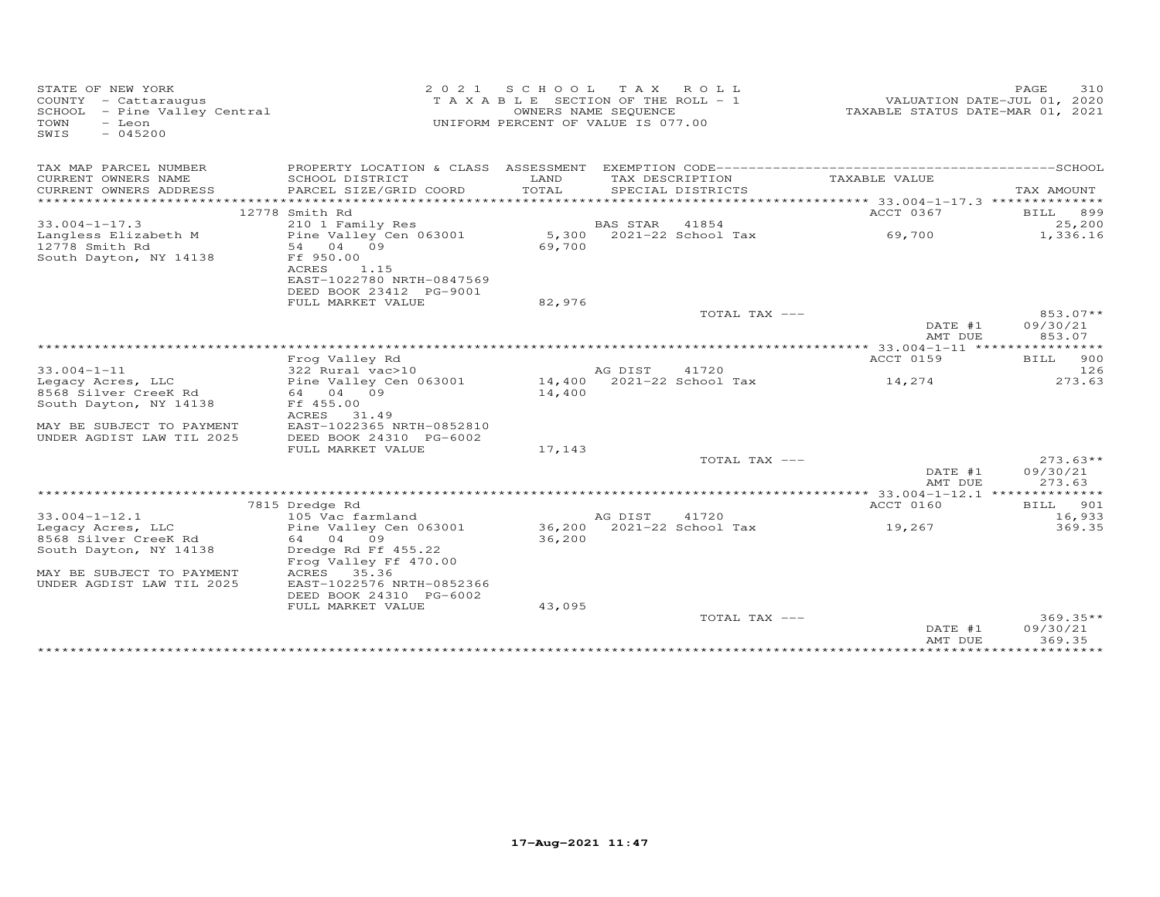| STATE OF NEW YORK<br>COUNTY<br>- Cattaraugus<br>SCHOOL - Pine Valley Central<br>TOWN<br>- Leon<br>SWIS<br>$-045200$ | 2021                                                    | SCHOOL          | TAX ROLL<br>T A X A B L E SECTION OF THE ROLL - 1<br>OWNERS NAME SEQUENCE<br>UNIFORM PERCENT OF VALUE IS 077.00 | TAXABLE STATUS DATE-MAR 01, 2021                | PAGE<br>310<br>VALUATION DATE-JUL 01, 2020 |
|---------------------------------------------------------------------------------------------------------------------|---------------------------------------------------------|-----------------|-----------------------------------------------------------------------------------------------------------------|-------------------------------------------------|--------------------------------------------|
| TAX MAP PARCEL NUMBER                                                                                               | PROPERTY LOCATION & CLASS ASSESSMENT                    |                 |                                                                                                                 |                                                 |                                            |
| CURRENT OWNERS NAME<br>CURRENT OWNERS ADDRESS                                                                       | SCHOOL DISTRICT<br>PARCEL SIZE/GRID COORD               | LAND<br>TOTAL   | TAX DESCRIPTION<br>SPECIAL DISTRICTS                                                                            | TAXABLE VALUE                                   | TAX AMOUNT                                 |
|                                                                                                                     |                                                         |                 |                                                                                                                 |                                                 |                                            |
|                                                                                                                     | 12778 Smith Rd                                          |                 |                                                                                                                 | ACCT 0367                                       | BILL 899                                   |
| $33.004 - 1 - 17.3$                                                                                                 | 210 1 Family Res                                        |                 | <b>BAS STAR</b><br>41854                                                                                        |                                                 | 25,200                                     |
| Langless Elizabeth M<br>12778 Smith Rd                                                                              | Pine Valley Cen 063001<br>04 09<br>54                   | 5,300<br>69,700 | $2021 - 22$ School Tax                                                                                          | 69,700                                          | 1,336.16                                   |
| South Dayton, NY 14138                                                                                              | Ff 950.00<br>1.15<br>ACRES<br>EAST-1022780 NRTH-0847569 |                 |                                                                                                                 |                                                 |                                            |
|                                                                                                                     | DEED BOOK 23412 PG-9001                                 |                 |                                                                                                                 |                                                 |                                            |
|                                                                                                                     | FULL MARKET VALUE                                       | 82,976          |                                                                                                                 |                                                 |                                            |
|                                                                                                                     |                                                         |                 | TOTAL TAX ---                                                                                                   |                                                 | 853.07**                                   |
|                                                                                                                     |                                                         |                 |                                                                                                                 | DATE #1<br>AMT DUE                              | 09/30/21<br>853.07                         |
|                                                                                                                     | Frog Valley Rd                                          |                 |                                                                                                                 | ACCT 0159                                       | <b>BILL</b><br>900                         |
| $33.004 - 1 - 11$                                                                                                   | 322 Rural vac>10                                        |                 | AG DIST<br>41720                                                                                                |                                                 | 126                                        |
| Legacy Acres, LLC                                                                                                   | Pine Valley Cen 063001                                  | 14,400          | 2021-22 School Tax                                                                                              | 14,274                                          | 273.63                                     |
| 8568 Silver CreeK Rd                                                                                                | 04 09<br>64                                             | 14,400          |                                                                                                                 |                                                 |                                            |
| South Dayton, NY 14138                                                                                              | Ff 455.00                                               |                 |                                                                                                                 |                                                 |                                            |
| MAY BE SUBJECT TO PAYMENT                                                                                           | ACRES<br>31.49<br>EAST-1022365 NRTH-0852810             |                 |                                                                                                                 |                                                 |                                            |
| UNDER AGDIST LAW TIL 2025                                                                                           | DEED BOOK 24310 PG-6002                                 |                 |                                                                                                                 |                                                 |                                            |
|                                                                                                                     | FULL MARKET VALUE                                       | 17,143          |                                                                                                                 |                                                 |                                            |
|                                                                                                                     |                                                         |                 | TOTAL TAX ---                                                                                                   |                                                 | $273.63**$                                 |
|                                                                                                                     |                                                         |                 |                                                                                                                 | DATE #1<br>AMT DUE                              | 09/30/21<br>273.63                         |
|                                                                                                                     |                                                         |                 |                                                                                                                 | **** 33.004-1-12.1 ***************<br>ACCT 0160 | 901<br>BILL                                |
| $33.004 - 1 - 12.1$                                                                                                 | 7815 Dredge Rd<br>105 Vac farmland                      |                 | AG DIST<br>41720                                                                                                |                                                 | 16,933                                     |
| Legacy Acres, LLC                                                                                                   | Pine Valley Cen 063001                                  | 36,200          | 2021-22 School Tax                                                                                              | 19,267                                          | 369.35                                     |
| 8568 Silver CreeK Rd                                                                                                | 64 04 09                                                | 36,200          |                                                                                                                 |                                                 |                                            |
| South Dayton, NY 14138                                                                                              | Dredge Rd Ff 455.22                                     |                 |                                                                                                                 |                                                 |                                            |
|                                                                                                                     | Frog Valley Ff 470.00                                   |                 |                                                                                                                 |                                                 |                                            |
| MAY BE SUBJECT TO PAYMENT<br>UNDER AGDIST LAW TIL 2025                                                              | ACRES 35.36<br>EAST-1022576 NRTH-0852366                |                 |                                                                                                                 |                                                 |                                            |
|                                                                                                                     | DEED BOOK 24310 PG-6002                                 |                 |                                                                                                                 |                                                 |                                            |
|                                                                                                                     | FULL MARKET VALUE                                       | 43,095          |                                                                                                                 |                                                 |                                            |
|                                                                                                                     |                                                         |                 | TOTAL TAX ---                                                                                                   | DATE #1                                         | $369.35**$<br>09/30/21                     |
|                                                                                                                     |                                                         |                 |                                                                                                                 | AMT DUE                                         | 369.35                                     |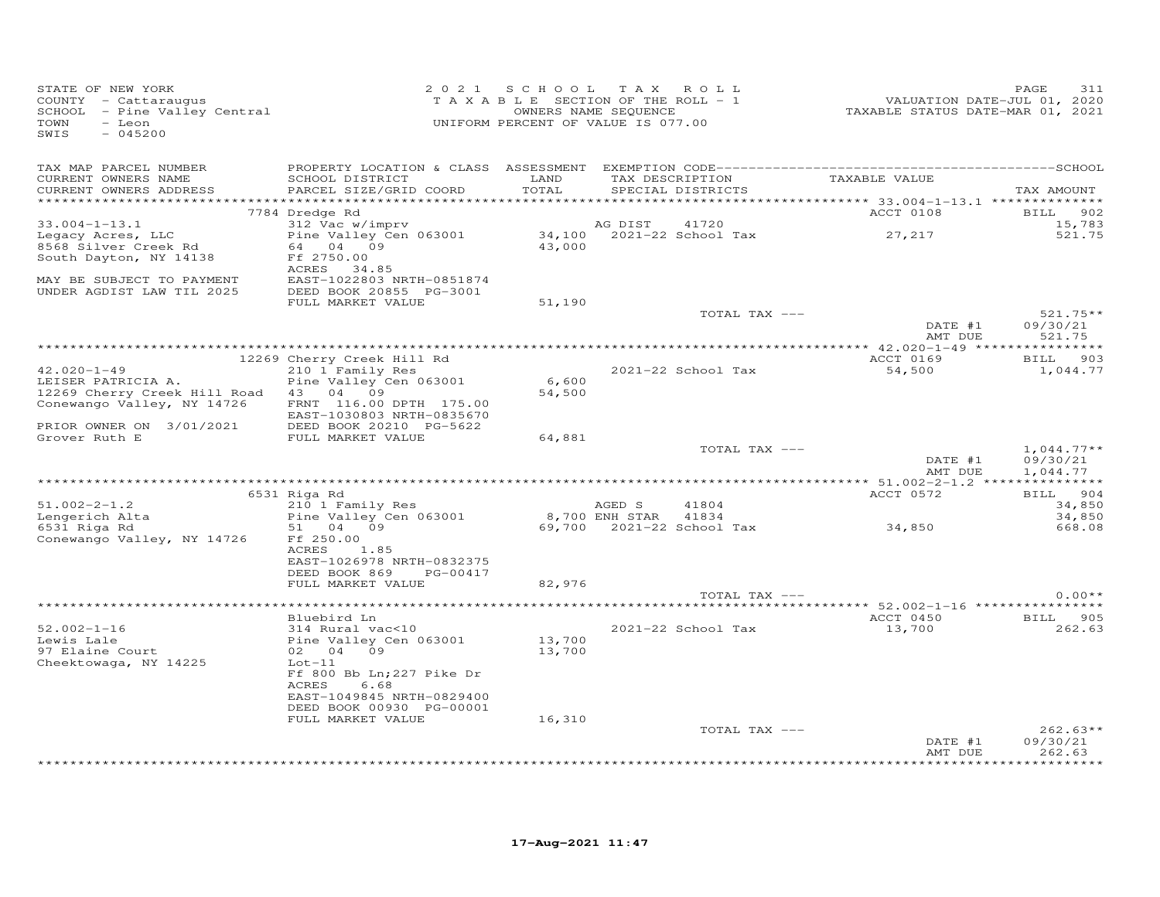| STATE OF NEW YORK<br>COUNTY - Cattaraugus<br>SCHOOL - Pine Valley Central<br>TOWN<br>- Leon<br>SWIS<br>$-045200$ |                                                                                                                                                  | 2021 SCHOOL TAX ROLL<br>TAXABLE SECTION OF THE ROLL - 1<br>OWNERS NAME SEQUENCE<br>UNIFORM PERCENT OF VALUE IS 077.00 |                      |                                              | VALUATION DATE-JUL 01, 2020<br>TAXABLE STATUS DATE-MAR 01, 2021 | 311<br>PAGE                          |
|------------------------------------------------------------------------------------------------------------------|--------------------------------------------------------------------------------------------------------------------------------------------------|-----------------------------------------------------------------------------------------------------------------------|----------------------|----------------------------------------------|-----------------------------------------------------------------|--------------------------------------|
| TAX MAP PARCEL NUMBER<br>CURRENT OWNERS NAME<br>CURRENT OWNERS ADDRESS<br>*************************              | SCHOOL DISTRICT<br>PARCEL SIZE/GRID COORD                                                                                                        | LAND<br>TOTAL                                                                                                         |                      | TAX DESCRIPTION<br>SPECIAL DISTRICTS         | TAXABLE VALUE                                                   | TAX AMOUNT                           |
|                                                                                                                  | 7784 Dredge Rd                                                                                                                                   |                                                                                                                       |                      |                                              | ACCT 0108                                                       | 902<br><b>BILL</b>                   |
| $33.004 - 1 - 13.1$<br>Legacy Acres, LLC<br>8568 Silver Creek Rd                                                 | 312 Vac w/imprv<br>Pine Valley Cen 063001<br>64 04 09                                                                                            |                                                                                                                       | AG DIST              | 41720<br>34,100 2021-22 School Tax<br>43,000 | 27, 217                                                         | 15,783<br>521.75                     |
| South Dayton, NY 14138                                                                                           | Ff 2750.00<br>ACRES 34.85                                                                                                                        |                                                                                                                       |                      |                                              |                                                                 |                                      |
| MAY BE SUBJECT TO PAYMENT<br>UNDER AGDIST LAW TIL 2025                                                           | EAST-1022803 NRTH-0851874<br>DEED BOOK 20855 PG-3001                                                                                             |                                                                                                                       |                      |                                              |                                                                 |                                      |
|                                                                                                                  | FULL MARKET VALUE                                                                                                                                | 51,190                                                                                                                |                      | TOTAL TAX ---                                |                                                                 | $521.75**$                           |
|                                                                                                                  |                                                                                                                                                  |                                                                                                                       |                      |                                              | DATE #1<br>AMT DUE                                              | 09/30/21<br>521.75                   |
|                                                                                                                  | 12269 Cherry Creek Hill Rd                                                                                                                       |                                                                                                                       |                      |                                              | ACCT 0169                                                       | 903<br><b>BILL</b>                   |
| $42.020 - 1 - 49$                                                                                                | 210 1 Family Res                                                                                                                                 |                                                                                                                       |                      | 2021-22 School Tax                           | 54,500                                                          | 1,044.77                             |
| LEISER PATRICIA A.<br>12269 Cherry Creek Hill Road 43 04 09                                                      | Pine Valley Cen 063001                                                                                                                           | 6,600<br>54,500                                                                                                       |                      |                                              |                                                                 |                                      |
| Conewango Valley, NY 14726<br>PRIOR OWNER ON 3/01/2021                                                           | FRNT 116.00 DPTH 175.00<br>EAST-1030803 NRTH-0835670<br>DEED BOOK 20210 PG-5622                                                                  |                                                                                                                       |                      |                                              |                                                                 |                                      |
| Grover Ruth E                                                                                                    | FULL MARKET VALUE                                                                                                                                | 64,881                                                                                                                |                      |                                              |                                                                 |                                      |
|                                                                                                                  |                                                                                                                                                  |                                                                                                                       |                      | TOTAL TAX ---                                | DATE #1<br>AMT DUE                                              | $1,044.77**$<br>09/30/21<br>1,044.77 |
|                                                                                                                  | 6531 Riga Rd                                                                                                                                     |                                                                                                                       |                      |                                              | ACCT 0572                                                       | BILL 904                             |
| $51.002 - 2 - 1.2$                                                                                               | 210 1 Family Res                                                                                                                                 |                                                                                                                       | AGED S               | 41804                                        |                                                                 | 34,850                               |
| Lengerich Alta<br>6531 Riga Rd                                                                                   | Pine Valley Cen 063001<br>51 04 09                                                                                                               |                                                                                                                       | 8,700 ENH STAR 41834 |                                              | 69,700  2021-22  School Tax  34,850                             | 34,850<br>668.08                     |
| Conewango Valley, NY 14726                                                                                       | Ff 250.00<br>ACRES<br>1.85<br>EAST-1026978 NRTH-0832375                                                                                          |                                                                                                                       |                      |                                              |                                                                 |                                      |
|                                                                                                                  | DEED BOOK 869<br>PG-00417<br>FULL MARKET VALUE                                                                                                   | 82,976                                                                                                                |                      |                                              |                                                                 |                                      |
|                                                                                                                  |                                                                                                                                                  |                                                                                                                       |                      | TOTAL TAX ---                                |                                                                 | $0.00**$                             |
|                                                                                                                  | Bluebird Ln                                                                                                                                      |                                                                                                                       |                      |                                              | ACCT 0450                                                       | BILL 905                             |
| $52.002 - 1 - 16$<br>Lewis Lale                                                                                  | 314 Rural vac<10<br>Pine Valley Cen 063001                                                                                                       | 13,700                                                                                                                |                      | 2021-22 School Tax                           | 13,700                                                          | 262.63                               |
| 97 Elaine Court<br>Cheektowaga, NY 14225                                                                         | 02 04 09<br>$Lot-11$<br>Ff 800 Bb Ln; 227 Pike Dr<br>ACRES<br>6.68<br>EAST-1049845 NRTH-0829400<br>DEED BOOK 00930 PG-00001<br>FULL MARKET VALUE | 13,700<br>16,310                                                                                                      |                      |                                              |                                                                 |                                      |
|                                                                                                                  |                                                                                                                                                  |                                                                                                                       |                      | TOTAL TAX ---                                |                                                                 | $262.63**$                           |
|                                                                                                                  |                                                                                                                                                  |                                                                                                                       |                      |                                              | DATE #1<br>AMT DUE                                              | 09/30/21<br>262.63<br>*********      |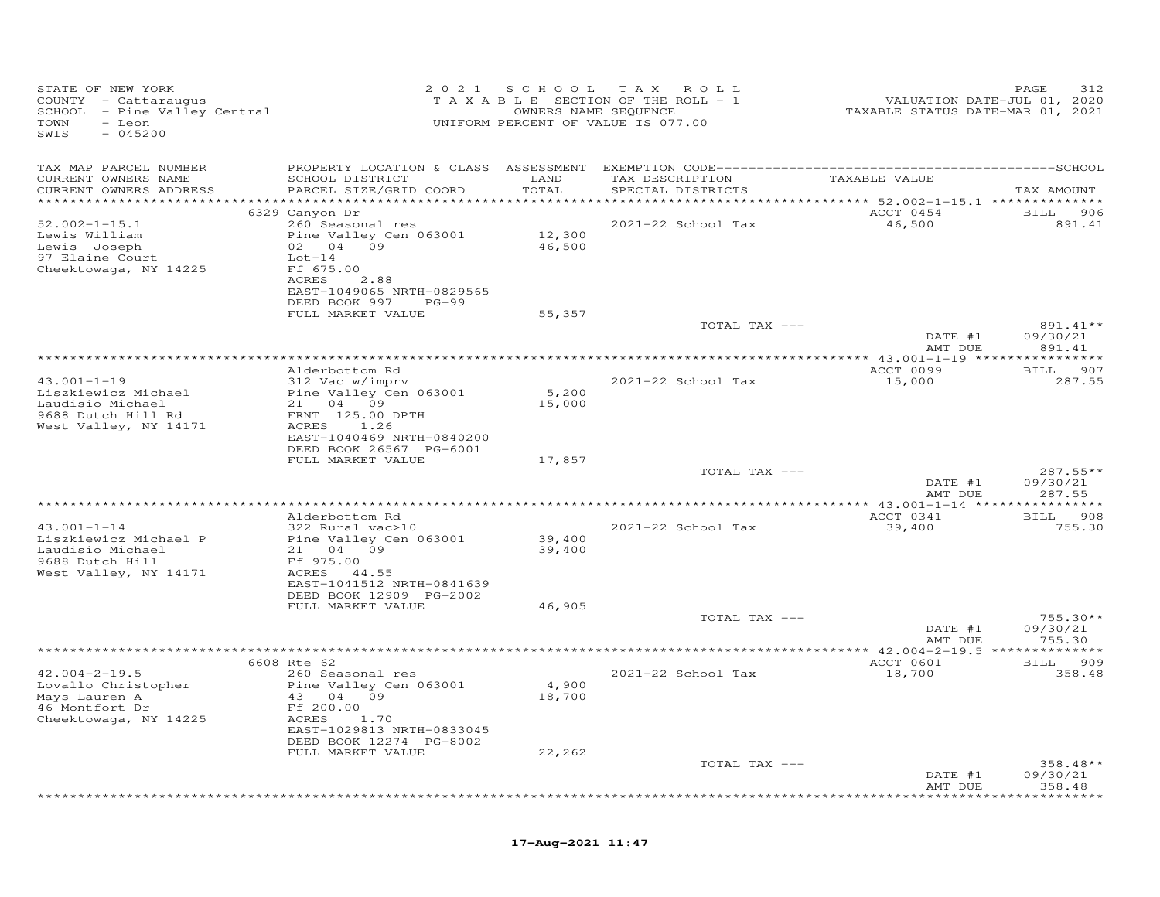| STATE OF NEW YORK<br>COUNTY - Cattaraugus<br>SCHOOL - Pine Valley Central<br>TOWN<br>- Leon<br>SWIS<br>$-045200$ |                                                                              |                  | 2021 SCHOOL TAX ROLL<br>TAXABLE SECTION OF THE ROLL - 1<br>OWNERS NAME SEQUENCE<br>UNIFORM PERCENT OF VALUE IS 077.00 | VALUATION DATE-JUL 01, 2020<br>TAXABLE STATUS DATE-MAR 01, 2021 | PAGE<br>312                  |
|------------------------------------------------------------------------------------------------------------------|------------------------------------------------------------------------------|------------------|-----------------------------------------------------------------------------------------------------------------------|-----------------------------------------------------------------|------------------------------|
| TAX MAP PARCEL NUMBER<br>CURRENT OWNERS NAME<br>CURRENT OWNERS ADDRESS                                           | SCHOOL DISTRICT<br>PARCEL SIZE/GRID COORD                                    | LAND<br>TOTAL    | TAX DESCRIPTION<br>SPECIAL DISTRICTS                                                                                  | TAXABLE VALUE                                                   | TAX AMOUNT                   |
| ***********************                                                                                          |                                                                              |                  |                                                                                                                       | ****************** 52.002-1-15.1 ***************                |                              |
| $52.002 - 1 - 15.1$<br>Lewis William                                                                             | 6329 Canyon Dr<br>260 Seasonal res<br>Pine Valley Cen 063001                 | 12,300           | 2021-22 School Tax                                                                                                    | ACCT 0454<br>46,500                                             | BILL 906<br>891.41           |
| Lewis Joseph<br>97 Elaine Court<br>Cheektowaga, NY 14225                                                         | 02 04 09<br>$Lot-14$<br>Ff 675.00<br>ACRES 2.88<br>EAST-1049065 NRTH-0829565 | 46,500           |                                                                                                                       |                                                                 |                              |
|                                                                                                                  | DEED BOOK 997<br>$PG-99$<br>FULL MARKET VALUE                                | 55,357           |                                                                                                                       |                                                                 |                              |
|                                                                                                                  |                                                                              |                  | TOTAL TAX ---                                                                                                         | DATE #1                                                         | 891.41**<br>09/30/21         |
|                                                                                                                  |                                                                              |                  |                                                                                                                       | AMT DUE                                                         | 891.41                       |
|                                                                                                                  | Alderbottom Rd                                                               |                  |                                                                                                                       | ACCT 0099                                                       | BILL 907                     |
| $43.001 - 1 - 19$                                                                                                | 312 Vac w/imprv                                                              |                  | 2021-22 School Tax                                                                                                    | 15,000                                                          | 287.55                       |
| Liszkiewicz Michael                                                                                              | Pine Valley Cen 063001                                                       | 5,200            |                                                                                                                       |                                                                 |                              |
| Laudisio Michael<br>9688 Dutch Hill Rd                                                                           | 21 04 09<br>FRNT 125.00 DPTH                                                 | 15,000           |                                                                                                                       |                                                                 |                              |
| West Valley, NY 14171                                                                                            | 1.26<br>ACRES<br>EAST-1040469 NRTH-0840200                                   |                  |                                                                                                                       |                                                                 |                              |
|                                                                                                                  | DEED BOOK 26567 PG-6001<br>FULL MARKET VALUE                                 | 17,857           |                                                                                                                       |                                                                 |                              |
|                                                                                                                  |                                                                              |                  | TOTAL TAX ---                                                                                                         |                                                                 | $287.55**$                   |
|                                                                                                                  |                                                                              |                  |                                                                                                                       | DATE #1<br>AMT DUE                                              | 09/30/21<br>287.55           |
|                                                                                                                  | Alderbottom Rd                                                               |                  |                                                                                                                       | ** 43.001-1-14 *****************<br>ACCT 0341                   | BILL 908                     |
| $43.001 - 1 - 14$                                                                                                | 322 Rural vac>10                                                             |                  | 2021-22 School Tax                                                                                                    | 39,400                                                          | 755.30                       |
| Liszkiewicz Michael P<br>Laudisio Michael                                                                        | Pine Valley Cen 063001<br>21 04 09                                           | 39,400<br>39,400 |                                                                                                                       |                                                                 |                              |
| 9688 Dutch Hill<br>West Valley, NY 14171                                                                         | Ff 975.00<br>ACRES 44.55<br>EAST-1041512 NRTH-0841639                        |                  |                                                                                                                       |                                                                 |                              |
|                                                                                                                  | DEED BOOK 12909 PG-2002                                                      |                  |                                                                                                                       |                                                                 |                              |
|                                                                                                                  | FULL MARKET VALUE                                                            | 46,905           | TOTAL TAX ---                                                                                                         |                                                                 | $755.30**$                   |
|                                                                                                                  |                                                                              |                  |                                                                                                                       | DATE #1<br>AMT DUE                                              | 09/30/21<br>755.30           |
|                                                                                                                  |                                                                              |                  |                                                                                                                       |                                                                 |                              |
| $42.004 - 2 - 19.5$                                                                                              | 6608 Rte 62<br>260 Seasonal res                                              |                  | 2021-22 School Tax                                                                                                    | ACCT 0601<br>18,700                                             | 909<br><b>BILL</b><br>358.48 |
| Lovallo Christopher<br>Mays Lauren A                                                                             | Pine Valley Cen 063001<br>43 04 09                                           | 4,900<br>18,700  |                                                                                                                       |                                                                 |                              |
| 46 Montfort Dr<br>Cheektowaga, NY 14225                                                                          | Ff 200.00<br>ACRES 1.70<br>EAST-1029813 NRTH-0833045                         |                  |                                                                                                                       |                                                                 |                              |
|                                                                                                                  | DEED BOOK 12274 PG-8002                                                      |                  |                                                                                                                       |                                                                 |                              |
|                                                                                                                  | FULL MARKET VALUE                                                            | 22,262           | TOTAL TAX ---                                                                                                         |                                                                 | 358.48**                     |
|                                                                                                                  |                                                                              |                  |                                                                                                                       | DATE #1<br>AMT DUE                                              | 09/30/21<br>358.48           |
|                                                                                                                  |                                                                              |                  |                                                                                                                       |                                                                 | ********                     |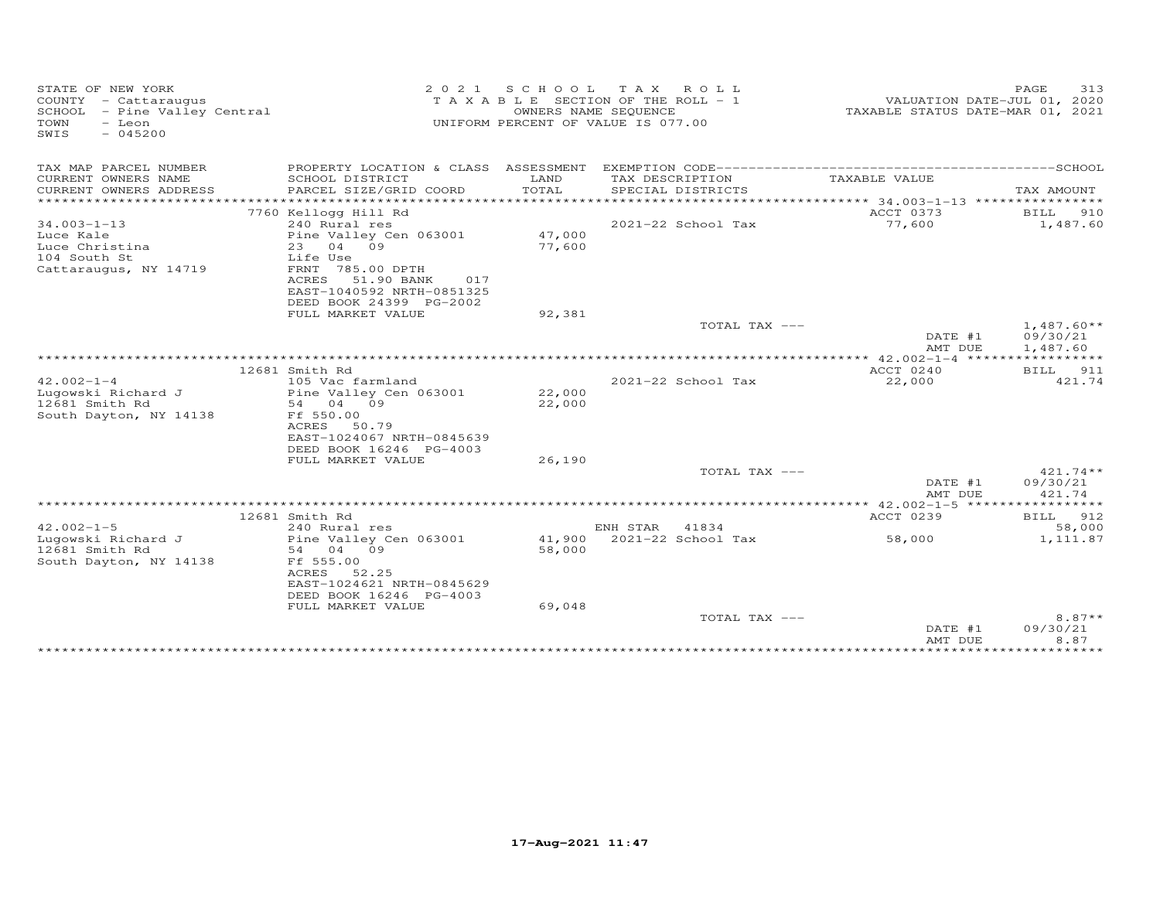| STATE OF NEW YORK<br>COUNTY - Cattaraugus<br>SCHOOL - Pine Valley Central<br>- Leon<br>TOWN<br>SWIS<br>$-045200$ | 2 0 2 1                                                                                                                                    | OWNERS NAME SEQUENCE | SCHOOL TAX ROLL<br>TAXABLE SECTION OF THE ROLL - 1<br>UNIFORM PERCENT OF VALUE IS 077.00 | VALUATION DATE-JUL 01, 2020<br>TAXABLE STATUS DATE-MAR 01, 2021 | PAGE<br>313                          |
|------------------------------------------------------------------------------------------------------------------|--------------------------------------------------------------------------------------------------------------------------------------------|----------------------|------------------------------------------------------------------------------------------|-----------------------------------------------------------------|--------------------------------------|
| TAX MAP PARCEL NUMBER                                                                                            |                                                                                                                                            |                      |                                                                                          |                                                                 |                                      |
| CURRENT OWNERS NAME<br>CURRENT OWNERS ADDRESS                                                                    | SCHOOL DISTRICT<br>PARCEL SIZE/GRID COORD                                                                                                  | LAND<br>TOTAL        | TAX DESCRIPTION<br>SPECIAL DISTRICTS                                                     | TAXABLE VALUE                                                   | TAX AMOUNT                           |
|                                                                                                                  | 7760 Kellogg Hill Rd                                                                                                                       |                      |                                                                                          | ACCT 0373                                                       | BILL 910                             |
| $34.003 - 1 - 13$<br>Luce Kale<br>Luce Christina                                                                 | 240 Rural res<br>Pine Valley Cen 063001<br>23 04 09                                                                                        | 47,000<br>77,600     | 2021-22 School Tax                                                                       | 77,600                                                          | 1,487.60                             |
| 104 South St<br>Cattaraugus, NY 14719                                                                            | Life Use<br>FRNT 785.00 DPTH<br>ACRES 51.90 BANK<br>017<br>EAST-1040592 NRTH-0851325<br>DEED BOOK 24399 PG-2002                            |                      |                                                                                          |                                                                 |                                      |
|                                                                                                                  | FULL MARKET VALUE                                                                                                                          | 92,381               |                                                                                          |                                                                 |                                      |
|                                                                                                                  |                                                                                                                                            |                      | TOTAL TAX ---                                                                            | DATE #1<br>AMT DUE                                              | $1,487.60**$<br>09/30/21<br>1,487.60 |
|                                                                                                                  |                                                                                                                                            |                      |                                                                                          |                                                                 |                                      |
|                                                                                                                  | 12681 Smith Rd                                                                                                                             |                      |                                                                                          | ACCT 0240                                                       | BILL 911                             |
| $42.002 - 1 - 4$<br>Luqowski Richard J<br>12681 Smith Rd<br>South Dayton, NY 14138                               | 105 Vac farmland<br>Pine Valley Cen 063001<br>54 04 09<br>Ff 550.00<br>ACRES 50.79<br>EAST-1024067 NRTH-0845639<br>DEED BOOK 16246 PG-4003 | 22,000<br>22,000     | $2021 - 22$ School Tax                                                                   | 22,000                                                          | 421.74                               |
|                                                                                                                  | FULL MARKET VALUE                                                                                                                          | 26,190               |                                                                                          |                                                                 |                                      |
|                                                                                                                  |                                                                                                                                            |                      | TOTAL TAX ---                                                                            | DATE #1<br>AMT DUE                                              | $421.74**$<br>09/30/21<br>421.74     |
|                                                                                                                  |                                                                                                                                            |                      |                                                                                          |                                                                 |                                      |
|                                                                                                                  | 12681 Smith Rd                                                                                                                             |                      |                                                                                          | ACCT 0239                                                       | 912<br>BILL                          |
| $42.002 - 1 - 5$                                                                                                 | 240 Rural res                                                                                                                              |                      | ENH STAR 41834                                                                           |                                                                 | 58,000                               |
| Lugowski Richard J<br>12681 Smith Rd<br>South Dayton, NY 14138                                                   | Pine Valley Cen 063001<br>54 04 09<br>Ff 555.00<br>ACRES<br>52.25<br>EAST-1024621 NRTH-0845629<br>DEED BOOK 16246 PG-4003                  | 58,000               | 41,900 2021-22 School Tax                                                                | 58,000                                                          | 1,111.87                             |
|                                                                                                                  | FULL MARKET VALUE                                                                                                                          | 69,048               | TOTAL TAX ---                                                                            | DATE #1                                                         | $8.87**$<br>09/30/21                 |
|                                                                                                                  |                                                                                                                                            |                      |                                                                                          | AMT DUE                                                         | 8.87                                 |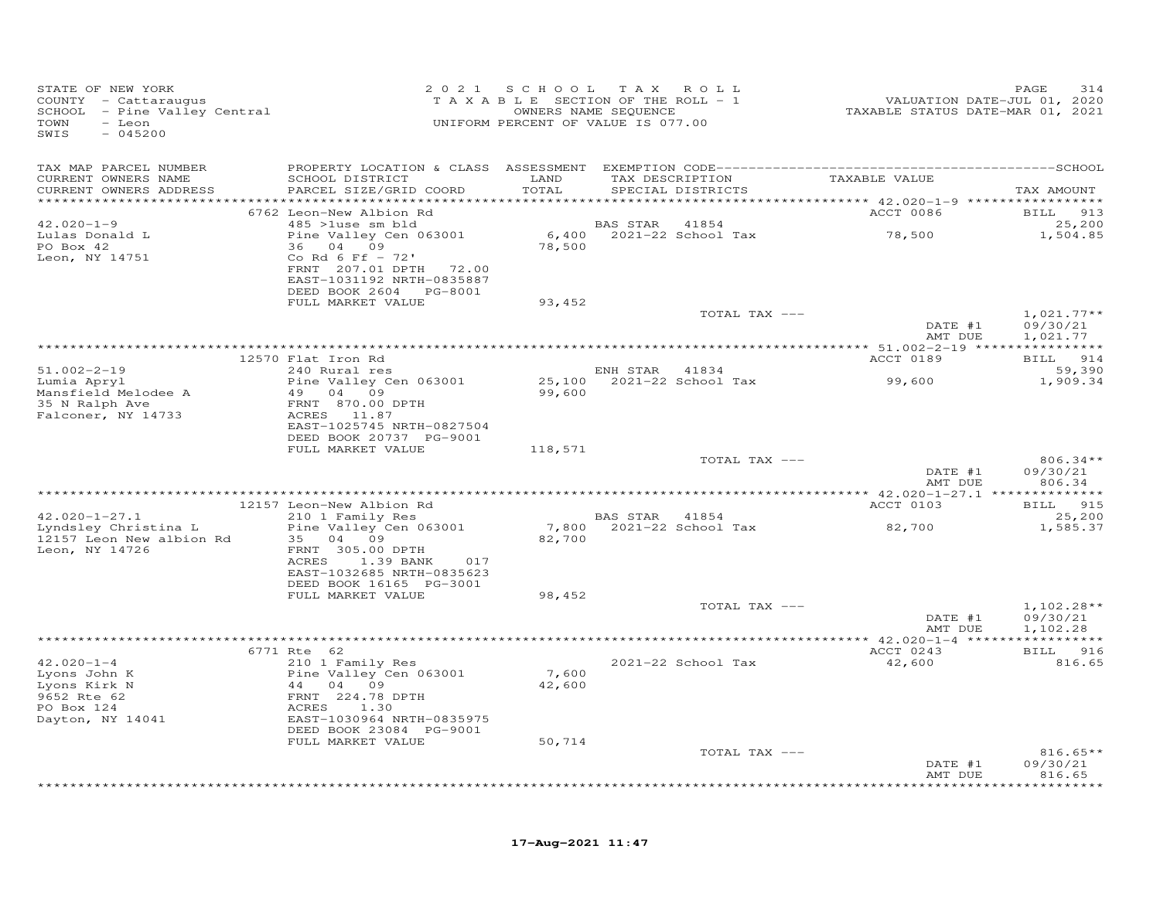| STATE OF NEW YORK<br>COUNTY - Cattaraugus<br>COONII - Cattaraugus<br>SCHOOL - Pine Valley Central<br>- Leon<br>TOWN<br>SWIS<br>$-045200$ | 2 0 2 1                                                                                                        | SCHOOL TAX ROLL<br>T A X A B L E SECTION OF THE ROLL - 1<br>UNIFORM PERCENT OF VALUE IS 077.00 | OWNERS NAME SEQUENCE |                                      | 21.<br>VALUATION DATE-JUL 01, 2020<br>TAXABLE STATUS DATE-MAR 01, 2021 | PAGE<br>314                          |
|------------------------------------------------------------------------------------------------------------------------------------------|----------------------------------------------------------------------------------------------------------------|------------------------------------------------------------------------------------------------|----------------------|--------------------------------------|------------------------------------------------------------------------|--------------------------------------|
| TAX MAP PARCEL NUMBER                                                                                                                    |                                                                                                                |                                                                                                |                      |                                      |                                                                        |                                      |
| CURRENT OWNERS NAME<br>CURRENT OWNERS ADDRESS                                                                                            | SCHOOL DISTRICT LAND<br>PARCEL SIZE/GRID COORD                                                                 | TOTAL                                                                                          |                      | TAX DESCRIPTION<br>SPECIAL DISTRICTS | TAXABLE VALUE                                                          | TAX AMOUNT                           |
|                                                                                                                                          | 6762 Leon-New Albion Rd                                                                                        |                                                                                                |                      |                                      | <b>ACCT 0086</b>                                                       | BILL 913                             |
| $42.020 - 1 - 9$<br>Lulas Donald L<br>PO Box 42                                                                                          | 485 >luse sm bld<br>Pine Valley Cen 063001                                                                     | 78,500                                                                                         | BAS STAR 41854       | $6,400$ 2021-22 School Tax           | 78,500                                                                 | 25,200<br>1,504.85                   |
| Leon, NY 14751                                                                                                                           | 36 04 09<br>Co Rd 6 Ff $-72'$<br>FRNT 207.01 DPTH 72.00<br>EAST-1031192 NRTH-0835887<br>DEED BOOK 2604 PG-8001 |                                                                                                |                      |                                      |                                                                        |                                      |
|                                                                                                                                          | FULL MARKET VALUE                                                                                              | 93,452                                                                                         |                      |                                      |                                                                        |                                      |
|                                                                                                                                          |                                                                                                                |                                                                                                |                      | TOTAL TAX ---                        | DATE #1<br>AMT DUE                                                     | $1,021.77**$<br>09/30/21<br>1,021.77 |
|                                                                                                                                          |                                                                                                                |                                                                                                |                      |                                      |                                                                        |                                      |
| $51.002 - 2 - 19$                                                                                                                        | 12570 Flat Iron Rd<br>240 Rural res                                                                            |                                                                                                | ENH STAR 41834       |                                      | ACCT 0189                                                              | BILL 914<br>59,390                   |
| Lumia Apryl<br>Mansfield Melodee A                                                                                                       | Pine Valley Cen 063001<br>49 04 09                                                                             | 99,600                                                                                         |                      | 25,100 2021-22 School Tax            | 99,600                                                                 | 1,909.34                             |
| 35 N Ralph Ave<br>Falconer, NY 14733                                                                                                     | FRNT 870.00 DPTH<br>ACRES 11.87<br>EAST-1025745 NRTH-0827504<br>DEED BOOK 20737 PG-9001                        |                                                                                                |                      |                                      |                                                                        |                                      |
|                                                                                                                                          | FULL MARKET VALUE                                                                                              | 118,571                                                                                        |                      |                                      |                                                                        |                                      |
|                                                                                                                                          |                                                                                                                |                                                                                                |                      | TOTAL TAX ---                        | DATE #1<br>AMT DUE                                                     | $806.34**$<br>09/30/21<br>806.34     |
|                                                                                                                                          |                                                                                                                |                                                                                                |                      |                                      |                                                                        |                                      |
|                                                                                                                                          | 12157 Leon-New Albion Rd                                                                                       |                                                                                                |                      |                                      | ACCT 0103                                                              | BILL 915                             |
| $42.020 - 1 - 27.1$<br>Lyndsley Christina L                                                                                              | 210 1 Family Res<br>Pine Valley Cen 063001                                                                     | 7,800                                                                                          | BAS STAR 41854       | 2021-22 School Tax                   | 82,700                                                                 | 25,200<br>1,585.37                   |
| 12157 Leon New albion Rd<br>Leon, NY 14726                                                                                               | 35 04 09<br>FRNT 305.00 DPTH                                                                                   | 82,700                                                                                         |                      |                                      |                                                                        |                                      |
|                                                                                                                                          | ACRES<br>1.39 BANK<br>017<br>EAST-1032685 NRTH-0835623<br>DEED BOOK 16165 PG-3001                              |                                                                                                |                      |                                      |                                                                        |                                      |
|                                                                                                                                          | FULL MARKET VALUE                                                                                              | 98,452                                                                                         |                      |                                      |                                                                        |                                      |
|                                                                                                                                          |                                                                                                                |                                                                                                |                      | TOTAL TAX ---                        | DATE #1<br>AMT DUE                                                     | $1,102.28**$<br>09/30/21<br>1,102.28 |
|                                                                                                                                          |                                                                                                                |                                                                                                |                      |                                      |                                                                        |                                      |
| $42.020 - 1 - 4$                                                                                                                         | 6771 Rte 62<br>210 1 Family Res                                                                                |                                                                                                |                      | 2021-22 School Tax                   | ACCT 0243<br>42,600                                                    | BILL 916<br>816.65                   |
| Lyons John K<br>Lyons Kirk N<br>9652 Rte 62<br>PO Box 124                                                                                | Pine Valley Cen 063001<br>44 04 09<br>FRNT 224.78 DPTH<br>ACRES<br>1.30                                        | 7,600<br>42,600                                                                                |                      |                                      |                                                                        |                                      |
| Dayton, NY 14041                                                                                                                         | EAST-1030964 NRTH-0835975<br>DEED BOOK 23084 PG-9001                                                           |                                                                                                |                      |                                      |                                                                        |                                      |
|                                                                                                                                          | FULL MARKET VALUE                                                                                              | 50,714                                                                                         |                      | TOTAL TAX ---                        |                                                                        | $816.65**$                           |
|                                                                                                                                          |                                                                                                                |                                                                                                |                      |                                      | DATE #1<br>AMT DUE                                                     | 09/30/21<br>816.65                   |
|                                                                                                                                          |                                                                                                                |                                                                                                |                      |                                      |                                                                        | ********                             |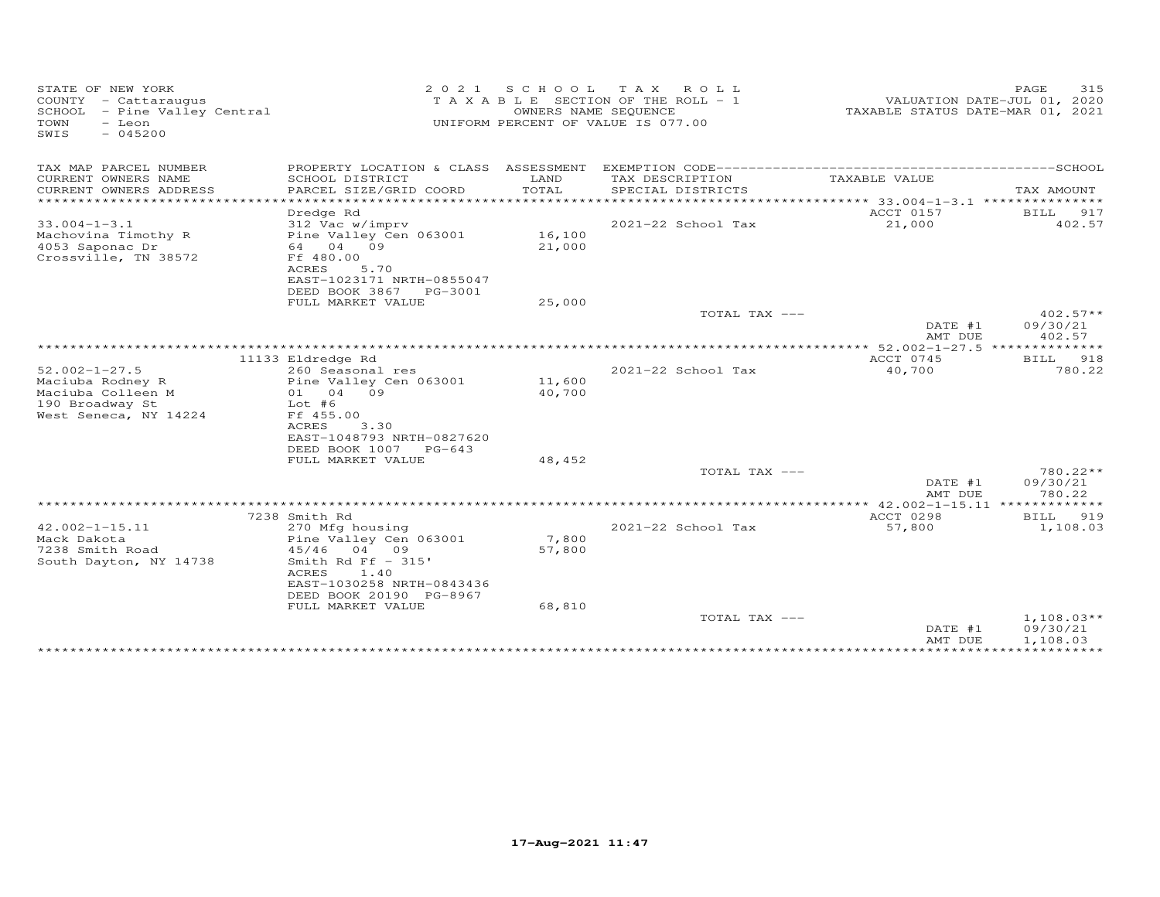| STATE OF NEW YORK<br>2 0 2 1<br>S C H O O L<br>TAXABLE SECTION OF THE ROLL - 1<br>COUNTY - Cattaraugus<br>SCHOOL - Pine Valley Central<br>OWNERS NAME SEQUENCE<br>UNIFORM PERCENT OF VALUE IS 077.00<br>TOWN<br>- Leon<br>SWIS<br>$-045200$ |                                                                                                                                                           |                  | TAX ROLL                             | PAGE<br>315<br>VALUATION DATE-JUL 01, 2020<br>TAXABLE STATUS DATE-MAR 01, 2021 |                                      |
|---------------------------------------------------------------------------------------------------------------------------------------------------------------------------------------------------------------------------------------------|-----------------------------------------------------------------------------------------------------------------------------------------------------------|------------------|--------------------------------------|--------------------------------------------------------------------------------|--------------------------------------|
| TAX MAP PARCEL NUMBER                                                                                                                                                                                                                       |                                                                                                                                                           |                  |                                      |                                                                                |                                      |
| CURRENT OWNERS NAME<br>CURRENT OWNERS ADDRESS                                                                                                                                                                                               | SCHOOL DISTRICT<br>PARCEL SIZE/GRID COORD                                                                                                                 | LAND<br>TOTAL    | TAX DESCRIPTION<br>SPECIAL DISTRICTS | TAXABLE VALUE                                                                  | TAX AMOUNT                           |
|                                                                                                                                                                                                                                             |                                                                                                                                                           |                  |                                      | ACCT 0157                                                                      | BILL 917                             |
| $33.004 - 1 - 3.1$<br>Machovina Timothy R<br>4053 Saponac Dr                                                                                                                                                                                | Dredge Rd<br>312 Vac w/imprv<br>Pine Valley Cen 063001<br>64 04 09                                                                                        | 16,100<br>21,000 | 2021-22 School Tax                   | 21,000                                                                         | 402.57                               |
| Crossville, TN 38572                                                                                                                                                                                                                        | Ff 480.00<br>ACRES<br>5.70<br>EAST-1023171 NRTH-0855047<br>DEED BOOK 3867<br>PG-3001                                                                      |                  |                                      |                                                                                |                                      |
|                                                                                                                                                                                                                                             | FULL MARKET VALUE                                                                                                                                         | 25,000           |                                      |                                                                                |                                      |
|                                                                                                                                                                                                                                             |                                                                                                                                                           |                  | TOTAL TAX ---                        | DATE #1<br>AMT DUE                                                             | $402.57**$<br>09/30/21<br>402.57     |
|                                                                                                                                                                                                                                             |                                                                                                                                                           |                  |                                      | ACCT 0745                                                                      |                                      |
| $52.002 - 1 - 27.5$                                                                                                                                                                                                                         | 11133 Eldredge Rd<br>260 Seasonal res                                                                                                                     |                  | 2021-22 School Tax                   | 40,700                                                                         | <b>BILL</b><br>918<br>780.22         |
| Maciuba Rodney R<br>Maciuba Colleen M<br>190 Broadway St<br>West Seneca, NY 14224                                                                                                                                                           | Pine Valley Cen 063001<br>01 04 09<br>$Lot$ #6<br>Ff 455.00<br>ACRES<br>3.30<br>EAST-1048793 NRTH-0827620                                                 | 11,600<br>40,700 |                                      |                                                                                |                                      |
|                                                                                                                                                                                                                                             | DEED BOOK 1007 PG-643<br>FULL MARKET VALUE                                                                                                                | 48,452           |                                      |                                                                                |                                      |
|                                                                                                                                                                                                                                             |                                                                                                                                                           |                  | TOTAL TAX ---                        | DATE #1<br>AMT DUE                                                             | 780.22**<br>09/30/21<br>780.22       |
|                                                                                                                                                                                                                                             |                                                                                                                                                           |                  |                                      | ************ 42.002-1-15.11 *************                                      |                                      |
| $42.002 - 1 - 15.11$<br>Mack Dakota<br>7238 Smith Road<br>South Dayton, NY 14738                                                                                                                                                            | 7238 Smith Rd<br>270 Mfg housing<br>Pine Valley Cen 063001<br>45/46<br>04 09<br>Smith Rd Ff $-$ 315'<br><b>ACRES</b><br>1.40<br>EAST-1030258 NRTH-0843436 | 7,800<br>57,800  | 2021-22 School Tax                   | ACCT 0298<br>57,800                                                            | 919<br>BILL<br>1,108.03              |
|                                                                                                                                                                                                                                             | DEED BOOK 20190 PG-8967<br>FULL MARKET VALUE                                                                                                              | 68,810           | TOTAL TAX ---                        | DATE #1<br>AMT DUE<br>* * * * * * * * * * * * * * * * *                        | $1,108.03**$<br>09/30/21<br>1,108.03 |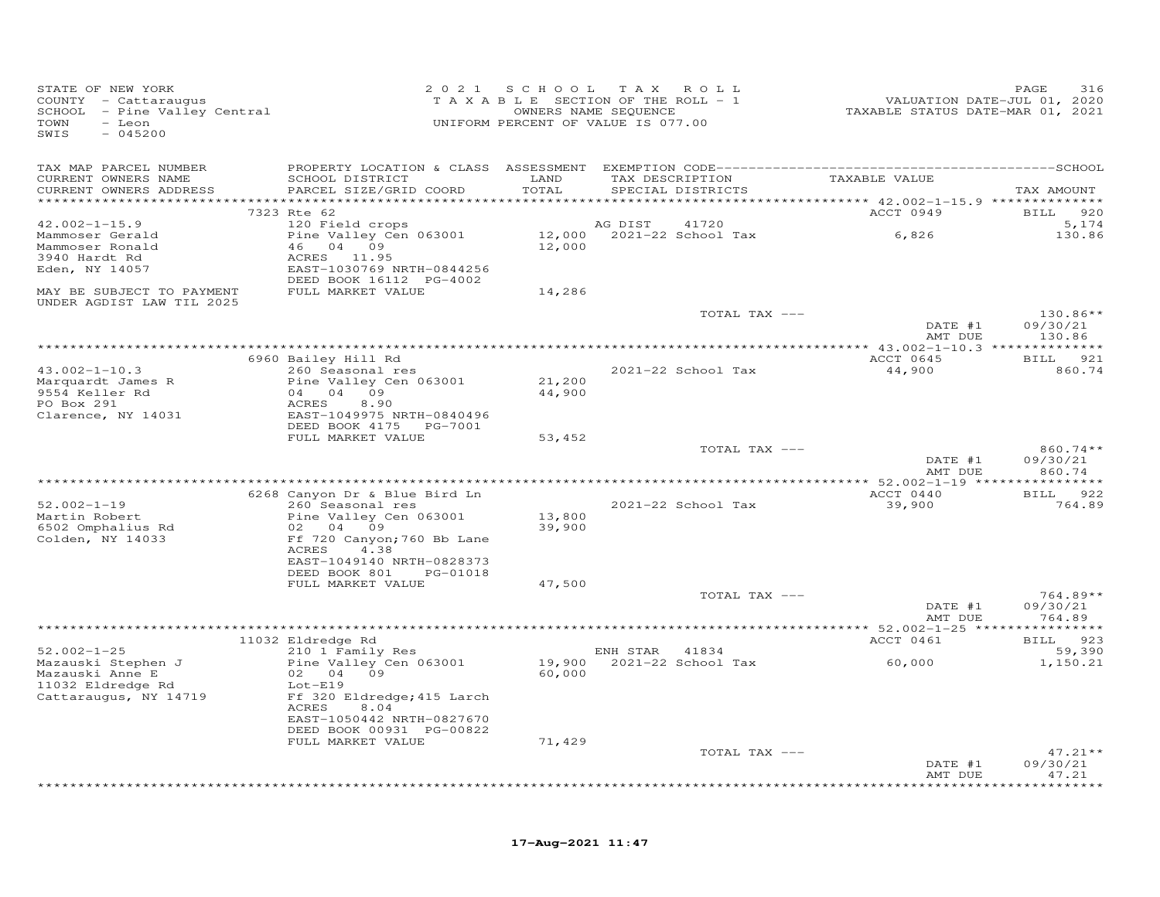| STATE OF NEW YORK<br>COUNTY - Cattaraugus<br>SCHOOL - Pine Valley Central<br>- Leon<br>TOWN<br>$-045200$<br>SWIS |                                                        |        | 2021 SCHOOL TAX ROLL<br>T A X A B L E SECTION OF THE ROLL - 1<br>OWNERS NAME SEQUENCE<br>UNIFORM PERCENT OF VALUE IS 077.00 | VALUATION DATE-JUL 01, 2020<br>TAXABLE STATUS DATE-MAR 01, 2021 | PAGE<br>316        |
|------------------------------------------------------------------------------------------------------------------|--------------------------------------------------------|--------|-----------------------------------------------------------------------------------------------------------------------------|-----------------------------------------------------------------|--------------------|
| TAX MAP PARCEL NUMBER                                                                                            |                                                        |        |                                                                                                                             |                                                                 |                    |
| CURRENT OWNERS NAME                                                                                              | SCHOOL DISTRICT                                        | LAND   | TAX DESCRIPTION                                                                                                             | TAXABLE VALUE                                                   |                    |
| CURRENT OWNERS ADDRESS                                                                                           | PARCEL SIZE/GRID COORD                                 | TOTAL  | SPECIAL DISTRICTS                                                                                                           |                                                                 | TAX AMOUNT         |
|                                                                                                                  | 7323 Rte 62                                            |        |                                                                                                                             | ACCT 0949                                                       | 920<br><b>BILL</b> |
| $42.002 - 1 - 15.9$                                                                                              | 120 Field crops                                        |        | AG DIST<br>41720                                                                                                            |                                                                 | 5,174              |
| Mammoser Gerald                                                                                                  | Pine Valley Cen 063001                                 |        |                                                                                                                             | $12,000$ 2021-22 School Tax 6,826                               | 130.86             |
| Mammoser Ronald<br>3940 Hardt Rd                                                                                 | 46 04 09<br>ACRES 11.95                                | 12,000 |                                                                                                                             |                                                                 |                    |
| Eden, NY 14057                                                                                                   | EAST-1030769 NRTH-0844256                              |        |                                                                                                                             |                                                                 |                    |
|                                                                                                                  | DEED BOOK 16112 PG-4002                                |        |                                                                                                                             |                                                                 |                    |
| MAY BE SUBJECT TO PAYMENT                                                                                        | FULL MARKET VALUE                                      | 14,286 |                                                                                                                             |                                                                 |                    |
| UNDER AGDIST LAW TIL 2025                                                                                        |                                                        |        | TOTAL TAX ---                                                                                                               |                                                                 | $130.86**$         |
|                                                                                                                  |                                                        |        |                                                                                                                             | DATE #1                                                         | 09/30/21           |
|                                                                                                                  |                                                        |        |                                                                                                                             | AMT DUE                                                         | 130.86             |
|                                                                                                                  |                                                        |        |                                                                                                                             |                                                                 |                    |
| $43.002 - 1 - 10.3$                                                                                              | 6960 Bailey Hill Rd<br>$260$ Seasonal res              |        | 2021-22 School Tax                                                                                                          | ACCT 0645<br>44,900                                             | BILL 921<br>860.74 |
| Marquardt James R                                                                                                | Pine Valley Cen 063001                                 | 21,200 |                                                                                                                             |                                                                 |                    |
| 9554 Keller Rd                                                                                                   | 04 04 09                                               | 44,900 |                                                                                                                             |                                                                 |                    |
| PO Box 291                                                                                                       | ACRES<br>8.90                                          |        |                                                                                                                             |                                                                 |                    |
| Clarence, NY 14031                                                                                               | EAST-1049975 NRTH-0840496<br>DEED BOOK 4175    PG-7001 |        |                                                                                                                             |                                                                 |                    |
|                                                                                                                  | FULL MARKET VALUE                                      | 53,452 |                                                                                                                             |                                                                 |                    |
|                                                                                                                  |                                                        |        | TOTAL TAX ---                                                                                                               |                                                                 | 860.74 **          |
|                                                                                                                  |                                                        |        |                                                                                                                             | DATE #1                                                         | 09/30/21           |
|                                                                                                                  |                                                        |        |                                                                                                                             | AMT DUE                                                         | 860.74             |
|                                                                                                                  | 6268 Canyon Dr & Blue Bird Ln                          |        |                                                                                                                             | ACCT 0440                                                       | BILL 922           |
| $52.002 - 1 - 19$                                                                                                | 260 Seasonal res                                       |        | 2021-22 School Tax                                                                                                          | 39,900                                                          | 764.89             |
| Martin Robert                                                                                                    | Pine Valley Cen 063001                                 | 13,800 |                                                                                                                             |                                                                 |                    |
| 6502 Omphalius Rd<br>Colden, NY 14033                                                                            | 02 04 09                                               | 39,900 |                                                                                                                             |                                                                 |                    |
|                                                                                                                  | Ff 720 Canyon; 760 Bb Lane<br>ACRES<br>4.38            |        |                                                                                                                             |                                                                 |                    |
|                                                                                                                  | EAST-1049140 NRTH-0828373                              |        |                                                                                                                             |                                                                 |                    |
|                                                                                                                  | DEED BOOK 801<br>PG-01018                              |        |                                                                                                                             |                                                                 |                    |
|                                                                                                                  | FULL MARKET VALUE                                      | 47,500 |                                                                                                                             |                                                                 | $764.89**$         |
|                                                                                                                  |                                                        |        | TOTAL TAX ---                                                                                                               | DATE #1                                                         | 09/30/21           |
|                                                                                                                  |                                                        |        |                                                                                                                             | AMT DUE                                                         | 764.89             |
|                                                                                                                  |                                                        |        |                                                                                                                             |                                                                 |                    |
| $52.002 - 1 - 25$                                                                                                | 11032 Eldredge Rd                                      |        |                                                                                                                             | ACCT 0461                                                       | BILL 923<br>59,390 |
| Mazauski Stephen J                                                                                               | 210 1 Family Res<br>Pine Valley Cen 063001             | 19,900 | ENH STAR 41834<br>2021-22 School Tax                                                                                        | 60,000                                                          | 1,150.21           |
| Mazauski Anne E                                                                                                  | 02 04 09                                               | 60,000 |                                                                                                                             |                                                                 |                    |
| 11032 Eldredge Rd                                                                                                | $Lot-E19$                                              |        |                                                                                                                             |                                                                 |                    |
| Cattaraugus, NY 14719                                                                                            | Ff 320 Eldredge; 415 Larch<br>ACRES<br>8.04            |        |                                                                                                                             |                                                                 |                    |
|                                                                                                                  | EAST-1050442 NRTH-0827670                              |        |                                                                                                                             |                                                                 |                    |
|                                                                                                                  | DEED BOOK 00931 PG-00822                               |        |                                                                                                                             |                                                                 |                    |
|                                                                                                                  | FULL MARKET VALUE                                      | 71,429 |                                                                                                                             |                                                                 |                    |
|                                                                                                                  |                                                        |        | TOTAL TAX ---                                                                                                               |                                                                 | $47.21**$          |
|                                                                                                                  |                                                        |        |                                                                                                                             | DATE #1<br>AMT DUE                                              | 09/30/21<br>47.21  |
|                                                                                                                  |                                                        |        |                                                                                                                             |                                                                 | ********           |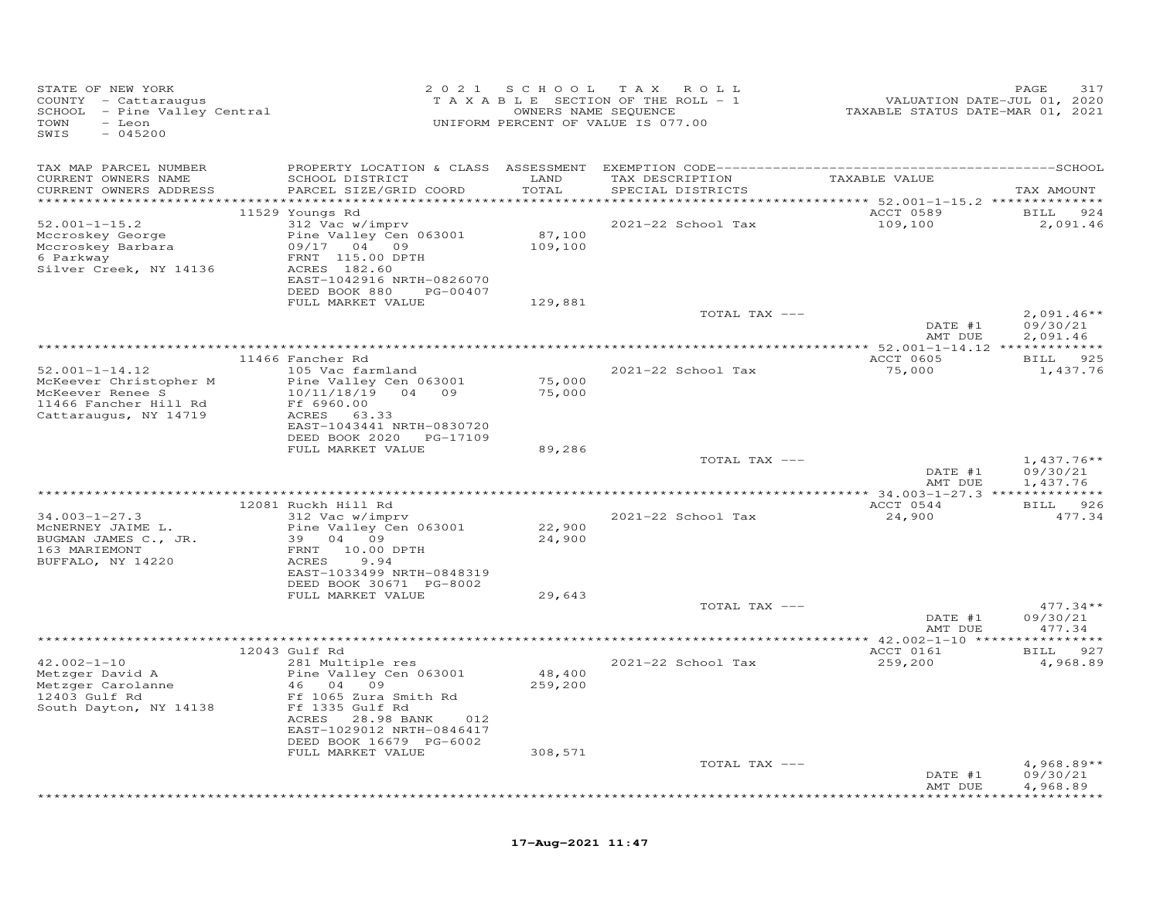| STATE OF NEW YORK<br>COUNTY - Cattaraugus<br>SCHOOL - Pine Valley Central<br>TOWN<br>- Leon<br>SWIS<br>$-045200$ |                                                                                                        |                   | 2021 SCHOOL TAX ROLL<br>TAXABLE SECTION OF THE ROLL - 1<br>OWNERS NAME SEQUENCE<br>UNIFORM PERCENT OF VALUE IS 077.00 | 71, VALUATION DATE-JUL 01, 2020<br>TAXABLE STATUS DATE-MAR 01, 2021 | 317<br>PAGE                          |
|------------------------------------------------------------------------------------------------------------------|--------------------------------------------------------------------------------------------------------|-------------------|-----------------------------------------------------------------------------------------------------------------------|---------------------------------------------------------------------|--------------------------------------|
| TAX MAP PARCEL NUMBER                                                                                            |                                                                                                        |                   |                                                                                                                       |                                                                     |                                      |
| CURRENT OWNERS NAME<br>CURRENT OWNERS ADDRESS                                                                    | SCHOOL DISTRICT<br>PARCEL SIZE/GRID COORD                                                              | LAND<br>TOTAL     | TAX DESCRIPTION TAXABLE VALUE<br>SPECIAL DISTRICTS                                                                    | ***********************************52.001-1-15.2 **************     | TAX AMOUNT                           |
|                                                                                                                  | 11529 Youngs Rd                                                                                        |                   |                                                                                                                       | ACCT 0589                                                           | BILL 924                             |
| $52.001 - 1 - 15.2$<br>Mccroskey George<br>Mccroskey Barbara<br>6 Parkway<br>Silver Creek, NY 14136              | 312 Vac w/imprv<br>Pine Valley Cen 063001<br>09/17 04 09<br>FRNT 115.00 DPTH<br>ACRES 182.60           | 87,100<br>109,100 | 2021-22 School Tax                                                                                                    | 109,100                                                             | 2,091.46                             |
|                                                                                                                  | EAST-1042916 NRTH-0826070<br>DEED BOOK 880 PG-00407                                                    |                   |                                                                                                                       |                                                                     |                                      |
|                                                                                                                  | FULL MARKET VALUE                                                                                      | 129,881           |                                                                                                                       |                                                                     |                                      |
|                                                                                                                  |                                                                                                        |                   | TOTAL TAX ---                                                                                                         | DATE #1<br>AMT DUE                                                  | $2,091.46**$<br>09/30/21<br>2,091.46 |
|                                                                                                                  |                                                                                                        |                   |                                                                                                                       |                                                                     |                                      |
|                                                                                                                  | 11466 Fancher Rd                                                                                       |                   |                                                                                                                       | ACCT 0605                                                           | BILL 925                             |
| $52.001 - 1 - 14.12$<br>McKeever Christopher M                                                                   | 105 Vac farmland<br>Pine Valley Cen 063001                                                             | 75,000            | 2021-22 School Tax                                                                                                    | 75,000                                                              | 1,437.76                             |
| McKeever Renee S<br>11466 Fancher Hill Rd<br>Cattaraugus, NY 14719                                               | 10/11/18/19 04 09<br>Ff 6960.00<br>ACRES 63.33<br>EAST-1043441 NRTH-0830720<br>DEED BOOK 2020 PG-17109 | 75,000            |                                                                                                                       |                                                                     |                                      |
|                                                                                                                  | FULL MARKET VALUE                                                                                      | 89,286            |                                                                                                                       |                                                                     |                                      |
|                                                                                                                  |                                                                                                        |                   | TOTAL TAX ---                                                                                                         | DATE #1<br>AMT DUE                                                  | $1,437.76**$<br>09/30/21<br>1,437.76 |
|                                                                                                                  |                                                                                                        |                   | **************************************                                                                                | *************** 34.003-1-27.3 ***************                       |                                      |
|                                                                                                                  | 12081 Ruckh Hill Rd                                                                                    |                   |                                                                                                                       | ACCT 0544                                                           | BILL 926                             |
| $34.003 - 1 - 27.3$<br>MCNERNEY JAIME L.                                                                         | 312 Vac w/imprv<br>Pine Valley Cen 063001                                                              | 22,900            | 2021-22 School Tax                                                                                                    | 24,900                                                              | 477.34                               |
| BUGMAN JAMES C., JR.<br>163 MARIEMONT<br>BUFFALO, NY 14220                                                       | 39 04 09<br>FRNT 10.00 DPTH<br>9.94<br>ACRES                                                           | 24,900            |                                                                                                                       |                                                                     |                                      |
|                                                                                                                  | EAST-1033499 NRTH-0848319<br>DEED BOOK 30671 PG-8002                                                   |                   |                                                                                                                       |                                                                     |                                      |
|                                                                                                                  | FULL MARKET VALUE                                                                                      | 29,643            |                                                                                                                       |                                                                     |                                      |
|                                                                                                                  |                                                                                                        |                   | TOTAL TAX ---                                                                                                         | DATE #1<br>AMT DUE                                                  | $477.34**$<br>09/30/21<br>477.34     |
|                                                                                                                  |                                                                                                        |                   |                                                                                                                       |                                                                     |                                      |
|                                                                                                                  | 12043 Gulf Rd                                                                                          |                   |                                                                                                                       | ACCT 0161                                                           | BILL 927                             |
| $42.002 - 1 - 10$<br>Metzger David A<br>Metzger Carolanne                                                        | 281 Multiple res<br>Pine Valley Cen 063001<br>46 04 09                                                 | 48,400<br>259,200 | 2021-22 School Tax                                                                                                    | 259,200                                                             | 4,968.89                             |
| 12403 Gulf Rd<br>South Dayton, NY 14138                                                                          | Ff 1065 Zura Smith Rd<br>Ff 1335 Gulf Rd<br>ACRES 28.98 BANK<br>012<br>EAST-1029012 NRTH-0846417       |                   |                                                                                                                       |                                                                     |                                      |
|                                                                                                                  | DEED BOOK 16679 PG-6002                                                                                |                   |                                                                                                                       |                                                                     |                                      |
|                                                                                                                  | FULL MARKET VALUE                                                                                      | 308,571           |                                                                                                                       |                                                                     |                                      |
|                                                                                                                  |                                                                                                        |                   | TOTAL TAX ---                                                                                                         | DATE #1<br>AMT DUE                                                  | $4,968.89**$<br>09/30/21<br>4,968.89 |
|                                                                                                                  |                                                                                                        |                   |                                                                                                                       |                                                                     | .                                    |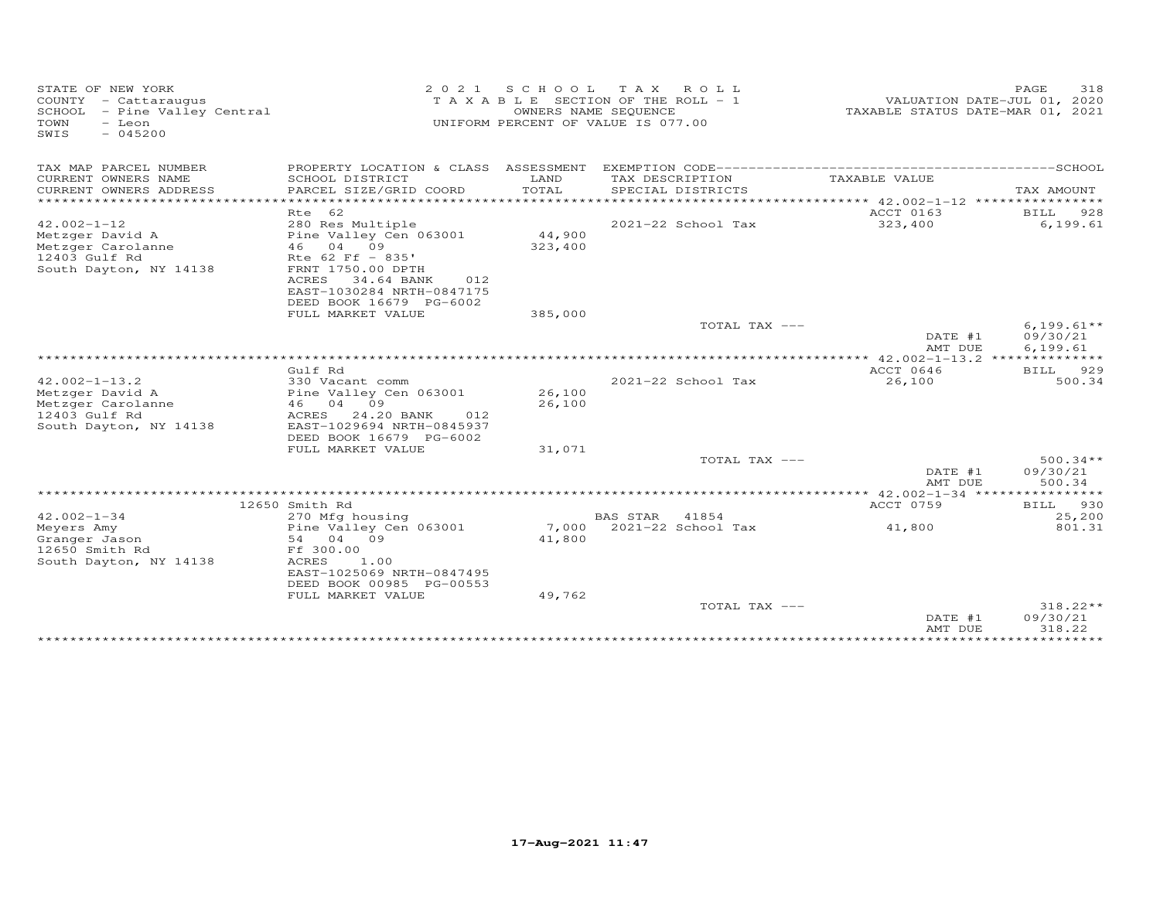| STATE OF NEW YORK<br>COUNTY - Cattaraugus<br>SCHOOL - Pine Valley Central<br>TOWN<br>- Leon<br>$-045200$<br>SWIS |                                                                              | OWNERS NAME SEQUENCE | 2021 SCHOOL TAX ROLL<br>TAXABLE SECTION OF THE ROLL - 1<br>UNIFORM PERCENT OF VALUE IS 077.00 | VALUATION DATE-JUL 01, 2020<br>TAXABLE STATUS DATE-MAR 01, 2021 | PAGE<br>318           |
|------------------------------------------------------------------------------------------------------------------|------------------------------------------------------------------------------|----------------------|-----------------------------------------------------------------------------------------------|-----------------------------------------------------------------|-----------------------|
| TAX MAP PARCEL NUMBER                                                                                            |                                                                              |                      |                                                                                               |                                                                 |                       |
| CURRENT OWNERS NAME<br>CURRENT OWNERS ADDRESS                                                                    | SCHOOL DISTRICT<br>PARCEL SIZE/GRID COORD                                    | LAND<br>TOTAL        | TAX DESCRIPTION<br>SPECIAL DISTRICTS                                                          | TAXABLE VALUE                                                   | TAX AMOUNT            |
|                                                                                                                  |                                                                              |                      |                                                                                               |                                                                 |                       |
| $42.002 - 1 - 12$                                                                                                | Rte 62<br>280 Res Multiple<br>Pine Valley Cen 063001                         | 44,900               | 2021-22 School Tax                                                                            | ACCT 0163<br>323,400                                            | BILL 928<br>6, 199.61 |
| Metzger David A<br>Metzger Carolanne<br>12403 Gulf Rd                                                            | 46 04 09<br>Rte 62 Ff - 835'                                                 | 323,400              |                                                                                               |                                                                 |                       |
| South Dayton, NY 14138                                                                                           | FRNT 1750.00 DPTH<br>ACRES<br>34.64 BANK<br>012<br>EAST-1030284 NRTH-0847175 |                      |                                                                                               |                                                                 |                       |
|                                                                                                                  | DEED BOOK 16679 PG-6002                                                      |                      |                                                                                               |                                                                 |                       |
|                                                                                                                  | FULL MARKET VALUE                                                            | 385,000              | TOTAL TAX ---                                                                                 |                                                                 | $6,199.61**$          |
|                                                                                                                  |                                                                              |                      |                                                                                               | DATE #1<br>AMT DUE                                              | 09/30/21<br>6,199.61  |
|                                                                                                                  |                                                                              |                      |                                                                                               |                                                                 |                       |
|                                                                                                                  | Gulf Rd                                                                      |                      |                                                                                               | ACCT 0646                                                       | <b>BILL</b><br>929    |
| $42.002 - 1 - 13.2$                                                                                              | 330 Vacant comm                                                              | 26,100               | 2021-22 School Tax                                                                            | 26,100                                                          | 500.34                |
| Metzger David A                                                                                                  | Pine Valley Cen 063001                                                       |                      |                                                                                               |                                                                 |                       |
| Metzger Carolanne<br>12403 Gulf Rd                                                                               | 46 04 09<br>24.20 BANK<br>ACRES<br>012                                       | 26,100               |                                                                                               |                                                                 |                       |
|                                                                                                                  |                                                                              |                      |                                                                                               |                                                                 |                       |
| South Dayton, NY 14138                                                                                           | EAST-1029694 NRTH-0845937<br>DEED BOOK 16679 PG-6002                         |                      |                                                                                               |                                                                 |                       |
|                                                                                                                  |                                                                              |                      |                                                                                               |                                                                 |                       |
|                                                                                                                  | FULL MARKET VALUE                                                            | 31,071               | TOTAL TAX ---                                                                                 |                                                                 | $500.34**$            |
|                                                                                                                  |                                                                              |                      |                                                                                               | DATE #1<br>AMT DUE                                              | 09/30/21<br>500.34    |
|                                                                                                                  |                                                                              |                      |                                                                                               |                                                                 |                       |
|                                                                                                                  | 12650 Smith Rd                                                               |                      |                                                                                               | ACCT 0759                                                       | BILL 930              |
| $42.002 - 1 - 34$                                                                                                | 270 Mfg housing                                                              |                      | <b>BAS STAR</b><br>41854                                                                      |                                                                 | 25,200                |
| Meyers Amy                                                                                                       | Pine Valley Cen 063001                                                       | 7,000                | 2021-22 School Tax                                                                            | 41,800                                                          | 801.31                |
| Granger Jason                                                                                                    | 54 04 09                                                                     | 41,800               |                                                                                               |                                                                 |                       |
| 12650 Smith Rd                                                                                                   | Ff 300.00                                                                    |                      |                                                                                               |                                                                 |                       |
| South Dayton, NY 14138                                                                                           | ACRES<br>1.00                                                                |                      |                                                                                               |                                                                 |                       |
|                                                                                                                  | EAST-1025069 NRTH-0847495<br>DEED BOOK 00985 PG-00553                        |                      |                                                                                               |                                                                 |                       |
|                                                                                                                  | FULL MARKET VALUE                                                            | 49,762               |                                                                                               |                                                                 |                       |
|                                                                                                                  |                                                                              |                      | TOTAL TAX ---                                                                                 |                                                                 | 318.22**              |
|                                                                                                                  |                                                                              |                      |                                                                                               | DATE #1                                                         | 09/30/21              |
|                                                                                                                  |                                                                              |                      |                                                                                               | AMT DUE                                                         | 318.22                |
|                                                                                                                  |                                                                              |                      |                                                                                               |                                                                 |                       |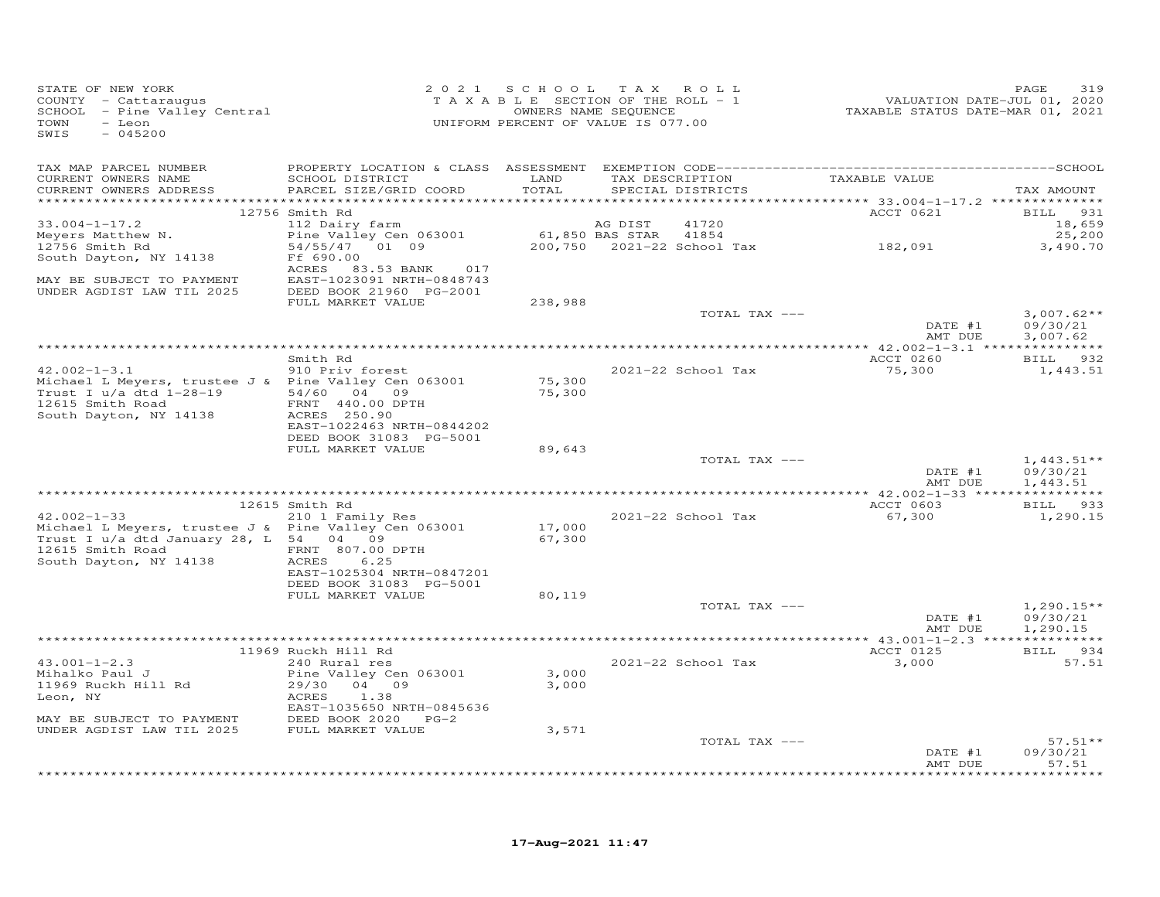| STATE OF NEW YORK<br>COUNTY - Cattaraugus<br>SCUNII - Calcaraugus<br>SCHOOL - Pine Valley Central<br>TOWN<br>- Leon<br>SWIS<br>$-045200$ |                                                      | 2021 SCHOOL TAX ROLL<br>T A X A B L E SECTION OF THE ROLL - 1<br>UNIFORM PERCENT OF VALUE IS 077.00 | OWNERS NAME SEQUENCE  |                            | 2020<br>2020, VALUATION DATE-JUL 01, 2020<br>2021, TAXABLE STATUS DATE-MAR 01 | PAGE<br>319                     |
|------------------------------------------------------------------------------------------------------------------------------------------|------------------------------------------------------|-----------------------------------------------------------------------------------------------------|-----------------------|----------------------------|-------------------------------------------------------------------------------|---------------------------------|
| TAX MAP PARCEL NUMBER<br>CURRENT OWNERS NAME                                                                                             | SCHOOL DISTRICT LAND                                 |                                                                                                     |                       | TAX DESCRIPTION            | TAXABLE VALUE                                                                 |                                 |
| CURRENT OWNERS ADDRESS                                                                                                                   | PARCEL SIZE/GRID COORD                               | TOTAL                                                                                               |                       | SPECIAL DISTRICTS          |                                                                               | TAX AMOUNT                      |
|                                                                                                                                          | 12756 Smith Rd                                       |                                                                                                     |                       |                            | <b>ACCT 0621</b>                                                              | <b>BILL</b> 931                 |
| $33.004 - 1 - 17.2$                                                                                                                      | 112 Dairy farm                                       |                                                                                                     | AG DIST               | 41720                      |                                                                               | 18,659                          |
| Meyers Matthew N.                                                                                                                        | Pine Valley Cen 063001                               |                                                                                                     | 61,850 BAS STAR 41854 |                            |                                                                               | 25,200                          |
| 12756 Smith Rd                                                                                                                           | 54/55/47 01 09                                       |                                                                                                     |                       | 200,750 2021-22 School Tax | 182,091                                                                       | 3,490.70                        |
| South Dayton, NY 14138                                                                                                                   | Ff 690.00                                            |                                                                                                     |                       |                            |                                                                               |                                 |
|                                                                                                                                          | ACRES 83.53 BANK 017                                 |                                                                                                     |                       |                            |                                                                               |                                 |
| MAY BE SUBJECT TO PAYMENT<br>UNDER AGDIST LAW TIL 2025                                                                                   | EAST-1023091 NRTH-0848743<br>DEED BOOK 21960 PG-2001 |                                                                                                     |                       |                            |                                                                               |                                 |
|                                                                                                                                          | FULL MARKET VALUE                                    | 238,988                                                                                             |                       |                            |                                                                               |                                 |
|                                                                                                                                          |                                                      |                                                                                                     |                       | TOTAL TAX ---              |                                                                               | $3,007.62**$                    |
|                                                                                                                                          |                                                      |                                                                                                     |                       |                            | DATE #1                                                                       | 09/30/21                        |
|                                                                                                                                          |                                                      |                                                                                                     |                       |                            | AMT DUE                                                                       | 3,007.62                        |
|                                                                                                                                          | Smith Rd                                             |                                                                                                     |                       |                            | ACCT 0260                                                                     | BILL 932                        |
| $42.002 - 1 - 3.1$                                                                                                                       | 910 Priv forest                                      |                                                                                                     |                       | 2021-22 School Tax         | 75,300                                                                        | 1,443.51                        |
| Michael L Meyers, trustee J & Pine Valley Cen 063001                                                                                     |                                                      | 75,300                                                                                              |                       |                            |                                                                               |                                 |
| Trust I u/a dtd 1-28-19                                                                                                                  | 54/60 04 09                                          | 75,300                                                                                              |                       |                            |                                                                               |                                 |
| 12615 Smith Road FRNT 440.00 I<br>South Dayton, NY 14138 ACRES 250.90                                                                    | FRNT 440.00 DPTH                                     |                                                                                                     |                       |                            |                                                                               |                                 |
|                                                                                                                                          |                                                      |                                                                                                     |                       |                            |                                                                               |                                 |
|                                                                                                                                          | EAST-1022463 NRTH-0844202<br>DEED BOOK 31083 PG-5001 |                                                                                                     |                       |                            |                                                                               |                                 |
|                                                                                                                                          | FULL MARKET VALUE                                    | 89,643                                                                                              |                       |                            |                                                                               |                                 |
|                                                                                                                                          |                                                      |                                                                                                     |                       | TOTAL TAX ---              |                                                                               | $1,443.51**$                    |
|                                                                                                                                          |                                                      |                                                                                                     |                       |                            | DATE #1                                                                       | 09/30/21                        |
|                                                                                                                                          |                                                      |                                                                                                     |                       |                            | AMT DUE                                                                       | 1,443.51                        |
|                                                                                                                                          | 12615 Smith Rd                                       |                                                                                                     |                       |                            | ACCT 0603                                                                     | BILL 933                        |
| $42.002 - 1 - 33$                                                                                                                        | 210 1 Family Res                                     |                                                                                                     |                       | 2021-22 School Tax         | 67,300                                                                        | 1,290.15                        |
| Michael L Meyers, trustee J & Pine Valley Cen 063001                                                                                     |                                                      | 17,000                                                                                              |                       |                            |                                                                               |                                 |
| Trust I u/a dtd January 28, L 54 04 09                                                                                                   |                                                      | 67,300                                                                                              |                       |                            |                                                                               |                                 |
| 12615 Smith Road<br>$-4138$                                                                                                              | FRNT 807.00 DPTH                                     |                                                                                                     |                       |                            |                                                                               |                                 |
| South Dayton, NY 14138                                                                                                                   | ACRES<br>6.25<br>EAST-1025304 NRTH-0847201           |                                                                                                     |                       |                            |                                                                               |                                 |
|                                                                                                                                          | DEED BOOK 31083 PG-5001                              |                                                                                                     |                       |                            |                                                                               |                                 |
|                                                                                                                                          | FULL MARKET VALUE                                    | 80,119                                                                                              |                       |                            |                                                                               |                                 |
|                                                                                                                                          |                                                      |                                                                                                     |                       | TOTAL TAX ---              |                                                                               | $1,290.15**$                    |
|                                                                                                                                          |                                                      |                                                                                                     |                       |                            | DATE #1                                                                       | 09/30/21                        |
|                                                                                                                                          |                                                      |                                                                                                     |                       |                            | AMT DUE                                                                       | 1,290.15                        |
|                                                                                                                                          | 11969 Ruckh Hill Rd                                  |                                                                                                     |                       |                            | ACCT 0125                                                                     | BILL 934                        |
| $43.001 - 1 - 2.3$                                                                                                                       | 240 Rural res                                        |                                                                                                     |                       | 2021-22 School Tax         | 3,000                                                                         | 57.51                           |
| Mihalko Paul J                                                                                                                           | Pine Valley Cen 063001                               | 3,000                                                                                               |                       |                            |                                                                               |                                 |
| 11969 Ruckh Hill Rd                                                                                                                      | 29/30 04 09                                          | 3,000                                                                                               |                       |                            |                                                                               |                                 |
| Leon, NY                                                                                                                                 | 1.38<br>ACRES                                        |                                                                                                     |                       |                            |                                                                               |                                 |
|                                                                                                                                          | EAST-1035650 NRTH-0845636                            |                                                                                                     |                       |                            |                                                                               |                                 |
| MAY BE SUBJECT TO PAYMENT<br>UNDER AGDIST LAW TIL 2025                                                                                   | DEED BOOK 2020 PG-2<br>FULL MARKET VALUE             | 3,571                                                                                               |                       |                            |                                                                               |                                 |
|                                                                                                                                          |                                                      |                                                                                                     |                       | TOTAL TAX ---              |                                                                               | $57.51**$                       |
|                                                                                                                                          |                                                      |                                                                                                     |                       |                            | DATE #1                                                                       | 09/30/21                        |
|                                                                                                                                          |                                                      |                                                                                                     |                       |                            | AMT DUE                                                                       | 57.51<br>به به به به به به به ب |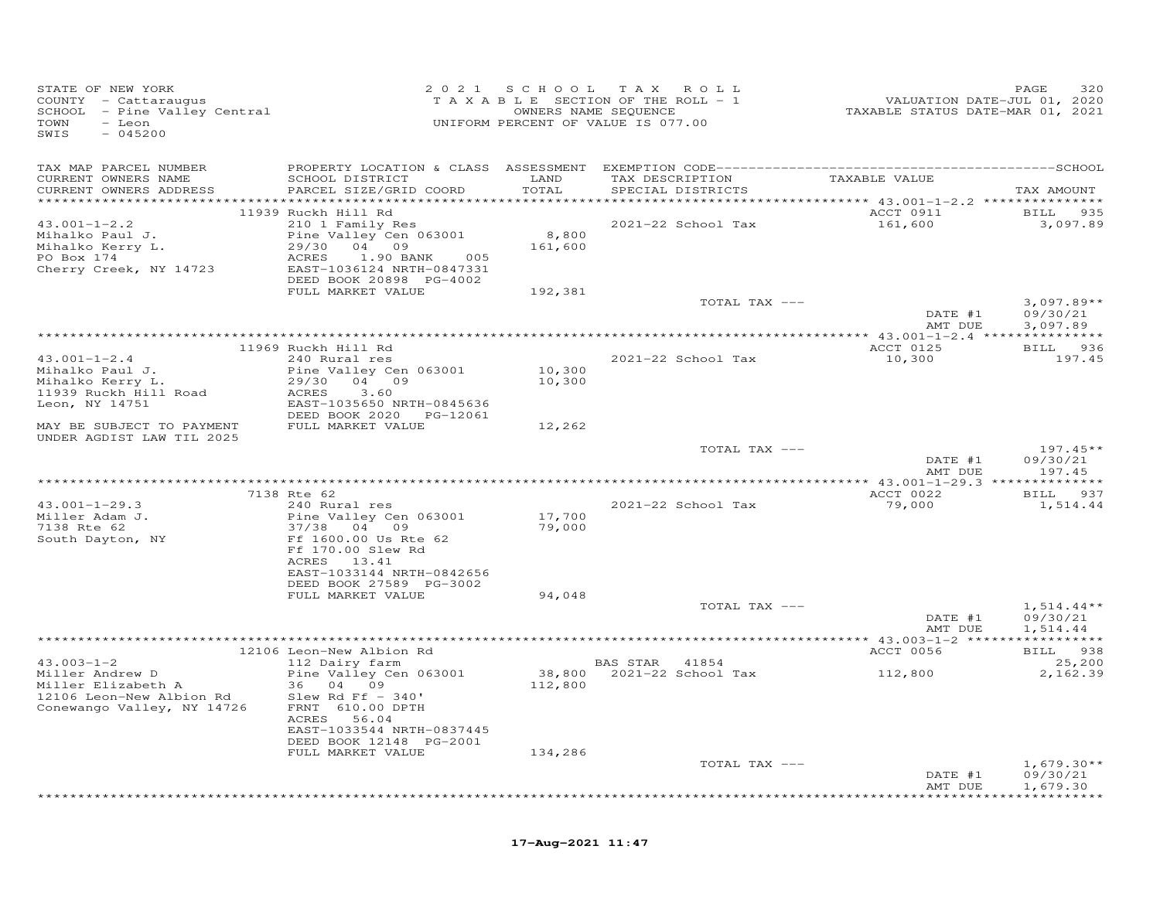| STATE OF NEW YORK<br>COUNTY - Cattaraugus<br>COONII - Cattaraugus<br>SCHOOL - Pine Valley Central<br>TOWN<br>- Leon<br>$-045200$<br>SWIS |                                                      |                  | 2021 SCHOOL TAX ROLL<br>TAXABLE SECTION OF THE ROLL - 1<br>OWNERS NAME SEQUENCE<br>UNIFORM PERCENT OF VALUE IS 077.00 | VALUATION DATE-JUL 01, 2020<br>TAXABLE STATUS DATE-MAR 01, 2021 | PAGE<br>320              |
|------------------------------------------------------------------------------------------------------------------------------------------|------------------------------------------------------|------------------|-----------------------------------------------------------------------------------------------------------------------|-----------------------------------------------------------------|--------------------------|
| TAX MAP PARCEL NUMBER                                                                                                                    |                                                      |                  |                                                                                                                       |                                                                 |                          |
| CURRENT OWNERS NAME<br>CURRENT OWNERS ADDRESS                                                                                            | SCHOOL DISTRICT<br>PARCEL SIZE/GRID COORD            | LAND<br>TOTAL    | TAX DESCRIPTION<br>SPECIAL DISTRICTS                                                                                  | TAXABLE VALUE                                                   | TAX AMOUNT               |
|                                                                                                                                          |                                                      |                  |                                                                                                                       |                                                                 |                          |
|                                                                                                                                          | 11939 Ruckh Hill Rd                                  |                  |                                                                                                                       | ACCT 0911                                                       | BILL 935                 |
| $43.001 - 1 - 2.2$                                                                                                                       | 210 1 Family Res                                     |                  | 2021-22 School Tax                                                                                                    | 161,600                                                         | 3,097.89                 |
| Mihalko Paul J.<br>Mihalko Kerry L.                                                                                                      | Pine Valley Cen 063001<br>29/30 04 09                | 8,800<br>161,600 |                                                                                                                       |                                                                 |                          |
| PO Box 174                                                                                                                               | ACRES<br>1.90 BANK 005                               |                  |                                                                                                                       |                                                                 |                          |
| Cherry Creek, NY 14723                                                                                                                   | EAST-1036124 NRTH-0847331                            |                  |                                                                                                                       |                                                                 |                          |
|                                                                                                                                          | DEED BOOK 20898 PG-4002                              |                  |                                                                                                                       |                                                                 |                          |
|                                                                                                                                          | FULL MARKET VALUE                                    | 192,381          |                                                                                                                       |                                                                 |                          |
|                                                                                                                                          |                                                      |                  | TOTAL TAX ---                                                                                                         | DATE #1                                                         | $3,097.89**$<br>09/30/21 |
|                                                                                                                                          |                                                      |                  |                                                                                                                       | AMT DUE                                                         | 3,097.89                 |
|                                                                                                                                          |                                                      |                  |                                                                                                                       |                                                                 |                          |
|                                                                                                                                          | 11969 Ruckh Hill Rd                                  |                  |                                                                                                                       | ACCT 0125                                                       | BILL 936                 |
| $43.001 - 1 - 2.4$<br>Mihalko Paul J.                                                                                                    | 240 Rural res                                        | 10,300           | 2021-22 School Tax                                                                                                    | 10,300                                                          | 197.45                   |
| Mihalko Kerry L.                                                                                                                         | Pine Valley Cen 063001<br>29/30 04 09                | 10,300           |                                                                                                                       |                                                                 |                          |
| 11939 Ruckh Hill Road                                                                                                                    | ACRES<br>3.60                                        |                  |                                                                                                                       |                                                                 |                          |
| Leon, NY 14751                                                                                                                           | EAST-1035650 NRTH-0845636                            |                  |                                                                                                                       |                                                                 |                          |
|                                                                                                                                          | DEED BOOK 2020 PG-12061                              |                  |                                                                                                                       |                                                                 |                          |
| MAY BE SUBJECT TO PAYMENT<br>UNDER AGDIST LAW TIL 2025                                                                                   | FULL MARKET VALUE                                    | 12,262           |                                                                                                                       |                                                                 |                          |
|                                                                                                                                          |                                                      |                  | TOTAL TAX ---                                                                                                         |                                                                 | $197.45**$               |
|                                                                                                                                          |                                                      |                  |                                                                                                                       | DATE #1                                                         | 09/30/21                 |
|                                                                                                                                          |                                                      |                  |                                                                                                                       | AMT DUE                                                         | 197.45                   |
|                                                                                                                                          | 7138 Rte 62                                          |                  |                                                                                                                       | ACCT 0022                                                       | BILL 937                 |
| $43.001 - 1 - 29.3$                                                                                                                      | 240 Rural res                                        |                  | 2021-22 School Tax                                                                                                    | 79,000                                                          | 1,514.44                 |
| Miller Adam J.                                                                                                                           | Pine Valley Cen 063001                               | 17,700           |                                                                                                                       |                                                                 |                          |
| 7138 Rte 62                                                                                                                              | 37/38 04 09                                          | 79,000           |                                                                                                                       |                                                                 |                          |
| South Dayton, NY                                                                                                                         | Ff 1600.00 Us Rte 62<br>Ff 170.00 Slew Rd            |                  |                                                                                                                       |                                                                 |                          |
|                                                                                                                                          | ACRES 13.41                                          |                  |                                                                                                                       |                                                                 |                          |
|                                                                                                                                          | EAST-1033144 NRTH-0842656                            |                  |                                                                                                                       |                                                                 |                          |
|                                                                                                                                          | DEED BOOK 27589 PG-3002                              |                  |                                                                                                                       |                                                                 |                          |
|                                                                                                                                          | FULL MARKET VALUE                                    | 94,048           |                                                                                                                       |                                                                 |                          |
|                                                                                                                                          |                                                      |                  | TOTAL TAX ---                                                                                                         | DATE #1                                                         | $1,514.44**$<br>09/30/21 |
|                                                                                                                                          |                                                      |                  |                                                                                                                       | AMT DUE                                                         | 1,514.44                 |
|                                                                                                                                          |                                                      |                  |                                                                                                                       |                                                                 |                          |
|                                                                                                                                          | 12106 Leon-New Albion Rd                             |                  |                                                                                                                       | ACCT 0056                                                       | BILL 938                 |
| $43.003 - 1 - 2$<br>Miller Andrew D                                                                                                      | 112 Dairy farm<br>Pine Valley Cen 063001             |                  | BAS STAR 41854<br>38,800 2021-22 School Tax                                                                           | 112,800                                                         | 25,200<br>2,162.39       |
| Miller Elizabeth A                                                                                                                       | 36 04 09                                             | 112,800          |                                                                                                                       |                                                                 |                          |
| 12106 Leon-New Albion Rd                                                                                                                 | Slew Rd Ff $-$ 340'                                  |                  |                                                                                                                       |                                                                 |                          |
| Conewango Valley, NY 14726                                                                                                               | FRNT 610.00 DPTH                                     |                  |                                                                                                                       |                                                                 |                          |
|                                                                                                                                          | ACRES 56.04                                          |                  |                                                                                                                       |                                                                 |                          |
|                                                                                                                                          | EAST-1033544 NRTH-0837445<br>DEED BOOK 12148 PG-2001 |                  |                                                                                                                       |                                                                 |                          |
|                                                                                                                                          | FULL MARKET VALUE                                    | 134,286          |                                                                                                                       |                                                                 |                          |
|                                                                                                                                          |                                                      |                  | TOTAL TAX ---                                                                                                         |                                                                 | $1,679.30**$             |
|                                                                                                                                          |                                                      |                  |                                                                                                                       | DATE #1                                                         | 09/30/21                 |
|                                                                                                                                          |                                                      |                  |                                                                                                                       | AMT DUE                                                         | 1,679.30<br>***********  |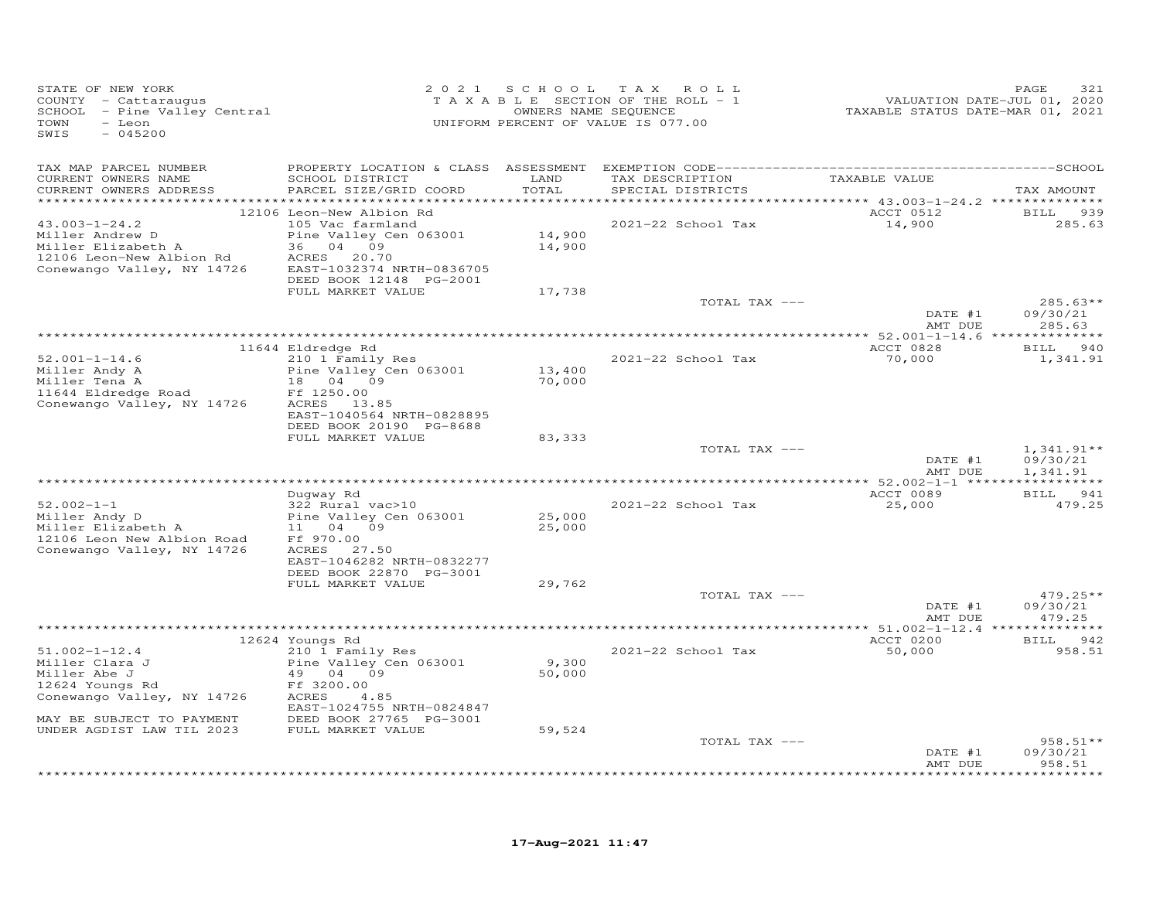| STATE OF NEW YORK<br>COUNTY - Cattaraugus<br>- Pine Valley Central<br>SCHOOL<br>TOWN<br>- Leon<br>SWIS<br>$-045200$                                              | 2 0 2 1                                                                                                                                                                                     | SCHOOL                    | T A X<br>ROLL<br>TAXABLE SECTION OF THE ROLL - 1<br>OWNERS NAME SEQUENCE<br>UNIFORM PERCENT OF VALUE IS 077.00 | VALUATION DATE-JUL 01, 2020<br>TAXABLE STATUS DATE-MAR 01, 2021 | PAGE<br>321                      |
|------------------------------------------------------------------------------------------------------------------------------------------------------------------|---------------------------------------------------------------------------------------------------------------------------------------------------------------------------------------------|---------------------------|----------------------------------------------------------------------------------------------------------------|-----------------------------------------------------------------|----------------------------------|
| TAX MAP PARCEL NUMBER<br>CURRENT OWNERS NAME<br>CURRENT OWNERS ADDRESS                                                                                           | SCHOOL DISTRICT<br>PARCEL SIZE/GRID COORD                                                                                                                                                   | LAND<br>TOTAL             | TAX DESCRIPTION<br>SPECIAL DISTRICTS                                                                           | TAXABLE VALUE                                                   | TAX AMOUNT                       |
| **********************                                                                                                                                           | *****************************                                                                                                                                                               | ************              |                                                                                                                |                                                                 |                                  |
| $43.003 - 1 - 24.2$<br>Miller Andrew D<br>Miller Elizabeth A<br>12106 Leon-New Albion Rd<br>Conewango Valley, NY 14726                                           | 12106 Leon-New Albion Rd<br>105 Vac farmland<br>Pine Valley Cen 063001<br>36 04 09<br>20.70<br>ACRES<br>EAST-1032374 NRTH-0836705<br>DEED BOOK 12148 PG-2001                                | 14,900<br>14,900          | 2021-22 School Tax                                                                                             | ACCT 0512<br>14,900                                             | <b>BILL</b><br>939<br>285.63     |
|                                                                                                                                                                  | FULL MARKET VALUE                                                                                                                                                                           | 17,738                    | TOTAL TAX ---                                                                                                  | DATE #1                                                         | $285.63**$<br>09/30/21           |
|                                                                                                                                                                  |                                                                                                                                                                                             |                           |                                                                                                                | AMT DUE                                                         | 285.63                           |
|                                                                                                                                                                  | 11644 Eldredge Rd                                                                                                                                                                           |                           |                                                                                                                | ACCT 0828                                                       | 940<br>BILL                      |
| $52.001 - 1 - 14.6$<br>Miller Andy A<br>Miller Tena A<br>11644 Eldredge Road<br>Conewango Valley, NY 14726                                                       | 210 1 Family Res<br>Pine Valley Cen 063001<br>18<br>04 09<br>Ff 1250.00<br>ACRES 13.85                                                                                                      | 13,400<br>70,000          | 2021-22 School Tax                                                                                             | 70,000                                                          | 1,341.91                         |
|                                                                                                                                                                  | EAST-1040564 NRTH-0828895<br>DEED BOOK 20190 PG-8688<br>FULL MARKET VALUE                                                                                                                   | 83,333                    | TOTAL TAX ---                                                                                                  |                                                                 | $1,341.91**$                     |
|                                                                                                                                                                  |                                                                                                                                                                                             |                           |                                                                                                                | DATE #1<br>AMT DUE                                              | 09/30/21<br>1,341.91             |
|                                                                                                                                                                  |                                                                                                                                                                                             |                           |                                                                                                                | ACCT 0089                                                       | <b>BILL</b><br>941               |
| $52.002 - 1 - 1$<br>Miller Andy D<br>Miller Elizabeth A<br>12106 Leon New Albion Road<br>Conewango Valley, NY 14726                                              | Duqway Rd<br>322 Rural vac>10<br>Pine Valley Cen 063001<br>11<br>04<br>09<br>Ff 970.00<br>ACRES 27.50<br>EAST-1046282 NRTH-0832277<br>DEED BOOK 22870 PG-3001                               | 25,000<br>25,000          | 2021-22 School Tax                                                                                             | 25,000                                                          | 479.25                           |
|                                                                                                                                                                  | FULL MARKET VALUE                                                                                                                                                                           | 29,762                    |                                                                                                                |                                                                 |                                  |
|                                                                                                                                                                  |                                                                                                                                                                                             |                           | TOTAL TAX ---                                                                                                  | DATE #1<br>AMT DUE                                              | $479.25**$<br>09/30/21<br>479.25 |
|                                                                                                                                                                  |                                                                                                                                                                                             |                           |                                                                                                                |                                                                 |                                  |
| $51.002 - 1 - 12.4$<br>Miller Clara J<br>Miller Abe J<br>12624 Youngs Rd<br>Conewango Valley, NY 14726<br>MAY BE SUBJECT TO PAYMENT<br>UNDER AGDIST LAW TIL 2023 | 12624 Youngs Rd<br>210 1 Family Res<br>Pine Valley Cen 063001<br>49<br>04<br>09<br>Ff 3200.00<br>4.85<br>ACRES<br>EAST-1024755 NRTH-0824847<br>DEED BOOK 27765 PG-3001<br>FULL MARKET VALUE | 9,300<br>50,000<br>59,524 | 2021-22 School Tax                                                                                             | ACCT 0200<br>50,000                                             | <b>BILL</b><br>942<br>958.51     |
|                                                                                                                                                                  |                                                                                                                                                                                             |                           | TOTAL TAX ---                                                                                                  | DATE #1<br>AMT DUE                                              | $958.51**$<br>09/30/21<br>958.51 |
|                                                                                                                                                                  |                                                                                                                                                                                             |                           |                                                                                                                |                                                                 | .                                |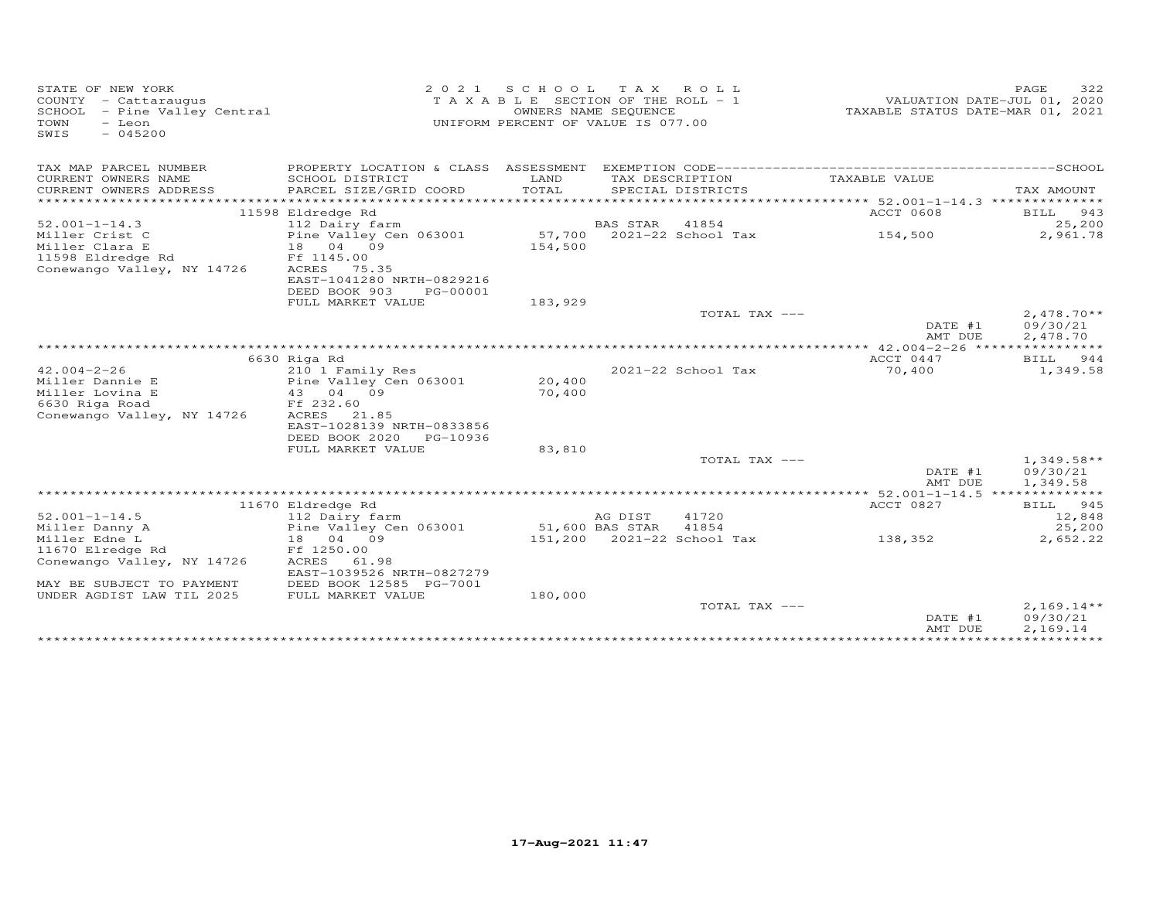| STATE OF NEW YORK<br>COUNTY - Cattaraugus<br>SCHOOL - Pine Valley Central<br>TOWN<br>- Leon<br>$-045200$<br>SWIS | 2 0 2 1                                     |         | SCHOOL TAX ROLL<br>TAXABLE SECTION OF THE ROLL - 1<br>OWNERS NAME SEQUENCE<br>UNIFORM PERCENT OF VALUE IS 077.00 | TAXABLE STATUS DATE-MAR 01, 2021 | 322<br>PAGE<br>VALUATION DATE-JUL 01, 2020 |
|------------------------------------------------------------------------------------------------------------------|---------------------------------------------|---------|------------------------------------------------------------------------------------------------------------------|----------------------------------|--------------------------------------------|
| TAX MAP PARCEL NUMBER                                                                                            |                                             |         |                                                                                                                  |                                  |                                            |
| CURRENT OWNERS NAME                                                                                              | SCHOOL DISTRICT                             | LAND    | TAX DESCRIPTION                                                                                                  | TAXABLE VALUE                    |                                            |
| CURRENT OWNERS ADDRESS                                                                                           | PARCEL SIZE/GRID COORD                      | TOTAL   | SPECIAL DISTRICTS                                                                                                |                                  | TAX AMOUNT                                 |
| ***********************                                                                                          |                                             |         |                                                                                                                  |                                  |                                            |
| $52.001 - 1 - 14.3$                                                                                              | 11598 Eldredge Rd<br>112 Dairy farm         |         | BAS STAR<br>41854                                                                                                | <b>ACCT 0608</b>                 | BILL 943<br>25,200                         |
| Miller Crist C                                                                                                   | Pine Valley Cen 063001                      |         | 57,700 2021-22 School Tax                                                                                        | 154,500                          | 2,961.78                                   |
| Miller Clara E                                                                                                   | 18  04  09                                  | 154,500 |                                                                                                                  |                                  |                                            |
| 11598 Eldredge Rd                                                                                                | Ff 1145.00                                  |         |                                                                                                                  |                                  |                                            |
| Conewango Valley, NY 14726                                                                                       | ACRES 75.35                                 |         |                                                                                                                  |                                  |                                            |
|                                                                                                                  | EAST-1041280 NRTH-0829216                   |         |                                                                                                                  |                                  |                                            |
|                                                                                                                  | DEED BOOK 903<br>PG-00001                   |         |                                                                                                                  |                                  |                                            |
|                                                                                                                  | FULL MARKET VALUE                           | 183,929 |                                                                                                                  |                                  |                                            |
|                                                                                                                  |                                             |         | TOTAL TAX ---                                                                                                    | DATE #1<br>AMT DUE               | $2,478.70**$<br>09/30/21<br>2,478.70       |
|                                                                                                                  |                                             |         |                                                                                                                  |                                  |                                            |
|                                                                                                                  | 6630 Riga Rd                                |         |                                                                                                                  | ACCT 0447                        | BILL 944                                   |
| $42.004 - 2 - 26$                                                                                                | 210 1 Family Res                            |         | 2021-22 School Tax                                                                                               | 70,400                           | 1,349.58                                   |
| Miller Dannie E                                                                                                  | Pine Valley Cen 063001                      | 20,400  |                                                                                                                  |                                  |                                            |
| Miller Lovina E                                                                                                  | 43 04 09                                    | 70,400  |                                                                                                                  |                                  |                                            |
| 6630 Riga Road                                                                                                   | Ff 232.60                                   |         |                                                                                                                  |                                  |                                            |
| Conewango Valley, NY 14726                                                                                       | ACRES<br>21.85<br>EAST-1028139 NRTH-0833856 |         |                                                                                                                  |                                  |                                            |
|                                                                                                                  | DEED BOOK 2020<br>PG-10936                  |         |                                                                                                                  |                                  |                                            |
|                                                                                                                  | FULL MARKET VALUE                           | 83,810  |                                                                                                                  |                                  |                                            |
|                                                                                                                  |                                             |         | TOTAL TAX ---                                                                                                    |                                  | $1,349.58**$                               |
|                                                                                                                  |                                             |         |                                                                                                                  | DATE #1                          | 09/30/21                                   |
|                                                                                                                  |                                             |         |                                                                                                                  | AMT DUE                          | 1,349.58                                   |
|                                                                                                                  |                                             |         |                                                                                                                  |                                  |                                            |
|                                                                                                                  | 11670 Eldredge Rd                           |         |                                                                                                                  | ACCT 0827                        | BILL 945                                   |
| $52.001 - 1 - 14.5$                                                                                              | 112 Dairy farm                              |         | 41720<br>AG DIST                                                                                                 |                                  | 12,848                                     |
| Miller Danny A                                                                                                   | Pine Valley Cen 063001                      |         | 51,600 BAS STAR<br>41854                                                                                         |                                  | 25,200                                     |
| Miller Edne L                                                                                                    | 18 04 09                                    |         | 151,200 2021-22 School Tax                                                                                       | 138,352                          | 2,652.22                                   |
| 11670 Elredge Rd                                                                                                 | Ff 1250.00                                  |         |                                                                                                                  |                                  |                                            |
| Conewango Valley, NY 14726                                                                                       | ACRES<br>61.98<br>EAST-1039526 NRTH-0827279 |         |                                                                                                                  |                                  |                                            |
| MAY BE SUBJECT TO PAYMENT                                                                                        | DEED BOOK 12585 PG-7001                     |         |                                                                                                                  |                                  |                                            |
| UNDER AGDIST LAW TIL 2025                                                                                        | FULL MARKET VALUE                           | 180,000 |                                                                                                                  |                                  |                                            |
|                                                                                                                  |                                             |         | TOTAL TAX ---                                                                                                    |                                  | $2,169.14**$                               |
|                                                                                                                  |                                             |         |                                                                                                                  | DATE #1                          | 09/30/21                                   |
|                                                                                                                  |                                             |         |                                                                                                                  | AMT DUE                          | 2,169.14                                   |
|                                                                                                                  |                                             |         |                                                                                                                  |                                  |                                            |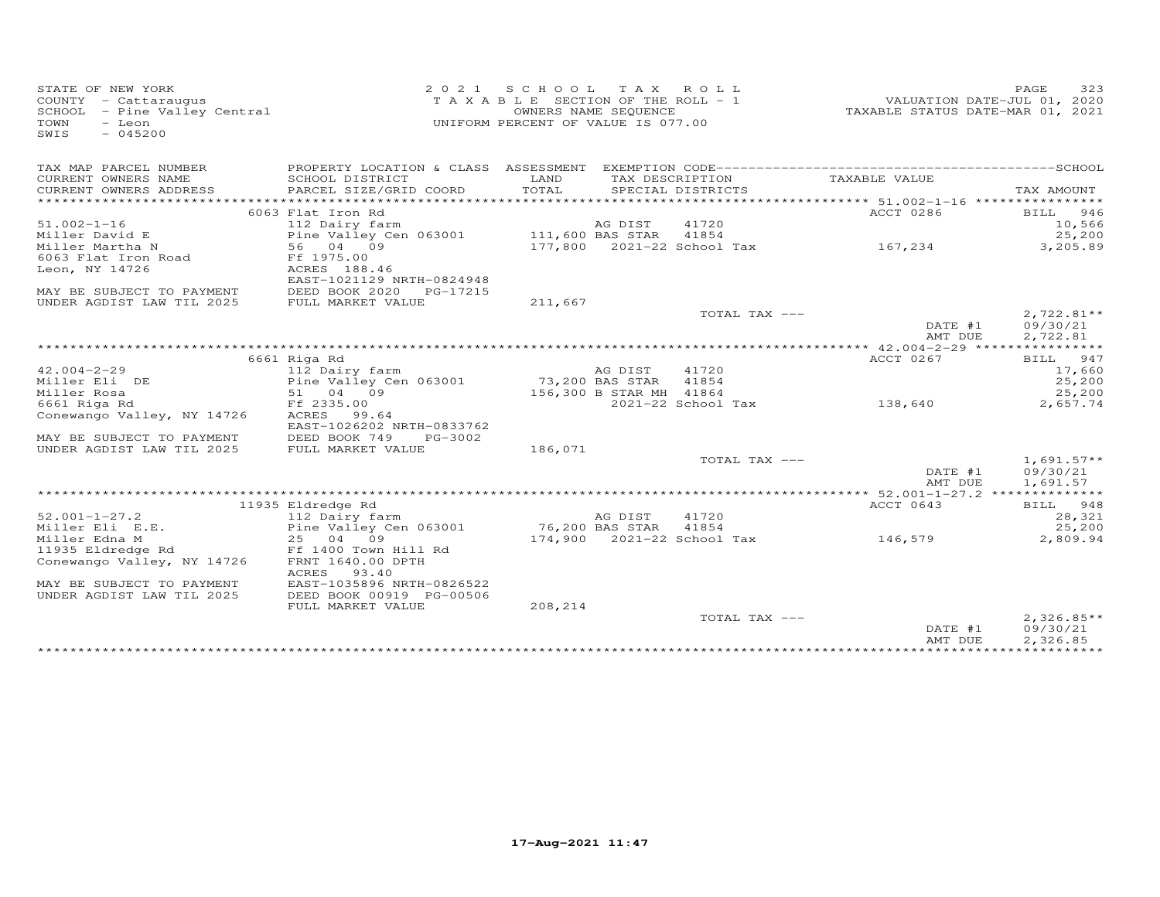| STATE OF NEW YORK<br>COUNTY - Cattaraugus<br>SCHOOL - Pine Valley Central<br>TOWN<br>- Leon<br>$-045200$<br>SWIS | 2 0 2 1                                       | SCHOOL TAX ROLL<br>TAXABLE SECTION OF THE ROLL - 1<br>UNIFORM PERCENT OF VALUE IS 077.00 | OWNERS NAME SEQUENCE    |                            | VALUATION DATE-JUL 01, 2020 | 323<br>PAGE<br>TAXABLE STATUS DATE-MAR 01, 2021 |
|------------------------------------------------------------------------------------------------------------------|-----------------------------------------------|------------------------------------------------------------------------------------------|-------------------------|----------------------------|-----------------------------|-------------------------------------------------|
| TAX MAP PARCEL NUMBER                                                                                            |                                               |                                                                                          |                         |                            |                             |                                                 |
| CURRENT OWNERS NAME                                                                                              | SCHOOL DISTRICT                               | LAND                                                                                     |                         | TAX DESCRIPTION            | TAXABLE VALUE               |                                                 |
| CURRENT OWNERS ADDRESS<br>***********************                                                                | PARCEL SIZE/GRID COORD                        | TOTAL                                                                                    |                         | SPECIAL DISTRICTS          |                             | TAX AMOUNT                                      |
|                                                                                                                  |                                               |                                                                                          |                         |                            |                             |                                                 |
| $51.002 - 1 - 16$                                                                                                | 6063 Flat Iron Rd<br>112 Dairy farm           |                                                                                          | AG DIST                 | 41720                      | ACCT 0286                   | BILL 946<br>10,566                              |
| Miller David E                                                                                                   | Pine Valley Cen 063001 111,600 BAS STAR 41854 |                                                                                          |                         |                            |                             | 25,200                                          |
| Miller Martha N                                                                                                  | 56 04 09                                      |                                                                                          |                         | 177,800 2021-22 School Tax | 167,234                     | 3,205.89                                        |
| 6063 Flat Iron Road                                                                                              | Ff 1975.00                                    |                                                                                          |                         |                            |                             |                                                 |
| Leon, NY 14726                                                                                                   | ACRES 188.46                                  |                                                                                          |                         |                            |                             |                                                 |
|                                                                                                                  | EAST-1021129 NRTH-0824948                     |                                                                                          |                         |                            |                             |                                                 |
| MAY BE SUBJECT TO PAYMENT                                                                                        | DEED BOOK 2020 PG-17215                       |                                                                                          |                         |                            |                             |                                                 |
| UNDER AGDIST LAW TIL 2025                                                                                        | FULL MARKET VALUE                             | 211,667                                                                                  |                         |                            |                             |                                                 |
|                                                                                                                  |                                               |                                                                                          |                         | TOTAL TAX ---              |                             | $2,722.81**$                                    |
|                                                                                                                  |                                               |                                                                                          |                         |                            | DATE #1                     | 09/30/21                                        |
|                                                                                                                  |                                               |                                                                                          |                         |                            | AMT DUE                     | 2,722.81                                        |
|                                                                                                                  |                                               |                                                                                          |                         |                            |                             |                                                 |
|                                                                                                                  | 6661 Riga Rd                                  |                                                                                          |                         |                            | ACCT 0267                   | 947<br>BILL                                     |
| $42.004 - 2 - 29$                                                                                                | 112 Dairy farm                                |                                                                                          | AG DIST                 | 41720                      |                             | 17,660                                          |
| Miller Eli DE                                                                                                    | Pine Valley Cen 063001                        | 73,200 BAS STAR 41854                                                                    |                         |                            |                             | 25,200                                          |
| Miller Rosa<br>6661 Riga Rd                                                                                      | 51 04 09<br>Ff 2335.00                        |                                                                                          | 156,300 B STAR MH 41864 | 2021-22 School Tax         | 138,640                     | 25,200<br>2,657.74                              |
| Conewango Valley, NY 14726                                                                                       | ACRES 99.64                                   |                                                                                          |                         |                            |                             |                                                 |
|                                                                                                                  | EAST-1026202 NRTH-0833762                     |                                                                                          |                         |                            |                             |                                                 |
| MAY BE SUBJECT TO PAYMENT                                                                                        | DEED BOOK 749<br>PG-3002                      |                                                                                          |                         |                            |                             |                                                 |
| UNDER AGDIST LAW TIL 2025                                                                                        | FULL MARKET VALUE                             | 186,071                                                                                  |                         |                            |                             |                                                 |
|                                                                                                                  |                                               |                                                                                          |                         | TOTAL TAX ---              |                             | $1,691.57**$                                    |
|                                                                                                                  |                                               |                                                                                          |                         |                            | DATE #1<br>AMT DUE          | 09/30/21<br>1,691.57                            |
|                                                                                                                  |                                               |                                                                                          |                         |                            |                             |                                                 |
|                                                                                                                  | 11935 Eldredge Rd                             |                                                                                          |                         |                            | ACCT 0643                   | BILL 948                                        |
| $52.001 - 1 - 27.2$                                                                                              | 112 Dairy farm                                |                                                                                          | AG DIST                 | 41720                      |                             | 28,321                                          |
| Miller Eli E.E.                                                                                                  | Pine Valley Cen 063001                        | 76,200 BAS STAR                                                                          |                         | 41854                      |                             | 25,200                                          |
| Miller Edna M                                                                                                    | 25 04 09                                      |                                                                                          |                         | 174,900 2021-22 School Tax | 146,579                     | 2,809.94                                        |
| 11935 Eldredge Rd                                                                                                | Ff 1400 Town Hill Rd                          |                                                                                          |                         |                            |                             |                                                 |
| Conewango Valley, NY 14726                                                                                       | FRNT 1640.00 DPTH<br>ACRES<br>93.40           |                                                                                          |                         |                            |                             |                                                 |
| MAY BE SUBJECT TO PAYMENT                                                                                        | EAST-1035896 NRTH-0826522                     |                                                                                          |                         |                            |                             |                                                 |
| UNDER AGDIST LAW TIL 2025                                                                                        | DEED BOOK 00919 PG-00506                      |                                                                                          |                         |                            |                             |                                                 |
|                                                                                                                  | FULL MARKET VALUE                             | 208,214                                                                                  |                         |                            |                             |                                                 |
|                                                                                                                  |                                               |                                                                                          |                         | TOTAL TAX ---              | DATE #1                     | $2,326.85**$<br>09/30/21                        |
|                                                                                                                  |                                               |                                                                                          |                         |                            | AMT DUE                     | 2,326.85                                        |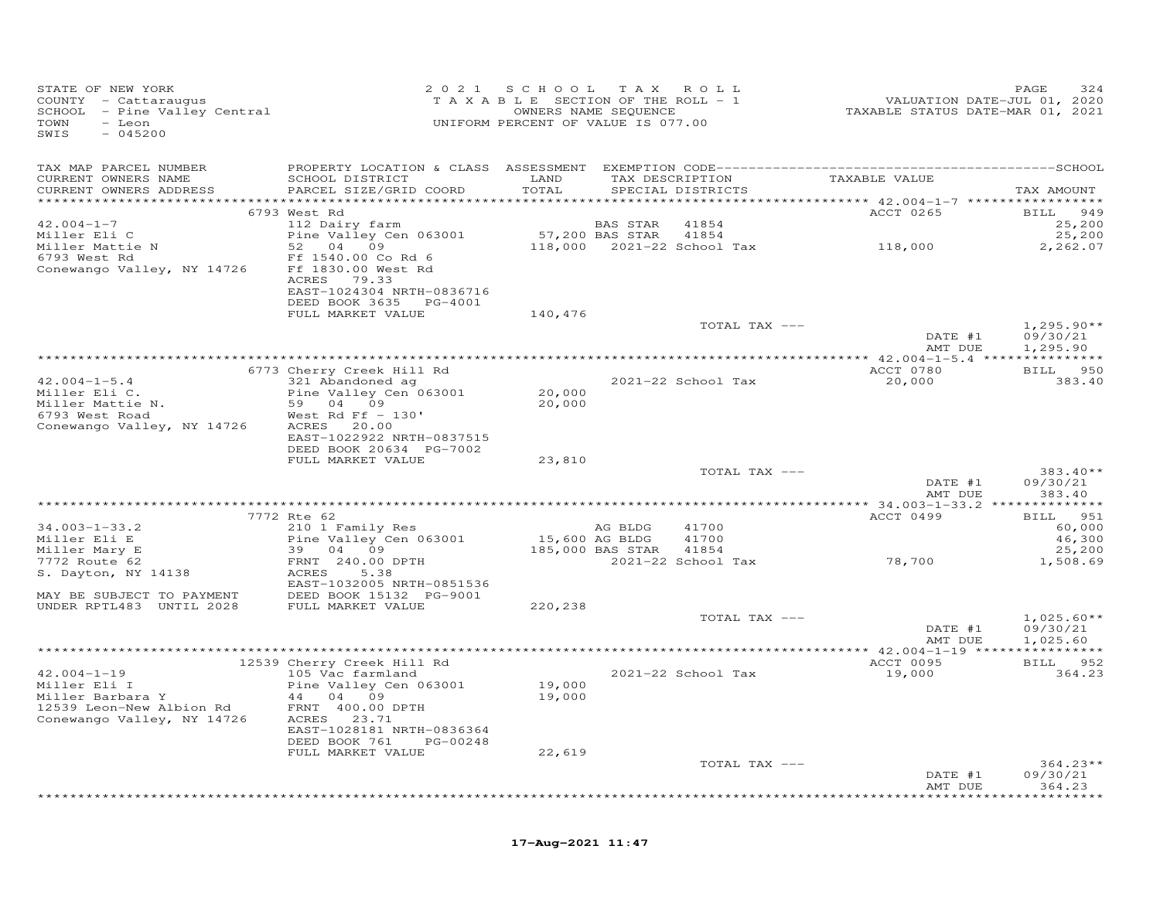| STATE OF NEW YORK<br>COUNTY - Cattaraugus<br>COUNTY - Cattaraugus<br>SCHOOL - Pine Valley Central<br>TOWN - Leon<br>TOWN<br>- Leon<br>$-045200$<br>SWIS |                                                                                                                | 2021 SCHOOL TAX ROLL<br>T A X A B L E SECTION OF THE ROLL - 1<br>UNIFORM PERCENT OF VALUE IS 077.00 | OWNERS NAME SEQUENCE |                    | 2013<br>VALUATION DATE-JUL 01, 2020<br>TAXABLE STATUS DATE-MAR 01, 2021 | PAGE<br>324          |
|---------------------------------------------------------------------------------------------------------------------------------------------------------|----------------------------------------------------------------------------------------------------------------|-----------------------------------------------------------------------------------------------------|----------------------|--------------------|-------------------------------------------------------------------------|----------------------|
| TAX MAP PARCEL NUMBER                                                                                                                                   |                                                                                                                |                                                                                                     |                      |                    |                                                                         |                      |
| CURRENT OWNERS NAME<br>CURRENT OWNERS ADDRESS                                                                                                           | SCHOOL DISTRICT<br>PARCEL SIZE/GRID COORD                                                                      | LAND<br>TOTAL                                                                                       |                      | SPECIAL DISTRICTS  | TAX DESCRIPTION TAXABLE VALUE                                           | TAX AMOUNT           |
|                                                                                                                                                         |                                                                                                                |                                                                                                     |                      |                    |                                                                         |                      |
|                                                                                                                                                         | 6793 West Rd                                                                                                   |                                                                                                     |                      |                    | ACCT 0265                                                               | BILL 949             |
| $42.004 - 1 - 7$                                                                                                                                        | 112 Dairy farm                                                                                                 |                                                                                                     | BAS STAR             | 41854              |                                                                         | 25,200               |
| Miller Eli C                                                                                                                                            | Pine Valley Cen 063001 57, 200 BAS STAR 41854<br>52 04 09                                                      |                                                                                                     |                      |                    | $118,000$ 2021-22 School Tax 118,000                                    | 25,200<br>2,262.07   |
| Miller Mattie N<br>6793 West Rd<br>Conewango Valley, NY 14726                                                                                           | Ff 1540.00 Co Rd 6<br>Ff 1830.00 West Rd<br>ACRES 79.33<br>EAST-1024304 NRTH-0836716<br>DEED BOOK 3635 PG-4001 |                                                                                                     |                      |                    |                                                                         |                      |
|                                                                                                                                                         | FULL MARKET VALUE                                                                                              | 140,476                                                                                             |                      |                    |                                                                         |                      |
|                                                                                                                                                         |                                                                                                                |                                                                                                     |                      | TOTAL TAX ---      |                                                                         | $1,295.90**$         |
|                                                                                                                                                         |                                                                                                                |                                                                                                     |                      |                    | DATE #1<br>AMT DUE                                                      | 09/30/21<br>1,295.90 |
|                                                                                                                                                         |                                                                                                                |                                                                                                     |                      |                    |                                                                         |                      |
|                                                                                                                                                         | 6773 Cherry Creek Hill Rd                                                                                      |                                                                                                     |                      |                    | ACCT 0780                                                               | BILL 950             |
| $42.004 - 1 - 5.4$                                                                                                                                      | 321 Abandoned ag                                                                                               | 20,000                                                                                              |                      | 2021-22 School Tax | 20,000                                                                  | 383.40               |
| Miller Eli C.<br>Miller Mattie N.                                                                                                                       | Pine Valley Cen 063001<br>59 04 09                                                                             | 20,000                                                                                              |                      |                    |                                                                         |                      |
| 6793 West Road                                                                                                                                          | West Rd Ff $-130'$                                                                                             |                                                                                                     |                      |                    |                                                                         |                      |
| Conewango Valley, NY 14726 ACRES 20.00                                                                                                                  |                                                                                                                |                                                                                                     |                      |                    |                                                                         |                      |
|                                                                                                                                                         | EAST-1022922 NRTH-0837515                                                                                      |                                                                                                     |                      |                    |                                                                         |                      |
|                                                                                                                                                         | DEED BOOK 20634 PG-7002                                                                                        |                                                                                                     |                      |                    |                                                                         |                      |
|                                                                                                                                                         | FULL MARKET VALUE                                                                                              | 23,810                                                                                              |                      |                    |                                                                         |                      |
|                                                                                                                                                         |                                                                                                                |                                                                                                     |                      | TOTAL TAX ---      |                                                                         | $383.40**$           |
|                                                                                                                                                         |                                                                                                                |                                                                                                     |                      |                    | DATE #1                                                                 | 09/30/21             |
|                                                                                                                                                         |                                                                                                                |                                                                                                     |                      |                    | AMT DUE                                                                 | 383.40               |
|                                                                                                                                                         |                                                                                                                |                                                                                                     |                      |                    |                                                                         |                      |
|                                                                                                                                                         | 7772 Rte 62                                                                                                    |                                                                                                     |                      |                    | ACCT 0499                                                               | BILL 951             |
| $34.003 - 1 - 33.2$                                                                                                                                     | 210 1 Family Res                                                                                               |                                                                                                     | AG BLDG              | 41700              |                                                                         | 60,000               |
|                                                                                                                                                         | Pine Valley Cen 063001<br>39 04 09                                                                             | 15,600 AG BLDG                                                                                      | 185,000 BAS STAR     | 41700<br>41854     |                                                                         | 46,300<br>25,200     |
| Miller Eli E<br>Miller Mary E<br>7772 Route 62                                                                                                          | FRNT 240.00 DPTH                                                                                               |                                                                                                     |                      |                    | 2021-22 School Tax 78,700                                               | 1,508.69             |
| S. Dayton, NY 14138                                                                                                                                     | ACRES<br>5.38                                                                                                  |                                                                                                     |                      |                    |                                                                         |                      |
|                                                                                                                                                         | EAST-1032005 NRTH-0851536                                                                                      |                                                                                                     |                      |                    |                                                                         |                      |
| MAY BE SUBJECT TO PAYMENT                                                                                                                               | DEED BOOK 15132 PG-9001                                                                                        |                                                                                                     |                      |                    |                                                                         |                      |
| UNDER RPTL483 UNTIL 2028                                                                                                                                | FULL MARKET VALUE                                                                                              | 220,238                                                                                             |                      |                    |                                                                         |                      |
|                                                                                                                                                         |                                                                                                                |                                                                                                     |                      | TOTAL TAX ---      |                                                                         | $1,025.60**$         |
|                                                                                                                                                         |                                                                                                                |                                                                                                     |                      |                    | DATE #1                                                                 | 09/30/21             |
|                                                                                                                                                         |                                                                                                                |                                                                                                     |                      |                    | AMT DUE                                                                 | 1,025.60             |
|                                                                                                                                                         |                                                                                                                |                                                                                                     |                      |                    |                                                                         |                      |
|                                                                                                                                                         | 12539 Cherry Creek Hill Rd                                                                                     |                                                                                                     |                      |                    | ACCT 0095                                                               | BILL 952             |
| $42.004 - 1 - 19$                                                                                                                                       | 105 Vac farmland                                                                                               |                                                                                                     |                      | 2021-22 School Tax | 19,000                                                                  | 364.23               |
| Miller Eli I<br>Miller Barbara Y                                                                                                                        | Pine Valley Cen 063001<br>44 04 09                                                                             | 19,000<br>19,000                                                                                    |                      |                    |                                                                         |                      |
| 12539 Leon-New Albion Rd                                                                                                                                | FRNT 400.00 DPTH                                                                                               |                                                                                                     |                      |                    |                                                                         |                      |
| Conewango Valley, NY 14726                                                                                                                              | ACRES 23.71                                                                                                    |                                                                                                     |                      |                    |                                                                         |                      |
|                                                                                                                                                         | EAST-1028181 NRTH-0836364                                                                                      |                                                                                                     |                      |                    |                                                                         |                      |
|                                                                                                                                                         | DEED BOOK 761 PG-00248                                                                                         |                                                                                                     |                      |                    |                                                                         |                      |
|                                                                                                                                                         | FULL MARKET VALUE                                                                                              | 22,619                                                                                              |                      |                    |                                                                         |                      |
|                                                                                                                                                         |                                                                                                                |                                                                                                     |                      | TOTAL TAX ---      |                                                                         | $364.23**$           |
|                                                                                                                                                         |                                                                                                                |                                                                                                     |                      |                    | DATE #1                                                                 | 09/30/21             |
|                                                                                                                                                         |                                                                                                                |                                                                                                     |                      |                    | AMT DUE                                                                 | 364.23               |
|                                                                                                                                                         |                                                                                                                |                                                                                                     |                      |                    |                                                                         | <b>++++++++</b>      |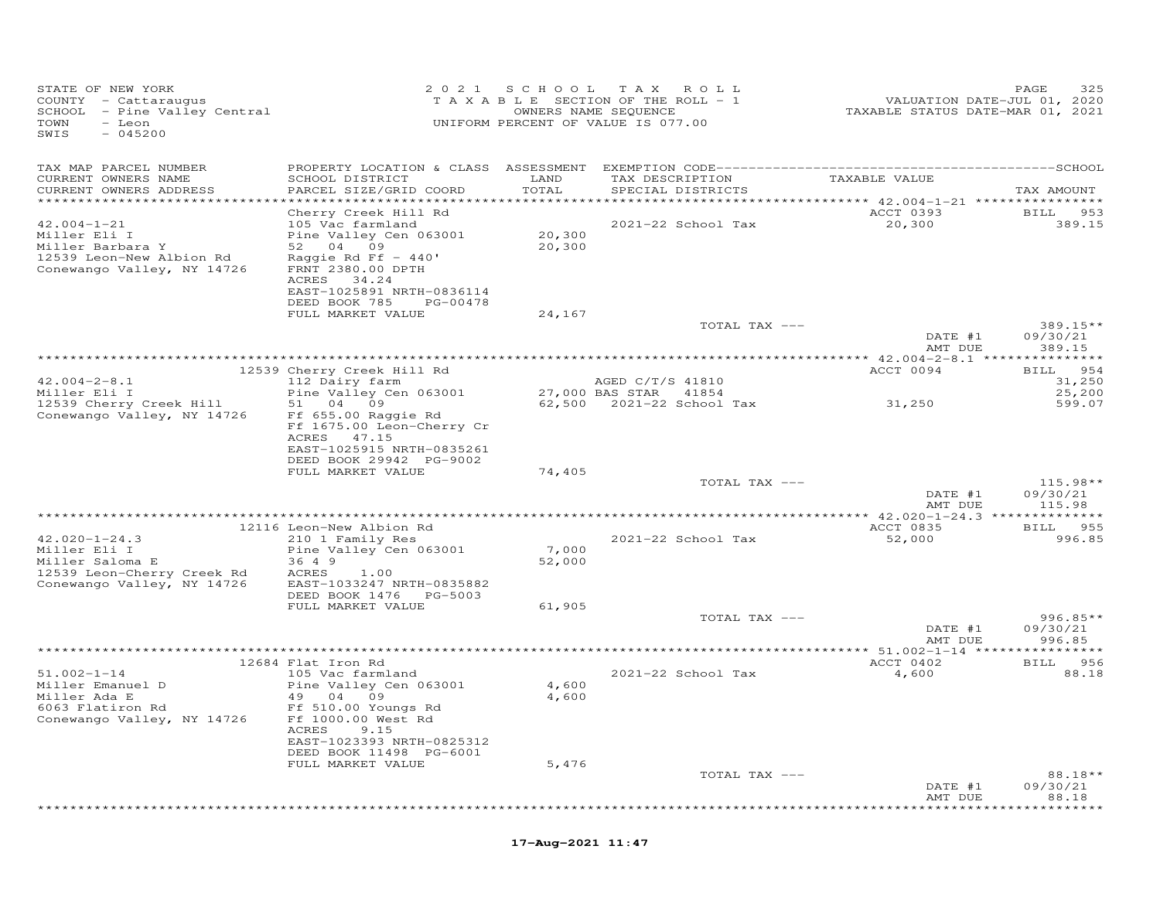| STATE OF NEW YORK<br>COUNTY - Cattaraugus<br>SCHOOL - Pine Valley Central<br>TOWN<br>- Leon<br>SWIS<br>$-045200$                            |                                                                                                                                                                         |                  | 2021 SCHOOL TAX ROLL<br>TAXABLE SECTION OF THE ROLL - 1<br>OWNERS NAME SEQUENCE<br>UNIFORM PERCENT OF VALUE IS 077.00 | VALUATION DATE-JUL 01, 2020<br>TAXABLE STATUS DATE-MAR 01, 2021 | PAGE<br>325                        |
|---------------------------------------------------------------------------------------------------------------------------------------------|-------------------------------------------------------------------------------------------------------------------------------------------------------------------------|------------------|-----------------------------------------------------------------------------------------------------------------------|-----------------------------------------------------------------|------------------------------------|
| TAX MAP PARCEL NUMBER<br>CURRENT OWNERS NAME<br>CURRENT OWNERS ADDRESS                                                                      | SCHOOL DISTRICT<br>PARCEL SIZE/GRID COORD                                                                                                                               | LAND<br>TOTAL    | TAX DESCRIPTION<br>SPECIAL DISTRICTS                                                                                  | TAXABLE VALUE                                                   | TAX AMOUNT                         |
| ************************<br>$42.004 - 1 - 21$<br>Miller Eli I<br>Miller Barbara Y<br>12539 Leon-New Albion Rd<br>Conewango Valley, NY 14726 | Cherry Creek Hill Rd<br>105 Vac farmland<br>Pine Valley Cen 063001<br>52 04 09<br>Raggie Rd Ff $-440'$<br>FRNT 2380.00 DPTH<br>ACRES 34.24<br>EAST-1025891 NRTH-0836114 | 20,300<br>20,300 | 2021-22 School Tax                                                                                                    | ACCT 0393<br>20,300                                             | BILL 953<br>389.15                 |
|                                                                                                                                             | DEED BOOK 785 PG-00478<br>FULL MARKET VALUE                                                                                                                             | 24,167           | TOTAL TAX ---                                                                                                         | DATE #1                                                         | $389.15**$<br>09/30/21             |
|                                                                                                                                             | 12539 Cherry Creek Hill Rd                                                                                                                                              |                  |                                                                                                                       | AMT DUE<br>ACCT 0094                                            | 389.15<br>BILL 954                 |
| $42.004 - 2 - 8.1$<br>Miller Eli I<br>12539 Cherry Creek Hill<br>Conewango Valley, NY 14726                                                 | 112 Dairy farm<br>Pine Valley Cen 063001<br>51 04 09<br>Ff 655.00 Raggie Rd<br>Ff 1675.00 Leon-Cherry Cr<br>ACRES 47.15                                                 |                  | AGED C/T/S 41810<br>27,000 BAS STAR 41854                                                                             | 31,250                                                          | 31,250<br>25,200<br>599.07         |
|                                                                                                                                             | EAST-1025915 NRTH-0835261<br>DEED BOOK 29942 PG-9002<br>FULL MARKET VALUE                                                                                               | 74,405           | TOTAL TAX ---                                                                                                         | DATE #1<br>AMT DUE                                              | $115.98**$<br>09/30/21<br>115.98   |
|                                                                                                                                             |                                                                                                                                                                         |                  |                                                                                                                       |                                                                 |                                    |
| $42.020 - 1 - 24.3$<br>Miller Eli I<br>Miller Saloma E<br>12539 Leon-Cherry Creek Rd<br>Conewango Valley, NY 14726                          | 12116 Leon-New Albion Rd<br>210 1 Family Res<br>Pine Valley Cen 063001<br>36 4 9<br>ACRES 1.00<br>EAST-1033247 NRTH-0835882                                             | 7,000<br>52,000  | 2021-22 School Tax                                                                                                    | ACCT 0835<br>52,000                                             | BILL 955<br>996.85                 |
|                                                                                                                                             | DEED BOOK 1476    PG-5003<br>FULL MARKET VALUE                                                                                                                          | 61,905           | TOTAL TAX ---                                                                                                         | DATE #1                                                         | $996.85**$<br>09/30/21             |
|                                                                                                                                             |                                                                                                                                                                         |                  |                                                                                                                       | AMT DUE                                                         | 996.85                             |
|                                                                                                                                             | 12684 Flat Iron Rd                                                                                                                                                      |                  |                                                                                                                       | ACCT 0402                                                       | BILL 956                           |
| $51.002 - 1 - 14$<br>Miller Emanuel D<br>Miller Ada E<br>6063 Flatiron Rd<br>Conewango Valley, NY 14726                                     | 105 Vac farmland<br>Pine Valley Cen 063001<br>49 04 09<br>Ff 510.00 Youngs Rd<br>Ff 1000.00 West Rd<br>ACRES<br>9.15                                                    | 4,600<br>4,600   | 2021-22 School Tax                                                                                                    | 4,600                                                           | 88.18                              |
|                                                                                                                                             | EAST-1023393 NRTH-0825312<br>DEED BOOK 11498 PG-6001<br>FULL MARKET VALUE                                                                                               | 5,476            | TOTAL TAX ---                                                                                                         |                                                                 | 88.18**                            |
|                                                                                                                                             |                                                                                                                                                                         |                  |                                                                                                                       | DATE #1<br>AMT DUE                                              | 09/30/21<br>88.18<br>* * * * * * * |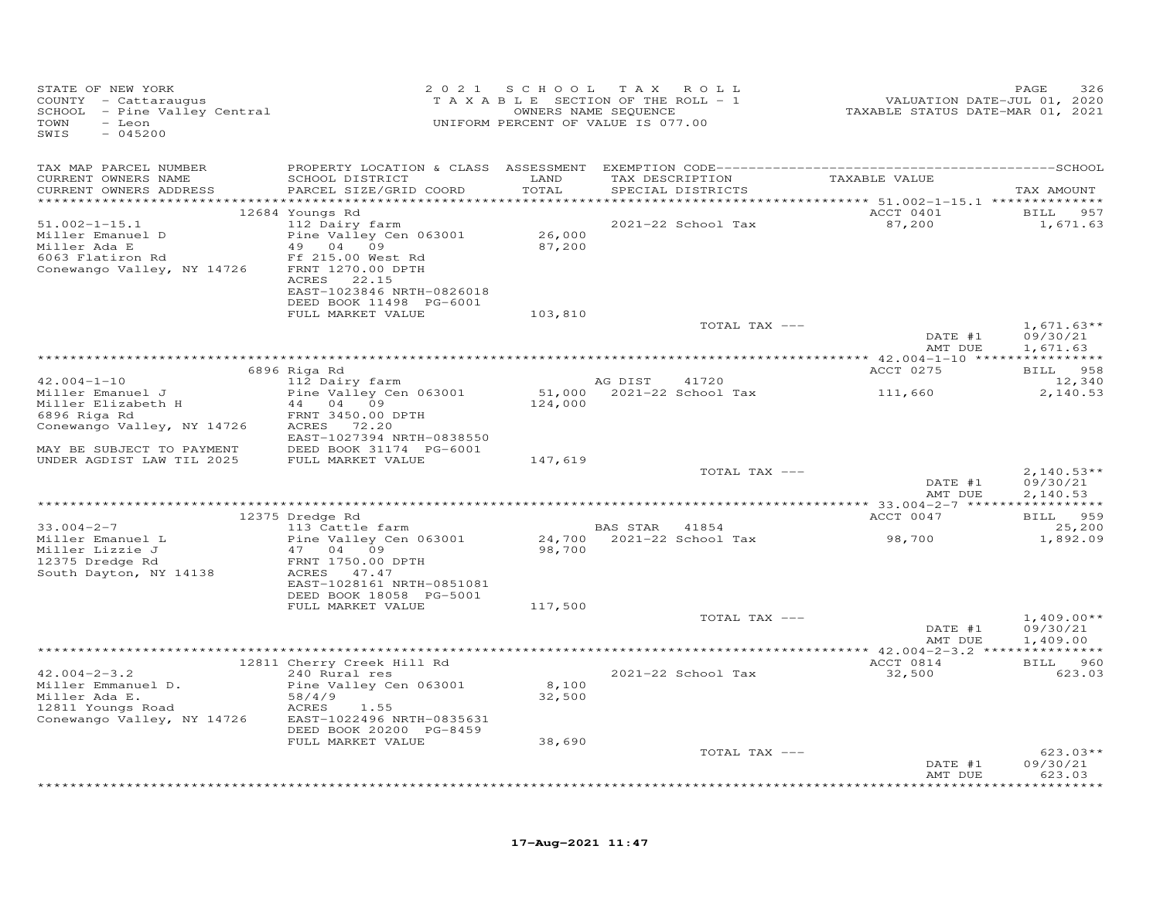| STATE OF NEW YORK<br>COUNTY - Cattaraugus<br>SCHOOL - Pine Valley Central<br>TOWN<br>- Leon<br>SWIS<br>$-045200$ |                                                                                                               |                  | 2021 SCHOOL TAX ROLL<br>T A X A B L E SECTION OF THE ROLL - 1<br>OWNERS NAME SEQUENCE<br>UNIFORM PERCENT OF VALUE IS 077.00 |               | VALUATION DATE-JUL 01, 2020<br>TAXABLE STATUS DATE-MAR 01, 2021 | PAGE<br>326                          |
|------------------------------------------------------------------------------------------------------------------|---------------------------------------------------------------------------------------------------------------|------------------|-----------------------------------------------------------------------------------------------------------------------------|---------------|-----------------------------------------------------------------|--------------------------------------|
| TAX MAP PARCEL NUMBER                                                                                            |                                                                                                               |                  |                                                                                                                             |               |                                                                 |                                      |
| CURRENT OWNERS NAME<br>CURRENT OWNERS ADDRESS                                                                    | SCHOOL DISTRICT<br>PARCEL SIZE/GRID COORD                                                                     | LAND<br>TOTAL    | TAX DESCRIPTION<br>SPECIAL DISTRICTS                                                                                        |               | TAXABLE VALUE                                                   | TAX AMOUNT                           |
|                                                                                                                  |                                                                                                               |                  |                                                                                                                             |               | ACCT 0401                                                       | <b>BILL</b><br>957                   |
| $51.002 - 1 - 15.1$<br>Miller Emanuel D<br>Miller Ada E                                                          | 12684 Youngs Rd<br>112 Dairy farm<br>Pine Valley Cen 063001<br>49 04 09                                       | 26,000<br>87,200 | 2021-22 School Tax                                                                                                          |               | 87,200                                                          | 1,671.63                             |
| 6063 Flatiron Rd<br>Conewango Valley, NY 14726                                                                   | Ff 215.00 West Rd<br>FRNT 1270.00 DPTH<br>ACRES 22.15<br>EAST-1023846 NRTH-0826018<br>DEED BOOK 11498 PG-6001 |                  |                                                                                                                             |               |                                                                 |                                      |
|                                                                                                                  | FULL MARKET VALUE                                                                                             | 103,810          |                                                                                                                             |               |                                                                 |                                      |
|                                                                                                                  |                                                                                                               |                  |                                                                                                                             | TOTAL TAX --- | DATE #1<br>AMT DUE                                              | $1,671.63**$<br>09/30/21<br>1,671.63 |
|                                                                                                                  |                                                                                                               |                  |                                                                                                                             |               |                                                                 |                                      |
|                                                                                                                  | 6896 Riga Rd                                                                                                  |                  |                                                                                                                             |               | ACCT 0275                                                       | BILL 958                             |
| $42.004 - 1 - 10$<br>Miller Emanuel J                                                                            | 112 Dairy farm<br>Pine Valley Cen 063001                                                                      |                  | AG DIST<br>41720<br>51,000 2021-22 School Tax                                                                               |               | 111,660                                                         | 12,340<br>2,140.53                   |
| Miller Elizabeth H                                                                                               | 44 04 09                                                                                                      | 124,000          |                                                                                                                             |               |                                                                 |                                      |
| 6896 Riga Rd                                                                                                     | FRNT 3450.00 DPTH                                                                                             |                  |                                                                                                                             |               |                                                                 |                                      |
| Conewango Valley, NY 14726                                                                                       | ACRES 72.20                                                                                                   |                  |                                                                                                                             |               |                                                                 |                                      |
| MAY BE SUBJECT TO PAYMENT                                                                                        | EAST-1027394 NRTH-0838550<br>DEED BOOK 31174 PG-6001                                                          |                  |                                                                                                                             |               |                                                                 |                                      |
| UNDER AGDIST LAW TIL 2025                                                                                        | FULL MARKET VALUE                                                                                             | 147,619          |                                                                                                                             |               |                                                                 |                                      |
|                                                                                                                  |                                                                                                               |                  |                                                                                                                             | TOTAL TAX --- |                                                                 | $2,140.53**$                         |
|                                                                                                                  |                                                                                                               |                  |                                                                                                                             |               | DATE #1<br>AMT DUE                                              | 09/30/21<br>2,140.53                 |
|                                                                                                                  | 12375 Dredge Rd                                                                                               |                  |                                                                                                                             |               | ACCT 0047                                                       | 959<br><b>BILL</b>                   |
| $33.004 - 2 - 7$                                                                                                 | 113 Cattle farm                                                                                               |                  | BAS STAR 41854                                                                                                              |               |                                                                 | 25,200                               |
| Miller Emanuel L                                                                                                 | Pine Valley Cen 063001                                                                                        |                  | 24,700 2021-22 School Tax                                                                                                   |               | 98,700                                                          | 1,892.09                             |
| Miller Lizzie J<br>12375 Dredge Rd                                                                               | 47 04 09<br>FRNT 1750.00 DPTH                                                                                 | 98,700           |                                                                                                                             |               |                                                                 |                                      |
| South Dayton, NY 14138                                                                                           | ACRES 47.47                                                                                                   |                  |                                                                                                                             |               |                                                                 |                                      |
|                                                                                                                  | EAST-1028161 NRTH-0851081                                                                                     |                  |                                                                                                                             |               |                                                                 |                                      |
|                                                                                                                  | DEED BOOK 18058 PG-5001                                                                                       |                  |                                                                                                                             |               |                                                                 |                                      |
|                                                                                                                  | FULL MARKET VALUE                                                                                             | 117,500          |                                                                                                                             | TOTAL TAX --- |                                                                 | $1,409.00**$                         |
|                                                                                                                  |                                                                                                               |                  |                                                                                                                             |               | DATE #1                                                         | 09/30/21                             |
|                                                                                                                  |                                                                                                               |                  |                                                                                                                             |               | AMT DUE                                                         | 1,409.00                             |
|                                                                                                                  |                                                                                                               |                  |                                                                                                                             |               | ACCT 0814                                                       | <b>BILL</b> 960                      |
| $42.004 - 2 - 3.2$                                                                                               | 12811 Cherry Creek Hill Rd<br>240 Rural res                                                                   |                  | 2021-22 School Tax                                                                                                          |               | 32,500                                                          | 623.03                               |
| Miller Emmanuel D.                                                                                               | Pine Valley Cen 063001                                                                                        | 8,100            |                                                                                                                             |               |                                                                 |                                      |
| Miller Ada E.                                                                                                    | 58/4/9                                                                                                        | 32,500           |                                                                                                                             |               |                                                                 |                                      |
| 12811 Youngs Road<br>Conewango Valley, NY 14726                                                                  | ACRES<br>1.55<br>EAST-1022496 NRTH-0835631                                                                    |                  |                                                                                                                             |               |                                                                 |                                      |
|                                                                                                                  | DEED BOOK 20200 PG-8459                                                                                       |                  |                                                                                                                             |               |                                                                 |                                      |
|                                                                                                                  | FULL MARKET VALUE                                                                                             | 38,690           |                                                                                                                             |               |                                                                 |                                      |
|                                                                                                                  |                                                                                                               |                  |                                                                                                                             | TOTAL TAX --- |                                                                 | $623.03**$                           |
|                                                                                                                  |                                                                                                               |                  |                                                                                                                             |               | DATE #1<br>AMT DUE                                              | 09/30/21<br>623.03                   |
|                                                                                                                  |                                                                                                               |                  |                                                                                                                             |               |                                                                 |                                      |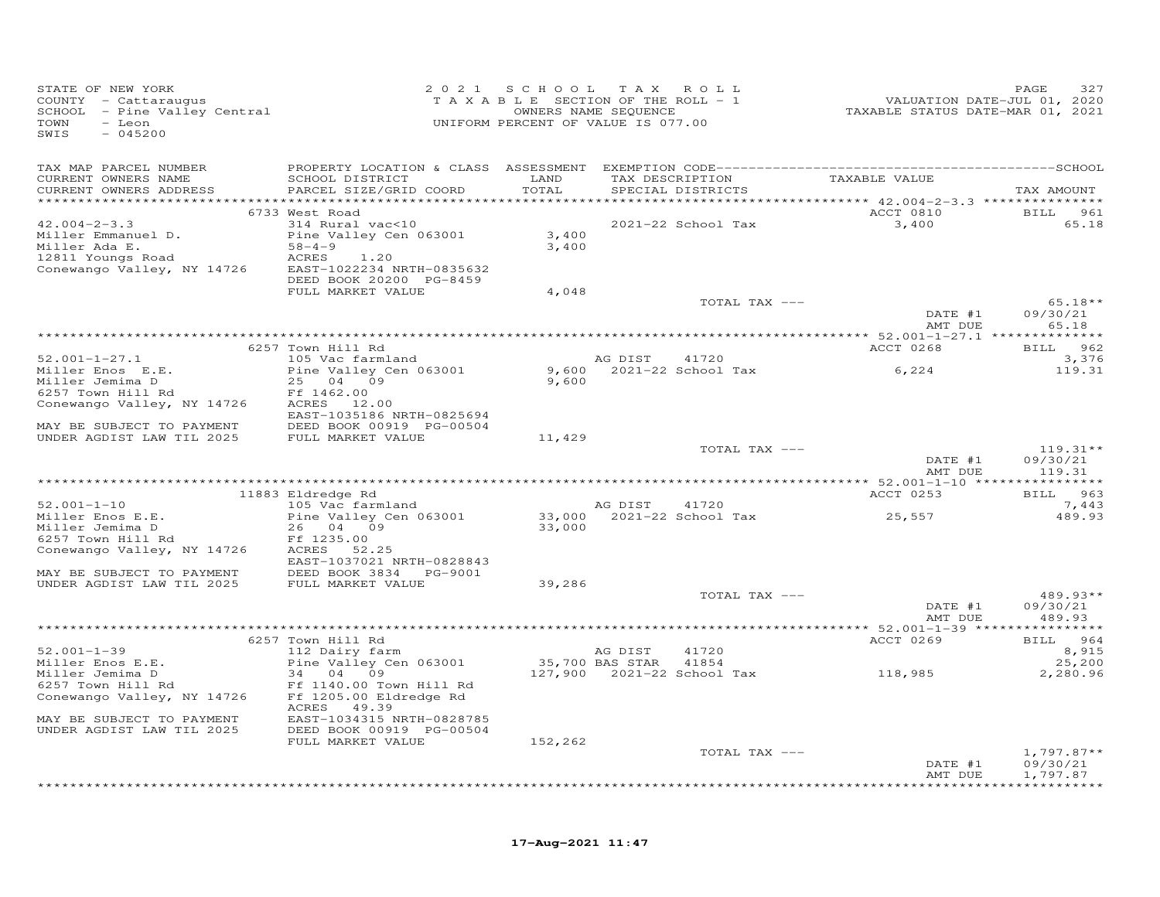| STATE OF NEW YORK<br>COUNTY - Cattaraugus<br>SCHOOL - Pine Valley Central<br>TOWN<br>- Leon<br>SWIS<br>$-045200$ |                                                                 | 2021 SCHOOL TAX ROLL<br>TAXABLE SECTION OF THE ROLL - 1<br>UNIFORM PERCENT OF VALUE IS 077.00 | OWNERS NAME SEQUENCE |                          | 72020<br>TAXABLE STATUS DATE-JUL 01, 2020<br>TAXABLE STATUS DATE-MAR 01, 2021 | 327<br>PAGE          |
|------------------------------------------------------------------------------------------------------------------|-----------------------------------------------------------------|-----------------------------------------------------------------------------------------------|----------------------|--------------------------|-------------------------------------------------------------------------------|----------------------|
| TAX MAP PARCEL NUMBER                                                                                            |                                                                 |                                                                                               |                      |                          |                                                                               |                      |
| CURRENT OWNERS NAME<br>CURRENT OWNERS ADDRESS                                                                    | SCHOOL DISTRICT<br>PARCEL SIZE/GRID COORD                       | LAND<br>TOTAL                                                                                 | TAX DESCRIPTION      | SPECIAL DISTRICTS        | TAXABLE VALUE                                                                 | TAX AMOUNT           |
|                                                                                                                  |                                                                 |                                                                                               |                      |                          |                                                                               |                      |
| $42.004 - 2 - 3.3$                                                                                               | 6733 West Road<br>314 Rural vac<10                              |                                                                                               |                      | 2021-22 School Tax       | <b>ACCT 0810</b><br>3,400                                                     | BILL 961<br>65.18    |
| Miller Emmanuel D.                                                                                               | Pine Valley Cen 063001                                          | 3,400                                                                                         |                      |                          |                                                                               |                      |
| Miller Ada E.                                                                                                    | $58 - 4 - 9$                                                    | 3,400                                                                                         |                      |                          |                                                                               |                      |
| 12811 Youngs Road                                                                                                | ACRES<br>1.20                                                   |                                                                                               |                      |                          |                                                                               |                      |
| Conewango Valley, NY 14726                                                                                       | EAST-1022234 NRTH-0835632                                       |                                                                                               |                      |                          |                                                                               |                      |
|                                                                                                                  | DEED BOOK 20200 PG-8459                                         |                                                                                               |                      |                          |                                                                               |                      |
|                                                                                                                  | FULL MARKET VALUE                                               | 4,048                                                                                         |                      |                          |                                                                               |                      |
|                                                                                                                  |                                                                 |                                                                                               |                      | TOTAL TAX ---            |                                                                               | $65.18**$            |
|                                                                                                                  |                                                                 |                                                                                               |                      |                          | DATE #1<br>AMT DUE                                                            | 09/30/21<br>65.18    |
|                                                                                                                  |                                                                 |                                                                                               |                      |                          |                                                                               |                      |
|                                                                                                                  | 6257 Town Hill Rd                                               |                                                                                               |                      |                          | ACCT 0268                                                                     | BILL 962             |
| $52.001 - 1 - 27.1$                                                                                              | 105 Vac farmland                                                |                                                                                               | AG DIST              | 41720                    |                                                                               | 3,376                |
| Miller Enos E.E.                                                                                                 | Pine Valley Cen 063001                                          |                                                                                               |                      | 9,600 2021-22 School Tax | 6,224                                                                         | 119.31               |
| Miller Jemima D                                                                                                  | 25 04 09                                                        | 9,600                                                                                         |                      |                          |                                                                               |                      |
| 6257 Town Hill Rd                                                                                                | Ff 1462.00                                                      |                                                                                               |                      |                          |                                                                               |                      |
| Conewango Valley, NY 14726                                                                                       | ACRES 12.00<br>EAST-1035186 NRTH-0825694                        |                                                                                               |                      |                          |                                                                               |                      |
| MAY BE SUBJECT TO PAYMENT                                                                                        | DEED BOOK 00919 PG-00504                                        |                                                                                               |                      |                          |                                                                               |                      |
| UNDER AGDIST LAW TIL 2025                                                                                        | FULL MARKET VALUE                                               | 11,429                                                                                        |                      |                          |                                                                               |                      |
|                                                                                                                  |                                                                 |                                                                                               |                      | TOTAL TAX ---            |                                                                               | $119.31**$           |
|                                                                                                                  |                                                                 |                                                                                               |                      |                          | DATE #1                                                                       | 09/30/21             |
|                                                                                                                  |                                                                 |                                                                                               |                      |                          | AMT DUE                                                                       | 119.31               |
|                                                                                                                  |                                                                 |                                                                                               |                      |                          |                                                                               |                      |
| $52.001 - 1 - 10$                                                                                                | 11883 Eldredge Rd<br>105 Vac farmland                           |                                                                                               | AG DIST 41720        |                          | ACCT 0253                                                                     | BILL 963<br>7,443    |
| Miller Enos E.E.                                                                                                 | Pine Valley Cen 063001                                          |                                                                                               |                      |                          | 33,000  2021-22  School Tax  25,557                                           | 489.93               |
| Miller Jemima D                                                                                                  | 26 04 09                                                        | 33,000                                                                                        |                      |                          |                                                                               |                      |
| 6257 Town Hill Rd                                                                                                | Ff 1235.00                                                      |                                                                                               |                      |                          |                                                                               |                      |
| Conewango Valley, NY 14726                                                                                       | ACRES 52.25                                                     |                                                                                               |                      |                          |                                                                               |                      |
|                                                                                                                  | EAST-1037021 NRTH-0828843                                       |                                                                                               |                      |                          |                                                                               |                      |
| MAY BE SUBJECT TO PAYMENT<br>UNDER AGDIST LAW TIL 2025                                                           | DEED BOOK 3834 PG-9001<br>DEED BOOK 3834 I<br>FULL MARKET VALUE | 39,286                                                                                        |                      |                          |                                                                               |                      |
|                                                                                                                  |                                                                 |                                                                                               |                      | TOTAL TAX ---            |                                                                               | $489.93**$           |
|                                                                                                                  |                                                                 |                                                                                               |                      |                          | DATE #1                                                                       | 09/30/21             |
|                                                                                                                  |                                                                 |                                                                                               |                      |                          | AMT DUE                                                                       | 489.93               |
|                                                                                                                  |                                                                 |                                                                                               |                      |                          |                                                                               |                      |
|                                                                                                                  | 6257 Town Hill Rd                                               |                                                                                               |                      |                          | ACCT 0269                                                                     | BILL 964             |
| $52.001 - 1 - 39$                                                                                                | 112 Dairy farm                                                  | AG DISI<br>35,700 BAS STAR                                                                    | AG DIST              | 41720                    |                                                                               | 8,915                |
| Miller Enos E.E.                                                                                                 | Pine Valley Cen 063001<br>34 04 09                              |                                                                                               |                      | 41854                    | 118,985                                                                       | 25,200               |
| Miller Jemima D                                                                                                  |                                                                 |                                                                                               |                      |                          |                                                                               | 2,280.96             |
|                                                                                                                  |                                                                 |                                                                                               |                      |                          |                                                                               |                      |
|                                                                                                                  | ACRES 49.39                                                     |                                                                                               |                      |                          |                                                                               |                      |
| MAY BE SUBJECT TO PAYMENT                                                                                        | EAST-1034315 NRTH-0828785                                       |                                                                                               |                      |                          |                                                                               |                      |
| UNDER AGDIST LAW TIL 2025                                                                                        | DEED BOOK 00919 PG-00504                                        |                                                                                               |                      |                          |                                                                               |                      |
|                                                                                                                  | FULL MARKET VALUE                                               | 152,262                                                                                       |                      |                          |                                                                               |                      |
|                                                                                                                  |                                                                 |                                                                                               |                      | TOTAL TAX ---            |                                                                               | $1,797.87**$         |
|                                                                                                                  |                                                                 |                                                                                               |                      |                          | DATE #1<br>AMT DUE                                                            | 09/30/21<br>1,797.87 |
|                                                                                                                  |                                                                 |                                                                                               |                      |                          |                                                                               | *************        |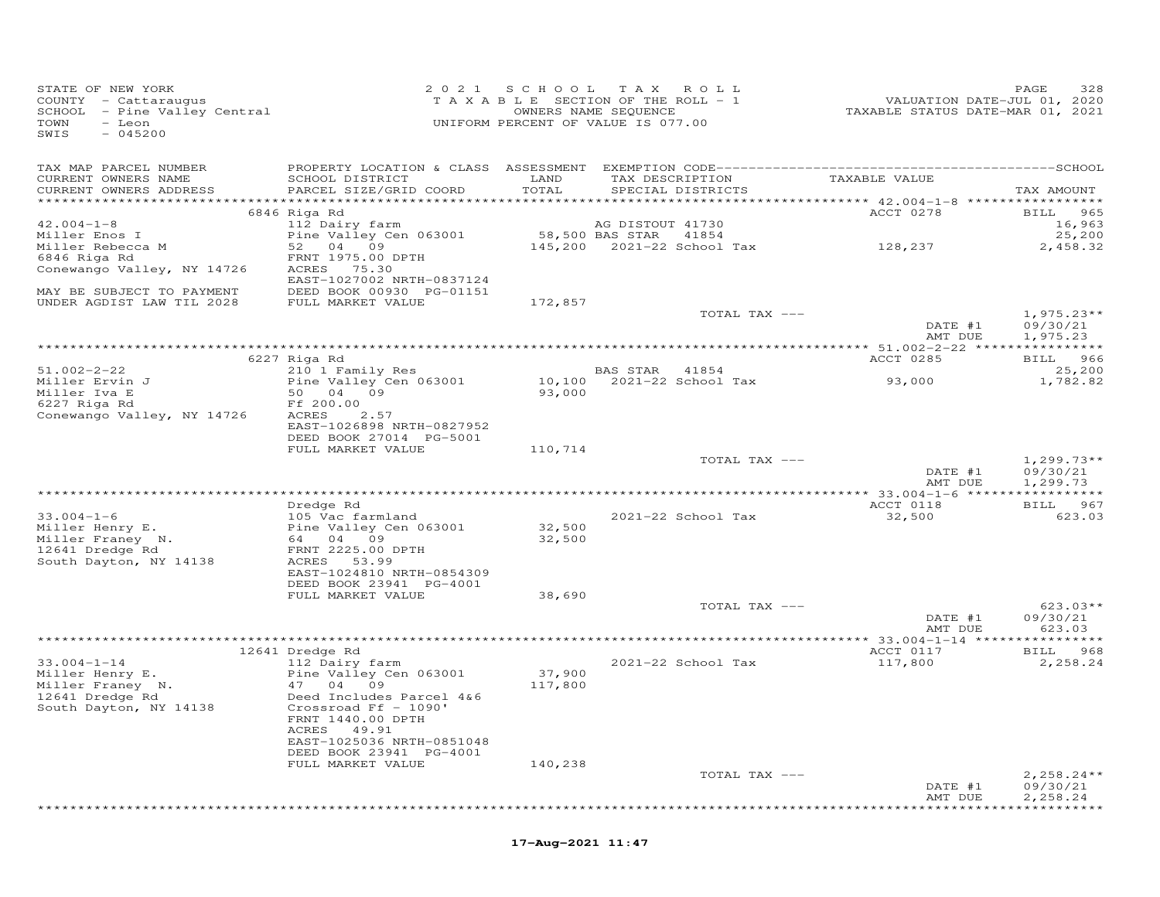| STATE OF NEW YORK<br>COUNTY - Cattaraugus<br>SCHOOL - Pine Valley Central<br>TAXABLE SECTION OF THE ROLL - 1<br>OWNERS NAME SEQUENCE<br>TOWN - Leon<br>UNIFORM PERCENT OF VALUE IS 077.00<br>$-045200$<br>SWIS                                       |                                                                                                                                       | 2021 SCHOOL TAX ROLL |                    | 2020<br>VALUATION DATE-JUL 01, 2020<br>TAXABLE STATUS DATE-MAR 01, 2021                                                                                                                                         | PAGE<br>328                                     |
|------------------------------------------------------------------------------------------------------------------------------------------------------------------------------------------------------------------------------------------------------|---------------------------------------------------------------------------------------------------------------------------------------|----------------------|--------------------|-----------------------------------------------------------------------------------------------------------------------------------------------------------------------------------------------------------------|-------------------------------------------------|
| CURRENT OWNERS NAME<br>CURRENT OWNERS ADDRESS PARCEL SIZE/GRID COORD                                                                                                                                                                                 | SCHOOL DISTRICT                                                                                                                       | LAND<br>TOTAL        | SPECIAL DISTRICTS  | TAX DESCRIPTION TAXABLE VALUE                                                                                                                                                                                   | TAX AMOUNT                                      |
|                                                                                                                                                                                                                                                      | 6846 Riga Rd                                                                                                                          |                      |                    | <b>ACCT 0278</b>                                                                                                                                                                                                | BILL 965                                        |
| $42.004 - 1 - 8$<br>Miller Rebecca M<br>Miller Rebecca M<br>6846 Riga Rd Canada ERNT 1975 00 DPT"<br>CODOUGLE M                                                                                                                                      | 112 Dairy farm                                                                                                                        |                      |                    |                                                                                                                                                                                                                 |                                                 |
| Conewango Valley, NY 14726 ACRES 75.30<br>MAY BE SUBJECT TO PAYMENT DEED BOOK 00930 PG-01151<br>UNDER AGDIST LAW TIL 2028 FULL MARKET VALUE                                                                                                          | EAST-1027002 NRTH-0837124                                                                                                             | 172,857              |                    |                                                                                                                                                                                                                 |                                                 |
|                                                                                                                                                                                                                                                      |                                                                                                                                       |                      | TOTAL TAX ---      | $\begin{tabular}{cc} \multicolumn{2}{c}{\textbf{DATE}} & \#1 \\ \multicolumn{2}{c}{\textbf{PATE}} & \#1 \\ \multicolumn{2}{c}{\textbf{PATE}} & \#1 \\ \multicolumn{2}{c}{\textbf{PATE}} & \#1 \\ \end{tabular}$ | $1,975.23**$<br>09/30/21<br>AMT DUE<br>1,975.23 |
|                                                                                                                                                                                                                                                      |                                                                                                                                       |                      |                    |                                                                                                                                                                                                                 |                                                 |
| $51.002 - 2 - 22$                                                                                                                                                                                                                                    | 6227 Riga Rd                                                                                                                          |                      |                    | ACCT 0285                                                                                                                                                                                                       | BILL 966<br>25,200<br>1,782.82                  |
| Conewango Valley, NY 14726 ACRES 2.57                                                                                                                                                                                                                | EAST-1026898 NRTH-0827952<br>DEED BOOK 27014 PG-5001                                                                                  |                      |                    |                                                                                                                                                                                                                 |                                                 |
|                                                                                                                                                                                                                                                      | FULL MARKET VALUE                                                                                                                     | 110,714              | TOTAL TAX ---      | DATE #1                                                                                                                                                                                                         | $1,299.73**$<br>09/30/21<br>AMT DUE 1,299.73    |
|                                                                                                                                                                                                                                                      |                                                                                                                                       |                      |                    |                                                                                                                                                                                                                 |                                                 |
| 33.004-1-6<br>Miller Henry E.<br>Miller Franey N.<br>12641 Dredge Rd<br>South Dayton, NY 14138<br>ERRIT 2225.00 DPTH<br>ERRIT 2225.00 DPTH<br>ERRIT 2225.00 DPTH<br>FRIT 2225.00 DPTH<br>FRIT 2225.00 DPTH<br>FRIT 2225.00 DPTH<br>FRIT 2225.00 DPTH | Dredge Rd                                                                                                                             | 32,500<br>32,500     | 2021-22 School Tax | ACCT 0118<br>32,500                                                                                                                                                                                             | BILL 967<br>623.03                              |
|                                                                                                                                                                                                                                                      | DEED BOOK 23941 PG-4001<br>FULL MARKET VALUE                                                                                          | 38,690               |                    |                                                                                                                                                                                                                 |                                                 |
|                                                                                                                                                                                                                                                      |                                                                                                                                       |                      | TOTAL TAX ---      | DATE #1<br>AMT DUE                                                                                                                                                                                              | $623.03**$<br>09/30/21<br>623.03                |
|                                                                                                                                                                                                                                                      |                                                                                                                                       |                      |                    |                                                                                                                                                                                                                 |                                                 |
| $33.004 - 1 - 14$<br>Miller Henry E.<br>Miller Francy N.<br>12641 Dredge Rd<br>South Dayton, NY 14138                                                                                                                                                | 12641 Dredge Rd<br>112 Dairy farm<br>Pine Valley Cen 063001<br>47 04 09<br>Deed Includes Parcel 4&6                                   | 37,900<br>117,800    | 2021-22 School Tax | ACCT 0117<br>117,800                                                                                                                                                                                            | BILL 968<br>2,258.24                            |
|                                                                                                                                                                                                                                                      | Crossroad Ff - 1090'<br>FRNT 1440.00 DPTH<br>ACRES 49.91<br>EAST-1025036 NRTH-0851048<br>DEED BOOK 23941 PG-4001<br>FULL MARKET VALUE | 140,238              |                    |                                                                                                                                                                                                                 |                                                 |
|                                                                                                                                                                                                                                                      |                                                                                                                                       |                      | TOTAL TAX ---      | DATE #1<br>AMT DUE                                                                                                                                                                                              | $2,258.24**$<br>09/30/21<br>2,258.24            |
|                                                                                                                                                                                                                                                      |                                                                                                                                       |                      |                    |                                                                                                                                                                                                                 | ************                                    |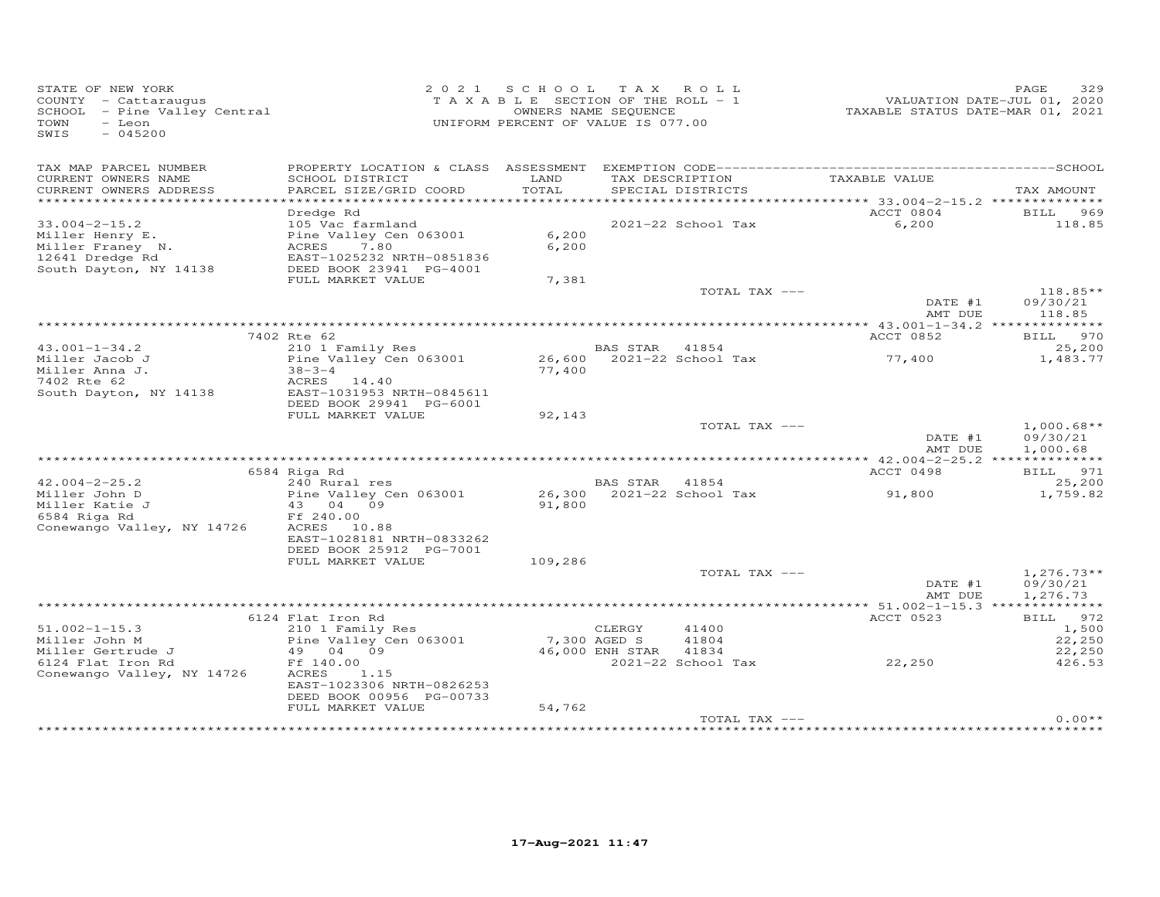| STATE OF NEW YORK<br>COUNTY - Cattaraugus<br>COUNTY - Cattaraugus<br>SCHOOL - Pine Valley Central<br>TOWN<br>- Leon<br>SWIS<br>$-045200$ |                                               | 2021 SCHOOL TAX ROLL<br>TAXABLE SECTION OF THE ROLL - 1<br>OWNERS NAME SEQUENCE<br>UNIFORM PERCENT OF VALUE IS 077.00 |                 |                           | VALUATION DATE-JUL 01, 2020<br>TAXABLE STATUS DATE-MAR 01, 2021 | 329<br>PAGE            |
|------------------------------------------------------------------------------------------------------------------------------------------|-----------------------------------------------|-----------------------------------------------------------------------------------------------------------------------|-----------------|---------------------------|-----------------------------------------------------------------|------------------------|
| TAX MAP PARCEL NUMBER<br>CURRENT OWNERS NAME                                                                                             | SCHOOL DISTRICT                               | LAND                                                                                                                  |                 | TAX DESCRIPTION           | TAXABLE VALUE                                                   |                        |
| CURRENT OWNERS ADDRESS                                                                                                                   | PARCEL SIZE/GRID COORD                        | TOTAL                                                                                                                 |                 | SPECIAL DISTRICTS         |                                                                 | TAX AMOUNT             |
| ***********************                                                                                                                  |                                               |                                                                                                                       |                 |                           |                                                                 |                        |
|                                                                                                                                          | Dredge Rd                                     |                                                                                                                       |                 |                           | ACCT 0804                                                       | BILL 969               |
| $33.004 - 2 - 15.2$<br>Miller Henry E.                                                                                                   | 105 Vac farmland<br>Pine Valley Cen 063001    | 6,200                                                                                                                 |                 | 2021-22 School Tax        | 6,200                                                           | 118.85                 |
| Miller Franey N.                                                                                                                         | ACRES<br>7.80                                 | 6,200                                                                                                                 |                 |                           |                                                                 |                        |
| 12641 Dredge Rd                                                                                                                          | EAST-1025232 NRTH-0851836                     |                                                                                                                       |                 |                           |                                                                 |                        |
| South Dayton, NY 14138                                                                                                                   | DEED BOOK 23941 PG-4001                       |                                                                                                                       |                 |                           |                                                                 |                        |
|                                                                                                                                          | FULL MARKET VALUE                             | 7,381                                                                                                                 |                 |                           |                                                                 |                        |
|                                                                                                                                          |                                               |                                                                                                                       |                 | TOTAL TAX ---             | DATE #1                                                         | $118.85**$<br>09/30/21 |
|                                                                                                                                          |                                               |                                                                                                                       |                 |                           | AMT DUE                                                         | 118.85                 |
|                                                                                                                                          |                                               |                                                                                                                       |                 |                           |                                                                 |                        |
| $43.001 - 1 - 34.2$                                                                                                                      | 7402 Rte 62<br>210 1 Family Res               |                                                                                                                       | BAS STAR 41854  |                           | ACCT 0852                                                       | BILL 970<br>25,200     |
| Miller Jacob J                                                                                                                           | Pine Valley Cen 063001                        |                                                                                                                       |                 | 26,600 2021-22 School Tax | 77,400                                                          | 1,483.77               |
| Miller Anna J.                                                                                                                           | $38 - 3 - 4$                                  | 77,400                                                                                                                |                 |                           |                                                                 |                        |
| 7402 Rte 62                                                                                                                              | ACRES 14.40                                   |                                                                                                                       |                 |                           |                                                                 |                        |
| South Dayton, NY 14138                                                                                                                   | EAST-1031953 NRTH-0845611                     |                                                                                                                       |                 |                           |                                                                 |                        |
|                                                                                                                                          | DEED BOOK 29941 PG-6001                       |                                                                                                                       |                 |                           |                                                                 |                        |
|                                                                                                                                          | FULL MARKET VALUE                             | 92,143                                                                                                                |                 | TOTAL TAX ---             |                                                                 | $1,000.68**$           |
|                                                                                                                                          |                                               |                                                                                                                       |                 |                           | DATE #1                                                         | 09/30/21               |
|                                                                                                                                          |                                               |                                                                                                                       |                 |                           | AMT DUE                                                         | 1,000.68               |
|                                                                                                                                          |                                               |                                                                                                                       |                 |                           | ************* 42.004-2-25.2 ***************                     |                        |
| $42.004 - 2 - 25.2$                                                                                                                      | 6584 Riga Rd                                  |                                                                                                                       |                 |                           | ACCT 0498                                                       | BILL 971               |
| Miller John D                                                                                                                            | 240 Rural res<br>Pine Valley Cen 063001       |                                                                                                                       | BAS STAR 41854  | 26,300 2021-22 School Tax | 91,800                                                          | 25,200<br>1,759.82     |
| Miller Katie J                                                                                                                           | 43 04 09                                      | 91,800                                                                                                                |                 |                           |                                                                 |                        |
| 6584 Riga Rd                                                                                                                             | Ff 240.00                                     |                                                                                                                       |                 |                           |                                                                 |                        |
| Conewango Valley, NY 14726                                                                                                               | ACRES 10.88                                   |                                                                                                                       |                 |                           |                                                                 |                        |
|                                                                                                                                          | EAST-1028181 NRTH-0833262                     |                                                                                                                       |                 |                           |                                                                 |                        |
|                                                                                                                                          | DEED BOOK 25912 PG-7001<br>FULL MARKET VALUE  | 109,286                                                                                                               |                 |                           |                                                                 |                        |
|                                                                                                                                          |                                               |                                                                                                                       |                 | TOTAL TAX ---             |                                                                 | $1,276.73**$           |
|                                                                                                                                          |                                               |                                                                                                                       |                 |                           | DATE #1                                                         | 09/30/21               |
|                                                                                                                                          |                                               |                                                                                                                       |                 |                           | AMT DUE                                                         | 1,276.73               |
|                                                                                                                                          |                                               |                                                                                                                       |                 |                           |                                                                 |                        |
| $51.002 - 1 - 15.3$                                                                                                                      | 6124 Flat Iron Rd                             |                                                                                                                       |                 | 41400                     | ACCT 0523                                                       | BILL 972               |
| Miller John M                                                                                                                            | 210 1 Family Res<br>Pine Valley Cen 063001    | 7,300 AGED S                                                                                                          | CLERGY          | 41804                     |                                                                 | 1,500<br>22,250        |
| Miller Gertrude J                                                                                                                        | 49 04 09                                      |                                                                                                                       | 46,000 ENH STAR | 41834                     |                                                                 | 22,250                 |
| 6124 Flat Iron Rd                                                                                                                        | Ff 140.00                                     |                                                                                                                       |                 | 2021-22 School Tax        | 22, 250                                                         | 426.53                 |
| Conewango Valley, NY 14726                                                                                                               | ACRES<br>1.15                                 |                                                                                                                       |                 |                           |                                                                 |                        |
|                                                                                                                                          | EAST-1023306 NRTH-0826253                     |                                                                                                                       |                 |                           |                                                                 |                        |
|                                                                                                                                          | DEED BOOK 00956 PG-00733<br>FULL MARKET VALUE | 54,762                                                                                                                |                 |                           |                                                                 |                        |
|                                                                                                                                          |                                               |                                                                                                                       |                 | TOTAL TAX ---             |                                                                 | $0.00**$               |
|                                                                                                                                          |                                               |                                                                                                                       |                 |                           | **************************************                          |                        |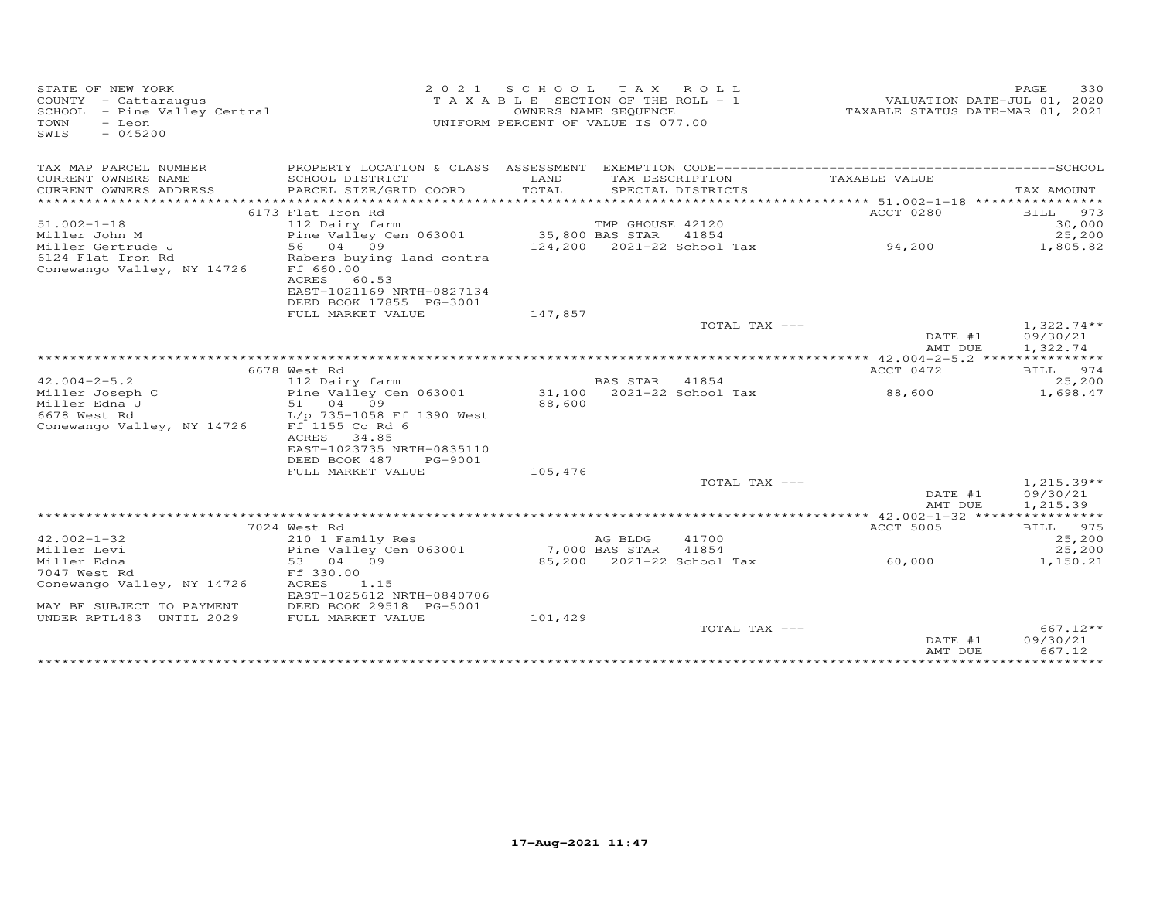| STATE OF NEW YORK<br>COUNTY - Cattaraugus<br>SCHOOL - Pine Valley Central<br>TOWN<br>- Leon<br>$-045200$<br>SWIS | 2 0 2 1                                                                                                          | S C H O O L<br>TAXABLE SECTION OF THE ROLL - 1<br>UNIFORM PERCENT OF VALUE IS 077.00 | T A X<br>OWNERS NAME SEQUENCE | ROLL              | TAXABLE STATUS DATE-MAR 01, 2021      | PAGE<br>330<br>VALUATION DATE-JUL 01, 2020 |
|------------------------------------------------------------------------------------------------------------------|------------------------------------------------------------------------------------------------------------------|--------------------------------------------------------------------------------------|-------------------------------|-------------------|---------------------------------------|--------------------------------------------|
| TAX MAP PARCEL NUMBER                                                                                            |                                                                                                                  |                                                                                      |                               |                   |                                       |                                            |
| CURRENT OWNERS NAME                                                                                              | SCHOOL DISTRICT                                                                                                  | LAND                                                                                 | TAX DESCRIPTION               |                   | TAXABLE VALUE                         |                                            |
| CURRENT OWNERS ADDRESS                                                                                           | PARCEL SIZE/GRID COORD                                                                                           | TOTAL                                                                                |                               | SPECIAL DISTRICTS |                                       | TAX AMOUNT                                 |
|                                                                                                                  | 6173 Flat Iron Rd                                                                                                |                                                                                      |                               |                   | ACCT 0280                             | 973<br>BILL                                |
| $51.002 - 1 - 18$                                                                                                | 112 Dairy farm                                                                                                   |                                                                                      | TMP GHOUSE 42120              |                   |                                       | 30,000                                     |
| Miller John M                                                                                                    | Pine Valley Cen 063001                                                                                           |                                                                                      | 35,800 BAS STAR               | 41854             |                                       | 25,200                                     |
| Miller Gertrude J                                                                                                | 56 04 09                                                                                                         |                                                                                      | 124,200 2021-22 School Tax    |                   | 94,200                                | 1,805.82                                   |
| 6124 Flat Iron Rd<br>Conewango Valley, NY 14726                                                                  | Rabers buying land contra<br>Ff 660.00<br>ACRES<br>60.53<br>EAST-1021169 NRTH-0827134<br>DEED BOOK 17855 PG-3001 |                                                                                      |                               |                   |                                       |                                            |
|                                                                                                                  | FULL MARKET VALUE                                                                                                | 147,857                                                                              |                               |                   |                                       |                                            |
|                                                                                                                  |                                                                                                                  |                                                                                      |                               | TOTAL TAX ---     | DATE #1                               | $1,322.74**$<br>09/30/21                   |
|                                                                                                                  |                                                                                                                  |                                                                                      |                               |                   | AMT DUE                               | 1,322.74                                   |
|                                                                                                                  |                                                                                                                  |                                                                                      |                               |                   |                                       |                                            |
| $42.004 - 2 - 5.2$                                                                                               | 6678 West Rd<br>112 Dairy farm                                                                                   |                                                                                      | BAS STAR 41854                |                   | ACCT 0472                             | BILL 974<br>25,200                         |
| Miller Joseph C                                                                                                  | Pine Valley Cen 063001                                                                                           |                                                                                      | 31,100 2021-22 School Tax     |                   | 88,600                                | 1,698.47                                   |
| Miller Edna J                                                                                                    | 51 04 09                                                                                                         | 88,600                                                                               |                               |                   |                                       |                                            |
| 6678 West Rd                                                                                                     | L/p 735-1058 Ff 1390 West                                                                                        |                                                                                      |                               |                   |                                       |                                            |
| Conewango Valley, NY 14726                                                                                       | Ff 1155 Co Rd 6<br>ACRES<br>34.85                                                                                |                                                                                      |                               |                   |                                       |                                            |
|                                                                                                                  | EAST-1023735 NRTH-0835110                                                                                        |                                                                                      |                               |                   |                                       |                                            |
|                                                                                                                  | DEED BOOK 487<br>PG-9001                                                                                         |                                                                                      |                               |                   |                                       |                                            |
|                                                                                                                  | FULL MARKET VALUE                                                                                                | 105,476                                                                              |                               |                   |                                       |                                            |
|                                                                                                                  |                                                                                                                  |                                                                                      |                               | TOTAL TAX ---     | DATE #1<br>AMT DUE                    | $1,215.39**$<br>09/30/21<br>1,215.39       |
|                                                                                                                  |                                                                                                                  |                                                                                      |                               |                   | ******* 42.002-1-32 ***************** |                                            |
|                                                                                                                  | 7024 West Rd                                                                                                     |                                                                                      |                               |                   | ACCT 5005                             | BILL 975                                   |
| $42.002 - 1 - 32$                                                                                                | 210 1 Family Res                                                                                                 |                                                                                      | AG BLDG                       | 41700             |                                       | 25,200                                     |
| Miller Levi                                                                                                      | Pine Valley Cen 063001                                                                                           |                                                                                      | 7,000 BAS STAR                | 41854             |                                       | 25,200                                     |
| Miller Edna                                                                                                      | 53<br>04<br>09                                                                                                   |                                                                                      | 85,200 2021-22 School Tax     |                   | 60,000                                | 1,150.21                                   |
| 7047 West Rd                                                                                                     | Ff 330.00                                                                                                        |                                                                                      |                               |                   |                                       |                                            |
| Conewango Valley, NY 14726                                                                                       | ACRES<br>1.15<br>EAST-1025612 NRTH-0840706                                                                       |                                                                                      |                               |                   |                                       |                                            |
| MAY BE SUBJECT TO PAYMENT                                                                                        | DEED BOOK 29518 PG-5001                                                                                          |                                                                                      |                               |                   |                                       |                                            |
| UNDER RPTL483 UNTIL 2029                                                                                         | FULL MARKET VALUE                                                                                                | 101,429                                                                              |                               |                   |                                       |                                            |
|                                                                                                                  |                                                                                                                  |                                                                                      |                               | TOTAL TAX ---     |                                       | 667.12**                                   |
|                                                                                                                  |                                                                                                                  |                                                                                      |                               |                   | DATE #1<br>AMT DUE                    | 09/30/21<br>667.12                         |
|                                                                                                                  |                                                                                                                  |                                                                                      |                               |                   |                                       |                                            |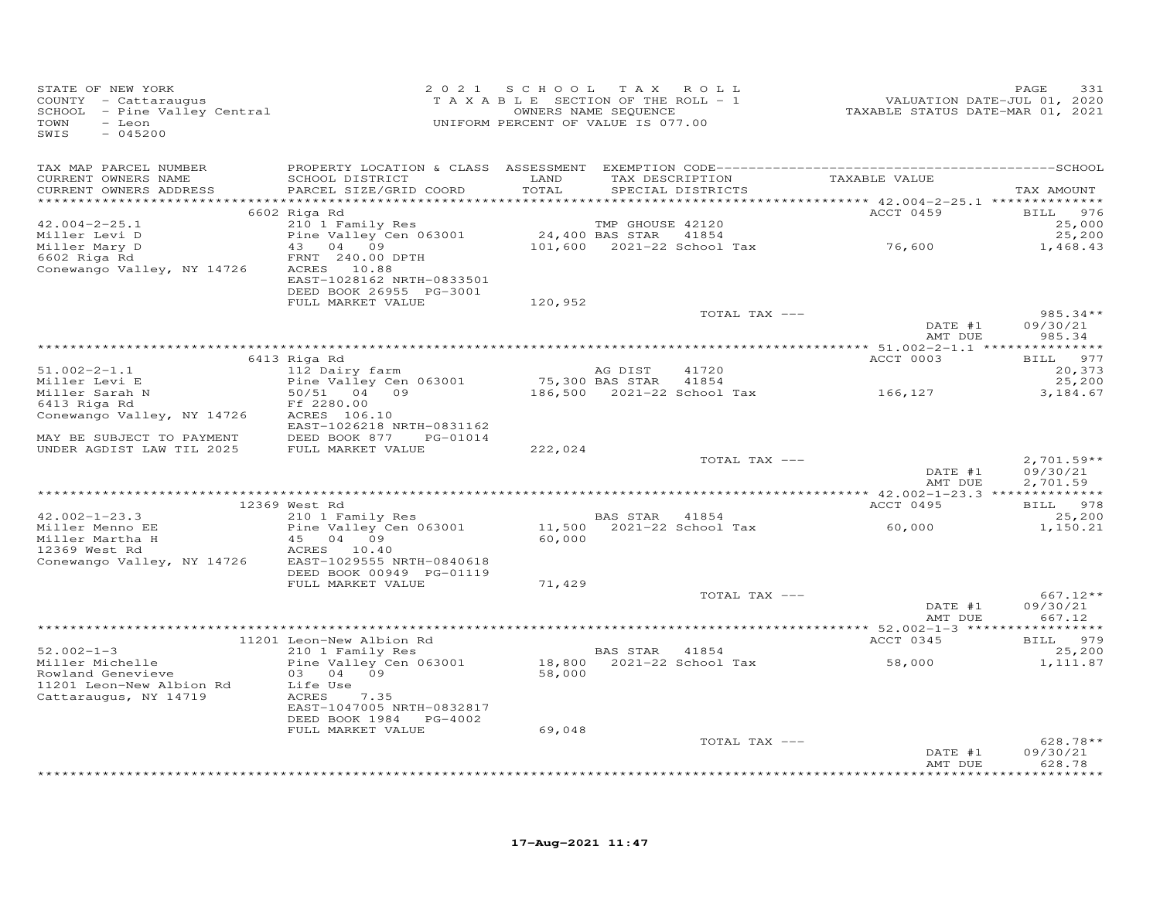| STATE OF NEW YORK<br>STATE OF NEW IORA<br>COUNTY - Cattaraugus<br>SCHOOL - Pine Valley Central<br>- Leon<br>TOWN<br>$-045200$<br>SWIS |                                                              |               | 2021 SCHOOL TAX ROLL<br>T A X A B L E SECTION OF THE ROLL - 1<br>OWNERS NAME SEQUENCE<br>UNIFORM PERCENT OF VALUE IS 077.00 | 2012<br>7200 VALUATION DATE-JUL<br>72020 TAXABLE STATUS DATE-MAR | 331<br>PAGE          |
|---------------------------------------------------------------------------------------------------------------------------------------|--------------------------------------------------------------|---------------|-----------------------------------------------------------------------------------------------------------------------------|------------------------------------------------------------------|----------------------|
| TAX MAP PARCEL NUMBER                                                                                                                 |                                                              |               |                                                                                                                             |                                                                  |                      |
| CURRENT OWNERS NAME<br>CURRENT OWNERS ADDRESS                                                                                         | SCHOOL DISTRICT<br>PARCEL SIZE/GRID COORD                    | LAND<br>TOTAL | TAX DESCRIPTION<br>SPECIAL DISTRICTS                                                                                        | TAXABLE VALUE                                                    | TAX AMOUNT           |
|                                                                                                                                       | 6602 Riga Rd                                                 |               |                                                                                                                             | ACCT 0459                                                        | BILL 976             |
| $42.004 - 2 - 25.1$                                                                                                                   | 210 1 Family Res                                             |               | TMP GHOUSE 42120                                                                                                            |                                                                  | 25,000               |
| Miller Levi D                                                                                                                         | Pine Valley Cen 063001                                       |               | 24,400 BAS STAR 41854                                                                                                       |                                                                  | 25,200               |
| Miller Mary D                                                                                                                         | 43 04 09                                                     |               | 24,400 BAS STAR 41854<br>101,600 2021-22 School Tax 76,600                                                                  |                                                                  | 1,468.43             |
| 6602 Riga Rd<br>Conewango Valley, NY 14726                                                                                            | FRNT 240.00 DPTH<br>ACRES 10.88<br>EAST-1028162 NRTH-0833501 |               |                                                                                                                             |                                                                  |                      |
|                                                                                                                                       | DEED BOOK 26955 PG-3001                                      |               |                                                                                                                             |                                                                  |                      |
|                                                                                                                                       | FULL MARKET VALUE                                            | 120,952       |                                                                                                                             |                                                                  |                      |
|                                                                                                                                       |                                                              |               | TOTAL TAX ---                                                                                                               |                                                                  | $985.34**$           |
|                                                                                                                                       |                                                              |               |                                                                                                                             | DATE #1<br>AMT DUE                                               | 09/30/21<br>985.34   |
|                                                                                                                                       | 6413 Riga Rd                                                 |               |                                                                                                                             | ACCT 0003                                                        | BILL 977             |
| $51.002 - 2 - 1.1$                                                                                                                    | 112 Dairy farm                                               |               | AG DIST<br>41720                                                                                                            |                                                                  | 20,373               |
|                                                                                                                                       | Pine Valley Cen 063001                                       |               | 75,300 BAS STAR 41854                                                                                                       |                                                                  | 25,200               |
| miller Levi E<br>Miller Sarah N<br>6413 Riga Rd                                                                                       | 50/51 04 09                                                  |               | 186,500 2021-22 School Tax 166,127                                                                                          |                                                                  | 3,184.67             |
|                                                                                                                                       | Ff 2280.00                                                   |               |                                                                                                                             |                                                                  |                      |
| Conewango Valley, NY 14726                                                                                                            | ACRES 106.10<br>EAST-1026218 NRTH-0831162                    |               |                                                                                                                             |                                                                  |                      |
| MAY BE SUBJECT TO PAYMENT                                                                                                             | DEED BOOK 877 PG-01014                                       |               |                                                                                                                             |                                                                  |                      |
| UNDER AGDIST LAW TIL 2025                                                                                                             | FULL MARKET VALUE                                            | 222,024       |                                                                                                                             |                                                                  |                      |
|                                                                                                                                       |                                                              |               | TOTAL TAX ---                                                                                                               |                                                                  | $2,701.59**$         |
|                                                                                                                                       |                                                              |               |                                                                                                                             | DATE #1<br>AMT DUE                                               | 09/30/21<br>2,701.59 |
|                                                                                                                                       | 12369 West Rd                                                |               |                                                                                                                             | ACCT 0495                                                        | BILL 978             |
| $42.002 - 1 - 23.3$                                                                                                                   | 210 1 Family Res                                             |               | BAS STAR 41854                                                                                                              |                                                                  | 25,200               |
| Miller Menno EE                                                                                                                       | Pine Valley Cen 063001                                       |               | 11,500 2021-22 School Tax 60,000                                                                                            |                                                                  | 1,150.21             |
| Miller Martha H                                                                                                                       | 45 04 09                                                     | 60,000        |                                                                                                                             |                                                                  |                      |
| 12369 West Rd                                                                                                                         | ACRES 10.40                                                  |               |                                                                                                                             |                                                                  |                      |
| Conewango Valley, NY 14726                                                                                                            | EAST-1029555 NRTH-0840618<br>DEED BOOK 00949 PG-01119        |               |                                                                                                                             |                                                                  |                      |
|                                                                                                                                       | FULL MARKET VALUE                                            | 71,429        |                                                                                                                             |                                                                  |                      |
|                                                                                                                                       |                                                              |               | TOTAL TAX ---                                                                                                               |                                                                  | $667.12**$           |
|                                                                                                                                       |                                                              |               |                                                                                                                             | DATE #1                                                          | 09/30/21             |
|                                                                                                                                       |                                                              |               |                                                                                                                             | AMT DUE                                                          | 667.12               |
|                                                                                                                                       | 11201 Leon-New Albion Rd                                     |               |                                                                                                                             | ACCT 0345                                                        | BILL 979             |
| $52.002 - 1 - 3$                                                                                                                      | 210 1 Family Res                                             |               | BAS STAR 41854                                                                                                              |                                                                  | 25,200               |
| Miller Michelle                                                                                                                       | Pine Valley Cen 063001                                       |               | BAS SIAR 1-3.<br>18,800 2021-22 School Tax<br>58,000                                                                        | 58,000                                                           | 1,111.87             |
| Rowland Genevieve                                                                                                                     | 03 04 09                                                     |               |                                                                                                                             |                                                                  |                      |
| 11201 Leon-New Albion Rd<br>Cattaraugus, NY 14719                                                                                     | Life Use<br>ACRES 7.35                                       |               |                                                                                                                             |                                                                  |                      |
|                                                                                                                                       | EAST-1047005 NRTH-0832817                                    |               |                                                                                                                             |                                                                  |                      |
|                                                                                                                                       | DEED BOOK 1984    PG-4002                                    |               |                                                                                                                             |                                                                  |                      |
|                                                                                                                                       | FULL MARKET VALUE                                            | 69,048        |                                                                                                                             |                                                                  |                      |
|                                                                                                                                       |                                                              |               | TOTAL TAX ---                                                                                                               |                                                                  | $628.78**$           |
|                                                                                                                                       |                                                              |               |                                                                                                                             | DATE #1<br>AMT DUE                                               | 09/30/21<br>628.78   |
|                                                                                                                                       |                                                              |               |                                                                                                                             |                                                                  | ********             |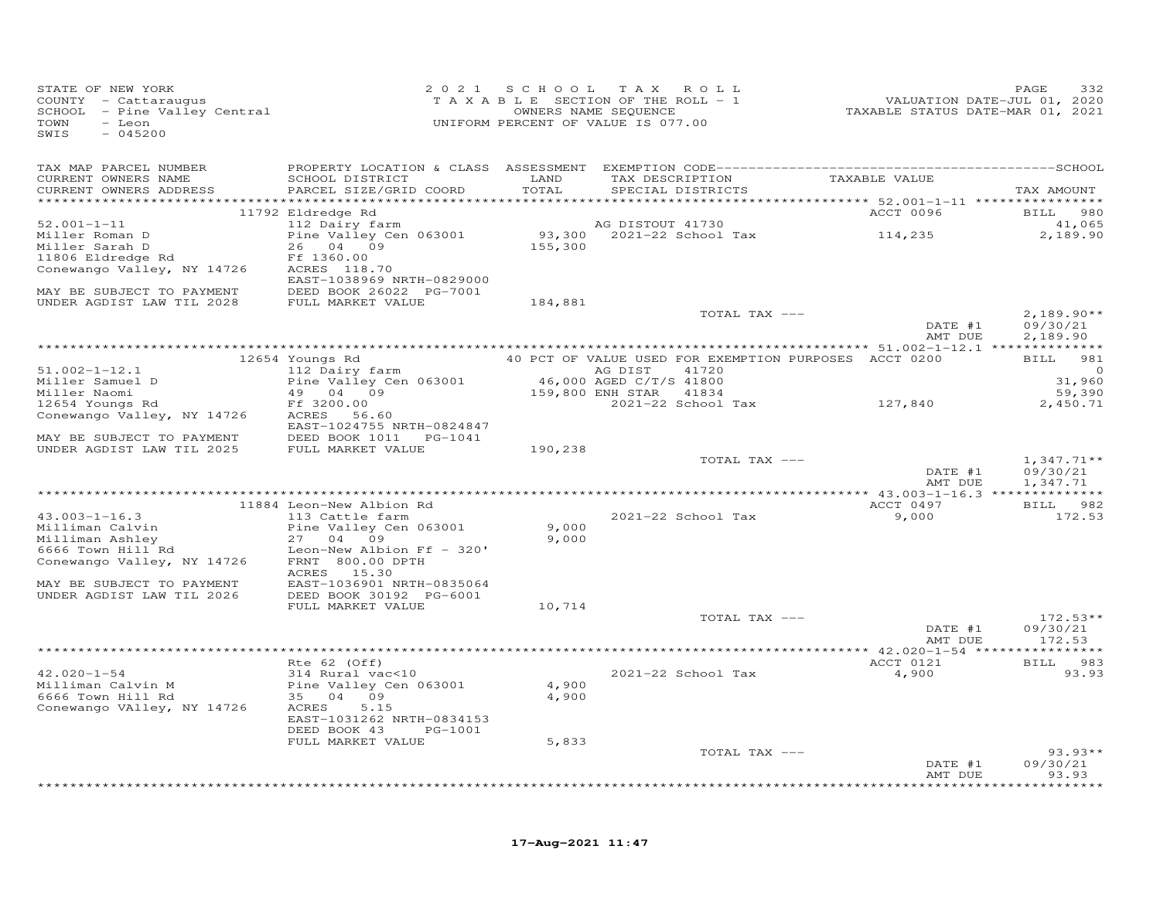| STATE OF NEW YORK<br>COUNTY - Cattaraugus<br>SCHOOL - Pine Valley Central<br>TOWN - Leon<br>- Leon<br>TOWN<br>SWIS<br>$-045200$                                | UNIFORM PERCENT OF VALUE IS 077.00                                                                                                            | 2021 SCHOOL TAX ROLL<br>TAXABLE SECTION OF THE ROLL - 1 | OWNERS NAME SEQUENCE | $OLL - 1$          | ۳ALUATION DATE-JUL 01, 2020<br>TAXABLE STATUS DATE-MAR 01, 2021 | 332<br>PAGE              |
|----------------------------------------------------------------------------------------------------------------------------------------------------------------|-----------------------------------------------------------------------------------------------------------------------------------------------|---------------------------------------------------------|----------------------|--------------------|-----------------------------------------------------------------|--------------------------|
| TAX MAP PARCEL NUMBER                                                                                                                                          |                                                                                                                                               |                                                         |                      |                    |                                                                 |                          |
| CURRENT OWNERS NAME                                                                                                                                            | SCHOOL DISTRICT LAND                                                                                                                          |                                                         |                      |                    | EXEMPTION CODE---<br>TAXABLE VALUE<br>CORCIAL DISTRICTS         |                          |
| CURRENT OWNERS ADDRESS                                                                                                                                         | PARCEL SIZE/GRID COORD                                                                                                                        | TOTAL                                                   |                      |                    |                                                                 | TAX AMOUNT               |
|                                                                                                                                                                | 11792 Eldredge Rd                                                                                                                             |                                                         |                      |                    | ACCT 0096                                                       | <b>BILL</b> 980          |
| $52.001 - 1 - 11$                                                                                                                                              |                                                                                                                                               |                                                         |                      |                    |                                                                 | 41,065                   |
| Miller Roman D<br>Miller Sarah D                                                                                                                               |                                                                                                                                               |                                                         |                      |                    |                                                                 | 2,189.90                 |
| The Sarah D<br>11806 Eldredge Rd<br>Concurs II                                                                                                                 |                                                                                                                                               |                                                         |                      |                    |                                                                 |                          |
|                                                                                                                                                                | Ff 1360.00                                                                                                                                    |                                                         |                      |                    |                                                                 |                          |
| Conewango Valley, NY 14726                                                                                                                                     | ACRES 118.70<br>EAST-1038969 NRTH-0829000                                                                                                     |                                                         |                      |                    |                                                                 |                          |
| MAY BE SUBJECT TO PAYMENT DEED BOOK 26022 PG-7001<br>UNDER AGDIST LAW TIL 2028 FULL MARKET VALUE                                                               |                                                                                                                                               | 184,881                                                 |                      |                    |                                                                 |                          |
|                                                                                                                                                                |                                                                                                                                               |                                                         |                      | TOTAL TAX ---      |                                                                 | $2,189.90**$             |
|                                                                                                                                                                |                                                                                                                                               |                                                         |                      |                    | DATE #1<br>AMT DUE                                              | 09/30/21<br>2,189.90     |
|                                                                                                                                                                |                                                                                                                                               |                                                         |                      |                    |                                                                 |                          |
|                                                                                                                                                                | 12654 Youngs Rd 6200 M and PCT OF VALUE USED FOR EXEMPTION PURPOSES ACCT 0200 M AG DIST 41720                                                 |                                                         |                      |                    |                                                                 | BILL 981                 |
| $51.002 - 1 - 12.1$                                                                                                                                            | 112 Dairy farm<br>Pine Valley Cen 063001 16,000 AGED C/T/S 41720<br>49 04 09 159,800 ENH STAR 41834<br>Ff 3200.00 2000 159,800 ENH STAR 41834 |                                                         |                      |                    |                                                                 | $\overline{\phantom{0}}$ |
| Miller Samuel D                                                                                                                                                |                                                                                                                                               |                                                         |                      |                    |                                                                 | 31,960                   |
| Niller Naomi<br>Miller Naomi<br>12654 Youngs Rd                                                                                                                |                                                                                                                                               |                                                         |                      |                    | 2021-22 School Tax 127,840                                      | 59,390<br>2,450.71       |
| 12654 Youngs Rd Ff 3200.00<br>Conewango Valley, NY 14726 ACRES 56.60                                                                                           |                                                                                                                                               |                                                         |                      |                    |                                                                 |                          |
|                                                                                                                                                                | EAST-1024755 NRTH-0824847                                                                                                                     |                                                         |                      |                    |                                                                 |                          |
| MAY BE SUBJECT TO PAYMENT                                                                                                                                      | DEED BOOK 1011 PO<br>FULL MARKET VALUE<br>DEED BOOK 1011    PG-1041                                                                           |                                                         |                      |                    |                                                                 |                          |
| UNDER AGDIST LAW TIL 2025                                                                                                                                      |                                                                                                                                               | 190,238                                                 |                      |                    |                                                                 |                          |
|                                                                                                                                                                |                                                                                                                                               |                                                         |                      | TOTAL TAX ---      | DATE #1                                                         | $1,347.71**$<br>09/30/21 |
|                                                                                                                                                                |                                                                                                                                               |                                                         |                      |                    | AMT DUE                                                         | 1,347.71                 |
|                                                                                                                                                                | 11884 Leon-New Albion Rd                                                                                                                      |                                                         |                      |                    | ACCT 0497                                                       | BILL 982                 |
|                                                                                                                                                                |                                                                                                                                               |                                                         |                      | 2021-22 School Tax | 9,000                                                           | 172.53                   |
|                                                                                                                                                                |                                                                                                                                               | 9,000                                                   |                      |                    |                                                                 |                          |
|                                                                                                                                                                |                                                                                                                                               | 9,000                                                   |                      |                    |                                                                 |                          |
| 43.003-1-16.3<br>Milliman Calvin<br>Milliman Ashley<br>6666 Town Hill Rd<br>Fine Valley Cen 063001<br>Milliman Ashley<br>27 04 09<br>Leon-New Albion Ff - 320' |                                                                                                                                               |                                                         |                      |                    |                                                                 |                          |
| Conewango Valley, NY 14726                                                                                                                                     | FRNT 800.00 DPTH<br>ACRES 15.30                                                                                                               |                                                         |                      |                    |                                                                 |                          |
| MAY BE SUBJECT TO PAYMENT                                                                                                                                      | EAST-1036901 NRTH-0835064                                                                                                                     |                                                         |                      |                    |                                                                 |                          |
| UNDER AGDIST LAW TIL 2026                                                                                                                                      | DEED BOOK 30192 PG-6001                                                                                                                       |                                                         |                      |                    |                                                                 |                          |
|                                                                                                                                                                | FULL MARKET VALUE                                                                                                                             | 10,714                                                  |                      |                    |                                                                 |                          |
|                                                                                                                                                                |                                                                                                                                               |                                                         |                      | TOTAL TAX ---      |                                                                 | $172.53**$               |
|                                                                                                                                                                |                                                                                                                                               |                                                         |                      |                    | DATE #1                                                         | 09/30/21                 |
|                                                                                                                                                                |                                                                                                                                               |                                                         |                      |                    |                                                                 | AMT DUE 172.53           |
|                                                                                                                                                                |                                                                                                                                               |                                                         |                      |                    | ACCT 0121                                                       | BILL 983                 |
|                                                                                                                                                                |                                                                                                                                               |                                                         |                      | 2021-22 School Tax | 4,900                                                           | 93.93                    |
|                                                                                                                                                                |                                                                                                                                               | 4,900                                                   |                      |                    |                                                                 |                          |
|                                                                                                                                                                |                                                                                                                                               | 4,900                                                   |                      |                    |                                                                 |                          |
| Access of the COFF)<br>Milliman Calvin M<br>Milliman Calvin M<br>Side Cone Consumer Calley Cen 063001<br>Conewango VAlley, NY 14726<br>Access 204 09           |                                                                                                                                               |                                                         |                      |                    |                                                                 |                          |
|                                                                                                                                                                | EAST-1031262 NRTH-0834153<br>DEED BOOK 43 PG-1001                                                                                             |                                                         |                      |                    |                                                                 |                          |
|                                                                                                                                                                | FULL MARKET VALUE                                                                                                                             | 5,833                                                   |                      |                    |                                                                 |                          |
|                                                                                                                                                                |                                                                                                                                               |                                                         |                      | TOTAL TAX ---      |                                                                 | $93.93**$                |
|                                                                                                                                                                |                                                                                                                                               |                                                         |                      |                    | DATE #1                                                         | 09/30/21                 |
|                                                                                                                                                                |                                                                                                                                               |                                                         |                      |                    | AMT DUE                                                         | 93.93                    |
|                                                                                                                                                                |                                                                                                                                               |                                                         |                      |                    |                                                                 | **********               |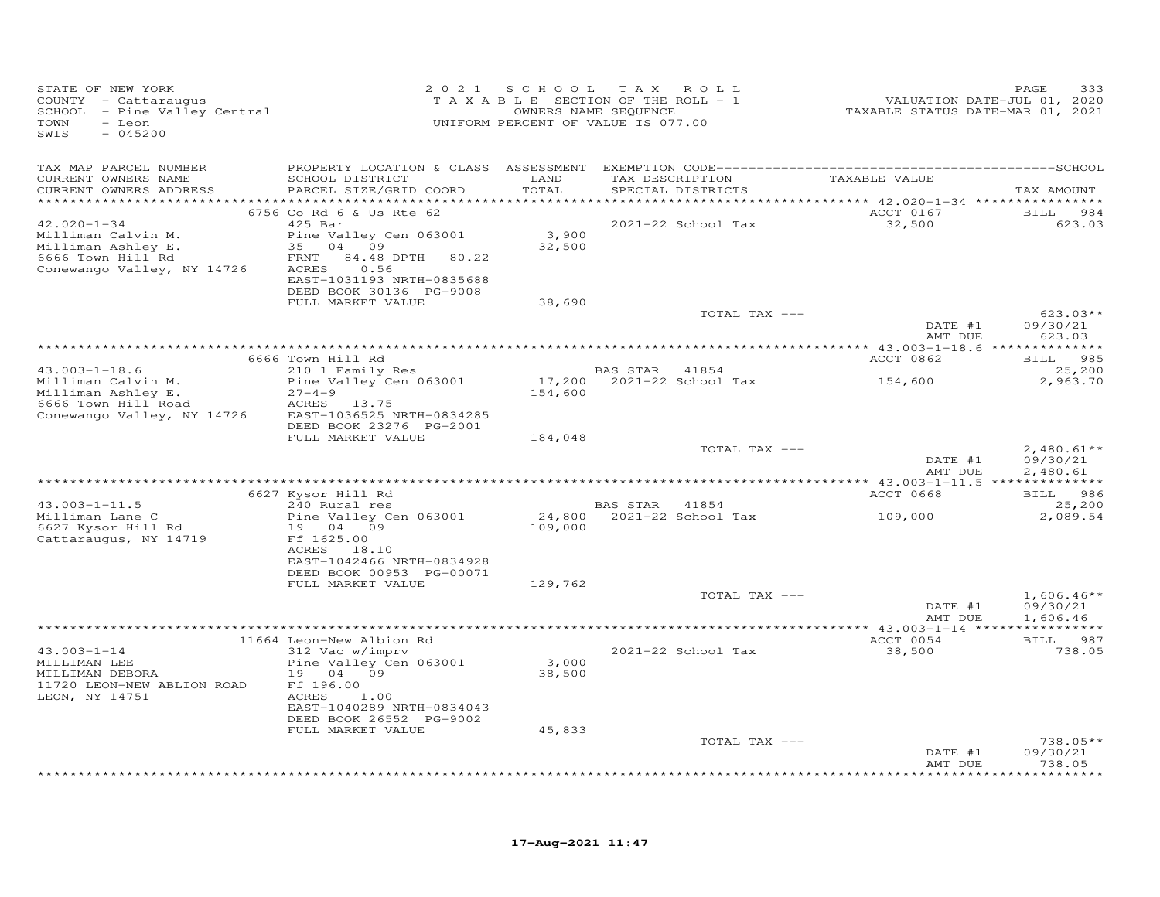| STATE OF NEW YORK<br>COUNTY - Cattaraugus<br>SCHOOL - Pine Valley Central<br>TOWN<br>- Leon<br>SWIS<br>$-045200$ |                                                       | 2021 SCHOOL               | T A X<br>ROLL<br>T A X A B L E SECTION OF THE ROLL - 1<br>OWNERS NAME SEQUENCE<br>UNIFORM PERCENT OF VALUE IS 077.00 | VALUATION DATE-JUL 01, 2020<br>TAXABLE STATUS DATE-MAR 01, 2021 | PAGE<br>333               |
|------------------------------------------------------------------------------------------------------------------|-------------------------------------------------------|---------------------------|----------------------------------------------------------------------------------------------------------------------|-----------------------------------------------------------------|---------------------------|
| TAX MAP PARCEL NUMBER                                                                                            |                                                       |                           |                                                                                                                      |                                                                 |                           |
| CURRENT OWNERS NAME<br>CURRENT OWNERS ADDRESS                                                                    | SCHOOL DISTRICT<br>PARCEL SIZE/GRID COORD             | LAND<br>TOTAL<br>******** | TAX DESCRIPTION<br>SPECIAL DISTRICTS                                                                                 | TAXABLE VALUE<br>*********** 42.020-1-34 *************          | TAX AMOUNT                |
|                                                                                                                  | 6756 Co Rd 6 & Us Rte 62                              |                           |                                                                                                                      | ACCT 0167                                                       | 984<br><b>BILL</b>        |
| $42.020 - 1 - 34$                                                                                                | $425$ Bar                                             |                           | 2021-22 School Tax                                                                                                   | 32,500                                                          | 623.03                    |
| Milliman Calvin M.                                                                                               | Pine Valley Cen 063001                                | 3,900                     |                                                                                                                      |                                                                 |                           |
| Milliman Ashley E.<br>6666 Town Hill Rd                                                                          | 35 04 09<br>84.48 DPTH 80.22<br>FRNT                  | 32,500                    |                                                                                                                      |                                                                 |                           |
| Conewango Valley, NY 14726                                                                                       | ACRES<br>0.56                                         |                           |                                                                                                                      |                                                                 |                           |
|                                                                                                                  | EAST-1031193 NRTH-0835688                             |                           |                                                                                                                      |                                                                 |                           |
|                                                                                                                  | DEED BOOK 30136 PG-9008                               |                           |                                                                                                                      |                                                                 |                           |
|                                                                                                                  | FULL MARKET VALUE                                     | 38,690                    |                                                                                                                      |                                                                 |                           |
|                                                                                                                  |                                                       |                           | TOTAL TAX ---                                                                                                        | DATE #1                                                         | $623.03**$<br>09/30/21    |
|                                                                                                                  |                                                       |                           |                                                                                                                      | AMT DUE                                                         | 623.03                    |
|                                                                                                                  |                                                       |                           |                                                                                                                      |                                                                 |                           |
|                                                                                                                  | 6666 Town Hill Rd                                     |                           |                                                                                                                      | ACCT 0862                                                       | <b>BILL</b><br>985        |
| $43.003 - 1 - 18.6$<br>Milliman Calvin M.                                                                        | 210 1 Family Res                                      |                           | BAS STAR<br>41854                                                                                                    |                                                                 | 25,200<br>2,963.70        |
| Milliman Ashley E.                                                                                               | Pine Valley Cen 063001<br>$27 - 4 - 9$                | 154,600                   | 17,200 2021-22 School Tax                                                                                            | 154,600                                                         |                           |
| 6666 Town Hill Road                                                                                              | ACRES 13.75                                           |                           |                                                                                                                      |                                                                 |                           |
| Conewango Valley, NY 14726                                                                                       | EAST-1036525 NRTH-0834285                             |                           |                                                                                                                      |                                                                 |                           |
|                                                                                                                  | DEED BOOK 23276 PG-2001                               |                           |                                                                                                                      |                                                                 |                           |
|                                                                                                                  | FULL MARKET VALUE                                     | 184,048                   | TOTAL TAX ---                                                                                                        |                                                                 | $2,480.61**$              |
|                                                                                                                  |                                                       |                           |                                                                                                                      | DATE #1                                                         | 09/30/21                  |
|                                                                                                                  |                                                       |                           |                                                                                                                      | AMT DUE                                                         | 2,480.61                  |
|                                                                                                                  |                                                       |                           |                                                                                                                      |                                                                 |                           |
|                                                                                                                  | 6627 Kysor Hill Rd                                    |                           |                                                                                                                      | ACCT 0668                                                       | 986<br><b>BILL</b>        |
| $43.003 - 1 - 11.5$<br>Milliman Lane C                                                                           | 240 Rural res<br>Pine Valley Cen 063001               |                           | BAS STAR 41854<br>24,800 2021-22 School Tax                                                                          | 109,000                                                         | 25,200<br>2,089.54        |
| 6627 Kysor Hill Rd                                                                                               | 19 04 09                                              | 109,000                   |                                                                                                                      |                                                                 |                           |
| Cattaraugus, NY 14719                                                                                            | Ff 1625.00                                            |                           |                                                                                                                      |                                                                 |                           |
|                                                                                                                  | ACRES 18.10                                           |                           |                                                                                                                      |                                                                 |                           |
|                                                                                                                  | EAST-1042466 NRTH-0834928<br>DEED BOOK 00953 PG-00071 |                           |                                                                                                                      |                                                                 |                           |
|                                                                                                                  | FULL MARKET VALUE                                     | 129,762                   |                                                                                                                      |                                                                 |                           |
|                                                                                                                  |                                                       |                           | TOTAL TAX ---                                                                                                        |                                                                 | $1,606.46**$              |
|                                                                                                                  |                                                       |                           |                                                                                                                      | DATE #1                                                         | 09/30/21                  |
|                                                                                                                  |                                                       |                           |                                                                                                                      | AMT DUE                                                         | 1,606.46                  |
|                                                                                                                  | 11664 Leon-New Albion Rd                              |                           |                                                                                                                      | ACCT 0054                                                       | BILL 987                  |
| $43.003 - 1 - 14$                                                                                                | 312 Vac w/imprv                                       |                           | 2021-22 School Tax                                                                                                   | 38,500                                                          | 738.05                    |
| MILLIMAN LEE                                                                                                     | Pine Valley Cen 063001                                | 3,000                     |                                                                                                                      |                                                                 |                           |
| MILLIMAN DEBORA                                                                                                  | 19 04<br>09                                           | 38,500                    |                                                                                                                      |                                                                 |                           |
| 11720 LEON-NEW ABLION ROAD                                                                                       | Ff 196.00                                             |                           |                                                                                                                      |                                                                 |                           |
| LEON, NY 14751                                                                                                   | 1.00<br>ACRES<br>EAST-1040289 NRTH-0834043            |                           |                                                                                                                      |                                                                 |                           |
|                                                                                                                  | DEED BOOK 26552 PG-9002                               |                           |                                                                                                                      |                                                                 |                           |
|                                                                                                                  | FULL MARKET VALUE                                     | 45,833                    |                                                                                                                      |                                                                 |                           |
|                                                                                                                  |                                                       |                           | TOTAL TAX ---                                                                                                        |                                                                 | $738.05**$                |
|                                                                                                                  |                                                       |                           |                                                                                                                      | DATE #1<br>AMT DUE                                              | 09/30/21                  |
|                                                                                                                  |                                                       |                           |                                                                                                                      |                                                                 | 738.05<br>* * * * * * * * |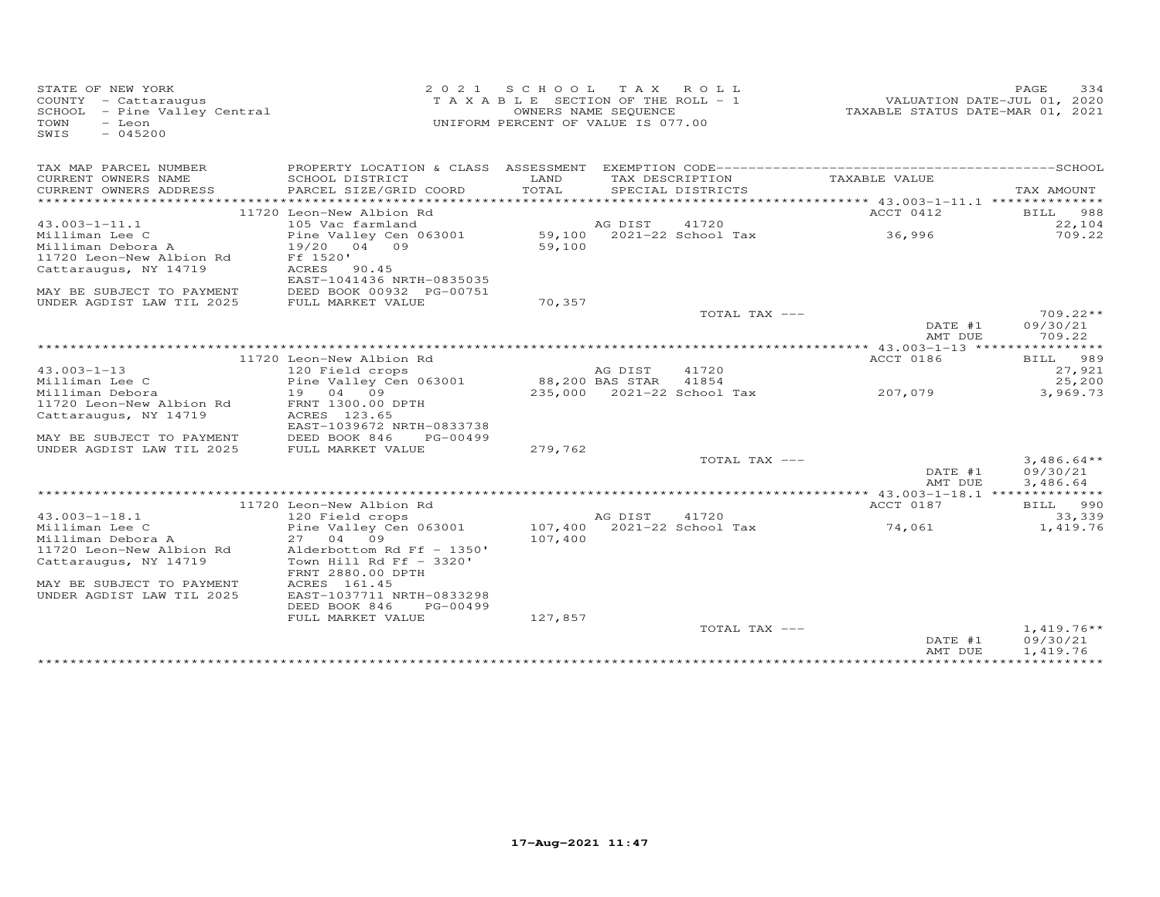| STATE OF NEW YORK<br>COUNTY - Cattaraugus<br>SCHOOL - Pine Valley Central<br>TOWN<br>- Leon<br>SWIS<br>$-045200$ | 2 0 2 1                                                | SCHOOL TAX ROLL<br>TAXABLE SECTION OF THE ROLL - 1<br>UNIFORM PERCENT OF VALUE IS 077.00 | OWNERS NAME SEQUENCE |                            | VALUATION DATE-JUL 01, 2020<br>TAXABLE STATUS DATE-MAR 01, 2021 | PAGE<br>334            |
|------------------------------------------------------------------------------------------------------------------|--------------------------------------------------------|------------------------------------------------------------------------------------------|----------------------|----------------------------|-----------------------------------------------------------------|------------------------|
| TAX MAP PARCEL NUMBER                                                                                            | PROPERTY LOCATION & CLASS ASSESSMENT                   |                                                                                          |                      |                            |                                                                 |                        |
| CURRENT OWNERS NAME                                                                                              | SCHOOL DISTRICT                                        | LAND<br>TOTAL                                                                            | TAX DESCRIPTION      |                            | TAXABLE VALUE                                                   |                        |
| CURRENT OWNERS ADDRESS                                                                                           | PARCEL SIZE/GRID COORD                                 |                                                                                          |                      | SPECIAL DISTRICTS          |                                                                 | TAX AMOUNT             |
|                                                                                                                  | 11720 Leon-New Albion Rd                               |                                                                                          |                      |                            | ACCT 0412                                                       | 988<br>BILL            |
| $43.003 - 1 - 11.1$                                                                                              | 105 Vac farmland                                       |                                                                                          | AG DIST              | 41720                      |                                                                 | 22,104                 |
| Milliman Lee C                                                                                                   | Pine Valley Cen 063001                                 |                                                                                          |                      | 59,100 2021-22 School Tax  | 36,996                                                          | 709.22                 |
| Milliman Debora A                                                                                                | 19/20 04 09                                            | 59,100                                                                                   |                      |                            |                                                                 |                        |
| 11720 Leon-New Albion Rd                                                                                         | Ff 1520'                                               |                                                                                          |                      |                            |                                                                 |                        |
| Cattaraugus, NY 14719                                                                                            | ACRES<br>90.45                                         |                                                                                          |                      |                            |                                                                 |                        |
|                                                                                                                  | EAST-1041436 NRTH-0835035                              |                                                                                          |                      |                            |                                                                 |                        |
| MAY BE SUBJECT TO PAYMENT                                                                                        | DEED BOOK 00932 PG-00751                               |                                                                                          |                      |                            |                                                                 |                        |
| UNDER AGDIST LAW TIL 2025                                                                                        | FULL MARKET VALUE                                      | 70,357                                                                                   |                      | TOTAL TAX ---              |                                                                 |                        |
|                                                                                                                  |                                                        |                                                                                          |                      |                            | DATE #1                                                         | $709.22**$<br>09/30/21 |
|                                                                                                                  |                                                        |                                                                                          |                      |                            | AMT DUE                                                         | 709.22                 |
|                                                                                                                  |                                                        |                                                                                          |                      |                            |                                                                 |                        |
|                                                                                                                  | 11720 Leon-New Albion Rd                               |                                                                                          |                      |                            | ACCT 0186                                                       | BILL 989               |
| $43.003 - 1 - 13$                                                                                                | 120 Field crops                                        |                                                                                          | AG DIST              | 41720                      |                                                                 | 27,921                 |
| Milliman Lee C                                                                                                   | Pine Valley Cen 063001                                 |                                                                                          | 88,200 BAS STAR      | 41854                      |                                                                 | 25,200                 |
| Milliman Debora                                                                                                  | 19 04 09                                               |                                                                                          |                      | 235,000 2021-22 School Tax | 207,079                                                         | 3,969.73               |
| 11720 Leon-New Albion Rd                                                                                         | FRNT 1300.00 DPTH                                      |                                                                                          |                      |                            |                                                                 |                        |
| Cattaraugus, NY 14719                                                                                            | ACRES 123.65                                           |                                                                                          |                      |                            |                                                                 |                        |
| MAY BE SUBJECT TO PAYMENT                                                                                        | EAST-1039672 NRTH-0833738<br>DEED BOOK 846<br>PG-00499 |                                                                                          |                      |                            |                                                                 |                        |
| UNDER AGDIST LAW TIL 2025                                                                                        | FULL MARKET VALUE                                      | 279,762                                                                                  |                      |                            |                                                                 |                        |
|                                                                                                                  |                                                        |                                                                                          |                      | TOTAL TAX ---              |                                                                 | $3,486.64**$           |
|                                                                                                                  |                                                        |                                                                                          |                      |                            | DATE #1                                                         | 09/30/21               |
|                                                                                                                  |                                                        |                                                                                          |                      |                            | AMT DUE                                                         | 3,486.64               |
|                                                                                                                  |                                                        |                                                                                          |                      |                            |                                                                 |                        |
|                                                                                                                  | 11720 Leon-New Albion Rd                               |                                                                                          |                      |                            | ACCT 0187                                                       | BILL 990               |
| $43.003 - 1 - 18.1$                                                                                              | 120 Field crops                                        |                                                                                          | AG DIST              | 41720                      |                                                                 | 33,339                 |
| Milliman Lee C                                                                                                   | Pine Valley Cen 063001<br>27 04 09                     | 107,400                                                                                  |                      | 2021-22 School Tax         | 74,061                                                          | 1,419.76               |
| Milliman Debora A<br>11720 Leon-New Albion Rd                                                                    | Alderbottom Rd Ff - 1350'                              | 107,400                                                                                  |                      |                            |                                                                 |                        |
| Cattaraugus, NY 14719                                                                                            | Town Hill Rd Ff $-$ 3320'                              |                                                                                          |                      |                            |                                                                 |                        |
|                                                                                                                  | FRNT 2880.00 DPTH                                      |                                                                                          |                      |                            |                                                                 |                        |
| MAY BE SUBJECT TO PAYMENT                                                                                        | ACRES 161.45                                           |                                                                                          |                      |                            |                                                                 |                        |
| UNDER AGDIST LAW TIL 2025                                                                                        | EAST-1037711 NRTH-0833298                              |                                                                                          |                      |                            |                                                                 |                        |
|                                                                                                                  | DEED BOOK 846<br>PG-00499                              |                                                                                          |                      |                            |                                                                 |                        |
|                                                                                                                  | FULL MARKET VALUE                                      | 127,857                                                                                  |                      |                            |                                                                 |                        |
|                                                                                                                  |                                                        |                                                                                          |                      | TOTAL TAX ---              |                                                                 | $1,419.76**$           |
|                                                                                                                  |                                                        |                                                                                          |                      |                            | DATE #1                                                         | 09/30/21               |
|                                                                                                                  |                                                        |                                                                                          |                      |                            | AMT DUE<br>*****************************                        | 1,419.76               |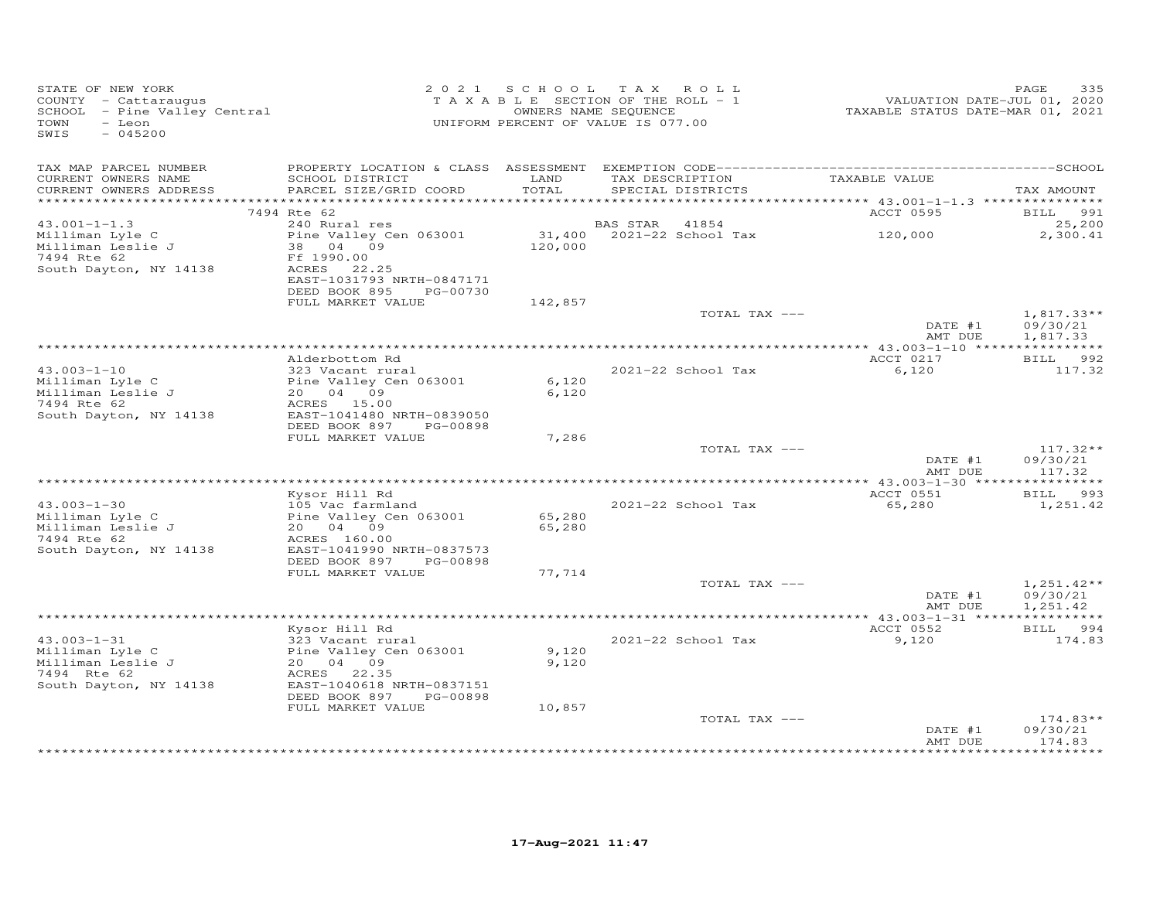| STATE OF NEW YORK<br>COUNTY - Cattaraugus<br>SCHOOL - Pine Valley Central<br>TOWN<br>- Leon<br>SWIS<br>$-045200$ |                                                                                                                                                       |                            | 2021 SCHOOL TAX ROLL<br>TAXABLE SECTION OF THE ROLL - 1<br>OWNERS NAME SEQUENCE<br>UNIFORM PERCENT OF VALUE IS 077.00 | VALUATION DATE-JUL 01, 2020<br>TAXABLE STATUS DATE-MAR 01, 2021 | 335<br>PAGE                          |
|------------------------------------------------------------------------------------------------------------------|-------------------------------------------------------------------------------------------------------------------------------------------------------|----------------------------|-----------------------------------------------------------------------------------------------------------------------|-----------------------------------------------------------------|--------------------------------------|
| TAX MAP PARCEL NUMBER<br>CURRENT OWNERS NAME<br>CURRENT OWNERS ADDRESS                                           | SCHOOL DISTRICT<br>PARCEL SIZE/GRID COORD                                                                                                             | LAND<br>TOTAL              | TAX DESCRIPTION<br>SPECIAL DISTRICTS                                                                                  | TAXABLE VALUE                                                   | TAX AMOUNT                           |
|                                                                                                                  | 7494 Rte 62                                                                                                                                           |                            |                                                                                                                       | ACCT 0595                                                       | BILL 991                             |
| $43.001 - 1 - 1.3$                                                                                               | 240 Rural res                                                                                                                                         |                            | <b>BAS STAR</b><br>41854                                                                                              |                                                                 | 25,200                               |
| Milliman Lyle C<br>Milliman Leslie J<br>7494 Rte 62<br>South Dayton, NY 14138                                    | Pine Valley Cen 063001<br>38 04 09<br>Ff 1990.00<br>ACRES 22.25<br>EAST-1031793 NRTH-0847171<br>DEED BOOK 895<br>PG-00730                             | 120,000                    | 31,400 2021-22 School Tax                                                                                             | 120,000                                                         | 2,300.41                             |
|                                                                                                                  | FULL MARKET VALUE                                                                                                                                     | 142,857                    |                                                                                                                       |                                                                 |                                      |
|                                                                                                                  |                                                                                                                                                       |                            | TOTAL TAX ---                                                                                                         | DATE #1<br>AMT DUE                                              | $1,817.33**$<br>09/30/21<br>1,817.33 |
|                                                                                                                  |                                                                                                                                                       |                            |                                                                                                                       |                                                                 |                                      |
|                                                                                                                  | Alderbottom Rd                                                                                                                                        |                            |                                                                                                                       | ACCT 0217                                                       | BILL 992                             |
| $43.003 - 1 - 10$<br>Milliman Lyle C<br>Milliman Leslie J<br>7494 Rte 62<br>South Dayton, NY 14138               | 323 Vacant rural<br>Pine Valley Cen 063001<br>20 04 09<br>ACRES 15.00<br>EAST-1041480 NRTH-0839050                                                    | 6,120<br>6,120             | 2021-22 School Tax                                                                                                    | 6,120                                                           | 117.32                               |
|                                                                                                                  | DEED BOOK 897 PG-00898                                                                                                                                |                            |                                                                                                                       |                                                                 |                                      |
|                                                                                                                  | FULL MARKET VALUE                                                                                                                                     | 7,286                      | TOTAL TAX ---                                                                                                         | DATE #1<br>AMT DUE                                              | $117.32**$<br>09/30/21<br>117.32     |
|                                                                                                                  |                                                                                                                                                       |                            |                                                                                                                       |                                                                 |                                      |
|                                                                                                                  | Kysor Hill Rd                                                                                                                                         |                            |                                                                                                                       | ACCT 0551                                                       | BILL 993                             |
| $43.003 - 1 - 30$<br>Milliman Lyle C<br>Milliman Leslie J<br>7494 Rte 62<br>South Dayton, NY 14138               | 105 Vac farmland<br>Pine Valley Cen 063001<br>20 04 09<br>ACRES 160.00<br>EAST-1041990 NRTH-0837573<br>DEED BOOK 897<br>PG-00898<br>FULL MARKET VALUE | 65,280<br>65,280<br>77,714 | 2021-22 School Tax                                                                                                    | 65,280                                                          | 1,251.42                             |
|                                                                                                                  |                                                                                                                                                       |                            | TOTAL TAX ---                                                                                                         |                                                                 | $1,251.42**$                         |
|                                                                                                                  |                                                                                                                                                       |                            |                                                                                                                       | DATE #1<br>AMT DUE                                              | 09/30/21<br>1,251.42                 |
|                                                                                                                  | Kysor Hill Rd                                                                                                                                         |                            |                                                                                                                       | ACCT 0552                                                       | BILL 994                             |
| $43.003 - 1 - 31$<br>Milliman Lyle C<br>Milliman Leslie J<br>7494 Rte 62<br>South Dayton, NY 14138               | 323 Vacant rural<br>Pine Valley Cen 063001<br>20 04 09<br>ACRES 22.35<br>EAST-1040618 NRTH-0837151<br>DEED BOOK 897<br>PG-00898<br>FULL MARKET VALUE  | 9,120<br>9,120<br>10,857   | 2021-22 School Tax                                                                                                    | 9,120                                                           | 174.83                               |
|                                                                                                                  |                                                                                                                                                       |                            | TOTAL TAX ---                                                                                                         | DATE #1                                                         | $174.83**$<br>09/30/21               |
|                                                                                                                  |                                                                                                                                                       |                            |                                                                                                                       | AMT DUE                                                         | 174.83                               |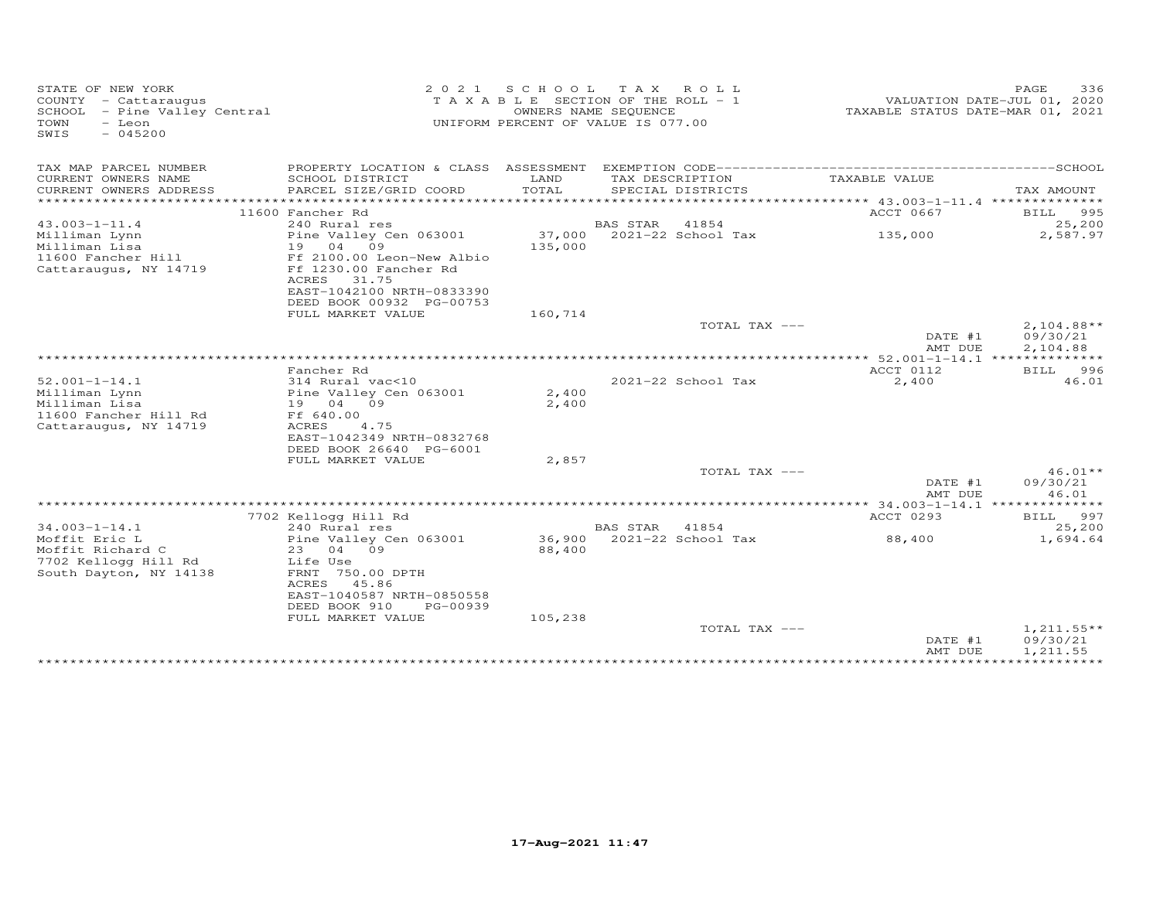| STATE OF NEW YORK<br>COUNTY - Cattaraugus<br>SCHOOL - Pine Valley Central<br>TOWN<br>- Leon<br>SWIS<br>$-045200$ | 2 0 2 1                                                                                                                       | S C H O O L       | TAX ROLL<br>TAXABLE SECTION OF THE ROLL - 1<br>OWNERS NAME SEQUENCE<br>UNIFORM PERCENT OF VALUE IS 077.00 | VALUATION DATE-JUL 01, 2020<br>TAXABLE STATUS DATE-MAR 01, 2021 | PAGE<br>336                    |
|------------------------------------------------------------------------------------------------------------------|-------------------------------------------------------------------------------------------------------------------------------|-------------------|-----------------------------------------------------------------------------------------------------------|-----------------------------------------------------------------|--------------------------------|
| TAX MAP PARCEL NUMBER                                                                                            | PROPERTY LOCATION & CLASS ASSESSMENT                                                                                          |                   |                                                                                                           |                                                                 |                                |
| CURRENT OWNERS NAME<br>CURRENT OWNERS ADDRESS<br>***********************                                         | SCHOOL DISTRICT<br>PARCEL SIZE/GRID COORD                                                                                     | LAND<br>TOTAL     | TAX DESCRIPTION<br>SPECIAL DISTRICTS                                                                      | TAXABLE VALUE                                                   | TAX AMOUNT                     |
|                                                                                                                  | 11600 Fancher Rd                                                                                                              |                   |                                                                                                           | ACCT 0667                                                       | 995                            |
| $43.003 - 1 - 11.4$                                                                                              | 240 Rural res                                                                                                                 |                   | BAS STAR<br>41854                                                                                         |                                                                 | BILL<br>25,200                 |
| Milliman Lynn<br>Milliman Lisa                                                                                   | Pine Valley Cen 063001<br>19 04<br>09                                                                                         | 37,000<br>135,000 | 2021-22 School Tax                                                                                        | 135,000                                                         | 2,587.97                       |
| 11600 Fancher Hill<br>Cattaraugus, NY 14719                                                                      | Ff 2100.00 Leon-New Albio<br>Ff 1230.00 Fancher Rd<br>ACRES<br>31.75<br>EAST-1042100 NRTH-0833390<br>DEED BOOK 00932 PG-00753 |                   |                                                                                                           |                                                                 |                                |
|                                                                                                                  | FULL MARKET VALUE                                                                                                             | 160,714           |                                                                                                           |                                                                 |                                |
|                                                                                                                  |                                                                                                                               |                   | TOTAL TAX ---                                                                                             | DATE #1                                                         | $2,104.88**$<br>09/30/21       |
|                                                                                                                  |                                                                                                                               |                   |                                                                                                           | AMT DUE                                                         | 2,104.88                       |
|                                                                                                                  | Fancher Rd                                                                                                                    |                   |                                                                                                           | ACCT 0112                                                       | 996                            |
| $52.001 - 1 - 14.1$                                                                                              | 314 Rural vac<10                                                                                                              |                   | 2021-22 School Tax                                                                                        | 2,400                                                           | BILL<br>46.01                  |
| Milliman Lynn<br>Milliman Lisa<br>11600 Fancher Hill Rd<br>Cattaraugus, NY 14719                                 | Pine Valley Cen 063001<br>19 04 09<br>Ff 640.00<br><b>ACRES</b><br>4.75<br>EAST-1042349 NRTH-0832768                          | 2,400<br>2,400    |                                                                                                           |                                                                 |                                |
|                                                                                                                  | DEED BOOK 26640 PG-6001                                                                                                       |                   |                                                                                                           |                                                                 |                                |
|                                                                                                                  | FULL MARKET VALUE                                                                                                             | 2,857             |                                                                                                           |                                                                 |                                |
|                                                                                                                  |                                                                                                                               |                   | TOTAL TAX ---                                                                                             | DATE #1<br>AMT DUE                                              | $46.01**$<br>09/30/21<br>46.01 |
|                                                                                                                  |                                                                                                                               |                   |                                                                                                           | ******* 34.003-1-14.1 **************                            |                                |
|                                                                                                                  | 7702 Kellogg Hill Rd                                                                                                          |                   |                                                                                                           | ACCT 0293                                                       | 997<br>BILL                    |
| $34.003 - 1 - 14.1$                                                                                              | 240 Rural res                                                                                                                 |                   | <b>BAS STAR</b><br>41854                                                                                  |                                                                 | 25,200                         |
| Moffit Eric L                                                                                                    | Pine Valley Cen 063001                                                                                                        | 36,900            | 2021-22 School Tax                                                                                        | 88,400                                                          | 1,694.64                       |
| Moffit Richard C                                                                                                 | 23<br>04 09                                                                                                                   | 88,400            |                                                                                                           |                                                                 |                                |
| 7702 Kellogg Hill Rd<br>South Dayton, NY 14138                                                                   | Life Use<br>FRNT 750.00 DPTH<br>45.86<br>ACRES<br>EAST-1040587 NRTH-0850558<br>DEED BOOK 910<br>PG-00939                      |                   |                                                                                                           |                                                                 |                                |
|                                                                                                                  | FULL MARKET VALUE                                                                                                             | 105,238           | TOTAL TAX ---                                                                                             |                                                                 | $1,211.55**$                   |
|                                                                                                                  |                                                                                                                               |                   |                                                                                                           | DATE #1<br>AMT DUE                                              | 09/30/21<br>1,211.55           |
|                                                                                                                  |                                                                                                                               |                   |                                                                                                           |                                                                 |                                |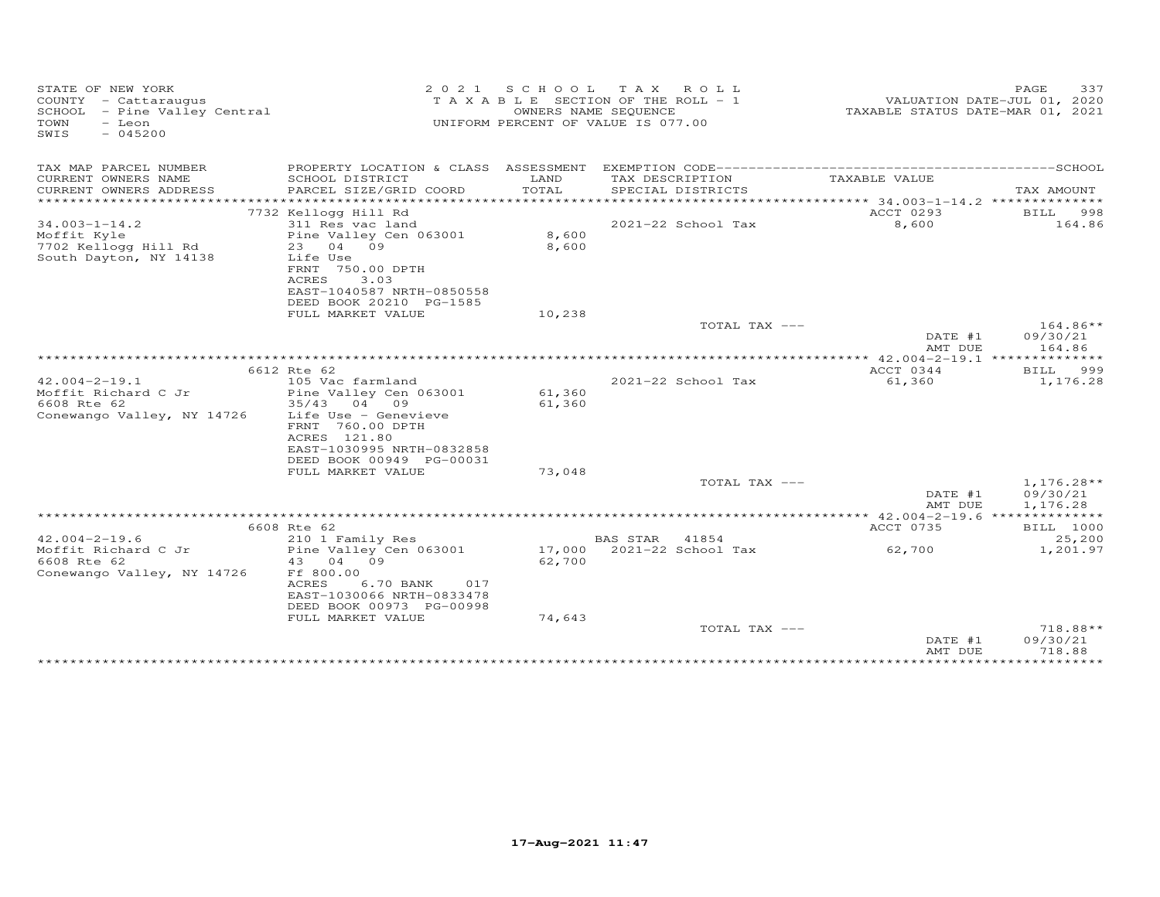| STATE OF NEW YORK<br>COUNTY - Cattaraugus<br>SCHOOL - Pine Valley Central<br>TOWN<br>- Leon<br>$-045200$<br>SWIS | 2 0 2 1                                  |        | SCHOOL TAX ROLL<br>T A X A B L E SECTION OF THE ROLL - 1<br>OWNERS NAME SEQUENCE<br>UNIFORM PERCENT OF VALUE IS 077.00 | TAXABLE STATUS DATE-MAR 01, 2021 | 337<br>PAGE<br>VALUATION DATE-JUL 01, 2020 |
|------------------------------------------------------------------------------------------------------------------|------------------------------------------|--------|------------------------------------------------------------------------------------------------------------------------|----------------------------------|--------------------------------------------|
| TAX MAP PARCEL NUMBER                                                                                            |                                          |        |                                                                                                                        |                                  |                                            |
| CURRENT OWNERS NAME                                                                                              | SCHOOL DISTRICT                          | LAND   | TAX DESCRIPTION                                                                                                        | TAXABLE VALUE                    |                                            |
| CURRENT OWNERS ADDRESS                                                                                           | PARCEL SIZE/GRID COORD                   | TOTAL  | SPECIAL DISTRICTS                                                                                                      |                                  | TAX AMOUNT                                 |
| ***********************                                                                                          |                                          |        |                                                                                                                        |                                  |                                            |
|                                                                                                                  | 7732 Kellogg Hill Rd                     |        |                                                                                                                        | ACCT 0293                        | BILL<br>998                                |
| $34.003 - 1 - 14.2$                                                                                              | 311 Res vac land                         |        | 2021-22 School Tax                                                                                                     | 8,600                            | 164.86                                     |
| Moffit Kyle                                                                                                      | Pine Valley Cen 063001                   | 8,600  |                                                                                                                        |                                  |                                            |
| 7702 Kellogg Hill Rd                                                                                             | 23 04 09<br>Life Use                     | 8,600  |                                                                                                                        |                                  |                                            |
| South Dayton, NY 14138                                                                                           | FRNT 750.00 DPTH                         |        |                                                                                                                        |                                  |                                            |
|                                                                                                                  | 3.03<br>ACRES                            |        |                                                                                                                        |                                  |                                            |
|                                                                                                                  | EAST-1040587 NRTH-0850558                |        |                                                                                                                        |                                  |                                            |
|                                                                                                                  | DEED BOOK 20210 PG-1585                  |        |                                                                                                                        |                                  |                                            |
|                                                                                                                  | FULL MARKET VALUE                        | 10,238 |                                                                                                                        |                                  |                                            |
|                                                                                                                  |                                          |        | TOTAL TAX ---                                                                                                          |                                  | $164.86**$                                 |
|                                                                                                                  |                                          |        |                                                                                                                        | DATE #1                          | 09/30/21                                   |
|                                                                                                                  |                                          |        |                                                                                                                        | AMT DUE                          | 164.86                                     |
|                                                                                                                  |                                          |        |                                                                                                                        | $*$ 42.004-2-19.1 **             | ***********                                |
|                                                                                                                  | 6612 Rte 62                              |        |                                                                                                                        | ACCT 0344                        | 999<br><b>BILL</b>                         |
| $42.004 - 2 - 19.1$                                                                                              | 105 Vac farmland                         |        | $2021 - 22$ School Tax                                                                                                 | 61,360                           | 1,176.28                                   |
| Moffit Richard C Jr                                                                                              | Pine Valley Cen 063001                   | 61,360 |                                                                                                                        |                                  |                                            |
| 6608 Rte 62                                                                                                      | 35/43<br>04 09                           | 61,360 |                                                                                                                        |                                  |                                            |
| Conewango Valley, NY 14726                                                                                       | Life Use - Genevieve<br>FRNT 760.00 DPTH |        |                                                                                                                        |                                  |                                            |
|                                                                                                                  | ACRES 121.80                             |        |                                                                                                                        |                                  |                                            |
|                                                                                                                  | EAST-1030995 NRTH-0832858                |        |                                                                                                                        |                                  |                                            |
|                                                                                                                  | DEED BOOK 00949 PG-00031                 |        |                                                                                                                        |                                  |                                            |
|                                                                                                                  | FULL MARKET VALUE                        | 73,048 |                                                                                                                        |                                  |                                            |
|                                                                                                                  |                                          |        | TOTAL TAX ---                                                                                                          |                                  | $1,176.28**$                               |
|                                                                                                                  |                                          |        |                                                                                                                        | DATE #1                          | 09/30/21                                   |
|                                                                                                                  |                                          |        |                                                                                                                        | AMT DUE                          | 1,176.28                                   |
|                                                                                                                  |                                          |        |                                                                                                                        |                                  |                                            |
|                                                                                                                  | 6608 Rte 62                              |        |                                                                                                                        | ACCT 0735                        | <b>BILL</b> 1000                           |
| $42.004 - 2 - 19.6$                                                                                              | 210 1 Family Res                         |        | BAS STAR 41854                                                                                                         |                                  | 25,200                                     |
| Moffit Richard C Jr<br>6608 Rte 62                                                                               | Pine Valley Cen 063001                   |        | 17,000 2021-22 School Tax                                                                                              | 62,700                           | 1,201.97                                   |
| Conewango Valley, NY 14726                                                                                       | 04 09<br>43<br>Ff 800.00                 | 62,700 |                                                                                                                        |                                  |                                            |
|                                                                                                                  | ACRES<br>6.70 BANK<br>017                |        |                                                                                                                        |                                  |                                            |
|                                                                                                                  | EAST-1030066 NRTH-0833478                |        |                                                                                                                        |                                  |                                            |
|                                                                                                                  | DEED BOOK 00973 PG-00998                 |        |                                                                                                                        |                                  |                                            |
|                                                                                                                  | FULL MARKET VALUE                        | 74,643 |                                                                                                                        |                                  |                                            |
|                                                                                                                  |                                          |        | TOTAL TAX ---                                                                                                          |                                  | 718.88**                                   |
|                                                                                                                  |                                          |        |                                                                                                                        | DATE #1                          | 09/30/21                                   |
|                                                                                                                  |                                          |        |                                                                                                                        | AMT DUE                          | 718.88                                     |
|                                                                                                                  |                                          |        |                                                                                                                        | *************                    | * * * * * * * * * * *                      |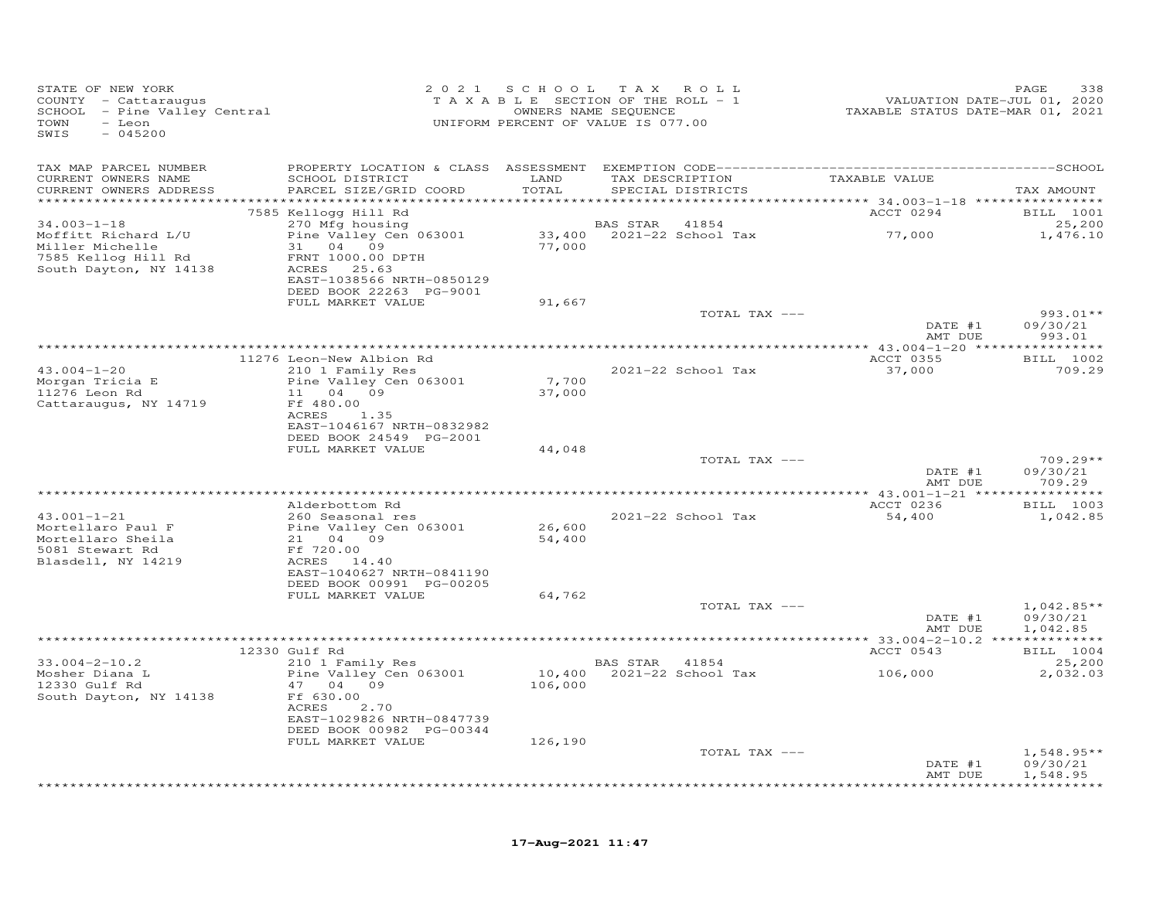| STATE OF NEW YORK<br>COUNTY - Cattaraugus<br>SCHOOL - Pine Valley Central<br>TOWN<br>- Leon<br>SWIS<br>$-045200$ |                                                       |         | 2021 SCHOOL TAX ROLL<br>T A X A B L E SECTION OF THE ROLL - 1<br>OWNERS NAME SEQUENCE<br>UNIFORM PERCENT OF VALUE IS 077.00 | VALUATION DATE-JUL 01, 2020<br>TAXABLE STATUS DATE-MAR 01, 2021 | 338<br>PAGE                  |
|------------------------------------------------------------------------------------------------------------------|-------------------------------------------------------|---------|-----------------------------------------------------------------------------------------------------------------------------|-----------------------------------------------------------------|------------------------------|
| TAX MAP PARCEL NUMBER                                                                                            |                                                       |         |                                                                                                                             |                                                                 |                              |
| CURRENT OWNERS NAME                                                                                              | SCHOOL DISTRICT                                       | LAND    | TAX DESCRIPTION                                                                                                             | TAXABLE VALUE                                                   |                              |
| CURRENT OWNERS ADDRESS                                                                                           | PARCEL SIZE/GRID COORD                                | TOTAL   | SPECIAL DISTRICTS                                                                                                           |                                                                 | TAX AMOUNT                   |
|                                                                                                                  | 7585 Kellogg Hill Rd                                  |         |                                                                                                                             | ACCT 0294                                                       | <b>BILL</b> 1001             |
| $34.003 - 1 - 18$                                                                                                | 270 Mfg housing                                       |         | <b>BAS STAR</b> 41854                                                                                                       |                                                                 | 25,200                       |
| Moffitt Richard L/U                                                                                              | Pine Valley Cen 063001                                |         |                                                                                                                             | 33,400 2021-22 School Tax 77,000                                | 1,476.10                     |
| Miller Michelle<br>7585 Kellog Hill Rd                                                                           | 31 04 09<br>FRNT 1000.00 DPTH                         | 77,000  |                                                                                                                             |                                                                 |                              |
| South Dayton, NY 14138                                                                                           | ACRES 25.63                                           |         |                                                                                                                             |                                                                 |                              |
|                                                                                                                  | EAST-1038566 NRTH-0850129                             |         |                                                                                                                             |                                                                 |                              |
|                                                                                                                  | DEED BOOK 22263 PG-9001                               |         |                                                                                                                             |                                                                 |                              |
|                                                                                                                  | FULL MARKET VALUE                                     | 91,667  | TOTAL TAX ---                                                                                                               |                                                                 | 993.01**                     |
|                                                                                                                  |                                                       |         |                                                                                                                             | DATE #1                                                         | 09/30/21                     |
|                                                                                                                  |                                                       |         |                                                                                                                             | AMT DUE                                                         | 993.01                       |
|                                                                                                                  |                                                       |         |                                                                                                                             |                                                                 |                              |
| $43.004 - 1 - 20$                                                                                                | 11276 Leon-New Albion Rd<br>210 1 Family Res          |         | 2021-22 School Tax                                                                                                          | ACCT 0355<br>37,000                                             | BILL 1002<br>709.29          |
| Morgan Tricia E<br>Morgan Tricia E                                                                               | Pine Valley Cen 063001                                | 7,700   |                                                                                                                             |                                                                 |                              |
| 11276 Leon Rd                                                                                                    | 11 04 09                                              | 37,000  |                                                                                                                             |                                                                 |                              |
| Cattaraugus, NY 14719                                                                                            | Ff 480.00<br>ACRES<br>1.35                            |         |                                                                                                                             |                                                                 |                              |
|                                                                                                                  | EAST-1046167 NRTH-0832982                             |         |                                                                                                                             |                                                                 |                              |
|                                                                                                                  | DEED BOOK 24549 PG-2001                               |         |                                                                                                                             |                                                                 |                              |
|                                                                                                                  | FULL MARKET VALUE                                     | 44,048  |                                                                                                                             | TOTAL TAX ---                                                   | $709.29**$                   |
|                                                                                                                  |                                                       |         |                                                                                                                             | DATE #1                                                         | 09/30/21                     |
|                                                                                                                  |                                                       |         |                                                                                                                             | AMT DUE                                                         | 709.29                       |
|                                                                                                                  |                                                       |         |                                                                                                                             |                                                                 |                              |
| $43.001 - 1 - 21$                                                                                                | Alderbottom Rd<br>260 Seasonal res                    |         | 2021-22 School Tax                                                                                                          | ACCT 0236<br>54,400                                             | <b>BILL</b> 1003<br>1,042.85 |
| Mortellaro Paul F                                                                                                | Pine Valley Cen 063001                                | 26,600  |                                                                                                                             |                                                                 |                              |
| Mortellaro Sheila                                                                                                | 21 04 09                                              | 54,400  |                                                                                                                             |                                                                 |                              |
| 5081 Stewart Rd                                                                                                  | Ff 720.00                                             |         |                                                                                                                             |                                                                 |                              |
| Blasdell, NY 14219                                                                                               | ACRES 14.40<br>EAST-1040627 NRTH-0841190              |         |                                                                                                                             |                                                                 |                              |
|                                                                                                                  | DEED BOOK 00991 PG-00205                              |         |                                                                                                                             |                                                                 |                              |
|                                                                                                                  | FULL MARKET VALUE                                     | 64,762  |                                                                                                                             |                                                                 |                              |
|                                                                                                                  |                                                       |         | TOTAL TAX ---                                                                                                               | DATE #1                                                         | $1,042.85**$<br>09/30/21     |
|                                                                                                                  |                                                       |         |                                                                                                                             | AMT DUE                                                         | 1,042.85                     |
|                                                                                                                  |                                                       |         |                                                                                                                             | *********** 33.004-2-10.2 **************                        |                              |
|                                                                                                                  | 12330 Gulf Rd                                         |         |                                                                                                                             | ACCT 0543                                                       | BILL 1004                    |
| $33.004 - 2 - 10.2$<br>Mosher Diana L                                                                            | 210 1 Family Res<br>Pine Valley Cen 063001            |         | BAS STAR 41854<br>$10,400$ $2021-22$ School Tax                                                                             | 106,000                                                         | 25,200<br>2,032.03           |
| 12330 Gulf Rd                                                                                                    | 47 04 09                                              | 106,000 |                                                                                                                             |                                                                 |                              |
| South Dayton, NY 14138                                                                                           | Ff 630.00                                             |         |                                                                                                                             |                                                                 |                              |
|                                                                                                                  | ACRES<br>2.70                                         |         |                                                                                                                             |                                                                 |                              |
|                                                                                                                  | EAST-1029826 NRTH-0847739<br>DEED BOOK 00982 PG-00344 |         |                                                                                                                             |                                                                 |                              |
|                                                                                                                  | FULL MARKET VALUE                                     | 126,190 |                                                                                                                             |                                                                 |                              |
|                                                                                                                  |                                                       |         | TOTAL TAX ---                                                                                                               |                                                                 | $1,548.95**$                 |
|                                                                                                                  |                                                       |         |                                                                                                                             | DATE #1<br>AMT DUE                                              | 09/30/21<br>1,548.95         |
|                                                                                                                  |                                                       |         |                                                                                                                             |                                                                 | ***********                  |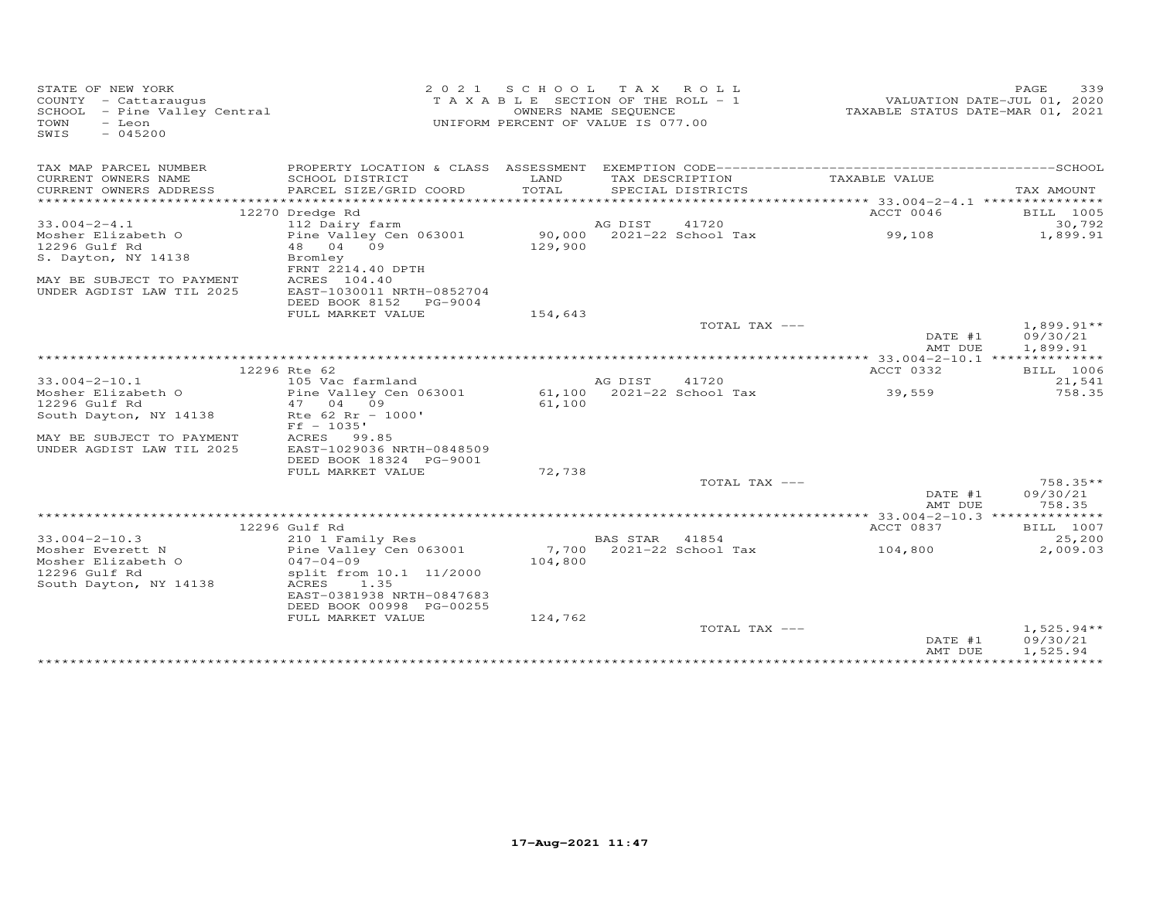| TAX MAP PARCEL NUMBER<br>LAND<br>CURRENT OWNERS NAME<br>SCHOOL DISTRICT<br>TAX DESCRIPTION<br>TAXABLE VALUE<br>TOTAL<br>CURRENT OWNERS ADDRESS<br>PARCEL SIZE/GRID COORD<br>SPECIAL DISTRICTS<br>12270 Dredge Rd<br>ACCT 0046<br>41720<br>$33.004 - 2 - 4.1$<br>112 Dairy farm<br>AG DIST<br>90,000 2021-22 School Tax<br>Pine Valley Cen 063001<br>99,108<br>Mosher Elizabeth O<br>48 04 09<br>12296 Gulf Rd<br>129,900<br>S. Dayton, NY 14138<br>Bromley<br>FRNT 2214.40 DPTH<br>ACRES 104.40<br>MAY BE SUBJECT TO PAYMENT<br>UNDER AGDIST LAW TIL 2025<br>EAST-1030011 NRTH-0852704<br>DEED BOOK 8152<br>PG-9004<br>FULL MARKET VALUE<br>154,643<br>TOTAL TAX ---<br>DATE #1<br>AMT DUE<br>************* 33.004-2-10.1 **************<br>12296 Rte 62<br>ACCT 0332<br>$33.004 - 2 - 10.1$<br>105 Vac farmland<br>AG DIST<br>41720<br>61,100 2021-22 School Tax<br>Mosher Elizabeth O<br>Pine Valley Cen 063001<br>39,559<br>12296 Gulf Rd<br>47 04 09<br>61,100<br>Rte $62$ Rr - 1000'<br>South Dayton, NY 14138<br>$Ff - 1035'$<br>ACRES<br>MAY BE SUBJECT TO PAYMENT<br>99.85<br>UNDER AGDIST LAW TIL 2025<br>EAST-1029036 NRTH-0848509<br>DEED BOOK 18324 PG-9001<br>72,738<br>FULL MARKET VALUE<br>TOTAL TAX --- | TAX AMOUNT<br>BILL 1005<br>30,792<br>1,899.91<br>$1,899.91**$<br>09/30/21<br>1,899.91 |
|-------------------------------------------------------------------------------------------------------------------------------------------------------------------------------------------------------------------------------------------------------------------------------------------------------------------------------------------------------------------------------------------------------------------------------------------------------------------------------------------------------------------------------------------------------------------------------------------------------------------------------------------------------------------------------------------------------------------------------------------------------------------------------------------------------------------------------------------------------------------------------------------------------------------------------------------------------------------------------------------------------------------------------------------------------------------------------------------------------------------------------------------------------------------------------------------------------------------------|---------------------------------------------------------------------------------------|
|                                                                                                                                                                                                                                                                                                                                                                                                                                                                                                                                                                                                                                                                                                                                                                                                                                                                                                                                                                                                                                                                                                                                                                                                                         |                                                                                       |
|                                                                                                                                                                                                                                                                                                                                                                                                                                                                                                                                                                                                                                                                                                                                                                                                                                                                                                                                                                                                                                                                                                                                                                                                                         |                                                                                       |
|                                                                                                                                                                                                                                                                                                                                                                                                                                                                                                                                                                                                                                                                                                                                                                                                                                                                                                                                                                                                                                                                                                                                                                                                                         |                                                                                       |
|                                                                                                                                                                                                                                                                                                                                                                                                                                                                                                                                                                                                                                                                                                                                                                                                                                                                                                                                                                                                                                                                                                                                                                                                                         |                                                                                       |
|                                                                                                                                                                                                                                                                                                                                                                                                                                                                                                                                                                                                                                                                                                                                                                                                                                                                                                                                                                                                                                                                                                                                                                                                                         |                                                                                       |
|                                                                                                                                                                                                                                                                                                                                                                                                                                                                                                                                                                                                                                                                                                                                                                                                                                                                                                                                                                                                                                                                                                                                                                                                                         |                                                                                       |
|                                                                                                                                                                                                                                                                                                                                                                                                                                                                                                                                                                                                                                                                                                                                                                                                                                                                                                                                                                                                                                                                                                                                                                                                                         |                                                                                       |
|                                                                                                                                                                                                                                                                                                                                                                                                                                                                                                                                                                                                                                                                                                                                                                                                                                                                                                                                                                                                                                                                                                                                                                                                                         |                                                                                       |
|                                                                                                                                                                                                                                                                                                                                                                                                                                                                                                                                                                                                                                                                                                                                                                                                                                                                                                                                                                                                                                                                                                                                                                                                                         |                                                                                       |
|                                                                                                                                                                                                                                                                                                                                                                                                                                                                                                                                                                                                                                                                                                                                                                                                                                                                                                                                                                                                                                                                                                                                                                                                                         |                                                                                       |
|                                                                                                                                                                                                                                                                                                                                                                                                                                                                                                                                                                                                                                                                                                                                                                                                                                                                                                                                                                                                                                                                                                                                                                                                                         |                                                                                       |
|                                                                                                                                                                                                                                                                                                                                                                                                                                                                                                                                                                                                                                                                                                                                                                                                                                                                                                                                                                                                                                                                                                                                                                                                                         |                                                                                       |
|                                                                                                                                                                                                                                                                                                                                                                                                                                                                                                                                                                                                                                                                                                                                                                                                                                                                                                                                                                                                                                                                                                                                                                                                                         |                                                                                       |
|                                                                                                                                                                                                                                                                                                                                                                                                                                                                                                                                                                                                                                                                                                                                                                                                                                                                                                                                                                                                                                                                                                                                                                                                                         |                                                                                       |
|                                                                                                                                                                                                                                                                                                                                                                                                                                                                                                                                                                                                                                                                                                                                                                                                                                                                                                                                                                                                                                                                                                                                                                                                                         |                                                                                       |
|                                                                                                                                                                                                                                                                                                                                                                                                                                                                                                                                                                                                                                                                                                                                                                                                                                                                                                                                                                                                                                                                                                                                                                                                                         | BILL 1006                                                                             |
|                                                                                                                                                                                                                                                                                                                                                                                                                                                                                                                                                                                                                                                                                                                                                                                                                                                                                                                                                                                                                                                                                                                                                                                                                         | 21,541                                                                                |
|                                                                                                                                                                                                                                                                                                                                                                                                                                                                                                                                                                                                                                                                                                                                                                                                                                                                                                                                                                                                                                                                                                                                                                                                                         | 758.35                                                                                |
|                                                                                                                                                                                                                                                                                                                                                                                                                                                                                                                                                                                                                                                                                                                                                                                                                                                                                                                                                                                                                                                                                                                                                                                                                         |                                                                                       |
|                                                                                                                                                                                                                                                                                                                                                                                                                                                                                                                                                                                                                                                                                                                                                                                                                                                                                                                                                                                                                                                                                                                                                                                                                         |                                                                                       |
|                                                                                                                                                                                                                                                                                                                                                                                                                                                                                                                                                                                                                                                                                                                                                                                                                                                                                                                                                                                                                                                                                                                                                                                                                         |                                                                                       |
|                                                                                                                                                                                                                                                                                                                                                                                                                                                                                                                                                                                                                                                                                                                                                                                                                                                                                                                                                                                                                                                                                                                                                                                                                         |                                                                                       |
|                                                                                                                                                                                                                                                                                                                                                                                                                                                                                                                                                                                                                                                                                                                                                                                                                                                                                                                                                                                                                                                                                                                                                                                                                         |                                                                                       |
|                                                                                                                                                                                                                                                                                                                                                                                                                                                                                                                                                                                                                                                                                                                                                                                                                                                                                                                                                                                                                                                                                                                                                                                                                         |                                                                                       |
|                                                                                                                                                                                                                                                                                                                                                                                                                                                                                                                                                                                                                                                                                                                                                                                                                                                                                                                                                                                                                                                                                                                                                                                                                         | 758.35**                                                                              |
| DATE #1<br>AMT DUE                                                                                                                                                                                                                                                                                                                                                                                                                                                                                                                                                                                                                                                                                                                                                                                                                                                                                                                                                                                                                                                                                                                                                                                                      | 09/30/21<br>758.35                                                                    |
|                                                                                                                                                                                                                                                                                                                                                                                                                                                                                                                                                                                                                                                                                                                                                                                                                                                                                                                                                                                                                                                                                                                                                                                                                         |                                                                                       |
| 12296 Gulf Rd<br>ACCT 0837                                                                                                                                                                                                                                                                                                                                                                                                                                                                                                                                                                                                                                                                                                                                                                                                                                                                                                                                                                                                                                                                                                                                                                                              | BILL 1007                                                                             |
| $33.004 - 2 - 10.3$<br>BAS STAR 41854<br>210 1 Family Res                                                                                                                                                                                                                                                                                                                                                                                                                                                                                                                                                                                                                                                                                                                                                                                                                                                                                                                                                                                                                                                                                                                                                               | 25,200                                                                                |
| Pine Valley Cen 063001<br>7,700 2021-22 School Tax<br>Mosher Everett N<br>104,800<br>$047 - 04 - 09$                                                                                                                                                                                                                                                                                                                                                                                                                                                                                                                                                                                                                                                                                                                                                                                                                                                                                                                                                                                                                                                                                                                    | 2,009.03                                                                              |
| 104,800<br>Mosher Elizabeth O<br>12296 Gulf Rd<br>split from 10.1 11/2000                                                                                                                                                                                                                                                                                                                                                                                                                                                                                                                                                                                                                                                                                                                                                                                                                                                                                                                                                                                                                                                                                                                                               |                                                                                       |
| South Dayton, NY 14138<br>ACRES<br>1.35                                                                                                                                                                                                                                                                                                                                                                                                                                                                                                                                                                                                                                                                                                                                                                                                                                                                                                                                                                                                                                                                                                                                                                                 |                                                                                       |
| EAST-0381938 NRTH-0847683                                                                                                                                                                                                                                                                                                                                                                                                                                                                                                                                                                                                                                                                                                                                                                                                                                                                                                                                                                                                                                                                                                                                                                                               |                                                                                       |
| DEED BOOK 00998 PG-00255                                                                                                                                                                                                                                                                                                                                                                                                                                                                                                                                                                                                                                                                                                                                                                                                                                                                                                                                                                                                                                                                                                                                                                                                |                                                                                       |
| FULL MARKET VALUE<br>124,762                                                                                                                                                                                                                                                                                                                                                                                                                                                                                                                                                                                                                                                                                                                                                                                                                                                                                                                                                                                                                                                                                                                                                                                            |                                                                                       |
| TOTAL TAX ---                                                                                                                                                                                                                                                                                                                                                                                                                                                                                                                                                                                                                                                                                                                                                                                                                                                                                                                                                                                                                                                                                                                                                                                                           | $1,525.94**$                                                                          |
| DATE #1<br>09/30/21<br>AMT DUE<br>1,525.94                                                                                                                                                                                                                                                                                                                                                                                                                                                                                                                                                                                                                                                                                                                                                                                                                                                                                                                                                                                                                                                                                                                                                                              |                                                                                       |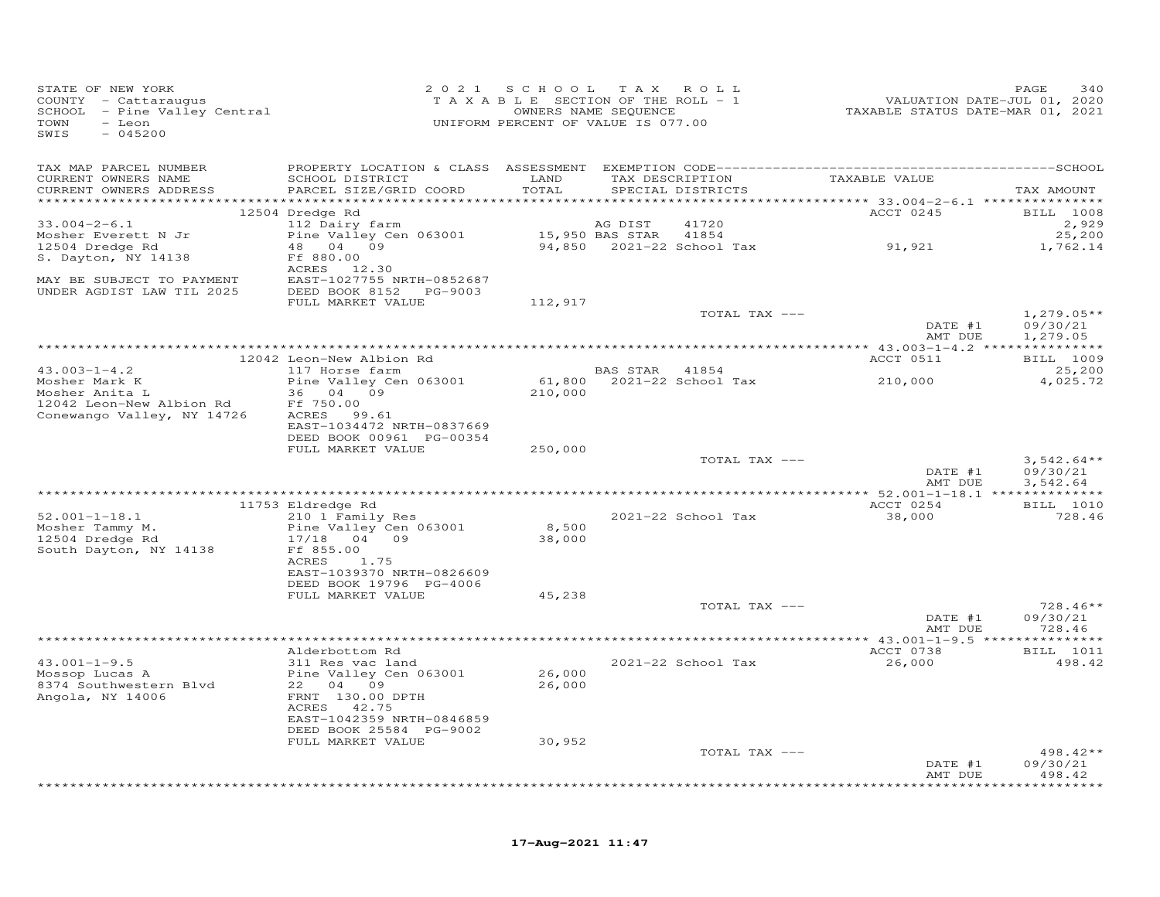| STATE OF NEW YORK<br>COUNTY - Cattaraugus<br>SCHOOL - Pine Valley Central<br>TOWN<br>- Leon<br>SWIS<br>$-045200$ |                                           | 2021 SCHOOL<br>TAXABLE SECTION OF THE ROLL - 1<br>OWNERS NAME SEQUENCE<br>UNIFORM PERCENT OF VALUE IS 077.00 |                | TAX ROLL                                           | VALUATION DATE-JUL 01, 2020<br>TAXABLE STATUS DATE-MAR 01, 2021 | PAGE<br>340            |
|------------------------------------------------------------------------------------------------------------------|-------------------------------------------|--------------------------------------------------------------------------------------------------------------|----------------|----------------------------------------------------|-----------------------------------------------------------------|------------------------|
| TAX MAP PARCEL NUMBER                                                                                            |                                           |                                                                                                              |                |                                                    |                                                                 |                        |
| CURRENT OWNERS NAME<br>CURRENT OWNERS ADDRESS                                                                    | SCHOOL DISTRICT<br>PARCEL SIZE/GRID COORD | LAND<br>TOTAL                                                                                                |                | TAX DESCRIPTION TAXABLE VALUE<br>SPECIAL DISTRICTS |                                                                 | TAX AMOUNT             |
|                                                                                                                  | 12504 Dredge Rd                           |                                                                                                              |                |                                                    | ACCT 0245                                                       | BILL 1008              |
| $33.004 - 2 - 6.1$                                                                                               | 112 Dairy farm                            |                                                                                                              | AG DIST        | 41720                                              |                                                                 | 2,929                  |
| Mosher Everett N Jr                                                                                              | Pine Valley Cen 063001                    | 15,950 BAS STAR                                                                                              |                | 41854                                              |                                                                 | 25,200                 |
| 12504 Dredge Rd                                                                                                  | 48 04 09                                  |                                                                                                              |                | 94,850    2021-22    School Tax                    | 91,921                                                          | 1,762.14               |
| S. Dayton, NY 14138                                                                                              | Ff 880.00<br>ACRES 12.30                  |                                                                                                              |                |                                                    |                                                                 |                        |
| MAY BE SUBJECT TO PAYMENT                                                                                        | EAST-1027755 NRTH-0852687                 |                                                                                                              |                |                                                    |                                                                 |                        |
| UNDER AGDIST LAW TIL 2025                                                                                        | DEED BOOK 8152 PG-9003                    |                                                                                                              |                |                                                    |                                                                 |                        |
|                                                                                                                  | FULL MARKET VALUE                         | 112,917                                                                                                      |                |                                                    |                                                                 |                        |
|                                                                                                                  |                                           |                                                                                                              |                | TOTAL TAX ---                                      |                                                                 | $1,279.05**$           |
|                                                                                                                  |                                           |                                                                                                              |                |                                                    | DATE #1<br>AMT DUE                                              | 09/30/21               |
|                                                                                                                  |                                           |                                                                                                              |                |                                                    |                                                                 | 1,279.05               |
|                                                                                                                  | 12042 Leon-New Albion Rd                  |                                                                                                              |                |                                                    | ACCT 0511                                                       | BILL 1009              |
| $43.003 - 1 - 4.2$                                                                                               | 117 Horse farm                            |                                                                                                              | BAS STAR 41854 |                                                    |                                                                 | 25,200                 |
| Mosher Mark K                                                                                                    | Pine Valley Cen 063001                    |                                                                                                              |                |                                                    | 210,000                                                         | 4,025.72               |
| Mosher Anita L                                                                                                   | 36 04 09                                  | 210,000                                                                                                      |                |                                                    |                                                                 |                        |
| 12042 Leon-New Albion Rd<br>Conewango Valley, NY 14726                                                           | Ff 750.00<br>ACRES 99.61                  |                                                                                                              |                |                                                    |                                                                 |                        |
|                                                                                                                  | EAST-1034472 NRTH-0837669                 |                                                                                                              |                |                                                    |                                                                 |                        |
|                                                                                                                  | DEED BOOK 00961 PG-00354                  |                                                                                                              |                |                                                    |                                                                 |                        |
|                                                                                                                  | FULL MARKET VALUE                         | 250,000                                                                                                      |                |                                                    |                                                                 |                        |
|                                                                                                                  |                                           |                                                                                                              |                | TOTAL TAX ---                                      | DATE #1                                                         | $3,542.64**$           |
|                                                                                                                  |                                           |                                                                                                              |                |                                                    | AMT DUE                                                         | 09/30/21<br>3,542.64   |
|                                                                                                                  |                                           |                                                                                                              |                |                                                    |                                                                 |                        |
|                                                                                                                  | 11753 Eldredge Rd                         |                                                                                                              |                |                                                    | ACCT 0254                                                       | <b>BILL</b> 1010       |
| $52.001 - 1 - 18.1$                                                                                              | 210 1 Family Res                          |                                                                                                              |                | 2021-22 School Tax                                 | 38,000                                                          | 728.46                 |
| Mosher Tammy M.                                                                                                  | Pine Valley Cen 063001                    | 8,500                                                                                                        |                |                                                    |                                                                 |                        |
| 12504 Dredge Rd<br>South Dayton, NY 14138                                                                        | 17/18 04 09<br>Ff 855.00                  | 38,000                                                                                                       |                |                                                    |                                                                 |                        |
|                                                                                                                  | 1.75<br>ACRES                             |                                                                                                              |                |                                                    |                                                                 |                        |
|                                                                                                                  | EAST-1039370 NRTH-0826609                 |                                                                                                              |                |                                                    |                                                                 |                        |
|                                                                                                                  | DEED BOOK 19796 PG-4006                   |                                                                                                              |                |                                                    |                                                                 |                        |
|                                                                                                                  | FULL MARKET VALUE                         | 45,238                                                                                                       |                |                                                    |                                                                 |                        |
|                                                                                                                  |                                           |                                                                                                              |                | TOTAL TAX ---                                      | DATE #1                                                         | $728.46**$<br>09/30/21 |
|                                                                                                                  |                                           |                                                                                                              |                |                                                    | AMT DUE                                                         | 728.46                 |
|                                                                                                                  |                                           |                                                                                                              |                |                                                    |                                                                 |                        |
|                                                                                                                  | Alderbottom Rd                            |                                                                                                              |                |                                                    | ACCT 0738                                                       | BILL 1011              |
| $43.001 - 1 - 9.5$                                                                                               | 311 Res vac land                          |                                                                                                              |                | 2021-22 School Tax                                 | 26,000                                                          | 498.42                 |
| Mossop Lucas A<br>8374 Southwestern Blvd                                                                         | Pine Valley Cen 063001<br>22 04 09        | 26,000<br>26,000                                                                                             |                |                                                    |                                                                 |                        |
| Angola, NY 14006                                                                                                 | FRNT 130.00 DPTH                          |                                                                                                              |                |                                                    |                                                                 |                        |
|                                                                                                                  | ACRES 42.75                               |                                                                                                              |                |                                                    |                                                                 |                        |
|                                                                                                                  | EAST-1042359 NRTH-0846859                 |                                                                                                              |                |                                                    |                                                                 |                        |
|                                                                                                                  | DEED BOOK 25584 PG-9002                   |                                                                                                              |                |                                                    |                                                                 |                        |
|                                                                                                                  | FULL MARKET VALUE                         | 30,952                                                                                                       |                |                                                    |                                                                 | 498.42**               |
|                                                                                                                  |                                           |                                                                                                              |                | TOTAL TAX ---                                      | DATE #1                                                         | 09/30/21               |
|                                                                                                                  |                                           |                                                                                                              |                |                                                    | AMT DUE                                                         | 498.42                 |
|                                                                                                                  |                                           |                                                                                                              |                |                                                    |                                                                 | *******                |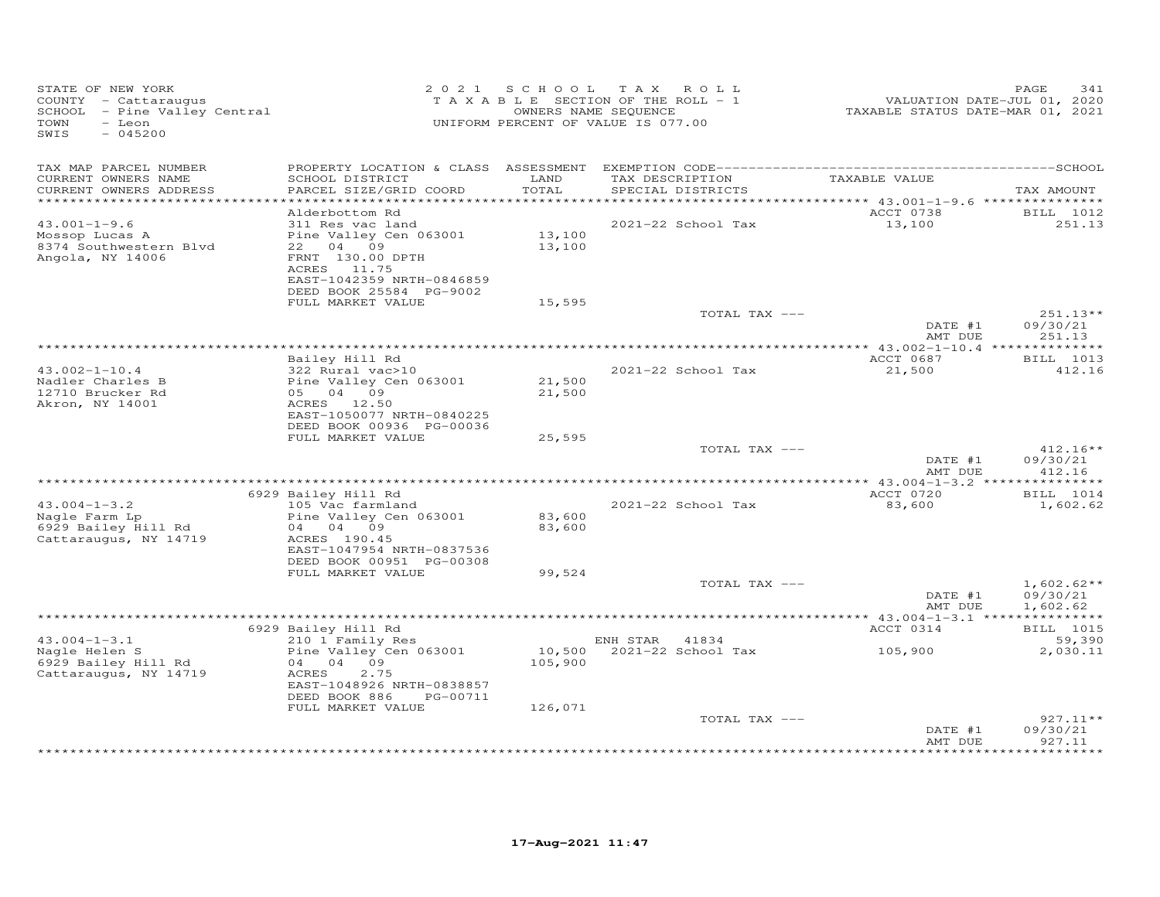| TAX MAP PARCEL NUMBER<br>LAND<br>TAXABLE VALUE<br>CURRENT OWNERS NAME<br>SCHOOL DISTRICT<br>TAX DESCRIPTION<br>TOTAL<br>CURRENT OWNERS ADDRESS<br>PARCEL SIZE/GRID COORD<br>SPECIAL DISTRICTS<br>*************************                                                                        | TAX AMOUNT<br>BILL 1012<br>251.13 |
|---------------------------------------------------------------------------------------------------------------------------------------------------------------------------------------------------------------------------------------------------------------------------------------------------|-----------------------------------|
|                                                                                                                                                                                                                                                                                                   |                                   |
| ACCT 0738<br>Alderbottom Rd                                                                                                                                                                                                                                                                       |                                   |
| $43.001 - 1 - 9.6$<br>2021-22 School Tax<br>13,100<br>311 Res vac land<br>13,100<br>Mossop Lucas A<br>Pine Valley Cen 063001<br>8374 Southwestern Blvd<br>04 09<br>13,100<br>22<br>Angola, NY 14006<br>FRNT 130.00 DPTH<br>ACRES<br>11.75<br>EAST-1042359 NRTH-0846859<br>DEED BOOK 25584 PG-9002 |                                   |
| FULL MARKET VALUE<br>15,595                                                                                                                                                                                                                                                                       |                                   |
| TOTAL TAX ---<br>DATE #1<br>AMT DUE                                                                                                                                                                                                                                                               | 251.13**<br>09/30/21<br>251.13    |
|                                                                                                                                                                                                                                                                                                   | *********                         |
| Bailey Hill Rd<br>ACCT 0687<br>$43.002 - 1 - 10.4$<br>322 Rural vac>10<br>2021-22 School Tax<br>21,500<br>Nadler Charles B<br>Pine Valley Cen 063001<br>21,500                                                                                                                                    | BILL 1013<br>412.16               |
| 12710 Brucker Rd<br>21,500<br>05 04 09<br>ACRES 12.50<br>Akron, NY 14001<br>EAST-1050077 NRTH-0840225<br>DEED BOOK 00936 PG-00036                                                                                                                                                                 |                                   |
| FULL MARKET VALUE<br>25,595                                                                                                                                                                                                                                                                       |                                   |
| TOTAL TAX ---<br>DATE #1<br>AMT DUE                                                                                                                                                                                                                                                               | $412.16**$<br>09/30/21<br>412.16  |
|                                                                                                                                                                                                                                                                                                   |                                   |
| ACCT 0720<br>6929 Bailey Hill Rd<br>$43.004 - 1 - 3.2$<br>$2021 - 22$ School Tax<br>105 Vac farmland<br>83,600<br>Pine Valley Cen 063001<br>83,600<br>Nagle Farm Lp<br>6929 Bailey Hill Rd<br>83,600<br>04 04 09<br>Cattaraugus, NY 14719<br>ACRES 190.45                                         | BILL 1014<br>1,602.62             |
| EAST-1047954 NRTH-0837536<br>DEED BOOK 00951 PG-00308<br>FULL MARKET VALUE<br>99,524                                                                                                                                                                                                              |                                   |
| TOTAL TAX ---                                                                                                                                                                                                                                                                                     | $1,602.62**$                      |
| DATE #1<br>AMT DUE                                                                                                                                                                                                                                                                                | 09/30/21<br>1,602.62              |
| 6929 Bailey Hill Rd<br>ACCT 0314                                                                                                                                                                                                                                                                  | <b>BILL</b> 1015                  |
| $43.004 - 1 - 3.1$<br>210 1 Family Res<br>41834<br>ENH STAR                                                                                                                                                                                                                                       | 59,390                            |
| 10,500<br>2021-22 School Tax<br>105,900<br>Nagle Helen S<br>Pine Valley Cen 063001<br>6929 Bailey Hill Rd<br>04 04 09<br>105,900<br>2.75<br>Cattaraugus, NY 14719<br>ACRES<br>EAST-1048926 NRTH-0838857<br>DEED BOOK 886<br>PG-00711                                                              | 2,030.11                          |
| FULL MARKET VALUE<br>126,071<br>TOTAL TAX ---                                                                                                                                                                                                                                                     | $927.11**$                        |
| DATE #1<br>AMT DUE                                                                                                                                                                                                                                                                                | 09/30/21<br>927.11                |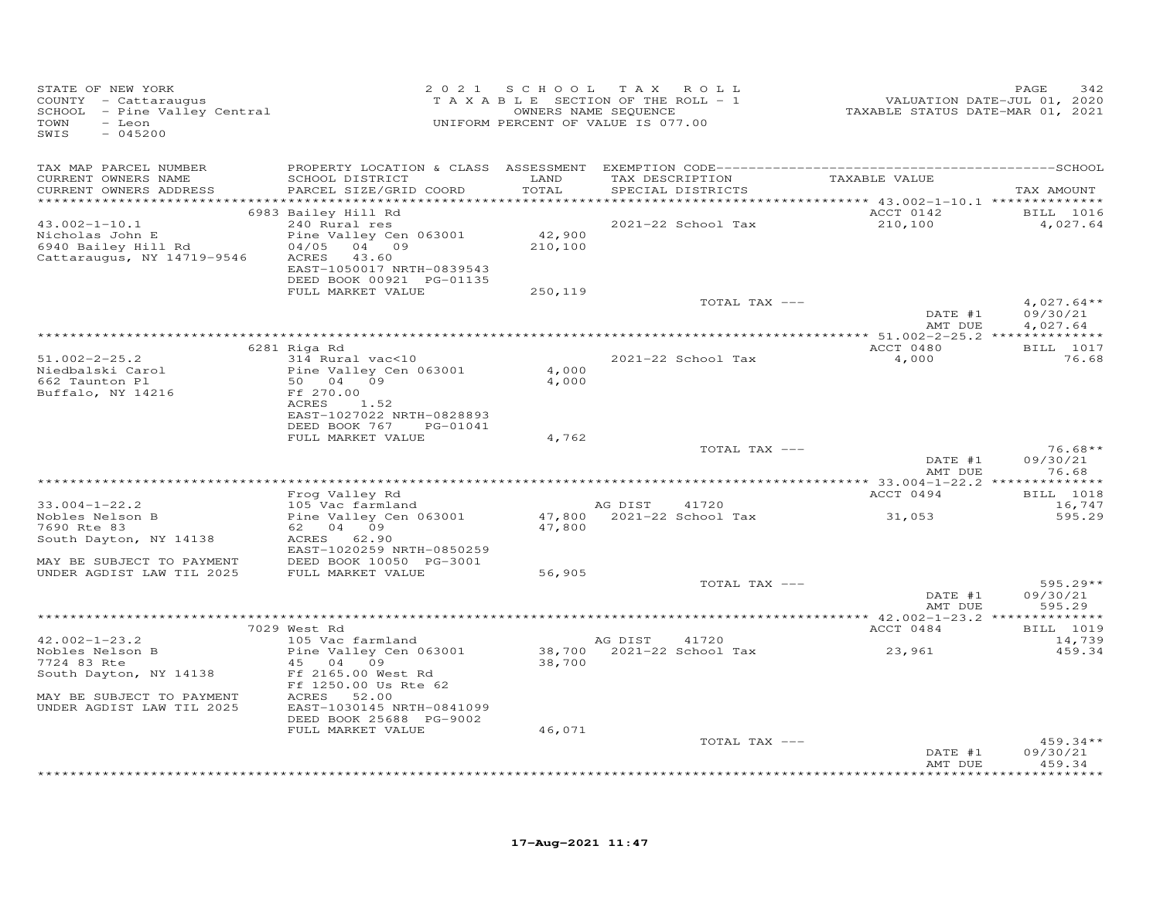| TAX MAP PARCEL NUMBER<br>CURRENT OWNERS NAME<br>SCHOOL DISTRICT<br>LAND<br>TAXABLE VALUE<br>TAX DESCRIPTION<br>CURRENT OWNERS ADDRESS<br>PARCEL SIZE/GRID COORD<br>TOTAL<br>SPECIAL DISTRICTS<br>TAX AMOUNT<br>************<br>**********************<br>ACCT 0142<br>6983 Bailey Hill Rd<br>BILL 1016<br>240 Rural res<br>$43.002 - 1 - 10.1$<br>2021-22 School Tax<br>210,100<br>4,027.64<br>42,900<br>Pine Valley Cen 063001<br>Nicholas John E<br>6940 Bailey Hill Rd<br>04/05<br>04 09<br>210,100<br>Cattaraugus, NY 14719-9546<br>ACRES<br>43.60<br>EAST-1050017 NRTH-0839543<br>DEED BOOK 00921 PG-01135<br>FULL MARKET VALUE<br>250,119<br>TOTAL TAX ---<br>$4,027.64**$<br>09/30/21<br>DATE #1<br>AMT DUE<br>4,027.64<br>BILL 1017<br>6281 Riga Rd<br>ACCT 0480<br>2021-22 School Tax<br>$51.002 - 2 - 25.2$<br>76.68<br>314 Rural vac<10<br>4,000<br>Pine Valley Cen 063001<br>4,000<br>Niedbalski Carol<br>4,000<br>662 Taunton Pl<br>50 04 09<br>Ff 270.00<br>Buffalo, NY 14216<br>ACRES<br>1.52<br>EAST-1027022 NRTH-0828893<br>DEED BOOK 767<br>PG-01041<br>4,762<br>FULL MARKET VALUE<br>$76.68**$<br>TOTAL TAX ---<br>09/30/21<br>DATE #1<br>76.68<br>AMT DUE<br>ACCT 0494<br>BILL 1018<br>Frog Valley Rd<br>$33.004 - 1 - 22.2$<br>105 Vac farmland<br>AG DIST<br>41720<br>16,747<br>Pine Valley Cen 063001<br>47,800 2021-22 School Tax<br>31,053<br>595.29<br>Nobles Nelson B<br>47,800<br>7690 Rte 83<br>62 04 09<br>ACRES<br>62.90<br>South Dayton, NY 14138<br>EAST-1020259 NRTH-0850259<br>MAY BE SUBJECT TO PAYMENT<br>DEED BOOK 10050 PG-3001<br>UNDER AGDIST LAW TIL 2025<br>FULL MARKET VALUE<br>56,905<br>TOTAL TAX ---<br>$595.29**$<br>DATE #1<br>09/30/21<br>AMT DUE<br>595.29<br>ACCT 0484<br>BILL 1019<br>7029 West Rd<br>$42.002 - 1 - 23.2$<br>105 Vac farmland<br>AG DIST<br>41720<br>14,739<br>2021-22 School Tax<br>Nobles Nelson B<br>Pine Valley Cen 063001<br>38,700<br>23,961<br>459.34<br>7724 83 Rte<br>45<br>04<br>09<br>38,700<br>South Dayton, NY 14138<br>Ff 2165.00 West Rd<br>Ff 1250.00 Us Rte 62<br>MAY BE SUBJECT TO PAYMENT<br>ACRES<br>52.00<br>UNDER AGDIST LAW TIL 2025<br>EAST-1030145 NRTH-0841099<br>DEED BOOK 25688 PG-9002<br>FULL MARKET VALUE<br>46,071<br>TOTAL TAX ---<br>$459.34**$<br>DATE #1<br>09/30/21<br>459.34<br>AMT DUE<br>+ + + + + + + + | STATE OF NEW YORK<br>COUNTY - Cattaraugus<br>SCHOOL - Pine Valley Central<br>TOWN<br>- Leon<br>SWIS<br>$-045200$ | 2021 SCHOOL<br>TAXABLE SECTION OF THE ROLL - 1<br>UNIFORM PERCENT OF VALUE IS 077.00 | T A X<br>OWNERS NAME SEQUENCE | ROLL | VALUATION DATE-JUL 01, 2020<br>TAXABLE STATUS DATE-MAR 01, 2021 | PAGE<br>342 |
|-----------------------------------------------------------------------------------------------------------------------------------------------------------------------------------------------------------------------------------------------------------------------------------------------------------------------------------------------------------------------------------------------------------------------------------------------------------------------------------------------------------------------------------------------------------------------------------------------------------------------------------------------------------------------------------------------------------------------------------------------------------------------------------------------------------------------------------------------------------------------------------------------------------------------------------------------------------------------------------------------------------------------------------------------------------------------------------------------------------------------------------------------------------------------------------------------------------------------------------------------------------------------------------------------------------------------------------------------------------------------------------------------------------------------------------------------------------------------------------------------------------------------------------------------------------------------------------------------------------------------------------------------------------------------------------------------------------------------------------------------------------------------------------------------------------------------------------------------------------------------------------------------------------------------------------------------------------------------------------------------------------------------------------------------------------------------------------------------------------------------------------------------------------------------------------------------------------------------------------------------------------------------------------------------------------------------|------------------------------------------------------------------------------------------------------------------|--------------------------------------------------------------------------------------|-------------------------------|------|-----------------------------------------------------------------|-------------|
|                                                                                                                                                                                                                                                                                                                                                                                                                                                                                                                                                                                                                                                                                                                                                                                                                                                                                                                                                                                                                                                                                                                                                                                                                                                                                                                                                                                                                                                                                                                                                                                                                                                                                                                                                                                                                                                                                                                                                                                                                                                                                                                                                                                                                                                                                                                       |                                                                                                                  |                                                                                      |                               |      |                                                                 |             |
|                                                                                                                                                                                                                                                                                                                                                                                                                                                                                                                                                                                                                                                                                                                                                                                                                                                                                                                                                                                                                                                                                                                                                                                                                                                                                                                                                                                                                                                                                                                                                                                                                                                                                                                                                                                                                                                                                                                                                                                                                                                                                                                                                                                                                                                                                                                       |                                                                                                                  |                                                                                      |                               |      |                                                                 |             |
|                                                                                                                                                                                                                                                                                                                                                                                                                                                                                                                                                                                                                                                                                                                                                                                                                                                                                                                                                                                                                                                                                                                                                                                                                                                                                                                                                                                                                                                                                                                                                                                                                                                                                                                                                                                                                                                                                                                                                                                                                                                                                                                                                                                                                                                                                                                       |                                                                                                                  |                                                                                      |                               |      |                                                                 |             |
|                                                                                                                                                                                                                                                                                                                                                                                                                                                                                                                                                                                                                                                                                                                                                                                                                                                                                                                                                                                                                                                                                                                                                                                                                                                                                                                                                                                                                                                                                                                                                                                                                                                                                                                                                                                                                                                                                                                                                                                                                                                                                                                                                                                                                                                                                                                       |                                                                                                                  |                                                                                      |                               |      |                                                                 |             |
|                                                                                                                                                                                                                                                                                                                                                                                                                                                                                                                                                                                                                                                                                                                                                                                                                                                                                                                                                                                                                                                                                                                                                                                                                                                                                                                                                                                                                                                                                                                                                                                                                                                                                                                                                                                                                                                                                                                                                                                                                                                                                                                                                                                                                                                                                                                       |                                                                                                                  |                                                                                      |                               |      |                                                                 |             |
|                                                                                                                                                                                                                                                                                                                                                                                                                                                                                                                                                                                                                                                                                                                                                                                                                                                                                                                                                                                                                                                                                                                                                                                                                                                                                                                                                                                                                                                                                                                                                                                                                                                                                                                                                                                                                                                                                                                                                                                                                                                                                                                                                                                                                                                                                                                       |                                                                                                                  |                                                                                      |                               |      |                                                                 |             |
|                                                                                                                                                                                                                                                                                                                                                                                                                                                                                                                                                                                                                                                                                                                                                                                                                                                                                                                                                                                                                                                                                                                                                                                                                                                                                                                                                                                                                                                                                                                                                                                                                                                                                                                                                                                                                                                                                                                                                                                                                                                                                                                                                                                                                                                                                                                       |                                                                                                                  |                                                                                      |                               |      |                                                                 |             |
|                                                                                                                                                                                                                                                                                                                                                                                                                                                                                                                                                                                                                                                                                                                                                                                                                                                                                                                                                                                                                                                                                                                                                                                                                                                                                                                                                                                                                                                                                                                                                                                                                                                                                                                                                                                                                                                                                                                                                                                                                                                                                                                                                                                                                                                                                                                       |                                                                                                                  |                                                                                      |                               |      |                                                                 |             |
|                                                                                                                                                                                                                                                                                                                                                                                                                                                                                                                                                                                                                                                                                                                                                                                                                                                                                                                                                                                                                                                                                                                                                                                                                                                                                                                                                                                                                                                                                                                                                                                                                                                                                                                                                                                                                                                                                                                                                                                                                                                                                                                                                                                                                                                                                                                       |                                                                                                                  |                                                                                      |                               |      |                                                                 |             |
|                                                                                                                                                                                                                                                                                                                                                                                                                                                                                                                                                                                                                                                                                                                                                                                                                                                                                                                                                                                                                                                                                                                                                                                                                                                                                                                                                                                                                                                                                                                                                                                                                                                                                                                                                                                                                                                                                                                                                                                                                                                                                                                                                                                                                                                                                                                       |                                                                                                                  |                                                                                      |                               |      |                                                                 |             |
|                                                                                                                                                                                                                                                                                                                                                                                                                                                                                                                                                                                                                                                                                                                                                                                                                                                                                                                                                                                                                                                                                                                                                                                                                                                                                                                                                                                                                                                                                                                                                                                                                                                                                                                                                                                                                                                                                                                                                                                                                                                                                                                                                                                                                                                                                                                       |                                                                                                                  |                                                                                      |                               |      |                                                                 |             |
|                                                                                                                                                                                                                                                                                                                                                                                                                                                                                                                                                                                                                                                                                                                                                                                                                                                                                                                                                                                                                                                                                                                                                                                                                                                                                                                                                                                                                                                                                                                                                                                                                                                                                                                                                                                                                                                                                                                                                                                                                                                                                                                                                                                                                                                                                                                       |                                                                                                                  |                                                                                      |                               |      |                                                                 |             |
|                                                                                                                                                                                                                                                                                                                                                                                                                                                                                                                                                                                                                                                                                                                                                                                                                                                                                                                                                                                                                                                                                                                                                                                                                                                                                                                                                                                                                                                                                                                                                                                                                                                                                                                                                                                                                                                                                                                                                                                                                                                                                                                                                                                                                                                                                                                       |                                                                                                                  |                                                                                      |                               |      |                                                                 |             |
|                                                                                                                                                                                                                                                                                                                                                                                                                                                                                                                                                                                                                                                                                                                                                                                                                                                                                                                                                                                                                                                                                                                                                                                                                                                                                                                                                                                                                                                                                                                                                                                                                                                                                                                                                                                                                                                                                                                                                                                                                                                                                                                                                                                                                                                                                                                       |                                                                                                                  |                                                                                      |                               |      |                                                                 |             |
|                                                                                                                                                                                                                                                                                                                                                                                                                                                                                                                                                                                                                                                                                                                                                                                                                                                                                                                                                                                                                                                                                                                                                                                                                                                                                                                                                                                                                                                                                                                                                                                                                                                                                                                                                                                                                                                                                                                                                                                                                                                                                                                                                                                                                                                                                                                       |                                                                                                                  |                                                                                      |                               |      |                                                                 |             |
|                                                                                                                                                                                                                                                                                                                                                                                                                                                                                                                                                                                                                                                                                                                                                                                                                                                                                                                                                                                                                                                                                                                                                                                                                                                                                                                                                                                                                                                                                                                                                                                                                                                                                                                                                                                                                                                                                                                                                                                                                                                                                                                                                                                                                                                                                                                       |                                                                                                                  |                                                                                      |                               |      |                                                                 |             |
|                                                                                                                                                                                                                                                                                                                                                                                                                                                                                                                                                                                                                                                                                                                                                                                                                                                                                                                                                                                                                                                                                                                                                                                                                                                                                                                                                                                                                                                                                                                                                                                                                                                                                                                                                                                                                                                                                                                                                                                                                                                                                                                                                                                                                                                                                                                       |                                                                                                                  |                                                                                      |                               |      |                                                                 |             |
|                                                                                                                                                                                                                                                                                                                                                                                                                                                                                                                                                                                                                                                                                                                                                                                                                                                                                                                                                                                                                                                                                                                                                                                                                                                                                                                                                                                                                                                                                                                                                                                                                                                                                                                                                                                                                                                                                                                                                                                                                                                                                                                                                                                                                                                                                                                       |                                                                                                                  |                                                                                      |                               |      |                                                                 |             |
|                                                                                                                                                                                                                                                                                                                                                                                                                                                                                                                                                                                                                                                                                                                                                                                                                                                                                                                                                                                                                                                                                                                                                                                                                                                                                                                                                                                                                                                                                                                                                                                                                                                                                                                                                                                                                                                                                                                                                                                                                                                                                                                                                                                                                                                                                                                       |                                                                                                                  |                                                                                      |                               |      |                                                                 |             |
|                                                                                                                                                                                                                                                                                                                                                                                                                                                                                                                                                                                                                                                                                                                                                                                                                                                                                                                                                                                                                                                                                                                                                                                                                                                                                                                                                                                                                                                                                                                                                                                                                                                                                                                                                                                                                                                                                                                                                                                                                                                                                                                                                                                                                                                                                                                       |                                                                                                                  |                                                                                      |                               |      |                                                                 |             |
|                                                                                                                                                                                                                                                                                                                                                                                                                                                                                                                                                                                                                                                                                                                                                                                                                                                                                                                                                                                                                                                                                                                                                                                                                                                                                                                                                                                                                                                                                                                                                                                                                                                                                                                                                                                                                                                                                                                                                                                                                                                                                                                                                                                                                                                                                                                       |                                                                                                                  |                                                                                      |                               |      |                                                                 |             |
|                                                                                                                                                                                                                                                                                                                                                                                                                                                                                                                                                                                                                                                                                                                                                                                                                                                                                                                                                                                                                                                                                                                                                                                                                                                                                                                                                                                                                                                                                                                                                                                                                                                                                                                                                                                                                                                                                                                                                                                                                                                                                                                                                                                                                                                                                                                       |                                                                                                                  |                                                                                      |                               |      |                                                                 |             |
|                                                                                                                                                                                                                                                                                                                                                                                                                                                                                                                                                                                                                                                                                                                                                                                                                                                                                                                                                                                                                                                                                                                                                                                                                                                                                                                                                                                                                                                                                                                                                                                                                                                                                                                                                                                                                                                                                                                                                                                                                                                                                                                                                                                                                                                                                                                       |                                                                                                                  |                                                                                      |                               |      |                                                                 |             |
|                                                                                                                                                                                                                                                                                                                                                                                                                                                                                                                                                                                                                                                                                                                                                                                                                                                                                                                                                                                                                                                                                                                                                                                                                                                                                                                                                                                                                                                                                                                                                                                                                                                                                                                                                                                                                                                                                                                                                                                                                                                                                                                                                                                                                                                                                                                       |                                                                                                                  |                                                                                      |                               |      |                                                                 |             |
|                                                                                                                                                                                                                                                                                                                                                                                                                                                                                                                                                                                                                                                                                                                                                                                                                                                                                                                                                                                                                                                                                                                                                                                                                                                                                                                                                                                                                                                                                                                                                                                                                                                                                                                                                                                                                                                                                                                                                                                                                                                                                                                                                                                                                                                                                                                       |                                                                                                                  |                                                                                      |                               |      |                                                                 |             |
|                                                                                                                                                                                                                                                                                                                                                                                                                                                                                                                                                                                                                                                                                                                                                                                                                                                                                                                                                                                                                                                                                                                                                                                                                                                                                                                                                                                                                                                                                                                                                                                                                                                                                                                                                                                                                                                                                                                                                                                                                                                                                                                                                                                                                                                                                                                       |                                                                                                                  |                                                                                      |                               |      |                                                                 |             |
|                                                                                                                                                                                                                                                                                                                                                                                                                                                                                                                                                                                                                                                                                                                                                                                                                                                                                                                                                                                                                                                                                                                                                                                                                                                                                                                                                                                                                                                                                                                                                                                                                                                                                                                                                                                                                                                                                                                                                                                                                                                                                                                                                                                                                                                                                                                       |                                                                                                                  |                                                                                      |                               |      |                                                                 |             |
|                                                                                                                                                                                                                                                                                                                                                                                                                                                                                                                                                                                                                                                                                                                                                                                                                                                                                                                                                                                                                                                                                                                                                                                                                                                                                                                                                                                                                                                                                                                                                                                                                                                                                                                                                                                                                                                                                                                                                                                                                                                                                                                                                                                                                                                                                                                       |                                                                                                                  |                                                                                      |                               |      |                                                                 |             |
|                                                                                                                                                                                                                                                                                                                                                                                                                                                                                                                                                                                                                                                                                                                                                                                                                                                                                                                                                                                                                                                                                                                                                                                                                                                                                                                                                                                                                                                                                                                                                                                                                                                                                                                                                                                                                                                                                                                                                                                                                                                                                                                                                                                                                                                                                                                       |                                                                                                                  |                                                                                      |                               |      |                                                                 |             |
|                                                                                                                                                                                                                                                                                                                                                                                                                                                                                                                                                                                                                                                                                                                                                                                                                                                                                                                                                                                                                                                                                                                                                                                                                                                                                                                                                                                                                                                                                                                                                                                                                                                                                                                                                                                                                                                                                                                                                                                                                                                                                                                                                                                                                                                                                                                       |                                                                                                                  |                                                                                      |                               |      |                                                                 |             |
|                                                                                                                                                                                                                                                                                                                                                                                                                                                                                                                                                                                                                                                                                                                                                                                                                                                                                                                                                                                                                                                                                                                                                                                                                                                                                                                                                                                                                                                                                                                                                                                                                                                                                                                                                                                                                                                                                                                                                                                                                                                                                                                                                                                                                                                                                                                       |                                                                                                                  |                                                                                      |                               |      |                                                                 |             |
|                                                                                                                                                                                                                                                                                                                                                                                                                                                                                                                                                                                                                                                                                                                                                                                                                                                                                                                                                                                                                                                                                                                                                                                                                                                                                                                                                                                                                                                                                                                                                                                                                                                                                                                                                                                                                                                                                                                                                                                                                                                                                                                                                                                                                                                                                                                       |                                                                                                                  |                                                                                      |                               |      |                                                                 |             |
|                                                                                                                                                                                                                                                                                                                                                                                                                                                                                                                                                                                                                                                                                                                                                                                                                                                                                                                                                                                                                                                                                                                                                                                                                                                                                                                                                                                                                                                                                                                                                                                                                                                                                                                                                                                                                                                                                                                                                                                                                                                                                                                                                                                                                                                                                                                       |                                                                                                                  |                                                                                      |                               |      |                                                                 |             |
|                                                                                                                                                                                                                                                                                                                                                                                                                                                                                                                                                                                                                                                                                                                                                                                                                                                                                                                                                                                                                                                                                                                                                                                                                                                                                                                                                                                                                                                                                                                                                                                                                                                                                                                                                                                                                                                                                                                                                                                                                                                                                                                                                                                                                                                                                                                       |                                                                                                                  |                                                                                      |                               |      |                                                                 |             |
|                                                                                                                                                                                                                                                                                                                                                                                                                                                                                                                                                                                                                                                                                                                                                                                                                                                                                                                                                                                                                                                                                                                                                                                                                                                                                                                                                                                                                                                                                                                                                                                                                                                                                                                                                                                                                                                                                                                                                                                                                                                                                                                                                                                                                                                                                                                       |                                                                                                                  |                                                                                      |                               |      |                                                                 |             |
|                                                                                                                                                                                                                                                                                                                                                                                                                                                                                                                                                                                                                                                                                                                                                                                                                                                                                                                                                                                                                                                                                                                                                                                                                                                                                                                                                                                                                                                                                                                                                                                                                                                                                                                                                                                                                                                                                                                                                                                                                                                                                                                                                                                                                                                                                                                       |                                                                                                                  |                                                                                      |                               |      |                                                                 |             |
|                                                                                                                                                                                                                                                                                                                                                                                                                                                                                                                                                                                                                                                                                                                                                                                                                                                                                                                                                                                                                                                                                                                                                                                                                                                                                                                                                                                                                                                                                                                                                                                                                                                                                                                                                                                                                                                                                                                                                                                                                                                                                                                                                                                                                                                                                                                       |                                                                                                                  |                                                                                      |                               |      |                                                                 |             |
|                                                                                                                                                                                                                                                                                                                                                                                                                                                                                                                                                                                                                                                                                                                                                                                                                                                                                                                                                                                                                                                                                                                                                                                                                                                                                                                                                                                                                                                                                                                                                                                                                                                                                                                                                                                                                                                                                                                                                                                                                                                                                                                                                                                                                                                                                                                       |                                                                                                                  |                                                                                      |                               |      |                                                                 |             |
|                                                                                                                                                                                                                                                                                                                                                                                                                                                                                                                                                                                                                                                                                                                                                                                                                                                                                                                                                                                                                                                                                                                                                                                                                                                                                                                                                                                                                                                                                                                                                                                                                                                                                                                                                                                                                                                                                                                                                                                                                                                                                                                                                                                                                                                                                                                       |                                                                                                                  |                                                                                      |                               |      |                                                                 |             |
|                                                                                                                                                                                                                                                                                                                                                                                                                                                                                                                                                                                                                                                                                                                                                                                                                                                                                                                                                                                                                                                                                                                                                                                                                                                                                                                                                                                                                                                                                                                                                                                                                                                                                                                                                                                                                                                                                                                                                                                                                                                                                                                                                                                                                                                                                                                       |                                                                                                                  |                                                                                      |                               |      |                                                                 |             |
|                                                                                                                                                                                                                                                                                                                                                                                                                                                                                                                                                                                                                                                                                                                                                                                                                                                                                                                                                                                                                                                                                                                                                                                                                                                                                                                                                                                                                                                                                                                                                                                                                                                                                                                                                                                                                                                                                                                                                                                                                                                                                                                                                                                                                                                                                                                       |                                                                                                                  |                                                                                      |                               |      |                                                                 |             |
|                                                                                                                                                                                                                                                                                                                                                                                                                                                                                                                                                                                                                                                                                                                                                                                                                                                                                                                                                                                                                                                                                                                                                                                                                                                                                                                                                                                                                                                                                                                                                                                                                                                                                                                                                                                                                                                                                                                                                                                                                                                                                                                                                                                                                                                                                                                       |                                                                                                                  |                                                                                      |                               |      |                                                                 |             |
|                                                                                                                                                                                                                                                                                                                                                                                                                                                                                                                                                                                                                                                                                                                                                                                                                                                                                                                                                                                                                                                                                                                                                                                                                                                                                                                                                                                                                                                                                                                                                                                                                                                                                                                                                                                                                                                                                                                                                                                                                                                                                                                                                                                                                                                                                                                       |                                                                                                                  |                                                                                      |                               |      |                                                                 |             |
|                                                                                                                                                                                                                                                                                                                                                                                                                                                                                                                                                                                                                                                                                                                                                                                                                                                                                                                                                                                                                                                                                                                                                                                                                                                                                                                                                                                                                                                                                                                                                                                                                                                                                                                                                                                                                                                                                                                                                                                                                                                                                                                                                                                                                                                                                                                       |                                                                                                                  |                                                                                      |                               |      |                                                                 |             |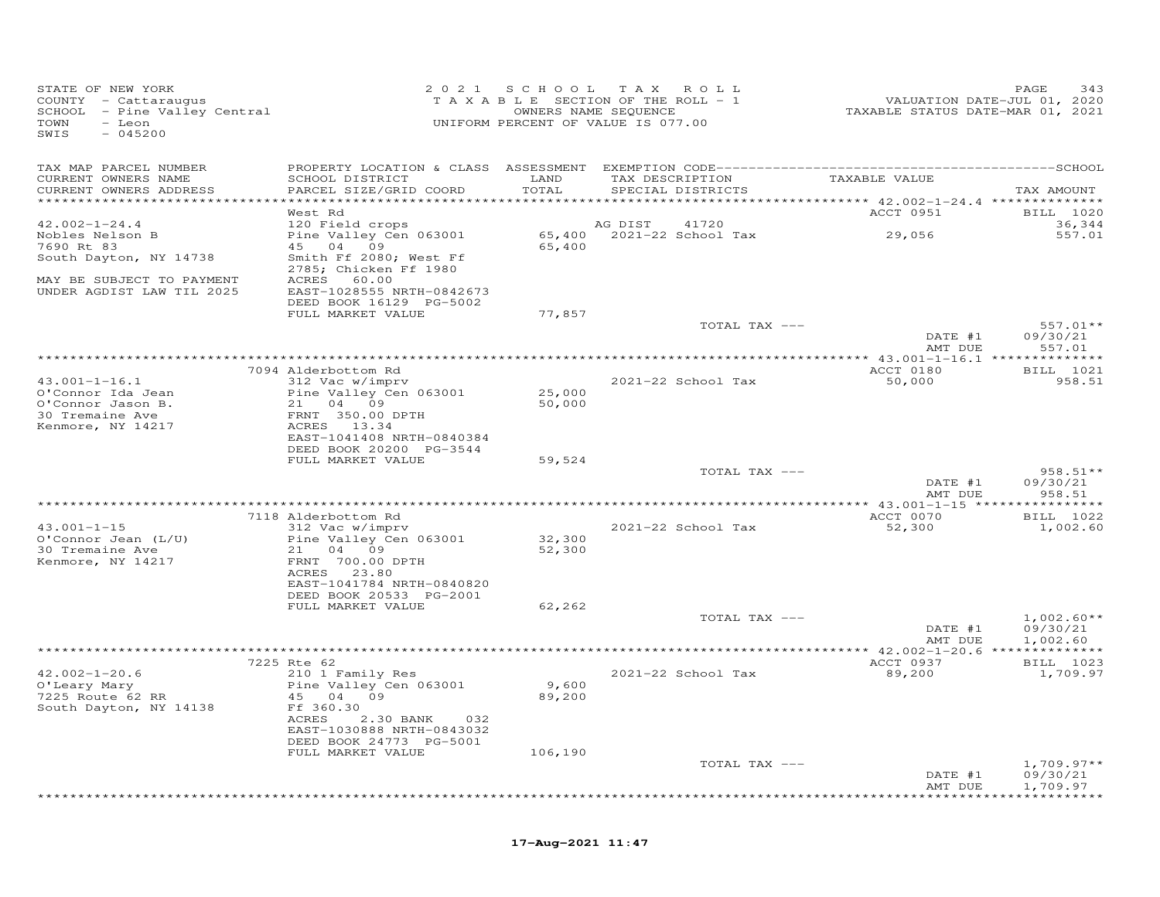| STATE OF NEW YORK<br>COUNTY - Cattaraugus<br>SCHOOL - Pine Valley Central<br>TOWN<br>- Leon<br>SWIS<br>$-045200$ | 2 0 2 1                                                                                        | SCHOOL                                 | TAX ROLL<br>TAXABLE SECTION OF THE ROLL - 1<br>OWNERS NAME SEQUENCE<br>UNIFORM PERCENT OF VALUE IS 077.00 | VALUATION DATE-JUL 01, 2020<br>TAXABLE STATUS DATE-MAR 01, 2021 | PAGE<br>343                          |
|------------------------------------------------------------------------------------------------------------------|------------------------------------------------------------------------------------------------|----------------------------------------|-----------------------------------------------------------------------------------------------------------|-----------------------------------------------------------------|--------------------------------------|
| TAX MAP PARCEL NUMBER<br>CURRENT OWNERS NAME<br>CURRENT OWNERS ADDRESS                                           | SCHOOL DISTRICT<br>PARCEL SIZE/GRID COORD                                                      | LAND<br>TOTAL<br>* * * * * * * * * * * | TAX DESCRIPTION<br>SPECIAL DISTRICTS                                                                      | TAXABLE VALUE<br>********** 42.002-1-24.4 ***************       | TAX AMOUNT                           |
|                                                                                                                  | West Rd                                                                                        |                                        |                                                                                                           | ACCT 0951                                                       | <b>BILL</b> 1020                     |
| $42.002 - 1 - 24.4$<br>Nobles Nelson B                                                                           | 120 Field crops<br>Pine Valley Cen 063001                                                      |                                        | AG DIST<br>41720<br>65,400 2021-22 School Tax                                                             | 29,056                                                          | 36,344<br>557.01                     |
| 7690 Rt 83<br>South Dayton, NY 14738                                                                             | 45 04 09<br>Smith Ff 2080; West Ff<br>2785; Chicken Ff 1980                                    | 65,400                                 |                                                                                                           |                                                                 |                                      |
| MAY BE SUBJECT TO PAYMENT<br>UNDER AGDIST LAW TIL 2025                                                           | ACRES 60.00<br>EAST-1028555 NRTH-0842673<br>DEED BOOK 16129 PG-5002                            |                                        |                                                                                                           |                                                                 |                                      |
|                                                                                                                  | FULL MARKET VALUE                                                                              | 77,857                                 | TOTAL TAX ---                                                                                             |                                                                 | 557.01**                             |
|                                                                                                                  |                                                                                                |                                        |                                                                                                           | DATE #1<br>AMT DUE                                              | 09/30/21<br>557.01                   |
|                                                                                                                  |                                                                                                |                                        |                                                                                                           |                                                                 |                                      |
| $43.001 - 1 - 16.1$<br>O'Connor Ida Jean                                                                         | 7094 Alderbottom Rd<br>312 Vac w/imprv<br>Pine Valley Cen 063001                               | 25,000                                 | 2021-22 School Tax                                                                                        | ACCT 0180<br>50,000                                             | BILL 1021<br>958.51                  |
| O'Connor Jason B.<br>30 Tremaine Ave<br>Kenmore, NY 14217                                                        | 21 04 09<br>FRNT 350.00 DPTH<br>ACRES 13.34<br>EAST-1041408 NRTH-0840384                       | 50,000                                 |                                                                                                           |                                                                 |                                      |
|                                                                                                                  | DEED BOOK 20200 PG-3544<br>FULL MARKET VALUE                                                   | 59,524                                 |                                                                                                           |                                                                 |                                      |
|                                                                                                                  |                                                                                                |                                        | TOTAL TAX ---                                                                                             | DATE #1                                                         | $958.51**$<br>09/30/21               |
|                                                                                                                  |                                                                                                |                                        |                                                                                                           | AMT DUE                                                         | 958.51                               |
| $43.001 - 1 - 15$                                                                                                | 7118 Alderbottom Rd<br>312 Vac w/imprv                                                         |                                        | 2021-22 School Tax                                                                                        | ACCT 0070<br>52,300                                             | BILL 1022<br>1,002.60                |
| $O'Connor$ Jean $(L/U)$<br>30 Tremaine Ave<br>Kenmore, NY 14217                                                  | Pine Valley Cen 063001<br>21 04 09<br>FRNT 700.00 DPTH<br>ACRES 23.80                          | 32,300<br>52,300                       |                                                                                                           |                                                                 |                                      |
|                                                                                                                  | EAST-1041784 NRTH-0840820<br>DEED BOOK 20533 PG-2001                                           |                                        |                                                                                                           |                                                                 |                                      |
|                                                                                                                  | FULL MARKET VALUE                                                                              | 62,262                                 | TOTAL TAX ---                                                                                             |                                                                 | $1,002.60**$                         |
|                                                                                                                  |                                                                                                |                                        |                                                                                                           | DATE #1<br>AMT DUE                                              | 09/30/21<br>1,002.60                 |
|                                                                                                                  | 7225 Rte 62                                                                                    |                                        |                                                                                                           | ACCT 0937                                                       | BILL 1023                            |
| $42.002 - 1 - 20.6$<br>O'Leary Mary<br>7225 Route 62 RR                                                          | 210 1 Family Res<br>Pine Valley Cen 063001<br>45 04 09                                         | 9,600<br>89,200                        | 2021-22 School Tax                                                                                        | 89,200                                                          | 1,709.97                             |
| South Dayton, NY 14138                                                                                           | Ff 360.30<br>ACRES<br>2.30 BANK<br>032<br>EAST-1030888 NRTH-0843032<br>DEED BOOK 24773 PG-5001 |                                        |                                                                                                           |                                                                 |                                      |
|                                                                                                                  | FULL MARKET VALUE                                                                              | 106,190                                |                                                                                                           |                                                                 |                                      |
|                                                                                                                  |                                                                                                |                                        | TOTAL TAX ---                                                                                             | DATE #1<br>AMT DUE                                              | $1,709.97**$<br>09/30/21<br>1,709.97 |
|                                                                                                                  |                                                                                                |                                        |                                                                                                           |                                                                 | **********                           |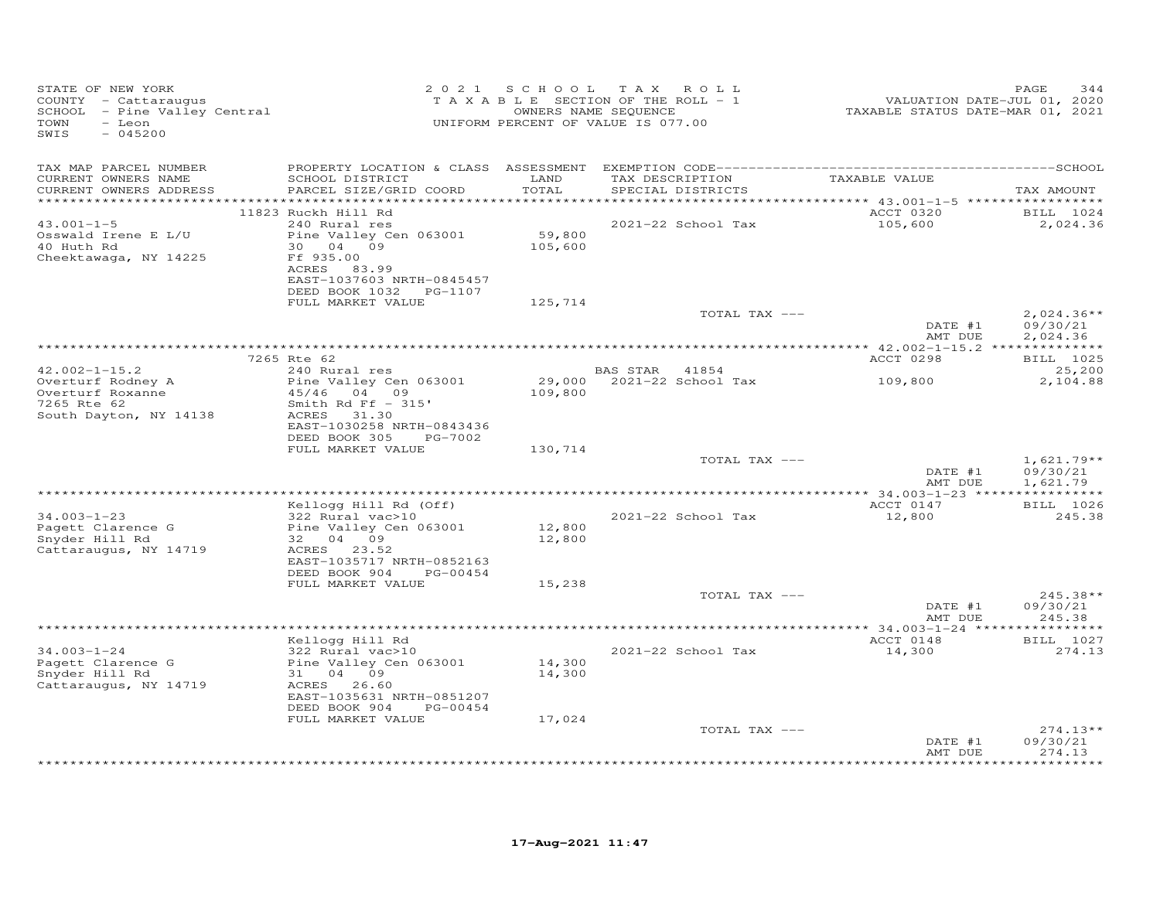| STATE OF NEW YORK<br>COUNTY - Cattaraugus<br>SCHOOL - Pine Valley Central<br>TOWN<br>- Leon<br>SWIS<br>$-045200$ |                                                       |               | 2021 SCHOOL TAX ROLL<br>TAXABLE SECTION OF THE ROLL - 1<br>OWNERS NAME SEQUENCE<br>UNIFORM PERCENT OF VALUE IS 077.00 | VALUATION DATE-JUL 01, 2020<br>TAXABLE STATUS DATE-MAR 01, 2021 | PAGE<br>344          |
|------------------------------------------------------------------------------------------------------------------|-------------------------------------------------------|---------------|-----------------------------------------------------------------------------------------------------------------------|-----------------------------------------------------------------|----------------------|
| TAX MAP PARCEL NUMBER                                                                                            |                                                       |               |                                                                                                                       |                                                                 |                      |
| CURRENT OWNERS NAME<br>CURRENT OWNERS ADDRESS                                                                    | SCHOOL DISTRICT<br>PARCEL SIZE/GRID COORD             | LAND<br>TOTAL | TAX DESCRIPTION TAXABLE VALUE<br>SPECIAL DISTRICTS                                                                    |                                                                 | TAX AMOUNT           |
|                                                                                                                  | 11823 Ruckh Hill Rd                                   |               |                                                                                                                       | ACCT 0320 BILL 1024                                             |                      |
| $43.001 - 1 - 5$                                                                                                 | 240 Rural res                                         |               | 2021-22 School Tax                                                                                                    | 105,600                                                         | 2,024.36             |
| Osswald Irene E L/U                                                                                              | Pine Valley Cen 063001                                | 59,800        |                                                                                                                       |                                                                 |                      |
| 40 Huth Rd                                                                                                       | 30 04 09                                              | 105,600       |                                                                                                                       |                                                                 |                      |
| Cheektawaga, NY 14225                                                                                            | Ff 935.00<br>ACRES 83.99<br>EAST-1037603 NRTH-0845457 |               |                                                                                                                       |                                                                 |                      |
|                                                                                                                  | DEED BOOK 1032    PG-1107<br>FULL MARKET VALUE        | 125,714       |                                                                                                                       |                                                                 |                      |
|                                                                                                                  |                                                       |               | TOTAL TAX ---                                                                                                         |                                                                 | $2,024.36**$         |
|                                                                                                                  |                                                       |               |                                                                                                                       | DATE #1<br>AMT DUE                                              | 09/30/21<br>2,024.36 |
|                                                                                                                  |                                                       |               |                                                                                                                       |                                                                 |                      |
|                                                                                                                  | 7265 Rte 62                                           |               |                                                                                                                       | ACCT 0298                                                       | BILL 1025            |
| $42.002 - 1 - 15.2$<br>Overturf Rodney A                                                                         | 240 Rural res<br>Pine Valley Cen 063001               |               | BAS STAR 41854<br>29,000 2021-22 School Tax                                                                           | 109,800                                                         | 25,200<br>2,104.88   |
| Overturf Roxanne                                                                                                 | $45/46$ 04 09                                         | 109,800       |                                                                                                                       |                                                                 |                      |
| 7265 Rte 62                                                                                                      | Smith Rd Ff $-315$ '                                  |               |                                                                                                                       |                                                                 |                      |
| South Dayton, NY 14138                                                                                           | ACRES 31.30                                           |               |                                                                                                                       |                                                                 |                      |
|                                                                                                                  | EAST-1030258 NRTH-0843436                             |               |                                                                                                                       |                                                                 |                      |
|                                                                                                                  | DEED BOOK 305<br>PG-7002<br>FULL MARKET VALUE         | 130,714       |                                                                                                                       |                                                                 |                      |
|                                                                                                                  |                                                       |               | TOTAL TAX ---                                                                                                         |                                                                 | $1,621.79**$         |
|                                                                                                                  |                                                       |               |                                                                                                                       | DATE #1<br>AMT DUE                                              | 09/30/21<br>1,621.79 |
|                                                                                                                  |                                                       |               |                                                                                                                       |                                                                 |                      |
|                                                                                                                  | Kellogg Hill Rd (Off)                                 |               |                                                                                                                       | ACCT 0147                                                       | BILL 1026            |
| $34.003 - 1 - 23$<br>Pagett Clarence G                                                                           | 322 Rural vac>10<br>Pine Valley Cen 063001            | 12,800        | 2021-22 School Tax                                                                                                    | 12,800                                                          | 245.38               |
| Snyder Hill Rd                                                                                                   | 32 04 09                                              | 12,800        |                                                                                                                       |                                                                 |                      |
| Cattaraugus, NY 14719                                                                                            | ACRES 23.52                                           |               |                                                                                                                       |                                                                 |                      |
|                                                                                                                  | EAST-1035717 NRTH-0852163                             |               |                                                                                                                       |                                                                 |                      |
|                                                                                                                  | DEED BOOK 904 PG-00454<br>FULL MARKET VALUE           | 15,238        |                                                                                                                       |                                                                 |                      |
|                                                                                                                  |                                                       |               | TOTAL TAX ---                                                                                                         |                                                                 | $245.38**$           |
|                                                                                                                  |                                                       |               |                                                                                                                       | DATE #1                                                         | 09/30/21             |
|                                                                                                                  |                                                       |               |                                                                                                                       | AMT DUE                                                         | 245.38               |
|                                                                                                                  | Kellogg Hill Rd                                       |               |                                                                                                                       | ACCT 0148                                                       | BILL 1027            |
| $34.003 - 1 - 24$                                                                                                | 322 Rural vac>10                                      |               | 2021-22 School Tax                                                                                                    | 14,300                                                          | 274.13               |
| Pagett Clarence G                                                                                                | Pine Valley Cen 063001                                | 14,300        |                                                                                                                       |                                                                 |                      |
| Snyder Hill Rd                                                                                                   | 31 04 09                                              | 14,300        |                                                                                                                       |                                                                 |                      |
| Cattaraugus, NY 14719                                                                                            | ACRES 26.60                                           |               |                                                                                                                       |                                                                 |                      |
|                                                                                                                  | EAST-1035631 NRTH-0851207<br>DEED BOOK 904 PG-00454   |               |                                                                                                                       |                                                                 |                      |
|                                                                                                                  | FULL MARKET VALUE                                     | 17,024        |                                                                                                                       |                                                                 |                      |
|                                                                                                                  |                                                       |               | TOTAL TAX ---                                                                                                         |                                                                 | $274.13**$           |
|                                                                                                                  |                                                       |               |                                                                                                                       | DATE #1                                                         | 09/30/21             |
|                                                                                                                  |                                                       |               |                                                                                                                       | AMT DUE                                                         | 274.13<br>********** |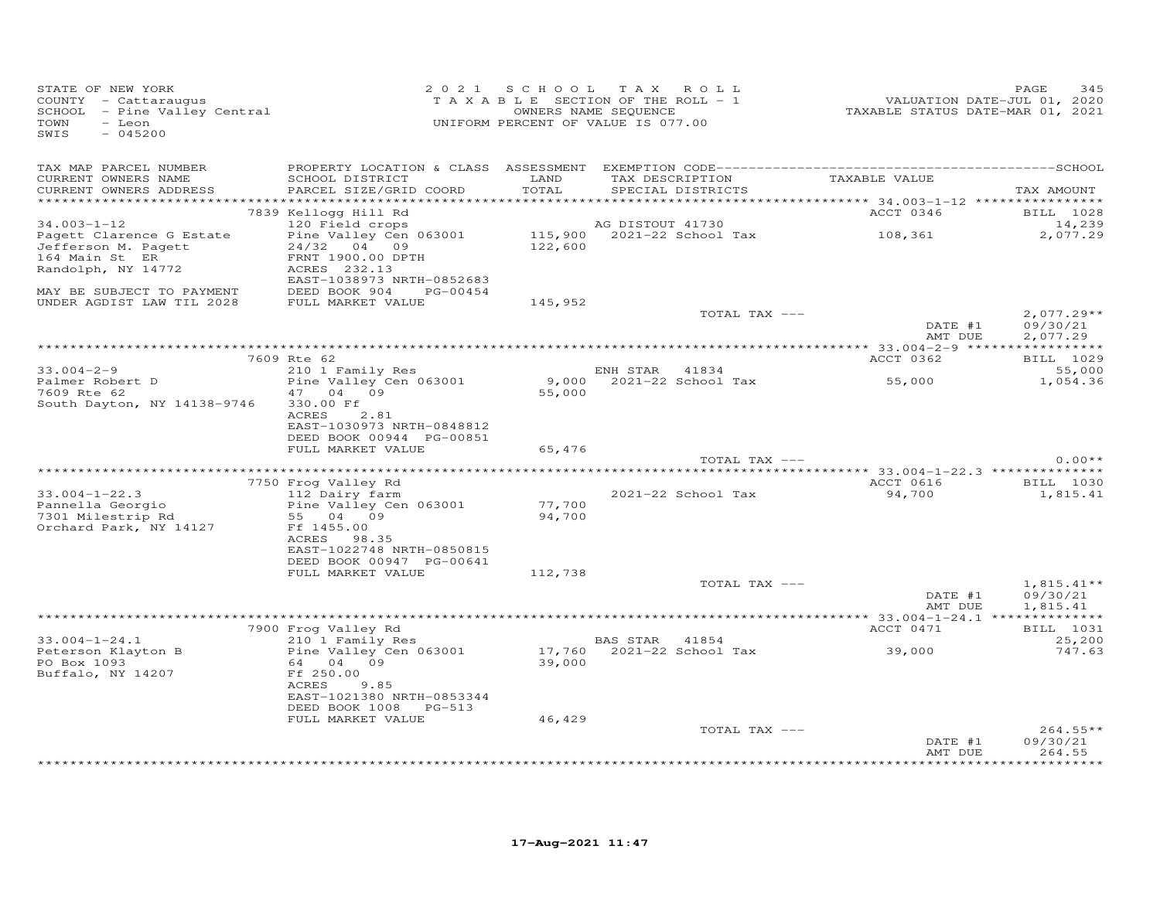| STATE OF NEW YORK<br>COUNTY - Cattaraugus<br>SCHOOL - Pine Valley Central<br>TOWN<br>- Leon<br>SWIS<br>$-045200$ |                                                                                                                | 2021 SCHOOL TAX ROLL<br>UNIFORM PERCENT OF VALUE IS 077.00 |                  | T A X A B L E SECTION OF THE ROLL - 1<br>OWNERS NAME SEQUENCE | r HALUATION DATE-JUL 01, 2020<br>TAXABLE STATUS DATE-MAR 01, 2021 | PAGE<br>345                     |
|------------------------------------------------------------------------------------------------------------------|----------------------------------------------------------------------------------------------------------------|------------------------------------------------------------|------------------|---------------------------------------------------------------|-------------------------------------------------------------------|---------------------------------|
| TAX MAP PARCEL NUMBER<br>CURRENT OWNERS NAME<br>CURRENT OWNERS ADDRESS                                           | SCHOOL DISTRICT<br>PARCEL SIZE/GRID COORD                                                                      | LAND<br>TOTAL                                              |                  | SPECIAL DISTRICTS                                             | TAX DESCRIPTION TAXABLE VALUE                                     | TAX AMOUNT                      |
|                                                                                                                  | 7839 Kellogg Hill Rd                                                                                           |                                                            |                  |                                                               |                                                                   | ACCT 0346 BILL 1028             |
| $34.003 - 1 - 12$                                                                                                | 120 Field crops                                                                                                |                                                            | AG DISTOUT 41730 |                                                               |                                                                   | 14,239                          |
| Pagett Clarence G Estate<br>Jefferson M. Pagett                                                                  | Pine Valley Cen 063001<br>24/32 04 09                                                                          |                                                            |                  |                                                               | 115,900 2021-22 School Tax 108,361<br>122,600                     | 2,077.29                        |
| 164 Main St ER                                                                                                   | FRNT 1900.00 DPTH                                                                                              |                                                            |                  |                                                               |                                                                   |                                 |
| Randolph, NY 14772                                                                                               | ACRES 232.13                                                                                                   |                                                            |                  |                                                               |                                                                   |                                 |
|                                                                                                                  | EAST-1038973 NRTH-0852683                                                                                      |                                                            |                  |                                                               |                                                                   |                                 |
| MAY BE SUBJECT TO PAYMENT DEED BOOK 904 PG-00454<br>UNDER AGDIST LAW TIL 2028 FULL MARKET VALUE                  |                                                                                                                | 145,952                                                    |                  |                                                               |                                                                   |                                 |
|                                                                                                                  |                                                                                                                |                                                            |                  | TOTAL TAX ---                                                 |                                                                   | $2,077.29**$                    |
|                                                                                                                  |                                                                                                                |                                                            |                  |                                                               | DATE $#1$                                                         | 09/30/21<br>AMT DUE<br>2,077.29 |
|                                                                                                                  | 7609 Rte 62                                                                                                    |                                                            |                  |                                                               | ACCT 0362                                                         | BILL 1029                       |
| $33.004 - 2 - 9$                                                                                                 |                                                                                                                |                                                            | ENH STAR 41834   |                                                               |                                                                   | 55,000                          |
| Palmer Robert D<br>7609 Rte 62                                                                                   | 210 1 Family Res<br>Pine Valley Cen 063001                                                                     |                                                            |                  |                                                               | $9,000$ 2021-22 School Tax 55,000<br>55,000                       | 1,054.36                        |
| 7609 Rte 62                                                                                                      | 47 04 09                                                                                                       | 55,000                                                     |                  |                                                               |                                                                   |                                 |
| South Dayton, NY 14138-9746                                                                                      | 330.00 Ff<br>ACRES<br>2.81<br>EAST-1030973 NRTH-0848812<br>DEED BOOK 00944 PG-00851                            |                                                            |                  |                                                               |                                                                   |                                 |
|                                                                                                                  | FULL MARKET VALUE                                                                                              | 65,476                                                     |                  |                                                               |                                                                   |                                 |
|                                                                                                                  |                                                                                                                |                                                            |                  |                                                               | TOTAL TAX ---                                                     | $0.00**$                        |
|                                                                                                                  | 7750 Frog Valley Rd                                                                                            |                                                            |                  |                                                               |                                                                   | ACCT 0616 BILL 1030             |
| $33.004 - 1 - 22.3$                                                                                              | 112 Dairy farm                                                                                                 |                                                            |                  | 2021-22 School Tax                                            | 94,700                                                            | 1,815.41                        |
| Pannella Georgio                                                                                                 | Pine Valley Cen 063001                                                                                         | 77,700                                                     |                  |                                                               |                                                                   |                                 |
| 7301 Milestrip Rd                                                                                                | 55 04 09                                                                                                       | 94,700                                                     |                  |                                                               |                                                                   |                                 |
| Orchard Park, NY 14127                                                                                           | Ff 1455.00                                                                                                     |                                                            |                  |                                                               |                                                                   |                                 |
|                                                                                                                  | ACRES 98.35<br>EAST-1022748 NRTH-0850815                                                                       |                                                            |                  |                                                               |                                                                   |                                 |
|                                                                                                                  | DEED BOOK 00947 PG-00641                                                                                       |                                                            |                  |                                                               |                                                                   |                                 |
|                                                                                                                  | FULL MARKET VALUE                                                                                              | 112,738                                                    |                  |                                                               |                                                                   |                                 |
|                                                                                                                  |                                                                                                                |                                                            |                  | TOTAL TAX ---                                                 |                                                                   | $1,815.41**$                    |
|                                                                                                                  |                                                                                                                |                                                            |                  |                                                               | DATE #1<br>AMT DUE                                                | 09/30/21<br>1,815.41            |
|                                                                                                                  |                                                                                                                |                                                            |                  |                                                               |                                                                   |                                 |
|                                                                                                                  | 7900 Frog Valley Rd                                                                                            |                                                            |                  |                                                               | ACCT 0471                                                         | BILL 1031                       |
| $33.004 - 1 - 24.1$                                                                                              | 210 1 Family Res<br>210 1 Family Res BAS STAR 41854<br>Pine Valley Cen 063001 17,760 2021-22 School Tax 39,000 |                                                            |                  |                                                               |                                                                   | 25,200                          |
| Peterson Klayton B<br>PO Box 1093                                                                                | 64 04 09                                                                                                       | 39,000                                                     |                  |                                                               |                                                                   | 747.63                          |
| Buffalo, NY 14207                                                                                                | Ff 250.00                                                                                                      |                                                            |                  |                                                               |                                                                   |                                 |
|                                                                                                                  | ACRES<br>9.85                                                                                                  |                                                            |                  |                                                               |                                                                   |                                 |
|                                                                                                                  | EAST-1021380 NRTH-0853344                                                                                      |                                                            |                  |                                                               |                                                                   |                                 |
|                                                                                                                  | DEED BOOK 1008 PG-513<br>FULL MARKET VALUE                                                                     | 46,429                                                     |                  |                                                               |                                                                   |                                 |
|                                                                                                                  |                                                                                                                |                                                            |                  | TOTAL TAX ---                                                 |                                                                   | $264.55**$                      |
|                                                                                                                  |                                                                                                                |                                                            |                  |                                                               | DATE #1                                                           | 09/30/21                        |
|                                                                                                                  |                                                                                                                |                                                            |                  |                                                               | AMT DUE                                                           | 264.55<br><b>++++++++++</b>     |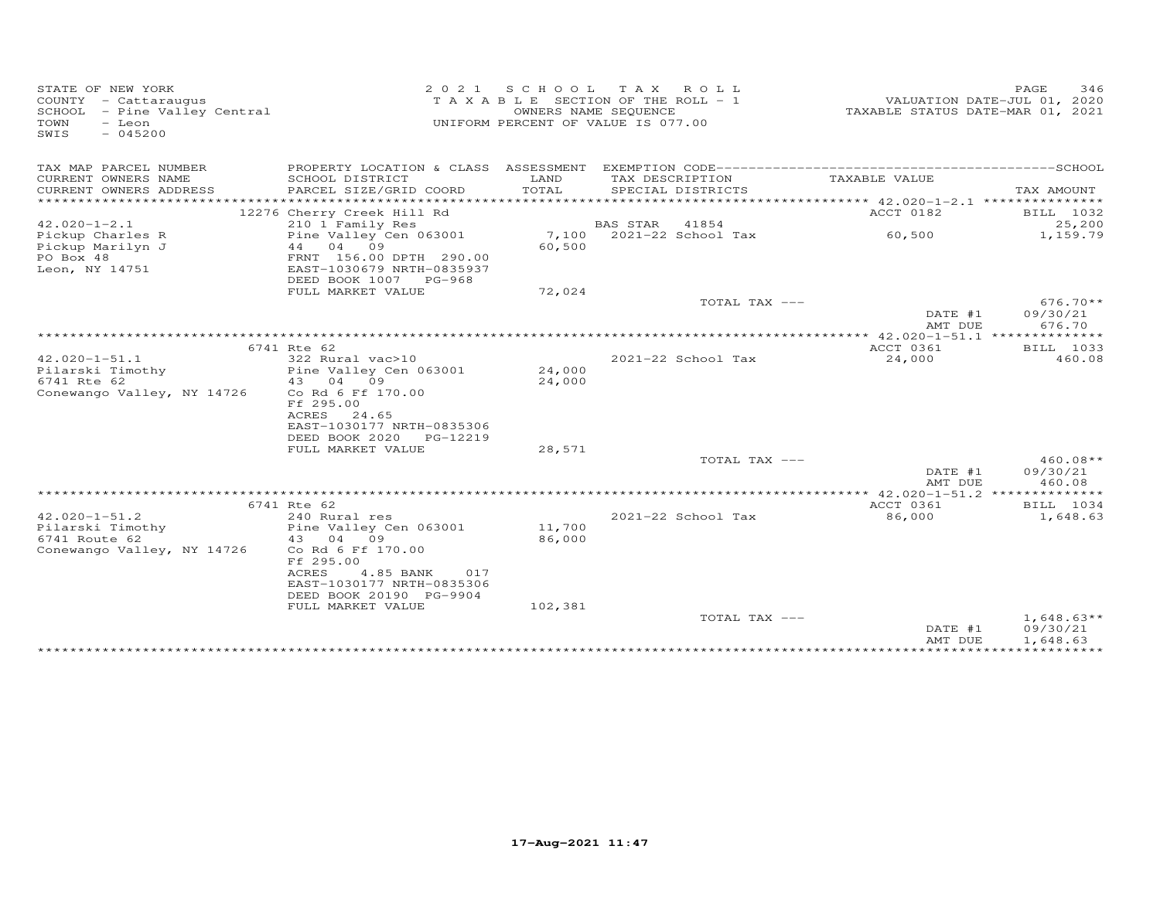| STATE OF NEW YORK<br>COUNTY - Cattaraugus<br>SCHOOL - Pine Valley Central<br>TOWN<br>- Leon<br>SWIS<br>$-045200$ | 2021                                                                                                                                            |                  | SCHOOL TAX ROLL<br>TAXABLE SECTION OF THE ROLL - 1<br>OWNERS NAME SEQUENCE<br>UNIFORM PERCENT OF VALUE IS 077.00 | TAXABLE STATUS DATE-MAR 01, 2021   | PAGE<br>346<br>VALUATION DATE-JUL 01, 2020 |
|------------------------------------------------------------------------------------------------------------------|-------------------------------------------------------------------------------------------------------------------------------------------------|------------------|------------------------------------------------------------------------------------------------------------------|------------------------------------|--------------------------------------------|
| TAX MAP PARCEL NUMBER                                                                                            |                                                                                                                                                 |                  |                                                                                                                  |                                    |                                            |
| CURRENT OWNERS NAME                                                                                              | SCHOOL DISTRICT                                                                                                                                 | LAND             | TAX DESCRIPTION                                                                                                  | TAXABLE VALUE                      |                                            |
| CURRENT OWNERS ADDRESS<br>***********************                                                                | PARCEL SIZE/GRID COORD                                                                                                                          | TOTAL            | SPECIAL DISTRICTS                                                                                                |                                    | TAX AMOUNT                                 |
|                                                                                                                  | 12276 Cherry Creek Hill Rd                                                                                                                      |                  |                                                                                                                  | ACCT 0182                          | BILL 1032                                  |
| $42.020 - 1 - 2.1$                                                                                               | 210 1 Family Res                                                                                                                                |                  | BAS STAR 41854                                                                                                   |                                    | 25,200                                     |
| Pickup Charles R<br>Pickup Marilyn J<br>PO Box 48                                                                | Pine Valley Cen 063001<br>04 09<br>44<br>FRNT 156.00 DPTH 290.00<br>EAST-1030679 NRTH-0835937                                                   | 7,100<br>60,500  | $2021 - 22$ School Tax                                                                                           | 60,500                             | 1,159.79                                   |
| Leon, NY 14751                                                                                                   | DEED BOOK 1007 PG-968                                                                                                                           |                  |                                                                                                                  |                                    |                                            |
|                                                                                                                  | FULL MARKET VALUE                                                                                                                               | 72,024           |                                                                                                                  |                                    |                                            |
|                                                                                                                  |                                                                                                                                                 |                  | TOTAL TAX ---                                                                                                    |                                    | $676.70**$                                 |
|                                                                                                                  |                                                                                                                                                 |                  |                                                                                                                  | DATE #1                            | 09/30/21                                   |
|                                                                                                                  |                                                                                                                                                 |                  |                                                                                                                  | AMT DUE                            | 676.70                                     |
|                                                                                                                  | 6741 Rte 62                                                                                                                                     |                  |                                                                                                                  | ACCT 0361                          | BILL 1033                                  |
| $42.020 - 1 - 51.1$                                                                                              | 322 Rural vac>10                                                                                                                                |                  | 2021-22 School Tax                                                                                               | 24,000                             | 460.08                                     |
| Pilarski Timothy<br>6741 Rte 62                                                                                  | Pine Valley Cen 063001<br>43 04<br>09                                                                                                           | 24,000<br>24,000 |                                                                                                                  |                                    |                                            |
| Conewango Valley, NY 14726                                                                                       | Co Rd 6 Ff 170.00<br>Ff 295.00<br>ACRES<br>24.65<br>EAST-1030177 NRTH-0835306<br>DEED BOOK 2020<br>PG-12219                                     |                  |                                                                                                                  |                                    |                                            |
|                                                                                                                  | FULL MARKET VALUE                                                                                                                               | 28,571           |                                                                                                                  |                                    |                                            |
|                                                                                                                  |                                                                                                                                                 |                  | TOTAL TAX ---                                                                                                    | DATE #1<br>AMT DUE                 | $460.08**$<br>09/30/21<br>460.08           |
|                                                                                                                  |                                                                                                                                                 |                  |                                                                                                                  | **** 42.020-1-51.2 *************** |                                            |
|                                                                                                                  | 6741 Rte 62                                                                                                                                     |                  |                                                                                                                  | ACCT 0361                          | BILL 1034                                  |
| $42.020 - 1 - 51.2$<br>Pilarski Timothy<br>6741 Route 62                                                         | 240 Rural res<br>Pine Valley Cen 063001<br>43 04 09                                                                                             | 11,700<br>86,000 | 2021-22 School Tax                                                                                               | 86,000                             | 1,648.63                                   |
| Conewango Valley, NY 14726                                                                                       | Co Rd 6 Ff 170.00<br>Ff 295.00<br><b>ACRES</b><br>4.85 BANK<br>017<br>EAST-1030177 NRTH-0835306<br>DEED BOOK 20190 PG-9904<br>FULL MARKET VALUE | 102,381          |                                                                                                                  |                                    |                                            |
|                                                                                                                  |                                                                                                                                                 |                  | TOTAL TAX ---                                                                                                    | DATE #1<br>AMT DUE                 | $1,648.63**$<br>09/30/21<br>1,648.63       |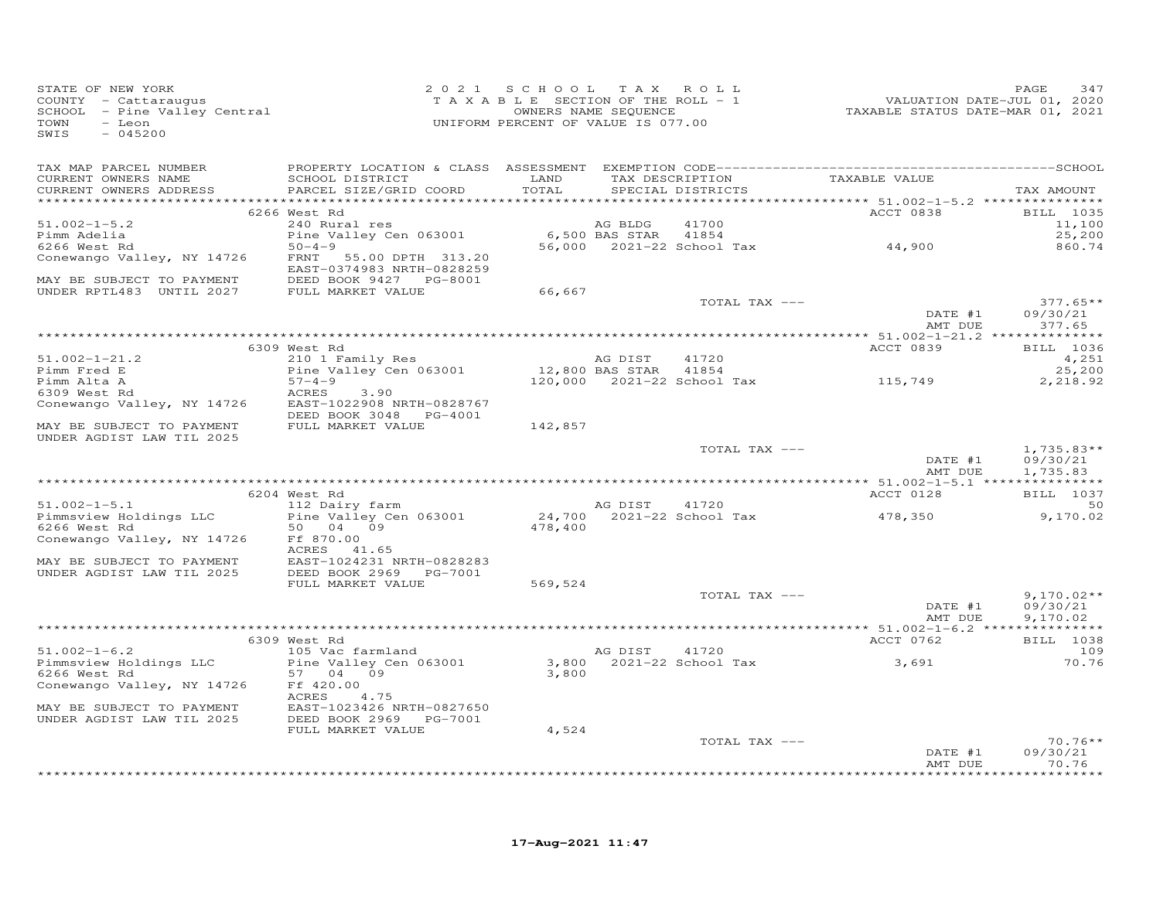| STATE OF NEW YORK<br>COUNTY - Cattaraugus<br>SCHOOL - Pine Valley Central<br>- Leon<br>TOWN<br>SWIS<br>$-045200$ |                                                     | 2021 SCHOOL TAX ROLL<br>TAXABLE SECTION OF THE ROLL - 1<br>OWNERS NAME SEQUENCE<br>UNIFORM PERCENT OF VALUE IS 077.00 |                      | $DLL - 1$                                          | VALUATION DATE-JUL 01, 2020<br>TAXABLE STATUS DATE-MAR 01, 2021 | PAGE<br>347                          |
|------------------------------------------------------------------------------------------------------------------|-----------------------------------------------------|-----------------------------------------------------------------------------------------------------------------------|----------------------|----------------------------------------------------|-----------------------------------------------------------------|--------------------------------------|
| TAX MAP PARCEL NUMBER                                                                                            |                                                     |                                                                                                                       |                      |                                                    |                                                                 |                                      |
| CURRENT OWNERS NAME<br>CURRENT OWNERS ADDRESS                                                                    | SCHOOL DISTRICT<br>PARCEL SIZE/GRID COORD           | LAND<br>TOTAL                                                                                                         |                      | TAX DESCRIPTION TAXABLE VALUE<br>SPECIAL DISTRICTS |                                                                 | TAX AMOUNT                           |
|                                                                                                                  | 6266 West Rd                                        |                                                                                                                       |                      |                                                    | <b>ACCT 0838</b>                                                | <b>BILL</b> 1035                     |
| $51.002 - 1 - 5.2$                                                                                               | 240 Rural res                                       |                                                                                                                       | AG BLDG              | 41700                                              |                                                                 | 11,100                               |
| Pimm Adelia                                                                                                      | Pine Valley Cen 063001                              |                                                                                                                       | 6,500 BAS STAR 41854 |                                                    |                                                                 | 25,200                               |
| 6266 West Rd                                                                                                     | $50 - 4 - 9$                                        |                                                                                                                       |                      | 56,000 2021-22 School Tax                          | 44,900                                                          | 860.74                               |
| Conewango Valley, NY 14726                                                                                       | FRNT 55.00 DPTH 313.20<br>EAST-0374983 NRTH-0828259 |                                                                                                                       |                      |                                                    |                                                                 |                                      |
| MAY BE SUBJECT TO PAYMENT                                                                                        | DEED BOOK 9427 PG-8001                              |                                                                                                                       |                      |                                                    |                                                                 |                                      |
| UNDER RPTL483 UNTIL 2027 FULL MARKET VALUE                                                                       |                                                     | 66,667                                                                                                                |                      |                                                    |                                                                 |                                      |
|                                                                                                                  |                                                     |                                                                                                                       |                      | TOTAL TAX ---                                      | DATE #1<br>AMT DUE                                              | $377.65**$<br>09/30/21<br>377.65     |
|                                                                                                                  |                                                     |                                                                                                                       |                      |                                                    |                                                                 |                                      |
|                                                                                                                  | 6309 West Rd                                        |                                                                                                                       |                      |                                                    | ACCT 0839                                                       | <b>BILL</b> 1036                     |
| $51.002 - 1 - 21.2$                                                                                              | 210 1 Family Res                                    |                                                                                                                       | AG DIST              | 41720                                              |                                                                 | 4,251                                |
| Pimm Fred E                                                                                                      | Pine Valley Cen 063001                              | 12,800 BAS STAR 41854                                                                                                 |                      |                                                    |                                                                 | 25,200                               |
| Pimm Alta A                                                                                                      | $57 - 4 - 9$                                        |                                                                                                                       |                      | 120,000 2021-22 School Tax 115,749                 |                                                                 | 2,218.92                             |
| 6309 West Rd                                                                                                     | ACRES<br>3.90                                       |                                                                                                                       |                      |                                                    |                                                                 |                                      |
| Conewango Valley, NY 14726                                                                                       | EAST-1022908 NRTH-0828767<br>DEED BOOK 3048 PG-4001 |                                                                                                                       |                      |                                                    |                                                                 |                                      |
| MAY BE SUBJECT TO PAYMENT                                                                                        | FULL MARKET VALUE                                   | 142,857                                                                                                               |                      |                                                    |                                                                 |                                      |
| UNDER AGDIST LAW TIL 2025                                                                                        |                                                     |                                                                                                                       |                      |                                                    |                                                                 |                                      |
|                                                                                                                  |                                                     |                                                                                                                       |                      | TOTAL TAX ---                                      | DATE #1<br>AMT DUE                                              | $1,735.83**$<br>09/30/21<br>1,735.83 |
|                                                                                                                  |                                                     |                                                                                                                       |                      |                                                    |                                                                 |                                      |
|                                                                                                                  | 6204 West Rd                                        |                                                                                                                       |                      |                                                    | ACCT 0128                                                       | <b>BILL</b> 1037                     |
| $51.002 - 1 - 5.1$                                                                                               | 112 Dairy farm                                      |                                                                                                                       | AG DIST              | 41720                                              |                                                                 | 50                                   |
| Pimmsview Holdings LLC<br>6266 West Rd                                                                           | Pine Valley Cen 063001<br>50 04 09                  | 478,400                                                                                                               |                      | 24,700 2021-22 School Tax                          | 478,350                                                         | 9,170.02                             |
| Conewango Valley, NY 14726                                                                                       | Ff 870.00                                           |                                                                                                                       |                      |                                                    |                                                                 |                                      |
| MAY BE SUBJECT TO PAYMENT                                                                                        | ACRES 41.65<br>EAST-1024231 NRTH-0828283            |                                                                                                                       |                      |                                                    |                                                                 |                                      |
| UNDER AGDIST LAW TIL 2025                                                                                        | DEED BOOK 2969 PG-7001                              |                                                                                                                       |                      |                                                    |                                                                 |                                      |
|                                                                                                                  | FULL MARKET VALUE                                   | 569,524                                                                                                               |                      |                                                    |                                                                 |                                      |
|                                                                                                                  |                                                     |                                                                                                                       |                      | TOTAL TAX ---                                      | DATE #1                                                         | $9,170.02**$<br>09/30/21             |
|                                                                                                                  |                                                     |                                                                                                                       |                      |                                                    | AMT DUE                                                         | 9,170.02                             |
|                                                                                                                  | 6309 West Rd                                        |                                                                                                                       |                      |                                                    | ACCT 0762                                                       | BILL 1038                            |
| $51.002 - 1 - 6.2$                                                                                               | 105 Vac farmland                                    |                                                                                                                       | AG DIST              | 41720                                              |                                                                 | 109                                  |
| Pimmsview Holdings LLC                                                                                           | Pine Valley Cen 063001                              |                                                                                                                       |                      | 3,800 2021-22 School Tax                           | 3,691                                                           | 70.76                                |
| 6266 West Rd                                                                                                     | 57 04 09                                            | 3,800                                                                                                                 |                      |                                                    |                                                                 |                                      |
| Conewango Valley, NY 14726                                                                                       | Ff 420.00<br>4.75<br>ACRES                          |                                                                                                                       |                      |                                                    |                                                                 |                                      |
| MAY BE SUBJECT TO PAYMENT                                                                                        | EAST-1023426 NRTH-0827650                           |                                                                                                                       |                      |                                                    |                                                                 |                                      |
| UNDER AGDIST LAW TIL 2025                                                                                        | DEED BOOK 2969 PG-7001<br>FULL MARKET VALUE         | 4,524                                                                                                                 |                      |                                                    |                                                                 |                                      |
|                                                                                                                  |                                                     |                                                                                                                       |                      | TOTAL TAX ---                                      |                                                                 | $70.76**$                            |
|                                                                                                                  |                                                     |                                                                                                                       |                      |                                                    | DATE #1                                                         | 09/30/21                             |
|                                                                                                                  |                                                     |                                                                                                                       |                      |                                                    | AMT DUE                                                         | 70.76<br>**********                  |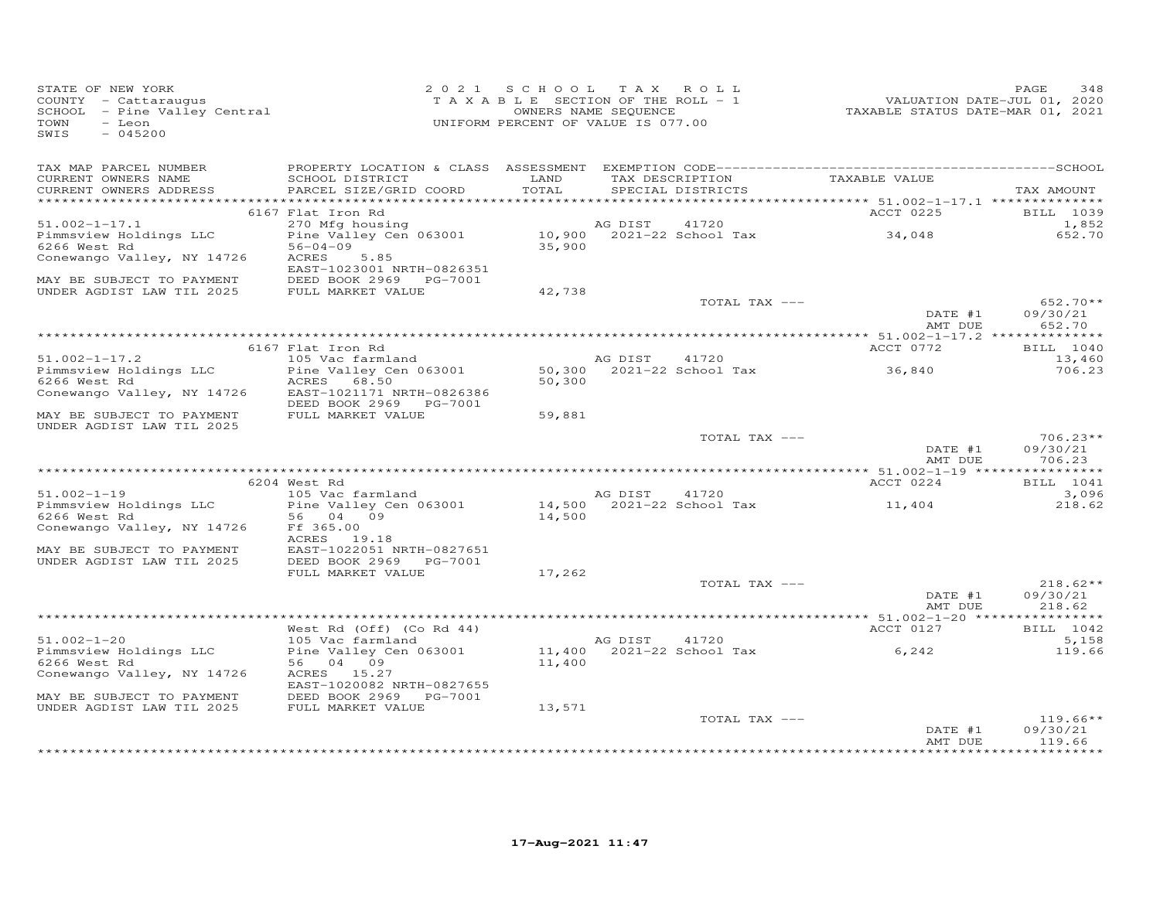| STATE OF NEW YORK<br>STATE OF NEW IONN<br>COUNTY - Cattaraugus<br>SCHOOL - Pine Valley Central<br>- Leon<br>TOWN<br>$-045200$<br>SWIS                                                                                                                |                                                                                                                | 2021 SCHOOL TAX ROLL<br>UNIFORM PERCENT OF VALUE IS 077.00 |               |                                                      | T A X A B L E SECTION OF THE ROLL - 1<br>T A X A B L E SECTION OF THE ROLL - 1<br>OWNERS NAME SEQUENCE TAXABLE STATUS DATE-MAR 01, 2021 | PAGE<br>348                      |
|------------------------------------------------------------------------------------------------------------------------------------------------------------------------------------------------------------------------------------------------------|----------------------------------------------------------------------------------------------------------------|------------------------------------------------------------|---------------|------------------------------------------------------|-----------------------------------------------------------------------------------------------------------------------------------------|----------------------------------|
| TAX MAP PARCEL NUMBER<br>CURRENT OWNERS NAME<br>CURRENT OWNERS ADDRESS                                                                                                                                                                               | SCHOOL DISTRICT LAND<br>PARCEL SIZE/GRID COORD                                                                 | TOTAL                                                      |               | SPECIAL DISTRICTS                                    | TAX DESCRIPTION TAXABLE VALUE                                                                                                           | TAX AMOUNT                       |
|                                                                                                                                                                                                                                                      | 6167 Flat Iron Rd                                                                                              |                                                            |               |                                                      | ACCT 0225                                                                                                                               | BILL 1039                        |
| $51.002 - 1 - 17.1$<br>Pimmsview Holdings LLC<br>6266 West Rd                                                                                                                                                                                        | 270 Mfg housing<br>Pine Valley Cen 063001 10,900 2021-22 School Tax 34,048<br>56-04-09 35,900<br>ACRES<br>5.85 |                                                            |               |                                                      |                                                                                                                                         | 1,852<br>652.70                  |
| Conewango Valley, NY 14726                                                                                                                                                                                                                           | EAST-1023001 NRTH-0826351                                                                                      |                                                            |               |                                                      |                                                                                                                                         |                                  |
| MAY BE SUBJECT TO PAYMENT DEED BOOK 2969 PG-7001<br>UNDER AGDIST LAW TIL 2025 FULL MARKET VALUE                                                                                                                                                      |                                                                                                                | 42,738                                                     |               |                                                      |                                                                                                                                         |                                  |
|                                                                                                                                                                                                                                                      |                                                                                                                |                                                            |               | TOTAL TAX ---                                        | DATE #1<br>AMT DUE                                                                                                                      | $652.70**$<br>09/30/21<br>652.70 |
|                                                                                                                                                                                                                                                      | 6167 Flat Iron Rd                                                                                              |                                                            |               |                                                      | ACCT 0772                                                                                                                               | BILL 1040                        |
| $51.002 - 1 - 17.2$                                                                                                                                                                                                                                  | 105 Vac farmland                                                                                               |                                                            | AG DIST 41720 |                                                      |                                                                                                                                         | 13,460                           |
| Pimmsview Holdings LLC<br>Pine Valley Cen 063001<br>6266 West Rd  2666 West Rd  26768.50<br>Conewango Valley, NY 14726 EAST-1021171 NRTH-0826386                                                                                                     |                                                                                                                | 50,300                                                     |               | 50,300 2021-22 School Tax                            | 36,840                                                                                                                                  | 706.23                           |
| MAY BE SUBJECT TO PAYMENT FULL MARKET VALUE<br>UNDER AGDIST LAW TIL 2025                                                                                                                                                                             | DEED BOOK 2969 PG-7001                                                                                         | 59,881                                                     |               |                                                      |                                                                                                                                         |                                  |
|                                                                                                                                                                                                                                                      |                                                                                                                |                                                            |               | TOTAL TAX ---                                        | DATE #1<br>AMT DUE                                                                                                                      | $706.23**$<br>09/30/21<br>706.23 |
|                                                                                                                                                                                                                                                      |                                                                                                                |                                                            |               |                                                      |                                                                                                                                         |                                  |
|                                                                                                                                                                                                                                                      | 6204 West Rd                                                                                                   |                                                            |               |                                                      | ACCT 0224                                                                                                                               | BILL 1041<br>3,096               |
| 91.002-1-19<br>Pimmsview Holdings LLC<br>6266 West Rd<br>Conewango Valley, NY 14726<br>Pimmsview Holdings LLC<br>56 04 09<br>The Sampson Section Section<br>1990<br>Pimmsview Section Section<br>1990<br>Pimmsview Nature Section<br>Pimmsview Secti |                                                                                                                |                                                            |               | AG DIST 41720<br>14,500 2021-22 School Tax<br>14,500 | 11,404                                                                                                                                  | 218.62                           |
| MAY BE SUBJECT TO PAYMENT<br>MAY BE SUBJECT TO PAYMENT<br>UNDER AGDIST LAW TIL 2025 DEED BOOK 2969 PG-7001                                                                                                                                           | EAST-1022051 NRTH-0827651<br>FULL MARKET VALUE                                                                 | 17,262                                                     |               |                                                      |                                                                                                                                         |                                  |
|                                                                                                                                                                                                                                                      |                                                                                                                |                                                            |               | TOTAL TAX ---                                        |                                                                                                                                         | $218.62**$                       |
|                                                                                                                                                                                                                                                      |                                                                                                                |                                                            |               |                                                      | DATE #1<br>AMT DUE                                                                                                                      | 09/30/21<br>218.62               |
|                                                                                                                                                                                                                                                      | West Rd (Off) (Co Rd 44)                                                                                       |                                                            |               |                                                      | ACCT 0127                                                                                                                               | BILL 1042                        |
| $51.002 - 1 - 20$                                                                                                                                                                                                                                    | 105 Vac farmland                                                                                               |                                                            |               |                                                      |                                                                                                                                         | 5,158                            |
| Pimmsview Holdings LLC<br>6266 West Rd<br>Conewango Valley, NY 14726                                                                                                                                                                                 | Pine Valley Cen 063001<br>56 04 09<br>ACRES 15.27<br>EAST-1020082 NRTH-0827655                                 |                                                            |               |                                                      | AG DIST 41720<br>11,400 2021-22 School Tax 6,242<br>11,400 6,292                                                                        | 119.66                           |
| MAY BE SUBJECT TO PAYMENT DEED BOOK 2969 PG-7001<br>UNDER AGDIST LAW TIL 2025 FULL MARKET VALUE                                                                                                                                                      |                                                                                                                |                                                            |               |                                                      |                                                                                                                                         |                                  |
|                                                                                                                                                                                                                                                      |                                                                                                                | 13,571                                                     |               | TOTAL TAX ---                                        | DATE #1<br>AMT DUE                                                                                                                      | $119.66**$<br>09/30/21<br>119.66 |
|                                                                                                                                                                                                                                                      |                                                                                                                |                                                            |               |                                                      |                                                                                                                                         |                                  |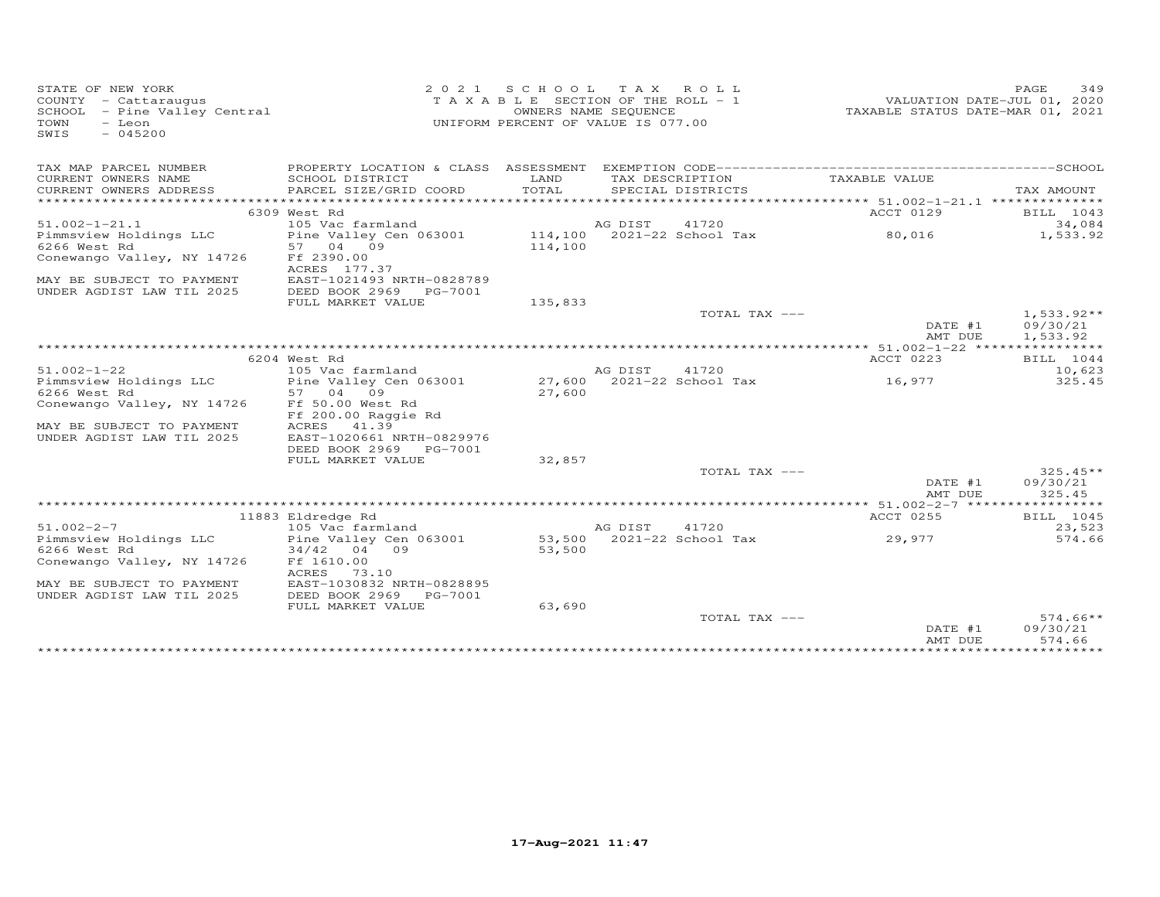| STATE OF NEW YORK<br>COUNTY - Cattaraugus<br>SCHOOL - Pine Valley Central<br>TOWN<br>- Leon<br>SWIS<br>$-045200$ |                                                               | 2021 SCHOOL TAX ROLL<br>T A X A B L E SECTION OF THE ROLL - 1<br>UNIFORM PERCENT OF VALUE IS 077.00 | OWNERS NAME SEQUENCE |                                    | VALUATION DATE-JUL 01, 2020<br>TAXABLE STATUS DATE-MAR 01, 2021 | 349<br>PAGE                      |
|------------------------------------------------------------------------------------------------------------------|---------------------------------------------------------------|-----------------------------------------------------------------------------------------------------|----------------------|------------------------------------|-----------------------------------------------------------------|----------------------------------|
| TAX MAP PARCEL NUMBER                                                                                            |                                                               |                                                                                                     |                      |                                    |                                                                 |                                  |
| CURRENT OWNERS NAME<br>CURRENT OWNERS ADDRESS                                                                    | SCHOOL DISTRICT<br>PARCEL SIZE/GRID COORD                     | LAND<br>TOTAL                                                                                       | TAX DESCRIPTION      | SPECIAL DISTRICTS                  | TAXABLE VALUE                                                   |                                  |
|                                                                                                                  |                                                               |                                                                                                     |                      |                                    |                                                                 | TAX AMOUNT                       |
|                                                                                                                  | 6309 West Rd                                                  |                                                                                                     |                      |                                    | ACCT 0129                                                       | BILL 1043                        |
| $51.002 - 1 - 21.1$                                                                                              | 105 Vac farmland                                              |                                                                                                     | AG DIST              | 41720                              |                                                                 | 34,084                           |
| Pimmsview Holdings LLC<br>6266 West Rd                                                                           | Pine Valley Cen 063001 114,100 2021-22 School Tax<br>57 04 09 | 114,100                                                                                             |                      |                                    | 80,016                                                          | 1,533.92                         |
| Conewango Valley, NY 14726                                                                                       | Ff 2390.00<br>ACRES 177.37                                    |                                                                                                     |                      |                                    |                                                                 |                                  |
| MAY BE SUBJECT TO PAYMENT<br>UNDER AGDIST LAW TIL 2025                                                           | EAST-1021493 NRTH-0828789<br>DEED BOOK 2969 PG-7001           |                                                                                                     |                      |                                    |                                                                 |                                  |
|                                                                                                                  | FULL MARKET VALUE                                             | 135,833                                                                                             |                      |                                    |                                                                 |                                  |
|                                                                                                                  |                                                               |                                                                                                     |                      | TOTAL TAX ---                      |                                                                 | $1,533.92**$                     |
|                                                                                                                  |                                                               |                                                                                                     |                      |                                    | DATE #1                                                         | 09/30/21                         |
|                                                                                                                  |                                                               |                                                                                                     |                      |                                    | AMT DUE                                                         | 1,533.92                         |
|                                                                                                                  | 6204 West Rd                                                  |                                                                                                     |                      |                                    | ACCT 0223                                                       | BILL 1044                        |
| $51.002 - 1 - 22$                                                                                                | 105 Vac farmland                                              |                                                                                                     | AG DIST              | 41720                              |                                                                 | 10,623                           |
| Pimmsview Holdings LLC                                                                                           | Pine Valley Cen 063001                                        |                                                                                                     |                      | 27,600 2021-22 School Tax          | 16,977                                                          | 325.45                           |
| 6266 West Rd                                                                                                     | 57 04 09                                                      | 27,600                                                                                              |                      |                                    |                                                                 |                                  |
| Conewango Valley, NY 14726                                                                                       | Ff 50.00 West Rd<br>Ff 200.00 Raggie Rd                       |                                                                                                     |                      |                                    |                                                                 |                                  |
| MAY BE SUBJECT TO PAYMENT                                                                                        | ACRES<br>41.39                                                |                                                                                                     |                      |                                    |                                                                 |                                  |
| UNDER AGDIST LAW TIL 2025                                                                                        | EAST-1020661 NRTH-0829976<br>DEED BOOK 2969 PG-7001           |                                                                                                     |                      |                                    |                                                                 |                                  |
|                                                                                                                  | FULL MARKET VALUE                                             | 32,857                                                                                              |                      |                                    |                                                                 |                                  |
|                                                                                                                  |                                                               |                                                                                                     |                      | TOTAL TAX ---                      | DATE #1                                                         | $325.45**$<br>09/30/21           |
|                                                                                                                  |                                                               |                                                                                                     |                      |                                    | AMT DUE                                                         | 325.45                           |
|                                                                                                                  |                                                               |                                                                                                     |                      |                                    |                                                                 |                                  |
|                                                                                                                  | 11883 Eldredge Rd                                             |                                                                                                     |                      |                                    | ACCT 0255                                                       | BILL 1045                        |
| $51.002 - 2 - 7$<br>Pimmsview Holdings LLC                                                                       | 105 Vac farmland<br>Pine Valley Cen 063001                    |                                                                                                     | AG DIST              | 41720<br>53,500 2021-22 School Tax | 29,977                                                          | 23,523<br>574.66                 |
| 6266 West Rd                                                                                                     | $34/42$ 04 09                                                 | 53,500                                                                                              |                      |                                    |                                                                 |                                  |
| Conewango Valley, NY 14726                                                                                       | Ff 1610.00<br>ACRES<br>73.10                                  |                                                                                                     |                      |                                    |                                                                 |                                  |
| MAY BE SUBJECT TO PAYMENT                                                                                        | EAST-1030832 NRTH-0828895                                     |                                                                                                     |                      |                                    |                                                                 |                                  |
| UNDER AGDIST LAW TIL 2025                                                                                        | DEED BOOK 2969<br>PG-7001<br>FULL MARKET VALUE                | 63,690                                                                                              |                      |                                    |                                                                 |                                  |
|                                                                                                                  |                                                               |                                                                                                     |                      | TOTAL TAX ---                      | DATE #1<br>AMT DUE                                              | $574.66**$<br>09/30/21<br>574.66 |
|                                                                                                                  |                                                               |                                                                                                     |                      |                                    |                                                                 |                                  |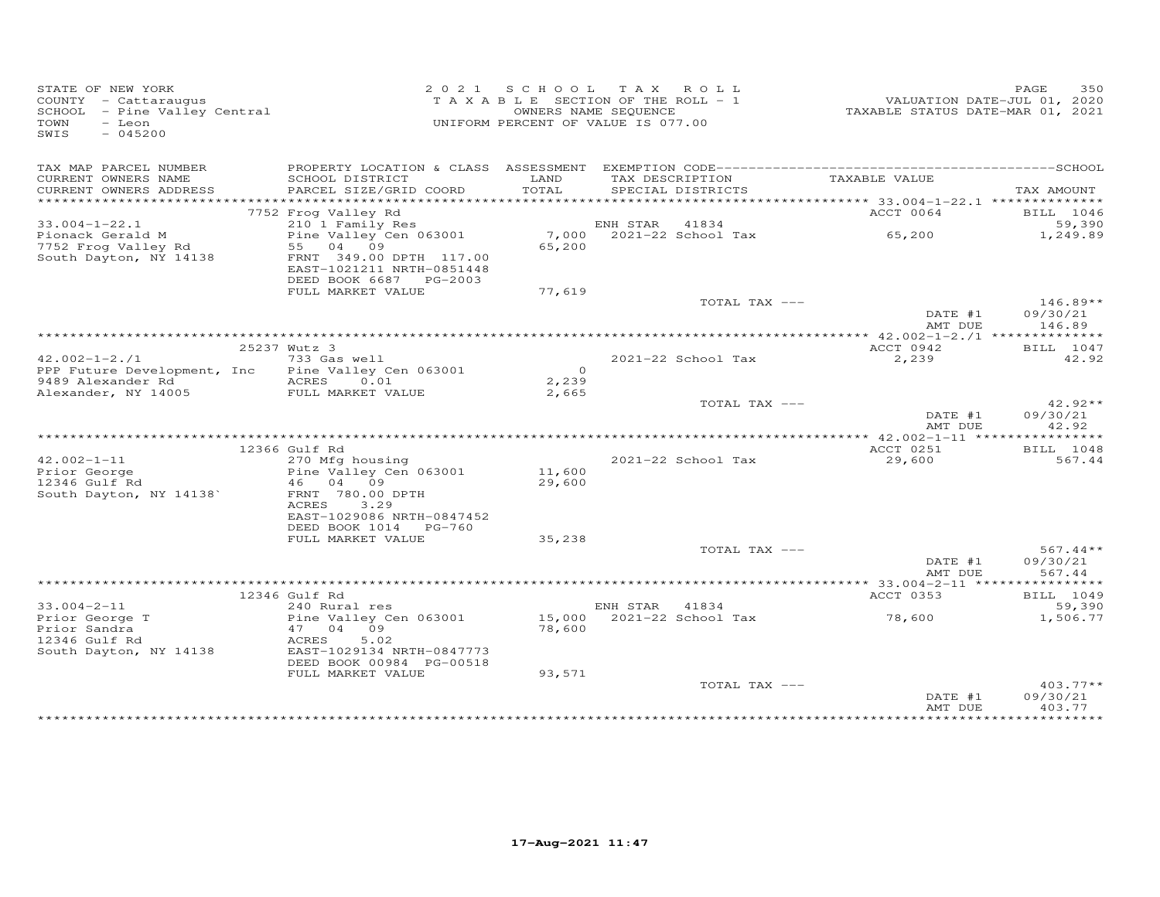| STATE OF NEW YORK<br>COUNTY - Cattaraugus<br>COONII - Cattaraugus<br>SCHOOL - Pine Valley Central<br>TOWN<br>- Leon<br>SWIS<br>$-045200$ |                                                                                                                         |                  | 2021 SCHOOL TAX ROLL<br>T A X A B L E SECTION OF THE ROLL - 1<br>OWNERS NAME SEQUENCE<br>UNIFORM PERCENT OF VALUE IS 077.00 | VALUATION DATE-JUL 01, 2020<br>TAXABLE STATUS DATE-MAR 01, 2021 | PAGE<br>350                      |
|------------------------------------------------------------------------------------------------------------------------------------------|-------------------------------------------------------------------------------------------------------------------------|------------------|-----------------------------------------------------------------------------------------------------------------------------|-----------------------------------------------------------------|----------------------------------|
| TAX MAP PARCEL NUMBER<br>CURRENT OWNERS NAME                                                                                             | SCHOOL DISTRICT                                                                                                         | LAND             | TAX DESCRIPTION                                                                                                             | TAXABLE VALUE                                                   |                                  |
| CURRENT OWNERS ADDRESS                                                                                                                   | PARCEL SIZE/GRID COORD                                                                                                  | TOTAL            | SPECIAL DISTRICTS                                                                                                           |                                                                 | TAX AMOUNT                       |
|                                                                                                                                          | 7752 Frog Valley Rd                                                                                                     |                  |                                                                                                                             | ACCT 0064                                                       | <b>BILL</b> 1046                 |
| $33.004 - 1 - 22.1$                                                                                                                      | 210 1 Family Res                                                                                                        |                  | ENH STAR 41834                                                                                                              |                                                                 | 59,390                           |
| Pionack Gerald M                                                                                                                         | Pine Valley Cen 063001                                                                                                  |                  | 7,000 2021-22 School Tax                                                                                                    | 65,200                                                          | 1,249.89                         |
| 7752 Frog Valley Rd<br>South Dayton, NY 14138                                                                                            | 55 04 09<br>FRNT 349.00 DPTH 117.00<br>EAST-1021211 NRTH-0851448<br>DEED BOOK 6687 PG-2003                              | 65,200           |                                                                                                                             |                                                                 |                                  |
|                                                                                                                                          | FULL MARKET VALUE                                                                                                       | 77,619           |                                                                                                                             |                                                                 |                                  |
|                                                                                                                                          |                                                                                                                         |                  | TOTAL TAX ---                                                                                                               | DATE #1<br>AMT DUE                                              | $146.89**$<br>09/30/21<br>146.89 |
|                                                                                                                                          |                                                                                                                         |                  |                                                                                                                             |                                                                 |                                  |
|                                                                                                                                          | 25237 Wutz 3                                                                                                            |                  |                                                                                                                             | ACCT 0942                                                       | BILL 1047                        |
| $42.002 - 1 - 2.71$<br>PPP Future Development, Inc                                                                                       | 733 Gas well<br>Pine Valley Cen 063001                                                                                  | $\overline{0}$   | 2021-22 School Tax                                                                                                          | 2,239                                                           | 42.92                            |
| 9489 Alexander Rd                                                                                                                        | ACRES<br>0.01                                                                                                           | 2,239            |                                                                                                                             |                                                                 |                                  |
| Alexander, NY 14005                                                                                                                      | FULL MARKET VALUE                                                                                                       | 2,665            |                                                                                                                             |                                                                 |                                  |
|                                                                                                                                          |                                                                                                                         |                  | TOTAL TAX ---                                                                                                               | DATE #1<br>AMT DUE                                              | $42.92**$<br>09/30/21<br>42.92   |
|                                                                                                                                          |                                                                                                                         |                  |                                                                                                                             |                                                                 |                                  |
|                                                                                                                                          | 12366 Gulf Rd                                                                                                           |                  |                                                                                                                             | ACCT 0251                                                       | BILL 1048                        |
| $42.002 - 1 - 11$<br>Prior George<br>12346 Gulf Rd<br>South Dayton, NY 14138                                                             | 270 Mfg housing<br>Pine Valley Cen 063001<br>46 04 09<br>FRNT 780.00 DPTH<br>ACRES<br>3.29<br>EAST-1029086 NRTH-0847452 | 11,600<br>29,600 | 2021-22 School Tax                                                                                                          | 29,600                                                          | 567.44                           |
|                                                                                                                                          | DEED BOOK 1014 PG-760                                                                                                   |                  |                                                                                                                             |                                                                 |                                  |
|                                                                                                                                          | FULL MARKET VALUE                                                                                                       | 35,238           | TOTAL TAX ---                                                                                                               | DATE #1                                                         | $567.44**$<br>09/30/21           |
|                                                                                                                                          |                                                                                                                         |                  |                                                                                                                             | AMT DUE                                                         | 567.44                           |
|                                                                                                                                          | 12346 Gulf Rd                                                                                                           |                  |                                                                                                                             | ACCT 0353                                                       | BILL 1049                        |
| $33.004 - 2 - 11$                                                                                                                        | 240 Rural res                                                                                                           |                  | ENH STAR<br>41834                                                                                                           |                                                                 | 59,390                           |
| Prior George T<br>Prior Sandra<br>12346 Gulf Rd<br>South Dayton, NY 14138                                                                | Pine Valley Cen 063001<br>47 04 09<br>ACRES<br>5.02<br>EAST-1029134 NRTH-0847773                                        | 78,600           | 15,000 2021-22 School Tax                                                                                                   | 78,600                                                          | 1,506.77                         |
|                                                                                                                                          | DEED BOOK 00984 PG-00518                                                                                                |                  |                                                                                                                             |                                                                 |                                  |
|                                                                                                                                          | FULL MARKET VALUE                                                                                                       | 93,571           | TOTAL TAX ---                                                                                                               |                                                                 | $403.77**$                       |
|                                                                                                                                          |                                                                                                                         |                  |                                                                                                                             | DATE #1<br>AMT DUE                                              | 09/30/21<br>403.77               |
|                                                                                                                                          |                                                                                                                         |                  |                                                                                                                             |                                                                 |                                  |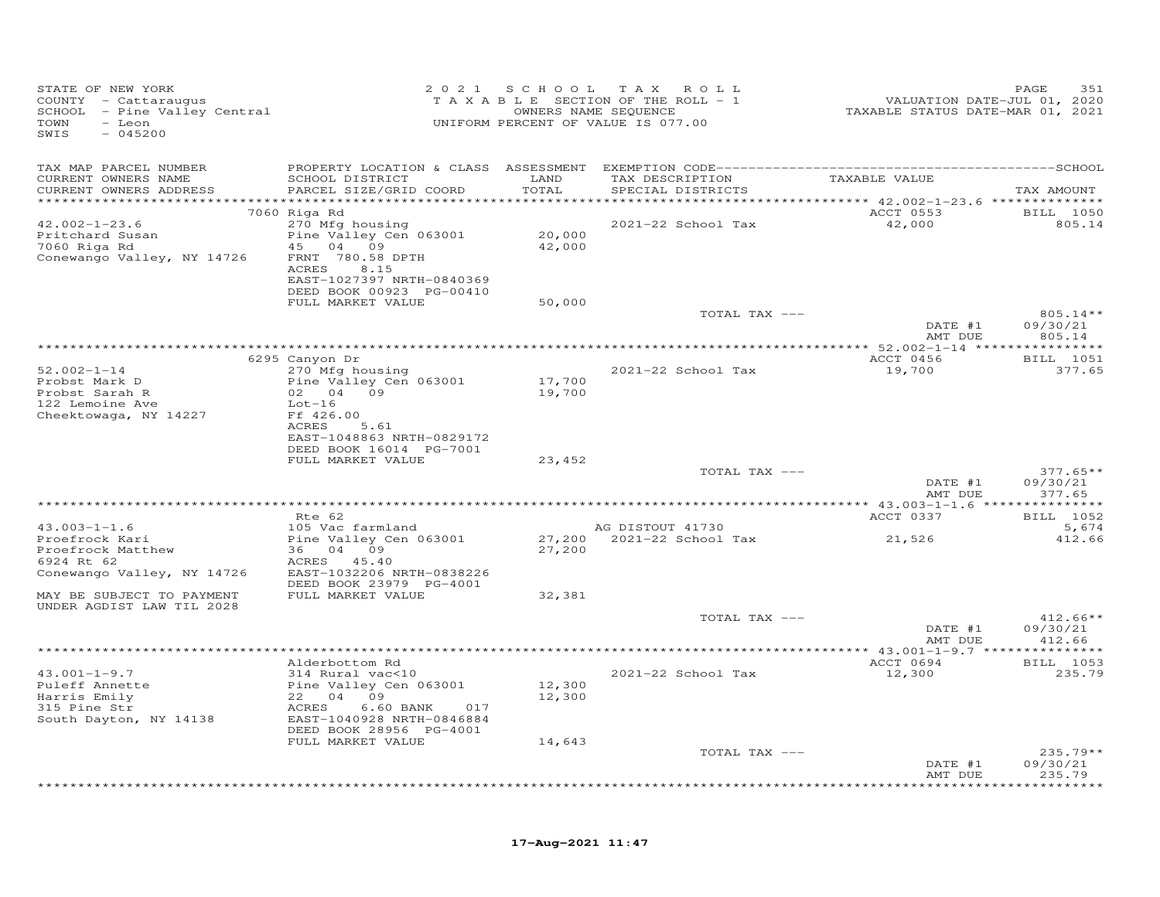| STATE OF NEW YORK<br>COUNTY - Cattaraugus<br>SCHOOL - Pine Valley Central<br>TOWN<br>- Leon<br>SWIS<br>$-045200$ |                                                                            |                  | 2021 SCHOOL TAX ROLL<br>TAXABLE SECTION OF THE ROLL - 1<br>OWNERS NAME SEQUENCE<br>UNIFORM PERCENT OF VALUE IS 077.00 |                    | PAGE<br>351                      |
|------------------------------------------------------------------------------------------------------------------|----------------------------------------------------------------------------|------------------|-----------------------------------------------------------------------------------------------------------------------|--------------------|----------------------------------|
| TAX MAP PARCEL NUMBER<br>CURRENT OWNERS NAME                                                                     | SCHOOL DISTRICT                                                            | LAND             | TAX DESCRIPTION                                                                                                       | TAXABLE VALUE      |                                  |
| CURRENT OWNERS ADDRESS<br>***********************                                                                | PARCEL SIZE/GRID COORD                                                     | TOTAL            | SPECIAL DISTRICTS                                                                                                     |                    | TAX AMOUNT                       |
|                                                                                                                  | 7060 Riga Rd                                                               |                  |                                                                                                                       | ACCT 0553          | <b>BILL</b> 1050                 |
| $42.002 - 1 - 23.6$<br>Pritchard Susan<br>7060 Riga Rd                                                           | 270 Mfg housing<br>Pine Valley Cen 063001<br>45 04 09                      | 20,000<br>42,000 | 2021-22 School Tax                                                                                                    | 42,000             | 805.14                           |
| Conewango Valley, NY 14726                                                                                       | FRNT 780.58 DPTH<br>ACRES<br>8.15                                          |                  |                                                                                                                       |                    |                                  |
|                                                                                                                  | EAST-1027397 NRTH-0840369<br>DEED BOOK 00923 PG-00410<br>FULL MARKET VALUE | 50,000           |                                                                                                                       |                    |                                  |
|                                                                                                                  |                                                                            |                  | TOTAL TAX ---                                                                                                         |                    | $805.14**$                       |
|                                                                                                                  |                                                                            |                  |                                                                                                                       | DATE #1<br>AMT DUE | 09/30/21<br>805.14               |
|                                                                                                                  | 6295 Canyon Dr                                                             |                  |                                                                                                                       | ACCT 0456          | BILL 1051                        |
| $52.002 - 1 - 14$<br>Probst Mark D                                                                               | 270 Mfg housing<br>Pine Valley Cen 063001                                  | 17,700           | 2021-22 School Tax                                                                                                    | 19,700             | 377.65                           |
| Probst Sarah R                                                                                                   | 02 04 09                                                                   | 19,700           |                                                                                                                       |                    |                                  |
| 122 Lemoine Ave<br>Cheektowaga, NY 14227                                                                         | $Lot-16$<br>Ff 426.00                                                      |                  |                                                                                                                       |                    |                                  |
|                                                                                                                  | ACRES<br>5.61<br>EAST-1048863 NRTH-0829172                                 |                  |                                                                                                                       |                    |                                  |
|                                                                                                                  | DEED BOOK 16014 PG-7001<br>FULL MARKET VALUE                               | 23,452           |                                                                                                                       |                    |                                  |
|                                                                                                                  |                                                                            |                  | TOTAL TAX ---                                                                                                         |                    | $377.65**$                       |
|                                                                                                                  |                                                                            |                  |                                                                                                                       | DATE #1<br>AMT DUE | 09/30/21<br>377.65               |
|                                                                                                                  | Rte 62                                                                     |                  |                                                                                                                       | ACCT 0337          | BILL 1052                        |
| $43.003 - 1 - 1.6$                                                                                               | 105 Vac farmland                                                           |                  | AG DISTOUT 41730                                                                                                      |                    | 5,674                            |
| Proefrock Kari<br>Proefrock Matthew<br>6924 Rt 62                                                                | Pine Valley Cen 063001<br>36 04 09<br>ACRES 45.40                          | 27,200           | 27,200 2021-22 School Tax                                                                                             | 21,526             | 412.66                           |
| Conewango Valley, NY 14726                                                                                       | EAST-1032206 NRTH-0838226<br>DEED BOOK 23979 PG-4001                       |                  |                                                                                                                       |                    |                                  |
| MAY BE SUBJECT TO PAYMENT<br>UNDER AGDIST LAW TIL 2028                                                           | FULL MARKET VALUE                                                          | 32,381           |                                                                                                                       |                    |                                  |
|                                                                                                                  |                                                                            |                  | TOTAL TAX ---                                                                                                         | DATE #1<br>AMT DUE | $412.66**$<br>09/30/21<br>412.66 |
|                                                                                                                  |                                                                            |                  |                                                                                                                       |                    |                                  |
|                                                                                                                  | Alderbottom Rd                                                             |                  |                                                                                                                       | ACCT 0694          | BILL 1053                        |
| $43.001 - 1 - 9.7$<br>Puleff Annette<br>Harris Emily                                                             | 314 Rural vac<10<br>Pine Valley Cen 063001<br>22 04 09                     | 12,300<br>12,300 | 2021-22 School Tax                                                                                                    | 12,300             | 235.79                           |
| 315 Pine Str<br>South Dayton, NY 14138                                                                           | 6.60 BANK<br>ACRES<br>017<br>EAST-1040928 NRTH-0846884                     |                  |                                                                                                                       |                    |                                  |
|                                                                                                                  | DEED BOOK 28956 PG-4001<br>FULL MARKET VALUE                               | 14,643           |                                                                                                                       |                    |                                  |
|                                                                                                                  |                                                                            |                  | TOTAL TAX ---                                                                                                         |                    | $235.79**$                       |
|                                                                                                                  |                                                                            |                  |                                                                                                                       | DATE #1<br>AMT DUE | 09/30/21<br>235.79               |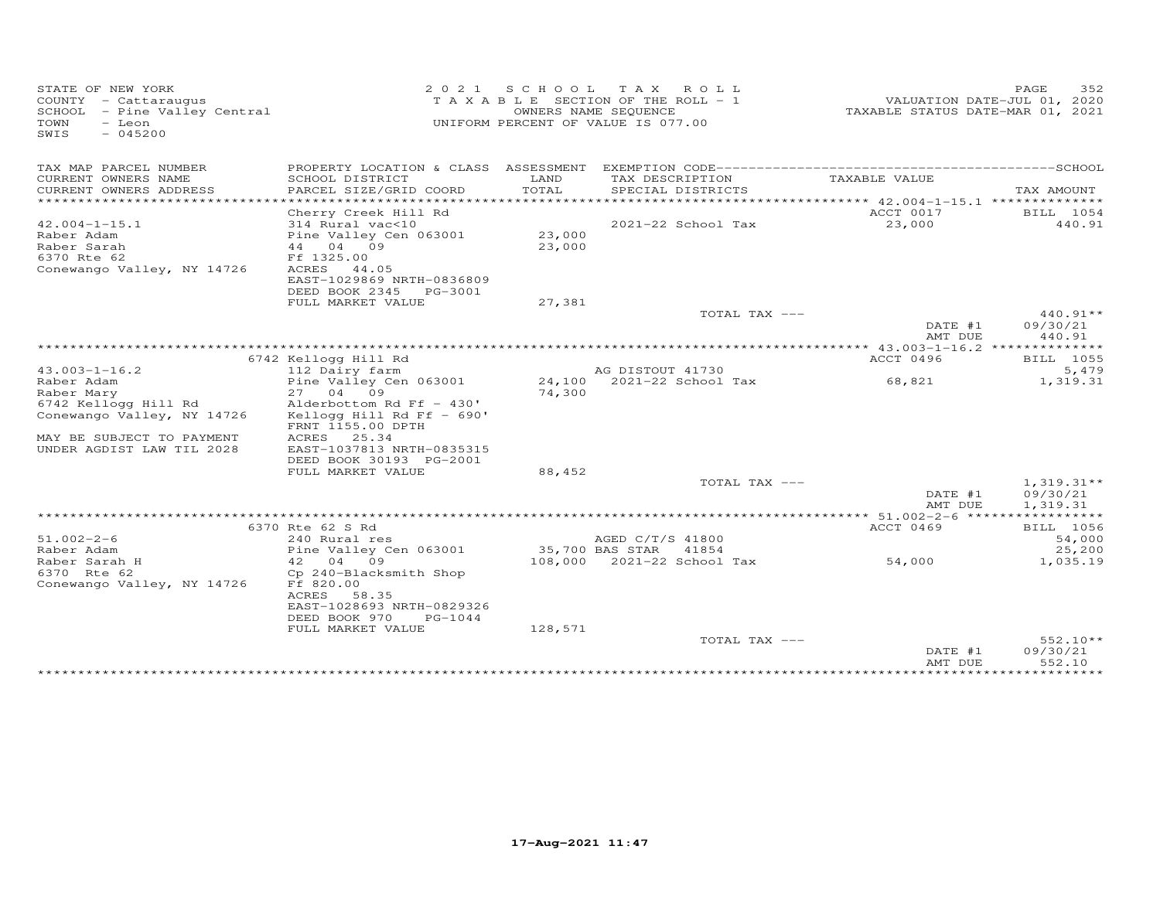| STATE OF NEW YORK<br>COUNTY - Cattaraugus<br>SCHOOL - Pine Valley Central<br>TOWN<br>$-$ Leon<br>$-045200$<br>SWIS |                                                                                                                  | 2021 SCHOOL      | T A X<br>ROLL<br>T A X A B L E SECTION OF THE ROLL - 1<br>OWNERS NAME SEQUENCE<br>UNIFORM PERCENT OF VALUE IS 077.00 | VALUATION DATE-JUL 01, 2020<br>TAXABLE STATUS DATE-MAR 01, 2021 | 352<br>PAGE                    |
|--------------------------------------------------------------------------------------------------------------------|------------------------------------------------------------------------------------------------------------------|------------------|----------------------------------------------------------------------------------------------------------------------|-----------------------------------------------------------------|--------------------------------|
| TAX MAP PARCEL NUMBER                                                                                              |                                                                                                                  |                  |                                                                                                                      |                                                                 |                                |
| CURRENT OWNERS NAME<br>CURRENT OWNERS ADDRESS<br>**********************                                            | SCHOOL DISTRICT<br>PARCEL SIZE/GRID COORD                                                                        | LAND<br>TOTAL    | TAX DESCRIPTION<br>SPECIAL DISTRICTS                                                                                 | TAXABLE VALUE                                                   | TAX AMOUNT                     |
|                                                                                                                    | Cherry Creek Hill Rd                                                                                             |                  |                                                                                                                      | ACCT 0017                                                       | BILL 1054                      |
| $42.004 - 1 - 15.1$                                                                                                | 314 Rural vac<10                                                                                                 |                  | 2021-22 School Tax                                                                                                   | 23,000                                                          | 440.91                         |
| Raber Adam<br>Raber Sarah<br>6370 Rte 62<br>Conewango Valley, NY 14726                                             | Pine Valley Cen 063001<br>44 04 09<br>Ff 1325.00<br>ACRES<br>44.05                                               | 23,000<br>23,000 |                                                                                                                      |                                                                 |                                |
|                                                                                                                    | EAST-1029869 NRTH-0836809<br>DEED BOOK 2345<br>PG-3001                                                           |                  |                                                                                                                      |                                                                 |                                |
|                                                                                                                    | FULL MARKET VALUE                                                                                                | 27,381           | TOTAL TAX ---                                                                                                        |                                                                 | $440.91**$                     |
|                                                                                                                    |                                                                                                                  |                  |                                                                                                                      | DATE #1<br>AMT DUE                                              | 09/30/21<br>440.91             |
|                                                                                                                    |                                                                                                                  |                  |                                                                                                                      |                                                                 |                                |
|                                                                                                                    | 6742 Kellogg Hill Rd                                                                                             |                  |                                                                                                                      | ACCT 0496                                                       | BILL 1055<br>5,479             |
| $43.003 - 1 - 16.2$<br>Raber Adam                                                                                  | 112 Dairy farm<br>Pine Valley Cen 063001                                                                         |                  | AG DISTOUT 41730<br>24,100 2021-22 School Tax                                                                        | 68,821                                                          | 1,319.31                       |
| Raber Mary                                                                                                         | 27 04 09                                                                                                         | 74,300           |                                                                                                                      |                                                                 |                                |
| 6742 Kellogg Hill Rd                                                                                               | Alderbottom Rd Ff - 430'                                                                                         |                  |                                                                                                                      |                                                                 |                                |
| Conewango Valley, NY 14726                                                                                         | Kellogg Hill Rd Ff - $690'$<br>FRNT 1155.00 DPTH                                                                 |                  |                                                                                                                      |                                                                 |                                |
| MAY BE SUBJECT TO PAYMENT                                                                                          | ACRES<br>25.34                                                                                                   |                  |                                                                                                                      |                                                                 |                                |
| UNDER AGDIST LAW TIL 2028                                                                                          | EAST-1037813 NRTH-0835315<br>DEED BOOK 30193 PG-2001                                                             |                  |                                                                                                                      |                                                                 |                                |
|                                                                                                                    | FULL MARKET VALUE                                                                                                | 88,452           |                                                                                                                      |                                                                 |                                |
|                                                                                                                    |                                                                                                                  |                  | TOTAL TAX ---                                                                                                        |                                                                 | $1,319.31**$                   |
|                                                                                                                    |                                                                                                                  |                  |                                                                                                                      | DATE #1                                                         | 09/30/21                       |
|                                                                                                                    |                                                                                                                  |                  |                                                                                                                      | AMT DUE                                                         | 1,319.31                       |
|                                                                                                                    | 6370 Rte 62 S Rd                                                                                                 |                  |                                                                                                                      | ACCT 0469                                                       | <b>BILL</b> 1056               |
| $51.002 - 2 - 6$                                                                                                   | 240 Rural res                                                                                                    |                  | AGED C/T/S 41800                                                                                                     |                                                                 | 54,000                         |
| Raber Adam                                                                                                         | Pine Valley Cen 063001                                                                                           |                  | 35,700 BAS STAR<br>41854                                                                                             |                                                                 | 25,200                         |
| Raber Sarah H                                                                                                      | 42 04<br>09                                                                                                      | 108,000          | 2021-22 School Tax                                                                                                   | 54,000                                                          | 1,035.19                       |
| 6370 Rte 62<br>Conewango Valley, NY 14726                                                                          | Cp 240-Blacksmith Shop<br>Ff 820.00<br>ACRES<br>58.35<br>EAST-1028693 NRTH-0829326<br>DEED BOOK 970<br>$PG-1044$ |                  |                                                                                                                      |                                                                 |                                |
|                                                                                                                    | FULL MARKET VALUE                                                                                                | 128,571          |                                                                                                                      |                                                                 |                                |
|                                                                                                                    |                                                                                                                  |                  | TOTAL TAX ---                                                                                                        | DATE #1<br>AMT DUE                                              | 552.10**<br>09/30/21<br>552.10 |
|                                                                                                                    |                                                                                                                  |                  |                                                                                                                      | **************                                                  | *********                      |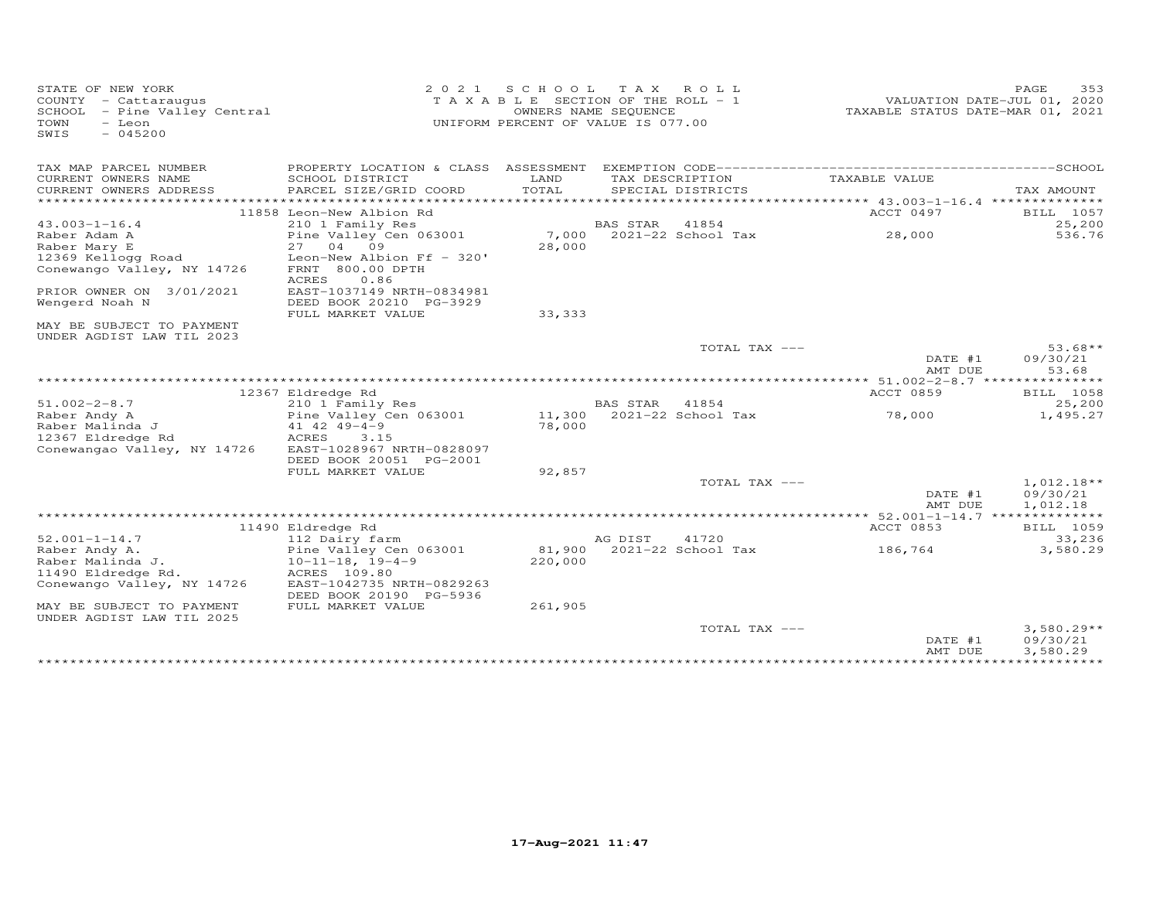| STATE OF NEW YORK<br>COUNTY - Cattaraugus<br>SCHOOL - Pine Valley Central<br>TOWN<br>- Leon<br>$-045200$<br>SWIS | 2 0 2 1                                                        | S C H O O L<br>T A X A B L E SECTION OF THE ROLL - 1<br>OWNERS NAME SEQUENCE<br>UNIFORM PERCENT OF VALUE IS 077.00 | T A X           | ROLL                               | TAXABLE STATUS DATE-MAR 01, 2021               | 353<br>PAGE<br>VALUATION DATE-JUL 01, 2020 |
|------------------------------------------------------------------------------------------------------------------|----------------------------------------------------------------|--------------------------------------------------------------------------------------------------------------------|-----------------|------------------------------------|------------------------------------------------|--------------------------------------------|
| TAX MAP PARCEL NUMBER<br>CURRENT OWNERS NAME                                                                     | SCHOOL DISTRICT                                                | LAND                                                                                                               |                 | TAX DESCRIPTION                    | TAXABLE VALUE                                  |                                            |
| CURRENT OWNERS ADDRESS<br>**********************                                                                 | PARCEL SIZE/GRID COORD                                         | TOTAL                                                                                                              |                 | SPECIAL DISTRICTS                  |                                                | TAX AMOUNT<br>*****                        |
|                                                                                                                  | 11858 Leon-New Albion Rd                                       |                                                                                                                    |                 |                                    | ACCT 0497                                      | BILL 1057                                  |
| $43.003 - 1 - 16.4$                                                                                              | 210 1 Family Res                                               |                                                                                                                    | <b>BAS STAR</b> | 41854                              |                                                | 25,200                                     |
| Raber Adam A<br>Raber Mary E                                                                                     | Pine Valley Cen 063001<br>27<br>04<br>09                       | 7,000<br>28,000                                                                                                    |                 | 2021-22 School Tax                 | 28,000                                         | 536.76                                     |
| 12369 Kellogg Road<br>Conewango Valley, NY 14726                                                                 | Leon-New Albion Ff - 320'<br>FRNT 800.00 DPTH<br>ACRES<br>0.86 |                                                                                                                    |                 |                                    |                                                |                                            |
| PRIOR OWNER ON 3/01/2021                                                                                         | EAST-1037149 NRTH-0834981                                      |                                                                                                                    |                 |                                    |                                                |                                            |
| Wengerd Noah N                                                                                                   | DEED BOOK 20210 PG-3929                                        |                                                                                                                    |                 |                                    |                                                |                                            |
| MAY BE SUBJECT TO PAYMENT<br>UNDER AGDIST LAW TIL 2023                                                           | FULL MARKET VALUE                                              | 33, 333                                                                                                            |                 |                                    |                                                |                                            |
|                                                                                                                  |                                                                |                                                                                                                    |                 | TOTAL TAX ---                      | DATE #1<br>AMT DUE                             | $53.68**$<br>09/30/21<br>53.68             |
|                                                                                                                  |                                                                |                                                                                                                    |                 |                                    | ********** 51.002-2-8.7 ***************        |                                            |
|                                                                                                                  | 12367 Eldredge Rd                                              |                                                                                                                    |                 |                                    | <b>ACCT 0859</b>                               | BILL 1058                                  |
| $51.002 - 2 - 8.7$<br>Raber Andy A                                                                               | 210 1 Family Res<br>Pine Valley Cen 063001                     |                                                                                                                    | <b>BAS STAR</b> | 41854<br>11,300 2021-22 School Tax | 78,000                                         | 25,200<br>1,495.27                         |
| Raber Malinda J                                                                                                  | $41$ $42$ $49 - 4 - 9$                                         | 78,000                                                                                                             |                 |                                    |                                                |                                            |
| 12367 Eldredge Rd                                                                                                | ACRES<br>3.15                                                  |                                                                                                                    |                 |                                    |                                                |                                            |
| Conewangao Valley, NY 14726                                                                                      | EAST-1028967 NRTH-0828097                                      |                                                                                                                    |                 |                                    |                                                |                                            |
|                                                                                                                  | DEED BOOK 20051 PG-2001<br>FULL MARKET VALUE                   | 92,857                                                                                                             |                 |                                    |                                                |                                            |
|                                                                                                                  |                                                                |                                                                                                                    |                 | TOTAL TAX ---                      |                                                | $1,012.18**$                               |
|                                                                                                                  |                                                                |                                                                                                                    |                 |                                    | DATE #1<br>AMT DUE                             | 09/30/21<br>1,012.18                       |
|                                                                                                                  | 11490 Eldredge Rd                                              |                                                                                                                    |                 |                                    | **** 52.001-1-14.7 **************<br>ACCT 0853 |                                            |
| $52.001 - 1 - 14.7$                                                                                              | 112 Dairy farm                                                 |                                                                                                                    | AG DIST         | 41720                              |                                                | BILL 1059<br>33,236                        |
| Raber Andy A.                                                                                                    | Pine Valley Cen 063001                                         | 81,900                                                                                                             |                 | 2021-22 School Tax                 | 186,764                                        | 3,580.29                                   |
| Raber Malinda J.                                                                                                 | $10 - 11 - 18$ , $19 - 4 - 9$                                  | 220,000                                                                                                            |                 |                                    |                                                |                                            |
| 11490 Eldredge Rd.<br>Conewango Valley, NY 14726                                                                 | ACRES 109.80<br>EAST-1042735 NRTH-0829263                      |                                                                                                                    |                 |                                    |                                                |                                            |
|                                                                                                                  | DEED BOOK 20190 PG-5936                                        |                                                                                                                    |                 |                                    |                                                |                                            |
| MAY BE SUBJECT TO PAYMENT<br>UNDER AGDIST LAW TIL 2025                                                           | FULL MARKET VALUE                                              | 261,905                                                                                                            |                 |                                    |                                                |                                            |
|                                                                                                                  |                                                                |                                                                                                                    |                 | TOTAL TAX ---                      | DATE #1<br>AMT DUE                             | $3,580.29**$<br>09/30/21<br>3,580.29       |
|                                                                                                                  |                                                                |                                                                                                                    |                 |                                    | ***************                                | ***********                                |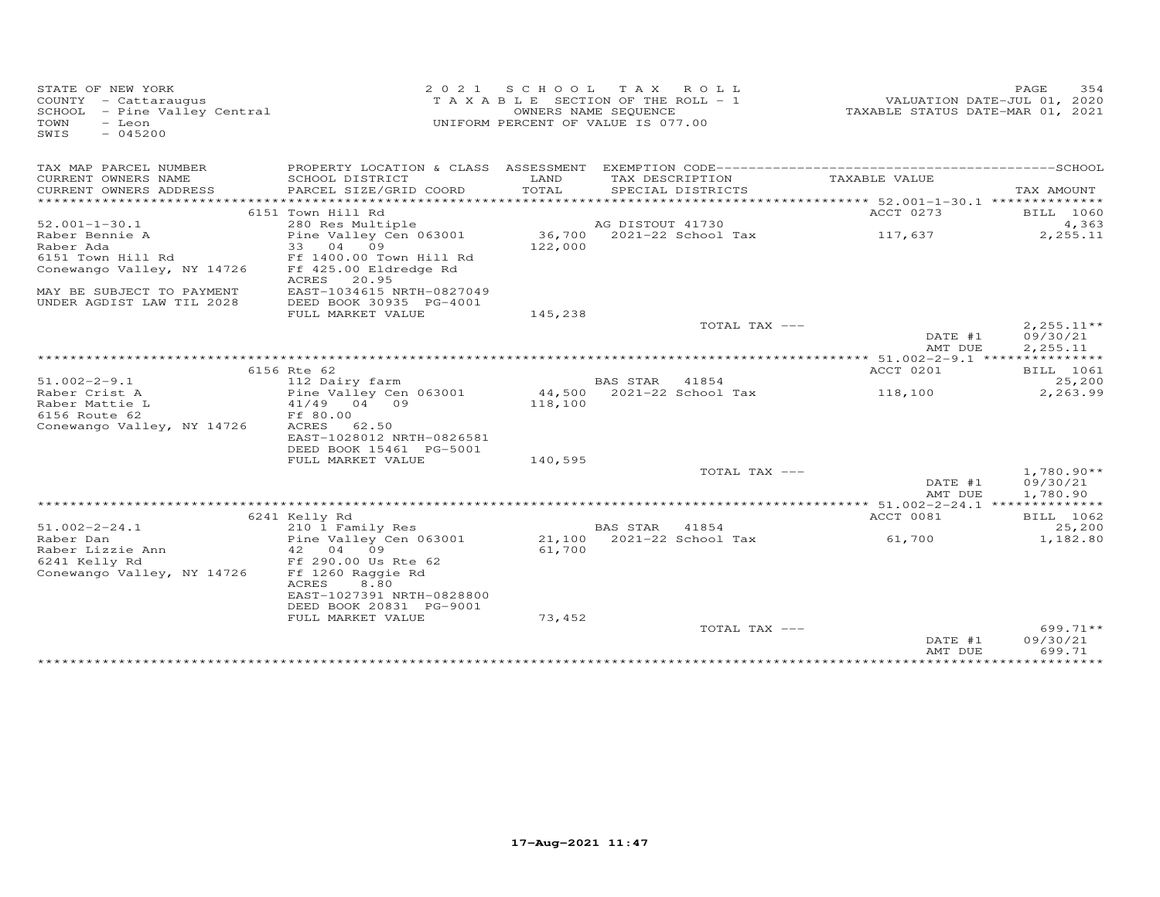| STATE OF NEW YORK<br>COUNTY - Cattaraugus<br>SCHOOL - Pine Valley Central<br>TOWN<br>- Leon<br>$-045200$<br>SWIS | 2 0 2 1                                                                   | S C H O O L<br>TAXABLE SECTION OF THE ROLL - 1<br>OWNERS NAME SEQUENCE<br>UNIFORM PERCENT OF VALUE IS 077.00 | T A X            | ROLL                        | TAXABLE STATUS DATE-MAR 01, 2021         | PAGE<br>VALUATION DATE-JUL 01, 2020 | 354                  |
|------------------------------------------------------------------------------------------------------------------|---------------------------------------------------------------------------|--------------------------------------------------------------------------------------------------------------|------------------|-----------------------------|------------------------------------------|-------------------------------------|----------------------|
| TAX MAP PARCEL NUMBER<br>CURRENT OWNERS NAME                                                                     | PROPERTY LOCATION & CLASS ASSESSMENT<br>SCHOOL DISTRICT                   | LAND                                                                                                         | TAX DESCRIPTION  |                             | TAXABLE VALUE                            |                                     |                      |
| CURRENT OWNERS ADDRESS<br>**********************                                                                 | PARCEL SIZE/GRID COORD                                                    | TOTAL                                                                                                        |                  | SPECIAL DISTRICTS           |                                          | TAX AMOUNT                          |                      |
|                                                                                                                  | 6151 Town Hill Rd                                                         |                                                                                                              |                  |                             | ACCT 0273                                |                                     | BILL 1060            |
| $52.001 - 1 - 30.1$                                                                                              | 280 Res Multiple                                                          |                                                                                                              | AG DISTOUT 41730 |                             |                                          |                                     | 4,363                |
| Raber Bennie A<br>Raber Ada                                                                                      | Pine Valley Cen 063001<br>33<br>04<br>09                                  | 122,000                                                                                                      |                  | 36,700 2021-22 School Tax   | 117,637                                  |                                     | 2,255.11             |
| 6151 Town Hill Rd<br>Conewango Valley, NY 14726                                                                  | Ff 1400.00 Town Hill Rd<br>Ff 425.00 Eldredge Rd<br>20.95<br>ACRES        |                                                                                                              |                  |                             |                                          |                                     |                      |
| MAY BE SUBJECT TO PAYMENT<br>UNDER AGDIST LAW TIL 2028                                                           | EAST-1034615 NRTH-0827049<br>DEED BOOK 30935 PG-4001                      |                                                                                                              |                  |                             |                                          |                                     |                      |
|                                                                                                                  | FULL MARKET VALUE                                                         | 145,238                                                                                                      |                  | TOTAL TAX ---               |                                          |                                     | $2,255.11**$         |
|                                                                                                                  |                                                                           |                                                                                                              |                  |                             | DATE #1<br>AMT DUE                       |                                     | 09/30/21<br>2,255.11 |
|                                                                                                                  |                                                                           |                                                                                                              |                  |                             |                                          |                                     |                      |
| $51.002 - 2 - 9.1$                                                                                               | 6156 Rte 62                                                               |                                                                                                              | <b>BAS STAR</b>  | 41854                       | ACCT 0201                                |                                     | BILL 1061<br>25,200  |
| Raber Crist A                                                                                                    | 112 Dairy farm<br>Pine Valley Cen 063001                                  |                                                                                                              |                  | 44,500 2021-22 School Tax   | 118,100                                  |                                     | 2,263.99             |
| Raber Mattie L                                                                                                   | 41/49 04 09                                                               | 118,100                                                                                                      |                  |                             |                                          |                                     |                      |
| 6156 Route 62                                                                                                    | Ff 80.00                                                                  |                                                                                                              |                  |                             |                                          |                                     |                      |
| Conewango Valley, NY 14726                                                                                       | ACRES<br>62.50                                                            |                                                                                                              |                  |                             |                                          |                                     |                      |
|                                                                                                                  | EAST-1028012 NRTH-0826581                                                 |                                                                                                              |                  |                             |                                          |                                     |                      |
|                                                                                                                  | DEED BOOK 15461 PG-5001                                                   |                                                                                                              |                  |                             |                                          |                                     |                      |
|                                                                                                                  | FULL MARKET VALUE                                                         | 140,595                                                                                                      |                  | TOTAL TAX ---               |                                          |                                     | $1,780.90**$         |
|                                                                                                                  |                                                                           |                                                                                                              |                  |                             | DATE #1                                  |                                     | 09/30/21             |
|                                                                                                                  |                                                                           |                                                                                                              |                  |                             | AMT DUE                                  | 1,780.90                            |                      |
|                                                                                                                  |                                                                           |                                                                                                              |                  |                             | *********** 51.002-2-24.1 ************** |                                     |                      |
|                                                                                                                  | 6241 Kelly Rd                                                             |                                                                                                              |                  |                             | ACCT 0081                                |                                     | BILL 1062            |
| $51.002 - 2 - 24.1$<br>Raber Dan                                                                                 | 210 1 Family Res<br>Pine Valley Cen 063001                                | 21,100                                                                                                       | BAS STAR         | 41854<br>2021-22 School Tax | 61,700                                   |                                     | 25,200<br>1,182.80   |
| Raber Lizzie Ann                                                                                                 | 42<br>04 09                                                               | 61,700                                                                                                       |                  |                             |                                          |                                     |                      |
| 6241 Kelly Rd                                                                                                    | Ff 290.00 Us Rte 62                                                       |                                                                                                              |                  |                             |                                          |                                     |                      |
| Conewango Valley, NY 14726                                                                                       | Ff 1260 Raggie Rd<br>ACRES<br>8.80                                        |                                                                                                              |                  |                             |                                          |                                     |                      |
|                                                                                                                  | EAST-1027391 NRTH-0828800<br>DEED BOOK 20831 PG-9001<br>FULL MARKET VALUE | 73,452                                                                                                       |                  |                             |                                          |                                     |                      |
|                                                                                                                  |                                                                           |                                                                                                              |                  | TOTAL TAX ---               |                                          |                                     | $699.71**$           |
|                                                                                                                  |                                                                           |                                                                                                              |                  |                             | DATE #1<br>AMT DUE                       | 09/30/21                            | 699.71               |
|                                                                                                                  |                                                                           |                                                                                                              |                  |                             | **************                           | ************                        |                      |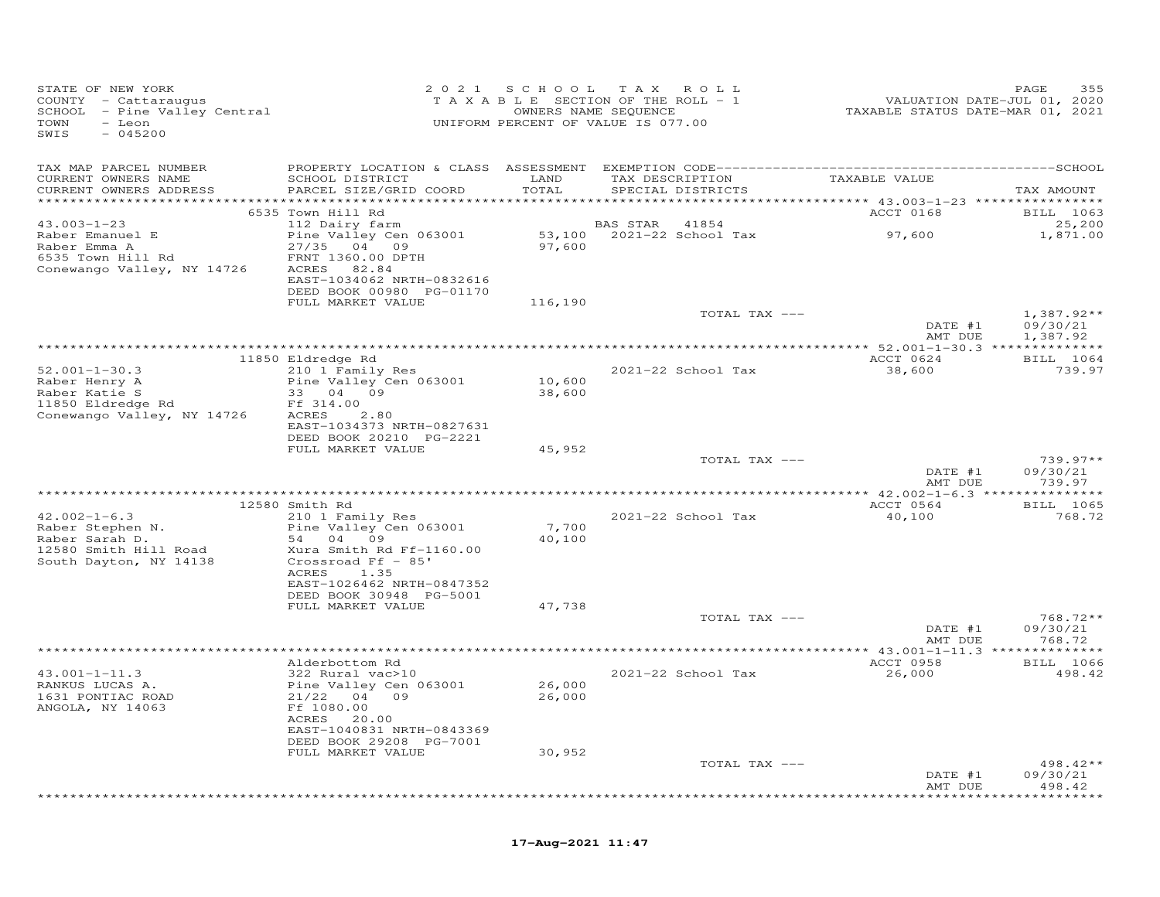| STATE OF NEW YORK<br>COUNTY - Cattaraugus<br>COUNII - Caccaraugus<br>SCHOOL - Pine Valley Central<br>TOWN<br>- Leon<br>$-045200$<br>SWIS |                                                                                                                                                      |                  | 2021 SCHOOL TAX ROLL<br>TAXABLE SECTION OF THE ROLL - 1<br>OWNERS NAME SEQUENCE<br>UNIFORM PERCENT OF VALUE IS 077.00 | VALUATION DATE-JUL 01, 2020<br>TAXABLE STATUS DATE-MAR 01, 2021 | PAGE<br>355                          |
|------------------------------------------------------------------------------------------------------------------------------------------|------------------------------------------------------------------------------------------------------------------------------------------------------|------------------|-----------------------------------------------------------------------------------------------------------------------|-----------------------------------------------------------------|--------------------------------------|
| TAX MAP PARCEL NUMBER<br>CURRENT OWNERS NAME<br>CURRENT OWNERS ADDRESS                                                                   | SCHOOL DISTRICT<br>PARCEL SIZE/GRID COORD                                                                                                            | LAND<br>TOTAL    | TAX DESCRIPTION<br>SPECIAL DISTRICTS                                                                                  | TAXABLE VALUE                                                   | TAX AMOUNT                           |
|                                                                                                                                          | 6535 Town Hill Rd                                                                                                                                    |                  |                                                                                                                       | <b>ACCT 0168</b>                                                | BILL 1063                            |
| $43.003 - 1 - 23$<br>Raber Emanuel E<br>Raber Emma A<br>6535 Town Hill Rd<br>Conewango Valley, NY 14726                                  | 112 Dairy farm<br>Pine Valley Cen 063001<br>27/35 04 09<br>FRNT 1360.00 DPTH<br>ACRES 82.84<br>EAST-1034062 NRTH-0832616<br>DEED BOOK 00980 PG-01170 |                  | <b>BAS STAR</b> 41854                                                                                                 |                                                                 | 25,200<br>1,871.00                   |
|                                                                                                                                          | FULL MARKET VALUE                                                                                                                                    | 116,190          |                                                                                                                       |                                                                 |                                      |
|                                                                                                                                          |                                                                                                                                                      |                  | TOTAL TAX ---                                                                                                         | DATE #1<br>AMT DUE                                              | $1,387.92**$<br>09/30/21<br>1,387.92 |
|                                                                                                                                          |                                                                                                                                                      |                  |                                                                                                                       |                                                                 |                                      |
|                                                                                                                                          | 11850 Eldredge Rd                                                                                                                                    |                  |                                                                                                                       | ACCT 0624                                                       | <b>BILL</b> 1064                     |
| $52.001 - 1 - 30.3$<br>Raber Henry A<br>Raber Katie S<br>11850 Eldredge Rd                                                               | 210 1 Family Res<br>Pine Valley Cen 063001<br>33 04 09<br>Ff 314.00                                                                                  | 10,600<br>38,600 | 2021-22 School Tax                                                                                                    | 38,600                                                          | 739.97                               |
| Conewango Valley, NY 14726                                                                                                               | ACRES 2.80<br>EAST-1034373 NRTH-0827631<br>DEED BOOK 20210 PG-2221<br>FULL MARKET VALUE                                                              | 45,952           |                                                                                                                       |                                                                 |                                      |
|                                                                                                                                          |                                                                                                                                                      |                  | TOTAL TAX ---                                                                                                         | DATE #1<br>AMT DUE                                              | $739.97**$<br>09/30/21<br>739.97     |
|                                                                                                                                          |                                                                                                                                                      |                  |                                                                                                                       |                                                                 |                                      |
| $42.002 - 1 - 6.3$<br>Raber Stephen N.<br>Raber Sarah D.<br>12580 Smith Hill Road<br>South Dayton, NY 14138                              | 12580 Smith Rd<br>210 1 Family Res<br>Pine Valley Cen 063001<br>54 04 09<br>Xura Smith Rd Ff-1160.00<br>Crossroad $Ff - 85'$                         | 7,700<br>40,100  | 2021-22 School Tax                                                                                                    | ACCT 0564<br>40,100                                             | <b>BILL</b> 1065<br>768.72           |
|                                                                                                                                          | ACRES<br>1.35<br>EAST-1026462 NRTH-0847352<br>DEED BOOK 30948 PG-5001<br>FULL MARKET VALUE                                                           | 47,738           |                                                                                                                       |                                                                 |                                      |
|                                                                                                                                          |                                                                                                                                                      |                  | TOTAL TAX ---                                                                                                         |                                                                 | $768.72**$                           |
|                                                                                                                                          |                                                                                                                                                      |                  |                                                                                                                       | DATE #1<br>AMT DUE                                              | 09/30/21<br>768.72                   |
|                                                                                                                                          | Alderbottom Rd                                                                                                                                       |                  |                                                                                                                       | ACCT 0958                                                       | <b>BILL</b> 1066                     |
| $43.001 - 1 - 11.3$<br>RANKUS LUCAS A.<br>1631 PONTIAC ROAD<br>ANGOLA, NY 14063                                                          | 322 Rural vac>10<br>Pine Valley Cen 063001<br>21/22 04 09<br>Ff 1080.00<br>ACRES 20.00<br>EAST-1040831 NRTH-0843369                                  | 26,000<br>26,000 | 2021-22 School Tax                                                                                                    | 26,000                                                          | 498.42                               |
|                                                                                                                                          | DEED BOOK 29208 PG-7001<br>FULL MARKET VALUE                                                                                                         | 30,952           |                                                                                                                       |                                                                 |                                      |
|                                                                                                                                          |                                                                                                                                                      |                  | TOTAL TAX ---                                                                                                         | DATE #1<br>AMT DUE                                              | 498.42**<br>09/30/21<br>498.42       |
|                                                                                                                                          |                                                                                                                                                      |                  |                                                                                                                       |                                                                 | ********                             |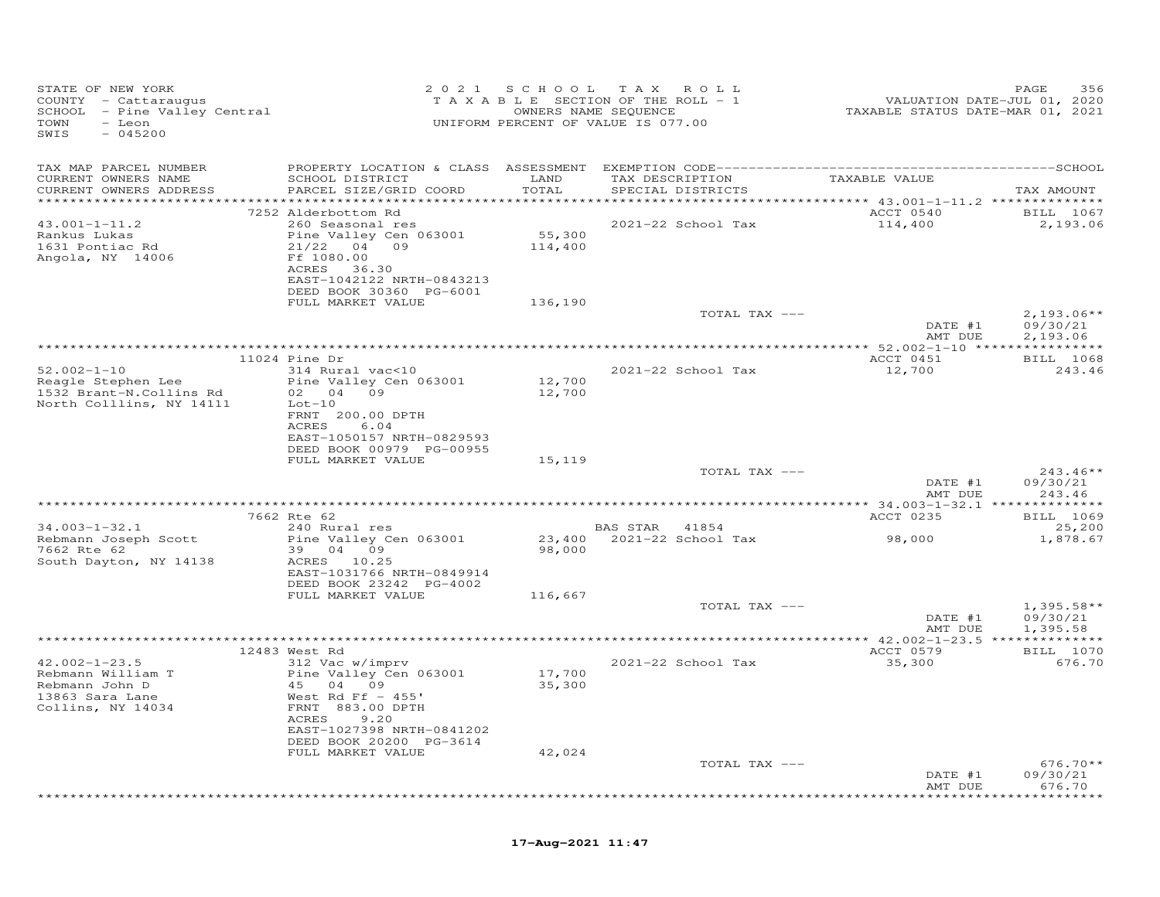| STATE OF NEW YORK<br>COUNTY - Cattaraugus<br>SCHOOL - Pine Valley Central<br>TOWN<br>- Leon<br>SWIS<br>$-045200$ |                                                                                                                                                                          |                   | 2021 SCHOOL TAX ROLL<br>TAXABLE SECTION OF THE ROLL - 1<br>OWNERS NAME SEQUENCE<br>UNIFORM PERCENT OF VALUE IS 077.00 | 2015<br>VALUATION DATE-JUL 01, 2020<br>TAXABLE STATUS DATE-MAR 01, 2021 | PAGE<br>356               |
|------------------------------------------------------------------------------------------------------------------|--------------------------------------------------------------------------------------------------------------------------------------------------------------------------|-------------------|-----------------------------------------------------------------------------------------------------------------------|-------------------------------------------------------------------------|---------------------------|
| TAX MAP PARCEL NUMBER<br>CURRENT OWNERS NAME                                                                     | SCHOOL DISTRICT                                                                                                                                                          | LAND              | TAX DESCRIPTION TAXABLE VALUE                                                                                         |                                                                         |                           |
| CURRENT OWNERS ADDRESS                                                                                           | PARCEL SIZE/GRID COORD                                                                                                                                                   | TOTAL             | SPECIAL DISTRICTS                                                                                                     | ******************** 43.001-1-11.2 **************                       | TAX AMOUNT                |
|                                                                                                                  | 7252 Alderbottom Rd                                                                                                                                                      |                   |                                                                                                                       | ACCT 0540                                                               | BILL 1067                 |
| $43.001 - 1 - 11.2$<br>Rankus Lukas<br>1631 Pontiac Rd<br>Angola, NY 14006                                       | 260 Seasonal res<br>Pine Valley Cen 063001<br>$21/22$ 04 09<br>Ff 1080.00<br>ACRES 36.30<br>EAST-1042122 NRTH-0843213<br>DEED BOOK 30360 PG-6001                         | 55,300<br>114,400 | 2021-22 School Tax                                                                                                    | 114,400                                                                 | 2,193.06                  |
|                                                                                                                  | FULL MARKET VALUE                                                                                                                                                        | 136,190           | TOTAL TAX ---                                                                                                         |                                                                         | $2,193.06**$              |
|                                                                                                                  |                                                                                                                                                                          |                   |                                                                                                                       | DATE #1<br>AMT DUE                                                      | 09/30/21<br>2,193.06      |
|                                                                                                                  |                                                                                                                                                                          |                   |                                                                                                                       |                                                                         |                           |
|                                                                                                                  | 11024 Pine Dr                                                                                                                                                            |                   |                                                                                                                       | ACCT 0451                                                               | BILL 1068                 |
| $52.002 - 1 - 10$<br>Reagle Stephen Lee<br>1532 Brant-N.Collins Rd<br>North Colllins, NY 14111                   | 314 Rural vac<10<br>Pine Valley Cen 063001<br>02 04 09<br>$Lot-10$<br>FRNT 200.00 DPTH<br>ACRES<br>6.04<br>EAST-1050157 NRTH-0829593                                     | 12,700<br>12,700  | 2021-22 School Tax                                                                                                    | 12,700                                                                  | 243.46                    |
|                                                                                                                  | DEED BOOK 00979 PG-00955                                                                                                                                                 |                   |                                                                                                                       |                                                                         |                           |
|                                                                                                                  | FULL MARKET VALUE                                                                                                                                                        | 15,119            | TOTAL TAX ---                                                                                                         |                                                                         | $243.46**$                |
|                                                                                                                  |                                                                                                                                                                          |                   |                                                                                                                       | DATE #1<br>AMT DUE                                                      | 09/30/21<br>243.46        |
|                                                                                                                  | 7662 Rte 62                                                                                                                                                              |                   |                                                                                                                       | ACCT 0235                                                               | BILL 1069                 |
| $34.003 - 1 - 32.1$                                                                                              | 240 Rural res                                                                                                                                                            |                   | BAS STAR 41854                                                                                                        |                                                                         | 25,200                    |
| Rebmann Joseph Scott<br>7662 Rte 62<br>South Dayton, NY 14138                                                    | Pine Valley Cen 063001<br>39 04 09<br>ACRES 10.25<br>EAST-1031766 NRTH-0849914                                                                                           | 98,000            | 23,400 2021-22 School Tax                                                                                             | 98,000                                                                  | 1,878.67                  |
|                                                                                                                  | DEED BOOK 23242 PG-4002                                                                                                                                                  |                   |                                                                                                                       |                                                                         |                           |
|                                                                                                                  | FULL MARKET VALUE                                                                                                                                                        | 116,667           | TOTAL TAX ---                                                                                                         |                                                                         | $1,395.58**$              |
|                                                                                                                  |                                                                                                                                                                          |                   |                                                                                                                       | DATE #1<br>AMT DUE                                                      | 09/30/21<br>1,395.58      |
|                                                                                                                  |                                                                                                                                                                          |                   |                                                                                                                       |                                                                         |                           |
|                                                                                                                  | 12483 West Rd                                                                                                                                                            |                   |                                                                                                                       | ACCT 0579                                                               | <b>BILL</b> 1070          |
| $42.002 - 1 - 23.5$<br>Rebmann William T<br>Rebmann John D<br>13863 Sara Lane<br>Collins, NY 14034               | 312 Vac w/imprv<br>Pine Valley Cen 063001<br>45 04 09<br>West Rd Ff $-455'$<br>FRNT 883.00 DPTH<br>ACRES<br>9.20<br>EAST-1027398 NRTH-0841202<br>DEED BOOK 20200 PG-3614 | 17,700<br>35,300  | 2021-22 School Tax                                                                                                    | 35,300                                                                  | 676.70                    |
|                                                                                                                  | FULL MARKET VALUE                                                                                                                                                        | 42,024            |                                                                                                                       |                                                                         |                           |
|                                                                                                                  |                                                                                                                                                                          |                   | TOTAL TAX ---                                                                                                         | DATE #1                                                                 | $676.70**$<br>09/30/21    |
|                                                                                                                  |                                                                                                                                                                          |                   |                                                                                                                       | AMT DUE                                                                 | 676.70<br><b>++++++++</b> |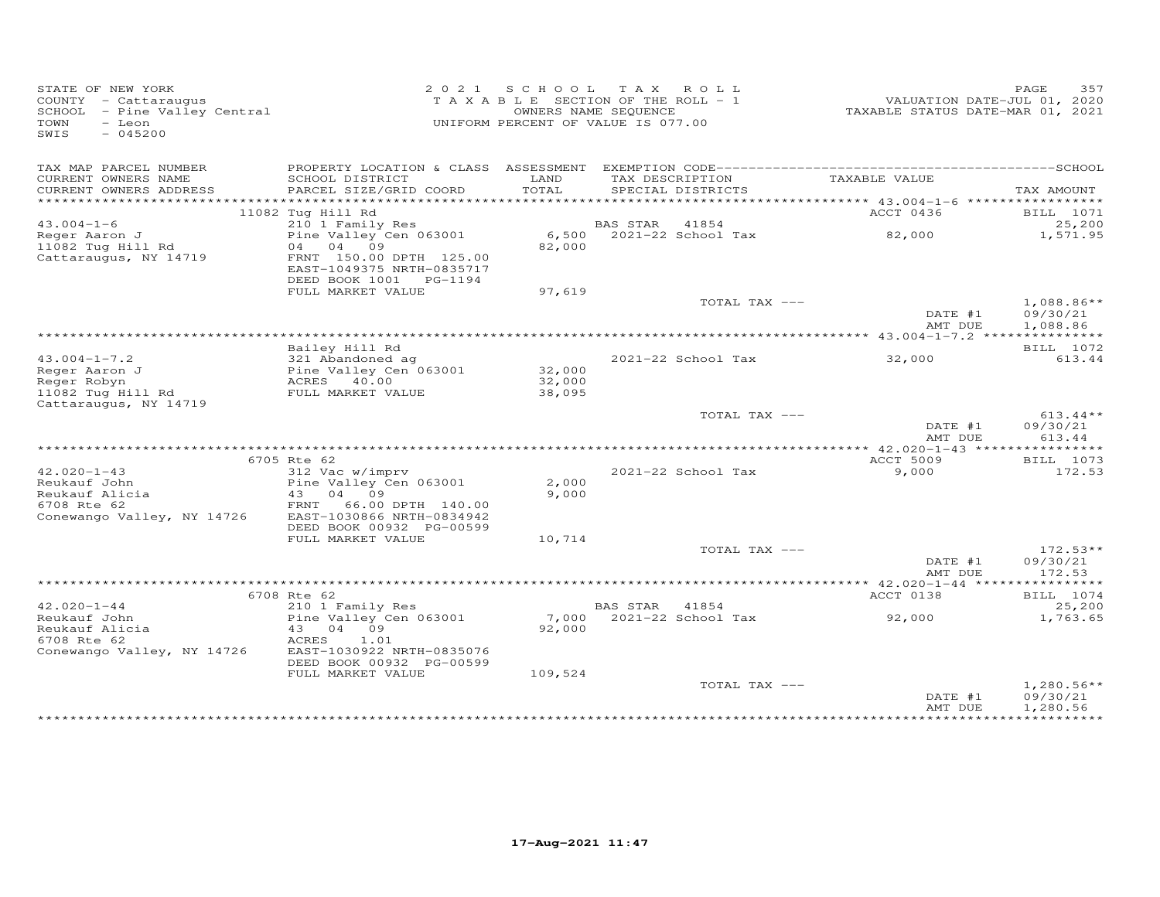| STATE OF NEW YORK<br>COUNTY - Cattaraugus<br>COUNIY - Cattaraugus<br>SCHOOL - Pine Valley Central<br>- Leon<br>TOWN<br>$-045200$<br>SWIS |                                                                                |               | 2021 SCHOOL TAX ROLL<br>TAXABLE SECTION OF THE ROLL - 1<br>OWNERS NAME SEQUENCE<br>UNIFORM PERCENT OF VALUE IS 077.00 | VALUATION DATE-JUL 01, 2020<br>TAXABLE STATUS DATE-MAR 01, 2021 | 357<br>PAGE                          |
|------------------------------------------------------------------------------------------------------------------------------------------|--------------------------------------------------------------------------------|---------------|-----------------------------------------------------------------------------------------------------------------------|-----------------------------------------------------------------|--------------------------------------|
| TAX MAP PARCEL NUMBER                                                                                                                    |                                                                                |               |                                                                                                                       |                                                                 |                                      |
| CURRENT OWNERS NAME<br>CURRENT OWNERS ADDRESS                                                                                            | SCHOOL DISTRICT<br>PARCEL SIZE/GRID COORD                                      | LAND<br>TOTAL | TAX DESCRIPTION<br>SPECIAL DISTRICTS                                                                                  | TAXABLE VALUE                                                   | TAX AMOUNT                           |
|                                                                                                                                          |                                                                                |               |                                                                                                                       |                                                                 |                                      |
|                                                                                                                                          | 11082 Tug Hill Rd                                                              |               |                                                                                                                       | ACCT 0436                                                       | BILL 1071                            |
| $43.004 - 1 - 6$                                                                                                                         | 210 1 Family Res                                                               |               | BAS STAR 41854                                                                                                        |                                                                 | 25,200                               |
| Reger Aaron J<br>11082 Tug Hill Rd                                                                                                       | Pine Valley Cen 063001<br>04 04 09                                             | 82,000        | 6,500 2021-22 School Tax                                                                                              | 82,000                                                          | 1,571.95                             |
| Cattaraugus, NY 14719                                                                                                                    | FRNT 150.00 DPTH 125.00<br>EAST-1049375 NRTH-0835717<br>DEED BOOK 1001 PG-1194 |               |                                                                                                                       |                                                                 |                                      |
|                                                                                                                                          | FULL MARKET VALUE                                                              | 97,619        |                                                                                                                       |                                                                 |                                      |
|                                                                                                                                          |                                                                                |               | TOTAL TAX ---                                                                                                         | DATE #1<br>AMT DUE                                              | $1,088.86**$<br>09/30/21<br>1,088.86 |
|                                                                                                                                          |                                                                                |               |                                                                                                                       |                                                                 |                                      |
|                                                                                                                                          | Bailey Hill Rd                                                                 |               |                                                                                                                       |                                                                 | BILL 1072                            |
| $43.004 - 1 - 7.2$<br>Reger Aaron J                                                                                                      | 321 Abandoned ag                                                               | 32,000        | 2021-22 School Tax                                                                                                    | 32,000                                                          | 613.44                               |
| Reger Robyn                                                                                                                              |                                                                                | 32,000        |                                                                                                                       |                                                                 |                                      |
| 11082 Tug Hill Rd                                                                                                                        | Pine Valley Cen 063001<br>ACRES 40.00<br>FULL MARKET VALUE                     | 38,095        |                                                                                                                       |                                                                 |                                      |
| Cattaraugus, NY 14719                                                                                                                    |                                                                                |               |                                                                                                                       |                                                                 |                                      |
|                                                                                                                                          |                                                                                |               | TOTAL TAX ---                                                                                                         | DATE #1<br>AMT DUE                                              | $613.44**$<br>09/30/21<br>613.44     |
|                                                                                                                                          |                                                                                |               |                                                                                                                       |                                                                 |                                      |
|                                                                                                                                          | 6705 Rte 62                                                                    |               |                                                                                                                       | ACCT 5009                                                       | BILL 1073                            |
| $42.020 - 1 - 43$<br>Reukauf John                                                                                                        | 312 Vac w/imprv<br>Pine Valley Cen 063001                                      | 2,000         | 2021-22 School Tax                                                                                                    | 9,000                                                           | 172.53                               |
| Reukauf Alicia                                                                                                                           | 43 04 09                                                                       | 9,000         |                                                                                                                       |                                                                 |                                      |
| 6708 Rte 62                                                                                                                              | FRNT 66.00 DPTH 140.00                                                         |               |                                                                                                                       |                                                                 |                                      |
| Conewango Valley, NY 14726                                                                                                               | EAST-1030866 NRTH-0834942                                                      |               |                                                                                                                       |                                                                 |                                      |
|                                                                                                                                          | DEED BOOK 00932 PG-00599                                                       |               |                                                                                                                       |                                                                 |                                      |
|                                                                                                                                          | FULL MARKET VALUE                                                              | 10,714        | TOTAL TAX ---                                                                                                         |                                                                 | $172.53**$                           |
|                                                                                                                                          |                                                                                |               |                                                                                                                       | DATE #1<br>AMT DUE                                              | 09/30/21<br>172.53                   |
|                                                                                                                                          |                                                                                |               |                                                                                                                       |                                                                 |                                      |
|                                                                                                                                          | 6708 Rte 62                                                                    |               |                                                                                                                       | ACCT 0138                                                       | BILL 1074                            |
| $42.020 - 1 - 44$<br>Reukauf John                                                                                                        | 210 1 Family Res<br>Pine Valley Cen 063001                                     |               | BAS STAR 41854<br>7,000 2021-22 School Tax                                                                            | 92,000                                                          | 25,200<br>1,763.65                   |
| Reukauf Alicia                                                                                                                           | 43 04 09                                                                       | 92,000        |                                                                                                                       |                                                                 |                                      |
| 6708 Rte 62                                                                                                                              | ACRES<br>1.01                                                                  |               |                                                                                                                       |                                                                 |                                      |
| Conewango Valley, NY 14726                                                                                                               | EAST-1030922 NRTH-0835076<br>DEED BOOK 00932 PG-00599                          |               |                                                                                                                       |                                                                 |                                      |
|                                                                                                                                          | FULL MARKET VALUE                                                              | 109,524       | TOTAL TAX ---                                                                                                         |                                                                 | $1,280.56**$                         |
|                                                                                                                                          |                                                                                |               |                                                                                                                       | DATE #1<br>AMT DUE                                              | 09/30/21<br>1,280.56                 |
|                                                                                                                                          |                                                                                |               |                                                                                                                       |                                                                 |                                      |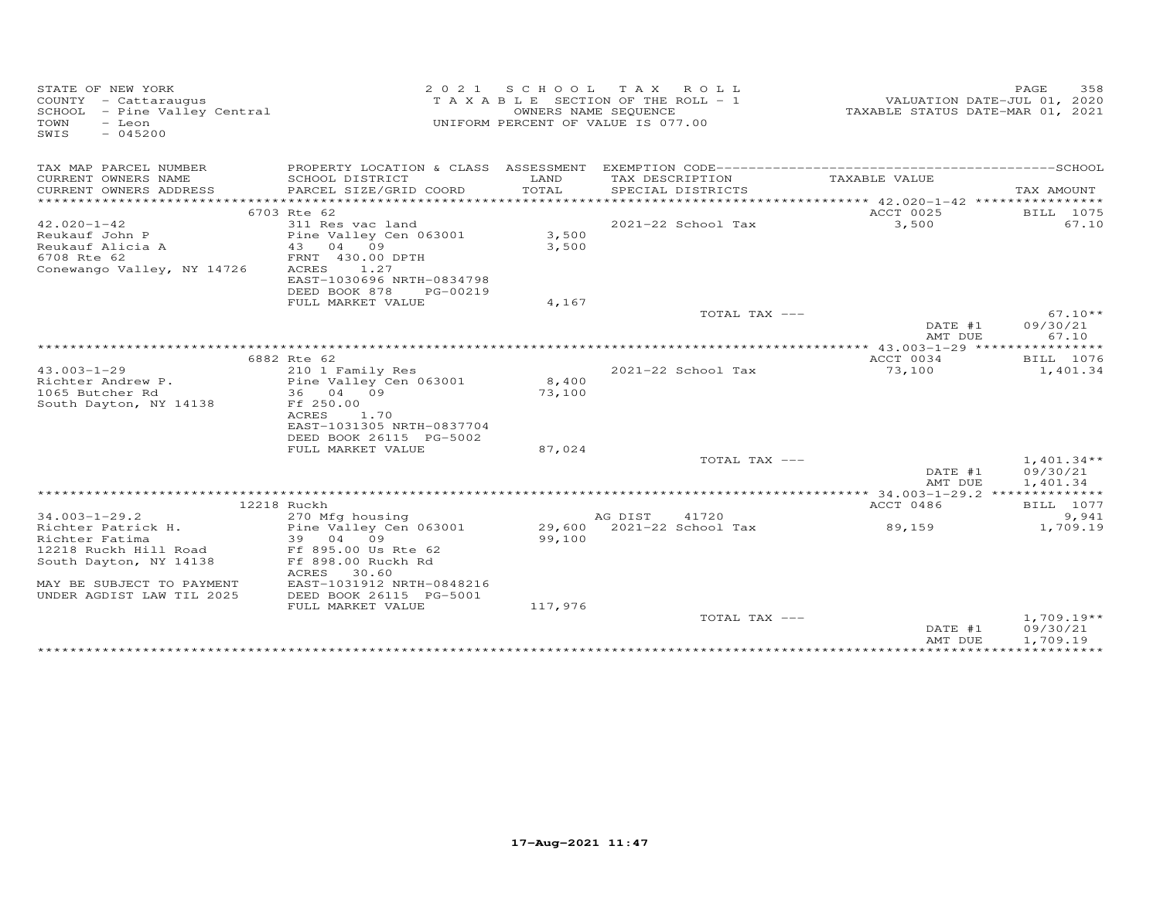| STATE OF NEW YORK<br>COUNTY - Cattaraugus<br>SCHOOL - Pine Valley Central<br>TOWN<br>- Leon<br>SWIS<br>$-045200$ | 2 0 2 1                                        |         | SCHOOL TAX ROLL<br>TAXABLE SECTION OF THE ROLL - 1<br>OWNERS NAME SEQUENCE<br>UNIFORM PERCENT OF VALUE IS 077.00 | VALUATION DATE-JUL 01, 2020<br>TAXABLE STATUS DATE-MAR 01, 2021 | 358<br>PAGE              |
|------------------------------------------------------------------------------------------------------------------|------------------------------------------------|---------|------------------------------------------------------------------------------------------------------------------|-----------------------------------------------------------------|--------------------------|
| TAX MAP PARCEL NUMBER                                                                                            |                                                |         |                                                                                                                  |                                                                 |                          |
| CURRENT OWNERS NAME                                                                                              | SCHOOL DISTRICT                                | LAND    | TAX DESCRIPTION                                                                                                  | TAXABLE VALUE                                                   |                          |
| CURRENT OWNERS ADDRESS                                                                                           | PARCEL SIZE/GRID COORD                         | TOTAL   | SPECIAL DISTRICTS                                                                                                |                                                                 | TAX AMOUNT               |
|                                                                                                                  | 6703 Rte 62                                    |         |                                                                                                                  | ACCT 0025                                                       | BILL 1075                |
| $42.020 - 1 - 42$                                                                                                | 311 Res vac land                               |         | 2021-22 School Tax                                                                                               | 3,500                                                           | 67.10                    |
| Reukauf John P                                                                                                   | Pine Valley Cen 063001                         | 3,500   |                                                                                                                  |                                                                 |                          |
| Reukauf Alicia A                                                                                                 | 43 04 09                                       | 3,500   |                                                                                                                  |                                                                 |                          |
| 6708 Rte 62                                                                                                      | FRNT 430.00 DPTH                               |         |                                                                                                                  |                                                                 |                          |
| Conewango Valley, NY 14726                                                                                       | ACRES<br>1.27                                  |         |                                                                                                                  |                                                                 |                          |
|                                                                                                                  | EAST-1030696 NRTH-0834798                      |         |                                                                                                                  |                                                                 |                          |
|                                                                                                                  | DEED BOOK 878<br>PG-00219<br>FULL MARKET VALUE | 4,167   |                                                                                                                  |                                                                 |                          |
|                                                                                                                  |                                                |         | TOTAL TAX ---                                                                                                    |                                                                 | $67.10**$                |
|                                                                                                                  |                                                |         |                                                                                                                  | DATE #1                                                         | 09/30/21                 |
|                                                                                                                  |                                                |         |                                                                                                                  | AMT DUE                                                         | 67.10                    |
|                                                                                                                  |                                                |         |                                                                                                                  |                                                                 |                          |
|                                                                                                                  | 6882 Rte 62                                    |         |                                                                                                                  | ACCT 0034                                                       | BILL 1076                |
| $43.003 - 1 - 29$<br>Richter Andrew P.                                                                           | 210 1 Family Res<br>Pine Valley Cen 063001     | 8,400   | $2021 - 22$ School Tax                                                                                           | 73,100                                                          | 1,401.34                 |
| 1065 Butcher Rd                                                                                                  | 36 04 09                                       | 73,100  |                                                                                                                  |                                                                 |                          |
| South Dayton, NY 14138                                                                                           | Ff 250.00                                      |         |                                                                                                                  |                                                                 |                          |
|                                                                                                                  | ACRES<br>1.70                                  |         |                                                                                                                  |                                                                 |                          |
|                                                                                                                  | EAST-1031305 NRTH-0837704                      |         |                                                                                                                  |                                                                 |                          |
|                                                                                                                  | DEED BOOK 26115 PG-5002                        |         |                                                                                                                  |                                                                 |                          |
|                                                                                                                  | FULL MARKET VALUE                              | 87,024  | TOTAL TAX ---                                                                                                    |                                                                 | $1,401.34**$             |
|                                                                                                                  |                                                |         |                                                                                                                  | DATE #1<br>AMT DUE                                              | 09/30/21<br>1,401.34     |
|                                                                                                                  |                                                |         |                                                                                                                  |                                                                 |                          |
|                                                                                                                  | 12218 Ruckh                                    |         |                                                                                                                  | ACCT 0486                                                       | BILL 1077                |
| $34.003 - 1 - 29.2$                                                                                              | 270 Mfg housing                                |         | AG DIST<br>41720                                                                                                 |                                                                 | 9,941                    |
| Richter Patrick H.                                                                                               | Pine Valley Cen 063001                         | 29,600  | 2021-22 School Tax                                                                                               | 89,159                                                          | 1,709.19                 |
| Richter Fatima                                                                                                   | 39 04 09                                       | 99,100  |                                                                                                                  |                                                                 |                          |
| 12218 Ruckh Hill Road<br>South Dayton, NY 14138                                                                  | Ff 895.00 Us Rte 62<br>Ff 898.00 Ruckh Rd      |         |                                                                                                                  |                                                                 |                          |
|                                                                                                                  | ACRES<br>30.60                                 |         |                                                                                                                  |                                                                 |                          |
| MAY BE SUBJECT TO PAYMENT                                                                                        | EAST-1031912 NRTH-0848216                      |         |                                                                                                                  |                                                                 |                          |
| UNDER AGDIST LAW TIL 2025                                                                                        | DEED BOOK 26115 PG-5001                        |         |                                                                                                                  |                                                                 |                          |
|                                                                                                                  | FULL MARKET VALUE                              | 117,976 |                                                                                                                  |                                                                 |                          |
|                                                                                                                  |                                                |         | TOTAL TAX ---                                                                                                    | DATE #1                                                         | $1,709.19**$<br>09/30/21 |
|                                                                                                                  |                                                |         |                                                                                                                  | AMT DUE                                                         | 1,709.19                 |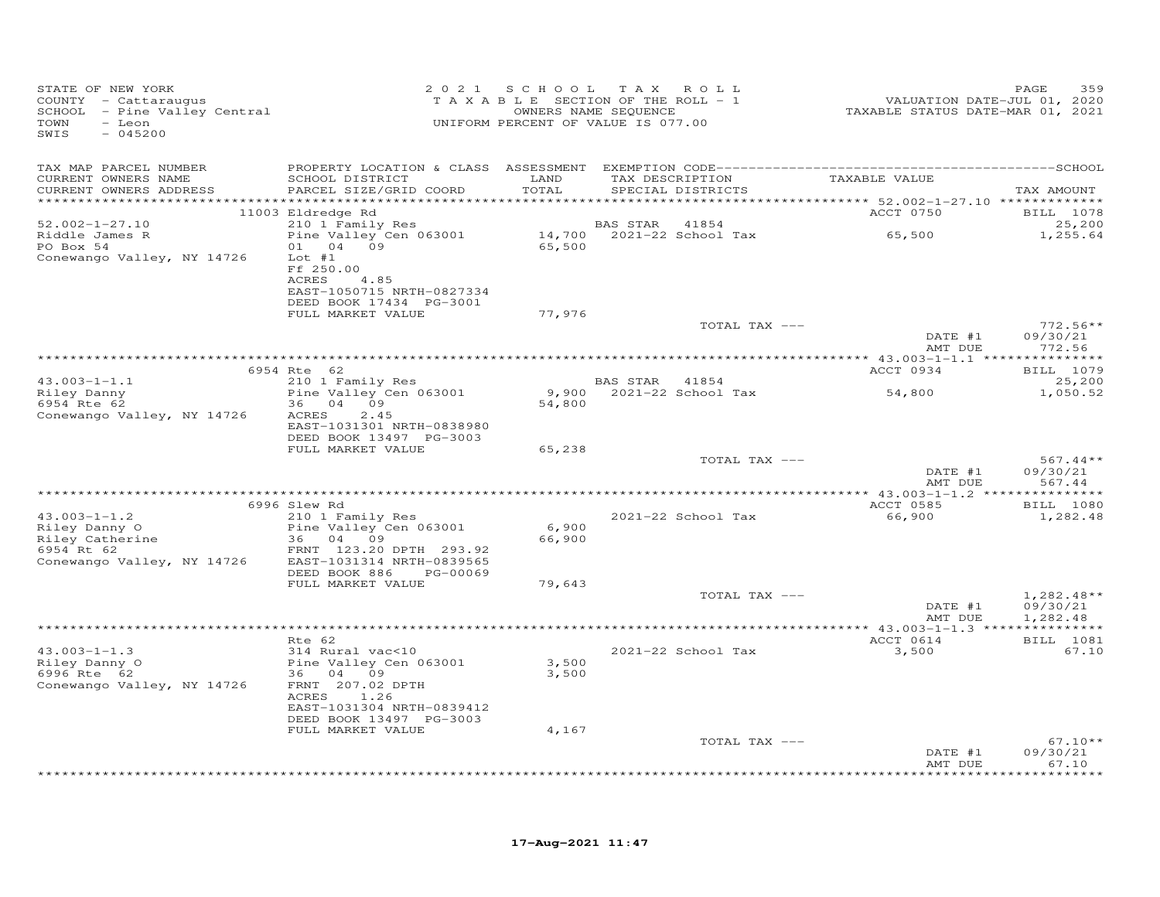| STATE OF NEW YORK<br>COUNTY - Cattaraugus<br>SCHOOL - Pine Valley Central<br>TOWN<br>- Leon<br>SWIS<br>$-045200$ |                                                                       | 2021 SCHOOL   | TAX ROLL<br>TAXABLE SECTION OF THE ROLL - 1<br>OWNERS NAME SEQUENCE<br>UNIFORM PERCENT OF VALUE IS 077.00 | VALUATION DATE-JUL 01, 2020<br>TAXABLE STATUS DATE-MAR 01, 2021 | 359<br>PAGE            |
|------------------------------------------------------------------------------------------------------------------|-----------------------------------------------------------------------|---------------|-----------------------------------------------------------------------------------------------------------|-----------------------------------------------------------------|------------------------|
| TAX MAP PARCEL NUMBER                                                                                            |                                                                       |               |                                                                                                           |                                                                 |                        |
| CURRENT OWNERS NAME<br>CURRENT OWNERS ADDRESS                                                                    | SCHOOL DISTRICT<br>PARCEL SIZE/GRID COORD                             | LAND<br>TOTAL | TAX DESCRIPTION<br>SPECIAL DISTRICTS                                                                      | TAXABLE VALUE                                                   | TAX AMOUNT             |
|                                                                                                                  | 11003 Eldredge Rd                                                     |               |                                                                                                           | ACCT 0750                                                       | BILL 1078              |
| $52.002 - 1 - 27.10$                                                                                             | 210 1 Family Res                                                      |               | <b>BAS STAR</b><br>41854                                                                                  |                                                                 | 25,200                 |
| Riddle James R<br>PO Box 54                                                                                      | Pine Valley Cen 063001<br>01 04 09                                    | 65,500        | $14,700$ $2021-22$ School Tax                                                                             | 65,500                                                          | 1,255.64               |
| Conewango Valley, NY 14726                                                                                       | $Lot$ #1<br>Ff 250.00<br>4.85<br>ACRES                                |               |                                                                                                           |                                                                 |                        |
|                                                                                                                  | EAST-1050715 NRTH-0827334<br>DEED BOOK 17434 PG-3001                  |               |                                                                                                           |                                                                 |                        |
|                                                                                                                  | FULL MARKET VALUE                                                     | 77,976        | TOTAL TAX ---                                                                                             |                                                                 | $772.56**$             |
|                                                                                                                  |                                                                       |               |                                                                                                           | DATE #1<br>AMT DUE                                              | 09/30/21<br>772.56     |
|                                                                                                                  |                                                                       |               |                                                                                                           |                                                                 |                        |
|                                                                                                                  | 6954 Rte 62<br>210 1 Family Res                                       |               |                                                                                                           | ACCT 0934                                                       | BILL 1079              |
| $43.003 - 1 - 1.1$<br>$43.003 + 1.00$<br>Riley Danny<br>$-2.52$                                                  | Pine Valley Cen 063001                                                |               | BAS STAR 41854<br>9,900 2021-22 School Tax                                                                | 54,800                                                          | 25,200<br>1,050.52     |
|                                                                                                                  | 36 04 09                                                              | 54,800        |                                                                                                           |                                                                 |                        |
| Conewango Valley, NY 14726                                                                                       | 2.45<br>ACRES<br>EAST-1031301 NRTH-0838980<br>DEED BOOK 13497 PG-3003 |               |                                                                                                           |                                                                 |                        |
|                                                                                                                  | FULL MARKET VALUE                                                     | 65,238        |                                                                                                           |                                                                 |                        |
|                                                                                                                  |                                                                       |               | TOTAL TAX ---                                                                                             | DATE #1                                                         | $567.44**$<br>09/30/21 |
|                                                                                                                  |                                                                       |               |                                                                                                           | AMT DUE                                                         | 567.44                 |
|                                                                                                                  | 6996 Slew Rd                                                          |               |                                                                                                           | ACCT 0585                                                       | <b>BILL</b> 1080       |
| $43.003 - 1 - 1.2$                                                                                               | 210 1 Family Res                                                      |               | 2021-22 School Tax                                                                                        | 66,900                                                          | 1,282.48               |
|                                                                                                                  | Pine Valley Cen 063001<br>36 04 09                                    | 6,900         |                                                                                                           |                                                                 |                        |
| 43.003-1-1.2<br>Riley Danny O<br>Riley Catherine<br>-                                                            | FRNT 123.20 DPTH 293.92                                               | 66,900        |                                                                                                           |                                                                 |                        |
| Conewango Valley, NY 14726                                                                                       | EAST-1031314 NRTH-0839565                                             |               |                                                                                                           |                                                                 |                        |
|                                                                                                                  | DEED BOOK 886<br>PG-00069                                             |               |                                                                                                           |                                                                 |                        |
|                                                                                                                  | FULL MARKET VALUE                                                     | 79,643        | TOTAL TAX ---                                                                                             |                                                                 | $1,282.48**$           |
|                                                                                                                  |                                                                       |               |                                                                                                           | DATE #1<br>AMT DUE                                              | 09/30/21<br>1,282.48   |
|                                                                                                                  |                                                                       |               |                                                                                                           |                                                                 |                        |
| $43.003 - 1 - 1.3$                                                                                               | Rte 62<br>314 Rural vac<10                                            |               | 2021-22 School Tax                                                                                        | ACCT 0614<br>3,500                                              | BILL 1081<br>67.10     |
| Riley Danny O                                                                                                    | Pine Valley Cen 063001                                                | 3,500         |                                                                                                           |                                                                 |                        |
| 6996 Rte 62                                                                                                      | 36 04 09                                                              | 3,500         |                                                                                                           |                                                                 |                        |
| Conewango Valley, NY 14726                                                                                       | FRNT 207.02 DPTH<br>ACRES 1.26                                        |               |                                                                                                           |                                                                 |                        |
|                                                                                                                  | EAST-1031304 NRTH-0839412<br>DEED BOOK 13497 PG-3003                  |               |                                                                                                           |                                                                 |                        |
|                                                                                                                  | FULL MARKET VALUE                                                     | 4,167         |                                                                                                           |                                                                 |                        |
|                                                                                                                  |                                                                       |               | TOTAL TAX ---                                                                                             | DATE #1                                                         | $67.10**$<br>09/30/21  |
|                                                                                                                  |                                                                       |               |                                                                                                           | AMT DUE                                                         | 67.10<br>*******       |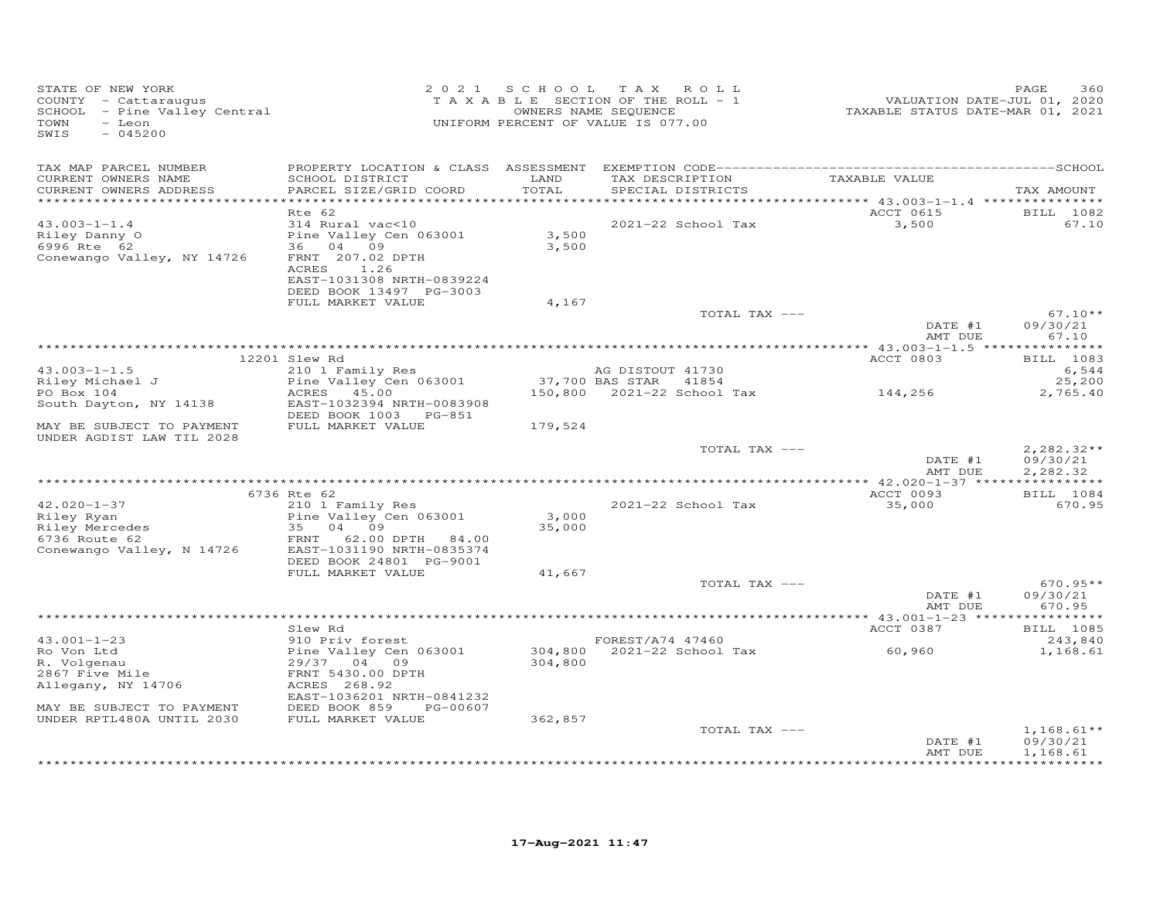| STATE OF NEW YORK<br>COUNTY - Cattaraugus<br>SCHOOL - Pine Valley Central<br>TOWN<br>- Leon<br>SWIS<br>$-045200$ |                                                                                                                                                  |                 | 2021 SCHOOL TAX ROLL<br>TAXABLE SECTION OF THE ROLL - 1<br>OWNERS NAME SEQUENCE<br>UNIFORM PERCENT OF VALUE IS 077.00 | VALUATION DATE-JUL 01, 2020<br>TAXABLE STATUS DATE-MAR 01, 2021 | 360<br>PAGE                             |
|------------------------------------------------------------------------------------------------------------------|--------------------------------------------------------------------------------------------------------------------------------------------------|-----------------|-----------------------------------------------------------------------------------------------------------------------|-----------------------------------------------------------------|-----------------------------------------|
| TAX MAP PARCEL NUMBER<br>CURRENT OWNERS NAME<br>CURRENT OWNERS ADDRESS                                           | SCHOOL DISTRICT<br>PARCEL SIZE/GRID COORD                                                                                                        | LAND<br>TOTAL   | TAX DESCRIPTION<br>SPECIAL DISTRICTS                                                                                  | TAXABLE VALUE                                                   | TAX AMOUNT                              |
|                                                                                                                  | Rte 62                                                                                                                                           |                 |                                                                                                                       | ACCT 0615                                                       | BILL 1082                               |
| $43.003 - 1 - 1.4$<br>Riley Danny O<br>6996 Rte 62<br>Conewango Valley, NY 14726                                 | 314 Rural vac<10<br>Pine Valley Cen 063001<br>36 04 09<br>FRNT 207.02 DPTH<br>ACRES 1.26<br>EAST-1031308 NRTH-0839224<br>DEED BOOK 13497 PG-3003 | 3,500<br>3,500  | 2021-22 School Tax                                                                                                    | 3,500                                                           | 67.10                                   |
|                                                                                                                  | FULL MARKET VALUE                                                                                                                                | 4,167           |                                                                                                                       |                                                                 |                                         |
|                                                                                                                  |                                                                                                                                                  |                 | TOTAL TAX ---                                                                                                         | DATE #1<br>AMT DUE                                              | $67.10**$<br>09/30/21<br>67.10          |
|                                                                                                                  |                                                                                                                                                  |                 |                                                                                                                       |                                                                 |                                         |
| $43.003 - 1 - 1.5$                                                                                               | 12201 Slew Rd<br>210 1 Family Res                                                                                                                |                 | AG DISTOUT 41730                                                                                                      | ACCT 0803                                                       | BILL 1083<br>6,544                      |
| Riley Michael J                                                                                                  | Pine Valley Cen 063001                                                                                                                           |                 | 37,700 BAS STAR<br>41854                                                                                              |                                                                 | 25,200                                  |
| PO Box 104<br>South Dayton, NY 14138                                                                             | ACRES 45.00<br>EAST-1032394 NRTH-0083908<br>DEED BOOK 1003 PG-851                                                                                |                 | 150,800 2021-22 School Tax                                                                                            | 144,256                                                         | 2,765.40                                |
| MAY BE SUBJECT TO PAYMENT<br>UNDER AGDIST LAW TIL 2028                                                           | FULL MARKET VALUE                                                                                                                                | 179,524         |                                                                                                                       |                                                                 |                                         |
|                                                                                                                  |                                                                                                                                                  |                 | TOTAL TAX ---                                                                                                         | DATE #1<br>AMT DUE                                              | $2,282.32**$<br>09/30/21<br>2,282.32    |
|                                                                                                                  | 6736 Rte 62                                                                                                                                      |                 |                                                                                                                       | ACCT 0093                                                       | BILL 1084                               |
| $42.020 - 1 - 37$<br>Riley Ryan<br>Riley Mercedes<br>6736 Route 62<br>Conewango Valley, N 14726                  | 210 1 Family Res<br>Pine Valley Cen 063001<br>04<br>09<br>35<br>FRNT<br>62.00 DPTH 84.00<br>EAST-1031190 NRTH-0835374                            | 3,000<br>35,000 | 2021-22 School Tax                                                                                                    | 35,000                                                          | 670.95                                  |
|                                                                                                                  | DEED BOOK 24801 PG-9001<br>FULL MARKET VALUE                                                                                                     | 41,667          |                                                                                                                       |                                                                 |                                         |
|                                                                                                                  |                                                                                                                                                  |                 | TOTAL TAX ---                                                                                                         | DATE #1<br>AMT DUE                                              | $670.95**$<br>09/30/21<br>670.95        |
|                                                                                                                  |                                                                                                                                                  |                 |                                                                                                                       |                                                                 |                                         |
| $43.001 - 1 - 23$<br>Ro Von Ltd<br>R. Volgenau<br>2867 Five Mile<br>Allegany, NY 14706                           | Slew Rd<br>910 Priv forest<br>Pine Valley Cen 063001<br>29/37 04 09<br>FRNT 5430.00 DPTH<br>ACRES 268.92<br>EAST-1036201 NRTH-0841232            | 304,800         | FOREST/A74 47460<br>304,800 2021-22 School Tax                                                                        | ACCT 0387<br>60,960                                             | <b>BILL</b> 1085<br>243,840<br>1,168.61 |
| MAY BE SUBJECT TO PAYMENT                                                                                        | DEED BOOK 859<br>PG-00607                                                                                                                        |                 |                                                                                                                       |                                                                 |                                         |
| UNDER RPTL480A UNTIL 2030                                                                                        | FULL MARKET VALUE                                                                                                                                | 362,857         | TOTAL TAX ---                                                                                                         | DATE #1                                                         | $1,168.61**$<br>09/30/21                |
|                                                                                                                  |                                                                                                                                                  |                 |                                                                                                                       | AMT DUE                                                         | 1,168.61<br>***********                 |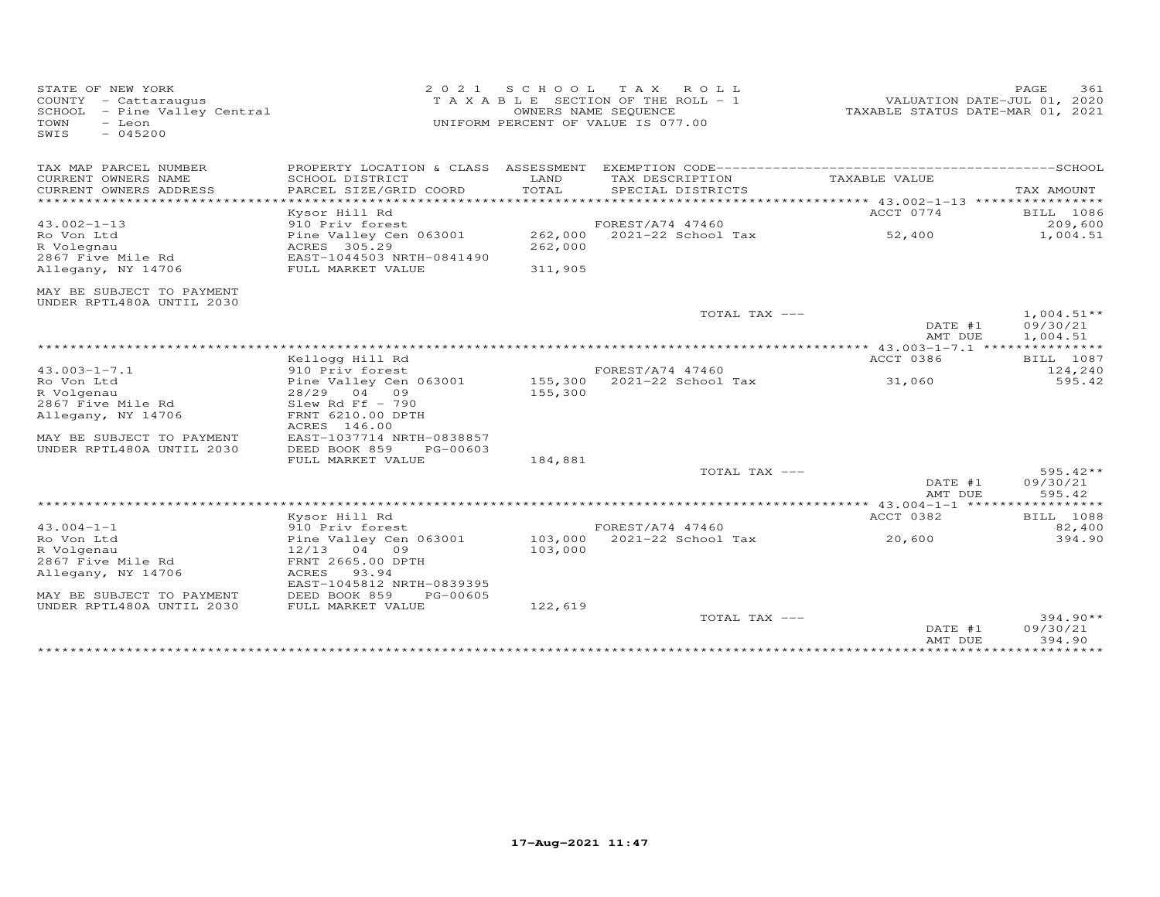| STATE OF NEW YORK<br>COUNTY - Cattaraugus<br>SCHOOL - Pine Valley Central<br>- Leon<br>TOWN<br>SWIS<br>$-045200$ | 2021                                        | SCHOOL TAX | ROLL<br>T A X A B L E SECTION OF THE ROLL - 1<br>OWNERS NAME SEQUENCE<br>UNIFORM PERCENT OF VALUE IS 077.00 |                                | PAGE<br>361<br>VALUATION DATE-JUL 01, 2020<br>TAXABLE STATUS DATE-MAR 01, 2021 |
|------------------------------------------------------------------------------------------------------------------|---------------------------------------------|------------|-------------------------------------------------------------------------------------------------------------|--------------------------------|--------------------------------------------------------------------------------|
| TAX MAP PARCEL NUMBER                                                                                            | PROPERTY LOCATION & CLASS ASSESSMENT        |            |                                                                                                             |                                |                                                                                |
| CURRENT OWNERS NAME                                                                                              | SCHOOL DISTRICT                             | LAND       | TAX DESCRIPTION                                                                                             | TAXABLE VALUE                  |                                                                                |
| CURRENT OWNERS ADDRESS<br>*************************                                                              | PARCEL SIZE/GRID COORD                      | TOTAL      | SPECIAL DISTRICTS                                                                                           |                                | TAX AMOUNT                                                                     |
|                                                                                                                  | Kysor Hill Rd                               |            |                                                                                                             | ACCT 0774                      | BILL 1086                                                                      |
| $43.002 - 1 - 13$                                                                                                | 910 Priv forest                             |            | FOREST/A74 47460                                                                                            |                                | 209,600                                                                        |
| Ro Von Ltd                                                                                                       | Pine Valley Cen 063001                      | 262,000    | $2021 - 22$ School Tax                                                                                      | 52,400                         | 1,004.51                                                                       |
| R Volegnau                                                                                                       | ACRES 305.29                                | 262,000    |                                                                                                             |                                |                                                                                |
| 2867 Five Mile Rd                                                                                                | EAST-1044503 NRTH-0841490                   |            |                                                                                                             |                                |                                                                                |
| Allegany, NY 14706                                                                                               | FULL MARKET VALUE                           | 311,905    |                                                                                                             |                                |                                                                                |
| MAY BE SUBJECT TO PAYMENT<br>UNDER RPTL480A UNTIL 2030                                                           |                                             |            |                                                                                                             |                                |                                                                                |
|                                                                                                                  |                                             |            | TOTAL TAX ---                                                                                               |                                | $1,004.51**$                                                                   |
|                                                                                                                  |                                             |            |                                                                                                             | DATE #1                        | 09/30/21                                                                       |
|                                                                                                                  |                                             |            |                                                                                                             | AMT DUE                        | 1,004.51                                                                       |
|                                                                                                                  |                                             |            |                                                                                                             |                                |                                                                                |
| $43.003 - 1 - 7.1$                                                                                               | Kellogg Hill Rd<br>910 Priv forest          |            | FOREST/A74 47460                                                                                            | ACCT 0386                      | BILL 1087<br>124,240                                                           |
| Ro Von Ltd                                                                                                       | Pine Valley Cen 063001                      | 155,300    | 2021-22 School Tax                                                                                          | 31,060                         | 595.42                                                                         |
| R Volgenau                                                                                                       | 28/29 04<br>09                              | 155,300    |                                                                                                             |                                |                                                                                |
| 2867 Five Mile Rd                                                                                                | Slew Rd Ff $-790$                           |            |                                                                                                             |                                |                                                                                |
| Allegany, NY 14706                                                                                               | FRNT 6210.00 DPTH                           |            |                                                                                                             |                                |                                                                                |
|                                                                                                                  | ACRES 146.00                                |            |                                                                                                             |                                |                                                                                |
| MAY BE SUBJECT TO PAYMENT                                                                                        | EAST-1037714 NRTH-0838857                   |            |                                                                                                             |                                |                                                                                |
| UNDER RPTL480A UNTIL 2030                                                                                        | DEED BOOK 859<br>PG-00603                   |            |                                                                                                             |                                |                                                                                |
|                                                                                                                  | FULL MARKET VALUE                           | 184,881    |                                                                                                             |                                |                                                                                |
|                                                                                                                  |                                             |            | TOTAL TAX ---                                                                                               | DATE #1                        | $595.42**$<br>09/30/21                                                         |
|                                                                                                                  |                                             |            |                                                                                                             | AMT DUE                        | 595.42                                                                         |
|                                                                                                                  |                                             |            |                                                                                                             | ************ 43.004-1-1 ****** | ********                                                                       |
|                                                                                                                  | Kysor Hill Rd                               |            |                                                                                                             | ACCT 0382                      | BILL 1088                                                                      |
| $43.004 - 1 - 1$                                                                                                 | 910 Priv forest                             |            | FOREST/A74 47460                                                                                            |                                | 82,400                                                                         |
| Ro Von Ltd                                                                                                       | Pine Valley Cen 063001                      | 103,000    | 2021-22 School Tax                                                                                          | 20,600                         | 394.90                                                                         |
| R Volgenau                                                                                                       | 04 09<br>12/13                              | 103,000    |                                                                                                             |                                |                                                                                |
| 2867 Five Mile Rd                                                                                                | FRNT 2665.00 DPTH                           |            |                                                                                                             |                                |                                                                                |
| Allegany, NY 14706                                                                                               | ACRES<br>93.94<br>EAST-1045812 NRTH-0839395 |            |                                                                                                             |                                |                                                                                |
| MAY BE SUBJECT TO PAYMENT                                                                                        | DEED BOOK 859<br>PG-00605                   |            |                                                                                                             |                                |                                                                                |
| UNDER RPTL480A UNTIL 2030                                                                                        | FULL MARKET VALUE                           | 122,619    |                                                                                                             |                                |                                                                                |
|                                                                                                                  |                                             |            | TOTAL TAX ---                                                                                               |                                | $394.90**$                                                                     |
|                                                                                                                  |                                             |            |                                                                                                             | DATE #1                        | 09/30/21                                                                       |
|                                                                                                                  |                                             |            |                                                                                                             | AMT DUE                        | 394.90                                                                         |
|                                                                                                                  |                                             |            |                                                                                                             |                                |                                                                                |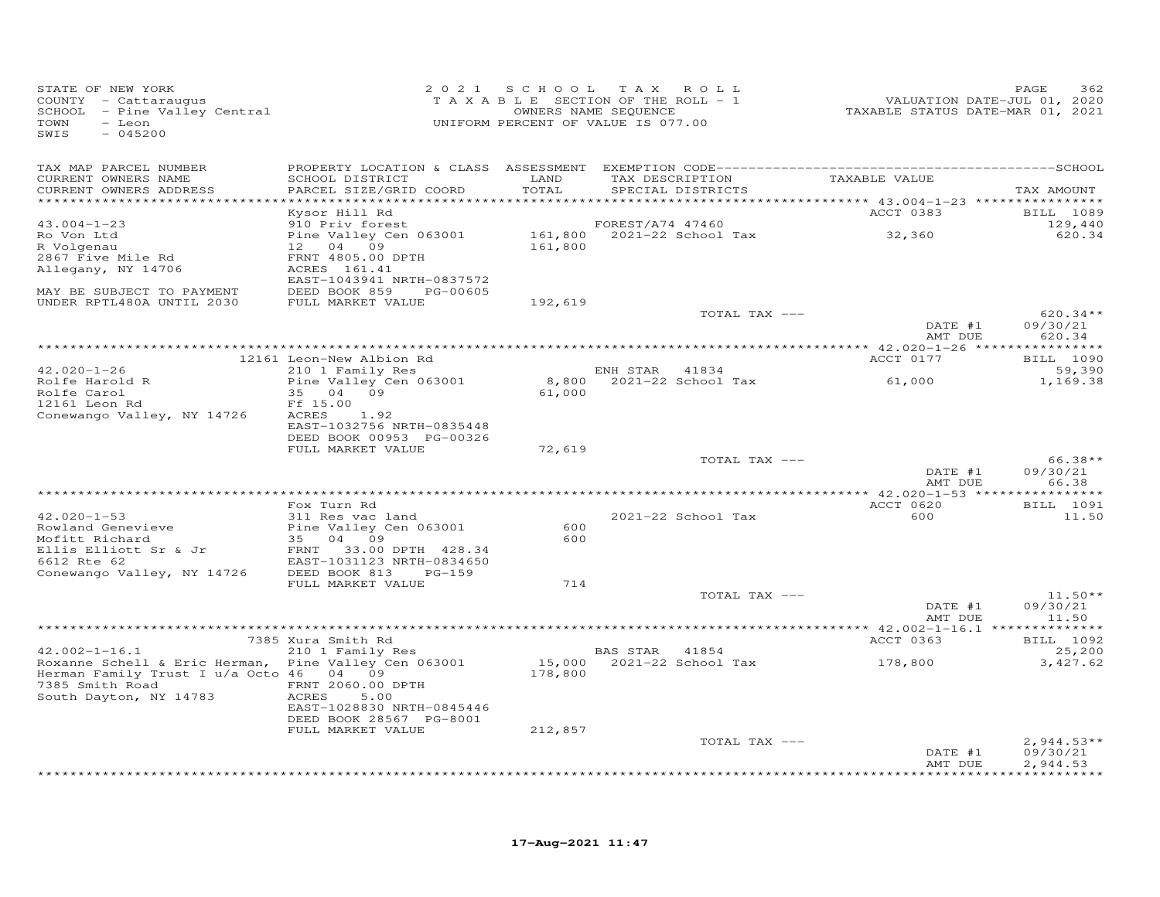| STATE OF NEW YORK<br>COUNTY - Cattaraugus<br>SCHOOL - Pine Valley Central<br>TOWN<br>- Leon<br>SWIS<br>$-045200$                             | 2 0 2 1                                                                            |                 | SCHOOL TAX ROLL<br>TAXABLE SECTION OF THE ROLL - 1<br>OWNERS NAME SEQUENCE<br>UNIFORM PERCENT OF VALUE IS 077.00 | VALUATION DATE-JUL 01, 2020<br>TAXABLE STATUS DATE-MAR 01, 2021 | PAGE<br>362                      |
|----------------------------------------------------------------------------------------------------------------------------------------------|------------------------------------------------------------------------------------|-----------------|------------------------------------------------------------------------------------------------------------------|-----------------------------------------------------------------|----------------------------------|
| TAX MAP PARCEL NUMBER<br>CURRENT OWNERS NAME<br>CURRENT OWNERS ADDRESS                                                                       | SCHOOL DISTRICT<br>PARCEL SIZE/GRID COORD                                          | LAND<br>TOTAL   | TAX DESCRIPTION<br>SPECIAL DISTRICTS                                                                             | TAXABLE VALUE                                                   | TAX AMOUNT                       |
| ************************                                                                                                                     |                                                                                    |                 |                                                                                                                  |                                                                 |                                  |
| $43.004 - 1 - 23$                                                                                                                            | Kysor Hill Rd<br>910 Priv forest                                                   |                 | FOREST/A74 47460                                                                                                 | ACCT 0383                                                       | <b>BILL</b> 1089<br>129,440      |
| Ro Von Ltd<br>R Volgenau<br>2867 Five Mile Rd                                                                                                | Pine Valley Cen 063001<br>12 04 09<br>FRNT 4805.00 DPTH                            | 161,800         | 161,800 2021-22 School Tax                                                                                       | 32,360                                                          | 620.34                           |
| Allegany, NY 14706<br>MAY BE SUBJECT TO PAYMENT                                                                                              | ACRES 161.41<br>EAST-1043941 NRTH-0837572<br>DEED BOOK 859 PG-00605                |                 |                                                                                                                  |                                                                 |                                  |
| UNDER RPTL480A UNTIL 2030                                                                                                                    | FULL MARKET VALUE                                                                  | 192,619         |                                                                                                                  |                                                                 |                                  |
|                                                                                                                                              |                                                                                    |                 | TOTAL TAX ---                                                                                                    | DATE #1<br>AMT DUE                                              | $620.34**$<br>09/30/21<br>620.34 |
|                                                                                                                                              |                                                                                    |                 |                                                                                                                  |                                                                 |                                  |
|                                                                                                                                              | 12161 Leon-New Albion Rd                                                           |                 |                                                                                                                  | ACCT 0177                                                       | BILL 1090                        |
| $42.020 - 1 - 26$<br>Rolfe Harold R<br>Rolfe Carol                                                                                           | 210 1 Family Res<br>Pine Valley Cen 063001<br>35 04<br>09                          | 8,800<br>61,000 | ENH STAR<br>41834<br>2021-22 School Tax                                                                          | 61,000                                                          | 59,390<br>1,169.38               |
| 12161 Leon Rd<br>Conewango Valley, NY 14726                                                                                                  | Ff 15.00<br>1.92<br>ACRES<br>EAST-1032756 NRTH-0835448<br>DEED BOOK 00953 PG-00326 |                 |                                                                                                                  |                                                                 |                                  |
|                                                                                                                                              | FULL MARKET VALUE                                                                  | 72,619          |                                                                                                                  |                                                                 |                                  |
|                                                                                                                                              |                                                                                    |                 | TOTAL TAX ---                                                                                                    | DATE #1<br>AMT DUE                                              | $66.38**$<br>09/30/21<br>66.38   |
|                                                                                                                                              |                                                                                    |                 |                                                                                                                  |                                                                 |                                  |
|                                                                                                                                              | Fox Turn Rd                                                                        |                 |                                                                                                                  | ACCT 0620                                                       | BILL 1091                        |
| $42.020 - 1 - 53$<br>Rowland Genevieve<br>Mofitt Richard                                                                                     | 311 Res vac land<br>Pine Valley Cen 063001<br>35 04 09                             | 600<br>600      | 2021-22 School Tax                                                                                               | 600                                                             | 11.50                            |
| Ellis Elliott Sr & Jr<br>6612 Rte 62                                                                                                         | FRNT 33.00 DPTH 428.34<br>EAST-1031123 NRTH-0834650                                |                 |                                                                                                                  |                                                                 |                                  |
| Conewango Valley, NY 14726                                                                                                                   | DEED BOOK 813<br>$PG-159$<br>FULL MARKET VALUE                                     | 714             |                                                                                                                  |                                                                 |                                  |
|                                                                                                                                              |                                                                                    |                 | TOTAL TAX ---                                                                                                    |                                                                 | $11.50**$                        |
|                                                                                                                                              |                                                                                    |                 |                                                                                                                  | DATE #1<br>AMT DUE                                              | 09/30/21<br>11.50                |
|                                                                                                                                              | 7385 Xura Smith Rd                                                                 |                 |                                                                                                                  | ACCT 0363                                                       | BILL 1092                        |
| $42.002 - 1 - 16.1$                                                                                                                          | 210 1 Family Res                                                                   |                 | BAS STAR<br>41854                                                                                                |                                                                 | 25,200                           |
| Roxanne Schell & Eric Herman, Pine Valley Cen 063001<br>Herman Family Trust I u/a Octo 46 04 09<br>7385 Smith Road<br>South Dayton, NY 14783 | FRNT 2060.00 DPTH<br>ACRES<br>5.00                                                 | 178,800         | 15,000  2021-22  School Tax                                                                                      | 178,800                                                         | 3,427.62                         |
|                                                                                                                                              | EAST-1028830 NRTH-0845446<br>DEED BOOK 28567 PG-8001<br>FULL MARKET VALUE          | 212,857         |                                                                                                                  |                                                                 |                                  |
|                                                                                                                                              |                                                                                    |                 | TOTAL TAX ---                                                                                                    |                                                                 | $2,944.53**$                     |
|                                                                                                                                              |                                                                                    |                 |                                                                                                                  | DATE #1<br>AMT DUE                                              | 09/30/21<br>2,944.53             |
|                                                                                                                                              |                                                                                    |                 |                                                                                                                  |                                                                 | .                                |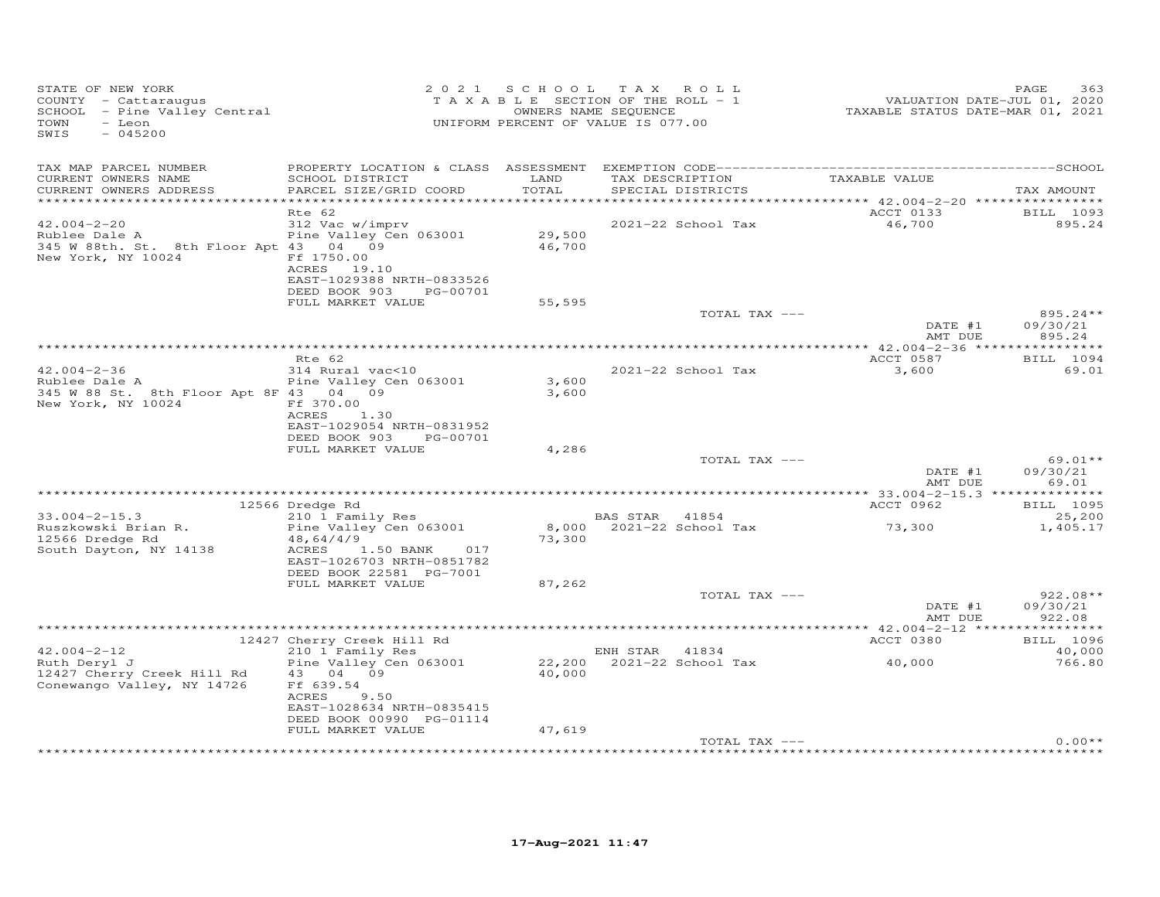| STATE OF NEW YORK<br>COUNTY - Cattaraugus<br>SCHOOL - Pine Valley Central<br>TOWN<br>- Leon<br>$-045200$<br>SWIS       | 2 0 2 1                                                                                                                                       | S C H O O L      | T A X<br>ROLL<br>TAXABLE SECTION OF THE ROLL - 1<br>OWNERS NAME SEQUENCE<br>UNIFORM PERCENT OF VALUE IS 077.00 |               | VALUATION DATE-JUL 01, 2020<br>TAXABLE STATUS DATE-MAR 01, 2021                                                                                                                                                               | PAGE<br>363                      |
|------------------------------------------------------------------------------------------------------------------------|-----------------------------------------------------------------------------------------------------------------------------------------------|------------------|----------------------------------------------------------------------------------------------------------------|---------------|-------------------------------------------------------------------------------------------------------------------------------------------------------------------------------------------------------------------------------|----------------------------------|
| TAX MAP PARCEL NUMBER<br>CURRENT OWNERS NAME<br>CURRENT OWNERS ADDRESS                                                 | SCHOOL DISTRICT<br>PARCEL SIZE/GRID COORD                                                                                                     | LAND<br>TOTAL    | TAX DESCRIPTION<br>SPECIAL DISTRICTS                                                                           |               | TAXABLE VALUE                                                                                                                                                                                                                 | TAX AMOUNT                       |
|                                                                                                                        | Rte 62                                                                                                                                        |                  |                                                                                                                |               | ACCT 0133                                                                                                                                                                                                                     | BILL 1093                        |
| $42.004 - 2 - 20$<br>Rublee Dale A<br>345 W 88th. St. 8th Floor Apt 43 04 09<br>New York, NY 10024                     | 312 Vac w/imprv<br>Pine Valley Cen 063001<br>Ff 1750.00<br>ACRES 19.10<br>EAST-1029388 NRTH-0833526<br>DEED BOOK 903<br>PG-00701              | 29,500<br>46,700 | 2021-22 School Tax                                                                                             |               | 46,700                                                                                                                                                                                                                        | 895.24                           |
|                                                                                                                        | FULL MARKET VALUE                                                                                                                             | 55,595           |                                                                                                                |               |                                                                                                                                                                                                                               |                                  |
|                                                                                                                        |                                                                                                                                               |                  |                                                                                                                | TOTAL TAX --- | DATE #1<br>AMT DUE                                                                                                                                                                                                            | $895.24**$<br>09/30/21<br>895.24 |
|                                                                                                                        |                                                                                                                                               |                  |                                                                                                                |               |                                                                                                                                                                                                                               |                                  |
|                                                                                                                        | Rte 62                                                                                                                                        |                  |                                                                                                                |               | ACCT 0587                                                                                                                                                                                                                     | BILL 1094                        |
| $42.004 - 2 - 36$<br>Rublee Dale A<br>345 W 88 St. 8th Floor Apt 8F 43 04 09<br>New York, NY 10024                     | 314 Rural vac<10<br>Pine Valley Cen 063001<br>Ff 370.00<br>ACRES<br>1.30<br>EAST-1029054 NRTH-0831952                                         | 3,600<br>3,600   | 2021-22 School Tax                                                                                             |               | 3,600                                                                                                                                                                                                                         | 69.01                            |
|                                                                                                                        | DEED BOOK 903<br>PG-00701<br>FULL MARKET VALUE                                                                                                | 4,286            |                                                                                                                |               |                                                                                                                                                                                                                               |                                  |
|                                                                                                                        |                                                                                                                                               |                  |                                                                                                                | TOTAL TAX --- |                                                                                                                                                                                                                               | 69.01**                          |
|                                                                                                                        |                                                                                                                                               |                  |                                                                                                                |               | DATE #1<br>AMT DUE                                                                                                                                                                                                            | 09/30/21<br>69.01                |
|                                                                                                                        |                                                                                                                                               |                  |                                                                                                                |               |                                                                                                                                                                                                                               |                                  |
| $33.004 - 2 - 15.3$                                                                                                    | 12566 Dredge Rd<br>210 1 Family Res                                                                                                           |                  | BAS STAR 41854                                                                                                 |               | ACCT 0962                                                                                                                                                                                                                     | BILL 1095<br>25,200              |
| Ruszkowski Brian R.<br>12566 Dredge Rd<br>South Dayton, NY 14138                                                       | Pine Valley Cen 063001<br>48,64/4/9<br>ACRES<br>1.50 BANK<br>017<br>EAST-1026703 NRTH-0851782<br>DEED BOOK 22581 PG-7001                      | 73,300           | 8,000 2021-22 School Tax                                                                                       |               | 73,300                                                                                                                                                                                                                        | 1,405.17                         |
|                                                                                                                        | FULL MARKET VALUE                                                                                                                             | 87,262           |                                                                                                                |               |                                                                                                                                                                                                                               |                                  |
|                                                                                                                        |                                                                                                                                               |                  |                                                                                                                | TOTAL TAX --- | DATE #1<br>AMT DUE                                                                                                                                                                                                            | $922.08**$<br>09/30/21<br>922.08 |
|                                                                                                                        |                                                                                                                                               |                  |                                                                                                                |               |                                                                                                                                                                                                                               |                                  |
|                                                                                                                        | 12427 Cherry Creek Hill Rd                                                                                                                    |                  |                                                                                                                |               | ACCT 0380                                                                                                                                                                                                                     | BILL 1096                        |
| $42.004 - 2 - 12$<br>Ruth Deryl J<br>12427 Cherry Creek Hill Rd<br>Conewango Valley, NY 14726                          | 210 1 Family Res<br>Pine Valley Cen 063001<br>43 04 09<br>Ff 639.54<br>ACRES<br>9.50<br>EAST-1028634 NRTH-0835415<br>DEED BOOK 00990 PG-01114 | 40,000           | ENH STAR 41834<br>22,200 2021-22 School Tax                                                                    |               | 40,000                                                                                                                                                                                                                        | 40,000<br>766.80                 |
|                                                                                                                        | FULL MARKET VALUE                                                                                                                             | 47,619           |                                                                                                                |               |                                                                                                                                                                                                                               |                                  |
| and an encouragement on the angels on the angels on the angels on the angels on the angels on the angels on the angels |                                                                                                                                               |                  |                                                                                                                | TOTAL TAX --- | ababas and an ababas and ababas an ababas an ababas an ababas an ababas an ababas an ababas an ababas an ababas an ababas an ababas an ababas an ababas an ababas an ababas an ababas an ababas an ababas an ababas an ababas | $0.00**$                         |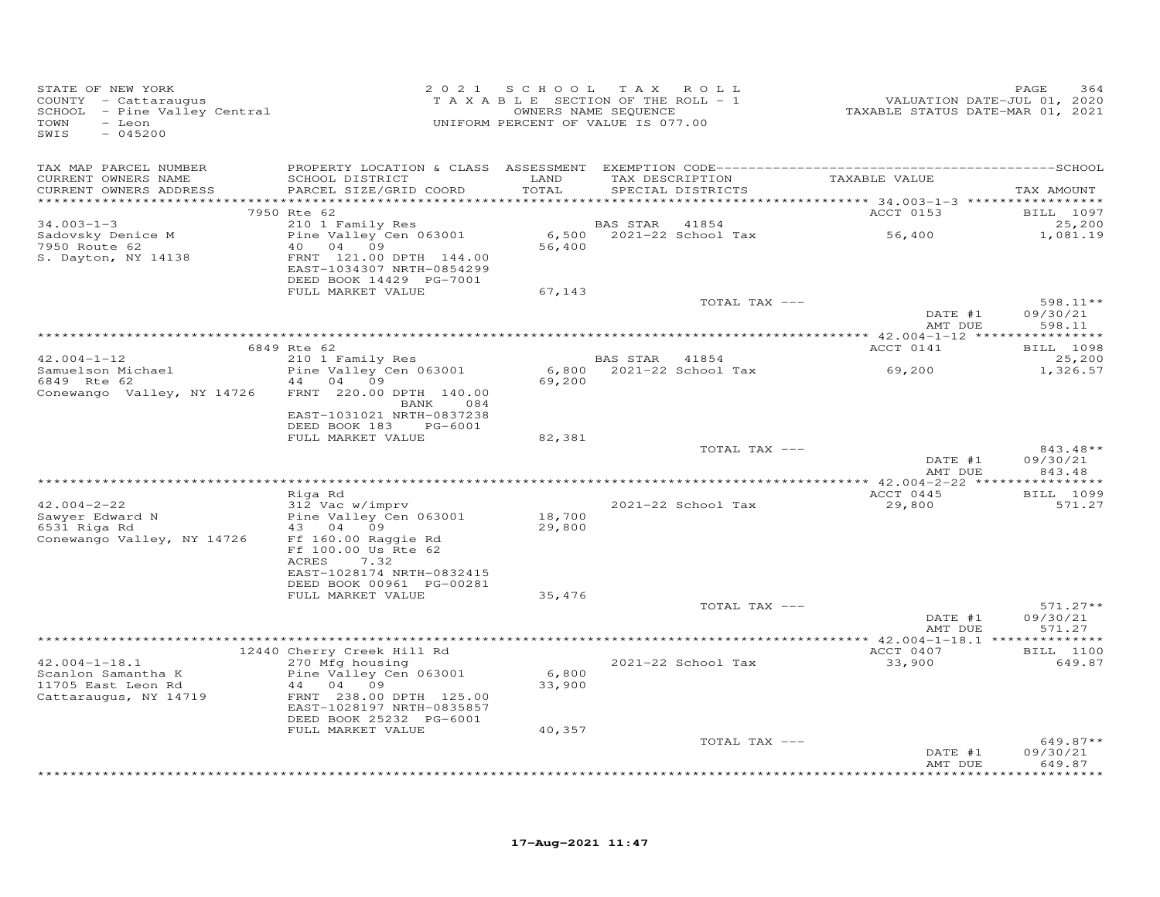| STATE OF NEW YORK<br>COUNTY - Cattaraugus<br>SCHOOL - Pine Valley Central<br>TOWN<br>- Leon<br>SWIS<br>$-045200$ |                                                                                             | 2021 SCHOOL      | TAX ROLL<br>TAXABLE SECTION OF THE ROLL - 1<br>OWNERS NAME SEQUENCE<br>UNIFORM PERCENT OF VALUE IS 077.00 |               | VALUATION DATE-JUL 01, 2020<br>TAXABLE STATUS DATE-MAR 01, 2021 | PAGE<br>364                    |
|------------------------------------------------------------------------------------------------------------------|---------------------------------------------------------------------------------------------|------------------|-----------------------------------------------------------------------------------------------------------|---------------|-----------------------------------------------------------------|--------------------------------|
| TAX MAP PARCEL NUMBER                                                                                            |                                                                                             |                  |                                                                                                           |               |                                                                 |                                |
| CURRENT OWNERS NAME<br>CURRENT OWNERS ADDRESS                                                                    | SCHOOL DISTRICT<br>PARCEL SIZE/GRID COORD                                                   | LAND<br>TOTAL    | TAX DESCRIPTION<br>SPECIAL DISTRICTS                                                                      |               | TAXABLE VALUE                                                   | TAX AMOUNT                     |
|                                                                                                                  | 7950 Rte 62                                                                                 |                  |                                                                                                           |               | ACCT 0153                                                       | BILL 1097                      |
| $34.003 - 1 - 3$                                                                                                 | 210 1 Family Res                                                                            |                  | BAS STAR                                                                                                  | 41854         |                                                                 | 25,200                         |
| Sadovsky Denice M                                                                                                | Pine Valley Cen 063001                                                                      |                  | 6,500 2021-22 School Tax                                                                                  |               | 56,400                                                          | 1,081.19                       |
| 7950 Route 62<br>S. Dayton, NY 14138                                                                             | 40 04 09<br>FRNT 121.00 DPTH 144.00<br>EAST-1034307 NRTH-0854299<br>DEED BOOK 14429 PG-7001 | 56,400           |                                                                                                           |               |                                                                 |                                |
|                                                                                                                  | FULL MARKET VALUE                                                                           | 67,143           |                                                                                                           | TOTAL TAX --- |                                                                 | 598.11**                       |
|                                                                                                                  |                                                                                             |                  |                                                                                                           |               | DATE #1<br>AMT DUE                                              | 09/30/21<br>598.11             |
|                                                                                                                  |                                                                                             |                  |                                                                                                           |               |                                                                 |                                |
|                                                                                                                  | 6849 Rte 62                                                                                 |                  |                                                                                                           |               | ACCT 0141                                                       | BILL 1098                      |
| $42.004 - 1 - 12$<br>Samuelson Michael                                                                           | 210 1 Family Res<br>Pine Valley Cen 063001                                                  | 6,800            | BAS STAR 41854<br>2021-22 School Tax                                                                      |               | 69,200                                                          | 25,200<br>1,326.57             |
| 6849 Rte 62                                                                                                      | 44 04 09                                                                                    | 69,200           |                                                                                                           |               |                                                                 |                                |
| Conewango Valley, NY 14726                                                                                       | FRNT 220.00 DPTH 140.00<br>084<br>BANK                                                      |                  |                                                                                                           |               |                                                                 |                                |
|                                                                                                                  | EAST-1031021 NRTH-0837238<br>DEED BOOK 183<br>PG-6001                                       |                  |                                                                                                           |               |                                                                 |                                |
|                                                                                                                  | FULL MARKET VALUE                                                                           | 82,381           |                                                                                                           |               |                                                                 |                                |
|                                                                                                                  |                                                                                             |                  |                                                                                                           | TOTAL TAX --- | DATE #1<br>AMT DUE                                              | 843.48**<br>09/30/21<br>843.48 |
|                                                                                                                  |                                                                                             |                  |                                                                                                           |               |                                                                 |                                |
|                                                                                                                  | Riga Rd                                                                                     |                  |                                                                                                           |               | ACCT 0445                                                       | BILL 1099                      |
| $42.004 - 2 - 22$                                                                                                | 312 Vac w/imprv                                                                             |                  | 2021-22 School Tax                                                                                        |               | 29,800                                                          | 571.27                         |
| Sawyer Edward N<br>6531 Riga Rd                                                                                  | Pine Valley Cen 063001<br>43 04 09                                                          | 18,700<br>29,800 |                                                                                                           |               |                                                                 |                                |
| Conewango Valley, NY 14726                                                                                       | Ff 160.00 Raggie Rd<br>Ff 100.00 Us Rte 62<br>ACRES<br>7.32                                 |                  |                                                                                                           |               |                                                                 |                                |
|                                                                                                                  | EAST-1028174 NRTH-0832415<br>DEED BOOK 00961 PG-00281                                       |                  |                                                                                                           |               |                                                                 |                                |
|                                                                                                                  | FULL MARKET VALUE                                                                           | 35,476           |                                                                                                           |               |                                                                 |                                |
|                                                                                                                  |                                                                                             |                  |                                                                                                           | TOTAL TAX --- |                                                                 | $571.27**$                     |
|                                                                                                                  |                                                                                             |                  |                                                                                                           |               | DATE #1<br>AMT DUE                                              | 09/30/21<br>571.27             |
|                                                                                                                  | 12440 Cherry Creek Hill Rd                                                                  |                  |                                                                                                           |               | ACCT 0407                                                       | BILL 1100                      |
| $42.004 - 1 - 18.1$                                                                                              | 270 Mfg housing                                                                             |                  | 2021-22 School Tax                                                                                        |               | 33,900                                                          | 649.87                         |
| Scanlon Samantha K                                                                                               | Pine Valley Cen 063001                                                                      | 6,800            |                                                                                                           |               |                                                                 |                                |
| 11705 East Leon Rd                                                                                               | 44 04 09                                                                                    | 33,900           |                                                                                                           |               |                                                                 |                                |
| Cattaraugus, NY 14719                                                                                            | FRNT 238.00 DPTH 125.00<br>EAST-1028197 NRTH-0835857                                        |                  |                                                                                                           |               |                                                                 |                                |
|                                                                                                                  | DEED BOOK 25232 PG-6001<br>FULL MARKET VALUE                                                | 40,357           |                                                                                                           |               |                                                                 |                                |
|                                                                                                                  |                                                                                             |                  |                                                                                                           | TOTAL TAX --- |                                                                 | $649.87**$                     |
|                                                                                                                  |                                                                                             |                  |                                                                                                           |               | DATE #1<br>AMT DUE                                              | 09/30/21<br>649.87             |
|                                                                                                                  |                                                                                             |                  |                                                                                                           |               |                                                                 | *********                      |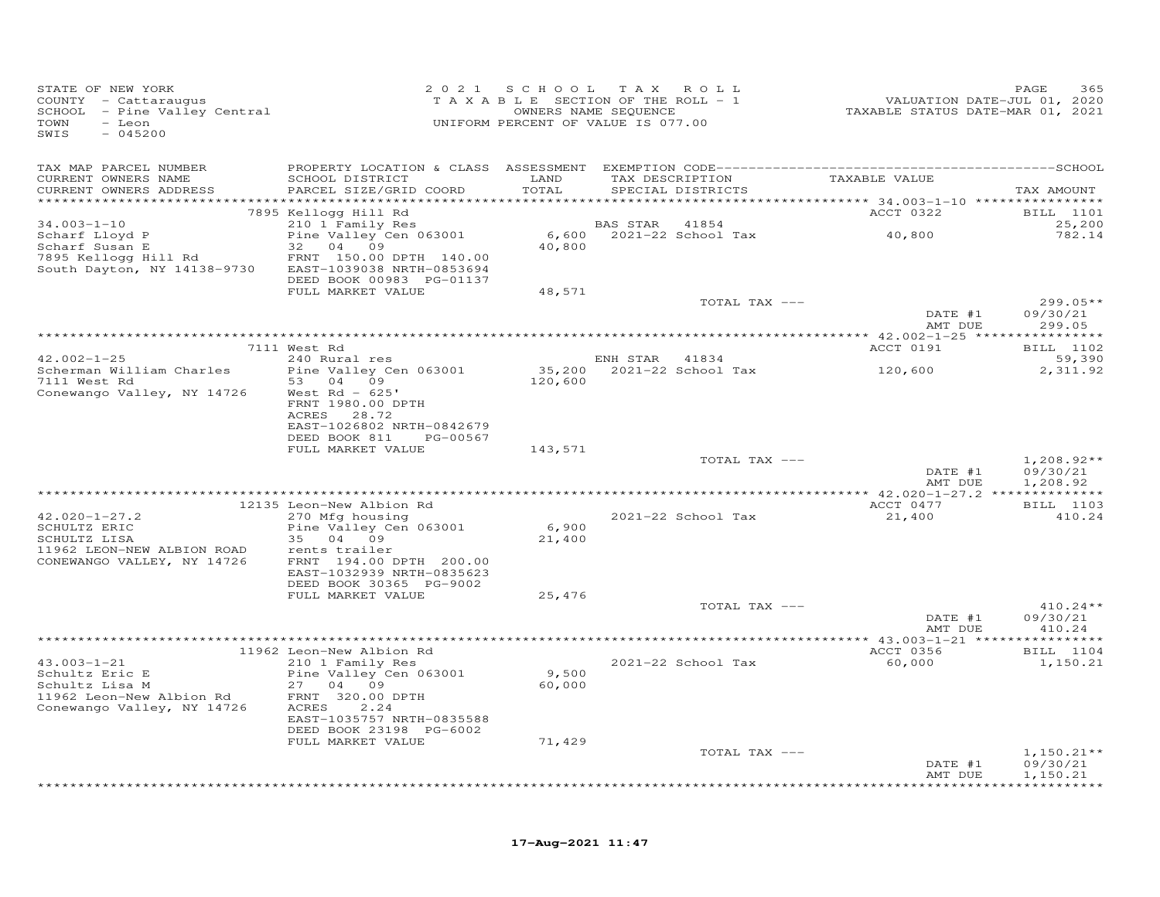| STATE OF NEW YORK<br>COUNTY - Cattaraugus<br>SCHOOL - Pine Valley Central<br>- Leon<br>TOWN<br>$-045200$<br>SWIS |                                                      |                 | 2021 SCHOOL TAX ROLL<br>TAXABLE SECTION OF THE ROLL - 1<br>OWNERS NAME SEQUENCE<br>UNIFORM PERCENT OF VALUE IS 077.00 | 01, 2020<br>71. VALUATION DATE-JUL 01, 2020<br>72021 TAXABLE STATUS DATE-MAR 01, | 365<br>PAGE              |
|------------------------------------------------------------------------------------------------------------------|------------------------------------------------------|-----------------|-----------------------------------------------------------------------------------------------------------------------|----------------------------------------------------------------------------------|--------------------------|
| TAX MAP PARCEL NUMBER                                                                                            |                                                      |                 |                                                                                                                       |                                                                                  |                          |
| CURRENT OWNERS NAME                                                                                              | SCHOOL DISTRICT                                      | LAND            | TAX DESCRIPTION TAXABLE VALUE                                                                                         |                                                                                  |                          |
| CURRENT OWNERS ADDRESS                                                                                           | PARCEL SIZE/GRID COORD                               | TOTAL           | SPECIAL DISTRICTS                                                                                                     |                                                                                  | TAX AMOUNT               |
|                                                                                                                  | 7895 Kellogg Hill Rd                                 |                 |                                                                                                                       | ACCT 0322                                                                        | BILL 1101                |
| $34.003 - 1 - 10$                                                                                                | 210 1 Family Res                                     |                 | BAS STAR 41854                                                                                                        |                                                                                  | 25,200                   |
| Scharf Lloyd P<br>Scharf Susan E                                                                                 | Pine Valley Cen 063001                               |                 | 6,600 2021-22 School Tax 40,800                                                                                       |                                                                                  | 782.14                   |
| 7895 Kellogg Hill Rd                                                                                             | 32 04 09<br>FRNT 150.00 DPTH 140.00                  | 40,800          |                                                                                                                       |                                                                                  |                          |
| South Dayton, NY 14138-9730 EAST-1039038 NRTH-0853694                                                            |                                                      |                 |                                                                                                                       |                                                                                  |                          |
|                                                                                                                  | DEED BOOK 00983 PG-01137                             |                 |                                                                                                                       |                                                                                  |                          |
|                                                                                                                  | FULL MARKET VALUE                                    | 48,571          |                                                                                                                       |                                                                                  |                          |
|                                                                                                                  |                                                      |                 | TOTAL TAX ---                                                                                                         | DATE #1                                                                          | $299.05**$<br>09/30/21   |
|                                                                                                                  |                                                      |                 |                                                                                                                       | AMT DUE                                                                          | 299.05                   |
|                                                                                                                  |                                                      |                 |                                                                                                                       |                                                                                  |                          |
|                                                                                                                  | 7111 West Rd                                         |                 |                                                                                                                       | ACCT 0191                                                                        | BILL 1102                |
| $42.002 - 1 - 25$<br>Scherman William Charles                                                                    | 240 Rural res<br>Pine Valley Cen 063001              |                 | ENH STAR 41834<br>35,200 2021-22 School Tax                                                                           | 120,600                                                                          | 59,390<br>2,311.92       |
| 7111 West Rd                                                                                                     | 53 04 09                                             | 120,600         |                                                                                                                       |                                                                                  |                          |
| Conewango Valley, NY 14726                                                                                       | West Rd - 625'                                       |                 |                                                                                                                       |                                                                                  |                          |
|                                                                                                                  | FRNT 1980.00 DPTH                                    |                 |                                                                                                                       |                                                                                  |                          |
|                                                                                                                  | ACRES 28.72<br>EAST-1026802 NRTH-0842679             |                 |                                                                                                                       |                                                                                  |                          |
|                                                                                                                  | DEED BOOK 811 PG-00567                               |                 |                                                                                                                       |                                                                                  |                          |
|                                                                                                                  | FULL MARKET VALUE                                    | 143,571         |                                                                                                                       |                                                                                  |                          |
|                                                                                                                  |                                                      |                 | TOTAL TAX ---                                                                                                         |                                                                                  | $1,208.92**$             |
|                                                                                                                  |                                                      |                 |                                                                                                                       | DATE #1<br>AMT DUE                                                               | 09/30/21<br>1,208.92     |
|                                                                                                                  |                                                      |                 |                                                                                                                       |                                                                                  |                          |
|                                                                                                                  | 12135 Leon-New Albion Rd                             |                 |                                                                                                                       | ACCT 0477                                                                        | <b>BILL</b> 1103         |
| $42.020 - 1 - 27.2$                                                                                              | 270 Mfg housing                                      |                 | 2021-22 School Tax                                                                                                    | 21,400                                                                           | 410.24                   |
| SCHULTZ ERIC<br>SCHULTZ LISA                                                                                     | Pine Valley Cen 063001<br>35 04 09                   | 6,900<br>21,400 |                                                                                                                       |                                                                                  |                          |
| 11962 LEON-NEW ALBION ROAD                                                                                       | rents trailer                                        |                 |                                                                                                                       |                                                                                  |                          |
| CONEWANGO VALLEY, NY 14726                                                                                       | FRNT 194.00 DPTH 200.00                              |                 |                                                                                                                       |                                                                                  |                          |
|                                                                                                                  | EAST-1032939 NRTH-0835623<br>DEED BOOK 30365 PG-9002 |                 |                                                                                                                       |                                                                                  |                          |
|                                                                                                                  | FULL MARKET VALUE                                    | 25,476          |                                                                                                                       |                                                                                  |                          |
|                                                                                                                  |                                                      |                 | TOTAL TAX ---                                                                                                         |                                                                                  | $410.24**$               |
|                                                                                                                  |                                                      |                 |                                                                                                                       | DATE #1                                                                          | 09/30/21                 |
|                                                                                                                  |                                                      |                 |                                                                                                                       | AMT DUE                                                                          | 410.24                   |
|                                                                                                                  | 11962 Leon-New Albion Rd                             |                 |                                                                                                                       | ACCT 0356                                                                        | <b>BILL</b> 1104         |
| $43.003 - 1 - 21$                                                                                                | 210 1 Family Res                                     |                 | 2021-22 School Tax                                                                                                    | 60,000                                                                           | 1,150.21                 |
| Schultz Eric E                                                                                                   | Pine Valley Cen 063001                               | 9,500           |                                                                                                                       |                                                                                  |                          |
| Schultz Lisa M<br>11962 Leon-New Albion Rd                                                                       | 27 04 09<br>FRNT 320.00 DPTH                         | 60,000          |                                                                                                                       |                                                                                  |                          |
| Conewango Valley, NY 14726                                                                                       | 2.24<br>ACRES                                        |                 |                                                                                                                       |                                                                                  |                          |
|                                                                                                                  | EAST-1035757 NRTH-0835588                            |                 |                                                                                                                       |                                                                                  |                          |
|                                                                                                                  | DEED BOOK 23198 PG-6002                              |                 |                                                                                                                       |                                                                                  |                          |
|                                                                                                                  | FULL MARKET VALUE                                    | 71,429          |                                                                                                                       |                                                                                  |                          |
|                                                                                                                  |                                                      |                 | TOTAL TAX ---                                                                                                         | DATE #1                                                                          | $1,150.21**$<br>09/30/21 |
|                                                                                                                  |                                                      |                 |                                                                                                                       | AMT DUE                                                                          | 1,150.21                 |
|                                                                                                                  |                                                      |                 |                                                                                                                       |                                                                                  | **********               |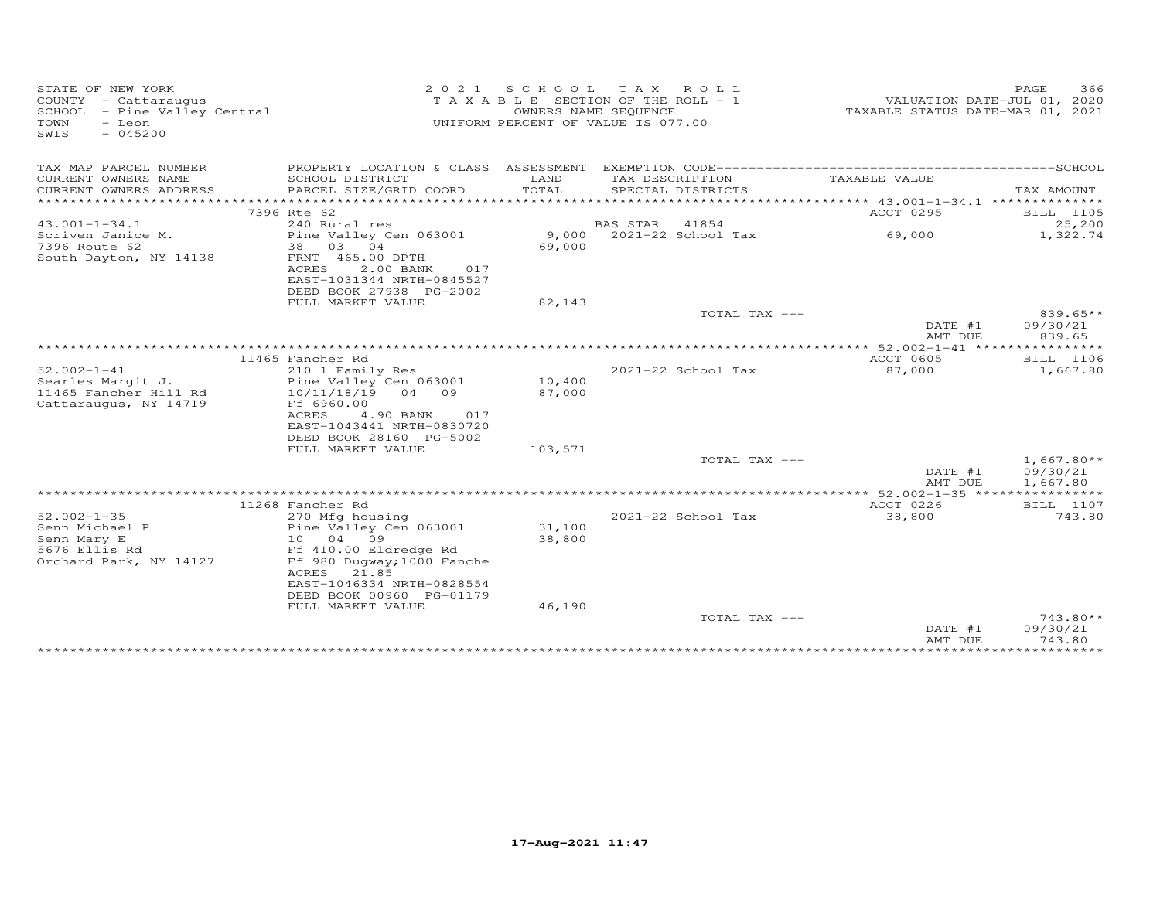| STATE OF NEW YORK<br>$COUNTY - Cattarauqus$<br>SCHOOL - Pine Valley Central<br>- Leon<br>TOWN<br>$-045200$<br>SWIS | 2 0 2 1                                                                                                                                                                                 | OWNERS NAME SEQUENCE | SCHOOL TAX ROLL<br>T A X A B L E SECTION OF THE ROLL - 1<br>UNIFORM PERCENT OF VALUE IS 077.00 | TAXABLE STATUS DATE-MAR 01, 2021 | PAGE<br>366<br>VALUATION DATE-JUL 01, 2020 |
|--------------------------------------------------------------------------------------------------------------------|-----------------------------------------------------------------------------------------------------------------------------------------------------------------------------------------|----------------------|------------------------------------------------------------------------------------------------|----------------------------------|--------------------------------------------|
| TAX MAP PARCEL NUMBER                                                                                              |                                                                                                                                                                                         |                      |                                                                                                |                                  |                                            |
| CURRENT OWNERS NAME<br>CURRENT OWNERS ADDRESS                                                                      | SCHOOL DISTRICT<br>PARCEL SIZE/GRID COORD                                                                                                                                               | LAND<br>TOTAL        | TAX DESCRIPTION<br>SPECIAL DISTRICTS                                                           | TAXABLE VALUE                    | TAX AMOUNT                                 |
| ***********************                                                                                            |                                                                                                                                                                                         |                      |                                                                                                |                                  |                                            |
|                                                                                                                    | 7396 Rte 62                                                                                                                                                                             |                      |                                                                                                | ACCT 0295                        | BILL 1105                                  |
| $43.001 - 1 - 34.1$                                                                                                | 240 Rural res                                                                                                                                                                           |                      | <b>BAS STAR</b><br>41854                                                                       |                                  | 25,200                                     |
| Scriven Janice M.<br>7396 Route 62<br>South Dayton, NY 14138                                                       | Pine Valley Cen 063001<br>38 03 04<br>FRNT 465.00 DPTH<br>ACRES<br>2.00 BANK<br>017                                                                                                     | 9,000<br>69,000      | 2021-22 School Tax                                                                             | 69,000                           | 1,322.74                                   |
|                                                                                                                    | EAST-1031344 NRTH-0845527                                                                                                                                                               |                      |                                                                                                |                                  |                                            |
|                                                                                                                    | DEED BOOK 27938 PG-2002                                                                                                                                                                 |                      |                                                                                                |                                  |                                            |
|                                                                                                                    | FULL MARKET VALUE                                                                                                                                                                       | 82,143               |                                                                                                |                                  |                                            |
|                                                                                                                    |                                                                                                                                                                                         |                      | TOTAL TAX ---                                                                                  | DATE #1<br>AMT DUE               | $839.65**$<br>09/30/21<br>839.65           |
|                                                                                                                    |                                                                                                                                                                                         |                      |                                                                                                |                                  |                                            |
|                                                                                                                    | 11465 Fancher Rd                                                                                                                                                                        |                      |                                                                                                | <b>ACCT 0605</b>                 | BILL 1106                                  |
| $52.002 - 1 - 41$<br>Searles Margit J.<br>11465 Fancher Hill Rd<br>Cattaraugus, NY 14719                           | 210 1 Family Res<br>Pine Valley Cen 063001<br>10/11/18/19 04 09<br>Ff 6960.00<br>ACRES<br>4.90 BANK<br>017<br>EAST-1043441 NRTH-0830720<br>DEED BOOK 28160 PG-5002                      | 10,400<br>87,000     | 2021-22 School Tax                                                                             | 87,000                           | 1,667.80                                   |
|                                                                                                                    | FULL MARKET VALUE                                                                                                                                                                       | 103,571              |                                                                                                |                                  |                                            |
|                                                                                                                    |                                                                                                                                                                                         |                      | TOTAL TAX ---                                                                                  | DATE #1<br>AMT DUE               | $1,667.80**$<br>09/30/21<br>1,667.80       |
|                                                                                                                    |                                                                                                                                                                                         |                      |                                                                                                |                                  |                                            |
|                                                                                                                    | 11268 Fancher Rd                                                                                                                                                                        |                      |                                                                                                | ACCT 0226                        | BILL 1107                                  |
| $52.002 - 1 - 35$<br>Senn Michael P<br>Senn Mary E<br>5676 Ellis Rd<br>Orchard Park, NY 14127                      | 270 Mfg housing<br>Pine Valley Cen 063001<br>10 04 09<br>Ff 410.00 Eldredge Rd<br>Ff 980 Dugway; 1000 Fanche<br>ACRES<br>21.85<br>EAST-1046334 NRTH-0828554<br>DEED BOOK 00960 PG-01179 | 31,100<br>38,800     | 2021-22 School Tax                                                                             | 38,800                           | 743.80                                     |
|                                                                                                                    | FULL MARKET VALUE                                                                                                                                                                       | 46,190               |                                                                                                |                                  |                                            |
|                                                                                                                    |                                                                                                                                                                                         |                      | TOTAL TAX ---                                                                                  | DATE #1<br>AMT DUE               | $743.80**$<br>09/30/21<br>743.80           |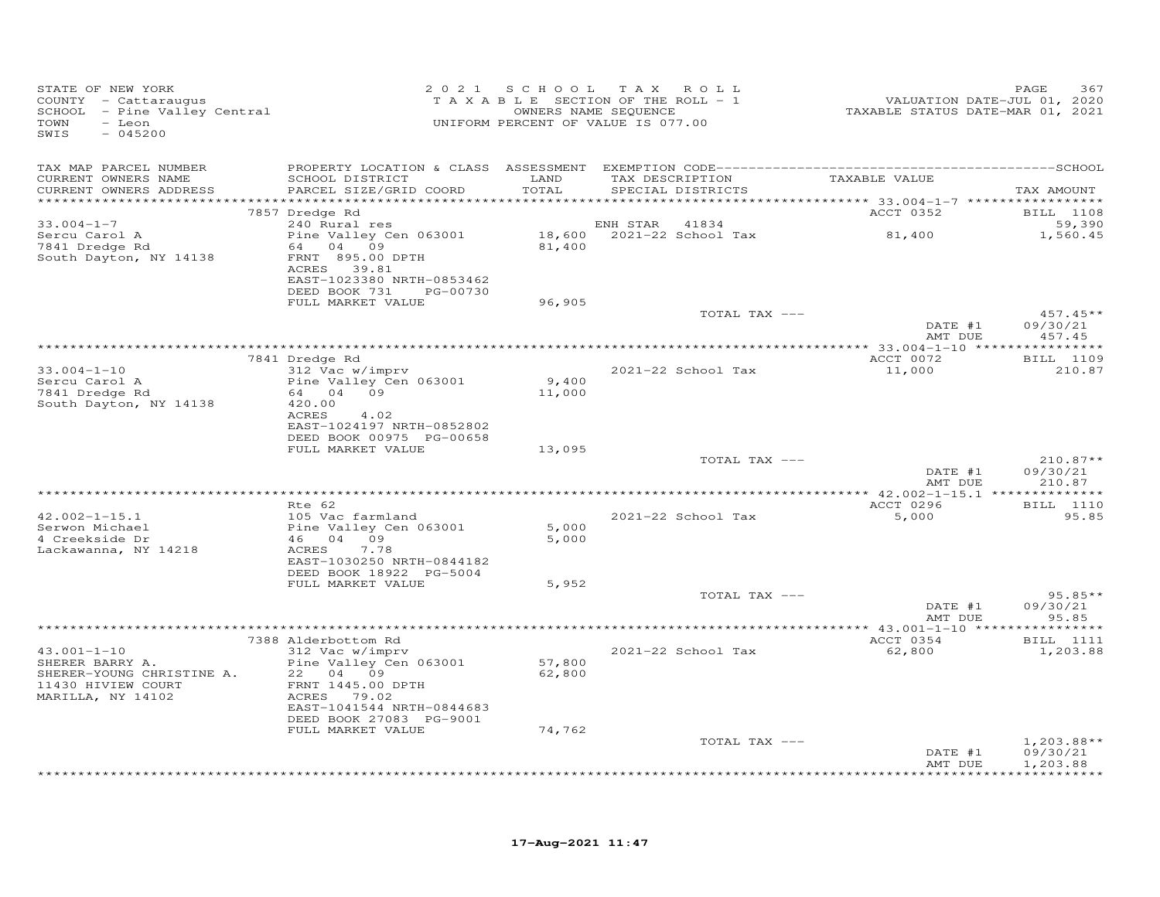| STATE OF NEW YORK<br>COUNTY - Cattaraugus<br>SCHOOL - Pine Valley Central<br>TOWN<br>- Leon<br>SWIS<br>$-045200$ |                                                                                                                                                     |                            | 2021 SCHOOL TAX ROLL<br>TAXABLE SECTION OF THE ROLL - 1<br>OWNERS NAME SEQUENCE<br>UNIFORM PERCENT OF VALUE IS 077.00 | VALUATION DATE-JUL 01, 2020<br>TAXABLE STATUS DATE-MAR 01, 2021 | PAGE<br>367                                 |
|------------------------------------------------------------------------------------------------------------------|-----------------------------------------------------------------------------------------------------------------------------------------------------|----------------------------|-----------------------------------------------------------------------------------------------------------------------|-----------------------------------------------------------------|---------------------------------------------|
| TAX MAP PARCEL NUMBER<br>CURRENT OWNERS NAME                                                                     | SCHOOL DISTRICT                                                                                                                                     | LAND                       | TAX DESCRIPTION                                                                                                       | TAXABLE VALUE                                                   |                                             |
| CURRENT OWNERS ADDRESS<br>***********************                                                                | PARCEL SIZE/GRID COORD                                                                                                                              | TOTAL                      | SPECIAL DISTRICTS                                                                                                     |                                                                 | TAX AMOUNT                                  |
|                                                                                                                  | 7857 Dredge Rd                                                                                                                                      |                            |                                                                                                                       | ACCT 0352                                                       | <b>BILL</b> 1108                            |
| $33.004 - 1 - 7$                                                                                                 | 240 Rural res                                                                                                                                       |                            | ENH STAR<br>41834                                                                                                     |                                                                 | 59,390                                      |
| Sercu Carol A<br>7841 Dredge Rd<br>South Dayton, NY 14138                                                        | Pine Valley Cen 063001<br>64 04 09<br>FRNT 895.00 DPTH<br>ACRES 39.81<br>EAST-1023380 NRTH-0853462                                                  | 81,400                     | 18,600 2021-22 School Tax                                                                                             | 81,400                                                          | 1,560.45                                    |
|                                                                                                                  | DEED BOOK 731 PG-00730<br>FULL MARKET VALUE                                                                                                         | 96,905                     |                                                                                                                       |                                                                 |                                             |
|                                                                                                                  |                                                                                                                                                     |                            | TOTAL TAX ---                                                                                                         | DATE #1<br>AMT DUE                                              | $457.45**$<br>09/30/21<br>457.45            |
|                                                                                                                  |                                                                                                                                                     |                            |                                                                                                                       |                                                                 |                                             |
|                                                                                                                  | 7841 Dredge Rd                                                                                                                                      |                            |                                                                                                                       | ACCT 0072                                                       | BILL 1109                                   |
| $33.004 - 1 - 10$<br>Sercu Carol A<br>7841 Dredge Rd<br>South Dayton, NY 14138                                   | 312 Vac w/imprv<br>Pine Valley Cen 063001<br>64 04 09<br>420.00<br>ACRES<br>4.02                                                                    | 9,400<br>11,000            | 2021-22 School Tax                                                                                                    | 11,000                                                          | 210.87                                      |
|                                                                                                                  | EAST-1024197 NRTH-0852802<br>DEED BOOK 00975 PG-00658                                                                                               |                            |                                                                                                                       |                                                                 |                                             |
|                                                                                                                  | FULL MARKET VALUE                                                                                                                                   | 13,095                     |                                                                                                                       |                                                                 |                                             |
|                                                                                                                  |                                                                                                                                                     |                            | TOTAL TAX ---                                                                                                         | DATE #1<br>AMT DUE                                              | $210.87**$<br>09/30/21<br>210.87            |
|                                                                                                                  |                                                                                                                                                     |                            |                                                                                                                       |                                                                 |                                             |
|                                                                                                                  | Rte 62                                                                                                                                              |                            |                                                                                                                       | ACCT 0296                                                       | <b>BILL</b> 1110                            |
| $42.002 - 1 - 15.1$<br>Serwon Michael<br>4 Creekside Dr<br>Lackawanna, NY 14218                                  | 105 Vac farmland<br>Pine Valley Cen 063001<br>46 04 09<br>7.78<br>ACRES<br>EAST-1030250 NRTH-0844182                                                | 5,000<br>5,000             | 2021-22 School Tax                                                                                                    | 5,000                                                           | 95.85                                       |
|                                                                                                                  | DEED BOOK 18922 PG-5004                                                                                                                             |                            |                                                                                                                       |                                                                 |                                             |
|                                                                                                                  | FULL MARKET VALUE                                                                                                                                   | 5,952                      |                                                                                                                       |                                                                 |                                             |
|                                                                                                                  |                                                                                                                                                     |                            | TOTAL TAX ---                                                                                                         | DATE #1<br>AMT DUE                                              | $95.85**$<br>09/30/21<br>95.85              |
|                                                                                                                  |                                                                                                                                                     |                            |                                                                                                                       |                                                                 |                                             |
| $43.001 - 1 - 10$                                                                                                | 7388 Alderbottom Rd<br>312 Vac w/imprv                                                                                                              |                            | 2021-22 School Tax                                                                                                    | ACCT 0354<br>62,800                                             | <b>BILL</b> 1111<br>1,203.88                |
| SHERER BARRY A.<br>SHERER-YOUNG CHRISTINE A.<br>11430 HIVIEW COURT<br>MARILLA, NY 14102                          | Pine Valley Cen 063001<br>22 04 09<br>FRNT 1445.00 DPTH<br>ACRES 79.02<br>EAST-1041544 NRTH-0844683<br>DEED BOOK 27083 PG-9001<br>FULL MARKET VALUE | 57,800<br>62,800<br>74,762 |                                                                                                                       |                                                                 |                                             |
|                                                                                                                  |                                                                                                                                                     |                            | TOTAL TAX ---                                                                                                         |                                                                 | $1,203.88**$                                |
|                                                                                                                  |                                                                                                                                                     |                            |                                                                                                                       | DATE #1<br>AMT DUE                                              | 09/30/21<br>1,203.88<br>* * * * * * * * * * |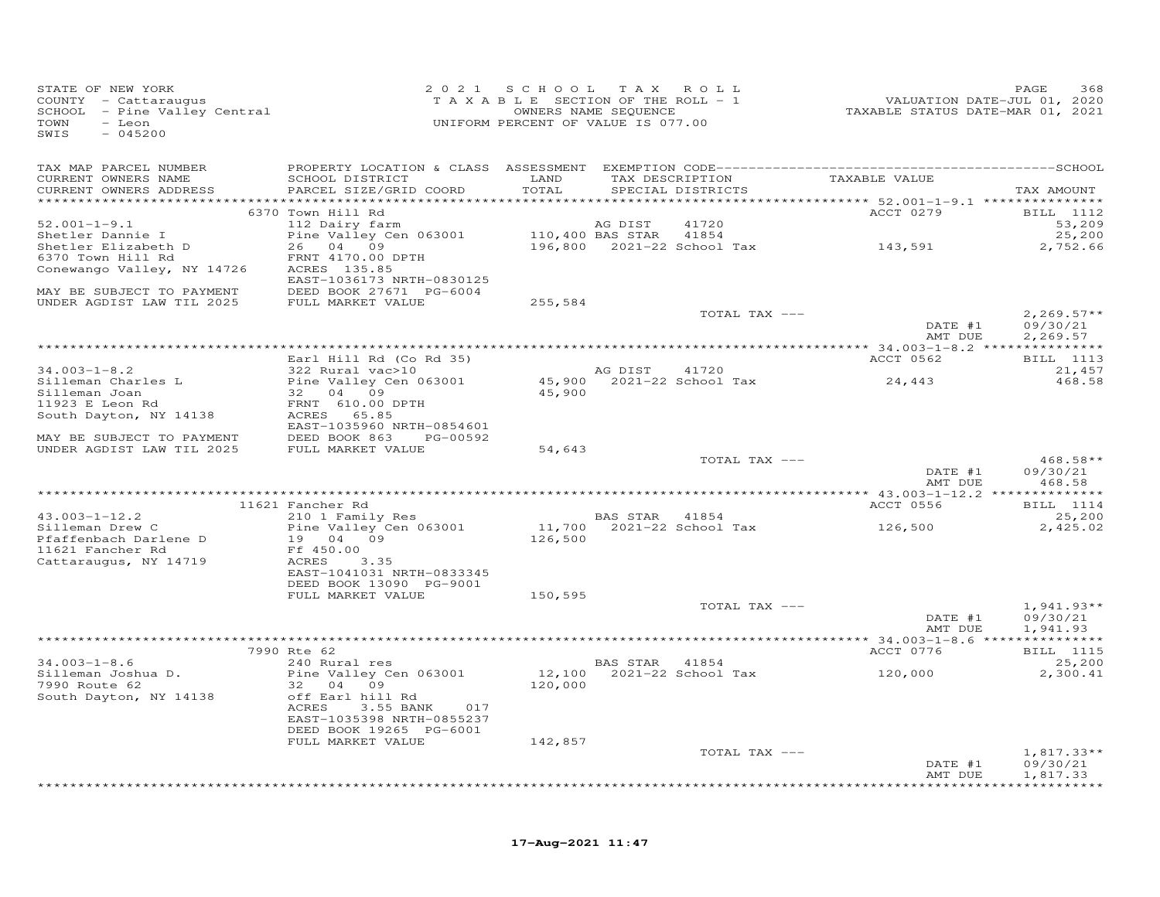| STATE OF NEW YORK<br>SIAIE OF NEW YORK UKA<br>COUNTY - Cattaraugus and the SALE of MEROLL - 1<br>SCHOOL - Pine Valuey Central TAXABLE TAXABLE SEQUENCE TAXABLE STATUS DATE-JUL 01, 2020<br>TAXABLE STATUS DATE-MAR 01, 2021<br>TOWN - Leon<br>SWIS<br>$-045200$  |                                                                                                                                                                                          | 2021 SCHOOL TAX ROLL |         |                   |                                                     | PAGE<br>368                      |
|------------------------------------------------------------------------------------------------------------------------------------------------------------------------------------------------------------------------------------------------------------------|------------------------------------------------------------------------------------------------------------------------------------------------------------------------------------------|----------------------|---------|-------------------|-----------------------------------------------------|----------------------------------|
|                                                                                                                                                                                                                                                                  |                                                                                                                                                                                          |                      |         |                   |                                                     |                                  |
| CURRENT OWNERS NAME<br>CURRENT OWNERS ADDRESS                                                                                                                                                                                                                    | SCHOOL DISTRICT LAND TAX DESCRIPTION TAXABLE VALUE<br>PARCEL SIZE/GRID COORD                                                                                                             | TOTAL                |         | SPECIAL DISTRICTS |                                                     | TAX AMOUNT                       |
|                                                                                                                                                                                                                                                                  | 6370 Town Hill Rd                                                                                                                                                                        |                      |         |                   | <b>ACCT 0279</b>                                    | <b>BILL</b> 1112                 |
| $52.001 - 1 - 9.1$                                                                                                                                                                                                                                               | 112 Dairy farm                                                                                                                                                                           |                      | AG DIST | 41720             |                                                     | 53,209                           |
| Shetler Dannie I                                                                                                                                                                                                                                                 |                                                                                                                                                                                          |                      |         |                   |                                                     | 25,200                           |
| Shetler Elizabeth D<br>6370 Town Hill Rd                                                                                                                                                                                                                         | 112 Dairy farm<br>Pine Valley Cen 063001 110,400 BAS STAR 41854<br>26 04 09 196,800 2021-22 School Tax 143,591                                                                           |                      |         |                   |                                                     | 2,752.66                         |
| Conewango Valley, NY 14726 ACRES 135.85                                                                                                                                                                                                                          | FRNT 4170.00 DPTH<br>EAST-1036173 NRTH-0830125                                                                                                                                           |                      |         |                   |                                                     |                                  |
| MAY BE SUBJECT TO PAYMENT                                                                                                                                                                                                                                        | EASI-1030173 NRTH-0030123<br>DEED BOOK 27671 PG-6004<br>FULL MARKET VALUE                                                                                                                |                      |         |                   |                                                     |                                  |
| UNDER AGDIST LAW TIL 2025                                                                                                                                                                                                                                        |                                                                                                                                                                                          | 255,584              |         |                   |                                                     |                                  |
|                                                                                                                                                                                                                                                                  |                                                                                                                                                                                          |                      |         | TOTAL TAX ---     | DATE #1                                             | $2,269.57**$<br>09/30/21         |
|                                                                                                                                                                                                                                                                  |                                                                                                                                                                                          |                      |         |                   | AMT DUE                                             | 2,269.57                         |
|                                                                                                                                                                                                                                                                  | Earl Hill Rd (Co Rd 35)                                                                                                                                                                  |                      |         |                   | <b>ACCT 0562</b>                                    | BILL 1113                        |
| 34.003-1-8.2<br>31.003-1-8.2<br>Silleman Charles L<br>Silleman Joan<br>32 04 09<br>32 04 09<br>32 04 09<br>45,900<br>45,900<br>45,900<br>2021-22 School Tax<br>45,900<br>2021-22 School Tax<br>45,900<br>2021-22 School Tax<br>45,900<br>45,900<br>2021-22 Schoo |                                                                                                                                                                                          |                      |         |                   |                                                     | 21,457                           |
|                                                                                                                                                                                                                                                                  |                                                                                                                                                                                          |                      |         |                   | 24,443                                              | 468.58                           |
|                                                                                                                                                                                                                                                                  |                                                                                                                                                                                          |                      |         |                   |                                                     |                                  |
|                                                                                                                                                                                                                                                                  |                                                                                                                                                                                          |                      |         |                   |                                                     |                                  |
|                                                                                                                                                                                                                                                                  | EAST-1035960 NRTH-0854601                                                                                                                                                                |                      |         |                   |                                                     |                                  |
| MAY BE SUBJECT TO PAYMENT<br>UNDER AGDIST LAW TIL 2025 FULL MARKET VALUE                                                                                                                                                                                         |                                                                                                                                                                                          |                      |         |                   |                                                     |                                  |
|                                                                                                                                                                                                                                                                  |                                                                                                                                                                                          | 54,643               |         |                   |                                                     |                                  |
|                                                                                                                                                                                                                                                                  |                                                                                                                                                                                          |                      |         | TOTAL TAX ---     | DATE #1<br>AMT DUE                                  | $468.58**$<br>09/30/21<br>468.58 |
|                                                                                                                                                                                                                                                                  |                                                                                                                                                                                          |                      |         |                   |                                                     |                                  |
|                                                                                                                                                                                                                                                                  | 11621 Fancher Rd                                                                                                                                                                         |                      |         |                   | ACCT 0556                                           | <b>BILL</b> 1114                 |
| $43.003 - 1 - 12.2$                                                                                                                                                                                                                                              | 210 1 Family Res                                                                                                                                                                         |                      |         |                   |                                                     | 25,200                           |
| Silleman Drew C<br>Pfaffenbach Darlene D                                                                                                                                                                                                                         | 210 1 Family Res<br>210 1 Family Res<br>Pine Valley Cen 063001 11,700 2021-22 School Tax<br>19 04 09 126,500<br>126,500<br>Pine Valley Cen 063001<br>19 04 09<br>Ff 450.00<br>ACRES 3.35 |                      |         |                   |                                                     | 2,425.02                         |
| 11621 Fancher Rd                                                                                                                                                                                                                                                 |                                                                                                                                                                                          |                      |         |                   |                                                     |                                  |
| Cattaraugus, NY 14719                                                                                                                                                                                                                                            |                                                                                                                                                                                          |                      |         |                   |                                                     |                                  |
|                                                                                                                                                                                                                                                                  | EAST-1041031 NRTH-0833345                                                                                                                                                                |                      |         |                   |                                                     |                                  |
|                                                                                                                                                                                                                                                                  | DEED BOOK 13090 PG-9001<br>FULL MARKET VALUE                                                                                                                                             | 150,595              |         |                   |                                                     |                                  |
|                                                                                                                                                                                                                                                                  |                                                                                                                                                                                          |                      |         | TOTAL TAX ---     |                                                     | $1,941.93**$                     |
|                                                                                                                                                                                                                                                                  |                                                                                                                                                                                          |                      |         |                   | DATE #1<br>סנות ייי                                 | 09/30/21                         |
|                                                                                                                                                                                                                                                                  |                                                                                                                                                                                          |                      |         |                   | AMT DUE                                             | 1,941.93                         |
|                                                                                                                                                                                                                                                                  |                                                                                                                                                                                          |                      |         |                   |                                                     |                                  |
| $34.003 - 1 - 8.6$                                                                                                                                                                                                                                               | 7990 Rte 62<br>240 Rural res                                                                                                                                                             |                      |         |                   | ACCT 0776                                           | <b>BILL</b> 1115<br>25,200       |
|                                                                                                                                                                                                                                                                  |                                                                                                                                                                                          |                      |         |                   | BAS STAR 41854<br>12,100 2021-22 School Tax 120,000 | 2,300.41                         |
|                                                                                                                                                                                                                                                                  |                                                                                                                                                                                          | 120,000              |         |                   |                                                     |                                  |
| South Dayton, NY 14138 off Earl hill Rd                                                                                                                                                                                                                          |                                                                                                                                                                                          |                      |         |                   |                                                     |                                  |
|                                                                                                                                                                                                                                                                  | 3.55 BANK 017<br>ACRES<br>EAST-1035398 NRTH-0855237                                                                                                                                      |                      |         |                   |                                                     |                                  |
|                                                                                                                                                                                                                                                                  | DEED BOOK 19265 PG-6001                                                                                                                                                                  |                      |         |                   |                                                     |                                  |
|                                                                                                                                                                                                                                                                  | FULL MARKET VALUE                                                                                                                                                                        | 142,857              |         |                   |                                                     |                                  |
|                                                                                                                                                                                                                                                                  |                                                                                                                                                                                          |                      |         | TOTAL TAX ---     |                                                     | $1,817.33**$                     |
|                                                                                                                                                                                                                                                                  |                                                                                                                                                                                          |                      |         |                   | DATE #1                                             | 09/30/21                         |
|                                                                                                                                                                                                                                                                  |                                                                                                                                                                                          |                      |         |                   | AMT DUE                                             | 1,817.33                         |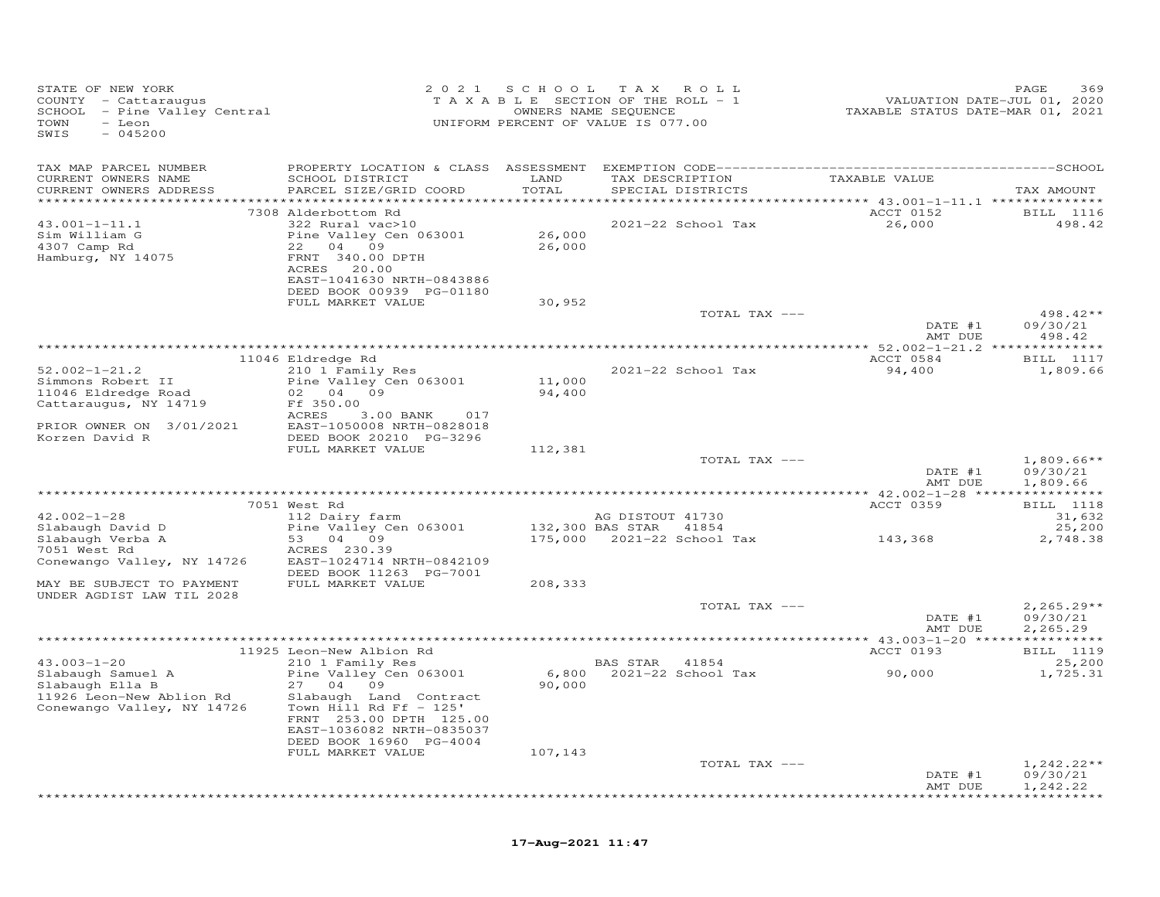| STATE OF NEW YORK<br>COUNTY - Cattaraugus<br>SCHOOL - Pine Valley Central<br>TOWN<br>- Leon<br>SWIS<br>$-045200$ |                                                      | 2021 SCHOOL   | TAX ROLL<br>T A X A B L E SECTION OF THE ROLL - 1<br>OWNERS NAME SEQUENCE<br>UNIFORM PERCENT OF VALUE IS 077.00 | VALUATION DATE-JUL 01, 2020<br>TAXABLE STATUS DATE-MAR 01, 2021 | PAGE<br>369                             |
|------------------------------------------------------------------------------------------------------------------|------------------------------------------------------|---------------|-----------------------------------------------------------------------------------------------------------------|-----------------------------------------------------------------|-----------------------------------------|
| TAX MAP PARCEL NUMBER                                                                                            |                                                      |               |                                                                                                                 |                                                                 |                                         |
| CURRENT OWNERS NAME<br>CURRENT OWNERS ADDRESS                                                                    | SCHOOL DISTRICT<br>PARCEL SIZE/GRID COORD            | LAND<br>TOTAL | TAX DESCRIPTION TAXABLE VALUE<br>SPECIAL DISTRICTS                                                              |                                                                 | TAX AMOUNT                              |
|                                                                                                                  | 7308 Alderbottom Rd                                  |               |                                                                                                                 | <b>ACCT 0152</b>                                                | <b>BILL</b> 1116                        |
| $43.001 - 1 - 11.1$                                                                                              | 322 Rural vac>10                                     |               | 2021-22 School Tax                                                                                              | 26,000                                                          | 498.42                                  |
| Sim William G                                                                                                    | Pine Valley Cen 063001                               | 26,000        |                                                                                                                 |                                                                 |                                         |
| 4307 Camp Rd                                                                                                     | 22 04 09                                             | 26,000        |                                                                                                                 |                                                                 |                                         |
| Hamburg, NY 14075                                                                                                | FRNT 340.00 DPTH                                     |               |                                                                                                                 |                                                                 |                                         |
|                                                                                                                  | ACRES 20.00<br>EAST-1041630 NRTH-0843886             |               |                                                                                                                 |                                                                 |                                         |
|                                                                                                                  | DEED BOOK 00939 PG-01180                             |               |                                                                                                                 |                                                                 |                                         |
|                                                                                                                  | FULL MARKET VALUE                                    | 30,952        |                                                                                                                 |                                                                 |                                         |
|                                                                                                                  |                                                      |               | TOTAL TAX ---                                                                                                   |                                                                 | 498.42**                                |
|                                                                                                                  |                                                      |               |                                                                                                                 | DATE #1                                                         | 09/30/21<br>498.42                      |
|                                                                                                                  |                                                      |               |                                                                                                                 | AMT DUE                                                         |                                         |
|                                                                                                                  | 11046 Eldredge Rd                                    |               |                                                                                                                 | ACCT 0584                                                       | BILL 1117                               |
| $52.002 - 1 - 21.2$                                                                                              | 210 1 Family Res                                     |               | 2021-22 School Tax                                                                                              | 94,400                                                          | 1,809.66                                |
| Simmons Robert II                                                                                                | Pine Valley Cen 063001                               | 11,000        |                                                                                                                 |                                                                 |                                         |
| 11046 Eldredge Road                                                                                              | 02 04 09                                             | 94,400        |                                                                                                                 |                                                                 |                                         |
| Cattaraugus, NY 14719                                                                                            | Ff 350.00<br>ACRES<br>$3.00$ BANK<br>017             |               |                                                                                                                 |                                                                 |                                         |
| PRIOR OWNER ON 3/01/2021                                                                                         | EAST-1050008 NRTH-0828018                            |               |                                                                                                                 |                                                                 |                                         |
| Korzen David R                                                                                                   | DEED BOOK 20210 PG-3296                              |               |                                                                                                                 |                                                                 |                                         |
|                                                                                                                  | FULL MARKET VALUE                                    | 112,381       |                                                                                                                 |                                                                 |                                         |
|                                                                                                                  |                                                      |               | TOTAL TAX ---                                                                                                   | DATE #1                                                         | $1,809.66**$<br>09/30/21                |
|                                                                                                                  |                                                      |               |                                                                                                                 | AMT DUE                                                         | 1,809.66                                |
|                                                                                                                  |                                                      |               |                                                                                                                 |                                                                 |                                         |
|                                                                                                                  | 7051 West Rd                                         |               |                                                                                                                 | ACCT 0359                                                       | <b>BILL</b> 1118                        |
| $42.002 - 1 - 28$                                                                                                | 112 Dairy farm                                       |               | AG DISTOUT 41730                                                                                                |                                                                 | 31,632                                  |
| Slabaugh David D<br>Slabaugh Verba A                                                                             | Pine Valley Cen 063001<br>53 04 09                   |               | 132,300 BAS STAR 41854<br>175,000    2021-22    School Tax                                                      | 143,368                                                         | 25,200<br>2,748.38                      |
| 7051 West Rd                                                                                                     | ACRES 230.39                                         |               |                                                                                                                 |                                                                 |                                         |
| Conewango Valley, NY 14726                                                                                       | EAST-1024714 NRTH-0842109                            |               |                                                                                                                 |                                                                 |                                         |
|                                                                                                                  | DEED BOOK 11263 PG-7001                              |               |                                                                                                                 |                                                                 |                                         |
| MAY BE SUBJECT TO PAYMENT                                                                                        | FULL MARKET VALUE                                    | 208,333       |                                                                                                                 |                                                                 |                                         |
| UNDER AGDIST LAW TIL 2028                                                                                        |                                                      |               | TOTAL TAX ---                                                                                                   |                                                                 | $2,265.29**$                            |
|                                                                                                                  |                                                      |               |                                                                                                                 | DATE #1                                                         | 09/30/21                                |
|                                                                                                                  |                                                      |               |                                                                                                                 | AMT DUE                                                         | 2,265.29                                |
|                                                                                                                  |                                                      |               |                                                                                                                 |                                                                 |                                         |
| $43.003 - 1 - 20$                                                                                                | 11925 Leon-New Albion Rd                             |               |                                                                                                                 | ACCT 0193                                                       | BILL 1119                               |
| Slabaugh Samuel A                                                                                                | 210 1 Family Res<br>Pine Valley Cen 063001           |               | BAS STAR 41854<br>6,800 2021-22 School Tax                                                                      | 90,000                                                          | 25,200<br>1,725.31                      |
| Slabaugh Ella B                                                                                                  | 27 04 09                                             | 90,000        |                                                                                                                 |                                                                 |                                         |
| 11926 Leon-New Ablion Rd                                                                                         | Slabaugh Land Contract                               |               |                                                                                                                 |                                                                 |                                         |
| Conewango Valley, NY 14726                                                                                       | Town Hill Rd Ff $-125'$                              |               |                                                                                                                 |                                                                 |                                         |
|                                                                                                                  | FRNT 253.00 DPTH 125.00                              |               |                                                                                                                 |                                                                 |                                         |
|                                                                                                                  | EAST-1036082 NRTH-0835037<br>DEED BOOK 16960 PG-4004 |               |                                                                                                                 |                                                                 |                                         |
|                                                                                                                  | FULL MARKET VALUE                                    | 107,143       |                                                                                                                 |                                                                 |                                         |
|                                                                                                                  |                                                      |               | TOTAL TAX ---                                                                                                   |                                                                 | $1,242.22**$                            |
|                                                                                                                  |                                                      |               |                                                                                                                 | DATE #1                                                         | 09/30/21                                |
|                                                                                                                  |                                                      |               |                                                                                                                 | AMT DUE                                                         | 1,242.22<br>لەنلەنلەنلەنلەنلەنلەنلەنلەن |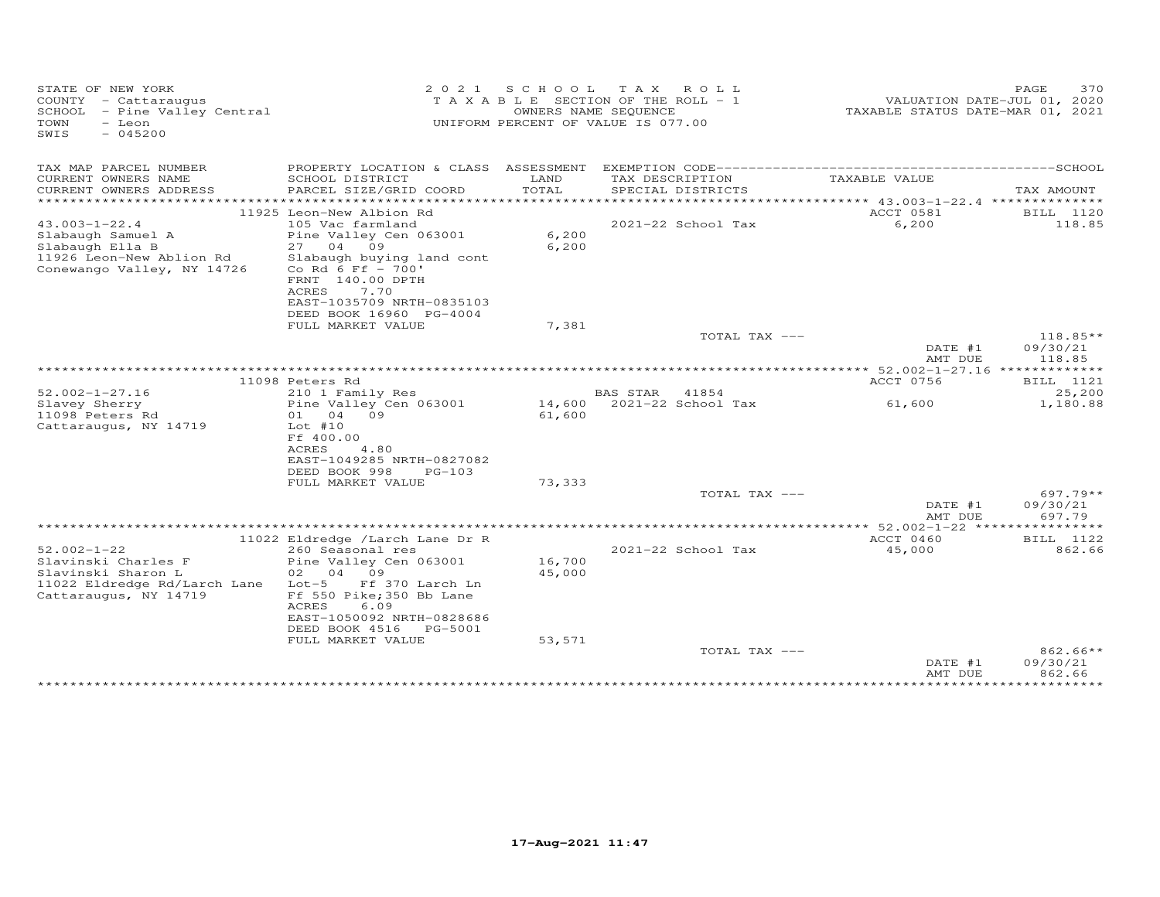| STATE OF NEW YORK<br>COUNTY - Cattaraugus<br>SCHOOL - Pine Valley Central<br>TOWN<br>- Leon<br>$-045200$<br>SWIS | 2 0 2 1                                                | S C H O O L | T A X<br>ROLL<br>T A X A B L E SECTION OF THE ROLL - 1<br>OWNERS NAME SEQUENCE<br>UNIFORM PERCENT OF VALUE IS 077.00 | VALUATION DATE-JUL 01, 2020<br>TAXABLE STATUS DATE-MAR 01, 2021 | PAGE<br>370         |
|------------------------------------------------------------------------------------------------------------------|--------------------------------------------------------|-------------|----------------------------------------------------------------------------------------------------------------------|-----------------------------------------------------------------|---------------------|
| TAX MAP PARCEL NUMBER<br>CURRENT OWNERS NAME                                                                     | SCHOOL DISTRICT                                        | LAND        | TAX DESCRIPTION                                                                                                      | TAXABLE VALUE                                                   |                     |
| CURRENT OWNERS ADDRESS<br>***********************                                                                | PARCEL SIZE/GRID COORD                                 | TOTAL       | SPECIAL DISTRICTS                                                                                                    |                                                                 | TAX AMOUNT          |
|                                                                                                                  | 11925 Leon-New Albion Rd                               |             |                                                                                                                      | ACCT 0581                                                       | BILL 1120           |
| $43.003 - 1 - 22.4$                                                                                              | 105 Vac farmland                                       |             | 2021-22 School Tax                                                                                                   | 6,200                                                           | 118.85              |
| Slabaugh Samuel A                                                                                                | Pine Valley Cen 063001                                 | 6,200       |                                                                                                                      |                                                                 |                     |
| Slabaugh Ella B<br>11926 Leon-New Ablion Rd                                                                      | 27<br>04<br>09                                         | 6,200       |                                                                                                                      |                                                                 |                     |
| Conewango Valley, NY 14726                                                                                       | Slabaugh buying land cont<br>Co Rd 6 Ff - 700'         |             |                                                                                                                      |                                                                 |                     |
|                                                                                                                  | FRNT 140.00 DPTH                                       |             |                                                                                                                      |                                                                 |                     |
|                                                                                                                  | <b>ACRES</b><br>7.70                                   |             |                                                                                                                      |                                                                 |                     |
|                                                                                                                  | EAST-1035709 NRTH-0835103                              |             |                                                                                                                      |                                                                 |                     |
|                                                                                                                  | DEED BOOK 16960 PG-4004<br>FULL MARKET VALUE           | 7,381       |                                                                                                                      |                                                                 |                     |
|                                                                                                                  |                                                        |             | TOTAL TAX ---                                                                                                        |                                                                 | $118.85**$          |
|                                                                                                                  |                                                        |             |                                                                                                                      | DATE #1                                                         | 09/30/21            |
|                                                                                                                  |                                                        |             |                                                                                                                      | AMT DUE                                                         | 118.85              |
|                                                                                                                  |                                                        |             |                                                                                                                      | ********** 52.002-1-27.16 **************                        |                     |
| $52.002 - 1 - 27.16$                                                                                             | 11098 Peters Rd<br>210 1 Family Res                    |             | <b>BAS STAR</b><br>41854                                                                                             | ACCT 0756                                                       | BILL 1121<br>25,200 |
| Slavey Sherry                                                                                                    | Pine Valley Cen 063001                                 | 14,600      | 2021-22 School Tax                                                                                                   | 61,600                                                          | 1,180.88            |
| 11098 Peters Rd                                                                                                  | 04<br>09<br>01                                         | 61,600      |                                                                                                                      |                                                                 |                     |
| Cattaraugus, NY 14719                                                                                            | $Lot$ #10                                              |             |                                                                                                                      |                                                                 |                     |
|                                                                                                                  | Ff 400.00                                              |             |                                                                                                                      |                                                                 |                     |
|                                                                                                                  | ACRES<br>4.80                                          |             |                                                                                                                      |                                                                 |                     |
|                                                                                                                  | EAST-1049285 NRTH-0827082<br>DEED BOOK 998<br>$PG-103$ |             |                                                                                                                      |                                                                 |                     |
|                                                                                                                  | FULL MARKET VALUE                                      | 73,333      |                                                                                                                      |                                                                 |                     |
|                                                                                                                  |                                                        |             | TOTAL TAX ---                                                                                                        |                                                                 | 697.79**            |
|                                                                                                                  |                                                        |             |                                                                                                                      | DATE #1                                                         | 09/30/21            |
|                                                                                                                  |                                                        |             |                                                                                                                      | AMT DUE                                                         | 697.79<br>********  |
|                                                                                                                  | 11022 Eldredge /Larch Lane Dr R                        |             |                                                                                                                      | ************ 52.002-1-22 *****<br>ACCT 0460                     | BILL 1122           |
| $52.002 - 1 - 22$                                                                                                | 260 Seasonal res                                       |             | 2021-22 School Tax                                                                                                   | 45,000                                                          | 862.66              |
| Slavinski Charles F                                                                                              | Pine Valley Cen 063001                                 | 16,700      |                                                                                                                      |                                                                 |                     |
| Slavinski Sharon L                                                                                               | 04 09<br>02                                            | 45,000      |                                                                                                                      |                                                                 |                     |
| 11022 Eldredge Rd/Larch Lane                                                                                     | Ff 370 Larch Ln<br>$Lot-5$                             |             |                                                                                                                      |                                                                 |                     |
| Cattaraugus, NY 14719                                                                                            | Ff 550 Pike; 350 Bb Lane<br>6.09<br><b>ACRES</b>       |             |                                                                                                                      |                                                                 |                     |
|                                                                                                                  | EAST-1050092 NRTH-0828686                              |             |                                                                                                                      |                                                                 |                     |
|                                                                                                                  | DEED BOOK 4516<br>PG-5001                              |             |                                                                                                                      |                                                                 |                     |
|                                                                                                                  | FULL MARKET VALUE                                      | 53,571      |                                                                                                                      |                                                                 |                     |
|                                                                                                                  |                                                        |             | TOTAL TAX ---                                                                                                        |                                                                 | $862.66**$          |
|                                                                                                                  |                                                        |             |                                                                                                                      | DATE #1                                                         | 09/30/21            |
|                                                                                                                  |                                                        |             |                                                                                                                      | AMT DUE<br>**********                                           | 862.66<br>********* |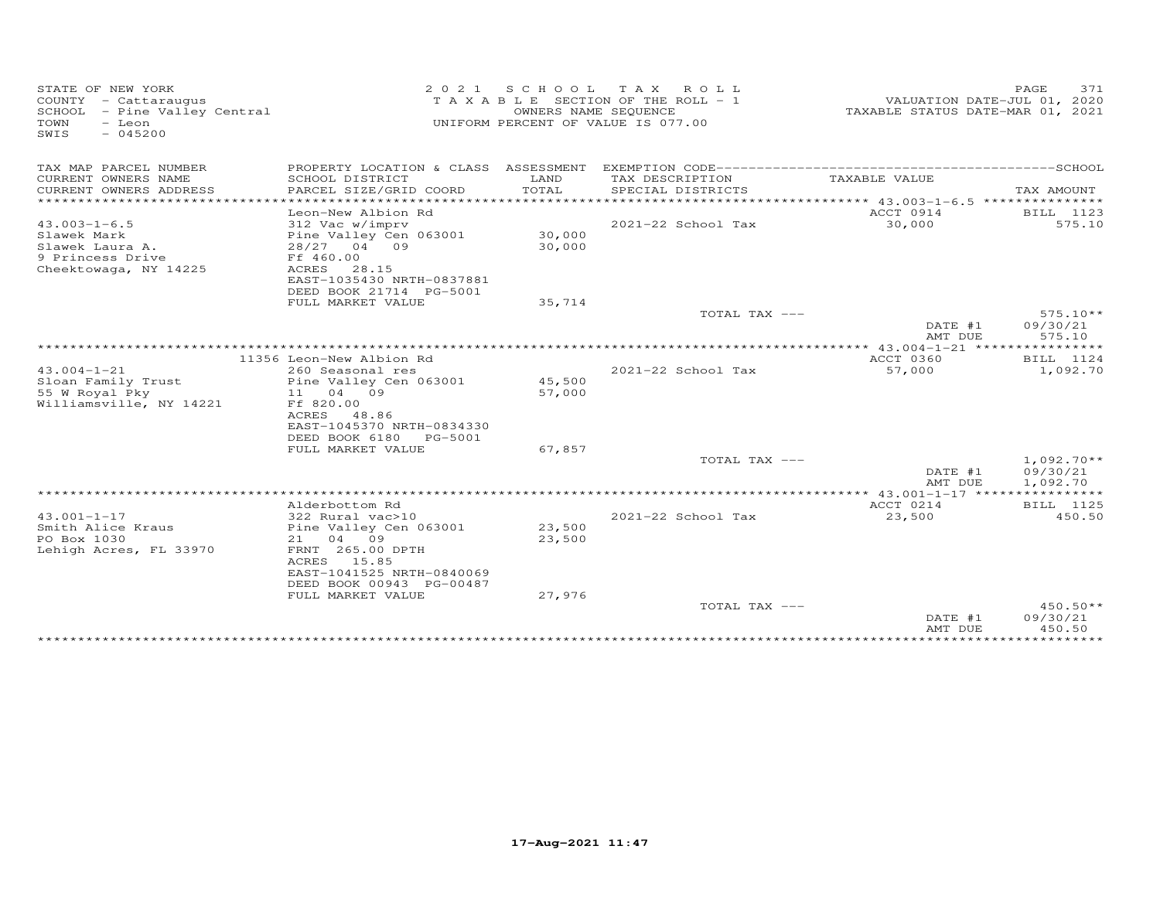| STATE OF NEW YORK<br>COUNTY - Cattaraugus<br>SCHOOL - Pine Valley Central<br>TOWN<br>- Leon<br>$-045200$<br>SWIS | 2 0 2 1                                                | OWNERS NAME SEQUENCE | SCHOOL TAX ROLL<br>TAXABLE SECTION OF THE ROLL - 1<br>UNIFORM PERCENT OF VALUE IS 077.00 | TAXABLE STATUS DATE-MAR 01, 2021                 | PAGE<br>371<br>VALUATION DATE-JUL 01, 2020 |
|------------------------------------------------------------------------------------------------------------------|--------------------------------------------------------|----------------------|------------------------------------------------------------------------------------------|--------------------------------------------------|--------------------------------------------|
| TAX MAP PARCEL NUMBER                                                                                            |                                                        |                      |                                                                                          |                                                  |                                            |
| CURRENT OWNERS NAME<br>CURRENT OWNERS ADDRESS                                                                    | SCHOOL DISTRICT<br>PARCEL SIZE/GRID COORD              | LAND<br>TOTAL        | TAX DESCRIPTION<br>SPECIAL DISTRICTS                                                     | TAXABLE VALUE                                    | TAX AMOUNT                                 |
|                                                                                                                  |                                                        |                      |                                                                                          |                                                  |                                            |
|                                                                                                                  | Leon-New Albion Rd                                     |                      |                                                                                          | ACCT 0914                                        | BILL 1123                                  |
| $43.003 - 1 - 6.5$                                                                                               | 312 Vac w/imprv                                        |                      | 2021-22 School Tax                                                                       | 30,000                                           | 575.10                                     |
| Slawek Mark                                                                                                      | Pine Valley Cen 063001                                 | 30,000               |                                                                                          |                                                  |                                            |
| Slawek Laura A.                                                                                                  | 28/27 04 09                                            | 30,000               |                                                                                          |                                                  |                                            |
| 9 Princess Drive                                                                                                 | Ff 460.00                                              |                      |                                                                                          |                                                  |                                            |
| Cheektowaga, NY 14225                                                                                            | ACRES<br>28.15                                         |                      |                                                                                          |                                                  |                                            |
|                                                                                                                  | EAST-1035430 NRTH-0837881                              |                      |                                                                                          |                                                  |                                            |
|                                                                                                                  | DEED BOOK 21714 PG-5001                                |                      |                                                                                          |                                                  |                                            |
|                                                                                                                  | FULL MARKET VALUE                                      | 35,714               |                                                                                          |                                                  | $575.10**$                                 |
|                                                                                                                  |                                                        |                      | TOTAL TAX ---                                                                            | DATE #1                                          | 09/30/21                                   |
|                                                                                                                  |                                                        |                      |                                                                                          | AMT DUE                                          | 575.10                                     |
|                                                                                                                  |                                                        |                      |                                                                                          | ************ 43.004-1-21 *****                   | ***********                                |
|                                                                                                                  | 11356 Leon-New Albion Rd                               |                      |                                                                                          | <b>ACCT 0360</b>                                 | BILL 1124                                  |
| $43.004 - 1 - 21$                                                                                                | 260 Seasonal res                                       |                      | 2021-22 School Tax                                                                       | 57,000                                           | 1,092.70                                   |
| Sloan Family Trust                                                                                               | Pine Valley Cen 063001                                 | 45,500               |                                                                                          |                                                  |                                            |
| 55 W Royal Pky                                                                                                   | 11 04 09                                               | 57,000               |                                                                                          |                                                  |                                            |
| Williamsville, NY 14221                                                                                          | Ff 820.00                                              |                      |                                                                                          |                                                  |                                            |
|                                                                                                                  | ACRES<br>48.86                                         |                      |                                                                                          |                                                  |                                            |
|                                                                                                                  | EAST-1045370 NRTH-0834330<br>DEED BOOK 6180<br>PG-5001 |                      |                                                                                          |                                                  |                                            |
|                                                                                                                  | FULL MARKET VALUE                                      | 67,857               |                                                                                          |                                                  |                                            |
|                                                                                                                  |                                                        |                      | TOTAL TAX ---                                                                            |                                                  | $1,092.70**$                               |
|                                                                                                                  |                                                        |                      |                                                                                          | DATE #1                                          | 09/30/21                                   |
|                                                                                                                  |                                                        |                      |                                                                                          | AMT DUE                                          | 1,092.70                                   |
|                                                                                                                  |                                                        |                      |                                                                                          | $****************43.001-1-17*******************$ |                                            |
|                                                                                                                  | Alderbottom Rd                                         |                      |                                                                                          | ACCT 0214                                        | BILL 1125                                  |
| $43.001 - 1 - 17$                                                                                                | 322 Rural vac>10                                       |                      | 2021-22 School Tax                                                                       | 23,500                                           | 450.50                                     |
| Smith Alice Kraus                                                                                                | Pine Valley Cen 063001                                 | 23,500               |                                                                                          |                                                  |                                            |
| PO Box 1030                                                                                                      | 04 09<br>21                                            | 23,500               |                                                                                          |                                                  |                                            |
| Lehigh Acres, FL 33970                                                                                           | FRNT 265.00 DPTH<br>ACRES 15.85                        |                      |                                                                                          |                                                  |                                            |
|                                                                                                                  | EAST-1041525 NRTH-0840069                              |                      |                                                                                          |                                                  |                                            |
|                                                                                                                  | DEED BOOK 00943 PG-00487                               |                      |                                                                                          |                                                  |                                            |
|                                                                                                                  | FULL MARKET VALUE                                      | 27,976               |                                                                                          |                                                  |                                            |
|                                                                                                                  |                                                        |                      | TOTAL TAX ---                                                                            |                                                  | $450.50**$                                 |
|                                                                                                                  |                                                        |                      |                                                                                          | DATE #1                                          | 09/30/21                                   |
|                                                                                                                  |                                                        |                      |                                                                                          | AMT DUE                                          | 450.50                                     |
|                                                                                                                  |                                                        |                      |                                                                                          |                                                  |                                            |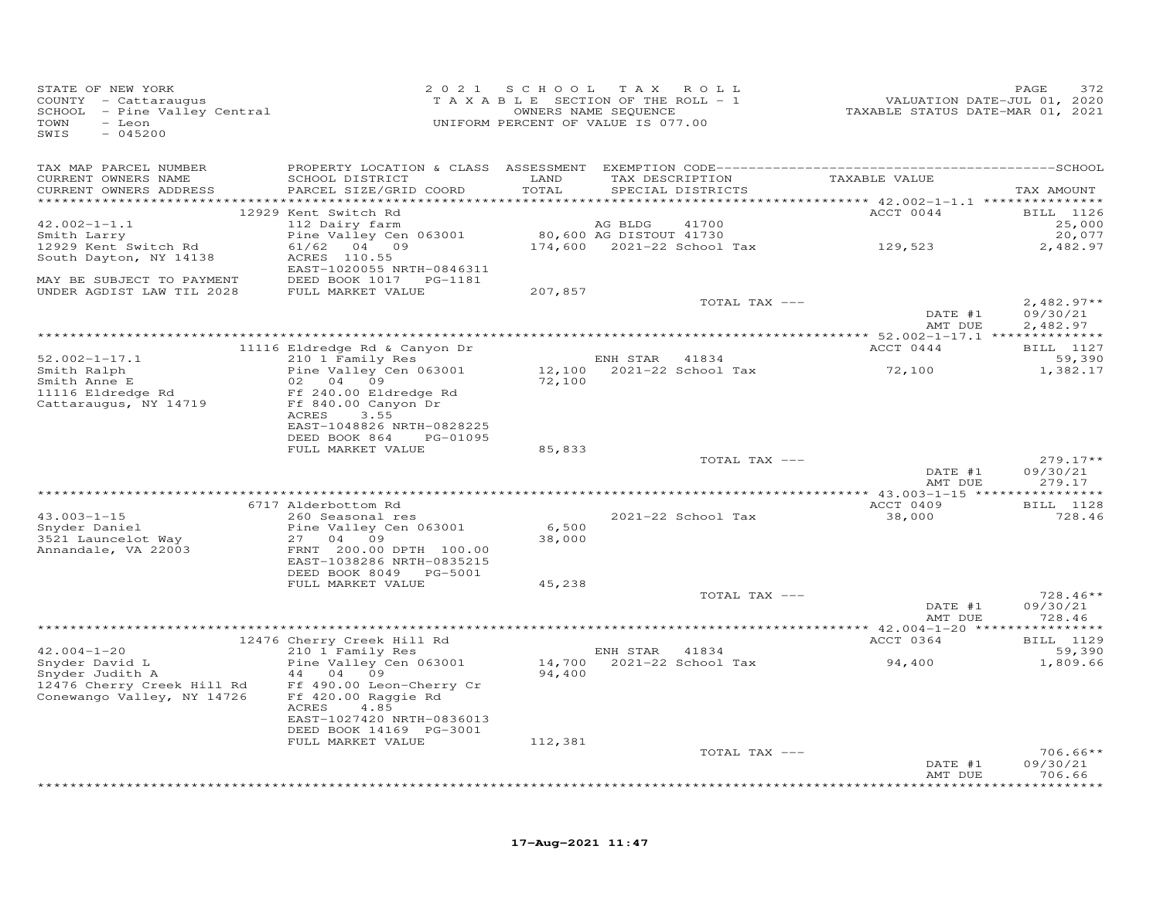| TAX MAP PARCEL NUMBER<br>TAX DESCRIPTION TAXABLE VALUE<br>CURRENT OWNERS NAME<br>SCHOOL DISTRICT<br>LAND<br>CURRENT OWNERS ADDRESS<br>PARCEL SIZE/GRID COORD<br>TOTAL<br>SPECIAL DISTRICTS<br>TAX AMOUNT<br>ACCT 0044<br>12929 Kent Switch Rd<br>BILL 1126<br>AG BLDG<br>$42.002 - 1 - 1.1$<br>112 Dairy farm<br>41700<br>25,000<br>Pine Valley Cen 063001 80,600 AG DISTOUT 41730<br>20,077<br>Smith Larry<br>61/62 04 09<br>12929 Kent Switch Rd<br>2,482.97<br>ACRES 110.55<br>South Dayton, NY 14138<br>EAST-1020055 NRTH-0846311<br>MAY BE SUBJECT TO PAYMENT<br>DEED BOOK 1017    PG-1181<br>UNDER AGDIST LAW TIL 2028<br>FULL MARKET VALUE<br>207,857<br>$2,482.97**$<br>TOTAL TAX ---<br>DATE #1<br>09/30/21<br>AMT DUE<br>2,482.97<br>ACCT 0444<br>BILL 1127<br>11116 Eldredge Rd & Canyon Dr<br>$52.002 - 1 - 17.1$<br>210 1 Family Res<br>ENH STAR 41834<br>59,390<br>ENH SIAK 41654<br>12,100 2021-22 School Tax<br>72,100<br>Pine Valley Cen 063001<br>Smith Ralph<br>1,382.17<br>Smith Anne E<br>11116 Eldredge Rd 11116 Eldredge Rd 11116 Eldredge Rd 11116 Eldredge Rd 11116 Eldredge Rd 11116 Eldredge Rd 11116 Eldredge Rd 11116 Eldredge Rd 11116 Eldredge Rd 11116 Eldredge Rd 11116 Eldredge Rd 11116 Eldr<br>02 04 09<br>72,100<br>ACRES<br>3.55<br>EAST-1048826 NRTH-0828225<br>DEED BOOK 864 PG-01095<br>FULL MARKET VALUE<br>85,833<br>TOTAL TAX ---<br>$279.17**$<br>DATE #1<br>09/30/21<br>AMT DUE<br>279.17<br><b>BILL</b> 1128<br>ACCT 0409<br>6717 Alderbottom Rd<br>260 Seasonal res<br>$43.003 - 1 - 15$<br>2021-22 School Tax<br>728.46<br>38,000<br>6,500<br>Snyder Daniel<br>Pine Valley Cen 063001<br>3521 Launcelot Way<br>27 04 09<br>38,000<br>Annandale, VA 22003<br>FRNT 200.00 DPTH 100.00<br>EAST-1038286 NRTH-0835215<br>DEED BOOK 8049 PG-5001<br>FULL MARKET VALUE<br>45,238<br>TOTAL TAX ---<br>$728.46**$<br>DATE #1<br>09/30/21<br>AMT DUE<br>728.46<br>ACCT 0364<br>12476 Cherry Creek Hill Rd<br>210 1 Family Res<br>BILL 1129<br>$42.004 - 1 - 20$<br>ENH STAR 41834<br>59,390<br>$14,700$ 2021-22 School Tax<br>94,400<br>Snyder David L<br>Pine Valley Cen 063001<br>1,809.66<br>Snyder Judith A<br>44 04 09<br>94,400<br>12476 Cherry Creek Hill Rd Ff 490.00 Leon-Cherry Cr<br>Conewango Valley, NY 14726<br>Ff 420.00 Raggie Rd<br>ACRES<br>4.85<br>EAST-1027420 NRTH-0836013<br>DEED BOOK 14169 PG-3001<br>FULL MARKET VALUE<br>112,381<br>TOTAL TAX ---<br>$706.66**$<br>DATE #1<br>09/30/21<br>706.66<br>AMT DUE | STATE OF NEW YORK<br>COUNTY - Cattaraugus<br>SCHOOL - Pine Valley Central<br>TOWN - Pine Valley Central<br>TOWN<br>- Leon<br>SWIS<br>$-045200$ | 2021 SCHOOL TAX ROLL<br>TAXABLE SECTION OF THE ROLL - 1<br>UNIFORM PERCENT OF VALUE IS 077.00 | OWNERS NAME SEQUENCE | 7.2020<br>TAXABLE STATUS DATE-JUL 01, 2020<br>TAXABLE STATUS DATE-MAR 01, 2021 | PAGE<br>372 |
|------------------------------------------------------------------------------------------------------------------------------------------------------------------------------------------------------------------------------------------------------------------------------------------------------------------------------------------------------------------------------------------------------------------------------------------------------------------------------------------------------------------------------------------------------------------------------------------------------------------------------------------------------------------------------------------------------------------------------------------------------------------------------------------------------------------------------------------------------------------------------------------------------------------------------------------------------------------------------------------------------------------------------------------------------------------------------------------------------------------------------------------------------------------------------------------------------------------------------------------------------------------------------------------------------------------------------------------------------------------------------------------------------------------------------------------------------------------------------------------------------------------------------------------------------------------------------------------------------------------------------------------------------------------------------------------------------------------------------------------------------------------------------------------------------------------------------------------------------------------------------------------------------------------------------------------------------------------------------------------------------------------------------------------------------------------------------------------------------------------------------------------------------------------------------------------------------------------------------------------------------------------------------------------------------------------------------------------------------------------------------------------------------------------------------------------------------------------------------|------------------------------------------------------------------------------------------------------------------------------------------------|-----------------------------------------------------------------------------------------------|----------------------|--------------------------------------------------------------------------------|-------------|
|                                                                                                                                                                                                                                                                                                                                                                                                                                                                                                                                                                                                                                                                                                                                                                                                                                                                                                                                                                                                                                                                                                                                                                                                                                                                                                                                                                                                                                                                                                                                                                                                                                                                                                                                                                                                                                                                                                                                                                                                                                                                                                                                                                                                                                                                                                                                                                                                                                                                              |                                                                                                                                                |                                                                                               |                      |                                                                                |             |
|                                                                                                                                                                                                                                                                                                                                                                                                                                                                                                                                                                                                                                                                                                                                                                                                                                                                                                                                                                                                                                                                                                                                                                                                                                                                                                                                                                                                                                                                                                                                                                                                                                                                                                                                                                                                                                                                                                                                                                                                                                                                                                                                                                                                                                                                                                                                                                                                                                                                              |                                                                                                                                                |                                                                                               |                      |                                                                                |             |
|                                                                                                                                                                                                                                                                                                                                                                                                                                                                                                                                                                                                                                                                                                                                                                                                                                                                                                                                                                                                                                                                                                                                                                                                                                                                                                                                                                                                                                                                                                                                                                                                                                                                                                                                                                                                                                                                                                                                                                                                                                                                                                                                                                                                                                                                                                                                                                                                                                                                              |                                                                                                                                                |                                                                                               |                      |                                                                                |             |
|                                                                                                                                                                                                                                                                                                                                                                                                                                                                                                                                                                                                                                                                                                                                                                                                                                                                                                                                                                                                                                                                                                                                                                                                                                                                                                                                                                                                                                                                                                                                                                                                                                                                                                                                                                                                                                                                                                                                                                                                                                                                                                                                                                                                                                                                                                                                                                                                                                                                              |                                                                                                                                                |                                                                                               |                      |                                                                                |             |
|                                                                                                                                                                                                                                                                                                                                                                                                                                                                                                                                                                                                                                                                                                                                                                                                                                                                                                                                                                                                                                                                                                                                                                                                                                                                                                                                                                                                                                                                                                                                                                                                                                                                                                                                                                                                                                                                                                                                                                                                                                                                                                                                                                                                                                                                                                                                                                                                                                                                              |                                                                                                                                                |                                                                                               |                      |                                                                                |             |
|                                                                                                                                                                                                                                                                                                                                                                                                                                                                                                                                                                                                                                                                                                                                                                                                                                                                                                                                                                                                                                                                                                                                                                                                                                                                                                                                                                                                                                                                                                                                                                                                                                                                                                                                                                                                                                                                                                                                                                                                                                                                                                                                                                                                                                                                                                                                                                                                                                                                              |                                                                                                                                                |                                                                                               |                      |                                                                                |             |
|                                                                                                                                                                                                                                                                                                                                                                                                                                                                                                                                                                                                                                                                                                                                                                                                                                                                                                                                                                                                                                                                                                                                                                                                                                                                                                                                                                                                                                                                                                                                                                                                                                                                                                                                                                                                                                                                                                                                                                                                                                                                                                                                                                                                                                                                                                                                                                                                                                                                              |                                                                                                                                                |                                                                                               |                      |                                                                                |             |
|                                                                                                                                                                                                                                                                                                                                                                                                                                                                                                                                                                                                                                                                                                                                                                                                                                                                                                                                                                                                                                                                                                                                                                                                                                                                                                                                                                                                                                                                                                                                                                                                                                                                                                                                                                                                                                                                                                                                                                                                                                                                                                                                                                                                                                                                                                                                                                                                                                                                              |                                                                                                                                                |                                                                                               |                      |                                                                                |             |
|                                                                                                                                                                                                                                                                                                                                                                                                                                                                                                                                                                                                                                                                                                                                                                                                                                                                                                                                                                                                                                                                                                                                                                                                                                                                                                                                                                                                                                                                                                                                                                                                                                                                                                                                                                                                                                                                                                                                                                                                                                                                                                                                                                                                                                                                                                                                                                                                                                                                              |                                                                                                                                                |                                                                                               |                      |                                                                                |             |
|                                                                                                                                                                                                                                                                                                                                                                                                                                                                                                                                                                                                                                                                                                                                                                                                                                                                                                                                                                                                                                                                                                                                                                                                                                                                                                                                                                                                                                                                                                                                                                                                                                                                                                                                                                                                                                                                                                                                                                                                                                                                                                                                                                                                                                                                                                                                                                                                                                                                              |                                                                                                                                                |                                                                                               |                      |                                                                                |             |
|                                                                                                                                                                                                                                                                                                                                                                                                                                                                                                                                                                                                                                                                                                                                                                                                                                                                                                                                                                                                                                                                                                                                                                                                                                                                                                                                                                                                                                                                                                                                                                                                                                                                                                                                                                                                                                                                                                                                                                                                                                                                                                                                                                                                                                                                                                                                                                                                                                                                              |                                                                                                                                                |                                                                                               |                      |                                                                                |             |
|                                                                                                                                                                                                                                                                                                                                                                                                                                                                                                                                                                                                                                                                                                                                                                                                                                                                                                                                                                                                                                                                                                                                                                                                                                                                                                                                                                                                                                                                                                                                                                                                                                                                                                                                                                                                                                                                                                                                                                                                                                                                                                                                                                                                                                                                                                                                                                                                                                                                              |                                                                                                                                                |                                                                                               |                      |                                                                                |             |
|                                                                                                                                                                                                                                                                                                                                                                                                                                                                                                                                                                                                                                                                                                                                                                                                                                                                                                                                                                                                                                                                                                                                                                                                                                                                                                                                                                                                                                                                                                                                                                                                                                                                                                                                                                                                                                                                                                                                                                                                                                                                                                                                                                                                                                                                                                                                                                                                                                                                              |                                                                                                                                                |                                                                                               |                      |                                                                                |             |
|                                                                                                                                                                                                                                                                                                                                                                                                                                                                                                                                                                                                                                                                                                                                                                                                                                                                                                                                                                                                                                                                                                                                                                                                                                                                                                                                                                                                                                                                                                                                                                                                                                                                                                                                                                                                                                                                                                                                                                                                                                                                                                                                                                                                                                                                                                                                                                                                                                                                              |                                                                                                                                                |                                                                                               |                      |                                                                                |             |
|                                                                                                                                                                                                                                                                                                                                                                                                                                                                                                                                                                                                                                                                                                                                                                                                                                                                                                                                                                                                                                                                                                                                                                                                                                                                                                                                                                                                                                                                                                                                                                                                                                                                                                                                                                                                                                                                                                                                                                                                                                                                                                                                                                                                                                                                                                                                                                                                                                                                              |                                                                                                                                                |                                                                                               |                      |                                                                                |             |
|                                                                                                                                                                                                                                                                                                                                                                                                                                                                                                                                                                                                                                                                                                                                                                                                                                                                                                                                                                                                                                                                                                                                                                                                                                                                                                                                                                                                                                                                                                                                                                                                                                                                                                                                                                                                                                                                                                                                                                                                                                                                                                                                                                                                                                                                                                                                                                                                                                                                              |                                                                                                                                                |                                                                                               |                      |                                                                                |             |
|                                                                                                                                                                                                                                                                                                                                                                                                                                                                                                                                                                                                                                                                                                                                                                                                                                                                                                                                                                                                                                                                                                                                                                                                                                                                                                                                                                                                                                                                                                                                                                                                                                                                                                                                                                                                                                                                                                                                                                                                                                                                                                                                                                                                                                                                                                                                                                                                                                                                              |                                                                                                                                                |                                                                                               |                      |                                                                                |             |
|                                                                                                                                                                                                                                                                                                                                                                                                                                                                                                                                                                                                                                                                                                                                                                                                                                                                                                                                                                                                                                                                                                                                                                                                                                                                                                                                                                                                                                                                                                                                                                                                                                                                                                                                                                                                                                                                                                                                                                                                                                                                                                                                                                                                                                                                                                                                                                                                                                                                              |                                                                                                                                                |                                                                                               |                      |                                                                                |             |
|                                                                                                                                                                                                                                                                                                                                                                                                                                                                                                                                                                                                                                                                                                                                                                                                                                                                                                                                                                                                                                                                                                                                                                                                                                                                                                                                                                                                                                                                                                                                                                                                                                                                                                                                                                                                                                                                                                                                                                                                                                                                                                                                                                                                                                                                                                                                                                                                                                                                              |                                                                                                                                                |                                                                                               |                      |                                                                                |             |
|                                                                                                                                                                                                                                                                                                                                                                                                                                                                                                                                                                                                                                                                                                                                                                                                                                                                                                                                                                                                                                                                                                                                                                                                                                                                                                                                                                                                                                                                                                                                                                                                                                                                                                                                                                                                                                                                                                                                                                                                                                                                                                                                                                                                                                                                                                                                                                                                                                                                              |                                                                                                                                                |                                                                                               |                      |                                                                                |             |
|                                                                                                                                                                                                                                                                                                                                                                                                                                                                                                                                                                                                                                                                                                                                                                                                                                                                                                                                                                                                                                                                                                                                                                                                                                                                                                                                                                                                                                                                                                                                                                                                                                                                                                                                                                                                                                                                                                                                                                                                                                                                                                                                                                                                                                                                                                                                                                                                                                                                              |                                                                                                                                                |                                                                                               |                      |                                                                                |             |
|                                                                                                                                                                                                                                                                                                                                                                                                                                                                                                                                                                                                                                                                                                                                                                                                                                                                                                                                                                                                                                                                                                                                                                                                                                                                                                                                                                                                                                                                                                                                                                                                                                                                                                                                                                                                                                                                                                                                                                                                                                                                                                                                                                                                                                                                                                                                                                                                                                                                              |                                                                                                                                                |                                                                                               |                      |                                                                                |             |
|                                                                                                                                                                                                                                                                                                                                                                                                                                                                                                                                                                                                                                                                                                                                                                                                                                                                                                                                                                                                                                                                                                                                                                                                                                                                                                                                                                                                                                                                                                                                                                                                                                                                                                                                                                                                                                                                                                                                                                                                                                                                                                                                                                                                                                                                                                                                                                                                                                                                              |                                                                                                                                                |                                                                                               |                      |                                                                                |             |
|                                                                                                                                                                                                                                                                                                                                                                                                                                                                                                                                                                                                                                                                                                                                                                                                                                                                                                                                                                                                                                                                                                                                                                                                                                                                                                                                                                                                                                                                                                                                                                                                                                                                                                                                                                                                                                                                                                                                                                                                                                                                                                                                                                                                                                                                                                                                                                                                                                                                              |                                                                                                                                                |                                                                                               |                      |                                                                                |             |
|                                                                                                                                                                                                                                                                                                                                                                                                                                                                                                                                                                                                                                                                                                                                                                                                                                                                                                                                                                                                                                                                                                                                                                                                                                                                                                                                                                                                                                                                                                                                                                                                                                                                                                                                                                                                                                                                                                                                                                                                                                                                                                                                                                                                                                                                                                                                                                                                                                                                              |                                                                                                                                                |                                                                                               |                      |                                                                                |             |
|                                                                                                                                                                                                                                                                                                                                                                                                                                                                                                                                                                                                                                                                                                                                                                                                                                                                                                                                                                                                                                                                                                                                                                                                                                                                                                                                                                                                                                                                                                                                                                                                                                                                                                                                                                                                                                                                                                                                                                                                                                                                                                                                                                                                                                                                                                                                                                                                                                                                              |                                                                                                                                                |                                                                                               |                      |                                                                                |             |
|                                                                                                                                                                                                                                                                                                                                                                                                                                                                                                                                                                                                                                                                                                                                                                                                                                                                                                                                                                                                                                                                                                                                                                                                                                                                                                                                                                                                                                                                                                                                                                                                                                                                                                                                                                                                                                                                                                                                                                                                                                                                                                                                                                                                                                                                                                                                                                                                                                                                              |                                                                                                                                                |                                                                                               |                      |                                                                                |             |
|                                                                                                                                                                                                                                                                                                                                                                                                                                                                                                                                                                                                                                                                                                                                                                                                                                                                                                                                                                                                                                                                                                                                                                                                                                                                                                                                                                                                                                                                                                                                                                                                                                                                                                                                                                                                                                                                                                                                                                                                                                                                                                                                                                                                                                                                                                                                                                                                                                                                              |                                                                                                                                                |                                                                                               |                      |                                                                                |             |
|                                                                                                                                                                                                                                                                                                                                                                                                                                                                                                                                                                                                                                                                                                                                                                                                                                                                                                                                                                                                                                                                                                                                                                                                                                                                                                                                                                                                                                                                                                                                                                                                                                                                                                                                                                                                                                                                                                                                                                                                                                                                                                                                                                                                                                                                                                                                                                                                                                                                              |                                                                                                                                                |                                                                                               |                      |                                                                                |             |
|                                                                                                                                                                                                                                                                                                                                                                                                                                                                                                                                                                                                                                                                                                                                                                                                                                                                                                                                                                                                                                                                                                                                                                                                                                                                                                                                                                                                                                                                                                                                                                                                                                                                                                                                                                                                                                                                                                                                                                                                                                                                                                                                                                                                                                                                                                                                                                                                                                                                              |                                                                                                                                                |                                                                                               |                      |                                                                                |             |
|                                                                                                                                                                                                                                                                                                                                                                                                                                                                                                                                                                                                                                                                                                                                                                                                                                                                                                                                                                                                                                                                                                                                                                                                                                                                                                                                                                                                                                                                                                                                                                                                                                                                                                                                                                                                                                                                                                                                                                                                                                                                                                                                                                                                                                                                                                                                                                                                                                                                              |                                                                                                                                                |                                                                                               |                      |                                                                                |             |
|                                                                                                                                                                                                                                                                                                                                                                                                                                                                                                                                                                                                                                                                                                                                                                                                                                                                                                                                                                                                                                                                                                                                                                                                                                                                                                                                                                                                                                                                                                                                                                                                                                                                                                                                                                                                                                                                                                                                                                                                                                                                                                                                                                                                                                                                                                                                                                                                                                                                              |                                                                                                                                                |                                                                                               |                      |                                                                                |             |
|                                                                                                                                                                                                                                                                                                                                                                                                                                                                                                                                                                                                                                                                                                                                                                                                                                                                                                                                                                                                                                                                                                                                                                                                                                                                                                                                                                                                                                                                                                                                                                                                                                                                                                                                                                                                                                                                                                                                                                                                                                                                                                                                                                                                                                                                                                                                                                                                                                                                              |                                                                                                                                                |                                                                                               |                      |                                                                                |             |
|                                                                                                                                                                                                                                                                                                                                                                                                                                                                                                                                                                                                                                                                                                                                                                                                                                                                                                                                                                                                                                                                                                                                                                                                                                                                                                                                                                                                                                                                                                                                                                                                                                                                                                                                                                                                                                                                                                                                                                                                                                                                                                                                                                                                                                                                                                                                                                                                                                                                              |                                                                                                                                                |                                                                                               |                      |                                                                                |             |
|                                                                                                                                                                                                                                                                                                                                                                                                                                                                                                                                                                                                                                                                                                                                                                                                                                                                                                                                                                                                                                                                                                                                                                                                                                                                                                                                                                                                                                                                                                                                                                                                                                                                                                                                                                                                                                                                                                                                                                                                                                                                                                                                                                                                                                                                                                                                                                                                                                                                              |                                                                                                                                                |                                                                                               |                      |                                                                                |             |
|                                                                                                                                                                                                                                                                                                                                                                                                                                                                                                                                                                                                                                                                                                                                                                                                                                                                                                                                                                                                                                                                                                                                                                                                                                                                                                                                                                                                                                                                                                                                                                                                                                                                                                                                                                                                                                                                                                                                                                                                                                                                                                                                                                                                                                                                                                                                                                                                                                                                              |                                                                                                                                                |                                                                                               |                      |                                                                                |             |
|                                                                                                                                                                                                                                                                                                                                                                                                                                                                                                                                                                                                                                                                                                                                                                                                                                                                                                                                                                                                                                                                                                                                                                                                                                                                                                                                                                                                                                                                                                                                                                                                                                                                                                                                                                                                                                                                                                                                                                                                                                                                                                                                                                                                                                                                                                                                                                                                                                                                              |                                                                                                                                                |                                                                                               |                      |                                                                                |             |
|                                                                                                                                                                                                                                                                                                                                                                                                                                                                                                                                                                                                                                                                                                                                                                                                                                                                                                                                                                                                                                                                                                                                                                                                                                                                                                                                                                                                                                                                                                                                                                                                                                                                                                                                                                                                                                                                                                                                                                                                                                                                                                                                                                                                                                                                                                                                                                                                                                                                              |                                                                                                                                                |                                                                                               |                      |                                                                                |             |
|                                                                                                                                                                                                                                                                                                                                                                                                                                                                                                                                                                                                                                                                                                                                                                                                                                                                                                                                                                                                                                                                                                                                                                                                                                                                                                                                                                                                                                                                                                                                                                                                                                                                                                                                                                                                                                                                                                                                                                                                                                                                                                                                                                                                                                                                                                                                                                                                                                                                              |                                                                                                                                                |                                                                                               |                      |                                                                                |             |
|                                                                                                                                                                                                                                                                                                                                                                                                                                                                                                                                                                                                                                                                                                                                                                                                                                                                                                                                                                                                                                                                                                                                                                                                                                                                                                                                                                                                                                                                                                                                                                                                                                                                                                                                                                                                                                                                                                                                                                                                                                                                                                                                                                                                                                                                                                                                                                                                                                                                              |                                                                                                                                                |                                                                                               |                      |                                                                                |             |
|                                                                                                                                                                                                                                                                                                                                                                                                                                                                                                                                                                                                                                                                                                                                                                                                                                                                                                                                                                                                                                                                                                                                                                                                                                                                                                                                                                                                                                                                                                                                                                                                                                                                                                                                                                                                                                                                                                                                                                                                                                                                                                                                                                                                                                                                                                                                                                                                                                                                              |                                                                                                                                                |                                                                                               |                      |                                                                                |             |
|                                                                                                                                                                                                                                                                                                                                                                                                                                                                                                                                                                                                                                                                                                                                                                                                                                                                                                                                                                                                                                                                                                                                                                                                                                                                                                                                                                                                                                                                                                                                                                                                                                                                                                                                                                                                                                                                                                                                                                                                                                                                                                                                                                                                                                                                                                                                                                                                                                                                              |                                                                                                                                                |                                                                                               |                      |                                                                                |             |
|                                                                                                                                                                                                                                                                                                                                                                                                                                                                                                                                                                                                                                                                                                                                                                                                                                                                                                                                                                                                                                                                                                                                                                                                                                                                                                                                                                                                                                                                                                                                                                                                                                                                                                                                                                                                                                                                                                                                                                                                                                                                                                                                                                                                                                                                                                                                                                                                                                                                              |                                                                                                                                                |                                                                                               |                      |                                                                                |             |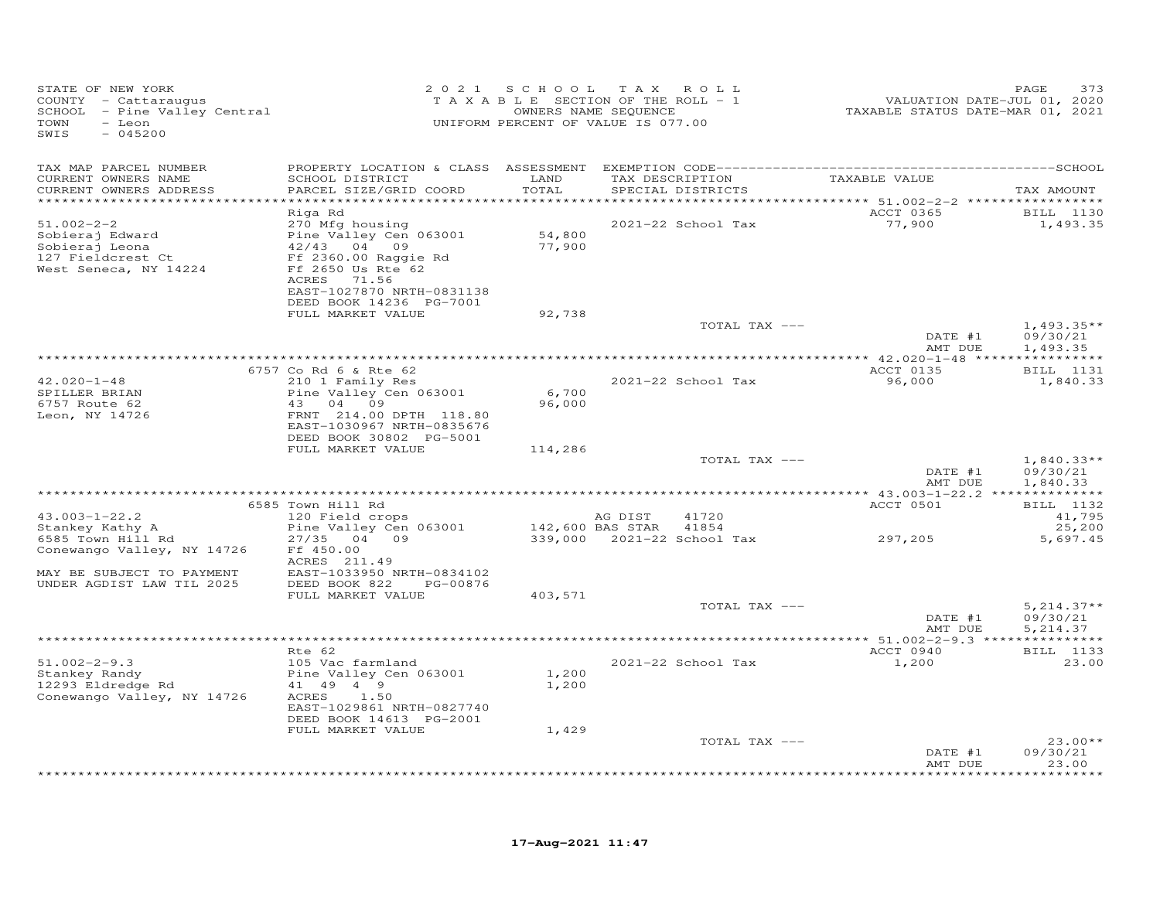| STATE OF NEW YORK<br>COUNTY - Cattaraugus<br>SCHOOL - Pine Valley Central<br>TOWN<br>- Leon<br>SWIS<br>$-045200$ |                                                                                                                                                                                         |                               | 2021 SCHOOL TAX ROLL<br>TAXABLE SECTION OF THE ROLL - 1<br>OWNERS NAME SEQUENCE<br>UNIFORM PERCENT OF VALUE IS 077.00 | VALUATION DATE-JUL 01, 2020<br>TAXABLE STATUS DATE-MAR 01, 2021 | PAGE<br>373                                      |
|------------------------------------------------------------------------------------------------------------------|-----------------------------------------------------------------------------------------------------------------------------------------------------------------------------------------|-------------------------------|-----------------------------------------------------------------------------------------------------------------------|-----------------------------------------------------------------|--------------------------------------------------|
| TAX MAP PARCEL NUMBER<br>CURRENT OWNERS NAME<br>CURRENT OWNERS ADDRESS                                           | SCHOOL DISTRICT<br>PARCEL SIZE/GRID COORD                                                                                                                                               | LAND<br>TOTAL<br>************ | TAX DESCRIPTION<br>SPECIAL DISTRICTS                                                                                  | TAXABLE VALUE<br>********** 51.002-2-2 *****************        | TAX AMOUNT                                       |
| $51.002 - 2 - 2$<br>Sobieraj Edward<br>Sobieraj Leona<br>127 Fieldcrest Ct<br>West Seneca, NY 14224              | Riga Rd<br>270 Mfg housing<br>Pine Valley Cen 063001<br>42/43 04 09<br>Ff 2360.00 Raggie Rd<br>Ff 2650 Us Rte 62<br>ACRES 71.56<br>EAST-1027870 NRTH-0831138<br>DEED BOOK 14236 PG-7001 | 54,800<br>77,900              | 2021-22 School Tax                                                                                                    | ACCT 0365<br>77,900                                             | BILL 1130<br>1,493.35                            |
|                                                                                                                  | FULL MARKET VALUE                                                                                                                                                                       | 92,738                        | TOTAL TAX ---                                                                                                         | DATE #1<br>AMT DUE                                              | $1,493.35**$<br>09/30/21<br>1,493.35             |
|                                                                                                                  |                                                                                                                                                                                         |                               |                                                                                                                       |                                                                 |                                                  |
| $42.020 - 1 - 48$<br>SPILLER BRIAN<br>6757 Route 62<br>Leon, NY 14726                                            | 6757 Co Rd 6 & Rte 62<br>210 1 Family Res<br>Pine Valley Cen 063001<br>43 04 09<br>FRNT 214.00 DPTH 118.80<br>EAST-1030967 NRTH-0835676<br>DEED BOOK 30802 PG-5001                      | 6,700<br>96,000               | 2021-22 School Tax                                                                                                    | ACCT 0135<br>96,000                                             | <b>BILL</b> 1131<br>1,840.33                     |
|                                                                                                                  | FULL MARKET VALUE                                                                                                                                                                       | 114,286                       | TOTAL TAX ---                                                                                                         | DATE #1<br>AMT DUE                                              | $1,840.33**$<br>09/30/21                         |
|                                                                                                                  |                                                                                                                                                                                         |                               |                                                                                                                       |                                                                 | 1,840.33                                         |
| $43.003 - 1 - 22.2$<br>Stankey Kathy A<br>6585 Town Hill Rd                                                      | 6585 Town Hill Rd<br>120 Field crops<br>Pine Valley Cen 063001<br>27/35 04 09                                                                                                           |                               | AG DIST<br>41720<br>142,600 BAS STAR<br>41854<br>339,000 2021-22 School Tax                                           | ACCT 0501<br>297,205                                            | <b>BILL</b> 1132<br>41,795<br>25,200<br>5,697.45 |
| Conewango Valley, NY 14726<br>MAY BE SUBJECT TO PAYMENT<br>UNDER AGDIST LAW TIL 2025                             | Ff 450.00<br>ACRES 211.49<br>EAST-1033950 NRTH-0834102<br>DEED BOOK 822<br>PG-00876<br>FULL MARKET VALUE                                                                                | 403,571                       |                                                                                                                       |                                                                 |                                                  |
|                                                                                                                  |                                                                                                                                                                                         |                               | TOTAL TAX ---                                                                                                         | DATE #1<br>AMT DUE                                              | $5,214.37**$<br>09/30/21<br>5, 214.37            |
|                                                                                                                  |                                                                                                                                                                                         |                               |                                                                                                                       |                                                                 |                                                  |
| $51.002 - 2 - 9.3$<br>Stankey Randy<br>12293 Eldredge Rd<br>Conewango Valley, NY 14726                           | Rte 62<br>105 Vac farmland<br>Pine Valley Cen 063001<br>41 49 4 9<br>1.50<br>ACRES<br>EAST-1029861 NRTH-0827740<br>DEED BOOK 14613 PG-2001<br>FULL MARKET VALUE                         | 1,200<br>1,200<br>1,429       | 2021-22 School Tax                                                                                                    | ACCT 0940<br>1,200                                              | <b>BILL</b> 1133<br>23.00                        |
|                                                                                                                  |                                                                                                                                                                                         |                               | TOTAL TAX ---                                                                                                         | DATE #1<br>AMT DUE                                              | $23.00**$<br>09/30/21<br>23.00                   |
|                                                                                                                  |                                                                                                                                                                                         |                               |                                                                                                                       |                                                                 | .                                                |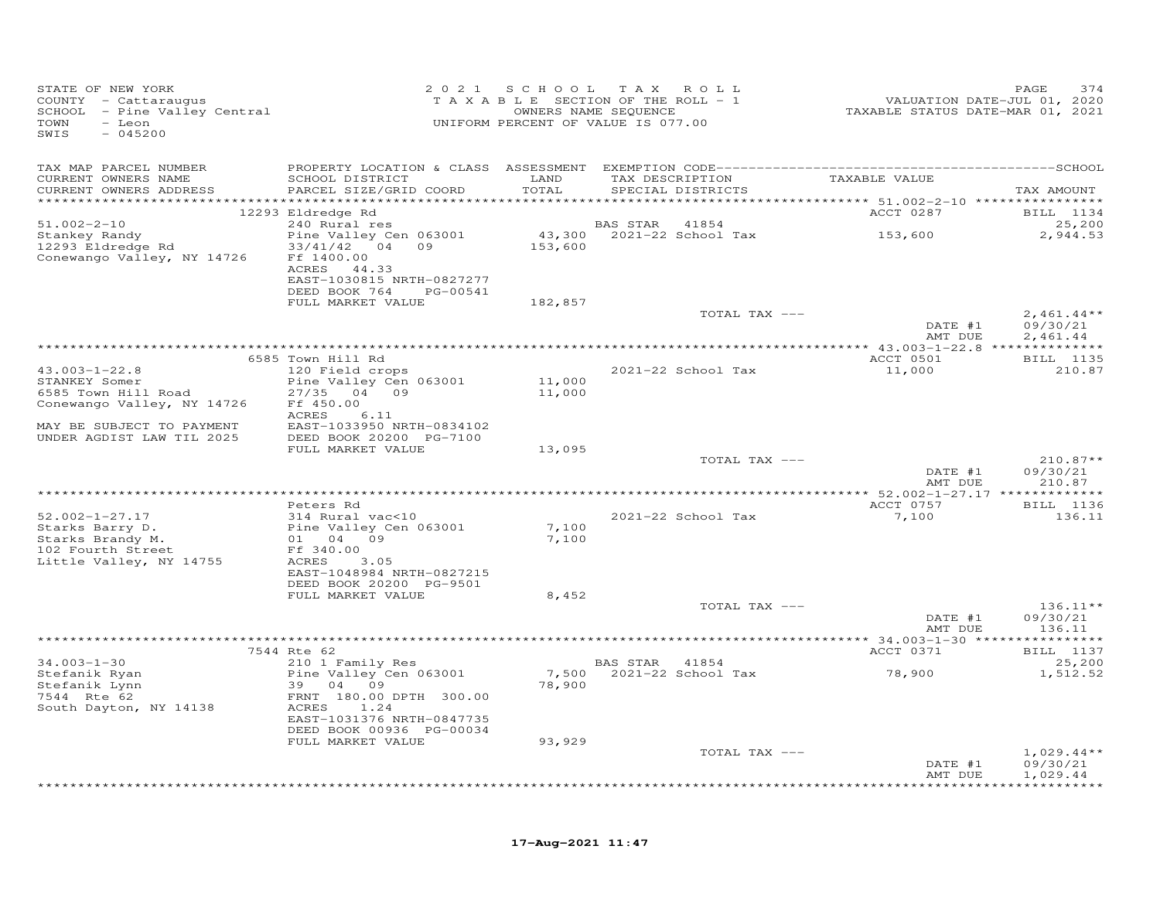| STATE OF NEW YORK<br>COUNTY - Cattaraugus<br>SCHOOL - Pine Valley Central<br>TOWN<br>- Leon<br>SWIS<br>$-045200$                                           |                                                                                |                  | 2021 SCHOOL TAX ROLL<br>T A X A B L E SECTION OF THE ROLL - 1<br>OWNERS NAME SEQUENCE<br>UNIFORM PERCENT OF VALUE IS 077.00 | 7,420<br>VALUATION DATE-JUL 01, 2020<br>TAXABLE STATUS DATE-MAR 01, 2021 | 374<br>PAGE                          |
|------------------------------------------------------------------------------------------------------------------------------------------------------------|--------------------------------------------------------------------------------|------------------|-----------------------------------------------------------------------------------------------------------------------------|--------------------------------------------------------------------------|--------------------------------------|
| TAX MAP PARCEL NUMBER                                                                                                                                      |                                                                                |                  |                                                                                                                             |                                                                          |                                      |
| CURRENT OWNERS NAME<br>CURRENT OWNERS ADDRESS                                                                                                              | SCHOOL DISTRICT LAND<br>PARCEL SIZE/GRID COORD                                 | TOTAL            | TAX DESCRIPTION TAXABLE VALUE<br>SPECIAL DISTRICTS                                                                          |                                                                          | TAX AMOUNT                           |
|                                                                                                                                                            | 12293 Eldredge Rd                                                              |                  |                                                                                                                             | ACCT 0287                                                                | BILL 1134                            |
| $51.002 - 2 - 10$                                                                                                                                          | 240 Rural res                                                                  |                  | <b>BAS STAR</b> 41854                                                                                                       |                                                                          | 25,200                               |
| Stankey Randy<br>12293 Eldredge Rd<br>Conewango Valley, NY 14726                                                                                           | Pine Valley Cen 063001<br>33/41/42 04 09<br>Ff 1400.00<br>ACRES 44.33          | 153,600          | 43,300 2021-22 School Tax 153,600                                                                                           |                                                                          | 2,944.53                             |
|                                                                                                                                                            | EAST-1030815 NRTH-0827277<br>DEED BOOK 764 PG-00541                            |                  |                                                                                                                             |                                                                          |                                      |
|                                                                                                                                                            | FULL MARKET VALUE                                                              | 182,857          |                                                                                                                             |                                                                          |                                      |
|                                                                                                                                                            |                                                                                |                  | TOTAL TAX ---                                                                                                               | DATE #1<br>AMT DUE                                                       | $2,461.44**$<br>09/30/21<br>2,461.44 |
|                                                                                                                                                            |                                                                                |                  |                                                                                                                             |                                                                          |                                      |
|                                                                                                                                                            | 6585 Town Hill Rd                                                              |                  |                                                                                                                             | ACCT 0501                                                                | <b>BILL</b> 1135                     |
| $43.003 - 1 - 22.8$<br>STANKEY Somer<br>6585 Town Hill Road                                                                                                | 120 Field crops<br>Pine Valley Cen 063001<br>27/35 04 09                       | 11,000<br>11,000 | 2021-22 School Tax                                                                                                          | 11,000                                                                   | 210.87                               |
| Conewango Valley, NY 14726                                                                                                                                 | Ff 450.00<br>ACRES<br>6.11                                                     |                  |                                                                                                                             |                                                                          |                                      |
| MAY BE SUBJECT TO PAYMENT<br>UNDER AGDIST LAW TIL 2025                                                                                                     | EAST-1033950 NRTH-0834102<br>DEED BOOK 20200 PG-7100                           |                  |                                                                                                                             |                                                                          |                                      |
|                                                                                                                                                            | FULL MARKET VALUE                                                              | 13,095           | TOTAL TAX ---                                                                                                               |                                                                          | $210.87**$                           |
|                                                                                                                                                            |                                                                                |                  |                                                                                                                             | DATE #1<br>AMT DUE                                                       | 09/30/21<br>210.87                   |
|                                                                                                                                                            |                                                                                |                  |                                                                                                                             |                                                                          |                                      |
| $52.002 - 1 - 27.17$                                                                                                                                       | Peters Rd<br>314 Rural vac<10                                                  |                  | 2021-22 School Tax                                                                                                          | ACCT 0757<br>7,100                                                       | <b>BILL</b> 1136<br>136.11           |
| 32.002-1-27.17<br>Starks Barry D. Pine Valley Cen 063001<br>Starks Brandy M. 01 04 09<br>102 Fourth Street Ff 340.00<br>Little Valley, NY 14755 ACRES 3.05 |                                                                                | 7,100<br>7,100   |                                                                                                                             |                                                                          |                                      |
|                                                                                                                                                            | EAST-1048984 NRTH-0827215                                                      |                  |                                                                                                                             |                                                                          |                                      |
|                                                                                                                                                            | DEED BOOK 20200 PG-9501                                                        |                  |                                                                                                                             |                                                                          |                                      |
|                                                                                                                                                            | FULL MARKET VALUE                                                              | 8,452            | TOTAL TAX ---                                                                                                               |                                                                          | $136.11**$                           |
|                                                                                                                                                            |                                                                                |                  |                                                                                                                             | DATE #1<br>AMT DUE                                                       | 09/30/21<br>136.11                   |
|                                                                                                                                                            |                                                                                |                  |                                                                                                                             |                                                                          |                                      |
|                                                                                                                                                            | 7544 Rte 62<br>210 1 Family Res                                                |                  |                                                                                                                             | ACCT 0371                                                                | <b>BILL</b> 1137                     |
| $34.003 - 1 - 30$<br>Stefanik Ryan<br>Stefanik Lynn<br>7544 Rte 62<br>South Dayton, NY 14138                                                               | Pine Valley Cen 063001<br>39 04 09<br>FRNT 180.00 DPTH 300.00<br>ACRES<br>1.24 | 78,900           | BAS STAR 41854<br>7,500 2021-22 School Tax                                                                                  | 78,900                                                                   | 25,200<br>1,512.52                   |
|                                                                                                                                                            | EAST-1031376 NRTH-0847735<br>DEED BOOK 00936 PG-00034                          |                  |                                                                                                                             |                                                                          |                                      |
|                                                                                                                                                            | FULL MARKET VALUE                                                              | 93,929           |                                                                                                                             |                                                                          |                                      |
|                                                                                                                                                            |                                                                                |                  | TOTAL TAX ---                                                                                                               | DATE #1<br>AMT DUE                                                       | $1,029.44**$<br>09/30/21<br>1,029.44 |
|                                                                                                                                                            |                                                                                |                  |                                                                                                                             |                                                                          | **********                           |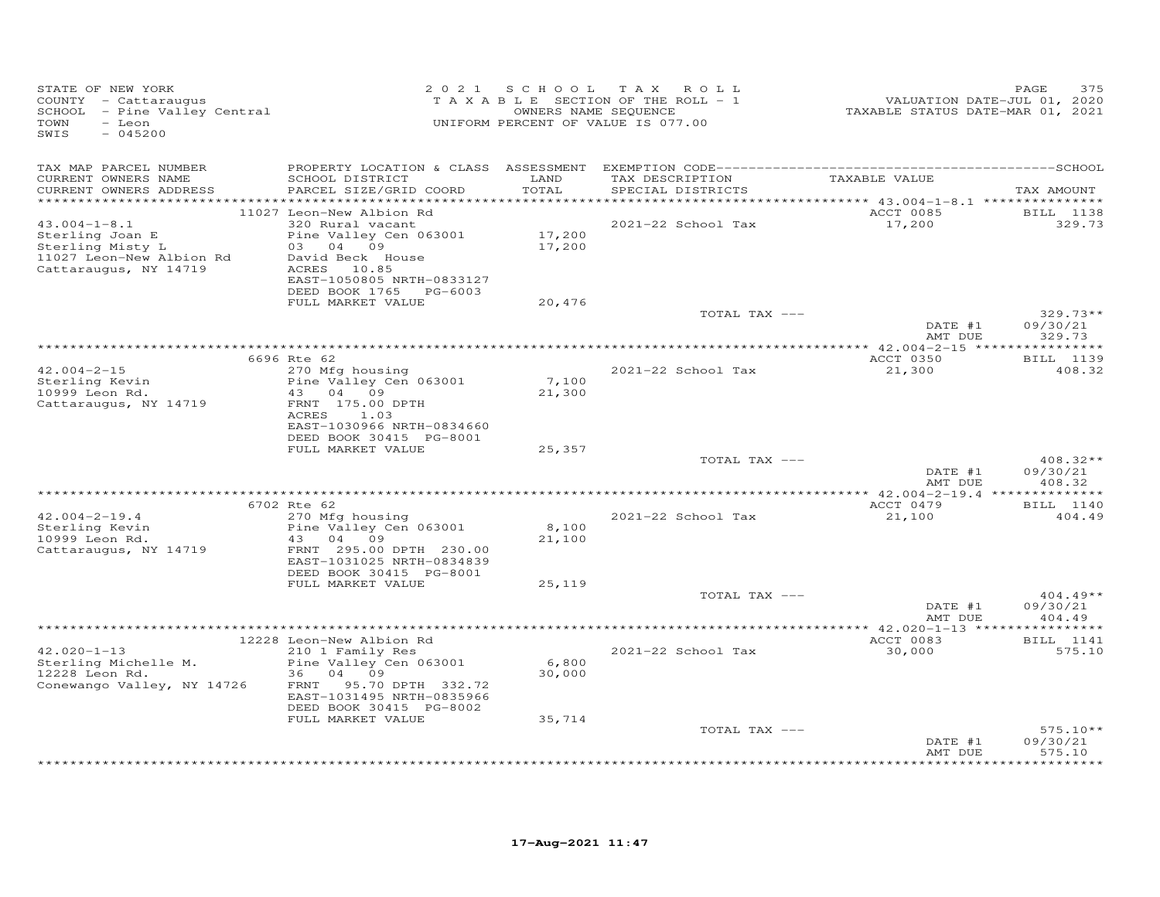| STATE OF NEW YORK<br>COUNTY - Cattaraugus<br>SCHOOL - Pine Valley Central<br>- Leon<br>TOWN<br>SWIS<br>$-045200$ | 2 0 2 1                                                                                                                                                       |                           | SCHOOL TAX ROLL<br>TAXABLE SECTION OF THE ROLL - 1<br>OWNERS NAME SEQUENCE<br>UNIFORM PERCENT OF VALUE IS 077.00 | VALUATION DATE-JUL 01, 2020<br>TAXABLE STATUS DATE-MAR 01, 2021 | PAGE<br>375                               |
|------------------------------------------------------------------------------------------------------------------|---------------------------------------------------------------------------------------------------------------------------------------------------------------|---------------------------|------------------------------------------------------------------------------------------------------------------|-----------------------------------------------------------------|-------------------------------------------|
| TAX MAP PARCEL NUMBER<br>CURRENT OWNERS NAME<br>CURRENT OWNERS ADDRESS                                           | SCHOOL DISTRICT<br>PARCEL SIZE/GRID COORD                                                                                                                     | LAND<br>TOTAL             | TAX DESCRIPTION TAXABLE VALUE<br>SPECIAL DISTRICTS                                                               |                                                                 | TAX AMOUNT                                |
|                                                                                                                  | 11027 Leon-New Albion Rd                                                                                                                                      |                           |                                                                                                                  | ACCT 0085                                                       | <b>BILL</b> 1138                          |
| $43.004 - 1 - 8.1$<br>Sterling Joan E<br>Sterling Misty L<br>11027 Leon-New Albion Rd<br>Cattaraugus, NY 14719   | 320 Rural vacant<br>Pine Valley Cen 063001<br>03 04 09<br>David Beck House<br>ACRES 10.85<br>EAST-1050805 NRTH-0833127<br>DEED BOOK 1765 PG-6003              | 17,200<br>17,200          | 2021-22 School Tax                                                                                               | 17,200                                                          | 329.73                                    |
|                                                                                                                  | FULL MARKET VALUE                                                                                                                                             | 20,476                    |                                                                                                                  |                                                                 |                                           |
|                                                                                                                  |                                                                                                                                                               |                           | TOTAL TAX ---                                                                                                    | DATE #1<br>AMT DUE                                              | $329.73**$<br>09/30/21<br>329.73          |
|                                                                                                                  |                                                                                                                                                               |                           |                                                                                                                  |                                                                 |                                           |
| $42.004 - 2 - 15$                                                                                                | 6696 Rte 62<br>270 Mfg housing                                                                                                                                |                           | 2021-22 School Tax                                                                                               | ACCT 0350<br>21,300                                             | BILL 1139<br>408.32                       |
| Sterling Kevin<br>10999 Leon Rd.<br>Cattaraugus, NY 14719                                                        | Pine Valley Cen 063001<br>43 04 09<br>FRNT 175.00 DPTH<br>ACRES<br>1.03<br>EAST-1030966 NRTH-0834660                                                          | 7,100<br>21,300           |                                                                                                                  |                                                                 |                                           |
|                                                                                                                  | DEED BOOK 30415 PG-8001                                                                                                                                       |                           |                                                                                                                  |                                                                 |                                           |
|                                                                                                                  | FULL MARKET VALUE                                                                                                                                             | 25,357                    | TOTAL TAX ---                                                                                                    |                                                                 | $408.32**$                                |
|                                                                                                                  |                                                                                                                                                               |                           |                                                                                                                  | DATE #1<br>AMT DUE                                              | 09/30/21<br>408.32                        |
|                                                                                                                  | 6702 Rte 62                                                                                                                                                   |                           |                                                                                                                  | *************** 42.004-2-19.4 ***************<br>ACCT 0479      | BILL 1140                                 |
| $42.004 - 2 - 19.4$<br>Sterling Kevin<br>10999 Leon Rd.<br>Cattaraugus, NY 14719                                 | 270 Mfg housing<br>Pine Valley Cen 063001<br>43 04<br>09<br>FRNT 295.00 DPTH 230.00<br>EAST-1031025 NRTH-0834839<br>DEED BOOK 30415 PG-8001                   | 8,100<br>21,100           | 2021-22 School Tax                                                                                               | 21,100                                                          | 404.49                                    |
|                                                                                                                  | FULL MARKET VALUE                                                                                                                                             | 25,119                    |                                                                                                                  |                                                                 |                                           |
|                                                                                                                  |                                                                                                                                                               |                           | TOTAL TAX ---                                                                                                    | DATE #1<br>AMT DUE                                              | $404.49**$<br>09/30/21<br>404.49          |
|                                                                                                                  |                                                                                                                                                               |                           |                                                                                                                  |                                                                 |                                           |
|                                                                                                                  | 12228 Leon-New Albion Rd                                                                                                                                      |                           |                                                                                                                  | ACCT 0083                                                       | BILL 1141                                 |
| $42.020 - 1 - 13$<br>Sterling Michelle M.<br>12228 Leon Rd.<br>Conewango Valley, NY 14726                        | 210 1 Family Res<br>Pine Valley Cen 063001<br>36 04 09<br>FRNT 95.70 DPTH 332.72<br>EAST-1031495 NRTH-0835966<br>DEED BOOK 30415 PG-8002<br>FULL MARKET VALUE | 6,800<br>30,000<br>35,714 | 2021-22 School Tax                                                                                               | 30,000                                                          | 575.10                                    |
|                                                                                                                  |                                                                                                                                                               |                           | TOTAL TAX ---                                                                                                    |                                                                 | $575.10**$                                |
|                                                                                                                  |                                                                                                                                                               |                           |                                                                                                                  | DATE #1<br>AMT DUE                                              | 09/30/21<br>575.10<br>* * * * * * * * * * |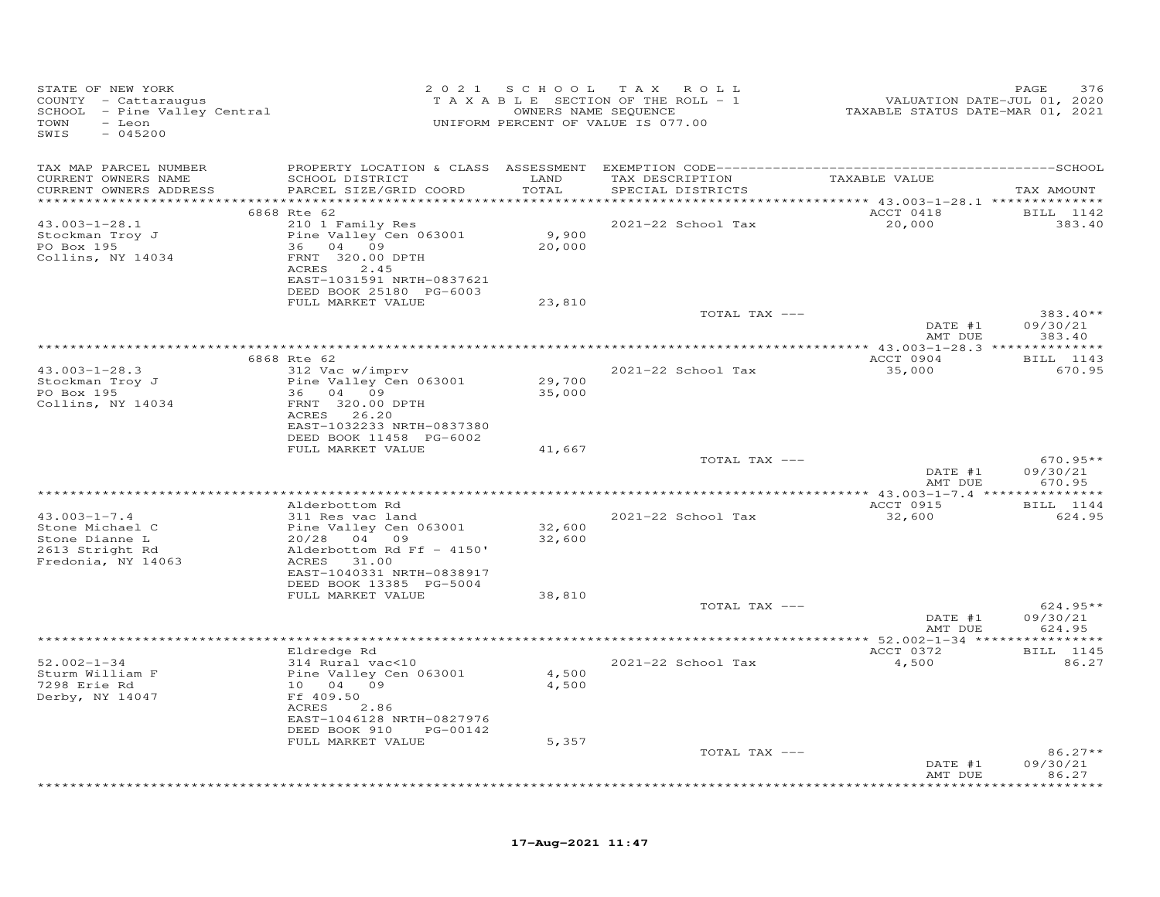| STATE OF NEW YORK<br>COUNTY - Cattaraugus<br>SCHOOL - Pine Valley Central<br>TOWN<br>- Leon<br>$-045200$<br>SWIS |                                                     |                  | 2021 SCHOOL TAX ROLL<br>T A X A B L E SECTION OF THE ROLL - 1<br>OWNERS NAME SEQUENCE<br>UNIFORM PERCENT OF VALUE IS 077.00 | VALUATION DATE-JUL 01, 2020<br>TAXABLE STATUS DATE-MAR 01, 2021 | PAGE<br>376                          |
|------------------------------------------------------------------------------------------------------------------|-----------------------------------------------------|------------------|-----------------------------------------------------------------------------------------------------------------------------|-----------------------------------------------------------------|--------------------------------------|
| TAX MAP PARCEL NUMBER                                                                                            |                                                     |                  |                                                                                                                             |                                                                 |                                      |
| CURRENT OWNERS NAME<br>CURRENT OWNERS ADDRESS                                                                    | SCHOOL DISTRICT<br>PARCEL SIZE/GRID COORD           | LAND<br>TOTAL    | TAX DESCRIPTION<br>SPECIAL DISTRICTS                                                                                        | TAXABLE VALUE                                                   | TAX AMOUNT                           |
|                                                                                                                  | 6868 Rte 62                                         |                  |                                                                                                                             | ACCT 0418                                                       |                                      |
| $43.003 - 1 - 28.1$                                                                                              | 210 1 Family Res                                    |                  | 2021-22 School Tax                                                                                                          | 20,000                                                          | BILL 1142<br>383.40                  |
| Stockman Troy J                                                                                                  | Pine Valley Cen 063001                              | 9,900            |                                                                                                                             |                                                                 |                                      |
| PO Box 195                                                                                                       | 36 04 09                                            | 20,000           |                                                                                                                             |                                                                 |                                      |
| Collins, NY 14034                                                                                                | FRNT 320.00 DPTH                                    |                  |                                                                                                                             |                                                                 |                                      |
|                                                                                                                  | ACRES<br>2.45<br>EAST-1031591 NRTH-0837621          |                  |                                                                                                                             |                                                                 |                                      |
|                                                                                                                  | DEED BOOK 25180 PG-6003                             |                  |                                                                                                                             |                                                                 |                                      |
|                                                                                                                  | FULL MARKET VALUE                                   | 23,810           |                                                                                                                             |                                                                 |                                      |
|                                                                                                                  |                                                     |                  | TOTAL TAX ---                                                                                                               |                                                                 | $383.40**$                           |
|                                                                                                                  |                                                     |                  |                                                                                                                             | DATE #1                                                         | 09/30/21                             |
|                                                                                                                  |                                                     |                  |                                                                                                                             | AMT DUE                                                         | 383.40                               |
|                                                                                                                  | 6868 Rte 62                                         |                  |                                                                                                                             | ACCT 0904                                                       | BILL 1143                            |
| $43.003 - 1 - 28.3$                                                                                              | 312 Vac w/imprv                                     |                  | 2021-22 School Tax                                                                                                          | 35,000                                                          | 670.95                               |
| Stockman Troy J                                                                                                  | Pine Valley Cen 063001                              | 29,700           |                                                                                                                             |                                                                 |                                      |
| PO Box 195                                                                                                       | 36 04 09                                            | 35,000           |                                                                                                                             |                                                                 |                                      |
| Collins, NY 14034                                                                                                | FRNT 320.00 DPTH<br>ACRES 26.20                     |                  |                                                                                                                             |                                                                 |                                      |
|                                                                                                                  | EAST-1032233 NRTH-0837380                           |                  |                                                                                                                             |                                                                 |                                      |
|                                                                                                                  | DEED BOOK 11458 PG-6002                             |                  |                                                                                                                             |                                                                 |                                      |
|                                                                                                                  | FULL MARKET VALUE                                   | 41,667           |                                                                                                                             |                                                                 |                                      |
|                                                                                                                  |                                                     |                  | TOTAL TAX ---                                                                                                               | DATE #1                                                         | $670.95**$<br>09/30/21               |
|                                                                                                                  |                                                     |                  |                                                                                                                             | AMT DUE                                                         | 670.95                               |
|                                                                                                                  |                                                     |                  |                                                                                                                             |                                                                 |                                      |
|                                                                                                                  | Alderbottom Rd                                      |                  |                                                                                                                             | ACCT 0915                                                       | BILL 1144                            |
| $43.003 - 1 - 7.4$                                                                                               | 311 Res vac land                                    |                  | 2021-22 School Tax                                                                                                          | 32,600                                                          | 624.95                               |
| Stone Michael C<br>Stone Dianne L                                                                                | Pine Valley Cen 063001<br>20/28 04 09               | 32,600<br>32,600 |                                                                                                                             |                                                                 |                                      |
| 2613 Stright Rd                                                                                                  | Alderbottom Rd Ff - 4150'                           |                  |                                                                                                                             |                                                                 |                                      |
| Fredonia, NY 14063                                                                                               | ACRES 31.00                                         |                  |                                                                                                                             |                                                                 |                                      |
|                                                                                                                  | EAST-1040331 NRTH-0838917                           |                  |                                                                                                                             |                                                                 |                                      |
|                                                                                                                  | DEED BOOK 13385 PG-5004                             |                  |                                                                                                                             |                                                                 |                                      |
|                                                                                                                  | FULL MARKET VALUE                                   | 38,810           | TOTAL TAX ---                                                                                                               |                                                                 | $624.95**$                           |
|                                                                                                                  |                                                     |                  |                                                                                                                             | DATE #1                                                         | 09/30/21                             |
|                                                                                                                  |                                                     |                  |                                                                                                                             | AMT DUE                                                         | 624.95                               |
|                                                                                                                  |                                                     |                  |                                                                                                                             |                                                                 |                                      |
| $52.002 - 1 - 34$                                                                                                | Eldredge Rd<br>314 Rural vac<10                     |                  | 2021-22 School Tax                                                                                                          | ACCT 0372<br>4,500                                              | BILL 1145<br>86.27                   |
| Sturm William F                                                                                                  | Pine Valley Cen 063001                              | 4,500            |                                                                                                                             |                                                                 |                                      |
| 7298 Erie Rd                                                                                                     | 10 04 09                                            | 4,500            |                                                                                                                             |                                                                 |                                      |
| Derby, NY 14047                                                                                                  | Ff 409.50                                           |                  |                                                                                                                             |                                                                 |                                      |
|                                                                                                                  | ACRES<br>2.86                                       |                  |                                                                                                                             |                                                                 |                                      |
|                                                                                                                  | EAST-1046128 NRTH-0827976<br>DEED BOOK 910 PG-00142 |                  |                                                                                                                             |                                                                 |                                      |
|                                                                                                                  | FULL MARKET VALUE                                   | 5,357            |                                                                                                                             |                                                                 |                                      |
|                                                                                                                  |                                                     |                  | TOTAL TAX ---                                                                                                               |                                                                 | $86.27**$                            |
|                                                                                                                  |                                                     |                  |                                                                                                                             | DATE #1                                                         | 09/30/21                             |
|                                                                                                                  |                                                     |                  |                                                                                                                             | AMT DUE                                                         | 86.27<br><b>اب بل بل بل بل بل بل</b> |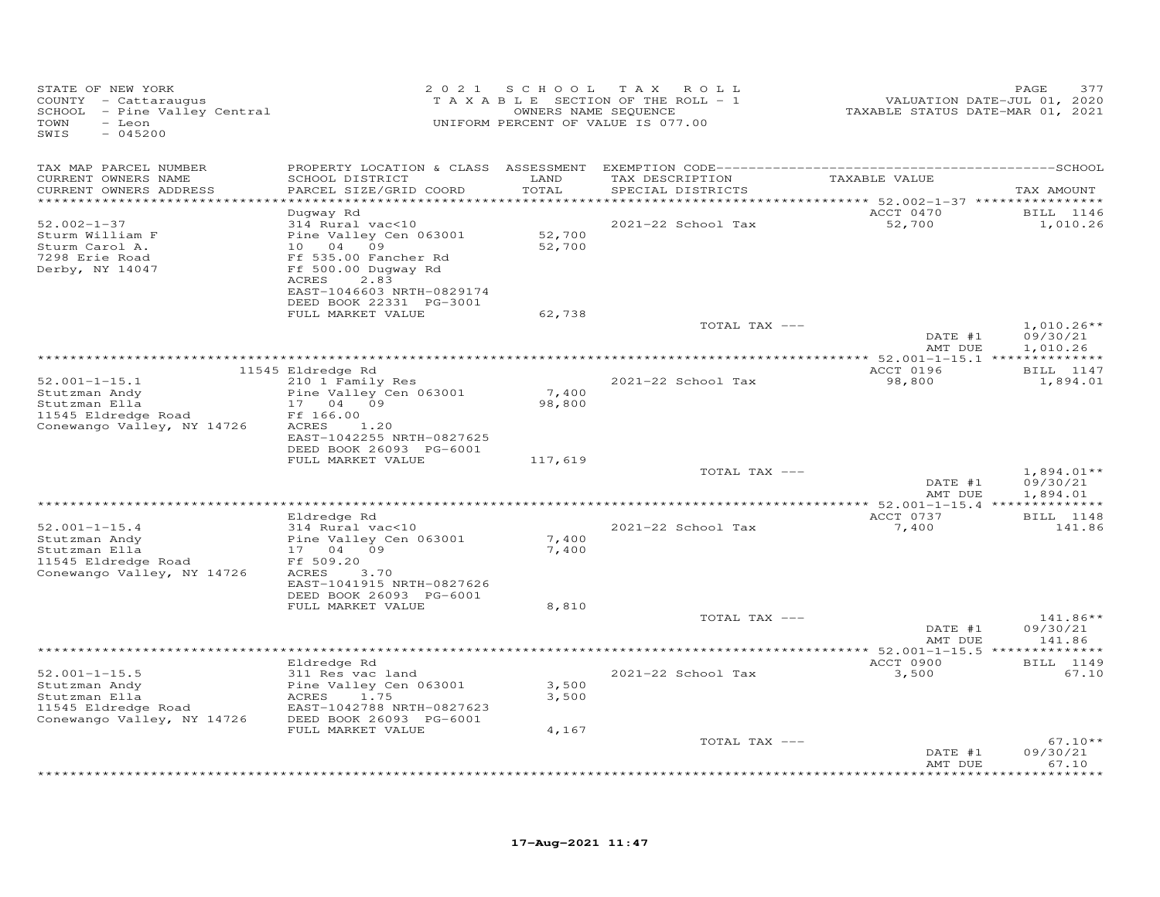| STATE OF NEW YORK<br>COUNTY - Cattaraugus<br>SCHOOL - Pine Valley Central<br>TOWN<br>- Leon<br>SWIS<br>$-045200$ | 2 0 2 1                                                                                                                                                                                           | S C H O O L<br>OWNERS NAME SEQUENCE | T A X<br>ROLL<br>TAXABLE SECTION OF THE ROLL - 1<br>UNIFORM PERCENT OF VALUE IS 077.00 | VALUATION DATE-JUL 01, 2020<br>TAXABLE STATUS DATE-MAR 01, 2021 | 377<br>PAGE                  |
|------------------------------------------------------------------------------------------------------------------|---------------------------------------------------------------------------------------------------------------------------------------------------------------------------------------------------|-------------------------------------|----------------------------------------------------------------------------------------|-----------------------------------------------------------------|------------------------------|
| TAX MAP PARCEL NUMBER                                                                                            | PROPERTY LOCATION & CLASS                                                                                                                                                                         | ASSESSMENT                          |                                                                                        |                                                                 |                              |
| CURRENT OWNERS NAME<br>CURRENT OWNERS ADDRESS<br>*******************                                             | SCHOOL DISTRICT<br>PARCEL SIZE/GRID COORD                                                                                                                                                         | LAND<br>TOTAL<br>******             | TAX DESCRIPTION<br>SPECIAL DISTRICTS                                                   | TAXABLE VALUE<br>************ 52.002-1-37 *****************     | TAX AMOUNT                   |
| $52.002 - 1 - 37$<br>Sturm William F<br>Sturm Carol A.<br>7298 Erie Road<br>Derby, NY 14047                      | Duqway Rd<br>314 Rural vac<10<br>Pine Valley Cen 063001<br>04<br>10<br>09<br>Ff 535.00 Fancher Rd<br>Ff 500.00 Dugway Rd<br>ACRES<br>2.83<br>EAST-1046603 NRTH-0829174<br>DEED BOOK 22331 PG-3001 | 52,700<br>52,700                    | 2021-22 School Tax                                                                     | ACCT 0470<br>52,700                                             | BILL 1146<br>1,010.26        |
|                                                                                                                  | FULL MARKET VALUE                                                                                                                                                                                 | 62,738                              | TOTAL TAX ---                                                                          | DATE #1                                                         | $1,010.26**$<br>09/30/21     |
|                                                                                                                  |                                                                                                                                                                                                   |                                     |                                                                                        | AMT DUE                                                         | 1,010.26                     |
| $52.001 - 1 - 15.1$<br>Stutzman Andy<br>Stutzman Ella<br>11545 Eldredge Road                                     | 11545 Eldredge Rd<br>210 1 Family Res<br>Pine Valley Cen 063001<br>04<br>09<br>17<br>Ff 166.00                                                                                                    | 7,400<br>98,800                     | 2021-22 School Tax                                                                     | ACCT 0196<br>98,800                                             | BILL 1147<br>1,894.01        |
| Conewango Valley, NY 14726                                                                                       | ACRES<br>1,20<br>EAST-1042255 NRTH-0827625<br>DEED BOOK 26093 PG-6001<br>FULL MARKET VALUE                                                                                                        | 117,619                             | TOTAL TAX ---                                                                          |                                                                 | $1,894.01**$                 |
|                                                                                                                  |                                                                                                                                                                                                   |                                     |                                                                                        | DATE #1<br>AMT DUE                                              | 09/30/21<br>1,894.01         |
|                                                                                                                  | Eldredge Rd                                                                                                                                                                                       |                                     |                                                                                        | **************** 52.001-1-15.4 **<br>ACCT 0737                  | BILL 1148                    |
| $52.001 - 1 - 15.4$<br>Stutzman Andy<br>Stutzman Ella<br>11545 Eldredge Road<br>Conewango Valley, NY 14726       | 314 Rural vac<10<br>Pine Valley Cen 063001<br>17<br>04 09<br>Ff 509.20<br>3.70<br>ACRES                                                                                                           | 7,400<br>7,400                      | 2021-22 School Tax                                                                     | 7,400                                                           | 141.86                       |
|                                                                                                                  | EAST-1041915 NRTH-0827626<br>DEED BOOK 26093 PG-6001<br>FULL MARKET VALUE                                                                                                                         | 8,810                               | TOTAL TAX ---                                                                          | DATE #1                                                         | $141.86**$<br>09/30/21       |
|                                                                                                                  |                                                                                                                                                                                                   |                                     |                                                                                        | AMT DUE                                                         | 141.86                       |
| $52.001 - 1 - 15.5$                                                                                              | Eldredge Rd<br>311 Res vac land                                                                                                                                                                   |                                     | 2021-22 School Tax                                                                     | ACCT 0900<br>3,500                                              | BILL 1149<br>67.10           |
| Stutzman Andy<br>Stutzman Ella<br>11545 Eldredge Road<br>Conewango Valley, NY 14726                              | Pine Valley Cen 063001<br>1.75<br>ACRES<br>EAST-1042788 NRTH-0827623<br>DEED BOOK 26093 PG-6001                                                                                                   | 3,500<br>3,500                      |                                                                                        |                                                                 |                              |
|                                                                                                                  | FULL MARKET VALUE                                                                                                                                                                                 | 4,167                               | TOTAL TAX ---                                                                          |                                                                 | $67.10**$                    |
|                                                                                                                  |                                                                                                                                                                                                   |                                     |                                                                                        | DATE #1<br>AMT DUE                                              | 09/30/21<br>67.10<br>******* |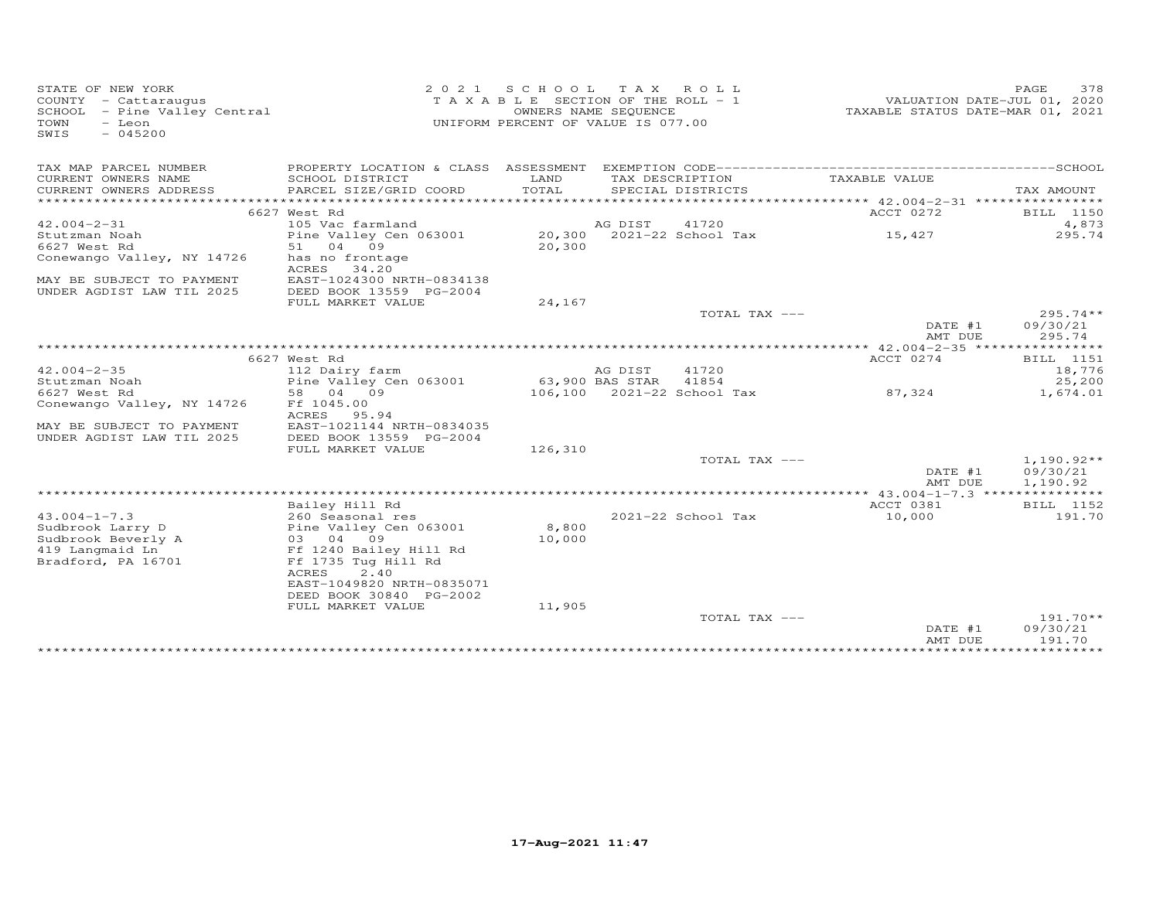| STATE OF NEW YORK<br>COUNTY - Cattaraugus<br>SCHOOL - Pine Valley Central<br>- Leon<br>TOWN<br>$-045200$<br>SWIS | 2 0 2 1                            | S C H O O L<br>TAXABLE SECTION OF THE ROLL - 1<br>UNIFORM PERCENT OF VALUE IS 077.00 | T A X<br>OWNERS NAME SEQUENCE | ROLL                       |                    | PAGE<br>378<br>VALUATION DATE-JUL 01, 2020<br>TAXABLE STATUS DATE-MAR 01, 2021 |
|------------------------------------------------------------------------------------------------------------------|------------------------------------|--------------------------------------------------------------------------------------|-------------------------------|----------------------------|--------------------|--------------------------------------------------------------------------------|
| TAX MAP PARCEL NUMBER                                                                                            |                                    |                                                                                      |                               |                            |                    |                                                                                |
| CURRENT OWNERS NAME                                                                                              | SCHOOL DISTRICT                    | LAND<br>TOTAL                                                                        | TAX DESCRIPTION               |                            | TAXABLE VALUE      |                                                                                |
| CURRENT OWNERS ADDRESS<br>***********************                                                                | PARCEL SIZE/GRID COORD             |                                                                                      |                               | SPECIAL DISTRICTS          |                    | TAX AMOUNT                                                                     |
|                                                                                                                  | 6627 West Rd                       |                                                                                      |                               |                            | ACCT 0272          | BILL 1150                                                                      |
| $42.004 - 2 - 31$                                                                                                | 105 Vac farmland                   |                                                                                      | AG DIST                       | 41720                      |                    | 4,873                                                                          |
| Stutzman Noah                                                                                                    | Pine Valley Cen 063001             |                                                                                      |                               | 20,300 2021-22 School Tax  | 15,427             | 295.74                                                                         |
| 6627 West Rd                                                                                                     | 51<br>04 09                        | 20,300                                                                               |                               |                            |                    |                                                                                |
| Conewango Valley, NY 14726                                                                                       | has no frontage<br>ACRES<br>34.20  |                                                                                      |                               |                            |                    |                                                                                |
| MAY BE SUBJECT TO PAYMENT                                                                                        | EAST-1024300 NRTH-0834138          |                                                                                      |                               |                            |                    |                                                                                |
| UNDER AGDIST LAW TIL 2025                                                                                        | DEED BOOK 13559 PG-2004            |                                                                                      |                               |                            |                    |                                                                                |
|                                                                                                                  | FULL MARKET VALUE                  | 24,167                                                                               |                               |                            |                    |                                                                                |
|                                                                                                                  |                                    |                                                                                      |                               | TOTAL TAX ---              |                    | $295.74**$                                                                     |
|                                                                                                                  |                                    |                                                                                      |                               |                            | DATE #1<br>AMT DUE | 09/30/21<br>295.74                                                             |
|                                                                                                                  |                                    |                                                                                      |                               |                            |                    |                                                                                |
|                                                                                                                  | 6627 West Rd                       |                                                                                      |                               |                            | ACCT 0274          | BILL 1151                                                                      |
| $42.004 - 2 - 35$                                                                                                | 112 Dairy farm                     |                                                                                      | AG DIST                       | 41720                      |                    | 18,776                                                                         |
| Stutzman Noah                                                                                                    | Pine Valley Cen 063001             |                                                                                      | 63,900 BAS STAR               | 41854                      |                    | 25,200                                                                         |
| 6627 West Rd                                                                                                     | 58 04 09<br>Ff 1045.00             |                                                                                      |                               | 106,100 2021-22 School Tax | 87,324             | 1,674.01                                                                       |
| Conewango Valley, NY 14726                                                                                       | ACRES<br>95.94                     |                                                                                      |                               |                            |                    |                                                                                |
| MAY BE SUBJECT TO PAYMENT                                                                                        | EAST-1021144 NRTH-0834035          |                                                                                      |                               |                            |                    |                                                                                |
| UNDER AGDIST LAW TIL 2025                                                                                        | DEED BOOK 13559 PG-2004            |                                                                                      |                               |                            |                    |                                                                                |
|                                                                                                                  | FULL MARKET VALUE                  | 126,310                                                                              |                               |                            |                    |                                                                                |
|                                                                                                                  |                                    |                                                                                      |                               | TOTAL TAX ---              |                    | $1,190.92**$                                                                   |
|                                                                                                                  |                                    |                                                                                      |                               |                            | DATE #1<br>AMT DUE | 09/30/21<br>1,190.92                                                           |
|                                                                                                                  |                                    |                                                                                      |                               |                            |                    |                                                                                |
|                                                                                                                  | Bailey Hill Rd                     |                                                                                      |                               |                            | ACCT 0381          | BILL 1152                                                                      |
| $43.004 - 1 - 7.3$                                                                                               | 260 Seasonal res                   |                                                                                      |                               | 2021-22 School Tax         | 10,000             | 191.70                                                                         |
| Sudbrook Larry D                                                                                                 | Pine Valley Cen 063001             | 8,800                                                                                |                               |                            |                    |                                                                                |
| Sudbrook Beverly A<br>419 Langmaid Ln                                                                            | 03 04 09<br>Ff 1240 Bailey Hill Rd | 10,000                                                                               |                               |                            |                    |                                                                                |
| Bradford, PA 16701                                                                                               | Ff 1735 Tug Hill Rd                |                                                                                      |                               |                            |                    |                                                                                |
|                                                                                                                  | ACRES<br>2.40                      |                                                                                      |                               |                            |                    |                                                                                |
|                                                                                                                  | EAST-1049820 NRTH-0835071          |                                                                                      |                               |                            |                    |                                                                                |
|                                                                                                                  | DEED BOOK 30840 PG-2002            |                                                                                      |                               |                            |                    |                                                                                |
|                                                                                                                  | FULL MARKET VALUE                  | 11,905                                                                               |                               | TOTAL TAX ---              |                    | $191.70**$                                                                     |
|                                                                                                                  |                                    |                                                                                      |                               |                            | DATE #1            | 09/30/21                                                                       |
|                                                                                                                  |                                    |                                                                                      |                               |                            | AMT DUE            | 191.70                                                                         |
|                                                                                                                  |                                    |                                                                                      |                               |                            |                    | **********                                                                     |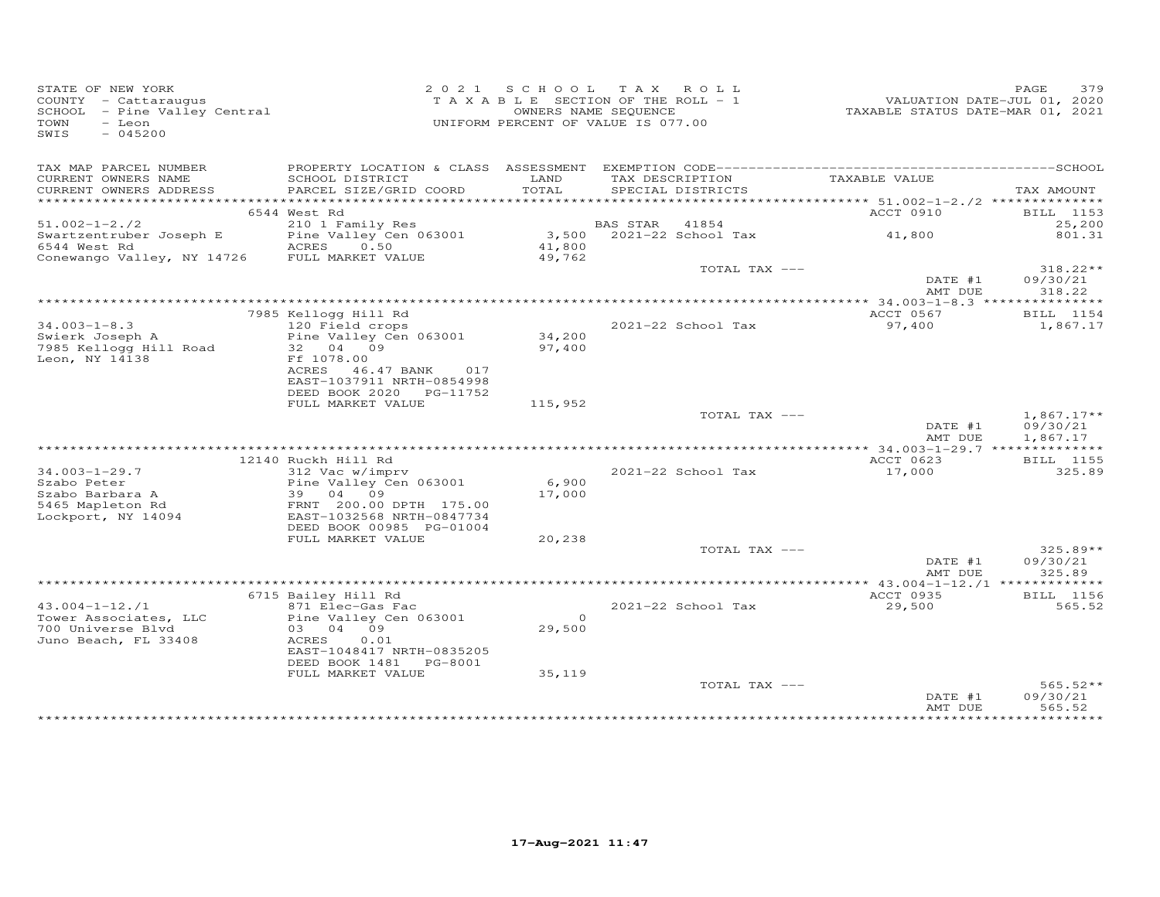| STATE OF NEW YORK<br>COUNTY - Cattaraugus<br>SCHOOL - Pine Valley Central<br>- Leon<br>TOWN<br>$-045200$<br>SWIS |                                                                                                                                                     |                    | 2021 SCHOOL TAX ROLL<br>TAXABLE SECTION OF THE ROLL - 1<br>OWNERS NAME SEQUENCE<br>UNIFORM PERCENT OF VALUE IS 077.00 | VALUATION DATE-JUL 01, 2020<br>TAXABLE STATUS DATE-MAR 01, 2021 | 379<br>PAGE                          |
|------------------------------------------------------------------------------------------------------------------|-----------------------------------------------------------------------------------------------------------------------------------------------------|--------------------|-----------------------------------------------------------------------------------------------------------------------|-----------------------------------------------------------------|--------------------------------------|
| TAX MAP PARCEL NUMBER<br>CURRENT OWNERS NAME<br>CURRENT OWNERS ADDRESS<br>***********************                | SCHOOL DISTRICT<br>PARCEL SIZE/GRID COORD                                                                                                           | LAND<br>TOTAL      | TAX DESCRIPTION<br>SPECIAL DISTRICTS                                                                                  | TAXABLE VALUE                                                   | TAX AMOUNT                           |
|                                                                                                                  | 6544 West Rd                                                                                                                                        |                    |                                                                                                                       | ACCT 0910                                                       | BILL 1153                            |
| $51.002 - 1 - 2.72$<br>Swartzentruber Joseph E<br>6544 West Rd<br>Conewango Valley, NY 14726 FULL MARKET VALUE   | 210 1 Family Res<br>Pine Valley Cen 063001<br>0.50<br>ACRES                                                                                         | 41,800<br>49,762   | BAS STAR 41854<br>3,500 2021-22 School Tax                                                                            | 41,800                                                          | 25,200<br>801.31                     |
|                                                                                                                  |                                                                                                                                                     |                    | TOTAL TAX ---                                                                                                         | DATE #1<br>AMT DUE                                              | $318.22**$<br>09/30/21<br>318.22     |
|                                                                                                                  |                                                                                                                                                     |                    |                                                                                                                       |                                                                 |                                      |
| $34.003 - 1 - 8.3$<br>Swierk Joseph A<br>7985 Kellogg Hill Road<br>Leon, NY 14138                                | 7985 Kellogg Hill Rd<br>120 Field crops<br>Pine Valley Cen 063001<br>32 04 09<br>Ff 1078.00<br>ACRES 46.47 BANK<br>017<br>EAST-1037911 NRTH-0854998 | 34,200<br>97,400   | 2021-22 School Tax                                                                                                    | ACCT 0567<br>97,400                                             | BILL 1154<br>1,867.17                |
|                                                                                                                  | DEED BOOK 2020 PG-11752                                                                                                                             |                    |                                                                                                                       |                                                                 |                                      |
|                                                                                                                  | FULL MARKET VALUE                                                                                                                                   | 115,952            | TOTAL TAX ---                                                                                                         | DATE #1<br>AMT DUE                                              | $1,867.17**$<br>09/30/21<br>1,867.17 |
|                                                                                                                  |                                                                                                                                                     |                    |                                                                                                                       |                                                                 |                                      |
| $34.003 - 1 - 29.7$<br>Szabo Peter<br>Szabo Barbara A<br>5465 Mapleton Rd<br>Lockport, NY 14094                  | 12140 Ruckh Hill Rd<br>312 Vac w/imprv<br>Pine Valley Cen 063001<br>39 04 09<br>FRNT 200.00 DPTH 175.00<br>EAST-1032568 NRTH-0847734                | 6,900<br>17,000    | 2021-22 School Tax                                                                                                    | ACCT 0623<br>17,000                                             | BILL 1155<br>325.89                  |
|                                                                                                                  | DEED BOOK 00985 PG-01004<br>FULL MARKET VALUE                                                                                                       | 20,238             |                                                                                                                       |                                                                 |                                      |
|                                                                                                                  |                                                                                                                                                     |                    | TOTAL TAX ---                                                                                                         | DATE #1<br>AMT DUE                                              | $325.89**$<br>09/30/21<br>325.89     |
|                                                                                                                  | 6715 Bailey Hill Rd                                                                                                                                 |                    |                                                                                                                       | ACCT 0935                                                       | <b>BILL</b> 1156                     |
| $43.004 - 1 - 12.71$<br>Tower Associates, LLC<br>700 Universe Blvd<br>Juno Beach, FL 33408                       | 871 Elec-Gas Fac<br>Pine Valley Cen 063001<br>03 04 09<br>ACRES<br>0.01<br>EAST-1048417 NRTH-0835205                                                | $\Omega$<br>29,500 | 2021-22 School Tax                                                                                                    | 29,500                                                          | 565.52                               |
|                                                                                                                  | DEED BOOK 1481 PG-8001<br>FULL MARKET VALUE                                                                                                         | 35,119             | TOTAL TAX ---                                                                                                         | DATE #1<br>AMT DUE                                              | $565.52**$<br>09/30/21<br>565.52     |
|                                                                                                                  |                                                                                                                                                     |                    |                                                                                                                       |                                                                 |                                      |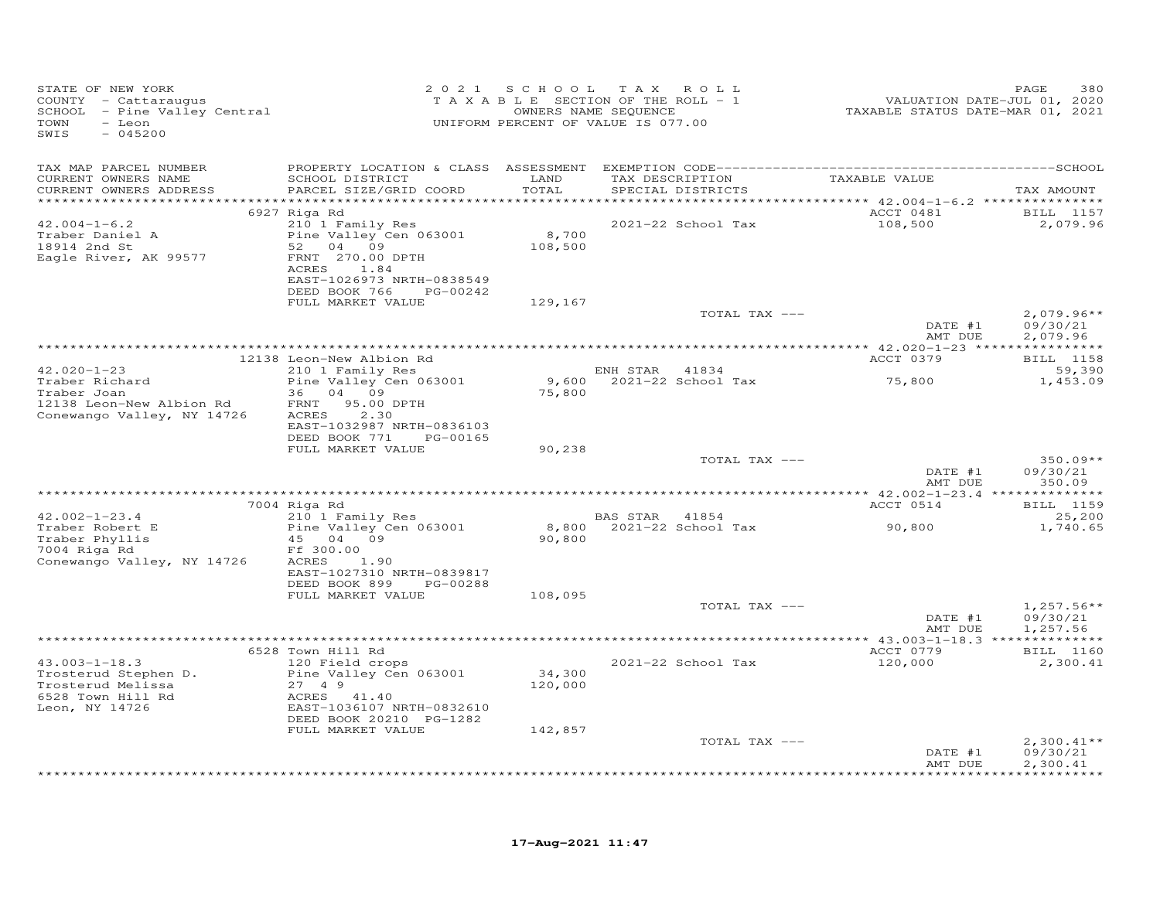| STATE OF NEW YORK<br>COUNTY - Cattaraugus<br>SCHOOL - Pine Valley Central<br>TOWN<br>- Leon<br>SWIS<br>$-045200$ |                                                                                                                                                                    | 2021 SCHOOL TAX              | ROLL<br>TAXABLE SECTION OF THE ROLL - 1<br>OWNERS NAME SEQUENCE<br>UNIFORM PERCENT OF VALUE IS 077.00 | VALUATION DATE-JUL 01, 2020<br>TAXABLE STATUS DATE-MAR 01, 2021 | PAGE<br>380                            |
|------------------------------------------------------------------------------------------------------------------|--------------------------------------------------------------------------------------------------------------------------------------------------------------------|------------------------------|-------------------------------------------------------------------------------------------------------|-----------------------------------------------------------------|----------------------------------------|
| TAX MAP PARCEL NUMBER<br>CURRENT OWNERS NAME<br>CURRENT OWNERS ADDRESS                                           | SCHOOL DISTRICT<br>PARCEL SIZE/GRID COORD                                                                                                                          | LAND<br>TOTAL                | TAX DESCRIPTION<br>SPECIAL DISTRICTS                                                                  | TAXABLE VALUE                                                   | TAX AMOUNT                             |
|                                                                                                                  |                                                                                                                                                                    |                              |                                                                                                       |                                                                 |                                        |
| $42.004 - 1 - 6.2$<br>Traber Daniel A<br>18914 2nd St<br>Eagle River, AK 99577                                   | 6927 Riga Rd<br>210 1 Family Res<br>Pine Valley Cen 063001<br>52 04 09<br>FRNT 270.00 DPTH<br>ACRES<br>1.84<br>EAST-1026973 NRTH-0838549<br>DEED BOOK 766 PG-00242 | 8,700<br>108,500             | 2021-22 School Tax                                                                                    | ACCT 0481<br>108,500                                            | BILL 1157<br>2,079.96                  |
|                                                                                                                  | FULL MARKET VALUE                                                                                                                                                  | 129,167                      |                                                                                                       |                                                                 |                                        |
|                                                                                                                  |                                                                                                                                                                    |                              | TOTAL TAX ---                                                                                         | DATE #1<br>AMT DUE                                              | $2,079.96**$<br>09/30/21<br>2,079.96   |
|                                                                                                                  |                                                                                                                                                                    |                              |                                                                                                       |                                                                 |                                        |
| $42.020 - 1 - 23$<br>Traber Richard                                                                              | 12138 Leon-New Albion Rd<br>210 1 Family Res<br>Pine Valley Cen 063001                                                                                             | 9,600                        | ENH STAR 41834<br>2021-22 School Tax                                                                  | ACCT 0379<br>75,800                                             | <b>BILL</b> 1158<br>59,390<br>1,453.09 |
| Traber Joan<br>12138 Leon-New Albion Rd<br>Conewango Valley, NY 14726                                            | 36 04 09<br>FRNT 95.00 DPTH<br>ACRES<br>2.30<br>EAST-1032987 NRTH-0836103<br>DEED BOOK 771<br>PG-00165                                                             | 75,800                       |                                                                                                       |                                                                 |                                        |
|                                                                                                                  | FULL MARKET VALUE                                                                                                                                                  | 90,238                       |                                                                                                       |                                                                 |                                        |
|                                                                                                                  |                                                                                                                                                                    |                              | TOTAL TAX ---                                                                                         | DATE #1<br>AMT DUE                                              | $350.09**$<br>09/30/21<br>350.09       |
|                                                                                                                  |                                                                                                                                                                    |                              |                                                                                                       |                                                                 |                                        |
|                                                                                                                  | 7004 Riga Rd                                                                                                                                                       |                              |                                                                                                       | ACCT 0514                                                       | BILL 1159                              |
| $42.002 - 1 - 23.4$<br>Traber Robert E<br>Traber Phyllis<br>7004 Riga Rd                                         | 210 1 Family Res<br>Pine Valley Cen 063001<br>45 04 09<br>Ff 300.00                                                                                                | 90,800                       | BAS STAR 41854<br>8,800 2021-22 School Tax                                                            | 90,800                                                          | 25,200<br>1,740.65                     |
| Conewango Valley, NY 14726                                                                                       | ACRES 1.90<br>EAST-1027310 NRTH-0839817<br>DEED BOOK 899<br>PG-00288                                                                                               |                              |                                                                                                       |                                                                 |                                        |
|                                                                                                                  | FULL MARKET VALUE                                                                                                                                                  | 108,095                      | TOTAL TAX ---                                                                                         | DATE #1                                                         | $1,257.56**$<br>09/30/21               |
|                                                                                                                  |                                                                                                                                                                    |                              |                                                                                                       | AMT DUE                                                         | 1,257.56                               |
|                                                                                                                  | 6528 Town Hill Rd                                                                                                                                                  |                              |                                                                                                       | ACCT 0779                                                       | <b>BILL</b> 1160                       |
| $43.003 - 1 - 18.3$<br>Trosterud Stephen D.<br>Trosterud Melissa<br>6528 Town Hill Rd<br>Leon, NY 14726          | 120 Field crops<br>Pine Valley Cen 063001<br>27 4 9<br>ACRES 41.40<br>EAST-1036107 NRTH-0832610<br>DEED BOOK 20210 PG-1282<br>FULL MARKET VALUE                    | 34,300<br>120,000<br>142,857 | 2021-22 School Tax                                                                                    | 120,000                                                         | 2,300.41                               |
|                                                                                                                  |                                                                                                                                                                    |                              | TOTAL TAX ---                                                                                         |                                                                 | $2,300.41**$                           |
|                                                                                                                  |                                                                                                                                                                    |                              |                                                                                                       | DATE #1<br>AMT DUE                                              | 09/30/21<br>2,300.41                   |
|                                                                                                                  |                                                                                                                                                                    |                              |                                                                                                       |                                                                 | <b>+++++++++++++</b>                   |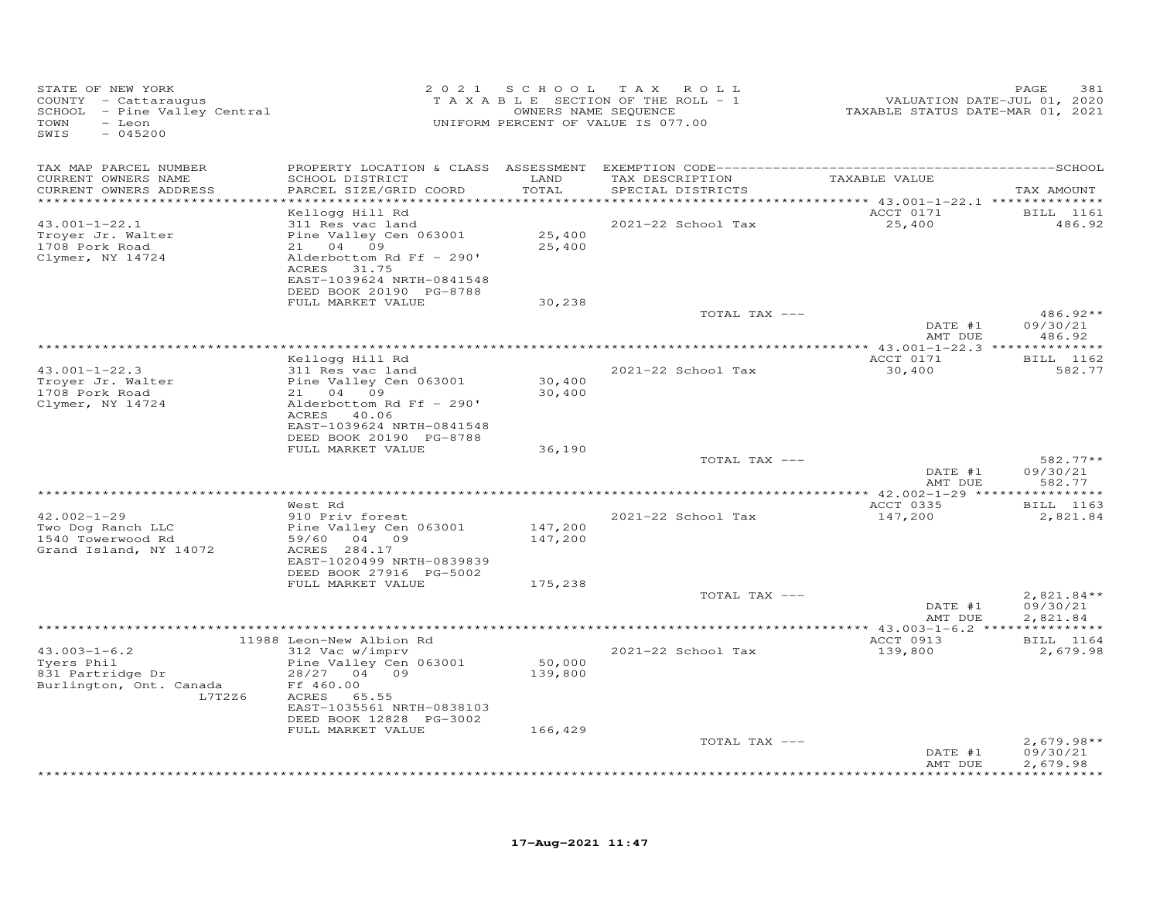| STATE OF NEW YORK<br>COUNTY - Cattaraugus<br>SCHOOL - Pine Valley Central<br>TOWN<br>- Leon<br>SWIS<br>$-045200$ |                                                                      | 2021 SCHOOL       | T A X<br>ROLL<br>T A X A B L E SECTION OF THE ROLL - 1<br>OWNERS NAME SEQUENCE<br>UNIFORM PERCENT OF VALUE IS 077.00 | VALUATION DATE-JUL 01, 2020<br>TAXABLE STATUS DATE-MAR 01, 2021 | PAGE<br>381           |
|------------------------------------------------------------------------------------------------------------------|----------------------------------------------------------------------|-------------------|----------------------------------------------------------------------------------------------------------------------|-----------------------------------------------------------------|-----------------------|
| TAX MAP PARCEL NUMBER                                                                                            |                                                                      |                   |                                                                                                                      |                                                                 |                       |
| CURRENT OWNERS NAME<br>CURRENT OWNERS ADDRESS                                                                    | SCHOOL DISTRICT<br>PARCEL SIZE/GRID COORD                            | LAND<br>TOTAL     | TAX DESCRIPTION<br>SPECIAL DISTRICTS                                                                                 | TAXABLE VALUE                                                   | TAX AMOUNT            |
|                                                                                                                  | Kellogg Hill Rd                                                      | * * * * * * * * * |                                                                                                                      | ********** 43.001-1-22.1 ***************<br>ACCT 0171           | <b>BILL</b> 1161      |
| $43.001 - 1 - 22.1$                                                                                              | 311 Res vac land                                                     |                   | 2021-22 School Tax                                                                                                   | 25,400                                                          | 486.92                |
| Troyer Jr. Walter                                                                                                | Pine Valley Cen 063001                                               | 25,400            |                                                                                                                      |                                                                 |                       |
| 1708 Pork Road                                                                                                   | 21 04 09                                                             | 25,400            |                                                                                                                      |                                                                 |                       |
| Clymer, NY 14724                                                                                                 | Alderbottom Rd Ff - 290'<br>ACRES 31.75<br>EAST-1039624 NRTH-0841548 |                   |                                                                                                                      |                                                                 |                       |
|                                                                                                                  | DEED BOOK 20190 PG-8788                                              |                   |                                                                                                                      |                                                                 |                       |
|                                                                                                                  | FULL MARKET VALUE                                                    | 30,238            |                                                                                                                      |                                                                 |                       |
|                                                                                                                  |                                                                      |                   | TOTAL TAX ---                                                                                                        |                                                                 | 486.92**              |
|                                                                                                                  |                                                                      |                   |                                                                                                                      | DATE #1<br>AMT DUE                                              | 09/30/21<br>486.92    |
|                                                                                                                  | Kellogg Hill Rd                                                      |                   |                                                                                                                      | ACCT 0171                                                       | BILL 1162             |
| $43.001 - 1 - 22.3$                                                                                              | 311 Res vac land                                                     |                   | 2021-22 School Tax                                                                                                   | 30,400                                                          | 582.77                |
| Troyer Jr. Walter                                                                                                | Pine Valley Cen 063001                                               | 30,400            |                                                                                                                      |                                                                 |                       |
| 1708 Pork Road                                                                                                   | 21 04 09                                                             | 30,400            |                                                                                                                      |                                                                 |                       |
| Clymer, NY 14724                                                                                                 | Alderbottom Rd Ff - 290'<br>ACRES 40.06<br>EAST-1039624 NRTH-0841548 |                   |                                                                                                                      |                                                                 |                       |
|                                                                                                                  | DEED BOOK 20190 PG-8788                                              |                   |                                                                                                                      |                                                                 |                       |
|                                                                                                                  | FULL MARKET VALUE                                                    | 36,190            |                                                                                                                      |                                                                 |                       |
|                                                                                                                  |                                                                      |                   | TOTAL TAX ---                                                                                                        |                                                                 | $582.77**$            |
|                                                                                                                  |                                                                      |                   |                                                                                                                      | DATE #1<br>AMT DUE                                              | 09/30/21<br>582.77    |
|                                                                                                                  | West Rd                                                              |                   |                                                                                                                      | ACCT 0335                                                       | <b>BILL</b> 1163      |
| $42.002 - 1 - 29$                                                                                                | 910 Priv forest                                                      |                   | 2021-22 School Tax                                                                                                   | 147,200                                                         | 2,821.84              |
| Two Dog Ranch LLC                                                                                                | Pine Valley Cen 063001                                               | 147,200           |                                                                                                                      |                                                                 |                       |
| 1540 Towerwood Rd                                                                                                | 59/60<br>04 09                                                       | 147,200           |                                                                                                                      |                                                                 |                       |
| Grand Island, NY 14072                                                                                           | ACRES 284.17                                                         |                   |                                                                                                                      |                                                                 |                       |
|                                                                                                                  | EAST-1020499 NRTH-0839839<br>DEED BOOK 27916 PG-5002                 |                   |                                                                                                                      |                                                                 |                       |
|                                                                                                                  | FULL MARKET VALUE                                                    | 175,238           |                                                                                                                      |                                                                 |                       |
|                                                                                                                  |                                                                      |                   | TOTAL TAX ---                                                                                                        |                                                                 | $2,821.84**$          |
|                                                                                                                  |                                                                      |                   |                                                                                                                      | DATE #1<br>AMT DUE                                              | 09/30/21<br>2,821.84  |
|                                                                                                                  |                                                                      |                   |                                                                                                                      |                                                                 |                       |
| $43.003 - 1 - 6.2$                                                                                               | 11988 Leon-New Albion Rd<br>312 Vac w/imprv                          |                   | 2021-22 School Tax                                                                                                   | ACCT 0913                                                       | BILL 1164<br>2,679.98 |
| Tyers Phil                                                                                                       | Pine Valley Cen 063001                                               | 50,000            |                                                                                                                      | 139,800                                                         |                       |
| 831 Partridge Dr                                                                                                 | 28/27<br>04 09                                                       | 139,800           |                                                                                                                      |                                                                 |                       |
| Burlington, Ont. Canada                                                                                          | Ff 460.00                                                            |                   |                                                                                                                      |                                                                 |                       |
| L7T2Z6                                                                                                           | 65.55<br>ACRES                                                       |                   |                                                                                                                      |                                                                 |                       |
|                                                                                                                  | EAST-1035561 NRTH-0838103<br>DEED BOOK 12828 PG-3002                 |                   |                                                                                                                      |                                                                 |                       |
|                                                                                                                  | FULL MARKET VALUE                                                    | 166,429           |                                                                                                                      |                                                                 |                       |
|                                                                                                                  |                                                                      |                   | TOTAL TAX ---                                                                                                        |                                                                 | $2,679.98**$          |
|                                                                                                                  |                                                                      |                   |                                                                                                                      | DATE #1<br>AMT DUE                                              | 09/30/21<br>2,679.98  |
|                                                                                                                  |                                                                      |                   |                                                                                                                      |                                                                 | * * * * * * * * *     |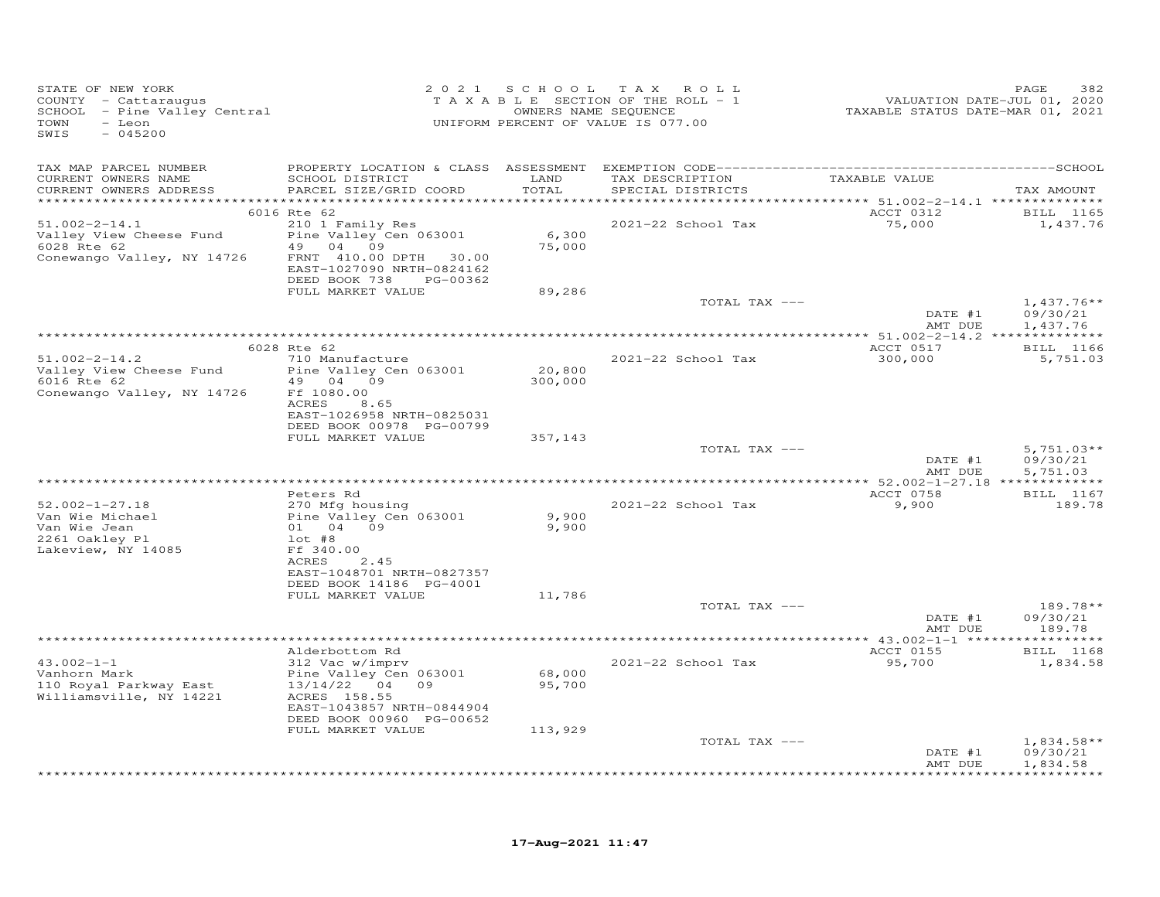| STATE OF NEW YORK<br>COUNTY - Cattaraugus<br>SCHOOL - Pine Valley Central<br>TOWN<br>- Leon<br>SWIS<br>$-045200$ |                                                                                                                                                  | 2021 SCHOOL       | TAX ROLL<br>TAXABLE SECTION OF THE ROLL - 1<br>OWNERS NAME SEQUENCE<br>UNIFORM PERCENT OF VALUE IS 077.00 | VALUATION DATE-JUL 01, 2020<br>TAXABLE STATUS DATE-MAR 01, 2021 | 382<br>PAGE                          |
|------------------------------------------------------------------------------------------------------------------|--------------------------------------------------------------------------------------------------------------------------------------------------|-------------------|-----------------------------------------------------------------------------------------------------------|-----------------------------------------------------------------|--------------------------------------|
| TAX MAP PARCEL NUMBER                                                                                            |                                                                                                                                                  |                   |                                                                                                           |                                                                 |                                      |
| CURRENT OWNERS NAME<br>CURRENT OWNERS ADDRESS                                                                    | SCHOOL DISTRICT<br>PARCEL SIZE/GRID COORD                                                                                                        | LAND<br>TOTAL     | TAX DESCRIPTION<br>SPECIAL DISTRICTS                                                                      | TAXABLE VALUE                                                   | TAX AMOUNT                           |
|                                                                                                                  | 6016 Rte 62                                                                                                                                      |                   |                                                                                                           | ACCT 0312                                                       | <b>BILL</b> 1165                     |
| $51.002 - 2 - 14.1$<br>Valley View Cheese Fund<br>6028 Rte 62<br>Conewango Valley, NY 14726                      | 210 1 Family Res<br>Pine Valley Cen 063001<br>49 04<br>09<br>FRNT 410.00 DPTH<br>30.00<br>EAST-1027090 NRTH-0824162<br>DEED BOOK 738<br>PG-00362 | 6,300<br>75,000   | 2021-22 School Tax                                                                                        | 75,000                                                          | 1,437.76                             |
|                                                                                                                  | FULL MARKET VALUE                                                                                                                                | 89,286            |                                                                                                           |                                                                 |                                      |
|                                                                                                                  |                                                                                                                                                  |                   | TOTAL TAX ---                                                                                             | DATE #1<br>AMT DUE                                              | $1,437.76**$<br>09/30/21<br>1,437.76 |
|                                                                                                                  |                                                                                                                                                  |                   |                                                                                                           |                                                                 |                                      |
|                                                                                                                  | 6028 Rte 62                                                                                                                                      |                   |                                                                                                           | ACCT 0517                                                       | BILL 1166                            |
| $51.002 - 2 - 14.2$<br>Valley View Cheese Fund<br>6016 Rte 62<br>Conewango Valley, NY 14726                      | 710 Manufacture<br>Pine Valley Cen 063001<br>49 04 09<br>Ff 1080.00<br>ACRES<br>8.65                                                             | 20,800<br>300,000 | 2021-22 School Tax                                                                                        | 300,000                                                         | 5,751.03                             |
|                                                                                                                  | EAST-1026958 NRTH-0825031                                                                                                                        |                   |                                                                                                           |                                                                 |                                      |
|                                                                                                                  | DEED BOOK 00978 PG-00799<br>FULL MARKET VALUE                                                                                                    | 357,143           |                                                                                                           |                                                                 |                                      |
|                                                                                                                  |                                                                                                                                                  |                   | TOTAL TAX ---                                                                                             | DATE #1<br>AMT DUE                                              | $5,751.03**$<br>09/30/21<br>5,751.03 |
|                                                                                                                  |                                                                                                                                                  |                   |                                                                                                           |                                                                 |                                      |
| $52.002 - 1 - 27.18$                                                                                             | Peters Rd<br>270 Mfg housing                                                                                                                     |                   | 2021-22 School Tax                                                                                        | ACCT 0758<br>9,900                                              | BILL 1167<br>189.78                  |
| Van Wie Michael<br>Van Wie Jean<br>2261 Oakley Pl<br>Lakeview, NY 14085                                          | Pine Valley Cen 063001<br>01 04 09<br>$1$ ot #8<br>Ff 340.00<br>ACRES<br>2.45<br>EAST-1048701 NRTH-0827357<br>DEED BOOK 14186 PG-4001            | 9,900<br>9,900    |                                                                                                           |                                                                 |                                      |
|                                                                                                                  | FULL MARKET VALUE                                                                                                                                | 11,786            |                                                                                                           |                                                                 |                                      |
|                                                                                                                  |                                                                                                                                                  |                   | TOTAL TAX ---                                                                                             | DATE #1<br>AMT DUE                                              | $189.78**$<br>09/30/21<br>189.78     |
|                                                                                                                  |                                                                                                                                                  |                   | *********************************                                                                         | *** $43.002 - 1 - 1$ ******                                     | **********                           |
| $43.002 - 1 - 1$<br>Vanhorn Mark<br>110 Royal Parkway East<br>Williamsville, NY 14221                            | Alderbottom Rd<br>312 Vac w/imprv<br>Pine Valley Cen 063001<br>13/14/22 04 09<br>ACRES 158.55<br>EAST-1043857 NRTH-0844904                       | 68,000<br>95,700  | 2021-22 School Tax                                                                                        | ACCT 0155<br>95,700                                             | BILL 1168<br>1,834.58                |
|                                                                                                                  | DEED BOOK 00960 PG-00652<br>FULL MARKET VALUE                                                                                                    | 113,929           |                                                                                                           |                                                                 |                                      |
|                                                                                                                  |                                                                                                                                                  |                   | TOTAL TAX ---                                                                                             | DATE #1<br>AMT DUE                                              | $1,834.58**$<br>09/30/21<br>1,834.58 |
|                                                                                                                  |                                                                                                                                                  |                   |                                                                                                           |                                                                 | **********                           |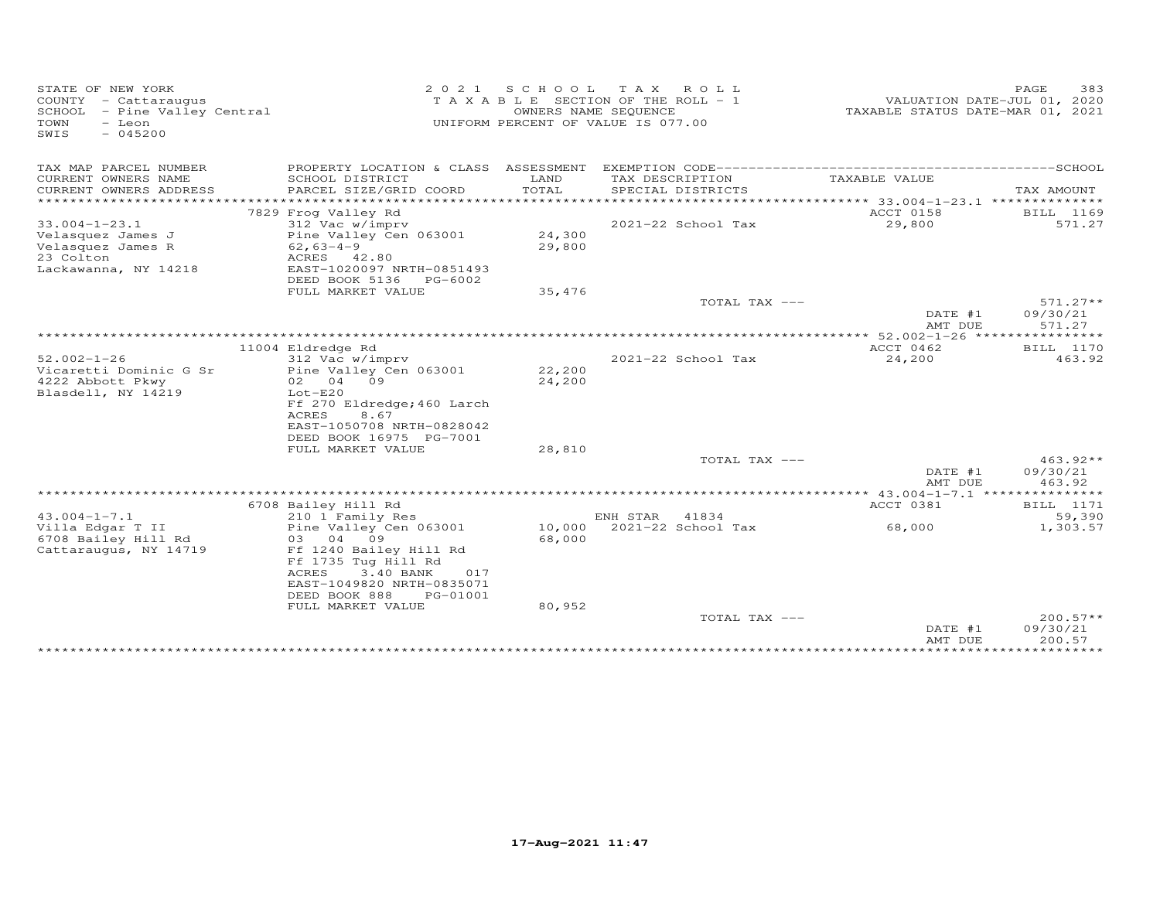| STATE OF NEW YORK<br>COUNTY - Cattaraugus<br>SCHOOL - Pine Valley Central<br>TOWN<br>- Leon<br>SWIS<br>$-045200$ | 2 0 2 1                                                                                                                                                                       | SCHOOL           | T A X<br>ROLL<br>T A X A B L E SECTION OF THE ROLL - 1<br>OWNERS NAME SEQUENCE<br>UNIFORM PERCENT OF VALUE IS 077.00 | VALUATION DATE-JUL 01, 2020<br>TAXABLE STATUS DATE-MAR 01, 2021 | PAGE<br>383                      |
|------------------------------------------------------------------------------------------------------------------|-------------------------------------------------------------------------------------------------------------------------------------------------------------------------------|------------------|----------------------------------------------------------------------------------------------------------------------|-----------------------------------------------------------------|----------------------------------|
| TAX MAP PARCEL NUMBER                                                                                            | PROPERTY LOCATION & CLASS ASSESSMENT                                                                                                                                          |                  |                                                                                                                      |                                                                 |                                  |
| CURRENT OWNERS NAME<br>CURRENT OWNERS ADDRESS                                                                    | SCHOOL DISTRICT<br>PARCEL SIZE/GRID COORD                                                                                                                                     | LAND<br>TOTAL    | TAX DESCRIPTION<br>SPECIAL DISTRICTS                                                                                 | TAXABLE VALUE                                                   | TAX AMOUNT                       |
| **********************                                                                                           |                                                                                                                                                                               |                  |                                                                                                                      |                                                                 |                                  |
| $33.004 - 1 - 23.1$<br>Velasquez James J                                                                         | 7829 Frog Valley Rd<br>312 Vac w/imprv<br>Pine Valley Cen 063001                                                                                                              | 24,300           | 2021-22 School Tax                                                                                                   | ACCT 0158<br>29,800                                             | BILL 1169<br>571.27              |
| Velasquez James R<br>23 Colton<br>Lackawanna, NY 14218                                                           | $62,63-4-9$<br>ACRES 42.80<br>EAST-1020097 NRTH-0851493                                                                                                                       | 29,800           |                                                                                                                      |                                                                 |                                  |
|                                                                                                                  | DEED BOOK 5136<br>PG-6002<br>FULL MARKET VALUE                                                                                                                                | 35,476           |                                                                                                                      |                                                                 |                                  |
|                                                                                                                  |                                                                                                                                                                               |                  | TOTAL TAX ---                                                                                                        | DATE #1                                                         | $571.27**$<br>09/30/21           |
|                                                                                                                  |                                                                                                                                                                               |                  |                                                                                                                      | AMT DUE                                                         | 571.27<br>***********            |
|                                                                                                                  | 11004 Eldredge Rd                                                                                                                                                             |                  |                                                                                                                      | ************ 52.002-1-26 ****<br>ACCT 0462                      | BILL 1170                        |
|                                                                                                                  | 312 Vac w/imprv                                                                                                                                                               |                  | 2021-22 School Tax                                                                                                   | 24,200                                                          | 463.92                           |
| $52.002 - 1 - 26$<br>Vicaretti Dominic G Sr<br>4222 Abbott Pkwy<br>Blasdell, NY 14219                            | Pine Valley Cen 063001<br>09<br>02 04<br>$Lot-E20$<br>Ff 270 Eldredge; 460 Larch<br><b>ACRES</b><br>8.67<br>EAST-1050708 NRTH-0828042<br>DEED BOOK 16975 PG-7001              | 22,200<br>24,200 |                                                                                                                      |                                                                 |                                  |
|                                                                                                                  | FULL MARKET VALUE                                                                                                                                                             | 28,810           |                                                                                                                      |                                                                 |                                  |
|                                                                                                                  |                                                                                                                                                                               |                  | TOTAL TAX ---                                                                                                        | DATE #1<br>AMT DUE                                              | $463.92**$<br>09/30/21<br>463.92 |
|                                                                                                                  |                                                                                                                                                                               |                  |                                                                                                                      | ** $43.004 - 1 - 7.1$                                           | ***************                  |
|                                                                                                                  | 6708 Bailey Hill Rd                                                                                                                                                           |                  |                                                                                                                      | ACCT 0381                                                       | BILL 1171                        |
| $43.004 - 1 - 7.1$                                                                                               | 210 1 Family Res                                                                                                                                                              |                  | ENH STAR<br>41834                                                                                                    |                                                                 | 59,390                           |
| Villa Edgar T II<br>6708 Bailey Hill Rd<br>Cattaraugus, NY 14719                                                 | Pine Valley Cen 063001<br>04 09<br>03<br>Ff 1240 Bailey Hill Rd<br>Ff 1735 Tug Hill Rd<br>ACRES<br>3.40 BANK<br>017<br>EAST-1049820 NRTH-0835071<br>DEED BOOK 888<br>PG-01001 | 10,000<br>68,000 | 2021-22 School Tax                                                                                                   | 68,000                                                          | 1,303.57                         |
|                                                                                                                  | FULL MARKET VALUE                                                                                                                                                             | 80,952           |                                                                                                                      |                                                                 |                                  |
|                                                                                                                  |                                                                                                                                                                               |                  | TOTAL TAX ---                                                                                                        | DATE #1<br>AMT DUE                                              | $200.57**$<br>09/30/21<br>200.57 |
|                                                                                                                  |                                                                                                                                                                               |                  |                                                                                                                      | * * * * * * * * * * * * * * * * * *                             | ***********                      |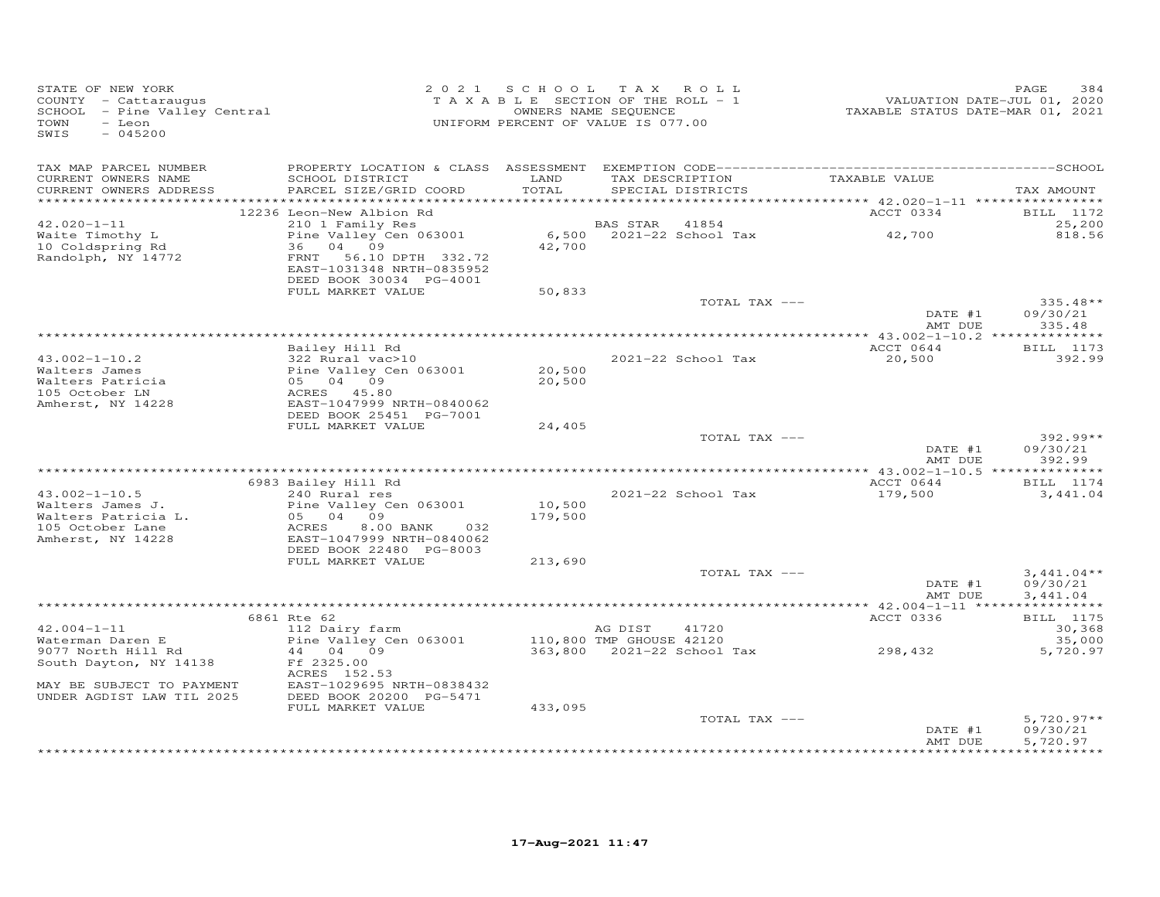| STATE OF NEW YORK<br>STATE OF NEW IORN<br>COUNTY - Cattaraugus<br>SCHOOL - Pine Valley Central<br>TOWN<br>- Leon<br>SWIS<br>$-045200$ |                                                                                                                      |                   | 2021 SCHOOL TAX ROLL<br>TAXABLE SECTION OF THE ROLL - 1<br>OWNERS NAME SEQUENCE<br>UNIFORM PERCENT OF VALUE IS 077.00 | 1, 1, 2020<br>TAXABLE STATUS DATE-JUL 01, 2020<br>TAXABLE STATUS DATE-MAR 01, 2021 | PAGE<br>384                          |
|---------------------------------------------------------------------------------------------------------------------------------------|----------------------------------------------------------------------------------------------------------------------|-------------------|-----------------------------------------------------------------------------------------------------------------------|------------------------------------------------------------------------------------|--------------------------------------|
| TAX MAP PARCEL NUMBER<br>CURRENT OWNERS NAME<br>CURRENT OWNERS ADDRESS                                                                | SCHOOL DISTRICT<br>PARCEL SIZE/GRID COORD                                                                            | LAND<br>TOTAL     | TAX DESCRIPTION<br>SPECIAL DISTRICTS                                                                                  | TAXABLE VALUE                                                                      | TAX AMOUNT                           |
|                                                                                                                                       | 12236 Leon-New Albion Rd                                                                                             |                   |                                                                                                                       | ACCT 0334                                                                          | <b>BILL</b> 1172                     |
| $42.020 - 1 - 11$                                                                                                                     | 210 1 Family Res                                                                                                     |                   | BAS STAR 41854                                                                                                        |                                                                                    | 25,200                               |
| Waite Timothy L<br>10 Coldspring Rd<br>Randolph, NY 14772                                                                             | Pine Valley Cen 063001<br>36 04 09<br>FRNT 56.10 DPTH 332.72<br>EAST-1031348 NRTH-0835952<br>DEED BOOK 30034 PG-4001 |                   | 6,500 - 2021–22 School Tax 42,700<br>42,700                                                                           |                                                                                    | 818.56                               |
|                                                                                                                                       | FULL MARKET VALUE                                                                                                    | 50,833            | TOTAL TAX ---                                                                                                         |                                                                                    | $335.48**$                           |
|                                                                                                                                       |                                                                                                                      |                   |                                                                                                                       | DATE #1<br>AMT DUE                                                                 | 09/30/21<br>335.48                   |
|                                                                                                                                       |                                                                                                                      |                   |                                                                                                                       |                                                                                    |                                      |
| $43.002 - 1 - 10.2$                                                                                                                   | Bailey Hill Rd<br>$322$ Rural vac > 10                                                                               |                   | 2021-22 School Tax                                                                                                    | ACCT 0644<br>20,500                                                                | <b>BILL</b> 1173<br>392.99           |
| Walters James                                                                                                                         | 322 Kural Vac>10<br>Pine Valley Cen 063001<br>05 04 09<br>ACRES 45.80<br>EAST-1047999 NRTH-0840062                   | 20,500            |                                                                                                                       |                                                                                    |                                      |
| Walters Patricia                                                                                                                      |                                                                                                                      | 20,500            |                                                                                                                       |                                                                                    |                                      |
| 105 October LN                                                                                                                        |                                                                                                                      |                   |                                                                                                                       |                                                                                    |                                      |
| Amherst, NY 14228                                                                                                                     | DEED BOOK 25451 PG-7001                                                                                              |                   |                                                                                                                       |                                                                                    |                                      |
|                                                                                                                                       | FULL MARKET VALUE                                                                                                    | 24,405            |                                                                                                                       |                                                                                    |                                      |
|                                                                                                                                       |                                                                                                                      |                   | TOTAL TAX ---                                                                                                         | DATE #1<br>AMT DUE                                                                 | 392.99**<br>09/30/21<br>392.99       |
|                                                                                                                                       |                                                                                                                      |                   |                                                                                                                       |                                                                                    |                                      |
|                                                                                                                                       | 6983 Bailey Hill Rd                                                                                                  |                   |                                                                                                                       | ACCT 0644                                                                          | BILL 1174                            |
| $43.002 - 1 - 10.5$                                                                                                                   | 240 Rural res<br>Aural re.<br>Pine Valley (<br>05 04 09<br>ACRES                                                     |                   | 2021-22 School Tax                                                                                                    | 179,500                                                                            | 3,441.04                             |
| Walters James J.<br>Walters Patricia L.                                                                                               | Pine Valley Cen 063001                                                                                               | 10,500<br>179,500 |                                                                                                                       |                                                                                    |                                      |
| 105 October Lane                                                                                                                      | 8.00 BANK<br>032                                                                                                     |                   |                                                                                                                       |                                                                                    |                                      |
| Amherst, NY 14228                                                                                                                     | EAST-1047999 NRTH-0840062<br>DEED BOOK 22480 PG-8003                                                                 |                   |                                                                                                                       |                                                                                    |                                      |
|                                                                                                                                       | FULL MARKET VALUE                                                                                                    | 213,690           |                                                                                                                       |                                                                                    |                                      |
|                                                                                                                                       |                                                                                                                      |                   | TOTAL TAX ---                                                                                                         | DATE #1                                                                            | $3,441.04**$<br>09/30/21             |
|                                                                                                                                       |                                                                                                                      |                   |                                                                                                                       | AMT DUE                                                                            | 3,441.04                             |
|                                                                                                                                       | 6861 Rte 62                                                                                                          |                   |                                                                                                                       | ACCT 0336                                                                          | <b>BILL</b> 1175                     |
| $42.004 - 1 - 11$                                                                                                                     | 112 Dairy farm                                                                                                       |                   | AG DIST<br>41720                                                                                                      |                                                                                    | 30,368                               |
| Waterman Daren E                                                                                                                      | Pine Valley Cen 063001 110,800 TMP GHOUSE 42120                                                                      |                   |                                                                                                                       |                                                                                    | 35,000                               |
| 9077 North Hill Rd                                                                                                                    | 44 04 09                                                                                                             |                   | $363,800$ 2021-22 School Tax 298,432                                                                                  |                                                                                    | 5,720.97                             |
| South Dayton, NY 14138                                                                                                                | Ff 2325.00<br>ACRES 152.53                                                                                           |                   |                                                                                                                       |                                                                                    |                                      |
| MAY BE SUBJECT TO PAYMENT<br>UNDER AGDIST LAW TIL 2025                                                                                | EAST-1029695 NRTH-0838432<br>DEED BOOK 20200 PG-5471                                                                 |                   |                                                                                                                       |                                                                                    |                                      |
|                                                                                                                                       | FULL MARKET VALUE                                                                                                    | 433,095           |                                                                                                                       |                                                                                    |                                      |
|                                                                                                                                       |                                                                                                                      |                   | TOTAL TAX ---                                                                                                         | DATE #1<br>AMT DUE                                                                 | $5,720.97**$<br>09/30/21<br>5,720.97 |
|                                                                                                                                       |                                                                                                                      |                   |                                                                                                                       |                                                                                    | *************                        |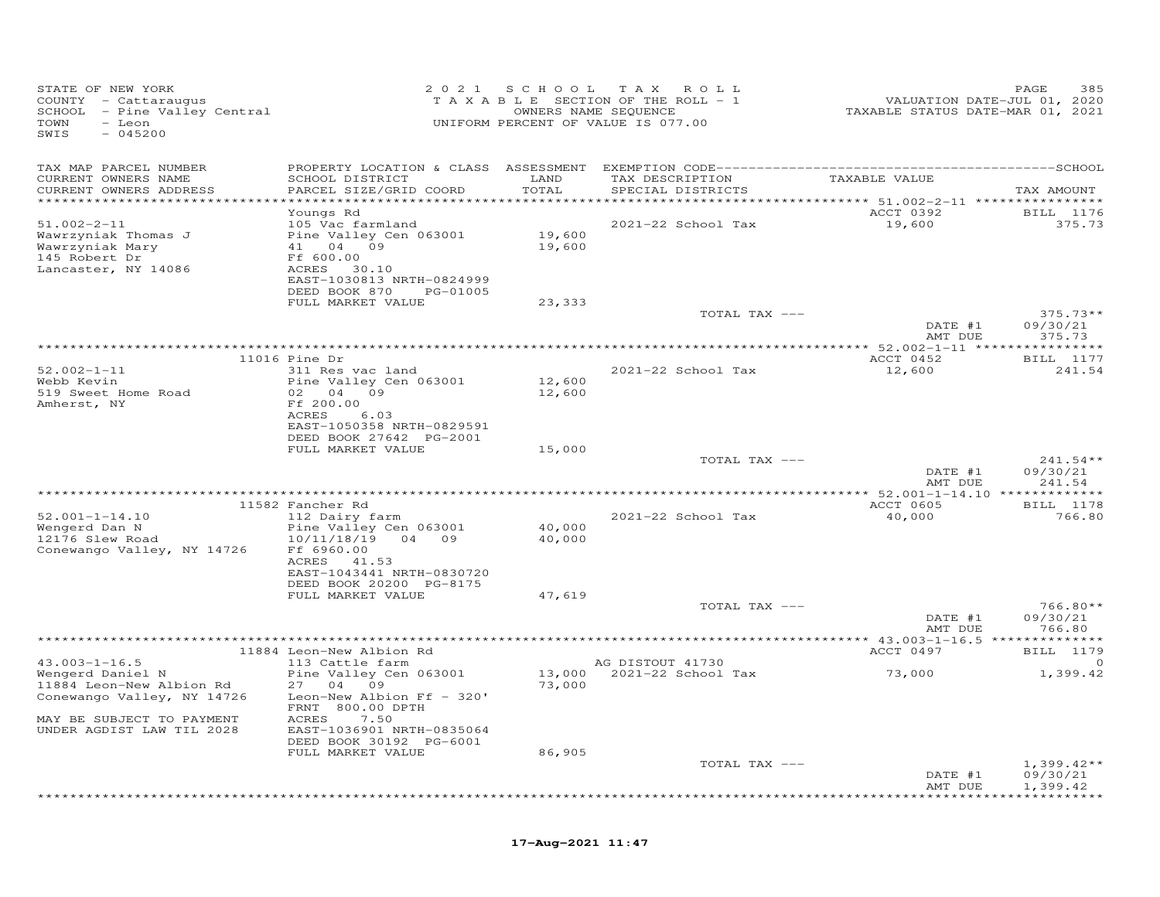| STATE OF NEW YORK<br>COUNTY - Cattaraugus<br>SCHOOL - Pine Valley Central<br>TOWN<br>- Leon<br>$-045200$<br>SWIS |                                                                                                                                                                                | 2021 SCHOOL<br>OWNERS NAME SEQUENCE | TAX ROLL<br>TAXABLE SECTION OF THE ROLL - 1<br>UNIFORM PERCENT OF VALUE IS 077.00 | VALUATION DATE-JUL 01, 2020<br>TAXABLE STATUS DATE-MAR 01, 2021 | 385<br>PAGE                          |
|------------------------------------------------------------------------------------------------------------------|--------------------------------------------------------------------------------------------------------------------------------------------------------------------------------|-------------------------------------|-----------------------------------------------------------------------------------|-----------------------------------------------------------------|--------------------------------------|
| TAX MAP PARCEL NUMBER<br>CURRENT OWNERS NAME<br>CURRENT OWNERS ADDRESS                                           | SCHOOL DISTRICT<br>PARCEL SIZE/GRID COORD                                                                                                                                      | LAND<br>TOTAL                       | TAX DESCRIPTION<br>SPECIAL DISTRICTS                                              | TAXABLE VALUE<br>********** 51.002-2-11 *****************       | TAX AMOUNT                           |
| $51.002 - 2 - 11$<br>Wawrzyniak Thomas J<br>Wawrzyniak Mary<br>145 Robert Dr<br>Lancaster, NY 14086              | Youngs Rd<br>105 Vac farmland<br>Pine Valley Cen 063001<br>41 04 09<br>Ff 600.00<br>ACRES 30.10<br>EAST-1030813 NRTH-0824999<br>DEED BOOK 870<br>PG-01005<br>FULL MARKET VALUE | 19,600<br>19,600<br>23,333          | 2021-22 School Tax                                                                | ACCT 0392<br>19,600                                             | BILL 1176<br>375.73                  |
|                                                                                                                  |                                                                                                                                                                                |                                     | TOTAL TAX ---                                                                     | DATE #1<br>AMT DUE                                              | $375.73**$<br>09/30/21<br>375.73     |
|                                                                                                                  |                                                                                                                                                                                |                                     |                                                                                   |                                                                 |                                      |
| $52.002 - 1 - 11$<br>Webb Kevin<br>519 Sweet Home Road<br>Amherst, NY                                            | 11016 Pine Dr<br>311 Res vac land<br>Pine Valley Cen 063001<br>02 04 09<br>Ff 200.00                                                                                           | 12,600<br>12,600                    | 2021-22 School Tax                                                                | ACCT 0452<br>12,600                                             | <b>BILL</b> 1177<br>241.54           |
|                                                                                                                  | ACRES<br>6.03<br>EAST-1050358 NRTH-0829591<br>DEED BOOK 27642 PG-2001<br>FULL MARKET VALUE                                                                                     | 15,000                              | TOTAL TAX ---                                                                     | DATE #1                                                         | $241.54**$<br>09/30/21               |
|                                                                                                                  |                                                                                                                                                                                |                                     |                                                                                   | AMT DUE                                                         | 241.54                               |
|                                                                                                                  | 11582 Fancher Rd                                                                                                                                                               |                                     |                                                                                   | *************** 52.001-1-14.10 *************<br>ACCT 0605       | BILL 1178                            |
| $52.001 - 1 - 14.10$<br>Wengerd Dan N<br>12176 Slew Road<br>Conewango Valley, NY 14726                           | 112 Dairy farm<br>Pine Valley Cen 063001<br>10/11/18/19 04 09<br>Ff 6960.00<br>41.53<br>ACRES<br>EAST-1043441 NRTH-0830720                                                     | 40,000<br>40,000                    | 2021-22 School Tax                                                                | 40,000                                                          | 766.80                               |
|                                                                                                                  | DEED BOOK 20200 PG-8175<br>FULL MARKET VALUE                                                                                                                                   | 47,619                              | TOTAL TAX ---                                                                     |                                                                 | $766.80**$                           |
|                                                                                                                  |                                                                                                                                                                                |                                     |                                                                                   | DATE #1<br>AMT DUE                                              | 09/30/21<br>766.80                   |
|                                                                                                                  | 11884 Leon-New Albion Rd                                                                                                                                                       |                                     |                                                                                   | ACCT 0497                                                       | BILL 1179                            |
| $43.003 - 1 - 16.5$                                                                                              | 113 Cattle farm                                                                                                                                                                |                                     | AG DISTOUT 41730                                                                  |                                                                 | $\circ$                              |
| Wengerd Daniel N<br>11884 Leon-New Albion Rd<br>Conewango Valley, NY 14726                                       | Pine Valley Cen 063001<br>27 04 09<br>Leon-New Albion Ff - 320'<br>FRNT 800.00 DPTH                                                                                            | 73,000                              | 13,000 2021-22 School Tax                                                         | 73,000                                                          | 1,399.42                             |
| MAY BE SUBJECT TO PAYMENT<br>UNDER AGDIST LAW TIL 2028                                                           | ACRES<br>7.50<br>EAST-1036901 NRTH-0835064<br>DEED BOOK 30192 PG-6001<br>FULL MARKET VALUE                                                                                     | 86,905                              |                                                                                   |                                                                 |                                      |
|                                                                                                                  |                                                                                                                                                                                |                                     | TOTAL TAX ---                                                                     |                                                                 | $1,399.42**$                         |
|                                                                                                                  |                                                                                                                                                                                |                                     |                                                                                   | DATE #1<br>AMT DUE                                              | 09/30/21<br>1,399.42<br>************ |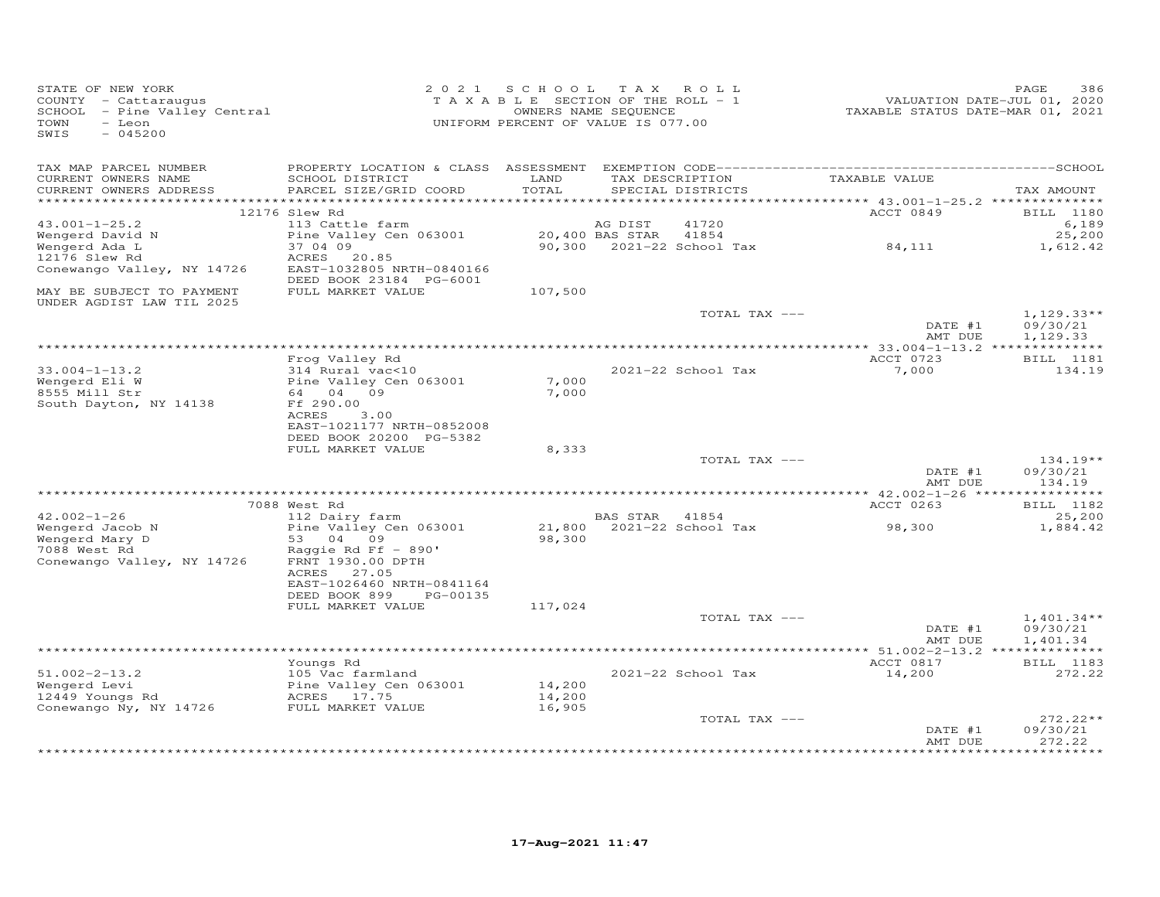| STATE OF NEW YORK<br>COUNTY - Cattaraugus<br>SCHOOL - Pine Valley Central<br>$-$ Leon<br>TOWN<br>$-045200$<br>SWIS |                                                                                                                                 | 2021 SCHOOL TAX ROLL<br>T A X A B L E SECTION OF THE ROLL - 1<br>UNIFORM PERCENT OF VALUE IS 077.00 | OWNERS NAME SEQUENCE |                                    | VALUATION DATE-JUL 01, 2020<br>TAXABLE STATUS DATE-MAR 01, 2021 | PAGE<br>386                          |
|--------------------------------------------------------------------------------------------------------------------|---------------------------------------------------------------------------------------------------------------------------------|-----------------------------------------------------------------------------------------------------|----------------------|------------------------------------|-----------------------------------------------------------------|--------------------------------------|
| TAX MAP PARCEL NUMBER<br>CURRENT OWNERS NAME<br>CURRENT OWNERS ADDRESS                                             | PROPERTY LOCATION & CLASS ASSESSMENT EXEMPTION CODE-------------------------<br>SCHOOL DISTRICT<br>PARCEL SIZE/GRID COORD       | LAND<br>TOTAL                                                                                       | TAX DESCRIPTION      | SPECIAL DISTRICTS                  | TAXABLE VALUE                                                   | --------------SCHOOL<br>TAX AMOUNT   |
|                                                                                                                    | 12176 Slew Rd                                                                                                                   |                                                                                                     |                      |                                    | ACCT 0849                                                       | BILL 1180                            |
| $43.001 - 1 - 25.2$                                                                                                | 113 Cattle farm                                                                                                                 |                                                                                                     | AG DIST              | 41720                              |                                                                 | 6,189                                |
| Wengerd David N<br>Wengerd Ada L<br>12176 Slew Rd                                                                  | Pine Valley Cen 063001<br>37 04 09<br>ACRES<br>20.85                                                                            |                                                                                                     | 20,400 BAS STAR      | 41854<br>90,300 2021-22 School Tax | 84, 111                                                         | 25,200<br>1,612.42                   |
| Conewango Valley, NY 14726                                                                                         | EAST-1032805 NRTH-0840166<br>DEED BOOK 23184 PG-6001                                                                            |                                                                                                     |                      |                                    |                                                                 |                                      |
| MAY BE SUBJECT TO PAYMENT<br>UNDER AGDIST LAW TIL 2025                                                             | FULL MARKET VALUE                                                                                                               | 107,500                                                                                             |                      |                                    |                                                                 |                                      |
|                                                                                                                    |                                                                                                                                 |                                                                                                     |                      | TOTAL TAX ---                      | DATE #1<br>AMT DUE                                              | $1,129.33**$<br>09/30/21             |
|                                                                                                                    |                                                                                                                                 |                                                                                                     |                      |                                    |                                                                 | 1,129.33                             |
|                                                                                                                    | Frog Valley Rd                                                                                                                  |                                                                                                     |                      |                                    | ACCT 0723                                                       | BILL 1181                            |
| $33.004 - 1 - 13.2$<br>Wengerd Eli W<br>8555 Mill Str                                                              | 314 Rural vac<10<br>Pine Valley Cen 063001<br>64 04 09                                                                          | 7,000<br>7,000                                                                                      |                      | 2021-22 School Tax                 | 7,000                                                           | 134.19                               |
| South Dayton, NY 14138                                                                                             | Ff 290.00<br>ACRES<br>3.00<br>EAST-1021177 NRTH-0852008                                                                         |                                                                                                     |                      |                                    |                                                                 |                                      |
|                                                                                                                    | DEED BOOK 20200 PG-5382<br>FULL MARKET VALUE                                                                                    | 8,333                                                                                               |                      |                                    |                                                                 |                                      |
|                                                                                                                    |                                                                                                                                 |                                                                                                     |                      | TOTAL TAX ---                      | DATE #1                                                         | 134.19**<br>09/30/21                 |
|                                                                                                                    |                                                                                                                                 |                                                                                                     |                      |                                    | AMT DUE<br>********** 42.002-1-26 ****                          | 134.19<br>***********                |
|                                                                                                                    | 7088 West Rd                                                                                                                    |                                                                                                     |                      |                                    | ACCT 0263                                                       | BILL 1182                            |
| $42.002 - 1 - 26$                                                                                                  | 112 Dairy farm                                                                                                                  |                                                                                                     | BAS STAR 41854       |                                    |                                                                 | 25,200                               |
| Wengerd Jacob N<br>Wengerd Mary D<br>7088 West Rd<br>Conewango Valley, NY 14726                                    | Pine Valley Cen 063001<br>53 04 09<br>Raggie Rd Ff $-$ 890'<br>FRNT 1930.00 DPTH<br>ACRES<br>27.05<br>EAST-1026460 NRTH-0841164 | 21,800<br>98,300                                                                                    |                      | 2021-22 School Tax                 | 98,300                                                          | 1,884.42                             |
|                                                                                                                    | DEED BOOK 899<br>PG-00135<br>FULL MARKET VALUE                                                                                  | 117,024                                                                                             |                      |                                    |                                                                 |                                      |
|                                                                                                                    |                                                                                                                                 |                                                                                                     |                      | TOTAL TAX ---                      | DATE #1<br>AMT DUE                                              | $1,401.34**$<br>09/30/21<br>1,401.34 |
|                                                                                                                    |                                                                                                                                 |                                                                                                     |                      |                                    |                                                                 |                                      |
| $51.002 - 2 - 13.2$<br>Wengerd Levi<br>12449 Youngs Rd                                                             | Youngs Rd<br>105 Vac farmland<br>Pine Valley Cen 063001<br>ACRES 17.75                                                          | 14,200<br>14,200                                                                                    |                      | 2021-22 School Tax                 | ACCT 0817<br>14,200                                             | <b>BILL</b> 1183<br>272.22           |
| Conewango Ny, NY 14726                                                                                             | FULL MARKET VALUE                                                                                                               | 16,905                                                                                              |                      | TOTAL TAX ---                      | DATE #1<br>AMT DUE                                              | $272.22**$<br>09/30/21<br>272.22     |
|                                                                                                                    |                                                                                                                                 |                                                                                                     |                      |                                    |                                                                 | ******                               |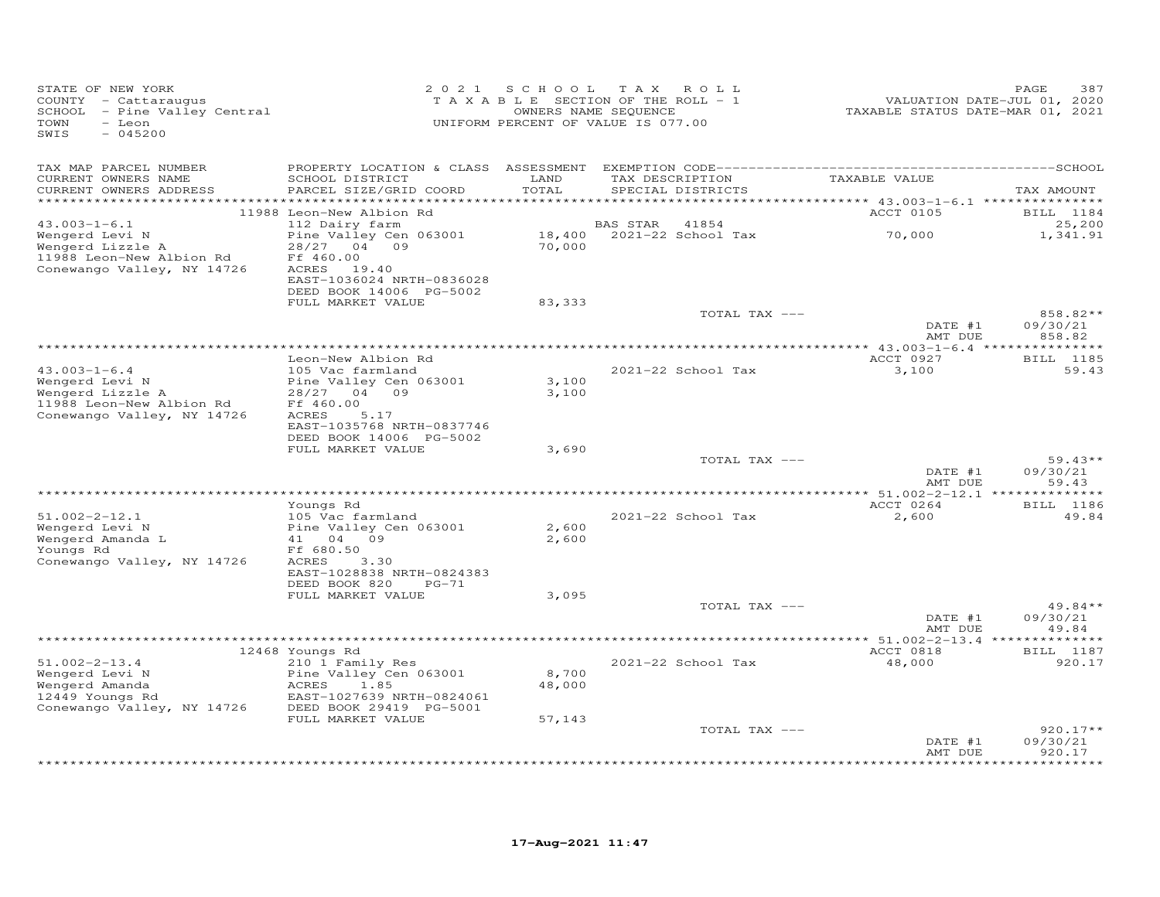| STATE OF NEW YORK<br>COUNTY - Cattaraugus<br>SCHOOL - Pine Valley Central<br>TOWN<br>- Leon<br>SWIS<br>$-045200$ |                                                                                                 | 2021 SCHOOL                    | T A X<br>ROLL<br>TAXABLE SECTION OF THE ROLL - 1<br>OWNERS NAME SEQUENCE<br>UNIFORM PERCENT OF VALUE IS 077.00 | TAXABLE STATUS DATE-MAR 01, 2021 | PAGE<br>387<br>VALUATION DATE-JUL 01, 2020 |
|------------------------------------------------------------------------------------------------------------------|-------------------------------------------------------------------------------------------------|--------------------------------|----------------------------------------------------------------------------------------------------------------|----------------------------------|--------------------------------------------|
| TAX MAP PARCEL NUMBER<br>CURRENT OWNERS NAME<br>CURRENT OWNERS ADDRESS                                           | SCHOOL DISTRICT<br>PARCEL SIZE/GRID COORD                                                       | LAND<br>TOTAL                  | TAX DESCRIPTION<br>SPECIAL DISTRICTS                                                                           | TAXABLE VALUE                    | TAX AMOUNT                                 |
| ***********************                                                                                          |                                                                                                 | ************                   |                                                                                                                |                                  |                                            |
| $43.003 - 1 - 6.1$                                                                                               | 11988 Leon-New Albion Rd<br>112 Dairy farm                                                      |                                | BAS STAR<br>41854                                                                                              | ACCT 0105                        | BILL 1184<br>25,200                        |
| Wengerd Levi N<br>Wengerd Lizzle A<br>11988 Leon-New Albion Rd                                                   | Pine Valley Cen 063001<br>28/27<br>04 09<br>Ff 460.00                                           | 70,000                         | 18,400 2021-22 School Tax                                                                                      | 70,000                           | 1,341.91                                   |
| Conewango Valley, NY 14726                                                                                       | ACRES 19.40<br>EAST-1036024 NRTH-0836028<br>DEED BOOK 14006 PG-5002                             |                                |                                                                                                                |                                  |                                            |
|                                                                                                                  | FULL MARKET VALUE                                                                               | 83,333                         | TOTAL TAX ---                                                                                                  |                                  | 858.82**                                   |
|                                                                                                                  |                                                                                                 |                                |                                                                                                                | DATE #1<br>AMT DUE               | 09/30/21<br>858.82                         |
|                                                                                                                  |                                                                                                 | ****************************** |                                                                                                                | ********** 43.003-1-6.4 ***      | ***********                                |
| $43.003 - 1 - 6.4$<br>Wengerd Levi N                                                                             | Leon-New Albion Rd<br>105 Vac farmland<br>Pine Valley Cen 063001                                | 3,100                          | 2021-22 School Tax                                                                                             | ACCT 0927<br>3,100               | BILL 1185<br>59.43                         |
| Wengerd Lizzle A<br>11988 Leon-New Albion Rd<br>Conewango Valley, NY 14726                                       | 28/27<br>04 09<br>Ff 460.00<br>ACRES<br>5.17<br>EAST-1035768 NRTH-0837746                       | 3,100                          |                                                                                                                |                                  |                                            |
|                                                                                                                  | DEED BOOK 14006 PG-5002                                                                         |                                |                                                                                                                |                                  |                                            |
|                                                                                                                  | FULL MARKET VALUE                                                                               | 3,690                          | TOTAL TAX ---                                                                                                  |                                  | $59.43**$                                  |
|                                                                                                                  |                                                                                                 |                                |                                                                                                                | DATE #1<br>AMT DUE               | 09/30/21<br>59.43                          |
|                                                                                                                  |                                                                                                 |                                |                                                                                                                | ******* 51.002-2-12.1 *          | *******                                    |
| $51.002 - 2 - 12.1$<br>Wengerd Levi N                                                                            | Youngs Rd<br>105 Vac farmland<br>Pine Valley Cen 063001                                         | 2,600                          | 2021-22 School Tax                                                                                             | ACCT 0264<br>2,600               | <b>BILL</b> 1186<br>49.84                  |
| Wengerd Amanda L<br>Youngs Rd<br>Conewango Valley, NY 14726                                                      | 41 04 09<br>Ff 680.50<br>ACRES<br>3.30                                                          | 2,600                          |                                                                                                                |                                  |                                            |
|                                                                                                                  | EAST-1028838 NRTH-0824383<br>DEED BOOK 820<br>$PG-71$<br>FULL MARKET VALUE                      | 3,095                          |                                                                                                                |                                  |                                            |
|                                                                                                                  |                                                                                                 |                                | TOTAL TAX ---                                                                                                  |                                  | $49.84**$                                  |
|                                                                                                                  |                                                                                                 |                                |                                                                                                                | DATE #1<br>AMT DUE               | 09/30/21<br>49.84                          |
|                                                                                                                  |                                                                                                 |                                |                                                                                                                |                                  |                                            |
| $51.002 - 2 - 13.4$                                                                                              | 12468 Youngs Rd<br>210 1 Family Res                                                             |                                | 2021-22 School Tax                                                                                             | ACCT 0818<br>48,000              | BILL 1187<br>920.17                        |
| Wengerd Levi N<br>Wengerd Amanda<br>12449 Youngs Rd<br>Conewango Valley, NY 14726                                | Pine Valley Cen 063001<br>ACRES<br>1.85<br>EAST-1027639 NRTH-0824061<br>DEED BOOK 29419 PG-5001 | 8,700<br>48,000                |                                                                                                                |                                  |                                            |
|                                                                                                                  | FULL MARKET VALUE                                                                               | 57,143                         |                                                                                                                |                                  |                                            |
|                                                                                                                  |                                                                                                 |                                | TOTAL TAX ---                                                                                                  | DATE #1<br>AMT DUE               | $920.17**$<br>09/30/21<br>920.17           |
|                                                                                                                  |                                                                                                 |                                |                                                                                                                |                                  | *********                                  |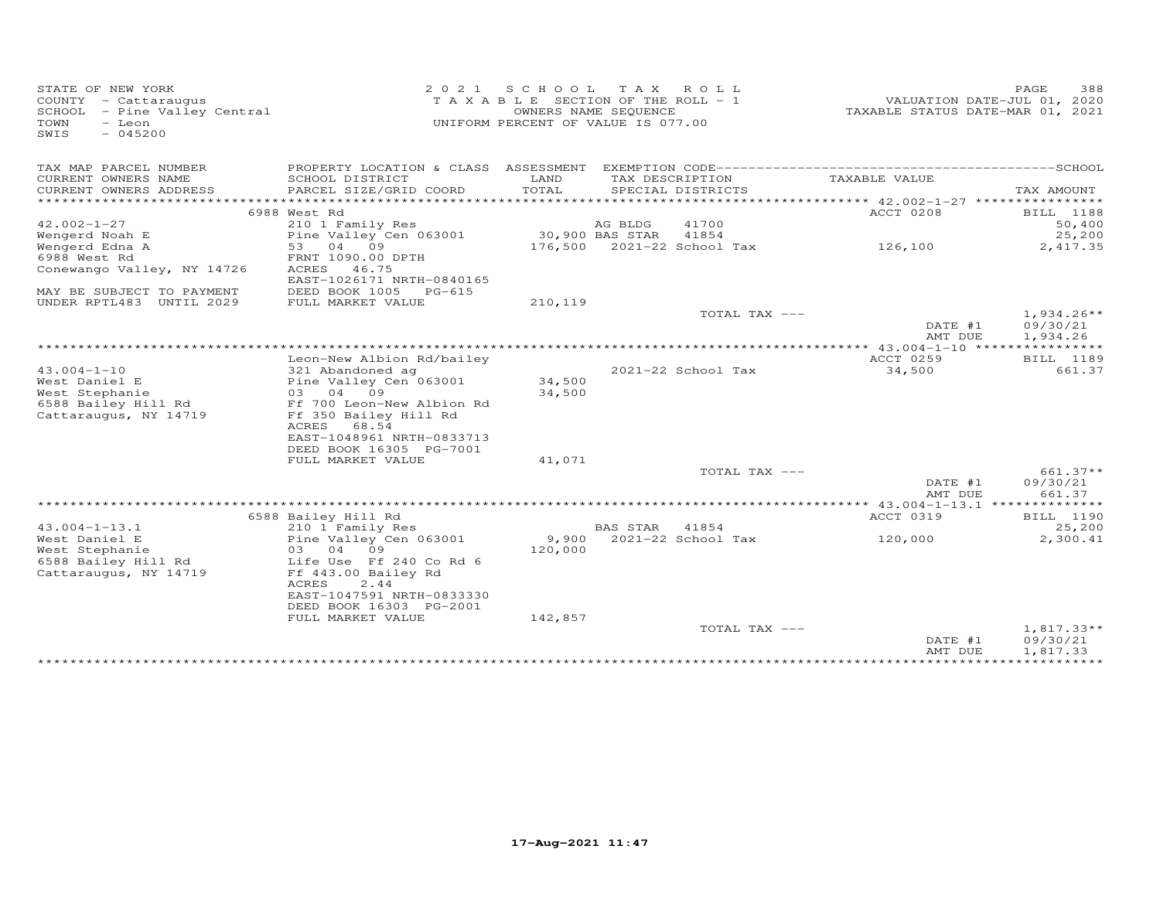| STATE OF NEW YORK<br>COUNTY - Cattaraugus<br>SCHOOL - Pine Valley Central<br>TOWN<br>$-$ Leon<br>$-045200$<br>SWIS | 2 0 2 1                                                              | S C H O O L<br>T A X A B L E SECTION OF THE ROLL - 1<br>OWNERS NAME SEQUENCE<br>UNIFORM PERCENT OF VALUE IS 077.00 | T A X           | ROLL                       | TAXABLE STATUS DATE-MAR 01, 2021           | PAGE<br>388<br>VALUATION DATE-JUL 01, 2020 |
|--------------------------------------------------------------------------------------------------------------------|----------------------------------------------------------------------|--------------------------------------------------------------------------------------------------------------------|-----------------|----------------------------|--------------------------------------------|--------------------------------------------|
| TAX MAP PARCEL NUMBER<br>CURRENT OWNERS NAME                                                                       | PROPERTY LOCATION & CLASS ASSESSMENT<br>SCHOOL DISTRICT              | LAND                                                                                                               |                 | TAX DESCRIPTION            | TAXABLE VALUE                              |                                            |
| CURRENT OWNERS ADDRESS                                                                                             | PARCEL SIZE/GRID COORD                                               | TOTAL                                                                                                              |                 | SPECIAL DISTRICTS          |                                            | TAX AMOUNT                                 |
|                                                                                                                    |                                                                      |                                                                                                                    |                 |                            |                                            |                                            |
|                                                                                                                    | 6988 West Rd                                                         |                                                                                                                    |                 |                            | ACCT 0208                                  | BILL 1188                                  |
| $42.002 - 1 - 27$                                                                                                  | 210 1 Family Res                                                     |                                                                                                                    | AG BLDG         | 41700                      |                                            | 50,400                                     |
| Wengerd Noah E                                                                                                     | Pine Valley Cen 063001                                               |                                                                                                                    | 30,900 BAS STAR | 41854                      |                                            | 25,200                                     |
| Wengerd Edna A                                                                                                     | 53<br>04<br>09                                                       |                                                                                                                    |                 | 176,500 2021-22 School Tax | 126,100                                    | 2,417.35                                   |
| 6988 West Rd<br>Conewango Valley, NY 14726                                                                         | FRNT 1090.00 DPTH<br>ACRES<br>46.75<br>EAST-1026171 NRTH-0840165     |                                                                                                                    |                 |                            |                                            |                                            |
| MAY BE SUBJECT TO PAYMENT                                                                                          | DEED BOOK 1005<br>PG-615                                             |                                                                                                                    |                 |                            |                                            |                                            |
| UNDER RPTL483 UNTIL 2029                                                                                           | FULL MARKET VALUE                                                    | 210,119                                                                                                            |                 |                            |                                            |                                            |
|                                                                                                                    |                                                                      |                                                                                                                    |                 | TOTAL TAX ---              |                                            | $1,934.26**$                               |
|                                                                                                                    |                                                                      |                                                                                                                    |                 |                            | DATE #1                                    | 09/30/21                                   |
|                                                                                                                    |                                                                      |                                                                                                                    |                 |                            | AMT DUE                                    | 1,934.26                                   |
|                                                                                                                    | Leon-New Albion Rd/bailey                                            |                                                                                                                    |                 |                            | *********** 43.004-1-10 *****<br>ACCT 0259 | BILL 1189                                  |
| $43.004 - 1 - 10$                                                                                                  | 321 Abandoned ag                                                     |                                                                                                                    |                 | 2021-22 School Tax         | 34,500                                     | 661.37                                     |
| West Daniel E                                                                                                      | Pine Valley Cen 063001                                               | 34,500                                                                                                             |                 |                            |                                            |                                            |
| West Stephanie                                                                                                     | 03 04 09                                                             | 34,500                                                                                                             |                 |                            |                                            |                                            |
| 6588 Bailey Hill Rd                                                                                                | Ff 700 Leon-New Albion Rd                                            |                                                                                                                    |                 |                            |                                            |                                            |
| Cattaraugus, NY 14719                                                                                              | Ff 350 Bailey Hill Rd<br>ACRES<br>68.54<br>EAST-1048961 NRTH-0833713 |                                                                                                                    |                 |                            |                                            |                                            |
|                                                                                                                    | DEED BOOK 16305 PG-7001                                              |                                                                                                                    |                 |                            |                                            |                                            |
|                                                                                                                    | FULL MARKET VALUE                                                    | 41,071                                                                                                             |                 |                            |                                            |                                            |
|                                                                                                                    |                                                                      |                                                                                                                    |                 | TOTAL TAX ---              |                                            | 661.37**                                   |
|                                                                                                                    |                                                                      |                                                                                                                    |                 |                            | DATE #1                                    | 09/30/21                                   |
|                                                                                                                    |                                                                      |                                                                                                                    |                 |                            | AMT DUE                                    | 661.37                                     |
|                                                                                                                    |                                                                      |                                                                                                                    |                 |                            |                                            |                                            |
|                                                                                                                    | 6588 Bailey Hill Rd                                                  |                                                                                                                    |                 |                            | ACCT 0319                                  | BILL 1190                                  |
| $43.004 - 1 - 13.1$<br>West Daniel E                                                                               | 210 1 Family Res                                                     |                                                                                                                    | <b>BAS STAR</b> | 41854                      |                                            | 25,200                                     |
| West Stephanie                                                                                                     | Pine Valley Cen 063001<br>09<br>03<br>04                             | 9,900<br>120,000                                                                                                   |                 | 2021-22 School Tax         | 120,000                                    | 2,300.41                                   |
| 6588 Bailey Hill Rd                                                                                                | Life Use Ff 240 Co Rd 6                                              |                                                                                                                    |                 |                            |                                            |                                            |
| Cattaraugus, NY 14719                                                                                              | Ff 443.00 Bailey Rd<br>ACRES<br>2.44                                 |                                                                                                                    |                 |                            |                                            |                                            |
|                                                                                                                    | EAST-1047591 NRTH-0833330                                            |                                                                                                                    |                 |                            |                                            |                                            |
|                                                                                                                    | DEED BOOK 16303 PG-2001                                              |                                                                                                                    |                 |                            |                                            |                                            |
|                                                                                                                    | FULL MARKET VALUE                                                    | 142,857                                                                                                            |                 |                            |                                            |                                            |
|                                                                                                                    |                                                                      |                                                                                                                    |                 | TOTAL TAX ---              | DATE #1<br>AMT DUE                         | $1,817.33**$<br>09/30/21<br>1,817.33       |
|                                                                                                                    |                                                                      |                                                                                                                    |                 |                            |                                            | ***************************                |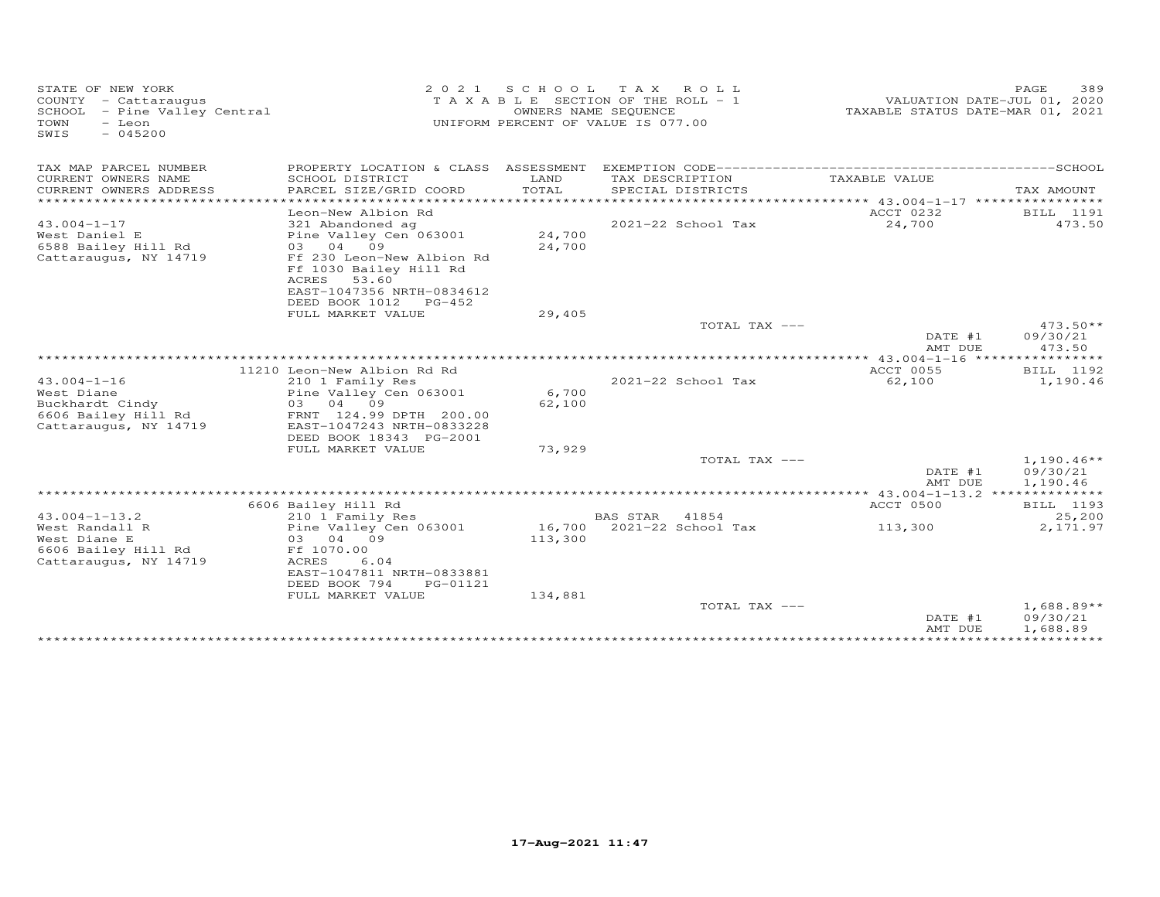| STATE OF NEW YORK<br>COUNTY - Cattaraugus<br>SCHOOL - Pine Valley Central<br>TOWN<br>- Leon<br>$-045200$<br>SWIS |                                             |                   | 2021 SCHOOL TAX ROLL<br>TAXABLE SECTION OF THE ROLL - 1<br>OWNERS NAME SEQUENCE<br>UNIFORM PERCENT OF VALUE IS 077.00 | TAXABLE STATUS DATE-MAR 01, 2021 | PAGE<br>389<br>VALUATION DATE-JUL 01, 2020 |
|------------------------------------------------------------------------------------------------------------------|---------------------------------------------|-------------------|-----------------------------------------------------------------------------------------------------------------------|----------------------------------|--------------------------------------------|
| TAX MAP PARCEL NUMBER                                                                                            |                                             |                   |                                                                                                                       |                                  |                                            |
| CURRENT OWNERS NAME                                                                                              | SCHOOL DISTRICT                             | LAND              | TAX DESCRIPTION                                                                                                       | TAXABLE VALUE                    |                                            |
| CURRENT OWNERS ADDRESS<br>*************************                                                              | PARCEL SIZE/GRID COORD                      | TOTAL             | SPECIAL DISTRICTS                                                                                                     |                                  | TAX AMOUNT                                 |
|                                                                                                                  | Leon-New Albion Rd                          |                   |                                                                                                                       | ACCT 0232                        | BILL 1191                                  |
| $43.004 - 1 - 17$                                                                                                | 321 Abandoned ag                            |                   | 2021-22 School Tax                                                                                                    | 24,700                           | 473.50                                     |
| West Daniel E                                                                                                    | Pine Valley Cen 063001                      | 24,700            |                                                                                                                       |                                  |                                            |
| 6588 Bailey Hill Rd                                                                                              | 03 04 09                                    | 24,700            |                                                                                                                       |                                  |                                            |
| Cattaraugus, NY 14719                                                                                            | Ff 230 Leon-New Albion Rd                   |                   |                                                                                                                       |                                  |                                            |
|                                                                                                                  | Ff 1030 Bailey Hill Rd                      |                   |                                                                                                                       |                                  |                                            |
|                                                                                                                  | ACRES<br>53.60<br>EAST-1047356 NRTH-0834612 |                   |                                                                                                                       |                                  |                                            |
|                                                                                                                  | DEED BOOK 1012 PG-452                       |                   |                                                                                                                       |                                  |                                            |
|                                                                                                                  | FULL MARKET VALUE                           | 29,405            |                                                                                                                       |                                  |                                            |
|                                                                                                                  |                                             |                   | TOTAL TAX ---                                                                                                         |                                  | $473.50**$                                 |
|                                                                                                                  |                                             |                   |                                                                                                                       | DATE #1                          | 09/30/21                                   |
|                                                                                                                  |                                             |                   |                                                                                                                       | AMT DUE                          | 473.50                                     |
|                                                                                                                  | 11210 Leon-New Albion Rd Rd                 |                   |                                                                                                                       | ACCT 0055                        | BILL 1192                                  |
| $43.004 - 1 - 16$                                                                                                | 210 1 Family Res                            |                   | 2021-22 School Tax                                                                                                    | 62,100                           | 1,190.46                                   |
| West Diane                                                                                                       | Pine Valley Cen 063001                      | 6,700             |                                                                                                                       |                                  |                                            |
| Buckhardt Cindy                                                                                                  | 03 04 09                                    | 62,100            |                                                                                                                       |                                  |                                            |
| 6606 Bailey Hill Rd                                                                                              | FRNT 124.99 DPTH 200.00                     |                   |                                                                                                                       |                                  |                                            |
| Cattaraugus, NY 14719                                                                                            | EAST-1047243 NRTH-0833228                   |                   |                                                                                                                       |                                  |                                            |
|                                                                                                                  | DEED BOOK 18343 PG-2001                     |                   |                                                                                                                       |                                  |                                            |
|                                                                                                                  | FULL MARKET VALUE                           | 73,929            | TOTAL TAX ---                                                                                                         |                                  | $1,190.46**$                               |
|                                                                                                                  |                                             |                   |                                                                                                                       | DATE #1                          | 09/30/21                                   |
|                                                                                                                  |                                             |                   |                                                                                                                       | AMT DUE                          | 1,190.46                                   |
|                                                                                                                  |                                             |                   |                                                                                                                       |                                  |                                            |
|                                                                                                                  | 6606 Bailey Hill Rd                         |                   |                                                                                                                       | ACCT 0500                        | BILL 1193                                  |
| $43.004 - 1 - 13.2$                                                                                              | 210 1 Family Res                            |                   | BAS STAR<br>41854                                                                                                     |                                  | 25,200                                     |
| West Randall R<br>West Diane E                                                                                   | Pine Valley Cen 063001<br>03 04 09          | 16,700<br>113,300 | 2021-22 School Tax                                                                                                    | 113,300                          | 2,171.97                                   |
| 6606 Bailey Hill Rd                                                                                              | Ff 1070.00                                  |                   |                                                                                                                       |                                  |                                            |
| Cattaraugus, NY 14719                                                                                            | ACRES<br>6.04                               |                   |                                                                                                                       |                                  |                                            |
|                                                                                                                  | EAST-1047811 NRTH-0833881                   |                   |                                                                                                                       |                                  |                                            |
|                                                                                                                  | DEED BOOK 794<br>PG-01121                   |                   |                                                                                                                       |                                  |                                            |
|                                                                                                                  | FULL MARKET VALUE                           | 134,881           |                                                                                                                       |                                  |                                            |
|                                                                                                                  |                                             |                   | TOTAL TAX ---                                                                                                         |                                  | $1,688.89**$<br>09/30/21                   |
|                                                                                                                  |                                             |                   |                                                                                                                       | DATE #1<br>AMT DUE               | 1,688.89                                   |
|                                                                                                                  |                                             |                   |                                                                                                                       |                                  |                                            |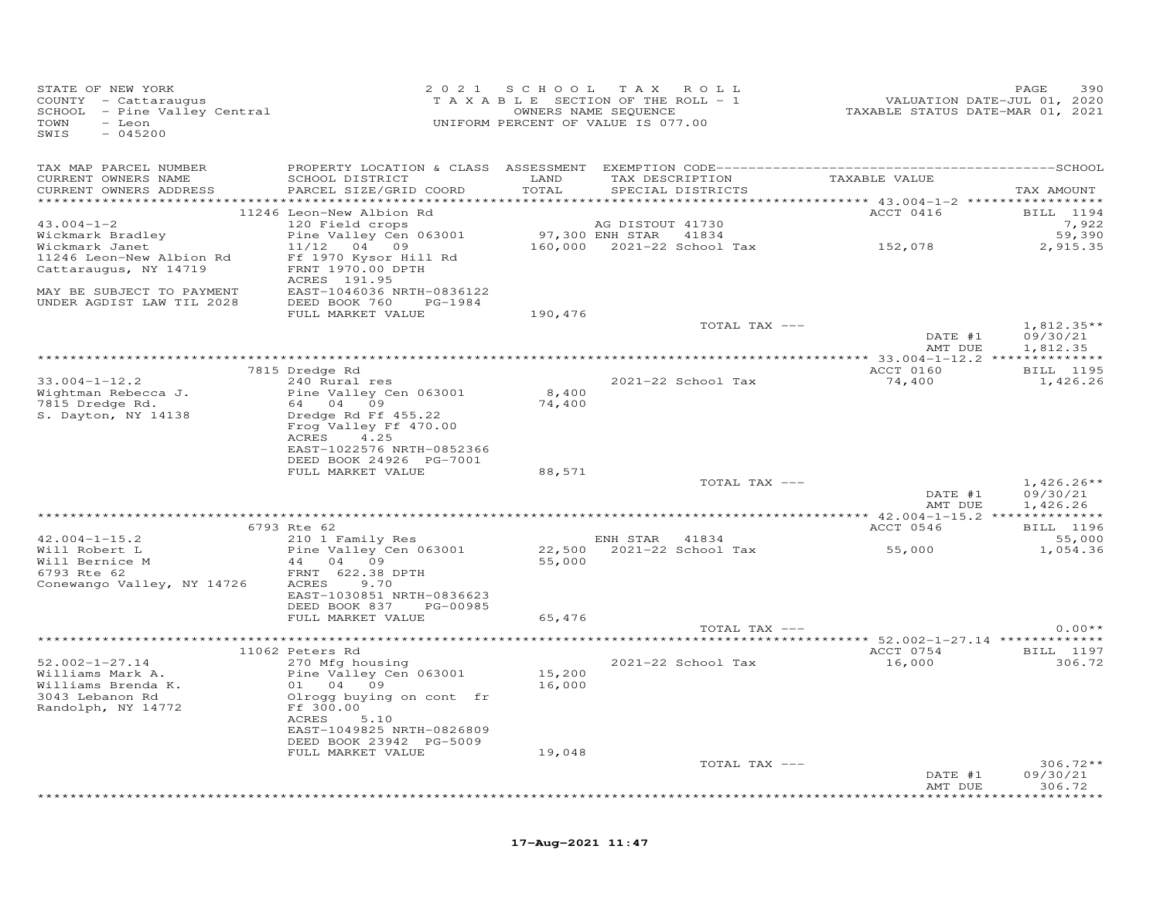| STATE OF NEW YORK<br>COUNTY - Cattaraugus<br>SCHOOL - Pine Valley Central<br>TOWN<br>- Leon<br>$-045200$<br>SWIS |                                                                    | 2021 SCHOOL TAX ROLL<br>T A X A B L E SECTION OF THE ROLL - 1<br>UNIFORM PERCENT OF VALUE IS 077.00 | OWNERS NAME SEQUENCE |                                      | VALUATION DATE-JUL 01, 2020<br>TAXABLE STATUS DATE-MAR 01, 2021 | PAGE<br>390                          |
|------------------------------------------------------------------------------------------------------------------|--------------------------------------------------------------------|-----------------------------------------------------------------------------------------------------|----------------------|--------------------------------------|-----------------------------------------------------------------|--------------------------------------|
| TAX MAP PARCEL NUMBER                                                                                            |                                                                    |                                                                                                     |                      |                                      |                                                                 |                                      |
| CURRENT OWNERS NAME<br>CURRENT OWNERS ADDRESS                                                                    | SCHOOL DISTRICT<br>PARCEL SIZE/GRID COORD                          | LAND<br>TOTAL                                                                                       |                      | TAX DESCRIPTION<br>SPECIAL DISTRICTS | TAXABLE VALUE                                                   | TAX AMOUNT                           |
|                                                                                                                  | 11246 Leon-New Albion Rd                                           |                                                                                                     |                      |                                      | ACCT 0416                                                       | BILL 1194                            |
| $43.004 - 1 - 2$                                                                                                 | 120 Field crops                                                    |                                                                                                     | AG DISTOUT 41730     |                                      |                                                                 | 7,922                                |
| Wickmark Bradley                                                                                                 | Pine Valley Cen 063001                                             |                                                                                                     |                      |                                      |                                                                 | 59,390                               |
| Wickmark Janet<br>11246 Leon-New Albion Rd<br>Cattaraugus, NY 14719                                              | 11/12 04 09<br>Ff 1970 Kysor Hill Rd<br>FRNT 1970.00 DPTH          |                                                                                                     |                      |                                      | 97,300 ENH STAR 41834<br>160,000 2021-22 School Tax 152,078     | 2,915.35                             |
| MAY BE SUBJECT TO PAYMENT<br>UNDER AGDIST LAW TIL 2028                                                           | ACRES 191.95<br>EAST-1046036 NRTH-0836122<br>DEED BOOK 760 PG-1984 |                                                                                                     |                      |                                      |                                                                 |                                      |
|                                                                                                                  | FULL MARKET VALUE                                                  | 190,476                                                                                             |                      |                                      |                                                                 |                                      |
|                                                                                                                  |                                                                    |                                                                                                     |                      | TOTAL TAX ---                        | DATE #1<br>AMT DUE                                              | $1,812.35**$<br>09/30/21<br>1,812.35 |
|                                                                                                                  |                                                                    |                                                                                                     |                      |                                      |                                                                 |                                      |
|                                                                                                                  | 7815 Dredge Rd                                                     |                                                                                                     |                      |                                      | ACCT 0160                                                       | <b>BILL</b> 1195                     |
| $33.004 - 1 - 12.2$                                                                                              | 240 Rural res                                                      |                                                                                                     |                      | 2021-22 School Tax                   | 74,400                                                          | 1,426.26                             |
| Wightman Rebecca J.                                                                                              | Pine Valley Cen 063001                                             | 8,400                                                                                               |                      |                                      |                                                                 |                                      |
| 7815 Dredge Rd.<br>S. Dayton, NY 14138                                                                           | 64 04 09<br>Dredge Rd Ff 455.22                                    | 74,400                                                                                              |                      |                                      |                                                                 |                                      |
|                                                                                                                  | Frog Valley Ff 470.00                                              |                                                                                                     |                      |                                      |                                                                 |                                      |
|                                                                                                                  | ACRES<br>4.25                                                      |                                                                                                     |                      |                                      |                                                                 |                                      |
|                                                                                                                  | EAST-1022576 NRTH-0852366                                          |                                                                                                     |                      |                                      |                                                                 |                                      |
|                                                                                                                  | DEED BOOK 24926 PG-7001                                            |                                                                                                     |                      |                                      |                                                                 |                                      |
|                                                                                                                  | FULL MARKET VALUE                                                  | 88,571                                                                                              |                      |                                      |                                                                 |                                      |
|                                                                                                                  |                                                                    |                                                                                                     |                      | TOTAL TAX ---                        | DATE #1                                                         | $1,426.26**$<br>09/30/21             |
|                                                                                                                  |                                                                    |                                                                                                     |                      |                                      | AMT DUE                                                         | 1,426.26                             |
|                                                                                                                  |                                                                    |                                                                                                     |                      |                                      |                                                                 |                                      |
|                                                                                                                  | 6793 Rte 62                                                        |                                                                                                     |                      |                                      | ACCT 0546                                                       | BILL 1196                            |
| $42.004 - 1 - 15.2$                                                                                              | 210 1 Family Res                                                   |                                                                                                     | ENH STAR 41834       |                                      |                                                                 | 55,000                               |
| Will Robert L                                                                                                    | Pine Valley Cen 063001                                             |                                                                                                     |                      | 22,500 2021-22 School Tax            | 55,000                                                          | 1,054.36                             |
| Will Bernice M<br>6793 Rte 62                                                                                    | 44 04 09<br>FRNT 622.38 DPTH                                       | 55,000                                                                                              |                      |                                      |                                                                 |                                      |
| Conewango Valley, NY 14726                                                                                       | 9.70<br>ACRES                                                      |                                                                                                     |                      |                                      |                                                                 |                                      |
|                                                                                                                  | EAST-1030851 NRTH-0836623                                          |                                                                                                     |                      |                                      |                                                                 |                                      |
|                                                                                                                  | DEED BOOK 837 PG-00985                                             |                                                                                                     |                      |                                      |                                                                 |                                      |
|                                                                                                                  | FULL MARKET VALUE                                                  | 65,476                                                                                              |                      |                                      |                                                                 |                                      |
|                                                                                                                  |                                                                    |                                                                                                     |                      | TOTAL TAX ---                        |                                                                 | $0.00**$                             |
|                                                                                                                  | 11062 Peters Rd                                                    |                                                                                                     |                      |                                      |                                                                 | ACCT 0754 BILL 1197                  |
| $52.002 - 1 - 27.14$                                                                                             | 270 Mfg housing                                                    |                                                                                                     |                      | 2021-22 School Tax                   | 16,000                                                          | 306.72                               |
| Williams Mark A.                                                                                                 | Pine Valley Cen 063001                                             | 15,200                                                                                              |                      |                                      |                                                                 |                                      |
| Williams Brenda K.                                                                                               | 01 04 09                                                           | 16,000                                                                                              |                      |                                      |                                                                 |                                      |
| 3043 Lebanon Rd                                                                                                  | Olrogg buying on cont fr                                           |                                                                                                     |                      |                                      |                                                                 |                                      |
| Randolph, NY 14772                                                                                               | Ff 300.00<br>ACRES<br>5.10                                         |                                                                                                     |                      |                                      |                                                                 |                                      |
|                                                                                                                  | EAST-1049825 NRTH-0826809                                          |                                                                                                     |                      |                                      |                                                                 |                                      |
|                                                                                                                  | DEED BOOK 23942 PG-5009                                            |                                                                                                     |                      |                                      |                                                                 |                                      |
|                                                                                                                  | FULL MARKET VALUE                                                  | 19,048                                                                                              |                      |                                      |                                                                 |                                      |
|                                                                                                                  |                                                                    |                                                                                                     |                      | TOTAL TAX ---                        |                                                                 | $306.72**$                           |
|                                                                                                                  |                                                                    |                                                                                                     |                      |                                      | DATE #1<br>AMT DUE                                              | 09/30/21<br>306.72                   |
|                                                                                                                  |                                                                    |                                                                                                     |                      |                                      |                                                                 | ********                             |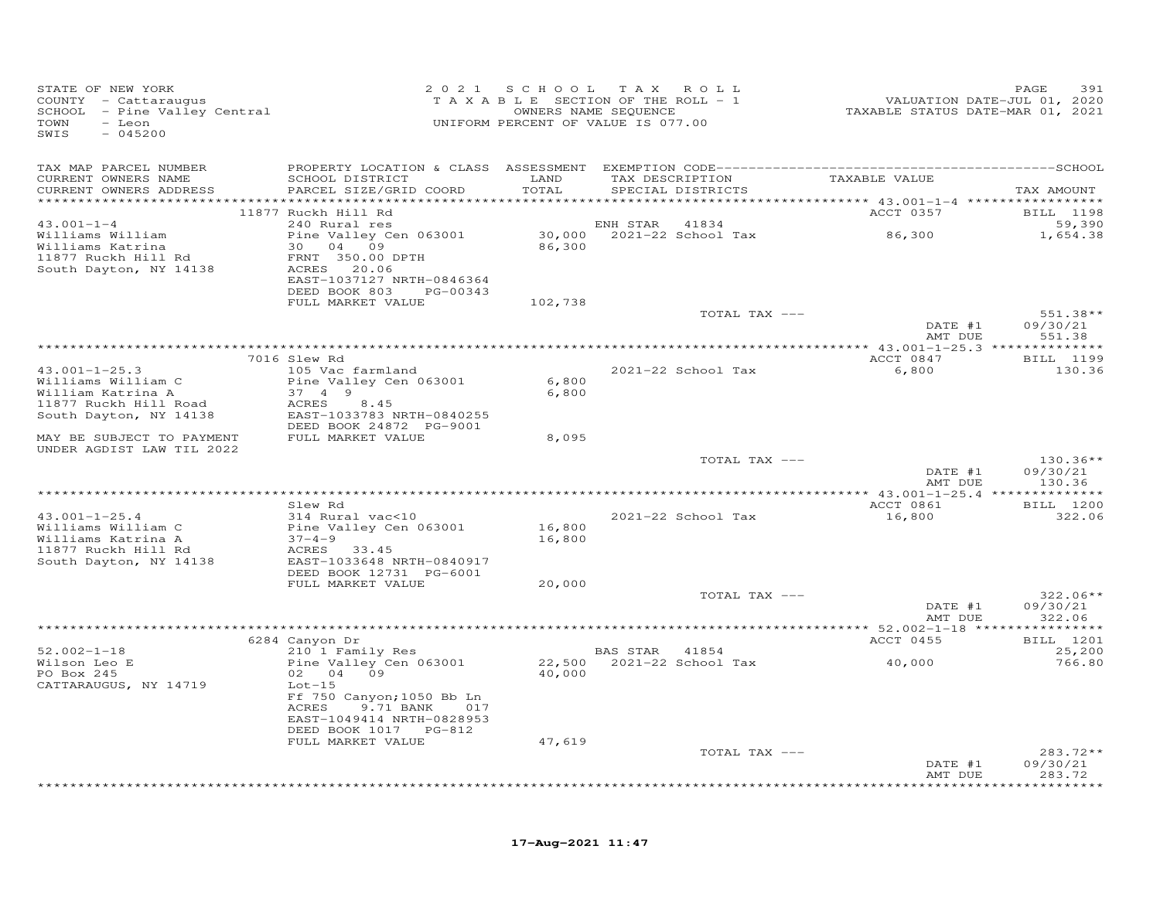| STATE OF NEW YORK<br>COUNTY - Cattaraugus<br>SCHOOL - Pine Valley Central<br>- Leon<br>TOWN<br>$-045200$<br>SWIS |                                                | 2021 SCHOOL | TAX ROLL<br>TAXABLE SECTION OF THE ROLL - 1<br>OWNERS NAME SEQUENCE<br>UNIFORM PERCENT OF VALUE IS 077.00 | VALUATION DATE-JUL 01, 2020<br>TAXABLE STATUS DATE-MAR 01, 2021 | 391<br>PAGE                 |
|------------------------------------------------------------------------------------------------------------------|------------------------------------------------|-------------|-----------------------------------------------------------------------------------------------------------|-----------------------------------------------------------------|-----------------------------|
| TAX MAP PARCEL NUMBER                                                                                            |                                                |             |                                                                                                           |                                                                 |                             |
| CURRENT OWNERS NAME                                                                                              | SCHOOL DISTRICT                                | LAND        | TAX DESCRIPTION                                                                                           | TAXABLE VALUE                                                   |                             |
| CURRENT OWNERS ADDRESS                                                                                           | PARCEL SIZE/GRID COORD                         | TOTAL       | SPECIAL DISTRICTS                                                                                         |                                                                 | TAX AMOUNT                  |
|                                                                                                                  | 11877 Ruckh Hill Rd                            |             |                                                                                                           | ACCT 0357                                                       | <b>BILL</b> 1198            |
| $43.001 - 1 - 4$                                                                                                 | 240 Rural res                                  |             | ENH STAR<br>41834                                                                                         |                                                                 | 59,390                      |
| Williams William                                                                                                 | Pine Valley Cen 063001                         |             | 30,000 2021-22 School Tax 86,300                                                                          |                                                                 | 1,654.38                    |
| Williams Katrina<br>11877 Ruckh Hill Rd                                                                          | 30 04 09<br>FRNT 350.00 DPTH                   | 86,300      |                                                                                                           |                                                                 |                             |
| South Dayton, NY 14138                                                                                           | ACRES 20.06                                    |             |                                                                                                           |                                                                 |                             |
|                                                                                                                  | EAST-1037127 NRTH-0846364                      |             |                                                                                                           |                                                                 |                             |
|                                                                                                                  | DEED BOOK 803 PG-00343<br>FULL MARKET VALUE    | 102,738     |                                                                                                           |                                                                 |                             |
|                                                                                                                  |                                                |             | TOTAL TAX ---                                                                                             |                                                                 | 551.38**                    |
|                                                                                                                  |                                                |             |                                                                                                           | DATE #1                                                         | 09/30/21                    |
|                                                                                                                  |                                                |             |                                                                                                           | AMT DUE                                                         | 551.38                      |
| 7016 Slew Rd                                                                                                     |                                                |             |                                                                                                           | ACCT 0847                                                       | BILL 1199                   |
| $43.001 - 1 - 25.3$                                                                                              | 105 Vac farmland                               |             | 2021-22 School Tax                                                                                        | 6,800                                                           | 130.36                      |
| Williams William C                                                                                               | Pine Valley Cen 063001                         | 6,800       |                                                                                                           |                                                                 |                             |
| William Katrina A<br>11877 Ruckh Hill Road                                                                       | 37 4 9<br>ACRES<br>8.45                        | 6,800       |                                                                                                           |                                                                 |                             |
| South Dayton, NY 14138                                                                                           | EAST-1033783 NRTH-0840255                      |             |                                                                                                           |                                                                 |                             |
|                                                                                                                  | DEED BOOK 24872 PG-9001                        |             |                                                                                                           |                                                                 |                             |
| MAY BE SUBJECT TO PAYMENT                                                                                        | FULL MARKET VALUE                              | 8,095       |                                                                                                           |                                                                 |                             |
| UNDER AGDIST LAW TIL 2022                                                                                        |                                                |             | TOTAL TAX ---                                                                                             |                                                                 | $130.36**$                  |
|                                                                                                                  |                                                |             |                                                                                                           | DATE #1                                                         | 09/30/21                    |
|                                                                                                                  |                                                |             |                                                                                                           | AMT DUE                                                         | 130.36                      |
|                                                                                                                  | Slew Rd                                        |             |                                                                                                           | ACCT 0861                                                       | <b>BILL</b> 1200            |
| $43.001 - 1 - 25.4$                                                                                              | 314 Rural vac<10                               |             | 2021-22 School Tax                                                                                        | 16,800                                                          | 322.06                      |
| Williams William C                                                                                               | Pine Valley Cen 063001                         | 16,800      |                                                                                                           |                                                                 |                             |
| Williams Katrina A<br>11877 Ruckh Hill Rd                                                                        | $37 - 4 - 9$<br>ACRES 33.45                    | 16,800      |                                                                                                           |                                                                 |                             |
| South Dayton, NY 14138                                                                                           | EAST-1033648 NRTH-0840917                      |             |                                                                                                           |                                                                 |                             |
|                                                                                                                  | DEED BOOK 12731 PG-6001                        |             |                                                                                                           |                                                                 |                             |
|                                                                                                                  | FULL MARKET VALUE                              | 20,000      |                                                                                                           |                                                                 | 322.06**                    |
|                                                                                                                  |                                                |             | TOTAL TAX ---                                                                                             | DATE #1                                                         | 09/30/21                    |
|                                                                                                                  |                                                |             |                                                                                                           | AMT DUE                                                         | 322.06                      |
|                                                                                                                  |                                                |             |                                                                                                           |                                                                 |                             |
| $52.002 - 1 - 18$                                                                                                | 6284 Canyon Dr<br>210 <sup>-1</sup> Family Res |             | BAS STAR 41854                                                                                            | ACCT 0455                                                       | BILL 1201<br>25,200         |
| Wilson Leo E                                                                                                     | Pine Valley Cen 063001                         |             | 22,500 2021-22 School Tax                                                                                 | 40,000                                                          | 766.80                      |
| PO Box 245                                                                                                       | 02 04 09                                       | 40,000      |                                                                                                           |                                                                 |                             |
| CATTARAUGUS, NY 14719                                                                                            | $Lot-15$<br>Ff 750 Canyon; 1050 Bb Ln          |             |                                                                                                           |                                                                 |                             |
|                                                                                                                  | ACRES<br>9.71 BANK<br>017                      |             |                                                                                                           |                                                                 |                             |
|                                                                                                                  | EAST-1049414 NRTH-0828953                      |             |                                                                                                           |                                                                 |                             |
|                                                                                                                  | DEED BOOK 1017 PG-812                          |             |                                                                                                           |                                                                 |                             |
|                                                                                                                  | FULL MARKET VALUE                              | 47,619      | TOTAL TAX ---                                                                                             |                                                                 | $283.72**$                  |
|                                                                                                                  |                                                |             |                                                                                                           | DATE #1                                                         | 09/30/21                    |
|                                                                                                                  |                                                |             |                                                                                                           | AMT DUE                                                         | 283.72<br>* * * * * * * * * |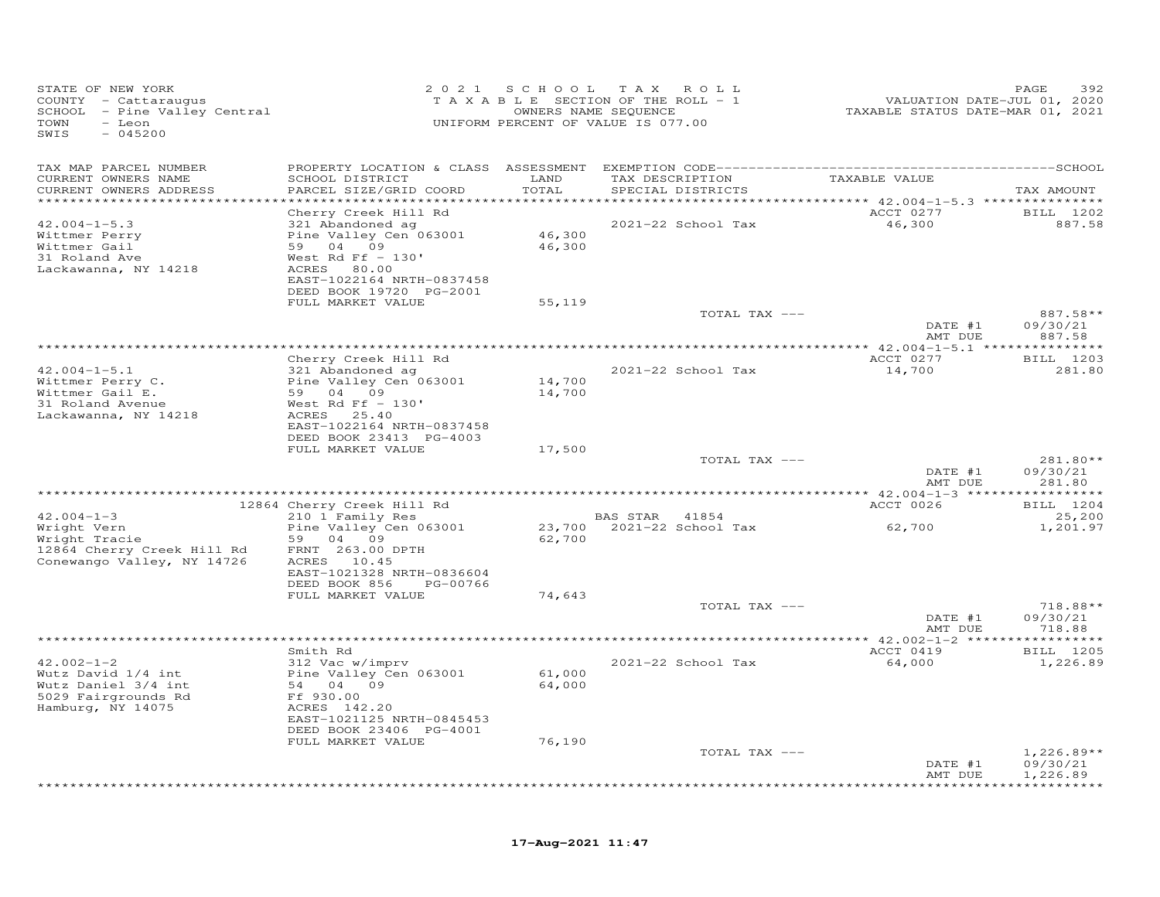| STATE OF NEW YORK<br>COUNTY - Cattaraugus<br>SCHOOL - Pine Valley Central<br>TOWN<br>- Leon<br>SWIS<br>$-045200$ | 2 0 2 1                                                                                                                                                                        | S C H O O L                     | T A X<br>ROLL<br>TAXABLE SECTION OF THE ROLL - 1<br>OWNERS NAME SEQUENCE<br>UNIFORM PERCENT OF VALUE IS 077.00 | VALUATION DATE-JUL 01, 2020<br>TAXABLE STATUS DATE-MAR 01, 2021 | PAGE<br>392                      |
|------------------------------------------------------------------------------------------------------------------|--------------------------------------------------------------------------------------------------------------------------------------------------------------------------------|---------------------------------|----------------------------------------------------------------------------------------------------------------|-----------------------------------------------------------------|----------------------------------|
| TAX MAP PARCEL NUMBER<br>CURRENT OWNERS NAME<br>CURRENT OWNERS ADDRESS<br>***********************                | SCHOOL DISTRICT<br>PARCEL SIZE/GRID COORD<br>************************                                                                                                          | LAND<br>TOTAL<br>************** | TAX DESCRIPTION<br>SPECIAL DISTRICTS                                                                           | TAXABLE VALUE                                                   | TAX AMOUNT                       |
| $42.004 - 1 - 5.3$<br>Wittmer Perry<br>Wittmer Gail<br>31 Roland Ave<br>Lackawanna, NY 14218                     | Cherry Creek Hill Rd<br>321 Abandoned ag<br>Pine Valley Cen 063001<br>59 04 09<br>West Rd Ff $-130'$<br>ACRES<br>80.00<br>EAST-1022164 NRTH-0837458<br>DEED BOOK 19720 PG-2001 | 46,300<br>46,300                | 2021-22 School Tax                                                                                             | ACCT 0277<br>46,300                                             | BILL 1202<br>887.58              |
|                                                                                                                  | FULL MARKET VALUE                                                                                                                                                              | 55,119                          | TOTAL TAX ---                                                                                                  | DATE #1                                                         | 887.58**<br>09/30/21             |
|                                                                                                                  |                                                                                                                                                                                |                                 |                                                                                                                | AMT DUE                                                         | 887.58                           |
| $42.004 - 1 - 5.1$                                                                                               | Cherry Creek Hill Rd<br>321 Abandoned ag                                                                                                                                       |                                 | 2021-22 School Tax                                                                                             | ACCT 0277<br>14,700                                             | BILL 1203<br>281.80              |
| Wittmer Perry C.<br>Wittmer Gail E.<br>31 Roland Avenue<br>Lackawanna, NY 14218                                  | Pine Valley Cen 063001<br>59 04 09<br>West Rd Ff $-130'$<br>ACRES 25.40<br>EAST-1022164 NRTH-0837458<br>DEED BOOK 23413 PG-4003                                                | 14,700<br>14,700                |                                                                                                                |                                                                 |                                  |
|                                                                                                                  | FULL MARKET VALUE                                                                                                                                                              | 17,500                          |                                                                                                                |                                                                 |                                  |
|                                                                                                                  |                                                                                                                                                                                |                                 | TOTAL TAX ---                                                                                                  | DATE #1<br>AMT DUE                                              | 281.80**<br>09/30/21<br>281.80   |
|                                                                                                                  |                                                                                                                                                                                |                                 |                                                                                                                |                                                                 |                                  |
| $42.004 - 1 - 3$                                                                                                 | 12864 Cherry Creek Hill Rd                                                                                                                                                     |                                 |                                                                                                                | ACCT 0026                                                       | BILL 1204                        |
| Wright Vern<br>Wright Tracie<br>12864 Cherry Creek Hill Rd<br>Conewango Valley, NY 14726                         | 210 1 Family Res<br>Pine Valley Cen 063001<br>59 04 09<br>FRNT 263.00 DPTH<br>ACRES 10.45<br>EAST-1021328 NRTH-0836604<br>DEED BOOK 856<br>PG-00766                            | 23,700<br>62,700                | BAS STAR 41854<br>2021-22 School Tax                                                                           | 62,700                                                          | 25,200<br>1,201.97               |
|                                                                                                                  | FULL MARKET VALUE                                                                                                                                                              | 74,643                          | TOTAL TAX ---                                                                                                  |                                                                 | 718.88**                         |
|                                                                                                                  |                                                                                                                                                                                |                                 |                                                                                                                | DATE #1<br>AMT DUE                                              | 09/30/21<br>718.88               |
|                                                                                                                  |                                                                                                                                                                                |                                 |                                                                                                                |                                                                 | * * * * * * * * * *              |
| $42.002 - 1 - 2$<br>Wutz David 1/4 int<br>Wutz Daniel 3/4 int<br>5029 Fairgrounds Rd<br>Hamburg, NY 14075        | Smith Rd<br>312 Vac w/imprv<br>Pine Valley Cen 063001<br>54 04 09<br>Ff 930.00<br>ACRES 142.20<br>EAST-1021125 NRTH-0845453<br>DEED BOOK 23406 PG-4001                         | 61,000<br>64,000                | 2021-22 School Tax                                                                                             | ACCT 0419<br>64,000                                             | <b>BILL</b> 1205<br>1,226.89     |
|                                                                                                                  | FULL MARKET VALUE                                                                                                                                                              | 76,190                          | TOTAL TAX ---                                                                                                  |                                                                 | $1,226.89**$                     |
|                                                                                                                  |                                                                                                                                                                                |                                 |                                                                                                                | DATE #1<br>AMT DUE                                              | 09/30/21<br>1,226.89<br>******** |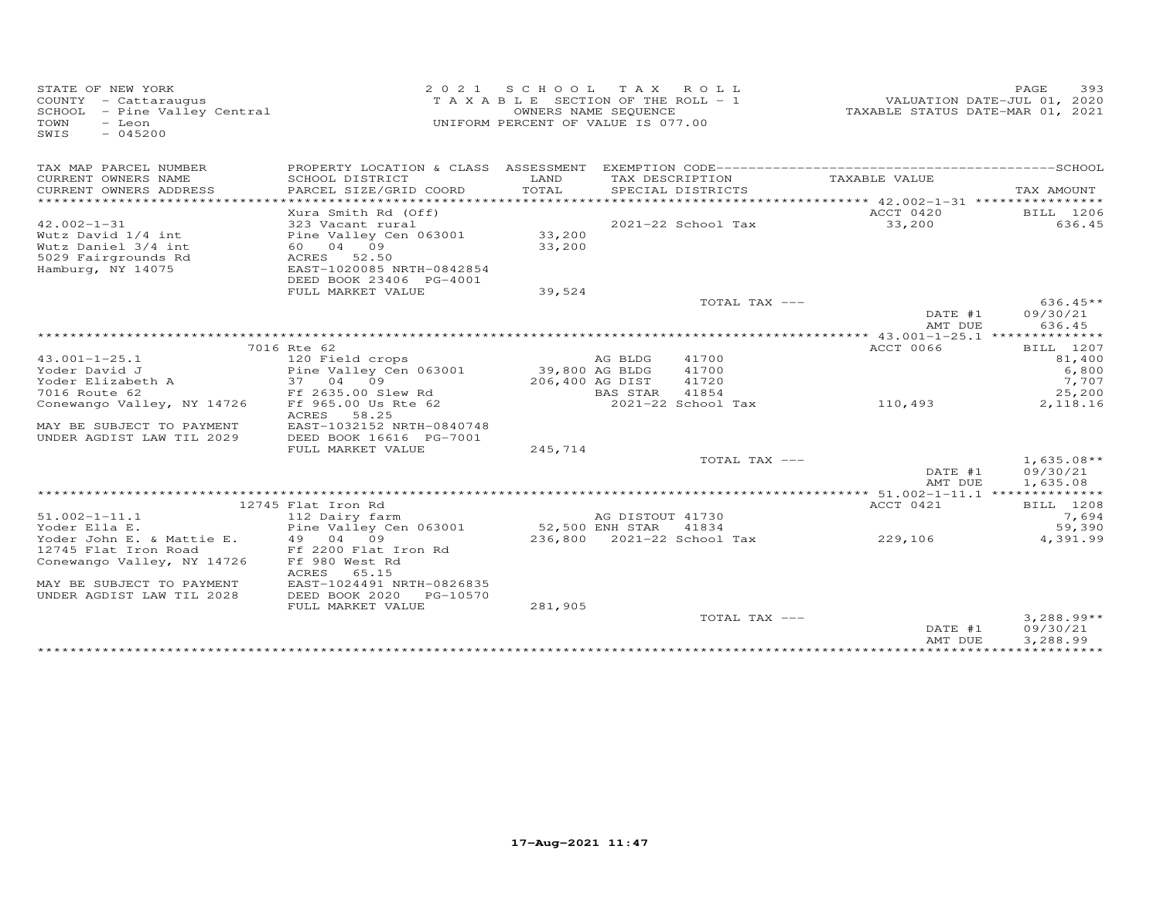| STATE OF NEW YORK<br>COUNTY - Cattaraugus<br>COUNIY - Cattaraugus<br>SCHOOL - Pine Valley Central<br>- Leon<br>TOWN<br>$-045200$<br>SWIS |                                                   |                 | 2021 SCHOOL TAX ROLL<br>T A X A B L E SECTION OF THE ROLL - 1<br>OWNERS NAME SEQUENCE<br>UNIFORM PERCENT OF VALUE IS 077.00 | VALUATION DATE-JUL 01, 2020<br>TAXABLE STATUS DATE-MAR 01, 2021 | PAGE<br>393          |
|------------------------------------------------------------------------------------------------------------------------------------------|---------------------------------------------------|-----------------|-----------------------------------------------------------------------------------------------------------------------------|-----------------------------------------------------------------|----------------------|
| TAX MAP PARCEL NUMBER                                                                                                                    |                                                   |                 |                                                                                                                             |                                                                 |                      |
| CURRENT OWNERS NAME<br>CURRENT OWNERS ADDRESS                                                                                            | SCHOOL DISTRICT<br>PARCEL SIZE/GRID COORD         | LAND<br>TOTAL   | TAX DESCRIPTION<br>SPECIAL DISTRICTS                                                                                        | TAXABLE VALUE                                                   | TAX AMOUNT           |
|                                                                                                                                          |                                                   |                 |                                                                                                                             |                                                                 |                      |
|                                                                                                                                          | Xura Smith Rd (Off)                               |                 |                                                                                                                             | ACCT 0420                                                       | BILL 1206            |
| $42.002 - 1 - 31$<br>Wutz David 1/4 int                                                                                                  | 323 Vacant rural<br>Pine Valley Cen 063001 33,200 |                 | 2021-22 School Tax                                                                                                          | 33,200                                                          | 636.45               |
| Wutz Daniel 3/4 int                                                                                                                      | 60 04 09                                          | 33,200          |                                                                                                                             |                                                                 |                      |
| 5029 Fairgrounds Rd                                                                                                                      | ACRES 52.50                                       |                 |                                                                                                                             |                                                                 |                      |
| Hamburg, NY 14075                                                                                                                        | EAST-1020085 NRTH-0842854                         |                 |                                                                                                                             |                                                                 |                      |
|                                                                                                                                          | DEED BOOK 23406 PG-4001                           |                 |                                                                                                                             |                                                                 |                      |
|                                                                                                                                          | FULL MARKET VALUE                                 | 39,524          |                                                                                                                             |                                                                 |                      |
|                                                                                                                                          |                                                   |                 | TOTAL TAX ---                                                                                                               |                                                                 | $636.45**$           |
|                                                                                                                                          |                                                   |                 |                                                                                                                             | DATE #1                                                         | 09/30/21             |
|                                                                                                                                          |                                                   |                 |                                                                                                                             | AMT DUE                                                         | 636.45               |
|                                                                                                                                          | 7016 Rte 62                                       |                 |                                                                                                                             | ACCT 0066                                                       |                      |
| $43.001 - 1 - 25.1$                                                                                                                      | 120 Field crops                                   |                 | 41700<br>AG BLDG                                                                                                            |                                                                 | BILL 1207<br>81,400  |
| Yoder David J                                                                                                                            | Pine Valley Cen 063001                            | 39,800 AG BLDG  | 41700                                                                                                                       |                                                                 | 6,800                |
| Yoder Elizabeth A                                                                                                                        | 37 04 09                                          | 206,400 AG DIST | 41720                                                                                                                       |                                                                 | 7,707                |
| 7016 Route 62                                                                                                                            | Ff 2635.00 Slew Rd                                |                 | BAS STAR<br>41854                                                                                                           |                                                                 | 25,200               |
| Conewango Valley, NY 14726                                                                                                               | Ff 965.00 Us Rte 62                               |                 | 2021-22 School Tax                                                                                                          | 110,493                                                         | 2,118.16             |
|                                                                                                                                          | ACRES 58.25                                       |                 |                                                                                                                             |                                                                 |                      |
| MAY BE SUBJECT TO PAYMENT                                                                                                                | EAST-1032152 NRTH-0840748                         |                 |                                                                                                                             |                                                                 |                      |
| UNDER AGDIST LAW TIL 2029                                                                                                                | DEED BOOK 16616 PG-7001                           |                 |                                                                                                                             |                                                                 |                      |
|                                                                                                                                          | FULL MARKET VALUE                                 | 245,714         |                                                                                                                             |                                                                 |                      |
|                                                                                                                                          |                                                   |                 | TOTAL TAX ---                                                                                                               |                                                                 | $1,635.08**$         |
|                                                                                                                                          |                                                   |                 |                                                                                                                             | DATE #1                                                         | 09/30/21             |
|                                                                                                                                          |                                                   |                 |                                                                                                                             | AMT DUE                                                         | 1,635.08             |
|                                                                                                                                          | 12745 Flat Iron Rd                                |                 |                                                                                                                             | ACCT 0421                                                       | BILL 1208            |
| $51.002 - 1 - 11.1$                                                                                                                      | 112 Dairy farm                                    |                 | AG DISTOUT 41730                                                                                                            |                                                                 | 7,694                |
| Yoder Ella E.                                                                                                                            | Pine Valley Cen 063001                            | 52,500 ENH STAR | 41834                                                                                                                       |                                                                 | 59,390               |
| Yoder John E. & Mattie E.                                                                                                                | 49 04 09                                          |                 | 236,800 2021-22 School Tax                                                                                                  | 229,106                                                         | 4,391.99             |
| 12745 Flat Iron Road                                                                                                                     | Ff 2200 Flat Iron Rd                              |                 |                                                                                                                             |                                                                 |                      |
| Conewango Valley, NY 14726                                                                                                               | Ff 980 West Rd                                    |                 |                                                                                                                             |                                                                 |                      |
|                                                                                                                                          | <b>ACRES</b><br>65.15                             |                 |                                                                                                                             |                                                                 |                      |
| MAY BE SUBJECT TO PAYMENT                                                                                                                | EAST-1024491 NRTH-0826835                         |                 |                                                                                                                             |                                                                 |                      |
| UNDER AGDIST LAW TIL 2028                                                                                                                | DEED BOOK 2020<br>PG-10570                        |                 |                                                                                                                             |                                                                 |                      |
|                                                                                                                                          | FULL MARKET VALUE                                 | 281,905         | TOTAL TAX ---                                                                                                               |                                                                 | $3,288.99**$         |
|                                                                                                                                          |                                                   |                 |                                                                                                                             | DATE #1<br>AMT DUE                                              | 09/30/21<br>3,288.99 |
|                                                                                                                                          |                                                   |                 |                                                                                                                             |                                                                 |                      |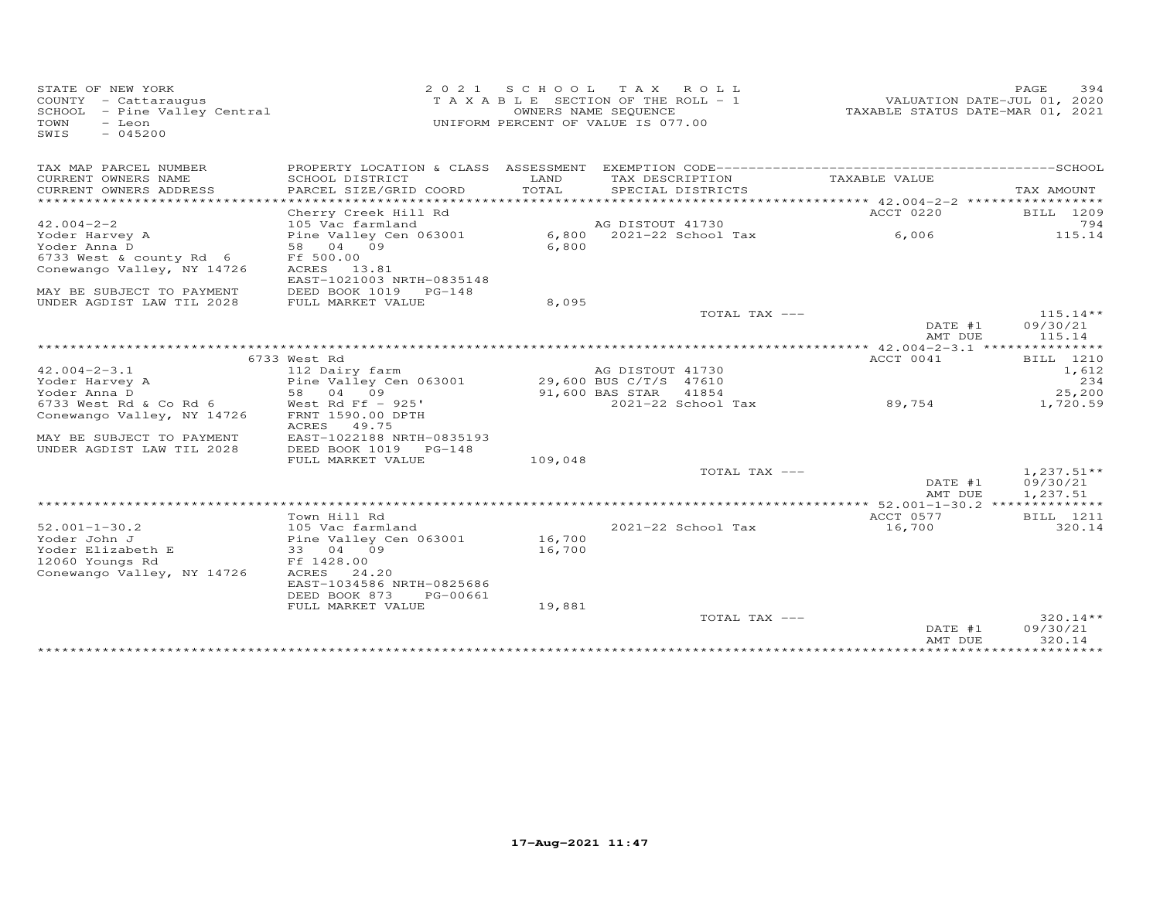| STATE OF NEW YORK<br>2 0 2 1<br>COUNTY - Cattaraugus<br>SCHOOL - Pine Valley Central<br>TOWN<br>- Leon<br>SWIS<br>$-045200$ | S C H O O L      | TAX ROLL<br>T A X A B L E SECTION OF THE ROLL - 1<br>OWNERS NAME SEQUENCE<br>UNIFORM PERCENT OF VALUE IS 077.00 | TAXABLE STATUS DATE-MAR 01, 2021 | PAGE<br>394<br>VALUATION DATE-JUL 01, 2020 |
|-----------------------------------------------------------------------------------------------------------------------------|------------------|-----------------------------------------------------------------------------------------------------------------|----------------------------------|--------------------------------------------|
| TAX MAP PARCEL NUMBER                                                                                                       |                  |                                                                                                                 |                                  |                                            |
| CURRENT OWNERS NAME<br>SCHOOL DISTRICT<br>PARCEL SIZE/GRID COORD<br>CURRENT OWNERS ADDRESS                                  | LAND<br>TOTAL    | TAX DESCRIPTION<br>SPECIAL DISTRICTS                                                                            | TAXABLE VALUE                    | TAX AMOUNT                                 |
|                                                                                                                             |                  |                                                                                                                 |                                  |                                            |
| Cherry Creek Hill Rd                                                                                                        |                  |                                                                                                                 | ACCT 0220                        | BILL 1209                                  |
| $42.004 - 2 - 2$<br>105 Vac farmland                                                                                        |                  | AG DISTOUT 41730                                                                                                |                                  | 794                                        |
| Yoder Harvey A<br>Pine Valley Cen 063001                                                                                    | 6,800            | 2021-22 School Tax                                                                                              | 6,006                            | 115.14                                     |
| Yoder Anna D<br>04 09<br>58<br>6733 West & county Rd 6<br>Ff 500.00                                                         | 6,800            |                                                                                                                 |                                  |                                            |
| Conewango Valley, NY 14726<br>ACRES 13.81                                                                                   |                  |                                                                                                                 |                                  |                                            |
| EAST-1021003 NRTH-0835148                                                                                                   |                  |                                                                                                                 |                                  |                                            |
| MAY BE SUBJECT TO PAYMENT<br>DEED BOOK 1019 PG-148                                                                          |                  |                                                                                                                 |                                  |                                            |
| UNDER AGDIST LAW TIL 2028<br>FULL MARKET VALUE                                                                              | 8,095            |                                                                                                                 |                                  |                                            |
|                                                                                                                             |                  | TOTAL TAX ---                                                                                                   |                                  | $115.14**$                                 |
|                                                                                                                             |                  |                                                                                                                 | DATE #1                          | 09/30/21                                   |
|                                                                                                                             |                  |                                                                                                                 | AMT DUE                          | 115.14                                     |
|                                                                                                                             |                  |                                                                                                                 |                                  |                                            |
| 6733 West Rd                                                                                                                |                  |                                                                                                                 | ACCT 0041                        | BILL 1210                                  |
| $42.004 - 2 - 3.1$<br>112 Dairy farm                                                                                        |                  | AG DISTOUT 41730                                                                                                |                                  | 1,612                                      |
| Pine Valley Cen 063001<br>Yoder Harvey A                                                                                    |                  | 29,600 BUS C/T/S 47610                                                                                          |                                  | 234                                        |
| 04 09<br>Yoder Anna D<br>58<br>6733 West Rd & Co Rd 6<br>West Rd Ff $-925'$                                                 |                  | 91,600 BAS STAR<br>41854<br>2021-22 School Tax                                                                  | 89,754                           | 25,200<br>1,720.59                         |
| Conewango Valley, NY 14726<br>FRNT 1590.00 DPTH                                                                             |                  |                                                                                                                 |                                  |                                            |
| ACRES<br>49.75                                                                                                              |                  |                                                                                                                 |                                  |                                            |
| EAST-1022188 NRTH-0835193<br>MAY BE SUBJECT TO PAYMENT                                                                      |                  |                                                                                                                 |                                  |                                            |
| UNDER AGDIST LAW TIL 2028<br>DEED BOOK 1019<br>$PG-148$                                                                     |                  |                                                                                                                 |                                  |                                            |
| FULL MARKET VALUE                                                                                                           | 109,048          |                                                                                                                 |                                  |                                            |
|                                                                                                                             |                  | TOTAL TAX ---                                                                                                   |                                  | $1,237.51**$                               |
|                                                                                                                             |                  |                                                                                                                 | DATE #1                          | 09/30/21                                   |
|                                                                                                                             |                  |                                                                                                                 | AMT DUE                          | 1,237.51                                   |
|                                                                                                                             |                  |                                                                                                                 |                                  |                                            |
| Town Hill Rd                                                                                                                |                  |                                                                                                                 | ACCT 0577                        | BILL 1211                                  |
| $52.001 - 1 - 30.2$<br>105 Vac farmland                                                                                     |                  | 2021-22 School Tax                                                                                              | 16,700                           | 320.14                                     |
| Yoder John J<br>Pine Valley Cen 063001<br>Yoder Elizabeth E<br>33 04 09                                                     | 16,700<br>16,700 |                                                                                                                 |                                  |                                            |
| 12060 Youngs Rd<br>Ff 1428.00                                                                                               |                  |                                                                                                                 |                                  |                                            |
| Conewango Valley, NY 14726<br>ACRES<br>24.20                                                                                |                  |                                                                                                                 |                                  |                                            |
| EAST-1034586 NRTH-0825686                                                                                                   |                  |                                                                                                                 |                                  |                                            |
| DEED BOOK 873<br>PG-00661                                                                                                   |                  |                                                                                                                 |                                  |                                            |
| FULL MARKET VALUE                                                                                                           | 19,881           |                                                                                                                 |                                  |                                            |
|                                                                                                                             |                  | TOTAL TAX ---                                                                                                   |                                  | $320.14**$                                 |
|                                                                                                                             |                  |                                                                                                                 | DATE #1                          | 09/30/21                                   |
|                                                                                                                             |                  |                                                                                                                 | AMT DUE                          | 320.14<br>***********                      |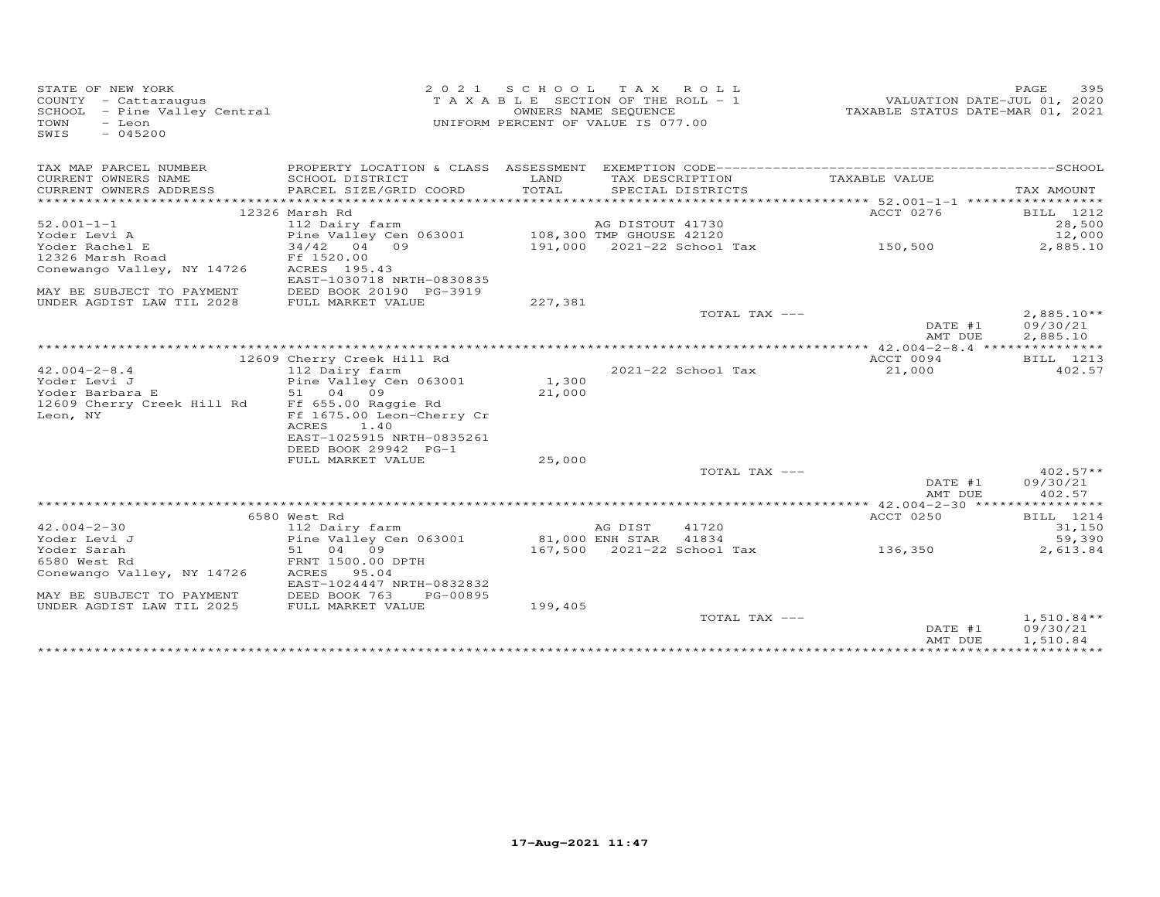| STATE OF NEW YORK<br>COUNTY - Cattaraugus<br>COONII - Cattaraugus<br>SCHOOL - Pine Valley Central<br>TOWN<br>- Leon<br>$-045200$<br>SWIS |                                                 |         | 2021 SCHOOL TAX ROLL<br>T A X A B L E SECTION OF THE ROLL - 1<br>OWNERS NAME SEQUENCE<br>UNIFORM PERCENT OF VALUE IS 077.00 |                                                                                           | 395<br>PAGE<br>VALUATION DATE-JUL 01, 2020<br>TAXABLE STATUS DATE-MAR 01, 2021 |
|------------------------------------------------------------------------------------------------------------------------------------------|-------------------------------------------------|---------|-----------------------------------------------------------------------------------------------------------------------------|-------------------------------------------------------------------------------------------|--------------------------------------------------------------------------------|
| TAX MAP PARCEL NUMBER                                                                                                                    |                                                 |         |                                                                                                                             |                                                                                           |                                                                                |
| CURRENT OWNERS NAME                                                                                                                      | SCHOOL DISTRICT                                 | LAND    | TAX DESCRIPTION                                                                                                             | TAXABLE VALUE                                                                             |                                                                                |
| CURRENT OWNERS ADDRESS                                                                                                                   | PARCEL SIZE/GRID COORD                          | TOTAL   | SPECIAL DISTRICTS                                                                                                           |                                                                                           | TAX AMOUNT                                                                     |
|                                                                                                                                          | 12326 Marsh Rd                                  |         |                                                                                                                             | ACCT 0276                                                                                 | BILL 1212                                                                      |
| $52.001 - 1 - 1$                                                                                                                         | 112 Dairy farm                                  |         | AG DISTOUT 41730                                                                                                            |                                                                                           | 28,500                                                                         |
| Yoder Levi A                                                                                                                             | Pine Valley Cen 063001 108,300 TMP GHOUSE 42120 |         |                                                                                                                             |                                                                                           | 12,000                                                                         |
| Yoder Rachel E                                                                                                                           | $34/42$ 04 09                                   |         |                                                                                                                             | 108,300 TMP GHOUSE 42120<br>191,000   2021-22 School Tax                          150,500 | 2,885.10                                                                       |
| 12326 Marsh Road                                                                                                                         | Ff 1520.00                                      |         |                                                                                                                             |                                                                                           |                                                                                |
| Conewango Valley, NY 14726                                                                                                               | ACRES 195.43<br>EAST-1030718 NRTH-0830835       |         |                                                                                                                             |                                                                                           |                                                                                |
| MAY BE SUBJECT TO PAYMENT                                                                                                                | DEED BOOK 20190 PG-3919                         |         |                                                                                                                             |                                                                                           |                                                                                |
| UNDER AGDIST LAW TIL 2028                                                                                                                | FULL MARKET VALUE                               | 227,381 |                                                                                                                             |                                                                                           |                                                                                |
|                                                                                                                                          |                                                 |         |                                                                                                                             | TOTAL TAX ---                                                                             | $2,885.10**$                                                                   |
|                                                                                                                                          |                                                 |         |                                                                                                                             |                                                                                           | DATE #1<br>09/30/21                                                            |
|                                                                                                                                          |                                                 |         |                                                                                                                             |                                                                                           | AMT DUE<br>2,885.10                                                            |
|                                                                                                                                          | 12609 Cherry Creek Hill Rd                      |         |                                                                                                                             | ACCT 0094                                                                                 | BILL 1213                                                                      |
| $42.004 - 2 - 8.4$                                                                                                                       | 112 Dairy farm                                  |         | 2021-22 School Tax                                                                                                          | 21,000                                                                                    | 402.57                                                                         |
| Yoder Levi J                                                                                                                             | Pine Valley Cen 063001                          | 1,300   |                                                                                                                             |                                                                                           |                                                                                |
| Yoder Barbara E                                                                                                                          | 51 04 09                                        | 21,000  |                                                                                                                             |                                                                                           |                                                                                |
| 12609 Cherry Creek Hill Rd                                                                                                               | Ff 655.00 Raggie Rd                             |         |                                                                                                                             |                                                                                           |                                                                                |
| Leon, NY                                                                                                                                 | Ff 1675.00 Leon-Cherry Cr                       |         |                                                                                                                             |                                                                                           |                                                                                |
|                                                                                                                                          | ACRES<br>1.40                                   |         |                                                                                                                             |                                                                                           |                                                                                |
|                                                                                                                                          | EAST-1025915 NRTH-0835261                       |         |                                                                                                                             |                                                                                           |                                                                                |
|                                                                                                                                          | DEED BOOK 29942 PG-1                            |         |                                                                                                                             |                                                                                           |                                                                                |
|                                                                                                                                          | FULL MARKET VALUE                               | 25,000  |                                                                                                                             |                                                                                           |                                                                                |
|                                                                                                                                          |                                                 |         | TOTAL TAX ---                                                                                                               |                                                                                           | $402.57**$<br>DATE #1<br>09/30/21                                              |
|                                                                                                                                          |                                                 |         |                                                                                                                             |                                                                                           | 402.57<br>AMT DUE                                                              |
|                                                                                                                                          |                                                 |         |                                                                                                                             |                                                                                           |                                                                                |
|                                                                                                                                          | 6580 West Rd                                    |         |                                                                                                                             | ACCT 0250                                                                                 | BILL 1214                                                                      |
| $42.004 - 2 - 30$                                                                                                                        | 112 Dairy farm                                  |         | 41720<br>AG DIST                                                                                                            |                                                                                           | 31,150                                                                         |
| Yoder Levi J                                                                                                                             | Pine Valley Cen 063001                          |         | 81,000 ENH STAR<br>41834                                                                                                    |                                                                                           | 59,390                                                                         |
| Yoder Sarah                                                                                                                              | 51 04 09                                        |         | 167,500 2021-22 School Tax                                                                                                  | 136,350                                                                                   | 2,613.84                                                                       |
| 6580 West Rd                                                                                                                             | FRNT 1500.00 DPTH                               |         |                                                                                                                             |                                                                                           |                                                                                |
| Conewango Valley, NY 14726                                                                                                               | ACRES<br>95.04<br>EAST-1024447 NRTH-0832832     |         |                                                                                                                             |                                                                                           |                                                                                |
| MAY BE SUBJECT TO PAYMENT                                                                                                                | DEED BOOK 763<br>PG-00895                       |         |                                                                                                                             |                                                                                           |                                                                                |
| UNDER AGDIST LAW TIL 2025                                                                                                                | FULL MARKET VALUE                               | 199,405 |                                                                                                                             |                                                                                           |                                                                                |
|                                                                                                                                          |                                                 |         | TOTAL TAX ---                                                                                                               |                                                                                           | $1,510.84**$<br>DATE #1<br>09/30/21<br>1,510.84<br>AMT DUE                     |
|                                                                                                                                          |                                                 |         |                                                                                                                             |                                                                                           |                                                                                |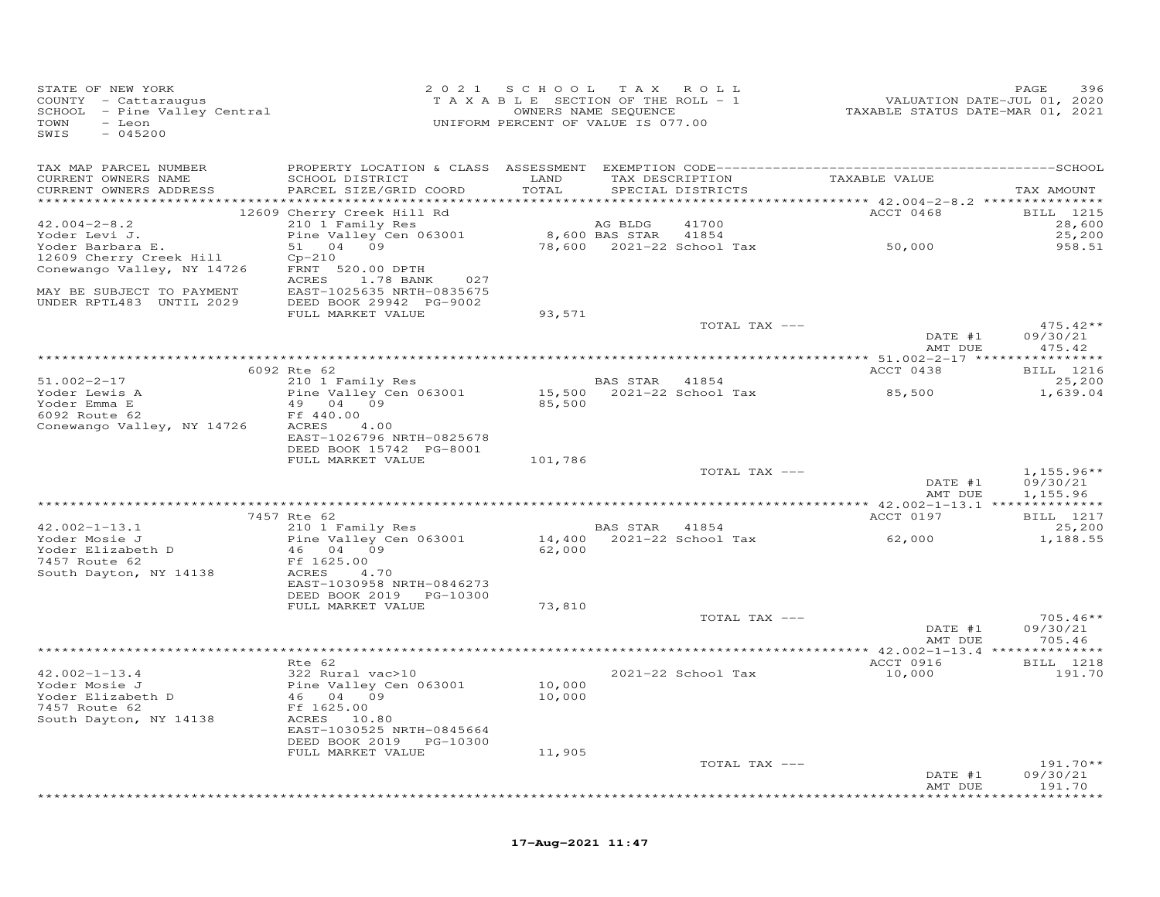| STATE OF NEW YORK<br>COUNTY - Cattaraugus<br>SCHOOL - Pine Valley Central<br>TOWN<br>- Leon<br>SWIS<br>$-045200$ |                                                      | 2021 SCHOOL<br>T A X A B L E SECTION OF THE ROLL - 1<br>UNIFORM PERCENT OF VALUE IS 077.00 | OWNERS NAME SEQUENCE | TAX ROLL                                          | VALUATION DATE-JUL 01, 2020<br>TAXABLE STATUS DATE-MAR 01, 2021 | PAGE<br>396               |
|------------------------------------------------------------------------------------------------------------------|------------------------------------------------------|--------------------------------------------------------------------------------------------|----------------------|---------------------------------------------------|-----------------------------------------------------------------|---------------------------|
| TAX MAP PARCEL NUMBER                                                                                            |                                                      |                                                                                            |                      |                                                   |                                                                 |                           |
| CURRENT OWNERS NAME<br>CURRENT OWNERS ADDRESS                                                                    | SCHOOL DISTRICT<br>PARCEL SIZE/GRID COORD            | LAND<br>TOTAL                                                                              |                      | SPECIAL DISTRICTS                                 | TAX DESCRIPTION TAXABLE VALUE                                   | TAX AMOUNT                |
|                                                                                                                  | 12609 Cherry Creek Hill Rd                           |                                                                                            |                      |                                                   | ACCT 0468                                                       | BILL 1215                 |
| $42.004 - 2 - 8.2$                                                                                               | 210 1 Family Res                                     |                                                                                            | AG BLDG              | 41700                                             |                                                                 | 28,600                    |
| Yoder Levi J.                                                                                                    | Pine Valley Cen 063001                               |                                                                                            |                      | 8,600 BAS STAR 41854<br>78,600 2021-22 School Tax | 50,000                                                          | 25,200                    |
| Yoder Barbara E.<br>12609 Cherry Creek Hill                                                                      | 51 04 09<br>$Cp-210$                                 |                                                                                            |                      |                                                   |                                                                 | 958.51                    |
| Conewango Valley, NY 14726                                                                                       | FRNT 520.00 DPTH                                     |                                                                                            |                      |                                                   |                                                                 |                           |
|                                                                                                                  | ACRES<br>1.78 BANK<br>027                            |                                                                                            |                      |                                                   |                                                                 |                           |
| MAY BE SUBJECT TO PAYMENT                                                                                        | EAST-1025635 NRTH-0835675                            |                                                                                            |                      |                                                   |                                                                 |                           |
| UNDER RPTL483 UNTIL 2029                                                                                         | DEED BOOK 29942 PG-9002<br>FULL MARKET VALUE         | 93,571                                                                                     |                      |                                                   |                                                                 |                           |
|                                                                                                                  |                                                      |                                                                                            |                      | TOTAL TAX ---                                     |                                                                 | $475.42**$                |
|                                                                                                                  |                                                      |                                                                                            |                      |                                                   | DATE #1<br>AMT DUE                                              | 09/30/21<br>475.42        |
|                                                                                                                  | 6092 Rte 62                                          | *************************************                                                      |                      |                                                   | *********** 51.002-2-17 ***<br>ACCT 0438                        | ************<br>BILL 1216 |
| $51.002 - 2 - 17$                                                                                                | 210 1 Family Res                                     |                                                                                            | BAS STAR 41854       |                                                   |                                                                 | 25,200                    |
| Yoder Lewis A                                                                                                    | Pine Valley Cen 063001                               |                                                                                            |                      | $15,500$ $2021-22$ School Tax                     | 85,500                                                          | 1,639.04                  |
| Yoder Emma E                                                                                                     | 49 04 09                                             | 85,500                                                                                     |                      |                                                   |                                                                 |                           |
| 6092 Route 62<br>Conewango Valley, NY 14726                                                                      | Ff 440.00<br>ACRES<br>4.00                           |                                                                                            |                      |                                                   |                                                                 |                           |
|                                                                                                                  | EAST-1026796 NRTH-0825678                            |                                                                                            |                      |                                                   |                                                                 |                           |
|                                                                                                                  | DEED BOOK 15742 PG-8001                              |                                                                                            |                      |                                                   |                                                                 |                           |
|                                                                                                                  | FULL MARKET VALUE                                    | 101,786                                                                                    |                      |                                                   |                                                                 |                           |
|                                                                                                                  |                                                      |                                                                                            |                      | TOTAL TAX ---                                     | DATE #1                                                         | $1,155.96**$<br>09/30/21  |
|                                                                                                                  |                                                      |                                                                                            |                      |                                                   | AMT DUE                                                         | 1,155.96                  |
|                                                                                                                  |                                                      |                                                                                            |                      |                                                   |                                                                 |                           |
|                                                                                                                  | 7457 Rte 62                                          |                                                                                            |                      |                                                   | ACCT 0197                                                       | <b>BILL</b> 1217          |
| $42.002 - 1 - 13.1$<br>Yoder Mosie J                                                                             | 210 1 Family Res<br>Pine Valley Cen 063001           |                                                                                            | BAS STAR 41854       | 14,400 2021-22 School Tax                         | 62,000                                                          | 25,200<br>1,188.55        |
| Yoder Elizabeth D                                                                                                | 46 04 09                                             | 62,000                                                                                     |                      |                                                   |                                                                 |                           |
| 7457 Route 62                                                                                                    | Ff 1625.00                                           |                                                                                            |                      |                                                   |                                                                 |                           |
| South Dayton, NY 14138                                                                                           | ACRES<br>4.70                                        |                                                                                            |                      |                                                   |                                                                 |                           |
|                                                                                                                  | EAST-1030958 NRTH-0846273<br>DEED BOOK 2019 PG-10300 |                                                                                            |                      |                                                   |                                                                 |                           |
|                                                                                                                  | FULL MARKET VALUE                                    | 73,810                                                                                     |                      |                                                   |                                                                 |                           |
|                                                                                                                  |                                                      |                                                                                            |                      | TOTAL TAX ---                                     |                                                                 | $705.46**$                |
|                                                                                                                  |                                                      |                                                                                            |                      |                                                   | DATE #1                                                         | 09/30/21                  |
|                                                                                                                  |                                                      |                                                                                            |                      |                                                   | AMT DUE                                                         | 705.46                    |
|                                                                                                                  | Rte 62                                               |                                                                                            |                      |                                                   | ACCT 0916                                                       | BILL 1218                 |
| $42.002 - 1 - 13.4$                                                                                              | 322 Rural vac>10                                     |                                                                                            |                      | 2021-22 School Tax                                | 10,000                                                          | 191.70                    |
| Yoder Mosie J                                                                                                    | Pine Valley Cen 063001                               | 10,000                                                                                     |                      |                                                   |                                                                 |                           |
| Yoder Elizabeth D<br>7457 Route 62                                                                               | 46 04 09<br>Ff 1625.00                               | 10,000                                                                                     |                      |                                                   |                                                                 |                           |
| South Dayton, NY 14138                                                                                           | ACRES 10.80                                          |                                                                                            |                      |                                                   |                                                                 |                           |
|                                                                                                                  | EAST-1030525 NRTH-0845664                            |                                                                                            |                      |                                                   |                                                                 |                           |
|                                                                                                                  | DEED BOOK 2019 PG-10300                              |                                                                                            |                      |                                                   |                                                                 |                           |
|                                                                                                                  | FULL MARKET VALUE                                    | 11,905                                                                                     |                      | TOTAL TAX ---                                     |                                                                 | 191.70**                  |
|                                                                                                                  |                                                      |                                                                                            |                      |                                                   | DATE #1                                                         | 09/30/21                  |
|                                                                                                                  |                                                      |                                                                                            |                      |                                                   | AMT DUE                                                         | 191.70                    |
|                                                                                                                  |                                                      |                                                                                            |                      |                                                   |                                                                 | ********                  |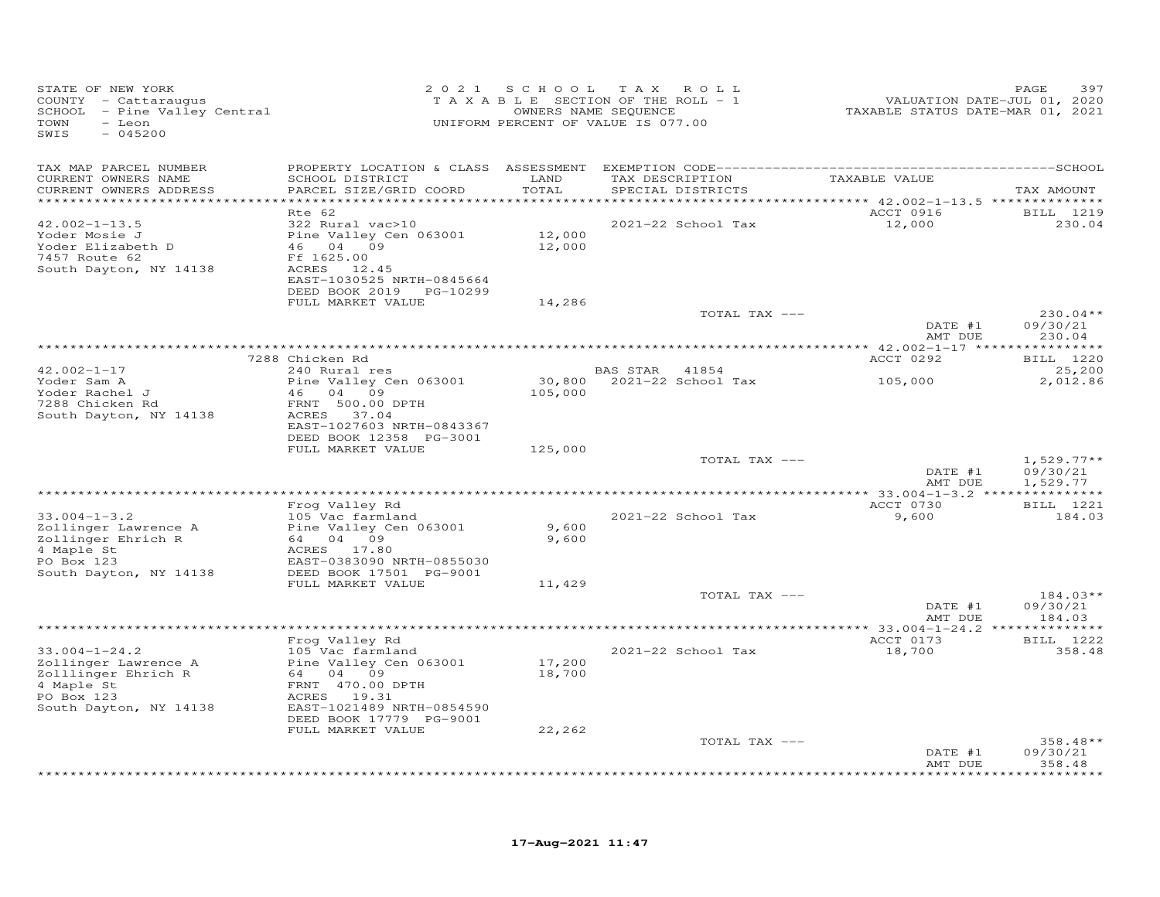| STATE OF NEW YORK<br>COUNTY - Cattaraugus<br>SCHOOL - Pine Valley Central<br>TOWN<br>- Leon<br>SWIS<br>$-045200$         |                                                                                                                                                                        | 2021 SCHOOL      | T A X<br>ROLL<br>TAXABLE SECTION OF THE ROLL - 1<br>OWNERS NAME SEQUENCE<br>UNIFORM PERCENT OF VALUE IS 077.00 | VALUATION DATE-JUL 01, 2020<br>TAXABLE STATUS DATE-MAR 01, 2021 | 397<br>PAGE                      |
|--------------------------------------------------------------------------------------------------------------------------|------------------------------------------------------------------------------------------------------------------------------------------------------------------------|------------------|----------------------------------------------------------------------------------------------------------------|-----------------------------------------------------------------|----------------------------------|
| TAX MAP PARCEL NUMBER<br>CURRENT OWNERS NAME<br>CURRENT OWNERS ADDRESS                                                   | SCHOOL DISTRICT<br>PARCEL SIZE/GRID COORD                                                                                                                              | LAND<br>TOTAL    | TAX DESCRIPTION<br>SPECIAL DISTRICTS                                                                           | TAXABLE VALUE                                                   | TAX AMOUNT                       |
| ***********************                                                                                                  |                                                                                                                                                                        |                  |                                                                                                                |                                                                 |                                  |
| $42.002 - 1 - 13.5$                                                                                                      | Rte 62<br>322 Rural vac>10                                                                                                                                             |                  | 2021-22 School Tax                                                                                             | ACCT 0916<br>12,000                                             | BILL 1219<br>230.04              |
| Yoder Mosie J<br>Yoder Elizabeth D<br>7457 Route 62<br>South Dayton, NY 14138                                            | Pine Valley Cen 063001<br>46 04 09<br>Ff 1625.00<br>ACRES 12.45<br>EAST-1030525 NRTH-0845664<br>DEED BOOK 2019 PG-10299                                                | 12,000<br>12,000 |                                                                                                                |                                                                 |                                  |
|                                                                                                                          | FULL MARKET VALUE                                                                                                                                                      | 14,286           |                                                                                                                |                                                                 |                                  |
|                                                                                                                          |                                                                                                                                                                        |                  | TOTAL TAX ---                                                                                                  | DATE #1<br>AMT DUE                                              | $230.04**$<br>09/30/21<br>230.04 |
|                                                                                                                          |                                                                                                                                                                        |                  |                                                                                                                |                                                                 |                                  |
|                                                                                                                          | 7288 Chicken Rd                                                                                                                                                        |                  |                                                                                                                | ACCT 0292                                                       | <b>BILL</b> 1220                 |
| $42.002 - 1 - 17$<br>Yoder Sam A                                                                                         | 240 Rural res<br>Pine Valley Cen 063001                                                                                                                                | 30,800           | BAS STAR<br>41854<br>2021-22 School Tax                                                                        | 105,000                                                         | 25,200<br>2,012.86               |
| Yoder Rachel J<br>7288 Chicken Rd<br>South Dayton, NY 14138                                                              | 46<br>04 09<br>FRNT 500.00 DPTH<br>ACRES 37.04<br>EAST-1027603 NRTH-0843367<br>DEED BOOK 12358 PG-3001                                                                 | 105,000          |                                                                                                                |                                                                 |                                  |
|                                                                                                                          | FULL MARKET VALUE                                                                                                                                                      | 125,000          |                                                                                                                |                                                                 |                                  |
|                                                                                                                          |                                                                                                                                                                        |                  | TOTAL TAX ---                                                                                                  | DATE #1                                                         | $1,529.77**$<br>09/30/21         |
|                                                                                                                          |                                                                                                                                                                        |                  |                                                                                                                | AMT DUE                                                         | 1,529.77                         |
|                                                                                                                          | Frog Valley Rd                                                                                                                                                         |                  |                                                                                                                | ACCT 0730                                                       | BILL 1221                        |
| $33.004 - 1 - 3.2$<br>Zollinger Lawrence A<br>Zollinger Ehrich R<br>4 Maple St                                           | 105 Vac farmland<br>Pine Valley Cen 063001<br>64 04 09<br>ACRES<br>17.80                                                                                               | 9,600<br>9,600   | 2021-22 School Tax                                                                                             | 9,600                                                           | 184.03                           |
| PO Box 123<br>South Dayton, NY 14138                                                                                     | EAST-0383090 NRTH-0855030<br>DEED BOOK 17501 PG-9001                                                                                                                   |                  |                                                                                                                |                                                                 |                                  |
|                                                                                                                          | FULL MARKET VALUE                                                                                                                                                      | 11,429           |                                                                                                                |                                                                 |                                  |
|                                                                                                                          |                                                                                                                                                                        |                  | TOTAL TAX ---                                                                                                  | DATE #1<br>AMT DUE                                              | $184.03**$<br>09/30/21<br>184.03 |
|                                                                                                                          |                                                                                                                                                                        |                  |                                                                                                                |                                                                 |                                  |
|                                                                                                                          | Frog Valley Rd                                                                                                                                                         |                  |                                                                                                                | ACCT 0173                                                       | BILL 1222                        |
| $33.004 - 1 - 24.2$<br>Zollinger Lawrence A<br>Zolllinger Ehrich R<br>4 Maple St<br>PO Box 123<br>South Dayton, NY 14138 | 105 Vac farmland<br>Pine Valley Cen 063001<br>64 04 09<br>FRNT 470.00 DPTH<br>ACRES 19.31<br>EAST-1021489 NRTH-0854590<br>DEED BOOK 17779 PG-9001<br>FULL MARKET VALUE | 17,200<br>18,700 | 2021-22 School Tax                                                                                             | 18,700                                                          | 358.48                           |
|                                                                                                                          |                                                                                                                                                                        | 22,262           | TOTAL TAX ---                                                                                                  |                                                                 | $358.48**$                       |
|                                                                                                                          |                                                                                                                                                                        |                  |                                                                                                                | DATE #1<br>AMT DUE                                              | 09/30/21<br>358.48               |
|                                                                                                                          |                                                                                                                                                                        |                  |                                                                                                                |                                                                 | ********                         |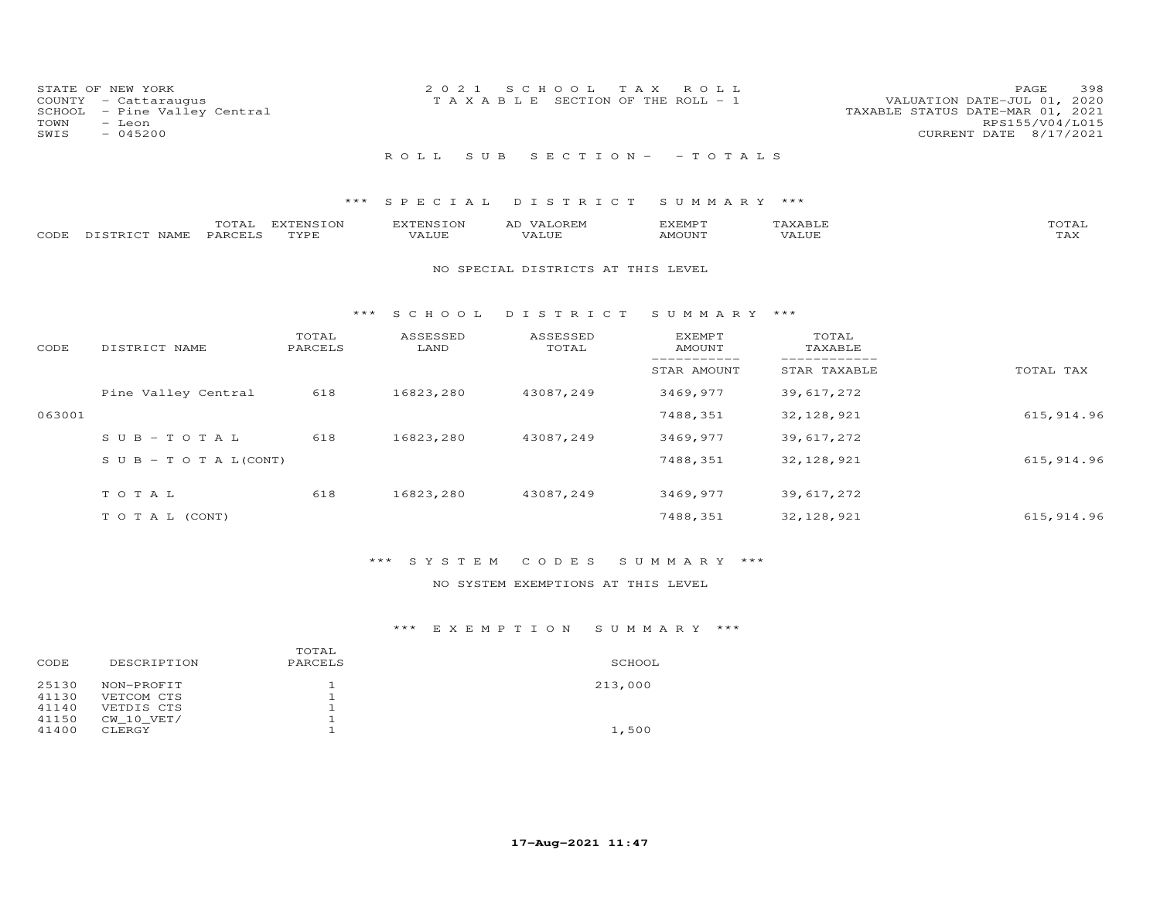| STATE OF NEW YORK            | 2021 SCHOOL TAX ROLL                  | 398<br><b>PAGE</b>               |
|------------------------------|---------------------------------------|----------------------------------|
| COUNTY - Cattaraugus         | T A X A B L E SECTION OF THE ROLL - 1 | VALUATION DATE-JUL 01, 2020      |
| SCHOOL - Pine Valley Central |                                       | TAXABLE STATUS DATE-MAR 01, 2021 |
| TOWN<br>- Leon               |                                       | RPS155/V04/L015                  |
| SWIS<br>$-045200$            |                                       | CURRENT DATE 8/17/2021           |
|                              |                                       |                                  |
|                              | ROLL SUB SECTION- - TOTALS            |                                  |

# \*\*\* S P E C I A L D I S T R I C T S U M M A R Y \*\*\*

|      |               | TOTAL   | EXTENSION | EXTENSION | VALOREM<br>AD | EXEMPT | "AXABLE | TOTAL      |
|------|---------------|---------|-----------|-----------|---------------|--------|---------|------------|
| CODE | DISTRICT NAME | PARCELS | TYPE.     | VALUE     | VALUE         | AMOUNT | VALUE   | max<br>⊥⇔∧ |

### NO SPECIAL DISTRICTS AT THIS LEVEL

#### \*\*\* S C H O O L D I S T R I C T S U M M A R Y \*\*\*

| CODE   | DISTRICT NAME                    | TOTAL<br>PARCELS | ASSESSED<br>LAND | ASSESSED<br>TOTAL | <b>EXEMPT</b><br>AMOUNT | TOTAL<br>TAXABLE |             |
|--------|----------------------------------|------------------|------------------|-------------------|-------------------------|------------------|-------------|
|        |                                  |                  |                  |                   | STAR AMOUNT             | STAR TAXABLE     | TOTAL TAX   |
|        | Pine Valley Central              | 618              | 16823,280        | 43087,249         | 3469,977                | 39,617,272       |             |
| 063001 |                                  |                  |                  |                   | 7488,351                | 32, 128, 921     | 615, 914.96 |
|        | $SUB-TOTAL$                      | 618              | 16823,280        | 43087,249         | 3469,977                | 39,617,272       |             |
|        | $S \cup B - T \cup T A L (CONT)$ |                  |                  |                   | 7488,351                | 32, 128, 921     | 615, 914.96 |
|        | TOTAL                            | 618              | 16823,280        | 43087,249         | 3469,977                | 39,617,272       |             |
|        | T O T A L (CONT)                 |                  |                  |                   | 7488,351                | 32, 128, 921     | 615, 914.96 |

# \*\*\* S Y S T E M C O D E S S U M M A R Y \*\*\*

# NO SYSTEM EXEMPTIONS AT THIS LEVEL

# \*\*\* E X E M P T I O N S U M M A R Y \*\*\*

|       |                | TOTAL   |         |
|-------|----------------|---------|---------|
| CODE  | DESCRIPTION    | PARCELS | SCHOOL  |
| 25130 | NON-PROFIT     |         | 213,000 |
| 41130 | VETCOM CTS     |         |         |
| 41140 | VETDIS CTS     |         |         |
| 41150 | $CW$ 10 $VET/$ |         |         |
| 41400 | CLERGY         |         | 1,500   |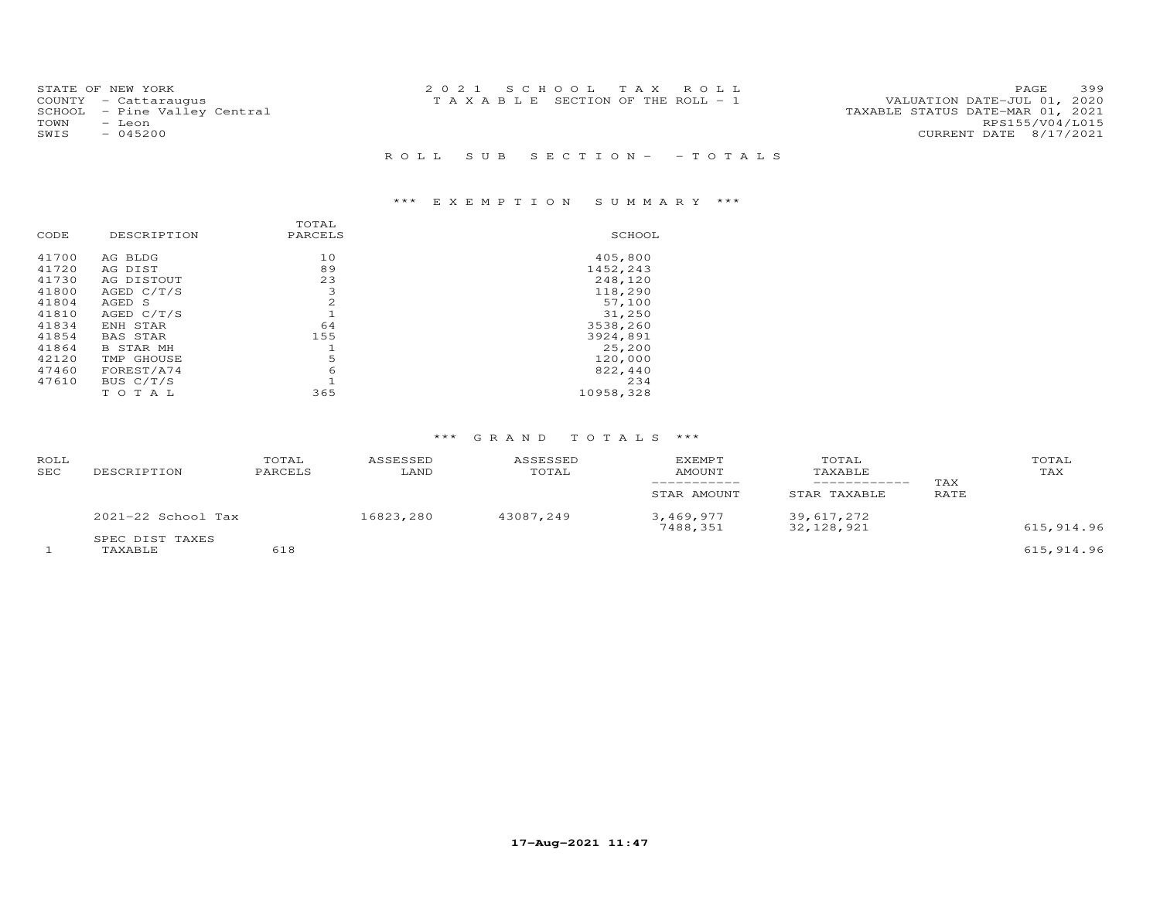|      | STATE OF NEW YORK            | 2021 SCHOOL TAX ROLL                  |  |  |                                  | PAGE            | 399 |
|------|------------------------------|---------------------------------------|--|--|----------------------------------|-----------------|-----|
|      | COUNTY - Cattaraugus         | T A X A B L E SECTION OF THE ROLL - 1 |  |  | VALUATION DATE-JUL 01, 2020      |                 |     |
|      | SCHOOL - Pine Valley Central |                                       |  |  | TAXABLE STATUS DATE-MAR 01, 2021 |                 |     |
| TOWN | – Leon                       |                                       |  |  |                                  | RPS155/V04/L015 |     |
| SWIS | $-045200$                    |                                       |  |  | CURRENT DATE 8/17/2021           |                 |     |
|      |                              |                                       |  |  |                                  |                 |     |
|      |                              | ROLL SUB SECTION- - TOTALS            |  |  |                                  |                 |     |

# \*\*\* E X E M P T I O N S U M M A R Y \*\*\*

| CODE  | DESCRIPTION      | TOTAL<br>PARCELS | SCHOOL    |
|-------|------------------|------------------|-----------|
| 41700 | AG BLDG          | 10               | 405,800   |
| 41720 | AG DIST          | 89               | 1452,243  |
| 41730 | AG DISTOUT       | 23               | 248,120   |
| 41800 | AGED C/T/S       | 3                | 118,290   |
| 41804 | AGED S           | 2                | 57,100    |
| 41810 | AGED C/T/S       |                  | 31,250    |
| 41834 | ENH STAR         | 64               | 3538,260  |
| 41854 | <b>BAS STAR</b>  | 155              | 3924,891  |
| 41864 | <b>B STAR MH</b> |                  | 25,200    |
| 42120 | TMP GHOUSE       | 5                | 120,000   |
| 47460 | FOREST/A74       | 6                | 822,440   |
| 47610 | BUS C/T/S        |                  | 234       |
|       | T O<br>T A L     | 365              | 10958,328 |

### \*\*\* G R A N D T O T A L S \*\*\*

| <b>ROLL</b><br><b>SEC</b> | DESCRIPTION                | TOTAL<br>PARCELS | ASSESSED<br>LAND | ASSESSED<br>TOTAL | <b>EXEMPT</b><br>AMOUNT<br>STAR AMOUNT | TOTAL<br>TAXABLE<br>STAR TAXABLE | TAX<br>RATE | TOTAL<br>TAX |
|---------------------------|----------------------------|------------------|------------------|-------------------|----------------------------------------|----------------------------------|-------------|--------------|
|                           | $2021-22$ School Tax       |                  | 16823,280        | 43087,249         | 3,469,977<br>7488,351                  | 39,617,272<br>32, 128, 921       |             | 615, 914.96  |
|                           | SPEC DIST TAXES<br>TAXABLE | 618              |                  |                   |                                        |                                  |             | 615, 914.96  |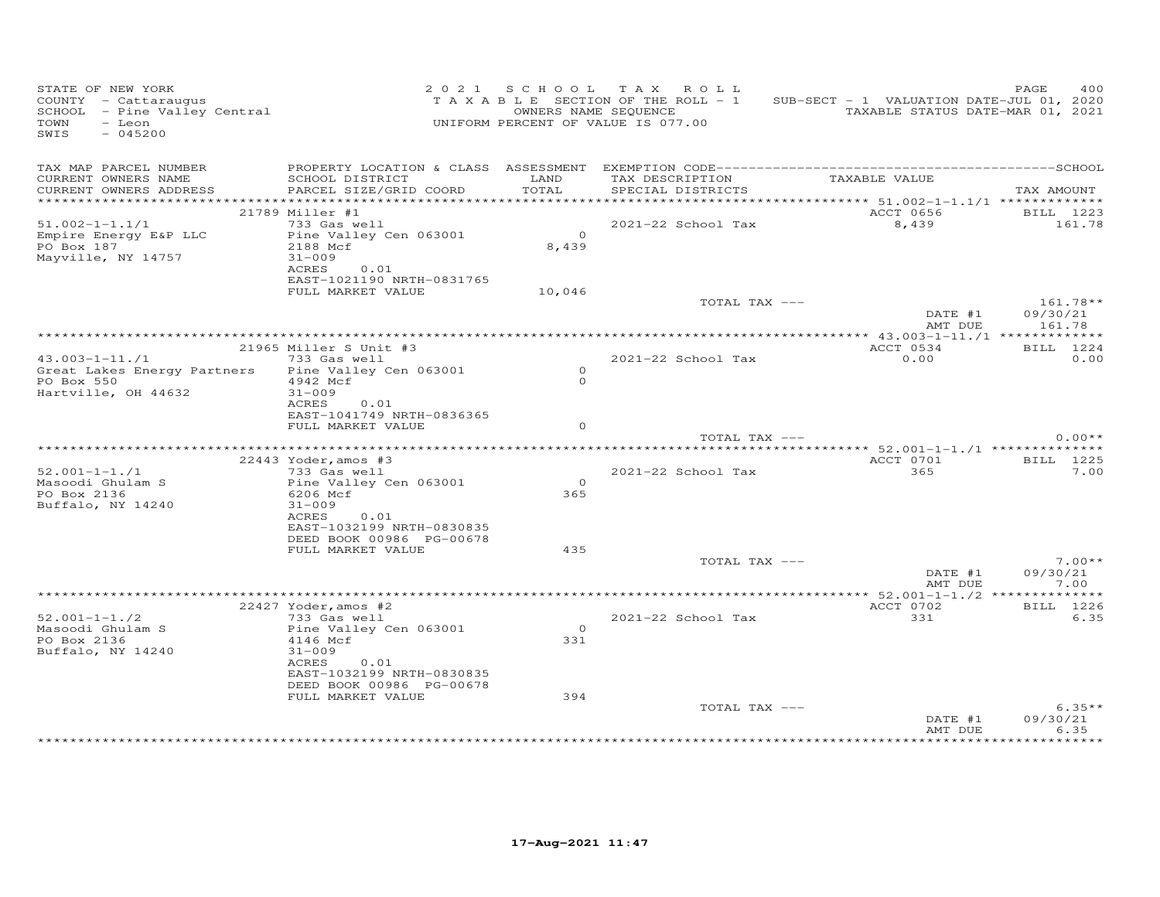| STATE OF NEW YORK<br>-COUNTY - Cattaraugus<br>SCHOOL - Pine Valley Central<br>TOWN<br>- Leon<br>$-045200$<br>SWIS |                                           |                | 2021 SCHOOL TAX ROLL<br>T A X A B L E SECTION OF THE ROLL - 1<br>OWNERS NAME SEQUENCE<br>UNIFORM PERCENT OF VALUE IS 077.00 | SUB-SECT - 1 VALUATION DATE-JUL 01, 2020<br>TAXABLE STATUS DATE-MAR 01, 2021 | 400<br>PAGE        |
|-------------------------------------------------------------------------------------------------------------------|-------------------------------------------|----------------|-----------------------------------------------------------------------------------------------------------------------------|------------------------------------------------------------------------------|--------------------|
| TAX MAP PARCEL NUMBER<br>CURRENT OWNERS NAME<br>CURRENT OWNERS ADDRESS                                            | SCHOOL DISTRICT<br>PARCEL SIZE/GRID COORD | LAND<br>TOTAL  | SPECIAL DISTRICTS                                                                                                           | TAX DESCRIPTION TAXABLE VALUE                                                | TAX AMOUNT         |
|                                                                                                                   |                                           |                |                                                                                                                             |                                                                              |                    |
|                                                                                                                   | 21789 Miller #1                           |                |                                                                                                                             | ACCT 0656                                                                    | BILL 1223          |
| $51.002 - 1 - 1.1/1$                                                                                              | 733 Gas well                              |                | 2021-22 School Tax                                                                                                          | 8,439                                                                        | 161.78             |
| Empire Energy E&P LLC                                                                                             | Pine Valley Cen 063001                    | $\overline{O}$ |                                                                                                                             |                                                                              |                    |
| PO Box 187                                                                                                        | 2188 Mcf<br>$31 - 009$                    | 8,439          |                                                                                                                             |                                                                              |                    |
| Mayville, NY 14757                                                                                                | ACRES<br>0.01                             |                |                                                                                                                             |                                                                              |                    |
|                                                                                                                   | EAST-1021190 NRTH-0831765                 |                |                                                                                                                             |                                                                              |                    |
|                                                                                                                   | FULL MARKET VALUE                         | 10,046         |                                                                                                                             |                                                                              |                    |
|                                                                                                                   |                                           |                | TOTAL TAX ---                                                                                                               |                                                                              | $161.78**$         |
|                                                                                                                   |                                           |                |                                                                                                                             | DATE #1<br>AMT DUE                                                           | 09/30/21<br>161.78 |
|                                                                                                                   | 21965 Miller S Unit #3                    |                |                                                                                                                             | ACCT 0534                                                                    |                    |
| $43.003 - 1 - 11.71$                                                                                              | 733 Gas well                              |                | $2021 - 22$ School Tax                                                                                                      | 0.00                                                                         | BILL 1224<br>0.00  |
| Great Lakes Energy Partners                                                                                       | Pine Valley Cen 063001                    | $\Omega$       |                                                                                                                             |                                                                              |                    |
| PO Box 550                                                                                                        | 4942 Mcf                                  | $\Omega$       |                                                                                                                             |                                                                              |                    |
| Hartville, OH 44632                                                                                               | $31 - 009$                                |                |                                                                                                                             |                                                                              |                    |
|                                                                                                                   | ACRES<br>0.01                             |                |                                                                                                                             |                                                                              |                    |
|                                                                                                                   | EAST-1041749 NRTH-0836365                 |                |                                                                                                                             |                                                                              |                    |
|                                                                                                                   | FULL MARKET VALUE                         | $\Omega$       |                                                                                                                             |                                                                              |                    |
|                                                                                                                   |                                           |                | TOTAL TAX ---                                                                                                               |                                                                              | $0.00**$           |
|                                                                                                                   | 22443 Yoder, amos #3                      |                |                                                                                                                             | ACCT 0701                                                                    | BILL 1225          |
| $52.001 - 1 - 1.71$                                                                                               | 733 Gas well                              |                | 2021-22 School Tax                                                                                                          | 365                                                                          | 7.00               |
| Masoodi Ghulam S                                                                                                  | Pine Valley Cen 063001                    | $\overline{O}$ |                                                                                                                             |                                                                              |                    |
| PO Box 2136                                                                                                       | 6206 Mcf                                  | 365            |                                                                                                                             |                                                                              |                    |
| Buffalo, NY 14240                                                                                                 | $31 - 009$                                |                |                                                                                                                             |                                                                              |                    |
|                                                                                                                   | ACRES<br>0.01                             |                |                                                                                                                             |                                                                              |                    |
|                                                                                                                   | EAST-1032199 NRTH-0830835                 |                |                                                                                                                             |                                                                              |                    |
|                                                                                                                   | DEED BOOK 00986 PG-00678                  |                |                                                                                                                             |                                                                              |                    |
|                                                                                                                   | FULL MARKET VALUE                         | 435            | TOTAL TAX ---                                                                                                               |                                                                              | $7.00**$           |
|                                                                                                                   |                                           |                |                                                                                                                             | DATE #1                                                                      | 09/30/21           |
|                                                                                                                   |                                           |                |                                                                                                                             | AMT DUE                                                                      | 7.00               |
|                                                                                                                   |                                           |                |                                                                                                                             |                                                                              |                    |
|                                                                                                                   | 22427 Yoder, amos #2                      |                |                                                                                                                             | ACCT 0702                                                                    | BILL 1226          |
| $52.001 - 1 - 1.72$                                                                                               | 733 Gas well                              |                | 2021-22 School Tax                                                                                                          | 331                                                                          | 6.35               |
| Masoodi Ghulam S                                                                                                  | Pine Valley Cen 063001                    | $\overline{0}$ |                                                                                                                             |                                                                              |                    |
| PO Box 2136                                                                                                       | 4146 Mcf                                  | 331            |                                                                                                                             |                                                                              |                    |
| Buffalo, NY 14240                                                                                                 | $31 - 009$<br>ACRES                       |                |                                                                                                                             |                                                                              |                    |
|                                                                                                                   | 0.01<br>EAST-1032199 NRTH-0830835         |                |                                                                                                                             |                                                                              |                    |
|                                                                                                                   | DEED BOOK 00986 PG-00678                  |                |                                                                                                                             |                                                                              |                    |
|                                                                                                                   | FULL MARKET VALUE                         | 394            |                                                                                                                             |                                                                              |                    |
|                                                                                                                   |                                           |                | TOTAL TAX ---                                                                                                               |                                                                              | $6.35**$           |
|                                                                                                                   |                                           |                |                                                                                                                             | DATE #1                                                                      | 09/30/21           |
|                                                                                                                   |                                           |                |                                                                                                                             | AMT DUE                                                                      | 6.35               |
|                                                                                                                   |                                           |                |                                                                                                                             |                                                                              |                    |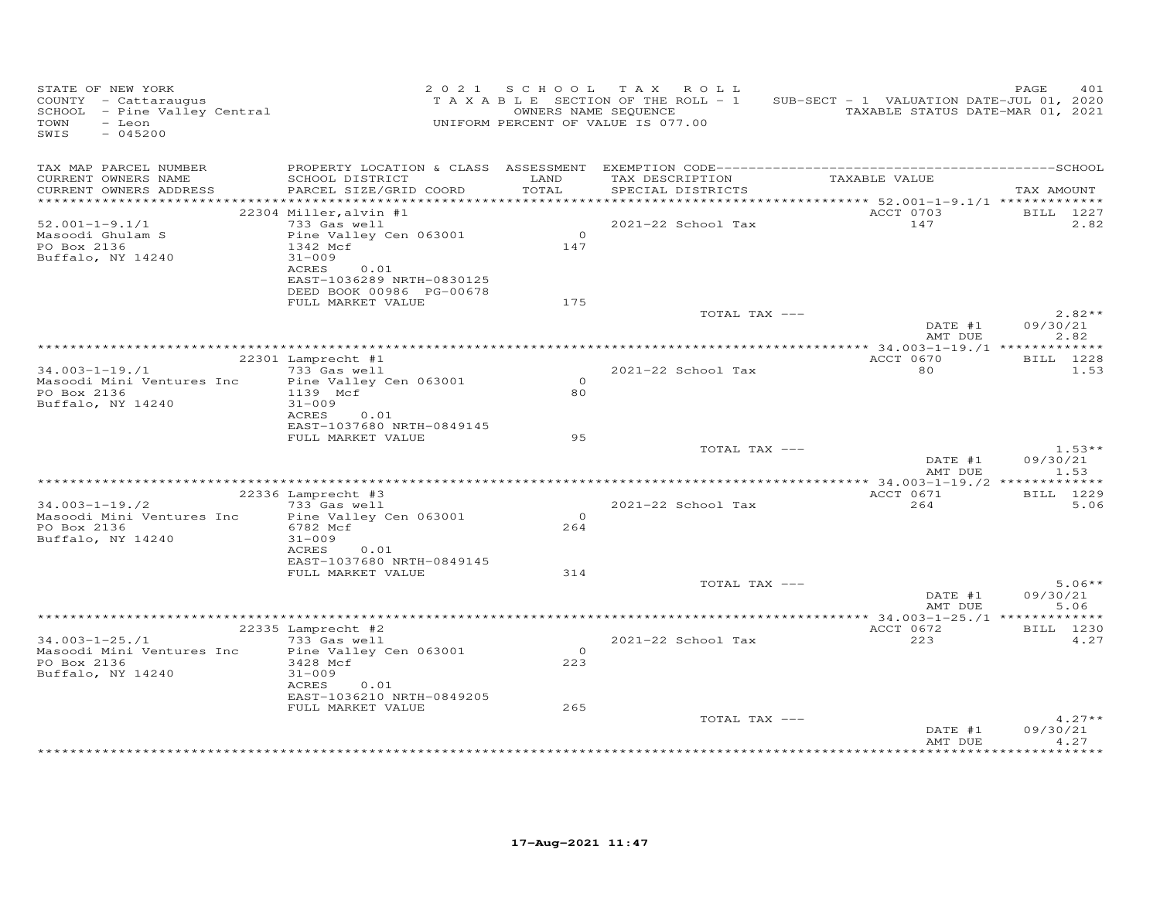| STATE OF NEW YORK<br>COUNTY - Cattaraugus<br>SCHOOL - Pine Valley Central<br>TOWN<br>- Leon<br>$-045200$<br>SWIS |                                                                                                                            |                  | 2021 SCHOOL TAX ROLL<br>TAXABLE SECTION OF THE ROLL - 1<br>OWNERS NAME SEQUENCE<br>UNIFORM PERCENT OF VALUE IS 077.00 | SUB-SECT - 1 VALUATION DATE-JUL 01, 2020<br>TAXABLE STATUS DATE-MAR 01, 2021 | 401<br>PAGE                  |
|------------------------------------------------------------------------------------------------------------------|----------------------------------------------------------------------------------------------------------------------------|------------------|-----------------------------------------------------------------------------------------------------------------------|------------------------------------------------------------------------------|------------------------------|
| TAX MAP PARCEL NUMBER<br>CURRENT OWNERS NAME<br>CURRENT OWNERS ADDRESS<br>************************               | SCHOOL DISTRICT<br>PARCEL SIZE/GRID COORD                                                                                  | LAND<br>TOTAL    | TAX DESCRIPTION<br>SPECIAL DISTRICTS                                                                                  | TAXABLE VALUE                                                                | TAX AMOUNT                   |
| $52.001 - 1 - 9.1/1$                                                                                             | 22304 Miller, alvin #1<br>733 Gas well                                                                                     |                  | 2021-22 School Tax                                                                                                    | ACCT 0703<br>147                                                             | BILL 1227<br>2.82            |
| Masoodi Ghulam S<br>PO Box 2136<br>Buffalo, NY 14240                                                             | Pine Valley Cen 063001<br>1342 Mcf<br>$31 - 009$<br>ACRES<br>0.01<br>EAST-1036289 NRTH-0830125<br>DEED BOOK 00986 PG-00678 | $\Omega$<br>147  |                                                                                                                       |                                                                              |                              |
|                                                                                                                  | FULL MARKET VALUE                                                                                                          | 175              | TOTAL TAX ---                                                                                                         | DATE #1                                                                      | $2.82**$<br>09/30/21         |
|                                                                                                                  |                                                                                                                            |                  |                                                                                                                       | AMT DUE                                                                      | 2.82                         |
|                                                                                                                  | 22301 Lamprecht #1                                                                                                         |                  |                                                                                                                       | ACCT 0670                                                                    | BILL 1228                    |
| $34.003 - 1 - 19.1$<br>Masoodi Mini Ventures Inc<br>PO Box 2136<br>Buffalo, NY 14240                             | 733 Gas well<br>Pine Valley Cen 063001<br>1139 Mcf<br>$31 - 009$<br>ACRES<br>0.01                                          | $\circ$<br>80    | 2021-22 School Tax                                                                                                    | 80                                                                           | 1.53                         |
|                                                                                                                  | EAST-1037680 NRTH-0849145<br>FULL MARKET VALUE                                                                             | 95               | TOTAL TAX ---                                                                                                         |                                                                              | $1.53**$                     |
|                                                                                                                  |                                                                                                                            |                  |                                                                                                                       | DATE #1<br>AMT DUE                                                           | 09/30/21<br>1.53             |
|                                                                                                                  | 22336 Lamprecht #3                                                                                                         |                  |                                                                                                                       | ACCT 0671                                                                    | BILL 1229                    |
| $34.003 - 1 - 19.72$                                                                                             | 733 Gas well                                                                                                               |                  | 2021-22 School Tax                                                                                                    | 264                                                                          | 5.06                         |
| Masoodi Mini Ventures Inc<br>PO Box 2136<br>Buffalo, NY 14240                                                    | Pine Valley Cen 063001<br>6782 Mcf<br>$31 - 009$<br>ACRES<br>0.01                                                          | $\Omega$<br>2.64 |                                                                                                                       |                                                                              |                              |
|                                                                                                                  | EAST-1037680 NRTH-0849145<br>FULL MARKET VALUE                                                                             | 314              |                                                                                                                       |                                                                              |                              |
|                                                                                                                  |                                                                                                                            |                  | TOTAL TAX ---                                                                                                         | DATE #1<br>AMT DUE                                                           | $5.06**$<br>09/30/21<br>5.06 |
|                                                                                                                  |                                                                                                                            |                  |                                                                                                                       |                                                                              |                              |
| $34.003 - 1 - 25. / 1$                                                                                           | 22335 Lamprecht #2<br>733 Gas well                                                                                         |                  | 2021-22 School Tax                                                                                                    | ACCT 0672<br>223                                                             | BILL 1230<br>4.27            |
| Masoodi Mini Ventures Inc<br>PO Box 2136<br>Buffalo, NY 14240                                                    | Pine Valley Cen 063001<br>3428 Mcf<br>$31 - 009$<br>ACRES<br>0.01                                                          | $\circ$<br>223   |                                                                                                                       |                                                                              |                              |
|                                                                                                                  | EAST-1036210 NRTH-0849205<br>FULL MARKET VALUE                                                                             | 265              |                                                                                                                       |                                                                              |                              |
|                                                                                                                  |                                                                                                                            |                  | TOTAL TAX ---                                                                                                         | DATE #1<br>AMT DUE                                                           | $4.27**$<br>09/30/21<br>4.27 |
|                                                                                                                  |                                                                                                                            |                  |                                                                                                                       |                                                                              |                              |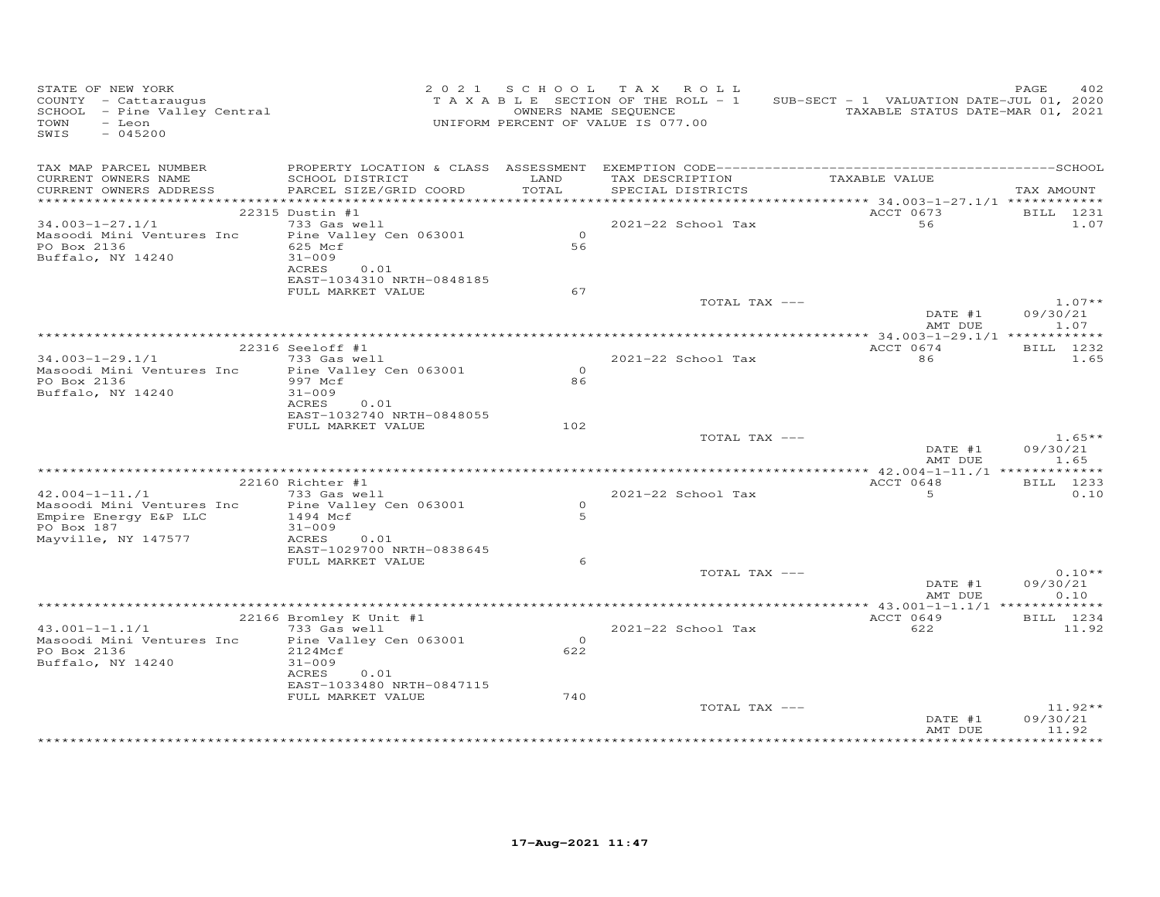| STATE OF NEW YORK<br>COUNTY - Cattaraugus<br>SCHOOL - Pine Valley Central<br>TOWN<br>- Leon<br>$-045200$<br>SWIS        |                                                                  |                       | 2021 SCHOOL TAX ROLL<br>T A X A B L E SECTION OF THE ROLL - 1<br>OWNERS NAME SEQUENCE<br>UNIFORM PERCENT OF VALUE IS 077.00 | SUB-SECT - 1 VALUATION DATE-JUL 01, 2020<br>TAXABLE STATUS DATE-MAR 01, 2021 | PAGE<br>402                    |
|-------------------------------------------------------------------------------------------------------------------------|------------------------------------------------------------------|-----------------------|-----------------------------------------------------------------------------------------------------------------------------|------------------------------------------------------------------------------|--------------------------------|
| TAX MAP PARCEL NUMBER<br>CURRENT OWNERS NAME<br>CURRENT OWNERS ADDRESS                                                  | SCHOOL DISTRICT LAND<br>PARCEL SIZE/GRID COORD                   | TOTAL                 | SPECIAL DISTRICTS                                                                                                           | TAX DESCRIPTION TAXABLE VALUE                                                | TAX AMOUNT                     |
|                                                                                                                         | 22315 Dustin #1                                                  |                       |                                                                                                                             | ACCT 0673                                                                    | BILL 1231                      |
| $34.003 - 1 - 27.1/1$                                                                                                   | 733 Gas well                                                     |                       | 2021-22 School Tax                                                                                                          | 56                                                                           | 1.07                           |
| Masoodi Mini Ventures Inc<br>PO Box 2136<br>Buffalo, NY 14240                                                           | Pine Valley Cen 063001<br>625 Mcf<br>$31 - 009$                  | $\overline{O}$<br>56  |                                                                                                                             |                                                                              |                                |
|                                                                                                                         | ACRES<br>0.01<br>EAST-1034310 NRTH-0848185<br>FULL MARKET VALUE  | 67                    |                                                                                                                             |                                                                              |                                |
|                                                                                                                         |                                                                  |                       | TOTAL TAX ---                                                                                                               |                                                                              | $1.07**$                       |
|                                                                                                                         |                                                                  |                       |                                                                                                                             | DATE #1<br>AMT DUE                                                           | 09/30/21<br>1.07               |
|                                                                                                                         | 22316 Seeloff #1                                                 |                       |                                                                                                                             | ACCT 0674                                                                    | BILL 1232                      |
| 34.003-1-29.1/1<br>Masoodi Mini Ventures Inc<br>PO Box 2136<br>Buffalo, NY 14240                                        | 733 Gas well<br>Pine Valley Cen 063001<br>997 Mcf<br>$31 - 009$  | $\overline{0}$<br>86  | 2021-22 School Tax                                                                                                          | 86                                                                           | 1.65                           |
|                                                                                                                         | ACRES<br>0.01<br>EAST-1032740 NRTH-0848055                       |                       |                                                                                                                             |                                                                              |                                |
|                                                                                                                         | FULL MARKET VALUE                                                | 102                   | TOTAL TAX ---                                                                                                               | DATE #1<br>AMT DUE                                                           | $1.65**$<br>09/30/21<br>1.65   |
|                                                                                                                         |                                                                  |                       |                                                                                                                             |                                                                              |                                |
|                                                                                                                         | 22160 Richter #1                                                 |                       |                                                                                                                             | ACCT 0648                                                                    | BILL 1233                      |
| $42.004 - 1 - 11.71$                                                                                                    | 733 Gas well                                                     | $\Omega$              | 2021-22 School Tax                                                                                                          | 5 <sup>5</sup>                                                               | 0.10                           |
| Masoodi Mini Ventures Inc Pine Valley Cen 063001<br>Empire Energy E&P LLC 1494 Mcf<br>PO Box 187<br>Mayville, NY 147577 | $31 - 009$<br>ACRES<br>0.01                                      | $\overline{5}$        |                                                                                                                             |                                                                              |                                |
|                                                                                                                         | EAST-1029700 NRTH-0838645<br>FULL MARKET VALUE                   | 6                     |                                                                                                                             |                                                                              |                                |
|                                                                                                                         |                                                                  |                       | TOTAL TAX ---                                                                                                               | DATE #1<br>AMT DUE                                                           | $0.10**$<br>09/30/21<br>0.10   |
|                                                                                                                         |                                                                  |                       |                                                                                                                             |                                                                              |                                |
| $43.001 - 1 - 1.1/1$                                                                                                    | 22166 Bromley K Unit #1<br>733 Gas well                          |                       | 2021-22 School Tax                                                                                                          | ACCT 0649<br>622                                                             | BILL 1234<br>11.92             |
| Masoodi Mini Ventures Inc Pine Valley Cen 063001<br>PO Box 2136<br>Buffalo, NY 14240                                    | 2124Mcf<br>$31 - 009$<br>ACRES 0.01<br>EAST-1033480 NRTH-0847115 | $\overline{0}$<br>622 |                                                                                                                             |                                                                              |                                |
|                                                                                                                         | FULL MARKET VALUE                                                | 740                   |                                                                                                                             |                                                                              |                                |
|                                                                                                                         |                                                                  |                       | TOTAL TAX ---                                                                                                               | DATE #1<br>AMT DUE                                                           | $11.92**$<br>09/30/21<br>11.92 |
|                                                                                                                         |                                                                  |                       |                                                                                                                             |                                                                              |                                |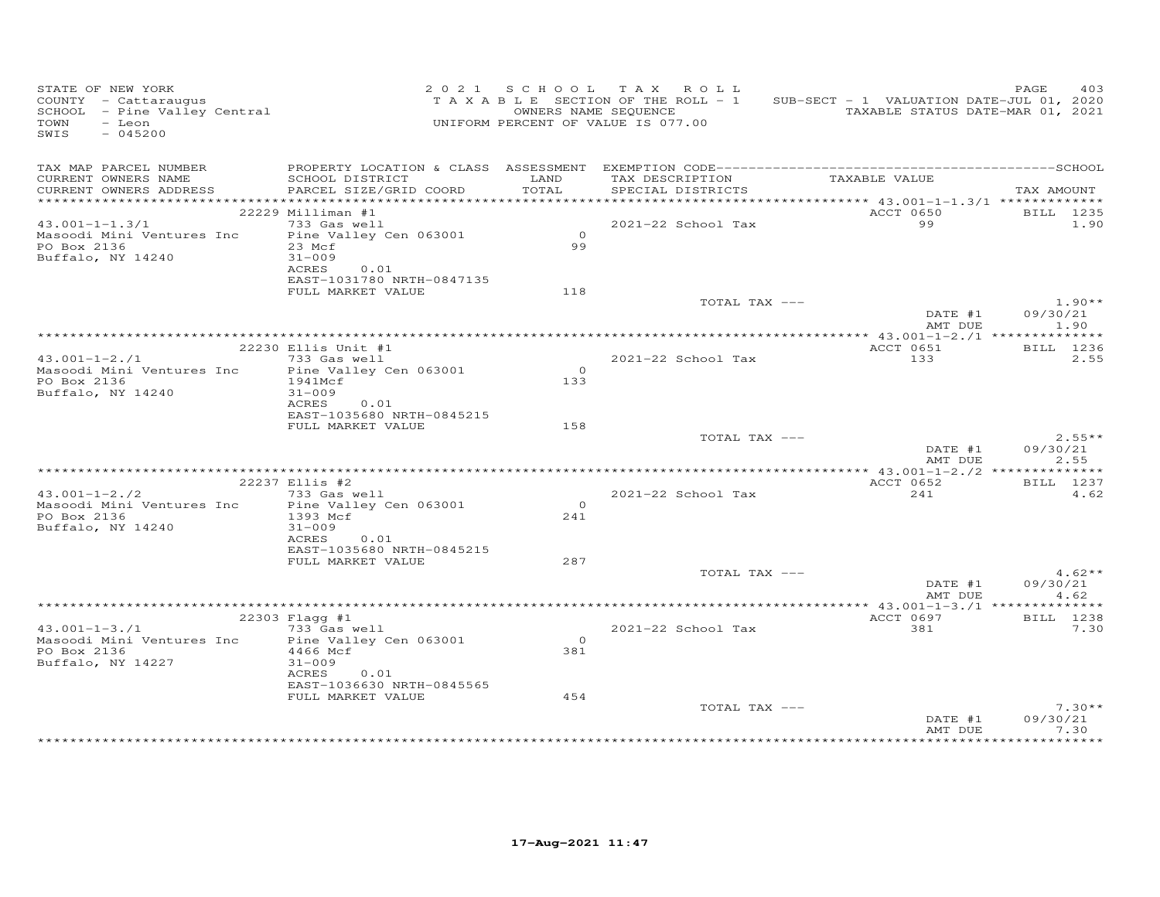| TAX MAP PARCEL NUMBER<br>TAX DESCRIPTION<br>TAXABLE VALUE<br>CURRENT OWNERS NAME<br>SCHOOL DISTRICT<br>LAND<br>PARCEL SIZE/GRID COORD<br>TOTAL<br>CURRENT OWNERS ADDRESS<br>SPECIAL DISTRICTS<br>TAX AMOUNT<br>ACCT 0650<br>22229 Milliman #1<br>BILL 1235<br>$43.001 - 1 - 1.3/1$<br>733 Gas well<br>2021-22 School Tax<br>99<br>1.90<br>$\overline{0}$<br>Masoodi Mini Ventures Inc<br>Pine Valley Cen 063001<br>99<br>PO Box 2136<br>23 Mcf<br>Buffalo, NY 14240<br>$31 - 009$<br>ACRES<br>0.01<br>EAST-1031780 NRTH-0847135<br>FULL MARKET VALUE<br>118<br>$1.90**$<br>TOTAL TAX ---<br>DATE #1<br>09/30/21<br>AMT DUE<br>1.90<br>ACCT 0651<br>22230 Ellis Unit #1<br>BILL 1236<br>$43.001 - 1 - 2.71$<br>733 Gas well<br>2021-22 School Tax<br>133<br>2.55<br>$\overline{0}$<br>Masoodi Mini Ventures Inc<br>Pine Valley Cen 063001<br>PO Box 2136<br>1941Mcf<br>133<br>Buffalo, NY 14240<br>$31 - 009$<br>0.01<br>ACRES<br>EAST-1035680 NRTH-0845215<br>FULL MARKET VALUE<br>158<br>TOTAL TAX ---<br>$2.55**$<br>09/30/21<br>DATE #1<br>AMT DUE<br>2.55<br>ACCT 0652<br>BILL 1237<br>22237 Ellis #2<br>4.62<br>$43.001 - 1 - 2.72$<br>733 Gas well<br>241<br>2021-22 School Tax<br>$\overline{0}$<br>Masoodi Mini Ventures Inc<br>Pine Valley Cen 063001<br>PO Box 2136<br>1393 Mcf<br>241<br>Buffalo, NY 14240<br>$31 - 009$<br>ACRES<br>0.01<br>EAST-1035680 NRTH-0845215<br>FULL MARKET VALUE<br>287<br>$4.62**$<br>TOTAL TAX ---<br>DATE #1<br>09/30/21<br>AMT DUE<br>4.62<br>$22303$ Flagg #1<br>ACCT 0697<br>BILL 1238<br>$43.001 - 1 - 3.71$<br>2021-22 School Tax<br>381<br>7.30<br>733 Gas well<br>Masoodi Mini Ventures Inc<br>Pine Valley Cen 063001<br>$\Omega$<br>PO Box 2136<br>4466 Mcf<br>381<br>Buffalo, NY 14227<br>$31 - 009$<br>ACRES<br>0.01<br>EAST-1036630 NRTH-0845565<br>FULL MARKET VALUE<br>454<br>TOTAL TAX ---<br>$7.30**$<br>DATE #1<br>09/30/21<br>AMT DUE<br>7.30 | STATE OF NEW YORK<br>COUNTY - Cattaraugus<br>SCHOOL - Pine Valley Central<br>TOWN<br>- Leon<br>$-045200$<br>SWIS |  | 2021 SCHOOL TAX ROLL<br>TAXABLE SECTION OF THE ROLL - 1<br>OWNERS NAME SEQUENCE<br>UNIFORM PERCENT OF VALUE IS 077.00 | SUB-SECT - 1 VALUATION DATE-JUL 01, 2020<br>TAXABLE STATUS DATE-MAR 01, 2021 | 403<br>PAGE |
|---------------------------------------------------------------------------------------------------------------------------------------------------------------------------------------------------------------------------------------------------------------------------------------------------------------------------------------------------------------------------------------------------------------------------------------------------------------------------------------------------------------------------------------------------------------------------------------------------------------------------------------------------------------------------------------------------------------------------------------------------------------------------------------------------------------------------------------------------------------------------------------------------------------------------------------------------------------------------------------------------------------------------------------------------------------------------------------------------------------------------------------------------------------------------------------------------------------------------------------------------------------------------------------------------------------------------------------------------------------------------------------------------------------------------------------------------------------------------------------------------------------------------------------------------------------------------------------------------------------------------------------------------------------------------------------------------------------------------------------------------------------------------------------------------------------------------------------------------------------------------------------------------------|------------------------------------------------------------------------------------------------------------------|--|-----------------------------------------------------------------------------------------------------------------------|------------------------------------------------------------------------------|-------------|
|                                                                                                                                                                                                                                                                                                                                                                                                                                                                                                                                                                                                                                                                                                                                                                                                                                                                                                                                                                                                                                                                                                                                                                                                                                                                                                                                                                                                                                                                                                                                                                                                                                                                                                                                                                                                                                                                                                         |                                                                                                                  |  |                                                                                                                       |                                                                              |             |
|                                                                                                                                                                                                                                                                                                                                                                                                                                                                                                                                                                                                                                                                                                                                                                                                                                                                                                                                                                                                                                                                                                                                                                                                                                                                                                                                                                                                                                                                                                                                                                                                                                                                                                                                                                                                                                                                                                         |                                                                                                                  |  |                                                                                                                       |                                                                              |             |
|                                                                                                                                                                                                                                                                                                                                                                                                                                                                                                                                                                                                                                                                                                                                                                                                                                                                                                                                                                                                                                                                                                                                                                                                                                                                                                                                                                                                                                                                                                                                                                                                                                                                                                                                                                                                                                                                                                         |                                                                                                                  |  |                                                                                                                       |                                                                              |             |
|                                                                                                                                                                                                                                                                                                                                                                                                                                                                                                                                                                                                                                                                                                                                                                                                                                                                                                                                                                                                                                                                                                                                                                                                                                                                                                                                                                                                                                                                                                                                                                                                                                                                                                                                                                                                                                                                                                         |                                                                                                                  |  |                                                                                                                       |                                                                              |             |
|                                                                                                                                                                                                                                                                                                                                                                                                                                                                                                                                                                                                                                                                                                                                                                                                                                                                                                                                                                                                                                                                                                                                                                                                                                                                                                                                                                                                                                                                                                                                                                                                                                                                                                                                                                                                                                                                                                         |                                                                                                                  |  |                                                                                                                       |                                                                              |             |
|                                                                                                                                                                                                                                                                                                                                                                                                                                                                                                                                                                                                                                                                                                                                                                                                                                                                                                                                                                                                                                                                                                                                                                                                                                                                                                                                                                                                                                                                                                                                                                                                                                                                                                                                                                                                                                                                                                         |                                                                                                                  |  |                                                                                                                       |                                                                              |             |
|                                                                                                                                                                                                                                                                                                                                                                                                                                                                                                                                                                                                                                                                                                                                                                                                                                                                                                                                                                                                                                                                                                                                                                                                                                                                                                                                                                                                                                                                                                                                                                                                                                                                                                                                                                                                                                                                                                         |                                                                                                                  |  |                                                                                                                       |                                                                              |             |
|                                                                                                                                                                                                                                                                                                                                                                                                                                                                                                                                                                                                                                                                                                                                                                                                                                                                                                                                                                                                                                                                                                                                                                                                                                                                                                                                                                                                                                                                                                                                                                                                                                                                                                                                                                                                                                                                                                         |                                                                                                                  |  |                                                                                                                       |                                                                              |             |
|                                                                                                                                                                                                                                                                                                                                                                                                                                                                                                                                                                                                                                                                                                                                                                                                                                                                                                                                                                                                                                                                                                                                                                                                                                                                                                                                                                                                                                                                                                                                                                                                                                                                                                                                                                                                                                                                                                         |                                                                                                                  |  |                                                                                                                       |                                                                              |             |
|                                                                                                                                                                                                                                                                                                                                                                                                                                                                                                                                                                                                                                                                                                                                                                                                                                                                                                                                                                                                                                                                                                                                                                                                                                                                                                                                                                                                                                                                                                                                                                                                                                                                                                                                                                                                                                                                                                         |                                                                                                                  |  |                                                                                                                       |                                                                              |             |
|                                                                                                                                                                                                                                                                                                                                                                                                                                                                                                                                                                                                                                                                                                                                                                                                                                                                                                                                                                                                                                                                                                                                                                                                                                                                                                                                                                                                                                                                                                                                                                                                                                                                                                                                                                                                                                                                                                         |                                                                                                                  |  |                                                                                                                       |                                                                              |             |
|                                                                                                                                                                                                                                                                                                                                                                                                                                                                                                                                                                                                                                                                                                                                                                                                                                                                                                                                                                                                                                                                                                                                                                                                                                                                                                                                                                                                                                                                                                                                                                                                                                                                                                                                                                                                                                                                                                         |                                                                                                                  |  |                                                                                                                       |                                                                              |             |
|                                                                                                                                                                                                                                                                                                                                                                                                                                                                                                                                                                                                                                                                                                                                                                                                                                                                                                                                                                                                                                                                                                                                                                                                                                                                                                                                                                                                                                                                                                                                                                                                                                                                                                                                                                                                                                                                                                         |                                                                                                                  |  |                                                                                                                       |                                                                              |             |
|                                                                                                                                                                                                                                                                                                                                                                                                                                                                                                                                                                                                                                                                                                                                                                                                                                                                                                                                                                                                                                                                                                                                                                                                                                                                                                                                                                                                                                                                                                                                                                                                                                                                                                                                                                                                                                                                                                         |                                                                                                                  |  |                                                                                                                       |                                                                              |             |
|                                                                                                                                                                                                                                                                                                                                                                                                                                                                                                                                                                                                                                                                                                                                                                                                                                                                                                                                                                                                                                                                                                                                                                                                                                                                                                                                                                                                                                                                                                                                                                                                                                                                                                                                                                                                                                                                                                         |                                                                                                                  |  |                                                                                                                       |                                                                              |             |
|                                                                                                                                                                                                                                                                                                                                                                                                                                                                                                                                                                                                                                                                                                                                                                                                                                                                                                                                                                                                                                                                                                                                                                                                                                                                                                                                                                                                                                                                                                                                                                                                                                                                                                                                                                                                                                                                                                         |                                                                                                                  |  |                                                                                                                       |                                                                              |             |
|                                                                                                                                                                                                                                                                                                                                                                                                                                                                                                                                                                                                                                                                                                                                                                                                                                                                                                                                                                                                                                                                                                                                                                                                                                                                                                                                                                                                                                                                                                                                                                                                                                                                                                                                                                                                                                                                                                         |                                                                                                                  |  |                                                                                                                       |                                                                              |             |
|                                                                                                                                                                                                                                                                                                                                                                                                                                                                                                                                                                                                                                                                                                                                                                                                                                                                                                                                                                                                                                                                                                                                                                                                                                                                                                                                                                                                                                                                                                                                                                                                                                                                                                                                                                                                                                                                                                         |                                                                                                                  |  |                                                                                                                       |                                                                              |             |
|                                                                                                                                                                                                                                                                                                                                                                                                                                                                                                                                                                                                                                                                                                                                                                                                                                                                                                                                                                                                                                                                                                                                                                                                                                                                                                                                                                                                                                                                                                                                                                                                                                                                                                                                                                                                                                                                                                         |                                                                                                                  |  |                                                                                                                       |                                                                              |             |
|                                                                                                                                                                                                                                                                                                                                                                                                                                                                                                                                                                                                                                                                                                                                                                                                                                                                                                                                                                                                                                                                                                                                                                                                                                                                                                                                                                                                                                                                                                                                                                                                                                                                                                                                                                                                                                                                                                         |                                                                                                                  |  |                                                                                                                       |                                                                              |             |
|                                                                                                                                                                                                                                                                                                                                                                                                                                                                                                                                                                                                                                                                                                                                                                                                                                                                                                                                                                                                                                                                                                                                                                                                                                                                                                                                                                                                                                                                                                                                                                                                                                                                                                                                                                                                                                                                                                         |                                                                                                                  |  |                                                                                                                       |                                                                              |             |
|                                                                                                                                                                                                                                                                                                                                                                                                                                                                                                                                                                                                                                                                                                                                                                                                                                                                                                                                                                                                                                                                                                                                                                                                                                                                                                                                                                                                                                                                                                                                                                                                                                                                                                                                                                                                                                                                                                         |                                                                                                                  |  |                                                                                                                       |                                                                              |             |
|                                                                                                                                                                                                                                                                                                                                                                                                                                                                                                                                                                                                                                                                                                                                                                                                                                                                                                                                                                                                                                                                                                                                                                                                                                                                                                                                                                                                                                                                                                                                                                                                                                                                                                                                                                                                                                                                                                         |                                                                                                                  |  |                                                                                                                       |                                                                              |             |
|                                                                                                                                                                                                                                                                                                                                                                                                                                                                                                                                                                                                                                                                                                                                                                                                                                                                                                                                                                                                                                                                                                                                                                                                                                                                                                                                                                                                                                                                                                                                                                                                                                                                                                                                                                                                                                                                                                         |                                                                                                                  |  |                                                                                                                       |                                                                              |             |
|                                                                                                                                                                                                                                                                                                                                                                                                                                                                                                                                                                                                                                                                                                                                                                                                                                                                                                                                                                                                                                                                                                                                                                                                                                                                                                                                                                                                                                                                                                                                                                                                                                                                                                                                                                                                                                                                                                         |                                                                                                                  |  |                                                                                                                       |                                                                              |             |
|                                                                                                                                                                                                                                                                                                                                                                                                                                                                                                                                                                                                                                                                                                                                                                                                                                                                                                                                                                                                                                                                                                                                                                                                                                                                                                                                                                                                                                                                                                                                                                                                                                                                                                                                                                                                                                                                                                         |                                                                                                                  |  |                                                                                                                       |                                                                              |             |
|                                                                                                                                                                                                                                                                                                                                                                                                                                                                                                                                                                                                                                                                                                                                                                                                                                                                                                                                                                                                                                                                                                                                                                                                                                                                                                                                                                                                                                                                                                                                                                                                                                                                                                                                                                                                                                                                                                         |                                                                                                                  |  |                                                                                                                       |                                                                              |             |
|                                                                                                                                                                                                                                                                                                                                                                                                                                                                                                                                                                                                                                                                                                                                                                                                                                                                                                                                                                                                                                                                                                                                                                                                                                                                                                                                                                                                                                                                                                                                                                                                                                                                                                                                                                                                                                                                                                         |                                                                                                                  |  |                                                                                                                       |                                                                              |             |
|                                                                                                                                                                                                                                                                                                                                                                                                                                                                                                                                                                                                                                                                                                                                                                                                                                                                                                                                                                                                                                                                                                                                                                                                                                                                                                                                                                                                                                                                                                                                                                                                                                                                                                                                                                                                                                                                                                         |                                                                                                                  |  |                                                                                                                       |                                                                              |             |
|                                                                                                                                                                                                                                                                                                                                                                                                                                                                                                                                                                                                                                                                                                                                                                                                                                                                                                                                                                                                                                                                                                                                                                                                                                                                                                                                                                                                                                                                                                                                                                                                                                                                                                                                                                                                                                                                                                         |                                                                                                                  |  |                                                                                                                       |                                                                              |             |
|                                                                                                                                                                                                                                                                                                                                                                                                                                                                                                                                                                                                                                                                                                                                                                                                                                                                                                                                                                                                                                                                                                                                                                                                                                                                                                                                                                                                                                                                                                                                                                                                                                                                                                                                                                                                                                                                                                         |                                                                                                                  |  |                                                                                                                       |                                                                              |             |
|                                                                                                                                                                                                                                                                                                                                                                                                                                                                                                                                                                                                                                                                                                                                                                                                                                                                                                                                                                                                                                                                                                                                                                                                                                                                                                                                                                                                                                                                                                                                                                                                                                                                                                                                                                                                                                                                                                         |                                                                                                                  |  |                                                                                                                       |                                                                              |             |
|                                                                                                                                                                                                                                                                                                                                                                                                                                                                                                                                                                                                                                                                                                                                                                                                                                                                                                                                                                                                                                                                                                                                                                                                                                                                                                                                                                                                                                                                                                                                                                                                                                                                                                                                                                                                                                                                                                         |                                                                                                                  |  |                                                                                                                       |                                                                              |             |
|                                                                                                                                                                                                                                                                                                                                                                                                                                                                                                                                                                                                                                                                                                                                                                                                                                                                                                                                                                                                                                                                                                                                                                                                                                                                                                                                                                                                                                                                                                                                                                                                                                                                                                                                                                                                                                                                                                         |                                                                                                                  |  |                                                                                                                       |                                                                              |             |
|                                                                                                                                                                                                                                                                                                                                                                                                                                                                                                                                                                                                                                                                                                                                                                                                                                                                                                                                                                                                                                                                                                                                                                                                                                                                                                                                                                                                                                                                                                                                                                                                                                                                                                                                                                                                                                                                                                         |                                                                                                                  |  |                                                                                                                       |                                                                              |             |
|                                                                                                                                                                                                                                                                                                                                                                                                                                                                                                                                                                                                                                                                                                                                                                                                                                                                                                                                                                                                                                                                                                                                                                                                                                                                                                                                                                                                                                                                                                                                                                                                                                                                                                                                                                                                                                                                                                         |                                                                                                                  |  |                                                                                                                       |                                                                              |             |
|                                                                                                                                                                                                                                                                                                                                                                                                                                                                                                                                                                                                                                                                                                                                                                                                                                                                                                                                                                                                                                                                                                                                                                                                                                                                                                                                                                                                                                                                                                                                                                                                                                                                                                                                                                                                                                                                                                         |                                                                                                                  |  |                                                                                                                       |                                                                              |             |
|                                                                                                                                                                                                                                                                                                                                                                                                                                                                                                                                                                                                                                                                                                                                                                                                                                                                                                                                                                                                                                                                                                                                                                                                                                                                                                                                                                                                                                                                                                                                                                                                                                                                                                                                                                                                                                                                                                         |                                                                                                                  |  |                                                                                                                       |                                                                              |             |
|                                                                                                                                                                                                                                                                                                                                                                                                                                                                                                                                                                                                                                                                                                                                                                                                                                                                                                                                                                                                                                                                                                                                                                                                                                                                                                                                                                                                                                                                                                                                                                                                                                                                                                                                                                                                                                                                                                         |                                                                                                                  |  |                                                                                                                       |                                                                              |             |
|                                                                                                                                                                                                                                                                                                                                                                                                                                                                                                                                                                                                                                                                                                                                                                                                                                                                                                                                                                                                                                                                                                                                                                                                                                                                                                                                                                                                                                                                                                                                                                                                                                                                                                                                                                                                                                                                                                         |                                                                                                                  |  |                                                                                                                       |                                                                              |             |
|                                                                                                                                                                                                                                                                                                                                                                                                                                                                                                                                                                                                                                                                                                                                                                                                                                                                                                                                                                                                                                                                                                                                                                                                                                                                                                                                                                                                                                                                                                                                                                                                                                                                                                                                                                                                                                                                                                         |                                                                                                                  |  |                                                                                                                       |                                                                              |             |
|                                                                                                                                                                                                                                                                                                                                                                                                                                                                                                                                                                                                                                                                                                                                                                                                                                                                                                                                                                                                                                                                                                                                                                                                                                                                                                                                                                                                                                                                                                                                                                                                                                                                                                                                                                                                                                                                                                         |                                                                                                                  |  |                                                                                                                       |                                                                              |             |
|                                                                                                                                                                                                                                                                                                                                                                                                                                                                                                                                                                                                                                                                                                                                                                                                                                                                                                                                                                                                                                                                                                                                                                                                                                                                                                                                                                                                                                                                                                                                                                                                                                                                                                                                                                                                                                                                                                         |                                                                                                                  |  |                                                                                                                       |                                                                              |             |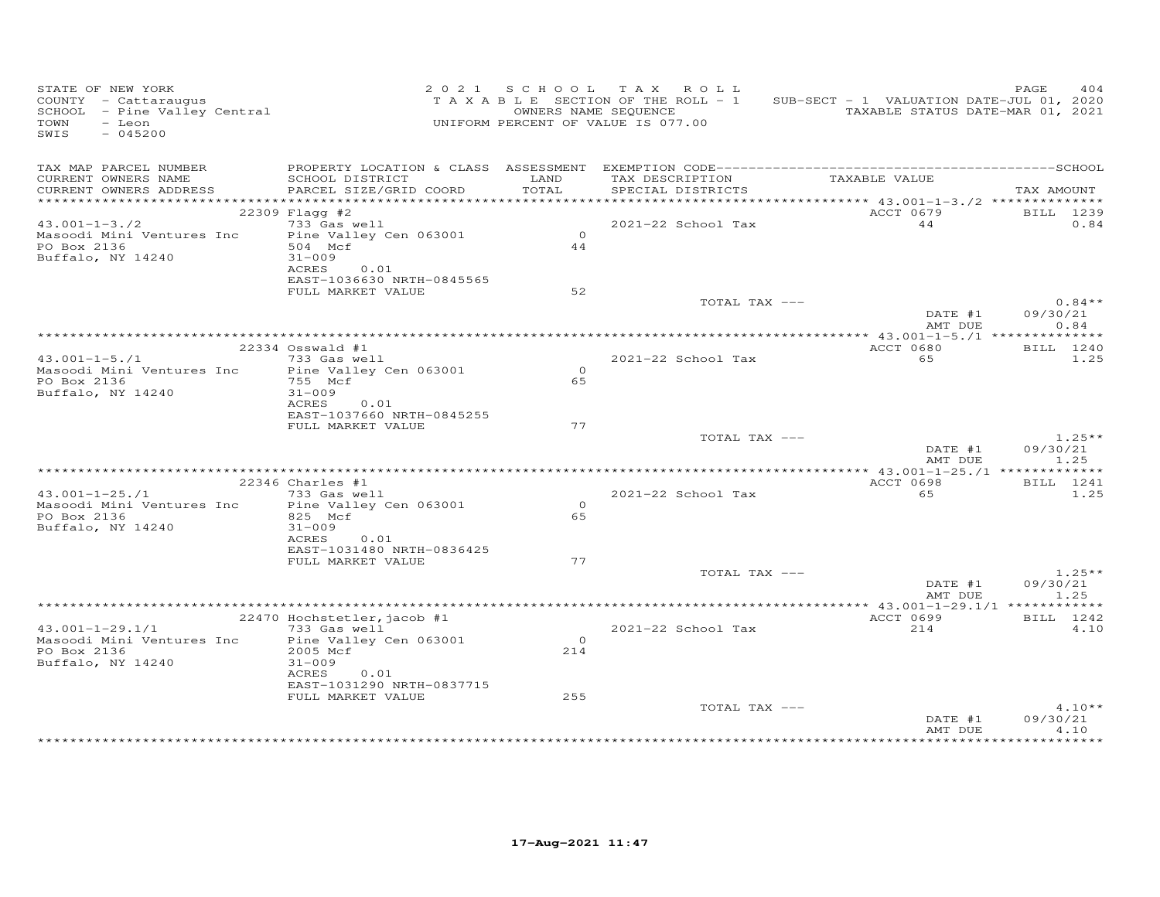| STATE OF NEW YORK<br>COUNTY - Cattaraugus<br>SCHOOL - Pine Valley Central<br>TOWN<br>- Leon<br>$-045200$<br>SWIS |                                                |                | 2021 SCHOOL TAX ROLL<br>T A X A B L E SECTION OF THE ROLL - 1<br>OWNERS NAME SEQUENCE<br>UNIFORM PERCENT OF VALUE IS 077.00 | SUB-SECT - 1 VALUATION DATE-JUL 01, 2020<br>TAXABLE STATUS DATE-MAR 01, 2021 | 404<br>PAGE                 |
|------------------------------------------------------------------------------------------------------------------|------------------------------------------------|----------------|-----------------------------------------------------------------------------------------------------------------------------|------------------------------------------------------------------------------|-----------------------------|
| TAX MAP PARCEL NUMBER<br>CURRENT OWNERS NAME                                                                     | SCHOOL DISTRICT                                | LAND           |                                                                                                                             | TAX DESCRIPTION TAXABLE VALUE                                                |                             |
| CURRENT OWNERS ADDRESS                                                                                           | PARCEL SIZE/GRID COORD TOTAL                   |                | SPECIAL DISTRICTS                                                                                                           |                                                                              | TAX AMOUNT                  |
|                                                                                                                  |                                                |                |                                                                                                                             |                                                                              |                             |
| $43.001 - 1 - 3.72$                                                                                              | $22309$ Flagg #2<br>733 Gas well               |                | 2021-22 School Tax                                                                                                          | 44                                                                           | ACCT 0679 BILL 1239<br>0.84 |
| Masoodi Mini Ventures Inc Pine Valley Cen 063001                                                                 |                                                | $\overline{0}$ |                                                                                                                             |                                                                              |                             |
| PO Box 2136                                                                                                      | 504 Mcf                                        | 44             |                                                                                                                             |                                                                              |                             |
| Buffalo, NY 14240                                                                                                | $31 - 009$                                     |                |                                                                                                                             |                                                                              |                             |
|                                                                                                                  | ACRES 0.01                                     |                |                                                                                                                             |                                                                              |                             |
|                                                                                                                  | EAST-1036630 NRTH-0845565<br>FULL MARKET VALUE | 52             |                                                                                                                             |                                                                              |                             |
|                                                                                                                  |                                                |                | TOTAL TAX ---                                                                                                               |                                                                              | $0.84**$                    |
|                                                                                                                  |                                                |                |                                                                                                                             | DATE #1                                                                      | 09/30/21                    |
|                                                                                                                  |                                                |                |                                                                                                                             | AMT DUE                                                                      | 0.84                        |
|                                                                                                                  |                                                |                |                                                                                                                             |                                                                              |                             |
| $43.001 - 1 - 5.71$                                                                                              | 22334 Osswald #1<br>733 Gas well               |                | 2021-22 School Tax                                                                                                          | ACCT 0680<br>65                                                              | BILL 1240<br>1.25           |
| Masoodi Mini Ventures Inc                                                                                        | Pine Valley Cen 063001                         | $\overline{0}$ |                                                                                                                             |                                                                              |                             |
| PO Box 2136                                                                                                      | 755 Mcf                                        | 65             |                                                                                                                             |                                                                              |                             |
| Buffalo, NY 14240                                                                                                | $31 - 009$                                     |                |                                                                                                                             |                                                                              |                             |
|                                                                                                                  | ACRES<br>0.01                                  |                |                                                                                                                             |                                                                              |                             |
|                                                                                                                  | EAST-1037660 NRTH-0845255<br>FULL MARKET VALUE | 77             |                                                                                                                             |                                                                              |                             |
|                                                                                                                  |                                                |                |                                                                                                                             | TOTAL TAX ---                                                                | $1.25**$                    |
|                                                                                                                  |                                                |                |                                                                                                                             | DATE #1                                                                      | 09/30/21                    |
|                                                                                                                  |                                                |                |                                                                                                                             | AMT DUE                                                                      | 1.25                        |
|                                                                                                                  |                                                |                |                                                                                                                             |                                                                              |                             |
| $43.001 - 1 - 25.1$                                                                                              | $22346$ Charles #1<br>733 Gas well             |                | 2021-22 School Tax                                                                                                          | 65                                                                           | ACCT 0698 BILL 1241<br>1.25 |
| Masoodi Mini Ventures Inc Pine Valley Cen 063001                                                                 |                                                | $\cap$         |                                                                                                                             |                                                                              |                             |
| PO Box 2136                                                                                                      | 825 Mcf                                        | 65             |                                                                                                                             |                                                                              |                             |
| Buffalo, NY 14240                                                                                                | $31 - 009$                                     |                |                                                                                                                             |                                                                              |                             |
|                                                                                                                  | ACRES 0.01                                     |                |                                                                                                                             |                                                                              |                             |
|                                                                                                                  | EAST-1031480 NRTH-0836425<br>FULL MARKET VALUE | 77             |                                                                                                                             |                                                                              |                             |
|                                                                                                                  |                                                |                |                                                                                                                             | TOTAL TAX ---                                                                | $1.25**$                    |
|                                                                                                                  |                                                |                |                                                                                                                             | DATE #1                                                                      | 09/30/21                    |
|                                                                                                                  |                                                |                |                                                                                                                             | AMT DUE                                                                      | 1.25                        |
|                                                                                                                  |                                                |                |                                                                                                                             |                                                                              |                             |
|                                                                                                                  | 22470 Hochstetler, jacob #1                    |                |                                                                                                                             | 214                                                                          | ACCT 0699 BILL 1242<br>4.10 |
| 43.001-1-29.1/1 733 Gas well                                                                                     |                                                | $\Omega$       | 2021-22 School Tax                                                                                                          |                                                                              |                             |
| Masoodi Mini Ventures Inc Pine Valley Cen 063001<br>PO Box 2136                                                  | 2005 Mcf                                       | 214            |                                                                                                                             |                                                                              |                             |
| Buffalo, NY 14240                                                                                                | $31 - 009$                                     |                |                                                                                                                             |                                                                              |                             |
|                                                                                                                  | ACRES 0.01                                     |                |                                                                                                                             |                                                                              |                             |
|                                                                                                                  | EAST-1031290 NRTH-0837715                      |                |                                                                                                                             |                                                                              |                             |
|                                                                                                                  | FULL MARKET VALUE                              | 255            | TOTAL TAX ---                                                                                                               |                                                                              | $4.10**$                    |
|                                                                                                                  |                                                |                |                                                                                                                             | DATE #1                                                                      | 09/30/21                    |
|                                                                                                                  |                                                |                |                                                                                                                             | AMT DUE                                                                      | 4.10                        |
|                                                                                                                  |                                                |                |                                                                                                                             |                                                                              |                             |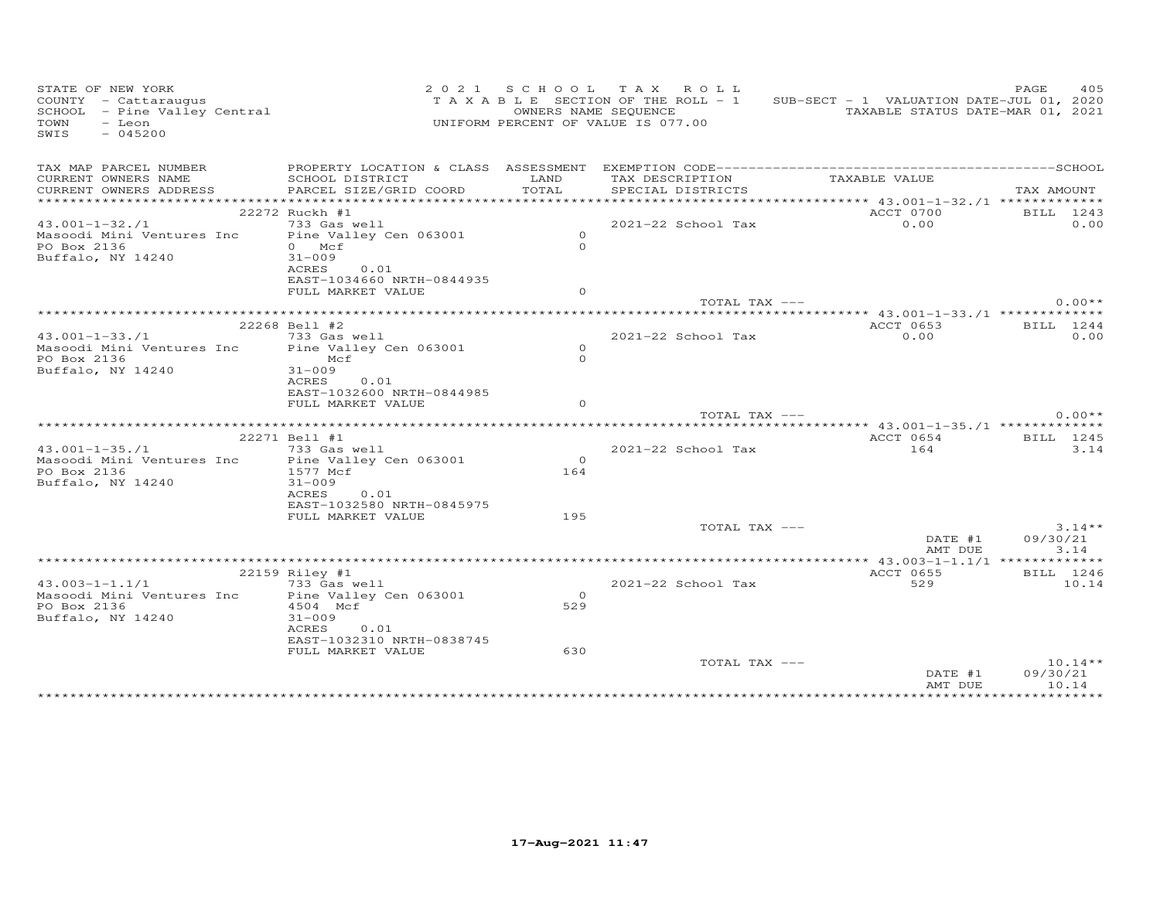| STATE OF NEW YORK<br>STATE OF NEW IONN<br>COUNTY - Cattaraugus<br>SCHOOL - Pine Valley Central<br>- Leon<br>TOWN<br>$-045200$<br>SWIS |                                                       |                | 2021 SCHOOL TAX ROLL<br>T A X A B L E SECTION OF THE ROLL - 1<br>OWNERS NAME SEQUENCE<br>UNIFORM PERCENT OF VALUE IS 077.00 | SUB-SECT - 1 VALUATION DATE-JUL 01, 2020<br>TAXABLE STATUS DATE-MAR 01, 2021 | 405<br>PAGE           |
|---------------------------------------------------------------------------------------------------------------------------------------|-------------------------------------------------------|----------------|-----------------------------------------------------------------------------------------------------------------------------|------------------------------------------------------------------------------|-----------------------|
|                                                                                                                                       |                                                       |                |                                                                                                                             |                                                                              |                       |
| CURRENT OWNERS NAME<br>CURRENT OWNERS ADDRESS                                                                                         | SCHOOL DISTRICT<br>PARCEL SIZE/GRID COORD             | LAND<br>TOTAL  | TAX DESCRIPTION<br>SPECIAL DISTRICTS                                                                                        | TAXABLE VALUE                                                                | TAX AMOUNT            |
|                                                                                                                                       |                                                       |                |                                                                                                                             |                                                                              |                       |
|                                                                                                                                       | 22272 Ruckh #1                                        |                |                                                                                                                             | ACCT 0700                                                                    | BILL 1243             |
| $43.001 - 1 - 32.71$                                                                                                                  | 733 Gas well                                          |                | 2021-22 School Tax                                                                                                          | 0.00                                                                         | 0.00                  |
| Masoodi Mini Ventures Inc                                                                                                             | Pine Valley Cen 063001                                | $\circ$        |                                                                                                                             |                                                                              |                       |
| PO Box 2136                                                                                                                           | $0$ Mcf                                               | $\Omega$       |                                                                                                                             |                                                                              |                       |
| Buffalo, NY 14240                                                                                                                     | $31 - 009$<br>ACRES 0.01<br>EAST-1034660 NRTH-0844935 |                |                                                                                                                             |                                                                              |                       |
|                                                                                                                                       | FULL MARKET VALUE                                     | $\Omega$       |                                                                                                                             |                                                                              |                       |
|                                                                                                                                       |                                                       |                | TOTAL TAX ---                                                                                                               |                                                                              | $0.00**$              |
|                                                                                                                                       |                                                       |                |                                                                                                                             |                                                                              |                       |
|                                                                                                                                       | 22268 Bell #2                                         |                |                                                                                                                             | ACCT 0653                                                                    | BILL 1244             |
| $43.001 - 1 - 33.71$<br>Masoodi Mini Ventures Inc Pine Valley Cen 063001                                                              | 733 Gas well                                          | $\circ$        | 2021-22 School Tax                                                                                                          | 0.00                                                                         | 0.00                  |
| PO Box 2136                                                                                                                           | Mcf                                                   | $\Omega$       |                                                                                                                             |                                                                              |                       |
| Buffalo, NY 14240                                                                                                                     | $31 - 009$                                            |                |                                                                                                                             |                                                                              |                       |
|                                                                                                                                       | ACRES<br>0.01                                         |                |                                                                                                                             |                                                                              |                       |
|                                                                                                                                       | EAST-1032600 NRTH-0844985                             |                |                                                                                                                             |                                                                              |                       |
|                                                                                                                                       | FULL MARKET VALUE                                     | $\circ$        |                                                                                                                             |                                                                              |                       |
|                                                                                                                                       |                                                       |                | TOTAL TAX ---                                                                                                               |                                                                              | $0.00**$              |
|                                                                                                                                       |                                                       |                |                                                                                                                             |                                                                              |                       |
|                                                                                                                                       | 22271 Bell #1                                         |                |                                                                                                                             | ACCT 0654                                                                    | BILL 1245             |
| $43.001 - 1 - 35.71$<br>Masoodi Mini Ventures Inc                                                                                     | 733 Gas well                                          | $\overline{O}$ | 2021-22 School Tax                                                                                                          | 164                                                                          | 3.14                  |
| PO Box 2136                                                                                                                           | Pine Valley Cen 063001<br>1577 Mcf                    | 164            |                                                                                                                             |                                                                              |                       |
| Buffalo, NY 14240                                                                                                                     | $31 - 009$                                            |                |                                                                                                                             |                                                                              |                       |
|                                                                                                                                       | ACRES<br>0.01                                         |                |                                                                                                                             |                                                                              |                       |
|                                                                                                                                       | EAST-1032580 NRTH-0845975                             |                |                                                                                                                             |                                                                              |                       |
|                                                                                                                                       | FULL MARKET VALUE                                     | 195            |                                                                                                                             |                                                                              |                       |
|                                                                                                                                       |                                                       |                | TOTAL TAX ---                                                                                                               |                                                                              | $3.14**$              |
|                                                                                                                                       |                                                       |                |                                                                                                                             | DATE #1                                                                      | 09/30/21              |
|                                                                                                                                       |                                                       |                |                                                                                                                             | AMT DUE                                                                      | 3.14                  |
|                                                                                                                                       | 22159 Riley #1                                        |                |                                                                                                                             | ACCT 0655                                                                    | BILL 1246             |
| $43.003 - 1 - 1.1/1$                                                                                                                  | 733 Gas well                                          |                | 2021-22 School Tax                                                                                                          | 529                                                                          | 10.14                 |
| Masoodi Mini Ventures Inc                                                                                                             | Pine Valley Cen 063001                                | $\Omega$       |                                                                                                                             |                                                                              |                       |
| PO Box 2136                                                                                                                           | 4504 Mcf                                              | 529            |                                                                                                                             |                                                                              |                       |
| Buffalo, NY 14240                                                                                                                     | $31 - 009$                                            |                |                                                                                                                             |                                                                              |                       |
|                                                                                                                                       | 0.01<br>ACRES                                         |                |                                                                                                                             |                                                                              |                       |
|                                                                                                                                       | EAST-1032310 NRTH-0838745                             |                |                                                                                                                             |                                                                              |                       |
|                                                                                                                                       | FULL MARKET VALUE                                     | 630            |                                                                                                                             |                                                                              |                       |
|                                                                                                                                       |                                                       |                | TOTAL TAX ---                                                                                                               | DATE #1                                                                      | $10.14**$<br>09/30/21 |
|                                                                                                                                       |                                                       |                |                                                                                                                             | AMT DUE                                                                      | 10.14                 |
|                                                                                                                                       |                                                       |                |                                                                                                                             |                                                                              |                       |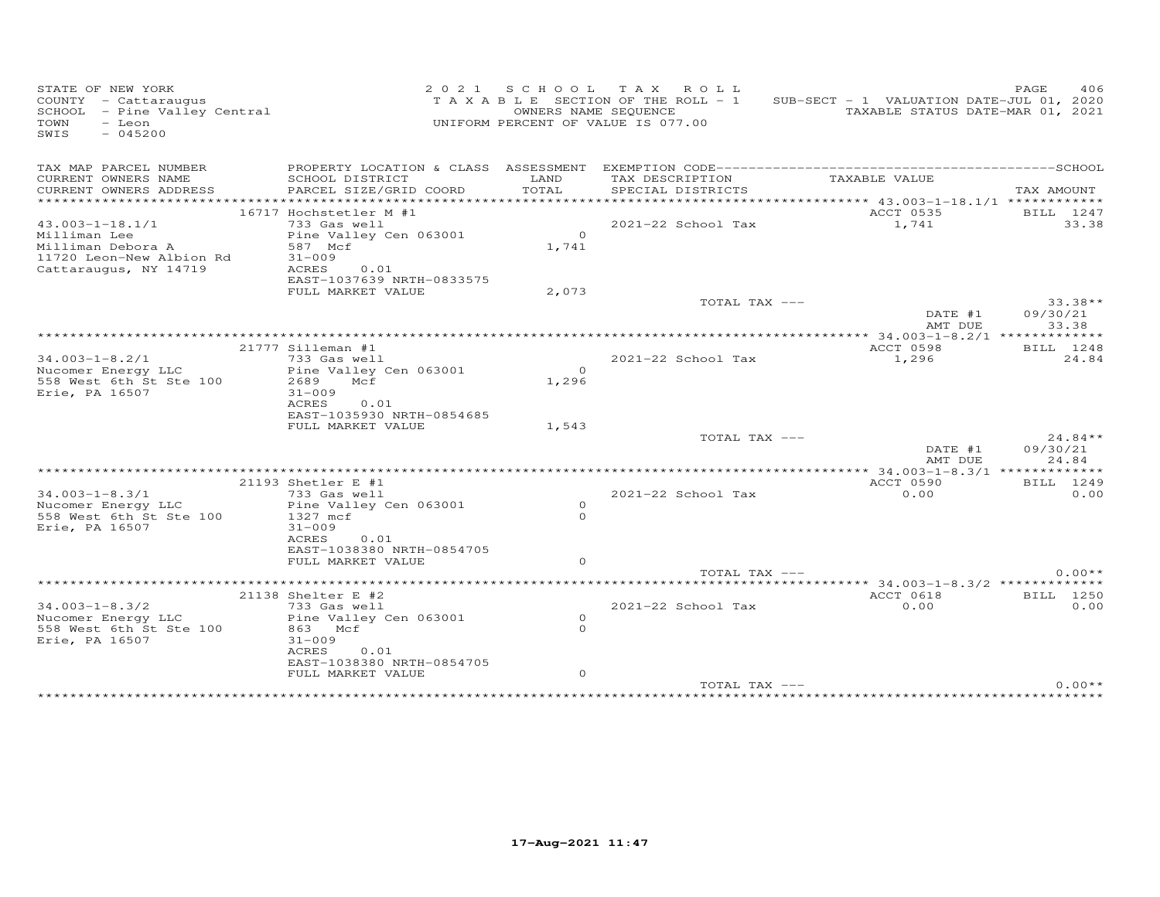| STATE OF NEW YORK<br>COUNTY - Cattaraugus<br>SCHOOL - Pine Valley Central<br>- Leon<br>TOWN<br>$-045200$<br>SWIS |                                                                                                                                                           |                                  | 2021 SCHOOL TAX ROLL<br>T A X A B L E SECTION OF THE ROLL - 1<br>OWNERS NAME SEQUENCE<br>UNIFORM PERCENT OF VALUE IS 077.00 | SUB-SECT - 1 VALUATION DATE-JUL 01, 2020        | 406<br>PAGE<br>TAXABLE STATUS DATE-MAR 01, 2021 |
|------------------------------------------------------------------------------------------------------------------|-----------------------------------------------------------------------------------------------------------------------------------------------------------|----------------------------------|-----------------------------------------------------------------------------------------------------------------------------|-------------------------------------------------|-------------------------------------------------|
| TAX MAP PARCEL NUMBER<br>CURRENT OWNERS NAME<br>CURRENT OWNERS ADDRESS                                           | SCHOOL DISTRICT<br>PARCEL SIZE/GRID COORD                                                                                                                 | LAND<br>TOTAL                    | TAX DESCRIPTION<br>SPECIAL DISTRICTS                                                                                        | TAXABLE VALUE                                   | TAX AMOUNT                                      |
|                                                                                                                  |                                                                                                                                                           |                                  |                                                                                                                             | ****************** 43.003-1-18.1/1 ************ |                                                 |
| $43.003 - 1 - 18.1/1$<br>Milliman Lee<br>Milliman Debora A<br>11720 Leon-New Albion Rd<br>Cattaraugus, NY 14719  | 16717 Hochstetler M #1<br>733 Gas well<br>Pine Valley Cen 063001<br>587 Mcf<br>$31 - 009$<br>ACRES<br>0.01<br>EAST-1037639 NRTH-0833575                   | $\Omega$<br>1,741                | 2021-22 School Tax                                                                                                          | ACCT 0535<br>1,741                              | BILL 1247<br>33.38                              |
|                                                                                                                  | FULL MARKET VALUE                                                                                                                                         | 2,073                            | TOTAL TAX ---                                                                                                               | DATE #1<br>AMT DUE                              | $33.38**$<br>09/30/21<br>33.38                  |
|                                                                                                                  |                                                                                                                                                           |                                  |                                                                                                                             |                                                 |                                                 |
| $34.003 - 1 - 8.2/1$<br>Nucomer Energy LLC<br>558 West 6th St Ste 100<br>Erie, PA 16507                          | 21777 Silleman #1<br>733 Gas well<br>Pine Valley Cen 063001<br>2689<br>Mcf<br>$31 - 009$<br>ACRES<br>0.01                                                 | $\overline{O}$<br>1,296          | 2021-22 School Tax                                                                                                          | ACCT 0598<br>1,296                              | BILL 1248<br>24.84                              |
|                                                                                                                  | EAST-1035930 NRTH-0854685<br>FULL MARKET VALUE                                                                                                            | 1,543                            | TOTAL TAX ---                                                                                                               | DATE #1<br>AMT DUE                              | $24.84**$<br>09/30/21<br>24.84                  |
|                                                                                                                  |                                                                                                                                                           |                                  |                                                                                                                             |                                                 |                                                 |
| $34.003 - 1 - 8.3/1$<br>Nucomer Energy LLC<br>558 West 6th St Ste 100<br>Erie, PA 16507                          | 21193 Shetler E #1<br>733 Gas well<br>Pine Valley Cen 063001<br>1327 mcf<br>$31 - 009$<br>ACRES<br>0.01<br>EAST-1038380 NRTH-0854705<br>FULL MARKET VALUE | $\Omega$<br>$\Omega$<br>$\Omega$ | 2021-22 School Tax                                                                                                          | ACCT 0590<br>0.00                               | BILL 1249<br>0.00                               |
|                                                                                                                  |                                                                                                                                                           |                                  | TOTAL TAX ---                                                                                                               |                                                 | $0.00**$                                        |
| $34.003 - 1 - 8.3/2$<br>Nucomer Energy LLC<br>558 West 6th St Ste 100<br>Erie, PA 16507                          | 21138 Shelter E #2<br>733 Gas well<br>Pine Valley Cen 063001<br>863 Mcf<br>$31 - 009$<br>ACRES<br>0.01<br>EAST-1038380 NRTH-0854705<br>FULL MARKET VALUE  | $\circ$<br>$\Omega$<br>$\circ$   | 2021-22 School Tax                                                                                                          | ACCT 0618<br>0.00                               | BILL 1250<br>0.00                               |
|                                                                                                                  |                                                                                                                                                           |                                  | TOTAL TAX ---                                                                                                               |                                                 | $0.00**$                                        |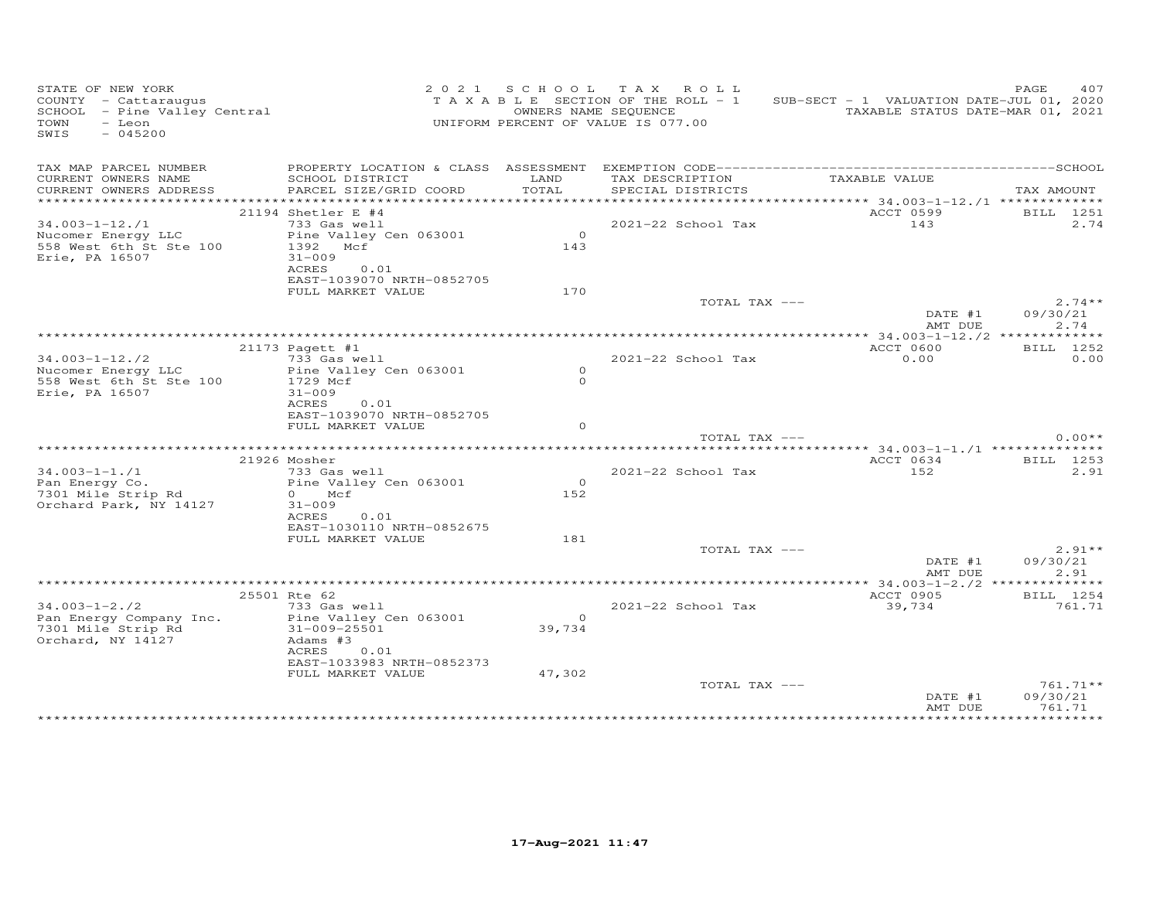| STATE OF NEW YORK<br>COUNTY - Cattaraugus<br>COONII - Cattaraugus<br>SCHOOL - Pine Valley Central<br>$-$ Leon<br>TOWN<br>$-045200$<br>SWIS |                                                                   |                       | 2021 SCHOOL TAX ROLL<br>TAXABLE SECTION OF THE ROLL - 1<br>OWNERS NAME SEQUENCE<br>UNIFORM PERCENT OF VALUE IS 077.00 | SUB-SECT - 1 VALUATION DATE-JUL 01, 2020<br>TAXABLE STATUS DATE-MAR 01, 2021 | PAGE<br>407      |
|--------------------------------------------------------------------------------------------------------------------------------------------|-------------------------------------------------------------------|-----------------------|-----------------------------------------------------------------------------------------------------------------------|------------------------------------------------------------------------------|------------------|
| TAX MAP PARCEL NUMBER                                                                                                                      |                                                                   |                       |                                                                                                                       |                                                                              |                  |
| CURRENT OWNERS NAME<br>CURRENT OWNERS ADDRESS                                                                                              | SCHOOL DISTRICT<br>PARCEL SIZE/GRID COORD                         | LAND<br>TOTAL         | TAX DESCRIPTION<br>SPECIAL DISTRICTS                                                                                  | TAXABLE VALUE                                                                | TAX AMOUNT       |
|                                                                                                                                            |                                                                   |                       |                                                                                                                       |                                                                              |                  |
|                                                                                                                                            | $21194$ Shetler E #4                                              |                       |                                                                                                                       | ACCT 0599                                                                    | BILL 1251        |
| $34.003 - 1 - 12$ ./1                                                                                                                      | 733 Gas well                                                      |                       | 2021-22 School Tax                                                                                                    | 143                                                                          | 2.74             |
| Nucomer Energy LLC<br>558 West 6th St Ste 100<br>Erie, PA 16507                                                                            | Pine Valley Cen 063001<br>1392 Mcf<br>$31 - 009$<br>ACRES<br>0.01 | $\overline{0}$<br>143 |                                                                                                                       |                                                                              |                  |
|                                                                                                                                            | EAST-1039070 NRTH-0852705                                         |                       |                                                                                                                       |                                                                              |                  |
|                                                                                                                                            | FULL MARKET VALUE                                                 | 170                   | TOTAL TAX ---                                                                                                         |                                                                              | $2.74**$         |
|                                                                                                                                            |                                                                   |                       |                                                                                                                       | DATE #1<br>AMT DUE                                                           | 09/30/21<br>2.74 |
|                                                                                                                                            |                                                                   |                       |                                                                                                                       |                                                                              |                  |
|                                                                                                                                            | 21173 Pagett #1                                                   |                       |                                                                                                                       | ACCT 0600                                                                    | BILL 1252        |
| $34.003 - 1 - 12.72$<br>Nucomer Energy LLC                                                                                                 | 733 Gas well<br>Pine Valley Cen 063001                            | $\circ$               | 2021-22 School Tax                                                                                                    | 0.00                                                                         | 0.00             |
| 558 West 6th St Ste 100                                                                                                                    | 1729 Mcf                                                          | $\circ$               |                                                                                                                       |                                                                              |                  |
| Erie, PA 16507                                                                                                                             | $31 - 009$                                                        |                       |                                                                                                                       |                                                                              |                  |
|                                                                                                                                            | ACRES<br>0.01                                                     |                       |                                                                                                                       |                                                                              |                  |
|                                                                                                                                            | EAST-1039070 NRTH-0852705                                         |                       |                                                                                                                       |                                                                              |                  |
|                                                                                                                                            | FULL MARKET VALUE                                                 | $\Omega$              | TOTAL TAX ---                                                                                                         |                                                                              | $0.00**$         |
|                                                                                                                                            | ***************                                                   |                       |                                                                                                                       | ********* 34.003-1-1./1 ***************                                      |                  |
|                                                                                                                                            | 21926 Mosher                                                      |                       |                                                                                                                       | ACCT 0634                                                                    | BILL 1253        |
| $34.003 - 1 - 1.71$                                                                                                                        | 733 Gas well                                                      |                       | 2021-22 School Tax                                                                                                    | 152                                                                          | 2.91             |
| Pan Energy Co.                                                                                                                             | Pine Valley Cen 063001                                            | $\overline{0}$        |                                                                                                                       |                                                                              |                  |
| 7301 Mile Strip Rd<br>Orchard Park, NY 14127                                                                                               | $0$ Mcf<br>$31 - 009$                                             | 152                   |                                                                                                                       |                                                                              |                  |
|                                                                                                                                            | ACRES<br>0.01                                                     |                       |                                                                                                                       |                                                                              |                  |
|                                                                                                                                            | EAST-1030110 NRTH-0852675                                         | 181                   |                                                                                                                       |                                                                              |                  |
|                                                                                                                                            | FULL MARKET VALUE                                                 |                       | TOTAL TAX ---                                                                                                         |                                                                              | $2.91**$         |
|                                                                                                                                            |                                                                   |                       |                                                                                                                       | DATE #1                                                                      | 09/30/21         |
|                                                                                                                                            |                                                                   |                       |                                                                                                                       | AMT DUE                                                                      | 2.91             |
|                                                                                                                                            |                                                                   |                       |                                                                                                                       |                                                                              |                  |
|                                                                                                                                            | 25501 Rte 62                                                      |                       |                                                                                                                       | ACCT 0905                                                                    | BILL 1254        |
| $34.003 - 1 - 2.72$<br>Pan Energy Company Inc.                                                                                             | 733 Gas well<br>Pine Valley Cen 063001                            | $\overline{0}$        | 2021-22 School Tax                                                                                                    | 39,734                                                                       | 761.71           |
| 7301 Mile Strip Rd                                                                                                                         | 31-009-25501                                                      | 39,734                |                                                                                                                       |                                                                              |                  |
| Orchard, NY 14127                                                                                                                          | Adams #3                                                          |                       |                                                                                                                       |                                                                              |                  |
|                                                                                                                                            | ACRES<br>0.01                                                     |                       |                                                                                                                       |                                                                              |                  |
|                                                                                                                                            | EAST-1033983 NRTH-0852373                                         |                       |                                                                                                                       |                                                                              |                  |
|                                                                                                                                            | FULL MARKET VALUE                                                 | 47,302                | TOTAL TAX ---                                                                                                         |                                                                              | 761.71**         |
|                                                                                                                                            |                                                                   |                       |                                                                                                                       | DATE #1                                                                      | 09/30/21         |
|                                                                                                                                            |                                                                   |                       |                                                                                                                       | AMT DUE                                                                      | 761.71           |
|                                                                                                                                            |                                                                   |                       |                                                                                                                       |                                                                              |                  |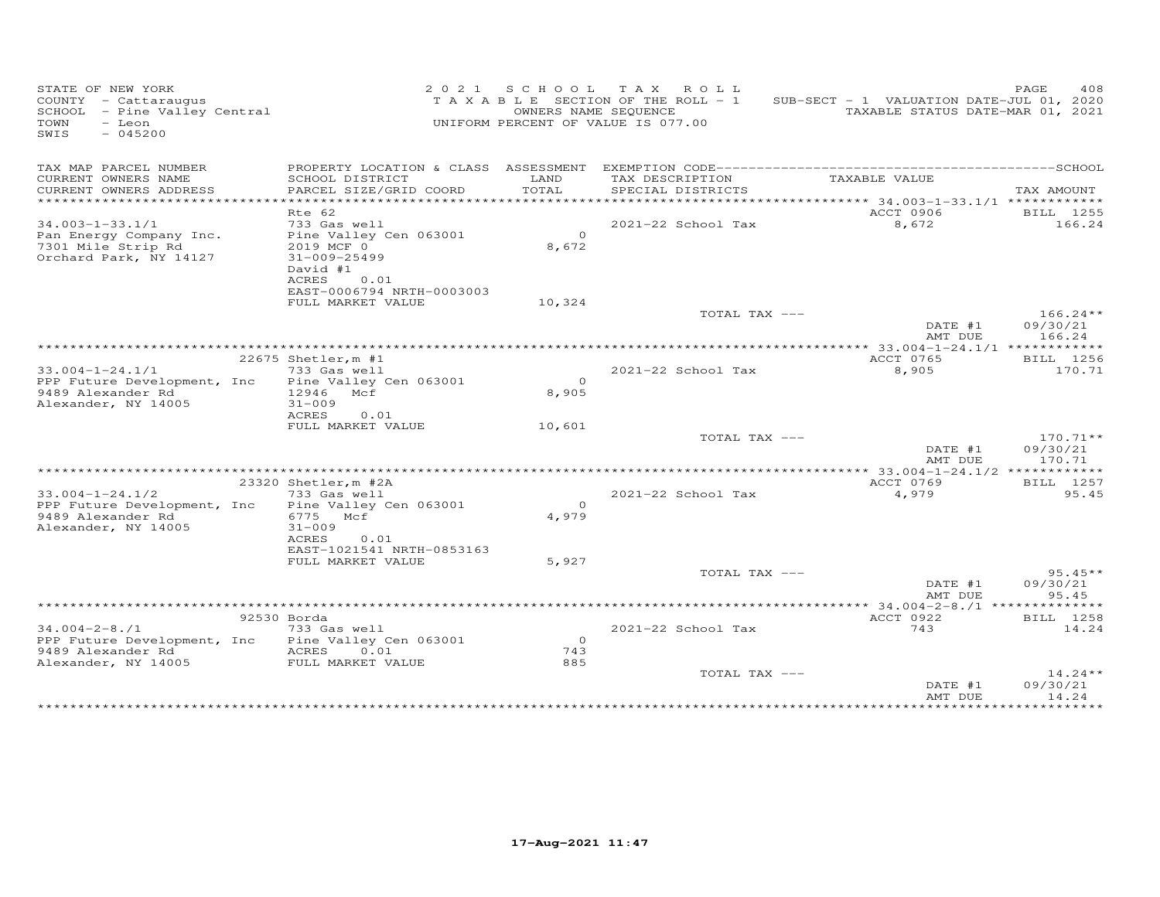| STATE OF NEW YORK<br>COUNTY - Cattaraugus<br>SCHOOL - Pine Valley Central<br>$-$ Leon<br>TOWN<br>SWIS<br>$-045200$ |                                                                                                                                                | OWNERS NAME SEQUENCE  | 2021 SCHOOL TAX ROLL<br>TAXABLE SECTION OF THE ROLL - 1<br>UNIFORM PERCENT OF VALUE IS 077.00 | SUB-SECT - 1 VALUATION DATE-JUL 01, 2020                         | PAGE<br>408<br>TAXABLE STATUS DATE-MAR 01, 2021 |
|--------------------------------------------------------------------------------------------------------------------|------------------------------------------------------------------------------------------------------------------------------------------------|-----------------------|-----------------------------------------------------------------------------------------------|------------------------------------------------------------------|-------------------------------------------------|
| TAX MAP PARCEL NUMBER<br>CURRENT OWNERS NAME<br>CURRENT OWNERS ADDRESS<br>****************                         | PROPERTY LOCATION & CLASS ASSESSMENT<br>SCHOOL DISTRICT<br>PARCEL SIZE/GRID COORD                                                              | LAND<br>TOTAL         | TAX DESCRIPTION<br>SPECIAL DISTRICTS                                                          | TAXABLE VALUE<br>****************** 34.003-1-33.1/1 ************ | TAX AMOUNT                                      |
| $34.003 - 1 - 33.1/1$<br>Pan Energy Company Inc.<br>7301 Mile Strip Rd<br>Orchard Park, NY 14127                   | Rte 62<br>733 Gas well<br>Pine Valley Cen 063001<br>2019 MCF 0<br>$31 - 009 - 25499$<br>David #1<br>ACRES<br>0.01<br>EAST-0006794 NRTH-0003003 | $\circ$<br>8,672      | 2021-22 School Tax                                                                            | ACCT 0906<br>8,672                                               | BILL 1255<br>166.24                             |
|                                                                                                                    | FULL MARKET VALUE                                                                                                                              | 10,324                | TOTAL TAX ---                                                                                 | DATE #1<br>AMT DUE                                               | $166.24**$<br>09/30/21<br>166.24                |
| $33.004 - 1 - 24.1/1$<br>PPP Future Development, Inc<br>9489 Alexander Rd<br>Alexander, NY 14005                   | 22675 Shetler, m #1<br>733 Gas well<br>Pine Valley Cen 063001<br>12946 Mcf<br>$31 - 009$<br><b>ACRES</b><br>0.01                               | $\Omega$<br>8,905     | 2021-22 School Tax                                                                            | ACCT 0765<br>8,905                                               | BILL 1256<br>170.71                             |
|                                                                                                                    | FULL MARKET VALUE                                                                                                                              | 10,601                | TOTAL TAX ---                                                                                 | DATE #1<br>AMT DUE                                               | $170.71**$<br>09/30/21<br>170.71                |
|                                                                                                                    |                                                                                                                                                |                       |                                                                                               |                                                                  | ***** 33.004-1-24.1/2 *************             |
| $33.004 - 1 - 24.1/2$<br>PPP Future Development, Inc<br>9489 Alexander Rd<br>Alexander, NY 14005                   | 23320 Shetler, m #2A<br>733 Gas well<br>Pine Valley Cen 063001<br>6775 Mcf<br>$31 - 009$<br>ACRES<br>0.01<br>EAST-1021541 NRTH-0853163         | $\Omega$<br>4,979     | 2021-22 School Tax                                                                            | ACCT 0769<br>4,979                                               | BILL 1257<br>95.45                              |
|                                                                                                                    | FULL MARKET VALUE                                                                                                                              | 5,927                 | TOTAL TAX ---                                                                                 | DATE #1                                                          | $95.45**$<br>09/30/21                           |
|                                                                                                                    |                                                                                                                                                |                       |                                                                                               | AMT DUE                                                          | 95.45<br>***** 34.004-2-8./1 ***************    |
| $34.004 - 2 - 8.71$<br>PPP Future Development, Inc<br>9489 Alexander Rd<br>Alexander, NY 14005                     | 92530 Borda<br>733 Gas well<br>Pine Valley Cen 063001<br>ACRES<br>0.01<br>FULL MARKET VALUE                                                    | $\circ$<br>743<br>885 | 2021-22 School Tax                                                                            | ACCT 0922<br>743                                                 | BILL 1258<br>14.24                              |
|                                                                                                                    |                                                                                                                                                |                       | TOTAL TAX ---                                                                                 | DATE #1<br>AMT DUE                                               | $14.24**$<br>09/30/21<br>14.24<br>*********     |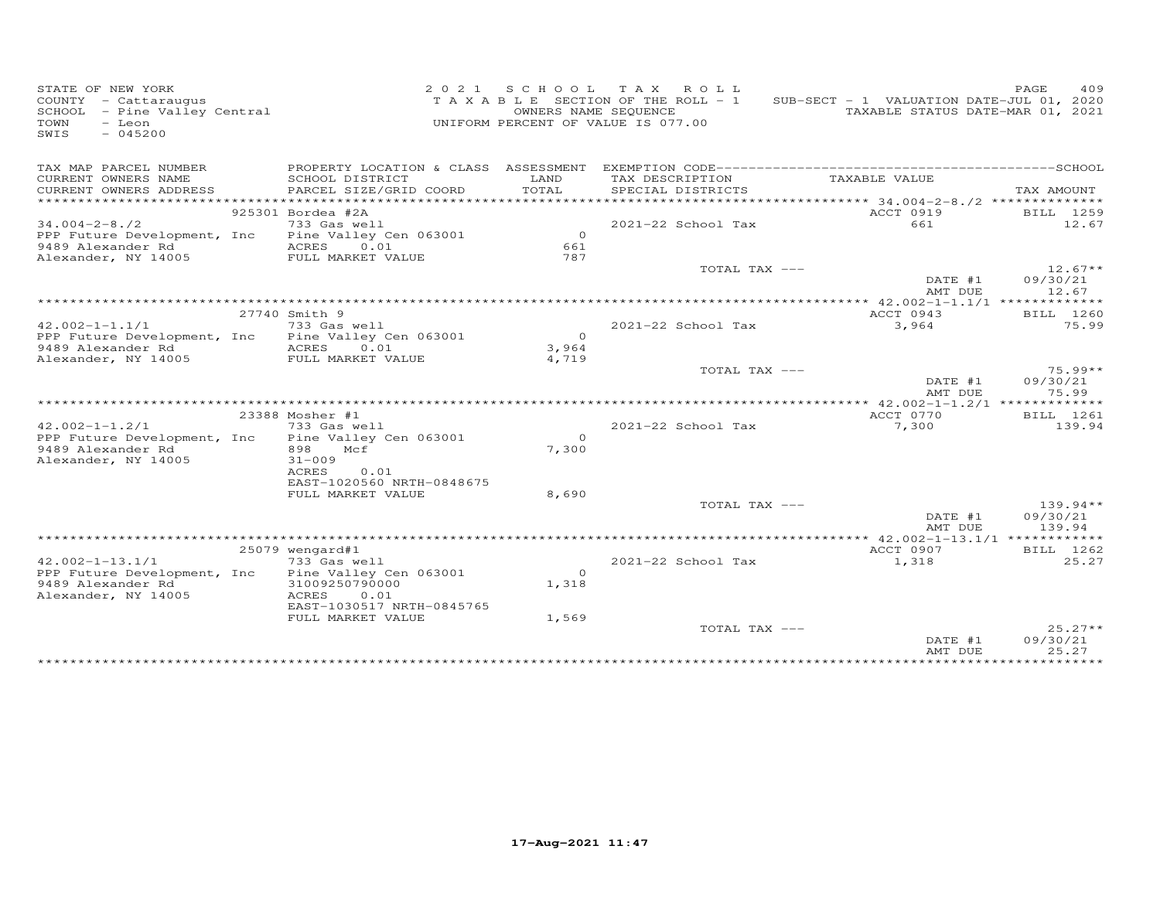| STATE OF NEW YORK<br>COUNTY - Cattaraugus<br>SCHOOL - Pine Valley Central<br>- Leon<br>TOWN<br>$-045200$<br>SWIS |                                         | 2 0 2 1 | S C H O O L<br>TAXABLE SECTION OF THE ROLL - 1<br>UNIFORM PERCENT OF VALUE IS 077.00 | TAX ROLL<br>OWNERS NAME SEQUENCE |                    | SUB-SECT - 1 VALUATION DATE-JUL 01, 2020<br>TAXABLE STATUS DATE-MAR 01, 2021 | PAGE | 409                |
|------------------------------------------------------------------------------------------------------------------|-----------------------------------------|---------|--------------------------------------------------------------------------------------|----------------------------------|--------------------|------------------------------------------------------------------------------|------|--------------------|
| TAX MAP PARCEL NUMBER                                                                                            |                                         |         |                                                                                      |                                  |                    |                                                                              |      |                    |
| CURRENT OWNERS NAME                                                                                              | SCHOOL DISTRICT                         |         | LAND                                                                                 | TAX DESCRIPTION                  |                    | TAXABLE VALUE                                                                |      |                    |
| CURRENT OWNERS ADDRESS                                                                                           | PARCEL SIZE/GRID COORD                  |         | TOTAL                                                                                |                                  | SPECIAL DISTRICTS  |                                                                              |      | TAX AMOUNT         |
| ***********************                                                                                          |                                         |         |                                                                                      |                                  |                    |                                                                              |      |                    |
| $34.004 - 2 - 8.72$                                                                                              | 925301 Bordea #2A<br>733 Gas well       |         |                                                                                      |                                  | 2021-22 School Tax | ACCT 0919<br>661                                                             |      | BILL 1259<br>12.67 |
| PPP Future Development, Inc                                                                                      | Pine Valley Cen 063001                  |         | $\circ$                                                                              |                                  |                    |                                                                              |      |                    |
| 9489 Alexander Rd                                                                                                | ACRES<br>0.01                           |         | 661                                                                                  |                                  |                    |                                                                              |      |                    |
| Alexander, NY 14005                                                                                              | FULL MARKET VALUE                       |         | 787                                                                                  |                                  |                    |                                                                              |      |                    |
|                                                                                                                  |                                         |         |                                                                                      |                                  | TOTAL TAX ---      |                                                                              |      | $12.67**$          |
|                                                                                                                  |                                         |         |                                                                                      |                                  |                    | DATE #1                                                                      |      | 09/30/21           |
|                                                                                                                  |                                         |         |                                                                                      |                                  |                    | AMT DUE                                                                      |      | 12.67              |
|                                                                                                                  |                                         |         |                                                                                      |                                  |                    |                                                                              |      |                    |
|                                                                                                                  | 27740 Smith 9                           |         |                                                                                      |                                  |                    | ACCT 0943                                                                    |      | BILL 1260          |
| $42.002 - 1 - 1.1/1$                                                                                             | 733 Gas well                            |         | $\overline{0}$                                                                       |                                  | 2021-22 School Tax | 3,964                                                                        |      | 75.99              |
| PPP Future Development, Inc<br>9489 Alexander Rd                                                                 | Pine Valley Cen 063001<br>ACRES<br>0.01 |         | 3,964                                                                                |                                  |                    |                                                                              |      |                    |
| Alexander, NY 14005                                                                                              | FULL MARKET VALUE                       |         | 4,719                                                                                |                                  |                    |                                                                              |      |                    |
|                                                                                                                  |                                         |         |                                                                                      |                                  | TOTAL TAX ---      |                                                                              |      | $75.99**$          |
|                                                                                                                  |                                         |         |                                                                                      |                                  |                    | DATE #1                                                                      |      | 09/30/21           |
|                                                                                                                  |                                         |         |                                                                                      |                                  |                    | AMT DUE                                                                      |      | 75.99              |
|                                                                                                                  |                                         |         |                                                                                      |                                  |                    |                                                                              |      |                    |
|                                                                                                                  | 23388 Mosher #1                         |         |                                                                                      |                                  |                    | ACCT 0770                                                                    |      | BILL 1261          |
| $42.002 - 1 - 1.2/1$                                                                                             | 733 Gas well                            |         |                                                                                      |                                  | 2021-22 School Tax | 7,300                                                                        |      | 139.94             |
| PPP Future Development, Inc                                                                                      | Pine Valley Cen 063001                  |         | $\Omega$                                                                             |                                  |                    |                                                                              |      |                    |
| 9489 Alexander Rd<br>Alexander, NY 14005                                                                         | Mcf<br>898<br>$31 - 009$                |         | 7,300                                                                                |                                  |                    |                                                                              |      |                    |
|                                                                                                                  | ACRES<br>0.01                           |         |                                                                                      |                                  |                    |                                                                              |      |                    |
|                                                                                                                  | EAST-1020560 NRTH-0848675               |         |                                                                                      |                                  |                    |                                                                              |      |                    |
|                                                                                                                  | FULL MARKET VALUE                       |         | 8,690                                                                                |                                  |                    |                                                                              |      |                    |
|                                                                                                                  |                                         |         |                                                                                      |                                  | TOTAL TAX ---      |                                                                              |      | $139.94**$         |
|                                                                                                                  |                                         |         |                                                                                      |                                  |                    | DATE #1                                                                      |      | 09/30/21           |
|                                                                                                                  |                                         |         |                                                                                      |                                  |                    | AMT DUE                                                                      |      | 139.94             |
|                                                                                                                  |                                         |         |                                                                                      |                                  |                    | ***** $42.002 - 1 - 13.1/1$ ************                                     |      |                    |
|                                                                                                                  | $25079$ wengard#1                       |         |                                                                                      |                                  |                    | ACCT 0907                                                                    |      | BILL 1262          |
| $42.002 - 1 - 13.1/1$<br>PPP Future Development, Inc                                                             | 733 Gas well<br>Pine Valley Cen 063001  |         | $\Omega$                                                                             |                                  | 2021-22 School Tax | 1,318                                                                        |      | 25.27              |
| 9489 Alexander Rd                                                                                                | 31009250790000                          |         | 1,318                                                                                |                                  |                    |                                                                              |      |                    |
| Alexander, NY 14005                                                                                              | 0.01<br>ACRES                           |         |                                                                                      |                                  |                    |                                                                              |      |                    |
|                                                                                                                  | EAST-1030517 NRTH-0845765               |         |                                                                                      |                                  |                    |                                                                              |      |                    |
|                                                                                                                  | FULL MARKET VALUE                       |         | 1,569                                                                                |                                  |                    |                                                                              |      |                    |
|                                                                                                                  |                                         |         |                                                                                      |                                  | TOTAL TAX ---      |                                                                              |      | $25.27**$          |
|                                                                                                                  |                                         |         |                                                                                      |                                  |                    | DATE #1                                                                      |      | 09/30/21           |
|                                                                                                                  |                                         |         |                                                                                      |                                  |                    | AMT DUE                                                                      |      | 25.27              |
|                                                                                                                  |                                         |         |                                                                                      |                                  |                    |                                                                              |      |                    |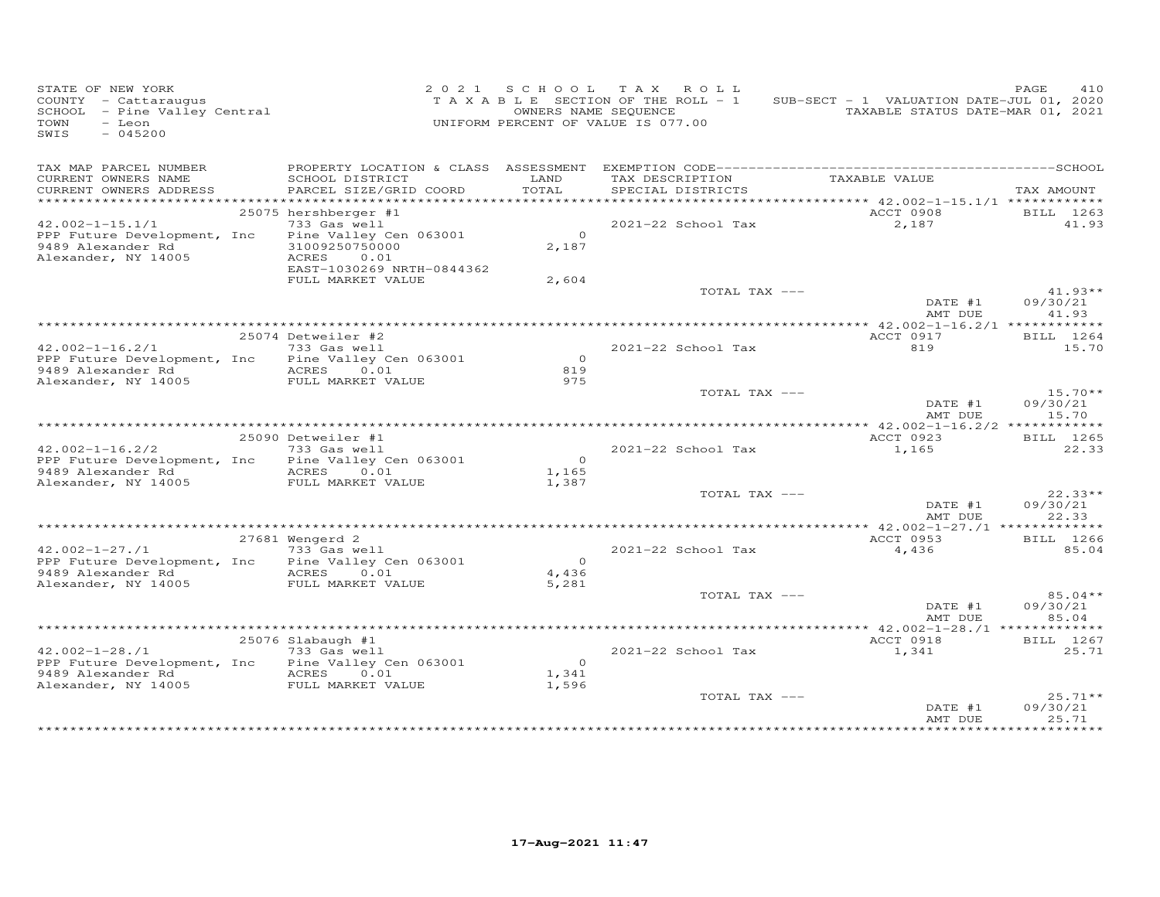| STATE OF NEW YORK<br>COUNTY - Cattaraugus<br>SCHOOL - Pine Valley Central<br>$-$ Leon<br>TOWN<br>$-045200$<br>SWIS |                                                                                                               |                                  | 2021 SCHOOL TAX ROLL<br>TAXABLE SECTION OF THE ROLL - 1<br>OWNERS NAME SEQUENCE<br>UNIFORM PERCENT OF VALUE IS 077.00 | SUB-SECT - 1 VALUATION DATE-JUL 01, 2020<br>TAXABLE STATUS DATE-MAR 01, 2021 | PAGE<br>410                    |
|--------------------------------------------------------------------------------------------------------------------|---------------------------------------------------------------------------------------------------------------|----------------------------------|-----------------------------------------------------------------------------------------------------------------------|------------------------------------------------------------------------------|--------------------------------|
| TAX MAP PARCEL NUMBER<br>CURRENT OWNERS NAME<br>CURRENT OWNERS ADDRESS                                             | SCHOOL DISTRICT<br>PARCEL SIZE/GRID COORD                                                                     | LAND<br>TOTAL                    | TAX DESCRIPTION<br>SPECIAL DISTRICTS                                                                                  | TAXABLE VALUE                                                                | TAX AMOUNT                     |
| $42.002 - 1 - 15.1/1$<br>PPP Future Development, Inc<br>9489 Alexander Rd                                          | 25075 hershberger #1<br>733 Gas well<br>Pine Valley Cen 063001<br>31009250750000                              | $\overline{0}$<br>2,187          | 2021-22 School Tax                                                                                                    | ACCT 0908<br>2,187                                                           | BILL 1263<br>41.93             |
| Alexander, NY 14005                                                                                                | ACRES<br>0.01<br>EAST-1030269 NRTH-0844362<br>FULL MARKET VALUE                                               | 2,604                            | TOTAL TAX ---                                                                                                         |                                                                              | $41.93**$                      |
|                                                                                                                    |                                                                                                               |                                  |                                                                                                                       | DATE #1<br>AMT DUE                                                           | 09/30/21<br>41.93              |
| $42.002 - 1 - 16.2/1$                                                                                              | 25074 Detweiler #2<br>733 Gas well<br>PPP Future Development, Inc Pine Valley Cen 063001                      | $\overline{0}$                   | 2021-22 School Tax                                                                                                    | ACCT 0917<br>819                                                             | BILL 1264<br>15.70             |
|                                                                                                                    |                                                                                                               | 819<br>975                       | TOTAL TAX ---                                                                                                         | DATE #1                                                                      | $15.70**$<br>09/30/21          |
|                                                                                                                    |                                                                                                               |                                  |                                                                                                                       | AMT DUE                                                                      | 15.70                          |
| $42.002 - 1 - 16.2/2$<br>9489 Alexander Rd MCRES 0.01<br>Alexander, NY 14005                                       | 25090 Detweiler #1<br>733 Gas well<br>PPP Future Development, Inc Pine Valley Cen 063001<br>FULL MARKET VALUE | $\overline{O}$<br>1,165<br>1,387 | 2021-22 School Tax                                                                                                    | ACCT 0923<br>1,165                                                           | BILL 1265<br>22.33             |
|                                                                                                                    |                                                                                                               |                                  | TOTAL TAX ---                                                                                                         | DATE #1<br>AMT DUE                                                           | $22.33**$<br>09/30/21<br>22.33 |
|                                                                                                                    | 27681 Wengerd 2                                                                                               |                                  |                                                                                                                       | ACCT 0953                                                                    | BILL 1266                      |
| $42.002 - 1 - 27.71$<br>9489 Alexander Rd<br>Alexander, NY 14005                                                   | 733 Gas well<br>PPP Future Development, Inc Pine Valley Cen 063001<br>ACRES<br>0.01<br>FULL MARKET VALUE      | $\overline{O}$<br>4,436<br>5,281 | 2021-22 School Tax                                                                                                    | 4,436                                                                        | 85.04                          |
|                                                                                                                    |                                                                                                               |                                  | TOTAL TAX ---                                                                                                         | DATE #1<br>AMT DUE                                                           | $85.04**$<br>09/30/21<br>85.04 |
| $42.002 - 1 - 28.71$                                                                                               | $25076$ Slabaugh $#1$<br>733 Gas well                                                                         |                                  | 2021-22 School Tax                                                                                                    | ACCT 0918<br>1,341                                                           | BILL 1267<br>25.71             |
| PPP Future Development, Inc<br>9489 Alexander Rd<br>Alexander, NY 14005                                            | Pine Valley Cen 063001<br>ACRES 0.01<br>FULL MARKET VALUE                                                     | $\overline{0}$<br>1,341<br>1,596 |                                                                                                                       |                                                                              |                                |
|                                                                                                                    |                                                                                                               |                                  | TOTAL TAX ---                                                                                                         | DATE #1<br>AMT DUE                                                           | $25.71**$<br>09/30/21<br>25.71 |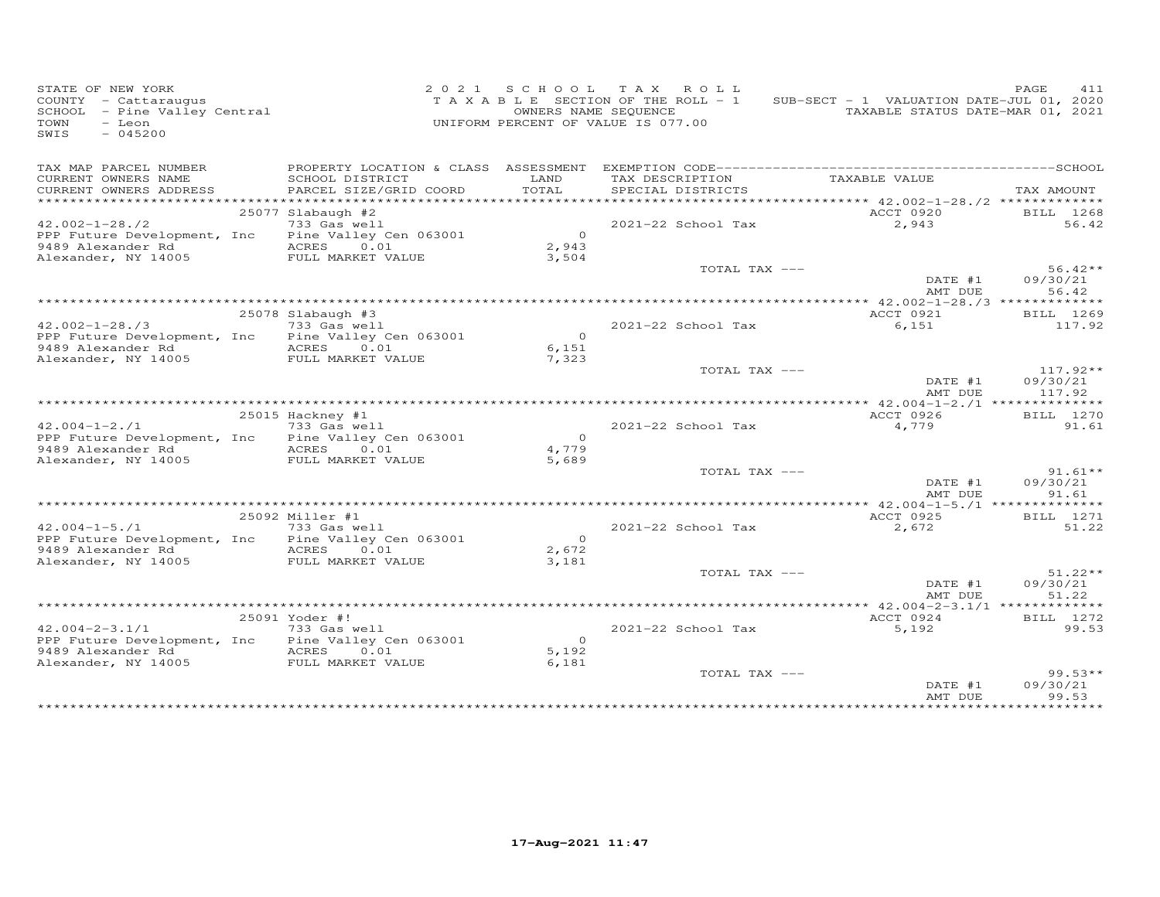| STATE OF NEW YORK<br>COUNTY - Cattaraugus<br>SCHOOL - Pine Valley Central<br>$-$ Leon<br>TOWN<br>SWIS<br>$-045200$ |                                           | OWNERS NAME SEQUENCE    | 2021 SCHOOL TAX ROLL<br>TAXABLE SECTION OF THE ROLL - 1<br>UNIFORM PERCENT OF VALUE IS 077.00 | SUB-SECT - 1 VALUATION DATE-JUL 01, 2020<br>TAXABLE STATUS DATE-MAR 01, 2021 | PAGE.<br>411          |
|--------------------------------------------------------------------------------------------------------------------|-------------------------------------------|-------------------------|-----------------------------------------------------------------------------------------------|------------------------------------------------------------------------------|-----------------------|
| TAX MAP PARCEL NUMBER                                                                                              |                                           |                         |                                                                                               |                                                                              |                       |
| CURRENT OWNERS NAME<br>CURRENT OWNERS ADDRESS<br>************************                                          | SCHOOL DISTRICT<br>PARCEL SIZE/GRID COORD | LAND<br>TOTAL           | TAX DESCRIPTION<br>SPECIAL DISTRICTS                                                          | TAXABLE VALUE                                                                | TAX AMOUNT            |
|                                                                                                                    | 25077 Slabaugh #2                         |                         |                                                                                               | ACCT 0920                                                                    | BILL 1268             |
| $42.002 - 1 - 28.72$<br>PPP Future Development, Inc                                                                | 733 Gas well<br>Pine Valley Cen 063001    | $\overline{0}$          | 2021-22 School Tax                                                                            | 2,943                                                                        | 56.42                 |
| 9489 Alexander Rd<br>Alexander, NY 14005                                                                           | ACRES 0.01<br>FULL MARKET VALUE           | 2,943<br>3,504          |                                                                                               |                                                                              |                       |
|                                                                                                                    |                                           |                         | TOTAL TAX ---                                                                                 | DATE #1                                                                      | $56.42**$<br>09/30/21 |
|                                                                                                                    |                                           |                         |                                                                                               | AMT DUE                                                                      | 56.42                 |
|                                                                                                                    | 25078 Slabaugh #3                         |                         |                                                                                               | ACCT 0921                                                                    | BILL 1269             |
| $42.002 - 1 - 28.73$                                                                                               | 733 Gas well                              |                         | $2021 - 22$ School Tax                                                                        | 6,151                                                                        | 117.92                |
| PPP Future Development, Inc                                                                                        | Pine Valley Cen 063001                    | $\circ$                 |                                                                                               |                                                                              |                       |
| 9489 Alexander Rd                                                                                                  | ACRES 0.01                                | 6,151                   |                                                                                               |                                                                              |                       |
| Alexander, NY 14005                                                                                                | FULL MARKET VALUE                         | 7,323                   |                                                                                               |                                                                              |                       |
|                                                                                                                    |                                           |                         | TOTAL TAX ---                                                                                 |                                                                              | $117.92**$            |
|                                                                                                                    |                                           |                         |                                                                                               | DATE #1<br>AMT DUE                                                           | 09/30/21<br>117.92    |
|                                                                                                                    |                                           |                         |                                                                                               | ***** $42.004 - 1 - 2.1$ **************                                      |                       |
|                                                                                                                    | 25015 Hackney #1                          |                         |                                                                                               | ACCT 0926                                                                    | BILL 1270             |
| $42.004 - 1 - 2.71$                                                                                                | 733 Gas well                              |                         | 2021-22 School Tax                                                                            | 4,779                                                                        | 91.61                 |
| PPP Future Development, Inc<br>9489 Alexander Rd                                                                   | Pine Valley Cen 063001<br>ACRES           | $\overline{0}$<br>4,779 |                                                                                               |                                                                              |                       |
| Alexander, NY 14005                                                                                                | 0.01<br>FULL MARKET VALUE                 | 5,689                   |                                                                                               |                                                                              |                       |
|                                                                                                                    |                                           |                         | TOTAL TAX ---                                                                                 | DATE #1                                                                      | $91.61**$<br>09/30/21 |
|                                                                                                                    |                                           |                         |                                                                                               | AMT DUE<br>***** $42.004 - 1 - 5.71$ **************                          | 91.61                 |
|                                                                                                                    | 25092 Miller #1                           |                         |                                                                                               | ACCT 0925                                                                    | BILL 1271             |
| $42.004 - 1 - 5.71$                                                                                                | 733 Gas well                              |                         | $2021 - 22$ School Tax                                                                        | 2,672                                                                        | 51.22                 |
| PPP Future Development, Inc                                                                                        | Pine Valley Cen 063001                    | $\overline{0}$          |                                                                                               |                                                                              |                       |
| 9489 Alexander Rd                                                                                                  | ACRES<br>0.01                             | 2,672                   |                                                                                               |                                                                              |                       |
| Alexander, NY 14005                                                                                                | FULL MARKET VALUE                         | 3,181                   |                                                                                               |                                                                              |                       |
|                                                                                                                    |                                           |                         | TOTAL TAX ---                                                                                 |                                                                              | $51.22**$             |
|                                                                                                                    |                                           |                         |                                                                                               | DATE #1<br>AMT DUE                                                           | 09/30/21<br>51.22     |
|                                                                                                                    |                                           |                         |                                                                                               | **** $42.004 - 2 - 3.1/1$ *************                                      |                       |
|                                                                                                                    | 25091 Yoder #!                            |                         |                                                                                               | ACCT 0924                                                                    | BILL 1272             |
| $42.004 - 2 - 3.1/1$                                                                                               | 733 Gas well                              |                         | 2021-22 School Tax                                                                            | 5,192                                                                        | 99.53                 |
| PPP Future Development, Inc                                                                                        | Pine Valley Cen 063001                    | $\overline{0}$          |                                                                                               |                                                                              |                       |
| 9489 Alexander Rd<br>Alexander, NY 14005                                                                           | ACRES 0.01<br>FULL MARKET VALUE           | 5,192<br>6,181          |                                                                                               |                                                                              |                       |
|                                                                                                                    |                                           |                         | TOTAL TAX ---                                                                                 |                                                                              | $99.53**$             |
|                                                                                                                    |                                           |                         |                                                                                               | DATE #1                                                                      | 09/30/21              |
|                                                                                                                    |                                           |                         |                                                                                               | AMT DUE                                                                      | 99.53                 |
|                                                                                                                    |                                           |                         |                                                                                               |                                                                              | *********             |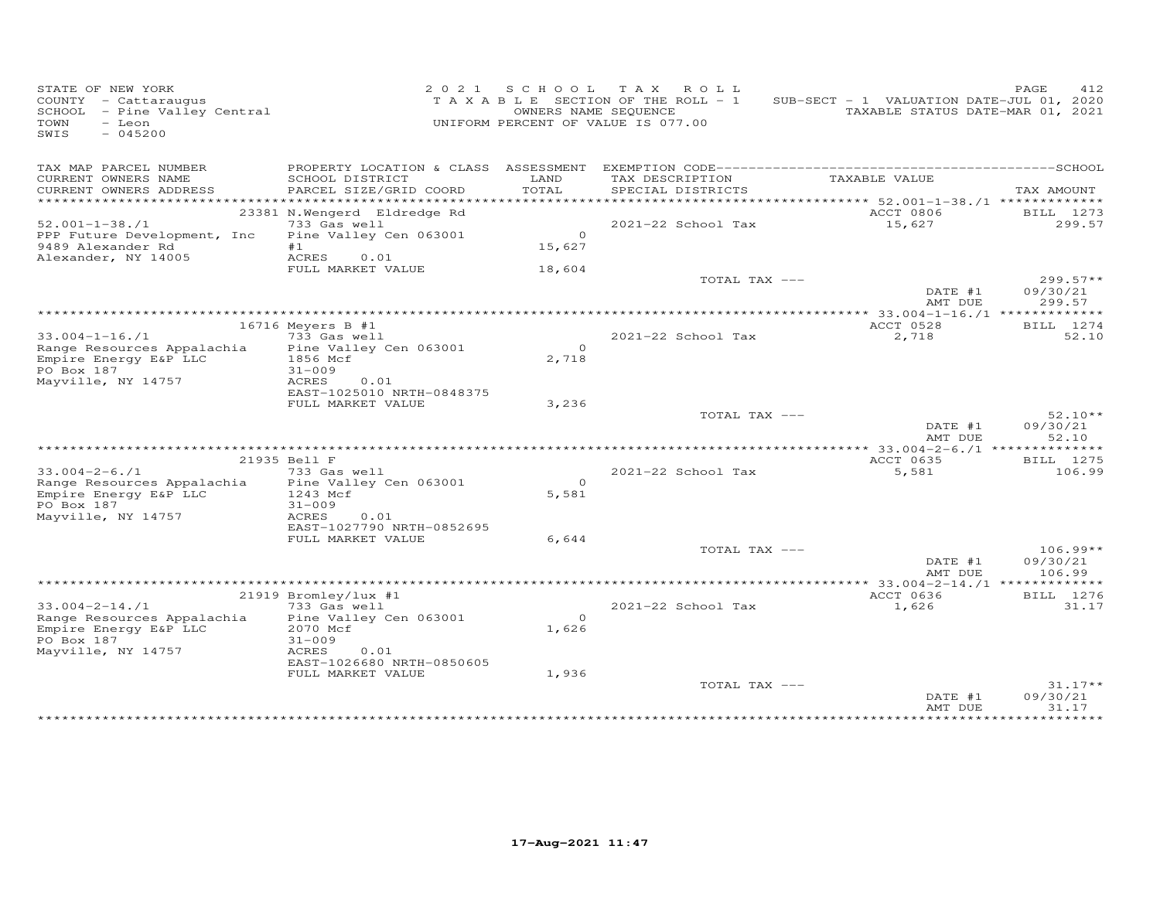| STATE OF NEW YORK<br>COUNTY - Cattaraugus<br>SCHOOL - Pine Valley Central<br>- Leon<br>TOWN<br>$-045200$<br>SWIS  |                                                                                                                                       |                              | 2021 SCHOOL TAX ROLL<br>TAXABLE SECTION OF THE ROLL - 1<br>OWNERS NAME SEQUENCE<br>UNIFORM PERCENT OF VALUE IS 077.00 | SUB-SECT - 1 VALUATION DATE-JUL 01, 2020 | PAGE<br>412<br>TAXABLE STATUS DATE-MAR 01, 2021 |
|-------------------------------------------------------------------------------------------------------------------|---------------------------------------------------------------------------------------------------------------------------------------|------------------------------|-----------------------------------------------------------------------------------------------------------------------|------------------------------------------|-------------------------------------------------|
| TAX MAP PARCEL NUMBER<br>CURRENT OWNERS NAME<br>CURRENT OWNERS ADDRESS                                            | PROPERTY LOCATION & CLASS ASSESSMENT<br>SCHOOL DISTRICT<br>PARCEL SIZE/GRID COORD                                                     | LAND<br>TOTAL                | TAX DESCRIPTION<br>SPECIAL DISTRICTS                                                                                  | TAXABLE VALUE                            | TAX AMOUNT                                      |
| $52.001 - 1 - 38.71$<br>PPP Future Development, Inc<br>9489 Alexander Rd<br>Alexander, NY 14005                   | 23381 N.Wengerd Eldredge Rd<br>733 Gas well<br>Pine Valley Cen 063001<br>#1<br>ACRES 0.01<br>FULL MARKET VALUE                        | $\Omega$<br>15,627<br>18,604 | 2021-22 School Tax<br>TOTAL TAX ---                                                                                   | ACCT 0806<br>15,627                      | BILL 1273<br>299.57<br>$299.57**$               |
|                                                                                                                   |                                                                                                                                       |                              |                                                                                                                       | DATE #1<br>AMT DUE                       | 09/30/21<br>299.57                              |
| $33.004 - 1 - 16. / 1$<br>Range Resources Appalachia<br>Empire Energy E&P LLC<br>PO Box 187<br>Mayville, NY 14757 | $16716$ Meyers B #1<br>733 Gas well<br>Pine Valley Cen 063001<br>1856 Mcf<br>$31 - 009$<br>ACRES<br>0.01<br>EAST-1025010 NRTH-0848375 | $\circ$<br>2,718             | 2021-22 School Tax                                                                                                    | ACCT 0528<br>2,718                       | BILL 1274<br>52.10                              |
|                                                                                                                   | FULL MARKET VALUE                                                                                                                     | 3,236                        | TOTAL TAX ---                                                                                                         | DATE #1<br>AMT DUE                       | $52.10**$<br>09/30/21<br>52.10                  |
|                                                                                                                   | 21935 Bell F                                                                                                                          |                              |                                                                                                                       | ACCT 0635                                | BILL 1275                                       |
| $33.004 - 2 - 6.71$<br>Range Resources Appalachia<br>Empire Energy E&P LLC<br>PO Box 187<br>Mayville, NY 14757    | 733 Gas well<br>Pine Valley Cen 063001<br>1243 Mcf<br>$31 - 009$<br>ACRES<br>0.01                                                     | $\Omega$<br>5,581            | 2021-22 School Tax                                                                                                    | 5,581                                    | 106.99                                          |
|                                                                                                                   | EAST-1027790 NRTH-0852695<br>FULL MARKET VALUE                                                                                        | 6,644                        | TOTAL TAX ---                                                                                                         | DATE #1                                  | $106.99**$<br>09/30/21                          |
|                                                                                                                   |                                                                                                                                       |                              |                                                                                                                       | AMT DUE                                  | 106.99                                          |
|                                                                                                                   | 21919 Bromley/lux #1                                                                                                                  |                              |                                                                                                                       | ACCT 0636                                | BILL 1276                                       |
| $33.004 - 2 - 14.71$<br>Range Resources Appalachia<br>Empire Energy E&P LLC<br>PO Box 187<br>Mayville, NY 14757   | 733 Gas well<br>Pine Valley Cen 063001<br>2070 Mcf<br>$31 - 009$<br>ACRES<br>0.01<br>EAST-1026680 NRTH-0850605<br>FULL MARKET VALUE   | $\Omega$<br>1,626<br>1,936   | 2021-22 School Tax                                                                                                    | 1,626                                    | 31.17                                           |
|                                                                                                                   |                                                                                                                                       |                              | TOTAL TAX ---                                                                                                         | DATE #1<br>AMT DUE                       | $31.17**$<br>09/30/21<br>31.17                  |
|                                                                                                                   |                                                                                                                                       |                              |                                                                                                                       |                                          | **********                                      |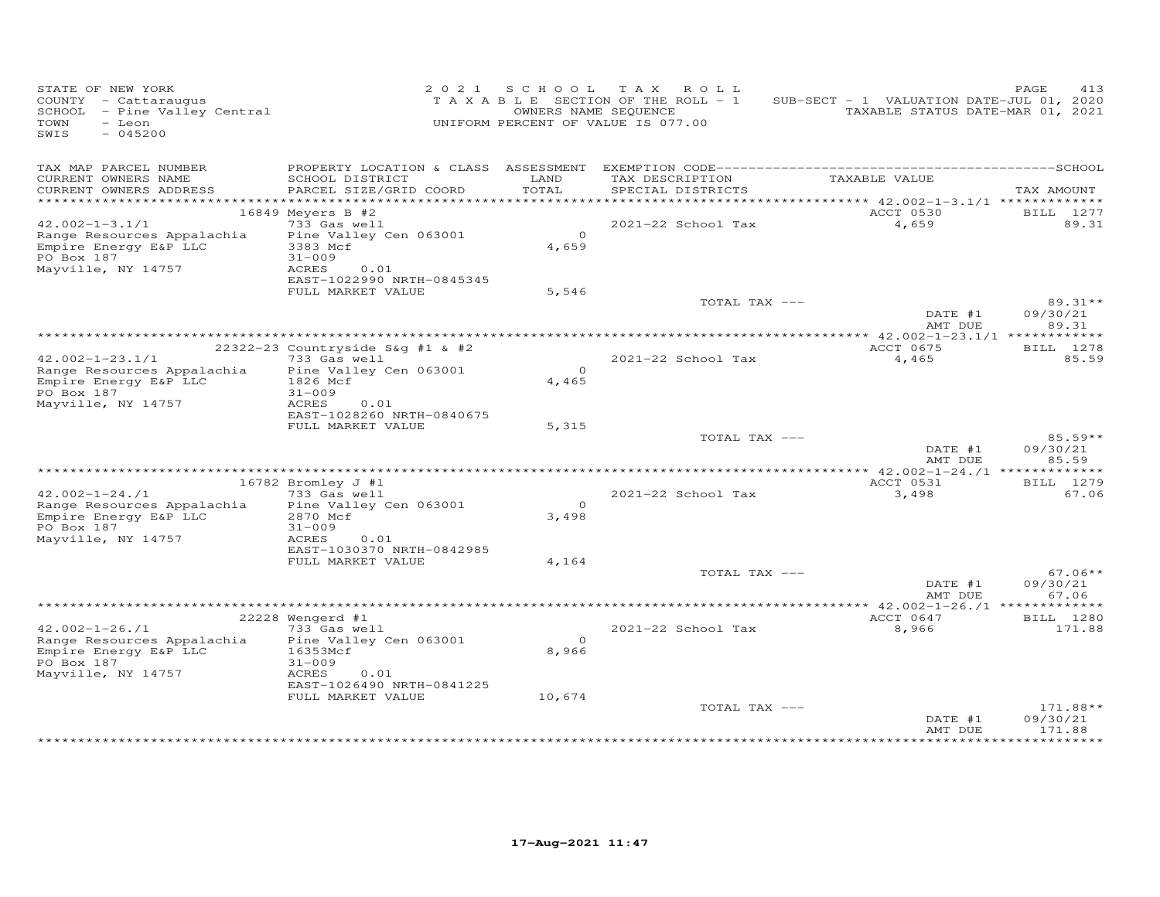| STATE OF NEW YORK<br>COUNTY - Cattaraugus<br>SCHOOL - Pine Valley Central<br>TOWN<br>- Leon<br>SWIS<br>$-045200$ |                                                   | 2021 SCHOOL      | TAX ROLL<br>TAXABLE SECTION OF THE ROLL - 1<br>OWNERS NAME SEQUENCE<br>UNIFORM PERCENT OF VALUE IS 077.00 | SUB-SECT - 1 VALUATION DATE-JUL 01, 2020<br>TAXABLE STATUS DATE-MAR 01, 2021 | PAGE<br>413                |
|------------------------------------------------------------------------------------------------------------------|---------------------------------------------------|------------------|-----------------------------------------------------------------------------------------------------------|------------------------------------------------------------------------------|----------------------------|
| TAX MAP PARCEL NUMBER                                                                                            |                                                   |                  |                                                                                                           |                                                                              |                            |
| CURRENT OWNERS NAME<br>CURRENT OWNERS ADDRESS                                                                    | SCHOOL DISTRICT<br>PARCEL SIZE/GRID COORD         | LAND<br>TOTAL    | TAX DESCRIPTION<br>SPECIAL DISTRICTS                                                                      | TAXABLE VALUE                                                                | TAX AMOUNT                 |
|                                                                                                                  | 16849 Meyers B #2                                 |                  |                                                                                                           | ********** 42.002-1-3.1/1 *************<br>ACCT 0530                         | BILL 1277                  |
| $42.002 - 1 - 3.1/1$                                                                                             | 733 Gas well                                      |                  | 2021-22 School Tax                                                                                        | 4,659                                                                        | 89.31                      |
| Range Resources Appalachia<br>Empire Energy E&P LLC<br>PO Box 187                                                | Pine Valley Cen 063001<br>3383 Mcf<br>$31 - 009$  | $\circ$<br>4,659 |                                                                                                           |                                                                              |                            |
| Mayville, NY 14757                                                                                               | <b>ACRES</b><br>0.01<br>EAST-1022990 NRTH-0845345 |                  |                                                                                                           |                                                                              |                            |
|                                                                                                                  | FULL MARKET VALUE                                 | 5,546            |                                                                                                           |                                                                              |                            |
|                                                                                                                  |                                                   |                  | TOTAL TAX ---                                                                                             | DATE #1                                                                      | $89.31**$<br>09/30/21      |
|                                                                                                                  |                                                   |                  |                                                                                                           | AMT DUE                                                                      | 89.31                      |
|                                                                                                                  |                                                   |                  |                                                                                                           |                                                                              |                            |
| $42.002 - 1 - 23.1/1$                                                                                            | 22322-23 Countryside S&g #1 & #2<br>733 Gas well  |                  | 2021-22 School Tax                                                                                        | ACCT 0675<br>4,465                                                           | BILL 1278<br>85.59         |
| Range Resources Appalachia                                                                                       | Pine Valley Cen 063001                            | $\Omega$         |                                                                                                           |                                                                              |                            |
| Empire Energy E&P LLC                                                                                            | 1826 Mcf                                          | 4,465            |                                                                                                           |                                                                              |                            |
| PO Box 187                                                                                                       | $31 - 009$                                        |                  |                                                                                                           |                                                                              |                            |
| Mayville, NY 14757                                                                                               | ACRES<br>0.01                                     |                  |                                                                                                           |                                                                              |                            |
|                                                                                                                  | EAST-1028260 NRTH-0840675<br>FULL MARKET VALUE    | 5,315            |                                                                                                           |                                                                              |                            |
|                                                                                                                  |                                                   |                  | TOTAL TAX ---                                                                                             |                                                                              | 85.59**                    |
|                                                                                                                  |                                                   |                  |                                                                                                           | DATE #1<br>AMT DUE                                                           | 09/30/21<br>85.59          |
|                                                                                                                  |                                                   |                  |                                                                                                           |                                                                              |                            |
|                                                                                                                  | 16782 Bromley J #1                                |                  |                                                                                                           | ACCT 0531                                                                    | BILL 1279                  |
| $42.002 - 1 - 24.71$                                                                                             | 733 Gas well                                      |                  | 2021-22 School Tax                                                                                        | 3,498                                                                        | 67.06                      |
| Range Resources Appalachia                                                                                       | Pine Valley Cen 063001                            | $\Omega$         |                                                                                                           |                                                                              |                            |
| Empire Energy E&P LLC<br>PO Box 187                                                                              | 2870 Mcf<br>$31 - 009$                            | 3,498            |                                                                                                           |                                                                              |                            |
| Mayville, NY 14757                                                                                               | ACRES<br>0.01                                     |                  |                                                                                                           |                                                                              |                            |
|                                                                                                                  | EAST-1030370 NRTH-0842985                         |                  |                                                                                                           |                                                                              |                            |
|                                                                                                                  | FULL MARKET VALUE                                 | 4,164            |                                                                                                           |                                                                              |                            |
|                                                                                                                  |                                                   |                  | TOTAL TAX ---                                                                                             | DATE #1                                                                      | $67.06**$<br>09/30/21      |
|                                                                                                                  |                                                   |                  |                                                                                                           | AMT DUE                                                                      | 67.06                      |
|                                                                                                                  |                                                   |                  |                                                                                                           |                                                                              |                            |
| $42.002 - 1 - 26.71$                                                                                             | 22228 Wengerd #1<br>733 Gas well                  |                  | 2021-22 School Tax                                                                                        | ACCT 0647<br>8,966                                                           | <b>BILL</b> 1280<br>171.88 |
| Range Resources Appalachia                                                                                       | Pine Valley Cen 063001                            | $\circ$          |                                                                                                           |                                                                              |                            |
| Empire Energy E&P LLC                                                                                            | 16353Mcf                                          | 8,966            |                                                                                                           |                                                                              |                            |
| PO Box 187                                                                                                       | $31 - 009$                                        |                  |                                                                                                           |                                                                              |                            |
| Mayville, NY 14757                                                                                               | ACRES<br>0.01                                     |                  |                                                                                                           |                                                                              |                            |
|                                                                                                                  | EAST-1026490 NRTH-0841225<br>FULL MARKET VALUE    | 10,674           |                                                                                                           |                                                                              |                            |
|                                                                                                                  |                                                   |                  | TOTAL TAX ---                                                                                             |                                                                              | 171.88**                   |
|                                                                                                                  |                                                   |                  |                                                                                                           | DATE #1                                                                      | 09/30/21                   |
|                                                                                                                  |                                                   |                  |                                                                                                           | AMT DUE                                                                      | 171.88                     |
|                                                                                                                  |                                                   |                  |                                                                                                           |                                                                              |                            |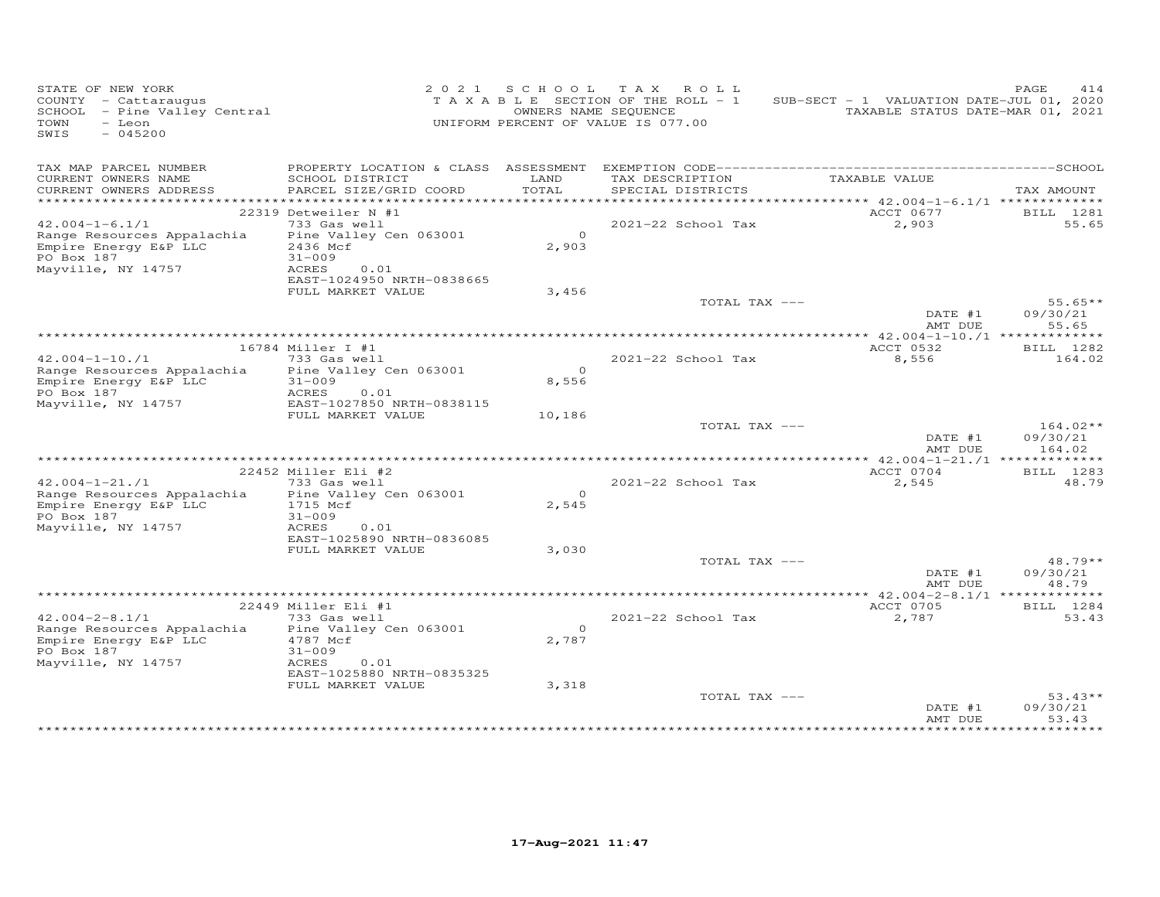| STATE OF NEW YORK<br>COUNTY - Cattaraugus<br>SCHOOL - Pine Valley Central<br>TOWN<br>- Leon<br>SWIS<br>$-045200$ |                                                                                                                | 2021 SCHOOL<br>OWNERS NAME SEQUENCE | TAX ROLL<br>TAXABLE SECTION OF THE ROLL - 1<br>UNIFORM PERCENT OF VALUE IS 077.00 | SUB-SECT - 1 VALUATION DATE-JUL 01, 2020<br>TAXABLE STATUS DATE-MAR 01, 2021 | PAGE<br>414                      |
|------------------------------------------------------------------------------------------------------------------|----------------------------------------------------------------------------------------------------------------|-------------------------------------|-----------------------------------------------------------------------------------|------------------------------------------------------------------------------|----------------------------------|
| TAX MAP PARCEL NUMBER<br>CURRENT OWNERS NAME<br>CURRENT OWNERS ADDRESS                                           | SCHOOL DISTRICT<br>PARCEL SIZE/GRID COORD                                                                      | LAND<br>TOTAL                       | TAX DESCRIPTION<br>SPECIAL DISTRICTS                                              | TAXABLE VALUE                                                                | TAX AMOUNT                       |
|                                                                                                                  | 22319 Detweiler N #1                                                                                           |                                     |                                                                                   | ACCT 0677                                                                    | BILL 1281                        |
| $42.004 - 1 - 6.1/1$<br>Range Resources Appalachia<br>Empire Energy E&P LLC<br>PO Box 187<br>Mayville, NY 14757  | 733 Gas well<br>Pine Valley Cen 063001<br>2436 Mcf<br>$31 - 009$<br>ACRES<br>0.01<br>EAST-1024950 NRTH-0838665 | $\overline{a}$<br>2,903             | 2021-22 School Tax                                                                | 2,903                                                                        | 55.65                            |
|                                                                                                                  | FULL MARKET VALUE                                                                                              | 3,456                               |                                                                                   |                                                                              |                                  |
|                                                                                                                  |                                                                                                                |                                     | TOTAL TAX ---                                                                     | DATE #1<br>AMT DUE                                                           | $55.65**$<br>09/30/21<br>55.65   |
|                                                                                                                  |                                                                                                                |                                     |                                                                                   | *************** $42.004 - 1 - 10$ ./1 **************                         |                                  |
|                                                                                                                  | 16784 Miller I #1                                                                                              |                                     |                                                                                   | ACCT 0532                                                                    | BILL 1282                        |
| $42.004 - 1 - 10.71$<br>Range Resources Appalachia<br>Empire Energy E&P LLC<br>PO Box 187                        | 733 Gas well<br>Pine Valley Cen 063001<br>$31 - 009$<br>ACRES<br>0.01                                          | $\Omega$<br>8,556                   | $2021-22$ School Tax                                                              | 8,556                                                                        | 164.02                           |
| Mayville, NY 14757                                                                                               | EAST-1027850 NRTH-0838115<br>FULL MARKET VALUE                                                                 | 10,186                              |                                                                                   |                                                                              |                                  |
|                                                                                                                  |                                                                                                                |                                     | TOTAL TAX ---                                                                     | DATE #1<br>AMT DUE                                                           | $164.02**$<br>09/30/21<br>164.02 |
|                                                                                                                  |                                                                                                                |                                     |                                                                                   |                                                                              |                                  |
|                                                                                                                  | 22452 Miller Eli #2                                                                                            |                                     |                                                                                   | ACCT 0704                                                                    | BILL 1283                        |
| $42.004 - 1 - 21.71$<br>Range Resources Appalachia<br>Empire Energy E&P LLC<br>PO Box 187<br>Mayville, NY 14757  | 733 Gas well<br>Pine Valley Cen 063001<br>1715 Mcf<br>$31 - 009$<br>ACRES<br>0.01                              | $\Omega$<br>2,545                   | 2021-22 School Tax                                                                | 2,545                                                                        | 48.79                            |
|                                                                                                                  | EAST-1025890 NRTH-0836085<br>FULL MARKET VALUE                                                                 | 3,030                               |                                                                                   |                                                                              |                                  |
|                                                                                                                  |                                                                                                                |                                     | TOTAL TAX ---                                                                     | DATE #1<br>AMT DUE                                                           | $48.79**$<br>09/30/21<br>48.79   |
|                                                                                                                  |                                                                                                                |                                     |                                                                                   |                                                                              |                                  |
|                                                                                                                  | 22449 Miller Eli #1<br>733 Gas well                                                                            |                                     | 2021-22 School Tax                                                                | ACCT 0705                                                                    | BILL 1284<br>53.43               |
| $42.004 - 2 - 8.1/1$<br>Range Resources Appalachia<br>Empire Energy E&P LLC<br>PO Box 187<br>Mayville, NY 14757  | Pine Valley Cen 063001<br>4787 Mcf<br>$31 - 009$<br>ACRES<br>0.01                                              | $\Omega$<br>2,787                   |                                                                                   | 2,787                                                                        |                                  |
|                                                                                                                  | EAST-1025880 NRTH-0835325<br>FULL MARKET VALUE                                                                 | 3,318                               | TOTAL TAX ---                                                                     | DATE #1<br>AMT DUE                                                           | $53.43**$<br>09/30/21<br>53.43   |
|                                                                                                                  |                                                                                                                |                                     |                                                                                   |                                                                              |                                  |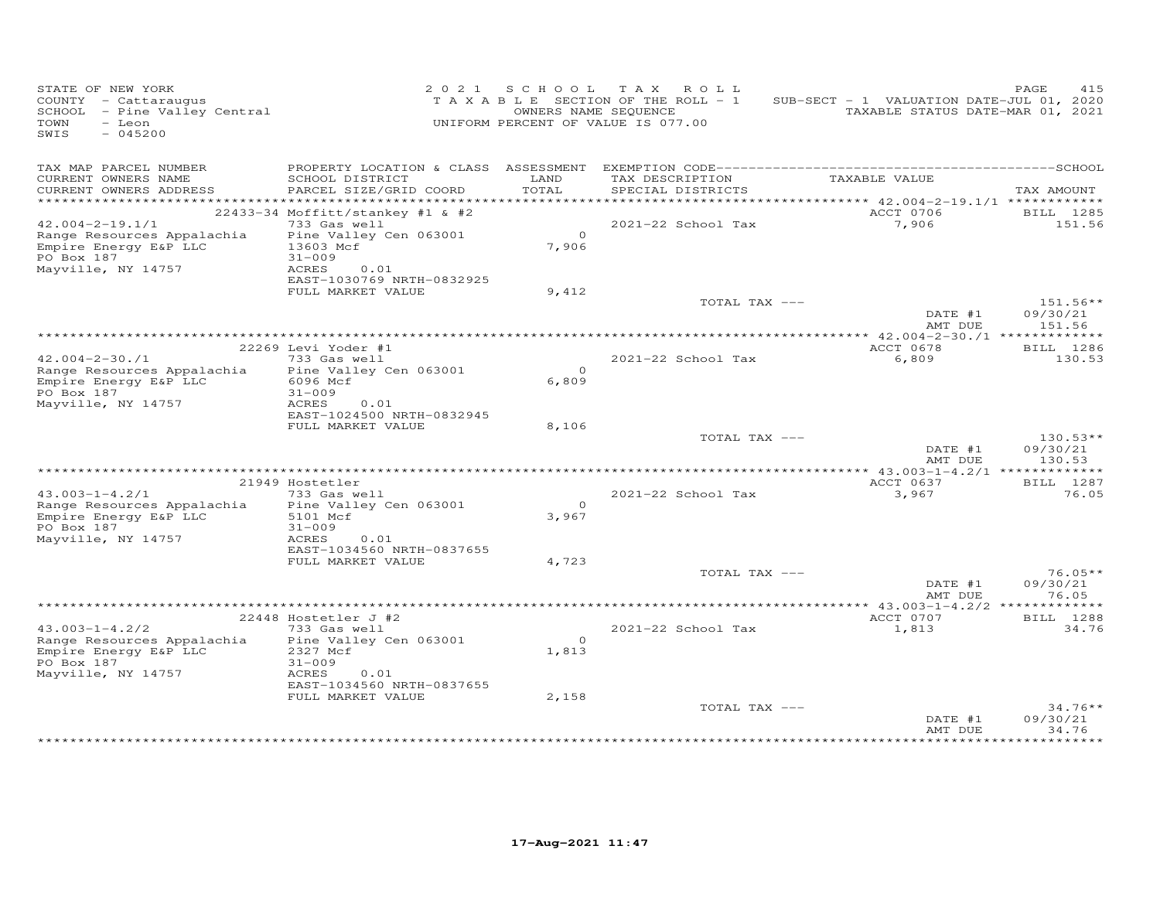| STATE OF NEW YORK<br>COUNTY - Cattaraugus<br>SCHOOL - Pine Valley Central<br>- Leon<br>TOWN<br>SWIS<br>$-045200$ |                                                    | 2021 SCHOOL | TAX ROLL<br>TAXABLE SECTION OF THE ROLL - 1<br>OWNERS NAME SEQUENCE<br>UNIFORM PERCENT OF VALUE IS 077.00 | SUB-SECT - 1 VALUATION DATE-JUL 01, 2020<br>TAXABLE STATUS DATE-MAR 01, 2021 | PAGE<br>415           |
|------------------------------------------------------------------------------------------------------------------|----------------------------------------------------|-------------|-----------------------------------------------------------------------------------------------------------|------------------------------------------------------------------------------|-----------------------|
| TAX MAP PARCEL NUMBER                                                                                            |                                                    | LAND        |                                                                                                           | TAXABLE VALUE                                                                |                       |
| CURRENT OWNERS NAME<br>CURRENT OWNERS ADDRESS                                                                    | SCHOOL DISTRICT<br>PARCEL SIZE/GRID COORD          | TOTAL       | TAX DESCRIPTION<br>SPECIAL DISTRICTS                                                                      |                                                                              | TAX AMOUNT            |
|                                                                                                                  |                                                    |             |                                                                                                           |                                                                              |                       |
| $42.004 - 2 - 19.1/1$                                                                                            | $22433-34$ Moffitt/stankey #1 & #2<br>733 Gas well |             | 2021-22 School Tax                                                                                        | ACCT 0706<br>7,906                                                           | BILL 1285<br>151.56   |
| Range Resources Appalachia                                                                                       | Pine Valley Cen 063001                             | $\Omega$    |                                                                                                           |                                                                              |                       |
| Empire Energy E&P LLC<br>PO Box 187                                                                              | 13603 Mcf<br>$31 - 009$                            | 7,906       |                                                                                                           |                                                                              |                       |
| Mayville, NY 14757                                                                                               | ACRES<br>0.01                                      |             |                                                                                                           |                                                                              |                       |
|                                                                                                                  | EAST-1030769 NRTH-0832925                          |             |                                                                                                           |                                                                              |                       |
|                                                                                                                  | FULL MARKET VALUE                                  | 9,412       |                                                                                                           |                                                                              |                       |
|                                                                                                                  |                                                    |             | TOTAL TAX ---                                                                                             |                                                                              | $151.56**$            |
|                                                                                                                  |                                                    |             |                                                                                                           | DATE #1<br>AMT DUE                                                           | 09/30/21<br>151.56    |
|                                                                                                                  |                                                    |             |                                                                                                           |                                                                              |                       |
| $42.004 - 2 - 30.71$                                                                                             | 22269 Levi Yoder #1<br>733 Gas well                |             | 2021-22 School Tax                                                                                        | ACCT 0678<br>6,809                                                           | BILL 1286<br>130.53   |
| Range Resources Appalachia                                                                                       | Pine Valley Cen 063001                             | $\Omega$    |                                                                                                           |                                                                              |                       |
| Empire Energy E&P LLC                                                                                            | 6096 Mcf                                           | 6,809       |                                                                                                           |                                                                              |                       |
| PO Box 187                                                                                                       | $31 - 009$                                         |             |                                                                                                           |                                                                              |                       |
| Mayville, NY 14757                                                                                               | <b>ACRES</b><br>0.01                               |             |                                                                                                           |                                                                              |                       |
|                                                                                                                  | EAST-1024500 NRTH-0832945<br>FULL MARKET VALUE     | 8,106       |                                                                                                           |                                                                              |                       |
|                                                                                                                  |                                                    |             | TOTAL TAX ---                                                                                             |                                                                              | $130.53**$            |
|                                                                                                                  |                                                    |             |                                                                                                           | DATE #1                                                                      | 09/30/21              |
|                                                                                                                  |                                                    |             |                                                                                                           | AMT DUE                                                                      | 130.53                |
|                                                                                                                  |                                                    |             |                                                                                                           |                                                                              |                       |
|                                                                                                                  | 21949 Hostetler                                    |             |                                                                                                           | ACCT 0637                                                                    | BILL 1287             |
| $43.003 - 1 - 4.2/1$<br>Range Resources Appalachia                                                               | 733 Gas well<br>Pine Valley Cen 063001             | $\Omega$    | 2021-22 School Tax                                                                                        | 3,967                                                                        | 76.05                 |
| Empire Energy E&P LLC                                                                                            | 5101 Mcf                                           | 3,967       |                                                                                                           |                                                                              |                       |
| PO Box 187                                                                                                       | $31 - 009$                                         |             |                                                                                                           |                                                                              |                       |
| Mayville, NY 14757                                                                                               | ACRES<br>0.01                                      |             |                                                                                                           |                                                                              |                       |
|                                                                                                                  | EAST-1034560 NRTH-0837655                          |             |                                                                                                           |                                                                              |                       |
|                                                                                                                  | FULL MARKET VALUE                                  | 4,723       | TOTAL TAX ---                                                                                             |                                                                              | $76.05**$             |
|                                                                                                                  |                                                    |             |                                                                                                           | DATE #1                                                                      | 09/30/21              |
|                                                                                                                  |                                                    |             |                                                                                                           | AMT DUE                                                                      | 76.05                 |
|                                                                                                                  |                                                    |             |                                                                                                           |                                                                              |                       |
|                                                                                                                  | 22448 Hostetler J #2                               |             |                                                                                                           | ACCT 0707                                                                    | <b>BILL</b> 1288      |
| $43.003 - 1 - 4.2/2$<br>Range Resources Appalachia                                                               | 733 Gas well                                       | $\Omega$    | 2021-22 School Tax                                                                                        | 1,813                                                                        | 34.76                 |
| Empire Energy E&P LLC                                                                                            | Pine Valley Cen 063001<br>2327 Mcf                 | 1,813       |                                                                                                           |                                                                              |                       |
| PO Box 187                                                                                                       | $31 - 009$                                         |             |                                                                                                           |                                                                              |                       |
| Mayville, NY 14757                                                                                               | ACRES<br>0.01                                      |             |                                                                                                           |                                                                              |                       |
|                                                                                                                  | EAST-1034560 NRTH-0837655                          |             |                                                                                                           |                                                                              |                       |
|                                                                                                                  | FULL MARKET VALUE                                  | 2,158       |                                                                                                           |                                                                              |                       |
|                                                                                                                  |                                                    |             | TOTAL TAX ---                                                                                             | DATE #1                                                                      | $34.76**$<br>09/30/21 |
|                                                                                                                  |                                                    |             |                                                                                                           | AMT DUE                                                                      | 34.76                 |
|                                                                                                                  |                                                    |             |                                                                                                           |                                                                              | ********              |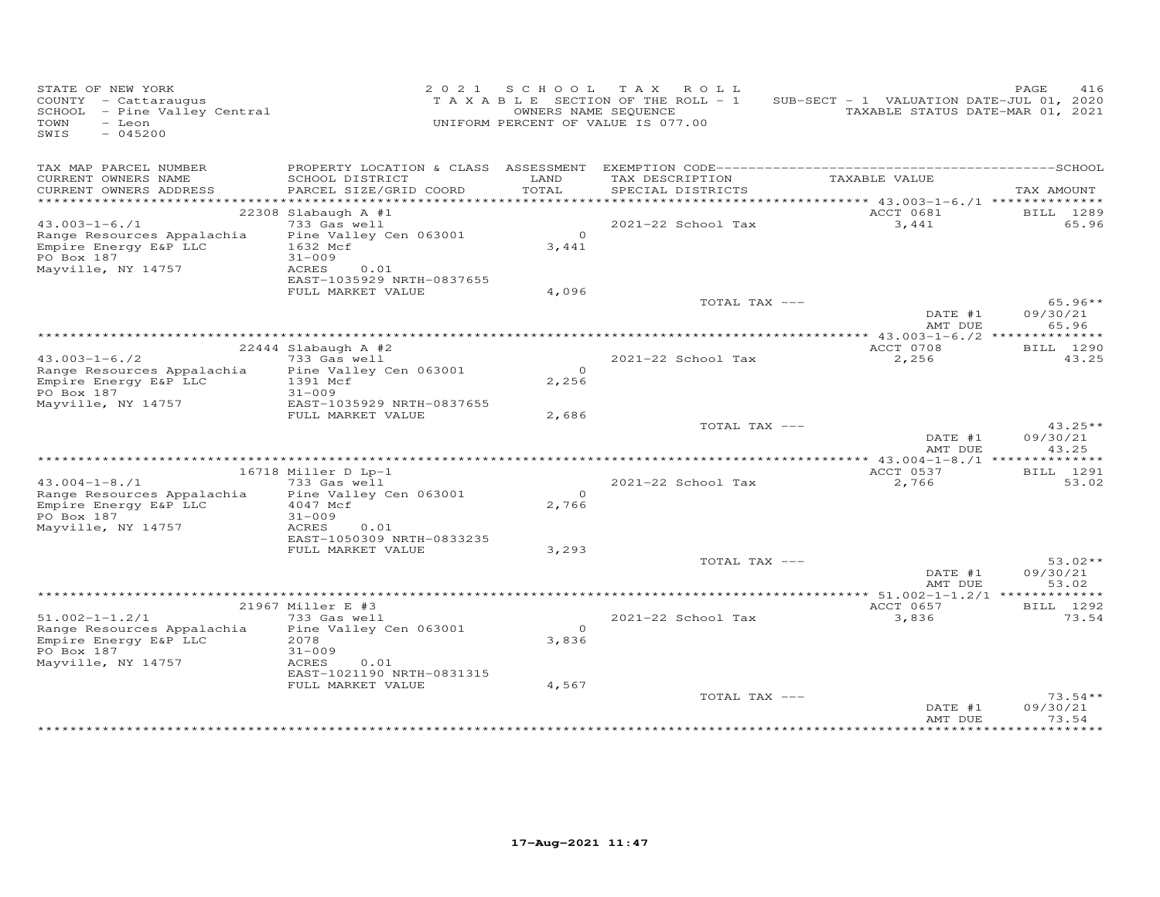| STATE OF NEW YORK<br>COUNTY - Cattaraugus<br>SCHOOL - Pine Valley Central<br>TOWN<br>- Leon<br>SWIS<br>$-045200$ |                                                                                                | 2021 SCHOOL             | TAX ROLL<br>TAXABLE SECTION OF THE ROLL - 1<br>OWNERS NAME SEQUENCE<br>UNIFORM PERCENT OF VALUE IS 077.00 | SUB-SECT - 1 VALUATION DATE-JUL 01, 2020<br>TAXABLE STATUS DATE-MAR 01, 2021 | PAGE<br>416                    |
|------------------------------------------------------------------------------------------------------------------|------------------------------------------------------------------------------------------------|-------------------------|-----------------------------------------------------------------------------------------------------------|------------------------------------------------------------------------------|--------------------------------|
| TAX MAP PARCEL NUMBER<br>CURRENT OWNERS NAME<br>CURRENT OWNERS ADDRESS                                           | PROPERTY LOCATION & CLASS ASSESSMENT<br>SCHOOL DISTRICT<br>PARCEL SIZE/GRID COORD              | LAND<br>TOTAL           | TAX DESCRIPTION<br>SPECIAL DISTRICTS                                                                      | TAXABLE VALUE                                                                | TAX AMOUNT                     |
|                                                                                                                  |                                                                                                |                         |                                                                                                           |                                                                              |                                |
| $43.003 - 1 - 6.71$                                                                                              | 22308 Slabaugh A $#1$<br>733 Gas well                                                          |                         | 2021-22 School Tax                                                                                        | ACCT 0681<br>3,441                                                           | BILL 1289<br>65.96             |
| Range Resources Appalachia<br>Empire Energy E&P LLC<br>PO Box 187<br>Mayville, NY 14757                          | Pine Valley Cen 063001<br>1632 Mcf<br>$31 - 009$<br>ACRES<br>0.01<br>EAST-1035929 NRTH-0837655 | $\overline{0}$<br>3,441 |                                                                                                           |                                                                              |                                |
|                                                                                                                  | FULL MARKET VALUE                                                                              | 4,096                   |                                                                                                           |                                                                              |                                |
|                                                                                                                  |                                                                                                |                         | TOTAL TAX ---                                                                                             | DATE #1                                                                      | $65.96**$<br>09/30/21          |
|                                                                                                                  |                                                                                                |                         |                                                                                                           | AMT DUE                                                                      | 65.96                          |
|                                                                                                                  | $22444$ Slabaugh A #2                                                                          |                         |                                                                                                           | *************** 43.003-1-6./2 ***************<br>ACCT 0708                   | BILL 1290                      |
| $43.003 - 1 - 6.72$                                                                                              | 733 Gas well                                                                                   |                         | 2021-22 School Tax                                                                                        | 2,256                                                                        | 43.25                          |
| Range Resources Appalachia<br>Empire Energy E&P LLC<br>PO Box 187                                                | Pine Valley Cen 063001<br>1391 Mcf<br>$31 - 009$                                               | $\Omega$<br>2,256       |                                                                                                           |                                                                              |                                |
| Mayville, NY 14757                                                                                               | EAST-1035929 NRTH-0837655                                                                      |                         |                                                                                                           |                                                                              |                                |
|                                                                                                                  | FULL MARKET VALUE                                                                              | 2,686                   | TOTAL TAX ---                                                                                             | DATE #1                                                                      | $43.25**$<br>09/30/21          |
|                                                                                                                  |                                                                                                |                         |                                                                                                           | AMT DUE                                                                      | 43.25                          |
|                                                                                                                  |                                                                                                |                         |                                                                                                           | ACCT 0537                                                                    |                                |
| $43.004 - 1 - 8.71$                                                                                              | 16718 Miller D Lp-1<br>733 Gas well                                                            |                         | 2021-22 School Tax                                                                                        | 2,766                                                                        | BILL 1291<br>53.02             |
| Range Resources Appalachia<br>Empire Energy E&P LLC<br>PO Box 187<br>Mayville, NY 14757                          | Pine Valley Cen 063001<br>4047 Mcf<br>$31 - 009$<br>ACRES<br>0.01                              | $\Omega$<br>2,766       |                                                                                                           |                                                                              |                                |
|                                                                                                                  | EAST-1050309 NRTH-0833235                                                                      |                         |                                                                                                           |                                                                              |                                |
|                                                                                                                  | FULL MARKET VALUE                                                                              | 3,293                   |                                                                                                           |                                                                              |                                |
|                                                                                                                  |                                                                                                |                         | TOTAL TAX ---                                                                                             | DATE #1<br>AMT DUE                                                           | $53.02**$<br>09/30/21<br>53.02 |
|                                                                                                                  |                                                                                                |                         |                                                                                                           |                                                                              |                                |
| $51.002 - 1 - 1.2/1$                                                                                             | 21967 Miller E #3<br>733 Gas well                                                              |                         | 2021-22 School Tax                                                                                        | ACCT 0657<br>3,836                                                           | BILL 1292<br>73.54             |
| Range Resources Appalachia<br>Empire Energy E&P LLC<br>PO Box 187                                                | Pine Valley Cen 063001<br>2078<br>$31 - 009$                                                   | $\Omega$<br>3,836       |                                                                                                           |                                                                              |                                |
| Mayville, NY 14757                                                                                               | ACRES<br>0.01<br>EAST-1021190 NRTH-0831315                                                     |                         |                                                                                                           |                                                                              |                                |
|                                                                                                                  | FULL MARKET VALUE                                                                              | 4,567                   | TOTAL TAX ---                                                                                             |                                                                              | $73.54**$                      |
|                                                                                                                  |                                                                                                |                         |                                                                                                           | DATE #1<br>AMT DUE                                                           | 09/30/21<br>73.54              |
|                                                                                                                  |                                                                                                |                         |                                                                                                           |                                                                              |                                |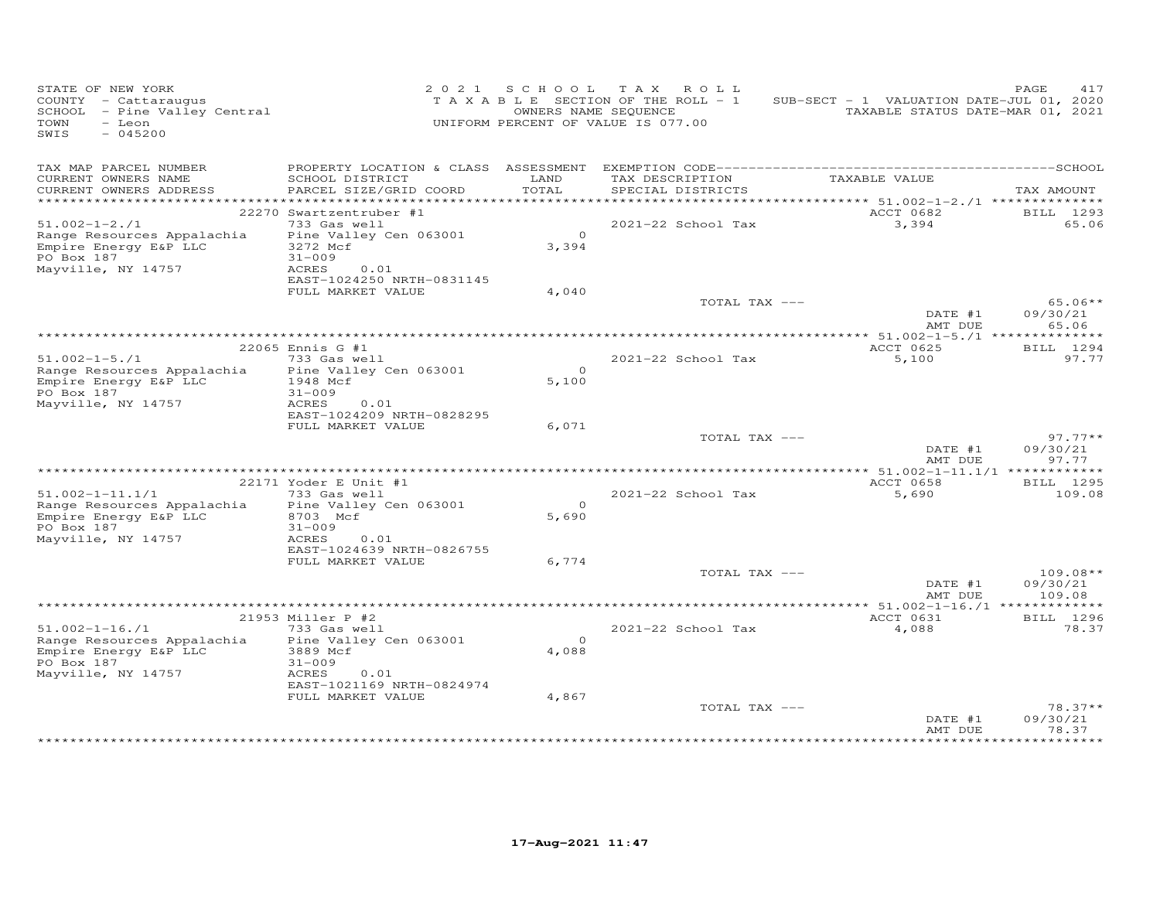| SWIS<br>$-045200$                                                                                                                                                     |                                  |
|-----------------------------------------------------------------------------------------------------------------------------------------------------------------------|----------------------------------|
| TAX MAP PARCEL NUMBER<br>TAX DESCRIPTION<br>TAXABLE VALUE<br>LAND<br>CURRENT OWNERS NAME<br>SCHOOL DISTRICT                                                           |                                  |
| TOTAL<br>PARCEL SIZE/GRID COORD<br>SPECIAL DISTRICTS<br>CURRENT OWNERS ADDRESS                                                                                        | TAX AMOUNT                       |
| ACCT 0682<br>22270 Swartzentruber #1                                                                                                                                  | BILL 1293                        |
| $51.002 - 1 - 2.71$<br>733 Gas well<br>2021-22 School Tax<br>3,394                                                                                                    | 65.06                            |
| $\Omega$<br>Range Resources Appalachia<br>Pine Valley Cen 063001<br>Empire Energy E&P LLC<br>3,394<br>3272 Mcf<br>$31 - 009$<br>PO Box 187                            |                                  |
| Mayville, NY 14757<br>ACRES<br>0.01<br>EAST-1024250 NRTH-0831145                                                                                                      |                                  |
| FULL MARKET VALUE<br>4,040                                                                                                                                            |                                  |
| TOTAL TAX ---<br>DATE #1<br>AMT DUE                                                                                                                                   | $65.06**$<br>09/30/21<br>65.06   |
|                                                                                                                                                                       |                                  |
| 22065 Ennis G #1<br>ACCT 0625                                                                                                                                         | BILL 1294                        |
| 733 Gas well<br>2021-22 School Tax<br>5,100<br>$51.002 - 1 - 5.71$<br>$\Omega$                                                                                        | 97.77                            |
| Range Resources Appalachia<br>Pine Valley Cen 063001<br>Empire Energy E&P LLC<br>1948 Mcf<br>5,100<br>PO Box 187<br>$31 - 009$<br>Mayville, NY 14757<br>ACRES<br>0.01 |                                  |
| EAST-1024209 NRTH-0828295                                                                                                                                             |                                  |
| FULL MARKET VALUE<br>6,071                                                                                                                                            |                                  |
| TOTAL TAX ---<br>DATE #1<br>AMT DUE                                                                                                                                   | $97.77**$<br>09/30/21<br>97.77   |
|                                                                                                                                                                       |                                  |
| ACCT 0658<br>22171 Yoder E Unit #1                                                                                                                                    | BILL 1295                        |
| $51.002 - 1 - 11.1/1$<br>733 Gas well<br>2021-22 School Tax<br>5,690<br>$\circ$                                                                                       | 109.08                           |
| Range Resources Appalachia<br>Pine Valley Cen 063001<br>Empire Energy E&P LLC<br>8703 Mcf<br>5,690                                                                    |                                  |
| PO Box 187<br>$31 - 009$<br>Mayville, NY 14757<br>ACRES<br>0.01                                                                                                       |                                  |
| EAST-1024639 NRTH-0826755                                                                                                                                             |                                  |
| FULL MARKET VALUE<br>6,774                                                                                                                                            |                                  |
| TOTAL TAX ---<br>DATE #1<br>AMT DUE                                                                                                                                   | $109.08**$<br>09/30/21<br>109.08 |
| *************** 51.002-1-16./1 *************                                                                                                                          |                                  |
| 21953 Miller P #2<br>ACCT 0631                                                                                                                                        | BILL 1296                        |
| $51.002 - 1 - 16.71$<br>733 Gas well<br>2021-22 School Tax<br>4,088                                                                                                   | 78.37                            |
| $\Omega$<br>Range Resources Appalachia<br>Pine Valley Cen 063001<br>Empire Energy E&P LLC<br>3889 Mcf<br>4,088<br>PO Box 187<br>$31 - 009$                            |                                  |
| Mayville, NY 14757<br>ACRES<br>0.01<br>EAST-1021169 NRTH-0824974                                                                                                      |                                  |
| FULL MARKET VALUE<br>4,867                                                                                                                                            |                                  |
| TOTAL TAX ---<br>DATE #1<br>AMT DUE                                                                                                                                   | $78.37**$<br>09/30/21<br>78.37   |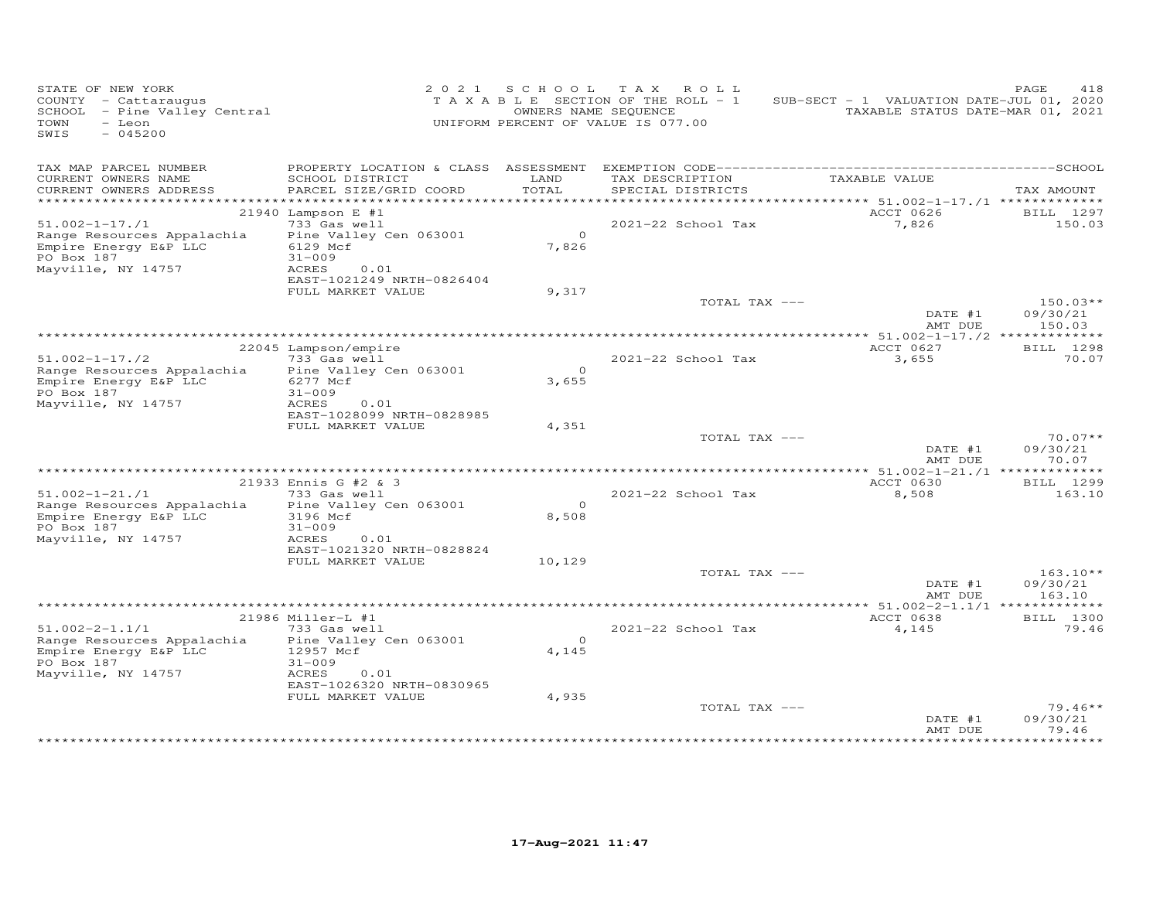| STATE OF NEW YORK<br>COUNTY - Cattaraugus<br>SCHOOL - Pine Valley Central<br>TOWN<br>- Leon<br>$-045200$<br>SWIS |                                                                   | OWNERS NAME SEQUENCE<br>UNIFORM PERCENT OF VALUE IS 077.00 | 2021 SCHOOL TAX ROLL<br>TAXABLE SECTION OF THE ROLL - 1 | SUB-SECT - 1 VALUATION DATE-JUL 01, 2020<br>TAXABLE STATUS DATE-MAR 01, 2021 | PAGE<br>418                    |
|------------------------------------------------------------------------------------------------------------------|-------------------------------------------------------------------|------------------------------------------------------------|---------------------------------------------------------|------------------------------------------------------------------------------|--------------------------------|
| TAX MAP PARCEL NUMBER                                                                                            |                                                                   |                                                            |                                                         |                                                                              |                                |
| CURRENT OWNERS NAME<br>CURRENT OWNERS ADDRESS                                                                    | SCHOOL DISTRICT<br>PARCEL SIZE/GRID COORD                         | LAND<br>TOTAL                                              | TAX DESCRIPTION<br>SPECIAL DISTRICTS                    | TAXABLE VALUE                                                                | TAX AMOUNT                     |
|                                                                                                                  | 21940 Lampson E #1                                                |                                                            |                                                         | *********** 51.002-1-17./1 *************<br>ACCT 0626                        | BILL 1297                      |
| $51.002 - 1 - 17.71$                                                                                             | 733 Gas well                                                      |                                                            | 2021-22 School Tax                                      | 7,826                                                                        | 150.03                         |
| Range Resources Appalachia<br>Empire Energy E&P LLC<br>PO Box 187<br>Mayville, NY 14757                          | Pine Valley Cen 063001<br>6129 Mcf<br>$31 - 009$<br>ACRES<br>0.01 | $\circ$<br>7,826                                           |                                                         |                                                                              |                                |
|                                                                                                                  | EAST-1021249 NRTH-0826404                                         |                                                            |                                                         |                                                                              |                                |
|                                                                                                                  | FULL MARKET VALUE                                                 | 9,317                                                      |                                                         |                                                                              |                                |
|                                                                                                                  |                                                                   |                                                            | TOTAL TAX ---                                           | DATE #1                                                                      | $150.03**$<br>09/30/21         |
|                                                                                                                  |                                                                   |                                                            |                                                         | AMT DUE                                                                      | 150.03                         |
|                                                                                                                  | 22045 Lampson/empire                                              |                                                            |                                                         | ACCT 0627                                                                    | BILL 1298                      |
| $51.002 - 1 - 17.72$                                                                                             | 733 Gas well                                                      |                                                            | 2021-22 School Tax                                      | 3,655                                                                        | 70.07                          |
| Range Resources Appalachia<br>Empire Energy E&P LLC<br>PO Box 187<br>Mayville, NY 14757                          | Pine Valley Cen 063001<br>6277 Mcf<br>$31 - 009$<br>ACRES<br>0.01 | $\overline{0}$<br>3,655                                    |                                                         |                                                                              |                                |
|                                                                                                                  | EAST-1028099 NRTH-0828985                                         |                                                            |                                                         |                                                                              |                                |
|                                                                                                                  | FULL MARKET VALUE                                                 | 4,351                                                      |                                                         |                                                                              |                                |
|                                                                                                                  |                                                                   |                                                            | TOTAL TAX ---                                           | DATE #1<br>AMT DUE                                                           | $70.07**$<br>09/30/21<br>70.07 |
|                                                                                                                  |                                                                   |                                                            |                                                         |                                                                              |                                |
|                                                                                                                  | 21933 Ennis G #2 & 3                                              |                                                            |                                                         | ACCT 0630                                                                    | BILL 1299                      |
| $51.002 - 1 - 21.71$                                                                                             | 733 Gas well                                                      | $\circ$                                                    | 2021-22 School Tax                                      | 8,508                                                                        | 163.10                         |
| Range Resources Appalachia<br>Empire Energy E&P LLC                                                              | Pine Valley Cen 063001<br>3196 Mcf                                | 8,508                                                      |                                                         |                                                                              |                                |
| PO Box 187                                                                                                       | $31 - 009$                                                        |                                                            |                                                         |                                                                              |                                |
| Mayville, NY 14757                                                                                               | ACRES<br>0.01                                                     |                                                            |                                                         |                                                                              |                                |
|                                                                                                                  | EAST-1021320 NRTH-0828824<br>FULL MARKET VALUE                    | 10,129                                                     |                                                         |                                                                              |                                |
|                                                                                                                  |                                                                   |                                                            | TOTAL TAX ---                                           |                                                                              | $163.10**$                     |
|                                                                                                                  |                                                                   |                                                            |                                                         | DATE #1<br>AMT DUE                                                           | 09/30/21<br>163.10             |
|                                                                                                                  |                                                                   |                                                            |                                                         | ************** 51.002-2-1.1/1 **************                                 |                                |
|                                                                                                                  | 21986 Miller-L #1                                                 |                                                            |                                                         | ACCT 0638                                                                    | BILL 1300                      |
| $51.002 - 2 - 1.1/1$<br>Range Resources Appalachia<br>Empire Energy E&P LLC                                      | 733 Gas well<br>Pine Valley Cen 063001<br>12957 Mcf               | $\Omega$<br>4,145                                          | 2021-22 School Tax                                      | 4,145                                                                        | 79.46                          |
| PO Box 187<br>Mayville, NY 14757                                                                                 | $31 - 009$<br>ACRES<br>0.01<br>EAST-1026320 NRTH-0830965          |                                                            |                                                         |                                                                              |                                |
|                                                                                                                  | FULL MARKET VALUE                                                 | 4,935                                                      |                                                         |                                                                              |                                |
|                                                                                                                  |                                                                   |                                                            | TOTAL TAX ---                                           | DATE #1<br>AMT DUE                                                           | $79.46**$<br>09/30/21<br>79.46 |
|                                                                                                                  |                                                                   |                                                            |                                                         |                                                                              |                                |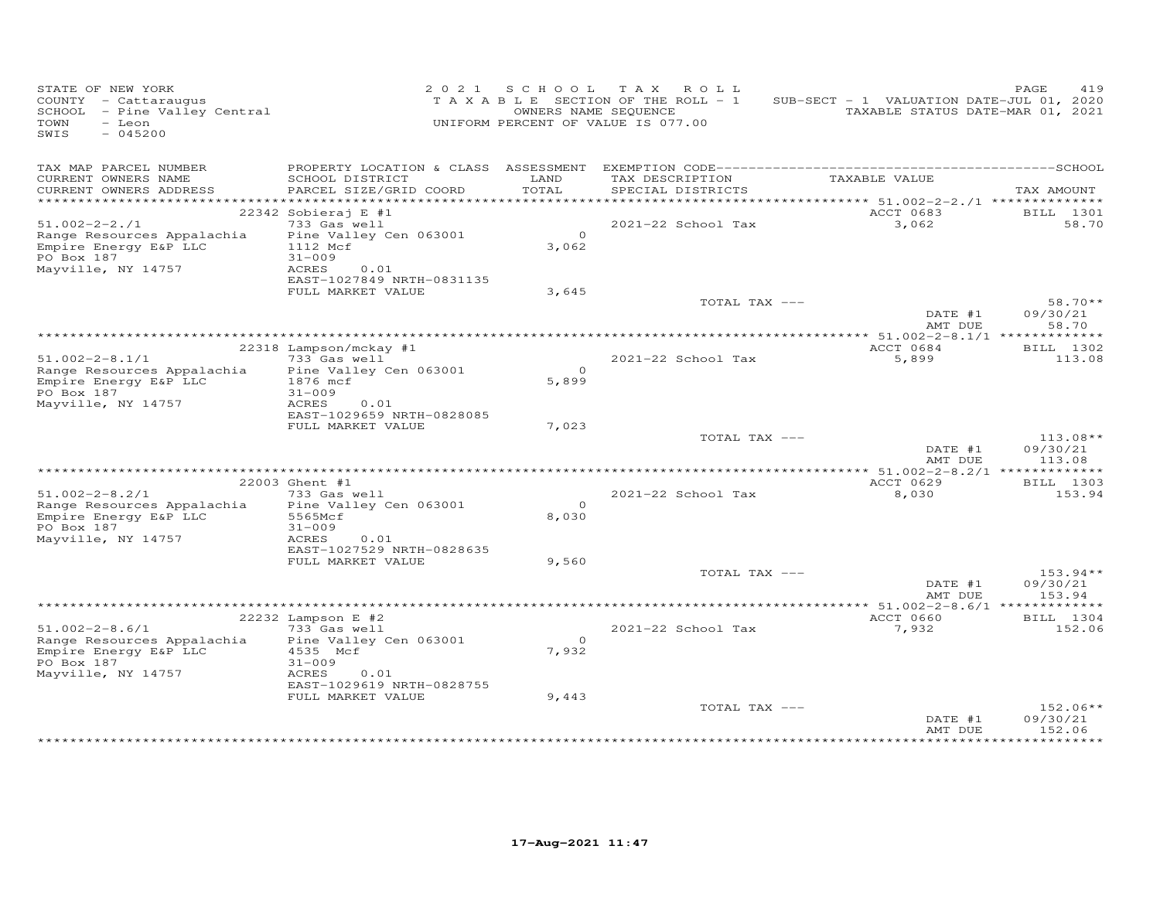| STATE OF NEW YORK<br>COUNTY - Cattaraugus<br>SCHOOL - Pine Valley Central<br>TOWN<br>- Leon<br>$-045200$<br>SWIS |                                                                   |                   | 2021 SCHOOL TAX ROLL<br>TAXABLE SECTION OF THE ROLL - 1<br>OWNERS NAME SEQUENCE<br>UNIFORM PERCENT OF VALUE IS 077.00 | SUB-SECT - 1 VALUATION DATE-JUL 01, 2020<br>TAXABLE STATUS DATE-MAR 01, 2021 | 419<br>PAGE                      |
|------------------------------------------------------------------------------------------------------------------|-------------------------------------------------------------------|-------------------|-----------------------------------------------------------------------------------------------------------------------|------------------------------------------------------------------------------|----------------------------------|
| TAX MAP PARCEL NUMBER                                                                                            |                                                                   |                   | TAX DESCRIPTION                                                                                                       | TAXABLE VALUE                                                                |                                  |
| CURRENT OWNERS NAME<br>CURRENT OWNERS ADDRESS                                                                    | SCHOOL DISTRICT<br>PARCEL SIZE/GRID COORD                         | LAND<br>TOTAL     | SPECIAL DISTRICTS                                                                                                     |                                                                              | TAX AMOUNT                       |
|                                                                                                                  |                                                                   |                   |                                                                                                                       |                                                                              |                                  |
| $51.002 - 2 - 2.71$                                                                                              | 22342 Sobieraj E #1<br>733 Gas well                               |                   | 2021-22 School Tax                                                                                                    | ACCT 0683<br>3,062                                                           | <b>BILL</b> 1301<br>58.70        |
| Range Resources Appalachia<br>Empire Energy E&P LLC<br>PO Box 187<br>Mayville, NY 14757                          | Pine Valley Cen 063001<br>1112 Mcf<br>$31 - 009$<br>ACRES<br>0.01 | $\Omega$<br>3,062 |                                                                                                                       |                                                                              |                                  |
|                                                                                                                  | EAST-1027849 NRTH-0831135                                         |                   |                                                                                                                       |                                                                              |                                  |
|                                                                                                                  | FULL MARKET VALUE                                                 | 3,645             | TOTAL TAX ---                                                                                                         |                                                                              | $58.70**$                        |
|                                                                                                                  |                                                                   |                   |                                                                                                                       | DATE #1<br>AMT DUE                                                           | 09/30/21<br>58.70                |
|                                                                                                                  |                                                                   |                   |                                                                                                                       | ACCT 0684                                                                    |                                  |
| $51.002 - 2 - 8.1/1$                                                                                             | 22318 Lampson/mckay #1<br>733 Gas well                            |                   | 2021-22 School Tax                                                                                                    | 5,899                                                                        | BILL 1302<br>113.08              |
| Range Resources Appalachia<br>Empire Energy E&P LLC<br>PO Box 187<br>Mayville, NY 14757                          | Pine Valley Cen 063001<br>1876 mcf<br>$31 - 009$<br>ACRES<br>0.01 | $\Omega$<br>5,899 |                                                                                                                       |                                                                              |                                  |
|                                                                                                                  | EAST-1029659 NRTH-0828085<br>FULL MARKET VALUE                    | 7,023             |                                                                                                                       |                                                                              |                                  |
|                                                                                                                  |                                                                   |                   | TOTAL TAX ---                                                                                                         | DATE #1<br>AMT DUE                                                           | 113.08**<br>09/30/21<br>113.08   |
|                                                                                                                  |                                                                   |                   |                                                                                                                       |                                                                              |                                  |
| $51.002 - 2 - 8.2/1$                                                                                             | 22003 Ghent #1<br>733 Gas well                                    |                   | 2021-22 School Tax                                                                                                    | ACCT 0629<br>8,030                                                           | <b>BILL</b> 1303<br>153.94       |
| Range Resources Appalachia                                                                                       | Pine Valley Cen 063001                                            | $\circ$           |                                                                                                                       |                                                                              |                                  |
| Empire Energy E&P LLC<br>PO Box 187<br>Mayville, NY 14757                                                        | 5565Mcf<br>$31 - 009$<br>ACRES<br>0.01                            | 8,030             |                                                                                                                       |                                                                              |                                  |
|                                                                                                                  | EAST-1027529 NRTH-0828635                                         |                   |                                                                                                                       |                                                                              |                                  |
|                                                                                                                  | FULL MARKET VALUE                                                 | 9,560             |                                                                                                                       |                                                                              |                                  |
|                                                                                                                  |                                                                   |                   | TOTAL TAX ---                                                                                                         | DATE #1<br>AMT DUE                                                           | $153.94**$<br>09/30/21<br>153.94 |
|                                                                                                                  |                                                                   |                   |                                                                                                                       | ************** 51.002-2-8.6/1 **************                                 |                                  |
| $51.002 - 2 - 8.6/1$                                                                                             | 22232 Lampson E #2<br>733 Gas well                                |                   | 2021-22 School Tax                                                                                                    | ACCT 0660<br>7,932                                                           | BILL 1304                        |
| Range Resources Appalachia<br>Empire Energy E&P LLC<br>PO Box 187<br>Mayville, NY 14757                          | Pine Valley Cen 063001<br>4535 Mcf<br>$31 - 009$<br>ACRES<br>0.01 | $\Omega$<br>7,932 |                                                                                                                       |                                                                              | 152.06                           |
|                                                                                                                  | EAST-1029619 NRTH-0828755<br>FULL MARKET VALUE                    | 9,443             |                                                                                                                       |                                                                              |                                  |
|                                                                                                                  |                                                                   |                   | TOTAL TAX ---                                                                                                         | DATE #1<br>AMT DUE                                                           | $152.06**$<br>09/30/21<br>152.06 |
|                                                                                                                  |                                                                   |                   |                                                                                                                       |                                                                              |                                  |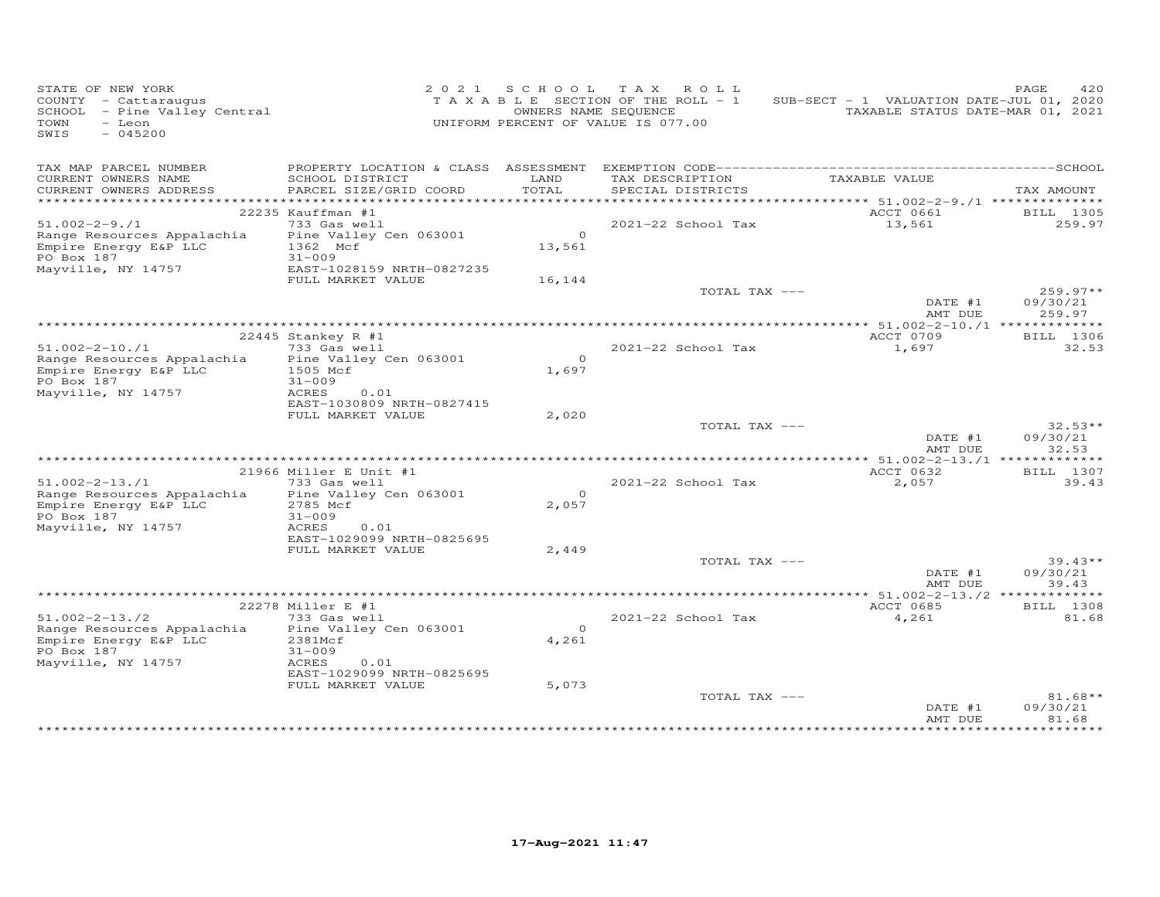| STATE OF NEW YORK<br>COUNTY - Cattaraugus<br>SCHOOL - Pine Valley Central<br>TOWN<br>$-$ Leon<br>$-045200$<br>SWIS |                                                                                                                    |                          | 2021 SCHOOL TAX ROLL<br>TAXABLE SECTION OF THE ROLL - 1<br>OWNERS NAME SEQUENCE<br>UNIFORM PERCENT OF VALUE IS 077.00 | SUB-SECT - 1 VALUATION DATE-JUL 01, 2020<br>TAXABLE STATUS DATE-MAR 01, 2021 | 420<br>PAGE                      |
|--------------------------------------------------------------------------------------------------------------------|--------------------------------------------------------------------------------------------------------------------|--------------------------|-----------------------------------------------------------------------------------------------------------------------|------------------------------------------------------------------------------|----------------------------------|
| TAX MAP PARCEL NUMBER<br>CURRENT OWNERS NAME<br>CURRENT OWNERS ADDRESS                                             | SCHOOL DISTRICT<br>PARCEL SIZE/GRID COORD                                                                          | LAND<br>TOTAL            | TAX DESCRIPTION<br>SPECIAL DISTRICTS                                                                                  | TAXABLE VALUE                                                                | TAX AMOUNT                       |
| $51.002 - 2 - 9.71$<br>Range Resources Appalachia<br>Empire Energy E&P LLC<br>PO Box 187<br>Mayville, NY 14757     | 22235 Kauffman #1<br>733 Gas well<br>Pine Valley Cen 063001<br>1362 Mcf<br>$31 - 009$<br>EAST-1028159 NRTH-0827235 | $\overline{O}$<br>13,561 | 2021-22 School Tax                                                                                                    | ACCT 0661<br>13,561                                                          | BILL 1305<br>259.97              |
|                                                                                                                    | FULL MARKET VALUE                                                                                                  | 16,144                   | TOTAL TAX ---                                                                                                         | DATE #1<br>AMT DUE                                                           | $259.97**$<br>09/30/21<br>259.97 |
|                                                                                                                    |                                                                                                                    |                          |                                                                                                                       |                                                                              |                                  |
| $51.002 - 2 - 10.71$<br>Range Resources Appalachia<br>Empire Energy E&P LLC                                        | 22445 Stankey R #1<br>733 Gas well<br>Pine Valley Cen 063001<br>1505 Mcf                                           | $\Omega$<br>1,697        | 2021-22 School Tax                                                                                                    | ACCT 0709<br>1,697                                                           | <b>BILL</b> 1306<br>32.53        |
| PO Box 187<br>Mayville, NY 14757                                                                                   | $31 - 009$<br>ACRES<br>0.01<br>EAST-1030809 NRTH-0827415<br>FULL MARKET VALUE                                      | 2,020                    | TOTAL TAX ---                                                                                                         |                                                                              | $32.53**$                        |
|                                                                                                                    |                                                                                                                    |                          |                                                                                                                       | DATE #1<br>AMT DUE                                                           | 09/30/21<br>32.53                |
|                                                                                                                    |                                                                                                                    |                          |                                                                                                                       |                                                                              |                                  |
| $51.002 - 2 - 13.71$                                                                                               | 21966 Miller E Unit #1<br>733 Gas well                                                                             |                          | 2021-22 School Tax                                                                                                    | ACCT 0632<br>2,057                                                           | BILL 1307<br>39.43               |
| Range Resources Appalachia<br>Empire Energy E&P LLC<br>PO Box 187<br>Mayville, NY 14757                            | Pine Valley Cen 063001<br>2785 Mcf<br>$31 - 009$<br>ACRES<br>0.01                                                  | $\Omega$<br>2,057        |                                                                                                                       |                                                                              |                                  |
|                                                                                                                    | EAST-1029099 NRTH-0825695<br>FULL MARKET VALUE                                                                     | 2,449                    | TOTAL TAX ---                                                                                                         |                                                                              | $39.43**$                        |
|                                                                                                                    |                                                                                                                    |                          |                                                                                                                       | DATE #1<br>AMT DUE                                                           | 09/30/21<br>39.43                |
|                                                                                                                    |                                                                                                                    |                          |                                                                                                                       | ************** 51.002-2-13./2 *************                                  |                                  |
|                                                                                                                    | 22278 Miller E #1                                                                                                  |                          |                                                                                                                       | ACCT 0685                                                                    | BILL 1308                        |
| $51.002 - 2 - 13.72$<br>Range Resources Appalachia<br>Empire Energy E&P LLC<br>PO Box 187<br>Mayville, NY 14757    | 733 Gas well<br>Pine Valley Cen 063001<br>2381Mcf<br>$31 - 009$<br>ACRES<br>0.01                                   | $\circ$<br>4,261         | 2021-22 School Tax                                                                                                    | 4,261                                                                        | 81.68                            |
|                                                                                                                    | EAST-1029099 NRTH-0825695<br>FULL MARKET VALUE                                                                     | 5,073                    |                                                                                                                       |                                                                              |                                  |
|                                                                                                                    |                                                                                                                    |                          | TOTAL TAX ---                                                                                                         | DATE #1<br>AMT DUE                                                           | $81.68**$<br>09/30/21<br>81.68   |
|                                                                                                                    |                                                                                                                    |                          |                                                                                                                       |                                                                              |                                  |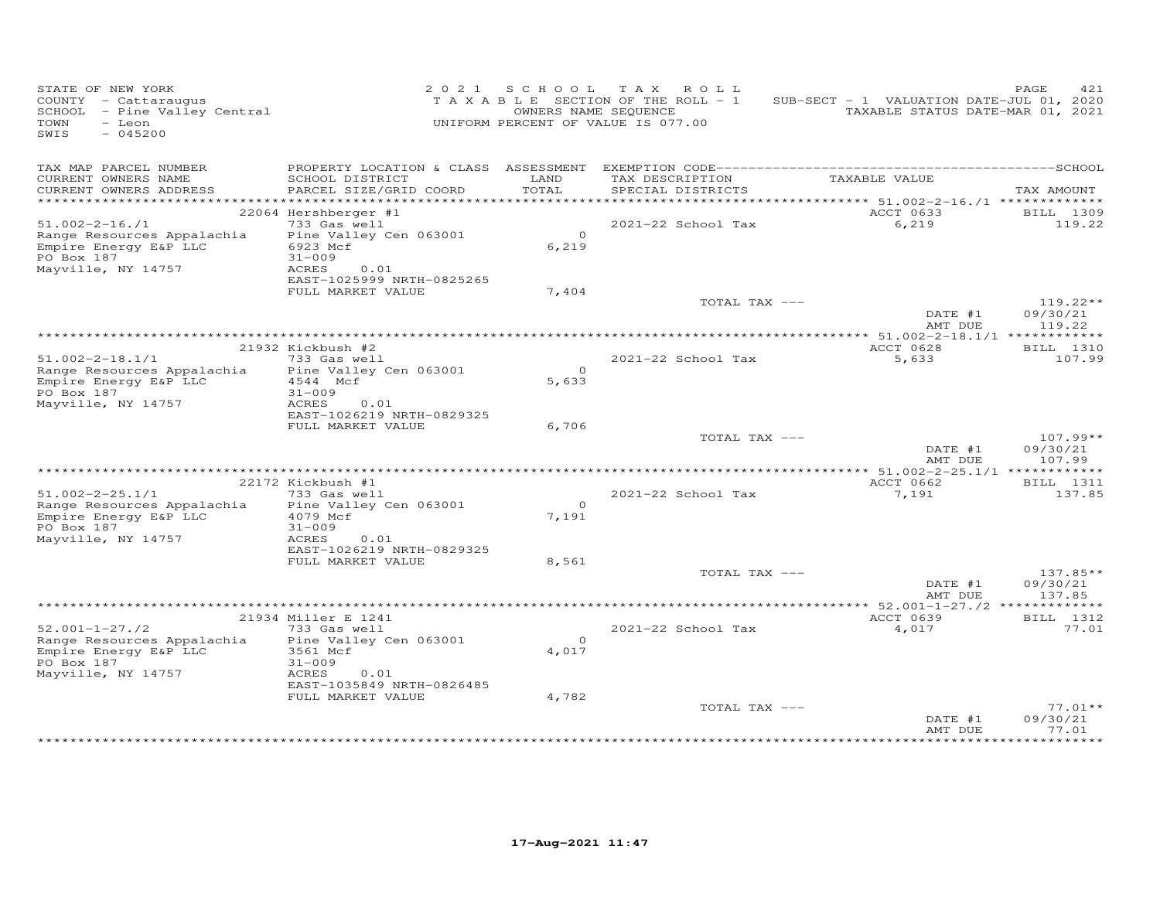| STATE OF NEW YORK<br>COUNTY - Cattaraugus<br>SCHOOL - Pine Valley Central<br>- Leon<br>TOWN<br>SWIS<br>$-045200$ |                                                                 | 2021 SCHOOL       | TAX ROLL<br>TAXABLE SECTION OF THE ROLL - 1<br>OWNERS NAME SEQUENCE<br>UNIFORM PERCENT OF VALUE IS 077.00 | SUB-SECT - 1 VALUATION DATE-JUL 01, 2020<br>TAXABLE STATUS DATE-MAR 01, 2021 | PAGE<br>421                    |
|------------------------------------------------------------------------------------------------------------------|-----------------------------------------------------------------|-------------------|-----------------------------------------------------------------------------------------------------------|------------------------------------------------------------------------------|--------------------------------|
| TAX MAP PARCEL NUMBER<br>CURRENT OWNERS NAME<br>CURRENT OWNERS ADDRESS                                           | SCHOOL DISTRICT<br>PARCEL SIZE/GRID COORD                       | LAND<br>TOTAL     | TAX DESCRIPTION<br>SPECIAL DISTRICTS                                                                      | TAXABLE VALUE                                                                | TAX AMOUNT                     |
| *************************                                                                                        |                                                                 |                   |                                                                                                           |                                                                              |                                |
|                                                                                                                  | 22064 Hershberger #1                                            |                   |                                                                                                           | ACCT 0633                                                                    | BILL 1309                      |
| $51.002 - 2 - 16.71$                                                                                             | 733 Gas well                                                    |                   | 2021-22 School Tax                                                                                        | 6,219                                                                        | 119.22                         |
| Range Resources Appalachia<br>Empire Energy E&P LLC<br>PO Box 187                                                | Pine Valley Cen 063001<br>6923 Mcf<br>$31 - 009$                | $\Omega$<br>6,219 |                                                                                                           |                                                                              |                                |
| Mayville, NY 14757                                                                                               | ACRES<br>0.01<br>EAST-1025999 NRTH-0825265<br>FULL MARKET VALUE | 7,404             |                                                                                                           |                                                                              |                                |
|                                                                                                                  |                                                                 |                   | TOTAL TAX ---                                                                                             | DATE #1                                                                      | $119.22**$<br>09/30/21         |
|                                                                                                                  |                                                                 |                   |                                                                                                           | AMT DUE                                                                      | 119.22                         |
|                                                                                                                  | 21932 Kickbush #2                                               |                   |                                                                                                           | ACCT 0628                                                                    | BILL 1310                      |
| $51.002 - 2 - 18.1/1$                                                                                            | 733 Gas well                                                    |                   | 2021-22 School Tax                                                                                        | 5,633                                                                        | 107.99                         |
| Range Resources Appalachia<br>Empire Energy E&P LLC<br>PO Box 187                                                | Pine Valley Cen 063001<br>4544 Mcf<br>$31 - 009$                | $\Omega$<br>5,633 |                                                                                                           |                                                                              |                                |
| Mayville, NY 14757                                                                                               | ACRES<br>0.01<br>EAST-1026219 NRTH-0829325                      |                   |                                                                                                           |                                                                              |                                |
|                                                                                                                  | FULL MARKET VALUE                                               | 6,706             | TOTAL TAX ---                                                                                             |                                                                              | $107.99**$                     |
|                                                                                                                  |                                                                 |                   |                                                                                                           | DATE #1<br>AMT DUE                                                           | 09/30/21<br>107.99             |
|                                                                                                                  | 22172 Kickbush #1                                               |                   |                                                                                                           | ACCT 0662                                                                    | <b>BILL</b> 1311               |
| $51.002 - 2 - 25.1/1$                                                                                            | 733 Gas well                                                    |                   | 2021-22 School Tax                                                                                        | 7,191                                                                        | 137.85                         |
| Range Resources Appalachia                                                                                       | Pine Valley Cen 063001                                          | $\circ$           |                                                                                                           |                                                                              |                                |
| Empire Energy E&P LLC<br>PO Box 187<br>Mayville, NY 14757                                                        | 4079 Mcf<br>$31 - 009$<br>ACRES<br>0.01                         | 7,191             |                                                                                                           |                                                                              |                                |
|                                                                                                                  | EAST-1026219 NRTH-0829325                                       |                   |                                                                                                           |                                                                              |                                |
|                                                                                                                  | FULL MARKET VALUE                                               | 8,561             |                                                                                                           |                                                                              |                                |
|                                                                                                                  |                                                                 |                   | TOTAL TAX ---                                                                                             | DATE #1<br>AMT DUE                                                           | 137.85**<br>09/30/21<br>137.85 |
|                                                                                                                  |                                                                 |                   |                                                                                                           | *********** 52.001-1-27./2 *************                                     |                                |
|                                                                                                                  | 21934 Miller E 1241                                             |                   |                                                                                                           | ACCT 0639                                                                    | BILL 1312                      |
| $52.001 - 1 - 27.72$<br>Range Resources Appalachia<br>Empire Energy E&P LLC                                      | 733 Gas well<br>Pine Valley Cen 063001<br>3561 Mcf              | $\Omega$<br>4,017 | 2021-22 School Tax                                                                                        | 4,017                                                                        | 77.01                          |
| PO Box 187<br>Mayville, NY 14757                                                                                 | $31 - 009$<br>ACRES<br>0.01<br>EAST-1035849 NRTH-0826485        |                   |                                                                                                           |                                                                              |                                |
|                                                                                                                  | FULL MARKET VALUE                                               | 4,782             |                                                                                                           |                                                                              |                                |
|                                                                                                                  |                                                                 |                   | TOTAL TAX ---                                                                                             | DATE #1<br>AMT DUE                                                           | $77.01**$<br>09/30/21<br>77.01 |
|                                                                                                                  |                                                                 |                   |                                                                                                           |                                                                              |                                |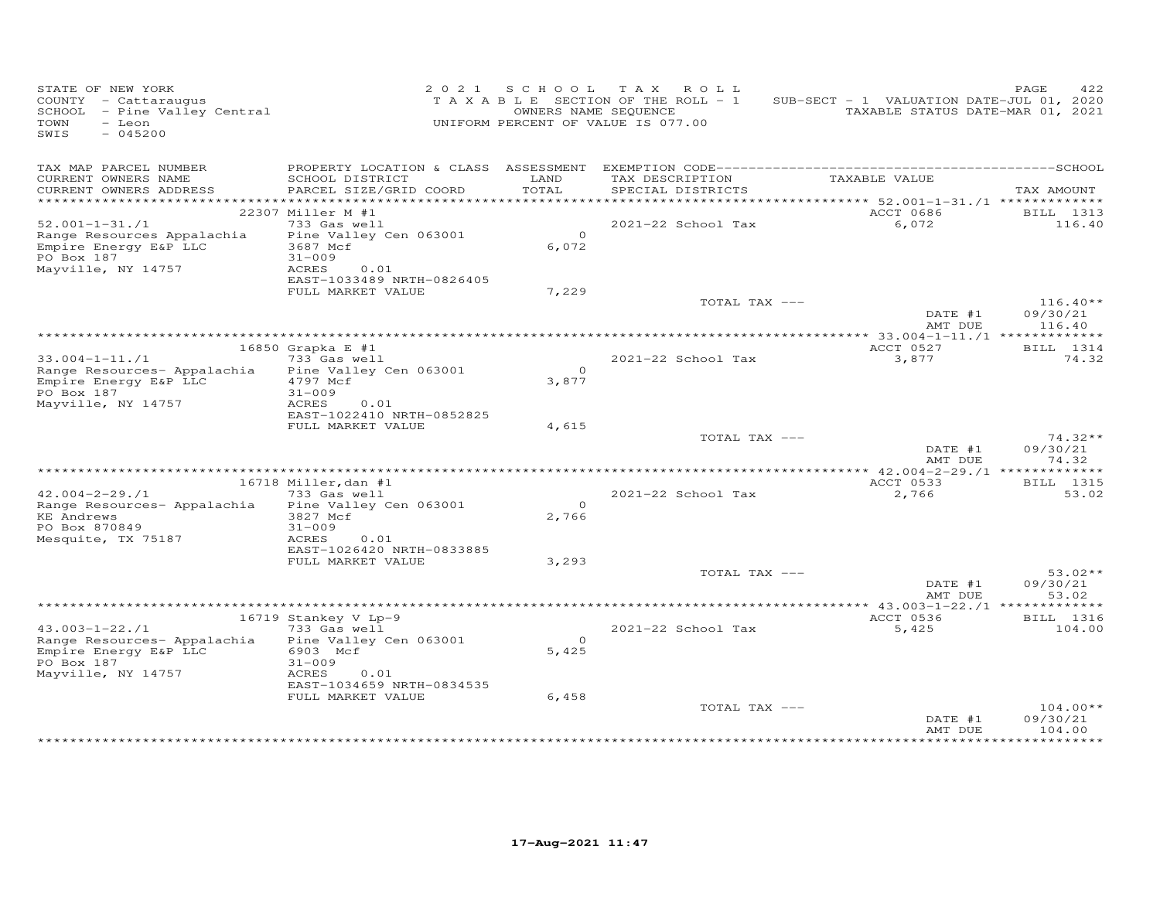| STATE OF NEW YORK<br>COUNTY - Cattaraugus<br>SCHOOL - Pine Valley Central<br>TOWN<br>- Leon<br>SWIS<br>$-045200$ |                                                                      | 2021 SCHOOL       | TAX ROLL<br>T A X A B L E SECTION OF THE ROLL - 1<br>OWNERS NAME SEQUENCE<br>UNIFORM PERCENT OF VALUE IS 077.00 | SUB-SECT - 1 VALUATION DATE-JUL 01, 2020<br>TAXABLE STATUS DATE-MAR 01, 2021 | PAGE<br>422                      |
|------------------------------------------------------------------------------------------------------------------|----------------------------------------------------------------------|-------------------|-----------------------------------------------------------------------------------------------------------------|------------------------------------------------------------------------------|----------------------------------|
| TAX MAP PARCEL NUMBER<br>CURRENT OWNERS NAME<br>CURRENT OWNERS ADDRESS                                           | SCHOOL DISTRICT<br>PARCEL SIZE/GRID COORD                            | LAND<br>TOTAL     | TAX DESCRIPTION<br>SPECIAL DISTRICTS                                                                            | TAXABLE VALUE                                                                | TAX AMOUNT                       |
|                                                                                                                  |                                                                      |                   |                                                                                                                 | ********** 52.001-1-31./1 **************                                     |                                  |
|                                                                                                                  | 22307 Miller M #1                                                    |                   |                                                                                                                 | ACCT 0686                                                                    | <b>BILL</b> 1313<br>116.40       |
| $52.001 - 1 - 31. / 1$<br>Range Resources Appalachia<br>Empire Energy E&P LLC<br>PO Box 187                      | 733 Gas well<br>Pine Valley Cen 063001<br>3687 Mcf<br>$31 - 009$     | $\Omega$<br>6,072 | 2021-22 School Tax                                                                                              | 6,072                                                                        |                                  |
| Mayville, NY 14757                                                                                               | ACRES<br>0.01<br>EAST-1033489 NRTH-0826405<br>FULL MARKET VALUE      | 7,229             |                                                                                                                 |                                                                              |                                  |
|                                                                                                                  |                                                                      |                   | TOTAL TAX ---                                                                                                   | DATE #1<br>AMT DUE                                                           | $116.40**$<br>09/30/21<br>116.40 |
|                                                                                                                  |                                                                      |                   |                                                                                                                 |                                                                              |                                  |
| $33.004 - 1 - 11.71$<br>Range Resources- Appalachia                                                              | 16850 Grapka E #1<br>733 Gas well<br>Pine Valley Cen 063001          | $\Omega$          | 2021-22 School Tax                                                                                              | ACCT 0527<br>3,877                                                           | BILL 1314<br>74.32               |
| Empire Energy E&P LLC<br>PO Box 187<br>Mayville, NY 14757                                                        | 4797 Mcf<br>$31 - 009$<br>ACRES<br>0.01<br>EAST-1022410 NRTH-0852825 | 3,877             |                                                                                                                 |                                                                              |                                  |
|                                                                                                                  | FULL MARKET VALUE                                                    | 4,615             |                                                                                                                 |                                                                              |                                  |
|                                                                                                                  |                                                                      |                   | TOTAL TAX ---                                                                                                   | DATE #1<br>AMT DUE                                                           | $74.32**$<br>09/30/21<br>74.32   |
|                                                                                                                  | 16718 Miller, dan #1                                                 |                   |                                                                                                                 | ACCT 0533                                                                    | <b>BILL</b> 1315                 |
| $42.004 - 2 - 29.11$                                                                                             | 733 Gas well                                                         |                   | 2021-22 School Tax                                                                                              | 2,766                                                                        | 53.02                            |
| Range Resources- Appalachia                                                                                      | Pine Valley Cen 063001                                               | $\Omega$          |                                                                                                                 |                                                                              |                                  |
| <b>KE</b> Andrews<br>PO Box 870849<br>Mesquite, TX 75187                                                         | 3827 Mcf<br>$31 - 009$<br>ACRES<br>0.01                              | 2,766             |                                                                                                                 |                                                                              |                                  |
|                                                                                                                  | EAST-1026420 NRTH-0833885                                            |                   |                                                                                                                 |                                                                              |                                  |
|                                                                                                                  | FULL MARKET VALUE                                                    | 3,293             | TOTAL TAX ---                                                                                                   |                                                                              | $53.02**$                        |
|                                                                                                                  |                                                                      |                   |                                                                                                                 | DATE #1<br>AMT DUE                                                           | 09/30/21<br>53.02                |
|                                                                                                                  |                                                                      |                   |                                                                                                                 | ACCT 0536                                                                    |                                  |
| $43.003 - 1 - 22.71$                                                                                             | 16719 Stankey V Lp-9<br>733 Gas well                                 |                   | 2021-22 School Tax                                                                                              | 5,425                                                                        | BILL 1316<br>104.00              |
| Range Resources- Appalachia<br>Empire Energy E&P LLC<br>PO Box 187<br>Mayville, NY 14757                         | Pine Valley Cen 063001<br>6903 Mcf<br>$31 - 009$<br>ACRES<br>0.01    | $\Omega$<br>5,425 |                                                                                                                 |                                                                              |                                  |
|                                                                                                                  | EAST-1034659 NRTH-0834535                                            |                   |                                                                                                                 |                                                                              |                                  |
|                                                                                                                  | FULL MARKET VALUE                                                    | 6,458             | TOTAL TAX ---                                                                                                   | DATE #1                                                                      | $104.00**$<br>09/30/21           |
|                                                                                                                  |                                                                      |                   |                                                                                                                 | AMT DUE                                                                      | 104.00                           |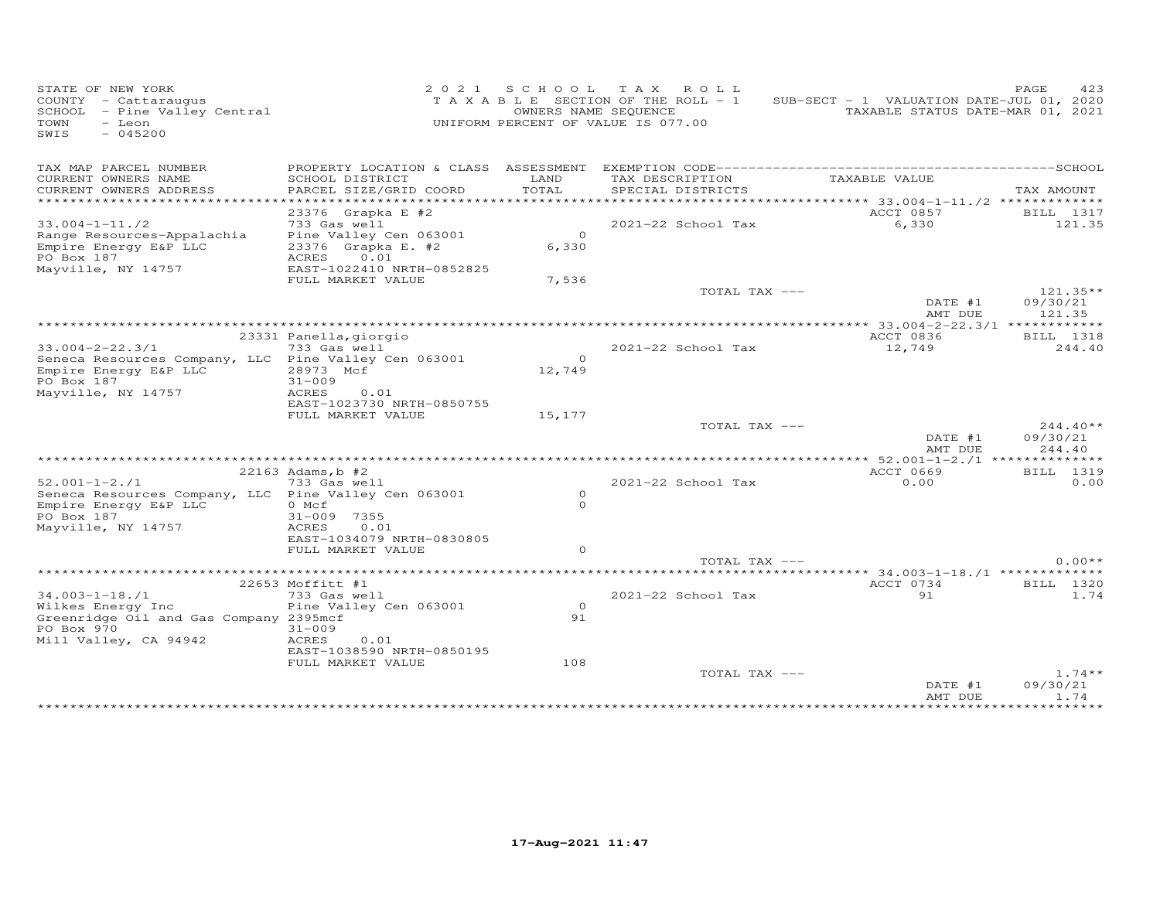| STATE OF NEW YORK<br>COUNTY - Cattaraugus<br>SCHOOL - Pine Valley Central<br>$-$ Leon<br>TOWN<br>SWIS<br>$-045200$ |                                                                                   |                     | 2021 SCHOOL TAX ROLL<br>TAXABLE SECTION OF THE ROLL - 1<br>OWNERS NAME SEQUENCE<br>UNIFORM PERCENT OF VALUE IS 077.00 | SUB-SECT - 1 VALUATION DATE-JUL 01, 2020<br>TAXABLE STATUS DATE-MAR 01, 2021 | PAGE<br>423                      |
|--------------------------------------------------------------------------------------------------------------------|-----------------------------------------------------------------------------------|---------------------|-----------------------------------------------------------------------------------------------------------------------|------------------------------------------------------------------------------|----------------------------------|
| TAX MAP PARCEL NUMBER                                                                                              |                                                                                   |                     |                                                                                                                       |                                                                              |                                  |
| CURRENT OWNERS NAME<br>CURRENT OWNERS ADDRESS<br>*****************                                                 | SCHOOL DISTRICT<br>PARCEL SIZE/GRID COORD                                         | LAND<br>TOTAL       | TAX DESCRIPTION<br>SPECIAL DISTRICTS                                                                                  | TAXABLE VALUE                                                                | TAX AMOUNT                       |
| $33.004 - 1 - 11.72$<br>Range Resources-Appalachia<br>Empire Energy E&P LLC                                        | 23376 Grapka E #2<br>733 Gas well<br>Pine Valley Cen 063001<br>23376 Grapka E. #2 | $\circ$<br>6,330    | 2021-22 School Tax                                                                                                    | ACCT 0857<br>6,330                                                           | BILL 1317<br>121.35              |
| PO Box 187<br>Mayville, NY 14757                                                                                   | ACRES<br>0.01<br>EAST-1022410 NRTH-0852825<br>FULL MARKET VALUE                   | 7,536               |                                                                                                                       |                                                                              |                                  |
|                                                                                                                    |                                                                                   |                     | TOTAL TAX ---                                                                                                         | DATE #1<br>AMT DUE                                                           | $121.35**$<br>09/30/21<br>121.35 |
|                                                                                                                    |                                                                                   |                     |                                                                                                                       |                                                                              |                                  |
| $33.004 - 2 - 22.3/1$                                                                                              | 23331 Panella, giorgio<br>733 Gas well                                            |                     | 2021-22 School Tax                                                                                                    | ACCT 0836<br>12,749                                                          | BILL 1318<br>244.40              |
| Seneca Resources Company, LLC Pine Valley Cen 063001<br>Empire Energy E&P LLC<br>PO Box 187<br>Mayville, NY 14757  | 28973 Mcf<br>$31 - 009$<br>ACRES<br>0.01                                          | $\Omega$<br>12,749  |                                                                                                                       |                                                                              |                                  |
|                                                                                                                    | EAST-1023730 NRTH-0850755<br>FULL MARKET VALUE                                    | 15,177              |                                                                                                                       |                                                                              |                                  |
|                                                                                                                    |                                                                                   |                     | TOTAL TAX ---                                                                                                         | DATE #1                                                                      | $244.40**$<br>09/30/21           |
|                                                                                                                    |                                                                                   |                     |                                                                                                                       | AMT DUE                                                                      | 244.40                           |
|                                                                                                                    | 22163 Adams, b #2                                                                 |                     |                                                                                                                       | ACCT 0669                                                                    | BILL 1319                        |
| $52.001 - 1 - 2.71$                                                                                                | 733 Gas well                                                                      |                     | 2021-22 School Tax                                                                                                    | 0.00                                                                         | 0.00                             |
| Seneca Resources Company, LLC Pine Valley Cen 063001<br>Empire Energy E&P LLC<br>PO Box 187<br>Mayville, NY 14757  | 0 Mcf<br>31-009 7355<br>ACRES<br>0.01                                             | $\circ$<br>$\Omega$ |                                                                                                                       |                                                                              |                                  |
|                                                                                                                    | EAST-1034079 NRTH-0830805<br>FULL MARKET VALUE                                    | $\Omega$            | TOTAL TAX ---                                                                                                         |                                                                              | $0.00**$                         |
|                                                                                                                    |                                                                                   |                     |                                                                                                                       | ***** 34.003-1-18./1 *************                                           |                                  |
|                                                                                                                    | 22653 Moffitt #1                                                                  |                     |                                                                                                                       | ACCT 0734                                                                    | BILL 1320                        |
| $34.003 - 1 - 18.1$<br>Wilkes Energy Inc<br>Greenridge Oil and Gas Company 2395mcf                                 | 733 Gas well<br>Pine Valley Cen 063001                                            | $\circ$<br>91       | 2021-22 School Tax                                                                                                    | 91                                                                           | 1.74                             |
| PO Box 970<br>Mill Valley, CA 94942                                                                                | $31 - 009$<br>ACRES<br>0.01<br>EAST-1038590 NRTH-0850195                          |                     |                                                                                                                       |                                                                              |                                  |
|                                                                                                                    | FULL MARKET VALUE                                                                 | 108                 | TOTAL TAX ---                                                                                                         | DATE #1<br>AMT DUE                                                           | $1.74**$<br>09/30/21<br>1.74     |
|                                                                                                                    |                                                                                   |                     |                                                                                                                       | ************                                                                 | ********                         |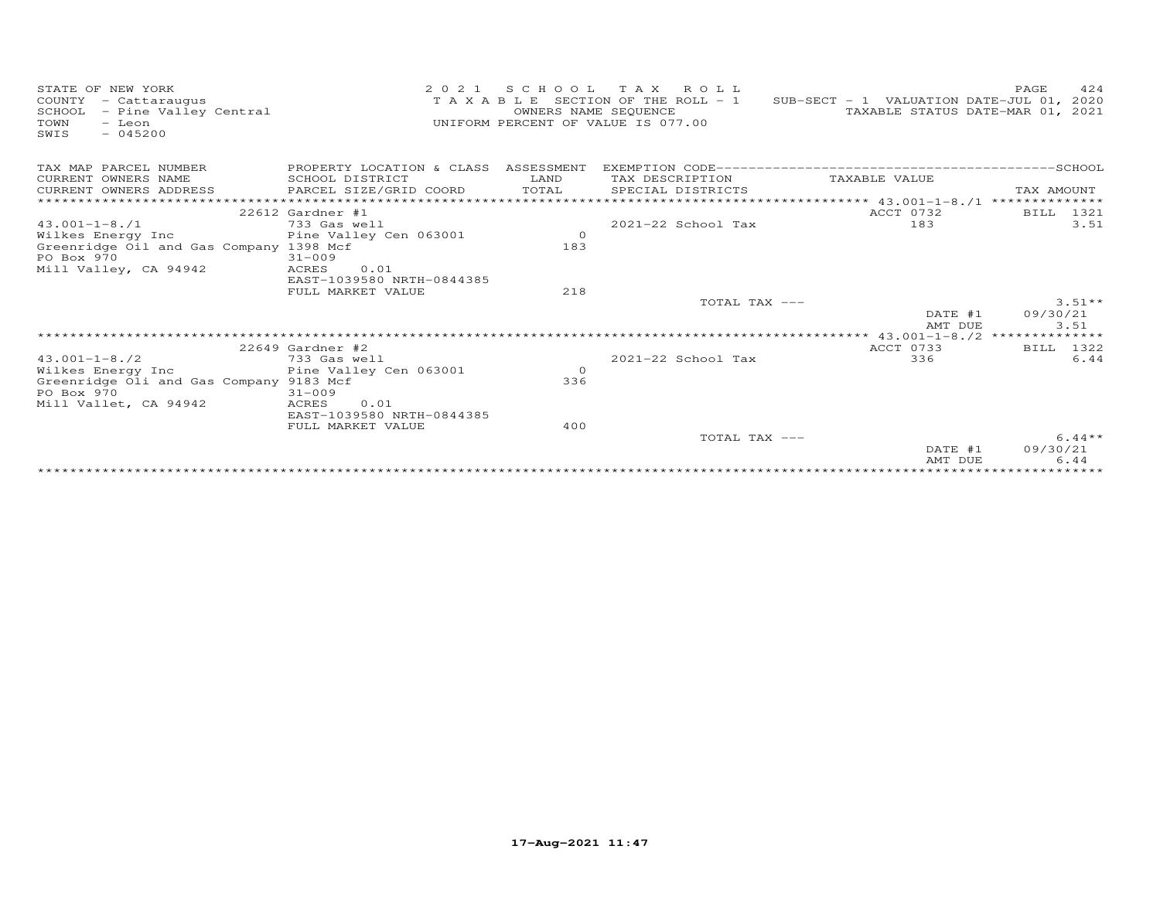| STATE OF NEW YORK<br>COUNTY<br>- Cattaraugus<br>SCHOOL<br>- Pine Valley Central<br>TOWN<br>- Leon<br>$-045200$<br>SWIS | 2 0 2 1                                        | OWNERS NAME SEQUENCE | SCHOOL TAX ROLL<br>T A X A B L E SECTION OF THE ROLL - 1<br>UNIFORM PERCENT OF VALUE IS 077.00 | SUB-SECT - 1 VALUATION DATE-JUL 01, 2020<br>TAXABLE STATUS DATE-MAR 01, 2021 | 424<br>PAGE       |
|------------------------------------------------------------------------------------------------------------------------|------------------------------------------------|----------------------|------------------------------------------------------------------------------------------------|------------------------------------------------------------------------------|-------------------|
| TAX MAP PARCEL NUMBER                                                                                                  | PROPERTY LOCATION & CLASS ASSESSMENT           |                      |                                                                                                |                                                                              |                   |
| CURRENT OWNERS NAME                                                                                                    | SCHOOL DISTRICT                                | LAND                 | TAX DESCRIPTION                                                                                | TAXABLE VALUE                                                                |                   |
| CURRENT OWNERS ADDRESS                                                                                                 | PARCEL SIZE/GRID COORD                         | TOTAL                | SPECIAL DISTRICTS                                                                              |                                                                              | TAX AMOUNT        |
|                                                                                                                        |                                                |                      |                                                                                                | ****************** 43.001-1-8./1 **************                              |                   |
| $43.001 - 1 - 8.71$                                                                                                    | $22612$ Gardner #1<br>733 Gas well             |                      | 2021-22 School Tax                                                                             | ACCT 0732<br>183                                                             | BILL 1321<br>3.51 |
| Wilkes Energy Inc                                                                                                      | Pine Valley Cen 063001                         | $\circ$              |                                                                                                |                                                                              |                   |
| Greenridge Oil and Gas Company 1398 Mcf                                                                                |                                                | 183                  |                                                                                                |                                                                              |                   |
| PO Box 970                                                                                                             | $31 - 009$                                     |                      |                                                                                                |                                                                              |                   |
| Mill Valley, CA 94942                                                                                                  | ACRES<br>0.01                                  |                      |                                                                                                |                                                                              |                   |
|                                                                                                                        | EAST-1039580 NRTH-0844385                      |                      |                                                                                                |                                                                              |                   |
|                                                                                                                        | FULL MARKET VALUE                              | 218                  |                                                                                                |                                                                              |                   |
|                                                                                                                        |                                                |                      | TOTAL TAX ---                                                                                  |                                                                              | $3.51**$          |
|                                                                                                                        |                                                |                      |                                                                                                | DATE #1<br>AMT DUE                                                           | 09/30/21<br>3.51  |
|                                                                                                                        |                                                |                      |                                                                                                |                                                                              |                   |
|                                                                                                                        | $22649$ Gardner #2                             |                      |                                                                                                | ACCT 0733                                                                    | BILL 1322         |
| $43.001 - 1 - 8.72$                                                                                                    | 733 Gas well                                   |                      | $2021 - 22$ School Tax                                                                         | 336                                                                          | 6.44              |
| Wilkes Energy Inc                                                                                                      | Pine Valley Cen 063001                         | $\circ$              |                                                                                                |                                                                              |                   |
| Greenridge Oli and Gas Company 9183 Mcf                                                                                |                                                | 336                  |                                                                                                |                                                                              |                   |
| PO Box 970                                                                                                             | $31 - 009$                                     |                      |                                                                                                |                                                                              |                   |
| Mill Vallet, CA 94942                                                                                                  | ACRES<br>0.01                                  |                      |                                                                                                |                                                                              |                   |
|                                                                                                                        | EAST-1039580 NRTH-0844385<br>FULL MARKET VALUE | 400                  |                                                                                                |                                                                              |                   |
|                                                                                                                        |                                                |                      | TOTAL TAX ---                                                                                  |                                                                              | $6.44**$          |
|                                                                                                                        |                                                |                      |                                                                                                | DATE #1                                                                      | 09/30/21          |
|                                                                                                                        |                                                |                      |                                                                                                | AMT DUE                                                                      | 6.44              |
|                                                                                                                        |                                                |                      |                                                                                                |                                                                              |                   |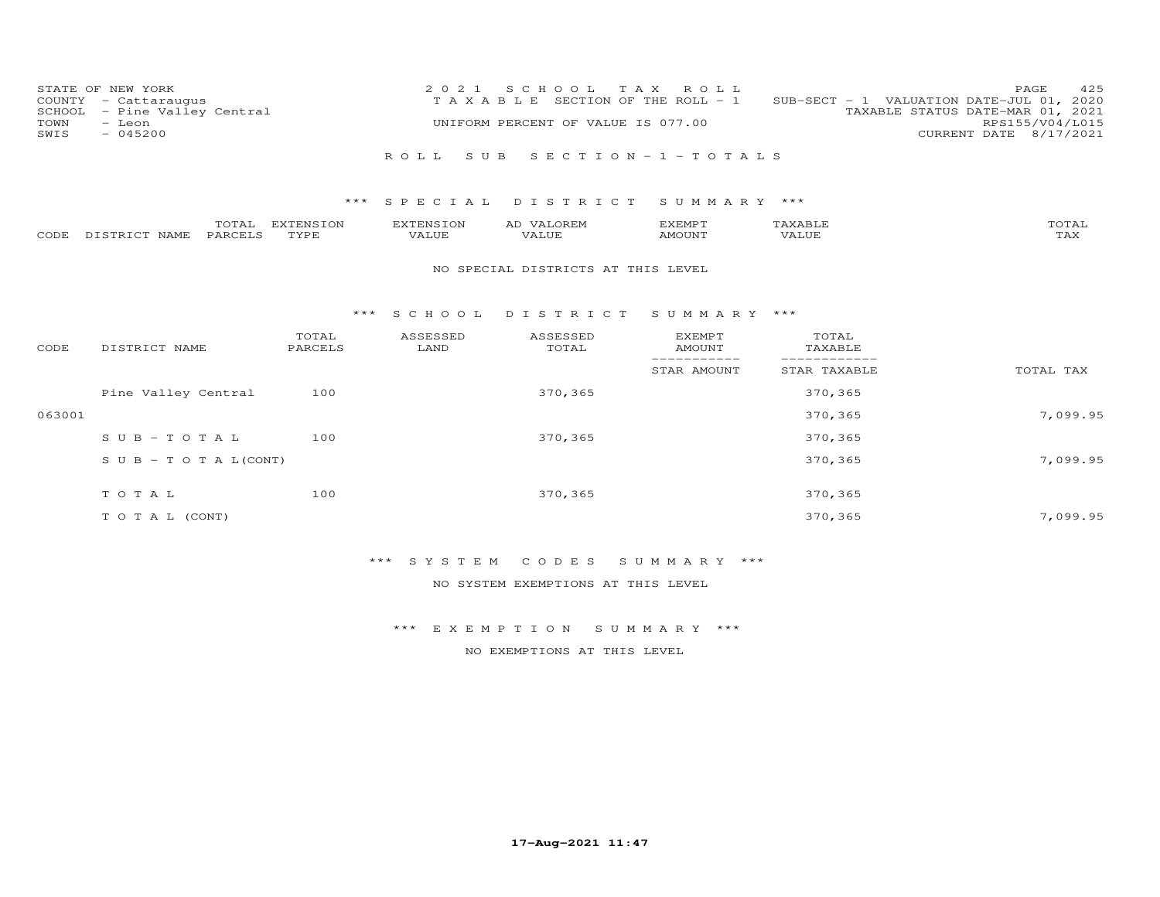| COUNTY<br>SCHOOL<br>TOWN<br>SWIS | STATE OF NEW YORK<br>- Cattaraugus<br>- Pine Valley Central<br>- Leon<br>$-045200$ |                   | 2 0 2 1<br>TAXABLE        | S C H O O L<br>UNIFORM PERCENT OF VALUE IS 077.00 | T A X<br>ROLL<br>SECTION OF THE ROLL - 1 |                              | 425<br>PAGE<br>SUB-SECT - 1 VALUATION DATE-JUL 01, 2020<br>TAXABLE STATUS DATE-MAR 01, 2021<br>RPS155/V04/L015<br>CURRENT DATE 8/17/2021 |
|----------------------------------|------------------------------------------------------------------------------------|-------------------|---------------------------|---------------------------------------------------|------------------------------------------|------------------------------|------------------------------------------------------------------------------------------------------------------------------------------|
|                                  |                                                                                    |                   | ROLL<br>S U B             |                                                   | SECTION - $1$ - TOTALS                   |                              |                                                                                                                                          |
|                                  |                                                                                    | ***               | SPECIAL                   | DISTRICT                                          | SUMMARY ***                              |                              |                                                                                                                                          |
| CODE                             | TOTAL<br>PARCELS<br>DISTRICT NAME                                                  | EXTENSION<br>TYPE | <b>EXTENSION</b><br>VALUE | AD VALOREM<br>VALUE                               | <b>EXEMPT</b><br>AMOUNT                  | TAXABLE<br>VALUE             | TOTAL<br>TAX                                                                                                                             |
|                                  |                                                                                    |                   |                           | NO SPECIAL DISTRICTS AT THIS LEVEL                |                                          |                              |                                                                                                                                          |
|                                  |                                                                                    | * * *             | S C H O O L               | DISTRICT                                          | SUMMARY ***                              |                              |                                                                                                                                          |
| CODE                             | DISTRICT NAME                                                                      | TOTAL<br>PARCELS  | ASSESSED<br>LAND          | ASSESSED<br>TOTAL                                 | <b>EXEMPT</b><br><b>AMOUNT</b>           | TOTAL<br>TAXABLE             |                                                                                                                                          |
|                                  |                                                                                    |                   |                           |                                                   | -----------<br>STAR AMOUNT               | ------------<br>STAR TAXABLE | TOTAL TAX                                                                                                                                |
|                                  | Pine Valley Central                                                                | 100               |                           | 370,365                                           |                                          | 370,365                      |                                                                                                                                          |
| 063001                           |                                                                                    |                   |                           |                                                   |                                          | 370,365                      | 7,099.95                                                                                                                                 |
|                                  | $S \cup B - TO T A L$                                                              | 100               |                           | 370,365                                           |                                          | 370,365                      |                                                                                                                                          |
|                                  | $S \cup B - T \cup T A L (CONT)$                                                   |                   |                           |                                                   |                                          | 370,365                      | 7,099.95                                                                                                                                 |
|                                  | TOTAL                                                                              | 100               |                           | 370,365                                           |                                          | 370,365                      |                                                                                                                                          |
|                                  | TO TAL (CONT)                                                                      |                   |                           |                                                   |                                          | 370,365                      | 7.099.95                                                                                                                                 |

\*\*\* S Y S T E M C O D E S S U M M A R Y \*\*\*

NO SYSTEM EXEMPTIONS AT THIS LEVEL

\*\*\* E X E M P T I O N S U M M A R Y \*\*\*

NO EXEMPTIONS AT THIS LEVEL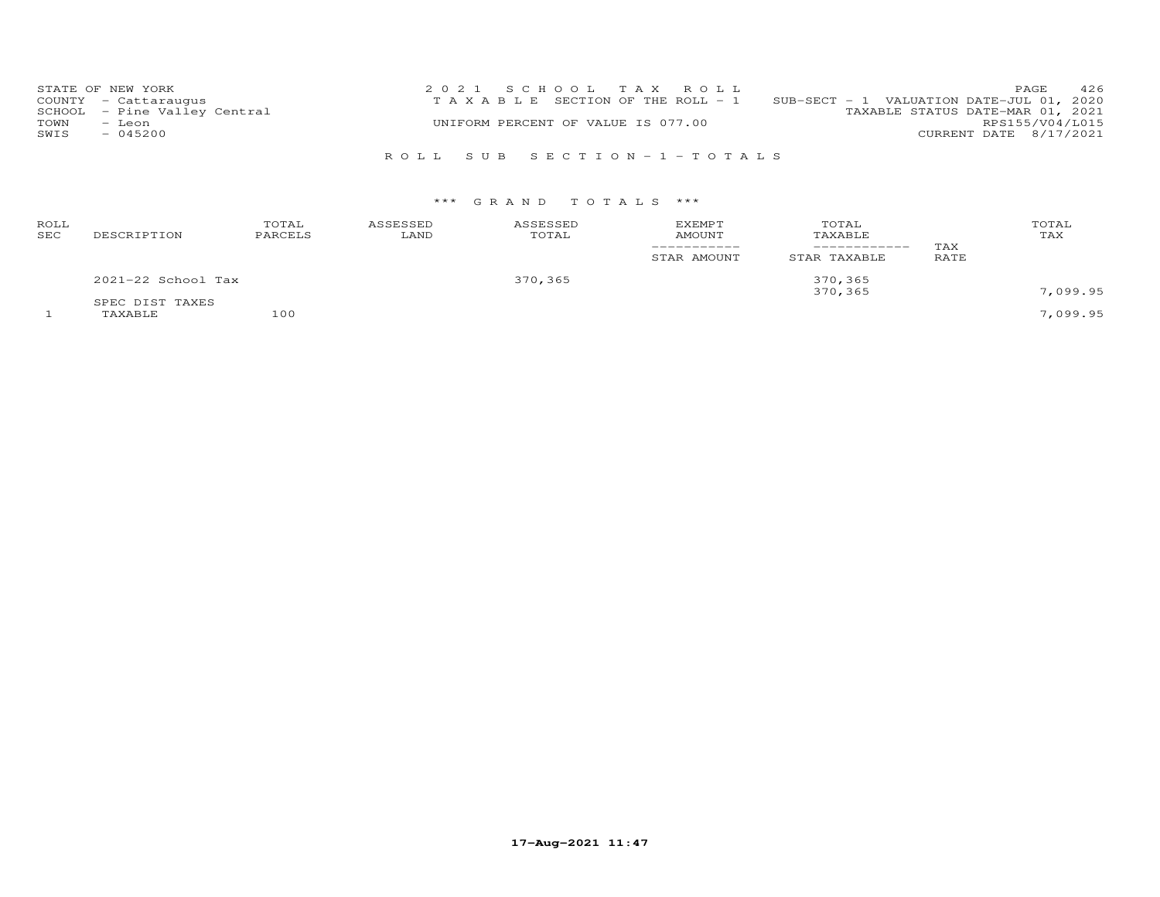| STATE OF NEW YORK            | 2021 SCHOOL TAX ROLL                  | 426<br>PAGE                              |
|------------------------------|---------------------------------------|------------------------------------------|
| COUNTY - Cattaraugus         | T A X A B L E SECTION OF THE ROLL - 1 | SUB-SECT - 1 VALUATION DATE-JUL 01, 2020 |
| SCHOOL - Pine Valley Central |                                       | TAXABLE STATUS DATE-MAR 01, 2021         |
| TOWN<br>- Leon               | UNIFORM PERCENT OF VALUE IS 077.00    | RPS155/V04/L015                          |
| $-045200$<br>SWIS            |                                       | CURRENT DATE 8/17/2021                   |
|                              |                                       |                                          |

R O L L S U B S E C T I O N - 1 - T O T A L S

# \*\*\* G R A N D T O T A L S \*\*\*

| ROLL<br>SEC | DESCRIPTION        | TOTAL<br>PARCELS | ASSESSED<br>LAND | ASSESSED<br>TOTAL | <b>EXEMPT</b><br>AMOUNT | TOTAL<br>TAXABLE<br>---------- | TAX  | TOTAL<br>TAX |
|-------------|--------------------|------------------|------------------|-------------------|-------------------------|--------------------------------|------|--------------|
|             |                    |                  |                  |                   | STAR AMOUNT             | STAR TAXABLE                   | RATE |              |
|             | 2021-22 School Tax |                  |                  | 370,365           |                         | 370,365<br>370,365             |      | 7,099.95     |
|             | SPEC DIST TAXES    |                  |                  |                   |                         |                                |      |              |
|             | TAXABLE            | 100              |                  |                   |                         |                                |      | 7,099.95     |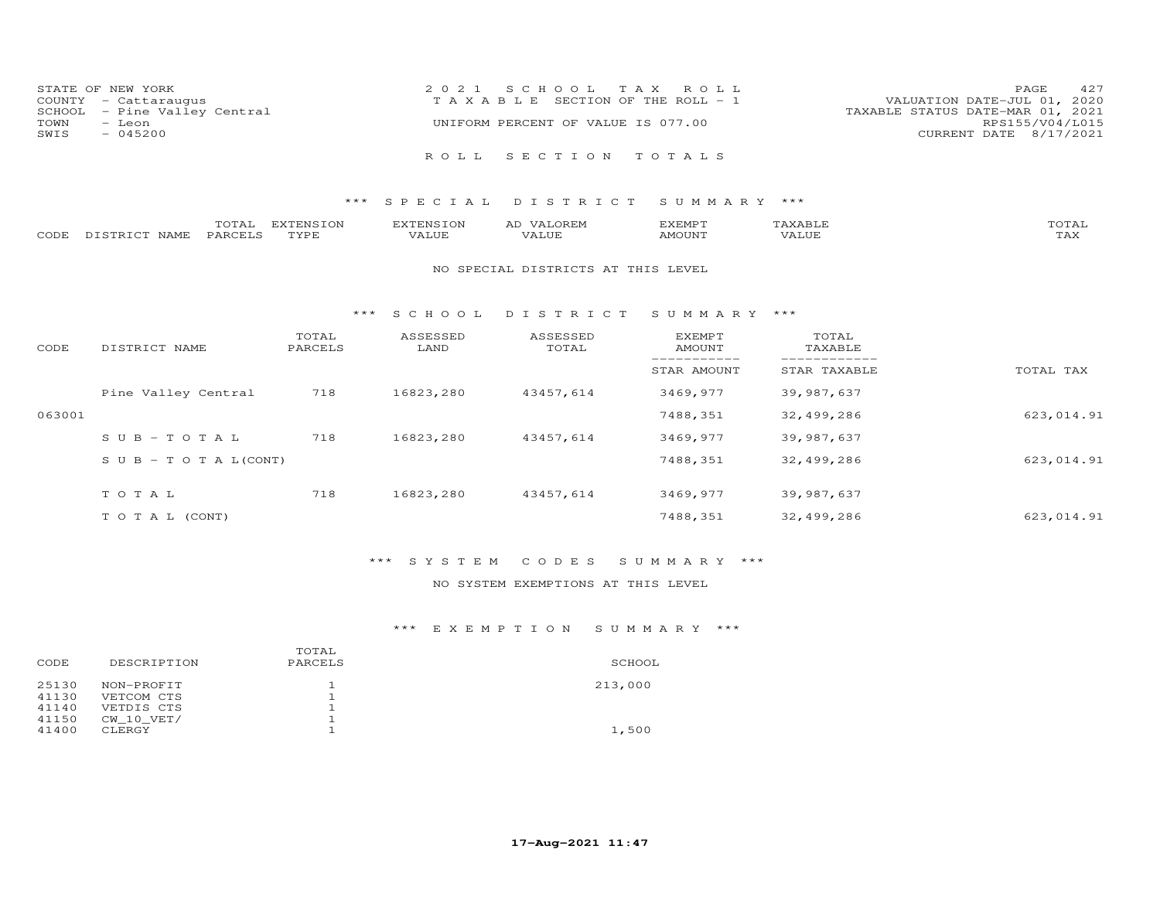| STATE OF NEW YORK            | 2021 SCHOOL TAX ROLL                  | 427<br>PAGE                      |
|------------------------------|---------------------------------------|----------------------------------|
| COUNTY - Cattaraugus         | T A X A B L E SECTION OF THE ROLL - 1 | VALUATION DATE-JUL 01, 2020      |
| SCHOOL - Pine Valley Central |                                       | TAXABLE STATUS DATE-MAR 01, 2021 |
| TOWN<br>– Leon               | UNIFORM PERCENT OF VALUE IS 077.00    | RPS155/V04/L015                  |
| $-045200$<br>SWIS            |                                       | CURRENT DATE 8/17/2021           |
|                              | ROLL SECTION TOTALS                   |                                  |

# \*\*\* S P E C I A L D I S T R I C T S U M M A R Y \*\*\*

|      |                  | $- - - -$<br>. U I A L | m<br><b>PIN</b> | EXTENSION | AL | EXEMPT | $\pi$ train $\tau$ $\tau$<br>AAABLE | momm.<br>- OTAL-    |
|------|------------------|------------------------|-----------------|-----------|----|--------|-------------------------------------|---------------------|
| CODE | DISTRICT<br>NAME | PARCELS                | TVDF            | VALUE     |    | MOUNT  | .<br>'ALUL                          | $m \times r$<br>⊥冖◠ |

#### NO SPECIAL DISTRICTS AT THIS LEVEL

#### \*\*\* S C H O O L D I S T R I C T S U M M A R Y \*\*\*

| CODE   | DISTRICT NAME                    | TOTAL<br>PARCELS | ASSESSED<br>LAND | ASSESSED<br>TOTAL | EXEMPT<br>AMOUNT | TOTAL<br>TAXABLE |            |
|--------|----------------------------------|------------------|------------------|-------------------|------------------|------------------|------------|
|        |                                  |                  |                  |                   | STAR AMOUNT      | STAR TAXABLE     | TOTAL TAX  |
|        | Pine Valley Central              | 718              | 16823,280        | 43457,614         | 3469,977         | 39,987,637       |            |
| 063001 |                                  |                  |                  |                   | 7488,351         | 32,499,286       | 623,014.91 |
|        | $SUB - TO T AL$                  | 718              | 16823,280        | 43457,614         | 3469,977         | 39,987,637       |            |
|        | $S \cup B - T \cup T A L (CONT)$ |                  |                  |                   | 7488,351         | 32,499,286       | 623,014.91 |
|        | TOTAL                            | 718              | 16823,280        | 43457,614         | 3469,977         | 39,987,637       |            |
|        | T O T A L (CONT)                 |                  |                  |                   | 7488,351         | 32,499,286       | 623,014.91 |

# \*\*\* S Y S T E M C O D E S S U M M A R Y \*\*\*

# NO SYSTEM EXEMPTIONS AT THIS LEVEL

# \*\*\* E X E M P T I O N S U M M A R Y \*\*\*

|       |                | TOTAL   |         |
|-------|----------------|---------|---------|
| CODE  | DESCRIPTION    | PARCELS | SCHOOL  |
| 25130 | NON-PROFIT     |         | 213,000 |
| 41130 | VETCOM CTS     |         |         |
| 41140 | VETDIS CTS     |         |         |
| 41150 | $CW$ 10 $VET/$ |         |         |
| 41400 | CLERGY         |         | 1,500   |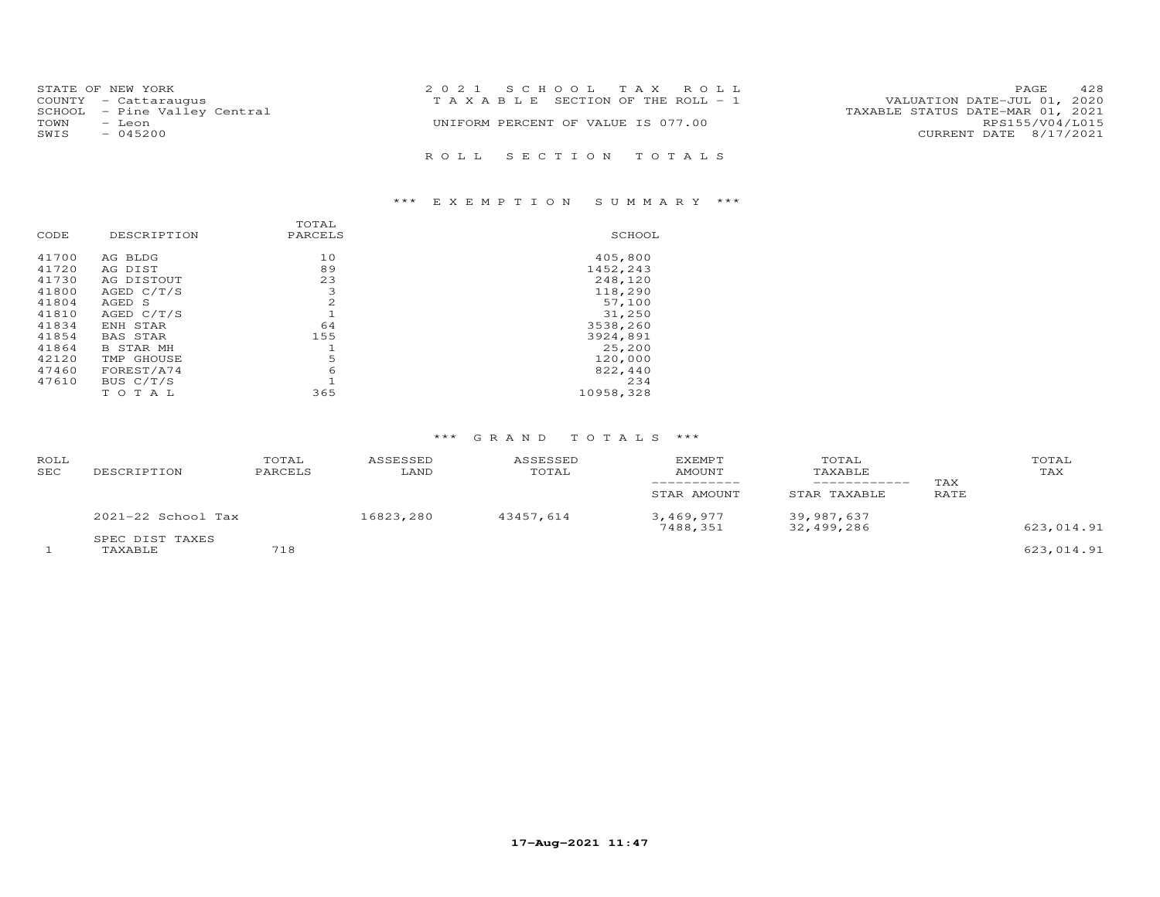| STATE OF NEW YORK |                              | 2021 SCHOOL TAX ROLL                                                 | 428<br><b>PAGE</b>     |
|-------------------|------------------------------|----------------------------------------------------------------------|------------------------|
|                   | COUNTY - Cattaraugus         | VALUATION DATE-JUL 01, 2020<br>T A X A B L E SECTION OF THE ROLL - 1 |                        |
|                   | SCHOOL - Pine Valley Central | TAXABLE STATUS DATE-MAR 01, 2021                                     |                        |
| TOWN              | – Leon                       | UNIFORM PERCENT OF VALUE IS 077.00                                   | RPS155/V04/L015        |
| SWIS              | $-045200$                    |                                                                      | CURRENT DATE 8/17/2021 |
|                   |                              | ROLL SECTION TOTALS                                                  |                        |

# \*\*\* E X E M P T I O N S U M M A R Y \*\*\*

| CODE           | DESCRIPTION          | TOTAL<br>PARCELS | SCHOOL              |
|----------------|----------------------|------------------|---------------------|
| 41700<br>41720 | AG BLDG<br>AG DIST   | 10<br>89         | 405,800<br>1452,243 |
| 41730          | AG DISTOUT           | 23               | 248,120             |
| 41800          | AGED C/T/S           | 3                | 118,290             |
| 41804<br>41810 | AGED S<br>AGED C/T/S | 2                | 57,100              |
| 41834          | ENH STAR             | 64               | 31,250<br>3538,260  |
| 41854          | <b>BAS STAR</b>      | 155              | 3924,891            |
| 41864          | <b>B STAR MH</b>     |                  | 25,200              |
| 42120          | TMP GHOUSE           | 5                | 120,000             |
| 47460          | FOREST/A74           | 6                | 822,440             |
| 47610          | BUS C/T/S            |                  | 234                 |
|                | T A L<br>T O         | 365              | 10958,328           |

### \*\*\* G R A N D T O T A L S \*\*\*

| <b>ROLL</b><br><b>SEC</b> | DESCRIPTION                | TOTAL<br>PARCELS | ASSESSED<br>LAND | ASSESSED<br>TOTAL | <b>EXEMPT</b><br>AMOUNT<br>STAR AMOUNT | TOTAL<br>TAXABLE<br>STAR TAXABLE | TAX<br>RATE | TOTAL<br>TAX |
|---------------------------|----------------------------|------------------|------------------|-------------------|----------------------------------------|----------------------------------|-------------|--------------|
|                           | $2021 - 22$ School Tax     |                  | 16823,280        | 43457.614         | 3,469,977<br>7488,351                  | 39,987,637<br>32,499,286         |             | 623,014.91   |
|                           | SPEC DIST TAXES<br>TAXABLE | 718              |                  |                   |                                        |                                  |             | 623,014.91   |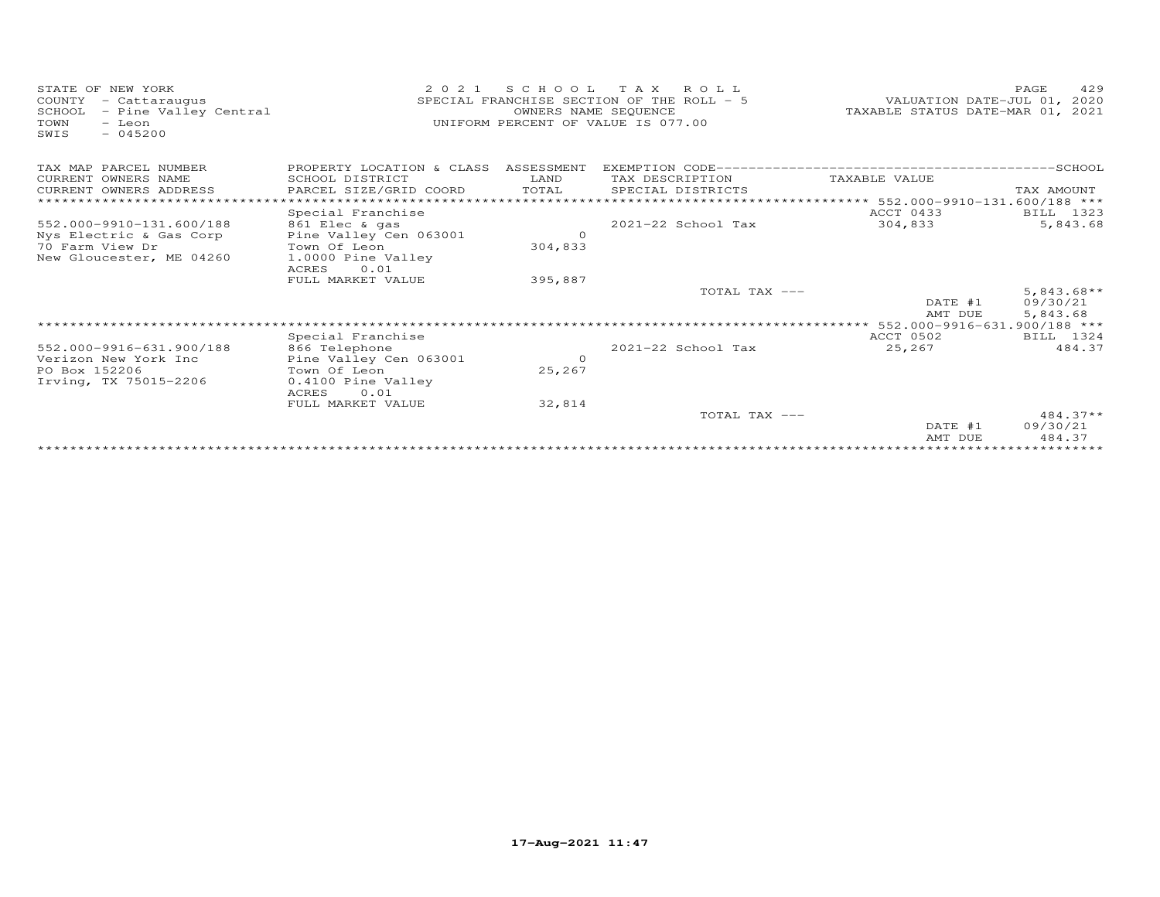| STATE OF NEW YORK<br>- Cattaraugus<br>COUNTY<br>SCHOOL<br>- Pine Valley Central<br>TOWN<br>- Leon<br>$-045200$<br>SWIS | 2 0 2 1                              | OWNERS NAME SEQUENCE | SCHOOL TAX ROLL<br>SPECIAL FRANCHISE SECTION OF THE ROLL - 5<br>UNIFORM PERCENT OF VALUE IS 077.00 | VALUATION DATE-JUL 01, 2020<br>TAXABLE STATUS DATE-MAR 01, 2021 | 429<br>PAGE  |
|------------------------------------------------------------------------------------------------------------------------|--------------------------------------|----------------------|----------------------------------------------------------------------------------------------------|-----------------------------------------------------------------|--------------|
| TAX MAP PARCEL NUMBER                                                                                                  | PROPERTY LOCATION & CLASS ASSESSMENT |                      |                                                                                                    |                                                                 |              |
| CURRENT OWNERS NAME                                                                                                    | SCHOOL DISTRICT                      | LAND                 | TAX DESCRIPTION                                                                                    | TAXABLE VALUE                                                   |              |
| CURRENT OWNERS ADDRESS                                                                                                 | PARCEL SIZE/GRID COORD               | TOTAL                | SPECIAL DISTRICTS                                                                                  |                                                                 | TAX AMOUNT   |
|                                                                                                                        |                                      |                      |                                                                                                    | ***************** 552.000-9910-131.600/188 ***                  |              |
|                                                                                                                        | Special Franchise                    |                      |                                                                                                    | ACCT 0433                                                       | BILL 1323    |
| 552.000-9910-131.600/188                                                                                               | 861 Elec & gas                       |                      | $2021 - 22$ School Tax                                                                             | 304,833                                                         | 5,843.68     |
| Nys Electric & Gas Corp                                                                                                | Pine Valley Cen 063001               | $\circ$              |                                                                                                    |                                                                 |              |
| 70 Farm View Dr                                                                                                        | Town Of Leon                         | 304,833              |                                                                                                    |                                                                 |              |
| New Gloucester, ME 04260                                                                                               | 1.0000 Pine Valley<br>ACRES<br>0.01  |                      |                                                                                                    |                                                                 |              |
|                                                                                                                        | FULL MARKET VALUE                    | 395,887              |                                                                                                    |                                                                 |              |
|                                                                                                                        |                                      |                      | TOTAL TAX ---                                                                                      |                                                                 | $5,843.68**$ |
|                                                                                                                        |                                      |                      |                                                                                                    | DATE #1                                                         | 09/30/21     |
|                                                                                                                        |                                      |                      |                                                                                                    | AMT DUE                                                         | 5,843.68     |
|                                                                                                                        |                                      |                      |                                                                                                    |                                                                 |              |
|                                                                                                                        | Special Franchise                    |                      |                                                                                                    | ACCT 0502                                                       | BILL 1324    |
| 552.000-9916-631.900/188                                                                                               | 866 Telephone                        |                      | 2021-22 School Tax                                                                                 | 25,267                                                          | 484.37       |
| Verizon New York Inc                                                                                                   | Pine Valley Cen 063001               | $\Omega$             |                                                                                                    |                                                                 |              |
| PO Box 152206                                                                                                          | Town Of Leon                         | 25,267               |                                                                                                    |                                                                 |              |
| Irving, TX 75015-2206                                                                                                  | 0.4100 Pine Valley                   |                      |                                                                                                    |                                                                 |              |
|                                                                                                                        | 0.01<br>ACRES                        |                      |                                                                                                    |                                                                 |              |
|                                                                                                                        | FULL MARKET VALUE                    | 32,814               | TOTAL TAX ---                                                                                      |                                                                 | $484.37**$   |
|                                                                                                                        |                                      |                      |                                                                                                    | DATE #1                                                         | 09/30/21     |
|                                                                                                                        |                                      |                      |                                                                                                    | AMT DUE                                                         | 484.37       |
|                                                                                                                        |                                      |                      |                                                                                                    | ***************************                                     |              |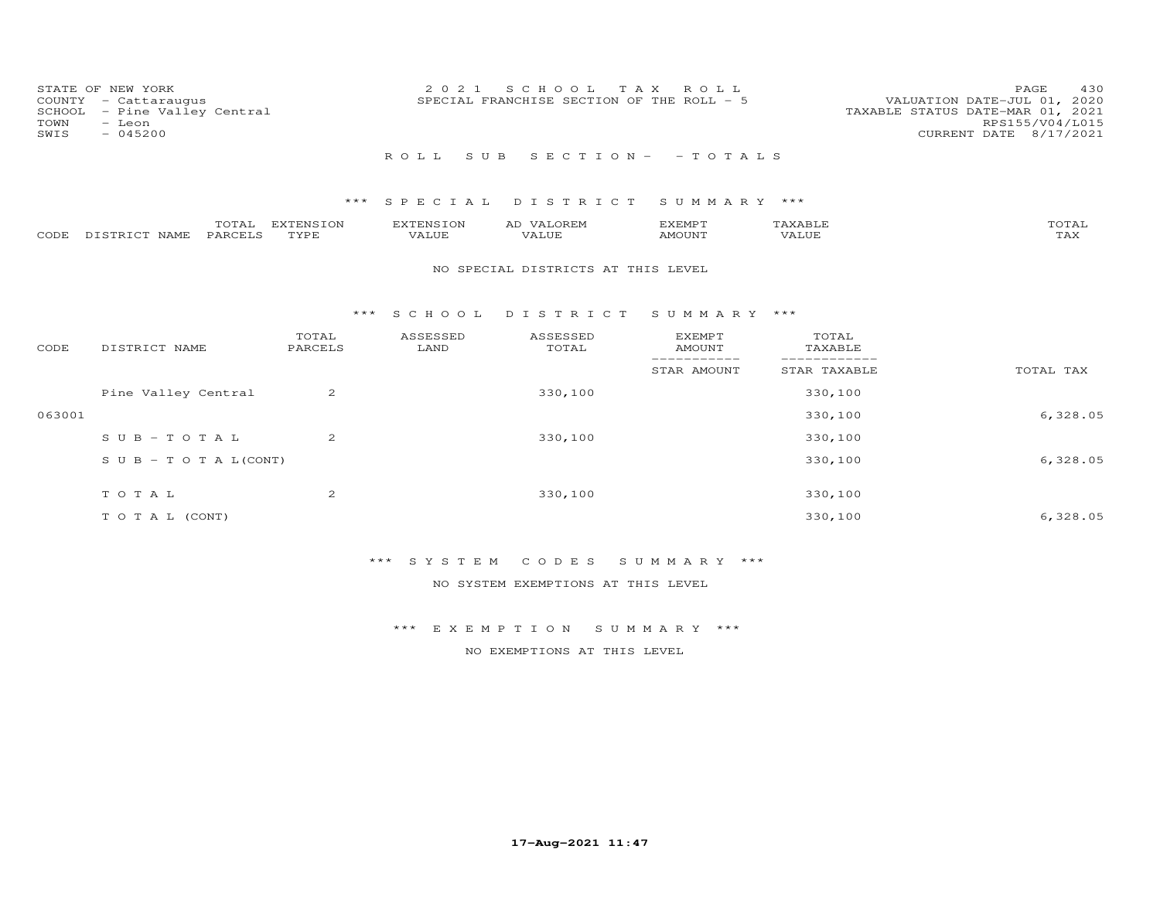| SCHOOL<br>TOWN<br>SWIS | STATE OF NEW YORK<br>COUNTY - Cattaraugus<br>- Pine Valley Central<br>- Leon<br>$-045200$ |                   | 2 0 2 1                   | S C H O O L<br>SPECIAL FRANCHISE SECTION OF THE ROLL - 5 | T A X<br>R O L L               |                  | 430<br>PAGE<br>VALUATION DATE-JUL 01, 2020<br>TAXABLE STATUS DATE-MAR 01, 2021<br>RPS155/V04/L015<br>CURRENT DATE 8/17/2021 |
|------------------------|-------------------------------------------------------------------------------------------|-------------------|---------------------------|----------------------------------------------------------|--------------------------------|------------------|-----------------------------------------------------------------------------------------------------------------------------|
|                        |                                                                                           |                   | ROLL<br>S U B             |                                                          | SECTION - - TOTALS             |                  |                                                                                                                             |
|                        |                                                                                           | $***$             | S P E C I A L             | DISTRICT                                                 | SUMMARY ***                    |                  |                                                                                                                             |
| CODE                   | TOTAL<br>PARCELS<br>DISTRICT NAME                                                         | EXTENSION<br>TYPE | <b>EXTENSION</b><br>VALUE | AD VALOREM<br><b>VALUE</b>                               | <b>EXEMPT</b><br><b>AMOUNT</b> | TAXABLE<br>VALUE | TOTAL<br>TAX                                                                                                                |
|                        |                                                                                           |                   |                           | NO SPECIAL DISTRICTS AT THIS LEVEL                       |                                |                  |                                                                                                                             |
|                        |                                                                                           | $***$             | S C H O O L               | DISTRICT                                                 | SUMMARY ***                    |                  |                                                                                                                             |
| CODE                   | DISTRICT NAME                                                                             | TOTAL<br>PARCELS  | ASSESSED<br>LAND          | ASSESSED<br>TOTAL                                        | <b>EXEMPT</b><br><b>AMOUNT</b> | TOTAL<br>TAXABLE |                                                                                                                             |
|                        |                                                                                           |                   |                           |                                                          | ------<br>STAR AMOUNT          | STAR TAXABLE     | TOTAL TAX                                                                                                                   |
|                        | Pine Valley Central                                                                       | 2                 |                           | 330,100                                                  |                                | 330,100          |                                                                                                                             |
| 063001                 |                                                                                           |                   |                           |                                                          |                                | 330,100          | 6,328.05                                                                                                                    |
|                        | $SUB - TO T AL$                                                                           | 2                 |                           | 330,100                                                  |                                | 330,100          |                                                                                                                             |
|                        | S U B - T O T A $L$ (CONT)                                                                |                   |                           |                                                          |                                | 330,100          | 6,328.05                                                                                                                    |
|                        | TOTAL                                                                                     | $\mathbf{2}$      |                           | 330,100                                                  |                                | 330,100          |                                                                                                                             |
|                        | TO TAL (CONT)                                                                             |                   |                           |                                                          |                                | 330,100          | 6,328.05                                                                                                                    |

\*\*\* S Y S T E M C O D E S S U M M A R Y \*\*\*

NO SYSTEM EXEMPTIONS AT THIS LEVEL

\*\*\* E X E M P T I O N S U M M A R Y \*\*\*

NO EXEMPTIONS AT THIS LEVEL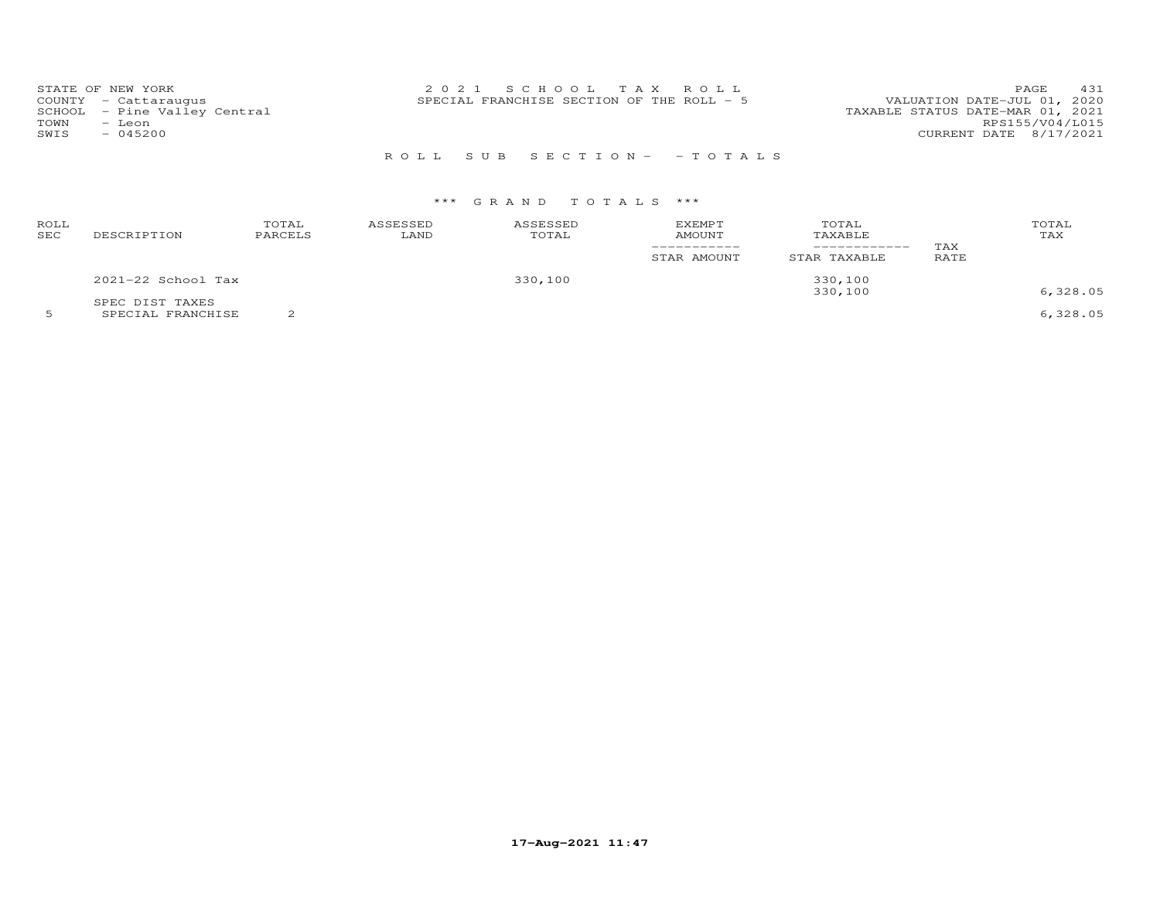| TOWN<br>SWIS | STATE OF NEW YORK<br>COUNTY - Cattaraugus<br>SCHOOL - Pine Valley Central<br>- Leon<br>$-045200$ | 2021 SCHOOL TAX ROLL<br>SPECIAL FRANCHISE SECTION OF THE ROLL - 5 | 431<br>PAGE<br>VALUATION DATE-JUL 01, 2020<br>TAXABLE STATUS DATE-MAR 01, 2021<br>RPS155/V04/L015 |
|--------------|--------------------------------------------------------------------------------------------------|-------------------------------------------------------------------|---------------------------------------------------------------------------------------------------|
|              |                                                                                                  | ROLL SUB SECTION- - TOTALS                                        | CURRENT DATE 8/17/2021                                                                            |

# \*\*\* G R A N D T O T A L S \*\*\*

| ROLL<br><b>SEC</b> | DESCRIPTION                                                                                                                                                                                                                                        | TOTAL<br>PARCELS | ASSESSED<br>LAND | ASSESSED<br>TOTAL | <b>EXEMPT</b><br><b>AMOUNT</b><br>STAR AMOUNT | TOTAL<br>TAXABLE<br>STAR TAXABLE | TAX<br>RATE | TOTAL<br>TAX  |
|--------------------|----------------------------------------------------------------------------------------------------------------------------------------------------------------------------------------------------------------------------------------------------|------------------|------------------|-------------------|-----------------------------------------------|----------------------------------|-------------|---------------|
|                    | $2021-22$ School Tax                                                                                                                                                                                                                               |                  |                  | 330,100           |                                               | 330,100                          |             |               |
|                    | SPEC DIST TAXES<br>$\sim$ . The contract of the contract of the contract of the contract of the contract of the contract of the contract of the contract of the contract of the contract of the contract of the contract of the contract of the co | $\sim$           |                  |                   |                                               | 330,100                          |             | 6,328.05<br>. |

5 SPECIAL FRANCHISE 2 6,328.05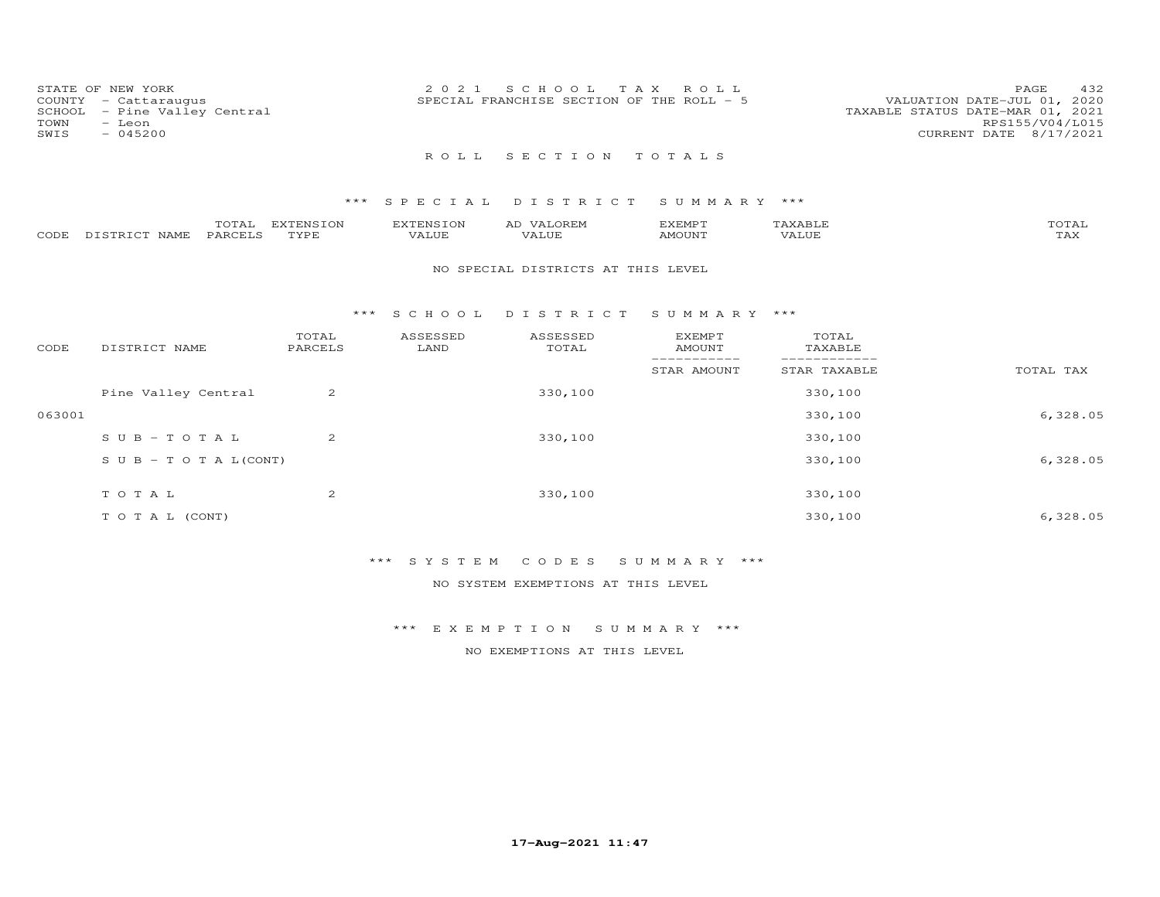| COUNTY<br>SCHOOL<br>TOWN<br>SWIS | STATE OF NEW YORK<br>- Cattaraugus<br>- Pine Valley Central<br>- Leon<br>$-045200$ |                   | 2 0 2 1                          | S C H O O L<br>T A X<br>SPECIAL FRANCHISE SECTION OF THE ROLL - 5 | ROLL                                        |                                 | 432<br>PAGE<br>2020<br>VALUATION DATE-JUL 01,<br>TAXABLE STATUS DATE-MAR 01, 2021<br>RPS155/V04/L015<br>CURRENT DATE 8/17/2021 |
|----------------------------------|------------------------------------------------------------------------------------|-------------------|----------------------------------|-------------------------------------------------------------------|---------------------------------------------|---------------------------------|--------------------------------------------------------------------------------------------------------------------------------|
|                                  |                                                                                    |                   | ROLL                             | SECTION                                                           | TOTALS                                      |                                 |                                                                                                                                |
|                                  |                                                                                    | * * *             | SPECIAL                          | DISTRICT                                                          | SUMMARY ***                                 |                                 |                                                                                                                                |
| CODE                             | TOTAL<br>DISTRICT NAME<br>PARCELS                                                  | EXTENSION<br>TYPE | <b>EXTENSION</b><br><b>VALUE</b> | AD VALOREM<br>VALUE                                               | <b>EXEMPT</b><br><b>AMOUNT</b>              | TAXABLE<br>VALUE                | TOTAL<br>TAX                                                                                                                   |
|                                  |                                                                                    |                   |                                  | NO SPECIAL DISTRICTS AT THIS LEVEL                                |                                             |                                 |                                                                                                                                |
|                                  |                                                                                    | ***               | S C H O O L                      | DISTRICT                                                          | SUMMARY ***                                 |                                 |                                                                                                                                |
| CODE                             | DISTRICT NAME                                                                      | TOTAL<br>PARCELS  | ASSESSED<br>LAND                 | ASSESSED<br>TOTAL                                                 | <b>EXEMPT</b><br><b>AMOUNT</b><br>_________ | TOTAL<br>TAXABLE<br>___________ |                                                                                                                                |
|                                  |                                                                                    |                   |                                  |                                                                   | STAR AMOUNT                                 | STAR TAXABLE                    | TOTAL TAX                                                                                                                      |
|                                  | Pine Valley Central                                                                | 2                 |                                  | 330,100                                                           |                                             | 330,100                         |                                                                                                                                |
| 063001                           |                                                                                    |                   |                                  |                                                                   |                                             | 330,100                         | 6,328.05                                                                                                                       |
|                                  | $SUB - TO TAL$                                                                     | 2                 |                                  | 330,100                                                           |                                             | 330,100                         |                                                                                                                                |

| $S \cup B - T \cup T A L (CONT)$ |   |         | 330,100 | 6,328.05 |
|----------------------------------|---|---------|---------|----------|
| TOTAL                            | ∠ | 330,100 | 330,100 |          |
| TO TAL (CONT)                    |   |         | 330,100 | 6,328.05 |

\*\*\* S Y S T E M C O D E S S U M M A R Y \*\*\*

NO SYSTEM EXEMPTIONS AT THIS LEVEL

\*\*\* E X E M P T I O N S U M M A R Y \*\*\*

NO EXEMPTIONS AT THIS LEVEL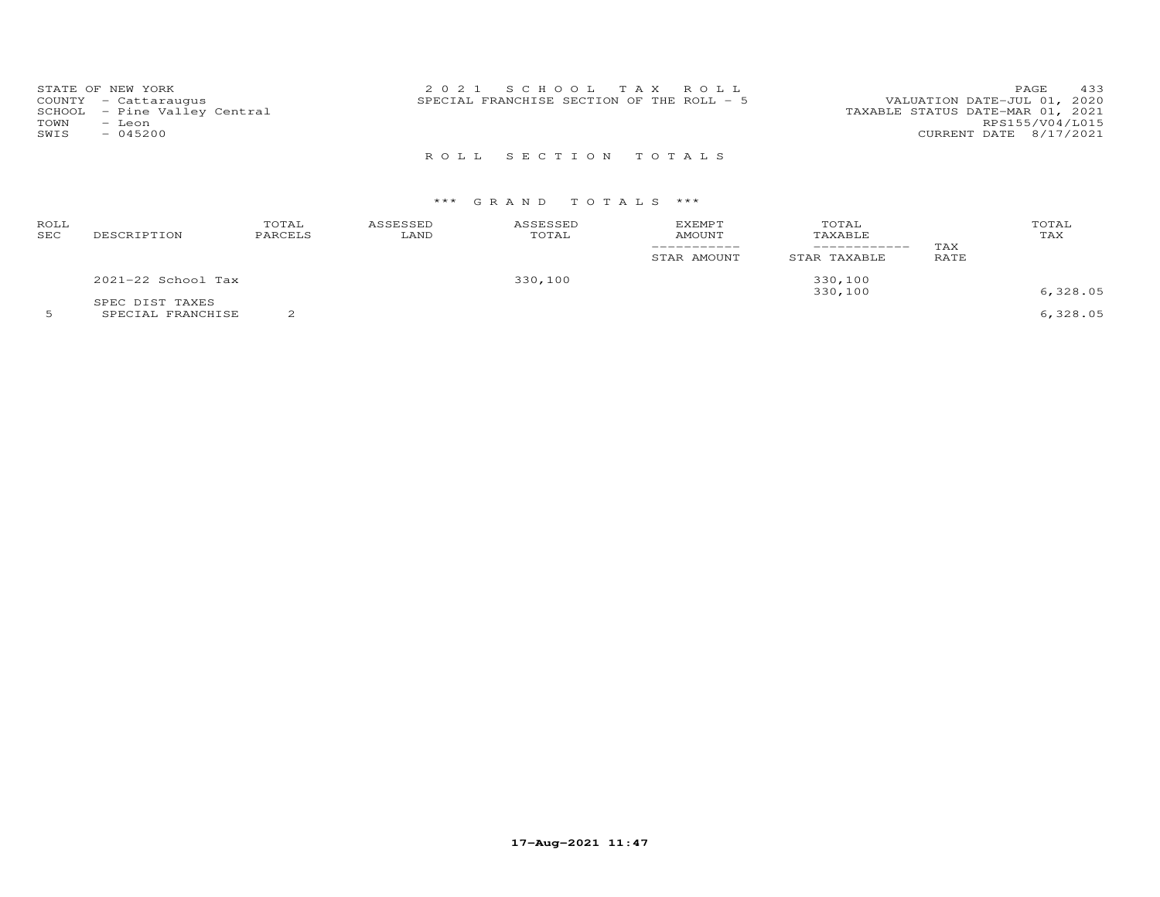| TOWN<br>SWIS | STATE OF NEW YORK<br>COUNTY - Cattaraugus<br>SCHOOL - Pine Valley Central<br>- Leon<br>$-045200$ | 2021 SCHOOL TAX ROLL<br>SPECIAL FRANCHISE SECTION OF THE ROLL - 5 | PAGE<br>VALUATION DATE-JUL 01, 2020<br>TAXABLE STATUS DATE-MAR 01, 2021<br>RPS155/V04/L015<br>CURRENT DATE 8/17/2021 | 433 |
|--------------|--------------------------------------------------------------------------------------------------|-------------------------------------------------------------------|----------------------------------------------------------------------------------------------------------------------|-----|
|              |                                                                                                  | ROLL SECTION TOTALS                                               |                                                                                                                      |     |

## \*\*\* G R A N D T O T A L S \*\*\*

| ROLL<br>SEC | DESCRIPTION                          | TOTAL<br>PARCELS | ASSESSED<br>LAND | ASSESSED<br>TOTAL | EXEMPT<br>AMOUNT<br>STAR AMOUNT | TOTAL<br>TAXABLE<br>___________<br>STAR TAXABLE | TAX<br>RATE | TOTAL<br>TAX |
|-------------|--------------------------------------|------------------|------------------|-------------------|---------------------------------|-------------------------------------------------|-------------|--------------|
|             | 2021-22 School Tax                   |                  |                  | 330,100           |                                 | 330,100<br>330,100                              |             | 6,328.05     |
|             | SPEC DIST TAXES<br>SPECIAL FRANCHISE |                  |                  |                   |                                 |                                                 |             | 6,328.05     |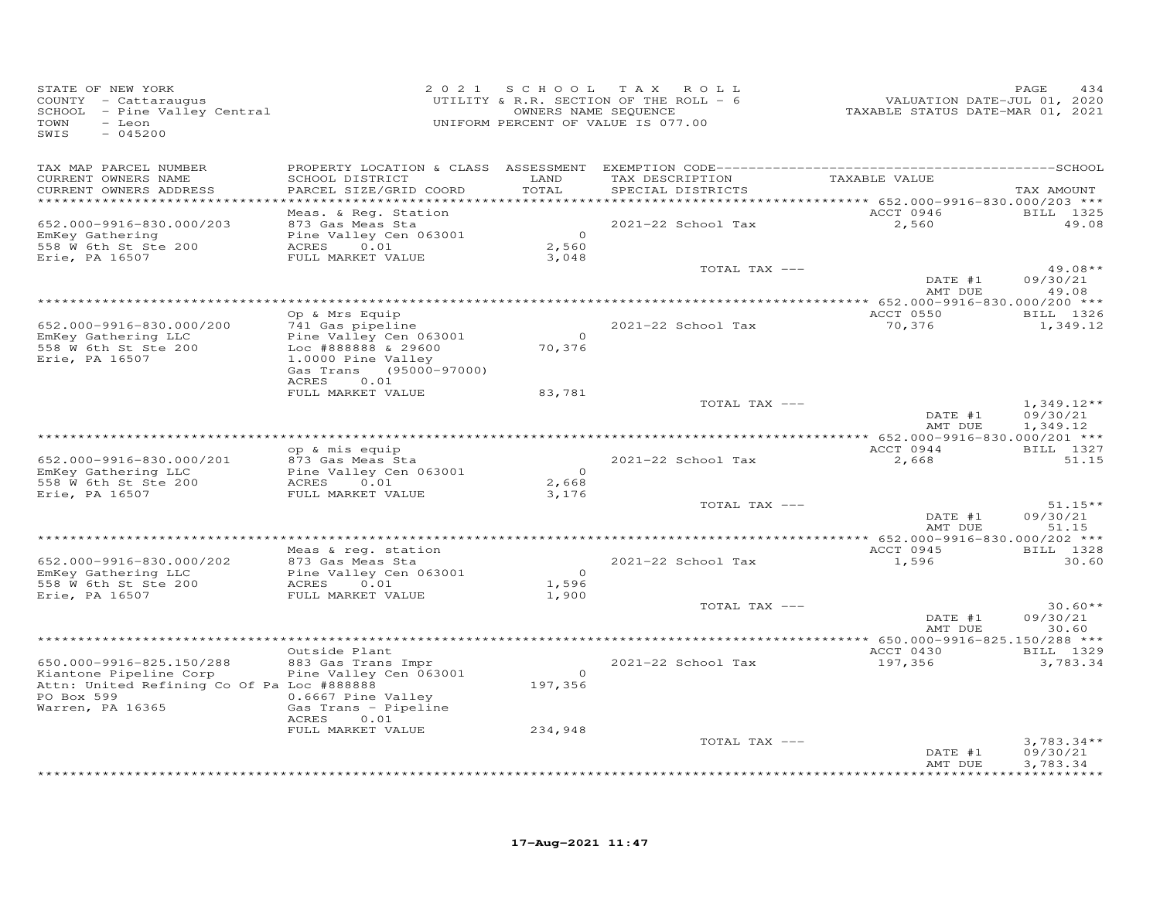| STATE OF NEW YORK<br>COUNTY - Cattaraugus<br>SCHOOL - Pine Valley Central<br>TOWN<br>- Leon<br>SWIS<br>$-045200$                   | 2 0 2 1                                                                                                                              | SCHOOL TAX                       | ROLL<br>UTILITY & R.R. SECTION OF THE ROLL - 6<br>OWNERS NAME SEQUENCE<br>UNIFORM PERCENT OF VALUE IS 077.00 | VALUATION DATE-JUL 01, 2020<br>TAXABLE STATUS DATE-MAR 01, 2021 | PAGE<br>434                          |
|------------------------------------------------------------------------------------------------------------------------------------|--------------------------------------------------------------------------------------------------------------------------------------|----------------------------------|--------------------------------------------------------------------------------------------------------------|-----------------------------------------------------------------|--------------------------------------|
| TAX MAP PARCEL NUMBER<br>CURRENT OWNERS NAME<br>CURRENT OWNERS ADDRESS                                                             | SCHOOL DISTRICT<br>PARCEL SIZE/GRID COORD                                                                                            | LAND<br>TOTAL                    | TAX DESCRIPTION<br>SPECIAL DISTRICTS                                                                         | TAXABLE VALUE                                                   | TAX AMOUNT                           |
| **********************                                                                                                             |                                                                                                                                      |                                  |                                                                                                              |                                                                 |                                      |
| 652.000-9916-830.000/203<br>EmKey Gathering<br>558 W 6th St Ste 200<br>Erie, PA 16507                                              | Meas. & Req. Station<br>873 Gas Meas Sta<br>Pine Valley Cen 063001<br>0.01<br>ACRES<br>FULL MARKET VALUE                             | $\overline{0}$<br>2,560<br>3,048 | 2021-22 School Tax                                                                                           | ACCT 0946<br>2,560                                              | BILL 1325<br>49.08                   |
|                                                                                                                                    |                                                                                                                                      |                                  | TOTAL TAX ---                                                                                                | DATE #1<br>AMT DUE                                              | $49.08**$<br>09/30/21<br>49.08       |
|                                                                                                                                    |                                                                                                                                      |                                  |                                                                                                              |                                                                 |                                      |
| 652.000-9916-830.000/200<br>EmKey Gathering LLC<br>558 W 6th St Ste 200<br>Erie, PA 16507                                          | Op & Mrs Equip<br>741 Gas pipeline<br>Pine Valley Cen 063001<br>Loc #888888 & 29600<br>1.0000 Pine Valley<br>Gas Trans (95000-97000) | $\overline{0}$<br>70,376         | 2021-22 School Tax                                                                                           | ACCT 0550<br>70,376                                             | BILL 1326<br>1,349.12                |
|                                                                                                                                    | 0.01<br>ACRES                                                                                                                        |                                  |                                                                                                              |                                                                 |                                      |
|                                                                                                                                    | FULL MARKET VALUE                                                                                                                    | 83,781                           | TOTAL TAX ---                                                                                                | DATE #1<br>AMT DUE                                              | $1,349.12**$<br>09/30/21             |
|                                                                                                                                    |                                                                                                                                      |                                  |                                                                                                              |                                                                 | 1,349.12                             |
| 652.000-9916-830.000/201<br>EmKey Gathering LLC<br>558 W 6th St Ste 200<br>Erie, PA 16507                                          | op & mis equip<br>873 Gas Meas Sta<br>Pine Valley Cen 063001<br>ACRES<br>0.01<br>FULL MARKET VALUE                                   | $\Omega$<br>2,668<br>3,176       | 2021-22 School Tax                                                                                           | ACCT 0944<br>2,668                                              | BILL 1327<br>51.15                   |
|                                                                                                                                    |                                                                                                                                      |                                  | TOTAL TAX ---                                                                                                | DATE #1<br>AMT DUE                                              | $51.15**$<br>09/30/21<br>51.15       |
|                                                                                                                                    |                                                                                                                                      |                                  |                                                                                                              |                                                                 |                                      |
| 652.000-9916-830.000/202                                                                                                           | Meas & req. station<br>873 Gas Meas Sta                                                                                              |                                  | 2021-22 School Tax                                                                                           | ACCT 0945<br>1,596                                              | BILL 1328<br>30.60                   |
| EmKey Gathering LLC<br>558 W 6th St Ste 200                                                                                        | Pine Valley Cen 063001<br>ACRES<br>0.01                                                                                              | $\Omega$<br>1,596                |                                                                                                              |                                                                 |                                      |
| Erie, PA 16507                                                                                                                     | FULL MARKET VALUE                                                                                                                    | 1,900                            | TOTAL TAX ---                                                                                                | DATE #1<br>AMT DUE                                              | $30.60**$<br>09/30/21<br>30.60       |
|                                                                                                                                    |                                                                                                                                      |                                  |                                                                                                              | $*$ 650.000-9916-825.150/288 ***                                |                                      |
|                                                                                                                                    | Outside Plant                                                                                                                        |                                  |                                                                                                              | ACCT 0430                                                       | BILL 1329                            |
| 650.000-9916-825.150/288<br>Kiantone Pipeline Corp<br>Attn: United Refining Co Of Pa Loc #888888<br>PO Box 599<br>Warren, PA 16365 | 883 Gas Trans Impr<br>Pine Valley Cen 063001<br>0.6667 Pine Valley<br>Gas Trans - Pipeline<br>ACRES<br>0.01                          | $\overline{O}$<br>197,356        | 2021-22 School Tax                                                                                           | 197,356                                                         | 3,783.34                             |
|                                                                                                                                    | FULL MARKET VALUE                                                                                                                    | 234,948                          |                                                                                                              |                                                                 |                                      |
|                                                                                                                                    |                                                                                                                                      |                                  | TOTAL TAX ---                                                                                                | DATE #1<br>AMT DUE                                              | $3,783.34**$<br>09/30/21<br>3,783.34 |
|                                                                                                                                    |                                                                                                                                      |                                  |                                                                                                              |                                                                 | * * * * * * * * * *                  |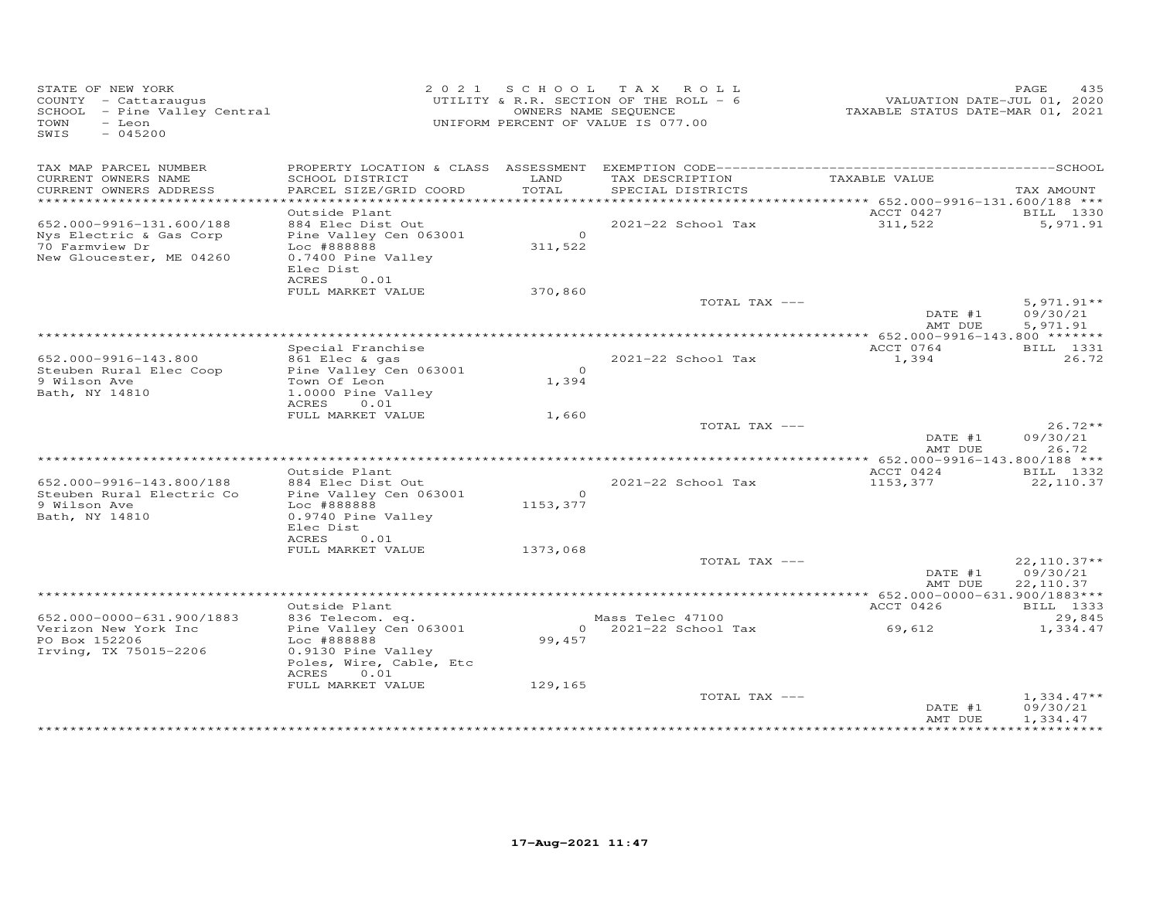| STATE OF NEW YORK<br>COUNTY - Cattaraugus<br>COONII - Caccaraugus<br>SCHOOL - Pine Valley Central<br>TOWN<br>$-$ Leon<br>SWIS<br>$-045200$ |                                                                                                                                                               |                           | 2021 SCHOOL TAX ROLL<br>UTILITY & R.R. SECTION OF THE ROLL - 6<br>OWNERS NAME SEQUENCE<br>UNIFORM PERCENT OF VALUE IS 077.00 | VALUATION DATE-JUL 01, 2020<br>TAXABLE STATUS DATE-MAR 01, 2021 | PAGE<br>435                            |
|--------------------------------------------------------------------------------------------------------------------------------------------|---------------------------------------------------------------------------------------------------------------------------------------------------------------|---------------------------|------------------------------------------------------------------------------------------------------------------------------|-----------------------------------------------------------------|----------------------------------------|
| TAX MAP PARCEL NUMBER<br>CURRENT OWNERS NAME<br>CURRENT OWNERS ADDRESS                                                                     | SCHOOL DISTRICT<br>PARCEL SIZE/GRID COORD                                                                                                                     | LAND<br>TOTAL             | TAX DESCRIPTION<br>SPECIAL DISTRICTS                                                                                         | TAXABLE VALUE                                                   | TAX AMOUNT                             |
|                                                                                                                                            |                                                                                                                                                               |                           |                                                                                                                              |                                                                 |                                        |
| 652.000-9916-131.600/188<br>Nys Electric & Gas Corp<br>70 Farmview Dr<br>New Gloucester, ME 04260                                          | Outside Plant<br>884 Elec Dist Out<br>Pine Valley Cen 063001<br>Loc #888888<br>0.7400 Pine Valley<br>Elec Dist<br>ACRES 0.01                                  | $\overline{0}$<br>311,522 | 2021-22 School Tax                                                                                                           | ACCT 0427<br>311,522                                            | BILL 1330<br>5,971.91                  |
|                                                                                                                                            | FULL MARKET VALUE                                                                                                                                             | 370,860                   |                                                                                                                              |                                                                 |                                        |
|                                                                                                                                            |                                                                                                                                                               |                           | TOTAL TAX ---                                                                                                                | DATE #1<br>AMT DUE                                              | $5,971.91**$<br>09/30/21<br>5,971.91   |
|                                                                                                                                            |                                                                                                                                                               |                           |                                                                                                                              |                                                                 |                                        |
| 652.000-9916-143.800<br>Steuben Rural Elec Coop<br>9 Wilson Ave<br>Bath, NY 14810                                                          | Special Franchise<br>861 Elec & gas<br>Pine Valley Cen 063001<br>Town Of Leon<br>1.0000 Pine Valley                                                           | $\overline{0}$<br>1,394   | 2021-22 School Tax                                                                                                           | ACCT 0764<br>1,394                                              | <b>BILL</b> 1331<br>26.72              |
|                                                                                                                                            | ACRES<br>0.01                                                                                                                                                 |                           |                                                                                                                              |                                                                 |                                        |
|                                                                                                                                            | FULL MARKET VALUE                                                                                                                                             | 1,660                     | TOTAL TAX ---                                                                                                                | DATE #1<br>AMT DUE                                              | $26.72**$<br>09/30/21<br>26.72         |
|                                                                                                                                            |                                                                                                                                                               |                           |                                                                                                                              |                                                                 |                                        |
|                                                                                                                                            | Outside Plant                                                                                                                                                 |                           |                                                                                                                              | ACCT 0424                                                       | BILL 1332                              |
| 652.000-9916-143.800/188<br>Steuben Rural Electric Co<br>9 Wilson Ave<br>Bath, NY 14810                                                    | 884 Elec Dist Out<br>Pine Valley Cen 063001<br>Loc #888888<br>0.9740 Pine Valley<br>Elec Dist<br>0.01<br>ACRES                                                | $\circ$<br>1153,377       | 2021-22 School Tax                                                                                                           | 1153,377                                                        | 22,110.37                              |
|                                                                                                                                            | FULL MARKET VALUE                                                                                                                                             | 1373,068                  |                                                                                                                              |                                                                 |                                        |
|                                                                                                                                            |                                                                                                                                                               |                           | TOTAL TAX ---                                                                                                                | DATE #1<br>AMT DUE                                              | $22,110.37**$<br>09/30/21<br>22,110.37 |
|                                                                                                                                            |                                                                                                                                                               |                           |                                                                                                                              |                                                                 |                                        |
| 652.000-0000-631.900/1883<br>Verizon New York Inc<br>PO Box 152206<br>Irving, TX 75015-2206                                                | Outside Plant<br>------- -----<br>836 Telecom. eq.<br>Pine Valley Cen 063001<br>Loc #888888<br>0.9130 Pine Valley<br>Poles, Wire, Cable, Etc<br>0.01<br>ACRES | 99,457                    |                                                                                                                              | ACCT 0426                                                       | <b>BILL</b> 1333<br>29,845<br>1,334.47 |
|                                                                                                                                            | FULL MARKET VALUE                                                                                                                                             | 129,165                   | TOTAL TAX ---                                                                                                                | DATE #1<br>AMT DUE                                              | $1,334.47**$<br>09/30/21<br>1,334.47   |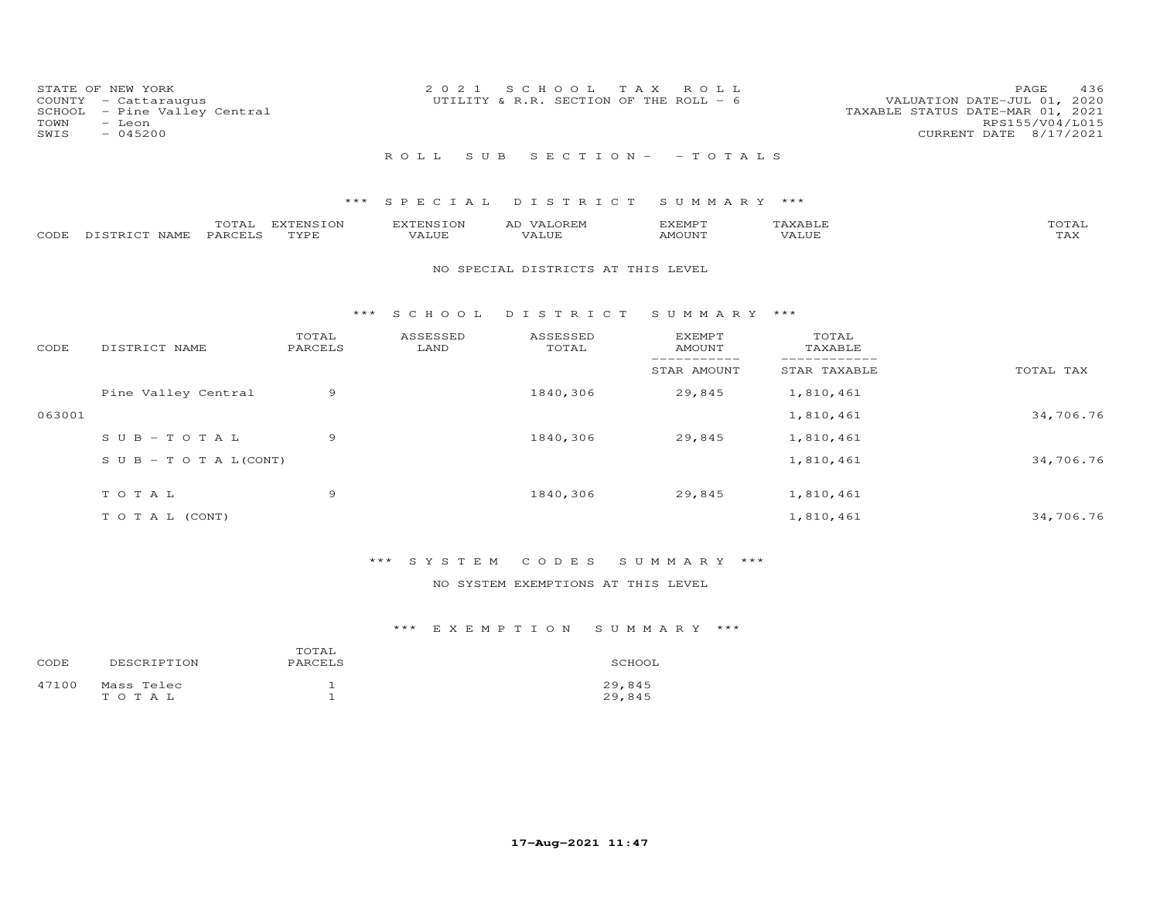| COUNTY<br>SCHOOL<br>TOWN<br>SWIS | STATE OF NEW YORK<br>- Cattaraugus<br>- Pine Valley Central<br>- Leon<br>$-045200$ |                   | 2 0 2 1                   | SCHOOL<br>UTILITY & R.R. SECTION OF THE ROLL - 6 | T A X<br>ROLL                   |                             | PAGE<br>436<br>VALUATION DATE-JUL 01, 2020<br>TAXABLE STATUS DATE-MAR 01, 2021<br>RPS155/V04/L015<br>CURRENT DATE 8/17/2021 |
|----------------------------------|------------------------------------------------------------------------------------|-------------------|---------------------------|--------------------------------------------------|---------------------------------|-----------------------------|-----------------------------------------------------------------------------------------------------------------------------|
|                                  |                                                                                    |                   | ROLL<br>S U B             |                                                  | $S E C T I O N - - T O T A L S$ |                             |                                                                                                                             |
|                                  |                                                                                    | ***               | SPECIAL                   | DISTRICT                                         | SUMMARY ***                     |                             |                                                                                                                             |
| CODE                             | TOTAL<br>PARCELS<br>DISTRICT NAME                                                  | EXTENSION<br>TYPE | <b>EXTENSION</b><br>VALUE | AD VALOREM<br>VALUE                              | EXEMPT<br>AMOUNT                | TAXABLE<br>VALUE            | TOTAL<br>TAX                                                                                                                |
|                                  |                                                                                    |                   |                           | NO SPECIAL DISTRICTS AT THIS LEVEL               |                                 |                             |                                                                                                                             |
|                                  |                                                                                    | * * *             | S C H O O L               | DISTRICT                                         | SUMMARY ***                     |                             |                                                                                                                             |
| CODE                             | DISTRICT NAME                                                                      | TOTAL<br>PARCELS  | ASSESSED<br>LAND          | ASSESSED<br>TOTAL                                | <b>EXEMPT</b><br><b>AMOUNT</b>  | TOTAL<br>TAXABLE            |                                                                                                                             |
|                                  |                                                                                    |                   |                           |                                                  | -----------<br>STAR AMOUNT      | ___________<br>STAR TAXABLE | TOTAL TAX                                                                                                                   |
|                                  | Pine Valley Central                                                                | 9                 |                           | 1840,306                                         | 29,845                          | 1,810,461                   |                                                                                                                             |
| 063001                           |                                                                                    |                   |                           |                                                  |                                 | 1,810,461                   | 34,706.76                                                                                                                   |
|                                  | $S \cup B - T \cup T A L$                                                          | 9                 |                           | 1840,306                                         | 29,845                          | 1,810,461                   |                                                                                                                             |
|                                  | $S \cup B - T \cup T A L (CONT)$                                                   |                   |                           |                                                  |                                 | 1,810,461                   | 34,706.76                                                                                                                   |
|                                  | TOTAL                                                                              | 9                 |                           | 1840,306                                         | 29,845                          | 1,810,461                   |                                                                                                                             |
|                                  | TO TAL (CONT)                                                                      |                   |                           |                                                  |                                 | 1,810,461                   | 34,706.76                                                                                                                   |

# \*\*\* S Y S T E M C O D E S S U M M A R Y \*\*\*

## NO SYSTEM EXEMPTIONS AT THIS LEVEL

| CODE  | DESCRIPTION         | TOTAL<br>PARCELS | SCHOOL           |
|-------|---------------------|------------------|------------------|
| 47100 | Mass Telec<br>тотац |                  | 29,845<br>29,845 |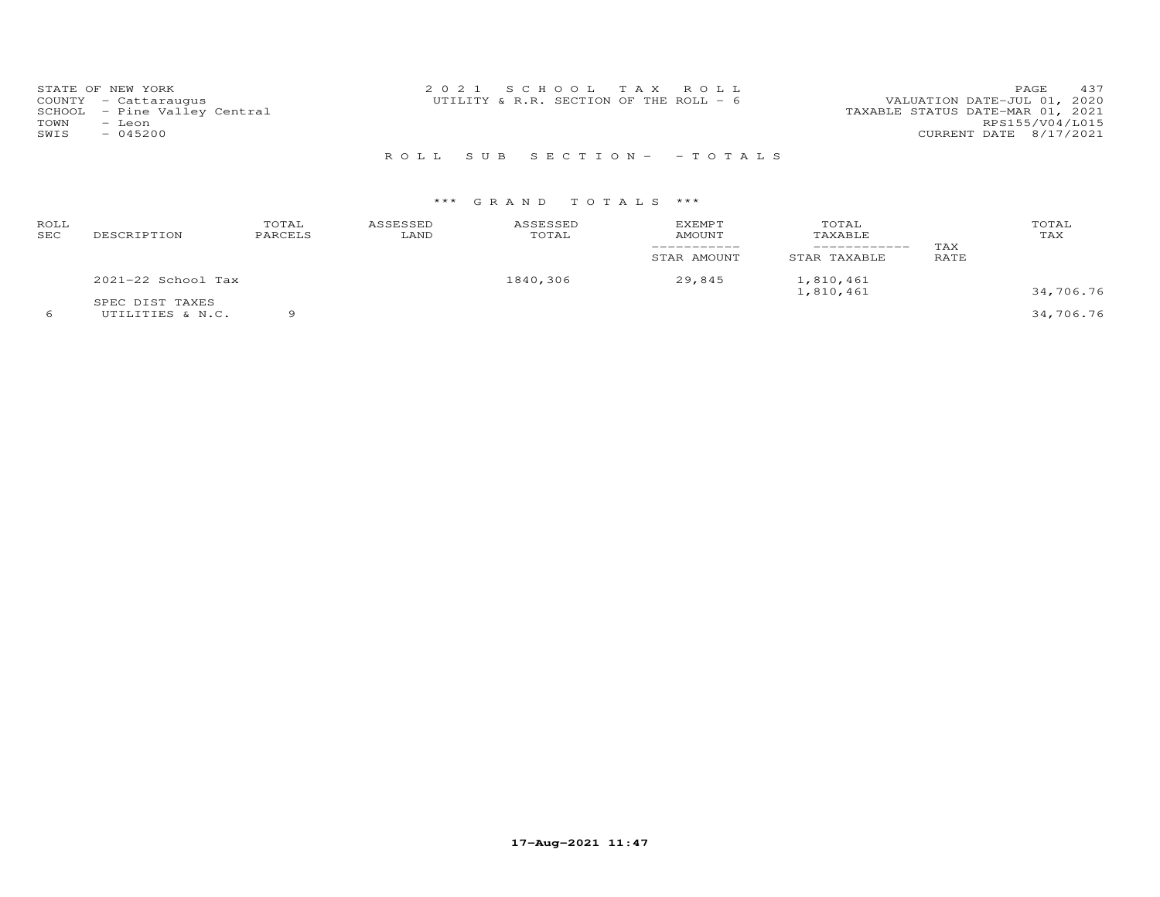| STATE OF NEW YORK            | 2021 SCHOOL TAX ROLL                     | 437<br><b>PAGE</b>               |
|------------------------------|------------------------------------------|----------------------------------|
| COUNTY - Cattaraugus         | UTILITY & R.R. SECTION OF THE ROLL - $6$ | VALUATION DATE-JUL 01, 2020      |
| SCHOOL - Pine Valley Central |                                          | TAXABLE STATUS DATE-MAR 01, 2021 |
| TOWN<br>- Leon               |                                          | RPS155/V04/L015                  |
| SWIS<br>$-045200$            |                                          | CURRENT DATE 8/17/2021           |
|                              |                                          |                                  |

R O L L S U B S E C T I O N - - T O T A L S

| ROLL<br>SEC | DESCRIPTION                         | TOTAL<br>PARCELS | ASSESSED<br>LAND | ASSESSED<br>TOTAL | <b>EXEMPT</b><br>AMOUNT<br>STAR AMOUNT | TOTAL<br>TAXABLE<br>STAR TAXABLE | TAX<br>RATE | TOTAL<br>TAX |
|-------------|-------------------------------------|------------------|------------------|-------------------|----------------------------------------|----------------------------------|-------------|--------------|
|             | $2021-22$ School Tax                |                  |                  | 1840,306          | 29,845                                 | 1,810,461<br>1,810,461           |             | 34,706.76    |
|             | SPEC DIST TAXES<br>UTILITIES & N.C. |                  |                  |                   |                                        |                                  |             | 34,706.76    |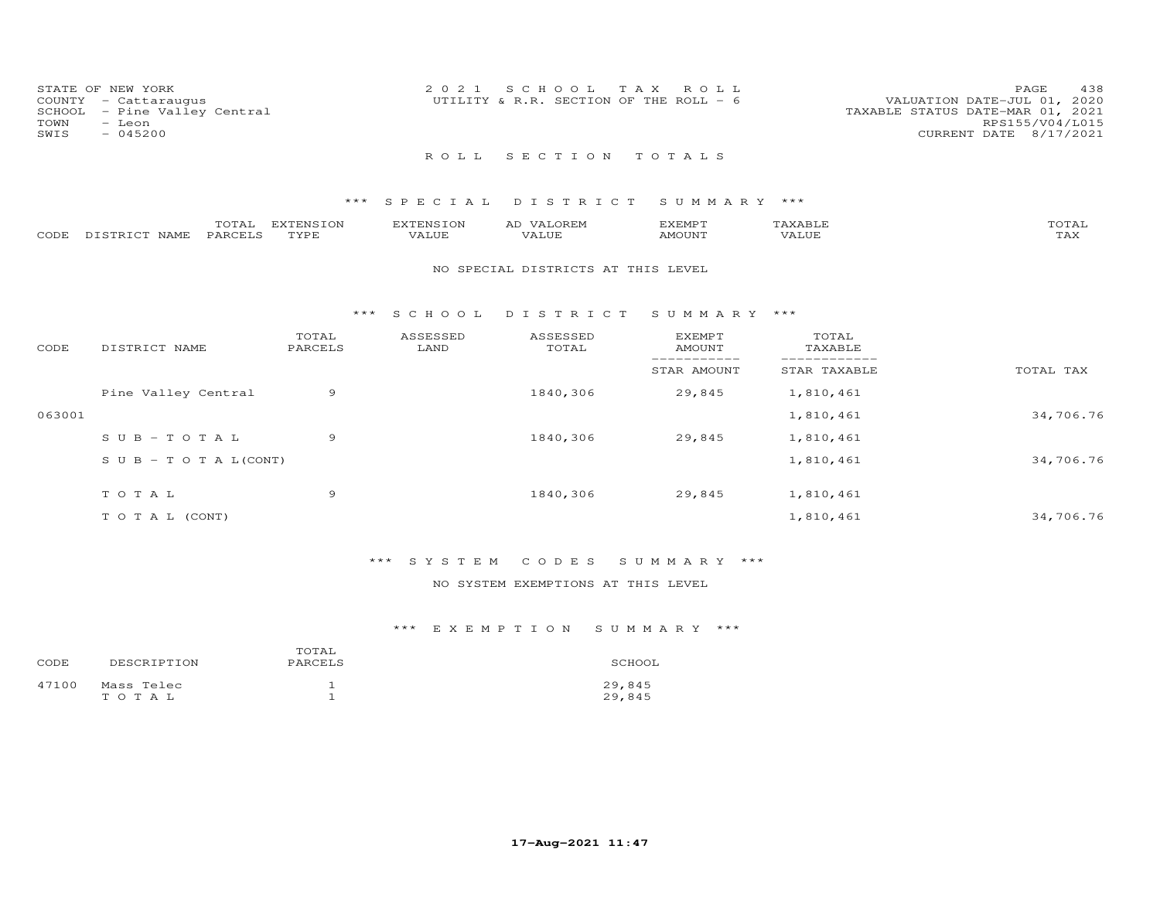| STATE OF NEW YORK            | 2021 SCHOOL TAX ROLL                   | 438<br>PAGE.                     |
|------------------------------|----------------------------------------|----------------------------------|
| COUNTY - Cattaraugus         |                                        | VALUATION DATE-JUL 01, 2020      |
|                              | UTILITY & R.R. SECTION OF THE ROLL - 6 |                                  |
| SCHOOL - Pine Valley Central |                                        | TAXABLE STATUS DATE-MAR 01, 2021 |
| TOWN<br>- Leon               |                                        | RPS155/V04/L015                  |
| SWIS<br>$-045200$            |                                        | CURRENT DATE 8/17/2021           |
|                              |                                        |                                  |
|                              | ROLL SECTION TOTALS                    |                                  |

|      |                   | m^m <u>a</u> | EXTENSION | .xTENSIO <sup>*</sup> | OREN<br>AD | <b>EXEMPT</b> |       | TOTAI |
|------|-------------------|--------------|-----------|-----------------------|------------|---------------|-------|-------|
| CODE | DISTRICT.<br>NAME | PARCELS      | TYPE      | 777<br>7 A LUF        |            | IMOUNT        | 'ALUE | ⊥冖⌒   |

## NO SPECIAL DISTRICTS AT THIS LEVEL

#### \*\*\* S C H O O L D I S T R I C T S U M M A R Y \*\*\*

| CODE   | DISTRICT NAME                    | TOTAL<br>PARCELS | ASSESSED<br>LAND | ASSESSED<br>TOTAL | <b>EXEMPT</b><br>AMOUNT | TOTAL<br>TAXABLE |           |
|--------|----------------------------------|------------------|------------------|-------------------|-------------------------|------------------|-----------|
|        |                                  |                  |                  |                   | STAR AMOUNT             | STAR TAXABLE     | TOTAL TAX |
|        | Pine Valley Central              | 9                |                  | 1840,306          | 29,845                  | 1,810,461        |           |
| 063001 |                                  |                  |                  |                   |                         | 1,810,461        | 34,706.76 |
|        | $SUB - TO T AL$                  | 9                |                  | 1840,306          | 29,845                  | 1,810,461        |           |
|        | $S \cup B - T \cup T A L (CONT)$ |                  |                  |                   |                         | 1,810,461        | 34,706.76 |
|        | TOTAL                            | 9                |                  | 1840,306          | 29,845                  | 1,810,461        |           |
|        | T O T A L (CONT)                 |                  |                  |                   |                         | 1,810,461        | 34,706.76 |

# \*\*\* S Y S T E M C O D E S S U M M A R Y \*\*\*

## NO SYSTEM EXEMPTIONS AT THIS LEVEL

| CODE  | DESCRIPTION         | TOTAL<br>PARCELS | SCHOOL           |
|-------|---------------------|------------------|------------------|
| 47100 | Mass Telec<br>TOTAL |                  | 29,845<br>29,845 |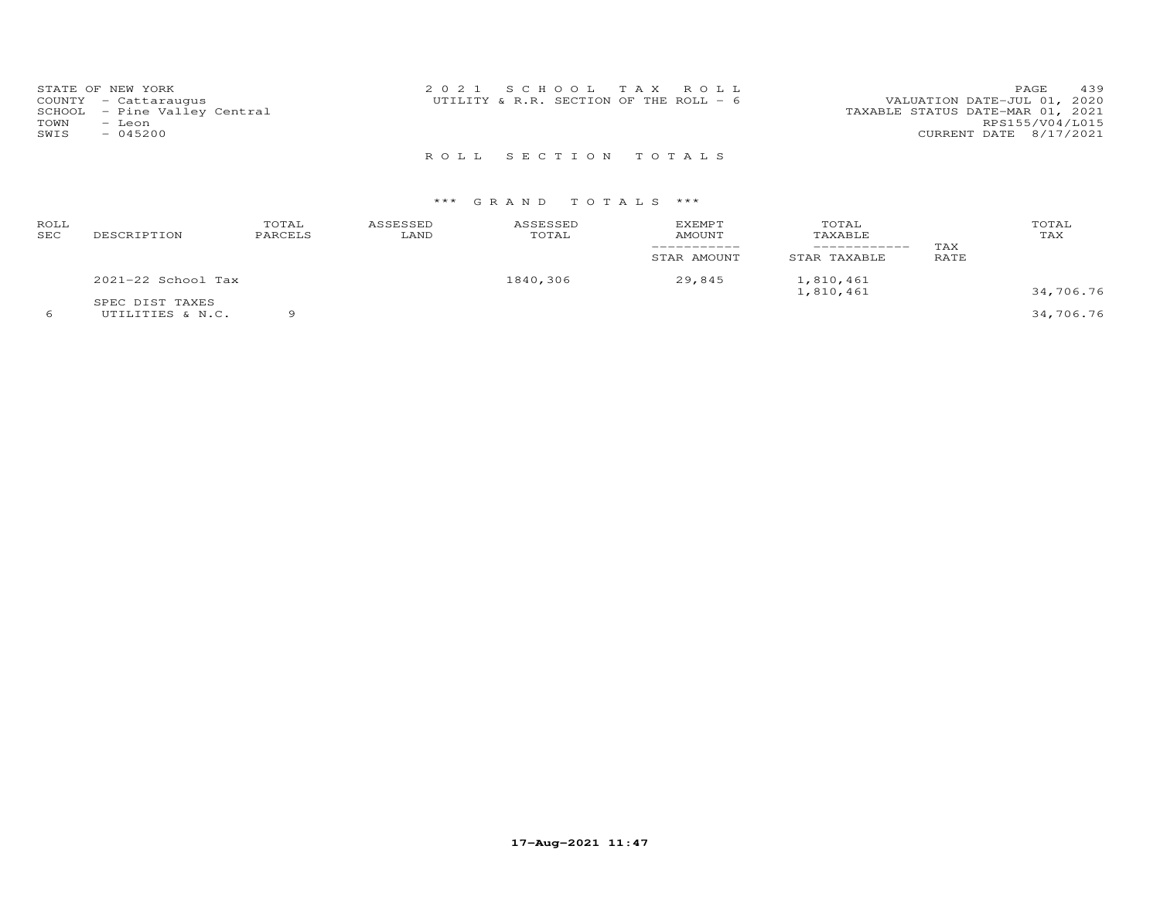| STATE OF NEW YORK            | 2021 SCHOOL TAX ROLL                   | 439<br>PAGE                      |
|------------------------------|----------------------------------------|----------------------------------|
| COUNTY - Cattaraugus         | UTILITY & R.R. SECTION OF THE ROLL - 6 | VALUATION DATE-JUL 01, 2020      |
| SCHOOL - Pine Valley Central |                                        | TAXABLE STATUS DATE-MAR 01, 2021 |
| TOWN<br>- Leon               |                                        | RPS155/V04/L015                  |
| SWIS<br>$-045200$            |                                        | CURRENT DATE 8/17/2021           |
|                              |                                        |                                  |

R O L L S E C T I O N T O T A L S

| ROLL<br>SEC | DESCRIPTION                         | TOTAL<br>PARCELS | ASSESSED<br>LAND | ASSESSED<br>TOTAL | EXEMPT<br>AMOUNT<br>STAR AMOUNT | TOTAL<br>TAXABLE<br>STAR TAXABLE | TAX<br>RATE | TOTAL<br>TAX |
|-------------|-------------------------------------|------------------|------------------|-------------------|---------------------------------|----------------------------------|-------------|--------------|
|             | 2021-22 School Tax                  |                  |                  | 1840,306          | 29,845                          | 1,810,461<br>1,810,461           |             | 34,706.76    |
|             | SPEC DIST TAXES<br>UTILITIES & N.C. |                  |                  |                   |                                 |                                  |             | 34,706.76    |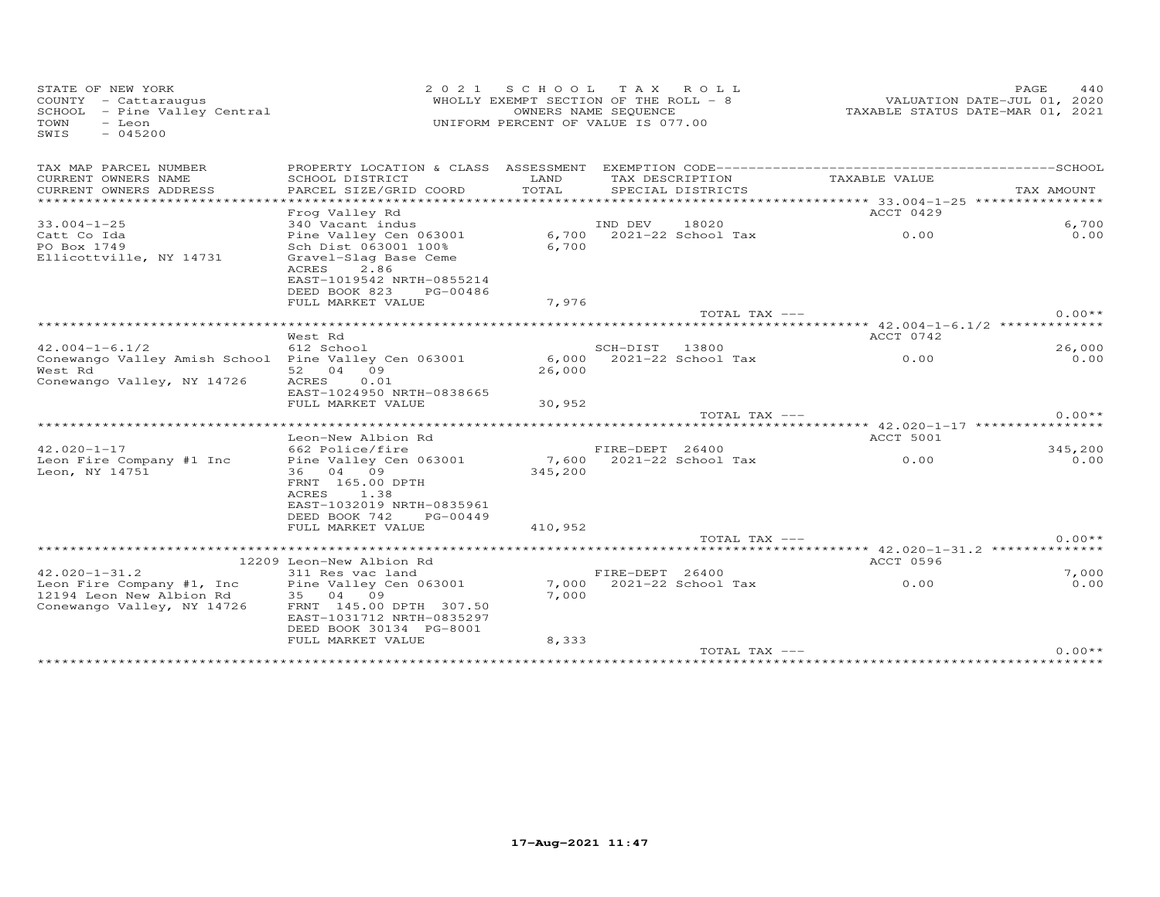| STATE OF NEW YORK<br>COUNTY - Cattaraugus<br>SCHOOL - Pine Valley Central<br>- Leon<br>TOWN<br>$-045200$<br>SWIS | 2 0 2 1                                                                                                                                         | S C H O O L<br>WHOLLY EXEMPT SECTION OF THE ROLL - 8<br>OWNERS NAME SEQUENCE<br>UNIFORM PERCENT OF VALUE IS 077.00 |                 | TAX ROLL                             |                                                                      | 440<br>PAGE<br>VALUATION DATE-JUL 01, 2020<br>TAXABLE STATUS DATE-MAR 01, 2021 |
|------------------------------------------------------------------------------------------------------------------|-------------------------------------------------------------------------------------------------------------------------------------------------|--------------------------------------------------------------------------------------------------------------------|-----------------|--------------------------------------|----------------------------------------------------------------------|--------------------------------------------------------------------------------|
| TAX MAP PARCEL NUMBER<br>CURRENT OWNERS NAME<br>CURRENT OWNERS ADDRESS                                           | SCHOOL DISTRICT<br>PARCEL SIZE/GRID COORD                                                                                                       | LAND<br>TOTAL                                                                                                      |                 | TAX DESCRIPTION<br>SPECIAL DISTRICTS | TAXABLE VALUE                                                        | TAX AMOUNT                                                                     |
| *********************                                                                                            | ***********************<br>Frog Valley Rd                                                                                                       |                                                                                                                    |                 |                                      | ACCT 0429                                                            |                                                                                |
| $33.004 - 1 - 25$                                                                                                | 340 Vacant indus                                                                                                                                |                                                                                                                    | IND DEV         | 18020                                |                                                                      | 6,700                                                                          |
| Catt Co Ida<br>PO Box 1749<br>Ellicottville, NY 14731                                                            | Pine Valley Cen 063001<br>Sch Dist 063001 100%<br>Gravel-Slag Base Ceme<br>2.86<br>ACRES<br>EAST-1019542 NRTH-0855214<br>DEED BOOK 823 PG-00486 | 6,700<br>6,700                                                                                                     |                 | 2021-22 School Tax                   | 0.00                                                                 | 0.00                                                                           |
|                                                                                                                  | FULL MARKET VALUE                                                                                                                               | 7,976                                                                                                              |                 |                                      |                                                                      |                                                                                |
|                                                                                                                  |                                                                                                                                                 |                                                                                                                    |                 | TOTAL TAX ---                        |                                                                      | $0.00**$                                                                       |
|                                                                                                                  |                                                                                                                                                 |                                                                                                                    |                 |                                      | ************************ 42.004-1-6.1/2 ************                 |                                                                                |
| $42.004 - 1 - 6.1/2$                                                                                             | West Rd<br>612 School                                                                                                                           |                                                                                                                    | SCH-DIST        | 13800                                | ACCT 0742                                                            | 26,000                                                                         |
| Conewango Valley Amish School Pine Valley Cen 063001<br>West Rd<br>Conewango Valley, NY 14726                    | 52 04 09<br>ACRES<br>0.01                                                                                                                       | 6,000<br>26,000                                                                                                    |                 | 2021-22 School Tax                   | 0.00                                                                 | 0.00                                                                           |
|                                                                                                                  | EAST-1024950 NRTH-0838665<br>FULL MARKET VALUE                                                                                                  | 30,952                                                                                                             |                 |                                      |                                                                      |                                                                                |
|                                                                                                                  |                                                                                                                                                 |                                                                                                                    |                 | TOTAL TAX ---                        |                                                                      | $0.00**$                                                                       |
|                                                                                                                  |                                                                                                                                                 |                                                                                                                    |                 |                                      | *********** 42.020-1-17 *************                                |                                                                                |
| $42.020 - 1 - 17$                                                                                                | Leon-New Albion Rd<br>662 Police/fire                                                                                                           |                                                                                                                    | FIRE-DEPT 26400 |                                      | <b>ACCT 5001</b>                                                     | 345,200                                                                        |
| Leon Fire Company #1 Inc<br>Leon, NY 14751                                                                       | Pine Valley Cen 063001<br>36 04 09<br>FRNT 165.00 DPTH<br>ACRES<br>1.38<br>EAST-1032019 NRTH-0835961                                            | 345,200                                                                                                            |                 | 7,600 2021-22 School Tax             | 0.00                                                                 | 0.00                                                                           |
|                                                                                                                  | DEED BOOK 742<br>PG-00449                                                                                                                       |                                                                                                                    |                 |                                      |                                                                      |                                                                                |
|                                                                                                                  | FULL MARKET VALUE                                                                                                                               | 410,952                                                                                                            |                 | TOTAL TAX ---                        |                                                                      | $0.00**$                                                                       |
|                                                                                                                  | ******************************                                                                                                                  |                                                                                                                    |                 |                                      | ************************************** 42.020-1-31.2 *************** |                                                                                |
|                                                                                                                  | 12209 Leon-New Albion Rd                                                                                                                        |                                                                                                                    |                 |                                      | ACCT 0596                                                            |                                                                                |
| $42.020 - 1 - 31.2$<br>Leon Fire Company #1, Inc<br>12194 Leon New Albion Rd<br>Conewango Valley, NY 14726       | 311 Res vac land<br>Pine Valley Cen 063001<br>35 04 09<br>FRNT 145.00 DPTH 307.50<br>EAST-1031712 NRTH-0835297<br>DEED BOOK 30134 PG-8001       | 7,000                                                                                                              | FIRE-DEPT 26400 | 7,000 2021-22 School Tax             | 0.00                                                                 | 7,000<br>0.00                                                                  |
|                                                                                                                  | FULL MARKET VALUE                                                                                                                               | 8,333                                                                                                              |                 | TOTAL TAX ---                        |                                                                      | $0.00**$                                                                       |
|                                                                                                                  |                                                                                                                                                 |                                                                                                                    |                 |                                      |                                                                      |                                                                                |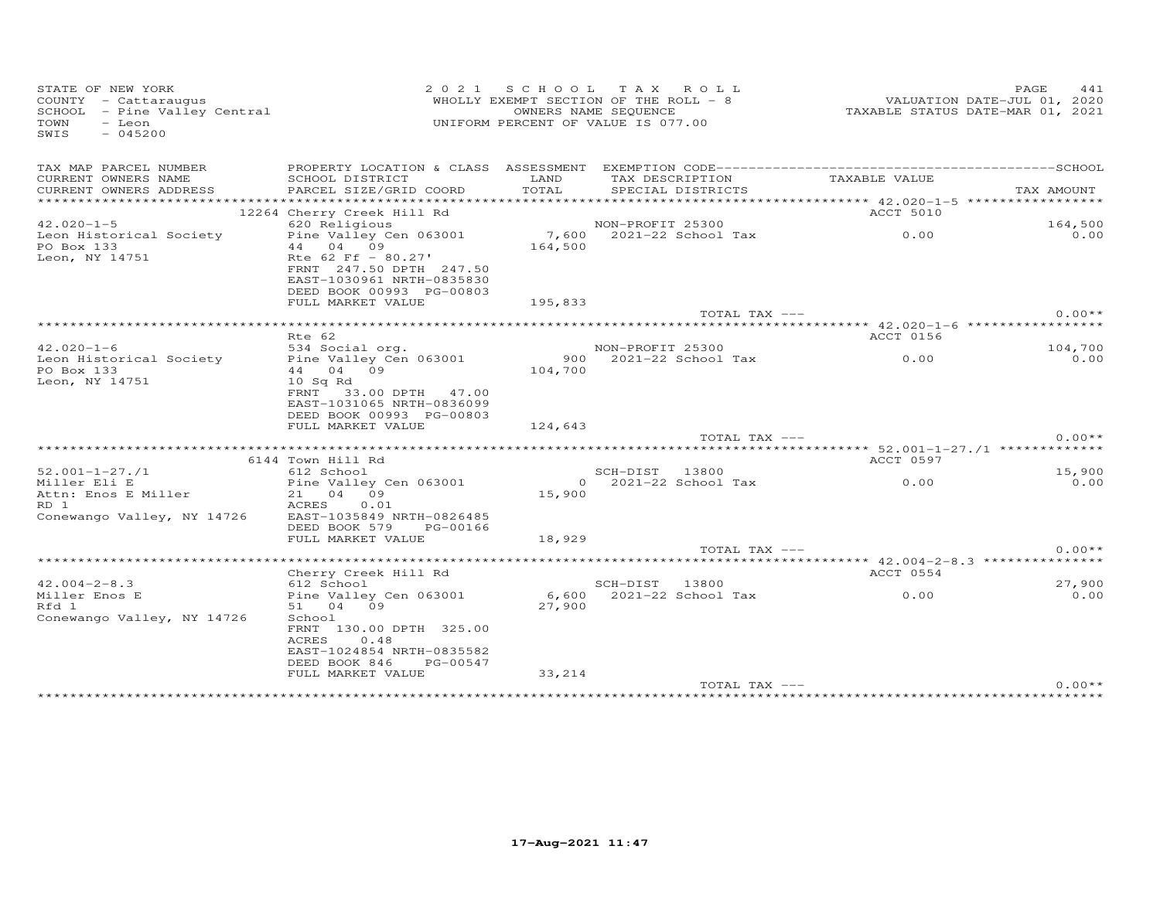| STATE OF NEW YORK<br>COUNTY - Cattaraugus<br>SCHOOL - Pine Valley Central<br>- Leon<br>TOWN<br>SWIS<br>$-045200$ |                                                                                            |               | 2021 SCHOOL TAX ROLL<br>WHOLLY EXEMPT SECTION OF THE ROLL - 8<br>OWNERS NAME SEQUENCE<br>UNIFORM PERCENT OF VALUE IS 077.00 | VALUATION DATE-JUL 01, 2020<br>TAXABLE STATUS DATE-MAR 01, 2021 | PAGE<br>441 |
|------------------------------------------------------------------------------------------------------------------|--------------------------------------------------------------------------------------------|---------------|-----------------------------------------------------------------------------------------------------------------------------|-----------------------------------------------------------------|-------------|
| TAX MAP PARCEL NUMBER                                                                                            |                                                                                            |               |                                                                                                                             |                                                                 |             |
| CURRENT OWNERS NAME<br>CURRENT OWNERS ADDRESS                                                                    | SCHOOL DISTRICT<br>PARCEL SIZE/GRID COORD                                                  | LAND<br>TOTAL | TAX DESCRIPTION<br>SPECIAL DISTRICTS                                                                                        | TAXABLE VALUE                                                   | TAX AMOUNT  |
|                                                                                                                  |                                                                                            |               |                                                                                                                             |                                                                 |             |
|                                                                                                                  | 12264 Cherry Creek Hill Rd                                                                 |               |                                                                                                                             | ACCT 5010                                                       |             |
| $42.020 - 1 - 5$                                                                                                 | 620 Religious                                                                              |               | NON-PROFIT 25300                                                                                                            |                                                                 | 164,500     |
| Leon Historical Society<br>PO Box 133                                                                            | Pine Valley Cen 063001<br>44 04 09<br>Rte $62$ Ff - $80.27'$                               | 164,500       | 7,600 2021-22 School Tax 0.00                                                                                               |                                                                 | 0.00        |
| Leon, NY 14751                                                                                                   | FRNT 247.50 DPTH 247.50<br>EAST-1030961 NRTH-0835830<br>DEED BOOK 00993 PG-00803           |               |                                                                                                                             |                                                                 |             |
|                                                                                                                  | FULL MARKET VALUE                                                                          | 195,833       |                                                                                                                             |                                                                 |             |
|                                                                                                                  |                                                                                            |               | TOTAL TAX ---                                                                                                               |                                                                 | $0.00**$    |
|                                                                                                                  | $Rte$ 62                                                                                   |               |                                                                                                                             |                                                                 |             |
| $42.020 - 1 - 6$                                                                                                 | 534 Social org.                                                                            |               |                                                                                                                             | ACCT 0156                                                       | 104,700     |
| Leon Historical Society                                                                                          | Pine Valley Cen 063001                                                                     |               | NON-PROFIT 25300<br>900 2021-22 School Tax 0.00                                                                             |                                                                 | 0.00        |
| PO Box 133                                                                                                       | 44 04 09                                                                                   | 104,700       |                                                                                                                             |                                                                 |             |
| Leon, NY 14751                                                                                                   | 10 Sq Rd<br>FRNT 33.00 DPTH 47.00<br>EAST-1031065 NRTH-0836099<br>DEED BOOK 00993 PG-00803 |               |                                                                                                                             |                                                                 |             |
|                                                                                                                  | FULL MARKET VALUE                                                                          | 124,643       | TOTAL TAX ---                                                                                                               |                                                                 | $0.00**$    |
|                                                                                                                  |                                                                                            |               |                                                                                                                             |                                                                 |             |
|                                                                                                                  | 6144 Town Hill Rd                                                                          |               |                                                                                                                             | ACCT 0597                                                       |             |
| $52.001 - 1 - 27.1$                                                                                              | 612 School                                                                                 |               | SCH-DIST 13800                                                                                                              |                                                                 | 15,900      |
| Miller Eli E                                                                                                     | Pine Valley Cen 063001                                                                     |               | 0 2021-22 School Tax                                                                                                        | 0.00                                                            | 0.00        |
| Attn: Enos E Miller<br>RD 1                                                                                      | 21 04 09<br>ACRES<br>0.01                                                                  | 15,900        |                                                                                                                             |                                                                 |             |
| Conewango Valley, NY 14726                                                                                       | EAST-1035849 NRTH-0826485<br>DEED BOOK 579<br>PG-00166                                     |               |                                                                                                                             |                                                                 |             |
|                                                                                                                  | FULL MARKET VALUE                                                                          | 18,929        |                                                                                                                             |                                                                 |             |
|                                                                                                                  |                                                                                            |               | TOTAL TAX ---                                                                                                               |                                                                 | $0.00**$    |
|                                                                                                                  |                                                                                            |               |                                                                                                                             | ACCT 0554                                                       |             |
| $42.004 - 2 - 8.3$                                                                                               | Cherry Creek Hill Rd<br>612 School                                                         |               | SCH-DIST 13800                                                                                                              |                                                                 | 27,900      |
| Miller Enos E                                                                                                    | Pine Valley Cen 063001 6,600 2021-22 School Tax                                            |               |                                                                                                                             | 0.00                                                            | 0.00        |
| Rfd 1                                                                                                            | 51 04 09                                                                                   | 27,900        |                                                                                                                             |                                                                 |             |
| Conewango Valley, NY 14726                                                                                       | School<br>FRNT 130.00 DPTH 325.00                                                          |               |                                                                                                                             |                                                                 |             |
|                                                                                                                  | ACRES<br>0.48<br>EAST-1024854 NRTH-0835582<br>DEED BOOK 846 PG-00547                       |               |                                                                                                                             |                                                                 |             |
|                                                                                                                  | FULL MARKET VALUE                                                                          | 33,214        |                                                                                                                             |                                                                 |             |
|                                                                                                                  |                                                                                            |               | TOTAL TAX ---                                                                                                               |                                                                 | $0.00**$    |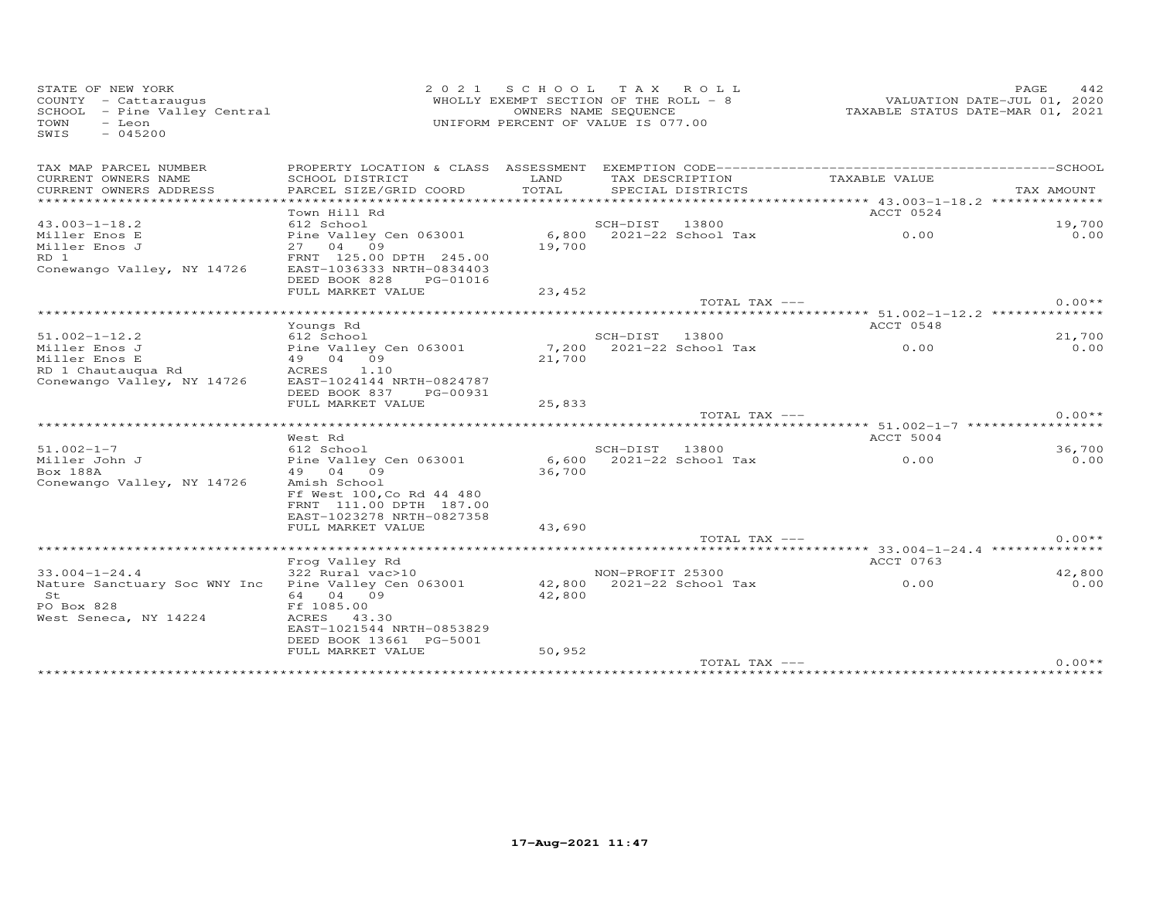| STATE OF NEW YORK<br>COUNTY - Cattaraugus<br>SCHOOL - Pine Valley Central<br>- Leon<br>TOWN<br>SWIS<br>$-045200$ | 2 0 2 1                                                                           | S C H O O L<br>WHOLLY EXEMPT SECTION OF THE ROLL - 8<br>OWNERS NAME SEQUENCE<br>UNIFORM PERCENT OF VALUE IS 077.00 |                  | TAX ROLL           |                                                                      | PAGE<br>442<br>VALUATION DATE-JUL 01, 2020<br>TAXABLE STATUS DATE-MAR 01, 2021 |
|------------------------------------------------------------------------------------------------------------------|-----------------------------------------------------------------------------------|--------------------------------------------------------------------------------------------------------------------|------------------|--------------------|----------------------------------------------------------------------|--------------------------------------------------------------------------------|
| TAX MAP PARCEL NUMBER                                                                                            |                                                                                   |                                                                                                                    |                  |                    |                                                                      |                                                                                |
| CURRENT OWNERS NAME<br>CURRENT OWNERS ADDRESS<br>**************************                                      | SCHOOL DISTRICT<br>PARCEL SIZE/GRID COORD                                         | LAND<br>TOTAL                                                                                                      | TAX DESCRIPTION  | SPECIAL DISTRICTS  | TAXABLE VALUE                                                        | TAX AMOUNT                                                                     |
|                                                                                                                  | Town Hill Rd                                                                      |                                                                                                                    |                  |                    | ACCT 0524                                                            |                                                                                |
| $43.003 - 1 - 18.2$                                                                                              | 612 School                                                                        |                                                                                                                    | SCH-DIST         | 13800              |                                                                      | 19,700                                                                         |
| Miller Enos E<br>Miller Enos J                                                                                   | Pine Valley Cen 063001<br>27 04 09                                                | 6,800<br>19,700                                                                                                    |                  | 2021-22 School Tax | 0.00                                                                 | 0.00                                                                           |
| RD 1<br>Conewango Valley, NY 14726                                                                               | FRNT 125.00 DPTH 245.00<br>EAST-1036333 NRTH-0834403<br>DEED BOOK 828<br>PG-01016 |                                                                                                                    |                  |                    |                                                                      |                                                                                |
|                                                                                                                  | FULL MARKET VALUE                                                                 | 23,452                                                                                                             |                  |                    |                                                                      |                                                                                |
|                                                                                                                  |                                                                                   |                                                                                                                    |                  | TOTAL TAX ---      |                                                                      | $0.00**$                                                                       |
|                                                                                                                  |                                                                                   |                                                                                                                    |                  |                    | ***************************** 51.002-1-12.2 *************            |                                                                                |
| $51.002 - 1 - 12.2$                                                                                              | Youngs Rd<br>612 School                                                           |                                                                                                                    | SCH-DIST         | 13800              | ACCT 0548                                                            | 21,700                                                                         |
| Miller Enos J                                                                                                    | Pine Valley Cen 063001                                                            | 7,200                                                                                                              |                  | 2021-22 School Tax | 0.00                                                                 | 0.00                                                                           |
| Miller Enos E                                                                                                    | 49 04 09                                                                          | 21,700                                                                                                             |                  |                    |                                                                      |                                                                                |
| RD 1 Chautauqua Rd                                                                                               | ACRES<br>1.10                                                                     |                                                                                                                    |                  |                    |                                                                      |                                                                                |
| Conewango Valley, NY 14726                                                                                       | EAST-1024144 NRTH-0824787                                                         |                                                                                                                    |                  |                    |                                                                      |                                                                                |
|                                                                                                                  | DEED BOOK 837<br>PG-00931<br>FULL MARKET VALUE                                    | 25,833                                                                                                             |                  |                    |                                                                      |                                                                                |
|                                                                                                                  |                                                                                   |                                                                                                                    |                  | TOTAL TAX ---      |                                                                      | $0.00**$                                                                       |
|                                                                                                                  | West Rd                                                                           |                                                                                                                    |                  |                    | ************************* 51.002-1-7 ******************<br>ACCT 5004 |                                                                                |
| $51.002 - 1 - 7$                                                                                                 | 612 School                                                                        |                                                                                                                    | SCH-DIST         | 13800              |                                                                      | 36,700                                                                         |
| Miller John J                                                                                                    | Pine Valley Cen 063001                                                            | 6,600                                                                                                              |                  | 2021-22 School Tax | 0.00                                                                 | 0.00                                                                           |
| Box 188A                                                                                                         | 49 04 09                                                                          | 36,700                                                                                                             |                  |                    |                                                                      |                                                                                |
| Conewango Valley, NY 14726                                                                                       | Amish School<br>Ff West 100, Co Rd 44 480                                         |                                                                                                                    |                  |                    |                                                                      |                                                                                |
|                                                                                                                  | FRNT 111.00 DPTH 187.00                                                           |                                                                                                                    |                  |                    |                                                                      |                                                                                |
|                                                                                                                  | EAST-1023278 NRTH-0827358                                                         |                                                                                                                    |                  |                    |                                                                      |                                                                                |
|                                                                                                                  | FULL MARKET VALUE                                                                 | 43,690                                                                                                             |                  |                    |                                                                      |                                                                                |
|                                                                                                                  |                                                                                   |                                                                                                                    |                  | TOTAL TAX ---      |                                                                      | $0.00**$                                                                       |
|                                                                                                                  | Frog Valley Rd                                                                    |                                                                                                                    |                  |                    | ACCT 0763                                                            |                                                                                |
| $33.004 - 1 - 24.4$                                                                                              | 322 Rural vac>10                                                                  |                                                                                                                    | NON-PROFIT 25300 |                    |                                                                      | 42,800                                                                         |
| Nature Sanctuary Soc WNY Inc                                                                                     | Pine Valley Cen 063001                                                            | 42,800                                                                                                             |                  | 2021-22 School Tax | 0.00                                                                 | 0.00                                                                           |
| St                                                                                                               | 64 04 09                                                                          | 42,800                                                                                                             |                  |                    |                                                                      |                                                                                |
| PO Box 828                                                                                                       | Ff 1085.00                                                                        |                                                                                                                    |                  |                    |                                                                      |                                                                                |
| West Seneca, NY 14224                                                                                            | ACRES 43.30<br>EAST-1021544 NRTH-0853829                                          |                                                                                                                    |                  |                    |                                                                      |                                                                                |
|                                                                                                                  | DEED BOOK 13661 PG-5001                                                           |                                                                                                                    |                  |                    |                                                                      |                                                                                |
|                                                                                                                  | FULL MARKET VALUE                                                                 | 50,952                                                                                                             |                  |                    |                                                                      |                                                                                |
|                                                                                                                  |                                                                                   |                                                                                                                    |                  | TOTAL TAX ---      |                                                                      | $0.00**$                                                                       |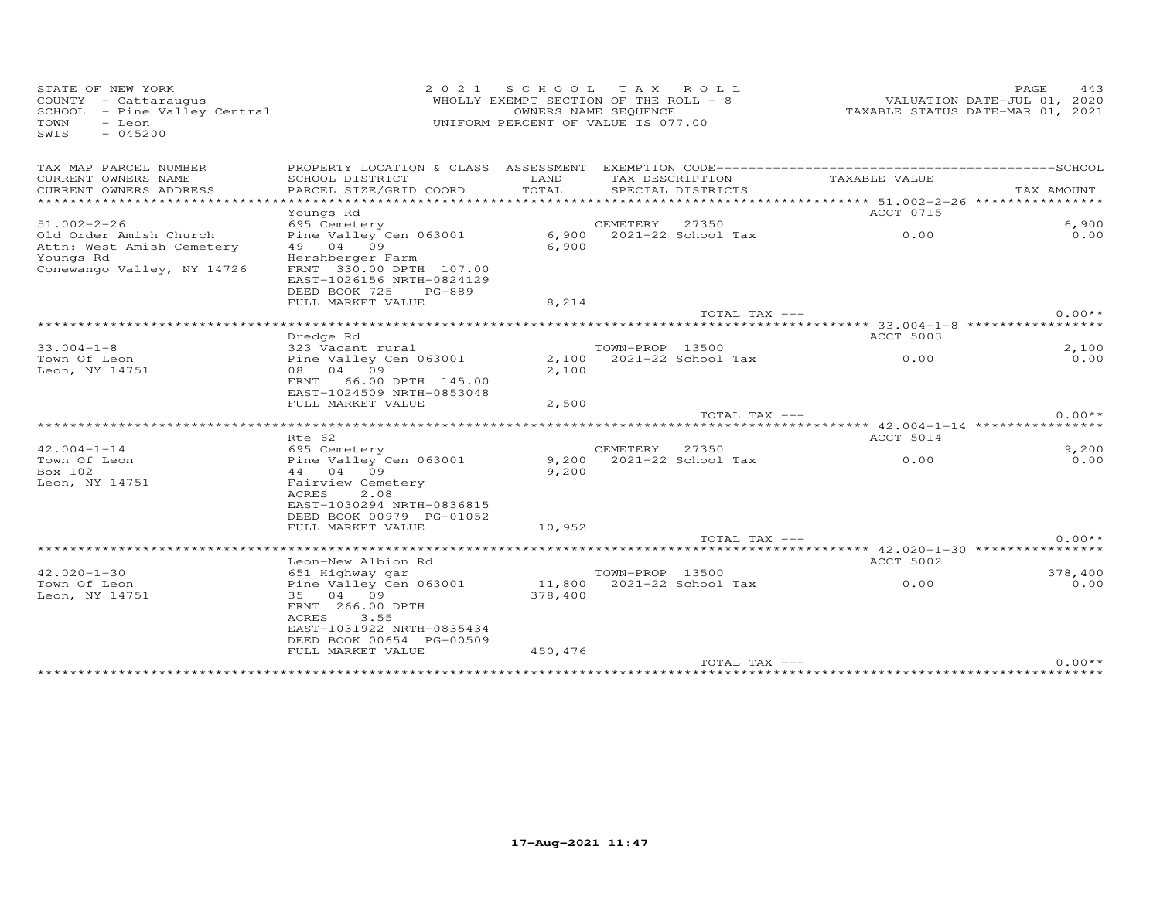| STATE OF NEW YORK<br>COUNTY - Cattaraugus<br>SCHOOL - Pine Valley Central<br>TOWN<br>- Leon<br>$-045200$<br>SWIS | 2 0 2 1                                                                                                                                                                         | S C H O O L<br>WHOLLY EXEMPT SECTION OF THE ROLL - 8<br>OWNERS NAME SEQUENCE<br>UNIFORM PERCENT OF VALUE IS 077.00 | T A X           | ROLL ROLL          |                                                                        | PAGE<br>443<br>VALUATION DATE-JUL 01, 2020<br>TAXABLE STATUS DATE-MAR 01, 2021 |
|------------------------------------------------------------------------------------------------------------------|---------------------------------------------------------------------------------------------------------------------------------------------------------------------------------|--------------------------------------------------------------------------------------------------------------------|-----------------|--------------------|------------------------------------------------------------------------|--------------------------------------------------------------------------------|
| TAX MAP PARCEL NUMBER                                                                                            | PROPERTY LOCATION & CLASS ASSESSMENT                                                                                                                                            |                                                                                                                    |                 |                    |                                                                        |                                                                                |
| CURRENT OWNERS NAME<br>CURRENT OWNERS ADDRESS<br>********************                                            | SCHOOL DISTRICT<br>PARCEL SIZE/GRID COORD                                                                                                                                       | LAND<br>TOTAL<br>**************                                                                                    | TAX DESCRIPTION | SPECIAL DISTRICTS  | TAXABLE VALUE                                                          | TAX AMOUNT                                                                     |
|                                                                                                                  | Youngs Rd                                                                                                                                                                       |                                                                                                                    |                 |                    | ********************** 51.002-2-26 ****************<br>ACCT 0715       |                                                                                |
| $51.002 - 2 - 26$                                                                                                | 695 Cemetery                                                                                                                                                                    |                                                                                                                    | CEMETERY        | 27350              |                                                                        | 6,900                                                                          |
| Old Order Amish Church<br>Attn: West Amish Cemetery<br>Youngs Rd<br>Conewango Valley, NY 14726                   | Pine Valley Cen 063001<br>49 04 09<br>Hershberger Farm<br>FRNT 330.00 DPTH 107.00<br>EAST-1026156 NRTH-0824129<br>DEED BOOK 725<br>$PG-889$                                     | 6,900<br>6,900                                                                                                     |                 | 2021-22 School Tax | 0.00                                                                   | 0.00                                                                           |
|                                                                                                                  | FULL MARKET VALUE                                                                                                                                                               | 8,214                                                                                                              |                 |                    |                                                                        |                                                                                |
|                                                                                                                  |                                                                                                                                                                                 |                                                                                                                    |                 | TOTAL TAX ---      |                                                                        | $0.00**$                                                                       |
|                                                                                                                  |                                                                                                                                                                                 |                                                                                                                    |                 |                    | ***** 33.004-1-8 *****                                                 |                                                                                |
|                                                                                                                  | Dredge Rd                                                                                                                                                                       |                                                                                                                    |                 |                    | <b>ACCT 5003</b>                                                       |                                                                                |
| $33.004 - 1 - 8$                                                                                                 | 323 Vacant rural                                                                                                                                                                |                                                                                                                    | TOWN-PROP 13500 |                    |                                                                        | 2,100                                                                          |
| Town Of Leon<br>Leon, NY 14751                                                                                   | Pine Valley Cen 063001<br>08 04 09<br>66.00 DPTH 145.00<br>FRNT<br>EAST-1024509 NRTH-0853048<br>FULL MARKET VALUE                                                               | 2,100<br>2,100                                                                                                     |                 | 2021-22 School Tax | 0.00                                                                   | 0.00                                                                           |
|                                                                                                                  |                                                                                                                                                                                 | 2,500                                                                                                              |                 | TOTAL TAX ---      |                                                                        | $0.00**$                                                                       |
|                                                                                                                  | Rte 62                                                                                                                                                                          |                                                                                                                    |                 |                    | **************************** 42.004-1-14 ****************<br>ACCT 5014 |                                                                                |
| $42.004 - 1 - 14$                                                                                                | 695 Cemetery                                                                                                                                                                    |                                                                                                                    | CEMETERY        | 27350              |                                                                        | 9,200                                                                          |
| Town Of Leon<br>Box 102<br>Leon, NY 14751                                                                        | Pine Valley Cen 063001<br>44 04 09<br>Fairview Cemetery<br>ACRES<br>2.08<br>EAST-1030294 NRTH-0836815<br>DEED BOOK 00979 PG-01052<br>FULL MARKET VALUE                          | 9,200<br>9,200<br>10,952                                                                                           |                 | 2021-22 School Tax | 0.00                                                                   | 0.00                                                                           |
|                                                                                                                  |                                                                                                                                                                                 |                                                                                                                    |                 | TOTAL TAX ---      |                                                                        | $0.00**$                                                                       |
|                                                                                                                  |                                                                                                                                                                                 |                                                                                                                    |                 |                    |                                                                        |                                                                                |
|                                                                                                                  | Leon-New Albion Rd                                                                                                                                                              |                                                                                                                    |                 |                    | ACCT 5002                                                              |                                                                                |
| $42.020 - 1 - 30$<br>Town Of Leon<br>Leon, NY 14751                                                              | 651 Highway gar<br>Pine Valley Cen 063001<br>35 04 09<br>FRNT 266.00 DPTH<br><b>ACRES</b><br>3.55<br>EAST-1031922 NRTH-0835434<br>DEED BOOK 00654 PG-00509<br>FULL MARKET VALUE | 11,800<br>378,400<br>450,476                                                                                       | TOWN-PROP 13500 | 2021-22 School Tax | 0.00                                                                   | 378,400<br>0.00                                                                |
|                                                                                                                  |                                                                                                                                                                                 |                                                                                                                    |                 | TOTAL TAX ---      |                                                                        | $0.00**$                                                                       |
|                                                                                                                  |                                                                                                                                                                                 |                                                                                                                    |                 |                    |                                                                        |                                                                                |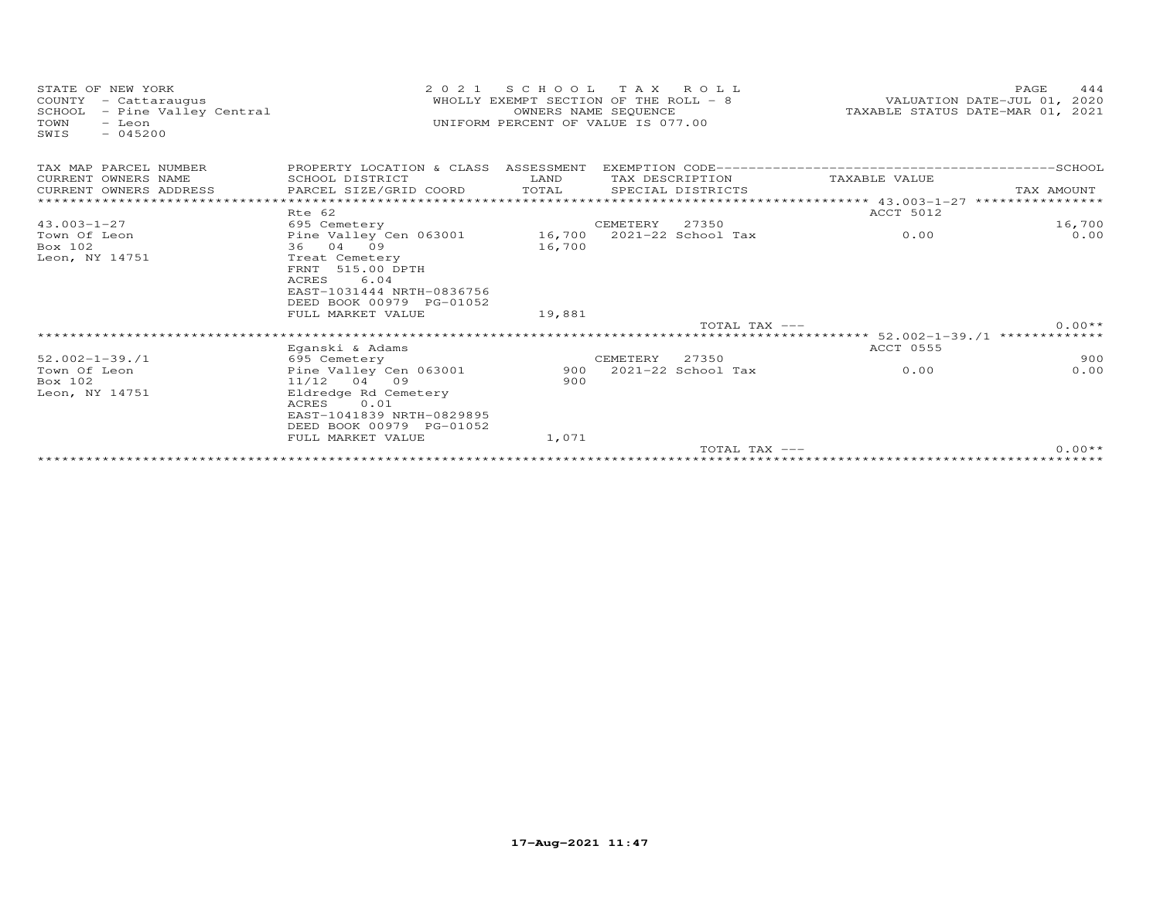| STATE OF NEW YORK<br>COUNTY<br>- Cattaraugus<br>SCHOOL<br>- Pine Valley Central<br>TOWN<br>- Leon<br>$-045200$<br>SWIS | 2 0 2 1                                                                                                                | S C H O O L<br>WHOLLY EXEMPT SECTION OF THE ROLL - 8<br>UNIFORM PERCENT OF VALUE IS 077.00 | OWNERS NAME SEQUENCE | TAX ROLL               |                                               | PAGE<br>VALUATION DATE-JUL 01, 2020<br>TAXABLE STATUS DATE-MAR 01, 2021 | 444  |
|------------------------------------------------------------------------------------------------------------------------|------------------------------------------------------------------------------------------------------------------------|--------------------------------------------------------------------------------------------|----------------------|------------------------|-----------------------------------------------|-------------------------------------------------------------------------|------|
| TAX MAP PARCEL NUMBER                                                                                                  | PROPERTY LOCATION & CLASS ASSESSMENT                                                                                   |                                                                                            |                      |                        |                                               |                                                                         |      |
| CURRENT OWNERS NAME                                                                                                    | SCHOOL DISTRICT                                                                                                        | LAND                                                                                       |                      | TAX DESCRIPTION        | TAXABLE VALUE                                 |                                                                         |      |
| CURRENT OWNERS ADDRESS                                                                                                 | PARCEL SIZE/GRID COORD                                                                                                 | TOTAL                                                                                      |                      | SPECIAL DISTRICTS      |                                               | TAX AMOUNT                                                              |      |
|                                                                                                                        |                                                                                                                        |                                                                                            |                      |                        |                                               | ****************                                                        |      |
|                                                                                                                        | Rte 62                                                                                                                 |                                                                                            |                      |                        | ACCT 5012                                     |                                                                         |      |
| $43.003 - 1 - 27$                                                                                                      | 695 Cemetery                                                                                                           |                                                                                            | CEMETERY             | 27350                  |                                               | 16,700                                                                  |      |
| Town Of Leon                                                                                                           | Pine Valley Cen 063001                                                                                                 | 16,700                                                                                     |                      | $2021 - 22$ School Tax | 0.00                                          |                                                                         | 0.00 |
| Box 102                                                                                                                | 36<br>04 09                                                                                                            | 16,700                                                                                     |                      |                        |                                               |                                                                         |      |
| Leon, NY 14751                                                                                                         | Treat Cemetery<br>515.00 DPTH<br>FRNT<br><b>ACRES</b><br>6.04<br>EAST-1031444 NRTH-0836756<br>DEED BOOK 00979 PG-01052 |                                                                                            |                      |                        |                                               |                                                                         |      |
|                                                                                                                        | FULL MARKET VALUE                                                                                                      | 19,881                                                                                     |                      |                        |                                               |                                                                         |      |
|                                                                                                                        |                                                                                                                        |                                                                                            |                      | $TOTAI$ , $TAX$ $---$  |                                               | $0.00**$                                                                |      |
|                                                                                                                        |                                                                                                                        |                                                                                            |                      |                        | *************** 52.002-1-39./1 ************** |                                                                         |      |
|                                                                                                                        | Eganski & Adams                                                                                                        |                                                                                            |                      |                        | ACCT 0555                                     |                                                                         |      |
| $52.002 - 1 - 39.71$                                                                                                   | 695 Cemetery                                                                                                           |                                                                                            | CEMETERY             | 27350                  |                                               |                                                                         | 900  |
| Town Of Leon                                                                                                           | Pine Valley Cen 063001                                                                                                 | 900                                                                                        |                      | 2021-22 School Tax     | 0.00                                          |                                                                         | 0.00 |
| Box 102                                                                                                                | $11/12$ 04 09                                                                                                          | 900                                                                                        |                      |                        |                                               |                                                                         |      |
| Leon, NY 14751                                                                                                         | Eldredge Rd Cemetery<br>0.01<br>ACRES<br>EAST-1041839 NRTH-0829895<br>DEED BOOK 00979 PG-01052<br>FULL MARKET VALUE    | 1,071                                                                                      |                      |                        |                                               |                                                                         |      |
|                                                                                                                        |                                                                                                                        |                                                                                            |                      | TOTAL TAX $---$        |                                               | $0.00**$                                                                |      |
|                                                                                                                        |                                                                                                                        |                                                                                            |                      |                        |                                               |                                                                         |      |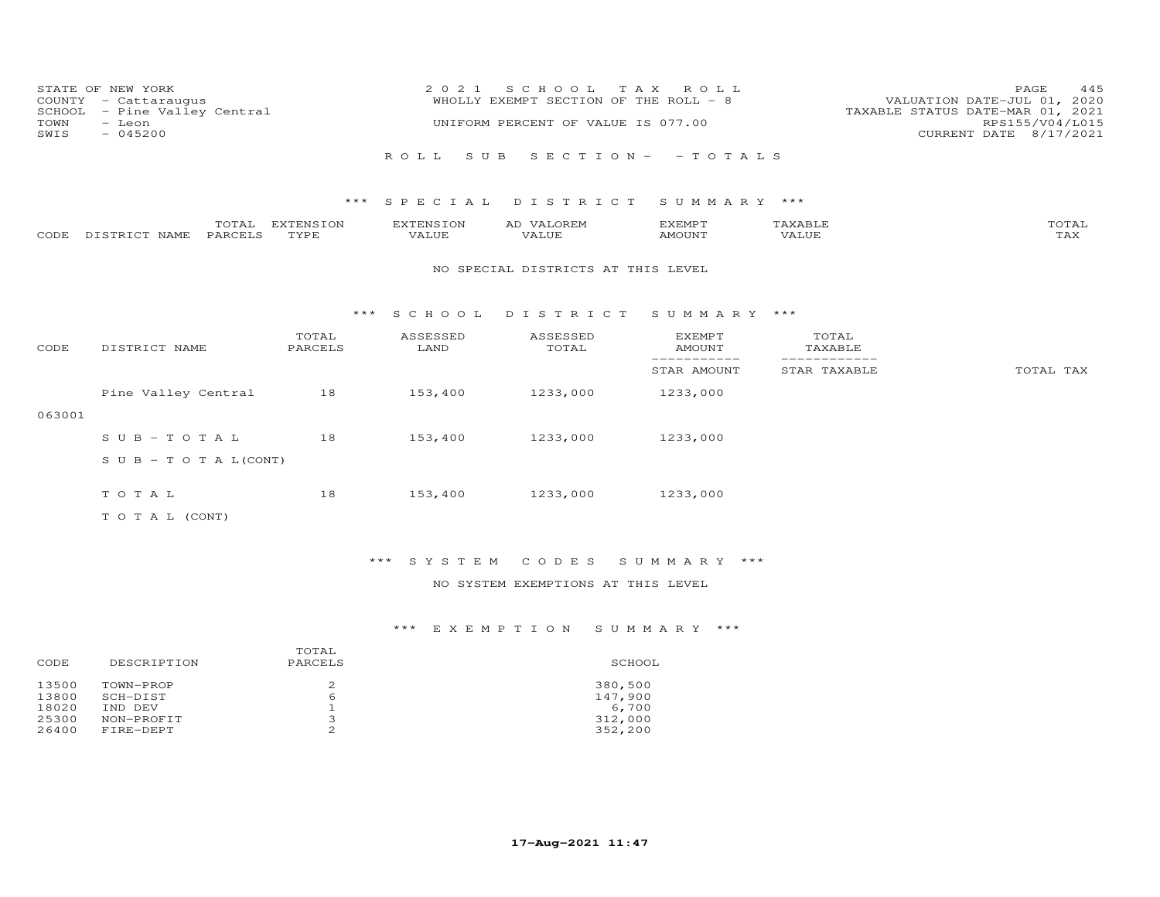| COUNTY<br>SCHOOL<br>TOWN<br>SWIS | STATE OF NEW YORK<br>- Cattaraugus<br>- Pine Valley Central<br>- Leon<br>$-045200$ |                   | 2 0 2 1            | S C H O O L<br>WHOLLY EXEMPT SECTION OF THE ROLL - 8<br>UNIFORM PERCENT OF VALUE IS 077.00 | T A X<br>ROLL              |                              | 445<br>PAGE<br>VALUATION DATE-JUL 01, 2020<br>TAXABLE STATUS DATE-MAR 01, 2021<br>RPS155/V04/L015<br>CURRENT DATE 8/17/2021 |
|----------------------------------|------------------------------------------------------------------------------------|-------------------|--------------------|--------------------------------------------------------------------------------------------|----------------------------|------------------------------|-----------------------------------------------------------------------------------------------------------------------------|
|                                  |                                                                                    |                   | S U B<br>ROLL.     |                                                                                            | SECTION - - TOTALS         |                              |                                                                                                                             |
|                                  |                                                                                    | ***               |                    | SPECIAL DISTRICT                                                                           | SUMMARY ***                |                              |                                                                                                                             |
| CODE                             | TOTAL<br>DISTRICT NAME<br>PARCELS                                                  | EXTENSION<br>TYPE | EXTENSION<br>VALUE | AD VALOREM<br>VALUE                                                                        | EXEMPT<br>AMOUNT           | TAXABLE<br>VALUE             | TOTAL<br>TAX                                                                                                                |
|                                  |                                                                                    |                   |                    | NO SPECIAL DISTRICTS AT THIS LEVEL                                                         |                            |                              |                                                                                                                             |
|                                  |                                                                                    | ***               | S C H O O L        | DISTRICT                                                                                   | SUMMARY ***                |                              |                                                                                                                             |
| CODE                             | DISTRICT NAME                                                                      | TOTAL<br>PARCELS  | ASSESSED<br>LAND   | ASSESSED<br>TOTAL                                                                          | <b>EXEMPT</b><br>AMOUNT    | TOTAL<br>TAXABLE             |                                                                                                                             |
|                                  |                                                                                    |                   |                    |                                                                                            | -----------<br>STAR AMOUNT | ------------<br>STAR TAXABLE | TOTAL TAX                                                                                                                   |
|                                  | Pine Valley Central                                                                | 18                | 153,400            | 1233,000                                                                                   | 1233,000                   |                              |                                                                                                                             |
| 063001                           |                                                                                    |                   |                    |                                                                                            |                            |                              |                                                                                                                             |
|                                  | $S \cup B - T \cup T A L$                                                          | 18                | 153,400            | 1233,000                                                                                   | 1233,000                   |                              |                                                                                                                             |
|                                  | S U B - T O T A $L$ (CONT)                                                         |                   |                    |                                                                                            |                            |                              |                                                                                                                             |
|                                  | TOTAL                                                                              | 18                | 153,400            | 1233,000                                                                                   | 1233,000                   |                              |                                                                                                                             |
|                                  | T O T A L (CONT)                                                                   |                   |                    |                                                                                            |                            |                              |                                                                                                                             |

# \*\*\* S Y S T E M C O D E S S U M M A R Y \*\*\*

## NO SYSTEM EXEMPTIONS AT THIS LEVEL

| DESCRIPTION<br>CODE                                                                                      | TOTAL<br>PARCELS        | SCHOOL                                            |
|----------------------------------------------------------------------------------------------------------|-------------------------|---------------------------------------------------|
| 13500<br>TOWN-PROP<br>13800<br>SCH-DIST<br>18020<br>IND DEV<br>25300<br>NON-PROFIT<br>26400<br>FIRE-DEPT | 2<br>b<br>∍<br>- 7<br>2 | 380,500<br>147,900<br>6,700<br>312,000<br>352,200 |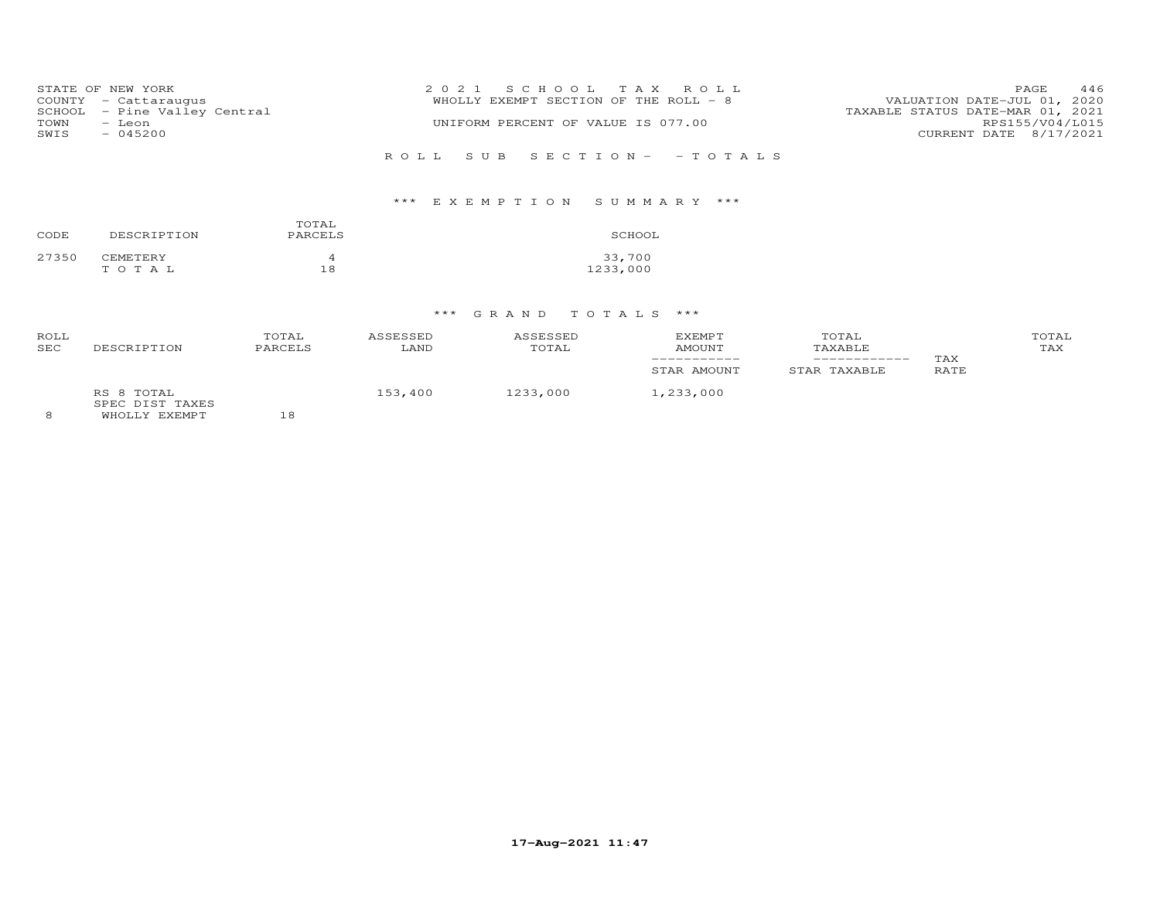|      | STATE OF NEW YORK            | 2021 SCHOOL TAX ROLL                                                 | PAGE.                  | 446 |
|------|------------------------------|----------------------------------------------------------------------|------------------------|-----|
|      | COUNTY - Cattaraugus         | VALUATION DATE-JUL 01, 2020<br>WHOLLY EXEMPT SECTION OF THE ROLL - 8 |                        |     |
|      | SCHOOL - Pine Valley Central | TAXABLE STATUS DATE-MAR 01, 2021                                     |                        |     |
| TOWN | - Leon                       | UNIFORM PERCENT OF VALUE IS 077.00                                   | RPS155/V04/L015        |     |
| SWIS | $-045200$                    |                                                                      | CURRENT DATE 8/17/2021 |     |
|      |                              |                                                                      |                        |     |
|      |                              | ROLL SUB SECTION- - TOTALS                                           |                        |     |

# \*\*\* E X E M P T I O N S U M M A R Y \*\*\*

| CODE  | DESCRIPTION | TOTAL<br>PARCELS | SCHOOL   |
|-------|-------------|------------------|----------|
| 27350 | CEMETERY    | Δ                | 33,700   |
|       | TOTAL       | 18               | 1233,000 |

| ROLL<br><b>SEC</b> | DESCRIPTION                                    | TOTAL<br>PARCELS | ASSESSED<br>LAND | ASSESSED<br>TOTAL | <b>EXEMPT</b><br><b>AMOUNT</b><br>STAR AMOUNT | TOTAL<br>TAXABLE<br>STAR TAXABLE | TAX<br><b>RATE</b> | TOTAL<br>TAX |
|--------------------|------------------------------------------------|------------------|------------------|-------------------|-----------------------------------------------|----------------------------------|--------------------|--------------|
| 8                  | RS 8 TOTAL<br>SPEC DIST TAXES<br>WHOLLY EXEMPT |                  | 153,400          | 1233,000          | 1,233,000                                     |                                  |                    |              |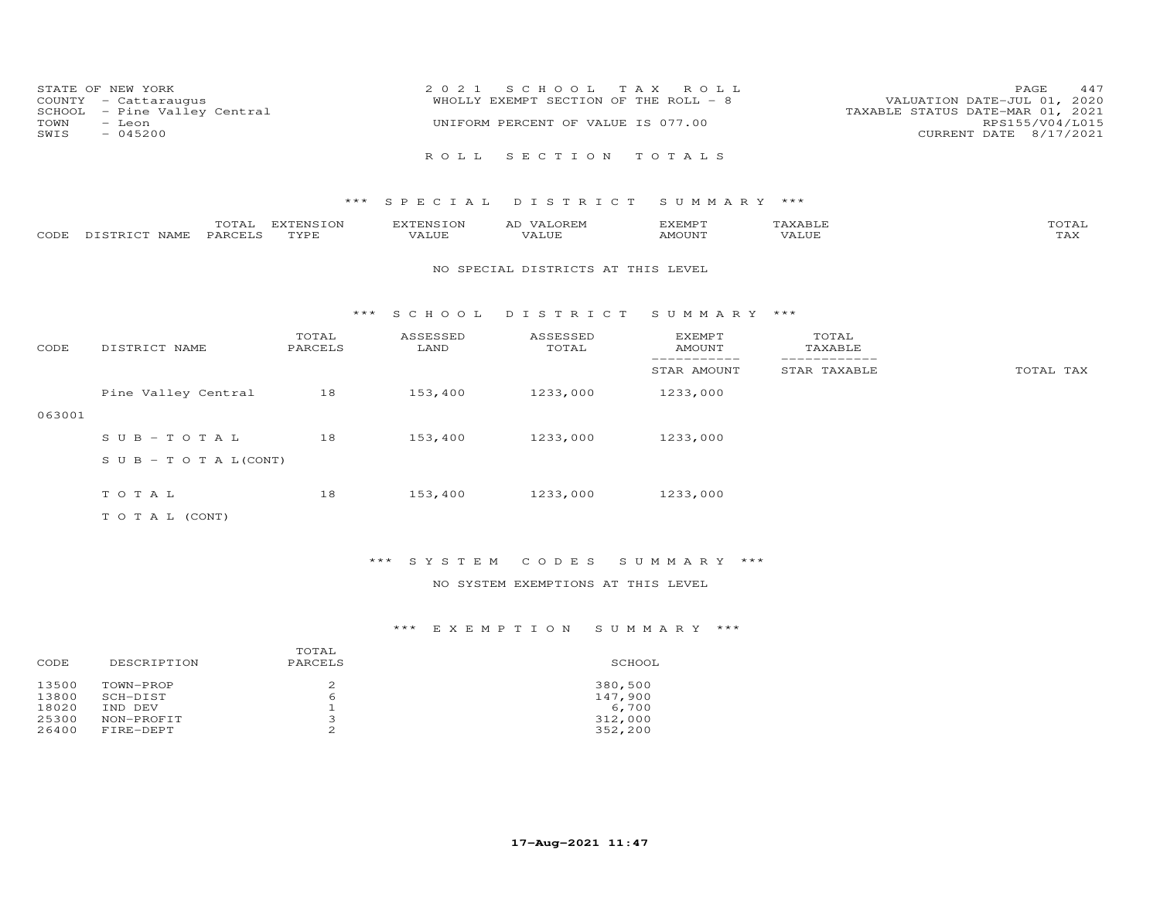| STATE OF NEW YORK            | 2021 SCHOOL TAX ROLL                  | 447<br><b>PAGE</b>               |
|------------------------------|---------------------------------------|----------------------------------|
| COUNTY - Cattarauqus         | WHOLLY EXEMPT SECTION OF THE ROLL - 8 | VALUATION DATE-JUL 01, 2020      |
| SCHOOL - Pine Valley Central |                                       | TAXABLE STATUS DATE-MAR 01, 2021 |
| TOWN<br>– Leon               | UNIFORM PERCENT OF VALUE IS 077.00    | RPS155/V04/L015                  |
| $-045200$<br>SWIS            |                                       | CURRENT DATE 8/17/2021           |
|                              |                                       |                                  |
|                              | ROLL SECTION TOTALS                   |                                  |

|      |               | TOTAL   | EXTENSION | <b>EXTENSION</b> | <b>OREM</b><br>AD | EXEMPT | AXABLE       | TOTAL               |
|------|---------------|---------|-----------|------------------|-------------------|--------|--------------|---------------------|
| CODE | DISTRICT NAME | PARCELS | TYPE.     | VALUE            | VALUE             | AMOUNT | <b>VALUE</b> | . <i>.</i><br>1 A X |

#### NO SPECIAL DISTRICTS AT THIS LEVEL

#### \*\*\* S C H O O L D I S T R I C T S U M M A R Y \*\*\*

| CODE   | DISTRICT NAME                    | TOTAL<br>PARCELS | ASSESSED<br>LAND | ASSESSED<br>TOTAL | <b>EXEMPT</b><br>AMOUNT | TOTAL<br>TAXABLE |           |
|--------|----------------------------------|------------------|------------------|-------------------|-------------------------|------------------|-----------|
|        |                                  |                  |                  |                   | STAR AMOUNT             | STAR TAXABLE     | TOTAL TAX |
|        | Pine Valley Central              | 18               | 153,400          | 1233,000          | 1233,000                |                  |           |
| 063001 |                                  |                  |                  |                   |                         |                  |           |
|        | SUB-TOTAL                        | 18               | 153,400          | 1233,000          | 1233,000                |                  |           |
|        | $S \cup B - T \cup T A L (CONT)$ |                  |                  |                   |                         |                  |           |
|        |                                  |                  |                  |                   |                         |                  |           |
|        | TOTAL                            | 18               | 153,400          | 1233,000          | 1233,000                |                  |           |
|        | T O T A L (CONT)                 |                  |                  |                   |                         |                  |           |

## \*\*\* S Y S T E M C O D E S S U M M A R Y \*\*\*

## NO SYSTEM EXEMPTIONS AT THIS LEVEL

| CODE           | DESCRIPTION           | TOTAL<br>PARCELS | SCHOOL             |
|----------------|-----------------------|------------------|--------------------|
| 13500<br>13800 | TOWN-PROP<br>SCH-DIST | 6                | 380,500<br>147,900 |
| 18020          | IND DEV               |                  | 6,700              |
| 25300          | NON-PROFIT            | ∍                | 312,000            |
| 26400          | FIRE-DEPT             |                  | 352,200            |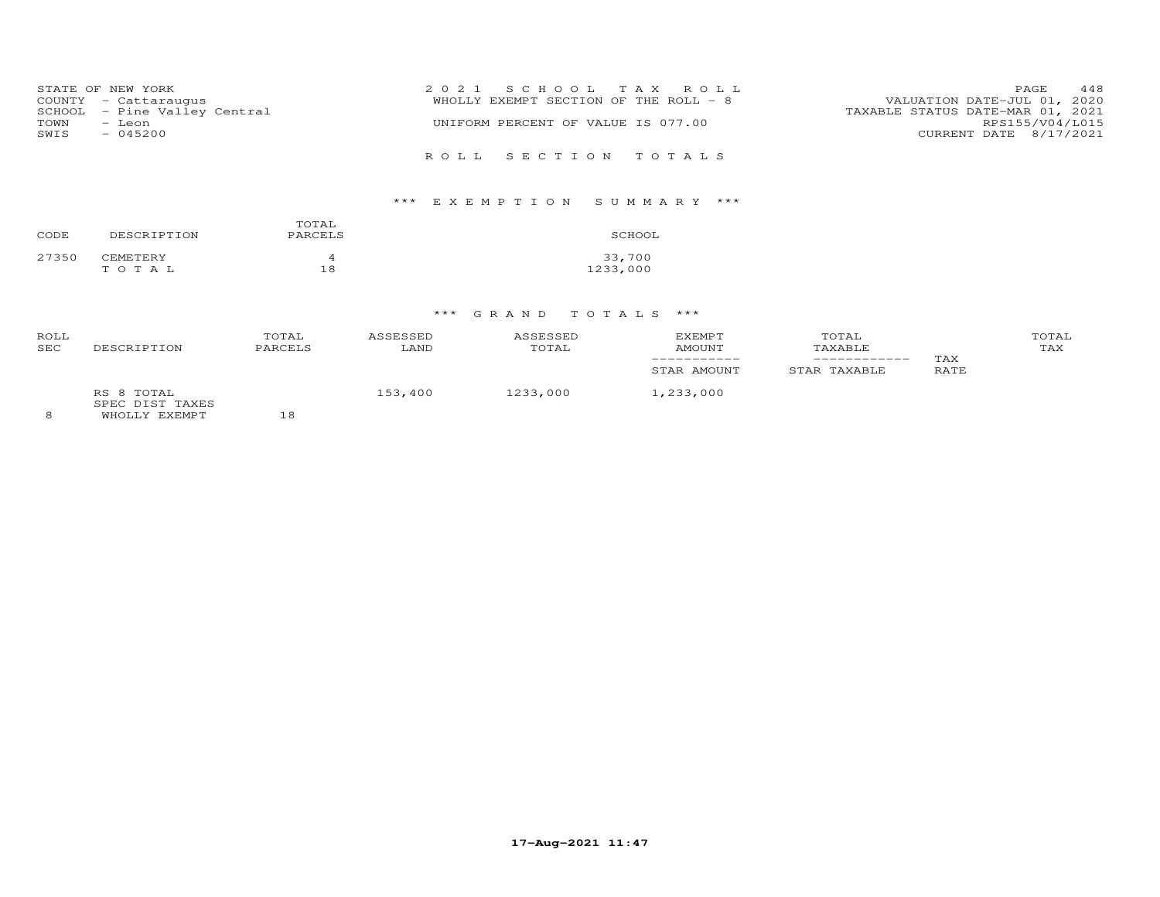| STATE OF NEW YORK<br>COUNTY - Cattaraugus<br>SCHOOL - Pine Valley Central<br>TOWN<br>- Leon<br>$-045200$<br>SWIS | 2021 SCHOOL TAX ROLL<br>WHOLLY EXEMPT SECTION OF THE ROLL - 8<br>UNIFORM PERCENT OF VALUE IS 077.00 | 448<br>PAGE<br>VALUATION DATE-JUL 01, 2020<br>TAXABLE STATUS DATE-MAR 01, 2021<br>RPS155/V04/L015<br>CURRENT DATE 8/17/2021 |
|------------------------------------------------------------------------------------------------------------------|-----------------------------------------------------------------------------------------------------|-----------------------------------------------------------------------------------------------------------------------------|
|                                                                                                                  | ROLL SECTION TOTALS                                                                                 |                                                                                                                             |

## \*\*\* E X E M P T I O N S U M M A R Y \*\*\*

| CODE  | DESCRIPTION | TOTAL<br>PARCELS | SCHOOL   |
|-------|-------------|------------------|----------|
| 27350 | CEMETERY    | 4                | 33,700   |
|       | TOTAL       | 18               | 1233,000 |

| ROLL<br><b>SEC</b> | DESCRIPTION                                    | TOTAL<br>PARCELS | ASSESSED<br>LAND | ASSESSED<br>TOTAL | <b>EXEMPT</b><br><b>AMOUNT</b><br>STAR AMOUNT | TOTAL<br>TAXABLE<br>STAR TAXABLE | TAX<br>RATE | TOTAL<br>TAX |
|--------------------|------------------------------------------------|------------------|------------------|-------------------|-----------------------------------------------|----------------------------------|-------------|--------------|
| 8                  | RS 8 TOTAL<br>SPEC DIST TAXES<br>WHOLLY EXEMPT | 18               | 153,400          | 1233,000          | 1,233,000                                     |                                  |             |              |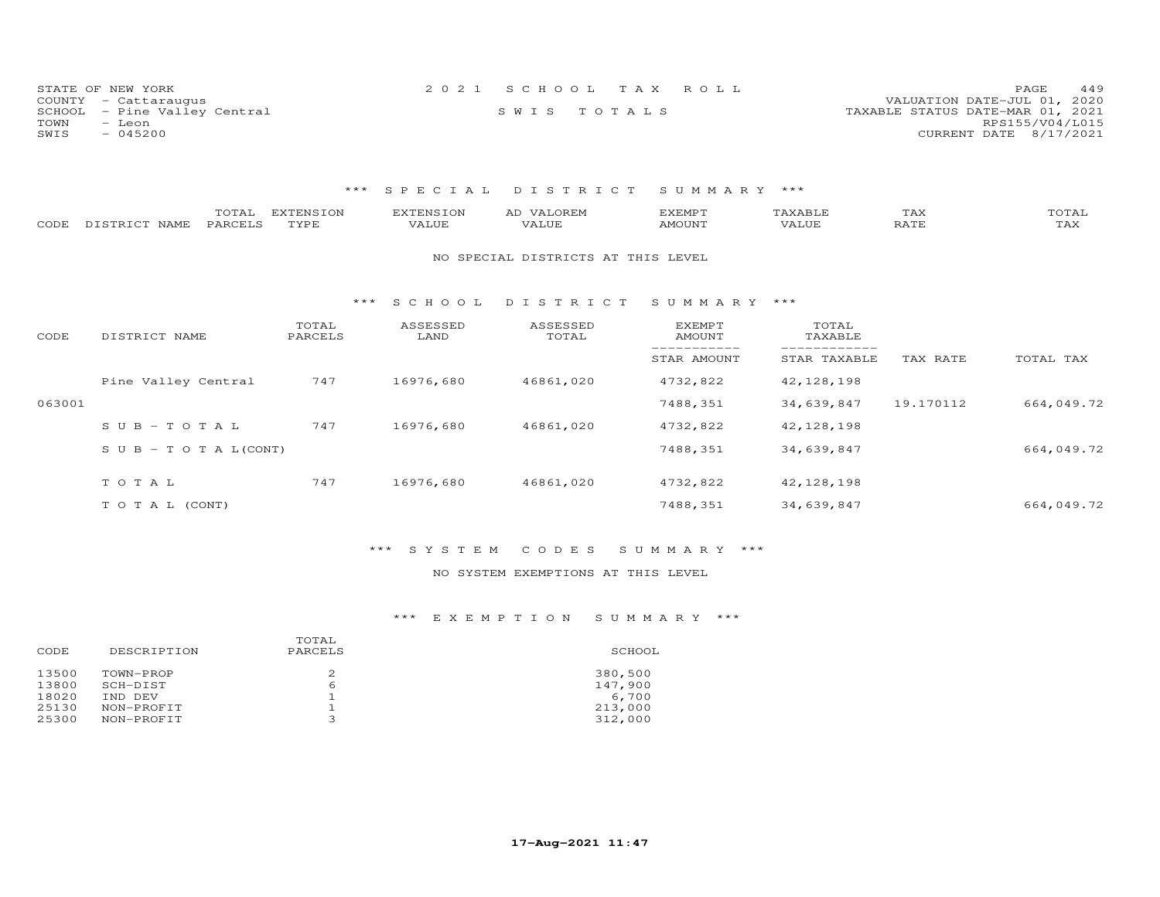|      | STATE OF NEW YORK            | 2021 SCHOOL TAX ROLL |             |  |                                  | PAGE            | 449 |
|------|------------------------------|----------------------|-------------|--|----------------------------------|-----------------|-----|
|      | COUNTY - Cattaraugus         |                      |             |  | VALUATION DATE-JUL 01, 2020      |                 |     |
|      | SCHOOL - Pine Valley Central |                      | SWIS TOTALS |  | TAXABLE STATUS DATE-MAR 01, 2021 |                 |     |
| TOWN | – Leon                       |                      |             |  |                                  | RPS155/V04/L015 |     |
| SWIS | $-045200$                    |                      |             |  | CURRENT DATE 8/17/2021           |                 |     |

| CODE   | DISTRICT NAME              | TOTAL<br><b>EXTENSION</b><br>PARCELS<br>TYPE |       | <b>EXTENSION</b><br>VALUE | AD VALOREM<br>VALUE                | <b>EXEMPT</b><br>AMOUNT | TAXABLE<br>VALUE | TAX<br>RATE | TOTAL<br>TAX |
|--------|----------------------------|----------------------------------------------|-------|---------------------------|------------------------------------|-------------------------|------------------|-------------|--------------|
|        |                            |                                              |       |                           | NO SPECIAL DISTRICTS AT THIS LEVEL |                         |                  |             |              |
|        |                            |                                              | $***$ | SCHOOL                    | DISTRICT                           | SUMMARY ***             |                  |             |              |
| CODE   | DISTRICT NAME              | TOTAL<br>PARCELS                             |       | ASSESSED<br>LAND          | ASSESSED<br>TOTAL                  | EXEMPT<br>AMOUNT        | TOTAL<br>TAXABLE |             |              |
|        |                            |                                              |       |                           |                                    | STAR AMOUNT             | STAR TAXABLE     | TAX RATE    | TOTAL TAX    |
|        | Pine Valley Central        | 747                                          |       | 16976,680                 | 46861,020                          | 4732,822                | 42, 128, 198     |             |              |
| 063001 |                            |                                              |       |                           |                                    | 7488,351                | 34,639,847       | 19.170112   | 664,049.72   |
|        | $SUB - TO T AL$            | 747                                          |       | 16976,680                 | 46861,020                          | 4732,822                | 42, 128, 198     |             |              |
|        | S U B - T O T A $L$ (CONT) |                                              |       |                           |                                    | 7488,351                | 34,639,847       |             | 664,049.72   |
|        | TOTAL                      | 747                                          |       | 16976,680                 | 46861,020                          | 4732,822                | 42,128,198       |             |              |
|        | TO TAL (CONT)              |                                              |       |                           |                                    | 7488,351                | 34,639,847       |             | 664,049.72   |
|        |                            |                                              |       |                           |                                    |                         |                  |             |              |

## \*\*\* S Y S T E M C O D E S S U M M A R Y \*\*\*

## NO SYSTEM EXEMPTIONS AT THIS LEVEL

| DESCRIPTION<br>CODE                                                                                       | TOTAL<br>PARCELS | SCHOOL                                            |
|-----------------------------------------------------------------------------------------------------------|------------------|---------------------------------------------------|
| 13500<br>TOWN-PROP<br>13800<br>SCH-DIST<br>18020<br>IND DEV<br>25130<br>NON-PROFIT<br>25300<br>NON-PROFIT | 2<br>6<br>∍      | 380,500<br>147,900<br>6,700<br>213,000<br>312,000 |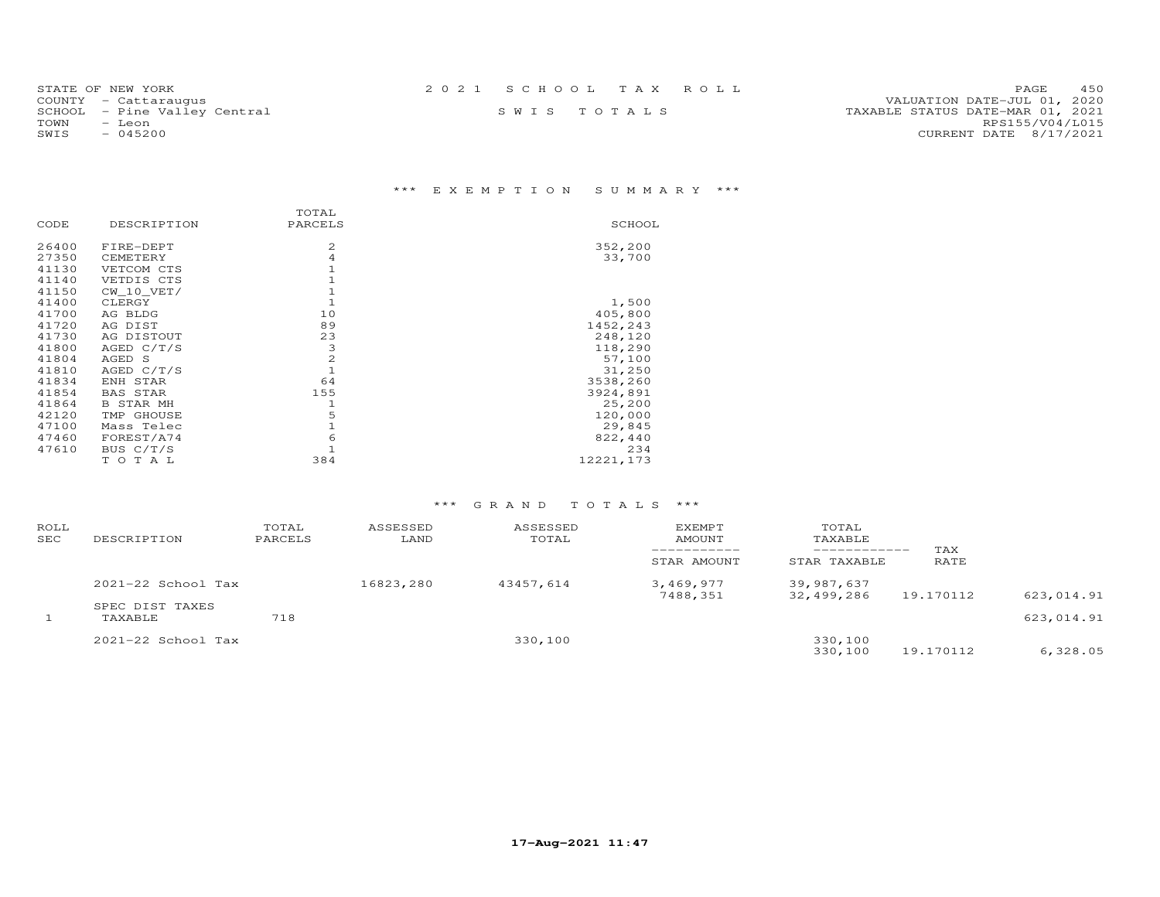| STATE OF NEW YORK            | 2021 SCHOOL TAX ROLL | 450<br>PAGE.                     |
|------------------------------|----------------------|----------------------------------|
| COUNTY - Cattaraugus         |                      | VALUATION DATE-JUL 01, 2020      |
| SCHOOL - Pine Valley Central | SWIS TOTALS          | TAXABLE STATUS DATE-MAR 01, 2021 |
| TOWN<br>- Leon               |                      | RPS155/V04/L015                  |
| SWIS<br>$-045200$            |                      | CURRENT DATE 8/17/2021           |

# \*\*\* E X E M P T I O N S U M M A R Y \*\*\*

|       |                  | TOTAL         |           |
|-------|------------------|---------------|-----------|
| CODE  | DESCRIPTION      | PARCELS       | SCHOOL    |
| 26400 | FIRE-DEPT        | 2             | 352,200   |
| 27350 | CEMETERY         | 4             | 33,700    |
| 41130 | VETCOM CTS       |               |           |
| 41140 | VETDIS CTS       |               |           |
| 41150 | CW 10 VET/       |               |           |
| 41400 | CLERGY           |               | 1,500     |
| 41700 | AG BLDG          | 10            | 405,800   |
| 41720 | AG DIST          | 89            | 1452,243  |
| 41730 | AG DISTOUT       | 23            | 248,120   |
| 41800 | AGED $C/T/S$     | 3             | 118,290   |
| 41804 | AGED S           | $\frac{2}{1}$ | 57,100    |
| 41810 | AGED $C/T/S$     |               | 31,250    |
| 41834 | ENH STAR         | 64            | 3538,260  |
| 41854 | BAS STAR         | 155           | 3924,891  |
| 41864 | <b>B STAR MH</b> | $\mathbf{1}$  | 25,200    |
| 42120 | TMP GHOUSE       | 5             | 120,000   |
| 47100 | Mass Telec       | $\mathbf 1$   | 29,845    |
| 47460 | FOREST/A74       | 6             | 822,440   |
| 47610 | BUS C/T/S        |               | 234       |
|       | TOTAL            | 384           | 12221,173 |

| ROLL<br>SEC | DESCRIPTION                | TOTAL<br>PARCELS | ASSESSED<br>LAND | ASSESSED<br>TOTAL | EXEMPT<br>AMOUNT      | TOTAL<br>TAXABLE<br>------------ | TAX       |            |
|-------------|----------------------------|------------------|------------------|-------------------|-----------------------|----------------------------------|-----------|------------|
|             |                            | STAR AMOUNT      | STAR TAXABLE     | RATE              |                       |                                  |           |            |
|             | $2021 - 22$ School Tax     |                  | 16823,280        | 43457,614         | 3,469,977<br>7488,351 | 39,987,637<br>32,499,286         | 19.170112 | 623,014.91 |
|             | SPEC DIST TAXES<br>TAXABLE | 718              |                  |                   |                       |                                  |           | 623,014.91 |
|             | $2021-22$ School Tax       |                  |                  | 330,100           |                       | 330,100<br>330,100               | 19.170112 | 6,328.05   |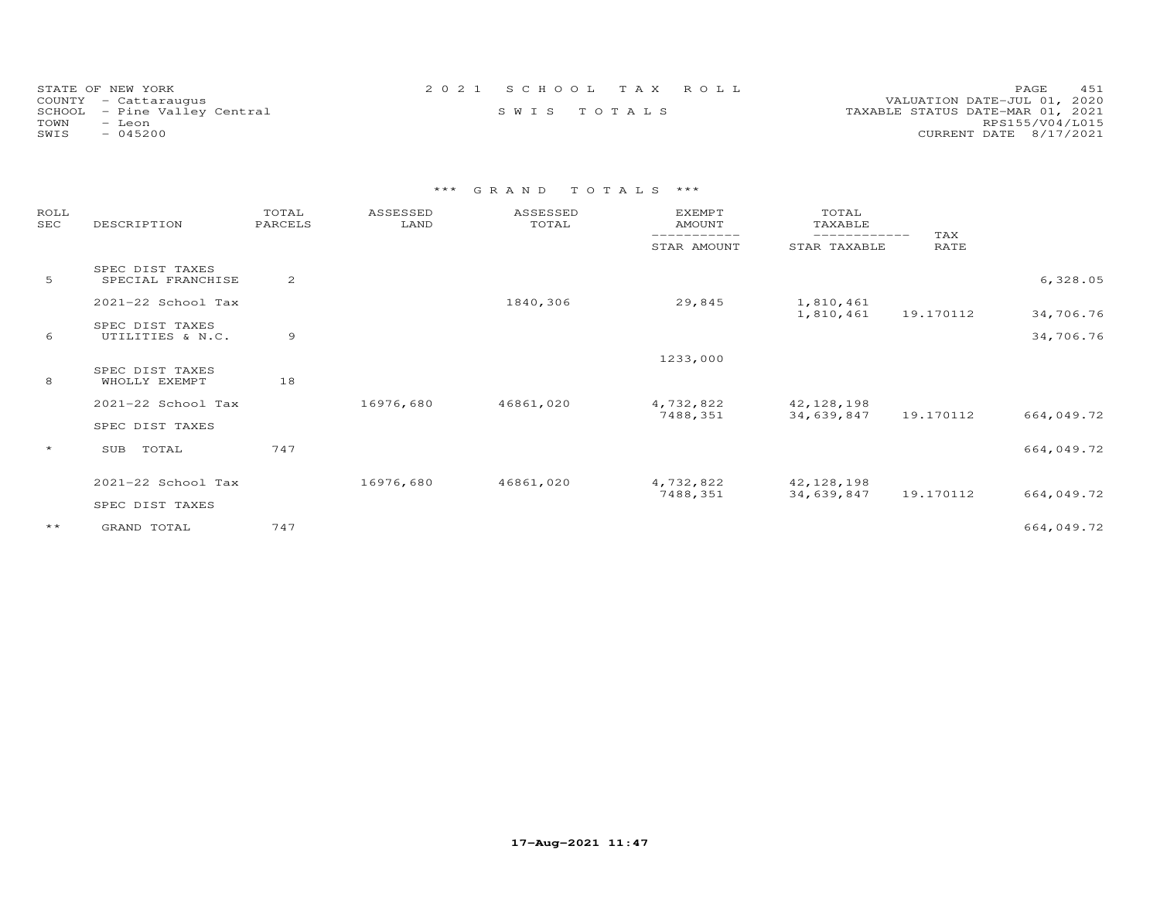| STATE OF NEW YORK            | 2021 SCHOOL TAX ROLL | 451<br>PAGE.                     |
|------------------------------|----------------------|----------------------------------|
| COUNTY - Cattaraugus         |                      | VALUATION DATE-JUL 01, 2020      |
| SCHOOL - Pine Valley Central | SWIS TOTALS          | TAXABLE STATUS DATE-MAR 01, 2021 |
| TOWN<br>- Leon               |                      | RPS155/V04/L015                  |
| $-045200$<br>SWIS            |                      | CURRENT DATE 8/17/2021           |

| ROLL<br><b>SEC</b> | DESCRIPTION                          | TOTAL<br>PARCELS | ASSESSED<br>LAND | ASSESSED<br>TOTAL | <b>EXEMPT</b><br>AMOUNT | TOTAL<br>TAXABLE<br>---------- |             |            |
|--------------------|--------------------------------------|------------------|------------------|-------------------|-------------------------|--------------------------------|-------------|------------|
|                    |                                      |                  |                  |                   | STAR AMOUNT             | STAR TAXABLE                   | TAX<br>RATE |            |
| 5                  | SPEC DIST TAXES<br>SPECIAL FRANCHISE | 2                |                  |                   |                         |                                |             | 6,328.05   |
|                    | 2021-22 School Tax                   |                  |                  | 1840,306          | 29,845                  | 1,810,461<br>1,810,461         | 19.170112   | 34,706.76  |
| 6                  | SPEC DIST TAXES<br>UTILITIES & N.C.  | 9                |                  |                   |                         |                                |             | 34,706.76  |
|                    |                                      |                  |                  |                   | 1233,000                |                                |             |            |
| 8                  | SPEC DIST TAXES<br>WHOLLY EXEMPT     | 18               |                  |                   |                         |                                |             |            |
|                    | 2021-22 School Tax                   |                  | 16976,680        | 46861,020         | 4,732,822               | 42,128,198                     |             |            |
|                    | SPEC DIST TAXES                      |                  |                  |                   | 7488,351                | 34,639,847                     | 19.170112   | 664,049.72 |
| $\star$            | TOTAL<br>SUB                         | 747              |                  |                   |                         |                                |             | 664,049.72 |
|                    | 2021-22 School Tax                   |                  | 16976,680        | 46861,020         | 4,732,822               | 42, 128, 198                   |             |            |
|                    | SPEC DIST TAXES                      |                  |                  |                   | 7488,351                | 34,639,847                     | 19.170112   | 664,049.72 |
| $\star\star$       | GRAND TOTAL                          | 747              |                  |                   |                         |                                |             | 664,049.72 |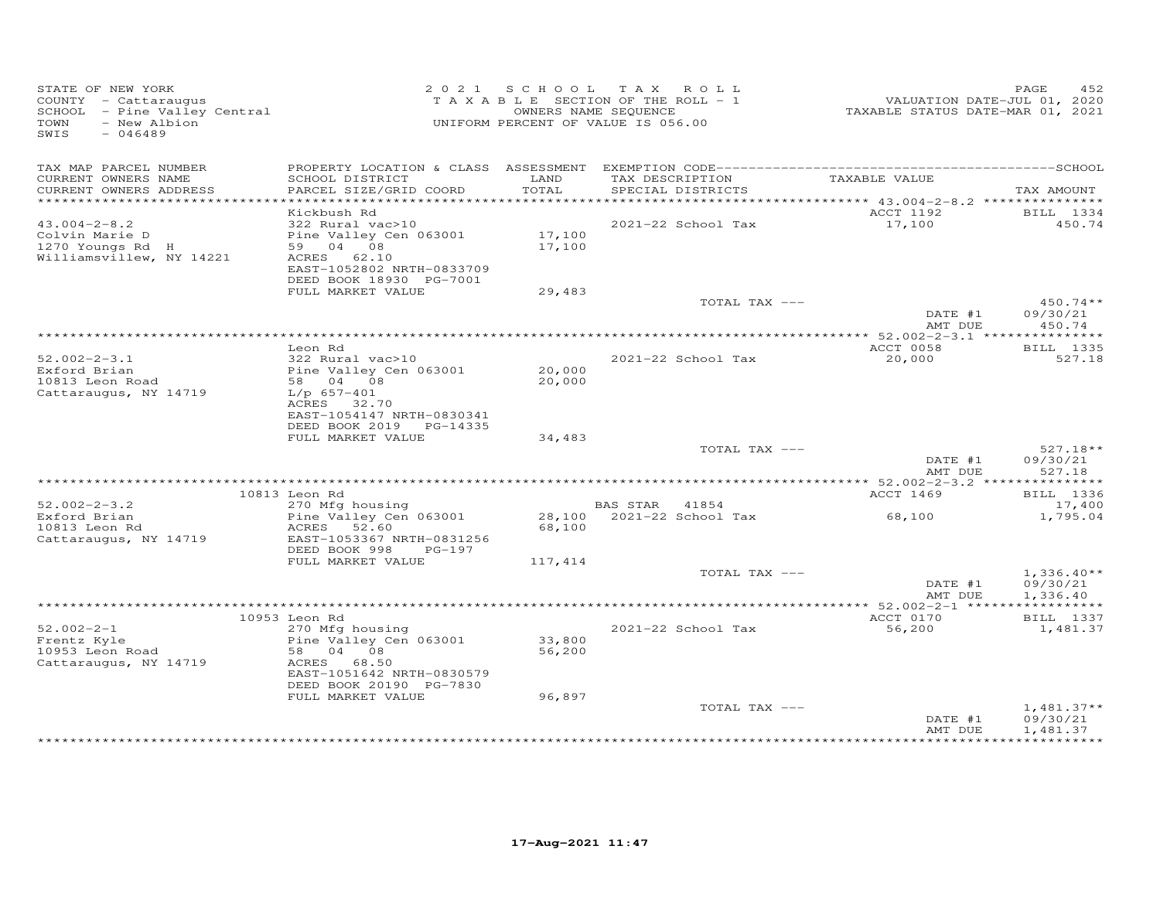| STATE OF NEW YORK<br>COUNTY - Cattaraugus<br>SCHOOL - Pine Valley Central<br>- New Albion<br>TOWN<br>SWIS<br>$-046489$ |                                                                                                                                |                  | 2021 SCHOOL TAX ROLL<br>TAXABLE SECTION OF THE ROLL - 1<br>OWNERS NAME SEQUENCE<br>UNIFORM PERCENT OF VALUE IS 056.00 | -------<br>2020 TAXABLE STATUS DATE-JUL 01, 2020<br>2021 TAXABLE STATUS DATE-MAR | PAGE<br>452                          |
|------------------------------------------------------------------------------------------------------------------------|--------------------------------------------------------------------------------------------------------------------------------|------------------|-----------------------------------------------------------------------------------------------------------------------|----------------------------------------------------------------------------------|--------------------------------------|
| TAX MAP PARCEL NUMBER<br>CURRENT OWNERS NAME                                                                           | SCHOOL DISTRICT                                                                                                                | LAND             | TAX DESCRIPTION                                                                                                       | TAXABLE VALUE                                                                    |                                      |
| CURRENT OWNERS ADDRESS                                                                                                 | PARCEL SIZE/GRID COORD                                                                                                         | TOTAL            | SPECIAL DISTRICTS                                                                                                     |                                                                                  | TAX AMOUNT                           |
|                                                                                                                        | Kickbush Rd                                                                                                                    |                  |                                                                                                                       | ACCT 1192                                                                        |                                      |
| $43.004 - 2 - 8.2$<br>Colvin Marie D<br>1270 Youngs Rd H<br>Williamsvillew, NY 14221                                   | 322 Rural vac>10<br>Pine Valley Cen 063001<br>59 04 08<br>ACRES 62.10<br>EAST-1052802 NRTH-0833709<br>DEED BOOK 18930 PG-7001  | 17,100<br>17,100 | 2021-22 School Tax                                                                                                    | 17,100                                                                           | BILL 1334<br>450.74                  |
|                                                                                                                        | FULL MARKET VALUE                                                                                                              | 29,483           |                                                                                                                       |                                                                                  |                                      |
|                                                                                                                        |                                                                                                                                |                  | TOTAL TAX ---                                                                                                         | DATE #1<br>AMT DUE                                                               | $450.74**$<br>09/30/21<br>450.74     |
|                                                                                                                        |                                                                                                                                |                  |                                                                                                                       |                                                                                  |                                      |
| $52.002 - 2 - 3.1$<br>Exford Brian<br>10813 Leon Road<br>Cattaraugus, NY 14719                                         | Leon Rd<br>322 Rural vac>10<br>Pine Valley Cen 063001<br>58 04 08<br>$L/p$ 657-401<br>ACRES 32.70<br>EAST-1054147 NRTH-0830341 | 20,000<br>20,000 | 2021-22 School Tax                                                                                                    | ACCT 0058<br>20,000                                                              | <b>BILL</b> 1335<br>527.18           |
|                                                                                                                        | DEED BOOK 2019 PG-14335<br>FULL MARKET VALUE                                                                                   | 34,483           |                                                                                                                       |                                                                                  |                                      |
|                                                                                                                        |                                                                                                                                |                  | TOTAL TAX ---                                                                                                         | DATE #1<br>AMT DUE                                                               | $527.18**$<br>09/30/21<br>527.18     |
|                                                                                                                        |                                                                                                                                |                  |                                                                                                                       |                                                                                  |                                      |
| $52.002 - 2 - 3.2$                                                                                                     | 10813 Leon Rd                                                                                                                  |                  |                                                                                                                       | ACCT 1469                                                                        | <b>BILL</b> 1336                     |
| Exford Brian<br>10813 Leon Rd<br>Cattaraugus, NY 14719                                                                 | 270 Mfg housing<br>Pine Valley Cen 063001<br>ACRES 52.60<br>EAST-1053367 NRTH-0831256                                          | 68,100           | BAS STAR 41854<br>28,100 2021-22 School Tax                                                                           | 68,100                                                                           | 17,400<br>1,795.04                   |
|                                                                                                                        | DEED BOOK 998 PG-197                                                                                                           |                  |                                                                                                                       |                                                                                  |                                      |
|                                                                                                                        | FULL MARKET VALUE                                                                                                              | 117,414          | TOTAL TAX ---                                                                                                         |                                                                                  | $1,336.40**$                         |
|                                                                                                                        |                                                                                                                                |                  |                                                                                                                       | DATE #1<br>AMT DUE                                                               | 09/30/21<br>1,336.40                 |
|                                                                                                                        |                                                                                                                                |                  |                                                                                                                       |                                                                                  |                                      |
| $52.002 - 2 - 1$<br>Frentz Kyle<br>10953 Leon Road<br>Cattaraugus, NY 14719                                            | 10953 Leon Rd<br>270 Mfg housing<br>Pine Valley Cen 063001<br>58 04 08<br>ACRES 68.50                                          | 33,800<br>56,200 | 2021-22 School Tax                                                                                                    | ACCT 0170<br>56,200                                                              | BILL 1337<br>1,481.37                |
|                                                                                                                        | EAST-1051642 NRTH-0830579<br>DEED BOOK 20190 PG-7830                                                                           |                  |                                                                                                                       |                                                                                  |                                      |
|                                                                                                                        | FULL MARKET VALUE                                                                                                              | 96,897           | TOTAL TAX ---                                                                                                         | DATE #1<br>AMT DUE                                                               | $1,481.37**$<br>09/30/21<br>1,481.37 |
|                                                                                                                        |                                                                                                                                |                  |                                                                                                                       |                                                                                  |                                      |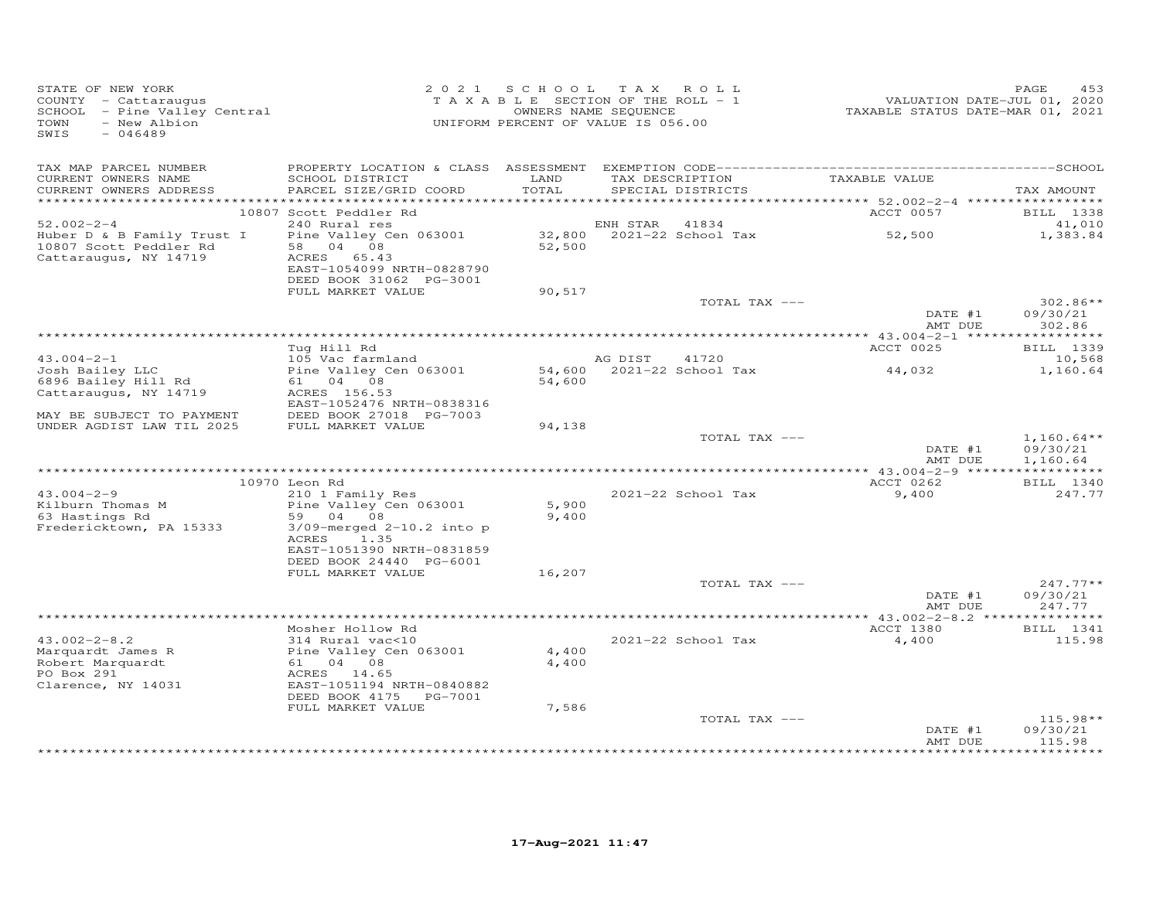| STATE OF NEW YORK<br>COUNTY - Cattaraugus<br>COUNTY - Cattaraugus<br>SCHOOL - Pine Valley Central<br>- New Albion<br>TOWN<br>SWIS<br>$-046489$ |                                                                                                           | 2021 SCHOOL TAX ROLL<br>TAXABLE SECTION OF THE ROLL - $1$<br>OWNERS NAME SEQUENCE<br>UNIFORM PERCENT OF VALUE IS 056.00 |                |                    | 2020<br>VALUATION DATE-JUL 01, 2020<br>TAXABLE STATUS DATE-MAR 01, 2021 | PAGE<br>453                                     |
|------------------------------------------------------------------------------------------------------------------------------------------------|-----------------------------------------------------------------------------------------------------------|-------------------------------------------------------------------------------------------------------------------------|----------------|--------------------|-------------------------------------------------------------------------|-------------------------------------------------|
| TAX MAP PARCEL NUMBER<br>CURRENT OWNERS NAME<br>CURRENT OWNERS ADDRESS                                                                         | SCHOOL DISTRICT<br>PARCEL SIZE/GRID COORD                                                                 | LAND<br>TOTAL                                                                                                           |                | SPECIAL DISTRICTS  | TAX DESCRIPTION TAXABLE VALUE                                           | TAX AMOUNT                                      |
|                                                                                                                                                | 10807 Scott Peddler Rd                                                                                    |                                                                                                                         |                |                    | ACCT 0057                                                               | BILL 1338                                       |
| $52.002 - 2 - 4$                                                                                                                               | 240 Rural res                                                                                             |                                                                                                                         | ENH STAR 41834 |                    |                                                                         | 41,010                                          |
| Huber D & B Family Trust I<br>10807 Scott Peddler Rd<br>Cattaraugus, NY 14719                                                                  | Pine Valley Cen 063001<br>58 04 08<br>ACRES 65.43<br>EAST-1054099 NRTH-0828790<br>DEED BOOK 31062 PG-3001 |                                                                                                                         |                |                    |                                                                         | 1,383.84                                        |
|                                                                                                                                                | FULL MARKET VALUE                                                                                         | 90,517                                                                                                                  |                |                    |                                                                         |                                                 |
|                                                                                                                                                |                                                                                                           |                                                                                                                         |                | TOTAL TAX ---      | DATE #1<br>AMT DUE                                                      | $302.86**$<br>09/30/21<br>302.86                |
|                                                                                                                                                | Tug Hill Rd                                                                                               |                                                                                                                         |                |                    | <b>ACCT 0025</b>                                                        | <b>BILL</b> 1339                                |
| $43.004 - 2 - 1$                                                                                                                               | 105 Vac farmland                                                                                          |                                                                                                                         | AG DIST 41720  |                    |                                                                         | 10,568                                          |
| Josh Bailey LLC                                                                                                                                | Pine Valley Cen 063001                                                                                    |                                                                                                                         |                |                    | 54,600 2021-22 School Tax 44,032                                        | 1,160.64                                        |
| 6896 Bailey Hill Rd                                                                                                                            | 61 04 08                                                                                                  | 54,600                                                                                                                  |                |                    |                                                                         |                                                 |
| Cattaraugus, NY 14719                                                                                                                          | ACRES 156.53<br>EAST-1052476 NRTH-0838316                                                                 |                                                                                                                         |                |                    |                                                                         |                                                 |
| MAY BE SUBJECT TO PAYMENT                                                                                                                      | DEED BOOK 27018 PG-7003                                                                                   |                                                                                                                         |                |                    |                                                                         |                                                 |
| UNDER AGDIST LAW TIL 2025                                                                                                                      | FULL MARKET VALUE                                                                                         | 94,138                                                                                                                  |                |                    |                                                                         |                                                 |
|                                                                                                                                                |                                                                                                           |                                                                                                                         |                | TOTAL TAX ---      | DATE #1                                                                 | $1,160.64**$<br>09/30/21<br>AMT DUE<br>1,160.64 |
|                                                                                                                                                |                                                                                                           |                                                                                                                         |                |                    |                                                                         |                                                 |
|                                                                                                                                                | 10970 Leon Rd                                                                                             |                                                                                                                         |                |                    | ACCT 0262                                                               | <b>BILL</b> 1340                                |
| $43.004 - 2 - 9$<br>Kilburn Thomas M                                                                                                           | 210 1 Family Res<br>Pine Valley Cen 063001                                                                | 5,900                                                                                                                   |                | 2021-22 School Tax | 9,400                                                                   | 247.77                                          |
| 63 Hastings Rd                                                                                                                                 | 59 04 08                                                                                                  | 9,400                                                                                                                   |                |                    |                                                                         |                                                 |
| Fredericktown, PA 15333                                                                                                                        | $3/09$ -merged $2-10.2$ into p<br>ACRES 1.35<br>EAST-1051390 NRTH-0831859<br>DEED BOOK 24440 PG-6001      |                                                                                                                         |                |                    |                                                                         |                                                 |
|                                                                                                                                                | FULL MARKET VALUE                                                                                         | 16,207                                                                                                                  |                | TOTAL TAX ---      |                                                                         | $247.77**$                                      |
|                                                                                                                                                |                                                                                                           |                                                                                                                         |                |                    | DATE #1<br>AMT DUE                                                      | 09/30/21<br>247.77                              |
|                                                                                                                                                |                                                                                                           |                                                                                                                         |                |                    |                                                                         |                                                 |
|                                                                                                                                                | Mosher Hollow Rd                                                                                          |                                                                                                                         |                |                    | ACCT 1380                                                               | BILL 1341                                       |
| $43.002 - 2 - 8.2$                                                                                                                             | 314 Rural vac<10                                                                                          |                                                                                                                         |                | 2021-22 School Tax | 4,400                                                                   | 115.98                                          |
| Marquardt James R<br>Robert Marquardt                                                                                                          | Pine Valley Cen 063001<br>61 04 08                                                                        | 4,400<br>4,400                                                                                                          |                |                    |                                                                         |                                                 |
| PO Box 291                                                                                                                                     | ACRES 14.65                                                                                               |                                                                                                                         |                |                    |                                                                         |                                                 |
| Clarence, NY 14031                                                                                                                             | EAST-1051194 NRTH-0840882<br>DEED BOOK 4175    PG-7001                                                    |                                                                                                                         |                |                    |                                                                         |                                                 |
|                                                                                                                                                | FULL MARKET VALUE                                                                                         | 7,586                                                                                                                   |                |                    |                                                                         |                                                 |
|                                                                                                                                                |                                                                                                           |                                                                                                                         |                | TOTAL TAX ---      | DATE #1<br>AMT DUE                                                      | $115.98**$<br>09/30/21<br>115.98                |
|                                                                                                                                                |                                                                                                           |                                                                                                                         |                |                    |                                                                         |                                                 |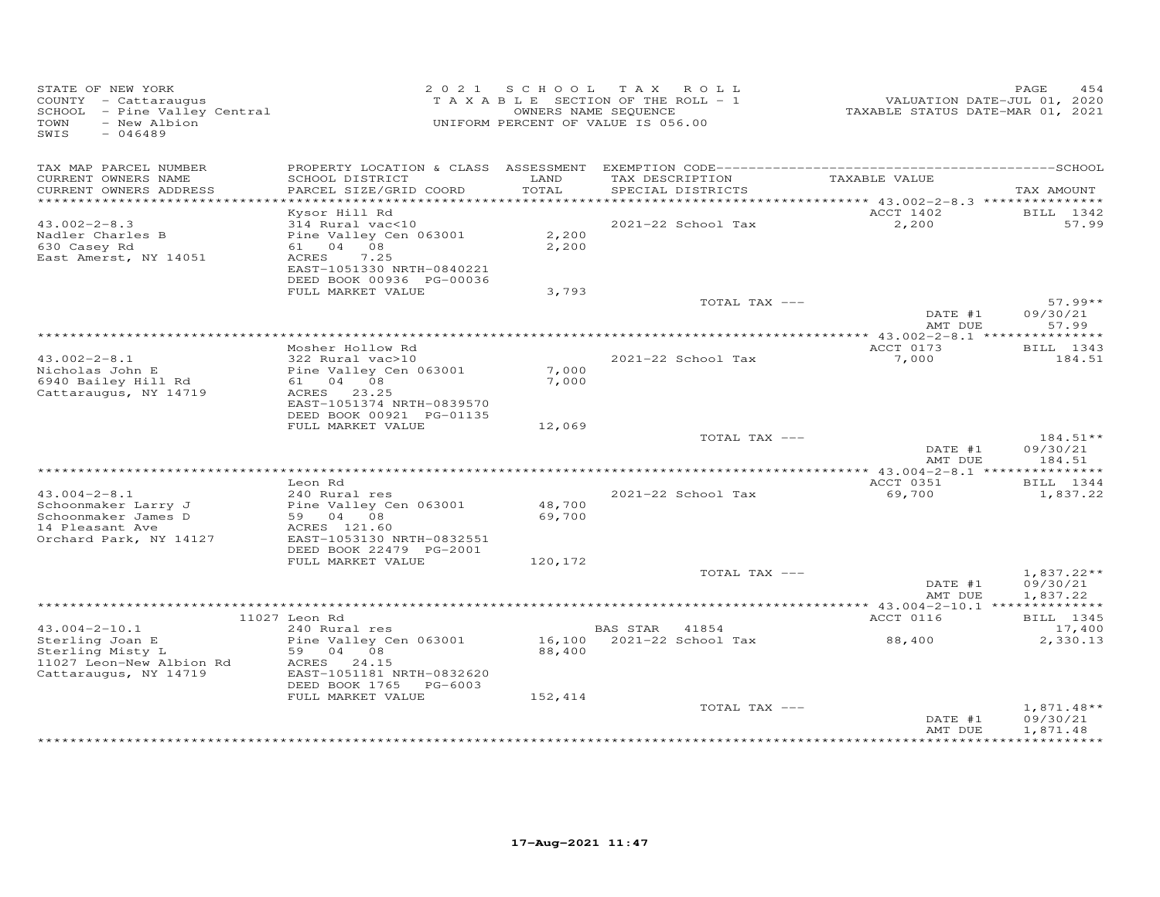| STATE OF NEW YORK<br>COUNTY - Cattaraugus<br>SCHOOL - Pine Valley Central<br>- New Albion<br>TOWN<br>SWIS<br>$-046489$ |                                                       |         | 2021 SCHOOL TAX ROLL<br>TAXABLE SECTION OF THE ROLL - 1<br>OWNERS NAME SEQUENCE<br>UNIFORM PERCENT OF VALUE IS 056.00 | VALUATION DATE-JUL 01, 2020<br>TAXABLE STATUS DATE-MAR 01, 2021 | 454<br>PAGE            |
|------------------------------------------------------------------------------------------------------------------------|-------------------------------------------------------|---------|-----------------------------------------------------------------------------------------------------------------------|-----------------------------------------------------------------|------------------------|
| TAX MAP PARCEL NUMBER<br>CURRENT OWNERS NAME                                                                           | SCHOOL DISTRICT                                       | LAND    | TAX DESCRIPTION                                                                                                       | TAXABLE VALUE                                                   |                        |
| CURRENT OWNERS ADDRESS<br>***********************                                                                      | PARCEL SIZE/GRID COORD                                | TOTAL   | SPECIAL DISTRICTS                                                                                                     |                                                                 | TAX AMOUNT             |
|                                                                                                                        |                                                       |         |                                                                                                                       | ACCT 1402                                                       |                        |
| $43.002 - 2 - 8.3$                                                                                                     | Kysor Hill Rd<br>314 Rural vac<10                     |         | 2021-22 School Tax                                                                                                    | 2,200                                                           | BILL 1342<br>57.99     |
| Nadler Charles B                                                                                                       | Pine Valley Cen 063001                                | 2,200   |                                                                                                                       |                                                                 |                        |
| 630 Casey Rd                                                                                                           | 61 04 08                                              | 2,200   |                                                                                                                       |                                                                 |                        |
| East Amerst, NY 14051                                                                                                  | ACRES<br>7.25                                         |         |                                                                                                                       |                                                                 |                        |
|                                                                                                                        | EAST-1051330 NRTH-0840221<br>DEED BOOK 00936 PG-00036 |         |                                                                                                                       |                                                                 |                        |
|                                                                                                                        | FULL MARKET VALUE                                     | 3,793   |                                                                                                                       |                                                                 |                        |
|                                                                                                                        |                                                       |         | TOTAL TAX ---                                                                                                         |                                                                 | $57.99**$              |
|                                                                                                                        |                                                       |         |                                                                                                                       | DATE #1                                                         | 09/30/21               |
|                                                                                                                        |                                                       |         |                                                                                                                       | AMT DUE                                                         | 57.99                  |
|                                                                                                                        | Mosher Hollow Rd                                      |         |                                                                                                                       | ACCT 0173                                                       | BILL 1343              |
| $43.002 - 2 - 8.1$                                                                                                     | 322 Rural vac>10                                      |         | 2021-22 School Tax                                                                                                    | 7,000                                                           | 184.51                 |
| Nicholas John E                                                                                                        | Pine Valley Cen 063001                                | 7,000   |                                                                                                                       |                                                                 |                        |
| 6940 Bailey Hill Rd<br>Cattaraugus, NY 14719                                                                           | 61 04 08<br>ACRES 23.25                               | 7,000   |                                                                                                                       |                                                                 |                        |
|                                                                                                                        | EAST-1051374 NRTH-0839570                             |         |                                                                                                                       |                                                                 |                        |
|                                                                                                                        | DEED BOOK 00921 PG-01135                              |         |                                                                                                                       |                                                                 |                        |
|                                                                                                                        | FULL MARKET VALUE                                     | 12,069  |                                                                                                                       |                                                                 |                        |
|                                                                                                                        |                                                       |         | TOTAL TAX ---                                                                                                         | DATE #1                                                         | $184.51**$<br>09/30/21 |
|                                                                                                                        |                                                       |         |                                                                                                                       | AMT DUE                                                         | 184.51                 |
|                                                                                                                        |                                                       |         |                                                                                                                       |                                                                 |                        |
|                                                                                                                        | Leon Rd                                               |         |                                                                                                                       | ACCT 0351                                                       | BILL 1344              |
| $43.004 - 2 - 8.1$<br>Schoonmaker Larry J                                                                              | 240 Rural res<br>Pine Valley Cen 063001               | 48,700  | 2021-22 School Tax                                                                                                    | 69,700                                                          | 1,837.22               |
| Schoonmaker James D                                                                                                    | 59 04 08                                              | 69,700  |                                                                                                                       |                                                                 |                        |
| 14 Pleasant Ave                                                                                                        | ACRES 121.60                                          |         |                                                                                                                       |                                                                 |                        |
| Orchard Park, NY 14127                                                                                                 | EAST-1053130 NRTH-0832551                             |         |                                                                                                                       |                                                                 |                        |
|                                                                                                                        | DEED BOOK 22479 PG-2001<br>FULL MARKET VALUE          | 120,172 |                                                                                                                       |                                                                 |                        |
|                                                                                                                        |                                                       |         | TOTAL TAX ---                                                                                                         |                                                                 | $1,837.22**$           |
|                                                                                                                        |                                                       |         |                                                                                                                       | DATE #1                                                         | 09/30/21               |
|                                                                                                                        |                                                       |         |                                                                                                                       | AMT DUE                                                         | 1,837.22               |
|                                                                                                                        | 11027 Leon Rd                                         |         |                                                                                                                       | ACCT 0116                                                       | BILL 1345              |
| $43.004 - 2 - 10.1$                                                                                                    | 240 Rural res                                         |         | BAS STAR 41854                                                                                                        |                                                                 | 17,400                 |
| Sterling Joan E                                                                                                        | Pine Valley Cen 063001                                |         | 16,100 2021-22 School Tax                                                                                             | 88,400                                                          | 2,330.13               |
| Sterling Misty L                                                                                                       | 59 04 08                                              | 88,400  |                                                                                                                       |                                                                 |                        |
| 11027 Leon-New Albion Rd                                                                                               | ACRES 24.15<br>EAST-1051181 NRTH-0832620              |         |                                                                                                                       |                                                                 |                        |
| Cattaraugus, NY 14719                                                                                                  | DEED BOOK 1765 PG-6003                                |         |                                                                                                                       |                                                                 |                        |
|                                                                                                                        | FULL MARKET VALUE                                     | 152,414 |                                                                                                                       |                                                                 |                        |
|                                                                                                                        |                                                       |         | TOTAL TAX ---                                                                                                         |                                                                 | $1,871.48**$           |
|                                                                                                                        |                                                       |         |                                                                                                                       | DATE #1<br>AMT DUE                                              | 09/30/21<br>1,871.48   |
|                                                                                                                        |                                                       |         |                                                                                                                       |                                                                 |                        |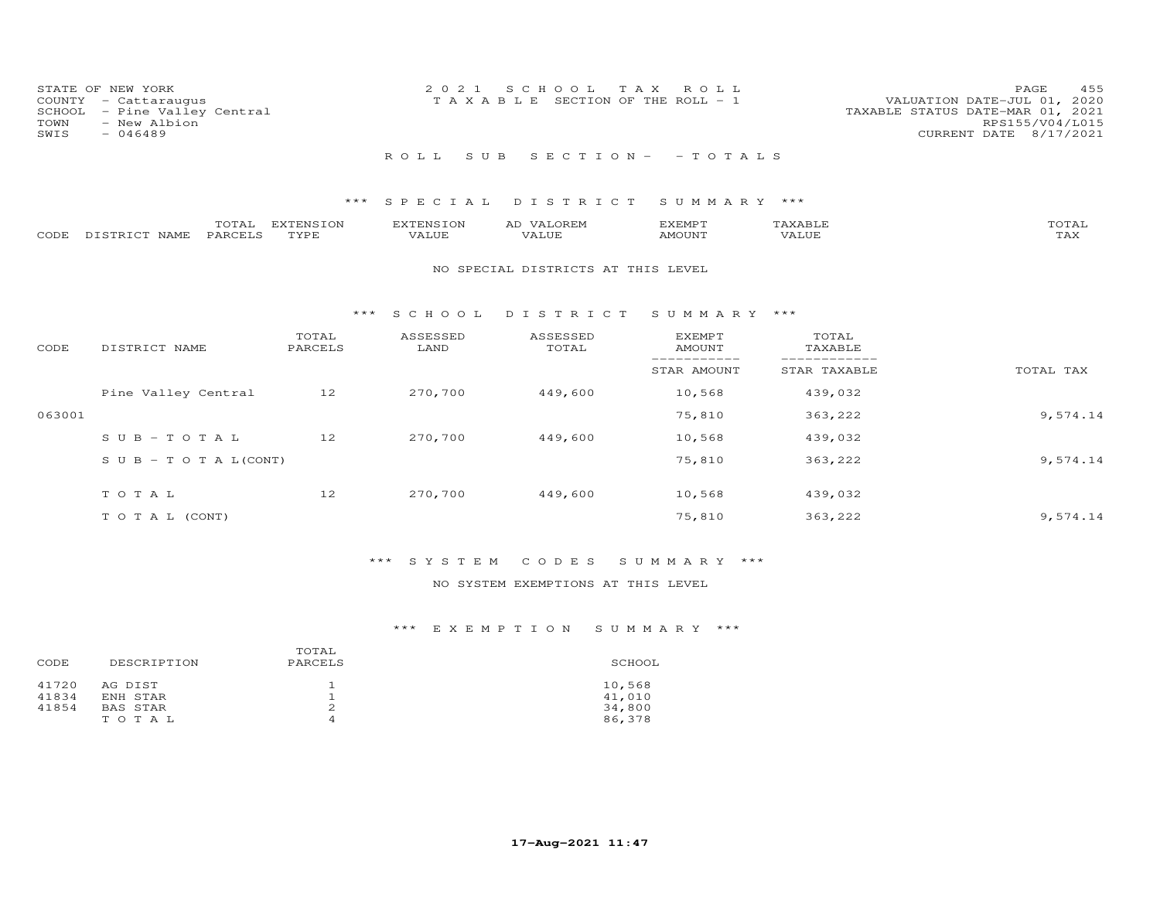| STATE OF NEW YORK<br>COUNTY - Cattaraugus<br>SCHOOL - Pine Valley Central<br>TOWN<br>- New Albion | 2021 SCHOOL TAX ROLL<br>T A X A B L E SECTION OF THE ROLL - 1 | 455<br>PAGE<br>VALUATION DATE-JUL 01, 2020<br>TAXABLE STATUS DATE-MAR 01, 2021<br>RPS155/V04/L015 |
|---------------------------------------------------------------------------------------------------|---------------------------------------------------------------|---------------------------------------------------------------------------------------------------|
| SWIS<br>$-046489$                                                                                 | ROLL SUB SECTION- -TOTALS                                     | CURRENT DATE 8/17/2021                                                                            |

|                    | TOTAL   | EXTENSION | <b>EXTENSION</b> | AD VALOREM | SXEMP T       |       | TOTAL                   |
|--------------------|---------|-----------|------------------|------------|---------------|-------|-------------------------|
| CODE DISTRICT NAME | PARCELS | TYPE      | VALUE            | VALUE      | <b>AMOUNT</b> | VALUE | <b>TT 7 3 7</b><br>- AX |

#### NO SPECIAL DISTRICTS AT THIS LEVEL

#### \*\*\* S C H O O L D I S T R I C T S U M M A R Y \*\*\*

| CODE   | DISTRICT NAME                    | TOTAL<br>PARCELS | ASSESSED<br>LAND | ASSESSED<br>TOTAL | <b>EXEMPT</b><br>AMOUNT | TOTAL<br>TAXABLE |           |
|--------|----------------------------------|------------------|------------------|-------------------|-------------------------|------------------|-----------|
|        |                                  |                  |                  |                   | STAR AMOUNT             | STAR TAXABLE     | TOTAL TAX |
|        | Pine Valley Central              | 12               | 270,700          | 449,600           | 10,568                  | 439,032          |           |
| 063001 |                                  |                  |                  |                   | 75,810                  | 363,222          | 9,574.14  |
|        | $SUB - TO T AL$                  | 12               | 270,700          | 449,600           | 10,568                  | 439,032          |           |
|        | $S \cup B - T \cup T A L (CONT)$ |                  |                  |                   | 75,810                  | 363,222          | 9,574.14  |
|        | TOTAL                            | 12               | 270,700          | 449,600           | 10,568                  | 439,032          |           |
|        | T O T A L (CONT)                 |                  |                  |                   | 75,810                  | 363,222          | 9,574.14  |

## \*\*\* S Y S T E M C O D E S S U M M A R Y \*\*\*

## NO SYSTEM EXEMPTIONS AT THIS LEVEL

| CODE                    | DESCRIPTION                                     | TOTAL<br>PARCELS | SCHOOL                               |
|-------------------------|-------------------------------------------------|------------------|--------------------------------------|
| 41720<br>41834<br>41854 | AG DIST<br>ENH STAR<br><b>BAS STAR</b><br>TOTAL | 2<br>4           | 10,568<br>41,010<br>34,800<br>86,378 |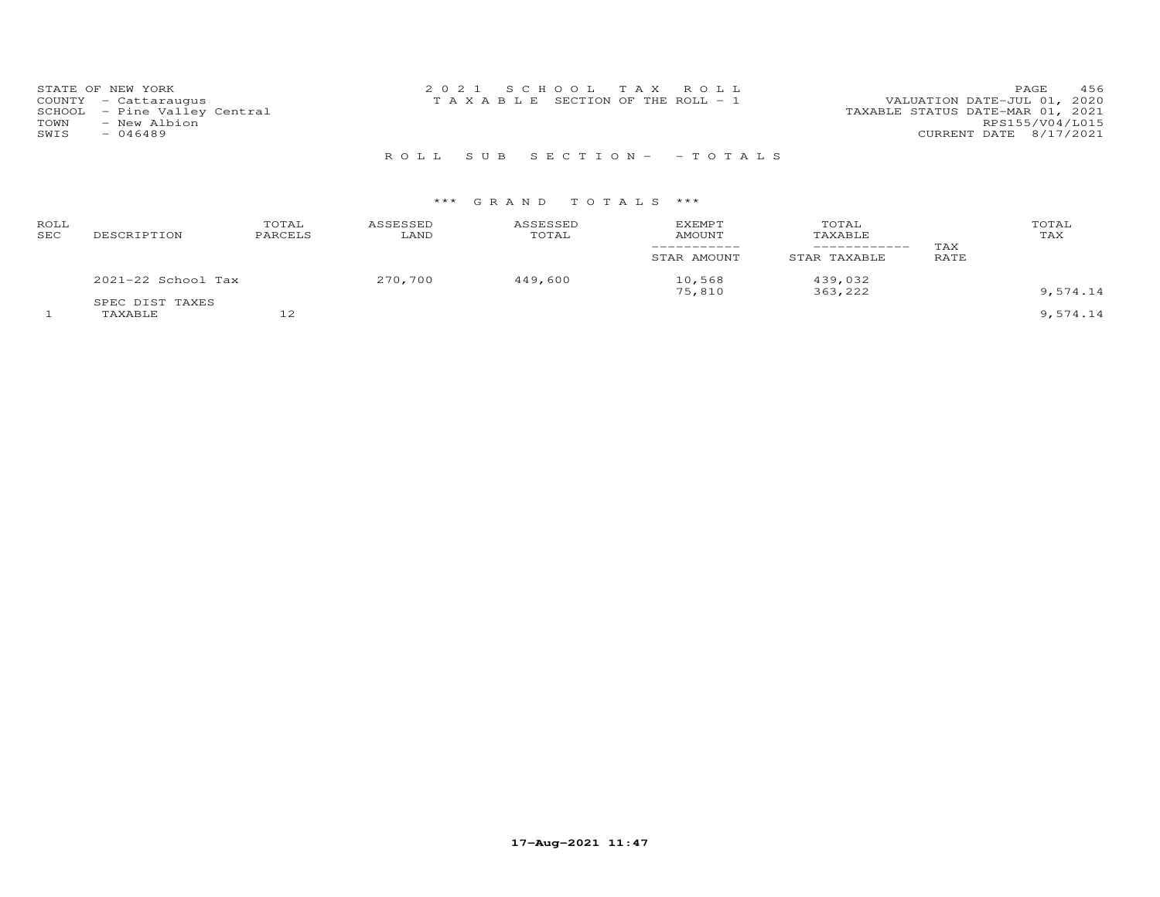| STATE OF NEW YORK            | 2021 SCHOOL TAX ROLL                  | 456<br>PAGE                      |
|------------------------------|---------------------------------------|----------------------------------|
| COUNTY - Cattaraugus         | T A X A B L E SECTION OF THE ROLL - 1 | VALUATION DATE-JUL 01, 2020      |
| SCHOOL - Pine Valley Central |                                       | TAXABLE STATUS DATE-MAR 01, 2021 |
| - New Albion<br>TOWN         |                                       | RPS155/V04/L015                  |
| $-046489$<br>SWIS            |                                       | CURRENT DATE 8/17/2021           |
|                              |                                       |                                  |

R O L L S U B S E C T I O N - - T O T A L S

| ROLL<br>SEC | DESCRIPTION                | TOTAL<br>PARCELS | ASSESSED<br>LAND | ASSESSED<br>TOTAL | <b>EXEMPT</b><br>AMOUNT | TOTAL<br>TAXABLE   | TAX  | TOTAL<br>TAX |
|-------------|----------------------------|------------------|------------------|-------------------|-------------------------|--------------------|------|--------------|
|             |                            |                  |                  |                   | STAR AMOUNT             | STAR TAXABLE       | RATE |              |
|             | 2021-22 School Tax         |                  | 270,700          | 449,600           | 10,568<br>75,810        | 439,032<br>363,222 |      | 9,574.14     |
|             | SPEC DIST TAXES<br>TAXABLE | $\sim$<br>∸      |                  |                   |                         |                    |      | 9,574.14     |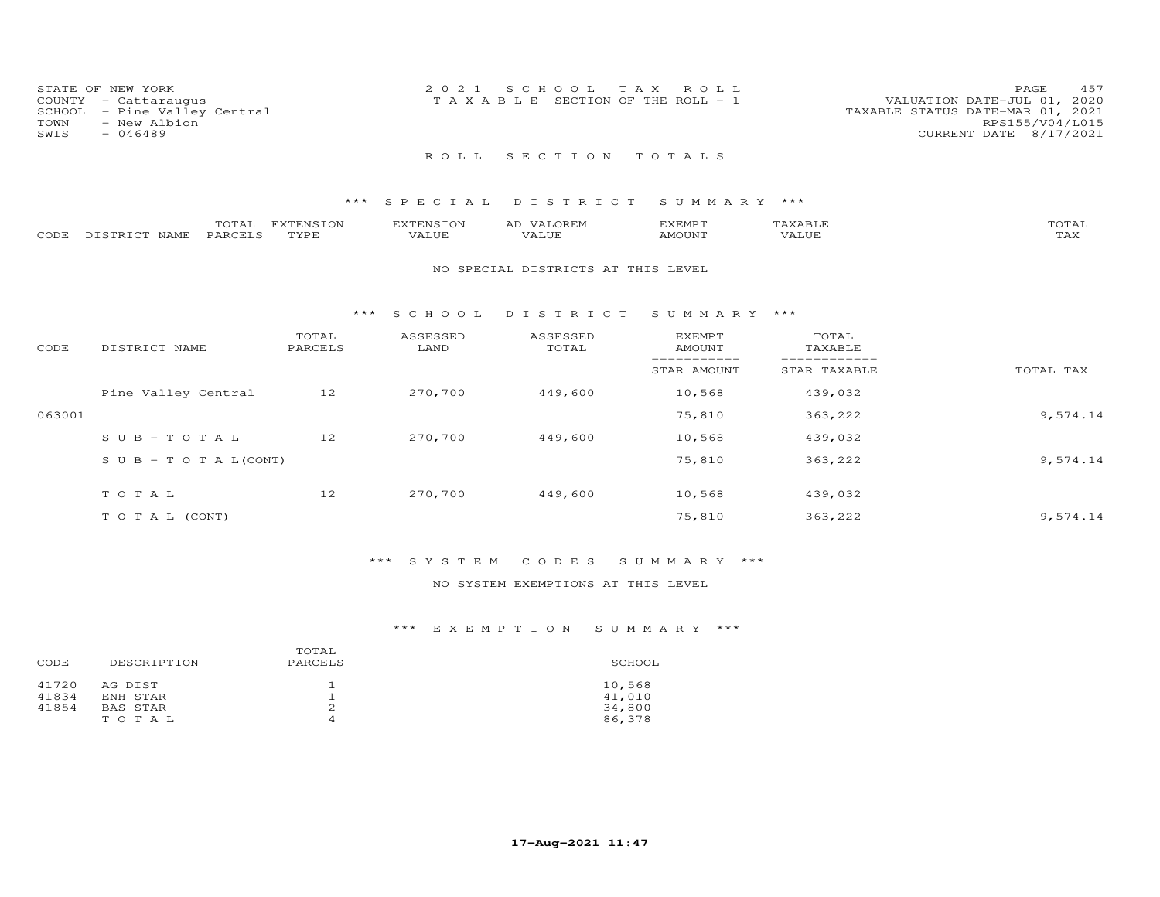|      | STATE OF NEW YORK            | 2021 SCHOOL TAX ROLL                  | 457<br>PAGE                      |
|------|------------------------------|---------------------------------------|----------------------------------|
|      | COUNTY - Cattaraugus         | T A X A B L E SECTION OF THE ROLL - 1 | VALUATION DATE-JUL 01, 2020      |
|      | SCHOOL - Pine Valley Central |                                       | TAXABLE STATUS DATE-MAR 01, 2021 |
| TOWN | - New Albion                 |                                       | RPS155/V04/L015                  |
| SWIS | $-046489$                    |                                       | CURRENT DATE 8/17/2021           |
|      |                              | ROLL SECTION TOTALS                   |                                  |

|      |               | TOTAL   | <b>EXTENSION</b> | EXTENSION | VALOREM<br>AD | KEMPT: | 'AXABLE | TOTAL                 |
|------|---------------|---------|------------------|-----------|---------------|--------|---------|-----------------------|
| CODE | DISTRICT NAME | PARCELS | TYPE.            | VALUE     | VALUE         | AMOUNT | 'Alue   | $m \times r$<br>1 A X |

#### NO SPECIAL DISTRICTS AT THIS LEVEL

#### \*\*\* S C H O O L D I S T R I C T S U M M A R Y \*\*\*

| CODE   | DISTRICT NAME                    | TOTAL<br>PARCELS | ASSESSED<br>LAND | ASSESSED<br>TOTAL | <b>EXEMPT</b><br>AMOUNT | TOTAL<br>TAXABLE |           |
|--------|----------------------------------|------------------|------------------|-------------------|-------------------------|------------------|-----------|
|        |                                  |                  |                  |                   | STAR AMOUNT             | STAR TAXABLE     | TOTAL TAX |
|        | Pine Valley Central              | 12               | 270,700          | 449,600           | 10,568                  | 439,032          |           |
| 063001 |                                  |                  |                  |                   | 75,810                  | 363,222          | 9,574.14  |
|        | $SUB - TO T AL$                  | 12               | 270,700          | 449,600           | 10,568                  | 439,032          |           |
|        | $S \cup B - T \cup T A L (CONT)$ |                  |                  |                   | 75,810                  | 363,222          | 9,574.14  |
|        | TOTAL                            | 12               | 270,700          | 449,600           | 10,568                  | 439,032          |           |
|        | T O T A L (CONT)                 |                  |                  |                   | 75,810                  | 363,222          | 9,574.14  |

# \*\*\* S Y S T E M C O D E S S U M M A R Y \*\*\*

## NO SYSTEM EXEMPTIONS AT THIS LEVEL

|       |                 | TOTAL   |        |
|-------|-----------------|---------|--------|
| CODE  | DESCRIPTION     | PARCELS | SCHOOL |
| 41720 | AG DIST         |         | 10,568 |
| 41834 | ENH STAR        |         | 41,010 |
| 41854 | <b>BAS STAR</b> |         | 34,800 |
|       | TOTAL           | 4       | 86,378 |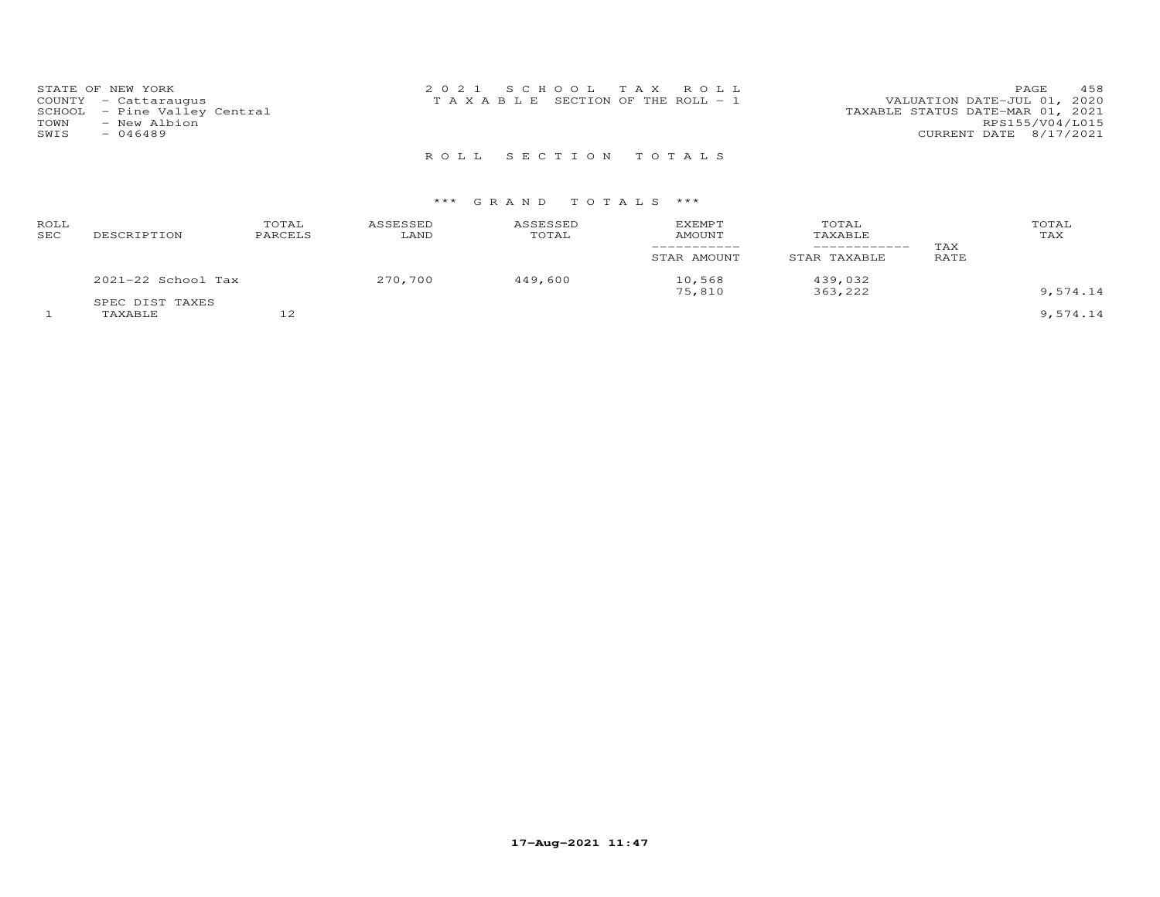|      | STATE OF NEW YORK            | 2021 SCHOOL TAX ROLL                  |  |  | 458<br>PAGE                      |
|------|------------------------------|---------------------------------------|--|--|----------------------------------|
|      | COUNTY - Cattaraugus         | T A X A B L E SECTION OF THE ROLL - 1 |  |  | VALUATION DATE-JUL 01, 2020      |
|      | SCHOOL - Pine Valley Central |                                       |  |  | TAXABLE STATUS DATE-MAR 01, 2021 |
| TOWN | - New Albion                 |                                       |  |  | RPS155/V04/L015                  |
| SWIS | $-046489$                    |                                       |  |  | CURRENT DATE 8/17/2021           |
|      |                              |                                       |  |  |                                  |

R O L L S E C T I O N T O T A L S

## \*\*\* G R A N D T O T A L S \*\*\*

| ROLL<br>SEC | DESCRIPTION        | TOTAL<br>PARCELS | ASSESSED<br>LAND | ASSESSED<br>TOTAL | <b>EXEMPT</b><br>AMOUNT | TOTAL<br>TAXABLE<br>_________ | TAX  | TOTAL<br>TAX |
|-------------|--------------------|------------------|------------------|-------------------|-------------------------|-------------------------------|------|--------------|
|             |                    |                  |                  |                   | STAR AMOUNT             | STAR TAXABLE                  | RATE |              |
|             | 2021-22 School Tax |                  | 270,700          | 449,600           | 10,568<br>75,810        | 439,032<br>363,222            |      | 9,574.14     |
|             | SPEC DIST TAXES    |                  |                  |                   |                         |                               |      |              |
|             | TAXABLE            | $\sim$<br>∸      |                  |                   |                         |                               |      | 9,574.14     |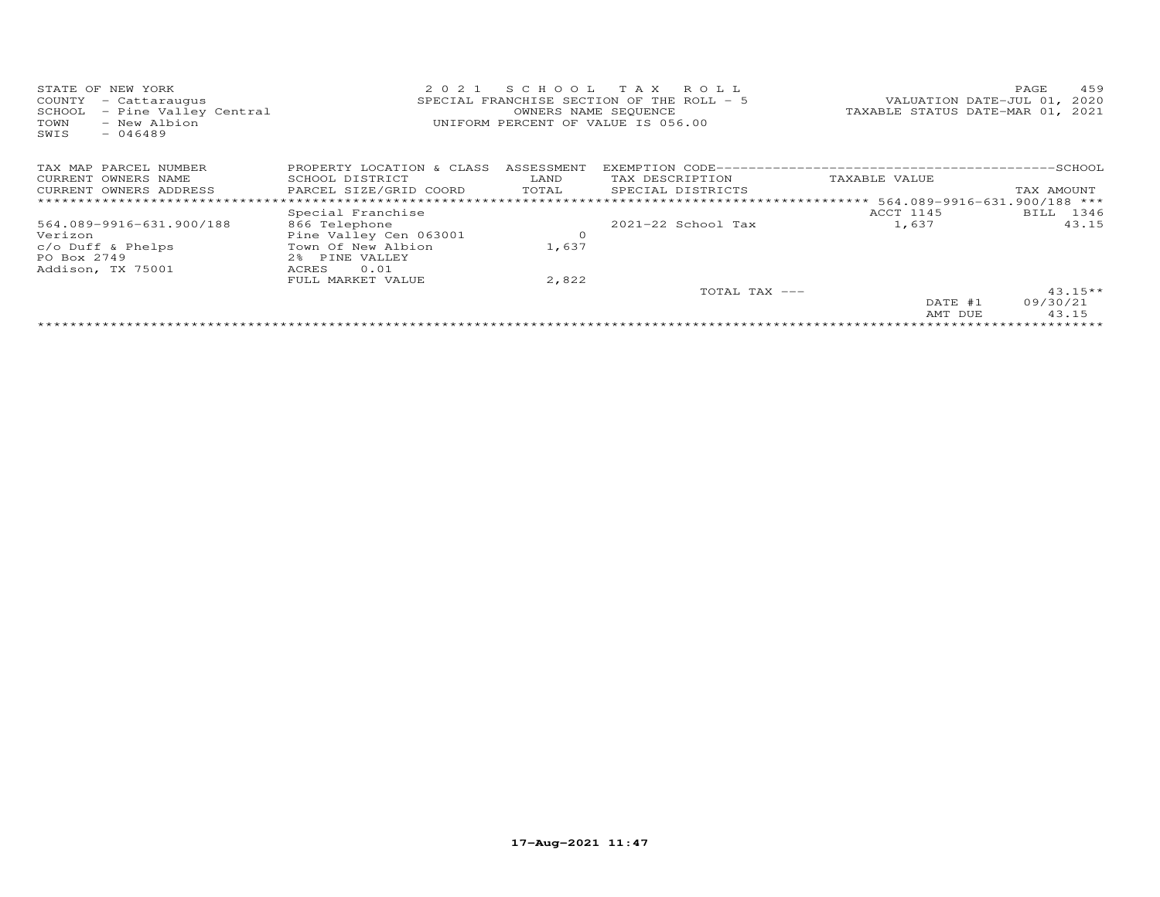| STATE OF NEW YORK                         | 2 0 2 1                   |            | SCHOOL TAX ROLL                           |                                  | 459<br>PAGE |
|-------------------------------------------|---------------------------|------------|-------------------------------------------|----------------------------------|-------------|
| COUNTY<br>- Cattaraugus                   |                           |            | SPECIAL FRANCHISE SECTION OF THE ROLL - 5 | VALUATION DATE-JUL 01, 2020      |             |
| - Pine Valley Central<br>SCHOOL           |                           |            | OWNERS NAME SEQUENCE                      | TAXABLE STATUS DATE-MAR 01, 2021 |             |
| - New Albion<br>TOWN<br>$-046489$<br>SWIS |                           |            | UNIFORM PERCENT OF VALUE IS 056.00        |                                  |             |
| TAX MAP PARCEL NUMBER                     | PROPERTY LOCATION & CLASS | ASSESSMENT |                                           |                                  |             |
| CURRENT OWNERS NAME                       | SCHOOL DISTRICT           | LAND       | TAX DESCRIPTION                           | TAXABLE VALUE                    |             |
| CURRENT OWNERS ADDRESS                    | PARCEL SIZE/GRID COORD    | TOTAL      | SPECIAL DISTRICTS                         |                                  | TAX AMOUNT  |
| *****************************             |                           |            |                                           |                                  |             |
|                                           | Special Franchise         |            |                                           | ACCT 1145                        | BILL 1346   |
| 564.089-9916-631.900/188                  | 866 Telephone             |            | $2021-22$ School Tax                      | 1,637                            | 43.15       |
| Verizon                                   | Pine Valley Cen 063001    | $\circ$    |                                           |                                  |             |
| $c/O$ Duff & Phelps                       | Town Of New Albion        | 1,637      |                                           |                                  |             |
| PO Box 2749                               | 2% PINE VALLEY            |            |                                           |                                  |             |
| Addison, TX 75001                         | 0.01<br>ACRES             |            |                                           |                                  |             |
|                                           | FULL MARKET VALUE         | 2,822      |                                           |                                  |             |
|                                           |                           |            | TOTAL TAX ---                             |                                  | $43.15**$   |
|                                           |                           |            |                                           | DATE #1                          | 09/30/21    |
|                                           |                           |            |                                           | AMT DUE                          | 43.15       |
|                                           |                           |            |                                           |                                  |             |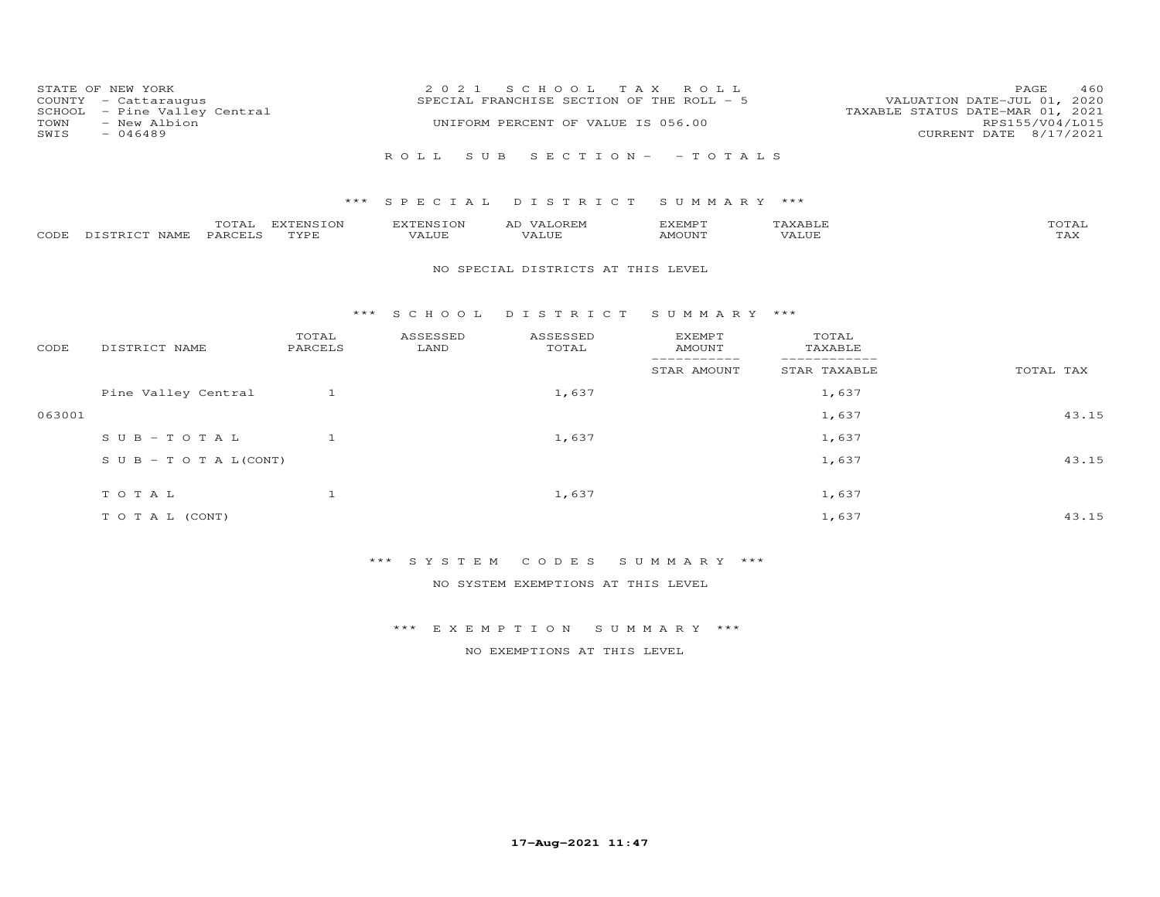| COUNTY<br>SCHOOL<br>TOWN<br>SWIS | STATE OF NEW YORK<br>- Cattaraugus<br>- Pine Valley Central<br>- New Albion<br>$-046489$ |                   | 2 0 2 1                          | S C H O O L<br>SPECIAL FRANCHISE SECTION OF THE ROLL - 5<br>UNIFORM PERCENT OF VALUE IS 056.00 | T A X<br>ROLL                   |                              | 460<br>PAGE<br>VALUATION DATE-JUL 01, 2020<br>TAXABLE STATUS DATE-MAR 01, 2021<br>RPS155/V04/L015<br>CURRENT DATE 8/17/2021 |
|----------------------------------|------------------------------------------------------------------------------------------|-------------------|----------------------------------|------------------------------------------------------------------------------------------------|---------------------------------|------------------------------|-----------------------------------------------------------------------------------------------------------------------------|
|                                  |                                                                                          |                   | ROLL<br>S U B                    |                                                                                                | $S E C T I O N - - T O T A L S$ |                              |                                                                                                                             |
|                                  |                                                                                          | ***               |                                  | SPECIAL DISTRICT                                                                               | SUMMARY ***                     |                              |                                                                                                                             |
| CODE                             | TOTAL<br>PARCELS<br>DISTRICT NAME                                                        | EXTENSION<br>TYPE | <b>EXTENSION</b><br><b>VALUE</b> | AD VALOREM<br>VALUE                                                                            | EXEMPT<br>AMOUNT                | TAXABLE<br>VALUE             | TOTAL<br>TAX                                                                                                                |
|                                  |                                                                                          |                   |                                  | NO SPECIAL DISTRICTS AT THIS LEVEL                                                             |                                 |                              |                                                                                                                             |
|                                  |                                                                                          |                   | *** SCHOOL                       | DISTRICT                                                                                       | SUMMARY ***                     |                              |                                                                                                                             |
| CODE                             | DISTRICT NAME                                                                            | TOTAL<br>PARCELS  | ASSESSED<br>LAND                 | ASSESSED<br>TOTAL                                                                              | <b>EXEMPT</b><br><b>AMOUNT</b>  | TOTAL<br>TAXABLE             |                                                                                                                             |
|                                  |                                                                                          |                   |                                  |                                                                                                | -----------<br>STAR AMOUNT      | ____________<br>STAR TAXABLE | TOTAL TAX                                                                                                                   |
|                                  | Pine Valley Central                                                                      | $\mathbf{1}$      |                                  | 1,637                                                                                          |                                 | 1,637                        |                                                                                                                             |
| 063001                           |                                                                                          |                   |                                  |                                                                                                |                                 | 1,637                        | 43.15                                                                                                                       |
|                                  | $SUB - TO T AL$                                                                          | $\mathbf{1}$      |                                  | 1,637                                                                                          |                                 | 1,637                        |                                                                                                                             |
|                                  | $S \cup B - T \cup T A L (CONT)$                                                         |                   |                                  |                                                                                                |                                 | 1,637                        | 43.15                                                                                                                       |
|                                  | TOTAL                                                                                    | $\mathbf{1}$      |                                  | 1,637                                                                                          |                                 | 1,637                        |                                                                                                                             |
|                                  | TO TAL (CONT)                                                                            |                   |                                  |                                                                                                |                                 | 1,637                        | 43.15                                                                                                                       |

\*\*\* S Y S T E M C O D E S S U M M A R Y \*\*\*

NO SYSTEM EXEMPTIONS AT THIS LEVEL

\*\*\* E X E M P T I O N S U M M A R Y \*\*\*

NO EXEMPTIONS AT THIS LEVEL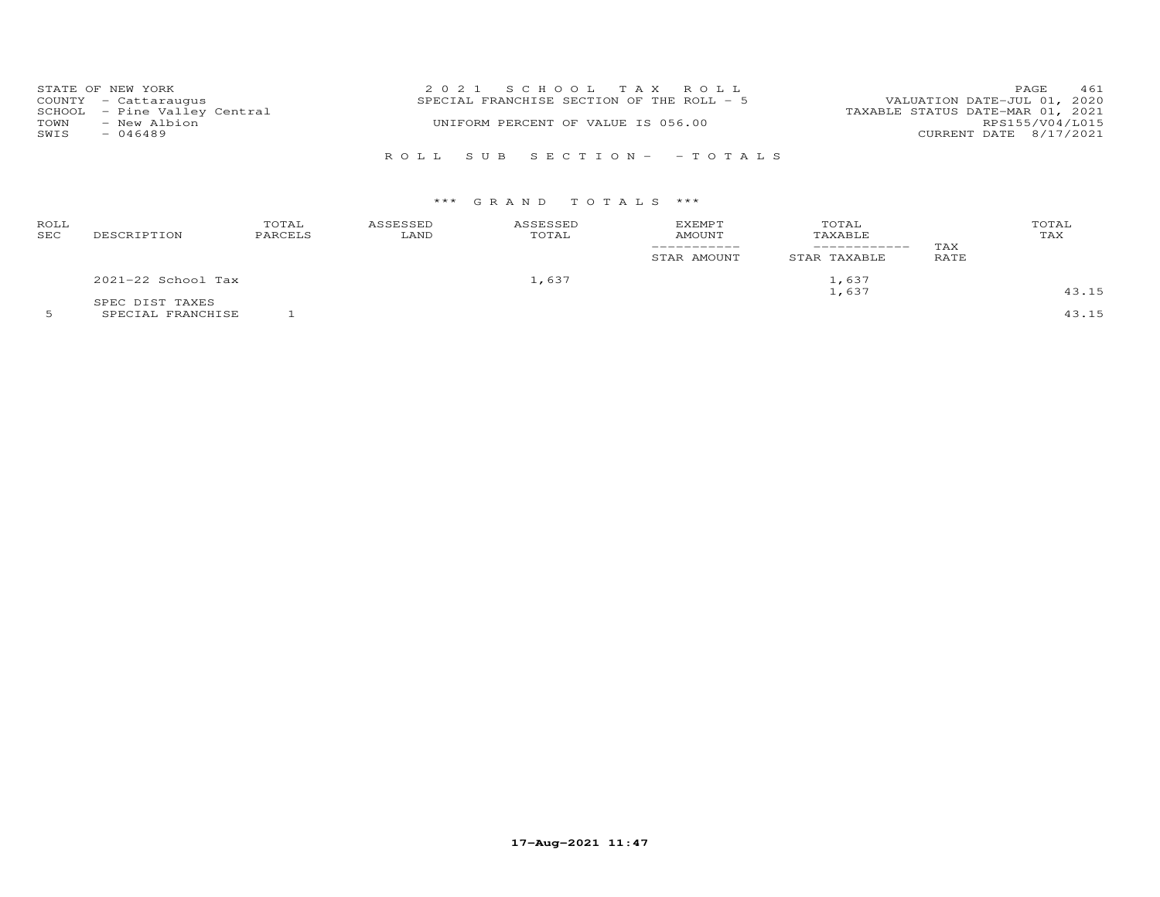|      | STATE OF NEW YORK            | 2021 SCHOOL TAX ROLL                      | <b>PAGE</b>                 | 461 |
|------|------------------------------|-------------------------------------------|-----------------------------|-----|
|      | COUNTY - Cattaraugus         | SPECIAL FRANCHISE SECTION OF THE ROLL - 5 | VALUATION DATE-JUL 01, 2020 |     |
|      | SCHOOL - Pine Valley Central | TAXABLE STATUS DATE-MAR 01, 2021          |                             |     |
| TOWN | - New Albion                 | UNIFORM PERCENT OF VALUE IS 056.00        | RPS155/V04/L015             |     |
| SWIS | $-046489$                    |                                           | CURRENT DATE 8/17/2021      |     |
|      |                              |                                           |                             |     |
|      |                              | ROLL SUB SECTION- - TOTALS                |                             |     |

# \*\*\* G R A N D T O T A L S \*\*\*

| ROLL<br><b>SEC</b> | DESCRIPTION        | TOTAL<br>PARCELS | ASSESSED<br>LAND | ASSESSED<br>TOTAL | EXEMPT<br><b>AMOUNT</b><br>STAR AMOUNT | TOTAL<br>TAXABLE<br>STAR TAXABLE | TAX<br>RATE | TOTAL<br>TAX |
|--------------------|--------------------|------------------|------------------|-------------------|----------------------------------------|----------------------------------|-------------|--------------|
|                    | 2021-22 School Tax |                  |                  | 1,637             |                                        | 1,637                            |             |              |
|                    | SPEC DIST TAXES    |                  |                  |                   | 1,637                                  |                                  |             | 43.15        |

5 SPECIAL FRANCHISE 1 43.15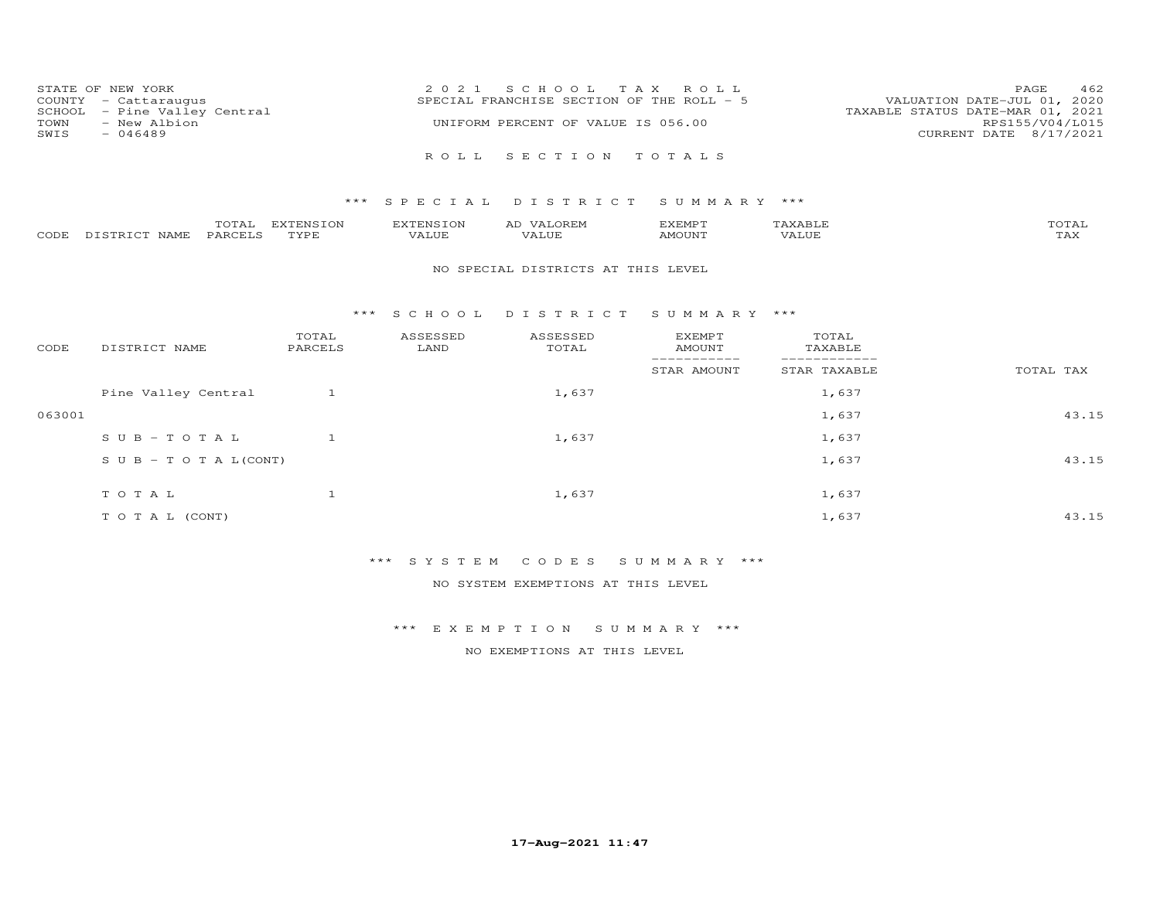|                      | STATE OF NEW YORK            | 2021 SCHOOL TAX ROLL                      | PAGE                             | 462 |  |
|----------------------|------------------------------|-------------------------------------------|----------------------------------|-----|--|
|                      | COUNTY - Cattaraugus         | SPECIAL FRANCHISE SECTION OF THE ROLL - 5 | VALUATION DATE-JUL 01, 2020      |     |  |
|                      | SCHOOL - Pine Valley Central |                                           | TAXABLE STATUS DATE-MAR 01, 2021 |     |  |
| TOWN<br>- New Albion |                              | UNIFORM PERCENT OF VALUE IS 056.00        | RPS155/V04/L015                  |     |  |
| SWIS                 | $-046489$                    |                                           | CURRENT DATE 8/17/2021           |     |  |
|                      |                              |                                           |                                  |     |  |
|                      |                              | ROLL SECTION TOTALS                       |                                  |     |  |

|      |               | $m \wedge m \wedge r$<br>JTAL- | EXTENSION | <b>EXTENSION</b> | VALOREM<br>AD                 | EXEMPT | 3373 D.T. T | TOTAL                 |
|------|---------------|--------------------------------|-----------|------------------|-------------------------------|--------|-------------|-----------------------|
| CODE | DISTRICT NAME | PARCELS                        | TVDF      | VALUE            | . <del>.</del><br><b>ALUF</b> | TUUOM1 | VALUF       | $m \times r$<br>1 A.X |

## NO SPECIAL DISTRICTS AT THIS LEVEL

#### \*\*\* S C H O O L D I S T R I C T S U M M A R Y \*\*\*

| CODE   | DISTRICT NAME                    | TOTAL<br>PARCELS | ASSESSED<br>LAND | ASSESSED<br>TOTAL | EXEMPT<br>AMOUNT | TOTAL<br>TAXABLE |           |
|--------|----------------------------------|------------------|------------------|-------------------|------------------|------------------|-----------|
|        |                                  |                  |                  |                   | STAR AMOUNT      | STAR TAXABLE     | TOTAL TAX |
|        | Pine Valley Central              |                  |                  | 1,637             |                  | 1,637            |           |
| 063001 |                                  |                  |                  |                   |                  | 1,637            | 43.15     |
|        | SUB-TOTAL                        |                  |                  | 1,637             |                  | 1,637            |           |
|        | $S \cup B - T \cup T A L (CONT)$ |                  |                  |                   |                  | 1,637            | 43.15     |
|        | TOTAL                            | <b>T</b>         |                  | 1,637             |                  | 1,637            |           |
|        | TO TAL (CONT)                    |                  |                  |                   |                  | 1,637            | 43.15     |

# \*\*\* S Y S T E M C O D E S S U M M A R Y \*\*\*

NO SYSTEM EXEMPTIONS AT THIS LEVEL

## \*\*\* E X E M P T I O N S U M M A R Y \*\*\*

NO EXEMPTIONS AT THIS LEVEL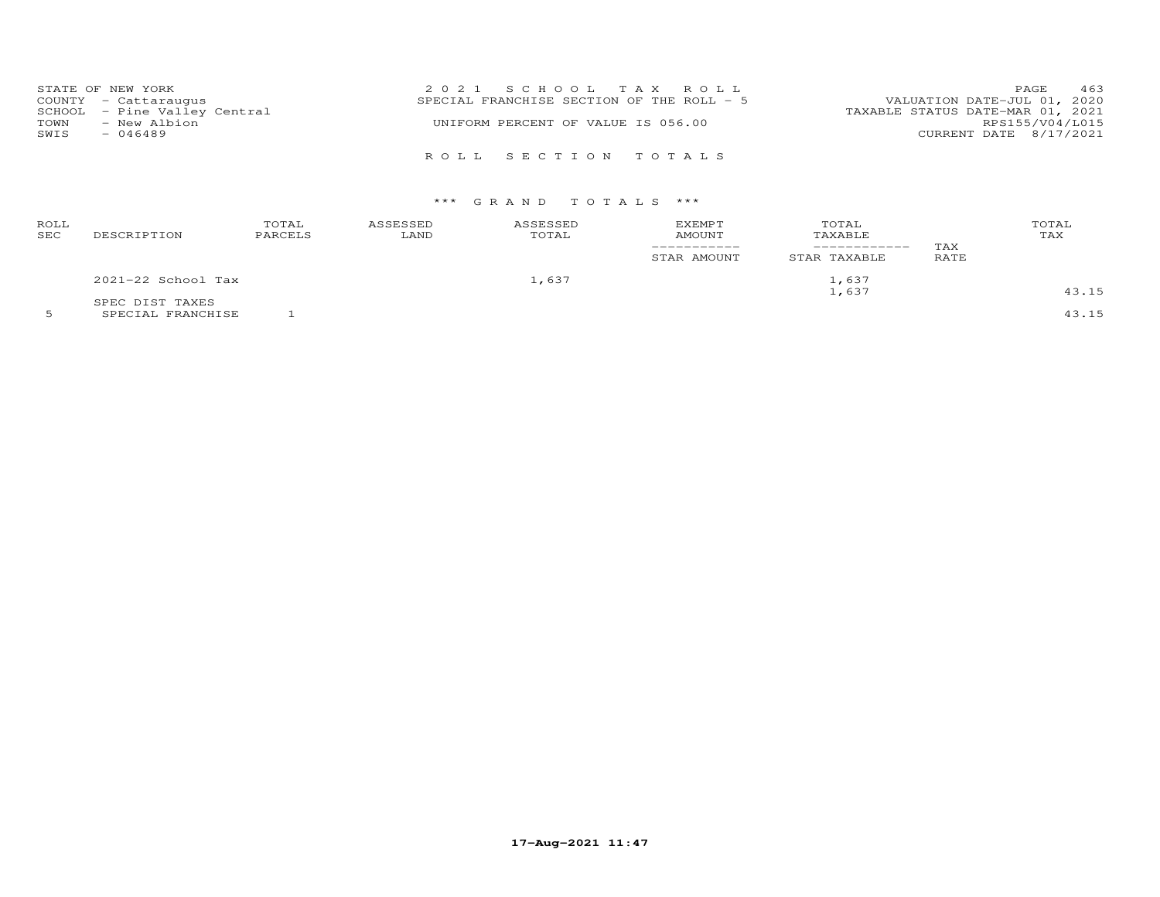|      | STATE OF NEW YORK            | 2021 SCHOOL TAX ROLL                       | 463<br>PAGE                      |
|------|------------------------------|--------------------------------------------|----------------------------------|
|      | COUNTY - Cattaraugus         | SPECIAL FRANCHISE SECTION OF THE ROLL $-5$ | VALUATION DATE-JUL 01, 2020      |
|      | SCHOOL - Pine Valley Central |                                            | TAXABLE STATUS DATE-MAR 01, 2021 |
| TOWN | - New Albion                 | UNIFORM PERCENT OF VALUE IS 056.00         | RPS155/V04/L015                  |
| SWIS | $-046489$                    |                                            | CURRENT DATE 8/17/2021           |
|      |                              | ROLL SECTION TOTALS                        |                                  |

## \*\*\* G R A N D T O T A L S \*\*\*

| ROLL<br>SEC | DESCRIPTION          | TOTAL<br>PARCELS | ASSESSED<br>LAND | ASSESSED<br>TOTAL | <b>EXEMPT</b><br>AMOUNT<br>STAR AMOUNT | TOTAL<br>TAXABLE<br>---------<br>STAR TAXABLE | TAX<br>RATE | TOTAL<br>TAX |
|-------------|----------------------|------------------|------------------|-------------------|----------------------------------------|-----------------------------------------------|-------------|--------------|
|             | $2021-22$ School Tax |                  |                  | 1,637             |                                        | 1,637                                         |             |              |
|             | SPEC DIST TAXES      |                  |                  |                   |                                        | 1,637                                         |             | 43.15        |

5 SPECIAL FRANCHISE 1 43.15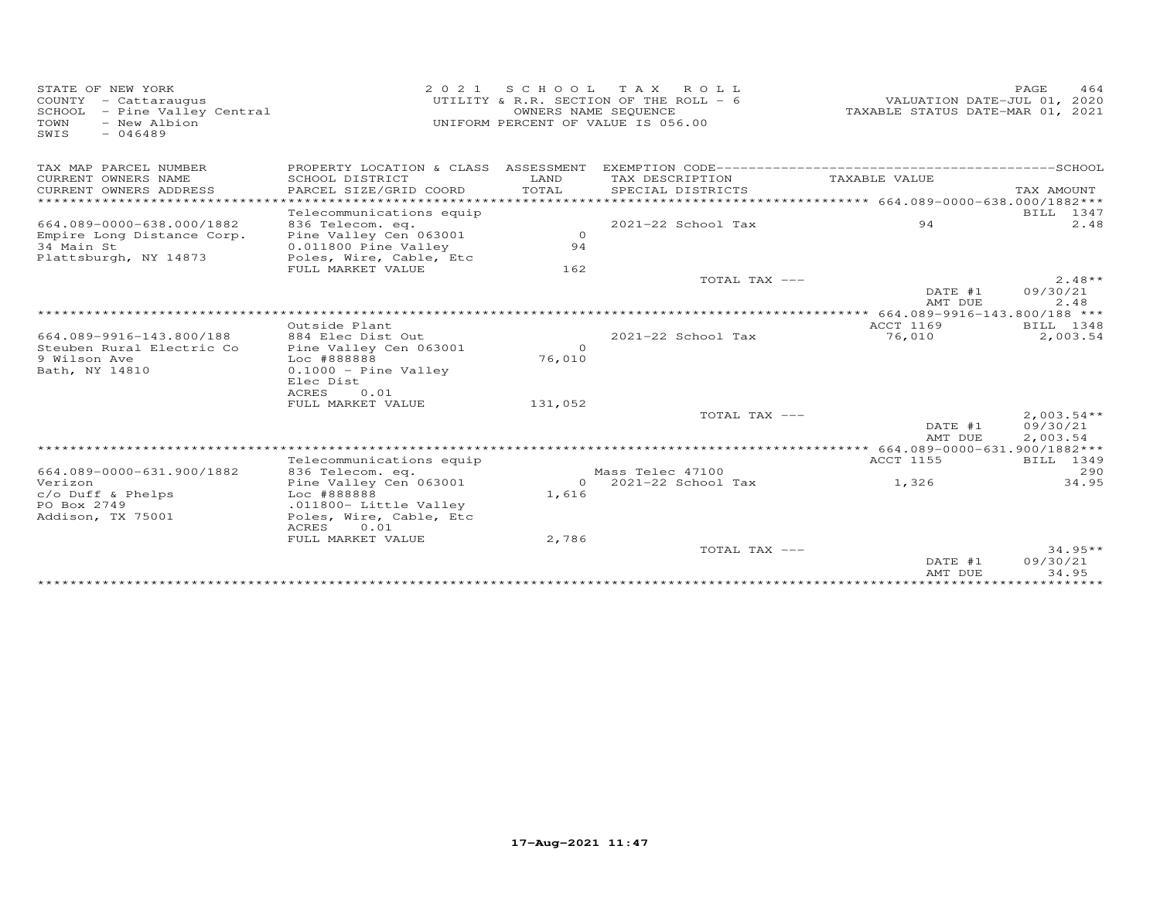| STATE OF NEW YORK<br>COUNTY - Cattaraugus<br>SCHOOL - Pine Valley Central<br>- New Albion<br>TOWN<br>$-046489$<br>SWIS |                                                         |                    | 2021 SCHOOL TAX ROLL<br>UTILITY & R.R. SECTION OF THE ROLL - 6<br>OWNERS NAME SEQUENCE<br>UNIFORM PERCENT OF VALUE IS 056.00 | VALUATION DATE-JUL 01, 2020<br>TAXABLE STATUS DATE-MAR 01, 2021 | PAGE<br>464              |
|------------------------------------------------------------------------------------------------------------------------|---------------------------------------------------------|--------------------|------------------------------------------------------------------------------------------------------------------------------|-----------------------------------------------------------------|--------------------------|
| TAX MAP PARCEL NUMBER<br>CURRENT OWNERS NAME                                                                           | PROPERTY LOCATION & CLASS ASSESSMENT<br>SCHOOL DISTRICT | LAND               | TAX DESCRIPTION                                                                                                              | TAXABLE VALUE                                                   |                          |
| CURRENT OWNERS ADDRESS<br>********************                                                                         | PARCEL SIZE/GRID COORD                                  | TOTAL              | SPECIAL DISTRICTS                                                                                                            |                                                                 | TAX AMOUNT               |
|                                                                                                                        | Telecommunications equip                                |                    |                                                                                                                              |                                                                 | BILL 1347                |
| 664.089-0000-638.000/1882                                                                                              | 836 Telecom. eq.                                        |                    | 2021-22 School Tax                                                                                                           | 94                                                              | 2.48                     |
| Empire Long Distance Corp.                                                                                             | Pine Valley Cen 063001                                  | $\Omega$           |                                                                                                                              |                                                                 |                          |
| 34 Main St                                                                                                             | 0.011800 Pine Valley                                    | 94                 |                                                                                                                              |                                                                 |                          |
| Plattsburgh, NY 14873                                                                                                  | Poles, Wire, Cable, Etc                                 |                    |                                                                                                                              |                                                                 |                          |
|                                                                                                                        | FULL MARKET VALUE                                       | 162                | TOTAL TAX ---                                                                                                                |                                                                 | $2.48**$                 |
|                                                                                                                        |                                                         |                    |                                                                                                                              | DATE #1<br>AMT DUE                                              | 09/30/21<br>2.48         |
|                                                                                                                        |                                                         |                    |                                                                                                                              | ************** 664.089-9916-143.800/188 ***                     |                          |
|                                                                                                                        | Outside Plant                                           |                    |                                                                                                                              | ACCT 1169                                                       | BILL 1348                |
| 664.089-9916-143.800/188                                                                                               | 884 Elec Dist Out                                       |                    | $2021 - 22$ School Tax                                                                                                       | 76,010                                                          | 2,003.54                 |
| Steuben Rural Electric Co<br>9 Wilson Ave                                                                              | Pine Valley Cen 063001<br>Loc #888888                   | $\Omega$<br>76,010 |                                                                                                                              |                                                                 |                          |
| Bath, NY 14810                                                                                                         | $0.1000 -$ Pine Valley                                  |                    |                                                                                                                              |                                                                 |                          |
|                                                                                                                        | Elec Dist                                               |                    |                                                                                                                              |                                                                 |                          |
|                                                                                                                        | 0.01<br>ACRES                                           |                    |                                                                                                                              |                                                                 |                          |
|                                                                                                                        | FULL MARKET VALUE                                       | 131,052            |                                                                                                                              |                                                                 |                          |
|                                                                                                                        |                                                         |                    | TOTAL TAX ---                                                                                                                | DATE #1<br>AMT DUE                                              | $2,003.54**$<br>09/30/21 |
|                                                                                                                        |                                                         |                    |                                                                                                                              |                                                                 | 2,003.54                 |
|                                                                                                                        | Telecommunications equip                                |                    |                                                                                                                              | ACCT 1155                                                       | BILL 1349                |
| 664.089-0000-631.900/1882                                                                                              | 836 Telecom. eq.                                        |                    | Mass Telec 47100                                                                                                             |                                                                 | 290                      |
| Verizon                                                                                                                | Pine Valley Cen 063001                                  |                    | $0$ 2021-22 School Tax                                                                                                       | 1,326                                                           | 34.95                    |
| $c$ / $o$ Duff & Phelps                                                                                                | Loc #888888                                             | 1,616              |                                                                                                                              |                                                                 |                          |
| PO Box 2749<br>Addison, TX 75001                                                                                       | .011800- Little Valley<br>Poles, Wire, Cable, Etc       |                    |                                                                                                                              |                                                                 |                          |
|                                                                                                                        | ACRES<br>0.01                                           |                    |                                                                                                                              |                                                                 |                          |
|                                                                                                                        | FULL MARKET VALUE                                       | 2,786              |                                                                                                                              |                                                                 |                          |
|                                                                                                                        |                                                         |                    | TOTAL TAX ---                                                                                                                |                                                                 | $34.95**$                |
|                                                                                                                        |                                                         |                    |                                                                                                                              | DATE #1                                                         | 09/30/21                 |
|                                                                                                                        |                                                         |                    |                                                                                                                              | AMT DUE                                                         | 34.95                    |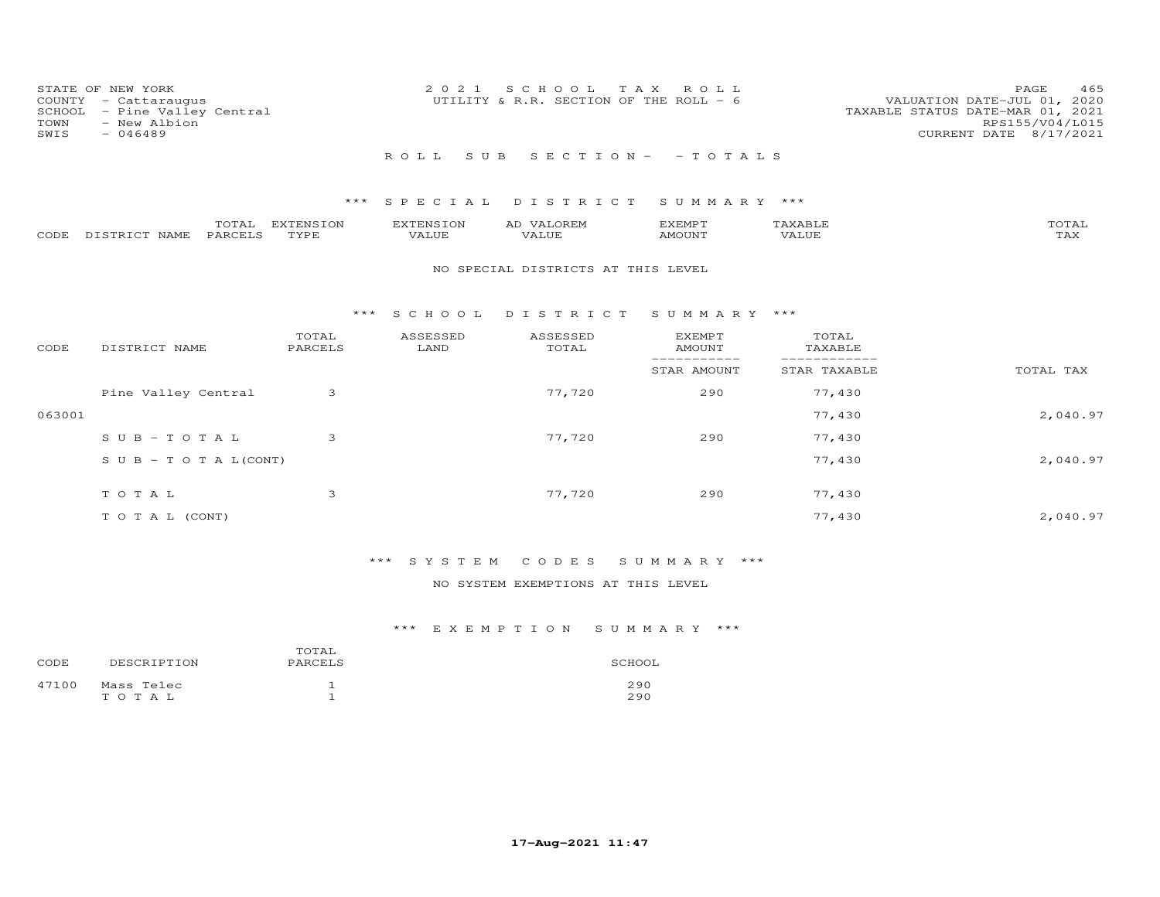| STATE OF NEW YORK<br>COUNTY - Cattaraugus<br>SCHOOL - Pine Valley Central<br>- New Albion<br>TOWN<br>$-046489$<br>SWIS | 2021 SCHOOL TAX ROLL<br>UTILITY & R.R. SECTION OF THE ROLL - 6 | 465<br>PAGE<br>VALUATION DATE-JUL 01, 2020<br>TAXABLE STATUS DATE-MAR 01, 2021<br>RPS155/V04/L015<br>CURRENT DATE 8/17/2021 |
|------------------------------------------------------------------------------------------------------------------------|----------------------------------------------------------------|-----------------------------------------------------------------------------------------------------------------------------|
|                                                                                                                        | ROLL SUB SECTION- - TOTALS                                     |                                                                                                                             |
|                                                                                                                        | *** CDDCTAI NTCTDTCT CHMMADV ***                               |                                                                                                                             |

|      |                  | $\sim$ $\sim$<br>UIAI | <b>EXTENSION</b> | EXTENSION | AD   | SXEMP T |       | COTAI                  |
|------|------------------|-----------------------|------------------|-----------|------|---------|-------|------------------------|
| CODE | ר מים דר<br>NAME | <b>PARCEL</b>         | TYPF             | /ALUE     | ALUF | AMOUNT  | VALUF | $m \times r$<br>L £∆∠^ |

## NO SPECIAL DISTRICTS AT THIS LEVEL

## \*\*\* S C H O O L D I S T R I C T S U M M A R Y \*\*\*

| CODE   | DISTRICT NAME                    | TOTAL<br>PARCELS | ASSESSED<br>LAND | ASSESSED<br>TOTAL | <b>EXEMPT</b><br>AMOUNT | TOTAL<br>TAXABLE |           |
|--------|----------------------------------|------------------|------------------|-------------------|-------------------------|------------------|-----------|
|        |                                  |                  |                  |                   | STAR AMOUNT             | STAR TAXABLE     | TOTAL TAX |
|        | Pine Valley Central              | 3                |                  | 77,720            | 290                     | 77,430           |           |
| 063001 |                                  |                  |                  |                   |                         | 77,430           | 2,040.97  |
|        | $SUB - TO T AL$                  | 3                |                  | 77,720            | 290                     | 77,430           |           |
|        | $S \cup B - T \cup T A L (CONT)$ |                  |                  |                   |                         | 77,430           | 2,040.97  |
|        | TOTAL                            | 3                |                  | 77,720            | 290                     | 77,430           |           |
|        | T O T A L (CONT)                 |                  |                  |                   |                         | 77,430           | 2,040.97  |

# \*\*\* S Y S T E M C O D E S S U M M A R Y \*\*\*

## NO SYSTEM EXEMPTIONS AT THIS LEVEL

| CODE  | DESCRIPTION             | TOTAL<br>PARCELS | SCHOOL     |
|-------|-------------------------|------------------|------------|
| 47100 | Mass Telec<br>T O T A L |                  | 290<br>290 |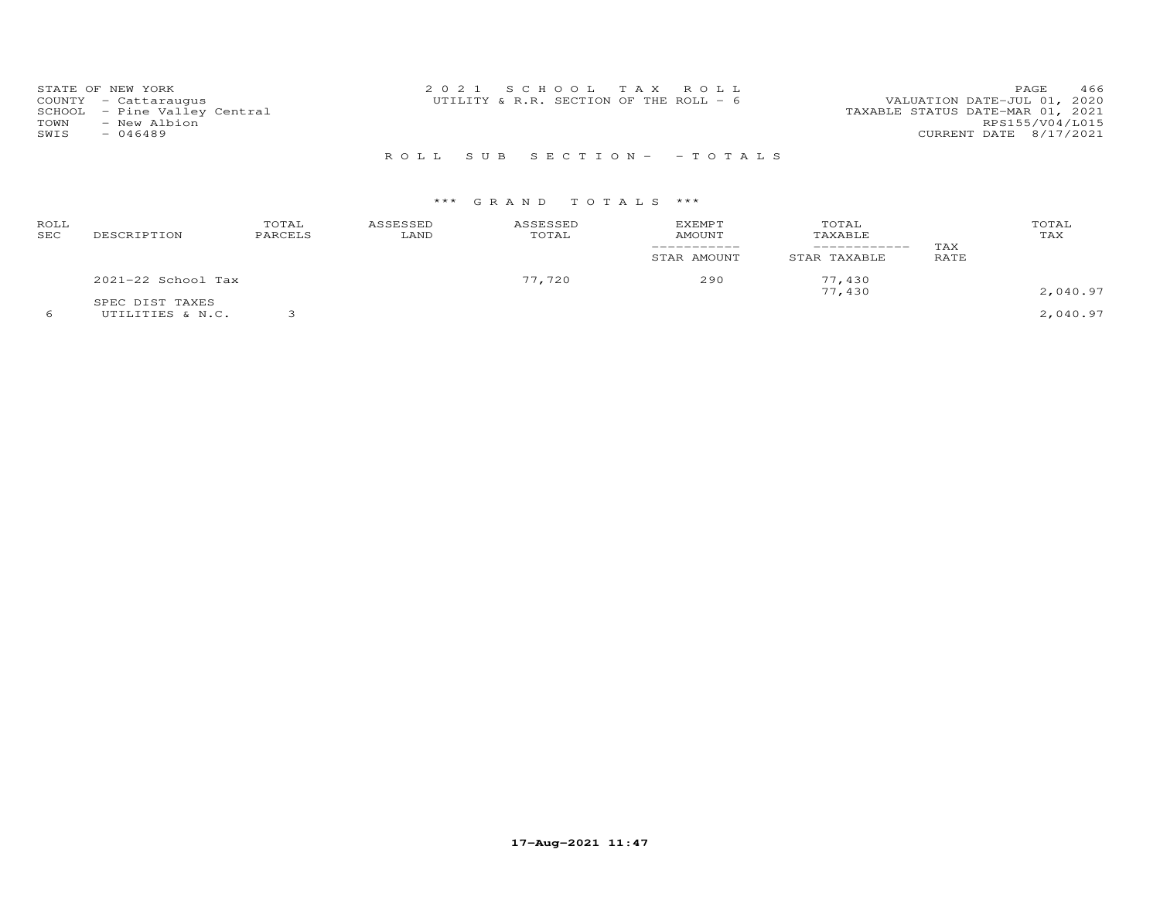| STATE OF NEW YORK            | 2021 SCHOOL TAX ROLL                   | 466<br>PAGE.                     |
|------------------------------|----------------------------------------|----------------------------------|
| COUNTY - Cattaraugus         | UTILITY & R.R. SECTION OF THE ROLL - 6 | VALUATION DATE-JUL 01, 2020      |
| SCHOOL - Pine Valley Central |                                        | TAXABLE STATUS DATE-MAR 01, 2021 |
| - New Albion<br>TOWN         |                                        | RPS155/V04/L015                  |
| SWIS<br>- 046489             |                                        | CURRENT DATE 8/17/2021           |
|                              |                                        |                                  |

R O L L S U B S E C T I O N - - T O T A L S

| ROLL<br>SEC | DESCRIPTION        | TOTAL<br>PARCELS | ASSESSED<br>LAND | ASSESSED<br>TOTAL | <b>EXEMPT</b><br>AMOUNT | TOTAL<br>TAXABLE<br>_________ | TAX  | TOTAL<br>TAX |
|-------------|--------------------|------------------|------------------|-------------------|-------------------------|-------------------------------|------|--------------|
|             |                    |                  |                  |                   | STAR AMOUNT             | STAR TAXABLE                  | RATE |              |
|             | 2021-22 School Tax |                  |                  | 77,720            | 290                     | 77,430<br>77,430              |      | 2,040.97     |
|             | SPEC DIST TAXES    |                  |                  |                   |                         |                               |      |              |
|             | UTILITIES & N.C.   |                  |                  |                   |                         |                               |      | 2,040.97     |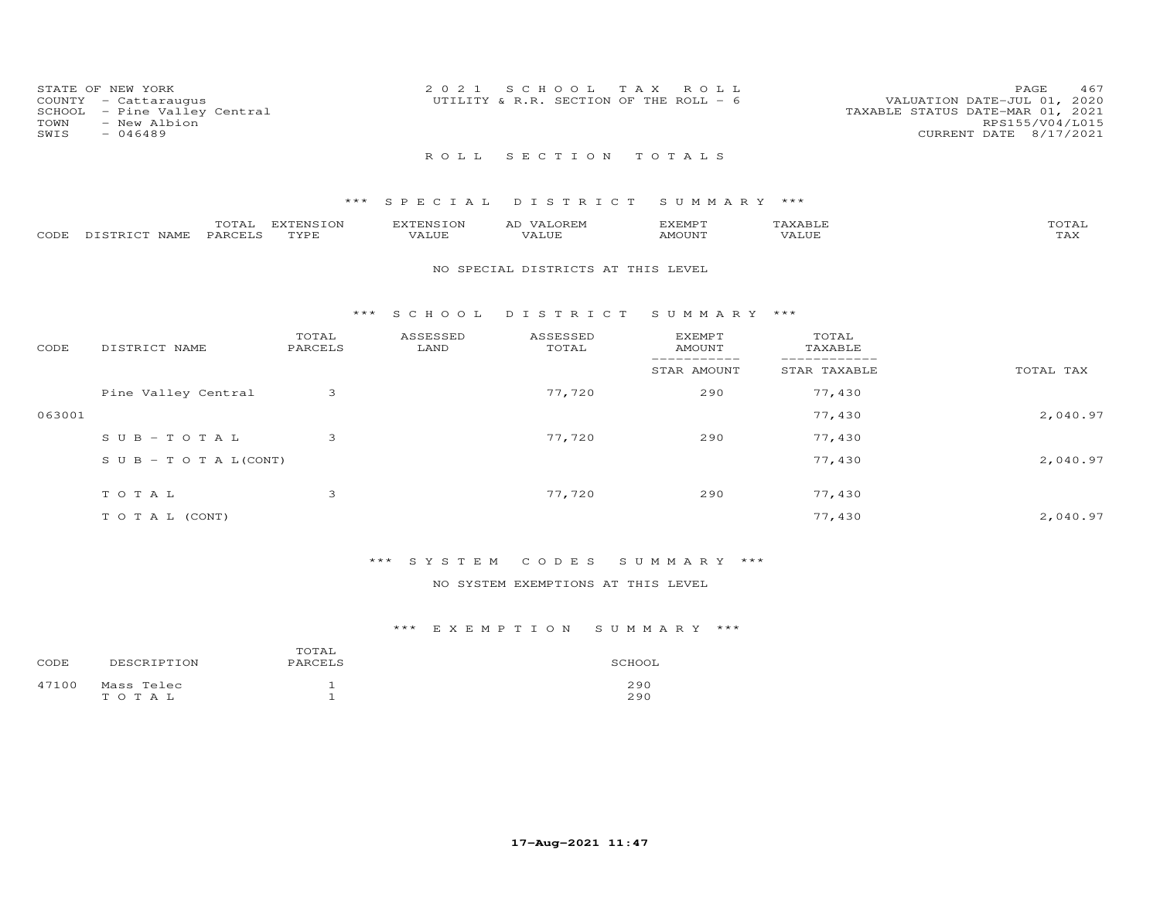| TOWN<br>SWIS | STATE OF NEW YORK<br>COUNTY - Cattaraugus<br>SCHOOL - Pine Valley Central<br>- New Albion<br>$-046489$ | 2021 SCHOOL TAX ROLL<br>UTILITY & R.R. SECTION OF THE ROLL $-$ 6 |  | 467<br>PAGE.<br>VALUATION DATE-JUL 01, 2020<br>TAXABLE STATUS DATE-MAR 01, 2021<br>RPS155/V04/L015<br>CURRENT DATE 8/17/2021 |
|--------------|--------------------------------------------------------------------------------------------------------|------------------------------------------------------------------|--|------------------------------------------------------------------------------------------------------------------------------|
|              |                                                                                                        | ROLL SECTION TOTALS                                              |  |                                                                                                                              |

|      |                  | $- - - -$<br>UIAL | <b>DYPRNCTOM</b><br>FNS. | EXTENSION                   | <b>OREM</b><br>AD.    | IXEMP T | 1 X A B I I            | TOTAI |
|------|------------------|-------------------|--------------------------|-----------------------------|-----------------------|---------|------------------------|-------|
| CODE | NAME<br>DISTRICT | PARCELS           | TVDE                     | -- - - <i>-</i> -<br>'A LUT | $- - - - - -$<br>ALUF | AMOUNT  | , 7 7 T T T T<br>JU E' | ⊥冖⌒   |

#### NO SPECIAL DISTRICTS AT THIS LEVEL

#### \*\*\* S C H O O L D I S T R I C T S U M M A R Y \*\*\*

| CODE   | DISTRICT NAME              | TOTAL<br>PARCELS | ASSESSED<br>LAND | ASSESSED<br>TOTAL | <b>EXEMPT</b><br>AMOUNT | TOTAL<br>TAXABLE |           |
|--------|----------------------------|------------------|------------------|-------------------|-------------------------|------------------|-----------|
|        |                            |                  |                  |                   | STAR AMOUNT             | STAR TAXABLE     | TOTAL TAX |
|        | Pine Valley Central        | 3                |                  | 77,720            | 290                     | 77,430           |           |
| 063001 |                            |                  |                  |                   |                         | 77,430           | 2,040.97  |
|        | $SUB - TO T AL$            | 3                |                  | 77,720            | 290                     | 77,430           |           |
|        | S U B - T O T A $L$ (CONT) |                  |                  |                   |                         | 77,430           | 2,040.97  |
|        | TOTAL                      | 3                |                  | 77,720            | 290                     | 77,430           |           |
|        | T O T A L (CONT)           |                  |                  |                   |                         | 77,430           | 2,040.97  |

# \*\*\* S Y S T E M C O D E S S U M M A R Y \*\*\*

## NO SYSTEM EXEMPTIONS AT THIS LEVEL

| CODE  | DESCRIPTION             | SCHOOL |            |
|-------|-------------------------|--------|------------|
| 47100 | Mass Telec<br>T O T A L |        | 290<br>290 |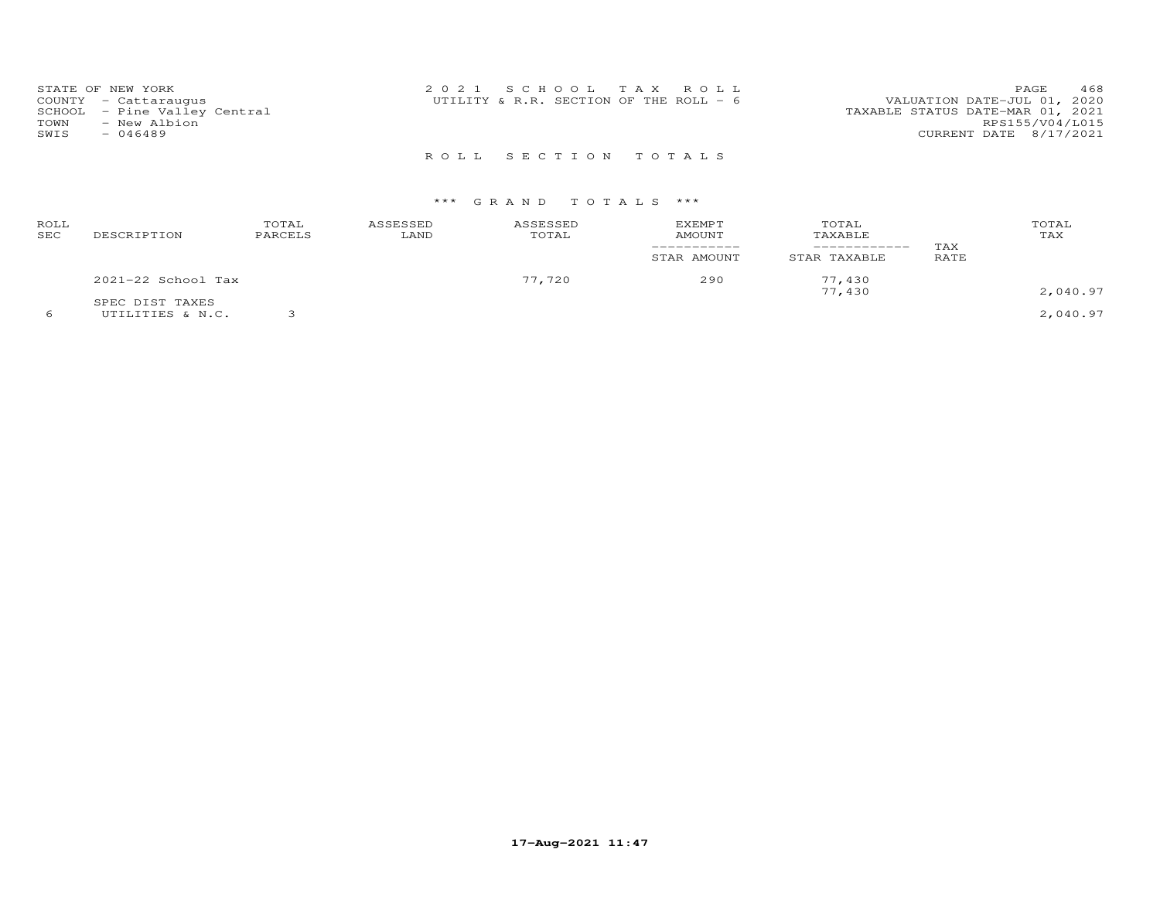| STATE OF NEW YORK            | 2021 SCHOOL TAX ROLL                     | 468<br>PAGE                      |
|------------------------------|------------------------------------------|----------------------------------|
| COUNTY - Cattaraugus         | UTILITY & R.R. SECTION OF THE ROLL - $6$ | VALUATION DATE-JUL 01, 2020      |
| SCHOOL - Pine Valley Central |                                          | TAXABLE STATUS DATE-MAR 01, 2021 |
| TOWN<br>- New Albion         |                                          | RPS155/V04/L015                  |
| SWIS<br>$-046489$            |                                          | CURRENT DATE 8/17/2021           |
|                              |                                          |                                  |

R O L L S E C T I O N T O T A L S

# \*\*\* G R A N D T O T A L S \*\*\*

| ROLL<br>SEC | DESCRIPTION                         | TOTAL<br>PARCELS | ASSESSED<br>LAND | ASSESSED<br>TOTAL | <b>EXEMPT</b><br>AMOUNT<br>STAR AMOUNT | TOTAL<br>TAXABLE<br>------------<br>STAR TAXABLE | TAX<br>RATE | TOTAL<br>TAX |
|-------------|-------------------------------------|------------------|------------------|-------------------|----------------------------------------|--------------------------------------------------|-------------|--------------|
|             | 2021-22 School Tax                  |                  |                  | 77,720            | 290                                    | 77,430<br>77,430                                 |             | 2,040.97     |
|             | SPEC DIST TAXES<br>UTILITIES & N.C. |                  |                  |                   |                                        |                                                  |             | 2,040.97     |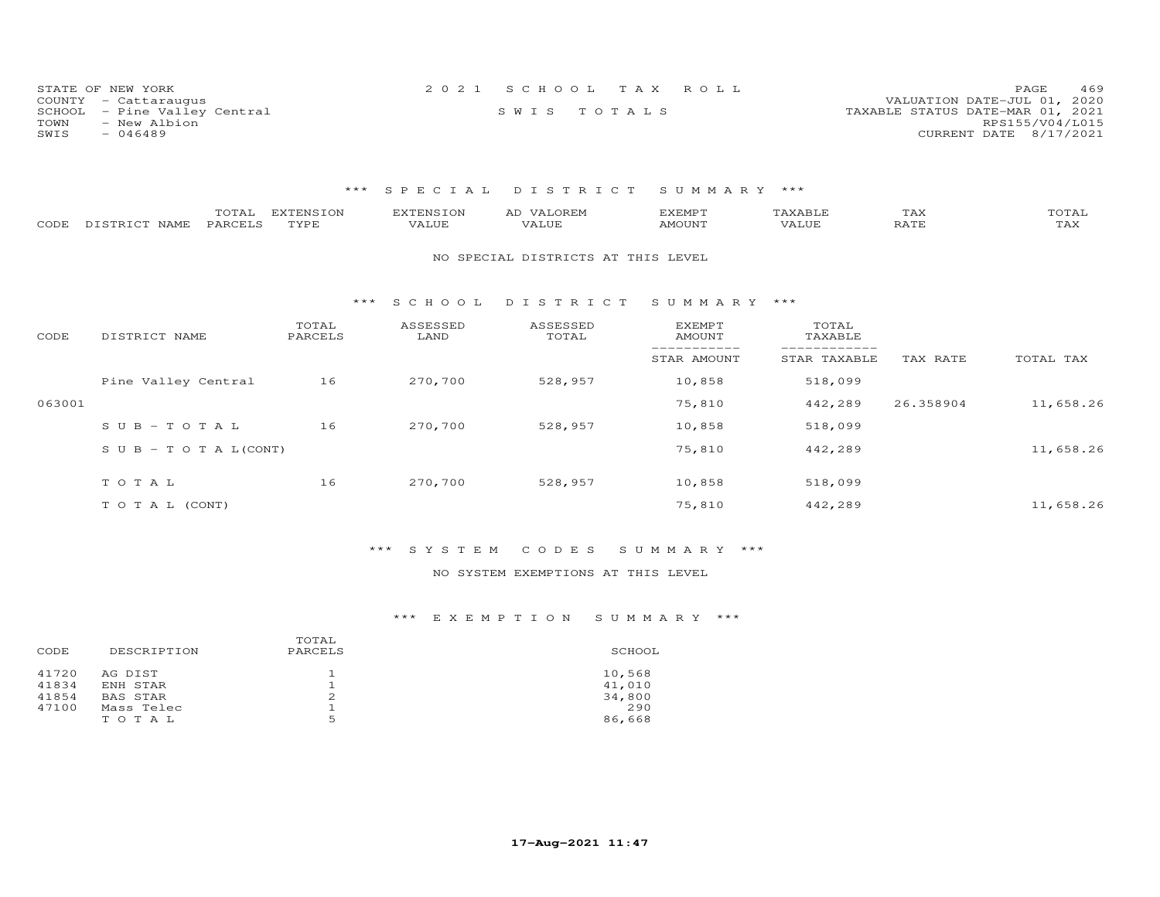| STATE OF NEW YORK            | 2021 SCHOOL TAX ROLL | 469<br>PAGE                      |
|------------------------------|----------------------|----------------------------------|
| COUNTY - Cattaraugus         |                      | VALUATION DATE-JUL 01, 2020      |
| SCHOOL - Pine Valley Central | SWIS TOTALS          | TAXABLE STATUS DATE-MAR 01, 2021 |
| TOWN<br>- New Albion         |                      | RPS155/V04/L015                  |
| $-046489$<br>SWIS            |                      | CURRENT DATE 8/17/2021           |

## \*\*\* S P E C I A L D I S T R I C T S U M M A R Y \*\*\*

| CODE   | TOTAL<br>PARCELS<br>DISTRICT NAME | <b>EXTENSION</b><br>TYPE | <b>EXTENSION</b><br>VALUE | AD VALOREM<br>VALUE                | <b>EXEMPT</b><br>AMOUNT | TAXABLE<br>VALUE | TAX<br>RATE | TOTAL<br>TAX |
|--------|-----------------------------------|--------------------------|---------------------------|------------------------------------|-------------------------|------------------|-------------|--------------|
|        |                                   |                          |                           | NO SPECIAL DISTRICTS AT THIS LEVEL |                         |                  |             |              |
|        |                                   | ***                      | S C H O O L               | DISTRICT                           | SUMMARY ***             |                  |             |              |
| CODE   | DISTRICT NAME                     | TOTAL<br>PARCELS         | ASSESSED<br>LAND          | ASSESSED<br>TOTAL                  | EXEMPT<br>AMOUNT        | TOTAL<br>TAXABLE |             |              |
|        |                                   |                          |                           |                                    | STAR AMOUNT             | STAR TAXABLE     | TAX RATE    | TOTAL TAX    |
|        | Pine Valley Central               | 16                       | 270,700                   | 528,957                            | 10,858                  | 518,099          |             |              |
| 063001 |                                   |                          |                           |                                    | 75,810                  | 442,289          | 26.358904   | 11,658.26    |
|        | $SUB - TO T AL$                   | 16                       | 270,700                   | 528,957                            | 10,858                  | 518,099          |             |              |
|        | S U B - T O T A $L$ (CONT)        |                          |                           |                                    | 75,810                  | 442,289          |             | 11,658.26    |
|        | TOTAL                             | 16                       | 270,700                   | 528,957                            | 10,858                  | 518,099          |             |              |
|        | TO TAL (CONT)                     |                          |                           |                                    | 75,810                  | 442,289          |             | 11,658.26    |
|        |                                   |                          |                           |                                    |                         |                  |             |              |

## \*\*\* S Y S T E M C O D E S S U M M A R Y \*\*\*

## NO SYSTEM EXEMPTIONS AT THIS LEVEL

## \*\*\* E X E M P T I O N S U M M A R Y \*\*\*

| DESCRIPTION<br>CODE                                                                        | TOTAL<br>PARCELS | SCHOOL                                      |
|--------------------------------------------------------------------------------------------|------------------|---------------------------------------------|
| 41720<br>AG DIST<br>41834<br>ENH STAR<br>41854<br>BAS STAR<br>47100<br>Mass Telec<br>TOTAL | 2<br>ь           | 10,568<br>41,010<br>34,800<br>290<br>86,668 |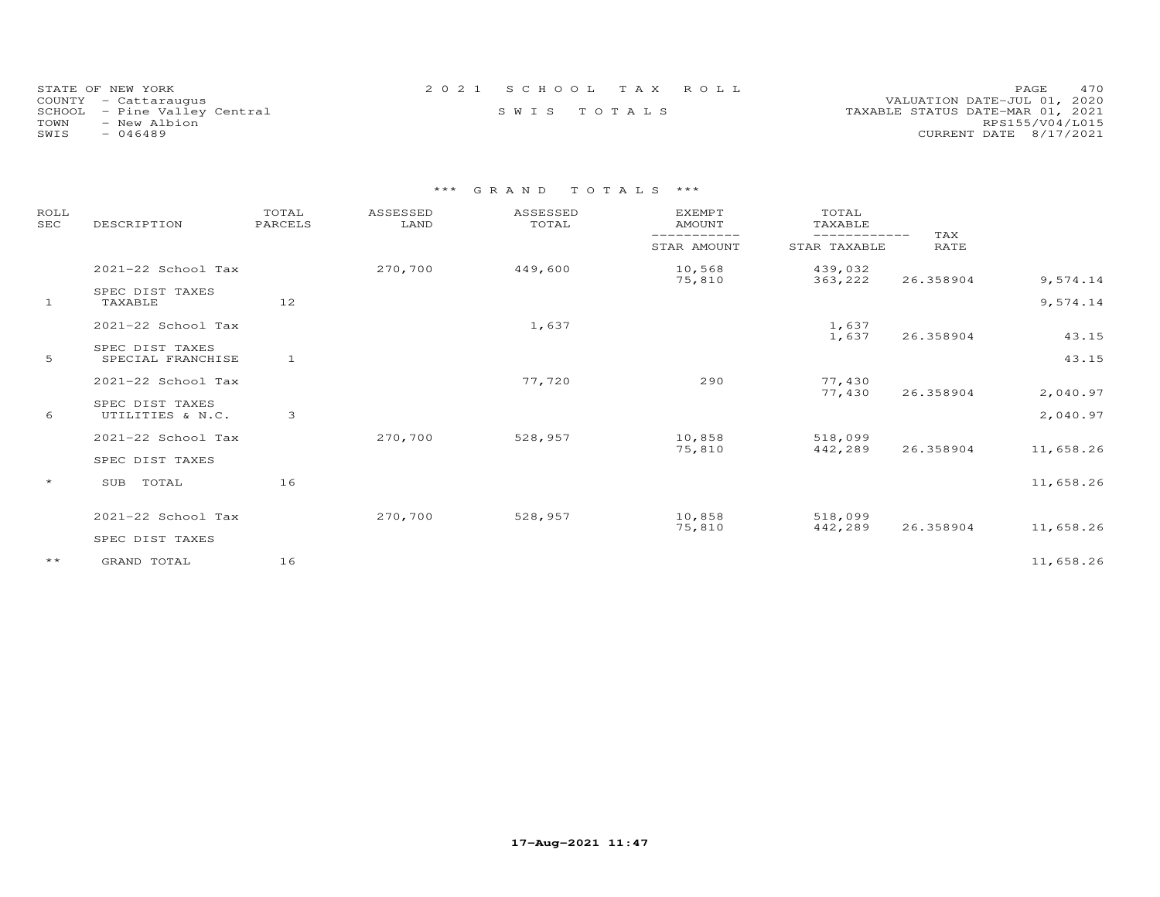| 2021 SCHOOL TAX ROLL<br>STATE OF NEW YORK                                       | 470<br><b>PAGE</b>     |
|---------------------------------------------------------------------------------|------------------------|
| VALUATION DATE-JUL 01, 2020<br>COUNTY - Cattaraugus                             |                        |
| SWIS TOTALS<br>TAXABLE STATUS DATE-MAR 01, 2021<br>SCHOOL - Pine Valley Central |                        |
| TOWN<br>- New Albion                                                            | RPS155/V04/L015        |
| SWIS<br>- 046489                                                                | CURRENT DATE 8/17/2021 |

# \*\*\* G R A N D T O T A L S \*\*\*

| ROLL<br><b>SEC</b> | DESCRIPTION                          | TOTAL<br>PARCELS | ASSESSED<br>LAND | ASSESSED<br>TOTAL | <b>EXEMPT</b><br><b>AMOUNT</b> | TOTAL<br>TAXABLE<br>------------ | TAX         |           |
|--------------------|--------------------------------------|------------------|------------------|-------------------|--------------------------------|----------------------------------|-------------|-----------|
|                    |                                      |                  |                  |                   | STAR AMOUNT                    | STAR TAXABLE                     | <b>RATE</b> |           |
|                    | 2021-22 School Tax                   |                  | 270,700          | 449,600           | 10,568<br>75,810               | 439,032<br>363,222               | 26.358904   | 9,574.14  |
| $\mathbf{1}$       | SPEC DIST TAXES<br>TAXABLE           | 12               |                  |                   |                                |                                  |             | 9,574.14  |
|                    | 2021-22 School Tax                   |                  |                  | 1,637             |                                | 1,637<br>1,637                   | 26.358904   | 43.15     |
| 5                  | SPEC DIST TAXES<br>SPECIAL FRANCHISE | $\mathbf{1}$     |                  |                   |                                |                                  |             | 43.15     |
|                    | 2021-22 School Tax                   |                  |                  | 77,720            | 290                            | 77,430<br>77,430                 | 26.358904   | 2,040.97  |
| 6                  | SPEC DIST TAXES<br>UTILITIES & N.C.  | 3                |                  |                   |                                |                                  |             | 2,040.97  |
|                    | 2021-22 School Tax                   |                  | 270,700          | 528,957           | 10,858<br>75,810               | 518,099<br>442,289               | 26.358904   | 11,658.26 |
|                    | SPEC DIST TAXES                      |                  |                  |                   |                                |                                  |             |           |
| $\star$            | TOTAL<br>SUB                         | 16               |                  |                   |                                |                                  |             | 11,658.26 |
|                    | 2021-22 School Tax                   |                  | 270,700          | 528,957           | 10,858<br>75,810               | 518,099<br>442,289               | 26.358904   | 11,658.26 |
|                    | SPEC DIST TAXES                      |                  |                  |                   |                                |                                  |             |           |
| $***$              | GRAND TOTAL                          | 16               |                  |                   |                                |                                  |             | 11,658.26 |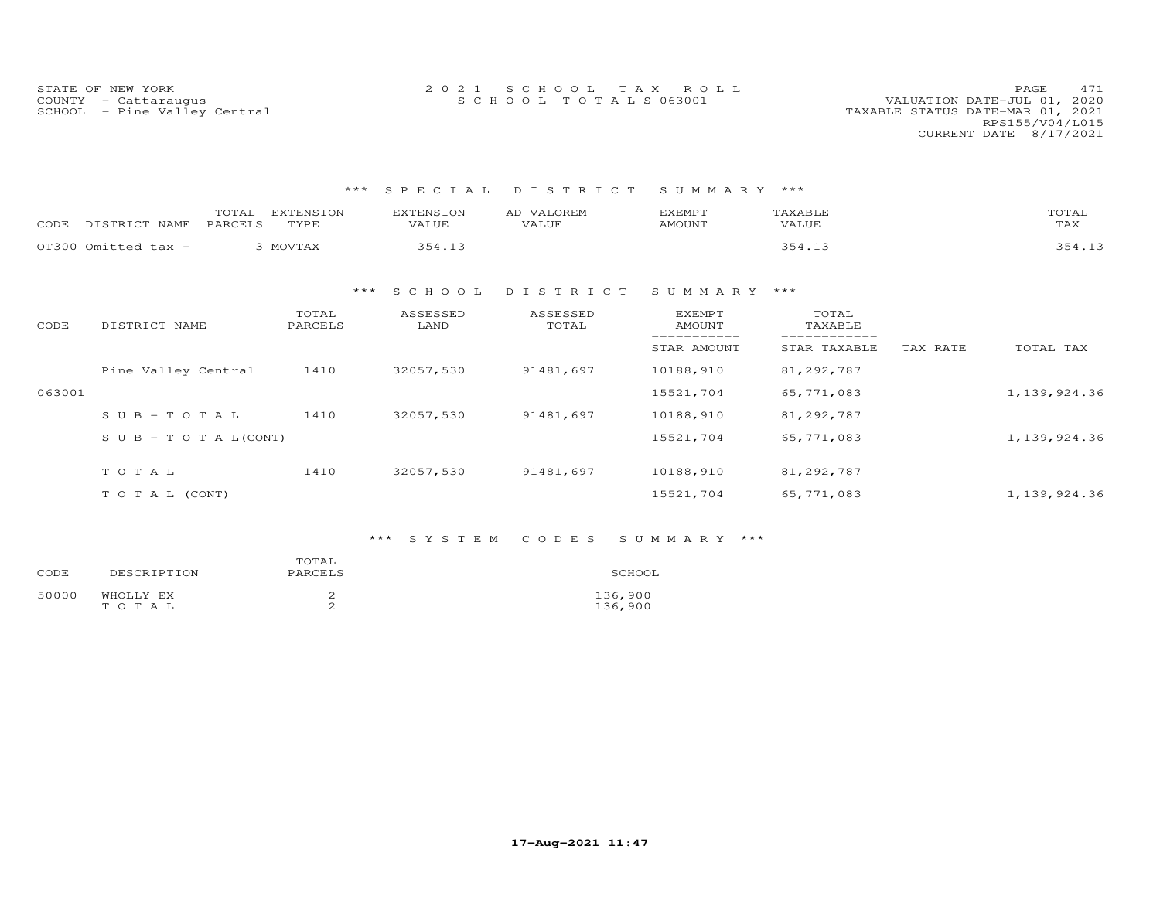| STATE OF NEW YORK            | 2021 SCHOOL TAX ROLL | 471<br>PAGE.                     |
|------------------------------|----------------------|----------------------------------|
| COUNTY - Cattarauqus         | SCHOOL TOTALS 063001 | VALUATION DATE-JUL 01, 2020      |
| SCHOOL - Pine Valley Central |                      | TAXABLE STATUS DATE-MAR 01, 2021 |
|                              |                      | RPS155/V04/L015                  |
|                              |                      | CURRENT DATE 8/17/2021           |

## \*\*\* S P E C I A L D I S T R I C T S U M M A R Y \*\*\*

| CODE | NAME                | <b>FNSTON</b><br>$\n  r$<br>TVDF<br>- - - - | <b>TNICTON</b><br>VALUE | OREM<br><b>TZATTTE</b> | EXEMP.<br>IMOUNT | 'AXABL<br>VALUE | mama<br>UIAI<br>$m \times r$<br>TAX |
|------|---------------------|---------------------------------------------|-------------------------|------------------------|------------------|-----------------|-------------------------------------|
|      | OT300 Omitted tax - | MOVTAX                                      |                         |                        |                  | 354<br>- - -    |                                     |

### \*\*\* S C H O O L D I S T R I C T S U M M A R Y \*\*\*

| CODE   | DISTRICT NAME                    | TOTAL<br>PARCELS | ASSESSED<br>LAND | ASSESSED<br>TOTAL | <b>EXEMPT</b><br>AMOUNT | TOTAL<br>TAXABLE |          |              |
|--------|----------------------------------|------------------|------------------|-------------------|-------------------------|------------------|----------|--------------|
|        |                                  |                  |                  |                   | STAR AMOUNT             | STAR TAXABLE     | TAX RATE | TOTAL TAX    |
|        | Pine Valley Central              | 1410             | 32057,530        | 91481,697         | 10188,910               | 81,292,787       |          |              |
| 063001 |                                  |                  |                  |                   | 15521,704               | 65,771,083       |          | 1,139,924.36 |
|        | $SUB - TO T AL$                  | 1410             | 32057,530        | 91481,697         | 10188,910               | 81,292,787       |          |              |
|        | $S \cup B - T \cup T A L (CONT)$ |                  |                  |                   | 15521,704               | 65,771,083       |          | 1,139,924.36 |
|        | TOTAL                            | 1410             | 32057,530        | 91481,697         | 10188,910               | 81,292,787       |          |              |
|        | T O T A L (CONT)                 |                  |                  |                   | 15521,704               | 65,771,083       |          | 1,139,924.36 |

## \*\*\* S Y S T E M C O D E S S U M M A R Y \*\*\*

| CODE  | DESCRIPTION        | TOTAL<br>PARCELS | SCHOOL             |
|-------|--------------------|------------------|--------------------|
| 50000 | WHOLLY EX<br>TOTAL | ∼                | 136,900<br>136,900 |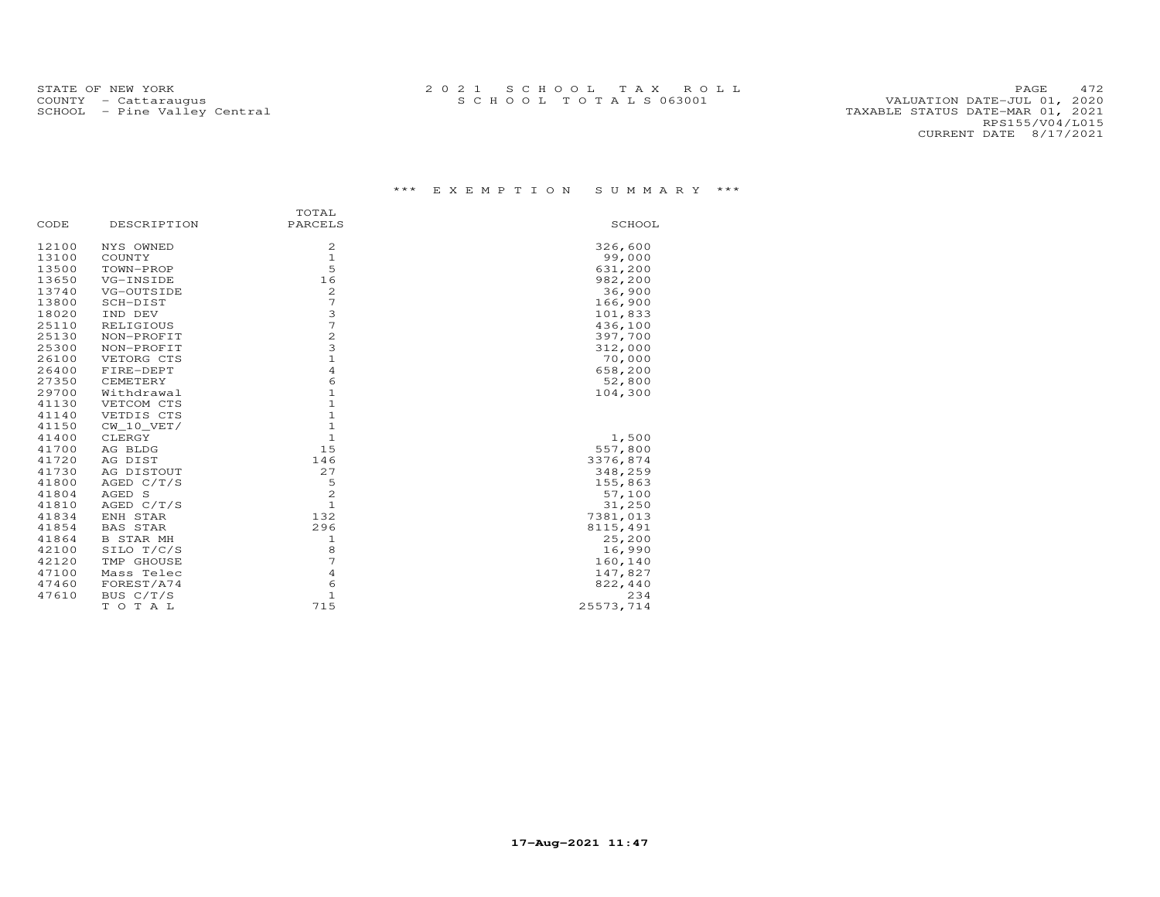PAGE 472<br>VALUATION DATE-JUL 01, 2020 SCHOOL – Pine Valley Central<br>RPS155/V04/L015<br>CURRENT DATE 8/17/2021

## \*\*\* E X E M P T I O N S U M M A R Y \*\*\*

|       |                  | TOTAL                   |           |
|-------|------------------|-------------------------|-----------|
| CODE  | DESCRIPTION      | PARCELS                 | SCHOOL    |
| 12100 | NYS OWNED        | 2                       | 326,600   |
| 13100 | COUNTY           | $1\,$                   | 99,000    |
| 13500 | TOWN-PROP        | 5                       | 631,200   |
| 13650 | VG-INSIDE        | 16                      | 982,200   |
| 13740 | VG-OUTSIDE       | 2                       | 36,900    |
| 13800 | SCH-DIST         | 7                       | 166,900   |
| 18020 | IND DEV          | 3                       | 101,833   |
| 25110 | RELIGIOUS        | 7                       | 436,100   |
| 25130 | NON-PROFIT       | $\overline{\mathbf{c}}$ | 397,700   |
| 25300 | NON-PROFIT       | 3                       | 312,000   |
| 26100 | VETORG CTS       | $\mathbf{1}$            | 70,000    |
| 26400 | FIRE-DEPT        | $\overline{4}$          | 658,200   |
| 27350 | CEMETERY         | 6                       | 52,800    |
| 29700 | Withdrawal       | $\mathbf{1}$            | 104,300   |
| 41130 | VETCOM CTS       | $\mathbf{1}$            |           |
| 41140 | VETDIS CTS       | $\mathbf{1}$            |           |
| 41150 | CW 10 VET/       | $1\,$                   |           |
| 41400 | CLERGY           | $\mathbf{1}$            | 1,500     |
| 41700 | AG BLDG          | 15                      | 557,800   |
| 41720 | AG DIST          | 146                     | 3376,874  |
| 41730 | AG DISTOUT       | 27                      | 348,259   |
| 41800 | AGED $C/T/S$     | 5                       | 155,863   |
| 41804 | AGED S           | 2                       | 57,100    |
| 41810 | AGED C/T/S       | $\mathbf{1}$            | 31,250    |
| 41834 | ENH STAR         | 132                     | 7381,013  |
| 41854 | <b>BAS STAR</b>  | 296                     | 8115,491  |
| 41864 | <b>B STAR MH</b> | 1                       | 25,200    |
| 42100 | SILO T/C/S       | 8                       | 16,990    |
| 42120 | TMP GHOUSE       | 7                       | 160,140   |
| 47100 | Mass Telec       | $\overline{4}$          | 147,827   |
| 47460 | FOREST/A74       | 6                       | 822,440   |
| 47610 | BUS C/T/S        | $\mathbf 1$             | 234       |
|       | TOTAL            | 715                     | 25573,714 |